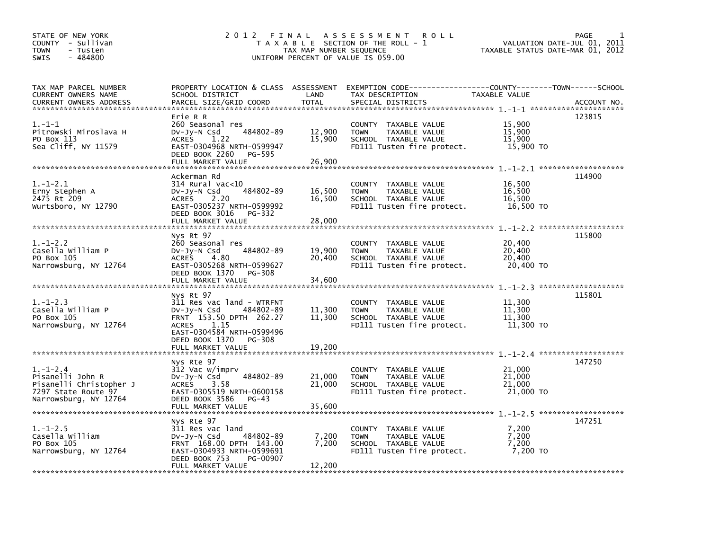| STATE OF NEW YORK<br>COUNTY - Sullivan<br><b>TOWN</b><br>- Tusten<br>$-484800$<br>SWIS                        | 2 0 1 2<br>FINAL                                                                                                                                                                                    | TAX MAP NUMBER SEQUENCE    | A S S E S S M E N T R O L L<br>T A X A B L E SECTION OF THE ROLL - 1<br>UNIFORM PERCENT OF VALUE IS 059.00                               |                                         | PAGE<br>VALUATION DATE-JUL 01, 2011<br>TAXABLE STATUS DATE-MAR 01, 2012 |
|---------------------------------------------------------------------------------------------------------------|-----------------------------------------------------------------------------------------------------------------------------------------------------------------------------------------------------|----------------------------|------------------------------------------------------------------------------------------------------------------------------------------|-----------------------------------------|-------------------------------------------------------------------------|
| TAX MAP PARCEL NUMBER<br><b>CURRENT OWNERS NAME</b><br><b>CURRENT OWNERS ADDRESS</b>                          | SCHOOL DISTRICT<br>PARCEL SIZE/GRID COORD                                                                                                                                                           | LAND<br><b>TOTAL</b>       | PROPERTY LOCATION & CLASS ASSESSMENT EXEMPTION CODE----------------COUNTY-------TOWN------SCHOOL<br>TAX DESCRIPTION<br>SPECIAL DISTRICTS | TAXABLE VALUE                           | ACCOUNT NO.                                                             |
| $1.-1-1$<br>Pitrowski Miroslava H<br>PO Box 113<br>Sea Cliff, NY 11579                                        | Erie R R<br>260 Seasonal res<br>484802-89<br>DV-Jy-N Csd<br>ACRES<br>1.22<br>EAST-0304968 NRTH-0599947<br>DEED BOOK 2260<br>PG-595<br>FULL MARKET VALUE                                             | 12,900<br>15,900<br>26,900 | COUNTY TAXABLE VALUE<br><b>TOWN</b><br>TAXABLE VALUE<br>SCHOOL TAXABLE VALUE<br>FD111 Tusten fire protect.                               | 15,900<br>15,900<br>15,900<br>15,900 TO | 123815                                                                  |
| $1.-1-2.1$<br>Erny Stephen A<br>2475 Rt 209<br>Wurtsboro, NY 12790                                            | Ackerman Rd<br>314 Rural vac<10<br>484802-89<br>$Dv-Jy-N$ Csd<br><b>ACRES</b><br>2.20<br>EAST-0305237 NRTH-0599992<br>DEED BOOK 3016<br>PG-332<br>FULL MARKET VALUE                                 | 16,500<br>16.500<br>28,000 | COUNTY TAXABLE VALUE<br>TAXABLE VALUE<br><b>TOWN</b><br>SCHOOL TAXABLE VALUE<br>FD111 Tusten fire protect.                               | 16,500<br>16,500<br>16,500<br>16,500 TO | 114900                                                                  |
| $1. - 1 - 2.2$<br>Casella William P<br>PO Box 105<br>Narrowsburg, NY 12764                                    | Nys Rt 97<br>260 Seasonal res<br>484802-89<br>$Dv-Jy-N$ Csd<br><b>ACRES</b><br>4.80<br>EAST-0305268 NRTH-0599627<br>DEED BOOK 1370<br>PG-308<br>FULL MARKET VALUE                                   | 19,900<br>20,400<br>34,600 | COUNTY TAXABLE VALUE<br><b>TOWN</b><br>TAXABLE VALUE<br>SCHOOL TAXABLE VALUE<br>FD111 Tusten fire protect.                               | 20,400<br>20,400<br>20,400<br>20,400 TO | 115800                                                                  |
| $1.-1-2.3$<br>Casella William P<br>PO Box 105<br>Narrowsburg, NY 12764                                        | Nvs Rt 97<br>311 Res vac land - WTRFNT<br>484802-89<br>DV-Jy-N Csd<br>FRNT 153.50 DPTH 262.27<br><b>ACRES</b><br>1.15<br>EAST-0304584 NRTH-0599496<br>DEED BOOK 1370<br>PG-308<br>FULL MARKET VALUE | 11,300<br>11,300<br>19,200 | COUNTY TAXABLE VALUE<br><b>TOWN</b><br>TAXABLE VALUE<br>SCHOOL TAXABLE VALUE<br>FD111 Tusten fire protect.                               | 11,300<br>11,300<br>11,300<br>11,300 TO | 115801                                                                  |
| $1. - 1 - 2.4$<br>Pisanelli John R<br>Pisanelli Christopher J<br>7297 State Route 97<br>Narrowsburg, NY 12764 | Nys Rte 97<br>312 Vac w/imprv<br>484802-89<br>$Dv-Jy-N$ Csd<br>3.58<br><b>ACRES</b><br>EAST-0305519 NRTH-0600158<br>DEED BOOK 3586<br>PG-43<br>FULL MARKET VALUE                                    | 21,000<br>21,000<br>35,600 | COUNTY TAXABLE VALUE<br><b>TOWN</b><br>TAXABLE VALUE<br>SCHOOL TAXABLE VALUE<br>FD111 Tusten fire protect.                               | 21,000<br>21,000<br>21,000<br>21,000 TO | 147250                                                                  |
| $1.-1-2.5$<br>Casella William<br>PO Box 105<br>Narrowsburg, NY 12764                                          | Nys Rte 97<br>311 Res vac land<br>484802-89<br>DV-Jy-N Csd<br>FRNT 168.00 DPTH 143.00<br>EAST-0304933 NRTH-0599691<br>DEED BOOK 753<br>PG-00907<br>FULL MARKET VALUE                                | 7,200<br>7,200<br>12,200   | COUNTY TAXABLE VALUE<br><b>TOWN</b><br>TAXABLE VALUE<br>SCHOOL TAXABLE VALUE<br>FD111 Tusten fire protect.                               | 7,200<br>7,200<br>7,200<br>7,200 TO     | 147251                                                                  |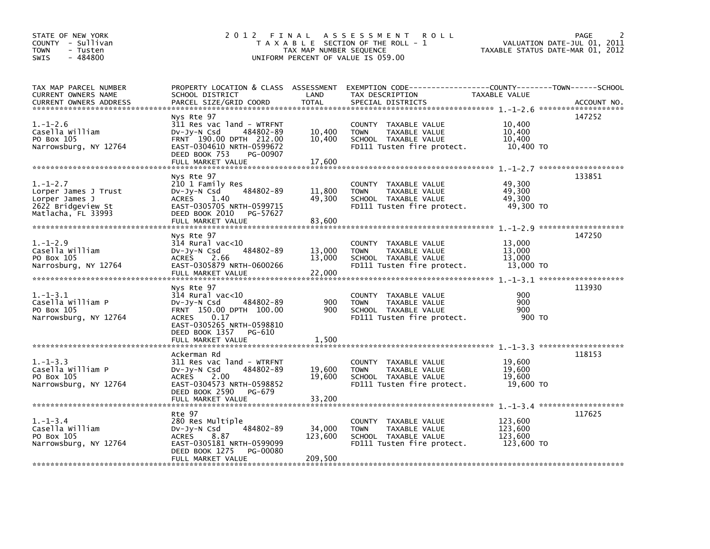| STATE OF NEW YORK<br>COUNTY - Sullivan<br><b>TOWN</b><br>- Tusten<br>$-484800$<br><b>SWIS</b>        | 2 0 1 2                                                                                                                                                                                         | FINAL<br>TAX MAP NUMBER SEQUENCE | A S S E S S M E N T<br><b>ROLL</b><br>T A X A B L E SECTION OF THE ROLL - 1<br>UNIFORM PERCENT OF VALUE IS 059.00                        |                                             | 2<br><b>PAGE</b><br>VALUATION DATE-JUL 01, 2011<br>TAXABLE STATUS DATE-MAR 01, 2012 |
|------------------------------------------------------------------------------------------------------|-------------------------------------------------------------------------------------------------------------------------------------------------------------------------------------------------|----------------------------------|------------------------------------------------------------------------------------------------------------------------------------------|---------------------------------------------|-------------------------------------------------------------------------------------|
| TAX MAP PARCEL NUMBER<br>CURRENT OWNERS NAME<br>CURRENT OWNERS ADDRESS                               | SCHOOL DISTRICT<br>PARCEL SIZE/GRID COORD                                                                                                                                                       | LAND<br><b>TOTAL</b>             | PROPERTY LOCATION & CLASS ASSESSMENT EXEMPTION CODE----------------COUNTY-------TOWN------SCHOOL<br>TAX DESCRIPTION<br>SPECIAL DISTRICTS | TAXABLE VALUE                               | ACCOUNT NO.                                                                         |
| $1. - 1 - 2.6$<br>Casella William<br>PO Box 105<br>Narrowsburg, NY 12764                             | Nys Rte 97<br>311 Res vac land - WTRFNT<br>$Dv-Jv-N$ Csd<br>484802-89<br>FRNT 190.00 DPTH 212.00<br>EAST-0304610 NRTH-0599672<br>DEED BOOK 753<br>PG-00907<br>FULL MARKET VALUE                 | 10,400<br>10,400<br>17,600       | COUNTY TAXABLE VALUE<br>TAXABLE VALUE<br><b>TOWN</b><br>SCHOOL TAXABLE VALUE<br>FD111 Tusten fire protect.                               | 10,400<br>10,400<br>10,400<br>10,400 TO     | 147252                                                                              |
| $1. - 1 - 2.7$<br>Lorper James J Trust<br>Lorper James J<br>2622 Bridgeview St<br>Matlacha, FL 33993 | Nys Rte 97<br>210 1 Family Res<br>484802-89<br>$Dv-Jy-N$ Csd<br>ACRES 1.40<br>EAST-0305705 NRTH-0599715<br>DEED BOOK 2010<br>PG-57627<br>FULL MARKET VALUE                                      | 11,800<br>49,300<br>83,600       | COUNTY TAXABLE VALUE<br><b>TOWN</b><br>TAXABLE VALUE<br>SCHOOL TAXABLE VALUE<br>FD111 Tusten fire protect.                               | 49,300<br>49,300<br>49,300<br>49,300 TO     | 133851                                                                              |
| $1. - 1 - 2.9$<br>Casella William<br>PO Box 105<br>Narrosburg, NY 12764                              | Nys Rte 97<br>$314$ Rural vac<10<br>484802-89<br>$Dv-Jy-N$ Csd<br><b>ACRES</b><br>2.66<br>EAST-0305879 NRTH-0600266<br>FULL MARKET VALUE                                                        | 13,000<br>13,000<br>22,000       | COUNTY TAXABLE VALUE<br><b>TOWN</b><br>TAXABLE VALUE<br>SCHOOL TAXABLE VALUE<br>FD111 Tusten fire protect.                               | 13,000<br>13,000<br>13,000<br>13,000 TO     | 147250                                                                              |
| $1. - 1 - 3.1$<br>Casella William P<br>PO Box 105<br>Narrowsburg, NY 12764                           | Nys Rte 97<br>$314$ Rural vac<10<br>484802-89<br>$Dv-Jy-N$ Csd<br>FRNT 150.00 DPTH 100.00<br><b>ACRES</b><br>0.17<br>EAST-0305265 NRTH-0598810<br>DEED BOOK 1357<br>PG-610<br>FULL MARKET VALUE | 900<br>900<br>1,500              | <b>COUNTY</b><br>TAXABLE VALUE<br><b>TOWN</b><br>TAXABLE VALUE<br>SCHOOL TAXABLE VALUE<br>FD111 Tusten fire protect.                     | 900<br>900<br>900<br>900 TO                 | 113930                                                                              |
| $1. - 1 - 3.3$<br>Casella William P<br>PO Box 105<br>Narrowsburg, NY 12764                           | Ackerman Rd<br>311 Res vac land - WTRFNT<br>$Dv-Jy-N$ Csd<br>484802-89<br><b>ACRES</b><br>2.00<br>EAST-0304573 NRTH-0598852<br>DEED BOOK 2590<br>PG-679<br>FULL MARKET VALUE                    | 19,600<br>19,600<br>33,200       | COUNTY TAXABLE VALUE<br><b>TOWN</b><br>TAXABLE VALUE<br>SCHOOL TAXABLE VALUE<br>FD111 Tusten fire protect.                               | 19,600<br>19,600<br>19,600<br>19,600 TO     | 118153                                                                              |
| $1. - 1 - 3.4$<br>Casella William<br>PO Box 105<br>Narrowsburg, NY 12764                             | Rte 97<br>280 Res Multiple<br>484802-89<br>$Dv-Jy-N$ Csd<br>8.87<br><b>ACRES</b><br>EAST-0305181 NRTH-0599099<br>DEED BOOK 1275<br>PG-00080<br>FULL MARKET VALUE                                | 34,000<br>123,600<br>209,500     | <b>COUNTY</b><br>TAXABLE VALUE<br>TAXABLE VALUE<br><b>TOWN</b><br>SCHOOL TAXABLE VALUE<br>FD111 Tusten fire protect.                     | 123,600<br>123,600<br>123,600<br>123,600 TO | 117625                                                                              |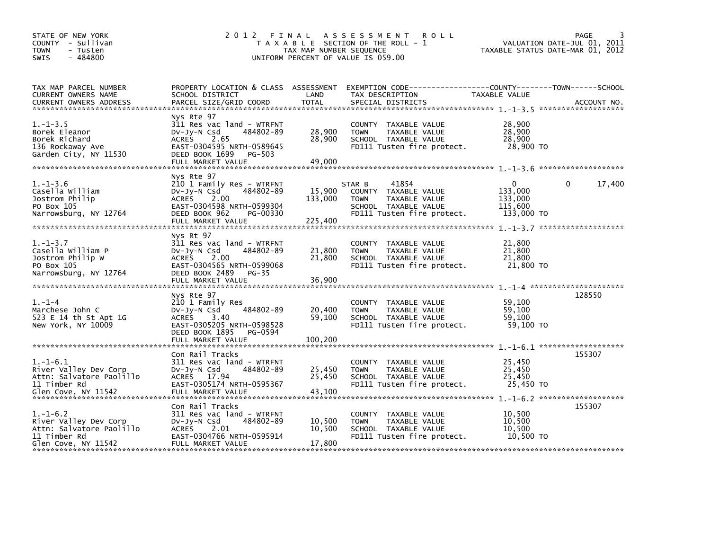| STATE OF NEW YORK<br>COUNTY - Sullivan<br>- Tusten<br>TOWN<br>$-484800$<br><b>SWIS</b>                     | 2 0 1 2                                                                                                                                                                   | TAX MAP NUMBER SEQUENCE      | FINAL ASSESSMENT<br><b>ROLL</b><br>T A X A B L E SECTION OF THE ROLL - 1<br>UNIFORM PERCENT OF VALUE IS 059.00                         | TAXABLE STATUS DATE-MAR 01, 2012                        | <b>PAGE</b><br>VALUATION DATE-JUL 01, 2011 |
|------------------------------------------------------------------------------------------------------------|---------------------------------------------------------------------------------------------------------------------------------------------------------------------------|------------------------------|----------------------------------------------------------------------------------------------------------------------------------------|---------------------------------------------------------|--------------------------------------------|
| TAX MAP PARCEL NUMBER<br>CURRENT OWNERS NAME<br><b>CURRENT OWNERS ADDRESS</b>                              | SCHOOL DISTRICT<br>PARCEL SIZE/GRID COORD                                                                                                                                 | LAND<br>TOTAL                | PROPERTY LOCATION & CLASS ASSESSMENT EXEMPTION CODE---------------COUNTY-------TOWN-----SCHOOL<br>TAX DESCRIPTION<br>SPECIAL DISTRICTS | TAXABLE VALUE                                           | ACCOUNT NO.                                |
| $1. - 1 - 3.5$<br>Borek Eleanor<br>Borek Richard<br>136 Rockaway Ave<br>Garden City, NY 11530              | Nys Rte 97<br>311 Res vac land - WTRFNT<br>$Dv-Jy-N$ Csd<br>484802-89<br>ACRES 2.65<br>EAST-0304595 NRTH-0589645<br>DEED BOOK 1699<br>PG-503<br>FULL MARKET VALUE         | 28,900<br>28,900<br>49,000   | COUNTY TAXABLE VALUE<br><b>TOWN</b><br>TAXABLE VALUE<br>SCHOOL TAXABLE VALUE<br>FD111 Tusten fire protect.                             | 28,900<br>28,900<br>28,900<br>28,900 TO                 |                                            |
| $1.-1-3.6$<br>Casella William<br>Jostrom Philip<br>PO Box 105<br>Narrowsburg, NY 12764                     | Nys Rte 97<br>210 1 Family Res - WTRFNT<br>DV-Jy-N Csd<br>484802-89<br>ACRES<br>2.00<br>EAST-0304598 NRTH-0599304<br>DEED BOOK 962<br>PG-00330<br>FULL MARKET VALUE       | 15,900<br>133,000<br>225.400 | 41854<br>STAR B<br>COUNTY TAXABLE VALUE<br><b>TOWN</b><br>TAXABLE VALUE<br>SCHOOL TAXABLE VALUE<br>FD111 Tusten fire protect.          | $\Omega$<br>133,000<br>133,000<br>115.600<br>133,000 TO | $\mathbf{0}$<br>17,400                     |
| $1. - 1 - 3.7$<br>Casella William P<br>Jostrom Philip W<br>PO Box 105<br>Narrowsburg, NY 12764             | Nys Rt 97<br>311 Res vac land - WTRFNT<br>484802-89<br>$Dv-Jy-N$ Csd<br>2.00<br><b>ACRES</b><br>EAST-0304565 NRTH-0599068<br>DEED BOOK 2489<br>PG-35<br>FULL MARKET VALUE | 21,800<br>21,800<br>36,900   | COUNTY TAXABLE VALUE<br>TAXABLE VALUE<br><b>TOWN</b><br>SCHOOL TAXABLE VALUE<br>FD111 Tusten fire protect.                             | 21,800<br>21,800<br>21,800<br>21,800 TO                 |                                            |
| $1. - 1 - 4$<br>Marchese John C<br>523 E 14 th St Apt 1G<br>New York, NY 10009                             | Nys Rte 97<br>210 1 Family Res<br>484802-89<br>$Dv-Jy-N$ Csd<br>ACRES 3.40<br>EAST-0305205 NRTH-0598528<br>DEED BOOK 1895<br>PG-0594<br>FULL MARKET VALUE                 | 20,400<br>59,100<br>100,200  | COUNTY TAXABLE VALUE<br>TAXABLE VALUE<br><b>TOWN</b><br>SCHOOL TAXABLE VALUE<br>FD111 Tusten fire protect.                             | 59.100<br>59.100<br>59,100<br>59.100 TO                 | 128550                                     |
| $1. - 1 - 6.1$<br>River Valley Dev Corp<br>Attn: Salvatore Paolillo<br>11 Timber Rd                        | Con Rail Tracks<br>311 Res vac land - WTRFNT<br>484802-89<br>DV-Jy-N Csd<br>ACRES 17.94<br>EAST-0305174 NRTH-0595367                                                      | 25,450<br>25,450             | COUNTY TAXABLE VALUE<br><b>TOWN</b><br>TAXABLE VALUE<br>SCHOOL TAXABLE VALUE<br>FD111 Tusten fire protect.                             | 25,450<br>25,450<br>25,450<br>25.450 TO                 | 155307                                     |
| $1. - 1 - 6.2$<br>River Valley Dev Corp<br>Attn: Salvatore Paolillo<br>11 Timber Rd<br>Glen Cove, NY 11542 | Con Rail Tracks<br>311 Res vac land - WTRFNT<br>484802-89<br>DV-Jy-N Csd<br>ACRES 2.01<br>EAST-0304766 NRTH-0595914<br>FULL MARKET VALUE                                  | 10,500<br>10,500<br>17,800   | <b>COUNTY</b><br>TAXABLE VALUE<br>TAXABLE VALUE<br><b>TOWN</b><br>SCHOOL TAXABLE VALUE<br>FD111 Tusten fire protect.                   | 10,500<br>10,500<br>10,500<br>10,500 TO                 | 155307                                     |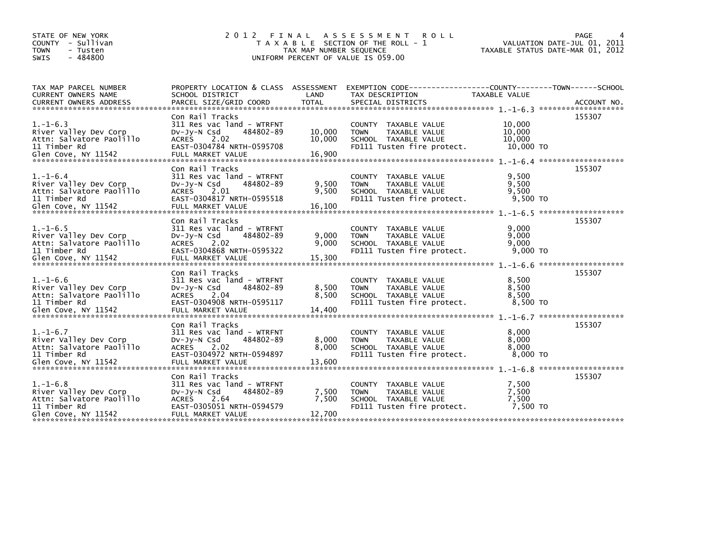| STATE OF NEW YORK<br>COUNTY - Sullivan<br><b>TOWN</b><br>- Tusten<br>$-484800$<br><b>SWIS</b>              | 2012 FINAL                                                                                                                                         | TAX MAP NUMBER SEQUENCE  | A S S E S S M E N T<br>ROLL<br>T A X A B L E SECTION OF THE ROLL - 1<br>UNIFORM PERCENT OF VALUE IS 059.00           |                                         | <b>PAGE</b><br>VALUATION DATE-JUL 01, 2011<br>TAXABLE STATUS DATE-MAR 01, 2012 |
|------------------------------------------------------------------------------------------------------------|----------------------------------------------------------------------------------------------------------------------------------------------------|--------------------------|----------------------------------------------------------------------------------------------------------------------|-----------------------------------------|--------------------------------------------------------------------------------|
| TAX MAP PARCEL NUMBER<br><b>CURRENT OWNERS NAME</b>                                                        | PROPERTY LOCATION & CLASS ASSESSMENT<br>SCHOOL DISTRICT                                                                                            | LAND                     | EXEMPTION CODE-----<br>TAX DESCRIPTION                                                                               | TAXABLE VALUE                           | -------------COUNTY--------TOWN------SCHOOL                                    |
| $1. - 1 - 6.3$<br>River Valley Dev Corp<br>Attn: Salvatore Paolillo<br>11 Timber Rd                        | Con Rail Tracks<br>311 Res vac land - WTRFNT<br>DV-Jy-N Csd<br>484802-89<br>2.02<br>ACRES<br>EAST-0304784 NRTH-0595708                             | 10,000<br>10,000         | <b>COUNTY</b><br>TAXABLE VALUE<br><b>TOWN</b><br>TAXABLE VALUE<br>SCHOOL TAXABLE VALUE<br>FD111 Tusten fire protect. | 10,000<br>10,000<br>10,000<br>10,000 TO | 155307                                                                         |
| $1.-1-6.4$<br>River Valley Dev Corp<br>Attn: Salvatore Paolillo<br>11 Timber Rd                            | Con Rail Tracks<br>311 Res vac land - WTRFNT<br>$Dv-Jy-N$ Csd<br>484802-89<br>ACRES 2.01<br>EAST-0304817 NRTH-0595518                              | 9,500<br>9,500           | <b>COUNTY</b><br>TAXABLE VALUE<br>TAXABLE VALUE<br><b>TOWN</b><br>SCHOOL TAXABLE VALUE<br>FD111 Tusten fire protect. | 9,500<br>9,500<br>9,500<br>9,500 TO     | 155307<br>*******************                                                  |
| $1. - 1 - 6.5$<br>River Valley Dev Corp<br>Attn: Salvatore Paolillo<br>11 Timber Rd                        | Con Rail Tracks<br>311 Res vac land - WTRFNT<br>484802-89<br>DV-Jy-N Csd<br>2.02<br>ACRES<br>EAST-0304868 NRTH-0595322                             | 9,000<br>9,000           | <b>COUNTY</b><br>TAXABLE VALUE<br><b>TOWN</b><br>TAXABLE VALUE<br>SCHOOL TAXABLE VALUE<br>FD111 Tusten fire protect. | 9,000<br>9,000<br>9.000<br>$9,000$ TO   | 155307                                                                         |
| $1. - 1 - 6.6$<br>River Valley Dev Corp<br>Attn: Salvatore Paolillo<br>11 Timber Rd                        | Con Rail Tracks<br>311 Res vac land - WTRFNT<br>484802-89<br>$Dv-Jy-N$ Csd<br>ACRES<br>2.04<br>EAST-0304908 NRTH-0595117                           | 8,500<br>8,500           | TAXABLE VALUE<br><b>COUNTY</b><br>TAXABLE VALUE<br><b>TOWN</b><br>SCHOOL TAXABLE VALUE<br>FD111 Tusten fire protect. | 8,500<br>8,500<br>8.500<br>8,500 TO     | 155307                                                                         |
| $1. - 1 - 6.7$<br>River Valley Dev Corp<br>Attn: Salvatore Paolillo<br>11 Timber Rd                        | Con Rail Tracks<br>311 Res vac land - WTRFNT<br>484802-89<br>$Dv-Jv-N$ Csd<br><b>ACRES</b><br>2.02<br>EAST-0304972 NRTH-0594897                    | 8,000<br>8,000           | TAXABLE VALUE<br><b>COUNTY</b><br><b>TOWN</b><br>TAXABLE VALUE<br>SCHOOL TAXABLE VALUE<br>FD111 Tusten fire protect. | 8,000<br>8,000<br>8,000<br>$8,000$ TO   | 155307                                                                         |
| $1. - 1 - 6.8$<br>River Valley Dev Corp<br>Attn: Salvatore Paolillo<br>11 Timber Rd<br>Glen Cove, NY 11542 | Con Rail Tracks<br>311 Res vac land - WTRFNT<br>484802-89<br>DV-Jy-N Csd<br><b>ACRES</b><br>2.64<br>EAST-0305051 NRTH-0594579<br>FULL MARKET VALUE | 7,500<br>7,500<br>12,700 | TAXABLE VALUE<br><b>COUNTY</b><br>TAXABLE VALUE<br><b>TOWN</b><br>SCHOOL TAXABLE VALUE<br>FD111 Tusten fire protect. | 7,500<br>7,500<br>7,500<br>7.500 TO     | 155307                                                                         |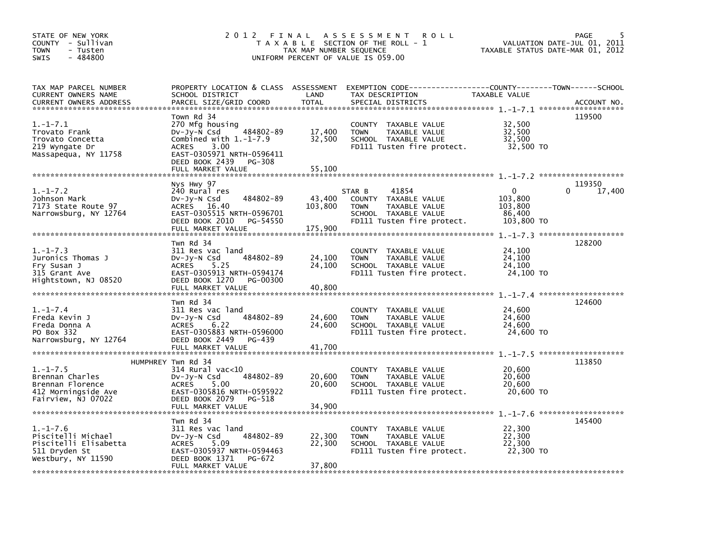| STATE OF NEW YORK<br>COUNTY - Sullivan<br>TOWN<br>- Tusten<br>$-484800$<br><b>SWIS</b>                                               | 2012 FINAL                                                                                                                                                                                  | TAX MAP NUMBER SEQUENCE      | A S S E S S M E N T<br><b>ROLL</b><br>T A X A B L E SECTION OF THE ROLL - 1<br>UNIFORM PERCENT OF VALUE IS 059.00             | VALUATION DATE-JUL 01, 2011<br>TAXABLE STATUS DATE-MAR 01, 2012 | PAGE<br>5        |
|--------------------------------------------------------------------------------------------------------------------------------------|---------------------------------------------------------------------------------------------------------------------------------------------------------------------------------------------|------------------------------|-------------------------------------------------------------------------------------------------------------------------------|-----------------------------------------------------------------|------------------|
| TAX MAP PARCEL NUMBER<br>CURRENT OWNERS NAME<br><b>CURRENT OWNERS ADDRESS</b>                                                        | PROPERTY LOCATION & CLASS ASSESSMENT<br>SCHOOL DISTRICT<br>PARCEL SIZE/GRID COORD                                                                                                           | LAND<br><b>TOTAL</b>         | EXEMPTION CODE------------------COUNTY--------TOWN------SCHOOL<br>TAX DESCRIPTION<br>SPECIAL DISTRICTS                        | TAXABLE VALUE                                                   | ACCOUNT NO.      |
| $1.-1-7.1$<br>Trovato Frank<br>Trovato Concetta<br>219 Wyngate Dr<br>Massapequa, NY 11758                                            | Town Rd 34<br>270 Mfg housing<br>484802-89<br>DV-Jy-N Csd<br>Combined with $1.-1-7.9$<br><b>ACRES</b><br>3.00<br>EAST-0305971 NRTH-0596411<br>DEED BOOK 2439<br>PG-308<br>FULL MARKET VALUE | 17,400<br>32,500<br>55,100   | COUNTY TAXABLE VALUE<br>TAXABLE VALUE<br><b>TOWN</b><br>SCHOOL TAXABLE VALUE<br>FD111 Tusten fire protect.                    | 32,500<br>32,500<br>32,500<br>32,500 TO                         | 119500           |
| $1.-1-7.2$<br>Johnson Mark<br>7173 State Route 97<br>Narrowsburg, NY 12764                                                           | Nys Hwy 97<br>240 Rural res<br>484802-89<br>DV-Jy-N Csd<br>ACRES 16.40<br>EAST-0305515 NRTH-0596701<br>DEED BOOK 2010<br>PG-54550<br>FULL MARKET VALUE                                      | 43,400<br>103,800<br>175,900 | 41854<br>STAR B<br>COUNTY TAXABLE VALUE<br>TAXABLE VALUE<br><b>TOWN</b><br>SCHOOL TAXABLE VALUE<br>FD111 Tusten fire protect. | $\mathbf{0}$<br>103,800<br>103,800<br>86,400<br>103,800 TO      | 119350<br>17,400 |
| $1.-1-7.3$<br>Juronics Thomas J<br>Fry Susan J<br>315 Grant Ave<br>Hightstown, NJ 08520                                              | Twn Rd 34<br>311 Res vac land<br>484802-89<br>DV-Jy-N Csd<br><b>ACRES</b><br>5.25<br>EAST-0305913 NRTH-0594174<br>DEED BOOK 1270<br>PG-00300<br>FULL MARKET VALUE                           | 24,100<br>24,100<br>40,800   | COUNTY TAXABLE VALUE<br><b>TOWN</b><br>TAXABLE VALUE<br>SCHOOL TAXABLE VALUE<br>FD111 Tusten fire protect.                    | 24,100<br>24,100<br>24,100<br>24,100 TO                         | 128200           |
| $1.-1-7.4$<br>Freda Kevin J<br>Freda Donna A<br>PO Box 332<br>Narrowsburg, NY 12764                                                  | Twn Rd 34<br>311 Res vac land<br>484802-89<br>DV-Jy-N Csd<br>6.22<br><b>ACRES</b><br>EAST-0305883 NRTH-0596000<br>DEED BOOK 2449<br>PG-439                                                  | 24,600<br>24,600             | COUNTY TAXABLE VALUE<br><b>TOWN</b><br>TAXABLE VALUE<br>SCHOOL TAXABLE VALUE<br>FD111 Tusten fire protect.                    | 24,600<br>24,600<br>24,600<br>24,600 TO                         | 124600           |
| $1. - 1 - 7.5$<br>Brennan Charles<br>Brennan Florence<br>412 Morningside Ave<br>Fairview, NJ 07022<br>****************************** | HUMPHREY Twn Rd 34<br>$314$ Rural vac< $10$<br>484802-89<br>DV-Jy-N Csd<br><b>ACRES</b><br>5.00<br>EAST-0305816 NRTH-0595922<br>DEED BOOK 2079<br>PG-518<br>FULL MARKET VALUE               | 20,600<br>20,600<br>34,900   | COUNTY TAXABLE VALUE<br>TAXABLE VALUE<br><b>TOWN</b><br>SCHOOL TAXABLE VALUE<br>FD111 Tusten fire protect.                    | 20,600<br>20,600<br>20,600<br>20,600 TO                         | 113850           |
| $1.-1-7.6$<br>Piscitelli Michael<br>Piscitelli Elisabetta<br>511 Dryden St<br>Westbury, NY 11590                                     | Twn Rd 34<br>311 Res vac land<br>484802-89<br>DV-Jy-N Csd<br><b>ACRES</b><br>5.09<br>EAST-0305937 NRTH-0594463<br>DEED BOOK 1371<br>PG-672<br>FULL MARKET VALUE                             | 22,300<br>22,300<br>37,800   | COUNTY TAXABLE VALUE<br><b>TOWN</b><br>TAXABLE VALUE<br>SCHOOL TAXABLE VALUE<br>FD111 Tusten fire protect.                    | 22,300<br>22,300<br>22,300<br>22,300 TO                         | 145400           |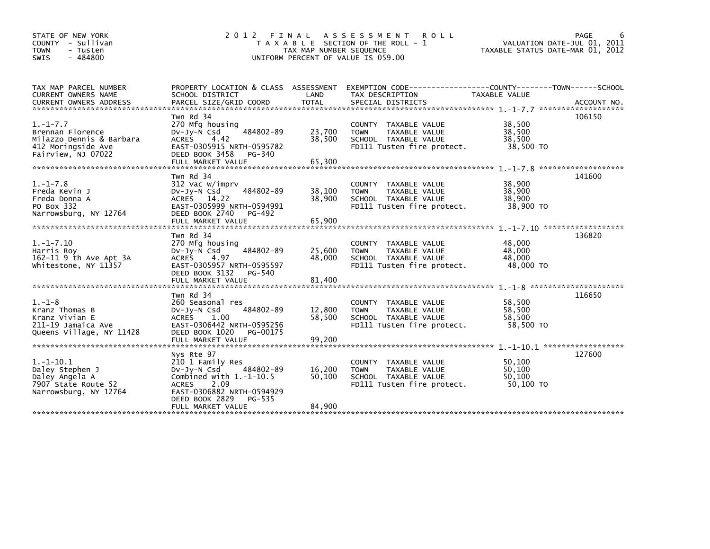| STATE OF NEW YORK<br>COUNTY - Sullivan<br><b>TOWN</b><br>- Tusten<br>$-484800$<br>SWIS                     | 2 0 1 2                                                                                                                                                           | FINAL<br>TAX MAP NUMBER SEQUENCE | A S S E S S M E N T<br><b>ROLL</b><br>T A X A B L E SECTION OF THE ROLL - 1<br>UNIFORM PERCENT OF VALUE IS 059.00   | TAXABLE STATUS DATE-MAR 01, 2012        | PAGE<br>6<br>VALUATION DATE-JUL 01, 2011 |
|------------------------------------------------------------------------------------------------------------|-------------------------------------------------------------------------------------------------------------------------------------------------------------------|----------------------------------|---------------------------------------------------------------------------------------------------------------------|-----------------------------------------|------------------------------------------|
| TAX MAP PARCEL NUMBER<br>CURRENT OWNERS NAME                                                               | SCHOOL DISTRICT                                                                                                                                                   | LAND                             | PROPERTY LOCATION & CLASS ASSESSMENT EXEMPTION CODE----------------COUNTY-------TOWN------SCHOOL<br>TAX DESCRIPTION | TAXABLE VALUE                           | ACCOUNT NO.<br>*******************       |
| $1. - 1 - 7.7$<br>Brennan Florence<br>Milazzo Dennis & Barbara<br>412 Moringside Ave<br>Fairview, NJ 07022 | Twn Rd 34<br>270 Mfg housing<br>484802-89<br>$Dv-Jy-N$ Csd<br>4.42<br><b>ACRES</b><br>EAST-0305915 NRTH-0595782<br>DEED BOOK 3458<br>PG-340<br>FULL MARKET VALUE  | 23,700<br>38,500<br>65,300       | COUNTY TAXABLE VALUE<br>TAXABLE VALUE<br><b>TOWN</b><br>SCHOOL TAXABLE VALUE<br>FD111 Tusten fire protect.          | 38,500<br>38,500<br>38,500<br>38,500 TO | 106150                                   |
|                                                                                                            | Twn Rd 34                                                                                                                                                         |                                  |                                                                                                                     |                                         | *******************<br>141600            |
| $1. - 1 - 7.8$<br>Freda Kevin J<br>Freda Donna A<br>PO Box 332<br>Narrowsburg, NY 12764                    | 312 Vac w/imprv<br>484802-89<br>DV-Jy-N Csd<br>ACRES 14.22<br>EAST-0305999 NRTH-0594991<br>DEED BOOK 2740<br>PG-492                                               | 38,100<br>38,900                 | COUNTY TAXABLE VALUE<br>TAXABLE VALUE<br><b>TOWN</b><br>SCHOOL TAXABLE VALUE<br>FD111 Tusten fire protect.          | 38,900<br>38,900<br>38,900<br>38,900 TO |                                          |
|                                                                                                            | FULL MARKET VALUE                                                                                                                                                 | 65,900                           |                                                                                                                     |                                         |                                          |
|                                                                                                            | Twn Rd 34                                                                                                                                                         |                                  |                                                                                                                     |                                         | 136820                                   |
| $1.-1-7.10$<br>Harris Roy<br>162-11 9 th Ave Apt 3A<br>Whitestone, NY 11357                                | 270 Mfg housing<br>484802-89<br>DV-Jy-N Csd<br><b>ACRES</b><br>4.97<br>EAST-0305957 NRTH-0595597<br>DEED BOOK 3132 PG-540<br>FULL MARKET VALUE                    | 25,600<br>48,000<br>81,400       | COUNTY TAXABLE VALUE<br>TAXABLE VALUE<br><b>TOWN</b><br>SCHOOL TAXABLE VALUE<br>FD111 Tusten fire protect.          | 48,000<br>48,000<br>48,000<br>48,000 TO |                                          |
|                                                                                                            |                                                                                                                                                                   |                                  |                                                                                                                     |                                         | $1 - 1 - 8$ ***********************      |
| $1. - 1 - 8$<br>Kranz Thomas B<br>Kranz Vivian E<br>211-19 Jamaica Ave<br>Queens Village, NY 11428         | Twn Rd 34<br>260 Seasonal res<br>484802-89<br>DV-Jy-N Csd<br><b>ACRES</b><br>1.00<br>EAST-0306442 NRTH-0595256<br>DEED BOOK 1020<br>PG-00175<br>FULL MARKET VALUE | 12,800<br>58,500<br>99,200       | COUNTY TAXABLE VALUE<br>TAXABLE VALUE<br><b>TOWN</b><br>SCHOOL TAXABLE VALUE<br>FD111 Tusten fire protect.          | 58,500<br>58,500<br>58,500<br>58,500 TO | 116650                                   |
|                                                                                                            | Nys Rte 97                                                                                                                                                        |                                  |                                                                                                                     |                                         | 127600                                   |
| $1.-1-10.1$<br>Daley Stephen J<br>Daley Angela A<br>7907 State Route 52<br>Narrowsburg, NY 12764           | 210 1 Family Res<br>484802-89<br>DV-Jy-N Csd<br>Combined with $1.-1-10.5$<br>2.09<br><b>ACRES</b><br>EAST-0306882 NRTH-0594929<br>DEED BOOK 2829<br>PG-535        | 16,200<br>50,100                 | COUNTY TAXABLE VALUE<br><b>TOWN</b><br>TAXABLE VALUE<br>SCHOOL TAXABLE VALUE<br>FD111 Tusten fire protect.          | 50,100<br>50,100<br>50,100<br>50,100 TO |                                          |
|                                                                                                            | FULL MARKET VALUE                                                                                                                                                 | 84,900                           |                                                                                                                     |                                         |                                          |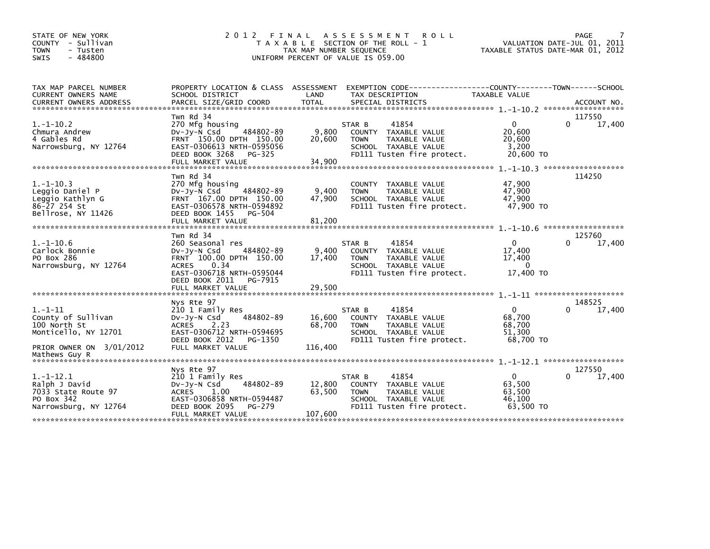| STATE OF NEW YORK<br>COUNTY - Sullivan<br><b>TOWN</b><br>- Tusten<br>$-484800$<br>SWIS     | 2 0 1 2<br>FINAL                                                                                                                                                   | TAX MAP NUMBER SEQUENCE     | A S S E S S M E N T<br><b>ROLL</b><br>T A X A B L E SECTION OF THE ROLL - 1<br>UNIFORM PERCENT OF VALUE IS 059.00             | TAXABLE STATUS DATE-MAR 01, 2012                        | PAGE<br>VALUATION DATE-JUL 01, 2011 |
|--------------------------------------------------------------------------------------------|--------------------------------------------------------------------------------------------------------------------------------------------------------------------|-----------------------------|-------------------------------------------------------------------------------------------------------------------------------|---------------------------------------------------------|-------------------------------------|
| TAX MAP PARCEL NUMBER<br>CURRENT OWNERS NAME<br><b>CURRENT OWNERS ADDRESS</b>              | PROPERTY LOCATION & CLASS ASSESSMENT<br>SCHOOL DISTRICT                                                                                                            | LAND                        | EXEMPTION CODE-----------------COUNTY-------TOWN------SCHOOL<br>TAX DESCRIPTION                                               | <b>TAXABLE VALUE</b>                                    |                                     |
|                                                                                            | Twn Rd 34                                                                                                                                                          |                             |                                                                                                                               |                                                         | 117550                              |
| $1.-1-10.2$<br>Chmura Andrew<br>4 Gables Rd<br>Narrowsburg, NY 12764                       | 270 Mfg housing<br>484802-89<br>$Dv-Jv-N$ Csd<br>FRNT 150.00 DPTH 150.00<br>EAST-0306613 NRTH-0595056<br>DEED BOOK 3268<br>PG-325<br>FULL MARKET VALUE             | 9,800<br>20,600<br>34,900   | 41854<br>STAR B<br>COUNTY TAXABLE VALUE<br>TAXABLE VALUE<br><b>TOWN</b><br>SCHOOL TAXABLE VALUE<br>FD111 Tusten fire protect. | $\mathbf{0}$<br>20,600<br>20,600<br>3,200<br>20,600 TO  | 0<br>17,400                         |
|                                                                                            |                                                                                                                                                                    |                             |                                                                                                                               |                                                         |                                     |
| $1.-1-10.3$<br>Leggio Daniel P<br>Leggio Kathlyn G<br>86-27 254 St<br>Bellrose, NY 11426   | Twn Rd 34<br>270 Mfg housing<br>484802-89<br>DV-Jy-N Csd<br>FRNT 167.00 DPTH 150.00<br>EAST-0306578 NRTH-0594892<br>DEED BOOK 1455<br>PG-504<br>FULL MARKET VALUE  | 9,400<br>47,900<br>81,200   | COUNTY TAXABLE VALUE<br>TAXABLE VALUE<br><b>TOWN</b><br>SCHOOL TAXABLE VALUE<br>FD111 Tusten fire protect.                    | 47,900<br>47,900<br>47,900<br>47,900 TO                 | 114250                              |
|                                                                                            | Twn Rd 34                                                                                                                                                          |                             |                                                                                                                               |                                                         | 125760                              |
| $1.-1-10.6$<br>Carlock Bonnie<br>PO Box 286<br>Narrowsburg, NY 12764                       | 260 Seasonal res<br>484802-89<br>DV-Jy-N Csd<br>FRNT 100.00 DPTH 150.00<br>0.34<br><b>ACRES</b><br>EAST-0306718 NRTH-0595044<br>DEED BOOK 2011<br>PG-7915          | 9,400<br>17,400             | 41854<br>STAR B<br>COUNTY TAXABLE VALUE<br>TAXABLE VALUE<br><b>TOWN</b><br>SCHOOL TAXABLE VALUE<br>FD111 Tusten fire protect. | $\Omega$<br>17,400<br>17,400<br>$\Omega$<br>17,400 TO   | 17,400<br>0                         |
|                                                                                            | FULL MARKET VALUE                                                                                                                                                  | 29,500                      |                                                                                                                               |                                                         |                                     |
| *******************************                                                            |                                                                                                                                                                    |                             |                                                                                                                               |                                                         |                                     |
| $1. - 1 - 11$<br>County of Sullivan<br>100 North St<br>Monticello, NY 12701                | Nys Rte 97<br>210 1 Family Res<br>484802-89<br>DV-Jy-N Csd<br>2.23<br><b>ACRES</b><br>EAST-0306712 NRTH-0594695                                                    | 16,600<br>68,700            | 41854<br>STAR B<br>COUNTY TAXABLE VALUE<br>TAXABLE VALUE<br><b>TOWN</b><br>SCHOOL TAXABLE VALUE                               | $\Omega$<br>68,700<br>68,700<br>51.300                  | 148525<br>0<br>17,400               |
| PRIOR OWNER ON 3/01/2012<br>Mathews Guy R                                                  | DEED BOOK 2012<br>PG-1350<br>FULL MARKET VALUE                                                                                                                     | 116,400                     | FD111 Tusten fire protect.                                                                                                    | 68,700 TO                                               |                                     |
|                                                                                            |                                                                                                                                                                    |                             |                                                                                                                               |                                                         |                                     |
| $1.-1-12.1$<br>Ralph J David<br>7033 State Route 97<br>PO Box 342<br>Narrowsburg, NY 12764 | Nys Rte 97<br>210 1 Family Res<br>484802-89<br>$Dv-Jy-N$ Csd<br><b>ACRES</b><br>1.00<br>EAST-0306858 NRTH-0594487<br>DEED BOOK 2095<br>PG-279<br>FULL MARKET VALUE | 12,800<br>63,500<br>107,600 | 41854<br>STAR B<br>COUNTY TAXABLE VALUE<br><b>TOWN</b><br>TAXABLE VALUE<br>SCHOOL TAXABLE VALUE<br>FD111 Tusten fire protect. | $\mathbf{0}$<br>63,500<br>63,500<br>46,100<br>63,500 TO | 127550<br>∩<br>17,400               |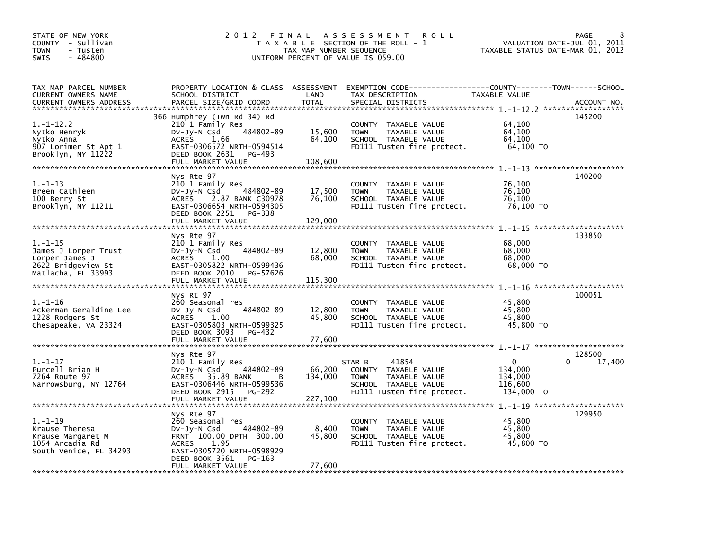| STATE OF NEW YORK<br>COUNTY - Sullivan<br><b>TOWN</b><br>- Tusten<br>$-484800$<br><b>SWIS</b>       | 2012 FINAL                                                                                                                                                                                  | TAX MAP NUMBER SEQUENCE     | A S S E S S M E N T<br><b>ROLL</b><br>T A X A B L E SECTION OF THE ROLL - 1<br>UNIFORM PERCENT OF VALUE IS 059.00                       | TAXABLE STATUS DATE-MAR 01, 2012                           | 8<br>PAGE<br>VALUATION DATE-JUL 01, 2011 |
|-----------------------------------------------------------------------------------------------------|---------------------------------------------------------------------------------------------------------------------------------------------------------------------------------------------|-----------------------------|-----------------------------------------------------------------------------------------------------------------------------------------|------------------------------------------------------------|------------------------------------------|
| TAX MAP PARCEL NUMBER<br>CURRENT OWNERS NAME<br><b>CURRENT OWNERS ADDRESS</b>                       | SCHOOL DISTRICT<br>PARCEL SIZE/GRID COORD                                                                                                                                                   | LAND<br><b>TOTAL</b>        | PROPERTY LOCATION & CLASS ASSESSMENT EXEMPTION CODE---------------COUNTY-------TOWN------SCHOOL<br>TAX DESCRIPTION<br>SPECIAL DISTRICTS | TAXABLE VALUE                                              | ACCOUNT NO.                              |
| $1.-1-12.2$<br>Nytko Henryk<br>Nytko Anna<br>907 Lorimer St Apt 1<br>Brooklyn, NY 11222             | 366 Humphrey (Twn Rd 34) Rd<br>210 1 Family Res<br>484802-89<br>Dv-Jy-N Csd<br>1.66<br><b>ACRES</b><br>EAST-0306572 NRTH-0594514<br>DEED BOOK 2631<br>PG-493<br>FULL MARKET VALUE           | 15,600<br>64,100<br>108,600 | COUNTY TAXABLE VALUE<br><b>TOWN</b><br>TAXABLE VALUE<br>SCHOOL TAXABLE VALUE<br>FD111 Tusten fire protect.                              | 64,100<br>64,100<br>64,100<br>64,100 TO                    | 145200                                   |
| $1. - 1 - 13$<br>Breen Cathleen<br>100 Berry St<br>Brooklyn, NY 11211                               | Nys Rte 97<br>210 1 Family Res<br>484802-89<br>DV-Jy-N Csd<br><b>ACRES</b><br>2.87 BANK C30978<br>EAST-0306654 NRTH-0594305<br>DEED BOOK 2251<br>PG-338<br>FULL MARKET VALUE                | 17,500<br>76,100<br>129,000 | COUNTY TAXABLE VALUE<br><b>TOWN</b><br>TAXABLE VALUE<br>SCHOOL TAXABLE VALUE<br>FD111 Tusten fire protect.                              | 76,100<br>76,100<br>76,100<br>76,100 TO                    | 140200                                   |
| $1. - 1 - 15$<br>James J Lorper Trust<br>Lorper James J<br>2622 Bridgeview St<br>Matlacha, FL 33993 | Nys Rte 97<br>210 1 Family Res<br>484802-89<br>DV-Jy-N Csd<br><b>ACRES</b><br>1.00<br>EAST-0305822 NRTH-0599436<br>DEED BOOK 2010<br>PG-57626<br>FULL MARKET VALUE                          | 12,800<br>68,000<br>115,300 | COUNTY TAXABLE VALUE<br><b>TOWN</b><br>TAXABLE VALUE<br>SCHOOL TAXABLE VALUE<br>FD111 Tusten fire protect.                              | 68,000<br>68,000<br>68,000<br>68,000 TO                    | 133850                                   |
| $1.-1-16$<br>Ackerman Geraldine Lee<br>1228 Rodgers St<br>Chesapeake, VA 23324                      | Nys Rt 97<br>260 Seasonal res<br>484802-89<br>$Dv-Jy-N$ Csd<br><b>ACRES</b><br>1.00<br>EAST-0305803 NRTH-0599325<br>DEED BOOK 3093<br>PG-432<br>FULL MARKET VALUE                           | 12,800<br>45,800<br>77,600  | COUNTY TAXABLE VALUE<br><b>TOWN</b><br>TAXABLE VALUE<br>SCHOOL TAXABLE VALUE<br>FD111 Tusten fire protect.                              | 45,800<br>45.800<br>45,800<br>45,800 TO                    | 100051                                   |
| $1.-1-17$<br>Purcell Brian H<br>7264 Route 97<br>Narrowsburg, NY 12764                              | Nys Rte 97<br>210 1 Family Res<br>484802-89<br>$Dv-Jy-N$ Csd<br><b>ACRES</b><br>35.89 BANK<br>в<br>EAST-0306446 NRTH-0599536<br>DEED BOOK 2915<br>PG-292                                    | 66,200<br>134,000           | 41854<br>STAR B<br>COUNTY TAXABLE VALUE<br>TAXABLE VALUE<br><b>TOWN</b><br>SCHOOL TAXABLE VALUE<br>FD111 Tusten fire protect.           | $\mathbf 0$<br>134,000<br>134,000<br>116,600<br>134,000 TO | 128500<br>17,400                         |
| $1.-1-19$<br>Krause Theresa<br>Krause Margaret M<br>1054 Arcadia Rd<br>South Venice, FL 34293       | Nys Rte 97<br>260 Seasonal res<br>484802-89<br>DV-Jy-N Csd<br>FRNT 100.00 DPTH 300.00<br>1.95<br><b>ACRES</b><br>EAST-0305720 NRTH-0598929<br>DEED BOOK 3561<br>PG-163<br>FULL MARKET VALUE | 8,400<br>45,800<br>77,600   | COUNTY TAXABLE VALUE<br>TAXABLE VALUE<br><b>TOWN</b><br>SCHOOL TAXABLE VALUE<br>FD111 Tusten fire protect.                              | 45,800<br>45.800<br>45.800<br>45,800 TO                    | 129950                                   |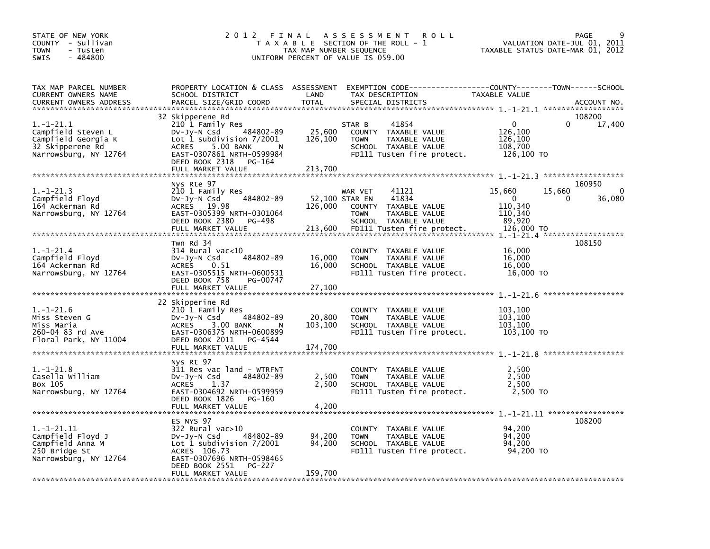| STATE OF NEW YORK<br>COUNTY - Sullivan<br>- Tusten<br>TOWN<br>$-484800$<br><b>SWIS</b>                | 2012 FINAL                                                                                                                                                                                                  | TAX MAP NUMBER SEQUENCE              | A S S E S S M E N T<br><b>ROLL</b><br>T A X A B L E SECTION OF THE ROLL - 1<br>UNIFORM PERCENT OF VALUE IS 059.00                       | VALUATION DATE-JUL 01, 2011<br>TAXABLE STATUS DATE-MAR 01, 2012                    | PAGE<br>9             |
|-------------------------------------------------------------------------------------------------------|-------------------------------------------------------------------------------------------------------------------------------------------------------------------------------------------------------------|--------------------------------------|-----------------------------------------------------------------------------------------------------------------------------------------|------------------------------------------------------------------------------------|-----------------------|
| TAX MAP PARCEL NUMBER<br>CURRENT OWNERS NAME<br><b>CURRENT OWNERS ADDRESS</b>                         | SCHOOL DISTRICT<br>PARCEL SIZE/GRID COORD                                                                                                                                                                   | LAND<br><b>TOTAL</b>                 | PROPERTY LOCATION & CLASS ASSESSMENT EXEMPTION CODE---------------COUNTY-------TOWN------SCHOOL<br>TAX DESCRIPTION<br>SPECIAL DISTRICTS | TAXABLE VALUE                                                                      | ACCOUNT NO.           |
| $1.-1-21.1$<br>Campfield Steven L<br>Campfield Georgia K<br>32 Skipperene Rd<br>Narrowsburg, NY 12764 | 32 Skipperene Rd<br>210 1 Family Res<br>484802-89<br>DV-Jy-N Csd<br>Lot 1 subdivision $7/2001$<br><b>ACRES</b><br>5.00 BANK<br>N<br>EAST-0307861 NRTH-0599984<br>DEED BOOK 2318 PG-164<br>FULL MARKET VALUE | 25,600<br>126,100<br>213,700         | STAR B<br>41854<br>COUNTY TAXABLE VALUE<br>TAXABLE VALUE<br><b>TOWN</b><br>SCHOOL TAXABLE VALUE<br>FD111 Tusten fire protect.           | $\Omega$<br>$\Omega$<br>126,100<br>126,100<br>108,700<br>126,100 TO                | 108200<br>17,400      |
| $1.-1-21.3$<br>Campfield Floyd<br>164 Ackerman Rd<br>Narrowsburg, NY 12764                            | Nys Rte 97<br>210 1 Family Res<br>484802-89<br>DV-Jy-N Csd<br>ACRES 19.98<br>EAST-0305399 NRTH-0301064<br>DEED BOOK 2380<br>PG-498<br>FULL MARKET VALUE                                                     | 52,100 STAR EN<br>126,000<br>213,600 | 41121<br>WAR VET<br>41834<br>COUNTY TAXABLE VALUE<br><b>TOWN</b><br>TAXABLE VALUE<br>SCHOOL TAXABLE VALUE<br>FD111 Tusten fire protect. | 15,660<br>15,660<br>$\mathbf 0$<br>0<br>110,340<br>110,340<br>89,920<br>126,000 TO | 160950<br>0<br>36,080 |
| $1.-1-21.4$<br>Campfield Floyd<br>164 Ackerman Rd<br>Narrowsburg, NY 12764                            | Twn Rd 34<br>$314$ Rural vac<10<br>484802-89<br>Dv-Jy-N Csd<br><b>ACRES</b><br>0.51<br>EAST-0305515 NRTH-0600531<br>DEED BOOK 758<br>PG-00747<br>FULL MARKET VALUE                                          | 16,000<br>16,000<br>27,100           | COUNTY TAXABLE VALUE<br><b>TOWN</b><br>TAXABLE VALUE<br>SCHOOL TAXABLE VALUE<br>FD111 Tusten fire protect.                              | 16,000<br>16,000<br>16,000<br>16,000 TO                                            | 108150                |
| $1.-1-21.6$<br>Miss Steven G<br>Miss Maria<br>260-04 83 rd Ave<br>Floral Park, NY 11004               | 22 Skipperine Rd<br>210 1 Family Res<br>484802-89<br>DV-Jy-N Csd<br><b>ACRES</b><br>3.00 BANK<br>N<br>EAST-0306375 NRTH-0600899<br>DEED BOOK 2011<br>PG-4544<br>FULL MARKET VALUE                           | 20,800<br>103,100<br>174,700         | COUNTY TAXABLE VALUE<br>TAXABLE VALUE<br><b>TOWN</b><br>SCHOOL TAXABLE VALUE<br>FD111 Tusten fire protect.                              | 103,100<br>103,100<br>103,100<br>103,100 TO                                        |                       |
| $1.-1-21.8$<br>Casella William<br>Box 105<br>Narrowsburg, NY 12764                                    | Nys Rt 97<br>311 Res vac land - WTRFNT<br>484802-89<br>$Dv-Jy-N$ Csd<br>1.37<br><b>ACRES</b><br>EAST-0304692 NRTH-0599959<br>DEED BOOK 1826<br>PG-160<br>FULL MARKET VALUE                                  | 2,500<br>2,500<br>4,200              | COUNTY TAXABLE VALUE<br>TAXABLE VALUE<br><b>TOWN</b><br>SCHOOL TAXABLE VALUE<br>FD111 Tusten fire protect.                              | 2,500<br>2.500<br>2,500<br>2,500 TO                                                |                       |
| $1.-1-21.11$<br>Campfield Floyd J<br>Campfield Anna M<br>250 Bridge St<br>Narrowsburg, NY 12764       | ES NYS 97<br>322 Rural vac>10<br>484802-89<br>DV-Jy-N Csd<br>Lot 1 subdivision $7/2001$<br>ACRES 106.73<br>EAST-0307696 NRTH-0598465<br>DEED BOOK 2551<br><b>PG-227</b><br>FULL MARKET VALUE                | 94,200<br>94,200<br>159,700          | COUNTY TAXABLE VALUE<br><b>TOWN</b><br>TAXABLE VALUE<br>SCHOOL TAXABLE VALUE<br>FD111 Tusten fire protect.                              | 94,200<br>94,200<br>94.200<br>94,200 TO                                            | 108200                |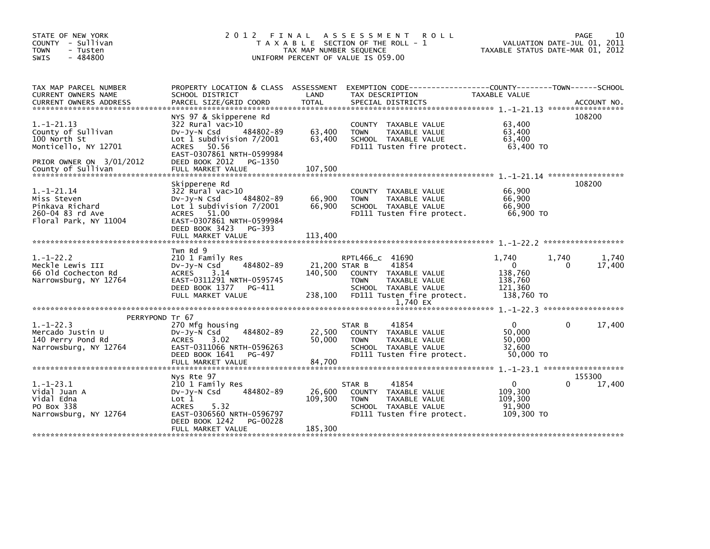| STATE OF NEW YORK<br>COUNTY - Sullivan<br><b>TOWN</b><br>- Tusten<br>$-484800$<br>SWIS                                       | 2 0 1 2                                                                                                                                                                                           | FINAL<br>TAX MAP NUMBER SEQUENCE    | A S S E S S M E N T<br><b>ROLL</b><br>T A X A B L E SECTION OF THE ROLL - 1<br>UNIFORM PERCENT OF VALUE IS 059.00                                  | VALUATION DATE-JUL 01, 2011<br>TAXABLE STATUS DATE-MAR 01, 2012      | PAGE         | 10              |
|------------------------------------------------------------------------------------------------------------------------------|---------------------------------------------------------------------------------------------------------------------------------------------------------------------------------------------------|-------------------------------------|----------------------------------------------------------------------------------------------------------------------------------------------------|----------------------------------------------------------------------|--------------|-----------------|
| TAX MAP PARCEL NUMBER<br>CURRENT OWNERS NAME<br><b>CURRENT OWNERS ADDRESS</b>                                                | PROPERTY LOCATION & CLASS ASSESSMENT<br>SCHOOL DISTRICT<br>PARCEL SIZE/GRID COORD                                                                                                                 | LAND<br><b>TOTAL</b>                | EXEMPTION CODE-----------------COUNTY-------TOWN------SCHOOL<br>TAX DESCRIPTION<br>SPECIAL DISTRICTS                                               | TAXABLE VALUE                                                        |              | ACCOUNT NO.     |
| $1.-1-21.13$<br>County of Sullivan<br>100 North St<br>Monticello, NY 12701<br>PRIOR OWNER ON 3/01/2012<br>County of Sullivan | NYS 97 & Skipperene Rd<br>322 Rural vac>10<br>484802-89<br>$Dv-Jv-N$ Csd<br>Lot 1 subdivision $7/2001$<br>ACRES 50.56<br>EAST-0307861 NRTH-0599984<br>DEED BOOK 2012 PG-1350<br>FULL MARKET VALUE | 63,400<br>63,400<br>107,500         | COUNTY TAXABLE VALUE<br><b>TOWN</b><br>TAXABLE VALUE<br>SCHOOL TAXABLE VALUE<br>FD111 Tusten fire protect.                                         | 63,400<br>63,400<br>63,400<br>63,400 TO                              | 108200       |                 |
|                                                                                                                              | Skipperene Rd                                                                                                                                                                                     |                                     |                                                                                                                                                    |                                                                      | 108200       |                 |
| $1.-1-21.14$<br>Miss Steven<br>Pinkava Richard<br>260-04 83 rd Ave<br>Floral Park, NY 11004                                  | 322 Rural vac>10<br>$Dv-Jy-N$ Csd<br>484802-89<br>Lot 1 subdivision 7/2001<br>ACRES 51.00<br>EAST-0307861 NRTH-0599984                                                                            | 66,900<br>66,900                    | COUNTY TAXABLE VALUE<br><b>TOWN</b><br>TAXABLE VALUE<br>SCHOOL TAXABLE VALUE<br>FD111 Tusten fire protect.                                         | 66.900<br>66,900<br>66,900<br>66,900 TO                              |              |                 |
|                                                                                                                              | DEED BOOK 3423<br>PG-393<br>FULL MARKET VALUE                                                                                                                                                     | 113,400                             |                                                                                                                                                    |                                                                      |              |                 |
| $1. - 1 - 22.2$<br>Meckle Lewis III<br>66 Old Cochecton Rd<br>Narrowsburg, NY 12764                                          | Twn Rd 9<br>210 1 Family Res<br>484802-89<br>$Dv-Jy-N$ Csd<br><b>ACRES</b><br>3.14<br>EAST-0311291 NRTH-0595745<br>DEED BOOK 1377 PG-411<br>FULL MARKET VALUE                                     | 21,200 STAR B<br>140.500<br>238,100 | RPTL466_C 41690<br>41854<br>COUNTY TAXABLE VALUE<br><b>TOWN</b><br>TAXABLE VALUE<br>SCHOOL TAXABLE VALUE<br>FD111 Tusten fire protect.<br>1,740 EX | 1,740<br>$\mathbf{0}$<br>138,760<br>138,760<br>121,360<br>138,760 TO | 1,740<br>0   | 1,740<br>17,400 |
|                                                                                                                              |                                                                                                                                                                                                   |                                     |                                                                                                                                                    |                                                                      |              |                 |
| PERRYPOND Tr 67<br>$1. - 1 - 22.3$<br>Mercado Justin U<br>140 Perry Pond Rd<br>Narrowsburg, NY 12764                         | 270 Mfg housing<br>484802-89<br>$Dv-Jy-N$ Csd<br>3.02<br><b>ACRES</b><br>EAST-0311066 NRTH-0596263<br>DEED BOOK 1641<br>PG-497<br>FULL MARKET VALUE                                               | 22,500<br>50,000<br>84,700          | 41854<br>STAR B<br>COUNTY TAXABLE VALUE<br><b>TOWN</b><br>TAXABLE VALUE<br>SCHOOL TAXABLE VALUE<br>FD111 Tusten fire protect.                      | $\mathbf{0}$<br>50,000<br>50,000<br>32,600<br>50,000 TO              | $\mathbf{0}$ | 17,400          |
|                                                                                                                              |                                                                                                                                                                                                   |                                     |                                                                                                                                                    |                                                                      | 155300       |                 |
| $1. - 1 - 23.1$<br>Vidal Juan A<br>Vidal Edna<br>PO Box 338<br>Narrowsburg, NY 12764                                         | Nys Rte 97<br>210 1 Family Res<br>484802-89<br>$Dv-Jy-N$ Csd<br>Lot <sub>1</sub><br>5.32<br><b>ACRES</b><br>EAST-0306560 NRTH-0596797<br>DEED BOOK 1242<br>PG-00228<br>FULL MARKET VALUE          | 26,600<br>109,300<br>185,300        | 41854<br>STAR B<br>COUNTY TAXABLE VALUE<br>TAXABLE VALUE<br><b>TOWN</b><br>SCHOOL TAXABLE VALUE<br>FD111 Tusten fire protect.                      | $\mathbf{0}$<br>109,300<br>109,300<br>91.900<br>109,300 TO           | 0            | 17,400          |
|                                                                                                                              |                                                                                                                                                                                                   |                                     |                                                                                                                                                    |                                                                      |              |                 |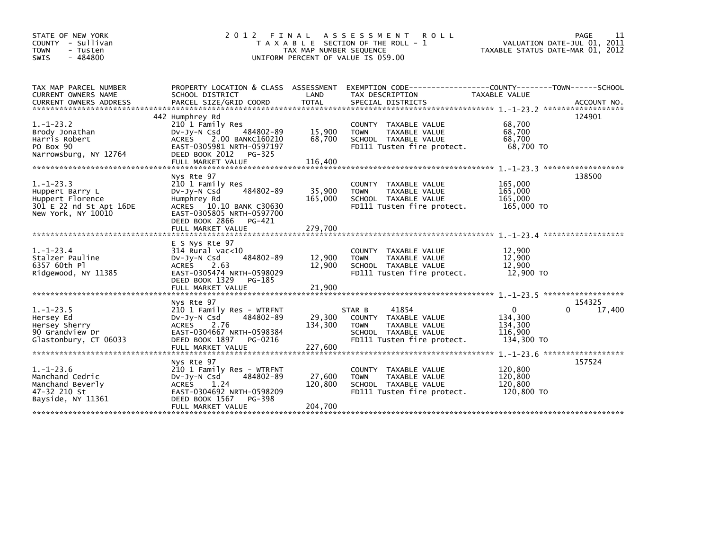| STATE OF NEW YORK<br>COUNTY - Sullivan<br><b>TOWN</b><br>- Tusten<br>$-484800$<br>SWIS                  | 2012 FINAL                                                                                                                                                                           | TAX MAP NUMBER SEQUENCE      | A S S E S S M E N T<br><b>ROLL</b><br>T A X A B L E SECTION OF THE ROLL - 1<br>UNIFORM PERCENT OF VALUE IS 059.00                | TAXABLE STATUS DATE-MAR 01, 2012                        | PAGE<br>11<br>VALUATION DATE-JUL 01, 2011 |
|---------------------------------------------------------------------------------------------------------|--------------------------------------------------------------------------------------------------------------------------------------------------------------------------------------|------------------------------|----------------------------------------------------------------------------------------------------------------------------------|---------------------------------------------------------|-------------------------------------------|
| TAX MAP PARCEL NUMBER<br>CURRENT OWNERS NAME<br><b>CURRENT OWNERS ADDRESS</b>                           | PROPERTY LOCATION & CLASS ASSESSMENT<br>SCHOOL DISTRICT<br>PARCEL SIZE/GRID COORD                                                                                                    | LAND<br><b>TOTAL</b>         | EXEMPTION CODE-----------------COUNTY--------TOWN------SCHOOL<br>TAX DESCRIPTION<br>SPECIAL DISTRICTS                            | TAXABLE VALUE                                           | ACCOUNT NO.                               |
| $1. - 1 - 23.2$<br>Brody Jonathan<br>Harris Robert<br>PO Box 90<br>Narrowsburg, NY 12764                | 442 Humphrey Rd<br>210 1 Family Res<br>484802-89<br>$Dv-Jy-N$ Csd<br>ACRES 2.00 BANKC160210<br>EAST-0305981 NRTH-0597197<br>DEED BOOK 2012<br>PG-325                                 | 15,900<br>68,700             | COUNTY TAXABLE VALUE<br>TAXABLE VALUE<br><b>TOWN</b><br>SCHOOL TAXABLE VALUE<br>FD111 Tusten fire protect.                       | 68,700<br>68,700<br>68.700<br>68,700 TO                 | 124901                                    |
| $1. - 1 - 23.3$<br>Huppert Barry L<br>Huppert Florence<br>301 E 22 nd St Apt 16DE<br>New York, NY 10010 | Nys Rte 97<br>210 1 Family Res<br>484802-89<br>$Dv-Jv-N$ Csd<br>Humphrey Rd<br>ACRES 10.10 BANK C30630<br>EAST-0305805 NRTH-0597700<br>DEED BOOK 2866<br>PG-421<br>FULL MARKET VALUE | 35,900<br>165,000<br>279,700 | COUNTY<br>TAXABLE VALUE<br>TAXABLE VALUE<br><b>TOWN</b><br>SCHOOL TAXABLE VALUE<br>FD111 Tusten fire protect.                    | 165,000<br>165,000<br>165,000<br>165,000 TO             | 138500                                    |
| $1. - 1 - 23.4$<br>Stalzer Pauline<br>6357 60th Pl<br>Ridgewood, NY 11385                               | E S Nys Rte 97<br>$314$ Rural vac< $10$<br>484802-89<br>$Dv-Jy-N$ Csd<br>2.63<br>ACRES<br>EAST-0305474 NRTH-0598029<br>DEED BOOK 1329<br>PG-185<br>FULL MARKET VALUE                 | 12,900<br>12,900<br>21,900   | COUNTY TAXABLE VALUE<br>TAXABLE VALUE<br><b>TOWN</b><br>SCHOOL TAXABLE VALUE<br>FD111 Tusten fire protect.                       | 12,900<br>12,900<br>12,900<br>12,900 TO                 |                                           |
| $1. - 1 - 23.5$<br>Hersey Ed<br>Hersey Sherry<br>90 Grandview Dr<br>Glastonbury, CT 06033               | Nys Rte 97<br>210 1 Family Res - WTRFNT<br>484802-89<br>DV-Jy-N Csd<br>ACRES 2.76<br>EAST-0304667 NRTH-0598384<br>DEED BOOK 1897<br>PG-0216                                          | 29,300<br>134,300            | 41854<br>STAR B<br>COUNTY<br>TAXABLE VALUE<br>TAXABLE VALUE<br><b>TOWN</b><br>SCHOOL TAXABLE VALUE<br>FD111 Tusten fire protect. | $\Omega$<br>134,300<br>134,300<br>116,900<br>134,300 TO | 154325<br>17,400                          |
| $1. - 1 - 23.6$<br>Manchand Cedric<br>Manchand Beverly<br>47-32 210 St<br>Bayside, NY 11361             | Nys Rte 97<br>210 1 Family Res - WTRFNT<br>484802-89<br>$Dv-Jy-N$ Csd<br><b>ACRES</b><br>1.24<br>EAST-0304692 NRTH-0598209<br>DEED BOOK 1567<br>PG-398<br>FULL MARKET VALUE          | 27,600<br>120,800<br>204,700 | <b>COUNTY</b><br>TAXABLE VALUE<br>TAXABLE VALUE<br><b>TOWN</b><br>SCHOOL TAXABLE VALUE<br>FD111 Tusten fire protect.             | 120,800<br>120,800<br>120,800<br>120,800 TO             | 157524                                    |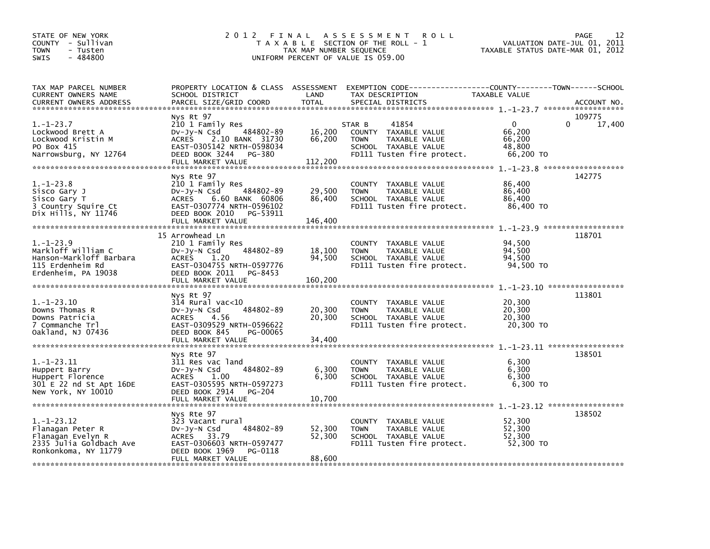| STATE OF NEW YORK<br>COUNTY - Sullivan<br><b>TOWN</b><br>- Tusten<br>$-484800$<br><b>SWIS</b>                | 2012                                                                                                                                                                         | TAX MAP NUMBER SEQUENCE     | FINAL ASSESSMENT<br><b>ROLL</b><br>T A X A B L E SECTION OF THE ROLL - 1<br>UNIFORM PERCENT OF VALUE IS 059.00                | VALUATION DATE-JUL 01, 2011<br>TAXABLE STATUS DATE-MAR 01, 2012 | 12<br>PAGE       |
|--------------------------------------------------------------------------------------------------------------|------------------------------------------------------------------------------------------------------------------------------------------------------------------------------|-----------------------------|-------------------------------------------------------------------------------------------------------------------------------|-----------------------------------------------------------------|------------------|
| TAX MAP PARCEL NUMBER<br>CURRENT OWNERS NAME<br><b>CURRENT OWNERS ADDRESS</b>                                | PROPERTY LOCATION & CLASS ASSESSMENT<br>SCHOOL DISTRICT<br>PARCEL SIZE/GRID COORD                                                                                            | LAND<br><b>TOTAL</b>        | EXEMPTION CODE-----------------COUNTY-------TOWN------SCHOOL<br>TAX DESCRIPTION<br>SPECIAL DISTRICTS                          | TAXABLE VALUE                                                   | ACCOUNT NO.      |
| $1.-1-23.7$<br>Lockwood Brett A<br>Lockwood Kristin M<br>PO Box 415<br>Narrowsburg, NY 12764                 | Nys Rt 97<br>210 1 Family Res<br>484802-89<br>$Dv-Jy-N$ Csd<br><b>ACRES</b><br>2.10 BANK 31730<br>EAST-0305142 NRTH-0598034<br>DEED BOOK 3244<br>PG-380<br>FULL MARKET VALUE | 16,200<br>66,200<br>112,200 | 41854<br>STAR B<br>COUNTY TAXABLE VALUE<br>TAXABLE VALUE<br><b>TOWN</b><br>SCHOOL TAXABLE VALUE<br>FD111 Tusten fire protect. | 0<br>0<br>66,200<br>66,200<br>48,800<br>66,200 TO               | 109775<br>17,400 |
| $1.-1-23.8$<br>Sisco Gary J<br>Sisco Gary T<br>3 Country Squire Ct<br>Dix Hills, NY 11746                    | Nys Rte 97<br>210 1 Family Res<br>484802-89<br>DV-Jy-N Csd<br>ACRES 6.60 BANK 60806<br>EAST-0307774 NRTH-0596102<br>DEED BOOK 2010<br>PG-53911<br>FULL MARKET VALUE          | 29,500<br>86,400<br>146,400 | COUNTY TAXABLE VALUE<br>TAXABLE VALUE<br><b>TOWN</b><br>SCHOOL TAXABLE VALUE<br>FD111 Tusten fire protect.                    | 86,400<br>86,400<br>86,400<br>86.400 TO                         | 142775           |
| $1.-1-23.9$<br>Markloff William C<br>Hanson-Markloff Barbara<br>115 Erdenheim Rd<br>Erdenheim, PA 19038      | 15 Arrowhead Ln<br>210 1 Family Res<br>484802-89<br>DV-Jy-N Csd<br>ACRES<br>1.20<br>EAST-0304755 NRTH-0597776<br>DEED BOOK 2011 PG-8453<br>FULL MARKET VALUE                 | 18,100<br>94,500<br>160,200 | COUNTY TAXABLE VALUE<br><b>TOWN</b><br>TAXABLE VALUE<br>SCHOOL TAXABLE VALUE<br>FD111 Tusten fire protect.                    | 94,500<br>94,500<br>94,500<br>94,500 TO                         | 118701           |
| $1. - 1 - 23.10$<br>Downs Thomas R<br>Downs Patricia<br>7 Commanche Trl<br>Oakland, NJ 07436                 | Nys Rt 97<br>$314$ Rural vac< $10$<br>484802-89<br>$Dv-Jy-N$ Csd<br><b>ACRES</b><br>4.56<br>EAST-0309529 NRTH-0596622<br>DEED BOOK 845<br>PG-00065<br>FULL MARKET VALUE      | 20,300<br>20,300<br>34,400  | COUNTY TAXABLE VALUE<br><b>TOWN</b><br>TAXABLE VALUE<br>SCHOOL TAXABLE VALUE<br>FD111 Tusten fire protect.                    | 20,300<br>20,300<br>20,300<br>20,300 TO                         | 113801           |
| $1. -1 - 23.11$<br>Huppert Barry<br>Huppert Florence<br>301 E 22 nd St Apt 16DE<br>New York, NY 10010        | Nys Rte 97<br>311 Res vac land<br>484802-89<br>$Dv-Jv-N$ Csd<br>1.00<br>ACRES<br>EAST-0305595 NRTH-0597273<br>DEED BOOK 2914<br>PG-204                                       | 6,300<br>6,300              | COUNTY TAXABLE VALUE<br><b>TOWN</b><br>TAXABLE VALUE<br>SCHOOL TAXABLE VALUE<br>FD111 Tusten fire protect.                    | 6,300<br>6.300<br>6,300<br>6,300 TO                             | 138501           |
| $1. - 1 - 23.12$<br>Flanagan Peter R<br>Flanagan Evelyn R<br>2335 Julia Goldbach Ave<br>Ronkonkoma, NY 11779 | Nys Rte 97<br>323 Vacant rural<br>484802-89<br>$Dv-Jy-N$ Csd<br>ACRES 33.79<br>EAST-0306603 NRTH-0597477<br>DEED BOOK 1969<br>PG-0118<br>FULL MARKET VALUE                   | 52,300<br>52,300<br>88,600  | COUNTY TAXABLE VALUE<br><b>TOWN</b><br>TAXABLE VALUE<br>SCHOOL TAXABLE VALUE<br>FD111 Tusten fire protect.                    | 52,300<br>52,300<br>52,300<br>52,300 TO                         | 138502           |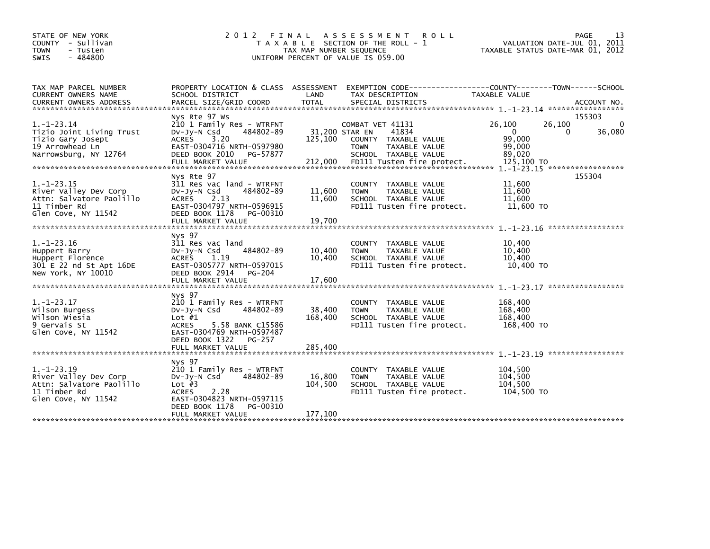| STATE OF NEW YORK<br>COUNTY - Sullivan<br><b>TOWN</b><br>- Tusten<br>$-484800$<br><b>SWIS</b>                                                  | 2 0 1 2                                                                                                                                                                                         | FINAL<br>TAX MAP NUMBER SEQUENCE | A S S E S S M E N T<br><b>ROLL</b><br>T A X A B L E SECTION OF THE ROLL - 1<br>UNIFORM PERCENT OF VALUE IS 059.00                                         | VALUATION DATE-JUL 01, 2011<br>TAXABLE STATUS DATE-MAR 01, 2012                                                        | 13<br><b>PAGE</b>     |
|------------------------------------------------------------------------------------------------------------------------------------------------|-------------------------------------------------------------------------------------------------------------------------------------------------------------------------------------------------|----------------------------------|-----------------------------------------------------------------------------------------------------------------------------------------------------------|------------------------------------------------------------------------------------------------------------------------|-----------------------|
| TAX MAP PARCEL NUMBER<br>CURRENT OWNERS NAME<br><b>CURRENT OWNERS ADDRESS</b>                                                                  | PROPERTY LOCATION & CLASS ASSESSMENT<br>SCHOOL DISTRICT<br>PARCEL SIZE/GRID COORD                                                                                                               | LAND<br><b>TOTAL</b>             | EXEMPTION CODE-----------------COUNTY-------TOWN------SCHOOL<br>TAX DESCRIPTION<br>SPECIAL DISTRICTS                                                      | TAXABLE VALUE                                                                                                          | ACCOUNT NO.           |
| $1. - 1 - 23.14$<br>Tizio Joint Living Trust<br>Tizio Gary Josept<br>19 Arrowhead Ln<br>Narrowsburg, NY 12764<br>***************************** | Nys Rte 97 Ws<br>210 1 Family Res - WTRFNT<br>484802-89<br>$Dv-Jy-N$ Csd<br>3.20<br><b>ACRES</b><br>EAST-0304716 NRTH-0597980<br>DEED BOOK 2010<br>PG-57877<br>FULL MARKET VALUE                | 125,100<br>212,000               | COMBAT VET 41131<br>41834<br>31,200 STAR EN<br>COUNTY TAXABLE VALUE<br><b>TOWN</b><br>TAXABLE VALUE<br>SCHOOL TAXABLE VALUE<br>FD111 Tusten fire protect. | 26,100<br>26,100<br>$\Omega$<br>$\Omega$<br>99,000<br>99,000<br>89,020<br>125,100 TO<br>1. -1-23.15 ****************** | 155303<br>0<br>36,080 |
| $1. - 1 - 23.15$<br>River Valley Dev Corp<br>Attn: Salvatore Paolillo<br>11 Timber Rd<br>Glen Cove, NY 11542                                   | Nys Rte 97<br>311 Res vac land - WTRFNT<br>$Dv-Jy-N$ Csd<br>484802-89<br>2.13<br><b>ACRES</b><br>EAST-0304797 NRTH-0596915<br>DEED BOOK 1178<br>PG-00310<br>FULL MARKET VALUE                   | 11,600<br>11,600<br>19,700       | COUNTY TAXABLE VALUE<br><b>TOWN</b><br>TAXABLE VALUE<br>SCHOOL TAXABLE VALUE<br>FD111 Tusten fire protect.                                                | 11,600<br>11,600<br>11,600<br>11,600 TO                                                                                | 155304                |
| $1.-1-23.16$<br>Huppert Barry<br>Huppert Florence<br>301 E 22 nd St Apt 16DE<br>New York, NY 10010                                             | Nys 97<br>311 Res vac land<br>484802-89<br>$Dv-Jy-N$ Csd<br>- 1.19<br><b>ACRES</b><br>EAST-0305777 NRTH-0597015<br>DEED BOOK 2914<br>PG-204                                                     | 10,400<br>10.400                 | COUNTY TAXABLE VALUE<br><b>TAXABLE VALUE</b><br><b>TOWN</b><br>SCHOOL TAXABLE VALUE<br>FD111 Tusten fire protect.                                         | 10,400<br>10,400<br>10.400<br>10,400 TO                                                                                |                       |
| $1.-1-23.17$<br>Wilson Burgess<br>wilson wiesia<br>9 Gervais St<br>Glen Cove, NY 11542                                                         | Nys 97<br>210 1 Family Res - WTRFNT<br>484802-89<br>$Dv-Jy-N$ Csd<br>Lot $#1$<br>5.58 BANK C15586<br><b>ACRES</b><br>EAST-0304769 NRTH-0597487<br>DEED BOOK 1322<br>PG-257<br>FULL MARKET VALUE | 38,400<br>168,400<br>285.400     | <b>COUNTY</b><br>TAXABLE VALUE<br><b>TOWN</b><br>TAXABLE VALUE<br>SCHOOL TAXABLE VALUE<br>FD111 Tusten fire protect.                                      | 168,400<br>168,400<br>168,400<br>168,400 TO                                                                            |                       |
| $1.-1-23.19$<br>River Valley Dev Corp<br>Attn: Salvatore Paolillo<br>11 Timber Rd<br>Glen Cove, NY 11542                                       | Nys 97<br>210 1 Family Res - WTRFNT<br>484802-89<br>$Dv-Jy-N$ Csd<br>Lot $#3$<br>2.28<br><b>ACRES</b><br>EAST-0304823 NRTH-0597115<br>DEED BOOK 1178<br>PG-00310<br>FULL MARKET VALUE           | 16,800<br>104,500<br>177.100     | COUNTY TAXABLE VALUE<br><b>TOWN</b><br>TAXABLE VALUE<br>SCHOOL TAXABLE VALUE<br>FD111 Tusten fire protect.                                                | 104,500<br>104,500<br>104,500<br>104,500 TO                                                                            |                       |
|                                                                                                                                                |                                                                                                                                                                                                 |                                  |                                                                                                                                                           |                                                                                                                        |                       |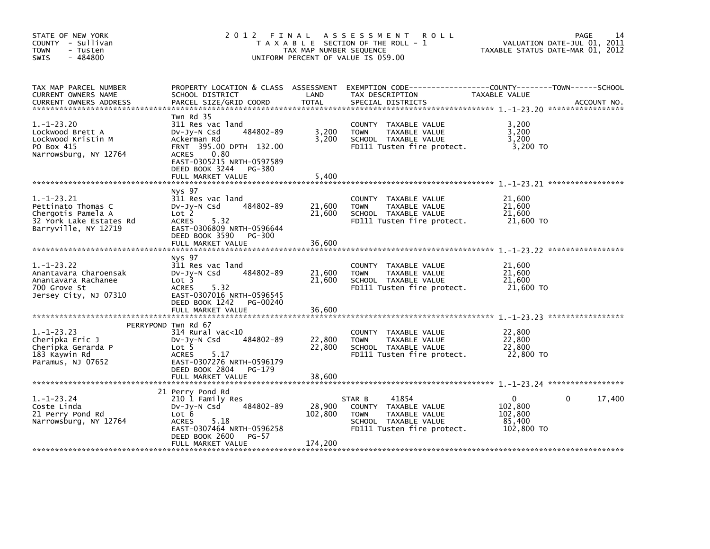| STATE OF NEW YORK<br>COUNTY - Sullivan<br><b>TOWN</b><br>- Tusten<br>$-484800$<br><b>SWIS</b>               | 2012 FINAL                                                                                                                                                                                                  | TAX MAP NUMBER SEQUENCE      | A S S E S S M E N T<br><b>ROLL</b><br>T A X A B L E SECTION OF THE ROLL - 1<br>UNIFORM PERCENT OF VALUE IS 059.00             | TAXABLE STATUS DATE-MAR 01, 2012                       | 14<br>PAGE<br>VALUATION DATE-JUL 01, 2011 |
|-------------------------------------------------------------------------------------------------------------|-------------------------------------------------------------------------------------------------------------------------------------------------------------------------------------------------------------|------------------------------|-------------------------------------------------------------------------------------------------------------------------------|--------------------------------------------------------|-------------------------------------------|
| TAX MAP PARCEL NUMBER<br>CURRENT OWNERS NAME<br><b>CURRENT OWNERS ADDRESS</b>                               | PROPERTY LOCATION & CLASS ASSESSMENT<br>SCHOOL DISTRICT<br>PARCEL SIZE/GRID COORD                                                                                                                           | LAND<br><b>TOTAL</b>         | EXEMPTION CODE-----------------COUNTY-------TOWN------SCHOOL<br>TAX DESCRIPTION<br>SPECIAL DISTRICTS                          | TAXABLE VALUE                                          | ACCOUNT NO.                               |
| $1. - 1 - 23.20$<br>Lockwood Brett A<br>Lockwood Kristin M<br>PO Box 415<br>Narrowsburg, NY 12764           | Twn Rd 35<br>311 Res vac land<br>484802-89<br>$Dv-Jy-N$ Csd<br>Ackerman Rd<br>FRNT 395.00 DPTH 132.00<br>0.80<br><b>ACRES</b><br>EAST-0305215 NRTH-0597589<br>DEED BOOK 3244<br>PG-380<br>FULL MARKET VALUE | 3,200<br>3,200               | COUNTY TAXABLE VALUE<br>TAXABLE VALUE<br><b>TOWN</b><br>SCHOOL TAXABLE VALUE<br>FD111 Tusten fire protect.                    | 3,200<br>3,200<br>3.200<br>3,200 TO                    |                                           |
|                                                                                                             |                                                                                                                                                                                                             | 5,400                        |                                                                                                                               |                                                        |                                           |
| $1.-1-23.21$<br>Pettinato Thomas C<br>Chergotis Pamela A<br>32 York Lake Estates Rd<br>Barryville, NY 12719 | Nys 97<br>311 Res vac land<br>484802-89<br>$Dv-Jy-N$ Csd<br>Lot 2<br>ACRES<br>5.32<br>EAST-0306809 NRTH-0596644<br>DEED BOOK 3590<br>PG-300<br>FULL MARKET VALUE                                            | 21,600<br>21,600<br>36,600   | COUNTY TAXABLE VALUE<br><b>TOWN</b><br>TAXABLE VALUE<br>SCHOOL TAXABLE VALUE<br>FD111 Tusten fire protect.                    | 21,600<br>21,600<br>21,600<br>21,600 TO                |                                           |
|                                                                                                             |                                                                                                                                                                                                             |                              |                                                                                                                               |                                                        |                                           |
| $1. - 1 - 23.22$<br>Anantavara Charoensak<br>Anantavara Rachanee<br>700 Grove St<br>Jersey City, NJ 07310   | Nys 97<br>311 Res vac land<br>484802-89<br>$Dv-Jv-N$ Csd<br>Lot 3<br>5.32<br><b>ACRES</b><br>EAST-0307016 NRTH-0596545<br>DEED BOOK 1242<br>PG-00240                                                        | 21,600<br>21,600             | COUNTY<br>TAXABLE VALUE<br>TAXABLE VALUE<br><b>TOWN</b><br>SCHOOL TAXABLE VALUE<br>FD111 Tusten fire protect.                 | 21,600<br>21,600<br>21,600<br>21,600 TO                |                                           |
|                                                                                                             | FULL MARKET VALUE                                                                                                                                                                                           | 36,600                       |                                                                                                                               |                                                        |                                           |
| $1. - 1 - 23.23$<br>Cheripka Eric J<br>Cheripka Gerarda P<br>183 Kaywin Rd<br>Paramus, NJ 07652             | PERRYPOND Twn Rd 67<br>$314$ Rural vac<10<br>484802-89<br>$Dv-Jy-N$ Csd<br>Lot 5<br>5.17<br><b>ACRES</b><br>EAST-0307276 NRTH-0596179<br>DEED BOOK 2804<br>PG-179                                           | 22,800<br>22,800             | COUNTY TAXABLE VALUE<br>TAXABLE VALUE<br><b>TOWN</b><br>SCHOOL TAXABLE VALUE<br>FD111 Tusten fire protect.                    | 22,800<br>22,800<br>22,800<br>22,800 TO                |                                           |
|                                                                                                             | FULL MARKET VALUE                                                                                                                                                                                           | 38,600                       |                                                                                                                               |                                                        |                                           |
| $1. - 1 - 23.24$<br>Coste Linda<br>21 Perry Pond Rd<br>Narrowsburg, NY 12764                                | 21 Perry Pond Rd<br>210 1 Family Res<br>484802-89<br>DV-Jy-N Csd<br>Lot 6<br>5.18<br><b>ACRES</b><br>EAST-0307464 NRTH-0596258<br>DEED BOOK 2600<br>$PG-57$<br>FULL MARKET VALUE                            | 28,900<br>102,800<br>174,200 | 41854<br>STAR B<br>COUNTY TAXABLE VALUE<br><b>TOWN</b><br>TAXABLE VALUE<br>SCHOOL TAXABLE VALUE<br>FD111 Tusten fire protect. | $\Omega$<br>102,800<br>102,800<br>85,400<br>102,800 TO | 17,400<br>0                               |
|                                                                                                             |                                                                                                                                                                                                             |                              |                                                                                                                               |                                                        |                                           |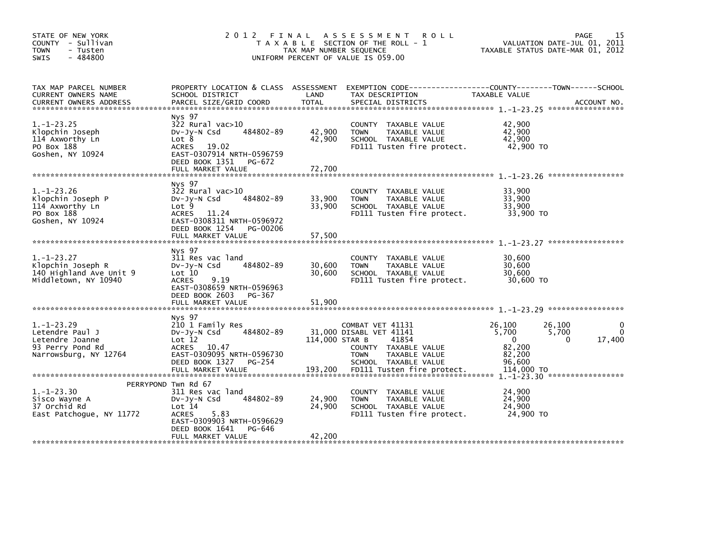| STATE OF NEW YORK<br>COUNTY - Sullivan<br><b>TOWN</b><br>- Tusten<br>$-484800$<br>SWIS              | 2012 FINAL<br>T A X A B L E SECTION OF THE ROLL - 1<br>TAX MAP NUMBER SEQUENCE<br>UNIFORM PERCENT OF VALUE IS 059.00                                                                  | VALUATION DATE-JUL 01, 2011<br>TAXABLE STATUS DATE-MAR 01, 2012 | 15<br>PAGE                                                                                                                           |                                                                              |                        |
|-----------------------------------------------------------------------------------------------------|---------------------------------------------------------------------------------------------------------------------------------------------------------------------------------------|-----------------------------------------------------------------|--------------------------------------------------------------------------------------------------------------------------------------|------------------------------------------------------------------------------|------------------------|
| TAX MAP PARCEL NUMBER<br>CURRENT OWNERS NAME<br><b>CURRENT OWNERS ADDRESS</b>                       | PROPERTY LOCATION & CLASS ASSESSMENT<br>SCHOOL DISTRICT<br>PARCEL SIZE/GRID COORD                                                                                                     | LAND<br>TOTAL                                                   | EXEMPTION CODE-----------------COUNTY-------TOWN------SCHOOL<br>TAX DESCRIPTION<br>SPECIAL DISTRICTS                                 | TAXABLE VALUE                                                                | ACCOUNT NO.            |
| $1. - 1 - 23.25$<br>Klopchin Joseph<br>114 Axworthy Ln<br>PO Box 188<br>Goshen, NY 10924            | Nys 97<br>$322$ Rural vac $>10$<br>484802-89<br>$Dv-Jy-N$ Csd<br>Lot 8<br>ACRES<br>19.02<br>EAST-0307914 NRTH-0596759<br>DEED BOOK 1351<br>PG-672<br>FULL MARKET VALUE                | 42,900<br>42,900<br>72,700                                      | COUNTY TAXABLE VALUE<br><b>TOWN</b><br>TAXABLE VALUE<br>SCHOOL TAXABLE VALUE<br>FD111 Tusten fire protect.                           | 42,900<br>42,900<br>42.900<br>42,900 TO                                      |                        |
| $1. - 1 - 23.26$<br>Klopchin Joseph P<br>114 Axworthy Ln<br>PO Box 188<br>Goshen, NY 10924          | Nys 97<br>322 Rural vac>10<br>484802-89<br>$Dv-Jy-N$ Csd<br>Lot <sub>9</sub><br><b>ACRES</b><br>11.24<br>EAST-0308311 NRTH-0596972<br>DEED BOOK 1254<br>PG-00206<br>FULL MARKET VALUE | 33,900<br>33,900<br>57,500                                      | COUNTY TAXABLE VALUE<br><b>TOWN</b><br>TAXABLE VALUE<br>SCHOOL TAXABLE VALUE<br>FD111 Tusten fire protect.                           | 33,900<br>33,900<br>33,900<br>33,900 TO                                      |                        |
| $1.-1-23.27$<br>Klopchin Joseph R<br>140 Highland Ave Unit 9<br>Middletown, NY 10940                | Nys 97<br>311 Res vac land<br>484802-89<br>$Dv-Jv-N$ Csd<br>Lot 10<br>9.19<br><b>ACRES</b><br>EAST-0308659 NRTH-0596963<br>DEED BOOK 2603<br>PG-367<br>FULL MARKET VALUE              | 30,600<br>30.600<br>51,900                                      | <b>COUNTY</b><br>TAXABLE VALUE<br>TAXABLE VALUE<br><b>TOWN</b><br>SCHOOL TAXABLE VALUE<br>FD111 Tusten fire protect.                 | 30.600<br>30,600<br>30.600<br>30,600 TO                                      |                        |
| $1. - 1 - 23.29$<br>Letendre Paul J<br>Letendre Joanne<br>93 Perry Pond Rd<br>Narrowsburg, NY 12764 | Nys 97<br>210 1 Family Res<br>484802-89<br>$Dv-Jy-N$ Csd<br>Lot 12<br>ACRES 10.47<br>EAST-0309095 NRTH-0596730<br>DEED BOOK 1327<br>PG-254                                            | 114,000 STAR B                                                  | COMBAT VET 41131<br>31,000 DISABL VET 41141<br>41854<br>COUNTY TAXABLE VALUE<br>TAXABLE VALUE<br><b>TOWN</b><br>SCHOOL TAXABLE VALUE | 26.100<br>26,100<br>5,700<br>5,700<br>$\Omega$<br>82.200<br>82,200<br>96.600 | 17,400<br>$\mathbf{0}$ |
| $1. - 1 - 23.30$<br>Sisco Wayne A<br>37 Orchid Rd<br>East Patchoque, NY 11772                       | PERRYPOND Twn Rd 67<br>311 Res vac land<br>484802-89<br>$Dv-Jv-N$ Csd<br>Lot 14<br>5.83<br><b>ACRES</b><br>EAST-0309903 NRTH-0596629<br>DEED BOOK 1641<br>PG-646<br>FULL MARKET VALUE | 24,900<br>24,900<br>42,200                                      | COUNTY<br>TAXABLE VALUE<br>TAXABLE VALUE<br><b>TOWN</b><br>SCHOOL TAXABLE VALUE<br>FD111 Tusten fire protect.                        | 24,900<br>24,900<br>24,900<br>24,900 TO                                      |                        |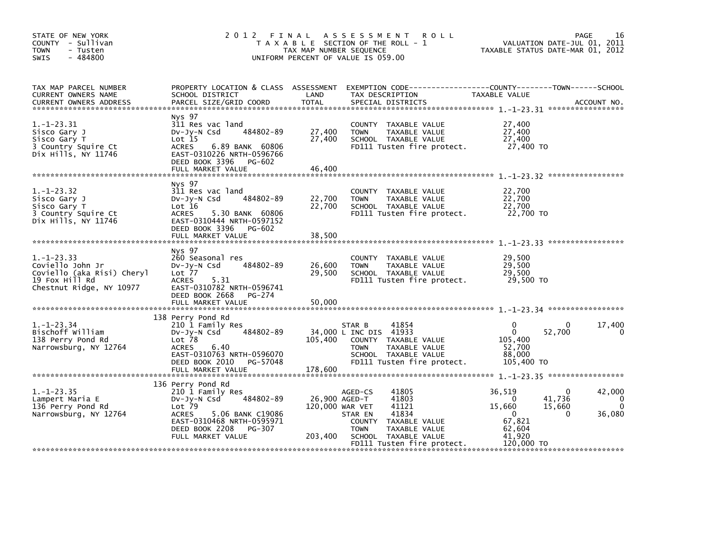| STATE OF NEW YORK<br>COUNTY - Sullivan<br><b>TOWN</b><br>- Tusten<br>- 484800<br><b>SWIS</b>                 | 2012 FINAL                                                                                                                                                                           | TAX MAP NUMBER SEQUENCE    | A S S E S S M E N T<br><b>ROLL</b><br>T A X A B L E SECTION OF THE ROLL - 1<br>UNIFORM PERCENT OF VALUE IS 059.00                                                                     | TAXABLE STATUS DATE-MAR 01, 2012                                                                         | PAGE<br>16<br>VALUATION DATE-JUL 01, 2011                 |
|--------------------------------------------------------------------------------------------------------------|--------------------------------------------------------------------------------------------------------------------------------------------------------------------------------------|----------------------------|---------------------------------------------------------------------------------------------------------------------------------------------------------------------------------------|----------------------------------------------------------------------------------------------------------|-----------------------------------------------------------|
| TAX MAP PARCEL NUMBER<br>CURRENT OWNERS NAME<br><b>CURRENT OWNERS ADDRESS</b>                                | SCHOOL DISTRICT<br>PARCEL SIZE/GRID COORD                                                                                                                                            | LAND<br><b>TOTAL</b>       | PROPERTY LOCATION & CLASS ASSESSMENT EXEMPTION CODE----------------COUNTY-------TOWN-----SCHOOL<br>TAX DESCRIPTION<br>SPECIAL DISTRICTS                                               | TAXABLE VALUE                                                                                            | ACCOUNT NO.                                               |
| $1.-1-23.31$<br>Sisco Gary J<br>Sisco Gary T<br>3 Country Squire Ct<br>Dix Hills, NY 11746                   | Nys 97<br>311 Res vac land<br>DV-Jy-N Csd 484802-89<br>Lot 15<br>ACRES<br>6.89 BANK 60806<br>EAST-0310226 NRTH-0596766<br>DEED BOOK 3396 PG-602<br>FULL MARKET VALUE                 | 27,400<br>27,400<br>46.400 | COUNTY TAXABLE VALUE<br>TAXABLE VALUE<br><b>TOWN</b><br>SCHOOL TAXABLE VALUE = 27,400<br>FD111 Tusten fire protect. 27,400 TO                                                         | 27,400<br>27,400                                                                                         |                                                           |
| $1. - 1 - 23.32$<br>Sisco Gary J<br>Sisco Gary T<br>3 Country Squire Ct<br>Dix Hills, NY 11746               | Nys 97<br>311 Res vac land<br>DV-Jy-N Csd 484802-89<br>Lot $16$<br>ACRES<br>5.30 BANK 60806<br>EAST-0310444 NRTH-0597152<br>DEED BOOK 3396 PG-602<br>FULL MARKET VALUE               | 22,700<br>22,700<br>38,500 | COUNTY TAXABLE VALUE<br><b>TOWN</b><br>TAXABLE VALUE                                                                                                                                  | 22,700<br>22,700                                                                                         |                                                           |
| $1.-1-23.33$<br>Coviello John Jr<br>Coviello (aka Risi) Cheryl<br>19 Fox Hill Rd<br>Chestnut Ridge, NY 10977 | Nys 97<br>260 Seasonal res<br>DV-Jy-N Csd 484802-89<br>Lot 77<br><b>ACRES</b><br>5.31<br>EAST-0310782 NRTH-0596741<br>DEED BOOK 2668<br>PG-274<br>FULL MARKET VALUE                  | 26,600<br>29,500<br>50,000 | COUNTY TAXABLE VALUE<br><b>TOWN</b><br>TAXABLE VALUE<br>SCHOOL TAXABLE VALUE<br>FD111 Tusten fire protect. 29,500 TO                                                                  | 29,500<br>29,500<br>29.500                                                                               |                                                           |
| $1.-1-23.34$<br>Bischoff William<br>138 Perry Pond Rd<br>Narrowsburg, NY 12764                               | 138 Perry Pond Rd<br>210 1 Family Res<br>DV-Jy-N Csd 484802-89<br>Lot 78<br>ACRES<br>6.40<br>EAST-0310763 NRTH-0596070<br>DEED BOOK 2010<br>PG-57048<br>FULL MARKET VALUE            | 105,400<br>178,600         | 41854<br>STAR B<br>34,000 L INC DIS 41933<br>COUNTY TAXABLE VALUE<br>TAXABLE VALUE<br><b>TOWN</b><br>SCHOOL TAXABLE VALUE<br>FD111 Tusten fire protect.                               | 0<br>$\Omega$<br>52,700<br>105,400<br>52,700<br>88,000<br>105,400 TO                                     | 17,400<br>$\Omega$<br>0                                   |
| $1. -1 - 23.35$<br>Lampert Maria E<br>136 Perry Pond Rd<br>Narrowsburg, NY 12764                             | 136 Perry Pond Rd<br>210 1 Family Res<br>DV-JV-N Csd 484802-89<br>$Lot$ $79$<br>ACRES<br>5.06 BANK C19086<br>EAST-0310468 NRTH-0595971<br>DEED BOOK 2208 PG-307<br>FULL MARKET VALUE | 120,000 WAR VET<br>203,400 | AGED-CS<br>41805<br>26,900 AGED-T<br>41803<br>41121<br>41834<br>STAR EN<br>COUNTY TAXABLE VALUE<br><b>TOWN</b><br>TAXABLE VALUE<br>SCHOOL TAXABLE VALUE<br>FD111 Tusten fire protect. | 36,519<br>$\Omega$<br>41.736<br>15,660<br>15,660<br>$\Omega$<br>67,821<br>62,604<br>41,920<br>120,000 TO | 42,000<br>$\Omega$<br>0<br>$\Omega$<br>$\Omega$<br>36,080 |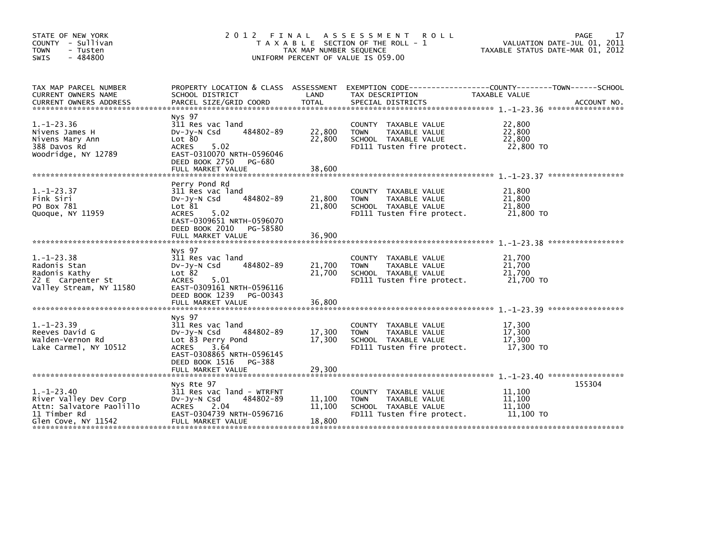| STATE OF NEW YORK<br>COUNTY - Sullivan<br><b>TOWN</b><br>- Tusten<br>$-484800$<br><b>SWIS</b>                | PAGE<br>2012 FINAL<br>A S S E S S M E N T<br><b>ROLL</b><br>VALUATION DATE-JUL 01, 2011<br>T A X A B L E SECTION OF THE ROLL - 1<br>TAXABLE STATUS DATE-MAR 01, 2012<br>TAX MAP NUMBER SEQUENCE<br>UNIFORM PERCENT OF VALUE IS 059.00 |                            |                                                                                                               |                                         |                   |  |  |
|--------------------------------------------------------------------------------------------------------------|---------------------------------------------------------------------------------------------------------------------------------------------------------------------------------------------------------------------------------------|----------------------------|---------------------------------------------------------------------------------------------------------------|-----------------------------------------|-------------------|--|--|
| TAX MAP PARCEL NUMBER<br>CURRENT OWNERS NAME<br><b>CURRENT OWNERS ADDRESS</b>                                | PROPERTY LOCATION & CLASS ASSESSMENT<br>SCHOOL DISTRICT<br>PARCEL SIZE/GRID COORD                                                                                                                                                     | LAND<br>TOTAL              | EXEMPTION CODE-----------------COUNTY-------TOWN------SCHOOL<br>TAX DESCRIPTION<br>SPECIAL DISTRICTS          | TAXABLE VALUE                           | ACCOUNT NO.       |  |  |
| $1.-1-23.36$<br>Nivens James H<br>Nivens Mary Ann<br>388 Davos Rd<br>Woodridge, NY 12789                     | Nys 97<br>311 Res vac land<br>484802-89<br>$Dv-Jy-N$ Csd<br>Lot 80<br>5.02<br>ACRES<br>EAST-0310070 NRTH-0596046<br>DEED BOOK 2750<br>PG-680<br>FULL MARKET VALUE                                                                     | 22,800<br>22,800<br>38,600 | COUNTY TAXABLE VALUE<br>TAXABLE VALUE<br><b>TOWN</b><br>SCHOOL TAXABLE VALUE<br>FD111 Tusten fire protect.    | 22,800<br>22,800<br>22.800<br>22,800 TO |                   |  |  |
| $1. - 1 - 23.37$<br>Fink Siri<br>PO Box 781<br>Quoque, NY 11959                                              | Perry Pond Rd<br>311 Res vac land<br>484802-89<br>$Dv-Jy-N$ Csd<br>Lot 81<br>5.02<br><b>ACRES</b><br>EAST-0309651 NRTH-0596070<br>DEED BOOK 2010<br>PG-58580<br>FULL MARKET VALUE                                                     | 21,800<br>21,800<br>36,900 | COUNTY TAXABLE VALUE<br>TAXABLE VALUE<br><b>TOWN</b><br>SCHOOL TAXABLE VALUE<br>FD111 Tusten fire protect.    | 21,800<br>21,800<br>21,800<br>21,800 TO |                   |  |  |
| $1. - 1 - 23.38$<br>Radonis Stan<br>Radonis Kathy<br>22 E Carpenter St<br>Valley Stream, NY 11580            | Nys 97<br>311 Res vac land<br>484802-89<br>$Dv-Jy-N$ Csd<br>Lot 82<br><b>ACRES</b><br>5.01<br>EAST-0309161 NRTH-0596116<br>DEED BOOK 1239<br>PG-00343                                                                                 | 21,700<br>21,700           | COUNTY TAXABLE VALUE<br>TAXABLE VALUE<br><b>TOWN</b><br>SCHOOL TAXABLE VALUE<br>FD111 Tusten fire protect.    | 21,700<br>21,700<br>21,700<br>21,700 TO | ***************** |  |  |
| $1. - 1 - 23.39$<br>Reeves David G<br>Walden-Vernon Rd<br>Lake Carmel, NY 10512                              | Nys 97<br>311 Res vac land<br>484802-89<br>$Dv-Jy-N$ Csd<br>Lot 83 Perry Pond<br>3.64<br><b>ACRES</b><br>EAST-0308865 NRTH-0596145<br>DEED BOOK 1516<br>PG-388<br>FULL MARKET VALUE                                                   | 17,300<br>17,300<br>29,300 | COUNTY<br>TAXABLE VALUE<br><b>TOWN</b><br>TAXABLE VALUE<br>SCHOOL TAXABLE VALUE<br>FD111 Tusten fire protect. | 17,300<br>17,300<br>17.300<br>17,300 TO |                   |  |  |
| $1. - 1 - 23.40$<br>River Valley Dev Corp<br>Attn: Salvatore Paolillo<br>11 Timber Rd<br>Glen Cove, NY 11542 | Nys Rte 97<br>311 Res vac land - WTRFNT<br>DV-Jy-N Csd<br>484802-89<br>ACRES<br>2.04<br>EAST-0304739 NRTH-0596716<br>FULL MARKET VALUE                                                                                                | 11,100<br>11,100<br>18,800 | COUNTY TAXABLE VALUE<br><b>TOWN</b><br>TAXABLE VALUE<br>SCHOOL TAXABLE VALUE<br>FD111 Tusten fire protect.    | 11,100<br>11,100<br>11,100<br>11,100 TO | 155304            |  |  |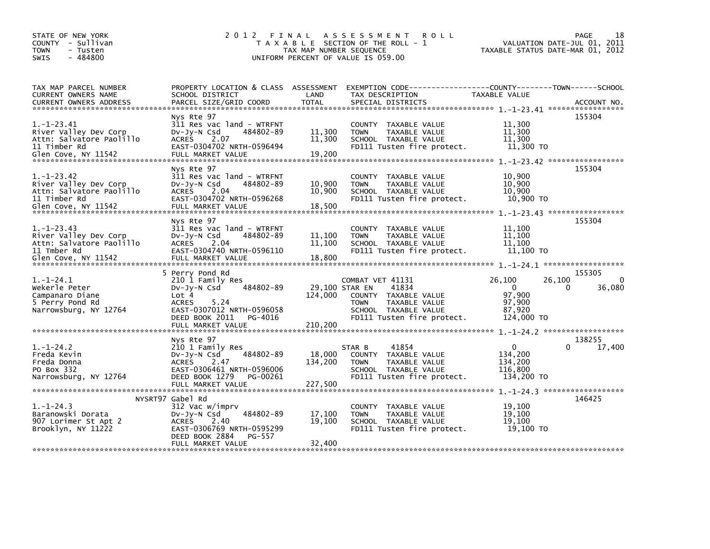| STATE OF NEW YORK<br>COUNTY - Sullivan<br><b>TOWN</b><br>- Tusten<br>$-484800$<br><b>SWIS</b>               | 2 0 1 2<br>FINAL                                                                                                                                                                | TAX MAP NUMBER SEQUENCE              | A S S E S S M E N T<br><b>ROLL</b><br>T A X A B L E SECTION OF THE ROLL - 1<br>UNIFORM PERCENT OF VALUE IS 059.00                         | TAXABLE STATUS DATE-MAR 01, 2012                               | 18<br>PAGE<br>VALUATION DATE-JUL 01, 2011                                                     |
|-------------------------------------------------------------------------------------------------------------|---------------------------------------------------------------------------------------------------------------------------------------------------------------------------------|--------------------------------------|-------------------------------------------------------------------------------------------------------------------------------------------|----------------------------------------------------------------|-----------------------------------------------------------------------------------------------|
| TAX MAP PARCEL NUMBER<br><b>CURRENT OWNERS NAME</b><br><b>CURRENT OWNERS ADDRESS</b>                        | SCHOOL DISTRICT<br>PARCEL SIZE/GRID COORD                                                                                                                                       | LAND<br><b>TOTAL</b>                 | PROPERTY LOCATION & CLASS ASSESSMENT EXEMPTION CODE-----------------COUNTY-------TOWN------SCHOOL<br>TAX DESCRIPTION<br>SPECIAL DISTRICTS | <b>TAXABLE VALUE</b>                                           | ACCOUNT NO.                                                                                   |
| $1.-1-23.41$<br>River Valley Dev Corp<br>Attn: Salvatore Paolillo<br>11 Timber Rd<br>Glen Cove, NY 11542    | Nys Rte 97<br>311 Res vac land - WTRFNT<br>484802-89<br>$Dv-Jy-N$ Csd<br><b>ACRES</b><br>2.07<br>EAST-0304702 NRTH-0596494<br>FULL MARKET VALUE                                 | 11,300<br>11,300<br>19,200           | COUNTY TAXABLE VALUE<br>TAXABLE VALUE<br><b>TOWN</b><br>SCHOOL TAXABLE VALUE<br>FD111 Tusten fire protect.                                | 11,300<br>11,300<br>11,300<br>11,300 TO                        | 155304                                                                                        |
| $1.-1-23.42$<br>River Valley Dev Corp<br>Attn: Salvatore Paolillo<br>11 Timber Rd<br>Glen Cove, NY 11542    | Nys Rte 97<br>311 Res vac land - WTRFNT<br>484802-89<br>DV-Jy-N Csd<br><b>ACRES</b><br>2.04<br>EAST-0304702 NRTH-0596268<br>FULL MARKET VALUE                                   | 10,900<br>10,900<br>18,500           | <b>COUNTY</b><br>TAXABLE VALUE<br>TAXABLE VALUE<br><b>TOWN</b><br>SCHOOL TAXABLE VALUE<br>FD111 Tusten fire protect.                      | 10,900<br>10,900<br>10.900<br>10,900 TO                        | 155304<br>1. -1-23.43 ******************                                                      |
| $1. - 1 - 23.43$<br>River Valley Dev Corp<br>Attn: Salvatore Paolillo<br>11 Tmber Rd<br>Glen Cove, NY 11542 | Nys Rte 97<br>311 Res vac land - WTRFNT<br>484802-89<br>DV-Jy-N Csd<br>2.04<br><b>ACRES</b><br>EAST-0304740 NRTH-0596110<br>FULL MARKET VALUE                                   | 11,100<br>11,100<br>18,800           | COUNTY TAXABLE VALUE<br>TAXABLE VALUE<br><b>TOWN</b><br>SCHOOL TAXABLE VALUE<br>FD111 Tusten fire protect.                                | 11,100<br>11,100<br>11,100<br>11,100 TO                        | 155304                                                                                        |
| $1.-1-24.1$<br>Wekerle Peter<br>Campanaro Diane<br>5 Perry Pond Rd<br>Narrowsburg, NY 12764                 | 5 Perry Pond Rd<br>210 1 Family Res<br>484802-89<br>DV-Jy-N Csd<br>Lot 4<br>5.24<br><b>ACRES</b><br>EAST-0307012 NRTH-0596058<br>DEED BOOK 2011<br>PG-4016<br>FULL MARKET VALUE | 29,100 STAR EN<br>124,000<br>210,200 | COMBAT VET 41131<br>41834<br>COUNTY TAXABLE VALUE<br><b>TOWN</b><br>TAXABLE VALUE<br>SCHOOL TAXABLE VALUE<br>FD111 Tusten fire protect.   | 26,100<br>$\Omega$<br>97,900<br>97,900<br>87,920<br>124,000 TO | 155305<br>26,100<br>0<br>36,080<br>0                                                          |
| $1.-1-24.2$<br>Freda Kevin<br>Freda Donna<br>PO Box 332<br>Narrowsburg, NY 12764                            | Nys Rte 97<br>210 1 Family Res<br>484802-89<br>$Dv-Jy-N$ Csd<br>ACRES<br>2.47<br>EAST-0306461 NRTH-0596006<br>DEED BOOK 1279<br>PG-00261                                        | 18,000<br>134.200                    | 41854<br>STAR B<br>TAXABLE VALUE<br>COUNTY<br>TAXABLE VALUE<br><b>TOWN</b><br>SCHOOL TAXABLE VALUE<br>FD111 Tusten fire protect.          | 0<br>134,200<br>134,200<br>116.800<br>134,200 TO               | $1. -1 - 24.2$ *******************<br>138255<br>17,400<br>$1. - 1 - 24.3$ ******************* |
| $1. - 1 - 24.3$<br>Baranowski Dorata<br>907 Lorimer St Apt 2<br>Brooklyn, NY 11222                          | NYSRT97 Gabel Rd<br>312 Vac w/imprv<br>484802-89<br>$Dv-Jy-N$ Csd<br><b>ACRES</b><br>2.40<br>EAST-0306769 NRTH-0595299<br>DEED BOOK 2884<br>PG-557<br>FULL MARKET VALUE         | 17,100<br>19,100<br>32,400           | <b>COUNTY</b><br>TAXABLE VALUE<br>TAXABLE VALUE<br><b>TOWN</b><br>SCHOOL TAXABLE VALUE<br>FD111 Tusten fire protect.                      | 19,100<br>19.100<br>19.100<br>19,100 TO                        | 146425                                                                                        |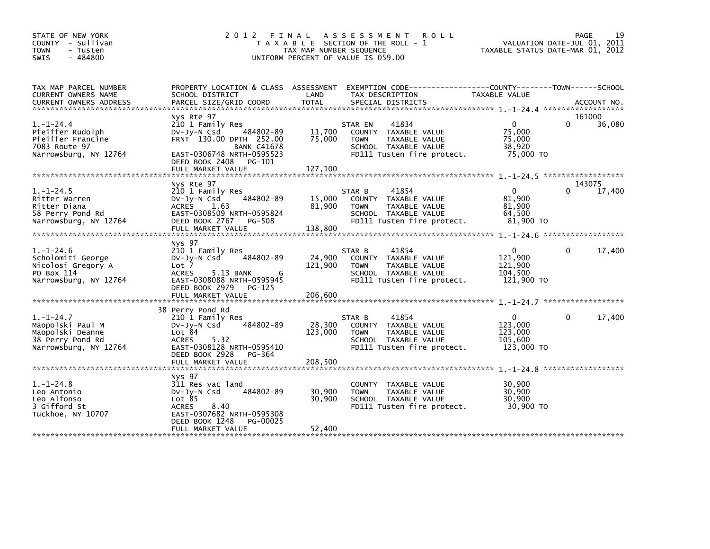| STATE OF NEW YORK<br>COUNTY - Sullivan<br><b>TOWN</b><br>- Tusten<br>$-484800$<br><b>SWIS</b>        | 2012 FINAL                                                                                                                                                                                   | TAX MAP NUMBER SEQUENCE      | <b>ROLL</b><br>A S S E S S M E N T<br>T A X A B L E SECTION OF THE ROLL - 1<br>UNIFORM PERCENT OF VALUE IS 059.00                       | VALUATION DATE-JUL 01, 2011<br>TAXABLE STATUS DATE-MAR 01, 2012 | PAGE               | 19     |
|------------------------------------------------------------------------------------------------------|----------------------------------------------------------------------------------------------------------------------------------------------------------------------------------------------|------------------------------|-----------------------------------------------------------------------------------------------------------------------------------------|-----------------------------------------------------------------|--------------------|--------|
| TAX MAP PARCEL NUMBER<br>CURRENT OWNERS NAME                                                         | SCHOOL DISTRICT                                                                                                                                                                              | LAND                         | PROPERTY LOCATION & CLASS ASSESSMENT EXEMPTION CODE---------------COUNTY-------TOWN-----SCHOOL<br>TAX DESCRIPTION                       | TAXABLE VALUE                                                   |                    |        |
| $1. - 1 - 24.4$<br>Pfeiffer Rudolph<br>Pfeiffer Francine<br>7083 Route 97<br>Narrowsburg, NY 12764   | Nys Rte 97<br>210 1 Family Res<br>484802-89<br>$Dv-Jv-N$ Csd<br>FRNT 130.00 DPTH 252.00<br><b>BANK C41678</b><br>EAST-0306748 NRTH-0595523<br>DEED BOOK 2408<br>PG-101                       | 11,700<br>75,000             | 41834<br>STAR EN<br>COUNTY TAXABLE VALUE<br><b>TOWN</b><br>TAXABLE VALUE<br>SCHOOL TAXABLE VALUE<br>FD111 Tusten fire protect.          | $\Omega$<br>75,000<br>75,000<br>38,920<br>75,000 TO             | 161000<br>$\Omega$ | 36,080 |
| $1.-1-24.5$<br>Ritter Warren<br>Ritter Diana<br>58 Perry Pond Rd<br>Narrowsburg, NY 12764            | Nys Rte 97<br>210 1 Family Res<br>484802-89<br>$Dv-Jy-N$ Csd<br>ACRES 1.63<br>EAST-0308509 NRTH-0595824<br>DEED BOOK 2767<br>PG-508<br>FULL MARKET VALUE                                     | 15,000<br>81,900<br>138,800  | 41854<br>STAR B<br>COUNTY TAXABLE VALUE<br><b>TOWN</b><br>TAXABLE VALUE<br>SCHOOL TAXABLE VALUE<br>FD111 Tusten fire protect.           | $\Omega$<br>81,900<br>81,900<br>64,500<br>81,900 TO             | 143075<br>$\Omega$ | 17,400 |
| $1.-1-24.6$<br>Scholomiti George<br>Nicolosi Gregory A<br>PO Box 114<br>Narrowsburg, NY 12764        | Nys 97<br>210 1 Family Res<br>484802-89<br>$Dv-Jy-N$ Csd<br>Lot <sub>7</sub><br><b>ACRES</b><br>5.13 BANK<br>G<br>EAST-0308088 NRTH-0595945<br>DEED BOOK 2979<br>PG-125<br>FULL MARKET VALUE | 24,900<br>121,900<br>206,600 | 41854<br>STAR B<br><b>COUNTY</b><br>TAXABLE VALUE<br>TAXABLE VALUE<br><b>TOWN</b><br>SCHOOL TAXABLE VALUE<br>FD111 Tusten fire protect. | $\mathbf{0}$<br>121,900<br>121,900<br>104.500<br>121,900 TO     | 0                  | 17,400 |
| $1. - 1 - 24.7$<br>Maopolski Paul M<br>Maopolski Deanne<br>38 Perry Pond Rd<br>Narrowsburg, NY 12764 | 38 Perry Pond Rd<br>210 1 Family Res<br>484802-89<br>$Dv-Jv-N$ Csd<br>Lot 84<br><b>ACRES</b><br>5.32<br>EAST-0308128 NRTH-0595410<br>DEED BOOK 2928<br>PG-364<br>FULL MARKET VALUE           | 28,300<br>123,000<br>208,500 | 41854<br>STAR B<br>COUNTY TAXABLE VALUE<br><b>TOWN</b><br>TAXABLE VALUE<br>SCHOOL TAXABLE VALUE<br>FD111 Tusten fire protect.           | 0<br>123,000<br>123,000<br>105,600<br>123,000 TO                | 0                  | 17,400 |
| $1.-1-24.8$<br>Leo Antonio<br>Leo Alfonso<br>3 Gifford St<br>Tuckhoe, NY 10707                       | Nys 97<br>311 Res vac land<br>484802-89<br>$Dv-Jv-N$ Csd<br>Lot 85<br><b>ACRES</b><br>8.40<br>EAST-0307682 NRTH-0595308<br>DEED BOOK 1248<br>PG-00025<br>FULL MARKET VALUE                   | 30,900<br>30,900<br>52,400   | <b>COUNTY</b><br>TAXABLE VALUE<br><b>TOWN</b><br>TAXABLE VALUE<br>SCHOOL TAXABLE VALUE<br>FD111 Tusten fire protect.                    | 30,900<br>30,900<br>30,900<br>30,900 TO                         |                    |        |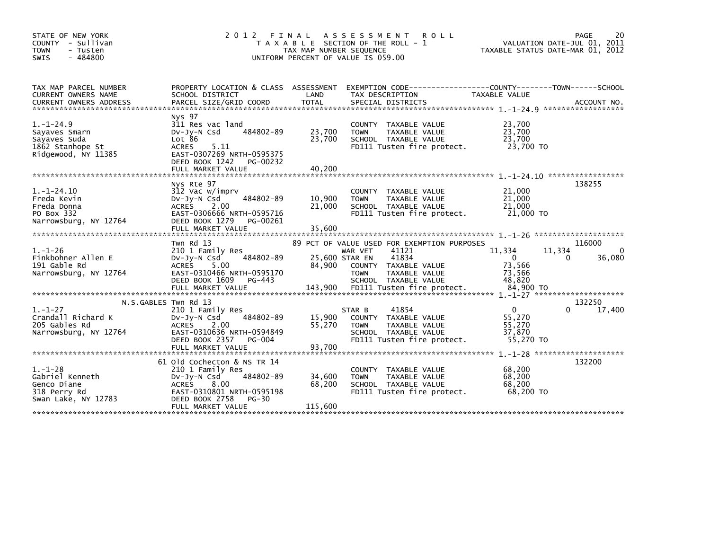| STATE OF NEW YORK<br>COUNTY - Sullivan<br><b>TOWN</b><br>- Tusten<br>$-484800$<br><b>SWIS</b> | 2 0 1 2                                                                                                                                                                              | FINAL<br>TAX MAP NUMBER SEOUENCE    | A S S E S S M E N T<br><b>ROLL</b><br>T A X A B L E SECTION OF THE ROLL - 1<br>UNIFORM PERCENT OF VALUE IS 059.00                                                                                | VALUATION DATE-JUL 01, 2011<br>TAXABLE STATUS DATE-MAR 01, 2012            | 20<br>PAGE                 |
|-----------------------------------------------------------------------------------------------|--------------------------------------------------------------------------------------------------------------------------------------------------------------------------------------|-------------------------------------|--------------------------------------------------------------------------------------------------------------------------------------------------------------------------------------------------|----------------------------------------------------------------------------|----------------------------|
| TAX MAP PARCEL NUMBER<br>CURRENT OWNERS NAME<br><b>CURRENT OWNERS ADDRESS</b>                 | SCHOOL DISTRICT<br>PARCEL SIZE/GRID COORD                                                                                                                                            | LAND<br><b>TOTAL</b>                | PROPERTY LOCATION & CLASS ASSESSMENT EXEMPTION CODE---------------COUNTY-------TOWN------SCHOOL<br>TAX DESCRIPTION<br>SPECIAL DISTRICTS                                                          | <b>TAXABLE VALUE</b>                                                       | ACCOUNT NO.                |
| $1.-1-24.9$<br>Sayaves Smarn<br>Sayaves Suda<br>1862 Stanhope St<br>Ridgewood, NY 11385       | Nys 97<br>311 Res vac land<br>484802-89<br>$Dv-Jv-N$ Csd<br>Lot 86<br><b>ACRES</b><br>5.11<br>EAST-0307269 NRTH-0595375<br>DEED BOOK 1242<br>PG-00232<br>FULL MARKET VALUE           | 23,700<br>23,700<br>40.200          | <b>COUNTY</b><br>TAXABLE VALUE<br>TAXABLE VALUE<br><b>TOWN</b><br>SCHOOL TAXABLE VALUE<br>FD111 Tusten fire protect.                                                                             | 23,700<br>23,700<br>23,700<br>23,700 TO                                    |                            |
| $1.-1-24.10$<br>Freda Kevin<br>Freda Donna<br>PO Box 332<br>Narrowsburg, NY 12764             | Nys Rte 97<br>312 Vac w/imprv<br>484802-89<br>DV-Jy-N Csd<br>2.00<br><b>ACRES</b><br>EAST-0306666 NRTH-0595716<br>DEED BOOK 1279<br>PG-00261<br>FULL MARKET VALUE                    | 10,900<br>21,000<br>35,600          | TAXABLE VALUE<br><b>COUNTY</b><br><b>TOWN</b><br>TAXABLE VALUE<br>SCHOOL TAXABLE VALUE<br>FD111 Tusten fire protect.                                                                             | 21,000<br>21,000<br>21,000<br>21,000 TO                                    | 138255                     |
| $1. - 1 - 26$<br>Finkbohner Allen E<br>191 Gable Rd<br>Narrowsburg, NY 12764                  | Twn Rd 13<br>210 1 Family Res<br>484802-89<br>DV-Jy-N Csd<br><b>ACRES</b><br>5.00<br>EAST-0310466 NRTH-0595170<br>DEED BOOK 1609<br>PG-443<br>FULL MARKET VALUE                      | 25,600 STAR EN<br>84,900<br>143,900 | 89 PCT OF VALUE USED FOR EXEMPTION PURPOSES<br>41121<br>WAR VET<br>41834<br>TAXABLE VALUE<br><b>COUNTY</b><br>TAXABLE VALUE<br><b>TOWN</b><br>SCHOOL TAXABLE VALUE<br>FD111 Tusten fire protect. | 11,334<br>11,334<br>$\mathbf 0$<br>73,566<br>73,566<br>48,820<br>84,900 TO | 116000<br>0<br>36,080<br>0 |
| $1. - 1 - 27$<br>Crandall Richard K<br>205 Gables Rd<br>Narrowsburg, NY 12764                 | N.S.GABLES Twn Rd 13<br>210 1 Family Res<br>484802-89<br>$Dv-Jy-N$ Csd<br><b>ACRES</b><br>2.00<br>EAST-0310636 NRTH-0594849<br>DEED BOOK 2357<br>PG-004                              | 15,900<br>55.270                    | 41854<br>STAR B<br>TAXABLE VALUE<br><b>COUNTY</b><br><b>TAXABLE VALUE</b><br><b>TOWN</b><br>SCHOOL TAXABLE VALUE<br>FD111 Tusten fire protect.                                                   | 0<br>55,270<br>55,270<br>37,870<br>55,270 TO                               | 132250<br>17,400           |
| $1. - 1 - 28$<br>Gabriel Kenneth<br>Genco Diane<br>318 Perry Rd<br>Swan Lake, NY 12783        | 61 Old Cochecton & NS TR 14<br>210 1 Family Res<br>484802-89<br>$Dv-Jy-N$ Csd<br>8.00<br><b>ACRES</b><br>EAST-0310801 NRTH-0595198<br>DEED BOOK 2758<br>$PG-30$<br>FULL MARKET VALUE | 34,600<br>68,200<br>115,600         | TAXABLE VALUE<br><b>COUNTY</b><br>TAXABLE VALUE<br><b>TOWN</b><br>SCHOOL TAXABLE VALUE<br>FD111 Tusten fire protect.                                                                             | 68,200<br>68,200<br>68,200<br>68,200 TO                                    | 132200                     |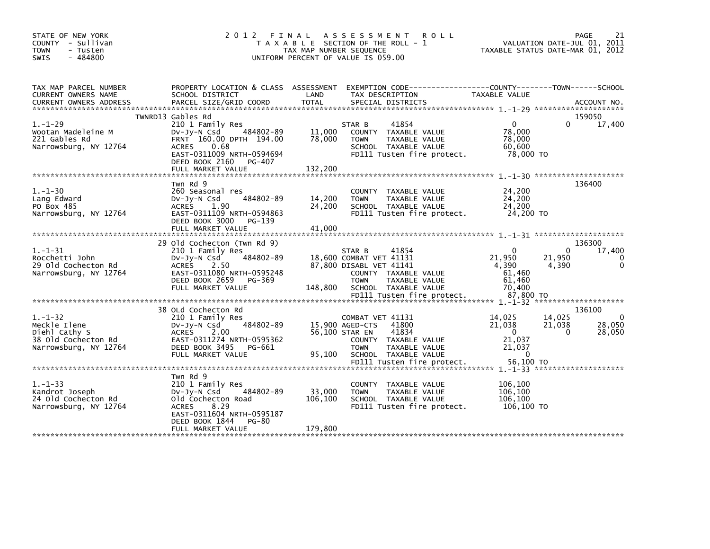| STATE OF NEW YORK<br>COUNTY - Sullivan<br><b>TOWN</b><br>- Tusten<br>$-484800$<br>SWIS         | 2012 FINAL                                                                                                                                                                        | TAX MAP NUMBER SEQUENCE    | A S S E S S M E N T<br>T A X A B L E SECTION OF THE ROLL - 1<br>UNIFORM PERCENT OF VALUE IS 059.00 | <b>ROLL</b>                                                                                                   | TAXABLE STATUS DATE-MAR 01, 2012                                              |                             | PAGE<br>21<br>VALUATION DATE-JUL 01, 2011 |
|------------------------------------------------------------------------------------------------|-----------------------------------------------------------------------------------------------------------------------------------------------------------------------------------|----------------------------|----------------------------------------------------------------------------------------------------|---------------------------------------------------------------------------------------------------------------|-------------------------------------------------------------------------------|-----------------------------|-------------------------------------------|
| TAX MAP PARCEL NUMBER<br>CURRENT OWNERS NAME                                                   | PROPERTY LOCATION & CLASS ASSESSMENT<br>SCHOOL DISTRICT                                                                                                                           | LAND                       | TAX DESCRIPTION                                                                                    | EXEMPTION CODE-----------------COUNTY-------TOWN------SCHOOL                                                  | TAXABLE VALUE                                                                 |                             |                                           |
| $1. - 1 - 29$<br>Wootan Madeleine M<br>221 Gables Rd<br>Narrowsburg, NY 12764                  | TWNRD13 Gables Rd<br>210 1 Family Res<br>484802-89<br>$Dv-Jy-N$ Csd<br>FRNT 160.00 DPTH 194.00<br>0.68<br>ACRES<br>EAST-0311009 NRTH-0594694<br>DEED BOOK 2160<br>PG-407          | 11,000<br>78,000           | STAR B<br><b>TOWN</b>                                                                              | 41854<br>COUNTY TAXABLE VALUE<br>TAXABLE VALUE<br>SCHOOL TAXABLE VALUE<br>FD111 Tusten fire protect.          | $\mathbf{0}$<br>78,000<br>78,000<br>60,600<br>78,000 TO                       | 0                           | 159050<br>17,400                          |
| $1. - 1 - 30$<br>Lang Edward<br>PO Box 485<br>Narrowsburg, NY 12764                            | Twn Rd 9<br>260 Seasonal res<br>484802-89<br>$Dv-Jy-N$ Csd<br>ACRES<br>1.90<br>EAST-0311109 NRTH-0594863<br>DEED BOOK 3000<br>PG-139<br>FULL MARKET VALUE                         | 14,200<br>24,200<br>41,000 | <b>TOWN</b>                                                                                        | COUNTY TAXABLE VALUE<br>TAXABLE VALUE<br>SCHOOL TAXABLE VALUE<br>FD111 Tusten fire protect.                   | 24,200<br>24,200<br>24,200<br>24,200 TO                                       |                             | 136400                                    |
| $1. - 1 - 31$<br>Rocchetti John<br>29 Old Cochecton Rd<br>Narrowsburg, NY 12764                | 29 Old Cochecton (Twn Rd 9)<br>210 1 Family Res<br>484802-89<br>DV-Jy-N Csd<br><b>ACRES</b><br>2.50<br>EAST-0311080 NRTH-0595248<br>DEED BOOK 2659<br>PG-369<br>FULL MARKET VALUE | 148,800                    | STAR B<br>18,600 COMBAT VET 41131<br>87,800 DISABL VET 41141<br><b>TOWN</b>                        | 41854<br>COUNTY TAXABLE VALUE<br>TAXABLE VALUE<br>SCHOOL TAXABLE VALUE                                        | $\Omega$<br>21,950<br>4,390<br>61,460<br>61,460<br>70,400                     | $\Omega$<br>21,950<br>4,390 | 136300<br>17,400                          |
|                                                                                                |                                                                                                                                                                                   |                            |                                                                                                    | FD111 Tusten fire protect.                                                                                    | 87,800 TO                                                                     |                             |                                           |
| $1. - 1 - 32$<br>Meckle Ilene<br>Diehl Cathy S<br>38 Old Cochecton Rd<br>Narrowsburg, NY 12764 | 38 OLd Cochecton Rd<br>210 1 Family Res<br>484802-89<br>DV-Jy-N Csd<br>ACRES<br>2.00<br>EAST-0311274 NRTH-0595362<br>DEED BOOK 3495<br>PG-661<br>FULL MARKET VALUE                | 95.100                     | COMBAT VET 41131<br>15,900 AGED-CTS<br>56,100 STAR EN<br><b>TOWN</b>                               | 41800<br>41834<br>COUNTY TAXABLE VALUE<br>TAXABLE VALUE<br>SCHOOL TAXABLE VALUE<br>FD111 Tusten fire protect. | 14,025<br>21,038<br>$\mathbf{0}$<br>21,037<br>21,037<br>$\Omega$<br>56.100 TO | 14,025<br>21,038<br>0       | 136100<br>$\mathbf 0$<br>28,050<br>28,050 |
|                                                                                                |                                                                                                                                                                                   |                            |                                                                                                    |                                                                                                               |                                                                               |                             |                                           |
| $1. - 1 - 33$<br>Kandrot Joseph<br>24 Old Cochecton Rd<br>Narrowsburg, NY 12764                | Twn Rd 9<br>210 1 Family Res<br>484802-89<br>$Dv-Jy-N$ Csd<br>old Cochecton Road<br><b>ACRES</b><br>8.29<br>EAST-0311604 NRTH-0595187                                             | 33,000<br>106,100          | <b>TOWN</b>                                                                                        | COUNTY TAXABLE VALUE<br>TAXABLE VALUE<br>SCHOOL TAXABLE VALUE<br>FD111 Tusten fire protect.                   | 106,100<br>106.100<br>106,100<br>106,100 TO                                   |                             |                                           |
|                                                                                                | DEED BOOK 1844<br>PG-80<br>FULL MARKET VALUE                                                                                                                                      | 179,800                    |                                                                                                    |                                                                                                               |                                                                               |                             |                                           |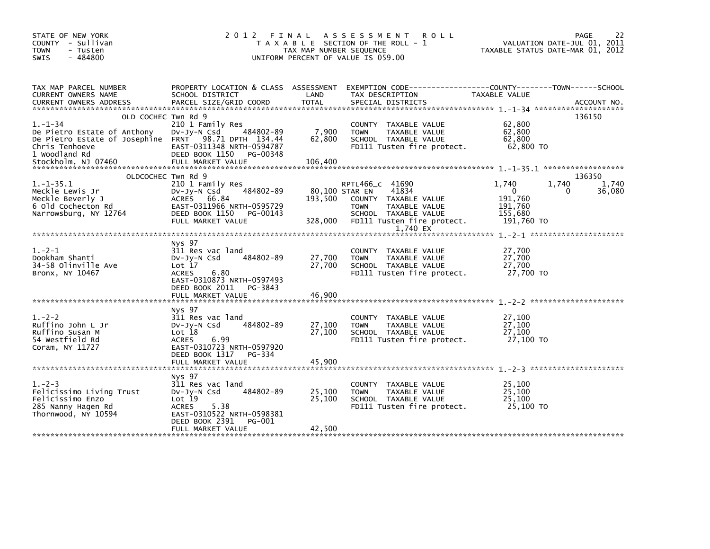| STATE OF NEW YORK<br>COUNTY - Sullivan<br><b>TOWN</b><br>- Tusten<br>$-484800$<br><b>SWIS</b>                                                                                         | 2012 FINAL                                                                                                                                                                | TAX MAP NUMBER SEQUENCE    | A S S E S S M E N T<br><b>ROLL</b><br>T A X A B L E SECTION OF THE ROLL - 1<br>UNIFORM PERCENT OF VALUE IS 059.00                                        | VALUATION DATE-JUL 01, 2011<br>TAXABLE STATUS DATE-MAR 01, 2012               | 22<br><b>PAGE</b>              |
|---------------------------------------------------------------------------------------------------------------------------------------------------------------------------------------|---------------------------------------------------------------------------------------------------------------------------------------------------------------------------|----------------------------|----------------------------------------------------------------------------------------------------------------------------------------------------------|-------------------------------------------------------------------------------|--------------------------------|
| TAX MAP PARCEL NUMBER<br>CURRENT OWNERS NAME<br><b>CURRENT OWNERS ADDRESS</b>                                                                                                         | PROPERTY LOCATION & CLASS ASSESSMENT<br>SCHOOL DISTRICT<br>PARCEL SIZE/GRID COORD                                                                                         | LAND<br><b>TOTAL</b>       | EXEMPTION CODE-----------------COUNTY--------TOWN------SCHOOL<br>TAX DESCRIPTION<br>SPECIAL DISTRICTS                                                    | TAXABLE VALUE                                                                 | ACCOUNT NO.                    |
| OLD COCHEC Twn Rd 9<br>$1. - 1 - 34$<br>De Pietro Estate of Anthony<br>De Pietro Estate of Josephine FRNT 98.71 DPTH 134.44<br>Chris Tenhoeve<br>1 Woodland Rd<br>Stockholm, NJ 07460 | 210 1 Family Res<br>DV-JY-N Csd<br>484802-89<br>EAST-0311348 NRTH-0594787<br>DEED BOOK 1150 PG-00348                                                                      | 7,900<br>62,800            | COUNTY TAXABLE VALUE<br><b>TOWN</b><br>TAXABLE VALUE<br>SCHOOL TAXABLE VALUE<br>FD111 Tusten fire protect.                                               | 62,800<br>62,800<br>62,800<br>62,800 TO                                       | 136150                         |
| $1.-1-35.1$<br>Meckle Lewis Jr<br>Meckle Beverly J<br>6 Old Cochecton Rd<br>Narrowsburg, NY 12764                                                                                     | OLDCOCHEC Twn Rd 9<br>210 1 Family Res<br>484802-89<br>DV-JY-N Csd<br>ACRES 66.84<br>EAST-0311966 NRTH-0595729<br>DEED BOOK 1150<br>PG-00143<br>FULL MARKET VALUE         | 193,500<br>328,000         | RPTL466_C 41690<br>80,100 STAR EN<br>41834<br>COUNTY TAXABLE VALUE<br>TAXABLE VALUE<br><b>TOWN</b><br>SCHOOL TAXABLE VALUE<br>FD111 Tusten fire protect. | 1,740<br>1,740<br>$\mathbf{0}$<br>191,760<br>191.760<br>155,680<br>191,760 TO | 136350<br>1,740<br>36,080<br>0 |
|                                                                                                                                                                                       |                                                                                                                                                                           |                            | 1.740 EX                                                                                                                                                 |                                                                               |                                |
| $1.-2-1$<br>Dookham Shanti<br>34-58 Olinville Ave<br>Bronx, NY 10467                                                                                                                  | Nys 97<br>311 Res vac land<br>484802-89<br>DV-Jy-N Csd<br>Lot $17$<br>6.80<br><b>ACRES</b><br>EAST-0310873 NRTH-0597493<br>DEED BOOK 2011<br>PG-3843<br>FULL MARKET VALUE | 27,700<br>27,700<br>46,900 | COUNTY TAXABLE VALUE<br><b>TOWN</b><br>TAXABLE VALUE<br>SCHOOL TAXABLE VALUE<br>FD111 Tusten fire protect.                                               | 27,700<br>27,700<br>27,700<br>27,700 TO                                       |                                |
|                                                                                                                                                                                       | Nys 97                                                                                                                                                                    |                            |                                                                                                                                                          |                                                                               |                                |
| $1. -2 - 2$<br>Ruffino John L Jr<br>Ruffino Susan M<br>54 Westfield Rd<br>Coram, NY 11727                                                                                             | 311 Res vac land<br>484802-89<br>Dv-Jy-N Csd<br>Lot $18$<br>6.99<br><b>ACRES</b><br>EAST-0310723 NRTH-0597920<br>DEED BOOK 1317<br>PG-334<br>FULL MARKET VALUE            | 27,100<br>27,100<br>45,900 | COUNTY TAXABLE VALUE<br>TAXABLE VALUE<br><b>TOWN</b><br>SCHOOL TAXABLE VALUE<br>FD111 Tusten fire protect.                                               | 27,100<br>27,100<br>27,100<br>27,100 TO                                       |                                |
|                                                                                                                                                                                       | Nys 97                                                                                                                                                                    |                            |                                                                                                                                                          |                                                                               |                                |
| $1. -2 - 3$<br>Felicissimo Living Trust<br>Felicissimo Enzo<br>285 Nanny Hagen Rd<br>Thornwood, NY 10594                                                                              | 311 Res vac land<br>484802-89<br>$Dv-Jy-N$ Csd<br>Lot 19<br><b>ACRES</b><br>5.38<br>EAST-0310522 NRTH-0598381<br>DEED BOOK 2391<br>PG-001                                 | 25,100<br>25,100           | COUNTY TAXABLE VALUE<br>TAXABLE VALUE<br><b>TOWN</b><br>SCHOOL TAXABLE VALUE<br>FD111 Tusten fire protect.                                               | 25.100<br>25,100<br>25,100<br>25,100 TO                                       |                                |
|                                                                                                                                                                                       | FULL MARKET VALUE                                                                                                                                                         | 42,500                     |                                                                                                                                                          |                                                                               |                                |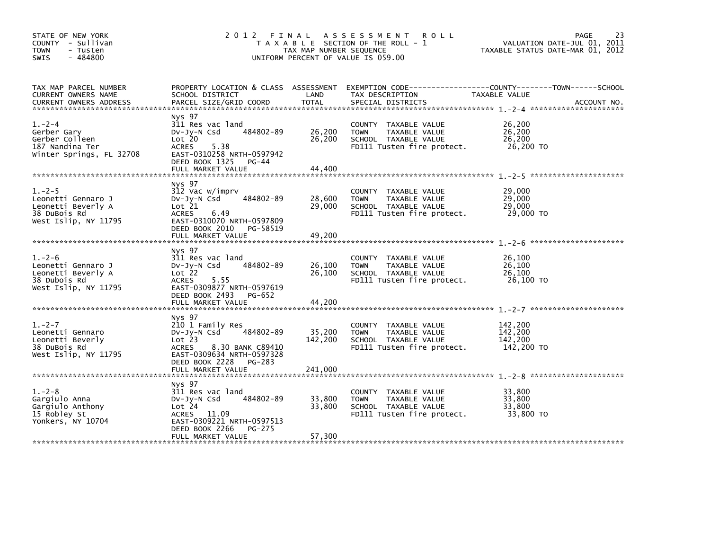| STATE OF NEW YORK<br>COUNTY - Sullivan<br><b>TOWN</b><br>- Tusten<br>$-484800$<br><b>SWIS</b>   | 2012 FINAL                                                                                                                                                         | TAX MAP NUMBER SEQUENCE    | A S S E S S M E N T<br><b>ROLL</b><br>T A X A B L E SECTION OF THE ROLL - 1<br>UNIFORM PERCENT OF VALUE IS 059.00 | VALUATION DATE-JUL 01, 2011<br>TAXABLE STATUS DATE-MAR 01, 2012 | 23<br>PAGE |
|-------------------------------------------------------------------------------------------------|--------------------------------------------------------------------------------------------------------------------------------------------------------------------|----------------------------|-------------------------------------------------------------------------------------------------------------------|-----------------------------------------------------------------|------------|
| TAX MAP PARCEL NUMBER<br>CURRENT OWNERS NAME                                                    | PROPERTY LOCATION & CLASS ASSESSMENT<br>SCHOOL DISTRICT                                                                                                            | LAND                       | EXEMPTION CODE-----------------COUNTY-------TOWN------SCHOOL<br>TAX DESCRIPTION                                   | TAXABLE VALUE                                                   |            |
| $1. -2 - 4$<br>Gerber Gary<br>Gerber Colleen<br>187 Nandina Ter<br>Winter Springs, FL 32708     | Nys 97<br>311 Res vac land<br>484802-89<br>DV-Jy-N Csd<br>Lot 20<br><b>ACRES</b><br>5.38<br>EAST-0310258 NRTH-0597942<br>DEED BOOK 1325 PG-44<br>FULL MARKET VALUE | 26,200<br>26,200<br>44.400 | COUNTY TAXABLE VALUE<br>TAXABLE VALUE<br><b>TOWN</b><br>SCHOOL TAXABLE VALUE<br>FD111 Tusten fire protect.        | 26,200<br>26,200<br>26,200<br>26,200 TO                         |            |
|                                                                                                 |                                                                                                                                                                    |                            |                                                                                                                   |                                                                 |            |
| $1. -2 - 5$<br>Leonetti Gennaro J<br>Leonetti Beverly A<br>38 DuBois Rd<br>West Islip, NY 11795 | Nys 97<br>312 Vac w/imprv<br>484802-89<br>DV-Jy-N Csd<br>Lot 21<br><b>ACRES</b><br>6.49<br>EAST-0310070 NRTH-0597809                                               | 28,600<br>29,000           | COUNTY TAXABLE VALUE<br><b>TOWN</b><br>TAXABLE VALUE<br>SCHOOL TAXABLE VALUE<br>FD111 Tusten fire protect.        | 29,000<br>29,000<br>29,000<br>29,000 TO                         |            |
|                                                                                                 | DEED BOOK 2010 PG-58519<br>FULL MARKET VALUE                                                                                                                       | 49,200                     |                                                                                                                   |                                                                 |            |
| $1. -2 - 6$<br>Leonetti Gennaro J<br>Leonetti Beverly A<br>38 Dubois Rd<br>West Islip, NY 11795 | Nys 97<br>311 Res vac land<br>484802-89<br>$Dv-Jv-N$ Csd<br>Lot 22<br>5.55<br>ACRES<br>EAST-0309877 NRTH-0597619<br>DEED BOOK 2493 PG-652                          | 26,100<br>26,100           | COUNTY TAXABLE VALUE<br>TAXABLE VALUE<br><b>TOWN</b><br>SCHOOL TAXABLE VALUE<br>FD111 Tusten fire protect.        | 26,100<br>26,100<br>26,100<br>26,100 TO                         |            |
|                                                                                                 | FULL MARKET VALUE                                                                                                                                                  | 44,200                     |                                                                                                                   |                                                                 |            |
| $1. -2 - 7$<br>Leonetti Gennaro<br>Leonetti Beverly<br>38 DuBois Rd<br>West Islip, NY 11795     | Nys 97<br>210 1 Family Res<br>484802-89<br>DV-JY-N Csd<br>Lot 23<br>8.30 BANK C89410<br>ACRES<br>EAST-0309634 NRTH-0597328<br>DEED BOOK 2228<br>PG-283             | 35,200<br>142,200          | COUNTY TAXABLE VALUE<br>TAXABLE VALUE<br><b>TOWN</b><br>SCHOOL TAXABLE VALUE<br>FD111 Tusten fire protect.        | 142.200<br>142,200<br>142,200<br>142,200 TO                     |            |
|                                                                                                 |                                                                                                                                                                    |                            |                                                                                                                   |                                                                 |            |
| $1. -2 - 8$<br>Gargiulo Anna<br>Gargiulo Anthony<br>15 Robley St<br>Yonkers, NY 10704           | Nys 97<br>311 Res vac land<br>484802-89<br>$Dv-Jy-N$ Csd<br>Lot 24<br>ACRES 11.09<br>EAST-0309221 NRTH-0597513<br>DEED BOOK 2266<br>PG-275                         | 33,800<br>33,800           | COUNTY TAXABLE VALUE<br>TAXABLE VALUE<br><b>TOWN</b><br>SCHOOL TAXABLE VALUE<br>FD111 Tusten fire protect.        | 33,800<br>33,800<br>33,800<br>33,800 TO                         |            |
|                                                                                                 | FULL MARKET VALUE                                                                                                                                                  | 57,300                     |                                                                                                                   |                                                                 |            |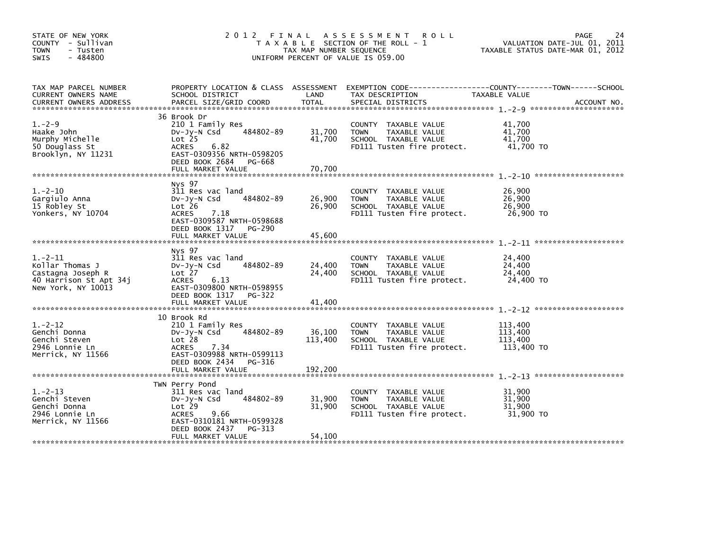| STATE OF NEW YORK<br>COUNTY - Sullivan<br><b>TOWN</b><br>- Tusten<br>$-484800$<br>SWIS            | 2012 FINAL                                                                                                                                                                            | TAX MAP NUMBER SEQUENCE    | A S S E S S M E N T<br><b>ROLL</b><br>T A X A B L E SECTION OF THE ROLL - 1<br>UNIFORM PERCENT OF VALUE IS 059.00 | <b>PAGE</b><br>VALUATION DATE-JUL 01, 2011<br>TAXABLE STATUS DATE-MAR 01, 2012 | 24          |
|---------------------------------------------------------------------------------------------------|---------------------------------------------------------------------------------------------------------------------------------------------------------------------------------------|----------------------------|-------------------------------------------------------------------------------------------------------------------|--------------------------------------------------------------------------------|-------------|
| TAX MAP PARCEL NUMBER<br>CURRENT OWNERS NAME<br><b>CURRENT OWNERS ADDRESS</b>                     | PROPERTY LOCATION & CLASS ASSESSMENT<br>SCHOOL DISTRICT<br>PARCEL SIZE/GRID COORD                                                                                                     | LAND<br>TOTAL              | TAX DESCRIPTION<br>SPECIAL DISTRICTS                                                                              | TAXABLE VALUE                                                                  | ACCOUNT NO. |
| $1. -2 - 9$<br>Haake John<br>Murphy Michelle<br>50 Douglass St<br>Brooklyn, NY 11231              | 36 Brook Dr<br>210 1 Family Res<br>484802-89<br>$Dv-Jy-N$ Csd<br>Lot <sub>25</sub><br><b>ACRES</b><br>6.82<br>EAST-0309356 NRTH-0598205<br>DEED BOOK 2684 PG-668<br>FULL MARKET VALUE | 31,700<br>41,700<br>70,700 | COUNTY TAXABLE VALUE<br>TAXABLE VALUE<br><b>TOWN</b><br>SCHOOL TAXABLE VALUE<br>FD111 Tusten fire protect.        | 41,700<br>41.700<br>41.700<br>41,700 TO                                        |             |
|                                                                                                   | Nys 97                                                                                                                                                                                |                            |                                                                                                                   |                                                                                |             |
| $1.-2-10$<br>Gargiulo Anna<br>15 Robley St<br>Yonkers, NY 10704                                   | 311 Res vac land<br>484802-89<br>$Dv-Jy-N$ Csd<br>Lot 26<br><b>ACRES</b><br>7.18<br>EAST-0309587 NRTH-0598688                                                                         | 26,900<br>26,900           | COUNTY TAXABLE VALUE<br>TAXABLE VALUE<br><b>TOWN</b><br>SCHOOL TAXABLE VALUE<br>FD111 Tusten fire protect.        | 26,900<br>26,900<br>26,900<br>26,900 TO                                        |             |
|                                                                                                   | DEED BOOK 1317 PG-290<br>FULL MARKET VALUE                                                                                                                                            | 45,600                     |                                                                                                                   |                                                                                |             |
| $1.-2-11$<br>Kollar Thomas J<br>Castagna Joseph R<br>40 Harrison St Apt 34j<br>New York, NY 10013 | Nys 97<br>311 Res vac land<br>484802-89<br>$Dv-Jy-N$ Csd<br>Lot 27<br>6.13<br><b>ACRES</b><br>EAST-0309800 NRTH-0598955<br>DEED BOOK 1317 PG-322                                      | 24,400<br>24,400           | COUNTY TAXABLE VALUE<br><b>TOWN</b><br>TAXABLE VALUE<br>SCHOOL TAXABLE VALUE<br>FD111 Tusten fire protect.        | 24,400<br>24,400<br>24,400<br>24,400 TO                                        |             |
|                                                                                                   | FULL MARKET VALUE                                                                                                                                                                     | 41,400                     |                                                                                                                   |                                                                                |             |
| $1. -2 - 12$<br>Genchi Donna<br>Genchi Steven<br>2946 Lonnie Ln<br>Merrick, NY 11566              | 10 Brook Rd<br>210 1 Family Res<br>484802-89<br>$Dv-Jy-N$ Csd<br>Lot 28<br><b>ACRES</b><br>7.34<br>EAST-0309988 NRTH-0599113<br>DEED BOOK 2434 PG-316                                 | 36,100<br>113,400          | COUNTY TAXABLE VALUE<br>TAXABLE VALUE<br><b>TOWN</b><br>SCHOOL TAXABLE VALUE<br>FD111 Tusten fire protect.        | 113.400<br>113,400<br>113,400<br>113,400 TO                                    |             |
|                                                                                                   | FULL MARKET VALUE                                                                                                                                                                     | 192,200                    |                                                                                                                   |                                                                                |             |
| $1. -2 - 13$<br>Genchi Steven<br>Genchi Donna<br>2946 Lonnie Ln<br>Merrick, NY 11566              | TWN Perry Pond<br>311 Res vac land<br>484802-89<br>$Dv-Jy-N$ Csd<br>Lot 29<br><b>ACRES</b><br>9.66<br>EAST-0310181 NRTH-0599328<br>DEED BOOK 2437<br>$PG-313$                         | 31,900<br>31,900           | TAXABLE VALUE<br>COUNTY<br>TAXABLE VALUE<br><b>TOWN</b><br>SCHOOL TAXABLE VALUE<br>FD111 Tusten fire protect.     | 31,900<br>31,900<br>31,900<br>31.900 TO                                        |             |
|                                                                                                   | FULL MARKET VALUE                                                                                                                                                                     | 54,100                     |                                                                                                                   |                                                                                |             |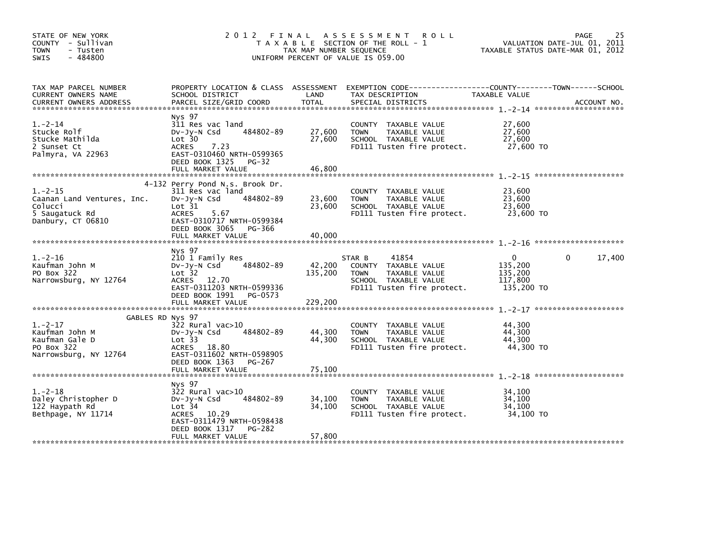| STATE OF NEW YORK<br>COUNTY - Sullivan<br><b>TOWN</b><br>- Tusten<br>$-484800$<br>SWIS                   | 2 0 1 2<br>FINAL ASSESSMENT<br><b>ROLL</b><br>T A X A B L E SECTION OF THE ROLL - 1<br>TAX MAP NUMBER SEQUENCE<br>UNIFORM PERCENT OF VALUE IS 059.00               |                              |                                                                                                                                          |                                                         | 25<br>PAGE<br>VALUATION DATE-JUL 01, 2011<br>TAXABLE STATUS DATE-MAR 01, 2012 |  |  |
|----------------------------------------------------------------------------------------------------------|--------------------------------------------------------------------------------------------------------------------------------------------------------------------|------------------------------|------------------------------------------------------------------------------------------------------------------------------------------|---------------------------------------------------------|-------------------------------------------------------------------------------|--|--|
| TAX MAP PARCEL NUMBER<br>CURRENT OWNERS NAME<br><b>CURRENT OWNERS ADDRESS</b>                            | SCHOOL DISTRICT<br>PARCEL SIZE/GRID COORD                                                                                                                          | LAND<br>TOTAL                | PROPERTY LOCATION & CLASS ASSESSMENT EXEMPTION CODE----------------COUNTY-------TOWN------SCHOOL<br>TAX DESCRIPTION<br>SPECIAL DISTRICTS | TAXABLE VALUE                                           | ACCOUNT NO.                                                                   |  |  |
| $1. -2 - 14$<br>Stucke Rolf<br>Stucke Mathilda<br>2 Sunset Ct<br>Palmyra, VA 22963                       | Nys 97<br>311 Res vac land<br>484802-89<br>$Dv-Jy-N$ Csd<br>Lot 30<br>ACRES<br>7.23<br>EAST-0310460 NRTH-0599365<br>DEED BOOK 1325<br>$PG-32$                      | 27,600<br>27,600             | COUNTY TAXABLE VALUE<br>TAXABLE VALUE<br><b>TOWN</b><br>SCHOOL TAXABLE VALUE<br>FD111 Tusten fire protect.                               | 27,600<br>27,600<br>27,600<br>27,600 TO                 |                                                                               |  |  |
|                                                                                                          | FULL MARKET VALUE                                                                                                                                                  | 46,800                       |                                                                                                                                          |                                                         |                                                                               |  |  |
| $1. -2 - 15$<br>Caanan Land Ventures, Inc.<br>Colucci<br>5 Saugatuck Rd<br>Danbury, CT 06810             | 4-132 Perry Pond N.s. Brook Dr.<br>311 Res vac land<br>484802-89<br>$Dv-Jy-N$ Csd<br>Lot 31<br>ACRES<br>5.67<br>EAST-0310717 NRTH-0599384<br>DEED BOOK 3065 PG-366 | 23,600<br>23,600             | COUNTY TAXABLE VALUE<br>TAXABLE VALUE<br><b>TOWN</b><br>SCHOOL TAXABLE VALUE<br>FD111 Tusten fire protect.                               | 23,600<br>23,600<br>23,600<br>23,600 TO                 |                                                                               |  |  |
|                                                                                                          | FULL MARKET VALUE                                                                                                                                                  | 40,000                       |                                                                                                                                          |                                                         |                                                                               |  |  |
| $1. -2 - 16$<br>Kaufman John M<br>PO Box 322<br>Narrowsburg, NY 12764                                    | Nys 97<br>210 1 Family Res<br>484802-89<br>$Dv-Jy-N$ Csd<br>Lot 32<br>ACRES 12.70<br>EAST-0311203 NRTH-0599336<br>DEED BOOK 1991 PG-0573<br>FULL MARKET VALUE      | 42,200<br>135,200<br>229,200 | 41854<br>STAR B<br>COUNTY TAXABLE VALUE<br><b>TOWN</b><br>TAXABLE VALUE<br>SCHOOL TAXABLE VALUE<br>FD111 Tusten fire protect.            | $\Omega$<br>135,200<br>135,200<br>117,800<br>135,200 TO | 17,400<br>$\Omega$                                                            |  |  |
|                                                                                                          |                                                                                                                                                                    |                              |                                                                                                                                          |                                                         |                                                                               |  |  |
| GABLES RD Nys 97<br>$1.-2-17$<br>Kaufman John M<br>Kaufman Gale D<br>PO Box 322<br>Narrowsburg, NY 12764 | 322 Rural vac>10<br>484802-89<br>$Dv-Jy-N$ Csd<br>Lot 33<br>ACRES 18.80<br>EAST-0311602 NRTH-0598905<br>DEED BOOK 1363 PG-267                                      | 44,300<br>44,300             | COUNTY TAXABLE VALUE<br>TAXABLE VALUE<br><b>TOWN</b><br>SCHOOL TAXABLE VALUE<br>FD111 Tusten fire protect.                               | 44.300<br>44,300<br>44,300<br>44,300 TO                 |                                                                               |  |  |
|                                                                                                          |                                                                                                                                                                    |                              |                                                                                                                                          |                                                         |                                                                               |  |  |
| $1. -2 - 18$<br>Daley Christopher D<br>122 Haypath Rd<br>Bethpage, NY 11714                              | Nys 97<br>322 Rural vac>10<br>484802-89<br>$Dv-Jy-N$ Csd<br>Lot 34<br>ACRES 10.29<br>EAST-0311479 NRTH-0598438<br>DEED BOOK 1317<br>PG-282<br>FULL MARKET VALUE    | 34,100<br>34,100<br>57,800   | COUNTY TAXABLE VALUE<br><b>TOWN</b><br>TAXABLE VALUE<br>SCHOOL TAXABLE VALUE<br>FD111 Tusten fire protect.                               | 34,100<br>34.100<br>34,100<br>34.100 TO                 |                                                                               |  |  |
|                                                                                                          |                                                                                                                                                                    |                              |                                                                                                                                          |                                                         |                                                                               |  |  |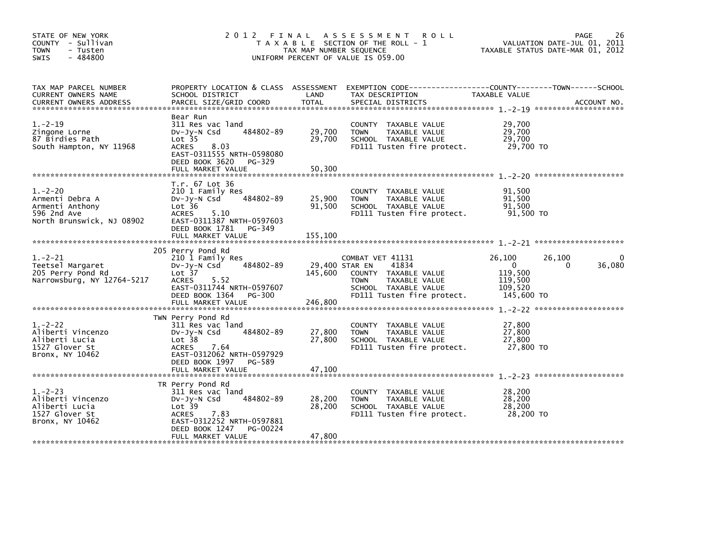| STATE OF NEW YORK<br>COUNTY - Sullivan<br><b>TOWN</b><br>- Tusten<br>$-484800$<br>SWIS         | 2 0 1 2                                                                                                                                                                        | FINAL<br>TAX MAP NUMBER SEQUENCE | <b>ROLL</b><br>A S S E S S M E N T<br>T A X A B L E SECTION OF THE ROLL - 1<br>UNIFORM PERCENT OF VALUE IS 059.00                                         | VALUATION DATE-JUL 01, 2011<br>TAXABLE STATUS DATE-MAR 01, 2012                        | 26<br>PAGE  |
|------------------------------------------------------------------------------------------------|--------------------------------------------------------------------------------------------------------------------------------------------------------------------------------|----------------------------------|-----------------------------------------------------------------------------------------------------------------------------------------------------------|----------------------------------------------------------------------------------------|-------------|
| TAX MAP PARCEL NUMBER<br>CURRENT OWNERS NAME<br><b>CURRENT OWNERS ADDRESS</b>                  | PROPERTY LOCATION & CLASS ASSESSMENT<br>SCHOOL DISTRICT<br>PARCEL SIZE/GRID COORD                                                                                              | LAND<br>TOTAL                    | EXEMPTION CODE-----------------COUNTY-------TOWN------SCHOOL<br>TAX DESCRIPTION<br>SPECIAL DISTRICTS                                                      | TAXABLE VALUE                                                                          | ACCOUNT NO. |
| $1. -2 - 19$<br>Zingone Lorne<br>87 Birdies Path<br>South Hampton, NY 11968                    | Bear Run<br>311 Res vac land<br>484802-89<br>$Dv-Jy-N$ Csd<br>Lot <sub>35</sub><br>ACRES<br>8.03<br>EAST-0311555 NRTH-0598080<br>DEED BOOK 3620<br>PG-329<br>FULL MARKET VALUE | 29,700<br>29,700<br>50,300       | COUNTY TAXABLE VALUE<br><b>TOWN</b><br>TAXABLE VALUE<br>SCHOOL TAXABLE VALUE<br>FD111 Tusten fire protect.                                                | 29,700<br>29,700<br>29,700<br>29,700 TO                                                |             |
| $1. -2 - 20$<br>Armenti Debra A<br>Armenti Anthony<br>596 2nd Ave<br>North Brunswick, NJ 08902 | T.r. 67 Lot 36<br>210 1 Family Res<br>484802-89<br>$Dv-Jy-N$ Csd<br>Lot 36<br><b>ACRES</b><br>5.10<br>EAST-0311387 NRTH-0597603<br>DEED BOOK 1781 PG-349<br>FULL MARKET VALUE  | 25,900<br>91,500<br>155,100      | COUNTY TAXABLE VALUE<br>TAXABLE VALUE<br><b>TOWN</b><br>SCHOOL TAXABLE VALUE<br>FD111 Tusten fire protect.                                                | 91,500<br>91.500<br>91,500<br>91,500 TO                                                |             |
| $1. -2 - 21$<br>Teetsel Margaret<br>205 Perry Pond Rd<br>Narrowsburg, NY 12764-5217            | 205 Perry Pond Rd<br>210 1 Family Res<br>484802-89<br>$Dv-Jy-N$ Csd<br>Lot 37<br>5.52<br>ACRES<br>EAST-0311744 NRTH-0597607<br>DEED BOOK 1364 PG-300<br>FULL MARKET VALUE      | 145,600<br>246,800               | COMBAT VET 41131<br>29,400 STAR EN<br>41834<br>COUNTY TAXABLE VALUE<br>TAXABLE VALUE<br><b>TOWN</b><br>SCHOOL TAXABLE VALUE<br>FD111 Tusten fire protect. | 26,100<br>26,100<br>$\overline{0}$<br>0<br>119,500<br>119,500<br>109,520<br>145,600 TO | 36,080      |
| $1. -2 - 22$<br>Aliberti Vincenzo<br>Aliberti Lucia<br>1527 Glover St<br>Bronx, NY 10462       | TWN Perry Pond Rd<br>311 Res vac land<br>484802-89<br>$Dv-Jy-N$ Csd<br>Lot 38<br>ACRES<br>7.64<br>EAST-0312062 NRTH-0597929<br>DEED BOOK 1997 PG-589<br>FULL MARKET VALUE      | 27,800<br>27,800<br>47,100       | COUNTY TAXABLE VALUE<br>TAXABLE VALUE<br><b>TOWN</b><br>SCHOOL TAXABLE VALUE<br>FD111 Tusten fire protect.                                                | 27,800<br>27,800<br>27,800<br>27,800 TO                                                |             |
| $1. -2 - 23$<br>Aliberti Vincenzo<br>Aliberti Lucia<br>1527 Glover St<br>Bronx, NY 10462       | TR Perry Pond Rd<br>311 Res vac land<br>484802-89<br>$Dv-Jy-N$ Csd<br>Lot 39<br>7.83<br>ACRES<br>EAST-0312252 NRTH-0597881<br>DEED BOOK 1247<br>PG-00224<br>FULL MARKET VALUE  | 28,200<br>28,200<br>47,800       | COUNTY TAXABLE VALUE<br>TAXABLE VALUE<br><b>TOWN</b><br>SCHOOL TAXABLE VALUE<br>FD111 Tusten fire protect.                                                | 28,200<br>28,200<br>28,200<br>28,200 TO                                                |             |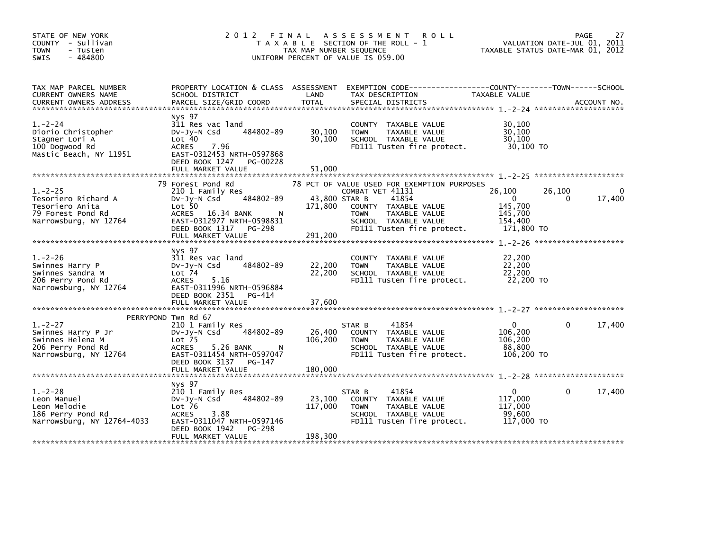| STATE OF NEW YORK<br>COUNTY - Sullivan<br><b>TOWN</b><br>- Tusten<br>$-484800$<br>SWIS               | 2 0 1 2                                                                                                                                                                           | FINAL<br>A S S E S S M E N T<br><b>ROLL</b><br>T A X A B L E SECTION OF THE ROLL - 1<br>TAX MAP NUMBER SEQUENCE<br>UNIFORM PERCENT OF VALUE IS 059.00                                                                         | 27<br><b>PAGE</b><br>VALUATION DATE-JUL 01, 2011<br>TAXABLE STATUS DATE-MAR 01, 2012           |
|------------------------------------------------------------------------------------------------------|-----------------------------------------------------------------------------------------------------------------------------------------------------------------------------------|-------------------------------------------------------------------------------------------------------------------------------------------------------------------------------------------------------------------------------|------------------------------------------------------------------------------------------------|
| TAX MAP PARCEL NUMBER<br>CURRENT OWNERS NAME                                                         | PROPERTY LOCATION & CLASS ASSESSMENT<br>SCHOOL DISTRICT                                                                                                                           | LAND<br>TAX DESCRIPTION                                                                                                                                                                                                       | TAXABLE VALUE                                                                                  |
| $1. -2 - 24$<br>Diorio Christopher<br>Stagner Lori A<br>100 Dogwood Rd<br>Mastic Beach, NY 11951     | Nys 97<br>311 Res vac land<br>484802-89<br>$Dv-Jy-N$ Csd<br>Lot 40<br><b>ACRES</b><br>7.96<br>EAST-0312453 NRTH-0597868<br>DEED BOOK 1247 PG-00228<br>FULL MARKET VALUE           | COUNTY TAXABLE VALUE<br>30,100<br>TAXABLE VALUE<br><b>TOWN</b><br>30,100<br>SCHOOL TAXABLE VALUE<br>FD111 Tusten fire protect.<br>51.000                                                                                      | 30,100<br>30,100<br>30,100<br>30,100 TO                                                        |
| $1. -2 - 25$<br>Tesoriero Richard A<br>Tesoriero Anita<br>79 Forest Pond Rd<br>Narrowsburg, NY 12764 | 79 Forest Pond Rd<br>210 1 Family Res<br>484802-89<br>$Dv-Jy-N$ Csd<br>Lot 50<br>ACRES 16.34 BANK<br>N<br>EAST-0312977 NRTH-0598831<br>DEED BOOK 1317 PG-298<br>FULL MARKET VALUE | 78 PCT OF VALUE USED FOR EXEMPTION PURPOSES<br>COMBAT VET 41131<br>43,800 STAR B<br>41854<br>171,800<br>COUNTY TAXABLE VALUE<br><b>TOWN</b><br>TAXABLE VALUE<br>SCHOOL TAXABLE VALUE<br>FD111 Tusten fire protect.<br>291,200 | 26,100<br>26,100<br>17,400<br>$\mathbf{0}$<br>0<br>145.700<br>145,700<br>154,400<br>171,800 TO |
| $1. -2 - 26$<br>Swinnes Harry P<br>Swinnes Sandra M<br>206 Perry Pond Rd<br>Narrowsburg, NY 12764    | Nys 97<br>311 Res vac land<br>484802-89<br>$Dv-Jy-N$ Csd<br>Lot <sub>74</sub><br>ACRES<br>5.16<br>EAST-0311996 NRTH-0596884<br>DEED BOOK 2351 PG-414                              | COUNTY TAXABLE VALUE<br>22,200<br>TAXABLE VALUE<br><b>TOWN</b><br>22,200<br>SCHOOL TAXABLE VALUE<br>FD111 Tusten fire protect.                                                                                                | 22,200<br>22,200<br>22,200<br>22,200 TO                                                        |
|                                                                                                      | PERRYPOND Twn Rd 67                                                                                                                                                               |                                                                                                                                                                                                                               |                                                                                                |
| $1. -2 - 27$<br>Swinnes Harry P Jr<br>Swinnes Helena M<br>206 Perry Pond Rd<br>Narrowsburg, NY 12764 | 210 1 Family Res<br>484802-89<br>$Dv-Jy-N$ Csd<br>Lot <sub>75</sub><br>5.26 BANK<br><b>ACRES</b><br>- N<br>EAST-0311454 NRTH-0597047<br>DEED BOOK 3137<br>PG-147                  | 41854<br>STAR B<br>26,400<br>COUNTY TAXABLE VALUE<br>106,200<br>TAXABLE VALUE<br><b>TOWN</b><br>SCHOOL TAXABLE VALUE<br>FD111 Tusten fire protect.                                                                            | 17,400<br>$\Omega$<br>$\Omega$<br>106,200<br>106,200<br>88,800<br>106,200 TO                   |
|                                                                                                      |                                                                                                                                                                                   |                                                                                                                                                                                                                               |                                                                                                |
| $1. -2 - 28$<br>Leon Manuel<br>Leon Melodie<br>186 Perry Pond Rd<br>Narrowsburg, NY 12764-4033       | Nys 97<br>210 1 Family Res<br>484802-89<br>$Dv-Jy-N$ Csd<br>Lot 76<br>3.88<br><b>ACRES</b><br>EAST-0311047 NRTH-0597146<br>DEED BOOK 1942<br>PG-298                               | 41854<br>STAR B<br>23,100<br>COUNTY TAXABLE VALUE<br>117,000<br>TAXABLE VALUE<br><b>TOWN</b><br>SCHOOL TAXABLE VALUE<br>FD111 Tusten fire protect.                                                                            | 17,400<br>$\Omega$<br>0<br>117,000<br>117,000<br>99.600<br>117,000 TO                          |
|                                                                                                      | FULL MARKET VALUE                                                                                                                                                                 | 198,300                                                                                                                                                                                                                       |                                                                                                |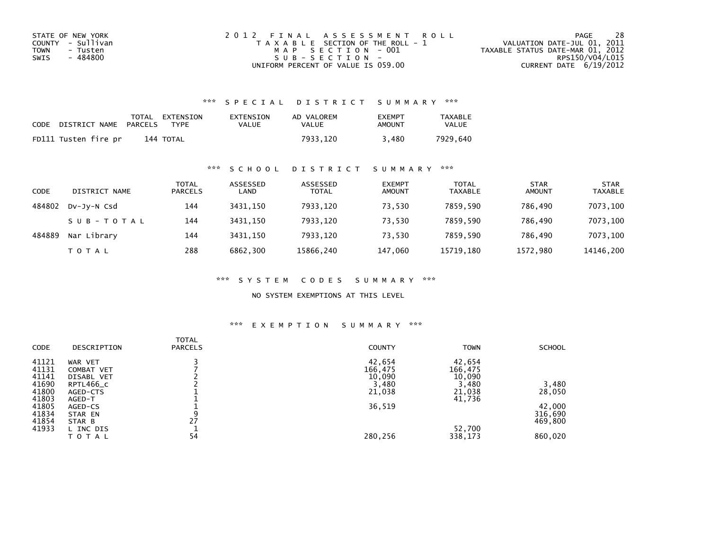| STATE OF NEW YORK | 2012 FINAL ASSESSMENT ROLL            | 28<br>PAGE                       |
|-------------------|---------------------------------------|----------------------------------|
| COUNTY - Sullivan | T A X A B L E SECTION OF THE ROLL - 1 | VALUATION DATE-JUL 01, 2011      |
| TOWN<br>- Tusten  | MAP SECTION - 001                     | TAXABLE STATUS DATE-MAR 01, 2012 |
| - 484800<br>SWIS  | SUB-SECTION-                          | RPS150/V04/L015                  |
|                   | UNIFORM PERCENT OF VALUE IS 059.00    | CURRENT DATE $6/19/2012$         |

## \*\*\* S P E C I A L D I S T R I C T S U M M A R Y \*\*\*

| CODE | DISTRICT NAME        | PARCELS | TOTAL EXTENSION<br><b>TYPF</b> | EXTENSION<br>VALUE | AD VALOREM<br>VALUE | <b>FXFMPT</b><br>AMOUNT | <b>TAXABLE</b><br>VALUE |
|------|----------------------|---------|--------------------------------|--------------------|---------------------|-------------------------|-------------------------|
|      | FD111 Tusten fire pr |         | 144 TOTAL                      |                    | 7933.120            | .480                    | 7929.640                |

## \*\*\* S C H O O L D I S T R I C T S U M M A R Y \*\*\*

| CODE   | DISTRICT NAME | <b>TOTAL</b><br><b>PARCELS</b> | ASSESSED<br>LAND | ASSESSED<br><b>TOTAL</b> | <b>EXEMPT</b><br><b>AMOUNT</b> | <b>TOTAL</b><br><b>TAXABLE</b> | <b>STAR</b><br><b>AMOUNT</b> | <b>STAR</b><br><b>TAXABLE</b> |
|--------|---------------|--------------------------------|------------------|--------------------------|--------------------------------|--------------------------------|------------------------------|-------------------------------|
| 484802 | DV-JV-N Csd   | 144                            | 3431.150         | 7933,120                 | 73.530                         | 7859.590                       | 786.490                      | 7073,100                      |
|        | SUB-TOTAL     | 144                            | 3431.150         | 7933,120                 | 73,530                         | 7859.590                       | 786,490                      | 7073,100                      |
| 484889 | Nar Library   | 144                            | 3431.150         | 7933,120                 | 73.530                         | 7859.590                       | 786.490                      | 7073,100                      |
|        | T O T A L     | 288                            | 6862,300         | 15866,240                | 147,060                        | 15719.180                      | 1572,980                     | 14146,200                     |

\*\*\* S Y S T E M C O D E S S U M M A R Y \*\*\*

NO SYSTEM EXEMPTIONS AT THIS LEVEL

## \*\*\* E X E M P T I O N S U M M A R Y \*\*\*

| DESCRIPTION | <b>PARCELS</b> | <b>COUNTY</b> | <b>TOWN</b>               | <b>SCHOOL</b>                                                      |
|-------------|----------------|---------------|---------------------------|--------------------------------------------------------------------|
| WAR VET     |                | 42,654        |                           |                                                                    |
| COMBAT VET  |                | 166,475       |                           |                                                                    |
| DISABL VET  |                |               |                           |                                                                    |
|             |                |               |                           | 3,480                                                              |
| AGED-CTS    |                |               |                           | 28,050                                                             |
| AGED-T      |                |               |                           |                                                                    |
| AGED-CS     |                | 36,519        |                           | 42,000                                                             |
| STAR EN     |                |               |                           | 316,690                                                            |
| STAR B      | 27             |               |                           | 469,800                                                            |
| L INC DIS   |                |               |                           |                                                                    |
| TOTAL       | 54             | 280,256       | 338,173                   | 860,020                                                            |
|             | RPTL466_C      | <b>TOTAL</b>  | 10,090<br>3,480<br>21,038 | 42,654<br>166,475<br>10,090<br>3,480<br>21,038<br>41,736<br>52,700 |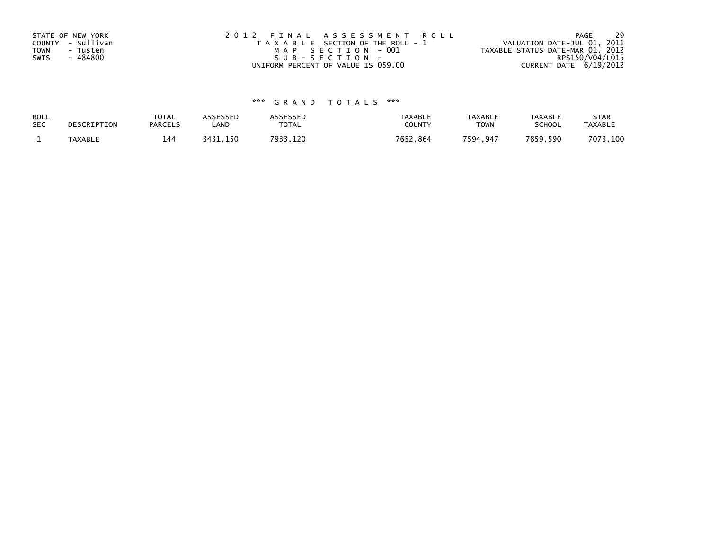| STATE OF NEW YORK       | 2012 FINAL ASSESSMENT ROLL            | -29<br>PAGE                      |
|-------------------------|---------------------------------------|----------------------------------|
| COUNTY - Sullivan       | T A X A B L E SECTION OF THE ROLL - 1 | VALUATION DATE-JUL 01, 2011      |
| <b>TOWN</b><br>- Tusten | MAP SECTION - 001                     | TAXABLE STATUS DATE-MAR 01, 2012 |
| - 484800<br>SWIS        | SUB-SECTION-                          | RPS150/V04/L015                  |
|                         | UNIFORM PERCENT OF VALUE IS 059.00    | CURRENT DATE 6/19/2012           |

## \*\*\* G R A N D T O T A L S \*\*\*

| ROLL       | DESCRIPTION    | <b>TOTAL</b>   | ASSESSED | <b>ASSESSED</b> | <b>TAXABLE</b> | <b>TAXABLE</b> | <b>TAXABLE</b> | <b>STAR</b>    |
|------------|----------------|----------------|----------|-----------------|----------------|----------------|----------------|----------------|
| <b>SEC</b> |                | <b>PARCELS</b> | LAND     | TOTAL           | <b>COUNTY</b>  | <b>TOWN</b>    | <b>SCHOOL</b>  | <b>TAXABLE</b> |
|            | <b>TAXABLE</b> | 144            | 3431,150 | 7933.120        | 7652,864       | 7594,947       | 7859.590       | 7073,100       |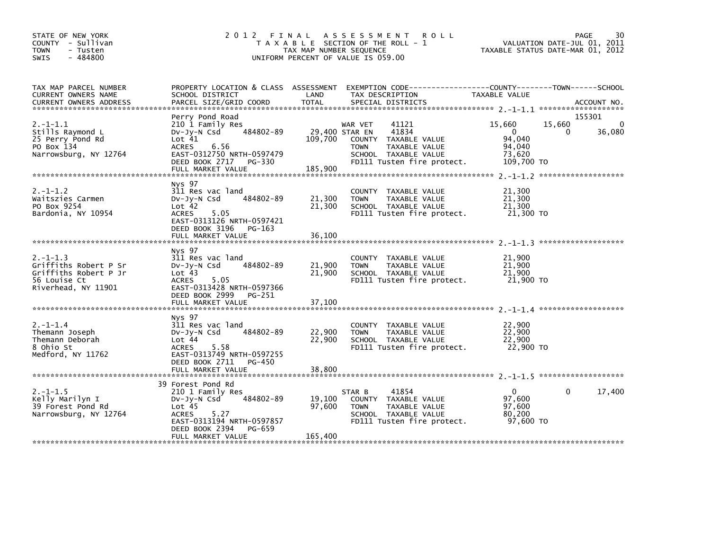| STATE OF NEW YORK<br>COUNTY - Sullivan<br><b>TOWN</b><br>- Tusten<br>$-484800$<br><b>SWIS</b>          |                                                                                                                                                                                   | TAX MAP NUMBER SEQUENCE     | 2012 FINAL ASSESSMENT ROLL<br>T A X A B L E SECTION OF THE ROLL - 1<br>UNIFORM PERCENT OF VALUE IS 059.00                               | TAXABLE STATUS DATE-MAR 01, 2012                               |              | PAGE<br>30<br>VALUATION DATE-JUL 01, 2011 |
|--------------------------------------------------------------------------------------------------------|-----------------------------------------------------------------------------------------------------------------------------------------------------------------------------------|-----------------------------|-----------------------------------------------------------------------------------------------------------------------------------------|----------------------------------------------------------------|--------------|-------------------------------------------|
| TAX MAP PARCEL NUMBER<br>CURRENT OWNERS NAME<br><b>CURRENT OWNERS ADDRESS</b>                          | SCHOOL DISTRICT<br>PARCEL SIZE/GRID COORD                                                                                                                                         | LAND<br><b>TOTAL</b>        | PROPERTY LOCATION & CLASS ASSESSMENT EXEMPTION CODE---------------COUNTY-------TOWN-----SCHOOL<br>TAX DESCRIPTION<br>SPECIAL DISTRICTS  | TAXABLE VALUE                                                  |              | ACCOUNT NO.                               |
| $2. -1 - 1.1$<br>Stills Raymond L<br>25 Perry Pond Rd<br>PO Box 134<br>Narrowsburg, NY 12764           | Perry Pond Road<br>210 1 Family Res<br>484802-89<br>DV-Jy-N Csd<br>Lot 41<br>6.56<br><b>ACRES</b><br>EAST-0312750 NRTH-0597479<br>DEED BOOK 2717 PG-330                           | 29,400 STAR EN<br>109,700   | 41121<br>WAR VET<br>41834<br>COUNTY TAXABLE VALUE<br><b>TOWN</b><br>TAXABLE VALUE<br>SCHOOL TAXABLE VALUE<br>FD111 Tusten fire protect. | 15,660<br>$\Omega$<br>94.040<br>94,040<br>73.620<br>109,700 TO | 15,660<br>0  | 155301<br>0<br>36,080                     |
| $2. -1 - 1.2$<br>Waitszies Carmen<br>PO Box 9254<br>Bardonia, NY 10954                                 | Nys 97<br>311 Res vac land<br>484802-89<br>$Dv-Jv-N$ Csd<br>Lot 42<br>ACRES 5.05<br>EAST-0313126 NRTH-0597421<br>DEED BOOK 3196 PG-163<br>FULL MARKET VALUE                       | 21,300<br>21,300<br>36,100  | COUNTY TAXABLE VALUE<br><b>TOWN</b><br>TAXABLE VALUE<br>SCHOOL TAXABLE VALUE<br>FD111 Tusten fire protect.                              | 21,300<br>21,300<br>21,300<br>21,300 TO                        |              |                                           |
| $2. -1 - 1.3$<br>Griffiths Robert P Sr<br>Griffiths Robert P Jr<br>56 Louise Ct<br>Riverhead, NY 11901 | Nys 97<br>311 Res vac land<br>484802-89<br>$Dv-Jv-N$ Csd<br>Lot <sub>43</sub><br>ACRES 5.05<br>EAST-0313428 NRTH-0597366<br>DEED BOOK 2999<br>PG-251                              | 21,900<br>21,900            | COUNTY TAXABLE VALUE<br><b>TOWN</b><br>TAXABLE VALUE<br>SCHOOL TAXABLE VALUE<br>FD111 Tusten fire protect.                              | 21,900<br>21,900<br>21,900<br>21,900 TO                        |              |                                           |
| $2. -1 - 1.4$<br>Themann Joseph<br>Themann Deborah<br>8 Ohio St<br>Medford, NY 11762                   | Nys 97<br>311 Res vac land<br>484802-89<br>DV-Jy-N Csd<br>Lot <sub>44</sub><br>5.58<br>ACRES<br>EAST-0313749 NRTH-0597255<br>DEED BOOK 2711<br>PG-450                             | 22,900<br>22,900            | COUNTY TAXABLE VALUE<br><b>TOWN</b><br>TAXABLE VALUE<br>SCHOOL TAXABLE VALUE<br>FD111 Tusten fire protect.                              | 22,900<br>22,900<br>22,900<br>22,900 TO                        |              |                                           |
| $2. -1 - 1.5$<br>Kelly Marilyn I<br>39 Forest Pond Rd<br>Narrowsburg, NY 12764                         | 39 Forest Pond Rd<br>210 1 Family Res<br>484802-89<br>DV-Jy-N Csd<br>Lot 45<br><b>ACRES</b><br>5.27<br>EAST-0313194 NRTH-0597857<br>DEED BOOK 2394<br>PG-659<br>FULL MARKET VALUE | 19,100<br>97,600<br>165,400 | 41854<br>STAR B<br>COUNTY TAXABLE VALUE<br>TAXABLE VALUE<br><b>TOWN</b><br>SCHOOL TAXABLE VALUE<br>FD111 Tusten fire protect.           | $\mathbf{0}$<br>97,600<br>97,600<br>80,200<br>97,600 TO        | $\mathbf{0}$ | 17,400                                    |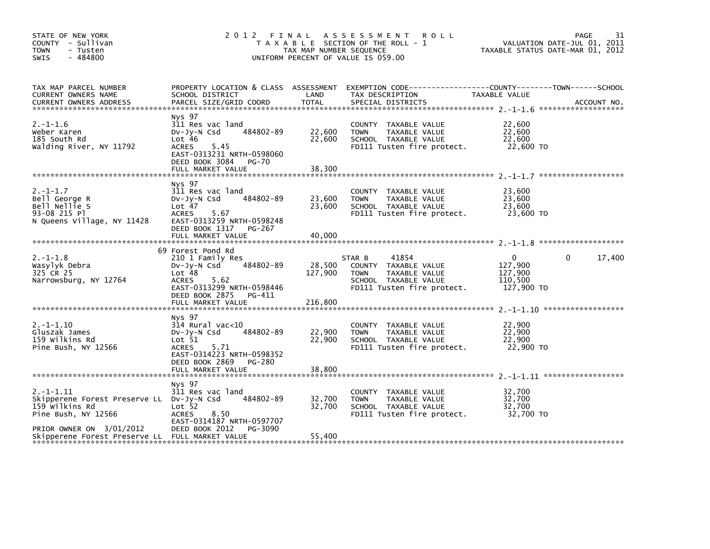| STATE OF NEW YORK<br>COUNTY - Sullivan<br><b>TOWN</b><br>- Tusten<br>$-484800$<br><b>SWIS</b>        | 2012<br>FINAL<br>T A X A B L E SECTION OF THE ROLL - 1<br>TAX MAP NUMBER SEQUENCE<br>UNIFORM PERCENT OF VALUE IS 059.00                                              | 31<br>PAGE<br>VALUATION DATE-JUL 01, 2011<br>TAXABLE STATUS DATE-MAR 01, 2012 |                                                                                                                               |                                                         |                    |
|------------------------------------------------------------------------------------------------------|----------------------------------------------------------------------------------------------------------------------------------------------------------------------|-------------------------------------------------------------------------------|-------------------------------------------------------------------------------------------------------------------------------|---------------------------------------------------------|--------------------|
| TAX MAP PARCEL NUMBER<br>CURRENT OWNERS NAME<br><b>CURRENT OWNERS ADDRESS</b>                        | PROPERTY LOCATION & CLASS ASSESSMENT<br>SCHOOL DISTRICT<br>PARCEL SIZE/GRID COORD                                                                                    | LAND<br>TOTAL                                                                 | EXEMPTION CODE-----------------COUNTY-------TOWN------SCHOOL<br>TAX DESCRIPTION<br>SPECIAL DISTRICTS                          | TAXABLE VALUE                                           | ACCOUNT NO.        |
| $2. -1 - 1.6$<br>Weber Karen<br>185 South Rd<br>Walding River, NY 11792                              | Nys 97<br>311 Res vac land<br>484802-89<br>$Dv-Jy-N$ Csd<br>Lot 46<br>5.45<br><b>ACRES</b><br>EAST-0313231 NRTH-0598060<br>DEED BOOK 3084 PG-70<br>FULL MARKET VALUE | 22,600<br>22,600<br>38,300                                                    | COUNTY TAXABLE VALUE<br><b>TOWN</b><br>TAXABLE VALUE<br>SCHOOL TAXABLE VALUE<br>FD111 Tusten fire protect.                    | 22,600<br>22,600<br>22,600<br>22,600 TO                 |                    |
|                                                                                                      |                                                                                                                                                                      |                                                                               |                                                                                                                               |                                                         |                    |
| $2. -1 - 1.7$<br>Bell George R<br>Bell Nellie S<br>93-08 215 Pl<br>N Queens Village, NY 11428        | Nys 97<br>311 Res vac land<br>484802-89<br>$Dv-Jv-N$ Csd<br>Lot 47<br><b>ACRES</b><br>5.67<br>EAST-0313259 NRTH-0598248                                              | 23,600<br>23,600                                                              | COUNTY TAXABLE VALUE<br><b>TOWN</b><br>TAXABLE VALUE<br>SCHOOL TAXABLE VALUE<br>FD111 Tusten fire protect.                    | 23,600<br>23,600<br>23,600<br>23,600 TO                 |                    |
|                                                                                                      | DEED BOOK 1317 PG-267<br>FULL MARKET VALUE                                                                                                                           | 40,000                                                                        |                                                                                                                               |                                                         |                    |
|                                                                                                      |                                                                                                                                                                      |                                                                               |                                                                                                                               |                                                         |                    |
| $2. -1 - 1.8$<br>Wasylyk Debra<br>325 CR 25<br>Narrowsburg, NY 12764                                 | 69 Forest Pond Rd<br>210 1 Family Res<br>484802-89<br>$Dv-Jy-N$ Csd<br>Lot 48<br>5.62<br><b>ACRES</b><br>EAST-0313299 NRTH-0598446<br>DEED BOOK 2875 PG-411          | 28,500<br>127,900                                                             | 41854<br>STAR B<br>COUNTY TAXABLE VALUE<br>TAXABLE VALUE<br><b>TOWN</b><br>SCHOOL TAXABLE VALUE<br>FD111 Tusten fire protect. | $\Omega$<br>127,900<br>127,900<br>110,500<br>127,900 TO | 17,400<br>$\Omega$ |
|                                                                                                      |                                                                                                                                                                      |                                                                               |                                                                                                                               |                                                         |                    |
| $2. -1 - 1.10$<br>Gluszak James<br>159 wilkins Rd<br>Pine Bush, NY 12566                             | Nys 97<br>314 Rural vac<10<br>484802-89<br>$Dv-Jy-N$ Csd<br>Lot 51<br><b>ACRES</b><br>5.71<br>EAST-0314223 NRTH-0598352                                              | 22,900<br>22,900                                                              | COUNTY TAXABLE VALUE<br>TAXABLE VALUE<br><b>TOWN</b><br>SCHOOL TAXABLE VALUE<br>FD111 Tusten fire protect.                    | 22,900<br>22,900<br>22,900<br>22,900 TO                 |                    |
|                                                                                                      | DEED BOOK 2869 PG-280                                                                                                                                                |                                                                               |                                                                                                                               |                                                         |                    |
|                                                                                                      | Nys 97                                                                                                                                                               |                                                                               |                                                                                                                               |                                                         |                    |
| $2. -1 - 1.11$<br>Skipperene Forest Preserve LL DV-Jy-N Csd<br>159 wilkins Rd<br>Pine Bush, NY 12566 | 311 Res vac land<br>484802-89<br>Lot 52<br><b>ACRES</b><br>8.50<br>EAST-0314187 NRTH-0597707                                                                         | 32,700<br>32,700                                                              | COUNTY TAXABLE VALUE<br>TAXABLE VALUE<br><b>TOWN</b><br>SCHOOL TAXABLE VALUE<br>FD111 Tusten fire protect.                    | 32,700<br>32,700<br>32,700<br>32.700 TO                 |                    |
| PRIOR OWNER ON 3/01/2012<br>Skipperene Forest Preserve LL FULL MARKET VALUE                          | DEED BOOK 2012<br>PG-3090                                                                                                                                            | 55,400                                                                        |                                                                                                                               |                                                         |                    |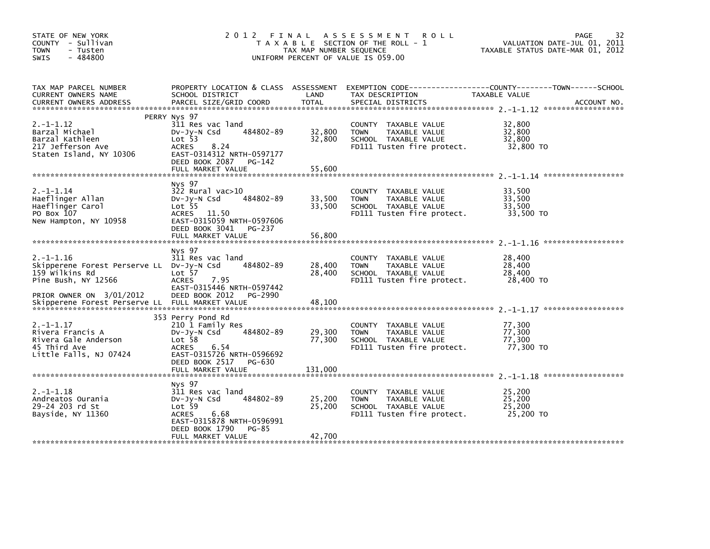| STATE OF NEW YORK<br>COUNTY - Sullivan<br><b>TOWN</b><br>- Tusten<br>$-484800$<br>SWIS                               | 2012                                                                                                                                                                        | FINAL<br>TAX MAP NUMBER SEQUENCE | A S S E S S M E N T<br><b>ROLL</b><br>T A X A B L E SECTION OF THE ROLL - 1<br>UNIFORM PERCENT OF VALUE IS 059.00 | 32<br><b>PAGE</b><br>VALUATION DATE-JUL 01, 2011<br>TAXABLE STATUS DATE-MAR 01, 2012 |
|----------------------------------------------------------------------------------------------------------------------|-----------------------------------------------------------------------------------------------------------------------------------------------------------------------------|----------------------------------|-------------------------------------------------------------------------------------------------------------------|--------------------------------------------------------------------------------------|
| TAX MAP PARCEL NUMBER<br>CURRENT OWNERS NAME<br><b>CURRENT OWNERS ADDRESS</b>                                        | PROPERTY LOCATION & CLASS ASSESSMENT<br>SCHOOL DISTRICT<br>PARCEL SIZE/GRID COORD                                                                                           | LAND<br>TOTAL                    | TAX DESCRIPTION<br>SPECIAL DISTRICTS                                                                              | TAXABLE VALUE<br>ACCOUNT NO.                                                         |
| $2. -1 - 1.12$<br>Barzal Michael<br>Barzal Kathleen<br>217 Jefferson Ave<br>Staten Island, NY 10306                  | PERRY Nys 97<br>311 Res vac land<br>484802-89<br>$Dv-Jv-N$ Csd<br>Lot 53<br><b>ACRES</b><br>8.24<br>EAST-0314312 NRTH-0597177<br>DEED BOOK 2087 PG-142<br>FULL MARKET VALUE | 32,800<br>32,800<br>55,600       | COUNTY TAXABLE VALUE<br>TAXABLE VALUE<br><b>TOWN</b><br>SCHOOL TAXABLE VALUE<br>FD111 Tusten fire protect.        | 32,800<br>32,800<br>32.800<br>32,800 TO                                              |
| $2. -1 - 1.14$<br>Haeflinger Allan<br>Haeflinger Carol<br>PO Box 107<br>New Hampton, NY 10958                        | Nys 97<br>$322$ Rural vac $>10$<br>484802-89<br>$Dv-Jv-N$ Csd<br>Lot <sub>55</sub><br>ACRES 11.50<br>EAST-0315059 NRTH-0597606                                              | 33,500<br>33,500                 | COUNTY TAXABLE VALUE<br>TAXABLE VALUE<br><b>TOWN</b><br>SCHOOL TAXABLE VALUE<br>FD111 Tusten fire protect.        | 33,500<br>33,500<br>33,500<br>33,500 TO                                              |
|                                                                                                                      | DEED BOOK 3041 PG-237<br>FULL MARKET VALUE                                                                                                                                  | 56,800                           |                                                                                                                   |                                                                                      |
| $2. -1 - 1.16$<br>Skipperene Forest Perserve LL<br>159 Wilkins Rd<br>Pine Bush, NY 12566<br>PRIOR OWNER ON 3/01/2012 | Nys 97<br>311 Res vac land<br>484802-89<br>DV-JY-N Csd<br>Lot <sub>57</sub><br>7.95<br><b>ACRES</b><br>EAST-0315446 NRTH-0597442<br>DEED BOOK 2012<br>PG-2990               | 28,400<br>28,400                 | COUNTY<br>TAXABLE VALUE<br><b>TOWN</b><br>TAXABLE VALUE<br>SCHOOL TAXABLE VALUE<br>FD111 Tusten fire protect.     | 28,400<br>28,400<br>28,400<br>28,400 TO                                              |
| Skipperene Forest Perserve LL FULL MARKET VALUE                                                                      |                                                                                                                                                                             | 48,100                           |                                                                                                                   |                                                                                      |
| $2. -1 - 1.17$<br>Rivera Francis A<br>Rivera Gale Anderson<br>45 Third Ave<br>Little Falls, NJ 07424                 | 353 Perry Pond Rd<br>210 1 Family Res<br>484802-89<br>$Dv-Jy-N$ Csd<br>Lot <sub>58</sub><br><b>ACRES</b><br>6.54<br>EAST-0315726 NRTH-0596692<br>DEED BOOK 2517 PG-630      | 29,300<br>77,300                 | COUNTY<br>TAXABLE VALUE<br>TAXABLE VALUE<br><b>TOWN</b><br>SCHOOL TAXABLE VALUE<br>FD111 Tusten fire protect.     | 77,300<br>77,300<br>77,300<br>77,300 TO                                              |
|                                                                                                                      | FULL MARKET VALUE                                                                                                                                                           | 131,000                          |                                                                                                                   |                                                                                      |
| $2. -1 - 1.18$<br>Andreatos Ourania<br>29-24 203 rd St<br>Bayside, NY 11360                                          | Nys 97<br>311 Res vac land<br>484802-89<br>$Dv-Jv-N$ Csd<br>Lot 59<br><b>ACRES</b><br>6.68<br>EAST-0315878 NRTH-0596991<br>DEED BOOK 1790<br>PG-85<br>FULL MARKET VALUE     | 25,200<br>25,200<br>42,700       | TAXABLE VALUE<br>COUNTY<br>TAXABLE VALUE<br><b>TOWN</b><br>SCHOOL TAXABLE VALUE<br>FD111 Tusten fire protect.     | 25.200<br>25,200<br>25,200<br>25,200 TO                                              |
|                                                                                                                      |                                                                                                                                                                             |                                  |                                                                                                                   |                                                                                      |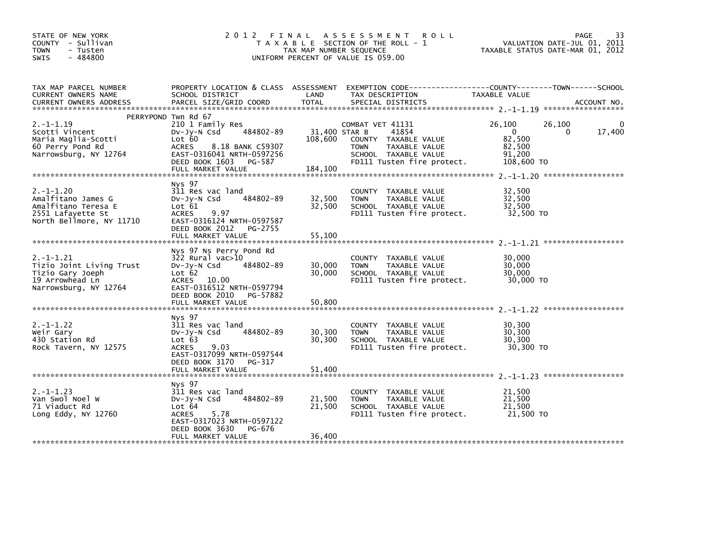| STATE OF NEW YORK<br>COUNTY - Sullivan<br><b>TOWN</b><br>- Tusten<br>$-484800$<br>SWIS                       | 2012<br>FINAL<br>A S S E S S M E N T<br><b>ROLL</b><br>T A X A B L E SECTION OF THE ROLL - 1<br>TAX MAP NUMBER SEQUENCE<br>UNIFORM PERCENT OF VALUE IS 059.00           |                                     |                                                                                                                                         | 33<br><b>PAGE</b><br>VALUATION DATE-JUL 01, 2011<br>TAXABLE STATUS DATE-MAR 01, 2012 |        |
|--------------------------------------------------------------------------------------------------------------|-------------------------------------------------------------------------------------------------------------------------------------------------------------------------|-------------------------------------|-----------------------------------------------------------------------------------------------------------------------------------------|--------------------------------------------------------------------------------------|--------|
| TAX MAP PARCEL NUMBER<br>CURRENT OWNERS NAME                                                                 | PROPERTY LOCATION & CLASS ASSESSMENT<br>SCHOOL DISTRICT                                                                                                                 | LAND                                | TAX DESCRIPTION                                                                                                                         | TAXABLE VALUE                                                                        |        |
|                                                                                                              | PERRYPOND Twn Rd 67                                                                                                                                                     |                                     |                                                                                                                                         |                                                                                      |        |
| $2. -1 - 1.19$<br>Scotti Vincent<br>Maria Maglia-Scotti<br>60 Perry Pond Rd<br>Narrowsburg, NY 12764         | 210 1 Family Res<br>484802-89<br>$Dv-Jy-N$ Csd<br>Lot 60<br><b>ACRES</b><br>8.18 BANK C59307<br>EAST-0316041 NRTH-0597256<br>DEED BOOK 1603 PG-587<br>FULL MARKET VALUE | 31,400 STAR B<br>108,600<br>184,100 | COMBAT VET 41131<br>41854<br>COUNTY TAXABLE VALUE<br><b>TOWN</b><br>TAXABLE VALUE<br>SCHOOL TAXABLE VALUE<br>FD111 Tusten fire protect. | 26,100<br>26,100<br>$\mathbf{0}$<br>0<br>82,500<br>82,500<br>91.200<br>108,600 TO    | 17,400 |
|                                                                                                              |                                                                                                                                                                         |                                     |                                                                                                                                         |                                                                                      |        |
| $2. -1 - 1.20$<br>Amalfitano James G<br>Amalfitano Teresa E<br>2551 Lafayette St<br>North Bellmore, NY 11710 | Nys 97<br>311 Res vac land<br>484802-89<br>$Dv-Jy-N$ Csd<br>Lot $61$<br>9.97<br><b>ACRES</b><br>EAST-0316124 NRTH-0597587<br>DEED BOOK 2012 PG-2755                     | 32,500<br>32,500                    | COUNTY TAXABLE VALUE<br><b>TOWN</b><br>TAXABLE VALUE<br>SCHOOL TAXABLE VALUE<br>FD111 Tusten fire protect.                              | 32,500<br>32,500<br>32,500<br>32,500 TO                                              |        |
|                                                                                                              | FULL MARKET VALUE                                                                                                                                                       | 55,100                              |                                                                                                                                         |                                                                                      |        |
| $2. -1 - 1.21$<br>Tizio Joint Living Trust<br>Tizio Gary Joeph<br>19 Arrowhead Ln<br>Narrowsburg, NY 12764   | Nys 97 Ns Perry Pond Rd<br>322 Rural vac>10<br>484802-89<br>$Dv-Jy-N$ Csd<br>Lot 62<br>ACRES 10.00<br>EAST-0316512 NRTH-0597794                                         | 30,000<br>30,000                    | COUNTY TAXABLE VALUE<br>TAXABLE VALUE<br><b>TOWN</b><br>SCHOOL TAXABLE VALUE<br>FD111 Tusten fire protect.                              | 30.000<br>30,000<br>30,000<br>30,000 TO                                              |        |
|                                                                                                              | DEED BOOK 2010 PG-57882<br>FULL MARKET VALUE                                                                                                                            | 50,800                              |                                                                                                                                         |                                                                                      |        |
|                                                                                                              |                                                                                                                                                                         |                                     |                                                                                                                                         |                                                                                      |        |
| $2. -1 - 1.22$<br>Weir Gary<br>430 Station Rd<br>Rock Tavern, NY 12575                                       | Nys 97<br>311 Res vac land<br>484802-89<br>$Dv-Jy-N$ Csd<br>Lot 63<br>9.03<br><b>ACRES</b><br>EAST-0317099 NRTH-0597544                                                 | 30,300<br>30,300                    | COUNTY TAXABLE VALUE<br>TAXABLE VALUE<br><b>TOWN</b><br>SCHOOL TAXABLE VALUE<br>FD111 Tusten fire protect.                              | 30,300<br>30,300<br>30,300<br>30,300 TO                                              |        |
|                                                                                                              | DEED BOOK 3170<br>PG-317<br>FULL MARKET VALUE                                                                                                                           | 51,400                              |                                                                                                                                         |                                                                                      |        |
|                                                                                                              |                                                                                                                                                                         |                                     |                                                                                                                                         |                                                                                      |        |
| $2. -1 - 1.23$<br>Van Swol Noel W<br>71 Viaduct Rd<br>Long Eddy, NY 12760                                    | Nys 97<br>311 Res vac land<br>484802-89<br>$Dv-Jy-N$ Csd<br>Lot 64<br>5.78<br><b>ACRES</b><br>EAST-0317023 NRTH-0597122<br>DEED BOOK 3630<br>PG-676                     | 21,500<br>21,500                    | COUNTY TAXABLE VALUE<br>TAXABLE VALUE<br><b>TOWN</b><br>SCHOOL TAXABLE VALUE<br>FD111 Tusten fire protect.                              | 21,500<br>21,500<br>21,500<br>21,500 TO                                              |        |
|                                                                                                              | FULL MARKET VALUE                                                                                                                                                       | 36,400                              |                                                                                                                                         |                                                                                      |        |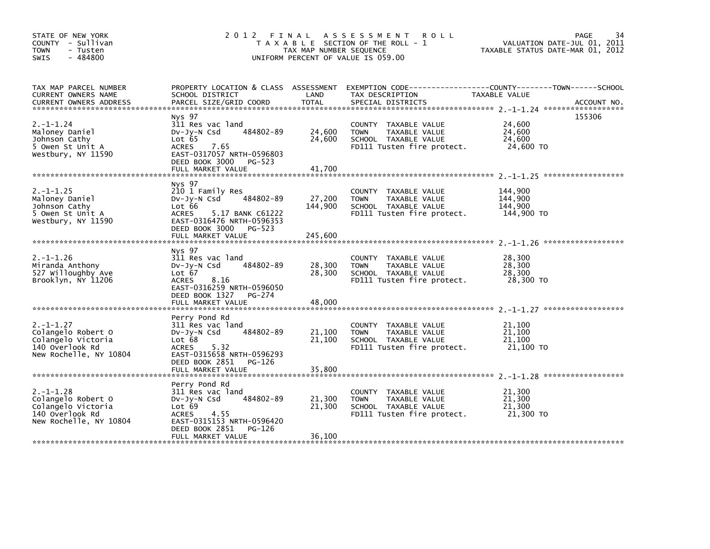| STATE OF NEW YORK<br>COUNTY - Sullivan<br><b>TOWN</b><br>- Tusten<br>$-484800$<br>SWIS                  | 2012 FINAL<br>A S S E S S M E N T<br><b>ROLL</b><br>T A X A B L E SECTION OF THE ROLL - 1<br>TAX MAP NUMBER SEQUENCE<br>UNIFORM PERCENT OF VALUE IS 059.00               |                            |                                                                                                            | 34<br>PAGE<br>VALUATION DATE-JUL 01, 2011<br>TAXABLE STATUS DATE-MAR 01, 2012 |             |
|---------------------------------------------------------------------------------------------------------|--------------------------------------------------------------------------------------------------------------------------------------------------------------------------|----------------------------|------------------------------------------------------------------------------------------------------------|-------------------------------------------------------------------------------|-------------|
| TAX MAP PARCEL NUMBER<br><b>CURRENT OWNERS NAME</b><br><b>CURRENT OWNERS ADDRESS</b>                    | PROPERTY LOCATION & CLASS ASSESSMENT<br>SCHOOL DISTRICT<br>PARCEL SIZE/GRID COORD                                                                                        | LAND<br><b>TOTAL</b>       | EXEMPTION CODE------------------COUNTY--------TOWN------SCHOOL<br>TAX DESCRIPTION<br>SPECIAL DISTRICTS     | TAXABLE VALUE                                                                 | ACCOUNT NO. |
| $2. -1 - 1.24$<br>Maloney Daniel<br>Johnson Cathy<br>5 Owen St Unit A<br>Westbury, NY 11590             | Nys 97<br>311 Res vac land<br>484802-89<br>$Dv-Jy-N$ Csd<br>Lot 65<br>ACRES<br>7.65<br>EAST-0317057 NRTH-0596803<br>DEED BOOK 3000 PG-523<br>FULL MARKET VALUE           | 24,600<br>24,600<br>41,700 | COUNTY TAXABLE VALUE<br>TAXABLE VALUE<br><b>TOWN</b><br>SCHOOL TAXABLE VALUE<br>FD111 Tusten fire protect. | 24,600<br>24,600<br>24,600<br>24,600 TO                                       | 155306      |
|                                                                                                         | Nys 97                                                                                                                                                                   |                            |                                                                                                            |                                                                               |             |
| $2. -1 - 1.25$<br>Maloney Daniel<br>Johnson Cathy<br>5 Owen St Unit A<br>Westbury, NY 11590             | 210 1 Family Res<br>484802-89<br>$Dv-Jy-N$ Csd<br>Lot 66<br><b>ACRES</b><br>5.17 BANK C61222<br>EAST-0316476 NRTH-0596353<br>DEED BOOK 3000 PG-523                       | 27,200<br>144,900          | COUNTY TAXABLE VALUE<br>TAXABLE VALUE<br><b>TOWN</b><br>SCHOOL TAXABLE VALUE<br>FD111 Tusten fire protect. | 144.900<br>144,900<br>144,900<br>144,900 TO                                   |             |
|                                                                                                         | FULL MARKET VALUE                                                                                                                                                        | 245,600                    |                                                                                                            |                                                                               |             |
| $2. -1 - 1.26$<br>Miranda Anthony<br>527 Willoughby Ave<br>Brooklyn, NY 11206                           | Nys 97<br>311 Res vac land<br>484802-89<br>$Dv-Jy-N$ Csd<br>Lot 67<br><b>ACRES</b><br>8.16<br>EAST-0316259 NRTH-0596050<br>DEED BOOK 1327<br>PG-274<br>FULL MARKET VALUE | 28,300<br>28,300<br>48,000 | COUNTY TAXABLE VALUE<br>TAXABLE VALUE<br><b>TOWN</b><br>SCHOOL TAXABLE VALUE<br>FD111 Tusten fire protect. | 28,300<br>28,300<br>28,300<br>28,300 TO                                       |             |
|                                                                                                         |                                                                                                                                                                          |                            |                                                                                                            |                                                                               |             |
| $2. -1 - 1.27$<br>Colangelo Robert O<br>Colangelo Victoria<br>140 Overlook Rd<br>New Rochelle, NY 10804 | Perry Pond Rd<br>311 Res vac land<br>484802-89<br>DV-Jy-N Csd<br>Lot 68<br>5.32<br><b>ACRES</b><br>EAST-0315658 NRTH-0596293                                             | 21,100<br>21,100           | COUNTY TAXABLE VALUE<br>TAXABLE VALUE<br><b>TOWN</b><br>SCHOOL TAXABLE VALUE<br>FD111 Tusten fire protect. | 21,100<br>21,100<br>21,100<br>21,100 TO                                       |             |
|                                                                                                         | DEED BOOK 2851<br>PG-126<br>FULL MARKET VALUE                                                                                                                            | 35,800                     |                                                                                                            |                                                                               |             |
| $2. -1 - 1.28$<br>Colangelo Robert O<br>Colangelo Victoria<br>140 Overlook Rd<br>New Rochelle, NY 10804 | Perry Pond Rd<br>311 Res vac land<br>484802-89<br>$Dv-Jv-N$ Csd<br>Lot 69<br>4.55<br>ACRES<br>EAST-0315153 NRTH-0596420<br>DEED BOOK 2851<br>PG-126                      | 21.300<br>21,300           | COUNTY TAXABLE VALUE<br><b>TOWN</b><br>TAXABLE VALUE<br>SCHOOL TAXABLE VALUE<br>FD111 Tusten fire protect. | 21,300<br>21,300<br>21,300<br>21,300 TO                                       |             |
|                                                                                                         | FULL MARKET VALUE                                                                                                                                                        | 36,100                     |                                                                                                            |                                                                               |             |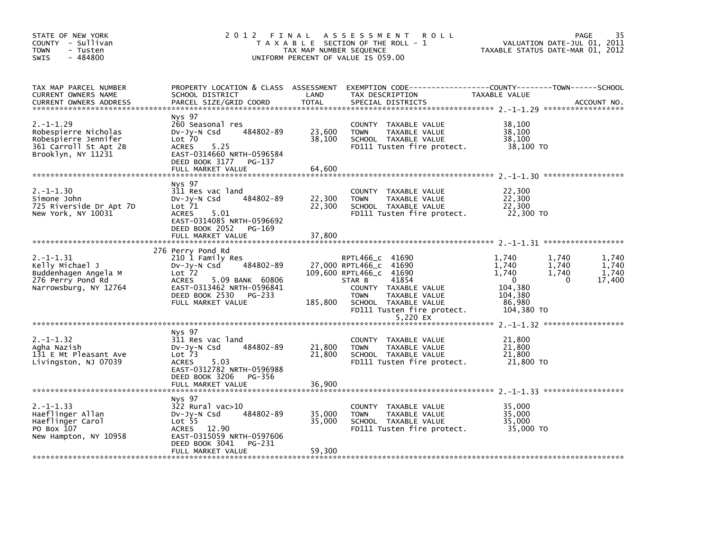|                                                                                                                                                                                      |                                                                                         | <b>ROLL</b>                                                                                                        | VALUATION DATE-JUL 01, 2011<br>TAXABLE STATUS DATE-MAR 01, 2012                                                                                                                                | 35<br>PAGE                                                                                                                                                                                                                                           |
|--------------------------------------------------------------------------------------------------------------------------------------------------------------------------------------|-----------------------------------------------------------------------------------------|--------------------------------------------------------------------------------------------------------------------|------------------------------------------------------------------------------------------------------------------------------------------------------------------------------------------------|------------------------------------------------------------------------------------------------------------------------------------------------------------------------------------------------------------------------------------------------------|
| SCHOOL DISTRICT<br>PARCEL SIZE/GRID COORD                                                                                                                                            | LAND<br><b>TOTAL</b>                                                                    | TAX DESCRIPTION<br>SPECIAL DISTRICTS                                                                               | TAXABLE VALUE                                                                                                                                                                                  | ACCOUNT NO.                                                                                                                                                                                                                                          |
| Nys 97<br>260 Seasonal res<br>484802-89<br>DV-JY-N Csd<br>$Lot$ $70$<br>5.25<br><b>ACRES</b><br>EAST-0314660 NRTH-0596584<br>DEED BOOK 3177<br>PG-137                                | 23,600<br>38,100                                                                        | COUNTY TAXABLE VALUE<br>TAXABLE VALUE<br><b>TOWN</b><br>SCHOOL TAXABLE VALUE                                       | 38,100<br>38,100<br>38,100<br>38,100 TO                                                                                                                                                        |                                                                                                                                                                                                                                                      |
|                                                                                                                                                                                      |                                                                                         |                                                                                                                    |                                                                                                                                                                                                |                                                                                                                                                                                                                                                      |
| Nys 97<br>311 Res vac land<br>484802-89<br>DV-Jy-N Csd<br>Lot 71<br>5.01<br>ACRES<br>EAST-0314085 NRTH-0596692<br>DEED BOOK 2052<br>PG-169                                           | 22,300<br>22,300                                                                        | COUNTY TAXABLE VALUE<br>TAXABLE VALUE<br><b>TOWN</b><br>SCHOOL TAXABLE VALUE                                       | 22,300<br>22,300<br>22,300<br>22,300 TO                                                                                                                                                        |                                                                                                                                                                                                                                                      |
|                                                                                                                                                                                      |                                                                                         |                                                                                                                    |                                                                                                                                                                                                |                                                                                                                                                                                                                                                      |
| 210 1 Family Res<br>484802-89<br>$Dv-Jy-N$ Csd<br>Lot <sub>72</sub><br><b>ACRES</b><br>5.09 BANK 60806<br>EAST-0313462 NRTH-0596841<br>DEED BOOK 2530<br>PG-233<br>FULL MARKET VALUE | 185,800                                                                                 | RPTL466_C 41690<br>41854<br>STAR B<br>COUNTY TAXABLE VALUE<br>TAXABLE VALUE<br><b>TOWN</b><br>SCHOOL TAXABLE VALUE | 1.740<br>1,740<br>1.740<br>1.740<br>1,740<br>1,740<br>$\mathbf{0}$<br>$\Omega$<br>104,380<br>104,380<br>86,980<br>104,380 TO                                                                   | 1.740<br>1.740<br>1,740<br>17,400                                                                                                                                                                                                                    |
|                                                                                                                                                                                      |                                                                                         |                                                                                                                    |                                                                                                                                                                                                |                                                                                                                                                                                                                                                      |
| Nys 97<br>311 Res vac land<br>484802-89<br>$Dv-Jy-N$ Csd<br>Lot <sub>73</sub><br>5.03<br><b>ACRES</b><br>EAST-0312782 NRTH-0596988                                                   | 21,800<br>21,800                                                                        | COUNTY TAXABLE VALUE<br><b>TOWN</b><br>TAXABLE VALUE<br>SCHOOL TAXABLE VALUE                                       | 21,800<br>21,800<br>21,800<br>21,800 TO                                                                                                                                                        |                                                                                                                                                                                                                                                      |
| FULL MARKET VALUE                                                                                                                                                                    | 36,900                                                                                  |                                                                                                                    |                                                                                                                                                                                                |                                                                                                                                                                                                                                                      |
| Nys 97<br>322 Rural vac>10<br>484802-89<br>$Dv-Jy-N$ Csd<br>Lot <sub>55</sub><br>ACRES 12.90<br>EAST-0315059 NRTH-0597606<br>PG-231<br>DEED BOOK 3041<br>FULL MARKET VALUE           | 35,000<br>35,000<br>59,300                                                              | COUNTY TAXABLE VALUE<br><b>TOWN</b><br>TAXABLE VALUE<br>SCHOOL TAXABLE VALUE                                       | 35,000<br>35,000<br>35,000<br>35,000 TO                                                                                                                                                        |                                                                                                                                                                                                                                                      |
|                                                                                                                                                                                      | FULL MARKET VALUE<br>FULL MARKET VALUE<br>276 Perry Pond Rd<br>DEED BOOK 3206<br>PG-356 | 2012 FINAL<br>64,600<br>37,800                                                                                     | A S S E S S M E N T<br>T A X A B L E SECTION OF THE ROLL - 1<br>TAX MAP NUMBER SEQUENCE<br>UNIFORM PERCENT OF VALUE IS 059.00<br>27,000 RPTL466_C 41690<br>109,600 RPTL466_C 41690<br>5,220 EX | PROPERTY LOCATION & CLASS ASSESSMENT EXEMPTION CODE---------------COUNTY-------TOWN-----SCHOOL<br>FD111 Tusten fire protect.<br>FD111 Tusten fire protect.<br>FD111 Tusten fire protect.<br>FD111 Tusten fire protect.<br>FD111 Tusten fire protect. |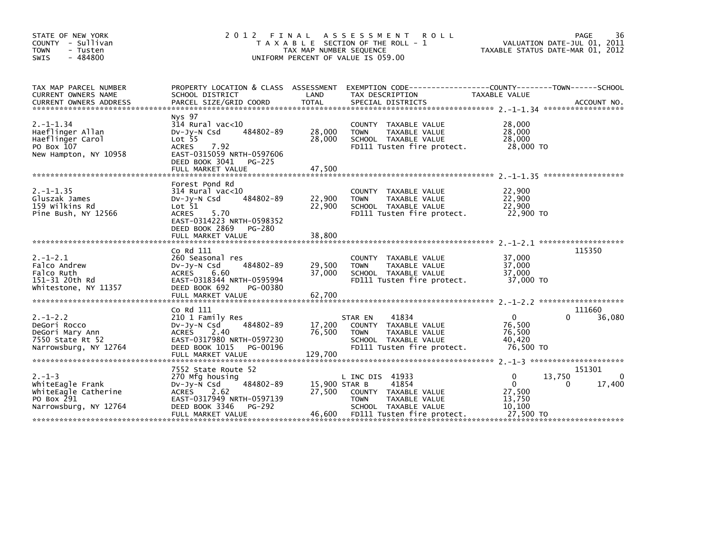| STATE OF NEW YORK<br>COUNTY - Sullivan<br><b>TOWN</b><br>- Tusten<br>$-484800$<br><b>SWIS</b>   | 2 0 1 2<br>FINAL                                                                                                                                                                   | TAX MAP NUMBER SEQUENCE           | A S S E S S M E N T<br><b>ROLL</b><br>T A X A B L E SECTION OF THE ROLL - 1<br>UNIFORM PERCENT OF VALUE IS 059.00                      | TAXABLE STATUS DATE-MAR 01, 2012                                          | 36<br>PAGE<br>VALUATION DATE-JUL 01, 2011 |
|-------------------------------------------------------------------------------------------------|------------------------------------------------------------------------------------------------------------------------------------------------------------------------------------|-----------------------------------|----------------------------------------------------------------------------------------------------------------------------------------|---------------------------------------------------------------------------|-------------------------------------------|
| TAX MAP PARCEL NUMBER<br>CURRENT OWNERS NAME                                                    | SCHOOL DISTRICT                                                                                                                                                                    | LAND                              | PROPERTY LOCATION & CLASS ASSESSMENT EXEMPTION CODE----------------COUNTY-------TOWN-----SCHOOL<br>TAX DESCRIPTION                     | TAXABLE VALUE                                                             |                                           |
| $2. -1 - 1.34$<br>Haeflinger Allan<br>Haeflinger Carol<br>PO Box 107<br>New Hampton, NY 10958   | Nys 97<br>$314$ Rural vac<10<br>484802-89<br>DV-Jy-N Csd<br>$Lot$ 55<br>7.92<br><b>ACRES</b><br>EAST-0315059 NRTH-0597606<br>DEED BOOK 3041<br><b>PG-225</b><br>FULL MARKET VALUE  | 28,000<br>28,000<br>47,500        | COUNTY TAXABLE VALUE<br>TAXABLE VALUE<br><b>TOWN</b><br>SCHOOL TAXABLE VALUE<br>FD111 Tusten fire protect.                             | 28,000<br>28,000<br>28,000<br>28.000 TO                                   |                                           |
| $2. -1 - 1.35$<br>Gluszak James<br>159 wilkins Rd<br>Pine Bush, NY 12566                        | Forest Pond Rd<br>$314$ Rural vac<10<br>484802-89<br>$Dv-Jy-N$ Csd<br>Lot 51<br>5.70<br><b>ACRES</b><br>EAST-0314223 NRTH-0598352<br>DEED BOOK 2869<br>PG-280<br>FULL MARKET VALUE | 22,900<br>22,900<br>38,800        | COUNTY TAXABLE VALUE<br><b>TOWN</b><br>TAXABLE VALUE<br>SCHOOL TAXABLE VALUE<br>FD111 Tusten fire protect.                             | 22,900<br>22,900<br>22,900<br>22.900 TO                                   |                                           |
| $2. - 1 - 2.1$<br>Falco Andrew<br>Falco Ruth<br>151-31 20th Rd<br>Whitestone, NY 11357          | Co Rd 111<br>260 Seasonal res<br>484802-89<br>$Dv-Jv-N$ Csd<br>6.60<br><b>ACRES</b><br>EAST-0318344 NRTH-0595994<br>DEED BOOK 692<br>PG-00380<br>FULL MARKET VALUE                 | 29,500<br>37,000<br>62,700        | COUNTY TAXABLE VALUE<br>TAXABLE VALUE<br><b>TOWN</b><br>SCHOOL TAXABLE VALUE<br>FD111 Tusten fire protect.                             | 37,000<br>37,000<br>37.000<br>37,000 TO                                   | 115350                                    |
| $2. - 1 - 2.2$<br>DeGori Rocco<br>DeGori Mary Ann<br>7550 State Rt 52<br>Narrowsburg, NY 12764  | Co Rd 111<br>210 1 Family Res<br>484802-89<br>$Dv-Jy-N$ Csd<br>2.40<br><b>ACRES</b><br>EAST-0317980 NRTH-0597230<br>DEED BOOK 1015<br>PG-00196<br>FULL MARKET VALUE                | 17,200<br>76,500<br>129,700       | 41834<br>STAR EN<br>COUNTY TAXABLE VALUE<br>TAXABLE VALUE<br><b>TOWN</b><br>SCHOOL TAXABLE VALUE<br>FD111 Tusten fire protect.         | $\mathbf{0}$<br>76,500<br>76,500<br>40,420<br>76.500 то                   | 111660<br>36,080<br>0                     |
| $2. - 1 - 3$<br>WhiteEagle Frank<br>WhiteEagle Catherine<br>PO Box 291<br>Narrowsburg, NY 12764 | 7552 State Route 52<br>270 Mfg housing<br>484802-89<br>$Dv-Jy-N$ Csd<br><b>ACRES</b><br>2.62<br>EAST-0317949 NRTH-0597139<br>DEED BOOK 3346<br>PG-292<br>FULL MARKET VALUE         | 15,900 STAR B<br>27,500<br>46,600 | L INC DIS 41933<br>41854<br>COUNTY TAXABLE VALUE<br><b>TOWN</b><br>TAXABLE VALUE<br>SCHOOL TAXABLE VALUE<br>FD111 Tusten fire protect. | $\Omega$<br>13,750<br>$\Omega$<br>27,500<br>13,750<br>10,100<br>27,500 TO | 151301<br>$\Omega$<br>17,400<br>0         |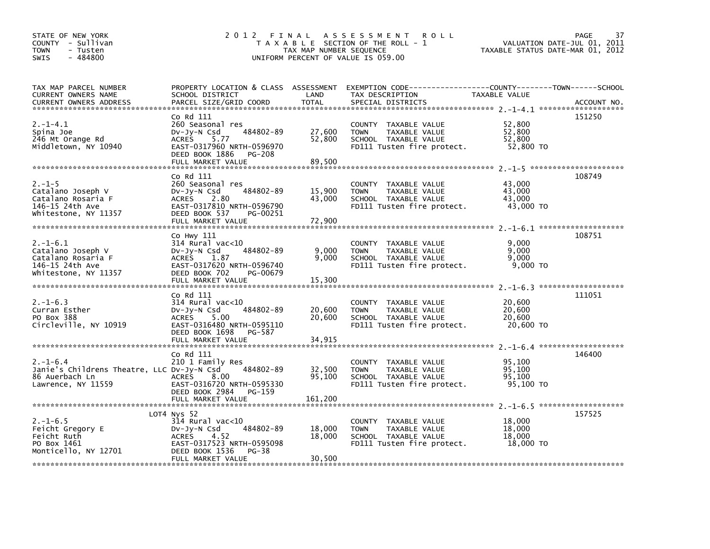| STATE OF NEW YORK<br>COUNTY - Sullivan<br><b>TOWN</b><br>- Tusten<br>$-484800$<br><b>SWIS</b> | 2 0 1 2                                                | FINAL<br>TAX MAP NUMBER SEQUENCE | A S S E S S M E N T<br><b>ROLL</b><br>T A X A B L E SECTION OF THE ROLL - 1<br>UNIFORM PERCENT OF VALUE IS 059.00 | TAXABLE STATUS DATE-MAR 01, 2012 | PAGE<br>37<br>VALUATION DATE-JUL 01, 2011 |
|-----------------------------------------------------------------------------------------------|--------------------------------------------------------|----------------------------------|-------------------------------------------------------------------------------------------------------------------|----------------------------------|-------------------------------------------|
| TAX MAP PARCEL NUMBER                                                                         |                                                        |                                  | PROPERTY LOCATION & CLASS ASSESSMENT EXEMPTION CODE----------------COUNTY-------TOWN------SCHOOL                  |                                  |                                           |
| CURRENT OWNERS NAME                                                                           | SCHOOL DISTRICT                                        | LAND                             | TAX DESCRIPTION                                                                                                   | TAXABLE VALUE                    |                                           |
|                                                                                               | Co Rd 111                                              |                                  |                                                                                                                   |                                  | 151250                                    |
| $2. -1 - 4.1$                                                                                 | 260 Seasonal res                                       |                                  | COUNTY TAXABLE VALUE                                                                                              | 52,800                           |                                           |
| Spina Joe                                                                                     | 484802-89<br>$Dv-Jy-N$ Csd                             | 27,600                           | <b>TOWN</b><br>TAXABLE VALUE                                                                                      | 52,800                           |                                           |
| 246 Mt Orange Rd<br>Middletown, NY 10940                                                      | <b>ACRES</b><br>5.77<br>EAST-0317960 NRTH-0596970      | 52,800                           | SCHOOL TAXABLE VALUE<br>FD111 Tusten fire protect.                                                                | 52.800<br>52,800 TO              |                                           |
|                                                                                               | DEED BOOK 1886<br><b>PG-208</b>                        |                                  |                                                                                                                   |                                  |                                           |
|                                                                                               | FULL MARKET VALUE                                      | 89,500                           |                                                                                                                   |                                  |                                           |
|                                                                                               | Co Rd 111                                              |                                  |                                                                                                                   |                                  | 108749                                    |
| $2. - 1 - 5$                                                                                  | 260 Seasonal res                                       |                                  | COUNTY TAXABLE VALUE                                                                                              | 43,000                           |                                           |
| Catalano Joseph V                                                                             | 484802-89<br>$Dv-Jy-N$ Csd                             | 15,900                           | <b>TOWN</b><br>TAXABLE VALUE                                                                                      | 43,000                           |                                           |
| Catalano Rosaria F                                                                            | ACRES<br>2.80                                          | 43,000                           | SCHOOL TAXABLE VALUE                                                                                              | 43.000                           |                                           |
| 146-15 24th Ave<br>Whitestone, NY 11357                                                       | EAST-0317810 NRTH-0596790<br>DEED BOOK 537<br>PG-00251 |                                  | FD111 Tusten fire protect.                                                                                        | 43,000 TO                        |                                           |
|                                                                                               | FULL MARKET VALUE                                      | 72,900                           |                                                                                                                   |                                  |                                           |
|                                                                                               |                                                        |                                  |                                                                                                                   |                                  |                                           |
| $2. -1 - 6.1$                                                                                 | Co Hwy 111<br>$314$ Rural vac< $10$                    |                                  |                                                                                                                   | 9,000                            | 108751                                    |
| Catalano Joseph V                                                                             | 484802-89<br>DV-Jy-N Csd                               | 9,000                            | COUNTY TAXABLE VALUE<br><b>TOWN</b><br>TAXABLE VALUE                                                              | 9,000                            |                                           |
| Catalano Rosaria F                                                                            | ACRES 1.87                                             | 9,000                            | SCHOOL TAXABLE VALUE                                                                                              | 9.000                            |                                           |
| 146-15 24th Ave                                                                               | EAST-0317620 NRTH-0596740                              |                                  | FD111 Tusten fire protect.                                                                                        | 9,000 TO                         |                                           |
| Whitestone, NY 11357                                                                          | DEED BOOK 702<br>PG-00679                              |                                  |                                                                                                                   |                                  |                                           |
|                                                                                               | FULL MARKET VALUE                                      | 15,300                           |                                                                                                                   |                                  |                                           |
|                                                                                               | Co Rd 111                                              |                                  |                                                                                                                   |                                  | 111051                                    |
| $2. -1 - 6.3$                                                                                 | $314$ Rural vac< $10$                                  |                                  | COUNTY TAXABLE VALUE                                                                                              | 20,600                           |                                           |
| Curran Esther                                                                                 | 484802-89<br>$Dv-Jy-N$ Csd                             | 20,600                           | TAXABLE VALUE<br><b>TOWN</b>                                                                                      | 20,600                           |                                           |
| PO Box 388<br>Circleville, NY 10919                                                           | <b>ACRES</b><br>5.00<br>EAST-0316480 NRTH-0595110      | 20,600                           | SCHOOL TAXABLE VALUE<br>FD111 Tusten fire protect.                                                                | 20,600<br>20,600 TO              |                                           |
|                                                                                               | DEED BOOK 1698<br>PG-587                               |                                  |                                                                                                                   |                                  |                                           |
|                                                                                               | FULL MARKET VALUE                                      | 34,915                           |                                                                                                                   |                                  |                                           |
|                                                                                               |                                                        |                                  |                                                                                                                   |                                  |                                           |
| $2. -1 - 6.4$                                                                                 | Co Rd 111                                              |                                  |                                                                                                                   |                                  | 146400                                    |
| Janie's Childrens Theatre, LLC Dv-Jy-N Csd                                                    | 210 1 Family Res<br>484802-89                          | 32,500                           | COUNTY TAXABLE VALUE<br>TAXABLE VALUE<br><b>TOWN</b>                                                              | 95,100<br>95,100                 |                                           |
| 86 Auerbach Ln                                                                                | <b>ACRES</b><br>8.00                                   | 95,100                           | SCHOOL TAXABLE VALUE                                                                                              | 95,100                           |                                           |
| Lawrence, NY 11559                                                                            | EAST-0316720 NRTH-0595330                              |                                  | FD111 Tusten fire protect.                                                                                        | 95.100 TO                        |                                           |
|                                                                                               | DEED BOOK 2984<br>PG-159                               |                                  |                                                                                                                   |                                  |                                           |
|                                                                                               |                                                        |                                  |                                                                                                                   |                                  |                                           |
|                                                                                               | LOT4 Nys 52                                            |                                  |                                                                                                                   |                                  | 157525                                    |
| $2. -1 - 6.5$                                                                                 | $314$ Rural vac<10                                     |                                  | COUNTY TAXABLE VALUE                                                                                              | 18,000                           |                                           |
| Feicht Gregory E                                                                              | 484802-89<br>$Dv-Jy-N$ Csd                             | 18,000                           | <b>TOWN</b><br>TAXABLE VALUE                                                                                      | 18,000                           |                                           |
| Feicht Ruth                                                                                   | 4.52<br><b>ACRES</b>                                   | 18,000                           | SCHOOL TAXABLE VALUE                                                                                              | 18,000                           |                                           |
| PO Box 1461<br>Monticello, NY 12701                                                           | EAST-0317523 NRTH-0595098<br>DEED BOOK 1536<br>PG-38   |                                  | FD111 Tusten fire protect.                                                                                        | 18,000 TO                        |                                           |
|                                                                                               | FULL MARKET VALUE                                      | 30,500                           |                                                                                                                   |                                  |                                           |
|                                                                                               |                                                        |                                  |                                                                                                                   |                                  |                                           |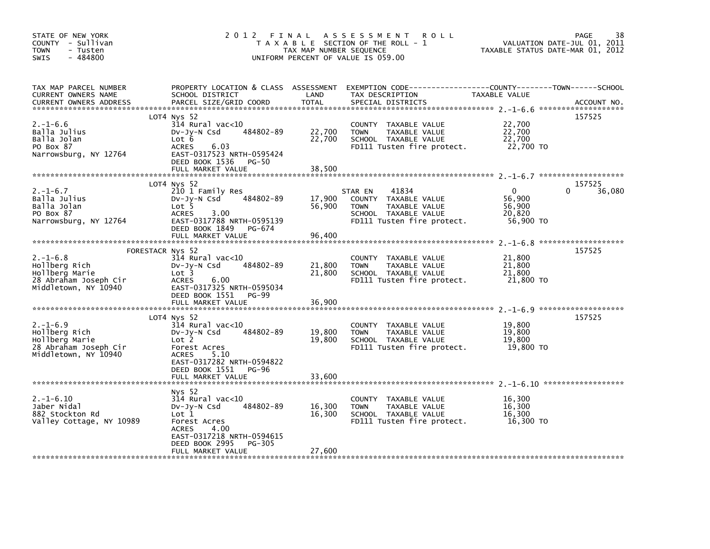| STATE OF NEW YORK<br>COUNTY - Sullivan<br><b>TOWN</b><br>- Tusten<br>SWIS<br>$-484800$                                | 2012 FINAL                                                                                                                                                             | TAX MAP NUMBER SEQUENCE    | A S S E S S M E N T<br><b>ROLL</b><br>T A X A B L E SECTION OF THE ROLL - 1<br>UNIFORM PERCENT OF VALUE IS 059.00              | TAXABLE STATUS DATE-MAR 01, 2012                        | 38<br>PAGE<br>VALUATION DATE-JUL 01, 2011 |
|-----------------------------------------------------------------------------------------------------------------------|------------------------------------------------------------------------------------------------------------------------------------------------------------------------|----------------------------|--------------------------------------------------------------------------------------------------------------------------------|---------------------------------------------------------|-------------------------------------------|
| TAX MAP PARCEL NUMBER<br>CURRENT OWNERS NAME<br><b>CURRENT OWNERS ADDRESS</b>                                         | PROPERTY LOCATION & CLASS ASSESSMENT<br>SCHOOL DISTRICT<br>PARCEL SIZE/GRID COORD                                                                                      | LAND<br><b>TOTAL</b>       | EXEMPTION CODE-----------------COUNTY-------TOWN------SCHOOL<br>TAX DESCRIPTION<br>SPECIAL DISTRICTS                           | TAXABLE VALUE                                           | ACCOUNT NO.                               |
| $2. - 1 - 6.6$<br>Balla Julius<br>Balla Jolan<br>PO Box 87<br>Narrowsburg, NY 12764                                   | LOT4 Nys 52<br>314 Rural vac<10<br>484802-89<br>DV-Jy-N Csd<br>Lot 6<br>6.03<br><b>ACRES</b><br>EAST-0317523 NRTH-0595424<br>DEED BOOK 1536<br><b>PG-50</b>            | 22,700<br>22,700           | COUNTY TAXABLE VALUE<br><b>TOWN</b><br>TAXABLE VALUE<br>SCHOOL TAXABLE VALUE<br>FD111 Tusten fire protect.                     | 22,700<br>22,700<br>22,700<br>22,700 TO                 | 157525                                    |
|                                                                                                                       | FULL MARKET VALUE                                                                                                                                                      | 38,500                     |                                                                                                                                |                                                         |                                           |
| $2. -1 - 6.7$<br>Balla Julius<br>Balla Jolan<br>PO Box 87<br>Narrowsburg, NY 12764                                    | LOT4 Nys 52<br>210 1 Family Res<br>484802-89<br>DV-Jy-N Csd<br>Lot 5<br><b>ACRES</b><br>3.00<br>EAST-0317788 NRTH-0595139<br>DEED BOOK 1849<br>PG-674                  | 17,900<br>56,900           | STAR EN<br>41834<br>COUNTY TAXABLE VALUE<br><b>TOWN</b><br>TAXABLE VALUE<br>SCHOOL TAXABLE VALUE<br>FD111 Tusten fire protect. | $\mathbf{0}$<br>56,900<br>56,900<br>20,820<br>56,900 TO | 157525<br>36,080<br>0                     |
|                                                                                                                       | FULL MARKET VALUE                                                                                                                                                      | 96,400                     |                                                                                                                                |                                                         |                                           |
| FORESTACR Nys 52<br>$2. -1 - 6.8$<br>Hollberg Rich<br>Hollberg Marie<br>28 Abraham Joseph Cir<br>Middletown, NY 10940 | 314 Rural vac<10<br>484802-89<br>$Dv-Jy-N$ Csd<br>Lot 3<br><b>ACRES</b><br>6.00<br>EAST-0317325 NRTH-0595034<br>DEED BOOK 1551<br>PG-99<br>FULL MARKET VALUE           | 21,800<br>21,800<br>36,900 | COUNTY TAXABLE VALUE<br><b>TOWN</b><br>TAXABLE VALUE<br>SCHOOL TAXABLE VALUE<br>FD111 Tusten fire protect.                     | 21,800<br>21,800<br>21,800<br>21,800 TO                 | 157525                                    |
|                                                                                                                       | LOT4 Nys 52                                                                                                                                                            |                            |                                                                                                                                |                                                         | 157525                                    |
| $2. -1 - 6.9$<br>Hollberg Rich<br>Hollberg Marie<br>28 Abraham Joseph Cir<br>Middletown, NY 10940                     | 314 Rural vac<10<br>484802-89<br>$Dv-Jy-N$ Csd<br>Lot 2<br>Forest Acres<br><b>ACRES</b><br>5.10                                                                        | 19,800<br>19,800           | COUNTY TAXABLE VALUE<br><b>TOWN</b><br>TAXABLE VALUE<br>SCHOOL TAXABLE VALUE<br>FD111 Tusten fire protect.                     | 19,800<br>19,800<br>19,800<br>19,800 TO                 |                                           |
|                                                                                                                       | EAST-0317282 NRTH-0594822<br>DEED BOOK 1551<br><b>PG-96</b><br>FULL MARKET VALUE                                                                                       | 33,600                     |                                                                                                                                |                                                         |                                           |
|                                                                                                                       | Nys 52                                                                                                                                                                 |                            |                                                                                                                                |                                                         |                                           |
| $2. -1 - 6.10$<br>Jaber Nidal<br>882 Stockton Rd<br>Valley Cottage, NY 10989                                          | $314$ Rural vac< $10$<br>484802-89<br>DV-Jy-N Csd<br>Lot <sub>1</sub><br>Forest Acres<br><b>ACRES</b><br>4.00<br>EAST-0317218 NRTH-0594615<br>DEED BOOK 2995<br>PG-305 | 16,300<br>16,300           | COUNTY TAXABLE VALUE<br>TAXABLE VALUE<br><b>TOWN</b><br>SCHOOL TAXABLE VALUE<br>FD111 Tusten fire protect.                     | 16,300<br>16,300<br>16,300<br>16,300 TO                 |                                           |
|                                                                                                                       | FULL MARKET VALUE                                                                                                                                                      | 27,600                     |                                                                                                                                |                                                         |                                           |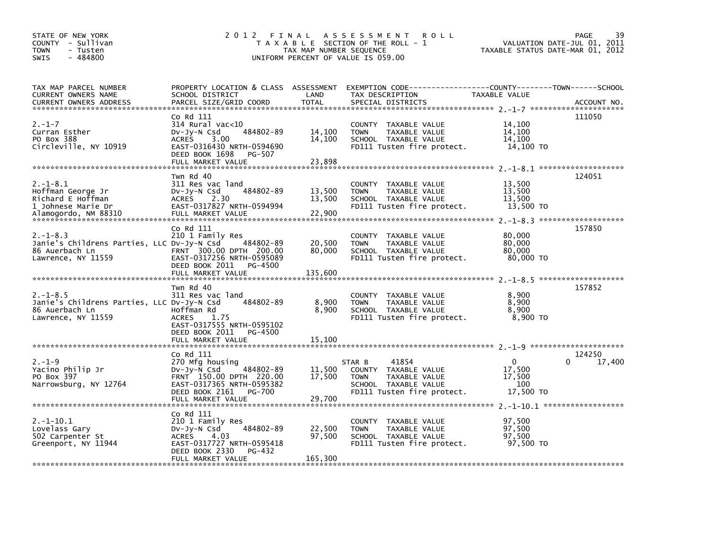| STATE OF NEW YORK<br>COUNTY - Sullivan<br><b>TOWN</b><br>- Tusten<br>$-484800$<br><b>SWIS</b>         | 2 0 1 2                                                                                                                                                                    | FINAL<br>TAX MAP NUMBER SEQUENCE | A S S E S S M E N T<br><b>ROLL</b><br>T A X A B L E SECTION OF THE ROLL - 1<br>UNIFORM PERCENT OF VALUE IS 059.00             | TAXABLE STATUS DATE-MAR 01, 2012                 | 39<br><b>PAGE</b><br>VALUATION DATE-JUL 01, 2011 |
|-------------------------------------------------------------------------------------------------------|----------------------------------------------------------------------------------------------------------------------------------------------------------------------------|----------------------------------|-------------------------------------------------------------------------------------------------------------------------------|--------------------------------------------------|--------------------------------------------------|
| TAX MAP PARCEL NUMBER<br>CURRENT OWNERS NAME<br><b>CURRENT OWNERS ADDRESS</b>                         | PROPERTY LOCATION & CLASS ASSESSMENT<br>SCHOOL DISTRICT<br>PARCEL SIZE/GRID COORD                                                                                          | LAND<br><b>TOTAL</b>             | EXEMPTION CODE-----------------COUNTY-------TOWN------SCHOOL<br>TAX DESCRIPTION<br>SPECIAL DISTRICTS                          | TAXABLE VALUE                                    | ACCOUNT NO.                                      |
| $2. - 1 - 7$<br>Curran Esther<br>PO Box 388<br>Circleville, NY 10919                                  | Co Rd 111<br>$314$ Rural vac<10<br>484802-89<br>$Dv-Jy-N$ Csd<br>3.00<br><b>ACRES</b><br>EAST-0316430 NRTH-0594690<br>DEED BOOK 1698<br>PG-507<br>FULL MARKET VALUE        | 14,100<br>14,100<br>23,898       | COUNTY TAXABLE VALUE<br><b>TOWN</b><br>TAXABLE VALUE<br>SCHOOL TAXABLE VALUE<br>FD111 Tusten fire protect.                    | 14,100<br>14.100<br>14.100<br>14,100 TO          | 111050                                           |
| $2. -1 - 8.1$<br>Hoffman George Jr<br>Richard E Hoffman<br>1 Johnese Marie Dr<br>Alamogordo, NM 88310 | Twn Rd 40<br>311 Res vac land<br>484802-89<br>$Dv-Jy-N$ Csd<br>ACRES 2.30<br>EAST-0317827 NRTH-0594994<br>FULL MARKET VALUE                                                | 13,500<br>13,500<br>22,900       | COUNTY TAXABLE VALUE<br>TAXABLE VALUE<br><b>TOWN</b><br>SCHOOL TAXABLE VALUE<br>FD111 Tusten fire protect.                    | 13,500<br>13,500<br>13,500<br>13,500 TO          | 124051                                           |
| $2. -1 - 8.3$<br>Janie's Childrens Parties, LLC Dv-Jy-N Csd<br>86 Auerbach Ln<br>Lawrence, NY 11559   | Co Rd 111<br>210 1 Family Res<br>484802-89<br>FRNT 300.00 DPTH 200.00<br>EAST-0317256 NRTH-0595089<br>DEED BOOK 2011<br>PG-4500<br>FULL MARKET VALUE                       | 20,500<br>80,000<br>135,600      | COUNTY TAXABLE VALUE<br>TAXABLE VALUE<br><b>TOWN</b><br>SCHOOL TAXABLE VALUE<br>FD111 Tusten fire protect.                    | 80,000<br>80,000<br>80,000<br>80,000 TO          | 157850                                           |
| $2. -1 - 8.5$<br>Janie's Childrens Parties, LLC Dv-Jy-N Csd<br>86 Auerbach Ln<br>Lawrence, NY 11559   | Twn Rd 40<br>311 Res vac land<br>484802-89<br>Hoffman Rd<br><b>ACRES</b><br>1.75<br>EAST-0317555 NRTH-0595102<br>DEED BOOK 2011<br>PG-4500<br>FULL MARKET VALUE            | 8,900<br>8,900<br>15,100         | COUNTY TAXABLE VALUE<br><b>TOWN</b><br>TAXABLE VALUE<br>SCHOOL TAXABLE VALUE<br>FD111 Tusten fire protect.                    | 8,900<br>8,900<br>8.900<br>8,900 TO              | 157852                                           |
|                                                                                                       |                                                                                                                                                                            |                                  |                                                                                                                               |                                                  |                                                  |
| $2. - 1 - 9$<br>Yacino Philip Jr<br>PO Box 397<br>Narrowsburg, NY 12764                               | Co Rd 111<br>270 Mfg housing<br>484802-89<br>$Dv-Jv-N$ Csd<br>FRNT 150.00 DPTH 220.00<br>EAST-0317365 NRTH-0595382<br>DEED BOOK 2161<br><b>PG-700</b><br>FULL MARKET VALUE | 11,500<br>17,500<br>29,700       | 41854<br>STAR B<br>COUNTY TAXABLE VALUE<br>TAXABLE VALUE<br><b>TOWN</b><br>SCHOOL TAXABLE VALUE<br>FD111 Tusten fire protect. | $\Omega$<br>17,500<br>17,500<br>100<br>17,500 TO | 124250<br>$\Omega$<br>17,400                     |
|                                                                                                       |                                                                                                                                                                            |                                  |                                                                                                                               |                                                  |                                                  |
| $2. -1 - 10.1$<br>Lovelass Gary<br>502 Carpenter St<br>Greenport, NY 11944                            | Co Rd 111<br>210 1 Family Res<br>484802-89<br>$Dv-Jy-N$ Csd<br>4.03<br>ACRES<br>EAST-0317727 NRTH-0595418<br>DEED BOOK 2330<br>PG-432                                      | 22,500<br>97,500                 | COUNTY TAXABLE VALUE<br><b>TOWN</b><br>TAXABLE VALUE<br>SCHOOL TAXABLE VALUE<br>FD111 Tusten fire protect.                    | 97.500<br>97,500<br>97,500<br>97,500 TO          |                                                  |
|                                                                                                       | FULL MARKET VALUE                                                                                                                                                          | 165,300                          |                                                                                                                               |                                                  |                                                  |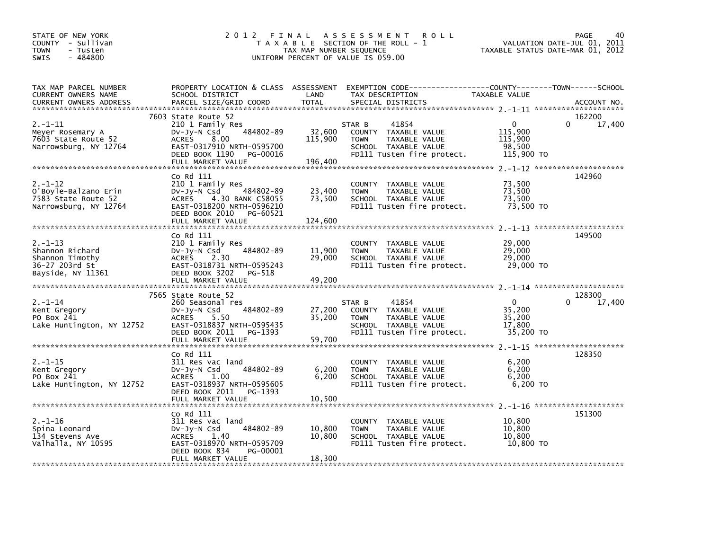| STATE OF NEW YORK<br>COUNTY - Sullivan<br><b>TOWN</b><br>- Tusten<br>$-484800$<br><b>SWIS</b> | 2012 FINAL                                                                                                                                                                    | TAX MAP NUMBER SEQUENCE      | A S S E S S M E N T<br><b>ROLL</b><br>T A X A B L E SECTION OF THE ROLL - 1<br>UNIFORM PERCENT OF VALUE IS 059.00                        | TAXABLE STATUS DATE-MAR 01, 2012                           | PAGE<br>40<br>VALUATION DATE-JUL 01, 2011 |
|-----------------------------------------------------------------------------------------------|-------------------------------------------------------------------------------------------------------------------------------------------------------------------------------|------------------------------|------------------------------------------------------------------------------------------------------------------------------------------|------------------------------------------------------------|-------------------------------------------|
| TAX MAP PARCEL NUMBER<br>CURRENT OWNERS NAME<br><b>CURRENT OWNERS ADDRESS</b>                 | SCHOOL DISTRICT<br>PARCEL SIZE/GRID COORD                                                                                                                                     | LAND<br><b>TOTAL</b>         | PROPERTY LOCATION & CLASS ASSESSMENT EXEMPTION CODE----------------COUNTY-------TOWN------SCHOOL<br>TAX DESCRIPTION<br>SPECIAL DISTRICTS | TAXABLE VALUE                                              | ACCOUNT NO.                               |
| $2. -1 - 11$<br>Meyer Rosemary A<br>7603 State Route 52<br>Narrowsburg, NY 12764              | 7603 State Route 52<br>210 1 Family Res<br>484802-89<br>$Dv-Jy-N$ Csd<br><b>ACRES</b><br>8.00<br>EAST-0317910 NRTH-0595700<br>DEED BOOK 1190<br>PG-00016<br>FULL MARKET VALUE | 32,600<br>115,900<br>196,400 | 41854<br>STAR B<br>COUNTY TAXABLE VALUE<br><b>TOWN</b><br>TAXABLE VALUE<br>SCHOOL TAXABLE VALUE<br>FD111 Tusten fire protect.            | $\mathbf{0}$<br>115,900<br>115,900<br>98,500<br>115,900 TO | 162200<br>$\Omega$<br>17,400              |
| $2. - 1 - 12$<br>O'Boyle-Balzano Erin<br>7583 State Route 52<br>Narrowsburg, NY 12764         | Co Rd 111<br>210 1 Family Res<br>484802-89<br>$Dv-Jv-N$ Csd<br>ACRES 4.30 BANK C58055<br>EAST-0318200 NRTH-0596210<br>DEED BOOK 2010<br>PG-60521<br>FULL MARKET VALUE         | 23,400<br>73,500<br>124,600  | COUNTY TAXABLE VALUE<br><b>TAXABLE VALUE</b><br><b>TOWN</b><br>SCHOOL TAXABLE VALUE<br>FD111 Tusten fire protect.                        | 73,500<br>73,500<br>73,500<br>73,500 TO                    | 142960                                    |
| $2. - 1 - 13$<br>Shannon Richard<br>Shannon Timothy<br>36-27 203rd St<br>Bayside, NY 11361    | Co Rd 111<br>210 1 Family Res<br>484802-89<br>$Dv-Jv-N$ Csd<br>ACRES 2.30<br>EAST-0318731 NRTH-0595243<br>DEED BOOK 3202<br>PG-518                                            | 11,900<br>29,000             | COUNTY TAXABLE VALUE<br><b>TAXABLE VALUE</b><br><b>TOWN</b><br>SCHOOL TAXABLE VALUE<br>FD111 Tusten fire protect.                        | 29,000<br>29,000<br>29,000<br>29,000 TO                    | 149500                                    |
|                                                                                               | FULL MARKET VALUE                                                                                                                                                             | 49,200                       |                                                                                                                                          |                                                            |                                           |
| $2. - 1 - 14$<br>Kent Gregory<br>PO Box 241<br>Lake Huntington, NY 12752                      | 7565 State Route 52<br>260 Seasonal res<br>484802-89<br>$Dv-Jy-N$ Csd<br><b>ACRES</b><br>5.50<br>EAST-0318837 NRTH-0595435<br>DEED BOOK 2011<br>PG-1393<br>FULL MARKET VALUE  | 27,200<br>35,200<br>59,700   | STAR B<br>41854<br>COUNTY TAXABLE VALUE<br>TAXABLE VALUE<br>TOWN<br>SCHOOL TAXABLE VALUE<br>FD111 Tusten fire protect.                   | $\Omega$<br>35,200<br>35,200<br>17.800<br>35,200 TO        | 128300<br>$\Omega$<br>17,400              |
|                                                                                               |                                                                                                                                                                               |                              |                                                                                                                                          |                                                            |                                           |
| $2. - 1 - 15$<br>Kent Gregory<br>PO Box 241<br>Lake Huntington, NY 12752                      | Co Rd 111<br>311 Res vac land<br>484802-89<br>$Dv-Jv-N$ Csd<br>1.00<br>ACRES<br>EAST-0318937 NRTH-0595605<br>DEED BOOK 2011<br>PG-1393<br>FULL MARKET VALUE                   | 6,200<br>6,200<br>10,500     | COUNTY TAXABLE VALUE<br><b>TOWN</b><br>TAXABLE VALUE<br>SCHOOL TAXABLE VALUE<br>FD111 Tusten fire protect.                               | 6,200<br>6.200<br>6,200<br>6,200 TO                        | 128350                                    |
|                                                                                               |                                                                                                                                                                               |                              |                                                                                                                                          |                                                            |                                           |
| $2. - 1 - 16$<br>Spina Leonard<br>134 Stevens Ave<br>Valhalla, NY 10595                       | Co Rd 111<br>311 Res vac land<br>484802-89<br>$Dv-Jy-N$ Csd<br><b>ACRES</b><br>1.40<br>EAST-0318970 NRTH-0595709<br>DEED BOOK 834<br>PG-00001                                 | 10,800<br>10,800             | COUNTY TAXABLE VALUE<br><b>TOWN</b><br>TAXABLE VALUE<br>SCHOOL TAXABLE VALUE<br>FD111 Tusten fire protect.                               | 10.800<br>10,800<br>10,800<br>10,800 TO                    | 151300                                    |
|                                                                                               | FULL MARKET VALUE                                                                                                                                                             | 18.300                       |                                                                                                                                          |                                                            |                                           |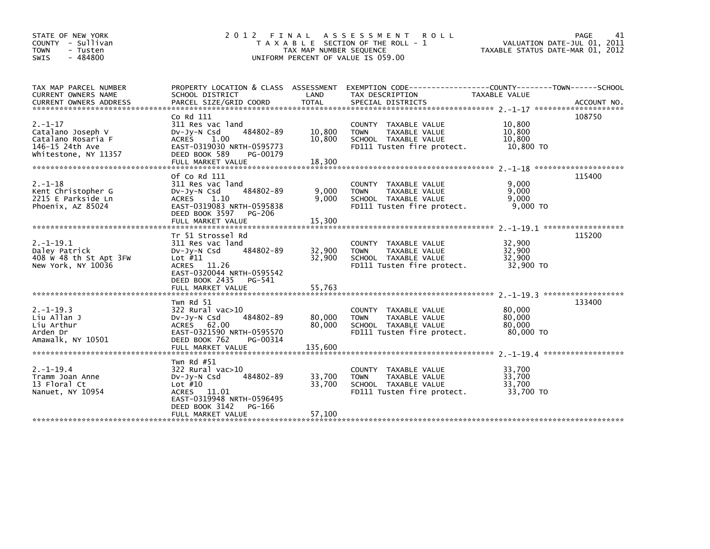| STATE OF NEW YORK<br>COUNTY - Sullivan<br><b>TOWN</b><br>- Tusten<br>$-484800$<br><b>SWIS</b>       |                                                                                                                                                                        | TAX MAP NUMBER SEQUENCE     | 2012 FINAL ASSESSMENT ROLL<br>T A X A B L E SECTION OF THE ROLL - 1<br>UNIFORM PERCENT OF VALUE IS 059.00          | VALUATION DATE-JUL 01, 2011<br>TAXABLE STATUS DATE-MAR 01, 2012 | 41<br><b>PAGE</b> |
|-----------------------------------------------------------------------------------------------------|------------------------------------------------------------------------------------------------------------------------------------------------------------------------|-----------------------------|--------------------------------------------------------------------------------------------------------------------|-----------------------------------------------------------------|-------------------|
| TAX MAP PARCEL NUMBER<br>CURRENT OWNERS NAME                                                        | SCHOOL DISTRICT                                                                                                                                                        | LAND                        | PROPERTY LOCATION & CLASS ASSESSMENT EXEMPTION CODE---------------COUNTY-------TOWN------SCHOOL<br>TAX DESCRIPTION | <b>TAXABLE VALUE</b>                                            |                   |
| $2. - 1 - 17$<br>Catalano Joseph V<br>Catalano Rosaria F<br>146-15 24th Ave<br>Whitestone, NY 11357 | Co Rd 111<br>311 Res vac land<br>484802-89<br>$Dv-Jy-N$ Csd<br>ACRES 1.00<br>EAST-0319030 NRTH-0595773<br>DEED BOOK 589<br>PG-00179                                    | 10,800<br>10.800            | COUNTY TAXABLE VALUE<br><b>TOWN</b><br>TAXABLE VALUE<br>SCHOOL TAXABLE VALUE<br>FD111 Tusten fire protect.         | 10,800<br>10,800<br>10,800<br>10,800 TO                         | 108750            |
| $2. - 1 - 18$<br>Kent Christopher G<br>2215 E Parkside Ln<br>Phoenix, AZ 85024                      | Of Co Rd 111<br>311 Res vac land<br>484802-89<br>$Dv-Jy-N$ Csd<br>1.10<br><b>ACRES</b><br>EAST-0319083 NRTH-0595838<br>DEED BOOK 3597<br>PG-206<br>FULL MARKET VALUE   | 9,000<br>9.000<br>15,300    | COUNTY TAXABLE VALUE<br>TAXABLE VALUE<br><b>TOWN</b><br>SCHOOL TAXABLE VALUE<br>FD111 Tusten fire protect.         | 9,000<br>9,000<br>9,000<br>$9.000$ TO                           | 115400            |
| $2. -1 - 19.1$<br>Daley Patrick<br>408 W 48 th St Apt 3FW<br>New York, NY 10036                     | Tr 51 Strossel Rd<br>311 Res vac land<br>484802-89<br>$Dv-Jy-N$ Csd<br>Lot $#11$<br>ACRES 11.26<br>EAST-0320044 NRTH-0595542<br>DEED BOOK 2435 PG-541                  | 32,900<br>32,900            | COUNTY TAXABLE VALUE<br><b>TOWN</b><br>TAXABLE VALUE<br>SCHOOL TAXABLE VALUE<br>FD111 Tusten fire protect.         | 32,900<br>32,900<br>32.900<br>32,900 TO                         | 115200            |
| $2. -1 - 19.3$<br>Liu Allan J<br>Liu Arthur<br>Arden Dr<br>Amawalk, NY 10501                        | Twn Rd 51<br>$322$ Rural vac $>10$<br>484802-89<br>$Dv-Jv-N$ Csd<br>ACRES 62.00<br>EAST-0321590 NRTH-0595570<br>DEED BOOK 762<br>PG-00314<br>FULL MARKET VALUE         | 80,000<br>80,000<br>135,600 | COUNTY TAXABLE VALUE<br><b>TOWN</b><br>TAXABLE VALUE<br>SCHOOL TAXABLE VALUE<br>FD111 Tusten fire protect.         | 80,000<br>80,000<br>80.000<br>80,000 TO                         | 133400            |
| $2. -1 - 19.4$<br>Tramm Joan Anne<br>13 Floral Ct<br>Nanuet, NY 10954                               | Twn Rd #51<br>322 Rural vac>10<br>484802-89<br>$Dv-Jy-N$ Csd<br>Lot $#10$<br>ACRES 11.01<br>EAST-0319948 NRTH-0596495<br>DEED BOOK 3142<br>PG-166<br>FULL MARKET VALUE | 33,700<br>33,700<br>57,100  | COUNTY TAXABLE VALUE<br>TAXABLE VALUE<br><b>TOWN</b><br>SCHOOL TAXABLE VALUE<br>FD111 Tusten fire protect.         | 33.700<br>33,700<br>33.700<br>33,700 TO                         |                   |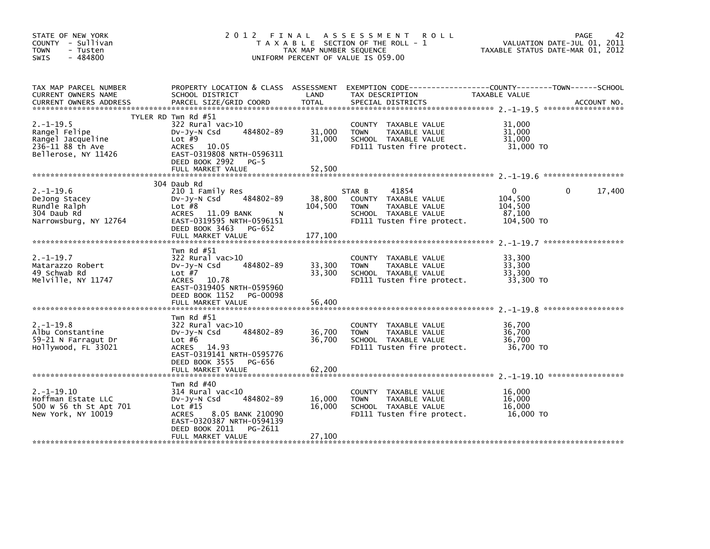| STATE OF NEW YORK<br>COUNTY - Sullivan<br><b>TOWN</b><br>- Tusten<br>$-484800$<br>SWIS          | 2012 FINAL                                                                                                                                                                | TAX MAP NUMBER SEQUENCE    | A S S E S S M E N T<br><b>ROLL</b><br>T A X A B L E SECTION OF THE ROLL - 1<br>UNIFORM PERCENT OF VALUE IS 059.00             | TAXABLE STATUS DATE-MAR 01, 2012                           | 42<br><b>PAGE</b><br>VALUATION DATE-JUL 01, 2011 |
|-------------------------------------------------------------------------------------------------|---------------------------------------------------------------------------------------------------------------------------------------------------------------------------|----------------------------|-------------------------------------------------------------------------------------------------------------------------------|------------------------------------------------------------|--------------------------------------------------|
| TAX MAP PARCEL NUMBER<br>CURRENT OWNERS NAME                                                    | PROPERTY LOCATION & CLASS ASSESSMENT<br>SCHOOL DISTRICT                                                                                                                   | LAND                       | TAX DESCRIPTION                                                                                                               | <b>TAXABLE VALUE</b>                                       |                                                  |
| $2. -1 - 19.5$<br>Rangel Felipe<br>Rangel Jacqueline<br>236-11 88 th Ave<br>Bellerose, NY 11426 | TYLER RD Twn Rd #51<br>322 Rural vac>10<br>484802-89<br>$Dv-Jy-N$ Csd<br>Lot $#9$<br>ACRES 10.05<br>EAST-0319808 NRTH-0596311<br>DEED BOOK 2992 PG-5<br>FULL MARKET VALUE | 31,000<br>31,000<br>52,500 | COUNTY TAXABLE VALUE<br>TAXABLE VALUE<br><b>TOWN</b><br>SCHOOL TAXABLE VALUE<br>FD111 Tusten fire protect.                    | 31,000<br>31,000<br>31,000<br>31,000 TO                    |                                                  |
|                                                                                                 |                                                                                                                                                                           |                            |                                                                                                                               |                                                            | ******************                               |
| $2. -1 - 19.6$<br>DeJong Stacey<br>Rundle Ralph<br>304 Daub Rd<br>Narrowsburg, NY 12764         | 304 Daub Rd<br>210 1 Family Res<br>484802-89<br>DV-Jy-N Csd<br>Lot $#8$<br>ACRES 11.09 BANK<br>N<br>EAST-0319595 NRTH-0596151<br>DEED BOOK 3463 PG-652                    | 38,800<br>104,500          | 41854<br>STAR B<br>COUNTY TAXABLE VALUE<br><b>TOWN</b><br>TAXABLE VALUE<br>SCHOOL TAXABLE VALUE<br>FD111 Tusten fire protect. | $\mathbf{0}$<br>104,500<br>104,500<br>87.100<br>104,500 TO | 17,400<br>$\Omega$                               |
|                                                                                                 | FULL MARKET VALUE                                                                                                                                                         | 177,100                    |                                                                                                                               |                                                            |                                                  |
| $2. -1 - 19.7$<br>Matarazzo Robert<br>49 Schwab Rd<br>Melville, NY 11747                        | Twn Rd $#51$<br>322 Rural vac>10<br>484802-89<br>$Dv-Jv-N$ Csd<br>Lot $#7$<br>ACRES 10.78<br>EAST-0319405 NRTH-0595960<br>DEED BOOK 1152<br>PG-00098                      | 33,300<br>33,300           | COUNTY TAXABLE VALUE<br><b>TOWN</b><br>TAXABLE VALUE<br>SCHOOL TAXABLE VALUE<br>FD111 Tusten fire protect.                    | 33,300<br>33,300<br>33,300<br>33,300 TO                    |                                                  |
|                                                                                                 | FULL MARKET VALUE                                                                                                                                                         | 56,400                     |                                                                                                                               |                                                            |                                                  |
| $2. -1 - 19.8$<br>Albu Constantine<br>59-21 N Farragut Dr<br>Hollywood, FL 33021                | Twn Rd $#51$<br>322 Rural vac>10<br>484802-89<br>$Dv-Jy-N$ Csd<br>Lot $#6$<br>ACRES 14.93<br>EAST-0319141 NRTH-0595776                                                    | 36,700<br>36,700           | COUNTY<br>TAXABLE VALUE<br>TAXABLE VALUE<br><b>TOWN</b><br>SCHOOL TAXABLE VALUE<br>FD111 Tusten fire protect.                 | 36,700<br>36,700<br>36,700<br>36,700 TO                    |                                                  |
|                                                                                                 | DEED BOOK 3555<br>PG-656<br>FULL MARKET VALUE                                                                                                                             | 62,200                     |                                                                                                                               |                                                            |                                                  |
| $2. -1 - 19.10$<br>Hoffman Estate LLC<br>500 W 56 th St Apt 701<br>New York, NY 10019           | Twn Rd $#40$<br>314 Rural vac<10<br>484802-89<br>$Dv-Jv-N$ Csd<br>Lot $#15$<br>8.05 BANK 210090<br>ACRES<br>EAST-0320387 NRTH-0594139<br>DEED BOOK 2011<br>PG-2611        | 16,000<br>16,000           | COUNTY TAXABLE VALUE<br>TAXABLE VALUE<br><b>TOWN</b><br>SCHOOL TAXABLE VALUE<br>FD111 Tusten fire protect.                    | 16,000<br>16,000<br>16,000<br>16,000 TO                    |                                                  |
|                                                                                                 | FULL MARKET VALUE                                                                                                                                                         | 27,100                     |                                                                                                                               |                                                            |                                                  |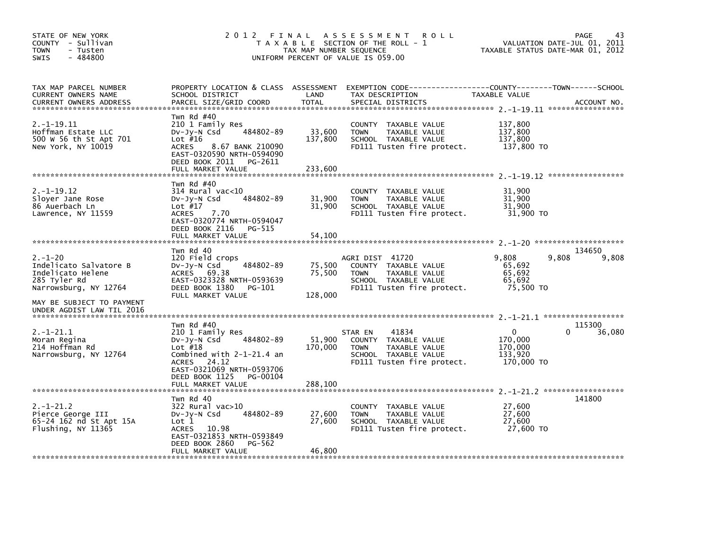| STATE OF NEW YORK<br>COUNTY - Sullivan<br>- Tusten<br>TOWN<br>$-484800$<br>SWIS                       | 2012 FINAL                                                                                                                                                                        | TAX MAP NUMBER SEQUENCE     | A S S E S S M E N T<br><b>ROLL</b><br>T A X A B L E SECTION OF THE ROLL - 1<br>UNIFORM PERCENT OF VALUE IS 059.00              | TAXABLE STATUS DATE-MAR 01, 2012                 | 43<br>PAGE<br>VALUATION DATE-JUL 01, 2011 |
|-------------------------------------------------------------------------------------------------------|-----------------------------------------------------------------------------------------------------------------------------------------------------------------------------------|-----------------------------|--------------------------------------------------------------------------------------------------------------------------------|--------------------------------------------------|-------------------------------------------|
| TAX MAP PARCEL NUMBER<br>CURRENT OWNERS NAME<br><b>CURRENT OWNERS ADDRESS</b>                         | PROPERTY LOCATION & CLASS ASSESSMENT<br>SCHOOL DISTRICT<br>PARCEL SIZE/GRID COORD                                                                                                 | LAND<br><b>TOTAL</b>        | EXEMPTION CODE-----------------COUNTY-------TOWN------SCHOOL<br>TAX DESCRIPTION<br>SPECIAL DISTRICTS                           | <b>TAXABLE VALUE</b>                             | ACCOUNT NO.                               |
| $2. -1 - 19.11$<br>Hoffman Estate LLC<br>500 W 56 th St Apt 701<br>New York, NY 10019                 | Twn Rd #40<br>210 1 Family Res<br>484802-89<br>DV-Jy-N Csd<br>Lot $#16$<br>8.67 BANK 210090<br><b>ACRES</b><br>EAST-0320590 NRTH-0594090<br>DEED BOOK 2011<br>PG-2611             | 33,600<br>137,800           | COUNTY TAXABLE VALUE<br><b>TOWN</b><br>TAXABLE VALUE<br>SCHOOL TAXABLE VALUE<br>FD111 Tusten fire protect.                     | 137,800<br>137,800<br>137,800<br>137,800 TO      |                                           |
|                                                                                                       | FULL MARKET VALUE                                                                                                                                                                 | 233,600                     |                                                                                                                                |                                                  |                                           |
| $2. -1 - 19.12$<br>Slover Jane Rose<br>86 Auerbach Ln<br>Lawrence, NY 11559                           | Twn Rd $#40$<br>314 Rural vac<10<br>484802-89<br>$Dv-Jy-N$ Csd<br>Lot $#17$<br><b>ACRES</b><br>7.70<br>EAST-0320774 NRTH-0594047<br>DEED BOOK 2116<br>PG-515<br>FULL MARKET VALUE | 31,900<br>31,900<br>54,100  | COUNTY TAXABLE VALUE<br>TAXABLE VALUE<br><b>TOWN</b><br>SCHOOL TAXABLE VALUE<br>FD111 Tusten fire protect.                     | 31,900<br>31,900<br>31,900<br>31,900 TO          |                                           |
|                                                                                                       |                                                                                                                                                                                   |                             |                                                                                                                                |                                                  |                                           |
| $2. - 1 - 20$<br>Indelicato Salvatore B<br>Indelicato Helene<br>285 Tyler Rd<br>Narrowsburg, NY 12764 | Twn Rd 40<br>120 Field crops<br>484802-89<br>$Dv-Jy-N$ Csd<br><b>ACRES</b><br>69.38<br>EAST-0323328 NRTH-0593639<br>DEED BOOK 1380<br>PG-101<br>FULL MARKET VALUE                 | 75,500<br>75,500<br>128,000 | AGRI DIST 41720<br>COUNTY TAXABLE VALUE<br>TAXABLE VALUE<br><b>TOWN</b><br>SCHOOL TAXABLE VALUE<br>FD111 Tusten fire protect.  | 9,808<br>65,692<br>65.692<br>65,692<br>75,500 TO | 134650<br>9,808<br>9,808                  |
| MAY BE SUBJECT TO PAYMENT<br>UNDER AGDIST LAW TIL 2016                                                |                                                                                                                                                                                   |                             |                                                                                                                                |                                                  |                                           |
|                                                                                                       | Twn Rd $#40$                                                                                                                                                                      |                             |                                                                                                                                |                                                  | 115300                                    |
| $2. -1 - 21.1$<br>Moran Regina<br>214 Hoffman Rd<br>Narrowsburg, NY 12764                             | 210 1 Family Res<br>484802-89<br>$Dv-Jy-N$ Csd<br>Lot $#18$<br>Combined with 2-1-21.4 an<br>ACRES 24.12<br>EAST-0321069 NRTH-0593706<br>DEED BOOK 1125<br>PG-00104                | 51,900<br>170,000           | 41834<br>STAR EN<br>COUNTY TAXABLE VALUE<br><b>TOWN</b><br>TAXABLE VALUE<br>SCHOOL TAXABLE VALUE<br>FD111 Tusten fire protect. | 0<br>170,000<br>170,000<br>133,920<br>170,000 TO | 36,080<br>0                               |
|                                                                                                       | FULL MARKET VALUE                                                                                                                                                                 | 288,100                     |                                                                                                                                |                                                  |                                           |
|                                                                                                       | Twn Rd 40                                                                                                                                                                         |                             |                                                                                                                                |                                                  | 141800                                    |
| $2. -1 - 21.2$<br>Pierce George III<br>65-24 162 nd St Apt 15A<br>Flushing, NY 11365                  | 322 Rural vac>10<br>484802-89<br>$Dv-Jy-N$ Csd<br>Lot 1<br>10.98<br><b>ACRES</b><br>EAST-0321853 NRTH-0593849<br>DEED BOOK 2860<br>PG-562                                         | 27,600<br>27,600            | <b>COUNTY</b><br>TAXABLE VALUE<br>TAXABLE VALUE<br><b>TOWN</b><br>SCHOOL TAXABLE VALUE<br>FD111 Tusten fire protect.           | 27,600<br>27,600<br>27,600<br>27,600 TO          |                                           |
|                                                                                                       | FULL MARKET VALUE                                                                                                                                                                 | 46,800                      |                                                                                                                                |                                                  |                                           |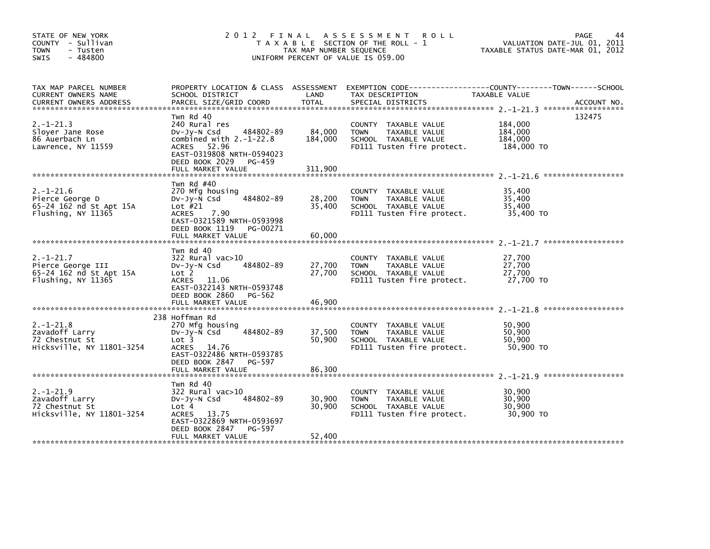| STATE OF NEW YORK<br>COUNTY - Sullivan<br><b>TOWN</b><br>- Tusten<br>$-484800$<br>SWIS |                                                                                                                                                                               | TAX MAP NUMBER SEQUENCE      | 2012 FINAL ASSESSMENT<br><b>ROLL</b><br>T A X A B L E SECTION OF THE ROLL - 1<br>UNIFORM PERCENT OF VALUE IS 059.00 | VALUATION DATE-JUL 01, 2011<br>TAXABLE STATUS DATE-MAR 01, 2012 | PAGE<br>44         |
|----------------------------------------------------------------------------------------|-------------------------------------------------------------------------------------------------------------------------------------------------------------------------------|------------------------------|---------------------------------------------------------------------------------------------------------------------|-----------------------------------------------------------------|--------------------|
| TAX MAP PARCEL NUMBER<br>CURRENT OWNERS NAME                                           | SCHOOL DISTRICT                                                                                                                                                               | LAND                         | PROPERTY LOCATION & CLASS ASSESSMENT EXEMPTION CODE----------------COUNTY-------TOWN------SCHOOL<br>TAX DESCRIPTION | TAXABLE VALUE                                                   |                    |
| $2. - 1 - 21.3$<br>Sloyer Jane Rose<br>86 Auerbach Ln<br>Lawrence, NY 11559            | Twn Rd 40<br>240 Rural res<br>484802-89<br>DV-Jy-N Csd<br>combined with $2.-1-22.8$<br>ACRES 52.96<br>EAST-0319808 NRTH-0594023<br>DEED BOOK 2029 PG-459<br>FULL MARKET VALUE | 84,000<br>184,000<br>311,900 | COUNTY TAXABLE VALUE<br><b>TOWN</b><br>TAXABLE VALUE<br>SCHOOL TAXABLE VALUE<br>FD111 Tusten fire protect.          | 184,000<br>184,000<br>184,000<br>184,000 TO                     | 132475             |
| $2. - 1 - 21.6$<br>Pierce George D<br>65-24 162 nd St Apt 15A<br>Flushing, NY 11365    | Twn Rd $#40$<br>270 Mfg housing<br>484802-89<br>$Dv-Jv-N$ Csd<br>Lot $#21$<br><b>ACRES</b><br>7.90<br>EAST-0321589 NRTH-0593998<br>DEED BOOK 1119 PG-00271                    | 28,200<br>35,400             | COUNTY TAXABLE VALUE<br><b>TOWN</b><br>TAXABLE VALUE<br>SCHOOL TAXABLE VALUE<br>FD111 Tusten fire protect.          | 35,400<br>35,400<br>35,400<br>35,400 TO                         | ****************** |
|                                                                                        | FULL MARKET VALUE                                                                                                                                                             | 60,000                       |                                                                                                                     |                                                                 |                    |
| $2. -1 - 21.7$<br>Pierce George III<br>65-24 162 nd St Apt 15A<br>Flushing, NY 11365   | Twn Rd 40<br>322 Rural vac>10<br>484802-89<br>DV-Jy-N Csd<br>Lot 2<br><b>ACRES</b><br>11.06<br>EAST-0322143 NRTH-0593748<br>DEED BOOK 2860 PG-562                             | 27,700<br>27.700             | COUNTY TAXABLE VALUE<br>TAXABLE VALUE<br><b>TOWN</b><br>SCHOOL TAXABLE VALUE<br>FD111 Tusten fire protect.          | 27.700<br>27,700<br>27,700<br>27,700 TO                         |                    |
|                                                                                        | FULL MARKET VALUE                                                                                                                                                             | 46,900                       |                                                                                                                     |                                                                 |                    |
| $2. - 1 - 21.8$<br>Zavadoff Larry<br>72 Chestnut St<br>Hicksville, NY 11801-3254       | 238 Hoffman Rd<br>270 Mfg housing<br>484802-89<br>$Dv-Jy-N$ Csd<br>Lot 3<br><b>ACRES</b><br>14.76<br>EAST-0322486 NRTH-0593785<br>DEED BOOK 2847<br>PG-597                    | 37,500<br>50,900             | TAXABLE VALUE<br>COUNTY<br>TAXABLE VALUE<br><b>TOWN</b><br>SCHOOL TAXABLE VALUE<br>FD111 Tusten fire protect.       | 50,900<br>50,900<br>50,900<br>50.900 TO                         |                    |
|                                                                                        |                                                                                                                                                                               |                              |                                                                                                                     |                                                                 |                    |
| $2. -1 - 21.9$<br>Zavadoff Larry<br>72 Chestnut St<br>Hicksville, NY 11801-3254        | Twn Rd 40<br>322 Rural vac>10<br>484802-89<br>$Dv-Jy-N$ Csd<br>Lot 4<br>13.75<br><b>ACRES</b><br>EAST-0322869 NRTH-0593697<br>DEED BOOK 2847<br>PG-597                        | 30,900<br>30,900             | COUNTY TAXABLE VALUE<br><b>TOWN</b><br>TAXABLE VALUE<br>SCHOOL TAXABLE VALUE<br>FD111 Tusten fire protect.          | 30,900<br>30,900<br>30,900<br>30.900 TO                         |                    |
|                                                                                        | FULL MARKET VALUE                                                                                                                                                             | 52,400                       |                                                                                                                     |                                                                 |                    |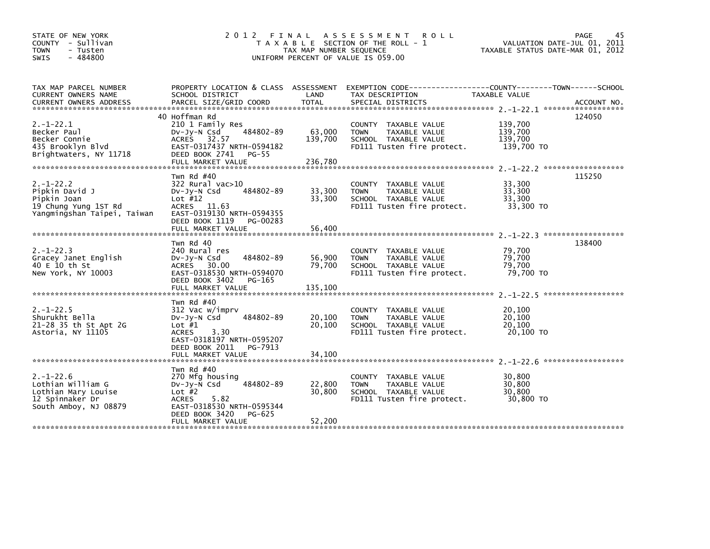| STATE OF NEW YORK<br>COUNTY - Sullivan<br><b>TOWN</b><br>- Tusten<br>$-484800$<br><b>SWIS</b>           | 2 0 1 2                                                                                                                                                                         | FINAL<br>TAX MAP NUMBER SEQUENCE | A S S E S S M E N T<br><b>ROLL</b><br>T A X A B L E SECTION OF THE ROLL - 1<br>UNIFORM PERCENT OF VALUE IS 059.00 | TAXABLE STATUS DATE-MAR 01, 2012            | PAGE<br>45<br>VALUATION DATE-JUL 01, 2011 |
|---------------------------------------------------------------------------------------------------------|---------------------------------------------------------------------------------------------------------------------------------------------------------------------------------|----------------------------------|-------------------------------------------------------------------------------------------------------------------|---------------------------------------------|-------------------------------------------|
| TAX MAP PARCEL NUMBER<br>CURRENT OWNERS NAME<br><b>CURRENT OWNERS ADDRESS</b>                           | PROPERTY LOCATION & CLASS ASSESSMENT<br>SCHOOL DISTRICT<br>PARCEL SIZE/GRID COORD                                                                                               | LAND<br><b>TOTAL</b>             | EXEMPTION CODE-----------------COUNTY-------TOWN------SCHOOL<br>TAX DESCRIPTION<br>SPECIAL DISTRICTS              | TAXABLE VALUE                               | ACCOUNT NO.                               |
| $2. -1 - 22.1$<br>Becker Paul<br>Becker Connie<br>435 Brooklyn Blvd<br>Brightwaters, NY 11718           | 40 Hoffman Rd<br>210 1 Family Res<br>484802-89<br>$Dv-Jv-N$ Csd<br>ACRES 32.57<br>EAST-0317437 NRTH-0594182<br>DEED BOOK 2741<br><b>PG-55</b><br>FULL MARKET VALUE              | 63,000<br>139,700<br>236,780     | COUNTY TAXABLE VALUE<br><b>TOWN</b><br>TAXABLE VALUE<br>SCHOOL TAXABLE VALUE<br>FD111 Tusten fire protect.        | 139,700<br>139,700<br>139,700<br>139,700 TO | 124050                                    |
| $2. - 1 - 22.2$<br>Pipkin David J<br>Pipkin Joan<br>19 Chung Yung 1ST Rd<br>Yangmingshan Taipei, Taiwan | Twn Rd $#40$<br>$322$ Rural vac $>10$<br>484802-89<br>$Dv-Jy-N$ Csd<br>Lot $#12$<br>ACRES 11.63<br>EAST-0319130 NRTH-0594355<br>DEED BOOK 1119<br>PG-00283<br>FULL MARKET VALUE | 33,300<br>33,300<br>56,400       | COUNTY TAXABLE VALUE<br>TAXABLE VALUE<br><b>TOWN</b><br>SCHOOL TAXABLE VALUE<br>FD111 Tusten fire protect.        | 33,300<br>33,300<br>33.300<br>33,300 TO     | 115250                                    |
| $2. - 1 - 22.3$<br>Gracey Janet English<br>40 E 10 th St<br>New York, NY 10003                          | Twn Rd 40<br>240 Rural res<br>484802-89<br>$Dv-Jy-N$ Csd<br>ACRES 30.00<br>EAST-0318530 NRTH-0594070<br>DEED BOOK 3402<br>PG-165<br>FULL MARKET VALUE                           | 56,900<br>79,700<br>135,100      | COUNTY TAXABLE VALUE<br><b>TOWN</b><br>TAXABLE VALUE<br>SCHOOL TAXABLE VALUE<br>FD111 Tusten fire protect.        | 79,700<br>79,700<br>79,700<br>79,700 TO     | 138400                                    |
| $2. -1 - 22.5$<br>Shurukht Bella<br>21-28 35 th St Apt 2G<br>Astoria, NY 11105                          | Twn Rd $#40$<br>312 Vac w/imprv<br>484802-89<br>$Dv-Jy-N$ Csd<br>Lot $#1$<br>ACRES<br>3.30<br>EAST-0318197 NRTH-0595207<br>DEED BOOK 2011<br>PG-7913<br>FULL MARKET VALUE       | 20,100<br>20,100<br>34,100       | COUNTY TAXABLE VALUE<br>TAXABLE VALUE<br><b>TOWN</b><br>SCHOOL TAXABLE VALUE<br>FD111 Tusten fire protect.        | 20,100<br>20,100<br>20,100<br>20,100 TO     |                                           |
| $2. - 1 - 22.6$<br>Lothian William G<br>Lothian Mary Louise<br>12 Spinnaker Dr<br>South Amboy, NJ 08879 | Twn Rd $#40$<br>270 Mfg housing<br>484802-89<br>$Dv-Jv-N$ Csd<br>Lot $#2$<br>5.82<br><b>ACRES</b><br>EAST-0318530 NRTH-0595344<br>DEED BOOK 3420<br>PG-625<br>FULL MARKET VALUE | 22,800<br>30,800<br>52,200       | COUNTY TAXABLE VALUE<br>TAXABLE VALUE<br><b>TOWN</b><br>SCHOOL TAXABLE VALUE<br>FD111 Tusten fire protect.        | 30,800<br>30,800<br>30,800<br>30,800 TO     |                                           |
|                                                                                                         |                                                                                                                                                                                 |                                  |                                                                                                                   |                                             |                                           |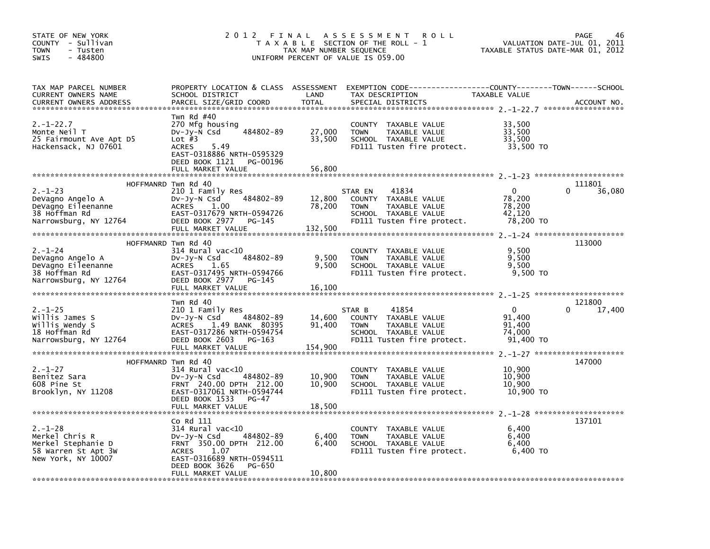| STATE OF NEW YORK<br>COUNTY - Sullivan<br><b>TOWN</b><br>- Tusten<br>$-484800$<br><b>SWIS</b>      | 2012 FINAL                                                                                                                                                                                      | TAX MAP NUMBER SEQUENCE     | A S S E S S M E N T<br><b>ROLL</b><br>T A X A B L E SECTION OF THE ROLL - 1<br>UNIFORM PERCENT OF VALUE IS 059.00                        | TAXABLE STATUS DATE-MAR 01, 2012                        | PAGE<br>46<br>VALUATION DATE-JUL 01, 2011 |
|----------------------------------------------------------------------------------------------------|-------------------------------------------------------------------------------------------------------------------------------------------------------------------------------------------------|-----------------------------|------------------------------------------------------------------------------------------------------------------------------------------|---------------------------------------------------------|-------------------------------------------|
| TAX MAP PARCEL NUMBER<br>CURRENT OWNERS NAME<br><b>CURRENT OWNERS ADDRESS</b>                      | SCHOOL DISTRICT<br>PARCEL SIZE/GRID COORD                                                                                                                                                       | LAND<br><b>TOTAL</b>        | PROPERTY LOCATION & CLASS ASSESSMENT EXEMPTION CODE----------------COUNTY-------TOWN------SCHOOL<br>TAX DESCRIPTION<br>SPECIAL DISTRICTS | TAXABLE VALUE                                           | ACCOUNT NO.                               |
| $2. - 1 - 22.7$<br>Monte Neil T<br>25 Fairmount Ave Apt D5<br>Hackensack, NJ 07601                 | Twn Rd $#40$<br>270 Mfg housing<br>$484802 - 89$<br>DV-Jy-N Csd<br>Lot $#3$<br>5.49<br><b>ACRES</b><br>EAST-0318886 NRTH-0595329<br>DEED BOOK 1121 PG-00196<br>FULL MARKET VALUE                | 27,000<br>33,500<br>56,800  | COUNTY TAXABLE VALUE<br>TAXABLE VALUE<br><b>TOWN</b><br>SCHOOL TAXABLE VALUE<br>FD111 Tusten fire protect.                               | 33,500<br>33,500<br>33,500<br>33,500 TO                 |                                           |
|                                                                                                    | HOFFMANRD Twn Rd 40                                                                                                                                                                             |                             |                                                                                                                                          |                                                         | 111801                                    |
| $2. - 1 - 23$<br>DeVagno Angelo A<br>DeVagno Eileenanne<br>38 Hoffman Rd<br>Narrowsburg, NY 12764  | 210 1 Family Res<br>484802-89<br>DV-Jy-N Csd<br>ACRES<br>1.00<br>EAST-0317679 NRTH-0594726<br>DEED BOOK 2977 PG-145<br>FULL MARKET VALUE                                                        | 12,800<br>78,200<br>132,500 | 41834<br>STAR EN<br>COUNTY TAXABLE VALUE<br><b>TOWN</b><br>TAXABLE VALUE<br>SCHOOL TAXABLE VALUE<br>FD111 Tusten fire protect.           | $\mathbf{0}$<br>78,200<br>78,200<br>42,120<br>78,200 TO | 36,080                                    |
|                                                                                                    |                                                                                                                                                                                                 |                             |                                                                                                                                          |                                                         |                                           |
| $2. - 1 - 24$<br>DeVagno Angelo A<br>DeVagno Eileenanne<br>38 Hoffman Rd<br>Narrowsburg, NY 12764  | HOFFMANRD Twn Rd 40<br>314 Rural vac<10<br>484802-89<br>Dv-Jy-N Csd<br>ACRES<br>1.65<br>EAST-0317495 NRTH-0594766<br>DEED BOOK 2977 PG-145<br>FULL MARKET VALUE                                 | 9,500<br>9,500<br>16,100    | COUNTY TAXABLE VALUE<br>TAXABLE VALUE<br><b>TOWN</b><br>SCHOOL TAXABLE VALUE<br>FD111 Tusten fire protect.                               | 9,500<br>9,500<br>9,500<br>9,500 TO                     | 113000                                    |
|                                                                                                    |                                                                                                                                                                                                 |                             |                                                                                                                                          |                                                         |                                           |
| $2. -1 - 25$<br>Willis James S<br>Willis Wendy S<br>18 Hoffman Rd<br>Narrowsburg, NY 12764         | Twn Rd 40<br>210 1 Family Res<br>484802-89<br>DV-Jy-N Csd<br>ACRES 1.49 BANK 80395<br>EAST-0317286 NRTH-0594754<br>DEED BOOK 2603<br>PG-163<br>FULL MARKET VALUE                                | 14,600<br>91,400<br>154,900 | 41854<br>STAR B<br>COUNTY TAXABLE VALUE<br><b>TOWN</b><br>TAXABLE VALUE<br>SCHOOL TAXABLE VALUE<br>FD111 Tusten fire protect.            | $\mathbf{0}$<br>91,400<br>91,400<br>74,000<br>91,400 TO | 121800<br>17,400                          |
|                                                                                                    | HOFFMANRD Twn Rd 40                                                                                                                                                                             |                             |                                                                                                                                          |                                                         | 147000                                    |
| $2. - 1 - 27$<br>Benitez Sara<br>608 Pine St<br>Brooklyn, NY 11208                                 | $314$ Rural vac<10<br>484802-89<br>DV-Jy-N Csd<br>FRNT 240.00 DPTH 212.00<br>EAST-0317061 NRTH-0594744<br>DEED BOOK 1533<br>PG-47<br>FULL MARKET VALUE                                          | 10,900<br>10,900<br>18,500  | COUNTY TAXABLE VALUE<br><b>TOWN</b><br>TAXABLE VALUE<br>SCHOOL TAXABLE VALUE<br>FD111 Tusten fire protect.                               | 10,900<br>10,900<br>10,900<br>10,900 TO                 |                                           |
|                                                                                                    |                                                                                                                                                                                                 |                             |                                                                                                                                          |                                                         |                                           |
| $2. - 1 - 28$<br>Merkel Chris R<br>Merkel Stephanie D<br>58 Warren St Apt 3W<br>New York, NY 10007 | Co Rd 111<br>$314$ Rural vac< $10$<br>484802-89<br>DV-Jy-N Csd<br>FRNT 350.00 DPTH 212.00<br><b>ACRES</b><br>1.07<br>EAST-0316689 NRTH-0594511<br>DEED BOOK 3626<br>PG-650<br>FULL MARKET VALUE | 6,400<br>6,400<br>10,800    | COUNTY TAXABLE VALUE<br><b>TOWN</b><br>TAXABLE VALUE<br>SCHOOL TAXABLE VALUE<br>FD111 Tusten fire protect.                               | 6,400<br>6,400<br>6,400<br>6,400 TO                     | 137101                                    |
|                                                                                                    |                                                                                                                                                                                                 |                             |                                                                                                                                          |                                                         |                                           |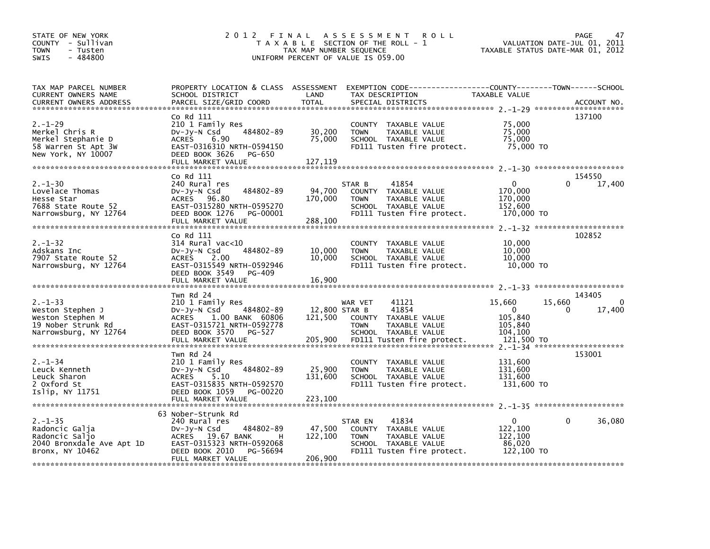| STATE OF NEW YORK<br>COUNTY - Sullivan<br><b>TOWN</b><br>- Tusten<br>$-484800$<br><b>SWIS</b>        | 2 0 1 2                                                                                                                                                                    | TAX MAP NUMBER SEQUENCE             | FINAL ASSESSMENT<br><b>ROLL</b><br>T A X A B L E SECTION OF THE ROLL - 1<br>UNIFORM PERCENT OF VALUE IS 059.00                          | TAXABLE STATUS DATE-MAR 01, 2012                           | 47<br>PAGE<br>VALUATION DATE-JUL 01, 2011                              |
|------------------------------------------------------------------------------------------------------|----------------------------------------------------------------------------------------------------------------------------------------------------------------------------|-------------------------------------|-----------------------------------------------------------------------------------------------------------------------------------------|------------------------------------------------------------|------------------------------------------------------------------------|
| TAX MAP PARCEL NUMBER<br>CURRENT OWNERS NAME<br>CURRENT OWNERS ADDRESS                               | PROPERTY LOCATION & CLASS ASSESSMENT<br>SCHOOL DISTRICT<br>PARCEL SIZE/GRID COORD                                                                                          | LAND<br><b>TOTAL</b>                | EXEMPTION CODE-----------------COUNTY-------TOWN------SCHOOL<br>TAX DESCRIPTION<br>SPECIAL DISTRICTS                                    | TAXABLE VALUE                                              | ACCOUNT NO.                                                            |
| $2. - 1 - 29$<br>Merkel Chris R<br>Merkel Stephanie D<br>58 Warren St Apt 3W<br>New York, NY 10007   | Co Rd 111<br>210 1 Family Res<br>484802-89<br>$Dv-Jy-N$ Csd<br>6.90<br><b>ACRES</b><br>EAST-0316310 NRTH-0594150<br>DEED BOOK 3626<br>PG-650<br>FULL MARKET VALUE          | 30,200<br>75,000<br>127,119         | COUNTY TAXABLE VALUE<br><b>TOWN</b><br>TAXABLE VALUE<br>SCHOOL TAXABLE VALUE<br>FD111 Tusten fire protect.                              | 75,000<br>75,000<br>75,000<br>75,000 TO                    | 137100                                                                 |
| $2. - 1 - 30$<br>Lovelace Thomas<br>Hesse Star<br>7688 State Route 52<br>Narrowsburg, NY 12764       | Co Rd 111<br>240 Rural res<br>484802-89<br>$Dv-Jv-N$ Csd<br>ACRES 96.80<br>EAST-0315280 NRTH-0595270<br>DEED BOOK 1276<br>PG-00001<br>FULL MARKET VALUE                    | 94,700<br>170,000<br>288,100        | 41854<br>STAR B<br>COUNTY TAXABLE VALUE<br>TAXABLE VALUE<br>TOWN<br>SCHOOL TAXABLE VALUE<br>FD111 Tusten fire protect.                  | $\mathbf 0$<br>170,000<br>170,000<br>152.600<br>170,000 TO | 154550<br>17,400                                                       |
| $2. - 1 - 32$<br>Adskans Inc<br>7907 State Route 52<br>Narrowsburg, NY 12764                         | Co Rd 111<br>$314$ Rural vac<10<br>484802-89<br>$Dv-Jy-N$ Csd<br>ACRES 2.00<br>EAST-0315549 NRTH-0592946<br>DEED BOOK 3549<br>PG-409<br>FULL MARKET VALUE                  | 10,000<br>10,000<br>16,900          | COUNTY TAXABLE VALUE<br><b>TOWN</b><br>TAXABLE VALUE<br>SCHOOL TAXABLE VALUE<br>FD111 Tusten fire protect.                              | 10,000<br>10,000<br>10,000<br>10,000 TO                    | 102852                                                                 |
| $2. - 1 - 33$<br>Weston Stephen J<br>Weston Stephen M<br>19 Nober Strunk Rd<br>Narrowsburg, NY 12764 | Twn Rd 24<br>210 1 Family Res<br>DV-Jy-N Csd<br>484802-89<br>ACRES 1.00 BANK 60806<br>EAST-0315721 NRTH-0592778<br>DEED BOOK 3570<br>PG-527<br>FULL MARKET VALUE           | 12,800 STAR B<br>121,500<br>205,900 | WAR VET<br>41121<br>41854<br>COUNTY TAXABLE VALUE<br><b>TOWN</b><br>TAXABLE VALUE<br>SCHOOL TAXABLE VALUE<br>FD111 Tusten fire protect. | 15,660<br>0<br>105,840<br>105,840<br>104,100<br>121,500 TO | 143405<br>15,660<br>0<br>17,400<br>$2. -1 - 34$ ********************** |
| $2. - 1 - 34$<br>Leuck Kenneth<br>Leuck Sharon<br>2 Oxford St<br>Islip, NY 11751                     | Twn Rd 24<br>210 1 Family Res<br>484802-89<br>$Dv-Jy-N$ Csd<br>5.10<br><b>ACRES</b><br>EAST-0315835 NRTH-0592570<br>DEED BOOK 1059<br>PG-00220                             | 25,900<br>131,600                   | COUNTY TAXABLE VALUE<br><b>TOWN</b><br>TAXABLE VALUE<br>SCHOOL TAXABLE VALUE<br>FD111 Tusten fire protect.                              | 131,600<br>131,600<br>131,600<br>131,600 TO                | 153001                                                                 |
| $2. - 1 - 35$<br>Radoncic Galja<br>Radoncic Saljo<br>2040 Bronxdale Ave Apt 1D<br>Bronx, NY 10462    | 63 Nober-Strunk Rd<br>240 Rural res<br>484802-89<br>$Dv-Jy-N$ Csd<br>ACRES 19.67 BANK<br>н<br>EAST-0315323 NRTH-0592068<br>DEED BOOK 2010<br>PG-56694<br>FULL MARKET VALUE | 47,500<br>122,100<br>206,900        | 41834<br>STAR EN<br>COUNTY TAXABLE VALUE<br>TAXABLE VALUE<br><b>TOWN</b><br>SCHOOL TAXABLE VALUE<br>FD111 Tusten fire protect.          | $\Omega$<br>122,100<br>122,100<br>86,020<br>122,100 TO     | 36,080<br>0                                                            |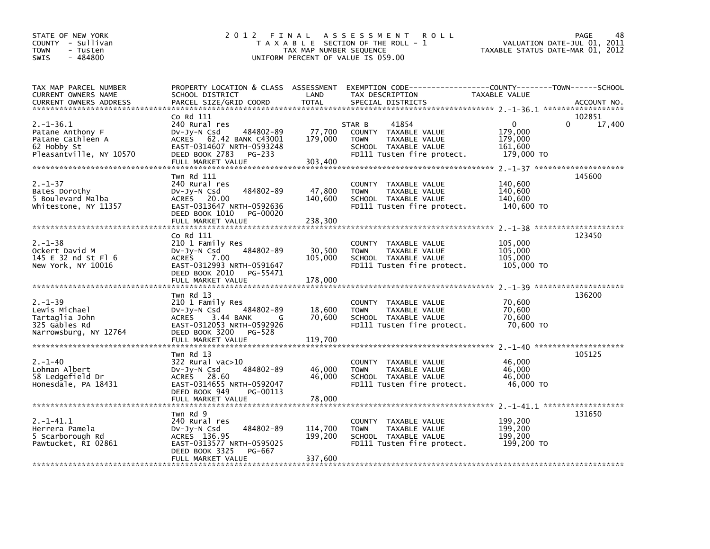| STATE OF NEW YORK<br>COUNTY - Sullivan<br>- Tusten<br><b>TOWN</b><br>$-484800$<br><b>SWIS</b>     |                                                                                                                                                                           | TAX MAP NUMBER SEQUENCE       | 2012 FINAL ASSESSMENT<br><b>ROLL</b><br>T A X A B L E SECTION OF THE ROLL - 1<br>UNIFORM PERCENT OF VALUE IS 059.00           | TAXABLE STATUS DATE-MAR 01, 2012                            | PAGE<br>48<br>VALUATION DATE-JUL 01, 2011 |
|---------------------------------------------------------------------------------------------------|---------------------------------------------------------------------------------------------------------------------------------------------------------------------------|-------------------------------|-------------------------------------------------------------------------------------------------------------------------------|-------------------------------------------------------------|-------------------------------------------|
| TAX MAP PARCEL NUMBER<br>CURRENT OWNERS NAME<br><b>CURRENT OWNERS ADDRESS</b>                     | PROPERTY LOCATION & CLASS ASSESSMENT<br>SCHOOL DISTRICT<br>PARCEL SIZE/GRID COORD                                                                                         | LAND<br><b>TOTAL</b>          | EXEMPTION CODE------------------COUNTY--------TOWN------SCHOOL<br>TAX DESCRIPTION<br>SPECIAL DISTRICTS                        | TAXABLE VALUE                                               | ACCOUNT NO.                               |
|                                                                                                   | Co Rd 111                                                                                                                                                                 |                               |                                                                                                                               |                                                             | 102851                                    |
| $2. -1 - 36.1$<br>Patane Anthony F<br>Patane Cathleen A<br>62 Hobby St<br>Pleasantville, NY 10570 | 240 Rural res<br>484802-89<br>$Dv-Jy-N$ Csd<br>62.42 BANK C43001<br>ACRES<br>EAST-0314607 NRTH-0593248<br>DEED BOOK 2783<br>PG-233<br>FULL MARKET VALUE                   | 77,700<br>179,000<br>303,400  | STAR B<br>41854<br>COUNTY TAXABLE VALUE<br>TAXABLE VALUE<br><b>TOWN</b><br>SCHOOL TAXABLE VALUE<br>FD111 Tusten fire protect. | $\mathbf{0}$<br>179.000<br>179,000<br>161,600<br>179,000 TO | 0<br>17,400                               |
|                                                                                                   |                                                                                                                                                                           |                               |                                                                                                                               |                                                             |                                           |
| $2. - 1 - 37$<br>Bates Dorothy<br>5 Boulevard Malba<br>Whitestone, NY 11357                       | Twn Rd 111<br>240 Rural res<br>484802-89<br>Dv-Jy-N Csd<br>ACRES 20.00<br>EAST-0313647 NRTH-0592636<br>DEED BOOK 1010<br>PG-00020<br>FULL MARKET VALUE                    | 47,800<br>140,600<br>238,300  | COUNTY TAXABLE VALUE<br>TAXABLE VALUE<br><b>TOWN</b><br>SCHOOL TAXABLE VALUE<br>FD111 Tusten fire protect.                    | 140,600<br>140,600<br>140,600<br>140,600 TO                 | 145600                                    |
|                                                                                                   | Co Rd 111                                                                                                                                                                 |                               |                                                                                                                               |                                                             | 123450                                    |
| $2. - 1 - 38$<br>Ockert David M<br>145 E 32 nd St Fl 6<br>New York, NY 10016                      | 210 1 Family Res<br>484802-89<br>DV-Jy-N Csd<br>ACRES 7.00<br>EAST-0312993 NRTH-0591647<br>DEED BOOK 2010<br>PG-55471<br>FULL MARKET VALUE                                | 30,500<br>105,000<br>178,000  | COUNTY TAXABLE VALUE<br><b>TOWN</b><br>TAXABLE VALUE<br>SCHOOL TAXABLE VALUE<br>FD111 Tusten fire protect.                    | 105,000<br>105,000<br>105,000<br>105,000 TO                 |                                           |
|                                                                                                   |                                                                                                                                                                           |                               |                                                                                                                               |                                                             |                                           |
| $2. - 1 - 39$<br>Lewis Michael<br>Tartaglia John<br>325 Gables Rd<br>Narrowsburg, NY 12764        | Twn Rd 13<br>210 1 Family Res<br>484802-89<br>DV-Jy-N Csd<br><b>ACRES</b><br>3.44 BANK<br>G<br>EAST-0312053 NRTH-0592926<br>DEED BOOK 3200<br>PG-528<br>FULL MARKET VALUE | 18,600<br>70,600<br>119,700   | COUNTY TAXABLE VALUE<br><b>TOWN</b><br>TAXABLE VALUE<br>SCHOOL TAXABLE VALUE<br>FD111 Tusten fire protect.                    | 70,600<br>70,600<br>70,600<br>70,600 TO                     | 136200                                    |
|                                                                                                   |                                                                                                                                                                           |                               |                                                                                                                               |                                                             |                                           |
| $2. - 1 - 40$<br>Lohman Albert<br>58 Ledgefield Dr<br>Honesdale, PA 18431                         | Twn Rd 13<br>322 Rural vac>10<br>484802-89<br>DV-Jy-N Csd<br>ACRES 28.60<br>EAST-0314655 NRTH-0592047<br>DEED BOOK 949<br>PG-00113<br>FULL MARKET VALUE                   | 46,000<br>46,000<br>78,000    | COUNTY TAXABLE VALUE<br>TAXABLE VALUE<br><b>TOWN</b><br>SCHOOL TAXABLE VALUE<br>FD111 Tusten fire protect.                    | 46,000<br>46,000<br>46,000<br>46,000 TO                     | 105125                                    |
|                                                                                                   | Twn Rd 9                                                                                                                                                                  |                               |                                                                                                                               |                                                             | 131650                                    |
| $2. -1 - 41.1$<br>Herrera Pamela<br>5 Scarborough Rd<br>Pawtucket, RI 02861                       | 240 Rural res<br>484802-89<br>DV-Jy-N Csd<br>ACRES 136.95<br>EAST-0313577 NRTH-0595025<br>DEED BOOK 3325<br>PG-667<br>FULL MARKET VALUE                                   | 114,700<br>199,200<br>337,600 | COUNTY TAXABLE VALUE<br><b>TOWN</b><br>TAXABLE VALUE<br>SCHOOL TAXABLE VALUE<br>FD111 Tusten fire protect.                    | 199,200<br>199.200<br>199,200<br>199,200 TO                 |                                           |
|                                                                                                   |                                                                                                                                                                           |                               |                                                                                                                               |                                                             |                                           |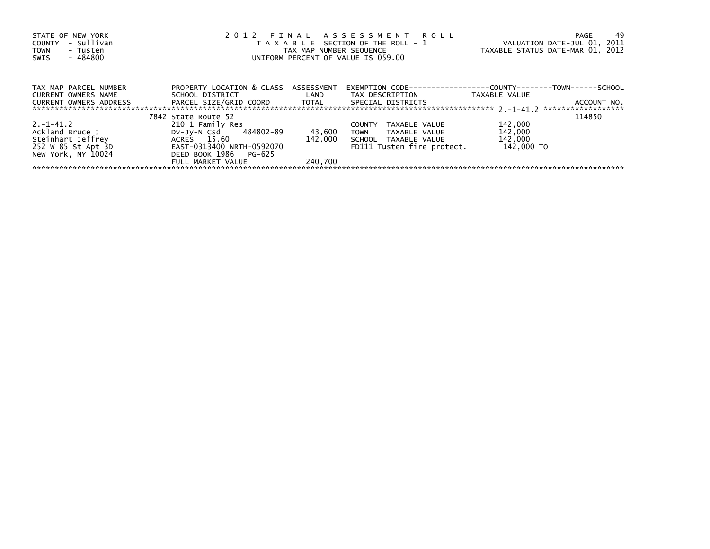| STATE OF NEW YORK       |                                      |                   | 2012 FINAL ASSESSMENT ROLL                                           |                                  | -49<br>PAGE                       |
|-------------------------|--------------------------------------|-------------------|----------------------------------------------------------------------|----------------------------------|-----------------------------------|
| - Sullivan<br>COUNTY    |                                      |                   | T A X A B L E SECTION OF THE ROLL - 1                                | VALUATION DATE-JUL 01, 2011      |                                   |
| <b>TOWN</b><br>- Tusten |                                      |                   | TAX MAP NUMBER SEQUENCE                                              | TAXABLE STATUS DATE-MAR 01, 2012 |                                   |
| - 484800<br>SWIS        |                                      |                   | UNIFORM PERCENT OF VALUE IS 059.00                                   |                                  |                                   |
|                         |                                      |                   |                                                                      |                                  |                                   |
| TAX MAP PARCEL NUMBER   | PROPERTY LOCATION & CLASS ASSESSMENT |                   | EXEMPTION        CODE-----------------COUNTY--------TOWN------SCHOOL |                                  |                                   |
| CURRENT OWNERS NAME     | SCHOOL DISTRICT                      | <b>Example 12</b> | TAX DESCRIPTION                                                      | TAXABLE VALUE                    |                                   |
|                         | PARCEL SIZE/GRID COORD TOTAL         |                   |                                                                      |                                  |                                   |
| CURRENT OWNERS ADDRESS  |                                      |                   | SPECIAL DISTRICTS                                                    |                                  | ACCOUNT NO.<br>****************** |
|                         | 7842 State Route 52                  |                   |                                                                      |                                  | 114850                            |
| $2. -1 - 41.2$          | 210 1 Family Res                     |                   | TAXABLE VALUE<br><b>COUNTY</b>                                       | 142,000                          |                                   |
| Ackland Bruce J         | DV-Jy-N Csd 484802-89                | 43,600            | TOWN TAXABLE VALUE                                                   | 142,000                          |                                   |
| Steinhart Jeffrey       | ACRES 15.60                          | 142.000           | SCHOOL TAXABLE VALUE                                                 | 142,000                          |                                   |
| 252 W 85 St Apt 3D      | EAST-0313400 NRTH-0592070            |                   | FD111 Tusten fire protect.                                           | 142,000 TO                       |                                   |
| New York, NY 10024      | DEED BOOK 1986 PG-625                |                   |                                                                      |                                  |                                   |
|                         | FULL MARKET VALUE                    | 240.700           |                                                                      |                                  |                                   |
|                         |                                      |                   |                                                                      |                                  |                                   |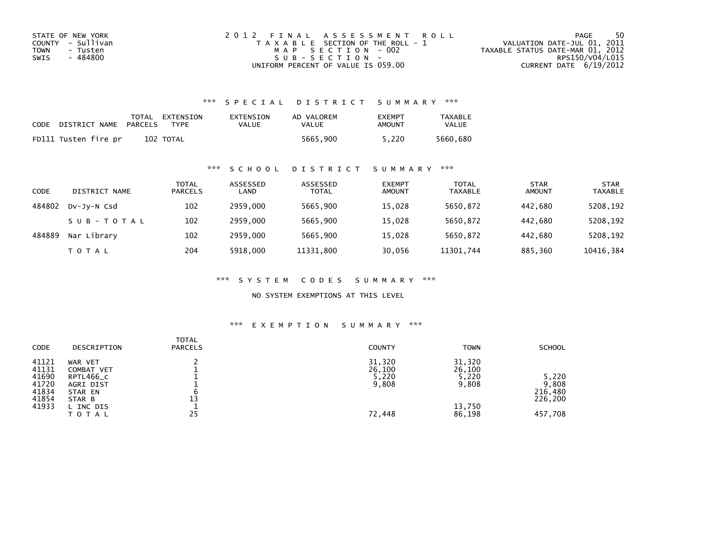| STATE OF NEW YORK | 2012 FINAL ASSESSMENT ROLL            | 50<br>PAGE                       |
|-------------------|---------------------------------------|----------------------------------|
| COUNTY - Sullivan | T A X A B L E SECTION OF THE ROLL - 1 | VALUATION DATE-JUL 01, 2011      |
| TOWN<br>- Tusten  | MAP SECTION - 002                     | TAXABLE STATUS DATE-MAR 01, 2012 |
| - 484800<br>SWIS  | $SUB - SECTION -$                     | RPS150/V04/L015                  |
|                   | UNIFORM PERCENT OF VALUE IS 059.00    | CURRENT DATE $6/19/2012$         |

## \*\*\* S P E C I A L D I S T R I C T S U M M A R Y \*\*\*

| CODE | DISTRICT NAME        | PARCELS | TOTAL EXTENSION<br><b>TYPF</b> | EXTENSION<br>VALUE | AD VALOREM<br>VALUE | <b>FXFMPT</b><br>AMOUNT | <b>TAXABLE</b><br>VALUE |
|------|----------------------|---------|--------------------------------|--------------------|---------------------|-------------------------|-------------------------|
|      | FD111 Tusten fire pr |         | 102 TOTAL                      |                    | 5665.900            | 5.220                   | 5660.680                |

## \*\*\* S C H O O L D I S T R I C T S U M M A R Y \*\*\*

| CODE   | DISTRICT NAME | <b>TOTAL</b><br><b>PARCELS</b> | ASSESSED<br>LAND | ASSESSED<br><b>TOTAL</b> | <b>EXEMPT</b><br><b>AMOUNT</b> | <b>TOTAL</b><br><b>TAXABLE</b> | <b>STAR</b><br><b>AMOUNT</b> | <b>STAR</b><br><b>TAXABLE</b> |
|--------|---------------|--------------------------------|------------------|--------------------------|--------------------------------|--------------------------------|------------------------------|-------------------------------|
| 484802 | DV-JV-N Csd   | 102                            | 2959.000         | 5665.900                 | 15,028                         | 5650,872                       | 442.680                      | 5208,192                      |
|        | SUB-TOTAL     | 102                            | 2959.000         | 5665,900                 | 15,028                         | 5650,872                       | 442.680                      | 5208,192                      |
| 484889 | Nar Library   | 102                            | 2959.000         | 5665,900                 | 15,028                         | 5650,872                       | 442.680                      | 5208,192                      |
|        | T O T A L     | 204                            | 5918,000         | 11331,800                | 30,056                         | 11301,744                      | 885,360                      | 10416,384                     |

\*\*\* S Y S T E M C O D E S S U M M A R Y \*\*\*

NO SYSTEM EXEMPTIONS AT THIS LEVEL

#### \*\*\* E X E M P T I O N S U M M A R Y \*\*\*

| <b>CODE</b>                                                 | DESCRIPTION                                                                                | <b>TOTAL</b><br><b>PARCELS</b> | <b>COUNTY</b>                                | <b>TOWN</b>                                            | <b>SCHOOL</b>                                   |
|-------------------------------------------------------------|--------------------------------------------------------------------------------------------|--------------------------------|----------------------------------------------|--------------------------------------------------------|-------------------------------------------------|
| 41121<br>41131<br>41690<br>41720<br>41834<br>41854<br>41933 | WAR VET<br>COMBAT VET<br>RPTL466_C<br>AGRI DIST<br>STAR EN<br>STAR B<br>L INC DIS<br>ΤΟΤΑΙ | 13<br>25                       | 31,320<br>26,100<br>5,220<br>9,808<br>72,448 | 31,320<br>26,100<br>5,220<br>9,808<br>13,750<br>86,198 | 5,220<br>9,808<br>216.480<br>226,200<br>457,708 |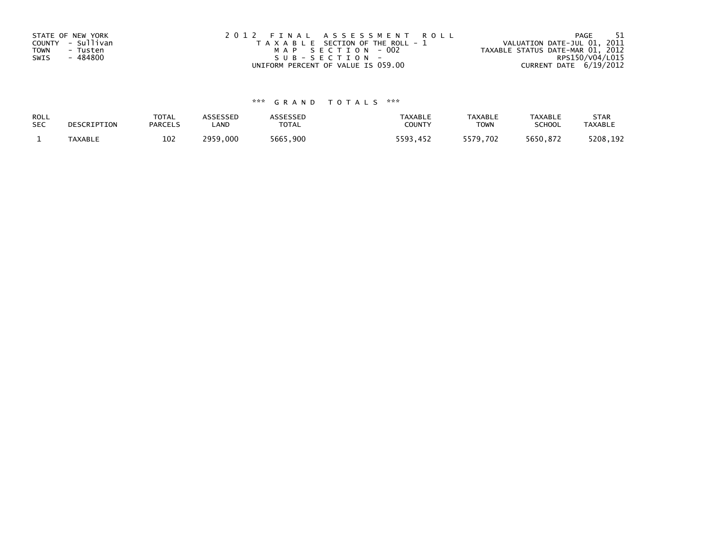| STATE OF NEW YORK       | 2012 FINAL ASSESSMENT ROLL            | - 51<br>PAGE                     |
|-------------------------|---------------------------------------|----------------------------------|
| COUNTY - Sullivan       | T A X A B L E SECTION OF THE ROLL - 1 | VALUATION DATE-JUL 01, 2011      |
| <b>TOWN</b><br>- Tusten | MAP SECTION - 002                     | TAXABLE STATUS DATE-MAR 01, 2012 |
| - 484800<br>SWIS        | SUB-SECTION-                          | RPS150/V04/L015                  |
|                         | UNIFORM PERCENT OF VALUE IS 059.00    | CURRENT DATE 6/19/2012           |

# \*\*\* G R A N D T O T A L S \*\*\*

| ROLL       | DESCRIPTION    | <b>TOTAL</b>   | ASSESSED | ASSESSED | <b>TAXABLE</b> | <b>TAXABLE</b> | <b>TAXABLE</b> | <b>STAR</b>    |
|------------|----------------|----------------|----------|----------|----------------|----------------|----------------|----------------|
| <b>SEC</b> |                | <b>PARCELS</b> | LAND     | TOTAL    | <b>COUNTY</b>  | <b>TOWN</b>    | <b>SCHOOL</b>  | <b>TAXABLE</b> |
|            | <b>TAXABLE</b> | 102            | 2959.000 | 5665,900 | 5593.452       | 5579,702       | 5650.872       | 5208,192       |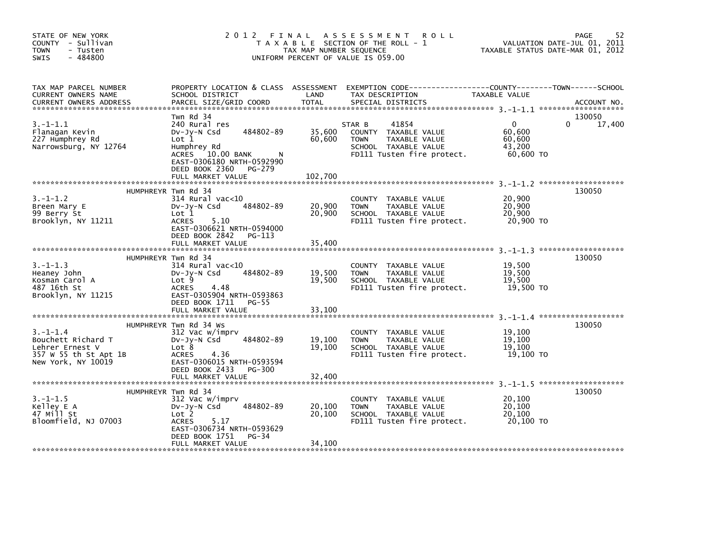| STATE OF NEW YORK<br>COUNTY - Sullivan<br><b>TOWN</b><br>- Tusten<br>$-484800$<br><b>SWIS</b>          | 2 0 1 2<br>FINAL                                                                                                                                                    | TAX MAP NUMBER SEQUENCE | A S S E S S M E N T<br><b>ROLL</b><br>T A X A B L E SECTION OF THE ROLL - 1<br>UNIFORM PERCENT OF VALUE IS 059.00                        |                                                     | 52<br>PAGE<br>VALUATION DATE-JUL 01, 2011<br>TAXABLE STATUS DATE-MAR 01, 2012 |
|--------------------------------------------------------------------------------------------------------|---------------------------------------------------------------------------------------------------------------------------------------------------------------------|-------------------------|------------------------------------------------------------------------------------------------------------------------------------------|-----------------------------------------------------|-------------------------------------------------------------------------------|
| TAX MAP PARCEL NUMBER<br>CURRENT OWNERS NAME<br><b>CURRENT OWNERS ADDRESS</b>                          | SCHOOL DISTRICT<br>PARCEL SIZE/GRID COORD                                                                                                                           | LAND<br><b>TOTAL</b>    | PROPERTY LOCATION & CLASS ASSESSMENT EXEMPTION CODE----------------COUNTY-------TOWN------SCHOOL<br>TAX DESCRIPTION<br>SPECIAL DISTRICTS | TAXABLE VALUE                                       | ACCOUNT NO.                                                                   |
|                                                                                                        | Twn Rd 34                                                                                                                                                           |                         |                                                                                                                                          |                                                     | 130050                                                                        |
| $3.-1-1.1$<br>Flanagan Kevin<br>227 Humphrey Rd<br>Narrowsburg, NY 12764                               | 240 Rural res<br>484802-89<br>$Dv-Jy-N$ Csd<br>Lot 1<br>Humphrey Rd<br>ACRES 10.00 BANK<br>EAST-0306180 NRTH-0592990                                                | 35,600<br>60,600        | 41854<br>STAR B<br>COUNTY TAXABLE VALUE<br>TAXABLE VALUE<br><b>TOWN</b><br>SCHOOL TAXABLE VALUE<br>FD111 Tusten fire protect.            | $\Omega$<br>60,600<br>60,600<br>43,200<br>60,600 TO | 17,400<br>0                                                                   |
|                                                                                                        | DEED BOOK 2360<br>PG-279<br>FULL MARKET VALUE                                                                                                                       | 102,700                 |                                                                                                                                          |                                                     |                                                                               |
| $3. - 1 - 1.2$<br>Breen Mary E                                                                         | HUMPHREYR Twn Rd 34<br>$314$ Rural vac< $10$<br>484802-89<br>$Dv-Jy-N$ Csd                                                                                          | 20,900                  | COUNTY<br>TAXABLE VALUE<br><b>TOWN</b><br>TAXABLE VALUE                                                                                  | 20,900<br>20,900                                    | 130050                                                                        |
| 99 Berry St<br>Brooklyn, NY 11211                                                                      | Lot 1<br>5.10<br><b>ACRES</b><br>EAST-0306621 NRTH-0594000<br>DEED BOOK 2842<br>PG-113<br>FULL MARKET VALUE                                                         | 20,900<br>35,400        | SCHOOL TAXABLE VALUE<br>FD111 Tusten fire protect.                                                                                       | 20,900<br>20,900 TO                                 |                                                                               |
|                                                                                                        |                                                                                                                                                                     |                         |                                                                                                                                          |                                                     |                                                                               |
| $3. -1 - 1.3$<br>Heaney John<br>Kosman Carol A<br>487 16th St<br>Brooklyn, NY 11215                    | HUMPHREYR Twn Rd 34<br>$314$ Rural vac< $10$<br>484802-89<br>Dv-Jy-N Csd<br>Lot 9<br><b>ACRES</b><br>4.48<br>EAST-0305904 NRTH-0593863<br>DEED BOOK 1711<br>$PG-55$ | 19,500<br>19,500        | <b>COUNTY</b><br>TAXABLE VALUE<br>TAXABLE VALUE<br><b>TOWN</b><br>SCHOOL TAXABLE VALUE<br>FD111 Tusten fire protect.                     | 19,500<br>19,500<br>19.500<br>19,500 TO             | 130050                                                                        |
|                                                                                                        | FULL MARKET VALUE                                                                                                                                                   | 33,100                  |                                                                                                                                          |                                                     |                                                                               |
| $3. - 1 - 1.4$<br>Bouchett Richard T<br>Lehrer Ernest V<br>357 W 55 th St Apt 1B<br>New York, NY 10019 | HUMPHREYR Twn Rd 34 Ws<br>312 Vac w/imprv<br>484802-89<br>$Dv-Jv-N$ Csd<br>Lot 8<br>4.36<br><b>ACRES</b><br>EAST-0306015 NRTH-0593594<br>DEED BOOK 2433<br>PG-300   | 19,100<br>19,100        | COUNTY TAXABLE VALUE<br><b>TOWN</b><br>TAXABLE VALUE<br>SCHOOL TAXABLE VALUE<br>FD111 Tusten fire protect.                               | 19,100<br>19,100<br>19,100<br>19,100 TO             | 130050                                                                        |
|                                                                                                        | FULL MARKET VALUE                                                                                                                                                   | 32,400                  |                                                                                                                                          |                                                     |                                                                               |
| $3.-1-1.5$<br>Kelley E A<br>47 Mill St<br>Bloomfield, NJ 07003                                         | HUMPHREYR Twn Rd 34<br>312 Vac w/imprv<br>484802-89<br>DV-Jy-N Csd<br>Lot 2<br>5.17<br><b>ACRES</b><br>EAST-0306734 NRTH-0593629                                    | 20,100<br>20,100        | <b>COUNTY</b><br>TAXABLE VALUE<br><b>TOWN</b><br>TAXABLE VALUE<br>SCHOOL TAXABLE VALUE<br>FD111 Tusten fire protect.                     | 20,100<br>20,100<br>20,100<br>20,100 TO             | 130050                                                                        |
|                                                                                                        | DEED BOOK 1751<br>PG-34<br>FULL MARKET VALUE                                                                                                                        | 34,100                  |                                                                                                                                          |                                                     |                                                                               |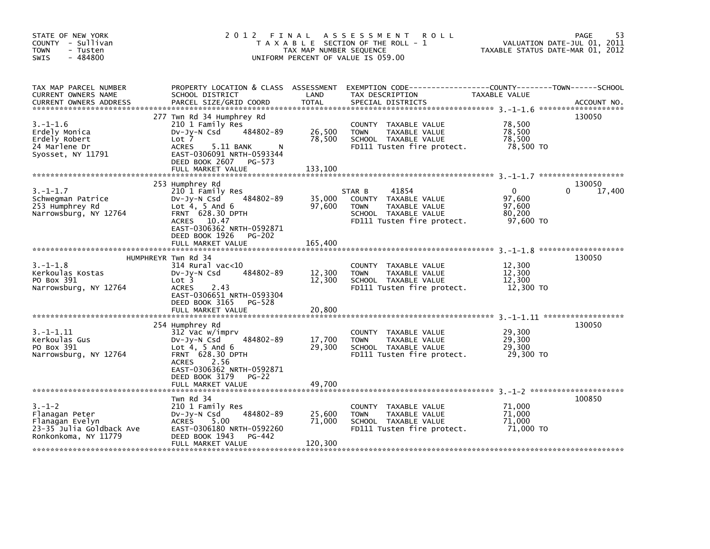| STATE OF NEW YORK<br>COUNTY - Sullivan<br>- Tusten<br><b>TOWN</b><br>- 484800<br>SWIS                 |                                                                                                                                                                                                              | TAX MAP NUMBER SEQUENCE     | 2012 FINAL ASSESSMENT<br><b>ROLL</b><br>T A X A B L E SECTION OF THE ROLL - 1<br>UNIFORM PERCENT OF VALUE IS 059.00                     | VALUATION DATE-JUL 01, 2011<br>TAXABLE STATUS DATE-MAR 01, 2012 | 53<br><b>PAGE</b> |
|-------------------------------------------------------------------------------------------------------|--------------------------------------------------------------------------------------------------------------------------------------------------------------------------------------------------------------|-----------------------------|-----------------------------------------------------------------------------------------------------------------------------------------|-----------------------------------------------------------------|-------------------|
| TAX MAP PARCEL NUMBER<br>CURRENT OWNERS NAME<br>CURRENT OWNERS ADDRESS                                | SCHOOL DISTRICT<br>PARCEL SIZE/GRID COORD                                                                                                                                                                    | LAND<br><b>TOTAL</b>        | PROPERTY LOCATION & CLASS ASSESSMENT EXEMPTION CODE---------------COUNTY-------TOWN------SCHOOL<br>TAX DESCRIPTION<br>SPECIAL DISTRICTS | TAXABLE VALUE                                                   | ACCOUNT NO.       |
| $3. - 1 - 1.6$<br>Erdely Monica<br>Erdely Robert<br>24 Marlene Dr<br>Syosset, NY 11791                | 277 Twn Rd 34 Humphrey Rd<br>210 1 Family Res<br>484802-89<br>Dv-Jy-N Csd<br>Lot 7<br>5.11 BANK<br><b>ACRES</b><br>N.<br>EAST-0306091 NRTH-0593344<br>DEED BOOK 2607 PG-573<br>FULL MARKET VALUE             | 26,500<br>78,500<br>133,100 | COUNTY TAXABLE VALUE<br><b>TOWN</b><br>TAXABLE VALUE<br>SCHOOL TAXABLE VALUE<br>FD111 Tusten fire protect.                              | 78,500<br>78,500<br>78,500<br>78,500 TO                         | 130050            |
| $3.-1-1.7$<br>Schwegman Patrice<br>253 Humphrey Rd<br>Narrowsburg, NY 12764                           | 253 Humphrey Rd<br>210 1 Family Res<br>484802-89<br>$Dv-Jy-N$ Csd<br>Lot $4, 5$ And $6$<br>FRNT 628.30 DPTH<br>ACRES 10.47<br>EAST-0306362 NRTH-0592871<br>DEED BOOK 1926 PG-202<br>FULL MARKET VALUE        | 35,000<br>97,600<br>165,400 | 41854<br>STAR B<br>COUNTY TAXABLE VALUE<br><b>TOWN</b><br>TAXABLE VALUE<br>SCHOOL TAXABLE VALUE<br>FD111 Tusten fire protect.           | $\Omega$<br>0<br>97,600<br>97,600<br>80,200<br>97,600 TO        | 130050<br>17,400  |
|                                                                                                       |                                                                                                                                                                                                              |                             |                                                                                                                                         |                                                                 |                   |
| $3. - 1 - 1.8$<br>Kerkoulas Kostas<br>PO Box 391<br>Narrowsburg, NY 12764                             | HUMPHREYR Twn Rd 34<br>314 Rural vac<10<br>484802-89<br>$Dv-Jy-N$ Csd<br>Lot 3<br>2.43<br><b>ACRES</b><br>EAST-0306651 NRTH-0593304<br>DEED BOOK 3165<br>PG-528                                              | 12,300<br>12,300            | COUNTY TAXABLE VALUE<br>TAXABLE VALUE<br><b>TOWN</b><br>SCHOOL TAXABLE VALUE<br>FD111 Tusten fire protect.                              | 12,300<br>12,300<br>12,300<br>12,300 TO                         | 130050            |
|                                                                                                       | FULL MARKET VALUE                                                                                                                                                                                            | 20,800                      |                                                                                                                                         |                                                                 |                   |
| $3. -1 - 1.11$<br>Kerkoulas Gus<br>PO Box 391<br>Narrowsburg, NY 12764                                | 254 Humphrey Rd<br>312 Vac w/imprv<br>484802-89<br>$Dv-Jv-N$ Csd<br>Lot $4, 5$ And $6$<br>FRNT 628.30 DPTH<br>2.56<br><b>ACRES</b><br>EAST-0306362 NRTH-0592871<br>DEED BOOK 3179 PG-22<br>FULL MARKET VALUE | 17,700<br>29,300<br>49.700  | COUNTY TAXABLE VALUE<br>TAXABLE VALUE<br><b>TOWN</b><br>SCHOOL TAXABLE VALUE<br>FD111 Tusten fire protect.                              | 29,300<br>29,300<br>29,300<br>29,300 TO                         | 130050            |
|                                                                                                       | Twn Rd 34                                                                                                                                                                                                    |                             |                                                                                                                                         |                                                                 | 100850            |
| $3. - 1 - 2$<br>Flanagan Peter<br>Flanagan Evelyn<br>23-35 Julia Goldback Ave<br>Ronkonkoma, NY 11779 | 210 1 Family Res<br>484802-89<br>DV-Jy-N Csd<br>ACRES 5.00<br>EAST-0306180 NRTH-0592260<br>DEED BOOK 1943<br>PG-442<br>FULL MARKET VALUE                                                                     | 25,600<br>71,000<br>120,300 | COUNTY TAXABLE VALUE<br><b>TOWN</b><br>TAXABLE VALUE<br>SCHOOL TAXABLE VALUE<br>FD111 Tusten fire protect.                              | 71,000<br>71,000<br>71.000<br>71,000 TO                         |                   |
|                                                                                                       |                                                                                                                                                                                                              |                             |                                                                                                                                         |                                                                 |                   |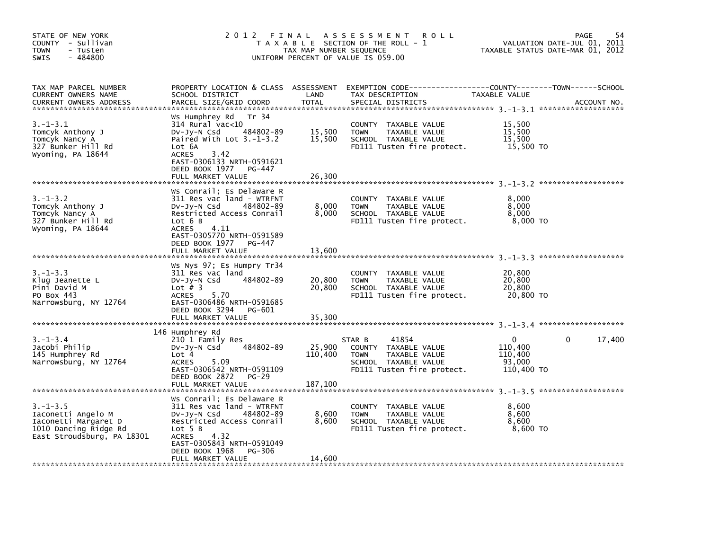| STATE OF NEW YORK<br>COUNTY - Sullivan<br><b>TOWN</b><br>- Tusten<br>$-484800$<br><b>SWIS</b>                       | 2 0 1 2<br>FINAL                                                                                                                                                                                                                 | TAX MAP NUMBER SEQUENCE      | A S S E S S M E N T<br>R O L L<br>T A X A B L E SECTION OF THE ROLL - 1<br>UNIFORM PERCENT OF VALUE IS 059.00                 |                                                 | 54<br><b>PAGE</b><br>VALUATION DATE-JUL 01, 2011<br>TAXABLE STATUS DATE-MAR 01, 2012 |
|---------------------------------------------------------------------------------------------------------------------|----------------------------------------------------------------------------------------------------------------------------------------------------------------------------------------------------------------------------------|------------------------------|-------------------------------------------------------------------------------------------------------------------------------|-------------------------------------------------|--------------------------------------------------------------------------------------|
| TAX MAP PARCEL NUMBER<br>CURRENT OWNERS NAME<br><b>CURRENT OWNERS ADDRESS</b>                                       | PROPERTY LOCATION & CLASS ASSESSMENT<br>SCHOOL DISTRICT<br>PARCEL SIZE/GRID COORD                                                                                                                                                | LAND<br><b>TOTAL</b>         | TAX DESCRIPTION<br>SPECIAL DISTRICTS                                                                                          | TAXABLE VALUE                                   | ACCOUNT NO.                                                                          |
| $3.-1-3.1$<br>Tomcyk Anthony J<br>Tomcyk Nancy A<br>327 Bunker Hill Rd<br>Wyoming, PA 18644                         | Ws Humphrey Rd – Tr 34<br>$314$ Rural vac<10<br>484802-89<br>$Dv-Jy-N$ Csd<br>Paired With Lot $3.-1-3.2$<br>Lot 6A<br>3.42<br><b>ACRES</b><br>EAST-0306133 NRTH-0591621<br>DEED BOOK 1977<br>PG-447<br>FULL MARKET VALUE         | 15,500<br>15,500<br>26,300   | COUNTY<br>TAXABLE VALUE<br><b>TOWN</b><br>TAXABLE VALUE<br>SCHOOL TAXABLE VALUE<br>FD111 Tusten fire protect.                 | 15,500<br>15,500<br>15,500<br>15,500 TO         |                                                                                      |
| $3. - 1 - 3.2$<br>Tomcyk Anthony J<br>Tomcyk Nancy A<br>327 Bunker Hill Rd<br>Wyoming, PA 18644                     | Ws Conrail; Es Delaware R<br>311 Res vac land - WTRFNT<br>DV-Jy-N Csd<br>484802-89<br>Restricted Access Conrail<br>Lot 6 B<br>ACRES<br>4.11<br>EAST-0305770 NRTH-0591589<br>DEED BOOK 1977<br>PG-447<br>FULL MARKET VALUE        | 8,000<br>8,000<br>13,600     | COUNTY TAXABLE VALUE<br>TAXABLE VALUE<br><b>TOWN</b><br>SCHOOL TAXABLE VALUE<br>FD111 Tusten fire protect.                    | 8,000<br>8,000<br>8,000<br>8,000 TO             |                                                                                      |
| $3 - 1 - 3$ . 3<br>Klug Jeanette L<br>Pini David M<br>PO Box 443<br>Narrowsburg, NY 12764                           | Ws Nys 97; Es Humpry Tr34<br>311 Res vac land<br>484802-89<br>DV-Jy-N Csd<br>Lot $#$ 3<br><b>ACRES</b><br>5.70<br>EAST-0306486 NRTH-0591685<br>DEED BOOK 3294<br>PG-601<br>FULL MARKET VALUE                                     | 20,800<br>20,800<br>35,300   | <b>COUNTY</b><br>TAXABLE VALUE<br>TAXABLE VALUE<br><b>TOWN</b><br>SCHOOL TAXABLE VALUE<br>FD111 Tusten fire protect.          | 20,800<br>20,800<br>20,800<br>20,800 TO         |                                                                                      |
| $3. - 1 - 3.4$<br>Jacobi Philip<br>145 Humphrey Rd<br>Narrowsburg, NY 12764                                         | 146 Humphrey Rd<br>210 1 Family Res<br>484802-89<br>$Dv-Jy-N$ Csd<br>Lot 4<br><b>ACRES</b><br>5.09<br>EAST-0306542 NRTH-0591109<br>DEED BOOK 2872<br><b>PG-29</b><br>FULL MARKET VALUE                                           | 25,900<br>110,400<br>187,100 | 41854<br>STAR B<br>COUNTY TAXABLE VALUE<br>TAXABLE VALUE<br><b>TOWN</b><br>SCHOOL TAXABLE VALUE<br>FD111 Tusten fire protect. | 0<br>110,400<br>110,400<br>93,000<br>110,400 TO | 17,400<br>$\Omega$                                                                   |
| $3. - 1 - 3.5$<br>Iaconetti Angelo M<br>Iaconetti Margaret D<br>1010 Dancing Ridge Rd<br>East Stroudsburg, PA 18301 | Ws Conrail; Es Delaware R<br>311 Res vac land - WTRFNT<br>DV-Jy-N Csd<br>484802-89<br>Restricted Access Conrail<br>Lot 5 B<br><b>ACRES</b><br>4.32<br>EAST-0305843 NRTH-0591049<br>DEED BOOK 1968<br>PG-306<br>FULL MARKET VALUE | 8,600<br>8,600<br>14,600     | COUNTY TAXABLE VALUE<br><b>TOWN</b><br>TAXABLE VALUE<br>SCHOOL TAXABLE VALUE<br>FD111 Tusten fire protect.                    | 8,600<br>8,600<br>8,600<br>8,600 TO             |                                                                                      |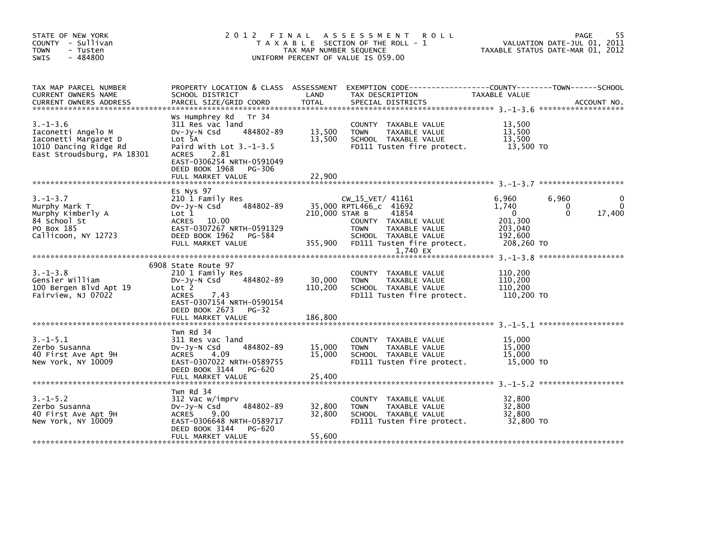| 55<br>PAGE<br>VALUATION DATE-JUL 01, 2011<br>TAXABLE STATUS DATE-MAR 01, 2012                    |
|--------------------------------------------------------------------------------------------------|
| PROPERTY LOCATION & CLASS ASSESSMENT EXEMPTION CODE----------------COUNTY-------TOWN------SCHOOL |
|                                                                                                  |
|                                                                                                  |
| $\Omega$<br>17,400                                                                               |
|                                                                                                  |
|                                                                                                  |
|                                                                                                  |
|                                                                                                  |
|                                                                                                  |
|                                                                                                  |
|                                                                                                  |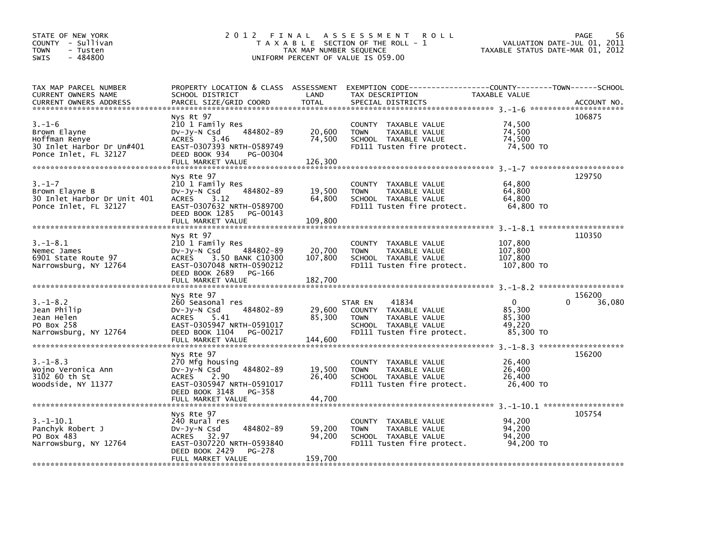| STATE OF NEW YORK<br>COUNTY - Sullivan<br><b>TOWN</b><br>- Tusten<br>$-484800$<br><b>SWIS</b> | 2 0 1 2                                                                                                                                                              | FINAL<br>TAX MAP NUMBER SEQUENCE | A S S E S S M E N T<br><b>ROLL</b><br>T A X A B L E SECTION OF THE ROLL - 1<br>UNIFORM PERCENT OF VALUE IS 059.00                     | TAXABLE STATUS DATE-MAR 01, 2012                        | <b>PAGE</b><br>56<br>VALUATION DATE-JUL 01, 2011 |
|-----------------------------------------------------------------------------------------------|----------------------------------------------------------------------------------------------------------------------------------------------------------------------|----------------------------------|---------------------------------------------------------------------------------------------------------------------------------------|---------------------------------------------------------|--------------------------------------------------|
| TAX MAP PARCEL NUMBER<br>CURRENT OWNERS NAME<br>CURRENT OWNERS ADDRESS                        | PROPERTY LOCATION & CLASS ASSESSMENT<br>SCHOOL DISTRICT<br>PARCEL SIZE/GRID COORD                                                                                    | LAND<br><b>TOTAL</b>             | EXEMPTION CODE-----------------COUNTY-------TOWN------SCHOOL<br>TAX DESCRIPTION<br>SPECIAL DISTRICTS                                  | TAXABLE VALUE                                           | ACCOUNT NO.                                      |
|                                                                                               | Nys Rt 97                                                                                                                                                            |                                  |                                                                                                                                       |                                                         | 106875                                           |
| $3. - 1 - 6$<br>Brown Elayne<br>Hoffman Renye<br>30 Inlet Harbor Dr Un#401                    | 210 1 Family Res<br>484802-89<br>$Dv-Jy-N$ Csd<br>3.46<br><b>ACRES</b><br>EAST-0307393 NRTH-0589749                                                                  | 20,600<br>74,500                 | COUNTY TAXABLE VALUE<br><b>TOWN</b><br>TAXABLE VALUE<br>SCHOOL TAXABLE VALUE<br>FD111 Tusten fire protect.                            | 74,500<br>74,500<br>74,500<br>74,500 TO                 |                                                  |
| Ponce Inlet, FL 32127                                                                         | DEED BOOK 934<br>PG-00304<br>FULL MARKET VALUE                                                                                                                       | 126,300                          |                                                                                                                                       |                                                         |                                                  |
|                                                                                               |                                                                                                                                                                      |                                  |                                                                                                                                       |                                                         |                                                  |
| $3. - 1 - 7$<br>Brown Elayne B<br>30 Inlet Harbor Dr Unit 401<br>Ponce Inlet, FL 32127        | Nys Rte 97<br>210 1 Family Res<br>484802-89<br>$Dv-Jy-N$ Csd<br><b>ACRES</b><br>3.12<br>EAST-0307632 NRTH-0589700<br>DEED BOOK 1285<br>PG-00143<br>FULL MARKET VALUE | 19,500<br>64,800<br>109,800      | COUNTY TAXABLE VALUE<br>TAXABLE VALUE<br><b>TOWN</b><br>SCHOOL TAXABLE VALUE<br>FD111 Tusten fire protect.                            | 64,800<br>64,800<br>64,800<br>64.800 TO                 | 129750                                           |
|                                                                                               | Nys Rt 97                                                                                                                                                            |                                  |                                                                                                                                       |                                                         | 110350                                           |
| $3. - 1 - 8.1$<br>Nemec James<br>6901 State Route 97<br>Narrowsburg, NY 12764                 | 210 1 Family Res<br>$Dv-Jy-N$ Csd<br>484802-89<br><b>ACRES</b><br>3.50 BANK C10300<br>EAST-0307048 NRTH-0590212<br>DEED BOOK 2689<br>PG-166                          | 20,700<br>107,800                | COUNTY TAXABLE VALUE<br><b>TOWN</b><br>TAXABLE VALUE<br>SCHOOL TAXABLE VALUE<br>FD111 Tusten fire protect.                            | 107,800<br>107,800<br>107,800<br>107,800 TO             |                                                  |
|                                                                                               |                                                                                                                                                                      |                                  |                                                                                                                                       |                                                         |                                                  |
|                                                                                               | Nys Rte 97                                                                                                                                                           |                                  |                                                                                                                                       |                                                         | 156200                                           |
| $3. - 1 - 8.2$<br>Jean Philip<br>Jean Helen<br>PO Box 258<br>Narrowsburg, NY 12764            | 260 Seasonal res<br>484802-89<br>$Dv-Jy-N$ Csd<br><b>ACRES</b><br>5.41<br>EAST-0305947 NRTH-0591017<br>DEED BOOK 1104<br>PG-00217<br>FULL MARKET VALUE               | 29,600<br>85.300                 | 41834<br>STAR EN<br>COUNTY TAXABLE VALUE<br><b>TAXABLE VALUE</b><br><b>TOWN</b><br>SCHOOL TAXABLE VALUE<br>FD111 Tusten fire protect. | $\mathbf{0}$<br>85,300<br>85.300<br>49,220<br>85,300 TO | 36,080<br>0                                      |
|                                                                                               |                                                                                                                                                                      | 144,600                          |                                                                                                                                       |                                                         | $3. -1 - 8.3$ *********************              |
| $3. - 1 - 8.3$<br>Wojno Veronica Ann<br>3102 60 th St<br>Woodside, NY 11377                   | Nys Rte 97<br>270 Mfg housing<br>484802-89<br>$Dv-Jy-N$ Csd<br><b>ACRES</b><br>2.90<br>EAST-0305947 NRTH-0591017<br>DEED BOOK 3148<br>PG-358                         | 19,500<br>26,400                 | COUNTY TAXABLE VALUE<br>TAXABLE VALUE<br><b>TOWN</b><br>SCHOOL TAXABLE VALUE<br>FD111 Tusten fire protect.                            | 26,400<br>26,400<br>26,400<br>26,400 TO                 | 156200                                           |
|                                                                                               |                                                                                                                                                                      |                                  |                                                                                                                                       |                                                         |                                                  |
| $3.-1-10.1$<br>Panchyk Robert J<br>PO Box 483<br>Narrowsburg, NY 12764                        | Nys Rte 97<br>240 Rural res<br>484802-89<br>$Dv-Jy-N$ Csd<br>ACRES 32.97<br>EAST-0307220 NRTH-0593840<br>DEED BOOK 2429<br>PG-278                                    | 59,200<br>94,200                 | COUNTY TAXABLE VALUE<br><b>TOWN</b><br>TAXABLE VALUE<br>SCHOOL TAXABLE VALUE<br>FD111 Tusten fire protect.                            | 94.200<br>94,200<br>94,200<br>94.200 TO                 | 105754                                           |
|                                                                                               | FULL MARKET VALUE                                                                                                                                                    | 159,700                          |                                                                                                                                       |                                                         |                                                  |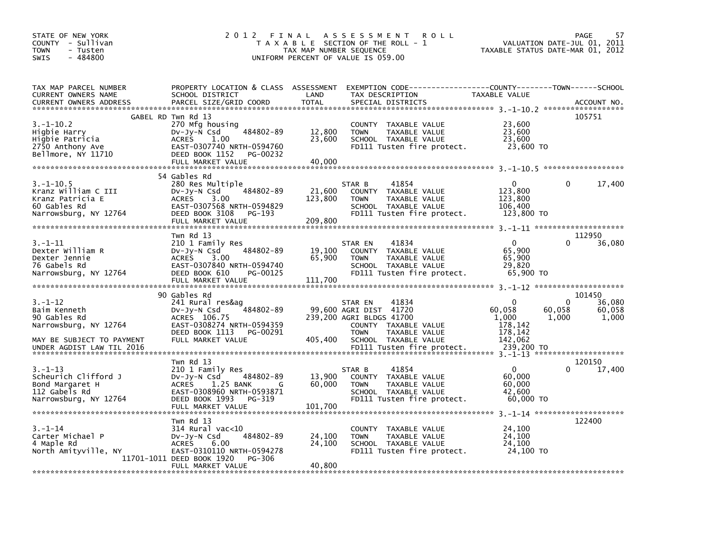| TAX MAP PARCEL NUMBER<br>PROPERTY LOCATION & CLASS ASSESSMENT<br>EXEMPTION        CODE-----------------COUNTY-------TOWN------SCHOOL<br><b>CURRENT OWNERS NAME</b><br>SCHOOL DISTRICT<br>LAND<br>TAX DESCRIPTION<br>TAXABLE VALUE<br>PARCEL SIZE/GRID COORD<br><b>TOTAL</b><br><b>CURRENT OWNERS ADDRESS</b><br>SPECIAL DISTRICTS<br>ACCOUNT NO.<br>105751<br>GABEL RD Twn Rd 13<br>$3.-1-10.2$<br>270 Mfg housing<br>23,600<br><b>COUNTY</b><br>TAXABLE VALUE<br>23,600<br>484802-89<br>Higbie Harry<br>12,800<br>DV-Jy-N Csd<br><b>TOWN</b><br>TAXABLE VALUE<br>23,600<br>SCHOOL TAXABLE VALUE<br>23,600<br>Higbie Patricia<br><b>ACRES</b><br>1.00<br>23,600 TO<br>2750 Anthony Ave<br>EAST-0307740 NRTH-0594760<br>FD111 Tusten fire protect.<br>Bellmore, NY 11710<br>DEED BOOK 1152<br>PG-00232<br>FULL MARKET VALUE<br>40,000<br>54 Gables Rd<br>280 Res Multiple<br>$\Omega$<br>17,400<br>$3.-1-10.5$<br>41854<br>0<br>STAR B<br>484802-89<br>123,800<br>Kranz William C III<br>21,600<br>DV-Jy-N Csd<br><b>COUNTY</b><br>TAXABLE VALUE<br>123,800<br>123,800<br>Kranz Patricia E<br><b>ACRES</b><br>3.00<br><b>TOWN</b><br>TAXABLE VALUE<br>EAST-0307568 NRTH-0594829<br>60 Gables Rd<br>106,400<br>SCHOOL TAXABLE VALUE<br>Narrowsburg, NY 12764<br>DEED BOOK 3108<br>FD111 Tusten fire protect.<br>123,800 TO<br>PG-193<br>209,800<br>FULL MARKET VALUE<br>Twn Rd 13<br>112950<br>$\Omega$<br>0<br>36,080<br>$3 - 1 - 11$<br>210 1 Family Res<br>41834<br>STAR EN<br>484802-89<br>Dexter William R<br>19,100<br>65,900<br>DV-Jy-N Csd<br><b>COUNTY</b><br>TAXABLE VALUE<br>65,900<br>65,900<br>Dexter Jennie<br><b>ACRES</b><br>3.00<br><b>TOWN</b><br>TAXABLE VALUE<br>76 Gabels Rd<br>EAST-0307840 NRTH-0594740<br>29,820<br>SCHOOL TAXABLE VALUE<br>Narrowsburg, NY 12764<br>DEED BOOK 610<br>FD111 Tusten fire protect.<br>65,900 TO<br>PG-00125<br>111,700<br>FULL MARKET VALUE<br>90 Gables Rd<br>101450<br>0<br>36,080<br>3.–1–12<br>241 Rural res&ag<br>$\Omega$<br>41834<br>STAR EN<br>484802-89<br>60,058<br>60,058<br>Baim Kenneth<br>DV-Jy-N Csd<br>99,600 AGRI DIST 41720<br>60,058<br>90 Gables Rd<br>1.000<br>1,000<br>ACRES 106.75<br>239,200 AGRI BLDGS 41700<br>1.000<br>EAST-0308274 NRTH-0594359<br>Narrowsburg, NY 12764<br>COUNTY TAXABLE VALUE<br>178,142<br>DEED BOOK 1113<br>178,142<br>PG-00291<br><b>TOWN</b><br>TAXABLE VALUE<br>142,062<br>FULL MARKET VALUE<br>405,400<br>MAY BE SUBJECT TO PAYMENT<br>SCHOOL TAXABLE VALUE<br>FD111 Tusten fire protect.<br>239,200 TO<br>UNDER AGDIST LAW TIL 2016<br>Twn Rd 13<br>120150<br>$\mathbf{0}$<br>41854<br>$3 - 1 - 13$<br>210 1 Family Res<br>17,400<br>STAR B<br>484802-89<br>13,900<br>60,000<br>Scheurich Clifford J<br>TAXABLE VALUE<br>$Dv-Jy-N$ Csd<br><b>COUNTY</b><br>60,000<br>Bond Margaret H<br><b>ACRES</b><br>1.25 BANK<br>60,000<br>TAXABLE VALUE<br>G<br><b>TOWN</b><br>112 Gabels Rd<br>EAST-0308960 NRTH-0593871<br>42.600<br>SCHOOL TAXABLE VALUE<br>DEED BOOK 1993<br>PG-319<br>Narrowsburg, NY 12764<br>FD111 Tusten fire protect.<br>60,000 TO<br>101,700<br>FULL MARKET VALUE<br>122400<br>Twn Rd 13<br>$3 - 1 - 14$<br>24,100<br>$314$ Rural vac< $10$<br><b>COUNTY</b><br>TAXABLE VALUE<br>484802-89<br>24.100<br>Carter Michael P<br>24,100<br>TAXABLE VALUE<br>$Dv-Jy-N$ Csd<br><b>TOWN</b><br>24,100<br>4 Maple Rd<br><b>ACRES</b><br>6.00<br>SCHOOL TAXABLE VALUE<br>24.100<br>North Amityville, NY<br>EAST-0310110 NRTH-0594278<br>24,100 TO<br>FD111 Tusten fire protect.<br>11701-1011 DEED BOOK 1920<br>PG-306<br>40.800<br>FULL MARKET VALUE | STATE OF NEW YORK<br>COUNTY - Sullivan<br><b>TOWN</b><br>- Tusten<br>$-484800$<br><b>SWIS</b> | 2 0 1 2<br>FINAL | TAX MAP NUMBER SEQUENCE | <b>ROLL</b><br>A S S E S S M E N T<br>T A X A B L E SECTION OF THE ROLL - 1<br>UNIFORM PERCENT OF VALUE IS 059.00 | 57<br>PAGE<br>VALUATION DATE-JUL 01,<br>2011<br>TAXABLE STATUS DATE-MAR 01, 2012 |
|----------------------------------------------------------------------------------------------------------------------------------------------------------------------------------------------------------------------------------------------------------------------------------------------------------------------------------------------------------------------------------------------------------------------------------------------------------------------------------------------------------------------------------------------------------------------------------------------------------------------------------------------------------------------------------------------------------------------------------------------------------------------------------------------------------------------------------------------------------------------------------------------------------------------------------------------------------------------------------------------------------------------------------------------------------------------------------------------------------------------------------------------------------------------------------------------------------------------------------------------------------------------------------------------------------------------------------------------------------------------------------------------------------------------------------------------------------------------------------------------------------------------------------------------------------------------------------------------------------------------------------------------------------------------------------------------------------------------------------------------------------------------------------------------------------------------------------------------------------------------------------------------------------------------------------------------------------------------------------------------------------------------------------------------------------------------------------------------------------------------------------------------------------------------------------------------------------------------------------------------------------------------------------------------------------------------------------------------------------------------------------------------------------------------------------------------------------------------------------------------------------------------------------------------------------------------------------------------------------------------------------------------------------------------------------------------------------------------------------------------------------------------------------------------------------------------------------------------------------------------------------------------------------------------------------------------------------------------------------------------------------------------------------------------------------------------------------------------------------------------------------------------------------------------------------------------------------------------------------------------------------------------------------------------------------------------------------------------------------------------------------------------------------------------------------------------------------------------------------------------------------------------------------------------------------------------|-----------------------------------------------------------------------------------------------|------------------|-------------------------|-------------------------------------------------------------------------------------------------------------------|----------------------------------------------------------------------------------|
|                                                                                                                                                                                                                                                                                                                                                                                                                                                                                                                                                                                                                                                                                                                                                                                                                                                                                                                                                                                                                                                                                                                                                                                                                                                                                                                                                                                                                                                                                                                                                                                                                                                                                                                                                                                                                                                                                                                                                                                                                                                                                                                                                                                                                                                                                                                                                                                                                                                                                                                                                                                                                                                                                                                                                                                                                                                                                                                                                                                                                                                                                                                                                                                                                                                                                                                                                                                                                                                                                                                                                                      |                                                                                               |                  |                         |                                                                                                                   |                                                                                  |
|                                                                                                                                                                                                                                                                                                                                                                                                                                                                                                                                                                                                                                                                                                                                                                                                                                                                                                                                                                                                                                                                                                                                                                                                                                                                                                                                                                                                                                                                                                                                                                                                                                                                                                                                                                                                                                                                                                                                                                                                                                                                                                                                                                                                                                                                                                                                                                                                                                                                                                                                                                                                                                                                                                                                                                                                                                                                                                                                                                                                                                                                                                                                                                                                                                                                                                                                                                                                                                                                                                                                                                      |                                                                                               |                  |                         |                                                                                                                   |                                                                                  |
|                                                                                                                                                                                                                                                                                                                                                                                                                                                                                                                                                                                                                                                                                                                                                                                                                                                                                                                                                                                                                                                                                                                                                                                                                                                                                                                                                                                                                                                                                                                                                                                                                                                                                                                                                                                                                                                                                                                                                                                                                                                                                                                                                                                                                                                                                                                                                                                                                                                                                                                                                                                                                                                                                                                                                                                                                                                                                                                                                                                                                                                                                                                                                                                                                                                                                                                                                                                                                                                                                                                                                                      |                                                                                               |                  |                         |                                                                                                                   |                                                                                  |
|                                                                                                                                                                                                                                                                                                                                                                                                                                                                                                                                                                                                                                                                                                                                                                                                                                                                                                                                                                                                                                                                                                                                                                                                                                                                                                                                                                                                                                                                                                                                                                                                                                                                                                                                                                                                                                                                                                                                                                                                                                                                                                                                                                                                                                                                                                                                                                                                                                                                                                                                                                                                                                                                                                                                                                                                                                                                                                                                                                                                                                                                                                                                                                                                                                                                                                                                                                                                                                                                                                                                                                      |                                                                                               |                  |                         |                                                                                                                   |                                                                                  |
|                                                                                                                                                                                                                                                                                                                                                                                                                                                                                                                                                                                                                                                                                                                                                                                                                                                                                                                                                                                                                                                                                                                                                                                                                                                                                                                                                                                                                                                                                                                                                                                                                                                                                                                                                                                                                                                                                                                                                                                                                                                                                                                                                                                                                                                                                                                                                                                                                                                                                                                                                                                                                                                                                                                                                                                                                                                                                                                                                                                                                                                                                                                                                                                                                                                                                                                                                                                                                                                                                                                                                                      |                                                                                               |                  |                         |                                                                                                                   |                                                                                  |
|                                                                                                                                                                                                                                                                                                                                                                                                                                                                                                                                                                                                                                                                                                                                                                                                                                                                                                                                                                                                                                                                                                                                                                                                                                                                                                                                                                                                                                                                                                                                                                                                                                                                                                                                                                                                                                                                                                                                                                                                                                                                                                                                                                                                                                                                                                                                                                                                                                                                                                                                                                                                                                                                                                                                                                                                                                                                                                                                                                                                                                                                                                                                                                                                                                                                                                                                                                                                                                                                                                                                                                      |                                                                                               |                  |                         |                                                                                                                   |                                                                                  |
|                                                                                                                                                                                                                                                                                                                                                                                                                                                                                                                                                                                                                                                                                                                                                                                                                                                                                                                                                                                                                                                                                                                                                                                                                                                                                                                                                                                                                                                                                                                                                                                                                                                                                                                                                                                                                                                                                                                                                                                                                                                                                                                                                                                                                                                                                                                                                                                                                                                                                                                                                                                                                                                                                                                                                                                                                                                                                                                                                                                                                                                                                                                                                                                                                                                                                                                                                                                                                                                                                                                                                                      |                                                                                               |                  |                         |                                                                                                                   |                                                                                  |
|                                                                                                                                                                                                                                                                                                                                                                                                                                                                                                                                                                                                                                                                                                                                                                                                                                                                                                                                                                                                                                                                                                                                                                                                                                                                                                                                                                                                                                                                                                                                                                                                                                                                                                                                                                                                                                                                                                                                                                                                                                                                                                                                                                                                                                                                                                                                                                                                                                                                                                                                                                                                                                                                                                                                                                                                                                                                                                                                                                                                                                                                                                                                                                                                                                                                                                                                                                                                                                                                                                                                                                      |                                                                                               |                  |                         |                                                                                                                   |                                                                                  |
|                                                                                                                                                                                                                                                                                                                                                                                                                                                                                                                                                                                                                                                                                                                                                                                                                                                                                                                                                                                                                                                                                                                                                                                                                                                                                                                                                                                                                                                                                                                                                                                                                                                                                                                                                                                                                                                                                                                                                                                                                                                                                                                                                                                                                                                                                                                                                                                                                                                                                                                                                                                                                                                                                                                                                                                                                                                                                                                                                                                                                                                                                                                                                                                                                                                                                                                                                                                                                                                                                                                                                                      |                                                                                               |                  |                         |                                                                                                                   |                                                                                  |
|                                                                                                                                                                                                                                                                                                                                                                                                                                                                                                                                                                                                                                                                                                                                                                                                                                                                                                                                                                                                                                                                                                                                                                                                                                                                                                                                                                                                                                                                                                                                                                                                                                                                                                                                                                                                                                                                                                                                                                                                                                                                                                                                                                                                                                                                                                                                                                                                                                                                                                                                                                                                                                                                                                                                                                                                                                                                                                                                                                                                                                                                                                                                                                                                                                                                                                                                                                                                                                                                                                                                                                      |                                                                                               |                  |                         |                                                                                                                   |                                                                                  |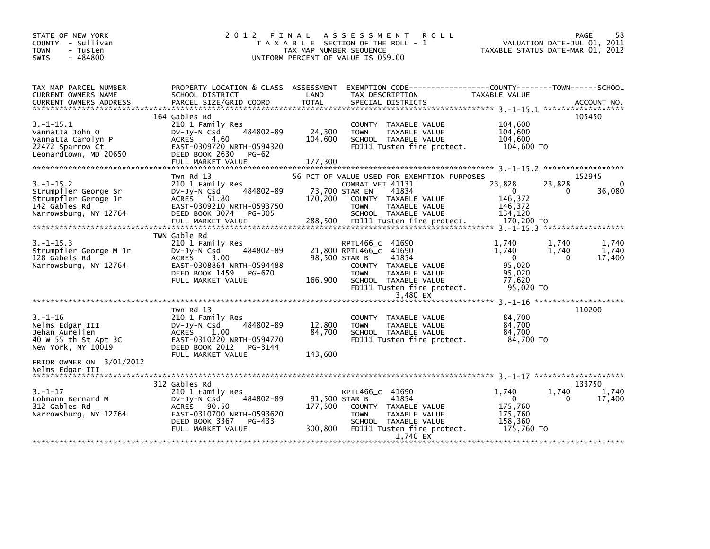| STATE OF NEW YORK<br>COUNTY - Sullivan<br>- Tusten<br><b>TOWN</b><br>$-484800$<br>SWIS                   | 2012                                                                                                                                                                        | TAX MAP NUMBER SEQUENCE             | FINAL ASSESSMENT<br><b>ROLL</b><br>T A X A B L E SECTION OF THE ROLL - 1<br>UNIFORM PERCENT OF VALUE IS 059.00                                                                                           | TAXABLE STATUS DATE-MAR 01, 2012                                      | PAGE<br>58<br>VALUATION DATE-JUL 01, 2011              |
|----------------------------------------------------------------------------------------------------------|-----------------------------------------------------------------------------------------------------------------------------------------------------------------------------|-------------------------------------|----------------------------------------------------------------------------------------------------------------------------------------------------------------------------------------------------------|-----------------------------------------------------------------------|--------------------------------------------------------|
| TAX MAP PARCEL NUMBER<br>CURRENT OWNERS NAME<br><b>CURRENT OWNERS ADDRESS</b>                            | SCHOOL DISTRICT<br>PARCEL SIZE/GRID COORD                                                                                                                                   | LAND<br><b>TOTAL</b>                | PROPERTY LOCATION & CLASS ASSESSMENT EXEMPTION CODE----------------COUNTY-------TOWN------SCHOOL<br>TAX DESCRIPTION<br>SPECIAL DISTRICTS                                                                 | <b>TAXABLE VALUE</b>                                                  | ACCOUNT NO.                                            |
| $3.-1-15.1$<br>Vannatta John O<br>Vannatta Carolyn P<br>22472 Sparrow Ct<br>Leonardtown, MD 20650        | 164 Gables Rd<br>210 1 Family Res<br>484802-89<br>$Dv-Jy-N$ Csd<br><b>ACRES</b><br>4.60<br>EAST-0309720 NRTH-0594320<br>DEED BOOK 2630<br><b>PG-62</b><br>FULL MARKET VALUE | 24,300<br>104,600<br>177,300        | COUNTY TAXABLE VALUE<br><b>TOWN</b><br>TAXABLE VALUE<br>SCHOOL TAXABLE VALUE<br>FD111 Tusten fire protect.                                                                                               | 104,600<br>104,600<br>104,600<br>104,600 TO                           | 105450                                                 |
| $3. -1 - 15.2$<br>Strumpfler George Sr<br>Strumpfler Geroge Jr<br>142 Gables Rd<br>Narrowsburg, NY 12764 | Twn Rd 13<br>210 1 Family Res<br>484802-89<br>$Dv-Jy-N$ Csd<br>ACRES 51.80<br>EAST-0309210 NRTH-0593750<br>DEED BOOK 3074<br>PG-305<br>FULL MARKET VALUE                    | 170,200<br>288,500                  | 56 PCT OF VALUE USED FOR EXEMPTION PURPOSES<br>COMBAT VET 41131<br>41834<br>73,700 STAR EN<br>COUNTY TAXABLE VALUE<br><b>TOWN</b><br>TAXABLE VALUE<br>SCHOOL TAXABLE VALUE<br>FD111 Tusten fire protect. | 23,828<br>$\Omega$<br>146,372<br>146,372<br>134.120<br>170,200 TO     | 152945<br>23,828<br>$\Omega$<br>36,080<br>0            |
| $3. -1 - 15.3$<br>Strumpfler George M Jr<br>128 Gabels Rd<br>Narrowsburg, NY 12764                       | TWN Gable Rd<br>210 1 Family Res<br>484802-89<br>$Dv$ -J $v$ -N Csd<br><b>ACRES</b><br>3.00<br>EAST-0308864 NRTH-0594488<br>DEED BOOK 1459<br>PG-670<br>FULL MARKET VALUE   | 98.500 STAR B<br>166,900            | RPTL466_C 41690<br>21,800 RPTL466_C 41690<br>41854<br>COUNTY TAXABLE VALUE<br><b>TOWN</b><br>TAXABLE VALUE<br>SCHOOL TAXABLE VALUE<br>FD111 Tusten fire protect.<br>3,480 EX                             | 1,740<br>1.740<br>$\Omega$<br>95,020<br>95,020<br>77,620<br>95,020 TO | 1,740<br>1.740<br>1,740<br>1,740<br>$\Omega$<br>17,400 |
| $3. - 1 - 16$<br>Nelms Edgar III<br>Jehan Aurelien<br>40 W 55 th St Apt 3C<br>New York, NY 10019         | Twn Rd 13<br>210 1 Family Res<br>484802-89<br>$Dv-Jy-N$ Csd<br><b>ACRES</b><br>1.00<br>EAST-0310220 NRTH-0594770<br>DEED BOOK 2012<br>PG-3144<br>FULL MARKET VALUE          | 12,800<br>84,700<br>143,600         | COUNTY TAXABLE VALUE<br><b>TOWN</b><br>TAXABLE VALUE<br>SCHOOL TAXABLE VALUE<br>FD111 Tusten fire protect.                                                                                               | 84,700<br>84,700<br>84,700<br>84,700 TO                               | 110200                                                 |
| PRIOR OWNER ON 3/01/2012<br>Nelms Edgar III                                                              | 312 Gables Rd                                                                                                                                                               |                                     |                                                                                                                                                                                                          |                                                                       | 133750                                                 |
| $3. - 1 - 17$<br>Lohmann Bernard M<br>312 Gables Rd<br>Narrowsburg, NY 12764                             | 210 1 Family Res<br>484802-89<br>$Dv-Jy-N$ Csd<br>ACRES 90.50<br>EAST-0310700 NRTH-0593620<br>DEED BOOK 3367<br>PG-433<br>FULL MARKET VALUE                                 | 91,500 STAR B<br>177,500<br>300,800 | RPTL466 c 41690<br>41854<br>COUNTY TAXABLE VALUE<br><b>TOWN</b><br>TAXABLE VALUE<br>SCHOOL TAXABLE VALUE<br>FD111 Tusten fire protect.<br>1,740 EX                                                       | 1,740<br>$\Omega$<br>175,760<br>175,760<br>158,360<br>175,760 TO      | 1,740<br>1,740<br>17,400<br>0                          |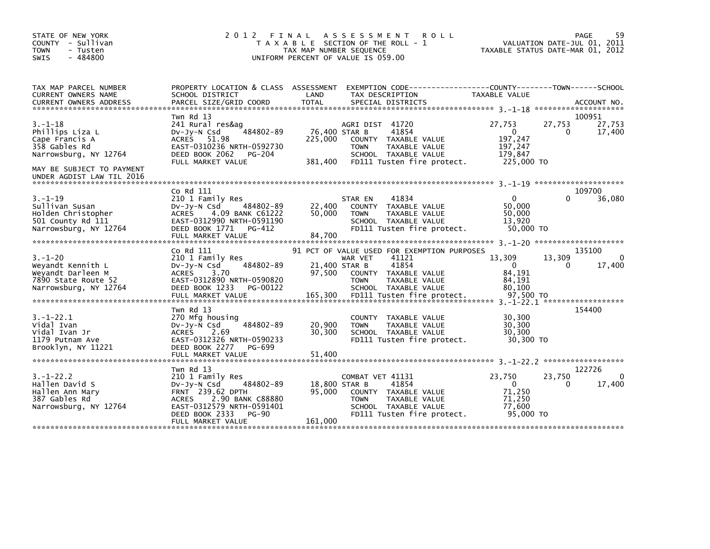| STATE OF NEW YORK<br>COUNTY - Sullivan<br><b>TOWN</b><br>- Tusten<br>$-484800$<br><b>SWIS</b>                             | 2 0 1 2                                                                                                                                                                | FINAL<br>A S S E S S M E N T<br><b>ROLL</b><br>T A X A B L E SECTION OF THE ROLL - 1<br>TAX MAP NUMBER SEQUENCE<br>UNIFORM PERCENT OF VALUE IS 059.00                                                                        | 59<br>PAGE<br>VALUATION DATE-JUL 01, 2011<br>TAXABLE STATUS DATE-MAR 01, 2012                                      |
|---------------------------------------------------------------------------------------------------------------------------|------------------------------------------------------------------------------------------------------------------------------------------------------------------------|------------------------------------------------------------------------------------------------------------------------------------------------------------------------------------------------------------------------------|--------------------------------------------------------------------------------------------------------------------|
| TAX MAP PARCEL NUMBER<br>CURRENT OWNERS NAME<br><b>CURRENT OWNERS ADDRESS</b>                                             | PROPERTY LOCATION & CLASS ASSESSMENT<br>SCHOOL DISTRICT<br>PARCEL SIZE/GRID COORD                                                                                      | LAND<br>TAX DESCRIPTION<br><b>TOTAL</b><br>SPECIAL DISTRICTS                                                                                                                                                                 | EXEMPTION CODE------------------COUNTY--------TOWN------SCHOOL<br>TAXABLE VALUE<br>ACCOUNT NO.                     |
| $3. - 1 - 18$<br>Phillips Liza L<br>Cape Francis A<br>358 Gables Rd<br>Narrowsburg, NY 12764<br>MAY BE SUBJECT TO PAYMENT | Twn Rd 13<br>241 Rural res&aq<br>484802-89<br>$Dv-Jy-N$ Csd<br>ACRES 51.98<br>EAST-0310236 NRTH-0592730<br>DEED BOOK 2062<br>PG-204<br>FULL MARKET VALUE               | AGRI DIST 41720<br>76,400 STAR B<br>41854<br>225,000<br>COUNTY TAXABLE VALUE<br><b>TOWN</b><br>TAXABLE VALUE<br>SCHOOL TAXABLE VALUE<br>381,400<br>FD111 Tusten fire protect.                                                | 100951<br>27,753<br>27,753<br>27,753<br>$\mathbf{0}$<br>17,400<br>0<br>197,247<br>197,247<br>179.847<br>225,000 TO |
| UNDER AGDIST LAW TIL 2016                                                                                                 |                                                                                                                                                                        |                                                                                                                                                                                                                              |                                                                                                                    |
| $3. - 1 - 19$<br>Sullivan Susan<br>Holden Christopher<br>501 County Rd 111<br>Narrowsburg, NY 12764                       | Co Rd 111<br>210 1 Family Res<br>484802-89<br>$Dv-Jy-N$ Csd<br>ACRES<br>4.09 BANK C61222<br>EAST-0312990 NRTH-0591190<br>DEED BOOK 1771<br>PG-412<br>FULL MARKET VALUE | 41834<br>STAR EN<br>22,400<br>COUNTY TAXABLE VALUE<br>50,000<br><b>TOWN</b><br>TAXABLE VALUE<br>SCHOOL TAXABLE VALUE<br>FD111 Tusten fire protect.<br>84,700                                                                 | 109700<br>36,080<br>$\Omega$<br>50.000<br>50.000<br>13,920<br>50,000 TO                                            |
| $3. - 1 - 20$<br>Weyandt Kennith L<br>Weyandt Darleen M<br>7890 State Route 52<br>Narrowsburg, NY 12764                   | Co Rd 111<br>210 1 Family Res<br>484802-89<br>DV-JY-N Csd<br>3.70<br>ACRES<br>EAST-0312890 NRTH-0590820<br>DEED BOOK 1233<br>PG-00122<br>FULL MARKET VALUE             | 91 PCT OF VALUE USED FOR EXEMPTION PURPOSES<br>41121<br>WAR VET<br>21,400 STAR B<br>41854<br>97,500<br>COUNTY TAXABLE VALUE<br>TAXABLE VALUE<br><b>TOWN</b><br>SCHOOL TAXABLE VALUE<br>165,300<br>FD111 Tusten fire protect. | 135100<br>13,309<br>13,309<br>17,400<br>$\Omega$<br>$\Omega$<br>84,191<br>84,191<br>80.100<br>97,500 TO            |
| $3. - 1 - 22.1$<br>Vidal Ivan<br>Vidal Ivan Jr<br>1179 Putnam Ave<br>Brooklyn, NY 11221                                   | Twn Rd 13<br>270 Mfg housing<br>484802-89<br>DV-Jy-N Csd<br><b>ACRES</b><br>2.69<br>EAST-0312326 NRTH-0590233<br>DEED BOOK 2277<br>PG-699<br>FULL MARKET VALUE         | COUNTY TAXABLE VALUE<br>20,900<br>TAXABLE VALUE<br><b>TOWN</b><br>30,300<br>SCHOOL TAXABLE VALUE<br>FD111 Tusten fire protect.<br>51,400                                                                                     | 154400<br>30,300<br>30,300<br>30,300<br>30,300 TO                                                                  |
|                                                                                                                           | Twn Rd 13                                                                                                                                                              |                                                                                                                                                                                                                              | ******************<br>122726                                                                                       |
| $3. - 1 - 22.2$<br>Hallen David S<br>Hallen Ann Mary<br>387 Gables Rd<br>Narrowsburg, NY 12764                            | 210 1 Family Res<br>484802-89<br>$Dv-Jy-N$ Csd<br><b>FRNT 239.62 DPTH</b><br>2.90 BANK C88880<br>ACRES<br>EAST-0312579 NRTH-0591401<br>DEED BOOK 2333<br><b>PG-90</b>  | COMBAT VET 41131<br>18,800 STAR B<br>41854<br>95,000<br>COUNTY TAXABLE VALUE<br>TAXABLE VALUE<br><b>TOWN</b><br>SCHOOL TAXABLE VALUE<br>FD111 Tusten fire protect.<br>161,000                                                | $\Omega$<br>23,750<br>23,750<br>$\mathbf{0}$<br>17,400<br>0<br>71,250<br>71,250<br>77,600<br>95,000 TO             |
|                                                                                                                           | FULL MARKET VALUE                                                                                                                                                      |                                                                                                                                                                                                                              |                                                                                                                    |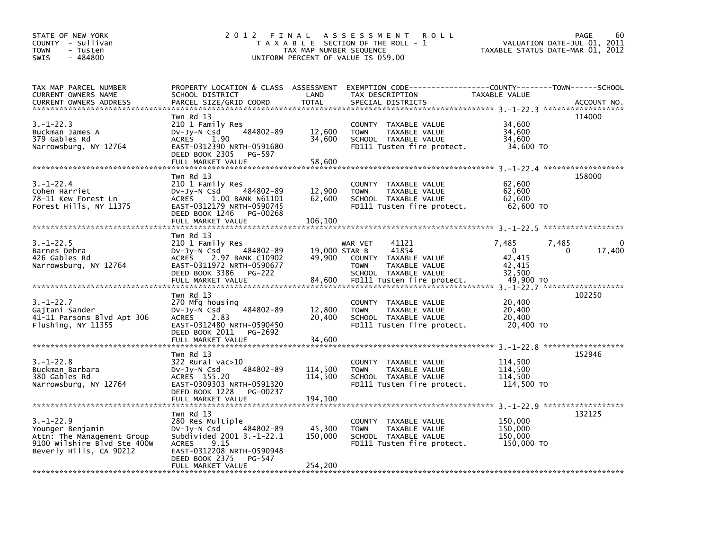| STATE OF NEW YORK<br>COUNTY - Sullivan<br><b>TOWN</b><br>- Tusten<br>$-484800$<br><b>SWIS</b>                               | 2 0 1 2                                                                                                                                                                                                                                                                                                    | FINAL<br>TAX MAP NUMBER SEQUENCE  | A S S E S S M E N T<br><b>ROLL</b><br>T A X A B L E SECTION OF THE ROLL - 1<br>UNIFORM PERCENT OF VALUE IS 059.00                        | VALUATION DATE-JUL 01,<br>TAXABLE STATUS DATE-MAR 01, 2012     | <b>PAGE</b><br>60<br>2011 |
|-----------------------------------------------------------------------------------------------------------------------------|------------------------------------------------------------------------------------------------------------------------------------------------------------------------------------------------------------------------------------------------------------------------------------------------------------|-----------------------------------|------------------------------------------------------------------------------------------------------------------------------------------|----------------------------------------------------------------|---------------------------|
| TAX MAP PARCEL NUMBER<br>CURRENT OWNERS NAME<br><b>CURRENT OWNERS ADDRESS</b>                                               | SCHOOL DISTRICT<br>PARCEL SIZE/GRID COORD                                                                                                                                                                                                                                                                  | LAND<br><b>TOTAL</b>              | PROPERTY LOCATION & CLASS ASSESSMENT EXEMPTION CODE----------------COUNTY-------TOWN------SCHOOL<br>TAX DESCRIPTION<br>SPECIAL DISTRICTS | TAXABLE VALUE                                                  | ACCOUNT NO.               |
| $3. - 1 - 22.3$<br>Buckman James A<br>379 Gables Rd<br>Narrowsburg, NY 12764                                                | Twn Rd 13<br>210 1 Family Res<br>484802-89<br>DV-Jy-N Csd<br><b>ACRES</b><br>1.90<br>EAST-0312390 NRTH-0591680<br>DEED BOOK 2305<br>PG-597<br>FULL MARKET VALUE                                                                                                                                            | 12,600<br>34,600<br>58.600        | COUNTY TAXABLE VALUE<br>TAXABLE VALUE<br><b>TOWN</b><br>SCHOOL TAXABLE VALUE<br>FD111 Tusten fire protect.                               | 34,600<br>34,600<br>34,600<br>34,600 TO                        | 114000                    |
| $3. - 1 - 22.4$<br>Cohen Harriet<br>78-11 Kew Forest Ln<br>Forest Hills, NY 11375                                           | Twn Rd 13<br>210 1 Family Res<br>484802-89<br>$Dv-Jy-N$ Csd<br><b>ACRES</b><br>1.00 BANK N61101<br>EAST-0312179 NRTH-0590745<br>DEED BOOK 1246<br>PG-00268<br>FULL MARKET VALUE                                                                                                                            | 12,900<br>62,600<br>106,100       | COUNTY TAXABLE VALUE<br>TAXABLE VALUE<br><b>TOWN</b><br>SCHOOL TAXABLE VALUE<br>FD111 Tusten fire protect.                               | 62,600<br>62,600<br>62,600<br>62,600 TO                        | 158000                    |
| $3. - 1 - 22.5$<br>Barnes Debra<br>426 Gables Rd<br>Narrowsburg, NY 12764                                                   | Twn Rd 13<br>210 1 Family Res<br>484802-89<br>$Dv-Jy-N$ Csd<br>2.97 BANK C10902<br><b>ACRES</b><br>EAST-0311972 NRTH-0590677<br>DEED BOOK 3386<br><b>PG-222</b><br>FULL MARKET VALUE                                                                                                                       | 19,000 STAR B<br>49,900<br>84,600 | WAR VET<br>41121<br>41854<br>COUNTY TAXABLE VALUE<br><b>TOWN</b><br>TAXABLE VALUE<br>SCHOOL TAXABLE VALUE<br>FD111 Tusten fire protect.  | 7,485<br>7,485<br>0<br>42,415<br>42,415<br>32,500<br>49,900 TO | 17,400<br>0               |
| $3. - 1 - 22.7$<br>Gajtani Sander<br>41-11 Parsons Blvd Apt 306<br>Flushing, NY 11355                                       | Twn Rd 13<br>270 Mfg housing<br>484802-89<br>$Dv-Jy-N$ Csd<br><b>ACRES</b><br>2.83<br>EAST-0312480 NRTH-0590450<br>DEED BOOK 2011<br>PG-2692<br>FULL MARKET VALUE                                                                                                                                          | 12,800<br>20,400<br>34,600        | COUNTY TAXABLE VALUE<br><b>TOWN</b><br>TAXABLE VALUE<br>SCHOOL TAXABLE VALUE<br>FD111 Tusten fire protect.                               | 20,400<br>20,400<br>20,400<br>20,400 TO                        | 102250                    |
| 3.–1–22.8<br>Buckman Barbara<br>380 Gables Rd<br>Narrowsburg, NY 12764                                                      | Twn Rd 13<br>322 Rural vac>10<br>484802-89<br>$Dv-Jy-N$ Csd<br>ACRES 155.20<br>EAST-0309303 NRTH-0591320<br>DEED BOOK 1228<br>PG-00237<br>FULL MARKET VALUE                                                                                                                                                | 114,500<br>114,500<br>194,100     | COUNTY TAXABLE VALUE<br>TAXABLE VALUE<br><b>TOWN</b><br>SCHOOL TAXABLE VALUE<br>FD111 Tusten fire protect.                               | 114,500<br>114.500<br>114,500<br>114,500 TO                    | 152946                    |
| $3. - 1 - 22.9$<br>Younger Benjamin<br>Attn: The Management Group<br>9100 Wilshire Blvd Ste 400W<br>Beverly Hills, CA 90212 | Twn Rd 13<br>280 Res Multiple<br>484802-89<br>DV-Jy-N Csd<br>Subdivided 2001 3.-1-22.1<br>9.15<br><b>ACRES</b><br>EAST-0312208 NRTH-0590948<br>DEED BOOK 2375<br>PG-547<br>FULL MARKET VALUE<br>وليه عرابه عرابه عرابه عرابه عرابه عرابه عرابه عرابه عرابه عرابه عرابه عرابه عرابه عرابه عرابه عرابه عرابه | 45,300<br>150,000<br>254,200      | COUNTY TAXABLE VALUE<br>TAXABLE VALUE<br><b>TOWN</b><br>SCHOOL TAXABLE VALUE<br>FD111 Tusten fire protect.                               | 150,000<br>150,000<br>150,000<br>150,000 TO                    | 132125                    |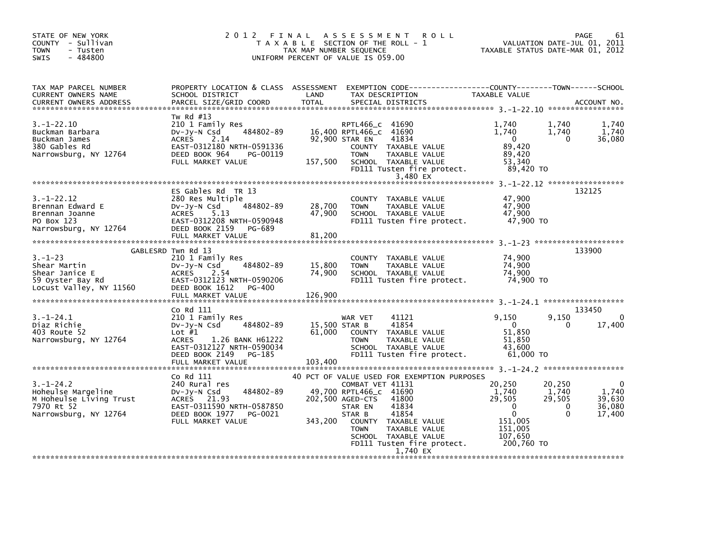| STATE OF NEW YORK<br>COUNTY - Sullivan<br><b>TOWN</b><br>- Tusten<br>$-484800$<br>SWIS                  | 2012 FINAL                                                                                                                                                                              | TAX MAP NUMBER SEQUENCE     | A S S E S S M E N T<br><b>ROLL</b><br>T A X A B L E SECTION OF THE ROLL - 1<br>UNIFORM PERCENT OF VALUE IS 059.00                                                                                                                                                                       |                                                                                                          | PAGE<br>61<br>VALUATION DATE-JUL 01, 2011<br>TAXABLE STATUS DATE-MAR 01, 2012          |
|---------------------------------------------------------------------------------------------------------|-----------------------------------------------------------------------------------------------------------------------------------------------------------------------------------------|-----------------------------|-----------------------------------------------------------------------------------------------------------------------------------------------------------------------------------------------------------------------------------------------------------------------------------------|----------------------------------------------------------------------------------------------------------|----------------------------------------------------------------------------------------|
| TAX MAP PARCEL NUMBER<br>CURRENT OWNERS NAME<br><b>CURRENT OWNERS ADDRESS</b>                           | SCHOOL DISTRICT<br>PARCEL SIZE/GRID COORD                                                                                                                                               | LAND<br>TOTAL               | PROPERTY LOCATION & CLASS ASSESSMENT EXEMPTION CODE----------------COUNTY-------TOWN------SCHOOL<br>TAX DESCRIPTION<br>SPECIAL DISTRICTS                                                                                                                                                | <b>TAXABLE VALUE</b>                                                                                     | ACCOUNT NO.                                                                            |
| $3. - 1 - 22.10$<br>Buckman Barbara<br>Buckman James<br>380 Gables Rd<br>Narrowsburg, NY 12764          | Tw Rd #13<br>210 1 Family Res<br>484802-89<br>DV-JV-N Csd<br>2.14<br>ACRES<br>EAST-0312180 NRTH-0591336<br>DEED BOOK 964<br>PG-00119<br>FULL MARKET VALUE                               | 157,500                     | RPTL466_c 41690<br>16,400 RPTL466_C 41690<br>92,900 STAR EN<br>41834<br>COUNTY TAXABLE VALUE<br><b>TOWN</b><br>TAXABLE VALUE<br>SCHOOL TAXABLE VALUE<br>FD111 Tusten fire protect.<br>3,480 EX                                                                                          | 1.740<br>1.740<br>$\mathbf{0}$<br>89.420<br>89,420<br>53,340<br>89,420 TO                                | 1,740<br>1,740<br>1,740<br>1,740<br>36,080<br>$\Omega$                                 |
| $3. - 1 - 22.12$<br>Brennan Edward E<br>Brennan Joanne<br>PO Box 123<br>Narrowsburg, NY 12764           | ES Gables Rd TR 13<br>280 Res Multiple<br>484802-89<br>$Dv-Jy-N$ Csd<br><b>ACRES</b><br>5.13<br>EAST-0312208 NRTH-0590948<br>DEED BOOK 2159<br>PG-689<br>FULL MARKET VALUE              | 28,700<br>47,900<br>81,200  | COUNTY TAXABLE VALUE<br><b>TOWN</b><br>TAXABLE VALUE<br>SCHOOL TAXABLE VALUE<br>FD111 Tusten fire protect.                                                                                                                                                                              | 47,900<br>47,900<br>47,900<br>47,900 TO                                                                  | 132125                                                                                 |
| $3. - 1 - 23$<br>Shear Martin<br>Shear Janice E<br>59 Oyster Bay Rd<br>Locust Valley, NY 11560          | GABLESRD Twn Rd 13<br>210 1 Family Res<br>484802-89<br>DV-Jy-N Csd<br><b>ACRES</b><br>2.54<br>EAST-0312123 NRTH-0590206<br>DEED BOOK 1612<br>PG-400<br>FULL MARKET VALUE                | 15,800<br>74.900<br>126,900 | COUNTY<br>TAXABLE VALUE<br>TAXABLE VALUE<br><b>TOWN</b><br>SCHOOL TAXABLE VALUE<br>FD111 Tusten fire protect.                                                                                                                                                                           | 74,900<br>74,900<br>74,900<br>74,900 TO                                                                  | 133900                                                                                 |
| $3.-1-24.1$<br>Diaz Richie<br>403 Route 52<br>Narrowsburg, NY 12764                                     | Co Rd 111<br>210 1 Family Res<br>484802-89<br>DV-JY-N Csd<br>Lot $#1$<br><b>ACRES</b><br>1.26 BANK H61222<br>EAST-0312127 NRTH-0590034<br>DEED BOOK 2149<br>PG-185<br>FULL MARKET VALUE | 61,000<br>103,400           | 41121<br>WAR VET<br>41854<br>15,500 STAR B<br>COUNTY TAXABLE VALUE<br><b>TOWN</b><br>TAXABLE VALUE<br>SCHOOL TAXABLE VALUE<br>FD111 Tusten fire protect.                                                                                                                                | 9,150<br>$\Omega$<br>51,850<br>51,850<br>43,600<br>61,000 TO                                             | 133450<br>9,150<br>$\Omega$<br>17,400<br>0                                             |
| $3. - 1 - 24.2$<br>Hoheulse Margeline<br>M Hoheulse Living Trust<br>7970 Rt 52<br>Narrowsburg, NY 12764 | Co Rd 111<br>240 Rural res<br>484802-89<br>DV-Jy-N Csd<br>ACRES 21.93<br>EAST-0311590 NRTH-0587850<br>DEED BOOK 1977<br>PG-0021<br>FULL MARKET VALUE                                    | 343,200                     | 40 PCT OF VALUE USED FOR EXEMPTION PURPOSES<br>COMBAT VET 41131<br>49,700 RPTL466_C 41690<br>202,500 AGED-CTS<br>41800<br>STAR EN<br>41834<br>41854<br>STAR B<br>COUNTY TAXABLE VALUE<br><b>TOWN</b><br>TAXABLE VALUE<br>SCHOOL TAXABLE VALUE<br>FD111 Tusten fire protect.<br>1.740 EX | 20,250<br>1,740<br>29,505<br>$\mathbf{0}$<br>$\mathbf{0}$<br>151,005<br>151.005<br>107,650<br>200,760 TO | 20,250<br>0<br>1,740<br>1,740<br>29,505<br>39,630<br>36,080<br>0<br>$\Omega$<br>17,400 |
|                                                                                                         |                                                                                                                                                                                         |                             |                                                                                                                                                                                                                                                                                         |                                                                                                          |                                                                                        |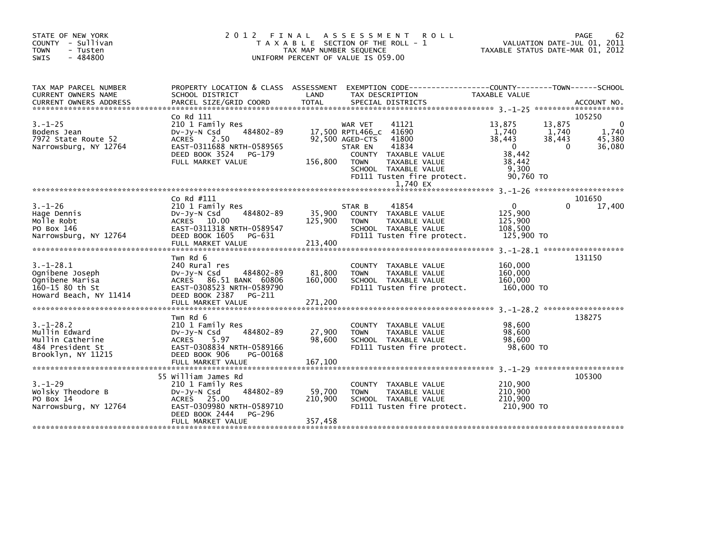| STATE OF NEW YORK<br>COUNTY - Sullivan<br><b>TOWN</b><br>- Tusten<br>$-484800$<br>SWIS         | 2 0 1 2                                                                                                                                                           | FINAL<br>T A X A B L E SECTION OF THE ROLL - 1<br>TAX MAP NUMBER SEQUENCE<br>UNIFORM PERCENT OF VALUE IS 059.00 | A S S E S S M E N T                                                      | <b>ROLL</b>                                                                                                                                 | TAXABLE STATUS DATE-MAR 01, 2012                                                    |                                       | 62<br>PAGE<br>VALUATION DATE-JUL 01, 2011 |
|------------------------------------------------------------------------------------------------|-------------------------------------------------------------------------------------------------------------------------------------------------------------------|-----------------------------------------------------------------------------------------------------------------|--------------------------------------------------------------------------|---------------------------------------------------------------------------------------------------------------------------------------------|-------------------------------------------------------------------------------------|---------------------------------------|-------------------------------------------|
| TAX MAP PARCEL NUMBER<br>CURRENT OWNERS NAME                                                   | PROPERTY LOCATION & CLASS ASSESSMENT EXEMPTION CODE----------------COUNTY-------TOWN------SCHOOL<br>SCHOOL DISTRICT                                               | LAND                                                                                                            |                                                                          | TAX DESCRIPTION                                                                                                                             | TAXABLE VALUE                                                                       |                                       |                                           |
| $3. - 1 - 25$<br>Bodens Jean<br>7972 State Route 52<br>Narrowsburg, NY 12764                   | Co Rd 111<br>210 1 Family Res<br>484802-89<br>DV-JY-N Csd<br><b>ACRES</b><br>2.50<br>EAST-0311688 NRTH-0589565<br>DEED BOOK 3524<br>PG-179<br>FULL MARKET VALUE   | 156,800                                                                                                         | WAR VET<br>17,500 RPTL466_C<br>92,500 AGED-CTS<br>STAR EN<br><b>TOWN</b> | 41121<br>41690<br>41800<br>41834<br>COUNTY TAXABLE VALUE<br>TAXABLE VALUE<br>SCHOOL TAXABLE VALUE<br>FD111 Tusten fire protect.<br>1,740 EX | 13,875<br>1,740<br>38,443<br>$\mathbf{0}$<br>38,442<br>38,442<br>9,300<br>90.760 TO | 13,875<br>1,740<br>38,443<br>$\Omega$ | 105250<br>0<br>1,740<br>45.380<br>36,080  |
|                                                                                                |                                                                                                                                                                   |                                                                                                                 |                                                                          |                                                                                                                                             |                                                                                     |                                       |                                           |
| $3. - 1 - 26$<br>Hage Dennis<br>Molle Robt<br>PO Box 146<br>Narrowsburg, NY 12764              | Co Rd #111<br>210 1 Family Res<br>484802-89<br>$Dv-Jy-N$ Csd<br>ACRES 10.00<br>EAST-0311318 NRTH-0589547<br>DEED BOOK 1605<br>PG-631<br>FULL MARKET VALUE         | 35,900<br>125,900<br>213,400                                                                                    | STAR B<br><b>TOWN</b>                                                    | 41854<br>COUNTY TAXABLE VALUE<br>TAXABLE VALUE<br>SCHOOL TAXABLE VALUE<br>FD111 Tusten fire protect.                                        | $\Omega$<br>125,900<br>125,900<br>108.500<br>125,900 TO                             | 0                                     | 101650<br>17,400                          |
| $3.-1-28.1$<br>Ognibene Joseph<br>Ognibene Marisa<br>160-15 80 th St<br>Howard Beach, NY 11414 | Twn Rd 6<br>240 Rural res<br>484802-89<br>$Dv-Jy-N$ Csd<br>ACRES 86.51 BANK 60806<br>EAST-0308523 NRTH-0589790<br>DEED BOOK 2387<br>PG-211<br>FULL MARKET VALUE   | 81,800<br>160,000<br>271,200                                                                                    | <b>TOWN</b>                                                              | COUNTY TAXABLE VALUE<br>TAXABLE VALUE<br>SCHOOL TAXABLE VALUE<br>FD111 Tusten fire protect.                                                 | 160,000<br>160,000<br>160,000<br>160,000 TO                                         |                                       | 131150                                    |
| $3. - 1 - 28.2$<br>Mullin Edward<br>Mullin Catherine<br>484 President St<br>Brooklyn, NY 11215 | Twn Rd 6<br>210 1 Family Res<br>484802-89<br>$Dv-Jy-N$ Csd<br><b>ACRES</b><br>5.97<br>EAST-0308834 NRTH-0589166<br>DEED BOOK 906<br>PG-00168<br>FULL MARKET VALUE | 27,900<br>98,600<br>167,100                                                                                     | <b>COUNTY</b><br><b>TOWN</b>                                             | TAXABLE VALUE<br>TAXABLE VALUE<br>SCHOOL TAXABLE VALUE<br>FD111 Tusten fire protect.                                                        | 98,600<br>98,600<br>98,600<br>98,600 TO                                             |                                       | ******************<br>138275              |
| $3. - 1 - 29$<br>Wolsky Theodore B<br>PO Box 14<br>Narrowsburg, NY 12764                       | 55 William James Rd<br>210 1 Family Res<br>484802-89<br>DV-Jy-N Csd<br>ACRES 25.00<br>EAST-0309980 NRTH-0589710<br>DEED BOOK 2444<br>PG-296<br>FULL MARKET VALUE  | 59,700<br>210,900<br>357,458                                                                                    | <b>TOWN</b>                                                              | COUNTY TAXABLE VALUE<br>TAXABLE VALUE<br>SCHOOL TAXABLE VALUE<br>FD111 Tusten fire protect.                                                 | 210,900<br>210,900<br>210,900<br>210,900 TO                                         |                                       | 105300                                    |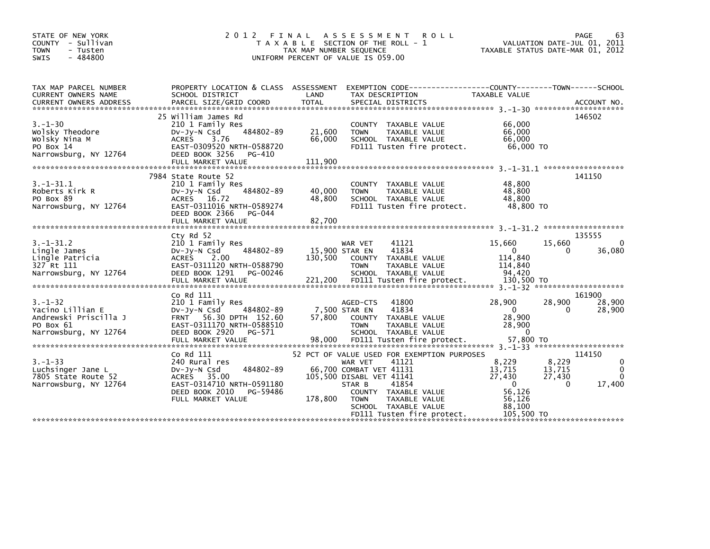| STATE OF NEW YORK<br>COUNTY - Sullivan<br>TOWN<br>- Tusten<br>$-484800$<br><b>SWIS</b>           | 2 0 1 2<br>FINAL                                                                                                                                                              | TAX MAP NUMBER SEQUENCE              | A S S E S S M E N T<br><b>ROLL</b><br>T A X A B L E SECTION OF THE ROLL - 1<br>UNIFORM PERCENT OF VALUE IS 059.00                                                                                                                                              |                                                                                   | 63<br><b>PAGE</b><br>VALUATION DATE-JUL 01, 2011<br>TAXABLE STATUS DATE-MAR 01, 2012                 |
|--------------------------------------------------------------------------------------------------|-------------------------------------------------------------------------------------------------------------------------------------------------------------------------------|--------------------------------------|----------------------------------------------------------------------------------------------------------------------------------------------------------------------------------------------------------------------------------------------------------------|-----------------------------------------------------------------------------------|------------------------------------------------------------------------------------------------------|
| TAX MAP PARCEL NUMBER<br><b>CURRENT OWNERS NAME</b>                                              | PROPERTY LOCATION & CLASS ASSESSMENT<br>SCHOOL DISTRICT                                                                                                                       | LAND                                 | EXEMPTION CODE-----------------COUNTY-------TOWN------SCHOOL<br>TAX DESCRIPTION                                                                                                                                                                                | TAXABLE VALUE                                                                     |                                                                                                      |
| $3. - 1 - 30$<br>Wolsky Theodore<br>Wolsky Nina M<br>PO Box 14<br>Narrowsburg, NY 12764          | 25 William James Rd<br>210 1 Family Res<br>484802-89<br>DV-Jy-N Csd<br><b>ACRES</b><br>3.76<br>EAST-0309520 NRTH-0588720<br>DEED BOOK 3256<br>PG-410<br>FULL MARKET VALUE     | 21,600<br>66,000<br>111,900          | COUNTY TAXABLE VALUE<br><b>TOWN</b><br><b>TAXABLE VALUE</b><br>SCHOOL TAXABLE VALUE<br>FD111 Tusten fire protect.                                                                                                                                              | 66,000<br>66,000<br>66,000<br>66,000 TO                                           | 146502                                                                                               |
| $3. -1 - 31.1$<br>Roberts Kirk R<br>PO Box 89<br>Narrowsburg, NY 12764                           | 7984 State Route 52<br>210 1 Family Res<br>484802-89<br>$Dv-Jy-N$ Csd<br><b>ACRES</b><br>16.72<br>EAST-0311016 NRTH-0589274<br>DEED BOOK 2366<br>PG-044<br>FULL MARKET VALUE  | 40,000<br>48,800<br>82,700           | COUNTY TAXABLE VALUE<br><b>TOWN</b><br>TAXABLE VALUE<br>SCHOOL TAXABLE VALUE<br>FD111 Tusten fire protect.                                                                                                                                                     | 48,800<br>48,800<br>48.800<br>48,800 TO                                           | 141150                                                                                               |
| $3. - 1 - 31.2$<br>Lingle James<br>Lingle Patricia<br>327 Rt 111<br>Narrowsburg, NY 12764        | Cty Rd 52<br>210 1 Family Res<br>484802-89<br>$Dv-Jy-N$ Csd<br><b>ACRES</b><br>2.00<br>EAST-0311120 NRTH-0588790<br>DEED BOOK 1291<br>PG-00246<br>FULL MARKET VALUE           | 15,900 STAR EN<br>130,500<br>221,200 | WAR VET<br>41121<br>41834<br>TAXABLE VALUE<br><b>COUNTY</b><br><b>TOWN</b><br>TAXABLE VALUE<br>SCHOOL TAXABLE VALUE<br>FD111 Tusten fire protect.                                                                                                              | 15,660<br>$\Omega$<br>114,840<br>114,840<br>94.420<br>130,500 TO                  | 135555<br>15,660<br>0<br>36,080<br>0                                                                 |
| $3. - 1 - 32$<br>Yacino Lillian E<br>Andrewski Priscilla J<br>PO Box 61<br>Narrowsburg, NY 12764 | Co Rd 111<br>210 1 Family Res<br>484802-89<br>$Dv-Jy-N$ Csd<br>56.30 DPTH 152.60<br><b>FRNT</b><br>EAST-0311170 NRTH-0588510<br>DEED BOOK 2920<br>PG-571<br>FULL MARKET VALUE | 57,800<br>98,000                     | 41800<br>AGED-CTS<br>7,500 STAR EN<br>41834<br><b>COUNTY</b><br>TAXABLE VALUE<br><b>TOWN</b><br>TAXABLE VALUE<br>SCHOOL TAXABLE VALUE<br>FD111 Tusten fire protect.                                                                                            | 28,900<br>$\Omega$<br>28,900<br>28,900<br>$\Omega$<br>57,800 TO                   | 161900<br>28,900<br>28,900<br>0<br>28,900                                                            |
| $3. - 1 - 33$<br>Luchsinger Jane L<br>7805 State Route 52<br>Narrowsburg, NY 12764               | Co Rd 111<br>240 Rural res<br>484802-89<br>$Dv-Jy-N$ Csd<br>ACRES 35.00<br>EAST-0314710 NRTH-0591180<br>DEED BOOK 2010<br>PG-59486<br>FULL MARKET VALUE                       | 178,800                              | 52 PCT OF VALUE USED FOR EXEMPTION PURPOSES<br>41121<br><b>WAR VET</b><br>66,700 COMBAT VET 41131<br>105,500 DISABL VET 41141<br>STAR B<br>41854<br>COUNTY TAXABLE VALUE<br><b>TOWN</b><br>TAXABLE VALUE<br>SCHOOL TAXABLE VALUE<br>FD111 Tusten fire protect. | 8,229<br>13,715<br>27,430<br>$\Omega$<br>56,126<br>56,126<br>88.100<br>105,500 TO | 114150<br>8.229<br>$\mathbf 0$<br>$\Omega$<br>13,715<br>27,430<br>$\mathbf{0}$<br>$\Omega$<br>17,400 |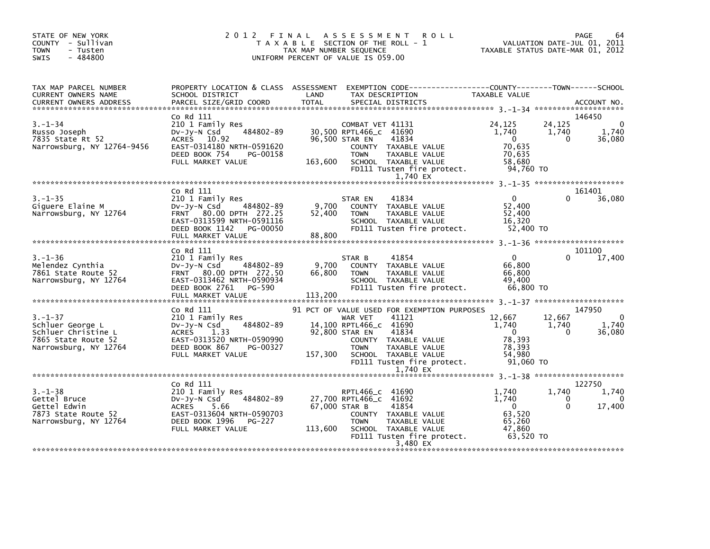| STATE OF NEW YORK<br>COUNTY - Sullivan<br><b>TOWN</b><br>- Tusten<br>$-484800$<br>SWIS                                                                                                                                                                         |                                                                                                                                                                                                         | 2 FINAL ASSESSMENT ROLL<br>TAXABLE SECTION OF THE ROLL - 1 VALUATION DATE-JUL 01, 2011<br>TAX MAP NUMBER SEQUENCE TAXABLE STATUS DATE-MAR 01, 2012<br>2012 FINAL ASSESSMENT<br>UNIFORM PERCENT OF VALUE IS 059.00                                                                                                            |                                                                                                                                       |                                       |
|----------------------------------------------------------------------------------------------------------------------------------------------------------------------------------------------------------------------------------------------------------------|---------------------------------------------------------------------------------------------------------------------------------------------------------------------------------------------------------|------------------------------------------------------------------------------------------------------------------------------------------------------------------------------------------------------------------------------------------------------------------------------------------------------------------------------|---------------------------------------------------------------------------------------------------------------------------------------|---------------------------------------|
| TAX MAP PARCEL NUMBER<br>CURRENT OWNERS NAME<br>CURRENT OWNERS ADDRESS                                                                                                                                                                                         |                                                                                                                                                                                                         | PROPERTY LOCATION & CLASS ASSESSMENT EXEMPTION CODE----------------COUNTY-------TOWN------SCHOOL<br>TAX DESCRIPTION<br>SPECIAL DISTRICTS<br><b>TOTAL</b>                                                                                                                                                                     | TAXABLE VALUE                                                                                                                         | ACCOUNT NO.                           |
| $3. - 1 - 34$<br>3.-1-34<br>Russo Joseph<br>7835 State Rt 52<br>Narrowsburg, NY 12764-9456                                                                                                                                                                     | Co Rd 111<br>PG-00158<br>DEED BOOK 754<br>FULL MARKET VALUE                                                                                                                                             | COUNTY TAXABLE VALUE<br><b>TOWN</b><br>TAXABLE VALUE<br>163,600 SCHOOL TAXABLE VALUE 163,680<br>FD111 Tusten fire protect. 94,760 TO<br>1,740 EX                                                                                                                                                                             | 24,125<br>24,125<br>$1,740$ $1,740$<br>$\begin{array}{c} 0 \\ 70,635 \end{array}$<br>$\Omega$<br>70,635                               | 146450<br>$\Omega$<br>1,740<br>36,080 |
|                                                                                                                                                                                                                                                                | Co Rd 111                                                                                                                                                                                               |                                                                                                                                                                                                                                                                                                                              |                                                                                                                                       | 161401                                |
| $3. - 1 - 35$<br>ככ-ב-ב-ס<br>Giguere Elaine M<br>Narrowsburg, NY 12764                                                                                                                                                                                         | 210 1 Family Res<br>$484802 - 89$ 9,700<br>DV-JV-N Csd<br>FRNT 80.00 DPTH 272.25<br>EAST-0313599 NRTH-0591116<br>DEED BOOK 1142 PG-00050<br>FULL MARKET VALUE<br>FILL MARKET VALUE<br>FILL MARKET VALUE | 41834<br>STAR EN<br>COUNTY TAXABLE VALUE<br>52,400<br><b>TOWN</b><br>TAXABLE VALUE<br>SCHOOL TAXABLE VALUE<br>FD111 Tusten fire protect. 52,400 TO                                                                                                                                                                           | $\overline{0}$<br>$\Omega$<br>52.400<br>52,400<br>16.320                                                                              | 36,080                                |
|                                                                                                                                                                                                                                                                |                                                                                                                                                                                                         | 88,800                                                                                                                                                                                                                                                                                                                       |                                                                                                                                       |                                       |
| CO RU 111<br>3.-1-36<br>Melendez Cynthia<br>7861 State Route 52<br>Narrowsburg, NY 12764<br>REAST-0313462 NRTH-0590934<br>DEED BOOK 2761 PG-590<br>FILL MARKET VALUE<br>PG-590<br>PG-590<br>PG-590<br>PG-590<br>PG-590<br>PG-590<br>PG-590<br>PG-590<br>PG-590 |                                                                                                                                                                                                         | 41854<br>STAR B<br>COUNTY TAXABLE VALUE<br>TAXABLE VALUE<br><b>TOWN</b><br>SCHOOL TAXABLE VALUE 49,400<br>FD111 Tusten fire protect. 66,800 TO                                                                                                                                                                               | $\overline{\mathbf{0}}$<br>$\Omega$<br>66,800<br>66,800                                                                               | 101100<br>17,400                      |
|                                                                                                                                                                                                                                                                |                                                                                                                                                                                                         | 91 PCT OF VALUE USED FOR EXEMPTION PURPOSES                                                                                                                                                                                                                                                                                  |                                                                                                                                       | 147950                                |
| Narrowsburg, NY 12764                                                                                                                                                                                                                                          | Co Rd 111<br>210 1 Family Res<br>484802-89<br>DEED BOOK 867<br>PG-00327<br>FULL MARKET VALUE                                                                                                            | WAR VET<br>41121<br>14,100 RPTL466_c 41690<br>92,800 STAR EN 41834<br>COUNTY TAXABLE VALUE<br>TAXABLE VALUE<br><b>TOWN</b><br>SCHOOL TAXABLE VALUE 6, 393<br>FD111 Tusten fire protect. 91,060<br>1 740 FV<br>157,300<br>1,740 EX                                                                                            | $\begin{bmatrix} 12,667 & 12,667 \\ 1,740 & 1,740 \\ 0 & 0 \end{bmatrix}$<br>78,393<br>78,393<br>91.060 TO                            | $\overline{0}$<br>1,740<br>36,080     |
|                                                                                                                                                                                                                                                                |                                                                                                                                                                                                         |                                                                                                                                                                                                                                                                                                                              |                                                                                                                                       |                                       |
|                                                                                                                                                                                                                                                                | Co Rd 111<br>FULL MARKET VALUE                                                                                                                                                                          | 3.-1-38<br>Gettel Bruce 210 1 Family Res<br>Gettel Edwin 210 1 Family Res<br>DV-Jy-N Csd 484802-89 27,700 RPTL466_c 41692<br>Gettel Edwin ACRES 5.66 67,000 STAR B 41854<br>7873 State Route 52 EAST-0313604 NRTH-0590703 COUNTY TAXABLE<br>113,600 SCHOOL TAXABLE VALUE<br>FD111 Tusten fire protect. 63,520 TO<br>3,480 EX | 1,740<br>1,740<br>$\overline{0}$<br>1.740<br>$\begin{bmatrix} 1 & 0 \\ 0 & 0 \end{bmatrix}$<br>$\Omega$<br>63,520<br>65.260<br>47,860 | 122750<br>1,740<br>$\Omega$<br>17,400 |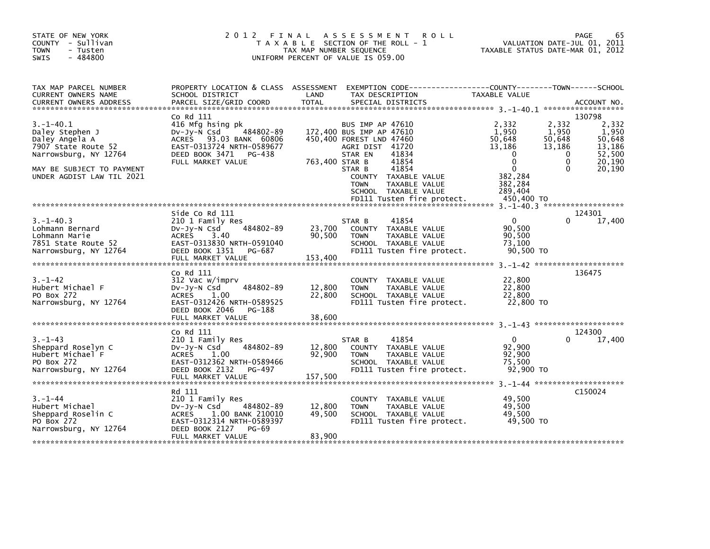| STATE OF NEW YORK<br>COUNTY - Sullivan<br><b>TOWN</b><br>- Tusten<br>$-484800$<br><b>SWIS</b>                                                                  | 2 0 1 2                                                                                                                                                               | TAX MAP NUMBER SEQUENCE     | FINAL ASSESSMENT<br><b>ROLL</b><br>T A X A B L E SECTION OF THE ROLL - 1<br>UNIFORM PERCENT OF VALUE IS 059.00                                                                                                                                            | TAXABLE STATUS DATE-MAR 01, 2012                                                                                              |                                                                 | 65<br>PAGE<br>VALUATION DATE-JUL 01, 2011                                  |
|----------------------------------------------------------------------------------------------------------------------------------------------------------------|-----------------------------------------------------------------------------------------------------------------------------------------------------------------------|-----------------------------|-----------------------------------------------------------------------------------------------------------------------------------------------------------------------------------------------------------------------------------------------------------|-------------------------------------------------------------------------------------------------------------------------------|-----------------------------------------------------------------|----------------------------------------------------------------------------|
| TAX MAP PARCEL NUMBER<br>CURRENT OWNERS NAME<br><b>CURRENT OWNERS ADDRESS</b>                                                                                  | PROPERTY LOCATION & CLASS ASSESSMENT<br>SCHOOL DISTRICT<br>PARCEL SIZE/GRID COORD                                                                                     | LAND<br><b>TOTAL</b>        | EXEMPTION CODE-----------------COUNTY-------TOWN------SCHOOL<br>TAX DESCRIPTION<br>SPECIAL DISTRICTS                                                                                                                                                      | TAXABLE VALUE                                                                                                                 |                                                                 | ACCOUNT NO.                                                                |
|                                                                                                                                                                |                                                                                                                                                                       |                             |                                                                                                                                                                                                                                                           |                                                                                                                               |                                                                 |                                                                            |
| $3. - 1 - 40.1$<br>Daley Stephen J<br>Daley Angela A<br>7907 State Route 52<br>Narrowsburg, NY 12764<br>MAY BE SUBJECT TO PAYMENT<br>UNDER AGDIST LAW TIL 2021 | Co Rd 111<br>416 Mfg hsing pk<br>$484802 - 89$<br>Dv-Jy-N Csd<br>ACRES 93.03 BANK 60806<br>EAST-0313724 NRTH-0589677<br>DEED BOOK 3471<br>PG-438<br>FULL MARKET VALUE | 763,400 STAR B              | BUS IMP AP 47610<br>172,400 BUS IMP AP 47610<br>450,400 FOREST LND 47460<br>AGRI DIST 41720<br>STAR EN<br>41834<br>41854<br>41854<br>STAR B<br>COUNTY TAXABLE VALUE<br><b>TOWN</b><br>TAXABLE VALUE<br>SCHOOL TAXABLE VALUE<br>FD111 Tusten fire protect. | 2,332<br>1,950<br>50,648<br>13,186<br>$\mathbf{0}$<br>$\Omega$<br>$\mathbf{0}$<br>382,284<br>382,284<br>289,404<br>450,400 TO | 2,332<br>1,950<br>50,648<br>13,186<br>0<br>$\Omega$<br>$\Omega$ | 130798<br>2,332<br>1,950<br>50,648<br>13,186<br>52,500<br>20,190<br>20,190 |
|                                                                                                                                                                |                                                                                                                                                                       |                             |                                                                                                                                                                                                                                                           |                                                                                                                               |                                                                 |                                                                            |
| $3. - 1 - 40.3$<br>Lohmann Bernard<br>Lohmann Marie<br>7851 State Route 52<br>Narrowsburg, NY 12764                                                            | Side Co Rd 111<br>210 1 Family Res<br>484802-89<br>DV-Jy-N Csd<br>ACRES<br>3.40<br>EAST-0313830 NRTH-0591040<br>DEED BOOK 1351 PG-687                                 | 23,700<br>90,500            | 41854<br>STAR B<br>COUNTY TAXABLE VALUE<br><b>TOWN</b><br>TAXABLE VALUE<br>SCHOOL TAXABLE VALUE<br>FD111 Tusten fire protect.                                                                                                                             | $\mathbf 0$<br>90,500<br>90,500<br>73,100<br>90,500 TO                                                                        | 0                                                               | 124301<br>17,400                                                           |
|                                                                                                                                                                | FULL MARKET VALUE                                                                                                                                                     | 153,400                     |                                                                                                                                                                                                                                                           |                                                                                                                               |                                                                 |                                                                            |
| $3. - 1 - 42$<br>Hubert Michael F<br>PO Box 272<br>Narrowsburg, NY 12764                                                                                       | Co Rd 111<br>312 Vac w/imprv<br>484802-89<br>$Dv-Jy-N$ Csd<br>1.00<br><b>ACRES</b><br>EAST-0312426 NRTH-0589525<br>DEED BOOK 2046<br>PG-188                           | 12,800<br>22,800            | <b>COUNTY</b><br>TAXABLE VALUE<br><b>TOWN</b><br>TAXABLE VALUE<br>SCHOOL TAXABLE VALUE<br>FD111 Tusten fire protect.                                                                                                                                      | 22,800<br>22,800<br>22,800<br>22,800 TO                                                                                       |                                                                 | 136475                                                                     |
|                                                                                                                                                                | FULL MARKET VALUE                                                                                                                                                     | 38,600                      |                                                                                                                                                                                                                                                           |                                                                                                                               |                                                                 |                                                                            |
|                                                                                                                                                                | Co Rd 111                                                                                                                                                             |                             |                                                                                                                                                                                                                                                           |                                                                                                                               |                                                                 | 124300                                                                     |
| $3. - 1 - 43$<br>Sheppard Roselyn C<br>Hubert Michael F<br>PO Box 272<br>Narrowsburg, NY 12764                                                                 | 210 1 Family Res<br>484802-89<br>$Dv-Jv-N$ Csd<br><b>ACRES</b><br>1.00<br>EAST-0312362 NRTH-0589466<br>DEED BOOK 2132<br>PG-497<br>FULL MARKET VALUE                  | 12,800<br>92,900<br>157,500 | 41854<br>STAR B<br>COUNTY TAXABLE VALUE<br><b>TOWN</b><br>TAXABLE VALUE<br>SCHOOL TAXABLE VALUE<br>FD111 Tusten fire protect.                                                                                                                             | $\mathbf 0$<br>92,900<br>92,900<br>75,500<br>92,900 TO                                                                        | 0                                                               | 17,400                                                                     |
|                                                                                                                                                                | Rd 111                                                                                                                                                                |                             |                                                                                                                                                                                                                                                           |                                                                                                                               |                                                                 | C <sub>150024</sub>                                                        |
| $3. - 1 - 44$<br>Hubert Michael<br>Sheppard Roselin C<br>PO Box 272<br>Narrowsburg, NY 12764                                                                   | 210 1 Family Res<br>484802-89<br>$Dv-Jy-N$ Csd<br>1.00 BANK 210010<br><b>ACRES</b><br>EAST-0312314 NRTH-0589397<br>DEED BOOK 2127<br>PG-69                            | 12,800<br>49,500            | COUNTY TAXABLE VALUE<br><b>TOWN</b><br>TAXABLE VALUE<br>SCHOOL TAXABLE VALUE<br>FD111 Tusten fire protect.                                                                                                                                                | 49,500<br>49.500<br>49,500<br>49.500 TO                                                                                       |                                                                 |                                                                            |
|                                                                                                                                                                | FULL MARKET VALUE                                                                                                                                                     | 83,900                      |                                                                                                                                                                                                                                                           |                                                                                                                               |                                                                 |                                                                            |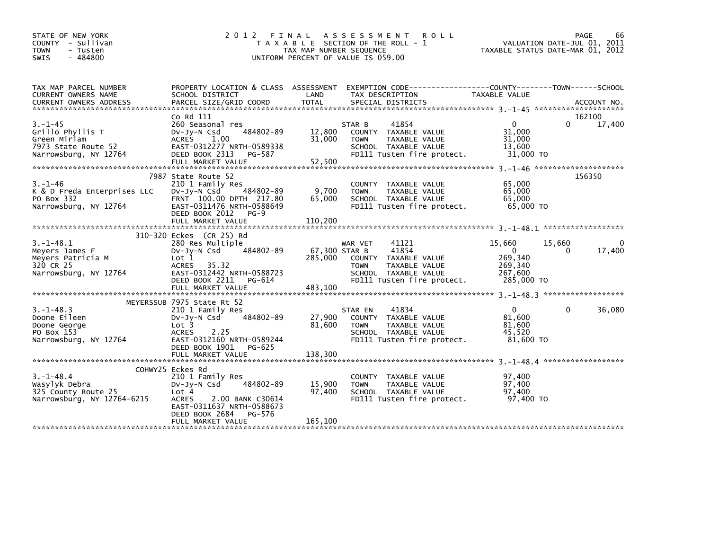| STATE OF NEW YORK<br>COUNTY - Sullivan<br><b>TOWN</b><br>- Tusten<br>$-484800$<br><b>SWIS</b>     |                                                                                                                                                                                             | TAX MAP NUMBER SEQUENCE             | 2012 FINAL ASSESSMENT<br><b>ROLL</b><br>T A X A B L E SECTION OF THE ROLL - 1<br>UNIFORM PERCENT OF VALUE IS 059.00                     | TAXABLE STATUS DATE-MAR 01, 2012                                            | PAGE<br>66<br>VALUATION DATE-JUL 01, 2011 |
|---------------------------------------------------------------------------------------------------|---------------------------------------------------------------------------------------------------------------------------------------------------------------------------------------------|-------------------------------------|-----------------------------------------------------------------------------------------------------------------------------------------|-----------------------------------------------------------------------------|-------------------------------------------|
| TAX MAP PARCEL NUMBER<br>CURRENT OWNERS NAME                                                      | SCHOOL DISTRICT                                                                                                                                                                             | LAND                                | PROPERTY LOCATION & CLASS ASSESSMENT EXEMPTION CODE---------------COUNTY-------TOWN------SCHOOL<br>TAX DESCRIPTION                      | <b>TAXABLE VALUE</b>                                                        |                                           |
| $3. - 1 - 45$<br>Grillo Phyllis T<br>Green Miriam<br>7973 State Route 52<br>Narrowsburg, NY 12764 | Co Rd 111<br>260 Seasonal res<br>484802-89<br>$Dv-Jv-N$ Csd<br>ACRES 1.00<br>EAST-0312277 NRTH-0589338<br>DEED BOOK 2313<br>PG-587<br>FULL MARKET VALUE                                     | 12,800<br>31,000<br>52,500          | 41854<br>STAR B<br>COUNTY TAXABLE VALUE<br>TAXABLE VALUE<br><b>TOWN</b><br>SCHOOL TAXABLE VALUE<br>FD111 Tusten fire protect.           | $\mathbf{0}$<br>31.000<br>31,000<br>13,600<br>31,000 TO                     | 162100<br>$\Omega$<br>17,400              |
| $3. - 1 - 46$<br>K & D Freda Enterprises LLC<br>PO Box 332<br>Narrowsburg, NY 12764               | 7987 State Route 52<br>210 1 Family Res<br>484802-89<br>DV-Jy-N Csd<br>FRNT 100.00 DPTH 217.80<br>EAST-0311476 NRTH-0588649<br>DEED BOOK 2012<br>$PG-9$<br>FULL MARKET VALUE                | 9,700<br>65,000<br>110,200          | COUNTY TAXABLE VALUE<br><b>TOWN</b><br>TAXABLE VALUE<br>SCHOOL TAXABLE VALUE<br>FD111 Tusten fire protect.                              | 65,000<br>65,000<br>65,000<br>65,000 TO                                     | 156350                                    |
| $3. -1 - 48.1$<br>Meyers James F<br>Meyers Patricia M<br>320 CR 25<br>Narrowsburg, NY 12764       | 310-320 Eckes (CR 25) Rd<br>280 Res Multiple<br>484802-89<br>$Dv-Jy-N$ Csd<br>Lot 1<br>ACRES 35.32<br>EAST-0312442 NRTH-0588723<br>DEED BOOK 2211<br>PG-614<br>FULL MARKET VALUE            | 67,300 STAR B<br>285,000<br>483,100 | 41121<br>WAR VET<br>41854<br>COUNTY TAXABLE VALUE<br><b>TOWN</b><br>TAXABLE VALUE<br>SCHOOL TAXABLE VALUE<br>FD111 Tusten fire protect. | 15,660<br>15,660<br>$\Omega$<br>269,340<br>269,340<br>267,600<br>285,000 TO | 0<br>17,400<br>$\Omega$                   |
| $3. - 1 - 48.3$<br>Doone Eileen<br>Doone George<br>PO Box 153<br>Narrowsburg, NY 12764            | MEYERSSUB 7975 State Rt 52<br>210 1 Family Res<br>484802-89<br>$Dv-Jv-N$ Csd<br>Lot 3<br>2.25<br><b>ACRES</b><br>EAST-0312160 NRTH-0589244<br>DEED BOOK 1901<br>PG-625<br>FULL MARKET VALUE | 27,900<br>81,600<br>138,300         | 41834<br>STAR EN<br>COUNTY TAXABLE VALUE<br><b>TOWN</b><br>TAXABLE VALUE<br>SCHOOL TAXABLE VALUE<br>FD111 Tusten fire protect.          | $\Omega$<br>81,600<br>81,600<br>45.520<br>81,600 TO                         | 36,080<br>0                               |
| $3. - 1 - 48.4$<br>Wasylyk Debra<br>325 County Route 25<br>Narrowsburg, NY 12764-6215             | COHWY25 Eckes Rd<br>210 1 Family Res<br>484802-89<br>DV-JV-N Csd<br>Lot 4<br>2.00 BANK C30614<br><b>ACRES</b><br>EAST-0311637 NRTH-0588673<br>DEED BOOK 2684<br>PG-576<br>FULL MARKET VALUE | 15,900<br>97,400<br>165,100         | COUNTY TAXABLE VALUE<br>TAXABLE VALUE<br><b>TOWN</b><br>SCHOOL TAXABLE VALUE<br>FD111 Tusten fire protect.                              | 97,400<br>97,400<br>97.400<br>97,400 TO                                     |                                           |
|                                                                                                   |                                                                                                                                                                                             |                                     |                                                                                                                                         |                                                                             |                                           |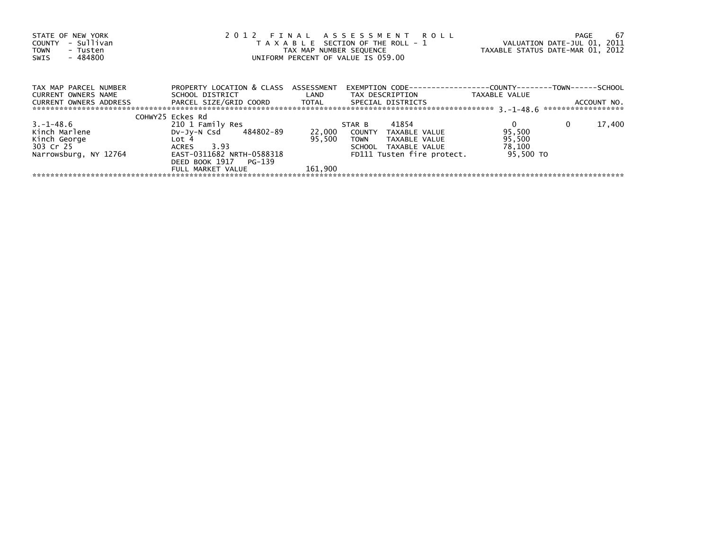| STATE OF NEW YORK<br>- Sullivan<br><b>COUNTY</b><br><b>TOWN</b><br>- Tusten<br>$-484800$<br>SWIS | 2012 FINAL ASSESSMENT ROLL<br>T A X A B L E SECTION OF THE ROLL - 1<br>TAX MAP NUMBER SEQUENCE<br>UNIFORM PERCENT OF VALUE IS 059.00 | TAXABLE STATUS DATE-MAR 01, 2012 | -67<br>PAGE<br>VALUATION DATE-JUL 01, 2011 |                                                                |                                   |
|--------------------------------------------------------------------------------------------------|--------------------------------------------------------------------------------------------------------------------------------------|----------------------------------|--------------------------------------------|----------------------------------------------------------------|-----------------------------------|
| TAX MAP PARCEL NUMBER<br><b>CURRENT OWNERS NAME</b>                                              | PROPERTY LOCATION & CLASS ASSESSMENT<br>SCHOOL DISTRICT                                                                              | <b>Example 12</b>                | EXEMPTION CODE---<br>TAX DESCRIPTION       | ---------------COUNTY--------TOWN------SCHOOL<br>TAXABLE VALUE |                                   |
| <b>CURRENT OWNERS ADDRESS</b>                                                                    | PARCEL SIZE/GRID COORD TOTAL                                                                                                         |                                  | SPECIAL DISTRICTS                          |                                                                | ACCOUNT NO.<br>****************** |
|                                                                                                  | COHWY25 Eckes Rd                                                                                                                     |                                  |                                            |                                                                |                                   |
| 3. – 1–48.6                                                                                      | 210 1 Family Res                                                                                                                     |                                  | 41854<br>STAR B                            |                                                                | 17,400<br>$\mathbf{0}$            |
| Kinch Marlene                                                                                    | 484802-89<br>Dv-Jy-N Csd                                                                                                             | 22,000                           | COUNTY<br>TAXABLE VALUE                    | 95,500                                                         |                                   |
| Kinch George                                                                                     | Lot 4                                                                                                                                | 95.500                           | TAXABLE VALUE<br><b>TOWN</b>               | 95,500                                                         |                                   |
| 303 Cr 25                                                                                        | 3.93<br>ACRES                                                                                                                        |                                  | TAXABLE VALUE<br>SCHOOL                    | 78,100                                                         |                                   |
| Narrowsburg, NY 12764                                                                            | EAST-0311682 NRTH-0588318                                                                                                            |                                  | FD111 Tusten fire protect.                 | 95.500 TO                                                      |                                   |
|                                                                                                  | DEED BOOK 1917 PG-139                                                                                                                |                                  |                                            |                                                                |                                   |
|                                                                                                  | FULL MARKET VALUE                                                                                                                    | 161.900                          |                                            |                                                                |                                   |
|                                                                                                  |                                                                                                                                      |                                  |                                            |                                                                |                                   |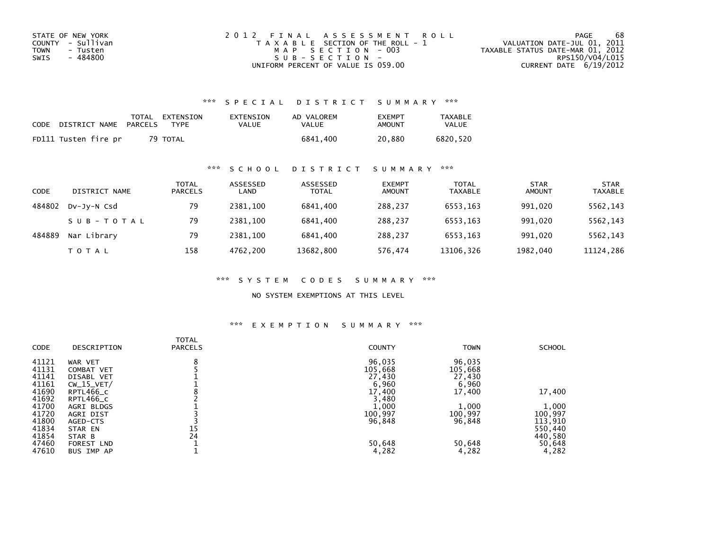| STATE OF NEW YORK | 2012 FINAL ASSESSMENT ROLL            | 68<br>PAGE                       |
|-------------------|---------------------------------------|----------------------------------|
| COUNTY - Sullivan | T A X A B L E SECTION OF THE ROLL - 1 | VALUATION DATE-JUL 01, 2011      |
| TOWN<br>- Tusten  | MAP SECTION - 003                     | TAXABLE STATUS DATE-MAR 01, 2012 |
| - 484800<br>SWIS  | SUB-SECTION-                          | RPS150/V04/L015                  |
|                   | UNIFORM PERCENT OF VALUE IS 059.00    | CURRENT DATE $6/19/2012$         |

## \*\*\* S P E C I A L D I S T R I C T S U M M A R Y \*\*\*

| CODE | DISTRICT NAME        | PARCELS | TOTAL EXTENSION<br><b>TYPF</b> | EXTENSION<br>VALUE | AD VALOREM<br>VALUE | <b>FXFMPT</b><br>AMOUNT | <b>TAXABLE</b><br><b>VALUE</b> |
|------|----------------------|---------|--------------------------------|--------------------|---------------------|-------------------------|--------------------------------|
|      | FD111 Tusten fire pr |         | 79 TOTAL                       |                    | 6841.400            | 20.880                  | 6820.520                       |

#### \*\*\* S C H O O L D I S T R I C T S U M M A R Y \*\*\*

| CODE   | DISTRICT NAME | TOTAL<br><b>PARCELS</b> | ASSESSED<br>LAND | ASSESSED<br><b>TOTAL</b> | <b>EXEMPT</b><br><b>AMOUNT</b> | <b>TOTAL</b><br><b>TAXABLE</b> | <b>STAR</b><br><b>AMOUNT</b> | <b>STAR</b><br><b>TAXABLE</b> |
|--------|---------------|-------------------------|------------------|--------------------------|--------------------------------|--------------------------------|------------------------------|-------------------------------|
| 484802 | DV-JV-N Csd   | 79                      | 2381.100         | 6841.400                 | 288.237                        | 6553.163                       | 991.020                      | 5562,143                      |
|        | SUB-TOTAL     | 79                      | 2381.100         | 6841.400                 | 288.237                        | 6553.163                       | 991.020                      | 5562,143                      |
| 484889 | Nar Library   | 79                      | 2381.100         | 6841.400                 | 288,237                        | 6553.163                       | 991,020                      | 5562,143                      |
|        | T O T A L     | 158                     | 4762.200         | 13682,800                | 576,474                        | 13106,326                      | 1982,040                     | 11124,286                     |

\*\*\* S Y S T E M C O D E S S U M M A R Y \*\*\*

NO SYSTEM EXEMPTIONS AT THIS LEVEL

# \*\*\* E X E M P T I O N S U M M A R Y \*\*\*

| DESCRIPTION       | <b>PARCELS</b> | <b>COUNTY</b> | <b>TOWN</b>                                            | <b>SCHOOL</b>              |
|-------------------|----------------|---------------|--------------------------------------------------------|----------------------------|
| WAR VET           | 8              | 96,035        | 96,035                                                 |                            |
| COMBAT VET        |                |               |                                                        |                            |
| DISABL VET        |                |               |                                                        |                            |
|                   |                |               |                                                        |                            |
| RPTL466_C         |                | 17,400        | 17,400                                                 | 17,400                     |
| RPTL466_C         |                |               |                                                        |                            |
| AGRI BLDGS        |                |               | 1,000                                                  | 1,000                      |
| AGRI DIST         |                | 100,997       | 100,997                                                | 100,997                    |
| AGED-CTS          |                | 96,848        | 96,848                                                 | 113,910                    |
| STAR EN           | 15             |               |                                                        | 550,440                    |
| STAR B            | 24             |               |                                                        | 440,580                    |
| <b>FOREST LND</b> |                |               | 50,648                                                 | 50,648                     |
| BUS IMP AP        |                | 4,282         | 4,282                                                  | 4,282                      |
|                   | $CW_15_VET/$   | <b>TOTAL</b>  | 105,668<br>27,430<br>6,960<br>3,480<br>1,000<br>50,648 | 105,668<br>27,430<br>6,960 |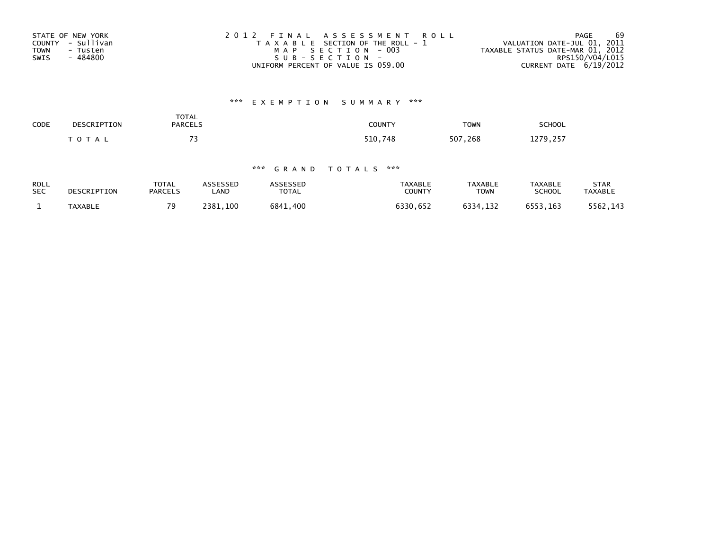| STATE OF NEW YORK       | 2012 FINAL ASSESSMENT ROLL            | 69<br>PAGE                       |
|-------------------------|---------------------------------------|----------------------------------|
| COUNTY - Sullivan       | T A X A B L E SECTION OF THE ROLL - 1 | VALUATION DATE-JUL 01, 2011      |
| <b>TOWN</b><br>- Tusten | MAP SECTION - 003                     | TAXABLE STATUS DATE-MAR 01, 2012 |
| - 484800<br>SWIS        | SUB-SECTION-                          | RPS150/V04/L015                  |
|                         | UNIFORM PERCENT OF VALUE IS 059.00    | CURRENT DATE $6/19/2012$         |

# \*\*\* E X E M P T I O N S U M M A R Y \*\*\*

| <b>SCHOOL</b>                     | <b>TOWN</b> | COUNTY  | <b>TOTAL</b><br><b>PARCELS</b> | DESCRIPTION | CODE |
|-----------------------------------|-------------|---------|--------------------------------|-------------|------|
| ີ 279.<br>つちご<br><b>ILIJ, LJI</b> | .268<br>507 | 510,748 | $\rightarrow$                  | T O T A L   |      |

## \*\*\* G R A N D T O T A L S \*\*\*

| <b>ROLL</b> | DESCRIPTION | TOTAL          | ASSESSED | ASSESSED     | TAXABLE       | TAXABLE  | TAXABLE       | STAR           |
|-------------|-------------|----------------|----------|--------------|---------------|----------|---------------|----------------|
| <b>SEC</b>  |             | <b>PARCELS</b> | LAND     | <b>TOTAL</b> | <b>COUNTY</b> | TOWN     | <b>SCHOOL</b> | <b>TAXABLE</b> |
|             | TAXABLE     | 70             | 2381.100 | 6841.400     | 6330,652      | 6334,132 | 6553,163      | 5562.143       |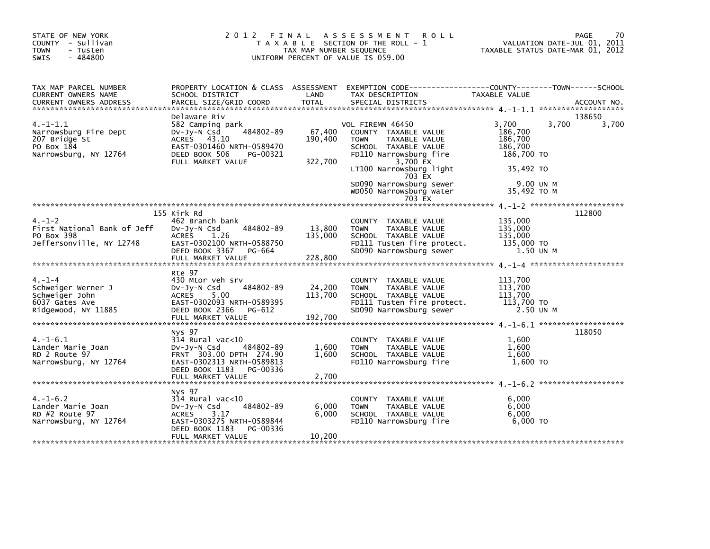| STATE OF NEW YORK<br>COUNTY - Sullivan<br><b>TOWN</b><br>- Tusten<br>$-484800$<br>SWIS         | 2012 FINAL                                                                                                                                                       | TAX MAP NUMBER SEQUENCE      | A S S E S S M E N T<br><b>ROLL</b><br>T A X A B L E SECTION OF THE ROLL - 1<br>UNIFORM PERCENT OF VALUE IS 059.00                                                                                                                           | TAXABLE STATUS DATE-MAR 01, 2012                                                                       | PAGE<br>70<br>VALUATION DATE-JUL 01, 2011 |
|------------------------------------------------------------------------------------------------|------------------------------------------------------------------------------------------------------------------------------------------------------------------|------------------------------|---------------------------------------------------------------------------------------------------------------------------------------------------------------------------------------------------------------------------------------------|--------------------------------------------------------------------------------------------------------|-------------------------------------------|
| TAX MAP PARCEL NUMBER<br>CURRENT OWNERS NAME                                                   | SCHOOL DISTRICT                                                                                                                                                  | LAND                         | PROPERTY LOCATION & CLASS ASSESSMENT EXEMPTION CODE-----------------COUNTY-------TOWN------SCHOOL<br>TAX DESCRIPTION                                                                                                                        | TAXABLE VALUE                                                                                          |                                           |
| $4. -1 - 1.1$<br>Narrowsburg Fire Dept<br>207 Bridge St<br>PO Box 184<br>Narrowsburg, NY 12764 | Delaware Riv<br>582 Camping park<br>484802-89<br>Dv-Jy-N Csd<br>ACRES 43.10<br>EAST-0301460 NRTH-0589470<br>DEED BOOK 506<br>PG-00321<br>FULL MARKET VALUE       | 67,400<br>190,400<br>322,700 | VOL FIREMN 46450<br>COUNTY TAXABLE VALUE<br>TAXABLE VALUE<br><b>TOWN</b><br>SCHOOL TAXABLE VALUE<br>FD110 Narrowsburg fire<br>3,700 EX<br>LT100 Narrowsburg light<br>703 EX<br>SD090 Narrowsburg sewer<br>WD050 Narrowsburg water<br>703 EX | 3,700<br>3,700<br>186,700<br>186,700<br>186,700<br>186,700 TO<br>35.492 TO<br>9.00 UN M<br>35,492 TO M | 138650<br>3,700                           |
| $4. - 1 - 2$<br>First National Bank of Jeff<br>PO Box 398<br>Jeffersonville, NY 12748          | 155 Kirk Rd<br>462 Branch bank<br>DV-Jy-N Csd 484802-89<br><b>ACRES</b><br>1.26<br>EAST-0302100 NRTH-0588750<br>DEED BOOK 3367 PG-664                            | 13,800<br>135,000            | COUNTY TAXABLE VALUE<br><b>TOWN</b><br>TAXABLE VALUE<br>SCHOOL TAXABLE VALUE<br>FD111 Tusten fire protect.<br>SD090 Narrowsburg sewer                                                                                                       | 135,000<br>135,000<br>135,000<br>135,000 TO<br>1.50 UN M                                               | 112800                                    |
| $4. - 1 - 4$<br>Schweiger Werner J<br>Schweiger John<br>6037 Gates Ave<br>Ridgewood, NY 11885  | Rte 97<br>430 Mtor veh srv<br>484802-89<br>Dv-Jy-N Csd<br>ACRES 5.00<br>EAST-0302093 NRTH-0589395<br>DEED BOOK 2366<br>PG-612<br>FULL MARKET VALUE               | 24,200<br>113,700<br>192,700 | COUNTY TAXABLE VALUE<br>TAXABLE VALUE<br><b>TOWN</b><br>SCHOOL TAXABLE VALUE<br>FD111 Tusten fire protect.<br>SD090 Narrowsburg sewer                                                                                                       | 113,700<br>113,700<br>113,700<br>113,700 TO<br>2.50 UN M                                               |                                           |
| $4. -1 - 6.1$<br>Lander Marie Joan<br>RD 2 Route 97<br>Narrowsburg, NY 12764                   | Nys 97<br>$314$ Rural vac<10<br>Dv-Jy-N Csd<br>484802-89<br>FRNT 303.00 DPTH 274.90<br>EAST-0302313 NRTH-0589813<br>DEED BOOK 1183 PG-00336<br>FULL MARKET VALUE | 1,600<br>1,600<br>2,700      | COUNTY TAXABLE VALUE<br>TAXABLE VALUE<br><b>TOWN</b><br>SCHOOL TAXABLE VALUE<br>FD110 Narrowsburg fire                                                                                                                                      | 1,600<br>1.600<br>1,600<br>1.600 TO                                                                    | 118050                                    |
| $4. -1 - 6.2$<br>Lander Marie Joan<br>RD #2 Route 97<br>Narrowsburg, NY 12764                  | Nys 97<br>$314$ Rural vac<10<br>484802-89<br>Dv-Jy-N Csd<br><b>ACRES</b><br>3.17<br>EAST-0303275 NRTH-0589844<br>DEED BOOK 1183<br>PG-00336<br>FULL MARKET VALUE | 6,000<br>6,000<br>10,200     | COUNTY TAXABLE VALUE<br>TAXABLE VALUE<br><b>TOWN</b><br>SCHOOL TAXABLE VALUE<br>FD110 Narrowsburg fire                                                                                                                                      | 6,000<br>6,000<br>6,000<br>6,000 TO                                                                    |                                           |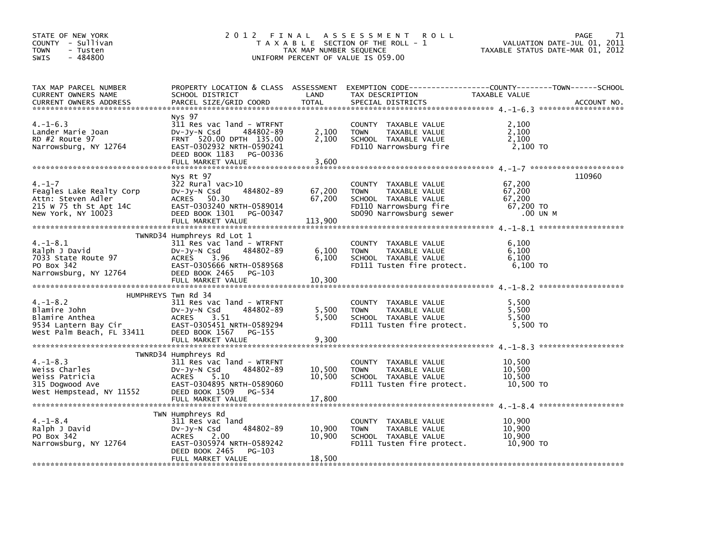| STATE OF NEW YORK<br>COUNTY - Sullivan<br><b>TOWN</b><br>- Tusten<br>$-484800$<br><b>SWIS</b>                  | 2012 FINAL                                                                                                                                                                      | TAX MAP NUMBER SEQUENCE     | A S S E S S M E N T<br><b>ROLL</b><br>T A X A B L E SECTION OF THE ROLL - 1<br>UNIFORM PERCENT OF VALUE IS 059.00                      | VALUATION DATE-JUL 01, 2011<br>TAXABLE STATUS DATE-MAR 01, 2012 | PAGE<br>71  |
|----------------------------------------------------------------------------------------------------------------|---------------------------------------------------------------------------------------------------------------------------------------------------------------------------------|-----------------------------|----------------------------------------------------------------------------------------------------------------------------------------|-----------------------------------------------------------------|-------------|
| TAX MAP PARCEL NUMBER<br>CURRENT OWNERS NAME<br><b>CURRENT OWNERS ADDRESS</b>                                  | SCHOOL DISTRICT<br>PARCEL SIZE/GRID COORD                                                                                                                                       | LAND<br><b>TOTAL</b>        | PROPERTY LOCATION & CLASS ASSESSMENT EXEMPTION CODE---------------COUNTY-------TOWN-----SCHOOL<br>TAX DESCRIPTION<br>SPECIAL DISTRICTS | TAXABLE VALUE                                                   | ACCOUNT NO. |
| $4. -1 - 6.3$<br>Lander Marie Joan<br>RD #2 Route 97<br>Narrowsburg, NY 12764                                  | Nys 97<br>311 Res vac land - WTRFNT<br>484802-89<br>DV-Jy-N Csd<br>FRNT 520.00 DPTH 135.00<br>EAST-0302932 NRTH-0590241<br>DEED BOOK 1183 PG-00336<br>FULL MARKET VALUE         | 2,100<br>2,100<br>3,600     | COUNTY TAXABLE VALUE<br><b>TOWN</b><br>TAXABLE VALUE<br>SCHOOL TAXABLE VALUE<br>FD110 Narrowsburg fire                                 | 2,100<br>2,100<br>2,100<br>2,100 TO                             |             |
| $4. - 1 - 7$<br>Feagles Lake Realty Corp<br>Attn: Steven Adler<br>215 W 75 th St Apt 14C<br>New York, NY 10023 | Nys Rt 97<br>322 Rural vac>10<br>484802-89<br>DV-Jy-N Csd<br>ACRES 50.30<br>EAST-0303240 NRTH-0589014<br>DEED BOOK 1301 PG-00347<br>FULL MARKET VALUE                           | 67,200<br>67,200<br>113,900 | COUNTY TAXABLE VALUE<br><b>TOWN</b><br>TAXABLE VALUE<br>SCHOOL TAXABLE VALUE<br>FD110 Narrowsburg fire<br>SD090 Narrowsburg sewer      | 67,200<br>67,200<br>67,200<br>67,200 TO<br>.00 UN M             | 110960      |
| $4. -1 - 8.1$<br>Ralph J David<br>7033 State Route 97<br>PO Box 342<br>Narrowsburg, NY 12764                   | TWNRD34 Humphreys Rd Lot 1<br>311 Res vac land - WTRFNT<br>484802-89<br>DV-JY-N Csd<br>ACRES<br>3.96<br>EAST-0305666 NRTH-0589568<br>DEED BOOK 2465 PG-103<br>FULL MARKET VALUE | 6,100<br>6,100<br>10,300    | COUNTY TAXABLE VALUE<br><b>TOWN</b><br>TAXABLE VALUE<br>SCHOOL TAXABLE VALUE<br>FD111 Tusten fire protect.                             | 6,100<br>6,100<br>6,100<br>6,100 то                             |             |
| $4. -1 - 8.2$<br>Blamire John<br>Blamire Anthea<br>9534 Lantern Bay Cir<br>West Palm Beach, FL 33411           | HUMPHREYS Twn Rd 34<br>311 Res vac land - WTRFNT<br>$Dv-Jy-N$ Csd<br>484802-89<br>ACRES<br>3.51<br>EAST-0305451 NRTH-0589294<br>DEED BOOK 1567 PG-155                           | 5,500<br>5,500              | COUNTY TAXABLE VALUE<br>TAXABLE VALUE<br><b>TOWN</b><br>SCHOOL TAXABLE VALUE<br>FD111 Tusten fire protect.                             | 5,500<br>5,500<br>5,500<br>5,500 TO                             |             |
| $4. -1 - 8.3$<br>Weiss Charles<br>Weiss Patricia<br>315 Dogwood Ave<br>West Hempstead, NY 11552                | TWNRD34 Humphreys Rd<br>311 Res vac land - WTRFNT<br>$Dv-Jy-N$ Csd<br>484802-89<br>5.10<br>ACRES<br>EAST-0304895 NRTH-0589060<br>DEED BOOK 1509 PG-534<br>FULL MARKET VALUE     | 10,500<br>10,500<br>17,800  | COUNTY TAXABLE VALUE<br>TAXABLE VALUE<br><b>TOWN</b><br>SCHOOL TAXABLE VALUE<br>FD111 Tusten fire protect.                             | 10,500<br>10,500<br>10,500<br>10,500 TO                         |             |
| $4. - 1 - 8.4$<br>Ralph J David<br>PO Box 342<br>Narrowsburg, NY 12764                                         | TWN Humphreys Rd<br>311 Res vac land<br>484802-89<br>$Dv-Jy-N$ Csd<br>2.00<br>ACRES<br>EAST-0305974 NRTH-0589242<br>DEED BOOK 2465<br>PG-103<br>FULL MARKET VALUE               | 10,900<br>10,900<br>18,500  | COUNTY TAXABLE VALUE<br>TAXABLE VALUE<br><b>TOWN</b><br>SCHOOL TAXABLE VALUE<br>FD111 Tusten fire protect.                             | 10,900<br>10,900<br>10,900<br>10,900 TO                         |             |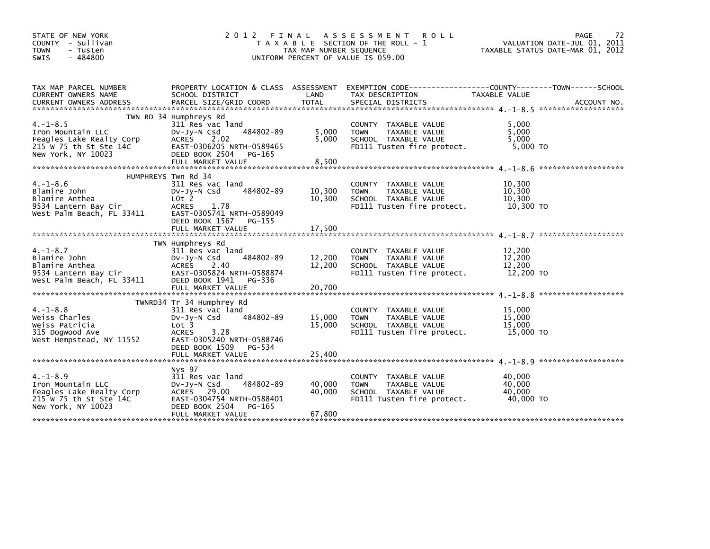| STATE OF NEW YORK<br>COUNTY - Sullivan<br><b>TOWN</b><br>- Tusten<br>$-484800$<br><b>SWIS</b>                  | 2 0 1 2                                                                                                                                                                                               | FINAL<br>TAX MAP NUMBER SEQUENCE | <b>ROLL</b><br>A S S E S S M E N T<br>T A X A B L E SECTION OF THE ROLL - 1<br>UNIFORM PERCENT OF VALUE IS 059.00 |                                         | 72<br>PAGE<br>VALUATION DATE-JUL 01, 2011<br>TAXABLE STATUS DATE-MAR 01, 2012 |
|----------------------------------------------------------------------------------------------------------------|-------------------------------------------------------------------------------------------------------------------------------------------------------------------------------------------------------|----------------------------------|-------------------------------------------------------------------------------------------------------------------|-----------------------------------------|-------------------------------------------------------------------------------|
| TAX MAP PARCEL NUMBER<br>CURRENT OWNERS NAME                                                                   | PROPERTY LOCATION & CLASS ASSESSMENT<br>SCHOOL DISTRICT                                                                                                                                               | LAND                             | EXEMPTION CODE-----------------COUNTY-------TOWN------SCHOOL<br>TAX DESCRIPTION                                   | TAXABLE VALUE                           |                                                                               |
| $4. -1 - 8.5$<br>Iron Mountain LLC<br>Feagles Lake Realty Corp<br>215 W 75 th St Ste 14C<br>New York, NY 10023 | TWN RD 34 Humphreys Rd<br>311 Res vac land<br>484802-89<br>$Dv-Jy-N$ Csd<br>ACRES<br>2.02<br>EAST-0306205 NRTH-0589465<br>DEED BOOK 2504<br>PG-165<br>FULL MARKET VALUE                               | 5,000<br>5,000<br>8,500          | COUNTY TAXABLE VALUE<br>TAXABLE VALUE<br><b>TOWN</b><br>SCHOOL TAXABLE VALUE<br>FD111 Tusten fire protect.        | 5,000<br>5,000<br>5.000<br>$5,000$ TO   |                                                                               |
| $4. -1 - 8.6$<br>Blamire John<br>Blamire Anthea<br>9534 Lantern Bay Cir<br>West Palm Beach, FL 33411           | HUMPHREYS Twn Rd 34<br>311 Res vac land<br>484802-89<br>$Dv-Jv-N$ Csd<br>$L0t$ 2<br><b>ACRES</b><br>1.78<br>EAST-0305741 NRTH-0589049<br>DEED BOOK 1567<br>PG-155<br>FULL MARKET VALUE                | 10,300<br>10,300<br>17,500       | COUNTY TAXABLE VALUE<br>TAXABLE VALUE<br><b>TOWN</b><br>SCHOOL TAXABLE VALUE<br>FD111 Tusten fire protect.        | 10,300<br>10,300<br>10,300<br>10,300 TO | *******************                                                           |
| $4. -1 - 8.7$<br>Blamire John<br>Blamire Anthea<br>9534 Lantern Bay Cir<br>West Palm Beach, FL 33411           | TWN Humphreys Rd<br>311 Res vac land<br>484802-89<br>$Dv-Jy-N$ Csd<br>ACRES<br>2.40<br>EAST-0305824 NRTH-0588874<br>DEED BOOK 1941<br>PG-336<br>FULL MARKET VALUE                                     | 12,200<br>12,200<br>20,700       | COUNTY TAXABLE VALUE<br><b>TOWN</b><br>TAXABLE VALUE<br>SCHOOL TAXABLE VALUE<br>FD111 Tusten fire protect.        | 12,200<br>12,200<br>12,200<br>12,200 TO | *******************                                                           |
| $4. -1 - 8.8$<br>Weiss Charles<br>Weiss Patricia<br>315 Dogwood Ave<br>West Hempstead, NY 11552                | TWNRD34 Tr 34 Humphrey Rd<br>311 Res vac land<br>484802-89<br>$Dv-Jv-N$ Csd<br>Lot <sub>3</sub><br>3.28<br><b>ACRES</b><br>EAST-0305240 NRTH-0588746<br>DEED BOOK 1509<br>PG-534<br>FULL MARKET VALUE | 15,000<br>15,000<br>25,400       | TAXABLE VALUE<br>COUNTY<br>TAXABLE VALUE<br><b>TOWN</b><br>SCHOOL TAXABLE VALUE<br>FD111 Tusten fire protect.     | 15,000<br>15,000<br>15,000<br>15,000 TO |                                                                               |
| $4. -1 - 8.9$<br>Iron Mountain LLC<br>Feagles Lake Realty Corp<br>215 W 75 th St Ste 14C<br>New York, NY 10023 | Nys 97<br>311 Res vac land<br>484802-89<br>DV-Jy-N Csd<br>ACRES 29.00<br>EAST-0304754 NRTH-0588401<br>DEED BOOK 2504<br>PG-165<br>FULL MARKET VALUE                                                   | 40,000<br>40,000<br>67,800       | TAXABLE VALUE<br>COUNTY<br>TAXABLE VALUE<br><b>TOWN</b><br>SCHOOL TAXABLE VALUE<br>FD111 Tusten fire protect.     | 40,000<br>40,000<br>40.000<br>40,000 TO |                                                                               |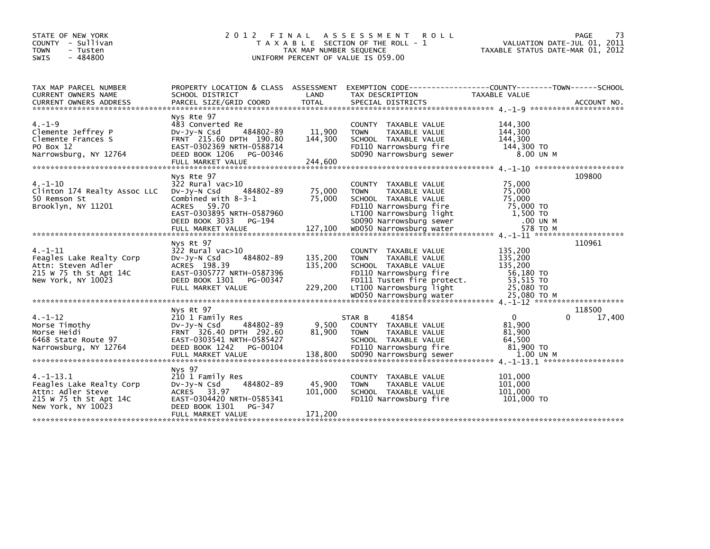| STATE OF NEW YORK<br>COUNTY - Sullivan<br><b>TOWN</b><br>- Tusten<br>- 484800<br><b>SWIS</b>                   | 2012<br>FINAL                                                                                                                                                           | TAX MAP NUMBER SEQUENCE       | ASSESSMENT ROLL<br>T A X A B L E SECTION OF THE ROLL - 1<br>UNIFORM PERCENT OF VALUE IS 059.00                                                                  | VALUATION DATE-JUL 01, 2011<br>TAXABLE STATUS DATE-MAR 01, 2012      | 73<br><b>PAGE</b>     |
|----------------------------------------------------------------------------------------------------------------|-------------------------------------------------------------------------------------------------------------------------------------------------------------------------|-------------------------------|-----------------------------------------------------------------------------------------------------------------------------------------------------------------|----------------------------------------------------------------------|-----------------------|
| TAX MAP PARCEL NUMBER<br>CURRENT OWNERS NAME                                                                   | PROPERTY LOCATION & CLASS ASSESSMENT<br>SCHOOL DISTRICT                                                                                                                 | LAND                          | EXEMPTION CODE-----------------COUNTY-------TOWN------SCHOOL<br>TAX DESCRIPTION                                                                                 | <b>TAXABLE VALUE</b>                                                 |                       |
| $4. - 1 - 9$<br>Clemente Jeffrey P<br>Clemente Frances S<br>PO Box 12<br>Narrowsburg, NY 12764                 | Nys Rte 97<br>483 Converted Re<br>484802-89<br>$Dv-Jy-N$ Csd<br>FRNT 215.60 DPTH 190.80<br>EAST-0302369 NRTH-0588714<br>DEED BOOK 1206<br>PG-00346<br>FULL MARKET VALUE | 11,900<br>144,300<br>244,600  | COUNTY TAXABLE VALUE<br><b>TOWN</b><br>TAXABLE VALUE<br>SCHOOL TAXABLE VALUE<br>FD110 Narrowsburg fire<br>SD090 Narrowsburg sewer                               | 144,300<br>144,300<br>144,300<br>144,300 TO<br>8.00 UN M             |                       |
| $4. -1 - 10$<br>Clinton 174 Realty Assoc LLC<br>50 Remson St<br>Brooklyn, NY 11201                             | Nys Rte 97<br>$322$ Rural vac $>10$<br>484802-89<br>$Dv-Jy-N$ Csd<br>Combined with $8-3-1$<br>ACRES 59.70<br>EAST-0303895 NRTH-0587960<br>DEED BOOK 3033<br>PG-194      | 75,000<br>75,000              | COUNTY TAXABLE VALUE<br><b>TOWN</b><br>TAXABLE VALUE<br>SCHOOL TAXABLE VALUE<br>FD110 Narrowsburg fire<br>LT100 Narrowsburg light<br>SD090 Narrowsburg sewer    | 75,000<br>75,000<br>75,000<br>75,000 TO<br>1,500 TO<br>.00 UN M      | 109800                |
| $4. -1 - 11$<br>Feagles Lake Realty Corp<br>Attn: Steven Adler<br>215 W 75 th St Apt 14C<br>New York, NY 10023 | Nys Rt 97<br>$322$ Rural vac $>10$<br>484802-89<br>DV-JY-N Csd<br>ACRES 198.39<br>EAST-0305777 NRTH-0587396<br>DEED BOOK 1301<br>PG-00347<br>FULL MARKET VALUE          | 135,200<br>135,200<br>229,200 | COUNTY TAXABLE VALUE<br>TAXABLE VALUE<br><b>TOWN</b><br>SCHOOL TAXABLE VALUE<br>FD110 Narrowsburg fire<br>FD111 Tusten fire protect.<br>LT100 Narrowsburg light | 135,200<br>135,200<br>135,200<br>56,180 TO<br>53,515 TO<br>25,080 TO | 110961                |
| $4. - 1 - 12$<br>Morse Timothy<br>Morse Heidi<br>6468 State Route 97<br>Narrowsburg, NY 12764                  | Nys Rt 97<br>210 1 Family Res<br>484802-89<br>DV-Jy-N Csd<br>FRNT 326.40 DPTH 292.60<br>EAST-0303541 NRTH-0585427<br>DEED BOOK 1242<br>PG-00104                         | 9,500<br>81,900               | 41854<br>STAR B<br>COUNTY TAXABLE VALUE<br><b>TOWN</b><br>TAXABLE VALUE<br>SCHOOL TAXABLE VALUE<br>FD110 Narrowsburg fire                                       | $\Omega$<br>81,900<br>81,900<br>64,500<br>81,900 TO                  | 118500<br>17,400<br>0 |
| 4.-1-13.1<br>Feagles Lake Realty Corp<br>Attn: Adler Steve<br>215 W 75 th St Apt 14C                           | FULL MARKET VALUE<br>Nys 97<br>210 1 Family Res<br>484802-89<br>DV-Jy-N Csd<br>ACRES 33.97<br>EAST-0304420 NRTH-0585341                                                 | 138,800<br>45,900<br>101,000  | SD090 Narrowsburg sewer<br>TAXABLE VALUE<br><b>COUNTY</b><br>TAXABLE VALUE<br><b>TOWN</b><br>SCHOOL TAXABLE VALUE<br>FD110 Narrowsburg fire                     | 1.00 UN M<br>101,000<br>101,000<br>101,000<br>101,000 TO             |                       |
| New York, NY 10023                                                                                             | DEED BOOK 1301<br>PG-347<br>FULL MARKET VALUE                                                                                                                           | 171,200                       |                                                                                                                                                                 |                                                                      |                       |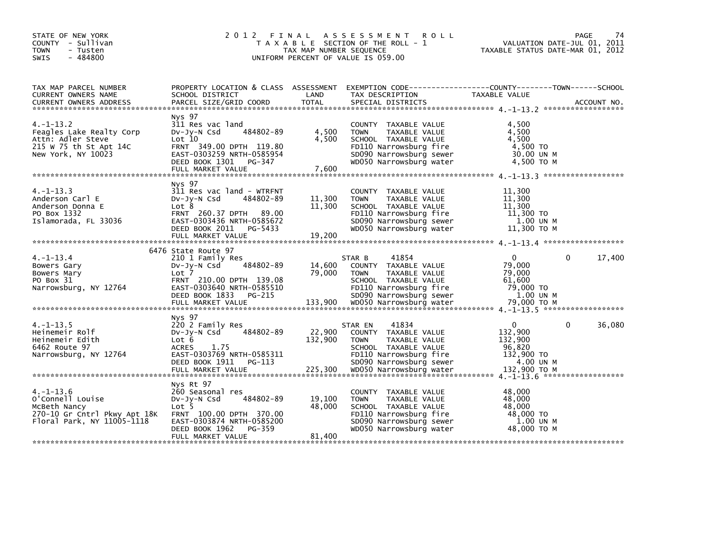| STATE OF NEW YORK<br>COUNTY - Sullivan<br><b>TOWN</b><br>- Tusten<br>SWIS<br>$-484800$                                                   | 2 0 1 2                                                                                                                                                       | TAX MAP NUMBER SEQUENCE | FINAL ASSESSMENT ROLL<br>T A X A B L E SECTION OF THE ROLL - 1<br>UNIFORM PERCENT OF VALUE IS 059.00                                                         | VALUATION DATE-JUL 01, 2011<br>TAXABLE STATUS DATE-MAR 01, 2012           | PAGE<br>74  |
|------------------------------------------------------------------------------------------------------------------------------------------|---------------------------------------------------------------------------------------------------------------------------------------------------------------|-------------------------|--------------------------------------------------------------------------------------------------------------------------------------------------------------|---------------------------------------------------------------------------|-------------|
| TAX MAP PARCEL NUMBER<br>CURRENT OWNERS NAME<br><b>CURRENT OWNERS ADDRESS</b>                                                            | SCHOOL DISTRICT<br>PARCEL SIZE/GRID COORD                                                                                                                     | LAND<br>TOTAL           | PROPERTY LOCATION & CLASS ASSESSMENT EXEMPTION CODE-----------------COUNTY-------TOWN------SCHOOL<br>TAX DESCRIPTION<br>SPECIAL DISTRICTS                    | TAXABLE VALUE                                                             | ACCOUNT NO. |
|                                                                                                                                          |                                                                                                                                                               |                         |                                                                                                                                                              |                                                                           |             |
| $4. -1 - 13.2$<br>Feagles Lake Realty Corp<br>Attn: Adler Steve<br>215 W 75 th St Apt 14C<br>New York, NY 10023                          | Nys 97<br>311 Res vac land<br>484802-89<br>$Dv-Jv-N$ Csd<br>Lot 10<br>FRNT 349.00 DPTH 119.80<br>EAST-0303259 NRTH-0585954<br>DEED BOOK 1301 PG-347           | 4,500<br>4,500          | COUNTY TAXABLE VALUE<br><b>TOWN</b><br>TAXABLE VALUE<br>SCHOOL TAXABLE VALUE<br>FD110 Narrowsburg fire<br>SD090 Narrowsburg sewer<br>WD050 Narrowsburg water | 4,500<br>4,500<br>4.500<br>4,500 TO<br>30.00 UN M<br>4,500 TO M           |             |
|                                                                                                                                          | Nys 97                                                                                                                                                        |                         |                                                                                                                                                              |                                                                           |             |
| $4. -1 - 13.3$<br>Anderson Carl E<br>Anderson Donna E<br>PO Box 1332<br>Islamorada, FL 33036                                             | 311 Res vac land - WTRFNT<br>$Dv-Jv-N$ Csd<br>484802-89<br>Lot 8<br>FRNT 260.37 DPTH 89.00<br>EAST-0303436 NRTH-0585672<br>DEED BOOK 2011 PG-5433             | 11,300<br>11,300        | COUNTY TAXABLE VALUE<br>TAXABLE VALUE<br><b>TOWN</b><br>SCHOOL TAXABLE VALUE<br>FD110 Narrowsburg fire<br>SD090 Narrowsburg sewer<br>WD050 Narrowsburg water | 11,300<br>11,300<br>11,300<br>11,300 TO<br>1.00 UN M<br>11,300 то м       |             |
|                                                                                                                                          |                                                                                                                                                               |                         |                                                                                                                                                              |                                                                           |             |
|                                                                                                                                          |                                                                                                                                                               |                         |                                                                                                                                                              |                                                                           |             |
| $4. -1 - 13.4$<br>Bowers Gary<br>Bowers Mary<br>PO Box 31<br>Narrowsburg, NY 12764                                                       | 6476 State Route 97<br>210 1 Family Res<br>484802-89<br>DV-Jy-N Csd<br>Lot 7<br>FRNT 210.00 DPTH 139.08<br>EAST-0303640 NRTH-0585510<br>DEED BOOK 1833 PG-215 | 14,600<br>79,000        | 41854<br>STAR B<br>COUNTY TAXABLE VALUE<br>TAXABLE VALUE<br><b>TOWN</b><br>SCHOOL TAXABLE VALUE<br>FD110 Narrowsburg fire<br>SD090 Narrowsburg sewer         | 0<br>$\mathbf{0}$<br>79,000<br>79,000<br>61,600<br>79,000 TO<br>1.00 UN M | 17,400      |
|                                                                                                                                          |                                                                                                                                                               |                         |                                                                                                                                                              |                                                                           |             |
| $4. -1 - 13.5$<br>Heinemeir Rolf<br>Heinemeir Edith<br>6462 Route 97<br>Narrowsburg, NY 12764                                            | Nys 97<br>220 2 Family Res<br>484802-89<br>$Dv-Jy-N$ Csd<br>Lot 6<br><b>ACRES</b><br>1.75<br>EAST-0303769 NRTH-0585311<br>DEED BOOK 1911 PG-113               | 22,900<br>132,900       | 41834<br>STAR EN<br>COUNTY TAXABLE VALUE<br><b>TOWN</b><br>TAXABLE VALUE<br>SCHOOL TAXABLE VALUE<br>FD110 Narrowsburg fire<br>SD090 Narrowsburg sewer        | $\Omega$<br>0<br>132,900<br>132,900<br>96,820<br>132,900 TO<br>4.00 UN M  | 36,080      |
|                                                                                                                                          |                                                                                                                                                               |                         |                                                                                                                                                              |                                                                           |             |
| $4. -1 - 13.6$<br>O'Connell Louise<br>McBeth Nancy<br>270-10 Gr Cntrl Pkwy Apt 18K FRNT 100.00 DPTH 370.00<br>Floral Park, NY 11005-1118 | Nys Rt 97<br>260 Seasonal res<br>484802-89<br>$Dv-Jy-N$ Csd<br>Lot 5<br>EAST-0303874 NRTH-0585200<br>DEED BOOK 1962<br>PG-359                                 | 19,100<br>48,000        | COUNTY TAXABLE VALUE<br><b>TOWN</b><br>TAXABLE VALUE<br>SCHOOL TAXABLE VALUE<br>FD110 Narrowsburg fire<br>SD090 Narrowsburg sewer<br>WD050 Narrowsburg water | 48,000<br>48,000<br>48,000<br>48,000 TO<br>1.00 UN M<br>48,000 то м       |             |
|                                                                                                                                          | FULL MARKET VALUE                                                                                                                                             | 81,400                  |                                                                                                                                                              |                                                                           |             |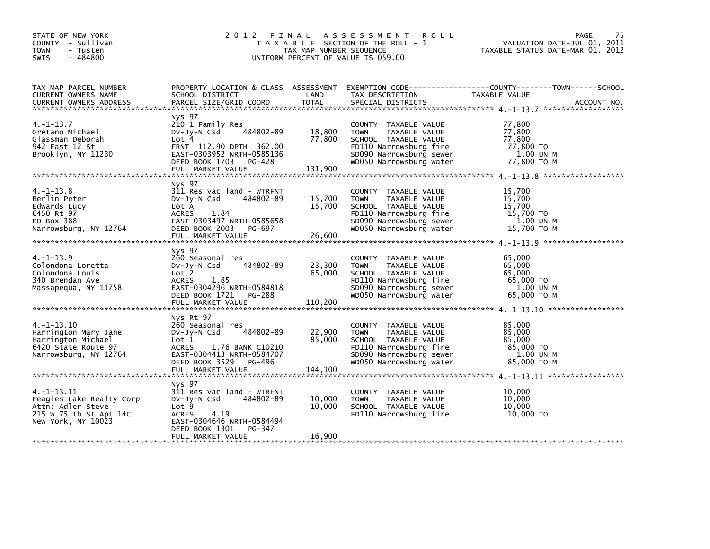| STATE OF NEW YORK<br>COUNTY - Sullivan<br><b>TOWN</b><br>- Tusten<br>- 484800<br><b>SWIS</b>                     |                                                                                                                                                                   | TAX MAP NUMBER SEQUENCE    | 2012 FINAL ASSESSMENT ROLL<br>T A X A B L E SECTION OF THE ROLL - 1<br>UNIFORM PERCENT OF VALUE IS 059.00                                                    | 75<br>PAGE<br>VALUATION DATE-JUL 01, 2011<br>TAXABLE STATUS DATE-MAR 01, 2012 |  |
|------------------------------------------------------------------------------------------------------------------|-------------------------------------------------------------------------------------------------------------------------------------------------------------------|----------------------------|--------------------------------------------------------------------------------------------------------------------------------------------------------------|-------------------------------------------------------------------------------|--|
| TAX MAP PARCEL NUMBER<br>CURRENT OWNERS NAME<br><b>CURRENT OWNERS ADDRESS</b>                                    |                                                                                                                                                                   |                            | SPECIAL DISTRICTS                                                                                                                                            | ACCOUNT NO.                                                                   |  |
| $4. -1 - 13.7$<br>Gretano Michael<br>Glassman Deborah<br>942 East 12 St<br>Brooklyn, NY 11230                    | Nys 97<br>210 1 Family Res<br>484802-89<br>DV-Jy-N Csd<br>Lot 4<br>FRNT 112.90 DPTH 362.00<br>EAST-0303952 NRTH-0585136<br>DEED BOOK 1703 PG-428                  | 18,800<br>77,800           | COUNTY TAXABLE VALUE<br><b>TOWN</b><br>TAXABLE VALUE<br>SCHOOL TAXABLE VALUE<br>FD110 Narrowsburg fire<br>SD090 Narrowsburg sewer<br>WD050 Narrowsburg water | 77,800<br>77,800<br>$77,800$<br>$77,800$ TO<br>1.00 UN M<br>77,800 TO M       |  |
| $4. -1 - 13.8$<br>Berlin Peter<br>Edwards Lucy<br>6450 Rt 97<br>PO Box 388<br>Narrowsburg, NY 12764              | Nys 97<br>311 Res vac land - WTRFNT<br>484802-89<br>Dv-Jy-N Csd<br>Lot A<br>ACRES 1.84<br>EAST-0303497 NRTH-0585658<br>DEED BOOK 2003 PG-697<br>FULL MARKET VALUE | 15,700<br>15,700<br>26,600 | COUNTY TAXABLE VALUE<br><b>TOWN</b><br>TAXABLE VALUE<br>SCHOOL TAXABLE VALUE<br>FD110 Narrowsburg fire<br>SD090 Narrowsburg sewer<br>WD050 Narrowsburg water | 15,700<br>15,700<br>15,700<br>15,700 TO<br>1.00 UN M<br>15,700 TO M           |  |
| $4. -1 - 13.9$<br>Colondona Loretta<br>Colondona Louis<br>340 Brendan Ave<br>Massapequa, NY 11758                | Nys 97<br>260 Seasonal res<br>484802-89<br>Dv-Jy-N Csd<br>ACRES 1.85<br>EAST-0304296 NRTH-0584818<br>DEED BOOK 1721 PG-288                                        | 23,300<br>65,000           | COUNTY TAXABLE VALUE<br><b>TOWN</b><br>TAXABLE VALUE<br>SCHOOL TAXABLE VALUE<br>FD110 Narrowsburg fire<br>SD090 Narrowsburg sewer<br>WD050 Narrowsburg water | 65,000<br>65,000<br>65,000<br>65,000 TO<br>1.00 UN M<br>65,000 ТО М           |  |
| $4. -1 - 13.10$<br>Harrington Mary Jane<br>Harrington Michael<br>6420 State Route 97<br>Narrowsburg, NY 12764    | Nys Rt 97<br>260 Seasonal res<br>484802-89<br>DV-Jy-N Csd<br>Lot 1<br>ACRES 1.76 BANK C10210<br>EAST-0304413 NRTH-0584707<br>DEED BOOK 3529 PG-496                | 22,900<br>85,000           | COUNTY TAXABLE VALUE<br><b>TOWN</b><br>TAXABLE VALUE<br>SCHOOL TAXABLE VALUE<br>FD110 Narrowsburg fire<br>SD090 Narrowsburg sewer<br>WD050 Narrowsburg water | 85,000<br>85,000<br>85,000<br>85,000 TO<br>1.00 UN M<br>85,000 TO M           |  |
| $4. -1 - 13.11$<br>Feagles Lake Realty Corp<br>Attn: Adler Steve<br>215 W 75 th St Apt 14C<br>New York, NY 10023 | Nys 97<br>311 Res vac land - WTRFNT<br>484802-89<br>DV-Jy-N Csd<br>Lot 9<br>ACRES 4.19<br>EAST-0304646 NRTH-0584494<br>DEED BOOK 1301 PG-347<br>FULL MARKET VALUE | 10,000<br>10,000<br>16,900 | COUNTY TAXABLE VALUE<br><b>TOWN</b><br>TAXABLE VALUE<br>SCHOOL TAXABLE VALUE<br>FD110 Narrowsburg fire                                                       | 10,000<br>10,000<br>10,000<br>10,000 TO                                       |  |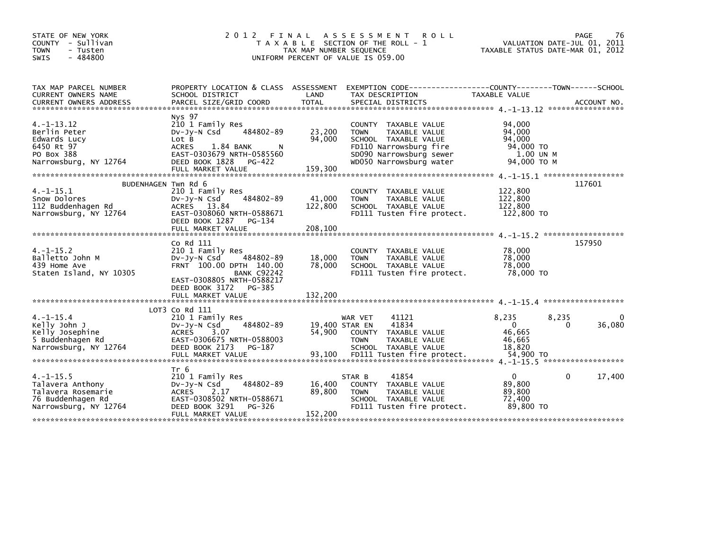| STATE OF NEW YORK<br>COUNTY - Sullivan<br><b>TOWN</b><br>- Tusten<br>$-484800$<br><b>SWIS</b> | 2 0 1 2<br>FINAL                                                                                                                                                                                           | TAX MAP NUMBER SEQUENCE | A S S E S S M E N T<br><b>ROLL</b><br>T A X A B L E SECTION OF THE ROLL - 1<br>UNIFORM PERCENT OF VALUE IS 059.00 | TAXABLE STATUS DATE-MAR 01, 2012 | 76<br>PAGE<br>VALUATION DATE-JUL 01, 2011 |
|-----------------------------------------------------------------------------------------------|------------------------------------------------------------------------------------------------------------------------------------------------------------------------------------------------------------|-------------------------|-------------------------------------------------------------------------------------------------------------------|----------------------------------|-------------------------------------------|
| TAX MAP PARCEL NUMBER<br>CURRENT OWNERS NAME                                                  | PROPERTY LOCATION & CLASS ASSESSMENT<br>SCHOOL DISTRICT                                                                                                                                                    | LAND                    | EXEMPTION CODE-----------------COUNTY-------TOWN------SCHOOL<br>TAX DESCRIPTION                                   | TAXABLE VALUE                    |                                           |
|                                                                                               | CURRENT OWNERS ADDRESS TORCEL SIZE/GRID COORD TOTAL SPECIAL DISTRICTS (2008) ACCOUNT NO.<br>TERRENT OWNERS ADDRESS PARCEL SIZE/GRID COORD TOTAL SPECIAL DISTRICTS (2008) 4.1-13.12 *********************** |                         |                                                                                                                   |                                  |                                           |
|                                                                                               | Nys 97                                                                                                                                                                                                     |                         |                                                                                                                   |                                  |                                           |
| $4. -1 - 13.12$                                                                               | 210 1 Family Res                                                                                                                                                                                           |                         | COUNTY TAXABLE VALUE                                                                                              | 94,000                           |                                           |
| Berlin Peter                                                                                  | 484802-89<br>$Dv-Jv-N$ Csd                                                                                                                                                                                 | 23,200                  | TAXABLE VALUE<br><b>TOWN</b>                                                                                      | 94,000                           |                                           |
| Edwards Lucy                                                                                  | Lot B                                                                                                                                                                                                      | 94,000                  | SCHOOL TAXABLE VALUE                                                                                              | 94.000                           |                                           |
| 6450 Rt 97                                                                                    | 1.84 BANK<br><b>ACRES</b>                                                                                                                                                                                  |                         | FD110 Narrowsburg fire                                                                                            | 94,000 TO                        |                                           |
| PO Box 388<br>Narrowsburg, NY 12764                                                           | EAST-0303679 NRTH-0585560<br>DEED BOOK 1828<br>PG-422                                                                                                                                                      |                         | SD090 Narrowsburg sewer<br>WD050 Narrowsburg water                                                                | 1.00 UN M<br>94,000 TO M         |                                           |
|                                                                                               | FULL MARKET VALUE                                                                                                                                                                                          | 159,300                 |                                                                                                                   |                                  |                                           |
|                                                                                               |                                                                                                                                                                                                            |                         |                                                                                                                   |                                  |                                           |
|                                                                                               | BUDENHAGEN Twn Rd 6                                                                                                                                                                                        |                         |                                                                                                                   |                                  | 117601                                    |
| $4. -1 - 15.1$                                                                                | 210 1 Family Res                                                                                                                                                                                           |                         | COUNTY TAXABLE VALUE                                                                                              | 122,800                          |                                           |
| Snow Dolores                                                                                  | 484802-89<br>DV-Jy-N Csd                                                                                                                                                                                   | 41,000                  | TAXABLE VALUE<br><b>TOWN</b>                                                                                      | 122,800                          |                                           |
| 112 Buddenhagen Rd                                                                            | ACRES 13.84                                                                                                                                                                                                | 122,800                 | SCHOOL TAXABLE VALUE                                                                                              | 122,800                          |                                           |
| Narrowsburg, NY 12764                                                                         | EAST-0308060 NRTH-0588671<br>DEED BOOK 1287<br>PG-134                                                                                                                                                      |                         | FD111 Tusten fire protect.                                                                                        | 122,800 TO                       |                                           |
|                                                                                               | FULL MARKET VALUE                                                                                                                                                                                          | 208,100                 |                                                                                                                   |                                  |                                           |
|                                                                                               |                                                                                                                                                                                                            |                         |                                                                                                                   |                                  |                                           |
|                                                                                               | Co Rd 111                                                                                                                                                                                                  |                         |                                                                                                                   |                                  | 157950                                    |
| $4. -1 - 15.2$                                                                                | 210 1 Family Res                                                                                                                                                                                           |                         | COUNTY TAXABLE VALUE                                                                                              | 78,000                           |                                           |
| Balletto John M                                                                               | 484802-89<br>$Dv-Jy-N$ Csd                                                                                                                                                                                 | 18,000                  | TAXABLE VALUE<br><b>TOWN</b>                                                                                      | 78,000                           |                                           |
| 439 Home Ave                                                                                  | FRNT 100.00 DPTH 140.00                                                                                                                                                                                    | 78,000                  | SCHOOL TAXABLE VALUE                                                                                              | 78,000                           |                                           |
| Staten Island, NY 10305                                                                       | <b>BANK C92242</b>                                                                                                                                                                                         |                         | FD111 Tusten fire protect.                                                                                        | 78,000 TO                        |                                           |
|                                                                                               | EAST-0308805 NRTH-0588217                                                                                                                                                                                  |                         |                                                                                                                   |                                  |                                           |
|                                                                                               | DEED BOOK 3172<br>PG-385<br>FULL MARKET VALUE                                                                                                                                                              | 132,200                 |                                                                                                                   |                                  |                                           |
|                                                                                               |                                                                                                                                                                                                            |                         |                                                                                                                   |                                  |                                           |
|                                                                                               | LOT3 Co Rd 111                                                                                                                                                                                             |                         |                                                                                                                   |                                  |                                           |
| $4. -1 - 15.4$                                                                                | 210 1 Family Res                                                                                                                                                                                           |                         | 41121<br>WAR VET                                                                                                  | 8,235                            | 8,235<br>$\Omega$                         |
| Kelly John J                                                                                  | 484802-89<br>$Dv-Jy-N$ Csd                                                                                                                                                                                 | 19,400 STAR EN          | 41834                                                                                                             | $\Omega$                         | 36,080<br>0                               |
| Kelly Josephine                                                                               | 3.07<br><b>ACRES</b>                                                                                                                                                                                       | 54,900                  | COUNTY<br>TAXABLE VALUE                                                                                           | 46,665                           |                                           |
| 5 Buddenhagen Rd                                                                              | EAST-0306675 NRTH-0588003                                                                                                                                                                                  |                         | <b>TOWN</b><br>TAXABLE VALUE                                                                                      | 46,665                           |                                           |
| Narrowsburg, NY 12764                                                                         | DEED BOOK 2173<br>PG-187                                                                                                                                                                                   |                         | SCHOOL TAXABLE VALUE                                                                                              | 18,820                           |                                           |
|                                                                                               | FULL MARKET VALUE                                                                                                                                                                                          | 93,100                  | FD111 Tusten fire protect.                                                                                        | 54,900 TO                        |                                           |
|                                                                                               | Tr 6                                                                                                                                                                                                       |                         |                                                                                                                   |                                  |                                           |
| $4. -1 - 15.5$                                                                                | 210 1 Family Res                                                                                                                                                                                           |                         | 41854<br>STAR B                                                                                                   | $\Omega$                         | 0<br>17,400                               |
| Talavera Anthony                                                                              | 484802-89<br>DV-Jy-N Csd                                                                                                                                                                                   | 16,400                  | COUNTY TAXABLE VALUE                                                                                              | 89,800                           |                                           |
| Talavera Rosemarie                                                                            | 2.17<br>ACRES                                                                                                                                                                                              | 89,800                  | <b>TOWN</b><br>TAXABLE VALUE                                                                                      | 89,800                           |                                           |
| 76 Buddenhagen Rd                                                                             | EAST-0308502 NRTH-0588671                                                                                                                                                                                  |                         | SCHOOL TAXABLE VALUE                                                                                              | 72.400                           |                                           |
| Narrowsburg, NY 12764                                                                         | DEED BOOK 3291<br>PG-326                                                                                                                                                                                   |                         | FD111 Tusten fire protect.                                                                                        | 89,800 TO                        |                                           |
|                                                                                               | FULL MARKET VALUE                                                                                                                                                                                          | 152,200                 |                                                                                                                   |                                  |                                           |
|                                                                                               |                                                                                                                                                                                                            |                         |                                                                                                                   |                                  |                                           |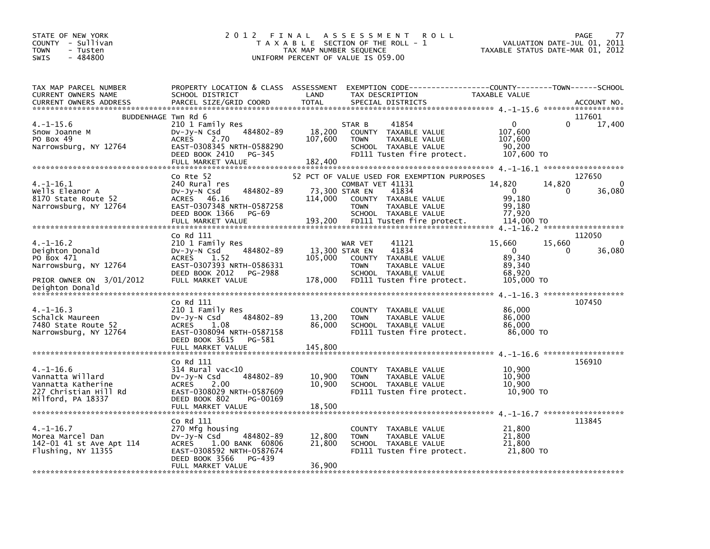| STATE OF NEW YORK<br>COUNTY - Sullivan<br><b>TOWN</b><br>- Tusten<br>$-484800$<br><b>SWIS</b>                      | 2012 FINAL                                                                                                                                                                  | TAX MAP NUMBER SEQUENCE      | A S S E S S M E N T<br><b>ROLL</b><br>T A X A B L E SECTION OF THE ROLL - 1<br>UNIFORM PERCENT OF VALUE IS 059.00                                                                                        | VALUATION DATE-JUL 01,<br>TAXABLE STATUS DATE-MAR 01, 2012         | PAGE<br>77<br>2011                          |
|--------------------------------------------------------------------------------------------------------------------|-----------------------------------------------------------------------------------------------------------------------------------------------------------------------------|------------------------------|----------------------------------------------------------------------------------------------------------------------------------------------------------------------------------------------------------|--------------------------------------------------------------------|---------------------------------------------|
| TAX MAP PARCEL NUMBER<br><b>CURRENT OWNERS NAME</b><br><b>CURRENT OWNERS ADDRESS</b>                               | PROPERTY LOCATION & CLASS ASSESSMENT<br>SCHOOL DISTRICT<br>PARCEL SIZE/GRID COORD                                                                                           | LAND<br><b>TOTAL</b>         | EXEMPTION CODE-----------------COUNTY-------TOWN------SCHOOL<br>TAX DESCRIPTION<br>SPECIAL DISTRICTS                                                                                                     | TAXABLE VALUE                                                      | ACCOUNT NO.                                 |
| BUDDENHAGE Twn Rd 6<br>$4. -1 - 15.6$<br>Snow Joanne M<br>PO Box 49<br>Narrowsburg, NY 12764                       | 210 1 Family Res<br>484802-89<br>DV-Jy-N Csd<br><b>ACRES</b><br>2.70<br>EAST-0308345 NRTH-0588290<br>DEED BOOK 2410<br>PG-345<br>FULL MARKET VALUE                          | 18,200<br>107,600<br>182,400 | 41854<br>STAR B<br><b>COUNTY</b><br>TAXABLE VALUE<br>TAXABLE VALUE<br><b>TOWN</b><br>SCHOOL TAXABLE VALUE<br>FD111 Tusten fire protect.                                                                  | $\mathbf{0}$<br>107,600<br>107,600<br>90,200<br>107,600 TO         | 117601<br>$\Omega$<br>17,400                |
| $4. -1 - 16.1$<br>Wells Eleanor A<br>8170 State Route 52<br>Narrowsburg, NY 12764                                  | Co Rte 52<br>240 Rural res<br>484802-89<br>DV-Jy-N Csd<br><b>ACRES</b><br>46.16<br>EAST-0307348 NRTH-0587258<br>DEED BOOK 1366<br>PG-69<br>FULL MARKET VALUE                | 114,000<br>193,200           | 52 PCT OF VALUE USED FOR EXEMPTION PURPOSES<br>COMBAT VET 41131<br>41834<br>73,300 STAR EN<br>COUNTY TAXABLE VALUE<br>TAXABLE VALUE<br><b>TOWN</b><br>SCHOOL TAXABLE VALUE<br>FD111 Tusten fire protect. | 14,820<br>$\mathbf{0}$<br>99,180<br>99,180<br>77,920<br>114,000 TO | 127650<br>14,820<br>$\Omega$<br>36,080<br>0 |
| 4.–1–16.2<br>Deighton Donald<br>PO Box 471<br>Narrowsburg, NY 12764<br>PRIOR OWNER ON 3/01/2012<br>Deighton Donald | Co Rd 111<br>210 1 Family Res<br>484802-89<br>Dv-Jy-N Csd<br><b>ACRES</b><br>1.52<br>EAST-0307393 NRTH-0586331<br>DEED BOOK 2012<br>PG-2988<br>FULL MARKET VALUE            | 105,000<br>178,000           | WAR VET<br>41121<br>41834<br>13,300 STAR EN<br>TAXABLE VALUE<br><b>COUNTY</b><br>TAXABLE VALUE<br><b>TOWN</b><br>SCHOOL TAXABLE VALUE<br>FD111 Tusten fire protect.                                      | 15,660<br>$\mathbf{0}$<br>89,340<br>89,340<br>68,920<br>105,000 TO | 112050<br>15,660<br>$\Omega$<br>36,080<br>0 |
| $4. -1 - 16.3$<br>Schalck Maureen<br>7480 State Route 52<br>Narrowsburg, NY 12764                                  | Co Rd 111<br>210 1 Family Res<br>484802-89<br>DV-Jy-N Csd<br><b>ACRES</b><br>1.08<br>EAST-0308094 NRTH-0587158<br>DEED BOOK 3615<br>PG-581<br>FULL MARKET VALUE             | 13,200<br>86,000<br>145,800  | COUNTY TAXABLE VALUE<br>TAXABLE VALUE<br><b>TOWN</b><br>SCHOOL TAXABLE VALUE<br>FD111 Tusten fire protect.                                                                                               | 86,000<br>86,000<br>86,000<br>86,000 TO                            | 107450<br>******************                |
| $4. -1 - 16.6$<br>Vannatta Willard<br>Vannatta Katherine<br>227 Christian Hill Rd<br>Milford, PA 18337             | Co Rd 111<br>$314$ Rural vac<10<br>484802-89<br>DV-Jy-N Csd<br><b>ACRES</b><br>2.00<br>EAST-0308029 NRTH-0587609<br>DEED BOOK 802<br>PG-00169<br>FULL MARKET VALUE          | 10,900<br>10,900<br>18,500   | COUNTY TAXABLE VALUE<br>TAXABLE VALUE<br><b>TOWN</b><br>SCHOOL TAXABLE VALUE<br>FD111 Tusten fire protect.                                                                                               | 10,900<br>10,900<br>10,900<br>10,900 TO                            | 156910                                      |
| $4. -1 - 16.7$<br>Morea Marcel Dan<br>142-01 41 st Ave Apt 114<br>Flushing, NY 11355                               | Co Rd 111<br>270 Mfg housing<br>$Dv-Jv-N$ Csd<br>484802-89<br>1.00 BANK 60806<br><b>ACRES</b><br>EAST-0308592 NRTH-0587674<br>DEED BOOK 3566<br>PG-439<br>FULL MARKET VALUE | 12,800<br>21,800<br>36,900   | COUNTY TAXABLE VALUE<br>TAXABLE VALUE<br><b>TOWN</b><br>SCHOOL TAXABLE VALUE<br>FD111 Tusten fire protect.                                                                                               | 21,800<br>21,800<br>21,800<br>21,800 TO                            | 113845                                      |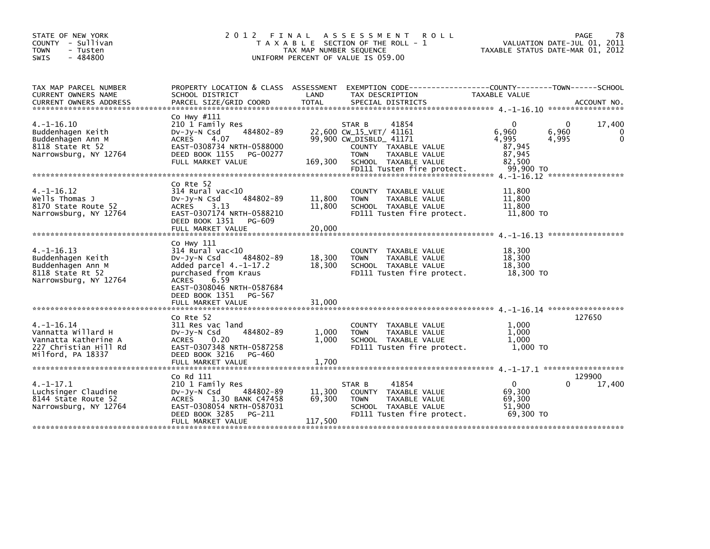| STATE OF NEW YORK<br>COUNTY - Sullivan<br>- Tusten<br><b>TOWN</b><br>$-484800$<br>SWIS                      |                                                                                                                                                                                         | TAX MAP NUMBER SEQUENCE | 2012 FINAL ASSESSMENT<br><b>ROLL</b><br>T A X A B L E SECTION OF THE ROLL - 1<br>UNIFORM PERCENT OF VALUE IS 059.00                                                                 | TAXABLE STATUS DATE-MAR 01, 2012                          | 78<br>PAGE<br>VALUATION DATE-JUL 01, 2011                |
|-------------------------------------------------------------------------------------------------------------|-----------------------------------------------------------------------------------------------------------------------------------------------------------------------------------------|-------------------------|-------------------------------------------------------------------------------------------------------------------------------------------------------------------------------------|-----------------------------------------------------------|----------------------------------------------------------|
| TAX MAP PARCEL NUMBER<br>CURRENT OWNERS NAME<br><b>CURRENT OWNERS ADDRESS</b>                               | PROPERTY LOCATION & CLASS ASSESSMENT<br>SCHOOL DISTRICT                                                                                                                                 | LAND                    | EXEMPTION CODE-----------------COUNTY-------TOWN------SCHOOL<br>TAX DESCRIPTION                                                                                                     | TAXABLE VALUE                                             |                                                          |
| $4. -1 - 16.10$<br>Buddenhagen Keith<br>Buddenhagen Ann M<br>8118 State Rt 52<br>Narrowsburg, NY 12764      | Co Hwy #111<br>210 1 Family Res<br>484802-89<br>$Dv-Jy-N$ Csd<br><b>ACRES</b><br>4.07<br>EAST-0308734 NRTH-0588000<br>DEED BOOK 1155<br>PG-00277<br>FULL MARKET VALUE                   | 169,300                 | STAR B<br>41854<br>22,600 CW_15_VET/ 41161<br>99,900 CW_DISBLD_ 41171<br>COUNTY TAXABLE VALUE<br><b>TOWN</b><br>TAXABLE VALUE<br>SCHOOL TAXABLE VALUE<br>FD111 Tusten fire protect. | 6,960<br>4,995<br>87,945<br>87,945<br>82,500<br>99.900 TO | 17,400<br>$\Omega$<br>6,960<br>0<br>$\mathbf 0$<br>4,995 |
|                                                                                                             |                                                                                                                                                                                         |                         |                                                                                                                                                                                     |                                                           |                                                          |
| $4. -1 - 16.12$<br>Wells Thomas J<br>8170 State Route 52<br>Narrowsburg, NY 12764                           | Co Rte 52<br>$314$ Rural vac< $10$<br>484802-89<br>$Dv-Jy-N$ Csd<br>3.13<br>ACRES<br>EAST-0307174 NRTH-0588210<br>DEED BOOK 1351<br>PG-609                                              | 11,800<br>11,800        | COUNTY TAXABLE VALUE<br><b>TOWN</b><br>TAXABLE VALUE<br>SCHOOL TAXABLE VALUE<br>FD111 Tusten fire protect.                                                                          | 11,800<br>11,800<br>11,800<br>11,800 TO                   |                                                          |
|                                                                                                             | FULL MARKET VALUE                                                                                                                                                                       | 20,000                  |                                                                                                                                                                                     |                                                           |                                                          |
| $4. -1 - 16.13$<br>Buddenhagen Keith<br>Buddenhagen Ann M<br>8118 State Rt 52<br>Narrowsburg, NY 12764      | Co Hwy 111<br>314 Rural vac<10<br>484802-89<br>$Dv-Jv-N$ Csd<br>Added parcel $4.-1-17.2$<br>purchased from Kraus<br>ACRES<br>6.59<br>EAST-0308046 NRTH-0587684<br>DEED BOOK 1351 PG-567 | 18,300<br>18,300        | COUNTY TAXABLE VALUE<br><b>TOWN</b><br>TAXABLE VALUE<br>SCHOOL TAXABLE VALUE<br>FD111 Tusten fire protect.                                                                          | 18.300<br>18,300<br>18,300<br>18,300 TO                   |                                                          |
|                                                                                                             | FULL MARKET VALUE                                                                                                                                                                       | 31,000                  |                                                                                                                                                                                     |                                                           |                                                          |
| $4. -1 - 16.14$<br>Vannatta Willard H<br>Vannatta Katherine A<br>227 Christian Hill Rd<br>Milford, PA 18337 | Co Rte 52<br>311 Res vac land<br>484802-89<br>$Dv-Jy-N$ Csd<br>ACRES<br>0.20<br>EAST-0307348 NRTH-0587258<br>DEED BOOK 3216<br>PG-460                                                   | 1,000<br>1,000          | COUNTY TAXABLE VALUE<br><b>TOWN</b><br>TAXABLE VALUE<br>SCHOOL TAXABLE VALUE<br>FD111 Tusten fire protect.                                                                          | 1,000<br>1,000<br>1.000<br>1,000 TO                       | 127650                                                   |
|                                                                                                             | FULL MARKET VALUE                                                                                                                                                                       | 1,700                   |                                                                                                                                                                                     |                                                           |                                                          |
|                                                                                                             |                                                                                                                                                                                         |                         |                                                                                                                                                                                     |                                                           | 129900                                                   |
| $4. -1 - 17.1$<br>Luchsinger Claudine<br>8144 State Route 52<br>Narrowsburg, NY 12764                       | Co Rd 111<br>210 1 Family Res<br>484802-89<br>$Dv-Jy-N$ Csd<br><b>ACRES</b><br>1.30 BANK C47458<br>EAST-0308054 NRTH-0587031<br>DEED BOOK 3285<br>PG-211                                | 11,300<br>69,300        | STAR B<br>41854<br>COUNTY<br>TAXABLE VALUE<br>TAXABLE VALUE<br><b>TOWN</b><br>SCHOOL TAXABLE VALUE<br>FD111 Tusten fire protect.                                                    | 0<br>69,300<br>69,300<br>51.900<br>69,300 TO              | 17,400<br>0                                              |
|                                                                                                             | FULL MARKET VALUE                                                                                                                                                                       | 117,500                 |                                                                                                                                                                                     |                                                           |                                                          |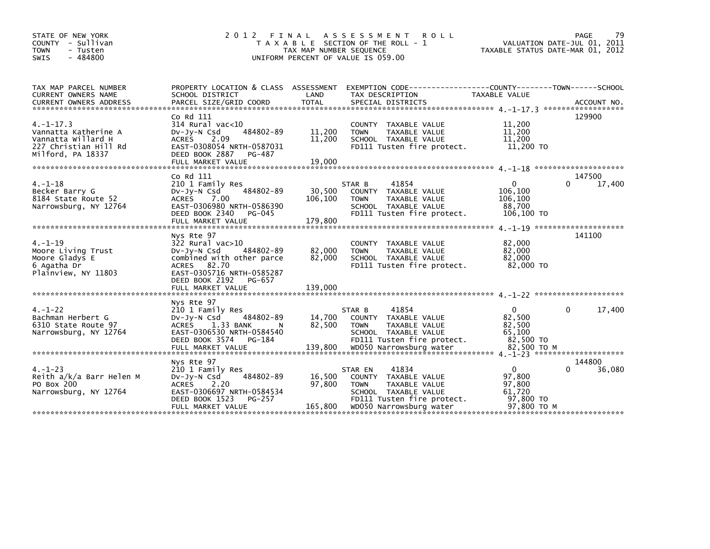| STATE OF NEW YORK<br>COUNTY - Sullivan<br><b>TOWN</b><br>- Tusten<br>$-484800$<br><b>SWIS</b>              | 2 0 1 2<br>FINAL                                                                                                                                                                            | TAX MAP NUMBER SEQUENCE     | ASSESSMENT ROLL<br>T A X A B L E SECTION OF THE ROLL - 1<br>UNIFORM PERCENT OF VALUE IS 059.00                                                            | TAXABLE STATUS DATE-MAR 01, 2012                                       | PAGE<br>79<br>VALUATION DATE-JUL 01, 2011    |
|------------------------------------------------------------------------------------------------------------|---------------------------------------------------------------------------------------------------------------------------------------------------------------------------------------------|-----------------------------|-----------------------------------------------------------------------------------------------------------------------------------------------------------|------------------------------------------------------------------------|----------------------------------------------|
| TAX MAP PARCEL NUMBER<br>CURRENT OWNERS NAME                                                               | PROPERTY LOCATION & CLASS ASSESSMENT<br>SCHOOL DISTRICT                                                                                                                                     | LAND                        | TAX DESCRIPTION                                                                                                                                           | TAXABLE VALUE                                                          |                                              |
| $4. -1 - 17.3$<br>Vannatta Katherine A<br>Vannatta Willard H<br>227 Christian Hill Rd<br>Milford, PA 18337 | Co Rd 111<br>$314$ Rural vac<10<br>484802-89<br>$Dv-Jy-N$ Csd<br><b>ACRES</b><br>2.09<br>EAST-0308054 NRTH-0587031<br>DEED BOOK 2887<br>PG-487                                              | 11,200<br>11,200            | COUNTY TAXABLE VALUE<br>TAXABLE VALUE<br><b>TOWN</b><br>SCHOOL TAXABLE VALUE<br>FD111 Tusten fire protect.                                                | 11,200<br>11,200<br>11,200<br>11,200 TO                                | 129900                                       |
|                                                                                                            |                                                                                                                                                                                             |                             |                                                                                                                                                           |                                                                        |                                              |
| $4. - 1 - 18$<br>Becker Barry G<br>8184 State Route 52<br>Narrowsburg, NY 12764                            | Co Rd 111<br>210 1 Family Res<br>484802-89<br>$Dv-Jy-N$ Csd<br><b>ACRES</b><br>7.00<br>EAST-0306980 NRTH-0586390<br>DEED BOOK 2340<br>PG-045                                                | 30,500<br>106,100           | STAR B<br>41854<br>COUNTY TAXABLE VALUE<br><b>TOWN</b><br>TAXABLE VALUE<br>SCHOOL TAXABLE VALUE<br>FD111 Tusten fire protect.                             | $\Omega$<br>106,100<br>106,100<br>88,700<br>106,100 TO                 | 147500<br>0<br>17,400                        |
|                                                                                                            |                                                                                                                                                                                             |                             |                                                                                                                                                           |                                                                        |                                              |
| $4. - 1 - 19$<br>Moore Living Trust<br>Moore Gladys E<br>6 Agatha Dr<br>Plainview, NY 11803                | Nys Rte 97<br>$322$ Rural vac $>10$<br>484802-89<br>$Dv-Jy-N$ Csd<br>combined with other parce<br>ACRES 82.70<br>EAST-0305716 NRTH-0585287<br>DEED BOOK 2192<br>PG-657<br>FULL MARKET VALUE | 82,000<br>82,000<br>139,000 | COUNTY TAXABLE VALUE<br><b>TOWN</b><br>TAXABLE VALUE<br>SCHOOL TAXABLE VALUE<br>FD111 Tusten fire protect.                                                | 82,000<br>82,000<br>82,000<br>82,000 TO                                | $4 - 1 - 19$ *********************<br>141100 |
| $4. - 1 - 22$<br>Bachman Herbert G<br>6310 State Route 97<br>Narrowsburg, NY 12764                         | Nys Rte 97<br>210 1 Family Res<br>484802-89<br>Dv-Jy-N Csd<br><b>ACRES</b><br>1.33 BANK<br>N<br>EAST-0306530 NRTH-0584540<br>DEED BOOK 3574 PG-184                                          | 14,700<br>82,500            | 41854<br>STAR B<br>COUNTY TAXABLE VALUE<br><b>TAXABLE VALUE</b><br><b>TOWN</b><br>SCHOOL TAXABLE VALUE<br>FD111 Tusten fire protect.                      | $\mathbf{0}$<br>82,500<br>82,500<br>65,100<br>82,500 TO                | 17,400<br>0                                  |
|                                                                                                            |                                                                                                                                                                                             |                             |                                                                                                                                                           |                                                                        |                                              |
| $4. - 1 - 23$<br>Reith a/k/a Barr Helen M<br>PO Box 200<br>Narrowsburg, NY 12764                           | Nys Rte 97<br>210 1 Family Res<br>484802-89<br>$Dv-Jy-N$ Csd<br><b>ACRES</b><br>2.20<br>EAST-0306697 NRTH-0584534<br>DEED BOOK 1523<br>PG-257<br>FULL MARKET VALUE                          | 16,500<br>97,800<br>165,800 | 41834<br>STAR EN<br>COUNTY TAXABLE VALUE<br><b>TOWN</b><br>TAXABLE VALUE<br>SCHOOL TAXABLE VALUE<br>FD111 Tusten fire protect.<br>WD050 Narrowsburg water | $\mathbf{0}$<br>97,800<br>97,800<br>61,720<br>97,800 TO<br>97.800 TO M | 144800<br>36,080                             |
|                                                                                                            |                                                                                                                                                                                             |                             |                                                                                                                                                           |                                                                        |                                              |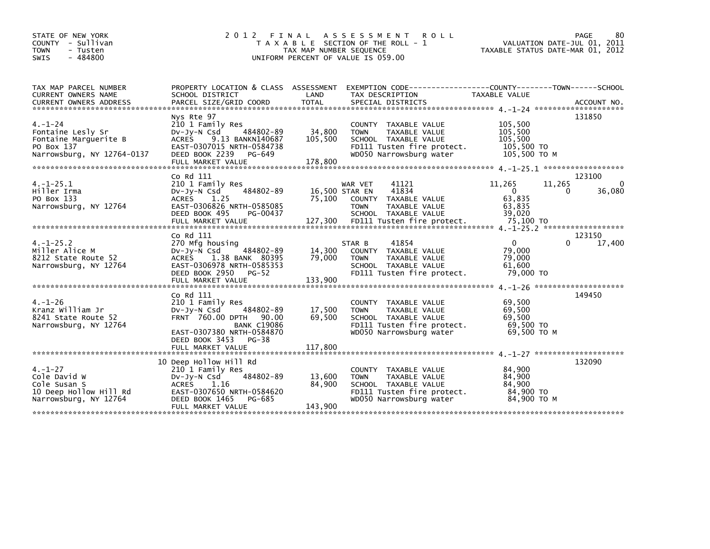| STATE OF NEW YORK<br>COUNTY - Sullivan<br><b>TOWN</b><br>- Tusten<br>$-484800$<br><b>SWIS</b>           | 2012 FINAL                                                                                                                                                                                | TAX MAP NUMBER SEQUENCE      | A S S E S S M E N T<br><b>ROLL</b><br>T A X A B L E SECTION OF THE ROLL - 1<br>UNIFORM PERCENT OF VALUE IS 059.00                            | VALUATION DATE-JUL 01, 2011<br>TAXABLE STATUS DATE-MAR 01, 2012 | 80<br>PAGE                        |
|---------------------------------------------------------------------------------------------------------|-------------------------------------------------------------------------------------------------------------------------------------------------------------------------------------------|------------------------------|----------------------------------------------------------------------------------------------------------------------------------------------|-----------------------------------------------------------------|-----------------------------------|
| TAX MAP PARCEL NUMBER<br>CURRENT OWNERS NAME                                                            | PROPERTY LOCATION & CLASS ASSESSMENT<br>SCHOOL DISTRICT                                                                                                                                   | LAND                         | EXEMPTION CODE------------------COUNTY--------TOWN------SCHOOL<br>TAX DESCRIPTION                                                            | TAXABLE VALUE                                                   |                                   |
| $4. - 1 - 24$<br>Fontaine Lesly Sr<br>Fontaine Marguerite B<br>PO Box 137<br>Narrowsburg, NY 12764-0137 | Nys Rte 97<br>210 1 Family Res<br>DV-JV-N Csd<br>484802-89<br><b>ACRES</b><br>9.13 BANKN140687<br>EAST-0307015 NRTH-0584738<br>DEED BOOK 2239<br>PG-649<br>FULL MARKET VALUE              | 34,800<br>105,500<br>178,800 | COUNTY TAXABLE VALUE<br><b>TOWN</b><br><b>TAXABLE VALUE</b><br>SCHOOL TAXABLE VALUE<br>FD111 Tusten fire protect.<br>WD050 Narrowsburg water | 105,500<br>105,500<br>105,500<br>105,500 TO<br>105,500 TO M     | 131850                            |
| $4. -1 - 25.1$<br>Hiller Irma<br>PO Box 133<br>Narrowsburg, NY 12764                                    | $Co$ Rd $111$<br>210 1 Family Res<br>484802-89<br>DV-Jy-N Csd<br>ACRES 1.25<br>EAST-0306826 NRTH-0585085<br>DEED BOOK 495<br>PG-00437                                                     | 75,100                       | WAR VET<br>41121<br>41834<br>16,500 STAR EN<br>COUNTY TAXABLE VALUE<br><b>TOWN</b><br>TAXABLE VALUE<br>SCHOOL TAXABLE VALUE                  | 11,265<br>11,265<br>$\Omega$<br>63,835<br>63,835<br>39,020      | 123100<br>$\Omega$<br>36,080<br>0 |
| $4. -1 - 25.2$<br>Miller Alice M<br>8212 State Route 52<br>Narrowsburg, NY 12764                        | Co Rd 111<br>270 Mfg housing<br>$Dv-Jy-N$ Csd<br>484802-89<br>1.38 BANK 80395<br><b>ACRES</b><br>EAST-0306978 NRTH-0585353<br>DEED BOOK 2950<br><b>PG-52</b><br>FULL MARKET VALUE         | 14,300<br>79,000<br>133,900  | 41854<br>STAR B<br>COUNTY TAXABLE VALUE<br>TAXABLE VALUE<br><b>TOWN</b><br>SCHOOL TAXABLE VALUE<br>FD111 Tusten fire protect.                | $\mathbf{0}$<br>79.000<br>79,000<br>61.600<br>79,000 TO         | 123150<br>17,400<br>$\Omega$      |
| $4. - 1 - 26$<br>Kranz William Jr<br>8241 State Route 52<br>Narrowsburg, NY 12764                       | Co Rd 111<br>210 1 Family Res<br>484802-89<br>DV-Jy-N Csd<br>FRNT 760.00 DPTH<br>90.00<br><b>BANK C19086</b><br>EAST-0307380 NRTH-0584870<br>DEED BOOK 3453<br>PG-38<br>FULL MARKET VALUE | 17,500<br>69,500<br>117,800  | COUNTY TAXABLE VALUE<br><b>TOWN</b><br>TAXABLE VALUE<br>SCHOOL TAXABLE VALUE<br>FD111 Tusten fire protect.<br>WD050 Narrowsburg water        | 69,500<br>69,500<br>69.500<br>69,500 TO<br>69,500 ТО М          | 149450                            |
| $4. - 1 - 27$<br>Cole David W<br>Cole Susan S<br>10 Deep Hollow Hill Rd<br>Narrowsburg, NY 12764        | 10 Deep Hollow Hill Rd<br>210 1 Family Res<br>DV-JV-N Csd<br>484802-89<br><b>ACRES</b><br>1.16<br>EAST-0307650 NRTH-0584620<br>DEED BOOK 1465<br>PG-685<br>FULL MARKET VALUE              | 13,600<br>84,900<br>143,900  | COUNTY TAXABLE VALUE<br>TAXABLE VALUE<br><b>TOWN</b><br>SCHOOL TAXABLE VALUE<br>FD111 Tusten fire protect.<br>WD050 Narrowsburg water        | 84,900<br>84,900<br>84,900<br>84,900 TO<br>84,900 ТО М          | 132090                            |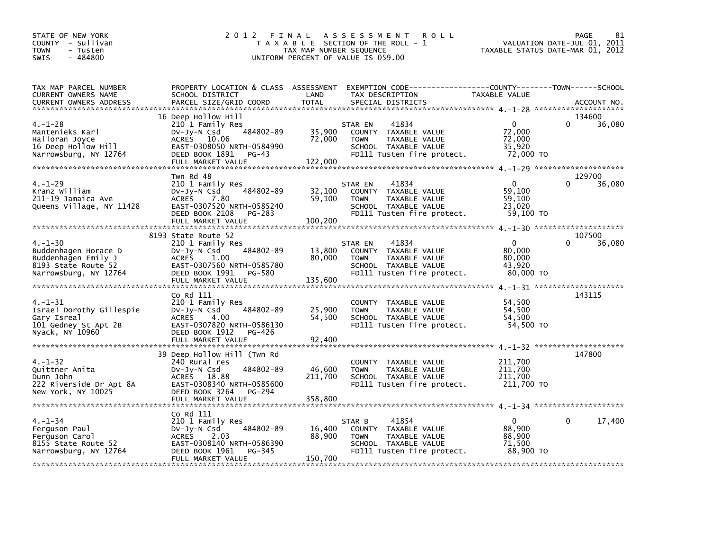| STATE OF NEW YORK<br>COUNTY - Sullivan<br><b>TOWN</b><br>- Tusten<br>$-484800$<br><b>SWIS</b>                | 2 0 1 2                                                                                                                                                             | TAX MAP NUMBER SEQUENCE     | FINAL ASSESSMENT<br><b>ROLL</b><br>T A X A B L E SECTION OF THE ROLL - 1<br>UNIFORM PERCENT OF VALUE IS 059.00                 | TAXABLE STATUS DATE-MAR 01, 2012                        | PAGE<br>81<br>VALUATION DATE-JUL 01, 2011 |
|--------------------------------------------------------------------------------------------------------------|---------------------------------------------------------------------------------------------------------------------------------------------------------------------|-----------------------------|--------------------------------------------------------------------------------------------------------------------------------|---------------------------------------------------------|-------------------------------------------|
| TAX MAP PARCEL NUMBER<br>CURRENT OWNERS NAME<br>CURRENT OWNERS ADDRESS                                       | PROPERTY LOCATION & CLASS ASSESSMENT EXEMPTION CODE---------------COUNTY-------TOWN------SCHOOL<br>SCHOOL DISTRICT<br>PARCEL SIZE/GRID COORD                        | LAND<br><b>TOTAL</b>        | TAX DESCRIPTION<br>SPECIAL DISTRICTS                                                                                           | TAXABLE VALUE                                           | ACCOUNT NO.                               |
| $4. - 1 - 28$<br>Mantenieks Karl<br>Halloran Joyce<br>16 Deep Hollow Hill<br>Narrowsburg, NY 12764           | 16 Deep Hollow Hill<br>210 1 Family Res<br>484802-89<br>$Dv-Jy-N$ Csd<br>ACRES 10.06<br>EAST-0308050 NRTH-0584990<br>DEED BOOK 1891<br>$PG-43$<br>FULL MARKET VALUE | 35,900<br>72,000<br>122,000 | 41834<br>STAR EN<br>COUNTY TAXABLE VALUE<br>TAXABLE VALUE<br><b>TOWN</b><br>SCHOOL TAXABLE VALUE<br>FD111 Tusten fire protect. | $\Omega$<br>72,000<br>72,000<br>35,920<br>72,000 TO     | 134600<br>$\Omega$<br>36,080              |
| $4. - 1 - 29$<br>Kranz William<br>211-19 Jamaica Ave<br>Queens Village, NY 11428                             | Twn Rd 48<br>210 1 Family Res<br>484802-89<br>DV-JY-N Csd<br>ACRES 7.80<br>EAST-0307520 NRTH-0585240<br>DEED BOOK 2108<br>PG-283<br>FULL MARKET VALUE               | 32,100<br>59,100<br>100,200 | 41834<br>STAR EN<br>COUNTY TAXABLE VALUE<br>TAXABLE VALUE<br><b>TOWN</b><br>SCHOOL TAXABLE VALUE<br>FD111 Tusten fire protect. | $\mathbf{0}$<br>59,100<br>59,100<br>23.020<br>59,100 TO | 129700<br>36,080                          |
|                                                                                                              |                                                                                                                                                                     |                             |                                                                                                                                |                                                         |                                           |
| $4. - 1 - 30$<br>Buddenhagen Horace D<br>Buddenhagen Emily J<br>8193 State Route 52<br>Narrowsburg, NY 12764 | 8193 State Route 52<br>210 1 Family Res<br>484802-89<br>DV-JY-N Csd<br>ACRES<br>1.00<br>EAST-0307560 NRTH-0585780<br>DEED BOOK 1991<br>PG-580<br>FULL MARKET VALUE  | 13,800<br>80,000<br>135,600 | 41834<br>STAR EN<br>COUNTY TAXABLE VALUE<br>TAXABLE VALUE<br><b>TOWN</b><br>SCHOOL TAXABLE VALUE<br>FD111 Tusten fire protect. | $\mathbf{0}$<br>80,000<br>80,000<br>43,920<br>80,000 TO | 107500<br>$\Omega$<br>36,080              |
| $4. - 1 - 31$<br>Israel Dorothy Gillespie<br>Gary Isreal<br>101 Gedney St Apt 2B<br>Nyack, NY 10960          | Co Rd 111<br>210 1 Family Res<br>484802-89<br>DV-Jy-N Csd<br>4.00<br>ACRES<br>EAST-0307820 NRTH-0586130<br>DEED BOOK 1912<br>PG-426<br>FULL MARKET VALUE            | 25,900<br>54,500<br>92,400  | COUNTY TAXABLE VALUE<br><b>TOWN</b><br>TAXABLE VALUE<br>SCHOOL TAXABLE VALUE<br>FD111 Tusten fire protect.                     | 54,500<br>54,500<br>54,500<br>54,500 TO                 | 143115                                    |
| $4. - 1 - 32$<br>Quittner Anita<br>Dunn John<br>222 Riverside Dr Apt 8A<br>New York, NY 10025                | 39 Deep Hollow Hill (Twn Rd<br>240 Rural res<br>484802-89<br>DV-Jy-N Csd<br>ACRES 18.88<br>EAST-0308340 NRTH-0585600<br>DEED BOOK 3264<br>PG-294                    | 46,600<br>211,700           | COUNTY TAXABLE VALUE<br><b>TOWN</b><br>TAXABLE VALUE<br>SCHOOL TAXABLE VALUE<br>FD111 Tusten fire protect.                     | 211,700<br>211,700<br>211,700<br>211,700 TO             | 147800                                    |
| $4. - 1 - 34$<br>Ferguson Paul<br>Ferguson Carol<br>8155 State Route 52<br>Narrowsburg, NY 12764             | Co Rd 111<br>210 1 Family Res<br>484802-89<br>$Dv-Jy-N$ Csd<br><b>ACRES</b><br>2.03<br>EAST-0308140 NRTH-0586390<br>DEED BOOK 1961<br>PG-345<br>FULL MARKET VALUE   | 16,400<br>88,900<br>150,700 | 41854<br>STAR B<br>COUNTY TAXABLE VALUE<br><b>TOWN</b><br>TAXABLE VALUE<br>SCHOOL TAXABLE VALUE<br>FD111 Tusten fire protect.  | $\mathbf{0}$<br>88,900<br>88,900<br>71,500<br>88,900 TO | $\Omega$<br>17,400                        |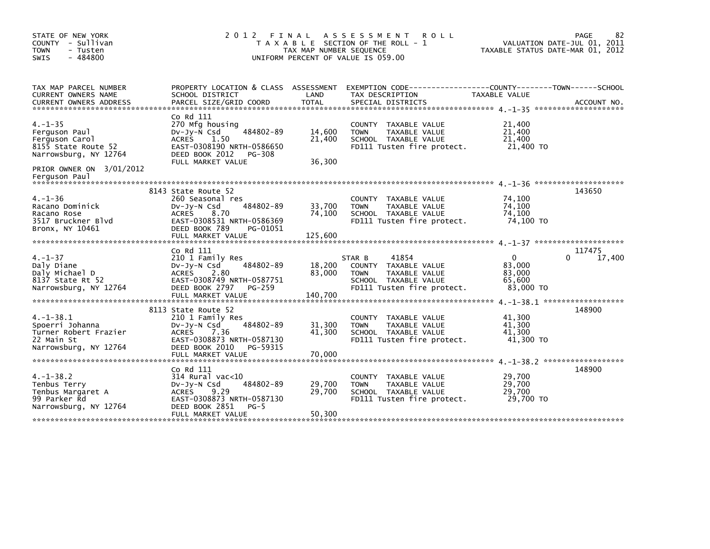| STATE OF NEW YORK<br>2 0 1 2<br>FINAL<br>A S S E S S M E N T<br><b>ROLL</b><br>COUNTY - Sullivan<br>T A X A B L E SECTION OF THE ROLL - 1<br>TAX MAP NUMBER SEQUENCE<br><b>TOWN</b><br>- Tusten<br>$-484800$<br>SWIS<br>UNIFORM PERCENT OF VALUE IS 059.00 |                                                                                                                                                                      |                             |                                                                                                                               | TAXABLE STATUS DATE-MAR 01, 2012                    | 82<br>PAGE<br>VALUATION DATE-JUL 01, 2011 |
|------------------------------------------------------------------------------------------------------------------------------------------------------------------------------------------------------------------------------------------------------------|----------------------------------------------------------------------------------------------------------------------------------------------------------------------|-----------------------------|-------------------------------------------------------------------------------------------------------------------------------|-----------------------------------------------------|-------------------------------------------|
| TAX MAP PARCEL NUMBER<br>CURRENT OWNERS NAME<br><b>CURRENT OWNERS ADDRESS</b>                                                                                                                                                                              | PROPERTY LOCATION & CLASS ASSESSMENT<br>SCHOOL DISTRICT<br>PARCEL SIZE/GRID COORD                                                                                    | LAND<br>TOTAL               | EXEMPTION CODE-----------------COUNTY-------TOWN------SCHOOL<br>TAX DESCRIPTION<br>SPECIAL DISTRICTS                          | <b>TAXABLE VALUE</b>                                | ACCOUNT NO.                               |
| $4. - 1 - 35$<br>Ferguson Paul<br>Ferguson Carol<br>8155 State Route 52<br>Narrowsburg, NY 12764                                                                                                                                                           | Co Rd 111<br>270 Mfg housing<br>484802-89<br>$Dv-Jy-\bar{N}$ Csd<br>ACRES<br>1.50<br>EAST-0308190 NRTH-0586650<br>DEED BOOK 2012<br>PG-308<br>FULL MARKET VALUE      | 14,600<br>21,400<br>36,300  | COUNTY TAXABLE VALUE<br>TAXABLE VALUE<br><b>TOWN</b><br>SCHOOL TAXABLE VALUE<br>FD111 Tusten fire protect.                    | 21,400<br>21,400<br>21,400<br>21,400 TO             |                                           |
| PRIOR OWNER ON 3/01/2012<br>Ferguson Paul                                                                                                                                                                                                                  |                                                                                                                                                                      |                             |                                                                                                                               |                                                     |                                           |
| $4. - 1 - 36$<br>Racano Dominick<br>Racano Rose<br>3517 Bruckner Blvd<br>Bronx, NY 10461                                                                                                                                                                   | 8143 State Route 52<br>260 Seasonal res<br>484802-89<br>DV-Jy-N Csd<br>ACRES<br>8.70<br>EAST-0308531 NRTH-0586369<br>DEED BOOK 789<br>PG-01051<br>FULL MARKET VALUE  | 33,700<br>74,100<br>125,600 | COUNTY TAXABLE VALUE<br>TAXABLE VALUE<br><b>TOWN</b><br>SCHOOL TAXABLE VALUE<br>FD111 Tusten fire protect.                    | 74,100<br>74,100<br>74,100<br>74.100 TO             | 143650                                    |
| $4. - 1 - 37$<br>Daly Diane<br>Daly Michael D<br>8137 State Rt 52<br>Narrowsburg, NY 12764                                                                                                                                                                 | Co Rd 111<br>210 1 Family Res<br>484802-89<br>DV-Jy-N Csd<br><b>ACRES</b><br>2.80<br>EAST-0308749 NRTH-0587751<br>DEED BOOK 2797<br>PG-259<br>FULL MARKET VALUE      | 18,200<br>83,000<br>140,700 | 41854<br>STAR B<br>COUNTY TAXABLE VALUE<br>TAXABLE VALUE<br><b>TOWN</b><br>SCHOOL TAXABLE VALUE<br>FD111 Tusten fire protect. | $\Omega$<br>83,000<br>83,000<br>65.600<br>83,000 TO | 117475<br>17,400<br>0                     |
| $4. -1 - 38.1$<br>Spoerri Johanna<br>Turner Robert Frazier<br>22 Main St<br>Narrowsburg, NY 12764                                                                                                                                                          | 8113 State Route 52<br>210 1 Family Res<br>484802-89<br>DV-Jy-N Csd<br>ACRES<br>7.36<br>EAST-0308873 NRTH-0587130<br>DEED BOOK 2010<br>PG-59315<br>FULL MARKET VALUE | 31,300<br>41,300<br>70,000  | COUNTY TAXABLE VALUE<br><b>TOWN</b><br>TAXABLE VALUE<br>SCHOOL TAXABLE VALUE<br>FD111 Tusten fire protect.                    | 41,300<br>41,300<br>41,300<br>41,300 TO             | 148900                                    |
| $4. -1 - 38.2$<br>Tenbus Terry<br>Tenbus Margaret A<br>99 Parker Rd<br>Narrowsburg, NY 12764                                                                                                                                                               | Co Rd 111<br>$314$ Rural vac< $10$<br>484802-89<br>$Dv-Jy-N$ Csd<br>ACRES<br>9.29<br>EAST-0308873 NRTH-0587130<br>DEED BOOK 2851<br>$PG-5$<br>FULL MARKET VALUE      | 29,700<br>29,700<br>50,300  | COUNTY<br>TAXABLE VALUE<br>TAXABLE VALUE<br><b>TOWN</b><br>SCHOOL TAXABLE VALUE<br>FD111 Tusten fire protect.                 | 29,700<br>29,700<br>29,700<br>29.700 TO             | 148900                                    |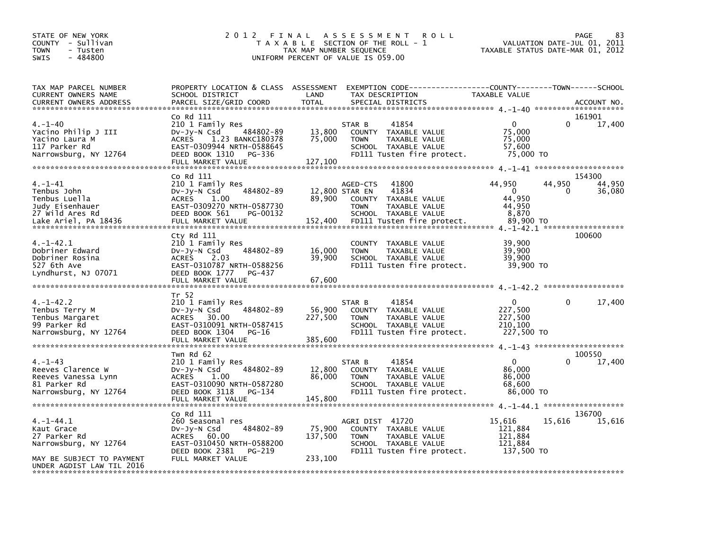| STATE OF NEW YORK<br>COUNTY - Sullivan<br><b>TOWN</b><br>- Tusten<br>$-484800$<br><b>SWIS</b> | 2 0 1 2<br>TAXABLE                                     | FINAL<br>TAX MAP NUMBER SEQUENCE | A S S E S S M E N T<br><b>ROLL</b><br>SECTION OF THE ROLL -<br>UNIFORM PERCENT OF VALUE IS 059.00 | TAXABLE STATUS DATE-MAR 01, 2012 | PAGE<br>VALUATION DATE-JUL 01, | 83<br>2011  |
|-----------------------------------------------------------------------------------------------|--------------------------------------------------------|----------------------------------|---------------------------------------------------------------------------------------------------|----------------------------------|--------------------------------|-------------|
| TAX MAP PARCEL NUMBER                                                                         | PROPERTY LOCATION & CLASS ASSESSMENT                   |                                  |                                                                                                   |                                  |                                |             |
| CURRENT OWNERS NAME<br><b>CURRENT OWNERS ADDRESS</b><br>******************************        | SCHOOL DISTRICT<br>PARCEL SIZE/GRID COORD              | LAND<br><b>TOTAL</b>             | TAX DESCRIPTION<br>SPECIAL DISTRICTS                                                              | TAXABLE VALUE                    |                                | ACCOUNT NO. |
|                                                                                               | Co Rd 111                                              |                                  |                                                                                                   |                                  |                                | 161901      |
| $4. - 1 - 40$                                                                                 | 210 1 Family Res                                       |                                  | 41854<br>STAR B                                                                                   | 0                                | $\Omega$                       | 17,400      |
| Yacino Philip J III                                                                           | 484802-89<br>DV-Jy-N Csd                               | 13,800                           | <b>COUNTY</b><br>TAXABLE VALUE                                                                    | 75,000                           |                                |             |
| Yacino Laura M                                                                                | <b>ACRES</b><br>1.23 BANKC180378                       | 75,000                           | <b>TOWN</b><br>TAXABLE VALUE                                                                      | 75,000                           |                                |             |
| 117 Parker Rd                                                                                 | EAST-0309944 NRTH-0588645                              |                                  | SCHOOL TAXABLE VALUE                                                                              | 57,600                           |                                |             |
| Narrowsburg, NY 12764                                                                         | DEED BOOK 1310<br>PG-336<br>FULL MARKET VALUE          | 127,100                          | FD111 Tusten fire protect.                                                                        | 75,000 TO                        |                                |             |
|                                                                                               |                                                        |                                  |                                                                                                   |                                  |                                |             |
|                                                                                               | Co Rd 111                                              |                                  |                                                                                                   |                                  |                                | 154300      |
| 4. –1–41                                                                                      | 210 1 Family Res                                       |                                  | 41800<br>AGED-CTS                                                                                 | 44,950                           | 44,950                         | 44,950      |
| Tenbus John                                                                                   | 484802-89<br>$Dv-Jy-N$ Csd                             |                                  | 12,800 STAR EN<br>41834                                                                           | $\Omega$                         | 0                              | 36,080      |
| Tenbus Luella                                                                                 | <b>ACRES</b><br>1.00                                   | 89.900                           | <b>COUNTY</b><br>TAXABLE VALUE                                                                    | 44.950                           |                                |             |
| Judy Eisenhauer<br>27 Wild Ares Rd                                                            | EAST-0309270 NRTH-0587730<br>DEED BOOK 561<br>PG-00132 |                                  | <b>TAXABLE VALUE</b><br><b>TOWN</b><br>SCHOOL TAXABLE VALUE                                       | 44,950<br>8,870                  |                                |             |
| Lake Ariel, PA 18436                                                                          | FULL MARKET VALUE                                      | 152,400                          | FD111 Tusten fire protect.                                                                        | 89,900 TO                        |                                |             |
|                                                                                               |                                                        |                                  |                                                                                                   |                                  |                                |             |
|                                                                                               | $cty$ Rd $111$                                         |                                  |                                                                                                   |                                  |                                | 100600      |
| $4. -1 - 42.1$                                                                                | 210 1 Family Res                                       |                                  | <b>COUNTY</b><br>TAXABLE VALUE                                                                    | 39,900                           |                                |             |
| Dobriner Edward                                                                               | 484802-89<br>DV-Jy-N Csd                               | 16,000                           | TAXABLE VALUE<br><b>TOWN</b>                                                                      | 39,900                           |                                |             |
| Dobriner Rosina                                                                               | <b>ACRES</b><br>2.03                                   | 39,900                           | SCHOOL TAXABLE VALUE                                                                              | 39.900                           |                                |             |
| 527 6th Ave<br>Lyndhurst, NJ 07071                                                            | EAST-0310787 NRTH-0588256<br>DEED BOOK 1777<br>PG-437  |                                  | FD111 Tusten fire protect.                                                                        | 39,900 TO                        |                                |             |
|                                                                                               | FULL MARKET VALUE                                      | 67,600                           |                                                                                                   |                                  |                                |             |
|                                                                                               |                                                        |                                  |                                                                                                   |                                  |                                |             |
|                                                                                               | Tr 52                                                  |                                  |                                                                                                   |                                  |                                |             |
| 4.-1-42.2                                                                                     | 210 1 Family Res                                       |                                  | STAR B<br>41854                                                                                   | $\Omega$                         | 0                              | 17,400      |
| Tenbus Terry M                                                                                | 484802-89<br>DV-Jy-N Csd                               | 56,900                           | TAXABLE VALUE<br><b>COUNTY</b>                                                                    | 227,500                          |                                |             |
| Tenbus Margaret<br>99 Parker Rd                                                               | <b>ACRES</b><br>30.00<br>EAST-0310091 NRTH-0587415     | 227,500                          | <b>TOWN</b><br>TAXABLE VALUE<br>SCHOOL TAXABLE VALUE                                              | 227,500<br>210,100               |                                |             |
| Narrowsburg, NY 12764                                                                         | DEED BOOK 1304<br>PG-16                                |                                  | FD111 Tusten fire protect.                                                                        | 227,500 TO                       |                                |             |
|                                                                                               | FULL MARKET VALUE                                      | 385,600                          |                                                                                                   |                                  |                                |             |
|                                                                                               |                                                        |                                  |                                                                                                   |                                  |                                |             |
|                                                                                               | Twn Rd 62                                              |                                  |                                                                                                   |                                  |                                | 100550      |
| 4.–1–43<br>Reeves Clarence W                                                                  | 210 1 Family Res<br>484802-89<br>$Dv-Jy-N$ Csd         | 12,800                           | STAR B<br>41854<br>TAXABLE VALUE<br><b>COUNTY</b>                                                 | 0<br>86,000                      | ∩                              | 17,400      |
| Reeves Vanessa Lynn                                                                           | <b>ACRES</b><br>1.00                                   | 86,000                           | <b>TOWN</b><br>TAXABLE VALUE                                                                      | 86,000                           |                                |             |
| 81 Parker Rd                                                                                  | EAST-0310090 NRTH-0587280                              |                                  | SCHOOL TAXABLE VALUE                                                                              | 68,600                           |                                |             |
| Narrowsburg, NY 12764                                                                         | DEED BOOK 3118<br>PG-134                               |                                  | FD111 Tusten fire protect.                                                                        | 86.000 TO                        |                                |             |
|                                                                                               | FULL MARKET VALUE                                      | 145,800                          |                                                                                                   |                                  |                                |             |
|                                                                                               |                                                        |                                  |                                                                                                   |                                  |                                |             |
|                                                                                               | Co Rd 111                                              |                                  |                                                                                                   |                                  |                                | 136700      |
| 4. –1–44.1<br>Kaut Grace                                                                      | 260 Seasonal res<br>484802-89<br>DV-JY-N Csd           | 75,900                           | AGRI DIST 41720<br>COUNTY TAXABLE VALUE                                                           | 15,616<br>121,884                | 15,616                         | 15,616      |
| 27 Parker Rd                                                                                  | <b>ACRES</b><br>60.00                                  | 137,500                          | <b>TOWN</b><br>TAXABLE VALUE                                                                      | 121,884                          |                                |             |
| Narrowsburg, NY 12764                                                                         | EAST-0310450 NRTH-0588200                              |                                  | SCHOOL TAXABLE VALUE                                                                              | 121,884                          |                                |             |
|                                                                                               | DEED BOOK 2381<br>PG-219                               |                                  | FD111 Tusten fire protect.                                                                        | 137,500 TO                       |                                |             |
| MAY BE SUBJECT TO PAYMENT                                                                     | FULL MARKET VALUE                                      | 233,100                          |                                                                                                   |                                  |                                |             |
| UNDER AGDIST LAW TIL 2016                                                                     |                                                        |                                  |                                                                                                   |                                  |                                |             |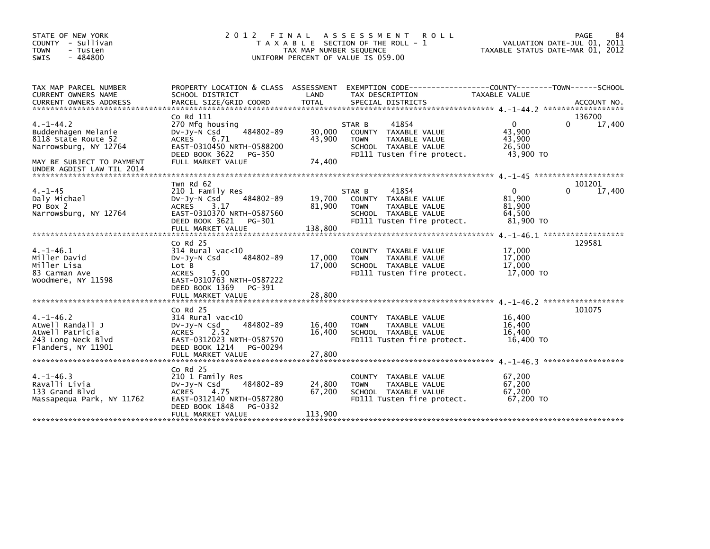| STATE OF NEW YORK<br>COUNTY - Sullivan<br>- Tusten<br><b>TOWN</b><br>$-484800$<br><b>SWIS</b>                                                                                                                                  | 2 0 1 2<br>FINAL                                                                                                                                                                | TAX MAP NUMBER SEQUENCE     | A S S E S S M E N T<br><b>ROLL</b><br>T A X A B L E SECTION OF THE ROLL - 1<br>UNIFORM PERCENT OF VALUE IS 059.00                    | TAXABLE STATUS DATE-MAR 01, 2012                        | 84<br>PAGE<br>VALUATION DATE-JUL 01, 2011 |
|--------------------------------------------------------------------------------------------------------------------------------------------------------------------------------------------------------------------------------|---------------------------------------------------------------------------------------------------------------------------------------------------------------------------------|-----------------------------|--------------------------------------------------------------------------------------------------------------------------------------|---------------------------------------------------------|-------------------------------------------|
| TAX MAP PARCEL NUMBER<br>CURRENT OWNERS NAME                                                                                                                                                                                   | PROPERTY LOCATION & CLASS ASSESSMENT<br>SCHOOL DISTRICT                                                                                                                         | LAND                        | EXEMPTION        CODE-----------------COUNTY-------TOWN------SCHOOL<br>TAX DESCRIPTION                                               | TAXABLE VALUE                                           |                                           |
| .CURRENT OWNERS ADDRESS PARCEL SIZE/GRID COORD TOTAL SPECIAL DISTRICTS (ACCOUNT NO ACCOUNT NO ACCOUNT NO AND FREE ALL SERIES AND RESEARCH TOTAL SERIES AND RESEARCH AND A SERIES AND RESEARCH TO A SERIES AND RESEARCH THE SER |                                                                                                                                                                                 |                             |                                                                                                                                      |                                                         |                                           |
| $4. -1 - 44.2$<br>Buddenhagen Melanie<br>8118 State Route 52<br>Narrowsburg, NY 12764<br>MAY BE SUBJECT TO PAYMENT<br>UNDER AGDIST LAW TIL 2014                                                                                | Co Rd 111<br>270 Mfg housing<br>484802-89<br>$Dv-Jy-N$ Csd<br>6.71<br><b>ACRES</b><br>EAST-0310450 NRTH-0588200<br>DEED BOOK 3622<br>PG-350<br>FULL MARKET VALUE                | 30.000<br>43,900<br>74,400  | STAR B<br>41854<br>COUNTY TAXABLE VALUE<br>TAXABLE VALUE<br><b>TOWN</b><br>SCHOOL TAXABLE VALUE<br>FD111 Tusten fire protect.        | $\mathbf 0$<br>43.900<br>43,900<br>26,500<br>43,900 TO  | 136700<br>17,400<br>$\Omega$              |
|                                                                                                                                                                                                                                |                                                                                                                                                                                 |                             |                                                                                                                                      |                                                         |                                           |
| $4. - 1 - 45$<br>Daly Michael<br>PO Box 2<br>Narrowsburg, NY 12764                                                                                                                                                             | Twn Rd 62<br>210 1 Family Res<br>484802-89<br>$Dv-Jy-N$ Csd<br><b>ACRES</b><br>3.17<br>EAST-0310370 NRTH-0587560<br>DEED BOOK 3621<br>PG-301<br>FULL MARKET VALUE               | 19,700<br>81.900<br>138,800 | 41854<br>STAR B<br>COUNTY TAXABLE VALUE<br><b>TAXABLE VALUE</b><br><b>TOWN</b><br>SCHOOL TAXABLE VALUE<br>FD111 Tusten fire protect. | $\mathbf{0}$<br>81,900<br>81.900<br>64,500<br>81.900 TO | 101201<br>$\Omega$<br>17,400              |
|                                                                                                                                                                                                                                |                                                                                                                                                                                 |                             |                                                                                                                                      |                                                         |                                           |
| $4. -1 - 46.1$<br>Miller David<br>Miller Lisa<br>83 Carman Ave<br>Woodmere, NY 11598                                                                                                                                           | $Co$ Rd $25$<br>$314$ Rural vac<10<br>484802-89<br>$Dv-Jv-N$ Csd<br>Lot B<br><b>ACRES</b><br>5.00<br>EAST-0310763 NRTH-0587222<br>DEED BOOK 1369<br>PG-391<br>FULL MARKET VALUE | 17,000<br>17,000<br>28,800  | COUNTY TAXABLE VALUE<br>TAXABLE VALUE<br><b>TOWN</b><br>SCHOOL TAXABLE VALUE<br>FD111 Tusten fire protect.                           | 17,000<br>17,000<br>17,000<br>17,000 TO                 | 129581                                    |
|                                                                                                                                                                                                                                |                                                                                                                                                                                 |                             |                                                                                                                                      |                                                         | 4. -1-46.2 ********************           |
| $4. -1 - 46.2$<br>Atwell Randall J<br>Atwell Patricia<br>243 Long Neck Blvd<br>Flanders, NY 11901                                                                                                                              | $Co$ Rd $25$<br>$314$ Rural vac<10<br>484802-89<br>$Dv-Jy-N$ Csd<br>2.52<br><b>ACRES</b><br>EAST-0312023 NRTH-0587570<br>DEED BOOK 1214<br>PG-00294                             | 16,400<br>16,400            | COUNTY TAXABLE VALUE<br><b>TOWN</b><br>TAXABLE VALUE<br>SCHOOL TAXABLE VALUE<br>FD111 Tusten fire protect.                           | 16,400<br>16,400<br>16,400<br>16,400 TO                 | 101075                                    |
|                                                                                                                                                                                                                                | FULL MARKET VALUE                                                                                                                                                               | 27,800                      |                                                                                                                                      |                                                         |                                           |
| $4. -1 - 46.3$<br>Ravalli Livia<br>133 Grand Blvd<br>Massapequa Park, NY 11762                                                                                                                                                 | $Co$ Rd $25$<br>210 1 Family Res<br>484802-89<br>$Dv-Jy-N$ Csd<br><b>ACRES</b><br>4.75<br>EAST-0312140 NRTH-0587280<br>DEED BOOK 1848<br>PG-0332<br>FULL MARKET VALUE           | 24,800<br>67,200<br>113,900 | COUNTY TAXABLE VALUE<br><b>TOWN</b><br>TAXABLE VALUE<br>SCHOOL TAXABLE VALUE<br>FD111 Tusten fire protect.                           | 67,200<br>67,200<br>67,200<br>67.200 TO                 |                                           |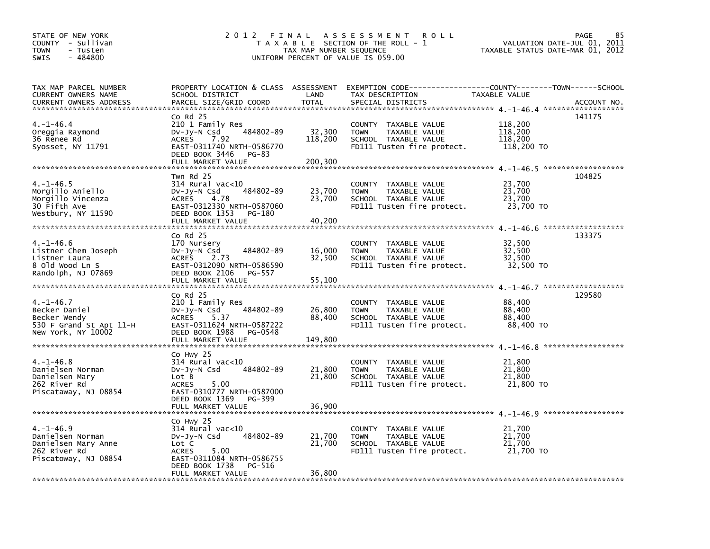| STATE OF NEW YORK<br>COUNTY - Sullivan<br><b>TOWN</b><br>- Tusten<br>$-484800$<br><b>SWIS</b> | 2012 FINAL                                         | TAX MAP NUMBER SEQUENCE | A S S E S S M E N T<br><b>ROLL</b><br>T A X A B L E SECTION OF THE ROLL - 1<br>UNIFORM PERCENT OF VALUE IS 059.00 | VALUATION DATE-JUL 01,<br>TAXABLE STATUS DATE-MAR 01, 2012 | 85<br>PAGE<br>2011 |
|-----------------------------------------------------------------------------------------------|----------------------------------------------------|-------------------------|-------------------------------------------------------------------------------------------------------------------|------------------------------------------------------------|--------------------|
| TAX MAP PARCEL NUMBER                                                                         |                                                    |                         | PROPERTY LOCATION & CLASS ASSESSMENT EXEMPTION CODE---------------COUNTY-------TOWN------SCHOOL                   |                                                            |                    |
| CURRENT OWNERS NAME                                                                           | SCHOOL DISTRICT                                    | LAND                    | TAX DESCRIPTION                                                                                                   | TAXABLE VALUE                                              |                    |
|                                                                                               |                                                    |                         |                                                                                                                   |                                                            |                    |
|                                                                                               | $Co$ Rd $25$                                       |                         |                                                                                                                   |                                                            | 141175             |
| $4. -1 - 46.4$                                                                                | 210 1 Family Res                                   |                         | COUNTY TAXABLE VALUE                                                                                              | 118,200                                                    |                    |
| Oreggia Raymond                                                                               | 484802-89<br>$Dv-Jv-N$ Csd<br><b>ACRES</b>         | 32,300<br>118,200       | TAXABLE VALUE<br><b>TOWN</b>                                                                                      | 118,200<br>118,200                                         |                    |
| 36 Renee Rd<br>Syosset, NY 11791                                                              | 7.92<br>EAST-0311740 NRTH-0586770                  |                         | SCHOOL TAXABLE VALUE<br>FD111 Tusten fire protect.                                                                | 118,200 TO                                                 |                    |
|                                                                                               | DEED BOOK 3446<br>PG-83                            |                         |                                                                                                                   |                                                            |                    |
|                                                                                               | FULL MARKET VALUE                                  | 200,300                 |                                                                                                                   |                                                            |                    |
|                                                                                               |                                                    |                         |                                                                                                                   |                                                            |                    |
| $4. -1 - 46.5$                                                                                | Twn Rd 25<br>314 Rural vac<10                      |                         |                                                                                                                   | 23,700                                                     | 104825             |
| Morgillo Aniello                                                                              | 484802-89<br>$Dv-Jv-N$ Csd                         | 23,700                  | COUNTY TAXABLE VALUE<br><b>TOWN</b><br>TAXABLE VALUE                                                              | 23,700                                                     |                    |
| Morgillo Vincenza                                                                             | <b>ACRES</b><br>4.78                               | 23,700                  | SCHOOL TAXABLE VALUE                                                                                              | 23,700                                                     |                    |
| 30 Fifth Ave                                                                                  | EAST-0312330 NRTH-0587060                          |                         | FD111 Tusten fire protect.                                                                                        | 23,700 TO                                                  |                    |
| Westbury, NY 11590                                                                            | DEED BOOK 1353<br>PG-180                           |                         |                                                                                                                   |                                                            |                    |
|                                                                                               | FULL MARKET VALUE                                  | 40,200                  |                                                                                                                   |                                                            |                    |
|                                                                                               | $Co$ Rd $25$                                       |                         |                                                                                                                   |                                                            | 133375             |
| $4. -1 - 46.6$                                                                                | 170 Nursery                                        |                         | COUNTY TAXABLE VALUE                                                                                              | 32,500                                                     |                    |
| Listner Chem Joseph                                                                           | 484802-89<br>$Dv-Jy-N$ Csd                         | 16,000                  | <b>TOWN</b><br>TAXABLE VALUE                                                                                      | 32,500                                                     |                    |
| Listner Laura                                                                                 | <b>ACRES</b><br>2.73                               | 32,500                  | SCHOOL TAXABLE VALUE                                                                                              | 32,500                                                     |                    |
| 8 Old Wood Ln S<br>Randolph, NJ 07869                                                         | EAST-0312090 NRTH-0586590<br>DEED BOOK 2106 PG-557 |                         | FD111 Tusten fire protect.                                                                                        | 32,500 TO                                                  |                    |
|                                                                                               |                                                    |                         |                                                                                                                   |                                                            |                    |
|                                                                                               |                                                    |                         |                                                                                                                   |                                                            |                    |
|                                                                                               | $Co$ Rd $25$                                       |                         |                                                                                                                   |                                                            | 129580             |
| $4. -1 - 46.7$                                                                                | 210 1 Family Res                                   |                         | COUNTY TAXABLE VALUE                                                                                              | 88,400                                                     |                    |
| Becker Daniel<br>Becker Wendy                                                                 | 484802-89<br>$Dv-Jy-N$ Csd<br><b>ACRES</b><br>5.37 | 26,800<br>88,400        | TAXABLE VALUE<br><b>TOWN</b><br>SCHOOL TAXABLE VALUE                                                              | 88,400<br>88,400                                           |                    |
| 530 F Grand St Apt 11-H                                                                       | EAST-0311624 NRTH-0587222                          |                         | FD111 Tusten fire protect.                                                                                        | 88,400 TO                                                  |                    |
| New York, NY 10002                                                                            | DEED BOOK 1988<br>PG-0548                          |                         |                                                                                                                   |                                                            |                    |
|                                                                                               | FULL MARKET VALUE                                  | 149,800                 |                                                                                                                   |                                                            |                    |
|                                                                                               |                                                    |                         |                                                                                                                   |                                                            |                    |
| $4. -1 - 46.8$                                                                                | Co Hwy 25<br>314 Rural vac<10                      |                         | COUNTY TAXABLE VALUE                                                                                              | 21,800                                                     |                    |
| Danielsen Norman                                                                              | 484802-89<br>$Dv-Jv-N$ Csd                         | 21,800                  | TAXABLE VALUE<br><b>TOWN</b>                                                                                      | 21,800                                                     |                    |
| Danielsen Mary                                                                                | Lot B                                              | 21,800                  | SCHOOL TAXABLE VALUE                                                                                              | 21,800                                                     |                    |
| 262 River Rd                                                                                  | <b>ACRES</b><br>5.00                               |                         | FD111 Tusten fire protect.                                                                                        | 21,800 TO                                                  |                    |
| Piscataway, NJ 08854                                                                          | EAST-0310777 NRTH-0587000                          |                         |                                                                                                                   |                                                            |                    |
|                                                                                               | DEED BOOK 1369<br>PG-399<br>FULL MARKET VALUE      | 36,900                  |                                                                                                                   |                                                            |                    |
|                                                                                               |                                                    |                         |                                                                                                                   |                                                            |                    |
|                                                                                               | Co Hwy 25                                          |                         |                                                                                                                   |                                                            |                    |
| $4. -1 - 46.9$                                                                                | $314$ Rural vac< $10$                              |                         | <b>COUNTY</b><br>TAXABLE VALUE                                                                                    | 21,700                                                     |                    |
| Danielsen Norman                                                                              | 484802-89<br>$Dv-Jy-N$ Csd                         | 21,700                  | TAXABLE VALUE<br><b>TOWN</b>                                                                                      | 21,700                                                     |                    |
| Danielsen Mary Anne<br>262 River Rd                                                           | Lot C<br>5.00<br><b>ACRES</b>                      | 21,700                  | SCHOOL TAXABLE VALUE<br>FD111 Tusten fire protect.                                                                | 21,700<br>21,700 TO                                        |                    |
| Piscatoway, NJ 08854                                                                          | EAST-0311084 NRTH-0586755                          |                         |                                                                                                                   |                                                            |                    |
|                                                                                               | DEED BOOK 1738<br>PG-516                           |                         |                                                                                                                   |                                                            |                    |
|                                                                                               | FULL MARKET VALUE                                  | 36,800                  |                                                                                                                   |                                                            |                    |
|                                                                                               |                                                    |                         |                                                                                                                   |                                                            |                    |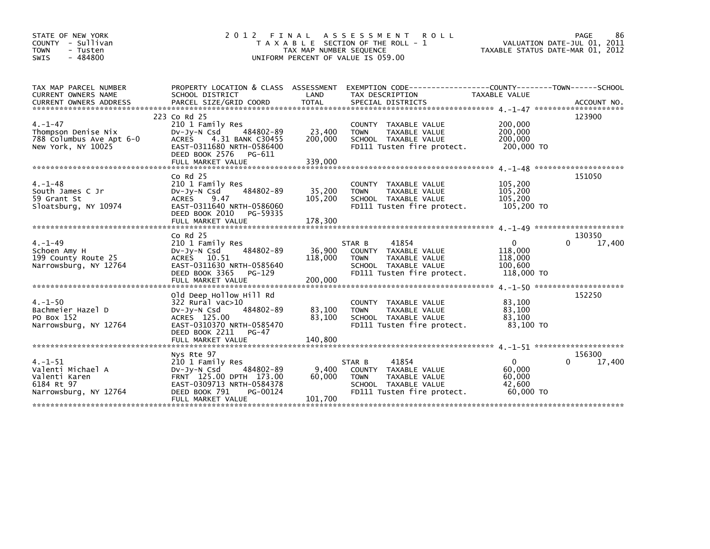| STATE OF NEW YORK<br>COUNTY - Sullivan<br><b>TOWN</b><br>- Tusten<br>- 484800<br><b>SWIS</b> | 2 0 1 2                                                                                                                                                                | FINAL<br>TAX MAP NUMBER SEQUENCE | A S S E S S M E N T<br><b>ROLL</b><br>T A X A B L E SECTION OF THE ROLL - 1<br>UNIFORM PERCENT OF VALUE IS 059.00                    | VALUATION DATE-JUL 01, 2011<br>TAXABLE STATUS DATE-MAR 01, 2012 | PAGE<br>86            |
|----------------------------------------------------------------------------------------------|------------------------------------------------------------------------------------------------------------------------------------------------------------------------|----------------------------------|--------------------------------------------------------------------------------------------------------------------------------------|-----------------------------------------------------------------|-----------------------|
| TAX MAP PARCEL NUMBER<br>CURRENT OWNERS NAME                                                 | PROPERTY LOCATION & CLASS ASSESSMENT<br>SCHOOL DISTRICT                                                                                                                | LAND                             | EXEMPTION CODE-----------------COUNTY-------TOWN------SCHOOL<br>TAX DESCRIPTION                                                      | TAXABLE VALUE                                                   |                       |
| $4. - 1 - 47$<br>Thompson Denise Nix<br>788 Columbus Ave Apt 6-0<br>New York, NY 10025       | 223 Co Rd 25<br>210 1 Family Res<br>484802-89<br>DV-Jy-N Csd<br><b>ACRES</b><br>4.31 BANK C30455<br>EAST-0311680 NRTH-0586400<br>DEED BOOK 2576<br>PG-611              | 23,400<br>200,000                | COUNTY TAXABLE VALUE<br><b>TOWN</b><br><b>TAXABLE VALUE</b><br>SCHOOL TAXABLE VALUE<br>FD111 Tusten fire protect.                    | 200,000<br>200,000<br>200,000<br>200,000 TO                     | 123900                |
| $4. -1 - 48$<br>South James C Jr<br>59 Grant St<br>Sloatsburg, NY 10974                      | Co $Rd$ 25<br>210 1 Family Res<br>484802-89<br>DV-Jy-N Csd<br><b>ACRES</b><br>9.47<br>EAST-0311640 NRTH-0586060<br>DEED BOOK 2010<br>PG-59335                          | 35,200<br>105,200                | COUNTY TAXABLE VALUE<br>TAXABLE VALUE<br><b>TOWN</b><br>SCHOOL TAXABLE VALUE<br>FD111 Tusten fire protect.                           | 105,200<br>105,200<br>105,200<br>105,200 TO                     | 151050                |
|                                                                                              | $Co$ Rd $25$                                                                                                                                                           |                                  |                                                                                                                                      |                                                                 | 130350                |
| $4. - 1 - 49$<br>Schoen Amy H<br>199 County Route 25<br>Narrowsburg, NY 12764                | 210 1 Family Res<br>484802-89<br>DV-Jy-N Csd<br>ACRES 10.51<br>EAST-0311630 NRTH-0585640<br>DEED BOOK 3365<br>PG-129                                                   | 36,900<br>118,000                | 41854<br>STAR B<br>COUNTY TAXABLE VALUE<br><b>TOWN</b><br>TAXABLE VALUE<br>SCHOOL TAXABLE VALUE<br>FD111 Tusten fire protect.        | $\mathbf{0}$<br>118,000<br>118,000<br>100,600<br>118,000 TO     | 17,400<br>0           |
| $4. -1 - 50$<br>Bachmeier Hazel D<br>PO Box 152<br>Narrowsburg, NY 12764                     | Old Deep Hollow Hill Rd<br>322 Rural vac>10<br>484802-89<br>$Dv-Jv-N$ Csd<br>ACRES 125.00<br>EAST-0310370 NRTH-0585470<br>DEED BOOK 2211<br>PG-47                      | 83,100<br>83,100                 | COUNTY TAXABLE VALUE<br><b>TOWN</b><br><b>TAXABLE VALUE</b><br>SCHOOL TAXABLE VALUE<br>FD111 Tusten fire protect.                    | 83,100<br>83,100<br>83,100<br>83,100 TO                         | 152250                |
| $4. -1 - 51$<br>Valenti Michael A<br>Valenti Karen<br>6184 Rt 97<br>Narrowsburg, NY 12764    | Nys Rte 97<br>210 1 Family Res<br>484802-89<br>$Dv-Jy-N$ Csd<br>FRNT 125.00 DPTH 173.00<br>EAST-0309713 NRTH-0584378<br>DEED BOOK 791<br>PG-00124<br>FULL MARKET VALUE | 9,400<br>60,000<br>101.700       | 41854<br>STAR B<br>COUNTY TAXABLE VALUE<br><b>TAXABLE VALUE</b><br><b>TOWN</b><br>SCHOOL TAXABLE VALUE<br>FD111 Tusten fire protect. | $\mathbf{0}$<br>60,000<br>60,000<br>42,600<br>60,000 TO         | 156300<br>17,400<br>0 |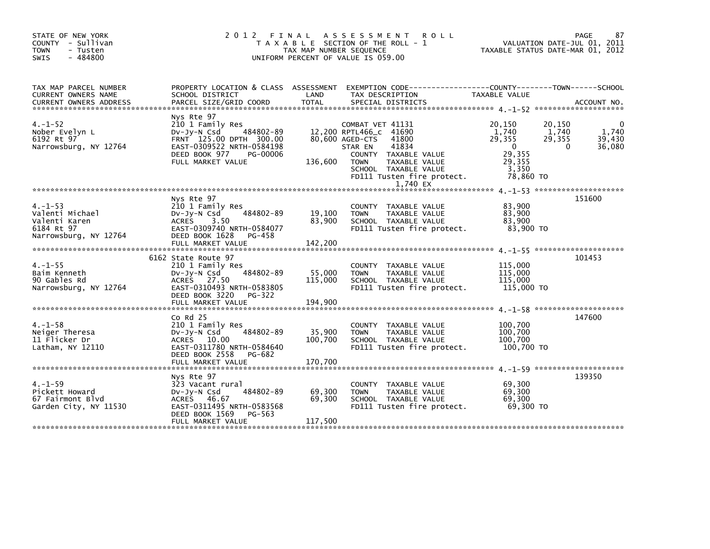| STATE OF NEW YORK<br>COUNTY - Sullivan<br><b>TOWN</b><br>- Tusten<br>$-484800$<br>SWIS   | 2 0 1 2                                                                                                                                                              | FINAL<br>TAX MAP NUMBER SEQUENCE | A S S E S S M E N T<br>T A X A B L E SECTION OF THE ROLL - 1<br>UNIFORM PERCENT OF VALUE IS 059.00 | <b>ROLL</b>                                                                                                               | TAXABLE STATUS DATE-MAR 01, 2012                                                    |                                       | PAGE<br>87<br>VALUATION DATE-JUL 01, 2011 |
|------------------------------------------------------------------------------------------|----------------------------------------------------------------------------------------------------------------------------------------------------------------------|----------------------------------|----------------------------------------------------------------------------------------------------|---------------------------------------------------------------------------------------------------------------------------|-------------------------------------------------------------------------------------|---------------------------------------|-------------------------------------------|
| TAX MAP PARCEL NUMBER<br>CURRENT OWNERS NAME                                             | PROPERTY LOCATION & CLASS ASSESSMENT EXEMPTION CODE----------------COUNTY-------TOWN------SCHOOL<br>SCHOOL DISTRICT                                                  | LAND                             | TAX DESCRIPTION                                                                                    |                                                                                                                           | TAXABLE VALUE                                                                       |                                       |                                           |
| $4. - 1 - 52$<br>Nober Evelyn L<br>6192 Rt 97<br>Narrowsburg, NY 12764                   | Nys Rte 97<br>210 1 Family Res<br>484802-89<br>DV-Jy-N Csd<br>FRNT 125.00 DPTH 300.00<br>EAST-0309522 NRTH-0584198<br>DEED BOOK 977<br>PG-00006<br>FULL MARKET VALUE | 136,600                          | COMBAT VET 41131<br>12,200 RPTL466_C 41690<br>80,600 AGED-CTS<br>STAR EN<br><b>TOWN</b>            | 41800<br>41834<br>COUNTY TAXABLE VALUE<br>TAXABLE VALUE<br>SCHOOL TAXABLE VALUE<br>FD111 Tusten fire protect.<br>1.740 EX | 20,150<br>1,740<br>29.355<br>$\mathbf{0}$<br>29,355<br>29,355<br>3,350<br>78,860 TO | 20,150<br>1,740<br>29,355<br>$\Omega$ | 1,740<br>39.430<br>36,080                 |
| $4. - 1 - 53$<br>Valenti Michael<br>Valenti Karen<br>6184 Rt 97<br>Narrowsburg, NY 12764 | Nys Rte 97<br>210 1 Family Res<br>484802-89<br>DV-JY-N Csd<br>ACRES<br>3.50<br>EAST-0309740 NRTH-0584077<br>DEED BOOK 1628<br>PG-458<br>FULL MARKET VALUE            | 19,100<br>83,900<br>142,200      | <b>TOWN</b>                                                                                        | COUNTY TAXABLE VALUE<br>TAXABLE VALUE<br>SCHOOL TAXABLE VALUE<br>FD111 Tusten fire protect.                               | 83,900<br>83.900<br>83,900<br>83,900 TO                                             |                                       | 151600                                    |
| $4. -1 - 55$<br>Baim Kenneth<br>90 Gables Rd<br>Narrowsburg, NY 12764                    | 6162 State Route 97<br>210 1 Family Res<br>484802-89<br>DV-Jy-N Csd<br>ACRES 27.50<br>EAST-0310493 NRTH-0583805<br>DEED BOOK 3220<br>PG-322                          | 55,000<br>115,000                | <b>TOWN</b>                                                                                        | COUNTY TAXABLE VALUE<br>TAXABLE VALUE<br>SCHOOL TAXABLE VALUE<br>FD111 Tusten fire protect.                               | 115,000<br>115,000<br>115,000<br>115,000 TO                                         |                                       | 101453                                    |
| $4. -1 - 58$<br>Neiger Theresa<br>11 Flicker Dr<br>Latham, NY 12110                      | $Co$ Rd $25$<br>210 1 Family Res<br>484802-89<br>$Dv-Jy-N$ Csd<br>ACRES 10.00<br>EAST-0311780 NRTH-0584640<br>DEED BOOK 2558<br>PG-682<br>FULL MARKET VALUE          | 35,900<br>100,700<br>170.700     | <b>TOWN</b>                                                                                        | COUNTY TAXABLE VALUE<br>TAXABLE VALUE<br>SCHOOL TAXABLE VALUE<br>FD111 Tusten fire protect.                               | 100,700<br>100,700<br>100,700<br>100,700 TO                                         |                                       | 147600                                    |
| $4. -1 - 59$<br>Pickett Howard<br>67 Fairmont Blyd<br>Garden City, NY 11530              | Nys Rte 97<br>323 Vacant rural<br>484802-89<br>DV-JY-N Csd<br>ACRES 46.67<br>EAST-0311495 NRTH-0583568<br>DEED BOOK 1569<br>PG-563<br>FULL MARKET VALUE              | 69,300<br>69,300<br>117,500      | <b>TOWN</b>                                                                                        | COUNTY TAXABLE VALUE<br>TAXABLE VALUE<br>SCHOOL TAXABLE VALUE<br>FD111 Tusten fire protect.                               | 69,300<br>69,300<br>69.300<br>69.300 TO                                             |                                       | 139350                                    |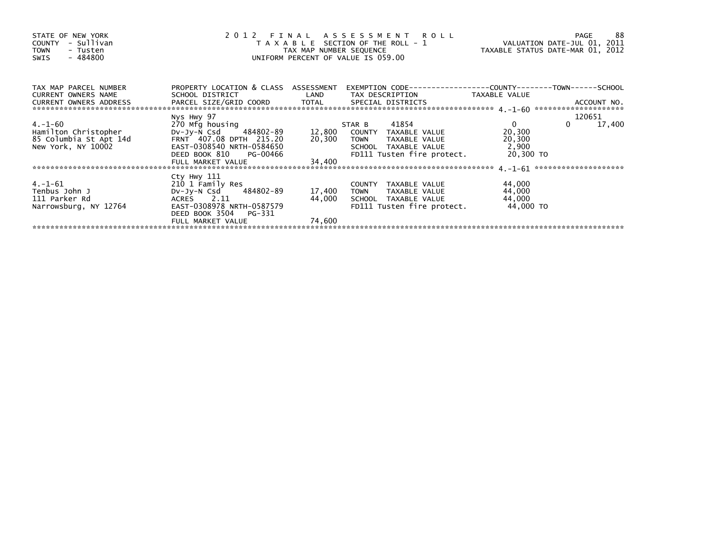| STATE OF NEW YORK<br>- Sullivan<br><b>COUNTY</b><br><b>TOWN</b><br>- Tusten<br>- 484800<br>SWIS |                                                     |        | 2012 FINAL ASSESSMENT ROLL<br>T A X A B L E SECTION OF THE ROLL - 1<br>TAX MAP NUMBER SEQUENCE<br>UNIFORM PERCENT OF VALUE IS 059.00 | VALUATION DATE-JUL 01, 2011<br>TAXABLE STATUS DATE-MAR 01, 2012 | 88<br>PAGE         |
|-------------------------------------------------------------------------------------------------|-----------------------------------------------------|--------|--------------------------------------------------------------------------------------------------------------------------------------|-----------------------------------------------------------------|--------------------|
| TAX MAP PARCEL NUMBER<br>CURRENT OWNERS NAME                                                    | PROPERTY LOCATION & CLASS ASSESSMENT                |        | EXEMPTION        CODE-----------------COUNTY-------TOWN------SCHOOL                                                                  |                                                                 |                    |
|                                                                                                 |                                                     |        |                                                                                                                                      |                                                                 |                    |
|                                                                                                 | Nys Hwy 97                                          |        |                                                                                                                                      |                                                                 | 120651             |
| 4.-1-60                                                                                         | 270 Mfg housing                                     |        | STAR B 41854                                                                                                                         | $\overline{0}$                                                  | $\Omega$<br>17,400 |
| Hamilton Christopher                                                                            |                                                     |        |                                                                                                                                      | 20,300                                                          |                    |
| 85 Columbia St Apt 14d                                                                          | FRNT 407.08 DPTH 215.20                             |        | 20,300 TOWN TAXABLE VALUE                                                                                                            | 20,300                                                          |                    |
| New York, NY 10002                                                                              | EAST-0308540 NRTH-0584650<br>DEED BOOK 810 PG-00466 |        | SCHOOL TAXABLE VALUE<br>FD111 Tusten fire protect. 20,300 TO                                                                         | 2,900                                                           |                    |
|                                                                                                 | FULL MARKET VALUE                                   | 34,400 |                                                                                                                                      |                                                                 |                    |
|                                                                                                 |                                                     |        |                                                                                                                                      |                                                                 |                    |
|                                                                                                 | Cty Hwy 111                                         |        |                                                                                                                                      |                                                                 |                    |
| $4. -1 - 61$                                                                                    | 210 1 Family Res                                    |        | COUNTY TAXABLE VALUE                                                                                                                 | 44,000                                                          |                    |
| Tenbus John J                                                                                   | Dv-Jy-N Csd 484802-89                               | 17,400 | TOWN TAXABLE VALUE                                                                                                                   | 44,000                                                          |                    |
| 111 Parker Rd                                                                                   | ACRES 2.11                                          | 44,000 | SCHOOL TAXABLE VALUE                                                                                                                 | 44,000                                                          |                    |
| Narrowsburg, NY 12764                                                                           | EAST-0308978 NRTH-0587579<br>DEED BOOK 3504 PG-331  |        | FD111 Tusten fire protect.                                                                                                           | 44,000 TO                                                       |                    |
|                                                                                                 | FULL MARKET VALUE                                   | 74,600 |                                                                                                                                      |                                                                 |                    |
|                                                                                                 |                                                     |        |                                                                                                                                      |                                                                 |                    |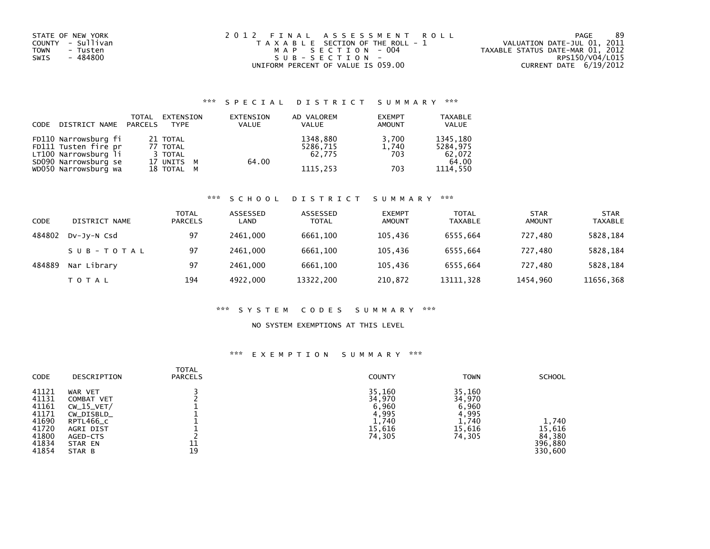| STATE OF NEW YORK | 2012 FINAL ASSESSMENT ROLL            | -89<br>PAGE                      |
|-------------------|---------------------------------------|----------------------------------|
| COUNTY - Sullivan | T A X A B L E SECTION OF THE ROLL - 1 | VALUATION DATE-JUL 01, 2011      |
| TOWN<br>- Tusten  | MAP SECTION - 004                     | TAXABLE STATUS DATE-MAR 01, 2012 |
| - 484800<br>SWIS  | SUB-SECTION-                          | RPS150/V04/L015                  |
|                   | UNIFORM PERCENT OF VALUE IS 059.00    | CURRENT DATE 6/19/2012           |

### \*\*\* S P E C I A L D I S T R I C T S U M M A R Y \*\*\*

| CODE | DISTRICT NAME PARCELS | TOTAL | EXTENSION<br><b>TYPE</b> | EXTENSION<br><b>VALUE</b> | AD VALOREM<br>VALUE | <b>EXEMPT</b><br><b>AMOUNT</b> | <b>TAXABLE</b><br><b>VALUE</b> |
|------|-----------------------|-------|--------------------------|---------------------------|---------------------|--------------------------------|--------------------------------|
|      | FD110 Narrowsburg fi  |       | 21 TOTAL                 |                           | 1348,880            | 3.700                          | 1345,180                       |
|      | FD111 Tusten fire pr  |       | 77 TOTAL                 |                           | 5286,715            | 1,740                          | 5284.975                       |
|      | LT100 Narrowsburg li  |       | 3 TOTAL                  |                           | 62.775              | 703                            | 62,072                         |
|      | SD090 Narrowsburg se  |       | 17 UNITS M               | 64.00                     |                     |                                | 64.00                          |
|      | WD050 Narrowsburg wa  |       | 18 TOTAL M               |                           | 1115.253            | 703                            | 1114.550                       |

## \*\*\* S C H O O L D I S T R I C T S U M M A R Y \*\*\*

| CODE   | DISTRICT NAME | TOTAL<br><b>PARCELS</b> | ASSESSED<br>LAND | ASSESSED<br><b>TOTAL</b> | <b>EXEMPT</b><br>AMOUNT | <b>TOTAL</b><br><b>TAXABLE</b> | <b>STAR</b><br>AMOUNT | <b>STAR</b><br><b>TAXABLE</b> |
|--------|---------------|-------------------------|------------------|--------------------------|-------------------------|--------------------------------|-----------------------|-------------------------------|
| 484802 | DV-JV-N Csd   | 97                      | 2461.000         | 6661.100                 | 105.436                 | 6555.664                       | 727.480               | 5828,184                      |
|        | SUB-TOTAL     | 97                      | 2461.000         | 6661.100                 | 105.436                 | 6555.664                       | 727.480               | 5828,184                      |
| 484889 | Nar Library   | 97                      | 2461.000         | 6661.100                 | 105.436                 | 6555.664                       | 727.480               | 5828,184                      |
|        | TOTAL         | 194                     | 4922,000         | 13322,200                | 210,872                 | 13111,328                      | 1454,960              | 11656,368                     |

#### \*\*\* S Y S T E M C O D E S S U M M A R Y \*\*\*

#### NO SYSTEM EXEMPTIONS AT THIS LEVEL

### \*\*\* E X E M P T I O N S U M M A R Y \*\*\*

| CODE                                                                          | DESCRIPTION                                                                                                    | TOTAL<br><b>PARCELS</b> | <b>COUNTY</b>                                                   | <b>TOWN</b>                                                     | <b>SCHOOL</b>                                   |
|-------------------------------------------------------------------------------|----------------------------------------------------------------------------------------------------------------|-------------------------|-----------------------------------------------------------------|-----------------------------------------------------------------|-------------------------------------------------|
| 41121<br>41131<br>41161<br>41171<br>41690<br>41720<br>41800<br>41834<br>41854 | WAR VET<br>COMBAT VET<br>$CW_15_VET/$<br>CW_DISBLD_<br>RPTL466_C<br>AGRI DIST<br>AGED-CTS<br>STAR EN<br>STAR B | 11<br>19                | 35,160<br>34,970<br>6,960<br>4,995<br>1,740<br>15,616<br>74,305 | 35,160<br>34,970<br>6,960<br>4,995<br>1,740<br>15,616<br>74,305 | 1,740<br>15,616<br>84,380<br>396,880<br>330,600 |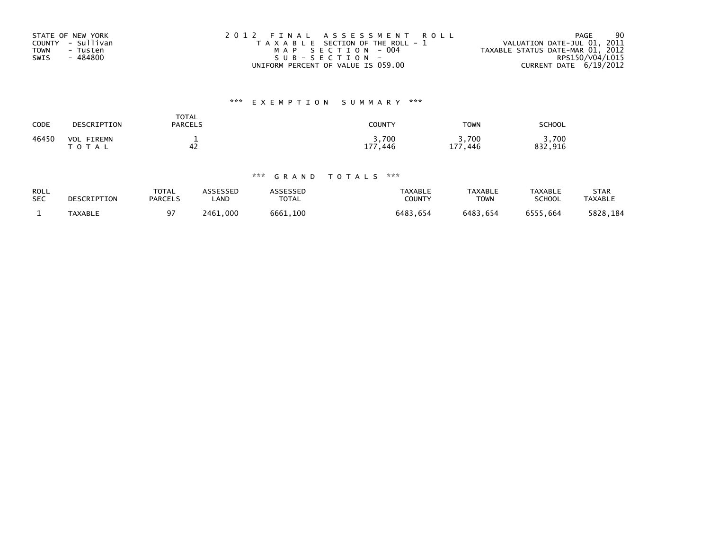| STATE OF NEW YORK       | 2012 FINAL ASSESSMENT ROLL            | 90<br><b>PAGE</b>                |
|-------------------------|---------------------------------------|----------------------------------|
| COUNTY - Sullivan       | T A X A B L E SECTION OF THE ROLL - 1 | VALUATION DATE-JUL 01, 2011      |
| <b>TOWN</b><br>- Tusten | MAP SECTION - 004                     | TAXABLE STATUS DATE-MAR 01, 2012 |
| - 484800<br>SWIS        | SUB-SECTION-                          | RPS150/V04/L015                  |
|                         | UNIFORM PERCENT OF VALUE IS 059.00    | CURRENT DATE 6/19/2012           |

## \*\*\* E X E M P T I O N S U M M A R Y \*\*\*

| CODE  | DESCRIPTION                        | TOTAL<br><b>PARCELS</b> | COUNTY              | <b>TOWN</b>                        | <b>SCHOOL</b>        |
|-------|------------------------------------|-------------------------|---------------------|------------------------------------|----------------------|
| 46450 | VOL<br><b>FIREMN</b><br>тот<br>A L | 42                      | 3,700<br>177<br>446 | 3,700<br>177<br>.446<br><b>. .</b> | .700<br>. 916<br>832 |

### \*\*\* G R A N D T O T A L S \*\*\*

| <b>ROLL</b> | DESCRIPTION | <b>TOTAL</b>   | ASSESSED | <b>ASSESSED</b> | <b>TAXABLE</b> | TAXABLE     | <b>TAXABLE</b> | STAR           |
|-------------|-------------|----------------|----------|-----------------|----------------|-------------|----------------|----------------|
| <b>SEC</b>  |             | <b>PARCELS</b> | _AND     | <b>TOTAL</b>    | <b>COUNTY</b>  | <b>TOWN</b> | SCHOOL         | <b>TAXABLE</b> |
|             | TAXABLE     | 97             | 2461.000 | 6661.100        | 6483,654       | 6483.654    | 6555,664       | 5828,184       |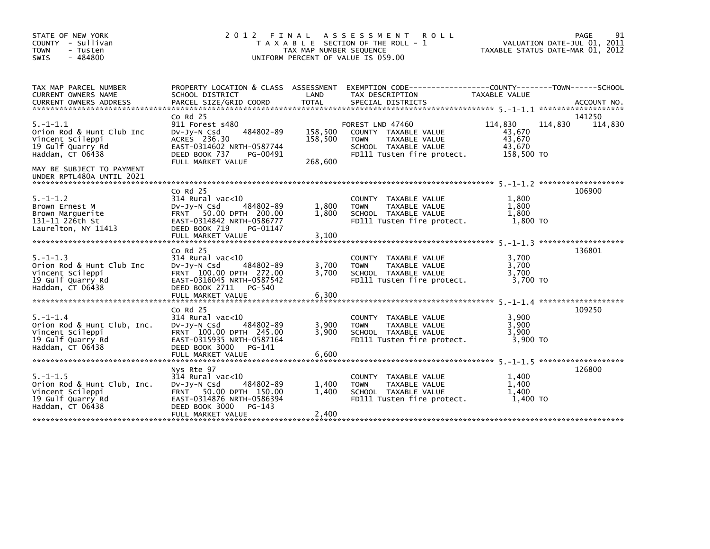| STATE OF NEW YORK<br>COUNTY - Sullivan<br><b>TOWN</b><br>- Tusten<br>$-484800$<br>SWIS                                                | 2 0 1 2<br>FINAL<br>T A X A B L E SECTION OF THE ROLL - 1<br>TAX MAP NUMBER SEQUENCE<br>UNIFORM PERCENT OF VALUE IS 059.00                                                | 91<br>PAGE<br>VALUATION DATE-JUL 01, 2011<br>TAXABLE STATUS DATE-MAR 01, 2012 |                                                                                                                                          |                                                     |                              |
|---------------------------------------------------------------------------------------------------------------------------------------|---------------------------------------------------------------------------------------------------------------------------------------------------------------------------|-------------------------------------------------------------------------------|------------------------------------------------------------------------------------------------------------------------------------------|-----------------------------------------------------|------------------------------|
| TAX MAP PARCEL NUMBER<br>CURRENT OWNERS NAME<br><b>CURRENT OWNERS ADDRESS</b>                                                         | SCHOOL DISTRICT<br>PARCEL SIZE/GRID COORD                                                                                                                                 | LAND<br><b>TOTAL</b>                                                          | PROPERTY LOCATION & CLASS ASSESSMENT EXEMPTION CODE----------------COUNTY-------TOWN------SCHOOL<br>TAX DESCRIPTION<br>SPECIAL DISTRICTS | TAXABLE VALUE                                       | ACCOUNT NO.                  |
| $5. - 1 - 1.1$<br>Orion Rod & Hunt Club Inc<br>Vincent Scileppi<br>19 Gulf Quarry Rd<br>Haddam, CT 06438<br>MAY BE SUBJECT TO PAYMENT | $Co$ Rd $25$<br>911 Forest s480<br>484802-89<br>$Dv-Jy-N$ Csd<br>ACRES 236.30<br>EAST-0314602 NRTH-0587744<br>DEED BOOK 737<br>PG-00491<br>FULL MARKET VALUE              | 158,500<br>158,500<br>268,600                                                 | FOREST LND 47460<br>COUNTY TAXABLE VALUE<br>TAXABLE VALUE<br><b>TOWN</b><br>SCHOOL TAXABLE VALUE<br>FD111 Tusten fire protect.           | 114,830<br>43,670<br>43,670<br>43,670<br>158,500 TO | 141250<br>114,830<br>114,830 |
| UNDER RPTL480A UNTIL 2021                                                                                                             |                                                                                                                                                                           |                                                                               |                                                                                                                                          |                                                     |                              |
| $5. - 1 - 1.2$<br>Brown Ernest M<br>Brown Marquerite<br>131-11 226th St<br>Laurelton, NY 11413                                        | $Co$ Rd $25$<br>$314$ Rural vac<10<br>484802-89<br>$Dv-Jy-N$ Csd<br>FRNT 50.00 DPTH 200.00<br>EAST-0314842 NRTH-0586777<br>DEED BOOK 719<br>PG-01147<br>FULL MARKET VALUE | 1,800<br>1,800<br>3,100                                                       | COUNTY TAXABLE VALUE<br>TAXABLE VALUE<br><b>TOWN</b><br>SCHOOL TAXABLE VALUE<br>FD111 Tusten fire protect.                               | 1,800<br>1,800<br>1.800<br>1.800 TO                 | 106900                       |
|                                                                                                                                       | $Co$ Rd $25$                                                                                                                                                              |                                                                               |                                                                                                                                          |                                                     | 136801                       |
| $5. - 1 - 1.3$<br>Orion Rod & Hunt Club Inc<br>Vincent Scileppi<br>19 Gulf Quarry Rd<br>Haddam. CT 06438                              | $314$ Rural vac<10<br>$Dv$ -J $v$ -N Csd<br>484802-89<br>FRNT 100.00 DPTH 272.00<br>EAST-0316045 NRTH-0587542<br>DEED BOOK 2711<br>PG-540<br>FULL MARKET VALUE            | 3.700<br>3.700<br>6,300                                                       | COUNTY TAXABLE VALUE<br><b>TOWN</b><br>TAXABLE VALUE<br>SCHOOL TAXABLE VALUE<br>FD111 Tusten fire protect.                               | 3,700<br>3,700<br>3.700<br>3,700 TO                 |                              |
|                                                                                                                                       | $Co$ Rd $25$                                                                                                                                                              |                                                                               |                                                                                                                                          |                                                     | 109250                       |
| $5. - 1 - 1.4$<br>Orion Rod & Hunt Club, Inc.<br>Vincent Scileppi<br>19 Gulf Quarry Rd<br>Haddam, CT 06438                            | $314$ Rural vac<10<br>$Dv-Jy-N$ Csd<br>484802-89<br>FRNT 100.00 DPTH 245.00<br>EAST-0315935 NRTH-0587164<br>DEED BOOK 3000 PG-141                                         | 3,900<br>3.900                                                                | COUNTY TAXABLE VALUE<br>TAXABLE VALUE<br><b>TOWN</b><br>SCHOOL TAXABLE VALUE<br>FD111 Tusten fire protect.                               | 3,900<br>3.900<br>3.900<br>3,900 TO                 |                              |
|                                                                                                                                       | FULL MARKET VALUE                                                                                                                                                         | 6,600                                                                         |                                                                                                                                          |                                                     |                              |
| $5. -1 - 1.5$<br>Orion Rod & Hunt Club, Inc.<br>Vincent Scileppi<br>19 Gulf Quarry Rd<br>Haddam, CT 06438                             | Nys Rte 97<br>314 Rural vac<10<br>484802-89<br>$Dv-Jy-N$ Csd<br>FRNT 50.00 DPTH 150.00<br>EAST-0314876 NRTH-0586394<br>DEED BOOK 3000<br>PG-143<br>FULL MARKET VALUE      | 1,400<br>1,400<br>2,400                                                       | TAXABLE VALUE<br><b>COUNTY</b><br>TAXABLE VALUE<br><b>TOWN</b><br>SCHOOL TAXABLE VALUE<br>FD111 Tusten fire protect.                     | 1.400<br>1,400<br>1,400<br>1,400 TO                 | 126800                       |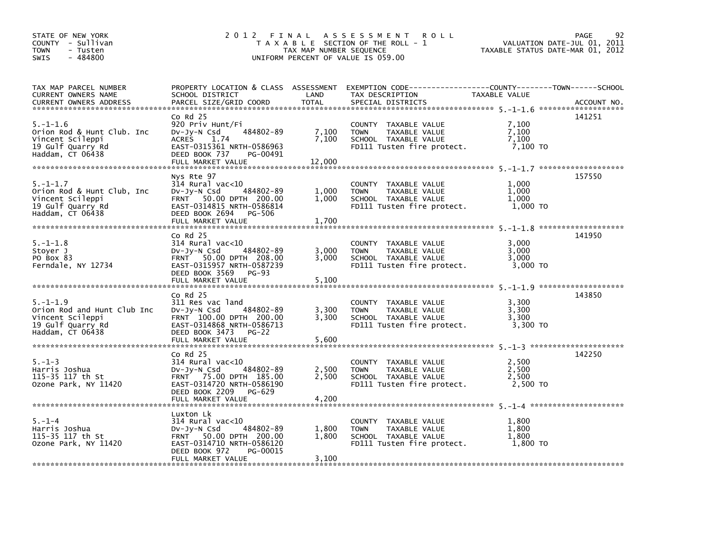| STATE OF NEW YORK<br>COUNTY - Sullivan<br><b>TOWN</b><br>- Tusten<br>$-484800$<br><b>SWIS</b>              | 2 0 1 2                                                                                                                                                                    | TAX MAP NUMBER SEQUENCE  | FINAL ASSESSMENT<br><b>ROLL</b><br>T A X A B L E SECTION OF THE ROLL - 1<br>UNIFORM PERCENT OF VALUE IS 059.00                            | TAXABLE STATUS DATE-MAR 01, 2012    | 92<br>PAGE<br>VALUATION DATE-JUL 01, 2011 |
|------------------------------------------------------------------------------------------------------------|----------------------------------------------------------------------------------------------------------------------------------------------------------------------------|--------------------------|-------------------------------------------------------------------------------------------------------------------------------------------|-------------------------------------|-------------------------------------------|
| TAX MAP PARCEL NUMBER<br>CURRENT OWNERS NAME<br>CURRENT OWNERS ADDRESS                                     | SCHOOL DISTRICT<br>PARCEL SIZE/GRID COORD                                                                                                                                  | LAND<br><b>TOTAL</b>     | PROPERTY LOCATION & CLASS ASSESSMENT EXEMPTION CODE-----------------COUNTY-------TOWN------SCHOOL<br>TAX DESCRIPTION<br>SPECIAL DISTRICTS | TAXABLE VALUE                       | ACCOUNT NO.                               |
| $5. - 1 - 1.6$<br>Orion Rod & Hunt Club. Inc<br>Vincent Scileppi<br>19 Gulf Quarry Rd<br>Haddam, CT 06438  | $Co$ Rd $25$<br>920 Priv Hunt/Fi<br>484802-89<br>$Dv-Jy-N$ Csd<br><b>ACRES</b><br>1.74<br>EAST-0315361 NRTH-0586963<br>DEED BOOK 737<br>PG-00491<br>FULL MARKET VALUE      | 7,100<br>7,100<br>12,000 | COUNTY TAXABLE VALUE<br>TAXABLE VALUE<br><b>TOWN</b><br>SCHOOL TAXABLE VALUE<br>FD111 Tusten fire protect.                                | 7,100<br>7.100<br>7,100<br>7,100 TO | 141251                                    |
| $5. - 1 - 1.7$<br>Orion Rod & Hunt Club, Inc<br>Vincent Scileppi<br>19 Gulf Quarry Rd<br>Haddam, CT 06438  | Nys Rte 97<br>$314$ Rural vac< $10$<br>484802-89<br>$Dv-Jy-N$ Csd<br>FRNT 50.00 DPTH 200.00<br>EAST-0314815 NRTH-0586814<br>DEED BOOK 2694<br>PG-506<br>FULL MARKET VALUE  | 1,000<br>1,000<br>1,700  | COUNTY TAXABLE VALUE<br><b>TOWN</b><br>TAXABLE VALUE<br>SCHOOL TAXABLE VALUE<br>FD111 Tusten fire protect.                                | 1.000<br>1,000<br>1,000<br>1.000 TO | 157550                                    |
| $5. - 1 - 1.8$<br>Stover J<br>PO Box 83<br>Ferndale, NY 12734                                              | $CO$ Rd $25$<br>$314$ Rural vac< $10$<br>484802-89<br>$Dv-Jy-N$ Csd<br>FRNT 50.00 DPTH 208.00<br>EAST-0315957 NRTH-0587239<br>DEED BOOK 3569<br>PG-93<br>FULL MARKET VALUE | 3,000<br>3,000<br>5,100  | COUNTY TAXABLE VALUE<br><b>TOWN</b><br>TAXABLE VALUE<br>SCHOOL TAXABLE VALUE<br>FD111 Tusten fire protect.                                | 3.000<br>3,000<br>3,000<br>3.000 TO | 141950                                    |
| $5. - 1 - 1.9$<br>Orion Rod and Hunt Club Inc<br>Vincent Scileppi<br>19 Gulf Quarry Rd<br>Haddam, CT 06438 | $Co$ Rd $25$<br>311 Res vac land<br>$Dv-Jy-N$ Csd<br>484802-89<br>FRNT 100.00 DPTH 200.00<br>EAST-0314868 NRTH-0586713<br>DEED BOOK 3473<br>PG-22<br>FULL MARKET VALUE     | 3,300<br>3,300<br>5,600  | COUNTY TAXABLE VALUE<br><b>TOWN</b><br>TAXABLE VALUE<br>SCHOOL TAXABLE VALUE<br>FD111 Tusten fire protect.                                | 3.300<br>3,300<br>3,300<br>3,300 TO | 143850                                    |
| $5. - 1 - 3$<br>Harris Joshua<br>115-35 117 th St<br>Ozone Park, NY 11420                                  | $Co$ Rd $25$<br>$314$ Rural vac< $10$<br>484802-89<br>DV-Jy-N Csd<br>FRNT 75.00 DPTH 185.00<br>EAST-0314720 NRTH-0586190<br>DEED BOOK 2209<br>PG-629                       | 2,500<br>2,500           | COUNTY TAXABLE VALUE<br><b>TOWN</b><br>TAXABLE VALUE<br>SCHOOL TAXABLE VALUE<br>FD111 Tusten fire protect.                                | 2,500<br>2,500<br>2,500<br>2,500 TO | 142250                                    |
| $5. - 1 - 4$<br>Harris Joshua<br>115-35 117 th St<br>Ozone Park, NY 11420                                  | Luxton Lk<br>$314$ Rural vac< $10$<br>484802-89<br>DV-Jy-N Csd<br>FRNT 50.00 DPTH 200.00<br>EAST-0314710 NRTH-0586120<br>DEED BOOK 972<br>PG-00015<br>FULL MARKET VALUE    | 1,800<br>1,800<br>3,100  | COUNTY TAXABLE VALUE<br>TAXABLE VALUE<br><b>TOWN</b><br>SCHOOL TAXABLE VALUE<br>FD111 Tusten fire protect.                                | 1.800<br>1,800<br>1,800<br>1,800 TO |                                           |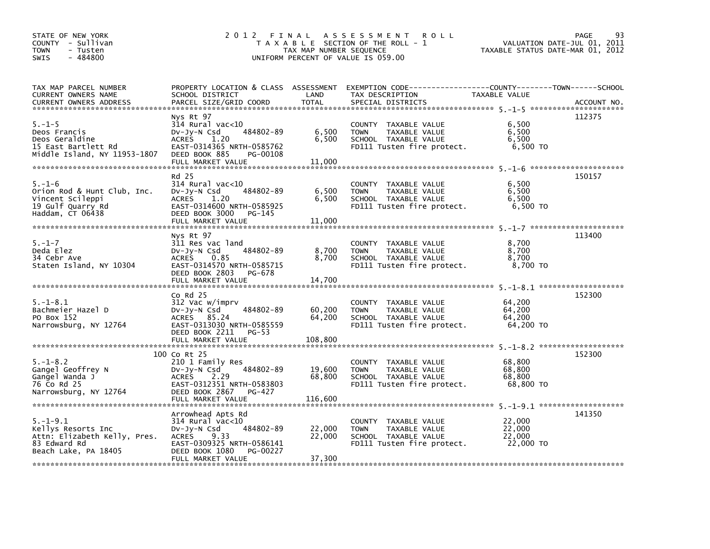| STATE OF NEW YORK<br>COUNTY - Sullivan<br><b>TOWN</b><br>- Tusten<br>$-484800$<br><b>SWIS</b>                | 2 0 1 2                                                                                                                                            | TAX MAP NUMBER SEQUENCE  | FINAL ASSESSMENT<br><b>ROLL</b><br>T A X A B L E SECTION OF THE ROLL - 1<br>UNIFORM PERCENT OF VALUE IS 059.00                           | TAXABLE STATUS DATE-MAR 01, 2012        | 93<br><b>PAGE</b><br>VALUATION DATE-JUL 01, 2011 |
|--------------------------------------------------------------------------------------------------------------|----------------------------------------------------------------------------------------------------------------------------------------------------|--------------------------|------------------------------------------------------------------------------------------------------------------------------------------|-----------------------------------------|--------------------------------------------------|
| TAX MAP PARCEL NUMBER<br>CURRENT OWNERS NAME<br><b>CURRENT OWNERS ADDRESS</b>                                | SCHOOL DISTRICT<br>PARCEL SIZE/GRID COORD                                                                                                          | LAND<br><b>TOTAL</b>     | PROPERTY LOCATION & CLASS ASSESSMENT EXEMPTION CODE----------------COUNTY--------TOWN-----SCHOOL<br>TAX DESCRIPTION<br>SPECIAL DISTRICTS | TAXABLE VALUE                           | ACCOUNT NO.                                      |
|                                                                                                              | Nys Rt 97                                                                                                                                          |                          |                                                                                                                                          |                                         | 112375                                           |
| $5. - 1 - 5$<br>Deos Francis<br>Deos Geraldine<br>15 East Bartlett Rd<br>Middle Island, NY 11953-1807        | $314$ Rural vac< $10$<br>484802-89<br>$Dv-Jy-N$ Csd<br>1.20<br><b>ACRES</b><br>EAST-0314365 NRTH-0585762<br>DEED BOOK 885<br>PG-00108              | 6,500<br>6,500           | COUNTY TAXABLE VALUE<br><b>TOWN</b><br>TAXABLE VALUE<br>SCHOOL TAXABLE VALUE<br>FD111 Tusten fire protect.                               | 6,500<br>6,500<br>6,500<br>6,500 TO     |                                                  |
|                                                                                                              | FULL MARKET VALUE                                                                                                                                  | 11,000                   |                                                                                                                                          |                                         |                                                  |
|                                                                                                              | Rd 25                                                                                                                                              |                          |                                                                                                                                          |                                         | 150157                                           |
| $5. - 1 - 6$<br>Orion Rod & Hunt Club, Inc.<br>Vincent Scileppi<br>19 Gulf Quarry Rd<br>Haddam, CT 06438     | $314$ Rural vac< $10$<br>484802-89<br>$Dv-Jy-N$ Csd<br>ACRES<br>1.20<br>EAST-0314600 NRTH-0585925<br>DEED BOOK 3000<br>PG-145<br>FULL MARKET VALUE | 6,500<br>6,500<br>11,000 | COUNTY TAXABLE VALUE<br>TAXABLE VALUE<br><b>TOWN</b><br>SCHOOL TAXABLE VALUE<br>FD111 Tusten fire protect.                               | 6,500<br>6,500<br>6,500<br>6.500 TO     |                                                  |
|                                                                                                              |                                                                                                                                                    |                          |                                                                                                                                          |                                         |                                                  |
| $5. - 1 - 7$<br>Deda Elez<br>34 Cebr Ave<br>Staten Island, NY 10304                                          | Nys Rt 97<br>311 Res vac land<br>484802-89<br>$Dv-Jv-N$ Csd<br>0.85<br><b>ACRES</b><br>EAST-0314570 NRTH-0585715<br>DEED BOOK 2803<br>PG-678       | 8,700<br>8,700           | COUNTY TAXABLE VALUE<br><b>TOWN</b><br>TAXABLE VALUE<br>SCHOOL TAXABLE VALUE<br>FD111 Tusten fire protect.                               | 8,700<br>8,700<br>8,700<br>8.700 TO     | 113400                                           |
|                                                                                                              | FULL MARKET VALUE                                                                                                                                  | 14.700                   |                                                                                                                                          |                                         |                                                  |
| $5. - 1 - 8.1$<br>Bachmeier Hazel D<br>PO Box 152<br>Narrowsburg, NY 12764                                   | $CO$ Rd $25$<br>312 Vac w/imprv<br>484802-89<br>$Dv-Jy-N$ Csd<br>ACRES 85.24<br>EAST-0313030 NRTH-0585559<br>DEED BOOK 2211<br>PG-53               | 60,200<br>64,200         | COUNTY TAXABLE VALUE<br><b>TOWN</b><br>TAXABLE VALUE<br>SCHOOL TAXABLE VALUE<br>FD111 Tusten fire protect.                               | 64,200<br>64,200<br>64.200<br>64,200 TO | 152300                                           |
|                                                                                                              |                                                                                                                                                    |                          |                                                                                                                                          |                                         |                                                  |
|                                                                                                              | 100 Co Rt 25                                                                                                                                       |                          |                                                                                                                                          |                                         | 152300                                           |
| $5. - 1 - 8.2$<br>Gangel Geoffrey N<br>Gangel Wanda J<br>76 Co Rd 25<br>Narrowsburg, NY 12764                | 210 1 Family Res<br>484802-89<br>$Dv-Jy-N$ Csd<br><b>ACRES</b><br>2.29<br>EAST-0312351 NRTH-0583803<br>DEED BOOK 2867<br>PG-427                    | 19,600<br>68,800         | COUNTY TAXABLE VALUE<br>TAXABLE VALUE<br><b>TOWN</b><br>SCHOOL TAXABLE VALUE<br>FD111 Tusten fire protect.                               | 68,800<br>68.800<br>68,800<br>68,800 TO |                                                  |
|                                                                                                              | Arrowhead Apts Rd                                                                                                                                  |                          |                                                                                                                                          |                                         | 141350                                           |
| $5. - 1 - 9.1$<br>Kellys Resorts Inc<br>Attn: Elizabeth Kelly, Pres.<br>83 Edward Rd<br>Beach Lake, PA 18405 | $314$ Rural vac< $10$<br>484802-89<br>DV-Jy-N Csd<br>ACRES<br>9.33<br>EAST-0309325 NRTH-0586141<br>DEED BOOK 1080<br>PG-00227                      | 22,000<br>22,000         | COUNTY TAXABLE VALUE<br>TAXABLE VALUE<br><b>TOWN</b><br>SCHOOL TAXABLE VALUE<br>FD111 Tusten fire protect.                               | 22,000<br>22,000<br>22,000<br>22,000 TO |                                                  |
|                                                                                                              | FULL MARKET VALUE                                                                                                                                  | 37,300                   |                                                                                                                                          |                                         |                                                  |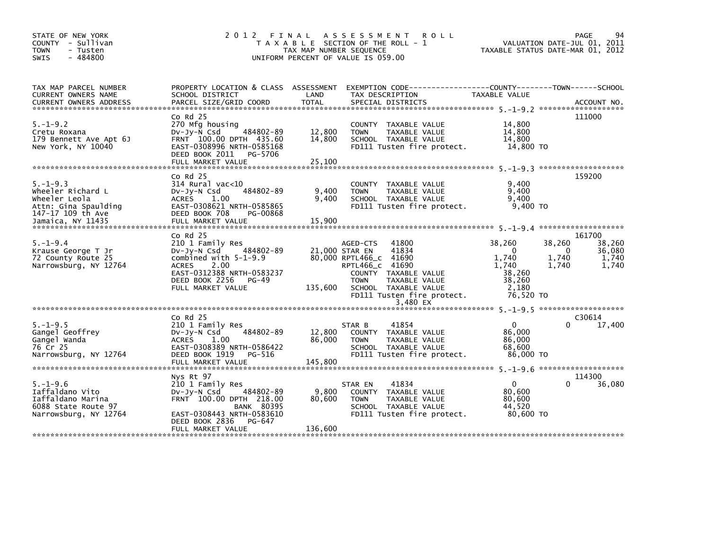| STATE OF NEW YORK<br>COUNTY - Sullivan<br><b>TOWN</b><br>- Tusten<br>$-484800$<br><b>SWIS</b>                          | 2012 FINAL                                                                                                                                                                                   | TAX MAP NUMBER SEQUENCE     | A S S E S S M E N T<br><b>ROLL</b><br>T A X A B L E SECTION OF THE ROLL - 1<br>UNIFORM PERCENT OF VALUE IS 059.00                                                                                                   | TAXABLE STATUS DATE-MAR 01, 2012                                               |                               | 94<br>PAGE<br>VALUATION DATE-JUL 01, 2011    |
|------------------------------------------------------------------------------------------------------------------------|----------------------------------------------------------------------------------------------------------------------------------------------------------------------------------------------|-----------------------------|---------------------------------------------------------------------------------------------------------------------------------------------------------------------------------------------------------------------|--------------------------------------------------------------------------------|-------------------------------|----------------------------------------------|
| TAX MAP PARCEL NUMBER<br>CURRENT OWNERS NAME                                                                           | PROPERTY LOCATION & CLASS ASSESSMENT<br>SCHOOL DISTRICT                                                                                                                                      | LAND                        | TAX DESCRIPTION                                                                                                                                                                                                     | TAXABLE VALUE                                                                  |                               |                                              |
| $5. - 1 - 9.2$<br>Cretu Roxana<br>179 Bennett Ave Apt 6J<br>New York, NY 10040                                         | $Co$ Rd $25$<br>270 Mfg housing<br>484802-89<br>$Dv-Jy-N$ Csd<br>FRNT 100.00 DPTH 435.60<br>EAST-0308996 NRTH-0585168<br>DEED BOOK 2011 PG-5706<br>FULL MARKET VALUE                         | 12,800<br>14,800<br>25,100  | COUNTY TAXABLE VALUE<br>TAXABLE VALUE<br><b>TOWN</b><br>SCHOOL TAXABLE VALUE<br>FD111 Tusten fire protect.                                                                                                          | 14,800<br>14,800<br>14,800<br>14,800 TO                                        |                               | 111000                                       |
| $5. - 1 - 9.3$<br>Wheeler Richard L<br>Wheeler Leola<br>Attn: Gina Spaulding<br>147-17 109 th Ave<br>Jamaica, NY 11435 | $CO$ Rd $25$<br>$314$ Rural vac<10<br>484802-89<br>$Dv-Jy-N$ Csd<br><b>ACRES</b><br>1.00<br>EAST-0308621 NRTH-0585865<br>DEED BOOK 708<br>PG-00868<br>FULL MARKET VALUE                      | 9,400<br>9,400<br>15,900    | COUNTY TAXABLE VALUE<br>TAXABLE VALUE<br><b>TOWN</b><br>SCHOOL TAXABLE VALUE<br>FD111 Tusten fire protect.                                                                                                          | 9,400<br>9,400<br>9,400<br>9,400 TO                                            |                               | 159200                                       |
| $5. - 1 - 9.4$<br>Krause George T Jr<br>72 County Route 25<br>Narrowsburg, NY 12764                                    | $Co$ Rd $25$<br>210 1 Family Res<br>484802-89<br>DV-Jy-N Csd<br>combined with $5-1-9.9$<br><b>ACRES</b><br>2.00<br>EAST-0312388 NRTH-0583237<br>DEED BOOK 2256<br>PG-49<br>FULL MARKET VALUE | 135,600                     | 41800<br>AGED-CTS<br>41834<br>21,000 STAR EN<br>80,000 RPTL466_C 41690<br>RPTL466_C 41690<br>COUNTY TAXABLE VALUE<br>TAXABLE VALUE<br><b>TOWN</b><br>SCHOOL TAXABLE VALUE<br>FD111 Tusten fire protect.<br>3.480 EX | 38,260<br>$\Omega$<br>1,740<br>1,740<br>38,260<br>38,260<br>2,180<br>76,520 TO | 38,260<br>0<br>1,740<br>1,740 | 161700<br>38,260<br>36,080<br>1,740<br>1,740 |
| $5. - 1 - 9.5$<br>Gangel Geoffrey<br>Gangel Wanda<br>76 Cr 25<br>Narrowsburg, NY 12764                                 | $CO$ Rd $25$<br>210 1 Family Res<br>484802-89<br>DV-Jy-N Csd<br>1.00<br><b>ACRES</b><br>EAST-0308389 NRTH-0586422<br>DEED BOOK 1919<br>PG-516<br>FULL MARKET VALUE                           | 12,800<br>86,000<br>145,800 | 41854<br>STAR B<br>COUNTY TAXABLE VALUE<br><b>TOWN</b><br>TAXABLE VALUE<br>SCHOOL TAXABLE VALUE<br>FD111 Tusten fire protect.                                                                                       | $\overline{0}$<br>86,000<br>86,000<br>68,600<br>86,000 TO                      |                               | C30614<br>17,400                             |
| $5. - 1 - 9.6$<br>Iaffaldano Vito<br>Iaffaldano Marina<br>6088 State Route 97<br>Narrowsburg, NY 12764                 | Nys Rt 97<br>210 1 Family Res<br>$Dv-Jv-N$ Csd<br>484802-89<br>FRNT 100.00 DPTH 218.00<br><b>BANK 80395</b><br>EAST-0308443 NRTH-0583610                                                     | 9,800<br>80,600             | 41834<br>STAR EN<br>COUNTY TAXABLE VALUE<br><b>TOWN</b><br>TAXABLE VALUE<br>SCHOOL TAXABLE VALUE<br>FD111 Tusten fire protect.                                                                                      | $\mathbf{0}$<br>80,600<br>80,600<br>44,520<br>80.600 TO                        |                               | 114300<br>36,080                             |
|                                                                                                                        | DEED BOOK 2836<br>PG-647<br>FULL MARKET VALUE                                                                                                                                                | 136,600                     |                                                                                                                                                                                                                     |                                                                                |                               |                                              |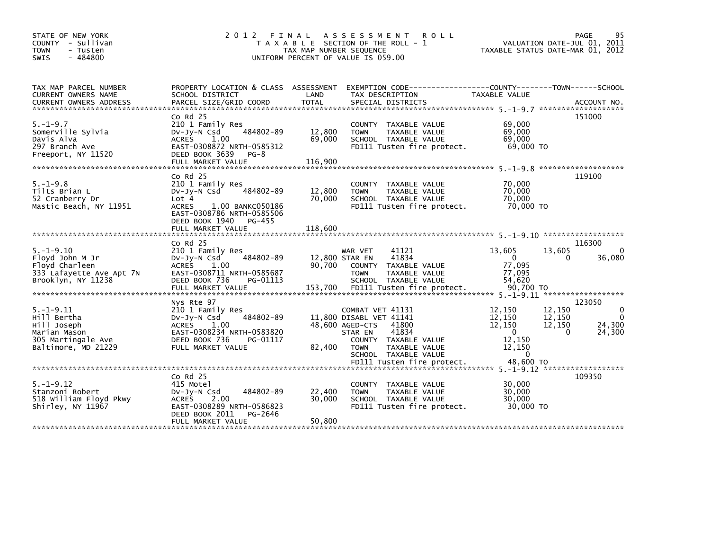| STATE OF NEW YORK<br>COUNTY - Sullivan<br><b>TOWN</b><br>- Tusten<br>$-484800$<br><b>SWIS</b>              | 2 0 1 2                                                                                                                                                                         | FINAL<br>TAX MAP NUMBER SEQUENCE    | A S S E S S M E N T<br><b>ROLL</b><br>T A X A B L E SECTION OF THE ROLL - 1<br>UNIFORM PERCENT OF VALUE IS 059.00                                                           |                                                                            | PAGE<br>95<br>VALUATION DATE-JUL 01, 2011<br>TAXABLE STATUS DATE-MAR 01, 2012                    |
|------------------------------------------------------------------------------------------------------------|---------------------------------------------------------------------------------------------------------------------------------------------------------------------------------|-------------------------------------|-----------------------------------------------------------------------------------------------------------------------------------------------------------------------------|----------------------------------------------------------------------------|--------------------------------------------------------------------------------------------------|
| TAX MAP PARCEL NUMBER<br>CURRENT OWNERS NAME                                                               | PROPERTY LOCATION & CLASS ASSESSMENT<br>SCHOOL DISTRICT                                                                                                                         | LAND                                | TAX DESCRIPTION                                                                                                                                                             | TAXABLE VALUE                                                              |                                                                                                  |
| $5. - 1 - 9.7$<br>Somerville Sylvia<br>Davis Alva<br>297 Branch Ave<br>Freeport, NY 11520                  | $Co$ Rd $25$<br>210 1 Family Res<br>484802-89<br>$Dv-Jv-N$ Csd<br><b>ACRES</b><br>1.00<br>EAST-0308872 NRTH-0585312<br>DEED BOOK 3639<br>$PG-8$<br>FULL MARKET VALUE            | 12,800<br>69,000<br>116,900         | <b>COUNTY</b><br>TAXABLE VALUE<br><b>TOWN</b><br><b>TAXABLE VALUE</b><br>SCHOOL TAXABLE VALUE<br>FD111 Tusten fire protect.                                                 | 69,000<br>69,000<br>69,000<br>69,000 TO                                    | 151000                                                                                           |
| $5. - 1 - 9.8$<br>Tilts Brian L<br>52 Cranberry Dr<br>Mastic Beach, NY 11951                               | $Co$ Rd $25$<br>210 1 Family Res<br>484802-89<br>$Dv-Jy-N$ Csd<br>Lot <sub>4</sub><br><b>ACRES</b><br>1.00 BANKC050186<br>EAST-0308786 NRTH-0585506<br>DEED BOOK 1940<br>PG-455 | 12,800<br>70,000                    | COUNTY TAXABLE VALUE<br><b>TOWN</b><br>TAXABLE VALUE<br>SCHOOL TAXABLE VALUE<br>FD111 Tusten fire protect.                                                                  | 70,000<br>70,000<br>70.000<br>70,000 TO                                    | 119100                                                                                           |
|                                                                                                            | FULL MARKET VALUE                                                                                                                                                               | 118,600                             |                                                                                                                                                                             |                                                                            |                                                                                                  |
| $5. - 1 - 9.10$<br>Floyd John M Jr<br>Floyd Charleen<br>333 Lafayette Ave Apt 7N<br>Brooklyn, NY 11238     | $Co$ Rd $25$<br>210 1 Family Res<br>484802-89<br>$Dv-Jy-N$ Csd<br>1.00<br><b>ACRES</b><br>EAST-0308711 NRTH-0585687<br>DEED BOOK 736<br>PG-01113<br>FULL MARKET VALUE           | 12,800 STAR EN<br>90,700<br>153,700 | 41121<br>WAR VET<br>41834<br><b>COUNTY</b><br>TAXABLE VALUE<br>TAXABLE VALUE<br><b>TOWN</b><br>SCHOOL TAXABLE VALUE<br>FD111 Tusten fire protect.                           | 13,605<br>$\mathbf{0}$<br>77,095<br>77,095<br>54,620<br>90.700 TO          | 116300<br>13,605<br>$\mathbf{0}$<br>36,080<br>0                                                  |
| $5. - 1 - 9.11$<br>Hill Bertha<br>Hill Joseph<br>Marian Mason<br>305 Martingale Ave<br>Baltimore, MD 21229 | Nys Rte 97<br>210 1 Family Res<br>484802-89<br>DV-Jy-N Csd<br>1.00<br>ACRES<br>EAST-0308234 NRTH-0583820<br>DEED BOOK 736<br>PG-01117<br>FULL MARKET VALUE                      | 82,400                              | COMBAT VET 41131<br>11,800 DISABL VET 41141<br>48,600 AGED-CTS<br>41800<br>STAR EN<br>41834<br>COUNTY TAXABLE VALUE<br>TAXABLE VALUE<br><b>TOWN</b><br>SCHOOL TAXABLE VALUE | 12,150<br>12,150<br>12,150<br>$\Omega$<br>12,150<br>12,150<br>$\mathbf{0}$ | 123050<br>12,150<br>$\mathbf{0}$<br>12,150<br>$\Omega$<br>12,150<br>24,300<br>$\Omega$<br>24,300 |
|                                                                                                            |                                                                                                                                                                                 |                                     | FD111 Tusten fire protect.                                                                                                                                                  | 48,600 TO                                                                  |                                                                                                  |
| $5. - 1 - 9.12$<br>Stanzoni Robert<br>518 William Floyd Pkwy<br>Shirley, NY 11967                          | $Co$ Rd $25$<br>415 Motel<br>484802-89<br>$Dv-Jy-N$ Csd<br>2.00<br><b>ACRES</b><br>EAST-0308289 NRTH-0586823<br>DEED BOOK 2011<br>PG-2646                                       | 22,400<br>30,000                    | <b>COUNTY</b><br>TAXABLE VALUE<br><b>TAXABLE VALUE</b><br><b>TOWN</b><br>SCHOOL TAXABLE VALUE<br>FD111 Tusten fire protect.                                                 | 30,000<br>30,000<br>30,000<br>30,000 TO                                    | 109350                                                                                           |
|                                                                                                            | FULL MARKET VALUE                                                                                                                                                               | 50,800                              |                                                                                                                                                                             |                                                                            |                                                                                                  |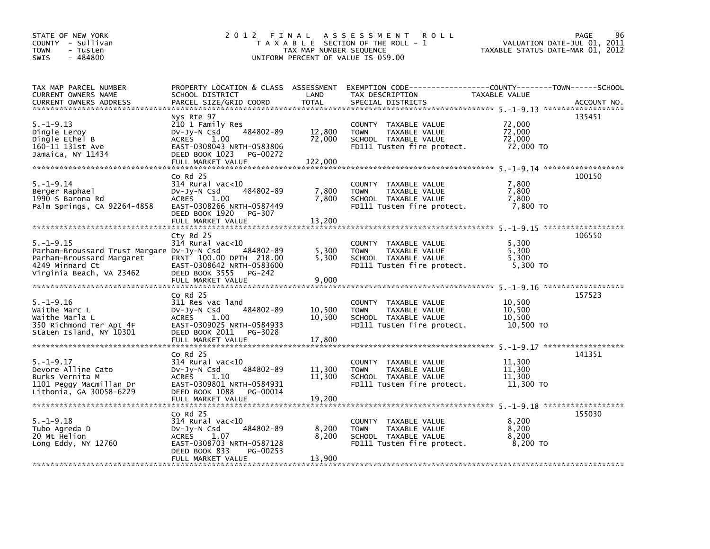| STATE OF NEW YORK<br>COUNTY - Sullivan<br><b>TOWN</b><br>- Tusten<br>$-484800$<br><b>SWIS</b>                                             | 2 0 1 2                                                                                                                                                                                    | TAX MAP NUMBER SEQUENCE             | FINAL ASSESSMENT<br><b>ROLL</b><br>T A X A B L E SECTION OF THE ROLL - 1<br>UNIFORM PERCENT OF VALUE IS 059.00 | VALUATION DATE-JUL 01, 2011<br>TAXABLE STATUS DATE-MAR 01, 2012 | 96<br>PAGE  |
|-------------------------------------------------------------------------------------------------------------------------------------------|--------------------------------------------------------------------------------------------------------------------------------------------------------------------------------------------|-------------------------------------|----------------------------------------------------------------------------------------------------------------|-----------------------------------------------------------------|-------------|
| TAX MAP PARCEL NUMBER<br>CURRENT OWNERS NAME<br>CURRENT OWNERS ADDRESS                                                                    | PROPERTY LOCATION & CLASS ASSESSMENT<br>SCHOOL DISTRICT<br>PARCEL SIZE/GRID COORD                                                                                                          | LAND<br><b>TOTAL</b>                | EXEMPTION        CODE-----------------COUNTY-------TOWN------SCHOOL<br>TAX DESCRIPTION<br>SPECIAL DISTRICTS    | TAXABLE VALUE                                                   | ACCOUNT NO. |
| $5. - 1 - 9.13$<br>Dingle Leroy<br>Dingle Ethel B<br>160-11 131st Ave<br>Jamaica, NY 11434                                                | Nys Rte 97<br>210 1 Family Res<br>484802-89<br>$Dv-Jy-N$ Csd<br><b>ACRES</b><br>1.00<br>EAST-0308043 NRTH-0583806<br>DEED BOOK 1023<br>PG-00272<br>FULL MARKET VALUE                       | 12,800<br>72,000<br>122,000         | COUNTY TAXABLE VALUE<br><b>TOWN</b><br>TAXABLE VALUE<br>SCHOOL TAXABLE VALUE<br>FD111 Tusten fire protect.     | 72,000<br>72,000<br>72.000<br>72,000 TO                         | 135451      |
| $5. - 1 - 9.14$<br>Berger Raphael<br>1990 S Barona Rd<br>Palm Springs, CA 92264-4858                                                      | $Co$ Rd $25$<br>$314$ Rural vac<10<br>484802-89<br>DV-Jy-N Csd<br>ACRES 1.00<br>EAST-0308266 NRTH-0587449<br>DEED BOOK 1920<br>PG-307<br>FULL MARKET VALUE                                 | 7,800<br>7.800<br>13,200            | COUNTY TAXABLE VALUE<br><b>TOWN</b><br>TAXABLE VALUE<br>SCHOOL TAXABLE VALUE<br>FD111 Tusten fire protect.     | 7,800<br>7,800<br>7,800<br>7,800 TO                             | 100150      |
| $5. - 1 - 9.15$<br>Parham-Broussard Trust Margare Dv-Jy-N Csd<br>Parham-Broussard Margaret<br>4249 Minnard Ct<br>Virginia Beach, VA 23462 | Cty Rd 25<br>$314$ Rural vac<10<br>484802-89<br>FRNT 100.00 DPTH 218.00<br>EAST-0308642 NRTH-0583600<br>DEED BOOK 3555<br>PG-242                                                           | 5,300<br>5.300                      | COUNTY TAXABLE VALUE<br><b>TOWN</b><br>TAXABLE VALUE<br>SCHOOL TAXABLE VALUE<br>FD111 Tusten fire protect.     | 5,300<br>5,300<br>5.300<br>5,300 TO                             | 106550      |
| $5. - 1 - 9.16$<br>Waithe Marc L<br>Waithe Marla L<br>350 Richmond Ter Apt 4F<br>Staten Island, NY 10301                                  | FULL MARKET VALUE<br>$Co$ Rd $25$<br>311 Res vac land<br>484802-89<br>$Dv-Jy-N$ Csd<br><b>ACRES</b><br>1.00<br>EAST-0309025 NRTH-0584933<br>DEED BOOK 2011<br>PG-3028<br>FULL MARKET VALUE | 9,000<br>10,500<br>10,500<br>17,800 | COUNTY TAXABLE VALUE<br>TAXABLE VALUE<br><b>TOWN</b><br>SCHOOL TAXABLE VALUE<br>FD111 Tusten fire protect.     | 10,500<br>10,500<br>10,500<br>10,500 TO                         | 157523      |
| $5. - 1 - 9.17$<br>Devore Alline Cato<br>Burks Vernita M<br>1101 Peggy Macmillan Dr<br>Lithonia, GA 30058-6229                            | $CO$ Rd $25$<br>$314$ Rural vac<10<br>484802-89<br>$Dv-Jv-N$ Csd<br><b>ACRES</b><br>1.10<br>EAST-0309801 NRTH-0584931<br>DEED BOOK 1088<br>PG-00014<br>FULL MARKET VALUE                   | 11,300<br>11,300<br>19,200          | COUNTY TAXABLE VALUE<br><b>TOWN</b><br>TAXABLE VALUE<br>SCHOOL TAXABLE VALUE<br>FD111 Tusten fire protect.     | 11,300<br>11,300<br>11,300<br>11,300 TO                         | 141351      |
| $5. -1 - 9.18$<br>Tubo Agreda D<br>20 Mt Helion<br>Long Eddy, NY $12760$                                                                  | $Co$ Rd $25$<br>$314$ Rural vac< $10$<br>484802-89<br>$Dv-Jy-N$ Csd<br><b>ACRES</b><br>1.07<br>EAST-0308703 NRTH-0587128<br>DEED BOOK 833<br>PG-00253<br>FULL MARKET VALUE                 | 8,200<br>8,200<br>13,900            | COUNTY TAXABLE VALUE<br><b>TOWN</b><br>TAXABLE VALUE<br>SCHOOL TAXABLE VALUE<br>FD111 Tusten fire protect.     | 8.200<br>8,200<br>8,200<br>8,200 TO                             | 155030      |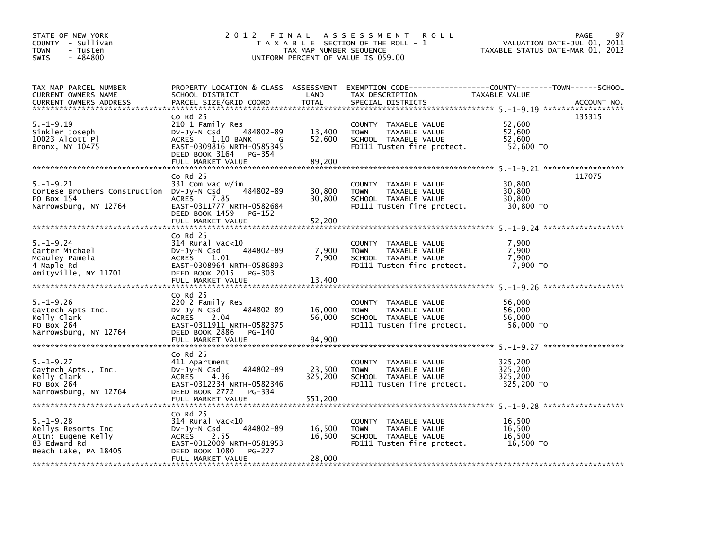| STATE OF NEW YORK<br>COUNTY - Sullivan<br><b>TOWN</b><br>- Tusten<br>$-484800$<br><b>SWIS</b> | 2 0 1 2<br>FINAL<br>T A X A B L E SECTION OF THE ROLL - 1<br>TAX MAP NUMBER SEQUENCE<br>UNIFORM PERCENT OF VALUE IS 059.00 | 97<br><b>PAGE</b><br>VALUATION DATE-JUL 01, 2011<br>TAXABLE STATUS DATE-MAR 01, 2012 |                                                                                                                      |                       |        |
|-----------------------------------------------------------------------------------------------|----------------------------------------------------------------------------------------------------------------------------|--------------------------------------------------------------------------------------|----------------------------------------------------------------------------------------------------------------------|-----------------------|--------|
| TAX MAP PARCEL NUMBER<br>CURRENT OWNERS NAME                                                  | SCHOOL DISTRICT                                                                                                            | LAND                                                                                 | PROPERTY LOCATION & CLASS ASSESSMENT EXEMPTION CODE-----------------COUNTY-------TOWN------SCHOOL<br>TAX DESCRIPTION | TAXABLE VALUE         |        |
|                                                                                               |                                                                                                                            |                                                                                      |                                                                                                                      |                       |        |
|                                                                                               | $Co$ Rd $25$                                                                                                               |                                                                                      |                                                                                                                      |                       | 135315 |
| $5. -1 - 9.19$                                                                                | 210 1 Family Res                                                                                                           |                                                                                      | COUNTY TAXABLE VALUE                                                                                                 | 52,600                |        |
| Sinkler Joseph                                                                                | 484802-89<br>DV-Jy-N Csd                                                                                                   | 13,400                                                                               | <b>TOWN</b><br>TAXABLE VALUE                                                                                         | 52,600                |        |
| 10023 Alcott Pl                                                                               | 1.10 BANK<br><b>ACRES</b><br>G                                                                                             | 52,600                                                                               | SCHOOL TAXABLE VALUE                                                                                                 | 52.600                |        |
| Bronx, NY 10475                                                                               | EAST-0309816 NRTH-0585345                                                                                                  |                                                                                      | FD111 Tusten fire protect.                                                                                           | 52,600 TO             |        |
|                                                                                               | DEED BOOK 3164<br>PG-354                                                                                                   |                                                                                      |                                                                                                                      |                       |        |
|                                                                                               | FULL MARKET VALUE                                                                                                          | 89,200                                                                               |                                                                                                                      |                       |        |
|                                                                                               | $Co$ Rd $25$                                                                                                               |                                                                                      |                                                                                                                      |                       | 117075 |
| $5. - 1 - 9.21$                                                                               | 331 Com vac w/im                                                                                                           |                                                                                      | COUNTY TAXABLE VALUE                                                                                                 | 30,800                |        |
| Cortese Brothers Construction DV-Jy-N Csd                                                     | 484802-89                                                                                                                  | 30,800                                                                               | TAXABLE VALUE<br><b>TOWN</b>                                                                                         | 30,800                |        |
| PO Box 154                                                                                    | <b>ACRES</b><br>7.85                                                                                                       | 30,800                                                                               | SCHOOL TAXABLE VALUE                                                                                                 | 30,800                |        |
| Narrowsburg, NY 12764                                                                         | EAST-0311777 NRTH-0582684                                                                                                  |                                                                                      | FD111 Tusten fire protect.                                                                                           | 30,800 TO             |        |
|                                                                                               | DEED BOOK 1459<br>PG-152<br>FULL MARKET VALUE                                                                              | 52,200                                                                               |                                                                                                                      |                       |        |
|                                                                                               |                                                                                                                            |                                                                                      |                                                                                                                      |                       |        |
|                                                                                               | $Co$ Rd $25$                                                                                                               |                                                                                      |                                                                                                                      |                       |        |
| $5. - 1 - 9.24$                                                                               | $314$ Rural vac<10                                                                                                         |                                                                                      | COUNTY TAXABLE VALUE                                                                                                 | 7,900                 |        |
| Carter Michael                                                                                | 484802-89<br>DV-Jy-N Csd                                                                                                   | 7,900                                                                                | TAXABLE VALUE<br><b>TOWN</b>                                                                                         | 7,900                 |        |
| Mcauley Pamela                                                                                | ACRES 1.01                                                                                                                 | 7,900                                                                                | SCHOOL TAXABLE VALUE                                                                                                 | 7,900                 |        |
| 4 Maple Rd                                                                                    | EAST-0308964 NRTH-0586893                                                                                                  |                                                                                      | FD111 Tusten fire protect.                                                                                           | 7,900 TO              |        |
| Amityville, NY 11701                                                                          | DEED BOOK 2015<br>PG-303<br>FULL MARKET VALUE                                                                              | 13,400                                                                               |                                                                                                                      |                       |        |
|                                                                                               |                                                                                                                            |                                                                                      |                                                                                                                      |                       |        |
|                                                                                               | $Co$ Rd $25$                                                                                                               |                                                                                      |                                                                                                                      |                       |        |
| $5. - 1 - 9.26$                                                                               | 220 2 Family Res                                                                                                           |                                                                                      | COUNTY TAXABLE VALUE                                                                                                 | 56,000                |        |
| Gavtech Apts Inc.                                                                             | 484802-89<br>$Dv-Jy-N$ Csd                                                                                                 | 16,000                                                                               | TAXABLE VALUE<br><b>TOWN</b>                                                                                         | 56,000                |        |
| Kelly Clark                                                                                   | <b>ACRES</b><br>2.04                                                                                                       | 56,000                                                                               | SCHOOL TAXABLE VALUE                                                                                                 | 56.000                |        |
| PO Box 264<br>Narrowsburg, NY 12764                                                           | EAST-0311911 NRTH-0582375<br>DEED BOOK 2886<br>PG-140                                                                      |                                                                                      | FD111 Tusten fire protect.                                                                                           | 56,000 TO             |        |
|                                                                                               | FULL MARKET VALUE                                                                                                          | 94.900                                                                               |                                                                                                                      |                       |        |
|                                                                                               |                                                                                                                            |                                                                                      |                                                                                                                      |                       |        |
|                                                                                               | $CO$ Rd $25$                                                                                                               |                                                                                      |                                                                                                                      |                       |        |
| $5. - 1 - 9.27$                                                                               | 411 Apartment                                                                                                              |                                                                                      | COUNTY TAXABLE VALUE                                                                                                 | 325,200               |        |
| Gavtech Apts., Inc.                                                                           | 484802-89<br>$Dv-Jy-N$ Csd                                                                                                 | 23,500                                                                               | <b>TOWN</b><br>TAXABLE VALUE                                                                                         | 325.200               |        |
| Kelly Clark<br>PO Box 264                                                                     | <b>ACRES</b><br>4.36<br>EAST-0312234 NRTH-0582346                                                                          | 325,200                                                                              | SCHOOL TAXABLE VALUE<br>FD111 Tusten fire protect.                                                                   | 325,200<br>325,200 TO |        |
| Narrowsburg, NY 12764                                                                         | DEED BOOK 2772<br>PG-334                                                                                                   |                                                                                      |                                                                                                                      |                       |        |
|                                                                                               | FULL MARKET VALUE                                                                                                          | 551,200                                                                              |                                                                                                                      |                       |        |
|                                                                                               |                                                                                                                            |                                                                                      |                                                                                                                      |                       |        |
|                                                                                               | $Co$ Rd $25$                                                                                                               |                                                                                      |                                                                                                                      |                       |        |
| $5. - 1 - 9.28$                                                                               | $314$ Rural vac< $10$                                                                                                      |                                                                                      | COUNTY TAXABLE VALUE                                                                                                 | 16,500                |        |
| Kellys Resorts Inc                                                                            | 484802-89<br>$Dv-Jy-N$ Csd                                                                                                 | 16,500                                                                               | <b>TOWN</b><br>TAXABLE VALUE                                                                                         | 16,500                |        |
| Attn: Eugene Kelly<br>83 Edward Rd                                                            | 2.55<br>ACRES<br>EAST-0312009 NRTH-0581953                                                                                 | 16,500                                                                               | SCHOOL TAXABLE VALUE<br>FD111 Tusten fire protect.                                                                   | 16,500<br>16,500 TO   |        |
| Beach Lake, PA 18405                                                                          | DEED BOOK 1080<br>PG-227                                                                                                   |                                                                                      |                                                                                                                      |                       |        |
|                                                                                               | FULL MARKET VALUE                                                                                                          | 28,000                                                                               |                                                                                                                      |                       |        |
|                                                                                               |                                                                                                                            |                                                                                      |                                                                                                                      |                       |        |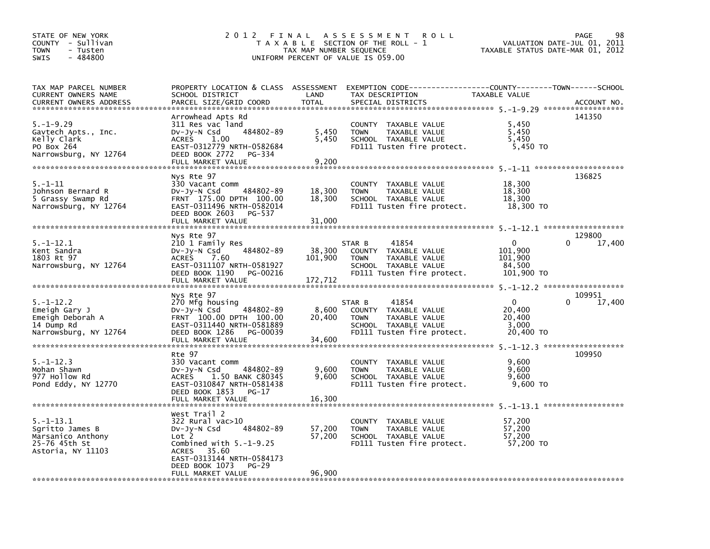| STATE OF NEW YORK<br>COUNTY - Sullivan<br><b>TOWN</b><br>- Tusten<br>$-484800$<br><b>SWIS</b> | 2 0 1 2<br>FINAL ASSESSMENT<br>T A X A B L E SECTION OF THE ROLL - 1<br>TAX MAP NUMBER SEQUENCE<br>UNIFORM PERCENT OF VALUE IS 059.00                                            | TAXABLE STATUS DATE-MAR 01, 2012 | 98<br>PAGE<br>VALUATION DATE-JUL 01, 2011                                                                                        |                                                        |                       |
|-----------------------------------------------------------------------------------------------|----------------------------------------------------------------------------------------------------------------------------------------------------------------------------------|----------------------------------|----------------------------------------------------------------------------------------------------------------------------------|--------------------------------------------------------|-----------------------|
| TAX MAP PARCEL NUMBER<br>CURRENT OWNERS NAME<br><b>CURRENT OWNERS ADDRESS</b>                 | PROPERTY LOCATION & CLASS ASSESSMENT<br>SCHOOL DISTRICT<br>PARCEL SIZE/GRID COORD                                                                                                | LAND<br><b>TOTAL</b>             | EXEMPTION CODE-----------------COUNTY-------TOWN------SCHOOL<br>TAX DESCRIPTION<br>SPECIAL DISTRICTS                             | <b>TAXABLE VALUE</b>                                   | ACCOUNT NO.           |
| $5. - 1 - 9.29$<br>Gavtech Apts., Inc.<br>Kelly Clark<br>PO Box 264<br>Narrowsburg, NY 12764  | Arrowhead Apts Rd<br>311 Res vac land<br>484802-89<br>$Dv-Jy-N$ Csd<br>1.00<br>ACRES<br>EAST-0312779 NRTH-0582684<br>DEED BOOK 2772<br>PG-334<br>FULL MARKET VALUE               | 5,450<br>5,450<br>9,200          | COUNTY TAXABLE VALUE<br><b>TOWN</b><br>TAXABLE VALUE<br>SCHOOL TAXABLE VALUE<br>FD111 Tusten fire protect.                       | 5,450<br>5,450<br>5,450<br>5,450 TO                    | 141350                |
| $5. - 1 - 11$<br>Johnson Bernard R<br>5 Grassy Swamp Rd<br>Narrowsburg, NY 12764              | Nys Rte 97<br>330 Vacant comm<br>484802-89<br>DV-Jy-N Csd<br>FRNT 175.00 DPTH 100.00<br>EAST-0311496 NRTH-0582014<br>DEED BOOK 2603<br>PG-537<br>FULL MARKET VALUE               | 18,300<br>18,300<br>31,000       | COUNTY TAXABLE VALUE<br><b>TOWN</b><br>TAXABLE VALUE<br>SCHOOL TAXABLE VALUE<br>FD111 Tusten fire protect.                       | 18,300<br>18,300<br>18,300<br>18,300 TO                | 136825                |
| $5. - 1 - 12.1$<br>Kent Sandra<br>1803 Rt 97<br>Narrowsburg, NY 12764                         | Nys Rte 97<br>210 1 Family Res<br>$Dv-Jy-N$ Csd<br>484802-89<br>ACRES<br>7.60<br>EAST-0311107 NRTH-0581927<br>DEED BOOK 1190<br>PG-00216<br>FULL MARKET VALUE                    | 38,300<br>101,900<br>172,712     | 41854<br>STAR B<br>TAXABLE VALUE<br>COUNTY<br>TAXABLE VALUE<br><b>TOWN</b><br>SCHOOL TAXABLE VALUE<br>FD111 Tusten fire protect. | $\Omega$<br>101,900<br>101,900<br>84,500<br>101,900 TO | 129800<br>0<br>17,400 |
| $5. - 1 - 12.2$<br>Emeigh Gary J<br>Emeigh Deborah A<br>14 Dump Rd<br>Narrowsburg, NY 12764   | Nys Rte 97<br>270 Mfg housing<br>484802-89<br>$Dv-Jy-N$ Csd<br>FRNT 100.00 DPTH 100.00<br>EAST-0311440 NRTH-0581889<br>DEED BOOK 1286<br>PG-00039<br>FULL MARKET VALUE           | 8,600<br>20,400<br>34,600        | 41854<br>STAR B<br>COUNTY TAXABLE VALUE<br>TAXABLE VALUE<br><b>TOWN</b><br>SCHOOL TAXABLE VALUE<br>FD111 Tusten fire protect.    | $\Omega$<br>20,400<br>20,400<br>3,000<br>20,400 TO     | 109951<br>0<br>17,400 |
| $5. - 1 - 12.3$<br>Mohan Shawn<br>977 Hollow Rd<br>Pond Eddy, NY 12770                        | Rte 97<br>330 Vacant comm<br>484802-89<br>DV-JY-N Csd<br>1.50 BANK C80345<br>ACRES<br>EAST-0310847 NRTH-0581438<br>DEED BOOK 1853<br>$PG-17$                                     | 9,600<br>9,600                   | COUNTY TAXABLE VALUE<br>TAXABLE VALUE<br><b>TOWN</b><br>SCHOOL TAXABLE VALUE<br>FD111 Tusten fire protect.                       | 9,600<br>9,600<br>9.600<br>9,600 TO                    | 109950                |
| $5. - 1 - 13.1$<br>Sgritto James B<br>Marsanico Anthony<br>25-76 45th St<br>Astoria, NY 11103 | West Trail 2<br>$322$ Rural vac $>10$<br>484802-89<br>DV-Jy-N Csd<br>Lot 2<br>Combined with $5.-1-9.25$<br>ACRES 35.60<br>EAST-0313144 NRTH-0584173<br>DEED BOOK 1073<br>$PG-29$ | 57,200<br>57,200                 | COUNTY TAXABLE VALUE<br>TAXABLE VALUE<br><b>TOWN</b><br>SCHOOL TAXABLE VALUE<br>FD111 Tusten fire protect.                       | 57,200<br>57.200<br>57,200<br>57,200 TO                |                       |
|                                                                                               | FULL MARKET VALUE                                                                                                                                                                | 96,900                           |                                                                                                                                  |                                                        |                       |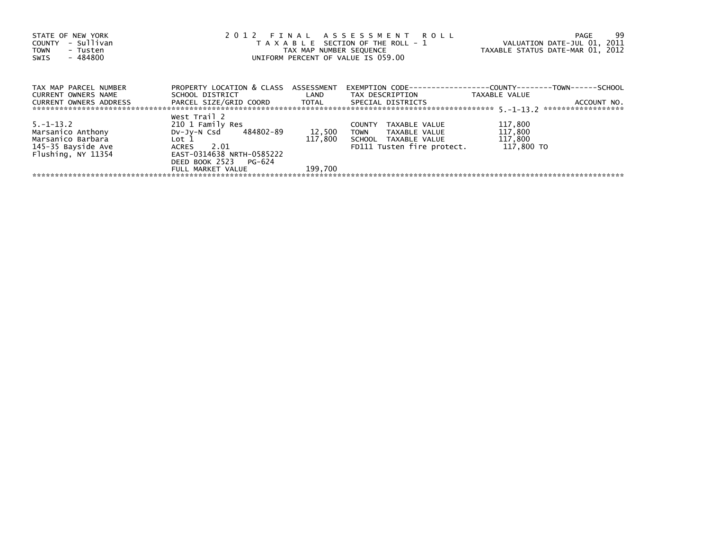| STATE OF NEW YORK<br>- Sullivan<br>COUNTY<br><b>TOWN</b><br>- Tusten<br>- 484800<br>SWIS | 2012 FINAL ASSESSMENT ROLL<br>T A X A B L E SECTION OF THE ROLL - 1<br>TAX MAP NUMBER SEQUENCE<br>UNIFORM PERCENT OF VALUE IS 059.00 |                   |                                                      | 99<br>PAGE<br>VALUATION DATE-JUL 01, 2011<br>TAXABLE STATUS DATE-MAR 01, 2012         |
|------------------------------------------------------------------------------------------|--------------------------------------------------------------------------------------------------------------------------------------|-------------------|------------------------------------------------------|---------------------------------------------------------------------------------------|
| TAX MAP PARCEL NUMBER<br>CURRENT OWNERS NAME                                             | PROPERTY LOCATION & CLASS ASSESSMENT<br>SCHOOL DISTRICT                                                                              | <b>Example 12</b> | TAX DESCRIPTION                                      | EXEMPTION        CODE-----------------COUNTY--------TOWN------SCHOOL<br>TAXABLE VALUE |
| <b>CURRENT OWNERS ADDRESS</b>                                                            | PARCEL SIZE/GRID COORD TOTAL                                                                                                         |                   | SPECIAL DISTRICTS                                    | ACCOUNT NO.                                                                           |
|                                                                                          | West Trail 2                                                                                                                         |                   |                                                      |                                                                                       |
| $5. -1 - 13.2$                                                                           | 210 1 Family Res                                                                                                                     |                   | TAXABLE VALUE<br><b>COUNTY</b>                       | 117,800                                                                               |
| Marsanico Anthony<br>Marsanico Barbara                                                   | DV-Jy-N Csd 484802-89<br>Lot 1                                                                                                       | 12,500<br>117,800 | <b>TOWN</b><br>TAXABLE VALUE<br>SCHOOL TAXABLE VALUE | 117,800<br>117,800                                                                    |
| 145-35 Bayside Ave                                                                       | 2.01<br>ACRES                                                                                                                        |                   | FD111 Tusten fire protect.                           | 117.800 TO                                                                            |
| Flushing, NY 11354                                                                       | EAST-0314638 NRTH-0585222                                                                                                            |                   |                                                      |                                                                                       |
|                                                                                          | DEED BOOK 2523 PG-624                                                                                                                |                   |                                                      |                                                                                       |
|                                                                                          | FULL MARKET VALUE                                                                                                                    | 199,700           |                                                      |                                                                                       |
|                                                                                          |                                                                                                                                      |                   |                                                      |                                                                                       |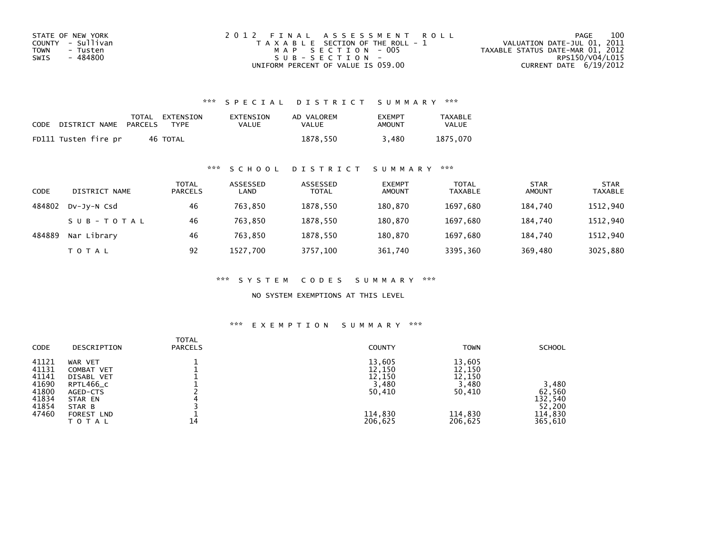| STATE OF NEW YORK | 2012 FINAL ASSESSMENT ROLL            | 100<br>PAGE                      |
|-------------------|---------------------------------------|----------------------------------|
| COUNTY - Sullivan | T A X A B L E SECTION OF THE ROLL - 1 | VALUATION DATE-JUL 01, 2011      |
| TOWN<br>- Tusten  | MAP SECTION - 005                     | TAXABLE STATUS DATE-MAR 01, 2012 |
| - 484800<br>SWIS  | $SUB - SECTION -$                     | RPS150/V04/L015                  |
|                   | UNIFORM PERCENT OF VALUE IS 059.00    | CURRENT DATE $6/19/2012$         |

### \*\*\* S P E C I A L D I S T R I C T S U M M A R Y \*\*\*

| CODE | DISTRICT NAME        | TOTAL<br>PARCELS | EXTENSION<br><b>TYPF</b> | <b>EXTENSION</b><br>VALUE | AD VALOREM<br>VALUE | <b>EXEMPT</b><br>AMOUNT | TAXABLE<br><b>VALUE</b> |
|------|----------------------|------------------|--------------------------|---------------------------|---------------------|-------------------------|-------------------------|
|      | FD111 Tusten fire pr |                  | 46 TOTAL                 |                           | 1878.550            | 3.480                   | 1875.070                |

#### \*\*\* S C H O O L D I S T R I C T S U M M A R Y \*\*\*

| CODE   | DISTRICT NAME | TOTAL<br><b>PARCELS</b> | ASSESSED<br>LAND | ASSESSED<br><b>TOTAL</b> | <b>EXEMPT</b><br><b>AMOUNT</b> | <b>TOTAL</b><br>TAXABLE | <b>STAR</b><br>AMOUNT | <b>STAR</b><br>TAXABLE |
|--------|---------------|-------------------------|------------------|--------------------------|--------------------------------|-------------------------|-----------------------|------------------------|
| 484802 | DV-JY-N Csd   | 46                      | 763.850          | 1878.550                 | 180.870                        | 1697.680                | 184.740               | 1512,940               |
|        | SUB-TOTAL     | 46                      | 763,850          | 1878,550                 | 180,870                        | 1697,680                | 184.740               | 1512,940               |
| 484889 | Nar Library   | 46                      | 763.850          | 1878.550                 | 180.870                        | 1697.680                | 184.740               | 1512,940               |
|        | T O T A L     | 92                      | 1527.700         | 3757,100                 | 361,740                        | 3395,360                | 369,480               | 3025,880               |

\*\*\* S Y S T E M C O D E S S U M M A R Y \*\*\*

NO SYSTEM EXEMPTIONS AT THIS LEVEL

## \*\*\* E X E M P T I O N S U M M A R Y \*\*\*

| <b>CODE</b> | DESCRIPTION       | <b>TOTAL</b><br><b>PARCELS</b> | <b>COUNTY</b> | <b>TOWN</b> | <b>SCHOOL</b> |
|-------------|-------------------|--------------------------------|---------------|-------------|---------------|
| 41121       | WAR VET           |                                | 13,605        | 13,605      |               |
| 41131       | COMBAT VET        |                                | 12,150        | 12,150      |               |
| 41141       | DISABL VET        |                                | 12,150        | 12,150      |               |
| 41690       | RPTL466_C         |                                | 3,480         | 3,480       | 3,480         |
| 41800       | AGED-CTS          |                                | 50,410        | 50,410      | 62,560        |
| 41834       | STAR EN           |                                |               |             | 132,540       |
| 41854       | STAR B            |                                |               |             | 52,200        |
| 47460       | <b>FOREST LND</b> |                                | 114,830       | 114,830     | 114,830       |
|             | TOTAL             | 14                             | 206,625       | 206,625     | 365,610       |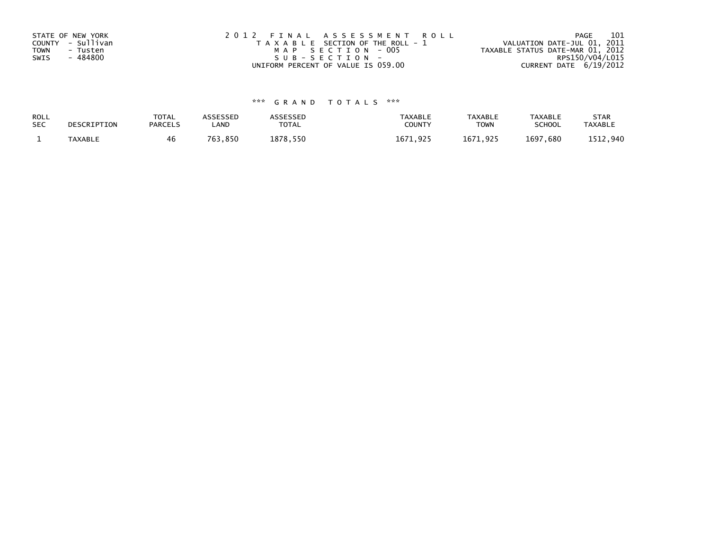| STATE OF NEW YORK<br>COUNTY - Sullivan<br><b>TOWN</b><br>- Tusten<br>- 484800<br>SWIS | 2012 FINAL ASSESSMENT ROLL<br>T A X A B L E SECTION OF THE ROLL - 1<br>MAP SECTION - 005<br>SUB-SECTION- | 101<br>PAGE<br>VALUATION DATE-JUL 01, 2011<br>TAXABLE STATUS DATE-MAR 01, 2012<br>RPS150/V04/L015 |
|---------------------------------------------------------------------------------------|----------------------------------------------------------------------------------------------------------|---------------------------------------------------------------------------------------------------|
|                                                                                       | UNIFORM PERCENT OF VALUE IS 059.00                                                                       | CURRENT DATE 6/19/2012                                                                            |

# \*\*\* G R A N D T O T A L S \*\*\*

| ROLL<br><b>SEC</b> | DESCRIPTION    | <b>TOTAL</b><br><b>PARCELS</b> | ASSESSEP<br>LAND | <b>\SSESSED</b><br>TOTAL | <b>TAXABLE</b><br><b>COUNT</b> | <b>TAXABLE</b><br><b>TOWN</b> | TAXABLE<br><b>SCHOOL</b> | <b>STAR</b><br><b>TAXABLE</b> |
|--------------------|----------------|--------------------------------|------------------|--------------------------|--------------------------------|-------------------------------|--------------------------|-------------------------------|
|                    | <b>TAXABLE</b> | 46                             | .850<br>762      | 878<br>550               | 167<br>ດາເ                     | .671<br>o di r                | 1697<br>,680             | . 940                         |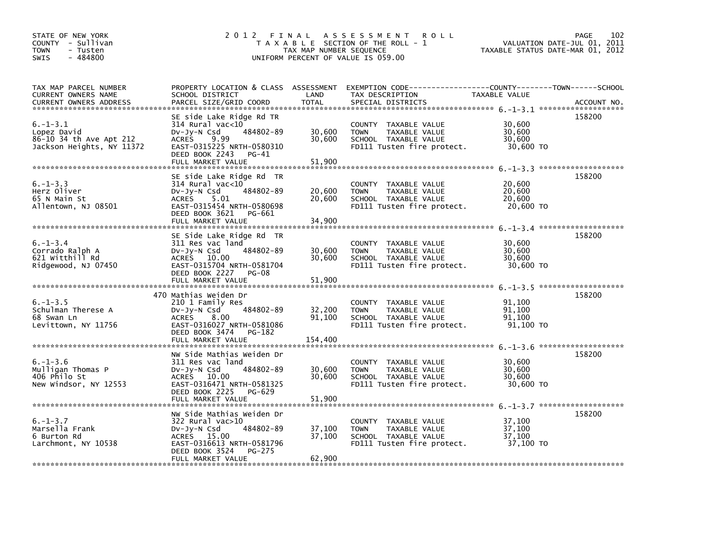| STATE OF NEW YORK<br>COUNTY - Sullivan<br><b>TOWN</b><br>- Tusten<br>$-484800$<br><b>SWIS</b> |                                                                                                                                                                               | TAX MAP NUMBER SEQUENCE     | 2012 FINAL ASSESSMENT<br><b>ROLL</b><br>T A X A B L E SECTION OF THE ROLL - 1<br>UNIFORM PERCENT OF VALUE IS 059.00                     | VALUATION DATE-JUL 01, 2011<br>TAXABLE STATUS DATE-MAR 01, 2012 | 102<br>PAGE |
|-----------------------------------------------------------------------------------------------|-------------------------------------------------------------------------------------------------------------------------------------------------------------------------------|-----------------------------|-----------------------------------------------------------------------------------------------------------------------------------------|-----------------------------------------------------------------|-------------|
| TAX MAP PARCEL NUMBER<br>CURRENT OWNERS NAME<br><b>CURRENT OWNERS ADDRESS</b>                 | SCHOOL DISTRICT<br>PARCEL SIZE/GRID COORD                                                                                                                                     | LAND<br><b>TOTAL</b>        | PROPERTY LOCATION & CLASS ASSESSMENT EXEMPTION CODE---------------COUNTY-------TOWN------SCHOOL<br>TAX DESCRIPTION<br>SPECIAL DISTRICTS | TAXABLE VALUE                                                   | ACCOUNT NO. |
| $6. - 1 - 3.1$<br>Lopez David<br>86-10 34 th Ave Apt 212<br>Jackson Heights, NY 11372         | SE side Lake Ridge Rd TR<br>314 Rural vac<10<br>$Dv-Jy-N$ Csd<br>484802-89<br>ACRES 9.99<br>EAST-0315225 NRTH-0580310<br>DEED BOOK 2243<br>PG-41<br>FULL MARKET VALUE         | 30,600<br>30,600<br>51.900  | COUNTY TAXABLE VALUE<br>TAXABLE VALUE<br><b>TOWN</b><br>SCHOOL TAXABLE VALUE<br>FD111 Tusten fire protect.                              | 30,600<br>30,600<br>30,600<br>30,600 TO                         | 158200      |
| $6. - 1 - 3.3$<br>Herz Oliver<br>65 N Main St<br>Allentown, NJ 08501                          | SE side Lake Ridge Rd TR<br>$314$ Rural vac<10<br>DV-JV-N Csd<br>484802-89<br>ACRES 5.01<br>EAST-0315454 NRTH-0580698<br>DEED BOOK 3621 PG-661<br>FULL MARKET VALUE           | 20,600<br>20,600<br>34,900  | COUNTY TAXABLE VALUE<br><b>TOWN</b><br>TAXABLE VALUE<br>SCHOOL TAXABLE VALUE<br>FD111 Tusten fire protect.                              | 20,600<br>20,600<br>20,600<br>20,600 TO                         | 158200      |
| $6. - 1 - 3.4$<br>Corrado Ralph A<br>621 Witthill Rd<br>Ridgewood, NJ 07450                   | SE Side Lake Ridge Rd TR<br>311 Res vac land<br>484802-89<br>$Dv-Jy-N$ Csd<br>ACRES 10.00<br>EAST-0315704 NRTH-0581704<br>DEED BOOK 2227 PG-08                                | 30,600<br>30,600            | COUNTY TAXABLE VALUE<br><b>TOWN</b><br>TAXABLE VALUE<br>SCHOOL TAXABLE VALUE<br>FD111 Tusten fire protect.                              | 30,600<br>30,600<br>30,600<br>30,600 TO                         | 158200      |
| $6. - 1 - 3.5$<br>Schulman Therese A<br>68 Swan Ln<br>Levittown, NY 11756                     | 470 Mathias Weiden Dr<br>210 1 Family Res<br>484802-89<br>$Dv-Jy-N$ Csd<br><b>ACRES</b><br>8.00<br>EAST-0316027 NRTH-0581086<br>DEED BOOK 3474<br>PG-182<br>FULL MARKET VALUE | 32,200<br>91.100<br>154,400 | COUNTY TAXABLE VALUE<br><b>TOWN</b><br>TAXABLE VALUE<br>SCHOOL TAXABLE VALUE<br>FD111 Tusten fire protect.                              | 91,100<br>91,100<br>91.100<br>91,100 TO                         | 158200      |
| $6. - 1 - 3.6$<br>Mulligan Thomas P<br>406 Philo St<br>New Windsor, NY 12553                  | NW Side Mathias Weiden Dr<br>311 Res vac land<br>484802-89<br>$Dv-Jv-N$ Csd<br>ACRES 10.00<br>EAST-0316471 NRTH-0581325<br>DEED BOOK 2225<br>PG-629<br>FULL MARKET VALUE      | 30,600<br>30,600<br>51,900  | COUNTY TAXABLE VALUE<br><b>TOWN</b><br>TAXABLE VALUE<br>SCHOOL TAXABLE VALUE<br>FD111 Tusten fire protect.                              | 30,600<br>30,600<br>30.600<br>30,600 TO                         | 158200      |
| $6. - 1 - 3.7$<br>Marsella Frank<br>6 Burton Rd<br>Larchmont, NY 10538                        | NW Side Mathias Weiden Dr<br>322 Rural vac>10<br>484802-89<br>DV-Jy-N Csd<br>ACRES 15.00<br>EAST-0316613 NRTH-0581796<br>DEED BOOK 3524<br>PG-275<br>FULL MARKET VALUE        | 37,100<br>37,100<br>62,900  | COUNTY TAXABLE VALUE<br>TAXABLE VALUE<br><b>TOWN</b><br>SCHOOL TAXABLE VALUE<br>FD111 Tusten fire protect.                              | 37,100<br>37,100<br>37,100<br>37,100 TO                         | 158200      |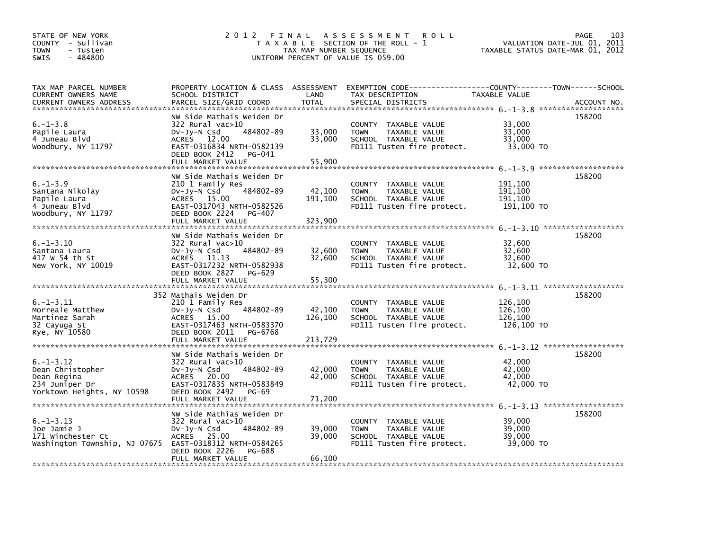| STATE OF NEW YORK<br>COUNTY - Sullivan<br><b>TOWN</b><br>- Tusten<br>$-484800$<br><b>SWIS</b>                 |                                                                                                                                                                          | TAX MAP NUMBER SEQUENCE      | 2012 FINAL ASSESSMENT<br><b>ROLL</b><br>T A X A B L E SECTION OF THE ROLL - 1<br>UNIFORM PERCENT OF VALUE IS 059.00                      | VALUATION DATE-JUL 01,<br>TAXABLE STATUS DATE-MAR 01, 2012 | 103<br>PAGE<br>2011 |
|---------------------------------------------------------------------------------------------------------------|--------------------------------------------------------------------------------------------------------------------------------------------------------------------------|------------------------------|------------------------------------------------------------------------------------------------------------------------------------------|------------------------------------------------------------|---------------------|
| TAX MAP PARCEL NUMBER<br>CURRENT OWNERS NAME<br><b>CURRENT OWNERS ADDRESS</b>                                 | SCHOOL DISTRICT<br>PARCEL SIZE/GRID COORD                                                                                                                                | LAND<br><b>TOTAL</b>         | PROPERTY LOCATION & CLASS ASSESSMENT EXEMPTION CODE----------------COUNTY-------TOWN------SCHOOL<br>TAX DESCRIPTION<br>SPECIAL DISTRICTS | TAXABLE VALUE                                              | ACCOUNT NO.         |
| $6. - 1 - 3.8$<br>Papile Laura<br>4 Juneau Blvd<br>Woodbury, NY 11797                                         | NW Side Mathais Weiden Dr<br>322 Rural vac>10<br>484802-89<br>$Dv-Jy-N$ Csd<br>ACRES 12.00<br>EAST-0316834 NRTH-0582139<br>DEED BOOK 2412<br>PG-041<br>FULL MARKET VALUE | 33,000<br>33,000<br>55,900   | COUNTY TAXABLE VALUE<br><b>TOWN</b><br>TAXABLE VALUE<br>SCHOOL TAXABLE VALUE<br>FD111 Tusten fire protect.                               | 33,000<br>33,000<br>33.000<br>33,000 TO                    | 158200              |
| $6. -1 - 3.9$<br>Santana Nikolay<br>Papile Laura<br>4 Juneau Blvd<br>Woodbury, NY 11797                       | NW Side Mathais Weiden Dr<br>210 1 Family Res<br>484802-89<br>$Dv-Jy-N$ Csd<br>ACRES 15.00<br>EAST-0317043 NRTH-0582526<br>DEED BOOK 2224 PG-407<br>FULL MARKET VALUE    | 42,100<br>191,100<br>323,900 | COUNTY TAXABLE VALUE<br><b>TOWN</b><br>TAXABLE VALUE<br>SCHOOL TAXABLE VALUE<br>FD111 Tusten fire protect.                               | 191,100<br>191,100<br>191,100<br>191,100 TO                | 158200              |
| $6. -1 - 3.10$<br>Santana Laura<br>417 W 54 th St<br>New York, NY 10019                                       | NW Side Mathais Weiden Dr<br>322 Rural vac>10<br>484802-89<br>$Dv-Jy-N$ Csd<br>ACRES 11.13<br>EAST-0317232 NRTH-0582938<br>DEED BOOK 2827 PG-629<br>FULL MARKET VALUE    | 32,600<br>32,600<br>55,300   | COUNTY TAXABLE VALUE<br><b>TOWN</b><br>TAXABLE VALUE<br>SCHOOL TAXABLE VALUE<br>FD111 Tusten fire protect.                               | 32,600<br>32,600<br>32,600<br>32,600 TO                    | 158200              |
| $6. -1 - 3.11$<br>Morreale Matthew<br>Martinez Sarah<br>32 Cayuga St<br>Rye, NY 10580                         | 352 Mathais Weiden Dr<br>210 1 Family Res<br>484802-89<br>DV-Jy-N Csd<br>ACRES 15.00<br>EAST-0317463 NRTH-0583370<br>DEED BOOK 2011 PG-6768<br>FULL MARKET VALUE         | 42,100<br>126,100<br>213,729 | COUNTY TAXABLE VALUE<br><b>TOWN</b><br>TAXABLE VALUE<br>SCHOOL TAXABLE VALUE<br>FD111 Tusten fire protect.                               | 126,100<br>126,100<br>126,100<br>126,100 TO                | 158200              |
| $6. - 1 - 3.12$<br>Dean Christopher<br>Dean Regina<br>234 Juniper Dr<br>Yorktown Heights, NY 10598            | NW Side Mathais Weiden Dr<br>322 Rural vac>10<br>$Dv-Jv-N$ Csd<br>484802-89<br>ACRES 20.00<br>EAST-0317835 NRTH-0583849<br>DEED BOOK 2492<br>PG-69<br>FULL MARKET VALUE  | 42,000<br>42,000<br>71,200   | COUNTY TAXABLE VALUE<br><b>TOWN</b><br>TAXABLE VALUE<br>SCHOOL TAXABLE VALUE<br>FD111 Tusten fire protect.                               | 42.000<br>42.000<br>42,000<br>42,000 TO                    | 158200              |
| $6. -1 - 3.13$<br>Joe Jamie J<br>171 Winchester Ct<br>Washington Township, NJ 07675 EAST-0318312 NRTH-0584265 | NW Side Mathias Weiden Dr<br>322 Rural vac>10<br>484802-89<br>$Dv-Jy-N$ Csd<br>ACRES 25.00<br>DEED BOOK 2226<br>PG-688<br>FULL MARKET VALUE                              | 39,000<br>39,000<br>66,100   | COUNTY TAXABLE VALUE<br><b>TOWN</b><br>TAXABLE VALUE<br>SCHOOL TAXABLE VALUE<br>FD111 Tusten fire protect.                               | 39,000<br>39,000<br>39,000<br>39,000 TO                    | 158200              |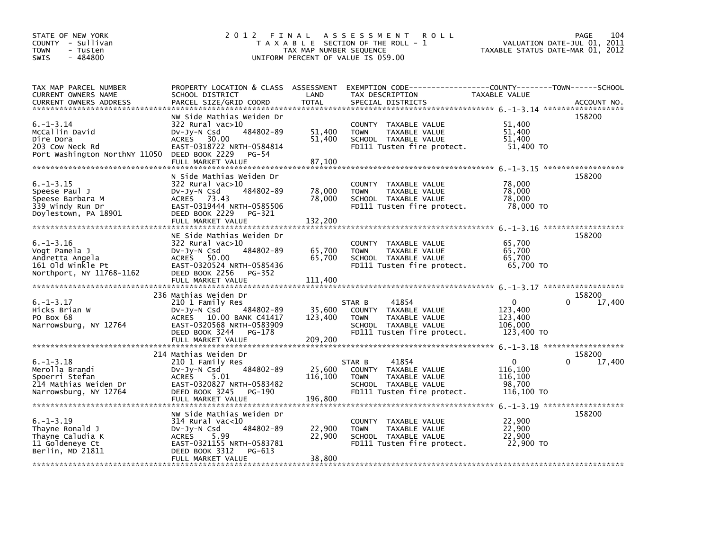| STATE OF NEW YORK<br>COUNTY - Sullivan<br><b>TOWN</b><br>- Tusten<br>- 484800<br><b>SWIS</b>          | 2012 FINAL                                                                                                                                                                           | TAX MAP NUMBER SEQUENCE      | A S S E S S M E N T<br><b>ROLL</b><br>T A X A B L E SECTION OF THE ROLL - 1<br>UNIFORM PERCENT OF VALUE IS 059.00             | TAXABLE STATUS DATE-MAR 01, 2012                           | 104<br>PAGE<br>VALUATION DATE-JUL 01, 2011 |
|-------------------------------------------------------------------------------------------------------|--------------------------------------------------------------------------------------------------------------------------------------------------------------------------------------|------------------------------|-------------------------------------------------------------------------------------------------------------------------------|------------------------------------------------------------|--------------------------------------------|
| TAX MAP PARCEL NUMBER<br>CURRENT OWNERS NAME<br><b>CURRENT OWNERS ADDRESS</b>                         | PROPERTY LOCATION & CLASS ASSESSMENT<br>SCHOOL DISTRICT<br>PARCEL SIZE/GRID COORD                                                                                                    | LAND<br><b>TOTAL</b>         | EXEMPTION CODE-----------------COUNTY-------TOWN------SCHOOL<br>TAX DESCRIPTION<br>SPECIAL DISTRICTS                          | TAXABLE VALUE                                              | ACCOUNT NO.                                |
| $6. - 1 - 3.14$<br>McCallin David<br>Dire Dora<br>203 Cow Neck Rd<br>Port Washington NorthNY 11050    | NW Side Mathias Weiden Dr<br>322 Rural vac>10<br>DV-Jy-N Csd<br>484802-89<br>ACRES 30.00<br>EAST-0318722 NRTH-0584814<br>DEED BOOK 2229<br>PG-54<br>FULL MARKET VALUE                | 51,400<br>51,400<br>87,100   | COUNTY TAXABLE VALUE<br>TAXABLE VALUE<br><b>TOWN</b><br>SCHOOL TAXABLE VALUE<br>FD111 Tusten fire protect.                    | 51,400<br>51,400<br>51,400<br>51,400 TO                    | 158200                                     |
| $6. - 1 - 3.15$<br>Speese Paul J<br>Speese Barbara M<br>339 Windy Run Dr<br>Doylestown, PA 18901      | N Side Mathias Weiden Dr<br>$322$ Rural vac $>10$<br>$Dv-Jv-N$ Csd<br>484802-89<br>ACRES 73.43<br>EAST-0319444 NRTH-0585506<br>DEED BOOK 2229<br>PG-321<br>FULL MARKET VALUE         | 78,000<br>78,000<br>132,200  | COUNTY TAXABLE VALUE<br><b>TOWN</b><br>TAXABLE VALUE<br>SCHOOL TAXABLE VALUE<br>FD111 Tusten fire protect.                    | 78,000<br>78,000<br>78,000<br>78,000 TO                    | 158200<br>6. -1-3.16 ********************  |
| $6. - 1 - 3.16$<br>Vogt Pamela J<br>Andretta Angela<br>161 old winkle Pt<br>Northport, NY 11768-1162  | NE Side Mathias Weiden Dr<br>322 Rural vac>10<br>DV-Jy-N Csd<br>484802-89<br>ACRES 50.00<br>EAST-0320524 NRTH-0585436<br>DEED BOOK 2256<br>PG-352<br>FULL MARKET VALUE               | 65,700<br>65,700<br>111,400  | COUNTY TAXABLE VALUE<br><b>TOWN</b><br>TAXABLE VALUE<br>SCHOOL TAXABLE VALUE<br>FD111 Tusten fire protect.                    | 65,700<br>65,700<br>65,700<br>65,700 TO                    | 158200                                     |
| $6. - 1 - 3.17$<br>Hicks Brian W<br>PO Box 68<br>Narrowsburg, NY 12764                                | 236 Mathias Weiden Dr<br>210 1 Family Res<br>484802-89<br>DV-JY-N Csd<br>ACRES 10.00 BANK C41417<br>EAST-0320568 NRTH-0583909<br>DEED BOOK 3244<br>PG-178<br>FULL MARKET VALUE       | 35,600<br>123,400<br>209,200 | 41854<br>STAR B<br>COUNTY TAXABLE VALUE<br>TAXABLE VALUE<br><b>TOWN</b><br>SCHOOL TAXABLE VALUE<br>FD111 Tusten fire protect. | $\Omega$<br>123,400<br>123,400<br>106,000<br>123,400 TO    | 158200<br>$\Omega$<br>17,400               |
| $6. - 1 - 3.18$<br>Merolla Brandi<br>Spoerri Stefan<br>214 Mathias Weiden Dr<br>Narrowsburg, NY 12764 | 214 Mathias Weiden Dr<br>210 1 Family Res<br>484802-89<br>DV-Jy-N Csd<br>5.01<br><b>ACRES</b><br>EAST-0320827 NRTH-0583482<br>DEED BOOK 3245<br>PG-190<br>FULL MARKET VALUE          | 25,600<br>116,100<br>196,800 | 41854<br>STAR B<br>COUNTY TAXABLE VALUE<br>TAXABLE VALUE<br><b>TOWN</b><br>SCHOOL TAXABLE VALUE<br>FD111 Tusten fire protect. | $\mathbf{0}$<br>116,100<br>116,100<br>98,700<br>116,100 TO | 158200<br>0<br>17,400                      |
| $6. -1 - 3.19$<br>Thayne Ronald J<br>Thayne Caludia K<br>11 Goldeneye Ct<br>Berlin, MD 21811          | NW Side Mathias Weiden Dr<br>$314$ Rural vac< $10$<br>Dv-Jy-N Csd<br>484802-89<br><b>ACRES</b><br>5.99<br>EAST-0321155 NRTH-0583781<br>DEED BOOK 3312<br>PG-613<br>FULL MARKET VALUE | 22,900<br>22,900<br>38,800   | COUNTY TAXABLE VALUE<br>TAXABLE VALUE<br><b>TOWN</b><br>SCHOOL TAXABLE VALUE<br>FD111 Tusten fire protect.                    | 22,900<br>22,900<br>22,900<br>22,900 TO                    | 158200                                     |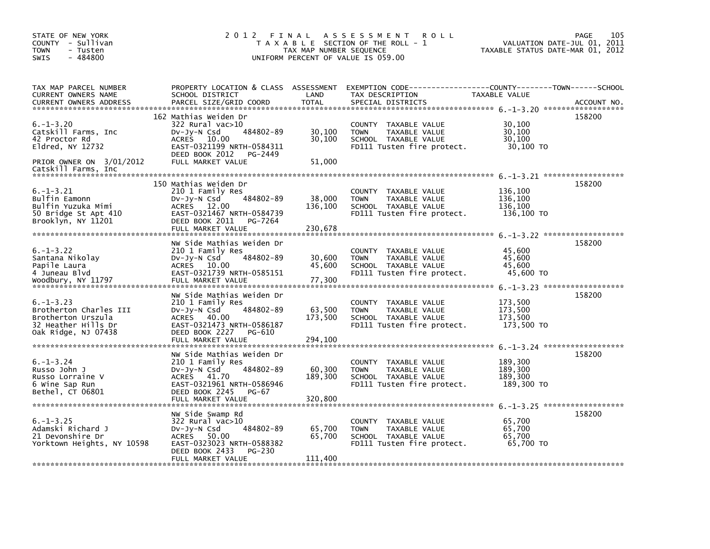| STATE OF NEW YORK<br>COUNTY - Sullivan<br>TOWN<br>- Tusten<br>$-484800$<br><b>SWIS</b>                                         |                                                                                                                                                                                      | TAX MAP NUMBER SEQUENCE      | 2012 FINAL ASSESSMENT<br>ROLL<br>T A X A B L E SECTION OF THE ROLL - 1<br>UNIFORM PERCENT OF VALUE IS 059.00                            | VALUATION DATE-JUL 01, 2011<br>TAXABLE STATUS DATE-MAR 01, 2012 | 105<br>PAGE |
|--------------------------------------------------------------------------------------------------------------------------------|--------------------------------------------------------------------------------------------------------------------------------------------------------------------------------------|------------------------------|-----------------------------------------------------------------------------------------------------------------------------------------|-----------------------------------------------------------------|-------------|
| TAX MAP PARCEL NUMBER<br>CURRENT OWNERS NAME<br><b>CURRENT OWNERS ADDRESS</b>                                                  | SCHOOL DISTRICT<br>PARCEL SIZE/GRID COORD                                                                                                                                            | LAND<br><b>TOTAL</b>         | PROPERTY LOCATION & CLASS ASSESSMENT EXEMPTION CODE---------------COUNTY-------TOWN------SCHOOL<br>TAX DESCRIPTION<br>SPECIAL DISTRICTS | TAXABLE VALUE                                                   | ACCOUNT NO. |
| $6. - 1 - 3.20$<br>Catskill Farms, Inc<br>42 Proctor Rd<br>Eldred, NY 12732<br>PRIOR OWNER ON 3/01/2012<br>Catskill Farms, Inc | 162 Mathias Weiden Dr<br>$322$ Rural vac $>10$<br>484802-89<br>$Dv-Jy-N$ Csd<br><b>ACRES</b><br>10.00<br>EAST-0321199 NRTH-0584311<br>DEED BOOK 2012<br>PG-2449<br>FULL MARKET VALUE | 30,100<br>30,100<br>51,000   | COUNTY TAXABLE VALUE<br>TAXABLE VALUE<br><b>TOWN</b><br>SCHOOL TAXABLE VALUE<br>FD111 Tusten fire protect.                              | 30,100<br>30,100<br>30,100<br>30,100 TO                         | 158200      |
| $6. - 1 - 3.21$<br>Bulfin Eamonn<br>Bulfin Yuzuka Mimi<br>50 Bridge St Apt 410<br>Brooklyn, NY 11201                           | 150 Mathias Weiden Dr<br>210 1 Family Res<br>484802-89<br>$Dv-Jy-N$ Csd<br>ACRES 12.00<br>EAST-0321467 NRTH-0584739<br>DEED BOOK 2011<br>PG-7264<br>FULL MARKET VALUE                | 38,000<br>136,100<br>230,678 | COUNTY TAXABLE VALUE<br>TAXABLE VALUE<br>TOWN<br>SCHOOL TAXABLE VALUE<br>FD111 Tusten fire protect.                                     | 136,100<br>136,100<br>136,100<br>136,100 TO                     | 158200      |
| $6. - 1 - 3.22$<br>Santana Nikolay<br>Papile Laura<br>4 Juneau Blvd<br>Woodbury, NY 11797                                      | NW Side Mathias Weiden Dr<br>210 1 Family Res<br>484802-89<br>$Dv-Jy-N$ Csd<br>ACRES 10.00<br>EAST-0321739 NRTH-0585151<br>FULL MARKET VALUE                                         | 30,600<br>45.600<br>77,300   | COUNTY TAXABLE VALUE<br><b>TOWN</b><br>TAXABLE VALUE<br>SCHOOL TAXABLE VALUE<br>FD111 Tusten fire protect.                              | 45,600<br>45,600<br>45,600<br>45,600 TO                         | 158200      |
| $6. - 1 - 3.23$<br>Brotherton Charles III<br>Brotherton Urszula<br>32 Heather Hills Dr<br>Oak Ridge, NJ 07438                  | NW Side Mathias Weiden Dr<br>210 1 Family Res<br>$Dv-Jy-N$ Csd<br>484802-89<br>ACRES 40.00<br>EAST-0321473 NRTH-0586187<br>DEED BOOK 2227<br>PG-610<br>FULL MARKET VALUE             | 63,500<br>173,500<br>294,100 | COUNTY TAXABLE VALUE<br><b>TOWN</b><br>TAXABLE VALUE<br>SCHOOL TAXABLE VALUE<br>FD111 Tusten fire protect.                              | 173,500<br>173,500<br>173,500<br>173,500 TO                     | 158200      |
| $6. - 1 - 3.24$<br>Russo John J<br>Russo Lorraine V<br>6 Wine Sap Run<br>Bethel, CT 06801                                      | NW Side Mathias Weiden Dr<br>210 1 Family Res<br>484802-89<br>$Dv-Jy-N$ Csd<br>ACRES 41.70<br>EAST-0321961 NRTH-0586946<br>DEED BOOK 2245<br>PG-67<br>FULL MARKET VALUE              | 60,300<br>189,300<br>320,800 | COUNTY TAXABLE VALUE<br><b>TOWN</b><br>TAXABLE VALUE<br>SCHOOL TAXABLE VALUE<br>FD111 Tusten fire protect.                              | 189,300<br>189,300<br>189,300<br>189,300 TO                     | 158200      |
| $6. - 1 - 3.25$<br>Adamski Richard J<br>21 Devonshire Dr<br>Yorktown Heights, NY 10598                                         | NW Side Swamp Rd<br>322 Rural vac>10<br>484802-89<br>$Dv-Jy-N$ Csd<br><b>ACRES</b><br>50.00<br>EAST-0323023 NRTH-0588382<br>DEED BOOK 2433<br>PG-230<br>FULL MARKET VALUE            | 65,700<br>65,700<br>111,400  | COUNTY TAXABLE VALUE<br><b>TOWN</b><br>TAXABLE VALUE<br>SCHOOL TAXABLE VALUE<br>FD111 Tusten fire protect.                              | 65,700<br>65,700<br>65,700<br>65,700 TO                         | 158200      |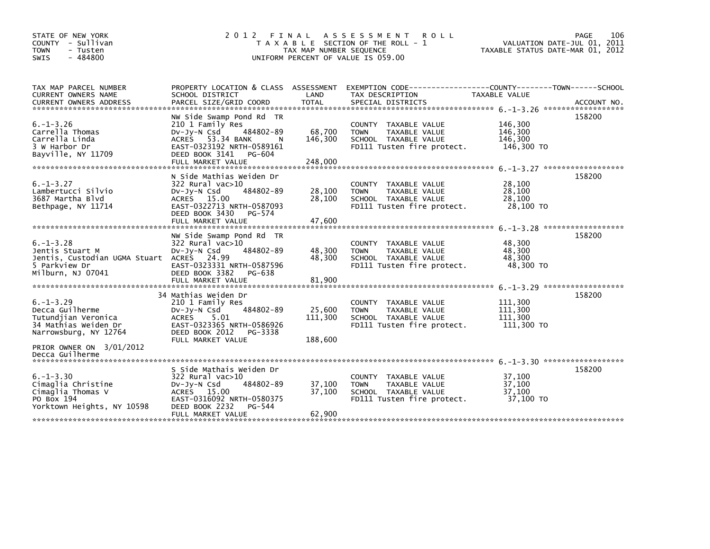| STATE OF NEW YORK<br>COUNTY - Sullivan<br><b>TOWN</b><br>- Tusten<br><b>SWIS</b><br>$-484800$                         | 2012 FINAL                                                                                                                                                                         | TAX MAP NUMBER SEQUENCE      | A S S E S S M E N T<br><b>ROLL</b><br>T A X A B L E SECTION OF THE ROLL - 1<br>UNIFORM PERCENT OF VALUE IS 059.00                        | VALUATION DATE-JUL 01, 2011<br>TAXABLE STATUS DATE-MAR 01, 2012 | 106<br>PAGE |
|-----------------------------------------------------------------------------------------------------------------------|------------------------------------------------------------------------------------------------------------------------------------------------------------------------------------|------------------------------|------------------------------------------------------------------------------------------------------------------------------------------|-----------------------------------------------------------------|-------------|
| TAX MAP PARCEL NUMBER<br><b>CURRENT OWNERS NAME</b><br><b>CURRENT OWNERS ADDRESS</b>                                  | SCHOOL DISTRICT<br>PARCEL SIZE/GRID COORD                                                                                                                                          | LAND<br><b>TOTAL</b>         | PROPERTY LOCATION & CLASS ASSESSMENT EXEMPTION CODE----------------COUNTY-------TOWN------SCHOOL<br>TAX DESCRIPTION<br>SPECIAL DISTRICTS | TAXABLE VALUE                                                   | ACCOUNT NO. |
| $6. - 1 - 3.26$<br>Carrella Thomas<br>Carrella Linda<br>3 W Harbor Dr<br>Bayville, NY 11709                           | NW Side Swamp Pond Rd TR<br>210 1 Family Res<br>484802-89<br>$Dv-Jy-N$ Csd<br>ACRES 53.34 BANK<br>N.<br>EAST-0323192 NRTH-0589161<br>DEED BOOK 3141<br>PG-604<br>FULL MARKET VALUE | 68,700<br>146.300<br>248,000 | COUNTY TAXABLE VALUE<br>TAXABLE VALUE<br><b>TOWN</b><br>SCHOOL TAXABLE VALUE<br>FD111 Tusten fire protect.                               | 146,300<br>146,300<br>146,300<br>146,300 TO                     | 158200      |
| $6. - 1 - 3.27$<br>Lambertucci Silvio<br>3687 Martha Blvd<br>Bethpage, NY 11714                                       | N Side Mathias Weiden Dr<br>$322$ Rural vac $>10$<br>484802-89<br>DV-Jy-N Csd<br>ACRES 15.00<br>EAST-0322713 NRTH-0587093<br>DEED BOOK 3430<br>PG-574<br>FULL MARKET VALUE         | 28,100<br>28,100<br>47,600   | COUNTY TAXABLE VALUE<br>TAXABLE VALUE<br><b>TOWN</b><br>SCHOOL TAXABLE VALUE<br>FD111 Tusten fire protect.                               | 28,100<br>28,100<br>28,100<br>28,100 TO                         | 158200      |
| $6. - 1 - 3.28$<br>Jentis Stuart M<br>Jentis, Custodian UGMA Stuart ACRES 24.99<br>5 Parkview Dr<br>Milburn, NJ 07041 | NW Side Swamp Pond Rd TR<br>322 Rural vac>10<br>Dv-Jy-N Csd<br>484802-89<br>EAST-0323331 NRTH-0587596<br>DEED BOOK 3382<br>PG-638<br>FULL MARKET VALUE                             | 48,300<br>48,300<br>81,900   | COUNTY TAXABLE VALUE<br><b>TOWN</b><br>TAXABLE VALUE<br>SCHOOL TAXABLE VALUE<br>FD111 Tusten fire protect.                               | 48,300<br>48,300<br>48,300<br>48,300 TO                         | 158200      |
| $6. -1 - 3.29$<br>Decca Guilherme<br>Tutundjian Veronica<br>34 Mathias Weiden Dr<br>Narrowsburg, NY 12764             | 34 Mathias Weiden Dr<br>210 1 Family Res<br>484802-89<br>$Dv-Jy-N$ Csd<br>5.01<br>ACRES<br>EAST-0323365 NRTH-0586926<br>DEED BOOK 2012<br>PG-3338<br>FULL MARKET VALUE             | 25,600<br>111,300<br>188,600 | COUNTY TAXABLE VALUE<br><b>TOWN</b><br>TAXABLE VALUE<br>SCHOOL TAXABLE VALUE<br>FD111 Tusten fire protect.                               | 111,300<br>111,300<br>111,300<br>111,300 TO                     | 158200      |
| PRIOR OWNER ON 3/01/2012<br>Decca Guilherme                                                                           |                                                                                                                                                                                    |                              |                                                                                                                                          |                                                                 |             |
| $6. - 1 - 3.30$<br>Cimaglia Christine<br>Cimaglia Thomas V<br>PO Box 194<br>Yorktown Heights, NY 10598                | S Side Mathais Weiden Dr<br>322 Rural vac>10<br>484802-89<br>DV-Jy-N Csd<br>ACRES 15.00<br>EAST-0316092 NRTH-0580375<br>DEED BOOK 2232<br>PG-544<br>FULL MARKET VALUE              | 37,100<br>37,100<br>62,900   | COUNTY TAXABLE VALUE<br><b>TOWN</b><br>TAXABLE VALUE<br>SCHOOL TAXABLE VALUE<br>FD111 Tusten fire protect.                               | 37,100<br>37,100<br>37.100<br>37,100 TO                         | 158200      |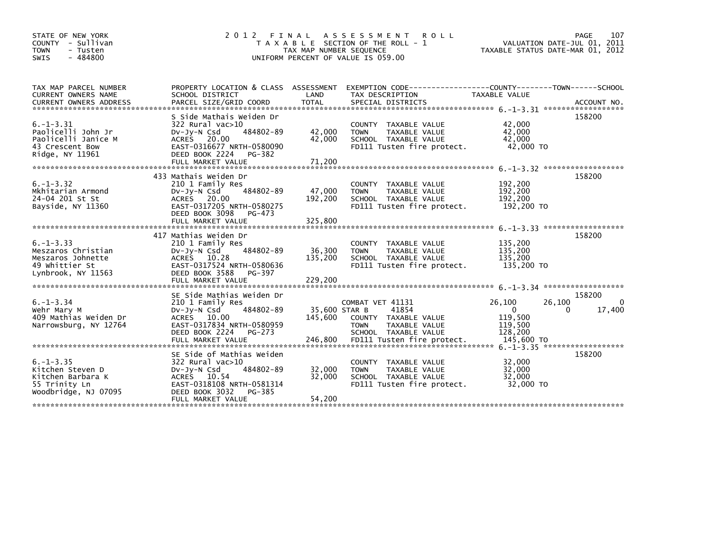| STATE OF NEW YORK<br>COUNTY - Sullivan<br>- Tusten<br><b>TOWN</b><br>$-484800$<br><b>SWIS</b>                                                                                                                                                                                        | 2 0 1 2<br>FINAL                                                                                                                                                             | TAX MAP NUMBER SEQUENCE    | A S S E S S M E N T<br><b>ROLL</b><br>T A X A B L E SECTION OF THE ROLL - 1<br>UNIFORM PERCENT OF VALUE IS 059.00 | TAXABLE STATUS DATE-MAR 01, 2012                    | PAGE<br>107<br>VALUATION DATE-JUL 01, 2011 |
|--------------------------------------------------------------------------------------------------------------------------------------------------------------------------------------------------------------------------------------------------------------------------------------|------------------------------------------------------------------------------------------------------------------------------------------------------------------------------|----------------------------|-------------------------------------------------------------------------------------------------------------------|-----------------------------------------------------|--------------------------------------------|
| TAX MAP PARCEL NUMBER<br>CURRENT OWNERS NAME<br>CURRENT OWNERS ADDRESS FARCEL SIZE/GRID COORD TOTAL SPECIAL DISTRICTS (2001) ACCOUNT NO.<br>- And Health State of the State State of the State State of the State of the State of the State of the State o<br>- And Andrea State Sta | PROPERTY LOCATION & CLASS ASSESSMENT<br>SCHOOL DISTRICT                                                                                                                      | LAND                       | EXEMPTION CODE-----------------COUNTY-------TOWN------SCHOOL<br>TAX DESCRIPTION                                   | TAXABLE VALUE                                       |                                            |
| $6. -1 - 3.31$<br>Paolicelli John Jr<br>Paolicelli Janice M<br>43 Crescent Bow<br>Ridge, NY 11961                                                                                                                                                                                    | S Side Mathais Weiden Dr<br>$322$ Rural vac $>10$<br>484802-89<br>$Dv-Jy-N$ Csd<br>ACRES 20.00<br>EAST-0316677 NRTH-0580090<br>DEED BOOK 2224<br>PG-382<br>FULL MARKET VALUE | 42,000<br>42.000<br>71,200 | COUNTY TAXABLE VALUE<br>TAXABLE VALUE<br><b>TOWN</b><br>SCHOOL TAXABLE VALUE<br>FD111 Tusten fire protect.        | 42,000<br>42,000<br>42,000<br>42,000 TO             | 158200                                     |
| $6. -1 - 3.32$<br>Mkhitarian Armond<br>24-04 201 St St<br>Bayside, NY 11360                                                                                                                                                                                                          | 433 Mathais Weiden Dr<br>210 1 Family Res<br>484802-89<br>$Dv-Jy-N$ Csd<br>ACRES 20.00<br>EAST-0317205 NRTH-0580275<br>DEED BOOK 3098<br>PG-473                              | 47,000<br>192,200          | COUNTY TAXABLE VALUE<br>TAXABLE VALUE<br><b>TOWN</b><br>SCHOOL TAXABLE VALUE<br>FD111 Tusten fire protect.        | 192,200<br>192,200<br>192,200<br>192,200 TO         | 158200                                     |
| $6. -1 - 3.33$<br>Meszaros Christian<br>Meszaros Johnette<br>49 Whittier St<br>Lynbrook, NY 11563                                                                                                                                                                                    | 417 Mathias Weiden Dr<br>210 1 Family Res<br>484802-89<br>DV-Jy-N Csd<br>ACRES 10.28<br>EAST-0317524 NRTH-0580636<br>DEED BOOK 3588<br>PG-397                                | 36,300<br>135,200          | COUNTY TAXABLE VALUE<br>TAXABLE VALUE<br><b>TOWN</b><br>SCHOOL TAXABLE VALUE<br>FD111 Tusten fire protect.        | 135,200<br>135,200<br>135,200<br>135,200 TO         | 158200                                     |
| $6. - 1 - 3.34$<br>Wehr Mary M<br>409 Mathias Weiden Dr<br>Narrowsburg, NY 12764                                                                                                                                                                                                     | SE Side Mathias Weiden Dr<br>210 1 Family Res<br>484802-89<br>$Dv-Jy-N$ Csd<br>ACRES 10.00<br>EAST-0317834 NRTH-0580959<br>DEED BOOK 2224<br>PG-273                          | 35,600 STAR B<br>145,600   | COMBAT VET 41131<br>41854<br>COUNTY TAXABLE VALUE<br>TAXABLE VALUE<br><b>TOWN</b><br>SCHOOL TAXABLE VALUE         | 26,100<br>$\Omega$<br>119,500<br>119,500<br>128,200 | 158200<br>26,100<br>0<br>17,400<br>0       |
| $6. -1 - 3.35$<br>Kitchen Steven D<br>Kitchen Barbara K<br>55 Trinity Ln<br>Woodbridge, NJ 07095                                                                                                                                                                                     | SE Side of Mathias Weiden<br>322 Rural vac>10<br>$Dv-Jv-N$ Csd<br>484802-89<br>ACRES 10.54<br>EAST-0318108 NRTH-0581314<br>DEED BOOK 3032<br>PG-385<br>FULL MARKET VALUE     | 32,000<br>32,000<br>54.200 | COUNTY TAXABLE VALUE<br><b>TOWN</b><br>TAXABLE VALUE<br>SCHOOL TAXABLE VALUE<br>FD111 Tusten fire protect.        | 32,000<br>32,000<br>32,000<br>32,000 TO             | 158200                                     |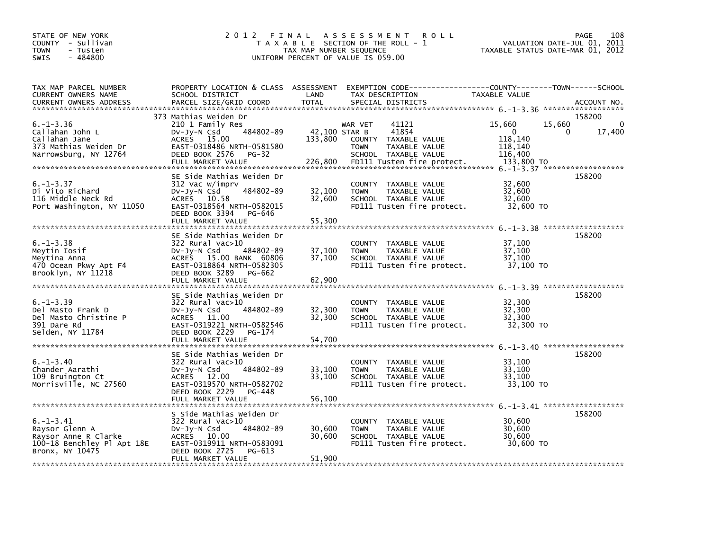| STATE OF NEW YORK<br>COUNTY - Sullivan<br><b>TOWN</b><br>- Tusten<br>$-484800$<br><b>SWIS</b>              | 2012                                                                                                                                                                                   | TAX MAP NUMBER SEQUENCE             | FINAL ASSESSMENT<br><b>ROLL</b><br>T A X A B L E SECTION OF THE ROLL - 1<br>UNIFORM PERCENT OF VALUE IS 059.00                          | VALUATION DATE-JUL 01,<br>TAXABLE STATUS DATE-MAR 01, 2012                  | 108<br>PAGE<br>2011                       |
|------------------------------------------------------------------------------------------------------------|----------------------------------------------------------------------------------------------------------------------------------------------------------------------------------------|-------------------------------------|-----------------------------------------------------------------------------------------------------------------------------------------|-----------------------------------------------------------------------------|-------------------------------------------|
| TAX MAP PARCEL NUMBER<br>CURRENT OWNERS NAME<br>CURRENT OWNERS ADDRESS                                     | PROPERTY LOCATION & CLASS ASSESSMENT<br>SCHOOL DISTRICT<br>PARCEL SIZE/GRID COORD                                                                                                      | LAND<br><b>TOTAL</b>                | EXEMPTION CODE------------------COUNTY--------TOWN------SCHOOL<br>TAX DESCRIPTION<br>SPECIAL DISTRICTS                                  | <b>TAXABLE VALUE</b>                                                        | ACCOUNT NO.                               |
| $6. - 1 - 3.36$<br>Callahan John L<br>Callahan Jane<br>373 Mathias Weiden Dr<br>Narrowsburg, NY 12764      | 373 Mathias Weiden Dr<br>210 1 Family Res<br>484802-89<br>DV-Jy-N Csd<br>ACRES 15.00<br>EAST-0318486 NRTH-0581580<br>DEED BOOK 2576<br><b>PG-32</b><br>FULL MARKET VALUE               | 42,100 STAR B<br>133,800<br>226,800 | 41121<br>WAR VET<br>41854<br>COUNTY TAXABLE VALUE<br>TAXABLE VALUE<br><b>TOWN</b><br>SCHOOL TAXABLE VALUE<br>FD111 Tusten fire protect. | 15,660<br>15,660<br>$\Omega$<br>118,140<br>118,140<br>116,400<br>133,800 TO | 158200<br>$\Omega$<br>17,400<br>0         |
| $6. - 1 - 3.37$<br>Di Vito Richard<br>116 Middle Neck Rd<br>Port Washington, NY 11050                      | SE Side Mathias Weiden Dr<br>312 Vac w/imprv<br>$Dv-Jy-N$ Csd<br>484802-89<br>ACRES 10.58<br>EAST-0318564 NRTH-0582015<br>DEED BOOK 3394<br>PG-646<br>FULL MARKET VALUE                | 32,100<br>32,600<br>55,300          | COUNTY TAXABLE VALUE<br>TAXABLE VALUE<br><b>TOWN</b><br>SCHOOL TAXABLE VALUE<br>FD111 Tusten fire protect.                              | 32,600<br>32,600<br>32,600<br>32,600 TO                                     | 158200                                    |
| $6. - 1 - 3.38$<br>Meytin Iosif<br>Meytina Anna<br>470 Ocean Pkwy Apt F4<br>Brooklyn, NY 11218             | SE Side Mathias Weiden Dr<br>$322$ Rural vac $>10$<br>DV-Jy-N Csd<br>484802-89<br>ACRES 15.00 BANK 60806<br>EAST-0318864 NRTH-0582305<br>DEED BOOK 3289<br>PG-662<br>FULL MARKET VALUE | 37,100<br>37,100<br>62,900          | COUNTY TAXABLE VALUE<br>TAXABLE VALUE<br><b>TOWN</b><br>SCHOOL TAXABLE VALUE<br>FD111 Tusten fire protect.                              | 37,100<br>37,100<br>37,100<br>37,100 TO                                     | 158200                                    |
| $6. -1 - 3.39$<br>Del Masto Frank D<br>Del Masto Christine P<br>391 Dare Rd<br>Selden, NY 11784            | SE Side Mathias Weiden Dr<br>322 Rural vac>10<br>484802-89<br>$Dv-Jy-N$ Csd<br>ACRES 11.00<br>EAST-0319221 NRTH-0582546<br>DEED BOOK 2229<br>PG-174<br>FULL MARKET VALUE               | 32,300<br>32,300<br>54,700          | COUNTY TAXABLE VALUE<br>TAXABLE VALUE<br><b>TOWN</b><br>SCHOOL TAXABLE VALUE<br>FD111 Tusten fire protect.                              | 32,300<br>32,300<br>32,300<br>32,300 TO                                     | 6. -1-3.39 ********************<br>158200 |
| $6. - 1 - 3.40$<br>Chander Aarathi<br>109 Bruington Ct<br>Morrisville, NC 27560                            | SE Side Mathias Weiden Dr<br>322 Rural vac>10<br>484802-89<br>$Dv-Jy-N$ Csd<br>ACRES 12.00<br>EAST-0319570 NRTH-0582702<br>DEED BOOK 2229<br>PG-448                                    | 33,100<br>33,100                    | COUNTY TAXABLE VALUE<br><b>TOWN</b><br>TAXABLE VALUE<br>SCHOOL TAXABLE VALUE<br>FD111 Tusten fire protect.                              | 33,100<br>33.100<br>33,100<br>33,100 TO                                     | 158200                                    |
| $6. - 1 - 3.41$<br>Raysor Glenn A<br>Raysor Anne R Clarke<br>100-18 Benchley Pl Apt 18E<br>Bronx, NY 10475 | S Side Mathias Weiden Dr<br>322 Rural vac>10<br>484802-89<br>$Dv-Jy-N$ Csd<br>ACRES 10.00<br>EAST-0319911 NRTH-0583091<br>DEED BOOK 2725<br>PG-613<br>FULL MARKET VALUE                | 30,600<br>30,600<br>51,900          | COUNTY TAXABLE VALUE<br>TAXABLE VALUE<br><b>TOWN</b><br>SCHOOL TAXABLE VALUE<br>FD111 Tusten fire protect.                              | 30,600<br>30,600<br>30,600<br>30,600 TO                                     | 158200                                    |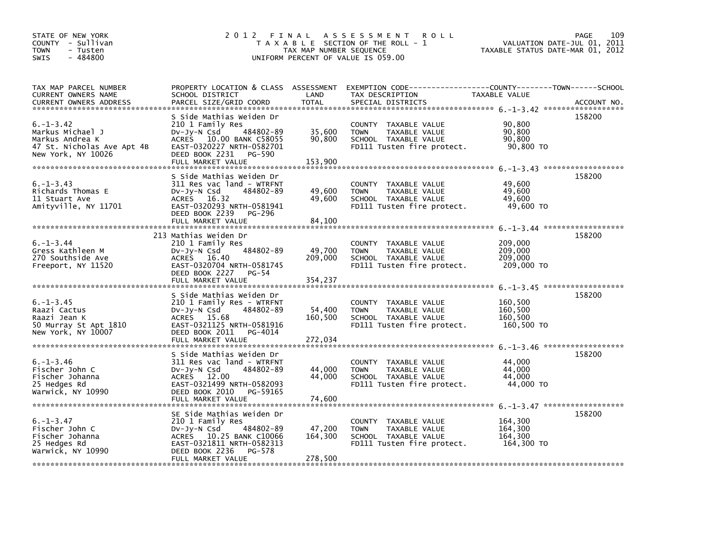| STATE OF NEW YORK<br>COUNTY - Sullivan<br><b>TOWN</b><br>- Tusten<br>$-484800$<br><b>SWIS</b>             | 2012 FINAL                                                                                                                                                                           | TAX MAP NUMBER SEQUENCE      | A S S E S S M E N T<br><b>ROLL</b><br>T A X A B L E SECTION OF THE ROLL - 1<br>UNIFORM PERCENT OF VALUE IS 059.00                        | VALUATION DATE-JUL 01, 2011<br>TAXABLE STATUS DATE-MAR 01, 2012 | 109<br>PAGE |
|-----------------------------------------------------------------------------------------------------------|--------------------------------------------------------------------------------------------------------------------------------------------------------------------------------------|------------------------------|------------------------------------------------------------------------------------------------------------------------------------------|-----------------------------------------------------------------|-------------|
| TAX MAP PARCEL NUMBER<br>CURRENT OWNERS NAME<br>CURRENT OWNERS ADDRESS                                    | SCHOOL DISTRICT<br>PARCEL SIZE/GRID COORD                                                                                                                                            | LAND<br><b>TOTAL</b>         | PROPERTY LOCATION & CLASS ASSESSMENT EXEMPTION CODE----------------COUNTY-------TOWN------SCHOOL<br>TAX DESCRIPTION<br>SPECIAL DISTRICTS | TAXABLE VALUE                                                   | ACCOUNT NO. |
| $6. -1 - 3.42$<br>Markus Michael J<br>Markus Andrea K<br>47 St. Nicholas Ave Apt 4B<br>New York, NY 10026 | S Side Mathias Weiden Dr<br>210 1 Family Res<br>DV-Jy-N Csd<br>484802-89<br>ACRES 10.00 BANK C58055<br>EAST-0320227 NRTH-0582701<br>DEED BOOK 2231<br>PG-590<br>FULL MARKET VALUE    | 35,600<br>90.800<br>153,900  | COUNTY TAXABLE VALUE<br><b>TOWN</b><br>TAXABLE VALUE<br>SCHOOL TAXABLE VALUE<br>FD111 Tusten fire protect.                               | 90,800<br>90,800<br>90,800<br>90.800 TO                         | 158200      |
| $6. - 1 - 3.43$<br>Richards Thomas E<br>11 Stuart Ave<br>Amityville, NY 11701                             | S Side Mathias Weiden Dr<br>311 Res vac land - WTRFNT<br>$Dv-Jy-N$ Csd<br>484802-89<br>ACRES 16.32<br>EAST-0320293 NRTH-0581941<br>DEED BOOK 2239<br>PG-296<br>FULL MARKET VALUE     | 49,600<br>49.600<br>84,100   | COUNTY TAXABLE VALUE<br><b>TOWN</b><br>TAXABLE VALUE<br>SCHOOL TAXABLE VALUE<br>FD111 Tusten fire protect.                               | 49,600<br>49,600<br>49,600<br>49,600 TO                         | 158200      |
| $6. - 1 - 3.44$<br>Gress Kathleen M<br>270 Southside Ave<br>Freeport, NY 11520                            | 213 Mathias Weiden Dr<br>210 1 Family Res<br>484802-89<br>DV-Jy-N Csd<br>ACRES 16.40<br>EAST-0320704 NRTH-0581745<br>DEED BOOK 2227<br>$PG-54$<br>FULL MARKET VALUE                  | 49,700<br>209,000<br>354,237 | COUNTY TAXABLE VALUE<br>TAXABLE VALUE<br><b>TOWN</b><br>SCHOOL TAXABLE VALUE<br>FD111 Tusten fire protect.                               | 209,000<br>209,000<br>209,000<br>209,000 TO                     | 158200      |
| $6. - 1 - 3.45$<br>Raazi Cactus<br>Raazi Jean K<br>50 Murray St Apt 1810<br>New York, NY 10007            | S Side Mathias Weiden Dr<br>210 1 Family Res - WTRFNT<br>$Dv-Jy-N$ Csd<br>484802-89<br>ACRES 15.68<br>EAST-0321125 NRTH-0581916<br>DEED BOOK 2011<br>PG-4014<br>FULL MARKET VALUE    | 54,400<br>160,500<br>272,034 | COUNTY TAXABLE VALUE<br><b>TOWN</b><br>TAXABLE VALUE<br>SCHOOL TAXABLE VALUE<br>FD111 Tusten fire protect.                               | 160,500<br>160,500<br>160,500<br>160,500 TO                     | 158200      |
| $6. - 1 - 3.46$<br>Fischer John C<br>Fischer Johanna<br>25 Hedges Rd<br>Warwick, NY 10990                 | S Side Mathias Weiden Dr<br>311 Res vac land - WTRFNT<br>DV-Jy-N Csd<br>484802-89<br>ACRES 12.00<br>EAST-0321499 NRTH-0582093<br>DEED BOOK 2010<br>PG-59165<br>FULL MARKET VALUE     | 44,000<br>44,000<br>74,600   | COUNTY TAXABLE VALUE<br><b>TOWN</b><br>TAXABLE VALUE<br>SCHOOL TAXABLE VALUE<br>FD111 Tusten fire protect.                               | 44.000<br>44.000<br>44,000<br>44,000 TO                         | 158200      |
| $6. - 1 - 3.47$<br>Fischer John C<br>Fischer Johanna<br>25 Hedges Rd<br>Warwick, NY 10990                 | SE Side Mathias Weiden Dr<br>210 1 Family Res<br>484802-89<br>$Dv-Jy-N$ Csd<br>ACRES 10.25 BANK C10066<br>EAST-0321811 NRTH-0582313<br>DEED BOOK 2236<br>PG-578<br>FULL MARKET VALUE | 47,200<br>164,300<br>278,500 | COUNTY TAXABLE VALUE<br>TAXABLE VALUE<br><b>TOWN</b><br>SCHOOL TAXABLE VALUE<br>FD111 Tusten fire protect.                               | 164,300<br>164.300<br>164,300<br>164,300 TO                     | 158200      |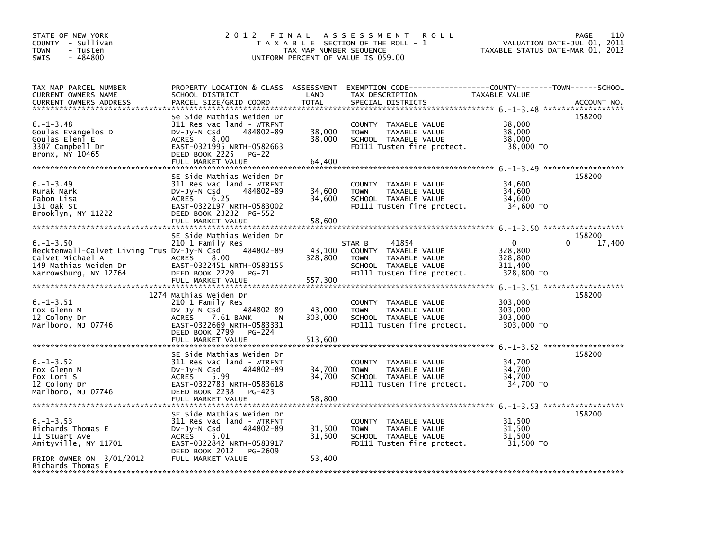| STATE OF NEW YORK<br>COUNTY - Sullivan<br><b>TOWN</b><br>- Tusten<br>$-484800$<br><b>SWIS</b>                                       | 2 0 1 2<br>FINAL                                                                                                                                                                                                 | TAX MAP NUMBER SEQUENCE              | A S S E S S M E N T<br><b>ROLL</b><br>T A X A B L E SECTION OF THE ROLL - 1<br>UNIFORM PERCENT OF VALUE IS 059.00                       | VALUATION DATE-JUL 01,<br>TAXABLE STATUS DATE-MAR 01, 2012 | 110<br>PAGE<br>2011   |
|-------------------------------------------------------------------------------------------------------------------------------------|------------------------------------------------------------------------------------------------------------------------------------------------------------------------------------------------------------------|--------------------------------------|-----------------------------------------------------------------------------------------------------------------------------------------|------------------------------------------------------------|-----------------------|
| TAX MAP PARCEL NUMBER<br>CURRENT OWNERS NAME<br><b>CURRENT OWNERS ADDRESS</b>                                                       | PROPERTY LOCATION & CLASS ASSESSMENT<br>SCHOOL DISTRICT<br>PARCEL SIZE/GRID COORD                                                                                                                                | LAND<br><b>TOTAL</b>                 | EXEMPTION CODE-----------------COUNTY-------TOWN------SCHOOL<br>TAX DESCRIPTION<br>SPECIAL DISTRICTS                                    | TAXABLE VALUE                                              | ACCOUNT NO.           |
| $6. - 1 - 3.48$<br>Goulas Evangelos D<br>Goulas Eleni E<br>3307 Campbell Dr<br>Bronx, NY 10465                                      | Se Side Mathias Weiden Dr<br>311 Res vac land - WTRFNT<br>Dv-Jy-N Csd<br>484802-89<br><b>ACRES</b><br>8.00<br>EAST-0321995 NRTH-0582663<br>DEED BOOK 2225<br>$PG-22$<br>FULL MARKET VALUE                        | 38,000<br>38,000<br>64,400           | COUNTY TAXABLE VALUE<br><b>TOWN</b><br>TAXABLE VALUE<br>SCHOOL TAXABLE VALUE<br>FD111 Tusten fire protect.                              | 38,000<br>38,000<br>38,000<br>38,000 TO                    | 158200                |
| $6. - 1 - 3.49$<br>Rurak Mark<br>Pabon Lisa<br>131 Oak St<br>Brooklyn, NY 11222                                                     | SE Side Mathias Weiden Dr<br>311 Res vac land - WTRFNT<br>$Dv-Jv-N$ Csd<br>484802-89<br><b>ACRES</b><br>6.25<br>EAST-0322197 NRTH-0583002<br>DEED BOOK 23232 PG-552<br>FULL MARKET VALUE                         | 34,600<br>34,600<br>58,600           | COUNTY TAXABLE VALUE<br><b>TOWN</b><br>TAXABLE VALUE<br>SCHOOL TAXABLE VALUE<br>FD111 Tusten fire protect.                              | 34,600<br>34,600<br>34.600<br>34,600 TO                    | 158200                |
| $6. - 1 - 3.50$<br>Recktenwall-Calvet Living Trus Dv-Jy-N Csd<br>Calvet Michael A<br>149 Mathias Weiden Dr<br>Narrowsburg, NY 12764 | SE Side Mathias Weiden Dr<br>210 1 Family Res<br>484802-89<br>8.00<br><b>ACRES</b><br>EAST-0322451 NRTH-0583155<br>DEED BOOK 2229<br>PG-71<br>FULL MARKET VALUE                                                  | 43,100<br>328,800<br>557,300         | 41854<br>STAR B<br><b>COUNTY</b><br>TAXABLE VALUE<br><b>TOWN</b><br>TAXABLE VALUE<br>SCHOOL TAXABLE VALUE<br>FD111 Tusten fire protect. | $\Omega$<br>328,800<br>328,800<br>311,400<br>328,800 TO    | 158200<br>0<br>17,400 |
| $6. -1 - 3.51$<br>Fox Glenn M<br>12 Colony Dr<br>Marlboro, NJ 07746                                                                 | 1274 Mathias Weiden Dr<br>210 1 Family Res<br>484802-89<br>DV-Jy-N Csd<br><b>ACRES</b><br>7.61 BANK<br>N<br>EAST-0322669 NRTH-0583331<br>DEED BOOK 2799<br>PG-224                                                | 43,000<br>303,000                    | TAXABLE VALUE<br><b>COUNTY</b><br><b>TOWN</b><br>TAXABLE VALUE<br>SCHOOL TAXABLE VALUE<br>FD111 Tusten fire protect.                    | 303,000<br>303,000<br>303,000<br>303,000 TO                | 158200                |
| $6. -1 - 3.52$<br>Fox Glenn M<br>Fox Lori S<br>12 Colony Dr<br>Marlboro, NJ 07746                                                   | FULL MARKET VALUE<br>SE Side Mathias Weiden Dr<br>311 Res vac land - WTRFNT<br>Dv-Jy-N Csd<br>484802-89<br><b>ACRES</b><br>5.99<br>EAST-0322783 NRTH-0583618<br>DEED BOOK 2238<br>PG-423                         | 513,600<br>34,700<br>34,700          | COUNTY TAXABLE VALUE<br>TAXABLE VALUE<br><b>TOWN</b><br>SCHOOL TAXABLE VALUE<br>FD111 Tusten fire protect.                              | 34,700<br>34,700<br>34,700<br>34,700 TO                    | 158200                |
| $6. -1 - 3.53$<br>Richards Thomas E<br>11 Stuart Ave<br>Amityville, NY 11701<br>PRIOR OWNER ON 3/01/2012                            | FULL MARKET VALUE<br>SE Side Mathias Weiden Dr<br>311 Res vac land - WTRFNT<br>$Dv-Jy-N$ Csd<br>484802-89<br>5.01<br><b>ACRES</b><br>EAST-0322842 NRTH-0583917<br>DEED BOOK 2012<br>PG-2609<br>FULL MARKET VALUE | 58,800<br>31,500<br>31,500<br>53,400 | COUNTY TAXABLE VALUE<br>TAXABLE VALUE<br><b>TOWN</b><br>SCHOOL TAXABLE VALUE<br>FD111 Tusten fire protect.                              | 31,500<br>31,500<br>31,500<br>31,500 TO                    | 158200                |
| Richards Thomas E                                                                                                                   |                                                                                                                                                                                                                  |                                      |                                                                                                                                         |                                                            |                       |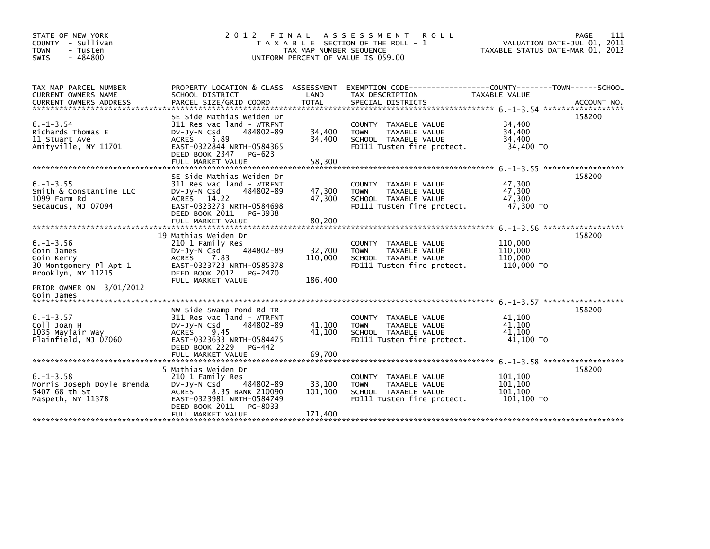| STATE OF NEW YORK<br>COUNTY - Sullivan<br><b>TOWN</b><br>- Tusten<br>$-484800$<br><b>SWIS</b>                           | 2012 FINAL                                                                                                                                                                                 | TAX MAP NUMBER SEQUENCE      | A S S E S S M E N T<br><b>ROLL</b><br>T A X A B L E SECTION OF THE ROLL - 1<br>UNIFORM PERCENT OF VALUE IS 059.00 | TAXABLE STATUS DATE-MAR 01, 2012            | 111<br>PAGE<br>VALUATION DATE-JUL 01, 2011 |
|-------------------------------------------------------------------------------------------------------------------------|--------------------------------------------------------------------------------------------------------------------------------------------------------------------------------------------|------------------------------|-------------------------------------------------------------------------------------------------------------------|---------------------------------------------|--------------------------------------------|
| TAX MAP PARCEL NUMBER<br><b>CURRENT OWNERS NAME</b><br><b>CURRENT OWNERS ADDRESS</b>                                    | PROPERTY LOCATION & CLASS ASSESSMENT<br>SCHOOL DISTRICT<br>PARCEL SIZE/GRID COORD                                                                                                          | LAND<br><b>TOTAL</b>         | EXEMPTION CODE-----------------COUNTY-------TOWN------SCHOOL<br>TAX DESCRIPTION<br>SPECIAL DISTRICTS              | <b>TAXABLE VALUE</b>                        | ACCOUNT NO.                                |
| $6. - 1 - 3.54$<br>Richards Thomas E<br>11 Stuart Ave<br>Amityville, NY 11701                                           | SE Side Mathias Weiden Dr<br>311 Res vac land - WTRFNT<br>484802-89<br>$Dv-Jy-N$ Csd<br>5.89<br><b>ACRES</b><br>EAST-0322844 NRTH-0584365<br>DEED BOOK 2347<br>PG-623<br>FULL MARKET VALUE | 34,400<br>34,400<br>58,300   | COUNTY TAXABLE VALUE<br>TAXABLE VALUE<br><b>TOWN</b><br>SCHOOL TAXABLE VALUE<br>FD111 Tusten fire protect.        | 34,400<br>34,400<br>34,400<br>34,400 TO     | 158200                                     |
| $6. -1 - 3.55$<br>Smith & Constantine LLC<br>1099 Farm Rd<br>Secaucus, NJ 07094                                         | SE Side Mathias Weiden Dr<br>311 Res vac land - WTRFNT<br>$Dv-Jv-N$ Csd<br>484802-89<br>ACRES 14.22<br>EAST-0323273 NRTH-0584698<br>DEED BOOK 2011<br>PG-3938<br>FULL MARKET VALUE         | 47,300<br>47,300<br>80,200   | COUNTY TAXABLE VALUE<br>TAXABLE VALUE<br><b>TOWN</b><br>SCHOOL TAXABLE VALUE<br>FD111 Tusten fire protect.        | 47,300<br>47.300<br>47.300<br>47,300 TO     | 158200                                     |
| $6. - 1 - 3.56$<br>Goin James<br>Goin Kerry<br>30 Montgomery Pl Apt 1<br>Brooklyn, NY 11215<br>PRIOR OWNER ON 3/01/2012 | 19 Mathias Weiden Dr<br>210 1 Family Res<br>484802-89<br>$Dv-Jy-N$ Csd<br><b>ACRES</b><br>7.83<br>EAST-0323723 NRTH-0585378<br>DEED BOOK 2012<br>PG-2470<br>FULL MARKET VALUE              | 32,700<br>110,000<br>186,400 | COUNTY TAXABLE VALUE<br><b>TOWN</b><br><b>TAXABLE VALUE</b><br>SCHOOL TAXABLE VALUE<br>FD111 Tusten fire protect. | 110,000<br>110,000<br>110.000<br>110,000 TO | 158200                                     |
| Goin James<br>$6. -1 - 3.57$<br>Coll Joan H<br>1035 Mayfair Way<br>Plainfield, NJ 07060                                 | NW Side Swamp Pond Rd TR<br>311 Res vac land - WTRFNT<br>$Dv-Jy-N$ Csd<br>484802-89<br>9.45<br><b>ACRES</b><br>EAST-0323633 NRTH-0584475<br>DEED BOOK 2229<br>PG-442<br>FULL MARKET VALUE  | 41,100<br>41,100<br>69,700   | COUNTY TAXABLE VALUE<br><b>TOWN</b><br>TAXABLE VALUE<br>SCHOOL TAXABLE VALUE<br>FD111 Tusten fire protect.        | 41.100<br>41,100<br>41,100<br>41.100 TO     | 158200                                     |
| $6. -1 - 3.58$<br>Morris Joseph Doyle Brenda<br>5407 68 th St<br>Maspeth, NY 11378                                      | 5 Mathias Weiden Dr<br>210 1 Family Res<br>$Dv-Jy-N$ Csd<br>484802-89<br>8.35 BANK 210090<br><b>ACRES</b><br>EAST-0323981 NRTH-0584749<br>DEED BOOK 2011<br>PG-8033<br>FULL MARKET VALUE   | 33,100<br>101,100<br>171,400 | COUNTY TAXABLE VALUE<br>TAXABLE VALUE<br><b>TOWN</b><br>SCHOOL TAXABLE VALUE<br>FD111 Tusten fire protect.        | 101,100<br>101.100<br>101,100<br>101,100 TO | 158200                                     |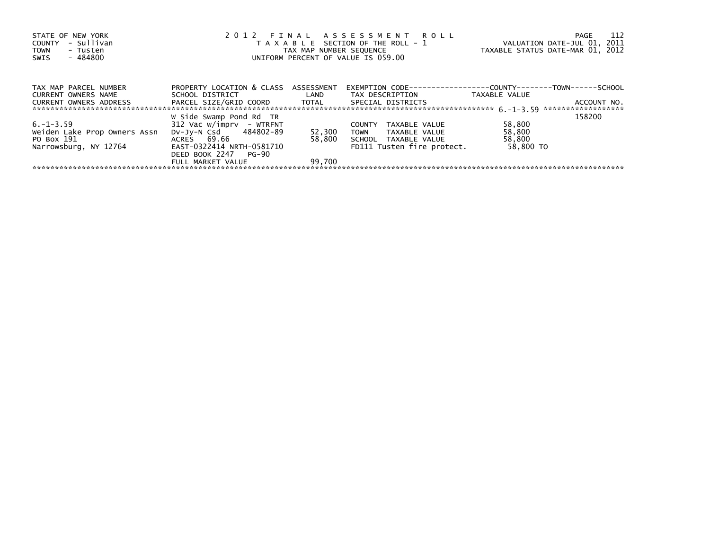| STATE OF NEW YORK<br>- Sullivan<br>COUNTY<br><b>TOWN</b><br>- Tusten | 2012 FINAL ASSESSMENT ROLL<br>T A X A B L E SECTION OF THE ROLL - 1 | VALUATION DATE-JUL 01, 2011<br>TAXABLE STATUS DATE-MAR 01, 2012 | 112<br>PAGE                                                          |                     |                                   |
|----------------------------------------------------------------------|---------------------------------------------------------------------|-----------------------------------------------------------------|----------------------------------------------------------------------|---------------------|-----------------------------------|
| - 484800<br>SWIS                                                     |                                                                     |                                                                 | TAX MAP NUMBER SEQUENCE<br>UNIFORM PERCENT OF VALUE IS 059.00        |                     |                                   |
| TAX MAP PARCEL NUMBER                                                | PROPERTY LOCATION & CLASS ASSESSMENT                                |                                                                 | EXEMPTION        CODE-----------------COUNTY--------TOWN------SCHOOL |                     |                                   |
| CURRENT OWNERS NAME<br>CURRENT OWNERS ADDRESS                        | SCHOOL DISTRICT<br>PARCEL SIZE/GRID COORD TOTAL                     | LAND                                                            | TAX DESCRIPTION<br>SPECIAL DISTRICTS                                 | TAXABLE VALUE       | ACCOUNT NO.<br>****************** |
| $6. -1 - 3.59$                                                       | W Side Swamp Pond Rd TR<br>$312$ Vac w/imprv - WTRFNT               |                                                                 | <b>COUNTY</b><br>TAXABLE VALUE                                       | 58,800              | 158200                            |
| Weiden Lake Prop Owners Assn                                         | DV-JV-N Csd 484802-89                                               | 52,300                                                          | TOWN<br>TAXABLE VALUE                                                | 58,800              |                                   |
| PO Box 191<br>Narrowsburg, NY 12764                                  | ACRES 69.66<br>EAST-0322414 NRTH-0581710<br>DEED BOOK 2247 PG-90    | 58.800                                                          | SCHOOL TAXABLE VALUE<br>FD111 Tusten fire protect.                   | 58,800<br>58,800 TO |                                   |
|                                                                      | FULL MARKET VALUE                                                   | 99.700                                                          |                                                                      |                     |                                   |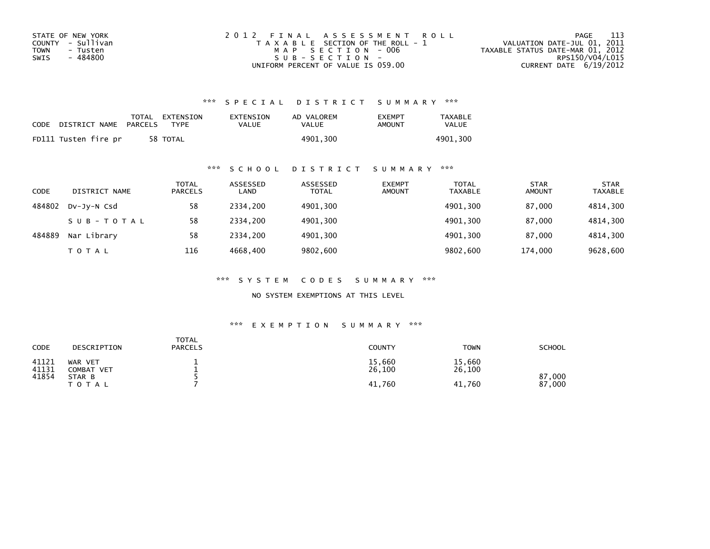| STATE OF NEW YORK | 2012 FINAL ASSESSMENT ROLL            | - 113<br>PAGE                    |
|-------------------|---------------------------------------|----------------------------------|
| COUNTY - Sullivan | T A X A B L E SECTION OF THE ROLL - 1 | VALUATION DATE-JUL 01, 2011      |
| TOWN<br>- Tusten  | MAP SECTION - 006                     | TAXABLE STATUS DATE-MAR 01, 2012 |
| - 484800<br>SWIS  | SUB-SECTION-                          | RPS150/V04/L015                  |
|                   | UNIFORM PERCENT OF VALUE IS 059.00    | CURRENT DATE $6/19/2012$         |

| CODE | DISTRICT NAME        | PARCELS | TOTAL EXTENSION<br><b>TYPF</b> | EXTENSION<br>VALUE | AD VALOREM<br>VALUE | <b>FXFMPT</b><br>AMOUNT | <b>TAXABLE</b><br>VALUE |
|------|----------------------|---------|--------------------------------|--------------------|---------------------|-------------------------|-------------------------|
|      | FD111 Tusten fire pr |         | 58 TOTAL                       |                    | 4901.300            |                         | 4901.300                |

## \*\*\* S C H O O L D I S T R I C T S U M M A R Y \*\*\*

| <b>CODE</b> | DISTRICT NAME | TOTAL<br><b>PARCELS</b> | ASSESSED<br>LAND | ASSESSED<br><b>TOTAL</b> | <b>EXEMPT</b><br><b>AMOUNT</b> | <b>TOTAL</b><br><b>TAXABLE</b> | <b>STAR</b><br><b>AMOUNT</b> | <b>STAR</b><br><b>TAXABLE</b> |
|-------------|---------------|-------------------------|------------------|--------------------------|--------------------------------|--------------------------------|------------------------------|-------------------------------|
| 484802      | DV-JY-N Csd   | 58                      | 2334.200         | 4901,300                 |                                | 4901,300                       | 87.000                       | 4814,300                      |
|             | SUB-TOTAL     | 58                      | 2334.200         | 4901,300                 |                                | 4901,300                       | 87.000                       | 4814,300                      |
| 484889      | Nar Library   | 58                      | 2334.200         | 4901,300                 |                                | 4901.300                       | 87.000                       | 4814,300                      |
|             | TOTAL         | 116                     | 4668,400         | 9802,600                 |                                | 9802,600                       | 174,000                      | 9628,600                      |

\*\*\* S Y S T E M C O D E S S U M M A R Y \*\*\*

NO SYSTEM EXEMPTIONS AT THIS LEVEL

| CODE           | DESCRIPTION                  | TOTAL<br><b>PARCELS</b> | <b>COUNTY</b>    | <b>TOWN</b>      | <b>SCHOOL</b>    |
|----------------|------------------------------|-------------------------|------------------|------------------|------------------|
| 41121<br>41131 | WAR VET<br><b>COMBAT VET</b> |                         | 15,660<br>26,100 | 15,660<br>26,100 |                  |
| 41854          | STAR B<br>T O T A L          |                         | 41.760           | 41,760           | 87,000<br>87,000 |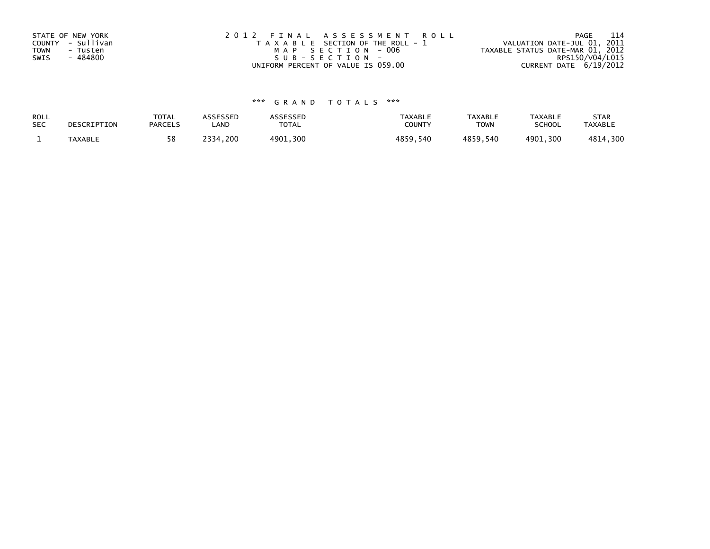| STATE OF NEW YORK<br>COUNTY - Sullivan<br>TOWN<br>- Tusten<br>- 484800<br>SWIS | 2012 FINAL ASSESSMENT ROLL<br>T A X A B L E SECTION OF THE ROLL - 1<br>MAP SECTION - 006<br>$SUB - SECTION -$ | 114<br>PAGE<br>VALUATION DATE-JUL 01, 2011<br>TAXABLE STATUS DATE-MAR 01, 2012<br>RPS150/V04/L015 |
|--------------------------------------------------------------------------------|---------------------------------------------------------------------------------------------------------------|---------------------------------------------------------------------------------------------------|
|                                                                                | UNIFORM PERCENT OF VALUE IS 059.00                                                                            | CURRENT DATE 6/19/2012                                                                            |

| ROLL       | DESCRIPTION | <b>TOTAL</b>   | <b>ASSESSED</b> | ASSESSED    | <b>TAXABLE</b> | <b>TAXABLE</b> | <b>TAXABLE</b> | <b>STAR</b>    |
|------------|-------------|----------------|-----------------|-------------|----------------|----------------|----------------|----------------|
| <b>SEC</b> |             | <b>PARCELS</b> | .AND            | TOTAL       | <b>COUNTY</b>  | <b>TOWN</b>    | <b>SCHOOL</b>  | <b>TAXABLE</b> |
|            | TAXABLE     | 58             | 2334,200        | 300<br>4901 | 4859.540       | 4859,540       | 4901,300       | .300<br>4814   |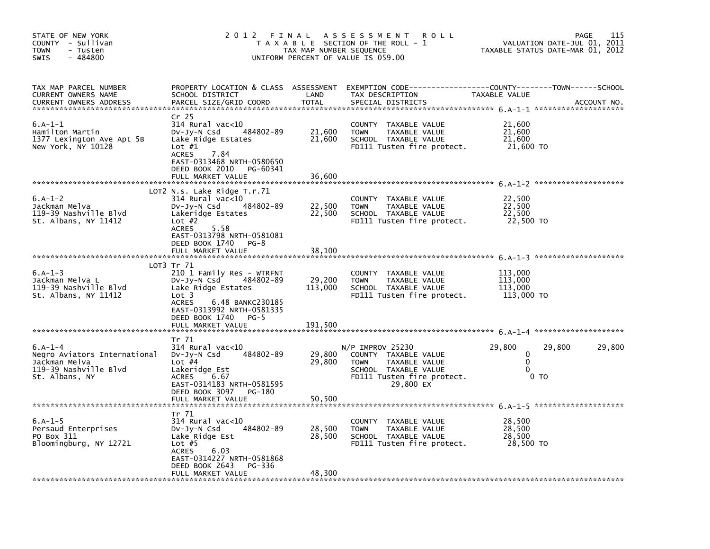| STATE OF NEW YORK<br>COUNTY - Sullivan<br><b>TOWN</b><br>- Tusten<br>$-484800$<br><b>SWIS</b>         | 2 0 1 2                                                                                                                                                                                                              | FINAL<br>TAX MAP NUMBER SEQUENCE | A S S E S S M E N T<br><b>ROLL</b><br>T A X A B L E SECTION OF THE ROLL - 1<br>UNIFORM PERCENT OF VALUE IS 059.00                             |                                                | <b>PAGE</b><br>VALUATION DATE-JUL 01, 2011<br>TAXABLE STATUS DATE-MAR 01, 2012 | 115    |
|-------------------------------------------------------------------------------------------------------|----------------------------------------------------------------------------------------------------------------------------------------------------------------------------------------------------------------------|----------------------------------|-----------------------------------------------------------------------------------------------------------------------------------------------|------------------------------------------------|--------------------------------------------------------------------------------|--------|
| TAX MAP PARCEL NUMBER<br>CURRENT OWNERS NAME<br><b>CURRENT OWNERS ADDRESS</b>                         | PROPERTY LOCATION & CLASS ASSESSMENT<br>SCHOOL DISTRICT<br>PARCEL SIZE/GRID COORD                                                                                                                                    | LAND<br><b>TOTAL</b>             | EXEMPTION CODE-----------------COUNTY-------TOWN------SCHOOL<br>TAX DESCRIPTION<br>SPECIAL DISTRICTS                                          | TAXABLE VALUE                                  | ACCOUNT NO.                                                                    |        |
| $6.A-1-1$<br>Hamilton Martin<br>1377 Lexington Ave Apt 5B<br>New York, NY 10128                       | Cr 25<br>$314$ Rural vac<10<br>484802-89<br>DV-Jy-N Csd<br>Lake Ridge Estates<br>Lot $#1$<br><b>ACRES</b><br>7.84<br>EAST-0313468 NRTH-0580650<br>DEED BOOK 2010<br>PG-60341<br>FULL MARKET VALUE                    | 21,600<br>21,600<br>36,600       | COUNTY TAXABLE VALUE<br><b>TOWN</b><br>TAXABLE VALUE<br>SCHOOL TAXABLE VALUE<br>FD111 Tusten fire protect.                                    | 21,600<br>21,600<br>21,600<br>21,600 TO        |                                                                                |        |
| $6.A-1-2$<br>Jackman Melva<br>119-39 Nashville Blvd<br>St. Albans, NY 11412                           | LOT2 N.s. Lake Ridge $T.r.71$<br>314 Rural vac<10<br>484802-89<br>DV-Jy-N Csd<br>Lakeridge Estates<br>Lot $#2$<br>5.58<br><b>ACRES</b><br>EAST-0313798 NRTH-0581081<br>DEED BOOK 1740<br>$PG-8$<br>FULL MARKET VALUE | 22,500<br>22,500<br>38,100       | COUNTY<br>TAXABLE VALUE<br><b>TOWN</b><br>TAXABLE VALUE<br>SCHOOL TAXABLE VALUE<br>FD111 Tusten fire protect.                                 | 22,500<br>22,500<br>22,500<br>22,500 TO        |                                                                                |        |
| $6.A-1-3$<br>Jackman Melva L<br>119-39 Nashville Blvd<br>St. Albans, NY 11412                         | LOT3 Tr 71<br>210 1 Family Res - WTRFNT<br>DV-Jy-N Csd<br>484802-89<br>Lake Ridge Estates<br>Lot 3<br>6.48 BANKC230185<br><b>ACRES</b><br>EAST-0313992 NRTH-0581335<br>DEED BOOK 1740 PG-5<br>FULL MARKET VALUE      | 29,200<br>113,000<br>191,500     | COUNTY TAXABLE VALUE<br><b>TOWN</b><br>TAXABLE VALUE<br>SCHOOL TAXABLE VALUE<br>FD111 Tusten fire protect.                                    | 113,000<br>113,000<br>113,000<br>113,000 TO    |                                                                                |        |
| $6.A-1-4$<br>Negro Aviators International<br>Jackman Melva<br>119-39 Nashville Blvd<br>St. Albans, NY | Tr 71<br>314 Rural vac<10<br>484802-89<br>$Dv-Jy-N$ Csd<br>Lot $#4$<br>Lakeridge Est<br>6.67<br><b>ACRES</b><br>EAST-0314183 NRTH-0581595<br>DEED BOOK 3097 PG-180<br>FULL MARKET VALUE                              | 29,800<br>29,800<br>50,500       | $N/P$ IMPROV 25230<br>COUNTY TAXABLE VALUE<br><b>TOWN</b><br>TAXABLE VALUE<br>SCHOOL TAXABLE VALUE<br>FD111 Tusten fire protect.<br>29,800 EX | 29,800<br>0<br>0<br>$\Omega$<br>0 <sub>T</sub> | 29,800                                                                         | 29,800 |
| $6.A-1-5$<br>Persaud Enterprises<br>PO Box 311<br>Bloomingburg, NY 12721                              | Tr 71<br>314 Rural vac<10<br>484802-89<br>DV-Jy-N Csd<br>Lake Ridge Est<br>Lot $#5$<br><b>ACRES</b><br>6.03<br>EAST-0314227 NRTH-0581868<br>DEED BOOK 2643<br>PG-336<br>FULL MARKET VALUE                            | 28,500<br>28,500<br>48,300       | COUNTY TAXABLE VALUE<br><b>TOWN</b><br>TAXABLE VALUE<br>SCHOOL TAXABLE VALUE<br>FD111 Tusten fire protect.                                    | 28,500<br>28,500<br>28,500<br>28,500 TO        |                                                                                |        |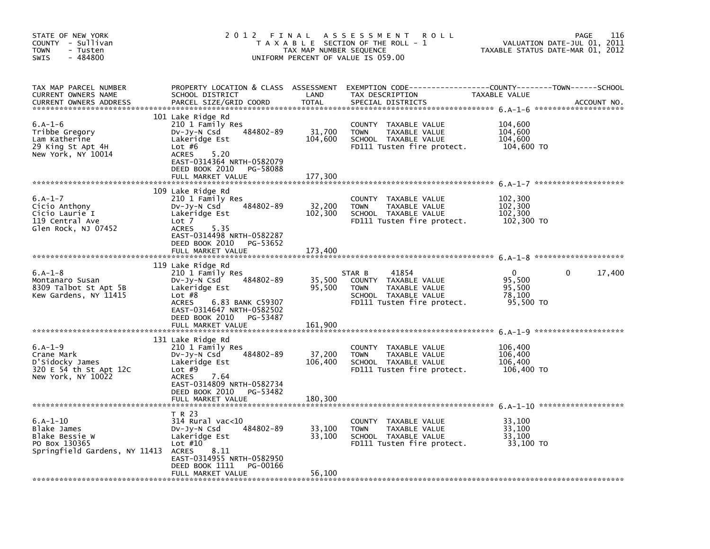| STATE OF NEW YORK<br>COUNTY - Sullivan<br>- Tusten<br>TOWN<br>$-484800$<br>SWIS             | 2 0 1 2                                                                                                                                                                                                            | FINAL<br>TAX MAP NUMBER SEQUENCE | A S S E S S M E N T<br><b>ROLL</b><br>T A X A B L E SECTION OF THE ROLL - 1<br>UNIFORM PERCENT OF VALUE IS 059.00             | 116<br><b>PAGE</b><br>VALUATION DATE-JUL 01, 2011<br>TAXABLE STATUS DATE-MAR 01, 2012 |                        |  |
|---------------------------------------------------------------------------------------------|--------------------------------------------------------------------------------------------------------------------------------------------------------------------------------------------------------------------|----------------------------------|-------------------------------------------------------------------------------------------------------------------------------|---------------------------------------------------------------------------------------|------------------------|--|
| TAX MAP PARCEL NUMBER<br>CURRENT OWNERS NAME<br><b>CURRENT OWNERS ADDRESS</b>               | PROPERTY LOCATION & CLASS ASSESSMENT<br>SCHOOL DISTRICT<br>PARCEL SIZE/GRID COORD                                                                                                                                  | LAND<br><b>TOTAL</b>             | EXEMPTION CODE-----------------COUNTY-------TOWN------SCHOOL<br>TAX DESCRIPTION<br>SPECIAL DISTRICTS                          | TAXABLE VALUE                                                                         | ACCOUNT NO.            |  |
| $6.A-1-6$<br>Tribbe Gregory<br>Lam Katherine<br>29 King St Apt 4H<br>New York, NY 10014     | 101 Lake Ridge Rd<br>210 1 Family Res<br>484802-89<br>DV-Jy-N Csd<br>Lakeridge Est<br>Lot $#6$<br>5.20<br><b>ACRES</b><br>EAST-0314364 NRTH-0582079<br>DEED BOOK 2010<br>PG-58088<br>FULL MARKET VALUE             | 31,700<br>104,600<br>177,300     | COUNTY TAXABLE VALUE<br><b>TOWN</b><br>TAXABLE VALUE<br>SCHOOL TAXABLE VALUE<br>FD111 Tusten fire protect.                    | 104,600<br>104,600<br>104,600<br>104,600 TO                                           |                        |  |
| $6.A-1-7$<br>Cicio Anthony<br>Cicio Laurie I<br>119 Central Ave<br>Glen Rock, NJ 07452      | 109 Lake Ridge Rd<br>210 1 Family Res<br>484802-89<br>DV-Jy-N Csd<br>Lakeridge Est<br>Lot 7<br><b>ACRES</b><br>5.35<br>EAST-0314498 NRTH-0582287<br>DEED BOOK 2010<br>PG-53652<br>FULL MARKET VALUE                | 32,200<br>102,300<br>173.400     | TAXABLE VALUE<br>COUNTY<br><b>TOWN</b><br>TAXABLE VALUE<br>SCHOOL TAXABLE VALUE<br>FD111 Tusten fire protect.                 | 102,300<br>102,300<br>102,300<br>102,300 TO                                           |                        |  |
| $6.A-1-8$<br>Montanaro Susan<br>8309 Talbot St Apt 5B<br>Kew Gardens, NY 11415              | 119 Lake Ridge Rd<br>210 1 Family Res<br>484802-89<br>DV-Jy-N Csd<br>Lakeridge Est<br>Lot $#8$<br><b>ACRES</b><br>6.83 BANK C59307<br>EAST-0314647 NRTH-0582502<br>DEED BOOK 2010<br>PG-53487<br>FULL MARKET VALUE | 35,500<br>95,500<br>161.900      | 41854<br>STAR B<br>COUNTY TAXABLE VALUE<br>TAXABLE VALUE<br><b>TOWN</b><br>SCHOOL TAXABLE VALUE<br>FD111 Tusten fire protect. | $\mathbf 0$<br>95,500<br>95,500<br>78,100<br>95,500 TO                                | $\mathbf{0}$<br>17,400 |  |
| $6.A-1-9$<br>Crane Mark<br>D'Sidocky James<br>320 E 54 th St Apt 12C<br>New York, NY 10022  | 131 Lake Ridge Rd<br>210 1 Family Res<br>484802-89<br>DV-Jy-N Csd<br>Lakeridge Est<br>Lot $#9$<br><b>ACRES</b><br>7.64<br>EAST-0314809 NRTH-0582734<br>DEED BOOK 2010<br>PG-53482<br>FULL MARKET VALUE             | 37,200<br>106,400<br>180,300     | COUNTY TAXABLE VALUE<br><b>TOWN</b><br>TAXABLE VALUE<br>SCHOOL TAXABLE VALUE<br>FD111 Tusten fire protect.                    | 106,400<br>106,400<br>106,400<br>106,400 TO                                           |                        |  |
| 6.A-1-10<br>Blake James<br>Blake Bessie W<br>PO Box 130365<br>Springfield Gardens, NY 11413 | T R 23<br>$314$ Rural vac<10<br>484802-89<br>$Dv-Jy-N$ Csd<br>Lakeridge Est<br>Lot $#10$<br>8.11<br>ACRES<br>EAST-0314955 NRTH-0582950<br>DEED BOOK 1111<br>PG-00166<br>FULL MARKET VALUE                          | 33,100<br>33,100<br>56,100       | COUNTY TAXABLE VALUE<br>TAXABLE VALUE<br><b>TOWN</b><br>SCHOOL TAXABLE VALUE<br>FD111 Tusten fire protect.                    | 33,100<br>33,100<br>33,100<br>33,100 TO                                               |                        |  |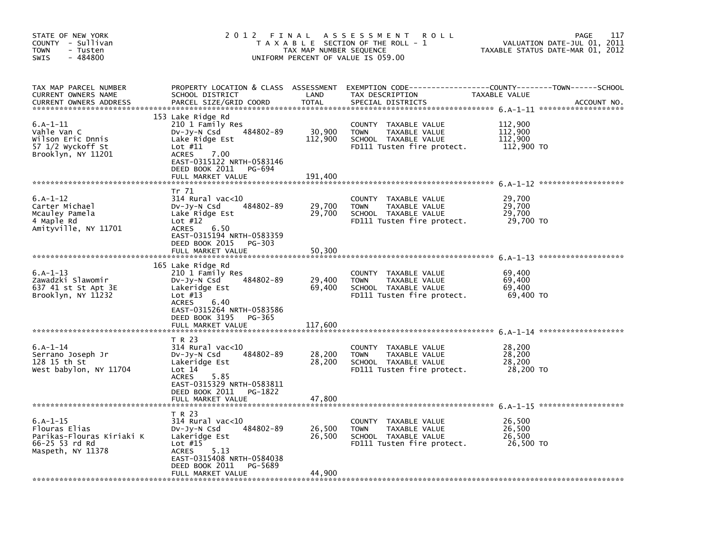| STATE OF NEW YORK<br>COUNTY - Sullivan<br><b>TOWN</b><br>- Tusten<br>$-484800$<br><b>SWIS</b>        | 2 0 1 2                                                                                                                                                                                                  | FINAL<br>TAX MAP NUMBER SEQUENCE | A S S E S S M E N T<br><b>ROLL</b><br>T A X A B L E SECTION OF THE ROLL - 1<br>UNIFORM PERCENT OF VALUE IS 059.00    |                                             | 117<br><b>PAGE</b><br>VALUATION DATE-JUL 01, 2011<br>TAXABLE STATUS DATE-MAR 01, 2012 |
|------------------------------------------------------------------------------------------------------|----------------------------------------------------------------------------------------------------------------------------------------------------------------------------------------------------------|----------------------------------|----------------------------------------------------------------------------------------------------------------------|---------------------------------------------|---------------------------------------------------------------------------------------|
| TAX MAP PARCEL NUMBER<br>CURRENT OWNERS NAME<br><b>CURRENT OWNERS ADDRESS</b>                        | PROPERTY LOCATION & CLASS ASSESSMENT<br>SCHOOL DISTRICT<br>PARCEL SIZE/GRID COORD                                                                                                                        | LAND<br><b>TOTAL</b>             | EXEMPTION CODE----<br>TAX DESCRIPTION<br>SPECIAL DISTRICTS                                                           | TAXABLE VALUE                               | --------COUNTY--------TOWN------SCHOOL<br>ACCOUNT NO.                                 |
| $6.A-1-11$<br>Vahle Van C<br>Wilson Eric Dnnis<br>57 1/2 Wyckoff St<br>Brooklyn, NY 11201            | 153 Lake Ridge Rd<br>210 1 Family Res<br>484802-89<br>$Dv-Jy-N$ Csd<br>Lake Ridge Est<br>Lot $#11$<br><b>ACRES</b><br>7.00<br>EAST-0315122 NRTH-0583146<br>DEED BOOK 2011<br>PG-694<br>FULL MARKET VALUE | 30,900<br>112,900<br>191,400     | <b>COUNTY</b><br>TAXABLE VALUE<br>TAXABLE VALUE<br><b>TOWN</b><br>SCHOOL TAXABLE VALUE<br>FD111 Tusten fire protect. | 112,900<br>112,900<br>112,900<br>112,900 TO |                                                                                       |
|                                                                                                      |                                                                                                                                                                                                          |                                  |                                                                                                                      |                                             |                                                                                       |
| $6.A-1-12$<br>Carter Michael<br>Mcauley Pamela<br>4 Maple Rd<br>Amityville, NY 11701                 | Tr 71<br>$314$ Rural vac<10<br>484802-89<br>DV-Jy-N Csd<br>Lake Ridge Est<br>Lot $#12$<br><b>ACRES</b><br>6.50<br>EAST-0315194 NRTH-0583359                                                              | 29,700<br>29,700                 | <b>COUNTY</b><br>TAXABLE VALUE<br><b>TOWN</b><br>TAXABLE VALUE<br>SCHOOL TAXABLE VALUE<br>FD111 Tusten fire protect. | 29,700<br>29,700<br>29,700<br>29,700 TO     |                                                                                       |
|                                                                                                      | DEED BOOK 2015<br>$PG-303$<br>FULL MARKET VALUE                                                                                                                                                          | 50,300                           |                                                                                                                      |                                             |                                                                                       |
|                                                                                                      |                                                                                                                                                                                                          |                                  |                                                                                                                      |                                             |                                                                                       |
| $6.A-1-13$<br>Zawadzki Slawomir<br>637 41 st St Apt 3E<br>Brooklyn, NY 11232                         | 165 Lake Ridge Rd<br>210 1 Family Res<br>484802-89<br>DV-Jy-N Csd<br>Lakeridge Est<br>Lot $#13$<br><b>ACRES</b><br>6.40<br>EAST-0315264 NRTH-0583586<br>DEED BOOK 3195<br>PG-365<br>FULL MARKET VALUE    | 29,400<br>69,400<br>117.600      | COUNTY TAXABLE VALUE<br><b>TOWN</b><br>TAXABLE VALUE<br>SCHOOL TAXABLE VALUE<br>FD111 Tusten fire protect.           | 69,400<br>69,400<br>69,400<br>69,400 TO     |                                                                                       |
|                                                                                                      |                                                                                                                                                                                                          |                                  |                                                                                                                      |                                             |                                                                                       |
| $6. A - 1 - 14$<br>Serrano Joseph Jr<br>128 15 th St<br>West babylon, NY 11704                       | T R 23<br>$314$ Rural vac< $10$<br>484802-89<br>DV-Jy-N Csd<br>Lakeridge Est<br>Lot 14<br>5.85<br><b>ACRES</b><br>EAST-0315329 NRTH-0583811<br>DEED BOOK 2011<br>PG-1822<br>FULL MARKET VALUE            | 28,200<br>28,200<br>47,800       | COUNTY TAXABLE VALUE<br><b>TOWN</b><br>TAXABLE VALUE<br>SCHOOL TAXABLE VALUE<br>FD111 Tusten fire protect.           | 28,200<br>28,200<br>28,200<br>28,200 TO     |                                                                                       |
|                                                                                                      |                                                                                                                                                                                                          |                                  |                                                                                                                      |                                             |                                                                                       |
| $6. A - 1 - 15$<br>Flouras Elias<br>Parikas-Flouras Kiriaki K<br>66-25 53 rd Rd<br>Maspeth, NY 11378 | T R 23<br>$314$ Rural vac< $10$<br>484802-89<br>DV-Jy-N Csd<br>Lakeridge Est<br>Lot $#15$<br><b>ACRES</b><br>5.13<br>EAST-0315408 NRTH-0584038<br>DEED BOOK 2011<br>PG-5689                              | 26,500<br>26,500                 | COUNTY TAXABLE VALUE<br>TAXABLE VALUE<br><b>TOWN</b><br>SCHOOL TAXABLE VALUE<br>FD111 Tusten fire protect.           | 26,500<br>26,500<br>26,500<br>26,500 TO     |                                                                                       |
|                                                                                                      | FULL MARKET VALUE                                                                                                                                                                                        | 44,900                           |                                                                                                                      |                                             |                                                                                       |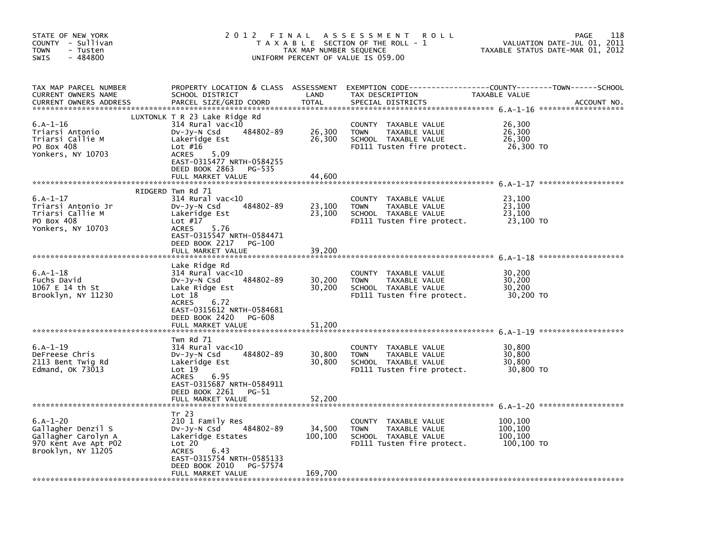| STATE OF NEW YORK<br>COUNTY - Sullivan<br>TOWN<br>- Tusten<br>$-484800$<br>SWIS                       | 2 0 1 2<br>FINAL<br>T A X A B L E SECTION OF THE ROLL - 1<br>TAX MAP NUMBER SEQUENCE<br>UNIFORM PERCENT OF VALUE IS 059.00                                                                                          | 118<br><b>PAGE</b><br>VALUATION DATE-JUL 01, 2011<br>TAXABLE STATUS DATE-MAR 01, 2012 |                                                                                                               |                                             |             |
|-------------------------------------------------------------------------------------------------------|---------------------------------------------------------------------------------------------------------------------------------------------------------------------------------------------------------------------|---------------------------------------------------------------------------------------|---------------------------------------------------------------------------------------------------------------|---------------------------------------------|-------------|
| TAX MAP PARCEL NUMBER<br>CURRENT OWNERS NAME<br><b>CURRENT OWNERS ADDRESS</b>                         | PROPERTY LOCATION & CLASS ASSESSMENT<br>SCHOOL DISTRICT<br>PARCEL SIZE/GRID COORD                                                                                                                                   | LAND<br><b>TOTAL</b>                                                                  | EXEMPTION CODE-----------------COUNTY-------TOWN------SCHOOL<br>TAX DESCRIPTION<br>SPECIAL DISTRICTS          | TAXABLE VALUE                               | ACCOUNT NO. |
| $6.A-1-16$<br>Triarsi Antonio<br>Triarsi Callie M<br>PO Box 408<br>Yonkers, NY 10703                  | LUXTONLK T R 23 Lake Ridge Rd<br>314 Rural vac<10<br>484802-89<br>$Dv-Jy-N$ Csd<br>Lakeridge Est<br>Lot $#16$<br>5.09<br><b>ACRES</b><br>EAST-0315477 NRTH-0584255<br>DEED BOOK 2863<br>PG-535<br>FULL MARKET VALUE | 26,300<br>26,300<br>44,600                                                            | COUNTY TAXABLE VALUE<br><b>TOWN</b><br>TAXABLE VALUE<br>SCHOOL TAXABLE VALUE<br>FD111 Tusten fire protect.    | 26,300<br>26,300<br>26,300<br>26,300 TO     |             |
| $6.A-1-17$<br>Triarsi Antonio Jr<br>Triarsi Callie M<br>PO Box 408<br>Yonkers, NY 10703               | RIDGERD Twn Rd 71<br>314 Rural vac<10<br>484802-89<br>DV-Jy-N Csd<br>Lakeridge Est<br>Lot $#17$<br>5.76<br><b>ACRES</b><br>EAST-0315547 NRTH-0584471<br>DEED BOOK 2217<br>PG-100<br>FULL MARKET VALUE               | 23,100<br>23,100<br>39,200                                                            | COUNTY<br>TAXABLE VALUE<br>TAXABLE VALUE<br><b>TOWN</b><br>SCHOOL TAXABLE VALUE<br>FD111 Tusten fire protect. | 23,100<br>23,100<br>23,100<br>23,100 TO     |             |
| $6.A-1-18$<br>Fuchs David<br>1067 E 14 th St<br>Brooklyn, NY 11230                                    | Lake Ridge Rd<br>314 Rural vac<10<br>484802-89<br>DV-Jy-N Csd<br>Lake Ridge Est<br>Lot 18<br><b>ACRES</b><br>6.72<br>EAST-0315612 NRTH-0584681<br>DEED BOOK 2420<br>PG-608<br>FULL MARKET VALUE                     | 30,200<br>30,200<br>51,200                                                            | COUNTY TAXABLE VALUE<br><b>TOWN</b><br>TAXABLE VALUE<br>SCHOOL TAXABLE VALUE<br>FD111 Tusten fire protect.    | 30,200<br>30,200<br>30,200<br>30,200 TO     |             |
| $6.A-1-19$<br>DeFreese Chris<br>2113 Bent Twig Rd<br>Edmand, OK 73013                                 | Twn Rd 71<br>314 Rural vac<10<br>484802-89<br>DV-Jy-N Csd<br>Lakeridge Est<br>Lot 19<br>6.95<br><b>ACRES</b><br>EAST-0315687 NRTH-0584911<br>DEED BOOK 2261<br>PG-51<br>FULL MARKET VALUE                           | 30,800<br>30,800<br>52,200                                                            | COUNTY TAXABLE VALUE<br><b>TOWN</b><br>TAXABLE VALUE<br>SCHOOL TAXABLE VALUE<br>FD111 Tusten fire protect.    | 30,800<br>30,800<br>30,800<br>30,800 TO     |             |
| $6.A-1-20$<br>Gallagher Denzil S<br>Gallagher Carolyn A<br>970 Kent Ave Apt P02<br>Brooklyn, NY 11205 | Tr 23<br>210 1 Family Res<br>484802-89<br>$Dv-Jy-N$ Csd<br>Lakeridge Estates<br>Lot 20<br><b>ACRES</b><br>6.43<br>EAST-0315754 NRTH-0585133<br>DEED BOOK 2010<br>PG-57574<br>FULL MARKET VALUE                      | 34,500<br>100,100<br>169,700                                                          | COUNTY TAXABLE VALUE<br><b>TOWN</b><br>TAXABLE VALUE<br>SCHOOL TAXABLE VALUE<br>FD111 Tusten fire protect.    | 100,100<br>100,100<br>100,100<br>100,100 TO |             |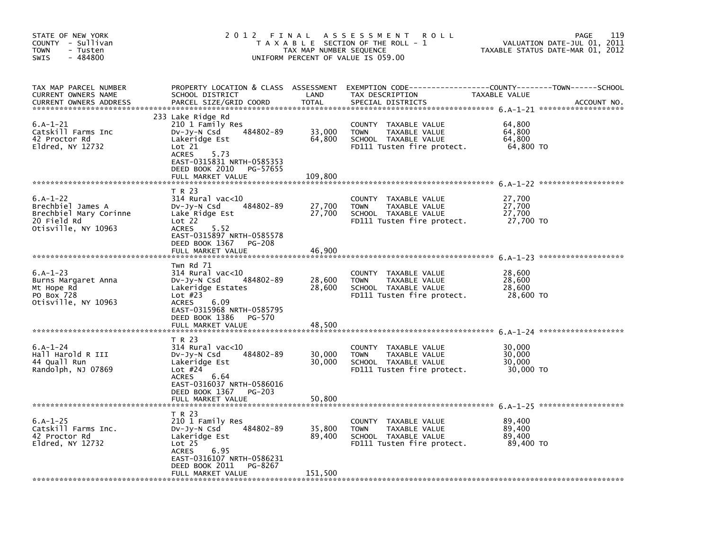| STATE OF NEW YORK<br>COUNTY - Sullivan<br><b>TOWN</b><br>- Tusten<br>$-484800$<br><b>SWIS</b>   | 2 0 1 2                                                                                                                                                                                              | FINAL<br>TAX MAP NUMBER SEQUENCE | A S S E S S M E N T<br><b>ROLL</b><br>T A X A B L E SECTION OF THE ROLL - 1<br>UNIFORM PERCENT OF VALUE IS 059.00    |                                         | 119<br>PAGE<br>VALUATION DATE-JUL 01, 2011<br>TAXABLE STATUS DATE-MAR 01, 2012 |
|-------------------------------------------------------------------------------------------------|------------------------------------------------------------------------------------------------------------------------------------------------------------------------------------------------------|----------------------------------|----------------------------------------------------------------------------------------------------------------------|-----------------------------------------|--------------------------------------------------------------------------------|
| TAX MAP PARCEL NUMBER<br>CURRENT OWNERS NAME<br><b>CURRENT OWNERS ADDRESS</b>                   | PROPERTY LOCATION & CLASS ASSESSMENT<br>SCHOOL DISTRICT<br>PARCEL SIZE/GRID COORD                                                                                                                    | LAND<br><b>TOTAL</b>             | EXEMPTION CODE----<br>TAX DESCRIPTION<br>SPECIAL DISTRICTS                                                           | TAXABLE VALUE                           | --------COUNTY--------TOWN------SCHOOL<br>ACCOUNT NO.                          |
| $6. A - 1 - 21$<br>Catskill Farms Inc<br>42 Proctor Rd<br>$E1dred$ , NY 12732                   | 233 Lake Ridge Rd<br>210 1 Family Res<br>484802-89<br>DV-Jy-N Csd<br>Lakeridge Est<br>Lot 21<br><b>ACRES</b><br>5.73<br>EAST-0315831 NRTH-0585353<br>DEED BOOK 2010<br>PG-57655<br>FULL MARKET VALUE | 33,000<br>64,800<br>109,800      | COUNTY<br>TAXABLE VALUE<br><b>TOWN</b><br>TAXABLE VALUE<br>SCHOOL TAXABLE VALUE<br>FD111 Tusten fire protect.        | 64,800<br>64,800<br>64,800<br>64,800 TO |                                                                                |
|                                                                                                 |                                                                                                                                                                                                      |                                  |                                                                                                                      |                                         |                                                                                |
| $6.A-1-22$<br>Brechbiel James A<br>Brechbiel Mary Corinne<br>20 Field Rd<br>Otisville, NY 10963 | T R 23<br>$314$ Rural vac< $10$<br>484802-89<br>DV-Jy-N Csd<br>Lake Ridge Est<br>Lot 22<br>5.52<br><b>ACRES</b><br>EAST-0315897 NRTH-0585578                                                         | 27,700<br>27,700                 | <b>COUNTY</b><br>TAXABLE VALUE<br>TAXABLE VALUE<br><b>TOWN</b><br>SCHOOL TAXABLE VALUE<br>FD111 Tusten fire protect. | 27,700<br>27,700<br>27,700<br>27,700 TO |                                                                                |
|                                                                                                 | DEED BOOK 1367<br><b>PG-208</b><br>FULL MARKET VALUE                                                                                                                                                 | 46,900                           |                                                                                                                      |                                         |                                                                                |
|                                                                                                 |                                                                                                                                                                                                      |                                  |                                                                                                                      |                                         |                                                                                |
| $6.A-1-23$<br>Burns Margaret Anna<br>Mt Hope Rd<br>PO Box 728<br>Otisville, NY 10963            | Twn Rd 71<br>$314$ Rural vac< $10$<br>484802-89<br>DV-Jy-N Csd<br>Lakeridge Estates<br>Lot $#23$<br>6.09<br><b>ACRES</b><br>EAST-0315968 NRTH-0585795<br>DEED BOOK 1386<br>PG-570                    | 28,600<br>28,600                 | COUNTY TAXABLE VALUE<br><b>TOWN</b><br>TAXABLE VALUE<br>SCHOOL TAXABLE VALUE<br>FD111 Tusten fire protect.           | 28,600<br>28,600<br>28,600<br>28,600 TO |                                                                                |
|                                                                                                 | FULL MARKET VALUE                                                                                                                                                                                    | 48.500                           |                                                                                                                      |                                         |                                                                                |
| $6.A-1-24$<br>Hall Harold R III<br>44 Quall Run<br>Randolph, NJ 07869                           | T R 23<br>$314$ Rural vac<10<br>484802-89<br>DV-Jy-N Csd<br>Lakeridge Est<br>Lot $#24$<br>6.64<br><b>ACRES</b><br>EAST-0316037 NRTH-0586016<br>DEED BOOK 1367<br><b>PG-203</b><br>FULL MARKET VALUE  | 30.000<br>30,000<br>50,800       | COUNTY TAXABLE VALUE<br><b>TOWN</b><br>TAXABLE VALUE<br>SCHOOL TAXABLE VALUE<br>FD111 Tusten fire protect.           | 30,000<br>30,000<br>30,000<br>30,000 TO |                                                                                |
|                                                                                                 |                                                                                                                                                                                                      |                                  |                                                                                                                      |                                         |                                                                                |
| $6.A - 1 - 25$<br>Catskill Farms Inc.<br>42 Proctor Rd<br>Eldred, NY 12732                      | T R 23<br>210 1 Family Res<br>484802-89<br>DV-Jy-N Csd<br>Lakeridge Est<br>Lot <sub>25</sub><br><b>ACRES</b><br>6.95<br>EAST-0316107 NRTH-0586231<br>DEED BOOK 2011<br>PG-8267                       | 35,800<br>89,400                 | COUNTY TAXABLE VALUE<br><b>TOWN</b><br>TAXABLE VALUE<br>SCHOOL TAXABLE VALUE<br>FD111 Tusten fire protect.           | 89,400<br>89,400<br>89,400<br>89,400 TO |                                                                                |
|                                                                                                 | FULL MARKET VALUE                                                                                                                                                                                    | 151,500                          |                                                                                                                      |                                         |                                                                                |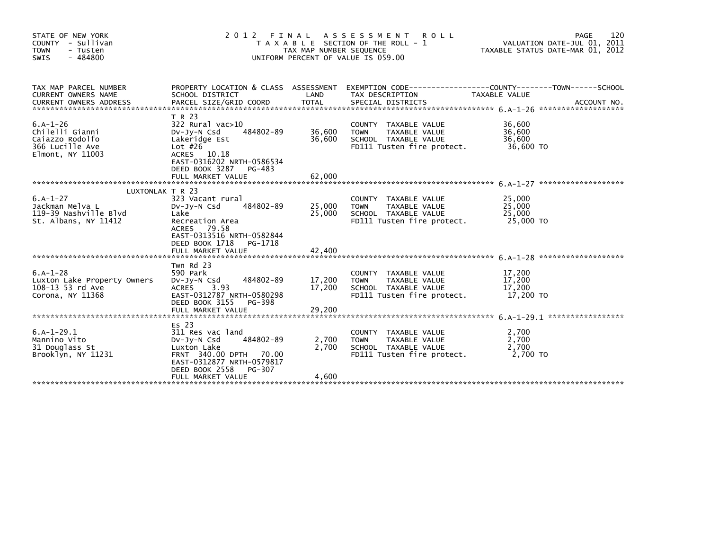| STATE OF NEW YORK<br>COUNTY - Sullivan<br><b>TOWN</b><br>- Tusten<br>SWIS<br>$-484800$  | FINAL<br>2012<br>T A X A B L E SECTION OF THE ROLL - 1<br>TAX MAP NUMBER SEQUENCE<br>UNIFORM PERCENT OF VALUE IS 059.00                                                             | 120<br><b>PAGE</b><br>VALUATION DATE-JUL 01, 2011<br>TAXABLE STATUS DATE-MAR 01, 2012 |                                                                                                            |                                         |             |
|-----------------------------------------------------------------------------------------|-------------------------------------------------------------------------------------------------------------------------------------------------------------------------------------|---------------------------------------------------------------------------------------|------------------------------------------------------------------------------------------------------------|-----------------------------------------|-------------|
| TAX MAP PARCEL NUMBER<br>CURRENT OWNERS NAME                                            | PROPERTY LOCATION & CLASS ASSESSMENT<br>SCHOOL DISTRICT                                                                                                                             | LAND                                                                                  | EXEMPTION CODE------------------COUNTY--------TOWN------SCHOOL<br>TAX DESCRIPTION                          | TAXABLE VALUE                           | ACCOUNT NO. |
| $6.A-1-26$<br>Chilelli Gianni<br>Caiazzo Rodolfo<br>366 Lucille Ave<br>Elmont, NY 11003 | T R 23<br>$322$ Rural vac $>10$<br>DV-Jy-N Csd<br>484802-89<br>Lakeridge Est<br>Lot $#26$<br>ACRES 10.18<br>EAST-0316202 NRTH-0586534<br>DEED BOOK 3287 PG-483<br>FULL MARKET VALUE | 36,600<br>36,600<br>62.000                                                            | COUNTY TAXABLE VALUE<br><b>TOWN</b><br>TAXABLE VALUE<br>SCHOOL TAXABLE VALUE<br>FD111 Tusten fire protect. | 36,600<br>36,600<br>36,600<br>36,600 TO |             |
| $6.A-1-27$<br>Jackman Melva L<br>119-39 Nashville Blvd<br>St. Albans, NY 11412          | LUXTONLAK T R 23<br>323 Vacant rural<br>484802-89<br>DV-JV-N Csd<br>Lake<br>Recreation Area<br>ACRES 79.58<br>EAST-0313516 NRTH-0582844<br>DEED BOOK 1718<br>PG-1718                | 25,000<br>25,000                                                                      | COUNTY TAXABLE VALUE<br>TAXABLE VALUE<br><b>TOWN</b><br>SCHOOL TAXABLE VALUE<br>FD111 Tusten fire protect. | 25,000<br>25,000<br>25,000<br>25,000 TO |             |
| $6.A-1-28$<br>Luxton Lake Property Owners<br>108-13 53 rd Ave<br>Corona, NY 11368       | Twn Rd 23<br>590 Park<br>Dv-Jy-N Csd 484802-89<br>ACRES 3.93<br>EAST-0312787 NRTH-0580298<br>DEED BOOK 3155 PG-398<br>FULL MARKET VALUE                                             | 17,200<br>17,200<br>29,200                                                            | COUNTY TAXABLE VALUE<br>TAXABLE VALUE<br><b>TOWN</b><br>SCHOOL TAXABLE VALUE<br>FD111 Tusten fire protect. | 17,200<br>17,200<br>17,200<br>17,200 TO |             |
| $6.A-1-29.1$<br>Mannino Vito<br>31 Douglass St<br>Brooklyn, NY 11231                    | Es 23<br>311 Res vac land<br>484802-89<br>$Dv-Jv-N$ Csd<br>Luxton Lake<br>FRNT 340.00 DPTH 70.00<br>EAST-0312877 NRTH-0579817<br>DEED BOOK 2558<br>PG-307<br>FULL MARKET VALUE      | 2,700<br>2.700<br>4,600                                                               | COUNTY TAXABLE VALUE<br>TAXABLE VALUE<br><b>TOWN</b><br>SCHOOL TAXABLE VALUE<br>FD111 Tusten fire protect. | 2,700<br>2,700<br>2.700<br>2.700 TO     |             |
|                                                                                         |                                                                                                                                                                                     |                                                                                       |                                                                                                            |                                         |             |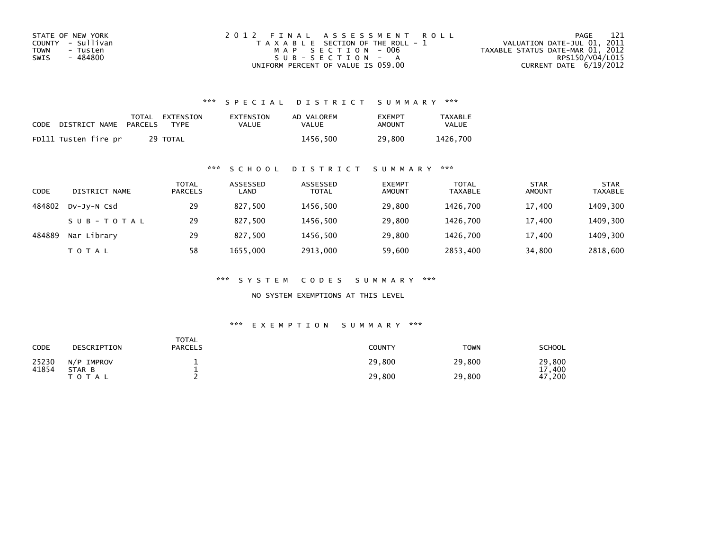| STATE OF NEW YORK | 2012 FINAL ASSESSMENT ROLL            | 121<br>PAGE                      |
|-------------------|---------------------------------------|----------------------------------|
| COUNTY - Sullivan | T A X A B L E SECTION OF THE ROLL - 1 | VALUATION DATE-JUL 01, 2011      |
| TOWN<br>- Tusten  | MAP SECTION - 006                     | TAXABLE STATUS DATE-MAR 01, 2012 |
| - 484800<br>SWIS  | $SUB - SECTION - A$                   | RPS150/V04/L015                  |
|                   | UNIFORM PERCENT OF VALUE IS 059.00    | CURRENT DATE $6/19/2012$         |

| CODE DISTRICT NAME PARCELS | TOTAL EXTENSION<br>TYPF | EXTENSION<br><b>VALUE</b> | AD VALOREM<br>VALUE | <b>FXFMPT</b><br>AMOUNT | TAXABLE<br><b>VALUE</b> |
|----------------------------|-------------------------|---------------------------|---------------------|-------------------------|-------------------------|
| FD111 Tusten fire pr       | 29 TOTAL                |                           | 1456.500            | 29,800                  | 1426.700                |

#### \*\*\* S C H O O L D I S T R I C T S U M M A R Y \*\*\*

| CODE   | DISTRICT NAME | <b>TOTAL</b><br><b>PARCELS</b> | ASSESSED<br>LAND | ASSESSED<br><b>TOTAL</b> | <b>EXEMPT</b><br><b>AMOUNT</b> | TOTAL<br><b>TAXABLE</b> | <b>STAR</b><br><b>AMOUNT</b> | <b>STAR</b><br><b>TAXABLE</b> |
|--------|---------------|--------------------------------|------------------|--------------------------|--------------------------------|-------------------------|------------------------------|-------------------------------|
| 484802 | DV-JV-N Csd   | 29                             | 827.500          | 1456.500                 | 29,800                         | 1426.700                | 17,400                       | 1409,300                      |
|        | SUB-TOTAL     | 29                             | 827.500          | 1456.500                 | 29,800                         | 1426.700                | 17.400                       | 1409,300                      |
| 484889 | Nar Library   | 29                             | 827,500          | 1456,500                 | 29,800                         | 1426.700                | 17,400                       | 1409,300                      |
|        | T O T A L     | 58                             | 1655,000         | 2913,000                 | 59,600                         | 2853,400                | 34,800                       | 2818,600                      |

\*\*\* S Y S T E M C O D E S S U M M A R Y \*\*\*

NO SYSTEM EXEMPTIONS AT THIS LEVEL

| CODE           | DESCRIPTION          | <b>TOTAL</b><br><b>PARCELS</b> | <b>COUNTY</b> | <b>TOWN</b> | SCHOOL         |
|----------------|----------------------|--------------------------------|---------------|-------------|----------------|
| 25230<br>41854 | N/P IMPROV<br>STAR B |                                | 29,800        | 29,800      | 29,800<br>.400 |
|                | T O T A L            |                                | 29,800        | 29,800      | 47,200         |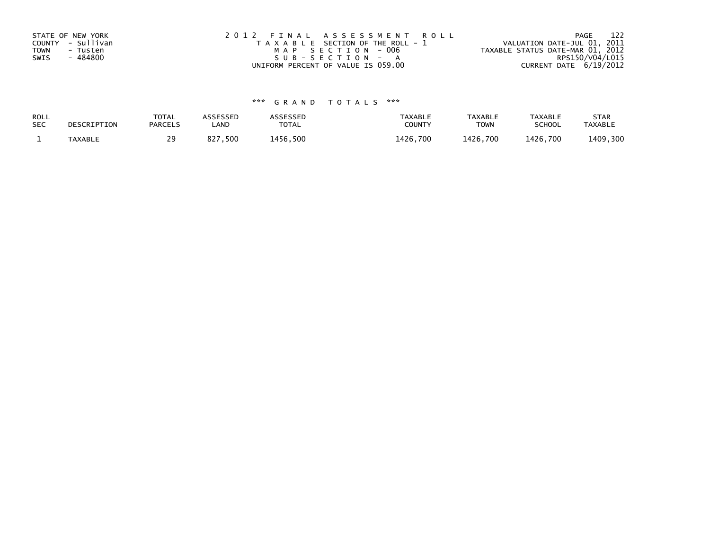| STATE OF NEW YORK       | 2012 FINAL ASSESSMENT ROLL            | 122<br>PAGE                      |
|-------------------------|---------------------------------------|----------------------------------|
| COUNTY - Sullivan       | T A X A B L E SECTION OF THE ROLL - 1 | VALUATION DATE-JUL 01, 2011      |
| <b>TOWN</b><br>- Tusten | MAP SECTION - 006                     | TAXABLE STATUS DATE-MAR 01, 2012 |
| - 484800<br>SWIS        | $SUB - SECTION - A$                   | RPS150/V04/L015                  |
|                         | UNIFORM PERCENT OF VALUE IS 059.00    | CURRENT DATE 6/19/2012           |

| ROLL       | DESCRIPTION    | <b>TOTAL</b>   | <b>ASSESSED</b> | ASSESSED | <b>TAXABLE</b> | <b>TAXABLE</b> | <b>TAXABLE</b> | <b>STAR</b>    |
|------------|----------------|----------------|-----------------|----------|----------------|----------------|----------------|----------------|
| <b>SEC</b> |                | <b>PARCELS</b> | _AND            | TOTAL    | <b>COUNTY</b>  | <b>TOWN</b>    | <b>SCHOOL</b>  | <b>TAXABLE</b> |
|            | <b>TAXABLE</b> | 29             | 7,500<br>827    | 1456,500 | 1426.700       | 1426.700       | 1426.700       | 1409,300       |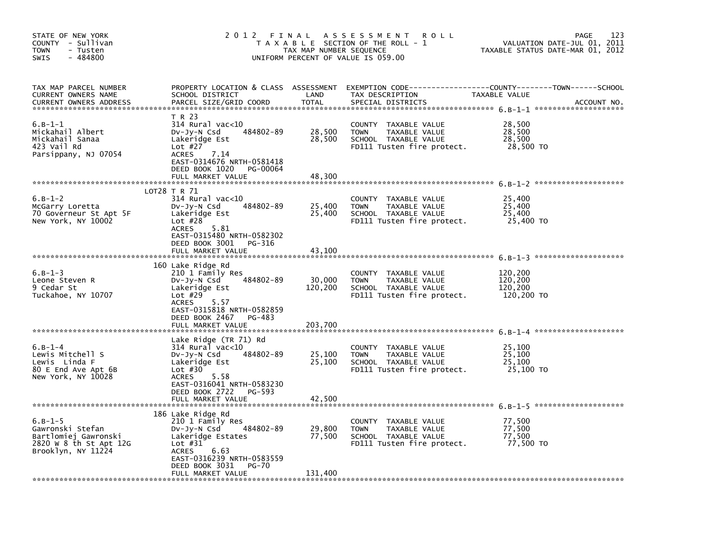| STATE OF NEW YORK<br>COUNTY - Sullivan<br><b>TOWN</b><br>- Tusten<br>$-484800$<br><b>SWIS</b>         | 2012 FINAL                                                                                                                                                                                            | TAX MAP NUMBER SEQUENCE      | A S S E S S M E N T<br><b>ROLL</b><br>T A X A B L E SECTION OF THE ROLL - 1<br>UNIFORM PERCENT OF VALUE IS 059.00    | VALUATION DATE-JUL 01,<br>TAXABLE STATUS DATE-MAR 01, 2012 | 123<br>PAGE<br>2011 |
|-------------------------------------------------------------------------------------------------------|-------------------------------------------------------------------------------------------------------------------------------------------------------------------------------------------------------|------------------------------|----------------------------------------------------------------------------------------------------------------------|------------------------------------------------------------|---------------------|
| TAX MAP PARCEL NUMBER<br>CURRENT OWNERS NAME<br><b>CURRENT OWNERS ADDRESS</b>                         | PROPERTY LOCATION & CLASS ASSESSMENT<br>SCHOOL DISTRICT<br>PARCEL SIZE/GRID COORD                                                                                                                     | LAND<br><b>TOTAL</b>         | EXEMPTION CODE-----------------COUNTY-------TOWN------SCHOOL<br>TAX DESCRIPTION<br>SPECIAL DISTRICTS                 | TAXABLE VALUE                                              | ACCOUNT NO.         |
| $6.B-1-1$<br>Mickahail Albert<br>Mickahail Sanaa<br>423 Vail Rd<br>Parsippany, NJ 07054               | T R 23<br>$314$ Rural vac<10<br>484802-89<br>DV-Jy-N Csd<br>Lakeridge Est<br>Lot $#27$<br><b>ACRES</b><br>7.14<br>EAST-0314676 NRTH-0581418<br>DEED BOOK 1020<br>PG-00064<br>FULL MARKET VALUE        | 28,500<br>28,500<br>48,300   | COUNTY TAXABLE VALUE<br><b>TOWN</b><br>TAXABLE VALUE<br>SCHOOL TAXABLE VALUE<br>FD111 Tusten fire protect.           | 28,500<br>28,500<br>28,500<br>28,500 TO                    |                     |
|                                                                                                       |                                                                                                                                                                                                       |                              |                                                                                                                      |                                                            |                     |
| $6.B-1-2$<br>McGarry Loretta<br>70 Governeur St Apt 5F<br>New York, NY 10002                          | LOT28 T R 71<br>$314$ Rural vac< $10$<br>484802-89<br>DV-Jy-N Csd<br>Lakeridge Est<br>Lot $#28$<br><b>ACRES</b><br>5.81<br>EAST-0315480 NRTH-0582302                                                  | 25,400<br>25,400             | <b>COUNTY</b><br>TAXABLE VALUE<br><b>TOWN</b><br>TAXABLE VALUE<br>SCHOOL TAXABLE VALUE<br>FD111 Tusten fire protect. | 25,400<br>25,400<br>25,400<br>25,400 TO                    |                     |
|                                                                                                       | DEED BOOK 3001<br>PG-316<br>FULL MARKET VALUE                                                                                                                                                         | 43,100                       |                                                                                                                      |                                                            |                     |
|                                                                                                       |                                                                                                                                                                                                       |                              |                                                                                                                      |                                                            |                     |
| $6.B-1-3$<br>Leone Steven R<br>9 Cedar St<br>Tuckahoe, NY 10707                                       | 160 Lake Ridge Rd<br>210 1 Family Res<br>484802-89<br>DV-Jy-N Csd<br>Lakeridge Est<br>Lot $#29$<br>5.57<br><b>ACRES</b><br>EAST-0315818 NRTH-0582859<br>DEED BOOK 2467<br>PG-483<br>FULL MARKET VALUE | 30,000<br>120,200<br>203.700 | COUNTY TAXABLE VALUE<br><b>TOWN</b><br>TAXABLE VALUE<br>SCHOOL TAXABLE VALUE<br>FD111 Tusten fire protect.           | 120,200<br>120,200<br>120,200<br>120,200 TO                |                     |
|                                                                                                       | Lake Ridge (TR 71) Rd                                                                                                                                                                                 |                              |                                                                                                                      |                                                            |                     |
| $6.B-1-4$<br>Lewis Mitchell S<br>Lewis Linda F<br>80 E End Ave Apt 6B<br>New York, NY 10028           | $314$ Rural vac<10<br>484802-89<br>Dv-Jy-N Csd<br>Lakeridge Est<br>Lot $#30$<br>5.58<br><b>ACRES</b><br>EAST-0316041 NRTH-0583230<br>DEED BOOK 2722<br>PG-593                                         | 25,100<br>25,100             | COUNTY TAXABLE VALUE<br><b>TOWN</b><br>TAXABLE VALUE<br>SCHOOL TAXABLE VALUE<br>FD111 Tusten fire protect.           | 25,100<br>25,100<br>25,100<br>25,100 TO                    |                     |
|                                                                                                       | FULL MARKET VALUE                                                                                                                                                                                     | 42,500                       |                                                                                                                      |                                                            |                     |
| $6.B-1-5$<br>Gawronski Stefan<br>Bartlomiej Gawronski<br>2820 W 8 th St Apt 12G<br>Brooklyn, NY 11224 | 186 Lake Ridge Rd<br>210 1 Family Res<br>484802-89<br>DV-JY-N Csd<br>Lakeridge Estates<br>Lot $#31$<br>6.63<br><b>ACRES</b><br>EAST-0316239 NRTH-0583559<br>DEED BOOK 3031<br><b>PG-70</b>            | 29,800<br>77,500             | COUNTY TAXABLE VALUE<br>TAXABLE VALUE<br><b>TOWN</b><br>SCHOOL TAXABLE VALUE<br>FD111 Tusten fire protect.           | 77,500<br>77,500<br>77,500<br>77,500 TO                    |                     |
|                                                                                                       | FULL MARKET VALUE                                                                                                                                                                                     | 131,400                      |                                                                                                                      |                                                            |                     |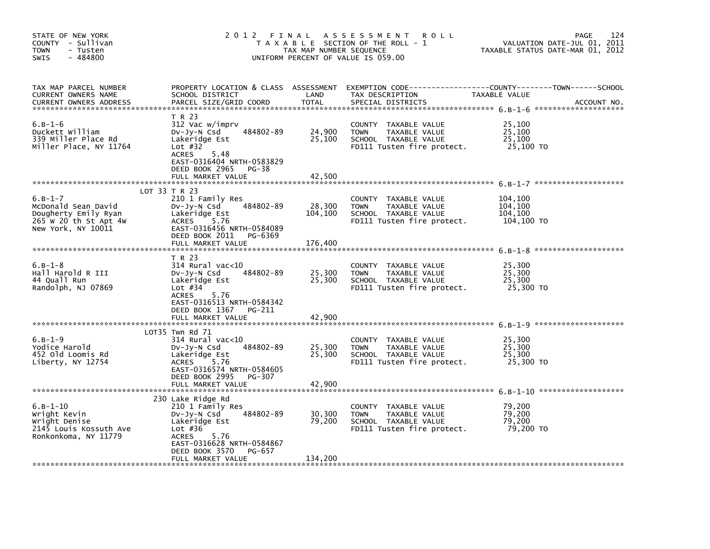| STATE OF NEW YORK<br>COUNTY - Sullivan<br><b>TOWN</b><br>- Tusten<br>$-484800$<br><b>SWIS</b>           | 2 0 1 2<br>FINAL<br>T A X A B L E SECTION OF THE ROLL - 1<br>TAX MAP NUMBER SEQUENCE<br>UNIFORM PERCENT OF VALUE IS 059.00                                                               | 124<br><b>PAGE</b><br>VALUATION DATE-JUL 01, 2011<br>TAXABLE STATUS DATE-MAR 01, 2012 |                                                                                                                      |                                             |             |
|---------------------------------------------------------------------------------------------------------|------------------------------------------------------------------------------------------------------------------------------------------------------------------------------------------|---------------------------------------------------------------------------------------|----------------------------------------------------------------------------------------------------------------------|---------------------------------------------|-------------|
| TAX MAP PARCEL NUMBER<br>CURRENT OWNERS NAME<br><b>CURRENT OWNERS ADDRESS</b>                           | PROPERTY LOCATION & CLASS ASSESSMENT<br>SCHOOL DISTRICT<br>PARCEL SIZE/GRID COORD                                                                                                        | LAND<br><b>TOTAL</b>                                                                  | EXEMPTION CODE------------------COUNTY--------TOWN------SCHOOL<br>TAX DESCRIPTION<br>SPECIAL DISTRICTS               | TAXABLE VALUE                               | ACCOUNT NO. |
| $6. B - 1 - 6$<br>Duckett William<br>339 Miller Place Rd<br>Miller Place, NY 11764                      | T R 23<br>312 Vac w/imprv<br>484802-89<br>DV-Jy-N Csd<br>Lakeridge Est<br>Lot $#32$<br><b>ACRES</b><br>5.48<br>EAST-0316404 NRTH-0583829<br>DEED BOOK 2965<br>PG-38<br>FULL MARKET VALUE | 24,900<br>25,100<br>42,500                                                            | COUNTY TAXABLE VALUE<br><b>TOWN</b><br>TAXABLE VALUE<br>SCHOOL TAXABLE VALUE<br>FD111 Tusten fire protect.           | 25,100<br>25.100<br>25,100<br>25,100 TO     |             |
|                                                                                                         |                                                                                                                                                                                          |                                                                                       |                                                                                                                      |                                             |             |
| $6.B-1-7$<br>McDonald Sean David<br>Dougherty Emily Ryan<br>265 W 20 th St Apt 4W<br>New York, NY 10011 | LOT 33 T R 23<br>210 1 Family Res<br>484802-89<br>$Dv-Jy-N$ Csd<br>Lakeridge Est<br>5.76<br><b>ACRES</b><br>EAST-0316456 NRTH-0584089<br>DEED BOOK 2011<br>PG-6369                       | 28,300<br>104,100                                                                     | COUNTY TAXABLE VALUE<br><b>TOWN</b><br>TAXABLE VALUE<br>SCHOOL TAXABLE VALUE<br>FD111 Tusten fire protect.           | 104,100<br>104,100<br>104,100<br>104,100 TO |             |
|                                                                                                         | FULL MARKET VALUE                                                                                                                                                                        | 176,400                                                                               |                                                                                                                      |                                             |             |
| $6. B - 1 - 8$<br>Hall Harold R III<br>44 Quall Run<br>Randolph, NJ 07869                               | T R 23<br>$314$ Rural vac< $10$<br>484802-89<br>$Dv-Jy-N$ Csd<br>Lakeridge Est<br>Lot $#34$<br><b>ACRES</b><br>5.76<br>EAST-0316513 NRTH-0584342<br>DEED BOOK 1367 PG-211                | 25,300<br>25,300                                                                      | <b>COUNTY</b><br>TAXABLE VALUE<br>TAXABLE VALUE<br><b>TOWN</b><br>SCHOOL TAXABLE VALUE<br>FD111 Tusten fire protect. | 25,300<br>25,300<br>25,300<br>25,300 TO     |             |
|                                                                                                         | FULL MARKET VALUE                                                                                                                                                                        | 42,900                                                                                |                                                                                                                      |                                             |             |
|                                                                                                         |                                                                                                                                                                                          |                                                                                       |                                                                                                                      |                                             |             |
| $6. B - 1 - 9$<br>Yodice Harold<br>452 Old Loomis Rd<br>Liberty, NY 12754                               | LOT35 Twn Rd 71<br>314 Rural vac<10<br>484802-89<br>DV-Jy-N Csd<br>Lakeridge Est<br><b>ACRES</b><br>5.76<br>EAST-0316574 NRTH-0584605<br>DEED BOOK 2995<br>PG-307<br>FULL MARKET VALUE   | 25,300<br>25,300<br>42.900                                                            | COUNTY TAXABLE VALUE<br><b>TOWN</b><br>TAXABLE VALUE<br>SCHOOL TAXABLE VALUE<br>FD111 Tusten fire protect.           | 25,300<br>25.300<br>25,300<br>25,300 TO     |             |
|                                                                                                         |                                                                                                                                                                                          |                                                                                       |                                                                                                                      |                                             |             |
| $6.B-1-10$<br>Wright Kevin<br>Wright Denise<br>2145 Louis Kossuth Ave<br>Ronkonkoma, NY 11779           | 230 Lake Ridge Rd<br>210 1 Family Res<br>484802-89<br>DV-Jy-N Csd<br>Lakeridge Est<br>Lot $#36$<br><b>ACRES</b><br>5.76<br>EAST-0316628 NRTH-0584867<br>DEED BOOK 3570<br>PG-657         | 30,300<br>79,200                                                                      | COUNTY TAXABLE VALUE<br><b>TOWN</b><br>TAXABLE VALUE<br>SCHOOL TAXABLE VALUE<br>FD111 Tusten fire protect.           | 79,200<br>79,200<br>79,200<br>79,200 TO     |             |
|                                                                                                         | FULL MARKET VALUE                                                                                                                                                                        | 134,200                                                                               |                                                                                                                      |                                             |             |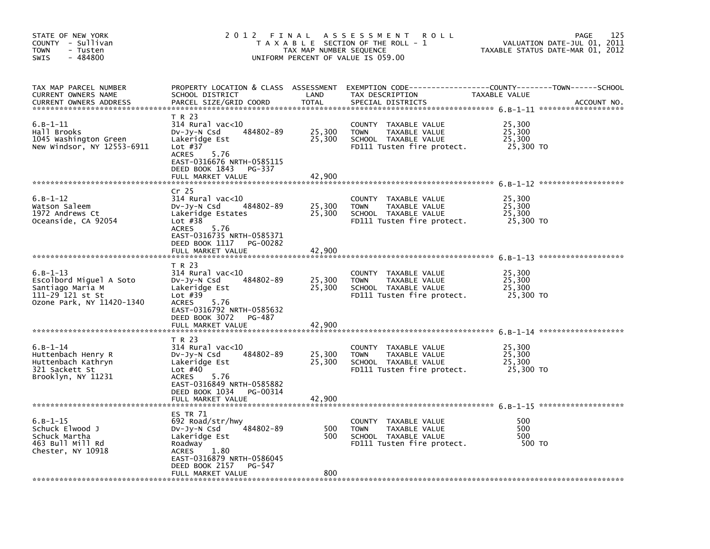| STATE OF NEW YORK<br>COUNTY - Sullivan<br><b>TOWN</b><br>- Tusten<br>$-484800$<br><b>SWIS</b>                                         | 2012 FINAL                                                                                                                                                                                        | TAX MAP NUMBER SEQUENCE    | <b>ROLL</b><br>A S S E S S M E N T<br>T A X A B L E SECTION OF THE ROLL - 1<br>UNIFORM PERCENT OF VALUE IS 059.00 |                                         | 125<br>PAGE<br>VALUATION DATE-JUL 01, 2011<br>TAXABLE STATUS DATE-MAR 01, 2012 |
|---------------------------------------------------------------------------------------------------------------------------------------|---------------------------------------------------------------------------------------------------------------------------------------------------------------------------------------------------|----------------------------|-------------------------------------------------------------------------------------------------------------------|-----------------------------------------|--------------------------------------------------------------------------------|
| TAX MAP PARCEL NUMBER<br>CURRENT OWNERS NAME<br><b>CURRENT OWNERS ADDRESS</b>                                                         | PROPERTY LOCATION & CLASS ASSESSMENT<br>SCHOOL DISTRICT<br>PARCEL SIZE/GRID COORD                                                                                                                 | LAND<br><b>TOTAL</b>       | TAX DESCRIPTION<br>SPECIAL DISTRICTS                                                                              | TAXABLE VALUE                           | ACCOUNT NO.                                                                    |
| $6. B - 1 - 11$<br>Hall Brooks<br>1045 Washington Green<br>New Windsor, NY 12553-6911                                                 | T R 23<br>$314$ Rural vac<10<br>484802-89<br>DV-Jy-N Csd<br>Lakeridge Est<br>Lot $#37$<br><b>ACRES</b><br>5.76<br>EAST-0316676 NRTH-0585115<br>DEED BOOK 1843<br>PG-337<br>FULL MARKET VALUE      | 25,300<br>25,300<br>42.900 | COUNTY TAXABLE VALUE<br><b>TOWN</b><br>TAXABLE VALUE<br>SCHOOL TAXABLE VALUE<br>FD111 Tusten fire protect.        | 25,300<br>25,300<br>25,300<br>25,300 TO |                                                                                |
|                                                                                                                                       |                                                                                                                                                                                                   |                            |                                                                                                                   |                                         |                                                                                |
| $6.B-1-12$<br>Watson Saleem<br>1972 Andrews Ct<br>Oceanside, CA 92054                                                                 | Cr <sub>25</sub><br>314 Rural vac<10<br>484802-89<br>$Dv-Jy-N$ Csd<br>Lakeridge Estates<br>Lot $#38$<br><b>ACRES</b><br>5.76<br>EAST-0316735 NRTH-0585371                                         | 25,300<br>25,300           | COUNTY<br>TAXABLE VALUE<br><b>TOWN</b><br>TAXABLE VALUE<br>SCHOOL TAXABLE VALUE<br>FD111 Tusten fire protect.     | 25,300<br>25,300<br>25,300<br>25,300 TO |                                                                                |
|                                                                                                                                       | DEED BOOK 1117<br>PG-00282<br>FULL MARKET VALUE                                                                                                                                                   | 42,900                     |                                                                                                                   |                                         |                                                                                |
| $6.B-1-13$<br>Escolbord Miguel A Soto<br>Santiago Maria M<br>111-29 121 st St<br>Ozone Park, NY 11420-1340                            | T R 23<br>$314$ Rural vac< $10$<br>484802-89<br>Dv-Jy-N Csd<br>Lakeridge Est<br>Lot $#39$<br>5.76<br><b>ACRES</b><br>EAST-0316792 NRTH-0585632<br>DEED BOOK 3072<br>PG-487                        | 25,300<br>25,300           | COUNTY TAXABLE VALUE<br>TAXABLE VALUE<br><b>TOWN</b><br>SCHOOL TAXABLE VALUE<br>FD111 Tusten fire protect.        | 25,300<br>25,300<br>25,300<br>25,300 TO |                                                                                |
|                                                                                                                                       | FULL MARKET VALUE                                                                                                                                                                                 | 42.900                     |                                                                                                                   |                                         |                                                                                |
| $6. B - 1 - 14$<br>Huttenbach Henry R<br>Huttenbach Kathryn<br>321 Sackett St<br>Brooklyn, NY 11231<br>****************************** | T R 23<br>$314$ Rural vac< $10$<br>484802-89<br>DV-Jy-N Csd<br>Lakeridge Est<br>Lot $#40$<br><b>ACRES</b><br>5.76<br>EAST-0316849 NRTH-0585882<br>DEED BOOK 1034<br>PG-00314<br>FULL MARKET VALUE | 25,300<br>25,300<br>42.900 | COUNTY TAXABLE VALUE<br><b>TOWN</b><br>TAXABLE VALUE<br>SCHOOL TAXABLE VALUE<br>FD111 Tusten fire protect.        | 25,300<br>25,300<br>25,300<br>25,300 TO |                                                                                |
| $6. B - 1 - 15$<br>Schuck Elwood J<br>Schuck Martha<br>463 Bull Mill Rd<br>Chester, NY 10918                                          | ES TR 71<br>692 Road/str/hwy<br>484802-89<br>DV-Jy-N Csd<br>Lakeridge Est<br>Roadway<br>1.80<br><b>ACRES</b><br>EAST-0316879 NRTH-0586045<br>DEED BOOK 2157<br>PG-547<br>FULL MARKET VALUE        | 500<br>500<br>800          | COUNTY TAXABLE VALUE<br><b>TOWN</b><br>TAXABLE VALUE<br>SCHOOL TAXABLE VALUE<br>FD111 Tusten fire protect.        | 500<br>500<br>500<br>500 TO             |                                                                                |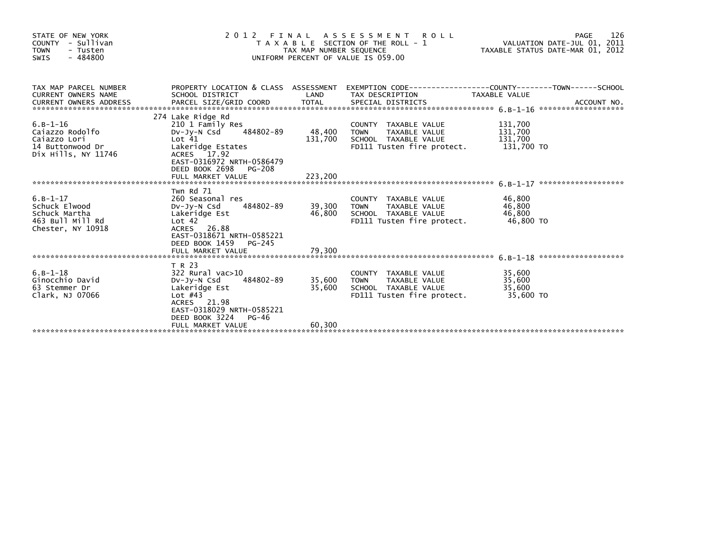| STATE OF NEW YORK<br>COUNTY - Sullivan<br><b>TOWN</b><br>- Tusten<br>$-484800$<br><b>SWIS</b> | 2 0 1 2                                                                                                                                                                                               | TAX MAP NUMBER SEQUENCE           | FINAL ASSESSMENT ROLL<br>T A X A B L E SECTION OF THE ROLL - 1<br>UNIFORM PERCENT OF VALUE IS 059.00                        | VALUATION DATE-JUL 01, 2011<br>TAXABLE STATUS DATE-MAR 01, 2012 | 126<br>PAGE |
|-----------------------------------------------------------------------------------------------|-------------------------------------------------------------------------------------------------------------------------------------------------------------------------------------------------------|-----------------------------------|-----------------------------------------------------------------------------------------------------------------------------|-----------------------------------------------------------------|-------------|
| TAX MAP PARCEL NUMBER<br><b>CURRENT OWNERS NAME</b>                                           | PROPERTY LOCATION & CLASS ASSESSMENT EXEMPTION CODE----------------COUNTY-------TOWN------SCHOOL<br>SCHOOL DISTRICT                                                                                   | LAND                              | TAX DESCRIPTION                                                                                                             | TAXABLE VALUE                                                   |             |
| $6. B - 1 - 16$<br>Caiazzo Rodolfo<br>Caiazzo Lori<br>14 Buttonwood Dr<br>Dix Hills, NY 11746 | 274 Lake Ridge Rd<br>210 1 Family Res<br>DV-Jy-N Csd 484802-89<br>Lot <sub>41</sub><br>Lakeridge Estates<br>ACRES 17.92<br>EAST-0316972 NRTH-0586479<br>DEED BOOK 2698<br>PG-208<br>FULL MARKET VALUE | 48,400 TOWN<br>131,700<br>223,200 | COUNTY TAXABLE VALUE<br>TOWN     TAXABLE VALUE<br>SCHOOL   TAXABLE VALUE<br>FD111 Tusten fire protect. $131,700$ TO         | 131,700<br>131,700<br>131,700<br>131,700                        |             |
| $6.B-1-17$<br>Schuck Elwood<br>Schuck Martha<br>463 Bull Mill Rd<br>Chester, NY 10918         | Twn Rd 71<br>260 Seasonal res<br>DV-JY-N Csd<br>Lakeridge Est<br>Lot 42<br>ACRES 26.88<br>EAST-0318671 NRTH-0585221<br>DEED BOOK 1459<br>PG-245                                                       | 484802-89 39,300 TOWN             | COUNTY TAXABLE VALUE<br>TAXABLE VALUE<br>46,800 SCHOOL TAXABLE VALUE<br>FD111 - TAXABLE VALUE<br>FD111 Tusten fire protect. | 46,800<br>46,800<br>46,800<br>46,800 TO                         |             |
| $6. B - 1 - 18$<br>Ginocchio David<br>63 Stemmer Dr<br>Clark, NJ 07066                        | T R 23<br>322 Rural vac>10<br>484802-89<br>DV-JV-N Csd<br>Lakeridge Est<br>Lot $#43$<br>ACRES 21.98<br>EAST-0318029 NRTH-0585221<br>DEED BOOK 3224<br>PG-46<br>FULL MARKET VALUE                      | 35,600<br>60,300                  | COUNTY TAXABLE VALUE<br>35,600 TOWN TAXABLE VALUE<br>SCHOOL TAXABLE VALUE<br>FD111 Tusten fire protect.                     | 35,600<br>35,600<br>35,600<br>35,600 TO                         |             |
|                                                                                               |                                                                                                                                                                                                       |                                   |                                                                                                                             |                                                                 |             |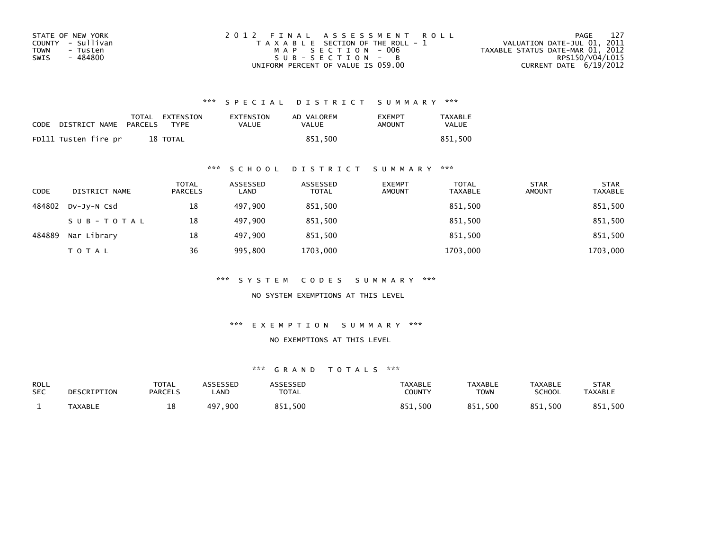| STATE OF NEW YORK | 2012 FINAL ASSESSMENT ROLL            | 127<br>PAGE                      |
|-------------------|---------------------------------------|----------------------------------|
| COUNTY - Sullivan | T A X A B L E SECTION OF THE ROLL - 1 | VALUATION DATE-JUL 01, 2011      |
| TOWN<br>- Tusten  | MAP SECTION - 006                     | TAXABLE STATUS DATE-MAR 01, 2012 |
| - 484800<br>SWIS  | $SUB - SECTION - B$                   | RPS150/V04/L015                  |
|                   | UNIFORM PERCENT OF VALUE IS 059.00    | CURRENT DATE $6/19/2012$         |

| CODE | DISTRICT NAME        | PARCELS | TOTAL EXTENSION<br>TYPF | EXTENSION<br><b>VALUE</b> | AD VALOREM<br>VALUE | <b>EXEMPT</b><br><b>AMOUNT</b> | <b>TAXABLE</b><br><b>VALUE</b> |
|------|----------------------|---------|-------------------------|---------------------------|---------------------|--------------------------------|--------------------------------|
|      | FD111 Tusten fire pr |         | 18 TOTAL                |                           | 851.500             |                                | 851.500                        |

#### \*\*\* S C H O O L D I S T R I C T S U M M A R Y \*\*\*

| <b>CODE</b> | DISTRICT NAME | <b>TOTAL</b><br><b>PARCELS</b> | ASSESSED<br>LAND | ASSESSED<br><b>TOTAL</b> | <b>EXEMPT</b><br><b>AMOUNT</b> | <b>TOTAL</b><br><b>TAXABLE</b> | <b>STAR</b><br><b>AMOUNT</b> | <b>STAR</b><br><b>TAXABLE</b> |
|-------------|---------------|--------------------------------|------------------|--------------------------|--------------------------------|--------------------------------|------------------------------|-------------------------------|
| 484802      | DV-Jy-N Csd   | 18                             | 497.900          | 851,500                  |                                | 851,500                        |                              | 851,500                       |
|             | SUB-TOTAL     | 18                             | 497.900          | 851,500                  |                                | 851,500                        |                              | 851,500                       |
| 484889      | Nar Library   | 18                             | 497.900          | 851.500                  |                                | 851,500                        |                              | 851,500                       |
|             | <b>TOTAL</b>  | 36                             | 995,800          | 1703,000                 |                                | 1703,000                       |                              | 1703,000                      |

\*\*\* S Y S T E M C O D E S S U M M A R Y \*\*\*

NO SYSTEM EXEMPTIONS AT THIS LEVEL

\*\*\* E X E M P T I O N S U M M A R Y \*\*\*

NO EXEMPTIONS AT THIS LEVEL

| <b>ROLL</b><br><b>SEC</b> | DESCRIPTION    | TOTAL<br><b>PARCELS</b> | <b>\SSESSED</b><br><b>_AND</b> | <b>ARRESSED</b><br><b>TOTAL</b> | <b>TAXABLE</b><br><b>COUNTY</b> | <b>TAXABLE</b><br><b>TOWN</b> | <b>TAXABLE</b><br>SCHOOL | STAR<br><b>TAXABLE</b> |
|---------------------------|----------------|-------------------------|--------------------------------|---------------------------------|---------------------------------|-------------------------------|--------------------------|------------------------|
|                           | <b>TAXABLE</b> | ᅭᇰ                      | . 900<br>497                   | 851,500                         | ,500<br><b>OC1</b>              | 851,500                       | 851,500                  | .500<br>R5             |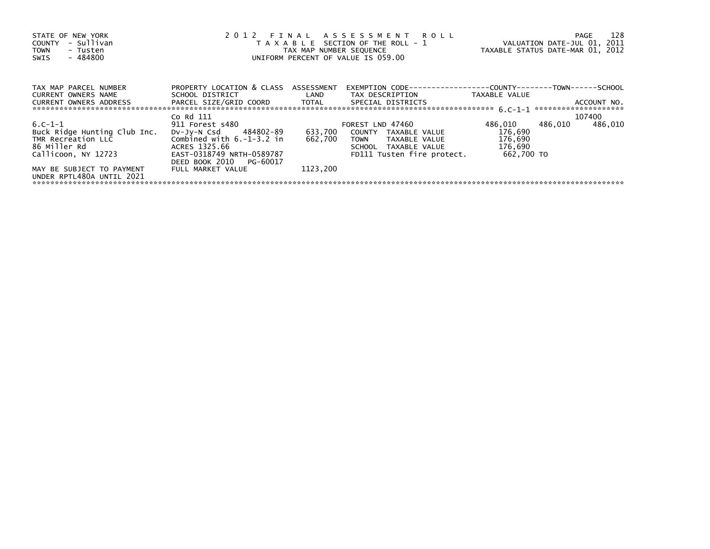| STATE OF NEW YORK<br>COUNTY - Sullivan<br><b>TOWN</b><br>- Tusten<br>- 484800<br>SWIS                   | 2012 FINAL ASSESSMENT ROLL<br>TAX MAP NUMBER SEQUENCE<br>UNIFORM PERCENT OF VALUE IS 059.00                                                                                           | T A X A B L E SECTION OF THE ROLL - 1 VALUATION DATE-JUL 01, 2011<br>TAXABLE STATUS DATE-MAR 01, 2012 |                                                                                                      | 128<br>PAGE                              |         |             |  |
|---------------------------------------------------------------------------------------------------------|---------------------------------------------------------------------------------------------------------------------------------------------------------------------------------------|-------------------------------------------------------------------------------------------------------|------------------------------------------------------------------------------------------------------|------------------------------------------|---------|-------------|--|
| TAX MAP PARCEL NUMBER                                                                                   | PROPERTY LOCATION & CLASS ASSESSMENT                                                                                                                                                  |                                                                                                       |                                                                                                      |                                          |         |             |  |
| CURRENT OWNERS NAME<br>CURRENT OWNERS ADDRESS FARCEL SIZE/GRID COORD TOTAL SPECIAL DISTRICTS            |                                                                                                                                                                                       |                                                                                                       | SCHOOL DISTRICT                         LAND         TAX DESCRIPTION                   TAXABLE VALUE |                                          |         | ACCOUNT NO. |  |
|                                                                                                         | Co Rd 111                                                                                                                                                                             |                                                                                                       |                                                                                                      |                                          |         | 107400      |  |
| 6.C-1-1<br>Buck Ridge Hunting Club Inc.<br>TMR Recreation LLC Combined with 6.-1-3.2 in<br>86 Miller Rd | 911 Forest s480 and the state of the state of the state of the state of the state of the state of the state of<br>DV-Jy-N Csd 484802-89 633,700 COUNTY TAXABLE VALUE<br>ACRES 1325.66 | 662,700                                                                                               | FOREST LND 47460<br>TOWN TAXABLE VALUE<br>SCHOOL TAXABLE VALUE                                       | 486,010<br>176,690<br>176,690<br>176,690 | 486,010 | 486,010     |  |
| Callicoon, NY 12723                                                                                     | EAST-0318749 NRTH-0589787<br>DEED BOOK 2010 PG-60017                                                                                                                                  |                                                                                                       | FD111 Tusten fire protect.                                                                           | 662.700 TO                               |         |             |  |
| MAY BE SUBJECT TO PAYMENT<br>UNDER RPTL480A UNTIL 2021                                                  | FULL MARKET VALUE                                                                                                                                                                     | 1123.200                                                                                              |                                                                                                      |                                          |         |             |  |
|                                                                                                         |                                                                                                                                                                                       |                                                                                                       |                                                                                                      |                                          |         |             |  |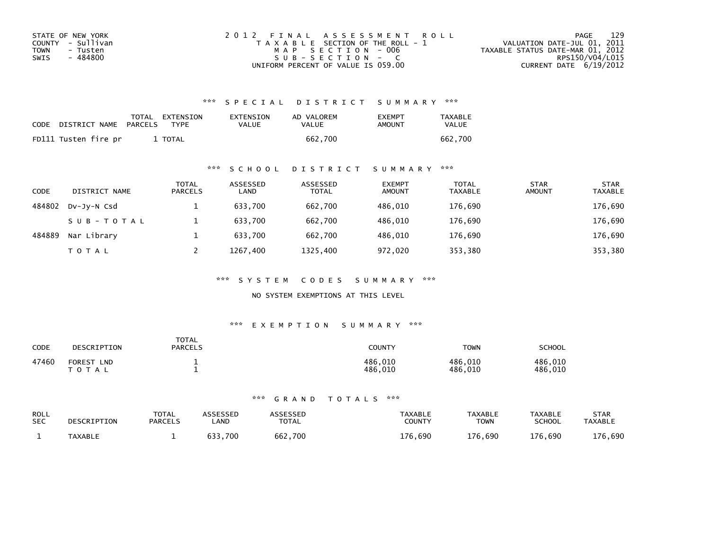| STATE OF NEW YORK | 2012 FINAL ASSESSMENT ROLL            | 129<br>PAGE                      |
|-------------------|---------------------------------------|----------------------------------|
| COUNTY - Sullivan | T A X A B L E SECTION OF THE ROLL - 1 | VALUATION DATE-JUL 01, 2011      |
| TOWN<br>- Tusten  | MAP SECTION - 006                     | TAXABLE STATUS DATE-MAR 01, 2012 |
| - 484800<br>SWIS  | $SUB - SECTION - C$                   | RPS150/V04/L015                  |
|                   | UNIFORM PERCENT OF VALUE IS 059.00    | CURRENT DATE $6/19/2012$         |

| CODE | DISTRICT NAME        | PARCELS | TOTAL EXTENSION<br><b>TYPF</b> | EXTENSION<br>VALUE | AD VALOREM<br>VALUE | <b>EXEMPT</b><br>AMOUNT | <b>TAXABLE</b><br>VALUE |
|------|----------------------|---------|--------------------------------|--------------------|---------------------|-------------------------|-------------------------|
|      | FD111 Tusten fire pr |         | <b>TOTAL</b>                   |                    | 662.700             |                         | 662.700                 |

#### \*\*\* S C H O O L D I S T R I C T S U M M A R Y \*\*\*

| <b>CODE</b> | DISTRICT NAME | TOTAL<br><b>PARCELS</b> | ASSESSED<br>LAND | ASSESSED<br><b>TOTAL</b> | <b>EXEMPT</b><br><b>AMOUNT</b> | <b>TOTAL</b><br><b>TAXABLE</b> | <b>STAR</b><br><b>AMOUNT</b> | <b>STAR</b><br><b>TAXABLE</b> |
|-------------|---------------|-------------------------|------------------|--------------------------|--------------------------------|--------------------------------|------------------------------|-------------------------------|
| 484802      | DV-JY-N Csd   |                         | 633,700          | 662.700                  | 486.010                        | 176,690                        |                              | 176,690                       |
|             | SUB-TOTAL     |                         | 633.700          | 662.700                  | 486.010                        | 176,690                        |                              | 176,690                       |
| 484889      | Nar Library   |                         | 633.700          | 662.700                  | 486.010                        | 176,690                        |                              | 176,690                       |
|             | <b>TOTAL</b>  |                         | 1267.400         | 1325,400                 | 972,020                        | 353,380                        |                              | 353,380                       |

\*\*\* S Y S T E M C O D E S S U M M A R Y \*\*\*

NO SYSTEM EXEMPTIONS AT THIS LEVEL

#### \*\*\* E X E M P T I O N S U M M A R Y \*\*\*

| CODE  | DESCRIPTION                                         | <b>TOTAL</b><br><b>PARCELS</b> | COUNTY                 | <b>TOWN</b>        | SCHOOL             |
|-------|-----------------------------------------------------|--------------------------------|------------------------|--------------------|--------------------|
| 47460 | <b>FOREST</b><br><b>LND</b><br><sup>-</sup> O T A L |                                | 486,010<br>486<br>.010 | 486,010<br>486,010 | 486,010<br>486.010 |

| <b>ROLL</b> | DESCRIPTION    | <b>TOTAL</b>   | ASSESSED | <b>\SSESSED</b> | <b>TAXABLE</b> | <b>TAXABLE</b> | <b>TAXABLE</b> | <b>STAR</b>    |
|-------------|----------------|----------------|----------|-----------------|----------------|----------------|----------------|----------------|
| <b>SEC</b>  |                | <b>PARCELS</b> | .AND     | <b>TOTAL</b>    | COUNTY         | <b>TOWN</b>    | <b>SCHOOL</b>  | <b>TAXABLE</b> |
|             | <b>TAXABLE</b> |                | 700      | 662,700         | 176<br>.690    | 176.690        | 176,690        | 176,690        |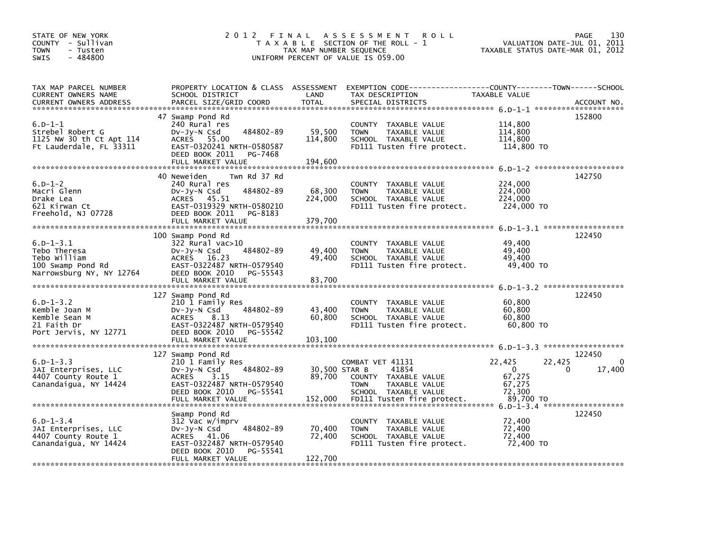| STATE OF NEW YORK<br>COUNTY - Sullivan<br>- Tusten<br><b>TOWN</b><br>$-484800$<br>SWIS           | 2012<br>FINAL                                                                                                                                                               | TAX MAP NUMBER SEQUENCE      | <b>ROLL</b><br>A S S E S S M E N T<br>T A X A B L E SECTION OF THE ROLL - 1<br>UNIFORM PERCENT OF VALUE IS 059.00 | TAXABLE STATUS DATE-MAR 01, 2012                 | 130<br>PAGE<br>VALUATION DATE-JUL 01, 2011  |
|--------------------------------------------------------------------------------------------------|-----------------------------------------------------------------------------------------------------------------------------------------------------------------------------|------------------------------|-------------------------------------------------------------------------------------------------------------------|--------------------------------------------------|---------------------------------------------|
| TAX MAP PARCEL NUMBER<br>CURRENT OWNERS NAME<br><b>CURRENT OWNERS ADDRESS</b>                    | PROPERTY LOCATION & CLASS ASSESSMENT<br>SCHOOL DISTRICT<br>PARCEL SIZE/GRID COORD                                                                                           | LAND<br><b>TOTAL</b>         | TAX DESCRIPTION<br>SPECIAL DISTRICTS                                                                              | TAXABLE VALUE                                    | ACCOUNT NO.                                 |
| $6.D-1-1$<br>Strebel Robert G<br>1125 NW 30 th Ct Apt 114<br>Ft Lauderdale, FL 33311             | 47 Swamp Pond Rd<br>240 Rural res<br>484802-89<br>DV-Jy-N Csd<br>ACRES 55.00<br>EAST-0320241 NRTH-0580587<br>DEED BOOK 2011<br>PG-7468<br>FULL MARKET VALUE                 | 59,500<br>114,800<br>194,600 | COUNTY TAXABLE VALUE<br>TAXABLE VALUE<br><b>TOWN</b><br>SCHOOL TAXABLE VALUE<br>FD111 Tusten fire protect.        | 114,800<br>114,800<br>114,800<br>114,800 TO      | 152800                                      |
| $6.D-1-2$<br>Macri Glenn<br>Drake Lea<br>621 Kirwan Ct<br>Freehold, NJ 07728                     | 40 Neweiden<br>Twn Rd 37 Rd<br>240 Rural res<br>484802-89<br>DV-Jy-N Csd<br>ACRES 45.51<br>EAST-0319329 NRTH-0580210<br>DEED BOOK 2011<br>PG-8183<br>FULL MARKET VALUE      | 68,300<br>224,000<br>379,700 | COUNTY TAXABLE VALUE<br>TAXABLE VALUE<br><b>TOWN</b><br>SCHOOL TAXABLE VALUE<br>FD111 Tusten fire protect.        | 224,000<br>224,000<br>224,000<br>224,000 TO      | 142750                                      |
| $6.D - 1 - 3.1$<br>Tebo Theresa<br>Tebo william<br>100 Swamp Pond Rd<br>Narrowsburg NY, NY 12764 | 100 Swamp Pond Rd<br>$322$ Rural vac $>10$<br>484802-89<br>DV-Jy-N Csd<br>ACRES 16.23<br>EAST-0322487 NRTH-0579540<br>DEED BOOK 2010<br>PG-55543<br>FULL MARKET VALUE       | 49.400<br>49,400<br>83,700   | COUNTY TAXABLE VALUE<br><b>TOWN</b><br>TAXABLE VALUE<br>SCHOOL TAXABLE VALUE<br>FD111 Tusten fire protect.        | 49,400<br>49,400<br>49,400<br>49,400 TO          | 122450                                      |
| $6.D - 1 - 3.2$<br>Kemble Joan M<br>Kemble Sean M<br>21 Faith Dr<br>Port Jervis, NY 12771        | 127 Swamp Pond Rd<br>210 1 Family Res<br>484802-89<br>$Dv-Jy-N$ Csd<br><b>ACRES</b><br>8.13<br>EAST-0322487 NRTH-0579540<br>DEED BOOK 2010<br>PG-55542<br>FULL MARKET VALUE | 43,400<br>60,800<br>103,100  | COUNTY TAXABLE VALUE<br><b>TOWN</b><br>TAXABLE VALUE<br>SCHOOL TAXABLE VALUE<br>FD111 Tusten fire protect.        | 60,800<br>60.800<br>60,800<br>60,800 TO          | 122450                                      |
| $6.D - 1 - 3.3$<br>JAI Enterprises, LLC<br>4407 County Route 1<br>Canandaigua, NY 14424          | 127 Swamp Pond Rd<br>210 1 Family Res<br>484802-89<br>DV-Jy-N Csd<br><b>ACRES</b><br>3.15<br>EAST-0322487 NRTH-0579540<br>DEED BOOK 2010<br>PG-55541                        | 30,500 STAR B<br>89,700      | COMBAT VET 41131<br>41854<br>COUNTY TAXABLE VALUE<br>TAXABLE VALUE<br><b>TOWN</b><br>SCHOOL TAXABLE VALUE         | 22,425<br>$\Omega$<br>67,275<br>67,275<br>72,300 | 122450<br>22,425<br>0<br>17,400<br>$\Omega$ |
| $6.D - 1 - 3.4$<br>JAI Enterprises, LLC<br>4407 County Route 1<br>Canandaiqua, NY 14424          | Swamp Pond Rd<br>312 Vac w/imprv<br>484802-89<br>$Dv$ -Jy-N Csd<br>ACRES 41.06<br>EAST-0322487 NRTH-0579540<br>DEED BOOK 2010<br>PG-55541<br>FULL MARKET VALUE              | 70,400<br>72,400<br>122,700  | COUNTY TAXABLE VALUE<br><b>TOWN</b><br>TAXABLE VALUE<br>SCHOOL TAXABLE VALUE<br>FD111 Tusten fire protect.        | 72,400<br>72,400<br>72,400<br>72,400 TO          | 122450                                      |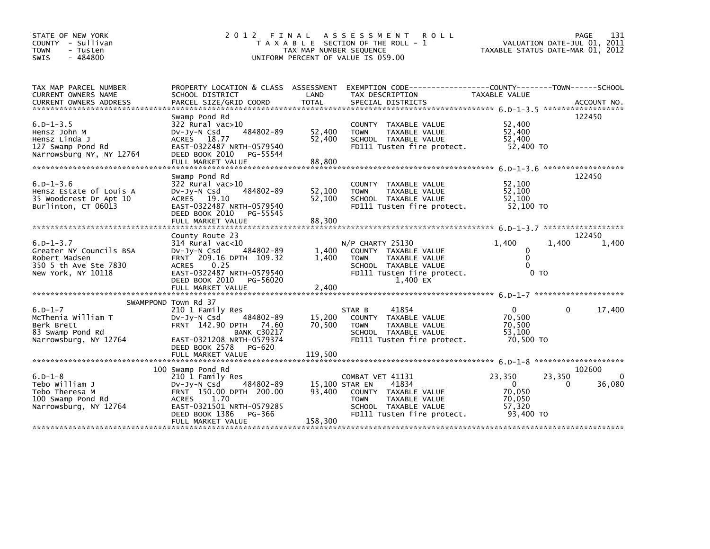| STATE OF NEW YORK<br>COUNTY - Sullivan<br>- Tusten<br><b>TOWN</b><br>$-484800$<br>SWIS                      | 2 0 1 2                                                                                                                                                                                              | FINAL<br>TAX MAP NUMBER SEQUENCE | A S S E S S M E N T<br><b>ROLL</b><br>T A X A B L E SECTION OF THE ROLL - 1<br>UNIFORM PERCENT OF VALUE IS 059.00                                         | VALUATION DATE-JUL 01, 2011<br>TAXABLE STATUS DATE-MAR 01, 2012  | PAGE                  | 131         |
|-------------------------------------------------------------------------------------------------------------|------------------------------------------------------------------------------------------------------------------------------------------------------------------------------------------------------|----------------------------------|-----------------------------------------------------------------------------------------------------------------------------------------------------------|------------------------------------------------------------------|-----------------------|-------------|
| TAX MAP PARCEL NUMBER<br>CURRENT OWNERS NAME                                                                | PROPERTY LOCATION & CLASS ASSESSMENT<br>SCHOOL DISTRICT                                                                                                                                              | LAND                             | EXEMPTION        CODE-----------------COUNTY-------TOWN------SCHOOL<br>TAX DESCRIPTION                                                                    | TAXABLE VALUE                                                    |                       |             |
| $6. D - 1 - 3.5$<br>Hensz John M<br>Hensz Linda J<br>127 Swamp Pond Rd<br>Narrowsburg NY, NY 12764          | Swamp Pond Rd<br>322 Rural vac>10<br>484802-89<br>DV-Jy-N Csd<br>ACRES 18.77<br>EAST-0322487 NRTH-0579540<br>DEED BOOK 2010<br>PG-55544<br>FULL MARKET VALUE                                         | 52,400<br>52,400<br>88,800       | COUNTY TAXABLE VALUE<br><b>TOWN</b><br>TAXABLE VALUE<br>SCHOOL TAXABLE VALUE<br>FD111 Tusten fire protect.                                                | 52,400<br>52,400<br>52,400<br>52,400 TO                          | 122450                |             |
| $6. D - 1 - 3.6$<br>Hensz Estate of Louis A<br>35 Woodcrest Dr Apt 10<br>Burlinton, CT 06013                | Swamp Pond Rd<br>322 Rural vac>10<br>484802-89<br>$Dv-Jy-N$ Csd<br>ACRES 19.10<br>EAST-0322487 NRTH-0579540<br>DEED BOOK 2010<br>PG-55545<br>FULL MARKET VALUE                                       | 52,100<br>52.100<br>88,300       | COUNTY TAXABLE VALUE<br><b>TOWN</b><br>TAXABLE VALUE<br>SCHOOL TAXABLE VALUE<br>FD111 Tusten fire protect.                                                | 52,100<br>52,100<br>52.100<br>52,100 TO                          | 122450                |             |
|                                                                                                             | County Route 23                                                                                                                                                                                      |                                  |                                                                                                                                                           |                                                                  | 122450                |             |
| $6. D - 1 - 3.7$<br>Greater NY Councils BSA<br>Robert Madsen<br>350 5 th Ave Ste 7830<br>New York, NY 10118 | $314$ Rural vac<10<br>484802-89<br>DV-Jy-N Csd<br>FRNT 209.16 DPTH 109.32<br>0.25<br><b>ACRES</b><br>EAST-0322487 NRTH-0579540<br>DEED BOOK 2010<br>PG-56020<br>FULL MARKET VALUE                    | 1,400<br>1,400<br>2.400          | N/P CHARTY 25130<br>COUNTY TAXABLE VALUE<br><b>TOWN</b><br>TAXABLE VALUE<br>SCHOOL TAXABLE VALUE<br>FD111 Tusten fire protect.<br>1,400 EX                | 1.400<br>0<br>$\mathbf{0}$<br>$\Omega$<br>0 TO                   | 1.400                 | 1,400       |
|                                                                                                             |                                                                                                                                                                                                      |                                  |                                                                                                                                                           |                                                                  |                       |             |
| $6.D-1-7$<br>McThenia William T<br>Berk Brett<br>83 Swamp Pond Rd<br>Narrowsburg, NY 12764                  | SWAMPPOND Town Rd 37<br>210 1 Family Res<br>484802-89<br>$Dv-Jy-N$ Csd<br>FRNT 142.90 DPTH 74.60<br><b>BANK C30217</b><br>EAST-0321208 NRTH-0579374<br>DEED BOOK 2578<br>PG-620<br>FULL MARKET VALUE | 15,200<br>70.500<br>119.500      | 41854<br>STAR B<br>COUNTY TAXABLE VALUE<br><b>TAXABLE VALUE</b><br><b>TOWN</b><br>SCHOOL TAXABLE VALUE<br>FD111 Tusten fire protect.                      | 0<br>70,500<br>70,500<br>53,100<br>70,500 TO                     | 0                     | 17,400      |
|                                                                                                             |                                                                                                                                                                                                      |                                  |                                                                                                                                                           |                                                                  |                       |             |
| $6.D-1-8$<br>Tebo William J<br>Tebo Theresa M<br>100 Swamp Pond Rd<br>Narrowsburg, NY 12764                 | 100 Swamp Pond Rd<br>210 1 Family Res<br>484802-89<br>DV-Jy-N Csd<br>FRNT 150.00 DPTH 200.00<br><b>ACRES</b><br>1.70<br>EAST-0321501 NRTH-0579285<br>DEED BOOK 1386<br>PG-366<br>FULL MARKET VALUE   | 93.400<br>158,300                | COMBAT VET 41131<br>41834<br>15,100 STAR EN<br>COUNTY TAXABLE VALUE<br><b>TOWN</b><br>TAXABLE VALUE<br>SCHOOL TAXABLE VALUE<br>FD111 Tusten fire protect. | 23,350<br>$\mathbf 0$<br>70,050<br>70,050<br>57.320<br>93,400 TO | 102600<br>23,350<br>0 | 0<br>36,080 |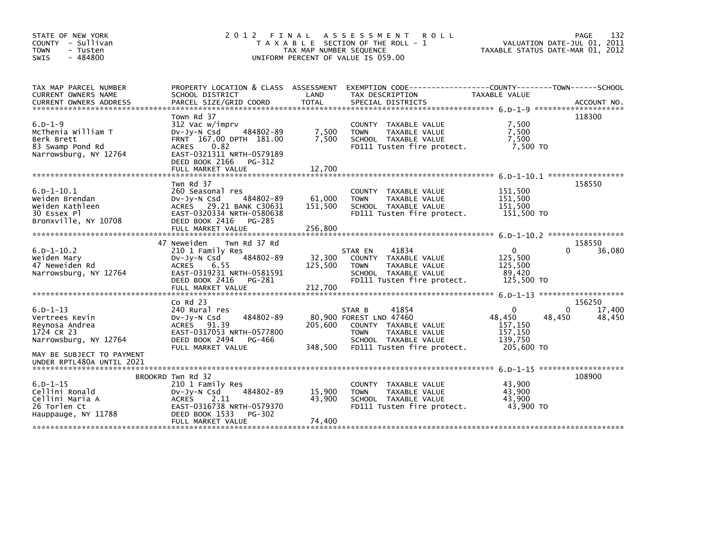| STATE OF NEW YORK<br>COUNTY - Sullivan<br><b>TOWN</b><br>- Tusten<br>$-484800$<br><b>SWIS</b>                                                                      | 2 0 1 2                                                                                                                                                          | TAX MAP NUMBER SEQUENCE      | FINAL ASSESSMENT<br><b>ROLL</b><br>T A X A B L E SECTION OF THE ROLL - 1<br>UNIFORM PERCENT OF VALUE IS 059.00                                           | VALUATION DATE-JUL 01, 2011<br>TAXABLE STATUS DATE-MAR 01, 2012       |             | 132<br>PAGE                |
|--------------------------------------------------------------------------------------------------------------------------------------------------------------------|------------------------------------------------------------------------------------------------------------------------------------------------------------------|------------------------------|----------------------------------------------------------------------------------------------------------------------------------------------------------|-----------------------------------------------------------------------|-------------|----------------------------|
| TAX MAP PARCEL NUMBER<br>CURRENT OWNERS NAME                                                                                                                       | SCHOOL DISTRICT                                                                                                                                                  | LAND                         | PROPERTY LOCATION & CLASS ASSESSMENT EXEMPTION CODE---------------COUNTY-------TOWN------SCHOOL<br>TAX DESCRIPTION                                       | TAXABLE VALUE                                                         |             |                            |
| .CURRENT OWNERS ADDRESS PARCEL SIZE/GRID COORD TOTAL SPECIAL DISTRICTS (DIATENT OWNERS ADDRESS PARCEL SIZE/GRID COORD TOTAL SPECIAL DISTRICTS (DIATENT) ACCOUNT NO |                                                                                                                                                                  |                              |                                                                                                                                                          |                                                                       |             |                            |
| $6.D-1-9$<br>McThenia William T<br>Berk Brett<br>83 Swamp Pond Rd<br>Narrowsburg, NY 12764                                                                         | Town Rd 37<br>312 Vac w/imprv<br>484802-89<br>$Dv-Jv-N$ Csd<br>FRNT 167.00 DPTH 181.00<br>0.82<br>ACRES<br>EAST-0321311 NRTH-0579189<br>DEED BOOK 2166<br>PG-312 | 7,500<br>7.500               | COUNTY TAXABLE VALUE<br>TAXABLE VALUE<br><b>TOWN</b><br>SCHOOL TAXABLE VALUE<br>FD111 Tusten fire protect.                                               | 7,500<br>7,500<br>7.500<br>7,500 TO                                   |             | 118300                     |
|                                                                                                                                                                    |                                                                                                                                                                  |                              |                                                                                                                                                          |                                                                       |             |                            |
| $6.D - 1 - 10.1$<br>Weiden Brendan<br>Weiden Kathleen<br>30 Essex Pl<br>Bronxville, NY 10708                                                                       | Twn Rd 37<br>260 Seasonal res<br>484802-89<br>$Dv-Jy-N$ Csd<br>ACRES 29.21 BANK C30631<br>EAST-0320334 NRTH-0580638<br>DEED BOOK 2416<br>PG-285                  | 61,000<br>151,500            | COUNTY TAXABLE VALUE<br>TAXABLE VALUE<br><b>TOWN</b><br>SCHOOL TAXABLE VALUE<br>FD111 Tusten fire protect.                                               | 151,500<br>151,500<br>151,500<br>151,500 TO                           |             | 158550                     |
|                                                                                                                                                                    |                                                                                                                                                                  |                              |                                                                                                                                                          |                                                                       |             |                            |
|                                                                                                                                                                    | 47 Neweiden<br>Twn Rd 37 Rd                                                                                                                                      |                              |                                                                                                                                                          |                                                                       |             | 158550                     |
| $6.D - 1 - 10.2$<br>Weiden Mary<br>47 Neweiden Rd<br>Narrowsburg, NY 12764                                                                                         | 210 1 Family Res<br>484802-89<br>DV-Jy-N Csd<br><b>ACRES</b><br>6.55<br>EAST-0319231 NRTH-0581591<br>DEED BOOK 2416<br>PG-281<br>FULL MARKET VALUE               | 32,300<br>125,500<br>212,700 | 41834<br>STAR EN<br>COUNTY TAXABLE VALUE<br><b>TOWN</b><br>TAXABLE VALUE<br>SCHOOL TAXABLE VALUE<br>FD111 Tusten fire protect.                           | $\mathbf 0$<br>125,500<br>125,500<br>89,420<br>125,500 TO             | 0           | 36,080                     |
|                                                                                                                                                                    |                                                                                                                                                                  |                              |                                                                                                                                                          |                                                                       |             |                            |
| $6.D - 1 - 13$<br>Vertrees Kevin<br>Reynosa Andrea<br>1724 CR 23<br>Narrowsburg, NY 12764                                                                          | $Co$ Rd $23$<br>240 Rural res<br>484802-89<br>$Dv-Jy-N$ Csd<br>ACRES 91.39<br>EAST-0317053 NRTH-0577800<br>DEED BOOK 2494<br>PG-466<br>FULL MARKET VALUE         | 205,600<br>348,500           | 41854<br>STAR B<br>80,900 FOREST LND 47460<br>COUNTY TAXABLE VALUE<br>TAXABLE VALUE<br><b>TOWN</b><br>SCHOOL TAXABLE VALUE<br>FD111 Tusten fire protect. | $\mathbf{0}$<br>48,450<br>157,150<br>157,150<br>139,750<br>205,600 TO | 0<br>48,450 | 156250<br>17,400<br>48,450 |
| MAY BE SUBJECT TO PAYMENT<br>UNDER RPTL480A UNTIL 2021                                                                                                             |                                                                                                                                                                  |                              |                                                                                                                                                          | 6.0-1-15 *********************                                        |             |                            |
|                                                                                                                                                                    | BROOKRD Twn Rd 32                                                                                                                                                |                              |                                                                                                                                                          |                                                                       |             | 108900                     |
| $6.D - 1 - 15$<br>Cellini Ronald<br>Cellini Maria A<br>26 Torlen Ct<br>Hauppauge, NY 11788                                                                         | 210 1 Family Res<br>484802-89<br>$Dv-Jy-N$ Csd<br><b>ACRES</b><br>2.11<br>EAST-0316738 NRTH-0579370<br>DEED BOOK 1533<br>PG-302                                  | 15,900<br>43,900             | COUNTY TAXABLE VALUE<br>TAXABLE VALUE<br><b>TOWN</b><br>SCHOOL TAXABLE VALUE<br>FD111 Tusten fire protect.                                               | 43,900<br>43,900<br>43.900<br>43,900 TO                               |             |                            |
|                                                                                                                                                                    | FULL MARKET VALUE                                                                                                                                                | 74,400                       |                                                                                                                                                          |                                                                       |             |                            |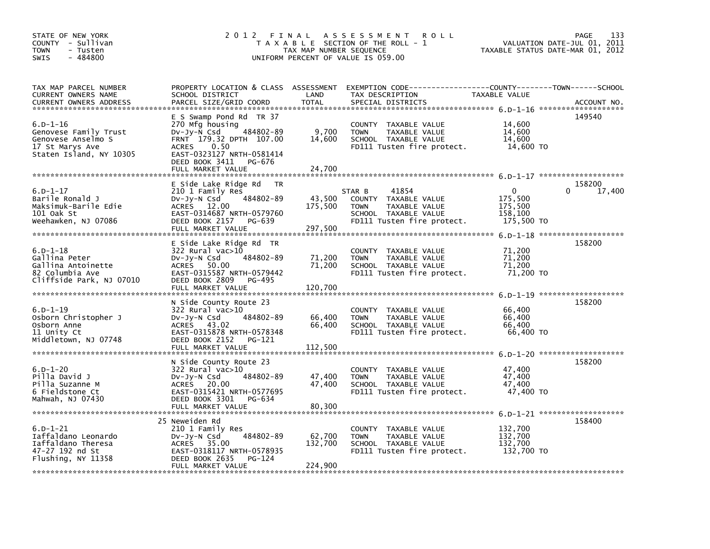| STATE OF NEW YORK<br>COUNTY - Sullivan<br><b>TOWN</b><br>- Tusten<br>$-484800$<br><b>SWIS</b>           | 2 0 1 2                                                                                                                                                                                                 | FINAL<br>TAX MAP NUMBER SEQUENCE | A S S E S S M E N T<br><b>ROLL</b><br>T A X A B L E SECTION OF THE ROLL - 1<br>UNIFORM PERCENT OF VALUE IS 059.00                       | TAXABLE STATUS DATE-MAR 01, 2012                            | 133<br><b>PAGE</b><br>VALUATION DATE-JUL 01, 2011 |
|---------------------------------------------------------------------------------------------------------|---------------------------------------------------------------------------------------------------------------------------------------------------------------------------------------------------------|----------------------------------|-----------------------------------------------------------------------------------------------------------------------------------------|-------------------------------------------------------------|---------------------------------------------------|
| TAX MAP PARCEL NUMBER<br>CURRENT OWNERS NAME<br>CURRENT OWNERS ADDRESS                                  | SCHOOL DISTRICT<br>PARCEL SIZE/GRID COORD                                                                                                                                                               | LAND<br><b>TOTAL</b>             | PROPERTY LOCATION & CLASS ASSESSMENT EXEMPTION CODE---------------COUNTY-------TOWN------SCHOOL<br>TAX DESCRIPTION<br>SPECIAL DISTRICTS | TAXABLE VALUE                                               | ACCOUNT NO.                                       |
| $6.D-1-16$<br>Genovese Family Trust<br>Genovese Anselmo S<br>17 St Marys Ave<br>Staten Island, NY 10305 | E S Swamp Pond Rd TR 37<br>270 Mfg housing<br>DV-Jy-N Csd<br>484802-89<br>FRNT 179.32 DPTH 107.00<br>0.50<br><b>ACRES</b><br>EAST-0323127 NRTH-0581414<br>DEED BOOK 3411<br>PG-676<br>FULL MARKET VALUE | 9,700<br>14,600<br>24,700        | COUNTY TAXABLE VALUE<br>TAXABLE VALUE<br><b>TOWN</b><br>SCHOOL TAXABLE VALUE<br>FD111 Tusten fire protect.                              | 14,600<br>14,600<br>14,600<br>14,600 TO                     | 149540                                            |
|                                                                                                         |                                                                                                                                                                                                         |                                  |                                                                                                                                         |                                                             |                                                   |
| $6.D - 1 - 17$<br>Barile Ronald J<br>Maksimuk-Barile Edie<br>101 Oak St<br>Weehawken, NJ 07086          | E Side Lake Ridge Rd<br><b>TR</b><br>210 1 Family Res<br>484802-89<br>$Dv-Jy-N$ Csd<br>ACRES 12.00<br>EAST-0314687 NRTH-0579760<br>DEED BOOK 2157<br>PG-639<br>FULL MARKET VALUE                        | 43,500<br>175,500<br>297,500     | 41854<br>STAR B<br>COUNTY TAXABLE VALUE<br><b>TOWN</b><br>TAXABLE VALUE<br>SCHOOL TAXABLE VALUE<br>FD111 Tusten fire protect.           | $\mathbf{0}$<br>175,500<br>175,500<br>158,100<br>175,500 TO | 158200<br>0<br>17,400                             |
|                                                                                                         |                                                                                                                                                                                                         |                                  |                                                                                                                                         | $6. D - 1 - 18$                                             | ********************                              |
| $6.D - 1 - 18$<br>Gallina Peter<br>Gallina Antoinette<br>82 Columbia Ave<br>Cliffside Park, NJ 07010    | E Side Lake Ridge Rd TR<br>322 Rural vac>10<br>484802-89<br>DV-Jy-N Csd<br>ACRES<br>50.00<br>EAST-0315587 NRTH-0579442<br>DEED BOOK 2809<br>PG-495<br>FULL MARKET VALUE                                 | 71,200<br>71,200<br>120,700      | <b>COUNTY</b><br>TAXABLE VALUE<br><b>TOWN</b><br>TAXABLE VALUE<br>SCHOOL TAXABLE VALUE<br>FD111 Tusten fire protect.                    | 71,200<br>71,200<br>71,200<br>71,200 TO                     | 158200                                            |
| $6.D - 1 - 19$<br>Osborn Christopher J<br>Osborn Anne<br>11 Unity Ct<br>Middletown, NJ 07748            | N Side County Route 23<br>322 Rural vac>10<br>484802-89<br>$Dv-Jy-N$ Csd<br>ACRES 43.02<br>EAST-0315878 NRTH-0578348<br>DEED BOOK 2152<br>PG-121<br>FULL MARKET VALUE                                   | 66,400<br>66,400<br>112,500      | <b>COUNTY</b><br>TAXABLE VALUE<br><b>TOWN</b><br>TAXABLE VALUE<br>SCHOOL TAXABLE VALUE<br>FD111 Tusten fire protect.                    | 66,400<br>66,400<br>66,400<br>66,400 TO                     | 158200                                            |
| $6.D - 1 - 20$<br>Pilla David J<br>Pilla Suzanne M<br>6 Fieldstone Ct<br>Mahwah, NJ 07430               | N Side County Route 23<br>322 Rural vac>10<br>484802-89<br>$Dv-Jy-N$ Csd<br>ACRES 20.00<br>EAST-0315421 NRTH-0577695<br>DEED BOOK 3301<br>PG-634<br>FULL MARKET VALUE                                   | 47,400<br>47,400<br>80,300       | <b>COUNTY</b><br>TAXABLE VALUE<br>TAXABLE VALUE<br><b>TOWN</b><br>SCHOOL TAXABLE VALUE<br>FD111 Tusten fire protect.                    | 47,400<br>47,400<br>47,400<br>47,400 TO                     | 158200                                            |
| $6.D - 1 - 21$<br>Iaffaldano Leonardo<br>Iaffaldano Theresa<br>47-27 192 nd St<br>Flushing, NY 11358    | 25 Neweiden Rd<br>210 1 Family Res<br>484802-89<br>DV-Jy-N Csd<br>ACRES 35.00<br>EAST-0318117 NRTH-0578935<br>DEED BOOK 2635<br>PG-124<br>FULL MARKET VALUE                                             | 62,700<br>132,700<br>224,900     | COUNTY TAXABLE VALUE<br><b>TOWN</b><br>TAXABLE VALUE<br>SCHOOL TAXABLE VALUE<br>FD111 Tusten fire protect.                              | 132,700<br>132,700<br>132,700<br>132,700 TO                 | 158400                                            |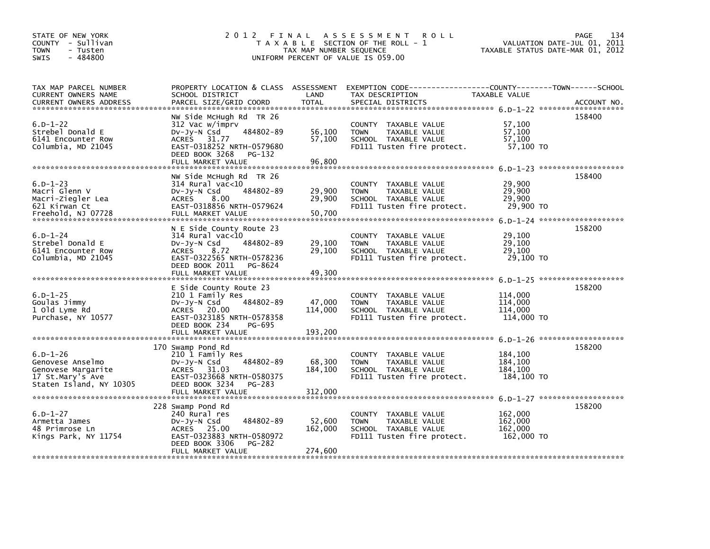| STATE OF NEW YORK<br>COUNTY - Sullivan<br><b>TOWN</b><br>- Tusten<br>$-484800$<br><b>SWIS</b> | 2 0 1 2                                        | FINAL<br>TAX MAP NUMBER SEQUENCE | A S S E S S M E N T<br><b>ROLL</b><br>T A X A B L E SECTION OF THE ROLL - 1<br>UNIFORM PERCENT OF VALUE IS 059.00 | TAXABLE STATUS DATE-MAR 01, 2012 | PAGE<br>134<br>VALUATION DATE-JUL 01, 2011 |
|-----------------------------------------------------------------------------------------------|------------------------------------------------|----------------------------------|-------------------------------------------------------------------------------------------------------------------|----------------------------------|--------------------------------------------|
|                                                                                               |                                                |                                  |                                                                                                                   |                                  |                                            |
| TAX MAP PARCEL NUMBER                                                                         | PROPERTY LOCATION & CLASS ASSESSMENT           |                                  | EXEMPTION CODE-----------------COUNTY-------TOWN------SCHOOL                                                      |                                  |                                            |
| CURRENT OWNERS NAME                                                                           | SCHOOL DISTRICT                                | LAND                             | TAX DESCRIPTION                                                                                                   | TAXABLE VALUE                    |                                            |
| <b>CURRENT OWNERS ADDRESS</b><br>******************************                               | PARCEL SIZE/GRID COORD                         | <b>TOTAL</b>                     | SPECIAL DISTRICTS                                                                                                 |                                  | ACCOUNT NO.                                |
|                                                                                               | NW Side McHugh Rd TR 26                        |                                  |                                                                                                                   |                                  | 158400                                     |
| $6.D - 1 - 22$                                                                                | 312 Vac w/imprv                                |                                  | <b>COUNTY</b><br>TAXABLE VALUE                                                                                    | 57,100                           |                                            |
| Strebel Donald E                                                                              | 484802-89<br>$Dv-Jy-N$ Csd                     | 56,100                           | TAXABLE VALUE<br><b>TOWN</b>                                                                                      | 57,100                           |                                            |
| 6141 Encounter Row                                                                            | 31.77<br><b>ACRES</b>                          | 57,100                           | SCHOOL TAXABLE VALUE                                                                                              | 57.100                           |                                            |
| Columbia, MD 21045                                                                            | EAST-0318252 NRTH-0579680                      |                                  | FD111 Tusten fire protect.                                                                                        | 57,100 TO                        |                                            |
|                                                                                               | DEED BOOK 3268<br>PG-132                       |                                  |                                                                                                                   |                                  |                                            |
|                                                                                               | FULL MARKET VALUE                              | 96,800                           |                                                                                                                   |                                  |                                            |
|                                                                                               |                                                |                                  |                                                                                                                   |                                  | 6.0-1-23 ********************              |
| $6.D - 1 - 23$                                                                                | NW Side McHugh Rd TR 26                        |                                  |                                                                                                                   |                                  | 158400                                     |
| Macri Glenn V                                                                                 | 314 Rural vac<10<br>484802-89                  | 29,900                           | COUNTY TAXABLE VALUE<br>TAXABLE VALUE<br><b>TOWN</b>                                                              | 29,900<br>29,900                 |                                            |
| Macri-Ziegler Lea                                                                             | $Dv-Jy-N$ Csd<br><b>ACRES</b><br>8.00          | 29,900                           | SCHOOL TAXABLE VALUE                                                                                              | 29,900                           |                                            |
| 621 Kirwan Ct                                                                                 | EAST-0318856 NRTH-0579624                      |                                  | FD111 Tusten fire protect.                                                                                        | 29,900 TO                        |                                            |
| Freehold, NJ 07728                                                                            | FULL MARKET VALUE                              | 50,700                           |                                                                                                                   |                                  |                                            |
|                                                                                               |                                                |                                  |                                                                                                                   |                                  |                                            |
|                                                                                               | N E Side County Route 23                       |                                  |                                                                                                                   |                                  | 158200                                     |
| $6. D - 1 - 24$                                                                               | 314 Rural vac<10                               |                                  | COUNTY TAXABLE VALUE                                                                                              | 29,100                           |                                            |
| Strebel Donald E                                                                              | 484802-89<br>$Dv-Jy-N$ Csd                     | 29,100                           | <b>TOWN</b><br>TAXABLE VALUE                                                                                      | 29,100                           |                                            |
| 6141 Encounter Row                                                                            | <b>ACRES</b><br>8.72                           | 29,100                           | SCHOOL TAXABLE VALUE                                                                                              | 29,100                           |                                            |
| Columbia, MD 21045                                                                            | EAST-0322565 NRTH-0578236                      |                                  | FD111 Tusten fire protect.                                                                                        | 29,100 TO                        |                                            |
|                                                                                               | DEED BOOK 2011<br>PG-8624<br>FULL MARKET VALUE | 49,300                           |                                                                                                                   |                                  |                                            |
|                                                                                               |                                                |                                  |                                                                                                                   |                                  |                                            |
|                                                                                               | E Side County Route 23                         |                                  |                                                                                                                   |                                  | 158200                                     |
| $6.D - 1 - 25$                                                                                | 210 1 Family Res                               |                                  | <b>COUNTY</b><br>TAXABLE VALUE                                                                                    | 114,000                          |                                            |
| Goulas Jimmy                                                                                  | 484802-89<br>DV-Jy-N Csd                       | 47,000                           | <b>TAXABLE VALUE</b><br><b>TOWN</b>                                                                               | 114,000                          |                                            |
| 1 old Lyme Rd                                                                                 | 20.00<br><b>ACRES</b>                          | 114,000                          | SCHOOL TAXABLE VALUE                                                                                              | 114,000                          |                                            |
| Purchase, NY 10577                                                                            | EAST-0323185 NRTH-0578358                      |                                  | FD111 Tusten fire protect.                                                                                        | 114,000 TO                       |                                            |
|                                                                                               | DEED BOOK 234<br>PG-695                        |                                  |                                                                                                                   |                                  |                                            |
|                                                                                               | FULL MARKET VALUE                              | 193,200                          |                                                                                                                   |                                  | 6.D-1-26 *********************             |
|                                                                                               | 170 Swamp Pond Rd                              |                                  |                                                                                                                   |                                  | 158200                                     |
| $6.D - 1 - 26$                                                                                | 210 1 Family Res                               |                                  | COUNTY TAXABLE VALUE                                                                                              | 184,100                          |                                            |
| Genovese Anselmo                                                                              | 484802-89<br>DV-Jy-N Csd                       | 68,300                           | <b>TOWN</b><br>TAXABLE VALUE                                                                                      | 184,100                          |                                            |
| Genovese Margarite                                                                            | <b>ACRES</b><br>31.03                          | 184,100                          | SCHOOL TAXABLE VALUE                                                                                              | 184,100                          |                                            |
| 17 St.Mary's Ave                                                                              | EAST-0323668 NRTH-0580375                      |                                  | FD111 Tusten fire protect.                                                                                        | 184,100 TO                       |                                            |
| Staten Island, NY 10305                                                                       | DEED BOOK 3234<br>PG-283                       |                                  |                                                                                                                   |                                  |                                            |
|                                                                                               | FULL MARKET VALUE                              | 312,000                          |                                                                                                                   |                                  |                                            |
|                                                                                               |                                                |                                  |                                                                                                                   |                                  | 6.0-1-27 ********************              |
| $6.D - 1 - 27$                                                                                | 228 Swamp Pond Rd                              |                                  |                                                                                                                   |                                  | 158200                                     |
| Armetta James                                                                                 | 240 Rural res<br>484802-89<br>DV-Jy-N Csd      | 52,600                           | COUNTY TAXABLE VALUE<br><b>TOWN</b><br>TAXABLE VALUE                                                              | 162,000<br>162,000               |                                            |
| 48 Primrose Ln                                                                                | ACRES 25.00                                    | 162,000                          | SCHOOL TAXABLE VALUE                                                                                              | 162,000                          |                                            |
| Kings Park, NY 11754                                                                          | EAST-0323883 NRTH-0580972                      |                                  | FD111 Tusten fire protect.                                                                                        | 162,000 TO                       |                                            |
|                                                                                               | DEED BOOK 3306<br>PG-282                       |                                  |                                                                                                                   |                                  |                                            |
|                                                                                               | FULL MARKET VALUE                              | 274,600                          |                                                                                                                   |                                  |                                            |
|                                                                                               |                                                |                                  |                                                                                                                   |                                  |                                            |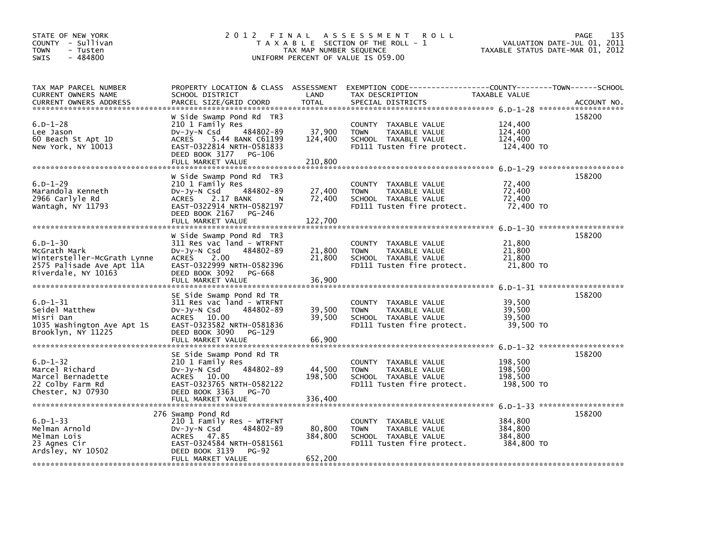| STATE OF NEW YORK<br>COUNTY - Sullivan<br><b>TOWN</b><br>- Tusten<br>$-484800$<br><b>SWIS</b>                     |                                                                                                                                                                                         | TAX MAP NUMBER SEQUENCE      | 2012 FINAL ASSESSMENT ROLL<br>T A X A B L E SECTION OF THE ROLL - 1<br>UNIFORM PERCENT OF VALUE IS 059.00  |                                             | 135<br>PAGE<br>VALUATION DATE-JUL 01, 2011<br>TAXABLE STATUS DATE-MAR 01, 2012 |
|-------------------------------------------------------------------------------------------------------------------|-----------------------------------------------------------------------------------------------------------------------------------------------------------------------------------------|------------------------------|------------------------------------------------------------------------------------------------------------|---------------------------------------------|--------------------------------------------------------------------------------|
| TAX MAP PARCEL NUMBER<br>CURRENT OWNERS NAME<br><b>CURRENT OWNERS ADDRESS</b>                                     | PROPERTY LOCATION & CLASS ASSESSMENT<br>SCHOOL DISTRICT<br>PARCEL SIZE/GRID COORD                                                                                                       | LAND<br><b>TOTAL</b>         | EXEMPTION CODE-----------------COUNTY-------TOWN------SCHOOL<br>TAX DESCRIPTION<br>SPECIAL DISTRICTS       | TAXABLE VALUE                               | ACCOUNT NO.                                                                    |
| $6.D - 1 - 28$<br>Lee Jason<br>60 Beach St Apt 1D<br>New York, NY 10013                                           | W Side Swamp Pond Rd TR3<br>210 1 Family Res<br>DV-Jy-N Csd<br>484802-89<br>ACRES 5.44 BANK C61199<br>EAST-0322814 NRTH-0581833<br>DEED BOOK 3177<br>PG-106<br>FULL MARKET VALUE        | 37,900<br>124,400<br>210,800 | COUNTY TAXABLE VALUE<br><b>TOWN</b><br>TAXABLE VALUE<br>SCHOOL TAXABLE VALUE<br>FD111 Tusten fire protect. | 124,400<br>124,400<br>124,400<br>124,400 TO | 158200                                                                         |
| $6.D - 1 - 29$<br>Marandola Kenneth<br>2966 Carlyle Rd<br>Wantagh, NY 11793                                       | W Side Swamp Pond Rd TR3<br>210 1 Family Res<br>484802-89<br>DV-Jy-N Csd<br><b>ACRES</b><br>2.17 BANK<br>EAST-0322914 NRTH-0582197<br>DEED BOOK 2167<br>PG-246<br>FULL MARKET VALUE     | 27,400<br>72,400<br>122,700  | COUNTY TAXABLE VALUE<br>TAXABLE VALUE<br><b>TOWN</b><br>SCHOOL TAXABLE VALUE<br>FD111 Tusten fire protect. | 72,400<br>72,400<br>72,400<br>72,400 TO     | 158200                                                                         |
| $6.D - 1 - 30$<br>McGrath Mark<br>Wintersteller-McGrath Lynne<br>2575 Palisade Ave Apt 11A<br>Riverdale, NY 10163 | W Side Swamp Pond Rd TR3<br>311 Res vac land - WTRFNT<br>DV-Jy-N Csd<br>484802-89<br><b>ACRES</b><br>2.00<br>EAST-0322999 NRTH-0582396<br>DEED BOOK 3092<br>PG-668<br>FULL MARKET VALUE | 21,800<br>21,800<br>36,900   | COUNTY TAXABLE VALUE<br><b>TOWN</b><br>TAXABLE VALUE<br>SCHOOL TAXABLE VALUE<br>FD111 Tusten fire protect. | 21,800<br>21,800<br>21,800<br>21,800 TO     | 158200                                                                         |
| $6.D - 1 - 31$<br>Seidel Matthew<br>Misri Dan<br>1035 Washington Ave Apt 1S<br>Brooklyn, NY 11225                 | SE Side Swamp Pond Rd TR<br>311 Res vac land - WTRFNT<br>$Dv-Jy-N$ Csd<br>484802-89<br>ACRES 10.00<br>EAST-0323582 NRTH-0581836<br>DEED BOOK 3090<br>PG-129                             | 39,500<br>39,500             | COUNTY TAXABLE VALUE<br>TAXABLE VALUE<br><b>TOWN</b><br>SCHOOL TAXABLE VALUE<br>FD111 Tusten fire protect. | 39,500<br>39,500<br>39,500<br>39,500 TO     | 158200                                                                         |
| $6.D - 1 - 32$<br>Marcel Richard<br>Marcel Bernadette<br>22 Colby Farm Rd<br>Chester, NJ 07930                    | SE Side Swamp Pond Rd TR<br>210 1 Family Res<br>484802-89<br>$Dv-Jy-N$ Csd<br>ACRES 10.00<br>EAST-0323765 NRTH-0582122<br>DEED BOOK 3363<br>PG-70                                       | 44,500<br>198,500            | COUNTY TAXABLE VALUE<br><b>TOWN</b><br>TAXABLE VALUE<br>SCHOOL TAXABLE VALUE<br>FD111 Tusten fire protect. | 198,500<br>198,500<br>198,500<br>198,500 TO | 158200                                                                         |
| $6. D - 1 - 33$<br>Melman Arnold<br>Melman Lois<br>23 Agnes Cir<br>Ardsley, NY 10502                              | 276 Swamp Pond Rd<br>210 1 Family Res - WTRFNT<br>$Dv-Jy-N$ Csd<br>484802-89<br>ACRES 47.85<br>EAST-0324584 NRTH-0581561<br>DEED BOOK 3139<br>PG-92<br>FULL MARKET VALUE                | 80,800<br>384,800<br>652,200 | COUNTY TAXABLE VALUE<br><b>TOWN</b><br>TAXABLE VALUE<br>SCHOOL TAXABLE VALUE<br>FD111 Tusten fire protect. | 384,800<br>384,800<br>384,800<br>384,800 TO | 158200                                                                         |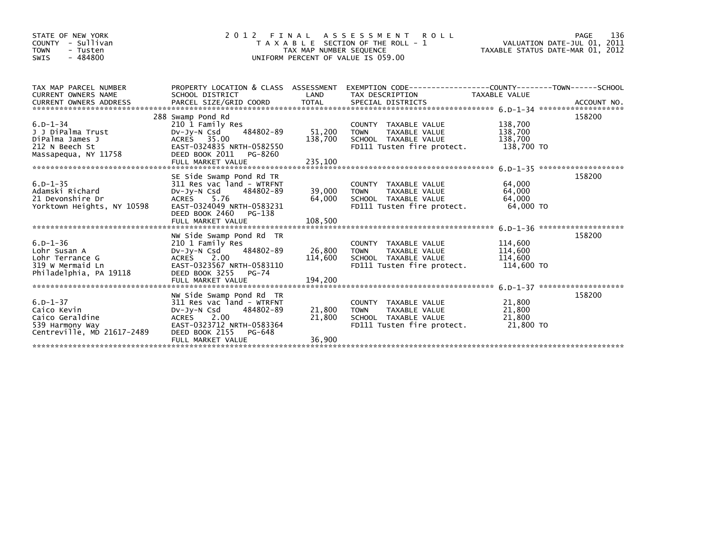| STATE OF NEW YORK<br>- Sullivan<br>COUNTY<br><b>TOWN</b><br>- Tusten<br>$-484800$<br>SWIS         | 2 0 1 2                                                                                                                                                                       | TAX MAP NUMBER SEQUENCE    | FINAL ASSESSMENT ROLL<br>T A X A B L E SECTION OF THE ROLL - 1<br>UNIFORM PERCENT OF VALUE IS 059.00                | VALUATION DATE-JUL 01, 2011<br>TAXABLE STATUS DATE-MAR 01, 2012 | PAGE<br>136 |
|---------------------------------------------------------------------------------------------------|-------------------------------------------------------------------------------------------------------------------------------------------------------------------------------|----------------------------|---------------------------------------------------------------------------------------------------------------------|-----------------------------------------------------------------|-------------|
| TAX MAP PARCEL NUMBER<br><b>CURRENT OWNERS NAME</b>                                               | SCHOOL DISTRICT                                                                                                                                                               | LAND                       | PROPERTY LOCATION & CLASS ASSESSMENT EXEMPTION CODE----------------COUNTY-------TOWN------SCHOOL<br>TAX DESCRIPTION | TAXABLE VALUE                                                   |             |
| $6. D - 1 - 34$<br>J J DiPalma Trust<br>DiPalma James J<br>212 N Beech St<br>Massapequa, NY 11758 | 288 Swamp Pond Rd<br>210 1 Family Res<br>484802-89<br>DV-JY-N Csd<br>ACRES 35.00<br>EAST-0324835 NRTH-0582550<br>DEED BOOK 2011 PG-8260                                       | 51,200<br>138,700          | COUNTY TAXABLE VALUE<br>TAXABLE VALUE<br><b>TOWN</b><br>SCHOOL TAXABLE VALUE<br>FD111 Tusten fire protect.          | 138,700<br>138,700<br>138,700<br>138,700 TO                     | 158200      |
| $6. D - 1 - 35$<br>Adamski Richard<br>21 Devonshire Dr<br>Yorktown Heights, NY 10598              | SE Side Swamp Pond Rd TR<br>311 Res vac land - WTRFNT<br>484802-89<br>DV-JY-N Csd<br>ACRES 5.76<br>EAST-0324049 NRTH-0583231<br>DEED BOOK 2460 PG-138                         | 39,000 TOWN<br>64,000      | COUNTY TAXABLE VALUE<br>TAXABLE VALUE<br>SCHOOL TAXABLE VALUE<br>FD111 Tusten fire protect.                         | 64,000<br>64,000<br>64.000<br>64.000 TO                         | 158200      |
| $6.D - 1 - 36$<br>Lohr Susan A<br>Lohr Terrance G<br>319 W Mermaid Ln<br>Philadelphia, PA 19118   | NW Side Swamp Pond Rd TR<br>210 1 Family Res<br>484802-89<br>DV-JY-N Csd<br>ACRES 2.00<br>EAST-0323567 NRTH-0583110<br>DEED BOOK 3255 PG-74                                   | 26.800 TOWN<br>114,600     | COUNTY TAXABLE VALUE<br>TAXABLE VALUE<br>SCHOOL TAXABLE VALUE<br>FD111 Tusten fire protect.                         | 114,600<br>114,600<br>114,600<br>114,600 TO                     | 158200      |
| $6.D - 1 - 37$<br>Caico Kevin<br>Caico Geraldine<br>539 Harmony Way<br>Centreville, MD 21617-2489 | NW Side Swamp Pond Rd TR<br>311 Res vac land - WTRFNT<br>484802-89<br>DV-JV-N Csd<br>ACRES 2.00<br>EAST-0323712 NRTH-0583364<br>DEED BOOK 2155<br>PG-648<br>FULL MARKET VALUE | 21.800<br>21,800<br>36,900 | COUNTY TAXABLE VALUE<br><b>TOWN</b><br>TAXABLE VALUE<br>SCHOOL TAXABLE VALUE<br>FD111 Tusten fire protect.          | 21,800<br>21.800<br>21,800<br>21,800 TO                         | 158200      |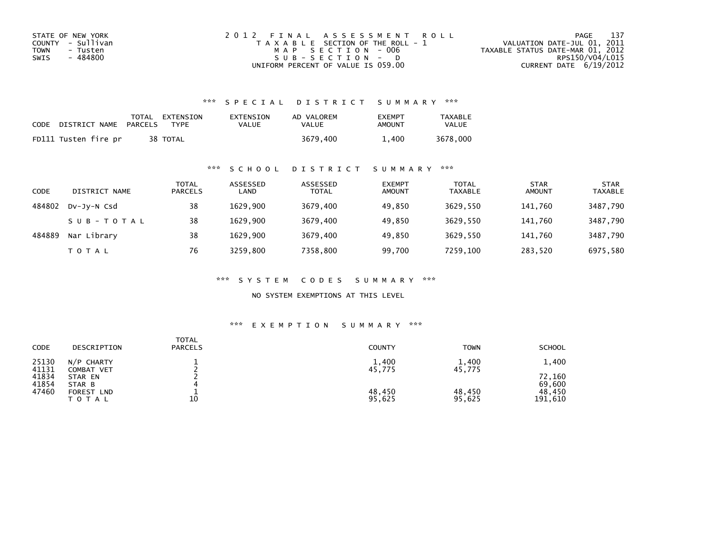| STATE OF NEW YORK       | 2012 FINAL ASSESSMENT ROLL            | 137<br>PAGE                      |
|-------------------------|---------------------------------------|----------------------------------|
| COUNTY - Sullivan       | T A X A B L E SECTION OF THE ROLL - 1 | VALUATION DATE-JUL 01, 2011      |
| <b>TOWN</b><br>- Tusten | MAP SECTION - 006                     | TAXABLE STATUS DATE-MAR 01, 2012 |
| - 484800<br>SWIS        | $SUB - SECTION - D$                   | RPS150/V04/L015                  |
|                         | UNIFORM PERCENT OF VALUE IS 059.00    | CURRENT DATE $6/19/2012$         |

| CODE | DISTRICT NAME        | PARCELS | TOTAL EXTENSION<br>TYPF | EXTENSION<br>VALUE | AD VALOREM<br>VALUE | <b>EXEMPT</b><br>AMOUNT | <b>TAXABLE</b><br><b>VALUE</b> |
|------|----------------------|---------|-------------------------|--------------------|---------------------|-------------------------|--------------------------------|
|      | FD111 Tusten fire pr |         | 38 TOTAL                |                    | 3679.400            | 1.400                   | 3678,000                       |

#### \*\*\* S C H O O L D I S T R I C T S U M M A R Y \*\*\*

| CODE   | DISTRICT NAME | TOTAL<br><b>PARCELS</b> | ASSESSED<br>LAND | ASSESSED<br><b>TOTAL</b> | <b>EXEMPT</b><br><b>AMOUNT</b> | <b>TOTAL</b><br><b>TAXABLE</b> | <b>STAR</b><br><b>AMOUNT</b> | <b>STAR</b><br><b>TAXABLE</b> |
|--------|---------------|-------------------------|------------------|--------------------------|--------------------------------|--------------------------------|------------------------------|-------------------------------|
| 484802 | DV-JY-N Csd   | 38                      | 1629.900         | 3679,400                 | 49.850                         | 3629.550                       | 141.760                      | 3487,790                      |
|        | SUB-TOTAL     | 38                      | 1629.900         | 3679,400                 | 49,850                         | 3629,550                       | 141.760                      | 3487,790                      |
| 484889 | Nar Library   | 38                      | 1629.900         | 3679,400                 | 49.850                         | 3629.550                       | 141.760                      | 3487,790                      |
|        | T O T A L     | 76                      | 3259,800         | 7358,800                 | 99,700                         | 7259.100                       | 283,520                      | 6975,580                      |

\*\*\* S Y S T E M C O D E S S U M M A R Y \*\*\*

NO SYSTEM EXEMPTIONS AT THIS LEVEL

| CODE           | DESCRIPTION                | <b>TOTAL</b><br><b>PARCELS</b> | <b>COUNTY</b>    | <b>TOWN</b>      | <b>SCHOOL</b>     |
|----------------|----------------------------|--------------------------------|------------------|------------------|-------------------|
| 25130<br>41131 | N/P CHARTY<br>COMBAT VET   |                                | 1,400<br>45,775  | 1,400<br>45,775  | 1,400             |
| 41834<br>41854 | STAR EN<br>STAR B          |                                |                  |                  | 72,160<br>69,600  |
| 47460          | FOREST LND<br><b>TOTAL</b> | 10                             | 48,450<br>95,625 | 48,450<br>95,625 | 48,450<br>191,610 |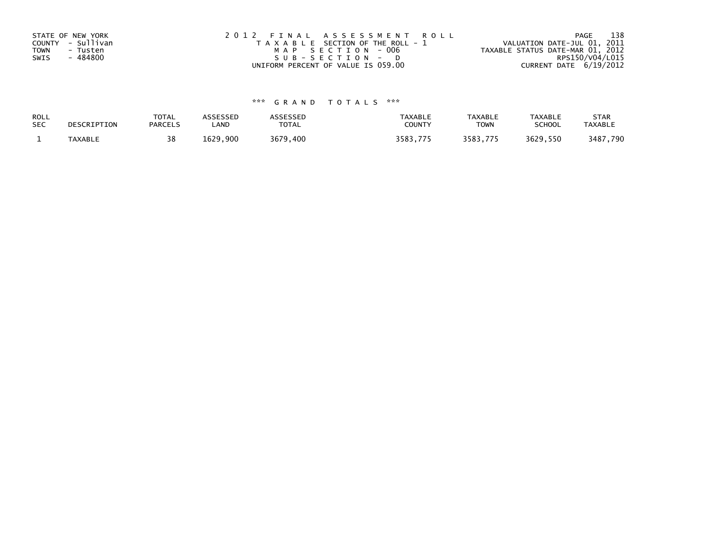| STATE OF NEW YORK<br>COUNTY - Sullivan<br>TOWN<br>- Tusten<br>SWIS<br>- 484800 | 2012 FINAL ASSESSMENT ROLL<br>T A X A B L E SECTION OF THE ROLL - 1<br>MAP SECTION - 006<br>SUB-SECTION - D | - 138<br>PAGE<br>VALUATION DATE-JUL 01, 2011<br>TAXABLE STATUS DATE-MAR 01, 2012<br>RPS150/V04/L015 |
|--------------------------------------------------------------------------------|-------------------------------------------------------------------------------------------------------------|-----------------------------------------------------------------------------------------------------|
|                                                                                | UNIFORM PERCENT OF VALUE IS 059.00                                                                          | CURRENT DATE 6/19/2012                                                                              |

| ROLL       | DESCRIPTION | <b>TOTAL</b>   | ASSESSED | ASSESSED     | <b>TAXABLE</b> | <b>TAXABLE</b> | TAXABLE       | <b>STAR</b>    |
|------------|-------------|----------------|----------|--------------|----------------|----------------|---------------|----------------|
| <b>SEC</b> |             | <b>PARCELS</b> | ∟AND     | <b>TOTAL</b> | <b>COUNTY</b>  | TOWN           | <b>SCHOOL</b> | <b>TAXABLE</b> |
|            | TAXABLE     | 38             | 1629.900 | 3679,400     | 3583.775       | 3583,775       | 3629,550      | 3487,790       |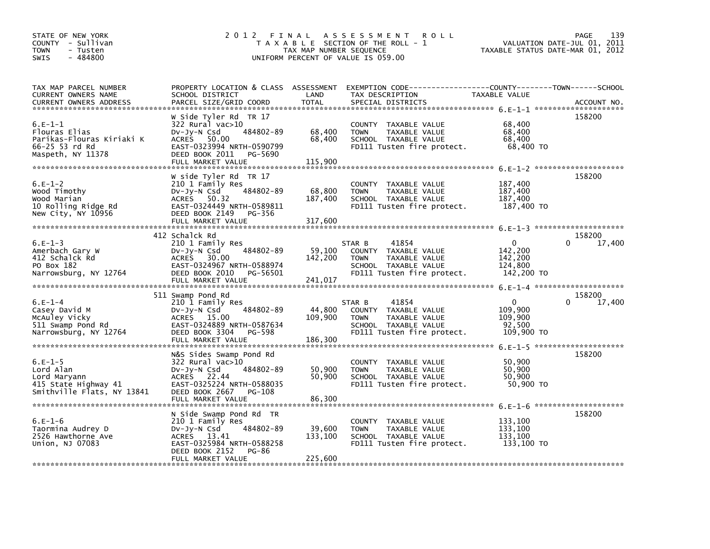| STATE OF NEW YORK<br>COUNTY - Sullivan<br><b>TOWN</b><br>- Tusten<br>$-484800$<br><b>SWIS</b>  | 2 0 1 2                                                                                                                                                                  | TAX MAP NUMBER SEQUENCE      | FINAL ASSESSMENT<br><b>ROLL</b><br>T A X A B L E SECTION OF THE ROLL - 1<br>UNIFORM PERCENT OF VALUE IS 059.00                           |                                                             | 139<br>PAGE<br>VALUATION DATE-JUL 01, 2011<br>TAXABLE STATUS DATE-MAR 01, 2012 |
|------------------------------------------------------------------------------------------------|--------------------------------------------------------------------------------------------------------------------------------------------------------------------------|------------------------------|------------------------------------------------------------------------------------------------------------------------------------------|-------------------------------------------------------------|--------------------------------------------------------------------------------|
| TAX MAP PARCEL NUMBER<br>CURRENT OWNERS NAME<br><b>CURRENT OWNERS ADDRESS</b>                  | SCHOOL DISTRICT<br>PARCEL SIZE/GRID COORD                                                                                                                                | LAND<br><b>TOTAL</b>         | PROPERTY LOCATION & CLASS ASSESSMENT EXEMPTION CODE-----------------COUNTY-------TOWN-----SCHOOL<br>TAX DESCRIPTION<br>SPECIAL DISTRICTS | TAXABLE VALUE                                               | ACCOUNT NO.                                                                    |
| $6.E-1-1$<br>Flouras Elias<br>Parikas-Flouras Kiriaki K<br>66-25 53 rd Rd<br>Maspeth, NY 11378 | W Side Tyler Rd TR 17<br>$322$ Rural vac $>10$<br>Dv-Jy-N Csd<br>484802-89<br>ACRES 50.00<br>EAST-0323994 NRTH-0590799<br>DEED BOOK 2011<br>PG-5690<br>FULL MARKET VALUE | 68,400<br>68,400<br>115,900  | COUNTY TAXABLE VALUE<br><b>TOWN</b><br>TAXABLE VALUE<br>SCHOOL TAXABLE VALUE<br>FD111 Tusten fire protect.                               | 68,400<br>68,400<br>68,400<br>68,400 TO                     | 158200                                                                         |
| $6.E-1-2$<br>Wood Timothy<br>Wood Marian<br>10 Rolling Ridge Rd<br>New City, NY 10956          | W side Tyler Rd TR 17<br>210 1 Family Res<br>484802-89<br>DV-Jy-N Csd<br>ACRES 50.32<br>EAST-0324449 NRTH-0589811<br>DEED BOOK 2149 PG-356                               | 68,800<br>187,400            | COUNTY TAXABLE VALUE<br>TAXABLE VALUE<br><b>TOWN</b><br>SCHOOL TAXABLE VALUE<br>FD111 Tusten fire protect.                               | 187,400<br>187,400<br>187,400<br>187,400 TO                 | 158200                                                                         |
| $6.E-1-3$<br>Amerbach Gary W<br>412 Schalck Rd<br>PO Box 182<br>Narrowsburg, NY 12764          | 412 Schalck Rd<br>210 1 Family Res<br>484802-89<br>$Dv-Jy-N$ Csd<br>ACRES 30.00<br>EAST-0324967 NRTH-0588974<br>DEED BOOK 2010 PG-56501                                  | 59,100<br>142,200            | 41854<br>STAR B<br>COUNTY TAXABLE VALUE<br>TAXABLE VALUE<br><b>TOWN</b><br>SCHOOL TAXABLE VALUE<br>FD111 Tusten fire protect.            | $\mathbf{0}$<br>142.200<br>142,200<br>124,800<br>142,200 TO | 158200<br>0<br>17,400                                                          |
| $6.E-1-4$<br>Casey David M<br>McAuley Vicky<br>511 Swamp Pond Rd<br>Narrowsburg, NY 12764      | 511 Swamp Pond Rd<br>210 1 Family Res<br>484802-89<br>DV-Jy-N Csd<br>ACRES 15.00<br>EAST-0324889 NRTH-0587634<br>DEED BOOK 3304<br>PG-598                                | 44,800<br>109,900            | 41854<br>STAR B<br>COUNTY TAXABLE VALUE<br>TAXABLE VALUE<br><b>TOWN</b><br>SCHOOL TAXABLE VALUE<br>FD111 Tusten fire protect.            | $\mathbf{0}$<br>109,900<br>109,900<br>92,500<br>109,900 TO  | 158200<br>0<br>17,400                                                          |
| $6.E-1-5$<br>Lord Alan<br>Lord Maryann<br>415 State Highway 41<br>Smithville Flats, NY 13841   | N&S Sides Swamp Pond Rd<br>322 Rural vac>10<br>484802-89<br>$Dv-Jy-N$ Csd<br>ACRES 22.44<br>EAST-0325224 NRTH-0588035<br>DEED BOOK 2667<br>PG-108<br>FULL MARKET VALUE   | 50,900<br>50,900<br>86,300   | COUNTY TAXABLE VALUE<br><b>TOWN</b><br>TAXABLE VALUE<br>SCHOOL TAXABLE VALUE<br>FD111 Tusten fire protect.                               | 50,900<br>50.900<br>50,900<br>50,900 TO                     | 158200                                                                         |
| $6.E-1-6$<br>Taormina Audrey D<br>2526 Hawthorne Ave<br>Union, NJ 07083                        | N Side Swamp Pond Rd TR<br>210 1 Family Res<br>484802-89<br>$Dv-Jy-N$ Csd<br>ACRES 13.41<br>EAST-0325984 NRTH-0588258<br>DEED BOOK 2152<br>PG-86<br>FULL MARKET VALUE    | 39,600<br>133,100<br>225,600 | COUNTY TAXABLE VALUE<br><b>TOWN</b><br>TAXABLE VALUE<br>SCHOOL TAXABLE VALUE<br>FD111 Tusten fire protect.                               | 133,100<br>133,100<br>133,100<br>133,100 TO                 | 158200                                                                         |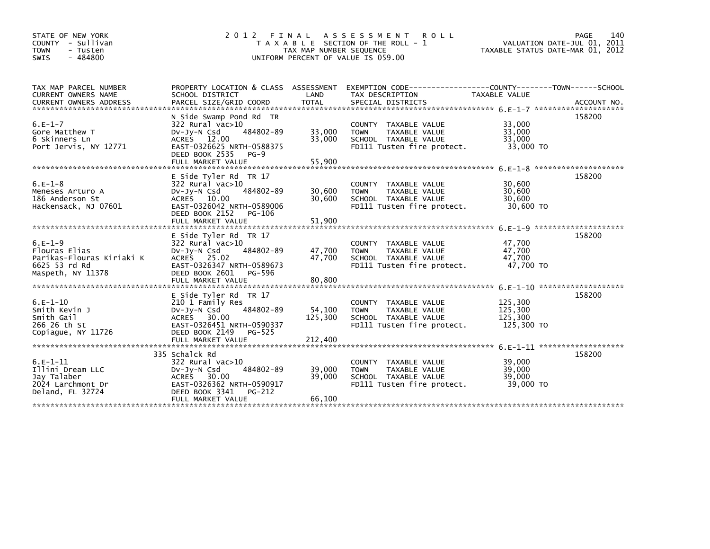| STATE OF NEW YORK<br>COUNTY - Sullivan<br><b>TOWN</b><br>- Tusten<br>$-484800$<br><b>SWIS</b> | 2 0 1 2<br>FINAL                                                                                                                                                          | TAX MAP NUMBER SEQUENCE    | A S S E S S M E N T<br><b>ROLL</b><br>T A X A B L E SECTION OF THE ROLL - 1<br>UNIFORM PERCENT OF VALUE IS 059.00    | 140<br><b>PAGE</b><br>VALUATION DATE-JUL 01, 2011<br>TAXABLE STATUS DATE-MAR 01, 2012 |        |  |
|-----------------------------------------------------------------------------------------------|---------------------------------------------------------------------------------------------------------------------------------------------------------------------------|----------------------------|----------------------------------------------------------------------------------------------------------------------|---------------------------------------------------------------------------------------|--------|--|
| TAX MAP PARCEL NUMBER<br><b>CURRENT OWNERS NAME</b>                                           | PROPERTY LOCATION & CLASS ASSESSMENT<br>SCHOOL DISTRICT                                                                                                                   | LAND                       | EXEMPTION CODE-----------------COUNTY-------TOWN------SCHOOL<br>TAX DESCRIPTION                                      | TAXABLE VALUE                                                                         |        |  |
| $6.E-1-7$<br>Gore Matthew T<br>6 Skinners Ln<br>Port Jervis, NY 12771                         | N Side Swamp Pond Rd TR<br>322 Rural vac>10<br>484802-89<br>$Dv-Jv-N$ Csd<br>ACRES 12.00<br>EAST-0326625 NRTH-0588375<br>DEED BOOK 2535<br>$PG-9$<br>FULL MARKET VALUE    | 33,000<br>33.000<br>55,900 | COUNTY TAXABLE VALUE<br><b>TOWN</b><br>TAXABLE VALUE<br>SCHOOL TAXABLE VALUE<br>FD111 Tusten fire protect.           | 33,000<br>33,000<br>33.000<br>33,000 TO                                               | 158200 |  |
| $6.E-1-8$<br>Meneses Arturo A<br>186 Anderson St<br>Hackensack, NJ 07601                      | E Side Tyler Rd TR 17<br>$322$ Rural vac $>10$<br>$Dv-Jv-N$ Csd<br>484802-89<br>ACRES 10.00<br>EAST-0326042 NRTH-0589006<br>DEED BOOK 2152<br>PG-106<br>FULL MARKET VALUE | 30.600<br>30,600<br>51,900 | COUNTY TAXABLE VALUE<br><b>TOWN</b><br>TAXABLE VALUE<br>SCHOOL TAXABLE VALUE<br>FD111 Tusten fire protect.           | 30,600<br>30.600<br>30.600<br>30,600 TO                                               | 158200 |  |
| $6.E-1-9$<br>Flouras Elias<br>Parikas-Flouras Kiriaki K<br>6625 53 rd Rd<br>Maspeth, NY 11378 | E Side Tyler Rd TR 17<br>$322$ Rural vac $>10$<br>484802-89<br>$Dv-Jy-N$ Csd<br>ACRES 25.02<br>EAST-0326347 NRTH-0589673<br>DEED BOOK 2601<br>PG-596<br>FULL MARKET VALUE | 47,700<br>47,700<br>80.800 | <b>COUNTY</b><br>TAXABLE VALUE<br>TAXABLE VALUE<br><b>TOWN</b><br>SCHOOL TAXABLE VALUE<br>FD111 Tusten fire protect. | 47.700<br>47,700<br>47.700<br>47.700 TO                                               | 158200 |  |
| $6.E-1-10$<br>Smith Kevin J<br>Smith Gail<br>266 26 th St<br>Copiague, NY 11726               | E Side Tyler Rd TR 17<br>210 1 Family Res<br>484802-89<br>$Dv-Jy-N$ Csd<br>ACRES 30.00<br>EAST-0326451 NRTH-0590337<br>DEED BOOK 2149<br>PG-525                           | 54,100<br>125.300          | <b>COUNTY</b><br>TAXABLE VALUE<br><b>TOWN</b><br>TAXABLE VALUE<br>SCHOOL TAXABLE VALUE<br>FD111 Tusten fire protect. | 125,300<br>125,300<br>125,300<br>125,300 TO                                           | 158200 |  |
| $6.E-1-11$<br>Illini Dream LLC<br>Jav Talaber<br>2024 Larchmont Dr<br>Deland, FL 32724        | 335 Schalck Rd<br>322 Rural vac>10<br>484802-89<br>$Dv-Jv-N$ Csd<br>ACRES 30.00<br>EAST-0326362 NRTH-0590917<br>DEED BOOK 3341<br>PG-212<br>FULL MARKET VALUE             | 39,000<br>39,000<br>66,100 | <b>COUNTY</b><br>TAXABLE VALUE<br>TAXABLE VALUE<br><b>TOWN</b><br>SCHOOL TAXABLE VALUE<br>FD111 Tusten fire protect. | 39,000<br>39,000<br>39,000<br>39,000 TO                                               | 158200 |  |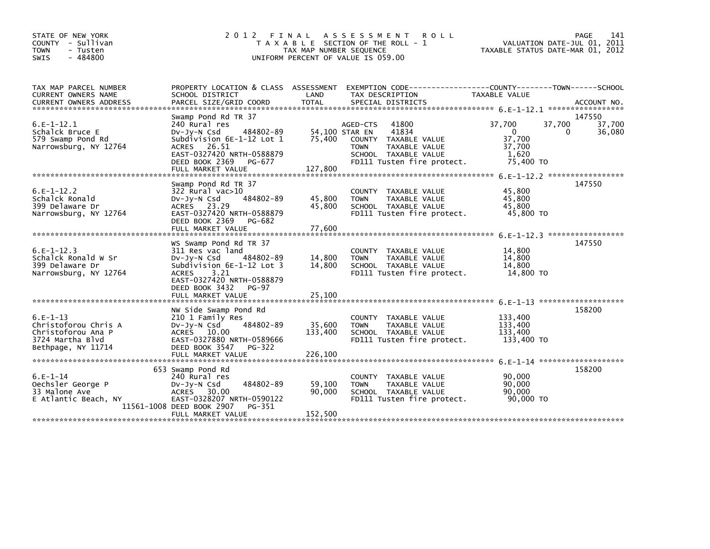| STATE OF NEW YORK<br>COUNTY - Sullivan<br><b>TOWN</b><br>- Tusten<br>$-484800$<br><b>SWIS</b> | 2 0 1 2<br>FINAL                                                                                                                                                                    | TAX MAP NUMBER SEQUENCE  | A S S E S S M E N T<br><b>ROLL</b><br>T A X A B L E SECTION OF THE ROLL - 1<br>UNIFORM PERCENT OF VALUE IS 059.00   |                                                    | 141<br>PAGE<br>VALUATION DATE-JUL 01, 2011<br>TAXABLE STATUS DATE-MAR 01, 2012 |
|-----------------------------------------------------------------------------------------------|-------------------------------------------------------------------------------------------------------------------------------------------------------------------------------------|--------------------------|---------------------------------------------------------------------------------------------------------------------|----------------------------------------------------|--------------------------------------------------------------------------------|
| TAX MAP PARCEL NUMBER<br><b>CURRENT OWNERS NAME</b>                                           | PROPERTY LOCATION & CLASS ASSESSMENT<br>SCHOOL DISTRICT                                                                                                                             | LAND                     | EXEMPTION CODE-----------------COUNTY-------TOWN------SCHOOL<br>TAX DESCRIPTION                                     | TAXABLE VALUE                                      |                                                                                |
|                                                                                               |                                                                                                                                                                                     |                          |                                                                                                                     |                                                    |                                                                                |
| $6.E-1-12.1$                                                                                  | Swamp Pond Rd TR 37<br>240 Rural res                                                                                                                                                |                          | 41800<br>AGED-CTS                                                                                                   | 37,700                                             | 147550<br>37,700<br>37,700                                                     |
| Schalck Bruce E<br>579 Swamp Pond Rd<br>Narrowsburg, NY 12764                                 | 484802-89<br>$Dv-Jy-N$ Csd<br>Subdivision 6E-1-12 Lot 1<br>ACRES 26.51<br>EAST-0327420 NRTH-0588879<br>DEED BOOK 2369 PG-677                                                        | 54,100 STAR EN<br>75,400 | 41834<br>COUNTY TAXABLE VALUE<br><b>TOWN</b><br>TAXABLE VALUE<br>SCHOOL TAXABLE VALUE<br>FD111 Tusten fire protect. | $\Omega$<br>37,700<br>37,700<br>1.620<br>75,400 TO | 36,080<br>0                                                                    |
|                                                                                               | FULL MARKET VALUE                                                                                                                                                                   | 127,800                  |                                                                                                                     |                                                    |                                                                                |
|                                                                                               | Swamp Pond Rd TR 37                                                                                                                                                                 |                          |                                                                                                                     |                                                    | 147550                                                                         |
| $6.E-1-12.2$<br>Schalck Ronald<br>399 Delaware Dr<br>Narrowsburg, NY 12764                    | 322 Rural vac>10<br>DV-Jy-N Csd<br>484802-89<br>ACRES 23.29<br>EAST-0327420 NRTH-0588879<br>DEED BOOK 2369<br>PG-682<br>FULL MARKET VALUE                                           | 45,800<br>45,800         | COUNTY TAXABLE VALUE<br><b>TOWN</b><br>TAXABLE VALUE<br>SCHOOL TAXABLE VALUE<br>FD111 Tusten fire protect.          | 45,800<br>45,800<br>45,800<br>45,800 TO            |                                                                                |
|                                                                                               |                                                                                                                                                                                     | 77,600                   |                                                                                                                     |                                                    |                                                                                |
| $6.E-1-12.3$<br>Schalck Ronald W Sr<br>399 Delaware Dr<br>Narrowsburg, NY 12764               | WS Swamp Pond Rd TR 37<br>311 Res vac land<br>484802-89<br>DV-Jy-N Csd<br>Subdivision 6E-1-12 Lot 3<br>3.21<br><b>ACRES</b><br>EAST-0327420 NRTH-0588879<br>DEED BOOK 3432<br>PG-97 | 14,800<br>14,800         | COUNTY TAXABLE VALUE<br>TAXABLE VALUE<br><b>TOWN</b><br>SCHOOL TAXABLE VALUE<br>FD111 Tusten fire protect.          | 14,800<br>14,800<br>14,800<br>14,800 TO            | 147550                                                                         |
|                                                                                               | FULL MARKET VALUE                                                                                                                                                                   | 25,100                   |                                                                                                                     |                                                    |                                                                                |
| $6.E-1-13$<br>Christoforou Chris A<br>Christoforou Ana P<br>3724 Martha Blvd                  | NW Side Swamp Pond Rd<br>210 1 Family Res<br>484802-89<br>$Dv-Jy-N$ Csd<br>ACRES 10.00<br>EAST-0327880 NRTH-0589666<br>DEED BOOK 3547                                               | 35,600<br>133,400        | COUNTY TAXABLE VALUE<br><b>TOWN</b><br>TAXABLE VALUE<br>SCHOOL TAXABLE VALUE<br>FD111 Tusten fire protect.          | 133,400<br>133,400<br>133.400<br>133,400 TO        | 158200                                                                         |
| Bethpage, NY 11714                                                                            | PG-322<br>FULL MARKET VALUE                                                                                                                                                         | 226,100                  |                                                                                                                     |                                                    |                                                                                |
|                                                                                               |                                                                                                                                                                                     |                          |                                                                                                                     |                                                    |                                                                                |
| $6.E-1-14$<br>Oechsler George P<br>33 Malone Ave<br>E Atlantic Beach, NY                      | 653 Swamp Pond Rd<br>240 Rural res<br>484802-89<br>$Dv-Jy-N$ Csd<br>ACRES<br>30.00<br>EAST-0328207 NRTH-0590122<br>11561-1008 DEED BOOK 2907<br>PG-351                              | 59,100<br>90,000         | COUNTY TAXABLE VALUE<br><b>TOWN</b><br>TAXABLE VALUE<br>SCHOOL TAXABLE VALUE<br>FD111 Tusten fire protect.          | 90,000<br>90.000<br>90.000<br>90,000 TO            | 158200                                                                         |
|                                                                                               | FULL MARKET VALUE                                                                                                                                                                   | 152,500                  |                                                                                                                     |                                                    |                                                                                |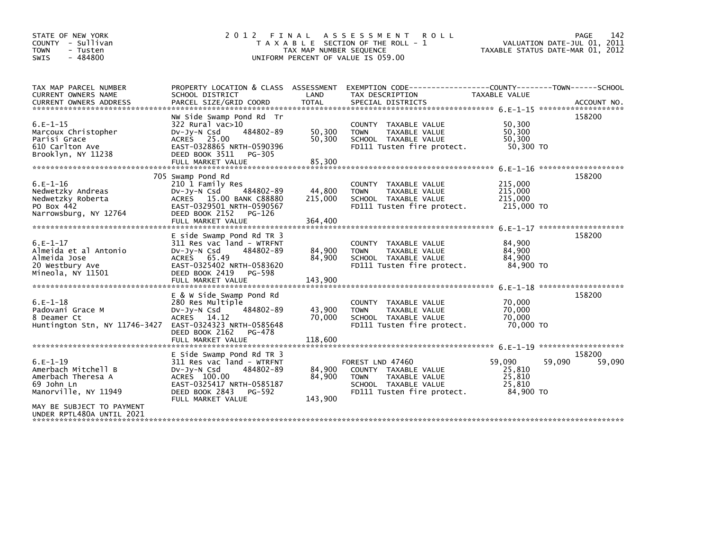| STATE OF NEW YORK<br>COUNTY - Sullivan<br><b>TOWN</b><br>- Tusten<br>$-484800$<br>SWIS        | 2 0 1 2<br>FINAL<br>T A X A B L E SECTION OF THE ROLL - 1<br>TAX MAP NUMBER SEQUENCE<br>UNIFORM PERCENT OF VALUE IS 059.00                                                         | 142<br>PAGE<br>VALUATION DATE-JUL 01, 2011<br>TAXABLE STATUS DATE-MAR 01, 2012 |                                                                                                                                |                                                   |                                           |
|-----------------------------------------------------------------------------------------------|------------------------------------------------------------------------------------------------------------------------------------------------------------------------------------|--------------------------------------------------------------------------------|--------------------------------------------------------------------------------------------------------------------------------|---------------------------------------------------|-------------------------------------------|
| TAX MAP PARCEL NUMBER<br>CURRENT OWNERS NAME                                                  | PROPERTY LOCATION & CLASS ASSESSMENT<br>SCHOOL DISTRICT                                                                                                                            | LAND                                                                           | TAX DESCRIPTION                                                                                                                | TAXABLE VALUE                                     |                                           |
| $6.E-1-15$<br>Marcoux Christopher<br>Parisi Grace<br>610 Carlton Ave<br>Brooklyn, NY 11238    | NW Side Swamp Pond Rd Tr<br>$322$ Rural vac $>10$<br>484802-89<br>$Dv-Jy-N$ Csd<br>ACRES 25.00<br>EAST-0328865 NRTH-0590396<br>DEED BOOK 3511<br>PG-305<br>FULL MARKET VALUE       | 50,300<br>50,300<br>85,300                                                     | COUNTY TAXABLE VALUE<br>TAXABLE VALUE<br><b>TOWN</b><br>SCHOOL TAXABLE VALUE<br>FD111 Tusten fire protect.                     | 50,300<br>50,300<br>50.300<br>50,300 TO           | 158200                                    |
| $6.E-1-16$<br>Nedwetzky Andreas<br>Nedwetzky Roberta<br>PO Box 442<br>Narrowsburg, NY 12764   | 705 Swamp Pond Rd<br>210 1 Family Res<br>484802-89<br>$Dv-Jy-N$ Csd<br>ACRES 15.00 BANK C88880<br>EAST-0329501 NRTH-0590567<br>DEED BOOK 2152<br>PG-126<br>FULL MARKET VALUE       | 44,800<br>215,000<br>364,400                                                   | TAXABLE VALUE<br><b>COUNTY</b><br><b>TOWN</b><br>TAXABLE VALUE<br>SCHOOL TAXABLE VALUE<br>FD111 Tusten fire protect.           | 215,000<br>215,000<br>215,000<br>215,000 TO       | 158200<br>6. E-1-17 ********************* |
| $6.E-1-17$<br>Almeida et al Antonio<br>Almeida Jose<br>20 Westbury Ave<br>Mineola, NY 11501   | E side Swamp Pond Rd TR 3<br>311 Res vac land - WTRFNT<br>$Dv-Jy-N$ Csd<br>484802-89<br>ACRES 65.49<br>EAST-0325402 NRTH-0583620<br>DEED BOOK 2419<br>PG-598<br>FULL MARKET VALUE  | 84,900<br>84,900<br>143,900                                                    | COUNTY TAXABLE VALUE<br><b>TOWN</b><br>TAXABLE VALUE<br>SCHOOL TAXABLE VALUE<br>FD111 Tusten fire protect.                     | 84,900<br>84,900<br>84,900<br>84,900 TO           | 158200                                    |
| $6.E-1-18$<br>Padovani Grace M<br>8 Deamer Ct<br>Huntington Stn, NY 11746-3427                | E & W Side Swamp Pond Rd<br>280 Res Multiple<br>484802-89<br>$Dv-Jy-N$ Csd<br>ACRES 14.12<br>EAST-0324323 NRTH-0585648<br>DEED BOOK 2162<br>PG-478                                 | 43,900<br>70,000                                                               | <b>COUNTY</b><br>TAXABLE VALUE<br>TAXABLE VALUE<br><b>TOWN</b><br>SCHOOL TAXABLE VALUE<br>FD111 Tusten fire protect.           | 70,000<br>70,000<br>70,000<br>70,000 TO           | 158200                                    |
| $6.E-1-19$<br>Amerbach Mitchell B<br>Amerbach Theresa A<br>69 John Ln<br>Manorville, NY 11949 | E Side Swamp Pond Rd TR 3<br>311 Res vac land - WTRFNT<br>484802-89<br>$Dv-Jy-N$ Csd<br>ACRES 100.00<br>EAST-0325417 NRTH-0585187<br>DEED BOOK 2843<br>PG-592<br>FULL MARKET VALUE | 84,900<br>84,900<br>143,900                                                    | FOREST LND 47460<br>COUNTY TAXABLE VALUE<br><b>TOWN</b><br>TAXABLE VALUE<br>SCHOOL TAXABLE VALUE<br>FD111 Tusten fire protect. | 59,090<br>25,810<br>25,810<br>25,810<br>84.900 TO | 158200<br>59,090<br>59,090                |
| MAY BE SUBJECT TO PAYMENT<br>UNDER RPTL480A UNTIL 2021                                        |                                                                                                                                                                                    |                                                                                |                                                                                                                                |                                                   |                                           |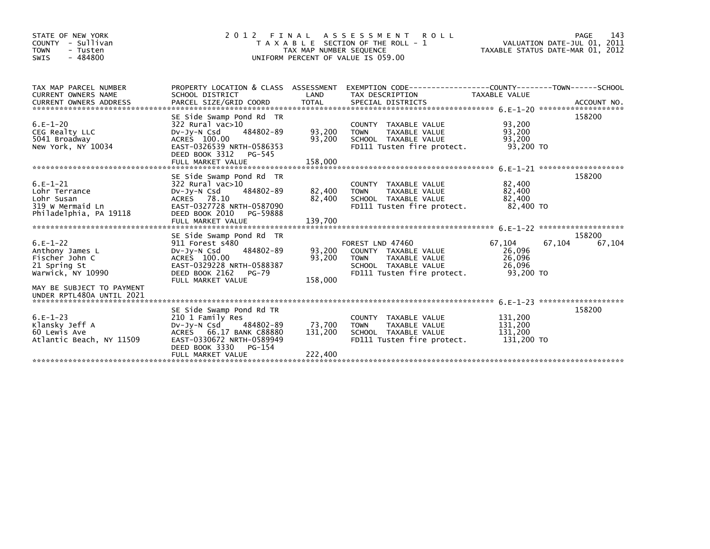| STATE OF NEW YORK<br>COUNTY - Sullivan<br><b>TOWN</b><br>- Tusten<br>$-484800$<br>SWIS | 2 0 1 2                                                 | TAX MAP NUMBER SEQUENCE | FINAL ASSESSMENT<br><b>ROLL</b><br>T A X A B L E SECTION OF THE ROLL - 1<br>UNIFORM PERCENT OF VALUE IS 059.00 | TAXABLE STATUS DATE-MAR 01, 2012 |        | 143<br>PAGE<br>VALUATION DATE-JUL 01, 2011 |
|----------------------------------------------------------------------------------------|---------------------------------------------------------|-------------------------|----------------------------------------------------------------------------------------------------------------|----------------------------------|--------|--------------------------------------------|
| TAX MAP PARCEL NUMBER<br>CURRENT OWNERS NAME                                           | PROPERTY LOCATION & CLASS ASSESSMENT<br>SCHOOL DISTRICT | LAND                    | EXEMPTION CODE-----------------COUNTY-------TOWN------SCHOOL<br>TAX DESCRIPTION                                | TAXABLE VALUE                    |        |                                            |
|                                                                                        |                                                         |                         |                                                                                                                |                                  |        |                                            |
|                                                                                        | SE Side Swamp Pond Rd TR                                |                         |                                                                                                                |                                  |        | 158200                                     |
| $6.E-1-20$                                                                             | 322 Rural vac>10                                        |                         | COUNTY TAXABLE VALUE                                                                                           | 93,200                           |        |                                            |
| CEG Realty LLC                                                                         | 484802-89<br>$Dv-Jy-N$ Csd                              | 93,200                  | <b>TOWN</b><br><b>TAXABLE VALUE</b>                                                                            | 93,200                           |        |                                            |
| 5041 Broadway                                                                          | ACRES 100.00                                            | 93,200                  | SCHOOL TAXABLE VALUE                                                                                           | 93.200                           |        |                                            |
| New York, NY 10034                                                                     | EAST-0326539 NRTH-0586353<br>DEED BOOK 3312<br>PG-545   |                         | FD111 Tusten fire protect.                                                                                     | 93,200 TO                        |        |                                            |
|                                                                                        |                                                         |                         |                                                                                                                |                                  |        |                                            |
|                                                                                        | SE Side Swamp Pond Rd TR                                |                         |                                                                                                                |                                  |        | 158200                                     |
| $6.E-1-21$                                                                             | 322 Rural vac>10                                        |                         | COUNTY TAXABLE VALUE                                                                                           | 82,400                           |        |                                            |
| Lohr Terrance                                                                          | 484802-89<br>$Dv-Jv-N$ Csd                              | 82,400                  | TAXABLE VALUE<br><b>TOWN</b>                                                                                   | 82,400                           |        |                                            |
| Lohr Susan                                                                             | ACRES 78.10                                             | 82,400                  | SCHOOL TAXABLE VALUE                                                                                           | 82,400                           |        |                                            |
| 319 W Mermaid Ln                                                                       | EAST-0327728 NRTH-0587090                               |                         | FD111 Tusten fire protect.                                                                                     | 82,400 TO                        |        |                                            |
| Philadelphia, PA 19118                                                                 | DEED BOOK 2010 PG-59888                                 |                         |                                                                                                                |                                  |        |                                            |
|                                                                                        | FULL MARKET VALUE                                       | 139,700                 |                                                                                                                |                                  |        |                                            |
|                                                                                        |                                                         |                         |                                                                                                                |                                  |        |                                            |
|                                                                                        | SE Side Swamp Pond Rd TR                                |                         |                                                                                                                |                                  |        | 158200                                     |
| $6.E-1-22$                                                                             | 911 Forest s480                                         |                         | FOREST LND 47460                                                                                               | 67,104                           | 67,104 | 67,104                                     |
| Anthony James L                                                                        | 484802-89<br>$Dv-Jv-N$ Csd                              | 93.200                  | COUNTY TAXABLE VALUE                                                                                           | 26,096                           |        |                                            |
| Fischer John C                                                                         | ACRES 100.00                                            | 93,200                  | <b>TOWN</b><br>TAXABLE VALUE                                                                                   | 26,096                           |        |                                            |
| 21 Spring St                                                                           | EAST-0329228 NRTH-0588387                               |                         | SCHOOL TAXABLE VALUE                                                                                           | 26,096                           |        |                                            |
| Warwick, NY 10990                                                                      | DEED BOOK 2162 PG-79<br>FULL MARKET VALUE               | 158,000                 | FD111 Tusten fire protect.                                                                                     | 93,200 TO                        |        |                                            |
| MAY BE SUBJECT TO PAYMENT<br>UNDER RPTL480A UNTIL 2021                                 |                                                         |                         |                                                                                                                |                                  |        |                                            |
|                                                                                        |                                                         |                         |                                                                                                                |                                  |        |                                            |
|                                                                                        | SE Side Swamp Pond Rd TR                                |                         |                                                                                                                |                                  |        | 158200                                     |
| $6.E-1-23$                                                                             | 210 1 Family Res                                        |                         | COUNTY TAXABLE VALUE                                                                                           | 131,200                          |        |                                            |
| Klansky Jeff A                                                                         | 484802-89<br>DV-Jy-N Csd                                | 73,700                  | TAXABLE VALUE<br><b>TOWN</b>                                                                                   | 131,200                          |        |                                            |
| 60 Lewis Ave                                                                           | ACRES 66.17 BANK C88880                                 | 131,200                 | SCHOOL TAXABLE VALUE                                                                                           | 131,200                          |        |                                            |
| Atlantic Beach, NY 11509                                                               | EAST-0330672 NRTH-0589949<br>DEED BOOK 3330<br>PG-154   |                         | FD111 Tusten fire protect.                                                                                     | 131,200 TO                       |        |                                            |
|                                                                                        | FULL MARKET VALUE                                       | 222,400                 |                                                                                                                |                                  |        |                                            |
|                                                                                        |                                                         |                         |                                                                                                                |                                  |        |                                            |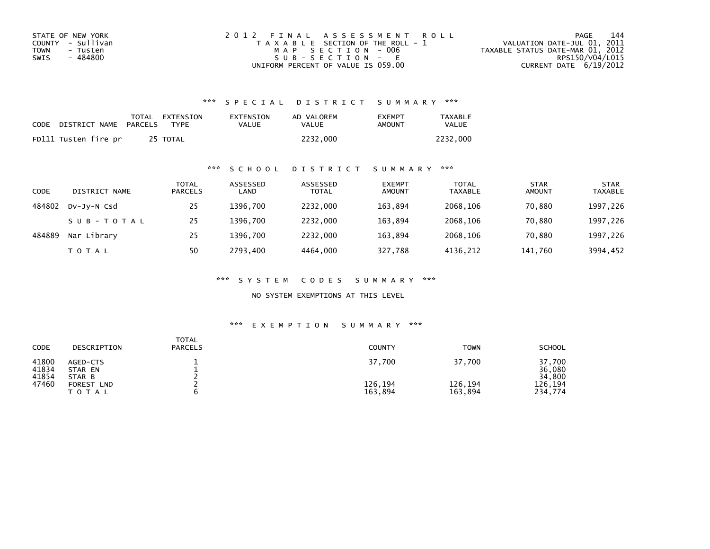| STATE OF NEW YORK | 2012 FINAL ASSESSMENT ROLL            | 144<br>PAGE                      |
|-------------------|---------------------------------------|----------------------------------|
| COUNTY - Sullivan | T A X A B L E SECTION OF THE ROLL - 1 | VALUATION DATE-JUL 01, 2011      |
| TOWN<br>- Tusten  | MAP SECTION - 006                     | TAXABLE STATUS DATE-MAR 01, 2012 |
| - 484800<br>SWIS  | $SUB - SECTION - E$                   | RPS150/V04/L015                  |
|                   | UNIFORM PERCENT OF VALUE IS 059.00    | CURRENT DATE $6/19/2012$         |

| CODE | DISTRICT NAME        | PARCELS | TOTAL EXTENSION<br><b>TYPF</b> | EXTENSION<br>VALUE | AD VALOREM<br>VALUE | <b>EXEMPT</b><br>AMOUNT | <b>TAXABLE</b><br>VALUE |
|------|----------------------|---------|--------------------------------|--------------------|---------------------|-------------------------|-------------------------|
|      | FD111 Tusten fire pr |         | 25 TOTAL                       |                    | 2232.000            |                         | 2232.000                |

## \*\*\* S C H O O L D I S T R I C T S U M M A R Y \*\*\*

| CODE   | DISTRICT NAME | TOTAL<br><b>PARCELS</b> | ASSESSED<br>LAND | ASSESSED<br><b>TOTAL</b> | <b>EXEMPT</b><br><b>AMOUNT</b> | <b>TOTAL</b><br><b>TAXABLE</b> | <b>STAR</b><br><b>AMOUNT</b> | <b>STAR</b><br><b>TAXABLE</b> |
|--------|---------------|-------------------------|------------------|--------------------------|--------------------------------|--------------------------------|------------------------------|-------------------------------|
| 484802 | DV-JV-N Csd   | 25                      | 1396.700         | 2232.000                 | 163.894                        | 2068.106                       | 70.880                       | 1997,226                      |
|        | SUB-TOTAL     | 25                      | 1396.700         | 2232.000                 | 163.894                        | 2068.106                       | 70.880                       | 1997,226                      |
| 484889 | Nar Library   | 25                      | 1396.700         | 2232,000                 | 163,894                        | 2068,106                       | 70,880                       | 1997,226                      |
|        | T O T A L     | 50                      | 2793.400         | 4464.000                 | 327,788                        | 4136,212                       | 141,760                      | 3994,452                      |

\*\*\* S Y S T E M C O D E S S U M M A R Y \*\*\*

NO SYSTEM EXEMPTIONS AT THIS LEVEL

| CODE                    | DESCRIPTION                   | <b>TOTAL</b><br><b>PARCELS</b> | <b>COUNTY</b>      | <b>TOWN</b>        | <b>SCHOOL</b>              |
|-------------------------|-------------------------------|--------------------------------|--------------------|--------------------|----------------------------|
| 41800<br>41834<br>41854 | AGED-CTS<br>STAR EN<br>STAR B |                                | 37,700             | 37,700             | 37,700<br>36,080<br>34,800 |
| 47460                   | FOREST<br><b>LND</b><br>ΤΟΤΑΙ |                                | 126,194<br>163,894 | 126,194<br>163,894 | 126.194<br>234,774         |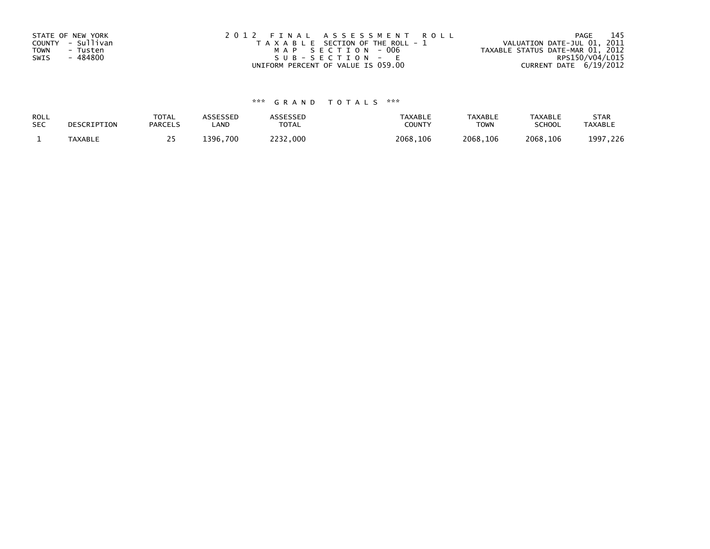| STATE OF NEW YORK       | 2012 FINAL ASSESSMENT ROLL            | - 145<br>PAGE                    |
|-------------------------|---------------------------------------|----------------------------------|
| COUNTY - Sullivan       | T A X A B L E SECTION OF THE ROLL - 1 | VALUATION DATE-JUL 01, 2011      |
| <b>TOWN</b><br>- Tusten | MAP SECTION - 006                     | TAXABLE STATUS DATE-MAR 01, 2012 |
| - 484800<br>SWIS        | $SUB - SECTION - E$                   | RPS150/V04/L015                  |
|                         | UNIFORM PERCENT OF VALUE IS 059.00    | CURRENT DATE 6/19/2012           |

| ROLL       | DESCRIPTION    | TOTAL          | ASSESSED | <b>ASSESSED</b> | <b>TAXABLE</b> | <b>TAXABLE</b> | TAXABLE       | <b>STAR</b>    |
|------------|----------------|----------------|----------|-----------------|----------------|----------------|---------------|----------------|
| <b>SEC</b> |                | <b>PARCELS</b> | LAND     | TOTAL           | COUNT          | TOWN           | <b>SCHOOL</b> | <b>TAXABLE</b> |
|            | <b>TAXABLE</b> | <u>. .</u>     | 1396.700 | 2232,000        | 2068,106       | 2068,106       | 2068,106      | 1997, 226      |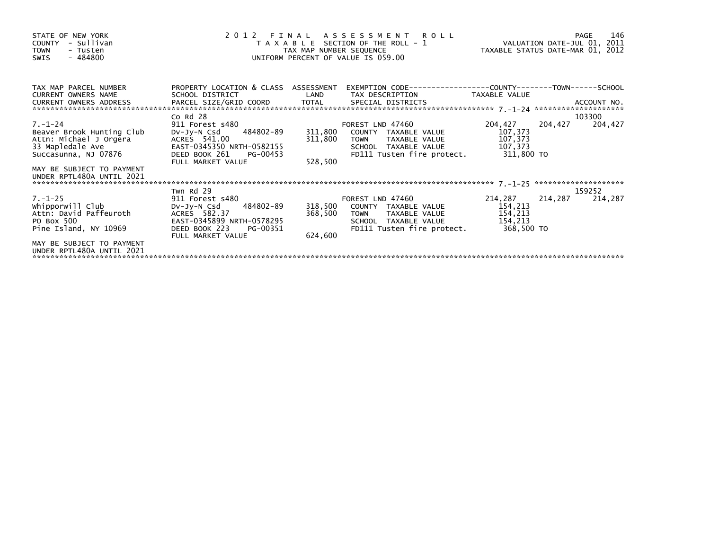| STATE OF NEW YORK<br>- Sullivan<br>COUNTY<br><b>TOWN</b><br>- Tusten<br>$-484800$<br><b>SWIS</b>                 | 2 0 1 2                                                                                                                                 |                            | FINAL ASSESSMENT ROLL<br>T A X A B L E SECTION OF THE ROLL - 1 WALUATION DATE-JUL 01, 2011<br>TAX MAP NUMBER SEQUENCE TAX TAXABLE STATUS DATE-MAR 01, 2012<br>UNIFORM PERCENT OF VALUE IS 059.00 |                                          |         | 146<br>PAGE |
|------------------------------------------------------------------------------------------------------------------|-----------------------------------------------------------------------------------------------------------------------------------------|----------------------------|--------------------------------------------------------------------------------------------------------------------------------------------------------------------------------------------------|------------------------------------------|---------|-------------|
| TAX MAP PARCEL NUMBER<br><b>CURRENT OWNERS NAME</b><br>CURRENT OWNERS ADDRESS                                    | PROPERTY LOCATION & CLASS ASSESSMENT<br>SCHOOL DISTRICT                                                                                 | <b>Example 18 The LAND</b> | TAX DESCRIPTION TAXABLE VALUE                                                                                                                                                                    |                                          |         |             |
|                                                                                                                  | Co Rd 28                                                                                                                                |                            |                                                                                                                                                                                                  |                                          |         | 103300      |
| $7. - 1 - 24$<br>Beaver Brook Hunting Club<br>Attn: Michael J Orgera<br>33 Mapledale Ave<br>Succasunna, NJ 07876 | 911 Forest s480<br>DV-Jy-N Csd 484802-89<br>ACRES 541.00<br>EAST-0345350 NRTH-0582155<br>DEED BOOK 261<br>PG-00453                      | 311,800<br>311,800         | FOREST LND 47460<br>COUNTY TAXABLE VALUE<br><b>TOWN</b><br>TAXABLE VALUE<br>SCHOOL TAXABLE VALUE<br>FD111 Tusten fire protect. 311,800 TO                                                        | 204,427<br>107,373<br>107,373<br>107,373 | 204,427 | 204,427     |
| MAY BE SUBJECT TO PAYMENT<br>UNDER RPTL480A UNTIL 2021                                                           | FULL MARKET VALUE                                                                                                                       | 528,500                    |                                                                                                                                                                                                  |                                          |         |             |
|                                                                                                                  | Twn Rd 29                                                                                                                               |                            |                                                                                                                                                                                                  |                                          |         | 159252      |
| $7. - 1 - 25$<br>whipporwill Club<br>Attn: David Paffeuroth<br>PO Box 500<br>Pine Island, NY 10969               | 911 Forest s480<br>DV-Jy-N Csd 484802-89<br>ACRES 582.37<br>EAST-0345899 NRTH-0578295<br>DEED BOOK 223<br>PG-00351<br>FULL MARKET VALUE | 368,500<br>624,600         | FOREST LND 47460<br>318,500 COUNTY TAXABLE VALUE<br>TAXABLE VALUE<br><b>TOWN</b><br>SCHOOL TAXABLE VALUE<br>FD111 Tusten fire protect. 368,500 TO                                                | 214,287<br>154,213<br>154,213<br>154,213 | 214,287 | 214,287     |
| MAY BE SUBJECT TO PAYMENT<br>UNDER RPTL480A UNTIL 2021                                                           |                                                                                                                                         |                            |                                                                                                                                                                                                  |                                          |         |             |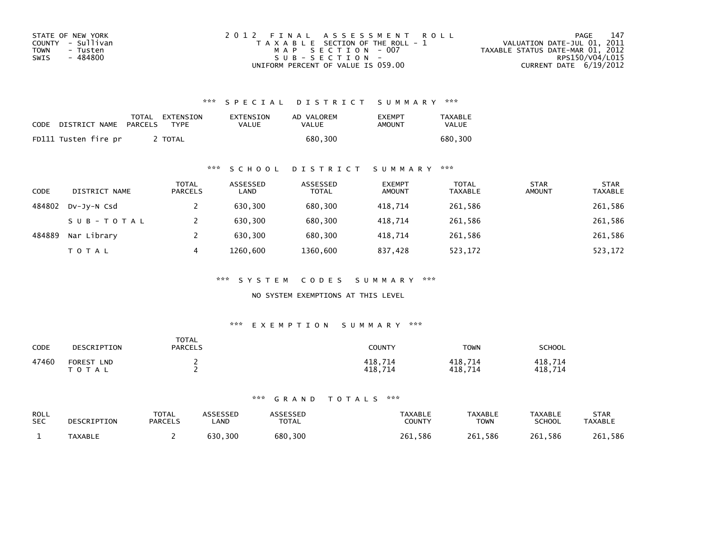| STATE OF NEW YORK | 2012 FINAL ASSESSMENT ROLL            | 147<br>PAGE                      |
|-------------------|---------------------------------------|----------------------------------|
| COUNTY - Sullivan | T A X A B L E SECTION OF THE ROLL - 1 | VALUATION DATE-JUL 01, 2011      |
| TOWN<br>- Tusten  | MAP SECTION - 007                     | TAXABLE STATUS DATE-MAR 01, 2012 |
| - 484800<br>SWIS  | SUB-SECTION-                          | RPS150/V04/L015                  |
|                   | UNIFORM PERCENT OF VALUE IS 059.00    | CURRENT DATE $6/19/2012$         |

| <b>CODE</b> | DISTRICT NAME        | TOTAL<br>PARCELS | EXTENSION<br><b>TYPF</b> | EXTENSION<br>VALUE | AD VALOREM<br>VALUE | <b>EXEMPT</b><br>AMOUNT | <b>TAXABLE</b><br>VALUE |
|-------------|----------------------|------------------|--------------------------|--------------------|---------------------|-------------------------|-------------------------|
|             | FD111 Tusten fire pr |                  | TOTAL                    |                    | 680.300             |                         | 680.300                 |

### \*\*\* S C H O O L D I S T R I C T S U M M A R Y \*\*\*

| <b>CODE</b> | DISTRICT NAME | TOTAL<br><b>PARCELS</b> | ASSESSED<br>LAND | ASSESSED<br><b>TOTAL</b> | <b>EXEMPT</b><br><b>AMOUNT</b> | <b>TOTAL</b><br><b>TAXABLE</b> | <b>STAR</b><br><b>AMOUNT</b> | <b>STAR</b><br><b>TAXABLE</b> |
|-------------|---------------|-------------------------|------------------|--------------------------|--------------------------------|--------------------------------|------------------------------|-------------------------------|
| 484802      | DV-JY-N Csd   |                         | 630,300          | 680,300                  | 418.714                        | 261,586                        |                              | 261,586                       |
|             | SUB-TOTAL     |                         | 630.300          | 680.300                  | 418.714                        | 261,586                        |                              | 261,586                       |
| 484889      | Nar Library   |                         | 630.300          | 680.300                  | 418.714                        | 261,586                        |                              | 261,586                       |
|             | TOTAL         | 4                       | 1260,600         | 1360,600                 | 837,428                        | 523,172                        |                              | 523,172                       |

\*\*\* S Y S T E M C O D E S S U M M A R Y \*\*\*

NO SYSTEM EXEMPTIONS AT THIS LEVEL

#### \*\*\* E X E M P T I O N S U M M A R Y \*\*\*

| CODE  | DESCRIPTION                                 | <b>TOTAL</b><br><b>PARCELS</b> | COUNTY             | <b>TOWN</b>        | <b>SCHOOL</b>      |
|-------|---------------------------------------------|--------------------------------|--------------------|--------------------|--------------------|
| 47460 | <b>FOREST</b><br><b>LND</b><br><b>TOTAL</b> |                                | 418,714<br>418.714 | 418,714<br>418.714 | 418,714<br>418.714 |

| <b>ROLL</b> | DESCRIPTION    | <b>TOTAL</b>   | <b>\SSESSED</b> | <b>\SSESSED</b> | <b>TAXABLE</b> | <b>TAXABLE</b> | <b>TAXABLE</b> | <b>STAR</b>    |
|-------------|----------------|----------------|-----------------|-----------------|----------------|----------------|----------------|----------------|
| <b>SEC</b>  |                | <b>PARCELS</b> | <b>AND</b>      | <b>TOTAL</b>    | COUNTY         | <b>TOWN</b>    | <b>SCHOOL</b>  | <b>TAXABLE</b> |
|             | <b>TAXABLE</b> |                | 630.300         | 680,300         | 261.586        | 261.586        | 261.586        | 261.586        |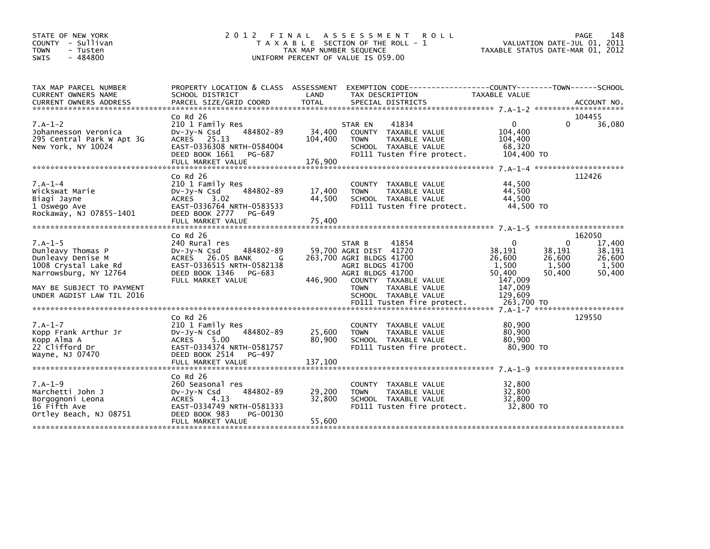| STATE OF NEW YORK<br>COUNTY - Sullivan<br>- Tusten<br><b>TOWN</b><br>$-484800$<br><b>SWIS</b>                                                                                                                                                                                 | 2012 FINAL                                                                                                                                       | TAX MAP NUMBER SEQUENCE      | A S S E S S M E N T<br><b>ROLL</b><br>T A X A B L E SECTION OF THE ROLL - 1<br>UNIFORM PERCENT OF VALUE IS 059.00                     |                                                            | 148<br>PAGE<br>VALUATION DATE-JUL 01, 2011<br>TAXABLE STATUS DATE-MAR 01, 2012                   |
|-------------------------------------------------------------------------------------------------------------------------------------------------------------------------------------------------------------------------------------------------------------------------------|--------------------------------------------------------------------------------------------------------------------------------------------------|------------------------------|---------------------------------------------------------------------------------------------------------------------------------------|------------------------------------------------------------|--------------------------------------------------------------------------------------------------|
| TAX MAP PARCEL NUMBER<br>CURRENT OWNERS NAME<br>.CURRENT OWNERS ADDRESS PARCEL SIZE/GRID COORD TOTAL SPECIAL DISTRICTS (ACCOUNT NO ACCOUNT NO ACCOUNT NO AND FARCEL SIZE/GRID COORD TOTAL SPECIAL DISTRICTS (ACTELL AND ACCOUNT NO AND A STATISTIC RESEARCE AND THE STATISTIC | PROPERTY LOCATION & CLASS ASSESSMENT<br>SCHOOL DISTRICT                                                                                          | LAND                         | TAX DESCRIPTION                                                                                                                       | TAXABLE VALUE                                              |                                                                                                  |
|                                                                                                                                                                                                                                                                               | $Co$ Rd $26$                                                                                                                                     |                              |                                                                                                                                       |                                                            | 104455                                                                                           |
| $7.A-1-2$<br>Johannesson Veronica<br>295 Central Park W Apt 3G<br>New York, NY 10024                                                                                                                                                                                          | 210 1 Family Res<br>484802-89<br>DV-JY-N Csd<br>ACRES 25.13<br>EAST-0336308 NRTH-0584004<br>DEED BOOK 1661<br>PG-687<br>FULL MARKET VALUE        | 34,400<br>104,400<br>176,900 | 41834<br>STAR EN<br>COUNTY TAXABLE VALUE<br><b>TOWN</b><br>TAXABLE VALUE<br>SCHOOL TAXABLE VALUE<br>FD111 Tusten fire protect.        | $\Omega$<br>104,400<br>104,400<br>68,320<br>104,400 TO     | $\Omega$<br>36,080                                                                               |
|                                                                                                                                                                                                                                                                               |                                                                                                                                                  |                              |                                                                                                                                       |                                                            |                                                                                                  |
| $7.A-1-4$<br>Wickswat Marie<br>Biagi Jayne<br>1 Oswego Ave<br>Rockaway, NJ 07855-1401                                                                                                                                                                                         | $Co$ Rd $26$<br>210 1 Family Res<br>484802-89<br>DV-Jy-N Csd<br><b>ACRES</b><br>3.02<br>EAST-0336764 NRTH-0583533<br>DEED BOOK 2777<br>PG-649    | 17,400<br>44,500             | COUNTY TAXABLE VALUE<br><b>TOWN</b><br>TAXABLE VALUE<br>SCHOOL TAXABLE VALUE<br>FD111 Tusten fire protect.                            | 44,500<br>44,500<br>44.500<br>44,500 TO                    | 112426                                                                                           |
|                                                                                                                                                                                                                                                                               |                                                                                                                                                  |                              |                                                                                                                                       |                                                            |                                                                                                  |
|                                                                                                                                                                                                                                                                               | $Co$ Rd $26$                                                                                                                                     |                              |                                                                                                                                       |                                                            | 162050                                                                                           |
| $7.A-1-5$<br>Dunleavy Thomas P<br>Dunleavy Denise M<br>1008 Crystal Lake Rd<br>Narrowsburg, NY 12764                                                                                                                                                                          | 240 Rural res<br>484802-89<br>DV-Jy-N Csd<br>ACRES 26.05 BANK<br>G<br>EAST-0336515 NRTH-0582138<br>DEED BOOK 1346<br>PG-683<br>FULL MARKET VALUE | 446,900                      | STAR B<br>41854<br>59,700 AGRI DIST 41720<br>263,700 AGRI BLDGS 41700<br>AGRI BLDGS 41700<br>AGRI BLDGS 41700<br>COUNTY TAXABLE VALUE | $\Omega$<br>38,191<br>26,600<br>1,500<br>50,400<br>147,009 | 17,400<br>$\Omega$<br>38,191<br>38,191<br>26,600<br>26,600<br>1,500<br>1,500<br>50,400<br>50,400 |
| MAY BE SUBJECT TO PAYMENT<br>UNDER AGDIST LAW TIL 2016                                                                                                                                                                                                                        |                                                                                                                                                  |                              | <b>TOWN</b><br>TAXABLE VALUE<br>SCHOOL TAXABLE VALUE                                                                                  | 147,009<br>129,609                                         |                                                                                                  |
|                                                                                                                                                                                                                                                                               |                                                                                                                                                  |                              |                                                                                                                                       |                                                            |                                                                                                  |
| $7.A-1-7$<br>Kopp Frank Arthur Jr<br>Kopp Alma A<br>22 Clifford Dr<br>Wayne, NJ 07470                                                                                                                                                                                         | $Co$ Rd $26$<br>210 1 Family Res<br>484802-89<br>$Dv-Jy-N$ Csd<br>ACRES<br>5.00<br>EAST-0334374 NRTH-0581757<br>DEED BOOK 2514<br>PG-497         | 25,600<br>80,900             | COUNTY TAXABLE VALUE<br><b>TOWN</b><br>TAXABLE VALUE<br>SCHOOL TAXABLE VALUE<br>FD111 Tusten fire protect.                            | 80,900<br>80,900<br>80,900<br>80.900 TO                    | 129550                                                                                           |
|                                                                                                                                                                                                                                                                               | FULL MARKET VALUE                                                                                                                                | 137,100                      |                                                                                                                                       |                                                            |                                                                                                  |
|                                                                                                                                                                                                                                                                               | $Co$ Rd $26$                                                                                                                                     |                              |                                                                                                                                       |                                                            |                                                                                                  |
| $7.A-1-9$<br>Marchetti John J<br>Borgognoni Leona<br>16 Fifth Ave<br>Ortley Beach, NJ 08751                                                                                                                                                                                   | 260 Seasonal res<br>484802-89<br>DV-JY-N Csd<br>ACRES<br>4.13<br>EAST-0334749 NRTH-0581333<br>DEED BOOK 983<br>PG-00130<br>FULL MARKET VALUE     | 29,200<br>32,800<br>55,600   | COUNTY TAXABLE VALUE<br>TAXABLE VALUE<br><b>TOWN</b><br>SCHOOL TAXABLE VALUE<br>FD111 Tusten fire protect.                            | 32,800<br>32,800<br>32,800<br>32.800 TO                    |                                                                                                  |
|                                                                                                                                                                                                                                                                               |                                                                                                                                                  |                              |                                                                                                                                       |                                                            |                                                                                                  |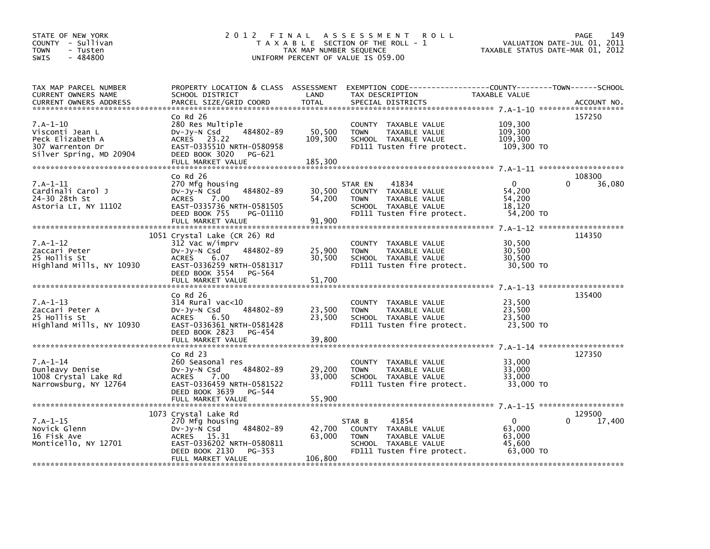| STATE OF NEW YORK<br>COUNTY - Sullivan<br><b>TOWN</b><br>- Tusten<br>$-484800$<br>SWIS | 2 0 1 2                                           | TAX MAP NUMBER SEQUENCE | FINAL ASSESSMENT<br><b>ROLL</b><br>T A X A B L E SECTION OF THE ROLL - 1<br>UNIFORM PERCENT OF VALUE IS 059.00 | TAXABLE STATUS DATE-MAR 01, 2012 | <b>PAGE</b><br>149<br>VALUATION DATE-JUL 01, 2011 |
|----------------------------------------------------------------------------------------|---------------------------------------------------|-------------------------|----------------------------------------------------------------------------------------------------------------|----------------------------------|---------------------------------------------------|
| TAX MAP PARCEL NUMBER                                                                  |                                                   |                         | PROPERTY LOCATION & CLASS ASSESSMENT EXEMPTION CODE----------------COUNTY-------TOWN------SCHOOL               |                                  |                                                   |
| CURRENT OWNERS NAME<br><b>CURRENT OWNERS ADDRESS</b>                                   | SCHOOL DISTRICT<br>PARCEL SIZE/GRID COORD         | LAND<br><b>TOTAL</b>    | TAX DESCRIPTION<br>SPECIAL DISTRICTS                                                                           | TAXABLE VALUE                    | ACCOUNT NO.                                       |
|                                                                                        |                                                   |                         |                                                                                                                |                                  |                                                   |
|                                                                                        | $Co$ Rd $26$                                      |                         |                                                                                                                |                                  | 157250                                            |
| 7.A-1-10                                                                               | 280 Res Multiple                                  |                         | COUNTY TAXABLE VALUE                                                                                           | 109,300                          |                                                   |
| Visconti Jean L                                                                        | 484802-89<br>$Dv-Jy-N$ Csd                        | 50,500                  | <b>TOWN</b><br>TAXABLE VALUE                                                                                   | 109,300                          |                                                   |
| Peck Elizabeth A                                                                       | ACRES 23.22<br>EAST-0335510 NRTH-0580958          | 109,300                 | SCHOOL TAXABLE VALUE                                                                                           | 109,300<br>109,300 TO            |                                                   |
| 307 Warrenton Dr<br>Silver Spring, MD 20904                                            | DEED BOOK 3020<br>PG-621                          |                         | FD111 Tusten fire protect.                                                                                     |                                  |                                                   |
|                                                                                        | FULL MARKET VALUE                                 | 185,300                 |                                                                                                                |                                  |                                                   |
|                                                                                        |                                                   |                         |                                                                                                                |                                  |                                                   |
|                                                                                        | $Co$ Rd $26$                                      |                         |                                                                                                                |                                  | 108300                                            |
| $7.A-1-11$                                                                             | 270 Mfg housing                                   |                         | 41834<br>STAR EN                                                                                               | $\mathbf{0}$                     | $\Omega$<br>36,080                                |
| Cardinali Carol J                                                                      | DV-Jy-N Csd<br>484802-89                          | 30,500                  | COUNTY TAXABLE VALUE                                                                                           | 54,200                           |                                                   |
| 24-30 28th St<br>Astoria LI, NY 11102                                                  | <b>ACRES</b><br>7.00<br>EAST-0335736 NRTH-0581505 | 54,200                  | <b>TOWN</b><br>TAXABLE VALUE<br>SCHOOL TAXABLE VALUE                                                           | 54,200<br>18.120                 |                                                   |
|                                                                                        | DEED BOOK 755<br>PG-01110                         |                         | FD111 Tusten fire protect.                                                                                     | 54,200 TO                        |                                                   |
|                                                                                        | FULL MARKET VALUE                                 | 91,900                  |                                                                                                                |                                  |                                                   |
|                                                                                        |                                                   |                         |                                                                                                                |                                  |                                                   |
|                                                                                        | 1051 Crystal Lake (CR 26) Rd                      |                         |                                                                                                                |                                  | 114350                                            |
| $7.A-1-12$                                                                             | 312 Vac w/imprv                                   |                         | COUNTY TAXABLE VALUE                                                                                           | 30,500                           |                                                   |
| Zaccari Peter<br>25 Hollis St                                                          | 484802-89<br>$Dv-Jy-N$ Csd                        | 25,900<br>30,500        | <b>TOWN</b><br>TAXABLE VALUE                                                                                   | 30,500<br>30,500                 |                                                   |
| Highland Mills, NY 10930                                                               | <b>ACRES</b><br>6.07<br>EAST-0336259 NRTH-0581317 |                         | SCHOOL TAXABLE VALUE<br>FD111 Tusten fire protect.                                                             | 30,500 TO                        |                                                   |
|                                                                                        | DEED BOOK 3554<br>PG-564                          |                         |                                                                                                                |                                  |                                                   |
|                                                                                        | FULL MARKET VALUE                                 | 51.700                  |                                                                                                                |                                  |                                                   |
|                                                                                        |                                                   |                         |                                                                                                                |                                  |                                                   |
|                                                                                        | $Co$ Rd $26$                                      |                         |                                                                                                                |                                  | 135400                                            |
| $7.A-1-13$<br>Zaccari Peter A                                                          | $314$ Rural vac< $10$<br>484802-89                |                         | COUNTY TAXABLE VALUE                                                                                           | 23,500<br>23,500                 |                                                   |
| 25 Hollis St                                                                           | DV-Jy-N Csd<br>ACRES<br>6.50                      | 23,500<br>23,500        | <b>TOWN</b><br>TAXABLE VALUE<br>SCHOOL TAXABLE VALUE                                                           | 23,500                           |                                                   |
| Highland Mills, NY 10930                                                               | EAST-0336361 NRTH-0581428                         |                         | FD111 Tusten fire protect.                                                                                     | 23,500 TO                        |                                                   |
|                                                                                        | DEED BOOK 2823<br>PG-454                          |                         |                                                                                                                |                                  |                                                   |
|                                                                                        | FULL MARKET VALUE                                 | 39,800                  |                                                                                                                |                                  |                                                   |
|                                                                                        |                                                   |                         |                                                                                                                |                                  |                                                   |
| $7.A-1-14$                                                                             | $Co$ Rd $23$                                      |                         |                                                                                                                | 33,000                           | 127350                                            |
| Dunleavy Denise                                                                        | 260 Seasonal res<br>484802-89<br>$Dv-Jy-N$ Csd    | 29,200                  | COUNTY TAXABLE VALUE<br>TAXABLE VALUE<br><b>TOWN</b>                                                           | 33.000                           |                                                   |
| 1008 Crystal Lake Rd                                                                   | 7.00<br><b>ACRES</b>                              | 33,000                  | SCHOOL TAXABLE VALUE                                                                                           | 33,000                           |                                                   |
| Narrowsburg, NY 12764                                                                  | EAST-0336459 NRTH-0581522                         |                         | FD111 Tusten fire protect.                                                                                     | 33,000 TO                        |                                                   |
|                                                                                        | DEED BOOK 3639<br>PG-544                          |                         |                                                                                                                |                                  |                                                   |
|                                                                                        |                                                   |                         |                                                                                                                |                                  |                                                   |
|                                                                                        | 1073 Crystal Lake Rd                              |                         |                                                                                                                |                                  | 129500                                            |
| $7.A-1-15$                                                                             | 270 Mfg housing                                   |                         | 41854<br>STAR B                                                                                                | $\Omega$                         | $\Omega$<br>17,400                                |
| Novick Glenn                                                                           | $Dv-Jv-N$ Csd<br>484802-89                        | 42,700                  | COUNTY TAXABLE VALUE                                                                                           | 63,000                           |                                                   |
| 16 Fisk Ave                                                                            | ACRES 15.31                                       | 63,000                  | <b>TOWN</b><br>TAXABLE VALUE                                                                                   | 63,000                           |                                                   |
| Monticello, NY 12701                                                                   | EAST-0336202 NRTH-0580811                         |                         | SCHOOL TAXABLE VALUE                                                                                           | 45.600                           |                                                   |
|                                                                                        | DEED BOOK 2130<br>PG-353                          |                         | FD111 Tusten fire protect.                                                                                     | 63,000 TO                        |                                                   |
|                                                                                        | FULL MARKET VALUE                                 | 106,800                 |                                                                                                                |                                  |                                                   |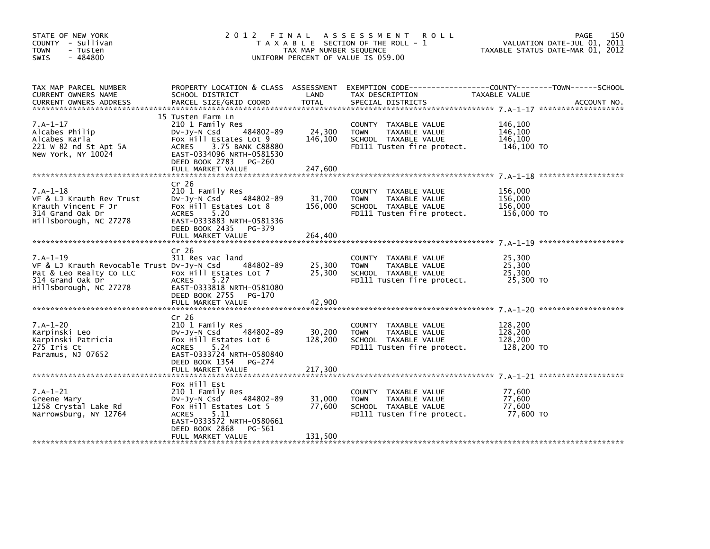| STATE OF NEW YORK<br>COUNTY - Sullivan<br><b>TOWN</b><br>- Tusten<br>$-484800$<br><b>SWIS</b>                                                 | 2012 FINAL                                                                                                                                                                     | TAX MAP NUMBER SEQUENCE | A S S E S S M E N T<br><b>ROLL</b><br>T A X A B L E SECTION OF THE ROLL - 1<br>UNIFORM PERCENT OF VALUE IS 059.00 |                                             | 150<br>PAGE<br>VALUATION DATE-JUL 01, 2011<br>TAXABLE STATUS DATE-MAR 01, 2012 |
|-----------------------------------------------------------------------------------------------------------------------------------------------|--------------------------------------------------------------------------------------------------------------------------------------------------------------------------------|-------------------------|-------------------------------------------------------------------------------------------------------------------|---------------------------------------------|--------------------------------------------------------------------------------|
| TAX MAP PARCEL NUMBER<br>CURRENT OWNERS NAME                                                                                                  | PROPERTY LOCATION & CLASS ASSESSMENT<br>SCHOOL DISTRICT                                                                                                                        | LAND                    | TAX DESCRIPTION                                                                                                   | TAXABLE VALUE                               |                                                                                |
| $7.A-1-17$<br>Alcabes Philip<br>Alcabes Karla<br>221 W 82 nd St Apt 5A<br>New York, NY 10024                                                  | 15 Tusten Farm Ln<br>210 1 Family Res<br>484802-89<br>DV-Jy-N Csd<br>Fox Hill Estates Lot 9<br>ACRES<br>3.75 BANK C88880<br>EAST-0334096 NRTH-0581530<br>DEED BOOK 2783 PG-260 | 24,300<br>146,100       | COUNTY TAXABLE VALUE<br><b>TOWN</b><br>TAXABLE VALUE<br>SCHOOL TAXABLE VALUE<br>FD111 Tusten fire protect.        | 146,100<br>146,100<br>146,100<br>146,100 то |                                                                                |
| $7.A-1-18$<br>VF & LJ Krauth Rev Trust                                                                                                        | Cr <sub>26</sub><br>210 1 Family Res<br>484802-89<br>Dv-Jy-N Csd                                                                                                               | 31,700                  | COUNTY TAXABLE VALUE<br>TAXABLE VALUE<br><b>TOWN</b>                                                              | 156,000<br>156,000                          |                                                                                |
| Krauth Vincent F Jr<br>314 Grand Oak Dr<br>Hillsborough, NC 27278                                                                             | Fox Hill Estates Lot 8<br>5.20<br><b>ACRES</b><br>EAST-0333883 NRTH-0581336<br>DEED BOOK 2435 PG-379                                                                           | 156,000                 | SCHOOL TAXABLE VALUE<br>FD111 Tusten fire protect.                                                                | 156,000<br>156,000 TO                       |                                                                                |
|                                                                                                                                               | FULL MARKET VALUE                                                                                                                                                              | 264,400                 |                                                                                                                   |                                             |                                                                                |
| $7.A-1-19$<br>VF & LJ Krauth Revocable Trust Dv-Jy-N Csd $484802-89$<br>Pat & Leo Realty Co LLC<br>314 Grand Oak Dr<br>Hillsborough, NC 27278 | Cr <sub>26</sub><br>311 Res vac land<br>Fox Hill Estates Lot 7<br><b>ACRES</b><br>5.27<br>EAST-0333818 NRTH-0581080<br>DEED BOOK 2755 PG-170                                   | 25,300<br>25,300        | COUNTY TAXABLE VALUE<br><b>TOWN</b><br>TAXABLE VALUE<br>SCHOOL TAXABLE VALUE<br>FD111 Tusten fire protect.        | 25,300<br>25,300<br>25,300<br>25,300 TO     |                                                                                |
|                                                                                                                                               |                                                                                                                                                                                |                         |                                                                                                                   |                                             |                                                                                |
| $7.A-1-20$<br>Karpinski Leo<br>Karpinski Patricia<br>275 Iris Ct<br>Paramus, NJ 07652                                                         | Cr <sub>26</sub><br>210 1 Family Res<br>484802-89<br>DV-Jy-N Csd<br>Fox Hill Estates Lot 6<br><b>ACRES</b><br>5.24<br>EAST-0333724 NRTH-0580840<br>DEED BOOK 1354<br>PG-274    | 30,200<br>128,200       | COUNTY TAXABLE VALUE<br><b>TOWN</b><br>TAXABLE VALUE<br>SCHOOL TAXABLE VALUE<br>FD111 Tusten fire protect.        | 128,200<br>128,200<br>128,200<br>128,200 TO |                                                                                |
|                                                                                                                                               |                                                                                                                                                                                |                         |                                                                                                                   |                                             |                                                                                |
| $7.A-1-21$<br>Greene Mary<br>1258 Crystal Lake Rd<br>Narrowsburg, NY 12764                                                                    | Fox Hill Est<br>210 1 Family Res<br>484802-89<br>DV-Jy-N Csd<br>Fox Hill Estates Lot 5<br><b>ACRES</b><br>5.11<br>EAST-0333572 NRTH-0580661<br>DEED BOOK 2868<br>PG-561        | 31,000<br>77,600        | COUNTY TAXABLE VALUE<br>TAXABLE VALUE<br><b>TOWN</b><br>SCHOOL TAXABLE VALUE<br>FD111 Tusten fire protect.        | 77,600<br>77,600<br>77,600<br>77,600 TO     |                                                                                |
|                                                                                                                                               | FULL MARKET VALUE                                                                                                                                                              | 131,500                 |                                                                                                                   |                                             |                                                                                |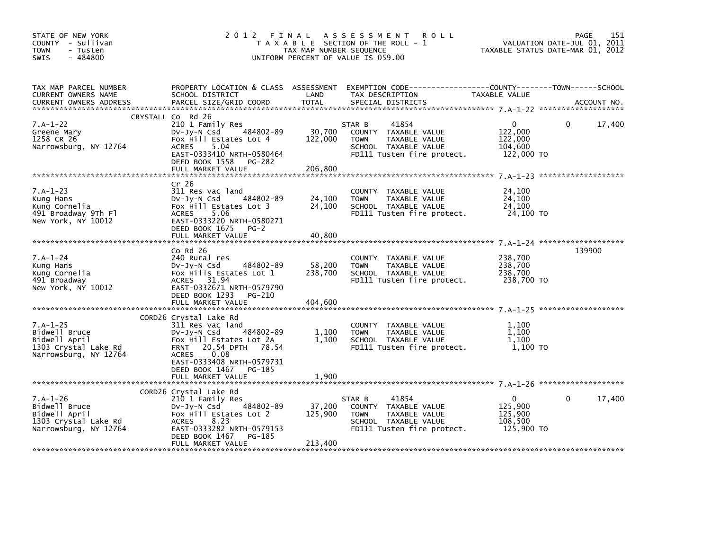| STATE OF NEW YORK<br>COUNTY - Sullivan<br><b>TOWN</b><br>- Tusten<br>$-484800$<br>SWIS        | 2012 FINAL                                                                                                                                                                                                            | TAX MAP NUMBER SEQUENCE      | ASSESSMENT ROLL<br>T A X A B L E SECTION OF THE ROLL - 1<br>UNIFORM PERCENT OF VALUE IS 059.00                                           |                                                               | 151<br>PAGE<br>VALUATION DATE-JUL 01, 2011<br>TAXABLE STATUS DATE-MAR 01, 2012 |
|-----------------------------------------------------------------------------------------------|-----------------------------------------------------------------------------------------------------------------------------------------------------------------------------------------------------------------------|------------------------------|------------------------------------------------------------------------------------------------------------------------------------------|---------------------------------------------------------------|--------------------------------------------------------------------------------|
| TAX MAP PARCEL NUMBER<br>CURRENT OWNERS NAME<br><b>CURRENT OWNERS ADDRESS</b>                 | SCHOOL DISTRICT<br>PARCEL SIZE/GRID COORD                                                                                                                                                                             | LAND<br><b>TOTAL</b>         | PROPERTY LOCATION & CLASS ASSESSMENT EXEMPTION CODE----------------COUNTY-------TOWN------SCHOOL<br>TAX DESCRIPTION<br>SPECIAL DISTRICTS | TAXABLE VALUE                                                 | ACCOUNT NO.                                                                    |
|                                                                                               | CRYSTALL Co Rd 26                                                                                                                                                                                                     |                              |                                                                                                                                          |                                                               |                                                                                |
| $7.A-1-22$<br>Greene Mary<br>1258 CR 26<br>Narrowsburg, NY 12764                              | 210 1 Family Res<br>DV-Jy-N Csd 484802-89<br>Fox Hill Estates Lot 4<br><b>ACRES</b><br>5.04<br>DEED BOOK 1558 PG-282                                                                                                  | 30,700<br>122,000            | 41854<br>STAR B<br>COUNTY TAXABLE VALUE<br>TAXABLE VALUE<br><b>TOWN</b><br>SCHOOL TAXABLE VALUE<br>FD111 Tusten fire protect.            | $\overline{0}$<br>122,000<br>122,000<br>104,600<br>122,000 TO | 17,400<br>$\mathbf{0}$                                                         |
|                                                                                               | FULL MARKET VALUE                                                                                                                                                                                                     | 206.800                      |                                                                                                                                          |                                                               |                                                                                |
| $7.A-1-23$<br>Kung Hans<br>Kung Cornelia<br>491 Broadway 9Th Fl<br>New York, NY 10012         | Cr 26<br>311 Res vac land<br>SIL Res vac Tand<br>DV-Jy-N_Csd       484802-89<br>Fox Hill Estates Lot 3<br>5.06<br>ACRES<br>EAST-0333220 NRTH-0580271<br>DEED BOOK 1675<br>$PG-2$                                      | 24,100<br>24,100             | COUNTY TAXABLE VALUE<br>TOWN<br>TAXABLE VALUE<br>SCHOOL TAXABLE VALUE<br>SCHOOL TAXABLE VALUE<br>FD111 Tusten fire protect. 24,100 TO    | 24,100<br>24,100                                              |                                                                                |
|                                                                                               | FULL MARKET VALUE                                                                                                                                                                                                     | 40,800                       |                                                                                                                                          |                                                               |                                                                                |
| $7.A-1-24$<br>Kung Hans<br>Kung Cornelia<br>491 Broadway<br>New York, NY 10012                | $Co$ Rd $26$<br>240 Rural res<br>Dv-Jy-N Csd 484802-89<br>Fox Hills Estates Lot 1<br>ACRES 31.94<br>EAST-0332671 NRTH-0579790<br>DEED BOOK 1293<br>PG-210<br>FULL MARKET VALUE                                        | 58,200<br>238,700<br>404,600 | COUNTY TAXABLE VALUE<br><b>TOWN</b><br>TAXABLE VALUE<br>SCHOOL TAXABLE VALUE<br>FD111 Tusten fire protect. 238,700 TO                    | 238,700<br>238,700<br>238,700                                 | 139900                                                                         |
|                                                                                               |                                                                                                                                                                                                                       |                              |                                                                                                                                          |                                                               |                                                                                |
| $7.A-1-25$<br>Bidwell Bruce<br>Bidwell April<br>1303 Crystal Lake Rd<br>Narrowsburg, NY 12764 | CORD26 Crystal Lake Rd<br>311 Res vac land<br>DV-JY-N Csd<br>484802-89<br>Fox Hill Estates Lot 2A<br><b>FRNT</b><br>20.54 DPTH 78.54<br><b>ACRES</b><br>0.08<br>EAST-0333408 NRTH-0579731<br>DEED BOOK 1467<br>PG-185 | 1,100<br>1,100               | COUNTY TAXABLE VALUE<br>TAXABLE VALUE<br><b>TOWN</b><br>SCHOOL TAXABLE VALUE<br>FD111 Tusten fire protect. 1,100 TO                      | 1,100<br>1,100<br>1,100                                       |                                                                                |
|                                                                                               |                                                                                                                                                                                                                       |                              |                                                                                                                                          |                                                               |                                                                                |
|                                                                                               | CORD26 Crystal Lake Rd                                                                                                                                                                                                |                              |                                                                                                                                          |                                                               |                                                                                |
| 7.A-1-26<br>Bidwell Bruce<br>Bidwell April<br>1303 Crystal Lake Rd<br>Narrowsburg, NY 12764   | 210 1 Family Res<br>484802-89<br>DV-Jy-N Csd<br>Fox Hill Estates Lot 2<br>ACRES<br>8.23<br>EAST-0333282 NRTH-0579153<br>DEED BOOK 1467<br>PG-185                                                                      | 37,200<br>125,900            | 41854<br>STAR B<br>COUNTY TAXABLE VALUE<br>TOWN<br>TAXABLE VALUE<br>SCHOOL TAXABLE VALUE<br>FD111 Tusten fire protect.                   | $\mathbf{0}$<br>125,900<br>125,900<br>108,500<br>125,900 TO   | 17,400<br>$\Omega$                                                             |
|                                                                                               | FULL MARKET VALUE                                                                                                                                                                                                     | 213,400                      |                                                                                                                                          |                                                               |                                                                                |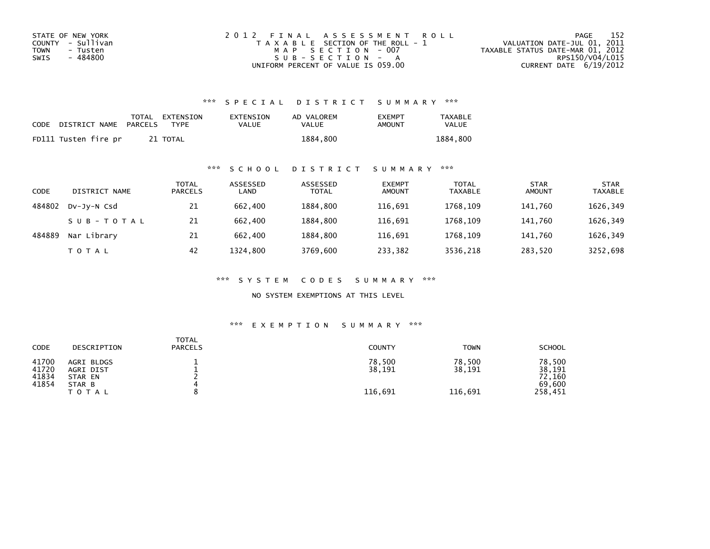| STATE OF NEW YORK | 2012 FINAL ASSESSMENT ROLL            | - 152<br>PAGE                    |
|-------------------|---------------------------------------|----------------------------------|
| COUNTY - Sullivan | T A X A B L E SECTION OF THE ROLL - 1 | VALUATION DATE-JUL 01, 2011      |
| TOWN<br>- Tusten  | MAP SECTION - 007                     | TAXABLE STATUS DATE-MAR 01, 2012 |
| - 484800<br>SWIS  | $SUB - SECTION - A$                   | RPS150/V04/L015                  |
|                   | UNIFORM PERCENT OF VALUE IS 059.00    | CURRENT DATE $6/19/2012$         |

| <b>CODE</b> | DISTRICT NAME        | PARCELS | TOTAL EXTENSION<br><b>TYPF</b> | EXTENSION<br>VALUE | AD VALOREM<br>VALUE | <b>FXFMPT</b><br>AMOUNT | <b>TAXABLE</b><br><b>VALUE</b> |
|-------------|----------------------|---------|--------------------------------|--------------------|---------------------|-------------------------|--------------------------------|
|             | FD111 Tusten fire pr |         | 21 TOTAL                       |                    | 1884,800            |                         | 1884.800                       |

## \*\*\* S C H O O L D I S T R I C T S U M M A R Y \*\*\*

| CODE   | DISTRICT NAME | TOTAL<br><b>PARCELS</b> | ASSESSED<br>LAND | ASSESSED<br><b>TOTAL</b> | <b>EXEMPT</b><br><b>AMOUNT</b> | <b>TOTAL</b><br><b>TAXABLE</b> | <b>STAR</b><br><b>AMOUNT</b> | <b>STAR</b><br><b>TAXABLE</b> |
|--------|---------------|-------------------------|------------------|--------------------------|--------------------------------|--------------------------------|------------------------------|-------------------------------|
| 484802 | DV-JY-N Csd   | 21                      | 662,400          | 1884.800                 | 116.691                        | 1768.109                       | 141.760                      | 1626,349                      |
|        | SUB-TOTAL     | 21                      | 662,400          | 1884.800                 | 116,691                        | 1768.109                       | 141.760                      | 1626,349                      |
| 484889 | Nar Library   | 21                      | 662,400          | 1884.800                 | 116,691                        | 1768.109                       | 141.760                      | 1626,349                      |
|        | T O T A L     | 42                      | 1324.800         | 3769,600                 | 233,382                        | 3536,218                       | 283,520                      | 3252,698                      |

\*\*\* S Y S T E M C O D E S S U M M A R Y \*\*\*

NO SYSTEM EXEMPTIONS AT THIS LEVEL

| CODE                             | DESCRIPTION                                                  | <b>TOTAL</b><br><b>PARCELS</b> | <b>COUNTY</b>               | <b>TOWN</b>                 | <b>SCHOOL</b>                                   |
|----------------------------------|--------------------------------------------------------------|--------------------------------|-----------------------------|-----------------------------|-------------------------------------------------|
| 41700<br>41720<br>41834<br>41854 | AGRI BLDGS<br>AGRI DIST<br>STAR EN<br>STAR B<br><b>TOTAL</b> |                                | 78,500<br>38,191<br>116,691 | 78,500<br>38,191<br>116,691 | 78,500<br>38,191<br>72,160<br>69,600<br>258,451 |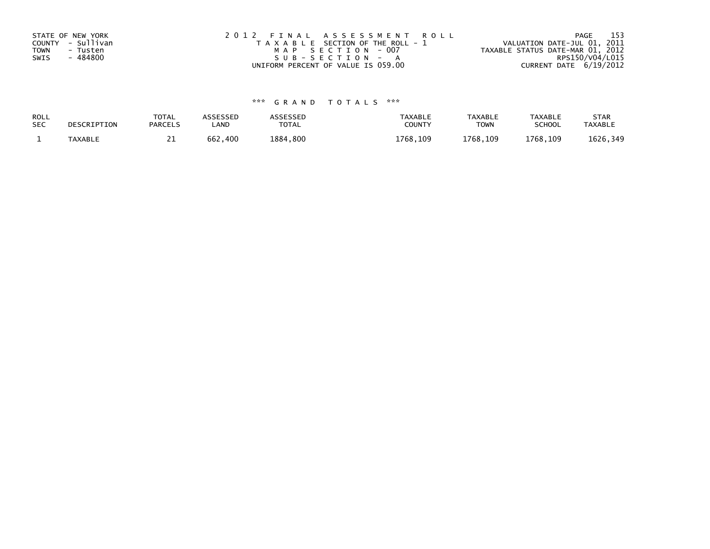| STATE OF NEW YORK | 2012 FINAL ASSESSMENT ROLL            | - 153<br>PAGE                    |
|-------------------|---------------------------------------|----------------------------------|
| COUNTY - Sullivan | T A X A B L E SECTION OF THE ROLL - 1 | VALUATION DATE-JUL 01, 2011      |
| TOWN<br>- Tusten  | MAP SECTION - 007                     | TAXABLE STATUS DATE-MAR 01, 2012 |
| SWIS<br>- 484800  | SUB-SECTION - A                       | RPS150/V04/L015                  |
|                   | UNIFORM PERCENT OF VALUE IS 059.00    | CURRENT DATE 6/19/2012           |

| ROLL       | DESCRIPTION    | <b>TOTAL</b>   | ASSESSED | <b>ASSESSED</b> | <b>TAXABLE</b> | <b>TAXABLE</b> | TAXABLE       | <b>STAR</b>    |
|------------|----------------|----------------|----------|-----------------|----------------|----------------|---------------|----------------|
| <b>SEC</b> |                | <b>PARCELS</b> | LAND     | TOTAL           | COUNT          | TOWN           | <b>SCHOOL</b> | <b>TAXABLE</b> |
|            | <b>TAXABLE</b> | <u>. .</u>     | 662,400  | 1884,800        | 1768.109       | 1768, 109      | 1768,109      | 1626,349       |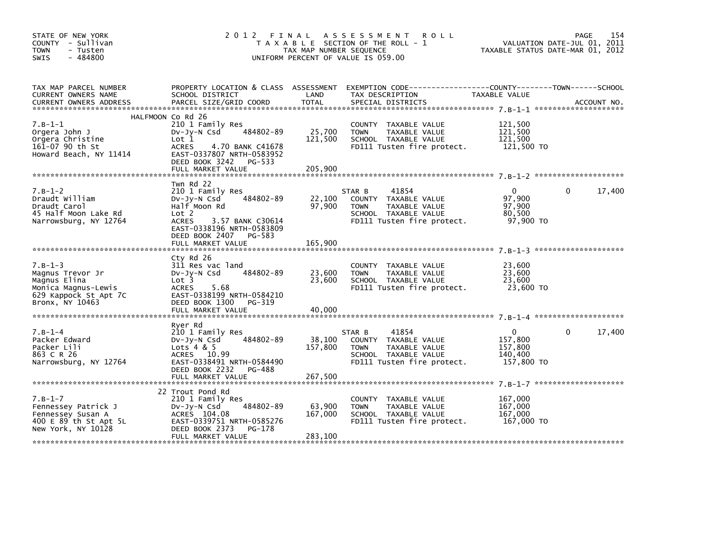| STATE OF NEW YORK<br>COUNTY - Sullivan<br>- Tusten<br><b>TOWN</b><br>$-484800$<br>SWIS                           |                                                                                                                                                                                                   | TAX MAP NUMBER SEQUENCE      | 2012 FINAL ASSESSMENT<br><b>ROLL</b><br>T A X A B L E SECTION OF THE ROLL - 1<br>UNIFORM PERCENT OF VALUE IS 059.00           | TAXABLE STATUS DATE-MAR 01, 2012                            | 154<br>PAGE<br>VALUATION DATE-JUL 01, 2011 |
|------------------------------------------------------------------------------------------------------------------|---------------------------------------------------------------------------------------------------------------------------------------------------------------------------------------------------|------------------------------|-------------------------------------------------------------------------------------------------------------------------------|-------------------------------------------------------------|--------------------------------------------|
| TAX MAP PARCEL NUMBER<br>CURRENT OWNERS NAME                                                                     | SCHOOL DISTRICT                                                                                                                                                                                   | LAND                         | PROPERTY LOCATION & CLASS ASSESSMENT EXEMPTION CODE----------------COUNTY-------TOWN-----SCHOOL<br>TAX DESCRIPTION            | TAXABLE VALUE                                               |                                            |
| $7. B - 1 - 1$<br>Orgera John J<br>Orgera Christine<br>161-07 90 th St<br>Howard Beach, NY 11414                 | HALFMOON Co Rd 26<br>210 1 Family Res<br>484802-89<br>$Dv-Jy-N$ Csd<br>Lot 1<br>4.70 BANK C41678<br><b>ACRES</b><br>EAST-0337807 NRTH-0583952<br>DEED BOOK 3242 PG-533<br>FULL MARKET VALUE       | 25,700<br>121,500<br>205,900 | COUNTY TAXABLE VALUE<br>TAXABLE VALUE<br><b>TOWN</b><br>SCHOOL TAXABLE VALUE<br>FD111 Tusten fire protect.                    | 121,500<br>121,500<br>121,500<br>121,500 TO                 |                                            |
| $7. B - 1 - 2$<br>Draudt William<br>Draudt Carol<br>45 Half Moon Lake Rd<br>Narrowsburg, NY 12764                | Twn Rd 22<br>210 1 Family Res<br>484802-89<br>DV-Jy-N Csd<br>Half Moon Rd<br>Lot 2<br>3.57 BANK C30614<br><b>ACRES</b><br>EAST-0338196 NRTH-0583809<br>DEED BOOK 2407 PG-583<br>FULL MARKET VALUE | 22,100<br>97,900<br>165,900  | STAR B<br>41854<br>COUNTY TAXABLE VALUE<br><b>TOWN</b><br>TAXABLE VALUE<br>SCHOOL TAXABLE VALUE<br>FD111 Tusten fire protect. | $\mathbf{0}$<br>97,900<br>97,900<br>80,500<br>97,900 TO     | $\Omega$<br>17,400                         |
| $7.B-1-3$<br>Magnus Trevor Jr<br>Magnus Elina<br>Monica Magnus-Lewis<br>629 Kappock St Apt 7C<br>Bronx, NY 10463 | Cty Rd 26<br>311 Res vac land<br>484802-89<br>DV-Jy-N Csd<br>Lot 3<br>ACRES<br>5.68<br>EAST-0338199 NRTH-0584210<br>DEED BOOK 1300 PG-319<br>FULL MARKET VALUE                                    | 23,600<br>23,600<br>40.000   | COUNTY TAXABLE VALUE<br>TAXABLE VALUE<br><b>TOWN</b><br>SCHOOL TAXABLE VALUE<br>FD111 Tusten fire protect.                    | 23,600<br>23,600<br>23,600<br>23,600 TO                     |                                            |
| $7. B - 1 - 4$<br>Packer Edward<br>Packer Lili<br>863 C R 26<br>Narrowsburg, NY 12764                            | Ryer Rd<br>210 1 Family Res<br>484802-89<br>DV-Jy-N Csd<br>Lots $4 & 5$<br>ACRES 10.99<br>EAST-0338491 NRTH-0584490<br>DEED BOOK 2232 PG-488                                                      | 38,100<br>157,800            | 41854<br>STAR B<br>COUNTY TAXABLE VALUE<br>TAXABLE VALUE<br><b>TOWN</b><br>SCHOOL TAXABLE VALUE<br>FD111 Tusten fire protect. | $\mathbf{0}$<br>157.800<br>157,800<br>140,400<br>157,800 TO | 17,400<br>$\Omega$                         |
| $7. B - 1 - 7$<br>Fennessey Patrick J<br>Fennessey Susan A<br>400 E 89 th St Apt 5L<br>New York, NY 10128        | 22 Trout Pond Rd<br>210 1 Family Res<br>484802-89<br>DV-Jy-N Csd<br>ACRES 104.08<br>EAST-0339751 NRTH-0585276<br>DEED BOOK 2373 PG-178<br>FULL MARKET VALUE                                       | 63,900<br>167,000<br>283,100 | COUNTY TAXABLE VALUE<br>TAXABLE VALUE<br><b>TOWN</b><br>SCHOOL TAXABLE VALUE<br>FD111 Tusten fire protect.                    | 167,000<br>167,000<br>167,000<br>167,000 TO                 |                                            |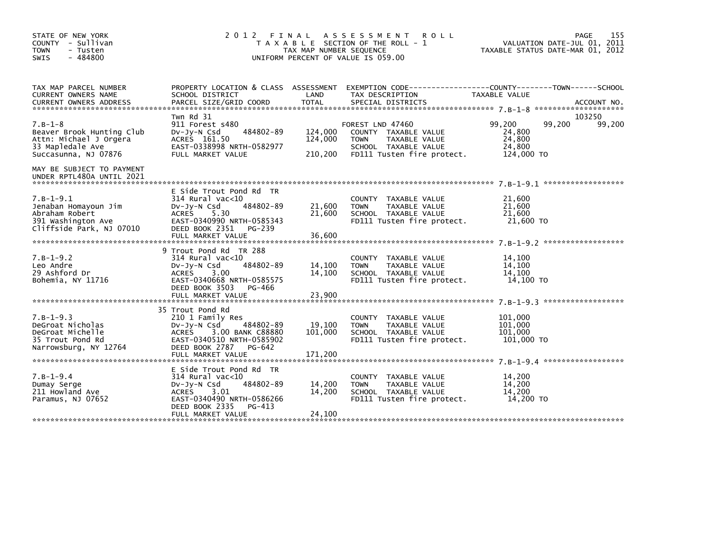| STATE OF NEW YORK<br>COUNTY - Sullivan<br><b>TOWN</b><br>- Tusten<br>$-484800$<br>SWIS                            | 2 0 1 2                                                                                                                                                                      | FINAL<br>TAX MAP NUMBER SEQUENCE | A S S E S S M E N T<br><b>ROLL</b><br>T A X A B L E SECTION OF THE ROLL - 1<br>UNIFORM PERCENT OF VALUE IS 059.00              | VALUATION DATE-JUL 01, 2011<br>TAXABLE STATUS DATE-MAR 01, 2012 | 155<br><b>PAGE</b> |
|-------------------------------------------------------------------------------------------------------------------|------------------------------------------------------------------------------------------------------------------------------------------------------------------------------|----------------------------------|--------------------------------------------------------------------------------------------------------------------------------|-----------------------------------------------------------------|--------------------|
| TAX MAP PARCEL NUMBER<br>CURRENT OWNERS NAME                                                                      | PROPERTY LOCATION & CLASS ASSESSMENT<br>SCHOOL DISTRICT                                                                                                                      | LAND                             | TAX DESCRIPTION                                                                                                                | TAXABLE VALUE                                                   |                    |
| $7. B - 1 - 8$<br>Beaver Brook Hunting Club<br>Attn: Michael J Orgera<br>33 Mapledale Ave<br>Succasunna, NJ 07876 | Twn Rd 31<br>911 Forest s480<br>484802-89<br>DV-Jy-N Csd<br>ACRES 161.50<br>EAST-0338998 NRTH-0582977<br>FULL MARKET VALUE                                                   | 124,000<br>124,000<br>210,200    | FOREST LND 47460<br>COUNTY TAXABLE VALUE<br>TAXABLE VALUE<br><b>TOWN</b><br>SCHOOL TAXABLE VALUE<br>FD111 Tusten fire protect. | 99,200<br>99,200<br>24,800<br>24,800<br>24,800<br>124,000 TO    | 103250<br>99,200   |
| MAY BE SUBJECT TO PAYMENT<br>UNDER RPTL480A UNTIL 2021                                                            |                                                                                                                                                                              |                                  |                                                                                                                                |                                                                 |                    |
| $7.B-1-9.1$<br>Jenaban Homayoun Jim<br>Abraham Robert<br>391 Washington Ave<br>Cliffside Park, NJ 07010           | E Side Trout Pond Rd TR<br>$314$ Rural vac<10<br>484802-89<br>$Dv-Jy-N$ Csd<br>5.30<br>ACRES<br>EAST-0340990 NRTH-0585343<br>DEED BOOK 2351<br>PG-239<br>FULL MARKET VALUE   | 21,600<br>21,600<br>36,600       | COUNTY TAXABLE VALUE<br><b>TOWN</b><br>TAXABLE VALUE<br>SCHOOL TAXABLE VALUE<br>FD111 Tusten fire protect.                     | 21,600<br>21,600<br>21,600<br>21,600 TO                         |                    |
| $7.B-1-9.2$<br>Leo Andre<br>29 Ashford Dr<br>Bohemia, NY 11716                                                    | 9 Trout Pond Rd TR 288<br>314 Rural vac<10<br>484802-89<br>DV-Jy-N Csd<br><b>ACRES</b><br>3.00<br>EAST-0340668 NRTH-0585575<br>DEED BOOK 3503<br>PG-466<br>FULL MARKET VALUE | 14,100<br>14,100<br>23,900       | COUNTY TAXABLE VALUE<br><b>TOWN</b><br>TAXABLE VALUE<br>SCHOOL TAXABLE VALUE<br>FD111 Tusten fire protect.                     | 14,100<br>14,100<br>14.100<br>14,100 TO                         |                    |
| $7.B-1-9.3$<br>DeGroat Nicholas<br>DeGroat Michelle<br>35 Trout Pond Rd<br>Narrowsburg, NY 12764                  | 35 Trout Pond Rd<br>210 1 Family Res<br>DV-Jy-N Csd<br>484802-89<br>3.00 BANK C88880<br>ACRES<br>EAST-0340510 NRTH-0585902<br>DEED BOOK 2787 PG-642<br>FULL MARKET VALUE     | 19,100<br>101,000<br>171.200     | COUNTY TAXABLE VALUE<br>TAXABLE VALUE<br><b>TOWN</b><br>SCHOOL TAXABLE VALUE<br>FD111 Tusten fire protect.                     | 101,000<br>101,000<br>101,000<br>101,000 TO                     |                    |
| $7. B - 1 - 9.4$<br>Dumay Serge<br>211 Howland Ave<br>Paramus, NJ 07652                                           | E Side Trout Pond Rd TR<br>$314$ Rural vac< $10$<br>484802-89<br>DV-Jy-N Csd<br>ACRES<br>3.01<br>EAST-0340490 NRTH-0586266<br>DEED BOOK 2335<br>PG-413<br>FULL MARKET VALUE  | 14,200<br>14,200<br>24,100       | COUNTY TAXABLE VALUE<br>TAXABLE VALUE<br><b>TOWN</b><br>SCHOOL TAXABLE VALUE<br>FD111 Tusten fire protect.                     | 14,200<br>14,200<br>14,200<br>14.200 TO                         |                    |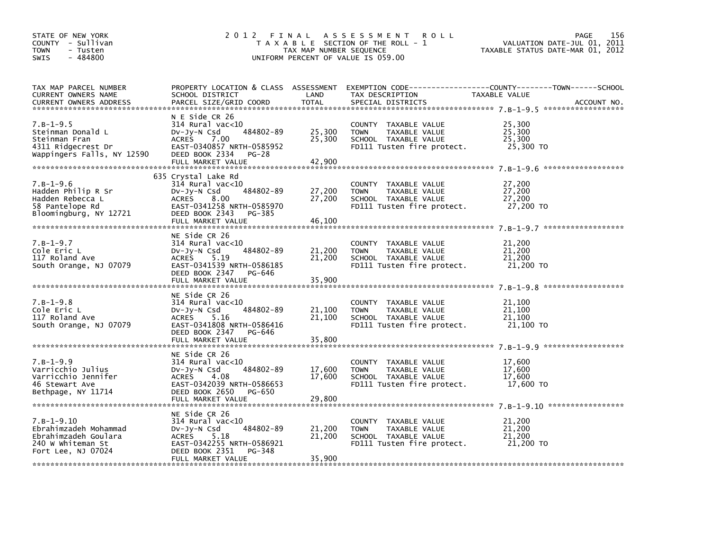| STATE OF NEW YORK<br>COUNTY - Sullivan<br><b>TOWN</b><br>- Tusten<br>$-484800$<br><b>SWIS</b>            | 2 0 1 2<br>FINAL<br>T A X A B L E SECTION OF THE ROLL - 1<br>TAX MAP NUMBER SEQUENCE<br>UNIFORM PERCENT OF VALUE IS 059.00                                                 | 156<br>PAGE<br>VALUATION DATE-JUL 01, 2011<br>TAXABLE STATUS DATE-MAR 01, 2012 |                                                                                                            |                                                              |             |
|----------------------------------------------------------------------------------------------------------|----------------------------------------------------------------------------------------------------------------------------------------------------------------------------|--------------------------------------------------------------------------------|------------------------------------------------------------------------------------------------------------|--------------------------------------------------------------|-------------|
| TAX MAP PARCEL NUMBER<br>CURRENT OWNERS NAME<br><b>CURRENT OWNERS ADDRESS</b>                            | PROPERTY LOCATION & CLASS ASSESSMENT<br>SCHOOL DISTRICT<br>PARCEL SIZE/GRID COORD                                                                                          | LAND<br><b>TOTAL</b>                                                           | EXEMPTION CODE-----------------COUNTY-------TOWN------SCHOOL<br>TAX DESCRIPTION<br>SPECIAL DISTRICTS       | TAXABLE VALUE                                                | ACCOUNT NO. |
| $7.B-1-9.5$<br>Steinman Donald L<br>Steinman Fran<br>4311 Ridgecrest Dr<br>Wappingers Falls, NY 12590    | N E Side CR 26<br>$314$ Rural vac< $10$<br>484802-89<br>DV-Jy-N Csd<br>7.00<br><b>ACRES</b><br>EAST-0340857 NRTH-0585952<br>DEED BOOK 2334<br>$PG-28$<br>FULL MARKET VALUE | 25,300<br>25,300<br>42,900                                                     | COUNTY TAXABLE VALUE<br><b>TOWN</b><br>TAXABLE VALUE<br>SCHOOL TAXABLE VALUE<br>FD111 Tusten fire protect. | 25,300<br>25,300<br>25,300<br>25,300 TO                      |             |
| $7.B-1-9.6$<br>Hadden Philip R Sr<br>Hadden Rebecca L<br>58 Pantelope Rd<br>Bloomingburg, NY 12721       | 635 Crystal Lake Rd<br>314 Rural vac<10<br>DV-Jy-N Csd<br>484802-89<br><b>ACRES</b><br>8.00<br>EAST-0341258 NRTH-0585970<br>DEED BOOK 2343<br>PG-385<br>FULL MARKET VALUE  | 27,200<br>27,200<br>46.100                                                     | COUNTY TAXABLE VALUE<br>TAXABLE VALUE<br><b>TOWN</b><br>SCHOOL TAXABLE VALUE<br>FD111 Tusten fire protect. | 27,200<br>27,200<br>27,200<br>27,200 TO                      |             |
| $7.B-1-9.7$<br>Cole Eric L<br>117 Roland Ave<br>South Orange, NJ 07079                                   | NE Side CR 26<br>314 Rural vac<10<br>DV-Jy-N Csd<br>484802-89<br><b>ACRES</b><br>5.19<br>EAST-0341539 NRTH-0586185<br>DEED BOOK 2347<br>PG-646<br>FULL MARKET VALUE        | 21,200<br>21,200<br>35,900                                                     | COUNTY TAXABLE VALUE<br>TAXABLE VALUE<br><b>TOWN</b><br>SCHOOL TAXABLE VALUE<br>FD111 Tusten fire protect. | 21,200<br>21,200<br>21,200<br>21,200 TO                      |             |
| $7. B - 1 - 9.8$<br>Cole Eric L<br>117 Roland Ave<br>South Orange, NJ 07079                              | NE Side CR 26<br>314 Rural vac<10<br>484802-89<br>DV-Jy-N Csd<br>ACRES<br>5.16<br>EAST-0341808 NRTH-0586416<br>DEED BOOK 2347 PG-646<br>FULL MARKET VALUE                  | 21,100<br>21,100<br>35,800                                                     | COUNTY TAXABLE VALUE<br>TAXABLE VALUE<br><b>TOWN</b><br>SCHOOL TAXABLE VALUE<br>FD111 Tusten fire protect. | *****************<br>21,100<br>21,100<br>21,100<br>21,100 TO |             |
| $7.B-1-9.9$<br>Varricchio Julius<br>Varricchio Jennifer<br>46 Stewart Ave<br>Bethpage, NY 11714          | NE Side CR 26<br>$314$ Rural vac< $10$<br>484802-89<br>$Dv-Jy-N$ Csd<br><b>ACRES</b><br>4.08<br>EAST-0342039 NRTH-0586653<br>DEED BOOK 2650<br>PG-650<br>FULL MARKET VALUE | 17,600<br>17,600<br>29,800                                                     | COUNTY TAXABLE VALUE<br><b>TOWN</b><br>TAXABLE VALUE<br>SCHOOL TAXABLE VALUE<br>FD111 Tusten fire protect. | 17,600<br>17,600<br>17,600<br>17,600 TO                      |             |
| $7.B-1-9.10$<br>Ebrahimzadeh Mohammad<br>Ebrahimzadeh Goulara<br>240 W Whiteman St<br>Fort Lee, NJ 07024 | NE Side CR 26<br>$314$ Rural vac< $10$<br>484802-89<br>$Dv-Jy-N$ Csd<br><b>ACRES</b><br>5.18<br>EAST-0342255 NRTH-0586921<br>DEED BOOK 2351<br>PG-348<br>FULL MARKET VALUE | 21,200<br>21,200<br>35,900                                                     | COUNTY TAXABLE VALUE<br>TAXABLE VALUE<br><b>TOWN</b><br>SCHOOL TAXABLE VALUE<br>FD111 Tusten fire protect. | 21,200<br>21,200<br>21,200<br>21,200 TO                      |             |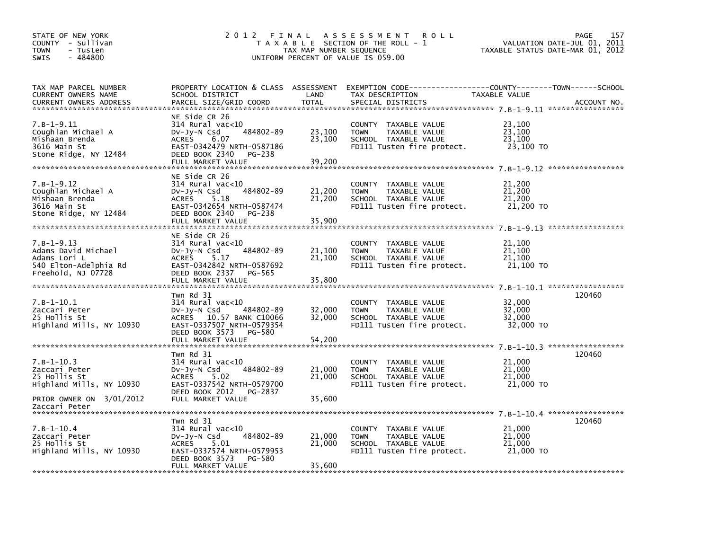| STATE OF NEW YORK<br>COUNTY - Sullivan<br>- Tusten<br><b>TOWN</b><br>$-484800$<br>SWIS                  | 2012 FINAL                                                                                                                                                                       | TAX MAP NUMBER SEQUENCE    | A S S E S S M E N T<br><b>ROLL</b><br>T A X A B L E SECTION OF THE ROLL - 1<br>UNIFORM PERCENT OF VALUE IS 059.00    | VALUATION DATE-JUL 01, 2011<br>TAXABLE STATUS DATE-MAR 01, 2012 | PAGE<br>157 |
|---------------------------------------------------------------------------------------------------------|----------------------------------------------------------------------------------------------------------------------------------------------------------------------------------|----------------------------|----------------------------------------------------------------------------------------------------------------------|-----------------------------------------------------------------|-------------|
| TAX MAP PARCEL NUMBER<br>CURRENT OWNERS NAME<br>CURRENT OWNERS ADDRESS                                  | PROPERTY LOCATION & CLASS ASSESSMENT<br>SCHOOL DISTRICT<br>PARCEL SIZE/GRID COORD                                                                                                | LAND<br><b>TOTAL</b>       | EXEMPTION CODE-----------------COUNTY-------TOWN------SCHOOL<br>TAX DESCRIPTION<br>SPECIAL DISTRICTS                 | TAXABLE VALUE                                                   | ACCOUNT NO. |
| 7.B-1-9.11<br>Coughlan Michael A<br>Mishaan Brenda<br>3616 Main St<br>Stone Ridge, NY 12484             | NE Side CR 26<br>$314$ Rural vac< $10$<br>484802-89<br>$Dv-Jy-N$ Csd<br><b>ACRES</b><br>6.07<br>EAST-0342479 NRTH-0587186<br>DEED BOOK 2340<br>PG-238<br>FULL MARKET VALUE       | 23,100<br>23,100<br>39,200 | COUNTY TAXABLE VALUE<br>TAXABLE VALUE<br><b>TOWN</b><br>SCHOOL TAXABLE VALUE<br>FD111 Tusten fire protect.           | 23,100<br>23,100<br>23,100<br>23,100 TO                         |             |
| $7.B-1-9.12$<br>Coughlan Michael A<br>Mishaan Brenda<br>3616 Main St<br>Stone Ridge, NY 12484           | NE Side CR 26<br>$314$ Rural vac<10<br>484802-89<br>$Dv-Jy-N$ Csd<br><b>ACRES</b><br>5.18<br>EAST-0342654 NRTH-0587474<br>DEED BOOK 2340<br>PG-238<br>FULL MARKET VALUE          | 21,200<br>21,200<br>35,900 | COUNTY TAXABLE VALUE<br><b>TOWN</b><br>TAXABLE VALUE<br>SCHOOL TAXABLE VALUE<br>FD111 Tusten fire protect.           | 21,200<br>21,200<br>21,200<br>21,200 TO                         |             |
| $7. B - 1 - 9.13$<br>Adams David Michael<br>Adams Lori L<br>540 Elton-Adelphia Rd<br>Freehold, NJ 07728 | NE Side CR 26<br>$314$ Rural vac< $10$<br>484802-89<br>$Dv-Jy-N$ Csd<br><b>ACRES</b><br>5.17<br>EAST-0342842 NRTH-0587692<br>DEED BOOK 2337<br>PG-565<br>FULL MARKET VALUE       | 21,100<br>21,100<br>35,800 | COUNTY TAXABLE VALUE<br><b>TOWN</b><br>TAXABLE VALUE<br>SCHOOL TAXABLE VALUE<br>FD111 Tusten fire protect.           | 21,100<br>21,100<br>21,100<br>21,100 TO                         |             |
| $7. B - 1 - 10.1$<br>Zaccari Peter<br>25 Hollis St<br>Highland Mills, NY 10930                          | Twn Rd 31<br>$314$ Rural vac<10<br>$Dv-Jv-N$ Csd<br>484802-89<br>10.57 BANK C10066<br><b>ACRES</b><br>EAST-0337507 NRTH-0579354<br>DEED BOOK 3573<br>PG-580<br>FULL MARKET VALUE | 32,000<br>32,000<br>54,200 | <b>COUNTY</b><br>TAXABLE VALUE<br>TAXABLE VALUE<br><b>TOWN</b><br>SCHOOL TAXABLE VALUE<br>FD111 Tusten fire protect. | 32,000<br>32,000<br>32,000<br>32,000 TO                         | 120460      |
|                                                                                                         |                                                                                                                                                                                  |                            |                                                                                                                      |                                                                 |             |
| $7.B-1-10.3$<br>Zaccari Peter<br>25 Hollis St<br>Highland Mills, NY 10930                               | Twn Rd 31<br>314 Rural vac<10<br>484802-89<br>$Dv-Jy-N$ Csd<br><b>ACRES</b><br>5.02<br>EAST-0337542 NRTH-0579700<br>DEED BOOK 2012<br>PG-2837                                    | 21,000<br>21,000           | <b>COUNTY</b><br>TAXABLE VALUE<br>TAXABLE VALUE<br><b>TOWN</b><br>SCHOOL TAXABLE VALUE<br>FD111 Tusten fire protect. | 21,000<br>21,000<br>21,000<br>21,000 TO                         | 120460      |
| PRIOR OWNER ON 3/01/2012<br>Zaccari Peter                                                               | FULL MARKET VALUE                                                                                                                                                                | 35,600                     |                                                                                                                      |                                                                 |             |
| $7.B-1-10.4$<br>Zaccari Peter<br>25 Hollis St<br>Highland Mills, NY 10930                               | Twn Rd 31<br>$314$ Rural vac< $10$<br>484802-89<br>$Dv-Jy-N$ Csd<br><b>ACRES</b><br>5.01<br>EAST-0337574 NRTH-0579953                                                            | 21,000<br>21,000           | COUNTY TAXABLE VALUE<br><b>TOWN</b><br>TAXABLE VALUE<br>SCHOOL TAXABLE VALUE<br>FD111 Tusten fire protect.           | 21,000<br>21,000<br>21,000<br>21,000 TO                         | 120460      |
|                                                                                                         | DEED BOOK 3573<br>PG-580<br>FULL MARKET VALUE                                                                                                                                    | 35,600                     |                                                                                                                      |                                                                 |             |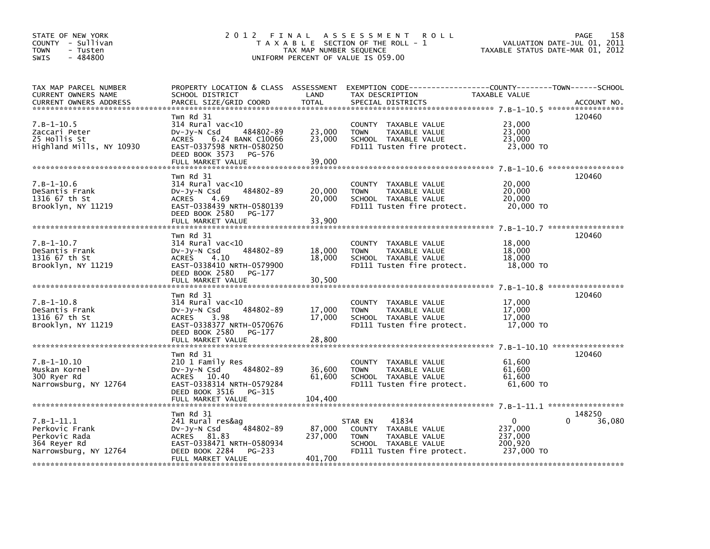| STATE OF NEW YORK<br>COUNTY - Sullivan<br><b>TOWN</b><br>- Tusten<br>$-484800$<br><b>SWIS</b> | 2 0 1 2                                                                                                                                                           | FINAL<br>TAX MAP NUMBER SEQUENCE | A S S E S S M E N T<br><b>ROLL</b><br>T A X A B L E SECTION OF THE ROLL - 1<br>UNIFORM PERCENT OF VALUE IS 059.00              | VALUATION DATE-JUL 01,<br>TAXABLE STATUS DATE-MAR 01, 2012 | 158<br><b>PAGE</b><br>2011 |
|-----------------------------------------------------------------------------------------------|-------------------------------------------------------------------------------------------------------------------------------------------------------------------|----------------------------------|--------------------------------------------------------------------------------------------------------------------------------|------------------------------------------------------------|----------------------------|
| TAX MAP PARCEL NUMBER<br>CURRENT OWNERS NAME<br><b>CURRENT OWNERS ADDRESS</b>                 | PROPERTY LOCATION & CLASS ASSESSMENT<br>SCHOOL DISTRICT<br>PARCEL SIZE/GRID COORD                                                                                 | LAND<br><b>TOTAL</b>             | EXEMPTION CODE-----------------COUNTY-------TOWN------SCHOOL<br>TAX DESCRIPTION<br>SPECIAL DISTRICTS                           | TAXABLE VALUE                                              | ACCOUNT NO.                |
| $7.B-1-10.5$<br>Zaccari Peter<br>25 Hollis St<br>Highland Mills, NY 10930                     | Twn Rd 31<br>$314$ Rural vac<10<br>DV-Jy-N Csd<br>484802-89<br><b>ACRES</b><br>6.24 BANK C10066<br>EAST-0337598 NRTH-0580250<br>DEED BOOK 3573<br>PG-576          | 23,000<br>23,000                 | COUNTY TAXABLE VALUE<br>TAXABLE VALUE<br><b>TOWN</b><br>SCHOOL TAXABLE VALUE<br>FD111 Tusten fire protect.                     | 23,000<br>23,000<br>23.000<br>23,000 TO                    | 120460                     |
|                                                                                               | FULL MARKET VALUE                                                                                                                                                 | 39,000                           |                                                                                                                                |                                                            |                            |
| 7.B-1-10.6<br>DeSantis Frank<br>1316 67 th St<br>Brooklyn, NY 11219                           | Twn Rd 31<br>314 Rural vac<10<br>484802-89<br>$Dv-Jy-N$ Csd<br>4.69<br><b>ACRES</b><br>EAST-0338439 NRTH-0580139<br>DEED BOOK 2580<br>PG-177<br>FULL MARKET VALUE | 20,000<br>20,000<br>33,900       | COUNTY TAXABLE VALUE<br><b>TOWN</b><br>TAXABLE VALUE<br>SCHOOL TAXABLE VALUE<br>FD111 Tusten fire protect.                     | 20,000<br>20,000<br>20,000<br>20,000 TO                    | 120460                     |
|                                                                                               |                                                                                                                                                                   |                                  |                                                                                                                                |                                                            |                            |
| $7.B-1-10.7$<br>DeSantis Frank<br>1316 67 th St<br>Brooklyn, NY 11219                         | Twn Rd 31<br>$314$ Rural vac< $10$<br>484802-89<br>DV-Jy-N Csd<br><b>ACRES</b><br>4.10<br>EAST-0338410 NRTH-0579900<br>DEED BOOK 2580<br>PG-177                   | 18,000<br>18,000                 | COUNTY TAXABLE VALUE<br>TAXABLE VALUE<br><b>TOWN</b><br>SCHOOL TAXABLE VALUE<br>FD111 Tusten fire protect.                     | 18,000<br>18,000<br>18,000<br>18,000 TO                    | 120460                     |
|                                                                                               | FULL MARKET VALUE                                                                                                                                                 | 30,500                           |                                                                                                                                |                                                            |                            |
| $7.B-1-10.8$<br>DeSantis Frank<br>1316 67 th St<br>Brooklyn, NY 11219                         | Twn Rd 31<br>$314$ Rural vac< $10$<br>Dv-Jy-N Csd<br>484802-89<br><b>ACRES</b><br>3.98<br>EAST-0338377 NRTH-0570676<br>DEED BOOK 2580<br>PG-177                   | 17,000<br>17.000                 | COUNTY TAXABLE VALUE<br>TAXABLE VALUE<br><b>TOWN</b><br>SCHOOL TAXABLE VALUE<br>FD111 Tusten fire protect.                     | 17,000<br>17,000<br>17,000<br>17.000 TO                    | 120460                     |
|                                                                                               | FULL MARKET VALUE                                                                                                                                                 | 28,800                           |                                                                                                                                |                                                            |                            |
| $7. B - 1 - 10.10$<br>Muskan Kornel<br>300 Ryer Rd<br>Narrowsburg, NY 12764                   | Twn Rd 31<br>210 1 Family Res<br>484802-89<br>Dv-Jy-N Csd<br>ACRES 10.40<br>EAST-0338314 NRTH-0579284<br>DEED BOOK 3516<br>PG-315<br>FULL MARKET VALUE            | 36,600<br>61,600<br>104,400      | COUNTY TAXABLE VALUE<br><b>TOWN</b><br>TAXABLE VALUE<br>SCHOOL TAXABLE VALUE<br>FD111 Tusten fire protect.                     | 61,600<br>61,600<br>61,600<br>61,600 TO                    | 120460                     |
|                                                                                               |                                                                                                                                                                   |                                  |                                                                                                                                |                                                            |                            |
| $7. B - 1 - 11.1$<br>Perkovic Frank<br>Perkovic Rada<br>364 Reyer Rd<br>Narrowsburg, NY 12764 | Twn Rd 31<br>241 Rural res&ag<br>484802-89<br>Dv-Jy-N Csd<br>ACRES 81.83<br>EAST-0338471 NRTH-0580934<br>DEED BOOK 2284<br>PG-233                                 | 87,000<br>237,000                | 41834<br>STAR EN<br>COUNTY TAXABLE VALUE<br>TAXABLE VALUE<br><b>TOWN</b><br>SCHOOL TAXABLE VALUE<br>FD111 Tusten fire protect. | 0<br>237,000<br>237,000<br>200,920<br>237,000 TO           | 148250<br>36,080<br>0      |
|                                                                                               | FULL MARKET VALUE                                                                                                                                                 | 401,700                          |                                                                                                                                |                                                            |                            |
|                                                                                               |                                                                                                                                                                   |                                  |                                                                                                                                |                                                            |                            |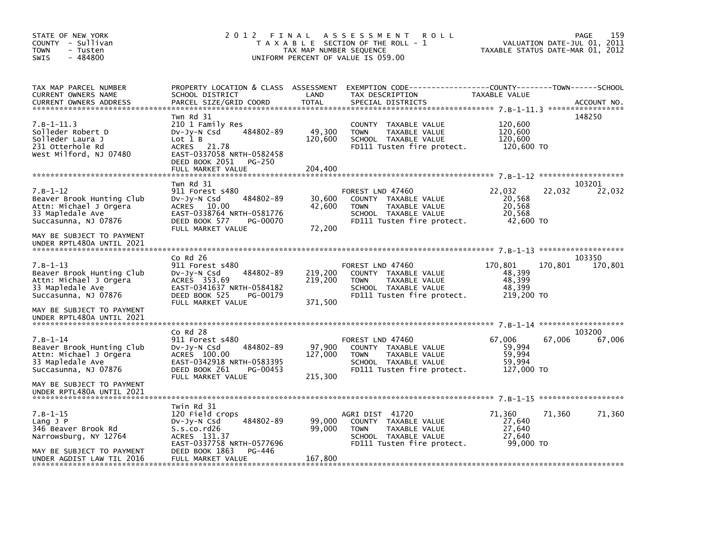| STATE OF NEW YORK<br>COUNTY - Sullivan<br><b>TOWN</b><br>- Tusten<br>- 484800<br>SWIS                                                      | 2 0 1 2<br>FINAL                                                                                                                                                       | TAX MAP NUMBER SEQUENCE       | A S S E S S M E N T<br><b>ROLL</b><br>T A X A B L E SECTION OF THE ROLL - 1<br>UNIFORM PERCENT OF VALUE IS 059.00              | VALUATION DATE-JUL 01, 2011<br>TAXABLE STATUS DATE-MAR 01, 2012 | 159<br>PAGE       |
|--------------------------------------------------------------------------------------------------------------------------------------------|------------------------------------------------------------------------------------------------------------------------------------------------------------------------|-------------------------------|--------------------------------------------------------------------------------------------------------------------------------|-----------------------------------------------------------------|-------------------|
| TAX MAP PARCEL NUMBER<br>CURRENT OWNERS NAME<br>CURRENT OWNERS ADDRESS                                                                     | PROPERTY LOCATION & CLASS ASSESSMENT<br>SCHOOL DISTRICT<br>PARCEL SIZE/GRID COORD                                                                                      | LAND<br><b>TOTAL</b>          | EXEMPTION CODE-----------------COUNTY-------TOWN------SCHOOL<br>TAX DESCRIPTION<br>SPECIAL DISTRICTS                           | TAXABLE VALUE                                                   | ACCOUNT NO.       |
| $7.B-1-11.3$<br>Solleder Robert D<br>Solleder Laura J<br>231 Otterhole Rd<br>West Milford, NJ 07480                                        | Twn Rd 31<br>210 1 Family Res<br>484802-89<br>$Dv-Jy-N$ Csd<br>Lot 1 B<br>ACRES 21.78<br>EAST-0337058 NRTH-0582458<br>DEED BOOK 2051<br>PG-250<br>FULL MARKET VALUE    | 49,300<br>120,600<br>204,400  | COUNTY TAXABLE VALUE<br>TAXABLE VALUE<br><b>TOWN</b><br>SCHOOL TAXABLE VALUE<br>FD111 Tusten fire protect.                     | 120,600<br>120,600<br>120,600<br>120,600 TO                     | 148250            |
|                                                                                                                                            | Twn Rd 31                                                                                                                                                              |                               |                                                                                                                                |                                                                 | 103201            |
| $7. B - 1 - 12$<br>Beaver Brook Hunting Club<br>Attn: Michael J Orgera<br>33 Mapledale Ave<br>Succasunna, NJ 07876                         | 911 Forest s480<br>484802-89<br>DV-Jy-N Csd<br>ACRES 10.00<br>EAST-0338764 NRTH-0581776<br>DEED BOOK 577<br>PG-00070                                                   | 30,600<br>42,600              | FOREST LND 47460<br>COUNTY TAXABLE VALUE<br><b>TOWN</b><br>TAXABLE VALUE<br>SCHOOL TAXABLE VALUE<br>FD111 Tusten fire protect. | 22,032<br>22,032<br>20,568<br>20,568<br>20,568<br>42,600 TO     | 22,032            |
| MAY BE SUBJECT TO PAYMENT<br>UNDER RPTL480A UNTIL 2021                                                                                     | FULL MARKET VALUE                                                                                                                                                      | 72,200                        |                                                                                                                                |                                                                 |                   |
| $7. B - 1 - 13$<br>Beaver Brook Hunting Club<br>Attn: Michael J Orgera<br>33 Mapledale Ave<br>Succasunna, NJ 07876                         | $Co$ Rd $26$<br>911 Forest s480<br>484802-89<br>$Dv-Jy-N$ Csd<br>ACRES 353.69<br>EAST-0341637 NRTH-0584182<br>DEED BOOK 525<br>PG-00179<br>FULL MARKET VALUE           | 219,200<br>219,200<br>371,500 | FOREST LND 47460<br>COUNTY TAXABLE VALUE<br><b>TOWN</b><br>TAXABLE VALUE<br>SCHOOL TAXABLE VALUE<br>FD111 Tusten fire protect. | 170,801<br>170,801<br>48,399<br>48,399<br>48,399<br>219,200 TO  | 103350<br>170,801 |
| MAY BE SUBJECT TO PAYMENT<br>UNDER RPTL480A UNTIL 2021                                                                                     |                                                                                                                                                                        |                               |                                                                                                                                |                                                                 |                   |
| $7. B - 1 - 14$<br>Beaver Brook Hunting Club<br>Attn: Michael J Orgera<br>33 Mapledale Ave<br>Succasunna, NJ 07876                         | $Co$ Rd $28$<br>911 Forest s480<br>484802-89<br>DV-Jy-N Csd<br>ACRES 100.00<br>EAST-0342918 NRTH-0583395<br>DEED BOOK 261<br>PG-00453<br>FULL MARKET VALUE             | 97,900<br>127,000<br>215,300  | FOREST LND 47460<br>COUNTY TAXABLE VALUE<br>TAXABLE VALUE<br><b>TOWN</b><br>SCHOOL TAXABLE VALUE<br>FD111 Tusten fire protect. | 67.006<br>67,006<br>59,994<br>59,994<br>59.994<br>127,000 TO    | 103200<br>67,006  |
| MAY BE SUBJECT TO PAYMENT<br>UNDER RPTL480A UNTIL 2021                                                                                     |                                                                                                                                                                        |                               |                                                                                                                                |                                                                 |                   |
| $7. B - 1 - 15$<br>$L$ ang $J$ P<br>346 Beaver Brook Rd<br>Narrowsburg, NY 12764<br>MAY BE SUBJECT TO PAYMENT<br>UNDER AGDIST LAW TIL 2016 | Twin Rd 31<br>120 Field crops<br>484802-89<br>DV-Jy-N Csd<br>S.s.co.rd26<br>ACRES 131.37<br>EAST-0337758 NRTH-0577696<br>DEED BOOK 1863<br>PG-446<br>FULL MARKET VALUE | 99,000<br>99,000<br>167,800   | AGRI DIST 41720<br>COUNTY TAXABLE VALUE<br>TAXABLE VALUE<br><b>TOWN</b><br>SCHOOL TAXABLE VALUE<br>FD111 Tusten fire protect.  | 71,360<br>71,360<br>27,640<br>27,640<br>27,640<br>99,000 TO     | 71,360            |
|                                                                                                                                            |                                                                                                                                                                        |                               |                                                                                                                                |                                                                 |                   |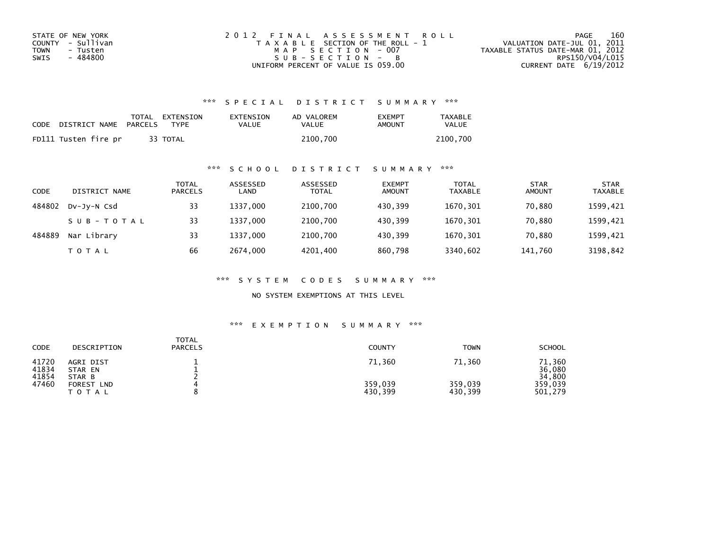| STATE OF NEW YORK | 2012 FINAL ASSESSMENT ROLL            | 160<br>PAGE                      |
|-------------------|---------------------------------------|----------------------------------|
| COUNTY - Sullivan | T A X A B L E SECTION OF THE ROLL - 1 | VALUATION DATE-JUL 01, 2011      |
| TOWN<br>- Tusten  | MAP SECTION - 007                     | TAXABLE STATUS DATE-MAR 01, 2012 |
| - 484800<br>SWIS  | $SUB - SECTION - B$                   | RPS150/V04/L015                  |
|                   | UNIFORM PERCENT OF VALUE IS 059.00    | CURRENT DATE $6/19/2012$         |

| CODE | DISTRICT NAME        | PARCELS | TOTAL EXTENSION<br><b>TYPF</b> | EXTENSION<br>VALUE | AD VALOREM<br>VALUE | <b>FXFMPT</b><br>AMOUNT | <b>TAXABLE</b><br>VALUE |
|------|----------------------|---------|--------------------------------|--------------------|---------------------|-------------------------|-------------------------|
|      | FD111 Tusten fire pr |         | 33 TOTAL                       |                    | 2100.700            |                         | 2100.700                |

## \*\*\* S C H O O L D I S T R I C T S U M M A R Y \*\*\*

| CODE   | DISTRICT NAME | TOTAL<br><b>PARCELS</b> | ASSESSED<br>LAND | ASSESSED<br><b>TOTAL</b> | <b>EXEMPT</b><br><b>AMOUNT</b> | <b>TOTAL</b><br><b>TAXABLE</b> | <b>STAR</b><br><b>AMOUNT</b> | <b>STAR</b><br><b>TAXABLE</b> |
|--------|---------------|-------------------------|------------------|--------------------------|--------------------------------|--------------------------------|------------------------------|-------------------------------|
| 484802 | DV-Jy-N Csd   | 33                      | 1337.000         | 2100,700                 | 430.399                        | 1670,301                       | 70,880                       | 1599,421                      |
|        | SUB-TOTAL     | 33                      | 1337.000         | 2100,700                 | 430.399                        | 1670,301                       | 70.880                       | 1599,421                      |
| 484889 | Nar Library   | 33                      | 1337.000         | 2100,700                 | 430.399                        | 1670,301                       | 70.880                       | 1599,421                      |
|        | T O T A L     | 66                      | 2674,000         | 4201,400                 | 860,798                        | 3340,602                       | 141,760                      | 3198,842                      |

\*\*\* S Y S T E M C O D E S S U M M A R Y \*\*\*

NO SYSTEM EXEMPTIONS AT THIS LEVEL

| CODE                             | DESCRIPTION                                                      | <b>TOTAL</b><br><b>PARCELS</b> | <b>COUNTY</b>                | <b>TOWN</b>                  | <b>SCHOOL</b>                                    |
|----------------------------------|------------------------------------------------------------------|--------------------------------|------------------------------|------------------------------|--------------------------------------------------|
| 41720<br>41834<br>41854<br>47460 | AGRI DIST<br>STAR EN<br>STAR B<br><b>FOREST LND</b><br>T O T A L |                                | 71,360<br>359,039<br>430,399 | 71,360<br>359,039<br>430,399 | 71,360<br>36,080<br>34,800<br>359.039<br>501,279 |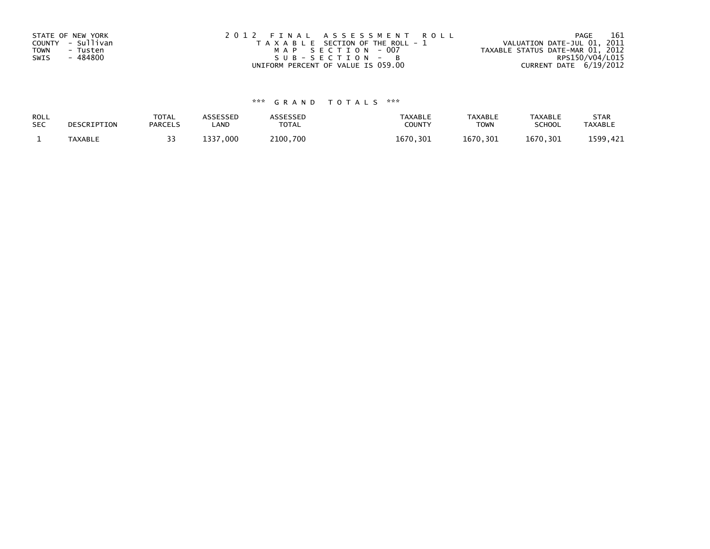| STATE OF NEW YORK | 2012 FINAL ASSESSMENT ROLL            | 161<br>PAGE                      |
|-------------------|---------------------------------------|----------------------------------|
| COUNTY - Sullivan | T A X A B L E SECTION OF THE ROLL - 1 | VALUATION DATE-JUL 01, 2011      |
| TOWN<br>- Tusten  | MAP SECTION - 007                     | TAXABLE STATUS DATE-MAR 01, 2012 |
| SWIS<br>- 484800  | SUB-SECTION - B                       | RPS150/V04/L015                  |
|                   | UNIFORM PERCENT OF VALUE IS 059.00    | CURRENT DATE 6/19/2012           |

| ROLL       | DESCRIPTION    | <b>TOTAL</b>   | ASSESSED       | <b>ASSESSED</b> | <b>TAXABLE</b> | <b>TAXABLE</b> | <b>TAXABLE</b> | <b>STAR</b>    |
|------------|----------------|----------------|----------------|-----------------|----------------|----------------|----------------|----------------|
| <b>SEC</b> |                | <b>PARCELS</b> | ∟AND           | TOTAL           | <b>COUNT</b>   | <b>TOWN</b>    | <b>SCHOOL</b>  | <b>TAXABLE</b> |
|            | <b>TAXABLE</b> |                | ,000<br>- רככו | 2100,700        | 1670<br>. 301  | 1670,301       | 1670.301       | 1599.421       |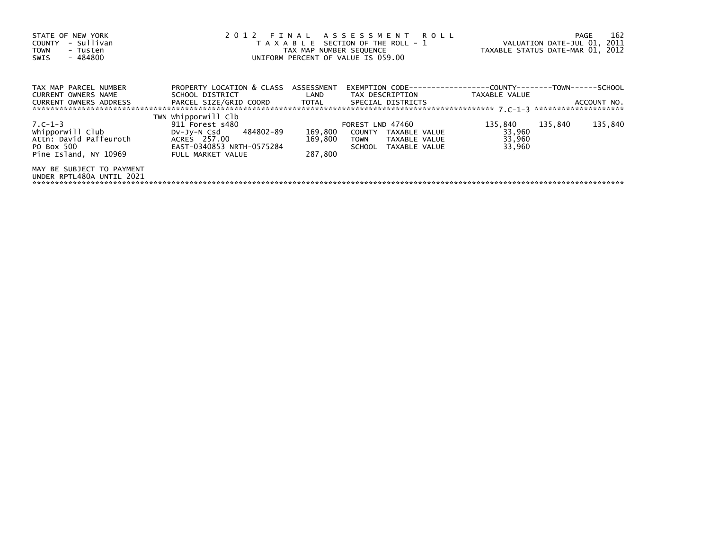| STATE OF NEW YORK<br>COUNTY - Sullivan<br><b>TOWN</b><br>- Tusten<br>- 484800<br>SWIS        |                                                                                                                                   | TAX MAP NUMBER SEQUENCE       | 2012 FINAL ASSESSMENT ROLL<br>T A X A B L E SECTION OF THE ROLL - 1<br>UNIFORM PERCENT OF VALUE IS 059.00 | TAXABLE STATUS DATE-MAR 01, 2012      |         | 162<br>PAGE<br>VALUATION DATE-JUL 01, 2011 |
|----------------------------------------------------------------------------------------------|-----------------------------------------------------------------------------------------------------------------------------------|-------------------------------|-----------------------------------------------------------------------------------------------------------|---------------------------------------|---------|--------------------------------------------|
| TAX MAP PARCEL NUMBER<br><b>CURRENT OWNERS NAME</b><br><b>CURRENT OWNERS ADDRESS</b>         | PROPERTY LOCATION & CLASS ASSESSMENT<br>SCHOOL DISTRICT<br>PARCEL SIZE/GRID COORD TOTAL SPECIAL DISTRICTS                         | <b>Example 18 The LAND</b>    | TAX DESCRIPTION                                                                                           | TAXABLE VALUE                         |         | ACCOUNT NO.                                |
|                                                                                              |                                                                                                                                   |                               |                                                                                                           |                                       |         |                                            |
| 7.C-1-3<br>whipporwill Club<br>Attn: David Paffeuroth<br>PO Box 500<br>Pine Island, NY 10969 | TWN Whipporwill Clb<br>911 Forest s480<br>DV-Jy-N Csd 484802-89<br>ACRES 257.00<br>EAST-0340853 NRTH-0575284<br>FULL MARKET VALUE | 169,800<br>169,800<br>287,800 | FOREST LND 47460<br>COUNTY TAXABLE VALUE<br>TAXABLE VALUE<br>TOWN<br>SCHOOL TAXABLE VALUE                 | 135,840<br>33,960<br>33,960<br>33,960 | 135,840 | 135,840                                    |
| MAY BE SUBJECT TO PAYMENT<br>UNDER RPTL480A UNTIL 2021                                       |                                                                                                                                   |                               |                                                                                                           |                                       |         |                                            |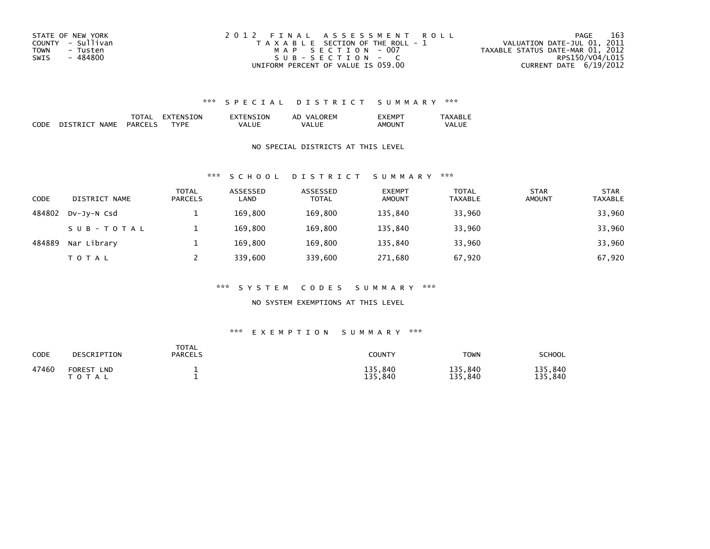| STATE OF NEW YORK       | 2012 FINAL ASSESSMENT ROLL            | 163<br>PAGE                      |
|-------------------------|---------------------------------------|----------------------------------|
| COUNTY - Sullivan       | T A X A B L E SECTION OF THE ROLL - 1 | VALUATION DATE-JUL 01, 2011      |
| <b>TOWN</b><br>- Tusten | MAP SECTION - 007                     | TAXABLE STATUS DATE-MAR 01, 2012 |
| - 484800<br>SWIS        | $SUB - SECTION - C$                   | RPS150/V04/L015                  |
|                         | UNIFORM PERCENT OF VALUE IS 059.00    | CURRENT DATE $6/19/2012$         |

|     |      | . IN<br>_____ | ∩R' |       |        |
|-----|------|---------------|-----|-------|--------|
| ___ | NΔN. |               |     | $  -$ | $\sim$ |

### NO SPECIAL DISTRICTS AT THIS LEVEL

#### \*\*\* S C H O O L D I S T R I C T S U M M A R Y \*\*\*

| CODE   | DISTRICT NAME | <b>TOTAL</b><br><b>PARCELS</b> | ASSESSED<br>LAND | ASSESSED<br><b>TOTAL</b> | <b>EXEMPT</b><br><b>AMOUNT</b> | <b>TOTAL</b><br><b>TAXABLE</b> | <b>STAR</b><br><b>AMOUNT</b> | <b>STAR</b><br><b>TAXABLE</b> |
|--------|---------------|--------------------------------|------------------|--------------------------|--------------------------------|--------------------------------|------------------------------|-------------------------------|
| 484802 | DV-JV-N Csd   |                                | 169,800          | 169,800                  | 135.840                        | 33,960                         |                              | 33,960                        |
|        | SUB-TOTAL     |                                | 169.800          | 169.800                  | 135.840                        | 33,960                         |                              | 33,960                        |
| 484889 | Nar Library   |                                | 169.800          | 169,800                  | 135.840                        | 33,960                         |                              | 33,960                        |
|        | T O T A L     |                                | 339,600          | 339,600                  | 271,680                        | 67,920                         |                              | 67,920                        |

#### \*\*\* S Y S T E M C O D E S S U M M A R Y \*\*\*

#### NO SYSTEM EXEMPTIONS AT THIS LEVEL

| CODE  | DESCRIPTION                                           | TOTAL<br><b>PARCELS</b> | COUNTY             | <b>TOWN</b>        | SCHOOL             |
|-------|-------------------------------------------------------|-------------------------|--------------------|--------------------|--------------------|
| 47460 | <b>FOREST</b><br><b>LND</b><br><b>T O T</b> .<br>`A L |                         | 135,840<br>135,840 | 135,840<br>135,840 | 135,840<br>135,840 |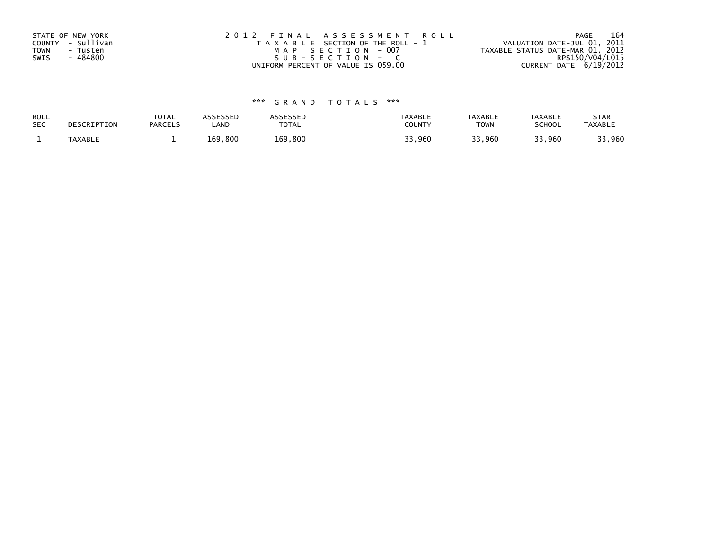| STATE OF NEW YORK       | 2012 FINAL ASSESSMENT ROLL            | 164<br>PAGE                      |
|-------------------------|---------------------------------------|----------------------------------|
| COUNTY - Sullivan       | T A X A B L E SECTION OF THE ROLL - 1 | VALUATION DATE-JUL 01, 2011      |
| <b>TOWN</b><br>- Tusten | MAP SECTION - 007                     | TAXABLE STATUS DATE-MAR 01, 2012 |
| SWIS<br>- 484800        | $SUB - SECTION - C$                   | RPS150/V04/L015                  |
|                         | UNIFORM PERCENT OF VALUE IS 059.00    | CURRENT DATE 6/19/2012           |

| <b>ROLL</b> | DESCRIPTION | <b>TOTAL</b>   | ASSESSED | <b>ASSESSED</b> | <b>TAXABLE</b> | <b>TAXABLE</b> | <b>TAXABLE</b> | <b>STAR</b>    |
|-------------|-------------|----------------|----------|-----------------|----------------|----------------|----------------|----------------|
| <b>SEC</b>  |             | <b>PARCELS</b> | ∟AND     | TOTAL           | <b>COUNTY</b>  | <b>TOWN</b>    | <b>SCHOOL</b>  | <b>TAXABLE</b> |
|             | TAXABLE     |                | 169,800  | 169,800         | 33,960         | 33,960         | 33,960         | 33,960         |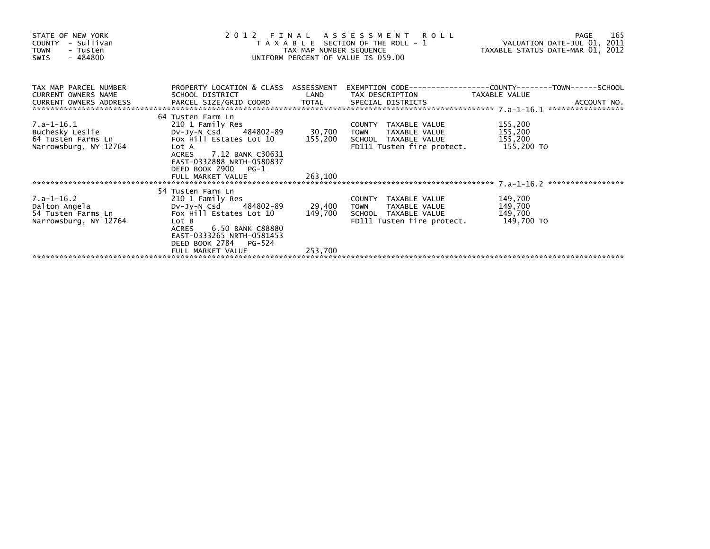| STATE OF NEW YORK<br>- Sullivan<br><b>COUNTY</b><br><b>TOWN</b><br>- Tusten<br>$-484800$<br><b>SWIS</b> | 2 0 1 2                                                                                                                                                                                                           | FINAL<br>TAX MAP NUMBER SEQUENCE | ASSESSMENT ROLL<br>T A X A B L E SECTION OF THE ROLL - 1<br>UNIFORM PERCENT OF VALUE IS 059.00                        | VALUATION DATE-JUL 01, 2011<br>TAXABLE STATUS DATE-MAR 01, 2012 | 165<br>PAGE |
|---------------------------------------------------------------------------------------------------------|-------------------------------------------------------------------------------------------------------------------------------------------------------------------------------------------------------------------|----------------------------------|-----------------------------------------------------------------------------------------------------------------------|-----------------------------------------------------------------|-------------|
| TAX MAP PARCEL NUMBER<br><b>CURRENT OWNERS NAME</b><br>CURRENT OWNERS ADDRESS                           | PROPERTY LOCATION & CLASS ASSESSMENT<br>SCHOOL DISTRICT                                                                                                                                                           | LAND                             | TAX DESCRIPTION                                                                                                       | TAXABLE VALUE                                                   |             |
| 7.a-1-16.1<br>Buchesky Leslie<br>64 Tusten Farms Ln<br>Narrowsburg, NY 12764                            | 64 Tusten Farm Ln<br>210 1 Family Res<br>DV-JV-N Csd 484802-89<br>Fox Hill Estates Lot $10$ 155,200<br>Lot A<br>ACRES 7.12 BANK C30631<br>EAST-0332888 NRTH-0580837<br>DEED BOOK 2900 PG-1                        | 30,700                           | COUNTY TAXABLE VALUE<br><b>TOWN</b><br>TAXABLE VALUE<br>SCHOOL TAXABLE VALUE<br>FD111 Tusten fire protect. 155,200 TO | 155,200<br>155,200<br>155,200                                   |             |
|                                                                                                         | FULL MARKET VALUE                                                                                                                                                                                                 | 263,100                          |                                                                                                                       |                                                                 |             |
| 7.a-1-16.2<br>Dalton Angela<br>54 Tusten Farms Ln<br>Narrowsburg, NY 12764                              | 54 Tusten Farm Ln<br>210 1 Family Res<br>DV-Jy-N Csd 484802-89<br>Fox Hill Estates Lot 10<br>Lot B<br>6.50 BANK C88880<br><b>ACRES</b><br>EAST-0333265 NRTH-0581453<br>DEED BOOK 2784 PG-524<br>FULL MARKET VALUE | 149,700<br>253,700               | COUNTY TAXABLE VALUE<br>29,400 TOWN TAXABLE VALUE<br>SCHOOL TAXABLE VALUE<br>FD111 Tusten fire protect.               | 149,700<br>149,700<br>149,700<br>149,700 TO                     |             |
|                                                                                                         |                                                                                                                                                                                                                   |                                  |                                                                                                                       |                                                                 |             |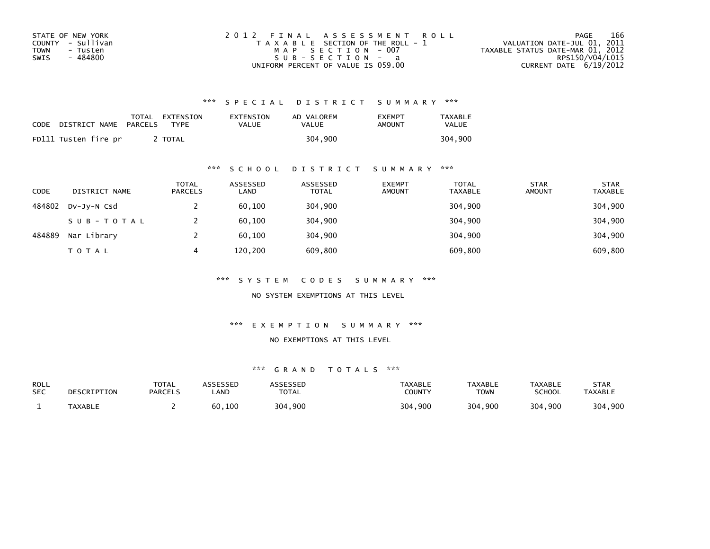| STATE OF NEW YORK | 2012 FINAL ASSESSMENT ROLL            | 166<br>PAGE                      |
|-------------------|---------------------------------------|----------------------------------|
| COUNTY - Sullivan | T A X A B L E SECTION OF THE ROLL - 1 | VALUATION DATE-JUL 01, 2011      |
| TOWN<br>- Tusten  | MAP SECTION - 007                     | TAXABLE STATUS DATE-MAR 01, 2012 |
| - 484800<br>SWIS  | $SUB - SECTION - a$                   | RPS150/V04/L015                  |
|                   | UNIFORM PERCENT OF VALUE IS 059.00    | CURRENT DATE 6/19/2012           |

| CODE | DISTRICT NAME        | PARCELS | TOTAL EXTENSION<br><b>TYPF</b> | EXTENSION<br>VALUE | AD VALOREM<br>VALUE | <b>FXFMPT</b><br>AMOUNT | <b>TAXABLE</b><br>VALUE |
|------|----------------------|---------|--------------------------------|--------------------|---------------------|-------------------------|-------------------------|
|      | FD111 Tusten fire pr |         | TOTAL                          |                    | 304.900             |                         | 304,900                 |

### \*\*\* S C H O O L D I S T R I C T S U M M A R Y \*\*\*

| <b>CODE</b> | DISTRICT NAME | <b>TOTAL</b><br><b>PARCELS</b> | ASSESSED<br>LAND | ASSESSED<br><b>TOTAL</b> | <b>EXEMPT</b><br><b>AMOUNT</b> | <b>TOTAL</b><br><b>TAXABLE</b> | <b>STAR</b><br><b>AMOUNT</b> | <b>STAR</b><br><b>TAXABLE</b> |
|-------------|---------------|--------------------------------|------------------|--------------------------|--------------------------------|--------------------------------|------------------------------|-------------------------------|
| 484802      | DV-JY-N Csd   |                                | 60,100           | 304,900                  |                                | 304,900                        |                              | 304,900                       |
|             | SUB-TOTAL     |                                | 60,100           | 304,900                  |                                | 304,900                        |                              | 304,900                       |
| 484889      | Nar Library   |                                | 60.100           | 304,900                  |                                | 304,900                        |                              | 304,900                       |
|             | <b>TOTAL</b>  | 4                              | 120,200          | 609,800                  |                                | 609,800                        |                              | 609,800                       |

\*\*\* S Y S T E M C O D E S S U M M A R Y \*\*\*

NO SYSTEM EXEMPTIONS AT THIS LEVEL

\*\*\* E X E M P T I O N S U M M A R Y \*\*\*

#### NO EXEMPTIONS AT THIS LEVEL

| ROLL<br><b>SEC</b> | DESCRIPTION | <b>TOTAL</b><br><b>PARCELS</b> | ASSESSED<br>.AND | <b>ASSESSED</b><br><b>TOTAL</b> | <b>TAXABLE</b><br>COUNTY | <b>TAXABLE</b><br>TOWN | TAXABLE<br><b>SCHOOL</b> | STAR<br><b>TAXABLE</b> |
|--------------------|-------------|--------------------------------|------------------|---------------------------------|--------------------------|------------------------|--------------------------|------------------------|
|                    | TAXABLE     |                                | 60,100           | 304,900                         | 304,900                  | 304,900                | 304,900                  | 304,900                |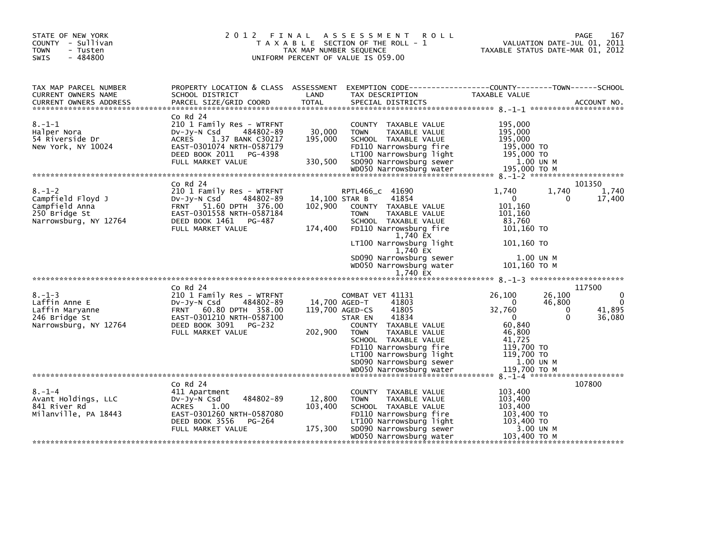| STATE OF NEW YORK<br>COUNTY - Sullivan<br><b>TOWN</b><br>- Tusten<br>$-484800$<br>SWIS        | 2012 FINAL                                                                                                                                                                     | TAX MAP NUMBER SEQUENCE      | A S S E S S M E N T<br><b>ROLL</b><br>T A X A B L E SECTION OF THE ROLL - 1<br>UNIFORM PERCENT OF VALUE IS 059.00                                                                                                                                          |                                                                                                                    | 167<br>PAGE<br>VALUATION DATE-JUL 01, 2011<br>TAXABLE STATUS DATE-MAR 01, 2012 |
|-----------------------------------------------------------------------------------------------|--------------------------------------------------------------------------------------------------------------------------------------------------------------------------------|------------------------------|------------------------------------------------------------------------------------------------------------------------------------------------------------------------------------------------------------------------------------------------------------|--------------------------------------------------------------------------------------------------------------------|--------------------------------------------------------------------------------|
| TAX MAP PARCEL NUMBER<br>CURRENT OWNERS NAME                                                  | PROPERTY LOCATION & CLASS ASSESSMENT<br>SCHOOL DISTRICT                                                                                                                        | LAND                         | EXEMPTION CODE------------------COUNTY--------TOWN------SCHOOL<br>TAX DESCRIPTION                                                                                                                                                                          | TAXABLE VALUE                                                                                                      |                                                                                |
| $8. - 1 - 1$<br>Halper Nora<br>54 Riverside Dr<br>New York, NY 10024                          | $Co$ Rd $24$<br>210 1 Family Res - WTRFNT<br>484802-89<br>DV-Jy-N Csd<br>ACRES<br>1.37 BANK C30217<br>EAST-0301074 NRTH-0587179<br>DEED BOOK 2011 PG-4398<br>FULL MARKET VALUE | 30,000<br>195,000<br>330,500 | COUNTY TAXABLE VALUE<br>TAXABLE VALUE<br><b>TOWN</b><br>SCHOOL TAXABLE VALUE<br>FD110 Narrowsburg fire<br>LT100 Narrowsburg light<br>SD090 Narrowsburg sewer                                                                                               | 195,000<br>195,000<br>195,000<br>195,000 TO<br>195,000 TO<br>1.00 UN M                                             |                                                                                |
|                                                                                               |                                                                                                                                                                                |                              |                                                                                                                                                                                                                                                            |                                                                                                                    |                                                                                |
| $8. - 1 - 2$<br>Campfield Floyd J<br>Campfield Anna<br>250 Bridge St<br>Narrowsburg, NY 12764 | $Co$ Rd $24$<br>210 1 Family Res - WTRFNT<br>DV-Jy-N Csd<br>484802-89<br>FRNT 51.60 DPTH 376.00<br>EAST-0301558 NRTH-0587184<br>DEED BOOK 1461<br>PG-487<br>FULL MARKET VALUE  | 102,900<br>174,400           | RPTL466 c 41690<br>14,100 STAR B<br>41854<br>COUNTY TAXABLE VALUE<br><b>TOWN</b><br>TAXABLE VALUE<br>SCHOOL TAXABLE VALUE<br>FD110 Narrowsburg fire<br>1,740 EX                                                                                            | 1.740<br>$\mathbf 0$<br>101,160<br>101,160<br>83,760<br>101,160 TO                                                 | 101350<br>1,740<br>1,740<br>17,400<br>0                                        |
|                                                                                               |                                                                                                                                                                                |                              | LT100 Narrowsburg light<br>1,740 EX<br>SD090 Narrowsburg sewer<br>WD050 Narrowsburg water<br>1,740 EX                                                                                                                                                      | 101.160 TO<br>1.00 UN M<br>101,160 ТО М                                                                            |                                                                                |
|                                                                                               | $Co$ Rd $24$                                                                                                                                                                   |                              |                                                                                                                                                                                                                                                            |                                                                                                                    | 117500                                                                         |
| $8. - 1 - 3$<br>Laffin Anne E<br>Laffin Maryanne<br>246 Bridge St<br>Narrowsburg, NY 12764    | 210 1 Family Res - WTRFNT<br>DV-Jy-N Csd<br>484802-89<br>FRNT 60.80 DPTH 358.00<br>EAST-0301210 NRTH-0587100<br>DEED BOOK 3091<br>PG-232<br>FULL MARKET VALUE                  | 202,900                      | COMBAT VET 41131<br>41803<br>14,700 AGED-T<br>41805<br>119,700 AGED-CS<br>41834<br>STAR EN<br>COUNTY TAXABLE VALUE<br><b>TOWN</b><br>TAXABLE VALUE<br>SCHOOL TAXABLE VALUE<br>FD110 Narrowsburg fire<br>LT100 Narrowsburg light<br>SD090 Narrowsburg sewer | 26,100<br>$\Omega$<br>32,760<br>$\mathbf 0$<br>60,840<br>46,800<br>41,725<br>119,700 TO<br>119,700 TO<br>1.00 UN M | 0<br>26,100<br>46,800<br>41,895<br>0<br>0<br>36,080                            |
|                                                                                               |                                                                                                                                                                                |                              | WD050 Narrowsburg water                                                                                                                                                                                                                                    | 119.700 TO M                                                                                                       |                                                                                |
|                                                                                               | $Co$ Rd $24$                                                                                                                                                                   |                              |                                                                                                                                                                                                                                                            |                                                                                                                    | 107800                                                                         |
| $8. - 1 - 4$<br>Avant Holdings, LLC<br>841 River Rd<br>Milanville, PA 18443                   | 411 Apartment<br>484802-89<br>$Dv-Jy-N$ Csd<br><b>ACRES</b><br>1.00<br>EAST-0301260 NRTH-0587080<br>DEED BOOK 3556<br>PG-264                                                   | 12,800<br>103,400            | COUNTY TAXABLE VALUE<br><b>TOWN</b><br>TAXABLE VALUE<br>SCHOOL TAXABLE VALUE<br>FD110 Narrowsburg fire<br>LT100 Narrowsburg light                                                                                                                          | 103,400<br>103,400<br>103,400<br>103,400 TO<br>103,400 TO                                                          |                                                                                |
|                                                                                               | FULL MARKET VALUE                                                                                                                                                              | 175,300                      | SD090 Narrowsburg sewer<br>WD050 Narrowsburg water                                                                                                                                                                                                         | 3.00 UN M<br>103,400 TO M                                                                                          |                                                                                |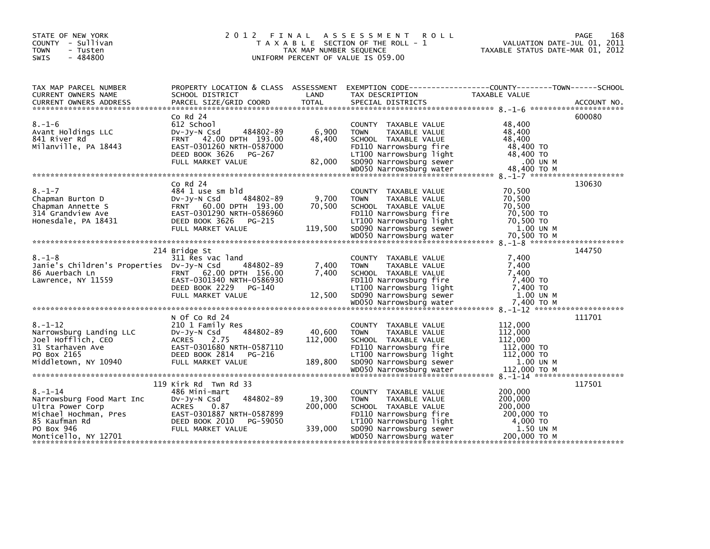| STATE OF NEW YORK<br>COUNTY - Sullivan<br><b>TOWN</b><br>- Tusten<br>$-484800$<br>SWIS                                    | 2 0 1 2<br>FINAL                                                                                                                                                       | TAX MAP NUMBER SEQUENCE      | A S S E S S M E N T<br><b>ROLL</b><br>T A X A B L E SECTION OF THE ROLL - 1<br>UNIFORM PERCENT OF VALUE IS 059.00                                                   | 168<br><b>PAGE</b><br>VALUATION DATE-JUL 01, 2011<br>TAXABLE STATUS DATE-MAR 01, 2012                             |
|---------------------------------------------------------------------------------------------------------------------------|------------------------------------------------------------------------------------------------------------------------------------------------------------------------|------------------------------|---------------------------------------------------------------------------------------------------------------------------------------------------------------------|-------------------------------------------------------------------------------------------------------------------|
| TAX MAP PARCEL NUMBER<br>CURRENT OWNERS NAME                                                                              | SCHOOL DISTRICT                                                                                                                                                        | LAND                         | TAX DESCRIPTION                                                                                                                                                     | PROPERTY LOCATION & CLASS ASSESSMENT EXEMPTION CODE----------------COUNTY-------TOWN------SCHOOL<br>TAXABLE VALUE |
|                                                                                                                           |                                                                                                                                                                        |                              |                                                                                                                                                                     |                                                                                                                   |
| $8. - 1 - 6$<br>Avant Holdings LLC<br>841 River Rd<br>Milanville, PA 18443                                                | $Co$ Rd $24$<br>612 School<br>484802-89<br>$Dv-Jv-N$ Csd<br>FRNT 42.00 DPTH 193.00<br>EAST-0301260 NRTH-0587000<br>DEED BOOK 3626<br>PG-267<br>FULL MARKET VALUE       | 6,900<br>48,400<br>82,000    | COUNTY TAXABLE VALUE<br><b>TOWN</b><br>TAXABLE VALUE<br>SCHOOL TAXABLE VALUE<br>FD110 Narrowsburg fire<br>LT100 Narrowsburg light<br>SD090 Narrowsburg sewer        | 600080<br>48,400<br>48,400<br>48,400<br>48,400 TO<br>48,400 TO<br>.00 UN M                                        |
|                                                                                                                           |                                                                                                                                                                        |                              |                                                                                                                                                                     |                                                                                                                   |
| $8. - 1 - 7$<br>Chapman Burton D<br>Chapman Annette S<br>314 Grandview Ave<br>Honesdale, PA 18431                         | $CO$ Rd $24$<br>484 1 use sm bld<br>484802-89<br>$Dv-Jv-N$ Csd<br>FRNT 60.00 DPTH 193.00<br>EAST-0301290 NRTH-0586960<br>DEED BOOK 3626<br>PG-215<br>FULL MARKET VALUE | 9,700<br>70,500<br>119,500   | COUNTY TAXABLE VALUE<br><b>TAXABLE VALUE</b><br><b>TOWN</b><br>SCHOOL TAXABLE VALUE<br>FD110 Narrowsburg fire<br>LT100 Narrowsburg light<br>SD090 Narrowsburg sewer | 130630<br>70,500<br>70,500<br>70,500<br>70,500 TO<br>70,500 TO<br>1.00 UN M                                       |
|                                                                                                                           |                                                                                                                                                                        |                              |                                                                                                                                                                     |                                                                                                                   |
| $8. - 1 - 8$<br>Janie's Children's Properties DV-Jy-N Csd<br>86 Auerbach Ln<br>Lawrence, NY 11559                         | 214 Bridge St<br>311 Res vac land<br>484802-89<br>FRNT 62.00 DPTH 156.00<br>EAST-0301340 NRTH-0586930<br>DEED BOOK 2229<br>PG-140<br>FULL MARKET VALUE                 | 7,400<br>7,400<br>12,500     | COUNTY TAXABLE VALUE<br><b>TOWN</b><br>TAXABLE VALUE<br>SCHOOL TAXABLE VALUE<br>FD110 Narrowsburg fire<br>LT100 Narrowsburg light<br>SD090 Narrowsburg sewer        | 144750<br>7.400<br>7.400<br>7,400<br>7,400 TO<br>7.400 TO<br>1.00 UN M                                            |
|                                                                                                                           |                                                                                                                                                                        |                              |                                                                                                                                                                     |                                                                                                                   |
| $8. - 1 - 12$<br>Narrowsburg Landing LLC<br>Joel Hofflich, CEO<br>31 Starhaven Ave<br>PO Box 2165<br>Middletown, NY 10940 | N Of Co Rd 24<br>210 1 Family Res<br>484802-89<br>DV-JY-N Csd<br><b>ACRES</b><br>2.75<br>EAST-0301680 NRTH-0587110<br>DEED BOOK 2814<br>PG-216<br>FULL MARKET VALUE    | 40,600<br>112,000<br>189,800 | COUNTY TAXABLE VALUE<br><b>TOWN</b><br>TAXABLE VALUE<br>SCHOOL TAXABLE VALUE<br>FD110 Narrowsburg fire<br>LT100 Narrowsburg light<br>SD090 Narrowsburg sewer        | 111701<br>112,000<br>112,000<br>112,000<br>112,000 TO<br>112,000 TO<br>1.00 UN M                                  |
|                                                                                                                           |                                                                                                                                                                        |                              |                                                                                                                                                                     |                                                                                                                   |
| $8. - 1 - 14$<br>Narrowsburg Food Mart Inc<br>Ultra Power Corp                                                            | 119 Kirk Rd Twn Rd 33<br>486 Mini-mart<br>484802-89<br>DV-JY-N Csd<br>0.87<br>ACRES                                                                                    | 19,300<br>200,000            | COUNTY TAXABLE VALUE<br><b>TOWN</b><br>TAXABLE VALUE<br>SCHOOL TAXABLE VALUE                                                                                        | 117501<br>200,000<br>200,000<br>200,000                                                                           |
| Michael Hochman, Pres EAST-0301887 NRTH-0587899<br>85 Kaufman Rd<br>PO Box 946<br>Monticello, NY 12701                    | DEED BOOK 2010<br>PG-59050<br>FULL MARKET VALUE                                                                                                                        | 339,000                      | FD110 Narrowsburg fire<br>LT100 Narrowsburg light<br>SD090 Narrowsburg sewer<br>WD050 Narrowsburg water                                                             | 200,000 TO<br>4,000 TO<br>1.50 UN M<br>200,000 ТО М                                                               |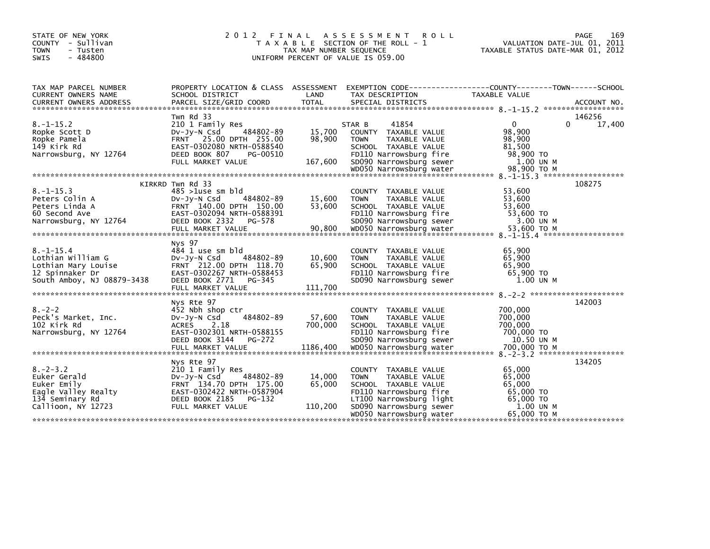| STATE OF NEW YORK<br>COUNTY - Sullivan<br>- Tusten<br><b>TOWN</b><br>$-484800$<br><b>SWIS</b>                  | 2 0 1 2<br>FINAL                                                                                                                                                        | TAX MAP NUMBER SEQUENCE<br>UNIFORM PERCENT OF VALUE IS 059.00 | A S S E S S M E N T<br><b>ROLL</b><br>T A X A B L E SECTION OF THE ROLL - 1                                                                                                             | 169<br>PAGE<br>VALUATION DATE-JUL 01, 2011<br>TAXABLE STATUS DATE-MAR 01, 2012                                                 |
|----------------------------------------------------------------------------------------------------------------|-------------------------------------------------------------------------------------------------------------------------------------------------------------------------|---------------------------------------------------------------|-----------------------------------------------------------------------------------------------------------------------------------------------------------------------------------------|--------------------------------------------------------------------------------------------------------------------------------|
| TAX MAP PARCEL NUMBER<br><b>CURRENT OWNERS NAME</b><br><b>CURRENT OWNERS ADDRESS</b>                           | SCHOOL DISTRICT<br>PARCEL SIZE/GRID COORD                                                                                                                               | LAND<br><b>TOTAL</b>                                          | TAX DESCRIPTION<br>SPECIAL DISTRICTS                                                                                                                                                    | PROPERTY LOCATION & CLASS ASSESSMENT EXEMPTION CODE---------------COUNTY-------TOWN-----SCHOOL<br>TAXABLE VALUE<br>ACCOUNT NO. |
| $8. - 1 - 15.2$<br>Ropke Scott D<br>Ropke Pamela<br>149 Kirk Rd<br>Narrowsburg, NY 12764                       | Twn Rd 33<br>210 1 Family Res<br>484802-89<br>DV-Jy-N Csd<br>FRNT 25.00 DPTH 255.00<br>EAST-0302080 NRTH-0588540<br>DEED BOOK 807<br>PG-00510<br>FULL MARKET VALUE      | 15,700<br>98,900<br>167,600                                   | 41854<br>STAR B<br>COUNTY TAXABLE VALUE<br><b>TOWN</b><br>TAXABLE VALUE<br>SCHOOL TAXABLE VALUE<br>FD110 Narrowsburg fire<br>SD090 Narrowsburg sewer                                    | 146256<br>$\Omega$<br>$\Omega$<br>17,400<br>98,900<br>98,900<br>81,500<br>98,900 TO<br>1.00 UN M                               |
| $8. -1 - 15.3$<br>Peters Colin A<br>Peters Linda A<br>60 Second Ave<br>Narrowsburg, NY 12764                   | KIRKRD Twn Rd 33<br>$485 > 1$ use sm bld<br>484802-89<br>$Dv-Jy-N$ Csd<br>FRNT 140.00 DPTH 150.00<br>EAST-0302094 NRTH-0588391<br>DEED BOOK 2332<br>PG-578              | 15,600<br>53,600                                              | COUNTY TAXABLE VALUE<br><b>TOWN</b><br>TAXABLE VALUE<br>SCHOOL TAXABLE VALUE<br>FD110 Narrowsburg fire<br>SD090 Narrowsburg sewer                                                       | 108275<br>53,600<br>53,600<br>53,600<br>53,600 TO<br>3.00 UN M                                                                 |
| $8. - 1 - 15.4$<br>Lothian William G<br>Lothian Mary Louise<br>12 Spinnaker Dr<br>South Amboy, NJ 08879-3438   | Nys 97<br>484 1 use sm bld<br>$Dv-Jy-N$ Csd<br>484802-89<br>FRNT 212.00 DPTH 118.70<br>EAST-0302267 NRTH-0588453<br>DEED BOOK 2771 PG-345                               | 10,600<br>65,900                                              | COUNTY TAXABLE VALUE<br>TAXABLE VALUE<br><b>TOWN</b><br>SCHOOL TAXABLE VALUE<br>FD110 Narrowsburg fire<br>SD090 Narrowsburg sewer                                                       | 65,900<br>65,900<br>65,900<br>65,900 TO<br>1.00 UN M                                                                           |
| $8. - 2 - 2$<br>Peck's Market, Inc.<br>102 Kirk Rd<br>Narrowsburg, NY 12764                                    | Nys Rte 97<br>452 Nbh shop ctr<br>484802-89<br>$Dv-Jy-N$ Csd<br><b>ACRES</b><br>2.18<br>EAST-0302301 NRTH-0588155<br>DEED BOOK 3144<br>PG-272                           | 57,600<br>700,000                                             | COUNTY TAXABLE VALUE<br><b>TOWN</b><br>TAXABLE VALUE<br>SCHOOL TAXABLE VALUE<br>FD110 Narrowsburg fire<br>SD090 Narrowsburg sewer                                                       | 142003<br>700,000<br>700,000<br>700,000<br>700,000 TO<br>10.50 UN M                                                            |
| $8 - 2 - 3$ . 2<br>Euker Gerald<br>Euker Emily<br>Eagle Valley Realty<br>134 Seminary Rd<br>Callioon, NY 12723 | Nys Rte 97<br>210 1 Family Res<br>484802-89<br>$Dv-Jy-N$ Csd<br>FRNT 134.70 DPTH 175.00<br>EAST-0302422 NRTH-0587904<br>DEED BOOK 2185<br>$PG-132$<br>FULL MARKET VALUE | 14,000<br>65,000<br>110,200                                   | COUNTY TAXABLE VALUE<br><b>TOWN</b><br>TAXABLE VALUE<br>SCHOOL TAXABLE VALUE<br>FD110 Narrowsburg fire<br>LT100 Narrowsburg light<br>SD090 Narrowsburg sewer<br>WD050 Narrowsburg water | 134205<br>65,000<br>65,000<br>65,000<br>65,000 TO<br>65,000 TO<br>1.00 UN M<br>65,000 ТО М                                     |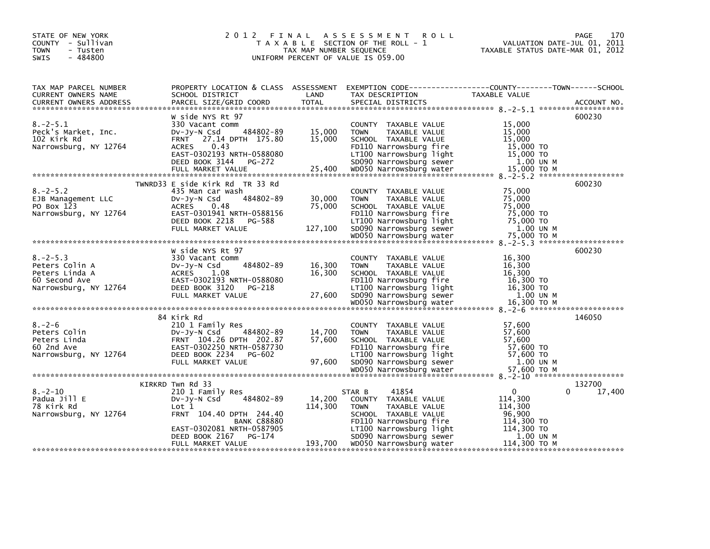| STATE OF NEW YORK<br>COUNTY - Sullivan<br><b>TOWN</b><br>- Tusten<br>$-484800$<br>SWIS                                                                                                                                                                                                                                                                                                                                                                                                                                              |                                                                                                                                                                                         | TAX MAP NUMBER SEQUENCE | 2012 FINAL ASSESSMENT ROLL<br>T A X A B L E SECTION OF THE ROLL - 1<br>TAX MAP NUMBER SEQUENCE<br>UNIFORM PERCENT OF VALUE IS 059.00                       | VALUATION DATE-JUL 01, 2011<br>TAXABLE STATUS DATE-MAR 01, 2012 | 170<br>PAGE      |
|-------------------------------------------------------------------------------------------------------------------------------------------------------------------------------------------------------------------------------------------------------------------------------------------------------------------------------------------------------------------------------------------------------------------------------------------------------------------------------------------------------------------------------------|-----------------------------------------------------------------------------------------------------------------------------------------------------------------------------------------|-------------------------|------------------------------------------------------------------------------------------------------------------------------------------------------------|-----------------------------------------------------------------|------------------|
| TAX MAP PARCEL NUMBER<br>CURRENT OWNERS NAME                                                                                                                                                                                                                                                                                                                                                                                                                                                                                        | SCHOOL DISTRICT<br>PARCEL SIZE/GRID COORD                                                                                                                                               | LAND                    | PROPERTY LOCATION & CLASS ASSESSMENT EXEMPTION CODE----------------COUNTY-------TOWN------SCHOOL<br>TAX DESCRIPTION<br>SPECIAL DISTRICTS                   | TAXABLE VALUE                                                   |                  |
| $8. - 2 - 5.1$<br>Peck's Market, Inc.<br>102 Kirk Rd<br>Narrowsburg, NY 12764                                                                                                                                                                                                                                                                                                                                                                                                                                                       | W side NYS Rt 97<br>330 Vacant comm<br>484802-89<br>DV-Jy-N Csd<br>FRNT 27.14 DPTH 175.80<br>ACRES 0.43                                                                                 | 15,000<br>15,000        | COUNTY TAXABLE VALUE<br><b>TOWN</b><br>TAXABLE VALUE<br>SCHOOL TAXABLE VALUE<br>FD110 Narrowsburg fire                                                     | 15,000<br>15,000<br>15,000<br>15,000 TO                         | 600230           |
| $8. - 2 - 5.2$<br>EJB Management LLC<br>PO Box 123<br>Narrowsburg, NY 12764 CAST-0301941 NRTH-0588156 FOLLIO Narrowsburg Fire 75,000 TO<br>DEED BOOK 2218 PG-588 LT100 Narrowsburg Tight 75,000 TO<br>FULL MARKET VALUE 127,100 SD090 Narrowsburg sewer 75,000 TO M<br>FULL MARKET VALUE 12                                                                                                                                                                                                                                         | TWNRD33 E side Kirk Rd TR 33 Rd<br>435 Man car wash<br>484802-89<br>DV-Jy-N Csd<br>ACRES 0.48                                                                                           | 30,000<br>75,000        | COUNTY TAXABLE VALUE<br>TAXABLE VALUE<br><b>TOWN</b><br>SCHOOL TAXABLE VALUE                                                                               | 75,000<br>75,000<br>75,000                                      | 600230           |
| $8. - 2 - 5.3$<br>Peters Colin A<br>Peters Linda A<br>Peters Linda A<br>60 Second Ave<br>Narrowsburg, NY 12764<br>$\begin{array}{lllllllllllllllllll} \text{60} & \text{Second Ave} & \text{EAST-0302193 NRFH-0588080} & \text{FD110 Narrow, 100} & \text{L} & \text{L} & \text{L} & \text{L} & \text{L} & \text{L} & \text{L} & \text{L} & \text{L} & \text{L} & \text{L} & \text{L} & \text{L} & \text{L} & \text{L} & \text{L} & \text{L} & \text{L} & \text{L} & \text{L} & \text{L} & \text{L} & \text{L} & \text{L} & \text{$ | W side NYS Rt 97<br>330 Vacant comm<br>484802-89<br>DV-JV-N Csd<br>ACRES 1.08<br><b>EAST-0302193 NATHL</b><br>DEED BOOK 3120 PG-218<br>ALL UE MARRET VALUE<br>EAST-0302193 NRTH-0588080 | 16,300<br>16,300        | COUNTY TAXABLE VALUE<br><b>TOWN</b><br>TAXABLE VALUE<br>SCHOOL TAXABLE VALUE<br>FD110 Narrowsburg fire                                                     | 16,300<br>16,300<br>16,300<br>16,300 TO                         | 600230           |
| $8. - 2 - 6$<br>Peters Colin<br>Peters Linda<br>FOLLO NATIONAL TRIVIAL CONSIDER THE CONSIDER TO SAMPLE OF THE CONSIDER THE CONSIDER TO A DEED BOOK 2234 PG-602<br>Marrowsburg, NY 12764 DEED BOOK 2234 PG-602 ET1100 Narrowsburg Tight 57,600 TO<br>FULL MARKET VALUE 97,600 SD090                                                                                                                                                                                                                                                  | 84 Kirk Rd<br>210 1 Family Res<br>484802-89<br>DV-Jy-N Csd<br>FRNT 104.26 DPTH 202.87                                                                                                   | 14,700<br>57,600        | COUNTY TAXABLE VALUE<br>TAXABLE VALUE<br><b>TOWN</b><br>SCHOOL TAXABLE VALUE                                                                               | 57,600<br>57,600<br>57,600                                      | 146050           |
| $8. - 2 - 10$<br>Padua Jill E<br>78 Kirk Rd                                                                                                                                                                                                                                                                                                                                                                                                                                                                                         | KIRKRD Twn Rd 33<br>210 1 Family Res<br>484802-89<br>DV-JY-N Csd<br>Lot 1                                                                                                               | 14,200<br>114,300       | 41854<br>STAR B<br>COUNTY TAXABLE VALUE<br><b>TOWN</b><br>TAXABLE VALUE                                                                                    | $\mathbf{0}$<br>114,300<br>114,300                              | 132700<br>17,400 |
| Narrowsburg, NY 12764                                                                                                                                                                                                                                                                                                                                                                                                                                                                                                               | FRNT 104.40 DPTH 244.40<br><b>BANK C88880</b><br>EAST-0302081 NRTH-0587905<br>DEED BOOK 2167<br>PG-174<br>FULL MARKET VALUE                                                             | 193,700                 | SCHOOL TAXABLE VALUE<br>FD110 Narrowsburg fire<br>LT100 Narrowsburg light<br>SD090 Narrowsburg sewer<br>SD090 Narrowsburg sewer<br>WD050 Narrowsburg water | 96,900<br>114,300 TO<br>114,300 TO<br>1.00 UN M<br>114,300 то м |                  |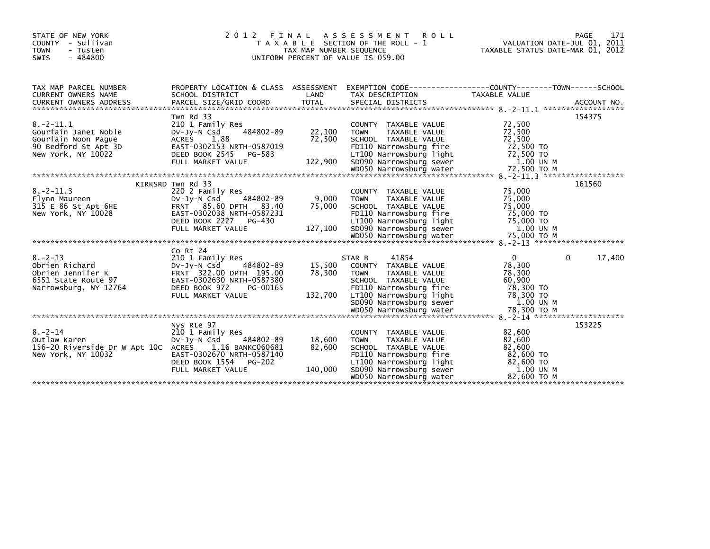| STATE OF NEW YORK<br>COUNTY - Sullivan<br><b>TOWN</b><br>- Tusten<br>$-484800$<br>SWIS                                                                                                                                                    |                                                                             | TAX MAP NUMBER SEQUENCE     | 2012 FINAL ASSESSMENT ROLL<br>T A X A B L E SECTION OF THE ROLL - 1<br>UNIFORM PERCENT OF VALUE IS 059.00 | 171<br>PAGE<br>VALUATION DATE-JUL 01, 2011<br>TAXABLE STATUS DATE-MAR 01, 2012                                                                                                                                                                                                           |  |
|-------------------------------------------------------------------------------------------------------------------------------------------------------------------------------------------------------------------------------------------|-----------------------------------------------------------------------------|-----------------------------|-----------------------------------------------------------------------------------------------------------|------------------------------------------------------------------------------------------------------------------------------------------------------------------------------------------------------------------------------------------------------------------------------------------|--|
| TAX MAP PARCEL NUMBER                                                                                                                                                                                                                     |                                                                             |                             |                                                                                                           | PROPERTY LOCATION & CLASS ASSESSMENT EXEMPTION CODE----------------COUNTY-------TOWN------SCHOOL                                                                                                                                                                                         |  |
| $8. - 2 - 11.1$<br>Gourfain Janet Noble<br>Gourfain Noon Pague                                                                                                                                                                            | Twn Rd 33<br>210 1 Family Res<br>$484802 - 89$<br>DV-Jy-N Csd<br>ACRES 1.88 | 22,100<br>72,500            | COUNTY TAXABLE VALUE<br><b>TOWN</b><br>TAXABLE VALUE<br>SCHOOL TAXABLE VALUE                              | 154375<br>72,500<br>72,500<br>72,500<br>GOUTTAIN NOON Pague<br>90 Bedford St Apt 3D<br>New York, NY 10022 DEED BOOK 2545 PG-583<br>FULL MARKET VALUE<br>FULL MARKET VALUE 122,900 SD090 Narrowsburg Tight 72,500 TO<br>WDO50 Narrowsburg water 72,500 TO M<br>WDO50 Narrowsburg wa       |  |
| $8. -2 - 11.3$                                                                                                                                                                                                                            | KIRKSRD Twn Rd 33<br>220 2 Family Res                                       |                             | COUNTY TAXABLE VALUE<br><b>TOWN</b><br>TAXABLE VALUE<br>SCHOOL TAXABLE VALUE                              | 161560<br>75,000<br>75,000<br>75,000<br>New York, NY 10028<br>New York, NY 10028<br>Mexical Contract CONSINSICATE CONTROLLING MANAGEMENT VALUE<br>TOLL MARKET VALUE<br>TOLL MARKET VALUE<br>TOLL MARKET VALUE<br>TOLL MARKET VALUE<br>TOLL MARKET VALUE<br>TOLL MARKET VALUE<br>TOLD SDO |  |
| 8.-2-13<br>Obrien Richard<br>Obrien Jennifer K<br>SISSE State Route 97<br>FRNT 322.00 DPTH 195.00<br>FRNT 322.00 DPTH 195.00<br>SAST-0302630 NRTH-0587380<br>Narrowsburg, NY 12764<br>PEED POOK 323 NRTH-0587380<br>Narrowsburg, NY 12764 | Co Rt 24<br>DEED BOOK 972<br>PG-00165<br>FULL MARKET VALUE                  | 15,500<br>78,300<br>132,700 | 41854<br>STAR B<br>COUNTY TAXABLE VALUE<br><b>TOWN</b><br>TAXABLE VALUE<br>SCHOOL TAXABLE VALUE           | $\mathbf{0}$<br>$\mathbf{0}$<br>17,400<br>78,300<br>78,300<br>60,900<br>1.00 UN M                                                                                                                                                                                                        |  |
| $8 - 2 - 14$<br>Outlaw Karen<br>156-20 Riverside Dr W Apt 10C ACRES 1.16 BANKC060681                                                                                                                                                      | Nys Rte 97<br>210 1 Family Res<br>DV-Jy-N Csd<br>484802-89                  | 18,600<br>82,600            | COUNTY TAXABLE VALUE<br><b>TOWN</b><br>TAXABLE VALUE<br>SCHOOL TAXABLE VALUE                              | 153225<br>82,600<br>82,600<br>82,600<br>New York, NY 10032<br>New York, NY 10032<br>Mexical Contract Contract Contract Contract Contract Contract Contract Contract Contract Contract Contract Contract Contract Contract Contract Contract Contract Contract Contract Con               |  |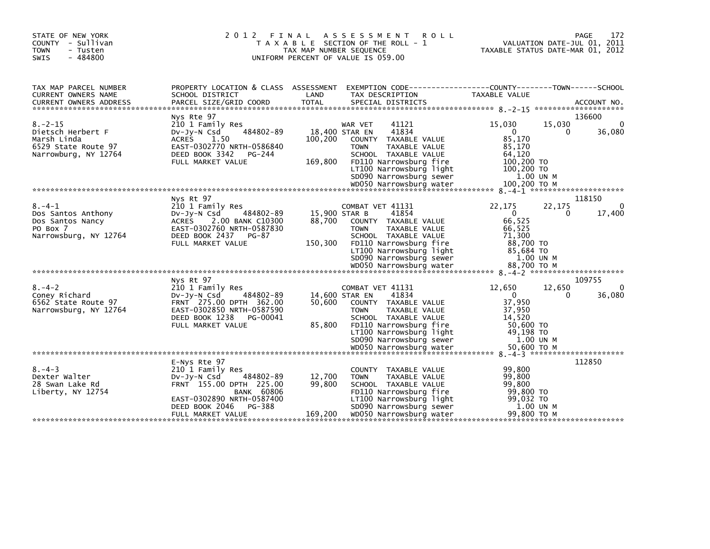| STATE OF NEW YORK<br>COUNTY - Sullivan<br><b>TOWN</b><br>- Tusten<br>$-484800$<br><b>SWIS</b>                                                                                                                           | 2 0 1 2<br>FINAL                                                                                                                                                                             | TAX MAP NUMBER SEQUENCE            | A S S E S S M E N T<br>T A X A B L E SECTION OF THE ROLL - 1<br>UNIFORM PERCENT OF VALUE IS 059.00                                                                                                          | <b>ROLL</b>                                                                  | VALUATION DATE-JUL 01, 2011<br>TAXABLE STATUS DATE-MAR 01, 2012 | 172<br>PAGE            |
|-------------------------------------------------------------------------------------------------------------------------------------------------------------------------------------------------------------------------|----------------------------------------------------------------------------------------------------------------------------------------------------------------------------------------------|------------------------------------|-------------------------------------------------------------------------------------------------------------------------------------------------------------------------------------------------------------|------------------------------------------------------------------------------|-----------------------------------------------------------------|------------------------|
| TAX MAP PARCEL NUMBER<br>CURRENT OWNERS NAME                                                                                                                                                                            | PROPERTY LOCATION & CLASS ASSESSMENT EXEMPTION CODE----------------COUNTY-------TOWN------SCHOOL<br>SCHOOL DISTRICT                                                                          | LAND                               | TAX DESCRIPTION                                                                                                                                                                                             | <b>TAXABLE VALUE</b>                                                         |                                                                 |                        |
|                                                                                                                                                                                                                         | Nys Rte 97                                                                                                                                                                                   |                                    |                                                                                                                                                                                                             |                                                                              |                                                                 | 136600                 |
| $8. - 2 - 15$<br>Dietsch Herbert F<br>Marsh Linda<br>6529 State Route 97<br>Narrowburg, NY 12764                                                                                                                        | 210 1 Family Res<br>484802-89<br>DV-Jy-N Csd<br>ACRES<br>1.50<br>EAST-0302770 NRTH-0586840<br>DEED BOOK 3342<br>PG-244<br>FULL MARKET VALUE                                                  | 100,200<br>169,800                 | 41121<br>WAR VET<br>41834<br>18,400 STAR EN<br>COUNTY TAXABLE VALUE<br><b>TOWN</b><br>TAXABLE VALUE<br>SCHOOL TAXABLE VALUE<br>FD110 Narrowsburg fire<br>LT100 Narrowsburg light<br>SD090 Narrowsburg sewer | 15,030<br>$\Omega$<br>85,170<br>85,170<br>64,120<br>100,200 TO<br>100,200 TO | 15,030<br>0<br>1.00 UN M                                        | $\mathbf{0}$<br>36,080 |
|                                                                                                                                                                                                                         | Nys Rt 97                                                                                                                                                                                    |                                    |                                                                                                                                                                                                             |                                                                              |                                                                 | 118150                 |
| $8. - 4 - 1$<br>Dos Santos Anthony<br>Dos Santos Nancy<br>PO Box 7<br>Narrowsburg, NY 12764                                                                                                                             | 210 1 Family Res<br>$Dv-Jv-N$ Csd<br>484802-89<br><b>ACRES</b><br>2.00 BANK C10300<br>EAST-0302760 NRTH-0587830<br>DEED BOOK 2437 PG-87<br>FULL MARKET VALUE                                 | 15,900 STAR B<br>88,700<br>150,300 | COMBAT VET 41131<br>41854<br>COUNTY TAXABLE VALUE<br><b>TOWN</b><br>TAXABLE VALUE<br>SCHOOL TAXABLE VALUE<br>FD110 Narrowsburg fire<br>LT100 Narrowsburg light<br>SD090 Narrowsburg sewer                   | 22,175<br>$\Omega$<br>66,525<br>66,525<br>71,300<br>88,700 TO                | 22,175<br>$\Omega$<br>85,684 TO<br>1.00 UN M                    | 0<br>17,400            |
|                                                                                                                                                                                                                         | Nys Rt 97                                                                                                                                                                                    |                                    |                                                                                                                                                                                                             |                                                                              |                                                                 | 109755                 |
| $8. - 4 - 2$<br>Coney Richard<br>6562 State Route 97<br>Narrowsburg, NY 12764<br>00, 50, 500 TO Mک050 WDOSO Narrowsburg water 50,600 TO Mکore 1994 where 1994 whater 50,600 TO Mکore 2016 where 1994 whater 50,000 TO M | 210 1 Family Res<br>484802-89<br>$Dv-Jy-N$ Csd<br>FRNT 275.00 DPTH 362.00<br>EAST-0302850 NRTH-0587590<br>DEED BOOK 1238<br>PG-00041<br>FULL MARKET VALUE                                    | 50,600<br>85,800                   | COMBAT VET 41131<br>41834<br>14,600 STAR EN<br>COUNTY TAXABLE VALUE<br>TAXABLE VALUE<br><b>TOWN</b><br>SCHOOL TAXABLE VALUE<br>FD110 Narrowsburg fire<br>LT100 Narrowsburg light<br>SD090 Narrowsburg sewer | 12,650<br>$\Omega$<br>37,950<br>37,950<br>14,520                             | 12,650<br>$\Omega$<br>50.600 TO<br>49,198 TO<br>1.00 UN M       | $\Omega$<br>36,080     |
|                                                                                                                                                                                                                         |                                                                                                                                                                                              |                                    |                                                                                                                                                                                                             |                                                                              |                                                                 |                        |
| $8 - 4 - 3$<br>Dexter Walter<br>28 Swan Lake Rd<br>Liberty, NY 12754                                                                                                                                                    | E-Nys Rte 97<br>210 1 Family Res<br>$Dv-Jv-N$ Csd<br>484802-89<br>FRNT 155.00 DPTH 225.00<br><b>BANK 60806</b><br>EAST-0302890 NRTH-0587400<br>DEED BOOK 2046<br>PG-388<br>FULL MARKET VALUE | 12,700<br>99,800<br>169,200        | COUNTY TAXABLE VALUE<br>TAXABLE VALUE<br><b>TOWN</b><br>SCHOOL TAXABLE VALUE<br>FD110 Narrowsburg fire<br>LT100 Narrowsburg light<br>SD090 Narrowsburg sewer<br>WD050 Narrowsburg water                     | 99,800<br>99.800<br>99,800                                                   | 99,800 TO<br>99.032 TO<br>1.00 UN M<br>99,800 ТО М              | 112850                 |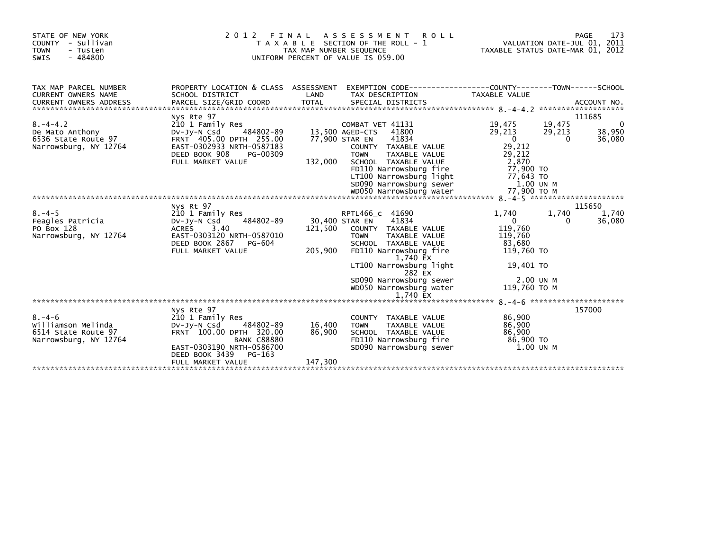| STATE OF NEW YORK<br>COUNTY - Sullivan<br><b>TOWN</b><br>- Tusten<br>$-484800$<br>SWIS | 2 0 1 2                                                                                                                                                                     | TAX MAP NUMBER SEQUENCE | FINAL ASSESSMENT ROLL<br>T A X A B L E SECTION OF THE ROLL - 1<br>UNIFORM PERCENT OF VALUE IS 059.00                                                                                                                                    | TAXABLE STATUS DATE-MAR 01, 2012                                                                    |                       | 173<br>PAGE<br>VALUATION DATE-JUL 01, 2011 |
|----------------------------------------------------------------------------------------|-----------------------------------------------------------------------------------------------------------------------------------------------------------------------------|-------------------------|-----------------------------------------------------------------------------------------------------------------------------------------------------------------------------------------------------------------------------------------|-----------------------------------------------------------------------------------------------------|-----------------------|--------------------------------------------|
| TAX MAP PARCEL NUMBER<br>CURRENT OWNERS NAME                                           | PROPERTY LOCATION & CLASS ASSESSMENT<br>SCHOOL DISTRICT                                                                                                                     | LAND                    | TAX DESCRIPTION                                                                                                                                                                                                                         | <b>TAXABLE VALUE</b>                                                                                |                       |                                            |
| $8. - 4 - 4.2$<br>De Mato Anthony<br>6536 State Route 97<br>Narrowsburg, NY 12764      | Nys Rte 97<br>210 1 Family Res<br>484802-89<br>$Dv$ -J $v$ -N Csd<br>FRNT 405.00 DPTH 255.00<br>EAST-0302933 NRTH-0587183<br>DEED BOOK 908<br>PG-00309<br>FULL MARKET VALUE | 132,000                 | COMBAT VET 41131<br>41800<br>13,500 AGED-CTS<br>77,900 STAR EN<br>41834<br>COUNTY TAXABLE VALUE<br><b>TOWN</b><br>TAXABLE VALUE<br>SCHOOL TAXABLE VALUE<br>FD110 Narrowsburg fire<br>LT100 Narrowsburg light<br>SD090 Narrowsburg sewer | 19,475<br>29,213<br>$\mathbf 0$<br>29,212<br>29,212<br>2,870<br>77.900 TO<br>77,643 TO<br>1.00 UN M | 19,475<br>29,213<br>0 | 111685<br>0<br>38,950<br>36,080            |
|                                                                                        |                                                                                                                                                                             |                         |                                                                                                                                                                                                                                         |                                                                                                     |                       |                                            |
| $8. - 4 - 5$<br>Feagles Patricia<br>PO Box 128<br>Narrowsburg, NY 12764                | Nys Rt 97<br>210 1 Family Res<br>484802-89<br>$Dv-Jy-N$ Csd<br>ACRES 3.40<br>EAST-0303120 NRTH-0587010<br>DEED BOOK 2867<br>PG-604<br>FULL MARKET VALUE                     | 121,500<br>205,900      | RPTL466_c 41690<br>41834<br>30,400 STAR EN<br>COUNTY TAXABLE VALUE<br><b>TOWN</b><br>TAXABLE VALUE<br>SCHOOL TAXABLE VALUE<br>FD110 Narrowsburg fire<br>1,740 EX                                                                        | 1,740<br>$\mathbf{0}$<br>119,760<br>119,760<br>83,680<br>119,760 TO                                 | 1,740<br>0            | 115650<br>1,740<br>36,080                  |
|                                                                                        |                                                                                                                                                                             |                         | LT100 Narrowsburg light<br>282 EX<br>SD090 Narrowsburg sewer<br>WD050 Narrowsburg water<br>1,740 EX                                                                                                                                     | 19,401 TO<br>2.00 UN M<br>119,760 TO M                                                              |                       |                                            |
|                                                                                        | Nys Rte 97                                                                                                                                                                  |                         |                                                                                                                                                                                                                                         |                                                                                                     |                       | 157000                                     |
| $8. - 4 - 6$<br>Williamson Melinda<br>6514 State Route 97<br>Narrowsburg, NY 12764     | 210 1 Family Res<br>484802-89<br>$Dv-Jy-N$ Csd<br>FRNT 100.00 DPTH 320.00<br><b>BANK C88880</b><br>EAST-0303190 NRTH-0586700<br>DEED BOOK 3439<br>PG-163                    | 16,400<br>86,900        | COUNTY TAXABLE VALUE<br><b>TOWN</b><br>TAXABLE VALUE<br>SCHOOL TAXABLE VALUE<br>FD110 Narrowsburg fire<br>SD090 Narrowsburg sewer                                                                                                       | 86,900<br>86,900<br>86,900<br>86,900 TO<br>1.00 UN M                                                |                       |                                            |
|                                                                                        | FULL MARKET VALUE                                                                                                                                                           | 147,300                 |                                                                                                                                                                                                                                         |                                                                                                     |                       |                                            |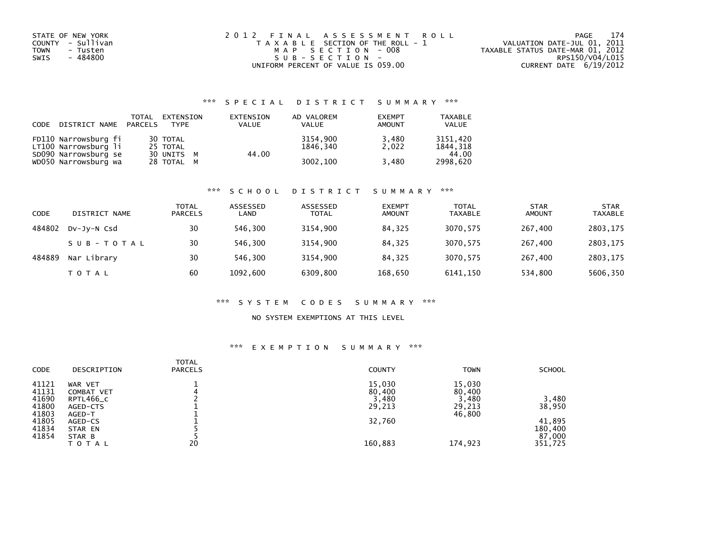| STATE OF NEW YORK<br>COUNTY - Sullivan<br>TOWN<br>- Tusten<br>- 484800<br>SWIS | 2012 FINAL ASSESSMENT ROLL<br>T A X A B L E SECTION OF THE ROLL - 1<br>MAP SECTION - 008<br>$S \cup B - S \in C \cup D$ | 174<br>PAGE<br>VALUATION DATE-JUL 01, 2011<br>TAXABLE STATUS DATE-MAR 01, 2012<br>RPS150/V04/L015 |
|--------------------------------------------------------------------------------|-------------------------------------------------------------------------------------------------------------------------|---------------------------------------------------------------------------------------------------|
|                                                                                | UNIFORM PERCENT OF VALUE IS 059.00                                                                                      | CURRENT DATE 6/19/2012                                                                            |

| CODE | DISTRICT NAME PARCELS                        | TOTAL | EXTENSION<br><b>TYPF</b> | EXTENSION<br><b>VALUE</b> | AD VALOREM<br><b>VALUE</b> | <b>EXEMPT</b><br><b>AMOUNT</b> | TAXABLE<br><b>VALUE</b> |
|------|----------------------------------------------|-------|--------------------------|---------------------------|----------------------------|--------------------------------|-------------------------|
|      | FD110 Narrowsburg fi<br>LT100 Narrowsburg li |       | 30 TOTAL<br>25 TOTAL     |                           | 3154,900<br>1846.340       | 3,480<br>2.022                 | 3151.420<br>1844.318    |
|      | SD090 Narrowsburg se<br>WD050 Narrowsburg wa |       | 30 UNITS M<br>28 TOTAL M | 44.00                     | 3002,100                   | 3,480                          | 44.00<br>2998.620       |

#### \*\*\* S C H O O L D I S T R I C T S U M M A R Y \*\*\*

| CODE   | DISTRICT NAME | <b>TOTAL</b><br><b>PARCELS</b> | ASSESSED<br>LAND | ASSESSED<br><b>TOTAL</b> | <b>EXEMPT</b><br><b>AMOUNT</b> | <b>TOTAL</b><br><b>TAXABLE</b> | <b>STAR</b><br><b>AMOUNT</b> | <b>STAR</b><br><b>TAXABLE</b> |
|--------|---------------|--------------------------------|------------------|--------------------------|--------------------------------|--------------------------------|------------------------------|-------------------------------|
| 484802 | DV-JY-N Csd   | 30                             | 546.300          | 3154,900                 | 84.325                         | 3070,575                       | 267,400                      | 2803,175                      |
|        | SUB-TOTAL     | 30                             | 546.300          | 3154,900                 | 84,325                         | 3070,575                       | 267,400                      | 2803,175                      |
| 484889 | Nar Library   | 30                             | 546.300          | 3154,900                 | 84.325                         | 3070,575                       | 267,400                      | 2803,175                      |
|        | <b>TOTAL</b>  | 60                             | 1092,600         | 6309,800                 | 168,650                        | 6141,150                       | 534,800                      | 5606,350                      |

#### \*\*\* S Y S T E M C O D E S S U M M A R Y \*\*\*

### NO SYSTEM EXEMPTIONS AT THIS LEVEL

| <b>CODE</b> | DESCRIPTION       | <b>TOTAL</b><br><b>PARCELS</b> | <b>COUNTY</b> | <b>TOWN</b> | <b>SCHOOL</b> |
|-------------|-------------------|--------------------------------|---------------|-------------|---------------|
| 41121       | WAR VET           |                                | 15,030        | 15,030      |               |
| 41131       | <b>COMBAT VET</b> | 4                              | 80,400        | 80,400      |               |
| 41690       | RPTL466_C         |                                | 3,480         | 3,480       | 3,480         |
| 41800       | AGED-CTS          |                                | 29,213        | 29,213      | 38,950        |
| 41803       | AGED-T            |                                |               | 46,800      |               |
| 41805       | AGED-CS           |                                | 32,760        |             | 41,895        |
| 41834       | STAR EN           |                                |               |             | 180,400       |
| 41854       | STAR B            |                                |               |             | 87,000        |
|             | TOTAL             | 20                             | 160,883       | 174,923     | 351,725       |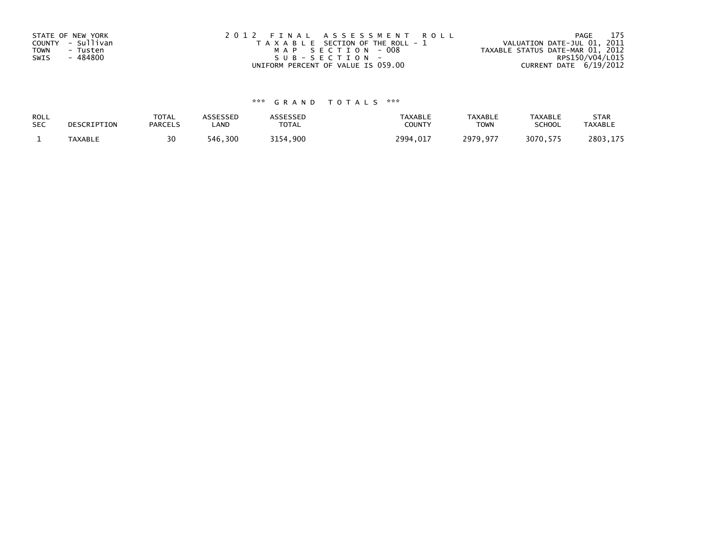| STATE OF NEW YORK<br>COUNTY - Sullivan<br>TOWN<br>- Tusten<br>- 484800<br>SWIS | 2012 FINAL ASSESSMENT ROLL<br>T A X A B L E SECTION OF THE ROLL - 1<br>MAP SECTION - 008<br>$SUB - SECTION -$ | 175<br>PAGE<br>VALUATION DATE-JUL 01, 2011<br>TAXABLE STATUS DATE-MAR 01, 2012<br>RPS150/V04/L015 |
|--------------------------------------------------------------------------------|---------------------------------------------------------------------------------------------------------------|---------------------------------------------------------------------------------------------------|
|                                                                                | UNIFORM PERCENT OF VALUE IS 059.00                                                                            | CURRENT DATE 6/19/2012                                                                            |

| ROLL       | DESCRIPTION | <b>TOTAL</b>   | ASSESSED | <b>ASSESSED</b> | <b>TAXABLE</b> | <b>TAXABLE</b> | <b>TAXABLE</b> | <b>STAR</b>    |
|------------|-------------|----------------|----------|-----------------|----------------|----------------|----------------|----------------|
| <b>SEC</b> |             | <b>PARCELS</b> | LAND     | TOTAL           | <b>COUNT</b>   | <b>TOWN</b>    | <b>SCHOOL</b>  | <b>TAXABLE</b> |
|            | TAXABLE     | 30             | 546.300  | .900<br>3154    | 2994,017       | 2979,977       | 3070.575       | 2803,175       |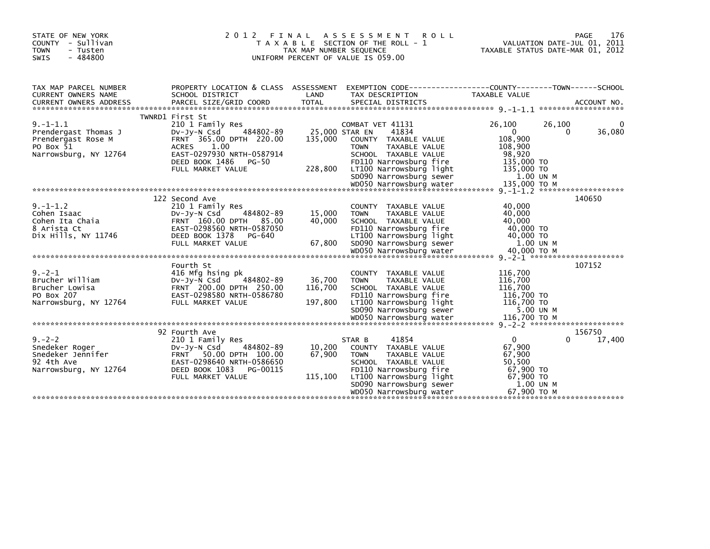| STATE OF NEW YORK<br>COUNTY - Sullivan<br><b>TOWN</b><br>- Tusten<br>SWIS<br>$-484800$                                                                                                                             | 2012 FINAL ASSESSMENT<br>T A X A B L E SECTION OF THE ROLL - 1<br>TAX MAP NUMBER SEQUENCE<br>UNIFORM PERCENT OF VALUE IS 059.00                                                                        |                                      | 176<br>PAGE<br>VALUATION DATE-JUL 01, 2011<br>TAXABLE STATUS DATE-MAR 01, 2012                                                                                                                             |                                                                                                 |                       |
|--------------------------------------------------------------------------------------------------------------------------------------------------------------------------------------------------------------------|--------------------------------------------------------------------------------------------------------------------------------------------------------------------------------------------------------|--------------------------------------|------------------------------------------------------------------------------------------------------------------------------------------------------------------------------------------------------------|-------------------------------------------------------------------------------------------------|-----------------------|
| TAX MAP PARCEL NUMBER<br><b>CURRENT OWNERS NAME</b>                                                                                                                                                                | SCHOOL DISTRICT                                                                                                                                                                                        | LAND                                 | PROPERTY LOCATION & CLASS ASSESSMENT EXEMPTION CODE----------------COUNTY-------TOWN------SCHOOL<br>TAX DESCRIPTION                                                                                        | TAXABLE VALUE                                                                                   |                       |
| $9. -1 - 1.1$<br>Prendergast Thomas J<br>Prendergast Rose M<br>PO Box 51<br>Narrowsburg, NY 12764<br>woodo Narrowsburg water 135,000 TO M د wooshurg water 135,000 TO M د https://www.water.com/water 135,000 TO M | TWNRD1 First St<br>210 1 Family Res<br>484802-89<br>DV-Jy-N Csd<br>FRNT 365.00 DPTH 220.00<br>1.00<br><b>ACRES</b><br>EAST-0297930 NRTH-0587914<br>DEED BOOK 1486<br><b>PG-50</b><br>FULL MARKET VALUE | 25,000 STAR EN<br>135,000<br>228,800 | COMBAT VET 41131<br>41834<br>COUNTY TAXABLE VALUE<br><b>TAXABLE VALUE</b><br><b>TOWN</b><br>SCHOOL TAXABLE VALUE<br>FD110 Narrowsburg fire<br>LT100 Narrowsburg light<br>SD090 Narrowsburg sewer           | 26,100<br>$\mathbf{0}$<br>108,900<br>108,900<br>98,920<br>135,000 TO<br>135,000 TO<br>1.00 UN M | 26,100<br>36,080<br>0 |
| $9. -1 - 1.2$<br>Cohen Isaac<br>Cohen Ita Chaia<br>8 Arista Ct<br>Dix Hills, NY 11746                                                                                                                              | 122 Second Ave<br>210 1 Family Res<br>484802-89<br>$Dv-Jv-N$ Csd<br>FRNT 160.00 DPTH 85.00<br>EAST-0298560 NRTH-0587050<br>DEED BOOK 1378<br>PG-640<br>FULL MARKET VALUE                               | 15,000<br>40,000<br>67,800           | COUNTY TAXABLE VALUE<br><b>TAXABLE VALUE</b><br><b>TOWN</b><br>SCHOOL TAXABLE VALUE<br>FD110 Narrowsburg fire<br>LT100 Narrowsburg light<br>SD090 Narrowsburg sewer                                        | 40,000<br>40,000<br>40,000<br>40,000 TO<br>40,000 TO<br>1.00 UN M                               | 140650                |
| $9. -2 - 1$<br>Brucher William<br>Brucher Lowisa<br>PO Box 207<br>Narrowsburg, NY 12764                                                                                                                            | Fourth St<br>416 Mfg hsing pk<br>484802-89<br>DV-Jy-N Csd<br>FRNT 200.00 DPTH 250.00<br>EAST-0298580 NRTH-0586780<br>FULL MARKET VALUE                                                                 | 36,700<br>116,700<br>197,800         | COUNTY TAXABLE VALUE<br><b>TOWN</b><br>TAXABLE VALUE<br>SCHOOL TAXABLE VALUE<br>FD110 Narrowsburg fire<br>LT100 Narrowsburg light<br>SD090 Narrowsburg sewer                                               | 116,700<br>116,700<br>116,700<br>116,700 TO<br>116,700 TO<br>5.00 UN M                          | 107152                |
| $9 - 2 - 2$<br>Snedeker Roger<br>Snedeker Jennifer<br>92 4th Ave<br>Narrowsburg, NY 12764                                                                                                                          | 92 Fourth Ave<br>210 1 Family Res<br>484802-89<br>$Dv-Jv-N$ Csd<br>FRNT 50.00 DPTH 100.00<br>EAST-0298640 NRTH-0586650<br>DEED BOOK 1083<br>PG-00115<br>FULL MARKET VALUE                              | 10,200<br>67,900<br>115,100          | 41854<br>STAR B<br>COUNTY TAXABLE VALUE<br><b>TOWN</b><br>TAXABLE VALUE<br>SCHOOL TAXABLE VALUE<br>FD110 Narrowsburg fire<br>LT100 Narrowsburg light<br>SD090 Narrowsburg sewer<br>WD050 Narrowsburg water | $\Omega$<br>67,900<br>67,900<br>50,500<br>67,900 TO<br>67,900 TO<br>1.00 UN M<br>67.900 ТО М    | 156750<br>17,400<br>0 |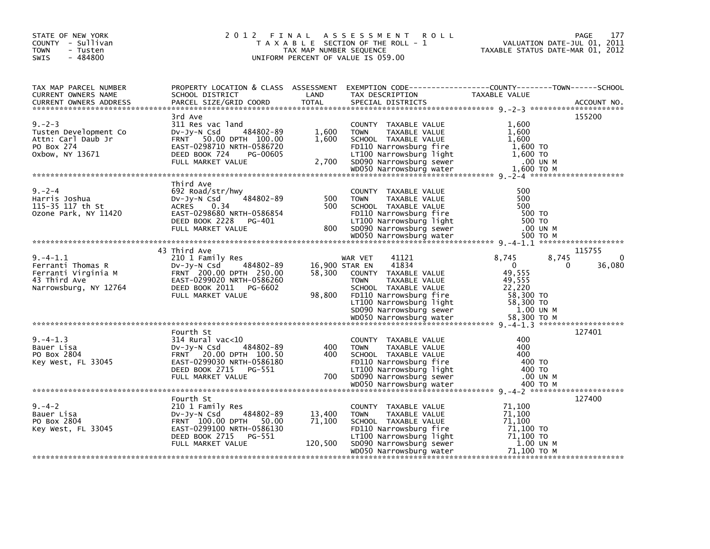| STATE OF NEW YORK<br>COUNTY - Sullivan<br>TOWN<br>- Tusten<br>$-484800$<br>SWIS |                                                                                                                                                                  |                                    | 2012 FINAL ASSESSMENT ROLL<br>T A X A B L E SECTION OF THE ROLL - 1<br>UNIFORM PERCENT OF VALUE IS 059.00                                                                               | PAGE<br>177<br>VALUATION DATE-JUL 01, 2011<br>TAXABLE STATUS DATE-MAR 01, 2012                                                                                                                                                                                                                                                               |
|---------------------------------------------------------------------------------|------------------------------------------------------------------------------------------------------------------------------------------------------------------|------------------------------------|-----------------------------------------------------------------------------------------------------------------------------------------------------------------------------------------|----------------------------------------------------------------------------------------------------------------------------------------------------------------------------------------------------------------------------------------------------------------------------------------------------------------------------------------------|
| TAX MAP PARCEL NUMBER<br>CURRENT OWNERS NAME                                    | SCHOOL DISTRICT                                                                                                                                                  | LAND                               | TAX DESCRIPTION                                                                                                                                                                         | PROPERTY LOCATION & CLASS ASSESSMENT EXEMPTION CODE----------------COUNTY-------TOWN------SCHOOL<br>TAXABLE VALUE                                                                                                                                                                                                                            |
| $9. -2 - 3$<br>Tusten Development Co<br>Attn: Carl Daub Jr<br>PO Box 274        | 3rd Ave<br>311 Res vac land<br>484802-89<br>DV-JY-N Csd<br>FRNT 50.00 DPTH 100.00<br>EAST-0298710 NRTH-0586720                                                   | 1,600<br>1,600                     | COUNTY TAXABLE VALUE<br><b>TOWN</b><br>TAXABLE VALUE<br>SCHOOL TAXABLE VALUE<br>FD110 Narrowsburg fire                                                                                  | 155200<br>1,600<br>1,600<br>1,600<br>1,600 TO                                                                                                                                                                                                                                                                                                |
| $9 - 2 - 4$<br>Harris Joshua<br>115-35 117 th St<br>Ozone Park, NY 11420        | Third Ave<br>692 Road/str/hwy<br>DV-Jy-N Csd 484802-89<br>ACRES<br>0.34<br>EAST-0298680 NRTH-0586854<br>DEED BOOK 2228 PG-401<br>FULL MARKET VALUE               | 500<br>500<br>800                  | COUNTY TAXABLE VALUE<br>TAXABLE VALUE<br><b>TOWN</b><br>SCHOOL TAXABLE VALUE<br>FD110 Narrowsburg fire<br>LT100 Narrowsburg light<br>SD090 Narrowsburg sewer<br>WD050 Narrowsburg water | 500<br>500<br>500<br>500 TO<br>500 TO<br>.00 UN M<br>500 то м                                                                                                                                                                                                                                                                                |
|                                                                                 |                                                                                                                                                                  |                                    |                                                                                                                                                                                         |                                                                                                                                                                                                                                                                                                                                              |
| $9. -4 - 1.1$<br>Narrowsburg, NY 12764                                          | 43 Third Ave<br>210 1 Family Res<br>DEED BOOK 2011 PG-6602<br>FULL MARKET VALUE                                                                                  | 16,900 STAR EN<br>58,300<br>98,800 | WAR VET<br>41121<br>41834<br>COUNTY TAXABLE VALUE<br><b>TOWN</b><br>TAXABLE VALUE<br>SCHOOL TAXABLE VALUE<br>FD110 Narrowsburg fire                                                     | 115755<br>8,745<br>8,745<br>$\Omega$<br>$\mathbf{0}$<br>36,080<br>0<br>49,555<br>49,555<br>22,220<br>58,300 TO<br>FULL MARKET VALUE 98,800 FD110 Narrowsburg tire 58,300 TO<br>LT100 Narrowsburg light 58,300 TO<br>%DD50 Narrowsburg sewer 58,300 TO M<br>%DD50 Narrowsburg water 58,300 TO M MDD50 Narrowsburg water 58,300 TO M 9.0-4-1.3 |
|                                                                                 |                                                                                                                                                                  |                                    |                                                                                                                                                                                         |                                                                                                                                                                                                                                                                                                                                              |
| $9. -4 - 1.3$<br>Bauer Lisa<br>PO Box 2804<br>Key West, FL 33045                | Fourth St<br>314 Rural vac<10<br>484802-89<br>$Dv-Jv-N$ Csd<br>FRNT 20.00 DPTH 100.50<br>EAST-0299030 NRTH-0586180<br>DEED BOOK 2715 PG-551<br>FULL MARKET VALUE | 400<br>400<br>700                  | COUNTY TAXABLE VALUE<br>TAXABLE VALUE<br><b>TOWN</b><br>SCHOOL TAXABLE VALUE<br>FD110 Narrowsburg fire                                                                                  | 127401<br>400<br>400<br>400<br>400 TO<br>400 TO<br>.00 UN M<br>400 то м                                                                                                                                                                                                                                                                      |
|                                                                                 |                                                                                                                                                                  |                                    |                                                                                                                                                                                         |                                                                                                                                                                                                                                                                                                                                              |
| $9. - 4 - 2$<br>Bauer Lisa<br>PO Box 2804<br>Key West, FL 33045                 | Fourth St<br>210 1 Family Res<br>484802-89<br>$Dv-Jy-N$ Csd<br>FRNT 100.00 DPTH 50.00<br>EAST-0299100 NRTH-0586130<br>DEED BOOK 2715<br>PG-551                   | 13,400<br>71,100                   | COUNTY TAXABLE VALUE<br>TAXABLE VALUE<br><b>TOWN</b><br>SCHOOL TAXABLE VALUE<br>FD110 Narrowsburg fire<br>LT100 Narrowsburg light                                                       | 127400<br>71,100<br>71,100<br>71.100<br>71,100 TO<br>71,100 TO                                                                                                                                                                                                                                                                               |
|                                                                                 | FULL MARKET VALUE                                                                                                                                                | 120,500                            | SD090 Narrowsburg sewer<br>WD050 Narrowsburg water                                                                                                                                      | 1.00 UN M<br>71,100 то м                                                                                                                                                                                                                                                                                                                     |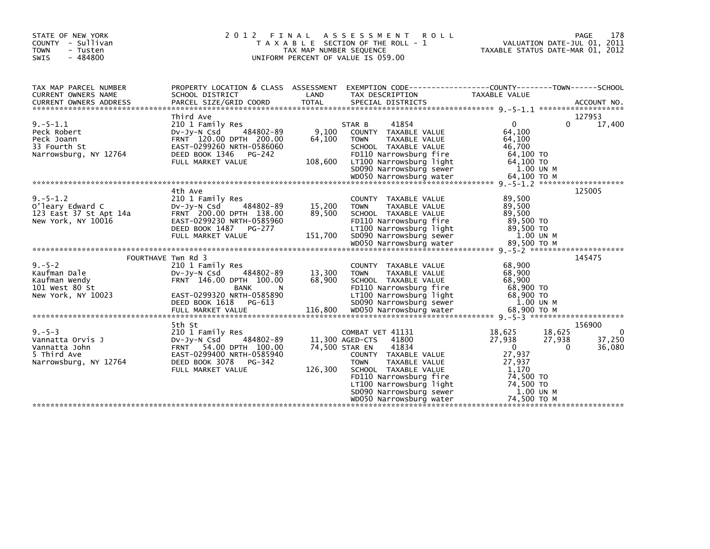| STATE OF NEW YORK<br>COUNTY - Sullivan<br><b>TOWN</b><br>- Tusten<br>$-484800$<br><b>SWIS</b> | 2 0 1 2<br>FINAL                                                                                                                                                           | TAX MAP NUMBER SEQUENCE     | <b>ASSESSMENT</b><br><b>ROLL</b><br>T A X A B L E SECTION OF THE ROLL - 1<br>UNIFORM PERCENT OF VALUE IS 059.00                                                                                                                                  | VALUATION DATE-JUL 01, 2011<br>TAXABLE STATUS DATE-MAR 01, 2012                                                                                 | PAGE<br>178                            |
|-----------------------------------------------------------------------------------------------|----------------------------------------------------------------------------------------------------------------------------------------------------------------------------|-----------------------------|--------------------------------------------------------------------------------------------------------------------------------------------------------------------------------------------------------------------------------------------------|-------------------------------------------------------------------------------------------------------------------------------------------------|----------------------------------------|
| TAX MAP PARCEL NUMBER<br>CURRENT OWNERS NAME                                                  | SCHOOL DISTRICT                                                                                                                                                            | LAND                        | PROPERTY LOCATION & CLASS ASSESSMENT EXEMPTION CODE----------------COUNTY-------TOWN------SCHOOL<br>TAX DESCRIPTION                                                                                                                              | TAXABLE VALUE                                                                                                                                   |                                        |
| $9. - 5 - 1.1$<br>Peck Robert<br>Peck Joann<br>33 Fourth St<br>Narrowsburg, NY 12764          | Third Ave<br>210 1 Family Res<br>484802-89<br>$Dv-Jy-N$ Csd<br>FRNT 120.00 DPTH 200.00<br>EAST-0299260 NRTH-0586060<br>DEED BOOK 1346 PG-242<br>FULL MARKET VALUE          | 9,100<br>64,100<br>108,600  | 41854<br>STAR B<br>COUNTY TAXABLE VALUE<br>TAXABLE VALUE<br><b>TOWN</b><br>SCHOOL TAXABLE VALUE<br>FD110 Narrowsburg fire<br>LT100 Narrowsburg light<br>SD090 Narrowsburg sewer                                                                  | 0<br>$\Omega$<br>64.100<br>64,100<br>46,700<br>64,100 TO<br>64,100 TO<br>1.00 UN M                                                              | 127953<br>17,400                       |
| $9. - 5 - 1.2$<br>O'leary Edward C<br>123 East 37 St Apt 14a<br>New York, NY 10016            | 4th Ave<br>210 1 Family Res<br>484802-89<br>$Dv-Jy-N$ Csd<br>FRNT 200.00 DPTH 138.00<br>EAST-0299230 NRTH-0585960<br>DEED BOOK 1487<br>PG-277<br>FULL MARKET VALUE         | 15,200<br>89,500<br>151,700 | COUNTY TAXABLE VALUE<br><b>TOWN</b><br>TAXABLE VALUE<br>SCHOOL TAXABLE VALUE<br>FD110 Narrowsburg fire<br>LT100 Narrowsburg light<br>SD090 Narrowsburg sewer                                                                                     | 89.500<br>89,500<br>89,500<br>89,500 TO<br>89.500 TO<br>1.00 UN M                                                                               | 125005                                 |
| FOURTHAVE Twn Rd 3                                                                            |                                                                                                                                                                            |                             |                                                                                                                                                                                                                                                  |                                                                                                                                                 | 145475                                 |
| $9. - 5 - 2$<br>Kaufman Dale<br>Kaufman Wendy<br>101 West 80 St<br>New York, NY 10023         | 210 1 Family Res<br>484802-89<br>$Dv-Jy-N$ Csd<br>FRNT 146.00 DPTH 100.00<br>BANK<br>-N<br>EAST-0299320 NRTH-0585890<br>DEED BOOK 1618 PG-613                              | 13,300<br>68,900            | COUNTY TAXABLE VALUE<br><b>TOWN</b><br>TAXABLE VALUE<br>SCHOOL TAXABLE VALUE<br>FD110 Narrowsburg fire<br>LT100 Narrowsburg light<br>SD090 Narrowsburg sewer                                                                                     | 68,900<br>68,900<br>68,900<br>68,900 TO<br>68,900 TO<br>1.00 UN M                                                                               |                                        |
| $9. - 5 - 3$<br>Vannatta Orvis J<br>Vannatta John<br>5 Third Ave<br>Narrowsburg, NY 12764     | 5th St<br>210 1 Family Res<br>484802-89<br>$Dv-Jv-N$ Csd<br>54.00 DPTH 100.00<br><b>FRNT</b><br>EAST-0299400 NRTH-0585940<br>DEED BOOK 3078<br>PG-342<br>FULL MARKET VALUE | 74,500 STAR EN<br>126,300   | COMBAT VET 41131<br>41800<br>11,300 AGED-CTS<br>41834<br>COUNTY TAXABLE VALUE<br><b>TOWN</b><br>TAXABLE VALUE<br>SCHOOL TAXABLE VALUE<br>FD110 Narrowsburg fire<br>LT100 Narrowsburg light<br>SD090 Narrowsburg sewer<br>WD050 Narrowsburg water | 18,625<br>18,625<br>27,938<br>27,938<br>$\Omega$<br>$\Omega$<br>27,937<br>27,937<br>1,170<br>74,500 TO<br>74,500 TO<br>1.00 UN M<br>74,500 TO M | 156900<br>$\Omega$<br>37,250<br>36,080 |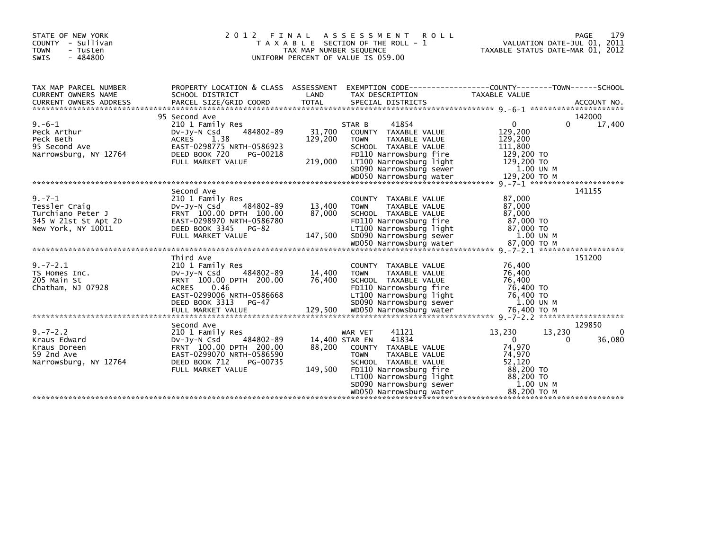| STATE OF NEW YORK<br>COUNTY - Sullivan<br><b>TOWN</b><br>- Tusten<br>$-484800$<br><b>SWIS</b> | 2 0 1 2                                                                                                                                                             | FINAL<br>TAX MAP NUMBER SEQUENCE    | ASSESSMENT<br><b>ROLL</b><br>T A X A B L E SECTION OF THE ROLL - 1<br>UNIFORM PERCENT OF VALUE IS 059.00                                                                                                                    | VALUATION DATE-JUL 01, 2011<br>TAXABLE STATUS DATE-MAR 01, 2012                                                      | PAGE<br>179             |
|-----------------------------------------------------------------------------------------------|---------------------------------------------------------------------------------------------------------------------------------------------------------------------|-------------------------------------|-----------------------------------------------------------------------------------------------------------------------------------------------------------------------------------------------------------------------------|----------------------------------------------------------------------------------------------------------------------|-------------------------|
| TAX MAP PARCEL NUMBER<br>CURRENT OWNERS NAME                                                  | PROPERTY LOCATION & CLASS ASSESSMENT<br>SCHOOL DISTRICT                                                                                                             | LAND                                | EXEMPTION CODE------------------COUNTY--------TOWN------SCHOOL<br>TAX DESCRIPTION                                                                                                                                           | TAXABLE VALUE                                                                                                        |                         |
| $9. -6 - 1$<br>Peck Arthur<br>Peck Beth<br>95 Second Ave<br>Narrowsburg, NY 12764             | 95 Second Ave<br>210 1 Family Res<br>484802-89<br>$Dv-Jv-N$ Csd<br>1.38<br>ACRES<br>EAST-0298775 NRTH-0586923<br>DEED BOOK 720<br>PG-00218<br>FULL MARKET VALUE     | 31,700<br>129,200<br>219,000        | 41854<br>STAR B<br>COUNTY TAXABLE VALUE<br><b>TOWN</b><br>TAXABLE VALUE<br>SCHOOL TAXABLE VALUE<br>FD110 Narrowsburg fire<br>LT100 Narrowsburg light<br>SD090 Narrowsburg sewer                                             | $\mathbf{0}$<br>129,200<br>129,200<br>111,800<br>129,200 TO<br>129,200 TO<br>1.00 UN M                               | 142000<br>17,400<br>0   |
| $9. - 7 - 1$                                                                                  | Second Ave<br>210 1 Family Res                                                                                                                                      |                                     | COUNTY TAXABLE VALUE                                                                                                                                                                                                        | 87,000                                                                                                               | 141155                  |
| Tessler Craig<br>Turchiano Peter J<br>345 W 21st St Apt 2D<br>New York, NY 10011              | 484802-89<br>$Dv-Jv-N$ Csd<br>FRNT 100.00 DPTH 100.00<br>EAST-0298970 NRTH-0586780<br>DEED BOOK 3345 PG-82                                                          | 13,400<br>87,000                    | <b>TAXABLE VALUE</b><br><b>TOWN</b><br>SCHOOL TAXABLE VALUE<br>FD110 Narrowsburg fire<br>LT100 Narrowsburg light                                                                                                            | 87,000<br>87,000<br>87,000 TO<br>87,000 TO                                                                           |                         |
|                                                                                               | FULL MARKET VALUE                                                                                                                                                   | 147,500                             | SD090 Narrowsburg sewer                                                                                                                                                                                                     | 1.00 UN M                                                                                                            |                         |
| $9. - 7 - 2.1$<br>TS Homes Inc.<br>205 Main St<br>Chatham, NJ 07928                           | Third Ave<br>210 1 Family Res<br>$Dv-Jv-N$ Csd<br>484802-89<br>FRNT 100.00 DPTH 200.00<br><b>ACRES</b><br>0.46<br>EAST-0299006 NRTH-0586668<br>DEED BOOK 3313 PG-47 | 14,400<br>76,400                    | COUNTY TAXABLE VALUE<br><b>TOWN</b><br>TAXABLE VALUE<br>SCHOOL TAXABLE VALUE<br>FD110 Narrowsburg fire<br>LT100 Narrowsburg light<br>SD090 Narrowsburg sewer                                                                | 76,400<br>76,400<br>76,400<br>76,400 TO<br>76,400 TO<br>1.00 UN M                                                    | 151200                  |
|                                                                                               | Second Ave                                                                                                                                                          |                                     |                                                                                                                                                                                                                             |                                                                                                                      | 129850                  |
| $9. - 7 - 2.2$<br>Kraus Edward<br>Kraus Doreen<br>59 2nd Ave<br>Narrowsburg, NY 12764         | 210 1 Family Res<br>$Dv-Jv-N$ Csd<br>484802-89<br>FRNT 100.00 DPTH 200.00<br>EAST-0299070 NRTH-0586590<br>DEED BOOK 712<br>PG-00735<br>FULL MARKET VALUE            | 14,400 STAR EN<br>88,200<br>149,500 | 41121<br>WAR VET<br>41834<br>COUNTY TAXABLE VALUE<br><b>TAXABLE VALUE</b><br><b>TOWN</b><br>SCHOOL TAXABLE VALUE<br>FD110 Narrowsburg fire<br>LT100 Narrowsburg light<br>SD090 Narrowsburg sewer<br>WD050 Narrowsburg water | 13,230<br>13,230<br>$\mathbf{0}$<br>74,970<br>74,970<br>52,120<br>88,200 TO<br>88,200 TO<br>1.00 UN M<br>88,200 TO M | 0<br>36,080<br>$\Omega$ |
|                                                                                               |                                                                                                                                                                     |                                     |                                                                                                                                                                                                                             |                                                                                                                      |                         |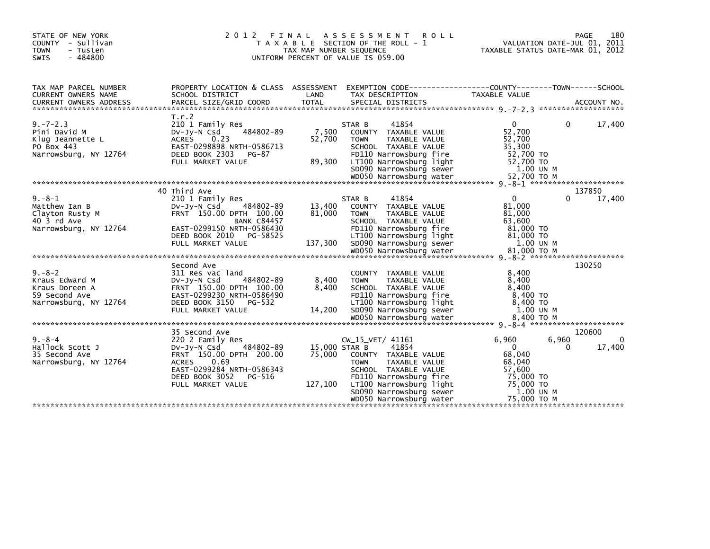| STATE OF NEW YORK<br>COUNTY - Sullivan<br><b>TOWN</b><br>- Tusten<br>SWIS<br>$-484800$     | 2012 FINAL ASSESSMENT<br>T A X A B L E SECTION OF THE ROLL - 1<br>TAX MAP NUMBER SEQUENCE<br>UNIFORM PERCENT OF VALUE IS 059.00                                       |                                    | 180<br>PAGE<br>VALUATION DATE-JUL 01, 2011<br>TAXABLE STATUS DATE-MAR 01, 2012                                                                                                            |                                                                                            |                           |
|--------------------------------------------------------------------------------------------|-----------------------------------------------------------------------------------------------------------------------------------------------------------------------|------------------------------------|-------------------------------------------------------------------------------------------------------------------------------------------------------------------------------------------|--------------------------------------------------------------------------------------------|---------------------------|
| TAX MAP PARCEL NUMBER<br>CURRENT OWNERS NAME                                               | PROPERTY LOCATION & CLASS ASSESSMENT EXEMPTION CODE----------------COUNTY-------TOWN------SCHOOL<br>SCHOOL DISTRICT                                                   | LAND                               | TAX DESCRIPTION                                                                                                                                                                           | TAXABLE VALUE                                                                              |                           |
| $9. -7 - 2.3$<br>Pini David M<br>Klug Jeannette L<br>PO Box 443<br>Narrowsburg, NY 12764   | T.r.2<br>210 1 Family Res<br>484802-89<br>DV-JY-N Csd<br>0.23<br>ACRES<br>EAST-0298898 NRTH-0586713<br>DEED BOOK 2303<br>PG-87<br>FULL MARKET VALUE                   | 7,500<br>52,700<br>89,300          | 41854<br>STAR B<br>COUNTY TAXABLE VALUE<br><b>TOWN</b><br>TAXABLE VALUE<br>SCHOOL TAXABLE VALUE<br>FD110 Narrowsburg fire<br>LT100 Narrowsburg light<br>SD090 Narrowsburg sewer           | $\overline{0}$<br>52,700<br>52,700<br>35,300<br>52,700 TO<br>52,700 TO<br>1.00 UN M        | 17,400<br>$\Omega$        |
| $9. - 8 - 1$<br>Matthew Ian B                                                              | 40 Third Ave<br>210 1 Family Res<br>$Dv-Jv-N$ Csd<br>484802-89                                                                                                        | 13,400                             | 41854<br>STAR B<br>COUNTY TAXABLE VALUE                                                                                                                                                   | $\Omega$<br>81,000                                                                         | 137850<br>17,400<br>0     |
| Clayton Rusty M<br>40 3 rd Ave<br>Narrowsburg, NY 12764                                    | FRNT 150.00 DPTH 100.00<br><b>BANK C84457</b><br>EAST-0299150 NRTH-0586430<br>DEED BOOK 2010<br>PG-58525<br>FULL MARKET VALUE                                         | 81,000<br>137,300                  | TAXABLE VALUE<br><b>TOWN</b><br>SCHOOL TAXABLE VALUE<br>FD110 Narrowsburg fire<br>LT100 Narrowsburg light<br>SD090 Narrowsburg sewer                                                      | 81,000<br>63,600<br>81,000 TO<br>81,000 TO<br>1.00 UN M                                    |                           |
|                                                                                            |                                                                                                                                                                       |                                    |                                                                                                                                                                                           |                                                                                            | 130250                    |
| $9. - 8 - 2$<br>Kraus Edward M<br>Kraus Doreen A<br>59 Second Ave<br>Narrowsburg, NY 12764 | Second Ave<br>311 Res vac land<br>484802-89<br>DV-JY-N Csd<br>FRNT 150.00 DPTH 100.00<br>EAST-0299230 NRTH-0586490<br>DEED BOOK 3150<br>PG-532<br>FULL MARKET VALUE   | 8,400<br>8.400<br>14,200           | COUNTY TAXABLE VALUE<br><b>TOWN</b><br>TAXABLE VALUE<br>SCHOOL TAXABLE VALUE<br>FD110 Narrowsburg fire<br>LT100 Narrowsburg light<br>SD090 Narrowsburg sewer                              | 8,400<br>8,400<br>8.400<br>8,400 TO<br>8,400 TO<br>1.00 UN M                               |                           |
|                                                                                            |                                                                                                                                                                       |                                    |                                                                                                                                                                                           |                                                                                            |                           |
|                                                                                            | 35 Second Ave                                                                                                                                                         |                                    |                                                                                                                                                                                           |                                                                                            | 120600                    |
| $9. - 8 - 4$<br>Hallock Scott J<br>35 Second Ave<br>Narrowsburg, NY 12764                  | 220 2 Family Res<br>484802-89<br>$Dv-Jv-N$ Csd<br>FRNT 150.00 DPTH 200.00<br>ACRES 0.69<br>EAST-0299284 NRTH-0586343<br>DEED BOOK 3052<br>PG-516<br>FULL MARKET VALUE | 15,000 STAR B<br>75,000<br>127,100 | CW_15_VET/ 41161<br>41854<br>COUNTY TAXABLE VALUE<br><b>TOWN</b><br>TAXABLE VALUE<br>SCHOOL TAXABLE VALUE<br>FD110 Narrowsburg fire<br>LT100 Narrowsburg light<br>SD090 Narrowsburg sewer | 6,960<br>$\mathbf{0}$<br>68,040<br>68,040<br>57,600<br>75,000 TO<br>75,000 TO<br>1.00 UN M | 6,960<br>0<br>17,400<br>0 |
|                                                                                            |                                                                                                                                                                       |                                    | WD050 Narrowsburg water                                                                                                                                                                   | 75,000 TO M                                                                                |                           |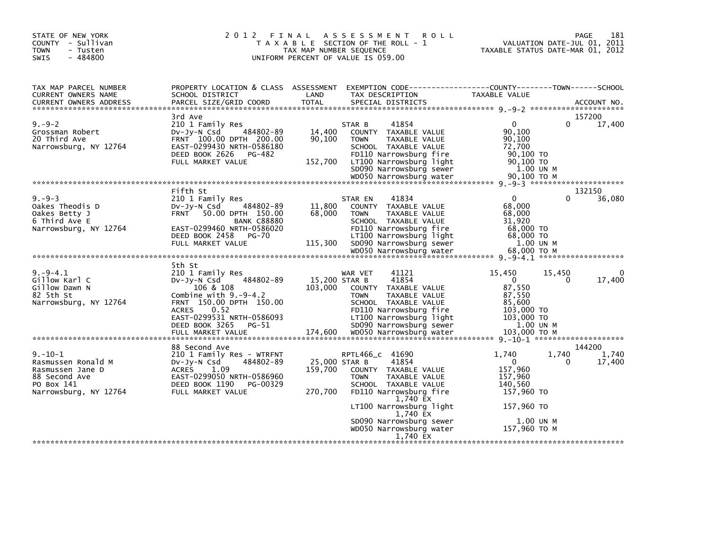| STATE OF NEW YORK<br>COUNTY - Sullivan<br><b>TOWN</b><br>- Tusten<br>$-484800$<br><b>SWIS</b>                   | 2 0 1 2<br>FINAL                                                                                                                                                                                                                 | TAX MAP NUMBER SEQUENCE             | A S S E S S M E N T<br><b>ROLL</b><br>T A X A B L E SECTION OF THE ROLL - 1<br>UNIFORM PERCENT OF VALUE IS 059.00                                                                                                           | VALUATION DATE-JUL 01, 2011<br>TAXABLE STATUS DATE-MAR 01, 2012                                                                                            | 181<br>PAGE                  |
|-----------------------------------------------------------------------------------------------------------------|----------------------------------------------------------------------------------------------------------------------------------------------------------------------------------------------------------------------------------|-------------------------------------|-----------------------------------------------------------------------------------------------------------------------------------------------------------------------------------------------------------------------------|------------------------------------------------------------------------------------------------------------------------------------------------------------|------------------------------|
| TAX MAP PARCEL NUMBER<br>CURRENT OWNERS NAME                                                                    | PROPERTY LOCATION & CLASS ASSESSMENT<br>SCHOOL DISTRICT                                                                                                                                                                          | LAND                                | TAX DESCRIPTION                                                                                                                                                                                                             | TAXABLE VALUE                                                                                                                                              |                              |
| $9. - 9 - 2$<br>Grossman Robert<br>20 Third Ave<br>Narrowsburg, NY 12764                                        | 3rd Ave<br>210 1 Family Res<br>484802-89<br>DV-Jy-N Csd<br>FRNT 100.00 DPTH 200.00<br>EAST-0299430 NRTH-0586180<br>DEED BOOK 2626<br>PG-482<br>FULL MARKET VALUE                                                                 | 14,400<br>90,100<br>152,700         | 41854<br>STAR B<br>COUNTY TAXABLE VALUE<br><b>TAXABLE VALUE</b><br><b>TOWN</b><br>SCHOOL TAXABLE VALUE<br>FD110 Narrowsburg fire<br>LT100 Narrowsburg light<br>SD090 Narrowsburg sewer                                      | $\mathbf{0}$<br>90,100<br>90.100<br>72,700<br>90,100 TO<br>90.100 TO<br>1.00 UN M                                                                          | 157200<br>17,400<br>$\Omega$ |
|                                                                                                                 |                                                                                                                                                                                                                                  |                                     |                                                                                                                                                                                                                             |                                                                                                                                                            |                              |
| $9. - 9 - 3$<br>Oakes Theodis D<br>Oakes Betty J<br>6 Third Ave E<br>Narrowsburg, NY 12764                      | Fifth St<br>210 1 Family Res<br>DV-Jy-N Csd<br>484802-89<br>FRNT 50.00 DPTH 150.00<br><b>BANK C88880</b><br>EAST-0299460 NRTH-0586020<br>DEED BOOK 2458<br>PG-70<br>FULL MARKET VALUE                                            | 11,800<br>68,000<br>115,300         | 41834<br>STAR EN<br>COUNTY TAXABLE VALUE<br><b>TOWN</b><br>TAXABLE VALUE<br>SCHOOL TAXABLE VALUE<br>FD110 Narrowsburg fire<br>LT100 Narrowsburg light<br>SD090 Narrowsburg sewer<br>WD050 Narrowsburg water                 | $\mathbf{0}$<br>68,000<br>68,000<br>31.920<br>68,000 TO<br>68,000 TO<br>1.00 UN M<br>68,000 ТО М                                                           | 132150<br>36,080             |
| $9. -9 - 4.1$<br>Gillow Karl C<br>Gillow Dawn N<br>82 5th St<br>Narrowsburg, NY 12764                           | 5th St<br>210 1 Family Res<br>484802-89<br>$Dv-Jy-N$ Csd<br>106 & 108<br>Combine with $9.-9-4.2$<br>FRNT 150.00 DPTH 150.00<br>0.52<br><b>ACRES</b><br>EAST-0299531 NRTH-0586093<br>DEED BOOK 3265<br>PG-51<br>FULL MARKET VALUE | 15,200 STAR B<br>103,000<br>174,600 | 41121<br>WAR VET<br>41854<br>COUNTY TAXABLE VALUE<br><b>TAXABLE VALUE</b><br><b>TOWN</b><br>SCHOOL TAXABLE VALUE<br>FD110 Narrowsburg fire<br>LT100 Narrowsburg light<br>SD090 Narrowsburg sewer<br>WD050 Narrowsburg water | 15,450<br>15,450<br>$\mathbf{0}$<br>87,550<br>87,550<br>85,600<br>103,000 TO<br>103,000 TO<br>1.00 UN M<br>103,000 ТО М<br>9. -10-1 ********************** | 0<br>17,400<br>$\Omega$      |
|                                                                                                                 | 88 Second Ave                                                                                                                                                                                                                    |                                     |                                                                                                                                                                                                                             |                                                                                                                                                            | 144200                       |
| $9. - 10 - 1$<br>Rasmussen Ronald M<br>Rasmussen Jane D<br>88 Second Ave<br>PO Box 141<br>Narrowsburg, NY 12764 | 210 1 Family Res - WTRFNT<br>484802-89<br>DV-Jy-N Csd<br><b>ACRES</b><br>1.09<br>EAST-0299050 NRTH-0586960<br>DEED BOOK 1190<br>PG-00329<br>FULL MARKET VALUE                                                                    | 25,000 STAR B<br>159,700<br>270,700 | RPTL466_c 41690<br>41854<br>COUNTY TAXABLE VALUE<br><b>TOWN</b><br>TAXABLE VALUE<br>SCHOOL TAXABLE VALUE<br>FD110 Narrowsburg fire<br>1,740 EX<br>LT100 Narrowsburg light<br>1,740 EX                                       | 1.740<br>1,740<br>$\mathbf{0}$<br>157,960<br>157,960<br>140,560<br>157,960 TO<br>157,960 TO                                                                | 1,740<br>17,400<br>0         |
|                                                                                                                 |                                                                                                                                                                                                                                  |                                     | SD090 Narrowsburg sewer<br>WD050 Narrowsburg water<br>1,740 EX                                                                                                                                                              | 1.00 UN M<br>157,960 ТО М                                                                                                                                  |                              |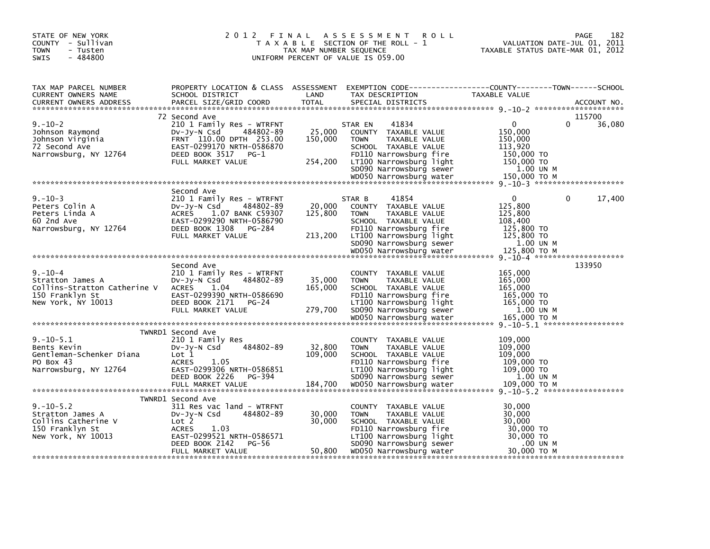| STATE OF NEW YORK<br>COUNTY - Sullivan<br><b>TOWN</b><br>- Tusten<br>$-484800$<br><b>SWIS</b>              | 2012 FINAL                                                                                                                                                                            | TAX MAP NUMBER SEQUENCE      | A S S E S S M E N T<br><b>ROLL</b><br>T A X A B L E SECTION OF THE ROLL - 1<br>UNIFORM PERCENT OF VALUE IS 059.00                                                                                           | TAXABLE STATUS DATE-MAR 01, 2012                                                            | 182<br>PAGE<br>VALUATION DATE-JUL 01, 2011 |
|------------------------------------------------------------------------------------------------------------|---------------------------------------------------------------------------------------------------------------------------------------------------------------------------------------|------------------------------|-------------------------------------------------------------------------------------------------------------------------------------------------------------------------------------------------------------|---------------------------------------------------------------------------------------------|--------------------------------------------|
| TAX MAP PARCEL NUMBER<br>CURRENT OWNERS NAME                                                               | PROPERTY LOCATION & CLASS ASSESSMENT<br>SCHOOL DISTRICT                                                                                                                               | LAND                         | EXEMPTION CODE-----------------COUNTY-------TOWN------SCHOOL<br>TAX DESCRIPTION                                                                                                                             | TAXABLE VALUE                                                                               |                                            |
| $9. - 10 - 2$<br>Johnson Raymond<br>Johnson Virginia<br>72 Second Ave<br>Narrowsburg, NY 12764             | 72 Second Ave<br>210 1 Family Res - WTRFNT<br>DV-JV-N Csd<br>484802-89<br>FRNT 110.00 DPTH 253.00<br>EAST-0299170 NRTH-0586870<br>DEED BOOK 3517<br>$PG-1$<br>FULL MARKET VALUE       | 25,000<br>150,000<br>254,200 | 41834<br>STAR EN<br>COUNTY TAXABLE VALUE<br><b>TOWN</b><br>TAXABLE VALUE<br>SCHOOL TAXABLE VALUE<br>FD110 Narrowsburg fire<br>LT100 Narrowsburg light<br>SD090 Narrowsburg sewer<br>WD050 Narrowsburg water | 0<br>150,000<br>150,000<br>113,920<br>150,000 TO<br>150,000 TO<br>1.00 UN M<br>150,000 TO M | 115700<br>36,080<br>0                      |
|                                                                                                            |                                                                                                                                                                                       |                              |                                                                                                                                                                                                             |                                                                                             |                                            |
| $9. - 10 - 3$<br>Peters Colin A<br>Peters Linda A<br>60 2nd Ave<br>Narrowsburg, NY 12764                   | Second Ave<br>210 1 Family Res - WTRFNT<br>484802-89<br>DV-Jy-N Csd<br><b>ACRES</b><br>1.07 BANK C59307<br>EAST-0299290 NRTH-0586790<br>DEED BOOK 1308<br>PG-284<br>FULL MARKET VALUE | 20,000<br>125,800<br>213,200 | 41854<br>STAR B<br>COUNTY TAXABLE VALUE<br>TAXABLE VALUE<br><b>TOWN</b><br>SCHOOL TAXABLE VALUE<br>FD110 Narrowsburg fire<br>LT100 Narrowsburg light<br>SD090 Narrowsburg sewer                             | 0<br>125,800<br>125,800<br>108,400<br>125,800 TO<br>125,800 TO<br>1.00 UN M                 | $\Omega$<br>17,400                         |
|                                                                                                            |                                                                                                                                                                                       |                              |                                                                                                                                                                                                             |                                                                                             |                                            |
| $9. - 10 - 4$<br>Stratton James A<br>Collins-Stratton Catherine V<br>150 Franklyn St<br>New York, NY 10013 | Second Ave<br>210 1 Family Res - WTRFNT<br>484802-89<br>DV-Jy-N Csd<br><b>ACRES</b><br>1.04<br>EAST-0299390 NRTH-0586690<br>DEED BOOK 2171<br>PG-24<br>FULL MARKET VALUE              | 35,000<br>165,000<br>279,700 | COUNTY TAXABLE VALUE<br><b>TOWN</b><br>TAXABLE VALUE<br>SCHOOL TAXABLE VALUE<br>FD110 Narrowsburg fire<br>LT100 Narrowsburg light<br>SD090 Narrowsburg sewer                                                | 165,000<br>165,000<br>165,000<br>165,000 TO<br>165,000 TO<br>1.00 UN M                      | 133950                                     |
|                                                                                                            |                                                                                                                                                                                       |                              |                                                                                                                                                                                                             |                                                                                             |                                            |
| $9. - 10 - 5.1$<br>Bents Kevin<br>Gentleman-Schenker Diana<br>PO Box 43<br>Narrowsburg, NY 12764           | TWNRD1 Second Ave<br>210 1 Family Res<br>484802-89<br>DV-Jy-N Csd<br>Lot 1<br><b>ACRES</b><br>1.05<br>EAST-0299306 NRTH-0586851<br>DEED BOOK 2226<br>PG-394<br>FULL MARKET VALUE      | 32,800<br>109,000<br>184,700 | COUNTY TAXABLE VALUE<br>TAXABLE VALUE<br><b>TOWN</b><br>SCHOOL TAXABLE VALUE<br>FD110 Narrowsburg fire<br>LT100 Narrowsburg light<br>SD090 Narrowsburg sewer<br>WD050 Narrowsburg water                     | 109,000<br>109,000<br>109,000<br>109,000 TO<br>109,000 TO<br>1.00 UN M<br>109.000 ТО М      |                                            |
|                                                                                                            |                                                                                                                                                                                       |                              |                                                                                                                                                                                                             |                                                                                             |                                            |
| $9. - 10 - 5.2$<br>Stratton James A<br>Collins Catherine V<br>150 Franklyn St<br>New York, NY 10013        | TWNRD1 Second Ave<br>311 Res vac land - WTRFNT<br>484802-89<br>$Dv-Jy-N$ Csd<br>Lot 2<br><b>ACRES</b><br>1.03<br>EAST-0299521 NRTH-0586571<br>DEED BOOK 2142<br>PG-56                 | 30,000<br>30,000             | COUNTY TAXABLE VALUE<br><b>TOWN</b><br>TAXABLE VALUE<br>SCHOOL TAXABLE VALUE<br>FD110 Narrowsburg fire<br>LT100 Narrowsburg light<br>SD090 Narrowsburg sewer                                                | 30,000<br>30,000<br>30,000<br>30,000 TO<br>30,000 TO<br>.00 UN M                            |                                            |
|                                                                                                            | FULL MARKET VALUE                                                                                                                                                                     | 50,800                       | WD050 Narrowsburg water                                                                                                                                                                                     | 30,000 TO M                                                                                 |                                            |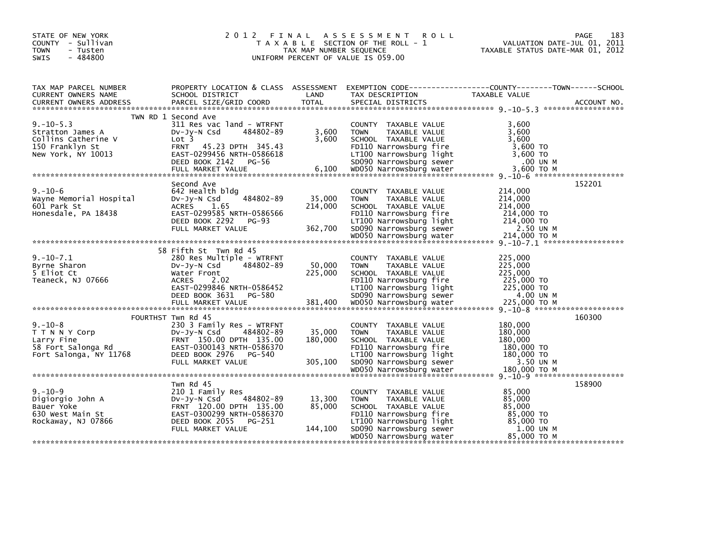| STATE OF NEW YORK<br>COUNTY - Sullivan<br><b>TOWN</b><br>- Tusten<br>$-484800$<br><b>SWIS</b>       |                                                                                                                                                                                   | TAX MAP NUMBER SEQUENCE      | 2012 FINAL ASSESSMENT ROLL<br>T A X A B L E SECTION OF THE ROLL - 1<br>UNIFORM PERCENT OF VALUE IS 059.00                                                                               | 183<br>PAGE<br>VALUATION DATE-JUL 01, 2011<br>TAXABLE STATUS DATE-MAR 01, 2012                                   |
|-----------------------------------------------------------------------------------------------------|-----------------------------------------------------------------------------------------------------------------------------------------------------------------------------------|------------------------------|-----------------------------------------------------------------------------------------------------------------------------------------------------------------------------------------|------------------------------------------------------------------------------------------------------------------|
| TAX MAP PARCEL NUMBER<br><b>CURRENT OWNERS NAME</b>                                                 | SCHOOL DISTRICT                                                                                                                                                                   | LAND                         | TAX DESCRIPTION                                                                                                                                                                         | PROPERTY LOCATION & CLASS ASSESSMENT EXEMPTION CODE----------------COUNTY-------TOWN-----SCHOOL<br>TAXABLE VALUE |
| $9. - 10 - 5.3$<br>Stratton James A<br>Collins Catherine V<br>150 Franklyn St<br>New York, NY 10013 | TWN RD 1 Second Ave<br>311 Res vac land - WTRFNT<br>$Dv-Jy-N$ Csd<br>484802-89<br>Lot <sub>3</sub><br>FRNT 45.23 DPTH 345.43<br>EAST-0299456 NRTH-0586618<br>DEED BOOK 2142 PG-56 | 3,600<br>3,600               | COUNTY TAXABLE VALUE<br><b>TOWN</b><br>TAXABLE VALUE<br>SCHOOL TAXABLE VALUE<br>FD110 Narrowsburg fire<br>LT100 Narrowsburg light<br>SD090 Narrowsburg sewer                            | 3,600<br>3.600<br>3,600<br>3,600 TO<br>3.600 TO<br>.00 UN M                                                      |
| $9. - 10 - 6$<br>Wayne Memorial Hospital<br>601 Park St<br>Honesdale, PA 18438                      | Second Ave<br>642 Health bldg<br>484802-89<br>$Dv-Jy-N$ Csd<br>ACRES<br>1.65<br>EAST-0299585 NRTH-0586566<br>DEED BOOK 2292<br>PG-93<br>FULL MARKET VALUE                         | 35,000<br>214,000<br>362,700 | COUNTY TAXABLE VALUE<br><b>TOWN</b><br>TAXABLE VALUE<br>SCHOOL TAXABLE VALUE<br>FD110 Narrowsburg fire<br>LT100 Narrowsburg light<br>SD090 Narrowsburg sewer                            | 152201<br>214,000<br>214,000<br>214,000<br>214,000 TO<br>214,000 TO<br>2.50 UN M                                 |
| $9. - 10 - 7.1$<br>Byrne Sharon<br>5 Eliot Ct<br>Teaneck, NJ 07666                                  | 58 Fifth St Twn Rd 45<br>280 Res Multiple - WTRFNT<br>$484802 - 89$<br>DV-Jy-N Csd<br>Water Front<br><b>ACRES</b><br>2.02<br>EAST-0299846 NRTH-0586452<br>DEED BOOK 3631 PG-580   | 50,000<br>225,000            | COUNTY TAXABLE VALUE<br>TAXABLE VALUE<br><b>TOWN</b><br>SCHOOL TAXABLE VALUE<br>FD110 Narrowsburg fire<br>LT100 Narrowsburg light<br>SD090 Narrowsburg sewer                            | 225,000<br>225,000<br>225,000<br>225,000 TO<br>225,000 TO<br>4.00 UN M                                           |
| $9. - 10 - 8$<br>T T N N Y Corp<br>Larry Fine<br>58 Fort Salonga Rd<br>Fort Salonga, NY 11768       | FOURTHST Twn Rd 45<br>230 3 Family Res - WTRFNT<br>484802-89<br>DV-Jy-N Csd<br>FRNT 150.00 DPTH 135.00<br>EAST-0300143 NRTH-0586370<br>DEED BOOK 2976 PG-540<br>FULL MARKET VALUE | 35,000<br>180,000<br>305,100 | COUNTY TAXABLE VALUE<br><b>TOWN</b><br>TAXABLE VALUE<br>SCHOOL TAXABLE VALUE<br>FD110 Narrowsburg fire<br>LT100 Narrowsburg light<br>SD090 Narrowsburg sewer                            | 160300<br>180,000<br>180,000<br>180,000<br>180,000 TO<br>180,000 TO<br>3.50 UN M                                 |
| $9. - 10 - 9$<br>Digiorgio John A<br>Bauer Yoke<br>630 West Main St<br>Rockaway, NJ 07866           | Twn Rd 45<br>210 1 Family Res<br>Dv-Jy-N Csd<br>484802-89<br>FRNT 120.00 DPTH 135.00<br>EAST-0300299 NRTH-0586370<br>DEED BOOK 2055<br>PG-251<br>FULL MARKET VALUE                | 13,300<br>85,000<br>144,100  | COUNTY TAXABLE VALUE<br><b>TOWN</b><br>TAXABLE VALUE<br>SCHOOL TAXABLE VALUE<br>FD110 Narrowsburg fire<br>LT100 Narrowsburg light<br>SD090 Narrowsburg sewer<br>WD050 Narrowsburg water | 158900<br>85,000<br>85,000<br>85.000<br>85,000 TO<br>85,000 TO<br>1.00 UN M<br>85,000 TO M                       |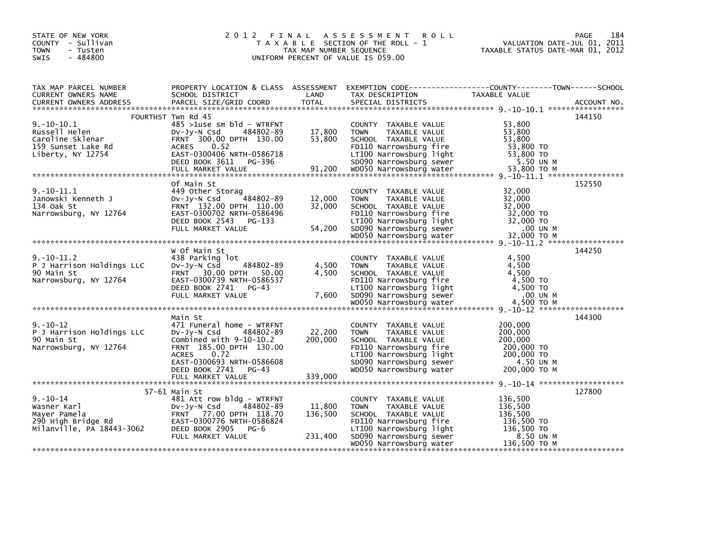| STATE OF NEW YORK<br>COUNTY - Sullivan<br><b>TOWN</b><br>- Tusten<br>$-484800$<br><b>SWIS</b>                                                                                                                                                                                                                     |                                                                                                                                                                                                    | TAX MAP NUMBER SEQUENCE | 2012 FINAL ASSESSMENT<br><b>ROLL</b><br>T A X A B L E SECTION OF THE ROLL - 1<br>UNIFORM PERCENT OF VALUE IS 059.00                                                                     | VALUATION DATE-JUL 01, 2011<br>TAXABLE STATUS DATE-MAR 01, 2012                        | PAGE<br>184 |
|-------------------------------------------------------------------------------------------------------------------------------------------------------------------------------------------------------------------------------------------------------------------------------------------------------------------|----------------------------------------------------------------------------------------------------------------------------------------------------------------------------------------------------|-------------------------|-----------------------------------------------------------------------------------------------------------------------------------------------------------------------------------------|----------------------------------------------------------------------------------------|-------------|
| TAX MAP PARCEL NUMBER<br>CURRENT OWNERS NAME<br><b>CURRENT OWNERS ADDRESS</b>                                                                                                                                                                                                                                     | PROPERTY LOCATION & CLASS ASSESSMENT EXEMPTION CODE---------------COUNTY-------TOWN------SCHOOL<br>SCHOOL DISTRICT<br>PARCEL SIZE/GRID COORD                                                       | LAND<br><b>TOTAL</b>    | TAX DESCRIPTION<br>SPECIAL DISTRICTS                                                                                                                                                    | TAXABLE VALUE                                                                          | ACCOUNT NO. |
| $9.-10-10.1$<br>Russell Helen<br>Caroline Sklenar<br>159 Sunset Lake Rd<br>1333818666718<br>Liberty, NY 12754 (EAST-0300406 NRTH-0586718<br>DEED BOOK 3611 PG-396 50090 Narrowsburg sewer 5.50 UN M<br>FULL MARKET VALUE 91,200 WD050 Narrowsburg water 53,800 TO M<br>FULL MARKET VALUE 91,200 WD050 Narrowsburg | FOURTHST Twn Rd 45<br>$485 > 1$ use sm b $Id - WTRFNT$<br>DV-Jy-N Csd<br>484802-89<br>FRNT 300.00 DPTH 130.00<br><b>ACRES</b><br>0.52                                                              | 17,800<br>53,800        | COUNTY TAXABLE VALUE<br><b>TOWN</b><br>TAXABLE VALUE<br>SCHOOL TAXABLE VALUE<br>FD110 Narrowsburg fire                                                                                  | 53,800<br>53,800<br>53,800<br>53,800 TO                                                | 144150      |
| $9.-10-11.1$<br>Janowski Kenneth J<br>134 Oak St                                                                                                                                                                                                                                                                  | Of Main St<br>449 Other Storag<br>DV-Jy-N Csd 484802-89<br>FRNT 132.00 DPTH 110.00                                                                                                                 | 12,000<br>32,000        | COUNTY TAXABLE VALUE<br>TAXABLE VALUE<br><b>TOWN</b><br>SCHOOL TAXABLE VALUE                                                                                                            | 32,000<br>32,000<br>32,000                                                             | 152550      |
| Narrowsburg, NY 12764                                                                                                                                                                                                                                                                                             | EAST-0300702 NRTH-0586496<br>DEED BOOK 2543 PG-133<br>FULL MARKET VALUE                                                                                                                            | 54,200                  | FD110 Narrowsburg fire<br>LT100 Narrowsburg light<br>SD090 Narrowsburg iight<br>WD050 Narrowsburg sewer                                                                                 | 32,000 TO<br>32,000 TO<br>.00 UN M                                                     |             |
| $9.-10-11.2$<br>P J Harrison Holdings LLC<br>90 Main St<br>Narrowsburg, NY 12764                                                                                                                                                                                                                                  | w Of Main St<br>438 Parking lot<br>484802-89<br>DV-Jy-N Csd<br>FRNT 30.00 DPTH 50.00<br>EAST-0300739 NRTH-0586537<br>DEED BOOK 2741 PG-43<br>FULL MARKET VALUE                                     | 4,500<br>4.500<br>7,600 | COUNTY TAXABLE VALUE<br><b>TOWN</b><br>TAXABLE VALUE<br>SCHOOL TAXABLE VALUE<br>FD110 Narrowsburg fire<br>LT100 Narrowsburg light<br>SD090 Narrowsburg sewer                            | 4,500<br>4,500<br>4,500<br>4,500 TO<br>4,500 TO<br>.00 UN M                            | 144250      |
| $9. - 10 - 12$<br>P J Harrison Holdings LLC<br>90 Main St<br>Narrowsburg, NY 12764                                                                                                                                                                                                                                | Main St<br>471 Funeral home - WTRFNT<br>DV-Jy-N Csd 484802-89<br>Combined with $9-10-10.2$<br>FRNT 185.00 DPTH 130.00<br>0.72<br><b>ACRES</b><br>EAST-0300693 NRTH-0586608<br>DEED BOOK 2741 PG-43 | 22,200<br>200,000       | COUNTY TAXABLE VALUE<br><b>TOWN</b><br>TAXABLE VALUE<br>SCHOOL TAXABLE VALUE<br>FD110 Narrowsburg fire<br>LT100 Narrowsburg light<br>SD090 Narrowsburg sewer<br>WD050 Narrowsburg water | 200,000<br>200,000<br>200,000<br>200,000 TO<br>200,000 TO<br>4.50 UN M<br>200,000 ТО М | 144300      |
| $9. - 10 - 14$<br>Wasner Karl                                                                                                                                                                                                                                                                                     | 57-61 Main St<br>481 Att row bldg - WTRFNT<br>484802-89<br>DV-JV-N Csd                                                                                                                             | 11,800                  | COUNTY TAXABLE VALUE<br><b>TOWN</b><br>TAXABLE VALUE                                                                                                                                    | 136,500<br>136,500                                                                     | 127800      |
| Mayer Pamela<br>290 High Bridge Rd<br>Milanville, PA 18443-3062                                                                                                                                                                                                                                                   | FRNT 77.00 DPTH 118.70<br>EAST-0300776 NRTH-0586824<br>DEED BOOK 2905 PG-6<br>FULL MARKET VALUE                                                                                                    | 136,500<br>231,400      | SCHOOL TAXABLE VALUE<br>FD110 Narrowsburg fire<br>LT100 Narrowsburg light<br>SD090 Narrowsburg sewer                                                                                    | 136,500<br>136,500 TO<br>136,500 то<br>8.50 UN M                                       |             |
|                                                                                                                                                                                                                                                                                                                   |                                                                                                                                                                                                    |                         | WD050 Narrowsburg water                                                                                                                                                                 | 136,500 ТО М                                                                           |             |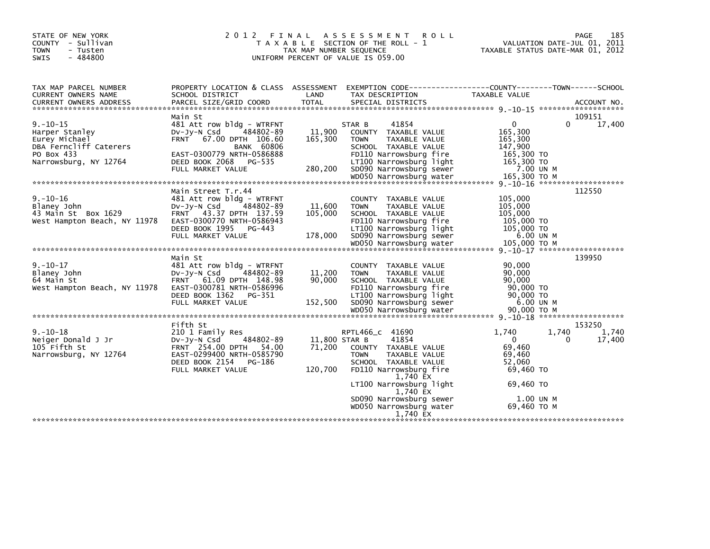| STATE OF NEW YORK<br>COUNTY - Sullivan<br><b>TOWN</b><br>- Tusten<br>$-484800$<br><b>SWIS</b> | 2 0 1 2<br>FINAL                                                                                                                                                          | TAX MAP NUMBER SEQUENCE      | A S S E S S M E N T<br><b>ROLL</b><br>T A X A B L E SECTION OF THE ROLL - 1<br>UNIFORM PERCENT OF VALUE IS 059.00                                            |                                                                        | 185<br><b>PAGE</b><br>VALUATION DATE-JUL 01, 2011<br>TAXABLE STATUS DATE-MAR 01, 2012 |
|-----------------------------------------------------------------------------------------------|---------------------------------------------------------------------------------------------------------------------------------------------------------------------------|------------------------------|--------------------------------------------------------------------------------------------------------------------------------------------------------------|------------------------------------------------------------------------|---------------------------------------------------------------------------------------|
| TAX MAP PARCEL NUMBER<br>CURRENT OWNERS NAME                                                  | PROPERTY LOCATION & CLASS ASSESSMENT<br>SCHOOL DISTRICT                                                                                                                   | LAND                         | EXEMPTION        CODE-----------------COUNTY-------TOWN------SCHOOL<br>TAX DESCRIPTION                                                                       | TAXABLE VALUE                                                          |                                                                                       |
| <b>CURRENT OWNERS ADDRESS</b>                                                                 | PARCEL SIZE/GRID COORD                                                                                                                                                    | <b>TOTAL</b>                 | SPECIAL DISTRICTS                                                                                                                                            |                                                                        | ACCOUNT NO.                                                                           |
|                                                                                               | Main St                                                                                                                                                                   |                              |                                                                                                                                                              |                                                                        | 109151                                                                                |
| $9. - 10 - 15$<br>Harper Stanley<br>Eurey Michael<br>DBA Ferncliff Caterers                   | 481 Att row bldg - WTRFNT<br>484802-89<br>$Dv-Jy-N$ Csd<br><b>FRNT</b><br>67.00 DPTH 106.60<br><b>BANK 60806</b>                                                          | 11,900<br>165,300            | 41854<br>STAR B<br>COUNTY TAXABLE VALUE<br><b>TOWN</b><br><b>TAXABLE VALUE</b><br>SCHOOL TAXABLE VALUE                                                       | $\Omega$<br>165,300<br>165,300<br>147,900                              | 17,400<br>0                                                                           |
| PO Box 433<br>Narrowsburg, NY 12764                                                           | EAST-0300779 NRTH-0586888<br>DEED BOOK 2068<br>PG-535<br>FULL MARKET VALUE                                                                                                | 280,200                      | FD110 Narrowsburg fire<br>LT100 Narrowsburg light<br>SD090 Narrowsburg sewer                                                                                 | 165,300 TO<br>165,300 TO<br>7.00 UN M                                  |                                                                                       |
|                                                                                               | Main Street T.r.44                                                                                                                                                        |                              |                                                                                                                                                              |                                                                        | 112550                                                                                |
| $9. - 10 - 16$<br>Blaney John<br>43 Main St Box 1629<br>West Hampton Beach, NY 11978          | 481 Att row bldg - WTRFNT<br>$Dv-Jv-N$ Csd<br>484802-89<br>43.37 DPTH 137.59<br><b>FRNT</b><br>EAST-0300770 NRTH-0586943<br>DEED BOOK 1995<br>PG-443<br>FULL MARKET VALUE | 11,600<br>105,000<br>178,000 | COUNTY TAXABLE VALUE<br>TAXABLE VALUE<br><b>TOWN</b><br>SCHOOL TAXABLE VALUE<br>FD110 Narrowsburg fire<br>LT100 Narrowsburg light<br>SD090 Narrowsburg sewer | 105,000<br>105,000<br>105,000<br>105,000 TO<br>105,000 TO<br>6.00 UN M |                                                                                       |
|                                                                                               |                                                                                                                                                                           |                              |                                                                                                                                                              | 105,000 TO M                                                           |                                                                                       |
|                                                                                               | Main St                                                                                                                                                                   |                              |                                                                                                                                                              |                                                                        | $9. -10 - 17$ *********************<br>139950                                         |
| $9. - 10 - 17$<br>Blaney John<br>64 Main St<br>West Hampton Beach, NY 11978                   | 481 Att row bldg - WTRFNT<br>484802-89<br>$Dv-Jv-N$ Csd<br>61.09 DPTH 148.98<br><b>FRNT</b><br>EAST-0300781 NRTH-0586996<br>DEED BOOK 1362<br>PG-351<br>FULL MARKET VALUE | 11,200<br>90,000<br>152,500  | COUNTY TAXABLE VALUE<br><b>TOWN</b><br>TAXABLE VALUE<br>SCHOOL TAXABLE VALUE<br>FD110 Narrowsburg fire<br>LT100 Narrowsburg light<br>SD090 Narrowsburg sewer | 90,000<br>90,000<br>90,000<br>90,000 TO<br>90,000 TO<br>6.00 UN M      |                                                                                       |
|                                                                                               |                                                                                                                                                                           |                              |                                                                                                                                                              |                                                                        |                                                                                       |
|                                                                                               | Fifth St                                                                                                                                                                  |                              |                                                                                                                                                              |                                                                        | 153250                                                                                |
| $9. - 10 - 18$<br>Neiger Donald J Jr<br>105 Fifth St<br>Narrowsburg, NY 12764                 | 210 1 Family Res<br>$Dv-Jy-N$ Csd<br>484802-89<br>FRNT 254.00 DPTH 54.00<br>EAST-0299400 NRTH-0585790<br>DEED BOOK 2154<br>PG-186                                         | 11,800 STAR B<br>71,200      | RPTL466 c 41690<br>41854<br>COUNTY TAXABLE VALUE<br><b>TOWN</b><br><b>TAXABLE VALUE</b><br>SCHOOL TAXABLE VALUE                                              | 1.740<br>$\mathbf{0}$<br>69,460<br>69,460<br>52,060                    | 1.740<br>1.740<br>17,400<br>0                                                         |
|                                                                                               | FULL MARKET VALUE                                                                                                                                                         | 120,700                      | FD110 Narrowsburg fire<br>1,740 EX                                                                                                                           | 69,460 TO                                                              |                                                                                       |
|                                                                                               |                                                                                                                                                                           |                              | LT100 Narrowsburg light<br>1,740 EX                                                                                                                          | 69,460 TO                                                              |                                                                                       |
|                                                                                               |                                                                                                                                                                           |                              | SD090 Narrowsburg sewer<br>WD050 Narrowsburg water<br>1.740 EX                                                                                               | 1.00 UN M<br>69,460 ТО М                                               |                                                                                       |
|                                                                                               |                                                                                                                                                                           |                              |                                                                                                                                                              |                                                                        |                                                                                       |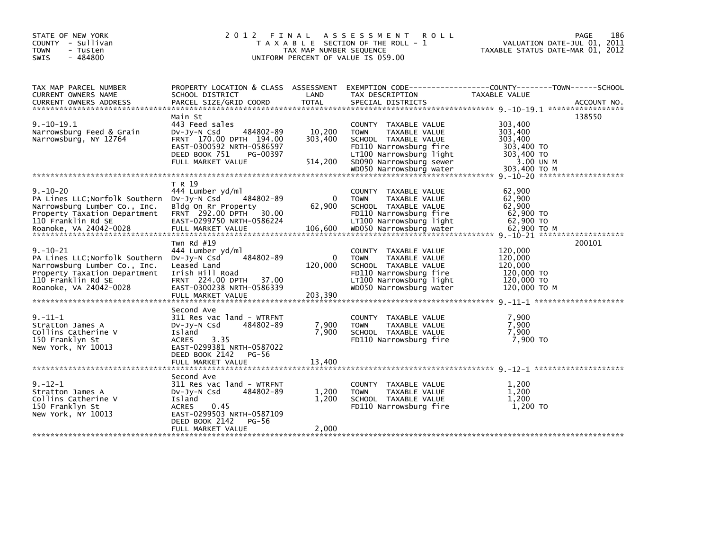| STATE OF NEW YORK<br>COUNTY - Sullivan<br><b>TOWN</b><br>- Tusten<br>$-484800$<br><b>SWIS</b>                                                                    | 2 0 1 2                                                                                                                                                                              | TAX MAP NUMBER SEQUENCE        | FINAL ASSESSMENT<br><b>ROLL</b><br>T A X A B L E SECTION OF THE ROLL - 1<br>UNIFORM PERCENT OF VALUE IS 059.00                                               | VALUATION DATE-JUL 01, 2011<br>TAXABLE STATUS DATE-MAR 01, 2012           | 186<br>PAGE |
|------------------------------------------------------------------------------------------------------------------------------------------------------------------|--------------------------------------------------------------------------------------------------------------------------------------------------------------------------------------|--------------------------------|--------------------------------------------------------------------------------------------------------------------------------------------------------------|---------------------------------------------------------------------------|-------------|
| TAX MAP PARCEL NUMBER<br>CURRENT OWNERS NAME                                                                                                                     | PROPERTY LOCATION & CLASS ASSESSMENT<br>SCHOOL DISTRICT                                                                                                                              | LAND                           | EXEMPTION CODE-----------------COUNTY-------TOWN------SCHOOL<br>TAX DESCRIPTION                                                                              | TAXABLE VALUE                                                             |             |
| $9. -10 - 19.1$<br>Narrowsburg Feed & Grain<br>Narrowsburg, NY 12764                                                                                             | Main St<br>443 Feed sales<br>484802-89<br>$Dv-Jy-N$ Csd<br>FRNT 170.00 DPTH 194.00<br>EAST-0300592 NRTH-0586597<br>DEED BOOK 751<br>PG-00397<br>FULL MARKET VALUE                    | 10,200<br>303,400<br>514,200   | COUNTY TAXABLE VALUE<br><b>TOWN</b><br>TAXABLE VALUE<br>SCHOOL TAXABLE VALUE<br>FD110 Narrowsburg fire<br>LT100 Narrowsburg light<br>SD090 Narrowsburg sewer | 303,400<br>303,400<br>303,400<br>303,400 TO<br>303,400 TO<br>3.00 UN M    | 138550      |
|                                                                                                                                                                  |                                                                                                                                                                                      |                                | WD050 Narrowsburg water                                                                                                                                      | 303.400 TO M                                                              |             |
| $9. - 10 - 20$<br>PA Lines LLC; Norfolk Southern<br>Narrowsburg Lumber Co., Inc.<br>Property Taxation Department<br>110 Franklin Rd SE                           | T R 19<br>444 Lumber yd/ml<br>DV-JY-N Csd<br>484802-89<br>Bldg On Rr Property<br>FRNT 292.00 DPTH<br>30.00<br>EAST-0299750 NRTH-0586224                                              | $\Omega$<br>62,900             | COUNTY TAXABLE VALUE<br><b>TAXABLE VALUE</b><br><b>TOWN</b><br>SCHOOL TAXABLE VALUE<br>FD110 Narrowsburg fire<br>LT100 Narrowsburg light                     | 62,900<br>62,900<br>62,900<br>62,900 TO<br>62,900 TO                      |             |
| $9. - 10 - 21$<br>PA Lines LLC; Norfolk Southern<br>Narrowsburg Lumber Co., Inc.<br>Property Taxation Department<br>110 Franklin Rd SE<br>Roanoke, VA 24042-0028 | Twn Rd $#19$<br>444 Lumber yd/ml<br>484802-89<br>DV-Jy-N Csd<br>Leased Land<br>Irish Hill Road<br>FRNT 224.00 DPTH 37.00<br>EAST-0300238 NRTH-0586339<br>FULL MARKET VALUE           | $\Omega$<br>120,000<br>203,390 | COUNTY TAXABLE VALUE<br>TAXABLE VALUE<br><b>TOWN</b><br>SCHOOL TAXABLE VALUE<br>FD110 Narrowsburg fire<br>LT100 Narrowsburg light<br>WD050 Narrowsburg water | 120,000<br>120,000<br>120,000<br>120,000 TO<br>120,000 TO<br>120,000 TO M | 200101      |
| $9. - 11 - 1$<br>Stratton James A<br>Collins Catherine V<br>150 Franklyn St<br>New York, NY 10013                                                                | Second Ave<br>311 Res vac land - WTRFNT<br>484802-89<br>DV-Jy-N Csd<br>Island<br>3.35<br><b>ACRES</b><br>EAST-0299381 NRTH-0587022<br>DEED BOOK 2142<br>PG-56<br>FULL MARKET VALUE   | 7,900<br>7,900<br>13,400       | COUNTY TAXABLE VALUE<br>TOWN<br>TAXABLE VALUE<br>SCHOOL TAXABLE VALUE<br>FD110 Narrowsburg fire                                                              | 7,900<br>7,900<br>7,900<br>7,900 TO                                       |             |
| $9. - 12 - 1$<br>Stratton James A<br>Collins Catherine V<br>150 Franklyn St<br>New York, NY 10013                                                                | Second Ave<br>311 Res vac land - WTRFNT<br>484802-89<br>$Dv-Jy-N$ Csd<br>Island<br>0.45<br><b>ACRES</b><br>EAST-0299503 NRTH-0587109<br>DEED BOOK 2142<br>PG-56<br>FULL MARKET VALUE | 1,200<br>1,200<br>2,000        | <b>COUNTY</b><br>TAXABLE VALUE<br>TAXABLE VALUE<br><b>TOWN</b><br>SCHOOL TAXABLE VALUE<br>FD110 Narrowsburg fire                                             | 1,200<br>1,200<br>1,200<br>1,200 TO                                       |             |
|                                                                                                                                                                  |                                                                                                                                                                                      |                                |                                                                                                                                                              |                                                                           |             |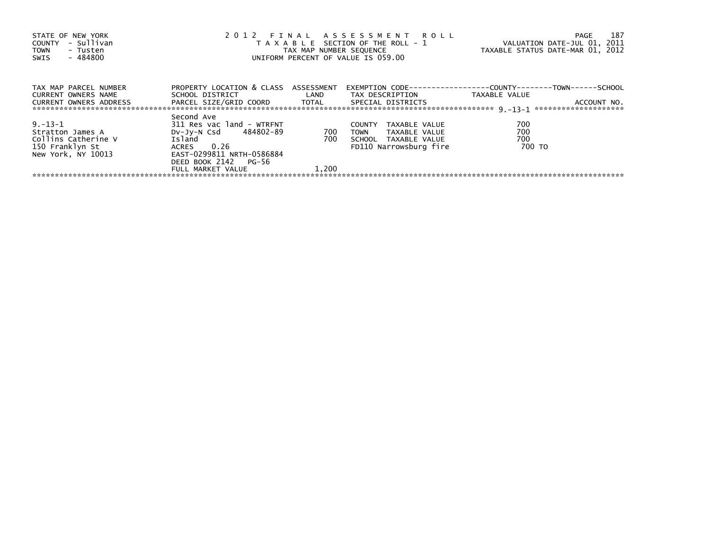| STATE OF NEW YORK<br>- Sullivan<br>COUNTY<br><b>TOWN</b><br>- Tusten<br>- 484800<br>SWIS | 2012 FINAL ASSESSMENT ROLL<br>T A X A B L E SECTION OF THE ROLL - 1<br>TAX MAP NUMBER SEQUENCE<br>UNIFORM PERCENT OF VALUE IS 059.00 | 187<br>PAGE<br>VALUATION DATE-JUL 01, 2011<br>TAXABLE STATUS DATE-MAR 01, 2012 |                                |                                                                                      |
|------------------------------------------------------------------------------------------|--------------------------------------------------------------------------------------------------------------------------------------|--------------------------------------------------------------------------------|--------------------------------|--------------------------------------------------------------------------------------|
| TAX MAP PARCEL NUMBER<br>CURRENT OWNERS NAME                                             | PROPERTY LOCATION & CLASS ASSESSMENT<br>SCHOOL DISTRICT LAND                                                                         |                                                                                | TAX DESCRIPTION                | EXEMPTION        CODE-----------------COUNTY-------TOWN------SCHOOL<br>TAXABLE VALUE |
| <b>CURRENT OWNERS ADDRESS</b>                                                            | PARCEL SIZE/GRID COORD TOTAL SPECIAL DISTRICTS                                                                                       |                                                                                |                                | ACCOUNT NO.                                                                          |
|                                                                                          | Second Ave                                                                                                                           |                                                                                |                                |                                                                                      |
| $9. - 13 - 1$                                                                            | 311 Res vac land - WTRFNT                                                                                                            |                                                                                | <b>COUNTY</b><br>TAXABLE VALUE | 700                                                                                  |
| Stratton James A                                                                         | DV-Jy-N Csd 484802-89                                                                                                                | 700                                                                            | TAXABLE VALUE<br><b>TOWN</b>   | 700                                                                                  |
| Collins Catherine V                                                                      | Island                                                                                                                               | 700                                                                            | SCHOOL TAXABLE VALUE           | 700                                                                                  |
| 150 Franklyn St                                                                          | ACRES 0.26                                                                                                                           |                                                                                | FD110 Narrowsburg fire         | 700 TO                                                                               |
| New York, NY 10013                                                                       | EAST-0299811 NRTH-0586884                                                                                                            |                                                                                |                                |                                                                                      |
|                                                                                          | DEED BOOK 2142 PG-56                                                                                                                 |                                                                                |                                |                                                                                      |
|                                                                                          | FULL MARKET VALUE                                                                                                                    | 1.200                                                                          |                                |                                                                                      |
|                                                                                          |                                                                                                                                      |                                                                                |                                |                                                                                      |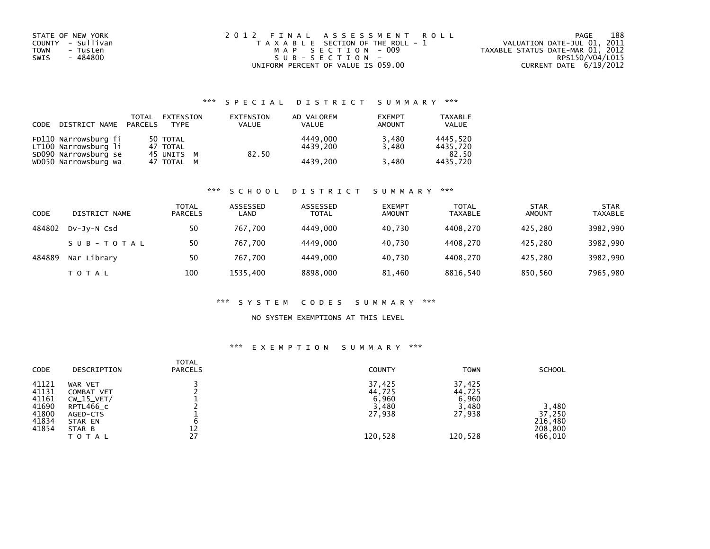| STATE OF NEW YORK<br>COUNTY - Sullivan<br>TOWN<br>- Tusten<br>- 484800<br>SWIS | 2012 FINAL ASSESSMENT ROLL<br>T A X A B L E SECTION OF THE ROLL - 1<br>MAP SECTION - 009<br>$SUB - SECTION -$ | 188<br>PAGE<br>VALUATION DATE-JUL 01, 2011<br>TAXABLE STATUS DATE-MAR 01, 2012<br>RPS150/V04/L015 |
|--------------------------------------------------------------------------------|---------------------------------------------------------------------------------------------------------------|---------------------------------------------------------------------------------------------------|
|                                                                                | UNIFORM PERCENT OF VALUE IS 059.00                                                                            | CURRENT DATE 6/19/2012                                                                            |

# \*\*\* S P E C I A L D I S T R I C T S U M M A R Y \*\*\*

| CODE | DISTRICT NAME                                | TOTAL<br>PARCELS | EXTENSION<br><b>TYPE</b> | EXTENSION<br><b>VALUE</b> | AD VALOREM<br>VALUE  | <b>EXEMPT</b><br>AMOUNT | <b>TAXABLE</b><br><b>VALUE</b> |
|------|----------------------------------------------|------------------|--------------------------|---------------------------|----------------------|-------------------------|--------------------------------|
|      | FD110 Narrowsburg fi<br>LT100 Narrowsburg li |                  | 50 TOTAL<br>47 TOTAL     |                           | 4449.000<br>4439.200 | 3,480<br>3.480          | 4445.520<br>4435.720           |
|      | SD090 Narrowsburg se<br>WD050 Narrowsburg wa |                  | 45 UNITS M<br>47 TOTAL M | 82.50                     | 4439.200             | 3,480                   | 82.50<br>4435.720              |

### \*\*\* S C H O O L D I S T R I C T S U M M A R Y \*\*\*

| CODE   | DISTRICT NAME | <b>TOTAL</b><br><b>PARCELS</b> | ASSESSED<br>LAND | ASSESSED<br><b>TOTAL</b> | <b>EXEMPT</b><br><b>AMOUNT</b> | <b>TOTAL</b><br><b>TAXABLE</b> | <b>STAR</b><br><b>AMOUNT</b> | <b>STAR</b><br><b>TAXABLE</b> |
|--------|---------------|--------------------------------|------------------|--------------------------|--------------------------------|--------------------------------|------------------------------|-------------------------------|
| 484802 | DV-JY-N Csd   | 50                             | 767.700          | 4449.000                 | 40.730                         | 4408.270                       | 425.280                      | 3982,990                      |
|        | SUB-TOTAL     | 50                             | 767.700          | 4449.000                 | 40.730                         | 4408.270                       | 425.280                      | 3982,990                      |
| 484889 | Nar Library   | 50                             | 767.700          | 4449.000                 | 40.730                         | 4408.270                       | 425.280                      | 3982,990                      |
|        | T O T A L     | 100                            | 1535,400         | 8898,000                 | 81,460                         | 8816,540                       | 850,560                      | 7965,980                      |

### \*\*\* S Y S T E M C O D E S S U M M A R Y \*\*\*

### NO SYSTEM EXEMPTIONS AT THIS LEVEL

### \*\*\* E X E M P T I O N S U M M A R Y \*\*\*

| <b>CODE</b> | DESCRIPTION  | <b>TOTAL</b><br><b>PARCELS</b> | <b>COUNTY</b> | <b>TOWN</b> | <b>SCHOOL</b> |
|-------------|--------------|--------------------------------|---------------|-------------|---------------|
| 41121       | WAR VET      |                                | 37,425        | 37,425      |               |
| 41131       | COMBAT VET   |                                | 44,725        | 44,725      |               |
| 41161       | $CW_15_VET/$ |                                | 6,960         | 6,960       |               |
| 41690       | RPTL466_C    |                                | 3,480         | 3,480       | 3,480         |
| 41800       | AGED-CTS     |                                | 27,938        | 27,938      | 37,250        |
| 41834       | STAR EN      | b                              |               |             | 216,480       |
| 41854       | STAR B       | 12                             |               |             | 208,800       |
|             | ΤΟΤΑL        | 27                             | 120,528       | 120,528     | 466,010       |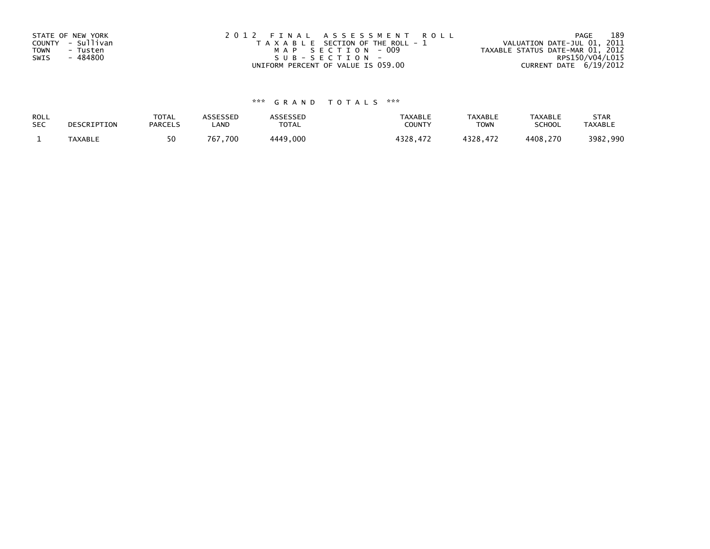| STATE OF NEW YORK       | 2012 FINAL ASSESSMENT ROLL            | 189<br>PAGE                      |
|-------------------------|---------------------------------------|----------------------------------|
| COUNTY - Sullivan       | T A X A B L E SECTION OF THE ROLL - 1 | VALUATION DATE-JUL 01, 2011      |
| <b>TOWN</b><br>- Tusten | MAP SECTION - 009                     | TAXABLE STATUS DATE-MAR 01, 2012 |
| - 484800<br>SWIS        | SUB-SECTION-                          | RPS150/V04/L015                  |
|                         | UNIFORM PERCENT OF VALUE IS 059.00    | CURRENT DATE $6/19/2012$         |

# \*\*\* G R A N D T O T A L S \*\*\*

| ROLL<br><b>SEC</b> | DESCRIPTION    | <b>TOTAL</b><br><b>PARCELS</b> | ASSESSEP<br>LAND | `SSESSED<br>TOTAL | <b>TAXABLE</b><br><b>COUNT</b> | <b>TAXABLE</b><br><b>TOWN</b> | <b>TAXABLE</b><br><b>SCHOOL</b> | <b>STAR</b><br><b>TAXABLE</b> |
|--------------------|----------------|--------------------------------|------------------|-------------------|--------------------------------|-------------------------------|---------------------------------|-------------------------------|
|                    | <b>TAXABLE</b> | 50                             | 700. َ<br>767    | 1440<br>,000      | ີລາວ                           | ס רכי                         | 4408.270                        | ,990<br>3982                  |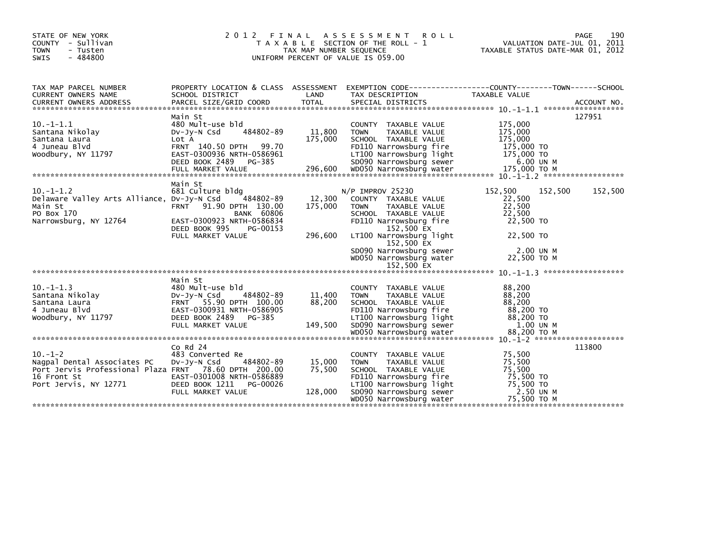| STATE OF NEW YORK<br>COUNTY - Sullivan<br>- Tusten<br><b>TOWN</b><br>$-484800$<br>SWIS                                                       | 2012<br>FINAL                                                                                                                                                          | TAX MAP NUMBER SEQUENCE      | A S S E S S M E N T<br><b>ROLL</b><br>T A X A B L E SECTION OF THE ROLL - 1<br>UNIFORM PERCENT OF VALUE IS 059.00                                                                                                                                     | VALUATION DATE-JUL 01, 2011<br>TAXABLE STATUS DATE-MAR 01, 2012                                        | 190<br><b>PAGE</b> |
|----------------------------------------------------------------------------------------------------------------------------------------------|------------------------------------------------------------------------------------------------------------------------------------------------------------------------|------------------------------|-------------------------------------------------------------------------------------------------------------------------------------------------------------------------------------------------------------------------------------------------------|--------------------------------------------------------------------------------------------------------|--------------------|
| TAX MAP PARCEL NUMBER<br>CURRENT OWNERS NAME                                                                                                 | PROPERTY LOCATION & CLASS ASSESSMENT<br>SCHOOL DISTRICT                                                                                                                | LAND                         | EXEMPTION CODE-----------------COUNTY--------TOWN------SCHOOL<br>TAX DESCRIPTION                                                                                                                                                                      | TAXABLE VALUE                                                                                          |                    |
| $10. -1 - 1.1$<br>Santana Nikolay<br>Santana Laura<br>4 Juneau Blvd<br>Woodbury, NY 11797                                                    | Main St<br>480 Mult-use bld<br>484802-89<br>$Dv$ -J $v$ -N Csd<br>Lot A<br>FRNT 140.50 DPTH 99.70<br>EAST-0300936 NRTH-0586961<br>DEED BOOK 2489 PG-385                | 11,800<br>175,000            | COUNTY TAXABLE VALUE<br><b>TOWN</b><br>TAXABLE VALUE<br>SCHOOL TAXABLE VALUE<br>FD110 Narrowsburg fire<br>SD090 Narrowsburg light<br>SD090 Narrowsburg sewer<br>WD050 Narrowsburg                                                                     | 175,000<br>175,000<br>175.000<br>175,000 TO<br>175,000 TO<br>6.00 UN M                                 | 127951             |
| $10. -1 - 1.2$<br>Delaware Valley Arts Alliance, Dv-Jy-N Csd<br>Main St<br>PO Box 170<br>Narrowsburg, NY 12764                               | Main St<br>681 Culture bldg<br>484802-89<br>FRNT 91.90 DPTH 130.00<br><b>BANK 60806</b><br>EAST-0300923 NRTH-0586834<br>DEED BOOK 995<br>PG-00153<br>FULL MARKET VALUE | 12,300<br>175,000<br>296,600 | N/P IMPROV 25230<br>COUNTY TAXABLE VALUE<br><b>TOWN</b><br>TAXABLE VALUE<br>SCHOOL TAXABLE VALUE<br>FD110 Narrowsburg fire<br>152,500 EX<br>LT100 Narrowsburg light<br>152,500 EX<br>SD090 Narrowsburg sewer<br>WD050 Narrowsburg water<br>152,500 EX | 152,500<br>152,500<br>22,500<br>22,500<br>22,500<br>22,500 TO<br>22,500 TO<br>2.00 UN M<br>22,500 TO M | 152,500            |
| $10. -1 - 1.3$<br>Santana Nikolay<br>Santana Laura<br>4 Juneau Blvd<br>Woodbury, NY 11797                                                    | Main St<br>480 Mult-use bld<br>484802-89<br>$Dv-Jy-N$ Csd<br>FRNT 55.90 DPTH 100.00<br>EAST-0300931 NRTH-0586905<br>DEED BOOK 2489 PG-385<br>FULL MARKET VALUE         | 11,400<br>88,200<br>149,500  | COUNTY TAXABLE VALUE<br><b>TOWN</b><br>TAXABLE VALUE<br>SCHOOL TAXABLE VALUE<br>FD110 Narrowsburg fire<br>LT100 Narrowsburg light<br>SD090 Narrowsburg sewer                                                                                          | 88,200<br>88,200<br>88,200<br>88,200 TO<br>88,200 TO<br>1.00 UN M                                      |                    |
|                                                                                                                                              | $CO$ Rd $24$                                                                                                                                                           |                              | WD050 Narrowsburg water                                                                                                                                                                                                                               | 88.200 TO M                                                                                            | 113800             |
| $10. -1 - 2$<br>Nagpal Dental Associates PC<br>Port Jervis Professional Plaza FRNT 78.60 DPTH 200.00<br>16 Front St<br>Port Jervis, NY 12771 | 483 Converted Re<br>484802-89<br>DV-Jy-N Csd<br>EAST-0301008 NRTH-0586889<br>DEED BOOK 1211 PG-00026                                                                   | 15,000<br>75,500             | COUNTY TAXABLE VALUE<br>TAXABLE VALUE<br><b>TOWN</b><br>SCHOOL TAXABLE VALUE<br>FD110 Narrowsburg fire<br>LT100 Narrowsburg light                                                                                                                     | 75,500<br>75,500<br>75,500<br>75,500 TO<br>75,500 TO                                                   |                    |
|                                                                                                                                              | FULL MARKET VALUE                                                                                                                                                      | 128,000                      | SD090 Narrowsburg sewer<br>WD050 Narrowsburg water                                                                                                                                                                                                    | 2.50 UN M<br>75.500 TO M                                                                               |                    |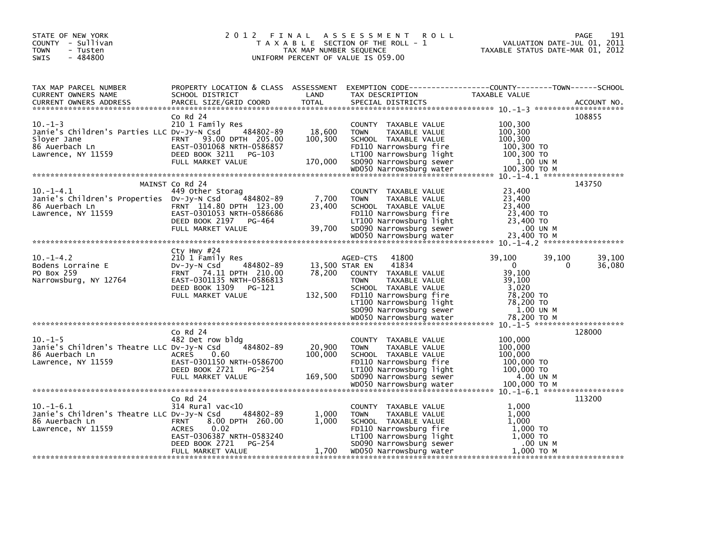| STATE OF NEW YORK<br>COUNTY - Sullivan<br><b>TOWN</b><br>- Tusten<br>$-484800$<br><b>SWIS</b>        | 2012 FINAL                                                                                                                                                            | TAX MAP NUMBER SEQUENCE      | A S S E S S M E N T<br><b>ROLL</b><br>T A X A B L E SECTION OF THE ROLL - 1<br>UNIFORM PERCENT OF VALUE IS 059.00                                                                                            | TAXABLE STATUS DATE-MAR 01, 2012                                                           | 191<br>PAGE<br>VALUATION DATE-JUL 01, 2011 |
|------------------------------------------------------------------------------------------------------|-----------------------------------------------------------------------------------------------------------------------------------------------------------------------|------------------------------|--------------------------------------------------------------------------------------------------------------------------------------------------------------------------------------------------------------|--------------------------------------------------------------------------------------------|--------------------------------------------|
| TAX MAP PARCEL NUMBER<br>CURRENT OWNERS NAME<br><b>CURRENT OWNERS ADDRESS</b>                        | SCHOOL DISTRICT<br>PARCEL SIZE/GRID COORD                                                                                                                             | LAND<br><b>TOTAL</b>         | PROPERTY LOCATION & CLASS ASSESSMENT EXEMPTION CODE----------------COUNTY-------TOWN------SCHOOL<br>TAX DESCRIPTION<br>SPECIAL DISTRICTS                                                                     | TAXABLE VALUE                                                                              | ACCOUNT NO.                                |
|                                                                                                      | $Co$ Rd $24$                                                                                                                                                          |                              |                                                                                                                                                                                                              |                                                                                            | 108855                                     |
| $10. -1 - 3$<br>Janie's Children's Parties LLC Dv-Jy-N Csd<br>Sloyer Jane<br>86 Auerbach Ln          | 210 1 Family Res<br>484802-89<br>FRNT 93.00 DPTH 205.00<br>EAST-0301068 NRTH-0586857                                                                                  | 18,600<br>100,300            | COUNTY TAXABLE VALUE<br><b>TOWN</b><br>TAXABLE VALUE<br>SCHOOL TAXABLE VALUE<br>FD110 Narrowsburg fire                                                                                                       | 100,300<br>100, 300<br>100,300<br>100,300 TO                                               |                                            |
| Lawrence, NY 11559                                                                                   | DEED BOOK 3211<br>PG-103<br>FULL MARKET VALUE                                                                                                                         | 170,000                      | LT100 Narrowsburg light<br>SD090 Narrowsburg sewer                                                                                                                                                           | 100,300 TO<br>1.00 UN M                                                                    |                                            |
|                                                                                                      | MAINST Co Rd 24                                                                                                                                                       |                              |                                                                                                                                                                                                              |                                                                                            | 143750                                     |
| $10.-1-4.1$<br>Janie's Children's Properties DV-Jy-N Csd<br>86 Auerbach Ln<br>Lawrence, NY 11559     | 449 Other Storag<br>484802-89<br>FRNT 114.80 DPTH 123.00<br>EAST-0301053 NRTH-0586686<br>DEED BOOK 2197 PG-464                                                        | 7,700<br>23,400              | COUNTY TAXABLE VALUE<br>TAXABLE VALUE<br><b>TOWN</b><br>SCHOOL TAXABLE VALUE<br>FD110 Narrowsburg fire<br>LT100 Narrowsburg light                                                                            | 23,400<br>23,400<br>23,400<br>23,400 TO<br>23,400 TO                                       |                                            |
|                                                                                                      | FULL MARKET VALUE                                                                                                                                                     | 39,700                       | SD090 Narrowsburg sewer<br>WD050 Narrowsburg water                                                                                                                                                           | .00 UN M<br>23,400 TO M                                                                    |                                            |
|                                                                                                      |                                                                                                                                                                       |                              |                                                                                                                                                                                                              |                                                                                            |                                            |
| $10. -1 - 4.2$<br>Bodens Lorraine E<br>PO Box 259<br>Narrowsburg, NY 12764                           | Cty Hwy #24<br>210 1 Family Res<br>484802-89<br>$Dv-Jy-N$ Csd<br>FRNT 74.11 DPTH 210.00<br>EAST-0301135 NRTH-0586813<br>DEED BOOK 1309<br>PG-121<br>FULL MARKET VALUE | 78,200<br>132,500            | 41800<br>AGED-CTS<br>41834<br>13,500 STAR EN<br>COUNTY TAXABLE VALUE<br><b>TOWN</b><br>TAXABLE VALUE<br>SCHOOL TAXABLE VALUE<br>FD110 Narrowsburg fire<br>LT100 Narrowsburg light<br>SD090 Narrowsburg sewer | 39,100<br>$\mathbf{0}$<br>39,100<br>39,100<br>3,020<br>78,200 TO<br>78,200 TO<br>1.00 UN M | 39,100<br>39,100<br>36,080<br>0            |
|                                                                                                      |                                                                                                                                                                       |                              |                                                                                                                                                                                                              |                                                                                            |                                            |
| $10. -1 - 5$<br>Janie's Children's Theatre LLC Dv-Jy-N Csd<br>86 Auerbach Ln<br>Lawrence, NY 11559   | Co Rd 24<br>482 Det row bldg<br>484802-89<br><b>ACRES</b><br>0.60<br>EAST-0301150 NRTH-0586700<br>DEED BOOK 2721<br>PG-254<br>FULL MARKET VALUE                       | 20,900<br>100,000<br>169,500 | COUNTY TAXABLE VALUE<br>TAXABLE VALUE<br><b>TOWN</b><br>SCHOOL TAXABLE VALUE<br>FD110 Narrowsburg fire<br>LT100 Narrowsburg light<br>SD090 Narrowsburg sewer<br>WD050 Narrowsburg water                      | 100,000<br>100,000<br>100,000<br>100,000 TO<br>100,000 TO<br>4.00 UN M<br>100,000 TO M     | 128000                                     |
|                                                                                                      |                                                                                                                                                                       |                              |                                                                                                                                                                                                              |                                                                                            |                                            |
| $10. -1 - 6.1$<br>Janie's Children's Theatre LLC DV-Jy-N Csd<br>86 Auerbach Ln<br>Lawrence, NY 11559 | Co Rd 24<br>314 Rural vac<10<br>484802-89<br>8.00 DPTH 260.00<br><b>FRNT</b><br>0.02<br>ACRES<br>EAST-0306387 NRTH-0583240<br>DEED BOOK 2721<br>PG-254                | 1,000<br>1.000               | COUNTY TAXABLE VALUE<br>TAXABLE VALUE<br><b>TOWN</b><br>SCHOOL TAXABLE VALUE<br>FD110 Narrowsburg fire<br>LT100 Narrowsburg light<br>SD090 Narrowsburg sewer                                                 | 1,000<br>1,000<br>1.000<br>1,000 TO<br>1,000 TO<br>.00 UN M                                | 113200                                     |
|                                                                                                      | FULL MARKET VALUE                                                                                                                                                     | 1,700                        | WD050 Narrowsburg water                                                                                                                                                                                      | 1,000 ТО М                                                                                 |                                            |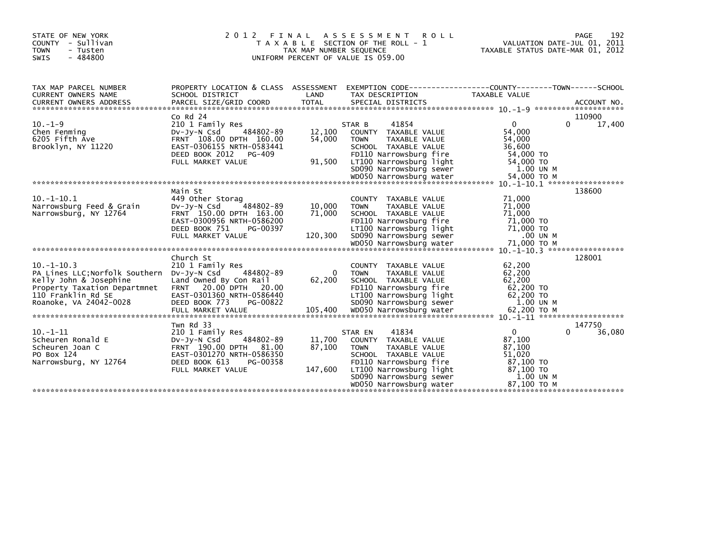| STATE OF NEW YORK<br>COUNTY - Sullivan<br><b>TOWN</b><br>- Tusten<br>$-484800$<br><b>SWIS</b>                                                                                                                                                                                                          | 2 0 1 2<br>FINAL                                                                                                                                                      | TAX MAP NUMBER SEQUENCE     | ASSESSMENT<br><b>ROLL</b><br>T A X A B L E SECTION OF THE ROLL - 1<br>UNIFORM PERCENT OF VALUE IS 059.00                                                                                                              | TAXABLE STATUS DATE-MAR 01, 2012                                                      | PAGE<br>192<br>VALUATION DATE-JUL 01, 2011 |
|--------------------------------------------------------------------------------------------------------------------------------------------------------------------------------------------------------------------------------------------------------------------------------------------------------|-----------------------------------------------------------------------------------------------------------------------------------------------------------------------|-----------------------------|-----------------------------------------------------------------------------------------------------------------------------------------------------------------------------------------------------------------------|---------------------------------------------------------------------------------------|--------------------------------------------|
| TAX MAP PARCEL NUMBER<br>CURRENT OWNERS NAME                                                                                                                                                                                                                                                           | SCHOOL DISTRICT                                                                                                                                                       | LAND                        | PROPERTY LOCATION & CLASS ASSESSMENT EXEMPTION CODE----------------COUNTY-------TOWN------SCHOOL<br>TAX DESCRIPTION                                                                                                   | TAXABLE VALUE                                                                         |                                            |
| $10. -1 - 9$<br>Chen Fenming<br>6205 Fifth Ave<br>Brooklyn, NY 11220<br>wood warrowsburg water 54,000 TO M باسم معلم wood Marrowsburg water 54,000 TO M باسم معلمة معلمة معلمة معلمة معلمة معلمة معلمة معلمة معلمة معلمة معلمة معلمة معلمة معلمة معلمة معلمة معلمة معلمة معلمة معلمة معلمة معلمة معلمة | $Co$ Rd $24$<br>210 1 Family Res<br>484802-89<br>DV-JV-N Csd<br>FRNT 108.00 DPTH 160.00<br>EAST-0306155 NRTH-0583441<br>DEED BOOK 2012<br>PG-409<br>FULL MARKET VALUE | 12.100<br>54,000<br>91,500  | 41854<br>STAR B<br>COUNTY TAXABLE VALUE<br><b>TOWN</b><br>TAXABLE VALUE<br>SCHOOL TAXABLE VALUE<br>FD110 Narrowsburg fire<br>LT100 Narrowsburg light<br>SD090 Narrowsburg sewer                                       | $\Omega$<br>54,000<br>54,000<br>36,600<br>54,000 TO<br>54,000 TO<br>1.00 UN M         | 110900<br>$\Omega$<br>17,400               |
| $10. -1 - 10.1$<br>Narrowsburg Feed & Grain<br>Narrowsburg, NY 12764                                                                                                                                                                                                                                   | Main St<br>449 Other Storag<br>DV-JY-N Csd<br>484802-89<br>FRNT 150.00 DPTH 163.00<br>EAST-0300956 NRTH-0586200<br>DEED BOOK 751<br>PG-00397<br>FULL MARKET VALUE     | 10,000<br>71,000<br>120,300 | COUNTY TAXABLE VALUE<br><b>TOWN</b><br>TAXABLE VALUE<br>SCHOOL TAXABLE VALUE<br>FD110 Narrowsburg fire<br>LT100 Narrowsburg light<br>SD090 Narrowsburg sewer                                                          | 71,000<br>71,000<br>71,000<br>71,000 TO<br>71,000 TO<br>.00 UN M                      | 138600                                     |
| $10. -1 - 10.3$<br>PA Lines LLC; Norfolk Southern DV-Jy-N Csd<br>Kelly John & Josephine<br>Property Taxation Departmnet FRNT 20.00 DPTH<br>110 Franklin Rd SE<br>Roanoke, VA 24042-0028                                                                                                                | Church St<br>210 1 Family Res<br>484802-89<br>Land Owned By Con Rail<br>20.00<br>EAST-0301360 NRTH-0586440<br>DEED BOOK 773<br>PG-00822                               | $\Omega$<br>62,200          | COUNTY TAXABLE VALUE<br>TAXABLE VALUE<br><b>TOWN</b><br>SCHOOL TAXABLE VALUE<br>FD110 Narrowsburg fire<br>LT100 Narrowsburg light<br>SD090 Narrowsburg sewer                                                          | 62,200<br>62,200<br>62,200<br>62,200 TO<br>62,200 TO<br>1.00 UN M                     | 128001                                     |
| $10. -1 - 11$<br>Scheuren Ronald E<br>Scheuren Joan C<br>PO Box 124<br>Narrowsburg, NY 12764                                                                                                                                                                                                           | Twn Rd 33<br>210 1 Family Res<br>484802-89<br>DV-Jy-N Csd<br>FRNT 190.00 DPTH 81.00<br>EAST-0301270 NRTH-0586350<br>DEED BOOK 613<br>PG-00358<br>FULL MARKET VALUE    | 11,700<br>87,100<br>147,600 | 41834<br>STAR EN<br>TAXABLE VALUE<br><b>COUNTY</b><br>TAXABLE VALUE<br><b>TOWN</b><br>SCHOOL TAXABLE VALUE<br>FD110 Narrowsburg fire<br>LT100 Narrowsburg light<br>SD090 Narrowsburg sewer<br>WD050 Narrowsburg water | 0<br>87.100<br>87,100<br>51,020<br>87,100 TO<br>87,100 TO<br>1.00 UN M<br>87.100 ТО М | 147750<br>36,080<br>U                      |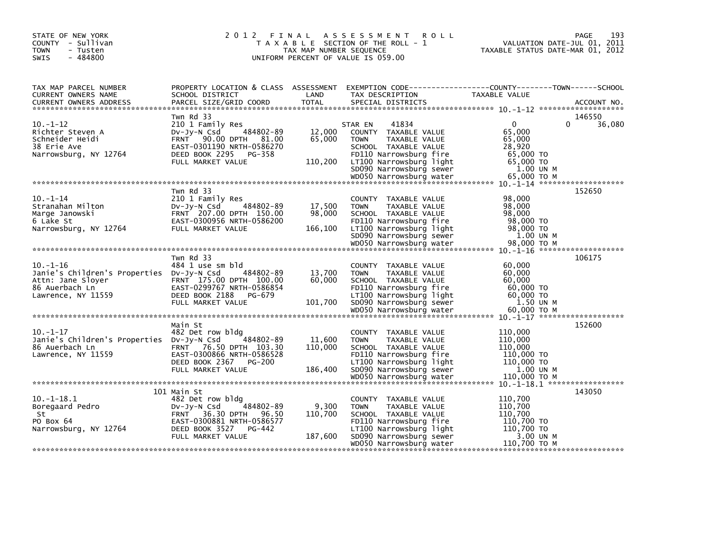| STATE OF NEW YORK<br>COUNTY - Sullivan<br><b>TOWN</b><br>- Tusten<br>$-484800$<br>SWIS                                   |                                                                                                                                                                         | TAX MAP NUMBER SEQUENCE      | 2012 FINAL ASSESSMENT<br><b>ROLL</b><br>T A X A B L E SECTION OF THE ROLL - 1<br>UNIFORM PERCENT OF VALUE IS 059.00                                                                                         | 193<br><b>PAGE</b><br>VALUATION DATE-JUL 01, 2011<br>TAXABLE STATUS DATE-MAR 01, 2012                                                   |
|--------------------------------------------------------------------------------------------------------------------------|-------------------------------------------------------------------------------------------------------------------------------------------------------------------------|------------------------------|-------------------------------------------------------------------------------------------------------------------------------------------------------------------------------------------------------------|-----------------------------------------------------------------------------------------------------------------------------------------|
| TAX MAP PARCEL NUMBER<br>CURRENT OWNERS NAME<br><b>CURRENT OWNERS ADDRESS</b>                                            | SCHOOL DISTRICT<br>PARCEL SIZE/GRID COORD                                                                                                                               | LAND<br><b>TOTAL</b>         | TAX DESCRIPTION<br>SPECIAL DISTRICTS                                                                                                                                                                        | PROPERTY LOCATION & CLASS ASSESSMENT EXEMPTION CODE----------------COUNTY-------TOWN------SCHOOL<br><b>TAXABLE VALUE</b><br>ACCOUNT NO. |
| $10. -1 - 12$<br>Richter Steven A<br>Schneider Heidi<br>38 Erie Ave<br>Narrowsburg, NY 12764                             | Twn Rd 33<br>210 1 Family Res<br>484802-89<br>$Dv$ -J $v$ -N Csd<br>FRNT 90.00 DPTH 81.00<br>EAST-0301190 NRTH-0586270<br>DEED BOOK 2295<br>PG-358<br>FULL MARKET VALUE | 12,000<br>65,000<br>110,200  | 41834<br>STAR EN<br>COUNTY TAXABLE VALUE<br>TAXABLE VALUE<br><b>TOWN</b><br>SCHOOL TAXABLE VALUE<br>FD110 Narrowsburg fire<br>LT100 Narrowsburg light<br>SD090 Narrowsburg sewer<br>WD050 Narrowsburg water | 146550<br>$\Omega$<br>0<br>36,080<br>65,000<br>65,000<br>28,920<br>65,000 TO<br>65,000 TO<br>1.00 UN M<br>65,000 TO M                   |
|                                                                                                                          |                                                                                                                                                                         |                              |                                                                                                                                                                                                             |                                                                                                                                         |
| $10. -1 - 14$<br>Stranahan Milton<br>Marge Janowski<br>6 Lake St<br>Narrowsburg, NY 12764                                | Twn Rd 33<br>210 1 Family Res<br>484802-89<br>$Dv-Jv-N$ Csd<br>FRNT 207.00 DPTH 150.00<br>EAST-0300956 NRTH-0586200<br>FULL MARKET VALUE                                | 17,500<br>98,000<br>166,100  | COUNTY TAXABLE VALUE<br><b>TOWN</b><br>TAXABLE VALUE<br>SCHOOL TAXABLE VALUE<br>FD110 Narrowsburg fire<br>LT100 Narrowsburg light<br>SD090 Narrowsburg sewer                                                | 152650<br>98,000<br>98,000<br>98,000<br>98,000 TO<br>98,000 TO<br>1.00 UN M                                                             |
|                                                                                                                          |                                                                                                                                                                         |                              |                                                                                                                                                                                                             |                                                                                                                                         |
|                                                                                                                          | Twn Rd 33                                                                                                                                                               |                              |                                                                                                                                                                                                             | 106175                                                                                                                                  |
| $10. - 1 - 16$<br>Janie's Children's Properties Dv-Jy-N Csd<br>Attn: Jane Sloyer<br>86 Auerbach Ln<br>Lawrence, NY 11559 | 484 1 use sm bld<br>484802-89<br>FRNT 175.00 DPTH 100.00<br>EAST-0299767 NRTH-0586854<br>DEED BOOK 2188<br>PG-679<br>FULL MARKET VALUE                                  | 13,700<br>60,000<br>101,700  | COUNTY TAXABLE VALUE<br><b>TOWN</b><br>TAXABLE VALUE<br>SCHOOL TAXABLE VALUE<br>FD110 Narrowsburg fire<br>LT100 Narrowsburg light<br>SD090 Narrowsburg sewer<br>WD050 Narrowsburg water                     | 60,000<br>60,000<br>60,000<br>60,000 TO<br>60,000 TO<br>1.50 UN M<br>60,000 ТО М                                                        |
|                                                                                                                          |                                                                                                                                                                         |                              |                                                                                                                                                                                                             |                                                                                                                                         |
| $10. - 1 - 17$<br>Janie's Children's Properties Dv-Jy-N Csd<br>86 Auerbach Ln<br>Lawrence, NY 11559                      | Main St<br>482 Det row bldg<br>484802-89<br>FRNT 76.50 DPTH 103.30<br>EAST-0300866 NRTH-0586528<br>DEED BOOK 2367<br>PG-200<br>FULL MARKET VALUE                        | 11,600<br>110,000<br>186,400 | COUNTY TAXABLE VALUE<br><b>TOWN</b><br>TAXABLE VALUE<br>SCHOOL TAXABLE VALUE<br>FD110 Narrowsburg fire<br>LT100 Narrowsburg light<br>SD090 Narrowsburg sewer<br>WD050 Narrowsburg water                     | 152600<br>110.000<br>110.000<br>110,000<br>110,000 TO<br>110,000 TO<br>1.00 UN M<br>110,000 TO M                                        |
|                                                                                                                          |                                                                                                                                                                         |                              |                                                                                                                                                                                                             |                                                                                                                                         |
| $10.-1-18.1$<br>Boregaard Pedro<br>St<br>PO Box 64<br>Narrowsburg, NY 12764                                              | 101 Main St<br>482 Det row bldg<br>484802-89<br>$Dv-Jv-N$ Csd<br>FRNT 36.30 DPTH 96.50<br>EAST-0300881 NRTH-0586577<br>DEED BOOK 3527<br>$PG-442$<br>FULL MARKET VALUE  | 9,300<br>110,700<br>187,600  | COUNTY TAXABLE VALUE<br>TAXABLE VALUE<br><b>TOWN</b><br>SCHOOL TAXABLE VALUE<br>FD110 Narrowsburg fire<br>LT100 Narrowsburg light<br>SD090 Narrowsburg sewer<br>WD050 Narrowsburg water                     | 143050<br>110,700<br>110,700<br>110,700<br>110,700 TO<br>110,700 TO<br>3.00 UN M<br>110,700 ТО М                                        |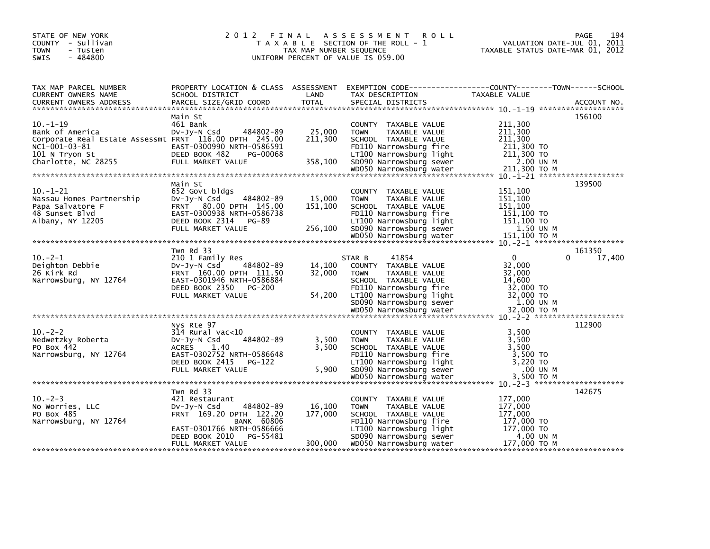| STATE OF NEW YORK<br>COUNTY - Sullivan<br><b>TOWN</b><br>- Tusten<br>$-484800$<br><b>SWIS</b>                                                         |                                                                                                                                                                   | TAX MAP NUMBER SEQUENCE      | 2012 FINAL ASSESSMENT<br><b>ROLL</b><br>T A X A B L E SECTION OF THE ROLL - 1<br>UNIFORM PERCENT OF VALUE IS 059.00                                                             | <b>PAGE</b><br>VALUATION DATE-JUL 01, 2011<br>TAXABLE STATUS DATE-MAR 01, 2012                                    | 194    |
|-------------------------------------------------------------------------------------------------------------------------------------------------------|-------------------------------------------------------------------------------------------------------------------------------------------------------------------|------------------------------|---------------------------------------------------------------------------------------------------------------------------------------------------------------------------------|-------------------------------------------------------------------------------------------------------------------|--------|
| TAX MAP PARCEL NUMBER<br>CURRENT OWNERS NAME                                                                                                          | SCHOOL DISTRICT                                                                                                                                                   | LAND                         | TAX DESCRIPTION                                                                                                                                                                 | PROPERTY LOCATION & CLASS ASSESSMENT EXEMPTION CODE----------------COUNTY-------TOWN------SCHOOL<br>TAXABLE VALUE |        |
| $10. - 1 - 19$<br>Bank of America<br>Corporate Real Estate Assessmt FRNT 116.00 DPTH 245.00<br>NC1-001-03-81<br>101 N Tryon St<br>Charlotte, NC 28255 | Main St<br>461 Bank<br>DV-Jy-N Csd<br>484802-89<br>EAST-0300990 NRTH-0586591<br>DEED BOOK 482<br>PG-00068<br>FULL MARKET VALUE                                    | 25,000<br>211,300<br>358,100 | COUNTY TAXABLE VALUE<br><b>TAXABLE VALUE</b><br><b>TOWN</b><br>SCHOOL TAXABLE VALUE<br>FD110 Narrowsburg fire<br>LT100 Narrowsburg light<br>SD090 Narrowsburg sewer             | 156100<br>211,300<br>211,300<br>211,300<br>211,300 TO<br>211,300 TO<br>2.00 UN M                                  |        |
| $10. - 1 - 21$<br>Nassau Homes Partnership<br>Papa Salvatore F<br>48 Sunset Blyd<br>Albany, NY 12205                                                  | Main St<br>652 Govt bldgs<br>484802-89<br>DV-Jy-N Csd<br>FRNT 80.00 DPTH 145.00<br>EAST-0300938 NRTH-0586738<br>DEED BOOK 2314 PG-89<br>FULL MARKET VALUE         | 15,000<br>151,100<br>256,100 | COUNTY TAXABLE VALUE<br><b>TOWN</b><br>TAXABLE VALUE<br>SCHOOL TAXABLE VALUE<br>FD110 Narrowsburg fire<br>LT100 Narrowsburg light<br>SD090 Narrowsburg sewer                    | 139500<br>151.100<br>151.100<br>151,100<br>151,100 TO<br>151.100 TO<br>1.50 UN M                                  |        |
|                                                                                                                                                       |                                                                                                                                                                   |                              |                                                                                                                                                                                 |                                                                                                                   |        |
| $10. -2 - 1$<br>Deighton Debbie<br>26 Kirk Rd<br>Narrowsburg, NY 12764                                                                                | Twn Rd 33<br>210 1 Family Res<br>484802-89<br>DV-Jy-N Csd<br>FRNT 160.00 DPTH 111.50<br>EAST-0301946 NRTH-0586884<br>DEED BOOK 2350 PG-200<br>FULL MARKET VALUE   | 14,100<br>32,000<br>54,200   | 41854<br>STAR B<br>COUNTY TAXABLE VALUE<br><b>TOWN</b><br>TAXABLE VALUE<br>SCHOOL TAXABLE VALUE<br>FD110 Narrowsburg fire<br>LT100 Narrowsburg light<br>SD090 Narrowsburg sewer | 161350<br>$\Omega$<br>0<br>32,000<br>32,000<br>14,600<br>32,000 TO<br>32,000 TO<br>1.00 UN M                      | 17,400 |
|                                                                                                                                                       | Nys Rte 97                                                                                                                                                        |                              |                                                                                                                                                                                 | 112900                                                                                                            |        |
| $10. -2 - 2$<br>Nedwetzky Roberta<br>PO Box 442<br>Narrowsburg, NY 12764                                                                              | $314$ Rural vac<10<br>484802-89<br>$Dv-Jv-N$ Csd<br><b>ACRES</b><br>1.40<br>EAST-0302752 NRTH-0586648<br>DEED BOOK 2415 PG-122<br>FULL MARKET VALUE               | 3,500<br>3,500<br>5,900      | COUNTY TAXABLE VALUE<br><b>TOWN</b><br>TAXABLE VALUE<br>SCHOOL TAXABLE VALUE<br>FD110 Narrowsburg fire<br>LT100 Narrowsburg light<br>SD090 Narrowsburg sewer                    | 3,500<br>3,500<br>3,500<br>3,500 TO<br>3,220 TO<br>.00 UN M                                                       |        |
|                                                                                                                                                       |                                                                                                                                                                   |                              |                                                                                                                                                                                 |                                                                                                                   |        |
| $10 - 2 - 3$<br>No Worries, LLC<br>PO Box 485<br>Narrowsburg, NY 12764                                                                                | Twn Rd 33<br>421 Restaurant<br>484802-89<br>$Dv-Jy-N$ Csd<br>FRNT 169.20 DPTH 122.20<br><b>BANK 60806</b><br>EAST-0301766 NRTH-0586666<br>DEED BOOK 2010 PG-55481 | 16,100<br>177,000            | COUNTY TAXABLE VALUE<br><b>TOWN</b><br>TAXABLE VALUE<br>SCHOOL TAXABLE VALUE<br>FD110 Narrowsburg fire<br>LT100 Narrowsburg light<br>SD090 Narrowsburg sewer                    | 142675<br>177,000<br>177,000<br>177,000<br>177,000 TO<br>177,000 TO<br>4.00 UN M                                  |        |
|                                                                                                                                                       | FULL MARKET VALUE                                                                                                                                                 | 300,000                      | WD050 Narrowsburg water                                                                                                                                                         | 177,000 ТО М                                                                                                      |        |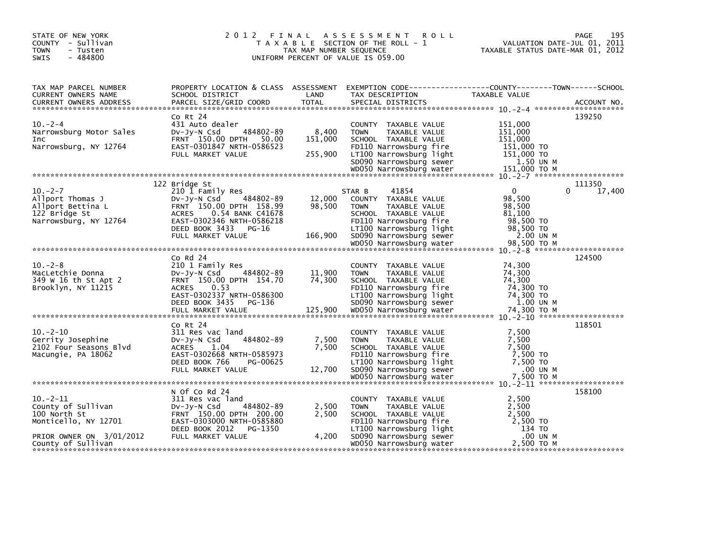| STATE OF NEW YORK<br>COUNTY - Sullivan<br><b>TOWN</b><br>- Tusten<br>$-484800$<br><b>SWIS</b>   | 2012 FINAL                                                                                                                                                                                         | TAX MAP NUMBER SEQUENCE     | A S S E S S M E N T<br><b>ROLL</b><br>T A X A B L E SECTION OF THE ROLL - 1<br>UNIFORM PERCENT OF VALUE IS 059.00                                                                                          | TAXABLE STATUS DATE-MAR 01, 2012                                                                 | 195<br>PAGE<br>VALUATION DATE-JUL 01, 2011 |
|-------------------------------------------------------------------------------------------------|----------------------------------------------------------------------------------------------------------------------------------------------------------------------------------------------------|-----------------------------|------------------------------------------------------------------------------------------------------------------------------------------------------------------------------------------------------------|--------------------------------------------------------------------------------------------------|--------------------------------------------|
| TAX MAP PARCEL NUMBER<br>CURRENT OWNERS NAME<br><b>CURRENT OWNERS ADDRESS</b>                   | PROPERTY LOCATION & CLASS ASSESSMENT<br>SCHOOL DISTRICT<br>PARCEL SIZE/GRID COORD                                                                                                                  | LAND<br><b>TOTAL</b>        | EXEMPTION CODE-----------------COUNTY-------TOWN------SCHOOL<br>TAX DESCRIPTION<br>SPECIAL DISTRICTS                                                                                                       | <b>TAXABLE VALUE</b>                                                                             | ACCOUNT NO.                                |
| $10. -2 - 4$<br>Narrowsburg Motor Sales<br>Inc<br>Narrowsburg, NY 12764                         | Co Rt 24<br>431 Auto dealer<br>484802-89<br>DV-Jy-N Csd<br>FRNT 150.00 DPTH 50.00<br>EAST-0301847 NRTH-0586523<br>FULL MARKET VALUE                                                                | 8,400<br>151,000<br>255,900 | COUNTY TAXABLE VALUE<br>TAXABLE VALUE<br><b>TOWN</b><br>SCHOOL TAXABLE VALUE<br>FD110 Narrowsburg fire<br>LT100 Narrowsburg light<br>SD090 Narrowsburg sewer                                               | 151,000<br>151,000<br>151,000<br>151,000 TO<br>151,000 TO<br>1.50 UN M                           | 139250                                     |
| $10. -2 - 7$<br>Allport Thomas J<br>Allport Bettina L<br>122 Bridge St<br>Narrowsburg, NY 12764 | 122 Bridge St<br>210 1 Family Res<br>484802-89<br>DV-Jy-N Csd<br>FRNT 150.00 DPTH 158.99<br>0.54 BANK C41678<br>ACRES<br>EAST-0302346 NRTH-0586218<br>DEED BOOK 3433<br>PG-16<br>FULL MARKET VALUE | 12,000<br>98.500<br>166,900 | 41854<br>STAR B<br>COUNTY TAXABLE VALUE<br><b>TOWN</b><br>TAXABLE VALUE<br>SCHOOL TAXABLE VALUE<br>FD110 Narrowsburg fire<br>LT100 Narrowsburg light<br>SD090 Narrowsburg sewer<br>WD050 Narrowsburg water | $\mathbf{0}$<br>98,500<br>98,500<br>81,100<br>98,500 TO<br>98,500 TO<br>2.00 UN M<br>98,500 TO M | 111350<br>17,400<br>$\Omega$               |
| $10. -2 - 8$<br>MacLetchie Donna<br>349 W 16 th St Apt 2<br>Brooklyn, NY 11215                  | $Co$ Rd $24$<br>210 1 Family Res<br>484802-89<br>DV-JY-N Csd<br>FRNT 150.00 DPTH 154.70<br>0.53<br><b>ACRES</b><br>EAST-0302337 NRTH-0586300<br>DEED BOOK 3435<br>PG-136                           | 11,900<br>74,300            | COUNTY TAXABLE VALUE<br>TAXABLE VALUE<br><b>TOWN</b><br>SCHOOL TAXABLE VALUE<br>FD110 Narrowsburg fire<br>LT100 Narrowsburg light<br>SD090 Narrowsburg sewer                                               | 74,300<br>74,300<br>74,300<br>74,300 TO<br>74,300 TO<br>1.00 UN M                                | 124500                                     |
| $10 - 2 - 10$<br>Gerrity Josephine<br>2102 Four Seasons Blvd<br>Macungie, PA 18062              | Co Rt 24<br>311 Res vac land<br>484802-89<br>$Dv-Jy-N$ Csd<br>ACRES<br>1.04<br>EAST-0302668 NRTH-0585973<br>DEED BOOK 766<br>PG-00625<br>FULL MARKET VALUE                                         | 7,500<br>7.500<br>12,700    | COUNTY TAXABLE VALUE<br>TAXABLE VALUE<br><b>TOWN</b><br>SCHOOL TAXABLE VALUE<br>FD110 Narrowsburg fire<br>LT100 Narrowsburg light<br>SD090 Narrowsburg sewer                                               | 7,500<br>7,500<br>7.500<br>7,500 TO<br>7,500 TO<br>.00 UN M                                      | 118501                                     |
| $10.-2-11$<br>County of Sullivan<br>100 North St<br>Monticello, NY 12701                        | N Of Co Rd 24<br>311 Res vac land<br>$Dv-Jv-N$ Csd<br>484802-89<br>FRNT 150.00 DPTH 200.00<br>EAST-0303000 NRTH-0585880<br>DEED BOOK 2012 PG-1350                                                  | 2,500<br>2,500              | COUNTY TAXABLE VALUE<br>TAXABLE VALUE<br><b>TOWN</b><br>SCHOOL TAXABLE VALUE<br>FD110 Narrowsburg fire<br>LT100 Narrowsburg light                                                                          | 2,500<br>2,500<br>2,500<br>2,500 TO<br>134 TO                                                    | 158100                                     |
| PRIOR OWNER ON 3/01/2012<br>County of Sullivan                                                  | FULL MARKET VALUE                                                                                                                                                                                  | 4,200                       | SD090 Narrowsburg sewer<br>WD050 Narrowsburg water                                                                                                                                                         | .00 UN M<br>2,500 TO M                                                                           |                                            |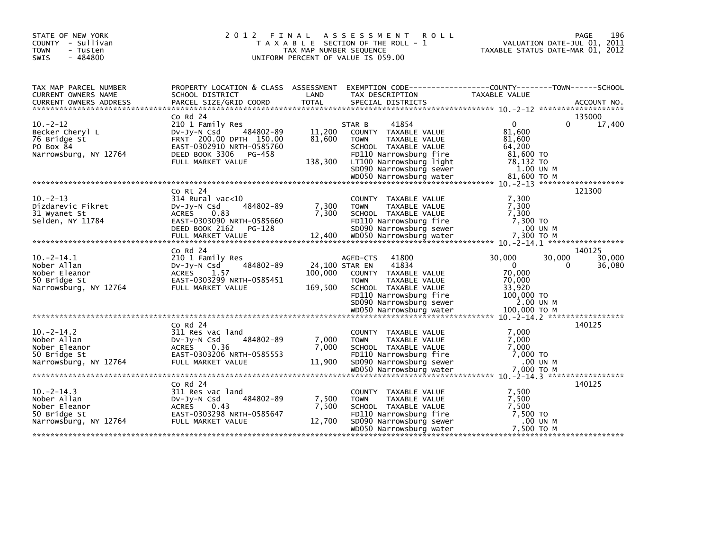| STATE OF NEW YORK<br>COUNTY - Sullivan<br><b>TOWN</b><br>- Tusten<br>$-484800$<br><b>SWIS</b>            | 2012<br>FINAL                                                                                                                                                                                                       | TAX MAP NUMBER SEQUENCE          | A S S E S S M E N T<br><b>ROLL</b><br>T A X A B L E SECTION OF THE ROLL - 1<br>UNIFORM PERCENT OF VALUE IS 059.00                                                               | VALUATION DATE-JUL 01, 2011<br>TAXABLE STATUS DATE-MAR 01, 2012                          | 196<br>PAGE                          |
|----------------------------------------------------------------------------------------------------------|---------------------------------------------------------------------------------------------------------------------------------------------------------------------------------------------------------------------|----------------------------------|---------------------------------------------------------------------------------------------------------------------------------------------------------------------------------|------------------------------------------------------------------------------------------|--------------------------------------|
| TAX MAP PARCEL NUMBER<br>CURRENT OWNERS NAME<br>CURRENT OWNERS ADDRESS                                   | PROPERTY LOCATION & CLASS ASSESSMENT<br>SCHOOL DISTRICT<br>$Co$ Rd $24$                                                                                                                                             | LAND                             | EXEMPTION CODE-----------------COUNTY-------TOWN------SCHOOL<br>TAX DESCRIPTION                                                                                                 | TAXABLE VALUE                                                                            | 135000                               |
| $10 - 2 - 12$<br>Becker Cheryl L<br>76 Bridge St<br>PO Box 84<br>Narrowsburg, NY 12764                   | 210 1 Family Res<br>$Dv-Jy-N$ Csd<br>484802-89<br>FRNT 200.00 DPTH 150.00<br>EAST-0302910 NRTH-0585760<br>DEED BOOK 3306<br>PG-458<br>FULL MARKET VALUE                                                             | 11,200<br>81,600<br>138,300      | 41854<br>STAR B<br>COUNTY TAXABLE VALUE<br><b>TOWN</b><br>TAXABLE VALUE<br>SCHOOL TAXABLE VALUE<br>FD110 Narrowsburg fire<br>LT100 Narrowsburg light<br>SD090 Narrowsburg sewer | $\Omega$<br>0<br>81,600<br>81,600<br>64,200<br>81,600 TO<br>78,132 TO<br>1.00 UN M       | 17,400                               |
|                                                                                                          |                                                                                                                                                                                                                     |                                  |                                                                                                                                                                                 |                                                                                          |                                      |
| $10 - 2 - 13$<br>Dizdarevic Fikret<br>31 Wyanet St<br>Selden, NY 11784<br>$10 - 2 - 14.1$<br>Nober Allan | $CO$ Rt $24$<br>$314$ Rural vac<10<br>484802-89<br>$Dv-Jy-N$ Csd<br><b>ACRES</b><br>0.83<br>EAST-0303090 NRTH-0585660<br>DEED BOOK 2162<br>PG-128<br>$Co$ Rd $24$<br>210 1 Family Res<br>484802-89<br>$Dv-Jy-N$ Csd | 7,300<br>7,300<br>24,100 STAR EN | COUNTY TAXABLE VALUE<br><b>TOWN</b><br>TAXABLE VALUE<br>SCHOOL TAXABLE VALUE<br>FD110 Narrowsburg fire<br>SD090 Narrowsburg sewer<br>41800<br>AGED-CTS<br>41834                 | 7,300<br>7,300<br>7,300<br>7,300 TO<br>.00 UN M<br>30,000<br>30,000<br>$\mathbf{0}$<br>0 | 121300<br>140125<br>30,000<br>36,080 |
| Nober Eleanor<br>50 Bridge St<br>Narrowsburg, NY 12764                                                   | ACRES 1.57<br>EAST-0303299 NRTH-0585451<br>FULL MARKET VALUE                                                                                                                                                        | 100,000<br>169,500               | COUNTY TAXABLE VALUE<br><b>TOWN</b><br>TAXABLE VALUE<br>SCHOOL TAXABLE VALUE<br>FD110 Narrowsburg fire<br>SD090 Narrowsburg sewer                                               | 70,000<br>70,000<br>33,920<br>100,000 TO<br>2.00 UN M                                    |                                      |
|                                                                                                          |                                                                                                                                                                                                                     |                                  |                                                                                                                                                                                 |                                                                                          |                                      |
| $10. -2 - 14.2$<br>Nober Allan<br>Nober Eleanor<br>50 Bridge St<br>Narrowsburg, NY 12764                 | $CO$ Rd $24$<br>311 Res vac land<br>$Dv-Jy-N$ Csd<br>484802-89<br><b>ACRES</b><br>0.36<br>EAST-0303206 NRTH-0585553<br>FULL MARKET VALUE                                                                            | 7,000<br>7,000<br>11,900         | <b>COUNTY</b><br>TAXABLE VALUE<br><b>TOWN</b><br>TAXABLE VALUE<br>SCHOOL TAXABLE VALUE<br>FD110 Narrowsburg fire<br>SD090 Narrowsburg sewer                                     | 7.000<br>7,000<br>7,000<br>7,000 TO<br>.00 UN M                                          | 140125                               |
|                                                                                                          |                                                                                                                                                                                                                     |                                  |                                                                                                                                                                                 |                                                                                          |                                      |
| $10 - 2 - 14.3$<br>Nober Allan<br>Nober Eleanor<br>50 Bridge St<br>Narrowsburg, NY 12764                 | $Co$ Rd $24$<br>311 Res vac land<br>484802-89<br>$Dv-Jy-N$ Csd<br>ACRES<br>0.43<br>EAST-0303298 NRTH-0585647<br>FULL MARKET VALUE                                                                                   | 7,500<br>7,500<br>12,700         | COUNTY TAXABLE VALUE<br><b>TOWN</b><br>TAXABLE VALUE<br>SCHOOL TAXABLE VALUE<br>FD110 Narrowsburg fire<br>SD090 Narrowsburg sewer<br>WD050 Narrowsburg water                    | 7,500<br>7,500<br>7,500<br>7,500 TO<br>.00 UN M<br>7,500 TO M                            | 140125                               |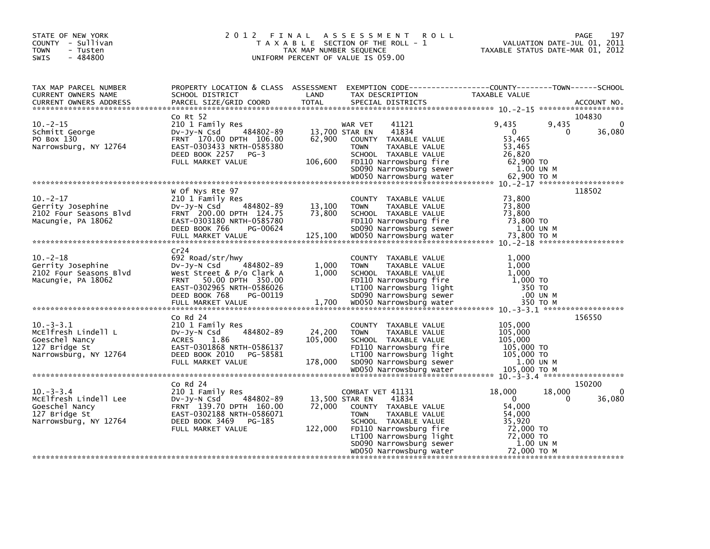| STATE OF NEW YORK<br>COUNTY - Sullivan<br><b>TOWN</b><br>- Tusten<br>- 484800<br>SWIS               | 2012 FINAL                                                                                                                                                                | TAX MAP NUMBER SEQUENCE             | A S S E S S M E N T<br><b>ROLL</b><br>T A X A B L E SECTION OF THE ROLL - 1<br>UNIFORM PERCENT OF VALUE IS 059.00                                                                         | PAGE<br>VALUATION DATE-JUL 01, 2011<br>TAXABLE STATUS DATE-MAR 01, 2012                                | 197                |
|-----------------------------------------------------------------------------------------------------|---------------------------------------------------------------------------------------------------------------------------------------------------------------------------|-------------------------------------|-------------------------------------------------------------------------------------------------------------------------------------------------------------------------------------------|--------------------------------------------------------------------------------------------------------|--------------------|
| TAX MAP PARCEL NUMBER<br>CURRENT OWNERS NAME<br>CURRENT OWNERS ADDRESS                              | PROPERTY LOCATION & CLASS ASSESSMENT<br>SCHOOL DISTRICT<br>PARCEL SIZE/GRID COORD<br>Co Rt 52                                                                             | LAND<br><b>TOTAL</b>                | TAX DESCRIPTION<br>SPECIAL DISTRICTS                                                                                                                                                      | TAXABLE VALUE<br>104830                                                                                | ACCOUNT NO.        |
| $10 - 2 - 15$<br>Schmitt George<br>PO Box 130<br>Narrowsburg, NY 12764                              | 210 1 Family Res<br>484802-89<br>DV-JV-N Csd<br>FRNT 170.00 DPTH 106.00<br>EAST-0303433 NRTH-0585380<br>DEED BOOK 2257<br>PG-3<br>FULL MARKET VALUE                       | 13,700 STAR EN<br>62,900<br>106,600 | 41121<br>WAR VET<br>41834<br>COUNTY TAXABLE VALUE<br><b>TOWN</b><br>TAXABLE VALUE<br>SCHOOL TAXABLE VALUE<br>FD110 Narrowsburg fire<br>SD090 Narrowsburg sewer<br>WD050 Narrowsburg water | 9,435<br>9,435<br>$\Omega$<br>0<br>53,465<br>53,465<br>26,820<br>62,900 TO<br>1.00 UN M<br>62.900 ТО М | 0<br>36,080        |
|                                                                                                     |                                                                                                                                                                           |                                     |                                                                                                                                                                                           |                                                                                                        |                    |
| $10 - 2 - 17$<br>Gerrity Josephine<br>2102 Four Seasons Blvd<br>Macungie, PA 18062                  | W Of Nys Rte 97<br>210 1 Family Res<br>DV-Jy-N Csd<br>484802-89<br>FRNT 200.00 DPTH 124.75<br>EAST-0303180 NRTH-0585780<br>DEED BOOK 766<br>PG-00624<br>FULL MARKET VALUE | 13,100<br>73,800<br>125,100         | COUNTY TAXABLE VALUE<br><b>TOWN</b><br>TAXABLE VALUE<br>SCHOOL TAXABLE VALUE<br>FD110 Narrowsburg fire<br>SD090 Narrowsburg sewer<br>WD050 Narrowsburg water                              | 118502<br>73,800<br>73,800<br>73,800<br>73,800 TO<br>1.00 UN M<br>73,800 TO M                          |                    |
|                                                                                                     | Cr24                                                                                                                                                                      |                                     |                                                                                                                                                                                           |                                                                                                        |                    |
| $10 - 2 - 18$<br>Gerrity Josephine<br>2102 Four Seasons Blvd<br>Macungie, PA 18062                  | 692 Road/str/hwy<br>DV-JY-N Csd<br>484802-89<br>West Street & P/o Clark A<br>50.00 DPTH 350.00<br><b>FRNT</b><br>EAST-0302965 NRTH-0586026<br>DEED BOOK 768<br>PG-00119   | 1,000<br>1,000                      | COUNTY TAXABLE VALUE<br>TAXABLE VALUE<br><b>TOWN</b><br>SCHOOL TAXABLE VALUE<br>FD110 Narrowsburg fire<br>LT100 Narrowsburg light<br>SD090 Narrowsburg sewer                              | 1,000<br>1,000<br>1,000<br>1,000 TO<br>350 TO<br>.00 UN M                                              |                    |
|                                                                                                     |                                                                                                                                                                           |                                     |                                                                                                                                                                                           |                                                                                                        |                    |
| $10. -3 - 3.1$<br>McElfresh Lindell L<br>Goeschel Nancy<br>127 Bridge St<br>Narrowsburg, NY 12764   | $CO$ Rd $24$<br>210 1 Family Res<br>484802-89<br>$Dv-Jy-N$ Csd<br><b>ACRES</b><br>1.86<br>EAST-0301868 NRTH-0586137<br>DEED BOOK 2010 PG-58581<br>FULL MARKET VALUE       | 24,200<br>105,000<br>178,000        | COUNTY TAXABLE VALUE<br><b>TAXABLE VALUE</b><br><b>TOWN</b><br>SCHOOL TAXABLE VALUE<br>FD110 Narrowsburg fire<br>LT100 Narrowsburg light<br>SD090 Narrowsburg sewer                       | 156550<br>105,000<br>105,000<br>105,000<br>105,000 TO<br>105,000 TO<br>1.00 UN M                       |                    |
|                                                                                                     | $Co$ Rd $24$                                                                                                                                                              |                                     |                                                                                                                                                                                           | 150200                                                                                                 |                    |
| $10. -3 - 3.4$<br>McElfresh Lindell Lee<br>Goeschel Nancy<br>127 Bridge St<br>Narrowsburg, NY 12764 | 210 1 Family Res<br>484802-89<br>$Dv-Jy-N$ Csd<br>FRNT 139.70 DPTH 160.00<br>EAST-0302188 NRTH-0586071<br>DEED BOOK 3469<br>PG-185<br>FULL MARKET VALUE                   | 13,500 STAR EN<br>72,000<br>122,000 | COMBAT VET 41131<br>41834<br>COUNTY TAXABLE VALUE<br><b>TOWN</b><br>TAXABLE VALUE<br>SCHOOL TAXABLE VALUE<br>FD110 Narrowsburg fire<br>LT100 Narrowsburg light                            | 18,000<br>18,000<br>$\Omega$<br>0<br>54,000<br>54,000<br>35,920<br>72,000 TO<br>72,000 TO              | $\Omega$<br>36,080 |
|                                                                                                     |                                                                                                                                                                           |                                     | SD090 Narrowsburg sewer<br>WD050 Narrowsburg water                                                                                                                                        | 1.00 UN M<br>72,000 TO M                                                                               |                    |
|                                                                                                     |                                                                                                                                                                           |                                     |                                                                                                                                                                                           |                                                                                                        |                    |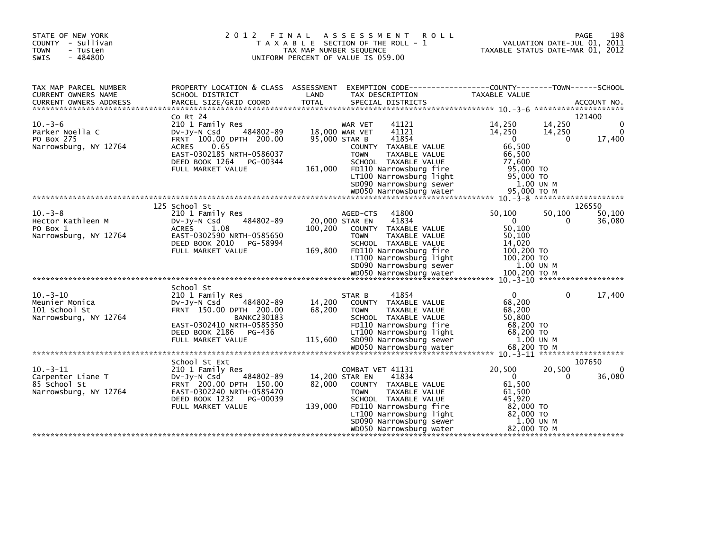| STATE OF NEW YORK<br>COUNTY - Sullivan<br><b>TOWN</b><br>- Tusten<br>$-484800$<br>SWIS | 2 0 1 2<br>FINAL                                                                                                                                                                            | TAX MAP NUMBER SEQUENCE                    | A S S E S S M E N T<br><b>ROLL</b><br>T A X A B L E SECTION OF THE ROLL - 1<br>UNIFORM PERCENT OF VALUE IS 059.00                                                                                                    |                                                                                                        | PAGE<br>VALUATION DATE-JUL 01, 2011<br>TAXABLE STATUS DATE-MAR 01, 2012 | 198                     |
|----------------------------------------------------------------------------------------|---------------------------------------------------------------------------------------------------------------------------------------------------------------------------------------------|--------------------------------------------|----------------------------------------------------------------------------------------------------------------------------------------------------------------------------------------------------------------------|--------------------------------------------------------------------------------------------------------|-------------------------------------------------------------------------|-------------------------|
| TAX MAP PARCEL NUMBER<br>CURRENT OWNERS NAME<br>CURRENT OWNERS ADDRESS                 | PROPERTY LOCATION & CLASS ASSESSMENT<br>SCHOOL DISTRICT                                                                                                                                     | LAND                                       | EXEMPTION CODE-----------------COUNTY-------TOWN------SCHOOL<br>TAX DESCRIPTION                                                                                                                                      | TAXABLE VALUE                                                                                          |                                                                         |                         |
| $10. -3 - 6$<br>Parker Noella C<br>PO Box 275<br>Narrowsburg, NY 12764                 | Co Rt 24<br>210 1 Family Res<br>484802-89<br>Dv-Jy-N Csd<br>FRNT 100.00 DPTH 200.00<br><b>ACRES</b><br>0.65<br>EAST-0302185 NRTH-0586037<br>DEED BOOK 1264<br>PG-00344<br>FULL MARKET VALUE | 18,000 WAR VET<br>95,000 STAR B<br>161,000 | WAR VET<br>41121<br>41121<br>41854<br>COUNTY TAXABLE VALUE<br><b>TOWN</b><br>TAXABLE VALUE<br>SCHOOL TAXABLE VALUE<br>FD110 Narrowsburg fire<br>LT100 Narrowsburg light<br>SD090 Narrowsburg sewer                   | 14,250<br>14,250<br>$\Omega$<br>66,500<br>66,500<br>77,600<br>95,000 TO<br>95,000 TO<br>1.00 UN M      | 121400<br>14,250<br>14,250<br>$\Omega$                                  | 0<br>$\Omega$<br>17,400 |
| $10. -3 - 8$<br>Hector Kathleen M<br>PO Box 1<br>Narrowsburg, NY 12764                 | 125 School St<br>210 1 Family Res<br>484802-89<br>$Dv-Jy-N$ Csd<br><b>ACRES</b><br>1.08<br>EAST-0302590 NRTH-0585650<br>DEED BOOK 2010<br>PG-58994<br>FULL MARKET VALUE                     | 20,000 STAR EN<br>100,200<br>169,800       | 41800<br>AGED-CTS<br>41834<br>COUNTY TAXABLE VALUE<br><b>TOWN</b><br>TAXABLE VALUE<br>SCHOOL TAXABLE VALUE<br>FD110 Narrowsburg fire<br>LT100 Narrowsburg light<br>SD090 Narrowsburg sewer                           | 50,100<br>$\mathbf{0}$<br>50.100<br>50,100<br>14,020<br>100,200 TO<br>$100,200$ TO<br>1.00 UN M        | 126550<br>50,100<br>$\Omega$                                            | 50,100<br>36,080        |
| $10.-3-10$<br>Meunier Monica<br>101 School St<br>Narrowsburg, NY 12764                 | School St<br>210 1 Family Res<br>$Dv-Jv-N$ Csd<br>484802-89<br>FRNT 150.00 DPTH 200.00<br><b>BANKC230183</b><br>EAST-0302410 NRTH-0585350<br>DEED BOOK 2186<br>PG-436<br>FULL MARKET VALUE  | 14,200<br>68,200<br>115,600                | 41854<br>STAR B<br>COUNTY TAXABLE VALUE<br>TAXABLE VALUE<br><b>TOWN</b><br>SCHOOL TAXABLE VALUE<br>FD110 Narrowsburg fire<br>LT100 Narrowsburg light<br>SD090 Narrowsburg sewer                                      | $\Omega$<br>68,200<br>68,200<br>50,800<br>68,200 TO<br>68,200 TO<br>1.00 UN M                          | $\Omega$                                                                | 17,400                  |
| $10. -3 - 11$<br>Carpenter Liane T<br>85 School St<br>Narrowsburg, NY 12764            | School St Ext<br>210 1 Family Res<br>DV-Jy-N Csd<br>484802-89<br>FRNT 200.00 DPTH 150.00<br>EAST-0302240 NRTH-0585470<br>DEED BOOK 1232<br>PG-00039<br>FULL MARKET VALUE                    | 14,200 STAR EN<br>82,000<br>139,000        | COMBAT VET 41131<br>41834<br>COUNTY TAXABLE VALUE<br><b>TOWN</b><br>TAXABLE VALUE<br>SCHOOL TAXABLE VALUE<br>FD110 Narrowsburg fire<br>LT100 Narrowsburg light<br>SD090 Narrowsburg sewer<br>WD050 Narrowsburg water | 20,500<br>$\Omega$<br>61,500<br>61,500<br>45,920<br>82,000 TO<br>82,000 TO<br>1.00 UN M<br>82,000 ТО М | 107650<br>20,500<br>0                                                   | 0<br>36,080             |
|                                                                                        |                                                                                                                                                                                             |                                            |                                                                                                                                                                                                                      |                                                                                                        |                                                                         |                         |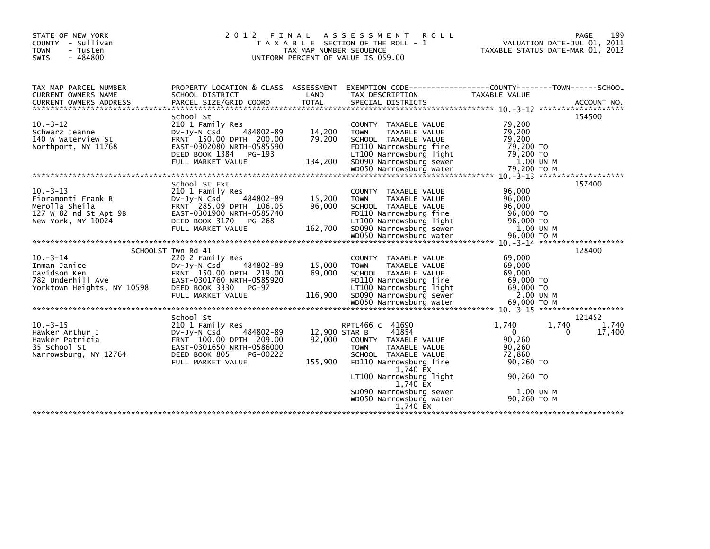| STATE OF NEW YORK<br>COUNTY - Sullivan<br><b>TOWN</b><br>- Tusten<br>$-484800$<br><b>SWIS</b>        | 2 0 1 2                                                                                                                                                               | FINAL<br>TAX MAP NUMBER SEQUENCE   | A S S E S S M E N T<br><b>ROLL</b><br>T A X A B L E SECTION OF THE ROLL - 1<br>UNIFORM PERCENT OF VALUE IS 059.00                                                      | VALUATION DATE-JUL 01, 2011<br>TAXABLE STATUS DATE-MAR 01, 2012           | 199<br>PAGE          |
|------------------------------------------------------------------------------------------------------|-----------------------------------------------------------------------------------------------------------------------------------------------------------------------|------------------------------------|------------------------------------------------------------------------------------------------------------------------------------------------------------------------|---------------------------------------------------------------------------|----------------------|
| TAX MAP PARCEL NUMBER<br>CURRENT OWNERS NAME<br><b>CURRENT OWNERS ADDRESS</b>                        | PROPERTY LOCATION & CLASS ASSESSMENT<br>SCHOOL DISTRICT<br>PARCEL SIZE/GRID COORD                                                                                     | LAND<br><b>TOTAL</b>               | EXEMPTION CODE-----------------COUNTY-------TOWN------SCHOOL<br>TAX DESCRIPTION<br>SPECIAL DISTRICTS                                                                   | TAXABLE VALUE                                                             | ACCOUNT NO.          |
| $10 - 3 - 12$<br>Schwarz Jeanne<br>140 W Waterview St<br>Northport, NY 11768                         | School St<br>210 1 Family Res<br>484802-89<br>$Dv-Jy-N$ Csd<br>FRNT 150.00 DPTH 200.00<br>EAST-0302080 NRTH-0585590<br>DEED BOOK 1384<br>PG-193<br>FULL MARKET VALUE  | 14,200<br>79,200<br>134,200        | <b>COUNTY</b><br>TAXABLE VALUE<br>TAXABLE VALUE<br><b>TOWN</b><br>SCHOOL TAXABLE VALUE<br>FD110 Narrowsburg fire<br>LT100 Narrowsburg light<br>SD090 Narrowsburg sewer | 79,200<br>79,200<br>79,200<br>79,200 TO<br>79,200 TO<br>1.00 UN M         | 154500               |
|                                                                                                      |                                                                                                                                                                       |                                    |                                                                                                                                                                        |                                                                           |                      |
| $10 - 3 - 13$<br>Fioramonti Frank R<br>Merolla Sheila<br>127 W 82 nd St Apt 9B<br>New York, NY 10024 | School St Ext<br>210 1 Family Res<br>$Dv-Jy-N$ Csd<br>484802-89<br>FRNT 285.09 DPTH 106.05<br>EAST-0301900 NRTH-0585740<br>DEED BOOK 3170 PG-268<br>FULL MARKET VALUE | 15,200<br>96,000<br>162,700        | TAXABLE VALUE<br><b>COUNTY</b><br><b>TOWN</b><br>TAXABLE VALUE<br>SCHOOL TAXABLE VALUE<br>FD110 Narrowsburg fire<br>LT100 Narrowsburg light<br>SD090 Narrowsburg sewer | 96.000<br>96,000<br>96,000<br>96,000 TO<br>96,000 TO<br>1.00 UN M         | 157400               |
|                                                                                                      | SCHOOLST Twn Rd 41                                                                                                                                                    |                                    |                                                                                                                                                                        |                                                                           | 128400               |
| $10 - 3 - 14$<br>Inman Janice<br>Davidson Ken<br>782 Underhill Ave<br>Yorktown Heights, NY 10598     | 220 2 Family Res<br>484802-89<br>$Dv-Jy-N$ Csd<br>FRNT 150.00 DPTH 219.00<br>EAST-0301760 NRTH-0585920<br>DEED BOOK 3330<br>PG-97<br>FULL MARKET VALUE                | 15,000<br>69,000<br>116,900        | TAXABLE VALUE<br><b>COUNTY</b><br>TAXABLE VALUE<br><b>TOWN</b><br>SCHOOL TAXABLE VALUE<br>FD110 Narrowsburg fire<br>LT100 Narrowsburg light<br>SD090 Narrowsburg sewer | 69,000<br>69,000<br>69,000<br>69,000 TO<br>69.000 TO<br>2.00 UN M         |                      |
|                                                                                                      | School St                                                                                                                                                             |                                    |                                                                                                                                                                        |                                                                           | 121452               |
| $10. -3 - 15$<br>Hawker Arthur J<br>Hawker Patricia<br>35 School St<br>Narrowsburg, NY 12764         | 210 1 Family Res<br>484802-89<br>$Dv-Jy-N$ Csd<br>FRNT 100.00 DPTH 209.00<br>EAST-0301650 NRTH-0586000<br>DEED BOOK 805<br>PG-00222<br>FULL MARKET VALUE              | 12,900 STAR B<br>92.000<br>155,900 | RPTL466 c 41690<br>41854<br>TAXABLE VALUE<br><b>COUNTY</b><br><b>TAXABLE VALUE</b><br><b>TOWN</b><br>SCHOOL TAXABLE VALUE<br>FD110 Narrowsburg fire<br>1,740 EX        | 1.740<br>1,740<br>$\mathbf{0}$<br>90,260<br>90.260<br>72.860<br>90,260 TO | 1,740<br>17,400<br>0 |
|                                                                                                      |                                                                                                                                                                       |                                    | LT100 Narrowsburg light<br>1.740 EX<br>SD090 Narrowsburg sewer<br>WD050 Narrowsburg water<br>1.740 EX                                                                  | 90.260 TO<br>1.00 UN M<br>90,260 ТО М                                     |                      |
|                                                                                                      |                                                                                                                                                                       |                                    |                                                                                                                                                                        |                                                                           |                      |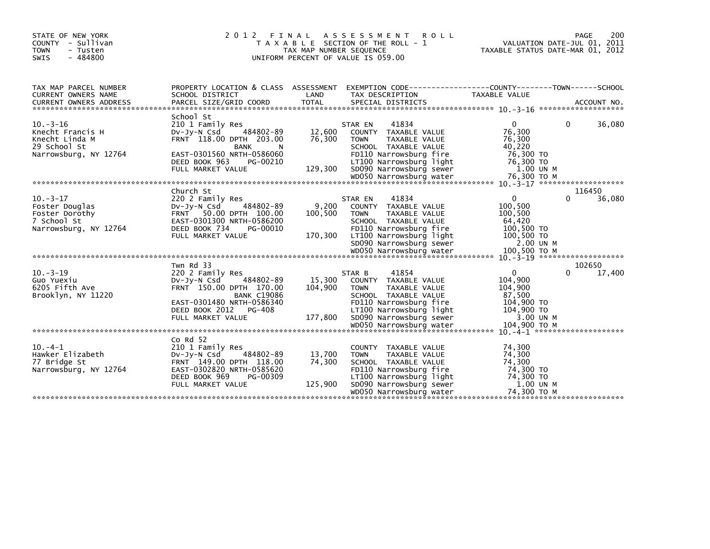| STATE OF NEW YORK<br>COUNTY - Sullivan<br><b>TOWN</b><br>- Tusten<br>$-484800$<br><b>SWIS</b> | 2 0 1 2                                                                                                                                                                                    | FINAL<br>TAX MAP NUMBER SEQUENCE | A S S E S S M E N T<br><b>ROLL</b><br>T A X A B L E SECTION OF THE ROLL - 1<br>UNIFORM PERCENT OF VALUE IS 059.00                                                                       |                                                                                       | 200<br>PAGE<br>VALUATION DATE-JUL 01, 2011<br>TAXABLE STATUS DATE-MAR 01, 2012 |
|-----------------------------------------------------------------------------------------------|--------------------------------------------------------------------------------------------------------------------------------------------------------------------------------------------|----------------------------------|-----------------------------------------------------------------------------------------------------------------------------------------------------------------------------------------|---------------------------------------------------------------------------------------|--------------------------------------------------------------------------------|
| TAX MAP PARCEL NUMBER<br><b>CURRENT OWNERS NAME</b>                                           | PROPERTY LOCATION & CLASS ASSESSMENT EXEMPTION CODE----------------COUNTY-------TOWN-----SCHOOL<br>SCHOOL DISTRICT                                                                         | LAND                             | TAX DESCRIPTION                                                                                                                                                                         | <b>TAXABLE VALUE</b>                                                                  | ACCOUNT NO.                                                                    |
| $10. -3 - 16$<br>Knecht Francis H<br>Knecht Linda M<br>29 School St<br>Narrowsburg, NY 12764  | School St<br>210 1 Family Res<br>484802-89<br>$Dv-Jv-N$ Csd<br>FRNT 118.00 DPTH 203.00<br><b>BANK</b><br>N.<br>EAST-0301560 NRTH-0586060<br>DEED BOOK 963<br>PG-00210<br>FULL MARKET VALUE | 12,600<br>76,300<br>129,300      | 41834<br>STAR EN<br>COUNTY TAXABLE VALUE<br><b>TOWN</b><br>TAXABLE VALUE<br>SCHOOL TAXABLE VALUE<br>FD110 Narrowsburg fire<br>LT100 Narrowsburg light<br>SD090 Narrowsburg sewer        | $\Omega$<br>76,300<br>76,300<br>40,220<br>76,300 TO<br>76,300 TO<br>1.00 UN M         | 36,080<br>$\Omega$                                                             |
|                                                                                               |                                                                                                                                                                                            |                                  |                                                                                                                                                                                         |                                                                                       |                                                                                |
| $10. -3 - 17$<br>Foster Douglas<br>Foster Dorothy<br>7 School St<br>Narrowsburg, NY 12764     | Church St<br>220 2 Family Res<br>484802-89<br>DV-JV-N Csd<br>FRNT 50.00 DPTH 100.00<br>EAST-0301300 NRTH-0586200<br>DEED BOOK 734<br>PG-00010<br>FULL MARKET VALUE                         | 9,200<br>100,500<br>170,300      | 41834<br>STAR EN<br>COUNTY TAXABLE VALUE<br><b>TOWN</b><br>TAXABLE VALUE<br>SCHOOL TAXABLE VALUE<br>FD110 Narrowsburg fire<br>LT100 Narrowsburg light<br>SD090 Narrowsburg sewer        | 0<br>100,500<br>100,500<br>64,420<br>100,500 TO<br>100,500 TO<br>2.00 UN M            | 116450<br>36,080                                                               |
| $10. -3 - 19$<br>Guo Yuexiu<br>6205 Fifth Ave<br>Brooklyn, NY 11220                           | Twn Rd 33<br>220 2 Family Res<br>$Dv-Jv-N$ Csd<br>484802-89<br>FRNT 150.00 DPTH 170.00<br><b>BANK C19086</b><br>EAST-0301480 NRTH-0586340<br>DEED BOOK 2012 PG-408<br>FULL MARKET VALUE    | 15,300<br>104,900<br>177,800     | 41854<br>STAR B<br>COUNTY TAXABLE VALUE<br>TAXABLE VALUE<br><b>TOWN</b><br>SCHOOL TAXABLE VALUE<br>FD110 Narrowsburg fire<br>LT100 Narrowsburg light<br>SD090 Narrowsburg sewer         | $\mathbf{0}$<br>104,900<br>104,900<br>87,500<br>104,900 TO<br>104,900 TO<br>3.00 UN M | 102650<br>17,400<br>$\Omega$                                                   |
| $10. -4 - 1$<br>Hawker Elizabeth<br>77 Bridge St<br>Narrowsburg, NY 12764                     | Co Rd 52<br>210 1 Family Res<br>484802-89<br>DV-JY-N Csd<br>FRNT 149.00 DPTH 118.00<br>EAST-0302820 NRTH-0585620<br>DEED BOOK 969<br>PG-00309<br>FULL MARKET VALUE                         | 13,700<br>74,300<br>125,900      | COUNTY TAXABLE VALUE<br>TAXABLE VALUE<br><b>TOWN</b><br>SCHOOL TAXABLE VALUE<br>FD110 Narrowsburg fire<br>LT100 Narrowsburg light<br>SD090 Narrowsburg sewer<br>WD050 Narrowsburg water | 74,300<br>74,300<br>74,300<br>74,300 TO<br>74,300 TO<br>1.00 UN M<br>74,300 ТО М      |                                                                                |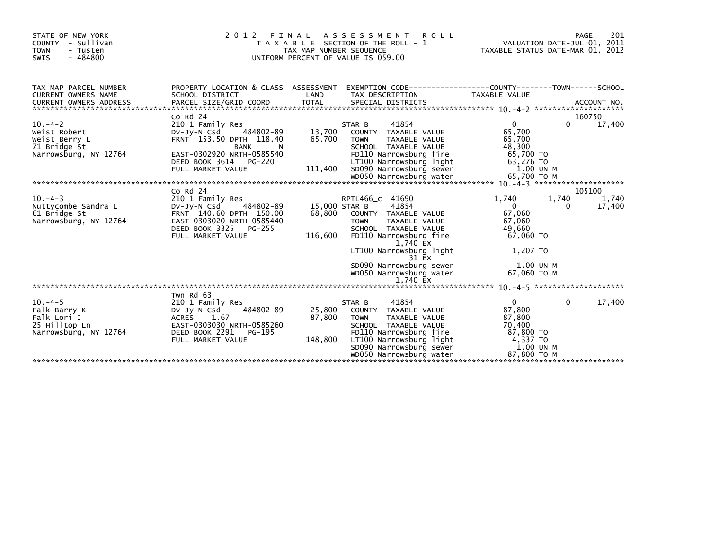| 2 0 1 2                                                                                                                                                            |                               |                                                                                                                                                                                                                                                      |                                                                                                                                                                                                |                                         | 201<br>PAGE                                                                                                                                                                                                                                                                 |
|--------------------------------------------------------------------------------------------------------------------------------------------------------------------|-------------------------------|------------------------------------------------------------------------------------------------------------------------------------------------------------------------------------------------------------------------------------------------------|------------------------------------------------------------------------------------------------------------------------------------------------------------------------------------------------|-----------------------------------------|-----------------------------------------------------------------------------------------------------------------------------------------------------------------------------------------------------------------------------------------------------------------------------|
| SCHOOL DISTRICT                                                                                                                                                    | LAND                          | TAX DESCRIPTION                                                                                                                                                                                                                                      | TAXABLE VALUE                                                                                                                                                                                  |                                         |                                                                                                                                                                                                                                                                             |
| $Co$ Rd $24$                                                                                                                                                       |                               |                                                                                                                                                                                                                                                      |                                                                                                                                                                                                |                                         | 160750                                                                                                                                                                                                                                                                      |
| 484802-89<br>DV-Jy-N Csd<br>FRNT 153.50 DPTH 118.40<br><b>BANK</b><br>N<br>EAST-0302920 NRTH-0585540<br>DEED BOOK 3614 PG-220<br>FULL MARKET VALUE                 | 13,700<br>65,700              | COUNTY TAXABLE VALUE<br>TAXABLE VALUE<br><b>TOWN</b><br>SCHOOL TAXABLE VALUE<br>FD110 Narrowsburg fire<br>LT100 Narrowsburg light<br>SD090 Narrowsburg sewer                                                                                         | 65,700<br>65,700<br>48,300                                                                                                                                                                     | $\Omega$                                | 17,400                                                                                                                                                                                                                                                                      |
|                                                                                                                                                                    |                               |                                                                                                                                                                                                                                                      |                                                                                                                                                                                                |                                         |                                                                                                                                                                                                                                                                             |
| $Co$ Rd $24$<br>210 1 Family Res<br>484802-89<br>DV-Jy-N Csd<br>FRNT 140.60 DPTH 150.00<br>EAST-0303020 NRTH-0585440<br>DEED BOOK 3325 PG-255<br>FULL MARKET VALUE | 68,800                        | RPTL466_C 41690<br>41854<br>COUNTY TAXABLE VALUE<br><b>TOWN</b><br>TAXABLE VALUE<br>SCHOOL TAXABLE VALUE<br>FD110 Narrowsburg fire<br>1,740 EX<br>LT100 Narrowsburg light<br>31 EX<br>SD090 Narrowsburg sewer<br>WD050 Narrowsburg water<br>1,740 EX | 1,740<br>$\mathbf{0}$<br>67,060<br>67,060<br>49,660<br>67,060 TO<br>1,207 TO                                                                                                                   |                                         | 105100<br>1,740<br>17,400                                                                                                                                                                                                                                                   |
|                                                                                                                                                                    |                               |                                                                                                                                                                                                                                                      |                                                                                                                                                                                                |                                         |                                                                                                                                                                                                                                                                             |
| 210 1 Family Res<br>484802-89<br>DV-Jy-N Csd<br>ACRES 1.67<br>EAST-0303030 NRTH-0585260<br>DEED BOOK 2291<br>PG-195<br>FULL MARKET VALUE                           | 25,800<br>87,800              | 41854<br>STAR B<br>COUNTY TAXABLE VALUE<br><b>TOWN</b><br>TAXABLE VALUE<br>SCHOOL TAXABLE VALUE<br>FD110 Narrowsburg fire<br>LT100 Narrowsburg light<br>SD090 Narrowsburg sewer<br>WD050 Narrowsburg water                                           | $\overline{0}$<br>87,800<br>87,800<br>70,400                                                                                                                                                   | 0                                       | 17,400                                                                                                                                                                                                                                                                      |
|                                                                                                                                                                    | 210 1 Family Res<br>Twn Rd 63 | FINAL                                                                                                                                                                                                                                                | ASSESSMENT ROLL<br>T A X A B L E SECTION OF THE ROLL - 1<br>TAX MAP NUMBER SEQUENCE<br>UNIFORM PERCENT OF VALUE IS 059.00<br>41854<br>STAR B<br>111,400<br>15,000 STAR B<br>116,600<br>148,800 | $\overline{0}$<br>87,800 TO<br>4,337 TO | VALUATION DATE-JUL 01, 2011<br>TAXABLE STATUS DATE-MAR 01, 2012<br>PROPERTY LOCATION & CLASS ASSESSMENT EXEMPTION CODE----------------COUNTY-------TOWN------SCHOOL<br>65,700 TO<br>63,276 TO<br>1.00 UN M<br>1,740<br>1.00 UN M<br>67.060 ТО М<br>1.00 UN M<br>87,800 ТО М |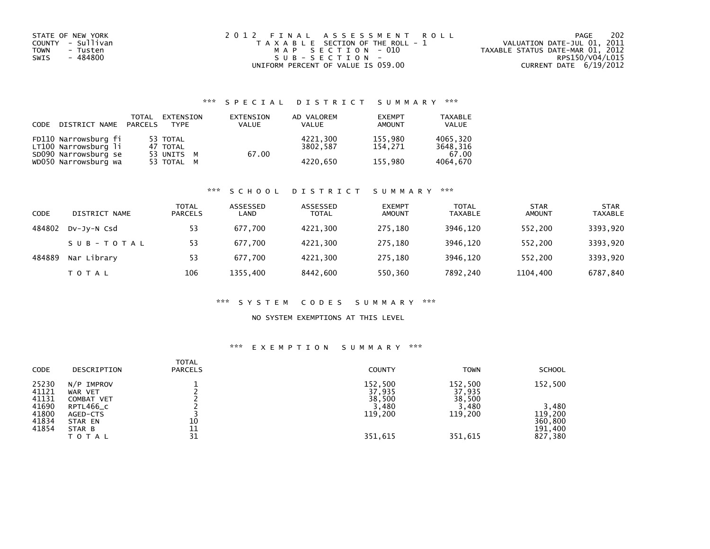| STATE OF NEW YORK       | 2012 FINAL ASSESSMENT ROLL            | 202<br>PAGE                      |
|-------------------------|---------------------------------------|----------------------------------|
| COUNTY - Sullivan       | T A X A B L E SECTION OF THE ROLL - 1 | VALUATION DATE-JUL 01, 2011      |
| <b>TOWN</b><br>- Tusten | MAP SECTION - 010                     | TAXABLE STATUS DATE-MAR 01, 2012 |
| - 484800<br>SWIS        | SUB-SECTION-                          | RPS150/V04/L015                  |
|                         | UNIFORM PERCENT OF VALUE IS 059.00    | CURRENT DATE 6/19/2012           |

# \*\*\* S P E C I A L D I S T R I C T S U M M A R Y \*\*\*

| CODE | DISTRICT NAME PARCELS                        | TOTAL | EXTENSION<br><b>TYPE</b> | EXTENSION<br><b>VALUE</b> | AD VALOREM<br><b>VALUE</b> | <b>EXEMPT</b><br><b>AMOUNT</b> | <b>TAXABLE</b><br>VALUE |
|------|----------------------------------------------|-------|--------------------------|---------------------------|----------------------------|--------------------------------|-------------------------|
|      | FD110 Narrowsburg fi<br>LT100 Narrowsburg li |       | 53 TOTAL<br>47 TOTAL     |                           | 4221.300<br>3802.587       | 155.980<br>154.271             | 4065.320<br>3648.316    |
|      | SD090 Narrowsburg se<br>WD050 Narrowsburg wa |       | 53 UNITS M<br>53 TOTAL M | 67.00                     | 4220.650                   | 155,980                        | 67.00<br>4064,670       |

### \*\*\* S C H O O L D I S T R I C T S U M M A R Y \*\*\*

| CODE   | DISTRICT NAME | <b>TOTAL</b><br><b>PARCELS</b> | ASSESSED<br>LAND | ASSESSED<br><b>TOTAL</b> | <b>EXEMPT</b><br><b>AMOUNT</b> | <b>TOTAL</b><br><b>TAXABLE</b> | <b>STAR</b><br><b>AMOUNT</b> | <b>STAR</b><br><b>TAXABLE</b> |
|--------|---------------|--------------------------------|------------------|--------------------------|--------------------------------|--------------------------------|------------------------------|-------------------------------|
| 484802 | DV-JY-N Csd   | 53                             | 677.700          | 4221.300                 | 275.180                        | 3946.120                       | 552.200                      | 3393,920                      |
|        | SUB-TOTAL     | 53                             | 677.700          | 4221.300                 | 275.180                        | 3946.120                       | 552.200                      | 3393,920                      |
| 484889 | Nar Library   | 53                             | 677.700          | 4221,300                 | 275.180                        | 3946.120                       | 552.200                      | 3393,920                      |
|        | T O T A L     | 106                            | 1355,400         | 8442,600                 | 550,360                        | 7892,240                       | 1104,400                     | 6787,840                      |

### \*\*\* S Y S T E M C O D E S S U M M A R Y \*\*\*

### NO SYSTEM EXEMPTIONS AT THIS LEVEL

# \*\*\* E X E M P T I O N S U M M A R Y \*\*\*

| <b>CODE</b>             | DESCRIPTION                           | <b>TOTAL</b><br><b>PARCELS</b> | <b>COUNTY</b>               | <b>TOWN</b>                 | <b>SCHOOL</b>                 |
|-------------------------|---------------------------------------|--------------------------------|-----------------------------|-----------------------------|-------------------------------|
| 25230<br>41121<br>41131 | $N/P$ IMPROV<br>WAR VET<br>COMBAT VET |                                | 152,500<br>37,935<br>38,500 | 152,500<br>37,935<br>38,500 | 152,500                       |
| 41690                   | RPTL466_C                             |                                | 3,480                       | 3,480                       | 3,480                         |
| 41800<br>41834<br>41854 | AGED-CTS<br>STAR EN<br>STAR B         | 10<br>11                       | 119,200                     | 119,200                     | 119,200<br>360,800<br>191,400 |
|                         | <b>TOTAL</b>                          | 31                             | 351,615                     | 351,615                     | 827,380                       |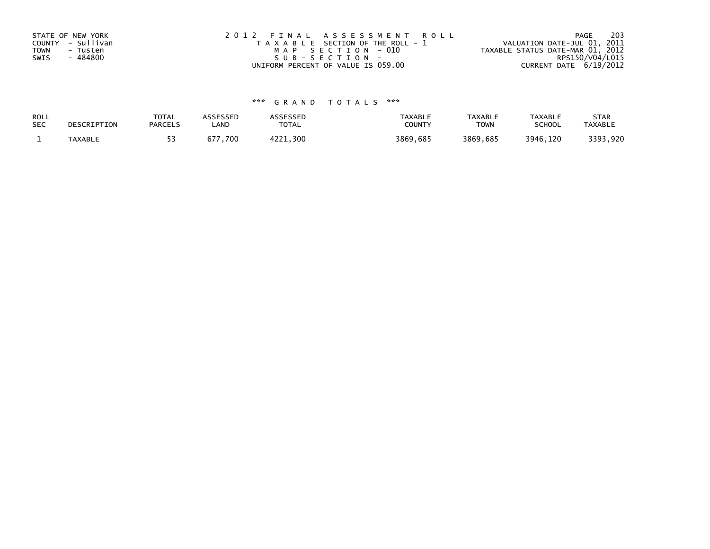| STATE OF NEW YORK<br>COUNTY - Sullivan<br><b>TOWN</b><br>- Tusten<br>- 484800<br>SWIS | 2012 FINAL ASSESSMENT ROLL<br>T A X A B L E SECTION OF THE ROLL - 1<br>MAP SECTION - 010<br>$SUB - SECTION -$ | 203<br>PAGE<br>VALUATION DATE-JUL 01, 2011<br>TAXABLE STATUS DATE-MAR 01, 2012<br>RPS150/V04/L015 |
|---------------------------------------------------------------------------------------|---------------------------------------------------------------------------------------------------------------|---------------------------------------------------------------------------------------------------|
|                                                                                       | UNIFORM PERCENT OF VALUE IS 059.00                                                                            | CURRENT DATE $6/19/2012$                                                                          |

# \*\*\* G R A N D T O T A L S \*\*\*

| ROLL       | DESCRIPTION    | <b>TOTAL</b>   | <b>ASSESSED</b> | <b>\SSESSED</b> | <b>TAXABLE</b> | <b>TAXABLE</b> | <b>TAXABLE</b> | <b>STAR</b>    |
|------------|----------------|----------------|-----------------|-----------------|----------------|----------------|----------------|----------------|
| <b>SEC</b> |                | <b>PARCELS</b> | LAND            | <b>TOTAL</b>    | COUNTY         | <b>TOWN</b>    | <b>SCHOOL</b>  | <b>TAXABLE</b> |
|            | <b>TAXABLE</b> |                | 677,700         | 4221.300        | 3869,685       | 3869,685       | 3946.120       | 3393,920       |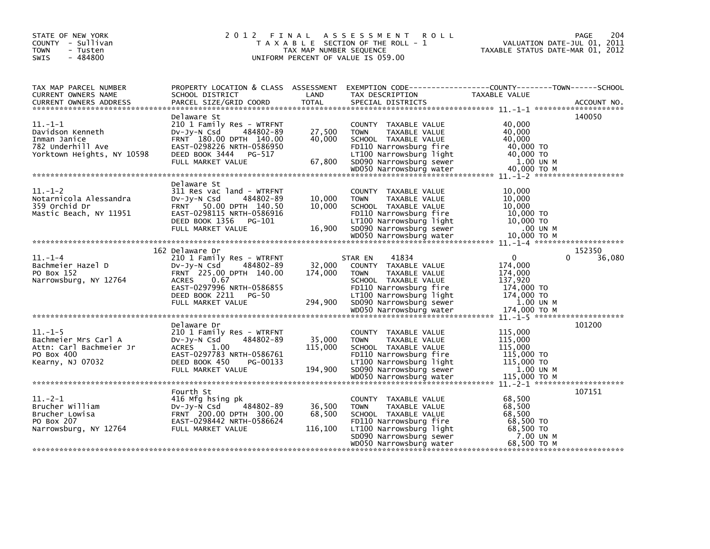| STATE OF NEW YORK<br>COUNTY - Sullivan<br><b>TOWN</b><br>- Tusten<br>$-484800$<br><b>SWIS</b>        | 2012 FINAL                                                                                                                                                                                         | TAX MAP NUMBER SEQUENCE      | A S S E S S M E N T<br><b>ROLL</b><br>T A X A B L E SECTION OF THE ROLL - 1<br>UNIFORM PERCENT OF VALUE IS 059.00                                                                                           | VALUATION DATE-JUL 01, 2011<br>TAXABLE STATUS DATE-MAR 01, 2012                                                   | 204<br>PAGE      |
|------------------------------------------------------------------------------------------------------|----------------------------------------------------------------------------------------------------------------------------------------------------------------------------------------------------|------------------------------|-------------------------------------------------------------------------------------------------------------------------------------------------------------------------------------------------------------|-------------------------------------------------------------------------------------------------------------------|------------------|
| TAX MAP PARCEL NUMBER<br>CURRENT OWNERS NAME<br><b>CURRENT OWNERS ADDRESS</b>                        | SCHOOL DISTRICT<br>PARCEL SIZE/GRID COORD                                                                                                                                                          | LAND<br><b>TOTAL</b>         | TAX DESCRIPTION<br>SPECIAL DISTRICTS                                                                                                                                                                        | PROPERTY LOCATION & CLASS ASSESSMENT EXEMPTION CODE----------------COUNTY-------TOWN------SCHOOL<br>TAXABLE VALUE | ACCOUNT NO.      |
| $11. - 1 - 1$<br>Davidson Kenneth<br>Inman Janice<br>782 Underhill Ave<br>Yorktown Heights, NY 10598 | Delaware St<br>210 1 Family Res - WTRFNT<br>484802-89<br>DV-JY-N Csd<br>FRNT 180.00 DPTH 140.00<br>EAST-0298226 NRTH-0586950<br>DEED BOOK 3444 PG-517<br>FULL MARKET VALUE                         | 27,500<br>40,000<br>67,800   | COUNTY TAXABLE VALUE<br><b>TOWN</b><br>TAXABLE VALUE<br>SCHOOL TAXABLE VALUE<br>FD110 Narrowsburg fire<br>LT100 Narrowsburg light<br>SD090 Narrowsburg sewer                                                | 40,000<br>40,000<br>40,000<br>40,000 TO<br>40,000 TO<br>1.00 UN M                                                 | 140050           |
| $11.-1-2$<br>Notarnicola Alessandra<br>359 Orchid Dr<br>Mastic Beach, NY 11951                       | Delaware St<br>311 Res vac land - WTRFNT<br>484802-89<br>DV-Jy-N Csd<br>FRNT 50.00 DPTH 140.50<br>EAST-0298115 NRTH-0586916<br>DEED BOOK 1356 PG-101<br>FULL MARKET VALUE                          | 10,000<br>10,000<br>16,900   | COUNTY TAXABLE VALUE<br><b>TOWN</b><br>TAXABLE VALUE<br>SCHOOL TAXABLE VALUE<br>FD110 Narrowsburg fire<br>LT100 Narrowsburg light<br>SD090 Narrowsburg sewer                                                | 10,000<br>10,000<br>10,000<br>10,000 TO<br>10,000 TO<br>.00 UN M                                                  |                  |
|                                                                                                      |                                                                                                                                                                                                    |                              |                                                                                                                                                                                                             |                                                                                                                   |                  |
| $11. - 1 - 4$<br>Bachmeier Hazel D<br>PO Box 152<br>Narrowsburg, NY 12764                            | 162 Delaware Dr<br>210 1 Family Res - WTRFNT<br>DV-Jy-N Csd 484802-89<br>FRNT 225.00 DPTH 140.00<br><b>ACRES</b><br>0.67<br>EAST-0297996 NRTH-0586855<br>DEED BOOK 2211 PG-50<br>FULL MARKET VALUE | 32,000<br>174,000<br>294,900 | 41834<br>STAR EN<br>COUNTY TAXABLE VALUE<br>TAXABLE VALUE<br><b>TOWN</b><br>SCHOOL TAXABLE VALUE<br>FD110 Narrowsburg fire<br>LT100 Narrowsburg light<br>SD090 Narrowsburg sewer<br>WD050 Narrowsburg water | $\Omega$<br>0<br>174,000<br>174,000<br>137,920<br>174,000 TO<br>174,000 TO<br>1.00 UN M<br>174.000 TO M           | 152350<br>36,080 |
|                                                                                                      |                                                                                                                                                                                                    |                              |                                                                                                                                                                                                             |                                                                                                                   |                  |
| $11.-1-5$<br>Bachmeier Mrs Carl A<br>Attn: Carl Bachmeier Jr<br>PO Box 400<br>Kearny, NJ 07032       | Delaware Dr<br>210 1 Family Res - WTRFNT<br>$Dv-Jv-N$ Csd<br>484802-89<br><b>ACRES</b><br>1.00<br>EAST-0297783 NRTH-0586761<br>DEED BOOK 450<br>PG-00133<br>FULL MARKET VALUE                      | 35,000<br>115,000<br>194,900 | COUNTY TAXABLE VALUE<br>TAXABLE VALUE<br><b>TOWN</b><br>SCHOOL TAXABLE VALUE<br>FD110 Narrowsburg fire<br>LT100 Narrowsburg light<br>SD090 Narrowsburg sewer                                                | 115,000<br>115,000<br>115,000<br>115,000 TO<br>115,000 TO<br>1.00 UN M                                            | 101200           |
|                                                                                                      |                                                                                                                                                                                                    |                              |                                                                                                                                                                                                             |                                                                                                                   |                  |
| $11. -2 - 1$<br>Brucher William<br>Brucher Lowisa<br>PO Box 207<br>Narrowsburg, NY 12764             | Fourth St<br>416 Mfg hsing pk<br>484802-89<br>DV-JY-N Csd<br>FRNT 200.00 DPTH 300.00<br>EAST-0298442 NRTH-0586624<br>FULL MARKET VALUE                                                             | 36,500<br>68,500<br>116,100  | COUNTY TAXABLE VALUE<br><b>TOWN</b><br>TAXABLE VALUE<br>SCHOOL TAXABLE VALUE<br>FD110 Narrowsburg fire<br>LT100 Narrowsburg light                                                                           | 68,500<br>68,500<br>68,500<br>68,500 TO<br>68,500 TO                                                              | 107151           |
|                                                                                                      |                                                                                                                                                                                                    |                              | SD090 Narrowsburg sewer<br>WD050 Narrowsburg water                                                                                                                                                          | 7.00 UN M<br>68,500 ТО М                                                                                          |                  |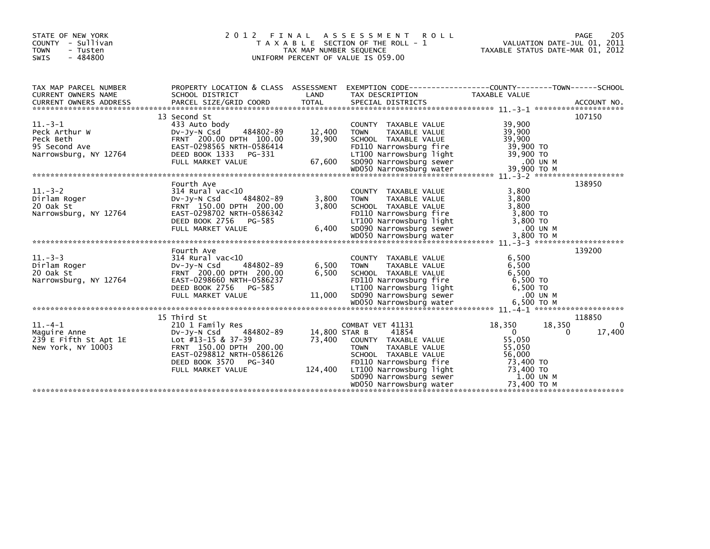| STATE OF NEW YORK<br>COUNTY - Sullivan<br><b>TOWN</b><br>- Tusten<br>$-484800$<br>SWIS                                                                                                                                                                                                                                                                                                                                                                                                                                                                             | 2012 FINAL                                                                                                                                 | A S S E S S M E N T R O L L<br>T A X A B L E SECTION OF THE ROLL - 1<br>TAX MAP NUMBER SEQUENCE<br>UNIFORM PERCENT OF VALUE IS 059.00 | VALUATION DATE-JUL 01, 2011<br>TAXABLE STATUS DATE-MAR 01, 2012                                                                                                                                                                                                                                | 205<br>PAGE                                                            |                       |
|--------------------------------------------------------------------------------------------------------------------------------------------------------------------------------------------------------------------------------------------------------------------------------------------------------------------------------------------------------------------------------------------------------------------------------------------------------------------------------------------------------------------------------------------------------------------|--------------------------------------------------------------------------------------------------------------------------------------------|---------------------------------------------------------------------------------------------------------------------------------------|------------------------------------------------------------------------------------------------------------------------------------------------------------------------------------------------------------------------------------------------------------------------------------------------|------------------------------------------------------------------------|-----------------------|
| TAX MAP PARCEL NUMBER<br>CURRENT OWNERS NAME<br>CURRENT OWNERS ADDRESS FORCEL SIZE/GRID COORD TOTAL SPECIAL DISTRICTS TO ACCOUNT NO.<br>TOTAL SPECIAL DISTRICTS ACCOUNT NO. ACCOUNT NO. ACCOUNT AND ARCEL SIZE/GRID COORD TOTAL SPECIAL DISTRICTS (200                                                                                                                                                                                                                                                                                                             | PROPERTY LOCATION & CLASS ASSESSMENT<br>SCHOOL DISTRICT                                                                                    | LAND                                                                                                                                  | EXEMPTION CODE-----------------COUNTY-------TOWN------SCHOOL<br>TAX DESCRIPTION                                                                                                                                                                                                                | TAXABLE VALUE                                                          |                       |
| $11. -3 - 1$<br>Peck Arthur W<br>Peck Beth<br>95 Second Ave EAST-0298565 NRTH-0586414<br>95 Second Ave EAST-0298565 NRTH-0586414<br>Narrowsburg, NY 12764 DEED BOOK 1333 PG-331 67,600 SD090 Narrowsburg Tight 39,900 TO<br>FULL MARKET VALUE 67,600 SD090 Narrowsburg sewer 39,90                                                                                                                                                                                                                                                                                 | 13 Second St<br>433 Auto body<br>484802-89<br>DV-Jy-N Csd<br>FRNT 200.00 DPTH 100.00                                                       | 12,400<br>39,900                                                                                                                      | COUNTY TAXABLE VALUE<br>TAXABLE VALUE<br><b>TOWN</b><br>SCHOOL TAXABLE VALUE                                                                                                                                                                                                                   | 39,900<br>39,900<br>39,900<br>$39,900$ TO<br>$39,900$ TO               | 107150                |
| $11. -3 - 2$<br>$\begin{array}{r} 1. \text{ } 314 \text{ } \text{Rural} \text{ } v_i$<br>$314 \text{ } \text{Rural} \text{ } v_i$<br>$\begin{array}{r} 314 \text{ } \text{Rural} \text{ } 150.00 \\ \text{FRNT} \text{ } 150.00 \\ \text{FART} \text{ } 252.00 \end{array}$<br>Dirlam Roger<br>20 Oak St<br>20 Oak St<br>20 Oak St<br>20 Oak St<br>20 Oak St<br>20 Oak St<br>20 Oak St<br>20 Oak St<br>20 Oak St<br>20 Oak St<br>20 Oak St<br>20 Oak St<br>20 Oak St<br>20 Oak St<br>20 OB PTH 200.00<br>20 OB TH 200.00<br>20 OB TH 200.00<br>20 OB TH 200.00<br> | Fourth Ave<br>314 Rural vac<10<br>484802-89                                                                                                | 3,800                                                                                                                                 | COUNTY TAXABLE VALUE<br>TAXABLE VALUE<br><b>TOWN</b>                                                                                                                                                                                                                                           | 3,800<br>3,800                                                         | 138950                |
| $11. -3 -3$<br>914 Kurat va<br>DV-Jy-N Csd<br>FRNT 200.00<br>Dirlam Roger<br>20 Oak St                                                                                                                                                                                                                                                                                                                                                                                                                                                                             | Fourth Ave<br>314 Rural vac<10<br>484802-89<br>FRNT 200.00 DPTH 200.00                                                                     | 6,500<br>6,500                                                                                                                        | COUNTY TAXABLE VALUE<br><b>TOWN</b><br>TAXABLE VALUE<br>SCHOOL TAXABLE VALUE                                                                                                                                                                                                                   | 6,500<br>6,500<br>6,500                                                | 139200                |
| 11.-4-1<br>Maguire Anne<br>$5.3 - 5.4 + 1.5 = 0.00$<br>Maguire Anne<br>Stapt 150.00 DPTH                                                                                                                                                                                                                                                                                                                                                                                                                                                                           | 15 Third St<br>DV-Jy-N Csd 484802-89<br>FRNT 150.00 DPTH 200.00<br>EAST-0298812 NRTH-0586126<br>DEED BOOK 3570 PG-340<br>FULL MARKET VALUE | 14,800 STAR B                                                                                                                         | COMBAT VET 41131<br>41854<br>73,400 COUNTY TAXABLE VALUE<br>TAXABLE VALUE<br><b>TOWN</b><br>SCHOOL TAXABLE VALUE<br>FD110 Narrowsburg fire<br>124,400 LT100 Narrowsburg light<br>5D090 Narrowsburg Sewer 1.00 UN MOD50 Narrowsburg water<br>23,400 TO M MOD50 Narrowsburg water<br>73,400 TO M | 18,350<br>18,350<br>$\Omega$<br>$\Omega$<br>55,050<br>55,050<br>56,000 | 118850<br>0<br>17,400 |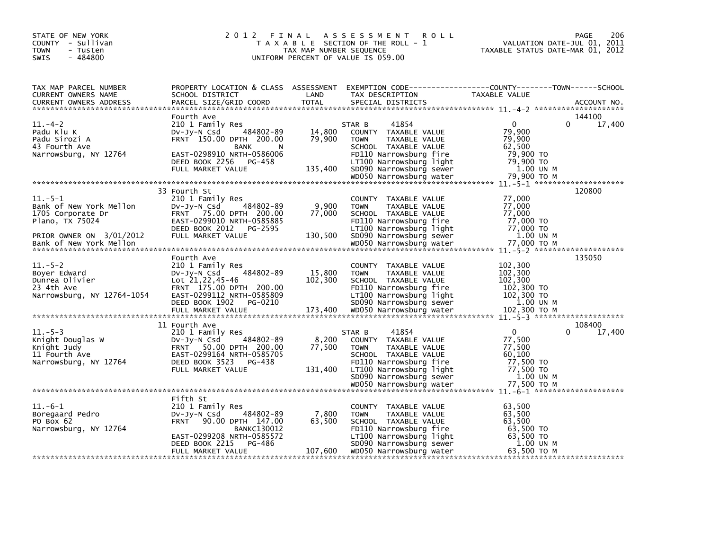| STATE OF NEW YORK<br>COUNTY - Sullivan<br><b>TOWN</b><br>- Tusten<br>$-484800$<br><b>SWIS</b>            |                                                                                                                                                                                        | TAX MAP NUMBER SEQUENCE     | 2012 FINAL ASSESSMENT<br><b>ROLL</b><br>T A X A B L E SECTION OF THE ROLL - 1<br>UNIFORM PERCENT OF VALUE IS 059.00                                                             | VALUATION DATE-JUL 01, 2011<br>TAXABLE STATUS DATE-MAR 01, 2012                        | 206<br><b>PAGE</b> |
|----------------------------------------------------------------------------------------------------------|----------------------------------------------------------------------------------------------------------------------------------------------------------------------------------------|-----------------------------|---------------------------------------------------------------------------------------------------------------------------------------------------------------------------------|----------------------------------------------------------------------------------------|--------------------|
| TAX MAP PARCEL NUMBER<br>CURRENT OWNERS NAME<br><b>CURRENT OWNERS ADDRESS</b>                            | SCHOOL DISTRICT<br>PARCEL SIZE/GRID COORD                                                                                                                                              | LAND<br><b>TOTAL</b>        | PROPERTY LOCATION & CLASS ASSESSMENT EXEMPTION CODE-----------------COUNTY-------TOWN-----SCHOOL<br>TAX DESCRIPTION<br>SPECIAL DISTRICTS                                        | <b>TAXABLE VALUE</b>                                                                   | ACCOUNT NO.        |
| $11.-4-2$<br>Padu Klu K<br>Padu Sirozi A<br>43 Fourth Ave<br>Narrowsburg, NY 12764                       | Fourth Ave<br>210 1 Family Res<br>484802-89<br>$Dv-Jy-N$ Csd<br>FRNT 150.00 DPTH 200.00<br><b>BANK</b><br>N<br>EAST-0298910 NRTH-0586006<br>DEED BOOK 2256 PG-458<br>FULL MARKET VALUE | 14,800<br>79,900<br>135,400 | 41854<br>STAR B<br>COUNTY TAXABLE VALUE<br><b>TOWN</b><br>TAXABLE VALUE<br>SCHOOL TAXABLE VALUE<br>FD110 Narrowsburg fire<br>LT100 Narrowsburg light<br>SD090 Narrowsburg sewer | $\mathbf{0}$<br>0<br>79,900<br>79,900<br>62.500<br>79,900 TO<br>79,900 TO<br>1.00 UN M | 144100<br>17,400   |
|                                                                                                          |                                                                                                                                                                                        |                             |                                                                                                                                                                                 |                                                                                        |                    |
| $11.-5-1$<br>Bank of New York Mellon<br>1705 Corporate Dr<br>Plano, TX 75024<br>PRIOR OWNER ON 3/01/2012 | 33 Fourth St<br>210 1 Family Res<br>484802-89<br>DV-Jy-N Csd<br>FRNT 75.00 DPTH 200.00<br>EAST-0299010 NRTH-0585885<br>DEED BOOK 2012 PG-2595<br>FULL MARKET VALUE                     | 9,900<br>77,000<br>130,500  | COUNTY TAXABLE VALUE<br><b>TOWN</b><br>TAXABLE VALUE<br>SCHOOL TAXABLE VALUE<br>FD110 Narrowsburg fire<br>LT100 Narrowsburg light<br>SD090 Narrowsburg sewer                    | 77,000<br>77,000<br>77,000<br>77,000 TO<br>77,000 TO<br>1.00 UN M                      | 120800             |
|                                                                                                          |                                                                                                                                                                                        |                             |                                                                                                                                                                                 |                                                                                        |                    |
| $11.-5-2$<br>Boyer Edward<br>Dunrea Olivier<br>23 4th Ave<br>Narrowsburg, NY 12764-1054                  | Fourth Ave<br>210 1 Family Res<br>484802-89<br>$Dv-Jv-N$ Csd<br>Lot 21, 22, 45-46<br>FRNT 175.00 DPTH 200.00<br>EAST-0299112 NRTH-0585809<br>DEED BOOK 1902<br>PG-0210                 | 15,800<br>102,300           | COUNTY TAXABLE VALUE<br><b>TOWN</b><br>TAXABLE VALUE<br>SCHOOL TAXABLE VALUE<br>FD110 Narrowsburg fire<br>LT100 Narrowsburg light<br>SD090 Narrowsburg sewer                    | 102,300<br>102,300<br>102,300<br>102,300 TO<br>$102,300$ TO<br>1.00 UN M               | 135050             |
|                                                                                                          | 11 Fourth Ave                                                                                                                                                                          |                             |                                                                                                                                                                                 |                                                                                        | 108400             |
| $11. - 5 - 3$<br>Knight Douglas W<br>Knight Judy<br>11 Fourth Ave<br>Narrowsburg, NY 12764               | 210 1 Family Res<br>484802-89<br>$Dv-Jy-N$ Csd<br>FRNT 50.00 DPTH 200.00<br>EAST-0299164 NRTH-0585705<br>DEED BOOK 3523<br>PG-438<br>FULL MARKET VALUE                                 | 8,200<br>77,500<br>131.400  | 41854<br>STAR B<br>COUNTY TAXABLE VALUE<br><b>TOWN</b><br>TAXABLE VALUE<br>SCHOOL TAXABLE VALUE<br>FD110 Narrowsburg fire<br>LT100 Narrowsburg light                            | $\mathbf{0}$<br>0<br>77,500<br>77,500<br>60,100<br>77,500 TO<br>77,500 TO              | 17,400             |
|                                                                                                          |                                                                                                                                                                                        |                             | SD090 Narrowsburg sewer<br>WD050 Narrowsburg water                                                                                                                              | 1.00 UN M<br>77,500 ТО М                                                               |                    |
|                                                                                                          |                                                                                                                                                                                        |                             |                                                                                                                                                                                 |                                                                                        |                    |
| $11.-6-1$<br>Boregaard Pedro<br>PO Box 62<br>Narrowsburg, NY 12764                                       | Fifth St<br>210 1 Family Res<br>DV-Jy-N Csd<br>484802-89<br>FRNT 90.00 DPTH 147.00<br><b>BANKC130012</b><br>EAST-0299208 NRTH-0585572<br>DEED BOOK 2215<br>PG-486                      | 7,800<br>63,500             | COUNTY TAXABLE VALUE<br>TAXABLE VALUE<br><b>TOWN</b><br>SCHOOL TAXABLE VALUE<br>FD110 Narrowsburg fire<br>LT100 Narrowsburg light<br>SD090 Narrowsburg sewer                    | 63,500<br>63,500<br>63,500<br>63,500 TO<br>63,500 TO<br>1.00 UN M                      |                    |
|                                                                                                          | FULL MARKET VALUE                                                                                                                                                                      | 107,600                     | WD050 Narrowsburg water                                                                                                                                                         | 63,500 TO M                                                                            |                    |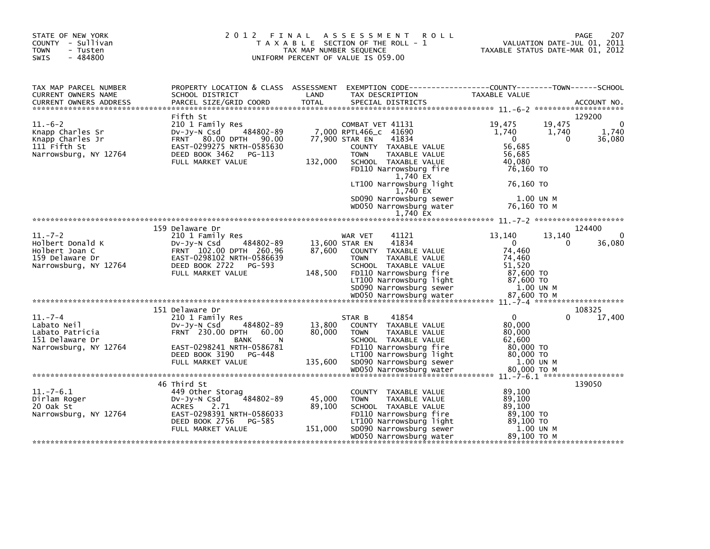| STATE OF NEW YORK<br>COUNTY - Sullivan<br><b>TOWN</b><br>- Tusten<br>$-484800$<br><b>SWIS</b>   | 2012 FINAL                                                                                                                                                          | TAX MAP NUMBER SEQUENCE     | A S S E S S M E N T<br><b>ROLL</b><br>T A X A B L E SECTION OF THE ROLL - 1<br>UNIFORM PERCENT OF VALUE IS 059.00                                                                                                     | VALUATION DATE-JUL 01, 2011<br>TAXABLE STATUS DATE-MAR 01, 2012                                                    | 207<br>PAGE                           |
|-------------------------------------------------------------------------------------------------|---------------------------------------------------------------------------------------------------------------------------------------------------------------------|-----------------------------|-----------------------------------------------------------------------------------------------------------------------------------------------------------------------------------------------------------------------|--------------------------------------------------------------------------------------------------------------------|---------------------------------------|
| TAX MAP PARCEL NUMBER<br>CURRENT OWNERS NAME                                                    | SCHOOL DISTRICT                                                                                                                                                     | LAND                        | PROPERTY LOCATION & CLASS ASSESSMENT EXEMPTION CODE----------------COUNTY-------TOWN------SCHOOL<br>TAX DESCRIPTION                                                                                                   | <b>TAXABLE VALUE</b>                                                                                               |                                       |
| $11.-6-2$<br>Knapp Charles Sr<br>Knapp Charles Jr<br>111 Fifth St<br>Narrowsburg, NY 12764      | Fifth St<br>210 1 Family Res<br>484802-89<br>DV-Jy-N Csd<br>FRNT 80.00 DPTH 90.00<br>EAST-0299275 NRTH-0585630<br>DEED BOOK 3462<br>PG-113<br>FULL MARKET VALUE     | 132,000                     | COMBAT VET 41131<br>7,000 RPTL466_C 41690<br>77,900 STAR EN<br>41834<br>COUNTY TAXABLE VALUE<br>TAXABLE VALUE<br><b>TOWN</b><br>SCHOOL TAXABLE VALUE<br>FD110 Narrowsburg fire<br>1,740 EX<br>LT100 Narrowsburg light | 19,475<br>19,475<br>1,740<br>1,740<br>$\Omega$<br>$\Omega$<br>56.685<br>56,685<br>40,080<br>76,160 TO<br>76,160 TO | 129200<br>$\Omega$<br>1,740<br>36,080 |
|                                                                                                 |                                                                                                                                                                     |                             | 1,740 EX<br>SD090 Narrowsburg sewer<br>WD050 Narrowsburg water<br>1,740 EX                                                                                                                                            | 1.00 UN M<br>76,160 ТО М                                                                                           |                                       |
|                                                                                                 | 159 Delaware Dr                                                                                                                                                     |                             |                                                                                                                                                                                                                       |                                                                                                                    | 124400                                |
| $11. - 7 - 2$<br>Holbert Donald K<br>Holbert Joan C<br>159 Delaware Dr<br>Narrowsburg, NY 12764 | 210 1 Family Res<br>$Dv-Jv-N$ Csd<br>484802-89<br>FRNT 102.00 DPTH 260.96<br>EAST-0298102 NRTH-0586639<br>DEED BOOK 2722<br>PG-593<br>FULL MARKET VALUE             | 87,600<br>148,500           | WAR VET<br>41121<br>41834<br>13,600 STAR EN<br>COUNTY TAXABLE VALUE<br>TAXABLE VALUE<br>TOWN<br>SCHOOL TAXABLE VALUE<br>FD110 Narrowsburg fire<br>LT100 Narrowsburg light<br>SD090 Narrowsburg sewer                  | 13,140<br>13,140<br>$\mathbf{0}$<br>0<br>74,460<br>74,460<br>51,520<br>87,600 TO<br>87,600 TO<br>1.00 UN M         | $\Omega$<br>36,080                    |
|                                                                                                 | 151 Delaware Dr                                                                                                                                                     |                             |                                                                                                                                                                                                                       |                                                                                                                    | 108325                                |
| $11. - 7 - 4$<br>Labato Neil<br>Labato Patricia<br>151 Delaware Dr<br>Narrowsburg, NY 12764     | 210 1 Family Res<br>484802-89<br>$Dv-Jy-N$ Csd<br>FRNT 230.00 DPTH 60.00<br><b>BANK</b><br>EAST-0298241 NRTH-0586781<br>DEED BOOK 3190 PG-448<br>FULL MARKET VALUE  | 13,800<br>80,000<br>135,600 | 41854<br>STAR B<br>COUNTY TAXABLE VALUE<br><b>TOWN</b><br>TAXABLE VALUE<br>SCHOOL TAXABLE VALUE<br>FD110 Narrowsburg fire<br>LT100 Narrowsburg light<br>SD090 Narrowsburg sewer                                       | $\mathbf{0}$<br>0<br>80,000<br>80,000<br>62.600<br>80,000 TO<br>80,000 TO<br>1.00 UN M                             | 17,400                                |
|                                                                                                 |                                                                                                                                                                     |                             |                                                                                                                                                                                                                       |                                                                                                                    |                                       |
| $11.-7-6.1$<br>Dirlam Roger<br>20 Oak St<br>Narrowsburg, NY 12764                               | 46 Third St<br>449 Other Storag<br>484802-89<br>$Dv-Jy-N$ Csd<br><b>ACRES</b><br>2.71<br>EAST-0298391 NRTH-0586033<br>DEED BOOK 2756<br>PG-585<br>FULL MARKET VALUE | 45,000<br>89,100<br>151,000 | COUNTY TAXABLE VALUE<br><b>TOWN</b><br>TAXABLE VALUE<br>SCHOOL TAXABLE VALUE<br>FD110 Narrowsburg fire<br>LT100 Narrowsburg light<br>SD090 Narrowsburg sewer<br>WD050 Narrowsburg water                               | 89,100<br>89,100<br>89,100<br>89,100 TO<br>89,100 TO<br>1.00 UN M<br>89,100 ТО М                                   | 139050                                |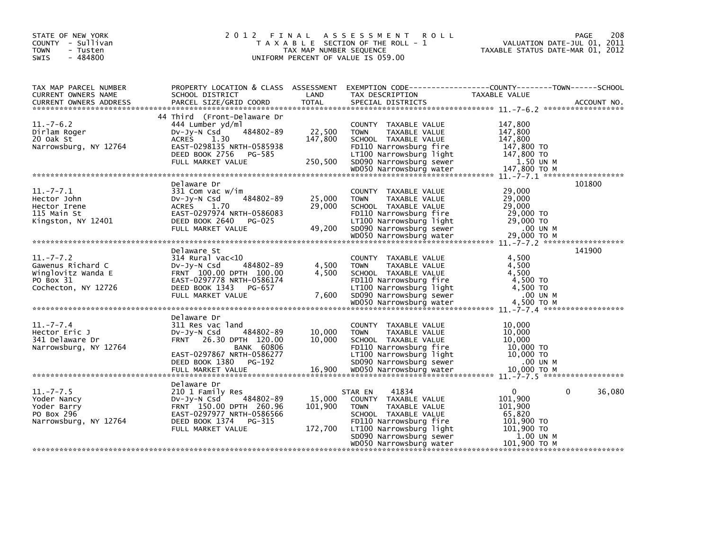| STATE OF NEW YORK<br>COUNTY - Sullivan<br><b>TOWN</b><br>- Tusten<br>- 484800<br>SWIS                                                                                                                                                                                                                              |                                                                                                                                                                   | TAX MAP NUMBER SEQUENCE      | 2012 FINAL ASSESSMENT ROLL<br>T A X A B L E SECTION OF THE ROLL - 1<br>UNIFORM PERCENT OF VALUE IS 059.00                                                                                                   | PAGE<br>VALUATION DATE-JUL 01, 2011<br>VALUATION DATE-JUL 01, 2011<br>TAXABLE STATUS DATE-MAR 01, 2012              | 208    |
|--------------------------------------------------------------------------------------------------------------------------------------------------------------------------------------------------------------------------------------------------------------------------------------------------------------------|-------------------------------------------------------------------------------------------------------------------------------------------------------------------|------------------------------|-------------------------------------------------------------------------------------------------------------------------------------------------------------------------------------------------------------|---------------------------------------------------------------------------------------------------------------------|--------|
| TAX MAP PARCEL NUMBER<br>CURRENT OWNERS NAME                                                                                                                                                                                                                                                                       |                                                                                                                                                                   |                              |                                                                                                                                                                                                             |                                                                                                                     |        |
| $11.-7-6.2$<br>Dirlam Roger<br>20 Oak St<br>Narrowsburg, NY 12764                                                                                                                                                                                                                                                  | 44 Third (Front-Delaware Dr<br>444 Lumber yd/ml<br>484802-89<br>Dv-Jy-N Csd<br><b>ACRES</b><br>1.30<br>EAST-0298135 NRTH-0585938                                  | 22,500<br>147,800            | COUNTY TAXABLE VALUE<br><b>TOWN</b><br>TAXABLE VALUE<br>SCHOOL TAXABLE VALUE<br>FD110 Narrowsburg fire                                                                                                      | 147,800<br>147,800<br>147,800<br>$14\frac{7}{2}$ , 800 TO                                                           |        |
| $11.-7-7.1$<br>Hector John<br>Hector Irene<br>115 Main St<br>$\xi$<br>$\xi$ 3000 12401 EXEL BOOK 2640 PG-025<br>FULL MARKET VALUE<br>FULL MARKET VALUE 49,200 SD090 Narrowsburg sever 29,000 TO M<br>WOD50 Narrowsburg water 29,000 TO M<br>WOD50 Narrowsburg water 29,000 TO M<br>WOD50 Narrowsburg wat           | Delaware Dr<br>331 Com vac w/im<br>484802-89<br>DV-Jy-N Csd<br>ACRES 1.70<br>EAST-0297974 NRTH-0586083                                                            | 25,000<br>29,000             | COUNTY TAXABLE VALUE<br><b>TOWN</b><br>TAXABLE VALUE<br>SCHOOL TAXABLE VALUE<br>FD110 Narrowsburg fire                                                                                                      | 101800<br>29,000<br>29,000<br>29,000<br>29,000 TO                                                                   |        |
| $11. - 7 - 7.2$<br>Gawenus Richard C<br>Winglovitz Wanda E<br>PO Box 31<br>2007 1100 National Condection, NY 12726 2012<br>Cochecton, NY 12726 2000 DEED BOOK 1343 PG-657 7,600 20090 National Example 2011<br>FULL MARKET VALUE 7,600 50090 National Maximus and the condection, NY 12726 2012<br>*************** | Delaware St<br>$314$ Rural vac<10<br>484802-89<br>DV-JY-N Csd<br>FRNT 100.00 DPTH 100.00<br>EAST-0297778 NRTH-0586174                                             | 4,500<br>4,500               | COUNTY TAXABLE VALUE<br><b>TOWN</b><br>TAXABLE VALUE<br>SCHOOL TAXABLE VALUE<br>FD110 Narrowsburg fire                                                                                                      | 141900<br>4,500<br>4,500<br>4,500<br>4,500 TO                                                                       |        |
| $11. - 7 - 7.4$<br>Hector Eric J<br>341 Delaware Dr<br>Narrowsburg, NY 12764                                                                                                                                                                                                                                       | Delaware Dr<br>311 Res vac land<br>484802-89<br>$Dv-Jv-N$ Csd<br>FRNT 26.30 DPTH 120.00<br><b>BANK 60806</b>                                                      | 10,000<br>10,000             | COUNTY TAXABLE VALUE<br><b>TOWN</b><br>TAXABLE VALUE<br>SCHOOL TAXABLE VALUE<br>FD110 Narrowsburg fire                                                                                                      | 10,000<br>10,000<br>10,000<br>10,000 TO                                                                             |        |
| $11. - 7 - 7.5$<br>Yoder Nancy<br>Yoder Barry<br>PO Box 296<br>Narrowsburg, NY 12764                                                                                                                                                                                                                               | Delaware Dr<br>210 1 Family Res<br>484802-89<br>DV-Jy-N Csd<br>FRNT 150.00 DPTH 260.96<br>EAST-0297977 NRTH-0586566<br>DEED BOOK 1374 PG-315<br>FULL MARKET VALUE | 15,000<br>101,900<br>172,700 | 41834<br>STAR EN<br>COUNTY TAXABLE VALUE<br><b>TOWN</b><br>TAXABLE VALUE<br>SCHOOL TAXABLE VALUE<br>FD110 Narrowsburg fire<br>LT100 Narrowsburg light<br>SD090 Narrowsburg sewer<br>WD050 Narrowsburg water | $\mathbf{0}$<br>$\Omega$<br>101,900<br>101,900<br>65,820<br>101,900 TO<br>$101,900$ TO<br>1.00 UN M<br>101,900 то м | 36,080 |
|                                                                                                                                                                                                                                                                                                                    |                                                                                                                                                                   |                              |                                                                                                                                                                                                             |                                                                                                                     |        |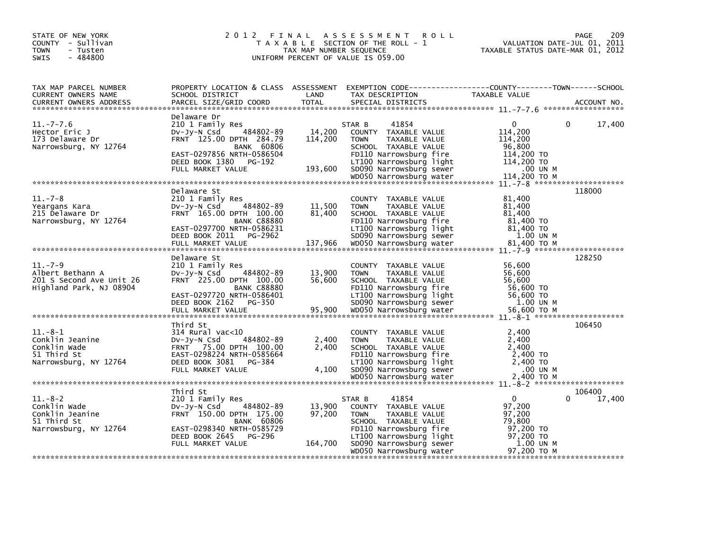| STATE OF NEW YORK<br>COUNTY - Sullivan<br><b>TOWN</b><br>- Tusten<br>$-484800$<br><b>SWIS</b> |                                                                                                                                                                                   | TAX MAP NUMBER SEQUENCE      | 2012 FINAL ASSESSMENT<br><b>ROLL</b><br>T A X A B L E SECTION OF THE ROLL - 1<br>UNIFORM PERCENT OF VALUE IS 059.00                                                                                               | VALUATION DATE-JUL 01, 2011<br>TAXABLE STATUS DATE-MAR 01, 2012                                                  | 209<br><b>PAGE</b> |
|-----------------------------------------------------------------------------------------------|-----------------------------------------------------------------------------------------------------------------------------------------------------------------------------------|------------------------------|-------------------------------------------------------------------------------------------------------------------------------------------------------------------------------------------------------------------|------------------------------------------------------------------------------------------------------------------|--------------------|
| TAX MAP PARCEL NUMBER<br>CURRENT OWNERS NAME<br><b>CURRENT OWNERS ADDRESS</b>                 | SCHOOL DISTRICT<br>PARCEL SIZE/GRID COORD                                                                                                                                         | LAND<br><b>TOTAL</b>         | PROPERTY LOCATION & CLASS ASSESSMENT EXEMPTION CODE---------------COUNTY-------TOWN------SCHOOL<br>TAX DESCRIPTION<br>SPECIAL DISTRICTS                                                                           | TAXABLE VALUE                                                                                                    | ACCOUNT NO.        |
| $11. - 7 - 7.6$<br>Hector Eric J<br>173 Delaware Dr<br>Narrowsburg, NY 12764                  | Delaware Dr<br>210 1 Family Res<br>484802-89<br>$Dv-Jy-N$ Csd<br>FRNT 125.00 DPTH 284.79<br>BANK 60806<br>EAST-0297856 NRTH-0586504<br>DEED BOOK 1380 PG-192<br>FULL MARKET VALUE | 14,200<br>114,200<br>193,600 | 41854<br>STAR B<br>COUNTY TAXABLE VALUE<br><b>TOWN</b><br><b>TAXABLE VALUE</b><br>SCHOOL TAXABLE VALUE<br>FD110 Narrowsburg fire<br>LT100 Narrowsburg light<br>SD090 Narrowsburg sewer<br>WD050 Narrowsburg water | $\Omega$<br>$\mathbf{0}$<br>114,200<br>114,200<br>96,800<br>114,200 TO<br>114,200 TO<br>.00 UN M<br>114,200 TO M | 17,400             |
| $11.-7-8$                                                                                     | Delaware St<br>210 1 Family Res                                                                                                                                                   |                              | COUNTY TAXABLE VALUE                                                                                                                                                                                              | 81,400                                                                                                           | 118000             |
| Yeargans Kara<br>215 Delaware Dr<br>Narrowsburg, NY 12764                                     | 484802-89<br>$Dv-Jy-N$ Csd<br>FRNT 165.00 DPTH 100.00<br><b>BANK C88880</b><br>EAST-0297700 NRTH-0586231                                                                          | 11,500<br>81,400             | <b>TOWN</b><br>TAXABLE VALUE<br>SCHOOL TAXABLE VALUE<br>FD110 Narrowsburg fire<br>LT100 Narrowsburg light                                                                                                         | 81,400<br>81,400<br>81,400 TO<br>81,400 TO                                                                       |                    |
|                                                                                               | DEED BOOK 2011 PG-2962                                                                                                                                                            |                              | SD090 Narrowsburg sewer                                                                                                                                                                                           | 1.00 UN M                                                                                                        |                    |
|                                                                                               | Delaware St                                                                                                                                                                       |                              |                                                                                                                                                                                                                   |                                                                                                                  | 128250             |
| $11. - 7 - 9$<br>Albert Bethann A<br>201 S Second Ave Unit 26<br>Highland Park, NJ 08904      | 210 1 Family Res<br>484802-89<br>$Dv-Jy-N$ Csd<br>FRNT 225.00 DPTH 100.00<br><b>BANK C88880</b><br>EAST-0297720 NRTH-0586401                                                      | 13,900<br>56,600             | COUNTY TAXABLE VALUE<br><b>TOWN</b><br>TAXABLE VALUE<br>SCHOOL TAXABLE VALUE<br>FD110 Narrowsburg fire<br>LT100 Narrowsburg light                                                                                 | 56,600<br>56,600<br>56,600<br>56,600 TO<br>56,600 TO                                                             |                    |
|                                                                                               | DEED BOOK 2162 PG-350                                                                                                                                                             |                              | SD090 Narrowsburg sewer                                                                                                                                                                                           | 1.00 UN M                                                                                                        |                    |
|                                                                                               | Third St                                                                                                                                                                          |                              |                                                                                                                                                                                                                   |                                                                                                                  | 106450             |
| $11.-8-1$<br>Conklin Jeanine<br>Conklin Wade<br>51 Third St<br>Narrowsburg, NY 12764          | $314$ Rural vac<10<br>DV-Jy-N Csd<br>484802-89<br>FRNT 75.00 DPTH 100.00<br>EAST-0298224 NRTH-0585664<br>DEED BOOK 3081<br>PG-384                                                 | 2,400<br>2.400               | COUNTY TAXABLE VALUE<br><b>TOWN</b><br>TAXABLE VALUE<br>SCHOOL TAXABLE VALUE<br>FD110 Narrowsburg fire<br>LT100 Narrowsburg light                                                                                 | 2,400<br>2,400<br>2,400<br>2,400 TO<br>$2,400$ TO                                                                |                    |
|                                                                                               | FULL MARKET VALUE                                                                                                                                                                 | 4,100                        | SD090 Narrowsburg sewer                                                                                                                                                                                           | .00 UN M                                                                                                         |                    |
|                                                                                               |                                                                                                                                                                                   |                              |                                                                                                                                                                                                                   |                                                                                                                  |                    |
| $11.-8-2$<br>Conklin Wade<br>Conklin Jeanine<br>51 Third St                                   | Third St<br>210 1 Family Res<br>484802-89<br>$Dv-Jy-N$ Csd<br>FRNT 150.00 DPTH 175.00<br>BANK 60806                                                                               | 13,900<br>97,200             | 41854<br>STAR B<br>COUNTY TAXABLE VALUE<br><b>TOWN</b><br>TAXABLE VALUE<br>SCHOOL TAXABLE VALUE                                                                                                                   | $\Omega$<br>0<br>97,200<br>97,200<br>79,800                                                                      | 106400<br>17,400   |
| Narrowsburg, NY 12764                                                                         | EAST-0298340 NRTH-0585729<br>DEED BOOK 2645<br>PG-296<br>FULL MARKET VALUE                                                                                                        | 164,700                      | FD110 Narrowsburg fire<br>LT100 Narrowsburg light<br>SD090 Narrowsburg sewer<br>WD050 Narrowsburg water                                                                                                           | 97,200 TO<br>97,200 TO<br>1.00 UN M<br>97.200 TO M                                                               |                    |
|                                                                                               |                                                                                                                                                                                   |                              |                                                                                                                                                                                                                   |                                                                                                                  |                    |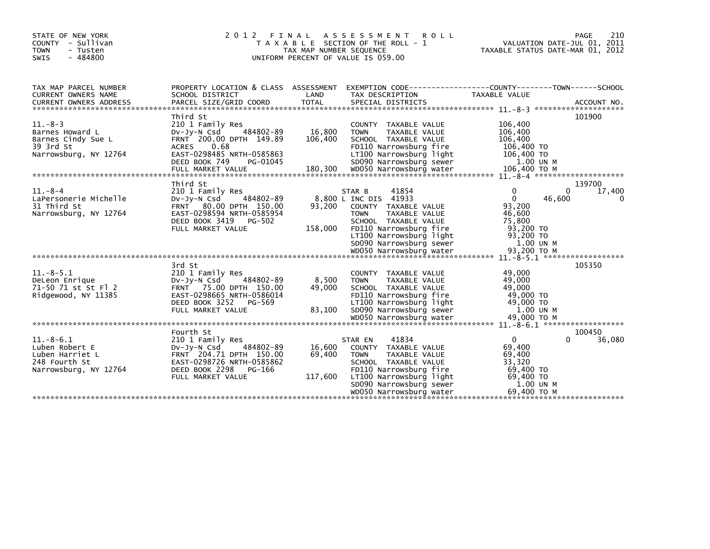| STATE OF NEW YORK<br>COUNTY - Sullivan<br><b>TOWN</b><br>- Tusten<br>$-484800$<br><b>SWIS</b> | 2 0 1 2<br>FINAL<br>T A X A B L E SECTION OF THE ROLL - 1<br>TAX MAP NUMBER SEQUENCE<br>UNIFORM PERCENT OF VALUE IS 059.00       | 210<br><b>ROLL</b><br>PAGE<br>VALUATION DATE-JUL 01, 2011<br>TAXABLE STATUS DATE-MAR 01, 2012 |                                                                                                                            |                                                            |                       |
|-----------------------------------------------------------------------------------------------|----------------------------------------------------------------------------------------------------------------------------------|-----------------------------------------------------------------------------------------------|----------------------------------------------------------------------------------------------------------------------------|------------------------------------------------------------|-----------------------|
| TAX MAP PARCEL NUMBER<br><b>CURRENT OWNERS NAME</b>                                           | PROPERTY LOCATION & CLASS ASSESSMENT<br>SCHOOL DISTRICT                                                                          | LAND                                                                                          | TAX DESCRIPTION                                                                                                            | TAXABLE VALUE                                              |                       |
|                                                                                               |                                                                                                                                  |                                                                                               |                                                                                                                            |                                                            |                       |
| $11.-8-3$<br>Barnes Howard L                                                                  | Third St<br>210 1 Family Res<br>484802-89<br>DV-Jy-N Csd                                                                         | 16,800                                                                                        | COUNTY TAXABLE VALUE<br><b>TOWN</b><br>TAXABLE VALUE                                                                       | 106,400<br>106,400                                         | 101900                |
| Barnes Cindy Sue L<br>39 3rd St<br>Narrowsburg, NY 12764                                      | FRNT 200.00 DPTH 149.89<br>ACRES<br>0.68<br>EAST-0298485 NRTH-0585863                                                            | 106,400                                                                                       | SCHOOL TAXABLE VALUE<br>FD110 Narrowsburg fire<br>LT100 Narrowsburg light                                                  | 106,400<br>106,400 TO<br>106,400 TO                        |                       |
|                                                                                               | DEED BOOK 749<br>PG-01045                                                                                                        |                                                                                               | SD090 Narrowsburg sewer                                                                                                    | 1.00 UN M                                                  |                       |
| $11. - 8 - 4$<br>LaPersonerie Michelle<br>31 Third St<br>Narrowsburg, NY 12764                | Third St<br>210 1 Family Res<br>484802-89<br>$Dv$ -J $v$ -N Csd<br>FRNT 80.00 DPTH 150.00<br>EAST-0298594 NRTH-0585954           | 93,200                                                                                        | 41854<br>STAR B<br>8,800 L INC DIS 41933<br>COUNTY TAXABLE VALUE<br><b>TOWN</b><br>TAXABLE VALUE                           | 0<br>0<br>46,600<br>$\Omega$<br>93,200<br>46,600           | 139700<br>17,400<br>0 |
|                                                                                               | DEED BOOK 3419<br>PG-502<br>FULL MARKET VALUE                                                                                    | 158,000                                                                                       | SCHOOL TAXABLE VALUE<br>FD110 Narrowsburg fire<br>LT100 Narrowsburg light<br>SD090 Narrowsburg sewer                       | 75,800<br>93,200 TO<br>93,200 TO<br>1.00 UN M              |                       |
|                                                                                               |                                                                                                                                  |                                                                                               |                                                                                                                            |                                                            |                       |
| $11.-8-5.1$<br>DeLeon Enrique<br>71-50 71 st St Fl 2<br>Ridgewood, NY 11385                   | 3rd St<br>210 1 Family Res<br>DV-JV-N Csd<br>484802-89<br>FRNT 75.00 DPTH 150.00<br>EAST-0298665 NRTH-0586014                    | 8,500<br>49,000                                                                               | COUNTY TAXABLE VALUE<br>TAXABLE VALUE<br><b>TOWN</b><br>SCHOOL TAXABLE VALUE<br>FD110 Narrowsburg fire                     | 49,000<br>49,000<br>49,000<br>49,000 TO                    | 105350                |
|                                                                                               | DEED BOOK 3252<br>PG-569<br>FULL MARKET VALUE                                                                                    | 83,100                                                                                        | LT100 Narrowsburg light<br>SD090 Narrowsburg sewer                                                                         | 49,000 TO<br>1.00 UN M                                     |                       |
|                                                                                               | Fourth St                                                                                                                        |                                                                                               |                                                                                                                            |                                                            | 100450                |
| $11.-8-6.1$<br>Luben Robert E<br>Luben Harriet L<br>248 Fourth St<br>Narrowsburg, NY 12764    | 210 1 Family Res<br>DV-JY-N Csd<br>484802-89<br>FRNT 204.71 DPTH 150.00<br>EAST-0298726 NRTH-0585862<br>DEED BOOK 2298<br>PG-166 | 16,600<br>69,400                                                                              | 41834<br>STAR EN<br>COUNTY TAXABLE VALUE<br>TAXABLE VALUE<br><b>TOWN</b><br>SCHOOL TAXABLE VALUE<br>FD110 Narrowsburg fire | $^{\circ}$<br>0<br>69,400<br>69,400<br>33,320<br>69,400 TO | 36,080                |
|                                                                                               | FULL MARKET VALUE                                                                                                                | 117,600                                                                                       | LT100 Narrowsburg light<br>SD090 Narrowsburg sewer<br>WD050 Narrowsburg water                                              | 69,400 TO<br>1.00 UN M<br>69,400 ТО М                      |                       |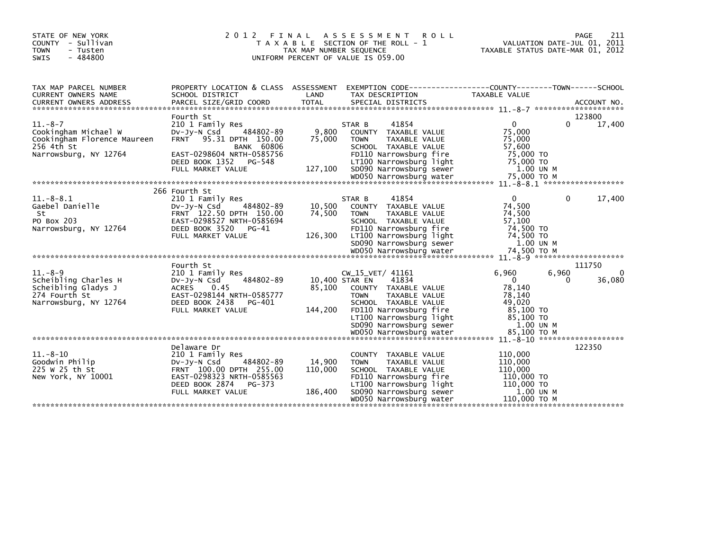| STATE OF NEW YORK<br>COUNTY - Sullivan<br><b>TOWN</b><br>- Tusten<br>$-484800$<br><b>SWIS</b>                                                                                                                                                                                                                                            | 2 0 1 2<br>FINAL<br>T A X A B L E SECTION OF THE ROLL - 1<br>TAX MAP NUMBER SEQUENCE<br>UNIFORM PERCENT OF VALUE IS 059.00                                                               | TAXABLE STATUS DATE-MAR 01, 2012    |                                                                                                                                                                                           | 211<br>PAGE<br>VALUATION DATE-JUL 01, 2011                                                 |            |                  |
|------------------------------------------------------------------------------------------------------------------------------------------------------------------------------------------------------------------------------------------------------------------------------------------------------------------------------------------|------------------------------------------------------------------------------------------------------------------------------------------------------------------------------------------|-------------------------------------|-------------------------------------------------------------------------------------------------------------------------------------------------------------------------------------------|--------------------------------------------------------------------------------------------|------------|------------------|
| TAX MAP PARCEL NUMBER<br><b>CURRENT OWNERS NAME</b>                                                                                                                                                                                                                                                                                      | PROPERTY LOCATION & CLASS ASSESSMENT EXEMPTION CODE----------------COUNTY-------TOWN------SCHOOL<br>SCHOOL DISTRICT                                                                      | LAND                                | TAX DESCRIPTION                                                                                                                                                                           | TAXABLE VALUE                                                                              |            |                  |
| $11.-8-7$<br>Cookingham Michael W<br>Cookingham Florence Maureen<br>256 4th St<br>Narrowsburg, NY 12764<br>000 75,000 TO M 75,000 M 75,000 N 2014 WAS ARROWS WATER WATER THE PRESS WAS ARROWS WATER THE PRESS OF THE PRESS AND MANAGER AND A SERVER AND A SERVER AND THE PRESS OF THE PRESS AND THE PRESS OF THE PRESS AND THE PRESS AND | Fourth St<br>210 1 Family Res<br>484802-89<br>$Dv-Jy-N$ Csd<br>FRNT 95.31 DPTH 150.00<br><b>BANK 60806</b><br>EAST-0298604 NRTH-0585756<br>DEED BOOK 1352<br>PG-548<br>FULL MARKET VALUE | 9,800<br>75,000<br>127,100          | 41854<br>STAR B<br>COUNTY TAXABLE VALUE<br><b>TOWN</b><br>TAXABLE VALUE<br>SCHOOL TAXABLE VALUE<br>FD110 Narrowsburg fire<br>LT100 Narrowsburg light<br>SD090 Narrowsburg sewer           | $\mathbf{0}$<br>75,000<br>75,000<br>57,600<br>75.000 TO<br>75,000 TO<br>1.00 UN M          | 0          | 123800<br>17,400 |
|                                                                                                                                                                                                                                                                                                                                          | 266 Fourth St                                                                                                                                                                            |                                     |                                                                                                                                                                                           |                                                                                            |            |                  |
| $11.-8-.8.1$<br>Gaebel Danielle<br>St<br>PO Box 203<br>Narrowsburg, NY 12764                                                                                                                                                                                                                                                             | 210 1 Family Res<br>484802-89<br>$Dv-Jv-N$ Csd<br>FRNT 122.50 DPTH 150.00<br>EAST-0298527 NRTH-0585694<br>DEED BOOK 3520<br>PG-41<br>FULL MARKET VALUE                                   | 10,500<br>74,500                    | 41854<br>STAR B<br>COUNTY TAXABLE VALUE<br><b>TOWN</b><br>TAXABLE VALUE<br>SCHOOL TAXABLE VALUE<br>FD110 Narrowsburg fire<br>126,300 LT100 Narrowsburg light<br>SD090 Narrowsburg sewer   | $\mathbf{0}$<br>74,500<br>74,500<br>57,100<br>74.500 TO<br>74,500 TO<br>1.00 UN M          | 0          | 17,400           |
|                                                                                                                                                                                                                                                                                                                                          | Fourth St                                                                                                                                                                                |                                     |                                                                                                                                                                                           |                                                                                            |            | 111750           |
| $11. - 8 - 9$<br>Scheibling Charles H<br>Scheibling Gladys J<br>274 Fourth St<br>Narrowsburg, NY 12764                                                                                                                                                                                                                                   | 210 1 Family Res<br>484802-89<br>$Dv-Jy-N$ Csd<br>ACRES 0.45<br>EAST-0298144 NRTH-0585777<br>DEED BOOK 2438<br>PG-401<br>FULL MARKET VALUE                                               | 10,400 STAR EN<br>85,100<br>144,200 | CW_15_VET/ 41161<br>41834<br>COUNTY TAXABLE VALUE<br><b>TOWN</b><br>TAXABLE VALUE<br>SCHOOL TAXABLE VALUE<br>FD110 Narrowsburg fire<br>LT100 Narrowsburg light<br>SD090 Narrowsburg sewer | 6,960<br>$\mathbf{0}$<br>78,140<br>78,140<br>49.020<br>85,100 TO<br>85.100 TO<br>1.00 UN M | 6,960<br>0 | 0<br>36,080      |
|                                                                                                                                                                                                                                                                                                                                          |                                                                                                                                                                                          |                                     |                                                                                                                                                                                           |                                                                                            |            |                  |
| $11.-8-10$<br>Goodwin Philip<br>225 W 25 th St<br>New York, NY 10001                                                                                                                                                                                                                                                                     | Delaware Dr<br>210 1 Family Res<br>$Dv-Jy-N$ Csd<br>484802-89<br>FRNT 100.00 DPTH 255.00<br>EAST-0298323 NRTH-0585563<br>DEED BOOK 2874<br>PG-373                                        | 14,900<br>110,000                   | COUNTY TAXABLE VALUE<br><b>TOWN</b><br>TAXABLE VALUE<br>SCHOOL TAXABLE VALUE<br>FD110 Narrowsburg fire<br>LT100 Narrowsburg light                                                         | 110,000<br>110,000<br>110,000<br>110,000 TO<br>110,000 TO                                  |            | 122350           |
|                                                                                                                                                                                                                                                                                                                                          | FULL MARKET VALUE                                                                                                                                                                        | 186,400                             | SD090 Narrowsburg sewer<br>WD050 Narrowsburg water                                                                                                                                        | 1.00 UN M<br>110,000 ТО М                                                                  |            |                  |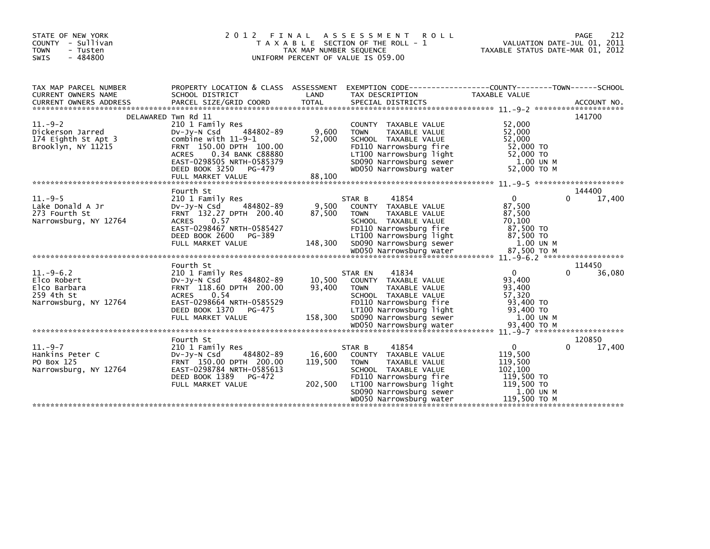| STATE OF NEW YORK<br>COUNTY - Sullivan<br><b>TOWN</b><br>- Tusten<br>$-484800$<br><b>SWIS</b>     | 2 0 1 2                                                                                                                                                                                                    | FINAL<br>TAX MAP NUMBER SEQUENCE | A S S E S S M E N T R O L L<br>T A X A B L E SECTION OF THE ROLL - 1<br>UNIFORM PERCENT OF VALUE IS 059.00                                                                                                         | VALUATION DATE-JUL 01, 2011<br>TAXABLE STATUS DATE-MAR 01, 2012                                        | 212<br>PAGE           |
|---------------------------------------------------------------------------------------------------|------------------------------------------------------------------------------------------------------------------------------------------------------------------------------------------------------------|----------------------------------|--------------------------------------------------------------------------------------------------------------------------------------------------------------------------------------------------------------------|--------------------------------------------------------------------------------------------------------|-----------------------|
| TAX MAP PARCEL NUMBER<br>CURRENT OWNERS NAME                                                      | PROPERTY LOCATION & CLASS ASSESSMENT<br>SCHOOL DISTRICT                                                                                                                                                    | LAND                             | TAX DESCRIPTION                                                                                                                                                                                                    | TAXABLE VALUE                                                                                          |                       |
| DELAWARED Twn Rd 11<br>$11.-9-2$<br>Dickerson Jarred<br>174 Eighth St Apt 3<br>Brooklyn, NY 11215 | 210 1 Family Res<br>DV-Jy-N Csd 484802-89<br>combine with 11-9-1<br>FRNT 150.00 DPTH 100.00<br>0.34 BANK C88880<br><b>ACRES</b><br>EAST-0298505 NRTH-0585379<br>DEED BOOK 3250 PG-479<br>FULL MARKET VALUE | 9,600<br>52,000<br>88,100        | COUNTY TAXABLE VALUE<br><b>TOWN</b><br>TAXABLE VALUE<br>SCHOOL TAXABLE VALUE<br>FD110 Narrowsburg fire<br>LT100 Narrowsburg light<br>SD090 Narrowsburg sewer<br>SD090 Narrowsburg sewer<br>WD050 Narrowsburg water | 52,000<br>52,000<br>52,000<br>52,000 TO<br>52,000 TO<br>1.00 UN M<br>52,000 TO M                       | 141700                |
| $11.-9-5$<br>Lake Donald A Jr<br>273 Fourth St<br>Narrowsburg, NY 12764                           | Fourth St<br>210 1 Family Res<br>484802-89<br>DV-Jy-N Csd<br>FRNT 132.27 DPTH 200.40<br>ACRES<br>0.57<br>EAST-0298467 NRTH-0585427<br>DEED BOOK 2600<br>PG-389<br>FULL MARKET VALUE                        | 9,500<br>87,500<br>148,300       | 41854<br>STAR B<br>COUNTY TAXABLE VALUE<br>TAXABLE VALUE<br><b>TOWN</b><br>SCHOOL TAXABLE VALUE<br>FD110 Narrowsburg fire<br>LT100 Narrowsburg light<br>SD090 Narrowsburg sewer                                    | $\mathbf{0}$<br>87,500<br>87,500<br>70,100<br>87,500 TO<br>87,500 TO<br>1.00 UN M                      | 144400<br>17,400<br>0 |
|                                                                                                   |                                                                                                                                                                                                            |                                  |                                                                                                                                                                                                                    |                                                                                                        |                       |
| $11.-9-6.2$<br>Elco Robert<br>Elco Barbara<br>259 4th St<br>Narrowsburg, NY 12764                 | Fourth St<br>210 1 Family Res<br>484802-89<br>DV-JY-N Csd<br>FRNT 118.60 DPTH 200.00<br>0.54<br>ACRES<br>EAST-0298664 NRTH-0585529<br>DEED BOOK 1370<br>PG-475<br>FULL MARKET VALUE                        | 10,500<br>93,400<br>158,300      | 41834<br>STAR EN<br>COUNTY TAXABLE VALUE<br>TAXABLE VALUE<br><b>TOWN</b><br>SCHOOL TAXABLE VALUE<br>FD110 Narrowsburg fire<br>LT100 Narrowsburg light<br>SD090 Narrowsburg sewer                                   | $\mathbf{0}$<br>93,400<br>93,400<br>57,320<br>93,400 TO<br>93,400 TO<br>1.00 UN M                      | 114450<br>36,080<br>0 |
|                                                                                                   | Fourth St                                                                                                                                                                                                  |                                  |                                                                                                                                                                                                                    |                                                                                                        | 120850                |
| $11.-9-7$<br>Hankins Peter C<br>PO Box 125<br>Narrowsburg, NY 12764                               | 210 1 Family Res<br>484802-89<br>$Dv-Jv-N$ Csd<br>FRNT 150.00 DPTH 200.00<br>EAST-0298784 NRTH-0585613<br>DEED BOOK 1389<br>PG-472<br>FULL MARKET VALUE                                                    | 16,600<br>119,500<br>202,500     | 41854<br>STAR B<br>COUNTY TAXABLE VALUE<br>TAXABLE VALUE<br><b>TOWN</b><br>SCHOOL TAXABLE VALUE<br>FD110 Narrowsburg fire<br>LT100 Narrowsburg light<br>SD090 Narrowsburg sewer<br>WD050 Narrowsburg water         | $\mathbf{0}$<br>119,500<br>119,500<br>102.100<br>119,500 TO<br>119,500 TO<br>1.00 UN M<br>119,500 TO M | 17,400<br>0           |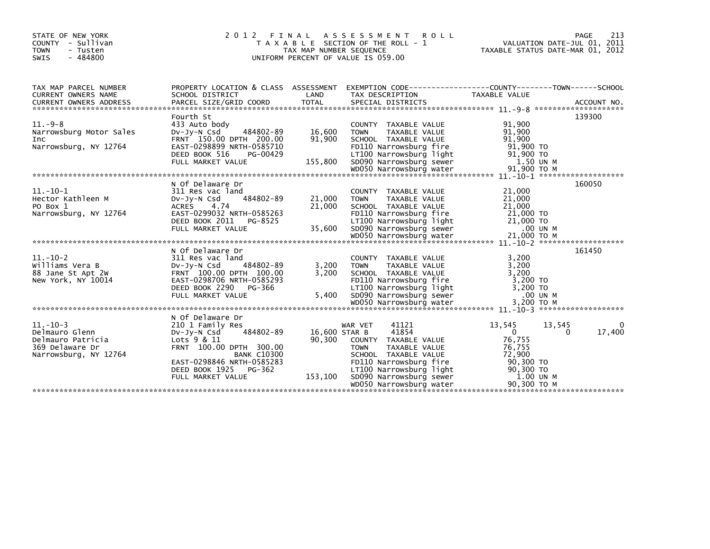| STATE OF NEW YORK<br>COUNTY - Sullivan<br><b>TOWN</b><br>- Tusten<br>$-484800$<br>SWIS        | 2012 FINAL                                                                                                                                                                                                                                                                                                                          | TAX MAP NUMBER SEQUENCE         | A S S E S S M E N T R O L L<br>T A X A B L E SECTION OF THE ROLL - 1<br>UNIFORM PERCENT OF VALUE IS 059.00                                                                                                                                                            | PAGE 213<br>VALUATION DATE-JUL 01, 2011<br>TAXABLE STATUS DATE 11:0 22<br>TAXABLE STATUS DATE-MAR 01, 2012 |                         |
|-----------------------------------------------------------------------------------------------|-------------------------------------------------------------------------------------------------------------------------------------------------------------------------------------------------------------------------------------------------------------------------------------------------------------------------------------|---------------------------------|-----------------------------------------------------------------------------------------------------------------------------------------------------------------------------------------------------------------------------------------------------------------------|------------------------------------------------------------------------------------------------------------|-------------------------|
| TAX MAP PARCEL NUMBER<br>CURRENT OWNERS NAME                                                  | PROPERTY LOCATION & CLASS ASSESSMENT EXEMPTION CODE----------------COUNTY-------TOWN-----SCHOOL<br>SCHOOL DISTRICT                                                                                                                                                                                                                  | LAND                            | TAX DESCRIPTION                                                                                                                                                                                                                                                       | TAXABLE VALUE                                                                                              |                         |
|                                                                                               | CONNERS ADDRESS FORCEL SIZE/GRID COORD TOTAL SPECIAL DISTRICTS TO THE SERVER ACCOUNT NO.<br>- ACCOUNT NO ARCEL SIZE/GRID COORD TOTAL SPECIAL DISTRICTS (2007) ACCOUNT NO ACCOUNT NO ACCOUNT NO AND A SERVER AND RESERVE TO THE SP                                                                                                   |                                 |                                                                                                                                                                                                                                                                       |                                                                                                            |                         |
|                                                                                               | Fourth St                                                                                                                                                                                                                                                                                                                           |                                 |                                                                                                                                                                                                                                                                       |                                                                                                            | 139300                  |
| $11.-9-8$<br>Narrowsburg Motor Sales<br>Inc                                                   | 433 Auto body<br>484802-89 16,600<br>DV-JY-N Csd<br>FRNT 150.00 DPTH 200.00<br>Narrowsburg, NY 12764 EAST-0298899 NRTH-0585710 FOI110 Narrowsburg Fire 501,900 TO<br>DEED BOOK 516 PG-00429 LT100 Narrowsburg Tight 51,900 TO<br>FULL MARKET VALUE 155,800 SD090 Narrowsburg sewer 1.50 UN M<br>WOO50 Narrowsburg w                 | 91,900                          | COUNTY TAXABLE VALUE<br><b>TOWN</b><br>TAXABLE VALUE<br>SCHOOL TAXABLE VALUE                                                                                                                                                                                          | 91,900<br>91,900<br>91,900                                                                                 |                         |
|                                                                                               |                                                                                                                                                                                                                                                                                                                                     |                                 |                                                                                                                                                                                                                                                                       |                                                                                                            |                         |
|                                                                                               |                                                                                                                                                                                                                                                                                                                                     |                                 |                                                                                                                                                                                                                                                                       |                                                                                                            |                         |
| $11.-10-1$<br>Hector Kathleen M<br>PO Box 1                                                   | N Of Delaware Dr<br>311 Res vac land<br>$484802 - 89$ 21,000<br>DV-JV-N Csd<br>ACRES 4.74<br>Narrowsburg, NY 12764 EAST-0299032 NRTH-0585263<br>Narrowsburg Tipe 21,000 TO<br>DEED BOOK 2011 PG-8525 LT100 Narrowsburg Tight 21,000 TO<br>FULL MARKET VALUE 35,600 SD090 Narrowsburg sewer 21,000 TO M<br>WDO50 Narrowsburg water 2 | 21,000                          | COUNTY TAXABLE VALUE<br>TAXABLE VALUE<br><b>TOWN</b><br>SCHOOL TAXABLE VALUE                                                                                                                                                                                          | 21,000<br>21,000<br>21,000<br>$21,000$ TO                                                                  | 160050                  |
|                                                                                               |                                                                                                                                                                                                                                                                                                                                     |                                 |                                                                                                                                                                                                                                                                       |                                                                                                            |                         |
| $11.-10-2$<br>Williams Vera B                                                                 | N Of Delaware Dr<br>311 Res vac land<br>DV-Jy-N Csd<br>484802-89<br>88 Jane St Apt 2w<br>New York, NY 10014<br>Mew York, NY 10014<br>Mew York, NY 10014<br>EAST-0298706 NRTH-0585293<br>DEED BOOK 2290 PG-366<br>FULL MARKET VALUE<br>FULL MARKET VALUE<br>FULL MARKET VALUE<br>FULL MARKET VALUE<br>FULL MARKET VALUE              | 3,200                           | COUNTY TAXABLE VALUE<br>TAXABLE VALUE 3,200<br><b>TOWN</b>                                                                                                                                                                                                            | 3,200                                                                                                      | 161450                  |
|                                                                                               |                                                                                                                                                                                                                                                                                                                                     |                                 |                                                                                                                                                                                                                                                                       |                                                                                                            |                         |
| $11.-10-3$<br>Delmauro Glenn<br>Delmauro Patricia<br>369 Delaware Dr<br>Narrowsburg, NY 12764 | N Of Delaware Dr<br>210 1 Family Res<br>484802-89<br>DV-JY-N Csd<br>Lots 9 & 11<br>FRNT 100.00 DPTH 300.00<br><b>BANK C10300</b><br>EAST-0298846 NRTH-0585283<br>DEED BOOK 1925 PG-362<br>FULL MARKET VALUE                                                                                                                         | 16,600 STAR B<br>$-362$ 153,100 | 41121<br>WAR VET<br>41854<br>90,300 COUNTY TAXABLE VALUE<br>TAXABLE VALUE<br><b>TOWN</b><br>SCHOOL TAXABLE VALUE<br>FD110 Narrowsburg fire<br>LT100 Narrowsburg light<br>SD090 Narrowsburg sever<br>WD050 Narrowsburg water<br>MD050 Narrowsburg water<br>90,300 TO M | 13,545<br>13,545<br>$\overline{0}$<br>76,755<br>76,755<br>72,900                                           | 0<br>17,400<br>$\Omega$ |
|                                                                                               |                                                                                                                                                                                                                                                                                                                                     |                                 |                                                                                                                                                                                                                                                                       |                                                                                                            |                         |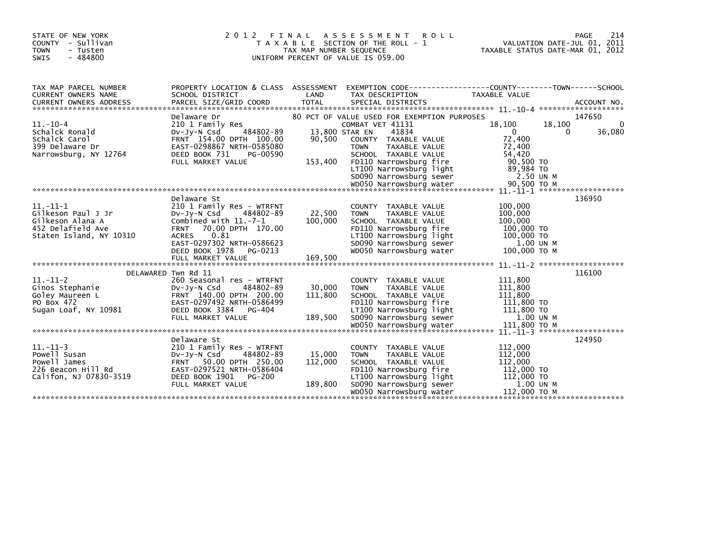| STATE OF NEW YORK<br>COUNTY - Sullivan<br><b>TOWN</b><br>- Tusten<br>$-484800$<br><b>SWIS</b>        | 2 0 1 2                                                                                                                                                                                                                                    | FINAL<br>ASSESSMENT<br>T A X A B L E SECTION OF THE ROLL - 1<br>TAX MAP NUMBER SEQUENCE<br>UNIFORM PERCENT OF VALUE IS 059.00 | 214<br>PAGE<br>VALUATION DATE-JUL 01, 2011<br>TAXABLE STATUS DATE-MAR 01, 2012                                                                                                                                                           |                                                                                         |                                                    |
|------------------------------------------------------------------------------------------------------|--------------------------------------------------------------------------------------------------------------------------------------------------------------------------------------------------------------------------------------------|-------------------------------------------------------------------------------------------------------------------------------|------------------------------------------------------------------------------------------------------------------------------------------------------------------------------------------------------------------------------------------|-----------------------------------------------------------------------------------------|----------------------------------------------------|
| TAX MAP PARCEL NUMBER<br>CURRENT OWNERS NAME<br>CURRENT OWNERS ADDRESS                               | PROPERTY LOCATION & CLASS ASSESSMENT<br>SCHOOL DISTRICT<br>PARCEL SIZE/GRID COORD                                                                                                                                                          | LAND<br><b>TOTAL</b>                                                                                                          | EXEMPTION CODE-----------------COUNTY-------TOWN------SCHOOL<br>TAX DESCRIPTION<br>SPECIAL DISTRICTS                                                                                                                                     | TAXABLE VALUE                                                                           | ACCOUNT NO.                                        |
| $11.-10-4$<br>Schalck Ronald<br>Schalck Carol<br>399 Delaware Dr<br>Narrowsburg, NY 12764            | Delaware Dr<br>210 1 Family Res<br>484802-89<br>$Dv-Jv-N$ Csd<br>FRNT 154.00 DPTH 100.00<br>EAST-0298867 NRTH-0585080<br>DEED BOOK 731<br>PG-00590<br>FULL MARKET VALUE                                                                    | 13,800 STAR EN<br>90,500<br>153,400                                                                                           | 80 PCT OF VALUE USED FOR EXEMPTION PURPOSES<br>COMBAT VET 41131<br>41834<br>COUNTY TAXABLE VALUE<br><b>TOWN</b><br>TAXABLE VALUE<br>SCHOOL TAXABLE VALUE<br>FD110 Narrowsburg fire<br>LT100 Narrowsburg light<br>SD090 Narrowsburg sewer | 18,100<br>$\Omega$<br>72,400<br>72,400<br>54,420<br>90,500 TO<br>89,984 TO<br>2.50 UN M | 147650<br>$\Omega$<br>18,100<br>36,080<br>$\Omega$ |
| $11.-11-1$<br>Gilkeson Paul J Jr<br>Gilkeson Alana A<br>452 Delafield Ave<br>Staten Island, NY 10310 | Delaware St<br>210 1 Family Res - WTRFNT<br>$Dv-Jy-N$ Csd<br>484802-89<br>Combined with 11.-7-1<br>70.00 DPTH 170.00<br><b>FRNT</b><br><b>ACRES</b><br>0.81<br>EAST-0297302 NRTH-0586623<br>DEED BOOK 1978<br>PG-0213<br>FULL MARKET VALUE | 22,500<br>100,000<br>169,500                                                                                                  | COUNTY TAXABLE VALUE<br><b>TOWN</b><br>TAXABLE VALUE<br>SCHOOL TAXABLE VALUE<br>FD110 Narrowsburg fire<br>LT100 Narrowsburg light<br>SD090 Narrowsburg sewer<br>WD050 Narrowsburg water                                                  | 100,000<br>100,000<br>100,000<br>100,000 TO<br>100,000 TO<br>1.00 UN M<br>100,000 TO M  | 136950                                             |
|                                                                                                      |                                                                                                                                                                                                                                            |                                                                                                                               |                                                                                                                                                                                                                                          |                                                                                         | $11 - 11 - 2$ ********************                 |
| $11.-11-2$<br>Ginos Stephanie<br>Goley Maureen L<br>PO Box 472<br>Sugan Loaf, NY 10981               | DELAWARED Twn Rd 11<br>260 Seasonal res - WTRFNT<br>$Dv-Jy-N$ Csd<br>484802-89<br>FRNT 140.00 DPTH 200.00<br>EAST-0297492 NRTH-0586499<br>DEED BOOK 3384<br>PG-404<br>FULL MARKET VALUE                                                    | 30,000<br>111,800<br>189,500                                                                                                  | COUNTY TAXABLE VALUE<br><b>TOWN</b><br>TAXABLE VALUE<br>SCHOOL TAXABLE VALUE<br>FD110 Narrowsburg fire<br>LT100 Narrowsburg light<br>SD090 Narrowsburg sewer                                                                             | 111,800<br>111,800<br>111,800<br>111,800 TO<br>111,800 TO<br>1.00 UN M                  | 116100                                             |
| $11. - 11 - 3$<br>Powell Susan<br>Powell James<br>226 Beacon Hill Rd<br>Califon, NJ 07830-3519       | Delaware St<br>210 1 Family Res - WTRFNT<br>$Dv-Jy-N$ Csd<br>484802-89<br>FRNT 50.00 DPTH 250.00<br>EAST-0297521 NRTH-0586404<br>DEED BOOK 1901<br>PG-200<br>FULL MARKET VALUE                                                             | 15,000<br>112,000<br>189,800                                                                                                  | COUNTY TAXABLE VALUE<br><b>TAXABLE VALUE</b><br><b>TOWN</b><br>SCHOOL TAXABLE VALUE<br>FD110 Narrowsburg fire<br>LT100 Narrowsburg light<br>SD090 Narrowsburg sewer<br>WD050 Narrowsburg water                                           | 112,000<br>112,000<br>112,000<br>112,000 TO<br>112,000 TO<br>1.00 UN M<br>112,000 TO M  | 124950                                             |
|                                                                                                      |                                                                                                                                                                                                                                            |                                                                                                                               |                                                                                                                                                                                                                                          |                                                                                         |                                                    |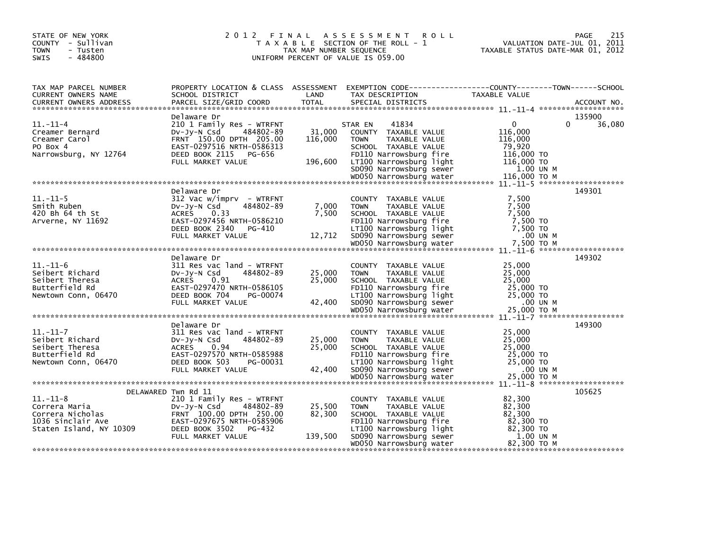| STATE OF NEW YORK<br>COUNTY - Sullivan<br><b>TOWN</b><br>- Tusten<br>$-484800$<br><b>SWIS</b>       | 2 0 1 2<br>FINAL                                                                                                                                                                      | TAX MAP NUMBER SEQUENCE      | A S S E S S M E N T<br><b>ROLL</b><br>T A X A B L E SECTION OF THE ROLL - 1<br>UNIFORM PERCENT OF VALUE IS 059.00                                                                                                     | PAGE<br>VALUATION DATE-JUL 01, 2011<br>TAXABLE STATUS DATE-MAR 01, 2012                                             | 215 |
|-----------------------------------------------------------------------------------------------------|---------------------------------------------------------------------------------------------------------------------------------------------------------------------------------------|------------------------------|-----------------------------------------------------------------------------------------------------------------------------------------------------------------------------------------------------------------------|---------------------------------------------------------------------------------------------------------------------|-----|
| TAX MAP PARCEL NUMBER<br>CURRENT OWNERS NAME<br>CURRENT OWNERS ADDRESS                              | PROPERTY LOCATION & CLASS ASSESSMENT<br>SCHOOL DISTRICT<br>PARCEL SIZE/GRID COORD                                                                                                     | LAND<br><b>TOTAL</b>         | TAX DESCRIPTION<br>SPECIAL DISTRICTS                                                                                                                                                                                  | EXEMPTION CODE-----------------COUNTY-------TOWN------SCHOOL<br>TAXABLE VALUE<br>ACCOUNT NO.                        |     |
| $11. - 11 - 4$<br>Creamer Bernard<br>Creamer Carol<br>PO Box 4<br>Narrowsburg, NY 12764             | Delaware Dr<br>210 1 Family Res - WTRFNT<br>DV-Jy-N Csd<br>484802-89<br>FRNT 150.00 DPTH 205.00<br>EAST-0297516 NRTH-0586313<br>DEED BOOK 2115 PG-656<br>FULL MARKET VALUE            | 31,000<br>116,000<br>196,600 | 41834<br>STAR EN<br><b>COUNTY</b><br>TAXABLE VALUE<br>TAXABLE VALUE<br><b>TOWN</b><br>SCHOOL TAXABLE VALUE<br>FD110 Narrowsburg fire<br>LT100 Narrowsburg light<br>SD090 Narrowsburg sewer<br>WD050 Narrowsburg water | 135900<br>0<br>0<br>36,080<br>116,000<br>116,000<br>79,920<br>116,000 TO<br>116,000 TO<br>1.00 UN M<br>116.000 TO M |     |
| $11.-11-5$<br>Smith Ruben<br>420 Bh 64 th St<br>Arverne, NY 11692                                   | Delaware Dr<br>312 Vac w/imprv - WTRFNT<br>484802-89<br>$Dv-Jy-N$ Csd<br><b>ACRES</b><br>0.33<br>EAST-0297456 NRTH-0586210<br>DEED BOOK 2340<br>PG-410<br>FULL MARKET VALUE           | 7,000<br>7,500<br>12,712     | <b>COUNTY</b><br>TAXABLE VALUE<br>TAXABLE VALUE<br><b>TOWN</b><br>SCHOOL TAXABLE VALUE<br>FD110 Narrowsburg fire<br>LT100 Narrowsburg light<br>SD090 Narrowsburg sewer<br>WD050 Narrowsburg water                     | 149301<br>7,500<br>7,500<br>7,500<br>7,500 TO<br>7,500 TO<br>.00 UN M<br>7,500 ТО М                                 |     |
| $11. - 11 - 6$<br>Seibert Richard<br>Seibert Theresa<br>Butterfield Rd<br>Newtown Conn, 06470       | Delaware Dr<br>311 Res vac land - WTRFNT<br>484802-89<br>$Dv-Jy-N$ Csd<br><b>ACRES</b><br>0.91<br>EAST-0297470 NRTH-0586105<br>DEED BOOK 704<br>PG-00074<br>FULL MARKET VALUE         | 25,000<br>25,000<br>42,400   | TAXABLE VALUE<br><b>COUNTY</b><br><b>TOWN</b><br>TAXABLE VALUE<br>SCHOOL TAXABLE VALUE<br>FD110 Narrowsburg fire<br>LT100 Narrowsburg light<br>SD090 Narrowsburg sewer<br>WD050 Narrowsburg water                     | 149302<br>25,000<br>25,000<br>25,000<br>25,000 TO<br>25,000 TO<br>.00 UN M<br>25,000 TO M                           |     |
| $11.-11-7$<br>Seibert Richard<br>Seibert Theresa<br>Butterfield Rd<br>Newtown Conn, 06470           | Delaware Dr<br>311 Res vac land - WTRFNT<br>484802-89<br>$Dv-Jv-N$ Csd<br><b>ACRES</b><br>0.94<br>EAST-0297570 NRTH-0585988<br>DEED BOOK 503<br>PG-00031<br>FULL MARKET VALUE         | 25,000<br>25,000<br>42,400   | COUNTY TAXABLE VALUE<br><b>TOWN</b><br>TAXABLE VALUE<br>SCHOOL TAXABLE VALUE<br>FD110 Narrowsburg fire<br>LT100 Narrowsburg light<br>SD090 Narrowsburg sewer<br>WD050 Narrowsburg water                               | 149300<br>25,000<br>25,000<br>25,000<br>25,000 TO<br>25,000 TO<br>.00 UN M<br>25,000 TO M                           |     |
| $11. - 11 - 8$<br>Correra Maria<br>Correra Nicholas<br>1036 Sinclair Ave<br>Staten Island, NY 10309 | DELAWARED Twn Rd 11<br>210 1 Family Res - WTRFNT<br>484802-89<br>DV-Jy-N Csd<br>FRNT 100.00 DPTH 250.00<br>EAST-0297675 NRTH-0585906<br>DEED BOOK 3502<br>PG-432<br>FULL MARKET VALUE | 25,500<br>82,300<br>139,500  | <b>COUNTY</b><br>TAXABLE VALUE<br>TAXABLE VALUE<br><b>TOWN</b><br>SCHOOL TAXABLE VALUE<br>FD110 Narrowsburg fire<br>LT100 Narrowsburg light<br>SD090 Narrowsburg sewer<br>WD050 Narrowsburg water                     | 105625<br>82,300<br>82,300<br>82,300<br>82,300 TO<br>82,300 TO<br>1.00 UN M<br>82,300 TO M                          |     |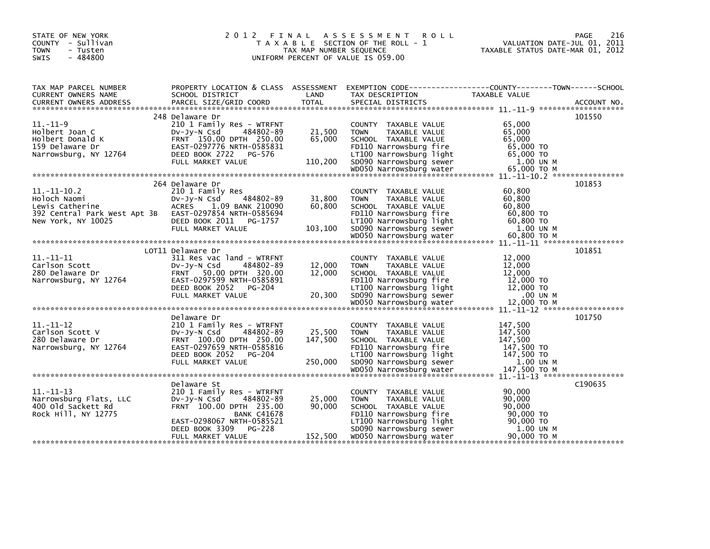| STATE OF NEW YORK<br>COUNTY - Sullivan<br><b>TOWN</b><br>- Tusten<br>$-484800$<br><b>SWIS</b> | 2 0 1 2                                               | TAX MAP NUMBER SEQUENCE | FINAL ASSESSMENT ROLL<br>T A X A B L E SECTION OF THE ROLL - 1<br>UNIFORM PERCENT OF VALUE IS 059.00 | 216<br>PAGE<br>VALUATION DATE-JUL 01, 2011<br>TAXABLE STATUS DATE-MAR 01, 2012                                                      |
|-----------------------------------------------------------------------------------------------|-------------------------------------------------------|-------------------------|------------------------------------------------------------------------------------------------------|-------------------------------------------------------------------------------------------------------------------------------------|
| TAX MAP PARCEL NUMBER<br><b>CURRENT OWNERS NAME</b>                                           | SCHOOL DISTRICT                                       | LAND                    | TAX DESCRIPTION                                                                                      | PROPERTY LOCATION & CLASS ASSESSMENT EXEMPTION CODE----------------COUNTY-------TOWN-----SCHOOL<br><b>TAXABLE VALUE</b>             |
|                                                                                               |                                                       |                         |                                                                                                      |                                                                                                                                     |
|                                                                                               | 248 Delaware Dr                                       |                         |                                                                                                      | 101550                                                                                                                              |
| $11. - 11 - 9$                                                                                | 210 1 Family Res - WTRFNT                             |                         | COUNTY TAXABLE VALUE                                                                                 | 65,000                                                                                                                              |
| Holbert Joan C                                                                                | DV-Jy-N Csd<br>484802-89                              | 21,500                  | <b>TOWN</b><br>TAXABLE VALUE                                                                         | 65,000                                                                                                                              |
| Holbert Donald K                                                                              | FRNT 150.00 DPTH 250.00                               | 65,000                  | SCHOOL TAXABLE VALUE                                                                                 | 65,000                                                                                                                              |
| 159 Delaware Dr                                                                               | EAST-0297776 NRTH-0585831                             |                         | FD110 Narrowsburg fire                                                                               | 65,000 TO                                                                                                                           |
| Narrowsburg, NY 12764                                                                         | DEED BOOK 2722 PG-576                                 |                         | LT100 Narrowsburg light                                                                              | 65,000 TO                                                                                                                           |
|                                                                                               | FULL MARKET VALUE                                     | 110,200                 | SD090 Narrowsburg sewer                                                                              | 1.00 UN M                                                                                                                           |
|                                                                                               |                                                       |                         |                                                                                                      |                                                                                                                                     |
|                                                                                               | 264 Delaware Dr                                       |                         |                                                                                                      | 101853                                                                                                                              |
| $11.-11-10.2$                                                                                 | 210 1 Family Res                                      |                         | COUNTY TAXABLE VALUE                                                                                 | 60.800                                                                                                                              |
| Holoch Naomi                                                                                  | 484802-89<br>$Dv-Jv-N$ Csd                            | 31,800                  | <b>TOWN</b><br>TAXABLE VALUE                                                                         | 60,800                                                                                                                              |
| Lewis Catherine                                                                               | ACRES 1.09 BANK 210090                                | 60.800                  | SCHOOL TAXABLE VALUE                                                                                 | 60.800                                                                                                                              |
| 392 Central Park West Apt 3B EAST-0297854 NRTH-0585694<br>New York, NY 10025                  | DEED BOOK 2011<br>PG-1757                             |                         | FD110 Narrowsburg fire<br>LT100 Narrowsburg light                                                    | 60.800 TO<br>60,800 TO                                                                                                              |
|                                                                                               | FULL MARKET VALUE                                     | 103,100                 | SD090 Narrowsburg sewer                                                                              | 1.00 UN M                                                                                                                           |
|                                                                                               |                                                       |                         |                                                                                                      |                                                                                                                                     |
|                                                                                               |                                                       |                         |                                                                                                      |                                                                                                                                     |
|                                                                                               | LOT11 Delaware Dr                                     |                         |                                                                                                      | 101851                                                                                                                              |
| $11. - 11 - 11$                                                                               | 311 Res vac land - WTRFNT                             |                         | COUNTY TAXABLE VALUE                                                                                 | 12,000                                                                                                                              |
| Carlson Scott<br>280 Delaware Dr                                                              | $Dv-Jv-N$ Csd<br>484802-89<br>FRNT 50.00 DPTH 320.00  | 12,000<br>12,000        | <b>TOWN</b><br>TAXABLE VALUE<br>SCHOOL TAXABLE VALUE                                                 | 12,000<br>12,000                                                                                                                    |
| Narrowsburg, NY 12764                                                                         | EAST-0297599 NRTH-0585891                             |                         | FD110 Narrowsburg fire                                                                               | 12,000 TO                                                                                                                           |
|                                                                                               | DEED BOOK 2052<br>PG-204                              |                         | LT100 Narrowsburg light                                                                              | 12,000 TO                                                                                                                           |
|                                                                                               | FULL MARKET VALUE                                     | 20,300                  | SD090 Narrowsburg sewer                                                                              | $.00$ UN M                                                                                                                          |
|                                                                                               |                                                       |                         |                                                                                                      |                                                                                                                                     |
|                                                                                               |                                                       |                         |                                                                                                      | 101750                                                                                                                              |
| $11.-11-12$                                                                                   | Delaware Dr<br>210 1 Family Res - WTRFNT              |                         | COUNTY TAXABLE VALUE                                                                                 | 147,500                                                                                                                             |
| Carlson Scott V                                                                               | Dv-Jy-N Csd<br>484802-89                              | 25,500                  | TAXABLE VALUE<br><b>TOWN</b>                                                                         | 147,500                                                                                                                             |
| 280 Delaware Dr                                                                               | FRNT 100.00 DPTH 250.00                               | 147,500                 | SCHOOL TAXABLE VALUE                                                                                 | 147,500                                                                                                                             |
| Narrowsburg, NY 12764                                                                         | EAST-0297659 NRTH-0585816                             |                         | FD110 Narrowsburg fire                                                                               | 147,500 TO                                                                                                                          |
|                                                                                               | DEED BOOK 2052 PG-204                                 |                         | LT100 Narrowsburg light                                                                              | 147,500 TO                                                                                                                          |
|                                                                                               | FULL MARKET VALUE                                     | 250,000                 | SD090 Narrowsburg sewer                                                                              | 1.00 UN M                                                                                                                           |
|                                                                                               |                                                       |                         |                                                                                                      | 007 147,500 ND050 Narrowsburg water 147,500 Narrowsburg water 147,500 Narrowsburg 147,500 Narrowsburg 147,500 Narrowsburg 11.-11-13 |
|                                                                                               | Delaware St                                           |                         |                                                                                                      | C <sub>1906</sub> 35                                                                                                                |
| $11. - 11 - 13$                                                                               | 210 1 Family Res - WTRFNT                             |                         | COUNTY TAXABLE VALUE                                                                                 | 90,000                                                                                                                              |
| Narrowsburg Flats, LLC                                                                        | DV-Jy-N Csd<br>484802-89                              | 25,000                  | <b>TOWN</b><br>TAXABLE VALUE                                                                         | 90,000                                                                                                                              |
| 400 old Sackett Rd                                                                            | FRNT 100.00 DPTH 235.00                               | 90,000                  | SCHOOL TAXABLE VALUE                                                                                 | 90.000                                                                                                                              |
| Rock Hill, NY 12775                                                                           | <b>BANK C41678</b>                                    |                         | FD110 Narrowsburg fire                                                                               | 90,000 TO                                                                                                                           |
|                                                                                               | EAST-0298067 NRTH-0585521<br>PG-228<br>DEED BOOK 3309 |                         | LT100 Narrowsburg light<br>SD090 Narrowsburg sewer                                                   | 90,000 TO<br>1.00 UN M                                                                                                              |
|                                                                                               | FULL MARKET VALUE                                     | 152,500                 | WD050 Narrowsburg water                                                                              | 90,000 ТО М                                                                                                                         |
|                                                                                               |                                                       |                         |                                                                                                      |                                                                                                                                     |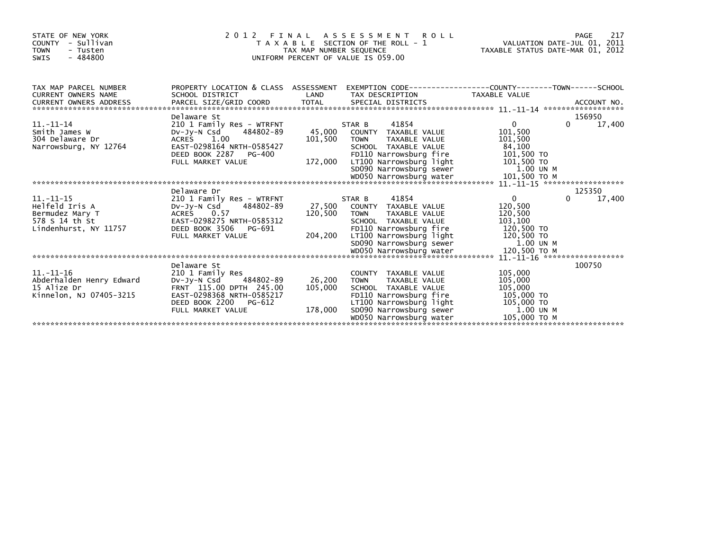| STATE OF NEW YORK<br><b>COUNTY</b><br>- Sullivan<br><b>TOWN</b><br>- Tusten<br>$-484800$<br><b>SWIS</b> | 2012 FINAL                                                                                                                                                             | TAX MAP NUMBER SEQUENCE      | A S S E S S M E N T<br><b>ROLL</b><br>T A X A B L E SECTION OF THE ROLL - 1<br>UNIFORM PERCENT OF VALUE IS 059.00                                            | TAXABLE STATUS DATE-MAR 01, 2012                                       | 217<br>PAGE<br>VALUATION DATE-JUL 01, 2011 |
|---------------------------------------------------------------------------------------------------------|------------------------------------------------------------------------------------------------------------------------------------------------------------------------|------------------------------|--------------------------------------------------------------------------------------------------------------------------------------------------------------|------------------------------------------------------------------------|--------------------------------------------|
| TAX MAP PARCEL NUMBER<br><b>CURRENT OWNERS NAME</b>                                                     | PROPERTY LOCATION & CLASS ASSESSMENT<br>SCHOOL DISTRICT                                                                                                                | LAND                         | EXEMPTION CODE-----------------COUNTY-------TOWN------SCHOOL<br>TAX DESCRIPTION                                                                              | TAXABLE VALUE                                                          |                                            |
|                                                                                                         | Delaware St                                                                                                                                                            |                              |                                                                                                                                                              |                                                                        | 156950                                     |
| $11. - 11 - 14$<br>Smith James W<br>304 Delaware Dr<br>Narrowsburg, NY 12764                            | 210 1 Family Res - WTRFNT<br>484802-89<br>DV-JY-N Csd<br><b>ACRES</b><br>1.00<br>EAST-0298164 NRTH-0585427<br>DEED BOOK 2287<br>PG-400                                 | 45,000<br>101,500            | 41854<br>STAR B<br>COUNTY TAXABLE VALUE<br><b>TOWN</b><br>TAXABLE VALUE<br>SCHOOL TAXABLE VALUE<br>FD110 Narrowsburg fire                                    | $\Omega$<br>101,500<br>101,500<br>84,100<br>101,500 TO                 | 17,400<br>$\Omega$                         |
|                                                                                                         | FULL MARKET VALUE                                                                                                                                                      | 172,000                      | LT100 Narrowsburg light<br>SD090 Narrowsburg sewer                                                                                                           | 101,500 TO<br>1.00 UN M<br>101,500 TO M                                |                                            |
|                                                                                                         |                                                                                                                                                                        |                              |                                                                                                                                                              |                                                                        | $11. - 11 - 15$ *******************        |
|                                                                                                         | Delaware Dr                                                                                                                                                            |                              |                                                                                                                                                              |                                                                        | 125350                                     |
| $11. - 11 - 15$<br>Helfeld Iris A<br>Bermudez Mary T<br>578 S 14 th St<br>Lindenhurst, NY 11757         | 210 1 Family Res - WTRFNT<br>484802-89<br>DV-JY-N Csd<br>ACRES<br>0.57<br>EAST-0298275 NRTH-0585312<br>DEED BOOK 3506<br>PG-691                                        | 27,500<br>120,500            | 41854<br>STAR B<br>COUNTY TAXABLE VALUE<br><b>TOWN</b><br>TAXABLE VALUE<br>SCHOOL TAXABLE VALUE<br>FD110 Narrowsburg fire                                    | 0<br>120,500<br>120,500<br>103,100<br>120,500 TO                       | 17,400<br>0                                |
|                                                                                                         | FULL MARKET VALUE                                                                                                                                                      | 204,200                      | LT100 Narrowsburg light<br>SD090 Narrowsburg sewer<br>WD050 Narrowsburg water                                                                                | 120,500 TO<br>1.00 UN M<br>120,500 ТО М                                |                                            |
|                                                                                                         |                                                                                                                                                                        |                              |                                                                                                                                                              |                                                                        | $11. - 11 - 16$ *******************        |
| $11. - 11 - 16$<br>Abderhalden Henry Edward<br>15 Alize Dr<br>Kinnelon, NJ 07405-3215                   | Delaware St<br>210 1 Family Res<br>$Dv-Jv-N$ Csd<br>484802-89<br>FRNT 115.00 DPTH 245.00<br>EAST-0298368 NRTH-0585217<br>DEED BOOK 2200<br>PG-612<br>FULL MARKET VALUE | 26,200<br>105,000<br>178,000 | COUNTY TAXABLE VALUE<br>TAXABLE VALUE<br><b>TOWN</b><br>SCHOOL TAXABLE VALUE<br>FD110 Narrowsburg fire<br>LT100 Narrowsburg light<br>SD090 Narrowsburg sewer | 105,000<br>105,000<br>105,000<br>105,000 TO<br>105,000 TO<br>1.00 UN M | 100750                                     |
|                                                                                                         |                                                                                                                                                                        |                              | WD050 Narrowsburg water                                                                                                                                      | 105,000 TO M                                                           |                                            |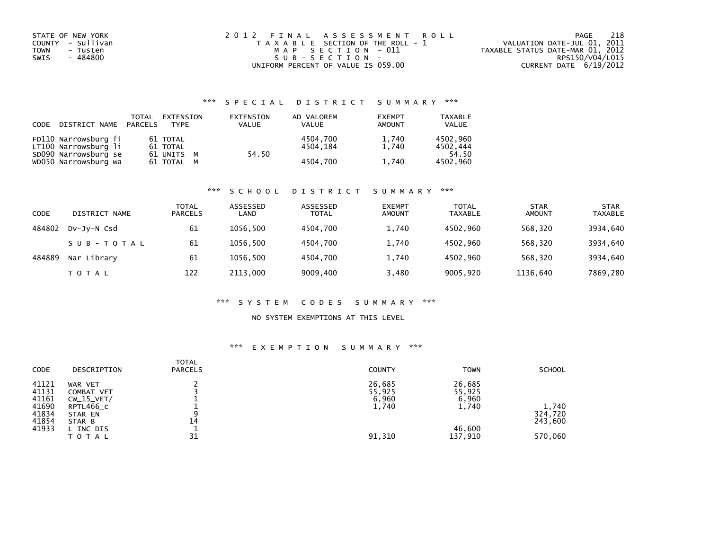| STATE OF NEW YORK<br>COUNTY - Sullivan | 2012 FINAL ASSESSMENT ROLL                                 | 218<br>PAGE<br>VALUATION DATE-JUL 01, 2011 |
|----------------------------------------|------------------------------------------------------------|--------------------------------------------|
| TOWN<br>- Tusten                       | T A X A B L E SECTION OF THE ROLL - 1<br>MAP SECTION - 011 | TAXABLE STATUS DATE-MAR 01, 2012           |
| - 484800<br>SWIS                       | $SUB - SECTION -$                                          | RPS150/V04/L015                            |
|                                        | UNIFORM PERCENT OF VALUE IS 059.00                         | CURRENT DATE 6/19/2012                     |

## \*\*\* S P E C I A L D I S T R I C T S U M M A R Y \*\*\*

| CODE | DISTRICT NAME PARCELS                        | <b>TOTAL</b> | EXTENSION<br><b>TYPF</b> | EXTENSION<br><b>VALUE</b> | AD VALOREM<br><b>VALUE</b> | <b>EXEMPT</b><br>AMOUNT | <b>TAXABLE</b><br><b>VALUE</b> |
|------|----------------------------------------------|--------------|--------------------------|---------------------------|----------------------------|-------------------------|--------------------------------|
|      | FD110 Narrowsburg fi<br>LT100 Narrowsburg li |              | 61 TOTAL<br>61 TOTAL     |                           | 4504.700<br>4504.184       | 1,740<br>1.740          | 4502.960<br>4502,444           |
|      | SD090 Narrowsburg se<br>WD050 Narrowsburg wa |              | 61 UNITS M<br>61 TOTAL M | 54.50                     | 4504.700                   | 1,740                   | 54.50<br>4502,960              |

### \*\*\* S C H O O L D I S T R I C T S U M M A R Y \*\*\*

| CODE   | DISTRICT NAME | TOTAL<br><b>PARCELS</b> | ASSESSED<br>LAND | ASSESSED<br><b>TOTAL</b> | <b>EXEMPT</b><br><b>AMOUNT</b> | <b>TOTAL</b><br><b>TAXABLE</b> | <b>STAR</b><br><b>AMOUNT</b> | <b>STAR</b><br><b>TAXABLE</b> |
|--------|---------------|-------------------------|------------------|--------------------------|--------------------------------|--------------------------------|------------------------------|-------------------------------|
| 484802 | DV-JV-N Csd   | 61                      | 1056.500         | 4504.700                 | 1,740                          | 4502.960                       | 568,320                      | 3934,640                      |
|        | SUB-TOTAL     | 61                      | 1056.500         | 4504.700                 | 1,740                          | 4502.960                       | 568,320                      | 3934,640                      |
| 484889 | Nar Library   | 61                      | 1056.500         | 4504.700                 | 1,740                          | 4502.960                       | 568,320                      | 3934,640                      |
|        | T O T A L     | 122                     | 2113,000         | 9009,400                 | 3,480                          | 9005,920                       | 1136,640                     | 7869,280                      |

### \*\*\* S Y S T E M C O D E S S U M M A R Y \*\*\*

## NO SYSTEM EXEMPTIONS AT THIS LEVEL

## \*\*\* E X E M P T I O N S U M M A R Y \*\*\*

| <b>CODE</b>             | DESCRIPTION                           | <b>TOTAL</b><br><b>PARCELS</b> | <b>COUNTY</b>             | <b>TOWN</b>               | <b>SCHOOL</b>               |
|-------------------------|---------------------------------------|--------------------------------|---------------------------|---------------------------|-----------------------------|
| 41121<br>41131<br>41161 | WAR VET<br>COMBAT VET<br>$CW_15_VET/$ |                                | 26,685<br>55,925<br>6,960 | 26,685<br>55,925<br>6,960 |                             |
| 41690<br>41834<br>41854 | RPTL466_C<br>STAR EN<br>STAR B        | 9<br>14                        | 1,740                     | 1,740                     | 1,740<br>324,720<br>243,600 |
| 41933                   | L INC DIS<br>TOTAL                    | 31                             | 91,310                    | 46,600<br>137,910         | 570,060                     |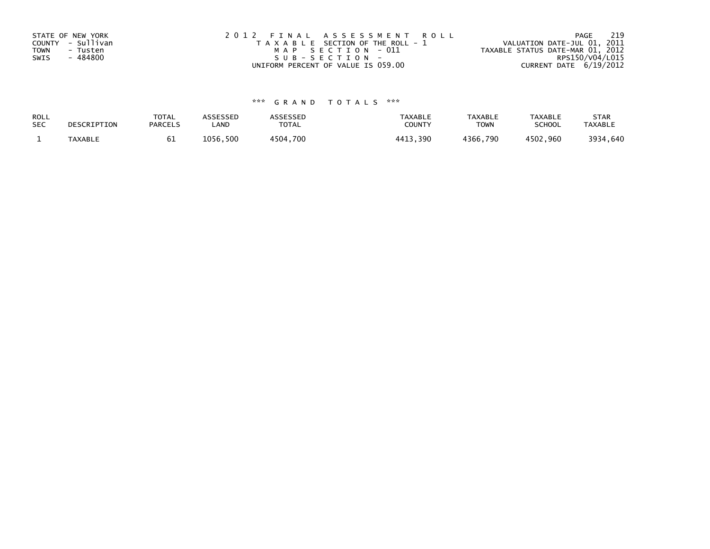| STATE OF NEW YORK<br>COUNTY - Sullivan<br><b>TOWN</b><br>- Tusten | 2012 FINAL ASSESSMENT ROLL<br>T A X A B L E SECTION OF THE ROLL - 1<br>MAP SECTION - 011 | 219<br>PAGE<br>VALUATION DATE-JUL 01, 2011<br>TAXABLE STATUS DATE-MAR 01, 2012 |
|-------------------------------------------------------------------|------------------------------------------------------------------------------------------|--------------------------------------------------------------------------------|
| - 484800                                                          | SUB-SECTION-                                                                             | RPS150/V04/L015                                                                |
| SWIS                                                              | UNIFORM PERCENT OF VALUE IS 059.00                                                       | CURRENT DATE 6/19/2012                                                         |

# \*\*\* G R A N D T O T A L S \*\*\*

| ROLL       | DESCRIPTION    | <b>TOTAL</b>   | <b>ASSESSED</b> | <b>ASSESSED</b> | <b>TAXABLE</b> | <b>TAXABLE</b> | <b>TAXABLE</b> | <b>STAR</b>    |
|------------|----------------|----------------|-----------------|-----------------|----------------|----------------|----------------|----------------|
| <b>SEC</b> |                | <b>PARCELS</b> | LAND            | TOTAL           | COUNTY         | <b>TOWN</b>    | <b>SCHOOL</b>  | <b>TAXABLE</b> |
|            | <b>TAXABLE</b> | ЮT             | 1056.500        | 4504,700        | 4413,390       | 4366,790       | 4502,960       | 3934,640       |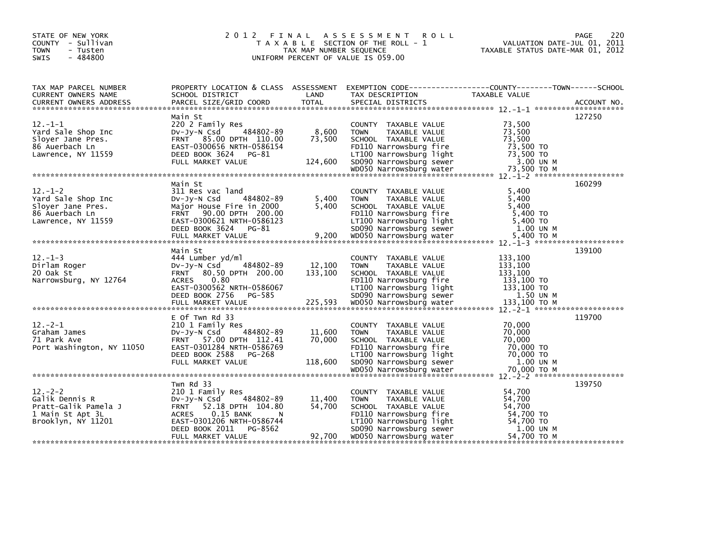| STATE OF NEW YORK<br>COUNTY - Sullivan<br><b>TOWN</b><br>- Tusten<br>$-484800$<br>SWIS |                                                     | TAX MAP NUMBER SEQUENCE | 2012 FINAL ASSESSMENT ROLL<br>T A X A B L E SECTION OF THE ROLL - 1<br>UNIFORM PERCENT OF VALUE IS 059.00 | 220<br>PAGE<br>VALUATION DATE-JUL 01, 2011<br>TAXABLE STATUS DATE-MAR 01, 2012                                    |
|----------------------------------------------------------------------------------------|-----------------------------------------------------|-------------------------|-----------------------------------------------------------------------------------------------------------|-------------------------------------------------------------------------------------------------------------------|
| TAX MAP PARCEL NUMBER<br>CURRENT OWNERS NAME                                           |                                                     | LAND                    | TAX DESCRIPTION                                                                                           | PROPERTY LOCATION & CLASS ASSESSMENT EXEMPTION CODE----------------COUNTY-------TOWN------SCHOOL<br>TAXABLE VALUE |
|                                                                                        | SCHOOL DISTRICT                                     |                         |                                                                                                           |                                                                                                                   |
|                                                                                        | Main St                                             |                         |                                                                                                           | 127250                                                                                                            |
| $12 - 1 - 1$                                                                           | 220 2 Family Res                                    |                         | COUNTY TAXABLE VALUE                                                                                      | 73,500                                                                                                            |
| Yard Sale Shop Inc                                                                     | 484802-89<br>$Dv-Jv-N$ Csd                          | 8,600                   | <b>TOWN</b><br>TAXABLE VALUE                                                                              | 73,500                                                                                                            |
| Slover Jane Pres.                                                                      | FRNT 85.00 DPTH 110.00                              | 73,500                  | SCHOOL TAXABLE VALUE                                                                                      | 73,500                                                                                                            |
| 86 Auerbach Ln                                                                         | EAST-0300656 NRTH-0586154                           |                         | FD110 Narrowsburg fire                                                                                    | 73,500 TO                                                                                                         |
| Lawrence, NY 11559                                                                     | DEED BOOK 3624 PG-81<br>FULL MARKET VALUE           | 124,600                 | LT100 Narrowsburg light<br>SD090 Narrowsburg sewer                                                        | 73,500 TO<br>3.00 UN M                                                                                            |
|                                                                                        |                                                     |                         |                                                                                                           |                                                                                                                   |
|                                                                                        |                                                     |                         |                                                                                                           |                                                                                                                   |
|                                                                                        | Main St                                             |                         |                                                                                                           | 160299                                                                                                            |
| $12 - 1 - 2$                                                                           | 311 Res vac land                                    |                         | COUNTY TAXABLE VALUE                                                                                      | 5.400                                                                                                             |
| Yard Sale Shop Inc                                                                     | 484802-89<br>$Dv-Jy-N$ Csd                          | 5,400                   | <b>TOWN</b><br>TAXABLE VALUE                                                                              | 5,400                                                                                                             |
| Slover Jane Pres.                                                                      | Major House Fire in 2000                            | 5.400                   | SCHOOL TAXABLE VALUE                                                                                      | 5.400                                                                                                             |
| 86 Auerbach Ln                                                                         | FRNT 90.00 DPTH 200.00<br>EAST-0300621 NRTH-0586123 |                         | FD110 Narrowsburg fire<br>LT100 Narrowsburg light                                                         | 5,400 TO<br>5,400 TO                                                                                              |
| Lawrence, NY 11559                                                                     | DEED BOOK 3624 PG-81                                |                         | SD090 Narrowsburg sewer                                                                                   | 1.00 UN M                                                                                                         |
|                                                                                        |                                                     |                         |                                                                                                           |                                                                                                                   |
|                                                                                        |                                                     |                         |                                                                                                           |                                                                                                                   |
|                                                                                        | Main St                                             |                         |                                                                                                           | 139100                                                                                                            |
| $12. - 1 - 3$                                                                          | 444 Lumber yd/ml                                    |                         | COUNTY TAXABLE VALUE                                                                                      | 133,100                                                                                                           |
| Dirlam Roger                                                                           | 484802-89<br>DV-JV-N Csd                            | 12,100                  | <b>TOWN</b><br>TAXABLE VALUE                                                                              | 133,100                                                                                                           |
| 20 Oak St<br>Narrowsburg, NY 12764                                                     | FRNT 80.50 DPTH 200.00<br><b>ACRES</b><br>0.80      | 133,100                 | SCHOOL TAXABLE VALUE<br>FD110 Narrowsburg fire                                                            | 133,100<br>133,100 TO                                                                                             |
|                                                                                        | EAST-0300562 NRTH-0586067                           |                         | LT100 Narrowsburg light                                                                                   | 133,100 TO                                                                                                        |
|                                                                                        | DEED BOOK 2756 PG-585                               |                         | SD090 Narrowsburg sewer                                                                                   | 1.50 UN M                                                                                                         |
|                                                                                        |                                                     |                         |                                                                                                           |                                                                                                                   |
|                                                                                        |                                                     |                         |                                                                                                           |                                                                                                                   |
|                                                                                        | E Of Twn Rd 33                                      |                         |                                                                                                           | 119700                                                                                                            |
| $12 - 2 - 1$                                                                           | 210 1 Family Res                                    |                         | COUNTY TAXABLE VALUE                                                                                      | 70,000                                                                                                            |
| Graham James                                                                           | DV-Jy-N Csd<br>484802-89                            | 11,600<br>70,000        | TAXABLE VALUE<br><b>TOWN</b>                                                                              | 70,000<br>70,000                                                                                                  |
| 71 Park Ave<br>Port Washington, NY 11050                                               | FRNT 57.00 DPTH 112.41<br>EAST-0301284 NRTH-0586769 |                         | SCHOOL TAXABLE VALUE<br>FD110 Narrowsburg fire                                                            | 70,000 TO                                                                                                         |
|                                                                                        | DEED BOOK 2588 PG-268                               |                         | LT100 Narrowsburg light                                                                                   | 70,000 TO                                                                                                         |
|                                                                                        | FULL MARKET VALUE                                   | 118,600                 | SD090 Narrowsburg sewer                                                                                   | 1.00 UN M                                                                                                         |
|                                                                                        |                                                     |                         |                                                                                                           |                                                                                                                   |
|                                                                                        |                                                     |                         |                                                                                                           |                                                                                                                   |
|                                                                                        | Twn Rd 33                                           |                         |                                                                                                           | 139750                                                                                                            |
| $12 - 2 - 2$                                                                           | 210 1 Family Res                                    |                         | COUNTY TAXABLE VALUE                                                                                      | 54,700                                                                                                            |
| Galik Dennis R<br>Pratt-Galik Pamela J                                                 | DV-JV-N Csd<br>484802-89<br>FRNT 52.18 DPTH 104.80  | 11,400<br>54,700        | <b>TOWN</b><br>TAXABLE VALUE                                                                              | 54,700<br>54.700                                                                                                  |
| 1 Main St Apt 3L                                                                       | <b>ACRES</b><br>$0.15$ BANK<br>N                    |                         | SCHOOL TAXABLE VALUE<br>FD110 Narrowsburg fire                                                            | 54,700 TO                                                                                                         |
| Brooklyn, NY 11201                                                                     | EAST-0301206 NRTH-0586744                           |                         | LT100 Narrowsburg light                                                                                   | 54,700 TO                                                                                                         |
|                                                                                        | DEED BOOK 2011<br>PG-8562                           |                         | SD090 Narrowsburg sewer                                                                                   | 1.00 UN M                                                                                                         |
|                                                                                        | FULL MARKET VALUE                                   | 92,700                  | WD050 Narrowsburg water                                                                                   | 54,700 TO M                                                                                                       |
|                                                                                        |                                                     |                         |                                                                                                           |                                                                                                                   |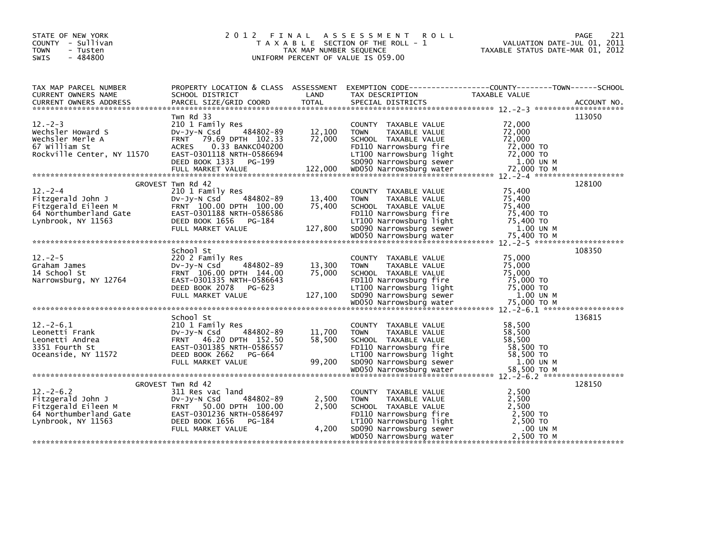| STATE OF NEW YORK<br>COUNTY - Sullivan<br><b>TOWN</b><br>- Tusten<br>$-484800$<br><b>SWIS</b>            |                                                                                                                  | TAX MAP NUMBER SEQUENCE         | 2012 FINAL ASSESSMENT ROLL<br>T A X A B L E SECTION OF THE ROLL - 1<br>UNIFORM PERCENT OF VALUE IS 059.00                                                    | 221<br>PAGE<br>VALUATION DATE-JUL 01, 2011<br>TAXABLE STATUS DATE-MAR 01, 2012                                                                                                                                                                                                 |
|----------------------------------------------------------------------------------------------------------|------------------------------------------------------------------------------------------------------------------|---------------------------------|--------------------------------------------------------------------------------------------------------------------------------------------------------------|--------------------------------------------------------------------------------------------------------------------------------------------------------------------------------------------------------------------------------------------------------------------------------|
| TAX MAP PARCEL NUMBER<br>CURRENT OWNERS NAME                                                             |                                                                                                                  |                                 |                                                                                                                                                              |                                                                                                                                                                                                                                                                                |
|                                                                                                          |                                                                                                                  |                                 |                                                                                                                                                              |                                                                                                                                                                                                                                                                                |
| $12 - 2 - 3$<br>Wechsler Howard S<br>Wechsler Merle A<br>67 William St                                   | Twn Rd 33<br>210 1 Family Res<br>484802-89<br>DV-Jy-N Csd<br>FRNT 79.69 DPTH 102.33<br>ACRES 0.33 BANKC040200    | 12,100<br>72,000                | COUNTY TAXABLE VALUE<br><b>TOWN</b><br>TAXABLE VALUE<br>SCHOOL TAXABLE VALUE<br>FD110 Narrowsburg fire                                                       | 113050<br>72,000<br>72,000<br>72,000<br>72,000 TO                                                                                                                                                                                                                              |
|                                                                                                          |                                                                                                                  |                                 |                                                                                                                                                              | 8/2000 12/30 2011/12 2012/08/2012 2012/08/2012 2012/08/2012 2012/09/2012 2012/09/2012 2012/09/2012 2012/09/201<br>Rockville Center, NY 11570 2012 2012 20118 NRT-0586694 50090 Narrowsburg sewer 2.000 TO<br>FULL MARKET VALUE 122,0                                           |
|                                                                                                          | GROVEST Twn Rd 42                                                                                                |                                 |                                                                                                                                                              | 128100                                                                                                                                                                                                                                                                         |
| $12 - 2 - 4$<br>Fitzgerald John J<br>Fitzgerald Eileen M<br>64 Northumberland Gate<br>Lynbrook, NY 11563 | 210 1 Family Res<br>484802-89<br>DV-JY-N Csd<br>FRNT 100.00 DPTH 100.00<br>EAST-0301188 NRTH-0586586             | 13,400<br>75,400                | COUNTY TAXABLE VALUE<br><b>TOWN</b><br>TAXABLE VALUE<br>SCHOOL TAXABLE VALUE<br>FD110 Narrowsburg fire                                                       | 75,400<br>75,400<br>75,400<br>75,400 TO<br>04 Northumber and value of the contract of the contract of the contract of the contract of the contract of the contract of the contract of the contract of the contract of the contract value of the contract value of the con      |
|                                                                                                          |                                                                                                                  |                                 |                                                                                                                                                              |                                                                                                                                                                                                                                                                                |
|                                                                                                          |                                                                                                                  |                                 |                                                                                                                                                              |                                                                                                                                                                                                                                                                                |
| $12 - 2 - 5$<br>استين James<br>14 School St<br>Narrowsburg, NY 12764                                     | School St<br>220 2 Family Res<br>484802-89<br>Dv-Jy-N Csd<br>FRNT 106.00 DPTH 144.00                             | $\frac{13}{75}$ , 300<br>75,000 | COUNTY TAXABLE VALUE<br>TAXABLE VALUE<br><b>TOWN</b><br>SCHOOL TAXABLE VALUE                                                                                 | 108350<br>75,000<br>75,000<br>75,000<br>Narrowsburg, NY 12764<br>Narrowsburg, NY 12764 EAST-0301335 NRTH-0586643<br>DEED BOOK 2078 PG-623 LT100 Narrowsburg Tight 75,000 TO<br>FULL MARKET VALUE 127,100 SD090 Narrowsburg sewer 1.00 UN M<br>WD050 Narrowsburg water 75,000 T |
|                                                                                                          |                                                                                                                  |                                 |                                                                                                                                                              |                                                                                                                                                                                                                                                                                |
| $12.-2-6.1$<br>Leonetti Frank<br>Leonetti Andrea<br>3351 Fourth St                                       | School St<br>210 1 Family Res<br>484802-89<br>DV-Jy-N Csd<br>FRNT 46.20 DPTH 152.50<br>EAST-0301385 NRTH-0586557 | 11,700<br>58,500                | COUNTY TAXABLE VALUE<br><b>TOWN</b><br>TAXABLE VALUE<br>SCHOOL TAXABLE VALUE<br>FD110 Narrowsburg fire                                                       | 136815<br>58,500<br>58,500<br>58,500<br>58,500 TO                                                                                                                                                                                                                              |
|                                                                                                          |                                                                                                                  |                                 |                                                                                                                                                              |                                                                                                                                                                                                                                                                                |
| $12 - 2 - 6.2$<br>Lynbrook, NY 11563                                                                     | GROVEST Twn Rd 42<br>DEED BOOK 1656 PG-184<br>FULL MARKET VALUE                                                  | 2,500<br>2,500<br>4,200         | COUNTY TAXABLE VALUE<br><b>TOWN</b><br>TAXABLE VALUE<br>SCHOOL TAXABLE VALUE<br>FD110 Narrowsburg fire<br>LT100 Narrowsburg light<br>SD090 Narrowsburg sewer | 128150<br>2,500<br>2,500<br>2,500<br>2,500 TO<br>2,500 TO<br>00 UN M .<br>2,500 TO M                                                                                                                                                                                           |
|                                                                                                          |                                                                                                                  |                                 | WD050 Narrowsburg water                                                                                                                                      | 2,500 TO M                                                                                                                                                                                                                                                                     |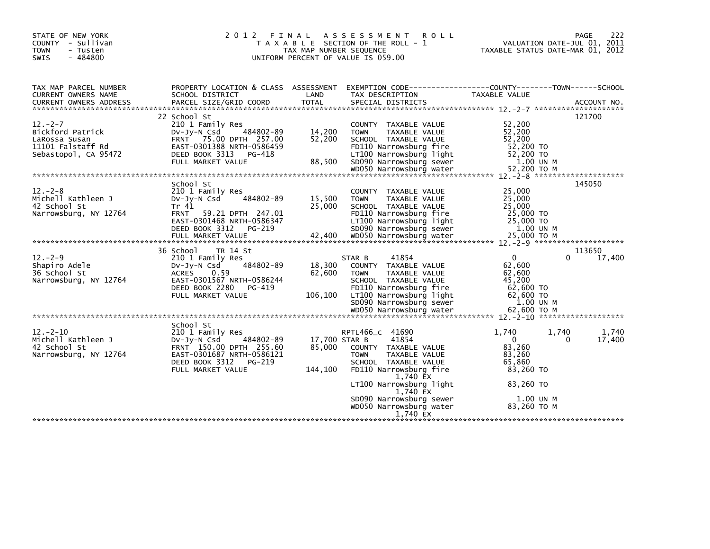| 2 0 1 2                                                                                                                                                                       |                             | A S S E S S M E N T<br><b>ROLL</b>                                                                                                                                                                                                          | VALUATION DATE-JUL 01, 2011<br>TAXABLE STATUS DATE-MAR 01, 2012                                                                     | 222<br><b>PAGE</b>                                                                               |
|-------------------------------------------------------------------------------------------------------------------------------------------------------------------------------|-----------------------------|---------------------------------------------------------------------------------------------------------------------------------------------------------------------------------------------------------------------------------------------|-------------------------------------------------------------------------------------------------------------------------------------|--------------------------------------------------------------------------------------------------|
| SCHOOL DISTRICT                                                                                                                                                               | LAND                        | TAX DESCRIPTION                                                                                                                                                                                                                             | <b>TAXABLE VALUE</b>                                                                                                                |                                                                                                  |
| 22 School St<br>210 1 Family Res<br>484802-89<br>$Dv-Jy-N$ Csd<br>FRNT 75.00 DPTH 257.00<br>EAST-0301388 NRTH-0586459<br>DEED BOOK 3313<br>PG-418<br>FULL MARKET VALUE        | 14,200<br>52,200<br>88,500  | COUNTY TAXABLE VALUE<br>TAXABLE VALUE<br><b>TOWN</b><br>SCHOOL TAXABLE VALUE<br>FD110 Narrowsburg fire<br>LT100 Narrowsburg light<br>SD090 Narrowsburg sewer                                                                                | 52,200<br>52,200<br>52,200<br>52,200 TO<br>52,200 TO<br>1.00 UN M                                                                   | 121700                                                                                           |
| School St<br>210 1 Family Res<br>484802-89<br>$Dv-Jy-N$ Csd<br>Tr 41<br>FRNT 59.21 DPTH 247.01<br>EAST-0301468 NRTH-0586347<br>DEED BOOK 3312<br>PG-219                       | 15,500<br>25,000            | COUNTY TAXABLE VALUE<br>TAXABLE VALUE<br><b>TOWN</b><br>SCHOOL TAXABLE VALUE<br>FD110 Narrowsburg fire<br>LT100 Narrowsburg light<br>SD090 Narrowsburg sewer                                                                                | 25,000<br>25,000<br>25,000<br>25,000 TO<br>25,000 TO<br>1.00 UN M                                                                   | 145050                                                                                           |
| 36 School<br>TR 14 St<br>210 1 Family Res<br>484802-89<br>$Dv-Jy-N$ Csd<br><b>ACRES</b><br>0.59<br>EAST-0301567 NRTH-0586244<br>DEED BOOK 2280<br>PG-419<br>FULL MARKET VALUE | 18,300<br>62,600<br>106,100 | 41854<br>STAR B<br>COUNTY TAXABLE VALUE<br><b>TOWN</b><br>TAXABLE VALUE<br>SCHOOL TAXABLE VALUE<br>FD110 Narrowsburg fire<br>LT100 Narrowsburg light<br>SD090 Narrowsburg sewer                                                             | $\mathbf{0}$<br>$\Omega$<br>62,600<br>62.600<br>45,200<br>$62,600$ TO<br>62,600 TO<br>$1.00$ UN M                                   | 113650<br>17,400                                                                                 |
| School St<br>210 1 Family Res<br>484802-89<br>$Dv-Jv-N$ Csd<br>FRNT 150.00 DPTH 255.60<br>EAST-0301687 NRTH-0586121<br>DEED BOOK 3312<br>PG-219<br>FULL MARKET VALUE          | 85,000<br>144,100           | RPTL466 c 41690<br>41854<br>COUNTY TAXABLE VALUE<br><b>TOWN</b><br>TAXABLE VALUE<br>SCHOOL TAXABLE VALUE<br>FD110 Narrowsburg fire<br>1,740 EX<br>LT100 Narrowsburg light<br>1,740 EX<br>SD090 Narrowsburg sewer<br>WD050 Narrowsburg water | 1.740<br>1.740<br>$\Omega$<br>$\Omega$<br>83,260<br>83,260<br>65,860<br>83,260 TO<br>83,260 TO<br>1.00 UN M<br>83,260 TO M          | 1.740<br>17,400                                                                                  |
|                                                                                                                                                                               |                             | FINAL                                                                                                                                                                                                                                       | T A X A B L E SECTION OF THE ROLL - 1<br>TAX MAP NUMBER SEQUENCE<br>UNIFORM PERCENT OF VALUE IS 059.00<br>17,700 STAR B<br>1,740 EX | PROPERTY LOCATION & CLASS ASSESSMENT EXEMPTION CODE----------------COUNTY-------TOWN------SCHOOL |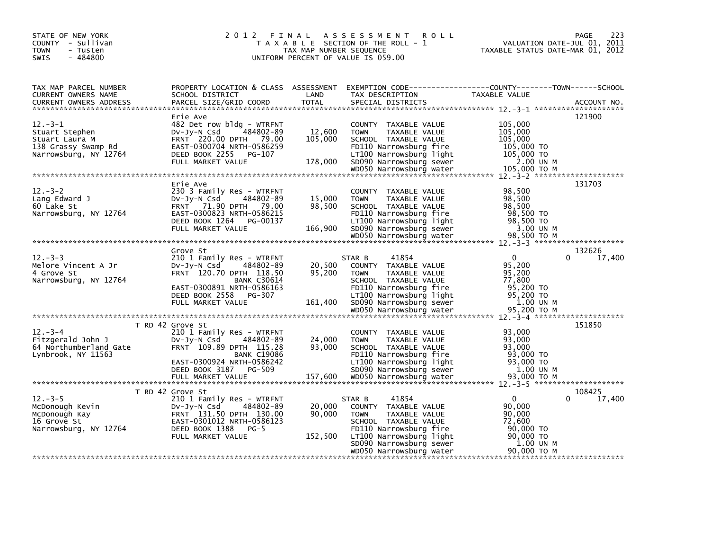| STATE OF NEW YORK<br>COUNTY - Sullivan<br><b>TOWN</b><br>- Tusten<br>$-484800$<br><b>SWIS</b>    |                                                                                                                                                                                       | TAX MAP NUMBER SEQUENCE      | 2012 FINAL ASSESSMENT<br><b>ROLL</b><br>T A X A B L E SECTION OF THE ROLL - 1<br>UNIFORM PERCENT OF VALUE IS 059.00                                                                     | VALUATION DATE-JUL 01, 2011<br>TAXABLE STATUS DATE-MAR 01, 2012                  | 223<br>PAGE           |
|--------------------------------------------------------------------------------------------------|---------------------------------------------------------------------------------------------------------------------------------------------------------------------------------------|------------------------------|-----------------------------------------------------------------------------------------------------------------------------------------------------------------------------------------|----------------------------------------------------------------------------------|-----------------------|
| TAX MAP PARCEL NUMBER<br><b>CURRENT OWNERS NAME</b><br><b>CURRENT OWNERS ADDRESS</b>             | PROPERTY LOCATION & CLASS ASSESSMENT EXEMPTION CODE----------------COUNTY-------TOWN------SCHOOL<br>SCHOOL DISTRICT<br>PARCEL SIZE/GRID COORD                                         | LAND<br><b>TOTAL</b>         | TAX DESCRIPTION<br>SPECIAL DISTRICTS                                                                                                                                                    | <b>TAXABLE VALUE</b>                                                             | ACCOUNT NO.           |
| $12 - 3 - 1$<br>Stuart Stephen<br>Stuart Laura M<br>138 Grassy Swamp Rd<br>Narrowsburg, NY 12764 | Erie Ave<br>482 Det row bldg - WTRFNT<br>484802-89<br>$Dv-Jy-N$ Csd<br>FRNT 220.00 DPTH 79.00<br>EAST-0300704 NRTH-0586259<br>DEED BOOK 2255<br>PG-107<br>FULL MARKET VALUE           | 12,600<br>105,000<br>178,000 | COUNTY TAXABLE VALUE<br><b>TOWN</b><br>TAXABLE VALUE<br>SCHOOL TAXABLE VALUE<br>FD110 Narrowsburg fire<br>LT100 Narrowsburg light<br>SD090 Narrowsburg sewer                            | 105,000<br>105,000<br>105,000<br>105,000 TO<br>105,000 TO<br>2.00 UN M           | 121900                |
| $12 - 3 - 2$<br>Lang Edward J<br>60 Lake St<br>Narrowsburg, NY 12764                             | Erie Ave<br>230 3 Family Res - WTRFNT<br>484802-89<br>$Dv-Jy-N$ Csd<br>FRNT 71.90 DPTH 79.00<br>EAST-0300823 NRTH-0586215<br>DEED BOOK 1264<br>PG-00137<br>FULL MARKET VALUE          | 15,000<br>98,500<br>166,900  | COUNTY TAXABLE VALUE<br>TAXABLE VALUE<br><b>TOWN</b><br>SCHOOL TAXABLE VALUE<br>FD110 Narrowsburg fire<br>LT100 Narrowsburg light<br>SD090 Narrowsburg sewer<br>WD050 Narrowsburg water | 98,500<br>98,500<br>98,500<br>98,500 TO<br>98,500 TO<br>3.00 UN M<br>98.500 TO M | 131703                |
|                                                                                                  | Grove St                                                                                                                                                                              |                              |                                                                                                                                                                                         |                                                                                  | 132626                |
| $12 - 3 - 3$<br>Melore Vincent A Jr<br>4 Grove St<br>Narrowsburg, NY 12764                       | 210 1 Family Res - WTRFNT<br>$Dv-Jy-N$ Csd<br>484802-89<br>FRNT 120.70 DPTH 118.50<br><b>BANK C30614</b><br>EAST-0300891 NRTH-0586163<br>DEED BOOK 2558<br>PG-307                     | 20,500<br>95,200             | 41854<br>STAR B<br>COUNTY TAXABLE VALUE<br>TAXABLE VALUE<br><b>TOWN</b><br>SCHOOL TAXABLE VALUE<br>FD110 Narrowsburg fire<br>LT100 Narrowsburg light                                    | $\Omega$<br>95,200<br>95,200<br>77,800<br>95,200 TO<br>95,200 TO                 | 17,400<br>$\Omega$    |
|                                                                                                  | FULL MARKET VALUE                                                                                                                                                                     | 161,400                      | SD090 Narrowsburg sewer<br>WD050 Narrowsburg water                                                                                                                                      | 1.00 UN M<br>95,200 TO M                                                         |                       |
| $12 - 3 - 4$<br>Fitzgerald John J<br>64 Northumberland Gate<br>Lynbrook, NY 11563                | T RD 42 Grove St<br>210 1 Family Res - WTRFNT<br>484802-89<br>$Dv-Jy-N$ Csd<br>FRNT 109.89 DPTH 115.28<br><b>BANK C19086</b><br>EAST-0300924 NRTH-0586242<br>DEED BOOK 3187<br>PG-509 | 24,000<br>93,000             | COUNTY TAXABLE VALUE<br>TAXABLE VALUE<br><b>TOWN</b><br>SCHOOL TAXABLE VALUE<br>FD110 Narrowsburg fire<br>LT100 Narrowsburg light<br>SD090 Narrowsburg sewer                            | 93,000<br>93,000<br>93.000<br>93,000 TO<br>93,000 TO<br>1.00 UN M                | 151850                |
|                                                                                                  |                                                                                                                                                                                       |                              |                                                                                                                                                                                         |                                                                                  |                       |
| $12 - 3 - 5$<br>McDonough Kevin<br>McDonough Kay<br>16 Grove St<br>Narrowsburg, NY 12764         | T RD 42 Grove St<br>210 1 Family Res - WTRFNT<br>484802-89<br>DV-Jy-N Csd<br>FRNT 131.50 DPTH 130.00<br>EAST-0301012 NRTH-0586123<br>DEED BOOK 1388<br>$PG-5$<br>FULL MARKET VALUE    | 20,000<br>90,000<br>152,500  | STAR B<br>41854<br>COUNTY TAXABLE VALUE<br>TAXABLE VALUE<br><b>TOWN</b><br>SCHOOL TAXABLE VALUE<br>FD110 Narrowsburg fire<br>LT100 Narrowsburg light                                    | $\Omega$<br>90,000<br>90,000<br>72,600<br>90,000 TO<br>90,000 TO                 | 108425<br>17,400<br>0 |
|                                                                                                  |                                                                                                                                                                                       |                              | SD090 Narrowsburg sewer<br>WD050 Narrowsburg water                                                                                                                                      | 1.00 UN M<br>90,000 ТО М                                                         |                       |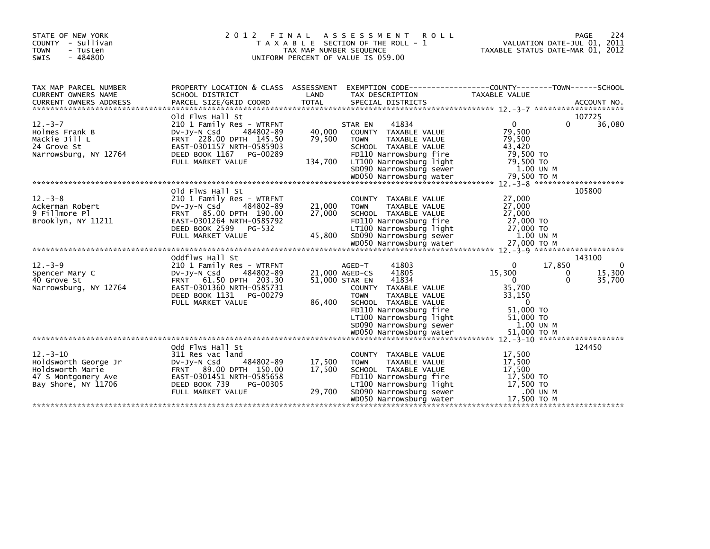| STATE OF NEW YORK<br>COUNTY - Sullivan<br>- Tusten<br>TOWN<br>- 484800<br>SWIS                          | 2 0 1 2                                                                                                                                                                              | FINAL<br>TAX MAP NUMBER SEQUENCE | A S S E S S M E N T<br><b>ROLL</b><br>T A X A B L E SECTION OF THE ROLL - 1<br>UNIFORM PERCENT OF VALUE IS 059.00                                                                                                                     | PAGE<br>VALUATION DATE-JUL 01, 2011<br>TAXABLE STATUS DATE-MAR 01, 2012                                                          | 224                          |
|---------------------------------------------------------------------------------------------------------|--------------------------------------------------------------------------------------------------------------------------------------------------------------------------------------|----------------------------------|---------------------------------------------------------------------------------------------------------------------------------------------------------------------------------------------------------------------------------------|----------------------------------------------------------------------------------------------------------------------------------|------------------------------|
| TAX MAP PARCEL NUMBER<br>CURRENT OWNERS NAME                                                            | SCHOOL DISTRICT                                                                                                                                                                      | LAND                             | TAX DESCRIPTION                                                                                                                                                                                                                       | PROPERTY LOCATION & CLASS ASSESSMENT EXEMPTION CODE----------------COUNTY-------TOWN------SCHOOL<br>TAXABLE VALUE                |                              |
| $12 - 3 - 7$<br>Holmes Frank B<br>Mackie Jill L<br>24 Grove St<br>Narrowsburg, NY 12764                 | old Flws Hall St<br>210 1 Family Res - WTRFNT<br>484802-89<br>DV-Jy-N Csd<br>FRNT 228.00 DPTH 145.50<br>EAST-0301157 NRTH-0585903<br>DEED BOOK 1167<br>PG-00289<br>FULL MARKET VALUE | 40,000<br>79,500<br>134,700      | 41834<br>STAR EN<br>COUNTY TAXABLE VALUE<br>TAXABLE VALUE<br><b>TOWN</b><br>SCHOOL TAXABLE VALUE<br>FD110 Narrowsburg fire<br>LT100 Narrowsburg light<br>SD090 Narrowsburg sewer                                                      | 107725<br>$\mathbf{0}$<br>0<br>79,500<br>79,500<br>43,420<br>79,500 TO<br>79.500 TO<br>1.00 UN M                                 | 36,080                       |
| $12 - 3 - 8$<br>Ackerman Robert<br>9 Fillmore Pl<br>Brooklyn, NY 11211                                  | Old Flws Hall St<br>210 1 Family Res - WTRFNT<br>$Dv-Jy-N$ Csd<br>484802-89<br>FRNT 85.00 DPTH 190.00<br>EAST-0301264 NRTH-0585792<br>DEED BOOK 2599 PG-532                          | 21,000<br>27,000                 | COUNTY TAXABLE VALUE<br><b>TOWN</b><br>TAXABLE VALUE<br>SCHOOL TAXABLE VALUE<br>FD110 Narrowsburg fire<br>LT100 Narrowsburg light                                                                                                     | 105800<br>27,000<br>27,000<br>27,000<br>27,000 TO<br>27,000 TO                                                                   |                              |
|                                                                                                         | FULL MARKET VALUE                                                                                                                                                                    | 45,800                           | SD090 Narrowsburg sewer                                                                                                                                                                                                               | 1.00 UN M                                                                                                                        |                              |
| $12 - 3 - 9$<br>Spencer Mary C<br>40 Grove St<br>Narrowsburg, NY 12764                                  | oddflws Hall St<br>210 1 Family Res - WTRFNT<br>484802-89<br>DV-JY-N Csd<br>FRNT 61.50 DPTH 203.30<br>EAST-0301360 NRTH-0585731<br>DEED BOOK 1131<br>PG-00279<br>FULL MARKET VALUE   | 86,400                           | 41803<br>AGED-T<br>41805<br>21,000 AGED-CS<br>41834<br>51,000 STAR EN<br>COUNTY TAXABLE VALUE<br><b>TOWN</b><br>TAXABLE VALUE<br>SCHOOL TAXABLE VALUE<br>FD110 Narrowsburg fire<br>LT100 Narrowsburg light<br>SD090 Narrowsburg sewer | 143100<br>17,850<br>0<br>15,300<br>0<br>$\mathbf{0}$<br>0<br>35,700<br>33,150<br>$\Omega$<br>51,000 TO<br>51,000 TO<br>1.00 UN M | $\Omega$<br>15,300<br>35,700 |
|                                                                                                         | Odd Flws Hall St                                                                                                                                                                     |                                  |                                                                                                                                                                                                                                       | 124450                                                                                                                           |                              |
| $12 - 3 - 10$<br>Holdsworth George Jr<br>Holdsworth Marie<br>47 S Montgomery Ave<br>Bay Shore, NY 11706 | 311 Res vac land<br>484802-89<br>DV-Jy-N Csd<br>FRNT 89.00 DPTH 150.00<br>EAST-0301451 NRTH-0585658<br>DEED BOOK 739<br>PG-00305<br>FULL MARKET VALUE                                | 17,500<br>17,500<br>29,700       | COUNTY TAXABLE VALUE<br>TAXABLE VALUE<br><b>TOWN</b><br>SCHOOL TAXABLE VALUE<br>FD110 Narrowsburg fire<br>LT100 Narrowsburg light<br>SD090 Narrowsburg sewer<br>WD050 Narrowsburg water                                               | 17,500<br>17,500<br>17,500<br>17,500 TO<br>17,500 TO<br>.00 UN M<br>17,500 ТО М                                                  |                              |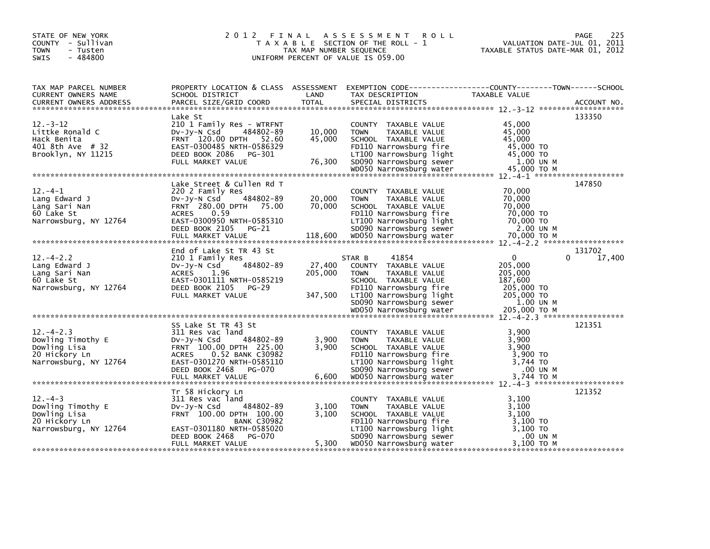| STATE OF NEW YORK<br>COUNTY - Sullivan<br><b>TOWN</b><br>- Tusten<br>$-484800$<br><b>SWIS</b> |                                                                                                                                                                                                          | TAX MAP NUMBER SEQUENCE      | 2012 FINAL ASSESSMENT<br><b>ROLL</b><br>T A X A B L E SECTION OF THE ROLL - 1<br>UNIFORM PERCENT OF VALUE IS 059.00                                                                                        | VALUATION DATE-JUL 01, 2011<br>TAXABLE STATUS DATE-MAR 01, 2012                                          | 225<br>PAGE           |
|-----------------------------------------------------------------------------------------------|----------------------------------------------------------------------------------------------------------------------------------------------------------------------------------------------------------|------------------------------|------------------------------------------------------------------------------------------------------------------------------------------------------------------------------------------------------------|----------------------------------------------------------------------------------------------------------|-----------------------|
| TAX MAP PARCEL NUMBER<br>CURRENT OWNERS NAME                                                  | SCHOOL DISTRICT                                                                                                                                                                                          | LAND                         | PROPERTY LOCATION & CLASS ASSESSMENT EXEMPTION CODE----------------COUNTY-------TOWN------SCHOOL<br>TAX DESCRIPTION                                                                                        | TAXABLE VALUE                                                                                            |                       |
| $12 - 3 - 12$<br>Littke Ronald C<br>Hack Benita<br>401 8th Ave # 32                           | Lake St<br>210 1 Family Res - WTRFNT<br>DV-JY-N Csd<br>484802-89<br>FRNT 120.00 DPTH 52.60<br>EAST-0300485 NRTH-0586329                                                                                  | 10,000<br>45,000             | COUNTY TAXABLE VALUE<br>TAXABLE VALUE<br><b>TOWN</b><br>SCHOOL TAXABLE VALUE<br>FD110 Narrowsburg fire                                                                                                     | 45,000<br>45,000<br>45,000<br>45,000 TO                                                                  | 133350                |
| $12 - 4 - 1$<br>Lang Edward J<br>Lang Sari Nan<br>60 Lake St<br>Narrowsburg, NY 12764         | Lake Street & Cullen Rd T<br>220 2 Family Res<br>484802-89<br>DV-Jy-N Csd<br>FRNT 280.00 DPTH 75.00<br>0.59<br><b>ACRES</b><br>EAST-0300950 NRTH-0585310<br>DEED BOOK 2105<br>PG-21                      | 20,000<br>70,000             | COUNTY TAXABLE VALUE<br>TAXABLE VALUE<br><b>TOWN</b><br>SCHOOL TAXABLE VALUE<br>FD110 Narrowsburg fire<br>LT100 Narrowsburg light<br>SD090 Narrowsburg sewer<br>WD050 Narrowsburg sewer                    | 70,000<br>70,000<br>70,000<br>70,000 TO<br>70,000 TO<br>2.00 UN M                                        | 147850                |
| $12 - 4 - 2.2$<br>Lang Edward J<br>Lang Sari Nan<br>60 Lake St<br>Narrowsburg, NY 12764       | End of Lake St TR 43 St<br>210 1 Family Res<br>484802-89<br>DV-Jy-N Csd<br><b>ACRES</b><br>1.96<br>EAST-0301111 NRTH-0585219<br>DEED BOOK 2105<br>PG-29<br>FULL MARKET VALUE                             | 27,400<br>205,000<br>347,500 | 41854<br>STAR B<br>COUNTY TAXABLE VALUE<br><b>TOWN</b><br>TAXABLE VALUE<br>SCHOOL TAXABLE VALUE<br>FD110 Narrowsburg fire<br>LT100 Narrowsburg light<br>SD090 Narrowsburg sewer<br>WD050 Narrowsburg water | $\overline{0}$<br>205,000<br>205,000<br>187,600<br>205,000 TO<br>205,000 TO<br>1.00 UN M<br>205,000 ТО М | 131702<br>17,400<br>0 |
| $12. -4 - 2.3$<br>Dowling Timothy E<br>Dowling Lisa<br>20 Hickory Ln<br>Narrowsburg, NY 12764 | SS Lake St TR 43 St<br>311 Res vac land<br>484802-89<br>$Dv-Jy-N$ Csd<br>FRNT 100.00 DPTH 225.00<br>ACRES 0.52 BANK C30982<br>EAST-0301270 NRTH-0585110<br>DEED BOOK 2468<br>PG-070<br>FULL MARKET VALUE | 3,900<br>3,900<br>6,600      | COUNTY TAXABLE VALUE<br><b>TAXABLE VALUE</b><br><b>TOWN</b><br>SCHOOL TAXABLE VALUE<br>FD110 Narrowsburg fire<br>LT100 Narrowsburg light<br>SD090 Narrowsburg sewer<br>WD050 Narrowsburg water             | 3,900<br>3.900<br>3,900<br>3,900 TO<br>3,744 TO<br>.00 UN M<br>3,744 TO M                                | 121351                |
| $12 - 4 - 3$<br>Dowling Timothy E<br>Dowling Lisa<br>20 Hickory Ln<br>Narrowsburg, NY 12764   | Tr 58 Hickory Ln<br>311 Res vac land<br>484802-89<br>$Dv-Jy-N$ Csd<br>FRNT 100.00 DPTH 100.00<br><b>BANK C30982</b><br>EAST-0301180 NRTH-0585020<br>DEED BOOK 2468<br>PG-070<br>FULL MARKET VALUE        | 3,100<br>3.100<br>5,300      | COUNTY TAXABLE VALUE<br><b>TOWN</b><br>TAXABLE VALUE<br>SCHOOL TAXABLE VALUE<br>FD110 Narrowsburg fire<br>LT100 Narrowsburg light<br>SD090 Narrowsburg sewer<br>WD050 Narrowsburg water                    | 3,100<br>3,100<br>3.100<br>3,100 TO<br>3,100 TO<br>.00 UN M<br>3,100 TO M                                | 121352                |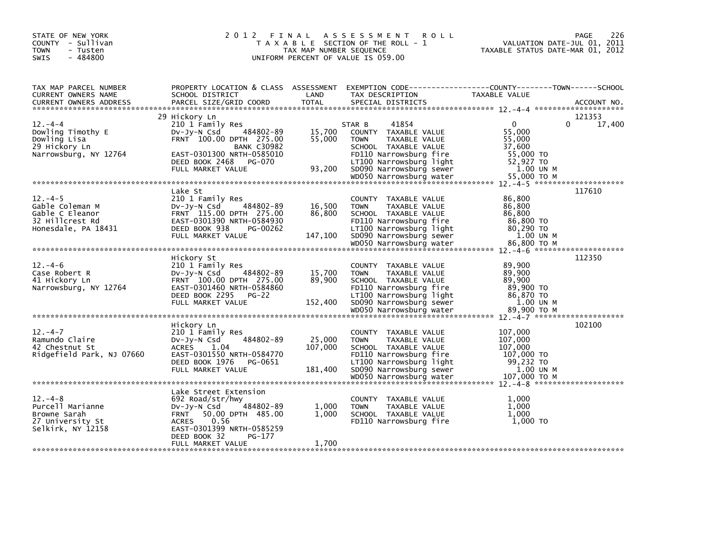| STATE OF NEW YORK<br>COUNTY - Sullivan<br>- Tusten<br><b>TOWN</b><br>- 484800<br>SWIS       |                                                                                                                                                                                                                 | TAX MAP NUMBER SEQUENCE      | 2012 FINAL ASSESSMENT<br><b>ROLL</b><br>T A X A B L E SECTION OF THE ROLL - 1<br>UNIFORM PERCENT OF VALUE IS 059.00                                                                                        | <b>PAGE</b><br>VALUATION DATE-JUL 01, 2011<br>TAXABLE STATUS DATE-MAR 01, 2012                                                         | 226    |
|---------------------------------------------------------------------------------------------|-----------------------------------------------------------------------------------------------------------------------------------------------------------------------------------------------------------------|------------------------------|------------------------------------------------------------------------------------------------------------------------------------------------------------------------------------------------------------|----------------------------------------------------------------------------------------------------------------------------------------|--------|
| TAX MAP PARCEL NUMBER<br>CURRENT OWNERS NAME<br><b>CURRENT OWNERS ADDRESS</b>               | SCHOOL DISTRICT<br>PARCEL SIZE/GRID COORD                                                                                                                                                                       | LAND<br><b>TOTAL</b>         | TAX DESCRIPTION<br>SPECIAL DISTRICTS                                                                                                                                                                       | PROPERTY LOCATION & CLASS ASSESSMENT EXEMPTION CODE----------------COUNTY-------TOWN-----SCHOOL<br><b>TAXABLE VALUE</b><br>ACCOUNT NO. |        |
| $12 - 4 - 4$<br>Dowling Timothy E<br>Dowling Lisa<br>29 Hickory Ln<br>Narrowsburg, NY 12764 | 29 Hickory Ln<br>210 1 Family Res<br>484802-89<br>$Dv-Jy-N$ Csd<br>FRNT 100.00 DPTH 275.00<br><b>BANK C30982</b><br>EAST-0301300 NRTH-0585010<br>DEED BOOK 2468 PG-070<br>FULL MARKET VALUE                     | 15,700<br>55,000<br>93,200   | 41854<br>STAR B<br>COUNTY TAXABLE VALUE<br><b>TOWN</b><br>TAXABLE VALUE<br>SCHOOL TAXABLE VALUE<br>FD110 Narrowsburg fire<br>LT100 Narrowsburg light<br>SD090 Narrowsburg sewer<br>WD050 Narrowsburg water | 121353<br>$\mathbf{0}$<br>$\Omega$<br>55,000<br>55,000<br>37,600<br>55,000 TO<br>52,927 TO<br>1.00 UN M<br>55,000 TO M                 | 17,400 |
| $12. -4-5$<br>Gable Coleman M<br>Gable C Eleanor<br>32 Hillcrest Rd<br>Honesdale, PA 18431  | Lake St<br>210 1 Family Res<br>484802-89<br>$Dv-Jv-N$ Csd<br>FRNT 115.00 DPTH 275.00<br>EAST-0301390 NRTH-0584930<br>DEED BOOK 938<br>PG-00262<br>FULL MARKET VALUE                                             | 16,500<br>86.800<br>147,100  | COUNTY TAXABLE VALUE<br>TAXABLE VALUE<br><b>TOWN</b><br>SCHOOL TAXABLE VALUE<br>FD110 Narrowsburg fire<br>LT100 Narrowsburg light<br>SD090 Narrowsburg sewer<br>WD050 Narrowsburg water                    | 117610<br>86,800<br>86,800<br>86.800<br>86,800 TO<br>80,290 TO<br>1.00 UN M<br>86,800 ТО М                                             |        |
| $12. -4-6$<br>Case Robert R<br>41 Hickory Ln<br>Narrowsburg, NY 12764                       | Hickory St<br>210 1 Family Res<br>$Dv-Jv-N$ Csd<br>484802-89<br>FRNT 100.00 DPTH 275.00<br>EAST-0301460 NRTH-0584860<br>DEED BOOK 2295 PG-22<br>FULL MARKET VALUE                                               | 15,700<br>89,900<br>152,400  | COUNTY TAXABLE VALUE<br>TAXABLE VALUE<br><b>TOWN</b><br>SCHOOL TAXABLE VALUE<br>FD110 Narrowsburg fire<br>LT100 Narrowsburg light<br>SD090 Narrowsburg sewer<br>WD050 Narrowsburg water                    | 112350<br>89,900<br>89,900<br>89,900<br>89,900 TO<br>86,870 TO<br>1.00 UN M<br>89,900 ТО М                                             |        |
| $12 - 4 - 7$<br>Ramundo Claire<br>42 Chestnut St<br>Ridgefield Park, NJ 07660               | Hickory Ln<br>210 1 Family Res<br>484802-89<br>$Dv-Jy-N$ Csd<br><b>ACRES</b><br>1.04<br>EAST-0301550 NRTH-0584770<br>DEED BOOK 1976<br>PG-0651<br>FULL MARKET VALUE                                             | 25,000<br>107,000<br>181,400 | COUNTY TAXABLE VALUE<br><b>TOWN</b><br>TAXABLE VALUE<br>SCHOOL TAXABLE VALUE<br>FD110 Narrowsburg fire<br>LT100 Narrowsburg light<br>SD090 Narrowsburg sewer<br>WD050 Narrowsburg water                    | 102100<br>107,000<br>107,000<br>107,000<br>107,000 TO<br>99,232 TO<br>1.00 UN M<br>107,000 ТО М                                        |        |
| $12 - 4 - 8$<br>Purcell Marianne<br>Browne Sarah<br>27 University St<br>Selkirk, NY 12158   | Lake Street Extension<br>692 Road/str/hwy<br>484802-89<br>$Dv-Jy-N$ Csd<br><b>FRNT</b><br>50.00 DPTH 485.00<br>0.56<br><b>ACRES</b><br>EAST-0301399 NRTH-0585259<br>DEED BOOK 32<br>PG-177<br>FULL MARKET VALUE | 1,000<br>1,000<br>1,700      | <b>COUNTY</b><br>TAXABLE VALUE<br>TAXABLE VALUE<br><b>TOWN</b><br>SCHOOL TAXABLE VALUE<br>FD110 Narrowsburg fire                                                                                           | 1,000<br>1,000<br>1,000<br>1,000 TO                                                                                                    |        |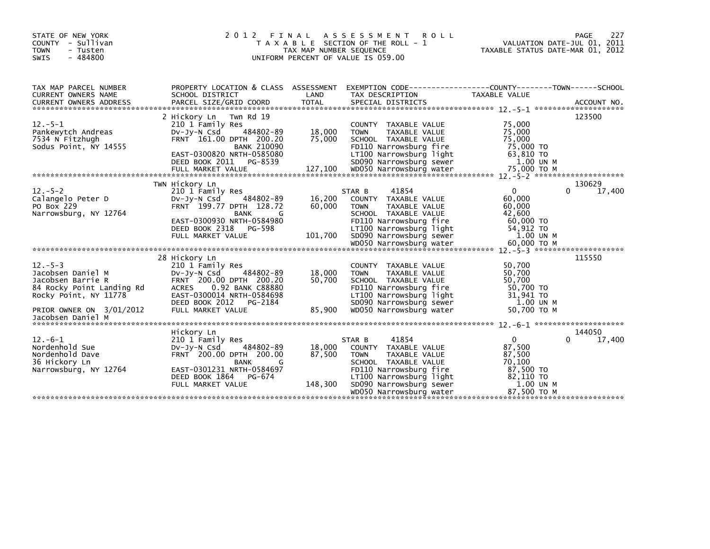| STATE OF NEW YORK<br>COUNTY - Sullivan<br><b>TOWN</b><br>- Tusten<br>$-484800$<br><b>SWIS</b>                |                                                                                                                                                                           | TAX MAP NUMBER SEQUENCE | 2012 FINAL ASSESSMENT ROLL<br>T A X A B L E SECTION OF THE ROLL - 1<br>UNIFORM PERCENT OF VALUE IS 059.00                                                                                        | VALUATION DATE-JUL 01, 2011<br>TAXABLE STATUS DATE-MAR 01, 2012        | 227<br>PAGE           |
|--------------------------------------------------------------------------------------------------------------|---------------------------------------------------------------------------------------------------------------------------------------------------------------------------|-------------------------|--------------------------------------------------------------------------------------------------------------------------------------------------------------------------------------------------|------------------------------------------------------------------------|-----------------------|
| TAX MAP PARCEL NUMBER<br>CURRENT OWNERS NAME                                                                 | PROPERTY LOCATION & CLASS ASSESSMENT<br>SCHOOL DISTRICT                                                                                                                   | LAND                    | EXEMPTION CODE-----------------COUNTY-------TOWN------SCHOOL<br>TAX DESCRIPTION                                                                                                                  | TAXABLE VALUE                                                          |                       |
|                                                                                                              |                                                                                                                                                                           |                         |                                                                                                                                                                                                  |                                                                        |                       |
| $12. - 5 - 1$<br>Pankewytch Andreas<br>7534 N Fitzhugh<br>Sodus Point, NY 14555                              | 2 Hickory Ln Twn Rd 19<br>210 1 Family Res<br>484802-89<br>$Dv-Jv-N$ Csd<br>FRNT 161.00 DPTH 200.20<br><b>BANK 210090</b>                                                 | 18,000<br>75,000        | COUNTY TAXABLE VALUE<br>TAXABLE VALUE<br><b>TOWN</b><br>SCHOOL TAXABLE VALUE<br>FD110 Narrowsburg fire                                                                                           | 75,000<br>75,000<br>75,000<br>75,000 TO                                | 123500                |
|                                                                                                              | TWN Hickory Ln                                                                                                                                                            |                         |                                                                                                                                                                                                  |                                                                        | 130629                |
| $12 - 5 - 2$<br>Calangelo Peter D<br>PO Box 229<br>Narrowsburg, NY 12764                                     | 210 1 Family Res<br>484802-89<br>$Dv-Jv-N$ Csd<br>FRNT 199.77 DPTH 128.72<br><b>BANK</b><br>G<br>EAST-0300930 NRTH-0584980                                                | 16,200<br>60,000        | 41854<br>STAR B<br>COUNTY TAXABLE VALUE<br>TAXABLE VALUE<br><b>TOWN</b><br>SCHOOL TAXABLE VALUE<br>FD110 Narrowsburg fire                                                                        | $\mathbf{0}$<br>60,000<br>60,000<br>42,600<br>60,000 TO                | $\Omega$<br>17,400    |
|                                                                                                              |                                                                                                                                                                           |                         |                                                                                                                                                                                                  |                                                                        | 115550                |
| $12 - 5 - 3$<br>Jacobsen Daniel M<br>Jacobsen Barrie R<br>84 Rocky Point Landing Rd<br>Rocky Point, NY 11778 | 28 Hickory Ln<br>210 1 Family Res<br>484802-89<br>DV-Jy-N Csd<br>FRNT 200.00 DPTH 200.20<br>ACRES 0.92 BANK C88880<br>EAST-0300014 NRTH-0584698<br>DEED BOOK 2012 PG-2184 | 18,000<br>50,700        | COUNTY TAXABLE VALUE<br><b>TOWN</b><br>TAXABLE VALUE<br>SCHOOL TAXABLE VALUE<br>FD110 Narrowsburg fire<br>LT100 Narrowsburg light<br>SD090 Narrowsburg sewer<br>WD050 Narrowsburg water          | 50,700<br>50,700<br>50,700<br>50,700 TO<br>31,941 TO<br>1.00 UN M      |                       |
| PRIOR OWNER ON 3/01/2012<br>Jacobsen Daniel M                                                                | FULL MARKET VALUE                                                                                                                                                         | 85,900                  |                                                                                                                                                                                                  | 50,700 TO M                                                            |                       |
|                                                                                                              |                                                                                                                                                                           |                         |                                                                                                                                                                                                  |                                                                        |                       |
| $12.-6-1$<br>Nordenhold Sue<br>Nordenhold Dave<br>36 Hickory Ln<br>Narrowsburg, NY 12764                     | Hickory Ln<br>210 1 Family Res<br>484802-89<br>DV-Jy-N Csd<br>FRNT 200.00 DPTH 200.00<br>BANK<br>G<br>EAST-0301231 NRTH-0584697<br>DEED BOOK 1864 PG-674                  | 18,000<br>87,500        | 41854<br>STAR B<br>COUNTY TAXABLE VALUE<br>TOWN<br>TAXABLE VALUE<br>SCHOOL TAXABLE VALUE<br>SCHOOL TAXABLE VALUL<br>FD110 Narrowsburg fire<br>LT100 Narrowsburg light<br>SD090 Narrowsburg sewer | $\overline{0}$<br>87,500<br>87,500<br>70.100<br>87,500 TO<br>82,110 TO | 144050<br>0<br>17,400 |
|                                                                                                              | FULL MARKET VALUE                                                                                                                                                         | 148,300                 |                                                                                                                                                                                                  | 1.00 UN M<br>87,500 TO M                                               |                       |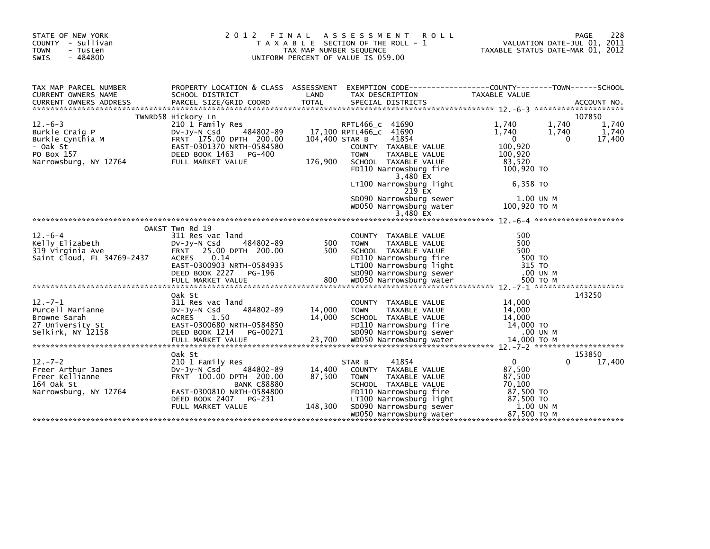| STATE OF NEW YORK<br>COUNTY - Sullivan<br><b>TOWN</b><br>- Tusten<br><b>SWIS</b><br>$-484800$ | 2012 FINAL                                                                                                                         | TAX MAP NUMBER SEQUENCE | ASSESSMENT ROLL<br>T A X A B L E SECTION OF THE ROLL - 1<br>UNIFORM PERCENT OF VALUE IS 059.00                     | VALUATION DATE-JUL 01, 2011<br>TAXABLE STATUS DATE-MAR 01, 2012            | 228<br>PAGE              |
|-----------------------------------------------------------------------------------------------|------------------------------------------------------------------------------------------------------------------------------------|-------------------------|--------------------------------------------------------------------------------------------------------------------|----------------------------------------------------------------------------|--------------------------|
| TAX MAP PARCEL NUMBER<br><b>CURRENT OWNERS NAME</b>                                           | SCHOOL DISTRICT                                                                                                                    | LAND                    | PROPERTY LOCATION & CLASS ASSESSMENT EXEMPTION CODE----------------COUNTY-------TOWN-----SCHOOL<br>TAX DESCRIPTION | <b>TAXABLE VALUE</b>                                                       |                          |
|                                                                                               | TWNRD58 Hickory Ln                                                                                                                 |                         |                                                                                                                    |                                                                            | 107850                   |
| $12. -6 - 3$<br>Burkle Craig P<br>Burkle Cynthia M<br>- Oak St<br>PO Box 157                  | 210 1 Family Res<br>484802-89<br>$Dv-Jy-N$ Csd<br>FRNT 175.00 DPTH 200.00<br>EAST-0301370 NRTH-0584580<br>DEED BOOK 1463<br>PG-400 | 104.400 STAR B          | RPTL466_C 41690<br>17,100 RPTL466_C 41690<br>41854<br>COUNTY TAXABLE VALUE<br>TAXABLE VALUE<br><b>TOWN</b>         | 1,740<br>1,740<br>1,740<br>1,740<br>$\mathbf 0$<br>0<br>100,920<br>100,920 | 1,740<br>1,740<br>17,400 |
| Narrowsburg, NY 12764                                                                         | FULL MARKET VALUE                                                                                                                  | 176,900                 | SCHOOL TAXABLE VALUE<br>FD110 Narrowsburg fire<br>3,480 EX                                                         | 83,520<br>100,920 TO                                                       |                          |
|                                                                                               |                                                                                                                                    |                         | LT100 Narrowsburg light<br>219 EX                                                                                  | 6,358 TO                                                                   |                          |
|                                                                                               |                                                                                                                                    |                         | SD090 Narrowsburg sewer<br>WD050 Narrowsburg water                                                                 | 1.00 UN M<br>100,920 ТО М                                                  |                          |
|                                                                                               |                                                                                                                                    |                         |                                                                                                                    |                                                                            |                          |
|                                                                                               | OAKST Twn Rd 19                                                                                                                    |                         |                                                                                                                    |                                                                            |                          |
| $12. -6 - 4$                                                                                  | 311 Res vac land                                                                                                                   |                         | COUNTY TAXABLE VALUE                                                                                               | 500                                                                        |                          |
| Kelly Elizabeth                                                                               | 484802-89<br>$Dv-Jy-N$ Csd                                                                                                         | 500                     | <b>TOWN</b><br>TAXABLE VALUE                                                                                       | 500                                                                        |                          |
| 319 Virginia Ave                                                                              | FRNT 25.00 DPTH 200.00                                                                                                             | 500                     | SCHOOL TAXABLE VALUE                                                                                               | 500                                                                        |                          |
| Saint Cloud, FL 34769-2437                                                                    | 0.14<br>ACRES                                                                                                                      |                         | FD110 Narrowsburg fire                                                                                             | 500 TO                                                                     |                          |
|                                                                                               | EAST-0300903 NRTH-0584935                                                                                                          |                         | LT100 Narrowsburg light                                                                                            | 315 TO                                                                     |                          |
|                                                                                               | DEED BOOK 2227<br>PG-196                                                                                                           |                         | SD090 Narrowsburg sewer                                                                                            | .00 UN M                                                                   |                          |
|                                                                                               |                                                                                                                                    |                         |                                                                                                                    |                                                                            |                          |
|                                                                                               | Oak St                                                                                                                             |                         |                                                                                                                    |                                                                            | 143250                   |
| $12. -7 - 1$                                                                                  | 311 Res vac land                                                                                                                   |                         | COUNTY TAXABLE VALUE                                                                                               | 14,000                                                                     |                          |
| Purcell Marianne                                                                              | 484802-89<br>$Dv-Jy-N$ Csd                                                                                                         | 14,000                  | <b>TOWN</b><br>TAXABLE VALUE                                                                                       | 14,000                                                                     |                          |
| Browne Sarah                                                                                  | 1.50<br><b>ACRES</b>                                                                                                               | 14,000                  | SCHOOL TAXABLE VALUE                                                                                               | 14,000                                                                     |                          |
| 27 University St                                                                              | EAST-0300680 NRTH-0584850                                                                                                          |                         | FD110 Narrowsburg fire                                                                                             | 14,000 TO                                                                  |                          |
| Selkirk, NY 12158                                                                             | DEED BOOK 1214<br>PG-00271                                                                                                         |                         | SD090 Narrowsburg sewer                                                                                            | .00 UN M                                                                   |                          |
|                                                                                               |                                                                                                                                    |                         |                                                                                                                    |                                                                            |                          |
|                                                                                               | Oak St                                                                                                                             |                         |                                                                                                                    |                                                                            | 153850                   |
| $12. -7 - 2$                                                                                  | 210 1 Family Res                                                                                                                   |                         | 41854<br>STAR B                                                                                                    | 0<br>0                                                                     | 17,400                   |
| Freer Arthur James                                                                            | 484802-89<br>$Dv-Jy-N$ Csd                                                                                                         | 14,400                  | COUNTY TAXABLE VALUE                                                                                               | 87,500                                                                     |                          |
| Freer Kellianne                                                                               | FRNT 100.00 DPTH 200.00                                                                                                            | 87,500                  | <b>TAXABLE VALUE</b><br><b>TOWN</b>                                                                                | 87,500                                                                     |                          |
| 164 Oak St                                                                                    | <b>BANK C88880</b>                                                                                                                 |                         | SCHOOL TAXABLE VALUE                                                                                               | 70,100                                                                     |                          |
| Narrowsburg, NY 12764                                                                         | EAST-0300810 NRTH-0584800                                                                                                          |                         | FD110 Narrowsburg fire                                                                                             | 87,500 TO                                                                  |                          |
|                                                                                               | DEED BOOK 2407<br>PG-231                                                                                                           |                         | LT100 Narrowsburg light                                                                                            | 87,500 TO                                                                  |                          |
|                                                                                               | FULL MARKET VALUE                                                                                                                  | 148,300                 | SD090 Narrowsburg sewer                                                                                            | 1.00 UN M                                                                  |                          |
|                                                                                               |                                                                                                                                    |                         | WD050 Narrowsburg water                                                                                            | 87,500 TO M                                                                |                          |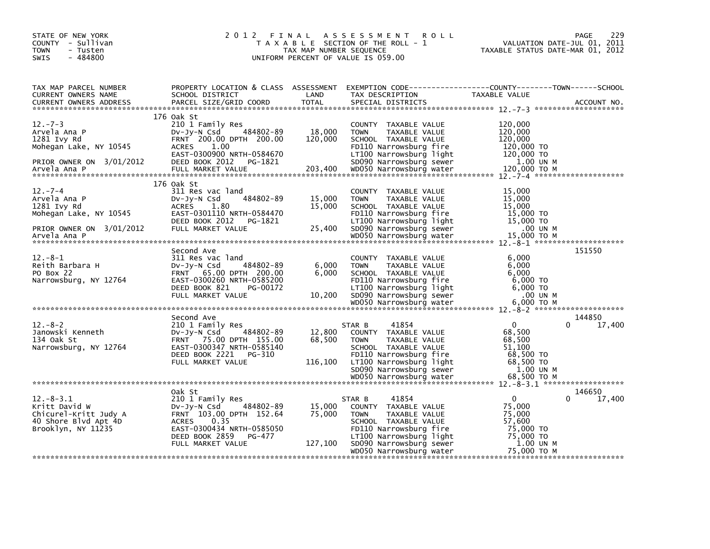| STATE OF NEW YORK<br>COUNTY - Sullivan<br><b>TOWN</b><br>- Tusten<br>$-484800$<br><b>SWIS</b>                     | 2 0 1 2<br>FINAL                                                                                                                                                                        | TAX MAP NUMBER SEQUENCE     | ASSESSMENT ROLL<br>T A X A B L E SECTION OF THE ROLL - 1<br>UNIFORM PERCENT OF VALUE IS 059.00                                                                                                             | VALUATION DATE-JUL 01, 2011<br>TAXABLE STATUS DATE-MAR 01, 2012                                       | 229<br>PAGE      |
|-------------------------------------------------------------------------------------------------------------------|-----------------------------------------------------------------------------------------------------------------------------------------------------------------------------------------|-----------------------------|------------------------------------------------------------------------------------------------------------------------------------------------------------------------------------------------------------|-------------------------------------------------------------------------------------------------------|------------------|
| TAX MAP PARCEL NUMBER<br>CURRENT OWNERS NAME<br>CURRENT OWNERS ADDRESS                                            | PROPERTY LOCATION & CLASS ASSESSMENT<br>SCHOOL DISTRICT<br>PARCEL SIZE/GRID COORD                                                                                                       | LAND<br><b>TOTAL</b>        | EXEMPTION CODE-----------------COUNTY-------TOWN------SCHOOL<br>TAX DESCRIPTION<br>SPECIAL DISTRICTS                                                                                                       | TAXABLE VALUE                                                                                         | ACCOUNT NO.      |
| $12 - 7 - 3$<br>Arvela Ana P<br>1281 Ivy Rd<br>Mohegan Lake, NY 10545<br>PRIOR OWNER ON 3/01/2012                 | 176 Oak St<br>210 1 Family Res<br>484802-89<br>DV-Jy-N Csd<br>FRNT 200.00 DPTH 200.00<br>1.00<br><b>ACRES</b><br>EAST-0300900 NRTH-0584670<br>DEED BOOK 2012<br>PG-1821                 | 18,000<br>120,000           | COUNTY TAXABLE VALUE<br>TAXABLE VALUE<br><b>TOWN</b><br>SCHOOL TAXABLE VALUE<br>FD110 Narrowsburg fire<br>LT100 Narrowsburg light<br>SD090 Narrowsburg sewer                                               | 120,000<br>120,000<br>120,000<br>120,000 TO<br>120,000 TO<br>1.00 UN M                                |                  |
| $12. -7 - 4$<br>Arvela Ana P<br>1281 Ivy Rd<br>Mohegan Lake, NY 10545<br>PRIOR OWNER ON 3/01/2012<br>Arvela Ana P | 176 Oak St<br>311 Res vac land<br>484802-89<br>$Dv-Jy-N$ Csd<br><b>ACRES</b><br>1.80<br>EAST-0301110 NRTH-0584470<br>DEED BOOK 2012<br>PG-1821<br>FULL MARKET VALUE                     | 15,000<br>15,000<br>25,400  | COUNTY TAXABLE VALUE<br>TAXABLE VALUE<br><b>TOWN</b><br>SCHOOL TAXABLE VALUE<br>FD110 Narrowsburg fire<br>LT100 Narrowsburg light<br>SD090 Narrowsburg sewer<br>WD050 Narrowsburg water                    | 15,000<br>15,000<br>15,000<br>15,000 TO<br>15,000 TO<br>.00 UN M<br>15,000 TO M                       |                  |
| $12.-8-1$<br>Reith Barbara H<br>PO Box 22<br>Narrowsburg, NY 12764                                                | Second Ave<br>311 Res vac land<br>484802-89<br>$Dv-Jv-N$ Csd<br>65.00 DPTH 200.00<br><b>FRNT</b><br>EAST-0300260 NRTH-0585200<br>DEED BOOK 821<br>PG-00172<br>FULL MARKET VALUE         | 6,000<br>6.000<br>10,200    | COUNTY TAXABLE VALUE<br>TAXABLE VALUE<br><b>TOWN</b><br>SCHOOL TAXABLE VALUE<br>FD110 Narrowsburg fire<br>LT100 Narrowsburg light<br>SD090 Narrowsburg sewer                                               | 6,000<br>6,000<br>6.000<br>$6,000$ TO<br>$6,000$ TO<br>.00 UN M<br>6.000 TO M                         | 151550           |
|                                                                                                                   |                                                                                                                                                                                         |                             | WD050 Narrowsburg water                                                                                                                                                                                    |                                                                                                       |                  |
| $12 - 8 - 2$<br>Janowski Kenneth<br>134 Oak St<br>Narrowsburg, NY 12764                                           | Second Ave<br>210 1 Family Res<br>$Dv-Jv-N$ Csd<br>484802-89<br>FRNT 75.00 DPTH 155.00<br>EAST-0300347 NRTH-0585140<br>DEED BOOK 2221<br>PG-310<br>FULL MARKET VALUE                    | 12,800<br>68,500<br>116,100 | 41854<br>STAR B<br>COUNTY TAXABLE VALUE<br><b>TOWN</b><br>TAXABLE VALUE<br>SCHOOL TAXABLE VALUE<br>FD110 Narrowsburg fire<br>LT100 Narrowsburg light<br>SD090 Narrowsburg sewer                            | $\Omega$<br>0<br>68,500<br>68,500<br>51.100<br>68,500 TO<br>68,500 TO<br>1.00 UN M                    | 144850<br>17,400 |
|                                                                                                                   |                                                                                                                                                                                         |                             |                                                                                                                                                                                                            |                                                                                                       |                  |
| $12.-8-3.1$<br>Kritt David W<br>Chicurel-Kritt Judy A<br>40 Shore Blvd Apt 4D<br>Brooklyn, NY 11235               | Oak St<br>210 1 Family Res<br>484802-89<br>DV-Jy-N Csd<br>FRNT 103.00 DPTH 152.64<br><b>ACRES</b><br>0.35<br>EAST-0300434 NRTH-0585050<br>DEED BOOK 2859<br>PG-477<br>FULL MARKET VALUE | 15,000<br>75,000<br>127,100 | 41854<br>STAR B<br>COUNTY TAXABLE VALUE<br>TAXABLE VALUE<br><b>TOWN</b><br>SCHOOL TAXABLE VALUE<br>FD110 Narrowsburg fire<br>LT100 Narrowsburg light<br>SD090 Narrowsburg sewer<br>WD050 Narrowsburg water | $\mathbf{0}$<br>0<br>75,000<br>75,000<br>57,600<br>75,000 TO<br>75,000 TO<br>1.00 UN M<br>75,000 TO M | 146650<br>17,400 |
|                                                                                                                   |                                                                                                                                                                                         |                             |                                                                                                                                                                                                            |                                                                                                       |                  |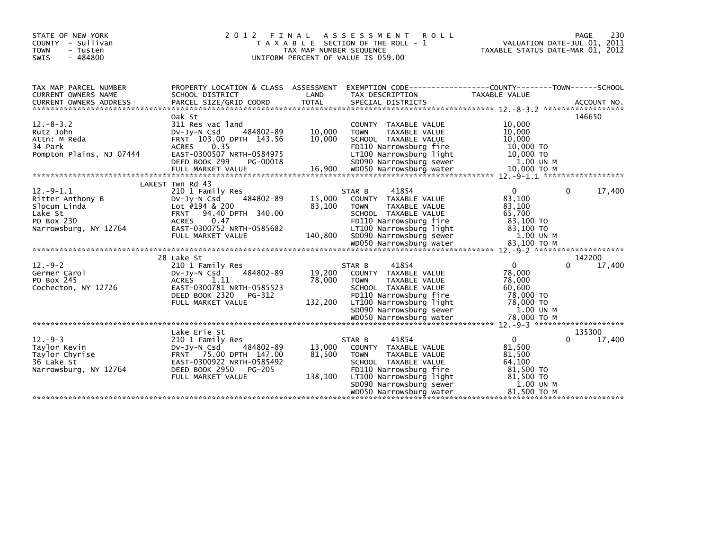| STATE OF NEW YORK<br>COUNTY - Sullivan<br><b>TOWN</b><br>- Tusten<br>$-484800$<br><b>SWIS</b>     | 2 0 1 2                                                                                                                                                                                            | FINAL<br>TAX MAP NUMBER SEQUENCE | A S S E S S M E N T<br><b>ROLL</b><br>T A X A B L E SECTION OF THE ROLL - 1<br>UNIFORM PERCENT OF VALUE IS 059.00                                                                                          | VALUATION DATE-JUL 01, 2011<br>TAXABLE STATUS DATE-MAR 01, 2012                                              | 230<br>PAGE      |
|---------------------------------------------------------------------------------------------------|----------------------------------------------------------------------------------------------------------------------------------------------------------------------------------------------------|----------------------------------|------------------------------------------------------------------------------------------------------------------------------------------------------------------------------------------------------------|--------------------------------------------------------------------------------------------------------------|------------------|
| TAX MAP PARCEL NUMBER<br>CURRENT OWNERS NAME                                                      | PROPERTY LOCATION & CLASS ASSESSMENT<br>SCHOOL DISTRICT                                                                                                                                            | LAND                             | EXEMPTION CODE-----------------COUNTY-------TOWN------SCHOOL<br>TAX DESCRIPTION                                                                                                                            | TAXABLE VALUE                                                                                                |                  |
| $12 - 8 - 3.2$<br>Rutz John<br>Attn: M Reda<br>34 Park<br>Pompton Plains, NJ 07444                | Oak St<br>311 Res vac land<br>484802-89<br>$Dv-Jv-N$ Csd<br>FRNT 103.00 DPTH 143.56<br><b>ACRES</b><br>0.35<br>EAST-0300507 NRTH-0584975<br>DEED BOOK 299<br>PG-00018                              | 10,000<br>10,000                 | COUNTY TAXABLE VALUE<br><b>TOWN</b><br>TAXABLE VALUE<br>SCHOOL TAXABLE VALUE<br>FD110 Narrowsburg fire<br>LT100 Narrowsburg light<br>SD090 Narrowsburg sewer                                               | 10,000<br>10,000<br>10,000<br>10,000 TO<br>10,000 TO<br>1.00 UN M                                            | 146650           |
| $12.-9-1.1$<br>Ritter Anthony B<br>Slocum Linda<br>Lake St<br>PO Box 230<br>Narrowsburg, NY 12764 | LAKEST Twn Rd 43<br>210 1 Family Res<br>484802-89<br>$Dv-Jv-N$ Csd<br>Lot #194 & 200<br><b>FRNT</b><br>94.40 DPTH 340.00<br><b>ACRES</b><br>0.47<br>EAST-0300752 NRTH-0585682<br>FULL MARKET VALUE | 15,000<br>83,100<br>140.800      | 41854<br>STAR B<br>COUNTY TAXABLE VALUE<br>TAXABLE VALUE<br><b>TOWN</b><br>SCHOOL TAXABLE VALUE<br>FD110 Narrowsburg fire<br>LT100 Narrowsburg light<br>SD090 Narrowsburg sewer                            | $\mathbf{0}$<br>$\Omega$<br>83,100<br>83,100<br>65,700<br>83,100 TO<br>83,100 TO<br>1.00 UN M                | 17,400           |
| $12. - 9 - 2$<br>Germer Carol<br>PO Box 245<br>Cochecton, NY 12726                                | 28 Lake St<br>210 1 Family Res<br>484802-89<br>$Dv-Jy-N$ Csd<br><b>ACRES</b><br>1.11<br>EAST-0300781 NRTH-0585523<br>DEED BOOK 2320<br>PG-312<br>FULL MARKET VALUE                                 | 19,200<br>78,000<br>132,200      | STAR B<br>41854<br>COUNTY TAXABLE VALUE<br>TAXABLE VALUE<br><b>TOWN</b><br>SCHOOL TAXABLE VALUE<br>FD110 Narrowsburg fire<br>LT100 Narrowsburg light<br>SD090 Narrowsburg sewer                            | $\mathbf{0}$<br>0<br>78,000<br>78,000<br>60,600<br>78,000 TO<br>78,000 TO<br>1.00 UN M                       | 142200<br>17,400 |
| $12. -9 - 3$<br>Taylor Kevin<br>Taylor Chyrise<br>36 Lake St<br>Narrowsburg, NY 12764             | Lake Erie St<br>210 1 Family Res<br>$Dv-Jv-N$ Csd<br>484802-89<br>FRNT 75.00 DPTH 147.00<br>EAST-0300922 NRTH-0585492<br>DEED BOOK 2950<br>PG-205<br>FULL MARKET VALUE                             | 13,000<br>81,500<br>138,100      | 41854<br>STAR B<br>COUNTY TAXABLE VALUE<br><b>TOWN</b><br>TAXABLE VALUE<br>SCHOOL TAXABLE VALUE<br>FD110 Narrowsburg fire<br>LT100 Narrowsburg light<br>SD090 Narrowsburg sewer<br>WD050 Narrowsburg water | $\mathbf{0}$<br>$\Omega$<br>81,500<br>81,500<br>64,100<br>81,500 TO<br>81,500 TO<br>1.00 UN M<br>81,500 ТО М | 135300<br>17,400 |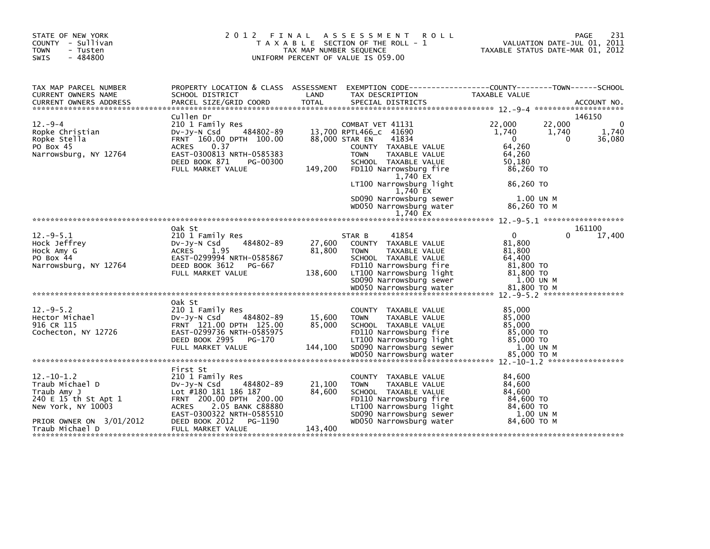| STATE OF NEW YORK<br>COUNTY - Sullivan<br><b>TOWN</b><br>- Tusten<br>$-484800$<br>SWIS           | 2 0 1 2                                                                                                                                                                      | TAX MAP NUMBER SEQUENCE | FINAL ASSESSMENT<br><b>ROLL</b><br>T A X A B L E SECTION OF THE ROLL - 1<br>UNIFORM PERCENT OF VALUE IS 059.00                                               | PAGE<br>VALUATION DATE-JUL 01, 2011<br>TAXABLE STATUS DATE-MAR 01, 2012                                        | 231      |
|--------------------------------------------------------------------------------------------------|------------------------------------------------------------------------------------------------------------------------------------------------------------------------------|-------------------------|--------------------------------------------------------------------------------------------------------------------------------------------------------------|----------------------------------------------------------------------------------------------------------------|----------|
| TAX MAP PARCEL NUMBER<br>CURRENT OWNERS NAME                                                     | PROPERTY LOCATION & CLASS ASSESSMENT<br>SCHOOL DISTRICT                                                                                                                      | LAND                    | TAX DESCRIPTION                                                                                                                                              | EXEMPTION CODE-----------------COUNTY-------TOWN------SCHOOL<br>TAXABLE VALUE                                  |          |
| $12. -9 - 4$<br>Ropke Christian<br>Ropke Stella<br>PO Box 45<br>Narrowsburg, NY 12764            | Cullen Dr<br>210 1 Family Res<br>Dv-Jy-N Csd<br>484802-89<br>FRNT 160.00 DPTH 100.00<br>ACRES<br>0.37<br>EAST-0300813 NRTH-0585383<br>DEED BOOK 871<br>PG-00300              |                         | COMBAT VET 41131<br>13,700 RPTL466_C 41690<br>41834<br>88,000 STAR EN<br>COUNTY TAXABLE VALUE<br><b>TOWN</b><br>TAXABLE VALUE<br>SCHOOL TAXABLE VALUE        | 146150<br>22,000<br>22.000<br>1,740<br>1,740<br>1,740<br>36,080<br>$\Omega$<br>0<br>64,260<br>64,260<br>50.180 | $\Omega$ |
|                                                                                                  | FULL MARKET VALUE                                                                                                                                                            | 149,200                 | FD110 Narrowsburg fire<br>1,740 EX<br>LT100 Narrowsburg light<br>1,740 EX<br>SD090 Narrowsburg sewer<br>WD050 Narrowsburg water<br>1,740 EX                  | 86,260 TO<br>86,260 TO<br>1.00 UN M<br>86,260 ТО М                                                             |          |
|                                                                                                  |                                                                                                                                                                              |                         |                                                                                                                                                              |                                                                                                                |          |
| $12. -9 - 5.1$<br>Hock Jeffrey<br>Hock Amy G<br>PO Box 44<br>Narrowsburg, NY 12764               | Oak St<br>210 1 Family Res<br>484802-89<br>$Dv-Jy-N$ Csd<br><b>ACRES</b><br>1.95<br>EAST-0299994 NRTH-0585867<br>DEED BOOK 3612<br>PG-667                                    | 27,600<br>81,800        | 41854<br>STAR B<br>COUNTY TAXABLE VALUE<br><b>TOWN</b><br>TAXABLE VALUE<br>SCHOOL TAXABLE VALUE<br>FD110 Narrowsburg fire                                    | 161100<br>0<br>$\Omega$<br>17,400<br>81,800<br>81,800<br>64,400<br>81,800 TO                                   |          |
|                                                                                                  | FULL MARKET VALUE                                                                                                                                                            | 138,600                 | LT100 Narrowsburg light<br>SD090 Narrowsburg sewer<br>WD050 Narrowsburg water                                                                                | 81,800 TO<br>1.00 UN M<br>81,800 TO M                                                                          |          |
|                                                                                                  | Oak St                                                                                                                                                                       |                         |                                                                                                                                                              |                                                                                                                |          |
| $12. -9 - 5.2$<br>Hector Michael<br>916 CR 115<br>Cochecton, NY 12726                            | 210 1 Family Res<br>DV-Jy-N Csd<br>484802-89<br>FRNT 121.00 DPTH 125.00<br>EAST-0299736 NRTH-0585975<br>DEED BOOK 2995<br>PG-170                                             | 15,600<br>85,000        | COUNTY TAXABLE VALUE<br><b>TOWN</b><br>TAXABLE VALUE<br>SCHOOL TAXABLE VALUE<br>FD110 Narrowsburg fire<br>LT100 Narrowsburg light                            | 85,000<br>85,000<br>85,000<br>85,000 TO<br>85,000 TO                                                           |          |
|                                                                                                  | FULL MARKET VALUE                                                                                                                                                            | 144,100                 | SD090 Narrowsburg sewer<br>WD050 Narrowsburg water                                                                                                           | 1.00 UN M<br>85,000 TO M                                                                                       |          |
|                                                                                                  |                                                                                                                                                                              |                         |                                                                                                                                                              |                                                                                                                |          |
| $12. - 10 - 1.2$<br>Traub Michael D<br>Traub Amy J<br>240 E 15 th St Apt 1<br>New York, NY 10003 | First St<br>210 1 Family Res<br>484802-89<br>DV-Jy-N Csd<br>Lot #180 181 186 187<br>FRNT 200.00 DPTH 200.00<br>2.05 BANK C88880<br><b>ACRES</b><br>EAST-0300322 NRTH-0585510 | 21,100<br>84,600        | COUNTY TAXABLE VALUE<br>TAXABLE VALUE<br><b>TOWN</b><br>SCHOOL TAXABLE VALUE<br>FD110 Narrowsburg fire<br>LT100 Narrowsburg light<br>SD090 Narrowsburg sewer | 84,600<br>84,600<br>84,600<br>84,600 TO<br>84,600 TO<br>1.00 UN M                                              |          |
| PRIOR OWNER ON 3/01/2012<br>Traub Michael D                                                      | DEED BOOK 2012<br>PG-1190<br>FULL MARKET VALUE                                                                                                                               | 143,400                 | WD050 Narrowsburg water                                                                                                                                      | 84,600 TO M                                                                                                    |          |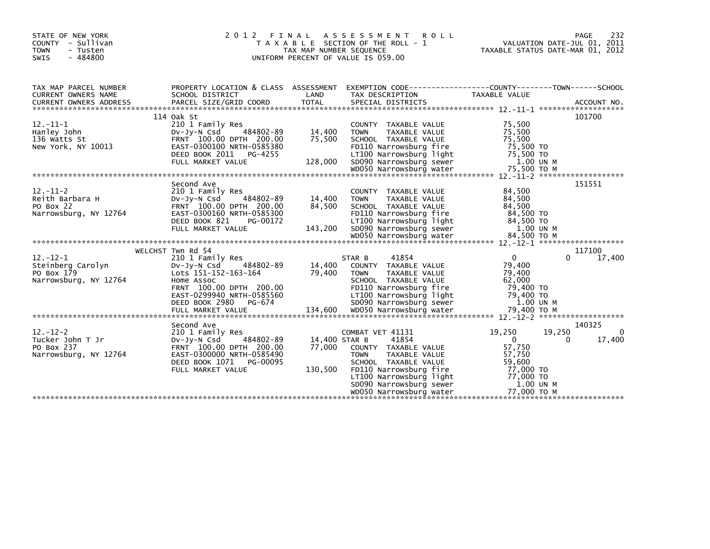| STATE OF NEW YORK<br>COUNTY - Sullivan<br><b>TOWN</b><br>- Tusten<br><b>SWIS</b><br>- 484800 | 2012<br>FINAL                                                                                                                                                                               | TAX MAP NUMBER SEQUENCE            | A S S E S S M E N T<br>ROLL<br>T A X A B L E SECTION OF THE ROLL - 1<br>UNIFORM PERCENT OF VALUE IS 059.00                                                                                                                                                                 | 232<br><b>PAGE</b><br>VALUATION DATE-JUL 01, 2011<br>TAXABLE STATUS DATE-MAR 01, 2012                                                                            |
|----------------------------------------------------------------------------------------------|---------------------------------------------------------------------------------------------------------------------------------------------------------------------------------------------|------------------------------------|----------------------------------------------------------------------------------------------------------------------------------------------------------------------------------------------------------------------------------------------------------------------------|------------------------------------------------------------------------------------------------------------------------------------------------------------------|
| TAX MAP PARCEL NUMBER<br><b>CURRENT OWNERS NAME</b>                                          | SCHOOL DISTRICT                                                                                                                                                                             | LAND                               | TAX DESCRIPTION                                                                                                                                                                                                                                                            | PROPERTY LOCATION & CLASS ASSESSMENT EXEMPTION CODE----------------COUNTY-------TOWN-----SCHOOL<br>TAXABLE VALUE                                                 |
| $12.-11-1$<br>Hanley John<br>136 Watts St<br>New York, NY 10013                              | 114 Oak St<br>210 1 Family Res<br>484802-89<br>$Dv$ -J $v$ -N Csd<br>FRNT 100.00 DPTH 200.00<br>EAST-0300100 NRTH-0585380                                                                   | 14,400<br>75,500                   | COUNTY TAXABLE VALUE<br><b>TOWN</b><br>TAXABLE VALUE<br>SCHOOL TAXABLE VALUE<br>FD110 Narrowsburg fire                                                                                                                                                                     | 101700<br>75,500<br>75,500<br>75,500<br>75,500 TO                                                                                                                |
| $12 - 11 - 2$<br>Reith Barbara H<br>PO Box 22<br>Narrowsburg, NY 12764                       | Second Ave<br>210 1 Family Res<br>484802-89<br>$Dv-Jv-N$ Csd<br>FRNT 100.00 DPTH 200.00<br>EAST-0300160 NRTH-0585300                                                                        | 14,400<br>84,500                   | COUNTY TAXABLE VALUE<br>TAXABLE VALUE<br><b>TOWN</b><br>SCHOOL TAXABLE VALUE<br>FD110 Narrowsburg fire                                                                                                                                                                     | 151551<br>84,500<br>84,500<br>84.500<br>84,500 TO                                                                                                                |
| $12 - 12 - 1$<br>Steinberg Carolyn<br>PO Box 179<br>Narrowsburg, NY 12764                    | WELCHST Twn Rd 54<br>210 1 Family Res<br>484802-89<br>DV-JV-N Csd<br>Lots 151-152-163-164<br>Home Assoc<br>FRNT 100.00 DPTH 200.00<br>EAST-0299940 NRTH-0585560<br>DEED BOOK 2980<br>PG-674 | 14,400<br>79,400                   | 41854<br>STAR B<br>COUNTY TAXABLE VALUE<br><b>TOWN</b><br>TAXABLE VALUE<br>SCHOOL TAXABLE VALUE<br>FD110 Narrowsburg fire                                                                                                                                                  | 117100<br>$\mathbf 0$<br>17,400<br>$\Omega$<br>79,400<br>79,400<br>62,000<br>79,400 TO<br>79,400 TO<br>1.00 UN M                                                 |
| $12 - 12 - 2$<br>Tucker John T Jr<br>PO Box 237<br>Narrowsburg, NY 12764                     | Second Ave<br>210 1 Family Res<br>DV-JV-N Csd<br>484802-89<br>FRNT 100.00 DPTH 200.00<br>EAST-0300000 NRTH-0585490<br>DEED BOOK 1071<br>PG-00095<br>FULL MARKET VALUE                       | 14,400 STAR B<br>77,000<br>130,500 | COMBAT VET 41131<br>41854<br>COUNTY TAXABLE VALUE<br><b>TOWN</b><br>TAXABLE VALUE<br>SCHOOL TAXABLE VALUE<br>FD110 Narrowsburg fire<br>LT100 Narrowsburg light<br>LT100 Narrowsburg light<br>SD090 Narrowsburg sewer<br>WD050 Narrowsburg water<br>WD050 Narrowsburg water | 140325<br>19,250<br>19,250<br>$\Omega$<br>$\mathbf{0}$<br>17,400<br>$\Omega$<br>57,750<br>57,750<br>59,600<br>77,000 TO<br>77,000 TO<br>1.00 UN M<br>77,000 ТО М |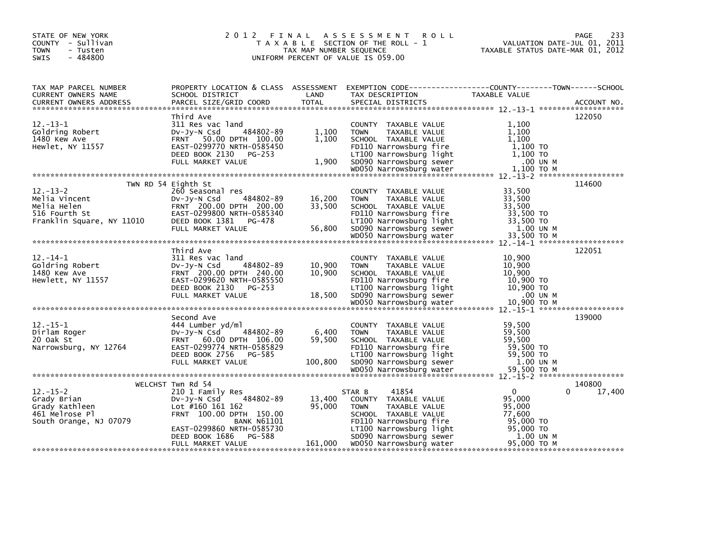| STATE OF NEW YORK<br>COUNTY - Sullivan<br><b>TOWN</b><br>- Tusten<br>$-484800$<br><b>SWIS</b>                                                                                                                                                                                                                           |                                                                                                                     | TAX MAP NUMBER SEQUENCE | <b>ROLL</b><br>2012 FINAL ASSESSMENT<br>T A X A B L E SECTION OF THE ROLL - 1<br>UNIFORM PERCENT OF VALUE IS 059.00 |                                                    | 233<br>PAGE<br>VALUATION DATE-JUL 01, 2011<br>TAXABLE STATUS DATE-MAR 01, 2012 |
|-------------------------------------------------------------------------------------------------------------------------------------------------------------------------------------------------------------------------------------------------------------------------------------------------------------------------|---------------------------------------------------------------------------------------------------------------------|-------------------------|---------------------------------------------------------------------------------------------------------------------|----------------------------------------------------|--------------------------------------------------------------------------------|
| TAX MAP PARCEL NUMBER<br>CURRENT OWNERS NAME<br>CURRENT OWNERS NAME SERIOUL DISTRICT DOORD LAND THA DESCRIPTION THAT DESCRIPT OWNERS ADDRESS THE SELL SIZE SUR<br>CURRENT OWNERS ADDRESS PARCEL SIZE/GRID COORD TOTAL SPECIAL DISTRICTS 12.-13-1 *******************************<br>                                    | PROPERTY LOCATION & CLASS ASSESSMENT EXEMPTION CODE----------------COUNTY-------TOWN------SCHOOL<br>SCHOOL DISTRICT | LAND                    | TAX DESCRIPTION TAXABLE VALUE                                                                                       |                                                    |                                                                                |
| $12 - 13 - 1$<br>Goldring Robert<br>12.-15-1<br>12.-15-1<br>Goldring Robert<br>1,100<br>1,100<br>1,100<br>1,100<br>1,100<br>1,100<br>1,100<br>1,100<br>1,100<br>1,100<br>Hewlet, NY 11557<br>2,100<br>2,100<br>2,100<br>2,100<br>2,100<br>2,100<br>2,100<br>2,100<br>2,100<br>2,100<br>2,100<br>2,100<br>2,100<br>2,100 | Third Ave<br>311 Res vac land                                                                                       |                         | COUNTY TAXABLE VALUE                                                                                                | 1,100                                              | 122050                                                                         |
| $12 - 13 - 2$<br>12.-13-2<br>Melia Vincent 200.00 DV-99-N Csd (484802-89 16,200 TOWN TAXABLE VALUE<br>Melia Helen FRNT 200.00 DPTH 200.00 33,500 SCHOOL TAXABLE VALUE 33,500<br>S16 Fourth St EAST-0299800 NRTH-0585340 FD110 Narrowsburg fire 33,500                                                                   | TWN RD 54 Eighth St<br>260 Seasonal res                                                                             |                         | COUNTY TAXABLE VALUE                                                                                                | 33,500                                             | 114600                                                                         |
| $12. - 14 - 1$<br>Goldring Robert<br>1480 Kew Ave<br>Hewlett, NY 11557<br>1480 Kew Ave FRNT 200.00 DPTH 240.00<br>Hewlett, NY 11557 EAST-0299620 NRTH-0585550 FG-253 FEED BOOK 2130 PG-253<br>DEED BOOK 210,900 TO DEED BOOK 210,900 FOC-253 FULL MARKET VALUE 18,500 SD090 Narrowsburg 1ight 10,900 TO<br>TE           | Third Ave<br>311 Res vac land<br>DV-Jy-N Csd 484802-89<br>FRNT 200.00 DPTH 240.00                                   | 10,900<br>10,900        | COUNTY TAXABLE VALUE<br><b>TOWN</b><br>TAXABLE VALUE<br>SCHOOL TAXABLE VALUE                                        | 10,900<br>10,900<br>10,900                         | 122051                                                                         |
| $12. - 15 - 1$<br>Dirlam Roger<br>20 Oak St<br>20 Oak St ERNT 60.00 DPTH 106.00 DPTH 2010 CHANGE VALUE<br>Narrowsburg, NY 12764 EAST-0299774 NRTH-0585829 FD110 Narrowsburg fire 59,500 TO<br>DEED BOOK 2756 PG-585 LT100 Narrowsburg 1ight 59,500 TO<br>FULL MARKET VAL                                                | Second Ave<br>444 Lumber yd/ml<br>484802-89<br>DV-JY-N Csd                                                          | 6,400                   | COUNTY TAXABLE VALUE<br><b>TOWN</b><br>TAXABLE VALUE                                                                | 59,500<br>59,500                                   | 139000                                                                         |
| $12 - 15 - 2$<br>Grady Brian<br>Grady Kathleen<br>461 Melrose Pl                                                                                                                                                                                                                                                        | WELCHST Twn Rd 54<br>210 1 Family Res<br>484802-89<br>DV-JY-N Csd<br>Lot #160 161 162<br>FRNT 100.00 DPTH 150.00    | 13,400<br>95,000        | 41854<br>STAR B<br>COUNTY TAXABLE VALUE<br><b>TOWN</b><br>TAXABLE VALUE<br>SCHOOL TAXABLE VALUE                     | $\Omega$<br>95,000<br>95,000<br>77,600             | 140800<br>17,400<br>0                                                          |
| South Orange, NJ 07079                                                                                                                                                                                                                                                                                                  | <b>BANK N61101</b><br>EAST-0299860 NRTH-0585730<br>DEED BOOK 1686<br>PG-588<br>FULL MARKET VALUE                    |                         | FD110 Narrowsburg fire<br>LT100 Narrowsburg light<br>5D090 Narrowsburg sewer<br>161,000 WD050 Narrowsburg water     | 95,000 TO<br>95,000 TO<br>1.00 UN M<br>95,000 ТО М |                                                                                |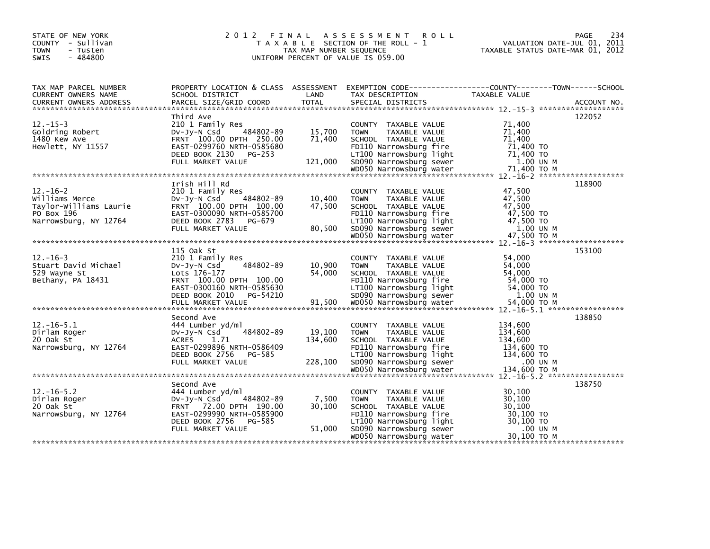| STATE OF NEW YORK<br>COUNTY - Sullivan<br><b>TOWN</b><br>- Tusten<br>$-484800$<br>SWIS           | 2 0 1 2                                                                                                                                                                  | TAX MAP NUMBER SEQUENCE      | FINAL ASSESSMENT ROLL<br>T A X A B L E SECTION OF THE ROLL - 1<br>UNIFORM PERCENT OF VALUE IS 059.00                                                                | 234<br><b>PAGE</b><br>VALUATION DATE-JUL 01, 2011<br>TAXABLE STATUS DATE-MAR 01, 2012                                                                                                              |
|--------------------------------------------------------------------------------------------------|--------------------------------------------------------------------------------------------------------------------------------------------------------------------------|------------------------------|---------------------------------------------------------------------------------------------------------------------------------------------------------------------|----------------------------------------------------------------------------------------------------------------------------------------------------------------------------------------------------|
| TAX MAP PARCEL NUMBER<br>CURRENT OWNERS NAME<br><b>CURRENT OWNERS ADDRESS</b>                    | SCHOOL DISTRICT<br>PARCEL SIZE/GRID COORD                                                                                                                                | LAND<br><b>TOTAL</b>         | TAX DESCRIPTION<br>SPECIAL DISTRICTS                                                                                                                                | PROPERTY LOCATION & CLASS ASSESSMENT EXEMPTION CODE---------------COUNTY-------TOWN------SCHOOL<br>TAXABLE VALUE<br>ACCOUNT NO.                                                                    |
|                                                                                                  |                                                                                                                                                                          |                              |                                                                                                                                                                     |                                                                                                                                                                                                    |
| $12. - 15 - 3$<br>Goldring Robert<br>1480 Kew Ave<br>Hewlett, NY 11557                           | Third Ave<br>210 1 Family Res<br>484802-89<br>$Dv-Jv-N$ Csd<br>FRNT 100.00 DPTH 250.00<br>EAST-0299760 NRTH-0585680<br>DEED BOOK 2130<br>PG-253<br>FULL MARKET VALUE     | 15,700<br>71,400<br>121,000  | COUNTY TAXABLE VALUE<br><b>TOWN</b><br>TAXABLE VALUE<br>SCHOOL TAXABLE VALUE<br>FD110 Narrowsburg fire<br>LT100 Narrowsburg light<br>SD090 Narrowsburg sewer        | 122052<br>71.400<br>71,400<br>71.400<br>71,400 TO<br>71.400 TO<br>1.00 UN M                                                                                                                        |
|                                                                                                  |                                                                                                                                                                          |                              |                                                                                                                                                                     |                                                                                                                                                                                                    |
| $12 - 16 - 2$<br>Williams Merce<br>Taylor-Williams Laurie<br>PO Box 196<br>Narrowsburg, NY 12764 | Irish Hill Rd<br>210 1 Family Res<br>484802-89<br>$Dv-Jv-N$ Csd<br>FRNT 100.00 DPTH 100.00<br>EAST-0300090 NRTH-0585700<br>DEED BOOK 2783<br>PG-679<br>FULL MARKET VALUE | 10,400<br>47,500<br>80,500   | COUNTY TAXABLE VALUE<br>TAXABLE VALUE<br><b>TOWN</b><br>SCHOOL TAXABLE VALUE<br>FD110 Narrowsburg fire<br>LT100 Narrowsburg light<br>SD090 Narrowsburg sewer        | 118900<br>47,500<br>47,500<br>47,500<br>47,500 TO<br>47,500 TO<br>1.00 UN M                                                                                                                        |
|                                                                                                  |                                                                                                                                                                          |                              |                                                                                                                                                                     |                                                                                                                                                                                                    |
| $12. - 16 - 3$<br>Stuart David Michael<br>529 Wayne St<br>Bethany, PA 18431                      | 115 Oak St<br>210 1 Family Res<br>484802-89<br>$Dv-Jy-N$ Csd<br>Lots 176-177<br>FRNT 100.00 DPTH 100.00<br>EAST-0300160 NRTH-0585630<br>DEED BOOK 2010 PG-54210          | 10,900<br>54,000             | COUNTY TAXABLE VALUE<br><b>TOWN</b><br>TAXABLE VALUE<br>SCHOOL TAXABLE VALUE<br>FD110 Narrowsburg fire<br>LT100 Narrowsburg light<br>SD090 Narrowsburg sewer        | 153100<br>54,000<br>54,000<br>54,000<br>54,000 TO<br>54,000 TO<br>1.00 UN M<br>01,500 WDO50 Narrowsburg water 54,000 TO M د سال 11,500 WDO50 Narrowsburg water 54,000 TO M د سال EULL MARKET VALUE |
|                                                                                                  | Second Ave                                                                                                                                                               |                              |                                                                                                                                                                     | 138850                                                                                                                                                                                             |
| $12 - 16 - 5.1$<br>Dirlam Roger<br>20 Oak St<br>Narrowsburg, NY 12764                            | 444 Lumber yd/ml<br>484802-89<br>$Dv-Jv-N$ Csd<br>ACRES 1.71<br>EAST-0299896 NRTH-0586409<br>DEED BOOK 2756<br>PG-585<br>FULL MARKET VALUE                               | 19,100<br>134,600<br>228,100 | COUNTY TAXABLE VALUE<br><b>TAXABLE VALUE</b><br><b>TOWN</b><br>SCHOOL TAXABLE VALUE<br>FD110 Narrowsburg fire<br>LT100 Narrowsburg light<br>SD090 Narrowsburg sewer | 134,600<br>134,600<br>134,600<br>134,600 TO<br>134,600 TO<br>.00 UN M                                                                                                                              |
|                                                                                                  |                                                                                                                                                                          |                              |                                                                                                                                                                     |                                                                                                                                                                                                    |
| $12 - 16 - 5.2$<br>Dirlam Roger<br>20 Oak St<br>Narrowsburg, NY 12764                            | Second Ave<br>444 Lumber yd/ml<br>$Dv-Jv-N$ Csd<br>484802-89<br>FRNT 72.00 DPTH 190.00<br>EAST-0299990 NRTH-0585900<br>DEED BOOK 2756<br>PG-585                          | 7,500<br>30,100              | COUNTY TAXABLE VALUE<br><b>TOWN</b><br>TAXABLE VALUE<br>SCHOOL TAXABLE VALUE<br>FD110 Narrowsburg fire<br>LT100 Narrowsburg light                                   | 138750<br>30,100<br>30,100<br>30.100<br>30,100 TO<br>30,100 TO                                                                                                                                     |
|                                                                                                  | FULL MARKET VALUE                                                                                                                                                        | 51,000                       | SD090 Narrowsburg sewer<br>WD050 Narrowsburg water                                                                                                                  | .00 UN M<br>30,100 TO M                                                                                                                                                                            |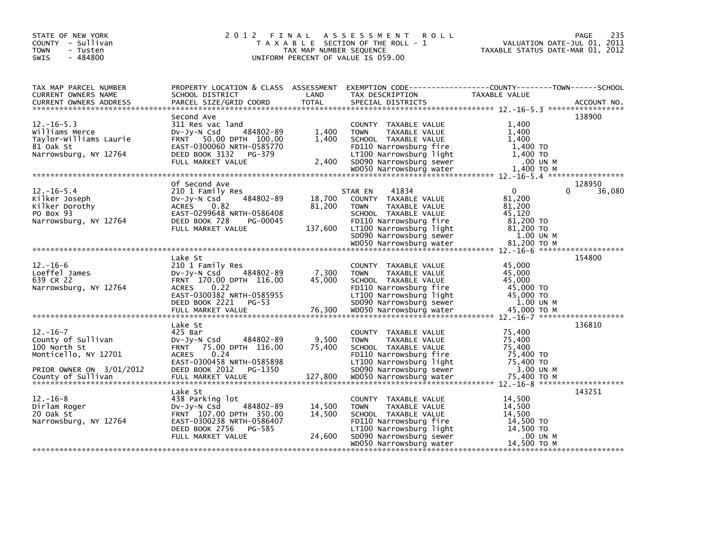| STATE OF NEW YORK<br>COUNTY - Sullivan<br><b>TOWN</b><br>- Tusten<br>$-484800$<br><b>SWIS</b>            | 2 0 1 2<br>FINAL                                                                                                                                                   | TAX MAP NUMBER SEQUENCE     | A S S E S S M E N T<br><b>ROLL</b><br>T A X A B L E SECTION OF THE ROLL - 1<br>UNIFORM PERCENT OF VALUE IS 059.00                                                                                           | VALUATION DATE-JUL 01, 2011<br>TAXABLE STATUS DATE-MAR 01, 2012                                       | PAGE<br>235      |
|----------------------------------------------------------------------------------------------------------|--------------------------------------------------------------------------------------------------------------------------------------------------------------------|-----------------------------|-------------------------------------------------------------------------------------------------------------------------------------------------------------------------------------------------------------|-------------------------------------------------------------------------------------------------------|------------------|
| TAX MAP PARCEL NUMBER<br>CURRENT OWNERS NAME<br><b>CURRENT OWNERS ADDRESS</b>                            | SCHOOL DISTRICT<br>PARCEL SIZE/GRID COORD                                                                                                                          | LAND<br><b>TOTAL</b>        | PROPERTY LOCATION & CLASS ASSESSMENT EXEMPTION CODE----------------COUNTY-------TOWN------SCHOOL<br>TAX DESCRIPTION<br>SPECIAL DISTRICTS                                                                    | TAXABLE VALUE                                                                                         | ACCOUNT NO.      |
| $12. - 16 - 5.3$<br>Williams Merce<br>Taylor-Williams Laurie<br>81 Oak St<br>Narrowsburg, NY 12764       | Second Ave<br>311 Res vac land<br>484802-89<br>DV-Jy-N Csd<br>FRNT 50.00 DPTH 100.00<br>EAST-0300060 NRTH-0585770<br>DEED BOOK 3132<br>PG-379<br>FULL MARKET VALUE | 1,400<br>1,400<br>2,400     | COUNTY TAXABLE VALUE<br><b>TOWN</b><br>TAXABLE VALUE<br>SCHOOL TAXABLE VALUE<br>FD110 Narrowsburg fire<br>LT100 Narrowsburg light<br>SD090 Narrowsburg sewer                                                | 1,400<br>1,400<br>1,400<br>1,400 TO<br>1,400 TO<br>.00 UN M                                           | 138900           |
| $12 - 16 - 5.4$<br>Kilker Joseph<br>Kilker Dorothy<br>PO Box 93<br>Narrowsburg, NY 12764                 | Of Second Ave<br>210 1 Family Res<br>484802-89<br>$Dv-Jy-N$ Csd<br>ACRES 0.82<br>EAST-0299648 NRTH-0586408<br>DEED BOOK 728<br>PG-00045<br>FULL MARKET VALUE       | 18,700<br>81,200<br>137,600 | 41834<br>STAR EN<br>COUNTY TAXABLE VALUE<br>TAXABLE VALUE<br><b>TOWN</b><br>SCHOOL TAXABLE VALUE<br>FD110 Narrowsburg fire<br>LT100 Narrowsburg light<br>SD090 Narrowsburg sewer<br>WD050 Narrowsburg water | $\mathbf{0}$<br>0<br>81,200<br>81,200<br>45.120<br>81,200 TO<br>81,200 TO<br>1.00 UN M<br>81,200 ТО М | 128950<br>36,080 |
|                                                                                                          | Lake St                                                                                                                                                            |                             |                                                                                                                                                                                                             |                                                                                                       | 154800           |
| $12. - 16 - 6$<br>Loeffel James<br>639 CR 22<br>Narrowsburg, NY 12764                                    | 210 1 Family Res<br>DV-JV-N Csd<br>484802-89<br>FRNT 170.00 DPTH 116.00<br>0.22<br><b>ACRES</b><br>EAST-0300382 NRTH-0585955<br>DEED BOOK 2221 PG-53               | 7,300<br>45,000             | COUNTY TAXABLE VALUE<br><b>TOWN</b><br>TAXABLE VALUE<br>SCHOOL TAXABLE VALUE<br>FD110 Narrowsburg fire<br>LT100 Narrowsburg light<br>SD090 Narrowsburg sewer                                                | 45,000<br>45,000<br>45.000<br>45,000 TO<br>45,000 TO<br>1.00 UN M                                     |                  |
|                                                                                                          | Lake St                                                                                                                                                            |                             |                                                                                                                                                                                                             |                                                                                                       | 136810           |
| $12. - 16 - 7$<br>County of Sullivan<br>100 North St<br>Monticello, NY 12701<br>PRIOR OWNER ON 3/01/2012 | 425 Bar<br>$Dv-Jv-N$ Csd<br>484802-89<br>FRNT 75.00 DPTH 116.00<br>0.24<br><b>ACRES</b><br>EAST-0300458 NRTH-0585898<br>DEED BOOK 2012 PG-1350                     | 9,500<br>75,400             | COUNTY TAXABLE VALUE<br><b>TOWN</b><br><b>TAXABLE VALUE</b><br>SCHOOL TAXABLE VALUE<br>FD110 Narrowsburg fire<br>LT100 Narrowsburg light<br>SD090 Narrowsburg sewer                                         | 75,400<br>75,400<br>75,400<br>75,400 TO<br>75,400 TO<br>3.00 UN M                                     |                  |
|                                                                                                          |                                                                                                                                                                    |                             |                                                                                                                                                                                                             |                                                                                                       |                  |
| $12. - 16 - 8$<br>Dirlam Roger<br>20 Oak St<br>Narrowsburg, NY 12764                                     | Lake St<br>438 Parking lot<br>484802-89<br>$Dv-Jy-N$ Csd<br>FRNT 107.00 DPTH 350.00<br>EAST-0300238 NRTH-0586407<br>DEED BOOK 2756<br>PG-585<br>FULL MARKET VALUE  | 14,500<br>14,500<br>24,600  | COUNTY TAXABLE VALUE<br>TAXABLE VALUE<br><b>TOWN</b><br>SCHOOL TAXABLE VALUE<br>FD110 Narrowsburg fire<br>LT100 Narrowsburg light<br>SD090 Narrowsburg sewer<br>WD050 Narrowsburg water                     | 14,500<br>14,500<br>14,500<br>14,500 TO<br>14,500 TO<br>.00 UN M<br>14,500 TO M                       | 143251           |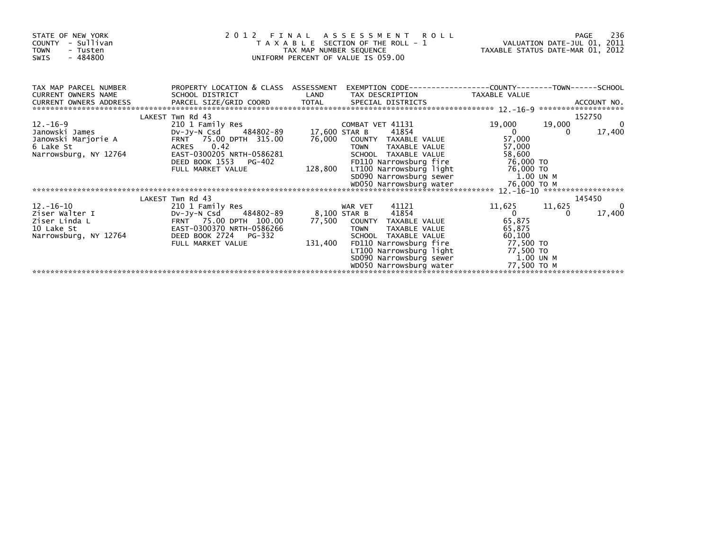| STATE OF NEW YORK<br>- Sullivan<br><b>COUNTY</b><br><b>TOWN</b><br>- Tusten<br>$-484800$<br><b>SWIS</b> | 2 0 1 2                                                                                 | FINAL ASSESSMENT ROLL<br>T A X A B L E SECTION OF THE ROLL - 1 VALUATION DATE-JUL 01, 2011<br>TAX MAP NUMBER SEOUENCE TAX TAXABLE STATUS DATE-MAR 01. 2012<br>TAX MAP NUMBER SEQUENCE<br>UNIFORM PERCENT OF VALUE IS 059.00 | PAGE<br>TAXABLE STATUS DATE-MAR 01, 2012                                             | 236            |
|---------------------------------------------------------------------------------------------------------|-----------------------------------------------------------------------------------------|-----------------------------------------------------------------------------------------------------------------------------------------------------------------------------------------------------------------------------|--------------------------------------------------------------------------------------|----------------|
| TAX MAP PARCEL NUMBER<br>CURRENT OWNERS NAME<br>CURRENT OWNERS ADDRESS                                  | PROPERTY LOCATION & CLASS ASSESSMENT<br>SCHOOL DISTRICT<br>PARCEL SIZE/GRID COORD TOTAL | LAND<br>TAX DESCRIPTION<br>SPECIAL DISTRICTS                                                                                                                                                                                | EXEMPTION        CODE-----------------COUNTY-------TOWN------SCHOOL<br>TAXABLE VALUE | ACCOUNT NO.    |
|                                                                                                         | LAKEST Twn Rd 43                                                                        |                                                                                                                                                                                                                             | 152750                                                                               |                |
| $12 - 16 - 9$                                                                                           | 210 1 Family Res                                                                        | COMBAT VET 41131                                                                                                                                                                                                            | 19,000<br>19,000                                                                     | $\overline{a}$ |
| Janowski James                                                                                          | DV-Jy-N Csd 484802-89 17,600 STAR B                                                     | 41854                                                                                                                                                                                                                       | $\overline{0}$<br>$\Omega$                                                           | 17,400         |
| Janowski Marjorie A<br>6 Lake St                                                                        | FRNT 75.00 DPTH 315.00<br>ACRES 0.42                                                    | 76,000<br>COUNTY TAXABLE VALUE<br><b>TOWN</b><br>TAXABLE VALUE                                                                                                                                                              | 57,000<br>57,000                                                                     |                |
| Narrowsburg, NY 12764                                                                                   | EAST-0300205 NRTH-0586281                                                               | SCHOOL TAXABLE VALUE                                                                                                                                                                                                        | 58,600                                                                               |                |
|                                                                                                         | DEED BOOK 1553<br>PG-402                                                                | FD110 Narrowsburg fire                                                                                                                                                                                                      | 76,000 TO                                                                            |                |
|                                                                                                         | FULL MARKET VALUE                                                                       | 128,800                                                                                                                                                                                                                     |                                                                                      |                |
|                                                                                                         |                                                                                         |                                                                                                                                                                                                                             | 1.00 UN M                                                                            |                |
|                                                                                                         |                                                                                         |                                                                                                                                                                                                                             |                                                                                      |                |
|                                                                                                         |                                                                                         |                                                                                                                                                                                                                             |                                                                                      |                |
|                                                                                                         | LAKEST Twn Rd 43                                                                        |                                                                                                                                                                                                                             | 145450                                                                               |                |
| 12.-16-10<br>Ziser Walter I                                                                             | 210 1 Family Res<br>DV-Jy-N Csd 484802-89                                               | 41121<br>WAR VET<br>8,100 STAR B<br>41854                                                                                                                                                                                   | 11,625<br>11,625<br>$\sim$ 0                                                         | 0<br>17,400    |
| Ziser Linda L                                                                                           | FRNT 75.00 DPTH 100.00                                                                  | 77,500 COUNTY TAXABLE VALUE                                                                                                                                                                                                 | 65,875                                                                               |                |
| 10 Lake St                                                                                              | EAST-0300370 NRTH-0586266                                                               | TAXABLE VALUE<br><b>TOWN</b>                                                                                                                                                                                                | 65,875                                                                               |                |
| Narrowsburg, NY 12764                                                                                   | DEED BOOK 2724 PG-332                                                                   | SCHOOL TAXABLE VALUE                                                                                                                                                                                                        | 60,100                                                                               |                |
|                                                                                                         | FULL MARKET VALUE                                                                       | 131,400<br>FD110 Narrowsburg fire                                                                                                                                                                                           | 77,500 TO                                                                            |                |
|                                                                                                         |                                                                                         | LT100 Narrowsburg light 77,500 TO                                                                                                                                                                                           |                                                                                      |                |
|                                                                                                         |                                                                                         | SD090 Narrowsburg sewer 1.00 UN M                                                                                                                                                                                           |                                                                                      |                |
|                                                                                                         |                                                                                         | WD050 Narrowsburg water                                                                                                                                                                                                     | 77,500 то м                                                                          |                |
|                                                                                                         |                                                                                         |                                                                                                                                                                                                                             |                                                                                      |                |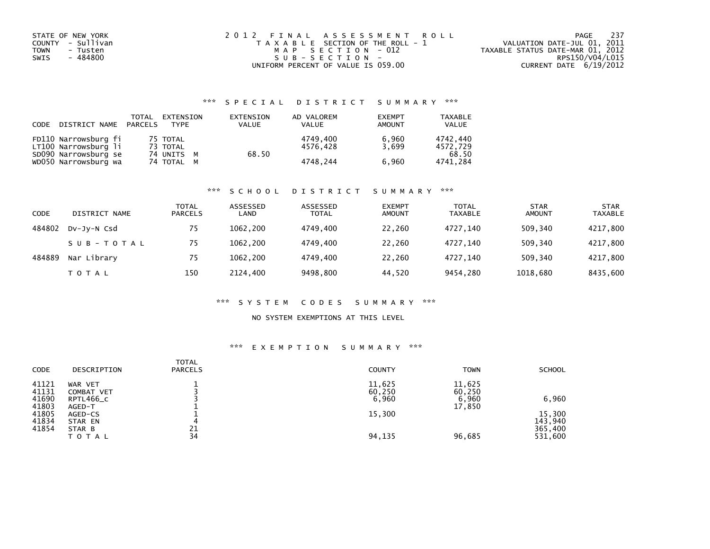| STATE OF NEW YORK       | 2012 FINAL ASSESSMENT ROLL            | 237<br>PAGE                      |
|-------------------------|---------------------------------------|----------------------------------|
| COUNTY - Sullivan       | T A X A B L E SECTION OF THE ROLL - 1 | VALUATION DATE-JUL 01, 2011      |
| <b>TOWN</b><br>- Tusten | MAP SECTION - 012                     | TAXABLE STATUS DATE-MAR 01, 2012 |
| - 484800<br>SWIS        | SUB-SECTION-                          | RPS150/V04/L015                  |
|                         | UNIFORM PERCENT OF VALUE IS 059.00    | CURRENT DATE 6/19/2012           |

## \*\*\* S P E C I A L D I S T R I C T S U M M A R Y \*\*\*

| CODE | DISTRICT NAME                                | TOTAL<br>PARCELS | EXTENSION<br><b>TYPF</b> | EXTENSION<br><b>VALUE</b> | AD VALOREM<br>VALUE  | <b>EXEMPT</b><br><b>AMOUNT</b> | TAXABLE<br><b>VALUE</b> |
|------|----------------------------------------------|------------------|--------------------------|---------------------------|----------------------|--------------------------------|-------------------------|
|      | FD110 Narrowsburg fi<br>LT100 Narrowsburg li |                  | 75 TOTAL<br>73 TOTAL     |                           | 4749.400<br>4576.428 | 6.960<br>3.699                 | 4742.440<br>4572.729    |
|      | SD090 Narrowsburg se<br>WD050 Narrowsburg wa |                  | 74 UNITS M<br>74 TOTAL M | 68.50                     | 4748.244             | 6.960                          | 68.50<br>4741.284       |

### \*\*\* S C H O O L D I S T R I C T S U M M A R Y \*\*\*

| CODE   | DISTRICT NAME | <b>TOTAL</b><br><b>PARCELS</b> | ASSESSED<br>LAND | ASSESSED<br><b>TOTAL</b> | <b>EXEMPT</b><br><b>AMOUNT</b> | <b>TOTAL</b><br><b>TAXABLE</b> | <b>STAR</b><br><b>AMOUNT</b> | <b>STAR</b><br><b>TAXABLE</b> |
|--------|---------------|--------------------------------|------------------|--------------------------|--------------------------------|--------------------------------|------------------------------|-------------------------------|
| 484802 | DV-JV-N Csd   | 75                             | 1062.200         | 4749.400                 | 22,260                         | 4727.140                       | 509,340                      | 4217,800                      |
|        | SUB-TOTAL     | 75                             | 1062.200         | 4749.400                 | 22,260                         | 4727.140                       | 509.340                      | 4217,800                      |
| 484889 | Nar Library   | 75                             | 1062.200         | 4749.400                 | 22,260                         | 4727,140                       | 509.340                      | 4217,800                      |
|        | T O T A L     | 150                            | 2124,400         | 9498,800                 | 44,520                         | 9454,280                       | 1018,680                     | 8435,600                      |

### \*\*\* S Y S T E M C O D E S S U M M A R Y \*\*\*

## NO SYSTEM EXEMPTIONS AT THIS LEVEL

### \*\*\* E X E M P T I O N S U M M A R Y \*\*\*

| <b>CODE</b>    | DESCRIPTION            | <b>TOTAL</b><br><b>PARCELS</b> | <b>COUNTY</b>    | <b>TOWN</b>      | <b>SCHOOL</b>      |
|----------------|------------------------|--------------------------------|------------------|------------------|--------------------|
| 41121<br>41131 | WAR VET<br>COMBAT VET  |                                | 11,625<br>60,250 | 11,625<br>60,250 |                    |
| 41690<br>41803 | RPTL466_C<br>AGED-T    |                                | 6,960            | 6,960<br>17,850  | 6,960              |
| 41805<br>41834 | AGED-CS<br>STAR EN     | 4                              | 15,300           |                  | 15,300<br>143,940  |
| 41854          | STAR B<br><b>TOTAL</b> | 21<br>34                       | 94,135           | 96,685           | 365,400<br>531,600 |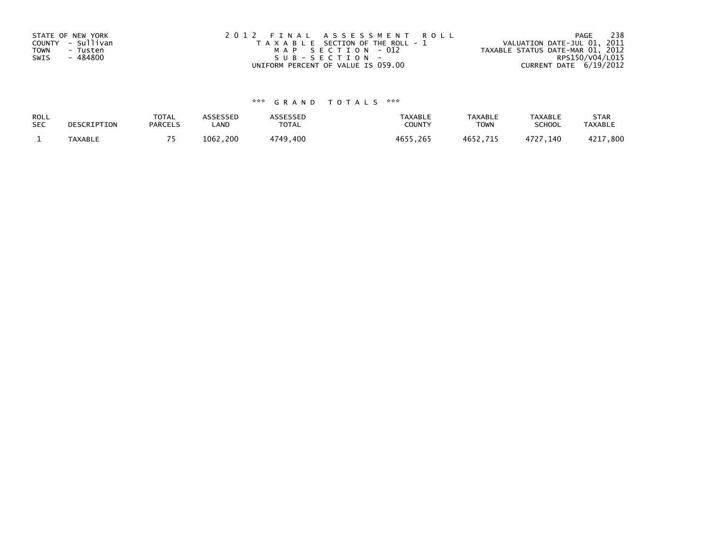| STATE OF NEW YORK<br>COUNTY - Sullivan<br>TOWN<br>- Tusten | 2012 FINAL ASSESSMENT ROLL<br>T A X A B L E SECTION OF THE ROLL - 1<br>MAP SECTION - 012 | - 238<br>PAGE<br>VALUATION DATE-JUL 01, 2011<br>TAXABLE STATUS DATE-MAR 01, 2012 |
|------------------------------------------------------------|------------------------------------------------------------------------------------------|----------------------------------------------------------------------------------|
| - 484800<br>SWIS                                           | $SUB - SECTION -$<br>UNIFORM PERCENT OF VALUE IS 059.00                                  | RPS150/V04/L015<br>CURRENT DATE 6/19/2012                                        |
|                                                            |                                                                                          |                                                                                  |

# \*\*\* G R A N D T O T A L S \*\*\*

| ROLL       | DESCRIPTION | <b>TOTAL</b>   | ASSESSED | ASSESSED | <b>TAXABLE</b> | <b>TAXABLE</b> | <b>TAXABLE</b> | <b>STAR</b>    |
|------------|-------------|----------------|----------|----------|----------------|----------------|----------------|----------------|
| <b>SEC</b> |             | <b>PARCELS</b> | ∟AND     | TOTAL    | <b>COUNTY</b>  | TOWN           | <b>SCHOOL</b>  | <b>TAXABLE</b> |
|            | TAXABLE     |                | 1062.200 | 4749,400 | 4655.265       | 4652.715       | 4727.140       | 4217,800       |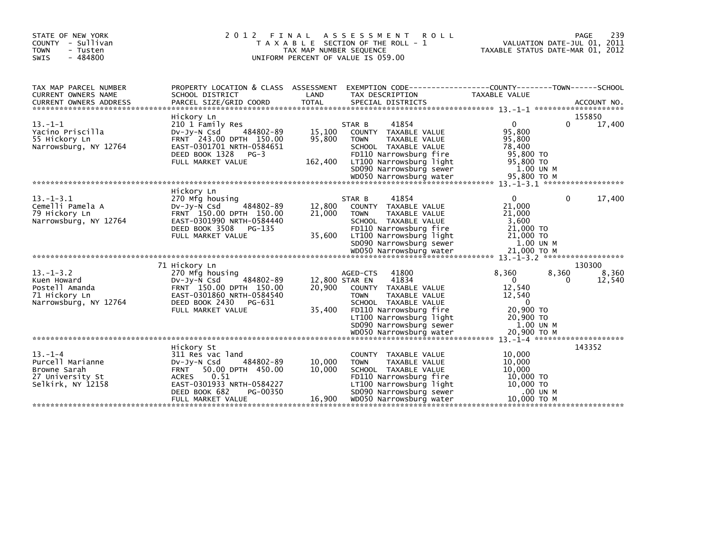| STATE OF NEW YORK<br>COUNTY - Sullivan<br>- Tusten<br><b>TOWN</b><br><b>SWIS</b><br>$-484800$ | 2 0 1 2                                                                                                                                                                                                 | FINAL<br>TAX MAP NUMBER SEQUENCE   | A S S E S S M E N T<br><b>ROLL</b><br>T A X A B L E SECTION OF THE ROLL - 1<br>UNIFORM PERCENT OF VALUE IS 059.00                                                                                 | VALUATION DATE-JUL 01, 2011<br>TAXABLE STATUS DATE-MAR 01, 2012                                        | 239<br>PAGE               |
|-----------------------------------------------------------------------------------------------|---------------------------------------------------------------------------------------------------------------------------------------------------------------------------------------------------------|------------------------------------|---------------------------------------------------------------------------------------------------------------------------------------------------------------------------------------------------|--------------------------------------------------------------------------------------------------------|---------------------------|
| TAX MAP PARCEL NUMBER<br>CURRENT OWNERS NAME                                                  | PROPERTY LOCATION & CLASS ASSESSMENT<br>SCHOOL DISTRICT                                                                                                                                                 | LAND                               | EXEMPTION CODE-----------------COUNTY-------TOWN------SCHOOL<br>TAX DESCRIPTION                                                                                                                   | TAXABLE VALUE                                                                                          |                           |
| $13 - 1 - 1$<br>Yacino Priscilla<br>55 Hickory Ln<br>Narrowsburg, NY 12764                    | Hickory Ln<br>210 1 Family Res<br>484802-89<br>$Dv-Jy-N$ Csd<br>FRNT 243.00 DPTH 150.00<br>EAST-0301701 NRTH-0584651<br>DEED BOOK 1328<br>$PG-3$<br>FULL MARKET VALUE                                   | 15,100<br>95,800<br>162,400        | 41854<br>STAR B<br>COUNTY TAXABLE VALUE<br><b>TOWN</b><br>TAXABLE VALUE<br>SCHOOL TAXABLE VALUE<br>FD110 Narrowsburg fire<br>LT100 Narrowsburg light<br>SD090 Narrowsburg sewer                   | $\mathbf{0}$<br>0<br>95,800<br>95,800<br>78,400<br>95,800 TO<br>95,800 TO<br>1.00 UN M                 | 155850<br>17,400          |
| $13. - 1 - 3.1$<br>Cemelli Pamela A<br>79 Hickory Ln<br>Narrowsburg, NY 12764                 | Hickory Ln<br>270 Mfg housing<br>$Dv-Jv-N$ Csd<br>484802-89<br>FRNT 150.00 DPTH 150.00<br>EAST-0301990 NRTH-0584440<br>DEED BOOK 3508<br>PG-135<br>FULL MARKET VALUE                                    | 12,800<br>21,000<br>35,600         | 41854<br>STAR B<br>COUNTY TAXABLE VALUE<br><b>TOWN</b><br>TAXABLE VALUE<br>SCHOOL TAXABLE VALUE<br>FD110 Narrowsburg fire<br>LT100 Narrowsburg light<br>SD090 Narrowsburg sewer                   | $\mathbf{0}$<br>0<br>21,000<br>21,000<br>3.600<br>21,000 TO<br>21,000 TO<br>1.00 UN M                  | 17,400                    |
| $13. - 1 - 3.2$<br>Kuen Howard<br>Postell Amanda<br>71 Hickory Ln<br>Narrowsburg, NY 12764    | 71 Hickory Ln<br>270 Mfg housing<br>484802-89<br>$Dv-Jv-N$ Csd<br>FRNT 150.00 DPTH 150.00<br>EAST-0301860 NRTH-0584540<br>DEED BOOK 2430<br>PG-631<br>FULL MARKET VALUE                                 | 12,800 STAR EN<br>20,900<br>35,400 | 41800<br>AGED-CTS<br>41834<br>COUNTY TAXABLE VALUE<br><b>TAXABLE VALUE</b><br><b>TOWN</b><br>SCHOOL TAXABLE VALUE<br>FD110 Narrowsburg fire<br>LT100 Narrowsburg light<br>SD090 Narrowsburg sewer | 8,360<br>8,360<br>$\Omega$<br>0<br>12,540<br>12,540<br>$\Omega$<br>20,900 TO<br>20,900 TO<br>1.00 UN M | 130300<br>8,360<br>12,540 |
| $13. - 1 - 4$<br>Purcell Marianne<br>Browne Sarah<br>27 University St<br>Selkirk, NY 12158    | Hickory St<br>311 Res vac land<br>484802-89<br>$Dv-Jy-N$ Csd<br>50.00 DPTH 450.00<br><b>FRNT</b><br>0.51<br><b>ACRES</b><br>EAST-0301933 NRTH-0584227<br>DEED BOOK 682<br>PG-00350<br>FULL MARKET VALUE | 10,000<br>10,000<br>16,900         | COUNTY TAXABLE VALUE<br>TAXABLE VALUE<br><b>TOWN</b><br>SCHOOL TAXABLE VALUE<br>FD110 Narrowsburg fire<br>LT100 Narrowsburg light<br>SD090 Narrowsburg sewer<br>WD050 Narrowsburg water           | 10.000<br>10,000<br>10,000<br>10,000 TO<br>10,000 TO<br>.00 UN M<br>10.000 TO M                        | 143352                    |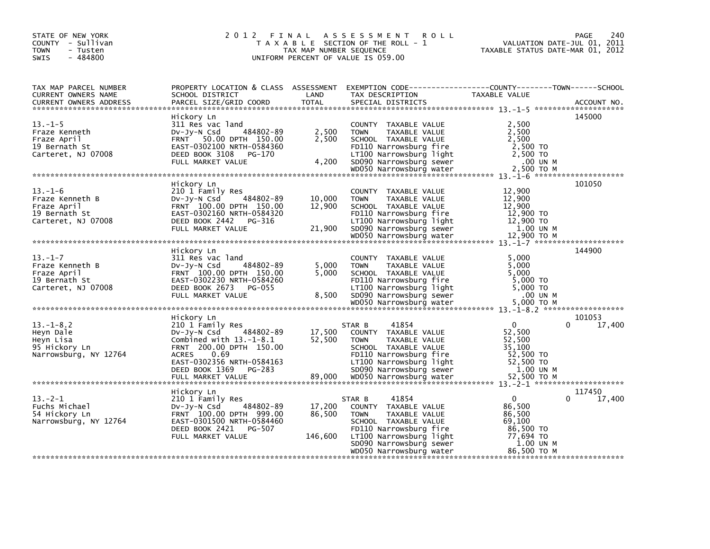| STATE OF NEW YORK<br>COUNTY - Sullivan<br>- Tusten<br>TOWN<br>$-484800$<br><b>SWIS</b> | 2 0 1 2                                                                                                                                                                   | FINAL<br>TAX MAP NUMBER SEQUENCE | A S S E S S M E N T<br><b>ROLL</b><br>T A X A B L E SECTION OF THE ROLL - 1<br>UNIFORM PERCENT OF VALUE IS 059.00                                                                       | VALUATION DATE-JUL 01, 2011<br>TAXABLE STATUS DATE-MAR 01, 2012                    | 240<br><b>PAGE</b> |
|----------------------------------------------------------------------------------------|---------------------------------------------------------------------------------------------------------------------------------------------------------------------------|----------------------------------|-----------------------------------------------------------------------------------------------------------------------------------------------------------------------------------------|------------------------------------------------------------------------------------|--------------------|
| TAX MAP PARCEL NUMBER<br>CURRENT OWNERS NAME<br><b>CURRENT OWNERS ADDRESS</b>          | SCHOOL DISTRICT<br>PARCEL SIZE/GRID COORD                                                                                                                                 | LAND<br><b>TOTAL</b>             | PROPERTY LOCATION & CLASS ASSESSMENT EXEMPTION CODE----------------COUNTY-------TOWN-----SCHOOL<br>TAX DESCRIPTION<br>SPECIAL DISTRICTS                                                 | TAXABLE VALUE                                                                      | ACCOUNT NO.        |
| $13. - 1 - 5$<br>Fraze Kenneth<br>Fraze April<br>19 Bernath St<br>Carteret, NJ 07008   | Hickory Ln<br>311 Res vac land<br>484802-89<br>$Dv-Jy-N$ Csd<br>FRNT 50.00 DPTH 150.00<br>EAST-0302100 NRTH-0584360<br>DEED BOOK 3108<br>PG-170<br>FULL MARKET VALUE      | 2,500<br>2,500<br>4,200          | COUNTY TAXABLE VALUE<br>TAXABLE VALUE<br><b>TOWN</b><br>SCHOOL TAXABLE VALUE<br>FD110 Narrowsburg fire<br>LT100 Narrowsburg light<br>SD090 Narrowsburg sewer                            | 2.500<br>2,500<br>2,500<br>2,500 TO<br>2,500 TO<br>.00 UN M                        | 145000             |
|                                                                                        |                                                                                                                                                                           |                                  |                                                                                                                                                                                         |                                                                                    |                    |
| $13. - 1 - 6$<br>Fraze Kenneth B<br>Fraze April<br>19 Bernath St<br>Carteret, NJ 07008 | Hickory Ln<br>210 1 Family Res<br>484802-89<br>$Dv-Jy-N$ Csd<br>FRNT 100.00 DPTH 150.00<br>EAST-0302160 NRTH-0584320<br>DEED BOOK 2442 PG-316<br>FULL MARKET VALUE        | 10,000<br>12,900<br>21,900       | COUNTY TAXABLE VALUE<br>TAXABLE VALUE<br><b>TOWN</b><br>SCHOOL TAXABLE VALUE<br>FD110 Narrowsburg fire<br>LT100 Narrowsburg light<br>sp090 Narrowsburg sewer<br>WD050 Narrowsburg water | 12,900<br>12,900<br>12,900<br>12,900 TO<br>12,900 TO<br>1.00 UN M<br>12,900 TO M   | 101050             |
|                                                                                        |                                                                                                                                                                           |                                  |                                                                                                                                                                                         |                                                                                    |                    |
| $13. - 1 - 7$<br>Fraze Kenneth B<br>Fraze April<br>19 Bernath St<br>Carteret, NJ 07008 | Hickory Ln<br>311 Res vac land<br>484802-89<br>$Dv-Jy-N$ Csd<br>FRNT 100.00 DPTH 150.00<br>EAST-0302230 NRTH-0584260<br>DEED BOOK 2673 PG-055<br>FULL MARKET VALUE        | 5,000<br>5.000<br>8,500          | COUNTY TAXABLE VALUE<br><b>TOWN</b><br>TAXABLE VALUE<br>SCHOOL TAXABLE VALUE<br>FD110 Narrowsburg fire<br>LT100 Narrowsburg light<br>SD090 Narrowsburg sewer                            | 5,000<br>5,000<br>5.000<br>5,000 TO<br>5,000 TO<br>.00 UN M                        | 144900             |
|                                                                                        |                                                                                                                                                                           |                                  |                                                                                                                                                                                         |                                                                                    |                    |
| $13. - 1 - 8.2$<br>Heyn Dale<br>Heyn Lisa<br>95 Hickory Ln<br>Narrowsburg, NY 12764    | Hickory Ln<br>210 1 Family Res<br>484802-89<br>$Dv-Jy-N$ Csd<br>Combined with $13.-1-8.1$<br>FRNT 200.00 DPTH 150.00<br><b>ACRES</b><br>0.69<br>EAST-0302356 NRTH-0584163 | 17,500<br>52,500                 | 41854<br>STAR B<br>COUNTY TAXABLE VALUE<br><b>TOWN</b><br>TAXABLE VALUE<br>SCHOOL TAXABLE VALUE<br>FD110 Narrowsburg fire<br>LT100 Narrowsburg light                                    | $\Omega$<br>0<br>52,500<br>52,500<br>35,100<br>52,500 TO<br>52,500 TO              | 101053<br>17,400   |
|                                                                                        |                                                                                                                                                                           |                                  |                                                                                                                                                                                         |                                                                                    |                    |
|                                                                                        | Hickory Ln                                                                                                                                                                |                                  |                                                                                                                                                                                         |                                                                                    | 117450             |
| $13.-2-1$<br>Fuchs Michael<br>54 Hickory Ln<br>Narrowsburg, NY 12764                   | 210 1 Family Res<br>484802-89<br>DV-Jy-N Csd<br>FRNT 100.00 DPTH 999.00<br>EAST-0301500 NRTH-0584460<br>DEED BOOK 2421<br>PG-507<br>FULL MARKET VALUE                     | 17,200<br>86,500<br>146,600      | 41854<br>STAR B<br>COUNTY TAXABLE VALUE<br><b>TOWN</b><br>TAXABLE VALUE<br>SCHOOL TAXABLE VALUE<br>FD110 Narrowsburg fire<br>LT100 Narrowsburg light<br>SD090 Narrowsburg sewer         | $\Omega$<br>0<br>86,500<br>86,500<br>69,100<br>86,500 TO<br>77.694 TO<br>1.00 UN M | 17,400             |
|                                                                                        |                                                                                                                                                                           |                                  | WD050 Narrowsburg water                                                                                                                                                                 | 86.500 ТО М                                                                        |                    |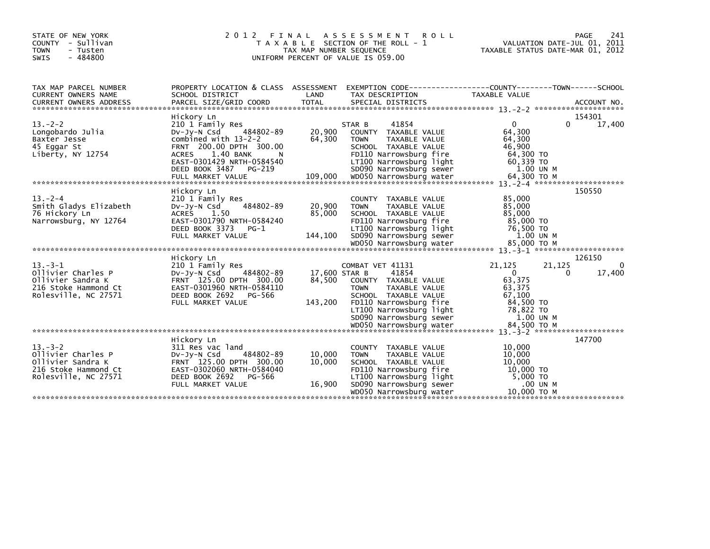| STATE OF NEW YORK<br>COUNTY - Sullivan<br>- Tusten<br><b>TOWN</b><br>$-484800$<br>SWIS                  | 2 0 1 2<br>FINAL                                                                                                                                                                                              | TAX MAP NUMBER SEQUENCE            | A S S E S S M E N T<br><b>ROLL</b><br>T A X A B L E SECTION OF THE ROLL - 1<br>UNIFORM PERCENT OF VALUE IS 059.00                                                                         |                                                                                         | PAGE<br>241<br>VALUATION DATE-JUL 01, 2011<br>TAXABLE STATUS DATE-MAR 01, 2012 |
|---------------------------------------------------------------------------------------------------------|---------------------------------------------------------------------------------------------------------------------------------------------------------------------------------------------------------------|------------------------------------|-------------------------------------------------------------------------------------------------------------------------------------------------------------------------------------------|-----------------------------------------------------------------------------------------|--------------------------------------------------------------------------------|
| TAX MAP PARCEL NUMBER<br>CURRENT OWNERS NAME                                                            | PROPERTY LOCATION & CLASS ASSESSMENT<br>SCHOOL DISTRICT                                                                                                                                                       | LAND                               | EXEMPTION        CODE-----------------COUNTY-------TOWN------SCHOOL<br>TAX DESCRIPTION                                                                                                    | <b>TAXABLE VALUE</b>                                                                    |                                                                                |
|                                                                                                         |                                                                                                                                                                                                               |                                    |                                                                                                                                                                                           |                                                                                         |                                                                                |
| $13 - 2 - 2$<br>Longobardo Julia<br>Baxter Jesse<br>45 Eggar St<br>Liberty, NY 12754                    | Hickory Ln<br>210 1 Family Res<br>484802-89<br>$Dv-Jv-N$ Csd<br>combined with $13-2-2$<br>FRNT 200.00 DPTH 300.00<br>1.40 BANK<br><b>ACRES</b><br>N.<br>EAST-0301429 NRTH-0584540<br>DEED BOOK 3487<br>PG-219 | 20,900<br>64,300                   | 41854<br>STAR B<br>COUNTY TAXABLE VALUE<br><b>TOWN</b><br>TAXABLE VALUE<br>SCHOOL TAXABLE VALUE<br>FD110 Narrowsburg fire<br>LT100 Narrowsburg light<br>SD090 Narrowsburg sewer           | $\Omega$<br>64,300<br>64,300<br>46,900<br>64,300 TO<br>60,339 TO<br>1.00 UN M           | 154301<br>17,400<br>0                                                          |
|                                                                                                         | Hickory Ln                                                                                                                                                                                                    |                                    |                                                                                                                                                                                           |                                                                                         | 150550                                                                         |
| $13. - 2 - 4$<br>Smith Gladys Elizabeth<br>76 Hickory Ln<br>Narrowsburg, NY 12764                       | 210 1 Family Res<br>484802-89<br>$Dv-Jv-N$ Csd<br><b>ACRES</b><br>1.50<br>EAST-0301790 NRTH-0584240<br>DEED BOOK 3373<br>PG-1<br>FULL MARKET VALUE                                                            | 20,900<br>85,000<br>144,100        | COUNTY TAXABLE VALUE<br>TAXABLE VALUE<br><b>TOWN</b><br>SCHOOL TAXABLE VALUE<br>FD110 Narrowsburg fire<br>LT100 Narrowsburg light<br>SD090 Narrowsburg sewer                              | 85,000<br>85,000<br>85,000<br>85,000 TO<br>76,500 TO<br>1.00 UN M                       |                                                                                |
|                                                                                                         | Hickory Ln                                                                                                                                                                                                    |                                    |                                                                                                                                                                                           |                                                                                         | 126150                                                                         |
| $13. -3 - 1$<br>Ollivier Charles P<br>Ollivier Sandra K<br>216 Stoke Hammond Ct<br>Rolesville, NC 27571 | 210 1 Family Res<br>484802-89<br>$Dv-Jy-N$ Csd<br>FRNT 125.00 DPTH 300.00<br>EAST-0301960 NRTH-0584110<br>DEED BOOK 2692<br>PG-566<br>FULL MARKET VALUE                                                       | 17,600 STAR B<br>84,500<br>143,200 | COMBAT VET 41131<br>41854<br>COUNTY TAXABLE VALUE<br><b>TOWN</b><br>TAXABLE VALUE<br>SCHOOL TAXABLE VALUE<br>FD110 Narrowsburg fire<br>LT100 Narrowsburg light<br>SD090 Narrowsburg sewer | 21,125<br>$\Omega$<br>63,375<br>63,375<br>67,100<br>84,500 TO<br>78,822 TO<br>1.00 UN M | 21,125<br>$\Omega$<br>17,400<br>$\Omega$                                       |
|                                                                                                         |                                                                                                                                                                                                               |                                    |                                                                                                                                                                                           |                                                                                         |                                                                                |
| $13 - 3 - 2$<br>Ollivier Charles P<br>Ollivier Sandra K<br>216 Stoke Hammond Ct<br>Rolesville, NC 27571 | Hickory Ln<br>311 Res vac land<br>484802-89<br>DV-Jy-N Csd<br>FRNT 125.00 DPTH 300.00<br>EAST-0302060 NRTH-0584040<br>DEED BOOK 2692<br>PG-566<br>FULL MARKET VALUE                                           | 10,000<br>10,000<br>16,900         | COUNTY TAXABLE VALUE<br><b>TOWN</b><br>TAXABLE VALUE<br>SCHOOL TAXABLE VALUE<br>FD110 Narrowsburg fire<br>LT100 Narrowsburg light<br>SD090 Narrowsburg sewer<br>WD050 Narrowsburg water   | 10,000<br>10,000<br>10,000<br>10,000 TO<br>5,000 TO<br>.00 UN M<br>10,000 то м          | 147700                                                                         |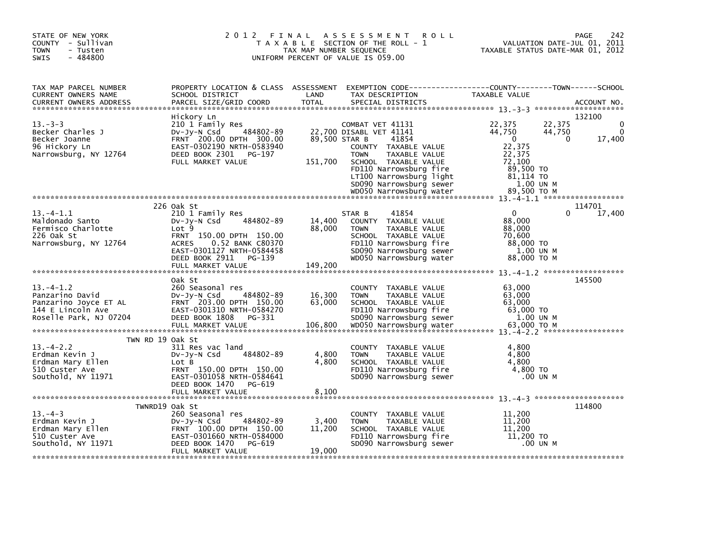| STATE OF NEW YORK<br>COUNTY - Sullivan<br><b>TOWN</b><br>- Tusten<br>$-484800$<br>SWIS                            | 2012 FINAL                                                                                                                                              | TAX MAP NUMBER SEQUENCE   | A S S E S S M E N T<br><b>ROLL</b><br>T A X A B L E SECTION OF THE ROLL - 1<br>UNIFORM PERCENT OF VALUE IS 059.00                        | TAXABLE STATUS DATE-MAR 01, 2012                                                     | 242<br>PAGE<br>VALUATION DATE-JUL 01, 2011 |
|-------------------------------------------------------------------------------------------------------------------|---------------------------------------------------------------------------------------------------------------------------------------------------------|---------------------------|------------------------------------------------------------------------------------------------------------------------------------------|--------------------------------------------------------------------------------------|--------------------------------------------|
| TAX MAP PARCEL NUMBER<br>CURRENT OWNERS NAME<br><b>CURRENT OWNERS ADDRESS</b>                                     | SCHOOL DISTRICT<br>PARCEL SIZE/GRID COORD                                                                                                               | LAND<br><b>TOTAL</b>      | PROPERTY LOCATION & CLASS ASSESSMENT EXEMPTION CODE----------------COUNTY-------TOWN-----SCHOOL<br>TAX DESCRIPTION<br>SPECIAL DISTRICTS  | TAXABLE VALUE                                                                        | ACCOUNT NO.                                |
|                                                                                                                   | Hickory Ln                                                                                                                                              |                           |                                                                                                                                          |                                                                                      | 132100                                     |
| $13 - 3 - 3$<br>Becker Charles J<br>Becker Joanne<br>96 Hickory Ln<br>Narrowsburg, NY 12764                       | 210 1 Family Res<br>484802-89<br>DV-Jy-N Csd<br>FRNT 200.00 DPTH 300.00<br>EAST-0302190 NRTH-0583940<br>DEED BOOK 2301<br>PG-197<br>FULL MARKET VALUE   | 89,500 STAR B<br>151,700  | COMBAT VET 41131<br>22,700 DISABL VET 41141<br>41854<br>COUNTY TAXABLE VALUE<br><b>TOWN</b><br>TAXABLE VALUE<br>SCHOOL TAXABLE VALUE     | 22,375<br>22,375<br>44,750<br>44,750<br>$\overline{0}$<br>22,375<br>22,375<br>72,100 | 0<br>17,400<br>$\Omega$                    |
|                                                                                                                   |                                                                                                                                                         |                           | FD110 Narrowsburg fire<br>LT100 Narrowsburg light<br>SD090 Narrowsburg sewer                                                             | 89,500 TO<br>81,114 TO<br>1.00 UN M                                                  |                                            |
|                                                                                                                   |                                                                                                                                                         |                           |                                                                                                                                          |                                                                                      | 114701                                     |
| $13 - 4 - 1.1$<br>Maldonado Santo                                                                                 | 226 Oak St<br>210 1 Family Res<br>484802-89<br>$Dv-Jv-N$ Csd                                                                                            | 14,400                    | 41854<br>STAR B<br>COUNTY TAXABLE VALUE                                                                                                  | $\mathbf{0}$<br>88,000                                                               | 17,400<br>0                                |
| Fermisco Charlotte<br>226 Oak St<br>Narrowsburg, NY 12764                                                         | Lot <sub>9</sub><br>FRNT 150.00 DPTH 150.00<br><b>ACRES</b><br>0.52 BANK C80370<br>EAST-0301127 NRTH-0584458<br>DEED BOOK 2911 PG-139                   | 88,000                    | <b>TOWN</b><br>TAXABLE VALUE<br>SCHOOL TAXABLE VALUE<br>FD110 Narrowsburg fire<br>SD090 Narrowsburg sewer<br>WD050 Narrowsburg water     | 88,000<br>70,600<br>88,000 TO<br>1.00 UN M<br>88,000 TO M                            |                                            |
|                                                                                                                   | FULL MARKET VALUE                                                                                                                                       | 149,200                   |                                                                                                                                          |                                                                                      |                                            |
|                                                                                                                   | Oak St                                                                                                                                                  |                           |                                                                                                                                          |                                                                                      | 145500                                     |
| $13 - 4 - 1.2$<br>Panzarino David<br>Panzarino Joyce ET AL<br>144 E Lincoln Ave<br>Roselle Park, NJ 07204         | 260 Seasonal res<br>484802-89<br>$Dv-Jv-N$ Csd<br>FRNT 203.00 DPTH 150.00<br>EAST-0301310 NRTH-0584270<br>DEED BOOK 1808<br>PG-331                      | 16,300<br>63,000          | COUNTY TAXABLE VALUE<br>TAXABLE VALUE<br><b>TOWN</b><br>SCHOOL TAXABLE VALUE<br>FD110 Narrowsburg fire<br>SD090 Narrowsburg sewer        | 63,000<br>63,000<br>63,000<br>63,000 TO<br>1.00 UN M                                 |                                            |
|                                                                                                                   |                                                                                                                                                         |                           |                                                                                                                                          |                                                                                      |                                            |
| TWN RD 19 Oak St<br>$13. -4 - 2.2$<br>Erdman Kevin J<br>Erdman Mary Ellen<br>510 Custer Ave<br>Southold, NY 11971 | 311 Res vac land<br>484802-89<br>$Dv-Jy-N$ Csd<br>Lot B<br>FRNT 150.00 DPTH 150.00<br>EAST-0301058 NRTH-0584641<br>DEED BOOK 1470 PG-619                | 4,800<br>4,800            | COUNTY TAXABLE VALUE<br><b>TOWN</b><br>TAXABLE VALUE<br>SCHOOL TAXABLE VALUE<br>FD110 Narrowsburg fire<br>SD090 Narrowsburg sewer        | 4,800<br>4,800<br>4,800<br>4,800 TO<br>.00 UN M                                      |                                            |
|                                                                                                                   |                                                                                                                                                         |                           |                                                                                                                                          |                                                                                      |                                            |
|                                                                                                                   | TWNRD19 Oak St                                                                                                                                          |                           |                                                                                                                                          |                                                                                      | 114800                                     |
| $13. -4 - 3$<br>Erdman Kevin J<br>Erdman Mary Ellen<br>510 Custer Ave<br>Southold, NY 11971                       | 260 Seasonal res<br>484802-89<br>$Dv-Jv-N$ Csd<br>FRNT 100.00 DPTH 150.00<br>EAST-0301660 NRTH-0584000<br>DEED BOOK 1470<br>PG-619<br>FULL MARKET VALUE | 3,400<br>11,200<br>19,000 | COUNTY TAXABLE VALUE<br><b>TAXABLE VALUE</b><br><b>TOWN</b><br>SCHOOL TAXABLE VALUE<br>FD110 Narrowsburg fire<br>SD090 Narrowsburg sewer | 11,200<br>11,200<br>11,200<br>$11,200$ TO<br>.00 UN M                                |                                            |
|                                                                                                                   |                                                                                                                                                         |                           |                                                                                                                                          |                                                                                      |                                            |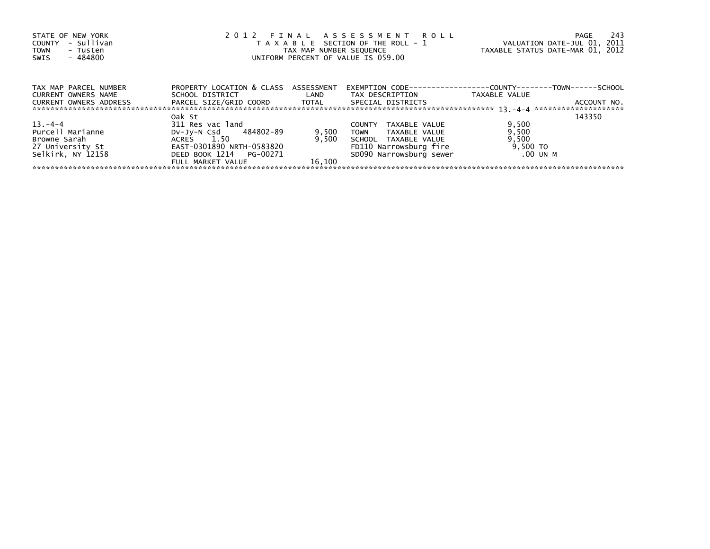| STATE OF NEW YORK<br>- Sullivan<br>COUNTY<br>TOWN<br>- Tusten | 2012 FINAL ASSESSMENT ROLL<br>T A X A B L E SECTION OF THE ROLL - 1              | -243<br>PAGE<br>VALUATION DATE-JUL 01, 2011<br>TAXABLE STATUS DATE-MAR 01, 2012 |                                |                                                                      |
|---------------------------------------------------------------|----------------------------------------------------------------------------------|---------------------------------------------------------------------------------|--------------------------------|----------------------------------------------------------------------|
| - 484800<br>SWIS                                              |                                                                                  | TAX MAP NUMBER SEQUENCE<br>UNIFORM PERCENT OF VALUE IS 059.00                   |                                |                                                                      |
| TAX MAP PARCEL NUMBER                                         | PROPERTY LOCATION & CLASS ASSESSMENT                                             |                                                                                 |                                | EXEMPTION        CODE-----------------COUNTY--------TOWN------SCHOOL |
| <b>CURRENT OWNERS NAME</b><br>CURRENT OWNERS ADDRESS          | SCHOOL DISTRICT<br>PARCEL SIZE/GRID COORD         TOTAL        SPECIAL DISTRICTS | <b>LAND</b>                                                                     | TAX DESCRIPTION                | TAXABLE VALUE<br>ACCOUNT NO.                                         |
|                                                               |                                                                                  |                                                                                 |                                |                                                                      |
|                                                               | Oak St                                                                           |                                                                                 |                                | 143350                                                               |
| $13 - 4 - 4$                                                  | 311 Res vac land                                                                 |                                                                                 | TAXABLE VALUE<br><b>COUNTY</b> | 9,500                                                                |
| Purcell Marianne                                              | DV-Jy-N Csd 484802-89                                                            | 9,500                                                                           | TOWN<br>TAXABLE VALUE          | 9,500                                                                |
| Browne Sarah                                                  | ACRES 1.50                                                                       | 9.500                                                                           | SCHOOL TAXABLE VALUE           | 9,500                                                                |
| 27 University St                                              | EAST-0301890 NRTH-0583820                                                        |                                                                                 | FD110 Narrowsburg fire         | 9,500 TO                                                             |
| Selkirk, NY 12158                                             | DEED BOOK 1214 PG-00271                                                          |                                                                                 | SD090 Narrowsburg sewer        | .00 UN M                                                             |
|                                                               | FULL MARKET VALUE                                                                | 16.100                                                                          |                                |                                                                      |
|                                                               |                                                                                  |                                                                                 |                                |                                                                      |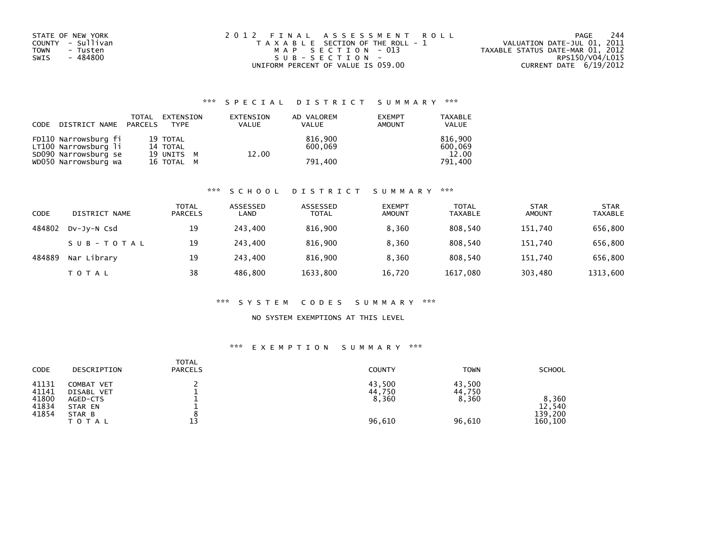| STATE OF NEW YORK | 2012 FINAL ASSESSMENT ROLL            | -244<br>PAGE                     |
|-------------------|---------------------------------------|----------------------------------|
| COUNTY - Sullivan | T A X A B L E SECTION OF THE ROLL - 1 | VALUATION DATE-JUL 01, 2011      |
| TOWN<br>- Tusten  | MAP SECTION - 013                     | TAXABLE STATUS DATE-MAR 01, 2012 |
| - 484800<br>SWIS  | $SUB - SECTION -$                     | RPS150/V04/L015                  |
|                   | UNIFORM PERCENT OF VALUE IS 059.00    | CURRENT DATE 6/19/2012           |

## \*\*\* S P E C I A L D I S T R I C T S U M M A R Y \*\*\*

| CODE | DISTRICT NAME PARCELS                        | TOTAL | EXTENSION<br>TYPE      | EXTENSION<br><b>VALUE</b> | AD VALOREM<br><b>VALUE</b> | <b>EXEMPT</b><br><b>AMOUNT</b> | <b>TAXABLE</b><br><b>VALUE</b> |
|------|----------------------------------------------|-------|------------------------|---------------------------|----------------------------|--------------------------------|--------------------------------|
|      | FD110 Narrowsburg fi                         |       | 19 TOTAL               |                           | 816.900                    |                                | 816.900                        |
|      | LT100 Narrowsburg li<br>SD090 Narrowsburg se |       | 14 TOTAL<br>19 UNITS M | 12.00                     | 600.069                    |                                | 600,069<br>12.00               |
|      | WD050 Narrowsburg wa                         |       | 16 TOTAL M             |                           | 791.400                    |                                | 791.400                        |

### \*\*\* S C H O O L D I S T R I C T S U M M A R Y \*\*\*

| CODE   | DISTRICT NAME | <b>TOTAL</b><br><b>PARCELS</b> | ASSESSED<br>LAND | ASSESSED<br><b>TOTAL</b> | <b>EXEMPT</b><br><b>AMOUNT</b> | <b>TOTAL</b><br><b>TAXABLE</b> | <b>STAR</b><br><b>AMOUNT</b> | <b>STAR</b><br><b>TAXABLE</b> |
|--------|---------------|--------------------------------|------------------|--------------------------|--------------------------------|--------------------------------|------------------------------|-------------------------------|
| 484802 | DV-Jy-N Csd   | 19                             | 243.400          | 816.900                  | 8,360                          | 808,540                        | 151,740                      | 656,800                       |
|        | SUB-TOTAL     | 19                             | 243.400          | 816.900                  | 8.360                          | 808.540                        | 151.740                      | 656,800                       |
| 484889 | Nar Library   | 19                             | 243.400          | 816.900                  | 8.360                          | 808.540                        | 151.740                      | 656,800                       |
|        | T O T A L     | 38                             | 486.800          | 1633,800                 | 16,720                         | 1617,080                       | 303,480                      | 1313,600                      |

### \*\*\* S Y S T E M C O D E S S U M M A R Y \*\*\*

## NO SYSTEM EXEMPTIONS AT THIS LEVEL

## \*\*\* E X E M P T I O N S U M M A R Y \*\*\*

| CODE<br>DESCRIPTION                                                                                                    | <b>TOTAL</b><br><b>PARCELS</b><br>COUNTY             | <b>TOWN</b><br><b>SCHOOL</b>                                                 |  |
|------------------------------------------------------------------------------------------------------------------------|------------------------------------------------------|------------------------------------------------------------------------------|--|
| 41131<br>COMBAT VET<br>41141<br>DISABL VET<br>41800<br>AGED-CTS<br>41834<br>STAR EN<br>41854<br>STAR B<br><b>TOTAL</b> | 43,500<br>44,750<br>8,360<br>$\circ$<br>13<br>96,610 | 43.500<br>44,750<br>8,360<br>8,360<br>12,540<br>139,200<br>96,610<br>160,100 |  |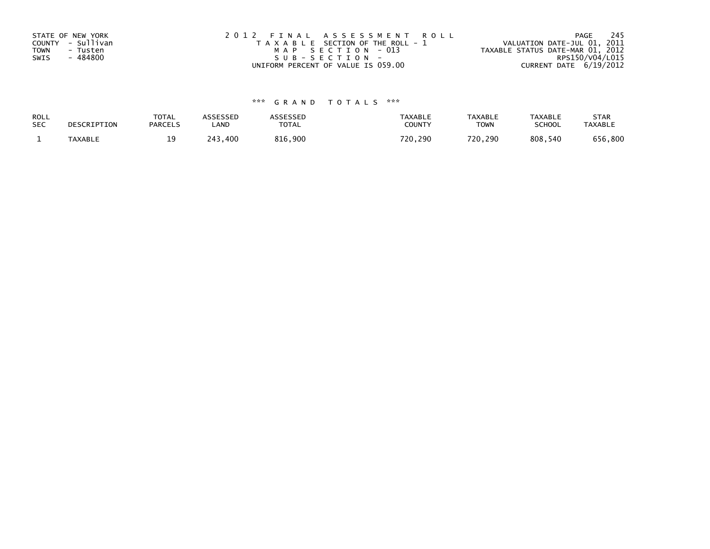| STATE OF NEW YORK | 2012 FINAL ASSESSMENT ROLL            | - 245<br>PAGE                    |
|-------------------|---------------------------------------|----------------------------------|
| COUNTY - Sullivan | T A X A B L E SECTION OF THE ROLL - 1 | VALUATION DATE-JUL 01, 2011      |
| TOWN<br>- Tusten  | MAP SECTION - 013                     | TAXABLE STATUS DATE-MAR 01, 2012 |
| - 484800<br>SWIS  | $SUB - SECTION -$                     | RPS150/V04/L015                  |
|                   | UNIFORM PERCENT OF VALUE IS 059.00    | CURRENT DATE 6/19/2012           |

# \*\*\* G R A N D T O T A L S \*\*\*

| ROLL       | DESCRIPTION    | <b>TOTAL</b>   | ASSESSED     | <b>ASSESSED</b> | <b>TAXABLE</b> | <b>TAXABLE</b> | TAXABLE       | <b>STAR</b>    |
|------------|----------------|----------------|--------------|-----------------|----------------|----------------|---------------|----------------|
| <b>SEC</b> |                | <b>PARCELS</b> | LAND         | TOTAL           | COUNT          | TOWN           | <b>SCHOOL</b> | <b>TAXABLE</b> |
|            | <b>TAXABLE</b> |                | 243<br>. 400 | 816,900         | 720,290        | 720,290        | 808,540       | 656,800        |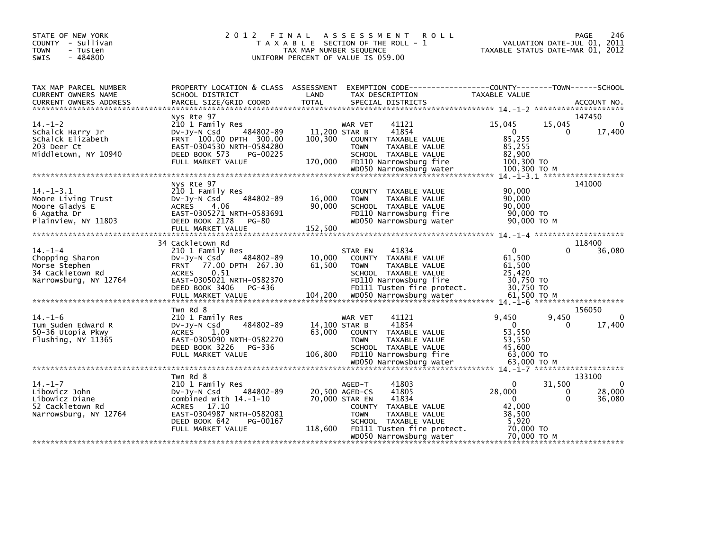| STATE OF NEW YORK<br>COUNTY - Sullivan<br><b>TOWN</b><br>- Tusten<br>$-484800$<br><b>SWIS</b>  | 2 0 1 2                                                                                                                                                                        | FINAL<br>T A X A B L E SECTION OF THE ROLL - 1<br>TAX MAP NUMBER SEQUENCE<br>UNIFORM PERCENT OF VALUE IS 059.00 | A S S E S S M E N T                        | <b>ROLL</b>                                                                                                                                               | TAXABLE STATUS DATE-MAR 01, 2012                                                |                         | 246<br><b>PAGE</b><br>VALUATION DATE-JUL 01, 2011 |
|------------------------------------------------------------------------------------------------|--------------------------------------------------------------------------------------------------------------------------------------------------------------------------------|-----------------------------------------------------------------------------------------------------------------|--------------------------------------------|-----------------------------------------------------------------------------------------------------------------------------------------------------------|---------------------------------------------------------------------------------|-------------------------|---------------------------------------------------|
| TAX MAP PARCEL NUMBER<br>CURRENT OWNERS NAME                                                   | PROPERTY LOCATION & CLASS ASSESSMENT<br>SCHOOL DISTRICT                                                                                                                        | LAND                                                                                                            |                                            | EXEMPTION CODE-----------------COUNTY-------TOWN------SCHOOL<br>TAX DESCRIPTION                                                                           | TAXABLE VALUE                                                                   |                         |                                                   |
|                                                                                                |                                                                                                                                                                                |                                                                                                                 |                                            |                                                                                                                                                           |                                                                                 |                         |                                                   |
| $14. - 1 - 2$<br>Schalck Harry Jr<br>Schalck Elizabeth<br>203 Deer Ct<br>Middletown, NY 10940  | Nys Rte 97<br>210 1 Family Res<br>484802-89<br>$Dv-Jv-N$ Csd<br>FRNT 100.00 DPTH 300.00<br>EAST-0304530 NRTH-0584280<br>DEED BOOK 573<br>PG-00225<br>FULL MARKET VALUE         | 11,200 STAR B<br>100.300<br>170,000                                                                             | WAR VET<br><b>TOWN</b>                     | 41121<br>41854<br>COUNTY TAXABLE VALUE<br>TAXABLE VALUE<br>SCHOOL TAXABLE VALUE<br>FD110 Narrowsburg fire                                                 | 15,045<br>$\mathbf{0}$<br>85,255<br>85,255<br>82,900<br>100,300 TO              | 15,045<br>$\mathbf{0}$  | 147450<br>$\Omega$<br>17,400                      |
|                                                                                                |                                                                                                                                                                                |                                                                                                                 |                                            |                                                                                                                                                           |                                                                                 |                         |                                                   |
|                                                                                                |                                                                                                                                                                                |                                                                                                                 |                                            |                                                                                                                                                           |                                                                                 |                         |                                                   |
| $14. - 1 - 3.1$<br>Moore Living Trust<br>Moore Gladys E<br>6 Agatha Dr<br>Plainview, NY 11803  | Nys Rte 97<br>210 1 Family Res<br>484802-89<br>$Dv-Jy-N$ Csd<br><b>ACRES</b><br>4.06<br>EAST-0305271 NRTH-0583691<br>DEED BOOK 2178<br>PG-80<br>FULL MARKET VALUE              | 16,000<br>90,000<br>152,500                                                                                     | <b>TOWN</b>                                | COUNTY TAXABLE VALUE<br>TAXABLE VALUE<br>SCHOOL TAXABLE VALUE<br>FD110 Narrowsburg fire<br>WD050 Narrowsburg water                                        | 90,000<br>90,000<br>90,000<br>90,000 TO<br>90,000 ТО М                          |                         | 141000                                            |
|                                                                                                | 34 Cackletown Rd                                                                                                                                                               |                                                                                                                 |                                            |                                                                                                                                                           |                                                                                 |                         | 118400                                            |
| $14. - 1 - 4$<br>Chopping Sharon<br>Morse Stephen<br>34 Cackletown Rd<br>Narrowsburg, NY 12764 | 210 1 Family Res<br>484802-89<br>$Dv-Jy-N$ Csd<br>FRNT 77.00 DPTH 267.30<br>0.51<br><b>ACRES</b><br>EAST-0305021 NRTH-0582370<br>DEED BOOK 3406<br>PG-436<br>FULL MARKET VALUE | 10,000<br>61.500<br>104,200                                                                                     | STAR EN<br><b>TOWN</b>                     | 41834<br>COUNTY TAXABLE VALUE<br>TAXABLE VALUE<br>SCHOOL TAXABLE VALUE<br>FD110 Narrowsburg fire<br>FD111 Tusten fire protect.<br>WD050 Narrowsburg water | $\Omega$<br>61,500<br>61,500<br>25,420<br>30,750 TO<br>30,750 TO<br>61.500 ТО М |                         | 36,080                                            |
|                                                                                                | Twn Rd 8                                                                                                                                                                       |                                                                                                                 |                                            |                                                                                                                                                           |                                                                                 |                         | 156050                                            |
| $14. - 1 - 6$<br>Tum Suden Edward R<br>50-36 Utopia Pkwy<br>Flushing, NY 11365                 | 210 1 Family Res<br>484802-89<br>DV-Jy-N Csd<br><b>ACRES</b><br>1.09<br>EAST-0305090 NRTH-0582270<br>DEED BOOK 3226<br>PG-336<br>FULL MARKET VALUE                             | 14,100 STAR B<br>63,000<br>106,800                                                                              | WAR VET<br><b>TOWN</b>                     | 41121<br>41854<br>COUNTY TAXABLE VALUE<br>TAXABLE VALUE<br>SCHOOL TAXABLE VALUE<br>FD110 Narrowsburg fire                                                 | 9,450<br>$\Omega$<br>53,550<br>53,550<br>45,600<br>63,000 TO                    | 9,450<br>$\Omega$       | $\mathbf{0}$<br>17,400                            |
|                                                                                                |                                                                                                                                                                                |                                                                                                                 |                                            |                                                                                                                                                           |                                                                                 |                         |                                                   |
| $14. - 1 - 7$<br>Libowicz John<br>Libowicz Diane                                               | Twn Rd 8<br>210 1 Family Res<br>484802-89<br>$Dv-Jy-N$ Csd<br>combined with $14.-1-10$                                                                                         |                                                                                                                 | AGED-T<br>20.500 AGED-CS<br>70,000 STAR EN | 41803<br>41805<br>41834                                                                                                                                   | $\mathbf{0}$<br>28,000<br>$\mathbf{0}$                                          | 31,500<br>0<br>$\Omega$ | 133100<br>$\mathbf{0}$<br>28,000<br>36,080        |
| 52 Cackletown Rd<br>Narrowsburg, NY 12764                                                      | ACRES 17.10<br>EAST-0304987 NRTH-0582081<br>DEED BOOK 642<br>PG-00167<br>FULL MARKET VALUE                                                                                     | 118,600                                                                                                         | <b>TOWN</b>                                | COUNTY TAXABLE VALUE<br>TAXABLE VALUE<br>SCHOOL TAXABLE VALUE<br>FD111 Tusten fire protect.<br>WD050 Narrowsburg water                                    | 42,000<br>38,500<br>5,920<br>70,000 TO<br>70.000 TO M                           |                         |                                                   |
|                                                                                                |                                                                                                                                                                                |                                                                                                                 |                                            |                                                                                                                                                           |                                                                                 |                         |                                                   |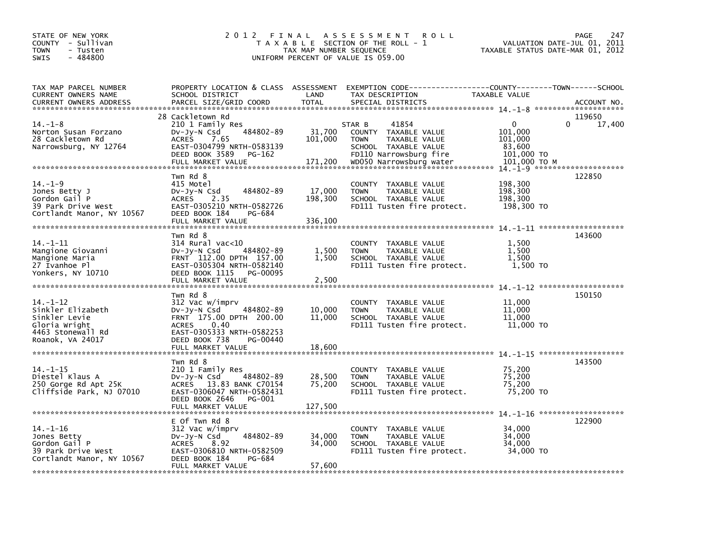| STATE OF NEW YORK<br>COUNTY - Sullivan<br>- Tusten<br>TOWN<br>$-484800$<br>SWIS                                | 2012 FINAL                                                                                                                                                                                | TAX MAP NUMBER SEQUENCE      | A S S E S S M E N T<br><b>ROLL</b><br>T A X A B L E SECTION OF THE ROLL - 1<br>UNIFORM PERCENT OF VALUE IS 059.00                                    | VALUATION DATE-JUL 01, 2011<br>TAXABLE STATUS DATE-MAR 01, 2012                    | PAGE<br>247      |
|----------------------------------------------------------------------------------------------------------------|-------------------------------------------------------------------------------------------------------------------------------------------------------------------------------------------|------------------------------|------------------------------------------------------------------------------------------------------------------------------------------------------|------------------------------------------------------------------------------------|------------------|
| TAX MAP PARCEL NUMBER<br>CURRENT OWNERS NAME<br><b>CURRENT OWNERS ADDRESS</b>                                  | PROPERTY LOCATION & CLASS ASSESSMENT<br>SCHOOL DISTRICT<br>PARCEL SIZE/GRID COORD                                                                                                         | LAND<br><b>TOTAL</b>         | EXEMPTION CODE-----------------COUNTY-------TOWN------SCHOOL<br>TAX DESCRIPTION<br>SPECIAL DISTRICTS                                                 | TAXABLE VALUE                                                                      | ACCOUNT NO.      |
| $14. - 1 - 8$<br>Norton Susan Forzano<br>28 Cackletown Rd<br>Narrowsburg, NY 12764                             | 28 Cackletown Rd<br>210 1 Family Res<br>484802-89<br>DV-Jy-N Csd<br><b>ACRES</b><br>7.65<br>EAST-0304799 NRTH-0583139<br>DEED BOOK 3589<br>PG-162<br>FULL MARKET VALUE                    | 31,700<br>101,000<br>171,200 | 41854<br>STAR B<br>COUNTY TAXABLE VALUE<br>TAXABLE VALUE<br><b>TOWN</b><br>SCHOOL TAXABLE VALUE<br>FD110 Narrowsburg fire<br>WD050 Narrowsburg water | $\Omega$<br>$\Omega$<br>101,000<br>101,000<br>83,600<br>101,000 TO<br>101,000 ТО М | 119650<br>17,400 |
| $14. - 1 - 9$<br>Jones Betty J<br>Gordon Gail P<br>39 Park Drive West<br>Cortlandt Manor, NY 10567             | Twn Rd 8<br>415 Motel<br>484802-89<br>DV-Jy-N Csd<br><b>ACRES</b><br>2.35<br>EAST-0305210 NRTH-0582726<br>DEED BOOK 184<br>PG-684<br>FULL MARKET VALUE                                    | 17,000<br>198,300<br>336,100 | COUNTY TAXABLE VALUE<br><b>TOWN</b><br>TAXABLE VALUE<br>SCHOOL TAXABLE VALUE<br>FD111 Tusten fire protect.                                           | 198,300<br>198,300<br>198,300<br>198,300 TO                                        | 122850           |
| $14. - 1 - 11$<br>Mangione Giovanni<br>Mangione Maria<br>27 Ivanhoe Pl<br>Yonkers, NY 10710                    | Twn Rd 8<br>$314$ Rural vac<10<br>484802-89<br>Dv-Jy-N Csd<br>FRNT 112.00 DPTH 157.00<br>EAST-0305304 NRTH-0582140<br>DEED BOOK 1115<br>PG-00095<br>FULL MARKET VALUE                     | 1,500<br>1,500<br>2,500      | COUNTY TAXABLE VALUE<br><b>TOWN</b><br>TAXABLE VALUE<br>SCHOOL TAXABLE VALUE<br>FD111 Tusten fire protect.                                           | 1,500<br>1,500<br>1,500<br>1,500 TO                                                | 143600           |
| $14. - 1 - 12$<br>Sinkler Elizabeth<br>Sinkler Levie<br>Gloria Wright<br>4463 Stonewall Rd<br>Roanok, VA 24017 | Twn Rd 8<br>312 Vac w/imprv<br>DV-Jy-N Csd<br>484802-89<br>FRNT 175.00 DPTH 200.00<br>0.40<br><b>ACRES</b><br>EAST-0305333 NRTH-0582253<br>DEED BOOK 738<br>PG-00440<br>FULL MARKET VALUE | 10,000<br>11,000<br>18,600   | COUNTY TAXABLE VALUE<br><b>TOWN</b><br>TAXABLE VALUE<br>SCHOOL TAXABLE VALUE<br>FD111 Tusten fire protect.                                           | 11,000<br>11,000<br>11,000<br>11,000 TO                                            | 150150           |
| $14. - 1 - 15$<br>Diestel Klaus A<br>250 Gorge Rd Apt 25K<br>Cliffside Park, NJ 07010                          | Twn Rd 8<br>210 1 Family Res<br>$Dv-Jv-N$ Csd<br>484802-89<br>ACRES 13.83 BANK C70154<br>EAST-0306047 NRTH-0582431<br>DEED BOOK 2646<br>PG-001<br>FULL MARKET VALUE                       | 28,500<br>75,200<br>127,500  | COUNTY TAXABLE VALUE<br><b>TOWN</b><br>TAXABLE VALUE<br>SCHOOL TAXABLE VALUE<br>FD111 Tusten fire protect.                                           | 75,200<br>75,200<br>75,200<br>75,200 TO                                            | 143500           |
| 14. –1–16<br>Jones Betty<br>Gordon Gail P<br>39 Park Drive West<br>Cortlandt Manor, NY 10567                   | E Of Twn Rd 8<br>312 Vac w/imprv<br>484802-89<br>Dv-Jy-N Csd<br><b>ACRES</b><br>8.92<br>EAST-0306810 NRTH-0582509<br>DEED BOOK 184<br>PG-684<br>FULL MARKET VALUE                         | 34,000<br>34,000<br>57,600   | COUNTY TAXABLE VALUE<br><b>TOWN</b><br>TAXABLE VALUE<br>SCHOOL TAXABLE VALUE<br>FD111 Tusten fire protect.                                           | 34,000<br>34,000<br>34,000<br>34,000 TO                                            | 122900           |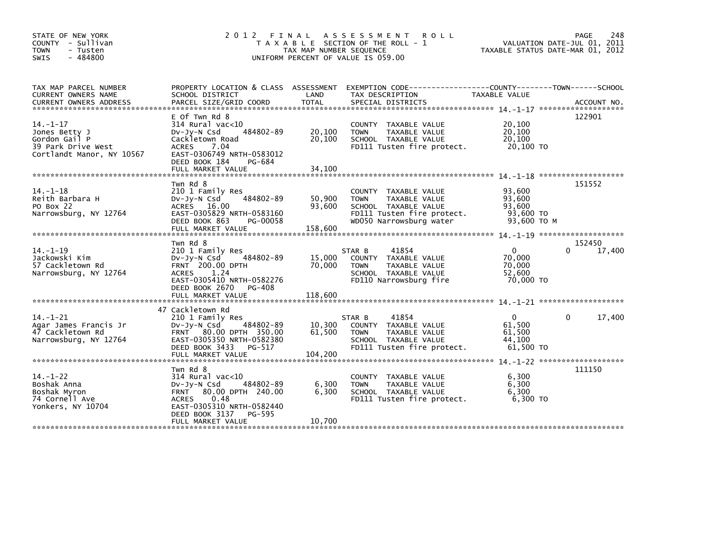| STATE OF NEW YORK<br>COUNTY - Sullivan |                                     |                         | 2012 FINAL ASSESSMENT ROLL<br>T A X A B L E SECTION OF THE ROLL - 1                               |                                  | PAGE<br>248<br>VALUATION DATE-JUL 01, 2011 |
|----------------------------------------|-------------------------------------|-------------------------|---------------------------------------------------------------------------------------------------|----------------------------------|--------------------------------------------|
| <b>TOWN</b><br>- Tusten                |                                     | TAX MAP NUMBER SEQUENCE |                                                                                                   | TAXABLE STATUS DATE-MAR 01, 2012 |                                            |
| $-484800$<br><b>SWIS</b>               |                                     |                         | UNIFORM PERCENT OF VALUE IS 059.00                                                                |                                  |                                            |
|                                        |                                     |                         |                                                                                                   |                                  |                                            |
| TAX MAP PARCEL NUMBER                  |                                     |                         | PROPERTY LOCATION & CLASS ASSESSMENT EXEMPTION CODE----------------COUNTY--------TOWN------SCHOOL |                                  |                                            |
| CURRENT OWNERS NAME                    | SCHOOL DISTRICT                     | LAND                    | TAX DESCRIPTION                                                                                   | <b>TAXABLE VALUE</b>             |                                            |
| CURRENT OWNERS ADDRESS                 |                                     |                         |                                                                                                   |                                  |                                            |
|                                        |                                     |                         |                                                                                                   |                                  |                                            |
| $14. - 1 - 17$                         | E Of Twn Rd 8<br>$314$ Rural vac<10 |                         | COUNTY TAXABLE VALUE                                                                              | 20,100                           | 122901                                     |
| Jones Betty J                          | 484802-89<br>$Dv-Jy-N$ Csd          | 20,100                  | TAXABLE VALUE<br><b>TOWN</b>                                                                      | 20,100                           |                                            |
| Gordon Gail P                          | Cackletown Road                     | 20,100                  | SCHOOL TAXABLE VALUE                                                                              | 20,100                           |                                            |
| 39 Park Drive West                     | <b>ACRES</b><br>7.04                |                         | FD111 Tusten fire protect.                                                                        | 20,100 TO                        |                                            |
| Cortlandt Manor, NY 10567              | EAST-0306749 NRTH-0583012           |                         |                                                                                                   |                                  |                                            |
|                                        | DEED BOOK 184<br>PG-684             |                         |                                                                                                   |                                  |                                            |
|                                        | FULL MARKET VALUE                   | 34,100                  |                                                                                                   |                                  |                                            |
|                                        |                                     |                         |                                                                                                   |                                  |                                            |
|                                        | Twn Rd 8                            |                         |                                                                                                   |                                  | 151552                                     |
| $14. - 1 - 18$                         | 210 1 Family Res                    |                         | COUNTY TAXABLE VALUE                                                                              | 93,600                           |                                            |
| Reith Barbara H                        | 484802-89<br>DV-Jy-N Csd            | 50,900                  | TAXABLE VALUE<br><b>TOWN</b>                                                                      | 93,600                           |                                            |
| PO Box 22                              | ACRES 16.00                         | 93,600                  | SCHOOL TAXABLE VALUE                                                                              | 93,600                           |                                            |
| Narrowsburg, NY 12764                  | EAST-0305829 NRTH-0583160           |                         | FD111 Tusten fire protect.                                                                        | $93,600$ TO                      |                                            |
|                                        | DEED BOOK 863<br>PG-00058           |                         | WD050 Narrowsburg water                                                                           | 93,600 TO M                      |                                            |
|                                        |                                     |                         |                                                                                                   |                                  |                                            |
|                                        | Twn Rd 8                            |                         |                                                                                                   |                                  | 152450                                     |
| $14. - 1 - 19$                         | 210 1 Family Res                    |                         | STAR B<br>41854                                                                                   | $\mathbf{0}$                     | $\Omega$<br>17,400                         |
| Jackowski Kim                          | 484802-89<br>DV-Jy-N Csd            | 15,000                  | COUNTY TAXABLE VALUE                                                                              | 70.000                           |                                            |
| 57 Cackletown Rd                       | <b>FRNT</b> 200.00 DPTH             | 70,000                  | TAXABLE VALUE<br><b>TOWN</b>                                                                      | 70,000                           |                                            |
| Narrowsburg, NY 12764                  | ACRES<br>1.24                       |                         | SCHOOL TAXABLE VALUE                                                                              | 52.600                           |                                            |
|                                        | EAST-0305410 NRTH-0582276           |                         | FD110 Narrowsburg fire                                                                            | 70,000 TO                        |                                            |
|                                        | DEED BOOK 2670 PG-408               |                         |                                                                                                   |                                  |                                            |
|                                        |                                     |                         |                                                                                                   |                                  |                                            |
|                                        |                                     |                         |                                                                                                   |                                  |                                            |
|                                        | 47 Cackletown Rd                    |                         |                                                                                                   |                                  |                                            |
| $14. - 1 - 21$                         | 210 1 Family Res                    |                         | 41854<br>STAR B                                                                                   | $\Omega$                         | 17,400<br>0                                |
| Agar James Francis Jr                  | 484802-89<br>$Dv-Jy-N$ Csd          | 10,300                  | COUNTY TAXABLE VALUE                                                                              | 61,500                           |                                            |
| 47 Cackletown Rd                       | FRNT 80.00 DPTH 350.00              | 61,500                  | TAXABLE VALUE<br><b>TOWN</b>                                                                      | 61,500                           |                                            |
| Narrowsburg, NY 12764                  | EAST-0305350 NRTH-0582380           |                         | SCHOOL TAXABLE VALUE                                                                              | 44,100                           |                                            |
|                                        | DEED BOOK 3433<br>PG-517            |                         | FD111 Tusten fire protect.                                                                        | 61.500 TO                        |                                            |
|                                        | FULL MARKET VALUE                   | 104,200                 |                                                                                                   |                                  |                                            |
|                                        | Twn Rd 8                            |                         |                                                                                                   |                                  | 111150                                     |
| $14. - 1 - 22$                         | $314$ Rural vac<10                  |                         | COUNTY TAXABLE VALUE                                                                              | 6,300                            |                                            |
| Boshak Anna                            | DV-Jy-N Csd<br>484802-89            | 6,300                   | TAXABLE VALUE<br><b>TOWN</b>                                                                      | 6,300                            |                                            |
| Boshak Myron                           | FRNT 80.00 DPTH 240.00              | 6,300                   | SCHOOL TAXABLE VALUE                                                                              | 6.300                            |                                            |
| 74 Cornell Ave                         | 0.48<br>ACRES                       |                         | FD111 Tusten fire protect.                                                                        | 6,300 ТО                         |                                            |
| Yonkers, NY 10704                      | EAST-0305310 NRTH-0582440           |                         |                                                                                                   |                                  |                                            |
|                                        | DEED BOOK 3137<br>PG-595            |                         |                                                                                                   |                                  |                                            |
|                                        | FULL MARKET VALUE                   | 10,700                  |                                                                                                   |                                  |                                            |
|                                        |                                     |                         |                                                                                                   |                                  |                                            |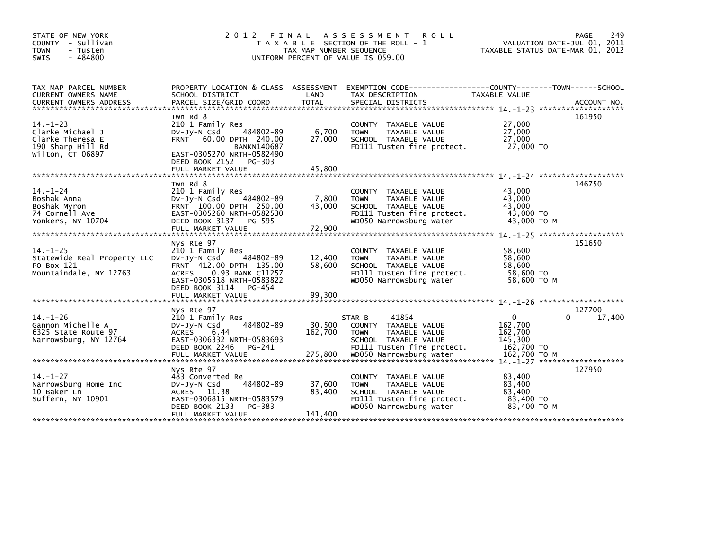| STATE OF NEW YORK<br>COUNTY - Sullivan<br>- Tusten<br>TOWN<br>$-484800$<br><b>SWIS</b>          | 2 0 1 2<br>FINAL                                                                                                                                                                                        | TAX MAP NUMBER SEQUENCE      | A S S E S S M E N T<br><b>ROLL</b><br>T A X A B L E SECTION OF THE ROLL - 1<br>UNIFORM PERCENT OF VALUE IS 059.00                                        | VALUATION DATE-JUL 01, 2011<br>TAXABLE STATUS DATE-MAR 01, 2012                  | 249<br>PAGE      |
|-------------------------------------------------------------------------------------------------|---------------------------------------------------------------------------------------------------------------------------------------------------------------------------------------------------------|------------------------------|----------------------------------------------------------------------------------------------------------------------------------------------------------|----------------------------------------------------------------------------------|------------------|
| TAX MAP PARCEL NUMBER<br>CURRENT OWNERS NAME                                                    | SCHOOL DISTRICT                                                                                                                                                                                         | LAND                         | PROPERTY LOCATION & CLASS ASSESSMENT EXEMPTION CODE----------------COUNTY-------TOWN------SCHOOL<br>TAX DESCRIPTION                                      | <b>TAXABLE VALUE</b>                                                             |                  |
| $14. - 1 - 23$<br>Clarke Michael J<br>Clarke Theresa E<br>190 Sharp Hill Rd<br>Wilton, CT 06897 | Twn Rd 8<br>210 1 Family Res<br>484802-89<br>$Dv-Jy-N$ Csd<br>FRNT 60.00 DPTH 240.00<br><b>BANKN140687</b><br>EAST-0305270 NRTH-0582490<br>DEED BOOK 2152<br>PG-303<br>FULL MARKET VALUE                | 6,700<br>27,000<br>45,800    | COUNTY TAXABLE VALUE<br>TAXABLE VALUE<br><b>TOWN</b><br>SCHOOL TAXABLE VALUE<br>FD111 Tusten fire protect.                                               | 27,000<br>27,000<br>27,000<br>27,000 TO                                          | 161950           |
| $14. - 1 - 24$<br>Boshak Anna<br>Boshak Myron<br>74 Cornell Ave<br>Yonkers, NY 10704            | Twn Rd 8<br>210 1 Family Res<br>$Dv-Jy-N$ Csd<br>484802-89<br>FRNT 100.00 DPTH 250.00<br>EAST-0305260 NRTH-0582530<br>DEED BOOK 3137<br>PG-595<br>FULL MARKET VALUE                                     | 7,800<br>43,000<br>72,900    | COUNTY TAXABLE VALUE<br><b>TOWN</b><br>TAXABLE VALUE<br>SCHOOL TAXABLE VALUE<br>FD111 Tusten fire protect.<br>WD050 Narrowsburg water                    | 43,000<br>43.000<br>43,000<br>43,000 TO<br>43,000 TO M                           | 146750           |
| $14. - 1 - 25$<br>Statewide Real Property LLC<br>PO Box 121<br>Mountaindale, NY 12763           | Nys Rte 97<br>210 1 Family Res<br>484802-89<br>DV-Jy-N Csd<br>FRNT 412.00 DPTH 135.00<br>0.93 BANK C11257<br><b>ACRES</b><br>EAST-0305518 NRTH-0583822<br>DEED BOOK 3114<br>PG-454<br>FULL MARKET VALUE | 12,400<br>58,600<br>99,300   | COUNTY TAXABLE VALUE<br>TAXABLE VALUE<br><b>TOWN</b><br>SCHOOL TAXABLE VALUE<br>FD111 Tusten fire protect.<br>WD050 Narrowsburg water                    | 58,600<br>58,600<br>58,600<br>58,600 TO<br>58,600 TO M                           | 151650           |
|                                                                                                 |                                                                                                                                                                                                         |                              |                                                                                                                                                          |                                                                                  |                  |
| $14. - 1 - 26$<br>Gannon Michelle A<br>6325 State Route 97<br>Narrowsburg, NY 12764             | Nys Rte 97<br>210 1 Family Res<br>484802-89<br>$Dv-Jy-N$ Csd<br>6.44<br>ACRES<br>EAST-0306332 NRTH-0583693<br>DEED BOOK 2246<br>PG-241<br>FULL MARKET VALUE                                             | 30,500<br>162,700<br>275,800 | 41854<br>STAR B<br>COUNTY TAXABLE VALUE<br>TAXABLE VALUE<br><b>TOWN</b><br>SCHOOL TAXABLE VALUE<br>FD111 Tusten fire protect.<br>WD050 Narrowsburg water | $\mathbf{0}$<br>0<br>162,700<br>162,700<br>145,300<br>162,700 TO<br>162.700 ТО М | 127700<br>17,400 |
|                                                                                                 |                                                                                                                                                                                                         |                              |                                                                                                                                                          | $14 - 1 - 27$ ********************                                               |                  |
| $14. - 1 - 27$<br>Narrowsburg Home Inc<br>10 Baker Ln<br>Suffern, NY 10901                      | Nys Rte 97<br>483 Converted Re<br>484802-89<br>DV-Jy-N Csd<br>ACRES 11.38<br>EAST-0306815 NRTH-0583579<br>DEED BOOK 2133<br>PG-383<br>FULL MARKET VALUE                                                 | 37,600<br>83,400<br>141,400  | COUNTY TAXABLE VALUE<br><b>TOWN</b><br>TAXABLE VALUE<br>SCHOOL TAXABLE VALUE<br>FD111 Tusten fire protect.<br>WD050 Narrowsburg water                    | 83,400<br>83,400<br>83.400<br>83,400 TO<br>83,400 TO M                           | 127950           |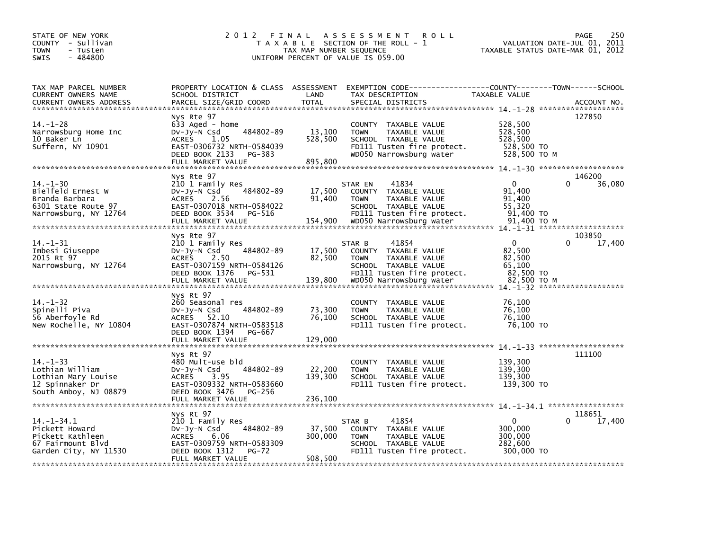| STATE OF NEW YORK<br>COUNTY - Sullivan<br><b>TOWN</b><br>- Tusten<br>$-484800$<br><b>SWIS</b>         | 2 0 1 2                                                                                                                                                     | TAX MAP NUMBER SEQUENCE      | FINAL ASSESSMENT<br><b>ROLL</b><br>T A X A B L E SECTION OF THE ROLL - 1<br>UNIFORM PERCENT OF VALUE IS 059.00                            |                                                                    | 250<br><b>PAGE</b><br>VALUATION DATE-JUL 01,<br>2011<br>TAXABLE STATUS DATE-MAR 01, 2012 |
|-------------------------------------------------------------------------------------------------------|-------------------------------------------------------------------------------------------------------------------------------------------------------------|------------------------------|-------------------------------------------------------------------------------------------------------------------------------------------|--------------------------------------------------------------------|------------------------------------------------------------------------------------------|
| TAX MAP PARCEL NUMBER<br>CURRENT OWNERS NAME<br><b>CURRENT OWNERS ADDRESS</b>                         | SCHOOL DISTRICT<br>PARCEL SIZE/GRID COORD                                                                                                                   | LAND<br><b>TOTAL</b>         | PROPERTY LOCATION & CLASS ASSESSMENT EXEMPTION CODE-----------------COUNTY-------TOWN------SCHOOL<br>TAX DESCRIPTION<br>SPECIAL DISTRICTS | TAXABLE VALUE                                                      | ACCOUNT NO.                                                                              |
| 14. –1–28<br>Narrowsburg Home Inc<br>10 Baker Ln<br>Suffern, NY 10901                                 | Nys Rte 97<br>633 Aged - home<br>484802-89<br>$Dv-Jy-N$ Csd<br>1.05<br>ACRES<br>EAST-0306732 NRTH-0584039<br>DEED BOOK 2133<br>PG-383<br>FULL MARKET VALUE  | 13,100<br>528,500<br>895,800 | COUNTY TAXABLE VALUE<br><b>TOWN</b><br>TAXABLE VALUE<br>SCHOOL TAXABLE VALUE<br>FD111 Tusten fire protect.<br>WD050 Narrowsburg water     | 528,500<br>528,500<br>528,500<br>528,500 TO<br>528,500 TO M        | 127850                                                                                   |
| $14. - 1 - 30$<br>Bielfeld Ernest W<br>Branda Barbara<br>6301 State Route 97<br>Narrowsburg, NY 12764 | Nys Rte 97<br>210 1 Family Res<br>484802-89<br>$Dv-Jy-N$ Csd<br>ACRES 2.56<br>EAST-0307018 NRTH-0584022<br>DEED BOOK 3534<br>PG-516                         | 17,500<br>91,400             | 41834<br>STAR EN<br>COUNTY TAXABLE VALUE<br>TAXABLE VALUE<br><b>TOWN</b><br>SCHOOL TAXABLE VALUE<br>FD111 Tusten fire protect.            | $\Omega$<br>91,400<br>91,400<br>55.320<br>91,400 TO<br>91,400 TO M | 146200<br>36,080<br>$14 - 1 - 31$ ********************                                   |
| $14. - 1 - 31$<br>Imbesi Giuseppe<br>2015 Rt 97<br>Narrowsburg, NY 12764                              | Nys Rte 97<br>210 1 Family Res<br>484802-89<br>$Dv-Jy-N$ Csd<br>ACRES 2.50<br>EAST-0307159 NRTH-0584126<br>DEED BOOK 1376<br>PG-531                         | 17,500<br>82,500             | 41854<br>STAR B<br>COUNTY TAXABLE VALUE<br>TAXABLE VALUE<br><b>TOWN</b><br>SCHOOL TAXABLE VALUE<br>FD111 Tusten fire protect.             | $\Omega$<br>82,500<br>82,500<br>65.100<br>82,500 TO<br>82,500 TO M | 103850<br>17,400<br>$14 - 1 - 32$ ********************                                   |
| $14. - 1 - 32$<br>Spinelli Piva<br>56 Aberfoyle Rd<br>New Rochelle, NY 10804                          | Nys Rt 97<br>260 Seasonal res<br>484802-89<br>$Dv-Jy-N$ Csd<br>ACRES 52.10<br>EAST-0307874 NRTH-0583518<br>DEED BOOK 1394<br>PG-667<br>FULL MARKET VALUE    | 73,300<br>76,100<br>129,000  | COUNTY TAXABLE VALUE<br><b>TOWN</b><br>TAXABLE VALUE<br>SCHOOL TAXABLE VALUE<br>FD111 Tusten fire protect.                                | 76,100<br>76,100<br>76,100<br>76,100 TO                            |                                                                                          |
| $14. - 1 - 33$<br>Lothian William<br>Lothian Mary Louise<br>12 Spinnaker Dr<br>South Amboy, NJ 08879  | Nys Rt 97<br>480 Mult-use bld<br>484802-89<br>DV-Jy-N Csd<br><b>ACRES</b><br>3.95<br>EAST-0309332 NRTH-0583660<br>DEED BOOK 3476<br>PG-256                  | 22,200<br>139,300            | COUNTY TAXABLE VALUE<br><b>TOWN</b><br>TAXABLE VALUE<br>SCHOOL TAXABLE VALUE<br>FD111 Tusten fire protect.                                | 139,300<br>139,300<br>139,300<br>139,300 TO                        | 111100                                                                                   |
| $14. - 1 - 34.1$<br>Pickett Howard<br>Pickett Kathleen<br>67 Fairmount Blvd<br>Garden City, NY 11530  | Nys Rt 97<br>210 1 Family Res<br>$Dv-Jy-N$ Csd<br>484802-89<br>ACRES<br>6.06<br>EAST-0309759 NRTH-0583309<br>DEED BOOK 1312<br>$PG-72$<br>FULL MARKET VALUE | 37,500<br>300,000<br>508,500 | 41854<br>STAR B<br>COUNTY TAXABLE VALUE<br>TAXABLE VALUE<br><b>TOWN</b><br>SCHOOL TAXABLE VALUE<br>FD111 Tusten fire protect.             | $\Omega$<br>300,000<br>300,000<br>282,600<br>300,000 TO            | 118651<br>17,400                                                                         |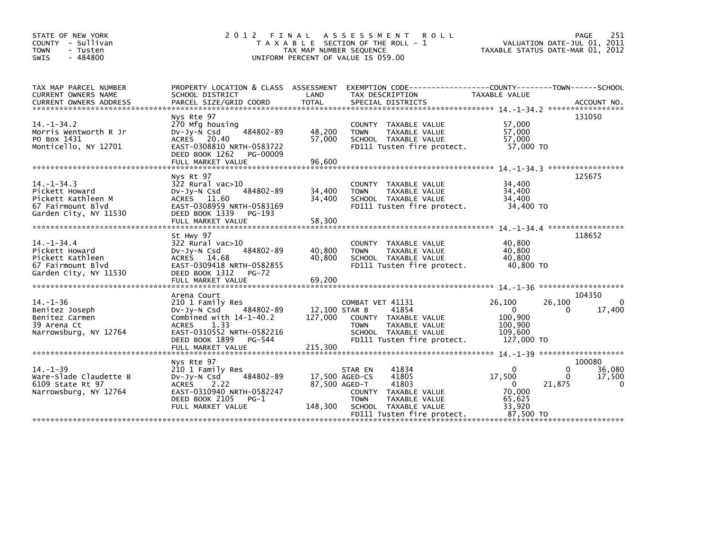| STATE OF NEW YORK<br>COUNTY - Sullivan<br><b>TOWN</b><br>- Tusten<br>$-484800$<br>SWIS                                        | 2 0 1 2<br>FINAL                                                                                                                                                                                 | TAX MAP NUMBER SEQUENCE                    | A S S E S S M E N T<br><b>ROLL</b><br>T A X A B L E SECTION OF THE ROLL - 1<br>UNIFORM PERCENT OF VALUE IS 059.00                                   | VALUATION DATE-JUL 01,<br>TAXABLE STATUS DATE-MAR 01, 2012                              | 251<br>PAGE<br>2011                                  |
|-------------------------------------------------------------------------------------------------------------------------------|--------------------------------------------------------------------------------------------------------------------------------------------------------------------------------------------------|--------------------------------------------|-----------------------------------------------------------------------------------------------------------------------------------------------------|-----------------------------------------------------------------------------------------|------------------------------------------------------|
| TAX MAP PARCEL NUMBER<br>CURRENT OWNERS NAME<br><b>CURRENT OWNERS ADDRESS</b>                                                 | SCHOOL DISTRICT<br>PARCEL SIZE/GRID COORD                                                                                                                                                        | LAND<br><b>TOTAL</b>                       | PROPERTY LOCATION & CLASS ASSESSMENT EXEMPTION CODE---------------COUNTY-------TOWN------SCHOOL<br>TAX DESCRIPTION<br>SPECIAL DISTRICTS             | TAXABLE VALUE                                                                           | ACCOUNT NO.                                          |
| $14. -1 - 34.2$<br>Morris Wentworth R Jr<br>PO Box 1431<br>Monticello, NY 12701                                               | Nys Rte 97<br>270 Mfg housing<br>484802-89<br>$Dv-Jy-N$ Csd<br>ACRES 20.40<br>EAST-0308810 NRTH-0583722<br>DEED BOOK 1262<br>PG-00009<br>FULL MARKET VALUE                                       | 48,200<br>57,000<br>96,600                 | COUNTY TAXABLE VALUE<br>TAXABLE VALUE<br><b>TOWN</b><br>SCHOOL TAXABLE VALUE<br>FD111 Tusten fire protect.                                          | 57.000<br>57,000<br>57,000<br>57,000 TO<br>$14. -1 - 34.3$ ******************           | 131050                                               |
| $14. - 1 - 34.3$<br>Pickett Howard<br>Pickett Kathleen M<br>67 Fairmount Blvd<br>Garden City, NY 11530                        | Nys Rt 97<br>$322$ Rural vac $>10$<br>484802-89<br>$Dv-Jv-N$ Csd<br>ACRES 11.60<br>EAST-0308959 NRTH-0583169<br>DEED BOOK 1339<br>PG-193                                                         | 34,400<br>34,400                           | COUNTY TAXABLE VALUE<br><b>TOWN</b><br>TAXABLE VALUE<br>SCHOOL TAXABLE VALUE<br>FD111 Tusten fire protect.                                          | 34,400<br>34,400<br>34,400<br>34,400 TO                                                 | 125675                                               |
| $14. - 1 - 34.4$<br>Pickett Howard<br>Pickett Kathleen<br>67 Fairmount Blvd<br>Garden City, NY 11530                          | St Hwy 97<br>322 Rural vac>10<br>484802-89<br>$Dv-Jy-N$ Csd<br>ACRES 14.68<br>EAST-0309418 NRTH-0582855<br>DEED BOOK 1312<br><b>PG-72</b>                                                        | 40,800<br>40,800                           | <b>COUNTY</b><br>TAXABLE VALUE<br>TAXABLE VALUE<br><b>TOWN</b><br>SCHOOL TAXABLE VALUE<br>FD111 Tusten fire protect.                                | 40.800<br>40.800<br>40,800<br>40,800 TO                                                 | 118652                                               |
| *******************************<br>$14. - 1 - 36$<br>Benitez Joseph<br>Benitez Carmen<br>39 Arena Ct<br>Narrowsburg, NY 12764 | Arena Court<br>210 1 Family Res<br>484802-89<br>$Dv-Jy-N$ Csd<br>Combined with $14-1-40.2$<br>1.33<br><b>ACRES</b><br>EAST-0310552 NRTH-0582216<br>DEED BOOK 1899<br>PG-544<br>FULL MARKET VALUE | 12,100 STAR B<br>127,000<br>215,300        | COMBAT VET 41131<br>41854<br>COUNTY TAXABLE VALUE<br><b>TOWN</b><br>TAXABLE VALUE<br>SCHOOL TAXABLE VALUE<br>FD111 Tusten fire protect.             | 26,100<br>26,100<br>$\mathbf{0}$<br>100.900<br>100,900<br>109.600<br>127,000 TO         | 104350<br>0<br>0<br>17,400                           |
| $14. - 1 - 39$<br>Ware-Slade Claudette B<br>6109 State Rt 97<br>Narrowsburg, NY 12764                                         | Nys Rte 97<br>210 1 Family Res<br>484802-89<br>$Dv-Jy-N$ Csd<br><b>ACRES</b><br>2.22<br>EAST-0310940 NRTH-0582247<br>DEED BOOK 2105<br>$PG-1$<br>FULL MARKET VALUE                               | 17,500 AGED-CS<br>87,500 AGED-T<br>148,300 | STAR EN<br>41834<br>41805<br>41803<br>TAXABLE VALUE<br>COUNTY<br><b>TOWN</b><br>TAXABLE VALUE<br>SCHOOL TAXABLE VALUE<br>FD111 Tusten fire protect. | $\mathbf{0}$<br>17,500<br>$\Omega$<br>21,875<br>70,000<br>65,625<br>33,920<br>87.500 TO | 100080<br>0<br>36,080<br>0<br>17,500<br>$\mathbf{0}$ |
|                                                                                                                               |                                                                                                                                                                                                  |                                            |                                                                                                                                                     |                                                                                         |                                                      |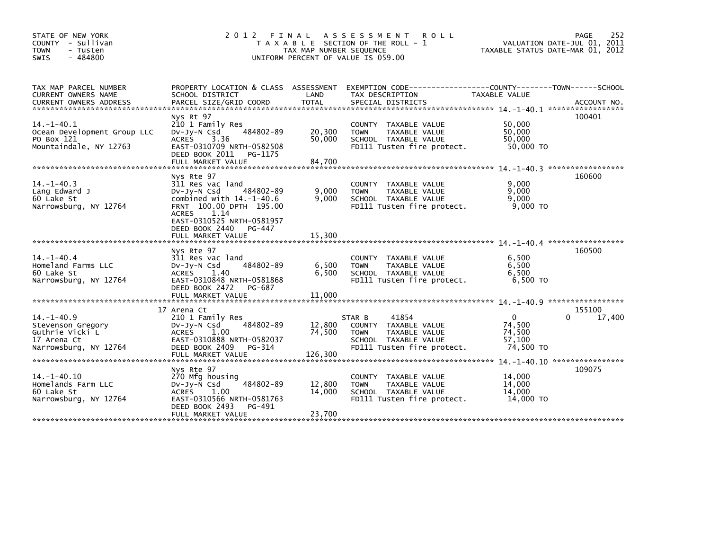| STATE OF NEW YORK<br>COUNTY - Sullivan<br><b>TOWN</b><br>- Tusten<br>$-484800$<br><b>SWIS</b>   | 2 0 1 2<br>FINAL                                                                                                                                                                                                          | TAX MAP NUMBER SEQUENCE    | A S S E S S M E N T<br><b>ROLL</b><br>T A X A B L E SECTION OF THE ROLL - 1<br>UNIFORM PERCENT OF VALUE IS 059.00             | TAXABLE STATUS DATE-MAR 01, 2012                        | PAGE<br>252<br>VALUATION DATE-JUL 01, 2011 |
|-------------------------------------------------------------------------------------------------|---------------------------------------------------------------------------------------------------------------------------------------------------------------------------------------------------------------------------|----------------------------|-------------------------------------------------------------------------------------------------------------------------------|---------------------------------------------------------|--------------------------------------------|
| TAX MAP PARCEL NUMBER<br>CURRENT OWNERS NAME                                                    | PROPERTY LOCATION & CLASS ASSESSMENT<br>SCHOOL DISTRICT                                                                                                                                                                   | LAND                       | TAX DESCRIPTION                                                                                                               | <b>TAXABLE VALUE</b>                                    |                                            |
| $14 - 1 - 40.1$<br>Ocean Development Group LLC<br>PO Box 121<br>Mountaindale, NY 12763          | Nys Rt 97<br>210 1 Family Res<br>DV-Jy-N Csd<br>484802-89<br><b>ACRES</b><br>3.36<br>EAST-0310709 NRTH-0582508<br>DEED BOOK 2011<br>PG-1175<br>FULL MARKET VALUE                                                          | 20,300<br>50.000<br>84,700 | COUNTY TAXABLE VALUE<br>TAXABLE VALUE<br><b>TOWN</b><br>SCHOOL TAXABLE VALUE<br>FD111 Tusten fire protect.                    | 50,000<br>50,000<br>50,000<br>50,000 TO                 | 100401                                     |
| $14. -1 - 40.3$<br>Lang Edward J<br>60 Lake St<br>Narrowsburg, NY 12764                         | Nys Rte 97<br>311 Res vac land<br>484802-89<br>DV-Jy-N Csd<br>combined with $14.-1-40.6$<br>FRNT 100.00 DPTH 195.00<br>1.14<br><b>ACRES</b><br>EAST-0310525 NRTH-0581957<br>DEED BOOK 2440<br>PG-447<br>FULL MARKET VALUE | 9,000<br>9.000<br>15.300   | COUNTY TAXABLE VALUE<br>TAXABLE VALUE<br><b>TOWN</b><br>SCHOOL TAXABLE VALUE<br>FD111 Tusten fire protect.                    | 9,000<br>9,000<br>9.000<br>$9,000$ TO                   | 160600                                     |
| $14 - 1 - 40.4$<br>Homeland Farms LLC<br>60 Lake St<br>Narrowsburg, NY 12764                    | Nys Rte 97<br>311 Res vac land<br>484802-89<br>DV-JV-N Csd<br><b>ACRES</b><br>1.40<br>EAST-0310848 NRTH-0581868<br>DEED BOOK 2472<br>PG-687<br>FULL MARKET VALUE                                                          | 6,500<br>6.500<br>11,000   | COUNTY TAXABLE VALUE<br>TAXABLE VALUE<br><b>TOWN</b><br>SCHOOL TAXABLE VALUE<br>FD111 Tusten fire protect.                    | 6,500<br>6,500<br>6.500<br>6.500 TO                     | 160500                                     |
| $14. -1 - 40.9$<br>Stevenson Gregory<br>Guthrie Vicki L<br>17 Arena Ct<br>Narrowsburg, NY 12764 | 17 Arena Ct<br>210 1 Family Res<br>484802-89<br>$Dv-Jy-N$ Csd<br>1.00<br><b>ACRES</b><br>EAST-0310888 NRTH-0582037<br>DEED BOOK 2409<br>PG-314                                                                            | 12,800<br>74,500           | 41854<br>STAR B<br>COUNTY TAXABLE VALUE<br>TAXABLE VALUE<br><b>TOWN</b><br>SCHOOL TAXABLE VALUE<br>FD111 Tusten fire protect. | $\mathbf{0}$<br>74,500<br>74,500<br>57,100<br>74,500 TO | 155100<br>17,400                           |
| $14. - 1 - 40.10$<br>Homelands Farm LLC<br>60 Lake St<br>Narrowsburg, NY 12764                  | Nys Rte 97<br>270 Mfg housing<br>484802-89<br>$Dv-Jy-N$ Csd<br><b>ACRES</b><br>1.00<br>EAST-0310566 NRTH-0581763<br>DEED BOOK 2493<br>PG-491<br>FULL MARKET VALUE                                                         | 12,800<br>14,000<br>23.700 | <b>COUNTY</b><br>TAXABLE VALUE<br><b>TOWN</b><br><b>TAXABLE VALUE</b><br>SCHOOL TAXABLE VALUE<br>FD111 Tusten fire protect.   | 14,000<br>14,000<br>14.000<br>14,000 TO                 | 109075                                     |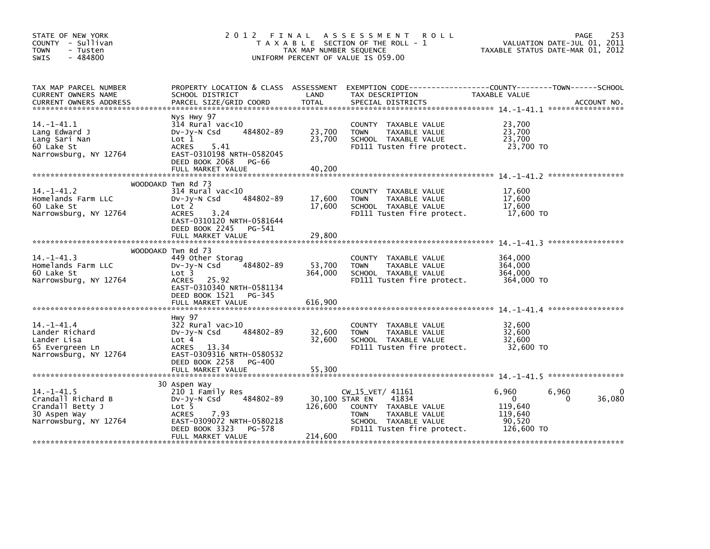| STATE OF NEW YORK<br>COUNTY - Sullivan<br><b>TOWN</b><br>- Tusten<br>$-484800$<br>SWIS             | 2 0 1 2                                                                                                                                                                      | FINAL<br>TAX MAP NUMBER SEQUENCE | A S S E S S M E N T<br><b>ROLL</b><br>T A X A B L E SECTION OF THE ROLL - 1<br>UNIFORM PERCENT OF VALUE IS 059.00                                         | VALUATION DATE-JUL 01, 2011<br>TAXABLE STATUS DATE-MAR 01, 2012                   | 253<br>PAGE       |
|----------------------------------------------------------------------------------------------------|------------------------------------------------------------------------------------------------------------------------------------------------------------------------------|----------------------------------|-----------------------------------------------------------------------------------------------------------------------------------------------------------|-----------------------------------------------------------------------------------|-------------------|
| TAX MAP PARCEL NUMBER<br>CURRENT OWNERS NAME                                                       | PROPERTY LOCATION & CLASS ASSESSMENT<br>SCHOOL DISTRICT                                                                                                                      | LAND                             | TAX DESCRIPTION                                                                                                                                           | TAXABLE VALUE                                                                     |                   |
| $14 - 1 - 41.1$<br>Lang Edward J<br>Lang Sari Nan<br>60 Lake St<br>Narrowsburg, NY 12764           | Nys Hwy 97<br>$314$ Rural vac< $10$<br>484802-89<br>$Dv-Jv-N$ Csd<br>Lot 1<br><b>ACRES</b><br>5.41<br>EAST-0310198 NRTH-0582045<br>DEED BOOK 2068 PG-66<br>FULL MARKET VALUE | 23,700<br>23,700<br>40.200       | COUNTY TAXABLE VALUE<br>TAXABLE VALUE<br><b>TOWN</b><br>SCHOOL TAXABLE VALUE<br>FD111 Tusten fire protect.                                                | 23,700<br>23,700<br>23,700<br>23,700 TO                                           |                   |
|                                                                                                    |                                                                                                                                                                              |                                  |                                                                                                                                                           |                                                                                   |                   |
| $14. -1 - 41.2$<br>Homelands Farm LLC<br>60 Lake St<br>Narrowsburg, NY 12764                       | WOODOAKD Twn Rd 73<br>$314$ Rural vac< $10$<br>484802-89<br>DV-Jy-N Csd<br>Lot 2<br><b>ACRES</b><br>3.24<br>EAST-0310120 NRTH-0581644                                        | 17,600<br>17,600                 | COUNTY TAXABLE VALUE<br>TAXABLE VALUE<br><b>TOWN</b><br>SCHOOL TAXABLE VALUE<br>FD111 Tusten fire protect.                                                | 17.600<br>17,600<br>17.600<br>17,600 TO                                           |                   |
|                                                                                                    | DEED BOOK 2245 PG-541<br>FULL MARKET VALUE                                                                                                                                   | 29,800                           |                                                                                                                                                           |                                                                                   |                   |
|                                                                                                    | WOODOAKD Twn Rd 73                                                                                                                                                           |                                  |                                                                                                                                                           |                                                                                   |                   |
| $14. -1 - 41.3$<br>Homelands Farm LLC<br>60 Lake St<br>Narrowsburg, NY 12764                       | 449 Other Storag<br>484802-89<br>$Dv-Jv-N$ Csd<br>Lot <sub>3</sub><br>25.92<br>ACRES<br>EAST-0310340 NRTH-0581134<br>DEED BOOK 1521 PG-345                                   | 53,700<br>364,000                | COUNTY TAXABLE VALUE<br>TAXABLE VALUE<br><b>TOWN</b><br>SCHOOL TAXABLE VALUE<br>FD111 Tusten fire protect.                                                | 364.000<br>364,000<br>364,000<br>364,000 TO                                       |                   |
|                                                                                                    |                                                                                                                                                                              |                                  |                                                                                                                                                           |                                                                                   |                   |
| $14 - 1 - 41.4$<br>Lander Richard<br>Lander Lisa<br>65 Evergreen Ln<br>Narrowsburg, NY 12764       | Hwy 97<br>$322$ Rural vac $>10$<br>484802-89<br>$Dv-Jy-N$ Csd<br>Lot 4<br>13.34<br><b>ACRES</b><br>EAST-0309316 NRTH-0580532<br>DEED BOOK 2258<br>PG-400                     | 32,600<br>32,600                 | TAXABLE VALUE<br>COUNTY<br>TAXABLE VALUE<br><b>TOWN</b><br>SCHOOL TAXABLE VALUE<br>FD111 Tusten fire protect.                                             | 32,600<br>32,600<br>32,600<br>32,600 TO                                           | ***************** |
|                                                                                                    | FULL MARKET VALUE                                                                                                                                                            | 55,300                           |                                                                                                                                                           |                                                                                   |                   |
|                                                                                                    | 30 Aspen Way                                                                                                                                                                 |                                  |                                                                                                                                                           |                                                                                   |                   |
| $14. -1 - 41.5$<br>Crandall Richard B<br>Crandall Betty J<br>30 Aspen Way<br>Narrowsburg, NY 12764 | 210 1 Family Res<br>484802-89<br>$Dv-Jy-N$ Csd<br>Lot 5<br>7.93<br><b>ACRES</b><br>EAST-0309072 NRTH-0580218<br>DEED BOOK 3323<br>PG-578                                     | 126,600                          | CW_15_VET/ 41161<br>30,100 STAR EN<br>41834<br>COUNTY TAXABLE VALUE<br>TAXABLE VALUE<br><b>TOWN</b><br>SCHOOL TAXABLE VALUE<br>FD111 Tusten fire protect. | 6,960<br>6,960<br>$\mathbf{0}$<br>0<br>119,640<br>119,640<br>90,520<br>126,600 TO | 36,080            |
|                                                                                                    | FULL MARKET VALUE                                                                                                                                                            | 214,600                          |                                                                                                                                                           |                                                                                   |                   |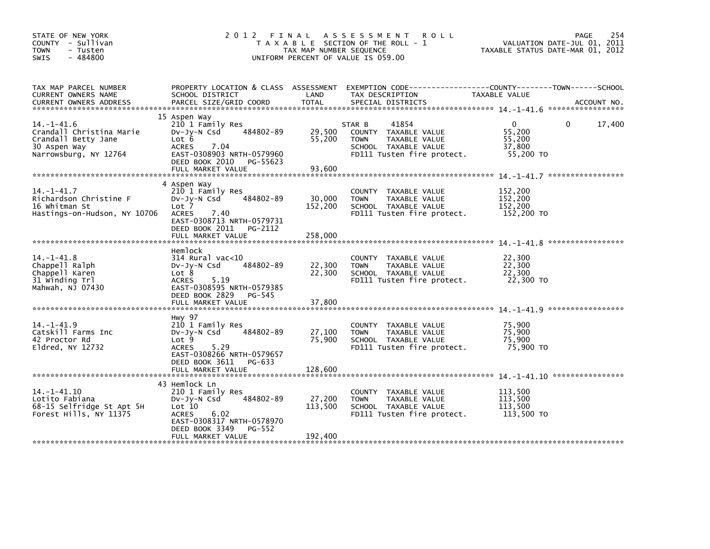| STATE OF NEW YORK<br>COUNTY - Sullivan<br><b>TOWN</b><br>- Tusten<br>$-484800$<br>SWIS                      | 2 0 1 2                                                                                                                                                                         | FINAL<br>TAX MAP NUMBER SEQUENCE | A S S E S S M E N T<br><b>ROLL</b><br>T A X A B L E SECTION OF THE ROLL - 1<br>UNIFORM PERCENT OF VALUE IS 059.00             |                                                         | 254<br>PAGE<br>VALUATION DATE-JUL 01, 2011<br>TAXABLE STATUS DATE-MAR 01, 2012 |
|-------------------------------------------------------------------------------------------------------------|---------------------------------------------------------------------------------------------------------------------------------------------------------------------------------|----------------------------------|-------------------------------------------------------------------------------------------------------------------------------|---------------------------------------------------------|--------------------------------------------------------------------------------|
| TAX MAP PARCEL NUMBER<br>CURRENT OWNERS NAME<br><b>CURRENT OWNERS ADDRESS</b>                               | PROPERTY LOCATION & CLASS ASSESSMENT<br>SCHOOL DISTRICT<br>PARCEL SIZE/GRID COORD                                                                                               | LAND<br><b>TOTAL</b>             | EXEMPTION CODE-----------------COUNTY-------TOWN------SCHOOL<br>TAX DESCRIPTION<br>SPECIAL DISTRICTS                          | TAXABLE VALUE                                           | ACCOUNT NO.                                                                    |
|                                                                                                             | 15 Aspen Way                                                                                                                                                                    |                                  |                                                                                                                               |                                                         |                                                                                |
| $14 - 1 - 41.6$<br>Crandall Christina Marie<br>Crandall Betty Jane<br>30 Aspen Way<br>Narrowsburg, NY 12764 | 210 1 Family Res<br>484802-89<br>$Dv-Jy-N$ Csd<br>Lot 6<br><b>ACRES</b><br>7.04<br>EAST-0308903 NRTH-0579960<br>DEED BOOK 2010 PG-55623                                         | 29,500<br>55,200                 | 41854<br>STAR B<br>COUNTY TAXABLE VALUE<br><b>TOWN</b><br>TAXABLE VALUE<br>SCHOOL TAXABLE VALUE<br>FD111 Tusten fire protect. | $\mathbf{0}$<br>55,200<br>55,200<br>37,800<br>55,200 TO | 17,400<br>$\Omega$                                                             |
|                                                                                                             | FULL MARKET VALUE                                                                                                                                                               | 93,600                           |                                                                                                                               |                                                         |                                                                                |
| $14. -1 - 41.7$<br>Richardson Christine F<br>16 Whitman St<br>Hastings-on-Hudson, NY 10706                  | 4 Aspen Way<br>210 1 Family Res<br>484802-89<br>$Dv-Jy-N$ Csd<br>Lot 7<br><b>ACRES</b><br>7.40<br>EAST-0308713 NRTH-0579731<br>DEED BOOK 2011 PG-2112                           | 30,000<br>152,200                | COUNTY TAXABLE VALUE<br><b>TOWN</b><br>TAXABLE VALUE<br>SCHOOL TAXABLE VALUE<br>FD111 Tusten fire protect.                    | 152,200<br>152,200<br>152,200<br>152,200 TO             |                                                                                |
|                                                                                                             | FULL MARKET VALUE                                                                                                                                                               | 258,000                          |                                                                                                                               |                                                         |                                                                                |
| $14. -1 - 41.8$<br>Chappell Ralph<br>Chappell Karen<br>31 Winding Trl<br>Mahwah, NJ 07430                   | Hemlock<br>314 Rural vac<10<br>484802-89<br>$Dv-Jv-N$ Csd<br>Lot 8<br>5.19<br><b>ACRES</b><br>EAST-0308595 NRTH-0579385<br>DEED BOOK 2829 PG-545                                | 22,300<br>22,300                 | COUNTY TAXABLE VALUE<br>TAXABLE VALUE<br><b>TOWN</b><br>SCHOOL TAXABLE VALUE<br>FD111 Tusten fire protect.                    | 22,300<br>22,300<br>22,300<br>22,300 TO                 | *****************                                                              |
|                                                                                                             | FULL MARKET VALUE                                                                                                                                                               | 37,800                           |                                                                                                                               |                                                         |                                                                                |
| $14. -1 - 41.9$<br>Catskill Farms Inc<br>42 Proctor Rd<br>Eldred, NY 12732                                  | Hwy 97<br>210 1 Family Res<br>484802-89<br>$Dv-Jy-N$ Csd<br>Lot 9<br><b>ACRES</b><br>5.29<br>EAST-0308266 NRTH-0579657<br>DEED BOOK 3611 PG-633                                 | 27,100<br>75,900                 | COUNTY TAXABLE VALUE<br>TAXABLE VALUE<br><b>TOWN</b><br>SCHOOL TAXABLE VALUE<br>FD111 Tusten fire protect.                    | 75,900<br>75,900<br>75,900<br>75,900 TO                 | *****************                                                              |
|                                                                                                             |                                                                                                                                                                                 |                                  |                                                                                                                               |                                                         |                                                                                |
| $14. - 1 - 41.10$<br>Lotito Fabiana<br>68-15 Selfridge St Apt 5H<br>Forest Hills, NY 11375                  | 43 Hemlock Ln<br>210 1 Family Res<br>484802-89<br>$Dv-Jy-N$ Csd<br>Lot 10<br>6.02<br><b>ACRES</b><br>EAST-0308317 NRTH-0578970<br>DEED BOOK 3349<br>PG-552<br>FULL MARKET VALUE | 27,200<br>113,500<br>192,400     | COUNTY TAXABLE VALUE<br>TAXABLE VALUE<br><b>TOWN</b><br>SCHOOL TAXABLE VALUE<br>FD111 Tusten fire protect.                    | 113,500<br>113,500<br>113,500<br>113,500 TO             |                                                                                |
|                                                                                                             |                                                                                                                                                                                 |                                  |                                                                                                                               |                                                         |                                                                                |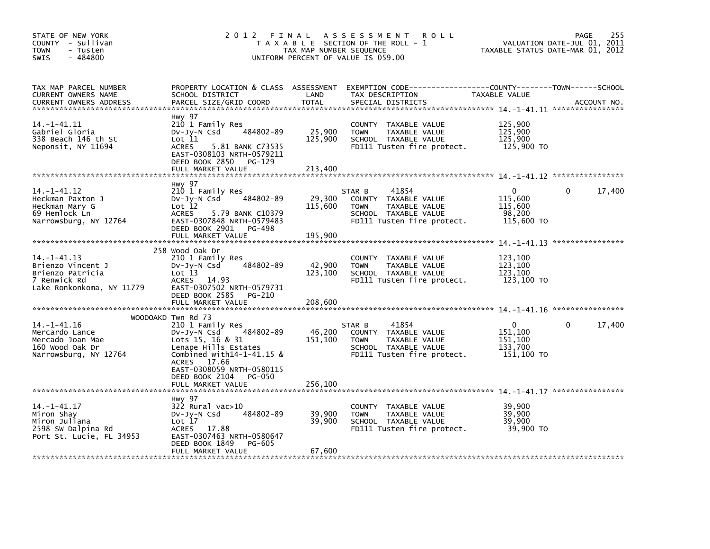| STATE OF NEW YORK<br>COUNTY - Sullivan<br><b>TOWN</b><br>- Tusten<br>$-484800$<br>SWIS              | 2012 FINAL                                                                                                                                                                         | TAX MAP NUMBER SEQUENCE      | A S S E S S M E N T<br><b>ROLL</b><br>T A X A B L E SECTION OF THE ROLL - 1<br>UNIFORM PERCENT OF VALUE IS 059.00             |                                                         | 255<br>PAGE<br>VALUATION DATE-JUL 01, 2011<br>TAXABLE STATUS DATE-MAR 01, 2012 |
|-----------------------------------------------------------------------------------------------------|------------------------------------------------------------------------------------------------------------------------------------------------------------------------------------|------------------------------|-------------------------------------------------------------------------------------------------------------------------------|---------------------------------------------------------|--------------------------------------------------------------------------------|
| TAX MAP PARCEL NUMBER<br>CURRENT OWNERS NAME<br><b>CURRENT OWNERS ADDRESS</b>                       | PROPERTY LOCATION & CLASS ASSESSMENT<br>SCHOOL DISTRICT<br>PARCEL SIZE/GRID COORD                                                                                                  | LAND<br><b>TOTAL</b>         | EXEMPTION CODE-----------------COUNTY-------TOWN------SCHOOL<br>TAX DESCRIPTION<br>SPECIAL DISTRICTS                          | TAXABLE VALUE                                           | ACCOUNT NO.                                                                    |
| $14. -1 - 41.11$<br>Gabriel Gloria<br>338 Beach 146 th St<br>Neponsit, NY 11694                     | Hwy 97<br>210 1 Family Res<br>484802-89<br>Dv-Jy-N Csd<br>Lot 11<br><b>ACRES</b><br>5.81 BANK C73535<br>EAST-0308103 NRTH-0579211<br>DEED BOOK 2850<br>PG-129<br>FULL MARKET VALUE | 25,900<br>125,900<br>213,400 | COUNTY TAXABLE VALUE<br><b>TOWN</b><br>TAXABLE VALUE<br>SCHOOL TAXABLE VALUE<br>FD111 Tusten fire protect.                    | 125,900<br>125,900<br>125,900<br>125,900 TO             |                                                                                |
|                                                                                                     |                                                                                                                                                                                    |                              |                                                                                                                               |                                                         |                                                                                |
| 14. –1–41.12<br>Heckman Paxton J<br>Heckman Mary G<br>69 Hemlock Ln<br>Narrowsburg, NY 12764        | Hwy 97<br>210 1 Family Res<br>484802-89<br>$Dv-Jy-N$ Csd<br>Lot 12<br>ACRES<br>5.79 BANK C10379<br>EAST-0307848 NRTH-0579483<br>DEED BOOK 2901<br>PG-498<br>FULL MARKET VALUE      | 29,300<br>115,600<br>195,900 | 41854<br>STAR B<br>COUNTY TAXABLE VALUE<br><b>TOWN</b><br>TAXABLE VALUE<br>SCHOOL TAXABLE VALUE<br>FD111 Tusten fire protect. | 0<br>115,600<br>115,600<br>98,200<br>115,600 TO         | $\mathbf{0}$<br>17,400                                                         |
|                                                                                                     |                                                                                                                                                                                    |                              |                                                                                                                               |                                                         |                                                                                |
| 14. -1-41. 13<br>Brienzo Vincent J<br>Brienzo Patricia<br>7 Renwick Rd<br>Lake Ronkonkoma, NY 11779 | 258 Wood Oak Dr<br>210 1 Family Res<br>484802-89<br>$Dv-Jy-N$ Csd<br>Lot 13<br>ACRES<br>14.93<br>EAST-0307502 NRTH-0579731<br>DEED BOOK 2585<br>PG-210<br>FULL MARKET VALUE        | 42,900<br>123,100<br>208,600 | COUNTY<br>TAXABLE VALUE<br>TAXABLE VALUE<br><b>TOWN</b><br>SCHOOL TAXABLE VALUE<br>FD111 Tusten fire protect.                 | 123,100<br>123,100<br>123,100<br>123,100 TO             |                                                                                |
|                                                                                                     | WOODOAKD Twn Rd 73                                                                                                                                                                 |                              |                                                                                                                               |                                                         |                                                                                |
| $14. - 1 - 41.16$<br>Mercardo Lance<br>Mercado Joan Mae<br>160 wood Oak Dr<br>Narrowsburg, NY 12764 | 210 1 Family Res<br>484802-89<br>Dv-Jy-N Csd<br>Lots 15, 16 & 31<br>Lenape Hills Estates<br>Combined with $14-1-41.15$ &<br>ACRES 17.66<br>EAST-0308059 NRTH-0580115               | 46,200<br>151,100            | 41854<br>STAR B<br>COUNTY TAXABLE VALUE<br>TAXABLE VALUE<br><b>TOWN</b><br>SCHOOL TAXABLE VALUE<br>FD111 Tusten fire protect. | $\Omega$<br>151,100<br>151,100<br>133.700<br>151,100 TO | 17,400<br>0                                                                    |
|                                                                                                     | DEED BOOK 2104<br>PG-050<br>FULL MARKET VALUE                                                                                                                                      | 256,100                      |                                                                                                                               |                                                         |                                                                                |
|                                                                                                     |                                                                                                                                                                                    |                              |                                                                                                                               |                                                         |                                                                                |
| $14. - 1 - 41.17$<br>Miron Shay<br>Miron Juliana<br>2598 SW Dalpina Rd<br>Port St. Lucie, FL 34953  | Hwy 97<br>322 Rural vac>10<br>484802-89<br>$Dv-Jy-N$ Csd<br>Lot 17<br>ACRES 17.88<br>EAST-0307463 NRTH-0580647<br>DEED BOOK 1849<br><b>PG-605</b><br>FULL MARKET VALUE             | 39,900<br>39,900<br>67,600   | <b>COUNTY</b><br>TAXABLE VALUE<br>TAXABLE VALUE<br><b>TOWN</b><br>SCHOOL TAXABLE VALUE<br>FD111 Tusten fire protect.          | 39,900<br>39,900<br>39,900<br>39,900 TO                 |                                                                                |
|                                                                                                     |                                                                                                                                                                                    |                              |                                                                                                                               |                                                         |                                                                                |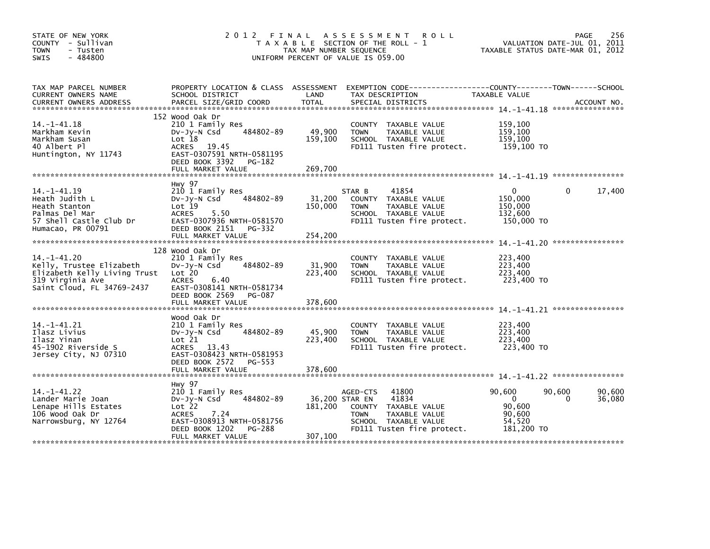| STATE OF NEW YORK<br>COUNTY - Sullivan<br><b>TOWN</b><br>- Tusten<br>$-484800$<br><b>SWIS</b>                                   | 2012                                                                                                                                                                  | FINAL<br>TAX MAP NUMBER SEQUENCE | A S S E S S M E N T<br><b>ROLL</b><br>T A X A B L E SECTION OF THE ROLL - 1<br>UNIFORM PERCENT OF VALUE IS 059.00                        | TAXABLE STATUS DATE-MAR 01, 2012                               | PAGE<br>VALUATION DATE-JUL 01, 2011 | 256              |
|---------------------------------------------------------------------------------------------------------------------------------|-----------------------------------------------------------------------------------------------------------------------------------------------------------------------|----------------------------------|------------------------------------------------------------------------------------------------------------------------------------------|----------------------------------------------------------------|-------------------------------------|------------------|
| TAX MAP PARCEL NUMBER<br>CURRENT OWNERS NAME<br><b>CURRENT OWNERS ADDRESS</b>                                                   | PROPERTY LOCATION & CLASS ASSESSMENT<br>SCHOOL DISTRICT<br>PARCEL SIZE/GRID COORD                                                                                     | LAND<br><b>TOTAL</b>             | EXEMPTION        CODE------------------COUNTY--------TOWN------SCHOOL<br>TAX DESCRIPTION<br>SPECIAL DISTRICTS                            | <b>TAXABLE VALUE</b>                                           |                                     | ACCOUNT NO.      |
| $14. - 1 - 41.18$<br>Markham Kevin<br>Markham Susan<br>40 Albert Pl<br>Huntington, NY 11743                                     | 152 Wood Oak Dr<br>210 1 Family Res<br>484802-89<br>$Dv-Jy-N$ Csd<br>Lot 18<br>ACRES 19.45<br>EAST-0307591 NRTH-0581195<br>DEED BOOK 3392 PG-182<br>FULL MARKET VALUE | 49,900<br>159,100<br>269,700     | COUNTY TAXABLE VALUE<br><b>TOWN</b><br>TAXABLE VALUE<br>SCHOOL TAXABLE VALUE<br>FD111 Tusten fire protect.                               | 159,100<br>159,100<br>159,100<br>159,100 TO                    |                                     |                  |
|                                                                                                                                 |                                                                                                                                                                       |                                  |                                                                                                                                          |                                                                |                                     |                  |
| $14. -1 - 41.19$<br>Heath Judith L<br>Heath Stanton<br>Palmas Del Mar<br>57 Shell Castle Club Dr<br>Humacao, PR 00791           | Hwy 97<br>210 1 Family Res<br>484802-89<br>$Dv-Jy-N$ Csd<br>Lot 19<br>5.50<br><b>ACRES</b><br>EAST-0307936 NRTH-0581570<br>DEED BOOK 2151 PG-332                      | 31,200<br>150,000                | 41854<br>STAR B<br>COUNTY TAXABLE VALUE<br><b>TOWN</b><br>TAXABLE VALUE<br>SCHOOL TAXABLE VALUE<br>FD111 Tusten fire protect.            | $\Omega$<br>150,000<br>150,000<br>132,600<br>150,000 TO        | $\Omega$                            | 17,400           |
|                                                                                                                                 | FULL MARKET VALUE                                                                                                                                                     | 254,200                          |                                                                                                                                          |                                                                |                                     |                  |
| $14. - 1 - 41.20$<br>Kelly, Trustee Elizabeth<br>Elizabeth Kelly Living Trust<br>319 Virginia Ave<br>Saint Cloud, FL 34769-2437 | 128 Wood Oak Dr<br>210 1 Family Res<br>484802-89<br>$Dv-Jy-N$ Csd<br>Lot 20<br><b>ACRES</b><br>6.40<br>EAST-0308141 NRTH-0581734<br>DEED BOOK 2569<br>PG-087          | 31,900<br>223,400                | COUNTY TAXABLE VALUE<br>TAXABLE VALUE<br><b>TOWN</b><br>SCHOOL TAXABLE VALUE<br>FD111 Tusten fire protect.                               | 223,400<br>223,400<br>223,400<br>223,400 TO                    |                                     |                  |
|                                                                                                                                 | FULL MARKET VALUE                                                                                                                                                     | 378,600                          |                                                                                                                                          |                                                                |                                     |                  |
| $14. - 1 - 41.21$<br>Ilasz Livius<br>Ilasz Yinan<br>45-1902 Riverside S<br>Jersey City, NJ 07310                                | Wood Oak Dr<br>210 1 Family Res<br>484802-89<br>DV-Jy-N Csd<br>Lot 21<br>ACRES 13.43<br>EAST-0308423 NRTH-0581953<br>DEED BOOK 2572<br>PG-553                         | 45,900<br>223,400                | COUNTY TAXABLE VALUE<br><b>TOWN</b><br>TAXABLE VALUE<br>SCHOOL TAXABLE VALUE<br>FD111 Tusten fire protect.                               | 223,400<br>223,400<br>223,400<br>223,400 TO                    |                                     |                  |
|                                                                                                                                 | FULL MARKET VALUE                                                                                                                                                     | 378,600                          |                                                                                                                                          |                                                                |                                     |                  |
| 14. – 1–41. 22<br>Lander Marie Joan<br>Lenape Hills Estates<br>106 Wood Oak Dr<br>Narrowsburg, NY 12764                         | <b>Hwy 97</b><br>210 1 Family Res<br>484802-89<br>$Dv-Jy-N$ Csd<br>Lot 22<br><b>ACRES</b><br>7.24<br>EAST-0308913 NRTH-0581756<br>DEED BOOK 1202<br>PG-288            | 36,200 STAR EN<br>181,200        | AGED-CTS<br>41800<br>41834<br>COUNTY TAXABLE VALUE<br>TAXABLE VALUE<br><b>TOWN</b><br>SCHOOL TAXABLE VALUE<br>FD111 Tusten fire protect. | 90,600<br>$\Omega$<br>90.600<br>90,600<br>54,520<br>181,200 TO | 90,600<br>0                         | 90,600<br>36,080 |
|                                                                                                                                 | FULL MARKET VALUE                                                                                                                                                     | 307,100                          |                                                                                                                                          |                                                                |                                     |                  |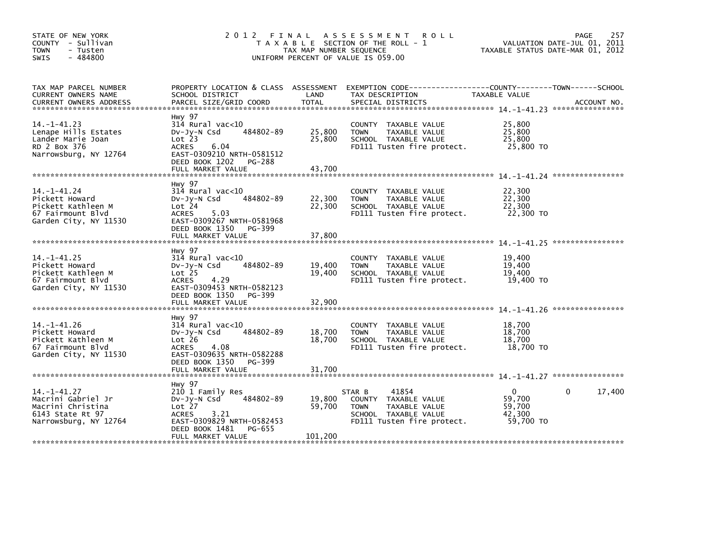| STATE OF NEW YORK<br>COUNTY - Sullivan<br><b>TOWN</b><br>- Tusten<br>$-484800$<br>SWIS                    | 2012                                                                                                                                                                                         | FINAL<br>TAX MAP NUMBER SEQUENCE | A S S E S S M E N T<br><b>ROLL</b><br>T A X A B L E SECTION OF THE ROLL - 1<br>UNIFORM PERCENT OF VALUE IS 059.00             |                                                         | 257<br>PAGE<br>VALUATION DATE-JUL 01, 2011<br>TAXABLE STATUS DATE-MAR 01, 2012 |
|-----------------------------------------------------------------------------------------------------------|----------------------------------------------------------------------------------------------------------------------------------------------------------------------------------------------|----------------------------------|-------------------------------------------------------------------------------------------------------------------------------|---------------------------------------------------------|--------------------------------------------------------------------------------|
| TAX MAP PARCEL NUMBER<br>CURRENT OWNERS NAME<br><b>CURRENT OWNERS ADDRESS</b>                             | PROPERTY LOCATION & CLASS ASSESSMENT<br>SCHOOL DISTRICT<br>PARCEL SIZE/GRID COORD                                                                                                            | LAND<br>TOTAL                    | TAX DESCRIPTION<br>SPECIAL DISTRICTS                                                                                          | TAXABLE VALUE                                           | ACCOUNT NO.                                                                    |
| $14. -1 - 41.23$<br>Lenape Hills Estates<br>Lander Marie Joan<br>RD 2 Box 376<br>Narrowsburg, NY 12764    | <b>Hwy 97</b><br>$314$ Rural vac<10<br>484802-89<br>$Dv-Jv-N$ Csd<br>Lot <sub>23</sub><br><b>ACRES</b><br>6.04<br>EAST-0309210 NRTH-0581512<br>DEED BOOK 1202<br>PG-288<br>FULL MARKET VALUE | 25.800<br>25,800<br>43.700       | COUNTY TAXABLE VALUE<br><b>TOWN</b><br>TAXABLE VALUE<br>SCHOOL TAXABLE VALUE<br>FD111 Tusten fire protect.                    | 25,800<br>25.800<br>25,800<br>25,800 TO                 |                                                                                |
|                                                                                                           |                                                                                                                                                                                              |                                  |                                                                                                                               |                                                         |                                                                                |
| $14. - 1 - 41.24$<br>Pickett Howard<br>Pickett Kathleen M<br>67 Fairmount Blvd<br>Garden City, NY 11530   | Hwy 97<br>$314$ Rural vac<10<br>484802-89<br>$Dv-Jv-N$ Csd<br>Lot 24<br><b>ACRES</b><br>5.03<br>EAST-0309267 NRTH-0581968                                                                    | 22,300<br>22,300                 | TAXABLE VALUE<br><b>COUNTY</b><br>TAXABLE VALUE<br><b>TOWN</b><br>SCHOOL TAXABLE VALUE<br>FD111 Tusten fire protect.          | 22,300<br>22,300<br>22,300<br>22,300 TO                 |                                                                                |
|                                                                                                           | DEED BOOK 1350<br>PG-399<br>FULL MARKET VALUE                                                                                                                                                | 37,800                           |                                                                                                                               |                                                         |                                                                                |
| $14. - 1 - 41.25$<br>Pickett Howard<br>Pickett Kathleen M<br>67 Fairmount Blvd<br>Garden City, NY 11530   | <b>Hwy 97</b><br>$314$ Rural vac<10<br>484802-89<br>$Dv-Jv-N$ Csd<br>Lot <sub>25</sub><br>4.29<br><b>ACRES</b><br>EAST-0309453 NRTH-0582123<br>DEED BOOK 1350<br>PG-399                      | 19,400<br>19,400                 | TAXABLE VALUE<br><b>COUNTY</b><br><b>TOWN</b><br>TAXABLE VALUE<br>SCHOOL TAXABLE VALUE<br>FD111 Tusten fire protect.          | 19,400<br>19,400<br>19,400<br>19,400 TO                 |                                                                                |
|                                                                                                           | FULL MARKET VALUE                                                                                                                                                                            | 32,900                           |                                                                                                                               |                                                         |                                                                                |
| $14. - 1 - 41.26$<br>Pickett Howard<br>Pickett Kathleen M<br>67 Fairmount Blyd<br>Garden City, NY 11530   | <b>Hwy 97</b><br>$314$ Rural vac<10<br>484802-89<br>$Dv-Jy-N$ Csd<br>Lot 26<br>4.08<br><b>ACRES</b><br>EAST-0309635 NRTH-0582288<br>DEED BOOK 1350<br>PG-399                                 | 18,700<br>18,700                 | TAXABLE VALUE<br><b>COUNTY</b><br><b>TOWN</b><br>TAXABLE VALUE<br>SCHOOL TAXABLE VALUE<br>FD111 Tusten fire protect.          | 18,700<br>18,700<br>18,700<br>18,700 TO                 |                                                                                |
|                                                                                                           | FULL MARKET VALUE                                                                                                                                                                            | 31,700                           |                                                                                                                               |                                                         |                                                                                |
| $14. - 1 - 41.27$<br>Macrini Gabriel Jr<br>Macrini Christina<br>6143 State Rt 97<br>Narrowsburg, NY 12764 | Hwy 97<br>210 1 Family Res<br>484802-89<br>$Dv-Jy-N$ Csd<br>$Lot$ $27$<br>3.21<br><b>ACRES</b><br>EAST-0309829 NRTH-0582453<br>DEED BOOK 1481<br>PG-655                                      | 19,800<br>59,700                 | 41854<br>STAR B<br>COUNTY TAXABLE VALUE<br>TAXABLE VALUE<br><b>TOWN</b><br>SCHOOL TAXABLE VALUE<br>FD111 Tusten fire protect. | $\mathbf{0}$<br>59,700<br>59,700<br>42.300<br>59,700 TO | 17,400<br>0                                                                    |
|                                                                                                           | FULL MARKET VALUE                                                                                                                                                                            | 101,200                          |                                                                                                                               |                                                         |                                                                                |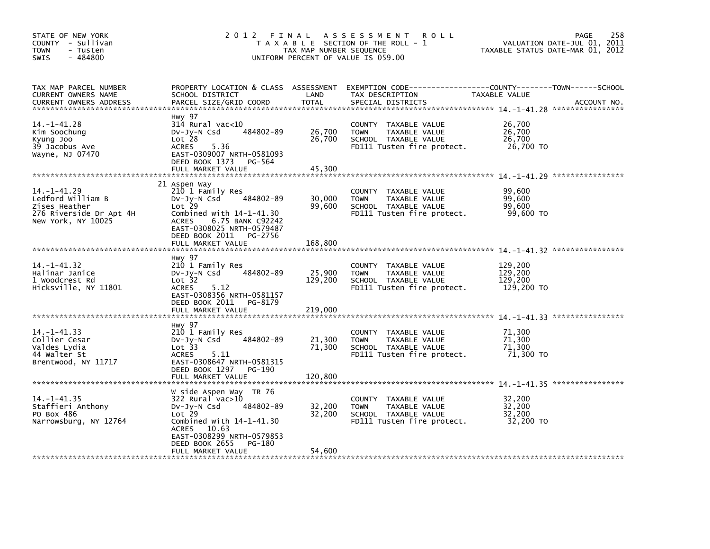| STATE OF NEW YORK<br>COUNTY - Sullivan<br><b>TOWN</b><br>- Tusten<br>$-484800$<br>SWIS                   | 2 0 1 2                                                                                                                                                                                                              | FINAL<br>TAX MAP NUMBER SEQUENCE | A S S E S S M E N T<br><b>ROLL</b><br>T A X A B L E SECTION OF THE ROLL - 1<br>UNIFORM PERCENT OF VALUE IS 059.00 | TAXABLE STATUS DATE-MAR 01, 2012            | 258<br>PAGE<br>VALUATION DATE-JUL 01, 2011 |
|----------------------------------------------------------------------------------------------------------|----------------------------------------------------------------------------------------------------------------------------------------------------------------------------------------------------------------------|----------------------------------|-------------------------------------------------------------------------------------------------------------------|---------------------------------------------|--------------------------------------------|
| TAX MAP PARCEL NUMBER<br>CURRENT OWNERS NAME<br><b>CURRENT OWNERS ADDRESS</b>                            | PROPERTY LOCATION & CLASS ASSESSMENT<br>SCHOOL DISTRICT<br>PARCEL SIZE/GRID COORD                                                                                                                                    | LAND<br><b>TOTAL</b>             | TAX DESCRIPTION<br>SPECIAL DISTRICTS                                                                              | TAXABLE VALUE                               | ACCOUNT NO.                                |
| 14. -1-41. 28<br>Kim Soochung<br>Kyung Joo<br>39 Jacobus Ave<br>Wayne, NJ 07470                          | Hwy 97<br>$314$ Rural vac< $10$<br>484802-89<br>DV-Jy-N Csd<br>Lot <sub>28</sub><br><b>ACRES</b><br>5.36<br>EAST-0309007 NRTH-0581093<br>DEED BOOK 1373<br>PG-564<br>FULL MARKET VALUE                               | 26,700<br>26,700<br>45,300       | COUNTY TAXABLE VALUE<br><b>TOWN</b><br>TAXABLE VALUE<br>SCHOOL TAXABLE VALUE<br>FD111 Tusten fire protect.        | 26,700<br>26,700<br>26,700<br>26,700 TO     |                                            |
| $14. - 1 - 41.29$<br>Ledford William B<br>Zises Heather<br>276 Riverside Dr Apt 4H<br>New York, NY 10025 | 21 Aspen Way<br>210 1 Family Res<br>484802-89<br>DV-Jy-N Csd<br>Lot 29<br>Combined with $14-1-41.30$<br><b>ACRES</b><br>6.75 BANK C92242<br>EAST-0308025 NRTH-0579487<br>DEED BOOK 2011 PG-2756<br>FULL MARKET VALUE | 30,000<br>99,600<br>168,800      | COUNTY TAXABLE VALUE<br>TAXABLE VALUE<br><b>TOWN</b><br>SCHOOL TAXABLE VALUE<br>FD111 Tusten fire protect.        | 99,600<br>99,600<br>99,600<br>99.600 TO     |                                            |
| $14. -1 - 41.32$<br>Halinar Janice<br>1 Woodcrest Rd<br>Hicksville, NY 11801                             | Hwy 97<br>210 1 Family Res<br>484802-89<br>Dv-Jy-N Csd<br>Lot 32<br><b>ACRES</b><br>5.12<br>EAST-0308356 NRTH-0581157<br>DEED BOOK 2011<br>PG-8179<br>FULL MARKET VALUE                                              | 25,900<br>129,200<br>219,000     | COUNTY TAXABLE VALUE<br>TAXABLE VALUE<br><b>TOWN</b><br>SCHOOL TAXABLE VALUE<br>FD111 Tusten fire protect.        | 129,200<br>129,200<br>129,200<br>129,200 TO |                                            |
| 14. -1-41.33<br>Collier Cesar<br>Valdes Lydia<br>44 Walter St<br>Brentwood, NY 11717                     | Hwy 97<br>210 1 Family Res<br>484802-89<br>$Dv-Jy-N$ Csd<br>Lot 33<br><b>ACRES</b><br>5.11<br>EAST-0308647 NRTH-0581315<br>DEED BOOK 1297<br>PG-190<br>FULL MARKET VALUE                                             | 21,300<br>71,300<br>120.800      | COUNTY TAXABLE VALUE<br><b>TOWN</b><br>TAXABLE VALUE<br>SCHOOL TAXABLE VALUE<br>FD111 Tusten fire protect.        | 71,300<br>71,300<br>71,300<br>71,300 TO     |                                            |
| $14. - 1 - 41.35$<br>Staffieri Anthony<br>PO Box 486<br>Narrowsburg, NY 12764                            | W side Aspen Way TR 76<br>322 Rural vac>10<br>484802-89<br>DV-Jy-N Csd<br>$Lot$ 29<br>Combined with $14-1-41.30$<br>10.63<br>ACRES<br>EAST-0308299 NRTH-0579853<br>DEED BOOK 2655<br>PG-180<br>FULL MARKET VALUE     | 32,200<br>32,200<br>54,600       | COUNTY TAXABLE VALUE<br><b>TOWN</b><br>TAXABLE VALUE<br>SCHOOL TAXABLE VALUE<br>FD111 Tusten fire protect.        | 32,200<br>32,200<br>32,200<br>32,200 TO     |                                            |
|                                                                                                          |                                                                                                                                                                                                                      |                                  |                                                                                                                   |                                             |                                            |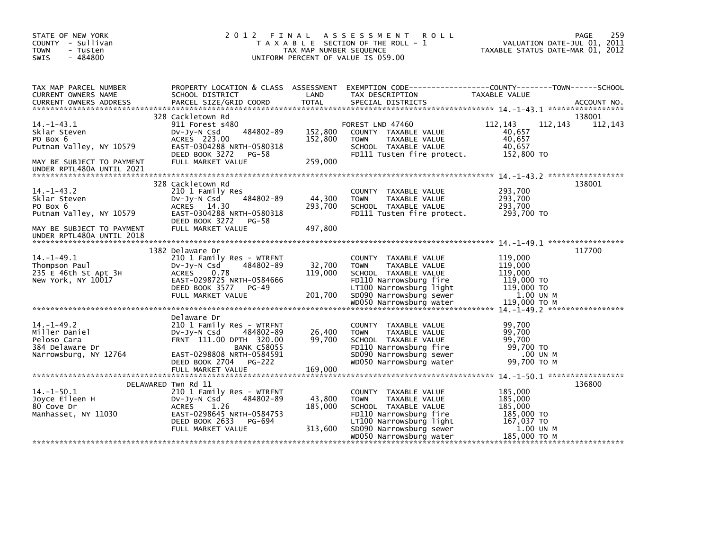| STATE OF NEW YORK<br>COUNTY - Sullivan<br><b>TOWN</b><br>- Tusten<br>$-484800$<br><b>SWIS</b>                                    |                                                                                                                                                                                       | TAX MAP NUMBER SEQUENCE       | 2012 FINAL ASSESSMENT ROLL<br>T A X A B L E SECTION OF THE ROLL - 1<br>UNIFORM PERCENT OF VALUE IS 059.00                                                                               | VALUATION DATE-JUL 01, 2011<br>TAXABLE STATUS DATE-MAR 01, 2012                        | 259<br>PAGE       |
|----------------------------------------------------------------------------------------------------------------------------------|---------------------------------------------------------------------------------------------------------------------------------------------------------------------------------------|-------------------------------|-----------------------------------------------------------------------------------------------------------------------------------------------------------------------------------------|----------------------------------------------------------------------------------------|-------------------|
| TAX MAP PARCEL NUMBER<br>CURRENT OWNERS NAME                                                                                     | SCHOOL DISTRICT                                                                                                                                                                       | LAND                          | PROPERTY LOCATION & CLASS ASSESSMENT EXEMPTION CODE----------------COUNTY-------TOWN-----SCHOOL<br>TAX DESCRIPTION                                                                      | <b>TAXABLE VALUE</b>                                                                   |                   |
| $14. -1 - 43.1$<br>Sklar Steven<br>PO Box 6<br>Putnam Valley, NY 10579<br>MAY BE SUBJECT TO PAYMENT                              | 328 Cackletown Rd<br>911 Forest s480<br>484802-89<br>$Dv-Jy-N$ Csd<br>ACRES 223.00<br>EAST-0304288 NRTH-0580318<br>DEED BOOK 3272<br><b>PG-58</b><br>FULL MARKET VALUE                | 152,800<br>152,800<br>259.000 | FOREST LND 47460<br>COUNTY TAXABLE VALUE<br><b>TOWN</b><br>TAXABLE VALUE<br>SCHOOL TAXABLE VALUE<br>FD111 Tusten fire protect.                                                          | 112,143<br>112,143<br>40,657<br>40,657<br>40,657<br>152,800 TO                         | 138001<br>112,143 |
| $14. -1 - 43.2$<br>Sklar Steven<br>PO Box 6<br>Putnam Valley, NY 10579<br>MAY BE SUBJECT TO PAYMENT<br>UNDER RPTL480A UNTIL 2018 | 328 Cackletown Rd<br>210 1 Family Res<br>484802-89<br>DV-Jy-N Csd<br>ACRES 14.30<br>EAST-0304288 NRTH-0580318<br>DEED BOOK 3272<br>$PG-58$<br>FULL MARKET VALUE                       | 44,300<br>293,700<br>497.800  | TAXABLE VALUE<br><b>COUNTY</b><br>TAXABLE VALUE<br><b>TOWN</b><br>SCHOOL TAXABLE VALUE<br>FD111 Tusten fire protect.                                                                    | 293,700<br>293,700<br>293,700<br>293,700 TO                                            | 138001            |
| $14 - 1 - 49.1$<br>Thompson Paul<br>235 E 46th St Apt 3H<br>New York, NY 10017                                                   | 1382 Delaware Dr<br>210 1 Family Res - WTRFNT<br>484802-89<br>$Dv-Jy-N$ Csd<br>ACRES 0.78<br>EAST-0298725 NRTH-0584666<br>DEED BOOK 3577<br>$PG-49$<br>FULL MARKET VALUE              | 32,700<br>119,000<br>201,700  | COUNTY TAXABLE VALUE<br>TAXABLE VALUE<br><b>TOWN</b><br>SCHOOL TAXABLE VALUE<br>FD110 Narrowsburg fire<br>LT100 Narrowsburg light<br>SD090 Narrowsburg sewer                            | 119,000<br>119,000<br>119,000<br>119,000 TO<br>119,000 TO<br>1.00 UN M                 | 117700            |
| $14. - 1 - 49.2$<br>Miller Daniel<br>Peloso Cara<br>384 Delaware Dr<br>Narrowsburg, NY 12764                                     | Delaware Dr<br>210 1 Family Res - WTRFNT<br>Dv-Jy-N Csd<br>484802-89<br>FRNT 111.00 DPTH 320.00<br><b>BANK C58055</b><br>EAST-0298808 NRTH-0584591<br>DEED BOOK 2704<br><b>PG-222</b> | 26,400<br>99,700              | COUNTY TAXABLE VALUE<br>TAXABLE VALUE<br><b>TOWN</b><br>SCHOOL TAXABLE VALUE<br>FD110 Narrowsburg fire<br>SD090 Narrowsburg sewer<br>WD050 Narrowsburg water                            | 99.700<br>99,700<br>99,700<br>99,700 TO<br>.00 UN M<br>99,700 ТО М                     |                   |
| $14. -1 - 50.1$<br>Joyce Eileen H<br>80 Cove Dr<br>Manhasset, NY 11030                                                           | DELAWARED Twn Rd 11<br>210 1 Family Res - WTRFNT<br>484802-89<br>$Dv-Jy-N$ Csd<br><b>ACRES</b><br>1.26<br>EAST-0298645 NRTH-0584753<br>DEED BOOK 2633<br>PG-694<br>FULL MARKET VALUE  | 43,800<br>185,000<br>313,600  | COUNTY TAXABLE VALUE<br><b>TOWN</b><br>TAXABLE VALUE<br>SCHOOL TAXABLE VALUE<br>FD110 Narrowsburg fire<br>LT100 Narrowsburg light<br>SD090 Narrowsburg sewer<br>WD050 Narrowsburg water | 185,000<br>185,000<br>185,000<br>185,000 TO<br>167,037 TO<br>1.00 UN M<br>185,000 TO M | 136800            |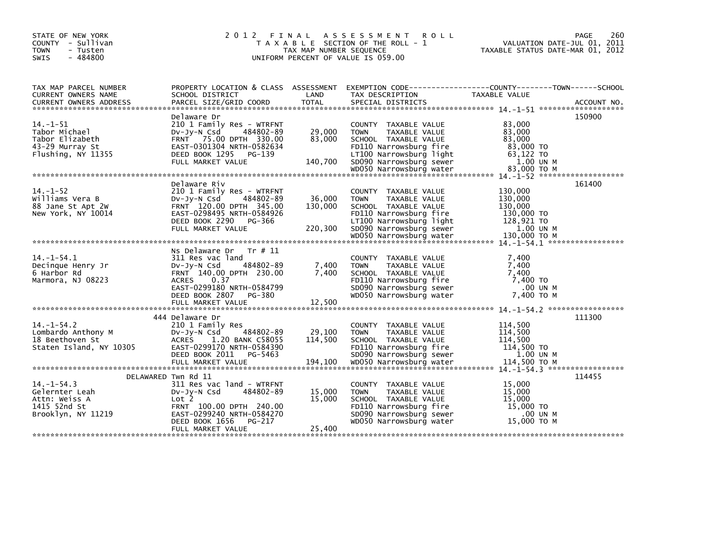| STATE OF NEW YORK<br>COUNTY - Sullivan<br><b>TOWN</b><br>- Tusten<br>$-484800$<br><b>SWIS</b> | 2 0 1 2                                                                                                                                                                                 | TAX MAP NUMBER SEQUENCE | FINAL ASSESSMENT<br><b>ROLL</b><br>T A X A B L E SECTION OF THE ROLL - 1<br>UNIFORM PERCENT OF VALUE IS 059.00                                               | TAXABLE STATUS DATE-MAR 01, 2012                                     | 260<br><b>PAGE</b><br>VALUATION DATE-JUL 01, 2011 |
|-----------------------------------------------------------------------------------------------|-----------------------------------------------------------------------------------------------------------------------------------------------------------------------------------------|-------------------------|--------------------------------------------------------------------------------------------------------------------------------------------------------------|----------------------------------------------------------------------|---------------------------------------------------|
| TAX MAP PARCEL NUMBER<br>CURRENT OWNERS NAME                                                  | PROPERTY LOCATION & CLASS ASSESSMENT<br>SCHOOL DISTRICT                                                                                                                                 | LAND                    | EXEMPTION CODE-----------------COUNTY-------TOWN------SCHOOL<br>TAX DESCRIPTION                                                                              | TAXABLE VALUE                                                        |                                                   |
|                                                                                               |                                                                                                                                                                                         |                         |                                                                                                                                                              |                                                                      |                                                   |
| $14. -1 - 51$<br>Tabor Michael<br>Tabor Elizabeth<br>43-29 Murray St<br>Flushing, NY 11355    | Delaware Dr<br>210 1 Family Res - WTRFNT<br>$Dv-Jy-N$ Csd<br>484802-89<br>FRNT 75.00 DPTH 330.00<br>EAST-0301304 NRTH-0582634<br>DEED BOOK 1295<br>PG-139                               | 29,000<br>83,000        | COUNTY TAXABLE VALUE<br><b>TAXABLE VALUE</b><br><b>TOWN</b><br>SCHOOL TAXABLE VALUE<br>FD110 Narrowsburg fire<br>LT100 Narrowsburg light                     | 83,000<br>83,000<br>83,000<br>83,000 TO<br>63,122 TO                 | 150900                                            |
|                                                                                               | FULL MARKET VALUE                                                                                                                                                                       | 140,700                 | SD090 Narrowsburg sewer                                                                                                                                      | 1.00 UN M                                                            |                                                   |
|                                                                                               |                                                                                                                                                                                         |                         |                                                                                                                                                              |                                                                      |                                                   |
| $14. - 1 - 52$<br>Williams Vera B<br>88 Jane St Apt 2W<br>New York, NY 10014                  | Delaware Riv<br>210 1 Family Res - WTRFNT<br>$Dv-Jy-N$ Csd<br>484802-89<br>FRNT 120.00 DPTH 345.00<br>EAST-0298495 NRTH-0584926<br>DEED BOOK 2290<br>PG-366                             | 36,000<br>130,000       | COUNTY TAXABLE VALUE<br>TAXABLE VALUE<br><b>TOWN</b><br>SCHOOL TAXABLE VALUE<br>FD110 Narrowsburg fire<br>LT100 Narrowsburg light                            | 130,000<br>130,000<br>130,000<br>130,000 TO<br>128,921 TO            | 161400                                            |
|                                                                                               | FULL MARKET VALUE                                                                                                                                                                       | 220,300                 | SD090 Narrowsburg sewer                                                                                                                                      | 1.00 UN M                                                            |                                                   |
|                                                                                               |                                                                                                                                                                                         |                         | WD050 Narrowsburg water                                                                                                                                      | 130.000 TO M                                                         |                                                   |
| $14. - 1 - 54.1$<br>Decinque Henry Jr<br>6 Harbor Rd<br>Marmora, NJ 08223                     | Ns Delaware Dr<br>Tr # 11<br>311 Res vac land<br>484802-89<br>$Dv-Jy-N$ Csd<br>FRNT 140.00 DPTH 230.00<br>0.37<br><b>ACRES</b><br>EAST-0299180 NRTH-0584799<br>DEED BOOK 2807<br>PG-380 | 7,400<br>7,400          | COUNTY TAXABLE VALUE<br>TAXABLE VALUE<br><b>TOWN</b><br>SCHOOL TAXABLE VALUE<br>FD110 Narrowsburg fire<br>SD090 Narrowsburg sewer<br>WD050 Narrowsburg water | 7,400<br>7,400<br>7,400<br>7,400 TO<br>.00 UN M<br>7.400 TO M        |                                                   |
|                                                                                               |                                                                                                                                                                                         |                         |                                                                                                                                                              |                                                                      |                                                   |
|                                                                                               | 444 Delaware Dr                                                                                                                                                                         |                         |                                                                                                                                                              |                                                                      | 111300                                            |
| $14. - 1 - 54.2$<br>Lombardo Anthony M<br>18 Beethoven St<br>Staten Island, NY 10305          | 210 1 Family Res<br>484802-89<br>DV-Jy-N Csd<br>ACRES 1.20 BANK C58055<br>EAST-0299170 NRTH-0584390<br>DEED BOOK 2011<br>PG-5463                                                        | 29,100<br>114,500       | COUNTY TAXABLE VALUE<br><b>TOWN</b><br>TAXABLE VALUE<br>SCHOOL TAXABLE VALUE<br>FD110 Narrowsburg fire<br>SD090 Narrowsburg sewer                            | 114,500<br>114,500<br>114,500<br>114,500 TO<br>1.00 UN M             |                                                   |
|                                                                                               |                                                                                                                                                                                         |                         |                                                                                                                                                              |                                                                      |                                                   |
| $14. - 1 - 54.3$<br>Gelernter Leah<br>Attn: Weiss A<br>1415 52nd St<br>Brooklyn, NY 11219     | DELAWARED Twn Rd 11<br>311 Res vac land - WTRFNT<br>DV-JV-N Csd<br>484802-89<br>Lot 2<br>FRNT 100.00 DPTH 240.00<br>EAST-0299240 NRTH-0584270<br>DEED BOOK 1656<br>PG-217               | 15,000<br>15,000        | COUNTY TAXABLE VALUE<br><b>TOWN</b><br>TAXABLE VALUE<br>SCHOOL TAXABLE VALUE<br>FD110 Narrowsburg fire<br>SD090 Narrowsburg sewer<br>WD050 Narrowsburg water | 15,000<br>15,000<br>15,000<br>15,000 TO<br>$.00$ UN M<br>15.000 ТО М | 114455                                            |
|                                                                                               | FULL MARKET VALUE                                                                                                                                                                       | 25,400                  |                                                                                                                                                              |                                                                      |                                                   |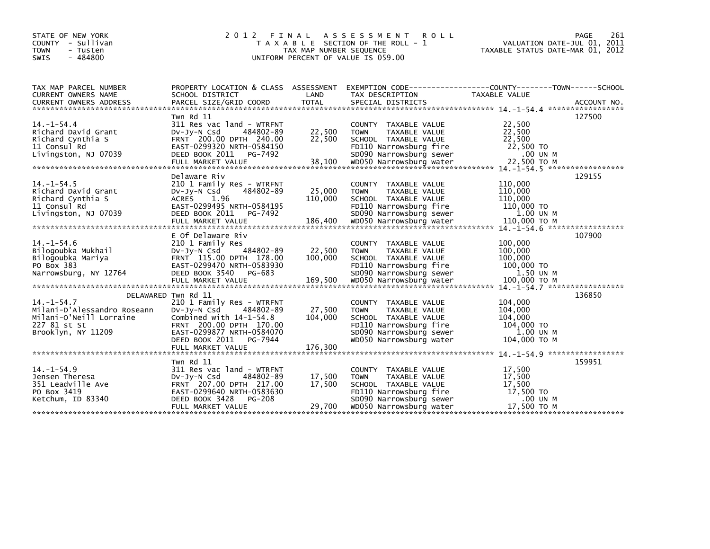| STATE OF NEW YORK<br>COUNTY - Sullivan<br><b>TOWN</b><br>- Tusten<br><b>SWIS</b><br>$-484800$                    | 2012 FINAL                                                                                                                                                                                                            | TAX MAP NUMBER SEQUENCE      | A S S E S S M E N T<br><b>ROLL</b><br>T A X A B L E SECTION OF THE ROLL - 1<br>UNIFORM PERCENT OF VALUE IS 059.00                                            | PAGE<br>VALUATION DATE-JUL 01, 2011<br>TAXABLE STATUS DATE-MAR 01, 2012              | 261 |
|------------------------------------------------------------------------------------------------------------------|-----------------------------------------------------------------------------------------------------------------------------------------------------------------------------------------------------------------------|------------------------------|--------------------------------------------------------------------------------------------------------------------------------------------------------------|--------------------------------------------------------------------------------------|-----|
| TAX MAP PARCEL NUMBER<br>CURRENT OWNERS NAME                                                                     | PROPERTY LOCATION & CLASS ASSESSMENT<br>SCHOOL DISTRICT                                                                                                                                                               | LAND                         | TAX DESCRIPTION                                                                                                                                              | EXEMPTION        CODE-----------------COUNTY-------TOWN------SCHOOL<br>TAXABLE VALUE |     |
| $14. - 1 - 54.4$<br>Richard David Grant<br>Richard Cynthia S<br>11 Consul Rd<br>Livingston, NJ 07039             | Twn Rd 11<br>311 Res vac land - WTRFNT<br>$Dv-Jy-N$ Csd<br>484802-89<br>FRNT 200.00 DPTH 240.00<br>EAST-0299320 NRTH-0584150<br>DEED BOOK 2011<br>PG-7492                                                             | 22,500<br>22,500             | COUNTY TAXABLE VALUE<br><b>TOWN</b><br>TAXABLE VALUE<br>SCHOOL TAXABLE VALUE<br>FD110 Narrowsburg fire<br>SD090 Narrowsburg sewer                            | 127500<br>22,500<br>22,500<br>22,500<br>22,500 TO<br>.00 UN M                        |     |
| $14. -1 - 54.5$<br>Richard David Grant<br>Richard Cynthia S<br>11 Consul Rd<br>Livingston, NJ 07039              | Delaware Riv<br>210 1 Family Res - WTRFNT<br>484802-89<br>DV-Jy-N Csd<br>ACRES 1.96<br>EAST-0299495 NRTH-0584195<br>DEED BOOK 2011<br>PG-7492                                                                         | 25,000<br>110,000            | COUNTY TAXABLE VALUE<br>TAXABLE VALUE<br><b>TOWN</b><br>SCHOOL TAXABLE VALUE<br>FD110 Narrowsburg fire<br>SD090 Narrowsburg sewer                            | 129155<br>110,000<br>110,000<br>110,000<br>110,000 TO<br>$1.00$ UN M                 |     |
| $14. -1 - 54.6$<br>Bilogoubka Mukhail<br>Bilogoubka Mariya<br>PO Box 383<br>Narrowsburg, NY 12764                | E Of Delaware Riv<br>210 1 Family Res<br>484802-89<br>$Dv-Jy-N$ Csd<br>FRNT 115.00 DPTH 178.00<br>EAST-0299470 NRTH-0583930<br>DEED BOOK 3540 PG-683                                                                  | 22,500<br>100,000            | COUNTY TAXABLE VALUE<br><b>TOWN</b><br>TAXABLE VALUE<br>SCHOOL TAXABLE VALUE<br>FD110 Narrowsburg fire<br>SD090 Narrowsburg sewer                            | 107900<br>100,000<br>100,000<br>100,000<br>100,000 TO<br>1.50 UN M                   |     |
| $14. - 1 - 54.7$<br>Milani-D'Alessandro Roseann<br>Milani-O'Neill Lorraine<br>227 81 st St<br>Brooklyn, NY 11209 | DELAWARED Twn Rd 11<br>210 1 Family Res - WTRFNT<br>484802-89<br>$Dv-Jy-N$ Csd<br>Combined with $14-1-54.8$<br>FRNT 200.00 DPTH 170.00<br>EAST-0299877 NRTH-0584070<br>DEED BOOK 2011<br>PG-7944<br>FULL MARKET VALUE | 27,500<br>104,000<br>176,300 | COUNTY TAXABLE VALUE<br><b>TOWN</b><br>TAXABLE VALUE<br>SCHOOL TAXABLE VALUE<br>FD110 Narrowsburg fire<br>SD090 Narrowsburg sewer<br>WD050 Narrowsburg water | 136850<br>104,000<br>104,000<br>104,000<br>104,000 TO<br>1.00 UN M<br>104,000 ТО М   |     |
| $14. - 1 - 54.9$<br>Jensen Theresa<br>351 Leadville Ave<br>PO Box 3419<br>Ketchum, ID 83340                      | Twn Rd 11<br>311 Res vac land - WTRFNT<br>DV-Jy-N Csd<br>484802-89<br>FRNT 207.00 DPTH 217.00<br>EAST-0299640 NRTH-0583630<br>DEED BOOK 3428<br>PG-208<br>FULL MARKET VALUE                                           | 17,500<br>17,500<br>29,700   | COUNTY TAXABLE VALUE<br>TAXABLE VALUE<br><b>TOWN</b><br>SCHOOL TAXABLE VALUE<br>FD110 Narrowsburg fire<br>SD090 Narrowsburg sewer<br>WD050 Narrowsburg water | 159951<br>17,500<br>17,500<br>17,500<br>17,500 TO<br>.00 UN M<br>17,500 TO M         |     |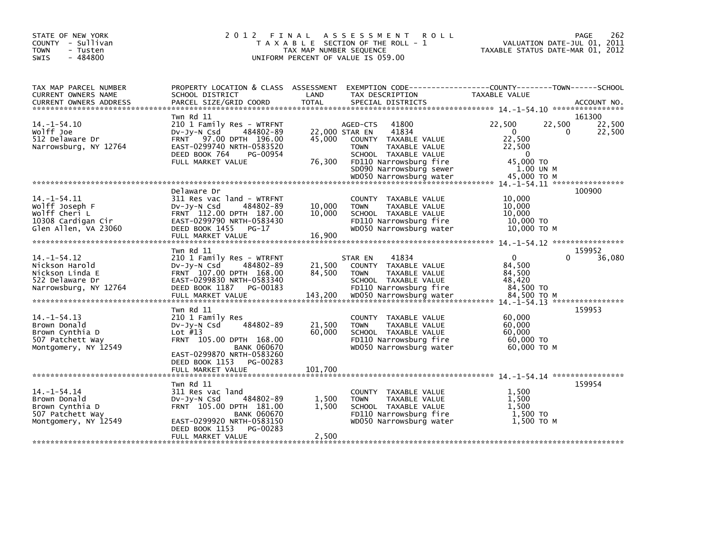| STATE OF NEW YORK<br>COUNTY - Sullivan<br><b>TOWN</b><br>- Tusten<br>$-484800$<br><b>SWIS</b>      | 2 0 1 2                                                                                                                                                                                                   | TAX MAP NUMBER SEQUENCE     | FINAL ASSESSMENT<br><b>ROLL</b><br>T A X A B L E SECTION OF THE ROLL - 1<br>UNIFORM PERCENT OF VALUE IS 059.00                                                                                               | <b>PAGE</b><br>VALUATION DATE-JUL 01, 2011<br>TAXABLE STATUS DATE-MAR 01, 2012                                             | 262 |
|----------------------------------------------------------------------------------------------------|-----------------------------------------------------------------------------------------------------------------------------------------------------------------------------------------------------------|-----------------------------|--------------------------------------------------------------------------------------------------------------------------------------------------------------------------------------------------------------|----------------------------------------------------------------------------------------------------------------------------|-----|
| TAX MAP PARCEL NUMBER<br>CURRENT OWNERS NAME<br><b>CURRENT OWNERS ADDRESS</b>                      | PROPERTY LOCATION & CLASS ASSESSMENT<br>SCHOOL DISTRICT<br>PARCEL SIZE/GRID COORD                                                                                                                         | LAND<br><b>TOTAL</b>        | TAX DESCRIPTION<br>SPECIAL DISTRICTS                                                                                                                                                                         | EXEMPTION CODE------------------COUNTY--------TOWN------SCHOOL<br>TAXABLE VALUE<br>ACCOUNT NO.                             |     |
| $14. -1 - 54.10$<br>Wolff Joe<br>512 Delaware Dr<br>Narrowsburg, NY 12764                          | Twn Rd 11<br>210 1 Family Res - WTRFNT<br>484802-89<br>$Dv-Jy-N$ Csd<br>97.00 DPTH 196.00<br><b>FRNT</b><br>EAST-0299740 NRTH-0583520<br>DEED BOOK 764<br>PG-00954<br>FULL MARKET VALUE                   | 45,000<br>76,300            | 41800<br>AGED-CTS<br>41834<br>22,000 STAR EN<br>COUNTY TAXABLE VALUE<br>TAXABLE VALUE<br><b>TOWN</b><br>SCHOOL TAXABLE VALUE<br>FD110 Narrowsburg fire<br>SD090 Narrowsburg sewer<br>WD050 Narrowsburg water | 161300<br>22,500<br>22,500<br>22,500<br>0<br>0<br>22,500<br>22,500<br>22,500<br>0<br>45,000 TO<br>1.00 UN M<br>45,000 TO M |     |
| $14. - 1 - 54.11$<br>Wolff Joseph F<br>Wolff Cheri L<br>10308 Cardigan Cir<br>Glen Allen, VA 23060 | Delaware Dr<br>311 Res vac land - WTRFNT<br>484802-89<br>DV-Jy-N Csd<br>FRNT 112.00 DPTH 187.00<br>EAST-0299790 NRTH-0583430<br>DEED BOOK 1455<br>PG-17<br>FULL MARKET VALUE                              | 10,000<br>10,000<br>16,900  | COUNTY TAXABLE VALUE<br><b>TOWN</b><br>TAXABLE VALUE<br>SCHOOL TAXABLE VALUE<br>FD110 Narrowsburg fire<br>WD050 Narrowsburg water                                                                            | 100900<br>10.000<br>10,000<br>10,000<br>10,000 TO<br>$10,000$ TO M                                                         |     |
| $14. - 1 - 54.12$<br>Nickson Harold<br>Nickson Linda E<br>522 Delaware Dr<br>Narrowsburg, NY 12764 | Twn Rd 11<br>210 1 Family Res - WTRFNT<br>$Dv-Jy-N$ Csd<br>484802-89<br>FRNT 107.00 DPTH 168.00<br>EAST-0299830 NRTH-0583340<br>DEED BOOK 1187<br>PG-00183<br>FULL MARKET VALUE                           | 21,500<br>84,500<br>143,200 | 41834<br>STAR EN<br>COUNTY TAXABLE VALUE<br>TAXABLE VALUE<br><b>TOWN</b><br>SCHOOL TAXABLE VALUE<br>FD110 Narrowsburg fire<br>WD050 Narrowsburg water                                                        | 159952<br>$\mathbf{0}$<br>0<br>36,080<br>84,500<br>84,500<br>48.420<br>84,500 TO<br>84.500 TO M                            |     |
| $14. - 1 - 54.13$<br>Brown Donald<br>Brown Cynthia D<br>507 Patchett Way<br>Montgomery, NY 12549   | Twn Rd 11<br>210 1 Family Res<br>484802-89<br>$Dv-Jy-N$ Csd<br>Lot $#13$<br>FRNT 105.00 DPTH 168.00<br><b>BANK 060670</b><br>EAST-0299870 NRTH-0583260<br>DEED BOOK 1153<br>PG-00283<br>FULL MARKET VALUE | 21,500<br>60,000<br>101,700 | COUNTY TAXABLE VALUE<br>TAXABLE VALUE<br><b>TOWN</b><br>SCHOOL TAXABLE VALUE<br>FD110 Narrowsburg fire<br>WD050 Narrowsburg water                                                                            | 159953<br>60,000<br>60,000<br>60,000<br>60,000 TO<br>60,000 ТО М                                                           |     |
| $14. - 1 - 54.14$<br>Brown Donald<br>Brown Cynthia D<br>507 Patchett Way<br>Montgomery, NY 12549   | Twn Rd 11<br>311 Res vac land<br>484802-89<br>$Dv-Jy-N$ Csd<br>FRNT 105.00 DPTH 181.00<br><b>BANK 060670</b><br>EAST-0299920 NRTH-0583150<br>DEED BOOK 1153<br>PG-00283<br>FULL MARKET VALUE              | 1,500<br>1,500<br>2,500     | COUNTY<br>TAXABLE VALUE<br>TAXABLE VALUE<br><b>TOWN</b><br>SCHOOL TAXABLE VALUE<br>FD110 Narrowsburg fire<br>WD050 Narrowsburg water                                                                         | 159954<br>1.500<br>1,500<br>1,500<br>1,500 TO<br>1,500 TO M                                                                |     |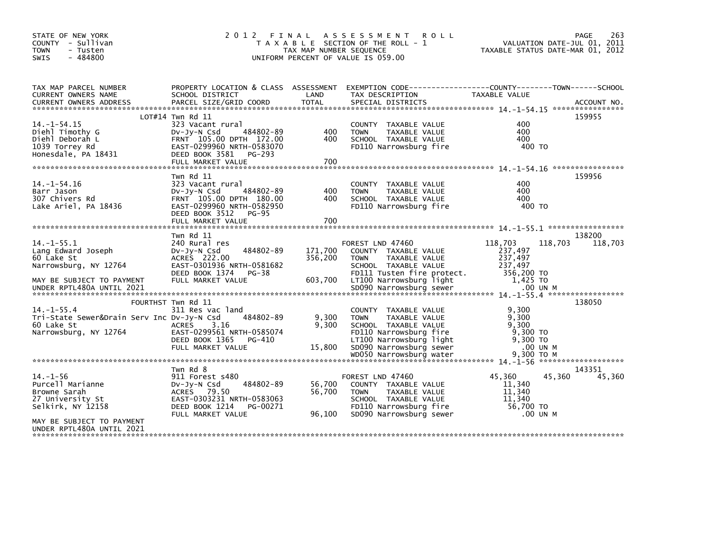| STATE OF NEW YORK<br>COUNTY - Sullivan<br><b>TOWN</b><br>- Tusten<br>$-484800$<br>SWIS               | 2 0 1 2                                                                                                                                                 | FINAL<br>TAX MAP NUMBER SEQUENCE | A S S E S S M E N T<br><b>ROLL</b><br>T A X A B L E SECTION OF THE ROLL - 1<br>UNIFORM PERCENT OF VALUE IS 059.00                        |                                                        | 263<br><b>PAGE</b><br>VALUATION DATE-JUL 01, 2011<br>TAXABLE STATUS DATE-MAR 01, 2012 |
|------------------------------------------------------------------------------------------------------|---------------------------------------------------------------------------------------------------------------------------------------------------------|----------------------------------|------------------------------------------------------------------------------------------------------------------------------------------|--------------------------------------------------------|---------------------------------------------------------------------------------------|
| TAX MAP PARCEL NUMBER<br>CURRENT OWNERS NAME                                                         | PROPERTY LOCATION & CLASS ASSESSMENT<br>SCHOOL DISTRICT                                                                                                 | LAND                             | EXEMPTION CODE------------------COUNTY--------TOWN------SCHOOL<br>TAX DESCRIPTION                                                        | TAXABLE VALUE                                          |                                                                                       |
|                                                                                                      | $LOT#14$ Twn Rd $11$                                                                                                                                    |                                  |                                                                                                                                          |                                                        | 159955                                                                                |
| $14. -1 - 54.15$<br>Diehl Timothy G<br>Diehl Deborah L<br>1039 Torrey Rd<br>Honesdale, PA 18431      | 323 Vacant rural<br>484802-89<br>$Dv-Jy-N$ Csd<br>FRNT 105.00 DPTH 172.00<br>EAST-0299960 NRTH-0583070<br>DEED BOOK 3581<br>PG-293<br>FULL MARKET VALUE | 400<br>400<br>700                | COUNTY TAXABLE VALUE<br>TAXABLE VALUE<br><b>TOWN</b><br>SCHOOL TAXABLE VALUE<br>FD110 Narrowsburg fire                                   | 400<br>400<br>400<br>400 TO                            |                                                                                       |
|                                                                                                      | Twn Rd 11                                                                                                                                               |                                  |                                                                                                                                          |                                                        | 159956                                                                                |
| $14. - 1 - 54.16$<br>Barr Jason<br>307 Chivers Rd<br>Lake Ariel, PA 18436                            | 323 Vacant rural<br>484802-89<br>DV-Jy-N Csd<br>FRNT 105.00 DPTH 180.00<br>EAST-0299960 NRTH-0582950<br>DEED BOOK 3512<br>$PG-95$<br>FULL MARKET VALUE  | 400<br>400<br>700                | COUNTY TAXABLE VALUE<br>TAXABLE VALUE<br><b>TOWN</b><br>SCHOOL TAXABLE VALUE<br>FD110 Narrowsburg fire                                   | 400<br>400<br>400<br>400 TO                            |                                                                                       |
|                                                                                                      |                                                                                                                                                         |                                  |                                                                                                                                          |                                                        |                                                                                       |
| $14. -1 - 55.1$<br>Lang Edward Joseph<br>60 Lake St<br>Narrowsburg, NY 12764                         | Twn Rd 11<br>240 Rural res<br>484802-89<br>DV-Jy-N Csd<br>ACRES 222.00<br>EAST-0301936 NRTH-0581682<br>DEED BOOK 1374<br>PG-38                          | 171,700<br>356,200               | FOREST LND 47460<br>COUNTY TAXABLE VALUE<br><b>TOWN</b><br>TAXABLE VALUE<br>SCHOOL TAXABLE VALUE<br>FD111 Tusten fire protect.           | 118,703<br>237,497<br>237,497<br>237,497<br>356,200 TO | 138200<br>118,703<br>118,703                                                          |
| MAY BE SUBJECT TO PAYMENT                                                                            | FULL MARKET VALUE                                                                                                                                       | 603,700                          | LT100 Narrowsburg light                                                                                                                  | 1,425 TO                                               |                                                                                       |
|                                                                                                      | FOURTHST Twn Rd 11                                                                                                                                      |                                  |                                                                                                                                          |                                                        | 138050                                                                                |
| $14. -1 - 55.4$<br>Tri-State Sewer&Drain Serv Inc Dv-Jy-N Csd<br>60 Lake St<br>Narrowsburg, NY 12764 | 311 Res vac land<br>484802-89<br><b>ACRES</b><br>3.16<br>EAST-0299561 NRTH-0585074<br>DEED BOOK 1365<br>PG-410                                          | 9,300<br>9.300                   | COUNTY TAXABLE VALUE<br><b>TAXABLE VALUE</b><br><b>TOWN</b><br>SCHOOL TAXABLE VALUE<br>FD110 Narrowsburg fire<br>LT100 Narrowsburg light | 9,300<br>9,300<br>9.300<br>9,300 TO<br>9,300 TO        |                                                                                       |
|                                                                                                      | FULL MARKET VALUE                                                                                                                                       | 15,800                           | SD090 Narrowsburg sewer                                                                                                                  | .00 UN M                                               |                                                                                       |
|                                                                                                      |                                                                                                                                                         |                                  | WD050 Narrowsburg water                                                                                                                  | 9.300 TO M                                             |                                                                                       |
| $14. - 1 - 56$<br>Purcell Marianne<br>Browne Sarah<br>27 University St<br>Selkirk, NY 12158          | Twn Rd 8<br>911 Forest s480<br>484802-89<br>$Dv-Jy-N$ Csd<br>79.50<br><b>ACRES</b><br>EAST-0303231 NRTH-0583063<br>DEED BOOK 1214<br>PG-00271           | 56,700<br>56,700                 | FOREST LND 47460<br>COUNTY TAXABLE VALUE<br>TAXABLE VALUE<br><b>TOWN</b><br>SCHOOL TAXABLE VALUE<br>FD110 Narrowsburg fire               | 45,360<br>11,340<br>11,340<br>11,340<br>56.700 TO      | 143351<br>45,360<br>45,360                                                            |
| MAY BE SUBJECT TO PAYMENT                                                                            | FULL MARKET VALUE                                                                                                                                       | 96,100                           | SD090 Narrowsburg sewer                                                                                                                  | .00 UN M                                               |                                                                                       |
| UNDER RPTL480A UNTIL 2021                                                                            |                                                                                                                                                         |                                  |                                                                                                                                          |                                                        |                                                                                       |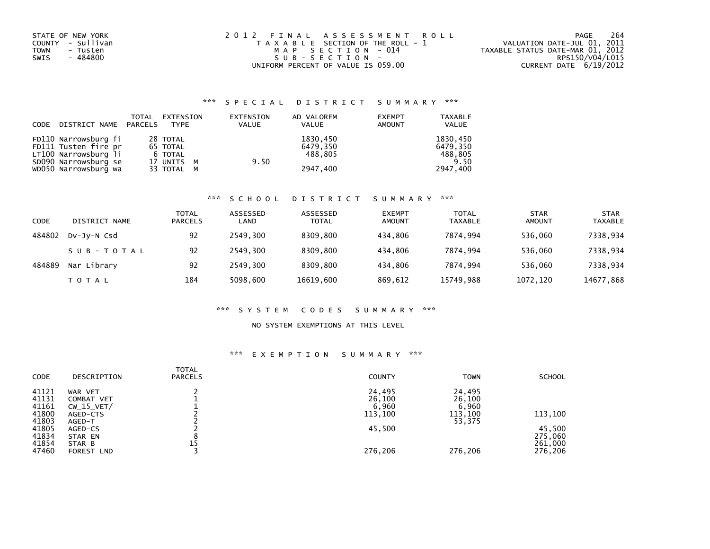| STATE OF NEW YORK       | 2012 FINAL ASSESSMENT ROLL            | 264<br>PAGE                      |
|-------------------------|---------------------------------------|----------------------------------|
| COUNTY - Sullivan       | T A X A B L E SECTION OF THE ROLL - 1 | VALUATION DATE-JUL 01, 2011      |
| <b>TOWN</b><br>- Tusten | MAP SECTION - 014                     | TAXABLE STATUS DATE-MAR 01, 2012 |
| - 484800<br>SWIS        | SUB-SECTION-                          | RPS150/V04/L015                  |
|                         | UNIFORM PERCENT OF VALUE IS 059.00    | CURRENT DATE 6/19/2012           |

## \*\*\* S P E C I A L D I S T R I C T S U M M A R Y \*\*\*

| DISTRICT NAME PARCELS<br>CODE                                                                                        | TOTAL                                                       | EXTENSION<br>TYPE | EXTENSION<br><b>VALUE</b><br>VALUE | AD VALOREM<br><b>EXEMPT</b><br><b>AMOUNT</b> | <b>TAXABLE</b><br>VALUE                             |
|----------------------------------------------------------------------------------------------------------------------|-------------------------------------------------------------|-------------------|------------------------------------|----------------------------------------------|-----------------------------------------------------|
| FD110 Narrowsburg fi<br>FD111 Tusten fire pr<br>LT100 Narrowsburg li<br>SD090 Narrowsburg se<br>WD050 Narrowsburg wa | 28 TOTAL<br>65 TOTAL<br>6 TOTAL<br>17 UNITS M<br>33 TOTAL M |                   | 9.50                               | 1830,450<br>6479.350<br>488.805<br>2947.400  | 1830,450<br>6479,350<br>488,805<br>9.50<br>2947,400 |

# \*\*\* S C H O O L D I S T R I C T S U M M A R Y \*\*\*

| CODE   | DISTRICT NAME | TOTAL<br><b>PARCELS</b> | ASSESSED<br>LAND | ASSESSED<br><b>TOTAL</b> | <b>EXEMPT</b><br>AMOUNT | <b>TOTAL</b><br><b>TAXABLE</b> | <b>STAR</b><br>AMOUNT | <b>STAR</b><br><b>TAXABLE</b> |
|--------|---------------|-------------------------|------------------|--------------------------|-------------------------|--------------------------------|-----------------------|-------------------------------|
| 484802 | DV-Jy-N Csd   | 92                      | 2549.300         | 8309.800                 | 434.806                 | 7874.994                       | 536.060               | 7338,934                      |
|        | SUB-TOTAL     | 92                      | 2549.300         | 8309.800                 | 434.806                 | 7874.994                       | 536.060               | 7338,934                      |
| 484889 | Nar Library   | 92                      | 2549.300         | 8309.800                 | 434.806                 | 7874.994                       | 536.060               | 7338,934                      |
|        | T O T A L     | 184                     | 5098,600         | 16619,600                | 869,612                 | 15749,988                      | 1072,120              | 14677,868                     |

#### \*\*\* S Y S T E M C O D E S S U M M A R Y \*\*\*

#### NO SYSTEM EXEMPTIONS AT THIS LEVEL

## \*\*\* E X E M P T I O N S U M M A R Y \*\*\*

| CODE                    | DESCRIPTION                           | TOTAL<br><b>PARCELS</b> | <b>COUNTY</b>             | <b>TOWN</b>               | <b>SCHOOL</b>                |
|-------------------------|---------------------------------------|-------------------------|---------------------------|---------------------------|------------------------------|
| 41121<br>41131<br>41161 | WAR VET<br>COMBAT VET<br>$CW_15_VET/$ |                         | 24,495<br>26,100<br>6,960 | 24,495<br>26,100<br>6,960 |                              |
| 41800<br>41803          | AGED-CTS<br>AGED-T                    |                         | 113,100                   | 113,100<br>53,375         | 113,100                      |
| 41805<br>41834<br>41854 | AGED-CS<br>STAR EN<br>STAR B          | 15                      | 45,500                    |                           | 45,500<br>275,060<br>261,000 |
| 47460                   | FOREST LND                            |                         | 276,206                   | 276.206                   | 276,206                      |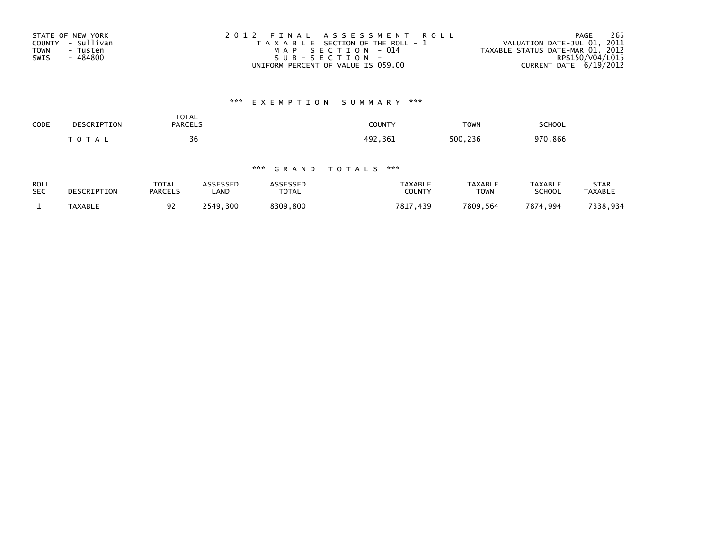| STATE OF NEW YORK       | 2012 FINAL ASSESSMENT ROLL            | 265<br>PAGE                      |
|-------------------------|---------------------------------------|----------------------------------|
| COUNTY - Sullivan       | T A X A B L E SECTION OF THE ROLL - 1 | VALUATION DATE-JUL 01, 2011      |
| <b>TOWN</b><br>- Tusten | MAP SECTION - 014                     | TAXABLE STATUS DATE-MAR 01, 2012 |
| - 484800<br>SWIS        | $SUB - SECTION -$                     | RPS150/V04/L015                  |
|                         | UNIFORM PERCENT OF VALUE IS 059.00    | CURRENT DATE 6/19/2012           |

# \*\*\* E X E M P T I O N S U M M A R Y \*\*\*

| CODE<br>$ -$ | DESCRIPTION | TOTAL<br><b>PARCELS</b> | <b>COUNTY</b><br>. | <b>TOWN</b> | <b>SCHOOL</b> |
|--------------|-------------|-------------------------|--------------------|-------------|---------------|
|              | TOTA        | 36                      | 492<br>361         | 500<br>,236 | 970,866       |

## \*\*\* G R A N D T O T A L S \*\*\*

| <b>ROLL</b> | DESCRIPTION | <b>TOTAL</b>   | <b>ASSESSED</b> | <b>ASSESSED</b> | <b>TAXABLE</b> | <b>TAXABLE</b> | <b>TAXABLE</b> | STAR           |
|-------------|-------------|----------------|-----------------|-----------------|----------------|----------------|----------------|----------------|
| <b>SEC</b>  |             | <b>PARCELS</b> | LAND            | <b>TOTAL</b>    | COUNTY         | <b>TOWN</b>    | <b>SCHOOL</b>  | <b>TAXABLE</b> |
|             | TAXABLE     | ۹Ž<br>JL       | 2549.300        | 8309,800        | 7817.<br>.439  | 7809,564       | 7874.994       | 7338,934       |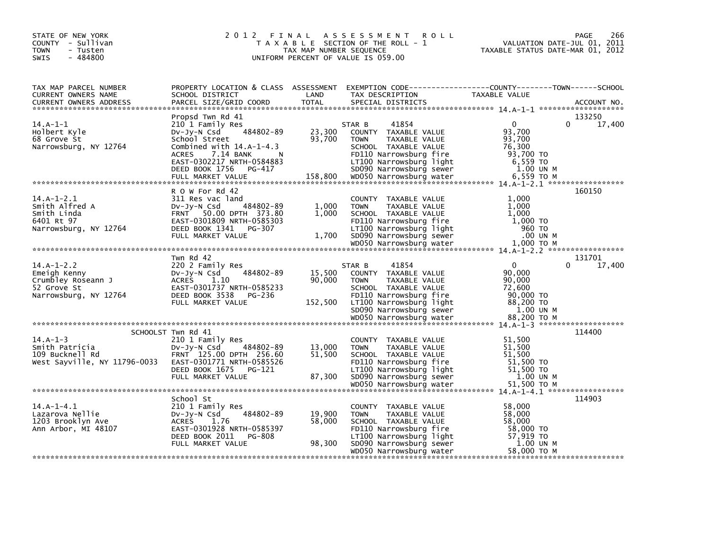| STATE OF NEW YORK<br>COUNTY - Sullivan<br><b>TOWN</b><br>- Tusten<br>$-484800$<br><b>SWIS</b> |                                                                                                                                                                                                            | TAX MAP NUMBER SEQUENCE     | 2012 FINAL ASSESSMENT<br><b>ROLL</b><br>T A X A B L E SECTION OF THE ROLL - 1<br>UNIFORM PERCENT OF VALUE IS 059.00                                                                     |                                                                                    | 266<br>PAGE<br>VALUATION DATE-JUL 01, 2011<br>TAXABLE STATUS DATE-MAR 01, 2012 |
|-----------------------------------------------------------------------------------------------|------------------------------------------------------------------------------------------------------------------------------------------------------------------------------------------------------------|-----------------------------|-----------------------------------------------------------------------------------------------------------------------------------------------------------------------------------------|------------------------------------------------------------------------------------|--------------------------------------------------------------------------------|
| TAX MAP PARCEL NUMBER<br>CURRENT OWNERS NAME<br><b>CURRENT OWNERS ADDRESS</b>                 | PROPERTY LOCATION & CLASS ASSESSMENT EXEMPTION CODE----------------COUNTY-------TOWN------SCHOOL<br>SCHOOL DISTRICT<br>PARCEL SIZE/GRID COORD                                                              | LAND<br><b>TOTAL</b>        | TAX DESCRIPTION<br>SPECIAL DISTRICTS                                                                                                                                                    | <b>TAXABLE VALUE</b>                                                               | ACCOUNT NO.                                                                    |
| $14.A-1-1$<br>Holbert Kyle<br>68 Grove St<br>Narrowsburg, NY 12764                            | Propsd Twn Rd 41<br>210 1 Family Res<br>484802-89<br>Dv-Jy-N Csd<br>School Street<br>Combined with $14.A-1-4.3$<br>7.14 BANK<br><b>ACRES</b><br>N<br>EAST-0302217 NRTH-0584883<br>DEED BOOK 1756<br>PG-417 | 23,300<br>93,700            | 41854<br>STAR B<br>COUNTY TAXABLE VALUE<br><b>TOWN</b><br>TAXABLE VALUE<br>SCHOOL TAXABLE VALUE<br>FD110 Narrowsburg fire<br>LT100 Narrowsburg light<br>SD090 Narrowsburg sewer         | $\Omega$<br>93,700<br>93,700<br>76,300<br>93.700 TO<br>6,559 TO<br>1.00 UN M       | 133250<br>$\Omega$<br>17,400                                                   |
|                                                                                               |                                                                                                                                                                                                            |                             |                                                                                                                                                                                         |                                                                                    |                                                                                |
| $14.A-1-2.1$<br>Smith Alfred A<br>Smith Linda<br>6401 Rt 97<br>Narrowsburg, NY 12764          | R O W For Rd 42<br>311 Res vac land<br>484802-89<br>$Dv-Jy-N$ Csd<br>FRNT 50.00 DPTH 373.80<br>EAST-0301809 NRTH-0585303<br>DEED BOOK 1341<br>PG-307<br>FULL MARKET VALUE                                  | 1,000<br>1,000<br>1.700     | COUNTY TAXABLE VALUE<br><b>TOWN</b><br><b>TAXABLE VALUE</b><br>SCHOOL TAXABLE VALUE<br>FD110 Narrowsburg fire<br>LT100 Narrowsburg light<br>SD090 Narrowsburg sewer                     | 1.000<br>1,000<br>1,000<br>1,000 TO<br>960 TO<br>.00 UN M                          | 160150                                                                         |
|                                                                                               |                                                                                                                                                                                                            |                             |                                                                                                                                                                                         |                                                                                    |                                                                                |
| $14.A-1-2.2$<br>Emeigh Kenny<br>Crumbley Roseann J<br>52 Grove St<br>Narrowsburg, NY 12764    | Twn Rd 42<br>220 2 Family Res<br>484802-89<br>$Dv-Jy-N$ Csd<br><b>ACRES</b><br>1.10<br>EAST-0301737 NRTH-0585233<br>DEED BOOK 3538<br>PG-236<br>FULL MARKET VALUE                                          | 15,500<br>90,000<br>152,500 | 41854<br>STAR B<br>COUNTY TAXABLE VALUE<br><b>TOWN</b><br>TAXABLE VALUE<br>SCHOOL TAXABLE VALUE<br>FD110 Narrowsburg fire<br>LT100 Narrowsburg light<br>SD090 Narrowsburg sewer         | $\Omega$<br>90,000<br>90,000<br>72,600<br>90,000 TO<br>88,200 TO<br>1.00 UN M      | 131701<br>17,400<br>0                                                          |
|                                                                                               |                                                                                                                                                                                                            |                             |                                                                                                                                                                                         |                                                                                    |                                                                                |
| $14.A-1-3$<br>Smith Patricia<br>109 Bucknell Rd<br>West Sayville, NY 11796-0033               | SCHOOLST Twn Rd 41<br>210 1 Family Res<br>484802-89<br>$Dv-Jy-N$ Csd<br>FRNT 125.00 DPTH 256.60<br>EAST-0301771 NRTH-0585526<br>DEED BOOK 1675<br>PG-121<br>FULL MARKET VALUE                              | 13,000<br>51,500<br>87,300  | COUNTY TAXABLE VALUE<br>TAXABLE VALUE<br><b>TOWN</b><br>SCHOOL TAXABLE VALUE<br>FD110 Narrowsburg fire<br>LT100 Narrowsburg light<br>SD090 Narrowsburg sewer<br>WD050 Narrowsburg water | 51,500<br>51,500<br>51,500<br>$51,500$ TO<br>51,500 TO<br>1.00 UN M<br>51,500 TO M | 114400                                                                         |
| $14.A-1-4.1$<br>Lazarova Nellie<br>1203 Brooklyn Ave<br>Ann Arbor, MI 48107                   | School St<br>210 1 Family Res<br>484802-89<br>$Dv-Jy-N$ Csd<br><b>ACRES</b><br>1.76<br>EAST-0301928 NRTH-0585397<br>DEED BOOK 2011<br><b>PG-808</b><br>FULL MARKET VALUE                                   | 19,900<br>58,000<br>98,300  | COUNTY TAXABLE VALUE<br>TAXABLE VALUE<br><b>TOWN</b><br>SCHOOL TAXABLE VALUE<br>FD110 Narrowsburg fire<br>LT100 Narrowsburg light<br>SD090 Narrowsburg sewer<br>WD050 Narrowsburg water | 58,000<br>58,000<br>58,000<br>58,000 TO<br>57,919 TO<br>1.00 UN M<br>58,000 TO M   | 114903                                                                         |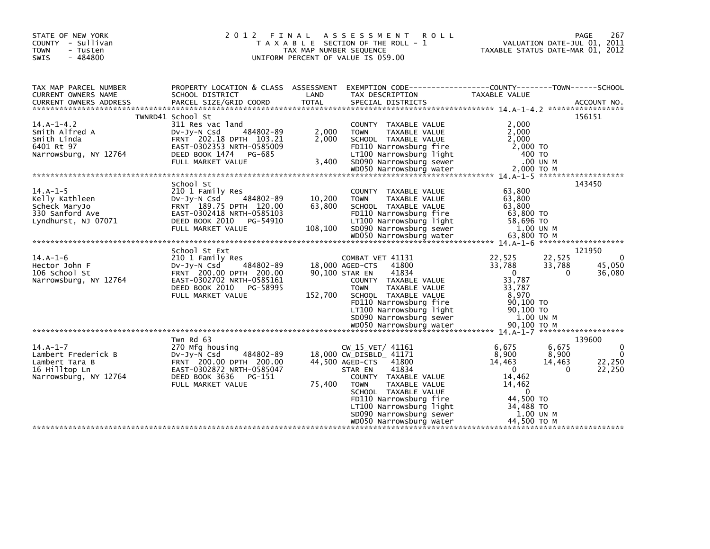| STATE OF NEW YORK<br>COUNTY - Sullivan<br><b>TOWN</b><br>- Tusten<br>$-484800$<br><b>SWIS</b> |                                                                                                                                                                       | TAX MAP NUMBER SEQUENCE     | 2012 FINAL ASSESSMENT<br><b>ROLL</b><br>T A X A B L E SECTION OF THE ROLL - 1<br>UNIFORM PERCENT OF VALUE IS 059.00                                                                                                                                                                    | VALUATION DATE-JUL 01, 2011<br>TAXABLE STATUS DATE-MAR 01, 2012                                                                                     | 267<br><b>PAGE</b>                                      |
|-----------------------------------------------------------------------------------------------|-----------------------------------------------------------------------------------------------------------------------------------------------------------------------|-----------------------------|----------------------------------------------------------------------------------------------------------------------------------------------------------------------------------------------------------------------------------------------------------------------------------------|-----------------------------------------------------------------------------------------------------------------------------------------------------|---------------------------------------------------------|
| TAX MAP PARCEL NUMBER<br>CURRENT OWNERS NAME<br><b>CURRENT OWNERS ADDRESS</b>                 | PROPERTY LOCATION & CLASS ASSESSMENT<br>SCHOOL DISTRICT<br>PARCEL SIZE/GRID COORD                                                                                     | LAND<br><b>TOTAL</b>        | EXEMPTION CODE-----------------COUNTY-------TOWN------SCHOOL<br>TAX DESCRIPTION<br>SPECIAL DISTRICTS                                                                                                                                                                                   | TAXABLE VALUE                                                                                                                                       | ACCOUNT NO.                                             |
| $14.A-1-4.2$<br>Smith Alfred A<br>Smith Linda<br>6401 Rt 97                                   | TWNRD41 School St<br>311 Res vac land<br>484802-89<br>DV-Jy-N Csd<br>FRNT 202.18 DPTH 103.21<br>EAST-0302353 NRTH-0585009                                             | 2,000<br>2,000              | COUNTY TAXABLE VALUE<br>TAXABLE VALUE<br><b>TOWN</b><br>SCHOOL TAXABLE VALUE<br>FD110 Narrowsburg fire                                                                                                                                                                                 | 2,000<br>2,000<br>2,000<br>2,000 TO                                                                                                                 | 156151                                                  |
|                                                                                               | School St                                                                                                                                                             |                             |                                                                                                                                                                                                                                                                                        |                                                                                                                                                     | 143450                                                  |
| $14.A-1-5$<br>Kelly Kathleen<br>Scheck MaryJo<br>330 Sanford Ave<br>Lyndhurst, NJ 07071       | 210 1 Family Res<br>484802-89<br>Dv-Jy-N Csd<br>FRNT 189.75 DPTH 120.00<br>EAST-0302418 NRTH-0585103<br>DEED BOOK 2010 PG-54910<br>FULL MARKET VALUE                  | 10,200<br>63.800<br>108,100 | COUNTY TAXABLE VALUE<br>TAXABLE VALUE<br><b>TOWN</b><br>SCHOOL TAXABLE VALUE<br>FD110 Narrowsburg fire<br>LT100 Narrowsburg light<br>SD090 Narrowsburg sewer<br>WD050 Narrowsburg sewer                                                                                                | 63,800<br>63,800<br>63,800<br>63,800 TO<br>58,696 TO<br>1.00 UN M                                                                                   |                                                         |
|                                                                                               |                                                                                                                                                                       |                             |                                                                                                                                                                                                                                                                                        |                                                                                                                                                     |                                                         |
| $14.A-1-6$<br>Hector John F<br>106 School St<br>Narrowsburg, NY 12764                         | School St Ext<br>210 1 Family Res<br>484802-89<br>DV-Jy-N Csd<br>FRNT 200.00 DPTH 200.00<br>EAST-0302702 NRTH-0585161<br>DEED BOOK 2010 PG-58995<br>FULL MARKET VALUE | 90,100 STAR EN<br>152,700   | COMBAT VET 41131<br>18,000 AGED-CTS<br>41800<br>41834<br>COUNTY TAXABLE VALUE<br><b>TOWN</b><br>TAXABLE VALUE<br>SCHOOL TAXABLE VALUE<br>FD110 Narrowsburg fire<br>LT100 Narrowsburg light<br>SD090 Narrowsburg sewer                                                                  | 22,525<br>22,525<br>33,788<br>33,788<br>$\overline{0}$<br>33,787<br>33,787<br>8,970<br>90,100 TO<br>90,100 TO<br>1.00 UN M                          | 121950<br>$\Omega$<br>45,050<br>0<br>36,080             |
|                                                                                               |                                                                                                                                                                       |                             |                                                                                                                                                                                                                                                                                        |                                                                                                                                                     |                                                         |
| $14.A-1-7$<br>Lambert Frederick B<br>Lambert Tara B<br>16 Hilltop Ln<br>Narrowsburg, NY 12764 | Twn Rd 63<br>270 Mfg housing<br>$Dv-Jy-N$ Csd<br>484802-89<br>FRNT 200.00 DPTH 200.00<br>EAST-0302872 NRTH-0585047<br>DEED BOOK 3636 PG-151<br>FULL MARKET VALUE      | 75,400                      | CW_15_VET/ 41161<br>18,000 CW_DISBLD_ 41171<br>44,500 AGED-CTS<br>41800<br>41834<br>STAR EN<br>COUNTY TAXABLE VALUE<br><b>TOWN</b><br>TAXABLE VALUE<br>SCHOOL TAXABLE VALUE<br>FD110 Narrowsburg fire<br>LT100 Narrowsburg light<br>SD090 Narrowsburg sewer<br>WD050 Narrowsburg water | 6,675<br>6,675<br>8,900<br>8,900<br>14,463<br>14,463<br>$\mathbf{0}$<br>14,462<br>14,462<br>0<br>44,500 TO<br>34,488 TO<br>1.00 UN M<br>44,500 TO M | 139600<br>0<br>$\Omega$<br>22,250<br>22,250<br>$\Omega$ |
|                                                                                               |                                                                                                                                                                       |                             |                                                                                                                                                                                                                                                                                        |                                                                                                                                                     |                                                         |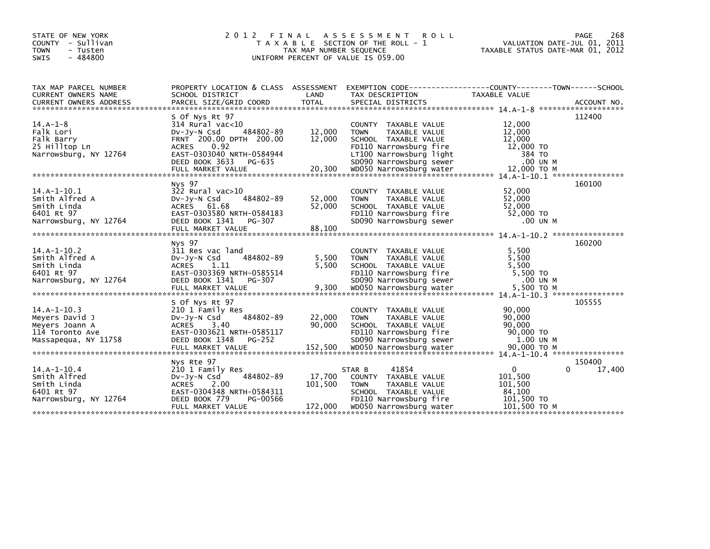| STATE OF NEW YORK<br>COUNTY - Sullivan<br>TOWN<br>- Tusten<br>$-484800$<br><b>SWIS</b>       | 2 0 1 2<br>FINAL                                                                                                                                                                                    | TAX MAP NUMBER SEQUENCE      | A S S E S S M E N T<br><b>ROLL</b><br>T A X A B L E SECTION OF THE ROLL - 1<br>UNIFORM PERCENT OF VALUE IS 059.00                                                                       | TAXABLE STATUS DATE-MAR 01, 2012                                             | 268<br>PAGE<br>VALUATION DATE-JUL 01, 2011 |
|----------------------------------------------------------------------------------------------|-----------------------------------------------------------------------------------------------------------------------------------------------------------------------------------------------------|------------------------------|-----------------------------------------------------------------------------------------------------------------------------------------------------------------------------------------|------------------------------------------------------------------------------|--------------------------------------------|
| TAX MAP PARCEL NUMBER<br>CURRENT OWNERS NAME<br><b>CURRENT OWNERS ADDRESS</b>                | PROPERTY LOCATION & CLASS ASSESSMENT<br>SCHOOL DISTRICT<br>PARCEL SIZE/GRID COORD                                                                                                                   | LAND<br>TOTAL                | TAX DESCRIPTION<br>SPECIAL DISTRICTS                                                                                                                                                    | TAXABLE VALUE                                                                | ACCOUNT NO.                                |
| $14.A-1-8$<br>Falk Lori<br>Falk Barry<br>25 Hilltop Ln<br>Narrowsburg, NY 12764              | S Of Nys Rt 97<br>$314$ Rural vac<10<br>484802-89<br>$Dv-Jy-N$ Csd<br>FRNT 200.00 DPTH 200.00<br>0.92<br><b>ACRES</b><br>EAST-0303040 NRTH-0584944<br>DEED BOOK 3633<br>PG-635<br>FULL MARKET VALUE | 12,000<br>12,000<br>20,300   | COUNTY TAXABLE VALUE<br><b>TOWN</b><br>TAXABLE VALUE<br>SCHOOL TAXABLE VALUE<br>FD110 Narrowsburg fire<br>LT100 Narrowsburg light<br>SD090 Narrowsburg sewer<br>WD050 Narrowsburg water | 12,000<br>12,000<br>12,000<br>12,000 TO<br>384 TO<br>.00 UN M<br>12,000 TO M | 112400                                     |
| $14.A-1-10.1$<br>Smith Alfred A<br>Smith Linda<br>6401 Rt 97<br>Narrowsburg, NY 12764        | Nys 97<br>$322$ Rural vac $>10$<br>484802-89<br>$Dv-Jv-N$ Csd<br>ACRES 61.68<br>EAST-0303580 NRTH-0584183<br>DEED BOOK 1341<br>PG-307                                                               | 52,000<br>52,000             | <b>COUNTY</b><br>TAXABLE VALUE<br><b>TOWN</b><br>TAXABLE VALUE<br>SCHOOL TAXABLE VALUE<br>FD110 Narrowsburg fire<br>SD090 Narrowsburg sewer                                             | 52,000<br>52,000<br>52,000<br>52,000 TO<br>.00 UN M                          | 160100                                     |
| $14.A-1-10.2$<br>Smith Alfred A<br>Smith Linda<br>6401 Rt 97<br>Narrowsburg, NY 12764        | Nys 97<br>311 Res vac land<br>484802-89<br>$Dv-Jy-N$ Csd<br>ACRES<br>- 1.11<br>EAST-0303369 NRTH-0585514<br>DEED BOOK 1341<br>PG-307                                                                | 5,500<br>5.500               | COUNTY TAXABLE VALUE<br><b>TOWN</b><br>TAXABLE VALUE<br>SCHOOL TAXABLE VALUE<br>FD110 Narrowsburg fire<br>SD090 Narrowsburg sewer                                                       | 5,500<br>5,500<br>5,500<br>5,500 TO<br>.00 UN M                              | 160200                                     |
| $14.A-1-10.3$<br>Meyers David J<br>Meyers Joann A<br>114 Toronto Ave<br>Massapequa, NY 11758 | S Of Nys Rt 97<br>210 1 Family Res<br>484802-89<br>DV-Jy-N Csd<br>3.40<br>ACRES<br>EAST-0303621 NRTH-0585117<br>DEED BOOK 1348<br>PG-252                                                            | 22,000<br>90,000             | COUNTY TAXABLE VALUE<br><b>TOWN</b><br>TAXABLE VALUE<br>SCHOOL TAXABLE VALUE<br>FD110 Narrowsburg fire<br>SD090 Narrowsburg sewer                                                       | 90,000<br>90,000<br>90,000<br>90,000 TO<br>1.00 UN M                         | 105555                                     |
| $14.A-1-10.4$<br>Smith Alfred<br>Smith Linda<br>6401 Rt 97<br>Narrowsburg, NY 12764          | Nys Rte 97<br>210 1 Family Res<br>484802-89<br>DV-Jy-N Csd<br>ACRES 2.00<br>EAST-0304348 NRTH-0584311<br>DEED BOOK 779<br>PG-00566<br>FULL MARKET VALUE                                             | 17,700<br>101,500<br>172,000 | 41854<br>STAR B<br>COUNTY TAXABLE VALUE<br><b>TOWN</b><br>TAXABLE VALUE<br>SCHOOL TAXABLE VALUE<br>FD110 Narrowsburg fire<br>WD050 Narrowsburg water                                    | 0<br>101,500<br>101,500<br>84,100<br>101,500 TO<br>101,500 ТО М              | 150400<br>17,400<br>0                      |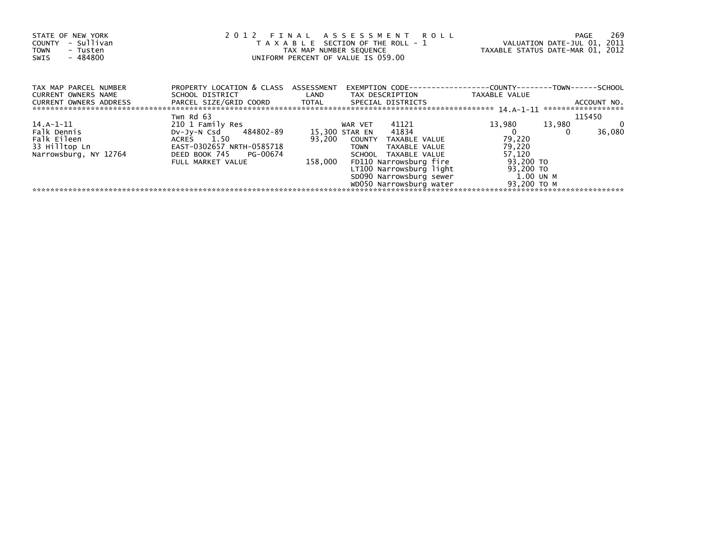| STATE OF NEW YORK<br>COUNTY - Sullivan<br>- Tusten<br>TOWN<br>- 484800<br>SWIS | 2012 FINAL ASSESSMENT ROLL<br>T A X A B L E SECTION OF THE ROLL - 1<br>TAX MAP NUMBER SEQUENCE<br>UNIFORM PERCENT OF VALUE IS 059.00 | VALUATION DATE-JUL 01, 2011<br>TAXABLE STATUS DATE-MAR 01, 2012 | 269<br>PAGE                       |                  |                                    |
|--------------------------------------------------------------------------------|--------------------------------------------------------------------------------------------------------------------------------------|-----------------------------------------------------------------|-----------------------------------|------------------|------------------------------------|
| TAX MAP PARCEL NUMBER<br><b>CURRENT OWNERS NAME</b>                            | PROPERTY LOCATION & CLASS ASSESSMENT<br>SCHOOL DISTRICT                                                                              | <b>Example 18 The LAND</b>                                      | TAX DESCRIPTION                   | TAXABLE VALUE    |                                    |
| CURRENT OWNERS ADDRESS                                                         | PARCEL SIZE/GRID COORD TOTAL SPECIAL DISTRICTS                                                                                       |                                                                 |                                   |                  | ACCOUNT NO.<br>******************* |
|                                                                                | Twn Rd 63                                                                                                                            |                                                                 |                                   |                  | 115450                             |
| 14.A-1-11                                                                      | 210 1 Family Res                                                                                                                     |                                                                 | 41121<br>WAR VET                  | 13,980<br>13,980 | 0<br>36,080                        |
| Falk Dennis                                                                    | DV-Jy-N Csd 484802-89                                                                                                                |                                                                 | 15,300 STAR EN 41834              |                  |                                    |
| Falk Eileen                                                                    | ACRES 1.50                                                                                                                           | 93,200                                                          | COUNTY TAXABLE VALUE              | 79,220           |                                    |
| 33 Hilltop Ln                                                                  | EAST-0302657 NRTH-0585718                                                                                                            |                                                                 | <b>TOWN</b><br>TAXABLE VALUE      | 79,220           |                                    |
| Narrowsburg, NY 12764                                                          | DEED BOOK 745 PG-00674                                                                                                               |                                                                 | SCHOOL TAXABLE VALUE              | 57,120           |                                    |
|                                                                                | FULL MARKET VALUE                                                                                                                    | 158,000                                                         | FD110 Narrowsburg fire            | 93,200 TO        |                                    |
|                                                                                |                                                                                                                                      |                                                                 | LT100 Narrowsburg light           | 93,200 TO        |                                    |
|                                                                                |                                                                                                                                      |                                                                 | SD090 Narrowsburg sewer 1.00 UN M |                  |                                    |
|                                                                                |                                                                                                                                      |                                                                 | WD050 Narrowsburg water           | 93,200 TO M      |                                    |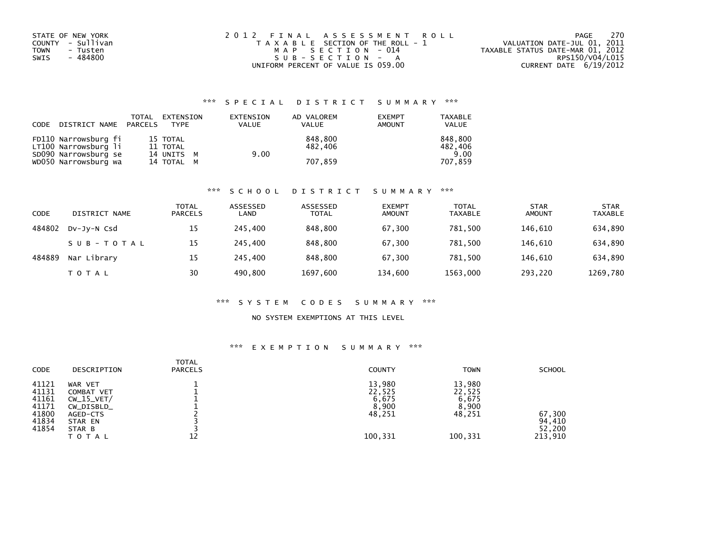| STATE OF NEW YORK       | 2012 FINAL ASSESSMENT ROLL            | - 270<br>PAGE                    |
|-------------------------|---------------------------------------|----------------------------------|
| COUNTY - Sullivan       | T A X A B L E SECTION OF THE ROLL - 1 | VALUATION DATE-JUL 01, 2011      |
| <b>TOWN</b><br>- Tusten | MAP SECTION - 014                     | TAXABLE STATUS DATE-MAR 01, 2012 |
| - 484800<br>SWIS        | SUB-SECTION - A                       | RPS150/V04/L015                  |
|                         | UNIFORM PERCENT OF VALUE IS 059.00    | CURRENT DATE 6/19/2012           |

## \*\*\* S P E C I A L D I S T R I C T S U M M A R Y \*\*\*

| CODE | DISTRICT NAME PARCELS | TOTAL | EXTENSION<br>TYPE | EXTENSION<br><b>VALUE</b> | AD VALOREM<br><b>VALUE</b> | <b>EXEMPT</b><br><b>AMOUNT</b> | <b>TAXABLE</b><br><b>VALUE</b> |
|------|-----------------------|-------|-------------------|---------------------------|----------------------------|--------------------------------|--------------------------------|
|      | FD110 Narrowsburg fi  |       | 15 TOTAL          |                           | 848,800                    |                                | 848,800                        |
|      | LT100 Narrowsburg li  |       | 11 TOTAL          |                           | 482.406                    |                                | 482,406                        |
|      | SD090 Narrowsburg se  |       | 14 UNITS M        | 9.00                      |                            |                                | 9.00                           |
|      | WD050 Narrowsburg wa  |       | 14 TOTAL M        |                           | 707,859                    |                                | 707.859                        |

#### \*\*\* S C H O O L D I S T R I C T S U M M A R Y \*\*\*

| CODE   | DISTRICT NAME | <b>TOTAL</b><br><b>PARCELS</b> | ASSESSED<br>LAND | ASSESSED<br><b>TOTAL</b> | <b>EXEMPT</b><br><b>AMOUNT</b> | <b>TOTAL</b><br><b>TAXABLE</b> | <b>STAR</b><br><b>AMOUNT</b> | <b>STAR</b><br><b>TAXABLE</b> |
|--------|---------------|--------------------------------|------------------|--------------------------|--------------------------------|--------------------------------|------------------------------|-------------------------------|
| 484802 | DV-Jy-N Csd   | 15                             | 245,400          | 848,800                  | 67,300                         | 781.500                        | 146,610                      | 634,890                       |
|        | SUB-TOTAL     | 15                             | 245.400          | 848,800                  | 67,300                         | 781.500                        | 146.610                      | 634,890                       |
| 484889 | Nar Library   | 15                             | 245,400          | 848,800                  | 67,300                         | 781.500                        | 146.610                      | 634,890                       |
|        | T O T A L     | 30                             | 490.800          | 1697,600                 | 134,600                        | 1563,000                       | 293,220                      | 1269,780                      |

#### \*\*\* S Y S T E M C O D E S S U M M A R Y \*\*\*

#### NO SYSTEM EXEMPTIONS AT THIS LEVEL

#### \*\*\* E X E M P T I O N S U M M A R Y \*\*\*

| <b>CODE</b>                                                 | DESCRIPTION                                                                                   | <b>TOTAL</b><br><b>PARCELS</b> | <b>COUNTY</b>                                           | <b>TOWN</b>                                             | <b>SCHOOL</b>                         |
|-------------------------------------------------------------|-----------------------------------------------------------------------------------------------|--------------------------------|---------------------------------------------------------|---------------------------------------------------------|---------------------------------------|
| 41121<br>41131<br>41161<br>41171<br>41800<br>41834<br>41854 | WAR VET<br>COMBAT VET<br>$CW_15_VET/$<br>CW_DISBLD_<br>AGED-CTS<br>STAR EN<br>STAR B<br>TOTAL |                                | 13,980<br>22,525<br>6,675<br>8,900<br>48,251<br>100,331 | 13,980<br>22,525<br>6,675<br>8,900<br>48,251<br>100,331 | 67,300<br>94,410<br>52,200<br>213,910 |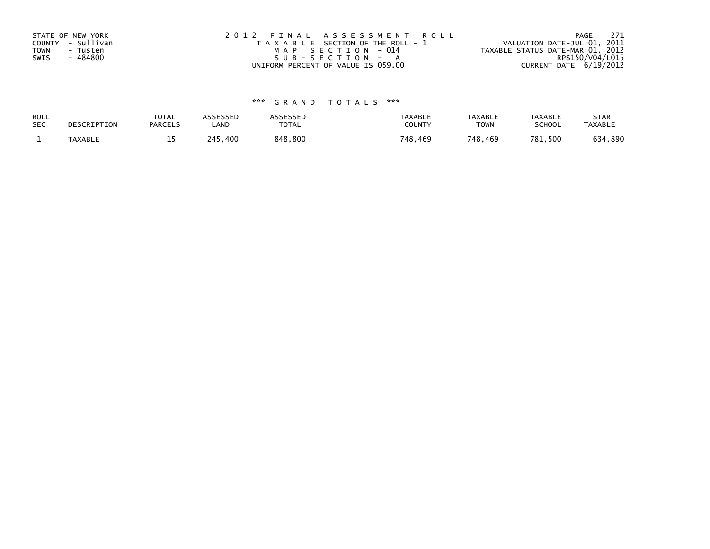| STATE OF NEW YORK       | 2012 FINAL ASSESSMENT ROLL            | 271<br>PAGE                      |
|-------------------------|---------------------------------------|----------------------------------|
| COUNTY - Sullivan       | T A X A B L E SECTION OF THE ROLL - 1 | VALUATION DATE-JUL 01, 2011      |
| <b>TOWN</b><br>- Tusten | MAP SECTION - 014                     | TAXABLE STATUS DATE-MAR 01, 2012 |
| - 484800<br>SWIS        | SUB-SECTION - A                       | RPS150/V04/L015                  |
|                         | UNIFORM PERCENT OF VALUE IS 059.00    | CURRENT DATE 6/19/2012           |

# \*\*\* G R A N D T O T A L S \*\*\*

| ROLL       | DESCRIPTION | <b>TOTAL</b>   | ASSESSED | <b>ASSESSED</b> | <b>TAXABLE</b> | <b>TAXABLE</b> | <b>TAXABLE</b> | <b>STAR</b>    |
|------------|-------------|----------------|----------|-----------------|----------------|----------------|----------------|----------------|
| <b>SEC</b> |             | <b>PARCELS</b> | ∟AND     | TOTAL           | <b>COUNTY</b>  | TOWN           | <b>SCHOOL</b>  | <b>TAXABLE</b> |
|            | TAXABLE     | <b>. .</b>     | 245,400  | 848,800         | 748.469        | 748,469        | 781,500        | 634,890        |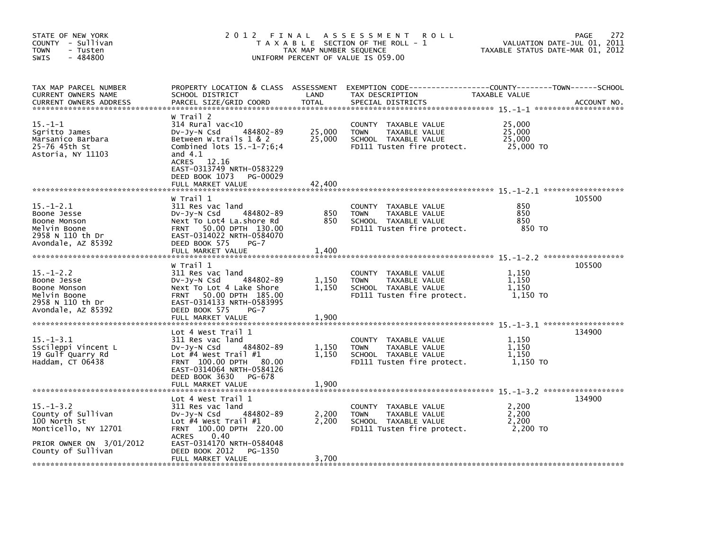| STATE OF NEW YORK<br>COUNTY - Sullivan<br><b>TOWN</b><br>- Tusten<br>$-484800$<br><b>SWIS</b>                                   | 2012                                                                                                                                                                                                                              | FINAL<br>TAX MAP NUMBER SEQUENCE | A S S E S S M E N T<br><b>ROLL</b><br>T A X A B L E SECTION OF THE ROLL - 1<br>UNIFORM PERCENT OF VALUE IS 059.00    | VALUATION DATE-JUL 01, 2011<br>TAXABLE STATUS DATE-MAR 01, 2012 | 272<br>PAGE |
|---------------------------------------------------------------------------------------------------------------------------------|-----------------------------------------------------------------------------------------------------------------------------------------------------------------------------------------------------------------------------------|----------------------------------|----------------------------------------------------------------------------------------------------------------------|-----------------------------------------------------------------|-------------|
| TAX MAP PARCEL NUMBER<br>CURRENT OWNERS NAME<br><b>CURRENT OWNERS ADDRESS</b>                                                   | PROPERTY LOCATION & CLASS ASSESSMENT<br>SCHOOL DISTRICT<br>PARCEL SIZE/GRID COORD                                                                                                                                                 | LAND<br><b>TOTAL</b>             | TAX DESCRIPTION<br>SPECIAL DISTRICTS                                                                                 | TAXABLE VALUE                                                   | ACCOUNT NO. |
| $15. - 1 - 1$<br>Saritto James<br>Marsanico Barbara<br>25-76 45th St<br>Astoria, NY 11103                                       | W Trail 2<br>314 Rural vac<10<br>484802-89<br>DV-Jy-N Csd<br>Between W.trails 1 & 2<br>Combined lots $15.-1-7;6;4$<br>and $4.1$<br>ACRES 12.16<br>EAST-0313749 NRTH-0583229<br>DEED BOOK 1073<br>PG-00029<br>FULL MARKET VALUE    | 25,000<br>25,000<br>42.400       | COUNTY TAXABLE VALUE<br>TAXABLE VALUE<br><b>TOWN</b><br>SCHOOL TAXABLE VALUE<br>FD111 Tusten fire protect.           | 25,000<br>25,000<br>25,000<br>25,000 TO                         |             |
| $15. - 1 - 2.1$<br>Boone Jesse<br>Boone Monson<br>Melvin Boone<br>2958 N 110 th Dr<br>Avondale, AZ 85392                        | W Trail 1<br>311 Res vac land<br>484802-89<br>$Dv-Jy-N$ Csd<br>Next To Lot4 La.shore Rd<br>50.00 DPTH 130.00<br>FRNT<br>EAST-0314022 NRTH-0584070<br>DEED BOOK 575<br>PG-7<br>FULL MARKET VALUE                                   | 850<br>850<br>1,400              | COUNTY<br>TAXABLE VALUE<br>TAXABLE VALUE<br><b>TOWN</b><br>SCHOOL TAXABLE VALUE<br>FD111 Tusten fire protect.        | 850<br>850<br>850<br>850 TO                                     | 105500      |
| $15. - 1 - 2.2$<br>Boone Jesse<br>Boone Monson<br>Melvin Boone<br>2958 N 110 th Dr<br>Avondale, AZ 85392                        | W Trail 1<br>311 Res vac land<br>$Dv-Jv-N$ Csd<br>484802-89<br>Next To Lot 4 Lake Shore<br>50.00 DPTH 185.00<br><b>FRNT</b><br>EAST-0314133 NRTH-0583995<br>DEED BOOK 575<br>$PG-7$<br>FULL MARKET VALUE                          | 1,150<br>1,150<br>1,900          | TAXABLE VALUE<br>COUNTY<br><b>TOWN</b><br>TAXABLE VALUE<br>SCHOOL TAXABLE VALUE<br>FD111 Tusten fire protect.        | 1,150<br>1,150<br>1,150<br>1,150 TO                             | 105500      |
| $15. - 1 - 3.1$<br>Sscileppi Vincent L<br>19 Gulf Quarry Rd<br>Haddam, CT 06438                                                 | Lot 4 West Trail 1<br>311 Res vac land<br>484802-89<br>$Dv-Jv-N$ Csd<br>Lot #4 West $Train  #1$<br>FRNT 100.00 DPTH<br>80.00<br>EAST-0314064 NRTH-0584126<br>DEED BOOK 3630<br>PG-678<br>FULL MARKET VALUE                        | 1,150<br>1,150<br>1,900          | TAXABLE VALUE<br><b>COUNTY</b><br>TAXABLE VALUE<br><b>TOWN</b><br>SCHOOL TAXABLE VALUE<br>FD111 Tusten fire protect. | 1,150<br>1,150<br>1,150<br>1,150 TO                             | 134900      |
| $15. - 1 - 3.2$<br>County of Sullivan<br>100 North St<br>Monticello, NY 12701<br>PRIOR OWNER ON 3/01/2012<br>County of Sullivan | Lot 4 West Trail 1<br>311 Res vac land<br>$Dv-Jy-N$ Csd<br>484802-89<br>Lot #4 West $Train1$ #1<br>FRNT 100.00 DPTH 220.00<br><b>ACRES</b><br>0.40<br>EAST-0314170 NRTH-0584048<br>DEED BOOK 2012<br>PG-1350<br>FULL MARKET VALUE | 2,200<br>2,200<br>3,700          | COUNTY TAXABLE VALUE<br>TAXABLE VALUE<br><b>TOWN</b><br>SCHOOL TAXABLE VALUE<br>FD111 Tusten fire protect.           | 2,200<br>2,200<br>2.200<br>2,200 TO                             | 134900      |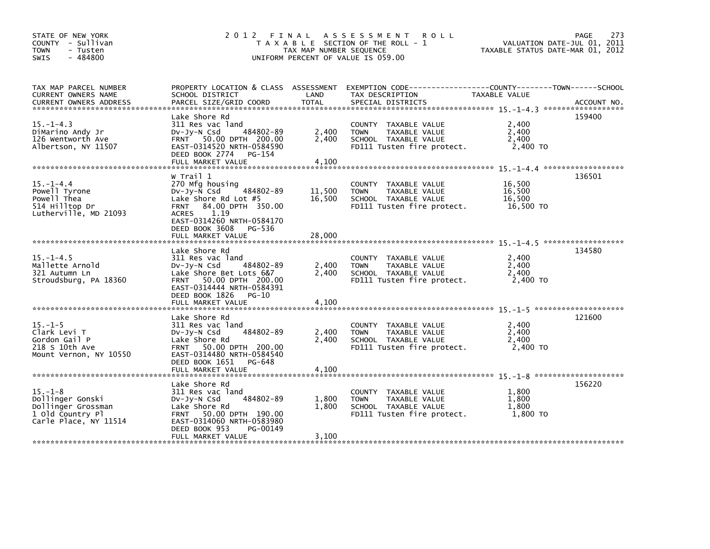| STATE OF NEW YORK<br>COUNTY - Sullivan<br><b>TOWN</b><br>- Tusten<br>$-484800$<br><b>SWIS</b>        | 2012 FINAL ASSESSMENT ROLL                                                                                                                                              | T A X A B L E SECTION OF THE ROLL - 1<br>TAX MAP NUMBER SEQUENCE<br>UNIFORM PERCENT OF VALUE IS 059.00 | 273<br>PAGE<br>VALUATION DATE-JUL 01, 2011<br>TAXABLE STATUS DATE-MAR 01, 2012                                                         |                                         |             |
|------------------------------------------------------------------------------------------------------|-------------------------------------------------------------------------------------------------------------------------------------------------------------------------|--------------------------------------------------------------------------------------------------------|----------------------------------------------------------------------------------------------------------------------------------------|-----------------------------------------|-------------|
| TAX MAP PARCEL NUMBER<br>CURRENT OWNERS NAME<br><b>CURRENT OWNERS ADDRESS</b>                        | SCHOOL DISTRICT<br>PARCEL SIZE/GRID COORD                                                                                                                               | LAND<br><b>TOTAL</b>                                                                                   | PROPERTY LOCATION & CLASS ASSESSMENT EXEMPTION CODE---------------COUNTY-------TOWN-----SCHOOL<br>TAX DESCRIPTION<br>SPECIAL DISTRICTS | TAXABLE VALUE                           | ACCOUNT NO. |
|                                                                                                      |                                                                                                                                                                         |                                                                                                        |                                                                                                                                        |                                         |             |
| $15. - 1 - 4.3$<br>DiMarino Andy Jr<br>126 Wentworth Ave<br>Albertson, NY 11507                      | Lake Shore Rd<br>311 Res vac land<br>484802-89<br>$Dv-Jy-N$ Csd<br>FRNT 50.00 DPTH 200.00<br>EAST-0314520 NRTH-0584590<br>DEED BOOK 2774 PG-154                         | 2,400<br>2,400                                                                                         | COUNTY TAXABLE VALUE<br><b>TOWN</b><br>TAXABLE VALUE<br>SCHOOL TAXABLE VALUE<br>FD111 Tusten fire protect.                             | 2,400<br>2,400<br>2,400<br>2,400 TO     | 159400      |
|                                                                                                      | W Trail 1                                                                                                                                                               |                                                                                                        |                                                                                                                                        |                                         | 136501      |
| $15. - 1 - 4.4$<br>Powell Tyrone<br>Powell Thea<br>514 Hilltop Dr<br>Lutherville, MD 21093           | 270 Mfg housing<br>$484802 - 89$<br>$Dv-Jy-\bar{N}$ Csd<br>Lake Shore Rd Lot $#5$<br>84.00 DPTH 350.00<br><b>FRNT</b><br>1.19<br><b>ACRES</b>                           | 11,500<br>16,500                                                                                       | COUNTY TAXABLE VALUE<br><b>TOWN</b><br>TAXABLE VALUE<br>SCHOOL TAXABLE VALUE<br>FD111 Tusten fire protect.                             | 16,500<br>16,500<br>16,500<br>16,500 TO |             |
|                                                                                                      | EAST-0314260 NRTH-0584170<br>DEED BOOK 3608<br>PG-536                                                                                                                   |                                                                                                        |                                                                                                                                        |                                         |             |
| $15. - 1 - 4.5$<br>Mallette Arnold<br>321 Autumn Ln<br>Stroudsburg, PA 18360                         | Lake Shore Rd<br>311 Res vac land<br>484802-89<br>DV-Jy-N Csd<br>Lake Shore Bet Lots 6&7<br>FRNT 50.00 DPTH 200.00<br>EAST-0314444 NRTH-0584391<br>DEED BOOK 1826 PG-10 | 2,400<br>2,400                                                                                         | COUNTY TAXABLE VALUE<br><b>TOWN</b><br>TAXABLE VALUE<br>SCHOOL TAXABLE VALUE<br>FD111 Tusten fire protect.                             | 2,400<br>2,400<br>2,400<br>2,400 TO     | 134580      |
|                                                                                                      |                                                                                                                                                                         |                                                                                                        |                                                                                                                                        |                                         |             |
| $15. - 1 - 5$                                                                                        | Lake Shore Rd                                                                                                                                                           |                                                                                                        |                                                                                                                                        | 2,400                                   | 121600      |
| Clark Levi T<br>Gordon Gail P<br>218 S 10th Ave<br>Mount Vernon, NY 10550                            | 311 Res vac land<br>484802-89<br>DV-Jy-N Csd<br>Lake Shore Rd<br>FRNT 50.00 DPTH 200.00<br>EAST-0314480 NRTH-0584540<br>DEED BOOK 1651 PG-648                           | 2,400<br>2,400                                                                                         | COUNTY TAXABLE VALUE<br><b>TOWN</b><br>TAXABLE VALUE<br>SCHOOL TAXABLE VALUE<br>FD111 Tusten fire protect.                             | 2,400<br>2,400<br>2,400 TO              |             |
|                                                                                                      | FULL MARKET VALUE                                                                                                                                                       | 4,100                                                                                                  |                                                                                                                                        |                                         |             |
| $15. - 1 - 8$<br>Dollinger Gonski<br>Dollinger Grossman<br>1 old Country Pl<br>Carle Place, NY 11514 | Lake Shore Rd<br>311 Res vac land<br>484802-89<br>$Dv-Jy-N$ Csd<br>Lake Shore Rd<br>FRNT 50.00 DPTH 190.00<br>EAST-0314060 NRTH-0583980                                 | 1,800<br>1,800                                                                                         | COUNTY TAXABLE VALUE<br><b>TOWN</b><br>TAXABLE VALUE<br>SCHOOL TAXABLE VALUE<br>FD111 Tusten fire protect.                             | 1,800<br>1,800<br>1,800<br>1.800 TO     | 156220      |
|                                                                                                      | DEED BOOK 953<br>PG-00149<br>FULL MARKET VALUE                                                                                                                          | 3,100                                                                                                  |                                                                                                                                        |                                         |             |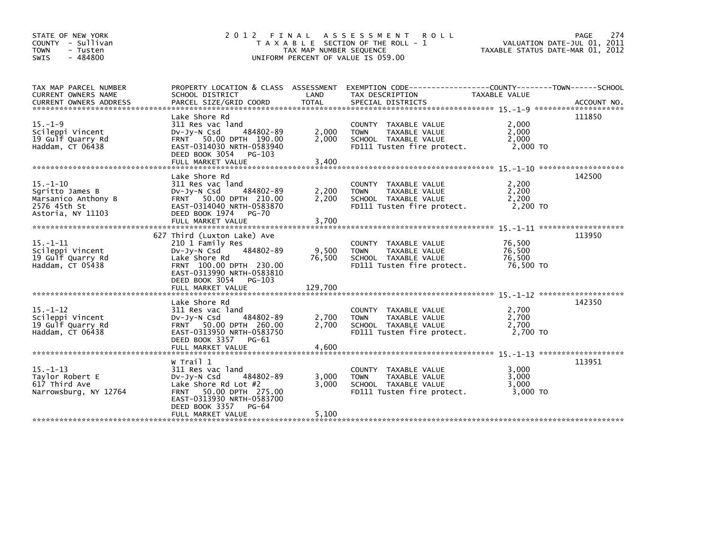| STATE OF NEW YORK<br>COUNTY - Sullivan<br><b>TOWN</b><br>- Tusten<br>$-484800$<br><b>SWIS</b> |                                                                                                                                                                                                      | TAX MAP NUMBER SEQUENCE    | 2012 FINAL ASSESSMENT<br><b>ROLL</b><br>T A X A B L E SECTION OF THE ROLL - 1<br>UNIFORM PERCENT OF VALUE IS 059.00  | VALUATION DATE-JUL 01, 2011<br>TAXABLE STATUS DATE-MAR 01, 2012 | 274<br>PAGE |
|-----------------------------------------------------------------------------------------------|------------------------------------------------------------------------------------------------------------------------------------------------------------------------------------------------------|----------------------------|----------------------------------------------------------------------------------------------------------------------|-----------------------------------------------------------------|-------------|
| TAX MAP PARCEL NUMBER<br>CURRENT OWNERS NAME                                                  | SCHOOL DISTRICT                                                                                                                                                                                      | LAND                       | PROPERTY LOCATION & CLASS ASSESSMENT EXEMPTION CODE---------------COUNTY-------TOWN------SCHOOL<br>TAX DESCRIPTION   | TAXABLE VALUE                                                   |             |
| $15. - 1 - 9$<br>Scileppi Vincent<br>19 Gulf Quarry Rd<br>Haddam, CT 06438                    | Lake Shore Rd<br>311 Res vac land<br>484802-89<br>$Dv-Jy-N$ Csd<br>FRNT 50.00 DPTH 190.00<br>EAST-0314030 NRTH-0583940<br>DEED BOOK 3054 PG-103<br>FULL MARKET VALUE                                 | 2,000<br>2,000<br>3,400    | COUNTY TAXABLE VALUE<br>TAXABLE VALUE<br><b>TOWN</b><br>SCHOOL TAXABLE VALUE<br>FD111 Tusten fire protect.           | 2,000<br>2.000<br>2,000<br>2,000 TO                             | 111850      |
| $15. - 1 - 10$<br>Sgritto James B<br>Marsanico Anthony B<br>2576 45th St<br>Astoria, NY 11103 | Lake Shore Rd<br>311 Res vac land<br>484802-89<br>DV-Jy-N Csd<br>FRNT 50.00 DPTH 210.00<br>EAST-0314040 NRTH-0583870<br>DEED BOOK 1974<br><b>PG-70</b><br>FULL MARKET VALUE                          | 2,200<br>2,200<br>3,700    | COUNTY TAXABLE VALUE<br>TAXABLE VALUE<br><b>TOWN</b><br>SCHOOL TAXABLE VALUE<br>FD111 Tusten fire protect.           | 2,200<br>2,200<br>2,200<br>2,200 TO                             | 142500      |
| $15. - 1 - 11$<br>Scileppi Vincent<br>19 Gulf Quarry Rd<br>Haddam, CT 05438                   | 627 Third (Luxton Lake) Ave<br>210 1 Family Res<br>484802-89<br>Dv-Jy-N Csd<br>Lake Shore Rd<br>FRNT 100.00 DPTH 230.00<br>EAST-0313990 NRTH-0583810<br>DEED BOOK 3054 PG-103<br>FULL MARKET VALUE   | 9,500<br>76,500<br>129,700 | <b>COUNTY</b><br>TAXABLE VALUE<br><b>TOWN</b><br>TAXABLE VALUE<br>SCHOOL TAXABLE VALUE<br>FD111 Tusten fire protect. | 76,500<br>76,500<br>76,500<br>76,500 TO                         | 113950      |
| $15. - 1 - 12$<br>Scileppi Vincent<br>19 Gulf Quarry Rd<br>Haddam, CT 06438                   | Lake Shore Rd<br>311 Res vac land<br>484802-89<br>DV-Jy-N Csd<br>FRNT 50.00 DPTH 260.00<br>EAST-0313950 NRTH-0583750<br>DEED BOOK 3357<br>PG-61<br>FULL MARKET VALUE                                 | 2,700<br>2,700<br>4.600    | COUNTY TAXABLE VALUE<br>TAXABLE VALUE<br><b>TOWN</b><br>SCHOOL TAXABLE VALUE<br>FD111 Tusten fire protect.           | 2,700<br>2,700<br>2.700<br>2,700 TO                             | 142350      |
| $15. - 1 - 13$<br>Taylor Robert E<br>617 Third Ave<br>Narrowsburg, NY 12764                   | W Trail 1<br>311 Res vac land<br>484802-89<br>DV-Jy-N Csd<br>Lake Shore Rd Lot $#2$<br>50.00 DPTH 275.00<br><b>FRNT</b><br>EAST-0313930 NRTH-0583700<br>DEED BOOK 3357<br>PG-64<br>FULL MARKET VALUE | 3,000<br>3.000<br>5,100    | COUNTY TAXABLE VALUE<br><b>TOWN</b><br>TAXABLE VALUE<br>SCHOOL TAXABLE VALUE<br>FD111 Tusten fire protect.           | 3.000<br>3,000<br>3.000<br>3,000 TO                             | 113951      |
|                                                                                               |                                                                                                                                                                                                      |                            |                                                                                                                      |                                                                 |             |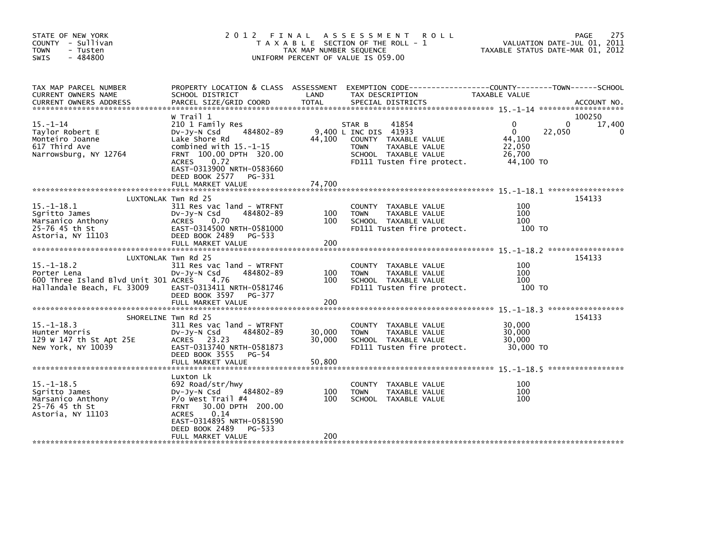| STATE OF NEW YORK<br>COUNTY - Sullivan<br><b>TOWN</b><br>- Tusten<br>$-484800$<br>SWIS                | 2 0 1 2                                                                                                                                                                                                                              | FINAL<br>TAX MAP NUMBER SEQUENCE | A S S E S S M E N T<br><b>ROLL</b><br>T A X A B L E SECTION OF THE ROLL - 1<br>UNIFORM PERCENT OF VALUE IS 059.00                                      | TAXABLE STATUS DATE-MAR 01, 2012                                | 275<br>PAGE<br>VALUATION DATE-JUL 01, 2011  |
|-------------------------------------------------------------------------------------------------------|--------------------------------------------------------------------------------------------------------------------------------------------------------------------------------------------------------------------------------------|----------------------------------|--------------------------------------------------------------------------------------------------------------------------------------------------------|-----------------------------------------------------------------|---------------------------------------------|
| TAX MAP PARCEL NUMBER<br>CURRENT OWNERS NAME<br><b>CURRENT OWNERS ADDRESS</b>                         | PROPERTY LOCATION & CLASS ASSESSMENT<br>SCHOOL DISTRICT<br>PARCEL SIZE/GRID COORD                                                                                                                                                    | LAND<br><b>TOTAL</b>             | EXEMPTION CODE-----------------COUNTY-------TOWN------SCHOOL<br>TAX DESCRIPTION<br>SPECIAL DISTRICTS                                                   | TAXABLE VALUE                                                   | ACCOUNT NO.                                 |
| $15. - 1 - 14$<br>Taylor Robert E<br>Monteiro Joanne<br>617 Third Ave<br>Narrowsburg, NY 12764        | W Trail 1<br>210 1 Family Res<br>484802-89<br>DV-Jy-N Csd<br>Lake Shore Rd<br>combined with $15.-1-15$<br>FRNT 100.00 DPTH 320.00<br>0.72<br><b>ACRES</b><br>EAST-0313900 NRTH-0583660<br>DEED BOOK 2577 PG-331<br>FULL MARKET VALUE | 44,100<br>74,700                 | 41854<br>STAR B<br>9,400 L INC DIS 41933<br>COUNTY TAXABLE VALUE<br>TAXABLE VALUE<br><b>TOWN</b><br>SCHOOL TAXABLE VALUE<br>FD111 Tusten fire protect. | $\Omega$<br>$\Omega$<br>44,100<br>22,050<br>26.700<br>44,100 TO | 100250<br>17,400<br>$\Omega$<br>22,050<br>0 |
| $15. - 1 - 18.1$<br>Sgritto James<br>Marsanico Anthony<br>25-76 45 th St<br>Astoria, NY 11103         | LUXTONLAK Twn Rd 25<br>311 Res vac land - WTRFNT<br>$Dv-Jy-N$ Csd<br>484802-89<br>ACRES<br>0.70<br>EAST-0314500 NRTH-0581000<br>DEED BOOK 2489<br>PG-533<br>FULL MARKET VALUE                                                        | 100<br>100<br>200                | COUNTY TAXABLE VALUE<br>TAXABLE VALUE<br><b>TOWN</b><br>SCHOOL TAXABLE VALUE<br>FD111 Tusten fire protect.                                             | 100<br>100<br>100<br>100 TO                                     | 154133                                      |
| $15. - 1 - 18.2$<br>Porter Lena<br>600 Three Island Blvd Unit 301 ACRES<br>Hallandale Beach, FL 33009 | LUXTONLAK Twn Rd 25<br>311 Res vac land - WTRFNT<br>DV-Jy-N Csd<br>484802-89<br>4.76<br>EAST-0313411 NRTH-0581746<br>DEED BOOK 3597 PG-377<br>FULL MARKET VALUE                                                                      | 100<br>100<br>200                | COUNTY TAXABLE VALUE<br><b>TOWN</b><br>TAXABLE VALUE<br>SCHOOL TAXABLE VALUE<br>FD111 Tusten fire protect.                                             | 100<br>100<br>100<br>100 TO                                     | 154133                                      |
| $15. -1 - 18.3$<br>Hunter Morris<br>129 W 147 th St Apt 25E<br>New York, NY 10039                     | SHORELINE Twn Rd 25<br>311 Res vac land - WTRFNT<br>484802-89<br>$Dv-Jy-N$ Csd<br>ACRES 23.23<br>EAST-0313740 NRTH-0581873<br>DEED BOOK 3555<br>PG-54<br>FULL MARKET VALUE                                                           | 30,000<br>30,000<br>50,800       | COUNTY TAXABLE VALUE<br>TAXABLE VALUE<br><b>TOWN</b><br>SCHOOL TAXABLE VALUE<br>FD111 Tusten fire protect.                                             | 30,000<br>30,000<br>30,000<br>30,000 TO                         | 154133                                      |
| $15. - 1 - 18.5$<br>Sgritto James<br>Marsanico Anthony<br>25-76 45 th St<br>Astoria, NY 11103         | Luxton Lk<br>692 Road/str/hwy<br>484802-89<br>DV-Jy-N Csd<br>$P/O$ West Trail #4<br>30.00 DPTH 200.00<br><b>FRNT</b><br>0.14<br><b>ACRES</b><br>EAST-0314895 NRTH-0581590<br>DEED BOOK 2489<br>PG-533<br>FULL MARKET VALUE           | 100<br>100<br>200                | TAXABLE VALUE<br>COUNTY<br><b>TOWN</b><br>TAXABLE VALUE<br>SCHOOL TAXABLE VALUE                                                                        | 100<br>100<br>100                                               |                                             |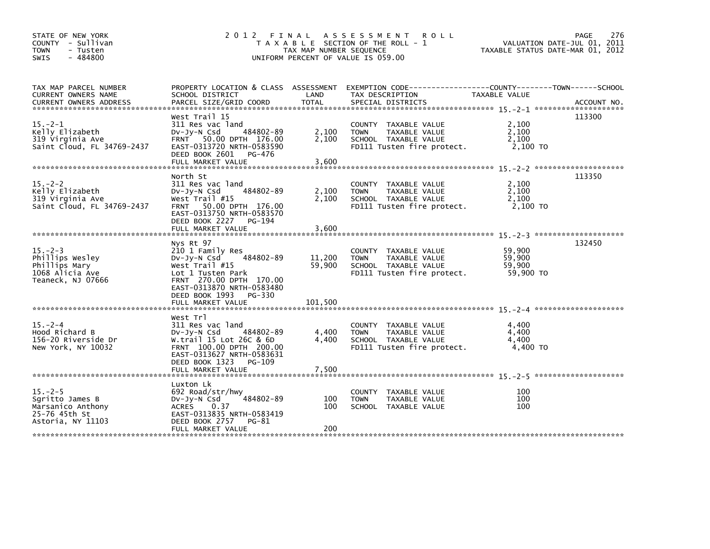| STATE OF NEW YORK<br>COUNTY - Sullivan<br>- Tusten<br><b>TOWN</b><br>$-484800$<br><b>SWIS</b> |                                                                                                                                                                                                           | TAX MAP NUMBER SEQUENCE     | 2012 FINAL ASSESSMENT ROLL<br>T A X A B L E SECTION OF THE ROLL - 1<br>UNIFORM PERCENT OF VALUE IS 059.00          | VALUATION DATE-JUL 01, 2011<br>TAXABLE STATUS DATE-MAR 01, 2012 | <b>PAGE</b><br>276 |
|-----------------------------------------------------------------------------------------------|-----------------------------------------------------------------------------------------------------------------------------------------------------------------------------------------------------------|-----------------------------|--------------------------------------------------------------------------------------------------------------------|-----------------------------------------------------------------|--------------------|
| TAX MAP PARCEL NUMBER<br>CURRENT OWNERS NAME                                                  | SCHOOL DISTRICT                                                                                                                                                                                           | LAND                        | PROPERTY LOCATION & CLASS ASSESSMENT EXEMPTION CODE---------------COUNTY-------TOWN------SCHOOL<br>TAX DESCRIPTION | TAXABLE VALUE                                                   |                    |
| $15. -2 - 1$<br>Kelly Elizabeth<br>319 Virginia Ave<br>Saint Cloud, FL 34769-2437             | West Trail 15<br>311 Res vac land<br>484802-89<br>DV-Jy-N Csd<br>FRNT 50.00 DPTH 176.00<br>EAST-0313720 NRTH-0583590<br>DEED BOOK 2601 PG-476<br>FULL MARKET VALUE                                        | 2,100<br>2,100<br>3,600     | COUNTY TAXABLE VALUE<br>TAXABLE VALUE<br><b>TOWN</b><br>SCHOOL TAXABLE VALUE<br>FD111 Tusten fire protect.         | 2,100<br>2,100<br>2,100<br>2,100 TO                             | 113300             |
| $15. -2 - 2$<br>Kelly Elizabeth<br>319 Virginia Ave<br>Saint Cloud, FL 34769-2437             | North St<br>311 Res vac land<br>484802-89<br>DV-Jy-N Csd<br>West Trail #15<br>50.00 DPTH 176.00<br><b>FRNT</b><br>EAST-0313750 NRTH-0583570<br>DEED BOOK 2227<br>PG-194<br>FULL MARKET VALUE              | 2,100<br>2,100<br>3,600     | COUNTY TAXABLE VALUE<br>TAXABLE VALUE<br><b>TOWN</b><br>SCHOOL TAXABLE VALUE<br>FD111 Tusten fire protect.         | 2,100<br>2.100<br>2,100<br>2,100 TO                             | 113350             |
| $15 - 2 - 3$<br>Phillips Wesley<br>Phillips Mary<br>1068 Alicia Ave<br>Teaneck, NJ 07666      | Nys Rt 97<br>210 1 Family Res<br>DV-Jy-N Csd<br>484802-89<br>West $Train  #15$<br>Lot 1 Tusten Park<br>FRNT 270.00 DPTH 170.00<br>EAST-0313870 NRTH-0583480<br>DEED BOOK 1993 PG-330<br>FULL MARKET VALUE | 11,200<br>59,900<br>101,500 | COUNTY TAXABLE VALUE<br>TAXABLE VALUE<br><b>TOWN</b><br>SCHOOL TAXABLE VALUE<br>FD111 Tusten fire protect.         | 59,900<br>59,900<br>59,900<br>59,900 TO                         | 132450             |
| $15. - 2 - 4$<br>Hood Richard B<br>156-20 Riverside Dr<br>New York, NY 10032                  | West Trl<br>311 Res vac land<br>484802-89<br>DV-Jy-N Csd<br>W.trail 15 Lot 26C & 6D<br>FRNT 100.00 DPTH 200.00<br>EAST-0313627 NRTH-0583631<br>DEED BOOK 1323<br>PG-109<br>FULL MARKET VALUE              | 4,400<br>4,400<br>7,500     | COUNTY TAXABLE VALUE<br>TAXABLE VALUE<br><b>TOWN</b><br>SCHOOL TAXABLE VALUE<br>FD111 Tusten fire protect.         | 4,400<br>4,400<br>4.400<br>4,400 TO                             |                    |
| $15. - 2 - 5$<br>Sqritto James B<br>Marsanico Anthony<br>25-76 45th St<br>Astoria, NY 11103   | Luxton Lk<br>692 Road/str/hwy<br>484802-89<br>$Dv-Jy-N$ Csd<br><b>ACRES</b><br>0.37<br>EAST-0313835 NRTH-0583419<br>DEED BOOK 2757<br>PG-81<br>FULL MARKET VALUE                                          | 100<br>100<br>200           | <b>COUNTY</b><br>TAXABLE VALUE<br><b>TOWN</b><br>TAXABLE VALUE<br>SCHOOL TAXABLE VALUE                             | 100<br>100<br>100                                               |                    |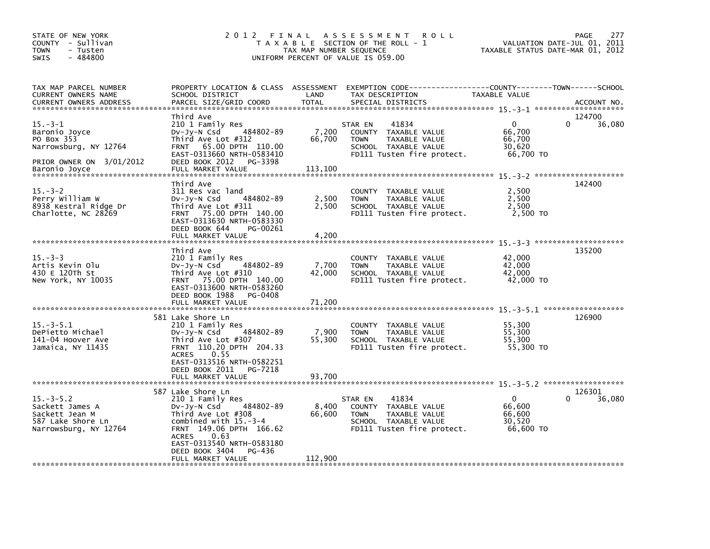| STATE OF NEW YORK<br>COUNTY - Sullivan<br><b>TOWN</b><br>- Tusten<br>$-484800$<br>SWIS                             | 2 0 1 2                                                                                                                                                                                                                                               | TAX MAP NUMBER SEQUENCE    | FINAL ASSESSMENT<br><b>ROLL</b><br>T A X A B L E SECTION OF THE ROLL - 1<br>UNIFORM PERCENT OF VALUE IS 059.00                           | VALUATION DATE-JUL 01, 2011<br>TAXABLE STATUS DATE-MAR 01, 2012 | 277<br><b>PAGE</b>           |
|--------------------------------------------------------------------------------------------------------------------|-------------------------------------------------------------------------------------------------------------------------------------------------------------------------------------------------------------------------------------------------------|----------------------------|------------------------------------------------------------------------------------------------------------------------------------------|-----------------------------------------------------------------|------------------------------|
| TAX MAP PARCEL NUMBER<br>CURRENT OWNERS NAME<br>CURRENT OWNERS ADDRESS<br>******************************           | PROPERTY LOCATION & CLASS ASSESSMENT<br>SCHOOL DISTRICT<br>PARCEL SIZE/GRID COORD                                                                                                                                                                     | LAND<br><b>TOTAL</b>       | EXEMPTION CODE-----------------COUNTY-------TOWN------SCHOOL<br>TAX DESCRIPTION<br>SPECIAL DISTRICTS                                     | TAXABLE VALUE                                                   | ACCOUNT NO.                  |
| $15. - 3 - 1$<br>Baronio Joyce<br>PO Box 353<br>Narrowsburg, NY 12764<br>PRIOR OWNER ON 3/01/2012<br>Baronio Joyce | Third Ave<br>210 1 Family Res<br>484802-89<br>DV-Jy-N Csd<br>Third Ave Lot #312<br>65.00 DPTH 110.00<br><b>FRNT</b><br>EAST-0313660 NRTH-0583410<br>DEED BOOK 2012 PG-3398<br>FULL MARKET VALUE                                                       | 7,200<br>66,700<br>113,100 | 41834<br>STAR EN<br>COUNTY TAXABLE VALUE<br>TAXABLE VALUE<br><b>TOWN</b><br>SCHOOL TAXABLE VALUE<br>FD111 Tusten fire protect.           | $\mathbf{0}$<br>66,700<br>66,700<br>30,620<br>66,700 TO         | 124700<br>$\Omega$<br>36,080 |
| $15. - 3 - 2$<br>Perry William W<br>8938 Kestral Ridge Dr<br>Charlotte, NC 28269                                   | Third Ave<br>311 Res vac land<br>484802-89<br>$Dv-Jy-N$ Csd<br>Third Ave Lot #311<br>75.00 DPTH 140.00<br><b>FRNT</b><br>EAST-0313630 NRTH-0583330<br>DEED BOOK 644<br>PG-00261<br>FULL MARKET VALUE                                                  | 2,500<br>2,500<br>4,200    | COUNTY TAXABLE VALUE<br>TAXABLE VALUE<br><b>TOWN</b><br>SCHOOL TAXABLE VALUE<br>FD111 Tusten fire protect.                               | 2,500<br>2,500<br>2,500<br>2.500 TO                             | 142400                       |
|                                                                                                                    |                                                                                                                                                                                                                                                       |                            |                                                                                                                                          |                                                                 |                              |
| $15. - 3 - 3$<br>Artis Kevin Olu<br>430 E 120Th St<br>New York, NY 10035                                           | Third Ave<br>210 1 Family Res<br>484802-89<br>DV-Jy-N Csd<br>Third Ave Lot #310<br>75.00 DPTH 140.00<br><b>FRNT</b><br>EAST-0313600 NRTH-0583260<br>DEED BOOK 1988<br>PG-0408                                                                         | 7,700<br>42,000            | <b>COUNTY</b><br>TAXABLE VALUE<br><b>TOWN</b><br>TAXABLE VALUE<br>SCHOOL TAXABLE VALUE<br>FD111 Tusten fire protect.                     | 42,000<br>42,000<br>42,000<br>42,000 TO                         | 135200                       |
|                                                                                                                    | FULL MARKET VALUE                                                                                                                                                                                                                                     | 71,200                     |                                                                                                                                          |                                                                 |                              |
| $15. - 3 - 5.1$<br>DePietto Michael<br>141-04 Hoover Ave<br>Jamaica, NY 11435                                      | 581 Lake Shore Ln<br>210 1 Family Res<br>484802-89<br>DV-Jy-N Csd<br>Third Ave Lot #307<br>FRNT 110.20 DPTH 204.33<br><b>ACRES</b><br>0.55<br>EAST-0313516 NRTH-0582251<br>DEED BOOK 2011 PG-7218                                                     | 7,900<br>55,300            | COUNTY TAXABLE VALUE<br>TAXABLE VALUE<br><b>TOWN</b><br>SCHOOL TAXABLE VALUE<br>FD111 Tusten fire protect.                               | 55,300<br>55,300<br>55,300<br>55,300 TO                         | 126900                       |
|                                                                                                                    | FULL MARKET VALUE                                                                                                                                                                                                                                     | 93,700                     |                                                                                                                                          |                                                                 |                              |
| $15. - 3 - 5.2$<br>Sackett James A<br>Sackett Jean M<br>587 Lake Shore Ln<br>Narrowsburg, NY 12764                 | 587 Lake Shore Ln<br>210 1 Family Res<br>484802-89<br>$Dv-Jy-N$ Csd<br>Third Ave Lot #308<br>combined with $15.-3-4$<br>FRNT 149.06 DPTH 166.62<br><b>ACRES</b><br>0.63<br>EAST-0313540 NRTH-0583180<br>DEED BOOK 3404<br>PG-436<br>FULL MARKET VALUE | 8,400<br>66,600<br>112,900 | 41834<br>STAR EN<br>TAXABLE VALUE<br><b>COUNTY</b><br>TAXABLE VALUE<br><b>TOWN</b><br>SCHOOL TAXABLE VALUE<br>FD111 Tusten fire protect. | $\mathbf{0}$<br>66.600<br>66,600<br>30.520<br>66,600 TO         | 126301<br>36,080<br>0        |
|                                                                                                                    |                                                                                                                                                                                                                                                       |                            |                                                                                                                                          |                                                                 |                              |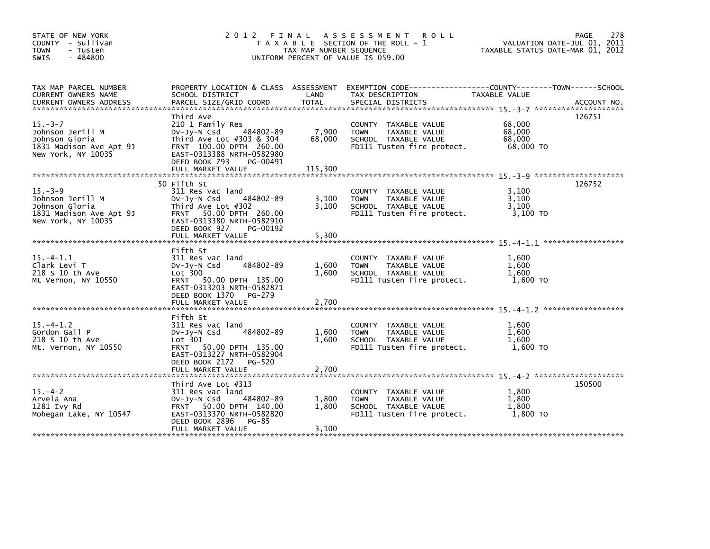| STATE OF NEW YORK<br>COUNTY - Sullivan<br>- Tusten<br><b>TOWN</b><br>SWIS<br>$-484800$               | 2 0 1 2                                                                                                                                                                    | FINAL<br>TAX MAP NUMBER SEQUENCE | A S S E S S M E N T<br><b>ROLL</b><br>T A X A B L E SECTION OF THE ROLL - 1<br>UNIFORM PERCENT OF VALUE IS 059.00 | VALUATION DATE-JUL 01, 2011<br>TAXABLE STATUS DATE-MAR 01, 2012 | 278<br>PAGE |
|------------------------------------------------------------------------------------------------------|----------------------------------------------------------------------------------------------------------------------------------------------------------------------------|----------------------------------|-------------------------------------------------------------------------------------------------------------------|-----------------------------------------------------------------|-------------|
| TAX MAP PARCEL NUMBER<br>CURRENT OWNERS NAME                                                         | PROPERTY LOCATION & CLASS ASSESSMENT<br>SCHOOL DISTRICT                                                                                                                    | LAND                             | EXEMPTION CODE-----------------COUNTY-------TOWN------SCHOOL<br>TAX DESCRIPTION                                   | TAXABLE VALUE                                                   |             |
| $15. - 3 - 7$<br>Johnson Jerill M<br>Johnson Gloria<br>1831 Madison Ave Apt 9J<br>New York, NY 10035 | Third Ave<br>210 1 Family Res<br>484802-89<br>DV-JV-N Csd<br>Third Ave Lot #303 & 304<br>FRNT 100.00 DPTH 260.00<br>EAST-0313388 NRTH-0582980<br>DEED BOOK 793<br>PG-00491 | 7,900<br>68,000                  | COUNTY TAXABLE VALUE<br>TAXABLE VALUE<br><b>TOWN</b><br>SCHOOL TAXABLE VALUE<br>FD111 Tusten fire protect.        | 68,000<br>68,000<br>68,000<br>68,000 TO                         | 126751      |
|                                                                                                      |                                                                                                                                                                            |                                  |                                                                                                                   |                                                                 |             |
| $15. -3 - 9$<br>Johnson Jerill M<br>Johnson Gloria<br>1831 Madison Ave Apt 9J<br>New York, NY 10035  | 50 Fifth St<br>311 Res vac land<br>484802-89<br>$Dv-Jy-N$ Csd<br>Third Ave Lot #302<br>FRNT 50.00 DPTH 260.00<br>EAST-0313380 NRTH-0582910<br>DEED BOOK 927<br>PG-00192    | 3,100<br>3,100                   | COUNTY TAXABLE VALUE<br>TAXABLE VALUE<br><b>TOWN</b><br>SCHOOL TAXABLE VALUE<br>FD111 Tusten fire protect.        | 3,100<br>3,100<br>3,100<br>3,100 TO                             | 126752      |
|                                                                                                      | FULL MARKET VALUE                                                                                                                                                          | 5,300                            |                                                                                                                   |                                                                 |             |
| $15. -4 - 1.1$<br>Clark Levi T<br>218 S 10 th Ave<br>Mt Vernon, NY 10550                             | Fifth St<br>311 Res vac land<br>484802-89<br>$Dv-Jy-N$ Csd<br>Lot 300<br>FRNT 50.00 DPTH 135.00<br>EAST-0313203 NRTH-0582871<br>DEED BOOK 1370 PG-279<br>FULL MARKET VALUE | 1,600<br>1,600<br>2.700          | COUNTY TAXABLE VALUE<br>TAXABLE VALUE<br><b>TOWN</b><br>SCHOOL TAXABLE VALUE<br>FD111 Tusten fire protect.        | 1,600<br>1.600<br>1,600<br>1,600 TO                             |             |
|                                                                                                      |                                                                                                                                                                            |                                  |                                                                                                                   |                                                                 |             |
| $15. -4 - 1.2$<br>Gordon Gail P<br>218 S 10 th Ave<br>Mt. Vernon, NY 10550                           | Fifth St<br>311 Res vac land<br>484802-89<br>DV-Jy-N Csd<br>Lot 301<br>FRNT 50.00 DPTH 135.00<br>EAST-0313227 NRTH-0582904<br>DEED BOOK 2172<br>PG-520                     | 1,600<br>1.600                   | COUNTY TAXABLE VALUE<br><b>TOWN</b><br>TAXABLE VALUE<br>SCHOOL TAXABLE VALUE<br>FD111 Tusten fire protect.        | 1,600<br>1,600<br>1.600<br>1,600 TO                             |             |
|                                                                                                      | FULL MARKET VALUE                                                                                                                                                          | 2,700                            |                                                                                                                   |                                                                 |             |
|                                                                                                      | Third Ave Lot #313                                                                                                                                                         |                                  |                                                                                                                   |                                                                 | 150500      |
| $15. - 4 - 2$<br>Arvela Ana<br>1281 Ivy Rd<br>Mohegan Lake, NY 10547                                 | 311 Res vac land<br>DV-Jy-N Csd<br>484802-89<br>FRNT 50.00 DPTH 140.00<br>EAST-0313370 NRTH-0582820<br>DEED BOOK 2896<br>$PG-85$                                           | 1,800<br>1,800                   | COUNTY TAXABLE VALUE<br>TAXABLE VALUE<br><b>TOWN</b><br>SCHOOL TAXABLE VALUE<br>FD111 Tusten fire protect.        | 1,800<br>1,800<br>1.800<br>1,800 TO                             |             |
|                                                                                                      | FULL MARKET VALUE                                                                                                                                                          | 3,100                            |                                                                                                                   |                                                                 |             |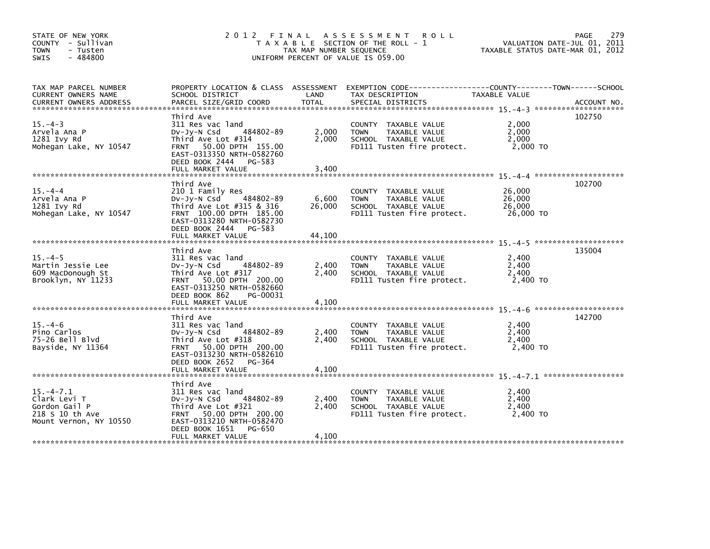| STATE OF NEW YORK<br>COUNTY - Sullivan<br><b>TOWN</b><br>- Tusten<br>$-484800$<br><b>SWIS</b>                                                                                                                                                              |                                                                                                                                                                                        | TAX MAP NUMBER SEQUENCE | 2012 FINAL ASSESSMENT ROLL<br>T A X A B L E SECTION OF THE ROLL - 1<br>UNIFORM PERCENT OF VALUE IS 059.00           | VALUATION DATE-JUL 01, 2011<br>TAXABLE STATUS DATE-MAR 01, 2012 | 279<br>PAGE |
|------------------------------------------------------------------------------------------------------------------------------------------------------------------------------------------------------------------------------------------------------------|----------------------------------------------------------------------------------------------------------------------------------------------------------------------------------------|-------------------------|---------------------------------------------------------------------------------------------------------------------|-----------------------------------------------------------------|-------------|
| TAX MAP PARCEL NUMBER<br>CURRENT OWNERS NAME<br>CURRENT OWNERS ADDRESS FORCEL SIZE/GRID COORD TOTAL SPECIAL DISTRICTS (2008) ACCOUNT NO.<br>EURRENT OWNERS ADDRESS FARCEL SIZE/GRID COORD TOTAL SPECIAL DISTRICTS (2008) 2014-01-01-02-03-02-03-02-03-02-0 | SCHOOL DISTRICT                                                                                                                                                                        | LAND                    | PROPERTY LOCATION & CLASS ASSESSMENT EXEMPTION CODE-----------------COUNTY-------TOWN-----SCHOOL<br>TAX DESCRIPTION | TAXABLE VALUE                                                   |             |
| $15. -4-3$<br>Arvela Ana P<br>1281 Ivy Rd<br>Mohegan Lake, NY 10547                                                                                                                                                                                        | Third Ave<br>311 Res vac land<br>484802-89<br>DV-Jy-N Csd<br>Third Ave Lot #314<br>FRNT 50.00 DPTH 155.00<br>EAST-0313350 NRTH-0582760<br>DEED BOOK 2444 PG-583                        | 2,000<br>2,000          | COUNTY TAXABLE VALUE<br><b>TOWN</b><br>TAXABLE VALUE<br>SCHOOL TAXABLE VALUE<br>FD111 Tusten fire protect.          | 2,000<br>2,000<br>2,000<br>2,000 TO                             | 102750      |
| $15. -4 -4$<br>Arvela Ana P<br>1281 Ivy Rd<br>Mohegan Lake, NY 10547                                                                                                                                                                                       | Third Ave<br>210 1 Family Res<br>484802-89<br>Dv-Jy-N Csd<br>Third Ave Lot $#315$ & 316<br>FRNT 100.00 DPTH 185.00<br>EAST-0313280 NRTH-0582730<br>DEED BOOK 2444 PG-583               | 6,600<br>26,000         | COUNTY TAXABLE VALUE<br><b>TOWN</b><br>TAXABLE VALUE<br>SCHOOL TAXABLE VALUE<br>FD111 Tusten fire protect.          | 26,000<br>26,000<br>26,000<br>26,000 TO                         | 102700      |
|                                                                                                                                                                                                                                                            | FULL MARKET VALUE                                                                                                                                                                      | 44,100                  |                                                                                                                     |                                                                 |             |
| $15. -4-5$<br>Martin Jessie Lee<br>609 MacDonough St<br>Brooklyn, NY 11233                                                                                                                                                                                 | Third Ave<br>311 Res vac land<br>484802-89<br>$Dv-Jy-N$ Csd<br>Third Ave Lot #317<br>FRNT 50.00 DPTH 200.00<br>EAST-0313250 NRTH-0582660<br>DEED BOOK 862<br>PG-00031                  | 2,400<br>2,400          | COUNTY TAXABLE VALUE<br><b>TOWN</b><br>TAXABLE VALUE<br>SCHOOL TAXABLE VALUE<br>FD111 Tusten fire protect.          | 2,400<br>2,400<br>2.400<br>2.400 TO                             | 135004      |
| $15. -4-6$<br>Pino Carlos<br>75-26 Bell Blvd<br>Bayside, NY 11364                                                                                                                                                                                          | Third Ave<br>311 Res vac land<br>484802-89<br>DV-Jy-N Csd<br>Third Ave Lot #318<br>FRNT 50.00 DPTH 200.00<br>EAST-0313230 NRTH-0582610<br>DEED BOOK 2652 PG-364                        | 2,400<br>2,400          | COUNTY TAXABLE VALUE<br><b>TOWN</b><br>TAXABLE VALUE<br>SCHOOL TAXABLE VALUE<br>FD111 Tusten fire protect.          | 2,400<br>2,400<br>2,400<br>2.400 TO                             | 142700      |
| $15. -4 - 7.1$<br>Clark Levi T<br>Gordon Gail P<br>218 S 10 th Ave<br>Mount Vernon, NY 10550                                                                                                                                                               | Third Ave<br>311 Res vac land<br>484802-89<br>$Dv-Jv-N$ Csd<br>Third Ave Lot #321<br>FRNT 50.00 DPTH 200.00<br>EAST-0313210 NRTH-0582470<br>DEED BOOK 1651 PG-650<br>FULL MARKET VALUE | 2,400<br>2,400<br>4,100 | COUNTY TAXABLE VALUE<br><b>TOWN</b><br>TAXABLE VALUE<br>SCHOOL TAXABLE VALUE<br>FD111 Tusten fire protect.          | 2,400<br>2,400<br>2,400<br>2,400 TO                             |             |
|                                                                                                                                                                                                                                                            |                                                                                                                                                                                        |                         |                                                                                                                     |                                                                 |             |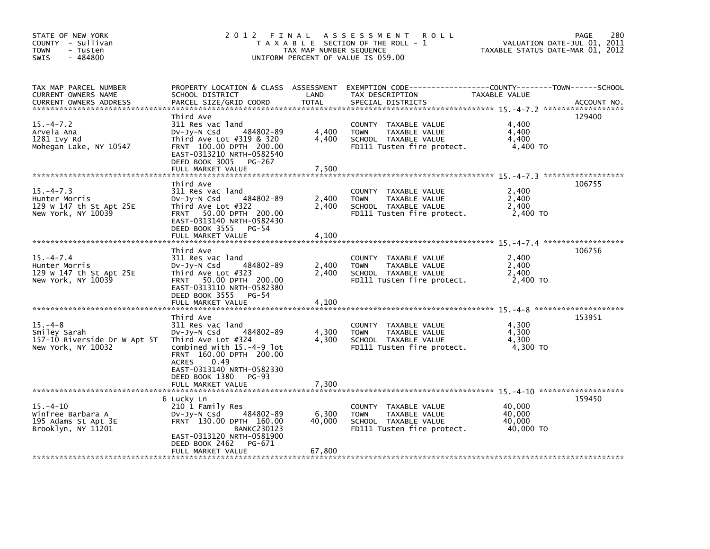| STATE OF NEW YORK<br>COUNTY - Sullivan<br><b>TOWN</b><br>- Tusten<br>$-484800$<br>SWIS | 2012 FINAL                                                                                                                                                                              | TAX MAP NUMBER SEQUENCE | A S S E S S M E N T<br><b>ROLL</b><br>T A X A B L E SECTION OF THE ROLL - 1<br>UNIFORM PERCENT OF VALUE IS 059.00    | TAXABLE STATUS DATE-MAR 01, 2012        | 280<br>PAGE<br>VALUATION DATE-JUL 01, 2011 |
|----------------------------------------------------------------------------------------|-----------------------------------------------------------------------------------------------------------------------------------------------------------------------------------------|-------------------------|----------------------------------------------------------------------------------------------------------------------|-----------------------------------------|--------------------------------------------|
| TAX MAP PARCEL NUMBER<br>CURRENT OWNERS NAME<br><b>CURRENT OWNERS ADDRESS</b>          | PROPERTY LOCATION & CLASS ASSESSMENT<br>SCHOOL DISTRICT<br>PARCEL SIZE/GRID COORD                                                                                                       | LAND<br><b>TOTAL</b>    | EXEMPTION CODE------------------COUNTY--------TOWN------SCHOOL<br>TAX DESCRIPTION<br>SPECIAL DISTRICTS               | TAXABLE VALUE                           | ACCOUNT NO.                                |
| $15. - 4 - 7.2$<br>Arvela Ana<br>1281 Ivy Rd<br>Mohegan Lake, NY 10547                 | Third Ave<br>311 Res vac land<br>484802-89<br>DV-Jy-N Csd<br>Third Ave Lot #319 & 320<br>FRNT 100.00 DPTH 200.00<br>EAST-0313210 NRTH-0582540<br>DEED BOOK 3005 PG-267                  | 4,400<br>4,400          | COUNTY TAXABLE VALUE<br><b>TOWN</b><br>TAXABLE VALUE<br>SCHOOL TAXABLE VALUE<br>FD111 Tusten fire protect.           | 4,400<br>4,400<br>4,400<br>4,400 TO     | 129400                                     |
|                                                                                        | FULL MARKET VALUE                                                                                                                                                                       | 7,500                   |                                                                                                                      |                                         |                                            |
| $15. -4 - 7.3$<br>Hunter Morris<br>129 W 147 th St Apt 25E<br>New York, NY 10039       | Third Ave<br>311 Res vac land<br>484802-89<br>DV-Jy-N Csd<br>Third Ave Lot #322<br>FRNT 50.00 DPTH 200.00<br>EAST-0313140 NRTH-0582430<br>DEED BOOK 3555 PG-54<br>FULL MARKET VALUE     | 2,400<br>2,400<br>4,100 | COUNTY TAXABLE VALUE<br>TAXABLE VALUE<br><b>TOWN</b><br>SCHOOL TAXABLE VALUE<br>FD111 Tusten fire protect.           | 2,400<br>2,400<br>2,400<br>2,400 TO     | 106755                                     |
|                                                                                        | Third Ave                                                                                                                                                                               |                         |                                                                                                                      |                                         | 106756                                     |
| $15. -4 - 7.4$<br>Hunter Morris<br>129 W 147 th St Apt 25E<br>New York, NY 10039       | 311 Res vac land<br>484802-89<br>DV-Jy-N Csd<br>Third Ave Lot #323<br>FRNT 50.00 DPTH 200.00<br>EAST-0313110 NRTH-0582380<br>DEED BOOK 3555 PG-54<br>FULL MARKET VALUE                  | 2,400<br>2,400<br>4,100 | COUNTY TAXABLE VALUE<br>TAXABLE VALUE<br><b>TOWN</b><br>SCHOOL TAXABLE VALUE<br>FD111 Tusten fire protect.           | 2,400<br>2,400<br>2,400<br>2,400 TO     |                                            |
|                                                                                        |                                                                                                                                                                                         |                         |                                                                                                                      |                                         |                                            |
| $15. -4 - 8$<br>Smiley Sarah<br>157-10 Riverside Dr W Apt 5T<br>New York, NY 10032     | Third Ave<br>311 Res vac land<br>484802-89<br>$Dv-Jy-N$ Csd<br>Third Ave Lot #324<br>combined with 15.-4-9 lot<br>FRNT 160.00 DPTH 200.00<br>0.49<br>ACRES<br>EAST-0313140 NRTH-0582330 | 4,300<br>4,300          | COUNTY TAXABLE VALUE<br><b>TOWN</b><br>TAXABLE VALUE<br>SCHOOL TAXABLE VALUE<br>FD111 Tusten fire protect.           | 4,300<br>4,300<br>4,300<br>4.300 TO     | 153951                                     |
|                                                                                        | DEED BOOK 1380<br>PG-93<br>FULL MARKET VALUE                                                                                                                                            | 7,300                   |                                                                                                                      |                                         |                                            |
|                                                                                        | 6 Lucky Ln                                                                                                                                                                              |                         |                                                                                                                      |                                         | 159450                                     |
| $15. - 4 - 10$<br>Winfree Barbara A<br>195 Adams St Apt 3E<br>Brooklyn, NY 11201       | 210 1 Family Res<br>484802-89<br>$Dv-Jy-N$ Csd<br>FRNT 130.00 DPTH 160.00<br><b>BANKC230123</b><br>EAST-0313120 NRTH-0581900<br>DEED BOOK 2462<br>PG-671                                | 6,300<br>40.000         | <b>COUNTY</b><br>TAXABLE VALUE<br><b>TOWN</b><br>TAXABLE VALUE<br>SCHOOL TAXABLE VALUE<br>FD111 Tusten fire protect. | 40,000<br>40,000<br>40.000<br>40,000 TO |                                            |
|                                                                                        | FULL MARKET VALUE                                                                                                                                                                       | 67,800                  |                                                                                                                      |                                         |                                            |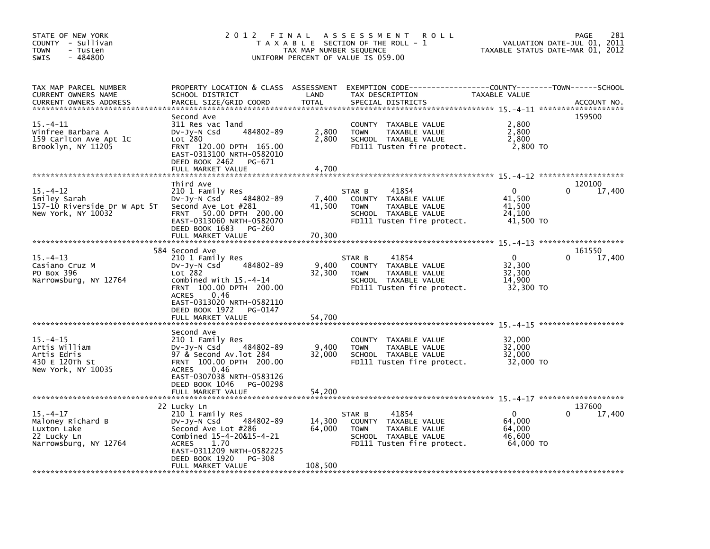| STATE OF NEW YORK<br>COUNTY - Sullivan<br><b>TOWN</b><br>- Tusten<br>$-484800$<br><b>SWIS</b> | 2012 FINAL                                                                                                                                                                                                                                  | TAX MAP NUMBER SEQUENCE     | A S S E S S M E N T<br><b>ROLL</b><br>T A X A B L E SECTION OF THE ROLL - 1<br>UNIFORM PERCENT OF VALUE IS 059.00                       | TAXABLE STATUS DATE-MAR 01, 2012                        | 281<br>PAGE<br>VALUATION DATE-JUL 01, 2011 |
|-----------------------------------------------------------------------------------------------|---------------------------------------------------------------------------------------------------------------------------------------------------------------------------------------------------------------------------------------------|-----------------------------|-----------------------------------------------------------------------------------------------------------------------------------------|---------------------------------------------------------|--------------------------------------------|
| TAX MAP PARCEL NUMBER<br>CURRENT OWNERS NAME<br>CURRENT OWNERS ADDRESS                        | SCHOOL DISTRICT<br>PARCEL SIZE/GRID COORD                                                                                                                                                                                                   | LAND<br><b>TOTAL</b>        | PROPERTY LOCATION & CLASS ASSESSMENT EXEMPTION CODE----------------COUNTY-------TOWN-----SCHOOL<br>TAX DESCRIPTION<br>SPECIAL DISTRICTS | TAXABLE VALUE                                           | ACCOUNT NO.                                |
| 15. –4–11<br>Winfree Barbara A<br>159 Carlton Ave Apt 1C<br>Brooklyn, NY 11205                | Second Ave<br>311 Res vac land<br>484802-89<br>DV-JY-N Csd<br>Lot 280<br>FRNT 120.00 DPTH 165.00<br>EAST-0313100 NRTH-0582010<br>DEED BOOK 2462<br>PG-671<br>FULL MARKET VALUE                                                              | 2,800<br>2,800<br>4,700     | COUNTY TAXABLE VALUE<br><b>TOWN</b><br>TAXABLE VALUE<br>SCHOOL TAXABLE VALUE<br>FD111 Tusten fire protect.                              | 2,800<br>2,800<br>2,800<br>2,800 TO                     | 159500                                     |
|                                                                                               | Third Ave                                                                                                                                                                                                                                   |                             |                                                                                                                                         |                                                         | 120100                                     |
| $15. - 4 - 12$<br>Smiley Sarah<br>157-10 Riverside Dr W Apt 5T<br>New York, NY 10032          | 210 1 Family Res<br>484802-89<br>Dv-Jy-N Csd<br>Second Ave Lot #281<br>FRNT 50.00 DPTH 200.00<br>EAST-0313060 NRTH-0582070<br>DEED BOOK 1683<br>PG-260<br>FULL MARKET VALUE                                                                 | 7,400<br>41,500<br>70,300   | 41854<br>STAR B<br>COUNTY TAXABLE VALUE<br><b>TOWN</b><br>TAXABLE VALUE<br>SCHOOL TAXABLE VALUE<br>FD111 Tusten fire protect.           | $\mathbf{0}$<br>41,500<br>41,500<br>24,100<br>41,500 TO | 17,400<br>0                                |
|                                                                                               |                                                                                                                                                                                                                                             |                             |                                                                                                                                         |                                                         |                                            |
| $15. - 4 - 13$<br>Casiano Cruz M<br>PO Box 396<br>Narrowsburg, NY 12764                       | 584 Second Ave<br>210 1 Family Res<br>DV-JV-N Csd<br>484802-89<br>$Lot$ $282$<br>combined with $15.-4-14$<br>FRNT 100.00 DPTH 200.00<br>0.46<br><b>ACRES</b><br>EAST-0313020 NRTH-0582110<br>DEED BOOK 1972<br>PG-0147<br>FULL MARKET VALUE | 9,400<br>32,300<br>54,700   | 41854<br>STAR B<br>COUNTY TAXABLE VALUE<br><b>TOWN</b><br>TAXABLE VALUE<br>SCHOOL TAXABLE VALUE<br>FD111 Tusten fire protect.           | $\mathbf{0}$<br>32,300<br>32,300<br>14,900<br>32,300 TO | 161550<br>17,400<br>0                      |
|                                                                                               |                                                                                                                                                                                                                                             |                             |                                                                                                                                         |                                                         |                                            |
| $15. - 4 - 15$<br>Artis William<br>Artis Edris<br>430 E 120Th St<br>New York, NY 10035        | Second Ave<br>210 1 Family Res<br>484802-89<br>DV-JY-N Csd<br>97 & Second Av.lot 284<br>FRNT 100.00 DPTH 200.00<br>0.46<br><b>ACRES</b><br>EAST-0307038 NRTH-0583126<br>DEED BOOK 1046<br>PG-00298<br>FULL MARKET VALUE                     | 9,400<br>32,000<br>54,200   | COUNTY TAXABLE VALUE<br><b>TOWN</b><br>TAXABLE VALUE<br>SCHOOL TAXABLE VALUE<br>FD111 Tusten fire protect.                              | 32,000<br>32,000<br>32,000<br>32,000 TO                 |                                            |
|                                                                                               |                                                                                                                                                                                                                                             |                             |                                                                                                                                         |                                                         |                                            |
| $15. - 4 - 17$<br>Maloney Richard B<br>Luxton Lake<br>22 Lucky Ln<br>Narrowsburg, NY 12764    | 22 Lucky Ln<br>210 1 Family Res<br>484802-89<br>DV-Jy-N Csd<br>Second Ave Lot #286<br>Combined 15-4-20&15-4-21<br>1.70<br><b>ACRES</b><br>EAST-0311209 NRTH-0582225<br>DEED BOOK 1920<br>PG-308<br>FULL MARKET VALUE                        | 14,300<br>64,000<br>108,500 | 41854<br>STAR B<br>COUNTY TAXABLE VALUE<br><b>TOWN</b><br>TAXABLE VALUE<br>SCHOOL TAXABLE VALUE<br>FD111 Tusten fire protect.           | $\mathbf{0}$<br>64,000<br>64,000<br>46.600<br>64.000 TO | 137600<br>17,400<br>0                      |
|                                                                                               |                                                                                                                                                                                                                                             |                             |                                                                                                                                         |                                                         |                                            |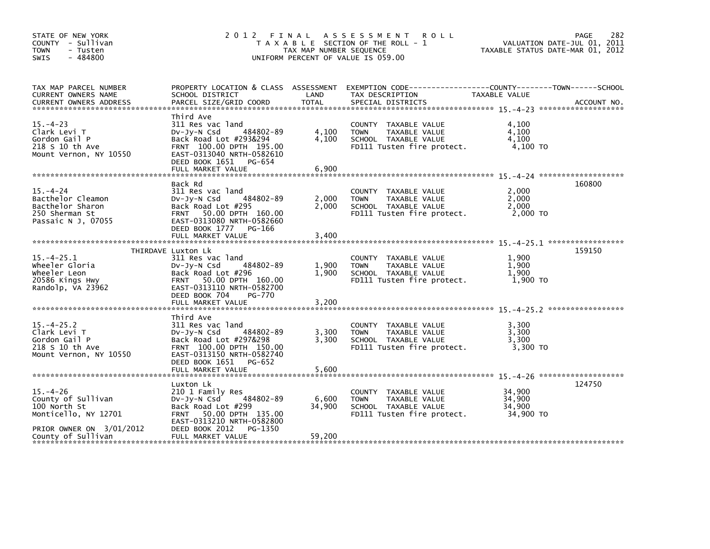| STATE OF NEW YORK<br>COUNTY - Sullivan<br><b>TOWN</b><br>- Tusten<br>$-484800$<br>SWIS         | 2012                                                                                                                                                                                        | FINAL<br>TAX MAP NUMBER SEQUENCE | A S S E S S M E N T<br><b>ROLL</b><br>T A X A B L E SECTION OF THE ROLL - 1<br>UNIFORM PERCENT OF VALUE IS 059.00 |                                         | 282<br>PAGE<br>VALUATION DATE-JUL 01, 2011<br>TAXABLE STATUS DATE-MAR 01, 2012 |
|------------------------------------------------------------------------------------------------|---------------------------------------------------------------------------------------------------------------------------------------------------------------------------------------------|----------------------------------|-------------------------------------------------------------------------------------------------------------------|-----------------------------------------|--------------------------------------------------------------------------------|
| TAX MAP PARCEL NUMBER<br>CURRENT OWNERS NAME<br><b>CURRENT OWNERS ADDRESS</b>                  | PROPERTY LOCATION & CLASS ASSESSMENT<br>SCHOOL DISTRICT<br>PARCEL SIZE/GRID COORD                                                                                                           | LAND<br>TOTAL                    | EXEMPTION CODE-----------------COUNTY-------TOWN------SCHOOL<br>TAX DESCRIPTION<br>SPECIAL DISTRICTS              | TAXABLE VALUE                           | ACCOUNT NO.                                                                    |
| $15. - 4 - 23$<br>Clark Levi T<br>Gordon Gail P<br>218 S 10 th Ave<br>Mount Vernon, NY 10550   | Third Ave<br>311 Res vac land<br>$Dv-Jy-N$ Csd<br>484802-89<br>Back Road Lot #293&294<br>FRNT 100.00 DPTH 195.00<br>EAST-0313040 NRTH-0582610<br>DEED BOOK 1651 PG-654<br>FULL MARKET VALUE | 4,100<br>4,100<br>6,900          | COUNTY TAXABLE VALUE<br><b>TOWN</b><br>TAXABLE VALUE<br>SCHOOL TAXABLE VALUE<br>FD111 Tusten fire protect.        | 4,100<br>4,100<br>4,100<br>4,100 TO     |                                                                                |
|                                                                                                |                                                                                                                                                                                             |                                  |                                                                                                                   |                                         |                                                                                |
| $15 - 4 - 24$<br>Bacthelor Cleamon<br>Bacthelor Sharon<br>250 Sherman St<br>Passaic N J, 07055 | Back Rd<br>311 Res vac land<br>484802-89<br>$Dv-Jy-N$ Csd<br>Back Road Lot #295<br>FRNT 50.00 DPTH 160.00<br>EAST-0313080 NRTH-0582660                                                      | 2,000<br>2.000                   | COUNTY TAXABLE VALUE<br><b>TOWN</b><br>TAXABLE VALUE<br>SCHOOL TAXABLE VALUE<br>FD111 Tusten fire protect.        | 2,000<br>2,000<br>2,000<br>2,000 TO     | 160800                                                                         |
|                                                                                                | DEED BOOK 1777 PG-166<br>FULL MARKET VALUE                                                                                                                                                  | 3,400                            |                                                                                                                   |                                         |                                                                                |
|                                                                                                |                                                                                                                                                                                             |                                  |                                                                                                                   |                                         |                                                                                |
| $15. -4 - 25.1$<br>wheeler Gloria<br>Wheeler Leon<br>20586 Kings Hwy<br>Randolp, VA 23962      | THIRDAVE Luxton Lk<br>311 Res vac land<br>484802-89<br>$Dv-Jy-N$ Csd<br>Back Road Lot #296<br>FRNT 50.00 DPTH 160.00<br>EAST-0313110 NRTH-0582700<br>DEED BOOK 704<br>PG-770                | 1,900<br>1.900                   | COUNTY TAXABLE VALUE<br>TAXABLE VALUE<br><b>TOWN</b><br>SCHOOL TAXABLE VALUE<br>FD111 Tusten fire protect.        | 1.900<br>1,900<br>1,900<br>1,900 TO     | 159150                                                                         |
|                                                                                                | FULL MARKET VALUE                                                                                                                                                                           | 3,200                            |                                                                                                                   |                                         |                                                                                |
| $15. -4 - 25.2$<br>Clark Levi T<br>Gordon Gail P<br>218 S 10 th Ave<br>Mount Vernon, NY 10550  | Third Ave<br>311 Res vac land<br>$Dv-Jy-N$ Csd<br>484802-89<br>Back Road Lot #297&298<br>FRNT 100.00 DPTH 150.00<br>EAST-0313150 NRTH-0582740                                               | 3,300<br>3,300                   | COUNTY TAXABLE VALUE<br>TAXABLE VALUE<br><b>TOWN</b><br>SCHOOL TAXABLE VALUE<br>FD111 Tusten fire protect.        | 3.300<br>3,300<br>3,300<br>3,300 TO     |                                                                                |
|                                                                                                | DEED BOOK 1651 PG-652                                                                                                                                                                       |                                  |                                                                                                                   |                                         |                                                                                |
|                                                                                                | Luxton Lk                                                                                                                                                                                   |                                  |                                                                                                                   |                                         | 124750                                                                         |
| $15. - 4 - 26$<br>County of Sullivan<br>100 North St<br>Monticello, NY 12701                   | 210 1 Family Res<br>484802-89<br>DV-Jy-N Csd<br>Back Road Lot #299<br>50.00 DPTH 135.00<br><b>FRNT</b><br>EAST-0313210 NRTH-0582800                                                         | 6,600<br>34,900                  | COUNTY TAXABLE VALUE<br>TAXABLE VALUE<br><b>TOWN</b><br>SCHOOL TAXABLE VALUE<br>FD111 Tusten fire protect.        | 34,900<br>34,900<br>34,900<br>34,900 TO |                                                                                |
| PRIOR OWNER ON 3/01/2012<br>County of Sullivan                                                 | DEED BOOK 2012<br>PG-1350<br>FULL MARKET VALUE                                                                                                                                              | 59,200                           |                                                                                                                   |                                         |                                                                                |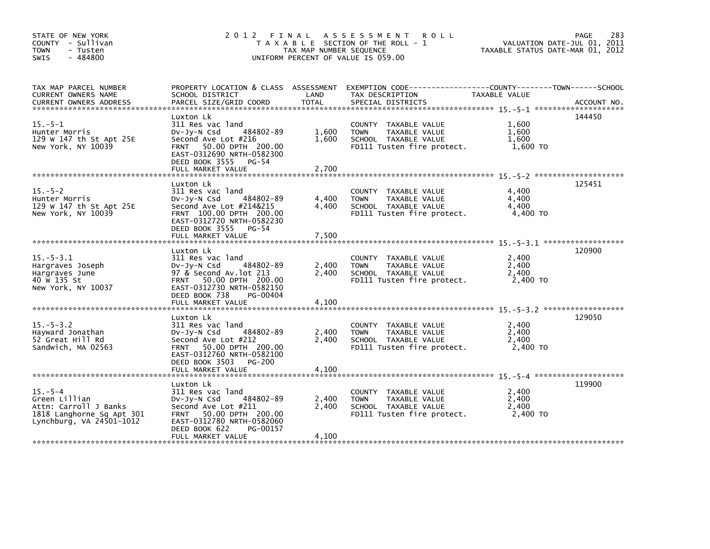| STATE OF NEW YORK<br>COUNTY - Sullivan<br><b>TOWN</b><br>- Tusten<br>$-484800$<br>SWIS                           | 2012 FINAL                                                                                                                                                                           | TAX MAP NUMBER SEQUENCE | A S S E S S M E N T<br><b>ROLL</b><br>T A X A B L E SECTION OF THE ROLL - 1<br>UNIFORM PERCENT OF VALUE IS 059.00 | TAXABLE STATUS DATE-MAR 01, 2012    | 283<br><b>PAGE</b><br>VALUATION DATE-JUL 01, 2011 |
|------------------------------------------------------------------------------------------------------------------|--------------------------------------------------------------------------------------------------------------------------------------------------------------------------------------|-------------------------|-------------------------------------------------------------------------------------------------------------------|-------------------------------------|---------------------------------------------------|
| TAX MAP PARCEL NUMBER<br>CURRENT OWNERS NAME<br><b>CURRENT OWNERS ADDRESS</b>                                    | PROPERTY LOCATION & CLASS ASSESSMENT<br>SCHOOL DISTRICT<br>PARCEL SIZE/GRID COORD                                                                                                    | LAND<br>TOTAL           | TAX DESCRIPTION<br>SPECIAL DISTRICTS                                                                              | TAXABLE VALUE                       | ACCOUNT NO.                                       |
| $15. - 5 - 1$<br>Hunter Morris<br>129 W 147 th St Apt 25E<br>New York, NY 10039                                  | Luxton Lk<br>311 Res vac land<br>484802-89<br>Dv-Jy-N Csd<br>Second Ave Lot #216<br>FRNT 50.00 DPTH 200.00<br>EAST-0312690 NRTH-0582300<br>DEED BOOK 3555 PG-54<br>FULL MARKET VALUE | 1,600<br>1.600<br>2,700 | COUNTY TAXABLE VALUE<br>TAXABLE VALUE<br><b>TOWN</b><br>SCHOOL TAXABLE VALUE<br>FD111 Tusten fire protect.        | 1,600<br>1,600<br>1.600<br>1,600 TO | 144450                                            |
|                                                                                                                  |                                                                                                                                                                                      |                         |                                                                                                                   |                                     |                                                   |
| $15. - 5 - 2$<br>Hunter Morris<br>129 W 147 th St Apt 25E<br>New York, NY 10039                                  | Luxton Lk<br>311 Res vac land<br>484802-89<br>DV-Jy-N Csd<br>Second Ave Lot #214&215<br>FRNT 100.00 DPTH 200.00<br>EAST-0312720 NRTH-0582230                                         | 4,400<br>4.400          | COUNTY TAXABLE VALUE<br>TAXABLE VALUE<br><b>TOWN</b><br>SCHOOL TAXABLE VALUE<br>FD111 Tusten fire protect.        | 4.400<br>4,400<br>4,400<br>4,400 TO | 125451                                            |
|                                                                                                                  | DEED BOOK 3555 PG-54<br>FULL MARKET VALUE                                                                                                                                            | 7,500                   |                                                                                                                   |                                     |                                                   |
|                                                                                                                  | Luxton Lk                                                                                                                                                                            |                         |                                                                                                                   |                                     | 120900                                            |
| $15. - 5 - 3.1$<br>Hargraves Joseph<br>Hargraves June<br>40 W 135 St<br>New York, NY 10037                       | 311 Res vac land<br>$Dv-Jy-N$ Csd<br>484802-89<br>97 & Second Av. lot 213<br>FRNT 50.00 DPTH 200.00<br>EAST-0312730 NRTH-0582150<br>DEED BOOK 738<br>PG-00404                        | 2,400<br>2.400          | COUNTY TAXABLE VALUE<br>TAXABLE VALUE<br><b>TOWN</b><br>SCHOOL TAXABLE VALUE<br>FD111 Tusten fire protect.        | 2.400<br>2,400<br>2,400<br>2,400 TO |                                                   |
|                                                                                                                  | FULL MARKET VALUE                                                                                                                                                                    | 4,100                   |                                                                                                                   |                                     |                                                   |
|                                                                                                                  | Luxton Lk                                                                                                                                                                            |                         |                                                                                                                   |                                     | 129050                                            |
| $15. - 5 - 3.2$<br>Hayward Jonathan<br>52 Great Hill Rd<br>Sandwich, MA 02563                                    | 311 Res vac land<br>484802-89<br>$Dv-Jy-N$ Csd<br>Second Ave Lot #212<br>FRNT 50.00 DPTH 200.00<br>EAST-0312760 NRTH-0582100<br>PG-200                                               | 2,400<br>2,400          | COUNTY TAXABLE VALUE<br><b>TOWN</b><br>TAXABLE VALUE<br>SCHOOL TAXABLE VALUE<br>FD111 Tusten fire protect.        | 2,400<br>2,400<br>2,400<br>2.400 TO |                                                   |
|                                                                                                                  | DEED BOOK 3503                                                                                                                                                                       |                         |                                                                                                                   |                                     |                                                   |
|                                                                                                                  | Luxton Lk                                                                                                                                                                            |                         |                                                                                                                   |                                     | 119900                                            |
| $15. - 5 - 4$<br>Green Lillian<br>Attn: Carroll J Banks<br>1818 Langhorne Sq Apt 301<br>Lynchburg, VA 24501-1012 | 311 Res vac land<br>484802-89<br>DV-JY-N Csd<br>Second Ave Lot #211<br>FRNT 50.00 DPTH 200.00<br>EAST-0312780 NRTH-0582060<br>DEED BOOK 622<br>PG-00157                              | 2,400<br>2,400          | COUNTY TAXABLE VALUE<br>TAXABLE VALUE<br><b>TOWN</b><br>SCHOOL TAXABLE VALUE<br>FD111 Tusten fire protect.        | 2,400<br>2,400<br>2,400<br>2.400 TO |                                                   |
|                                                                                                                  | FULL MARKET VALUE                                                                                                                                                                    | 4,100                   |                                                                                                                   |                                     |                                                   |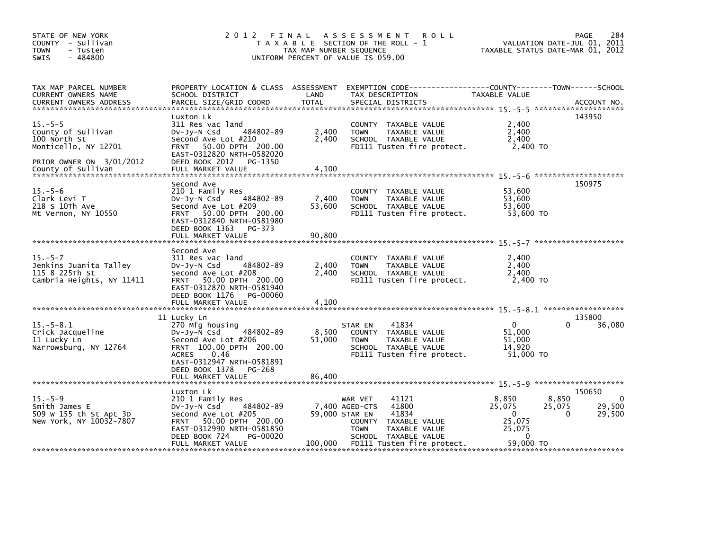| STATE OF NEW YORK<br>COUNTY - Sullivan<br><b>TOWN</b><br>- Tusten<br>$-484800$<br>SWIS                                        |                                                                                                                                                                                            | TAX MAP NUMBER SEQUENCE   | 2012 FINAL ASSESSMENT<br><b>ROLL</b><br>T A X A B L E SECTION OF THE ROLL - 1<br>UNIFORM PERCENT OF VALUE IS 059.00                                                | VALUATION DATE-JUL 01, 2011<br>TAXABLE STATUS DATE-MAR 01, 2012                                        | PAGE<br>284                     |
|-------------------------------------------------------------------------------------------------------------------------------|--------------------------------------------------------------------------------------------------------------------------------------------------------------------------------------------|---------------------------|--------------------------------------------------------------------------------------------------------------------------------------------------------------------|--------------------------------------------------------------------------------------------------------|---------------------------------|
| TAX MAP PARCEL NUMBER<br>CURRENT OWNERS NAME<br><b>CURRENT OWNERS ADDRESS</b>                                                 | SCHOOL DISTRICT<br>PARCEL SIZE/GRID COORD                                                                                                                                                  | LAND<br><b>TOTAL</b>      | PROPERTY LOCATION & CLASS ASSESSMENT EXEMPTION CODE---------------COUNTY-------TOWN-----SCHOOL<br>TAX DESCRIPTION<br>SPECIAL DISTRICTS                             | <b>TAXABLE VALUE</b>                                                                                   | ACCOUNT NO.                     |
| $15. - 5 - 5$<br>County of Sullivan<br>100 North St<br>Monticello, NY 12701<br>PRIOR OWNER ON 3/01/2012<br>County of Sullivan | Luxton Lk<br>311 Res vac land<br>484802-89<br>DV-Jy-N Csd<br>Second Ave Lot #210<br>FRNT 50.00 DPTH 200.00<br>EAST-0312820 NRTH-0582020<br>DEED BOOK 2012 PG-1350<br>FULL MARKET VALUE     | 2,400<br>2,400<br>4,100   | COUNTY TAXABLE VALUE<br><b>TOWN</b><br>TAXABLE VALUE<br>SCHOOL TAXABLE VALUE<br>FD111 Tusten fire protect.                                                         | 2,400<br>2,400<br>2,400<br>2,400 TO                                                                    | 143950                          |
| $15. - 5 - 6$<br>Clark Levi T<br>218 S 10Th Ave<br>Mt Vernon, NY 10550                                                        | Second Ave<br>210 1 Family Res<br>484802-89<br>DV-Jy-N Csd<br>Second Ave Lot #209<br>FRNT 50.00 DPTH 200.00<br>EAST-0312840 NRTH-0581980<br>DEED BOOK 1363<br>PG-373<br>FULL MARKET VALUE  | 7,400<br>53,600<br>90.800 | COUNTY TAXABLE VALUE<br><b>TOWN</b><br>TAXABLE VALUE<br>SCHOOL TAXABLE VALUE<br>FD111 Tusten fire protect.                                                         | 53,600<br>53,600<br>53,600<br>53,600 TO                                                                | 150975                          |
| $15. - 5 - 7$<br>Jenkins Juanita Talley<br>115 8 225Th St<br>Cambria Heights, NY 11411                                        | Second Ave<br>311 Res vac land<br>484802-89<br>$Dv-Jy-N$ Csd<br>Second Ave Lot #208<br>FRNT 50.00 DPTH 200.00<br>EAST-0312870 NRTH-0581940<br>DEED BOOK 1176<br>PG-00060                   | 2,400<br>2.400            | COUNTY TAXABLE VALUE<br>TAXABLE VALUE<br><b>TOWN</b><br>SCHOOL TAXABLE VALUE<br>FD111 Tusten fire protect.                                                         | 2.400<br>2,400<br>2,400<br>2,400 TO                                                                    |                                 |
| $15.-5-8.1$<br>Crick Jacqueline<br>11 Lucky Ln<br>Narrowsburg, NY 12764                                                       | 11 Lucky Ln<br>270 Mfg housing<br>484802-89<br>DV-Jy-N Csd<br>Second Ave Lot #206<br>FRNT 100.00 DPTH 200.00<br><b>ACRES</b><br>0.46<br>EAST-0312947 NRTH-0581891<br>DEED BOOK 1378 PG-268 | 8,500<br>51,000           | 41834<br>STAR EN<br>COUNTY TAXABLE VALUE<br><b>TAXABLE VALUE</b><br><b>TOWN</b><br>SCHOOL TAXABLE VALUE<br>FD111 Tusten fire protect.                              | $\Omega$<br>51,000<br>51,000<br>14,920<br>51.000 TO                                                    | 135800<br>36,080                |
| $15. - 5 - 9$<br>Smith James E<br>509 W 155 th St Apt 3D<br>New York, NY 10032-7807                                           | Luxton Lk<br>210 1 Family Res<br>484802-89<br>DV-Jy-N Csd<br>Second Ave Lot #205<br>FRNT 50.00 DPTH 200.00<br>EAST-0312990 NRTH-0581850<br>DEED BOOK 724<br>PG-00020<br>FULL MARKET VALUE  | 59,000 STAR EN<br>100,000 | 41121<br>WAR VET<br>41800<br>7,400 AGED-CTS<br>41834<br>COUNTY TAXABLE VALUE<br><b>TOWN</b><br>TAXABLE VALUE<br>SCHOOL TAXABLE VALUE<br>FD111 Tusten fire protect. | 8,850<br>8,850<br>25,075<br>25,075<br>$\overline{0}$<br>0<br>25,075<br>25,075<br>$\Omega$<br>59,000 TO | 150650<br>0<br>29,500<br>29,500 |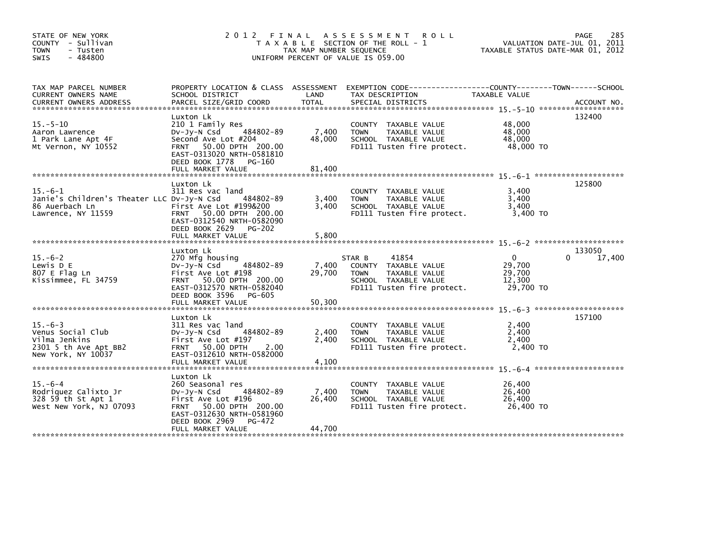| STATE OF NEW YORK<br>COUNTY - Sullivan<br><b>TOWN</b><br>- Tusten<br>$-484800$<br>SWIS            | 2012 FINAL                                                                                                                                                                                | TAX MAP NUMBER SEQUENCE   | A S S E S S M E N T<br><b>ROLL</b><br>T A X A B L E SECTION OF THE ROLL - 1<br>UNIFORM PERCENT OF VALUE IS 059.00             | TAXABLE STATUS DATE-MAR 01, 2012                        | 285<br>PAGE<br>VALUATION DATE-JUL 01, 2011 |
|---------------------------------------------------------------------------------------------------|-------------------------------------------------------------------------------------------------------------------------------------------------------------------------------------------|---------------------------|-------------------------------------------------------------------------------------------------------------------------------|---------------------------------------------------------|--------------------------------------------|
| TAX MAP PARCEL NUMBER<br>CURRENT OWNERS NAME                                                      | PROPERTY LOCATION & CLASS ASSESSMENT<br>SCHOOL DISTRICT                                                                                                                                   | LAND                      | EXEMPTION CODE------------------COUNTY--------TOWN------SCHOOL<br>TAX DESCRIPTION                                             | TAXABLE VALUE                                           |                                            |
| $15. - 5 - 10$<br>Aaron Lawrence<br>1 Park Lane Apt 4F<br>Mt Vernon, NY 10552                     | Luxton Lk<br>210 1 Family Res<br>484802-89<br>DV-Jy-N Csd<br>Second Ave Lot #204<br>FRNT 50.00 DPTH 200.00<br>EAST-0313020 NRTH-0581810<br>DEED BOOK 1778<br>PG-160<br>FULL MARKET VALUE  | 7,400<br>48,000<br>81,400 | COUNTY TAXABLE VALUE<br><b>TOWN</b><br>TAXABLE VALUE<br>SCHOOL TAXABLE VALUE<br>FD111 Tusten fire protect.                    | 48,000<br>48,000<br>48,000<br>48,000 TO                 | 132400                                     |
| $15.-6-1$<br>Janie's Children's Theater LLC DV-Jy-N Csd<br>86 Auerbach Ln<br>Lawrence, NY 11559   | Luxton Lk<br>311 Res vac land<br>484802-89<br>First Ave Lot #199&200<br>FRNT 50.00 DPTH 200.00<br>EAST-0312540 NRTH-0582090<br>DEED BOOK 2629<br><b>PG-202</b><br>FULL MARKET VALUE       | 3,400<br>3.400<br>5,800   | COUNTY TAXABLE VALUE<br><b>TOWN</b><br>TAXABLE VALUE<br>SCHOOL TAXABLE VALUE<br>FD111 Tusten fire protect.                    | 3,400<br>3,400<br>3.400<br>3.400 TO                     | 125800                                     |
| $15. -6 - 2$<br>Lewis D E<br>807 E Flag Ln<br>Kissimmee, FL 34759                                 | Luxton Lk<br>270 Mfg housing<br>484802-89<br>$Dv-Jy-N$ Csd<br>First Ave Lot #198<br>FRNT 50.00 DPTH 200.00<br>EAST-0312570 NRTH-0582040<br>DEED BOOK 3596<br>PG-605<br>FULL MARKET VALUE  | 7,400<br>29,700<br>50,300 | 41854<br>STAR B<br>COUNTY TAXABLE VALUE<br>TAXABLE VALUE<br><b>TOWN</b><br>SCHOOL TAXABLE VALUE<br>FD111 Tusten fire protect. | $\mathbf{0}$<br>29,700<br>29,700<br>12,300<br>29,700 TO | 133050<br>17,400                           |
| $15. -6 - 3$<br>Venus Social Club<br>Vilma Jenkins<br>2301 5 th Ave Apt BB2<br>New York, NY 10037 | Luxton Lk<br>311 Res vac land<br>484802-89<br>$Dv-Jy-N$ Csd<br>First Ave Lot #197<br>FRNT 50.00 DPTH<br>2.00<br>EAST-0312610 NRTH-0582000<br>FULL MARKET VALUE                            | 2,400<br>2.400<br>4,100   | COUNTY TAXABLE VALUE<br>TAXABLE VALUE<br><b>TOWN</b><br>SCHOOL TAXABLE VALUE<br>FD111 Tusten fire protect.                    | 2,400<br>2,400<br>2,400<br>2,400 TO                     | 157100                                     |
| $15. -6 - 4$<br>Rodriquez Calixto Jr<br>328 59 th St Apt 1<br>West New York, NJ 07093             | Luxton Lk<br>260 Seasonal res<br>484802-89<br>$Dv-Jy-N$ Csd<br>First Ave Lot #196<br>FRNT 50.00 DPTH 200.00<br>EAST-0312630 NRTH-0581960<br>DEED BOOK 2969<br>PG-472<br>FULL MARKET VALUE | 7,400<br>26,400<br>44,700 | COUNTY TAXABLE VALUE<br>TAXABLE VALUE<br><b>TOWN</b><br>SCHOOL TAXABLE VALUE<br>FD111 Tusten fire protect.                    | 26,400<br>26,400<br>26,400<br>26,400 TO                 |                                            |
|                                                                                                   |                                                                                                                                                                                           |                           |                                                                                                                               |                                                         |                                            |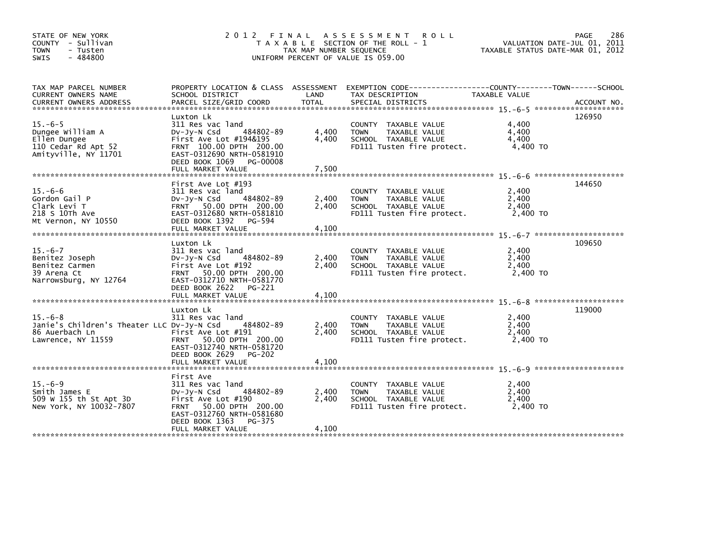| TAX MAP NUMBER SEQUENCE<br>TAXABLE STATUS DATE-MAR 01, 2012<br><b>TOWN</b><br>- Tusten<br>$-484800$<br>SWIS<br>UNIFORM PERCENT OF VALUE IS 059.00                                                                                                                                                                                                                                                                                                                          | VALUATION DATE-JUL 01, 2011 |
|----------------------------------------------------------------------------------------------------------------------------------------------------------------------------------------------------------------------------------------------------------------------------------------------------------------------------------------------------------------------------------------------------------------------------------------------------------------------------|-----------------------------|
| PROPERTY LOCATION & CLASS ASSESSMENT EXEMPTION CODE---------------COUNTY-------TOWN-----SCHOOL<br>TAX MAP PARCEL NUMBER<br>LAND<br>CURRENT OWNERS NAME<br>SCHOOL DISTRICT<br>TAX DESCRIPTION<br>TAXABLE VALUE                                                                                                                                                                                                                                                              |                             |
| 126950<br>Luxton Lk<br>$15. -6 - 5$<br>311 Res vac land<br>COUNTY TAXABLE VALUE<br>4,400<br>Dungee William A<br>484802-89<br>4,400<br>4,400<br>TAXABLE VALUE<br>$Dv-Jy-N$ Csd<br><b>TOWN</b><br>Ellen Dungee<br>First Ave Lot #194&195<br>4,400<br>SCHOOL TAXABLE VALUE<br>4,400<br>110 Cedar Rd Apt 52<br>FRNT 100.00 DPTH 200.00<br>FD111 Tusten fire protect.<br>4,400 TO<br>Amityville, NY 11701<br>EAST-0312690 NRTH-0581910<br>DEED BOOK 1069 PG-00008               |                             |
|                                                                                                                                                                                                                                                                                                                                                                                                                                                                            |                             |
| 144650<br>First Ave Lot #193<br>$15. -6 - 6$<br>2,400<br>311 Res vac land<br>COUNTY TAXABLE VALUE<br>484802-89<br>2,400<br>2,400<br>Gordon Gail P<br>TAXABLE VALUE<br>$Dv-Jv-N$ Csd<br><b>TOWN</b><br>FRNT 50.00 DPTH 200.00<br>2,400<br>2,400<br>Clark Levi T<br>SCHOOL TAXABLE VALUE<br>218 S 10Th Ave<br>EAST-0312680 NRTH-0581810<br>2,400 TO<br>FD111 Tusten fire protect.<br>DEED BOOK 1392 PG-594<br>Mt Vernon, NY 10550                                            |                             |
|                                                                                                                                                                                                                                                                                                                                                                                                                                                                            |                             |
| 109650<br>Luxton Lk<br>$15. -6 - 7$<br>311 Res vac land<br>2,400<br>COUNTY TAXABLE VALUE<br>484802-89<br>2,400<br>TAXABLE VALUE<br>2.400<br>Benitez Joseph<br>Dv-Jy-N Csd<br><b>TOWN</b><br>2,400<br>SCHOOL TAXABLE VALUE<br>Benitez Carmen<br>First Ave Lot #192<br>2,400<br>39 Arena Ct<br>FRNT 50.00 DPTH 200.00<br>FD111 Tusten fire protect.<br>2,400 TO<br>Narrowsburg, NY 12764<br>EAST-0312710 NRTH-0581770<br>DEED BOOK 2622 PG-221<br>FULL MARKET VALUE<br>4,100 |                             |
| 119000<br>Luxton Lk                                                                                                                                                                                                                                                                                                                                                                                                                                                        |                             |
| $15. -6 - 8$<br>311 Res vac land<br>2,400<br>COUNTY TAXABLE VALUE<br>Janie's Children's Theater LLC Dv-Jy-N Csd<br>484802-89<br>2,400<br>2,400<br><b>TOWN</b><br>TAXABLE VALUE<br>2.400<br>86 Auerbach Ln<br>SCHOOL TAXABLE VALUE<br>2.400<br>First Ave Lot #191<br>FRNT 50.00 DPTH 200.00<br>2.400 TO<br>Lawrence, NY 11559<br>FD111 Tusten fire protect.<br>EAST-0312740 NRTH-0581720<br>DEED BOOK 2629 PG-202<br>4,100<br>FULL MARKET VALUE                             |                             |
| First Ave                                                                                                                                                                                                                                                                                                                                                                                                                                                                  |                             |
| $15. -6 - 9$<br>311 Res vac land<br>2,400<br>COUNTY TAXABLE VALUE<br>484802-89<br>2,400<br>2,400<br>Smith James E<br>DV-Jy-N Csd<br><b>TOWN</b><br>TAXABLE VALUE<br>2,400<br>509 W 155 th St Apt 3D<br>First Ave Lot #190<br>SCHOOL TAXABLE VALUE<br>2,400<br>New York, NY 10032-7807<br>FRNT 50.00 DPTH 200.00<br>FD111 Tusten fire protect.<br>2.400 TO<br>EAST-0312760 NRTH-0581680<br>DEED BOOK 1363<br>PG-375                                                         |                             |
| 4,100<br>FULL MARKET VALUE                                                                                                                                                                                                                                                                                                                                                                                                                                                 |                             |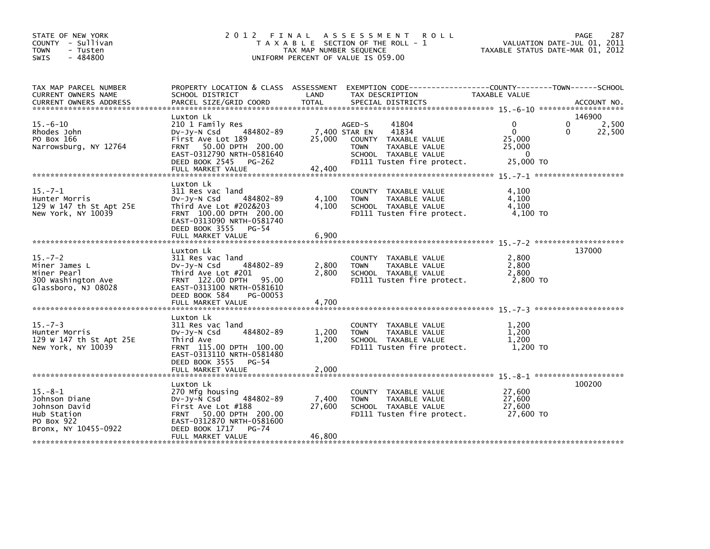| STATE OF NEW YORK<br>COUNTY - Sullivan<br>- Tusten<br><b>TOWN</b><br>$-484800$<br><b>SWIS</b> |                                                                                                                                                                                          | TAX MAP NUMBER SEQUENCE           | 2012 FINAL ASSESSMENT<br><b>ROLL</b><br>T A X A B L E SECTION OF THE ROLL - 1<br>UNIFORM PERCENT OF VALUE IS 059.00                              | VALUATION DATE-JUL 01, 2011<br>TAXABLE STATUS DATE-MAR 01, 2012          | 287<br>PAGE               |
|-----------------------------------------------------------------------------------------------|------------------------------------------------------------------------------------------------------------------------------------------------------------------------------------------|-----------------------------------|--------------------------------------------------------------------------------------------------------------------------------------------------|--------------------------------------------------------------------------|---------------------------|
| TAX MAP PARCEL NUMBER<br>CURRENT OWNERS NAME                                                  | PROPERTY LOCATION & CLASS ASSESSMENT<br>SCHOOL DISTRICT                                                                                                                                  | LAND                              | EXEMPTION CODE-----------------COUNTY-------TOWN------SCHOOL<br>TAX DESCRIPTION                                                                  | TAXABLE VALUE                                                            |                           |
| $15. -6 - 10$<br>Rhodes John<br>PO Box 166<br>Narrowsburg, NY 12764                           | Luxton Lk<br>210 1 Family Res<br>484802-89<br>DV-Jy-N Csd<br>First Ave Lot 189<br>FRNT 50.00 DPTH 200.00<br>EAST-0312790 NRTH-0581640<br>DEED BOOK 2545 PG-262<br>FULL MARKET VALUE      | 7,400 STAR EN<br>25,000<br>42,400 | 41804<br>AGED-S<br>41834<br><b>COUNTY</b><br>TAXABLE VALUE<br>TAXABLE VALUE<br><b>TOWN</b><br>SCHOOL TAXABLE VALUE<br>FD111 Tusten fire protect. | 0<br>0<br>$\mathbf{0}$<br>0<br>25,000<br>25,000<br>$\Omega$<br>25,000 TO | 146900<br>2,500<br>22,500 |
| $15. -7 - 1$<br>Hunter Morris<br>129 W 147 th St Apt 25E<br>New York, NY 10039                | Luxton Lk<br>311 Res vac land<br>484802-89<br>Dv-Jy-N Csd<br>Third Ave Lot #202&203<br>FRNT 100.00 DPTH 200.00<br>EAST-0313090 NRTH-0581740<br>DEED BOOK 3555 PG-54<br>FULL MARKET VALUE | 4,100<br>4.100<br>6,900           | TAXABLE VALUE<br><b>COUNTY</b><br>TAXABLE VALUE<br><b>TOWN</b><br>SCHOOL TAXABLE VALUE<br>FD111 Tusten fire protect.                             | 4,100<br>4,100<br>4.100<br>4.100 TO                                      |                           |
| $15. - 7 - 2$<br>Miner James L<br>Miner Pearl<br>300 Washington Ave<br>Glassboro, NJ 08028    | Luxton Lk<br>311 Res vac land<br>484802-89<br>Dv-Jy-N Csd<br>Third Ave Lot #201<br>FRNT 122.00 DPTH 95.00<br>EAST-0313100 NRTH-0581610                                                   | 2,800<br>2.800                    | <b>COUNTY</b><br>TAXABLE VALUE<br>TAXABLE VALUE<br><b>TOWN</b><br>SCHOOL TAXABLE VALUE<br>FD111 Tusten fire protect.                             | 2,800<br>2,800<br>2.800<br>2,800 TO                                      | 137000                    |
|                                                                                               | DEED BOOK 584<br>PG-00053                                                                                                                                                                |                                   |                                                                                                                                                  |                                                                          |                           |
| $15. - 7 - 3$<br>Hunter Morris<br>129 W 147 th St Apt 25E<br>New York, NY 10039               | Luxton Lk<br>311 Res vac land<br>484802-89<br>Dv-Jy-N Csd<br>Third Ave<br>FRNT 115.00 DPTH 100.00<br>EAST-0313110 NRTH-0581480<br>DEED BOOK 3555 PG-54                                   | 1,200<br>1,200                    | <b>COUNTY</b><br>TAXABLE VALUE<br>TAXABLE VALUE<br><b>TOWN</b><br>SCHOOL TAXABLE VALUE<br>FD111 Tusten fire protect.                             | 1,200<br>1,200<br>1,200<br>1.200 TO                                      |                           |
| $15. - 8 - 1$<br>Johnson Diane<br>Johnson David<br>Hub Station                                | Luxton Lk<br>270 Mfg housing<br>484802-89<br>$Dv-Jy-N$ Csd<br>First Ave Lot #188<br>FRNT 50.00 DPTH 200.00                                                                               | 7,400<br>27,600                   | <b>COUNTY</b><br>TAXABLE VALUE<br>TAXABLE VALUE<br><b>TOWN</b><br>SCHOOL TAXABLE VALUE<br>FD111 Tusten fire protect.                             | 27,600<br>27,600<br>27,600<br>27,600 TO                                  | 100200                    |
| PO Box 922<br>Bronx, NY 10455-0922                                                            | EAST-0312870 NRTH-0581600<br>DEED BOOK 1717<br><b>PG-74</b><br>FULL MARKET VALUE                                                                                                         | 46,800                            |                                                                                                                                                  |                                                                          |                           |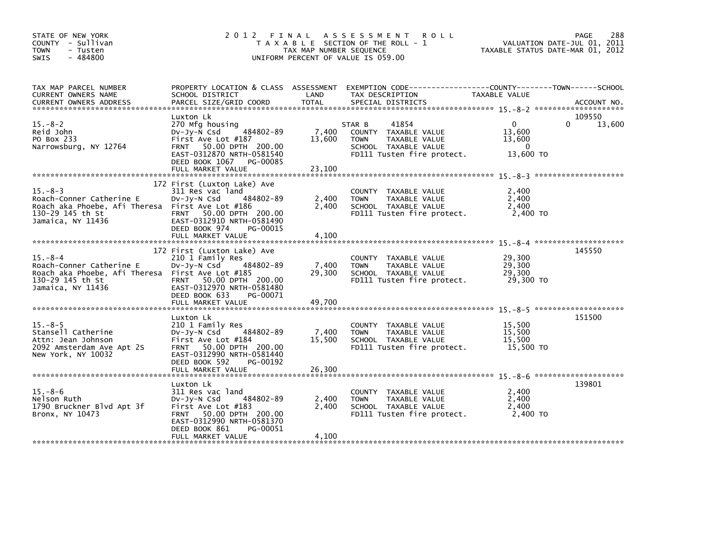| STATE OF NEW YORK<br>COUNTY - Sullivan<br><b>TOWN</b><br>- Tusten<br>$-484800$<br>SWIS                                                 | 2012 FINAL                                                                                                                                                                                 | TAX MAP NUMBER SEQUENCE   | A S S E S S M E N T<br><b>ROLL</b><br>T A X A B L E SECTION OF THE ROLL - 1<br>UNIFORM PERCENT OF VALUE IS 059.00             | TAXABLE STATUS DATE-MAR 01, 2012                      | 288<br><b>PAGE</b><br>VALUATION DATE-JUL 01, 2011 |
|----------------------------------------------------------------------------------------------------------------------------------------|--------------------------------------------------------------------------------------------------------------------------------------------------------------------------------------------|---------------------------|-------------------------------------------------------------------------------------------------------------------------------|-------------------------------------------------------|---------------------------------------------------|
| TAX MAP PARCEL NUMBER<br>CURRENT OWNERS NAME<br><b>CURRENT OWNERS ADDRESS</b>                                                          | PROPERTY LOCATION & CLASS ASSESSMENT<br>SCHOOL DISTRICT<br>PARCEL SIZE/GRID COORD                                                                                                          | LAND<br>TOTAL             | TAX DESCRIPTION<br>SPECIAL DISTRICTS                                                                                          | <b>TAXABLE VALUE</b>                                  | ACCOUNT NO.                                       |
| $15.-8-2$<br>Reid John<br>PO Box 233<br>Narrowsburg, NY 12764                                                                          | Luxton Lk<br>270 Mfg housing<br>484802-89<br>$Dv-Jv-N$ Csd<br>First Ave Lot #187<br>FRNT 50.00 DPTH 200.00<br>EAST-0312870 NRTH-0581540<br>DEED BOOK 1067<br>PG-00085<br>FULL MARKET VALUE | 7,400<br>13,600<br>23,100 | 41854<br>STAR B<br>COUNTY TAXABLE VALUE<br><b>TOWN</b><br>TAXABLE VALUE<br>SCHOOL TAXABLE VALUE<br>FD111 Tusten fire protect. | $\Omega$<br>13,600<br>13,600<br>$\Omega$<br>13,600 TO | 109550<br>13,600<br>0                             |
| $15. - 8 - 3$<br>Roach-Conner Catherine E<br>Roach aka Phoebe, Afi Theresa First Ave Lot #186<br>130-29 145 th St<br>Jamaica, NY 11436 | 172 First (Luxton Lake) Ave<br>311 Res vac land<br>484802-89<br>$Dv-Jy-N$ Csd<br>FRNT 50.00 DPTH 200.00<br>EAST-0312910 NRTH-0581490<br>DEED BOOK 974<br>PG-00015<br>FULL MARKET VALUE     | 2,400<br>2,400<br>4,100   | COUNTY TAXABLE VALUE<br>TAXABLE VALUE<br><b>TOWN</b><br>SCHOOL TAXABLE VALUE<br>FD111 Tusten fire protect.                    | 2,400<br>2,400<br>2,400<br>2,400 TO                   |                                                   |
| $15. - 8 - 4$<br>Roach-Conner Catherine E<br>Roach aka Phoebe, Afi Theresa First Ave Lot #185<br>130-29 145 th St<br>Jamaica, NY 11436 | 172 First (Luxton Lake) Ave<br>210 1 Family Res<br>484802-89<br>DV-JY-N Csd<br>FRNT 50.00 DPTH 200.00<br>EAST-0312970 NRTH-0581480<br>DEED BOOK 633<br>PG-00071<br>FULL MARKET VALUE       | 7,400<br>29,300<br>49,700 | COUNTY TAXABLE VALUE<br><b>TOWN</b><br>TAXABLE VALUE<br>SCHOOL TAXABLE VALUE<br>FD111 Tusten fire protect.                    | 29,300<br>29,300<br>29,300<br>29,300 TO               | 145550                                            |
| $15 - 8 - 5$<br>Stansell Catherine<br>Attn: Jean Johnson<br>2092 Amsterdam Ave Apt 2S<br>New York, NY 10032                            | Luxton Lk<br>210 1 Family Res<br>484802-89<br>DV-Jy-N Csd<br>First Ave Lot #184<br>FRNT 50.00 DPTH 200.00<br>EAST-0312990 NRTH-0581440<br>DEED BOOK 592<br>PG-00192                        | 7,400<br>15,500           | COUNTY TAXABLE VALUE<br>TAXABLE VALUE<br><b>TOWN</b><br>SCHOOL TAXABLE VALUE<br>FD111 Tusten fire protect.                    | 15,500<br>15,500<br>15,500<br>15,500 TO               | 151500                                            |
| $15 - 8 - 6$<br>Nelson Ruth<br>1790 Bruckner Blvd Apt 3f<br>Bronx, NY 10473                                                            | Luxton Lk<br>311 Res vac land<br>484802-89<br>$Dv-Jy-N$ Csd<br>First Ave Lot #183<br>FRNT 50.00 DPTH 200.00<br>EAST-0312990 NRTH-0581370<br>DEED BOOK 861<br>PG-00051                      | 2,400<br>2,400            | COUNTY TAXABLE VALUE<br>TAXABLE VALUE<br><b>TOWN</b><br>SCHOOL TAXABLE VALUE<br>FD111 Tusten fire protect.                    | 2,400<br>2,400<br>2,400<br>2.400 TO                   | 139801                                            |
|                                                                                                                                        | FULL MARKET VALUE                                                                                                                                                                          | 4,100                     |                                                                                                                               |                                                       |                                                   |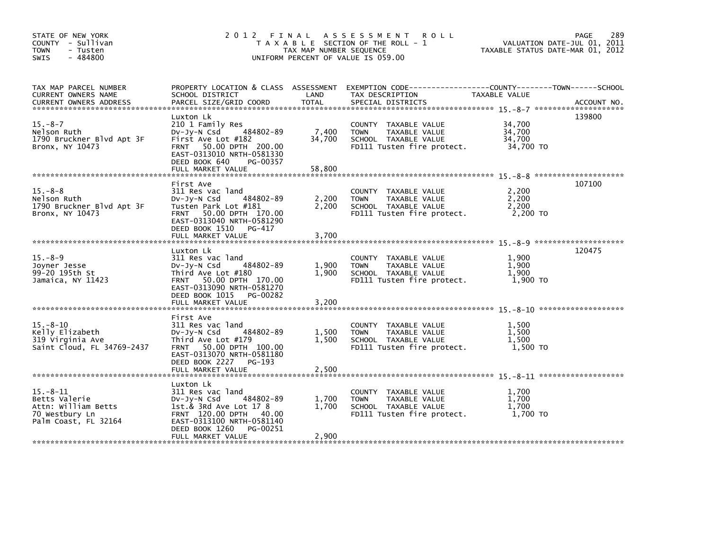| STATE OF NEW YORK<br>COUNTY - Sullivan<br><b>TOWN</b><br>- Tusten<br>$-484800$<br>SWIS          | 2012 FINAL                                                                                                                                                                               | TAX MAP NUMBER SEQUENCE   | A S S E S S M E N T<br><b>ROLL</b><br>T A X A B L E SECTION OF THE ROLL - 1<br>UNIFORM PERCENT OF VALUE IS 059.00 | VALUATION DATE-JUL 01, 2011<br>TAXABLE STATUS DATE-MAR 01, 2012 | 289<br>PAGE |
|-------------------------------------------------------------------------------------------------|------------------------------------------------------------------------------------------------------------------------------------------------------------------------------------------|---------------------------|-------------------------------------------------------------------------------------------------------------------|-----------------------------------------------------------------|-------------|
| TAX MAP PARCEL NUMBER<br>CURRENT OWNERS NAME<br><b>CURRENT OWNERS ADDRESS</b>                   | PROPERTY LOCATION & CLASS ASSESSMENT<br>SCHOOL DISTRICT<br>PARCEL SIZE/GRID COORD                                                                                                        | LAND<br>TOTAL             | TAX DESCRIPTION<br>SPECIAL DISTRICTS                                                                              | TAXABLE VALUE                                                   | ACCOUNT NO. |
| $15. - 8 - 7$<br>Nelson Ruth<br>1790 Bruckner Blvd Apt 3F<br>Bronx, NY 10473                    | Luxton Lk<br>210 1 Family Res<br>484802-89<br>DV-Jy-N Csd<br>First Ave Lot #182<br>FRNT 50.00 DPTH 200.00<br>EAST-0313010 NRTH-0581330<br>DEED BOOK 640<br>PG-00357<br>FULL MARKET VALUE | 7,400<br>34,700<br>58,800 | COUNTY TAXABLE VALUE<br>TAXABLE VALUE<br><b>TOWN</b><br>SCHOOL TAXABLE VALUE<br>FD111 Tusten fire protect.        | 34,700<br>34,700<br>34.700<br>34,700 TO                         | 139800      |
|                                                                                                 |                                                                                                                                                                                          |                           |                                                                                                                   |                                                                 | 107100      |
| $15. -8 - 8$<br>Nelson Ruth<br>1790 Bruckner Blvd Apt 3F<br>Bronx, NY 10473                     | First Ave<br>311 Res vac land<br>484802-89<br>$Dv-Jy-N$ Csd<br>Tusten Park Lot #181<br>FRNT 50.00 DPTH 170.00<br>EAST-0313040 NRTH-0581290                                               | 2,200<br>2,200            | COUNTY TAXABLE VALUE<br>TAXABLE VALUE<br><b>TOWN</b><br>SCHOOL TAXABLE VALUE<br>FD111 Tusten fire protect.        | 2,200<br>2,200<br>2,200<br>2.200 TO                             |             |
|                                                                                                 | DEED BOOK 1510 PG-417<br>FULL MARKET VALUE                                                                                                                                               | 3,700                     |                                                                                                                   |                                                                 |             |
| $15. - 8 - 9$<br>Joyner Jesse<br>99-20 195th St                                                 | Luxton Lk<br>311 Res vac land<br>484802-89<br>$Dv-Jy-N$ Csd<br>Third Ave Lot #180                                                                                                        | 1.900<br>1.900            | COUNTY TAXABLE VALUE<br><b>TOWN</b><br>TAXABLE VALUE<br>SCHOOL TAXABLE VALUE                                      | 1,900<br>1,900<br>1,900                                         | 120475      |
| Jamaica, NY 11423                                                                               | FRNT 50.00 DPTH 170.00<br>EAST-0313090 NRTH-0581270<br>DEED BOOK 1015 PG-00282<br>FULL MARKET VALUE                                                                                      | 3,200                     | FD111 Tusten fire protect.                                                                                        | 1,900 TO                                                        |             |
|                                                                                                 | First Ave                                                                                                                                                                                |                           |                                                                                                                   |                                                                 |             |
| $15 - 8 - 10$<br>Kelly Elizabeth<br>319 Virginia Ave<br>Saint Cloud, FL 34769-2437              | 311 Res vac land<br>484802-89<br>$Dv-Jy-N$ Csd<br>Third Ave Lot #179<br>FRNT 50.00 DPTH 100.00<br>EAST-0313070 NRTH-0581180<br>DEED BOOK 2227 PG-193                                     | 1,500<br>1,500            | COUNTY TAXABLE VALUE<br><b>TOWN</b><br>TAXABLE VALUE<br>SCHOOL TAXABLE VALUE<br>FD111 Tusten fire protect.        | 1,500<br>1,500<br>1,500<br>1,500 TO                             |             |
|                                                                                                 |                                                                                                                                                                                          |                           |                                                                                                                   |                                                                 |             |
|                                                                                                 | Luxton Lk                                                                                                                                                                                |                           |                                                                                                                   |                                                                 |             |
| $15 - 8 - 11$<br>Betts Valerie<br>Attn: William Betts<br>70 Westbury Ln<br>Palm Coast, FL 32164 | 311 Res vac land<br>484802-89<br>$Dv-Jy-N$ Csd<br>1st.& 3Rd Ave Lot 17 8<br>FRNT 120.00 DPTH 40.00<br>EAST-0313100 NRTH-0581140<br>DEED BOOK 1260<br>PG-00251                            | 1,700<br>1,700            | COUNTY TAXABLE VALUE<br>TAXABLE VALUE<br><b>TOWN</b><br>SCHOOL TAXABLE VALUE<br>FD111 Tusten fire protect.        | 1.700<br>1,700<br>1,700<br>1.700 TO                             |             |
|                                                                                                 | FULL MARKET VALUE                                                                                                                                                                        | 2,900                     |                                                                                                                   |                                                                 |             |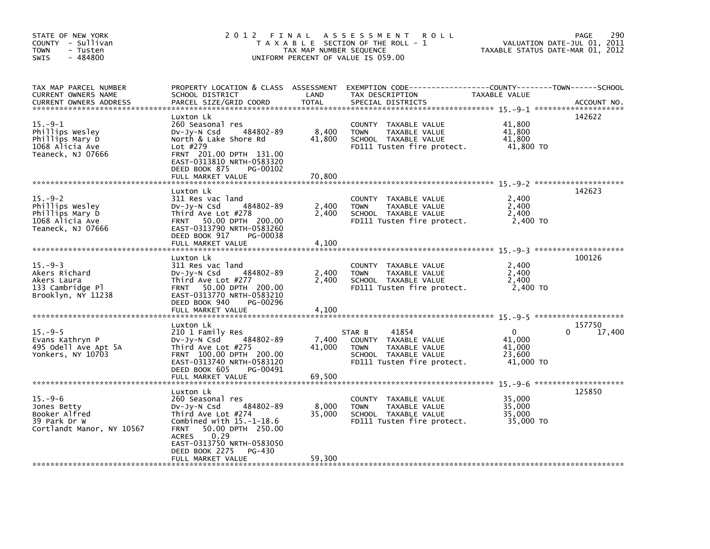| STATE OF NEW YORK<br>COUNTY - Sullivan<br>- Tusten<br><b>TOWN</b><br>$-484800$<br>SWIS     |                                                                                                                                                                                                                                                           | TAX MAP NUMBER SEQUENCE   | 2012 FINAL ASSESSMENT<br><b>ROLL</b><br>T A X A B L E SECTION OF THE ROLL - 1<br>UNIFORM PERCENT OF VALUE IS 059.00                  | VALUATION DATE-JUL 01, 2011<br>TAXABLE STATUS DATE-MAR 01, 2012 | 290<br><b>PAGE</b> |
|--------------------------------------------------------------------------------------------|-----------------------------------------------------------------------------------------------------------------------------------------------------------------------------------------------------------------------------------------------------------|---------------------------|--------------------------------------------------------------------------------------------------------------------------------------|-----------------------------------------------------------------|--------------------|
| TAX MAP PARCEL NUMBER<br>CURRENT OWNERS NAME<br><b>CURRENT OWNERS ADDRESS</b>              | PROPERTY LOCATION & CLASS ASSESSMENT<br>SCHOOL DISTRICT<br>PARCEL SIZE/GRID COORD                                                                                                                                                                         | LAND<br><b>TOTAL</b>      | TAX DESCRIPTION<br>SPECIAL DISTRICTS                                                                                                 | TAXABLE VALUE                                                   | ACCOUNT NO.        |
| $15. -9 - 1$<br>Phillips Wesley<br>Phillips Mary D<br>1068 Alicia Ave<br>Teaneck, NJ 07666 | Luxton Lk<br>260 Seasonal res<br>484802-89<br>DV-Jy-N Csd<br>North & Lake Shore Rd<br>Lot #279<br>FRNT 201.00 DPTH 131.00<br>EAST-0313810 NRTH-0583320<br>DEED BOOK 875<br>PG-00102<br>FULL MARKET VALUE                                                  | 8,400<br>41,800<br>70,800 | COUNTY TAXABLE VALUE<br>TAXABLE VALUE<br><b>TOWN</b><br>SCHOOL TAXABLE VALUE<br>FD111 Tusten fire protect.                           | 41,800<br>41.800<br>41,800<br>41,800 TO                         | 142622             |
| $15. -9-2$<br>Phillips Wesley<br>Phillips Mary D<br>1068 Alicia Ave<br>Teaneck, NJ 07666   | Luxton Lk<br>311 Res vac land<br>484802-89<br>DV-Jy-N Csd<br>Third Ave Lot #278<br>50.00 DPTH 200.00<br>FRNT<br>EAST-0313790 NRTH-0583260<br>DEED BOOK 917<br>PG-00038                                                                                    | 2,400<br>2.400            | COUNTY TAXABLE VALUE<br>TAXABLE VALUE<br><b>TOWN</b><br>SCHOOL TAXABLE VALUE<br>FD111 Tusten fire protect.                           | 2.400<br>2,400<br>2,400<br>2,400 TO                             | 142623             |
|                                                                                            | FULL MARKET VALUE                                                                                                                                                                                                                                         | 4,100                     |                                                                                                                                      |                                                                 |                    |
| $15. -9 - 3$<br>Akers Richard<br>Akers Laura<br>133 Cambridge Pl<br>Brooklyn, NY 11238     | Luxton Lk<br>311 Res vac land<br>484802-89<br>$Dv-Jv-N$ Csd<br>Third Ave Lot #277<br><b>FRNT</b><br>50.00 DPTH 200.00<br>EAST-0313770 NRTH-0583210<br>DEED BOOK 940<br>PG-00296<br>FULL MARKET VALUE                                                      | 2,400<br>2,400<br>4,100   | COUNTY<br>TAXABLE VALUE<br>TAXABLE VALUE<br><b>TOWN</b><br>SCHOOL TAXABLE VALUE<br>FD111 Tusten fire protect.                        | 2,400<br>2,400<br>2,400<br>2,400 TO                             | 100126             |
|                                                                                            |                                                                                                                                                                                                                                                           |                           |                                                                                                                                      |                                                                 |                    |
| $15. -9-5$<br>Evans Kathryn P<br>495 Odell Ave Apt 5A<br>Yonkers, NY 10703                 | Luxton Lk<br>210 1 Family Res<br>DV-Jy-N Csd<br>484802-89<br>Third Ave Lot #275<br>FRNT 100.00 DPTH 200.00<br>EAST-0313740 NRTH-0583120<br>PG-00491                                                                                                       | 7,400<br>41,000           | STAR B<br>41854<br>COUNTY TAXABLE VALUE<br><b>TAXABLE VALUE</b><br><b>TOWN</b><br>SCHOOL TAXABLE VALUE<br>FD111 Tusten fire protect. | $\mathbf{0}$<br>41,000<br>41,000<br>23,600<br>41,000 TO         | 157750<br>17,400   |
|                                                                                            | DEED BOOK 605<br>FULL MARKET VALUE                                                                                                                                                                                                                        | 69,500                    |                                                                                                                                      |                                                                 |                    |
| $15. -9-6$<br>Jones Betty<br>Booker Alfred<br>39 Park Dr W<br>Cortlandt Manor, NY 10567    | Luxton Lk<br>260 Seasonal res<br>484802-89<br>$Dv-Jv-N$ Csd<br>Third Ave Lot #274<br>Combined with $15.-1-18.6$<br>50.00 DPTH 250.00<br><b>FRNT</b><br>0.29<br><b>ACRES</b><br>EAST-0313750 NRTH-0583050<br>DEED BOOK 2275<br>PG-430<br>FULL MARKET VALUE | 8,000<br>35,000<br>59,300 | COUNTY TAXABLE VALUE<br><b>TOWN</b><br>TAXABLE VALUE<br>SCHOOL TAXABLE VALUE<br>FD111 Tusten fire protect.                           | 35,000<br>35.000<br>35,000<br>35,000 TO                         | 125850             |
|                                                                                            |                                                                                                                                                                                                                                                           |                           |                                                                                                                                      |                                                                 |                    |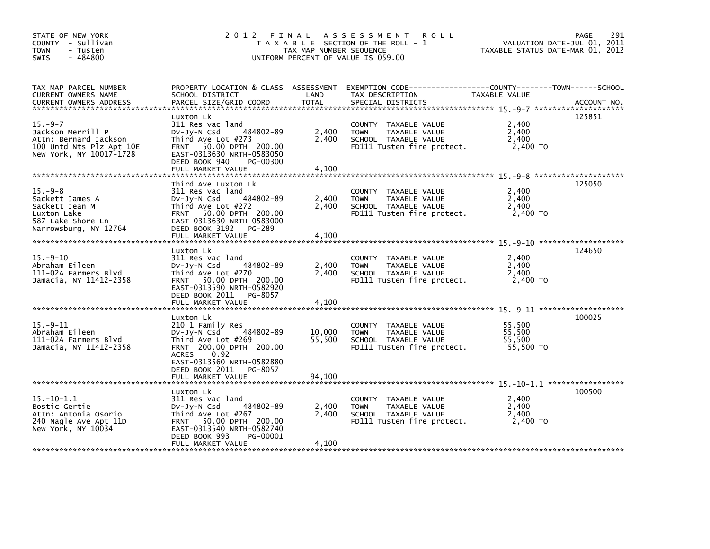| STATE OF NEW YORK<br>COUNTY - Sullivan<br><b>TOWN</b><br>- Tusten<br>$-484800$<br>SWIS                            |                                                                                                                                                                                            | TAX MAP NUMBER SEQUENCE | 2012 FINAL ASSESSMENT<br><b>ROLL</b><br>T A X A B L E SECTION OF THE ROLL - 1<br>UNIFORM PERCENT OF VALUE IS 059.00                     | VALUATION DATE-JUL 01, 2011<br>TAXABLE STATUS DATE-MAR 01, 2012 | 291<br>PAGE |
|-------------------------------------------------------------------------------------------------------------------|--------------------------------------------------------------------------------------------------------------------------------------------------------------------------------------------|-------------------------|-----------------------------------------------------------------------------------------------------------------------------------------|-----------------------------------------------------------------|-------------|
| TAX MAP PARCEL NUMBER<br>CURRENT OWNERS NAME<br><b>CURRENT OWNERS ADDRESS</b>                                     | SCHOOL DISTRICT<br>PARCEL SIZE/GRID COORD                                                                                                                                                  | LAND<br><b>TOTAL</b>    | PROPERTY LOCATION & CLASS ASSESSMENT EXEMPTION CODE----------------COUNTY-------TOWN-----SCHOOL<br>TAX DESCRIPTION<br>SPECIAL DISTRICTS | TAXABLE VALUE                                                   | ACCOUNT NO. |
| $15. -9 - 7$<br>Jackson Merrill P<br>Attn: Bernard Jackson<br>100 Untd Nts Plz Apt 10E<br>New York, NY 10017-1728 | Luxton Lk<br>311 Res vac land<br>484802-89<br>DV-Jy-N Csd<br>Third Ave Lot #273<br>FRNT 50.00 DPTH 200.00<br>EAST-0313630 NRTH-0583050<br>DEED BOOK 940<br>PG-00300<br>FULL MARKET VALUE   | 2,400<br>2,400<br>4,100 | COUNTY TAXABLE VALUE<br>TAXABLE VALUE<br><b>TOWN</b><br>SCHOOL TAXABLE VALUE<br>FD111 Tusten fire protect.                              | 2,400<br>2,400<br>2,400<br>2,400 TO                             | 125851      |
| $15. -9 - 8$<br>Sackett James A<br>Sackett Jean M                                                                 | Third Ave Luxton Lk<br>311 Res vac land<br>484802-89<br>DV-Jy-N Csd<br>Third Ave Lot #272                                                                                                  | 2,400<br>2,400          | COUNTY TAXABLE VALUE<br><b>TOWN</b><br>TAXABLE VALUE<br>SCHOOL TAXABLE VALUE                                                            | 2,400<br>2,400<br>2,400                                         | 125050      |
| Luxton Lake<br>587 Lake Shore Ln<br>Narrowsburg, NY 12764                                                         | FRNT 50.00 DPTH 200.00<br>EAST-0313630 NRTH-0583000<br>DEED BOOK 3192 PG-289<br>FULL MARKET VALUE                                                                                          | 4,100                   | FD111 Tusten fire protect.                                                                                                              | 2,400 TO                                                        |             |
| $15. - 9 - 10$<br>Abraham Eileen<br>111-02A Farmers Blvd<br>Jamacia, NY 11412-2358                                | Luxton Lk<br>311 Res vac land<br>484802-89<br>$Dv-Jy-N$ Csd<br>Third Ave Lot #270<br>FRNT 50.00 DPTH 200.00<br>EAST-0313590 NRTH-0582920<br>DEED BOOK 2011 PG-8057<br>FULL MARKET VALUE    | 2,400<br>2,400<br>4,100 | COUNTY TAXABLE VALUE<br>TAXABLE VALUE<br><b>TOWN</b><br>SCHOOL TAXABLE VALUE<br>FD111 Tusten fire protect.                              | 2,400<br>2,400<br>2,400<br>2,400 TO                             | 124650      |
| $15. -9 - 11$<br>Abraham Eileen<br>111-02A Farmers Blvd<br>Jamacia, NY 11412-2358                                 | Luxton Lk<br>210 1 Family Res<br>484802-89<br>$Dv-Jy-N$ Csd<br>Third Ave Lot #269<br>FRNT 200.00 DPTH 200.00<br>ACRES<br>0.92<br>EAST-0313560 NRTH-0582880<br>DEED BOOK 2011 PG-8057       | 10,000<br>55,500        | COUNTY TAXABLE VALUE<br><b>TOWN</b><br>TAXABLE VALUE<br>SCHOOL TAXABLE VALUE<br>FD111 Tusten fire protect.                              | 55,500<br>55,500<br>55,500<br>55,500 TO                         | 100025      |
|                                                                                                                   |                                                                                                                                                                                            |                         |                                                                                                                                         |                                                                 |             |
| $15. - 10 - 1.1$<br>Bostic Gertie<br>Attn: Antonia Osorio<br>240 Nagle Ave Apt 11D<br>New York, NY 10034          | Luxton Lk<br>311 Res vac land<br>484802-89<br>$Dv-Jy-N$ Csd<br>Third Ave Lot #267<br>FRNT 50.00 DPTH 200.00<br>EAST-0313540 NRTH-0582740<br>DEED BOOK 993<br>PG-00001<br>FULL MARKET VALUE | 2,400<br>2,400<br>4,100 | COUNTY TAXABLE VALUE<br>TAXABLE VALUE<br><b>TOWN</b><br>SCHOOL TAXABLE VALUE<br>FD111 Tusten fire protect.                              | 2,400<br>2,400<br>2,400<br>2,400 TO                             | 100500      |
|                                                                                                                   |                                                                                                                                                                                            |                         |                                                                                                                                         |                                                                 |             |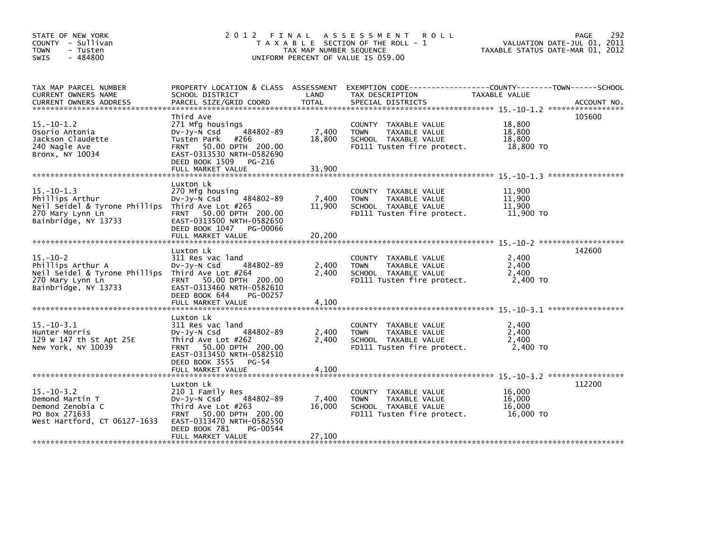| STATE OF NEW YORK<br>COUNTY - Sullivan<br><b>TOWN</b><br>- Tusten<br>$-484800$<br>SWIS                                          | 2012 FINAL ASSESSMENT ROLL                                                                                                                                                           | T A X A B L E SECTION OF THE ROLL - 1<br>TAX MAP NUMBER SEQUENCE<br>UNIFORM PERCENT OF VALUE IS 059.00 | PAGE<br>292<br>VALUATION DATE-JUL 01, 2011<br>TAXABLE STATUS DATE-MAR 01, 2012                             |                                                                                                                 |             |
|---------------------------------------------------------------------------------------------------------------------------------|--------------------------------------------------------------------------------------------------------------------------------------------------------------------------------------|--------------------------------------------------------------------------------------------------------|------------------------------------------------------------------------------------------------------------|-----------------------------------------------------------------------------------------------------------------|-------------|
| TAX MAP PARCEL NUMBER<br>CURRENT OWNERS NAME<br><b>CURRENT OWNERS ADDRESS</b>                                                   | SCHOOL DISTRICT<br>PARCEL SIZE/GRID COORD                                                                                                                                            | LAND<br><b>TOTAL</b>                                                                                   | TAX DESCRIPTION<br>SPECIAL DISTRICTS                                                                       | PROPERTY LOCATION & CLASS ASSESSMENT EXEMPTION CODE---------------COUNTY-------TOWN-----SCHOOL<br>TAXABLE VALUE | ACCOUNT NO. |
| $15.-10-1.2$<br>Osorio Antonia<br>Jackson Claudette<br>240 Nagle Ave<br>Bronx, NY 10034                                         | Third Ave<br>271 Mfg housings<br>484802-89<br>$Dv-Jv-N$ Csd<br>Tusten Park #266<br>FRNT 50.00 DPTH 200.00<br>EAST-0313530 NRTH-0582690<br>DEED BOOK 1509 PG-216<br>FULL MARKET VALUE | 7,400<br>18,800<br>31,900                                                                              | COUNTY TAXABLE VALUE<br><b>TOWN</b><br>TAXABLE VALUE<br>SCHOOL TAXABLE VALUE<br>FD111 Tusten fire protect. | 105600<br>18,800<br>18,800<br>18,800<br>18.800 TO                                                               |             |
| $15.-10-1.3$<br>Phillips Arthur<br>Neil Seidel & Tyrone Phillips Third Ave Lot #265                                             | Luxton Lk<br>270 Mfg housing<br>Dv-Jy-N Csd<br>484802-89                                                                                                                             | 7,400<br>11,900                                                                                        | COUNTY TAXABLE VALUE<br><b>TOWN</b><br>TAXABLE VALUE<br>SCHOOL TAXABLE VALUE                               | 11,900<br>11,900<br>11.900                                                                                      |             |
| 270 Mary Lynn Ln<br>Bainbridge, NY 13733                                                                                        | FRNT 50.00 DPTH 200.00<br>EAST-0313500 NRTH-0582650<br>DEED BOOK 1047 PG-00066<br>FULL MARKET VALUE                                                                                  | 20,200                                                                                                 | FD111 Tusten fire protect.                                                                                 | 11,900 TO                                                                                                       |             |
| $15.-10-2$<br>Phillips Arthur A<br>Neil Seidel & Tyrone Phillips Third Ave Lot #264<br>270 Mary Lynn Ln<br>Bainbridge, NY 13733 | Luxton Lk<br>311 Res vac land<br>484802-89<br>Dv-Jy-N Csd<br>FRNT 50.00 DPTH 200.00<br>EAST-0313460 NRTH-0582610<br>DEED BOOK 644<br>PG-00257                                        | 2,400<br>2,400                                                                                         | COUNTY TAXABLE VALUE<br><b>TOWN</b><br>TAXABLE VALUE<br>SCHOOL TAXABLE VALUE<br>FD111 Tusten fire protect. | 142600<br>2,400<br>2.400<br>2,400<br>2,400 TO                                                                   |             |
|                                                                                                                                 |                                                                                                                                                                                      |                                                                                                        |                                                                                                            |                                                                                                                 |             |
| $15 - 10 - 3.1$<br>Hunter Morris<br>129 W 147 th St Apt 25E<br>New York, NY 10039                                               | Luxton Lk<br>311 Res vac land<br>484802-89<br>$Dv-Jy-N$ Csd<br>Third Ave Lot #262<br>FRNT 50.00 DPTH 200.00<br>EAST-0313450 NRTH-0582510<br>DEED BOOK 3555 PG-54                     | 2,400<br>2,400                                                                                         | COUNTY TAXABLE VALUE<br><b>TOWN</b><br>TAXABLE VALUE<br>SCHOOL TAXABLE VALUE<br>FD111 Tusten fire protect. | 2,400<br>2.400<br>2,400<br>2,400 TO                                                                             |             |
|                                                                                                                                 |                                                                                                                                                                                      |                                                                                                        |                                                                                                            |                                                                                                                 |             |
| $15. - 10 - 3.2$<br>Demond Martin T<br>Demond Zenobia C<br>PO Box 271633<br>West Hartford, CT 06127-1633                        | Luxton Lk<br>210 1 Family Res<br>484802-89<br>DV-Jy-N Csd<br>Third Ave Lot #263<br>FRNT 50.00 DPTH 200.00<br>EAST-0313470 NRTH-0582550<br>DEED BOOK 781<br>PG-00544                  | 7,400<br>16,000                                                                                        | COUNTY TAXABLE VALUE<br><b>TOWN</b><br>TAXABLE VALUE<br>SCHOOL TAXABLE VALUE<br>FD111 Tusten fire protect. | 112200<br>16.000<br>16,000<br>16,000<br>16,000 TO                                                               |             |
|                                                                                                                                 | FULL MARKET VALUE                                                                                                                                                                    | 27,100                                                                                                 |                                                                                                            |                                                                                                                 |             |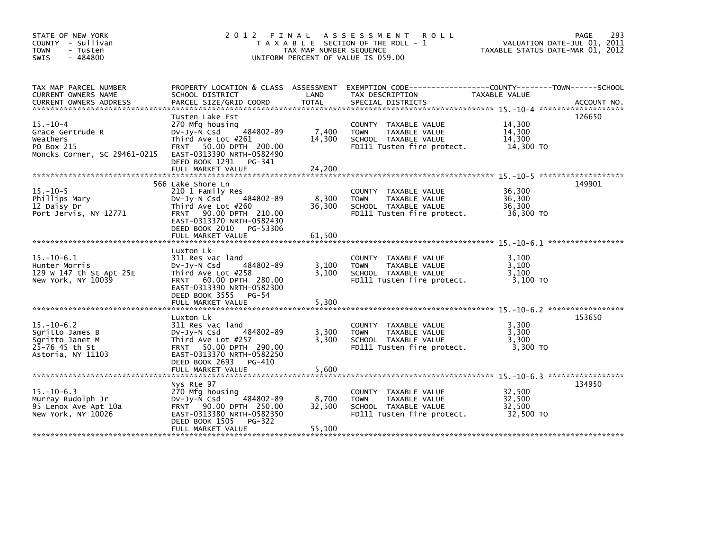| STATE OF NEW YORK<br>COUNTY - Sullivan<br><b>TOWN</b><br>- Tusten<br>$-484800$<br>SWIS        |                                                                                                                                                                                  | TAX MAP NUMBER SEQUENCE | 2012 FINAL ASSESSMENT<br><b>ROLL</b><br>T A X A B L E SECTION OF THE ROLL - 1<br>UNIFORM PERCENT OF VALUE IS 059.00         | VALUATION DATE-JUL 01, 2011<br>TAXABLE STATUS DATE-MAR 01, 2012 | 293<br>PAGE |
|-----------------------------------------------------------------------------------------------|----------------------------------------------------------------------------------------------------------------------------------------------------------------------------------|-------------------------|-----------------------------------------------------------------------------------------------------------------------------|-----------------------------------------------------------------|-------------|
| TAX MAP PARCEL NUMBER<br>CURRENT OWNERS NAME                                                  | SCHOOL DISTRICT                                                                                                                                                                  | LAND                    | PROPERTY LOCATION & CLASS ASSESSMENT EXEMPTION CODE-----------------COUNTY-------TOWN------SCHOOL<br>TAX DESCRIPTION        | TAXABLE VALUE                                                   |             |
| $15. - 10 - 4$<br>Grace Gertrude R<br>Weathers<br>PO Box 215<br>Moncks Corner, SC 29461-0215  | Tusten Lake Est<br>270 Mfg housing<br>$Dv-Jv-N$ Csd<br>484802-89<br>Third Ave Lot #261<br>50.00 DPTH 200.00<br><b>FRNT</b><br>EAST-0313390 NRTH-0582490<br>DEED BOOK 1291 PG-341 | 7,400<br>14,300         | COUNTY TAXABLE VALUE<br>TAXABLE VALUE<br><b>TOWN</b><br>SCHOOL TAXABLE VALUE<br>FD111 Tusten fire protect.                  | 14,300<br>14,300<br>14,300<br>14,300 TO                         | 126650      |
|                                                                                               |                                                                                                                                                                                  |                         |                                                                                                                             |                                                                 |             |
| $15. - 10 - 5$<br>Phillips Mary<br>12 Daisy Dr<br>Port Jervis, NY 12771                       | 566 Lake Shore Ln<br>210 1 Family Res<br>484802-89<br>$Dv-Jy-N$ Csd<br>Third Ave Lot #260<br>FRNT 90.00 DPTH 210.00<br>EAST-0313370 NRTH-0582430                                 | 8,300<br>36,300         | COUNTY TAXABLE VALUE<br><b>TOWN</b><br>TAXABLE VALUE<br>SCHOOL TAXABLE VALUE<br>FD111 Tusten fire protect.                  | 36,300<br>36,300<br>36,300<br>36,300 TO                         | 149901      |
|                                                                                               | DEED BOOK 2010<br>PG-53306<br>FULL MARKET VALUE                                                                                                                                  | 61,500                  |                                                                                                                             |                                                                 |             |
|                                                                                               |                                                                                                                                                                                  |                         |                                                                                                                             |                                                                 |             |
| $15. - 10 - 6.1$<br>Hunter Morris<br>129 W 147 th St Apt 25E<br>New York, NY 10039            | Luxton Lk<br>311 Res vac land<br>484802-89<br>DV-Jy-N Csd<br>Third Ave Lot #258<br>FRNT 60.00 DPTH 280.00<br>EAST-0313390 NRTH-0582300<br>DEED BOOK 3555 PG-54                   | 3,100<br>3,100          | COUNTY TAXABLE VALUE<br>TAXABLE VALUE<br><b>TOWN</b><br>SCHOOL TAXABLE VALUE<br>FD111 Tusten fire protect.                  | 3.100<br>3,100<br>3.100<br>$3,100$ TO                           |             |
|                                                                                               | FULL MARKET VALUE                                                                                                                                                                | 5,300                   |                                                                                                                             |                                                                 |             |
| $15. - 10 - 6.2$<br>Sgritto James B<br>Sqritto Janet M<br>25-76 45 th St<br>Astoria, NY 11103 | Luxton Lk<br>311 Res vac land<br>484802-89<br>$Dv-Jv-N$ Csd<br>Third Ave Lot #257<br>FRNT 50.00 DPTH 290.00<br>EAST-0313370 NRTH-0582250                                         | 3,300<br>3,300          | COUNTY TAXABLE VALUE<br><b>TOWN</b><br>TAXABLE VALUE<br>SCHOOL TAXABLE VALUE<br>FD111 Tusten fire protect.                  | 3,300<br>3,300<br>3,300<br>3.300 TO                             | 153650      |
|                                                                                               | DEED BOOK 2693<br>PG-410<br>FULL MARKET VALUE                                                                                                                                    | 5,600                   |                                                                                                                             |                                                                 |             |
|                                                                                               |                                                                                                                                                                                  |                         |                                                                                                                             |                                                                 |             |
| $15 - 10 - 6.3$<br>Murray Rudolph Jr<br>95 Lenox Ave Apt 10a<br>New York, NY 10026            | Nys Rte 97<br>270 Mfg housing<br>484802-89<br>$Dv-Jy-N$ Csd<br>FRNT 90.00 DPTH 250.00<br>EAST-0313380 NRTH-0582350<br>DEED BOOK 1505<br>PG-322                                   | 8,700<br>32,500         | <b>COUNTY</b><br>TAXABLE VALUE<br><b>TAXABLE VALUE</b><br><b>TOWN</b><br>SCHOOL TAXABLE VALUE<br>FD111 Tusten fire protect. | 32,500<br>32,500<br>32,500<br>32,500 TO                         | 134950      |
|                                                                                               | FULL MARKET VALUE                                                                                                                                                                | 55,100                  |                                                                                                                             |                                                                 |             |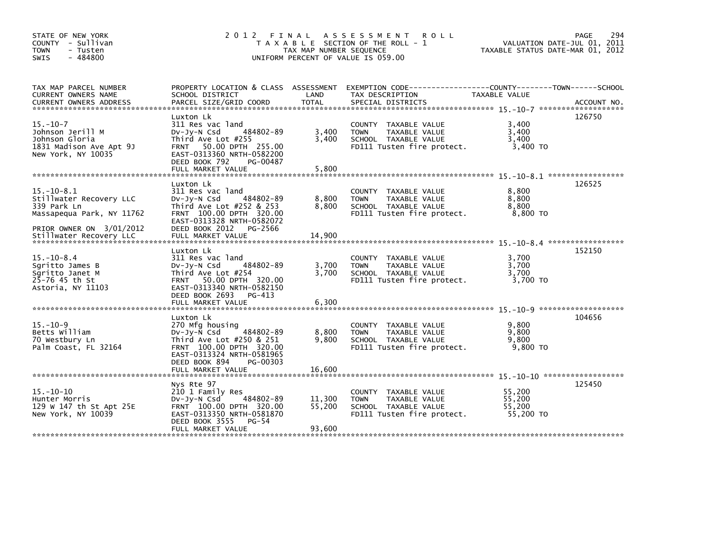| STATE OF NEW YORK<br>COUNTY - Sullivan<br><b>TOWN</b><br>- Tusten<br>$-484800$<br>SWIS                |                                                                                                                                                                                        | TAX MAP NUMBER SEQUENCE    | 2012 FINAL ASSESSMENT<br><b>ROLL</b><br>T A X A B L E SECTION OF THE ROLL - 1<br>UNIFORM PERCENT OF VALUE IS 059.00  | VALUATION DATE-JUL 01, 2011<br>TAXABLE STATUS DATE-MAR 01, 2012 | 294<br>PAGE |
|-------------------------------------------------------------------------------------------------------|----------------------------------------------------------------------------------------------------------------------------------------------------------------------------------------|----------------------------|----------------------------------------------------------------------------------------------------------------------|-----------------------------------------------------------------|-------------|
| TAX MAP PARCEL NUMBER<br>CURRENT OWNERS NAME                                                          | SCHOOL DISTRICT                                                                                                                                                                        | LAND                       | PROPERTY LOCATION & CLASS ASSESSMENT EXEMPTION CODE----------------COUNTY-------TOWN-----SCHOOL<br>TAX DESCRIPTION   | TAXABLE VALUE                                                   |             |
| $15. - 10 - 7$<br>Johnson Jerill M<br>Johnson Gloria<br>1831 Madison Ave Apt 9J<br>New York, NY 10035 | Luxton Lk<br>311 Res vac land<br>484802-89<br>DV-Jy-N Csd<br>Third Ave Lot #255<br>50.00 DPTH 255.00<br><b>FRNT</b><br>EAST-0313360 NRTH-0582200<br>DEED BOOK 792<br>PG-00487          | 3,400<br>3,400             | COUNTY TAXABLE VALUE<br>TAXABLE VALUE<br><b>TOWN</b><br>SCHOOL TAXABLE VALUE<br>FD111 Tusten fire protect.           | 3,400<br>3,400<br>3,400<br>3,400 TO                             | 126750      |
|                                                                                                       |                                                                                                                                                                                        |                            |                                                                                                                      |                                                                 |             |
| $15. - 10 - 8.1$<br>Stillwater Recovery LLC<br>339 Park Ln<br>Massapequa Park, NY 11762               | Luxton Lk<br>311 Res vac land<br>484802-89<br>$Dv-Jy-N$ Csd<br>Third Ave Lot $#252$ & 253<br>FRNT 100.00 DPTH 320.00<br>EAST-0313328 NRTH-0582072                                      | 8,800<br>8,800             | COUNTY TAXABLE VALUE<br><b>TOWN</b><br>TAXABLE VALUE<br>SCHOOL TAXABLE VALUE<br>FD111 Tusten fire protect.           | 8,800<br>8,800<br>8,800<br>8,800 TO                             | 126525      |
| PRIOR OWNER ON 3/01/2012                                                                              | DEED BOOK 2012<br>PG-2566                                                                                                                                                              |                            |                                                                                                                      |                                                                 |             |
| $15 - 10 - 8.4$<br>Sgritto James B<br>Sgritto Janet M<br>25-76 45 th St<br>Astoria, NY 11103          | Luxton Lk<br>311 Res vac land<br>484802-89<br>$Dv-Jy-N$ Csd<br>Third Ave Lot #254<br>FRNT 50.00 DPTH 320.00<br>EAST-0313340 NRTH-0582150<br>DEED BOOK 2693 PG-413<br>FULL MARKET VALUE | 3,700<br>3.700<br>6,300    | COUNTY TAXABLE VALUE<br>TAXABLE VALUE<br><b>TOWN</b><br>SCHOOL TAXABLE VALUE<br>FD111 Tusten fire protect.           | 3,700<br>3,700<br>3.700<br>3,700 TO                             | 152150      |
| $15. - 10 - 9$<br>Betts William<br>70 Westbury Ln<br>Palm Coast, FL 32164                             | Luxton Lk<br>270 Mfg housing<br>484802-89<br>DV-Jy-N Csd<br>Third Ave Lot #250 & 251<br>FRNT 100.00 DPTH 320.00<br>EAST-0313324 NRTH-0581965                                           | 8,800<br>9.800             | COUNTY TAXABLE VALUE<br><b>TOWN</b><br>TAXABLE VALUE<br>SCHOOL TAXABLE VALUE<br>FD111 Tusten fire protect.           | 9,800<br>9,800<br>9,800<br>9.800 TO                             | 104656      |
|                                                                                                       | DEED BOOK 894<br>PG-00303<br>FULL MARKET VALUE                                                                                                                                         | 16,600                     |                                                                                                                      |                                                                 |             |
| $15. - 10 - 10$<br>Hunter Morris<br>129 W 147 th St Apt 25E<br>New York, NY 10039                     | Nys Rte 97<br>210 1 Family Res<br>484802-89<br>DV-Jy-N Csd<br>FRNT 100.00 DPTH 320.00<br>EAST-0313350 NRTH-0581870<br>DEED BOOK 3555<br>$PG-54$<br>FULL MARKET VALUE                   | 11,300<br>55.200<br>93,600 | <b>COUNTY</b><br>TAXABLE VALUE<br>TAXABLE VALUE<br><b>TOWN</b><br>SCHOOL TAXABLE VALUE<br>FD111 Tusten fire protect. | 55,200<br>55,200<br>55,200<br>55,200 TO                         | 125450      |
|                                                                                                       |                                                                                                                                                                                        |                            |                                                                                                                      |                                                                 |             |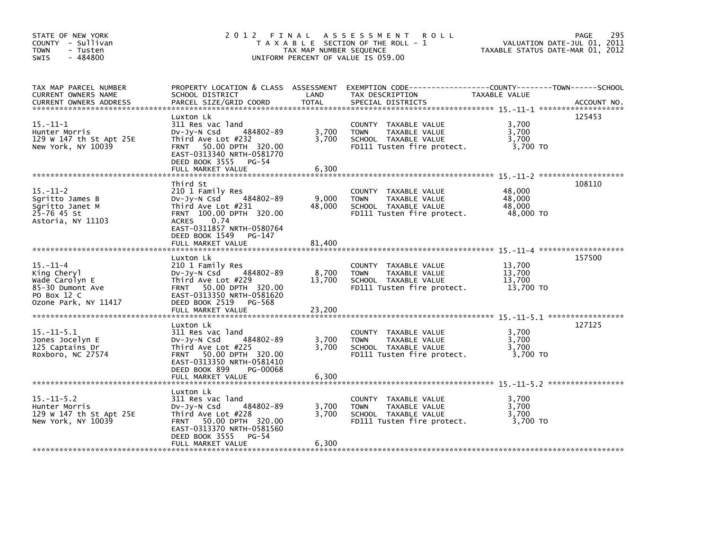| STATE OF NEW YORK<br>COUNTY - Sullivan<br>- Tusten<br><b>TOWN</b><br>$-484800$<br><b>SWIS</b>              | 2012 FINAL                                                                                                                                                                                                      | TAX MAP NUMBER SEQUENCE   | A S S E S S M E N T<br><b>ROLL</b><br>T A X A B L E SECTION OF THE ROLL - 1<br>UNIFORM PERCENT OF VALUE IS 059.00 | TAXABLE STATUS DATE-MAR 01, 2012        | 295<br>PAGE<br>VALUATION DATE-JUL 01, 2011 |
|------------------------------------------------------------------------------------------------------------|-----------------------------------------------------------------------------------------------------------------------------------------------------------------------------------------------------------------|---------------------------|-------------------------------------------------------------------------------------------------------------------|-----------------------------------------|--------------------------------------------|
| TAX MAP PARCEL NUMBER<br>CURRENT OWNERS NAME<br><b>CURRENT OWNERS ADDRESS</b>                              | PROPERTY LOCATION & CLASS ASSESSMENT<br>SCHOOL DISTRICT<br>PARCEL SIZE/GRID COORD                                                                                                                               | LAND<br><b>TOTAL</b>      | EXEMPTION CODE-----------------COUNTY-------TOWN------SCHOOL<br>TAX DESCRIPTION<br>SPECIAL DISTRICTS              | TAXABLE VALUE                           | ACCOUNT NO.                                |
| $15. - 11 - 1$<br>Hunter Morris<br>129 W 147 th St Apt 25E<br>New York, NY 10039                           | Luxton Lk<br>311 Res vac land<br>484802-89<br>DV-Jy-N Csd<br>Third Ave Lot #232<br>FRNT 50.00 DPTH 320.00<br>EAST-0313340 NRTH-0581770<br>DEED BOOK 3555 PG-54<br>FULL MARKET VALUE                             | 3,700<br>3,700<br>6,300   | COUNTY TAXABLE VALUE<br>TAXABLE VALUE<br><b>TOWN</b><br>SCHOOL TAXABLE VALUE<br>FD111 Tusten fire protect.        | 3,700<br>3,700<br>3,700<br>3,700 TO     | 125453                                     |
| $15. - 11 - 2$<br>Sgritto James B<br>Sqritto Janet M<br>$25 - 76$ 45 St<br>Astoria, NY 11103               | Third St<br>210 1 Family Res<br>484802-89<br>DV-JY-N Csd<br>Third Ave Lot #231<br>FRNT 100.00 DPTH 320.00<br>0.74<br><b>ACRES</b><br>EAST-0311857 NRTH-0580764<br>DEED BOOK 1549<br>PG-147<br>FULL MARKET VALUE | 9,000<br>48,000<br>81,400 | COUNTY TAXABLE VALUE<br><b>TOWN</b><br>TAXABLE VALUE<br>SCHOOL TAXABLE VALUE<br>FD111 Tusten fire protect.        | 48,000<br>48,000<br>48,000<br>48,000 TO | 108110                                     |
| $15. - 11 - 4$<br>King Cheryl<br>Wade Carolyn E<br>85-30 Dumont Ave<br>PO Box 12 C<br>Ozone Park, NY 11417 | Luxton Lk<br>210 1 Family Res<br>484802-89<br>$Dv-Jy-N$ Csd<br>Third Ave Lot #229<br>FRNT 50.00 DPTH 320.00<br>EAST-0313350 NRTH-0581620<br>DEED BOOK 2519 PG-568<br>FULL MARKET VALUE                          | 8,700<br>13,700<br>23,200 | COUNTY TAXABLE VALUE<br>TAXABLE VALUE<br><b>TOWN</b><br>SCHOOL TAXABLE VALUE<br>FD111 Tusten fire protect.        | 13,700<br>13,700<br>13,700<br>13,700 TO | 157500                                     |
| $15.-11-5.1$<br>Jones Jocelyn E<br>125 Captains Dr<br>Roxboro, NC 27574                                    | Luxton Lk<br>311 Res vac land<br>484802-89<br>$Dv-Jy-N$ Csd<br>Third Ave Lot #225<br>FRNT 50.00 DPTH 320.00<br>EAST-0313350 NRTH-0581410<br>DEED BOOK 899<br>PG-00068<br>FULL MARKET VALUE                      | 3,700<br>3.700<br>6,300   | COUNTY TAXABLE VALUE<br><b>TOWN</b><br>TAXABLE VALUE<br>SCHOOL TAXABLE VALUE<br>FD111 Tusten fire protect.        | 3,700<br>3,700<br>3.700<br>3,700 TO     | 127125                                     |
| $15. -11 - 5.2$<br>Hunter Morris<br>129 W 147 th St Apt 25E<br>New York, NY 10039                          | Luxton Lk<br>311 Res vac land<br>484802-89<br>DV-Jy-N Csd<br>Third Ave Lot #228<br>50.00 DPTH 320.00<br><b>FRNT</b><br>EAST-0313370 NRTH-0581560<br>PG-54<br>DEED BOOK 3555<br>FULL MARKET VALUE                | 3,700<br>3.700<br>6,300   | COUNTY<br>TAXABLE VALUE<br>TAXABLE VALUE<br><b>TOWN</b><br>SCHOOL TAXABLE VALUE<br>FD111 Tusten fire protect.     | 3,700<br>3,700<br>3.700<br>3,700 TO     |                                            |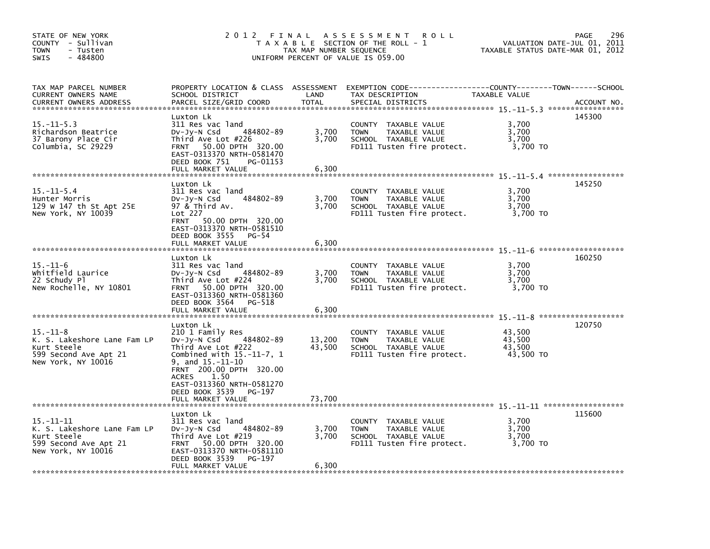| STATE OF NEW YORK<br>COUNTY - Sullivan<br><b>TOWN</b><br>- Tusten<br>$-484800$<br>SWIS                                                         | 2012<br>FINAL                                                                                                                                                                                                                                                        | TAX MAP NUMBER SEQUENCE    | A S S E S S M E N T<br><b>ROLL</b><br>T A X A B L E SECTION OF THE ROLL - 1<br>UNIFORM PERCENT OF VALUE IS 059.00                        | TAXABLE STATUS DATE-MAR 01, 2012        | 296<br>PAGE<br>VALUATION DATE-JUL 01, 2011 |
|------------------------------------------------------------------------------------------------------------------------------------------------|----------------------------------------------------------------------------------------------------------------------------------------------------------------------------------------------------------------------------------------------------------------------|----------------------------|------------------------------------------------------------------------------------------------------------------------------------------|-----------------------------------------|--------------------------------------------|
| TAX MAP PARCEL NUMBER<br><b>CURRENT OWNERS NAME</b><br><b>CURRENT OWNERS ADDRESS</b>                                                           | SCHOOL DISTRICT<br>PARCEL SIZE/GRID COORD                                                                                                                                                                                                                            | LAND<br><b>TOTAL</b>       | PROPERTY LOCATION & CLASS ASSESSMENT EXEMPTION CODE----------------COUNTY-------TOWN------SCHOOL<br>TAX DESCRIPTION<br>SPECIAL DISTRICTS | TAXABLE VALUE                           | ACCOUNT NO.                                |
| $15. -11 - 5.3$<br>Richardson Beatrice<br>37 Barony Place Cir<br>Columbia, SC 29229                                                            | Luxton Lk<br>311 Res vac land<br>484802-89<br>DV-Jy-N Csd<br>Third Ave Lot #226<br>50.00 DPTH 320.00<br><b>FRNT</b><br>EAST-0313370 NRTH-0581470<br>DEED BOOK 751<br>PG-01153<br>FULL MARKET VALUE                                                                   | 3,700<br>3,700<br>6,300    | COUNTY TAXABLE VALUE<br><b>TOWN</b><br>TAXABLE VALUE<br>SCHOOL TAXABLE VALUE<br>FD111 Tusten fire protect.                               | 3,700<br>3,700<br>3,700<br>3,700 TO     | 145300                                     |
| $15 - 11 - 5.4$<br>Hunter Morris<br>129 W 147 th St Apt 25E<br>New York, NY 10039                                                              | Luxton Lk<br>311 Res vac land<br>484802-89<br>DV-JY-N Csd<br>97 & Third Av.<br>$Lot$ 227<br><b>FRNT</b><br>50.00 DPTH 320.00<br>EAST-0313370 NRTH-0581510<br>DEED BOOK 3555<br>PG-54<br>FULL MARKET VALUE                                                            | 3,700<br>3,700<br>6,300    | COUNTY TAXABLE VALUE<br><b>TOWN</b><br>TAXABLE VALUE<br>SCHOOL TAXABLE VALUE<br>FD111 Tusten fire protect.                               | 3.700<br>3,700<br>3,700<br>3,700 TO     | 145250                                     |
| $15. - 11 - 6$<br>Whitfield Laurice<br>22 Schudy Pl<br>New Rochelle, NY 10801                                                                  | Luxton Lk<br>311 Res vac land<br>484802-89<br>DV-Jy-N Csd<br>Third Ave Lot #224<br>50.00 DPTH 320.00<br><b>FRNT</b><br>EAST-0313360 NRTH-0581360<br>DEED BOOK 3564 PG-518<br>FULL MARKET VALUE                                                                       | 3,700<br>3,700<br>6,300    | <b>COUNTY</b><br>TAXABLE VALUE<br><b>TOWN</b><br>TAXABLE VALUE<br>SCHOOL TAXABLE VALUE<br>FD111 Tusten fire protect.                     | 3,700<br>3,700<br>3,700<br>3,700 TO     | 160250                                     |
| *******************************<br>$15. - 11 - 8$<br>K. S. Lakeshore Lane Fam LP<br>Kurt Steele<br>599 Second Ave Apt 21<br>New York, NY 10016 | Luxton Lk<br>210 1 Family Res<br>484802-89<br>DV-Jy-N Csd<br>Third Ave Lot #222<br>Combined with $15.-11-7$ , 1<br>9, and 15.-11-10<br>FRNT 200.00 DPTH 320.00<br>1.50<br><b>ACRES</b><br>EAST-0313360 NRTH-0581270<br>DEED BOOK 3539<br>PG-197<br>FULL MARKET VALUE | 13,200<br>43,500<br>73,700 | COUNTY TAXABLE VALUE<br><b>TOWN</b><br>TAXABLE VALUE<br>SCHOOL TAXABLE VALUE<br>FD111 Tusten fire protect.                               | 43,500<br>43,500<br>43,500<br>43,500 TO | 120750                                     |
| 15. -11-11<br>K. S. Lakeshore Lane Fam LP<br>Kurt Steele<br>599 Second Ave Apt 21<br>New York, NY 10016                                        | Luxton Lk<br>311 Res vac land<br>484802-89<br>DV-Jy-N Csd<br>Third Ave Lot #219<br>FRNT 50.00 DPTH 320.00<br>EAST-0313370 NRTH-0581110<br>DEED BOOK 3539<br>PG-197<br>FULL MARKET VALUE                                                                              | 3,700<br>3,700<br>6,300    | COUNTY TAXABLE VALUE<br>TAXABLE VALUE<br><b>TOWN</b><br>SCHOOL TAXABLE VALUE<br>FD111 Tusten fire protect.                               | 3,700<br>3,700<br>3,700<br>3,700 TO     | 115600                                     |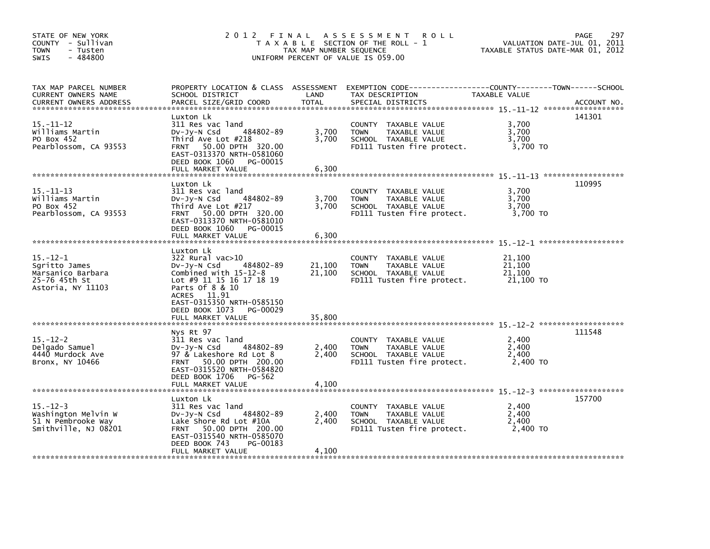| STATE OF NEW YORK<br>COUNTY - Sullivan<br><b>TOWN</b><br>- Tusten<br>$-484800$<br>SWIS     | 2 0 1 2<br>A S S E S S M E N T<br>FINAL<br><b>ROLL</b><br>T A X A B L E SECTION OF THE ROLL - 1<br>TAX MAP NUMBER SEQUENCE<br>UNIFORM PERCENT OF VALUE IS 059.00                                              |                         |                                                                                                                      |                                         |             |
|--------------------------------------------------------------------------------------------|---------------------------------------------------------------------------------------------------------------------------------------------------------------------------------------------------------------|-------------------------|----------------------------------------------------------------------------------------------------------------------|-----------------------------------------|-------------|
| TAX MAP PARCEL NUMBER<br>CURRENT OWNERS NAME<br><b>CURRENT OWNERS ADDRESS</b>              | PROPERTY LOCATION & CLASS ASSESSMENT<br>SCHOOL DISTRICT<br>PARCEL SIZE/GRID COORD                                                                                                                             | LAND<br><b>TOTAL</b>    | TAX DESCRIPTION<br>SPECIAL DISTRICTS                                                                                 | TAXABLE VALUE                           | ACCOUNT NO. |
| $15. - 11 - 12$<br>Williams Martin<br>PO Box 452<br>Pearblossom, CA 93553                  | Luxton Lk<br>311 Res vac land<br>484802-89<br>DV-Jy-N Csd<br>Third Ave Lot #218<br>FRNT 50.00 DPTH 320.00<br>EAST-0313370 NRTH-0581060<br>DEED BOOK 1060<br>PG-00015                                          | 3,700<br>3,700          | COUNTY TAXABLE VALUE<br>TAXABLE VALUE<br><b>TOWN</b><br>SCHOOL TAXABLE VALUE<br>FD111 Tusten fire protect.           | 3,700<br>3,700<br>3,700<br>3,700 TO     | 141301      |
|                                                                                            | FULL MARKET VALUE                                                                                                                                                                                             | 6,300                   |                                                                                                                      |                                         |             |
| $15. - 11 - 13$<br>Williams Martin<br>PO Box 452<br>Pearblossom, CA 93553                  | Luxton Lk<br>311 Res vac land<br>484802-89<br>DV-Jy-N Csd<br>Third Ave Lot #217<br>FRNT 50.00 DPTH 320.00<br>EAST-0313370 NRTH-0581010<br>DEED BOOK 1060<br>PG-00015<br>FULL MARKET VALUE                     | 3,700<br>3,700<br>6,300 | COUNTY TAXABLE VALUE<br>TAXABLE VALUE<br><b>TOWN</b><br>SCHOOL TAXABLE VALUE<br>FD111 Tusten fire protect.           | 3,700<br>3,700<br>3,700<br>3,700 TO     | 110995      |
|                                                                                            |                                                                                                                                                                                                               |                         |                                                                                                                      |                                         |             |
| $15. - 12 - 1$<br>Sgritto James<br>Marsanico Barbara<br>25-76 45th St<br>Astoria, NY 11103 | Luxton Lk<br>322 Rural vac>10<br>484802-89<br>$Dv-Jy-N$ Csd<br>Combined with 15-12-8<br>Lot #9 11 15 16 17 18 19<br>Parts Of 8 & 10<br>ACRES 11.91<br>EAST-0315350 NRTH-0585150<br>DEED BOOK 1073<br>PG-00029 | 21,100<br>21,100        | COUNTY TAXABLE VALUE<br><b>TAXABLE VALUE</b><br><b>TOWN</b><br>SCHOOL TAXABLE VALUE<br>FD111 Tusten fire protect.    | 21,100<br>21,100<br>21,100<br>21,100 TO |             |
|                                                                                            | FULL MARKET VALUE                                                                                                                                                                                             | 35,800                  |                                                                                                                      |                                         |             |
| $15. - 12 - 2$<br>Delgado Samuel<br>4440 Murdock Ave<br>Bronx, NY 10466                    | Nys Rt 97<br>311 Res vac land<br>484802-89<br>$Dv-Jy-N$ Csd<br>97 & Lakeshore Rd Lot 8<br>FRNT 50.00 DPTH 200.00<br>EAST-0315520 NRTH-0584820<br>DEED BOOK 1706<br>PG-562<br>FULL MARKET VALUE                | 2,400<br>2,400          | COUNTY TAXABLE VALUE<br><b>TOWN</b><br>TAXABLE VALUE<br>SCHOOL TAXABLE VALUE<br>FD111 Tusten fire protect.           | 2,400<br>2,400<br>2.400<br>2,400 TO     | 111548      |
|                                                                                            |                                                                                                                                                                                                               | 4,100                   |                                                                                                                      |                                         |             |
| $15. - 12 - 3$<br>Washington Melvin W<br>51 N Pembrooke Way<br>Smithville, NJ 08201        | Luxton Lk<br>311 Res vac land<br>DV-Jy-N Csd<br>484802-89<br>Lake Shore Rd Lot #10A<br>50.00 DPTH 200.00<br><b>FRNT</b><br>EAST-0315540 NRTH-0585070<br>DEED BOOK 743<br>PG-00183<br>FULL MARKET VALUE        | 2,400<br>2.400<br>4,100 | TAXABLE VALUE<br><b>COUNTY</b><br>TAXABLE VALUE<br><b>TOWN</b><br>SCHOOL TAXABLE VALUE<br>FD111 Tusten fire protect. | 2,400<br>2,400<br>2,400<br>2,400 TO     | 157700      |
|                                                                                            |                                                                                                                                                                                                               |                         |                                                                                                                      |                                         |             |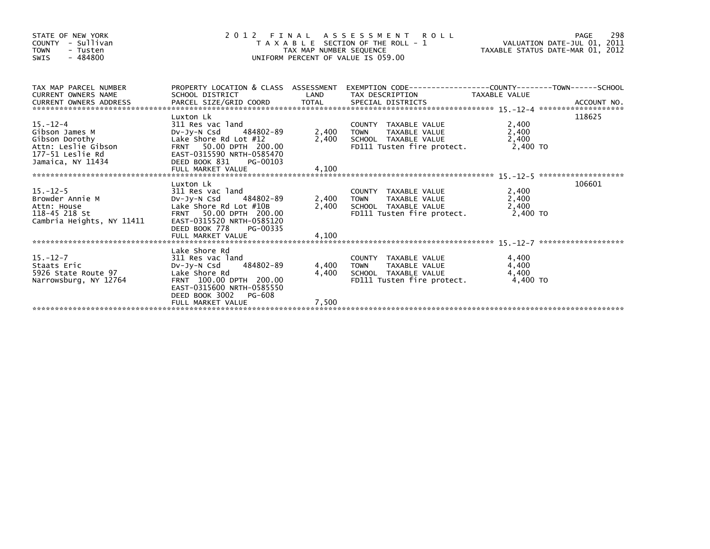| STATE OF NEW YORK<br>- Sullivan<br><b>COUNTY</b><br><b>TOWN</b><br>- Tusten<br>$-484800$<br><b>SWIS</b>            | 2 0 1 2 F I N A L A S S E S S M E N T R O L L<br>T A X A B L E SECTION OF THE ROLL - 1<br>TAXABLE STATUS DATE-MAR 01, 2012<br>UNIFORM PERCENT OF VALUE IS 059.00      |                |                                                                                                                                 |                         |        |
|--------------------------------------------------------------------------------------------------------------------|-----------------------------------------------------------------------------------------------------------------------------------------------------------------------|----------------|---------------------------------------------------------------------------------------------------------------------------------|-------------------------|--------|
| TAX MAP PARCEL NUMBER<br><b>CURRENT OWNERS NAME</b>                                                                | SCHOOL DISTRICT                                                                                                                                                       | LAND           | PROPERTY LOCATION & CLASS ASSESSMENT EXEMPTION CODE----------------COUNTY-------TOWN------SCHOOL<br>TAX DESCRIPTION             | TAXABLE VALUE           |        |
| $15. - 12 - 4$<br>Gibson James M<br>Gibson Dorothy<br>Attn: Leslie Gibson<br>177-51 Leslie Rd<br>Jamaica, NY 11434 | Luxton Lk<br>311 Res vac land<br>DV-JV-N Csd 484802-89<br>Lake Shore Rd Lot $#12$<br>FRNT 50.00 DPTH 200.00<br>EAST-0315590 NRTH-0585470<br>DEED BOOK 831<br>PG-00103 | 2,400 TOWN     | COUNTY TAXABLE VALUE<br>TAXABLE VALUE<br>2,400 SCHOOL TAXABLE VALUE<br>FD111 Tusten fire protect. 2,400 TO                      | 2,400<br>2,400<br>2,400 | 118625 |
|                                                                                                                    |                                                                                                                                                                       |                |                                                                                                                                 |                         |        |
| 15.-12-5<br>Browder Annie M<br>Attn: House<br>118-45 218 St<br>Cambrie C<br>Cambria Heights, NY 11411              | Luxton Lk<br>311 Res vac land<br>DV-Jy-N Csd 484802-89<br>Lake Shore Rd Lot #10B<br>FRNT 50.00 DPTH 200.00<br>EAST-0315520 NRTH-0585120<br>DEED BOOK 778<br>PG-00335  | 2,400 TOWN     | COUNTY TAXABLE VALUE<br>TAXABLE VALUE<br>2,400 SCHOOL TAXABLE VALUE<br>FD111 Tusten fire protect. 2,400 TO                      | 2,400<br>2,400<br>2,400 | 106601 |
|                                                                                                                    | Lake Shore Rd                                                                                                                                                         |                |                                                                                                                                 |                         |        |
| 15. –12–7<br>staats EMIC<br>5926 State Route 97<br>Verweste<br>Narrowsburg, NY 12764                               | 311 Res vac land<br>DV-Jy-N Csd 484802-89<br>Lake Shore Rd<br>FRNT 100.00 DPTH 200.00<br>EAST-0315600 NRTH-0585550<br>DEED BOOK 3002 PG-608                           | 4,400<br>4,400 | COUNTY TAXABLE VALUE<br>TOWN TAXABLE VALUE<br>TOWN TAXABLE VALUE<br>SCHOOL TAXABLE VALUE<br>FD111 Tusten fire protect. 4,400 TO | 4,400<br>4,400<br>4,400 |        |
|                                                                                                                    | FULL MARKET VALUE                                                                                                                                                     | 7,500          |                                                                                                                                 |                         |        |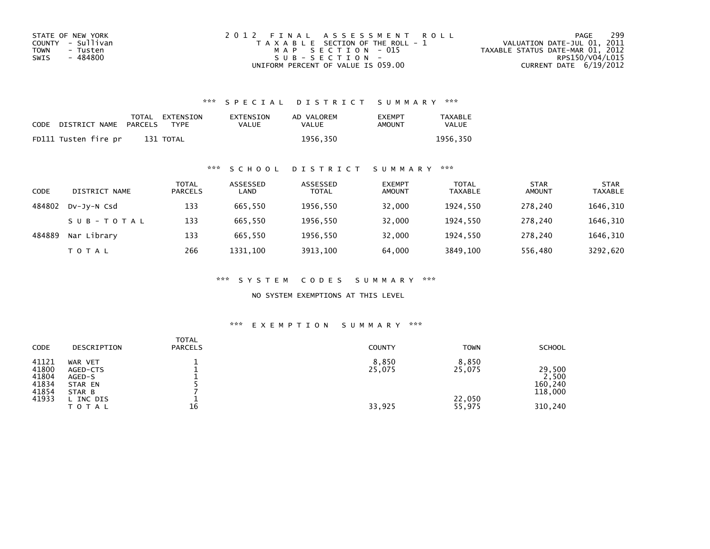| STATE OF NEW YORK | 2012 FINAL ASSESSMENT ROLL            | 299<br>PAGE                      |
|-------------------|---------------------------------------|----------------------------------|
| COUNTY - Sullivan | T A X A B L E SECTION OF THE ROLL - 1 | VALUATION DATE-JUL 01, 2011      |
| TOWN<br>- Tusten  | MAP SECTION - 015                     | TAXABLE STATUS DATE-MAR 01, 2012 |
| - 484800<br>SWIS  | $SUB - SECTION -$                     | RPS150/V04/L015                  |
|                   | UNIFORM PERCENT OF VALUE IS 059.00    | CURRENT DATE $6/19/2012$         |

## \*\*\* S P E C I A L D I S T R I C T S U M M A R Y \*\*\*

| CODE | DISTRICT NAME        | PARCELS | TOTAL EXTENSION<br>TYPF | EXTENSION<br>VALUE | AD VALOREM<br>VALUE | <b>EXEMPT</b><br>AMOUNT | <b>TAXABLE</b><br><b>VALUE</b> |
|------|----------------------|---------|-------------------------|--------------------|---------------------|-------------------------|--------------------------------|
|      | FD111 Tusten fire pr |         | 131 TOTAL               |                    | 1956.350            |                         | 1956.350                       |

## \*\*\* S C H O O L D I S T R I C T S U M M A R Y \*\*\*

| CODE   | DISTRICT NAME | <b>TOTAL</b><br><b>PARCELS</b> | ASSESSED<br>LAND | ASSESSED<br><b>TOTAL</b> | <b>EXEMPT</b><br><b>AMOUNT</b> | TOTAL<br><b>TAXABLE</b> | <b>STAR</b><br><b>AMOUNT</b> | <b>STAR</b><br><b>TAXABLE</b> |
|--------|---------------|--------------------------------|------------------|--------------------------|--------------------------------|-------------------------|------------------------------|-------------------------------|
| 484802 | DV-JV-N Csd   | 133                            | 665.550          | 1956,550                 | 32,000                         | 1924.550                | 278.240                      | 1646,310                      |
|        | SUB-TOTAL     | 133                            | 665.550          | 1956,550                 | 32,000                         | 1924.550                | 278.240                      | 1646,310                      |
| 484889 | Nar Library   | 133                            | 665.550          | 1956,550                 | 32,000                         | 1924.550                | 278.240                      | 1646,310                      |
|        | T O T A L     | 266                            | 1331.100         | 3913,100                 | 64.000                         | 3849,100                | 556,480                      | 3292,620                      |

\*\*\* S Y S T E M C O D E S S U M M A R Y \*\*\*

NO SYSTEM EXEMPTIONS AT THIS LEVEL

## \*\*\* E X E M P T I O N S U M M A R Y \*\*\*

| CODE                                      | DESCRIPTION                                        | <b>TOTAL</b><br><b>PARCELS</b> | <b>COUNTY</b>   | <b>TOWN</b>      | <b>SCHOOL</b>                         |
|-------------------------------------------|----------------------------------------------------|--------------------------------|-----------------|------------------|---------------------------------------|
| 41121<br>41800<br>41804<br>41834<br>41854 | WAR VET<br>AGED-CTS<br>AGED-S<br>STAR EN<br>STAR B |                                | 8,850<br>25,075 | 8,850<br>25,075  | 29,500<br>2,500<br>160,240<br>118,000 |
| 41933                                     | . INC DIS<br><b>TOTAL</b>                          | 16                             | 33,925          | 22,050<br>55,975 | 310,240                               |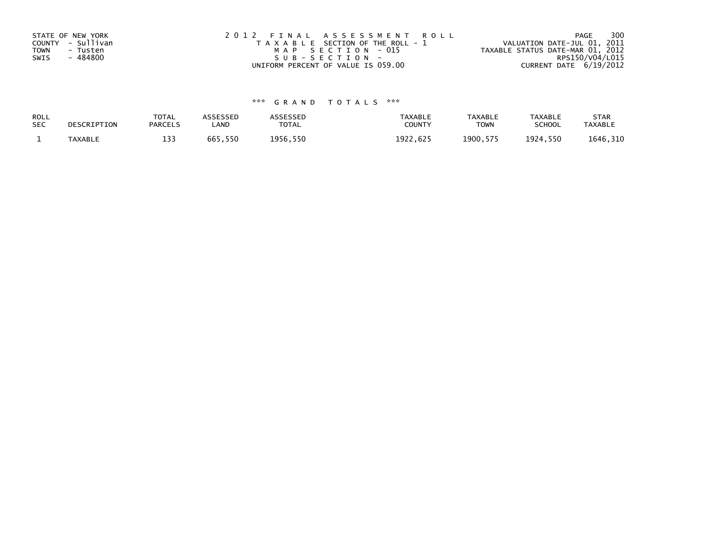| STATE OF NEW YORK       | 2012 FINAL ASSESSMENT ROLL            | 300<br>PAGE                      |
|-------------------------|---------------------------------------|----------------------------------|
| COUNTY - Sullivan       | T A X A B L E SECTION OF THE ROLL - 1 | VALUATION DATE-JUL 01, 2011      |
| <b>TOWN</b><br>- Tusten | MAP SECTION - 015                     | TAXABLE STATUS DATE-MAR 01, 2012 |
| SWIS<br>- 484800        | $SUB - SECTION -$                     | RPS150/V04/L015                  |
|                         | UNIFORM PERCENT OF VALUE IS 059.00    | CURRENT DATE 6/19/2012           |

## \*\*\* G R A N D T O T A L S \*\*\*

| ROLL<br><b>SEC</b> | DESCRIPTION | <b>TOTAL</b><br><b>PARCELS</b> | ASSESSED<br>_AND | <b>\SSESSED</b><br>TOTAL | <b>TAXABLE</b><br><b>COUNT</b> | <b>TAXABLE</b><br><b>TOWN</b> | TAXABLE<br><b>SCHOOL</b> | <b>STAR</b><br><b>TAXABLE</b> |
|--------------------|-------------|--------------------------------|------------------|--------------------------|--------------------------------|-------------------------------|--------------------------|-------------------------------|
|                    | TAXABLE     | 122<br>∸~                      | 665,550          | 1956,550                 | 1922<br>1922.625               | 1900.575<br>- 575             | 1924<br>4,550            | 1646, 310                     |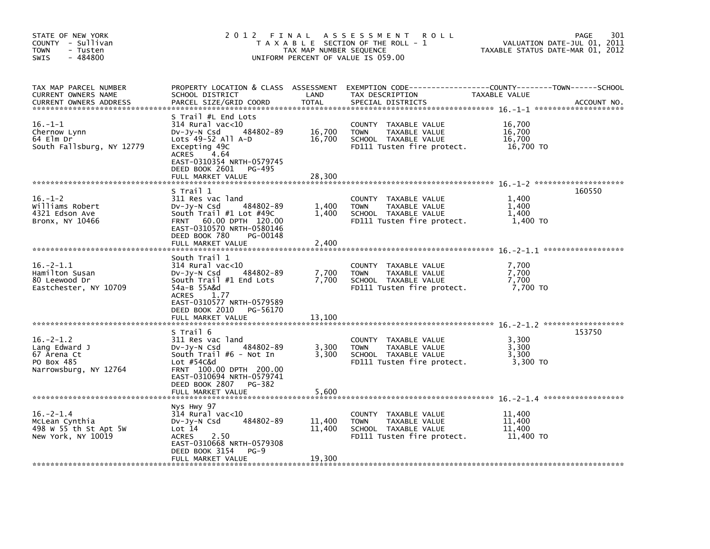| STATE OF NEW YORK<br>COUNTY - Sullivan<br><b>TOWN</b><br>- Tusten<br>$-484800$<br><b>SWIS</b> | 2012 FINAL                                                                                                                                                                                                    | TAX MAP NUMBER SEQUENCE    | A S S E S S M E N T<br><b>ROLL</b><br>T A X A B L E SECTION OF THE ROLL - 1<br>UNIFORM PERCENT OF VALUE IS 059.00 | TAXABLE STATUS DATE-MAR 01, 2012        | 301<br>PAGE<br>VALUATION DATE-JUL 01, 2011 |
|-----------------------------------------------------------------------------------------------|---------------------------------------------------------------------------------------------------------------------------------------------------------------------------------------------------------------|----------------------------|-------------------------------------------------------------------------------------------------------------------|-----------------------------------------|--------------------------------------------|
| TAX MAP PARCEL NUMBER<br>CURRENT OWNERS NAME<br><b>CURRENT OWNERS ADDRESS</b>                 | PROPERTY LOCATION & CLASS ASSESSMENT<br>SCHOOL DISTRICT<br>PARCEL SIZE/GRID COORD                                                                                                                             | LAND<br><b>TOTAL</b>       | TAX DESCRIPTION<br>SPECIAL DISTRICTS                                                                              | TAXABLE VALUE                           | ACCOUNT NO.                                |
| $16. - 1 - 1$<br>Chernow Lynn<br>64 Elm Dr<br>South Fallsburg, NY 12779                       | S Trail #L End Lots<br>$314$ Rural vac< $10$<br>DV-Jy-N Csd<br>484802-89<br>Lots $49-52$ All A-D<br>Excepting 49C<br>ACRES<br>4.64<br>EAST-0310354 NRTH-0579745<br>DEED BOOK 2601 PG-495<br>FULL MARKET VALUE | 16,700<br>16,700<br>28,300 | COUNTY TAXABLE VALUE<br>TAXABLE VALUE<br><b>TOWN</b><br>SCHOOL TAXABLE VALUE<br>FD111 Tusten fire protect.        | 16,700<br>16,700<br>16,700<br>16,700 TO |                                            |
|                                                                                               |                                                                                                                                                                                                               |                            |                                                                                                                   |                                         |                                            |
| $16. - 1 - 2$<br>Williams Robert<br>4321 Edson Ave<br>Bronx, NY 10466                         | S Trail 1<br>311 Res vac land<br>484802-89<br>$Dv-Jy-N$ Csd<br>South $Train  #1$ Lot $#49C$<br>FRNT 60.00 DPTH 120.00<br>EAST-0310570 NRTH-0580146<br>DEED BOOK 780<br>PG-00148                               | 1,400<br>1,400             | COUNTY TAXABLE VALUE<br>TAXABLE VALUE<br><b>TOWN</b><br>SCHOOL TAXABLE VALUE<br>FD111 Tusten fire protect.        | 1,400<br>1,400<br>1,400<br>1,400 TO     | 160550                                     |
|                                                                                               | FULL MARKET VALUE                                                                                                                                                                                             | 2.400                      |                                                                                                                   |                                         |                                            |
| $16. -2 - 1.1$<br>Hamilton Susan<br>80 Leewood Dr<br>Eastchester, NY 10709                    | South Trail 1<br>$314$ Rural vac<10<br>484802-89<br>DV-Jy-N Csd<br>South Trail #1 End Lots<br>54a-B 55A&d<br><b>ACRES</b><br>1.77<br>EAST-0310577 NRTH-0579589                                                | 7,700<br>7,700             | COUNTY TAXABLE VALUE<br>TAXABLE VALUE<br><b>TOWN</b><br>SCHOOL TAXABLE VALUE<br>FD111 Tusten fire protect.        | 7,700<br>7,700<br>7,700<br>7,700 TO     |                                            |
|                                                                                               | DEED BOOK 2010<br>PG-56170<br>FULL MARKET VALUE                                                                                                                                                               | 13,100                     |                                                                                                                   |                                         |                                            |
| $16. -2 - 1.2$<br>Lang Edward J<br>67 Arena Ct<br>PO Box 485<br>Narrowsburg, NY 12764         | S Trail 6<br>311 Res vac land<br>484802-89<br>$Dv-Jv-N$ Csd<br>South $Train$ #6 - Not In<br>Lot #54C&d<br>FRNT 100.00 DPTH 200.00<br>EAST-0310694 NRTH-0579741                                                | 3,300<br>3,300             | COUNTY<br>TAXABLE VALUE<br><b>TOWN</b><br>TAXABLE VALUE<br>SCHOOL TAXABLE VALUE<br>FD111 Tusten fire protect.     | 3,300<br>3,300<br>3,300<br>3,300 TO     | 153750                                     |
|                                                                                               | DEED BOOK 2807<br>PG-382<br>FULL MARKET VALUE                                                                                                                                                                 | 5.600                      |                                                                                                                   |                                         |                                            |
| $16. - 2 - 1.4$<br>McLean Cynthia<br>498 W 55 th St Apt 5W<br>New York, NY 10019              | Nys Hwy 97<br>314 Rural vac<10<br>484802-89<br>$Dv-Jy-N$ Csd<br>Lot 14<br><b>ACRES</b><br>2.50<br>EAST-0310668 NRTH-0579308<br>DEED BOOK 3154<br>$PG-9$<br>FULL MARKET VALUE                                  | 11,400<br>11,400<br>19,300 | COUNTY<br>TAXABLE VALUE<br>TAXABLE VALUE<br><b>TOWN</b><br>SCHOOL TAXABLE VALUE<br>FD111 Tusten fire protect.     | 11,400<br>11,400<br>11,400<br>11,400 TO |                                            |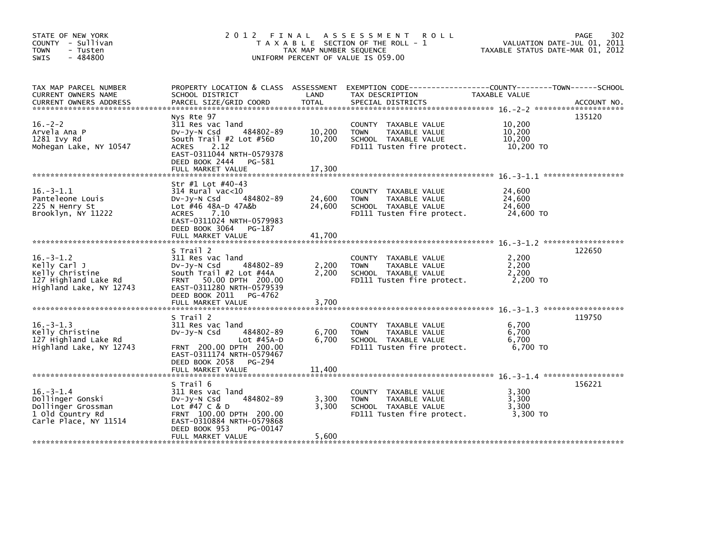| STATE OF NEW YORK<br>COUNTY - Sullivan<br><b>TOWN</b><br>- Tusten<br>$-484800$<br><b>SWIS</b>         |                                                                                                                                                                                               | TAX MAP NUMBER SEQUENCE    | 2012 FINAL ASSESSMENT ROLL<br>T A X A B L E SECTION OF THE ROLL - 1<br>UNIFORM PERCENT OF VALUE IS 059.00  | 302<br>PAGE<br>VALUATION DATE-JUL 01, 2011<br>TAXABLE STATUS DATE-MAR 01, 2012                                                 |  |
|-------------------------------------------------------------------------------------------------------|-----------------------------------------------------------------------------------------------------------------------------------------------------------------------------------------------|----------------------------|------------------------------------------------------------------------------------------------------------|--------------------------------------------------------------------------------------------------------------------------------|--|
| TAX MAP PARCEL NUMBER<br>CURRENT OWNERS NAME<br><b>CURRENT OWNERS ADDRESS</b>                         | SCHOOL DISTRICT<br>PARCEL SIZE/GRID COORD                                                                                                                                                     | LAND<br><b>TOTAL</b>       | TAX DESCRIPTION<br>SPECIAL DISTRICTS                                                                       | PROPERTY LOCATION & CLASS ASSESSMENT EXEMPTION CODE---------------COUNTY-------TOWN-----SCHOOL<br>TAXABLE VALUE<br>ACCOUNT NO. |  |
| $16. -2 - 2$<br>Arvela Ana P<br>1281 Ivy Rd<br>Mohegan Lake, NY 10547                                 | Nys Rte 97<br>311 Res vac land<br>484802-89<br>$Dv-Jy-N$ Csd<br>South Trail #2 Lot #56D<br>2.12<br><b>ACRES</b><br>EAST-0311044 NRTH-0579378<br>DEED BOOK 2444 PG-581                         | 10,200<br>10,200           | COUNTY TAXABLE VALUE<br><b>TOWN</b><br>TAXABLE VALUE<br>SCHOOL TAXABLE VALUE<br>FD111 Tusten fire protect. | 135120<br>10,200<br>10,200<br>10,200<br>10,200 TO                                                                              |  |
| $16. -3 - 1.1$<br>Panteleone Louis<br>225 N Henry St<br>Brooklyn, NY 11222                            | Str #1 Lot #40-43<br>314 Rural vac<10<br>484802-89<br>$Dv-Jy-N$ Csd<br>Lot #46 48A-D 47A&b<br>7.10<br><b>ACRES</b><br>EAST-0311024 NRTH-0579983<br>DEED BOOK 3064 PG-187<br>FULL MARKET VALUE | 24,600<br>24,600<br>41,700 | COUNTY TAXABLE VALUE<br><b>TOWN</b><br>TAXABLE VALUE<br>SCHOOL TAXABLE VALUE<br>FD111 Tusten fire protect. | 24,600<br>24,600<br>24,600<br>24,600 TO                                                                                        |  |
| $16. -3 - 1.2$<br>Kelly Carl J<br>Kelly Christine<br>127 Highland Lake Rd<br>Highland Lake, NY 12743  | S Trail 2<br>311 Res vac land<br>484802-89<br>$Dv-Jy-N$ Csd<br>South Trail #2 Lot #44A<br>FRNT 50.00 DPTH 200.00<br>EAST-0311280 NRTH-0579539<br>DEED BOOK 2011 PG-4762                       | 2,200<br>2,200             | COUNTY TAXABLE VALUE<br><b>TOWN</b><br>TAXABLE VALUE<br>SCHOOL TAXABLE VALUE<br>FD111 Tusten fire protect. | 122650<br>2,200<br>2,200<br>2,200<br>2.200 TO                                                                                  |  |
| $16. -3 - 1.3$<br>Kelly Christine<br>127 Highland Lake Rd<br>Highland Lake, NY 12743                  | S Trail 2<br>311 Res vac land<br>$Dv-Jv-N$ Csd<br>484802-89<br>Lot $#45A-D$<br>FRNT 200.00 DPTH 200.00<br>EAST-0311174 NRTH-0579467<br>DEED BOOK 2058 PG-294                                  | 6,700<br>6,700             | COUNTY TAXABLE VALUE<br><b>TOWN</b><br>TAXABLE VALUE<br>SCHOOL TAXABLE VALUE<br>FD111 Tusten fire protect. | 119750<br>6,700<br>6,700<br>6,700<br>6,700 TO                                                                                  |  |
| $16 - 3 - 1.4$<br>Dollinger Gonski<br>Dollinger Grossman<br>1 old Country Rd<br>Carle Place, NY 11514 | S Trail 6<br>311 Res vac land<br>484802-89<br>$Dv-Jy-N$ Csd<br>Lot #47 C & D<br>FRNT 100.00 DPTH 200.00<br>EAST-0310884 NRTH-0579868<br>DEED BOOK 953<br>PG-00147<br>FULL MARKET VALUE        | 3,300<br>3,300<br>5,600    | COUNTY TAXABLE VALUE<br><b>TOWN</b><br>TAXABLE VALUE<br>SCHOOL TAXABLE VALUE<br>FD111 Tusten fire protect. | 156221<br>3,300<br>3,300<br>3,300<br>3,300 TO                                                                                  |  |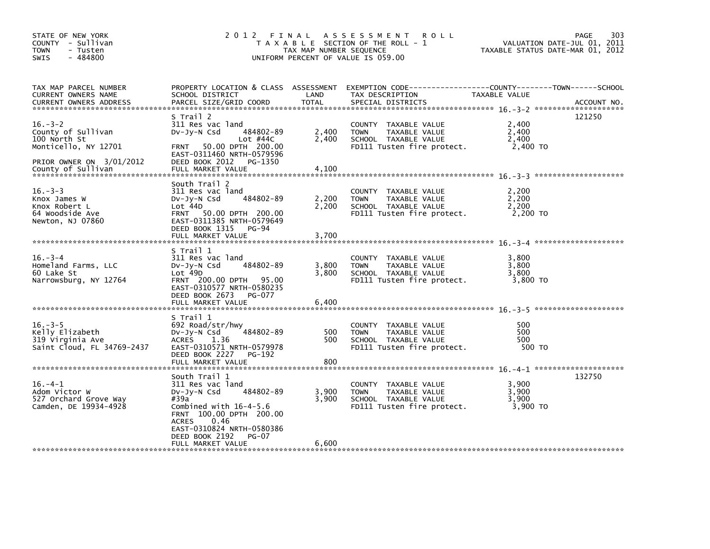| STATE OF NEW YORK<br>COUNTY - Sullivan<br><b>TOWN</b><br>- Tusten<br>$-484800$<br>SWIS                                        |                                                                                                                                                                                                                                  | TAX MAP NUMBER SEQUENCE | 2012 FINAL ASSESSMENT ROLL<br>T A X A B L E SECTION OF THE ROLL - 1<br>UNIFORM PERCENT OF VALUE IS 059.00                                | PAGE<br>VALUATION DATE-JUL 01, 2011<br>TAXABLE STATUS DATE-MAR 01, 2012 | 303         |
|-------------------------------------------------------------------------------------------------------------------------------|----------------------------------------------------------------------------------------------------------------------------------------------------------------------------------------------------------------------------------|-------------------------|------------------------------------------------------------------------------------------------------------------------------------------|-------------------------------------------------------------------------|-------------|
| TAX MAP PARCEL NUMBER<br>CURRENT OWNERS NAME<br><b>CURRENT OWNERS ADDRESS</b>                                                 | SCHOOL DISTRICT<br>PARCEL SIZE/GRID COORD                                                                                                                                                                                        | LAND<br><b>TOTAL</b>    | PROPERTY LOCATION & CLASS ASSESSMENT EXEMPTION CODE----------------COUNTY-------TOWN------SCHOOL<br>TAX DESCRIPTION<br>SPECIAL DISTRICTS | TAXABLE VALUE                                                           | ACCOUNT NO. |
| $16. - 3 - 2$<br>County of Sullivan<br>100 North St<br>Monticello, NY 12701<br>PRIOR OWNER ON 3/01/2012<br>County of Sullivan | S Trail 2<br>311 Res vac land<br>484802-89<br>$Dv-Jy-N$ Csd<br>Lot $#44C$<br>FRNT 50.00 DPTH 200.00<br>EAST-0311460 NRTH-0579596<br>DEED BOOK 2012<br>PG-1350<br>FULL MARKET VALUE                                               | 2,400<br>2,400<br>4.100 | COUNTY TAXABLE VALUE<br>TAXABLE VALUE<br><b>TOWN</b><br>SCHOOL TAXABLE VALUE<br>FD111 Tusten fire protect.                               | 121250<br>2,400<br>2,400<br>2,400<br>2,400 TO                           |             |
| $16. -3 - 3$<br>Knox James W<br>Knox Robert L<br>64 Woodside Ave<br>Newton, NJ 07860                                          | South Trail 2<br>311 Res vac land<br>484802-89<br>$Dv-Jy-N$ Csd<br>Lot 44D<br>FRNT 50.00 DPTH 200.00<br>EAST-0311385 NRTH-0579649<br>DEED BOOK 1315 PG-94<br>FULL MARKET VALUE                                                   | 2,200<br>2,200<br>3.700 | COUNTY TAXABLE VALUE<br>TAXABLE VALUE<br><b>TOWN</b><br>SCHOOL TAXABLE VALUE<br>FD111 Tusten fire protect.                               | 2,200<br>2,200<br>2,200<br>2,200 TO                                     |             |
| $16. - 3 - 4$<br>Homeland Farms, LLC<br>60 Lake St<br>Narrowsburg, NY 12764                                                   | S Trail 1<br>311 Res vac land<br>484802-89<br>$Dv-Jy-N$ Csd<br>Lot 49D<br>FRNT 200.00 DPTH 95.00<br>EAST-0310577 NRTH-0580235<br>DEED BOOK 2673 PG-077<br>FULL MARKET VALUE                                                      | 3,800<br>3,800<br>6,400 | COUNTY TAXABLE VALUE<br><b>TOWN</b><br>TAXABLE VALUE<br>SCHOOL TAXABLE VALUE<br>FD111 Tusten fire protect.                               | 3,800<br>3,800<br>3,800<br>3,800 TO                                     |             |
| $16. - 3 - 5$<br>Kelly Elizabeth<br>319 Virginia Ave<br>Saint Cloud, FL 34769-2437                                            | S Trail 1<br>692 Road/str/hwy<br>484802-89<br>$Dv-Jy-N$ Csd<br>1.36<br>ACRES<br>EAST-0310571 NRTH-0579978<br>DEED BOOK 2227 PG-192<br>FULL MARKET VALUE                                                                          | 500<br>500<br>800       | COUNTY TAXABLE VALUE<br><b>TOWN</b><br>TAXABLE VALUE<br>SCHOOL TAXABLE VALUE<br>FD111 Tusten fire protect.                               | 500<br>500<br>500<br>500 TO                                             |             |
| $16. -4 - 1$<br>Adom Victor W<br>527 Orchard Grove Way<br>Camden, DE 19934-4928                                               | South Trail 1<br>311 Res vac land<br>484802-89<br>$Dv-Jy-N$ Csd<br>#39a<br>Combined with $16-4-5.6$<br>FRNT 100.00 DPTH 200.00<br>0.46<br><b>ACRES</b><br>EAST-0310824 NRTH-0580386<br>DEED BOOK 2192 PG-07<br>FULL MARKET VALUE | 3,900<br>3.900<br>6.600 | COUNTY TAXABLE VALUE<br><b>TOWN</b><br>TAXABLE VALUE<br>SCHOOL TAXABLE VALUE<br>FD111 Tusten fire protect.                               | 132750<br>3,900<br>3,900<br>3,900<br>3,900 TO                           |             |
|                                                                                                                               |                                                                                                                                                                                                                                  |                         |                                                                                                                                          |                                                                         |             |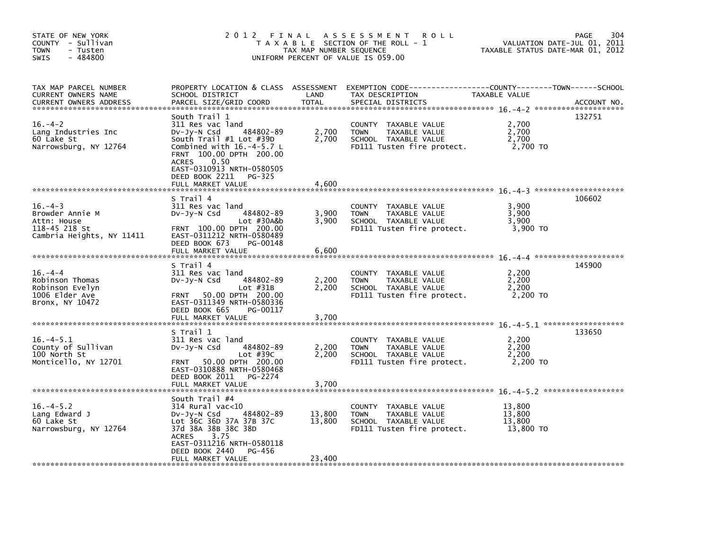| STATE OF NEW YORK<br>COUNTY - Sullivan<br>- Tusten<br>TOWN<br>$-484800$<br><b>SWIS</b>       | 2012 FINAL                                                                                                                                                                                                                                                    | TAX MAP NUMBER SEQUENCE    | A S S E S S M E N T<br><b>ROLL</b><br>T A X A B L E SECTION OF THE ROLL - 1<br>UNIFORM PERCENT OF VALUE IS 059.00 | TAXABLE STATUS DATE-MAR 01, 2012        | 304<br><b>PAGE</b><br>VALUATION DATE-JUL 01, 2011 |
|----------------------------------------------------------------------------------------------|---------------------------------------------------------------------------------------------------------------------------------------------------------------------------------------------------------------------------------------------------------------|----------------------------|-------------------------------------------------------------------------------------------------------------------|-----------------------------------------|---------------------------------------------------|
| TAX MAP PARCEL NUMBER<br>CURRENT OWNERS NAME<br><b>CURRENT OWNERS ADDRESS</b>                | PROPERTY LOCATION & CLASS ASSESSMENT<br>SCHOOL DISTRICT<br>PARCEL SIZE/GRID COORD                                                                                                                                                                             | LAND<br><b>TOTAL</b>       | EXEMPTION CODE-----------------COUNTY-------TOWN------SCHOOL<br>TAX DESCRIPTION<br>SPECIAL DISTRICTS              | TAXABLE VALUE                           | ACCOUNT NO.                                       |
| $16. - 4 - 2$<br>Lang Industries Inc<br>60 Lake St<br>Narrowsburg, NY 12764                  | South Trail 1<br>311 Res vac land<br>484802-89<br>DV-Jy-N Csd<br>South $Train  #1$ Lot $#39D$<br>Combined with $16.-4-5.7$ L<br>FRNT 100.00 DPTH 200.00<br><b>ACRES</b><br>0.50<br>EAST-0310913 NRTH-0580505<br>DEED BOOK 2211<br>PG-325<br>FULL MARKET VALUE | 2,700<br>2,700<br>4,600    | COUNTY TAXABLE VALUE<br>TAXABLE VALUE<br><b>TOWN</b><br>SCHOOL TAXABLE VALUE<br>FD111 Tusten fire protect.        | 2,700<br>2,700<br>2,700<br>2,700 TO     | 132751                                            |
| $16. -4 - 3$<br>Browder Annie M<br>Attn: House<br>118-45 218 St<br>Cambria Heights, NY 11411 | S Trail 4<br>311 Res vac land<br>484802-89<br>DV-Jy-N Csd<br>$Lot$ #30A&b<br>FRNT 100.00 DPTH 200.00<br>EAST-0311212 NRTH-0580489<br>DEED BOOK 673<br>PG-00148<br>FULL MARKET VALUE                                                                           | 3,900<br>3,900<br>6,600    | COUNTY TAXABLE VALUE<br>TAXABLE VALUE<br><b>TOWN</b><br>SCHOOL TAXABLE VALUE<br>FD111 Tusten fire protect.        | 3,900<br>3,900<br>3,900<br>3,900 TO     | 106602                                            |
| $16. -4 -4$<br>Robinson Thomas<br>Robinson Evelyn<br>1006 Elder Ave<br>Bronx, NY 10472       | S Trail 4<br>311 Res vac land<br>484802-89<br>DV-JY-N Csd<br>Lot $#31B$<br>50.00 DPTH 200.00<br><b>FRNT</b><br>EAST-0311349 NRTH-0580336<br>PG-00117<br>DEED BOOK 665<br>FULL MARKET VALUE                                                                    | 2,200<br>2,200<br>3,700    | COUNTY TAXABLE VALUE<br><b>TOWN</b><br>TAXABLE VALUE<br>SCHOOL TAXABLE VALUE<br>FD111 Tusten fire protect.        | 2,200<br>2,200<br>2,200<br>2,200 TO     | 145900                                            |
| $16. -4 - 5.1$<br>County of Sullivan<br>100 North St<br>Monticello, NY 12701                 | S Trail 1<br>311 Res vac land<br>DV-Jy-N Csd<br>484802-89<br>Lot $#39C$<br>FRNT 50.00 DPTH 200.00<br>EAST-0310888 NRTH-0580468<br>DEED BOOK 2011<br>PG-2274<br>FULL MARKET VALUE                                                                              | 2,200<br>2.200<br>3,700    | COUNTY TAXABLE VALUE<br>TAXABLE VALUE<br><b>TOWN</b><br>SCHOOL TAXABLE VALUE<br>FD111 Tusten fire protect.        | 2,200<br>2,200<br>2.200<br>2,200 TO     | 133650                                            |
| $16. -4 - 5.2$<br>Lang Edward J<br>60 Lake St<br>Narrowsburg, NY 12764                       | South Trail #4<br>314 Rural vac<10<br>DV-Jy-N Csd<br>484802-89<br>Lot 36C 36D 37A 37B 37C<br>37d 38A 38B 38C 38D<br>3.75<br><b>ACRES</b><br>EAST-0311216 NRTH-0580118<br>DEED BOOK 2440<br>PG-456<br>FULL MARKET VALUE                                        | 13,800<br>13,800<br>23,400 | COUNTY TAXABLE VALUE<br><b>TOWN</b><br>TAXABLE VALUE<br>SCHOOL TAXABLE VALUE<br>FD111 Tusten fire protect.        | 13,800<br>13,800<br>13,800<br>13,800 TO |                                                   |
|                                                                                              |                                                                                                                                                                                                                                                               |                            |                                                                                                                   |                                         |                                                   |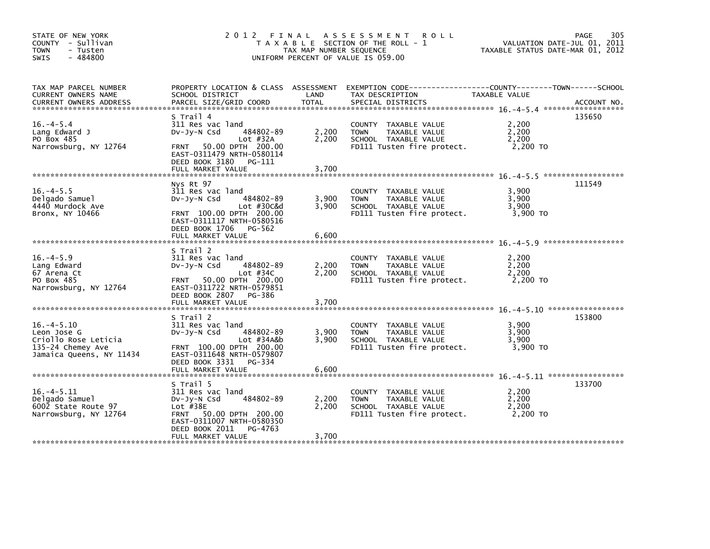| STATE OF NEW YORK<br>COUNTY - Sullivan<br><b>TOWN</b><br>- Tusten<br>$-484800$<br><b>SWIS</b>           | 2 0 1 2                                                                                                                                                                                   | FINAL<br>TAX MAP NUMBER SEQUENCE | A S S E S S M E N T<br><b>ROLL</b><br>T A X A B L E SECTION OF THE ROLL - 1<br>UNIFORM PERCENT OF VALUE IS 059.00 | TAXABLE STATUS DATE-MAR 01, 2012    | 305<br><b>PAGE</b><br>VALUATION DATE-JUL 01, 2011 |
|---------------------------------------------------------------------------------------------------------|-------------------------------------------------------------------------------------------------------------------------------------------------------------------------------------------|----------------------------------|-------------------------------------------------------------------------------------------------------------------|-------------------------------------|---------------------------------------------------|
| TAX MAP PARCEL NUMBER<br>CURRENT OWNERS NAME<br><b>CURRENT OWNERS ADDRESS</b>                           | PROPERTY LOCATION & CLASS ASSESSMENT<br>SCHOOL DISTRICT<br>PARCEL SIZE/GRID COORD                                                                                                         | LAND<br>TOTAL                    | EXEMPTION        CODE-----------------COUNTY-------TOWN------SCHOOL<br>TAX DESCRIPTION<br>SPECIAL DISTRICTS       | TAXABLE VALUE                       | ACCOUNT NO.                                       |
| $16. -4 - 5.4$<br>Lang Edward J<br>PO Box 485<br>Narrowsburg, NY 12764                                  | S Trail 4<br>311 Res vac land<br>484802-89<br>$Dv-Jv-N$ Csd<br>Lot $#32A$<br>50.00 DPTH 200.00<br><b>FRNT</b><br>EAST-0311479 NRTH-0580114<br>DEED BOOK 3180 PG-111                       | 2,200<br>2,200                   | COUNTY TAXABLE VALUE<br>TAXABLE VALUE<br><b>TOWN</b><br>SCHOOL TAXABLE VALUE<br>FD111 Tusten fire protect.        | 2,200<br>2,200<br>2,200<br>2,200 TO | 135650                                            |
|                                                                                                         | FULL MARKET VALUE                                                                                                                                                                         | 3,700                            |                                                                                                                   |                                     |                                                   |
| $16. -4 - 5.5$<br>Delgado Samuel<br>4440 Murdock Ave<br>Bronx, NY 10466                                 | Nys Rt 97<br>311 Res vac land<br>484802-89<br>$Dv-Jv-N$ Csd<br>Lot #30C&d<br>FRNT 100.00 DPTH 200.00<br>EAST-0311117 NRTH-0580516                                                         | 3,900<br>3.900                   | COUNTY TAXABLE VALUE<br>TAXABLE VALUE<br><b>TOWN</b><br>SCHOOL TAXABLE VALUE<br>FD111 Tusten fire protect.        | 3.900<br>3,900<br>3,900<br>3,900 TO | 111549                                            |
|                                                                                                         | DEED BOOK 1706 PG-562<br>FULL MARKET VALUE                                                                                                                                                | 6,600                            |                                                                                                                   |                                     |                                                   |
| $16. -4 - 5.9$<br>Lang Edward<br>67 Arena Ct<br>PO Box 485<br>Narrowsburg, NY 12764                     | S Trail 2<br>311 Res vac land<br>DV-JV-N Csd<br>484802-89<br>Lot $#34C$<br>50.00 DPTH 200.00<br><b>FRNT</b><br>EAST-0311722 NRTH-0579851<br>DEED BOOK 2807<br>PG-386<br>FULL MARKET VALUE | 2,200<br>2,200<br>3,700          | COUNTY<br>TAXABLE VALUE<br>TAXABLE VALUE<br><b>TOWN</b><br>SCHOOL TAXABLE VALUE<br>FD111 Tusten fire protect.     | 2.200<br>2,200<br>2,200<br>2.200 TO |                                                   |
|                                                                                                         |                                                                                                                                                                                           |                                  |                                                                                                                   |                                     |                                                   |
| $16. -4 - 5.10$<br>Leon Jose G<br>Criollo Rose Leticia<br>135-24 Chemey Ave<br>Jamaica Queens, NY 11434 | S Trail 2<br>311 Res vac land<br>484802-89<br>$Dv-Jv-N$ Csd<br>$Lot$ #34A&b<br>FRNT 100.00 DPTH 200.00<br>EAST-0311648 NRTH-0579807<br>PG-334                                             | 3.900<br>3,900                   | COUNTY<br>TAXABLE VALUE<br><b>TOWN</b><br>TAXABLE VALUE<br>SCHOOL TAXABLE VALUE<br>FD111 Tusten fire protect.     | 3,900<br>3,900<br>3,900<br>3,900 TO | 153800                                            |
|                                                                                                         | DEED BOOK 3331<br>FULL MARKET VALUE                                                                                                                                                       | 6,600                            |                                                                                                                   |                                     |                                                   |
| $16. -4 - 5.11$<br>Delgado Samuel<br>6002 State Route 97<br>Narrowsburg, NY 12764                       | S Trail 5<br>311 Res vac land<br>484802-89<br>$Dv-Jv-N$ Csd<br>Lot $#38E$<br>FRNT 50.00 DPTH 200.00<br>EAST-0311007 NRTH-0580350<br>DEED BOOK 2011<br>PG-4763                             | 2,200<br>2,200                   | COUNTY<br>TAXABLE VALUE<br>TAXABLE VALUE<br><b>TOWN</b><br>SCHOOL TAXABLE VALUE<br>FD111 Tusten fire protect.     | 2,200<br>2,200<br>2,200<br>2,200 TO | 133700                                            |
|                                                                                                         | FULL MARKET VALUE                                                                                                                                                                         | 3,700                            |                                                                                                                   |                                     |                                                   |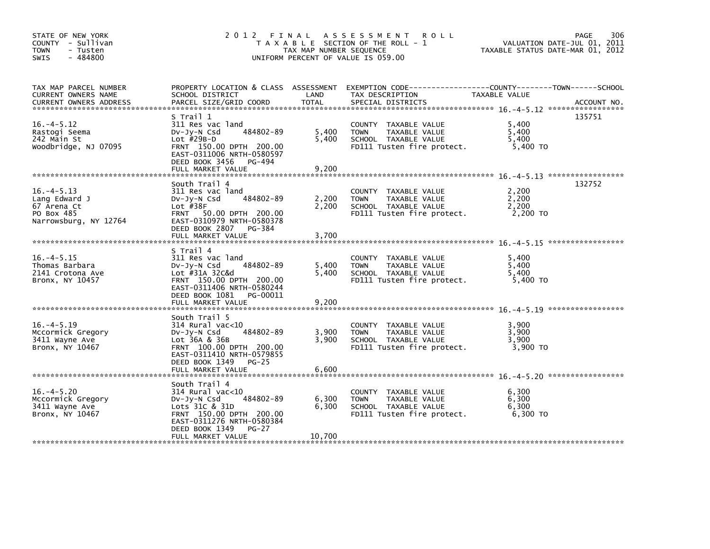| STATE OF NEW YORK<br>COUNTY - Sullivan<br><b>TOWN</b><br>- Tusten<br>$-484800$<br><b>SWIS</b> | 2012 FINAL                                                                                                                                                                                    | TAX MAP NUMBER SEQUENCE  | A S S E S S M E N T<br><b>ROLL</b><br>T A X A B L E SECTION OF THE ROLL - 1<br>UNIFORM PERCENT OF VALUE IS 059.00 | VALUATION DATE-JUL 01, 2011<br>TAXABLE STATUS DATE-MAR 01, 2012 | 306<br>PAGE |
|-----------------------------------------------------------------------------------------------|-----------------------------------------------------------------------------------------------------------------------------------------------------------------------------------------------|--------------------------|-------------------------------------------------------------------------------------------------------------------|-----------------------------------------------------------------|-------------|
| TAX MAP PARCEL NUMBER<br>CURRENT OWNERS NAME<br><b>CURRENT OWNERS ADDRESS</b>                 | PROPERTY LOCATION & CLASS ASSESSMENT<br>SCHOOL DISTRICT<br>PARCEL SIZE/GRID COORD                                                                                                             | LAND<br>TOTAL            | EXEMPTION CODE-----------------COUNTY-------TOWN-----SCHOOL<br>TAX DESCRIPTION<br>SPECIAL DISTRICTS               | TAXABLE VALUE                                                   | ACCOUNT NO. |
| $16. -4 - 5.12$<br>Rastogi Seema<br>242 Main St<br>Woodbridge, NJ 07095                       | S Trail 1<br>311 Res vac land<br>484802-89<br>$Dv-Jy-N$ Csd<br>Lot $#29B-D$<br>FRNT 150.00 DPTH 200.00<br>EAST-0311006 NRTH-0580597<br>DEED BOOK 3456<br>PG-494<br>FULL MARKET VALUE          | 5,400<br>5,400<br>9,200  | COUNTY TAXABLE VALUE<br><b>TOWN</b><br>TAXABLE VALUE<br>SCHOOL TAXABLE VALUE<br>FD111 Tusten fire protect.        | 5,400<br>5,400<br>5.400<br>5,400 TO                             | 135751      |
|                                                                                               | South Trail 4                                                                                                                                                                                 |                          |                                                                                                                   |                                                                 | 132752      |
| $16. -4 - 5.13$<br>Lang Edward J<br>67 Arena Ct<br>PO Box 485<br>Narrowsburg, NY 12764        | 311 Res vac land<br>484802-89<br>$Dv-Jv-N$ Csd<br>Lot $#38F$<br>FRNT 50.00 DPTH 200.00<br>EAST-0310979 NRTH-0580378<br>DEED BOOK 2807 PG-384                                                  | 2,200<br>2.200           | COUNTY TAXABLE VALUE<br><b>TOWN</b><br>TAXABLE VALUE<br>SCHOOL TAXABLE VALUE<br>FD111 Tusten fire protect.        | 2,200<br>2,200<br>2,200<br>2,200 TO                             |             |
|                                                                                               | FULL MARKET VALUE                                                                                                                                                                             | 3,700                    |                                                                                                                   |                                                                 |             |
| $16. -4 - 5.15$<br>Thomas Barbara<br>2141 Crotona Ave<br>Bronx, NY 10457                      | S Trail 4<br>311 Res vac land<br>484802-89<br>$Dv-Jy-N$ Csd<br>Lot #31A 32C&d<br>FRNT 150.00 DPTH 200.00<br>EAST-0311406 NRTH-0580244<br>DEED BOOK 1081 PG-00011                              | 5,400<br>5.400           | COUNTY TAXABLE VALUE<br>TAXABLE VALUE<br><b>TOWN</b><br>SCHOOL TAXABLE VALUE<br>FD111 Tusten fire protect.        | 5.400<br>5,400<br>5.400<br>5,400 TO                             |             |
|                                                                                               | FULL MARKET VALUE                                                                                                                                                                             | 9,200                    |                                                                                                                   |                                                                 |             |
| $16. -4 - 5.19$<br>Mccormick Gregory<br>3411 Wayne Ave<br>Bronx, NY 10467                     | South Trail 5<br>$314$ Rural vac< $10$<br>484802-89<br>$Dv-Jy-N$ Csd<br>Lot 36A & 36B<br>FRNT 100.00 DPTH 200.00<br>EAST-0311410 NRTH-0579855<br>DEED BOOK 1349<br>$PG-25$                    | 3,900<br>3,900           | COUNTY TAXABLE VALUE<br>TAXABLE VALUE<br><b>TOWN</b><br>SCHOOL TAXABLE VALUE<br>FD111 Tusten fire protect.        | 3.900<br>3,900<br>3,900<br>3,900 TO                             |             |
|                                                                                               | FULL MARKET VALUE                                                                                                                                                                             | 6,600                    |                                                                                                                   |                                                                 |             |
| $16. -4 - 5.20$<br>Mccormick Gregory<br>3411 Wayne Ave<br>Bronx, NY 10467                     | South Trail 4<br>$314$ Rural vac<10<br>484802-89<br>$Dv-Jy-N$ Csd<br>Lots 31C & 31D<br>FRNT 150.00 DPTH 200.00<br>EAST-0311276 NRTH-0580384<br>DEED BOOK 1349<br>$PG-27$<br>FULL MARKET VALUE | 6,300<br>6,300<br>10,700 | COUNTY TAXABLE VALUE<br>TAXABLE VALUE<br><b>TOWN</b><br>SCHOOL TAXABLE VALUE<br>FD111 Tusten fire protect.        | 6,300<br>6,300<br>6,300<br>6.300 TO                             |             |
|                                                                                               |                                                                                                                                                                                               |                          |                                                                                                                   |                                                                 |             |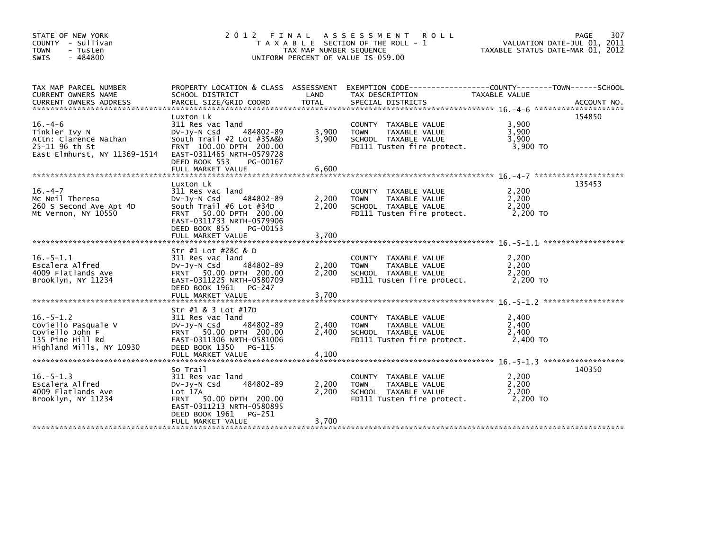| STATE OF NEW YORK<br>COUNTY - Sullivan<br><b>TOWN</b><br>- Tusten<br>$-484800$<br><b>SWIS</b>                        | 2012 FINAL                                                                                                                                                                                                | TAX MAP NUMBER SEQUENCE | A S S E S S M E N T<br><b>ROLL</b><br>T A X A B L E SECTION OF THE ROLL - 1<br>UNIFORM PERCENT OF VALUE IS 059.00 | PAGE<br>307<br>VALUATION DATE-JUL 01, 2011<br>TAXABLE STATUS DATE-MAR 01, 2012                                                                                                                                                                                                                                  |
|----------------------------------------------------------------------------------------------------------------------|-----------------------------------------------------------------------------------------------------------------------------------------------------------------------------------------------------------|-------------------------|-------------------------------------------------------------------------------------------------------------------|-----------------------------------------------------------------------------------------------------------------------------------------------------------------------------------------------------------------------------------------------------------------------------------------------------------------|
| TAX MAP PARCEL NUMBER<br>CURRENT OWNERS NAME                                                                         | PROPERTY LOCATION & CLASS ASSESSMENT<br>SCHOOL DISTRICT                                                                                                                                                   | LAND                    | TAX DESCRIPTION                                                                                                   | EXEMPTION CODE-----------------COUNTY-------TOWN------SCHOOL<br>TAXABLE VALUE<br>.CURRENT OWNERS ADDRESS PARCEL SIZE/GRID COORD TOTAL SPECIAL DISTRICTS (ACCOUNT NO ACCOUNT NO ACCOUNT NO AND FREE ALL SERVER AND RESEARCH TO A SERVER AND RESEARCH TO A SERVER AND HER A SERVER AND THE SERVER OF THE SERVER A |
| $16. -4-6$<br>Tinkler Ivy N<br>Attn: Clarence Nathan<br>25-11 96 th St<br>East Elmhurst, NY 11369-1514               | Luxton Lk<br>311 Res vac land<br>$Dv-Jy-N$ Csd<br>484802-89<br>South Trail #2 Lot #35A&b<br>FRNT 100.00 DPTH 200.00<br>EAST-0311465 NRTH-0579728<br>DEED BOOK 553<br>PG-00167<br>FULL MARKET VALUE        | 3,900<br>3.900<br>6,600 | COUNTY TAXABLE VALUE<br><b>TAXABLE VALUE</b><br><b>TOWN</b><br>SCHOOL TAXABLE VALUE<br>FD111 Tusten fire protect. | 154850<br>3,900<br>3,900<br>3,900<br>3,900 TO                                                                                                                                                                                                                                                                   |
| ******************************<br>$16. - 4 - 7$<br>Mc Neil Theresa<br>260 S Second Ave Apt 4D<br>Mt Vernon, NY 10550 | Luxton Lk<br>311 Res vac land<br>484802-89<br>$Dv-Jv-N$ Csd<br>South Trail #6 Lot #34D<br>50.00 DPTH 200.00<br><b>FRNT</b><br>EAST-0311733 NRTH-0579906<br>DEED BOOK 855<br>PG-00153<br>FULL MARKET VALUE | 2,200<br>2,200<br>3,700 | COUNTY TAXABLE VALUE<br><b>TAXABLE VALUE</b><br><b>TOWN</b><br>SCHOOL TAXABLE VALUE<br>FD111 Tusten fire protect. | 135453<br>2,200<br>2.200<br>2,200<br>2,200 TO                                                                                                                                                                                                                                                                   |
| $16. - 5 - 1.1$<br>Escalera Alfred<br>4009 Flatlands Ave<br>Brooklyn, NY 11234                                       | Str #1 Lot #28C & D<br>311 Res vac land<br>$Dv-Jy-N$ Csd<br>484802-89<br>FRNT 50.00 DPTH 200.00<br>EAST-0311225 NRTH-0580709<br>DEED BOOK 1961<br>PG-247<br>FULL MARKET VALUE                             | 2,200<br>2,200<br>3,700 | COUNTY TAXABLE VALUE<br><b>TOWN</b><br>TAXABLE VALUE<br>SCHOOL TAXABLE VALUE<br>FD111 Tusten fire protect.        | 2,200<br>2,200<br>2.200<br>2,200 TO                                                                                                                                                                                                                                                                             |
| $16. - 5 - 1.2$<br>Coviello Pasquale V<br>Coviello John F<br>135 Pine Hill Rd<br>Highland Mills, NY 10930            | Str #1 & 3 Lot #17D<br>311 Res vac land<br>$Dv-Jv-N$ Csd<br>484802-89<br>FRNT 50.00 DPTH 200.00<br>EAST-0311306 NRTH-0581006<br>DEED BOOK 1350<br>PG-115<br>FULL MARKET VALUE                             | 2,400<br>2,400<br>4,100 | COUNTY TAXABLE VALUE<br><b>TOWN</b><br>TAXABLE VALUE<br>SCHOOL TAXABLE VALUE<br>FD111 Tusten fire protect.        | 2,400<br>2,400<br>2,400<br>2,400 TO                                                                                                                                                                                                                                                                             |
| $16. - 5 - 1.3$<br>Escalera Alfred<br>4009 Flatlands Ave<br>Brooklyn, NY 11234                                       | So Trail<br>311 Res vac land<br>Dv-Jy-N Csd<br>484802-89<br>Lot 17A<br>50.00 DPTH 200.00<br><b>FRNT</b><br>EAST-0311213 NRTH-0580895<br>DEED BOOK 1961<br>PG-251<br>FULL MARKET VALUE                     | 2,200<br>2,200<br>3,700 | COUNTY TAXABLE VALUE<br>TAXABLE VALUE<br><b>TOWN</b><br>SCHOOL TAXABLE VALUE<br>FD111 Tusten fire protect.        | 140350<br>2,200<br>2,200<br>2.200<br>2,200 TO                                                                                                                                                                                                                                                                   |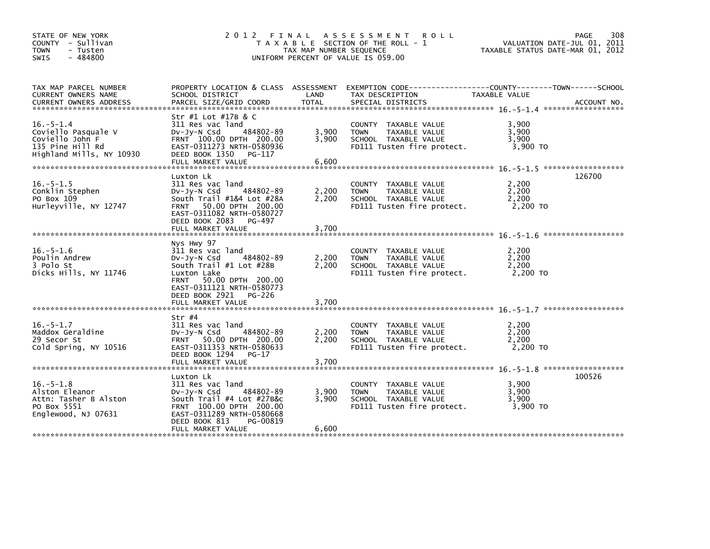| STATE OF NEW YORK<br>COUNTY - Sullivan<br><b>TOWN</b><br>- Tusten<br>$-484800$<br><b>SWIS</b>             | 2 0 1 2                                                                                                                                                                                                                | TAX MAP NUMBER SEQUENCE | FINAL ASSESSMENT<br><b>ROLL</b><br>T A X A B L E SECTION OF THE ROLL - 1<br>UNIFORM PERCENT OF VALUE IS 059.00 | <b>PAGE</b><br>VALUATION DATE-JUL 01, 2011<br>TAXABLE STATUS DATE-MAR 01, 2012               | 308 |
|-----------------------------------------------------------------------------------------------------------|------------------------------------------------------------------------------------------------------------------------------------------------------------------------------------------------------------------------|-------------------------|----------------------------------------------------------------------------------------------------------------|----------------------------------------------------------------------------------------------|-----|
| TAX MAP PARCEL NUMBER<br>CURRENT OWNERS NAME<br><b>CURRENT OWNERS ADDRESS</b>                             | PROPERTY LOCATION & CLASS ASSESSMENT<br>SCHOOL DISTRICT<br>PARCEL SIZE/GRID COORD                                                                                                                                      | LAND<br><b>TOTAL</b>    | TAX DESCRIPTION<br>SPECIAL DISTRICTS                                                                           | EXEMPTION CODE-----------------COUNTY-------TOWN------SCHOOL<br>TAXABLE VALUE<br>ACCOUNT NO. |     |
| $16. - 5 - 1.4$<br>Coviello Pasquale V<br>Coviello John F<br>135 Pine Hill Rd<br>Highland Mills, NY 10930 | Str #1 Lot #17B & C<br>311 Res vac land<br>484802-89<br>$Dv-Jy-N$ Csd<br>FRNT 100.00 DPTH 200.00<br>EAST-0311273 NRTH-0580936<br>DEED BOOK 1350 PG-117<br>FULL MARKET VALUE                                            | 3,900<br>3,900<br>6,600 | COUNTY TAXABLE VALUE<br><b>TOWN</b><br>TAXABLE VALUE<br>SCHOOL TAXABLE VALUE<br>FD111 Tusten fire protect.     | 3,900<br>3.900<br>3,900<br>3,900 TO                                                          |     |
| $16. - 5 - 1.5$<br>Conklin Stephen<br>PO Box 109<br>Hurleyville, NY 12747                                 | Luxton Lk<br>311 Res vac land<br>484802-89<br>$Dv-Jy-N$ Csd<br>South Trail #1&4 Lot #28A<br>50.00 DPTH 200.00<br><b>FRNT</b><br>EAST-0311082 NRTH-0580727<br>DEED BOOK 2083 PG-497<br>FULL MARKET VALUE                | 2,200<br>2,200<br>3,700 | COUNTY TAXABLE VALUE<br>TAXABLE VALUE<br><b>TOWN</b><br>SCHOOL TAXABLE VALUE<br>FD111 Tusten fire protect.     | 126700<br>2,200<br>2,200<br>2,200<br>2,200 TO                                                |     |
| $16. - 5 - 1.6$<br>Poulin Andrew<br>3 Polo St<br>Dicks Hills, NY 11746                                    | Nys Hwy 97<br>311 Res vac land<br>484802-89<br>DV-JV-N Csd<br>South Trail #1 Lot #28B<br>Luxton Lake<br>50.00 DPTH 200.00<br><b>FRNT</b><br>EAST-0311121 NRTH-0580773<br>DEED BOOK 2921<br>PG-226<br>FULL MARKET VALUE | 2,200<br>2,200<br>3.700 | COUNTY TAXABLE VALUE<br><b>TOWN</b><br>TAXABLE VALUE<br>SCHOOL TAXABLE VALUE<br>FD111 Tusten fire protect.     | 2,200<br>2.200<br>2.200<br>2,200 TO                                                          |     |
| $16. - 5 - 1.7$<br>Maddox Geraldine<br>29 Secor St<br>Cold Spring, NY 10516                               | Str #4<br>311 Res vac land<br>484802-89<br>DV-Jy-N Csd<br>FRNT 50.00 DPTH 200.00<br>EAST-0311353 NRTH-0580633<br>DEED BOOK 1294<br>$PG-17$                                                                             | 2,200<br>2.200          | COUNTY TAXABLE VALUE<br><b>TOWN</b><br>TAXABLE VALUE<br>SCHOOL TAXABLE VALUE<br>FD111 Tusten fire protect.     | 2,200<br>2,200<br>2.200<br>2,200 TO                                                          |     |
| $16. - 5 - 1.8$<br>Alston Eleanor<br>Attn: Tasher B Alston<br>PO Box 5551<br>Englewood, NJ 07631          | Luxton Lk<br>311 Res vac land<br>484802-89<br>$Dv-Jy-N$ Csd<br>South $Train$ #4 Lot $#27B&c$<br>FRNT 100.00 DPTH 200.00<br>EAST-0311289 NRTH-0580668<br>DEED BOOK 813<br>PG-00819<br>FULL MARKET VALUE                 | 3,900<br>3,900<br>6,600 | COUNTY TAXABLE VALUE<br>TAXABLE VALUE<br><b>TOWN</b><br>SCHOOL TAXABLE VALUE<br>FD111 Tusten fire protect.     | 100526<br>3,900<br>3,900<br>3,900<br>3,900 TO                                                |     |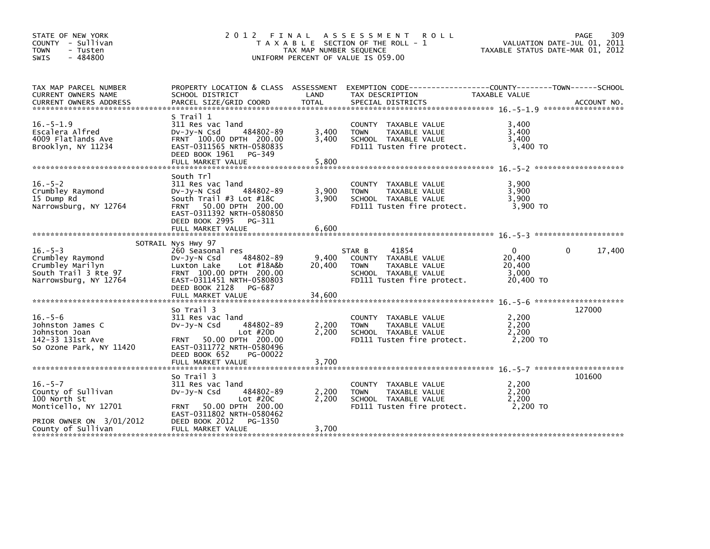| STATE OF NEW YORK<br>COUNTY - Sullivan<br><b>TOWN</b><br>- Tusten<br>- 484800<br>SWIS                                         |                                                                                                                                                                                                            | TAX MAP NUMBER SEQUENCE   | 2012 FINAL ASSESSMENT ROLL<br>T A X A B L E SECTION OF THE ROLL - 1<br>UNIFORM PERCENT OF VALUE IS 059.00                     | VALUATION DATE-JUL 01, 2011<br>TAXABLE STATUS DATE-MAR 01, 2012 | PAGE<br>309 |
|-------------------------------------------------------------------------------------------------------------------------------|------------------------------------------------------------------------------------------------------------------------------------------------------------------------------------------------------------|---------------------------|-------------------------------------------------------------------------------------------------------------------------------|-----------------------------------------------------------------|-------------|
| TAX MAP PARCEL NUMBER<br>CURRENT OWNERS NAME                                                                                  | SCHOOL DISTRICT                                                                                                                                                                                            | LAND                      | PROPERTY LOCATION & CLASS ASSESSMENT EXEMPTION CODE---------------COUNTY-------TOWN-----SCHOOL<br>TAX DESCRIPTION             | TAXABLE VALUE                                                   |             |
| $16. - 5 - 1.9$<br>Escalera Alfred<br>4009 Flatlands Ave<br>Brooklyn, NY 11234                                                | S Trail 1<br>311 Res vac land<br>484802-89<br>$Dv-Jy-N$ Csd<br>FRNT 100.00 DPTH 200.00<br>EAST-0311565 NRTH-0580835<br>DEED BOOK 1961 PG-349<br>FULL MARKET VALUE                                          | 3,400<br>3.400<br>5,800   | COUNTY TAXABLE VALUE<br>TAXABLE VALUE<br><b>TOWN</b><br>SCHOOL TAXABLE VALUE<br>FD111 Tusten fire protect.                    | 3,400<br>3,400<br>3,400<br>3,400 TO                             |             |
| $16. - 5 - 2$<br>Crumbley Raymond<br>15 Dump Rd<br>Narrowsburg, NY 12764                                                      | South Trl<br>311 Res vac land<br>484802-89<br>$Dv-Jv-N$ Csd<br>South $Train #3$ Lot $#18C$<br>FRNT 50.00 DPTH 200.00<br>EAST-0311392 NRTH-0580850<br>DEED BOOK 2995 PG-311<br>FULL MARKET VALUE            | 3,900<br>3.900<br>6,600   | COUNTY TAXABLE VALUE<br>TAXABLE VALUE<br><b>TOWN</b><br>SCHOOL TAXABLE VALUE<br>FD111 Tusten fire protect.                    | 3,900<br>3.900<br>3,900<br>3,900 TO                             |             |
| $16. - 5 - 3$<br>Crumbley Raymond<br>Crumbley Marilyn<br>South Trail 3 Rte 97<br>Narrowsburg, NY 12764                        | SOTRAIL Nys Hwy 97<br>260 Seasonal res<br>484802-89<br>$Dv-Jv-N$ Csd<br>Lot #18A&b<br>Luxton Lake<br>FRNT 100.00 DPTH 200.00<br>EAST-0311451 NRTH-0580803<br>DEED BOOK 2128<br>PG-687<br>FULL MARKET VALUE | 9,400<br>20,400<br>34,600 | STAR B<br>41854<br>COUNTY TAXABLE VALUE<br>TAXABLE VALUE<br><b>TOWN</b><br>SCHOOL TAXABLE VALUE<br>FD111 Tusten fire protect. | $\Omega$<br>20,400<br>20,400<br>3.000<br>20,400 TO              | 17,400<br>0 |
| $16. - 5 - 6$<br>Johnston James C<br>Johnston Joan<br>142-33 131st Ave<br>So Ozone Park, NY 11420                             | So Trail 3<br>311 Res vac land<br>484802-89<br>$Dv-Jy-N$ Csd<br>Lot $#20D$<br>FRNT 50.00 DPTH 200.00<br>EAST-0311772 NRTH-0580496<br>DEED BOOK 652<br>PG-00022<br>FULL MARKET VALUE                        | 2,200<br>2.200<br>3,700   | COUNTY TAXABLE VALUE<br><b>TOWN</b><br>TAXABLE VALUE<br>SCHOOL TAXABLE VALUE<br>FD111 Tusten fire protect.                    | 2,200<br>2,200<br>2,200<br>2.200 TO                             | 127000      |
| $16. - 5 - 7$<br>County of Sullivan<br>100 North St<br>Monticello, NY 12701<br>PRIOR OWNER ON 3/01/2012<br>County of Sullivan | So Trail 3<br>311 Res vac land<br>484802-89<br>$Dv-Jv-N$ Csd<br>Lot #20C<br>FRNT 50.00 DPTH 200.00<br>EAST-0311802 NRTH-0580462<br>DEED BOOK 2012<br>PG-1350<br>FULL MARKET VALUE                          | 2,200<br>2,200<br>3,700   | COUNTY TAXABLE VALUE<br><b>TOWN</b><br>TAXABLE VALUE<br>SCHOOL TAXABLE VALUE<br>FD111 Tusten fire protect.                    | 2,200<br>2,200<br>2,200<br>2,200 TO                             | 101600      |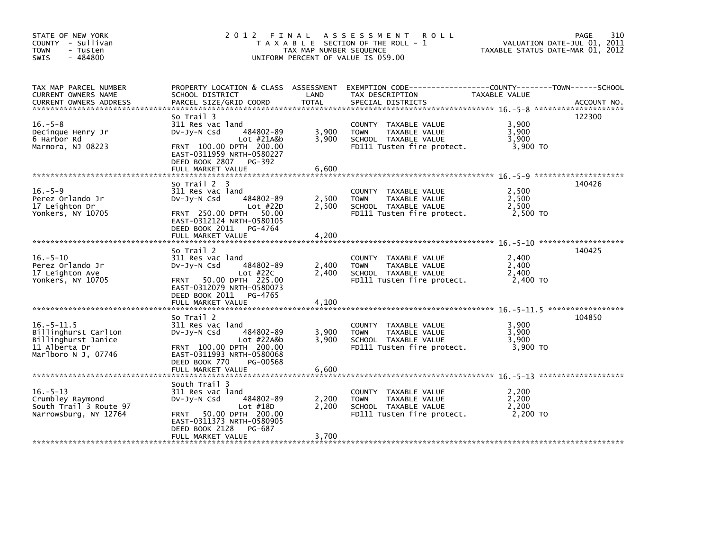| STATE OF NEW YORK<br>COUNTY - Sullivan<br>- Tusten<br>TOWN<br>$-484800$<br><b>SWIS</b>                  | 2012 FINAL                                                                                                                                                  | TAX MAP NUMBER SEQUENCE | A S S E S S M E N T<br><b>ROLL</b><br>T A X A B L E SECTION OF THE ROLL - 1<br>UNIFORM PERCENT OF VALUE IS 059.00                      | VALUATION DATE-JUL 01, 2011<br>TAXABLE STATUS DATE-MAR 01, 2012 | 310<br>PAGE |
|---------------------------------------------------------------------------------------------------------|-------------------------------------------------------------------------------------------------------------------------------------------------------------|-------------------------|----------------------------------------------------------------------------------------------------------------------------------------|-----------------------------------------------------------------|-------------|
| TAX MAP PARCEL NUMBER<br>CURRENT OWNERS NAME<br><b>CURRENT OWNERS ADDRESS</b>                           | SCHOOL DISTRICT<br>PARCEL SIZE/GRID COORD                                                                                                                   | LAND<br>TOTAL           | PROPERTY LOCATION & CLASS ASSESSMENT EXEMPTION CODE---------------COUNTY-------TOWN-----SCHOOL<br>TAX DESCRIPTION<br>SPECIAL DISTRICTS | TAXABLE VALUE                                                   | ACCOUNT NO. |
| $16. - 5 - 8$<br>Decinque Henry Jr<br>6 Harbor Rd<br>Marmora, NJ 08223                                  | So Trail 3<br>311 Res vac land<br>484802-89<br>$Dv-Jv-N$ Csd<br>Lot #21A&b<br>FRNT 100.00 DPTH 200.00<br>EAST-0311959 NRTH-0580227<br>DEED BOOK 2807 PG-392 | 3,900<br>3,900          | COUNTY TAXABLE VALUE<br>TAXABLE VALUE<br><b>TOWN</b><br>SCHOOL TAXABLE VALUE<br>FD111 Tusten fire protect.                             | 3,900<br>3,900<br>3,900<br>$3,900$ TO                           | 122300      |
|                                                                                                         | So Trail 2 3                                                                                                                                                |                         |                                                                                                                                        |                                                                 | 140426      |
| $16. - 5 - 9$<br>Perez Orlando Jr<br>17 Leighton Dr<br>Yonkers, NY 10705                                | 311 Res vac land<br>484802-89<br>Dv-Jy-N Csd<br>Lot $#22D$<br>FRNT 250.00 DPTH 50.00<br>EAST-0312124 NRTH-0580105                                           | 2,500<br>2,500          | COUNTY TAXABLE VALUE<br>TAXABLE VALUE<br><b>TOWN</b><br>SCHOOL TAXABLE VALUE<br>FD111 Tusten fire protect.                             | 2,500<br>2,500<br>2,500<br>2,500 TO                             |             |
|                                                                                                         | DEED BOOK 2011 PG-4764<br>FULL MARKET VALUE                                                                                                                 | 4,200                   |                                                                                                                                        |                                                                 |             |
| $16. - 5 - 10$<br>Perez Orlando Jr<br>17 Leighton Ave<br>Yonkers, NY 10705                              | So Trail 2<br>311 Res vac land<br>484802-89<br>$Dv-Jy-N$ Csd<br>Lot #22C<br>FRNT 50.00 DPTH 225.00<br>EAST-0312079 NRTH-0580073<br>DEED BOOK 2011 PG-4765   | 2,400<br>2,400          | COUNTY TAXABLE VALUE<br><b>TOWN</b><br>TAXABLE VALUE<br>SCHOOL TAXABLE VALUE<br>FD111 Tusten fire protect.                             | 2,400<br>2,400<br>2,400<br>2,400 TO                             | 140425      |
|                                                                                                         | So Trail 2                                                                                                                                                  |                         |                                                                                                                                        |                                                                 | 104850      |
| $16. - 5 - 11.5$<br>Billinghurst Carlton<br>Billinghurst Janice<br>11 Alberta Dr<br>Marlboro N J, 07746 | 311 Res vac land<br>484802-89<br>$Dv-Jv-N$ Csd<br>$Lot$ #22A&b<br>FRNT 100.00 DPTH 200.00<br>EAST-0311993 NRTH-0580068<br>PG-00568<br>DEED BOOK 770         | 3,900<br>3,900          | COUNTY TAXABLE VALUE<br><b>TOWN</b><br>TAXABLE VALUE<br>SCHOOL TAXABLE VALUE<br>FD111 Tusten fire protect.                             | 3,900<br>3,900<br>3,900<br>3.900 TO                             |             |
|                                                                                                         | South Trail 3                                                                                                                                               |                         |                                                                                                                                        |                                                                 |             |
| $16. - 5 - 13$<br>Crumbley Raymond<br>South Trail 3 Route 97<br>Narrowsburg, NY 12764                   | 311 Res vac land<br>484802-89<br>$Dv-Jv-N$ Csd<br>Lot $#18D$<br>FRNT 50.00 DPTH 200.00<br>EAST-0311373 NRTH-0580905                                         | 2,200<br>2,200          | COUNTY TAXABLE VALUE<br><b>TOWN</b><br>TAXABLE VALUE<br>SCHOOL TAXABLE VALUE<br>FD111 Tusten fire protect.                             | 2,200<br>2,200<br>2,200<br>2,200 TO                             |             |
|                                                                                                         | PG-687<br>DEED BOOK 2128<br>FULL MARKET VALUE                                                                                                               | 3,700                   |                                                                                                                                        |                                                                 |             |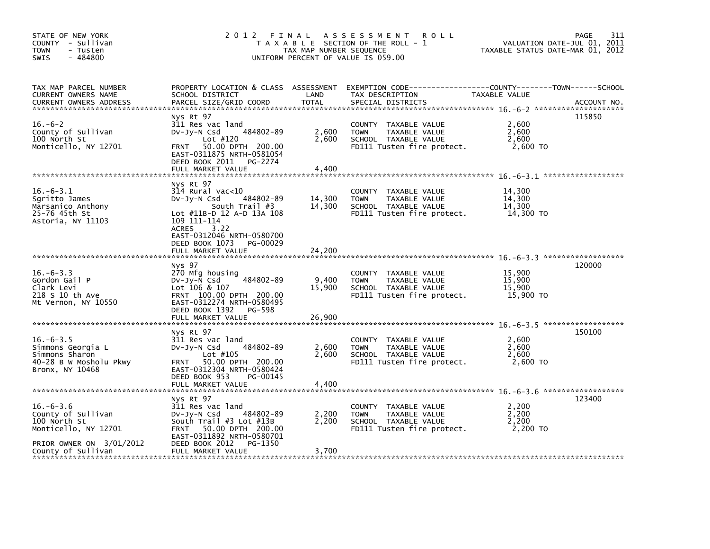| STATE OF NEW YORK<br>COUNTY - Sullivan<br><b>TOWN</b><br>- Tusten<br>$-484800$<br>SWIS                                          | 2012 FINAL                                                                                                                                                                                                                    | TAX MAP NUMBER SEQUENCE    | A S S E S S M E N T<br><b>ROLL</b><br>T A X A B L E SECTION OF THE ROLL - 1<br>UNIFORM PERCENT OF VALUE IS 059.00                       | VALUATION DATE-JUL 01, 2011<br>TAXABLE STATUS DATE-MAR 01, 2012 | 311<br>PAGE |
|---------------------------------------------------------------------------------------------------------------------------------|-------------------------------------------------------------------------------------------------------------------------------------------------------------------------------------------------------------------------------|----------------------------|-----------------------------------------------------------------------------------------------------------------------------------------|-----------------------------------------------------------------|-------------|
| TAX MAP PARCEL NUMBER<br>CURRENT OWNERS NAME<br><b>CURRENT OWNERS ADDRESS</b>                                                   | SCHOOL DISTRICT<br>PARCEL SIZE/GRID COORD                                                                                                                                                                                     | LAND<br><b>TOTAL</b>       | PROPERTY LOCATION & CLASS ASSESSMENT EXEMPTION CODE----------------COUNTY-------TOWN-----SCHOOL<br>TAX DESCRIPTION<br>SPECIAL DISTRICTS | TAXABLE VALUE                                                   | ACCOUNT NO. |
| $16. -6-2$<br>County of Sullivan<br>100 North St<br>Monticello, NY 12701                                                        | Nys Rt 97<br>311 Res vac land<br>484802-89<br>$Dv-Jv-N$ Csd<br>Lot $#120$<br>FRNT 50.00 DPTH 200.00<br>EAST-0311875 NRTH-0581054<br>DEED BOOK 2011 PG-2274<br>FULL MARKET VALUE                                               | 2,600<br>2,600<br>4,400    | COUNTY TAXABLE VALUE<br>TAXABLE VALUE<br><b>TOWN</b><br>SCHOOL TAXABLE VALUE<br>FD111 Tusten fire protect.                              | 2,600<br>2,600<br>2.600<br>2,600 TO                             | 115850      |
| $16.-6-3.1$<br>Sqritto James<br>Marsanico Anthony<br>25-76 45th St<br>Astoria, NY 11103                                         | Nys Rt 97<br>$314$ Rural vac< $10$<br>484802-89<br>Dv-Jy-N Csd<br>South Trail #3<br>Lot #11B-D 12 A-D 13A 108<br>109 111-114<br>ACRES<br>3.22<br>EAST-0312046 NRTH-0580700<br>DEED BOOK 1073<br>PG-00029<br>FULL MARKET VALUE | 14,300<br>14,300<br>24,200 | COUNTY TAXABLE VALUE<br><b>TOWN</b><br>TAXABLE VALUE<br>SCHOOL TAXABLE VALUE<br>FD111 Tusten fire protect.                              | 14,300<br>14,300<br>14,300<br>14,300 TO                         |             |
| $16. - 6 - 3.3$<br>Gordon Gail P<br>Clark Levi<br>218 S 10 th Ave<br>Mt Vernon, NY 10550                                        | Nys 97<br>270 Mfg housing<br>484802-89<br>DV-JY-N Csd<br>Lot 106 & 107<br>FRNT 100.00 DPTH 200.00<br>EAST-0312274 NRTH-0580495<br>DEED BOOK 1392 PG-598<br>FULL MARKET VALUE                                                  | 9,400<br>15,900<br>26,900  | COUNTY TAXABLE VALUE<br><b>TOWN</b><br>TAXABLE VALUE<br>SCHOOL TAXABLE VALUE<br>FD111 Tusten fire protect.                              | 15,900<br>15,900<br>15,900<br>15,900 TO                         | 120000      |
| $16. - 6 - 3.5$<br>Simmons Georgia L<br>Simmons Sharon<br>40-28 B W Mosholu Pkwy<br>Bronx, NY 10468                             | Nys Rt 97<br>311 Res vac land<br>484802-89<br>$Dv-Jy-N$ Csd<br>Lot #105<br>FRNT 50.00 DPTH 200.00<br>EAST-0312304 NRTH-0580424<br>DEED BOOK 953<br>PG-00145<br>FULL MARKET VALUE                                              | 2,600<br>2,600<br>4,400    | COUNTY TAXABLE VALUE<br>TAXABLE VALUE<br><b>TOWN</b><br>SCHOOL TAXABLE VALUE<br>FD111 Tusten fire protect.                              | 2,600<br>2,600<br>2,600<br>2,600 TO                             | 150100      |
| $16. - 6 - 3.6$<br>County of Sullivan<br>100 North St<br>Monticello, NY 12701<br>PRIOR OWNER ON 3/01/2012<br>County of Sullivan | Nys Rt 97<br>311 Res vac land<br>484802-89<br>$Dv-Jy-N$ Csd<br>South Trail #3 Lot #13B<br>FRNT 50.00 DPTH 200.00<br>EAST-0311892 NRTH-0580701<br>DEED BOOK 2012<br>PG-1350<br>FULL MARKET VALUE                               | 2,200<br>2,200<br>3,700    | COUNTY TAXABLE VALUE<br><b>TOWN</b><br>TAXABLE VALUE<br>SCHOOL TAXABLE VALUE<br>FD111 Tusten fire protect.                              | 2,200<br>2,200<br>2,200<br>2,200 TO                             | 123400      |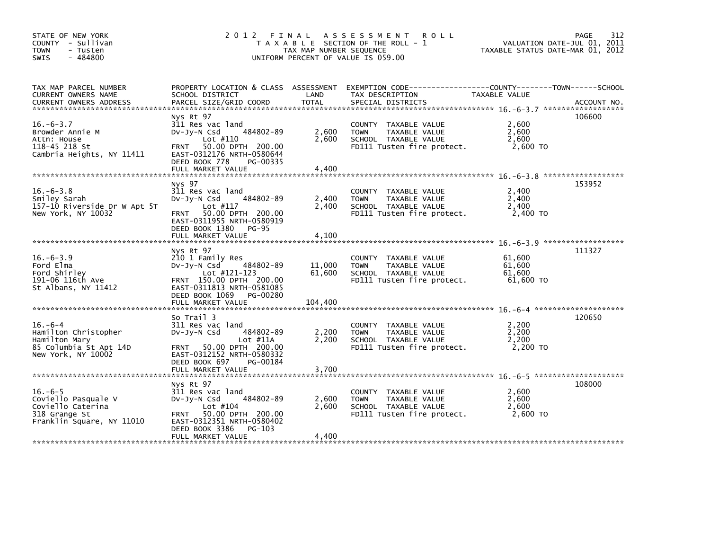| STATE OF NEW YORK<br>COUNTY - Sullivan<br><b>TOWN</b><br>- Tusten<br>$-484800$<br><b>SWIS</b>          | 2012 FINAL ASSESSMENT                                                                                                                                                          | T A X A B L E SECTION OF THE ROLL - 1<br>TAX MAP NUMBER SEQUENCE<br>UNIFORM PERCENT OF VALUE IS 059.00 | 312<br><b>PAGE</b><br>VALUATION DATE-JUL 01, 2011<br>TAXABLE STATUS DATE-MAR 01, 2012                                                   |                                         |             |
|--------------------------------------------------------------------------------------------------------|--------------------------------------------------------------------------------------------------------------------------------------------------------------------------------|--------------------------------------------------------------------------------------------------------|-----------------------------------------------------------------------------------------------------------------------------------------|-----------------------------------------|-------------|
| TAX MAP PARCEL NUMBER<br>CURRENT OWNERS NAME<br><b>CURRENT OWNERS ADDRESS</b>                          | SCHOOL DISTRICT<br>PARCEL SIZE/GRID COORD                                                                                                                                      | LAND<br><b>TOTAL</b>                                                                                   | PROPERTY LOCATION & CLASS ASSESSMENT EXEMPTION CODE----------------COUNTY-------TOWN-----SCHOOL<br>TAX DESCRIPTION<br>SPECIAL DISTRICTS | TAXABLE VALUE                           | ACCOUNT NO. |
| $16. - 6 - 3.7$<br>Browder Annie M<br>Attn: House<br>118-45 218 St<br>Cambria Heights, NY 11411        | Nys Rt 97<br>311 Res vac land<br>484802-89<br>$Dv-Jv-N$ Csd<br>Lot $#110$<br>FRNT 50.00 DPTH 200.00<br>EAST-0312176 NRTH-0580644<br>DEED BOOK 778<br>PG-00335                  | 2,600<br>2,600                                                                                         | COUNTY TAXABLE VALUE<br>TAXABLE VALUE<br><b>TOWN</b><br>SCHOOL TAXABLE VALUE<br>FD111 Tusten fire protect.                              | 2,600<br>2,600<br>2,600<br>2,600 TO     | 106600      |
|                                                                                                        |                                                                                                                                                                                |                                                                                                        |                                                                                                                                         |                                         |             |
| $16. - 6 - 3.8$<br>Smiley Sarah<br>157-10 Riverside Dr W Apt 5T<br>New York, NY 10032                  | Nys 97<br>311 Res vac land<br>484802-89<br>$Dv-Jy-N$ Csd<br>Lot $#117$<br>FRNT 50.00 DPTH 200.00<br>EAST-0311955 NRTH-0580919                                                  | 2,400<br>2,400                                                                                         | COUNTY TAXABLE VALUE<br><b>TOWN</b><br>TAXABLE VALUE<br>SCHOOL TAXABLE VALUE<br>FD111 Tusten fire protect.                              | 2.400<br>2,400<br>2,400<br>2,400 TO     | 153952      |
|                                                                                                        | DEED BOOK 1380 PG-95<br>FULL MARKET VALUE                                                                                                                                      | 4,100                                                                                                  |                                                                                                                                         |                                         |             |
| $16. - 6 - 3.9$<br>Ford Elma<br>Ford Shirley<br>191-06 116th Ave<br>St Albans, NY 11412                | Nys Rt 97<br>210 1 Family Res<br>484802-89<br>$Dv-Jy-N$ Csd<br>Lot $#121 - 123$<br>FRNT 150.00 DPTH 200.00<br>EAST-0311813 NRTH-0581085<br>DEED BOOK 1069 PG-00280             | 11,000<br>61,600                                                                                       | COUNTY TAXABLE VALUE<br><b>TOWN</b><br>TAXABLE VALUE<br>SCHOOL TAXABLE VALUE<br>FD111 Tusten fire protect.                              | 61.600<br>61,600<br>61,600<br>61,600 TO | 111327      |
|                                                                                                        |                                                                                                                                                                                |                                                                                                        |                                                                                                                                         |                                         |             |
| $16. -6 - 4$<br>Hamilton Christopher<br>Hamilton Mary<br>85 Columbia St Apt 14D<br>New York, NY 10002  | So Trail 3<br>311 Res vac land<br>$Dv-Jv-N$ Csd<br>484802-89<br>Lot $#11A$<br>FRNT 50.00 DPTH 200.00<br>EAST-0312152 NRTH-0580332                                              | 2,200<br>2,200                                                                                         | COUNTY TAXABLE VALUE<br><b>TOWN</b><br>TAXABLE VALUE<br>SCHOOL TAXABLE VALUE<br>FD111 Tusten fire protect.                              | 2,200<br>2,200<br>2,200<br>2,200 TO     | 120650      |
|                                                                                                        | DEED BOOK 697<br>PG-00184                                                                                                                                                      |                                                                                                        |                                                                                                                                         |                                         |             |
| $16. -6 - 5$<br>Coviello Pasquale V<br>Coviello Caterina<br>318 Grange St<br>Franklin Square, NY 11010 | Nys Rt 97<br>311 Res vac land<br>484802-89<br>$Dv-Jy-N$ Csd<br>Lot $#104$<br>FRNT 50.00 DPTH 200.00<br>EAST-0312351 NRTH-0580402<br>DEED BOOK 3386 PG-103<br>FULL MARKET VALUE | 2,600<br>2.600<br>4,400                                                                                | COUNTY TAXABLE VALUE<br><b>TOWN</b><br>TAXABLE VALUE<br>SCHOOL TAXABLE VALUE<br>FD111 Tusten fire protect.                              | 2,600<br>2,600<br>2,600<br>2,600 TO     | 108000      |
|                                                                                                        |                                                                                                                                                                                |                                                                                                        |                                                                                                                                         |                                         |             |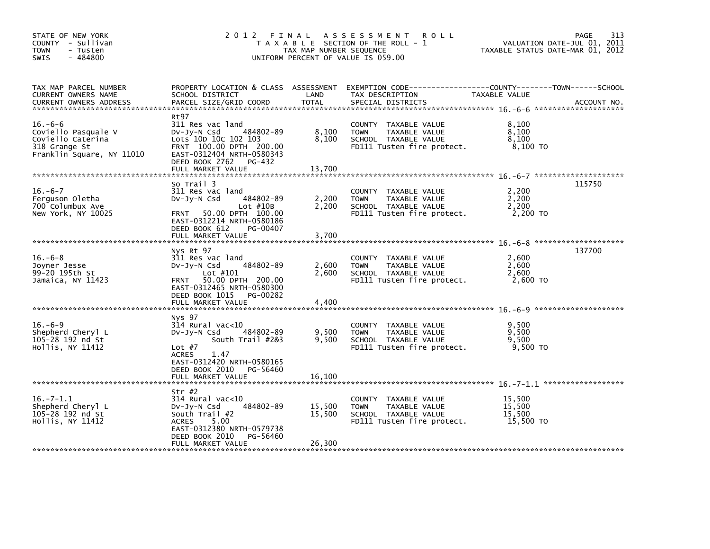| STATE OF NEW YORK<br>COUNTY - Sullivan<br><b>TOWN</b><br>- Tusten<br>$-484800$<br>SWIS              | 2012 FINAL                                                                                                                                                                                       | TAX MAP NUMBER SEQUENCE    | ASSESSMENT ROLL<br>T A X A B L E SECTION OF THE ROLL - 1<br>UNIFORM PERCENT OF VALUE IS 059.00                                         | VALUATION DATE-JUL 01, 2011<br>TAXABLE STATUS DATE-MAR 01, 2012 | 313<br>PAGE |
|-----------------------------------------------------------------------------------------------------|--------------------------------------------------------------------------------------------------------------------------------------------------------------------------------------------------|----------------------------|----------------------------------------------------------------------------------------------------------------------------------------|-----------------------------------------------------------------|-------------|
| TAX MAP PARCEL NUMBER<br>CURRENT OWNERS NAME<br><b>CURRENT OWNERS ADDRESS</b>                       | SCHOOL DISTRICT<br>PARCEL SIZE/GRID COORD                                                                                                                                                        | LAND<br><b>TOTAL</b>       | PROPERTY LOCATION & CLASS ASSESSMENT EXEMPTION CODE---------------COUNTY-------TOWN-----SCHOOL<br>TAX DESCRIPTION<br>SPECIAL DISTRICTS | TAXABLE VALUE                                                   | ACCOUNT NO. |
| $16.-6-6$<br>Coviello Pasquale V<br>Coviello Caterina<br>318 Grange St<br>Franklin Square, NY 11010 | Rt97<br>311 Res vac land<br>484802-89<br>DV-Jy-N Csd<br>Lots 10D 10C 102 103<br>FRNT 100.00 DPTH 200.00<br>EAST-0312404 NRTH-0580343<br>DEED BOOK 2762 PG-432<br>FULL MARKET VALUE               | 8,100<br>8,100<br>13,700   | COUNTY TAXABLE VALUE<br><b>TOWN</b><br>TAXABLE VALUE<br>SCHOOL TAXABLE VALUE<br>FD111 Tusten fire protect.                             | 8,100<br>8,100<br>8,100<br>8,100 TO                             |             |
| $16. -6 - 7$<br>Ferguson Oletha<br>700 Columbux Ave<br>New York, NY 10025                           | So Trail 3<br>311 Res vac land<br>484802-89<br>DV-Jy-N Csd<br>Lot $#10B$<br>FRNT 50.00 DPTH 100.00<br>EAST-0312214 NRTH-0580186<br>DEED BOOK 612<br>PG-00407<br>FULL MARKET VALUE                | 2,200<br>2,200<br>3,700    | COUNTY TAXABLE VALUE<br><b>TOWN</b><br>TAXABLE VALUE<br>SCHOOL TAXABLE VALUE<br>FD111 Tusten fire protect.                             | 2,200<br>2,200<br>2,200<br>2,200 TO                             | 115750      |
| $16.-6-8$<br>Joyner Jesse<br>99-20 195th St<br>Jamaica, NY 11423                                    | Nys Rt 97<br>311 Res vac land<br>484802-89<br>DV-Jy-N Csd<br>Lot #101<br>FRNT 50.00 DPTH 200.00<br>EAST-0312465 NRTH-0580300<br>DEED BOOK 1015<br>PG-00282<br>FULL MARKET VALUE                  | 2,600<br>2,600<br>4,400    | COUNTY TAXABLE VALUE<br><b>TOWN</b><br>TAXABLE VALUE<br>SCHOOL TAXABLE VALUE<br>FD111 Tusten fire protect.                             | 2,600<br>2,600<br>2,600<br>2,600 TO                             | 137700      |
| $16.-6-9$<br>Shepherd Cheryl L<br>105-28 192 nd St<br>Hollis, NY 11412                              | Nys 97<br>$314$ Rural vac<10<br>484802-89<br>DV-Jy-N Csd<br>South Trail #2&3<br>Lot $#7$<br>1.47<br><b>ACRES</b><br>EAST-0312420 NRTH-0580165<br>DEED BOOK 2010<br>PG-56460<br>FULL MARKET VALUE | 9,500<br>9,500<br>16,100   | COUNTY TAXABLE VALUE<br><b>TOWN</b><br>TAXABLE VALUE<br>SCHOOL TAXABLE VALUE<br>FD111 Tusten fire protect.                             | 9,500<br>9,500<br>9,500<br>9,500 TO                             |             |
| $16. - 7 - 1.1$<br>Shepherd Cheryl L<br>105-28 192 nd St<br>Hollis, NY 11412                        | Str #2<br>314 Rural vac<10<br>484802-89<br>DV-Jy-N Csd<br>South Trail #2<br>5.00<br><b>ACRES</b><br>EAST-0312380 NRTH-0579738<br>DEED BOOK 2010<br>PG-56460<br>FULL MARKET VALUE                 | 15,500<br>15,500<br>26,300 | COUNTY TAXABLE VALUE<br><b>TOWN</b><br>TAXABLE VALUE<br>SCHOOL TAXABLE VALUE<br>FD111 Tusten fire protect.                             | 15,500<br>15,500<br>15,500<br>15,500 TO                         |             |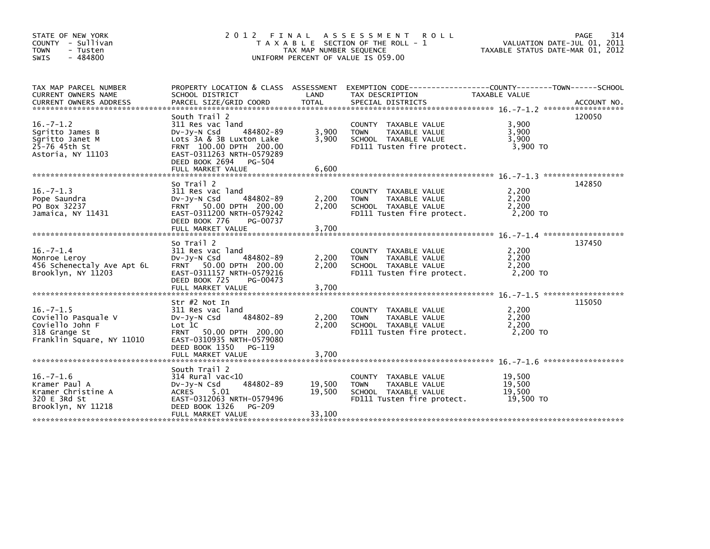| STATE OF NEW YORK<br>COUNTY - Sullivan<br><b>TOWN</b><br>- Tusten<br>$-484800$<br><b>SWIS</b>          | 2012 FINAL                                                                                                                                                                                        | TAX MAP NUMBER SEQUENCE    | ASSESSMENT ROLL<br>T A X A B L E SECTION OF THE ROLL - 1<br>UNIFORM PERCENT OF VALUE IS 059.00                       | VALUATION DATE-JUL 01, 2011<br>TAXABLE STATUS DATE-MAR 01, 2012 | 314<br>PAGE |
|--------------------------------------------------------------------------------------------------------|---------------------------------------------------------------------------------------------------------------------------------------------------------------------------------------------------|----------------------------|----------------------------------------------------------------------------------------------------------------------|-----------------------------------------------------------------|-------------|
| TAX MAP PARCEL NUMBER<br>CURRENT OWNERS NAME                                                           | SCHOOL DISTRICT                                                                                                                                                                                   | LAND                       | PROPERTY LOCATION & CLASS ASSESSMENT EXEMPTION CODE-----------------COUNTY-------TOWN------SCHOOL<br>TAX DESCRIPTION | TAXABLE VALUE                                                   |             |
| $16. - 7 - 1.2$<br>Sgritto James B<br>Sgritto Janet M<br>25-76 45th St<br>Astoria, NY 11103            | South Trail 2<br>311 Res vac land<br>484802-89<br>$Dv-Jy-N$ Csd<br>Lots 3A & 3B Luxton Lake<br>FRNT 100.00 DPTH 200.00<br>EAST-0311263 NRTH-0579289<br>DEED BOOK 2694 PG-504<br>FULL MARKET VALUE | 3,900<br>3,900<br>6,600    | COUNTY TAXABLE VALUE<br>TAXABLE VALUE<br><b>TOWN</b><br>SCHOOL TAXABLE VALUE<br>FD111 Tusten fire protect.           | 3,900<br>3,900<br>3,900<br>3,900 TO                             | 120050      |
|                                                                                                        |                                                                                                                                                                                                   |                            |                                                                                                                      |                                                                 |             |
| $16. - 7 - 1.3$<br>Pope Saundra<br>PO Box 32237<br>Jamaica, NY 11431                                   | So Trail 2<br>311 Res vac land<br>484802-89<br>$Dv-Jy-N$ Csd<br>FRNT 50.00 DPTH 200.00<br>EAST-0311200 NRTH-0579242<br>DEED BOOK 776<br>PG-00737                                                  | 2,200<br>2,200             | COUNTY TAXABLE VALUE<br>TAXABLE VALUE<br><b>TOWN</b><br>SCHOOL TAXABLE VALUE<br>FD111 Tusten fire protect.           | 2,200<br>2,200<br>2.200<br>2,200 TO                             | 142850      |
|                                                                                                        |                                                                                                                                                                                                   |                            |                                                                                                                      |                                                                 |             |
| $16. -7 - 1.4$<br>Monroe Leroy<br>456 Schenectaly Ave Apt 6L<br>Brooklyn, NY 11203                     | So Trail 2<br>311 Res vac land<br>484802-89<br>$Dv-Jy-N$ Csd<br>50.00 DPTH 200.00<br><b>FRNT</b><br>EAST-0311157 NRTH-0579216<br>DEED BOOK 725<br>PG-00473<br>FULL MARKET VALUE                   | 2,200<br>2,200<br>3,700    | COUNTY TAXABLE VALUE<br>TAXABLE VALUE<br><b>TOWN</b><br>SCHOOL TAXABLE VALUE<br>FD111 Tusten fire protect.           | 2,200<br>2,200<br>2,200<br>$2,200$ TO                           | 137450      |
|                                                                                                        |                                                                                                                                                                                                   |                            |                                                                                                                      |                                                                 |             |
| $16. -7 - 1.5$<br>Coviello Pasquale V<br>Coviello John F<br>318 Grange St<br>Franklin Square, NY 11010 | Str #2 Not In<br>311 Res vac land<br>484802-89<br>$Dv-Jy-N$ Csd<br>Lot 1C<br>FRNT 50.00 DPTH 200.00<br>EAST-0310935 NRTH-0579080                                                                  | 2,200<br>2,200             | COUNTY TAXABLE VALUE<br>TAXABLE VALUE<br><b>TOWN</b><br>SCHOOL TAXABLE VALUE<br>FD111 Tusten fire protect.           | 2,200<br>2,200<br>2,200<br>2.200 TO                             | 115050      |
|                                                                                                        | DEED BOOK 1350<br>PG-119<br>FULL MARKET VALUE                                                                                                                                                     | 3,700                      |                                                                                                                      |                                                                 |             |
| $16. -7 - 1.6$<br>Kramer Paul A<br>Kramer Christine A<br>320 E 3Rd St<br>Brooklyn, NY 11218            | South Trail 2<br>$314$ Rural vac<10<br>484802-89<br>$Dv-Jv-N$ Csd<br><b>ACRES</b><br>5.01<br>EAST-0312063 NRTH-0579496<br>DEED BOOK 1326<br>PG-209<br>FULL MARKET VALUE                           | 19,500<br>19,500<br>33,100 | COUNTY TAXABLE VALUE<br>TAXABLE VALUE<br><b>TOWN</b><br>SCHOOL TAXABLE VALUE<br>FD111 Tusten fire protect.           | 19,500<br>19.500<br>19,500<br>19,500 TO                         |             |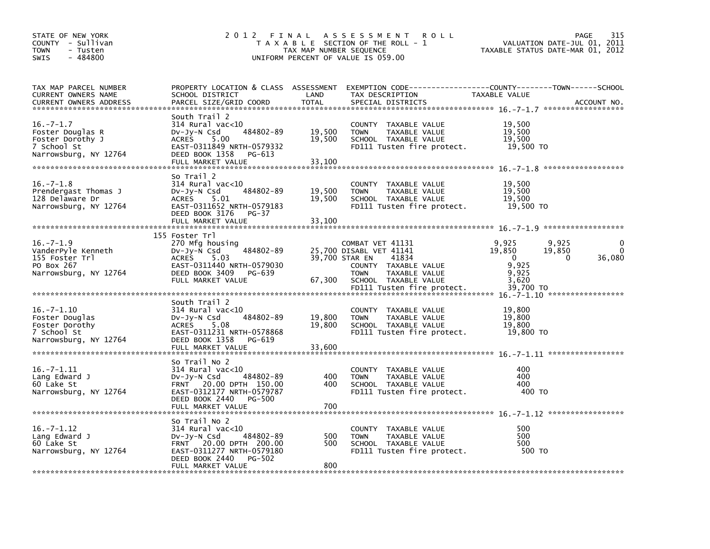| STATE OF NEW YORK<br>COUNTY - Sullivan<br><b>TOWN</b><br>- Tusten<br>- 484800<br><b>SWIS</b>   | 2 0 1 2                                                                                                                                                                      | FINAL<br>TAX MAP NUMBER SEQUENCE | A S S E S S M E N T<br>R O L L<br>T A X A B L E SECTION OF THE ROLL - 1<br>UNIFORM PERCENT OF VALUE IS 059.00                                                                        | VALUATION DATE-JUL 01,<br>TAXABLE STATUS DATE-MAR 01, 2012                                  | 315<br>PAGE<br>2011         |
|------------------------------------------------------------------------------------------------|------------------------------------------------------------------------------------------------------------------------------------------------------------------------------|----------------------------------|--------------------------------------------------------------------------------------------------------------------------------------------------------------------------------------|---------------------------------------------------------------------------------------------|-----------------------------|
| TAX MAP PARCEL NUMBER<br><b>CURRENT OWNERS NAME</b><br><b>CURRENT OWNERS ADDRESS</b>           | PROPERTY LOCATION & CLASS ASSESSMENT<br>SCHOOL DISTRICT<br>PARCEL SIZE/GRID COORD                                                                                            | LAND<br><b>TOTAL</b>             | TAX DESCRIPTION<br>SPECIAL DISTRICTS                                                                                                                                                 | TAXABLE VALUE                                                                               | ACCOUNT NO.                 |
| $16. -7 - 1.7$<br>Foster Douglas R<br>Foster Dorothy J<br>7 School St<br>Narrowsburg, NY 12764 | South Trail 2<br>314 Rural vac<10<br>484802-89<br>DV-Jy-N Csd<br>5.00<br><b>ACRES</b><br>EAST-0311849 NRTH-0579332<br>DEED BOOK 1358<br>PG-613<br>FULL MARKET VALUE          | 19,500<br>19.500<br>33,100       | COUNTY TAXABLE VALUE<br><b>TOWN</b><br>TAXABLE VALUE<br>SCHOOL TAXABLE VALUE<br>FD111 Tusten fire protect.                                                                           | 19,500<br>19,500<br>19,500<br>19,500 TO                                                     |                             |
| $16. - 7 - 1.8$<br>Prendergast Thomas J<br>128 Delaware Dr<br>Narrowsburg, NY 12764            | So Trail 2<br>314 Rural vac<10<br>484802-89<br>$Dv-Jv-N$ Csd<br>5.01<br><b>ACRES</b><br>EAST-0311652 NRTH-0579183<br>DEED BOOK 3176<br>$PG-37$<br>FULL MARKET VALUE          | 19,500<br>19,500<br>33,100       | COUNTY TAXABLE VALUE<br>TAXABLE VALUE<br><b>TOWN</b><br>SCHOOL TAXABLE VALUE<br>FD111 Tusten fire protect.                                                                           | 19,500<br>19,500<br>19,500<br>19,500 TO                                                     |                             |
| $16. -7 - 1.9$<br>VanderPyle Kenneth<br>155 Foster Trl<br>PO Box 267<br>Narrowsburg, NY 12764  | 155 Foster Trl<br>270 Mfg housing<br>484802-89<br>$Dv-Jy-N$ Csd<br><b>ACRES</b><br>5.03<br>EAST-0311440 NRTH-0579030<br>DEED BOOK 3409 PG-639<br>FULL MARKET VALUE           | 67,300                           | COMBAT VET 41131<br>25,700 DISABL VET 41141<br>39,700 STAR EN<br>41834<br>COUNTY TAXABLE VALUE<br>TAXABLE VALUE<br><b>TOWN</b><br>SCHOOL TAXABLE VALUE<br>FD111 Tusten fire protect. | 9,925<br>9,925<br>19,850<br>19,850<br>0<br>$\Omega$<br>9,925<br>9,925<br>3,620<br>39,700 TO | 0<br>$\mathbf{0}$<br>36,080 |
| $16. -7 - 1.10$<br>Foster Douglas<br>Foster Dorothy<br>7 School St<br>Narrowsburg, NY 12764    | South Trail 2<br>$314$ Rural vac< $10$<br>484802-89<br>DV-JY-N Csd<br><b>ACRES</b><br>5.08<br>EAST-0311231 NRTH-0578868<br>DEED BOOK 1358<br>PG-619<br>FULL MARKET VALUE     | 19,800<br>19,800<br>33,600       | COUNTY TAXABLE VALUE<br>TAXABLE VALUE<br><b>TOWN</b><br>SCHOOL TAXABLE VALUE<br>FD111 Tusten fire protect.                                                                           | 19,800<br>19,800<br>19,800<br>19,800 TO                                                     |                             |
| $16. -7 - 1.11$<br>Lang Edward J<br>60 Lake St<br>Narrowsburg, NY 12764                        | So Trail No 2<br>314 Rural vac<10<br>484802-89<br>DV-Jy-N Csd<br>FRNT 20.00 DPTH 150.00<br>EAST-0312177 NRTH-0579787<br>DEED BOOK 2440<br><b>PG-500</b><br>FULL MARKET VALUE | 400<br>400<br>700                | <b>COUNTY</b><br>TAXABLE VALUE<br>TAXABLE VALUE<br><b>TOWN</b><br>SCHOOL TAXABLE VALUE<br>FD111 Tusten fire protect.                                                                 | 400<br>400<br>400<br>400 TO                                                                 |                             |
| $16. -7 - 1.12$<br>Lang Edward J<br>60 Lake St<br>Narrowsburg, NY 12764                        | So Trail No 2<br>$314$ Rural vac<10<br>484802-89<br>DV-Jy-N Csd<br>FRNT 20.00 DPTH 200.00<br>EAST-0311277 NRTH-0579180<br>DEED BOOK 2440<br>PG-502<br>FULL MARKET VALUE      | 500<br>500<br>800                | COUNTY TAXABLE VALUE<br><b>TOWN</b><br>TAXABLE VALUE<br>SCHOOL TAXABLE VALUE<br>FD111 Tusten fire protect.                                                                           | 500<br>500<br>500<br>500 TO                                                                 |                             |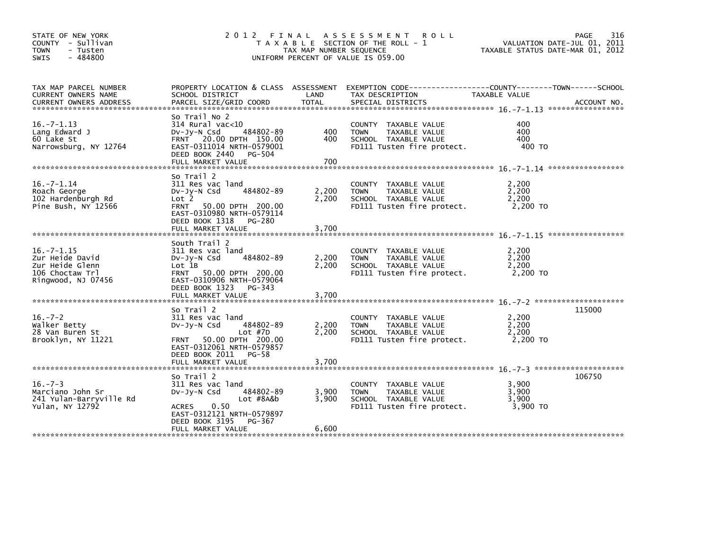|                                                                                                                                                                                   |                         |                                                                                                            | PAGE<br>VALUATION DATE-JUL 01, 2011<br>TAXABLE STATUS DATE-MAR 01, 2012                                                               | 316                                                                                                              |
|-----------------------------------------------------------------------------------------------------------------------------------------------------------------------------------|-------------------------|------------------------------------------------------------------------------------------------------------|---------------------------------------------------------------------------------------------------------------------------------------|------------------------------------------------------------------------------------------------------------------|
| SCHOOL DISTRICT<br>PARCEL SIZE/GRID COORD                                                                                                                                         | LAND<br><b>TOTAL</b>    | TAX DESCRIPTION<br>SPECIAL DISTRICTS                                                                       | ACCOUNT NO.                                                                                                                           |                                                                                                                  |
| So Trail No 2<br>$314$ Rural vac<10<br>484802-89<br>$Dv-Jy-N$ Csd<br>FRNT 20.00 DPTH 150.00<br>EAST-0311014 NRTH-0579001<br>DEED BOOK 2440<br>PG-504<br>FULL MARKET VALUE         | 400<br>400<br>700       | COUNTY TAXABLE VALUE<br><b>TOWN</b><br>TAXABLE VALUE<br>SCHOOL TAXABLE VALUE<br>FD111 Tusten fire protect. | 400<br>400<br>400<br>400 TO                                                                                                           |                                                                                                                  |
| So Trail 2<br>311 Res vac land<br>484802-89<br>$Dv-Jy-N$ Csd<br>Lot <sub>2</sub><br>FRNT 50.00 DPTH 200.00<br>EAST-0310980 NRTH-0579114<br>DEED BOOK 1318<br>PG-280               | 2,200<br>2,200          | COUNTY TAXABLE VALUE<br><b>TOWN</b><br>TAXABLE VALUE<br>SCHOOL TAXABLE VALUE<br>FD111 Tusten fire protect. | 2,200<br>2.200<br>2.200<br>2,200 TO                                                                                                   |                                                                                                                  |
| South Trail 2<br>311 Res vac land<br>484802-89<br>$Dv-Jy-N$ Csd<br>Lot 1B<br>FRNT 50.00 DPTH 200.00<br>EAST-0310906 NRTH-0579064<br>DEED BOOK 1323<br>PG-343<br>FULL MARKET VALUE | 2,200<br>2,200<br>3,700 | COUNTY TAXABLE VALUE<br>TAXABLE VALUE<br><b>TOWN</b><br>SCHOOL TAXABLE VALUE<br>FD111 Tusten fire protect. | 2.200<br>2,200<br>2,200<br>2,200 TO                                                                                                   |                                                                                                                  |
| So Trail 2<br>311 Res vac land<br>484802-89<br>$Dv-Jy-N$ Csd<br>Lot $#7D$<br>FRNT 50.00 DPTH 200.00<br>EAST-0312061 NRTH-0579857<br>DEED BOOK 2011 PG-58<br>FULL MARKET VALUE     | 2,200<br>2.200<br>3,700 | COUNTY TAXABLE VALUE<br><b>TOWN</b><br>TAXABLE VALUE<br>SCHOOL TAXABLE VALUE<br>FD111 Tusten fire protect. | 115000<br>2,200<br>2,200<br>2,200<br>2,200 TO                                                                                         |                                                                                                                  |
| So Trail 2<br>311 Res vac land<br>484802-89<br>$Dv-Jv-N$ Csd<br>Lot #8A&b<br>0.50<br><b>ACRES</b><br>EAST-0312121 NRTH-0579897<br>DEED BOOK 3195<br>PG-367<br>FULL MARKET VALUE   | 3,900<br>3,900<br>6,600 | COUNTY TAXABLE VALUE<br><b>TOWN</b><br>TAXABLE VALUE<br>SCHOOL TAXABLE VALUE<br>FD111 Tusten fire protect. | 106750<br>3,900<br>3.900<br>3.900<br>3,900 TO                                                                                         |                                                                                                                  |
|                                                                                                                                                                                   |                         | 2012 FINAL                                                                                                 | A S S E S S M E N T R O L L<br>T A X A B L E SECTION OF THE ROLL - 1<br>TAX MAP NUMBER SEQUENCE<br>UNIFORM PERCENT OF VALUE IS 059.00 | PROPERTY LOCATION & CLASS ASSESSMENT EXEMPTION CODE---------------COUNTY-------TOWN------SCHOOL<br>TAXABLE VALUE |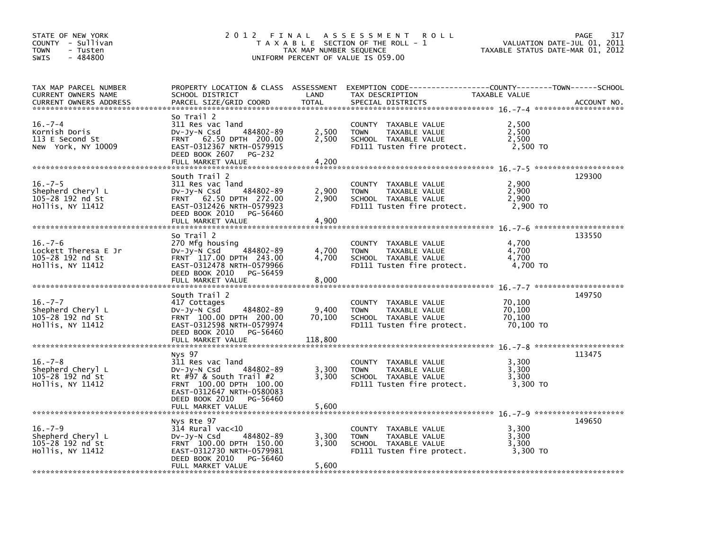| STATE OF NEW YORK<br>COUNTY - Sullivan<br>- Tusten<br><b>TOWN</b><br>$-484800$<br>SWIS | 2012 FINAL                                                                                                                                                             | TAX MAP NUMBER SEQUENCE | A S S E S S M E N T<br>R O L L<br>T A X A B L E SECTION OF THE ROLL - 1<br>UNIFORM PERCENT OF VALUE IS 059.00                          | VALUATION DATE-JUL 01, 2011<br>TAXABLE STATUS DATE-MAR 01, 2012 | PAGE<br>317 |
|----------------------------------------------------------------------------------------|------------------------------------------------------------------------------------------------------------------------------------------------------------------------|-------------------------|----------------------------------------------------------------------------------------------------------------------------------------|-----------------------------------------------------------------|-------------|
| TAX MAP PARCEL NUMBER<br>CURRENT OWNERS NAME<br>CURRENT OWNERS ADDRESS                 | SCHOOL DISTRICT<br>PARCEL SIZE/GRID COORD                                                                                                                              | LAND<br><b>TOTAL</b>    | PROPERTY LOCATION & CLASS ASSESSMENT EXEMPTION CODE---------------COUNTY-------TOWN-----SCHOOL<br>TAX DESCRIPTION<br>SPECIAL DISTRICTS | TAXABLE VALUE                                                   | ACCOUNT NO. |
| $16. - 7 - 4$<br>Kornish Doris<br>113 E Second St<br>New York, NY 10009                | So Trail 2<br>311 Res vac land<br>484802-89<br>$Dv-Jy-N$ Csd<br>FRNT 62.50 DPTH 200.00<br>EAST-0312367 NRTH-0579915<br>DEED BOOK 2607<br>PG-232<br>FULL MARKET VALUE   | 2,500<br>2,500<br>4,200 | COUNTY TAXABLE VALUE<br>TAXABLE VALUE<br><b>TOWN</b><br>SCHOOL TAXABLE VALUE<br>FD111 Tusten fire protect.                             | 2,500<br>2,500<br>2,500<br>2,500 TO                             |             |
|                                                                                        | South Trail 2                                                                                                                                                          |                         |                                                                                                                                        |                                                                 | 129300      |
| $16. - 7 - 5$<br>Shepherd Cheryl L<br>105-28 192 nd St<br>Hollis, NY 11412             | 311 Res vac land<br>484802-89<br>$Dv-Jy-N$ Csd<br>FRNT 62.50 DPTH 272.00<br>EAST-0312426 NRTH-0579923<br>DEED BOOK 2010<br>PG-56460<br>FULL MARKET VALUE               | 2,900<br>2,900<br>4,900 | COUNTY TAXABLE VALUE<br>TAXABLE VALUE<br><b>TOWN</b><br>SCHOOL TAXABLE VALUE<br>FD111 Tusten fire protect.                             | 2,900<br>2,900<br>2,900<br>2,900 TO                             |             |
|                                                                                        |                                                                                                                                                                        |                         |                                                                                                                                        |                                                                 |             |
| $16. - 7 - 6$<br>Lockett Theresa E Jr<br>105-28 192 nd St<br>Hollis, NY 11412          | So Trail 2<br>270 Mfg housing<br>484802-89<br>$Dv-Jy-N$ Csd<br>FRNT 117.00 DPTH 243.00<br>EAST-0312478 NRTH-0579966<br>DEED BOOK 2010<br>PG-56459<br>FULL MARKET VALUE | 4,700<br>4,700<br>8,000 | COUNTY TAXABLE VALUE<br>TAXABLE VALUE<br><b>TOWN</b><br>SCHOOL TAXABLE VALUE<br>FD111 Tusten fire protect.                             | 4,700<br>4,700<br>4,700<br>4,700 TO                             | 133550      |
|                                                                                        |                                                                                                                                                                        |                         |                                                                                                                                        |                                                                 |             |
| $16. - 7 - 7$<br>Shepherd Cheryl L<br>105-28 192 nd St<br>Hollis, NY 11412             | South Trail 2<br>417 Cottages<br>484802-89<br>$Dv-Jy-N$ Csd<br>FRNT 100.00 DPTH 200.00<br>EAST-0312598 NRTH-0579974<br>DEED BOOK 2010<br>PG-56460                      | 9,400<br>70.100         | COUNTY TAXABLE VALUE<br>TAXABLE VALUE<br><b>TOWN</b><br>SCHOOL TAXABLE VALUE<br>FD111 Tusten fire protect.                             | 70,100<br>70,100<br>70,100<br>70,100 TO                         | 149750      |
|                                                                                        | FULL MARKET VALUE                                                                                                                                                      | 118,800                 |                                                                                                                                        |                                                                 |             |
| $16. - 7 - 8$<br>Shepherd Cheryl L<br>105-28 192 nd St<br>Hollis, NY 11412             | Nys 97<br>311 Res vac land<br>484802-89<br>DV-Jy-N Csd<br>Rt #97 & South Trail #2<br>FRNT 100.00 DPTH 100.00<br>EAST-0312647 NRTH-0580083<br>DEED BOOK 2010 PG-56460   | 3,300<br>3.300          | COUNTY TAXABLE VALUE<br>TAXABLE VALUE<br><b>TOWN</b><br>SCHOOL TAXABLE VALUE<br>FD111 Tusten fire protect.                             | 3,300<br>3,300<br>3,300<br>3,300 TO                             | 113475      |
|                                                                                        | FULL MARKET VALUE                                                                                                                                                      | 5,600                   |                                                                                                                                        |                                                                 |             |
|                                                                                        | Nys Rte 97                                                                                                                                                             |                         |                                                                                                                                        |                                                                 | 149650      |
| $16. - 7 - 9$<br>Shepherd Chery] L<br>105-28 192 nd St<br>Hollis, NY 11412             | $314$ Rural vac< $10$<br>484802-89<br>$Dv-Jy-N$ Csd<br>FRNT 100.00 DPTH 150.00<br>EAST-0312730 NRTH-0579981<br>DEED BOOK 2010<br>PG-56460<br>FULL MARKET VALUE         | 3,300<br>3,300<br>5,600 | COUNTY TAXABLE VALUE<br><b>TOWN</b><br>TAXABLE VALUE<br>SCHOOL TAXABLE VALUE<br>FD111 Tusten fire protect.                             | 3,300<br>3,300<br>3,300<br>3,300 TO                             |             |
|                                                                                        |                                                                                                                                                                        |                         |                                                                                                                                        |                                                                 |             |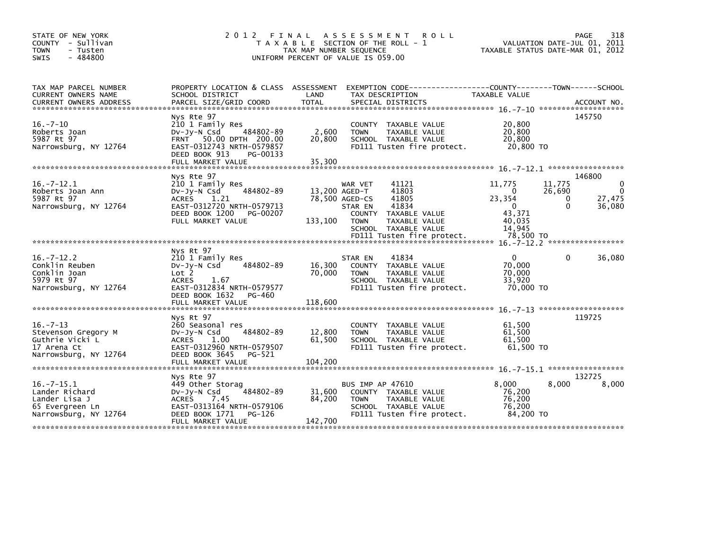| STATE OF NEW YORK<br>COUNTY - Sullivan<br><b>TOWN</b><br>- Tusten<br>$-484800$<br>SWIS          | 2 0 1 2<br>FINAL                                                                                                                                                           | TAX MAP NUMBER SEQUENCE     | A S S E S S M E N T<br><b>ROLL</b><br>T A X A B L E SECTION OF THE ROLL - 1<br>UNIFORM PERCENT OF VALUE IS 059.00                                                         | VALUATION DATE-JUL 01, 2011<br>TAXABLE STATUS DATE-MAR 01, 2012                                             | 318<br>PAGE                                     |
|-------------------------------------------------------------------------------------------------|----------------------------------------------------------------------------------------------------------------------------------------------------------------------------|-----------------------------|---------------------------------------------------------------------------------------------------------------------------------------------------------------------------|-------------------------------------------------------------------------------------------------------------|-------------------------------------------------|
| TAX MAP PARCEL NUMBER<br><b>CURRENT OWNERS NAME</b>                                             | SCHOOL DISTRICT                                                                                                                                                            | LAND                        | PROPERTY LOCATION & CLASS ASSESSMENT EXEMPTION CODE---------------COUNTY-------TOWN------SCHOOL<br>TAX DESCRIPTION                                                        | <b>TAXABLE VALUE</b>                                                                                        |                                                 |
| $16. - 7 - 10$<br>Roberts Joan<br>5987 Rt 97<br>Narrowsburg, NY 12764                           | Nys Rte 97<br>210 1 Family Res<br>484802-89<br>$Dv-Jy-N$ Csd<br>FRNT 50.00 DPTH 200.00<br>EAST-0312743 NRTH-0579857<br>DEED BOOK 913<br>PG-00133<br>FULL MARKET VALUE      | 2,600<br>20,800<br>35,300   | COUNTY TAXABLE VALUE<br><b>TOWN</b><br>TAXABLE VALUE<br>SCHOOL TAXABLE VALUE<br>FD111 Tusten fire protect.                                                                | 20,800<br>20,800<br>20,800<br>20,800 TO                                                                     | 145750                                          |
| $16. -7 - 12.1$<br>Roberts Joan Ann<br>5987 Rt 97<br>Narrowsburg, NY 12764                      | Nys Rte 97<br>210 1 Family Res<br>484802-89<br>DV-Jy-N Csd<br><b>ACRES</b><br>1.21<br>EAST-0312720 NRTH-0579713<br>DEED BOOK 1200<br>PG-00207<br>FULL MARKET VALUE         | 13,200 AGED-T<br>133,100    | 41121<br>WAR VET<br>41803<br>41805<br>78,500 AGED-CS<br>41834<br>STAR EN<br><b>TAXABLE VALUE</b><br><b>COUNTY</b><br>TAXABLE VALUE<br><b>TOWN</b><br>SCHOOL TAXABLE VALUE | 11,775<br>11,775<br>26,690<br>$\Omega$<br>23,354<br>0<br>$\Omega$<br>$\Omega$<br>43.371<br>40,035<br>14.945 | 146800<br>0<br>$\mathbf{0}$<br>27,475<br>36,080 |
| $16. -7 - 12.2$<br>Conklin Reuben<br>Conklin Joan<br>5979 Rt 97<br>Narrowsburg, NY 12764        | Nys Rt 97<br>210 1 Family Res<br>484802-89<br>$Dv-Jv-N$ Csd<br>Lot 2<br><b>ACRES</b><br>1.67<br>EAST-0312834 NRTH-0579577<br>DEED BOOK 1632<br>PG-460<br>FULL MARKET VALUE | 16,300<br>70.000<br>118,600 | 41834<br>STAR EN<br><b>COUNTY</b><br><b>TAXABLE VALUE</b><br><b>TOWN</b><br>TAXABLE VALUE<br>SCHOOL TAXABLE VALUE<br>FD111 Tusten fire protect.                           | $\Omega$<br>0<br>70.000<br>70,000<br>33,920<br>70,000 TO                                                    | 36,080                                          |
| $16. -7 - 13$<br>Stevenson Gregory M<br>Guthrie Vicki L<br>17 Arena Ct<br>Narrowsburg, NY 12764 | Nys Rt 97<br>260 Seasonal res<br>484802-89<br>$Dv-Jy-N$ Csd<br>1.00<br><b>ACRES</b><br>EAST-0312960 NRTH-0579507<br>DEED BOOK 3645<br>PG-521<br>FULL MARKET VALUE          | 12,800<br>61,500<br>104,200 | COUNTY<br>TAXABLE VALUE<br><b>TOWN</b><br>TAXABLE VALUE<br>SCHOOL TAXABLE VALUE<br>FD111 Tusten fire protect.                                                             | 61,500<br>61,500<br>61,500<br>$61,500$ TO                                                                   | 119725                                          |
| $16 - 7 - 15.1$<br>Lander Richard<br>Lander Lisa J<br>65 Evergreen Ln<br>Narrowsburg, NY 12764  | Nys Rte 97<br>449 Other Storag<br>484802-89<br>DV-Jy-N Csd<br><b>ACRES</b><br>7.45<br>EAST-0313164 NRTH-0579106<br>DEED BOOK 1771<br>PG-126<br>FULL MARKET VALUE           | 31,600<br>84,200<br>142,700 | BUS IMP AP 47610<br>COUNTY TAXABLE VALUE<br><b>TOWN</b><br>TAXABLE VALUE<br>SCHOOL TAXABLE VALUE<br>FD111 Tusten fire protect.                                            | 8.000<br>8,000<br>76,200<br>76,200<br>76,200<br>84,200 TO                                                   | 132725<br>8,000                                 |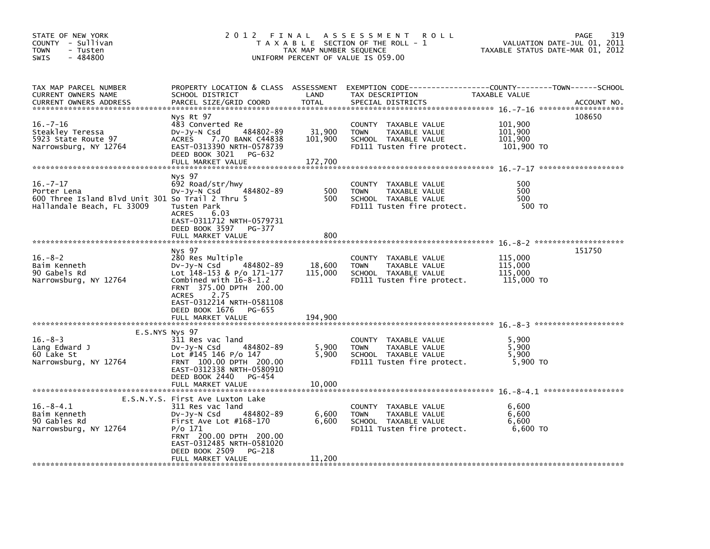| STATE OF NEW YORK<br>COUNTY - Sullivan<br><b>TOWN</b><br>- Tusten<br>$-484800$<br>SWIS                         |                                                                                                                                                                                                                                                 | TAX MAP NUMBER SEQUENCE      | 2012 FINAL ASSESSMENT ROLL<br>T A X A B L E SECTION OF THE ROLL - 1<br>UNIFORM PERCENT OF VALUE IS 059.00                                | VALUATION DATE-JUL 01, 2011<br>TAXABLE STATUS DATE-MAR 01, 2012 | 319<br>PAGE |
|----------------------------------------------------------------------------------------------------------------|-------------------------------------------------------------------------------------------------------------------------------------------------------------------------------------------------------------------------------------------------|------------------------------|------------------------------------------------------------------------------------------------------------------------------------------|-----------------------------------------------------------------|-------------|
| TAX MAP PARCEL NUMBER<br>CURRENT OWNERS NAME<br><b>CURRENT OWNERS ADDRESS</b>                                  | SCHOOL DISTRICT<br>PARCEL SIZE/GRID COORD                                                                                                                                                                                                       | LAND<br><b>TOTAL</b>         | PROPERTY LOCATION & CLASS ASSESSMENT EXEMPTION CODE----------------COUNTY-------TOWN------SCHOOL<br>TAX DESCRIPTION<br>SPECIAL DISTRICTS | TAXABLE VALUE                                                   | ACCOUNT NO. |
| $16. - 7 - 16$<br>Steakley Teressa<br>5923 State Route 97<br>Narrowsburg, NY 12764                             | Nys Rt 97<br>483 Converted Re<br>484802-89<br>DV-Jy-N Csd<br>7.70 BANK C44838<br><b>ACRES</b><br>EAST-0313390 NRTH-0578739<br>DEED BOOK 3021<br>PG-632<br>FULL MARKET VALUE                                                                     | 31,900<br>101,900<br>172,700 | COUNTY TAXABLE VALUE<br><b>TOWN</b><br>TAXABLE VALUE<br>SCHOOL TAXABLE VALUE<br>FD111 Tusten fire protect.                               | 101,900<br>101.900<br>101,900<br>101,900 TO                     | 108650      |
| $16. -7 - 17$<br>Porter Lena<br>600 Three Island Blvd Unit 301 So Trail 2 Thru 5<br>Hallandale Beach, FL 33009 | Nys 97<br>692 Road/str/hwy<br>484802-89<br>DV-Jy-N Csd<br>Tusten Park<br><b>ACRES</b><br>6.03<br>EAST-0311712 NRTH-0579731<br>DEED BOOK 3597 PG-377<br>FULL MARKET VALUE                                                                        | 500<br>500<br>800            | COUNTY TAXABLE VALUE<br>TAXABLE VALUE<br><b>TOWN</b><br>SCHOOL TAXABLE VALUE<br>FD111 Tusten fire protect.                               | 500<br>500<br>500<br>500 TO                                     |             |
|                                                                                                                |                                                                                                                                                                                                                                                 |                              |                                                                                                                                          |                                                                 |             |
| $16. - 8 - 2$<br>Baim Kenneth<br>90 Gabels Rd<br>Narrowsburg, NY 12764                                         | Nys 97<br>280 Res Multiple<br>484802-89<br>$Dv-Jy-N$ Csd<br>Lot 148-153 & P/o 171-177<br>Combined with $16-8-1.2$<br>FRNT 375.00 DPTH 200.00<br>2.75<br><b>ACRES</b><br>EAST-0312214 NRTH-0581108<br>DEED BOOK 1676 PG-655<br>FULL MARKET VALUE | 18,600<br>115,000<br>194,900 | COUNTY TAXABLE VALUE<br><b>TOWN</b><br>TAXABLE VALUE<br>SCHOOL TAXABLE VALUE<br>FD111 Tusten fire protect.                               | 115,000<br>115,000<br>115,000<br>115,000 TO                     | 151750      |
|                                                                                                                |                                                                                                                                                                                                                                                 |                              |                                                                                                                                          |                                                                 |             |
| E.S.NYS Nys 97<br>$16. - 8 - 3$<br>Lang Edward J<br>60 Lake St<br>Narrowsburg, NY 12764                        | 311 Res vac land<br>484802-89<br>$Dv-Jv-N$ Csd<br>Lot #145 146 P/o 147<br>FRNT 100.00 DPTH 200.00<br>EAST-0312338 NRTH-0580910<br>DEED BOOK 2440<br>PG-454                                                                                      | 5,900<br>5,900               | COUNTY TAXABLE VALUE<br>TAXABLE VALUE<br><b>TOWN</b><br>SCHOOL TAXABLE VALUE<br>FD111 Tusten fire protect.                               | 5,900<br>5,900<br>5,900<br>5,900 TO                             |             |
|                                                                                                                | FULL MARKET VALUE                                                                                                                                                                                                                               | 10,000                       |                                                                                                                                          |                                                                 |             |
| $16.-8-4.1$<br>Baim Kenneth<br>90 Gables Rd<br>Narrowsburg, NY 12764                                           | E.S.N.Y.S. First Ave Luxton Lake<br>311 Res vac land<br>$Dv-Jy-N$ Csd<br>484802-89<br>First Ave Lot $#168-170$<br>$P/O$ 171<br>FRNT 200.00 DPTH 200.00<br>EAST-0312485 NRTH-0581020<br>DEED BOOK 2509<br>PG-218<br>FULL MARKET VALUE            | 6,600<br>6,600<br>11,200     | COUNTY TAXABLE VALUE<br><b>TOWN</b><br>TAXABLE VALUE<br>SCHOOL TAXABLE VALUE<br>FD111 Tusten fire protect.                               | 6.600<br>6,600<br>6,600<br>6,600 TO                             |             |
|                                                                                                                |                                                                                                                                                                                                                                                 |                              |                                                                                                                                          |                                                                 |             |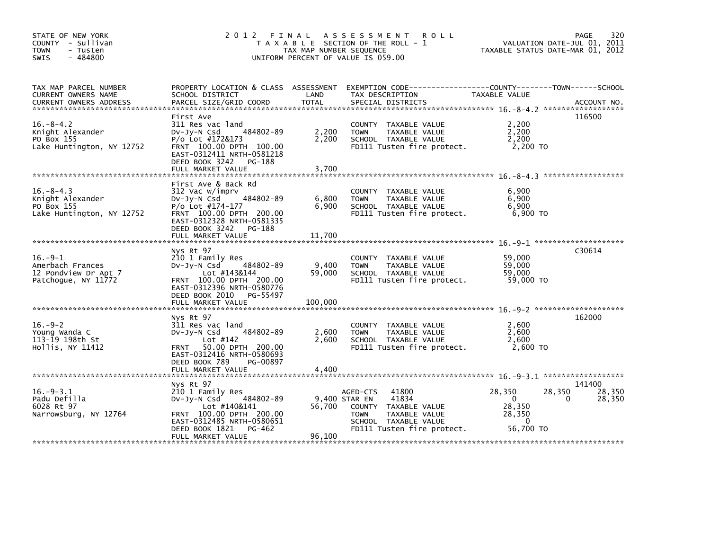| STATE OF NEW YORK<br>COUNTY - Sullivan<br><b>TOWN</b><br>- Tusten<br>$-484800$<br><b>SWIS</b>                                                                                                                                                   |                                                                                                                                                                                   | TAX MAP NUMBER SEQUENCE | 2012 FINAL ASSESSMENT ROLL<br>T A X A B L E SECTION OF THE ROLL - 1<br>UNIFORM PERCENT OF VALUE IS 059.00                                                 | VALUATION DATE-JUL 01, 2011<br>TAXABLE STATUS DATE-MAR 01, 2012                                   | 320<br>PAGE                |
|-------------------------------------------------------------------------------------------------------------------------------------------------------------------------------------------------------------------------------------------------|-----------------------------------------------------------------------------------------------------------------------------------------------------------------------------------|-------------------------|-----------------------------------------------------------------------------------------------------------------------------------------------------------|---------------------------------------------------------------------------------------------------|----------------------------|
| TAX MAP PARCEL NUMBER<br>CURRENT OWNERS NAME<br>CUNNENT OWNERS ADDRESS FORCEL SIZE/GRID COORD TOTAL SPECIAL DISTRICTS (2008) ACCOUNT NO.<br>CURRENT OWNERS ADDRESS FARCEL SIZE/GRID COORD TOTAL SPECIAL DISTRICTS (2008) ASSAULT NO ACCOUNT NO. | SCHOOL DISTRICT                                                                                                                                                                   | <b>Example 12</b>       | TAX DESCRIPTION                                                                                                                                           | TAXABLE VALUE                                                                                     |                            |
| $16. - 8 - 4.2$<br>Knight Alexander<br>PO Box 155<br>Lake Huntington, NY 12752                                                                                                                                                                  | First Ave<br>311 Res vac land<br>484802-89<br>DV-Jy-N Csd<br>P/o Lot #172&173<br>FRNT 100.00 DPTH 100.00<br>EAST-0312411 NRTH-0581218<br>DEED BOOK 3242 PG-188                    | 2,200<br>2,200          | COUNTY TAXABLE VALUE<br>TAXABLE VALUE<br><b>TOWN</b><br>SCHOOL TAXABLE VALUE<br>FD111 Tusten fire protect.                                                | 2,200<br>2,200<br>2,200<br>2,200 TO                                                               | 116500                     |
| $16. - 8 - 4.3$<br>Knight Alexander<br>PO Box 155<br>Lake Huntington, NY 12752                                                                                                                                                                  | First Ave & Back Rd<br>312 Vac w/imprv<br>484802-89<br>$Dv-Jy-N$ Csd<br>P/o Lot #174-177<br>FRNT 100.00 DPTH 200.00<br>EAST-0312328 NRTH-0581335<br>DEED BOOK 3242 PG-188         | 6,800<br>6,900          | COUNTY TAXABLE VALUE<br><b>TOWN</b><br>TAXABLE VALUE<br>SCHOOL TAXABLE VALUE<br>FD111 Tusten fire protect.                                                | 6,900<br>6,900<br>6,900<br>6,900 TO                                                               |                            |
| $16.-9-1$<br>Amerbach Frances<br>12 Pondview Dr Apt 7<br>Patchoque, NY 11772                                                                                                                                                                    | Nys Rt 97<br>210 1 Family Res<br>484802-89<br>$Dv-Jv-N$ Csd<br>Lot #143&144<br>FRNT 100.00 DPTH 200.00<br>EAST-0312396 NRTH-0580776<br>DEED BOOK 2010 PG-55497                    | 9,400<br>59,000         | COUNTY TAXABLE VALUE<br>TAXABLE VALUE<br><b>TOWN</b><br>SCHOOL TAXABLE VALUE<br>FD111 Tusten fire protect.                                                | 59,000<br>59,000<br>59,000<br>59,000 TO                                                           | C30614                     |
| $16. -9 - 2$<br>Young Wanda C<br>113-19 198th St<br>Hollis, NY 11412                                                                                                                                                                            | Nys Rt 97<br>311 Res vac land<br>484802-89<br>$Dv-Jy-N$ Csd<br>Lot $#142$<br>FRNT 50.00 DPTH 200.00<br>EAST-0312416 NRTH-0580693<br>DEED BOOK 789<br>PG-00897                     | 2,600<br>2,600          | COUNTY TAXABLE VALUE<br>TAXABLE VALUE<br><b>TOWN</b><br>SCHOOL TAXABLE VALUE<br>FD111 Tusten fire protect.                                                | 2,600<br>2,600<br>2,600<br>2,600 TO                                                               | 162000                     |
| $16. -9 - 3.1$<br>Padu Defilla<br>6028 Rt 97<br>Narrowsburg, NY 12764                                                                                                                                                                           | Nys Rt 97<br>210 1 Family Res<br>$Dv-Jv-N$ Csd<br>484802-89<br>Lot #140&141<br>FRNT 100.00 DPTH 200.00<br>EAST-0312485 NRTH-0580651<br>DEED BOOK 1821 PG-462<br>FULL MARKET VALUE | 96,100                  | 41800<br>AGED-CTS<br>9.400 STAR EN<br>41834<br>56,700 COUNTY TAXABLE VALUE<br>TAXABLE VALUE<br>TOWN<br>SCHOOL TAXABLE VALUE<br>FD111 Tusten fire protect. | 28,350<br>28,350<br>$\mathbf{0}$<br>$\mathbf{0}$<br>28,350<br>28,350<br>$\mathbf{0}$<br>56,700 TO | 141400<br>28,350<br>28,350 |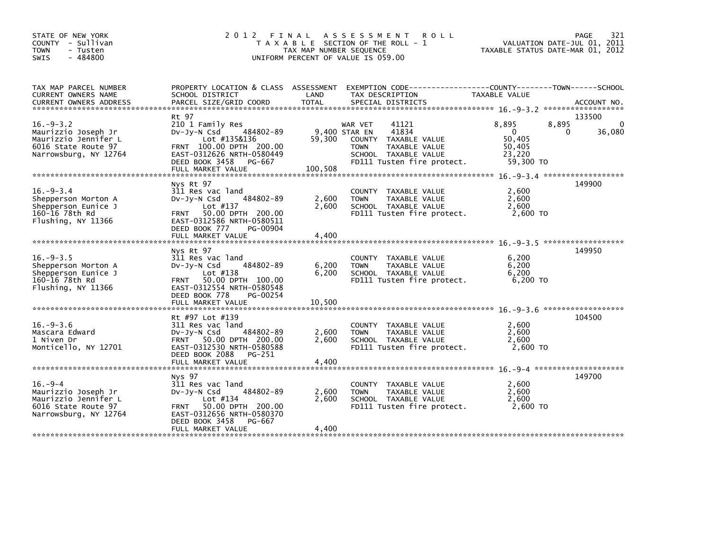| STATE OF NEW YORK<br>COUNTY - Sullivan<br><b>TOWN</b><br>- Tusten<br>$-484800$<br><b>SWIS</b>                  |                                                                                                                                                                                  | TAX MAP NUMBER SEQUENCE  | 2012 FINAL ASSESSMENT<br><b>ROLL</b><br>T A X A B L E SECTION OF THE ROLL - 1<br>UNIFORM PERCENT OF VALUE IS 059.00                                      | VALUATION DATE-JUL 01, 2011<br>TAXABLE STATUS DATE-MAR 01, 2012                | 321<br><b>PAGE</b>               |
|----------------------------------------------------------------------------------------------------------------|----------------------------------------------------------------------------------------------------------------------------------------------------------------------------------|--------------------------|----------------------------------------------------------------------------------------------------------------------------------------------------------|--------------------------------------------------------------------------------|----------------------------------|
| TAX MAP PARCEL NUMBER<br>CURRENT OWNERS NAME                                                                   | SCHOOL DISTRICT                                                                                                                                                                  | LAND                     | PROPERTY LOCATION & CLASS ASSESSMENT EXEMPTION CODE---------------COUNTY-------TOWN------SCHOOL<br>TAX DESCRIPTION                                       | TAXABLE VALUE                                                                  |                                  |
| $16. - 9 - 3.2$<br>Maurizzio Joseph Jr<br>Maurizzio Jennifer L<br>6016 State Route 97<br>Narrowsburg, NY 12764 | Rt 97<br>210 1 Family Res<br>484802-89<br>$Dv-Jy-N$ Csd<br>Lot #135&136<br>FRNT 100.00 DPTH 200.00<br>EAST-0312626 NRTH-0580449<br>DEED BOOK 3458 PG-667                         | 59,300                   | 41121<br>WAR VET<br>41834<br>9,400 STAR EN<br>COUNTY TAXABLE VALUE<br><b>TOWN</b><br>TAXABLE VALUE<br>SCHOOL TAXABLE VALUE<br>FD111 Tusten fire protect. | 8,895<br>8,895<br>$\mathbf{0}$<br>0<br>50.405<br>50,405<br>23,220<br>59,300 TO | 133500<br>$\mathbf{0}$<br>36,080 |
| $16. -9 - 3.4$<br>Shepperson Morton A<br>Shepperson Eunice J<br>160-16 78th Rd<br>Flushing, NY 11366           | Nys Rt 97<br>311 Res vac land<br>484802-89<br>DV-Jy-N Csd<br>Lot $#137$<br>FRNT 50.00 DPTH 200.00<br>EAST-0312586 NRTH-0580511<br>DEED BOOK 777<br>PG-00904                      | 2,600<br>2.600           | COUNTY TAXABLE VALUE<br><b>TOWN</b><br>TAXABLE VALUE<br>SCHOOL TAXABLE VALUE<br>FD111 Tusten fire protect.                                               | 2,600<br>2,600<br>2.600<br>2,600 TO                                            | 149900                           |
|                                                                                                                |                                                                                                                                                                                  |                          |                                                                                                                                                          |                                                                                |                                  |
| $16. -9 - 3.5$<br>Shepperson Morton A<br>Shepperson Eunice J<br>160-16 78th Rd<br>Flushing, NY 11366           | Nys Rt 97<br>311 Res vac land<br>484802-89<br>DV-Jy-N Csd<br>Lot $#138$<br>FRNT 50.00 DPTH 100.00<br>EAST-0312554 NRTH-0580548<br>DEED BOOK 778<br>PG-00254<br>FULL MARKET VALUE | 6,200<br>6.200<br>10,500 | COUNTY TAXABLE VALUE<br><b>TOWN</b><br>TAXABLE VALUE<br>SCHOOL TAXABLE VALUE<br>FD111 Tusten fire protect.                                               | 6,200<br>6,200<br>6.200<br>$6,200$ TO                                          | 149950                           |
|                                                                                                                | Rt #97 Lot #139                                                                                                                                                                  |                          |                                                                                                                                                          |                                                                                | 104500                           |
| $16. -9 - 3.6$<br>Mascara Edward<br>1 Niven Dr<br>Monticello, NY 12701                                         | 311 Res vac land<br>484802-89<br>$Dv-Jy-N$ Csd<br>FRNT 50.00 DPTH 200.00<br>EAST-0312530 NRTH-0580588<br>DEED BOOK 2088<br>PG-251<br>FULL MARKET VALUE                           | 2,600<br>2.600<br>4.400  | COUNTY TAXABLE VALUE<br><b>TOWN</b><br>TAXABLE VALUE<br>SCHOOL TAXABLE VALUE<br>FD111 Tusten fire protect.                                               | 2,600<br>2,600<br>2.600<br>2,600 TO                                            |                                  |
|                                                                                                                |                                                                                                                                                                                  |                          |                                                                                                                                                          |                                                                                | 149700                           |
| $16. -9 - 4$<br>Maurizzio Joseph Jr<br>Maurizzio Jennifer L<br>6016 State Route 97<br>Narrowsburg, NY 12764    | Nys 97<br>311 Res vac land<br>484802-89<br>$Dv-Jv-N$ Csd<br>Lot $#134$<br>FRNT 50.00 DPTH 200.00<br>EAST-0312656 NRTH-0580370<br>DEED BOOK 3458<br>PG-667                        | 2,600<br>2,600           | COUNTY TAXABLE VALUE<br><b>TOWN</b><br><b>TAXABLE VALUE</b><br>SCHOOL TAXABLE VALUE<br>FD111 Tusten fire protect.                                        | 2,600<br>2.600<br>2,600<br>2,600 TO                                            |                                  |
|                                                                                                                | FULL MARKET VALUE                                                                                                                                                                | 4,400                    |                                                                                                                                                          |                                                                                |                                  |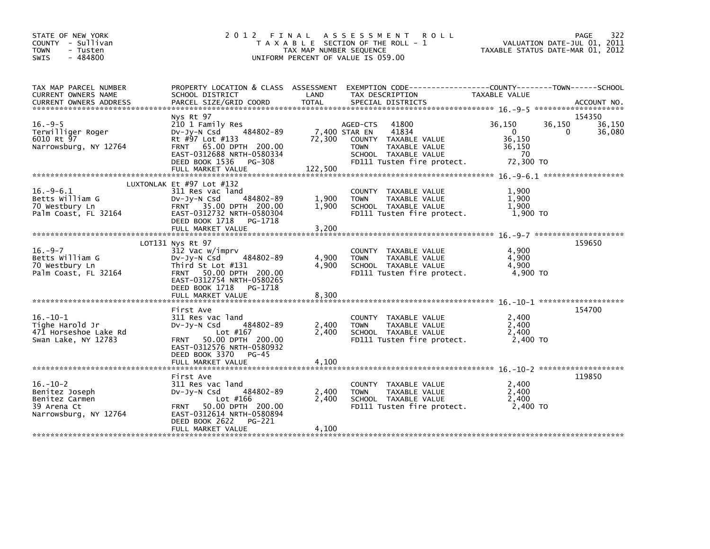| STATE OF NEW YORK<br>COUNTY - Sullivan<br><b>TOWN</b><br>- Tusten<br>$-484800$<br>SWIS     |                                                                                                                                                                                               | TAX MAP NUMBER SEQUENCE | 2012 FINAL ASSESSMENT<br><b>ROLL</b><br>T A X A B L E SECTION OF THE ROLL - 1<br>UNIFORM PERCENT OF VALUE IS 059.00                             | VALUATION DATE-JUL 01, 2011<br>TAXABLE STATUS DATE-MAR 01, 2012           | 322<br>PAGE                     |
|--------------------------------------------------------------------------------------------|-----------------------------------------------------------------------------------------------------------------------------------------------------------------------------------------------|-------------------------|-------------------------------------------------------------------------------------------------------------------------------------------------|---------------------------------------------------------------------------|---------------------------------|
| TAX MAP PARCEL NUMBER<br>CURRENT OWNERS NAME                                               | SCHOOL DISTRICT                                                                                                                                                                               | LAND                    | PROPERTY LOCATION & CLASS ASSESSMENT EXEMPTION CODE----------------COUNTY-------TOWN-----SCHOOL<br>TAX DESCRIPTION                              | TAXABLE VALUE                                                             |                                 |
| $16. -9-5$<br>Terwilliger Roger<br>6010 Rt 97<br>Narrowsburg, NY 12764                     | Nys Rt 97<br>210 1 Family Res<br>484802-89<br>$Dv-Jy-N$ Csd<br>Rt #97 Lot #133<br>FRNT 65.00 DPTH 200.00<br>EAST-0312688 NRTH-0580334<br>DEED BOOK 1536 PG-308                                | 7,400 STAR EN           | 41800<br>AGED-CTS<br>41834<br>72,300 COUNTY TAXABLE VALUE<br>TAXABLE VALUE<br><b>TOWN</b><br>SCHOOL TAXABLE VALUE<br>FD111 Tusten fire protect. | 36,150<br>36,150<br>$\overline{0}$<br>36,150<br>36,150<br>70<br>72,300 TO | 154350<br>36,150<br>36,080<br>0 |
| $16. -9-6.1$<br>Betts William G<br>70 Westbury Ln<br>Palm Coast, FL 32164                  | LUXTONLAK Et #97 Lot #132<br>311 Res vac land<br>484802-89<br>DV-JV-N Csd<br>FRNT 35.00 DPTH 200.00<br>EAST-0312732 NRTH-0580304<br>DEED BOOK 1718<br>PG-1718<br>FULL MARKET VALUE            | 1,900<br>1,900<br>3,200 | COUNTY TAXABLE VALUE<br><b>TOWN</b><br>TAXABLE VALUE<br>SCHOOL TAXABLE VALUE<br>FD111 Tusten fire protect.                                      | 1,900<br>1,900<br>1,900<br>1,900 TO                                       |                                 |
| $16. -9 - 7$<br>Betts William G<br>70 Westbury Ln<br>Palm Coast, FL 32164                  | LOT131 Nys Rt 97<br>312 Vac w/imprv<br>484802-89<br>DV-Jy-N Csd<br>Third St Lot #131<br>FRNT 50.00 DPTH 200.00<br>EAST-0312754 NRTH-0580265<br>DEED BOOK 1718<br>PG-1718<br>FULL MARKET VALUE | 4,900<br>4,900<br>8,300 | COUNTY TAXABLE VALUE<br>TAXABLE VALUE<br><b>TOWN</b><br>SCHOOL TAXABLE VALUE<br>FD111 Tusten fire protect.                                      | 4,900<br>4,900<br>4,900<br>4.900 TO                                       | 159650                          |
| $16. - 10 - 1$<br>Tighe Harold Jr<br>471 Horseshoe Lake Rd<br>Swan Lake, NY 12783          | First Ave<br>311 Res vac land<br>484802-89<br>$Dv-Jy-N$ Csd<br>Lot #167<br>FRNT 50.00 DPTH 200.00<br>EAST-0312576 NRTH-0580932<br>DEED BOOK 3370 PG-45<br>FULL MARKET VALUE                   | 2,400<br>2.400<br>4,100 | COUNTY TAXABLE VALUE<br><b>TOWN</b><br>TAXABLE VALUE<br>SCHOOL TAXABLE VALUE<br>FD111 Tusten fire protect.                                      | 2,400<br>2,400<br>2,400<br>2.400 TO                                       | 154700                          |
| $16. - 10 - 2$<br>Benitez Joseph<br>Benitez Carmen<br>39 Arena Ct<br>Narrowsburg, NY 12764 | First Ave<br>311 Res vac land<br>484802-89<br>$Dv-Jv-N$ Csd<br>Lot #166<br>FRNT 50.00 DPTH 200.00<br>EAST-0312614 NRTH-0580894<br>DEED BOOK 2622<br>PG-221<br>FULL MARKET VALUE               | 2,400<br>2,400<br>4,100 | COUNTY TAXABLE VALUE<br><b>TOWN</b><br>TAXABLE VALUE<br>SCHOOL TAXABLE VALUE<br>FD111 Tusten fire protect.                                      | 2,400<br>2.400<br>2,400<br>2,400 TO                                       | 119850                          |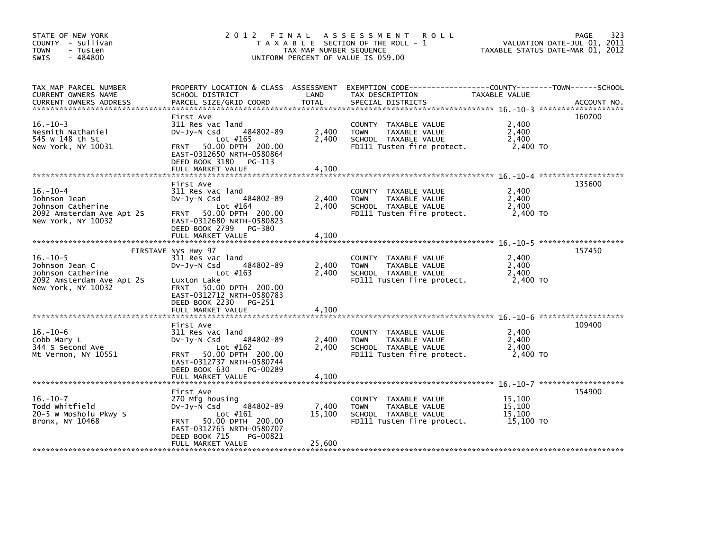| STATE OF NEW YORK<br>COUNTY - Sullivan<br><b>TOWN</b><br>- Tusten<br>$-484800$<br><b>SWIS</b>            | 2012 FINAL                                                                                                                                                                               | TAX MAP NUMBER SEQUENCE | A S S E S S M E N T<br><b>ROLL</b><br>T A X A B L E SECTION OF THE ROLL - 1<br>UNIFORM PERCENT OF VALUE IS 059.00    |                                         | 323<br>PAGE<br>VALUATION DATE-JUL 01, 2011<br>TAXABLE STATUS DATE-MAR 01, 2012 |
|----------------------------------------------------------------------------------------------------------|------------------------------------------------------------------------------------------------------------------------------------------------------------------------------------------|-------------------------|----------------------------------------------------------------------------------------------------------------------|-----------------------------------------|--------------------------------------------------------------------------------|
| TAX MAP PARCEL NUMBER<br><b>CURRENT OWNERS NAME</b><br><b>CURRENT OWNERS ADDRESS</b>                     | PROPERTY LOCATION & CLASS ASSESSMENT<br>SCHOOL DISTRICT<br>PARCEL SIZE/GRID COORD                                                                                                        | LAND<br><b>TOTAL</b>    | TAX DESCRIPTION<br>SPECIAL DISTRICTS                                                                                 | TAXABLE VALUE                           | ACCOUNT NO.                                                                    |
| $16. - 10 - 3$<br>Nesmith Nathaniel<br>545 W 148 th St<br>New York, NY 10031                             | First Ave<br>311 Res vac land<br>484802-89<br>$Dv-Jy-N$ Csd<br>Lot $#165$<br><b>FRNT</b><br>50.00 DPTH 200.00<br>EAST-0312650 NRTH-0580864<br>DEED BOOK 3180 PG-113<br>FULL MARKET VALUE | 2,400<br>2,400<br>4,100 | COUNTY TAXABLE VALUE<br>TAXABLE VALUE<br><b>TOWN</b><br>SCHOOL TAXABLE VALUE<br>FD111 Tusten fire protect.           | 2,400<br>2,400<br>2,400<br>2,400 TO     | 160700                                                                         |
| $16. - 10 - 4$<br>Johnson Jean<br>Johnson Catherine<br>2092 Amsterdam Ave Apt 2S                         | First Ave<br>311 Res vac land<br>484802-89<br>DV-Jy-N Csd<br>Lot $#164$<br>50.00 DPTH 200.00<br><b>FRNT</b>                                                                              | 2,400<br>2,400          | COUNTY TAXABLE VALUE<br><b>TOWN</b><br>TAXABLE VALUE<br>SCHOOL TAXABLE VALUE<br>FD111 Tusten fire protect.           | 2,400<br>2,400<br>2,400<br>2,400 TO     | 135600                                                                         |
| New York, NY 10032                                                                                       | EAST-0312680 NRTH-0580823<br>DEED BOOK 2799 PG-380<br>FULL MARKET VALUE<br>FIRSTAVE Nys Hwy 97                                                                                           | 4,100                   |                                                                                                                      |                                         | 157450                                                                         |
| $16. - 10 - 5$<br>Johnson Jean C<br>Johnson Catherine<br>2092 Amsterdam Ave Apt 2S<br>New York, NY 10032 | 311 Res vac land<br>484802-89<br>$Dv-Jy-N$ Csd<br>Lot $#163$<br>Luxton Lake<br>FRNT 50.00 DPTH 200.00<br>EAST-0312712 NRTH-0580783<br>DEED BOOK 2230 PG-251                              | 2,400<br>2,400          | COUNTY TAXABLE VALUE<br><b>TOWN</b><br>TAXABLE VALUE<br>SCHOOL TAXABLE VALUE<br>FD111 Tusten fire protect.           | 2,400<br>2,400<br>2,400<br>2,400 TO     |                                                                                |
|                                                                                                          | FULL MARKET VALUE                                                                                                                                                                        | 4,100                   |                                                                                                                      |                                         |                                                                                |
| $16. - 10 - 6$<br>Cobb Mary L<br>344 S Second Ave<br>Mt Vernon, NY 10551                                 | First Ave<br>311 Res vac land<br>484802-89<br>DV-JY-N Csd<br>Lot #162<br>50.00 DPTH 200.00<br><b>FRNT</b><br>EAST-0312737 NRTH-0580744                                                   | 2,400<br>2.400          | COUNTY TAXABLE VALUE<br>TAXABLE VALUE<br><b>TOWN</b><br>SCHOOL TAXABLE VALUE<br>FD111 Tusten fire protect.           | 2,400<br>2,400<br>2,400<br>2,400 TO     | 109400                                                                         |
|                                                                                                          | DEED BOOK 630<br>PG-00289<br>FULL MARKET VALUE                                                                                                                                           | 4,100                   |                                                                                                                      |                                         |                                                                                |
| $16. - 10 - 7$<br>Todd Whitfield<br>20-5 W Mosholu Pkwy S<br>Bronx, NY 10468                             | First Ave<br>270 Mfg housing<br>$-484802 - 89$<br>DV-JY-N Csd<br>Lot $#161$<br>50.00 DPTH 200.00<br><b>FRNT</b><br>EAST-0312765 NRTH-0580707<br>PG-00821<br>DEED BOOK 715                | 7,400<br>15,100         | <b>COUNTY</b><br>TAXABLE VALUE<br>TAXABLE VALUE<br><b>TOWN</b><br>SCHOOL TAXABLE VALUE<br>FD111 Tusten fire protect. | 15,100<br>15,100<br>15,100<br>15,100 TO | 154900                                                                         |
|                                                                                                          | FULL MARKET VALUE                                                                                                                                                                        | 25,600                  |                                                                                                                      |                                         |                                                                                |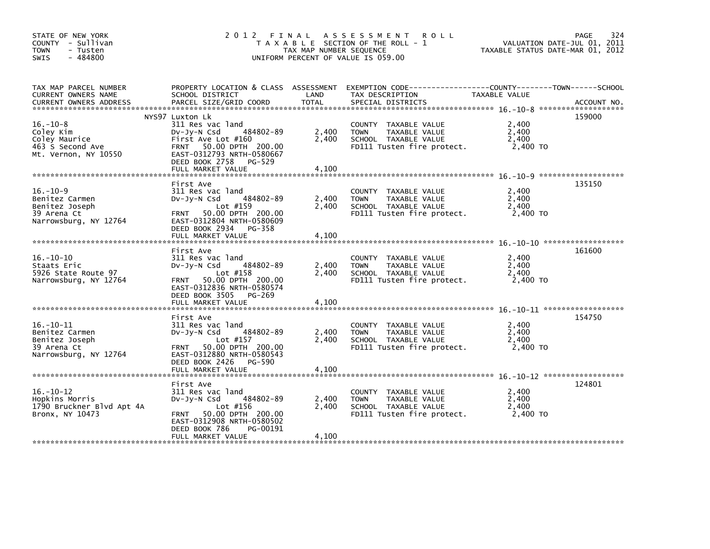| STATE OF NEW YORK<br>COUNTY - Sullivan<br><b>TOWN</b><br>- Tusten<br>$-484800$<br>SWIS      | 2012 FINAL<br>T A X A B L E SECTION OF THE ROLL - 1<br>TAX MAP NUMBER SEQUENCE<br>UNIFORM PERCENT OF VALUE IS 059.00                                                                     | 324<br><b>PAGE</b><br>VALUATION DATE-JUL 01, 2011<br>TAXABLE STATUS DATE-MAR 01, 2012 |                                                                                                            |                                     |             |
|---------------------------------------------------------------------------------------------|------------------------------------------------------------------------------------------------------------------------------------------------------------------------------------------|---------------------------------------------------------------------------------------|------------------------------------------------------------------------------------------------------------|-------------------------------------|-------------|
| TAX MAP PARCEL NUMBER<br>CURRENT OWNERS NAME<br><b>CURRENT OWNERS ADDRESS</b>               | PROPERTY LOCATION & CLASS ASSESSMENT<br>SCHOOL DISTRICT<br>PARCEL SIZE/GRID COORD                                                                                                        | LAND<br><b>TOTAL</b>                                                                  | TAX DESCRIPTION<br>SPECIAL DISTRICTS                                                                       | TAXABLE VALUE                       | ACCOUNT NO. |
| $16. - 10 - 8$<br>Coley Kim<br>Coley Maurice<br>463 S Second Ave<br>Mt. Vernon, NY 10550    | NYS97 Luxton Lk<br>311 Res vac land<br>484802-89<br>$Dv-Jy-N$ Csd<br>First Ave Lot #160<br>FRNT 50.00 DPTH 200.00<br>EAST-0312793 NRTH-0580667<br>DEED BOOK 2758 PG-529                  | 2,400<br>2,400                                                                        | COUNTY TAXABLE VALUE<br>TAXABLE VALUE<br><b>TOWN</b><br>SCHOOL TAXABLE VALUE<br>FD111 Tusten fire protect. | 2,400<br>2,400<br>2.400<br>2,400 TO | 159000      |
|                                                                                             | FULL MARKET VALUE                                                                                                                                                                        | 4,100                                                                                 |                                                                                                            |                                     |             |
| $16. - 10 - 9$<br>Benitez Carmen<br>Benitez Joseph<br>39 Arena Ct<br>Narrowsburg, NY 12764  | First Ave<br>311 Res vac land<br>484802-89<br>$Dv-Jy-N$ Csd<br>Lot #159<br>50.00 DPTH 200.00<br><b>FRNT</b><br>EAST-0312804 NRTH-0580609<br>DEED BOOK 2934 PG-358                        | 2,400<br>2,400                                                                        | COUNTY TAXABLE VALUE<br>TAXABLE VALUE<br><b>TOWN</b><br>SCHOOL TAXABLE VALUE<br>FD111 Tusten fire protect. | 2,400<br>2,400<br>2,400<br>2,400 TO | 135150      |
|                                                                                             | FULL MARKET VALUE                                                                                                                                                                        | 4,100                                                                                 |                                                                                                            |                                     |             |
| $16. - 10 - 10$<br>Staats Eric<br>5926 State Route 97<br>Narrowsburg, NY 12764              | First Ave<br>311 Res vac land<br>484802-89<br>DV-Jy-N Csd<br>Lot $#158$<br>50.00 DPTH 200.00<br><b>FRNT</b><br>EAST-0312836 NRTH-0580574<br>DEED BOOK 3505 PG-269                        | 2,400<br>2.400                                                                        | COUNTY TAXABLE VALUE<br><b>TOWN</b><br>TAXABLE VALUE<br>SCHOOL TAXABLE VALUE<br>FD111 Tusten fire protect. | 2,400<br>2,400<br>2,400<br>2,400 TO | 161600      |
|                                                                                             | FULL MARKET VALUE                                                                                                                                                                        | 4,100                                                                                 |                                                                                                            |                                     |             |
| $16. - 10 - 11$<br>Benitez Carmen<br>Benitez Joseph<br>39 Arena Ct<br>Narrowsburg, NY 12764 | First Ave<br>311 Res vac land<br>484802-89<br>$Dv-Jy-N$ Csd<br>Lot #157<br>50.00 DPTH 200.00<br><b>FRNT</b><br>EAST-0312880 NRTH-0580543                                                 | 2,400<br>2,400                                                                        | COUNTY TAXABLE VALUE<br>TAXABLE VALUE<br><b>TOWN</b><br>SCHOOL TAXABLE VALUE<br>FD111 Tusten fire protect. | 2,400<br>2,400<br>2,400<br>2,400 TO | 154750      |
|                                                                                             | DEED BOOK 2426<br>PG-590<br>FULL MARKET VALUE                                                                                                                                            | 4,100                                                                                 |                                                                                                            |                                     |             |
| $16. - 10 - 12$<br>Hopkins Morris<br>1790 Bruckner Blvd Apt 4A<br>Bronx, NY 10473           | First Ave<br>311 Res vac land<br>484802-89<br>DV-JY-N Csd<br>Lot #156<br>50.00 DPTH 200.00<br><b>FRNT</b><br>EAST-0312908 NRTH-0580502<br>DEED BOOK 786<br>PG-00191<br>FULL MARKET VALUE | 2,400<br>2,400<br>4,100                                                               | COUNTY TAXABLE VALUE<br>TAXABLE VALUE<br><b>TOWN</b><br>SCHOOL TAXABLE VALUE<br>FD111 Tusten fire protect. | 2,400<br>2,400<br>2,400<br>2.400 TO | 124801      |
|                                                                                             |                                                                                                                                                                                          |                                                                                       |                                                                                                            |                                     |             |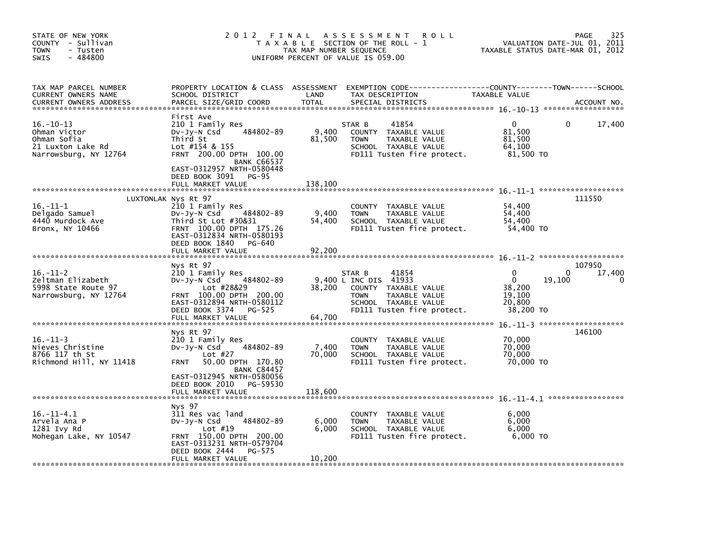| STATE OF NEW YORK<br>COUNTY - Sullivan<br><b>TOWN</b><br>- Tusten<br>$-484800$<br><b>SWIS</b>                         | 2 0 1 2                                                                                                                                                                                                                           | FINAL<br>TAX MAP NUMBER SEQUENCE | A S S E S S M E N T<br><b>ROLL</b><br>T A X A B L E SECTION OF THE ROLL - 1<br>UNIFORM PERCENT OF VALUE IS 059.00                                      | VALUATION DATE-JUL 01, 2011<br>TAXABLE STATUS DATE-MAR 01, 2012       | 325<br>PAGE           |
|-----------------------------------------------------------------------------------------------------------------------|-----------------------------------------------------------------------------------------------------------------------------------------------------------------------------------------------------------------------------------|----------------------------------|--------------------------------------------------------------------------------------------------------------------------------------------------------|-----------------------------------------------------------------------|-----------------------|
| TAX MAP PARCEL NUMBER<br>CURRENT OWNERS NAME<br><b>CURRENT OWNERS ADDRESS</b>                                         | PROPERTY LOCATION & CLASS ASSESSMENT<br>SCHOOL DISTRICT<br>PARCEL SIZE/GRID COORD                                                                                                                                                 | LAND<br><b>TOTAL</b>             | EXEMPTION CODE-----------------COUNTY-------TOWN------SCHOOL<br>TAX DESCRIPTION<br>SPECIAL DISTRICTS                                                   | TAXABLE VALUE                                                         | ACCOUNT NO.           |
| $16. - 10 - 13$<br>Ohman Victor<br>Ohman Sofia<br>21 Luxton Lake Rd<br>Narrowsburg, NY 12764                          | First Ave<br>210 1 Family Res<br>484802-89<br>$Dv-Jy-N$ Csd<br>Third St<br>Lot $\#154$ & 155<br>FRNT 200.00 DPTH 100.00<br><b>BANK C66537</b><br>EAST-0312957 NRTH-0580448<br>DEED BOOK 3091<br><b>PG-95</b><br>FULL MARKET VALUE | 9,400<br>81,500<br>138,100       | 41854<br>STAR B<br>COUNTY TAXABLE VALUE<br><b>TOWN</b><br>TAXABLE VALUE<br>SCHOOL TAXABLE VALUE<br>FD111 Tusten fire protect.                          | $\mathbf{0}$<br>81,500<br>81,500<br>64,100<br>81,500 TO               | 0<br>17,400           |
| $16. - 11 - 1$<br>Delgado Samuel<br>4440 Murdock Ave<br>Bronx, NY 10466                                               | LUXTONLAK Nys Rt 97<br>210 1 Family Res<br>484802-89<br>DV-Jy-N Csd<br>Third St Lot #30&31<br>FRNT 100.00 DPTH 175.26<br>EAST-0312834 NRTH-0580193<br>DEED BOOK 1840<br>PG-640<br>FULL MARKET VALUE                               | 9,400<br>54,400<br>92,200        | TAXABLE VALUE<br><b>COUNTY</b><br>TAXABLE VALUE<br><b>TOWN</b><br>SCHOOL TAXABLE VALUE<br>FD111 Tusten fire protect.                                   | 54,400<br>54,400<br>54,400<br>54,400 TO                               | 111550                |
| $16. - 11 - 2$<br>Zeltman Elizabeth<br>5998 State Route 97<br>Narrowsburg, NY 12764<br>****************************** | Nys Rt 97<br>210 1 Family Res<br>484802-89<br>DV-Jy-N Csd<br>Lot #28&29<br>FRNT 100.00 DPTH 200.00<br>EAST-0312894 NRTH-0580112<br>DEED BOOK 3374<br>PG-525<br>FULL MARKET VALUE                                                  | 38.200<br>64,700                 | 41854<br>STAR B<br>9,400 L INC DIS 41933<br>COUNTY TAXABLE VALUE<br><b>TOWN</b><br>TAXABLE VALUE<br>SCHOOL TAXABLE VALUE<br>FD111 Tusten fire protect. | 0<br>$\mathbf 0$<br>19,100<br>38,200<br>19.100<br>20,800<br>38,200 TO | 107950<br>17,400<br>0 |
| $16. - 11 - 3$<br>Nieves Christine<br>8766 117 th St<br>Richmond Hill, NY 11418                                       | Nys Rt 97<br>210 1 Family Res<br>484802-89<br>$Dv-Jy-N$ Csd<br>Lot $#27$<br>50.00 DPTH 170.80<br><b>FRNT</b><br><b>BANK C84457</b><br>EAST-0312945 NRTH-0580056<br>DEED BOOK 2010<br>PG-59530                                     | 7,400<br>70,000                  | TAXABLE VALUE<br><b>COUNTY</b><br>TAXABLE VALUE<br><b>TOWN</b><br>SCHOOL TAXABLE VALUE<br>FD111 Tusten fire protect.                                   | 70,000<br>70,000<br>70,000<br>70,000 TO                               | 146100                |
| $16. -11 - 4.1$<br>Arvela Ana P<br>1281 Ivy Rd<br>Mohegan Lake, NY 10547                                              | FULL MARKET VALUE<br>Nys 97<br>311 Res vac land<br>484802-89<br>DV-Jy-N Csd<br>Lot $#19$<br>FRNT 150.00 DPTH 200.00                                                                                                               | 118,600<br>6,000<br>6.000        | <b>COUNTY</b><br>TAXABLE VALUE<br>TAXABLE VALUE<br><b>TOWN</b><br>SCHOOL TAXABLE VALUE<br>FD111 Tusten fire protect.                                   | 6,000<br>6,000<br>6.000<br>6,000 TO                                   |                       |
|                                                                                                                       | EAST-0313231 NRTH-0579704<br>DEED BOOK 2444<br>PG-575<br>FULL MARKET VALUE                                                                                                                                                        | 10,200                           |                                                                                                                                                        |                                                                       |                       |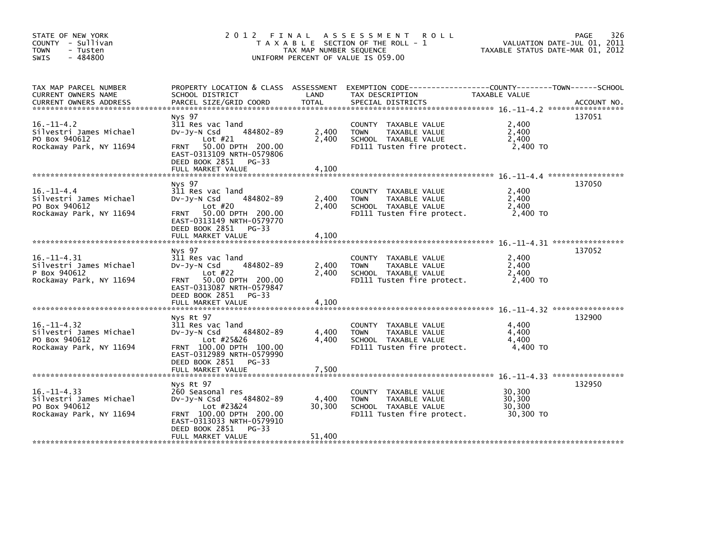| STATE OF NEW YORK<br>COUNTY - Sullivan<br><b>TOWN</b><br>- Tusten<br>$-484800$<br>SWIS  | 2012 FINAL ASSESSMENT<br><b>ROLL</b><br>T A X A B L E SECTION OF THE ROLL - 1<br>TAX MAP NUMBER SEQUENCE<br>UNIFORM PERCENT OF VALUE IS 059.00                                      |                           |                                                                                                               |                                         | 326<br>PAGE<br>VALUATION DATE-JUL 01, 2011<br>TAXABLE STATUS DATE-MAR 01, 2012 |
|-----------------------------------------------------------------------------------------|-------------------------------------------------------------------------------------------------------------------------------------------------------------------------------------|---------------------------|---------------------------------------------------------------------------------------------------------------|-----------------------------------------|--------------------------------------------------------------------------------|
| TAX MAP PARCEL NUMBER<br>CURRENT OWNERS NAME<br><b>CURRENT OWNERS ADDRESS</b>           | PROPERTY LOCATION & CLASS ASSESSMENT<br>SCHOOL DISTRICT<br>PARCEL SIZE/GRID COORD                                                                                                   | LAND<br>TOTAL             | EXEMPTION CODE------------------COUNTY--------TOWN------SCHOOL<br>TAX DESCRIPTION<br>SPECIAL DISTRICTS        | TAXABLE VALUE                           | ACCOUNT NO.                                                                    |
| $16. -11 - 4.2$<br>Silvestri James Michael<br>PO Box 940612<br>Rockaway Park, NY 11694  | Nys 97<br>311 Res vac land<br>484802-89<br>Dv-Jy-N Csd<br>Lot $#21$<br>FRNT 50.00 DPTH 200.00<br>EAST-0313109 NRTH-0579806<br>DEED BOOK 2851<br>PG-33<br>FULL MARKET VALUE          | 2,400<br>2,400<br>4,100   | COUNTY TAXABLE VALUE<br>TAXABLE VALUE<br><b>TOWN</b><br>SCHOOL TAXABLE VALUE<br>FD111 Tusten fire protect.    | 2,400<br>2,400<br>2,400<br>2,400 TO     | 137051                                                                         |
|                                                                                         |                                                                                                                                                                                     |                           |                                                                                                               |                                         |                                                                                |
| $16. - 11 - 4.4$<br>Silvestri James Michael<br>PO Box 940612<br>Rockaway Park, NY 11694 | Nys 97<br>311 Res vac land<br>484802-89<br>$Dv-Jy-N$ Csd<br>Lot $#20$<br>FRNT 50.00 DPTH 200.00<br>EAST-0313149 NRTH-0579770<br>DEED BOOK 2851 PG-33                                | 2,400<br>2,400            | COUNTY TAXABLE VALUE<br>TAXABLE VALUE<br><b>TOWN</b><br>SCHOOL TAXABLE VALUE<br>FD111 Tusten fire protect.    | 2,400<br>2,400<br>2,400<br>2,400 TO     | 137050                                                                         |
|                                                                                         | FULL MARKET VALUE                                                                                                                                                                   | 4,100                     |                                                                                                               |                                         |                                                                                |
| $16. -11 - 4.31$<br>Silvestri James Michael<br>P Box 940612<br>Rockaway Park, NY 11694  | Nys 97<br>311 Res vac land<br>484802-89<br>$Dv-Jy-N$ Csd<br>Lot #22<br>50.00 DPTH 200.00<br><b>FRNT</b><br>EAST-0313087 NRTH-0579847<br>DEED BOOK 2851 PG-33<br>FULL MARKET VALUE   | 2,400<br>2.400<br>4.100   | COUNTY TAXABLE VALUE<br><b>TOWN</b><br>TAXABLE VALUE<br>SCHOOL TAXABLE VALUE<br>FD111 Tusten fire protect.    | 2,400<br>2,400<br>2,400<br>2,400 TO     | 137052                                                                         |
|                                                                                         |                                                                                                                                                                                     |                           |                                                                                                               |                                         |                                                                                |
| $16. -11 - 4.32$<br>Silvestri James Michael<br>PO Box 940612<br>Rockaway Park, NY 11694 | Nys Rt 97<br>311 Res vac land<br>484802-89<br>DV-Jy-N Csd<br>Lot #25&26<br>FRNT 100.00 DPTH 100.00<br>EAST-0312989 NRTH-0579990<br>DEED BOOK 2851 PG-33                             | 4,400<br>4.400            | COUNTY TAXABLE VALUE<br><b>TOWN</b><br>TAXABLE VALUE<br>SCHOOL TAXABLE VALUE<br>FD111 Tusten fire protect.    | 4,400<br>4,400<br>4.400<br>4,400 TO     | 132900                                                                         |
|                                                                                         | FULL MARKET VALUE                                                                                                                                                                   | 7,500                     |                                                                                                               |                                         |                                                                                |
| $16. -11 - 4.33$<br>Silvestri James Michael<br>PO Box 940612<br>Rockaway Park, NY 11694 | Nys Rt 97<br>260 Seasonal res<br>$Dv-Jy-N$ Csd<br>484802-89<br>Lot #23&24<br>FRNT 100.00 DPTH 200.00<br>EAST-0313033 NRTH-0579910<br>DEED BOOK 2851<br>$PG-33$<br>FULL MARKET VALUE | 4,400<br>30,300<br>51,400 | COUNTY<br>TAXABLE VALUE<br>TAXABLE VALUE<br><b>TOWN</b><br>SCHOOL TAXABLE VALUE<br>FD111 Tusten fire protect. | 30,300<br>30,300<br>30,300<br>30.300 TO | 132950                                                                         |
|                                                                                         |                                                                                                                                                                                     |                           |                                                                                                               |                                         |                                                                                |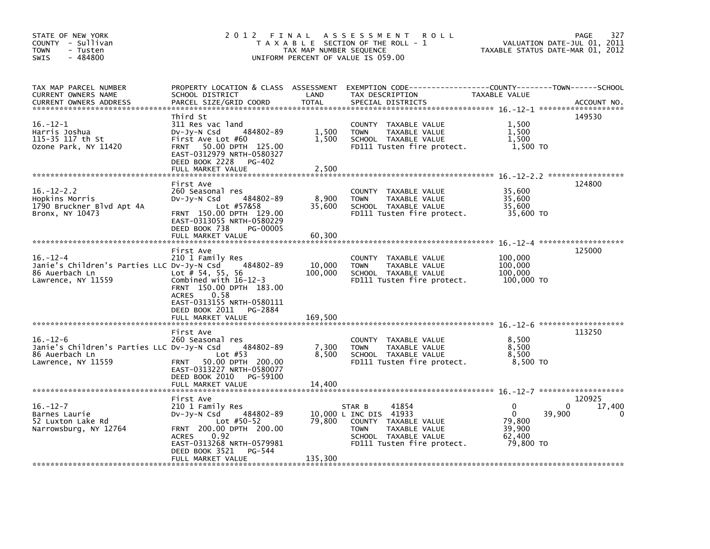| STATE OF NEW YORK<br>COUNTY - Sullivan<br><b>TOWN</b><br>- Tusten<br>$-484800$<br><b>SWIS</b>        |                                                                                                                                                                                                                     | TAX MAP NUMBER SEQUENCE   | 2012 FINAL ASSESSMENT<br>R O L L<br>T A X A B L E SECTION OF THE ROLL - 1<br>UNIFORM PERCENT OF VALUE IS 059.00                                         | VALUATION DATE-JUL 01, 2011<br>TAXABLE STATUS DATE-MAR 01, 2012                    | 327<br>PAGE           |
|------------------------------------------------------------------------------------------------------|---------------------------------------------------------------------------------------------------------------------------------------------------------------------------------------------------------------------|---------------------------|---------------------------------------------------------------------------------------------------------------------------------------------------------|------------------------------------------------------------------------------------|-----------------------|
| TAX MAP PARCEL NUMBER<br>CURRENT OWNERS NAME<br><b>CURRENT OWNERS ADDRESS</b>                        | SCHOOL DISTRICT<br>PARCEL SIZE/GRID COORD                                                                                                                                                                           | LAND<br><b>TOTAL</b>      | PROPERTY LOCATION & CLASS ASSESSMENT EXEMPTION CODE---------------COUNTY-------TOWN-----SCHOOL<br>TAX DESCRIPTION<br>SPECIAL DISTRICTS                  | TAXABLE VALUE                                                                      | ACCOUNT NO.           |
| $16. - 12 - 1$<br>Harris Joshua<br>115-35 117 th St<br>Ozone Park, NY 11420                          | Third St<br>311 Res vac land<br>484802-89<br>DV-Jy-N Csd<br>First Ave Lot #60<br>FRNT 50.00 DPTH 125.00<br>EAST-0312979 NRTH-0580327<br>DEED BOOK 2228<br>PG-402<br>FULL MARKET VALUE                               | 1,500<br>1,500<br>2,500   | COUNTY TAXABLE VALUE<br>TAXABLE VALUE<br><b>TOWN</b><br>SCHOOL TAXABLE VALUE<br>FD111 Tusten fire protect.                                              | 1,500<br>1,500<br>1,500<br>1,500 TO                                                | 149530                |
| $16. - 12 - 2.2$<br>Hopkins Morris<br>1790 Bruckner Blvd Apt 4A<br>Bronx, NY 10473                   | First Ave<br>260 Seasonal res<br>484802-89<br>$Dv-Jy-N$ Csd<br>Lot #57&58<br>FRNT 150.00 DPTH 129.00<br>EAST-0313055 NRTH-0580229<br>DEED BOOK 738<br><b>PG-00005</b><br>FULL MARKET VALUE                          | 8,900<br>35,600<br>60,300 | COUNTY TAXABLE VALUE<br>TAXABLE VALUE<br><b>TOWN</b><br>SCHOOL TAXABLE VALUE<br>FD111 Tusten fire protect.                                              | 35,600<br>35,600<br>35,600<br>35,600 TO                                            | 124800                |
| $16. - 12 - 4$<br>Janie's Children's Parties LLC Dv-Jy-N Csd<br>86 Auerbach Ln<br>Lawrence, NY 11559 | <b>First Ave</b><br>210 1 Family Res<br>484802-89<br>Lot # 54, 55, 56<br>Combined with $16-12-3$<br>FRNT 150.00 DPTH 183.00<br>0.58<br><b>ACRES</b>                                                                 | 10,000<br>100,000         | COUNTY TAXABLE VALUE<br><b>TOWN</b><br>TAXABLE VALUE<br>SCHOOL TAXABLE VALUE<br>FD111 Tusten fire protect.                                              | 100,000<br>100,000<br>100,000<br>100,000 TO                                        | 125000                |
|                                                                                                      | EAST-0313155 NRTH-0580111<br>DEED BOOK 2011 PG-2884<br>FULL MARKET VALUE                                                                                                                                            | 169,500                   |                                                                                                                                                         |                                                                                    |                       |
| $16. - 12 - 6$<br>Janie's Children's Parties LLC Dv-Jy-N Csd<br>86 Auerbach Ln<br>Lawrence, NY 11559 | First Ave<br>260 Seasonal res<br>484802-89<br>Lot $#53$<br>50.00 DPTH 200.00<br><b>FRNT</b><br>EAST-0313227 NRTH-0580077<br>DEED BOOK 2010<br>PG-59100                                                              | 7,300<br>8,500            | COUNTY TAXABLE VALUE<br>TAXABLE VALUE<br><b>TOWN</b><br>SCHOOL TAXABLE VALUE<br>FD111 Tusten fire protect.                                              | 8,500<br>8.500<br>8,500<br>8,500 TO                                                | 113250                |
|                                                                                                      | FULL MARKET VALUE                                                                                                                                                                                                   | 14,400                    |                                                                                                                                                         |                                                                                    |                       |
| $16. - 12 - 7$<br>Barnes Laurie<br>52 Luxton Lake Rd<br>Narrowsburg, NY 12764                        | <b>First Ave</b><br>210 1 Family Res<br>484802-89<br>$Dv-Jy-N$ Csd<br>Lot $#50-52$<br>FRNT 200.00 DPTH 200.00<br>0.92<br><b>ACRES</b><br>EAST-0313268 NRTH-0579981<br>DEED BOOK 3521<br>PG-544<br>FULL MARKET VALUE | 79,800<br>135,300         | 41854<br>STAR B<br>10,000 L INC DIS 41933<br>COUNTY TAXABLE VALUE<br><b>TOWN</b><br>TAXABLE VALUE<br>SCHOOL TAXABLE VALUE<br>FD111 Tusten fire protect. | $\Omega$<br>0<br>$\mathbf{0}$<br>39,900<br>79,800<br>39,900<br>62,400<br>79,800 TO | 120925<br>17,400<br>0 |
|                                                                                                      |                                                                                                                                                                                                                     |                           |                                                                                                                                                         |                                                                                    |                       |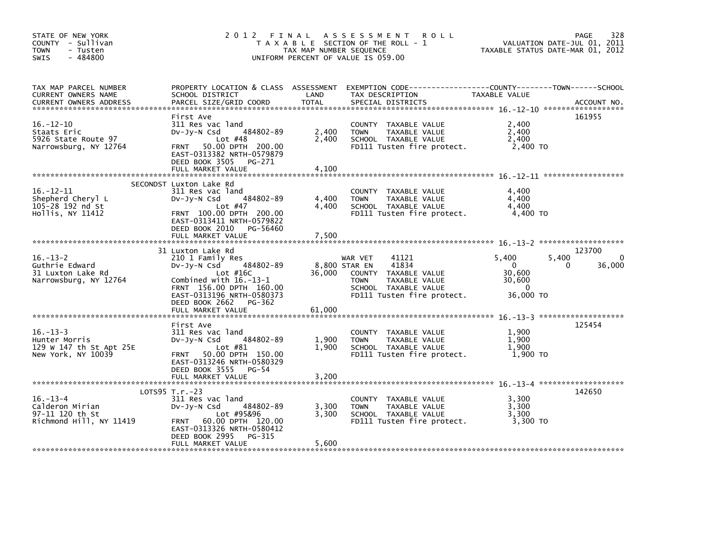| STATE OF NEW YORK<br>COUNTY - Sullivan<br><b>TOWN</b><br>- Tusten<br>$-484800$<br>SWIS | 2012 FINAL                                                                                                                                                                                                           | TAX MAP NUMBER SEQUENCE | A S S E S S M E N T<br><b>ROLL</b><br>T A X A B L E SECTION OF THE ROLL - 1<br>UNIFORM PERCENT OF VALUE IS 059.00                                               |                                                                    | 328<br>PAGE<br>VALUATION DATE-JUL 01, 2011<br>TAXABLE STATUS DATE-MAR 01, 2012 |
|----------------------------------------------------------------------------------------|----------------------------------------------------------------------------------------------------------------------------------------------------------------------------------------------------------------------|-------------------------|-----------------------------------------------------------------------------------------------------------------------------------------------------------------|--------------------------------------------------------------------|--------------------------------------------------------------------------------|
| TAX MAP PARCEL NUMBER<br>CURRENT OWNERS NAME<br><b>CURRENT OWNERS ADDRESS</b>          | PROPERTY LOCATION & CLASS ASSESSMENT<br>SCHOOL DISTRICT<br>PARCEL SIZE/GRID COORD                                                                                                                                    | LAND<br><b>TOTAL</b>    | TAX DESCRIPTION<br>SPECIAL DISTRICTS                                                                                                                            | TAXABLE VALUE                                                      | ACCOUNT NO.                                                                    |
| $16. - 12 - 10$<br>Staats Eric<br>5926 State Route 97<br>Narrowsburg, NY 12764         | First Ave<br>311 Res vac land<br>484802-89<br>$Dv-Jy-N$ Csd<br>Lot $#48$<br>50.00 DPTH 200.00<br><b>FRNT</b><br>EAST-0313382 NRTH-0579879<br>DEED BOOK 3505 PG-271<br>FULL MARKET VALUE                              | 2,400<br>2,400<br>4.100 | COUNTY TAXABLE VALUE<br><b>TOWN</b><br>TAXABLE VALUE<br>SCHOOL TAXABLE VALUE<br>FD111 Tusten fire protect.                                                      | 2,400<br>2,400<br>2,400<br>2,400 TO                                | 161955                                                                         |
| $16. - 12 - 11$<br>Shepherd Cheryl L<br>105-28 192 nd St<br>Hollis, NY 11412           | SECONDST Luxton Lake Rd<br>311 Res vac land<br>484802-89<br>$Dv-Jy-N$ Csd<br>Lot $#47$<br>FRNT 100.00 DPTH 200.00<br>EAST-0313411 NRTH-0579822<br>DEED BOOK 2010<br>PG-56460<br>FULL MARKET VALUE                    | 4,400<br>4,400<br>7,500 | COUNTY TAXABLE VALUE<br>TAXABLE VALUE<br><b>TOWN</b><br>SCHOOL TAXABLE VALUE<br>FD111 Tusten fire protect.                                                      | 4,400<br>4,400<br>4,400<br>4,400 TO                                |                                                                                |
| $16. - 13 - 2$<br>Guthrie Edward<br>31 Luxton Lake Rd<br>Narrowsburg, NY 12764         | 31 Luxton Lake Rd<br>210 1 Family Res<br>484802-89<br>DV-Jy-N Csd<br>Lot $#16C$<br>Combined with $16.-13-1$<br>FRNT 156.00 DPTH 160.00<br>EAST-0313196 NRTH-0580373<br>DEED BOOK 2662<br>PG-362<br>FULL MARKET VALUE | 36,000<br>61,000        | 41121<br>WAR VET<br>41834<br>8,800 STAR EN<br>COUNTY TAXABLE VALUE<br><b>TAXABLE VALUE</b><br><b>TOWN</b><br>SCHOOL TAXABLE VALUE<br>FD111 Tusten fire protect. | 5.400<br>$\mathbf{0}$<br>30,600<br>30,600<br>$\Omega$<br>36,000 TO | 123700<br>5,400<br>36,000<br>0                                                 |
| $16. - 13 - 3$<br>Hunter Morris<br>129 W 147 th St Apt 25E<br>New York, NY 10039       | First Ave<br>311 Res vac land<br>484802-89<br>DV-JV-N Csd<br>Lot $#81$<br>50.00 DPTH 150.00<br><b>FRNT</b><br>EAST-0313246 NRTH-0580329<br>DEED BOOK 3555<br>PG-54<br>FULL MARKET VALUE                              | 1,900<br>1.900<br>3,200 | COUNTY TAXABLE VALUE<br><b>TAXABLE VALUE</b><br><b>TOWN</b><br>SCHOOL TAXABLE VALUE<br>FD111 Tusten fire protect.                                               | 1,900<br>1,900<br>1.900<br>1,900 TO                                | 125454                                                                         |
| $16. - 13 - 4$<br>Calderon Mirian<br>97-11 120 th St<br>Richmond Hill, NY 11419        | $LOTS95 T.r.-23$<br>311 Res vac land<br>484802-89<br>$Dv-Jy-N$ Csd<br>Lot #95&96<br>60.00 DPTH 120.00<br><b>FRNT</b><br>EAST-0313326 NRTH-0580412<br>DEED BOOK 2995<br>PG-315<br>FULL MARKET VALUE                   | 3,300<br>3,300<br>5,600 | COUNTY TAXABLE VALUE<br>TAXABLE VALUE<br><b>TOWN</b><br>SCHOOL TAXABLE VALUE<br>FD111 Tusten fire protect.                                                      | 3,300<br>3,300<br>3,300<br>3,300 TO                                | 142650                                                                         |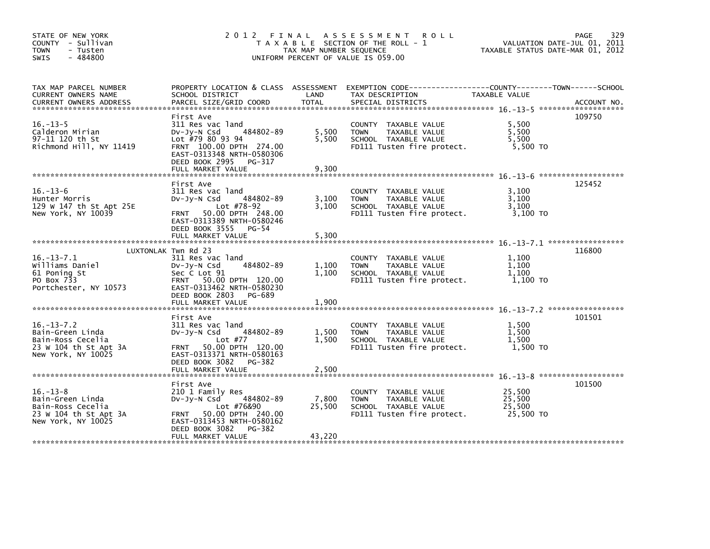| STATE OF NEW YORK<br>COUNTY - Sullivan<br><b>TOWN</b><br>- Tusten<br>$-484800$<br><b>SWIS</b>            |                                                                                                                                                                          | TAX MAP NUMBER SEQUENCE | 2012 FINAL ASSESSMENT ROLL<br>T A X A B L E SECTION OF THE ROLL - 1<br>UNIFORM PERCENT OF VALUE IS 059.00           | VALUATION DATE-JUL 01, 2011<br>TAXABLE STATUS DATE-MAR 01, 2012 | 329<br>PAGE |
|----------------------------------------------------------------------------------------------------------|--------------------------------------------------------------------------------------------------------------------------------------------------------------------------|-------------------------|---------------------------------------------------------------------------------------------------------------------|-----------------------------------------------------------------|-------------|
| TAX MAP PARCEL NUMBER<br>CURRENT OWNERS NAME                                                             | SCHOOL DISTRICT                                                                                                                                                          | <b>Example 12</b>       | PROPERTY LOCATION & CLASS ASSESSMENT EXEMPTION CODE----------------COUNTY-------TOWN------SCHOOL<br>TAX DESCRIPTION | TAXABLE VALUE                                                   |             |
| $16. - 13 - 5$<br>Calderon Mirian<br>97-11 120 th St<br>Richmond Hill, NY 11419                          | First Ave<br>311 Res vac land<br>484802-89<br>$Dv-Jy-N$ Csd<br>Lot #79 80 93 94<br>FRNT 100.00 DPTH 274.00<br>EAST-0313348 NRTH-0580306<br>DEED BOOK 2995 PG-317         | 5,500<br>5,500          | COUNTY TAXABLE VALUE<br>TAXABLE VALUE<br>TOWN<br>SCHOOL TAXABLE VALUE<br>FD111 Tusten fire protect.                 | 5,500<br>5,500<br>5.500<br>5,500 TO                             | 109750      |
|                                                                                                          |                                                                                                                                                                          |                         |                                                                                                                     |                                                                 |             |
| $16. - 13 - 6$<br>Hunter Morris<br>129 W 147 th St Apt 25E<br>New York, NY 10039                         | First Ave<br>311 Res vac land<br>484802-89<br>$Dv-Jv-N$ Csd<br>Lot #78-92<br>FRNT 50.00 DPTH 248.00<br>EAST-0313389 NRTH-0580246                                         | 3,100<br>3,100          | COUNTY TAXABLE VALUE<br><b>TOWN</b><br>TAXABLE VALUE<br>SCHOOL TAXABLE VALUE<br>FD111 Tusten fire protect.          | 3,100<br>3.100<br>3,100<br>3,100 TO                             | 125452      |
|                                                                                                          | DEED BOOK 3555 PG-54                                                                                                                                                     |                         |                                                                                                                     |                                                                 |             |
|                                                                                                          |                                                                                                                                                                          |                         |                                                                                                                     |                                                                 |             |
| $16. - 13 - 7.1$<br>Williams Daniel<br>61 Poning St<br>PO Box 733<br>Portchester, NY 10573               | LUXTONLAK Twn Rd 23<br>311 Res vac land<br>484802-89<br>$Dv-Jv-N$ Csd<br>Sec C Lot 91<br>FRNT 50.00 DPTH 120.00<br>EAST-0313462 NRTH-0580230<br>DEED BOOK 2803<br>PG-689 | 1.100<br>1,100          | COUNTY TAXABLE VALUE<br><b>TOWN</b><br>TAXABLE VALUE<br>SCHOOL TAXABLE VALUE<br>FD111 Tusten fire protect.          | 1,100<br>1.100<br>1.100<br>1,100 TO                             | 116800      |
|                                                                                                          |                                                                                                                                                                          |                         |                                                                                                                     |                                                                 |             |
| $16. - 13 - 7.2$<br>Bain-Green Linda<br>Bain-Ross Cecelia<br>23 W 104 th St Apt 3A<br>New York, NY 10025 | First Ave<br>311 Res vac land<br>484802-89<br>$Dv-Jy-N$ Csd<br>Lot #77<br>FRNT 50.00 DPTH 120.00<br>EAST-0313371 NRTH-0580163<br>DEED BOOK 3082<br>PG-382                | 1,500<br>1,500          | COUNTY TAXABLE VALUE<br>TAXABLE VALUE<br><b>TOWN</b><br>SCHOOL TAXABLE VALUE<br>FD111 Tusten fire protect.          | 1,500<br>1,500<br>1,500<br>1.500 TO                             | 101501      |
|                                                                                                          |                                                                                                                                                                          |                         |                                                                                                                     |                                                                 |             |
| $16. - 13 - 8$<br>Bain-Green Linda<br>Bain-Ross Cecelia<br>23 W 104 th St Apt 3A<br>New York, NY 10025   | First Ave<br>210 1 Family Res<br>484802-89<br>$Dv-Jy-N$ Csd<br>Lot #76&90<br>FRNT 50.00 DPTH 240.00<br>EAST-0313453 NRTH-0580162                                         | 7,800<br>25,500         | COUNTY TAXABLE VALUE<br><b>TOWN</b><br>TAXABLE VALUE<br>SCHOOL TAXABLE VALUE<br>FD111 Tusten fire protect.          | 25,500<br>25.500<br>25,500<br>25,500 TO                         | 101500      |
|                                                                                                          | PG-382<br>DEED BOOK 3082                                                                                                                                                 |                         |                                                                                                                     |                                                                 |             |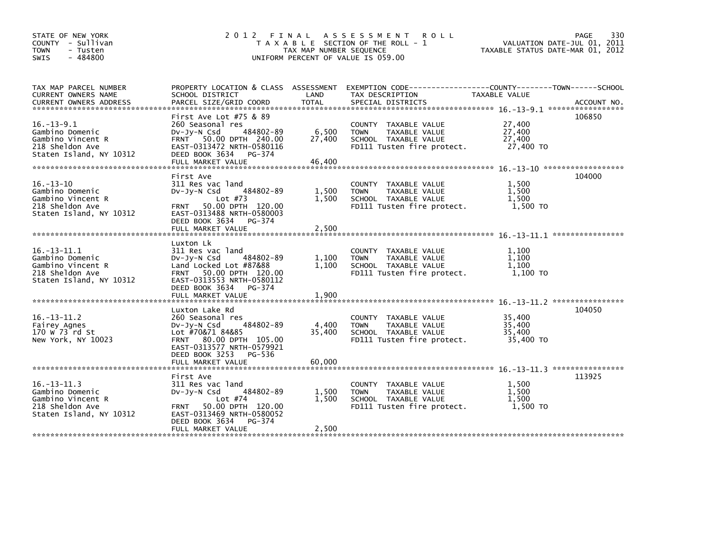| STATE OF NEW YORK<br>COUNTY - Sullivan<br>- Tusten<br>TOWN<br>$-484800$<br><b>SWIS</b>                  | 2 0 1 2<br>FINAL                                                                                                                                                                                       | TAX MAP NUMBER SEQUENCE   | A S S E S S M E N T<br><b>ROLL</b><br>T A X A B L E SECTION OF THE ROLL - 1<br>UNIFORM PERCENT OF VALUE IS 059.00    | VALUATION DATE-JUL 01, 2011<br>TAXABLE STATUS DATE-MAR 01, 2012 | 330<br>PAGE |
|---------------------------------------------------------------------------------------------------------|--------------------------------------------------------------------------------------------------------------------------------------------------------------------------------------------------------|---------------------------|----------------------------------------------------------------------------------------------------------------------|-----------------------------------------------------------------|-------------|
| TAX MAP PARCEL NUMBER<br>CURRENT OWNERS NAME<br><b>CURRENT OWNERS ADDRESS</b>                           | PROPERTY LOCATION & CLASS ASSESSMENT<br>SCHOOL DISTRICT<br>PARCEL SIZE/GRID COORD                                                                                                                      | LAND<br><b>TOTAL</b>      | EXEMPTION CODE-----------------COUNTY-------TOWN------SCHOOL<br>TAX DESCRIPTION<br>SPECIAL DISTRICTS                 | TAXABLE VALUE                                                   | ACCOUNT NO. |
| $16. - 13 - 9.1$<br>Gambino Domenic<br>Gambino Vincent R<br>218 Sheldon Ave<br>Staten Island, NY 10312  | First Ave Lot $#75$ & 89<br>260 Seasonal res<br>484802-89<br>$Dv-Jy-N$ Csd<br>FRNT 50.00 DPTH 240.00<br>EAST-0313472 NRTH-0580116<br>DEED BOOK 3634<br>PG-374<br>FULL MARKET VALUE                     | 6,500<br>27,400<br>46.400 | COUNTY TAXABLE VALUE<br><b>TOWN</b><br>TAXABLE VALUE<br>SCHOOL TAXABLE VALUE<br>FD111 Tusten fire protect.           | 27,400<br>27,400<br>27,400<br>27,400 TO                         | 106850      |
| $16. - 13 - 10$<br>Gambino Domenic<br>Gambino Vincent R<br>218 Sheldon Ave<br>Staten Island, NY 10312   | First Ave<br>311 Res vac land<br>484802-89<br>$Dv-Jy-N$ Csd<br>Lot $#73$<br>50.00 DPTH 120.00<br><b>FRNT</b><br>EAST-0313488 NRTH-0580003<br>DEED BOOK 3634<br>PG-374<br>FULL MARKET VALUE             | 1,500<br>1,500<br>2.500   | <b>COUNTY</b><br>TAXABLE VALUE<br><b>TOWN</b><br>TAXABLE VALUE<br>SCHOOL TAXABLE VALUE<br>FD111 Tusten fire protect. | 1,500<br>1.500<br>1.500<br>1,500 TO                             | 104000      |
| $16. - 13 - 11.1$<br>Gambino Domenic<br>Gambino Vincent R<br>218 Sheldon Ave<br>Staten Island, NY 10312 | Luxton Lk<br>311 Res vac land<br>484802-89<br>$Dv-Jy-N$ Csd<br>Land Locked Lot #87&88<br>FRNT 50.00 DPTH 120.00<br>EAST-0313553 NRTH-0580112<br>DEED BOOK 3634<br>PG-374<br>FULL MARKET VALUE          | 1,100<br>1.100<br>1.900   | <b>COUNTY</b><br>TAXABLE VALUE<br><b>TOWN</b><br>TAXABLE VALUE<br>SCHOOL TAXABLE VALUE<br>FD111 Tusten fire protect. | 1.100<br>1.100<br>1,100<br>1,100 TO                             |             |
| $16. - 13 - 11.2$<br>Fairey Agnes<br>170 W 73 rd St<br>New York, NY 10023                               | Luxton Lake Rd<br>260 Seasonal res<br>484802-89<br>$Dv-Jy-N$ Csd<br>Lot #70&71 84&85<br>80.00 DPTH 105.00<br><b>FRNT</b><br>EAST-0313577 NRTH-0579921<br>DEED BOOK 3253<br>PG-536<br>FULL MARKET VALUE | 4,400<br>35.400<br>60.000 | COUNTY TAXABLE VALUE<br>TAXABLE VALUE<br><b>TOWN</b><br>SCHOOL TAXABLE VALUE<br>FD111 Tusten fire protect.           | 35,400<br>35,400<br>35,400<br>35,400 TO                         | 104050      |
| $16. -13 - 11.3$<br>Gambino Domenic<br>Gambino Vincent R<br>218 Sheldon Ave<br>Staten Island, NY 10312  | First Ave<br>311 Res vac land<br>484802-89<br>$Dv-Jv-N$ Csd<br>Lot $#74$<br>50.00 DPTH 120.00<br><b>FRNT</b><br>EAST-0313469 NRTH-0580052<br>DEED BOOK 3634<br>PG-374<br>FULL MARKET VALUE             | 1,500<br>1,500<br>2,500   | TAXABLE VALUE<br><b>COUNTY</b><br><b>TOWN</b><br>TAXABLE VALUE<br>SCHOOL TAXABLE VALUE<br>FD111 Tusten fire protect. | 1,500<br>1.500<br>1,500<br>1,500 TO                             | 113925      |
|                                                                                                         |                                                                                                                                                                                                        |                           |                                                                                                                      |                                                                 |             |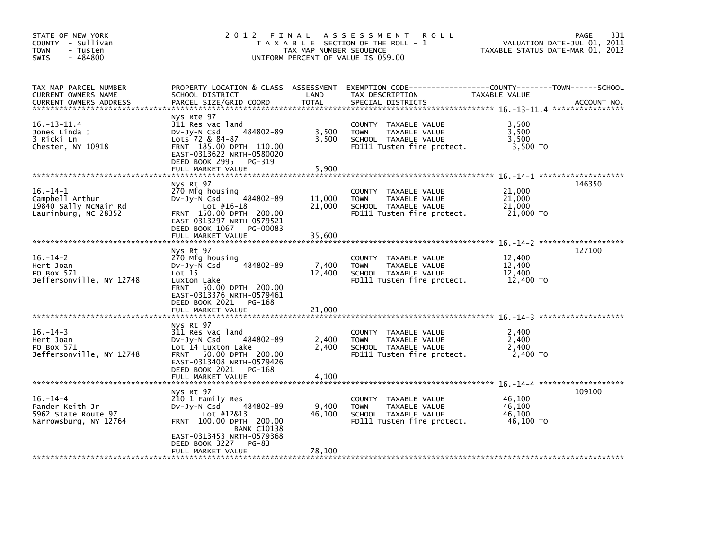| STATE OF NEW YORK<br>COUNTY - Sullivan<br>TOWN<br>- Tusten<br>$-484800$<br><b>SWIS</b> | 2012 FINAL<br>T A X A B L E SECTION OF THE ROLL - 1<br>TAX MAP NUMBER SEQUENCE<br>UNIFORM PERCENT OF VALUE IS 059.00                                                                                         | 331<br>PAGE<br>VALUATION DATE-JUL 01, 2011<br>TAXABLE STATUS DATE-MAR 01, 2012 |                                                                                                                                          |                                         |             |
|----------------------------------------------------------------------------------------|--------------------------------------------------------------------------------------------------------------------------------------------------------------------------------------------------------------|--------------------------------------------------------------------------------|------------------------------------------------------------------------------------------------------------------------------------------|-----------------------------------------|-------------|
| TAX MAP PARCEL NUMBER<br>CURRENT OWNERS NAME<br><b>CURRENT OWNERS ADDRESS</b>          | SCHOOL DISTRICT<br>PARCEL SIZE/GRID COORD                                                                                                                                                                    | LAND<br><b>TOTAL</b>                                                           | PROPERTY LOCATION & CLASS ASSESSMENT EXEMPTION CODE----------------COUNTY-------TOWN------SCHOOL<br>TAX DESCRIPTION<br>SPECIAL DISTRICTS | TAXABLE VALUE                           | ACCOUNT NO. |
| $16. - 13 - 11.4$<br>Jones Linda J<br>3 Ricki Ln<br>Chester, NY 10918                  | Nys Rte 97<br>311 Res vac land<br>484802-89<br>$Dv-Jy-N$ Csd<br>Lots 72 & 84-87<br>FRNT 185.00 DPTH 110.00<br>EAST-0313622 NRTH-0580020<br>DEED BOOK 2995<br>PG-319                                          | 3,500<br>3,500                                                                 | COUNTY TAXABLE VALUE<br><b>TOWN</b><br>TAXABLE VALUE<br>SCHOOL TAXABLE VALUE<br>FD111 Tusten fire protect.                               | 3,500<br>3,500<br>3,500<br>3,500 TO     |             |
| $16. - 14 - 1$<br>Campbell Arthur<br>19840 Sally McNair Rd<br>Laurinburg, NC 28352     | FULL MARKET VALUE<br>Nys Rt 97<br>270 Mfg housing<br>$484802 - 89$<br>DV-JV-N Csd<br>$Lot$ #16-18<br>FRNT 150.00 DPTH 200.00<br>EAST-0313297 NRTH-0579521<br>DEED BOOK 1067<br>PG-00083<br>FULL MARKET VALUE | 5,900<br>11,000<br>21,000<br>35,600                                            | COUNTY TAXABLE VALUE<br>TAXABLE VALUE<br><b>TOWN</b><br>SCHOOL TAXABLE VALUE<br>FD111 Tusten fire protect.                               | 21,000<br>21,000<br>21,000<br>21,000 TO | 146350      |
| $16. - 14 - 2$<br>Hert Joan<br>PO Box 571<br>Jeffersonville, NY 12748                  | Nys Rt 97<br>270 Mfg housing<br>484802-89<br>$Dv-Jy-N$ Csd<br>Lot 15<br>Luxton Lake<br>50.00 DPTH 200.00<br><b>FRNT</b><br>EAST-0313376 NRTH-0579461<br>DEED BOOK 2021 PG-168<br>FULL MARKET VALUE           | 7,400<br>12,400<br>21,000                                                      | COUNTY TAXABLE VALUE<br>TAXABLE VALUE<br><b>TOWN</b><br>SCHOOL TAXABLE VALUE<br>FD111 Tusten fire protect.                               | 12,400<br>12,400<br>12,400<br>12,400 TO | 127100      |
| $16. - 14 - 3$<br>Hert Joan<br>PO Box 571<br>Jeffersonville, NY 12748                  | Nys Rt 97<br>311 Res vac land<br>484802-89<br>$Dv-Jy-N$ Csd<br>Lot 14 Luxton Lake<br>FRNT 50.00 DPTH 200.00<br>EAST-0313408 NRTH-0579426<br>DEED BOOK 2021<br>PG-168<br>FULL MARKET VALUE                    | 2,400<br>2.400<br>4,100                                                        | COUNTY TAXABLE VALUE<br><b>TOWN</b><br>TAXABLE VALUE<br>SCHOOL TAXABLE VALUE<br>FD111 Tusten fire protect.                               | 2,400<br>2,400<br>2,400<br>2,400 TO     |             |
| $16. - 14 - 4$<br>Pander Keith Jr<br>5962 State Route 97<br>Narrowsburg, NY 12764      | Nys Rt 97<br>210 1 Family Res<br>484802-89<br>DV-Jy-N Csd<br>Lot #12&13<br>FRNT 100.00 DPTH 200.00<br><b>BANK C10138</b><br>EAST-0313453 NRTH-0579368<br>DEED BOOK 3227<br>PG-83<br>FULL MARKET VALUE        | 9,400<br>46,100<br>78,100                                                      | COUNTY TAXABLE VALUE<br>TAXABLE VALUE<br><b>TOWN</b><br>SCHOOL TAXABLE VALUE<br>FD111 Tusten fire protect.                               | 46,100<br>46,100<br>46,100<br>46,100 TO | 109100      |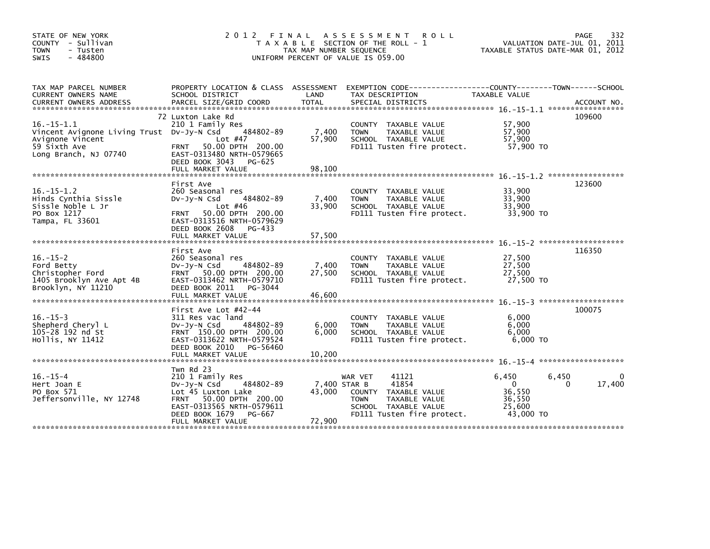| STATE OF NEW YORK<br>COUNTY - Sullivan<br><b>TOWN</b><br>- Tusten<br>$-484800$<br><b>SWIS</b>                             | 2012 FINAL                                                                                                                                                                                          | TAX MAP NUMBER SEQUENCE          | A S S E S S M E N T<br><b>ROLL</b><br>T A X A B L E SECTION OF THE ROLL - 1<br>UNIFORM PERCENT OF VALUE IS 059.00                          | VALUATION DATE-JUL 01, 2011<br>TAXABLE STATUS DATE-MAR 01, 2012                | PAGE<br>332        |
|---------------------------------------------------------------------------------------------------------------------------|-----------------------------------------------------------------------------------------------------------------------------------------------------------------------------------------------------|----------------------------------|--------------------------------------------------------------------------------------------------------------------------------------------|--------------------------------------------------------------------------------|--------------------|
| TAX MAP PARCEL NUMBER<br>CURRENT OWNERS NAME                                                                              | SCHOOL DISTRICT                                                                                                                                                                                     | LAND                             | PROPERTY LOCATION & CLASS ASSESSMENT EXEMPTION CODE---------------COUNTY-------TOWN-----SCHOOL<br>TAX DESCRIPTION                          | TAXABLE VALUE                                                                  |                    |
|                                                                                                                           |                                                                                                                                                                                                     |                                  |                                                                                                                                            |                                                                                |                    |
| $16. -15 - 1.1$<br>Vincent Avignone Living Trust Dv-Jy-N Csd<br>Avignone Vincent<br>59 Sixth Ave<br>Long Branch, NJ 07740 | 72 Luxton Lake Rd<br>210 1 Family Res<br>484802-89<br>Lot $#47$<br>50.00 DPTH 200.00<br><b>FRNT</b><br>EAST-0313480 NRTH-0579665<br>DEED BOOK 3043<br>PG-625                                        | 7,400<br>57,900                  | COUNTY TAXABLE VALUE<br><b>TAXABLE VALUE</b><br><b>TOWN</b><br>SCHOOL TAXABLE VALUE<br>FD111 Tusten fire protect.                          | 57,900<br>57,900<br>57,900<br>57,900 TO                                        | 109600             |
|                                                                                                                           | FULL MARKET VALUE                                                                                                                                                                                   | 98,100                           |                                                                                                                                            |                                                                                |                    |
| $16. -15 - 1.2$<br>Hinds Cynthia Sissle<br>Sissle Noble L Jr<br>PO Box 1217<br>Tampa, FL 33601                            | First Ave<br>260 Seasonal res<br>484802-89<br>$Dv-Jv-N$ Csd<br>Lot #46<br>50.00 DPTH 200.00<br><b>FRNT</b><br>EAST-0313516 NRTH-0579629<br>DEED BOOK 2608<br>PG-433                                 | 7,400<br>33,900                  | COUNTY TAXABLE VALUE<br>TAXABLE VALUE<br><b>TOWN</b><br>SCHOOL TAXABLE VALUE<br>FD111 Tusten fire protect.                                 | 33,900<br>33.900<br>33,900<br>33,900 TO                                        | 123600             |
|                                                                                                                           | FULL MARKET VALUE                                                                                                                                                                                   | 57,500                           |                                                                                                                                            |                                                                                |                    |
| $16. - 15 - 2$<br>Ford Betty<br>Christopher Ford<br>1405 Brooklyn Ave Apt 4B<br>Brooklyn, NY 11210                        | First Ave<br>260 Seasonal res<br>484802-89<br>$Dv-Jy-N$ Csd<br>FRNT 50.00 DPTH 200.00<br>EAST-0313462 NRTH-0579710<br>DEED BOOK 2011<br>PG-3044                                                     | 7,400<br>27,500                  | COUNTY TAXABLE VALUE<br>TAXABLE VALUE<br><b>TOWN</b><br>SCHOOL TAXABLE VALUE<br>FD111 Tusten fire protect.                                 | 27,500<br>27,500<br>27,500<br>27,500 TO                                        | 116350             |
|                                                                                                                           | First Ave Lot #42-44                                                                                                                                                                                |                                  |                                                                                                                                            |                                                                                | 100075             |
| $16. - 15 - 3$<br>Shepherd Cheryl L<br>105-28 192 nd St<br>Hollis, NY 11412                                               | 311 Res vac land<br>$Dv-Jv-N$ Csd<br>484802-89<br>FRNT 150.00 DPTH 200.00<br>EAST-0313622 NRTH-0579524<br>DEED BOOK 2010<br>PG-56460                                                                | 6,000<br>6.000                   | <b>COUNTY</b><br>TAXABLE VALUE<br>TAXABLE VALUE<br><b>TOWN</b><br>SCHOOL TAXABLE VALUE<br>FD111 Tusten fire protect.                       | 6,000<br>6,000<br>6.000<br>$6,000$ TO                                          |                    |
|                                                                                                                           | FULL MARKET VALUE                                                                                                                                                                                   | 10,200                           |                                                                                                                                            |                                                                                |                    |
| $16. - 15 - 4$<br>Hert Joan E<br>PO Box 571<br>Jeffersonville, NY 12748                                                   | Twn Rd 23<br>210 1 Family Res<br>484802-89<br>$Dv-Jv-N$ Csd<br>Lot 45 Luxton Lake<br>50.00 DPTH 200.00<br><b>FRNT</b><br>EAST-0313565 NRTH-0579611<br>DEED BOOK 1679<br>PG-667<br>FULL MARKET VALUE | 7,400 STAR B<br>43,000<br>72,900 | 41121<br>WAR VET<br>41854<br>COUNTY<br>TAXABLE VALUE<br><b>TOWN</b><br>TAXABLE VALUE<br>SCHOOL TAXABLE VALUE<br>FD111 Tusten fire protect. | 6,450<br>6,450<br>$\mathbf{0}$<br>0<br>36,550<br>36,550<br>25,600<br>43,000 TO | $\Omega$<br>17,400 |
|                                                                                                                           |                                                                                                                                                                                                     |                                  |                                                                                                                                            |                                                                                |                    |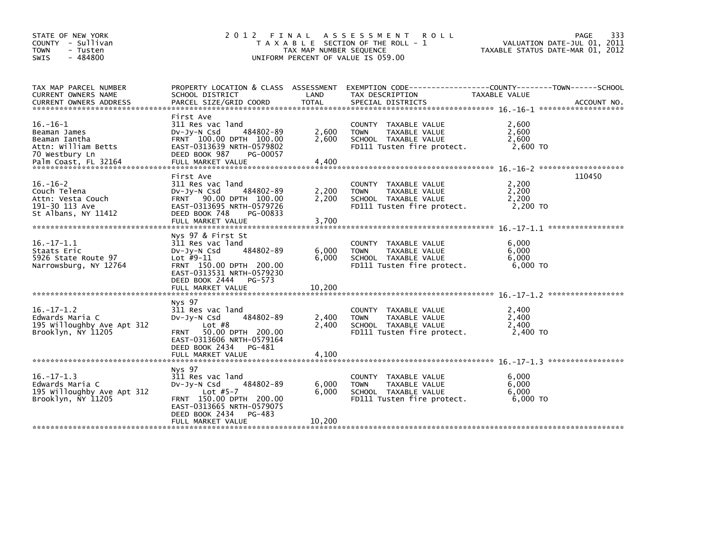| STATE OF NEW YORK<br>COUNTY - Sullivan<br><b>TOWN</b><br>- Tusten<br>- 484800<br><b>SWIS</b> |                                                                                                                                                                                           | TAX MAP NUMBER SEQUENCE  | 2012 FINAL ASSESSMENT ROLL<br>T A X A B L E SECTION OF THE ROLL - 1<br>UNIFORM PERCENT OF VALUE IS 059.00            | PAGE<br>VALUATION DATE-JUL 01, 2011<br>TAXABLE STATUS DATE-MAR 01, 2012       | 333 |
|----------------------------------------------------------------------------------------------|-------------------------------------------------------------------------------------------------------------------------------------------------------------------------------------------|--------------------------|----------------------------------------------------------------------------------------------------------------------|-------------------------------------------------------------------------------|-----|
| TAX MAP PARCEL NUMBER<br>CURRENT OWNERS NAME<br>CURRENT OWNERS ADDRESS                       | PROPERTY LOCATION & CLASS ASSESSMENT<br>SCHOOL DISTRICT                                                                                                                                   | LAND                     | TAX DESCRIPTION                                                                                                      | EXEMPTION CODE-----------------COUNTY-------TOWN------SCHOOL<br>TAXABLE VALUE |     |
| $16. - 16 - 1$<br>Beaman James<br>Beaman Iantha<br>Attn: William Betts<br>70 Westbury Ln     | First Ave<br>311 Res vac land<br>484802-89<br>$Dv-Jv-N$ Csd<br>FRNT 100.00 DPTH 100.00<br>EAST-0313639 NRTH-0579802<br>DEED BOOK 987<br>PG-00057                                          | 2,600<br>2,600           | COUNTY TAXABLE VALUE<br><b>TOWN</b><br>TAXABLE VALUE<br>SCHOOL TAXABLE VALUE<br>FD111 Tusten fire protect.           | 2.600<br>2,600<br>2.600<br>2,600 TO                                           |     |
| $16. - 16 - 2$<br>Couch Telena<br>Attn: Vesta Couch<br>191-30 113 Ave<br>St Albans, NY 11412 | First Ave<br>311 Res vac land<br>484802-89<br>$Dv-Jy-N$ Csd<br>FRNT 90.00 DPTH 100.00<br>EAST-0313695 NRTH-0579726<br>DEED BOOK 748<br>PG-00833<br>FULL MARKET VALUE                      | 2,200<br>2,200<br>3,700  | COUNTY TAXABLE VALUE<br><b>TOWN</b><br>TAXABLE VALUE<br>SCHOOL TAXABLE VALUE<br>FD111 Tusten fire protect.           | 110450<br>2,200<br>2,200<br>2,200<br>2,200 TO                                 |     |
| $16. -17 - 1.1$<br>Staats Eric<br>5926 State Route 97<br>Narrowsburg, NY 12764               | Nys 97 & First St<br>311 Res vac land<br>484802-89<br>DV-Jy-N Csd<br>$Lot$ #9-11<br>FRNT 150.00 DPTH 200.00<br>EAST-0313531 NRTH-0579230<br>DEED BOOK 2444<br>PG-573<br>FULL MARKET VALUE | 6,000<br>6.000<br>10,200 | <b>COUNTY</b><br>TAXABLE VALUE<br>TAXABLE VALUE<br><b>TOWN</b><br>SCHOOL TAXABLE VALUE<br>FD111 Tusten fire protect. | 6,000<br>6,000<br>6.000<br>6,000 TO                                           |     |
| $16. - 17 - 1.2$<br>Edwards Maria C<br>195 Willoughby Ave Apt 312<br>Brooklyn, NY 11205      | Nys 97<br>311 Res vac land<br>484802-89<br>DV-Jy-N Csd<br>Lot $#8$<br>FRNT 50.00 DPTH 200.00<br>EAST-0313606 NRTH-0579164<br>DEED BOOK 2434<br>PG-481<br>FULL MARKET VALUE                | 2,400<br>2,400<br>4,100  | TAXABLE VALUE<br><b>COUNTY</b><br>TAXABLE VALUE<br><b>TOWN</b><br>SCHOOL TAXABLE VALUE<br>FD111 Tusten fire protect. | 2,400<br>2,400<br>2,400<br>2,400 TO                                           |     |
| $16 - 17 - 1.3$<br>Edwards Maria C<br>195 Willoughby Ave Apt 312<br>Brooklyn, NY 11205       | Nys 97<br>311 Res vac land<br>484802-89<br>DV-Jy-N Csd<br>Lot $#5-7$<br>FRNT 150.00 DPTH 200.00<br>EAST-0313665 NRTH-0579075<br>DEED BOOK 2434<br>PG-483<br>FULL MARKET VALUE             | 6,000<br>6.000<br>10,200 | COUNTY TAXABLE VALUE<br>TAXABLE VALUE<br><b>TOWN</b><br>SCHOOL TAXABLE VALUE<br>FD111 Tusten fire protect.           | 6,000<br>6,000<br>6.000<br>$6,000$ TO                                         |     |
|                                                                                              |                                                                                                                                                                                           |                          |                                                                                                                      |                                                                               |     |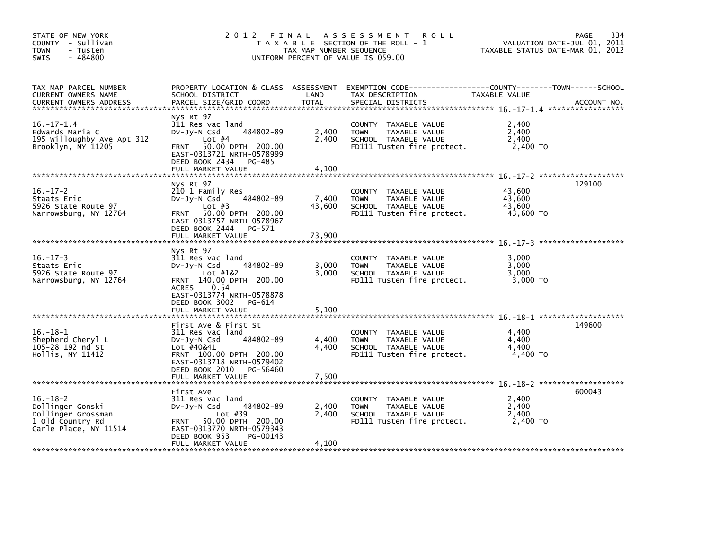| STATE OF NEW YORK<br>COUNTY - Sullivan<br><b>TOWN</b><br>- Tusten<br>$-484800$<br><b>SWIS</b>         |                                                                                                                                                                                             | TAX MAP NUMBER SEQUENCE | 2012 FINAL ASSESSMENT<br><b>ROLL</b><br>T A X A B L E SECTION OF THE ROLL - 1<br>UNIFORM PERCENT OF VALUE IS 059.00                      |                                         | 334<br>PAGE<br>VALUATION DATE-JUL 01, 2011<br>TAXABLE STATUS DATE-MAR 01, 2012 |
|-------------------------------------------------------------------------------------------------------|---------------------------------------------------------------------------------------------------------------------------------------------------------------------------------------------|-------------------------|------------------------------------------------------------------------------------------------------------------------------------------|-----------------------------------------|--------------------------------------------------------------------------------|
| TAX MAP PARCEL NUMBER<br>CURRENT OWNERS NAME<br><b>CURRENT OWNERS ADDRESS</b>                         | SCHOOL DISTRICT<br>PARCEL SIZE/GRID COORD                                                                                                                                                   | LAND<br><b>TOTAL</b>    | PROPERTY LOCATION & CLASS ASSESSMENT EXEMPTION CODE----------------COUNTY-------TOWN------SCHOOL<br>TAX DESCRIPTION<br>SPECIAL DISTRICTS | TAXABLE VALUE                           | ACCOUNT NO.                                                                    |
| $16. - 17 - 1.4$<br>Edwards Maria C<br>195 Willoughby Ave Apt 312<br>Brooklyn, NY 11205               | Nys Rt 97<br>311 Res vac land<br>484802-89<br>DV-Jy-N Csd<br>Lot $#4$<br>50.00 DPTH 200.00<br><b>FRNT</b><br>EAST-0313721 NRTH-0578999<br>DEED BOOK 2434<br>PG-485<br>FULL MARKET VALUE     | 2,400<br>2,400<br>4,100 | COUNTY TAXABLE VALUE<br>TAXABLE VALUE<br><b>TOWN</b><br>SCHOOL TAXABLE VALUE<br>FD111 Tusten fire protect.                               | 2,400<br>2,400<br>2,400<br>2,400 TO     |                                                                                |
| $16. - 17 - 2$<br>Staats Eric<br>5926 State Route 97<br>Narrowsburg, NY 12764                         | Nys Rt 97<br>210 1 Family Res<br>484802-89<br>DV-Jy-N Csd<br>Lot $#3$<br>FRNT 50.00 DPTH 200.00<br>EAST-0313757 NRTH-0578967<br>DEED BOOK 2444<br>PG-571                                    | 7,400<br>43,600         | COUNTY TAXABLE VALUE<br><b>TOWN</b><br>TAXABLE VALUE<br>SCHOOL TAXABLE VALUE<br>FD111 Tusten fire protect.                               | 43,600<br>43,600<br>43,600<br>43,600 TO | 129100                                                                         |
|                                                                                                       | FULL MARKET VALUE                                                                                                                                                                           | 73,900                  |                                                                                                                                          |                                         |                                                                                |
| $16. - 17 - 3$<br>Staats Eric<br>5926 State Route 97<br>Narrowsburg, NY 12764                         | Nys Rt 97<br>311 Res vac land<br>484802-89<br>DV-Jy-N Csd<br>Lot #1&2<br>FRNT 140.00 DPTH 200.00<br><b>ACRES</b><br>0.54<br>EAST-0313774 NRTH-0578878<br>DEED BOOK 3002<br>PG-614           | 3.000<br>3,000          | COUNTY TAXABLE VALUE<br>TAXABLE VALUE<br><b>TOWN</b><br>SCHOOL TAXABLE VALUE<br>FD111 Tusten fire protect.                               | 3,000<br>3,000<br>3,000<br>3,000 TO     |                                                                                |
|                                                                                                       | FULL MARKET VALUE                                                                                                                                                                           | 5,100                   |                                                                                                                                          |                                         |                                                                                |
| $16. - 18 - 1$<br>Shepherd Cheryl L<br>105-28 192 nd St<br>Hollis, NY 11412                           | First Ave & First St<br>311 Res vac land<br>484802-89<br>$Dv-Jv-N$ Csd<br>Lot #40&41<br>FRNT 100.00 DPTH 200.00<br>EAST-0313718 NRTH-0579402<br>DEED BOOK 2010 PG-56460                     | 4,400<br>4.400          | COUNTY TAXABLE VALUE<br><b>TOWN</b><br>TAXABLE VALUE<br>SCHOOL TAXABLE VALUE<br>FD111 Tusten fire protect.                               | 4,400<br>4,400<br>4,400<br>4,400 TO     | 149600                                                                         |
|                                                                                                       | FULL MARKET VALUE                                                                                                                                                                           | 7,500                   |                                                                                                                                          |                                         |                                                                                |
| $16. - 18 - 2$<br>Dollinger Gonski<br>Dollinger Grossman<br>1 Old Country Rd<br>Carle Place, NY 11514 | First Ave<br>311 Res vac land<br>484802-89<br>$Dv-Jy-N$ Csd<br>Lot $#39$<br>50.00 DPTH 200.00<br><b>FRNT</b><br>EAST-0313770 NRTH-0579343<br>DEED BOOK 953<br>PG-00143<br>FULL MARKET VALUE | 2,400<br>2,400<br>4,100 | COUNTY TAXABLE VALUE<br><b>TOWN</b><br>TAXABLE VALUE<br>SCHOOL TAXABLE VALUE<br>FD111 Tusten fire protect.                               | 2,400<br>2,400<br>2,400<br>2,400 TO     | 600043                                                                         |
|                                                                                                       |                                                                                                                                                                                             |                         |                                                                                                                                          |                                         |                                                                                |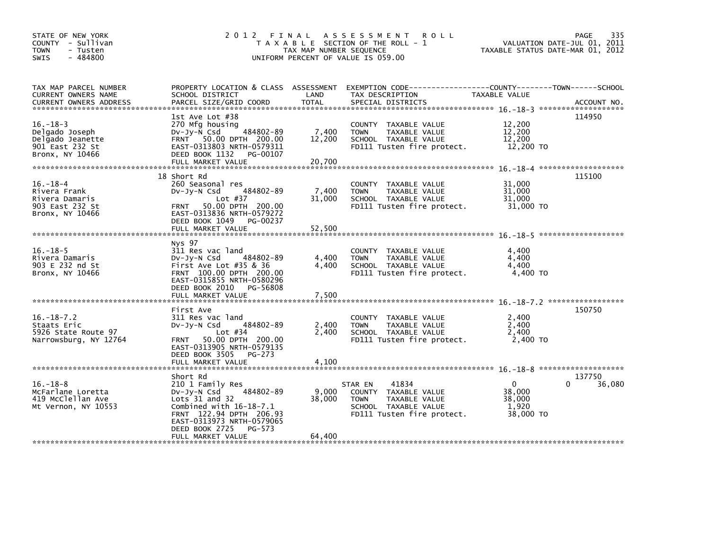| STATE OF NEW YORK<br>COUNTY - Sullivan<br><b>TOWN</b><br>- Tusten<br>$-484800$<br><b>SWIS</b> |                                                                                                                                                                                                                      | TAX MAP NUMBER SEQUENCE   | 2012 FINAL ASSESSMENT ROLL<br>T A X A B L E SECTION OF THE ROLL - 1<br>UNIFORM PERCENT OF VALUE IS 059.00                      | VALUATION DATE-JUL 01, 2011<br>TAXABLE STATUS DATE-MAR 01, 2012 | <b>PAGE</b><br>335    |
|-----------------------------------------------------------------------------------------------|----------------------------------------------------------------------------------------------------------------------------------------------------------------------------------------------------------------------|---------------------------|--------------------------------------------------------------------------------------------------------------------------------|-----------------------------------------------------------------|-----------------------|
| TAX MAP PARCEL NUMBER<br>CURRENT OWNERS NAME<br><b>CURRENT OWNERS ADDRESS</b>                 | PROPERTY LOCATION & CLASS ASSESSMENT EXEMPTION CODE-----------<br>SCHOOL DISTRICT<br>PARCEL SIZE/GRID COORD                                                                                                          | LAND<br><b>TOTAL</b>      | TAX DESCRIPTION<br>SPECIAL DISTRICTS                                                                                           | -------COUNTY--------TOWN------SCHOOL<br>TAXABLE VALUE          | ACCOUNT NO.           |
| $16. - 18 - 3$<br>Delgado Joseph<br>Delgado Jeanette<br>901 East 232 St<br>Bronx, NY 10466    | 1st Ave Lot #38<br>270 Mfg housing<br>484802-89<br>$Dv-Jv-N$ Csd<br>FRNT 50.00 DPTH 200.00<br>EAST-0313803 NRTH-0579311<br>DEED BOOK 1132<br>PG-00107                                                                | 7,400<br>12,200           | COUNTY TAXABLE VALUE<br><b>TAXABLE VALUE</b><br><b>TOWN</b><br>SCHOOL TAXABLE VALUE<br>FD111 Tusten fire protect.              | 12,200<br>12,200<br>12,200<br>12,200 TO                         | 114950                |
| $16. - 18 - 4$<br>Rivera Frank<br>Rivera Damaris<br>903 East 232 St<br>Bronx, NY 10466        | 18 Short Rd<br>260 Seasonal res<br>484802-89<br>DV-Jy-N Csd<br>Lot $#37$<br>50.00 DPTH 200.00<br><b>FRNT</b><br>EAST-0313836 NRTH-0579272<br>DEED BOOK 1049<br>PG-00237                                              | 7,400<br>31,000           | COUNTY TAXABLE VALUE<br><b>TOWN</b><br>TAXABLE VALUE<br>SCHOOL TAXABLE VALUE<br>FD111 Tusten fire protect.                     | 31,000<br>31,000<br>31.000<br>31,000 TO                         | 115100                |
| $16. - 18 - 5$<br>Rivera Damaris<br>903 E 232 nd St<br>Bronx, NY 10466                        | Nys 97<br>311 Res vac land<br>484802-89<br>DV-Jy-N Csd<br>First Ave Lot $#35$ & 36<br>FRNT 100.00 DPTH 200.00<br>EAST-0315855 NRTH-0580296<br>DEED BOOK 2010 PG-56808                                                | 4,400<br>4.400            | COUNTY TAXABLE VALUE<br><b>TAXABLE VALUE</b><br><b>TOWN</b><br>SCHOOL TAXABLE VALUE<br>FD111 Tusten fire protect.              | 4,400<br>4,400<br>4,400<br>4,400 TO                             |                       |
| $16. - 18 - 7.2$<br>Staats Eric<br>5926 State Route 97<br>Narrowsburg, NY 12764               | First Ave<br>311 Res vac land<br>484802-89<br>DV-Jy-N Csd<br>Lot $#34$<br>50.00 DPTH 200.00<br><b>FRNT</b><br>EAST-0313905 NRTH-0579135<br>DEED BOOK 3505<br>PG-273<br>FULL MARKET VALUE                             | 2,400<br>2.400<br>4,100   | COUNTY TAXABLE VALUE<br>TAXABLE VALUE<br><b>TOWN</b><br>SCHOOL TAXABLE VALUE<br>FD111 Tusten fire protect.                     | 2,400<br>2,400<br>2,400<br>2,400 TO                             | 150750                |
| $16. - 18 - 8$<br>McFarlane Loretta<br>419 McClellan Ave<br>Mt Vernon, NY 10553               | Short Rd<br>210 1 Family Res<br>484802-89<br>DV-Jy-N Csd<br>Lots $31$ and $32$<br>Combined with $16-18-7.1$<br>FRNT 122.94 DPTH 206.93<br>EAST-0313973 NRTH-0579065<br>DEED BOOK 2725<br>PG-573<br>FULL MARKET VALUE | 9,000<br>38,000<br>64,400 | 41834<br>STAR EN<br>COUNTY TAXABLE VALUE<br><b>TOWN</b><br>TAXABLE VALUE<br>SCHOOL TAXABLE VALUE<br>FD111 Tusten fire protect. | $\Omega$<br>38,000<br>38,000<br>1,920<br>38,000 TO              | 137750<br>36,080<br>0 |
|                                                                                               |                                                                                                                                                                                                                      |                           |                                                                                                                                |                                                                 |                       |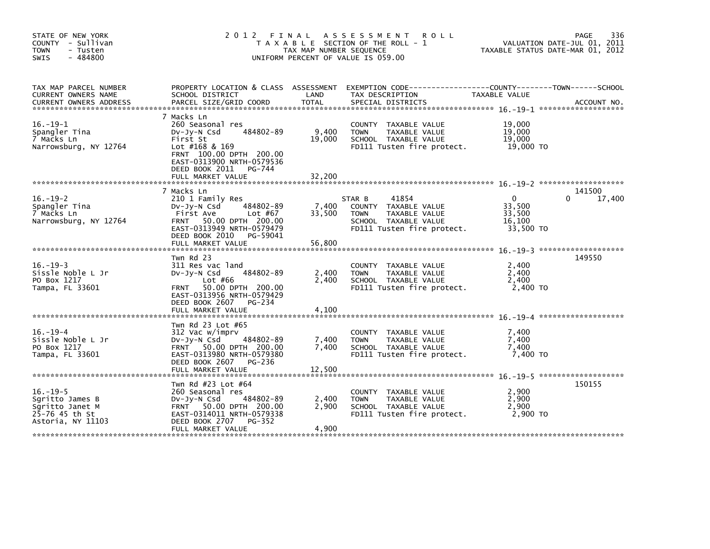| STATE OF NEW YORK<br>COUNTY - Sullivan<br>- Tusten<br><b>TOWN</b><br>$-484800$<br><b>SWIS</b> | 2012                                                                                                                                                                                                  | FINAL<br>TAX MAP NUMBER SEQUENCE | A S S E S S M E N T<br><b>ROLL</b><br>T A X A B L E SECTION OF THE ROLL - 1<br>UNIFORM PERCENT OF VALUE IS 059.00             | TAXABLE STATUS DATE-MAR 01, 2012                    | 336<br>PAGE<br>VALUATION DATE-JUL 01, 2011 |
|-----------------------------------------------------------------------------------------------|-------------------------------------------------------------------------------------------------------------------------------------------------------------------------------------------------------|----------------------------------|-------------------------------------------------------------------------------------------------------------------------------|-----------------------------------------------------|--------------------------------------------|
| TAX MAP PARCEL NUMBER<br>CURRENT OWNERS NAME                                                  | PROPERTY LOCATION & CLASS ASSESSMENT<br>SCHOOL DISTRICT                                                                                                                                               | LAND                             | EXEMPTION        CODE------------------COUNTY--------TOWN------SCHOOL<br>TAX DESCRIPTION                                      | TAXABLE VALUE                                       |                                            |
| $16. - 19 - 1$<br>Spangler Tina<br>7 Macks Ln<br>Narrowsburg, NY 12764                        | 7 Macks Ln<br>260 Seasonal res<br>484802-89<br>$Dv-Jy-N$ Csd<br>First St<br>Lot $#168$ & 169<br>FRNT 100.00 DPTH 200.00<br>EAST-0313900 NRTH-0579536<br>DEED BOOK 2011<br>PG-744<br>FULL MARKET VALUE | 9,400<br>19,000<br>32,200        | COUNTY TAXABLE VALUE<br><b>TOWN</b><br>TAXABLE VALUE<br>SCHOOL TAXABLE VALUE<br>FD111 Tusten fire protect.                    | 19,000<br>19,000<br>19,000<br>19,000 TO             |                                            |
|                                                                                               | 7 Macks Ln                                                                                                                                                                                            |                                  |                                                                                                                               |                                                     | 141500                                     |
| $16. - 19 - 2$<br>Spangler Tina<br>7 Macks Ln<br>Narrowsburg, NY 12764                        | 210 1 Family Res<br>484802-89<br>$Dv-Jv-N$ Csd<br>Lot #67<br>First Ave<br>50.00 DPTH 200.00<br><b>FRNT</b><br>EAST-0313949 NRTH-0579479<br>DEED BOOK 2010 PG-59041                                    | 7,400<br>33,500                  | 41854<br>STAR B<br>COUNTY TAXABLE VALUE<br>TAXABLE VALUE<br><b>TOWN</b><br>SCHOOL TAXABLE VALUE<br>FD111 Tusten fire protect. | $\Omega$<br>33,500<br>33,500<br>16,100<br>33,500 TO | 17,400<br>0                                |
|                                                                                               | FULL MARKET VALUE                                                                                                                                                                                     | 56,800                           |                                                                                                                               |                                                     |                                            |
| $16. - 19 - 3$<br>Sissle Noble L Jr<br>PO Box 1217<br>Tampa, FL 33601                         | Twn Rd 23<br>311 Res vac land<br>484802-89<br>DV-Jy-N Csd<br>Lot $#66$<br>50.00 DPTH 200.00<br><b>FRNT</b><br>EAST-0313956 NRTH-0579429<br>DEED BOOK 2607<br>PG-234<br>FULL MARKET VALUE              | 2,400<br>2,400<br>4,100          | COUNTY TAXABLE VALUE<br>TAXABLE VALUE<br><b>TOWN</b><br>SCHOOL TAXABLE VALUE<br>FD111 Tusten fire protect.                    | 2,400<br>2,400<br>2,400<br>2,400 TO                 | 149550                                     |
|                                                                                               |                                                                                                                                                                                                       |                                  |                                                                                                                               |                                                     |                                            |
| $16. - 19 - 4$<br>Sissle Noble L Jr<br>PO Box 1217<br>Tampa, FL 33601                         | Twn Rd 23 Lot #65<br>312 Vac w/imprv<br>$Dv-Jy-N$ Csd<br>484802-89<br>FRNT 50.00 DPTH 200.00<br>EAST-0313980 NRTH-0579380<br>DEED BOOK 2607<br>PG-236<br>FULL MARKET VALUE                            | 7,400<br>7,400<br>12,500         | COUNTY TAXABLE VALUE<br>TAXABLE VALUE<br><b>TOWN</b><br>SCHOOL TAXABLE VALUE<br>FD111 Tusten fire protect.                    | 7,400<br>7,400<br>7,400<br>7,400 TO                 |                                            |
|                                                                                               | Twn Rd #23 Lot #64                                                                                                                                                                                    |                                  |                                                                                                                               |                                                     | 150155                                     |
| $16. - 19 - 5$<br>Sgritto James B<br>Sqritto Janet M<br>25-76 45 th St<br>Astoria, NY 11103   | 260 Seasonal res<br>DV-Jy-N Csd<br>484802-89<br>FRNT 50.00 DPTH 200.00<br>EAST-0314011 NRTH-0579338<br>DEED BOOK 2707<br>PG-352                                                                       | 2,400<br>2,900                   | COUNTY TAXABLE VALUE<br><b>TOWN</b><br>TAXABLE VALUE<br>SCHOOL TAXABLE VALUE<br>FD111 Tusten fire protect.                    | 2,900<br>2,900<br>2.900<br>2.900 TO                 |                                            |
|                                                                                               | FULL MARKET VALUE                                                                                                                                                                                     | 4,900                            |                                                                                                                               |                                                     |                                            |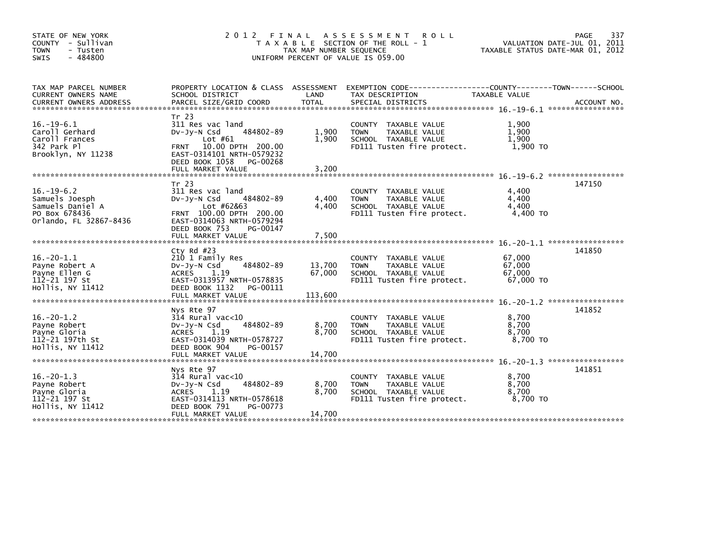| STATE OF NEW YORK<br>COUNTY - Sullivan<br><b>TOWN</b><br>- Tusten<br>$-484800$<br>SWIS            | 2012 FINAL                                                                                                                                                                    | TAX MAP NUMBER SEQUENCE     | A S S E S S M E N T<br><b>ROLL</b><br>T A X A B L E SECTION OF THE ROLL - 1<br>UNIFORM PERCENT OF VALUE IS 059.00 | TAXABLE STATUS DATE-MAR 01, 2012        | 337<br><b>PAGE</b><br>VALUATION DATE-JUL 01, 2011 |
|---------------------------------------------------------------------------------------------------|-------------------------------------------------------------------------------------------------------------------------------------------------------------------------------|-----------------------------|-------------------------------------------------------------------------------------------------------------------|-----------------------------------------|---------------------------------------------------|
| TAX MAP PARCEL NUMBER<br>CURRENT OWNERS NAME<br><b>CURRENT OWNERS ADDRESS</b>                     | PROPERTY LOCATION & CLASS ASSESSMENT<br>SCHOOL DISTRICT<br>PARCEL SIZE/GRID COORD                                                                                             | LAND<br><b>TOTAL</b>        | EXEMPTION        CODE-----------------COUNTY-------TOWN------SCHOOL<br>TAX DESCRIPTION<br>SPECIAL DISTRICTS       | TAXABLE VALUE                           | ACCOUNT NO.                                       |
| $16. -19-6.1$<br>Caroll Gerhard<br>Caroll Frances<br>342 Park Pl<br>Brooklyn, NY 11238            | Tr 23<br>311 Res vac land<br>484802-89<br>Dv-Jy-N Csd<br>Lot $#61$<br>FRNT 10.00 DPTH 200.00<br>EAST-0314101 NRTH-0579232<br>DEED BOOK 1058<br>PG-00268<br>FULL MARKET VALUE  | 1,900<br>1,900<br>3,200     | COUNTY TAXABLE VALUE<br>TAXABLE VALUE<br><b>TOWN</b><br>SCHOOL TAXABLE VALUE<br>FD111 Tusten fire protect.        | 1,900<br>1,900<br>1,900<br>1,900 TO     |                                                   |
| $16. - 19 - 6.2$<br>Samuels Joesph<br>Samuels Daniel A<br>PO Box 678436<br>Orlando, FL 32867-8436 | Tr 23<br>311 Res vac land<br>DV-Jy-N Csd<br>484802-89<br>Lot #62&63<br>FRNT 100.00 DPTH 200.00<br>EAST-0314063 NRTH-0579294<br>DEED BOOK 753<br>PG-00147<br>FULL MARKET VALUE | 4,400<br>4.400<br>7,500     | COUNTY TAXABLE VALUE<br><b>TOWN</b><br>TAXABLE VALUE<br>SCHOOL TAXABLE VALUE<br>FD111 Tusten fire protect.        | 4,400<br>4,400<br>4.400<br>4.400 TO     | 147150                                            |
| $16.-20-1.1$<br>Payne Robert A<br>Payne Ellen G<br>112-21 197 St<br>Hollis, NY 11412              | Cty Rd #23<br>210 1 Family Res<br>484802-89<br>DV-Jy-N Csd<br>ACRES<br>1.19<br>EAST-0313957 NRTH-0578835<br>DEED BOOK 1132<br>PG-00111<br>FULL MARKET VALUE                   | 13,700<br>67,000<br>113,600 | COUNTY TAXABLE VALUE<br><b>TAXABLE VALUE</b><br><b>TOWN</b><br>SCHOOL TAXABLE VALUE<br>FD111 Tusten fire protect. | 67,000<br>67,000<br>67,000<br>67,000 TO | 141850                                            |
| $16. -20 - 1.2$<br>Payne Robert<br>Payne Gloria<br>112-21 197th St<br>Hollis, NY 11412            | Nys Rte 97<br>314 Rural vac<10<br>484802-89<br>$Dv-Jy-N$ Csd<br><b>ACRES</b><br>1.19<br>EAST-0314039 NRTH-0578727<br>DEED BOOK 904<br>PG-00157<br>FULL MARKET VALUE           | 8,700<br>8,700<br>14,700    | COUNTY TAXABLE VALUE<br>TAXABLE VALUE<br><b>TOWN</b><br>SCHOOL TAXABLE VALUE<br>FD111 Tusten fire protect.        | 8,700<br>8,700<br>8.700<br>8.700 TO     | 141852                                            |
| $16. -20 - 1.3$<br>Payne Robert<br>Payne Gloria<br>112-21 197 St<br>Hollis, NY 11412              | Nys Rte 97<br>$314$ Rural vac<10<br>484802-89<br>$Dv-Jy-N$ Csd<br>1.19<br><b>ACRES</b><br>EAST-0314113 NRTH-0578618<br>DEED BOOK 791<br>PG-00773<br>FULL MARKET VALUE         | 8,700<br>8,700<br>14,700    | COUNTY TAXABLE VALUE<br><b>TOWN</b><br>TAXABLE VALUE<br>SCHOOL TAXABLE VALUE<br>FD111 Tusten fire protect.        | 8,700<br>8,700<br>8,700<br>8.700 TO     | 141851                                            |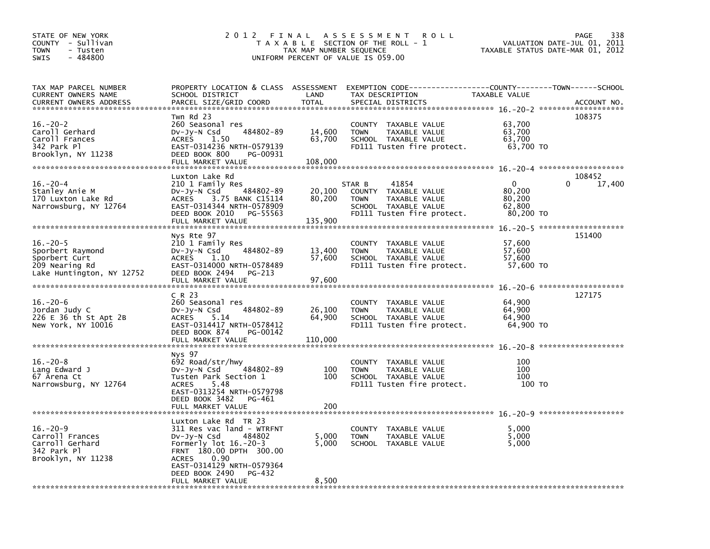| STATE OF NEW YORK<br>COUNTY - Sullivan<br>TOWN<br>- Tusten<br>$-484800$<br>SWIS                                                     | 2 0 1 2<br>FINAL                                                                                                                                                                                                                                                             | TAX MAP NUMBER SEQUENCE     | A S S E S S M E N T<br><b>ROLL</b><br>T A X A B L E SECTION OF THE ROLL - 1<br>UNIFORM PERCENT OF VALUE IS 059.00             |                                              | 338<br>PAGE<br>VALUATION DATE-JUL 01, 2011<br>TAXABLE STATUS DATE-MAR 01, 2012                                                          |
|-------------------------------------------------------------------------------------------------------------------------------------|------------------------------------------------------------------------------------------------------------------------------------------------------------------------------------------------------------------------------------------------------------------------------|-----------------------------|-------------------------------------------------------------------------------------------------------------------------------|----------------------------------------------|-----------------------------------------------------------------------------------------------------------------------------------------|
| TAX MAP PARCEL NUMBER<br>CURRENT OWNERS NAME<br><b>CURRENT OWNERS ADDRESS</b>                                                       | PROPERTY LOCATION & CLASS ASSESSMENT<br>SCHOOL DISTRICT<br>PARCEL SIZE/GRID COORD                                                                                                                                                                                            | LAND<br><b>TOTAL</b>        | EXEMPTION CODE-----------------COUNTY-------TOWN------SCHOOL<br>TAX DESCRIPTION<br>SPECIAL DISTRICTS                          | TAXABLE VALUE                                | ACCOUNT NO.                                                                                                                             |
| $16. - 20 - 2$<br>Caroll Gerhard<br>Caroll Frances<br>342 Park P1<br>Brooklyn, NY 11238                                             | Twn Rd 23<br>260 Seasonal res<br>484802-89<br>DV-Jy-N Csd<br><b>ACRES</b><br>1.50<br>EAST-0314236 NRTH-0579139<br>DEED BOOK 800<br>PG-00931<br>FULL MARKET VALUE                                                                                                             | 14,600<br>63,700<br>108,000 | COUNTY TAXABLE VALUE<br><b>TOWN</b><br>TAXABLE VALUE<br>SCHOOL TAXABLE VALUE<br>FD111 Tusten fire protect.                    | 63,700<br>63,700<br>63,700<br>63,700 TO      | 108375                                                                                                                                  |
| $16. - 20 - 4$<br>Stanley Anie M<br>170 Luxton Lake Rd<br>Narrowsburg, NY 12764                                                     | Luxton Lake Rd<br>210 1 Family Res<br>484802-89<br>$Dv-Jy-N$ Csd<br>3.75 BANK C15114<br>ACRES<br>EAST-0314344 NRTH-0578909<br>DEED BOOK 2010<br>PG-55563<br>FULL MARKET VALUE                                                                                                | 20,100<br>80,200<br>135,900 | STAR B<br>41854<br>COUNTY TAXABLE VALUE<br>TAXABLE VALUE<br><b>TOWN</b><br>SCHOOL TAXABLE VALUE<br>FD111 Tusten fire protect. | 0<br>80,200<br>80,200<br>62,800<br>80,200 TO | 108452<br>0<br>17,400                                                                                                                   |
| ******************************<br>$16. -20 - 5$<br>Sporbert Raymond<br>Sporbert Curt<br>209 Nearing Rd<br>Lake Huntington, NY 12752 | Nys Rte 97<br>210 1 Family Res<br>484802-89<br>DV-Jy-N Csd<br><b>ACRES</b><br>1.10<br>EAST-0314000 NRTH-0578489<br>DEED BOOK 2494<br>PG-213<br>FULL MARKET VALUE                                                                                                             | 13,400<br>57,600<br>97,600  | COUNTY TAXABLE VALUE<br>TAXABLE VALUE<br><b>TOWN</b><br>SCHOOL TAXABLE VALUE<br>FD111 Tusten fire protect.                    | 57,600<br>57,600<br>57,600<br>57,600 TO      | 151400                                                                                                                                  |
| $16. - 20 - 6$<br>Jordan Judy C<br>226 E 36 th St Apt 2B<br>New York, NY 10016<br>******************************                    | C R 23<br>260 Seasonal res<br>484802-89<br>DV-Jy-N Csd<br><b>ACRES</b><br>5.14<br>EAST-0314417 NRTH-0578412<br>DEED BOOK 874<br>PG-00142<br>FULL MARKET VALUE                                                                                                                | 26,100<br>64,900<br>110,000 | COUNTY TAXABLE VALUE<br><b>TOWN</b><br>TAXABLE VALUE<br>SCHOOL TAXABLE VALUE<br>FD111 Tusten fire protect.                    | 64,900<br>64,900<br>64,900<br>64,900 TO      | 127175                                                                                                                                  |
| $16. - 20 - 8$<br>Lang Edward J<br>67 Arena Ct<br>Narrowsburg, NY 12764                                                             | Nys 97<br>692 Road/str/hwy<br>484802-89<br>DV-Jy-N Csd<br>Tusten Park Section 1<br>5.48<br><b>ACRES</b><br>EAST-0313254 NRTH-0579798<br>DEED BOOK 3482<br>PG-461<br>FULL MARKET VALUE                                                                                        | 100<br>100<br>200           | COUNTY TAXABLE VALUE<br>TAXABLE VALUE<br><b>TOWN</b><br>SCHOOL TAXABLE VALUE<br>FD111 Tusten fire protect.                    | 100<br>100<br>100<br>100 TO                  |                                                                                                                                         |
| $16. - 20 - 9$<br>Carroll Frances<br>Carroll Gerhard<br>342 Park Pl<br>Brooklyn, NY 11238                                           | Luxton Lake Rd TR 23<br>311 Res vac land - WTRFNT<br>DV-Jy-N Csd<br>484802<br>Formerly $lot$ 16.-20-3<br>FRNT 180.00 DPTH 300.00<br>0.90<br><b>ACRES</b><br>EAST-0314129 NRTH-0579364<br>DEED BOOK 2490<br>PG-432<br>FULL MARKET VALUE<br>ماله عاله عاله عاله عاله عاله عاله | 5,000<br>5,000<br>8,500     | <b>COUNTY</b><br>TAXABLE VALUE<br><b>TOWN</b><br>TAXABLE VALUE<br>SCHOOL TAXABLE VALUE                                        | 5.000<br>5,000<br>5,000                      | والمستراب مرابد مزابد مزابد مرابد مرابد مرابد مرابد مرابد مرابد مرابد مرابد مرابد مرابد مرابد مرابد مرابد مرابد مرابد مرابد مرابد مرابد |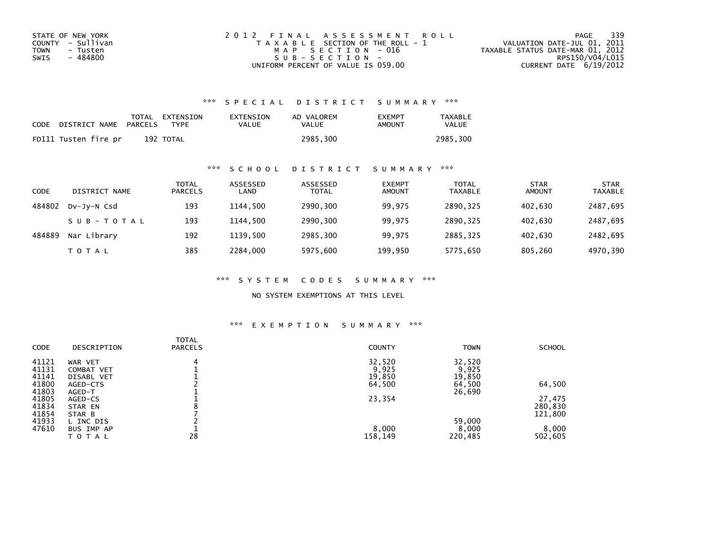| STATE OF NEW YORK | 2012 FINAL ASSESSMENT ROLL            | 339<br>PAGE                      |
|-------------------|---------------------------------------|----------------------------------|
| COUNTY - Sullivan | T A X A B L E SECTION OF THE ROLL - 1 | VALUATION DATE-JUL 01, 2011      |
| TOWN<br>- Tusten  | MAP SECTION - 016                     | TAXABLE STATUS DATE-MAR 01, 2012 |
| - 484800<br>SWIS  | $SUB - SECTION -$                     | RPS150/V04/L015                  |
|                   | UNIFORM PERCENT OF VALUE IS 059.00    | CURRENT DATE $6/19/2012$         |

### \*\*\* S P E C I A L D I S T R I C T S U M M A R Y \*\*\*

| CODE | DISTRICT NAME        | PARCELS | TOTAL EXTENSION<br><b>TYPF</b> | EXTENSION<br>VALUE | AD VALOREM<br>VALUE | <b>EXEMPT</b><br>AMOUNT | <b>TAXABLE</b><br>VALUE |
|------|----------------------|---------|--------------------------------|--------------------|---------------------|-------------------------|-------------------------|
|      | FD111 Tusten fire pr |         | 192 TOTAL                      |                    | 2985.300            |                         | 2985.300                |

### \*\*\* S C H O O L D I S T R I C T S U M M A R Y \*\*\*

| CODE   | DISTRICT NAME | <b>TOTAL</b><br><b>PARCELS</b> | ASSESSED<br>LAND | ASSESSED<br><b>TOTAL</b> | <b>EXEMPT</b><br><b>AMOUNT</b> | <b>TOTAL</b><br><b>TAXABLE</b> | <b>STAR</b><br><b>AMOUNT</b> | <b>STAR</b><br><b>TAXABLE</b> |
|--------|---------------|--------------------------------|------------------|--------------------------|--------------------------------|--------------------------------|------------------------------|-------------------------------|
| 484802 | DV-JY-N Csd   | 193                            | 1144.500         | 2990,300                 | 99,975                         | 2890.325                       | 402.630                      | 2487,695                      |
|        | SUB-TOTAL     | 193                            | 1144.500         | 2990,300                 | 99,975                         | 2890,325                       | 402,630                      | 2487,695                      |
| 484889 | Nar Library   | 192                            | 1139.500         | 2985,300                 | 99.975                         | 2885.325                       | 402.630                      | 2482,695                      |
|        | <b>TOTAL</b>  | 385                            | 2284.000         | 5975,600                 | 199,950                        | 5775,650                       | 805,260                      | 4970,390                      |

\*\*\* S Y S T E M C O D E S S U M M A R Y \*\*\*

NO SYSTEM EXEMPTIONS AT THIS LEVEL

### \*\*\* E X E M P T I O N S U M M A R Y \*\*\*

| DESCRIPTION       | <b>PARCELS</b>                                                    | <b>COUNTY</b> | <b>TOWN</b>                                  | <b>SCHOOL</b>                                          |
|-------------------|-------------------------------------------------------------------|---------------|----------------------------------------------|--------------------------------------------------------|
| WAR VET           | 4                                                                 | 32,520        | 32,520                                       |                                                        |
| <b>COMBAT VET</b> |                                                                   |               |                                              |                                                        |
| <b>DISABL VET</b> |                                                                   |               |                                              |                                                        |
| AGED-CTS          |                                                                   |               |                                              | 64,500                                                 |
|                   |                                                                   |               |                                              |                                                        |
|                   |                                                                   |               |                                              | 27,475                                                 |
|                   |                                                                   |               |                                              | 280,830                                                |
|                   |                                                                   |               |                                              | 121,800                                                |
|                   |                                                                   |               |                                              |                                                        |
|                   |                                                                   |               |                                              | 8,000                                                  |
| <b>TOTAL</b>      | 28                                                                | 158,149       | 220,485                                      | 502,605                                                |
|                   | AGED-T<br>AGED-CS<br>STAR EN<br>STAR B<br>L INC DIS<br>BUS IMP AP | TOTAL         | 9,925<br>19,850<br>64,500<br>23,354<br>8,000 | 9,925<br>19,850<br>64,500<br>26,690<br>59,000<br>8,000 |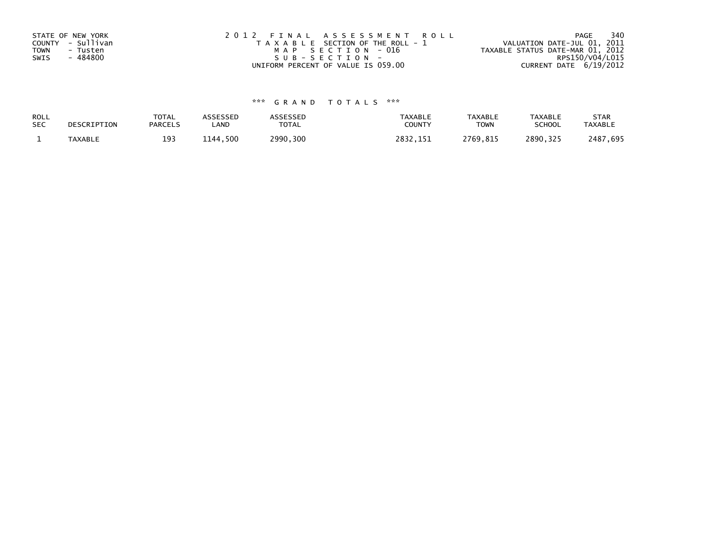| STATE OF NEW YORK       | 2012 FINAL ASSESSMENT ROLL            | 340<br>PAGE                      |
|-------------------------|---------------------------------------|----------------------------------|
| COUNTY - Sullivan       | T A X A B L E SECTION OF THE ROLL - 1 | VALUATION DATE-JUL 01, 2011      |
| <b>TOWN</b><br>- Tusten | MAP SECTION - 016                     | TAXABLE STATUS DATE-MAR 01, 2012 |
| - 484800<br>SWIS        | SUB-SECTION-                          | RPS150/V04/L015                  |
|                         | UNIFORM PERCENT OF VALUE IS 059.00    | CURRENT DATE 6/19/2012           |

# \*\*\* G R A N D T O T A L S \*\*\*

| ROLL       | DESCRIPTION    | <b>TOTAL</b>   | ASSESSED      | <b>ASSESSED</b> | <b>TAXABLE</b> | <b>TAXABLE</b> | <b>TAXABLE</b> | <b>STAR</b>    |
|------------|----------------|----------------|---------------|-----------------|----------------|----------------|----------------|----------------|
| <b>SEC</b> |                | <b>PARCELS</b> | ∟AND          | TOTAL           | <b>COUNT</b>   | <b>TOWN</b>    | <b>SCHOOL</b>  | <b>TAXABLE</b> |
|            | <b>TAXABLE</b> | 193            | ,500<br>1144. | 2990,300        | 2832           | 2769,815       | 2890.325       | 2487.695       |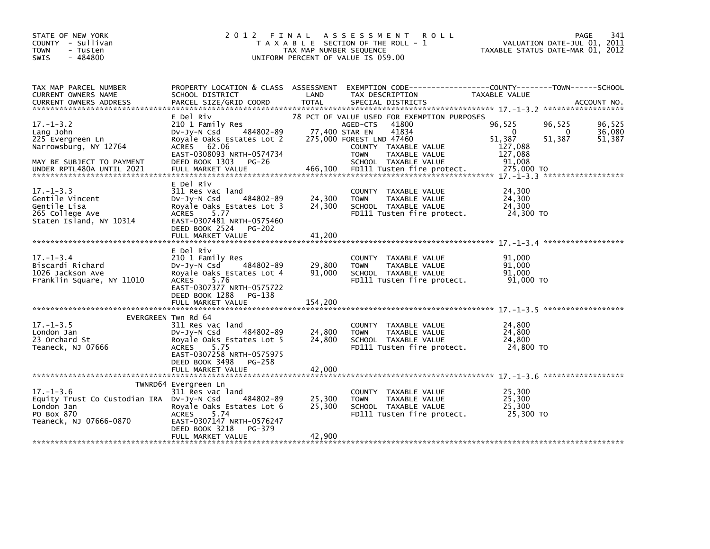| STATE OF NEW YORK<br>COUNTY - Sullivan<br>- Tusten<br><b>TOWN</b><br>$-484800$<br><b>SWIS</b>                      | 2012                                                                                                                                                                                                     | TAX MAP NUMBER SEQUENCE     | FINAL ASSESSMENT<br><b>ROLL</b><br>T A X A B L E SECTION OF THE ROLL - 1<br>UNIFORM PERCENT OF VALUE IS 059.00                                                                                          | VALUATION DATE-JUL 01, 2011<br>TAXABLE STATUS DATE-MAR 01, 2012                 | <b>PAGE</b><br>341         |
|--------------------------------------------------------------------------------------------------------------------|----------------------------------------------------------------------------------------------------------------------------------------------------------------------------------------------------------|-----------------------------|---------------------------------------------------------------------------------------------------------------------------------------------------------------------------------------------------------|---------------------------------------------------------------------------------|----------------------------|
| TAX MAP PARCEL NUMBER<br>CURRENT OWNERS NAME                                                                       | PROPERTY LOCATION & CLASS ASSESSMENT<br>SCHOOL DISTRICT                                                                                                                                                  | LAND                        | TAX DESCRIPTION                                                                                                                                                                                         | EXEMPTION CODE------------------COUNTY--------TOWN------SCHOOL<br>TAXABLE VALUE |                            |
| $17. - 1 - 3.2$<br>Lang John<br>225 Evergreen Ln<br>Narrowsburg, NY 12764<br>MAY BE SUBJECT TO PAYMENT             | E Del Riv<br>210 1 Family Res<br>484802-89<br>$Dv-Jy-N$ Csd<br>Royale Oaks Estates Lot 2<br>ACRES 62.06<br>EAST-0308093 NRTH-0574734<br>DEED BOOK 1303<br>PG-26                                          |                             | 78 PCT OF VALUE USED FOR EXEMPTION PURPOSES<br>41800<br>AGED-CTS<br>77,400 STAR EN<br>41834<br>275,000 FOREST LND 47460<br>COUNTY TAXABLE VALUE<br>TAXABLE VALUE<br><b>TOWN</b><br>SCHOOL TAXABLE VALUE | 96,525<br>96,525<br>0<br>0<br>51,387<br>51,387<br>127,088<br>127,088<br>91,008  | 96,525<br>36,080<br>51,387 |
| $17. - 1 - 3.3$<br>Gentile Vincent<br>Gentile Lisa<br>265 College Ave<br>Staten Island, NY 10314                   | E Del Riv<br>311 Res vac land<br>484802-89<br>DV-Jy-N Csd<br>Royale Oaks Estates Lot 3<br>ACRES<br>5.77<br>EAST-0307481 NRTH-0575460<br>DEED BOOK 2524 PG-202<br>FULL MARKET VALUE                       | 24,300<br>24,300<br>41,200  | COUNTY TAXABLE VALUE<br>TAXABLE VALUE<br><b>TOWN</b><br>SCHOOL TAXABLE VALUE<br>FD111 Tusten fire protect.                                                                                              | 24,300<br>24,300<br>24,300<br>24,300 TO                                         |                            |
| $17. - 1 - 3.4$<br>Biscardi Richard<br>1026 Jackson Ave<br>Franklin Square, NY 11010                               | E Del Riv<br>210 1 Family Res<br>484802-89<br>DV-Jy-N Csd<br>Royale Oaks Estates Lot 4<br><b>ACRES</b><br>5.76<br>EAST-0307377 NRTH-0575722<br>DEED BOOK 1288 PG-138<br>FULL MARKET VALUE                | 29,800<br>91,000<br>154,200 | COUNTY TAXABLE VALUE<br>TAXABLE VALUE<br><b>TOWN</b><br>SCHOOL TAXABLE VALUE<br>FD111 Tusten fire protect.                                                                                              | 91.000<br>91,000<br>91,000<br>91,000 TO                                         |                            |
| $17. - 1 - 3.5$<br>London Jan<br>23 Orchard St<br>Teaneck, NJ 07666                                                | EVERGREEN Twn Rd 64<br>311 Res vac land<br>484802-89<br>$Dv-Jy-N$ Csd<br>Royale Oaks Estates Lot 5<br><b>ACRES</b><br>5.75<br>EAST-0307258 NRTH-0575975<br>DEED BOOK 3498<br>PG-258<br>FULL MARKET VALUE | 24,800<br>24,800<br>42,000  | COUNTY TAXABLE VALUE<br>TAXABLE VALUE<br><b>TOWN</b><br>SCHOOL TAXABLE VALUE<br>FD111 Tusten fire protect.                                                                                              | 24,800<br>24,800<br>24,800<br>24,800 TO                                         |                            |
| $17. - 1 - 3.6$<br>Equity Trust Co Custodian IRA DV-Jy-N Csd<br>London Jan<br>PO Box 870<br>Teaneck, NJ 07666-0870 | TWNRD64 Evergreen Ln<br>311 Res vac land<br>484802-89<br>Royale Oaks Estates Lot 6<br><b>ACRES</b><br>5.74<br>EAST-0307147 NRTH-0576247<br>DEED BOOK 3218<br>PG-379<br>FULL MARKET VALUE                 | 25,300<br>25,300<br>42,900  | COUNTY TAXABLE VALUE<br><b>TOWN</b><br>TAXABLE VALUE<br>SCHOOL TAXABLE VALUE<br>FD111 Tusten fire protect.                                                                                              | 25,300<br>25,300<br>25,300<br>25,300 TO                                         |                            |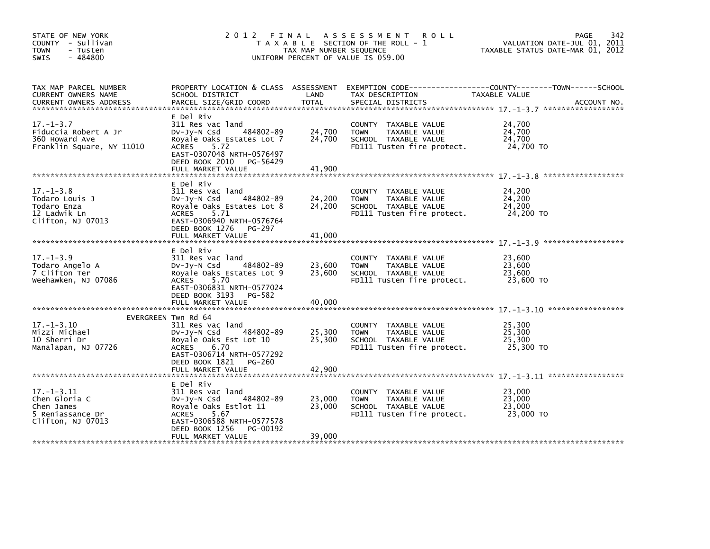| STATE OF NEW YORK<br>COUNTY - Sullivan<br><b>TOWN</b><br>- Tusten<br>$-484800$<br><b>SWIS</b> | 2 0 1 2                                                                                                                                                                                       | FINAL<br>TAX MAP NUMBER SEQUENCE | A S S E S S M E N T<br><b>ROLL</b><br>T A X A B L E SECTION OF THE ROLL - 1<br>UNIFORM PERCENT OF VALUE IS 059.00 | 342<br>PAGE<br>VALUATION DATE-JUL 01, 2011<br>TAXABLE STATUS DATE-MAR 01, 2012 |
|-----------------------------------------------------------------------------------------------|-----------------------------------------------------------------------------------------------------------------------------------------------------------------------------------------------|----------------------------------|-------------------------------------------------------------------------------------------------------------------|--------------------------------------------------------------------------------|
| TAX MAP PARCEL NUMBER<br>CURRENT OWNERS NAME                                                  | PROPERTY LOCATION & CLASS ASSESSMENT<br>SCHOOL DISTRICT                                                                                                                                       | LAND                             | TAX DESCRIPTION                                                                                                   | TAXABLE VALUE                                                                  |
| $17. - 1 - 3.7$<br>Fiduccia Robert A Jr<br>360 Howard Ave<br>Franklin Square, NY 11010        | E Del Riv<br>311 Res vac land<br>$Dv-Jy-N$ Csd<br>484802-89<br>Royale Oaks Estates Lot 7<br><b>ACRES</b><br>5.72<br>EAST-0307048 NRTH-0576497<br>DEED BOOK 2010 PG-56429<br>FULL MARKET VALUE | 24,700<br>24,700<br>41,900       | COUNTY TAXABLE VALUE<br>TAXABLE VALUE<br><b>TOWN</b><br>SCHOOL TAXABLE VALUE<br>FD111 Tusten fire protect.        | 24,700<br>24,700<br>24,700<br>24,700 TO                                        |
|                                                                                               | E Del Riv                                                                                                                                                                                     |                                  |                                                                                                                   |                                                                                |
| $17. - 1 - 3.8$<br>Todaro Louis J<br>Todaro Enza<br>12 Ladwik Ln<br>Clifton, NJ 07013         | 311 Res vac land<br>$Dv-Jy-N$ Csd<br>484802-89<br>Royale Oaks Estates Lot 8<br><b>ACRES</b><br>5.71<br>EAST-0306940 NRTH-0576764                                                              | 24,200<br>24,200                 | COUNTY TAXABLE VALUE<br>TAXABLE VALUE<br><b>TOWN</b><br>SCHOOL TAXABLE VALUE<br>FD111 Tusten fire protect.        | 24,200<br>24,200<br>24,200<br>24,200 TO                                        |
|                                                                                               | DEED BOOK 1276 PG-297<br>FULL MARKET VALUE                                                                                                                                                    | 41.000                           |                                                                                                                   |                                                                                |
| $17. - 1 - 3.9$<br>Todaro Angelo A<br>7 Clifton Ter<br>Weehawken, NJ 07086                    | E Del Riv<br>311 Res vac land<br>484802-89<br>$Dv-Jv-N$ Csd<br>Royale Oaks Estates Lot 9<br><b>ACRES</b><br>5.70<br>EAST-0306831 NRTH-0577024<br>DEED BOOK 3193 PG-582                        | 23,600<br>23,600                 | COUNTY TAXABLE VALUE<br><b>TOWN</b><br>TAXABLE VALUE<br>SCHOOL TAXABLE VALUE<br>FD111 Tusten fire protect.        | 23,600<br>23.600<br>23,600<br>23,600 TO                                        |
|                                                                                               | FULL MARKET VALUE                                                                                                                                                                             | 40,000                           |                                                                                                                   |                                                                                |
| $17. - 1 - 3.10$<br>Mizzi Michael<br>10 Sherri Dr<br>Manalapan, NJ 07726                      | EVERGREEN Twn Rd 64<br>311 Res vac land<br>484802-89<br>$Dv-Jy-N$ Csd<br>Royale Oaks Est Lot 10<br>ACRES<br>6.70<br>EAST-0306714 NRTH-0577292                                                 | 25,300<br>25,300                 | COUNTY TAXABLE VALUE<br>TAXABLE VALUE<br><b>TOWN</b><br>SCHOOL TAXABLE VALUE<br>FD111 Tusten fire protect.        | 25,300<br>25,300<br>25,300<br>25,300 TO                                        |
|                                                                                               | DEED BOOK 1821<br>PG-260                                                                                                                                                                      |                                  |                                                                                                                   |                                                                                |
| $17. - 1 - 3.11$<br>Chen Gloria C<br>Chen James<br>5 Reniassance Dr<br>Clifton, NJ 07013      | E Del Riv<br>311 Res vac land<br>484802-89<br>$Dv-Jy-N$ Csd<br>Royale Oaks Estlot 11<br><b>ACRES</b><br>5.67<br>EAST-0306588 NRTH-0577578<br>DEED BOOK 1256<br>PG-00192                       | 23,000<br>23,000                 | COUNTY TAXABLE VALUE<br>TAXABLE VALUE<br><b>TOWN</b><br>SCHOOL TAXABLE VALUE<br>FD111 Tusten fire protect.        | 23,000<br>23,000<br>23,000<br>23,000 TO                                        |
|                                                                                               | FULL MARKET VALUE                                                                                                                                                                             | 39,000                           |                                                                                                                   |                                                                                |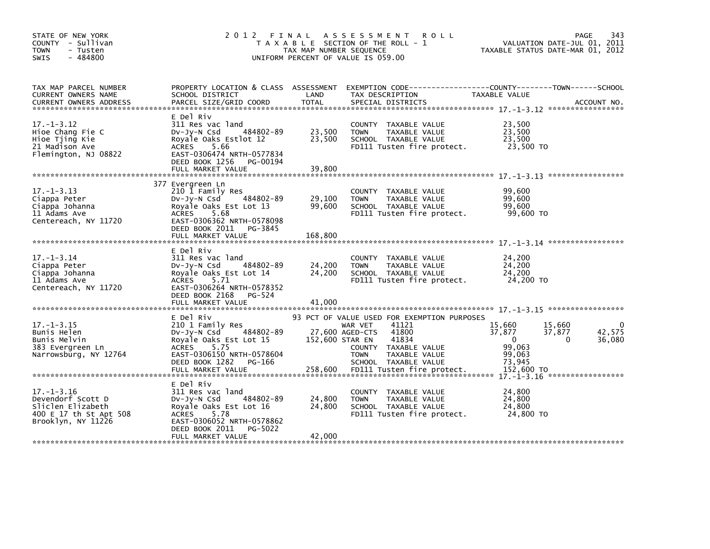| STATE OF NEW YORK<br>COUNTY - Sullivan<br><b>TOWN</b><br>- Tusten<br>$-484800$<br>SWIS                     | 2 0 1 2                                                                                                                                                                                      | FINAL<br>TAX MAP NUMBER SEQUENCE | A S S E S S M E N T<br><b>ROLL</b><br>T A X A B L E SECTION OF THE ROLL - 1<br>UNIFORM PERCENT OF VALUE IS 059.00                                                                    | VALUATION DATE-JUL 01, 2011<br>TAXABLE STATUS DATE-MAR 01, 2012                            | 343<br>PAGE      |
|------------------------------------------------------------------------------------------------------------|----------------------------------------------------------------------------------------------------------------------------------------------------------------------------------------------|----------------------------------|--------------------------------------------------------------------------------------------------------------------------------------------------------------------------------------|--------------------------------------------------------------------------------------------|------------------|
| TAX MAP PARCEL NUMBER<br>CURRENT OWNERS NAME                                                               | PROPERTY LOCATION & CLASS ASSESSMENT<br>SCHOOL DISTRICT                                                                                                                                      | LAND                             | TAX DESCRIPTION                                                                                                                                                                      | TAXABLE VALUE                                                                              |                  |
| $17. - 1 - 3.12$<br>Hioe Chang Fie C<br>Hioe Tjing Kie<br>21 Madison Ave<br>Flemington, NJ 08822           | E Del Riv<br>311 Res vac land<br>484802-89<br>$Dv-Jv-N$ Csd<br>Royale Oaks Estlot 12<br>ACRES<br>5.66<br>EAST-0306474 NRTH-0577834<br>DEED BOOK 1256 PG-00194<br>FULL MARKET VALUE           | 23,500<br>23,500<br>39,800       | COUNTY TAXABLE VALUE<br>TAXABLE VALUE<br><b>TOWN</b><br>SCHOOL TAXABLE VALUE<br>FD111 Tusten fire protect.                                                                           | 23,500<br>23,500<br>23,500<br>23,500 TO                                                    |                  |
| $17. - 1 - 3.13$<br>Ciappa Peter<br>Ciappa Johanna<br>11 Adams Ave<br>Centereach, NY 11720                 | 377 Evergreen Ln<br>210 1 Family Res<br>484802-89<br>DV-JY-N Csd<br>Royale Oaks Est Lot 13<br>ACRES<br>5.68<br>EAST-0306362 NRTH-0578098<br>DEED BOOK 2011 PG-3845<br>FULL MARKET VALUE      | 29,100<br>99,600<br>168,800      | COUNTY TAXABLE VALUE<br>TAXABLE VALUE<br><b>TOWN</b><br>SCHOOL TAXABLE VALUE<br>FD111 Tusten fire protect.                                                                           | 99,600<br>99,600<br>99,600<br>99.600 TO                                                    |                  |
| $17. - 1 - 3.14$<br>Ciappa Peter<br>Ciappa Johanna<br>11 Adams Ave<br>Centereach, NY 11720                 | E Del Riv<br>311 Res vac land<br>484802-89<br>DV-Jy-N Csd<br>Royale Oaks Est Lot 14<br><b>ACRES</b><br>5.71<br>EAST-0306264 NRTH-0578352<br>DEED BOOK 2168 PG-524<br>FULL MARKET VALUE       | 24,200<br>24,200<br>41,000       | COUNTY TAXABLE VALUE<br><b>TOWN</b><br>TAXABLE VALUE<br>SCHOOL TAXABLE VALUE<br>FD111 Tusten fire protect.                                                                           | 24,200<br>24,200<br>24,200<br>24,200 TO                                                    |                  |
| $17. - 1 - 3.15$<br>Bunis Helen<br>Bunis Melvin<br>383 Evergreen Ln<br>Narrowsburg, NY 12764               | E Del Riv<br>210 1 Family Res<br>484802-89<br>DV-Jy-N Csd<br>Royale Oaks Est Lot 15<br><b>ACRES</b><br>5.75<br>EAST-0306150 NRTH-0578604<br>DEED BOOK 1282<br>PG-166                         | 152,600 STAR EN                  | 93 PCT OF VALUE USED FOR EXEMPTION PURPOSES<br>41121<br>WAR VET<br>27,600 AGED-CTS<br>41800<br>41834<br>COUNTY TAXABLE VALUE<br><b>TOWN</b><br>TAXABLE VALUE<br>SCHOOL TAXABLE VALUE | 15,660<br>15,660<br>37,877<br>37,877<br>$\Omega$<br>$\Omega$<br>99.063<br>99,063<br>73,945 | 42,575<br>36,080 |
| $17. - 1 - 3.16$<br>Devendorf Scott D<br>Sliclen Elizabeth<br>400 E 17 th St Apt 508<br>Brooklyn, NY 11226 | E Del Riv<br>311 Res vac land<br>484802-89<br>$Dv-Jy-N$ Csd<br>Royale Oaks Est Lot 16<br>5.78<br><b>ACRES</b><br>EAST-0306052 NRTH-0578862<br>DEED BOOK 2011<br>PG-5022<br>FULL MARKET VALUE | 24,800<br>24,800<br>42,000       | COUNTY TAXABLE VALUE<br>TAXABLE VALUE<br><b>TOWN</b><br>SCHOOL TAXABLE VALUE<br>FD111 Tusten fire protect.                                                                           | 24,800<br>24,800<br>24,800<br>24,800 TO                                                    |                  |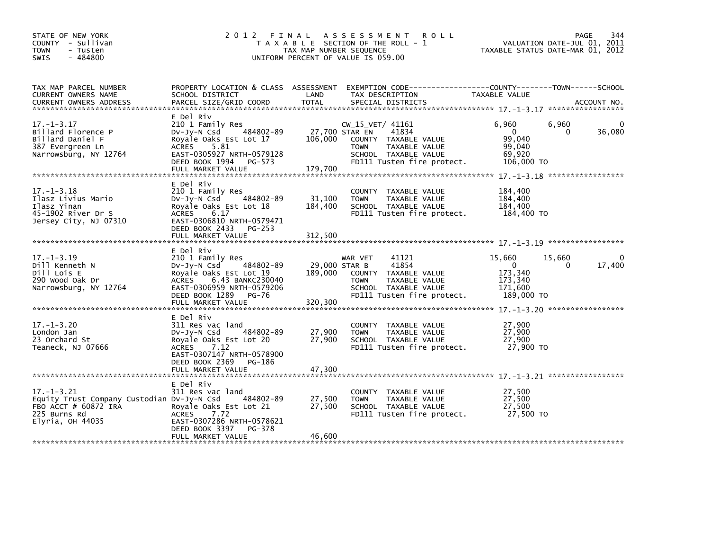| STATE OF NEW YORK<br>COUNTY - Sullivan<br>- Tusten<br><b>TOWN</b><br>- 484800<br><b>SWIS</b>                                 |                                                                                                                                                                              | TAX MAP NUMBER SEQUENCE              | 2012 FINAL ASSESSMENT<br><b>ROLL</b><br>T A X A B L E SECTION OF THE ROLL - 1<br>UNIFORM PERCENT OF VALUE IS 059.00                      |                                                                     | PAGE<br>344<br>VALUATION DATE-JUL 01, 2011<br>TAXABLE STATUS DATE-MAR 01, 2012 |
|------------------------------------------------------------------------------------------------------------------------------|------------------------------------------------------------------------------------------------------------------------------------------------------------------------------|--------------------------------------|------------------------------------------------------------------------------------------------------------------------------------------|---------------------------------------------------------------------|--------------------------------------------------------------------------------|
| TAX MAP PARCEL NUMBER<br>CURRENT OWNERS NAME<br><b>CURRENT OWNERS ADDRESS</b>                                                | SCHOOL DISTRICT<br>PARCEL SIZE/GRID COORD                                                                                                                                    | LAND<br><b>TOTAL</b>                 | PROPERTY LOCATION & CLASS ASSESSMENT EXEMPTION CODE---------------COUNTY-------TOWN-----SCHOOL<br>TAX DESCRIPTION<br>SPECIAL DISTRICTS   | TAXABLE VALUE                                                       | ACCOUNT NO.                                                                    |
| $17. - 1 - 3.17$<br>Billard Florence P<br>Billard Daniel F<br>387 Evergreen Ln<br>Narrowsburg, NY 12764                      | E Del Riv<br>210 1 Family Res<br>484802-89<br>Dv-Jy-N Csd<br>Royale Oaks Est Lot 17<br>ACRES 5.81<br>EAST-0305927 NRTH-0579128<br>DEED BOOK 1994 PG-573<br>FULL MARKET VALUE | 27,700 STAR EN<br>106,000<br>179,700 | $CW_15_VET/41161$<br>41834<br>COUNTY TAXABLE VALUE<br><b>TOWN</b><br>TAXABLE VALUE<br>SCHOOL TAXABLE VALUE<br>FD111 Tusten fire protect. | 6,960<br>$\overline{0}$<br>99,040<br>99,040<br>69,920<br>106,000 TO | 6,960<br>0<br>36,080<br>$\Omega$                                               |
| $17. - 1 - 3.18$<br>Ilasz Livius Mario<br>Ilasz Yinan<br>45-1902 River Dr S<br>Jersey City, NJ 07310                         | E Del Riv<br>210 1 Family Res<br>484802-89<br>DV-JY-N Csd<br>Royale Oaks Est Lot 18<br>ACRES 6.17<br>EAST-0306810 NRTH-0579471<br>DEED BOOK 2433 PG-253<br>FULL MARKET VALUE | 31,100<br>184,400<br>312,500         | COUNTY TAXABLE VALUE<br><b>TOWN</b><br>TAXABLE VALUE<br>SCHOOL TAXABLE VALUE<br>FD111 Tusten fire protect.                               | 184,400<br>184,400<br>184,400<br>184,400 TO                         |                                                                                |
| $17. - 1 - 3.19$<br>Dill Kenneth N<br>Dill Lois E<br>290 Wood Oak Dr<br>Narrowsburg, NY 12764                                | E Del Riv<br>210 1 Family Res<br>484802-89<br>DV-JY-N Csd<br>Royale Oaks Est Lot 19<br>ACRES 6.43 BANKC230040<br>EAST-0306959 NRTH-0579206<br>DEED BOOK 1289 PG-76           | 29,000 STAR B<br>189,000             | 41121<br>WAR VET<br>41854<br>COUNTY TAXABLE VALUE<br>TAXABLE VALUE<br><b>TOWN</b><br>SCHOOL TAXABLE VALUE<br>FD111 Tusten fire protect.  | 15,660<br>$\Omega$<br>173,340<br>173,340<br>171,600<br>189,000 TO   | $\Omega$<br>15,660<br>17,400<br>0                                              |
| $17. - 1 - 3.20$<br>London Jan<br>23 Orchard St<br>Teaneck, NJ 07666                                                         | E Del Riv<br>311 Res vac land<br>484802-89<br>$Dv-Jy-N$ Csd<br>Royale Oaks Est Lot 20<br>7.12<br>ACRES<br>EAST-0307147 NRTH-0578900<br>DEED BOOK 2369 PG-186                 | 27,900<br>27,900                     | COUNTY TAXABLE VALUE<br><b>TOWN</b><br>TAXABLE VALUE<br>SCHOOL TAXABLE VALUE<br>FD111 Tusten fire protect.                               | 27,900<br>27,900<br>27,900<br>27,900 TO                             |                                                                                |
| $17. - 1 - 3.21$<br>Equity Trust Company Custodian Dv-Jy-N Csd<br>FBO ACCT # 60872 IRA<br>225 Burns Rd<br>$Elyria,$ OH 44035 | E Del Riv<br>311 Res vac land<br>484802-89<br>Royale Oaks Est Lot 21<br>ACRES 7.72<br>EAST-0307286 NRTH-0578621<br>DEED BOOK 3397<br>PG-378<br>FULL MARKET VALUE             | 27,500<br>27,500<br>46,600           | COUNTY TAXABLE VALUE<br><b>TOWN</b><br>TAXABLE VALUE<br>SCHOOL TAXABLE VALUE<br>FD111 Tusten fire protect.                               | 27,500<br>27.500<br>27,500<br>27,500 TO                             |                                                                                |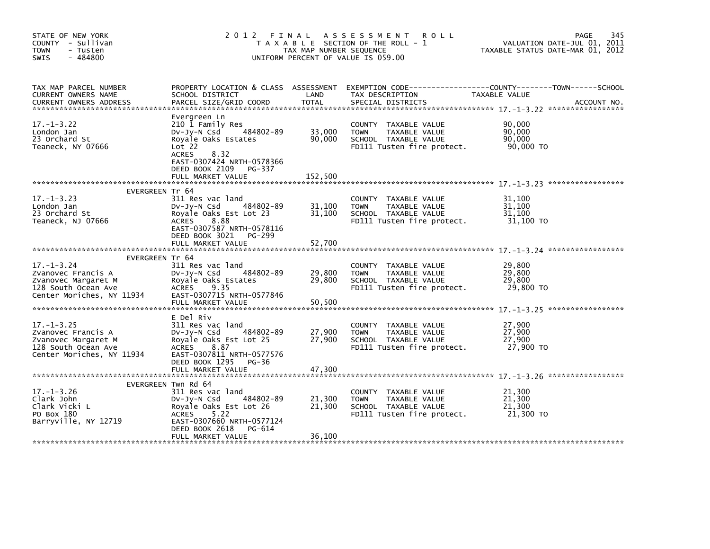| STATE OF NEW YORK<br>COUNTY - Sullivan<br><b>TOWN</b><br>- Tusten<br>$-484800$<br>SWIS                            | 2 0 1 2                                                                                                                                                                          | FINAL<br>TAX MAP NUMBER SEQUENCE | A S S E S S M E N T<br><b>ROLL</b><br>T A X A B L E SECTION OF THE ROLL - 1<br>UNIFORM PERCENT OF VALUE IS 059.00 | 345<br><b>PAGE</b><br>VALUATION DATE-JUL 01, 2011<br>TAXABLE STATUS DATE-MAR 01, 2012 |
|-------------------------------------------------------------------------------------------------------------------|----------------------------------------------------------------------------------------------------------------------------------------------------------------------------------|----------------------------------|-------------------------------------------------------------------------------------------------------------------|---------------------------------------------------------------------------------------|
| TAX MAP PARCEL NUMBER<br>CURRENT OWNERS NAME<br><b>CURRENT OWNERS ADDRESS</b>                                     | PROPERTY LOCATION & CLASS ASSESSMENT<br>SCHOOL DISTRICT<br>PARCEL SIZE/GRID COORD                                                                                                | LAND<br>TOTAL                    | TAX DESCRIPTION<br>SPECIAL DISTRICTS                                                                              | TAXABLE VALUE<br>ACCOUNT NO.                                                          |
| $17. - 1 - 3.22$<br>London Jan<br>23 Orchard St<br>Teaneck, NY 07666                                              | Evergreen Ln<br>210 1 Family Res<br>484802-89<br>DV-Jy-N Csd<br>Royale Oaks Estates<br>Lot 22<br>8.32<br><b>ACRES</b><br>EAST-0307424 NRTH-0578366<br>DEED BOOK 2109<br>PG-337   | 33,000<br>90,000                 | COUNTY TAXABLE VALUE<br><b>TOWN</b><br>TAXABLE VALUE<br>SCHOOL TAXABLE VALUE<br>FD111 Tusten fire protect.        | 90,000<br>90.000<br>90,000<br>90,000 TO                                               |
|                                                                                                                   | FULL MARKET VALUE                                                                                                                                                                | 152,500                          |                                                                                                                   |                                                                                       |
| EVERGREEN Tr 64                                                                                                   |                                                                                                                                                                                  |                                  |                                                                                                                   |                                                                                       |
| $17. - 1 - 3.23$<br>London Jan<br>23 Orchard St<br>Teaneck, NJ 07666                                              | 311 Res vac land<br>484802-89<br>$Dv-Jy-N$ Csd<br>Royale Oaks Est Lot 23<br><b>ACRES</b><br>8.88<br>EAST-0307587 NRTH-0578116<br>DEED BOOK 3021<br>PG-299                        | 31,100<br>31,100                 | COUNTY TAXABLE VALUE<br><b>TOWN</b><br>TAXABLE VALUE<br>SCHOOL TAXABLE VALUE<br>FD111 Tusten fire protect.        | 31,100<br>31,100<br>31,100<br>31,100 TO                                               |
|                                                                                                                   | FULL MARKET VALUE                                                                                                                                                                | 52.700                           |                                                                                                                   |                                                                                       |
| EVERGREEN Tr 64                                                                                                   |                                                                                                                                                                                  |                                  |                                                                                                                   |                                                                                       |
| $17. - 1 - 3.24$<br>Zvanovec Francis A<br>Zvanovec Margaret M<br>128 South Ocean Ave<br>Center Moriches, NY 11934 | 311 Res vac land<br>484802-89<br>DV-JY-N Csd<br>Royale Oaks Estates<br><b>ACRES</b><br>9.35<br>EAST-0307715 NRTH-0577846                                                         | 29,800<br>29,800                 | COUNTY TAXABLE VALUE<br><b>TOWN</b><br>TAXABLE VALUE<br>SCHOOL TAXABLE VALUE<br>FD111 Tusten fire protect.        | 29,800<br>29,800<br>29,800<br>29,800 TO                                               |
|                                                                                                                   | FULL MARKET VALUE                                                                                                                                                                | 50,500                           |                                                                                                                   |                                                                                       |
|                                                                                                                   | E Del Riv                                                                                                                                                                        |                                  |                                                                                                                   |                                                                                       |
| $17. - 1 - 3.25$<br>Zvanovec Francis A<br>Zvanovec Margaret M<br>128 South Ocean Ave<br>Center Moriches, NY 11934 | 311 Res vac land<br>484802-89<br>DV-Jy-N Csd<br>Royale Oaks Est Lot 25<br><b>ACRES</b><br>8.87<br>EAST-0307811 NRTH-0577576<br>DEED BOOK 1295<br>PG-36                           | 27,900<br>27,900                 | COUNTY TAXABLE VALUE<br>TAXABLE VALUE<br><b>TOWN</b><br>SCHOOL TAXABLE VALUE<br>FD111 Tusten fire protect.        | 27,900<br>27,900<br>27,900<br>27,900 то                                               |
|                                                                                                                   | FULL MARKET VALUE                                                                                                                                                                | 47,300                           |                                                                                                                   |                                                                                       |
| $17. - 1 - 3.26$<br>Clark John<br>Clark Vicki L<br>PO Box 180<br>Barryville, NY 12719                             | EVERGREEN Twn Rd 64<br>311 Res vac land<br>$Dv-Jy-N$ Csd<br>484802-89<br>Royale Oaks Est Lot 26<br><b>ACRES</b><br>5.22<br>EAST-0307660 NRTH-0577124<br>DEED BOOK 2618<br>PG-614 | 21,300<br>21,300                 | COUNTY TAXABLE VALUE<br>TAXABLE VALUE<br><b>TOWN</b><br>SCHOOL TAXABLE VALUE<br>FD111 Tusten fire protect.        | 21,300<br>21,300<br>21,300<br>21,300 TO                                               |
|                                                                                                                   | FULL MARKET VALUE                                                                                                                                                                | 36,100                           |                                                                                                                   |                                                                                       |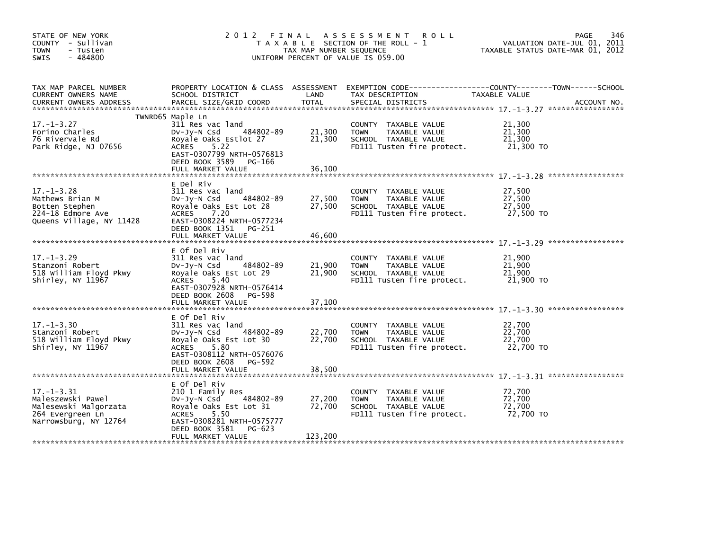| STATE OF NEW YORK<br>COUNTY - Sullivan<br><b>TOWN</b><br>- Tusten<br>$-484800$<br>SWIS                      |                                                                                                                                                                                              | TAX MAP NUMBER SEQUENCE     | 2012 FINAL ASSESSMENT ROLL<br>T A X A B L E SECTION OF THE ROLL - 1<br>UNIFORM PERCENT OF VALUE IS 059.00  | PAGE<br>VALUATION DATE-JUL 01, 2011<br>TAXABLE STATUS DATE-MAR 01, 2012         | 346         |
|-------------------------------------------------------------------------------------------------------------|----------------------------------------------------------------------------------------------------------------------------------------------------------------------------------------------|-----------------------------|------------------------------------------------------------------------------------------------------------|---------------------------------------------------------------------------------|-------------|
| TAX MAP PARCEL NUMBER<br>CURRENT OWNERS NAME<br><b>CURRENT OWNERS ADDRESS</b>                               | PROPERTY LOCATION & CLASS ASSESSMENT<br>SCHOOL DISTRICT<br>PARCEL SIZE/GRID COORD                                                                                                            | LAND<br><b>TOTAL</b>        | TAX DESCRIPTION<br>SPECIAL DISTRICTS                                                                       | EXEMPTION CODE------------------COUNTY--------TOWN------SCHOOL<br>TAXABLE VALUE | ACCOUNT NO. |
|                                                                                                             | TWNRD65 Maple Ln                                                                                                                                                                             |                             |                                                                                                            |                                                                                 |             |
| $17. - 1 - 3.27$<br>Forino Charles<br>76 Rivervale Rd<br>Park Ridge, NJ 07656                               | 311 Res vac land<br>484802-89<br>DV-Jy-N Csd<br>Royale Oaks Estlot 27<br><b>ACRES</b><br>5.22<br>EAST-0307799 NRTH-0576813<br>DEED BOOK 3589 PG-166                                          | 21,300<br>21,300            | COUNTY TAXABLE VALUE<br>TAXABLE VALUE<br><b>TOWN</b><br>SCHOOL TAXABLE VALUE<br>FD111 Tusten fire protect. | 21,300<br>21,300<br>21,300<br>21,300 TO                                         |             |
|                                                                                                             | FULL MARKET VALUE                                                                                                                                                                            | 36,100                      |                                                                                                            |                                                                                 |             |
| $17. - 1 - 3.28$<br>Mathews Brian M<br>Botten Stephen<br>224-18 Edmore Ave<br>Queens Village, NY 11428      | E Del Riv<br>311 Res vac land<br>$Dv$ -J $v$ -N Csd<br>484802-89<br>Royale Oaks Est Lot 28<br>ACRES<br>7.20<br>EAST-0308224 NRTH-0577234<br>DEED BOOK 1351 PG-251                            | 27,500<br>27,500            | COUNTY TAXABLE VALUE<br><b>TOWN</b><br>TAXABLE VALUE<br>SCHOOL TAXABLE VALUE<br>FD111 Tusten fire protect. | 27,500<br>27,500<br>27,500<br>27,500 TO                                         |             |
|                                                                                                             | FULL MARKET VALUE                                                                                                                                                                            | 46,600                      |                                                                                                            |                                                                                 |             |
| $17. - 1 - 3.29$<br>Stanzoni Robert<br>518 William Floyd Pkwy<br>Shirley, NY 11967                          | E Of Del Riv<br>311 Res vac land<br>484802-89<br>$Dv-Jy-N$ Csd<br>Royale Oaks Est Lot 29<br><b>ACRES</b><br>5.40<br>EAST-0307928 NRTH-0576414<br>DEED BOOK 2608 PG-598<br>FULL MARKET VALUE  | 21,900<br>21,900<br>37,100  | COUNTY TAXABLE VALUE<br>TAXABLE VALUE<br><b>TOWN</b><br>SCHOOL TAXABLE VALUE<br>FD111 Tusten fire protect. | 21,900<br>21,900<br>21,900<br>21,900 TO                                         |             |
|                                                                                                             |                                                                                                                                                                                              |                             |                                                                                                            |                                                                                 |             |
| $17. - 1 - 3.30$<br>Stanzoni Robert<br>518 William Floyd Pkwy<br>Shirley, NY 11967                          | E Of Del Riv<br>311 Res vac land<br>$Dv-Jy-N$ Csd<br>484802-89<br>Royale Oaks Est Lot 30<br><b>ACRES</b><br>5.80<br>EAST-0308112 NRTH-0576076<br>DEED BOOK 2608 PG-592                       | 22,700<br>22,700            | COUNTY TAXABLE VALUE<br>TAXABLE VALUE<br><b>TOWN</b><br>SCHOOL TAXABLE VALUE<br>FD111 Tusten fire protect. | 22,700<br>22,700<br>22,700<br>22,700 TO                                         |             |
|                                                                                                             |                                                                                                                                                                                              |                             |                                                                                                            |                                                                                 |             |
| $17. - 1 - 3.31$<br>Maleszewski Pawel<br>Malesewski Malgorzata<br>264 Evergreen Ln<br>Narrowsburg, NY 12764 | E Of Del Riv<br>210 1 Family Res<br>484802-89<br>DV-Jy-N Csd<br>Royale Oaks Est Lot 31<br><b>ACRES</b><br>5.50<br>EAST-0308281 NRTH-0575777<br>DEED BOOK 3581<br>PG-623<br>FULL MARKET VALUE | 27,200<br>72,700<br>123,200 | COUNTY TAXABLE VALUE<br><b>TOWN</b><br>TAXABLE VALUE<br>SCHOOL TAXABLE VALUE<br>FD111 Tusten fire protect. | 72,700<br>72,700<br>72,700<br>72,700 TO                                         |             |
|                                                                                                             |                                                                                                                                                                                              |                             |                                                                                                            |                                                                                 |             |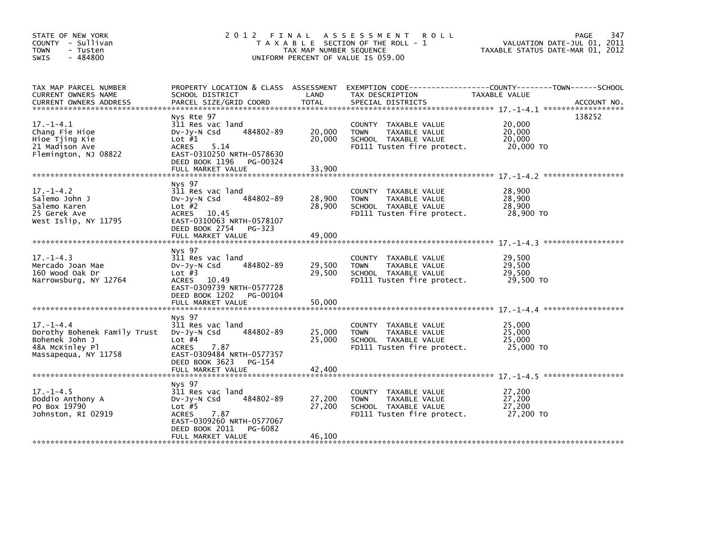| STATE OF NEW YORK<br>COUNTY - Sullivan<br><b>TOWN</b><br>- Tusten<br>$-484800$<br><b>SWIS</b>                | 2012 FINAL                                                                                                                                                                     | TAX MAP NUMBER SEQUENCE    | A S S E S S M E N T<br><b>ROLL</b><br>T A X A B L E SECTION OF THE ROLL - 1<br>UNIFORM PERCENT OF VALUE IS 059.00                       | TAXABLE STATUS DATE-MAR 01, 2012        | 347<br>PAGE<br>VALUATION DATE-JUL 01, 2011 |
|--------------------------------------------------------------------------------------------------------------|--------------------------------------------------------------------------------------------------------------------------------------------------------------------------------|----------------------------|-----------------------------------------------------------------------------------------------------------------------------------------|-----------------------------------------|--------------------------------------------|
| TAX MAP PARCEL NUMBER<br>CURRENT OWNERS NAME<br><b>CURRENT OWNERS ADDRESS</b>                                | SCHOOL DISTRICT<br>PARCEL SIZE/GRID COORD                                                                                                                                      | LAND<br><b>TOTAL</b>       | PROPERTY LOCATION & CLASS ASSESSMENT EXEMPTION CODE---------------COUNTY-------TOWN------SCHOOL<br>TAX DESCRIPTION<br>SPECIAL DISTRICTS | <b>TAXABLE VALUE</b>                    | ACCOUNT NO.                                |
| $17. - 1 - 4.1$<br>Chang Fie Hioe<br>Hioe Tjing Kie<br>21 Madison Ave<br>Flemington, NJ 08822                | Nys Rte 97<br>311 Res vac land<br>484802-89<br>DV-JV-N Csd<br>Lot $#1$<br><b>ACRES</b><br>5.14<br>EAST-0310250 NRTH-0578630<br>DEED BOOK 1196<br>PG-00324<br>FULL MARKET VALUE | 20,000<br>20,000<br>33,900 | COUNTY TAXABLE VALUE<br>TAXABLE VALUE<br><b>TOWN</b><br>SCHOOL TAXABLE VALUE<br>FD111 Tusten fire protect.                              | 20,000<br>20,000<br>20,000<br>20,000 TO | 138252                                     |
|                                                                                                              |                                                                                                                                                                                |                            |                                                                                                                                         |                                         |                                            |
| $17. - 1 - 4.2$<br>Salemo John J<br>Salemo Karen<br>25 Gerek Ave<br>West Islip, NY 11795                     | Nys 97<br>311 Res vac land<br>484802-89<br>$Dv-Jy-N$ Csd<br>Lot $#2$<br>ACRES 10.45<br>EAST-0310063 NRTH-0578107                                                               | 28,900<br>28,900           | COUNTY TAXABLE VALUE<br><b>TAXABLE VALUE</b><br><b>TOWN</b><br>SCHOOL TAXABLE VALUE<br>FD111 Tusten fire protect.                       | 28,900<br>28,900<br>28,900<br>28,900 TO |                                            |
|                                                                                                              | DEED BOOK 2754 PG-323<br>FULL MARKET VALUE                                                                                                                                     | 49,000                     |                                                                                                                                         |                                         |                                            |
|                                                                                                              |                                                                                                                                                                                |                            |                                                                                                                                         |                                         |                                            |
| $17. - 1 - 4.3$<br>Mercado Joan Mae<br>160 Wood Oak Dr<br>Narrowsburg, NY 12764                              | Nys 97<br>311 Res vac land<br>484802-89<br>$Dv-Jv-N$ Csd<br>Lot $#3$<br>ACRES 10.49<br>EAST-0309739 NRTH-0577728<br>DEED BOOK 1202 PG-00104                                    | 29,500<br>29,500           | COUNTY TAXABLE VALUE<br>TAXABLE VALUE<br><b>TOWN</b><br>SCHOOL TAXABLE VALUE<br>FD111 Tusten fire protect.                              | 29.500<br>29,500<br>29,500<br>29,500 TO |                                            |
|                                                                                                              | FULL MARKET VALUE                                                                                                                                                              | 50,000                     |                                                                                                                                         |                                         |                                            |
|                                                                                                              |                                                                                                                                                                                |                            |                                                                                                                                         |                                         |                                            |
| $17. - 1 - 4.4$<br>Dorothy Bohenek Family Trust<br>Bohenek John J<br>48A McKinley Pl<br>Massapequa, NY 11758 | Nys 97<br>311 Res vac land<br>484802-89<br>$Dv-Jy-N$ Csd<br>Lot $#4$<br><b>ACRES</b><br>7.87<br>EAST-0309484 NRTH-0577357<br>DEED BOOK 3623 PG-154<br>FULL MARKET VALUE        | 25,000<br>25,000<br>42,400 | COUNTY TAXABLE VALUE<br>TAXABLE VALUE<br><b>TOWN</b><br>SCHOOL TAXABLE VALUE<br>FD111 Tusten fire protect.                              | 25,000<br>25,000<br>25,000<br>25,000 TO |                                            |
|                                                                                                              |                                                                                                                                                                                |                            |                                                                                                                                         |                                         |                                            |
| $17. - 1 - 4.5$<br>Doddio Anthony A<br>PO Box 19790<br>Johnston, RI 02919                                    | Nys 97<br>311 Res vac land<br>484802-89<br>$Dv-Jy-N$ Csd<br>Lot $#5$<br><b>ACRES</b><br>7.87<br>EAST-0309260 NRTH-0577067<br>DEED BOOK 2011<br>PG-6082                         | 27,200<br>27,200           | COUNTY TAXABLE VALUE<br>TAXABLE VALUE<br><b>TOWN</b><br>SCHOOL TAXABLE VALUE<br>FD111 Tusten fire protect.                              | 27,200<br>27,200<br>27,200<br>27,200 TO |                                            |
|                                                                                                              | FULL MARKET VALUE                                                                                                                                                              | 46,100                     |                                                                                                                                         |                                         |                                            |
|                                                                                                              |                                                                                                                                                                                |                            |                                                                                                                                         |                                         |                                            |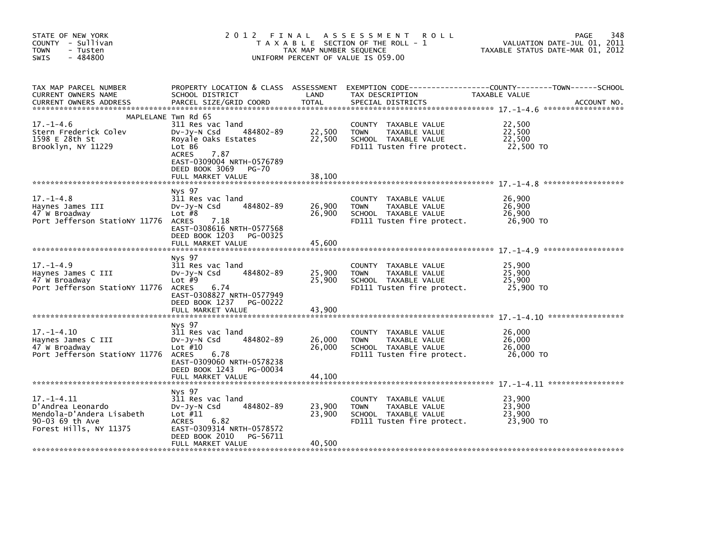| STATE OF NEW YORK<br>COUNTY - Sullivan<br><b>TOWN</b><br>- Tusten<br>$-484800$<br><b>SWIS</b>              | 2 0 1 2                                                                                                                                                  | FINAL<br>TAX MAP NUMBER SEQUENCE | A S S E S S M E N T<br>ROLL<br>T A X A B L E SECTION OF THE ROLL - 1<br>UNIFORM PERCENT OF VALUE IS 059.00           | 348<br>PAGE<br>VALUATION DATE-JUL 01, 2011<br>TAXABLE STATUS DATE-MAR 01, 2012               |
|------------------------------------------------------------------------------------------------------------|----------------------------------------------------------------------------------------------------------------------------------------------------------|----------------------------------|----------------------------------------------------------------------------------------------------------------------|----------------------------------------------------------------------------------------------|
| TAX MAP PARCEL NUMBER<br>CURRENT OWNERS NAME<br><b>CURRENT OWNERS ADDRESS</b>                              | PROPERTY LOCATION & CLASS ASSESSMENT<br>SCHOOL DISTRICT<br>PARCEL SIZE/GRID COORD                                                                        | LAND<br><b>TOTAL</b>             | TAX DESCRIPTION<br>SPECIAL DISTRICTS                                                                                 | EXEMPTION CODE-----------------COUNTY-------TOWN------SCHOOL<br>TAXABLE VALUE<br>ACCOUNT NO. |
|                                                                                                            | MAPLELANE Twn Rd 65                                                                                                                                      |                                  |                                                                                                                      |                                                                                              |
| $17. - 1 - 4.6$<br>Stern Frederick Colev<br>1598 E 28th St<br>Brooklyn, NY 11229                           | 311 Res vac land<br>484802-89<br>$Dv-Jy-N$ Csd<br>Royale Oaks Estates<br>Lot B6<br>7.87<br><b>ACRES</b>                                                  | 22,500<br>22,500                 | COUNTY TAXABLE VALUE<br><b>TOWN</b><br>TAXABLE VALUE<br>SCHOOL TAXABLE VALUE<br>FD111 Tusten fire protect.           | 22,500<br>22,500<br>22,500<br>22,500 TO                                                      |
|                                                                                                            | EAST-0309004 NRTH-0576789<br>DEED BOOK 3069<br><b>PG-70</b><br>FULL MARKET VALUE                                                                         | 38,100                           |                                                                                                                      |                                                                                              |
| $17. - 1 - 4.8$<br>Haynes James III<br>47 W Broadway<br>Port Jefferson Stationy 11776                      | Nys 97<br>311 Res vac land<br>484802-89<br>DV-Jy-N Csd<br>Lot $#8$<br><b>ACRES</b><br>7.18<br>EAST-0308616 NRTH-0577568<br>DEED BOOK 1203<br>PG-00325    | 26,900<br>26,900                 | <b>COUNTY</b><br>TAXABLE VALUE<br><b>TOWN</b><br>TAXABLE VALUE<br>SCHOOL TAXABLE VALUE<br>FD111 Tusten fire protect. | 26,900<br>26,900<br>26,900<br>26,900 TO                                                      |
|                                                                                                            | FULL MARKET VALUE                                                                                                                                        | 45,600                           |                                                                                                                      |                                                                                              |
| $17. - 1 - 4.9$<br>Haynes James C III<br>47 W Broadway<br>Port Jefferson Stationy 11776                    | Nys 97<br>311 Res vac land<br>484802-89<br>$Dv-Jv-N$ Csd<br>Lot $#9$<br><b>ACRES</b><br>6.74<br>EAST-0308827 NRTH-0577949<br>DEED BOOK 1237<br>PG-00222  | 25,900<br>25,900                 | <b>COUNTY</b><br>TAXABLE VALUE<br>TAXABLE VALUE<br><b>TOWN</b><br>SCHOOL TAXABLE VALUE<br>FD111 Tusten fire protect. | 25,900<br>25,900<br>25,900<br>25,900 TO                                                      |
|                                                                                                            | FULL MARKET VALUE                                                                                                                                        | 43,900                           |                                                                                                                      |                                                                                              |
| $17. - 1 - 4.10$<br>Haynes James C III<br>47 W Broadway<br>Port Jefferson StatioNY 11776                   | Nys 97<br>311 Res vac land<br>484802-89<br>$Dv-Jv-N$ Csd<br>Lot $#10$<br>6.78<br><b>ACRES</b><br>EAST-0309060 NRTH-0578238                               | 26,000<br>26,000                 | COUNTY<br>TAXABLE VALUE<br>TAXABLE VALUE<br><b>TOWN</b><br>SCHOOL TAXABLE VALUE<br>FD111 Tusten fire protect.        | 26,000<br>26,000<br>26,000<br>26,000 TO                                                      |
|                                                                                                            | DEED BOOK 1243<br>PG-00034<br>FULL MARKET VALUE                                                                                                          | 44,100                           |                                                                                                                      |                                                                                              |
| 17. -1-4.11<br>D'Andrea Leonardo<br>Mendola-D'Andera Lisabeth<br>90-03 69 th Ave<br>Forest Hills, NY 11375 | Nys 97<br>311 Res vac land<br>484802-89<br>$Dv-Jv-N$ Csd<br>Lot $#11$<br>6.82<br><b>ACRES</b><br>EAST-0309314 NRTH-0578572<br>DEED BOOK 2010<br>PG-56711 | 23,900<br>23,900                 | TAXABLE VALUE<br><b>COUNTY</b><br><b>TOWN</b><br>TAXABLE VALUE<br>SCHOOL TAXABLE VALUE<br>FD111 Tusten fire protect. | 23,900<br>23,900<br>23,900<br>23,900 TO                                                      |
|                                                                                                            | FULL MARKET VALUE                                                                                                                                        | 40,500                           |                                                                                                                      |                                                                                              |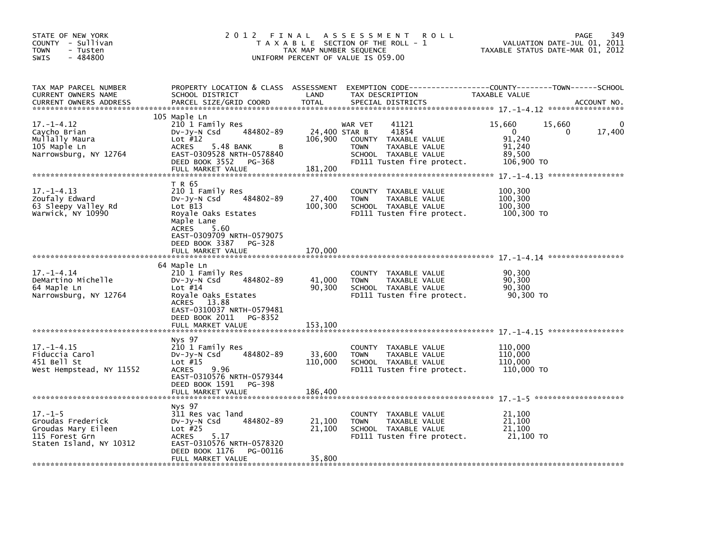| STATE OF NEW YORK<br>COUNTY - Sullivan<br><b>TOWN</b><br>- Tusten<br>$-484800$<br><b>SWIS</b>          | 2 0 1 2                                                                                                                                                                                                        | FINAL<br>TAX MAP NUMBER SEQUENCE | A S S E S S M E N T<br><b>ROLL</b><br>T A X A B L E SECTION OF THE ROLL - 1<br>UNIFORM PERCENT OF VALUE IS 059.00                                        | VALUATION DATE-JUL 01, 2011<br>TAXABLE STATUS DATE-MAR 01, 2012        | 349<br>PAGE |
|--------------------------------------------------------------------------------------------------------|----------------------------------------------------------------------------------------------------------------------------------------------------------------------------------------------------------------|----------------------------------|----------------------------------------------------------------------------------------------------------------------------------------------------------|------------------------------------------------------------------------|-------------|
| TAX MAP PARCEL NUMBER<br>CURRENT OWNERS NAME<br><b>CURRENT OWNERS ADDRESS</b>                          | PROPERTY LOCATION & CLASS ASSESSMENT<br>SCHOOL DISTRICT<br>PARCEL SIZE/GRID COORD                                                                                                                              | LAND<br><b>TOTAL</b>             | EXEMPTION CODE-----------------COUNTY-------TOWN------SCHOOL<br>TAX DESCRIPTION<br>SPECIAL DISTRICTS                                                     | TAXABLE VALUE                                                          | ACCOUNT NO. |
| $17. - 1 - 4.12$<br>Caycho Brian<br>Mullally Maura<br>105 Maple Ln<br>Narrowsburg, NY 12764            | 105 Maple Ln<br>210 1 Family Res<br>484802-89<br>DV-Jy-N Csd<br>Lot $#12$<br><b>ACRES</b><br>5.48 BANK<br>в<br>EAST-0309528 NRTH-0578840<br>DEED BOOK 3552<br>PG-368<br>FULL MARKET VALUE                      | 106,900<br>181,200               | 41121<br>WAR VET<br>24.400 STAR B<br>41854<br>COUNTY TAXABLE VALUE<br><b>TOWN</b><br>TAXABLE VALUE<br>SCHOOL TAXABLE VALUE<br>FD111 Tusten fire protect. | 15,660<br>15,660<br>0<br>0<br>91,240<br>91,240<br>89.500<br>106,900 TO | 17,400      |
| $17. - 1 - 4.13$<br>Zoufaly Edward<br>63 Sleepy Valley Rd<br>Warwick, NY 10990                         | T R 65<br>210 1 Family Res<br>484802-89<br>$Dv-Jy-N$ Csd<br>Lot B13<br>Royale Oaks Estates<br>Maple Lane<br><b>ACRES</b><br>5.60<br>EAST-0309709 NRTH-0579075<br>DEED BOOK 3387<br>PG-328<br>FULL MARKET VALUE | 27,400<br>100,300<br>170,000     | <b>COUNTY</b><br>TAXABLE VALUE<br><b>TOWN</b><br>TAXABLE VALUE<br>SCHOOL TAXABLE VALUE<br>FD111 Tusten fire protect.                                     | 100,300<br>100,300<br>100,300<br>100,300 TO                            |             |
| $17. - 1 - 4.14$<br>DeMartino Michelle<br>64 Maple Ln<br>Narrowsburg, NY 12764                         | 64 Maple Ln<br>210 1 Family Res<br>484802-89<br>DV-JY-N Csd<br>Lot $#14$<br>Royale Oaks Estates<br><b>ACRES</b><br>13.88<br>EAST-0310037 NRTH-0579481<br>DEED BOOK 2011<br>PG-8352<br>FULL MARKET VALUE        | 41,000<br>90.300<br>153,100      | <b>COUNTY</b><br>TAXABLE VALUE<br>TAXABLE VALUE<br><b>TOWN</b><br>SCHOOL TAXABLE VALUE<br>FD111 Tusten fire protect.                                     | 90,300<br>90,300<br>90,300<br>90,300 TO                                |             |
| $17. - 1 - 4.15$<br>Fiduccia Carol<br>451 Bell St<br>West Hempstead, NY 11552                          | Nys 97<br>210 1 Family Res<br>484802-89<br>$Dv-Jy-N$ Csd<br>Lot $#15$<br>9.96<br><b>ACRES</b><br>EAST-0310576 NRTH-0579344<br>DEED BOOK 1591<br>PG-398<br>FULL MARKET VALUE                                    | 33,600<br>110,000<br>186,400     | COUNTY TAXABLE VALUE<br><b>TOWN</b><br>TAXABLE VALUE<br>SCHOOL TAXABLE VALUE<br>FD111 Tusten fire protect.                                               | 110,000<br>110,000<br>110,000<br>110,000 TO                            |             |
| $17. - 1 - 5$<br>Groudas Frederick<br>Groudas Mary Eileen<br>115 Forest Grn<br>Staten Island, NY 10312 | Nys 97<br>311 Res vac land<br>484802-89<br>$Dv-Jy-N$ Csd<br>Lot $#25$<br>5.17<br><b>ACRES</b><br>EAST-0310576 NRTH-0578320<br>DEED BOOK 1176<br>PG-00116<br>FULL MARKET VALUE                                  | 21,100<br>21,100<br>35,800       | TAXABLE VALUE<br><b>COUNTY</b><br><b>TOWN</b><br>TAXABLE VALUE<br>SCHOOL TAXABLE VALUE<br>FD111 Tusten fire protect.                                     | 21,100<br>21,100<br>21,100<br>21,100 TO                                |             |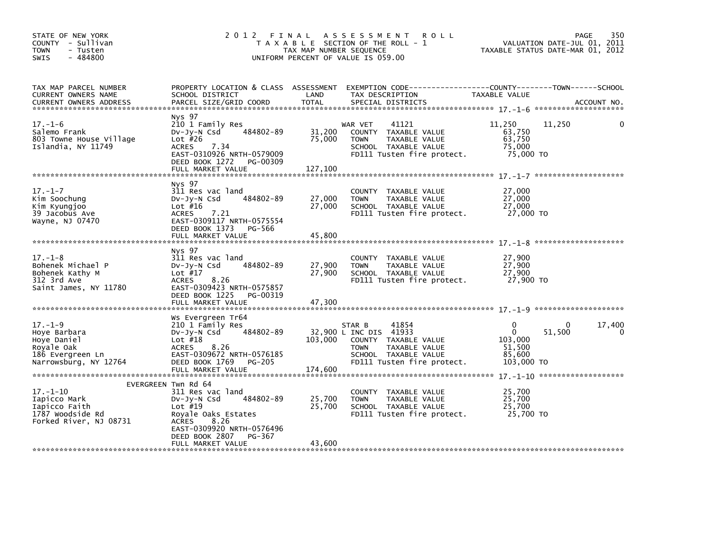| STATE OF NEW YORK<br>COUNTY - Sullivan<br>- Tusten<br><b>TOWN</b><br>$-484800$<br><b>SWIS</b>                        | 2 0 1 2                                                                                                                                                                                                     | FINAL<br>TAX MAP NUMBER SEQUENCE | A S S E S S M E N T<br><b>ROLL</b><br>T A X A B L E SECTION OF THE ROLL - 1<br>UNIFORM PERCENT OF VALUE IS 059.00                                       | TAXABLE STATUS DATE-MAR 01, 2012                               | PAGE<br>VALUATION DATE-JUL 01, 2011 | 350         |
|----------------------------------------------------------------------------------------------------------------------|-------------------------------------------------------------------------------------------------------------------------------------------------------------------------------------------------------------|----------------------------------|---------------------------------------------------------------------------------------------------------------------------------------------------------|----------------------------------------------------------------|-------------------------------------|-------------|
| TAX MAP PARCEL NUMBER<br>CURRENT OWNERS NAME<br><b>CURRENT OWNERS ADDRESS</b>                                        | SCHOOL DISTRICT<br>PARCEL SIZE/GRID COORD                                                                                                                                                                   | LAND<br><b>TOTAL</b>             | PROPERTY LOCATION & CLASS ASSESSMENT EXEMPTION CODE---------------COUNTY-------TOWN------SCHOOL<br>TAX DESCRIPTION<br>SPECIAL DISTRICTS                 | TAXABLE VALUE                                                  |                                     | ACCOUNT NO. |
| $17. - 1 - 6$<br>Salemo Frank<br>803 Towne House Village<br>Islandia, NY 11749                                       | Nys 97<br>210 1 Family Res<br>DV-Jy-N Csd 484802-89<br>Lot $#26$<br>7.34<br><b>ACRES</b><br>EAST-0310926 NRTH-0579009<br>DEED BOOK 1272 PG-00309<br>FULL MARKET VALUE                                       | 31,200<br>75,000<br>127,100      | 41121<br>WAR VET<br>COUNTY TAXABLE VALUE<br>TAXABLE VALUE<br><b>TOWN</b><br>SCHOOL TAXABLE VALUE<br>FD111 Tusten fire protect.                          | 11,250<br>63,750<br>63,750<br>75,000<br>75,000 TO              | 11,250                              |             |
| $17. - 1 - 7$<br>Kim Soochung<br>Kim Kyungjoo<br>39 Jacobus Ave<br>Wayne, NJ 07470                                   | Nys 97<br>311 Res vac land<br>DV-Jy-N Csd 484802-89<br>Lot #16<br>7.21<br>ACRES<br>EAST-0309117 NRTH-0575554<br>DEED BOOK 1373 PG-566<br>FULL MARKET VALUE                                                  | 27,000<br>27,000<br>45,800       | COUNTY TAXABLE VALUE<br>TAXABLE VALUE<br><b>TOWN</b><br>SCHOOL TAXABLE VALUE                                                                            | 27,000<br>27,000<br>27,000                                     |                                     |             |
| $17. - 1 - 8$<br>Bohenek Michael P<br>Bohenek Kathy M<br>312 3rd Ave<br>Saint James, NY 11780                        | Nys 97<br>311 Res vac land<br>484802-89<br>DV-Jy-N Csd<br>Lot $#17$<br><b>ACRES</b><br>8.26<br>EAST-0309423 NRTH-0575857<br>DEED BOOK 1225 PG-00319<br>FULL MARKET VALUE                                    | 27,900<br>27,900<br>47,300       | COUNTY TAXABLE VALUE<br><b>TOWN</b><br>TAXABLE VALUE<br>SCHOOL TAXABLE VALUE<br>FD111 Tusten fire protect. 27,900 TO                                    | 27,900<br>27,900<br>27,900                                     |                                     |             |
| $17. - 1 - 9$<br>Hoye Barbara<br>Hoye Daniel<br>,ս.e oak<br>186 Evergreen Ln<br>Narrowshurs<br>Narrowsburg, NY 12764 | Ws Evergreen Tr64<br>210 1 Family Res<br>484802-89<br>DV-Jy-N Csd<br>Lot $#18$<br>ACRES 8.26<br>EAST-0309672 NRTH-0576185<br>DEED BOOK 1769 PG-205<br>FULL MARKET VALUE                                     | 103,000<br>174,600               | STAR B<br>41854<br>32,900 L INC DIS 41933<br>COUNTY TAXABLE VALUE<br><b>TOWN</b><br>TAXABLE VALUE<br>SCHOOL TAXABLE VALUE<br>FD111 Tusten fire protect. | 0<br>$\mathbf{0}$<br>103,000<br>51,500<br>85,600<br>103,000 TO | 0<br>51,500                         | 17,400<br>0 |
| $17. - 1 - 10$<br>Iapicco Mark<br>Iapicco Faith<br>1787 Woodside Rd<br>Forked River, NJ 08731                        | EVERGREEN Twn Rd 64<br>311 Res vac land<br>484802-89<br>DV-Jy-N Csd<br>Lot #19<br>Royale Oaks Estates<br><b>ACRES</b><br>8.26<br>EAST-0309920 NRTH-0576496<br>DEED BOOK 2807<br>PG-367<br>FULL MARKET VALUE | 25,700<br>25,700<br>43,600       | COUNTY TAXABLE VALUE<br><b>TOWN</b><br>TAXABLE VALUE<br>SCHOOL TAXABLE VALUE<br>FD111 Tusten fire protect.                                              | 25,700<br>25,700<br>25,700<br>25,700 TO                        |                                     |             |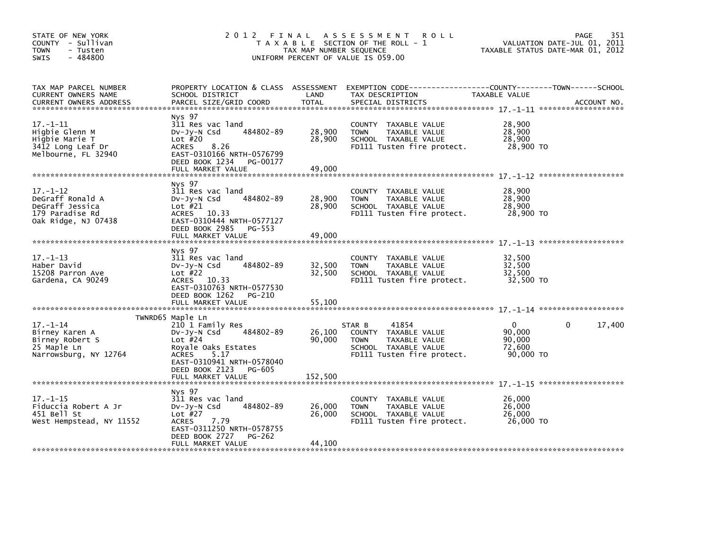| STATE OF NEW YORK<br>COUNTY - Sullivan<br><b>TOWN</b><br>- Tusten<br>$-484800$<br><b>SWIS</b>   | 2012 FINAL                                                                                                                                                                    | TAX MAP NUMBER SEQUENCE    | A S S E S S M E N T<br><b>ROLL</b><br>T A X A B L E SECTION OF THE ROLL - 1<br>UNIFORM PERCENT OF VALUE IS 059.00             |                                                     | 351<br>PAGE<br>VALUATION DATE-JUL 01, 2011<br>TAXABLE STATUS DATE-MAR 01, 2012 |
|-------------------------------------------------------------------------------------------------|-------------------------------------------------------------------------------------------------------------------------------------------------------------------------------|----------------------------|-------------------------------------------------------------------------------------------------------------------------------|-----------------------------------------------------|--------------------------------------------------------------------------------|
| TAX MAP PARCEL NUMBER<br><b>CURRENT OWNERS NAME</b><br><b>CURRENT OWNERS ADDRESS</b>            | PROPERTY LOCATION & CLASS ASSESSMENT<br>SCHOOL DISTRICT<br>PARCEL SIZE/GRID COORD                                                                                             | LAND<br>TOTAL              | TAX DESCRIPTION<br>SPECIAL DISTRICTS                                                                                          | TAXABLE VALUE                                       | ACCOUNT NO.                                                                    |
| $17. - 1 - 11$<br>Higbie Glenn M<br>Higbie Marie T<br>3412 Long Leaf Dr<br>Melbourne, FL 32940  | Nys 97<br>311 Res vac land<br>484802-89<br>$Dv-Jv-N$ Csd<br>Lot $#20$<br>8.26<br><b>ACRES</b><br>EAST-0310166 NRTH-0576799<br>DEED BOOK 1234<br>PG-00177<br>FULL MARKET VALUE | 28,900<br>28,900<br>49,000 | COUNTY TAXABLE VALUE<br><b>TOWN</b><br>TAXABLE VALUE<br>SCHOOL TAXABLE VALUE<br>FD111 Tusten fire protect.                    | 28,900<br>28,900<br>28,900<br>28,900 TO             |                                                                                |
|                                                                                                 |                                                                                                                                                                               |                            |                                                                                                                               |                                                     |                                                                                |
| $17. - 1 - 12$<br>DeGraff Ronald A<br>DeGraff Jessica<br>179 Paradise Rd<br>Oak Ridge, NJ 07438 | Nys 97<br>311 Res vac land<br>484802-89<br>$Dv-Jy-N$ Csd<br>Lot #21<br>ACRES 10.33<br>EAST-0310444 NRTH-0577127                                                               | 28,900<br>28,900           | COUNTY TAXABLE VALUE<br>TAXABLE VALUE<br><b>TOWN</b><br>SCHOOL TAXABLE VALUE<br>FD111 Tusten fire protect.                    | 28,900<br>28,900<br>28,900<br>28,900 TO             |                                                                                |
|                                                                                                 | DEED BOOK 2985<br>PG-553<br>FULL MARKET VALUE                                                                                                                                 | 49,000                     |                                                                                                                               |                                                     |                                                                                |
| $17. - 1 - 13$<br>Haber David<br>15208 Parron Ave<br>Gardena, CA 90249                          | Nys 97<br>311 Res vac land<br>484802-89<br>DV-Jy-N Csd<br>Lot $#22$<br>ACRES 10.33<br>EAST-0310763 NRTH-0577530<br>DEED BOOK 1262<br>PG-210                                   | 32,500<br>32,500           | COUNTY TAXABLE VALUE<br><b>TOWN</b><br>TAXABLE VALUE<br>SCHOOL TAXABLE VALUE<br>FD111 Tusten fire protect.                    | 32,500<br>32,500<br>32,500<br>32,500 TO             |                                                                                |
|                                                                                                 | FULL MARKET VALUE                                                                                                                                                             | 55,100                     |                                                                                                                               |                                                     |                                                                                |
| $17. - 1 - 14$<br>Birney Karen A<br>Birney Robert S<br>25 Maple Ln<br>Narrowsburg, NY 12764     | TWNRD65 Maple Ln<br>210 1 Family Res<br>484802-89<br>DV-Jy-N Csd<br>Lot $#24$<br>Royale Oaks Estates<br><b>ACRES</b><br>5.17<br>EAST-0310941 NRTH-0578040                     | 26,100<br>90,000           | 41854<br>STAR B<br>COUNTY TAXABLE VALUE<br><b>TOWN</b><br>TAXABLE VALUE<br>SCHOOL TAXABLE VALUE<br>FD111 Tusten fire protect. | $\Omega$<br>90,000<br>90,000<br>72,600<br>90,000 TO | 17,400<br>$\mathbf{0}$                                                         |
|                                                                                                 | DEED BOOK 2123<br>PG-605<br>FULL MARKET VALUE                                                                                                                                 | 152,500                    |                                                                                                                               |                                                     |                                                                                |
| $17. - 1 - 15$<br>Fiduccia Robert A Jr<br>451 Bell St<br>West Hempstead, NY 11552               | Nys 97<br>311 Res vac land<br>484802-89<br>$Dv-Jy-N$ Csd<br>Lot $#27$<br><b>ACRES</b><br>7.79<br>EAST-0311250 NRTH-0578755<br>DEED BOOK 2727<br>PG-262<br>FULL MARKET VALUE   | 26,000<br>26,000<br>44,100 | COUNTY TAXABLE VALUE<br>TAXABLE VALUE<br><b>TOWN</b><br>SCHOOL TAXABLE VALUE<br>FD111 Tusten fire protect.                    | 26,000<br>26,000<br>26,000<br>26,000 TO             |                                                                                |
|                                                                                                 |                                                                                                                                                                               |                            |                                                                                                                               |                                                     |                                                                                |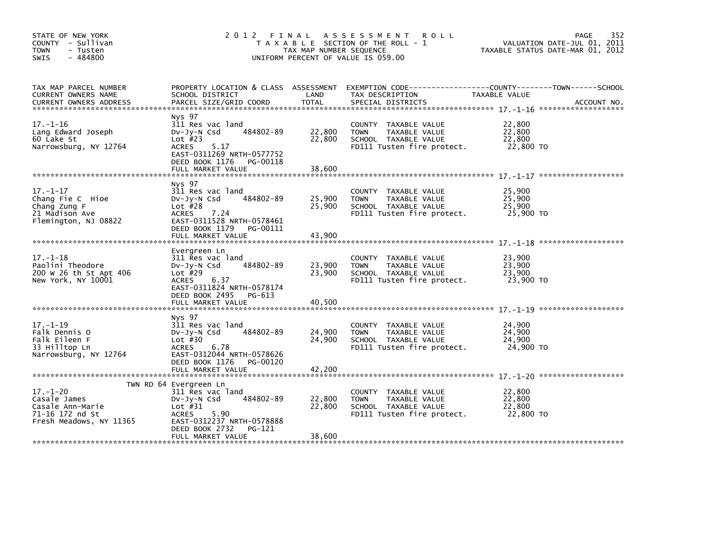| STATE OF NEW YORK<br>COUNTY - Sullivan<br><b>TOWN</b><br>- Tusten<br>$-484800$<br><b>SWIS</b>    | 2 0 1 2                                                                                                                                                                           | FINAL<br>TAX MAP NUMBER SEQUENCE | A S S E S S M E N T<br><b>ROLL</b><br>T A X A B L E SECTION OF THE ROLL - 1<br>UNIFORM PERCENT OF VALUE IS 059.00 |                                         | 352<br>PAGE<br>VALUATION DATE-JUL 01, 2011<br>TAXABLE STATUS DATE-MAR 01, 2012 |
|--------------------------------------------------------------------------------------------------|-----------------------------------------------------------------------------------------------------------------------------------------------------------------------------------|----------------------------------|-------------------------------------------------------------------------------------------------------------------|-----------------------------------------|--------------------------------------------------------------------------------|
| TAX MAP PARCEL NUMBER<br>CURRENT OWNERS NAME<br><b>CURRENT OWNERS ADDRESS</b>                    | PROPERTY LOCATION & CLASS ASSESSMENT<br>SCHOOL DISTRICT<br>PARCEL SIZE/GRID COORD                                                                                                 | LAND<br>TOTAL                    | TAX DESCRIPTION<br>SPECIAL DISTRICTS                                                                              | TAXABLE VALUE                           | ACCOUNT NO.                                                                    |
| $17. - 1 - 16$<br>Lang Edward Joseph<br>60 Lake St<br>Narrowsburg, NY 12764                      | Nys 97<br>311 Res vac land<br>484802-89<br>$Dv-Jy-N$ Csd<br>Lot $#23$<br><b>ACRES</b><br>5.17<br>EAST-0311269 NRTH-0577752<br>DEED BOOK 1176<br>PG-00118                          | 22,800<br>22,800<br>38.600       | COUNTY TAXABLE VALUE<br>TAXABLE VALUE<br><b>TOWN</b><br>SCHOOL TAXABLE VALUE<br>FD111 Tusten fire protect.        | 22,800<br>22,800<br>22,800<br>22,800 TO |                                                                                |
|                                                                                                  | FULL MARKET VALUE                                                                                                                                                                 |                                  |                                                                                                                   |                                         |                                                                                |
| $17. - 1 - 17$<br>Chang Fie C Hioe<br>Chang Zung F<br>21 Madison Ave<br>Flemington, NJ 08822     | Nys 97<br>311 Res vac land<br>484802-89<br>DV-Jy-N Csd<br>Lot $#28$<br><b>ACRES</b><br>7.24<br>EAST-0311528 NRTH-0578461                                                          | 25,900<br>25,900                 | COUNTY TAXABLE VALUE<br>TAXABLE VALUE<br><b>TOWN</b><br>SCHOOL TAXABLE VALUE<br>FD111 Tusten fire protect.        | 25,900<br>25,900<br>25,900<br>25,900 TO |                                                                                |
|                                                                                                  | DEED BOOK 1179<br>PG-00111<br>FULL MARKET VALUE                                                                                                                                   | 43,900                           |                                                                                                                   |                                         |                                                                                |
| $17. - 1 - 18$<br>Paolini Theodore<br>200 W 26 th St Apt 406<br>New York, NY 10001               | Evergreen Ln<br>311 Res vac land<br>484802-89<br>$Dv-Jy-N$ Csd<br>Lot $#29$<br>6.37<br><b>ACRES</b><br>EAST-0311824 NRTH-0578174<br>DEED BOOK 2495<br>PG-613<br>FULL MARKET VALUE | 23,900<br>23,900<br>40,500       | COUNTY<br>TAXABLE VALUE<br>TAXABLE VALUE<br><b>TOWN</b><br>SCHOOL TAXABLE VALUE<br>FD111 Tusten fire protect.     | 23.900<br>23,900<br>23,900<br>23,900 TO |                                                                                |
|                                                                                                  |                                                                                                                                                                                   |                                  |                                                                                                                   |                                         |                                                                                |
| $17. - 1 - 19$<br>Falk Dennis O<br>Falk Eileen F<br>33 Hilltop Ln<br>Narrowsburg, NY 12764       | Nys 97<br>311 Res vac land<br>484802-89<br>$Dv-Jy-N$ Csd<br>Lot $#30$<br>6.78<br><b>ACRES</b><br>EAST-0312044 NRTH-0578626<br>DEED BOOK 1176<br>PG-00120                          | 24,900<br>24,900                 | COUNTY<br>TAXABLE VALUE<br><b>TOWN</b><br>TAXABLE VALUE<br>SCHOOL TAXABLE VALUE<br>FD111 Tusten fire protect.     | 24,900<br>24,900<br>24,900<br>24,900 TO |                                                                                |
|                                                                                                  |                                                                                                                                                                                   |                                  |                                                                                                                   |                                         |                                                                                |
| $17. - 1 - 20$<br>Casale James<br>Casale Ann-Marie<br>71-16 172 nd St<br>Fresh Meadows, NY 11365 | TWN RD 64 Evergreen Ln<br>311 Res vac land<br>484802-89<br>$Dv-Jy-N$ Csd<br>Lot $#31$<br><b>ACRES</b><br>5.90<br>EAST-0312237 NRTH-0578888<br>DEED BOOK 2732<br>PG-121            | 22,800<br>22,800                 | COUNTY<br>TAXABLE VALUE<br>TAXABLE VALUE<br><b>TOWN</b><br>SCHOOL TAXABLE VALUE<br>FD111 Tusten fire protect.     | 22,800<br>22,800<br>22,800<br>22,800 TO |                                                                                |
|                                                                                                  | FULL MARKET VALUE                                                                                                                                                                 | 38,600                           |                                                                                                                   |                                         |                                                                                |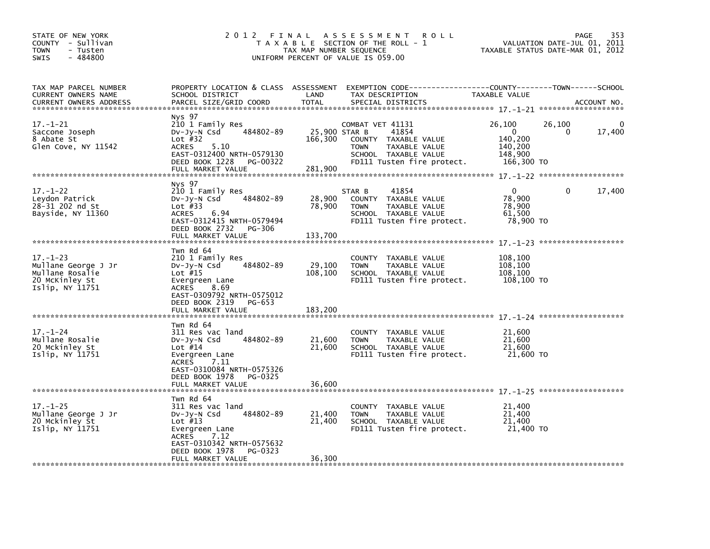| STATE OF NEW YORK<br>COUNTY - Sullivan<br><b>TOWN</b><br>- Tusten<br>$-484800$<br>SWIS        | 2 0 1 2                                                                                                                                                                                           | FINAL<br>TAX MAP NUMBER SEQUENCE | A S S E S S M E N T<br><b>ROLL</b><br>T A X A B L E SECTION OF THE ROLL - 1<br>UNIFORM PERCENT OF VALUE IS 059.00                                        |                                                                   | 353<br>PAGE<br>VALUATION DATE-JUL 01, 2011<br>TAXABLE STATUS DATE-MAR 01, 2012 |
|-----------------------------------------------------------------------------------------------|---------------------------------------------------------------------------------------------------------------------------------------------------------------------------------------------------|----------------------------------|----------------------------------------------------------------------------------------------------------------------------------------------------------|-------------------------------------------------------------------|--------------------------------------------------------------------------------|
| TAX MAP PARCEL NUMBER<br>CURRENT OWNERS NAME<br><b>CURRENT OWNERS ADDRESS</b>                 | PROPERTY LOCATION & CLASS ASSESSMENT<br>SCHOOL DISTRICT<br>PARCEL SIZE/GRID COORD                                                                                                                 | LAND<br><b>TOTAL</b>             | EXEMPTION CODE-----------------COUNTY-------TOWN------SCHOOL<br>TAX DESCRIPTION<br>SPECIAL DISTRICTS                                                     | TAXABLE VALUE                                                     | ACCOUNT NO.                                                                    |
| $17. - 1 - 21$<br>Saccone Joseph<br>8 Abate St<br>Glen Cove, NY 11542                         | Nys 97<br>210 1 Family Res<br>484802-89<br>DV-Jy-N Csd<br>Lot $#32$<br>5.10<br><b>ACRES</b><br>EAST-0312400 NRTH-0579130<br>DEED BOOK 1228<br>PG-00322<br>FULL MARKET VALUE                       | 166,300<br>281,900               | COMBAT VET 41131<br>25,900 STAR B<br>41854<br>COUNTY TAXABLE VALUE<br>TAXABLE VALUE<br><b>TOWN</b><br>SCHOOL TAXABLE VALUE<br>FD111 Tusten fire protect. | 26,100<br>$\Omega$<br>140,200<br>140,200<br>148,900<br>166,300 TO | 26,100<br>17,400<br>0                                                          |
| $17. - 1 - 22$<br>Leydon Patrick<br>28-31 202 nd St<br>Bayside, NY 11360                      | Nys 97<br>210 1 Family Res<br>484802-89<br>$Dv-Jy-N$ Csd<br>Lot $#33$<br><b>ACRES</b><br>6.94<br>EAST-0312415 NRTH-0579494<br>DEED BOOK 2732<br>PG-306<br>FULL MARKET VALUE                       | 28,900<br>78,900<br>133,700      | 41854<br>STAR B<br>TAXABLE VALUE<br>COUNTY<br><b>TOWN</b><br>TAXABLE VALUE<br>SCHOOL TAXABLE VALUE<br>FD111 Tusten fire protect.                         | 0<br>78,900<br>78,900<br>61,500<br>78,900 TO                      | 17,400<br>0                                                                    |
| $17. - 1 - 23$<br>Mullane George J Jr<br>Mullane Rosalie<br>20 McKinley St<br>Islip, NY 11751 | Twn Rd 64<br>210 1 Family Res<br>484802-89<br>$Dv-Jy-N$ Csd<br>Lot $#15$<br>Evergreen Lane<br>8.69<br><b>ACRES</b><br>EAST-0309792 NRTH-0575012<br>DEED BOOK 2319<br>PG-653<br>FULL MARKET VALUE  | 29,100<br>108,100<br>183,200     | COUNTY<br>TAXABLE VALUE<br>TAXABLE VALUE<br><b>TOWN</b><br>SCHOOL TAXABLE VALUE<br>FD111 Tusten fire protect.                                            | 108,100<br>108,100<br>108,100<br>108,100 TO                       |                                                                                |
| $17. - 1 - 24$<br>Mullane Rosalie<br>20 Mckinley St<br>Islip, NY 11751                        | Twn Rd 64<br>311 Res vac land<br>484802-89<br>$Dv-Jy-N$ Csd<br>Lot $#14$<br>Evergreen Lane<br><b>ACRES</b><br>7.11<br>EAST-0310084 NRTH-0575326<br>DEED BOOK 1978<br>PG-0325<br>FULL MARKET VALUE | 21,600<br>21,600<br>36,600       | COUNTY TAXABLE VALUE<br>TAXABLE VALUE<br><b>TOWN</b><br>SCHOOL TAXABLE VALUE<br>FD111 Tusten fire protect.                                               | 21,600<br>21,600<br>21,600<br>21,600 TO                           |                                                                                |
| $17. - 1 - 25$<br>Mullane George J Jr<br>20 Mckinley St<br>Islip, NY 11751                    | Twn Rd 64<br>311 Res vac land<br>484802-89<br>$Dv-Jy-N$ Csd<br>Lot $#13$<br>Evergreen Lane<br><b>ACRES</b><br>7.12<br>EAST-0310342 NRTH-0575632<br>DEED BOOK 1978<br>PG-0323<br>FULL MARKET VALUE | 21,400<br>21,400<br>36,300       | COUNTY TAXABLE VALUE<br><b>TOWN</b><br>TAXABLE VALUE<br>SCHOOL TAXABLE VALUE<br>FD111 Tusten fire protect.                                               | 21,400<br>21,400<br>21,400<br>21,400 TO                           |                                                                                |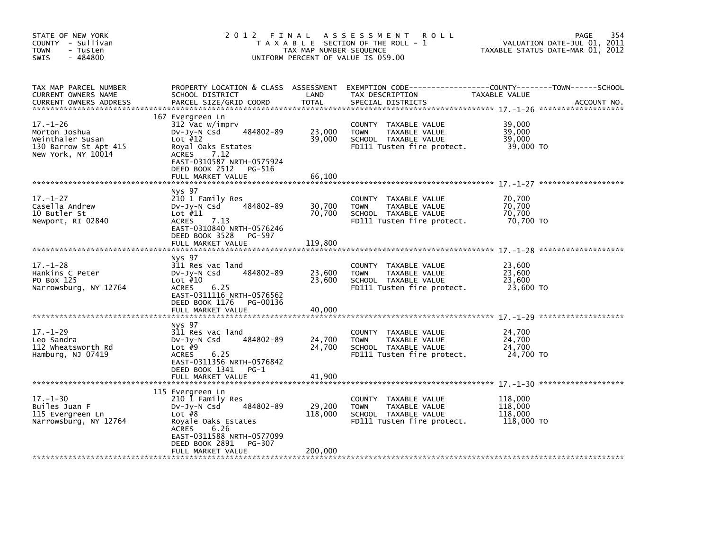| STATE OF NEW YORK<br>COUNTY - Sullivan<br>TOWN<br>- Tusten<br>- 484800<br>SWIS                     | 2 0 1 2                                                                                                                                                                                                  | FINAL<br>TAX MAP NUMBER SEQUENCE | A S S E S S M E N T<br><b>ROLL</b><br>T A X A B L E SECTION OF THE ROLL - 1<br>UNIFORM PERCENT OF VALUE IS 059.00 |                                             | 354<br><b>PAGE</b><br>VALUATION DATE-JUL 01, 2011<br>TAXABLE STATUS DATE-MAR 01, 2012 |
|----------------------------------------------------------------------------------------------------|----------------------------------------------------------------------------------------------------------------------------------------------------------------------------------------------------------|----------------------------------|-------------------------------------------------------------------------------------------------------------------|---------------------------------------------|---------------------------------------------------------------------------------------|
| TAX MAP PARCEL NUMBER<br>CURRENT OWNERS NAME<br><b>CURRENT OWNERS ADDRESS</b>                      | PROPERTY LOCATION & CLASS ASSESSMENT<br>SCHOOL DISTRICT<br>PARCEL SIZE/GRID COORD                                                                                                                        | LAND<br><b>TOTAL</b>             | TAX DESCRIPTION<br>SPECIAL DISTRICTS                                                                              | TAXABLE VALUE                               | ACCOUNT NO.                                                                           |
| $17. - 1 - 26$<br>Morton Joshua<br>Weinthaler Susan<br>130 Barrow St Apt 415<br>New York, NY 10014 | 167 Evergreen Ln<br>312 Vac w/imprv<br>484802-89<br>DV-Jy-N Csd<br>Lot $#12$<br>Royal Oaks Estates<br><b>ACRES</b><br>7.12<br>EAST-0310587 NRTH-0575924<br>DEED BOOK 2512<br>PG-516<br>FULL MARKET VALUE | 23,000<br>39,000<br>66,100       | COUNTY TAXABLE VALUE<br>TAXABLE VALUE<br><b>TOWN</b><br>SCHOOL TAXABLE VALUE<br>FD111 Tusten fire protect.        | 39,000<br>39,000<br>39,000<br>39,000 TO     |                                                                                       |
|                                                                                                    | Nys 97                                                                                                                                                                                                   |                                  |                                                                                                                   |                                             |                                                                                       |
| $17. - 1 - 27$<br>Casella Andrew<br>10 Butler St<br>Newport, RI 02840                              | 210 1 Family Res<br>484802-89<br>$Dv-Jy-N$ Csd<br>Lot $#11$<br><b>ACRES</b><br>7.13<br>EAST-0310840 NRTH-0576246                                                                                         | 30,700<br>70,700                 | COUNTY TAXABLE VALUE<br>TAXABLE VALUE<br><b>TOWN</b><br>SCHOOL TAXABLE VALUE<br>FD111 Tusten fire protect.        | 70,700<br>70,700<br>70,700<br>70,700 TO     |                                                                                       |
|                                                                                                    | DEED BOOK 3528 PG-597<br>FULL MARKET VALUE                                                                                                                                                               | 119,800                          |                                                                                                                   |                                             |                                                                                       |
| $17. - 1 - 28$<br>Hankins C Peter<br>PO Box 125<br>Narrowsburg, NY 12764                           | Nys 97<br>311 Res vac land<br>484802-89<br>$Dv-Jv-N$ Csd<br>Lot $#10$<br><b>ACRES</b><br>6.25<br>EAST-0311116 NRTH-0576562<br>DEED BOOK 1176<br>PG-00136<br>FULL MARKET VALUE                            | 23,600<br>23,600<br>40,000       | COUNTY TAXABLE VALUE<br>TAXABLE VALUE<br><b>TOWN</b><br>SCHOOL TAXABLE VALUE<br>FD111 Tusten fire protect.        | 23,600<br>23.600<br>23,600<br>23,600 TO     |                                                                                       |
|                                                                                                    | Nys 97                                                                                                                                                                                                   |                                  |                                                                                                                   |                                             |                                                                                       |
| $17. - 1 - 29$<br>Leo Sandra<br>112 wheatsworth Rd<br>Hamburg, NJ 07419                            | 311 Res vac land<br>484802-89<br>$Dv-Jy-N$ Csd<br>Lot $#9$<br><b>ACRES</b><br>6.25<br>EAST-0311356 NRTH-0576842<br>DEED BOOK 1341<br>$PG-1$                                                              | 24,700<br>24,700                 | COUNTY TAXABLE VALUE<br>TAXABLE VALUE<br><b>TOWN</b><br>SCHOOL TAXABLE VALUE<br>FD111 Tusten fire protect.        | 24,700<br>24,700<br>24.700<br>24,700 TO     |                                                                                       |
|                                                                                                    | FULL MARKET VALUE                                                                                                                                                                                        | 41,900                           |                                                                                                                   |                                             |                                                                                       |
| $17. - 1 - 30$<br>Builes Juan F<br>115 Evergreen Ln<br>Narrowsburg, NY 12764                       | 115 Evergreen Ln<br>210 1 Family Res<br>484802-89<br>DV-Jy-N Csd<br>Lot $#8$<br>Royale Oaks Estates<br>6.26<br><b>ACRES</b><br>EAST-0311588 NRTH-0577099<br>DEED BOOK 2891<br>PG-307                     | 29,200<br>118,000                | COUNTY TAXABLE VALUE<br>TAXABLE VALUE<br><b>TOWN</b><br>SCHOOL TAXABLE VALUE<br>FD111 Tusten fire protect.        | 118,000<br>118,000<br>118,000<br>118,000 TO |                                                                                       |
|                                                                                                    | FULL MARKET VALUE                                                                                                                                                                                        | 200,000                          |                                                                                                                   |                                             |                                                                                       |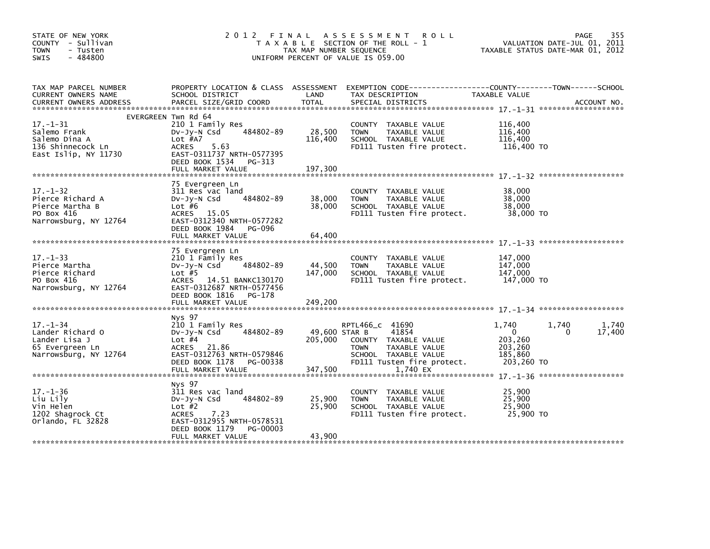| STATE OF NEW YORK<br>COUNTY - Sullivan<br><b>TOWN</b><br>- Tusten<br>$-484800$<br><b>SWIS</b>   | 2012 FINAL                                                                                                                                                          | TAX MAP NUMBER SEQUENCE             | A S S E S S M E N T<br><b>ROLL</b><br>T A X A B L E SECTION OF THE ROLL - 1<br>UNIFORM PERCENT OF VALUE IS 059.00                                  |                                                                  | 355<br>PAGE<br>VALUATION DATE-JUL 01, 2011<br>TAXABLE STATUS DATE-MAR 01, 2012 |
|-------------------------------------------------------------------------------------------------|---------------------------------------------------------------------------------------------------------------------------------------------------------------------|-------------------------------------|----------------------------------------------------------------------------------------------------------------------------------------------------|------------------------------------------------------------------|--------------------------------------------------------------------------------|
| TAX MAP PARCEL NUMBER<br>CURRENT OWNERS NAME<br><b>CURRENT OWNERS ADDRESS</b>                   | PROPERTY LOCATION & CLASS ASSESSMENT<br>SCHOOL DISTRICT<br>PARCEL SIZE/GRID COORD                                                                                   | LAND<br><b>TOTAL</b>                | EXEMPTION CODE-----------------COUNTY-------TOWN------SCHOOL<br>TAX DESCRIPTION<br>SPECIAL DISTRICTS                                               | TAXABLE VALUE                                                    | ACCOUNT NO.                                                                    |
|                                                                                                 | EVERGREEN Twn Rd 64                                                                                                                                                 |                                     |                                                                                                                                                    |                                                                  |                                                                                |
| $17. - 1 - 31$<br>Salemo Frank<br>Salemo Dina A<br>136 Shinnecock Ln<br>East Islip, NY 11730    | 210 1 Family Res<br>484802-89<br>$Dv-Jy-N$ Csd<br>Lot #A7<br>5.63<br>ACRES<br>EAST-0311737 NRTH-0577395<br>DEED BOOK 1534<br>PG-313                                 | 28,500<br>116,400                   | COUNTY TAXABLE VALUE<br><b>TOWN</b><br>TAXABLE VALUE<br>SCHOOL TAXABLE VALUE<br>FD111 Tusten fire protect.                                         | 116,400<br>116,400<br>116,400<br>116,400 TO                      |                                                                                |
|                                                                                                 | FULL MARKET VALUE                                                                                                                                                   | 197,300                             |                                                                                                                                                    |                                                                  |                                                                                |
| $17. - 1 - 32$<br>Pierce Richard A<br>Pierce Martha B<br>PO Box 416<br>Narrowsburg, NY 12764    | 75 Evergreen Ln<br>311 Res vac land<br>484802-89<br>$Dv-Jv-N$ Csd<br>Lot $#6$<br>ACRES 15.05<br>EAST-0312340 NRTH-0577282                                           | 38,000<br>38,000                    | COUNTY TAXABLE VALUE<br><b>TOWN</b><br>TAXABLE VALUE<br>SCHOOL TAXABLE VALUE<br>FD111 Tusten fire protect.                                         | 38,000<br>38,000<br>38,000<br>38,000 TO                          |                                                                                |
|                                                                                                 | DEED BOOK 1984<br>PG-096<br>FULL MARKET VALUE                                                                                                                       | 64,400                              |                                                                                                                                                    |                                                                  |                                                                                |
| $17. - 1 - 33$<br>Pierce Martha<br>Pierce Richard<br>PO Box 416<br>Narrowsburg, NY 12764        | 75 Evergreen Ln<br>210 1 Family Res<br>484802-89<br>DV-Jy-N Csd<br>Lot $#5$<br>ACRES 14.51 BANKC130170<br>EAST-0312687 NRTH-0577456<br>DEED BOOK 1816 PG-178        | 44,500<br>147,000                   | COUNTY TAXABLE VALUE<br><b>TOWN</b><br>TAXABLE VALUE<br>SCHOOL TAXABLE VALUE<br>FD111 Tusten fire protect.                                         | 147,000<br>147,000<br>147,000<br>147,000 TO                      |                                                                                |
|                                                                                                 |                                                                                                                                                                     |                                     |                                                                                                                                                    |                                                                  |                                                                                |
| $17. - 1 - 34$<br>Lander Richard O<br>Lander Lisa J<br>65 Evergreen Ln<br>Narrowsburg, NY 12764 | Nys 97<br>210 1 Family Res<br>484802-89<br>$Dv-Jy-N$ Csd<br>Lot $#4$<br>ACRES 21.86<br>EAST-0312763 NRTH-0579846<br>DEED BOOK 1178<br>PG-00338<br>FULL MARKET VALUE | 49,600 STAR B<br>205,000<br>347,500 | RPTL466_C 41690<br>41854<br>COUNTY TAXABLE VALUE<br>TAXABLE VALUE<br><b>TOWN</b><br>SCHOOL TAXABLE VALUE<br>FD111 Tusten fire protect.<br>1,740 EX | 1,740<br>$\Omega$<br>203,260<br>203.260<br>185,860<br>203,260 TO | 1,740<br>1,740<br>17,400<br>0                                                  |
|                                                                                                 |                                                                                                                                                                     |                                     |                                                                                                                                                    |                                                                  |                                                                                |
| $17. - 1 - 36$<br>Liu Lily<br>Vin Helen<br>1202 Shagrock Ct<br>Orlando, FL 32828                | Nys 97<br>311 Res vac land<br>484802-89<br>$Dv-Jy-N$ Csd<br>Lot $#2$<br>7.23<br><b>ACRES</b><br>EAST-0312955 NRTH-0578531<br>DEED BOOK 1179<br>PG-00003             | 25,900<br>25,900                    | COUNTY TAXABLE VALUE<br>TAXABLE VALUE<br><b>TOWN</b><br>SCHOOL TAXABLE VALUE<br>FD111 Tusten fire protect.                                         | 25,900<br>25,900<br>25,900<br>25,900 TO                          |                                                                                |
|                                                                                                 | FULL MARKET VALUE                                                                                                                                                   | 43,900                              |                                                                                                                                                    |                                                                  |                                                                                |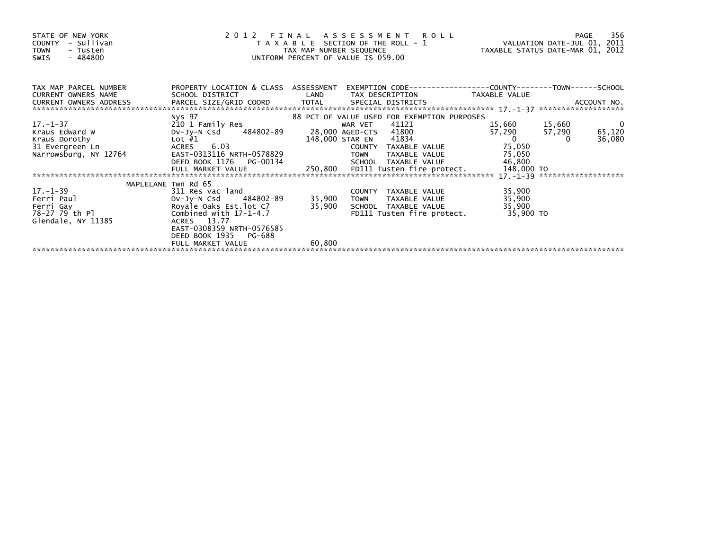| STATE OF NEW YORK<br>COUNTY - Sullivan<br><b>TOWN</b><br>- Tusten<br>$-484800$<br>SWIS |                                                       | UNIFORM PERCENT OF VALUE IS 059.00 |               | 2012 FINAL ASSESSMENI KULL<br>VALUATION DATE-JUL 01, 2011<br>VALUATION DATE-JUL 01, 2012 | TAXABLE STATUS DATE-MAR 01, 2012 |          |                         |
|----------------------------------------------------------------------------------------|-------------------------------------------------------|------------------------------------|---------------|------------------------------------------------------------------------------------------|----------------------------------|----------|-------------------------|
| TAX MAP PARCEL NUMBER<br>CURRENT OWNERS NAME                                           | PROPERTY LOCATION & CLASS ASSESSMENT                  |                                    |               | EXEMPTION        CODE-----------------COUNTY-------TOWN------SCHOOL                      |                                  |          |                         |
|                                                                                        |                                                       |                                    |               |                                                                                          |                                  |          |                         |
|                                                                                        | 88 PCT OF VALUE USED FOR EXEMPTION PURPOSES<br>Nys 97 |                                    |               |                                                                                          |                                  |          |                         |
| $17. - 1 - 37$                                                                         | 210 1 Family Res                                      |                                    | WAR VET 41121 |                                                                                          | 15,660 15,660                    |          | $\overline{\mathbf{0}}$ |
| Kraus Edward W                                                                         | DV-Jy-N Csd 484802-89                                 |                                    |               | 28,000 AGED-CTS 41800                                                                    | 57,290                           | 57,290   | 65,120                  |
| Kraus Dorothy                                                                          | Lot #1                                                | 148,000 STAR EN                    |               | 41834                                                                                    | $\overline{0}$                   | $\Omega$ | 36,080                  |
| 31 Evergreen Ln                                                                        | 6.03<br>ACRES                                         |                                    |               | COUNTY TAXABLE VALUE                                                                     | 75,050                           |          |                         |
| Narrowsburg, NY 12764                                                                  | EAST-0313116 NRTH-0578829                             |                                    | TOWN          | TAXABLE VALUE 75,050                                                                     |                                  |          |                         |
|                                                                                        | DEED BOOK 1176 PG-00134 SCHOOL TAXABLE VALUE          |                                    |               |                                                                                          | 46,800                           |          |                         |
|                                                                                        |                                                       |                                    |               |                                                                                          |                                  |          |                         |
|                                                                                        |                                                       |                                    |               |                                                                                          |                                  |          |                         |
| 17. –1–39                                                                              | MAPLELANE Twn Rd 65<br>311 Res vac land               |                                    |               | COUNTY TAXABLE VALUE                                                                     | 35,900                           |          |                         |
| Ferri Paul                                                                             | DV-Jy-N Csd 484802-89                                 |                                    | 35,900 TOWN   | TAXABLE VALUE                                                                            | 35,900                           |          |                         |
| Ferri Gay                                                                              | Royale Oaks Est.lot C7                                | 35,900                             |               | SCHOOL TAXABLE VALUE                                                                     | 35,900                           |          |                         |
| 78-27 79 th Pl                                                                         | Combined with $17-1-4.7$                              |                                    |               | FD111 Tusten fire protect. 35,900 TO                                                     |                                  |          |                         |
| Glendale, NY 11385                                                                     | ACRES 13.77                                           |                                    |               |                                                                                          |                                  |          |                         |
|                                                                                        | EAST-0308359 NRTH-0576585                             |                                    |               |                                                                                          |                                  |          |                         |
|                                                                                        | DEED BOOK 1935 PG-688                                 |                                    |               |                                                                                          |                                  |          |                         |
|                                                                                        | FULL MARKET VALUE                                     | 60,800                             |               |                                                                                          |                                  |          |                         |
|                                                                                        |                                                       |                                    |               |                                                                                          |                                  |          |                         |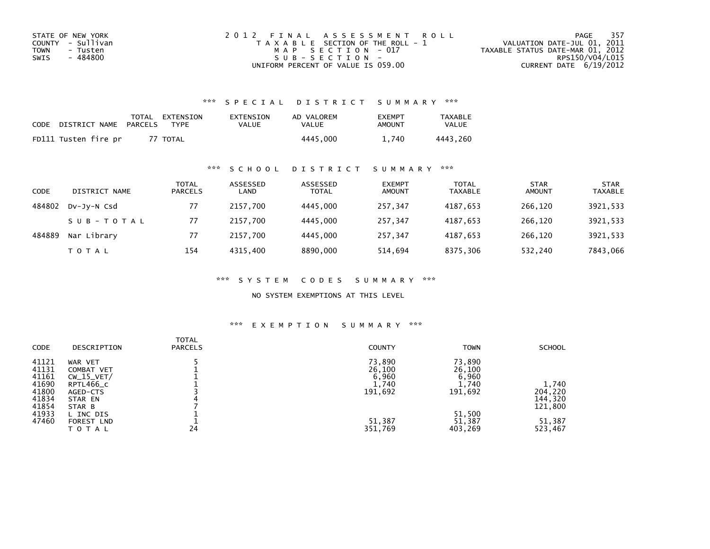| STATE OF NEW YORK       | 2012 FINAL ASSESSMENT ROLL            | - 357<br>PAGE                    |
|-------------------------|---------------------------------------|----------------------------------|
| COUNTY - Sullivan       | T A X A B L E SECTION OF THE ROLL - 1 | VALUATION DATE-JUL 01, 2011      |
| <b>TOWN</b><br>- Tusten | MAP SECTION - 017                     | TAXABLE STATUS DATE-MAR 01, 2012 |
| - 484800<br>SWIS        | SUB-SECTION-                          | RPS150/V04/L015                  |
|                         | UNIFORM PERCENT OF VALUE IS 059.00    | CURRENT DATE $6/19/2012$         |

### \*\*\* S P E C I A L D I S T R I C T S U M M A R Y \*\*\*

| CODE | DISTRICT NAME        | PARCELS | TOTAL EXTENSION<br><b>TYPF</b> | EXTENSION<br>VALUE | AD VALOREM<br>VALUE | <b>FXFMPT</b><br>AMOUNT | <b>TAXABLE</b><br>VALUE |
|------|----------------------|---------|--------------------------------|--------------------|---------------------|-------------------------|-------------------------|
|      | FD111 Tusten fire pr |         | 77 TOTAL                       |                    | 4445.000            | 740                     | 4443.260                |

### \*\*\* S C H O O L D I S T R I C T S U M M A R Y \*\*\*

| <b>CODE</b> | DISTRICT NAME | TOTAL<br><b>PARCELS</b> | ASSESSED<br>LAND | ASSESSED<br><b>TOTAL</b> | <b>EXEMPT</b><br><b>AMOUNT</b> | <b>TOTAL</b><br>TAXABLE | <b>STAR</b><br><b>AMOUNT</b> | <b>STAR</b><br>TAXABLE |
|-------------|---------------|-------------------------|------------------|--------------------------|--------------------------------|-------------------------|------------------------------|------------------------|
| 484802      | DV-JV-N Csd   | 77                      | 2157.700         | 4445,000                 | 257.347                        | 4187.653                | 266.120                      | 3921,533               |
|             | SUB-TOTAL     | 77                      | 2157.700         | 4445,000                 | 257.347                        | 4187.653                | 266.120                      | 3921,533               |
| 484889      | Nar Library   | 77                      | 2157.700         | 4445,000                 | 257,347                        | 4187.653                | 266.120                      | 3921,533               |
|             | <b>TOTAL</b>  | 154                     | 4315.400         | 8890,000                 | 514.694                        | 8375,306                | 532,240                      | 7843.066               |

\*\*\* S Y S T E M C O D E S S U M M A R Y \*\*\*

NO SYSTEM EXEMPTIONS AT THIS LEVEL

#### \*\*\* E X E M P T I O N S U M M A R Y \*\*\*

| <b>CODE</b> | DESCRIPTION  | TOTAL<br><b>PARCELS</b> | <b>COUNTY</b> | <b>TOWN</b> | <b>SCHOOL</b> |
|-------------|--------------|-------------------------|---------------|-------------|---------------|
| 41121       | WAR VET      |                         | 73,890        | 73,890      |               |
| 41131       | COMBAT VET   |                         | 26,100        | 26,100      |               |
| 41161       | $CW_15_VET/$ |                         | 6,960         | 6,960       |               |
| 41690       | RPTL466_C    |                         | 1,740         | 1,740       | 1,740         |
| 41800       | AGED-CTS     |                         | 191,692       | 191,692     | 204,220       |
| 41834       | STAR EN      |                         |               |             | 144,320       |
| 41854       | STAR B       |                         |               |             | 121,800       |
| 41933       | L INC DIS    |                         |               | 51,500      |               |
| 47460       | FOREST LND   |                         | 51,387        | 51,387      | 51,387        |
|             | <b>TOTAL</b> | 24                      | 351,769       | 403,269     | 523,467       |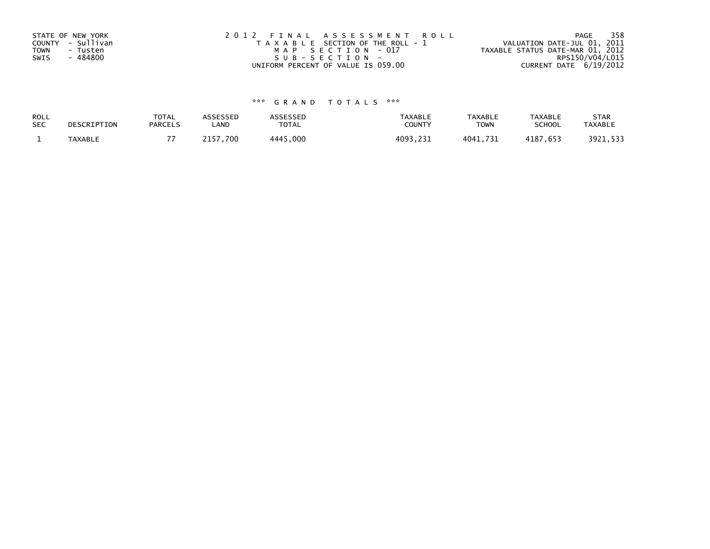| STATE OF NEW YORK<br>COUNTY - Sullivan<br>TOWN<br>- Tusten<br>- 484800 | 2012 FINAL ASSESSMENT ROLL<br>T A X A B L E SECTION OF THE ROLL - 1<br>MAP SECTION - 017 | 358<br>PAGE<br>VALUATION DATE-JUL 01, 2011<br>TAXABLE STATUS DATE-MAR 01, 2012 |
|------------------------------------------------------------------------|------------------------------------------------------------------------------------------|--------------------------------------------------------------------------------|
| SWIS                                                                   | $SUB - SECTION -$<br>UNIFORM PERCENT OF VALUE IS 059.00                                  | RPS150/V04/L015<br>CURRENT DATE 6/19/2012                                      |
|                                                                        |                                                                                          |                                                                                |

# \*\*\* G R A N D T O T A L S \*\*\*

| ROLL       | DESCRIPTION | <b>TOTAL</b>   | ASSESSED | <b>ASSESSED</b> | <b>TAXABLE</b> | <b>TAXABLE</b> | <b>TAXABLE</b> | <b>STAR</b>    |
|------------|-------------|----------------|----------|-----------------|----------------|----------------|----------------|----------------|
| <b>SEC</b> |             | <b>PARCELS</b> | LAND     | TOTAL           | <b>COUNTY</b>  | <b>TOWN</b>    | <b>SCHOOL</b>  | <b>TAXABLE</b> |
|            | TAXABLE     |                | 2157.700 | 4445,000        | 4093,231       | 4041,731       | 4187,653       | 3921,533       |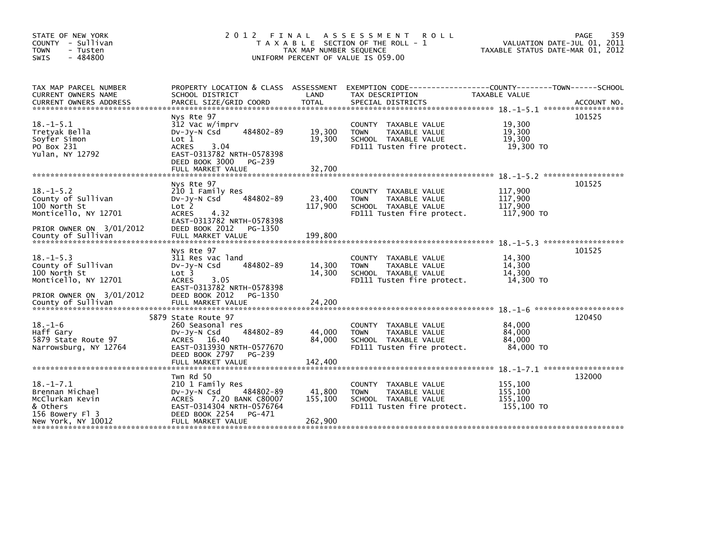| STATE OF NEW YORK<br>COUNTY - Sullivan<br><b>TOWN</b><br>- Tusten<br>$-484800$<br><b>SWIS</b> | 2 0 1 2                                                                                                                                     | TAX MAP NUMBER SEQUENCE | FINAL ASSESSMENT ROLL<br>T A X A B L E SECTION OF THE ROLL - 1<br>UNIFORM PERCENT OF VALUE IS 059.00              | TAXABLE STATUS DATE-MAR 01, 2012            | 359<br>PAGE<br>VALUATION DATE-JUL 01, 2011 |
|-----------------------------------------------------------------------------------------------|---------------------------------------------------------------------------------------------------------------------------------------------|-------------------------|-------------------------------------------------------------------------------------------------------------------|---------------------------------------------|--------------------------------------------|
| TAX MAP PARCEL NUMBER<br>CURRENT OWNERS NAME                                                  | SCHOOL DISTRICT                                                                                                                             | LAND                    | PROPERTY LOCATION & CLASS ASSESSMENT EXEMPTION CODE---------------COUNTY-------TOWN-----SCHOOL<br>TAX DESCRIPTION | TAXABLE VALUE                               |                                            |
|                                                                                               |                                                                                                                                             |                         |                                                                                                                   |                                             |                                            |
|                                                                                               | Nys Rte 97                                                                                                                                  |                         |                                                                                                                   |                                             | 101525                                     |
| $18. -1 - 5.1$<br>Tretyak Bella<br>Soyfer Simon<br>PO Box 231<br>Yulan, NY 12792              | 312 Vac w/imprv<br>484802-89<br>DV-Jy-N Csd<br>$\text{Lot} 1$<br>3.04<br><b>ACRES</b><br>EAST-0313782 NRTH-0578398                          | 19,300<br>19,300        | COUNTY TAXABLE VALUE<br><b>TOWN</b><br>TAXABLE VALUE<br>SCHOOL TAXABLE VALUE<br>FD111 Tusten fire protect.        | 19,300<br>19,300<br>19,300<br>19,300 TO     |                                            |
|                                                                                               | DEED BOOK 3000<br>PG-239<br>FULL MARKET VALUE                                                                                               | 32,700                  |                                                                                                                   |                                             |                                            |
|                                                                                               |                                                                                                                                             |                         |                                                                                                                   |                                             |                                            |
| $18. - 1 - 5.2$<br>County of Sullivan<br>100 North St<br>Monticello, NY 12701                 | Nys Rte 97<br>210 1 Family Res<br>484802-89<br>DV-Jy-N Csd<br>Lot <sub>2</sub><br><b>ACRES</b><br>4.32                                      | 23,400<br>117,900       | COUNTY TAXABLE VALUE<br><b>TOWN</b><br>TAXABLE VALUE<br>SCHOOL TAXABLE VALUE<br>FD111 Tusten fire protect.        | 117,900<br>117,900<br>117,900<br>117,900 TO | 101525                                     |
| PRIOR OWNER ON 3/01/2012<br>County of Sullivan                                                | EAST-0313782 NRTH-0578398<br>DEED BOOK 2012<br>PG-1350<br>FULL MARKET VALUE                                                                 | 199.800                 |                                                                                                                   |                                             |                                            |
| $18. -1 - 5.3$<br>County of Sullivan<br>100 North St<br>Monticello, NY 12701                  | Nys Rte 97<br>311 Res vac land<br>484802-89<br>$Dv-Jy-N$ Csd<br>Lot 3<br>3.05<br><b>ACRES</b>                                               | 14,300<br>14,300        | COUNTY TAXABLE VALUE<br><b>TOWN</b><br>TAXABLE VALUE<br>SCHOOL TAXABLE VALUE<br>FD111 Tusten fire protect.        | 14,300<br>14,300<br>14.300<br>14,300 TO     | 101525                                     |
| PRIOR OWNER ON 3/01/2012<br>County of Sullivan                                                | EAST-0313782 NRTH-0578398<br>DEED BOOK 2012<br>PG-1350<br>FULL MARKET VALUE                                                                 | 24.200                  |                                                                                                                   |                                             |                                            |
|                                                                                               | 5879 State Route 97                                                                                                                         |                         |                                                                                                                   |                                             | 120450                                     |
| $18. - 1 - 6$<br>Haff Gary<br>5879 State Route 97<br>Narrowsburg, NY 12764                    | 260 Seasonal res<br>484802-89<br>DV-Jy-N Csd<br>ACRES 16.40<br>EAST-0313930 NRTH-0577670<br>DEED BOOK 2797<br>PG-239                        | 44,000<br>84,000        | COUNTY TAXABLE VALUE<br><b>TOWN</b><br>TAXABLE VALUE<br>SCHOOL TAXABLE VALUE<br>FD111 Tusten fire protect.        | 84,000<br>84,000<br>84,000<br>84,000 TO     |                                            |
|                                                                                               | FULL MARKET VALUE                                                                                                                           | 142,400                 |                                                                                                                   |                                             |                                            |
|                                                                                               | Twn Rd 50                                                                                                                                   |                         |                                                                                                                   |                                             | 132000                                     |
| $18. -1 - 7.1$<br>Brennan Michael<br>McClurkan Kevin<br>& Others<br>156 Bowery Fl 3           | 210 1 Family Res<br>484802-89<br>$Dv-Jy-N$ Csd<br>7.20 BANK C80007<br><b>ACRES</b><br>EAST-0314304 NRTH-0576764<br>DEED BOOK 2254<br>PG-471 | 41,800<br>155,100       | COUNTY TAXABLE VALUE<br><b>TOWN</b><br>TAXABLE VALUE<br>SCHOOL TAXABLE VALUE<br>FD111 Tusten fire protect.        | 155,100<br>155,100<br>155,100<br>155,100 TO |                                            |
| New York, NY 10012                                                                            | FULL MARKET VALUE                                                                                                                           | 262,900                 |                                                                                                                   |                                             |                                            |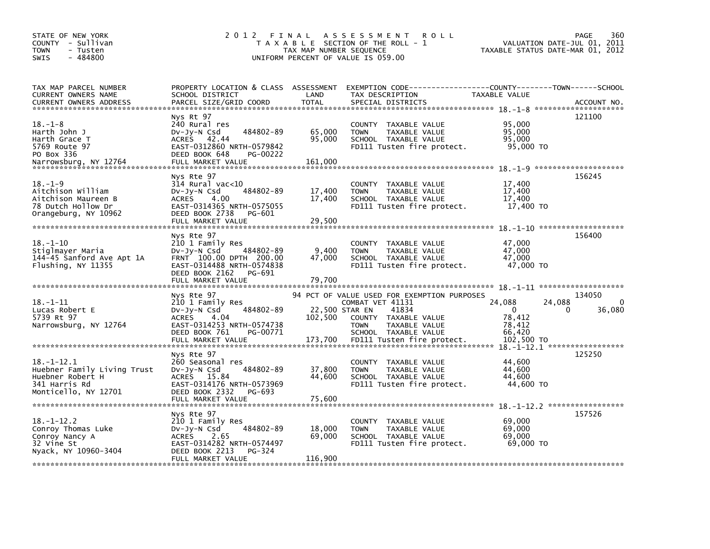| STATE OF NEW YORK<br>COUNTY - Sullivan<br><b>TOWN</b><br>- Tusten<br>$-484800$<br><b>SWIS</b>                                             | 2 0 1 2<br>FINAL                                                                                                                                                      | TAX MAP NUMBER SEQUENCE              | A S S E S S M E N T<br><b>ROLL</b><br>T A X A B L E SECTION OF THE ROLL - 1<br>UNIFORM PERCENT OF VALUE IS 059.00                                                                      | VALUATION DATE-JUL 01,<br>TAXABLE STATUS DATE-MAR 01, 2012                      | 360<br><b>PAGE</b><br>2011               |
|-------------------------------------------------------------------------------------------------------------------------------------------|-----------------------------------------------------------------------------------------------------------------------------------------------------------------------|--------------------------------------|----------------------------------------------------------------------------------------------------------------------------------------------------------------------------------------|---------------------------------------------------------------------------------|------------------------------------------|
| TAX MAP PARCEL NUMBER<br>CURRENT OWNERS NAME<br>CURRENT OWNERS ADDRESS                                                                    | SCHOOL DISTRICT<br>PARCEL SIZE/GRID COORD                                                                                                                             | LAND<br><b>TOTAL</b>                 | PROPERTY LOCATION & CLASS ASSESSMENT EXEMPTION CODE----------------COUNTY-------TOWN------SCHOOL<br>TAX DESCRIPTION<br>SPECIAL DISTRICTS                                               | TAXABLE VALUE                                                                   | ACCOUNT NO.                              |
| $18. - 1 - 8$<br>Harth John J<br>Harth Grace T<br>5769 Route 97<br>PO Box 336<br>Narrowsburg, NY 12764                                    | Nys Rt 97<br>240 Rural res<br>484802-89<br>$Dv-Jv-N$ Csd<br>ACRES 42.44<br>EAST-0312860 NRTH-0579842<br>DEED BOOK 648<br><b>PG-00222</b><br>FULL MARKET VALUE         | 65,000<br>95,000<br>161,000          | COUNTY TAXABLE VALUE<br><b>TOWN</b><br>TAXABLE VALUE<br>SCHOOL TAXABLE VALUE<br>FD111 Tusten fire protect.                                                                             | 95,000<br>95.000<br>95,000<br>95,000 TO                                         | 121100                                   |
| $18. - 1 - 9$<br>Aitchison William<br>Aitchison Maureen B<br>78 Dutch Hollow Dr<br>Orangeburg, NY 10962<br>****************************** | Nys Rte 97<br>314 Rural vac<10<br>484802-89<br>$Dv-Jy-N$ Csd<br><b>ACRES</b><br>4.00<br>EAST-0314365 NRTH-0575055<br>DEED BOOK 2738<br>PG-601<br>FULL MARKET VALUE    | 17,400<br>17,400<br>29,500           | COUNTY TAXABLE VALUE<br>TAXABLE VALUE<br><b>TOWN</b><br>SCHOOL TAXABLE VALUE<br>FD111 Tusten fire protect.                                                                             | 17,400<br>17,400<br>17,400<br>17,400 TO<br>$18. - 1 - 10$ ********************* | 156245                                   |
| $18. - 1 - 10$<br>Stiglmayer Maria<br>144-45 Sanford Ave Apt 1A<br>Flushing, NY 11355                                                     | Nys Rte 97<br>210 1 Family Res<br>$Dv-Jy-N$ Csd<br>484802-89<br>FRNT 100.00 DPTH 200.00<br>EAST-0314488 NRTH-0574838<br>DEED BOOK 2162<br>PG-691<br>FULL MARKET VALUE | 9,400<br>47,000<br>79,700            | COUNTY TAXABLE VALUE<br><b>TOWN</b><br>TAXABLE VALUE<br>SCHOOL TAXABLE VALUE<br>FD111 Tusten fire protect.                                                                             | 47,000<br>47,000<br>47,000<br>47,000 TO                                         | 156400                                   |
|                                                                                                                                           |                                                                                                                                                                       |                                      |                                                                                                                                                                                        |                                                                                 |                                          |
| $18. - 1 - 11$<br>Lucas Robert E<br>5739 Rt 97<br>Narrowsburg, NY 12764                                                                   | Nys Rte 97<br>210 1 Family Res<br>484802-89<br>DV-Jy-N Csd<br>4.04<br><b>ACRES</b><br>EAST-0314253 NRTH-0574738<br>DEED BOOK 761<br>PG-00771<br>FULL MARKET VALUE     | 22,500 STAR EN<br>102,500<br>173,700 | 94 PCT OF VALUE USED FOR EXEMPTION PURPOSES<br>COMBAT VET 41131<br>41834<br>COUNTY TAXABLE VALUE<br><b>TOWN</b><br>TAXABLE VALUE<br>SCHOOL TAXABLE VALUE<br>FD111 Tusten fire protect. | 24,088<br>24.088<br>$\Omega$<br>78,412<br>78,412<br>66,420<br>102,500 TO        | 134050<br>$\Omega$<br>36,080<br>$\Omega$ |
| $18. - 1 - 12.1$<br>Huebner Family Living Trust<br>Huebner Robert H<br>341 Harris Rd<br>Monticello, NY 12701                              | Nys Rte 97<br>260 Seasonal res<br>484802-89<br>DV-JV-N Csd<br>ACRES 15.84<br>EAST-0314176 NRTH-0573969<br>DEED BOOK 2332<br>PG-693<br>FULL MARKET VALUE               | 37,800<br>44,600<br>75,600           | COUNTY TAXABLE VALUE<br><b>TOWN</b><br>TAXABLE VALUE<br>SCHOOL TAXABLE VALUE<br>FD111 Tusten fire protect.                                                                             | 18. -1-12. 1 ******************<br>44.600<br>44,600<br>44,600<br>44,600 TO      | 125250                                   |
| $18. - 1 - 12.2$<br>Conroy Thomas Luke<br>Conroy Nancy A<br>32 Vine St<br>Nyack, NY 10960-3404                                            | Nys Rte 97<br>210 1 Family Res<br>$Dv-Jv-N$ Csd<br>484802-89<br><b>ACRES</b><br>2.65<br>EAST-0314282 NRTH-0574497<br>DEED BOOK 2213<br>PG-324<br>FULL MARKET VALUE    | 18,000<br>69,000<br>116,900          | COUNTY<br>TAXABLE VALUE<br>TAXABLE VALUE<br><b>TOWN</b><br>SCHOOL TAXABLE VALUE<br>FD111 Tusten fire protect.                                                                          | 69,000<br>69,000<br>69,000<br>69,000 TO                                         | 157526                                   |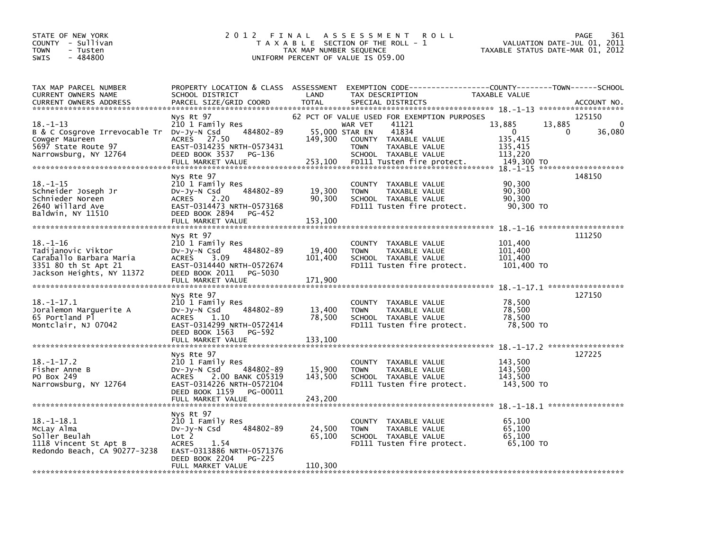| STATE OF NEW YORK<br>COUNTY - Sullivan<br><b>TOWN</b><br>- Tusten<br>$-484800$<br><b>SWIS</b>                     | 2 0 1 2                                                                                                                                                                          | FINAL<br>TAX MAP NUMBER SEQUENCE | A S S E S S M E N T<br><b>ROLL</b><br>T A X A B L E SECTION OF THE ROLL - 1<br>UNIFORM PERCENT OF VALUE IS 059.00                                                                                        | VALUATION DATE-JUL 01,<br>TAXABLE STATUS DATE-MAR 01, 2012                | 361<br>PAGE<br>2011                |
|-------------------------------------------------------------------------------------------------------------------|----------------------------------------------------------------------------------------------------------------------------------------------------------------------------------|----------------------------------|----------------------------------------------------------------------------------------------------------------------------------------------------------------------------------------------------------|---------------------------------------------------------------------------|------------------------------------|
| TAX MAP PARCEL NUMBER<br>CURRENT OWNERS NAME<br><b>CURRENT OWNERS ADDRESS</b>                                     | PROPERTY LOCATION & CLASS ASSESSMENT<br>SCHOOL DISTRICT<br>PARCEL SIZE/GRID COORD                                                                                                | LAND<br><b>TOTAL</b>             | EXEMPTION CODE-----------------COUNTY-------TOWN------SCHOOL<br>TAX DESCRIPTION<br>SPECIAL DISTRICTS                                                                                                     | TAXABLE VALUE                                                             | ACCOUNT NO.<br>******************* |
| $18. - 1 - 13$<br>B & C Cosgrove Irrevocable Tr<br>Cowger Maureen<br>5697 State Route 97<br>Narrowsburg, NY 12764 | Nys Rt 97<br>210 1 Family Res<br>484802-89<br>DV-Jy-N Csd<br>ACRES 27.50<br>EAST-0314235 NRTH-0573431<br>DEED BOOK 3537<br>PG-136<br>FULL MARKET VALUE                           | 149,300<br>253,100               | 62 PCT OF VALUE USED FOR EXEMPTION PURPOSES<br>41121<br>WAR VET<br>55,000 STAR EN<br>41834<br>COUNTY TAXABLE VALUE<br><b>TOWN</b><br>TAXABLE VALUE<br>SCHOOL TAXABLE VALUE<br>FD111 Tusten fire protect. | 13,885<br>13,885<br>0<br>0<br>135,415<br>135,415<br>113,220<br>149,300 TO | 125150<br>$\Omega$<br>36,080       |
| $18. - 1 - 15$<br>Schneider Joseph Jr<br>Schnieder Noreen<br>2640 willard Ave<br>Baldwin, NY 11510                | Nys Rte 97<br>210 1 Family Res<br>484802-89<br>$Dv-Jy-N$ Csd<br><b>ACRES</b><br>2.20<br>EAST-0314473 NRTH-0573168<br>DEED BOOK 2894<br>PG-452<br>FULL MARKET VALUE               | 19,300<br>90,300<br>153,100      | COUNTY TAXABLE VALUE<br><b>TOWN</b><br>TAXABLE VALUE<br>SCHOOL TAXABLE VALUE<br>FD111 Tusten fire protect.                                                                                               | 90,300<br>90,300<br>90,300<br>90,300 TO                                   | 148150                             |
| 18. –1–16<br>Tadijanovic Viktor<br>Caraballo Barbara Maria<br>3351 80 th St Apt 21<br>Jackson Heights, NY 11372   | Nys Rt 97<br>210 1 Family Res<br>484802-89<br>DV-Jy-N Csd<br>3.09<br><b>ACRES</b><br>EAST-0314440 NRTH-0572674<br>DEED BOOK 2011<br>PG-5030<br>FULL MARKET VALUE                 | 19,400<br>101,400<br>171,900     | COUNTY TAXABLE VALUE<br><b>TOWN</b><br>TAXABLE VALUE<br>SCHOOL TAXABLE VALUE<br>FD111 Tusten fire protect.                                                                                               | 101,400<br>101,400<br>101,400<br>101,400 TO                               | 111250                             |
| $18. - 1 - 17.1$<br>Joralemon Marquerite A<br>65 Portland Pl<br>Montclair, NJ 07042                               | Nys Rte 97<br>210 1 Family Res<br>484802-89<br>$Dv-Jy-N$ Csd<br><b>ACRES</b><br>1.10<br>EAST-0314299 NRTH-0572414<br>DEED BOOK 1563<br>PG-592<br>FULL MARKET VALUE               | 13,400<br>78,500<br>133,100      | COUNTY TAXABLE VALUE<br>TAXABLE VALUE<br><b>TOWN</b><br>SCHOOL TAXABLE VALUE<br>FD111 Tusten fire protect.                                                                                               | 78,500<br>78.500<br>78,500<br>78,500 TO                                   | 127150                             |
| $18. - 1 - 17.2$<br>Fisher Anne B<br>PO Box 249<br>Narrowsburg, NY 12764                                          | Nys Rte 97<br>210 1 Family Res<br>484802-89<br>$Dv-Jy-N$ Csd<br>2.00 BANK C05319<br><b>ACRES</b><br>EAST-0314226 NRTH-0572104<br>DEED BOOK 1159<br>PG-00011<br>FULL MARKET VALUE | 15,900<br>143,500<br>243,200     | COUNTY TAXABLE VALUE<br>TAXABLE VALUE<br><b>TOWN</b><br>SCHOOL TAXABLE VALUE<br>FD111 Tusten fire protect.                                                                                               | 143,500<br>143,500<br>143,500<br>143,500 TO                               | 127225                             |
| $18. - 1 - 18.1$<br>McLay Alma<br>Soller Beulah<br>1118 Vincent St Apt B<br>Redondo Beach, CA 90277-3238          | Nys Rt 97<br>210 1 Family Res<br>484802-89<br>$Dv-Jy-N$ Csd<br>Lot 2<br>1.54<br><b>ACRES</b><br>EAST-0313886 NRTH-0571376<br>DEED BOOK 2204<br>PG-225<br>FULL MARKET VALUE       | 24,500<br>65,100<br>110,300      | COUNTY TAXABLE VALUE<br><b>TOWN</b><br>TAXABLE VALUE<br>SCHOOL TAXABLE VALUE<br>FD111 Tusten fire protect.                                                                                               | 65,100<br>65.100<br>65.100<br>65,100 TO                                   |                                    |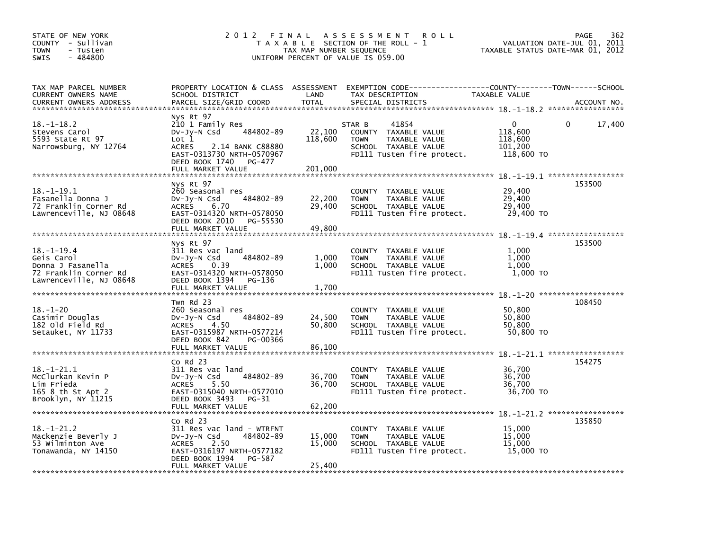| STATE OF NEW YORK<br>COUNTY - Sullivan<br><b>TOWN</b><br>- Tusten<br>$-484800$<br><b>SWIS</b>  | 2012 FINAL                                                                                                                                                                                      | TAX MAP NUMBER SEQUENCE      | A S S E S S M E N T<br><b>ROLL</b><br>T A X A B L E SECTION OF THE ROLL - 1<br>UNIFORM PERCENT OF VALUE IS 059.00                       |                                                         | PAGE<br>362<br>VALUATION DATE-JUL 01,<br>2011<br>TAXABLE STATUS DATE-MAR 01, 2012 |
|------------------------------------------------------------------------------------------------|-------------------------------------------------------------------------------------------------------------------------------------------------------------------------------------------------|------------------------------|-----------------------------------------------------------------------------------------------------------------------------------------|---------------------------------------------------------|-----------------------------------------------------------------------------------|
| TAX MAP PARCEL NUMBER<br>CURRENT OWNERS NAME<br>CURRENT OWNERS ADDRESS                         | SCHOOL DISTRICT<br>PARCEL SIZE/GRID COORD                                                                                                                                                       | LAND<br><b>TOTAL</b>         | PROPERTY LOCATION & CLASS ASSESSMENT EXEMPTION CODE---------------COUNTY-------TOWN------SCHOOL<br>TAX DESCRIPTION<br>SPECIAL DISTRICTS | TAXABLE VALUE                                           | ACCOUNT NO.                                                                       |
| $18. - 1 - 18.2$<br>Stevens Carol<br>5593 State Rt 97<br>Narrowsburg, NY 12764                 | Nys Rt 97<br>210 1 Family Res<br>484802-89<br>DV-Jy-N Csd<br>$\mathsf{Lot} 1$<br><b>ACRES</b><br>2.14 BANK C88880<br>EAST-0313730 NRTH-0570967<br>DEED BOOK 1740<br>PG-477<br>FULL MARKET VALUE | 22,100<br>118,600<br>201,000 | 41854<br>STAR B<br>COUNTY TAXABLE VALUE<br><b>TOWN</b><br>TAXABLE VALUE<br>SCHOOL TAXABLE VALUE<br>FD111 Tusten fire protect.           | $\Omega$<br>118,600<br>118.600<br>101,200<br>118,600 TO | 0<br>17,400                                                                       |
| $18. - 1 - 19.1$<br>Fasanella Donna J<br>72 Franklin Corner Rd<br>Lawrenceville, NJ 08648      | Nys Rt 97<br>260 Seasonal res<br>484802-89<br>DV-Jy-N Csd<br><b>ACRES</b><br>6.70<br>EAST-0314320 NRTH-0578050<br>DEED BOOK 2010<br>PG-55530<br>FULL MARKET VALUE                               | 22,200<br>29,400<br>49,800   | COUNTY TAXABLE VALUE<br><b>TOWN</b><br>TAXABLE VALUE<br>SCHOOL TAXABLE VALUE<br>FD111 Tusten fire protect.                              | 29,400<br>29,400<br>29,400<br>29,400 TO                 | 153500                                                                            |
| $18. - 1 - 19.4$                                                                               | Nys Rt 97<br>311 Res vac land                                                                                                                                                                   |                              | COUNTY TAXABLE VALUE                                                                                                                    | 1,000                                                   | 153500                                                                            |
| Geis Carol<br>Donna J Fasanella<br>72 Franklin Corner Rd<br>Lawrenceville, NJ 08648            | 484802-89<br>DV-Jy-N Csd<br><b>ACRES</b><br>0.39<br>EAST-0314320 NRTH-0578050<br>DEED BOOK 1394<br>PG-136                                                                                       | 1,000<br>1,000               | <b>TOWN</b><br>TAXABLE VALUE<br>SCHOOL TAXABLE VALUE<br>FD111 Tusten fire protect.                                                      | 1.000<br>1.000<br>1,000 TO                              |                                                                                   |
|                                                                                                | FULL MARKET VALUE                                                                                                                                                                               | 1,700                        |                                                                                                                                         |                                                         |                                                                                   |
| $18. - 1 - 20$<br>Casimir Douglas<br>182 old Field Rd<br>Setauket, NY 11733                    | Twn Rd 23<br>260 Seasonal res<br>484802-89<br>DV-Jy-N Csd<br><b>ACRES</b><br>4.50<br>EAST-0315987 NRTH-0577214<br>DEED BOOK 842<br>PG-00366<br>FULL MARKET VALUE                                | 24,500<br>50,800<br>86,100   | COUNTY TAXABLE VALUE<br>TAXABLE VALUE<br><b>TOWN</b><br>SCHOOL TAXABLE VALUE<br>FD111 Tusten fire protect.                              | 50,800<br>50,800<br>50,800<br>50,800 TO                 | 108450                                                                            |
|                                                                                                | $Co$ Rd $23$                                                                                                                                                                                    |                              |                                                                                                                                         |                                                         | 154275                                                                            |
| $18. - 1 - 21.1$<br>McClurkan Kevin P<br>Lim Frieda<br>165 8 th St Apt 2<br>Brooklyn, NY 11215 | 311 Res vac land<br>484802-89<br>DV-Jy-N Csd<br><b>ACRES</b><br>5.50<br>EAST-0315040 NRTH-0577010<br>DEED BOOK 3493<br>PG-31<br>FULL MARKET VALUE                                               | 36,700<br>36,700<br>62,200   | COUNTY TAXABLE VALUE<br>TAXABLE VALUE<br><b>TOWN</b><br>SCHOOL TAXABLE VALUE<br>FD111 Tusten fire protect.                              | 36,700<br>36,700<br>36,700<br>36,700 TO                 |                                                                                   |
| ******************************                                                                 | $CO$ Rd $23$                                                                                                                                                                                    |                              |                                                                                                                                         |                                                         | 135850                                                                            |
| $18. - 1 - 21.2$<br>Mackenzie Beverly J<br>53 Wilminton Ave<br>Tonawanda, NY 14150             | 311 Res vac land - WTRFNT<br>484802-89<br>DV-Jy-N Csd<br><b>ACRES</b><br>2.50<br>EAST-0316197 NRTH-0577182<br>DEED BOOK 1994<br>PG-587<br>FULL MARKET VALUE                                     | 15,000<br>15,000<br>25,400   | COUNTY TAXABLE VALUE<br><b>TOWN</b><br>TAXABLE VALUE<br>SCHOOL TAXABLE VALUE<br>FD111 Tusten fire protect.                              | 15,000<br>15,000<br>15,000<br>15,000 TO                 |                                                                                   |
|                                                                                                |                                                                                                                                                                                                 |                              |                                                                                                                                         |                                                         |                                                                                   |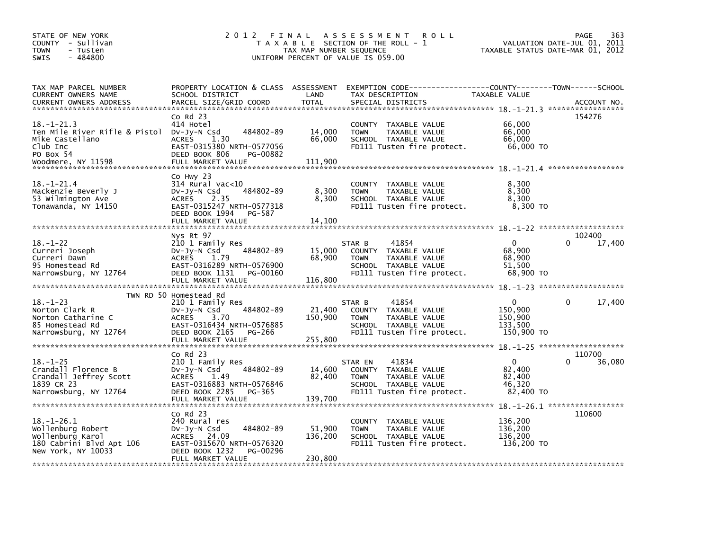| STATE OF NEW YORK<br>COUNTY - Sullivan<br><b>TOWN</b><br>- Tusten<br>- 484800<br><b>SWIS</b>                        | 2 0 1 2<br>FINAL                                                                                                                                                        | TAX MAP NUMBER SEQUENCE      | A S S E S S M E N T<br><b>ROLL</b><br>T A X A B L E SECTION OF THE ROLL - 1<br>UNIFORM PERCENT OF VALUE IS 059.00              | TAXABLE STATUS DATE-MAR 01, 2012                        | 363<br>PAGE<br>VALUATION DATE-JUL 01, 2011 |
|---------------------------------------------------------------------------------------------------------------------|-------------------------------------------------------------------------------------------------------------------------------------------------------------------------|------------------------------|--------------------------------------------------------------------------------------------------------------------------------|---------------------------------------------------------|--------------------------------------------|
| TAX MAP PARCEL NUMBER<br>CURRENT OWNERS NAME<br>CURRENT OWNERS ADDRESS                                              | PROPERTY LOCATION & CLASS ASSESSMENT<br>SCHOOL DISTRICT<br>PARCEL SIZE/GRID COORD                                                                                       | LAND<br><b>TOTAL</b>         | EXEMPTION CODE-----------------COUNTY-------TOWN------SCHOOL<br>TAX DESCRIPTION<br>SPECIAL DISTRICTS                           | TAXABLE VALUE                                           | ACCOUNT NO.                                |
| $18. - 1 - 21.3$<br>Ten Mile River Rifle & Pistol<br>Mike Castellano<br>Club Inc<br>PO Box 54<br>Woodmere, NY 11598 | $Co$ Rd $23$<br>414 Hotel<br>484802-89<br>DV-JV-N Csd<br>1.30<br><b>ACRES</b><br>EAST-0315380 NRTH-0577056<br>DEED BOOK 806<br>PG-00882<br>FULL MARKET VALUE            | 14,000<br>66,000<br>111,900  | COUNTY TAXABLE VALUE<br><b>TOWN</b><br>TAXABLE VALUE<br>SCHOOL TAXABLE VALUE<br>FD111 Tusten fire protect.                     | 66,000<br>66,000<br>66,000<br>66,000 TO                 | 154276                                     |
| $18. - 1 - 21.4$<br>Mackenzie Beverly J<br>53 Wilmington Ave<br>Tonawanda, NY 14150                                 | Co Hwy 23<br>$314$ Rural vac<10<br>484802-89<br>$Dv-Jy-N$ Csd<br>2.35<br><b>ACRES</b><br>EAST-0315247 NRTH-0577318<br>DEED BOOK 1994<br>PG-587<br>FULL MARKET VALUE     | 8,300<br>8,300<br>14.100     | COUNTY TAXABLE VALUE<br>TAXABLE VALUE<br><b>TOWN</b><br>SCHOOL TAXABLE VALUE<br>FD111 Tusten fire protect.                     | 8,300<br>8,300<br>8,300<br>8,300 TO                     |                                            |
| $18. - 1 - 22$<br>Curreri Joseph<br>Curreri Dawn<br>95 Homestead Rd<br>Narrowsburg, NY 12764                        | Nys Rt 97<br>210 1 Family Res<br>484802-89<br>DV-Jy-N Csd<br><b>ACRES</b><br>1.79<br>EAST-0316289 NRTH-0576900<br>DEED BOOK 1131<br>PG-00160<br>FULL MARKET VALUE       | 15,000<br>68,900<br>116,800  | 41854<br>STAR B<br>COUNTY TAXABLE VALUE<br><b>TOWN</b><br>TAXABLE VALUE<br>SCHOOL TAXABLE VALUE<br>FD111 Tusten fire protect.  | $\Omega$<br>68,900<br>68,900<br>51,500<br>68,900 TO     | 102400<br>17,400                           |
|                                                                                                                     |                                                                                                                                                                         |                              |                                                                                                                                |                                                         |                                            |
| $18. - 1 - 23$<br>Norton Clark R<br>Norton Catharine C<br>85 Homestead Rd<br>Narrowsburg, NY 12764                  | TWN RD 50 Homestead Rd<br>210 1 Family Res<br>484802-89<br>$Dv-Jy-N$ Csd<br>ACRES<br>3.70<br>EAST-0316434 NRTH-0576885<br>DEED BOOK 2165<br>PG-266<br>FULL MARKET VALUE | 21,400<br>150,900<br>255,800 | 41854<br>STAR B<br>COUNTY TAXABLE VALUE<br><b>TOWN</b><br>TAXABLE VALUE<br>SCHOOL TAXABLE VALUE<br>FD111 Tusten fire protect.  | 0<br>150,900<br>150,900<br>133,500<br>150,900 TO        | $\Omega$<br>17,400                         |
|                                                                                                                     |                                                                                                                                                                         |                              |                                                                                                                                |                                                         |                                            |
| $18. - 1 - 25$<br>Crandall Florence B<br>Crandall Jeffrey Scott<br>1839 CR 23<br>Narrowsburg, NY 12764              | $Co$ Rd $23$<br>210 1 Family Res<br>484802-89<br>$Dv-Jy-N$ Csd<br><b>ACRES</b><br>1.49<br>EAST-0316883 NRTH-0576846<br>DEED BOOK 2285<br>PG-365                         | 14,600<br>82,400             | STAR EN<br>41834<br>COUNTY TAXABLE VALUE<br>TAXABLE VALUE<br><b>TOWN</b><br>SCHOOL TAXABLE VALUE<br>FD111 Tusten fire protect. | $\mathbf{0}$<br>82.400<br>82,400<br>46,320<br>82,400 TO | 110700<br>0<br>36,080                      |
| $18. - 1 - 26.1$<br>Wollenburg Robert<br>Wollenburg Karol<br>180 Cabrini Blvd Apt 106<br>New York, NY 10033         | $Co$ Rd $23$<br>240 Rural res<br>484802-89<br>$Dv-Jy-N$ Csd<br>ACRES 24.09<br>EAST-0315670 NRTH-0576320<br>DEED BOOK 1232<br>PG-00296<br>FULL MARKET VALUE              | 51,900<br>136,200<br>230,800 | COUNTY TAXABLE VALUE<br>TAXABLE VALUE<br><b>TOWN</b><br>SCHOOL TAXABLE VALUE<br>FD111 Tusten fire protect.                     | 136,200<br>136,200<br>136,200<br>136,200 TO             | 110600                                     |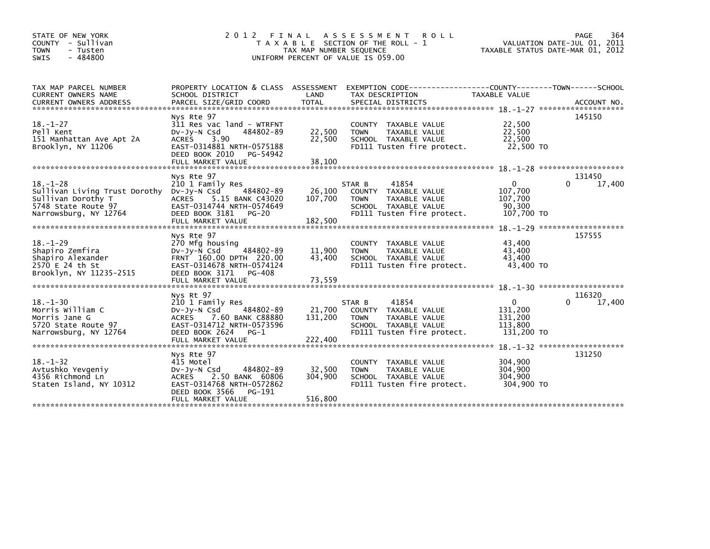| STATE OF NEW YORK<br>COUNTY - Sullivan<br><b>TOWN</b><br>- Tusten<br>$-484800$<br><b>SWIS</b>                                     | 2 0 1 2                                                                                                                                                                | FINAL<br>TAX MAP NUMBER SEQUENCE | A S S E S S M E N T<br>ROLL<br>T A X A B L E SECTION OF THE ROLL - 1<br>UNIFORM PERCENT OF VALUE IS 059.00                    | TAXABLE STATUS DATE-MAR 01, 2012                            | PAGE<br>364<br>VALUATION DATE-JUL 01, 2011 |
|-----------------------------------------------------------------------------------------------------------------------------------|------------------------------------------------------------------------------------------------------------------------------------------------------------------------|----------------------------------|-------------------------------------------------------------------------------------------------------------------------------|-------------------------------------------------------------|--------------------------------------------|
| TAX MAP PARCEL NUMBER<br>CURRENT OWNERS NAME                                                                                      | PROPERTY LOCATION & CLASS ASSESSMENT<br>SCHOOL DISTRICT                                                                                                                | LAND                             | EXEMPTION        CODE-----------------COUNTY-------TOWN------SCHOOL<br>TAX DESCRIPTION                                        | TAXABLE VALUE                                               |                                            |
| $18. - 1 - 27$<br>Pell Kent<br>151 Manhattan Ave Apt 2A<br>Brooklyn, NY 11206                                                     | Nys Rte 97<br>311 Res vac land - WTRFNT<br>$Dv-Jy-N$ Csd<br>484802-89<br><b>ACRES</b><br>3.90<br>EAST-0314881 NRTH-0575188<br>DEED BOOK 2010<br>PG-54942               | 22,500<br>22,500                 | COUNTY TAXABLE VALUE<br>TAXABLE VALUE<br><b>TOWN</b><br>SCHOOL TAXABLE VALUE<br>FD111 Tusten fire protect.                    | 22,500<br>22,500<br>22,500<br>22,500 TO                     | 145150                                     |
| $18. - 1 - 28$<br>Sullivan Living Trust Dorothy Dv-Jy-N Csd<br>Sullivan Dorothy T<br>5748 State Route 97<br>Narrowsburg, NY 12764 | Nys Rte 97<br>210 1 Family Res<br>484802-89<br><b>ACRES</b><br>5.15 BANK C43020<br>EAST-0314744 NRTH-0574649<br>DEED BOOK 3181<br>PG-20<br>FULL MARKET VALUE           | 26,100<br>107,700<br>182,500     | 41854<br>STAR B<br>COUNTY TAXABLE VALUE<br><b>TOWN</b><br>TAXABLE VALUE<br>SCHOOL TAXABLE VALUE<br>FD111 Tusten fire protect. | 0<br>107,700<br>107,700<br>90,300<br>107,700 TO             | 131450<br>0<br>17,400                      |
| $18. - 1 - 29$<br>Shapiro Zemfira<br>Shapiro Alexander<br>2570 E 24 th St<br>Brooklyn, NY 11235-2515                              | Nys Rte 97<br>270 Mfg housing<br>Dv-Jy-N Csd<br>484802-89<br>FRNT 160.00 DPTH 220.00<br>EAST-0314678 NRTH-0574124<br>DEED BOOK 3171<br>PG-408                          | 11,900<br>43,400                 | COUNTY TAXABLE VALUE<br>TAXABLE VALUE<br><b>TOWN</b><br>SCHOOL TAXABLE VALUE<br>FD111 Tusten fire protect.                    | 43,400<br>43,400<br>43.400<br>43,400 TO                     | 157555                                     |
| $18. - 1 - 30$<br>Morris William C<br>Morris Jane G<br>5720 State Route 97<br>Narrowsburg, NY 12764                               | Nys Rt 97<br>210 1 Family Res<br>484802-89<br>$Dv-Jy-N$ Csd<br><b>ACRES</b><br>7.60 BANK C88880<br>EAST-0314712 NRTH-0573596<br>DEED BOOK 2624<br>$PG-1$               | 21,700<br>131,200                | 41854<br>STAR B<br>COUNTY TAXABLE VALUE<br>TAXABLE VALUE<br><b>TOWN</b><br>SCHOOL TAXABLE VALUE<br>FD111 Tusten fire protect. | $\mathbf{0}$<br>131,200<br>131,200<br>113,800<br>131,200 TO | 116320<br>$\Omega$<br>17,400               |
| $18. - 1 - 32$<br>Avtushko Yevgeniy<br>4356 Richmond Ln<br>Staten Island, NY 10312                                                | Nys Rte 97<br>415 Motel<br>484802-89<br>$Dv-Jy-N$ Csd<br>2.50 BANK 60806<br><b>ACRES</b><br>EAST-0314768 NRTH-0572862<br>DEED BOOK 3566<br>PG-191<br>FULL MARKET VALUE | 32,500<br>304,900<br>516,800     | COUNTY TAXABLE VALUE<br>TAXABLE VALUE<br><b>TOWN</b><br>SCHOOL TAXABLE VALUE<br>FD111 Tusten fire protect.                    | 304,900<br>304,900<br>304,900<br>304.900 TO                 | 131250                                     |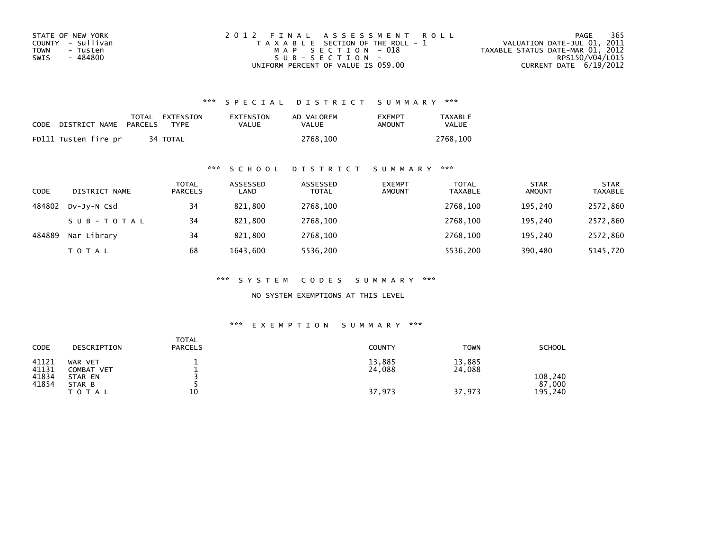| STATE OF NEW YORK | 2012 FINAL ASSESSMENT ROLL            | 365<br>PAGE                      |
|-------------------|---------------------------------------|----------------------------------|
| COUNTY - Sullivan | T A X A B L E SECTION OF THE ROLL - 1 | VALUATION DATE-JUL 01, 2011      |
| TOWN<br>- Tusten  | MAP SECTION - 018                     | TAXABLE STATUS DATE-MAR 01, 2012 |
| - 484800<br>SWIS  | SUB-SECTION-                          | RPS150/V04/L015                  |
|                   | UNIFORM PERCENT OF VALUE IS 059.00    | CURRENT DATE $6/19/2012$         |

| CODE | DISTRICT NAME        | PARCELS | TOTAL EXTENSION<br>TYPF | EXTENSION<br>VALUE | AD VALOREM<br>VALUE | <b>EXEMPT</b><br>AMOUNT | <b>TAXABLE</b><br>VALUE |
|------|----------------------|---------|-------------------------|--------------------|---------------------|-------------------------|-------------------------|
|      | FD111 Tusten fire pr |         | 34 TOTAL                |                    | 2768.100            |                         | 2768.100                |

## \*\*\* S C H O O L D I S T R I C T S U M M A R Y \*\*\*

| CODE   | DISTRICT NAME | <b>TOTAL</b><br><b>PARCELS</b> | ASSESSED<br>LAND | ASSESSED<br><b>TOTAL</b> | <b>EXEMPT</b><br><b>AMOUNT</b> | <b>TOTAL</b><br><b>TAXABLE</b> | <b>STAR</b><br><b>AMOUNT</b> | <b>STAR</b><br><b>TAXABLE</b> |
|--------|---------------|--------------------------------|------------------|--------------------------|--------------------------------|--------------------------------|------------------------------|-------------------------------|
| 484802 | DV-JY-N Csd   | 34                             | 821,800          | 2768,100                 |                                | 2768.100                       | 195.240                      | 2572,860                      |
|        | SUB-TOTAL     | 34                             | 821,800          | 2768,100                 |                                | 2768.100                       | 195.240                      | 2572,860                      |
| 484889 | Nar Library   | 34                             | 821,800          | 2768,100                 |                                | 2768.100                       | 195.240                      | 2572,860                      |
|        | <b>TOTAL</b>  | 68                             | 1643.600         | 5536,200                 |                                | 5536,200                       | 390,480                      | 5145,720                      |

\*\*\* S Y S T E M C O D E S S U M M A R Y \*\*\*

NO SYSTEM EXEMPTIONS AT THIS LEVEL

## \*\*\* E X E M P T I O N S U M M A R Y \*\*\*

| CODE<br>DESCRIPTION                                                                         | <b>TOTAL</b><br><b>PARCELS</b> | <b>COUNTY</b>              | <b>TOWN</b>                | <b>SCHOOL</b>                |
|---------------------------------------------------------------------------------------------|--------------------------------|----------------------------|----------------------------|------------------------------|
| 41121<br>WAR VET<br>41131<br>COMBAT VET<br>41834<br>STAR EN<br>41854<br>STAR B<br>T O T A L | 10                             | 13,885<br>24,088<br>37,973 | 13,885<br>24,088<br>37,973 | 108,240<br>87,000<br>195,240 |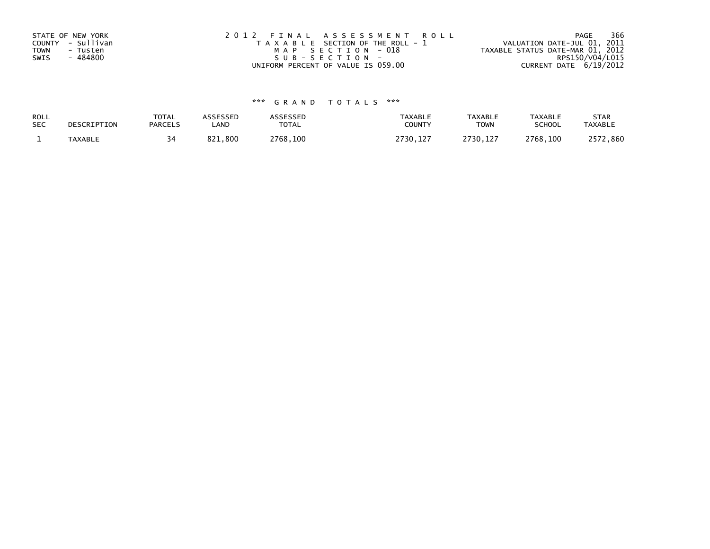| STATE OF NEW YORK       | 2012 FINAL ASSESSMENT ROLL            | 366<br>PAGE                      |
|-------------------------|---------------------------------------|----------------------------------|
| COUNTY - Sullivan       | T A X A B L E SECTION OF THE ROLL - 1 | VALUATION DATE-JUL 01, 2011      |
| <b>TOWN</b><br>- Tusten | MAP SECTION - 018                     | TAXABLE STATUS DATE-MAR 01, 2012 |
| - 484800<br>SWIS        | SUB-SECTION-                          | RPS150/V04/L015                  |
|                         | UNIFORM PERCENT OF VALUE IS 059.00    | CURRENT DATE 6/19/2012           |

| ROLL       | DESCRIPTION | <b>TOTAL</b>   | ASSESSED | <b>ASSESSED</b> | <b>TAXABLE</b> | <b>TAXABLE</b> | <b>TAXABLE</b> | <b>STAR</b>    |
|------------|-------------|----------------|----------|-----------------|----------------|----------------|----------------|----------------|
| <b>SEC</b> |             | <b>PARCELS</b> | LAND     | TOTAL           | <b>COUNT</b>   | <b>TOWN</b>    | <b>SCHOOL</b>  | <b>TAXABLE</b> |
|            | TAXABLE     |                | 821,800  | 2768,100        | 2730,127       | 2730,127       | 2768,100       | 72,860<br>つじつつ |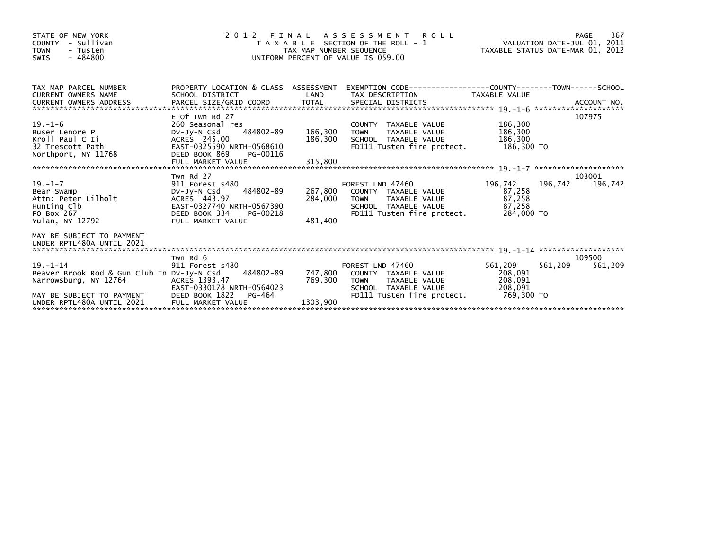| STATE OF NEW YORK<br>- Sullivan<br><b>COUNTY</b><br><b>TOWN</b><br>- Tusten<br>$-484800$<br><b>SWIS</b>                                                                      |                                                                                                                                                         | TAX MAP NUMBER SEQUENCE | 2012 FINAL ASSESSMENT<br>T A X A B L E SECTION OF THE ROLL - 1<br>UNIFORM PERCENT OF VALUE IS 059.00                                   |                                                          |                              |
|------------------------------------------------------------------------------------------------------------------------------------------------------------------------------|---------------------------------------------------------------------------------------------------------------------------------------------------------|-------------------------|----------------------------------------------------------------------------------------------------------------------------------------|----------------------------------------------------------|------------------------------|
| TAX MAP PARCEL NUMBER<br><b>CURRENT OWNERS NAME</b><br><b>CURRENT OWNERS ADDRESS</b>                                                                                         | PROPERTY LOCATION & CLASS ASSESSMENT<br>SCHOOL DISTRICT                                                                                                 | LAND                    | TAX DESCRIPTION                                                                                                                        | TAXABLE VALUE                                            |                              |
| 19.-1-6<br>Buse <u>r</u> Lenore P<br>Kroll Paul C Ii<br>32 Trescott Path<br>Northport, NY 11768                                                                              | E Of Twn Rd 27<br>260 Seasonal res<br>484802-89<br>DV-JY-N Csd<br>ACRES 245.00<br>EAST-0325590 NRTH-0568610<br>DEED BOOK 869<br>PG-00116                | 166,300<br>186,300      | COUNTY TAXABLE VALUE<br><b>TOWN</b><br>TAXABLE VALUE<br>SCHOOL TAXABLE VALUE<br>FD111 Tusten fire protect.                             | 186,300<br>186,300<br>186,300<br>186, 300<br>186, 300 TO | 107975                       |
| $19. - 1 - 7$<br>Bear Swamp<br>Attn: Peter Lilholt<br>Hunting Clb<br>PO Box 267<br>Yulan, NY 12792                                                                           | Twn Rd 27<br>911 Forest s480<br>484802-89<br>DV-JY-N Csd<br>ACRES 443.97<br>EAST-0327740 NRTH-0567390<br>DEED BOOK 334<br>PG-00218<br>FULL MARKET VALUE | 284,000<br>481,400      | FOREST LND 47460<br>267,800 COUNTY TAXABLE VALUE<br>TAXABLE VALUE<br><b>TOWN</b><br>SCHOOL TAXABLE VALUE<br>FD111 Tusten fire protect. | 196,742<br>87,258<br>87,258<br>87,258<br>284,000 TO      | 103001<br>196,742<br>196,742 |
| MAY BE SUBJECT TO PAYMENT                                                                                                                                                    |                                                                                                                                                         |                         |                                                                                                                                        |                                                          |                              |
| $19. - 1 - 14$<br>Beaver Brook Rod & Gun Club In Dv-Jy-N Csd<br>Narrowsburg, NY 12764<br>MAY BE SUBJECT TO PAYMENT<br>UNDER RPTL480A UNTIL 2021<br>UNDER RPTL480A UNTIL 2021 | Twn Rd 6<br>911 Forest s480<br>484802-89<br>ACRES 1393.47<br>EAST-0330178 NRTH-0564023<br>DEED BOOK 1822<br>PG-464<br>FULL MARKET VALUE                 | 769,300<br>1303,900     | FOREST LND 47460<br>747,800 COUNTY TAXABLE VALUE<br><b>TOWN</b><br>TAXABLE VALUE<br>SCHOOL TAXABLE VALUE<br>FD111 Tusten fire protect. | 561,209<br>208,091<br>208,091<br>208,091<br>769,300 TO   | 109500<br>561,209<br>561,209 |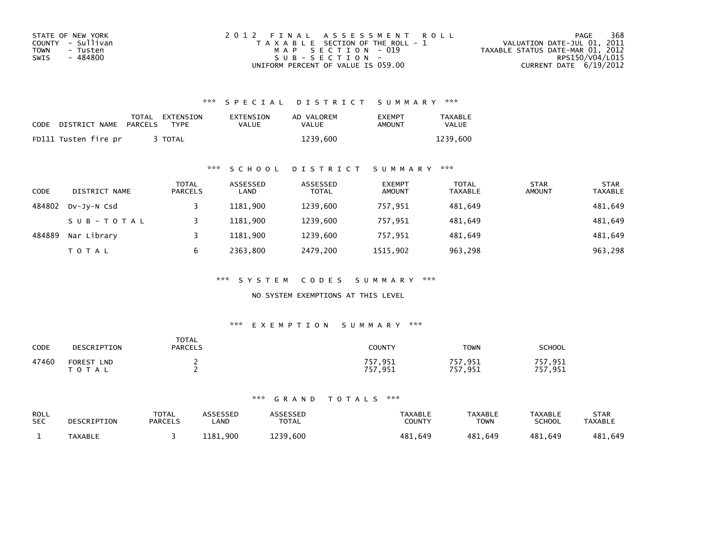| STATE OF NEW YORK | 2012 FINAL ASSESSMENT ROLL            | 368<br>PAGE                      |
|-------------------|---------------------------------------|----------------------------------|
| COUNTY - Sullivan | T A X A B L E SECTION OF THE ROLL - 1 | VALUATION DATE-JUL 01, 2011      |
| TOWN<br>- Tusten  | MAP SECTION - 019                     | TAXABLE STATUS DATE-MAR 01, 2012 |
| - 484800<br>SWIS  | $SUB - SECTION -$                     | RPS150/V04/L015                  |
|                   | UNIFORM PERCENT OF VALUE IS 059.00    | CURRENT DATE $6/19/2012$         |

| CODE | DISTRICT NAME PARCELS | TOTAL EXTENSION<br><b>TYPF</b> | EXTENSION<br>VALUE | AD VALOREM<br>VALUE | <b>EXEMPT</b><br>AMOUNT | TAXABLE<br><b>VALUE</b> |
|------|-----------------------|--------------------------------|--------------------|---------------------|-------------------------|-------------------------|
|      | FD111 Tusten fire pr  | <b>TOTAL</b>                   |                    | 1239.600            |                         | 1239.600                |

### \*\*\* S C H O O L D I S T R I C T S U M M A R Y \*\*\*

| <b>CODE</b> | DISTRICT NAME | <b>TOTAL</b><br><b>PARCELS</b> | ASSESSED<br>LAND | ASSESSED<br><b>TOTAL</b> | <b>EXEMPT</b><br><b>AMOUNT</b> | <b>TOTAL</b><br><b>TAXABLE</b> | <b>STAR</b><br><b>AMOUNT</b> | <b>STAR</b><br><b>TAXABLE</b> |
|-------------|---------------|--------------------------------|------------------|--------------------------|--------------------------------|--------------------------------|------------------------------|-------------------------------|
| 484802      | DV-JY-N Csd   |                                | 1181.900         | 1239,600                 | 757,951                        | 481.649                        |                              | 481,649                       |
|             | SUB-TOTAL     |                                | 1181.900         | 1239.600                 | 757.951                        | 481.649                        |                              | 481,649                       |
| 484889      | Nar Library   |                                | 1181.900         | 1239,600                 | 757.951                        | 481,649                        |                              | 481,649                       |
|             | <b>TOTAL</b>  | 6                              | 2363.800         | 2479,200                 | 1515,902                       | 963,298                        |                              | 963,298                       |

\*\*\* S Y S T E M C O D E S S U M M A R Y \*\*\*

NO SYSTEM EXEMPTIONS AT THIS LEVEL

### \*\*\* E X E M P T I O N S U M M A R Y \*\*\*

| CODE  | DESCRIPTION                              | <b>TOTAL</b><br><b>PARCELS</b> | COUNTY                   | TOWN               | SCHOOL             |
|-------|------------------------------------------|--------------------------------|--------------------------|--------------------|--------------------|
| 47460 | <b>FOREST</b><br><b>LND</b><br>T O T A L |                                | 757,951<br>757.<br>1,951 | 757,951<br>757,951 | 757,951<br>757,951 |

| <b>ROLL</b> | DESCRIPTION | <b>TOTAL</b>   | ASSESSED    | <b>ASSESSED</b> | <b>TAXABLE</b> | <b>TAXABLE</b> | <b>TAXABLE</b> | <b>STAR</b>    |
|-------------|-------------|----------------|-------------|-----------------|----------------|----------------|----------------|----------------|
| <b>SEC</b>  |             | <b>PARCELS</b> | <b>_AND</b> | <b>TOTAL</b>    | <b>COUNTY</b>  | TOWN           | <b>SCHOOL</b>  | <b>TAXABLE</b> |
|             | TAXABLE     |                | 1181.900    | 1239.600        | 481.649        | 481,649        | 481.649        | 481,649        |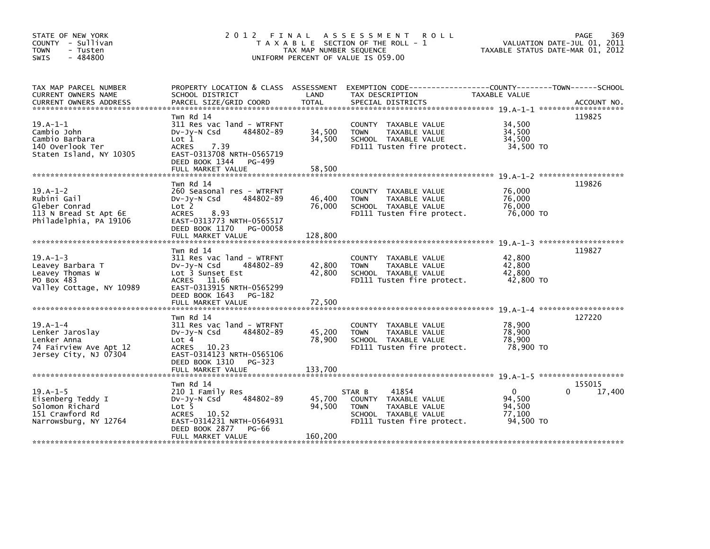| STATE OF NEW YORK<br>COUNTY - Sullivan<br><b>TOWN</b><br>- Tusten<br>$-484800$<br>SWIS              |                                                                                                                                                                        | TAX MAP NUMBER SEQUENCE    | 2012 FINAL ASSESSMENT ROLL<br>T A X A B L E SECTION OF THE ROLL - 1<br>UNIFORM PERCENT OF VALUE IS 059.00                                |                                                         | PAGE<br>369<br>VALUATION DATE-JUL 01, 2011<br>TAXABLE STATUS DATE-MAR 01, 2012 |
|-----------------------------------------------------------------------------------------------------|------------------------------------------------------------------------------------------------------------------------------------------------------------------------|----------------------------|------------------------------------------------------------------------------------------------------------------------------------------|---------------------------------------------------------|--------------------------------------------------------------------------------|
| TAX MAP PARCEL NUMBER<br>CURRENT OWNERS NAME<br><b>CURRENT OWNERS ADDRESS</b>                       | SCHOOL DISTRICT<br>PARCEL SIZE/GRID COORD                                                                                                                              | LAND<br><b>TOTAL</b>       | PROPERTY LOCATION & CLASS ASSESSMENT EXEMPTION CODE----------------COUNTY-------TOWN------SCHOOL<br>TAX DESCRIPTION<br>SPECIAL DISTRICTS | TAXABLE VALUE                                           | ACCOUNT NO.                                                                    |
| $19.A-1-1$<br>Cambio John<br>Cambio Barbara<br>140 Overlook Ter<br>Staten Island, NY 10305          | Twn Rd 14<br>311 Res vac land - WTRFNT<br>484802-89<br>$Dv-Jv-N$ Csd<br>Lot 1<br>ACRES 7.39<br>EAST-0313708 NRTH-0565719<br>DEED BOOK 1344 PG-499<br>FULL MARKET VALUE | 34,500<br>34,500<br>58,500 | COUNTY TAXABLE VALUE<br><b>TOWN</b><br>TAXABLE VALUE<br>SCHOOL TAXABLE VALUE<br>FD111 Tusten fire protect.                               | 34,500<br>34,500<br>34,500<br>34,500 TO                 | 119825                                                                         |
|                                                                                                     |                                                                                                                                                                        |                            |                                                                                                                                          |                                                         |                                                                                |
| $19.A-1-2$<br>Rubini Gail<br>Gleber Conrad<br>113 N Bread St Apt 6E<br>Philadelphia, PA 19106       | Twn Rd 14<br>260 Seasonal res - WTRFNT<br>484802-89<br>$Dv-Jy-N$ Csd<br>Lot <sub>2</sub><br>ACRES 8.93<br>EAST-0313773 NRTH-0565517                                    | 46,400<br>76,000           | COUNTY TAXABLE VALUE<br><b>TOWN</b><br>TAXABLE VALUE<br>SCHOOL TAXABLE VALUE<br>FD111 Tusten fire protect.                               | 76.000<br>76,000<br>76,000<br>76.000 TO                 | 119826                                                                         |
|                                                                                                     | DEED BOOK 1170 PG-00058<br>FULL MARKET VALUE                                                                                                                           | 128,800                    |                                                                                                                                          |                                                         |                                                                                |
| $19. A - 1 - 3$<br>Leavey Barbara T<br>Leavey Thomas W<br>PO Box 483<br>Valley Cottage, NY 10989    | Twn Rd 14<br>311 Res vac land - WTRFNT<br>Dv-Jy-N Csd<br>484802-89<br>Lot 3 Sunset Est<br>ACRES 11.66<br>EAST-0313915 NRTH-0565299<br>DEED BOOK 1643 PG-182            | 42,800<br>42,800           | COUNTY TAXABLE VALUE<br>TAXABLE VALUE<br><b>TOWN</b><br>SCHOOL TAXABLE VALUE<br>FD111 Tusten fire protect.                               | 42.800<br>42,800<br>42,800<br>42,800 TO                 | 119827                                                                         |
|                                                                                                     |                                                                                                                                                                        |                            |                                                                                                                                          |                                                         |                                                                                |
| $19.A-1-4$<br>Lenker Jaroslay<br>Lenker Anna<br>74 Fairview Ave Apt 12<br>Jersey City, NJ 07304     | Twn Rd 14<br>311 Res vac land - WTRFNT<br>484802-89<br>$Dv-Jy-N$ Csd<br>Lot 4<br>ACRES 10.23<br>EAST-0314123 NRTH-0565106<br>DEED BOOK 1310 PG-323                     | 45,200<br>78,900           | COUNTY TAXABLE VALUE<br><b>TOWN</b><br>TAXABLE VALUE<br>SCHOOL TAXABLE VALUE<br>FD111 Tusten fire protect.                               | 78,900<br>78,900<br>78,900<br>78,900 то                 | 127220                                                                         |
|                                                                                                     |                                                                                                                                                                        |                            |                                                                                                                                          |                                                         |                                                                                |
| $19. A - 1 - 5$<br>Eisenberg Teddy I<br>Solomon Richard<br>151 Crawford Rd<br>Narrowsburg, NY 12764 | Twn Rd 14<br>210 1 Family Res<br>484802-89<br>$Dv-Jy-N$ Csd<br>Lot <sub>5</sub><br>ACRES 10.52<br>EAST-0314231 NRTH-0564931<br>DEED BOOK 2877 PG-66                    | 45,700<br>94,500           | 41854<br>STAR B<br>COUNTY TAXABLE VALUE<br>TAXABLE VALUE<br><b>TOWN</b><br>SCHOOL TAXABLE VALUE<br>FD111 Tusten fire protect.            | $\mathbf{0}$<br>94.500<br>94,500<br>77,100<br>94.500 TO | 155015<br>$\Omega$<br>17,400                                                   |
|                                                                                                     | FULL MARKET VALUE                                                                                                                                                      | 160,200                    |                                                                                                                                          |                                                         |                                                                                |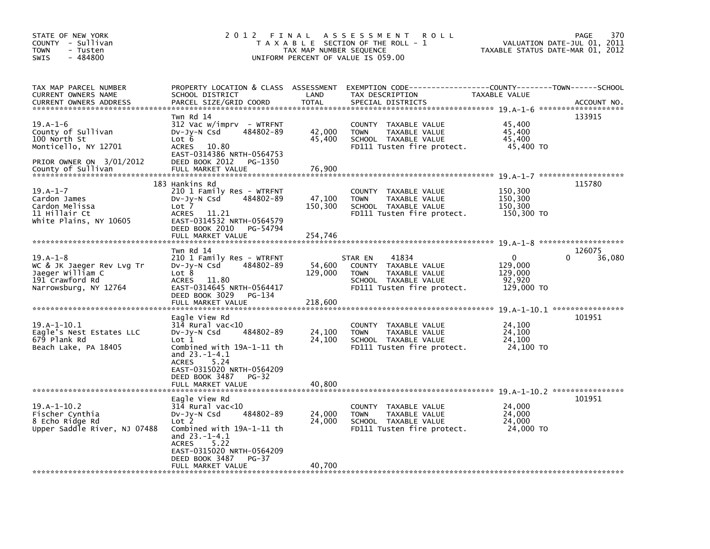| STATE OF NEW YORK<br>COUNTY - Sullivan<br>TOWN<br>- Tusten<br>$-484800$<br><b>SWIS</b>                                     | 2012 FINAL                                                                                                                                                                                                                      | TAX MAP NUMBER SEQUENCE      | A S S E S S M E N T<br><b>ROLL</b><br>T A X A B L E SECTION OF THE ROLL - 1<br>UNIFORM PERCENT OF VALUE IS 059.00              | VALUATION DATE-JUL 01,<br>TAXABLE STATUS DATE-MAR 01, 2012 | 370<br>PAGE<br>2011                            |
|----------------------------------------------------------------------------------------------------------------------------|---------------------------------------------------------------------------------------------------------------------------------------------------------------------------------------------------------------------------------|------------------------------|--------------------------------------------------------------------------------------------------------------------------------|------------------------------------------------------------|------------------------------------------------|
| TAX MAP PARCEL NUMBER<br>CURRENT OWNERS NAME<br><b>CURRENT OWNERS ADDRESS</b>                                              | PROPERTY LOCATION & CLASS ASSESSMENT<br>SCHOOL DISTRICT<br>PARCEL SIZE/GRID COORD                                                                                                                                               | LAND<br><b>TOTAL</b>         | EXEMPTION CODE-----------------COUNTY-------TOWN------SCHOOL<br>TAX DESCRIPTION<br>SPECIAL DISTRICTS                           | TAXABLE VALUE                                              | ACCOUNT NO.                                    |
| $19.A-1-6$<br>County of Sullivan<br>100 North St<br>Monticello, NY 12701<br>PRIOR OWNER ON 3/01/2012<br>County of Sullivan | Twn Rd 14<br>312 Vac w/imprv - WTRFNT<br>Dv-Jy-N Csd<br>484802-89<br>Lot 6<br><b>ACRES</b><br>10.80<br>EAST-0314386 NRTH-0564753<br>DEED BOOK 2012<br>PG-1350<br>FULL MARKET VALUE                                              | 42,000<br>45,400<br>76,900   | COUNTY TAXABLE VALUE<br>TAXABLE VALUE<br><b>TOWN</b><br>SCHOOL TAXABLE VALUE<br>FD111 Tusten fire protect.                     | 45,400<br>45,400<br>45.400<br>45,400 TO                    | 133915<br>$19. A - 1 - 7$ ******************** |
| $19.A - 1 - 7$<br>Cardon James<br>Cardon Melissa<br>11 Hillair Ct<br>White Plains, NY 10605                                | 183 Hankins Rd<br>210 1 Family Res - WTRFNT<br>484802-89<br>$Dv-Jy-N$ Csd<br>Lot 7<br><b>ACRES</b><br>11.21<br>EAST-0314532 NRTH-0564579<br>DEED BOOK 2010<br>PG-54794<br>FULL MARKET VALUE                                     | 47,100<br>150,300<br>254,746 | COUNTY TAXABLE VALUE<br><b>TOWN</b><br>TAXABLE VALUE<br>SCHOOL TAXABLE VALUE<br>FD111 Tusten fire protect.                     | 150,300<br>150,300<br>150,300<br>150,300 TO                | 115780<br>19.A-1-8 *********************       |
| $19.A-1-8$<br>WC & JK Jaeger Rev Lvg Tr<br>Jaeger William C<br>191 Crawford Rd<br>Narrowsburg, NY 12764                    | Twn Rd 14<br>210 1 Family Res - WTRFNT<br>484802-89<br>$Dv-Jy-N$ Csd<br>Lot 8<br><b>ACRES</b><br>11.80<br>EAST-0314645 NRTH-0564417<br>DEED BOOK 3029<br>PG-134<br>FULL MARKET VALUE                                            | 54,600<br>129,000<br>218,600 | 41834<br>STAR EN<br>COUNTY TAXABLE VALUE<br>TAXABLE VALUE<br><b>TOWN</b><br>SCHOOL TAXABLE VALUE<br>FD111 Tusten fire protect. | $\Omega$<br>129,000<br>129,000<br>92,920<br>129,000 TO     | 126075<br>36,080<br>0                          |
| $19.A-1-10.1$<br>Eagle's Nest Estates LLC<br>679 Plank Rd<br>Beach Lake, PA 18405                                          | Eagle View Rd<br>314 Rural vac<10<br>484802-89<br>DV-Jy-N Csd<br>Lot 1<br>Combined with 19A-1-11 th<br>and $23.-1-4.1$<br>5.24<br><b>ACRES</b><br>EAST-0315020 NRTH-0564209<br>DEED BOOK 3487<br>$PG-32$<br>FULL MARKET VALUE   | 24,100<br>24,100<br>40,800   | TAXABLE VALUE<br><b>COUNTY</b><br><b>TOWN</b><br>TAXABLE VALUE<br>SCHOOL TAXABLE VALUE<br>FD111 Tusten fire protect.           | 24,100<br>24,100<br>24,100<br>24,100 TO                    | 19.A-1-10.1 *****************<br>101951        |
| $19.A-1-10.2$<br>Fischer Cynthia<br>8 Echo Ridge Rd<br>Upper Saddle River, NJ 07488                                        | Eagle View Rd<br>314 Rural vac<10<br>484802-89<br>$Dv-Jv-N$ Csd<br>Lot 2<br>Combined with 19A-1-11 th<br>and $23.-1-4.1$<br>5.22<br><b>ACRES</b><br>EAST-0315020 NRTH-0564209<br>DEED BOOK 3487<br>$PG-37$<br>FULL MARKET VALUE | 24,000<br>24,000<br>40,700   | COUNTY TAXABLE VALUE<br>TAXABLE VALUE<br><b>TOWN</b><br>SCHOOL TAXABLE VALUE<br>FD111 Tusten fire protect.                     | 24,000<br>24,000<br>24,000<br>24,000 TO                    | 101951                                         |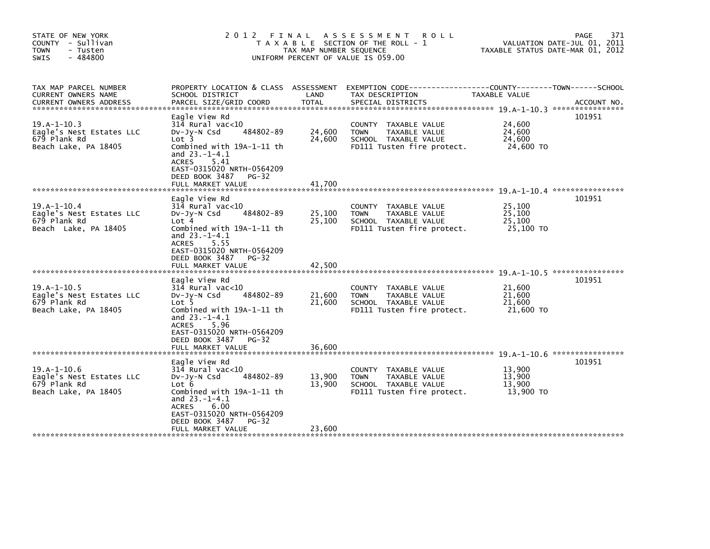| STATE OF NEW YORK<br>COUNTY - Sullivan<br><b>TOWN</b><br>- Tusten<br>$-484800$<br><b>SWIS</b> | 2012                                                                                                                                                                                                                          | FINAL<br>TAX MAP NUMBER SEQUENCE | A S S E S S M E N T<br><b>ROLL</b><br>T A X A B L E SECTION OF THE ROLL - 1<br>UNIFORM PERCENT OF VALUE IS 059.00 | TAXABLE STATUS DATE-MAR 01, 2012        | 371<br>PAGE<br>VALUATION DATE-JUL 01, 2011 |
|-----------------------------------------------------------------------------------------------|-------------------------------------------------------------------------------------------------------------------------------------------------------------------------------------------------------------------------------|----------------------------------|-------------------------------------------------------------------------------------------------------------------|-----------------------------------------|--------------------------------------------|
| TAX MAP PARCEL NUMBER<br>CURRENT OWNERS NAME<br><b>CURRENT OWNERS ADDRESS</b>                 | PROPERTY LOCATION & CLASS ASSESSMENT<br>SCHOOL DISTRICT<br>PARCEL SIZE/GRID COORD                                                                                                                                             | LAND<br><b>TOTAL</b>             | EXEMPTION CODE-----------------COUNTY-------TOWN------SCHOOL<br>TAX DESCRIPTION<br>SPECIAL DISTRICTS              | TAXABLE VALUE                           | ACCOUNT NO.                                |
| $19.A-1-10.3$<br>Eagle's Nest Estates LLC<br>679 Plank Rd<br>Beach Lake, PA 18405             | Eagle View Rd<br>314 Rural vac<10<br>484802-89<br>DV-Jy-N Csd<br>Lot 3<br>Combined with 19A-1-11 th<br>and $23.-1-4.1$<br><b>ACRES</b><br>5.41<br>EAST-0315020 NRTH-0564209<br>DEED BOOK 3487<br>$PG-32$<br>FULL MARKET VALUE | 24,600<br>24,600<br>41,700       | COUNTY<br>TAXABLE VALUE<br><b>TOWN</b><br>TAXABLE VALUE<br>SCHOOL TAXABLE VALUE<br>FD111 Tusten fire protect.     | 24,600<br>24,600<br>24,600<br>24,600 TO | 101951                                     |
|                                                                                               |                                                                                                                                                                                                                               |                                  |                                                                                                                   |                                         |                                            |
| $19.A-1-10.4$<br>Eagle's Nest Estates LLC<br>679 Plank Rd<br>Beach Lake, PA 18405             | Eagle View Rd<br>$314$ Rural vac<10<br>484802-89<br>$Dv-Jv-N$ Csd<br>Lot 4<br>Combined with 19A-1-11 th<br>and $23.-1-4.1$<br>ACRES<br>5.55<br>EAST-0315020 NRTH-0564209<br>DEED BOOK 3487<br>$PG-32$                         | 25,100<br>25,100                 | COUNTY TAXABLE VALUE<br><b>TOWN</b><br>TAXABLE VALUE<br>SCHOOL TAXABLE VALUE<br>FD111 Tusten fire protect.        | 25,100<br>25,100<br>25.100<br>25,100 TO | 101951                                     |
|                                                                                               | FULL MARKET VALUE                                                                                                                                                                                                             | 42,500                           |                                                                                                                   |                                         |                                            |
| $19.A-1-10.5$<br>Eagle's Nest Estates LLC<br>679 Plank Rd<br>Beach Lake, PA 18405             | Eagle View Rd<br>314 Rural vac<10<br>484802-89<br>$Dv-Jy-N$ Csd<br>Lot 5<br>Combined with 19A-1-11 th<br>and $23.-1-4.1$<br><b>ACRES</b><br>5.96<br>EAST-0315020 NRTH-0564209<br>DEED BOOK 3487<br>$PG-32$                    | 21,600<br>21.600                 | COUNTY TAXABLE VALUE<br><b>TOWN</b><br>TAXABLE VALUE<br>SCHOOL TAXABLE VALUE<br>FD111 Tusten fire protect.        | 21,600<br>21,600<br>21,600<br>21,600 TO | 101951                                     |
|                                                                                               | FULL MARKET VALUE                                                                                                                                                                                                             | 36.600                           |                                                                                                                   |                                         |                                            |
| $19.A-1-10.6$<br>Eagle's Nest Estates LLC<br>679 Plank Rd<br>Beach Lake, PA 18405             | Eagle View Rd<br>$314$ Rural vac< $10$<br>DV-Jy-N Csd<br>484802-89<br>Lot 6<br>Combined with 19A-1-11 th<br>and $23.-1-4.1$<br><b>ACRES</b><br>6.00<br>EAST-0315020 NRTH-0564209<br>DEED BOOK 3487<br>$PG-32$                 | 13,900<br>13.900                 | COUNTY TAXABLE VALUE<br>TAXABLE VALUE<br><b>TOWN</b><br>SCHOOL TAXABLE VALUE<br>FD111 Tusten fire protect.        | 13,900<br>13,900<br>13.900<br>13,900 TO | 101951                                     |
|                                                                                               | FULL MARKET VALUE                                                                                                                                                                                                             | 23,600                           |                                                                                                                   |                                         |                                            |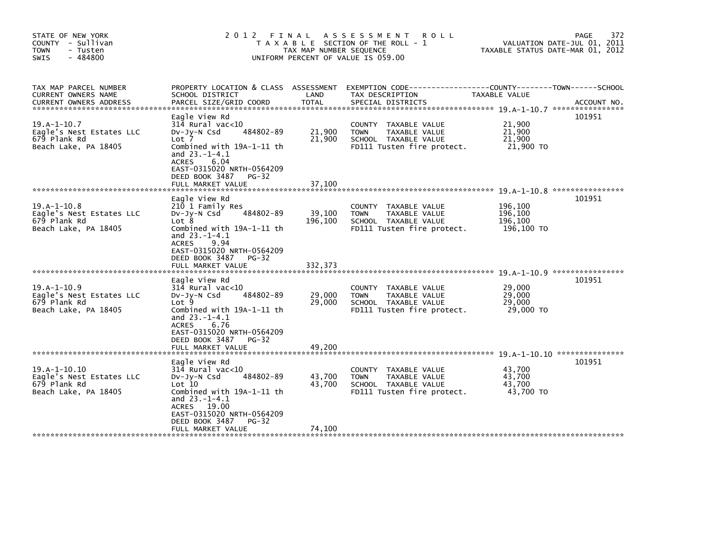| STATE OF NEW YORK<br>COUNTY - Sullivan<br><b>TOWN</b><br>- Tusten<br>$-484800$<br><b>SWIS</b>                   | 2012 FINAL                                                                                                                                                                                                                    | TAX MAP NUMBER SEQUENCE    | A S S E S S M E N T<br>R O L L<br>T A X A B L E SECTION OF THE ROLL - 1<br>UNIFORM PERCENT OF VALUE IS 059.00        | TAXABLE STATUS DATE-MAR 01, 2012            | 372<br>PAGE<br>VALUATION DATE-JUL 01, 2011 |
|-----------------------------------------------------------------------------------------------------------------|-------------------------------------------------------------------------------------------------------------------------------------------------------------------------------------------------------------------------------|----------------------------|----------------------------------------------------------------------------------------------------------------------|---------------------------------------------|--------------------------------------------|
| TAX MAP PARCEL NUMBER<br>CURRENT OWNERS NAME<br><b>CURRENT OWNERS ADDRESS</b><br>****************************** | PROPERTY LOCATION & CLASS ASSESSMENT<br>SCHOOL DISTRICT<br>PARCEL SIZE/GRID COORD                                                                                                                                             | LAND                       | EXEMPTION CODE-----------------COUNTY-------TOWN------SCHOOL<br>TAX DESCRIPTION                                      | TAXABLE VALUE                               |                                            |
| $19.A - 1 - 10.7$<br>Eagle's Nest Estates LLC<br>679 Plank Rd<br>Beach Lake, PA 18405                           | Eagle View Rd<br>314 Rural vac<10<br>484802-89<br>$Dv-Jy-N$ Csd<br>Lot 7<br>Combined with 19A-1-11 th<br>and $23.-1-4.1$<br>6.04<br><b>ACRES</b><br>EAST-0315020 NRTH-0564209<br>DEED BOOK 3487<br>$PG-32$                    | 21,900<br>21,900           | <b>COUNTY</b><br>TAXABLE VALUE<br>TAXABLE VALUE<br><b>TOWN</b><br>SCHOOL TAXABLE VALUE<br>FD111 Tusten fire protect. | 21,900<br>21,900<br>21,900<br>21,900 TO     | 101951                                     |
|                                                                                                                 | FULL MARKET VALUE                                                                                                                                                                                                             | 37,100                     |                                                                                                                      |                                             |                                            |
| $19.A-1-10.8$<br>Eagle's Nest Estates LLC<br>679 Plank Rd<br>Beach Lake, PA 18405                               | Eagle View Rd<br>210 1 Family Res<br>484802-89<br>$Dv-Jy-N$ Csd<br>Lot 8<br>Combined with 19A-1-11 th<br>and $23.-1-4.1$<br>9.94<br><b>ACRES</b><br>EAST-0315020 NRTH-0564209<br>DEED BOOK 3487<br>$PG-32$                    | 39,100<br>196,100          | TAXABLE VALUE<br><b>COUNTY</b><br><b>TOWN</b><br>TAXABLE VALUE<br>SCHOOL TAXABLE VALUE<br>FD111 Tusten fire protect. | 196,100<br>196,100<br>196,100<br>196,100 TO | 101951                                     |
| $19.A-1-10.9$<br>Eagle's Nest Estates LLC<br>679 Plank Rd<br>Beach Lake, PA 18405                               | Eagle View Rd<br>314 Rural vac<10<br>484802-89<br>DV-Jy-N Csd<br>Lot 9<br>Combined with 19A-1-11 th<br>and $23.-1-4.1$<br>6.76<br><b>ACRES</b><br>EAST-0315020 NRTH-0564209<br>DEED BOOK 3487<br>$PG-32$<br>FULL MARKET VALUE | 29,000<br>29,000<br>49,200 | <b>COUNTY</b><br>TAXABLE VALUE<br>TAXABLE VALUE<br><b>TOWN</b><br>SCHOOL TAXABLE VALUE<br>FD111 Tusten fire protect. | 29.000<br>29,000<br>29,000<br>29,000 TO     | 101951                                     |
|                                                                                                                 | Eagle View Rd                                                                                                                                                                                                                 |                            |                                                                                                                      |                                             | 101951                                     |
| $19.A-1-10.10$<br>Eagle's Nest Estates LLC<br>679 Plank Rd<br>Beach Lake, PA 18405                              | $314$ Rural vac<10<br>484802-89<br>DV-Jy-N Csd<br>Lot 10<br>Combined with 19A-1-11 th<br>and $23.-1-4.1$<br>ACRES 19.00<br>EAST-0315020 NRTH-0564209<br>DEED BOOK 3487<br>$PG-32$                                             | 43,700<br>43.700           | TAXABLE VALUE<br><b>COUNTY</b><br>TAXABLE VALUE<br><b>TOWN</b><br>SCHOOL TAXABLE VALUE<br>FD111 Tusten fire protect. | 43,700<br>43,700<br>43.700<br>43,700 TO     |                                            |
|                                                                                                                 | FULL MARKET VALUE                                                                                                                                                                                                             | 74,100                     |                                                                                                                      |                                             |                                            |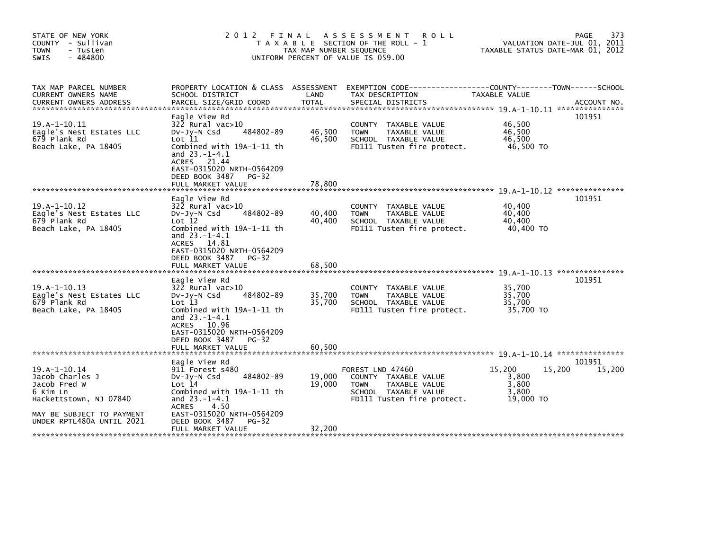| STATE OF NEW YORK<br>COUNTY - Sullivan<br><b>TOWN</b><br>- Tusten<br>$-484800$<br><b>SWIS</b>                                                          | 2012 FINAL                                                                                                                                                                                                                         | TAX MAP NUMBER SEOUENCE    | A S S E S S M E N T<br>R O L L<br>T A X A B L E SECTION OF THE ROLL - 1<br>UNIFORM PERCENT OF VALUE IS 059.00                  | TAXABLE STATUS DATE-MAR 01, 2012                         | <b>PAGE</b><br>373<br>VALUATION DATE-JUL 01, 2011 |
|--------------------------------------------------------------------------------------------------------------------------------------------------------|------------------------------------------------------------------------------------------------------------------------------------------------------------------------------------------------------------------------------------|----------------------------|--------------------------------------------------------------------------------------------------------------------------------|----------------------------------------------------------|---------------------------------------------------|
| TAX MAP PARCEL NUMBER<br>CURRENT OWNERS NAME                                                                                                           | PROPERTY LOCATION & CLASS ASSESSMENT<br>SCHOOL DISTRICT                                                                                                                                                                            | LAND                       | EXEMPTION CODE-----------------COUNTY-------TOWN------SCHOOL<br>TAX DESCRIPTION                                                | TAXABLE VALUE                                            |                                                   |
| $19.A-1-10.11$<br>Eagle's Nest Estates LLC<br>679 Plank Rd<br>Beach Lake, PA 18405                                                                     | Eagle View Rd<br>$322$ Rural vac $>10$<br>484802-89<br>DV-JV-N Csd<br>Lot 11<br>Combined with 19A-1-11 th<br>and 23.-1-4.1<br>21.44<br><b>ACRES</b><br>EAST-0315020 NRTH-0564209<br>DEED BOOK 3487<br>$PG-32$<br>FULL MARKET VALUE | 46,500<br>46,500<br>78,800 | <b>COUNTY</b><br>TAXABLE VALUE<br>TAXABLE VALUE<br><b>TOWN</b><br>SCHOOL TAXABLE VALUE<br>FD111 Tusten fire protect.           | 46,500<br>46,500<br>46,500<br>46,500 TO                  | 101951                                            |
|                                                                                                                                                        |                                                                                                                                                                                                                                    |                            |                                                                                                                                |                                                          |                                                   |
| $19. A - 1 - 10.12$<br>Eagle's Nest Estates LLC<br>679 Plank Rd<br>Beach Lake, PA 18405                                                                | Eagle View Rd<br>322 Rural vac>10<br>484802-89<br>$Dv-Jy-N$ Csd<br>Lot 12<br>Combined with 19A-1-11 th<br>and $23.-1-4.1$<br>ACRES 14.81<br>EAST-0315020 NRTH-0564209<br>DEED BOOK 3487<br>$PG-32$<br>FULL MARKET VALUE            | 40,400<br>40,400<br>68.500 | <b>COUNTY</b><br>TAXABLE VALUE<br>TAXABLE VALUE<br><b>TOWN</b><br>SCHOOL TAXABLE VALUE<br>FD111 Tusten fire protect.           | 40,400<br>40,400<br>40,400<br>40,400 TO                  | 101951                                            |
| $19.A-1-10.13$<br>Eagle's Nest Estates LLC<br>679 Plank Rd<br>Beach Lake, PA 18405                                                                     | Eagle View Rd<br>322 Rural vac>10<br>484802-89<br>Dv-Jy-N Csd<br>Lot 13<br>Combined with 19A-1-11 th<br>and 23.-1-4.1<br>ACRES 10.96<br>EAST-0315020 NRTH-0564209<br>DEED BOOK 3487<br>$PG-32$<br>FULL MARKET VALUE                | 35,700<br>35,700<br>60,500 | TAXABLE VALUE<br><b>COUNTY</b><br>TAXABLE VALUE<br><b>TOWN</b><br>SCHOOL TAXABLE VALUE<br>FD111 Tusten fire protect.           | 35.700<br>35,700<br>35,700<br>35,700 TO                  | 101951                                            |
|                                                                                                                                                        | Eagle View Rd                                                                                                                                                                                                                      |                            |                                                                                                                                |                                                          | 101951                                            |
| $19. A - 1 - 10.14$<br>Jacob Charles J<br>Jacob Fred W<br>6 Kim Ln<br>Hackettstown, NJ 07840<br>MAY BE SUBJECT TO PAYMENT<br>UNDER RPTL480A UNTIL 2021 | 911 Forest s480<br>484802-89<br>$Dv-Jy-N$ Csd<br>Lot 14<br>Combined with 19A-1-11 th<br>and $23.-1-4.1$<br><b>ACRES</b><br>4.50<br>EAST-0315020 NRTH-0564209<br>DEED BOOK 3487<br>PG-32                                            | 19,000<br>19,000           | FOREST LND 47460<br>COUNTY TAXABLE VALUE<br><b>TOWN</b><br>TAXABLE VALUE<br>SCHOOL TAXABLE VALUE<br>FD111 Tusten fire protect. | 15,200<br>15,200<br>3,800<br>3,800<br>3,800<br>19,000 TO | 15,200                                            |
|                                                                                                                                                        | FULL MARKET VALUE                                                                                                                                                                                                                  | 32,200                     |                                                                                                                                |                                                          |                                                   |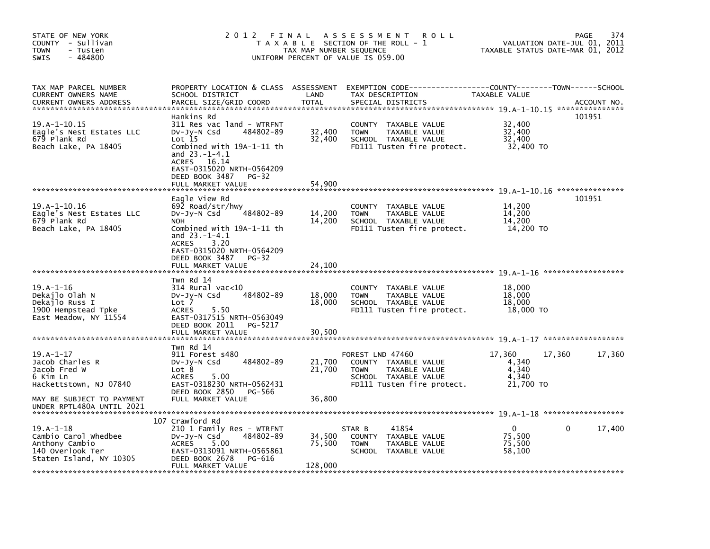| STATE OF NEW YORK<br>COUNTY - Sullivan<br><b>TOWN</b><br>- Tusten<br>- 484800<br>SWIS              | 2 0 1 2                                                                                                                                                                                                                                    | FINAL<br>TAX MAP NUMBER SEQUENCE | A S S E S S M E N T<br><b>ROLL</b><br>T A X A B L E SECTION OF THE ROLL - 1<br>UNIFORM PERCENT OF VALUE IS 059.00                     | TAXABLE STATUS DATE-MAR 01, 2012                         | 374<br>PAGE<br>VALUATION DATE-JUL 01, 2011 |
|----------------------------------------------------------------------------------------------------|--------------------------------------------------------------------------------------------------------------------------------------------------------------------------------------------------------------------------------------------|----------------------------------|---------------------------------------------------------------------------------------------------------------------------------------|----------------------------------------------------------|--------------------------------------------|
| TAX MAP PARCEL NUMBER<br>CURRENT OWNERS NAME<br><b>CURRENT OWNERS ADDRESS</b>                      | PROPERTY LOCATION & CLASS ASSESSMENT<br>SCHOOL DISTRICT<br>PARCEL SIZE/GRID COORD                                                                                                                                                          | LAND<br><b>TOTAL</b>             | EXEMPTION CODE-----------------COUNTY-------TOWN------SCHOOL<br>TAX DESCRIPTION<br>SPECIAL DISTRICTS                                  | TAXABLE VALUE                                            | ACCOUNT NO.                                |
| $19. A - 1 - 10.15$<br>Eagle's Nest Estates LLC<br>679 Plank Rd<br>Beach Lake, PA 18405            | Hankins Rd<br>311 Res vac land - WTRFNT<br>484802-89<br>DV-JY-N Csd<br>Lot 15<br>Combined with 19A-1-11 th<br>and $23.-1-4.1$<br>16.14<br><b>ACRES</b><br>EAST-0315020 NRTH-0564209<br>DEED BOOK 3487<br><b>PG-32</b><br>FULL MARKET VALUE | 32,400<br>32,400<br>54,900       | <b>COUNTY</b><br>TAXABLE VALUE<br><b>TOWN</b><br>TAXABLE VALUE<br>SCHOOL TAXABLE VALUE<br>FD111 Tusten fire protect.                  | 32,400<br>32,400<br>32,400<br>32,400 TO                  | 101951                                     |
| 19.A-1-10.16<br>Eagle's Nest Estates LLC<br>679 Plank Rd<br>Beach Lake, PA 18405                   | Eagle View Rd<br>692 Road/str/hwy<br>484802-89<br>$Dv-Jy-N$ Csd<br><b>NOH</b><br>Combined with 19A-1-11 th<br>and 23.-1-4.1<br>3.20<br><b>ACRES</b><br>EAST-0315020 NRTH-0564209<br>DEED BOOK 3487<br>PG-32                                | 14,200<br>14,200                 | <b>COUNTY</b><br>TAXABLE VALUE<br>TAXABLE VALUE<br><b>TOWN</b><br>SCHOOL TAXABLE VALUE<br>FD111 Tusten fire protect.                  | 14,200<br>14,200<br>14.200<br>14,200 TO                  | 101951                                     |
|                                                                                                    | FULL MARKET VALUE                                                                                                                                                                                                                          | 24.100                           |                                                                                                                                       |                                                          |                                            |
| 19.A-1-16<br>Dekajlo Olah N<br>Dekajlo Russ I<br>1900 Hempstead Tpke<br>East Meadow, NY 11554      | Twn Rd 14<br>$314$ Rural vac<10<br>484802-89<br>DV-Jy-N Csd<br>Lot 7<br>5.50<br><b>ACRES</b><br>EAST-0317515 NRTH-0563049<br>DEED BOOK 2011<br>PG-5217<br>FULL MARKET VALUE                                                                | 18,000<br>18,000<br>30,500       | <b>COUNTY</b><br>TAXABLE VALUE<br><b>TOWN</b><br>TAXABLE VALUE<br>SCHOOL TAXABLE VALUE<br>FD111 Tusten fire protect.                  | 18,000<br>18,000<br>18,000<br>18,000 TO                  |                                            |
|                                                                                                    |                                                                                                                                                                                                                                            |                                  |                                                                                                                                       |                                                          |                                            |
| $19.A-1-17$<br>Jacob Charles R<br>Jacob Fred W<br>6 Kim Ln<br>Hackettstown, NJ 07840               | Twn Rd 14<br>911 Forest s480<br>484802-89<br>DV-Jy-N Csd<br>Lot 8<br>5.00<br><b>ACRES</b><br>EAST-0318230 NRTH-0562431                                                                                                                     | 21,700<br>21,700                 | FOREST LND 47460<br>COUNTY TAXABLE VALUE<br><b>TAXABLE VALUE</b><br><b>TOWN</b><br>SCHOOL TAXABLE VALUE<br>FD111 Tusten fire protect. | 17,360<br>17,360<br>4,340<br>4,340<br>4.340<br>21,700 TO | 17,360                                     |
| MAY BE SUBJECT TO PAYMENT<br>UNDER RPTL480A UNTIL 2021                                             | DEED BOOK 2850<br>PG-566<br>FULL MARKET VALUE                                                                                                                                                                                              | 36,800                           |                                                                                                                                       |                                                          |                                            |
|                                                                                                    | 107 Crawford Rd                                                                                                                                                                                                                            |                                  |                                                                                                                                       |                                                          |                                            |
| 19.A-1-18<br>Cambio Carol Whedbee<br>Anthony Cambio<br>140 Overlook Ter<br>Staten Island, NY 10305 | 210 1 Family Res - WTRFNT<br>484802-89<br>$Dv-Jy-N$ Csd<br><b>ACRES</b><br>5.00<br>EAST-0313091 NRTH-0565861<br>DEED BOOK 2678<br>PG-616                                                                                                   | 34,500<br>75,500                 | 41854<br>STAR B<br>COUNTY TAXABLE VALUE<br><b>TOWN</b><br>TAXABLE VALUE<br><b>SCHOOL</b><br>TAXABLE VALUE                             | $\Omega$<br>75,500<br>75,500<br>58,100                   | 17,400<br>0                                |
|                                                                                                    | FULL MARKET VALUE                                                                                                                                                                                                                          | 128,000                          |                                                                                                                                       |                                                          |                                            |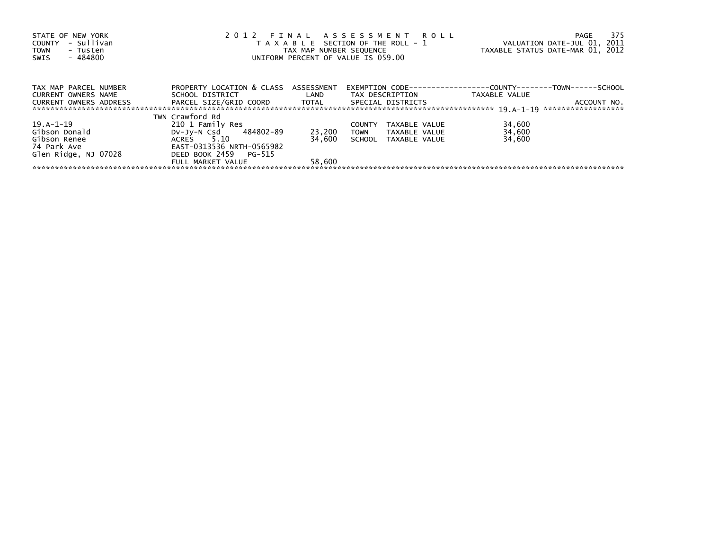| STATE OF NEW YORK             |                                      |                         | 2012 FINAL ASSESSMENT ROLL            | -375<br>PAGE                                                         |
|-------------------------------|--------------------------------------|-------------------------|---------------------------------------|----------------------------------------------------------------------|
| - Sullivan<br>COUNTY          |                                      |                         | T A X A B L E SECTION OF THE ROLL - 1 | VALUATION DATE-JUL 01, 2011                                          |
| TOWN<br>- Tusten              |                                      | TAX MAP NUMBER SEQUENCE |                                       | TAXABLE STATUS DATE-MAR 01, 2012                                     |
| - 484800<br>SWIS              |                                      |                         | UNIFORM PERCENT OF VALUE IS 059.00    |                                                                      |
|                               |                                      |                         |                                       |                                                                      |
| TAX MAP PARCEL NUMBER         | PROPERTY LOCATION & CLASS ASSESSMENT |                         |                                       | EXEMPTION        CODE-----------------COUNTY--------TOWN------SCHOOL |
| CURRENT OWNERS NAME           | SCHOOL DISTRICT                      | LAND                    | TAX DESCRIPTION                       | TAXABLE VALUE                                                        |
| <b>CURRENT OWNERS ADDRESS</b> | PARCEL SIZE/GRID COORD TOTAL         |                         | SPECIAL DISTRICTS                     | ACCOUNT NO.                                                          |
|                               |                                      |                         |                                       | ******************                                                   |
|                               | TWN Crawford Rd                      |                         |                                       |                                                                      |
| 19.A-1-19                     | 210 1 Family Res                     |                         | TAXABLE VALUE<br><b>COUNTY</b>        | 34,600                                                               |
| Gibson Donald                 | DV-Jy-N Csd 484802-89                | 23,200                  | TOWN<br>TAXABLE VALUE                 | 34,600                                                               |
| Gibson Renee                  | ACRES 5.10                           | 34.600                  | SCHOOL TAXABLE VALUE                  | 34,600                                                               |
| 74 Park Ave                   | EAST-0313536 NRTH-0565982            |                         |                                       |                                                                      |
| Glen Ridge, NJ 07028          | DEED BOOK 2459 PG-515                |                         |                                       |                                                                      |
|                               | FULL MARKET VALUE                    | 58,600                  |                                       |                                                                      |
|                               |                                      |                         |                                       |                                                                      |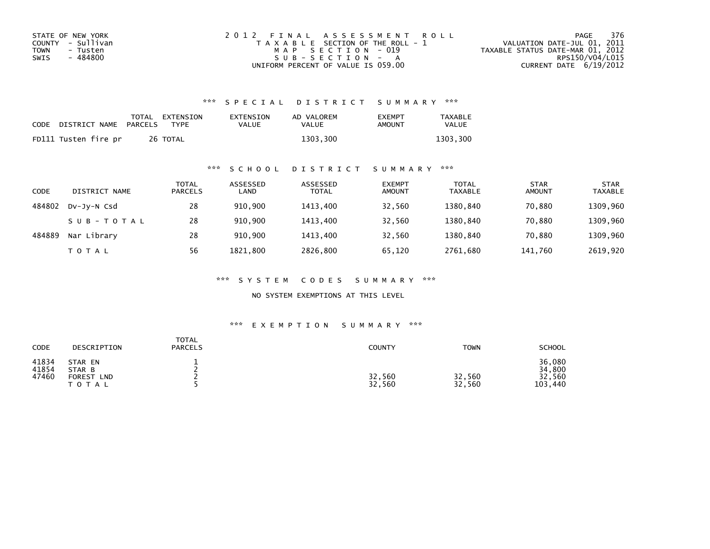| STATE OF NEW YORK       | 2012 FINAL ASSESSMENT ROLL            | 376<br>PAGE                      |
|-------------------------|---------------------------------------|----------------------------------|
| COUNTY - Sullivan       | T A X A B L E SECTION OF THE ROLL - 1 | VALUATION DATE-JUL 01, 2011      |
| <b>TOWN</b><br>- Tusten | MAP SECTION - 019                     | TAXABLE STATUS DATE-MAR 01, 2012 |
| - 484800<br>SWIS        | $SUB - SECTION - A$                   | RPS150/V04/L015                  |
|                         | UNIFORM PERCENT OF VALUE IS 059.00    | CURRENT DATE $6/19/2012$         |

| CODE | DISTRICT NAME        | PARCELS | TOTAL EXTENSION<br><b>TYPF</b> | EXTENSION<br>VALUE | AD VALOREM<br>VALUE | <b>EXEMPT</b><br>AMOUNT | <b>TAXABLE</b><br>VALUE |
|------|----------------------|---------|--------------------------------|--------------------|---------------------|-------------------------|-------------------------|
|      | FD111 Tusten fire pr |         | 26 TOTAL                       |                    | 1303,300            |                         | 1303.300                |

## \*\*\* S C H O O L D I S T R I C T S U M M A R Y \*\*\*

| CODE   | DISTRICT NAME | TOTAL<br><b>PARCELS</b> | ASSESSED<br>LAND | ASSESSED<br><b>TOTAL</b> | <b>EXEMPT</b><br><b>AMOUNT</b> | <b>TOTAL</b><br><b>TAXABLE</b> | <b>STAR</b><br><b>AMOUNT</b> | <b>STAR</b><br><b>TAXABLE</b> |
|--------|---------------|-------------------------|------------------|--------------------------|--------------------------------|--------------------------------|------------------------------|-------------------------------|
| 484802 | DV-JV-N Csd   | 28                      | 910.900          | 1413,400                 | 32,560                         | 1380.840                       | 70.880                       | 1309,960                      |
|        | SUB-TOTAL     | 28                      | 910.900          | 1413,400                 | 32,560                         | 1380.840                       | 70.880                       | 1309,960                      |
| 484889 | Nar Library   | 28                      | 910,900          | 1413,400                 | 32,560                         | 1380,840                       | 70,880                       | 1309,960                      |
|        | T O T A L     | 56                      | 1821,800         | 2826,800                 | 65,120                         | 2761,680                       | 141,760                      | 2619,920                      |

\*\*\* S Y S T E M C O D E S S U M M A R Y \*\*\*

NO SYSTEM EXEMPTIONS AT THIS LEVEL

## \*\*\* E X E M P T I O N S U M M A R Y \*\*\*

| CODE                    | DESCRIPTION                                                   | <b>TOTAL</b><br><b>PARCELS</b> | <b>COUNTY</b>    | <b>TOWN</b>      | <b>SCHOOL</b>                         |
|-------------------------|---------------------------------------------------------------|--------------------------------|------------------|------------------|---------------------------------------|
| 41834<br>41854<br>47460 | STAR EN<br>STAR B<br><b>FOREST</b><br><b>LND</b><br>T O T A L |                                | 32,560<br>32,560 | 32,560<br>32,560 | 36,080<br>34,800<br>32,560<br>103,440 |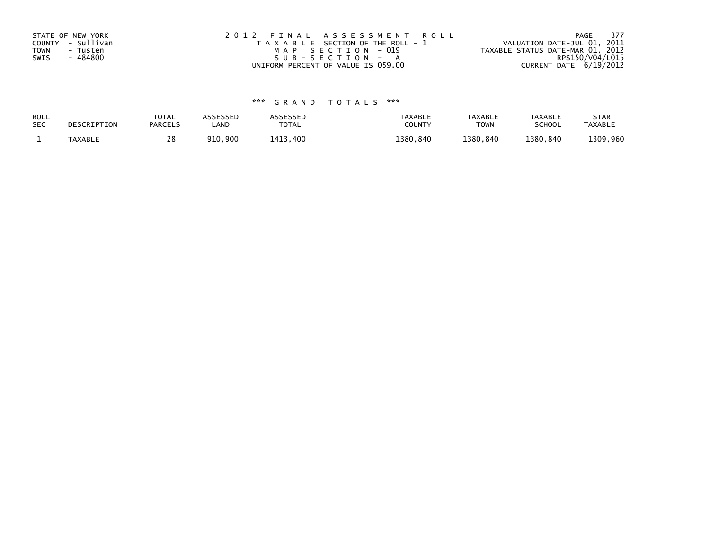| STATE OF NEW YORK | 2012 FINAL ASSESSMENT ROLL            | PAGE 377                         |
|-------------------|---------------------------------------|----------------------------------|
| COUNTY - Sullivan | T A X A B L E SECTION OF THE ROLL - 1 | VALUATION DATE-JUL 01, 2011      |
| TOWN<br>- Tusten  | MAP SECTION - 019                     | TAXABLE STATUS DATE-MAR 01, 2012 |
| - 484800<br>SWIS  | $SUB - SECTION - A$                   | RPS150/V04/L015                  |
|                   | UNIFORM PERCENT OF VALUE IS 059.00    | CURRENT DATE 6/19/2012           |

| ROLL<br><b>SEC</b> | DESCRIPTION | <b>TOTAL</b><br><b>PARCELS</b> | <b>ISSESSED</b><br>.AND | <b>\SSESSED</b><br><b>TOTA</b><br>UIAL | <b>TAXABLE</b><br><b>COUNT)</b> | <b>TAXABLE</b><br><b>TOWN</b> | TAXABLE<br><b>SCHOOL</b> | <b>STAR</b><br><b>TAXABLI</b> |
|--------------------|-------------|--------------------------------|-------------------------|----------------------------------------|---------------------------------|-------------------------------|--------------------------|-------------------------------|
|                    | TAXABLE     | 20                             | 900<br>910              | 400<br>$141^\circ$                     | 380.840                         | 1380.840                      | 1380.840                 | .960<br>200                   |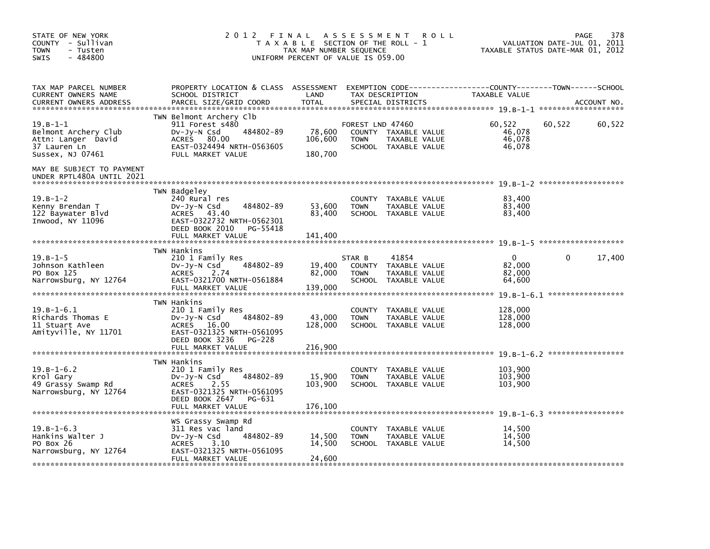| STATE OF NEW YORK<br>COUNTY - Sullivan<br><b>TOWN</b><br>- Tusten<br>$-484800$<br><b>SWIS</b>     | 2 0 1 2                                                                                                                                                             | FINAL<br>T A X A B L E SECTION OF THE ROLL - 1<br>TAX MAP NUMBER SEQUENCE<br>UNIFORM PERCENT OF VALUE IS 059.00 | A S S E S S M E N T                           | <b>ROLL</b>                                                     |                                            | 378<br>PAGE<br>VALUATION DATE-JUL 01, 2011<br>TAXABLE STATUS DATE-MAR 01, 2012 |
|---------------------------------------------------------------------------------------------------|---------------------------------------------------------------------------------------------------------------------------------------------------------------------|-----------------------------------------------------------------------------------------------------------------|-----------------------------------------------|-----------------------------------------------------------------|--------------------------------------------|--------------------------------------------------------------------------------|
| TAX MAP PARCEL NUMBER<br>CURRENT OWNERS NAME<br><b>CURRENT OWNERS ADDRESS</b>                     | PROPERTY LOCATION & CLASS ASSESSMENT<br>SCHOOL DISTRICT<br>PARCEL SIZE/GRID COORD                                                                                   | LAND<br><b>TOTAL</b>                                                                                            |                                               | TAX DESCRIPTION<br>SPECIAL DISTRICTS                            | TAXABLE VALUE                              | EXEMPTION CODE-----------------COUNTY-------TOWN------SCHOOL<br>ACCOUNT NO.    |
| $19. B - 1 - 1$<br>Belmont Archery Club<br>Attn: Langer David<br>37 Lauren Ln<br>Sussex, NJ 07461 | TWN Belmont Archery Clb<br>911 Forest s480<br>484802-89<br>$Dv-Jy-N$ Csd<br><b>ACRES</b><br>80.00<br>EAST-0324494 NRTH-0563605<br>FULL MARKET VALUE                 | 78,600<br>106,600<br>180,700                                                                                    | FOREST LND 47460<br><b>TOWN</b>               | COUNTY TAXABLE VALUE<br>TAXABLE VALUE<br>SCHOOL TAXABLE VALUE   | 60.522<br>46,078<br>46.078<br>46,078       | 60,522<br>60,522                                                               |
| MAY BE SUBJECT TO PAYMENT<br>UNDER RPTL480A UNTIL 2021                                            |                                                                                                                                                                     |                                                                                                                 |                                               |                                                                 |                                            |                                                                                |
| $19. B - 1 - 2$<br>Kenny Brendan T<br>122 Baywater Blvd<br>Inwood, NY 11096                       | TWN Badgeley<br>240 Rural res<br>484802-89<br>$Dv-Jv-N$ Csd<br>ACRES 43.40<br>EAST-0322732 NRTH-0562301<br>DEED BOOK 2010<br>PG-55418<br>FULL MARKET VALUE          | 53,600<br>83,400<br>141,400                                                                                     | <b>TOWN</b>                                   | COUNTY TAXABLE VALUE<br>TAXABLE VALUE<br>SCHOOL TAXABLE VALUE   | 83,400<br>83,400<br>83,400                 |                                                                                |
| $19. B - 1 - 5$<br>Johnson Kathleen<br>PO Box 125<br>Narrowsburg, NY 12764                        | TWN Hankins<br>210 1 Family Res<br>484802-89<br>DV-Jy-N Csd<br><b>ACRES</b><br>2.74<br>EAST-0321700 NRTH-0561884<br>FULL MARKET VALUE                               | 19,400<br>82,000<br>139,000                                                                                     | STAR B<br>COUNTY<br><b>TOWN</b>               | 41854<br>TAXABLE VALUE<br>TAXABLE VALUE<br>SCHOOL TAXABLE VALUE | $\mathbf{0}$<br>82.000<br>82,000<br>64,600 | *******************<br>17,400<br>$\Omega$                                      |
| $19. B - 1 - 6.1$<br>Richards Thomas E<br>11 Stuart Ave<br>Amityville, NY 11701                   | TWN Hankins<br>210 1 Family Res<br>484802-89<br>$Dv-Jy-N$ Csd<br>ACRES 16.00<br>EAST-0321325 NRTH-0561095<br>DEED BOOK 3236<br>PG-228<br>FULL MARKET VALUE          | 43,000<br>128,000<br>216,900                                                                                    | <b>COUNTY</b><br><b>TOWN</b>                  | TAXABLE VALUE<br>TAXABLE VALUE<br>SCHOOL TAXABLE VALUE          | 128,000<br>128,000<br>128,000              |                                                                                |
| $19.B-1-6.2$<br>Krol Gary<br>49 Grassy Swamp Rd<br>Narrowsburg, NY 12764                          | TWN Hankins<br>210 1 Family Res<br>484802-89<br>$Dv-Jy-N$ Csd<br><b>ACRES</b><br>2.55<br>EAST-0321325 NRTH-0561095<br>DEED BOOK 2647<br>PG-631<br>FULL MARKET VALUE | 15.900<br>103,900<br>176,100                                                                                    | <b>COUNTY</b><br><b>TOWN</b>                  | TAXABLE VALUE<br>TAXABLE VALUE<br>SCHOOL TAXABLE VALUE          | 103,900<br>103,900<br>103,900              |                                                                                |
| $19.B-1-6.3$<br>Hankins Walter J<br>PO Box 26<br>Narrowsburg, NY 12764                            | WS Grassy Swamp Rd<br>311 Res vac land<br>484802-89<br>$Dv-Jy-N$ Csd<br><b>ACRES</b><br>3.10<br>EAST-0321325 NRTH-0561095<br>FULL MARKET VALUE                      | 14,500<br>14,500<br>24,600                                                                                      | <b>COUNTY</b><br><b>TOWN</b><br><b>SCHOOL</b> | TAXABLE VALUE<br>TAXABLE VALUE<br>TAXABLE VALUE                 | 14,500<br>14.500<br>14,500                 |                                                                                |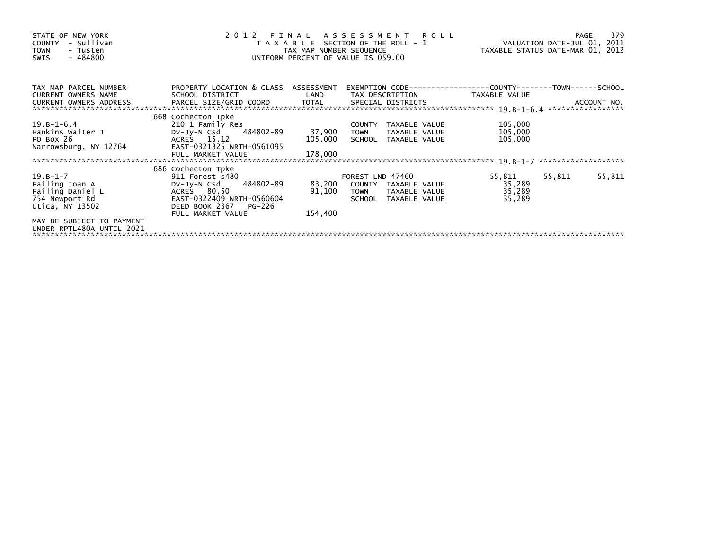| STATE OF NEW YORK<br>- Sullivan<br>COUNTY<br><b>TOWN</b><br>- Tusten<br>$-484800$<br>SWIS | 2 0 1 2                                                 | TAX MAP NUMBER SEQUENCE | FINAL ASSESSMENT ROLL<br>T A X A B L E SECTION OF THE ROLL - 1<br>UNIFORM PERCENT OF VALUE IS 059.00 | VALUATION DATE-JUL 01, 2011<br>TAXABLE STATUS DATE-MAR 01, 2012 |        | 379<br>PAGE |
|-------------------------------------------------------------------------------------------|---------------------------------------------------------|-------------------------|------------------------------------------------------------------------------------------------------|-----------------------------------------------------------------|--------|-------------|
| TAX MAP PARCEL NUMBER<br><b>CURRENT OWNERS NAME</b>                                       | PROPERTY LOCATION & CLASS ASSESSMENT<br>SCHOOL DISTRICT | LAND                    | EXEMPTION CODE-----------------COUNTY-------TOWN------SCHOOL<br>TAX DESCRIPTION                      | TAXABLE VALUE                                                   |        |             |
| CURRENT OWNERS ADDRESS                                                                    | PARCEL SIZE/GRID COORD TOTAL SPECIAL DISTRICTS          |                         |                                                                                                      |                                                                 |        | ACCOUNT NO. |
|                                                                                           | 668 Cochecton Tpke                                      |                         |                                                                                                      |                                                                 |        |             |
| 19.B-1-6.4                                                                                | 210 1 Family Res                                        |                         | COUNTY<br>TAXABLE VALUE                                                                              | 105,000                                                         |        |             |
| Hankins Walter J                                                                          | DV-Jy-N Csd 484802-89                                   | 37,900                  | <b>TOWN</b><br>TAXABLE VALUE                                                                         | 105,000                                                         |        |             |
| PO Box 26<br>Narrowsburg, NY 12764                                                        | ACRES 15.12<br>EAST-0321325 NRTH-0561095                | 105,000                 | SCHOOL TAXABLE VALUE                                                                                 | 105,000                                                         |        |             |
|                                                                                           | FULL MARKET VALUE                                       | 178,000                 |                                                                                                      |                                                                 |        |             |
|                                                                                           |                                                         |                         |                                                                                                      |                                                                 |        |             |
|                                                                                           | 686 Cochecton Tpke                                      |                         |                                                                                                      |                                                                 |        |             |
| 19.B-1-7                                                                                  | 911 Forest s480                                         |                         | FOREST LND 47460                                                                                     | 55.811                                                          | 55,811 | 55,811      |
| Failing Joan A                                                                            | DV-Jy-N Csd 484802-89                                   | 83,200                  | COUNTY TAXABLE VALUE                                                                                 | 35,289                                                          |        |             |
| Failing Daniel L                                                                          | ACRES 80.50                                             | 91,100                  | TAXABLE VALUE<br><b>TOWN</b>                                                                         | 35,289                                                          |        |             |
| 754 Newport Rd                                                                            | EAST-0322409 NRTH-0560604                               |                         | SCHOOL TAXABLE VALUE                                                                                 | 35,289                                                          |        |             |
| Utica, NY 13502                                                                           | DEED BOOK 2367 PG-226                                   |                         |                                                                                                      |                                                                 |        |             |
|                                                                                           | FULL MARKET VALUE                                       | 154,400                 |                                                                                                      |                                                                 |        |             |
| MAY BE SUBJECT TO PAYMENT<br>UNDER RPTL480A UNTIL 2021                                    |                                                         |                         |                                                                                                      |                                                                 |        |             |
|                                                                                           |                                                         |                         |                                                                                                      |                                                                 |        |             |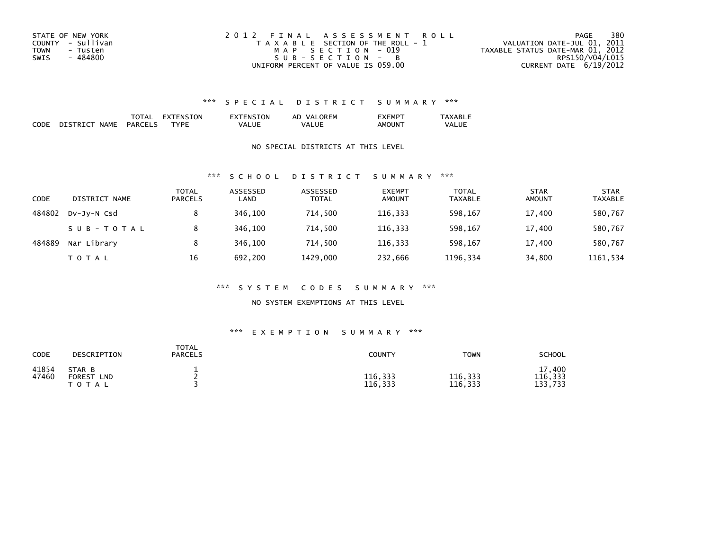| STATE OF NEW YORK       | 2012 FINAL ASSESSMENT ROLL            | 380<br>PAGE                      |
|-------------------------|---------------------------------------|----------------------------------|
| COUNTY - Sullivan       | T A X A B L E SECTION OF THE ROLL - 1 | VALUATION DATE-JUL 01, 2011      |
| <b>TOWN</b><br>- Tusten | MAP SECTION - 019                     | TAXABLE STATUS DATE-MAR 01, 2012 |
| - 484800<br>SWIS        | $SUB - SECTION - B$                   | RPS150/V04/L015                  |
|                         | UNIFORM PERCENT OF VALUE IS 059.00    | CURRENT DATE $6/19/2012$         |

|                    |           | $\overline{\phantom{a}}$ | .ON<br>- N.Y | <b>ORFM</b><br>ΑL<br>VΔ | EMP           | $\sim$ |
|--------------------|-----------|--------------------------|--------------|-------------------------|---------------|--------|
| <b>CODE</b><br>___ | NAML<br>. | PARCE'<br>$\sim$ $\sim$  | ™D⊩          | UE<br>VA.               | JUN<br>יועו ג | VA     |

### NO SPECIAL DISTRICTS AT THIS LEVEL

### \*\*\* S C H O O L D I S T R I C T S U M M A R Y \*\*\*

| CODE   | DISTRICT NAME | <b>TOTAL</b><br><b>PARCELS</b> | ASSESSED<br>LAND | ASSESSED<br><b>TOTAL</b> | <b>EXEMPT</b><br><b>AMOUNT</b> | <b>TOTAL</b><br><b>TAXABLE</b> | <b>STAR</b><br><b>AMOUNT</b> | <b>STAR</b><br><b>TAXABLE</b> |
|--------|---------------|--------------------------------|------------------|--------------------------|--------------------------------|--------------------------------|------------------------------|-------------------------------|
| 484802 | DV-JV-N Csd   |                                | 346.100          | 714,500                  | 116,333                        | 598,167                        | 17,400                       | 580,767                       |
|        | SUB-TOTAL     |                                | 346.100          | 714.500                  | 116.333                        | 598.167                        | 17,400                       | 580,767                       |
| 484889 | Nar Library   | 8                              | 346,100          | 714,500                  | 116,333                        | 598,167                        | 17,400                       | 580,767                       |
|        | T O T A L     | 16                             | 692.200          | 1429.000                 | 232,666                        | 1196,334                       | 34,800                       | 1161,534                      |

### \*\*\* S Y S T E M C O D E S S U M M A R Y \*\*\*

### NO SYSTEM EXEMPTIONS AT THIS LEVEL

### \*\*\* E X E M P T I O N S U M M A R Y \*\*\*

| CODE           | DESCRIPTION                                          | <b>TOTAL</b><br>PARCELS | <b>COUNTY</b>      | <b>TOWN</b>        | <b>SCHOOL</b>                |
|----------------|------------------------------------------------------|-------------------------|--------------------|--------------------|------------------------------|
| 41854<br>47460 | STAR B<br><b>FOREST</b><br><b>LND</b><br>тот.<br>A L | -                       | 116,333<br>116,333 | 116,333<br>116,333 | 17.400<br>116,333<br>133,733 |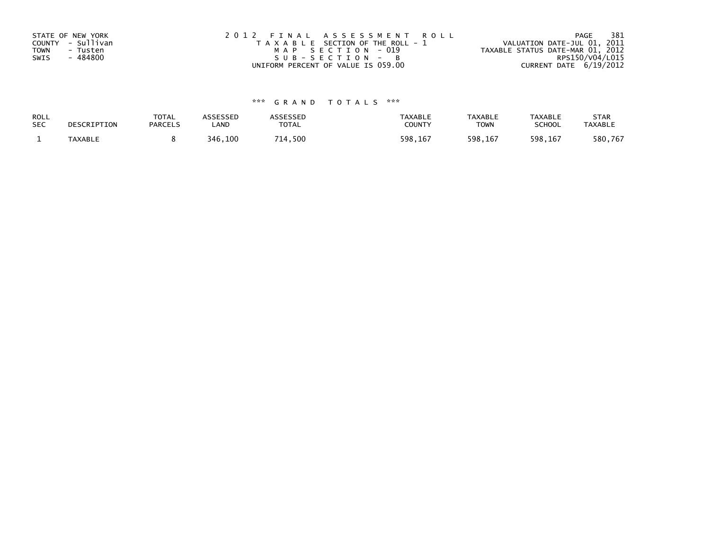| STATE OF NEW YORK | 2012 FINAL ASSESSMENT ROLL            | 381<br>PAGE                      |
|-------------------|---------------------------------------|----------------------------------|
| COUNTY - Sullivan | T A X A B L E SECTION OF THE ROLL - 1 | VALUATION DATE-JUL 01, 2011      |
| TOWN<br>- Tusten  | MAP SECTION - 019                     | TAXABLE STATUS DATE-MAR 01, 2012 |
| - 484800<br>SWIS  | $SUB - SECTION - B$                   | RPS150/V04/L015                  |
|                   | UNIFORM PERCENT OF VALUE IS 059.00    | CURRENT DATE 6/19/2012           |

| ROLL       | DESCRIPTION | <b>TOTAL</b>   | ASSESSED | ASSESSED | <b>TAXABLE</b> | <b>TAXABLE</b> | <b>TAXABLE</b> | <b>STAR</b>    |
|------------|-------------|----------------|----------|----------|----------------|----------------|----------------|----------------|
| <b>SEC</b> |             | <b>PARCELS</b> | LAND     | TOTAL    | <b>COUNTY</b>  | <b>TOWN</b>    | <b>SCHOOL</b>  | <b>TAXABLE</b> |
|            | TAXABLE     |                | 346,100  | 714,500  | 598,167        | 598,167        | 598,167        | 580,767        |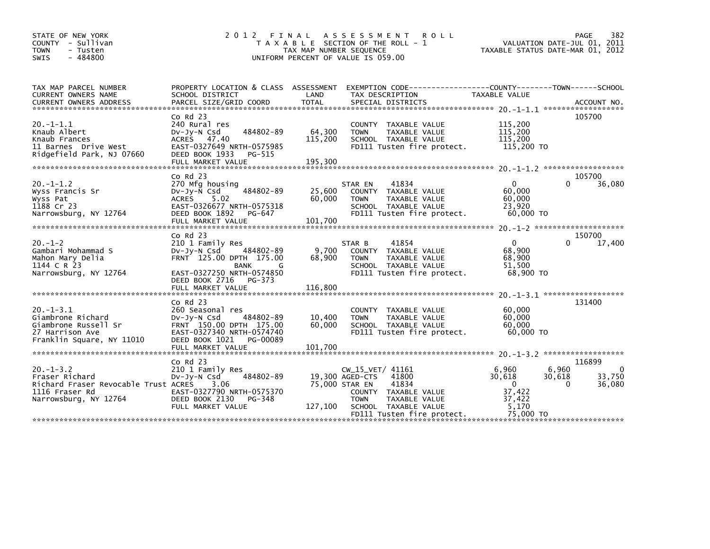| STATE OF NEW YORK<br>COUNTY - Sullivan<br><b>TOWN</b><br>- Tusten<br>$-484800$<br>SWIS                              | 2 0 1 2                                                                                                                                                                   | FINAL<br>T A X A B L E SECTION OF THE ROLL - 1<br>TAX MAP NUMBER SEQUENCE<br>UNIFORM PERCENT OF VALUE IS 059.00 | A S S E S S M E N T                                | <b>ROLL</b>                                                                                          | VALUATION DATE-JUL 01, 2011<br>TAXABLE STATUS DATE-MAR 01, 2012                | PAGE                        | 382                   |
|---------------------------------------------------------------------------------------------------------------------|---------------------------------------------------------------------------------------------------------------------------------------------------------------------------|-----------------------------------------------------------------------------------------------------------------|----------------------------------------------------|------------------------------------------------------------------------------------------------------|--------------------------------------------------------------------------------|-----------------------------|-----------------------|
| TAX MAP PARCEL NUMBER<br>CURRENT OWNERS NAME<br><b>CURRENT OWNERS ADDRESS</b>                                       | PROPERTY LOCATION & CLASS ASSESSMENT EXEMPTION CODE----------------COUNTY-------TOWN------SCHOOL<br>SCHOOL DISTRICT<br>PARCEL SIZE/GRID COORD                             | LAND<br><b>TOTAL</b>                                                                                            | TAX DESCRIPTION<br>SPECIAL DISTRICTS               |                                                                                                      | TAXABLE VALUE                                                                  |                             | ACCOUNT NO.           |
| $20. -1 - 1.1$<br>Knaub Albert<br>Knaub Frances<br>11 Barnes Drive West<br>Ridgefield Park, NJ 07660                | $CO$ Rd $23$<br>240 Rural res<br>484802-89<br>$Dv-Jy-N$ Csd<br>ACRES 47.40<br>EAST-0327649 NRTH-0575985<br>DEED BOOK 1933<br>PG-515<br>FULL MARKET VALUE                  | 64,300<br>115,200<br>195,300                                                                                    | <b>TOWN</b>                                        | COUNTY TAXABLE VALUE<br>TAXABLE VALUE<br>SCHOOL TAXABLE VALUE<br>FD111 Tusten fire protect.          | 115.200<br>115,200<br>115,200<br>115,200 TO                                    | 105700                      |                       |
|                                                                                                                     |                                                                                                                                                                           |                                                                                                                 |                                                    |                                                                                                      |                                                                                |                             |                       |
| $20. -1 - 1.2$<br>Wyss Francis Sr<br>Wyss Pat<br>1188 Cr 23<br>Narrowsburg, NY 12764                                | $Co$ Rd $23$<br>270 Mfg housing<br>484802-89<br>$Dv-Jy-N$ Csd<br>5.02<br><b>ACRES</b><br>EAST-0326677 NRTH-0575318<br>DEED BOOK 1892<br>PG-647                            | 25,600<br>60,000                                                                                                | STAR EN<br><b>TOWN</b>                             | 41834<br>COUNTY TAXABLE VALUE<br>TAXABLE VALUE<br>SCHOOL TAXABLE VALUE<br>FD111 Tusten fire protect. | $\mathbf 0$<br>60.000<br>60,000<br>23.920<br>60,000 TO                         | 105700<br>0                 | 36,080                |
|                                                                                                                     | $CO$ Rd $23$                                                                                                                                                              |                                                                                                                 |                                                    |                                                                                                      |                                                                                | 150700                      |                       |
| $20. -1 - 2$<br>Gambari Mohammad S<br>Mahon Mary Delia<br>1144 C R 23<br>Narrowsburg, NY 12764                      | 210 1 Family Res<br>484802-89<br>DV-Jy-N Csd<br>FRNT 125.00 DPTH 175.00<br><b>BANK</b><br>G<br>EAST-0327250 NRTH-0574850<br>DEED BOOK 2716<br>PG-373                      | 9,700<br>68,900                                                                                                 | STAR B<br><b>TOWN</b>                              | 41854<br>COUNTY TAXABLE VALUE<br>TAXABLE VALUE<br>SCHOOL TAXABLE VALUE<br>FD111 Tusten fire protect. | $\mathbf{0}$<br>68.900<br>68,900<br>51,500<br>68,900 TO                        |                             | 17,400                |
|                                                                                                                     | FULL MARKET VALUE                                                                                                                                                         | 116.800                                                                                                         |                                                    |                                                                                                      | $20 - 1 - 3 - 1$ *******************                                           |                             |                       |
| $20. -1 - 3.1$<br>Giambrone Richard<br>Giambrone Russell Sr<br>27 Harrison Ave<br>Franklin Square, NY 11010         | $CO$ Rd $23$<br>260 Seasonal res<br>484802-89<br>$Dv-Jy-N$ Csd<br>FRNT 150.00 DPTH 175.00<br>EAST-0327340 NRTH-0574740<br>DEED BOOK 1021<br>PG-00089<br>FULL MARKET VALUE | 10,400<br>60,000<br>101.700                                                                                     | <b>TOWN</b>                                        | COUNTY TAXABLE VALUE<br><b>TAXABLE VALUE</b><br>SCHOOL TAXABLE VALUE<br>FD111 Tusten fire protect.   | 60,000<br>60.000<br>60,000<br>60.000 TO<br>$20. -1 - 3.2$ ******************** | 131400                      |                       |
|                                                                                                                     | $CO$ Rd $23$                                                                                                                                                              |                                                                                                                 |                                                    |                                                                                                      |                                                                                | 116899                      |                       |
| $20. -1 - 3.2$<br>Fraser Richard<br>Richard Fraser Revocable Trust ACRES<br>1116 Fraser Rd<br>Narrowsburg, NY 12764 | 210 1 Family Res<br>484802-89<br>$Dv-Jy-N$ Csd<br>3.06<br>EAST-0327790 NRTH-0575370<br>DEED BOOK 2130<br>PG-348                                                           | 75,000 STAR EN                                                                                                  | CW_15_VET/ 41161<br>19,300 AGED-CTS<br><b>TOWN</b> | 41800<br>41834<br>COUNTY TAXABLE VALUE<br>TAXABLE VALUE                                              | 6,960<br>30,618<br>$\Omega$<br>37,422<br>37,422                                | 6,960<br>30.618<br>$\Omega$ | 0<br>33,750<br>36,080 |
|                                                                                                                     | FULL MARKET VALUE                                                                                                                                                         | 127,100                                                                                                         |                                                    | SCHOOL TAXABLE VALUE                                                                                 | 5,170                                                                          |                             |                       |
|                                                                                                                     |                                                                                                                                                                           |                                                                                                                 |                                                    | FD111 Tusten fire protect.                                                                           | 75,000 TO                                                                      |                             |                       |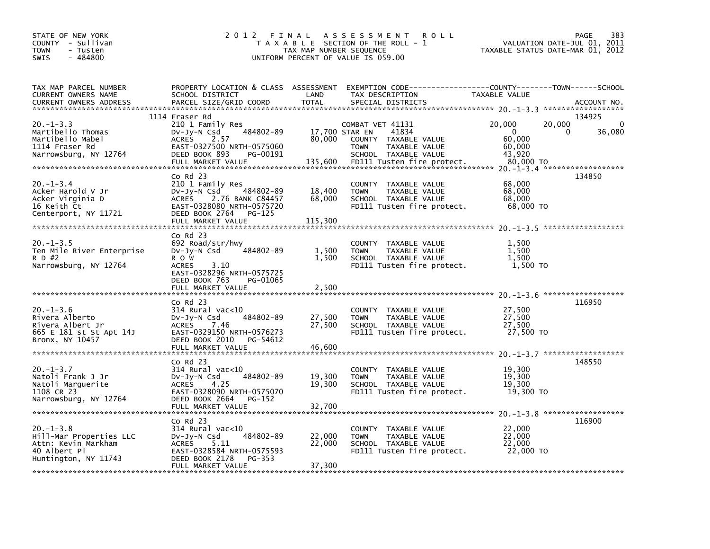| STATE OF NEW YORK<br>COUNTY - Sullivan<br><b>TOWN</b><br>- Tusten<br>$-484800$<br>SWIS                                               | 2 0 1 2<br>FINAL                                                                                                                                                             | TAX MAP NUMBER SEQUENCE             | A S S E S S M E N T<br>R O L L<br>T A X A B L E SECTION OF THE ROLL - 1<br>UNIFORM PERCENT OF VALUE IS 059.00                              | VALUATION DATE-JUL 01,<br>TAXABLE STATUS DATE-MAR 01, 2012                  | <b>PAGE</b><br>383<br>2011 |
|--------------------------------------------------------------------------------------------------------------------------------------|------------------------------------------------------------------------------------------------------------------------------------------------------------------------------|-------------------------------------|--------------------------------------------------------------------------------------------------------------------------------------------|-----------------------------------------------------------------------------|----------------------------|
| TAX MAP PARCEL NUMBER<br>CURRENT OWNERS NAME<br><b>CURRENT OWNERS ADDRESS</b>                                                        | PROPERTY LOCATION & CLASS ASSESSMENT<br>SCHOOL DISTRICT<br>PARCEL SIZE/GRID COORD                                                                                            | LAND<br><b>TOTAL</b>                | EXEMPTION CODE-----------------COUNTY-------TOWN------SCHOOL<br>TAX DESCRIPTION<br>SPECIAL DISTRICTS                                       | TAXABLE VALUE                                                               | ACCOUNT NO.                |
| $20. -1 - 3.3$<br>Martibello Thomas<br>Martibello Mabel<br>1114 Fraser Rd<br>Narrowsburg, NY 12764                                   | 1114 Fraser Rd<br>210 1 Family Res<br>484802-89<br>$Dv-Jy-N$ Csd<br><b>ACRES</b><br>2.57<br>EAST-0327500 NRTH-0575060<br>DEED BOOK 893<br>PG-00191<br>FULL MARKET VALUE      | 17,700 STAR EN<br>80,000<br>135,600 | COMBAT VET 41131<br>41834<br>TAXABLE VALUE<br>COUNTY<br>TAXABLE VALUE<br><b>TOWN</b><br>SCHOOL TAXABLE VALUE<br>FD111 Tusten fire protect. | 20,000<br>20,000<br>$\mathbf{0}$<br>60,000<br>60,000<br>43,920<br>80,000 TO | 134925<br>0<br>36,080<br>0 |
| $20. -1 - 3.4$<br>Acker Harold V Jr<br>Acker Virginia D<br>16 Keith Ct<br>Centerport, NY 11721                                       | Co Rd 23<br>210 1 Family Res<br>484802-89<br>$Dv-Jy-N$ Csd<br><b>ACRES</b><br>2.76 BANK C84457<br>EAST-0328080 NRTH-0575720<br>DEED BOOK 2764<br>PG-125<br>FULL MARKET VALUE | 18,400<br>68,000<br>115,300         | COUNTY<br>TAXABLE VALUE<br>TAXABLE VALUE<br><b>TOWN</b><br>SCHOOL TAXABLE VALUE<br>FD111 Tusten fire protect.                              | 68,000<br>68,000<br>68,000<br>68,000 TO                                     | 134850                     |
| $20 - 1 - 3.5$<br>Ten Mile River Enterprise<br>R D #2<br>Narrowsburg, NY 12764                                                       | Co Rd 23<br>692 Road/str/hwy<br>484802-89<br>$Dv-Jy-N$ Csd<br>R O W<br><b>ACRES</b><br>3.10<br>EAST-0328296 NRTH-0575725<br>DEED BOOK 763<br>PG-01065<br>FULL MARKET VALUE   | 1,500<br>1,500<br>2,500             | <b>COUNTY</b><br>TAXABLE VALUE<br>TAXABLE VALUE<br><b>TOWN</b><br>SCHOOL TAXABLE VALUE<br>FD111 Tusten fire protect.                       | 1,500<br>1,500<br>1.500<br>1,500 TO                                         |                            |
| $20. -1 - 3.6$<br>Rivera Alberto<br>Rivera Albert Jr<br>665 E 181 st St Apt 14J<br>Bronx, NY 10457<br>****************************** | Co Rd 23<br>$314$ Rural vac<10<br>484802-89<br>$Dv-Jv-N$ Csd<br><b>ACRES</b><br>7.46<br>EAST-0329150 NRTH-0576273<br>DEED BOOK 2010<br>PG-54612<br>FULL MARKET VALUE         | 27,500<br>27,500<br>46,600          | COUNTY TAXABLE VALUE<br>TAXABLE VALUE<br><b>TOWN</b><br>SCHOOL TAXABLE VALUE<br>FD111 Tusten fire protect.                                 | 27,500<br>27,500<br>27,500<br>27,500 TO                                     | 116950                     |
| $20. -1 - 3.7$<br>Natoli Frank J Jr<br>Natoli Marquerite<br>1108 CR 23<br>Narrowsburg, NY 12764                                      | Co Rd 23<br>314 Rural vac<10<br>484802-89<br>DV-Jy-N Csd<br><b>ACRES</b><br>4.25<br>EAST-0328090 NRTH-0575070<br>DEED BOOK 2664<br>PG-152<br>FULL MARKET VALUE               | 19,300<br>19,300<br>32,700          | COUNTY TAXABLE VALUE<br><b>TOWN</b><br>TAXABLE VALUE<br>SCHOOL TAXABLE VALUE<br>FD111 Tusten fire protect.                                 | 19,300<br>19,300<br>19,300<br>19,300 TO                                     | 148550                     |
| $20. -1 - 3.8$<br>Hill-Mar Properties LLC<br>Attn: Kevin Markham<br>40 Albert Pl<br>Huntington, NY 11743                             | Co Rd 23<br>314 Rural vac<10<br>484802-89<br>DV-Jy-N Csd<br>5.11<br><b>ACRES</b><br>EAST-0328584 NRTH-0575593<br>DEED BOOK 2178<br>PG-353<br>FULL MARKET VALUE               | 22,000<br>22,000<br>37,300          | COUNTY TAXABLE VALUE<br><b>TOWN</b><br>TAXABLE VALUE<br>SCHOOL TAXABLE VALUE<br>FD111 Tusten fire protect.                                 | 22,000<br>22,000<br>22,000<br>22,000 TO                                     | 116900                     |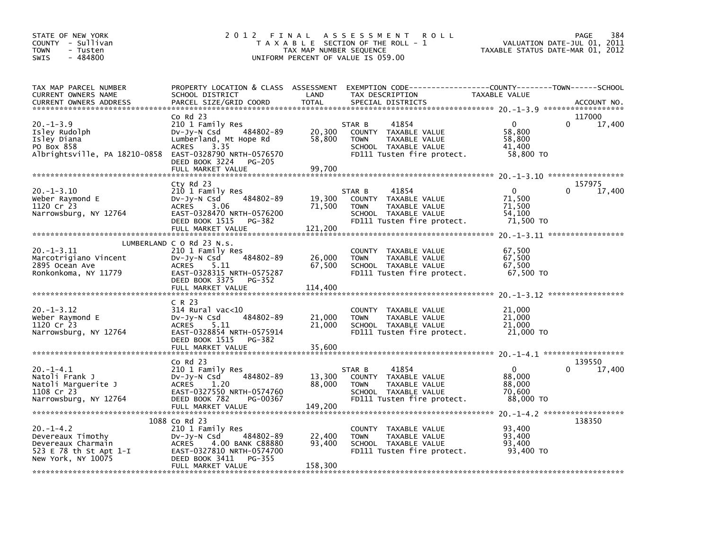| STATE OF NEW YORK<br>COUNTY - Sullivan<br><b>TOWN</b><br>- Tusten<br>SWIS<br>$-484800$                    | 2012 FINAL                                                                                                                                                                     | TAX MAP NUMBER SEQUENCE     | A S S E S S M E N T<br><b>ROLL</b><br>T A X A B L E SECTION OF THE ROLL - 1<br>UNIFORM PERCENT OF VALUE IS 059.00                         | VALUATION DATE-JUL 01, 2011<br>TAXABLE STATUS DATE-MAR 01, 2012 | PAGE        | 384    |
|-----------------------------------------------------------------------------------------------------------|--------------------------------------------------------------------------------------------------------------------------------------------------------------------------------|-----------------------------|-------------------------------------------------------------------------------------------------------------------------------------------|-----------------------------------------------------------------|-------------|--------|
| TAX MAP PARCEL NUMBER<br>CURRENT OWNERS NAME<br><b>CURRENT OWNERS ADDRESS</b>                             | SCHOOL DISTRICT<br>PARCEL SIZE/GRID COORD                                                                                                                                      | LAND<br><b>TOTAL</b>        | PROPERTY LOCATION & CLASS ASSESSMENT EXEMPTION CODE-----------------COUNTY-------TOWN------SCHOOL<br>TAX DESCRIPTION<br>SPECIAL DISTRICTS | TAXABLE VALUE                                                   | ACCOUNT NO. |        |
| $20. -1 - 3.9$                                                                                            | $Co$ Rd $23$<br>210 1 Family Res                                                                                                                                               |                             | STAR B<br>41854                                                                                                                           | $\mathbf{0}$                                                    | 117000      | 17,400 |
| Isley Rudolph<br>Isley Diana<br>PO Box 858<br>Albrightsville, PA 18210-0858                               | 484802-89<br>$Dv-Jy-N$ Csd<br>Lumberland, Mt Hope Rd<br>3.35<br><b>ACRES</b><br>EAST-0328790 NRTH-0576570                                                                      | 20,300<br>58,800            | COUNTY TAXABLE VALUE<br><b>TOWN</b><br>TAXABLE VALUE<br>SCHOOL TAXABLE VALUE<br>FD111 Tusten fire protect.                                | 58,800<br>58,800<br>41,400<br>58,800 TO                         |             |        |
|                                                                                                           | DEED BOOK 3224 PG-205<br>FULL MARKET VALUE                                                                                                                                     | 99,700                      |                                                                                                                                           |                                                                 |             |        |
|                                                                                                           | Cty Rd 23                                                                                                                                                                      |                             |                                                                                                                                           |                                                                 | 157975      |        |
| $20. -1 - 3.10$<br>Weber Raymond E<br>1120 Cr 23<br>Narrowsburg, NY 12764                                 | 210 1 Family Res<br>484802-89<br>DV-Jy-N Csd<br><b>ACRES</b><br>3.06<br>EAST-0328470 NRTH-0576200<br>DEED BOOK 1515 PG-382                                                     | 19,300<br>71,500            | STAR B<br>41854<br>COUNTY TAXABLE VALUE<br><b>TOWN</b><br>TAXABLE VALUE<br>SCHOOL TAXABLE VALUE<br>FD111 Tusten fire protect.             | $\Omega$<br>71,500<br>71,500<br>54,100<br>71,500 TO             |             | 17,400 |
|                                                                                                           | FULL MARKET VALUE                                                                                                                                                              | 121,200                     |                                                                                                                                           |                                                                 |             |        |
| $20. -1 - 3.11$<br>Marcotrigiano Vincent<br>2895 Ocean Ave<br>Ronkonkoma, NY 11779                        | LUMBERLAND C O Rd 23 N.S.<br>210 1 Family Res<br>484802-89<br>$Dv-Jy-N$ Csd<br><b>ACRES</b><br>5.11<br>EAST-0328315 NRTH-0575287<br>DEED BOOK 3375 PG-352<br>FULL MARKET VALUE | 26,000<br>67,500<br>114,400 | COUNTY TAXABLE VALUE<br><b>TOWN</b><br>TAXABLE VALUE<br>SCHOOL TAXABLE VALUE<br>FD111 Tusten fire protect.                                | 67,500<br>67,500<br>67,500<br>67,500 TO                         |             |        |
|                                                                                                           | C R 23                                                                                                                                                                         |                             |                                                                                                                                           |                                                                 |             |        |
| $20. -1 - 3.12$<br>Weber Raymond E<br>1120 Cr 23<br>Narrowsburg, NY 12764                                 | 314 Rural vac<10<br>484802-89<br>$Dv-Jv-N$ Csd<br><b>ACRES</b><br>5.11<br>EAST-0328854 NRTH-0575914<br>DEED BOOK 1515 PG-382                                                   | 21,000<br>21,000            | COUNTY TAXABLE VALUE<br>TAXABLE VALUE<br><b>TOWN</b><br>SCHOOL TAXABLE VALUE<br>FD111 Tusten fire protect.                                | 21,000<br>21,000<br>21,000<br>21,000 TO                         |             |        |
|                                                                                                           | FULL MARKET VALUE                                                                                                                                                              | 35,600                      |                                                                                                                                           |                                                                 |             |        |
| $20. -1 - 4.1$<br>Natoli Frank J<br>Natoli Marquerite J<br>1108 Cr 23<br>Narrowsburg, NY 12764            | $Co$ Rd $23$<br>210 1 Family Res<br>484802-89<br>$Dv-Jy-N$ Csd<br><b>ACRES</b><br>1.20<br>EAST-0327550 NRTH-0574760<br>DEED BOOK 782<br>PG-00367<br>FULL MARKET VALUE          | 13,300<br>88,000<br>149,200 | 41854<br>STAR B<br>COUNTY TAXABLE VALUE<br>TAXABLE VALUE<br><b>TOWN</b><br>SCHOOL TAXABLE VALUE<br>FD111 Tusten fire protect.             | $\mathbf{0}$<br>88,000<br>88,000<br>70,600<br>88,000 TO         | 139550      | 17,400 |
|                                                                                                           | 1088 Co Rd 23                                                                                                                                                                  |                             |                                                                                                                                           |                                                                 | 138350      |        |
| $20. -1 - 4.2$<br>Devereaux Timothy<br>Devereaux Charmain<br>523 E 78 th St Apt 1-I<br>New York, NY 10075 | 210 1 Family Res<br>484802-89<br>$Dv-Jy-N$ Csd<br><b>ACRES</b><br>4.00 BANK C88880<br>EAST-0327810 NRTH-0574700<br>DEED BOOK 3411<br>PG-355<br>FULL MARKET VALUE               | 22,400<br>93,400<br>158,300 | COUNTY TAXABLE VALUE<br><b>TOWN</b><br>TAXABLE VALUE<br>SCHOOL TAXABLE VALUE<br>FD111 Tusten fire protect.                                | 93,400<br>93,400<br>93,400<br>93,400 TO                         |             |        |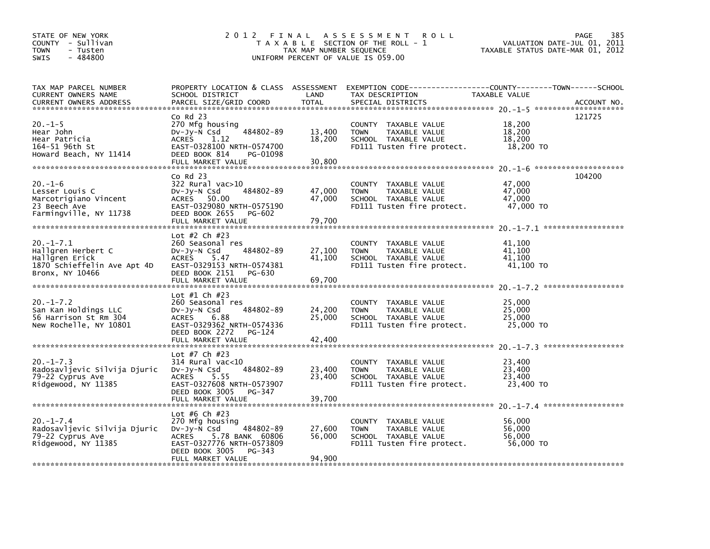| STATE OF NEW YORK<br>COUNTY - Sullivan<br><b>TOWN</b><br>- Tusten<br>$-484800$<br><b>SWIS</b>            | 2 0 1 2                                                                                                                                                                  | TAX MAP NUMBER SEQUENCE    | FINAL ASSESSMENT<br><b>ROLL</b><br>T A X A B L E SECTION OF THE ROLL - 1<br>UNIFORM PERCENT OF VALUE IS 059.00                           | VALUATION DATE-JUL 01, 2011<br>TAXABLE STATUS DATE-MAR 01, 2012 | 385<br><b>PAGE</b> |
|----------------------------------------------------------------------------------------------------------|--------------------------------------------------------------------------------------------------------------------------------------------------------------------------|----------------------------|------------------------------------------------------------------------------------------------------------------------------------------|-----------------------------------------------------------------|--------------------|
| TAX MAP PARCEL NUMBER<br>CURRENT OWNERS NAME<br><b>CURRENT OWNERS ADDRESS</b>                            | SCHOOL DISTRICT<br>PARCEL SIZE/GRID COORD                                                                                                                                | LAND<br><b>TOTAL</b>       | PROPERTY LOCATION & CLASS ASSESSMENT EXEMPTION CODE----------------COUNTY-------TOWN------SCHOOL<br>TAX DESCRIPTION<br>SPECIAL DISTRICTS | TAXABLE VALUE                                                   | ACCOUNT NO.        |
|                                                                                                          | $Co$ Rd $23$                                                                                                                                                             |                            |                                                                                                                                          |                                                                 | 121725             |
| $20. -1 - 5$<br>Hear John<br>Hear Patricia<br>164-51 96th St<br>Howard Beach, NY 11414                   | 270 Mfg housing<br>484802-89<br>$Dv-Jy-N$ Csd<br>1.12<br><b>ACRES</b><br>EAST-0328100 NRTH-0574700<br>DEED BOOK 814<br>PG-01098                                          | 13,400<br>18,200           | COUNTY TAXABLE VALUE<br><b>TOWN</b><br>TAXABLE VALUE<br>SCHOOL TAXABLE VALUE<br>FD111 Tusten fire protect.                               | 18,200<br>18,200<br>18,200<br>18,200 TO                         |                    |
|                                                                                                          | FULL MARKET VALUE                                                                                                                                                        | 30,800                     |                                                                                                                                          |                                                                 |                    |
|                                                                                                          | $Co$ Rd $23$                                                                                                                                                             |                            |                                                                                                                                          |                                                                 | 104200             |
| $20. - 1 - 6$<br>Lesser Louis C<br>Marcotrigiano Vincent<br>23 Beech Ave<br>Farmingville, NY 11738       | 322 Rural vac>10<br>$Dv-Jy-N$ Csd<br>484802-89<br>ACRES 50.00<br>EAST-0329080 NRTH-0575190<br>DEED BOOK 2655<br>PG-602<br>FULL MARKET VALUE                              | 47,000<br>47,000<br>79.700 | COUNTY TAXABLE VALUE<br>TAXABLE VALUE<br><b>TOWN</b><br>SCHOOL TAXABLE VALUE<br>FD111 Tusten fire protect.                               | 47,000<br>47,000<br>47,000<br>47,000 TO                         |                    |
|                                                                                                          |                                                                                                                                                                          |                            |                                                                                                                                          |                                                                 |                    |
| $20. -1 - 7.1$<br>Hallgren Herbert C<br>Hallgren Erick<br>1870 Schieffelin Ave Apt 4D<br>Bronx, NY 10466 | Lot #2 Ch #23<br>260 Seasonal res<br>484802-89<br>Dv-Jy-N Csd<br>5.47<br><b>ACRES</b><br>EAST-0329153 NRTH-0574381<br>DEED BOOK 2151<br>PG-630                           | 27,100<br>41,100           | COUNTY TAXABLE VALUE<br>TAXABLE VALUE<br><b>TOWN</b><br>SCHOOL TAXABLE VALUE<br>FD111 Tusten fire protect.                               | 41,100<br>41,100<br>41,100<br>41,100 TO                         |                    |
|                                                                                                          | FULL MARKET VALUE                                                                                                                                                        | 69,700                     |                                                                                                                                          |                                                                 |                    |
|                                                                                                          |                                                                                                                                                                          |                            |                                                                                                                                          |                                                                 |                    |
| $20. -1 - 7.2$<br>San Kan Holdings LLC<br>56 Harrison St Rm 304<br>New Rochelle, NY 10801                | Lot #1 Ch #23<br>260 Seasonal res<br>484802-89<br>$Dv-Jy-N$ Csd<br>ACRES<br>6.88<br>EAST-0329362 NRTH-0574336<br>DEED BOOK 2272<br>PG-124                                | 24,200<br>25,000           | COUNTY TAXABLE VALUE<br><b>TOWN</b><br>TAXABLE VALUE<br>SCHOOL TAXABLE VALUE<br>FD111 Tusten fire protect.                               | 25,000<br>25,000<br>25,000<br>25,000 TO                         |                    |
|                                                                                                          | FULL MARKET VALUE                                                                                                                                                        | 42,400                     |                                                                                                                                          |                                                                 |                    |
| $20. -1 - 7.3$<br>Radosavljevic Silvija Djuric<br>79-22 Cyprus Ave<br>Ridgewood, NY 11385                | Lot #7 Ch #23<br>$314$ Rural vac< $10$<br>484802-89<br>DV-Jy-N Csd<br><b>ACRES</b><br>5.55<br>EAST-0327608 NRTH-0573907<br>DEED BOOK 3005<br>PG-347<br>FULL MARKET VALUE | 23,400<br>23,400<br>39,700 | COUNTY TAXABLE VALUE<br><b>TOWN</b><br>TAXABLE VALUE<br>SCHOOL TAXABLE VALUE<br>FD111 Tusten fire protect.                               | 23,400<br>23,400<br>23,400<br>23,400 TO                         |                    |
|                                                                                                          | Lot #6 Ch #23                                                                                                                                                            |                            |                                                                                                                                          |                                                                 |                    |
| $20. -1 - 7.4$<br>Radosavljevic Silvija Djuric<br>79-22 Cyprus Ave<br>Ridgewood, NY 11385                | 270 Mfg housing<br>DV-Jy-N Csd<br>484802-89<br>5.78 BANK 60806<br>ACRES<br>EAST-0327776 NRTH-0573809<br>DEED BOOK 3005<br>PG-343<br>FULL MARKET VALUE                    | 27,600<br>56,000<br>94.900 | COUNTY TAXABLE VALUE<br><b>TOWN</b><br>TAXABLE VALUE<br>SCHOOL TAXABLE VALUE<br>FD111 Tusten fire protect.                               | 56,000<br>56,000<br>56,000<br>56,000 TO                         |                    |
|                                                                                                          |                                                                                                                                                                          |                            |                                                                                                                                          |                                                                 |                    |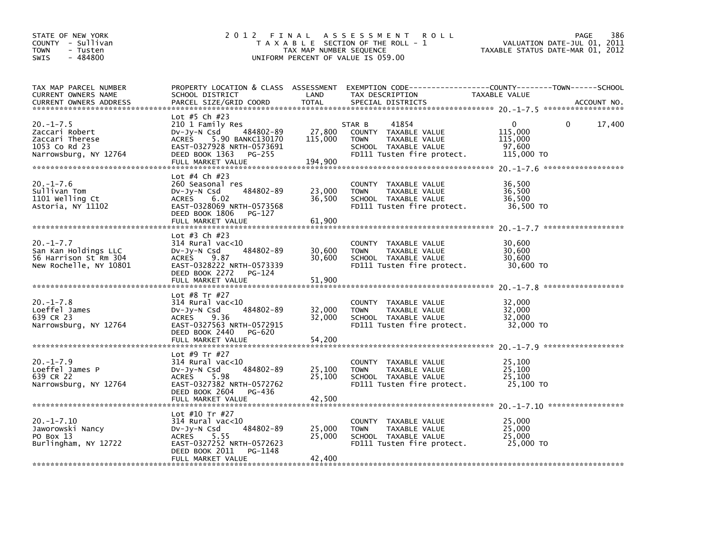| STATE OF NEW YORK<br>COUNTY - Sullivan<br><b>TOWN</b><br>- Tusten<br>$-484800$<br><b>SWIS</b> | 2 0 1 2                                                                                                                                                                           | TAX MAP NUMBER SEQUENCE      | FINAL ASSESSMENT ROLL<br>T A X A B L E SECTION OF THE ROLL - 1<br>UNIFORM PERCENT OF VALUE IS 059.00                                     | VALUATION DATE-JUL 01, 2011<br>TAXABLE STATUS DATE-MAR 01, 2012 | 386<br>PAGE |
|-----------------------------------------------------------------------------------------------|-----------------------------------------------------------------------------------------------------------------------------------------------------------------------------------|------------------------------|------------------------------------------------------------------------------------------------------------------------------------------|-----------------------------------------------------------------|-------------|
| TAX MAP PARCEL NUMBER<br>CURRENT OWNERS NAME<br><b>CURRENT OWNERS ADDRESS</b>                 | SCHOOL DISTRICT<br>PARCEL SIZE/GRID COORD                                                                                                                                         | LAND<br><b>TOTAL</b>         | PROPERTY LOCATION & CLASS ASSESSMENT EXEMPTION CODE----------------COUNTY-------TOWN------SCHOOL<br>TAX DESCRIPTION<br>SPECIAL DISTRICTS | TAXABLE VALUE                                                   | ACCOUNT NO. |
| $20. -1 - 7.5$<br>Zaccari Robert<br>Zaccari Therese<br>1053 Co Rd 23<br>Narrowsburg, NY 12764 | Lot #5 Ch #23<br>210 1 Family Res<br>484802-89<br>$Dv-Jy-N$ Csd<br>5.90 BANKC130170<br><b>ACRES</b><br>EAST-0327928 NRTH-0573691<br>DEED BOOK 1363<br>PG-255<br>FULL MARKET VALUE | 27,800<br>115,000<br>194,900 | 41854<br>STAR B<br>COUNTY TAXABLE VALUE<br><b>TAXABLE VALUE</b><br><b>TOWN</b><br>SCHOOL TAXABLE VALUE<br>FD111 Tusten fire protect.     | $\Omega$<br>0<br>115,000<br>115,000<br>97,600<br>115,000 TO     | 17,400      |
| $20. -1 - 7.6$<br>Sullivan Tom<br>1101 Welling Ct<br>Astoria, NY 11102                        | Lot #4 Ch #23<br>260 Seasonal res<br>484802-89<br>$Dv-Jy-N$ Csd<br><b>ACRES</b><br>6.02<br>EAST-0328069 NRTH-0573568<br>DEED BOOK 1806<br>PG-127<br>FULL MARKET VALUE             | 23,000<br>36,500<br>61.900   | COUNTY TAXABLE VALUE<br>TAXABLE VALUE<br><b>TOWN</b><br>SCHOOL TAXABLE VALUE<br>FD111 Tusten fire protect.                               | 36,500<br>36,500<br>36,500<br>36,500 TO                         |             |
| $20. -1 - 7.7$<br>San Kan Holdings LLC<br>56 Harrison St Rm 304<br>New Rochelle, NY 10801     | Lot #3 Ch #23<br>$314$ Rural vac< $10$<br>484802-89<br>DV-JY-N Csd<br><b>ACRES</b><br>9.87<br>EAST-0328222 NRTH-0573339<br>DEED BOOK 2272<br>PG-124<br>FULL MARKET VALUE          | 30,600<br>30.600<br>51,900   | COUNTY TAXABLE VALUE<br><b>TOWN</b><br>TAXABLE VALUE<br>SCHOOL TAXABLE VALUE<br>FD111 Tusten fire protect.                               | 30,600<br>30,600<br>30,600<br>30,600 TO                         |             |
| $20. -1 - 7.8$<br>Loeffel James<br>639 CR 23<br>Narrowsburg, NY 12764                         | Lot #8 Tr #27<br>314 Rural vac<10<br>484802-89<br>$Dv-Jy-N$ Csd<br>ACRES<br>9.36<br>EAST-0327563 NRTH-0572915<br>DEED BOOK 2440<br>PG-620                                         | 32,000<br>32,000             | COUNTY TAXABLE VALUE<br>TAXABLE VALUE<br><b>TOWN</b><br>SCHOOL TAXABLE VALUE<br>FD111 Tusten fire protect.                               | 32,000<br>32,000<br>32,000<br>32,000 TO                         |             |
| $20. -1 - 7.9$<br>Loeffel James P<br>639 CR 22<br>Narrowsburg, NY 12764                       | Lot #9 Tr #27<br>$314$ Rural vac<10<br>484802-89<br>$Dv-Jy-N$ Csd<br>5.98<br>ACRES<br>EAST-0327382 NRTH-0572762<br>DEED BOOK 2604<br>PG-436<br>FULL MARKET VALUE                  | 25,100<br>25,100<br>42,500   | COUNTY TAXABLE VALUE<br><b>TOWN</b><br>TAXABLE VALUE<br>SCHOOL TAXABLE VALUE<br>FD111 Tusten fire protect.                               | 25,100<br>25,100<br>25,100<br>25,100 TO                         |             |
| $20. -1 - 7.10$<br>Jaworowski Nancy<br>PO Box 13<br>Burlingham, NY 12722                      | Lot #10 Tr #27<br>314 Rural vac<10<br>DV-Jy-N Csd<br>484802-89<br>ACRES<br>5.55<br>EAST-0327252 NRTH-0572623<br>DEED BOOK 2011<br>PG-1148<br>FULL MARKET VALUE                    | 25,000<br>25,000<br>42.400   | COUNTY TAXABLE VALUE<br><b>TOWN</b><br>TAXABLE VALUE<br>SCHOOL TAXABLE VALUE<br>FD111 Tusten fire protect.                               | 25,000<br>25,000<br>25,000<br>25,000 TO                         |             |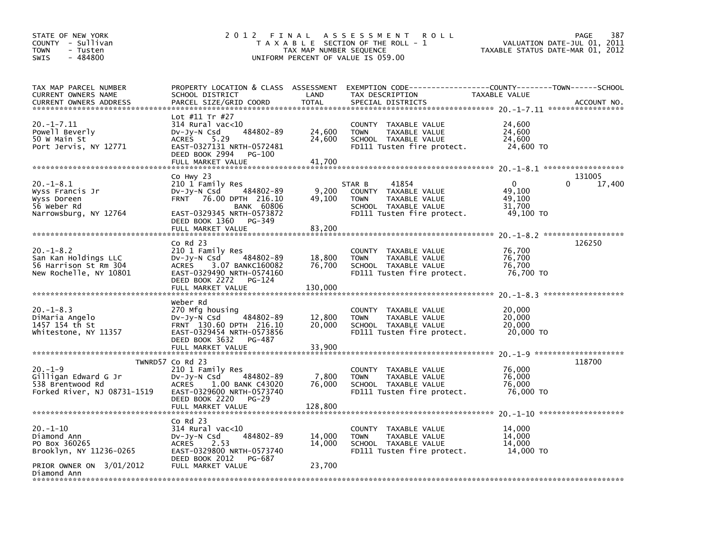| STATE OF NEW YORK<br>COUNTY - Sullivan<br><b>TOWN</b><br>- Tusten<br>$-484800$<br><b>SWIS</b> | 2 0 1 2<br>FINAL                                                                                                                                                                         | TAX MAP NUMBER SEQUENCE     | A S S E S S M E N T<br><b>ROLL</b><br>T A X A B L E SECTION OF THE ROLL - 1<br>UNIFORM PERCENT OF VALUE IS 059.00             | VALUATION DATE-JUL 01,<br>TAXABLE STATUS DATE-MAR 01, 2012 | PAGE<br>387<br>2011          |
|-----------------------------------------------------------------------------------------------|------------------------------------------------------------------------------------------------------------------------------------------------------------------------------------------|-----------------------------|-------------------------------------------------------------------------------------------------------------------------------|------------------------------------------------------------|------------------------------|
| TAX MAP PARCEL NUMBER<br>CURRENT OWNERS NAME                                                  | SCHOOL DISTRICT                                                                                                                                                                          | LAND                        | PROPERTY LOCATION & CLASS ASSESSMENT EXEMPTION CODE---------------COUNTY-------TOWN-----SCHOOL<br>TAX DESCRIPTION             | TAXABLE VALUE                                              |                              |
| <b>CURRENT OWNERS ADDRESS</b>                                                                 | PARCEL SIZE/GRID COORD                                                                                                                                                                   | <b>TOTAL</b>                | SPECIAL DISTRICTS                                                                                                             |                                                            | ACCOUNT NO.                  |
| $20. -1 - 7.11$<br>Powell Beverly<br>50 W Main St<br>Port Jervis, NY 12771                    | Lot #11 Tr #27<br>$314$ Rural vac<10<br>484802-89<br>$Dv-Jy-N$ Csd<br><b>ACRES</b><br>5.29<br>EAST-0327131 NRTH-0572481<br>DEED BOOK 2994<br>PG-100                                      | 24,600<br>24,600            | COUNTY TAXABLE VALUE<br><b>TOWN</b><br>TAXABLE VALUE<br>SCHOOL TAXABLE VALUE<br>FD111 Tusten fire protect.                    | 24,600<br>24,600<br>24,600<br>24,600 TO                    |                              |
|                                                                                               | FULL MARKET VALUE                                                                                                                                                                        | 41,700                      |                                                                                                                               |                                                            |                              |
| $20. -1 - 8.1$<br>Wyss Francis Jr<br>Wyss Doreen<br>56 Weber Rd<br>Narrowsburg, NY 12764      | Co Hwy 23<br>210 1 Family Res<br>484802-89<br>$Dv-Jy-N$ Csd<br>FRNT 76.00 DPTH 216.10<br><b>BANK 60806</b><br>EAST-0329345 NRTH-0573872<br>DEED BOOK 1360<br>PG-349<br>FULL MARKET VALUE | 9,200<br>49.100<br>83,200   | 41854<br>STAR B<br>COUNTY TAXABLE VALUE<br>TAXABLE VALUE<br><b>TOWN</b><br>SCHOOL TAXABLE VALUE<br>FD111 Tusten fire protect. | $\Omega$<br>49,100<br>49.100<br>31,700<br>49,100 TO        | 131005<br>$\Omega$<br>17,400 |
|                                                                                               |                                                                                                                                                                                          |                             |                                                                                                                               |                                                            |                              |
| $20. -1 - 8.2$<br>San Kan Holdings LLC<br>56 Harrison St Rm 304<br>New Rochelle, NY 10801     | Co Rd 23<br>210 1 Family Res<br>$Dv-Jy-N$ Csd<br>484802-89<br>3.07 BANKC160082<br><b>ACRES</b><br>EAST-0329490 NRTH-0574160<br>DEED BOOK 2272<br>PG-124<br>FULL MARKET VALUE             | 18,800<br>76,700<br>130,000 | <b>COUNTY</b><br>TAXABLE VALUE<br><b>TOWN</b><br>TAXABLE VALUE<br>SCHOOL TAXABLE VALUE<br>FD111 Tusten fire protect.          | 76,700<br>76,700<br>76,700<br>76,700 TO                    | 126250                       |
|                                                                                               |                                                                                                                                                                                          |                             |                                                                                                                               |                                                            |                              |
| $20. -1 - 8.3$<br>DiMaria Angelo<br>1457 154 th St<br>Whitestone, NY 11357                    | Weber Rd<br>270 Mfg housing<br>484802-89<br>$Dv-Jy-N$ Csd<br>FRNT 130.60 DPTH 216.10<br>EAST-0329454 NRTH-0573856<br>DEED BOOK 3632<br>PG-487                                            | 12,800<br>20,000            | <b>COUNTY</b><br>TAXABLE VALUE<br><b>TOWN</b><br>TAXABLE VALUE<br>SCHOOL TAXABLE VALUE<br>FD111 Tusten fire protect.          | 20,000<br>20,000<br>20,000<br>20,000 TO                    |                              |
|                                                                                               | FULL MARKET VALUE                                                                                                                                                                        | 33,900                      |                                                                                                                               |                                                            |                              |
| $20. -1 - 9$<br>Gilligan Edward G Jr<br>538 Brentwood Rd<br>Forked River, NJ 08731-1519       | TWNRD57 Co Rd 23<br>210 1 Family Res<br>484802-89<br>$Dv-Jy-N$ Csd<br><b>ACRES</b><br>1.00 BANK C43020<br>EAST-0329600 NRTH-0573740<br>DEED BOOK 2220<br>$PG-29$                         | 7,800<br>76,000             | COUNTY TAXABLE VALUE<br><b>TOWN</b><br>TAXABLE VALUE<br>SCHOOL TAXABLE VALUE<br>FD111 Tusten fire protect.                    | 76,000<br>76,000<br>76,000<br>76,000 TO                    | 118700                       |
|                                                                                               | FULL MARKET VALUE                                                                                                                                                                        | 128,800                     |                                                                                                                               |                                                            |                              |
| $20. - 1 - 10$<br>Diamond Ann<br>PO Box 360265<br>Brooklyn, NY 11236-0265                     | $co$ Rd 23<br>314 Rural vac<10<br>484802-89<br>$Dv-Jy-N$ Csd<br>2.53<br><b>ACRES</b><br>EAST-0329800 NRTH-0573740<br>DEED BOOK 2012<br>PG-687                                            | 14,000<br>14,000            | COUNTY TAXABLE VALUE<br><b>TOWN</b><br>TAXABLE VALUE<br>SCHOOL TAXABLE VALUE<br>FD111 Tusten fire protect.                    | 14,000<br>14,000<br>14.000<br>14,000 TO                    |                              |
| PRIOR OWNER ON 3/01/2012<br>Diamond Ann                                                       | FULL MARKET VALUE                                                                                                                                                                        | 23,700                      |                                                                                                                               |                                                            |                              |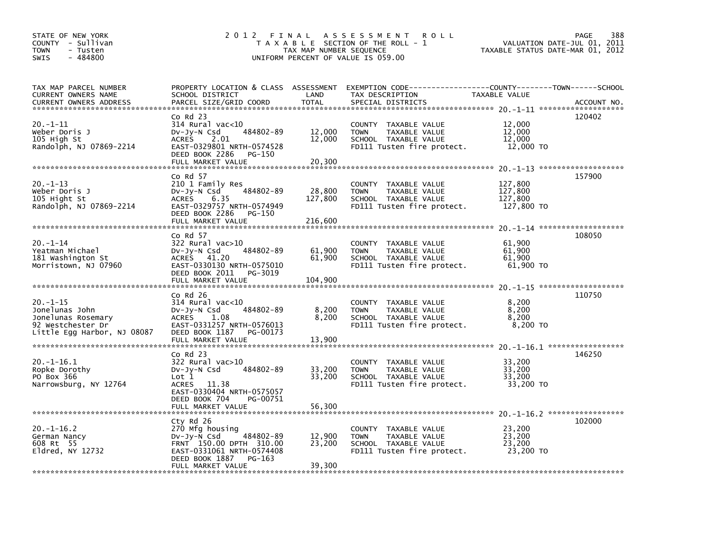| STATE OF NEW YORK<br>COUNTY - Sullivan<br><b>TOWN</b><br>- Tusten<br>$-484800$<br><b>SWIS</b>             | 2012 FINAL                                                                                                                                                            | TAX MAP NUMBER SEQUENCE      | A S S E S S M E N T<br><b>ROLL</b><br>T A X A B L E SECTION OF THE ROLL - 1<br>UNIFORM PERCENT OF VALUE IS 059.00                       | TAXABLE STATUS DATE-MAR 01, 2012            | 388<br>PAGE<br>VALUATION DATE-JUL 01, 2011   |
|-----------------------------------------------------------------------------------------------------------|-----------------------------------------------------------------------------------------------------------------------------------------------------------------------|------------------------------|-----------------------------------------------------------------------------------------------------------------------------------------|---------------------------------------------|----------------------------------------------|
| TAX MAP PARCEL NUMBER<br>CURRENT OWNERS NAME<br><b>CURRENT OWNERS ADDRESS</b>                             | SCHOOL DISTRICT<br>PARCEL SIZE/GRID COORD                                                                                                                             | LAND<br><b>TOTAL</b>         | PROPERTY LOCATION & CLASS ASSESSMENT EXEMPTION CODE---------------COUNTY-------TOWN------SCHOOL<br>TAX DESCRIPTION<br>SPECIAL DISTRICTS | TAXABLE VALUE                               | ACCOUNT NO.                                  |
| $20. -1 - 11$<br>Weber Doris J<br>105 High St<br>Randolph, NJ 07869-2214                                  | Co Rd 23<br>$314$ Rural vac< $10$<br>484802-89<br>$Dv-Jy-N$ Csd<br><b>ACRES</b><br>2.01<br>EAST-0329801 NRTH-0574528<br>DEED BOOK 2286<br>PG-150<br>FULL MARKET VALUE | 12,000<br>12,000<br>20,300   | COUNTY TAXABLE VALUE<br><b>TOWN</b><br>TAXABLE VALUE<br>SCHOOL TAXABLE VALUE<br>FD111 Tusten fire protect.                              | 12,000<br>12,000<br>12,000<br>12,000 TO     | 120402                                       |
| $20. -1 - 13$<br>Weber Doris J<br>105 Hight St<br>Randolph, NJ 07869-2214                                 | Co Rd 57<br>210 1 Family Res<br>484802-89<br>$Dv-Jy-N$ Csd<br><b>ACRES</b><br>6.35<br>EAST-0329757 NRTH-0574949<br>DEED BOOK 2286<br>PG-150<br>FULL MARKET VALUE      | 28,800<br>127,800<br>216,600 | COUNTY TAXABLE VALUE<br>TAXABLE VALUE<br><b>TOWN</b><br>SCHOOL TAXABLE VALUE<br>FD111 Tusten fire protect.                              | 127,800<br>127,800<br>127.800<br>127,800 TO | 157900<br>$20 - 1 - 14$ ******************** |
| 20.-1-14<br>Yeatman Michael<br>181 Washington St<br>Morristown, NJ 07960                                  | Co Rd 57<br>322 Rural vac>10<br>484802-89<br>$Dv-Jy-N$ Csd<br>ACRES 41.20<br>EAST-0330130 NRTH-0575010<br>DEED BOOK 2011<br>PG-3019<br>FULL MARKET VALUE              | 61,900<br>61,900<br>104,900  | COUNTY TAXABLE VALUE<br><b>TOWN</b><br>TAXABLE VALUE<br>SCHOOL TAXABLE VALUE<br>FD111 Tusten fire protect.                              | 61.900<br>61,900<br>61,900<br>61,900 TO     | 108050                                       |
| $20. -1 - 15$<br>Jonelunas John<br>Jonelunas Rosemary<br>92 Westchester Dr<br>Little Egg Harbor, NJ 08087 | Co Rd 26<br>314 Rural vac<10<br>484802-89<br>$Dv-Jy-N$ Csd<br><b>ACRES</b><br>1.08<br>EAST-0331257 NRTH-0576013<br>DEED BOOK 1187<br>PG-00173<br>FULL MARKET VALUE    | 8,200<br>8,200<br>13,900     | <b>COUNTY</b><br>TAXABLE VALUE<br><b>TOWN</b><br>TAXABLE VALUE<br>SCHOOL TAXABLE VALUE<br>FD111 Tusten fire protect.                    | 8,200<br>8,200<br>8.200<br>8,200 TO         | 110750                                       |
| 20.–1–16.1<br>Ropke Dorothy<br>PO Box 366<br>Narrowsburg, NY 12764                                        | Co Rd 23<br>322 Rural vac>10<br>484802-89<br>$Dv-Jy-N$ Csd<br>Lot 1<br>11.38<br>ACRES<br>EAST-0330404 NRTH-0575057<br>DEED BOOK 704<br>PG-00751<br>FULL MARKET VALUE  | 33,200<br>33,200<br>56,300   | <b>COUNTY</b><br>TAXABLE VALUE<br><b>TOWN</b><br>TAXABLE VALUE<br>SCHOOL TAXABLE VALUE<br>FD111 Tusten fire protect.                    | 33,200<br>33,200<br>33,200<br>33,200 TO     | 146250                                       |
| $20. -1 - 16.2$<br>German Nancy<br>608 Rt 55<br>E1dred, NY 12732                                          | Cty Rd 26<br>270 Mfg housing<br>$Dv-Jy-N$ Csd<br>484802-89<br>FRNT 150.00 DPTH 310.00<br>EAST-0331061 NRTH-0574408<br>DEED BOOK 1887<br>$PG-163$<br>FULL MARKET VALUE | 12,900<br>23,200<br>39,300   | COUNTY TAXABLE VALUE<br>TAXABLE VALUE<br><b>TOWN</b><br>SCHOOL TAXABLE VALUE<br>FD111 Tusten fire protect.                              | 23,200<br>23,200<br>23,200<br>23,200 TO     | 102000                                       |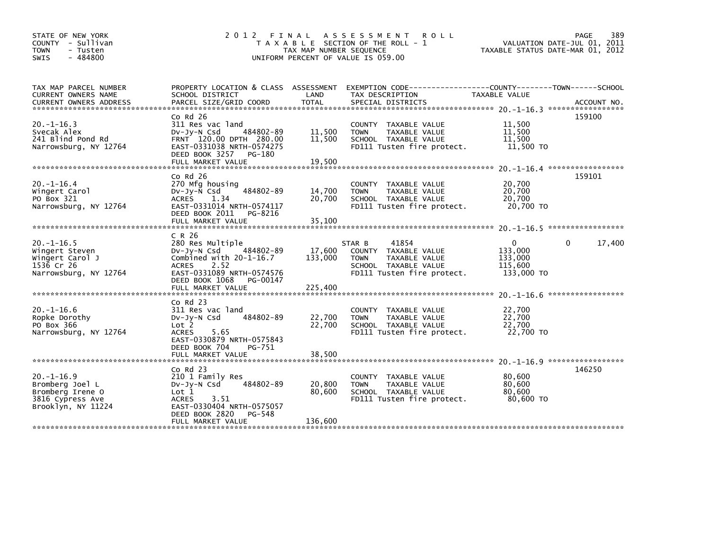| STATE OF NEW YORK<br>COUNTY - Sullivan<br><b>TOWN</b><br>- Tusten                                | 2012 FINAL                                                                                                                                                   | TAX MAP NUMBER SEQUENCE | ASSESSMENT<br><b>ROLL</b><br>T A X A B L E SECTION OF THE ROLL - 1                                                                             | TAXABLE STATUS DATE-MAR 01, 2012                 | PAGE<br>389<br>VALUATION DATE-JUL 01, 2011   |
|--------------------------------------------------------------------------------------------------|--------------------------------------------------------------------------------------------------------------------------------------------------------------|-------------------------|------------------------------------------------------------------------------------------------------------------------------------------------|--------------------------------------------------|----------------------------------------------|
| $-484800$<br><b>SWIS</b>                                                                         |                                                                                                                                                              |                         | UNIFORM PERCENT OF VALUE IS 059.00                                                                                                             |                                                  |                                              |
| TAX MAP PARCEL NUMBER<br>CURRENT OWNERS NAME                                                     | SCHOOL DISTRICT                                                                                                                                              | LAND                    | PROPERTY LOCATION & CLASS ASSESSMENT EXEMPTION CODE----------------COUNTY-------TOWN------SCHOOL<br>TAX DESCRIPTION                            | TAXABLE VALUE                                    |                                              |
|                                                                                                  | $Co$ Rd $26$                                                                                                                                                 |                         |                                                                                                                                                |                                                  | 159100                                       |
| $20. -1 - 16.3$<br>Svecak Alex<br>241 Blind Pond Rd<br>Narrowsburg, NY 12764                     | 311 Res vac land<br>484802-89<br>DV-Jy-N Csd<br>FRNT 120.00 DPTH 280.00<br>EAST-0331038 NRTH-0574275<br>DEED BOOK 3257 PG-180                                | 11,500<br>11,500        | COUNTY TAXABLE VALUE<br><b>TOWN</b><br>TAXABLE VALUE<br>SCHOOL TAXABLE VALUE<br>FD111 Tusten fire protect.                                     | 11,500<br>11,500<br>11,500<br>11,500 TO          |                                              |
|                                                                                                  | FULL MARKET VALUE                                                                                                                                            | 19,500                  |                                                                                                                                                |                                                  | $20. -1 - 16.4$ *******************          |
| $20. -1 - 16.4$<br>Wingert Carol<br>PO Box 321<br>Narrowsburg, NY 12764                          | $CO$ Rd $26$<br>270 Mfg housing<br>484802-89<br>DV-Jy-N Csd<br><b>ACRES</b><br>1.34<br>EAST-0331014 NRTH-0574117<br>DEED BOOK 2011 PG-8216                   | 14,700<br>20,700        | COUNTY TAXABLE VALUE<br><b>TOWN</b><br>TAXABLE VALUE<br>SCHOOL TAXABLE VALUE<br>FD111 Tusten fire protect.                                     | 20,700<br>20,700<br>20,700<br>20,700 TO          | 159101                                       |
|                                                                                                  |                                                                                                                                                              |                         |                                                                                                                                                |                                                  |                                              |
|                                                                                                  | C R 26                                                                                                                                                       |                         |                                                                                                                                                |                                                  |                                              |
| $20. -1 - 16.5$<br>Wingert Steven<br>Wingert Carol J<br>1536 Cr 26<br>Narrowsburg, NY 12764      | 280 Res Multiple<br>$Dv-Jy-N$ Csd<br>484802-89<br>Combined with 20-1-16.7<br>2.52<br><b>ACRES</b><br>EAST-0331089 NRTH-0574576<br>DEED BOOK 1068<br>PG-00147 | 17,600<br>133,000       | 41854<br>STAR B<br>TAXABLE VALUE<br><b>COUNTY</b><br><b>TAXABLE VALUE</b><br><b>TOWN</b><br>SCHOOL TAXABLE VALUE<br>FD111 Tusten fire protect. | 0<br>133,000<br>133,000<br>115,600<br>133,000 TO | 17,400<br>0                                  |
|                                                                                                  |                                                                                                                                                              |                         |                                                                                                                                                |                                                  | *****************                            |
| $20. -1 - 16.6$<br>Ropke Dorothy<br>PO Box 366<br>Narrowsburg, NY 12764                          | $Co$ Rd $23$<br>311 Res vac land<br>484802-89<br>DV-Jy-N Csd<br>Lot 2<br>5.65<br><b>ACRES</b><br>EAST-0330879 NRTH-0575843<br>DEED BOOK 704<br>PG-751        | 22,700<br>22,700        | COUNTY TAXABLE VALUE<br>TAXABLE VALUE<br><b>TOWN</b><br>SCHOOL TAXABLE VALUE<br>FD111 Tusten fire protect.                                     | 22,700<br>22,700<br>22,700<br>22,700 TO          |                                              |
|                                                                                                  | FULL MARKET VALUE                                                                                                                                            | 38,500                  |                                                                                                                                                |                                                  |                                              |
| $20. -1 - 16.9$<br>Bromberg Joel L<br>Bromberg Irene O<br>3816 Cypress Ave<br>Brooklyn, NY 11224 | $Co$ Rd $23$<br>210 1 Family Res<br>484802-89<br>$Dv-Jy-N$ Csd<br>Lot 1<br>3.51<br><b>ACRES</b><br>EAST-0330404 NRTH-0575057<br>DEED BOOK 2820<br>PG-548     | 20,800<br>80.600        | COUNTY TAXABLE VALUE<br><b>TOWN</b><br>TAXABLE VALUE<br>SCHOOL TAXABLE VALUE<br>FD111 Tusten fire protect.                                     | 80,600<br>80,600<br>80.600<br>80,600 TO          | $20. -1 - 16.9$ ******************<br>146250 |
|                                                                                                  | FULL MARKET VALUE                                                                                                                                            | 136,600                 |                                                                                                                                                |                                                  |                                              |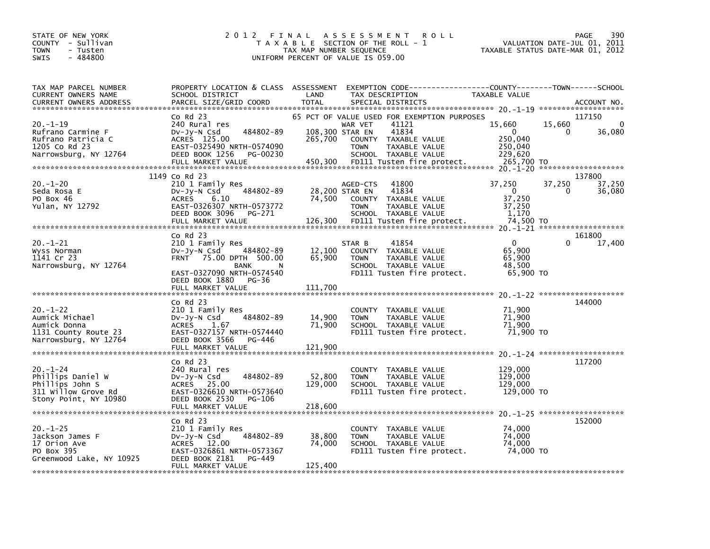| STATE OF NEW YORK<br>COUNTY - Sullivan<br><b>TOWN</b><br>- Tusten<br>$-484800$<br>SWIS                 | 2 0 1 2<br>FINAL                                                                                                                                                                   | TAX MAP NUMBER SEQUENCE               | A S S E S S M E N T<br>T A X A B L E SECTION OF THE ROLL - 1<br>UNIFORM PERCENT OF VALUE IS 059.00                                                                                     | <b>ROLL</b>                                                                     | 390<br>PAGE<br>VALUATION DATE-JUL 01, 2011<br>TAXABLE STATUS DATE-MAR 01, 2012 |
|--------------------------------------------------------------------------------------------------------|------------------------------------------------------------------------------------------------------------------------------------------------------------------------------------|---------------------------------------|----------------------------------------------------------------------------------------------------------------------------------------------------------------------------------------|---------------------------------------------------------------------------------|--------------------------------------------------------------------------------|
| TAX MAP PARCEL NUMBER<br>CURRENT OWNERS NAME<br><b>CURRENT OWNERS ADDRESS</b>                          | PROPERTY LOCATION & CLASS ASSESSMENT<br>SCHOOL DISTRICT<br>PARCEL SIZE/GRID COORD                                                                                                  | LAND<br><b>TOTAL</b>                  | TAX DESCRIPTION<br>SPECIAL DISTRICTS                                                                                                                                                   | EXEMPTION CODE------------------COUNTY--------TOWN------SCHOOL<br>TAXABLE VALUE | ACCOUNT NO.                                                                    |
| $20. -1 - 19$<br>Rufrano Carmine F<br>Rufrano Patricia C<br>1205 Co Rd 23<br>Narrowsburg, NY 12764     | $CO$ Rd $23$<br>240 Rural res<br>484802-89<br>DV-JV-N Csd<br>ACRES 125.00<br>EAST-0325490 NRTH-0574090<br>DEED BOOK 1256<br>PG-00230<br>FULL MARKET VALUE                          | 108,300 STAR EN<br>265.700<br>450,300 | 65 PCT OF VALUE USED FOR EXEMPTION PURPOSES<br>41121<br>WAR VET<br>41834<br>COUNTY TAXABLE VALUE<br>TAXABLE VALUE<br><b>TOWN</b><br>SCHOOL TAXABLE VALUE<br>FD111 Tusten fire protect. | 15,660<br>$\Omega$<br>250,040<br>250,040<br>229,620<br>265,700 TO               | 117150<br>15,660<br>$\Omega$<br>36,080<br>0                                    |
| 20.-1-20<br>Seda Rosa E<br>PO Box 46<br>Yulan, NY 12792                                                | 1149 Co Rd 23<br>210 1 Family Res<br>484802-89<br>DV-Jy-N Csd<br><b>ACRES</b><br>6.10<br>EAST-0326307 NRTH-0573772<br>DEED BOOK 3096<br>PG-271<br>FULL MARKET VALUE                | 74,500<br>126,300                     | 41800<br>AGED-CTS<br>28,200 STAR EN<br>41834<br>COUNTY<br>TAXABLE VALUE<br><b>TOWN</b><br>TAXABLE VALUE<br>SCHOOL TAXABLE VALUE<br>FD111 Tusten fire protect.                          | 37,250<br>$\Omega$<br>37,250<br>37,250<br>1,170<br>74,500 TO                    | 137800<br>37,250<br>37,250<br>0<br>36,080                                      |
| $20. -1 - 21$<br>Wyss Norman<br>1141 Cr 23<br>Narrowsburg, NY 12764                                    | $Co$ Rd $23$<br>210 1 Family Res<br>484802-89<br>$Dv-Jv-N$ Csd<br>FRNT 75.00 DPTH 500.00<br>BANK<br>N<br>EAST-0327090 NRTH-0574540<br>DEED BOOK 1880<br>PG-36<br>FULL MARKET VALUE | 12,100<br>65,900<br>111,700           | 41854<br>STAR B<br>COUNTY TAXABLE VALUE<br>TAXABLE VALUE<br><b>TOWN</b><br>SCHOOL TAXABLE VALUE<br>FD111 Tusten fire protect.                                                          | 0<br>65,900<br>65,900<br>48,500<br>65,900 TO                                    | 161800<br>17,400                                                               |
| $20. -1 - 22$<br>Aumick Michael<br>Aumick Donna<br>1131 County Route 23<br>Narrowsburg, NY 12764       | $Co$ Rd $23$<br>210 1 Family Res<br>484802-89<br>DV-Jy-N Csd<br><b>ACRES</b><br>1.67<br>EAST-0327157 NRTH-0574440<br>DEED BOOK 3566<br>PG-446<br>FULL MARKET VALUE                 | 14,900<br>71,900<br>121,900           | TAXABLE VALUE<br>COUNTY<br>TAXABLE VALUE<br><b>TOWN</b><br>SCHOOL TAXABLE VALUE<br>FD111 Tusten fire protect.                                                                          | 71,900<br>71,900<br>71,900<br>71,900 TO                                         | 144000                                                                         |
| $20. - 1 - 24$<br>Phillips Daniel W<br>Phillips John S<br>311 Willow Grove Rd<br>Stony Point, NY 10980 | Co Rd 23<br>240 Rural res<br>$Dv-Jy-N$ Csd<br>484802-89<br>ACRES 25.00<br>EAST-0326610 NRTH-0573640<br>DEED BOOK 2530<br>PG-106<br>FULL MARKET VALUE                               | 52,800<br>129,000<br>218,600          | COUNTY<br>TAXABLE VALUE<br><b>TOWN</b><br>TAXABLE VALUE<br>SCHOOL TAXABLE VALUE<br>FD111 Tusten fire protect.                                                                          | 129,000<br>129,000<br>129,000<br>129,000 TO                                     | 117200                                                                         |
| $20. - 1 - 25$<br>Jackson James F<br>17 Orion Ave<br>PO Box 395<br>Greenwood Lake, NY 10925            | $CO$ Rd $23$<br>210 1 Family Res<br>484802-89<br>$Dv-Jy-N$ Csd<br>ACRES 12.00<br>EAST-0326861 NRTH-0573367<br>DEED BOOK 2181<br>PG-449<br>FULL MARKET VALUE                        | 38,800<br>74,000<br>125,400           | COUNTY<br>TAXABLE VALUE<br><b>TOWN</b><br><b>TAXABLE VALUE</b><br>SCHOOL TAXABLE VALUE<br>FD111 Tusten fire protect.                                                                   | 74,000<br>74.000<br>74,000<br>74,000 TO                                         | 152000                                                                         |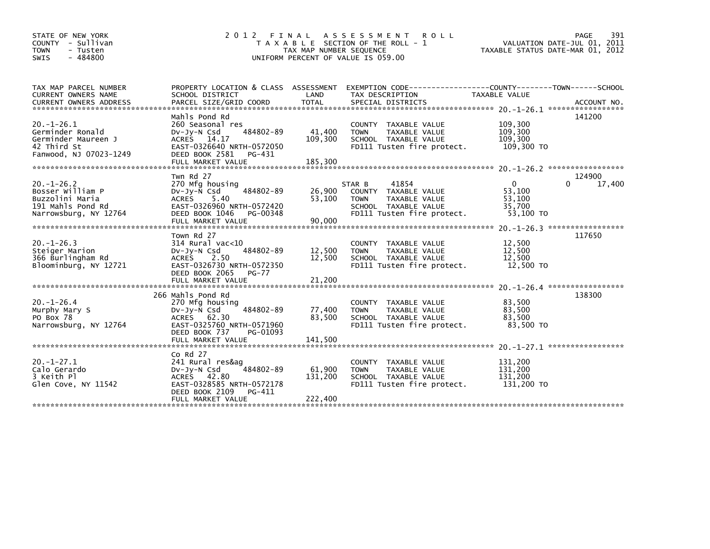| STATE OF NEW YORK<br>COUNTY - Sullivan<br>- Tusten<br><b>TOWN</b><br>$-484800$<br>SWIS                | 2 0 1 2<br>FINAL                                                                                                                                                 | TAX MAP NUMBER SEQUENCE     | ASSESSMENT<br><b>ROLL</b><br>T A X A B L E SECTION OF THE ROLL - 1<br>UNIFORM PERCENT OF VALUE IS 059.00                      | VALUATION DATE-JUL 01, 2011<br>TAXABLE STATUS DATE-MAR 01, 2012 | 391<br>PAGE        |
|-------------------------------------------------------------------------------------------------------|------------------------------------------------------------------------------------------------------------------------------------------------------------------|-----------------------------|-------------------------------------------------------------------------------------------------------------------------------|-----------------------------------------------------------------|--------------------|
| TAX MAP PARCEL NUMBER<br>CURRENT OWNERS NAME                                                          | PROPERTY LOCATION & CLASS ASSESSMENT<br>SCHOOL DISTRICT                                                                                                          | LAND                        | EXEMPTION        CODE-----------------COUNTY-------TOWN------SCHOOL<br>TAX DESCRIPTION                                        | <b>TAXABLE VALUE</b>                                            |                    |
| $20. -1 - 26.1$<br>Germinder Ronald<br>Germinder Maureen J<br>42 Third St<br>Fanwood, NJ 07023-1249   | Mahls Pond Rd<br>260 Seasonal res<br>484802-89<br>$Dv-Jy-N$ Csd<br>ACRES 14.17<br>EAST-0326640 NRTH-0572050<br>DEED BOOK 2581<br>PG-431                          | 41,400<br>109,300           | COUNTY TAXABLE VALUE<br>TAXABLE VALUE<br><b>TOWN</b><br>SCHOOL TAXABLE VALUE<br>FD111 Tusten fire protect.                    | 109,300<br>109,300<br>109.300<br>109,300 TO                     | 141200             |
|                                                                                                       | Twn Rd 27                                                                                                                                                        |                             |                                                                                                                               |                                                                 | 124900             |
| $20. - 1 - 26.2$<br>Bosser William P<br>Buzzolini Maria<br>191 Mahls Pond Rd<br>Narrowsburg, NY 12764 | 270 Mfg housing<br>484802-89<br>$Dv-Jy-N$ Csd<br><b>ACRES</b><br>5.40<br>EAST-0326960 NRTH-0572420<br>DEED BOOK 1046<br>PG-00348                                 | 26,900<br>53,100            | 41854<br>STAR B<br>COUNTY TAXABLE VALUE<br><b>TOWN</b><br>TAXABLE VALUE<br>SCHOOL TAXABLE VALUE<br>FD111 Tusten fire protect. | $\Omega$<br>53,100<br>53,100<br>35,700<br>53,100 TO             | 17,400<br>$\Omega$ |
|                                                                                                       |                                                                                                                                                                  |                             |                                                                                                                               |                                                                 |                    |
| $20. -1 - 26.3$<br>Steiger Marion<br>366 Burlingham Rd<br>Bloominburg, NY 12721                       | Town Rd 27<br>314 Rural vac<10<br>484802-89<br>$Dv-Jv-N$ Csd<br>2.50<br><b>ACRES</b><br>EAST-0326730 NRTH-0572350<br>DEED BOOK 2065<br>PG-77                     | 12,500<br>12,500            | <b>COUNTY</b><br>TAXABLE VALUE<br>TAXABLE VALUE<br><b>TOWN</b><br>SCHOOL TAXABLE VALUE<br>FD111 Tusten fire protect.          | 12,500<br>12,500<br>12,500<br>12,500 TO                         | 117650             |
|                                                                                                       |                                                                                                                                                                  |                             |                                                                                                                               | $20. - 1 - 26.4$                                                | *****************  |
| $20. - 1 - 26.4$<br>Murphy Mary S<br>PO Box 78<br>Narrowsburg, NY 12764                               | 266 Mahls Pond Rd<br>270 Mfg housing<br>484802-89<br>$Dv-Jv-N$ Csd<br>ACRES 62.30<br>EAST-0325760 NRTH-0571960<br>DEED BOOK 737<br>PG-01093<br>FULL MARKET VALUE | 77,400<br>83,500<br>141,500 | <b>COUNTY</b><br>TAXABLE VALUE<br><b>TAXABLE VALUE</b><br><b>TOWN</b><br>SCHOOL TAXABLE VALUE<br>FD111 Tusten fire protect.   | 83,500<br>83,500<br>83.500<br>83,500 TO                         | 138300             |
|                                                                                                       |                                                                                                                                                                  |                             |                                                                                                                               |                                                                 |                    |
| $20. -1 - 27.1$<br>Calo Gerardo<br>3 Keith Pl<br>Glen Cove, NY 11542                                  | $Co$ Rd $27$<br>241 Rural res&ag<br>484802-89<br>$Dv-Jv-N$ Csd<br>ACRES 42.80<br>EAST-0328585 NRTH-0572178<br>DEED BOOK 2109<br>PG-411                           | 61,900<br>131,200           | TAXABLE VALUE<br><b>COUNTY</b><br>TAXABLE VALUE<br><b>TOWN</b><br>SCHOOL TAXABLE VALUE<br>FD111 Tusten fire protect.          | 131,200<br>131,200<br>131.200<br>131,200 TO                     |                    |
|                                                                                                       | FULL MARKET VALUE                                                                                                                                                | 222,400                     |                                                                                                                               |                                                                 |                    |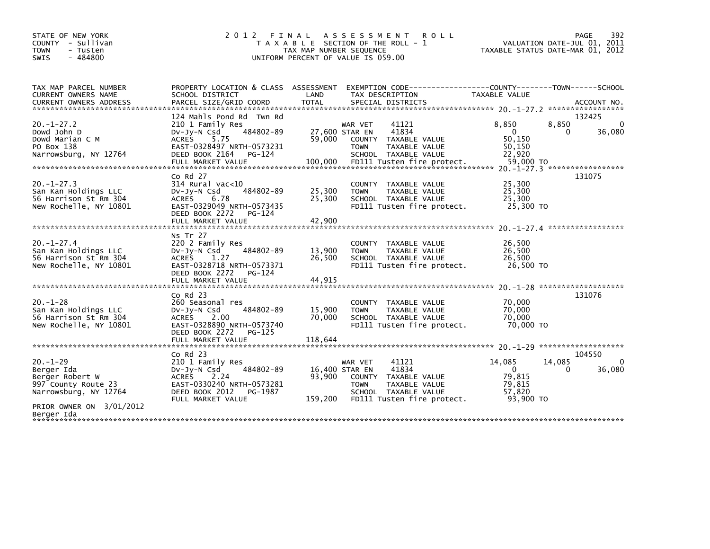| STATE OF NEW YORK<br>COUNTY - Sullivan<br><b>TOWN</b><br>- Tusten<br><b>SWIS</b><br>$-484800$                               | 2 0 1 2<br>FINAL                                                                                                                                                      | A S S E S S M E N T<br><b>ROLL</b><br>T A X A B L E SECTION OF THE ROLL -<br>TAX MAP NUMBER SEQUENCE<br>UNIFORM PERCENT OF VALUE IS 059.00                                     | 392<br>PAGE<br>VALUATION DATE-JUL 01, 2011<br>TAXABLE STATUS DATE-MAR 01, 2012                                                                      |
|-----------------------------------------------------------------------------------------------------------------------------|-----------------------------------------------------------------------------------------------------------------------------------------------------------------------|--------------------------------------------------------------------------------------------------------------------------------------------------------------------------------|-----------------------------------------------------------------------------------------------------------------------------------------------------|
| TAX MAP PARCEL NUMBER<br><b>CURRENT OWNERS NAME</b><br><b>CURRENT OWNERS ADDRESS</b>                                        | PROPERTY LOCATION & CLASS ASSESSMENT<br>SCHOOL DISTRICT<br>PARCEL SIZE/GRID COORD                                                                                     | EXEMPTION CODE---<br>LAND<br>TAX DESCRIPTION<br><b>TOTAL</b><br>SPECIAL DISTRICTS                                                                                              | ------------COUNTY--------TOWN------SCHOOL<br><b>TAXABLE VALUE</b><br>ACCOUNT NO.                                                                   |
| $20. -1 - 27.2$<br>Dowd John D<br>Dowd Marian C M<br>PO Box 138<br>Narrowsburg, NY 12764                                    | 124 Mahls Pond Rd Twn Rd<br>210 1 Family Res<br>484802-89<br>$Dv-Jy-N$ Csd<br><b>ACRES</b><br>5.75<br>EAST-0328497 NRTH-0573231<br>DEED BOOK 2164<br>PG-124           | WAR VET<br>41121<br>41834<br>27,600 STAR EN<br>59.000<br>COUNTY TAXABLE VALUE<br><b>TOWN</b><br>TAXABLE VALUE<br>SCHOOL TAXABLE VALUE                                          | 132425<br>8,850<br>8,850<br>$\mathbf 0$<br>$\Omega$<br>36,080<br>0<br>50,150<br>50,150<br>22.920<br>59,000 TO<br>$20. -1 - 27.3$ ****************** |
| $20. -1 - 27.3$<br>San Kan Holdings LLC<br>56 Harrison St Rm 304<br>New Rochelle, NY 10801                                  | $Co$ Rd $27$<br>$314$ Rural vac<10<br>DV-Jy-N Csd<br>484802-89<br><b>ACRES</b><br>6.78<br>EAST-0329049 NRTH-0573435<br>DEED BOOK 2272<br>PG-124<br>FULL MARKET VALUE  | COUNTY TAXABLE VALUE<br>25,300<br>TAXABLE VALUE<br><b>TOWN</b><br>25,300<br>SCHOOL TAXABLE VALUE<br>FD111 Tusten fire protect.<br>42,900                                       | 131075<br>25,300<br>25,300<br>25.300<br>25,300 TO                                                                                                   |
| $20. -1 - 27.4$<br>San Kan Holdings LLC<br>56 Harrison St Rm 304<br>New Rochelle, NY 10801                                  | Ns Tr 27<br>220 2 Family Res<br>484802-89<br>$Dv-Jy-N$ Csd<br><b>ACRES</b><br>1.27<br>EAST-0328718 NRTH-0573371<br>DEED BOOK 2272<br>PG-124<br>FULL MARKET VALUE      | COUNTY TAXABLE VALUE<br>13,900<br><b>TOWN</b><br>TAXABLE VALUE<br>26,500<br>SCHOOL TAXABLE VALUE<br>FD111 Tusten fire protect.<br>44.915                                       | 26,500<br>26,500<br>26.500<br>26,500 TO                                                                                                             |
| $20. -1 - 28$<br>San Kan Holdings LLC<br>56 Harrison St Rm 304<br>New Rochelle, NY 10801                                    | Co Rd 23<br>260 Seasonal res<br>$Dv-Jy-N$ Csd<br>484802-89<br>2.00<br>ACRES<br>EAST-0328890 NRTH-0573740<br>DEED BOOK 2272<br>PG-125<br>FULL MARKET VALUE             | COUNTY<br>TAXABLE VALUE<br>15,900<br>TAXABLE VALUE<br><b>TOWN</b><br>70,000<br>SCHOOL TAXABLE VALUE<br>FD111 Tusten fire protect.<br>118,644                                   | 131076<br>70,000<br>70.000<br>70,000<br>70,000 TO                                                                                                   |
| $20. - 1 - 29$<br>Berger Ida<br>Berger Robert W<br>997 County Route 23<br>Narrowsburg, NY 12764<br>PRIOR OWNER ON 3/01/2012 | $Co$ Rd $23$<br>210 1 Family Res<br>484802-89<br>$Dv-Jy-N$ Csd<br><b>ACRES</b><br>2.24<br>EAST-0330240 NRTH-0573281<br>DEED BOOK 2012<br>PG-1987<br>FULL MARKET VALUE | 41121<br>WAR VET<br>41834<br>16,400 STAR EN<br>93,900<br>COUNTY TAXABLE VALUE<br><b>TOWN</b><br>TAXABLE VALUE<br>SCHOOL TAXABLE VALUE<br>FD111 Tusten fire protect.<br>159,200 | 104550<br>14,085<br>$\mathbf{0}$<br>14,085<br>$\Omega$<br>36,080<br>0<br>79,815<br>79,815<br>57.820<br>93.900 TO                                    |
| Berger Ida                                                                                                                  |                                                                                                                                                                       |                                                                                                                                                                                |                                                                                                                                                     |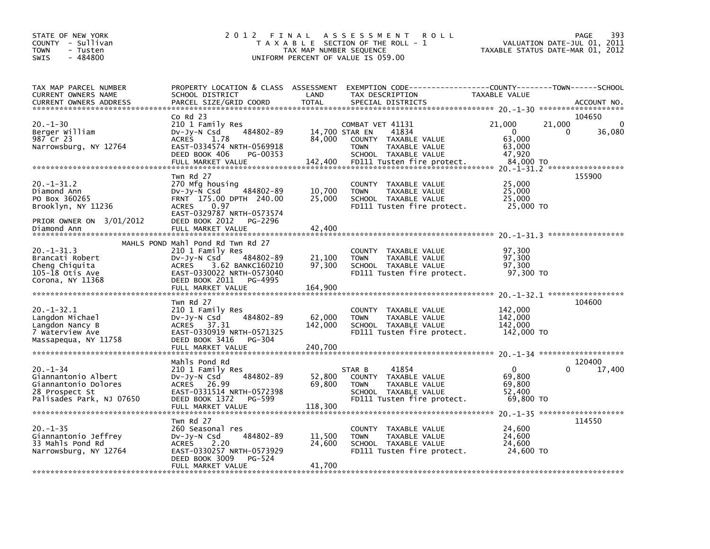| STATE OF NEW YORK<br>COUNTY - Sullivan<br><b>TOWN</b><br>- Tusten<br>- 484800<br><b>SWIS</b>               | 2 0 1 2                                                                                                                                                                                              | FINAL<br>TAX MAP NUMBER SEQUENCE    | A S S E S S M E N T<br>R O L L<br>T A X A B L E SECTION OF THE ROLL - 1<br>UNIFORM PERCENT OF VALUE IS 059.00                           | VALUATION DATE-JUL 01,<br>TAXABLE STATUS DATE-MAR 01, 2012       | 393<br>PAGE<br>2011                                                         |
|------------------------------------------------------------------------------------------------------------|------------------------------------------------------------------------------------------------------------------------------------------------------------------------------------------------------|-------------------------------------|-----------------------------------------------------------------------------------------------------------------------------------------|------------------------------------------------------------------|-----------------------------------------------------------------------------|
| TAX MAP PARCEL NUMBER<br>CURRENT OWNERS NAME<br><b>CURRENT OWNERS ADDRESS</b>                              | PROPERTY LOCATION & CLASS ASSESSMENT<br>SCHOOL DISTRICT<br>PARCEL SIZE/GRID COORD                                                                                                                    | LAND<br><b>TOTAL</b>                | TAX DESCRIPTION<br>SPECIAL DISTRICTS                                                                                                    | TAXABLE VALUE                                                    | ACCOUNT NO.<br>*******************                                          |
| $20. - 1 - 30$<br>Berger William<br>987 Cr 23<br>Narrowsburg, NY 12764                                     | $Co$ Rd $23$<br>210 1 Family Res<br>484802-89<br>DV-Jy-N Csd<br><b>ACRES</b><br>1.78<br>EAST-0334574 NRTH-0569918<br>DEED BOOK 406<br>PG-00353<br>FULL MARKET VALUE                                  | 14,700 STAR EN<br>84,000<br>142,400 | COMBAT VET 41131<br>41834<br>COUNTY TAXABLE VALUE<br><b>TOWN</b><br>TAXABLE VALUE<br>SCHOOL TAXABLE VALUE<br>FD111 Tusten fire protect. | 21,000<br>21,000<br>0<br>63,000<br>63,000<br>47,920<br>84,000 TO | 104650<br>$\mathbf{0}$<br>36,080<br>0<br>$20. -1 - 31.2$ ****************** |
| $20 - 1 - 31.2$<br>Diamond Ann<br>PO Box 360265<br>Brooklyn, NY 11236<br>PRIOR OWNER ON 3/01/2012          | Twn Rd 27<br>270 Mfg housing<br>484802-89<br>$Dv-Jv-N$ Csd<br>FRNT 175.00 DPTH 240.00<br>0.97<br><b>ACRES</b><br>EAST-0329787 NRTH-0573574<br>DEED BOOK 2012<br>PG-2296                              | 10,700<br>25,000                    | <b>COUNTY</b><br>TAXABLE VALUE<br><b>TOWN</b><br>TAXABLE VALUE<br>SCHOOL TAXABLE VALUE<br>FD111 Tusten fire protect.                    | 25,000<br>25,000<br>25,000<br>25,000 TO                          | 155900                                                                      |
| $20. -1 - 31.3$<br>Brancati Robert<br>Cheng Chiquita<br>$105 - 18$ Otis Ave<br>Corona, NY 11368            | MAHLS POND Mahl Pond Rd Twn Rd 27<br>210 1 Family Res<br>484802-89<br>DV-Jy-N Csd<br><b>ACRES</b><br>3.62 BANKC160210<br>EAST-0330022 NRTH-0573040<br>DEED BOOK 2011<br>PG-4995<br>FULL MARKET VALUE | 21,100<br>97,300<br>164,900         | <b>COUNTY</b><br>TAXABLE VALUE<br><b>TOWN</b><br>TAXABLE VALUE<br>SCHOOL TAXABLE VALUE<br>FD111 Tusten fire protect.                    | 97,300<br>97,300<br>97,300<br>97,300 TO                          |                                                                             |
| $20. -1 - 32.1$<br>Langdon Michael<br>Langdon Nancy B<br>7 Waterview Ave<br>Massapequa, NY 11758           | Twn Rd 27<br>210 1 Family Res<br>484802-89<br>$Dv-Jv-N$ Csd<br>ACRES 37.31<br>EAST-0330919 NRTH-0571325<br>DEED BOOK 3416<br>PG-304<br>FULL MARKET VALUE                                             | 62,000<br>142,000<br>240,700        | <b>COUNTY</b><br>TAXABLE VALUE<br><b>TOWN</b><br>TAXABLE VALUE<br>SCHOOL TAXABLE VALUE<br>FD111 Tusten fire protect.                    | 142,000<br>142,000<br>142,000<br>142,000 TO                      | 104600                                                                      |
| $20. -1 - 34$<br>Giannantonio Albert<br>Giannantonio Dolores<br>28 Prospect St<br>Palisades Park, NJ 07650 | Mahls Pond Rd<br>210 1 Family Res<br>$Dv-Jy-N$ Csd<br>484802-89<br>ACRES 26.99<br>EAST-0331514 NRTH-0572398<br>DEED BOOK 1372<br>PG-599<br>FULL MARKET VALUE                                         | 52,800<br>69,800<br>118,300         | 41854<br>STAR B<br>COUNTY TAXABLE VALUE<br><b>TOWN</b><br>TAXABLE VALUE<br>SCHOOL TAXABLE VALUE<br>FD111 Tusten fire protect.           | $\mathbf{0}$<br>69,800<br>69,800<br>52,400<br>69,800 TO          | 120400<br>0<br>17,400                                                       |
| $20. -1 - 35$<br>Giannantonio Jeffrey<br>33 Mahls Pond Rd<br>Narrowsburg, NY 12764                         | Twn Rd 27<br>260 Seasonal res<br>484802-89<br>DV-Jy-N Csd<br><b>ACRES</b><br>2.20<br>EAST-0330257 NRTH-0573929<br>DEED BOOK 3009<br>PG-524<br>FULL MARKET VALUE                                      | 11,500<br>24,600<br>41,700          | <b>COUNTY</b><br>TAXABLE VALUE<br><b>TOWN</b><br>TAXABLE VALUE<br>SCHOOL TAXABLE VALUE<br>FD111 Tusten fire protect.                    | 24,600<br>24,600<br>24,600<br>24,600 TO                          | 114550                                                                      |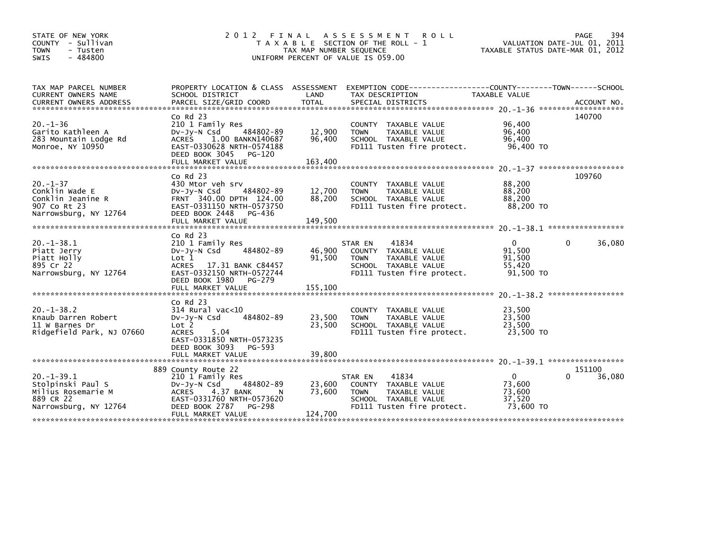| STATE OF NEW YORK<br>COUNTY - Sullivan<br><b>TOWN</b><br>- Tusten<br>$-484800$<br><b>SWIS</b>    | 2 0 1 2                                                                                                                                                                               | TAX MAP NUMBER SEQUENCE     | FINAL ASSESSMENT<br><b>ROLL</b><br>T A X A B L E SECTION OF THE ROLL - 1<br>UNIFORM PERCENT OF VALUE IS 059.00                 | VALUATION DATE-JUL 01, 2011<br>TAXABLE STATUS DATE-MAR 01, 2012 | PAGE<br>394           |
|--------------------------------------------------------------------------------------------------|---------------------------------------------------------------------------------------------------------------------------------------------------------------------------------------|-----------------------------|--------------------------------------------------------------------------------------------------------------------------------|-----------------------------------------------------------------|-----------------------|
| TAX MAP PARCEL NUMBER<br><b>CURRENT OWNERS NAME</b>                                              | SCHOOL DISTRICT                                                                                                                                                                       | LAND                        | PROPERTY LOCATION & CLASS ASSESSMENT EXEMPTION CODE---------------COUNTY-------TOWN-----SCHOOL<br>TAX DESCRIPTION              | TAXABLE VALUE                                                   |                       |
| $20. -1 - 36$<br>Garito Kathleen A<br>283 Mountain Lodge Rd<br>Monroe, NY 10950                  | $Co$ Rd $23$<br>210 1 Family Res<br>484802-89<br>DV-Jy-N Csd<br>1.00 BANKN140687<br><b>ACRES</b><br>EAST-0330628 NRTH-0574188<br>DEED BOOK 3045 PG-120<br>FULL MARKET VALUE           | 12,900<br>96,400<br>163,400 | COUNTY TAXABLE VALUE<br>TAXABLE VALUE<br><b>TOWN</b><br>SCHOOL TAXABLE VALUE<br>FD111 Tusten fire protect.                     | 96,400<br>96,400<br>96,400<br>96,400 TO                         | 140700                |
|                                                                                                  |                                                                                                                                                                                       |                             |                                                                                                                                |                                                                 |                       |
| $20. - 1 - 37$<br>Conklin Wade E<br>Conklin Jeanine R<br>907 Co Rt 23<br>Narrowsburg, NY 12764   | $Co$ Rd $23$<br>430 Mtor veh srv<br>484802-89<br>DV-Jy-N Csd<br>FRNT 340.00 DPTH 124.00<br>EAST-0331150 NRTH-0573750<br>DEED BOOK 2448<br>PG-436                                      | 12,700<br>88,200            | COUNTY TAXABLE VALUE<br>TAXABLE VALUE<br><b>TOWN</b><br>SCHOOL TAXABLE VALUE<br>FD111 Tusten fire protect.                     | 88,200<br>88,200<br>88,200<br>88,200 TO                         | 109760                |
|                                                                                                  |                                                                                                                                                                                       |                             |                                                                                                                                |                                                                 |                       |
| $20. -1 - 38.1$<br>Piatt Jerry<br>Piatt Holly<br>895 Cr 22<br>Narrowsburg, NY 12764              | $Co$ Rd $23$<br>210 1 Family Res<br>484802-89<br>DV-Jy-N Csd<br>Lot 1<br><b>ACRES</b><br>17.31 BANK C84457<br>EAST-0332150 NRTH-0572744<br>DEED BOOK 1980 PG-279                      | 46,900<br>91,500            | 41834<br>STAR EN<br>COUNTY TAXABLE VALUE<br><b>TOWN</b><br>TAXABLE VALUE<br>SCHOOL TAXABLE VALUE<br>FD111 Tusten fire protect. | $\Omega$<br>91,500<br>91,500<br>55,420<br>91,500 TO             | 36,080<br>0           |
|                                                                                                  |                                                                                                                                                                                       |                             |                                                                                                                                |                                                                 |                       |
| $20. -1 - 38.2$<br>Knaub Darren Robert<br>11 W Barnes Dr<br>Ridgefield Park, NJ 07660            | $Co$ Rd $23$<br>$314$ Rural vac<10<br>484802-89<br>DV-Jy-N Csd<br>Lot 2<br><b>ACRES</b><br>5.04<br>EAST-0331850 NRTH-0573235                                                          | 23,500<br>23,500            | COUNTY TAXABLE VALUE<br>TAXABLE VALUE<br><b>TOWN</b><br>SCHOOL TAXABLE VALUE<br>FD111 Tusten fire protect.                     | 23,500<br>23,500<br>23,500<br>23,500 TO                         |                       |
|                                                                                                  | DEED BOOK 3093<br>PG-593<br>FULL MARKET VALUE                                                                                                                                         | 39,800                      |                                                                                                                                |                                                                 |                       |
| $20. -1 - 39.1$<br>Stolpinski Paul S<br>Milius Rosemarie M<br>889 CR 22<br>Narrowsburg, NY 12764 | 889 County Route 22<br>210 1 Family Res<br>484802-89<br>$Dv-Jy-N$ Csd<br>4.37 BANK<br><b>ACRES</b><br>N<br>EAST-0331760 NRTH-0573620<br>DEED BOOK 2787<br>PG-298<br>FULL MARKET VALUE | 23,600<br>73,600<br>124,700 | 41834<br>STAR EN<br>COUNTY TAXABLE VALUE<br><b>TOWN</b><br>TAXABLE VALUE<br>SCHOOL TAXABLE VALUE<br>FD111 Tusten fire protect. | $\mathbf{0}$<br>73,600<br>73,600<br>37,520<br>73,600 TO         | 151100<br>0<br>36,080 |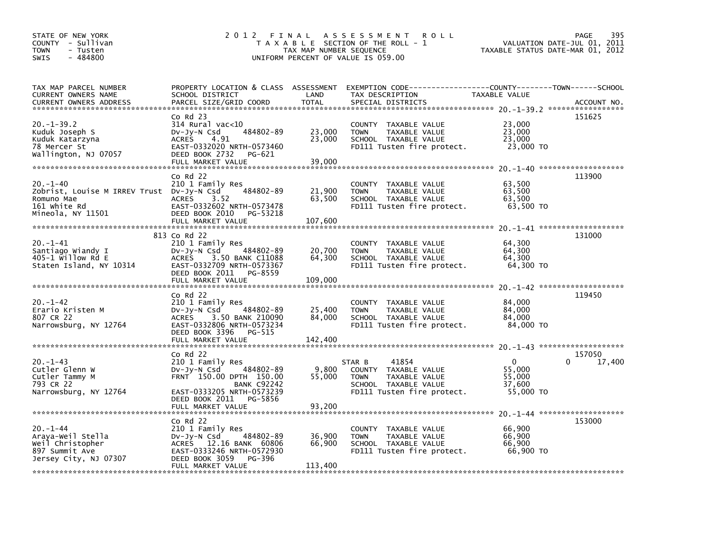| STATE OF NEW YORK<br>COUNTY - Sullivan<br><b>TOWN</b><br>- Tusten<br>$-484800$<br><b>SWIS</b>                 | 2012                                                                                                                                                                            | FINAL<br>TAX MAP NUMBER SEQUENCE | A S S E S S M E N T<br><b>ROLL</b><br>T A X A B L E SECTION OF THE ROLL - 1<br>UNIFORM PERCENT OF VALUE IS 059.00 | TAXABLE STATUS DATE-MAR 01, 2012        | 395<br>PAGE<br>VALUATION DATE-JUL 01, 2011 |
|---------------------------------------------------------------------------------------------------------------|---------------------------------------------------------------------------------------------------------------------------------------------------------------------------------|----------------------------------|-------------------------------------------------------------------------------------------------------------------|-----------------------------------------|--------------------------------------------|
| TAX MAP PARCEL NUMBER<br>CURRENT OWNERS NAME<br>CURRENT OWNERS ADDRESS                                        | PROPERTY LOCATION & CLASS ASSESSMENT<br>SCHOOL DISTRICT<br>PARCEL SIZE/GRID COORD                                                                                               | LAND<br><b>TOTAL</b>             | TAX DESCRIPTION<br>SPECIAL DISTRICTS                                                                              | TAXABLE VALUE                           | ACCOUNT NO.                                |
|                                                                                                               | $Co$ Rd $23$                                                                                                                                                                    |                                  |                                                                                                                   |                                         | 151625                                     |
| $20. -1 - 39.2$<br>Kuduk Joseph S<br>Kuduk Katarzyna<br>78 Mercer St<br>Wallington, NJ 07057                  | $314$ Rural vac<10<br>484802-89<br>DV-Jy-N Csd<br><b>ACRES</b><br>4.91<br>EAST-0332020 NRTH-0573460<br>DEED BOOK 2732<br>PG-621                                                 | 23,000<br>23,000                 | COUNTY TAXABLE VALUE<br><b>TOWN</b><br>TAXABLE VALUE<br>SCHOOL TAXABLE VALUE<br>FD111 Tusten fire protect.        | 23,000<br>23,000<br>23,000<br>23,000 TO |                                            |
|                                                                                                               | FULL MARKET VALUE                                                                                                                                                               | 39,000                           |                                                                                                                   |                                         |                                            |
|                                                                                                               | $Co$ Rd $22$                                                                                                                                                                    |                                  |                                                                                                                   |                                         | 113900                                     |
| $20. -1 - 40$<br>Zobrist, Louise M IRREV Trust DV-Jy-N Csd<br>Romuno Mae<br>161 white Rd<br>Mineola, NY 11501 | 210 1 Family Res<br>484802-89<br><b>ACRES</b><br>3.52<br>EAST-0332602 NRTH-0573478<br>DEED BOOK 2010<br>PG-53218<br>FULL MARKET VALUE                                           | 21,900<br>63,500<br>107,600      | COUNTY TAXABLE VALUE<br>TAXABLE VALUE<br><b>TOWN</b><br>SCHOOL TAXABLE VALUE<br>FD111 Tusten fire protect.        | 63,500<br>63,500<br>63,500<br>63,500 TO |                                            |
|                                                                                                               |                                                                                                                                                                                 |                                  |                                                                                                                   |                                         |                                            |
| 20. – 1–41<br>Santiago Wiandy I<br>405-1 willow Rd E<br>Staten Island, NY 10314                               | 813 Co Rd 22<br>210 1 Family Res<br>484802-89<br>DV-Jy-N Csd<br>3.50 BANK C11088<br><b>ACRES</b><br>EAST-0332709 NRTH-0573367<br>DEED BOOK 2011<br>PG-8559<br>FULL MARKET VALUE | 20,700<br>64,300<br>109,000      | COUNTY TAXABLE VALUE<br><b>TOWN</b><br>TAXABLE VALUE<br>SCHOOL TAXABLE VALUE<br>FD111 Tusten fire protect.        | 64,300<br>64,300<br>64,300<br>64,300 TO | 131000                                     |
|                                                                                                               |                                                                                                                                                                                 |                                  |                                                                                                                   |                                         |                                            |
| $20. - 1 - 42$<br>Erario Kristen M<br>807 CR 22<br>Narrowsburg, NY 12764                                      | $Co$ Rd $22$<br>210 1 Family Res<br>484802-89<br>$Dv-Jy-N$ Csd<br>3.50 BANK 210090<br><b>ACRES</b><br>EAST-0332806 NRTH-0573234<br>DEED BOOK 3396<br>PG-515                     | 25,400<br>84,000                 | COUNTY TAXABLE VALUE<br><b>TOWN</b><br>TAXABLE VALUE<br>SCHOOL TAXABLE VALUE<br>FD111 Tusten fire protect.        | 84,000<br>84,000<br>84,000<br>84,000 TO | 119450                                     |
|                                                                                                               | FULL MARKET VALUE                                                                                                                                                               | 142,400                          |                                                                                                                   |                                         |                                            |
| $20. - 1 - 43$<br>Cutler Glenn W<br>Cutler Tammy M<br>793 CR 22                                               | $Co$ Rd $22$<br>210 1 Family Res<br>484802-89<br>$Dv-Jy-N$ Csd<br>FRNT 150.00 DPTH 150.00<br><b>BANK C92242</b>                                                                 | 9,800<br>55,000                  | 41854<br>STAR B<br>COUNTY TAXABLE VALUE<br>TAXABLE VALUE<br><b>TOWN</b><br>SCHOOL TAXABLE VALUE                   | 0<br>55,000<br>55,000<br>37,600         | 157050<br>17,400                           |
| Narrowsburg, NY 12764                                                                                         | EAST-0333205 NRTH-0573239<br>DEED BOOK 2011<br>PG-5856<br>FULL MARKET VALUE                                                                                                     | 93,200                           | FD111 Tusten fire protect.                                                                                        | 55,000 TO                               |                                            |
|                                                                                                               |                                                                                                                                                                                 |                                  |                                                                                                                   |                                         |                                            |
| $20. - 1 - 44$<br>Araya-Weil Stella<br>Weil Christopher<br>897 Summit Ave<br>Jersey City, NJ 07307            | $Co$ Rd $22$<br>210 1 Family Res<br>484802-89<br>DV-Jy-N Csd<br>ACRES 12.16 BANK 60806<br>EAST-0333246 NRTH-0572930<br>DEED BOOK 3059<br>PG-396<br>FULL MARKET VALUE            | 36,900<br>66,900                 | COUNTY TAXABLE VALUE<br><b>TOWN</b><br>TAXABLE VALUE<br>SCHOOL TAXABLE VALUE<br>FD111 Tusten fire protect.        | 66,900<br>66,900<br>66,900<br>66,900 TO | 153000                                     |
|                                                                                                               |                                                                                                                                                                                 | 113,400                          |                                                                                                                   |                                         |                                            |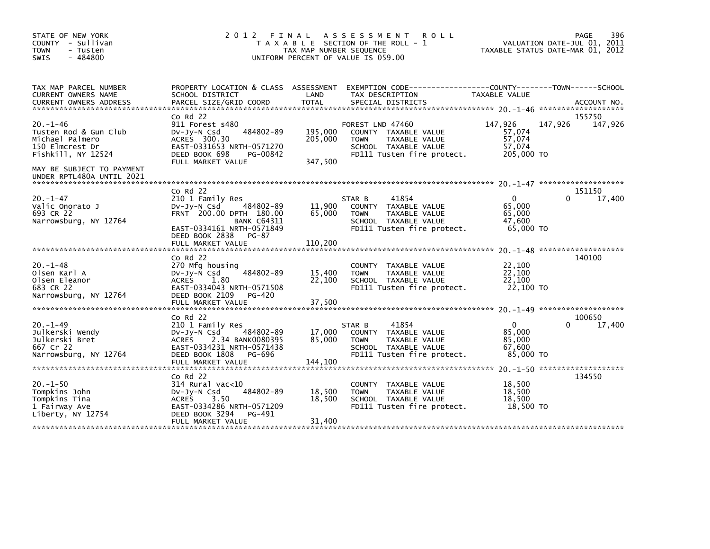| COUNTY - Sullivan<br>T A X A B L E SECTION OF THE ROLL - 1<br>TAX MAP NUMBER SEQUENCE<br><b>TOWN</b><br>- Tusten<br>$-484800$<br>UNIFORM PERCENT OF VALUE IS 059.00<br><b>SWIS</b>                                                                                                                                                                                                                                                                                 | VALUATION DATE-JUL 01, 2011<br>TAXABLE STATUS DATE-MAR 01, 2012                     |
|--------------------------------------------------------------------------------------------------------------------------------------------------------------------------------------------------------------------------------------------------------------------------------------------------------------------------------------------------------------------------------------------------------------------------------------------------------------------|-------------------------------------------------------------------------------------|
| TAX MAP PARCEL NUMBER<br>PROPERTY LOCATION & CLASS ASSESSMENT<br>CURRENT OWNERS NAME<br>SCHOOL DISTRICT<br>LAND<br>TAX DESCRIPTION<br>CURRENT OWNERS ADDRESS                                                                                                                                                                                                                                                                                                       | EXEMPTION CODE-----------------COUNTY-------TOWN------SCHOOL<br>TAXABLE VALUE       |
| $Co$ Rd $22$<br>$20. -1 - 46$<br>911 Forest s480<br>FOREST LND 47460<br>484802-89<br>195,000<br>Tusten Rod & Gun Club<br>$Dv-Jy-N$ Csd<br>COUNTY TAXABLE VALUE<br>Michael Palmero<br>ACRES 300.30<br>205,000<br><b>TOWN</b><br>TAXABLE VALUE<br>150 Elmcrest Dr<br>EAST-0331653 NRTH-0571270<br>SCHOOL TAXABLE VALUE<br>Fishkill, NY 12524<br>DEED BOOK 698<br>FD111 Tusten fire protect.<br>PG-00842<br>347,500<br>FULL MARKET VALUE<br>MAY BE SUBJECT TO PAYMENT | 155750<br>147,926<br>147,926<br>147,926<br>57,074<br>57,074<br>57,074<br>205,000 TO |
| UNDER RPTL480A UNTIL 2021                                                                                                                                                                                                                                                                                                                                                                                                                                          |                                                                                     |
| $Co$ Rd $22$<br>$20. -1 - 47$<br>210 1 Family Res<br>41854<br>STAR B<br>Valic Onorato J<br>484802-89<br>11,900<br>$Dv-Jy-N$ Csd<br>COUNTY TAXABLE VALUE<br>693 CR 22<br>FRNT 200.00 DPTH 180.00<br>65,000<br><b>TOWN</b><br>TAXABLE VALUE<br>Narrowsburg, NY 12764<br><b>BANK C64311</b><br>SCHOOL TAXABLE VALUE<br>EAST-0334161 NRTH-0571849<br>FD111 Tusten fire protect.<br>DEED BOOK 2838<br>PG-87<br>110,200<br>FULL MARKET VALUE                             | 151150<br>17,400<br>$\Omega$<br>0<br>65,000<br>65.000<br>47,600<br>65,000 TO        |
| $CO$ Rd $22$<br>$20. -1 - 48$<br>270 Mfg housing<br>COUNTY TAXABLE VALUE<br>Olsen Karl A<br>484802-89<br>DV-Jy-N Csd<br>15,400<br><b>TOWN</b><br>TAXABLE VALUE<br>22,100<br>Olsen Eleanor<br>1.80<br>SCHOOL TAXABLE VALUE<br><b>ACRES</b><br>683 CR 22<br>EAST-0334043 NRTH-0571508<br>FD111 Tusten fire protect.                                                                                                                                                  | 140100<br>22,100<br>22,100<br>22.100<br>22,100 TO                                   |
| DEED BOOK 2109<br>Narrowsburg, NY 12764<br>PG-420<br>FULL MARKET VALUE<br>37,500                                                                                                                                                                                                                                                                                                                                                                                   |                                                                                     |
| $CO$ Rd $22$<br>$20. -1 - 49$<br>41854<br>210 1 Family Res<br>STAR B<br>Julkerski Wendy<br>17,000<br>DV-Jy-N Csd<br>484802-89<br>COUNTY TAXABLE VALUE<br>Julkerski Bret<br>85,000<br>ACRES<br>2.34 BANK0080395<br><b>TOWN</b><br>TAXABLE VALUE<br>667 Cr 22<br>EAST-0334231 NRTH-0571438<br>SCHOOL TAXABLE VALUE                                                                                                                                                   | 100650<br>$\mathbf{0}$<br>17,400<br>0<br>85,000<br>85,000<br>67.600                 |
| DEED BOOK 1808<br>Narrowsburg, NY 12764<br>FD111 Tusten fire protect.<br>PG-696<br>FULL MARKET VALUE<br>144,100                                                                                                                                                                                                                                                                                                                                                    | 85,000 TO                                                                           |
| $Co$ Rd $22$<br>$20. -1 - 50$<br>$314$ Rural vac< $10$<br>TAXABLE VALUE<br><b>COUNTY</b><br>Tompkins John<br>484802-89<br>18,500<br>$Dv-Jy-N$ Csd<br><b>TOWN</b><br>TAXABLE VALUE<br>Tompkins Tina<br>18,500<br><b>ACRES</b><br>3.50<br>SCHOOL TAXABLE VALUE<br>EAST-0334286 NRTH-0571209<br>1 Fairway Ave<br>FD111 Tusten fire protect.<br>Liberty, NY 12754<br>DEED BOOK 3294<br>PG-491<br>31,400<br>FULL MARKET VALUE                                           | 134550<br>18,500<br>18,500<br>18,500<br>18,500 TO                                   |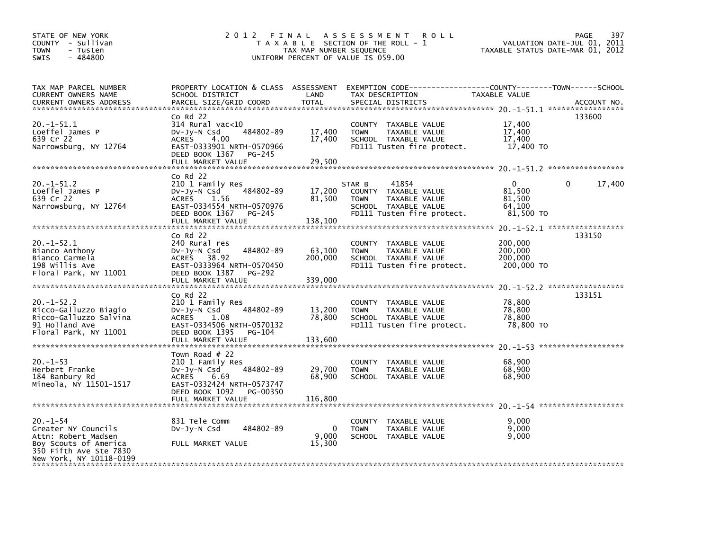| STATE OF NEW YORK<br>COUNTY - Sullivan<br><b>TOWN</b><br>- Tusten<br>SWIS<br>- 484800                                                     | 2 0 1 2<br>FINAL                                                                                                                                                           | TAX MAP NUMBER SEQUENCE      | <b>ROLL</b><br>A S S E S S M E N T<br>T A X A B L E SECTION OF THE ROLL - 1<br>UNIFORM PERCENT OF VALUE IS 059.00             | VALUATION DATE-JUL 01, 2011<br>TAXABLE STATUS DATE-MAR 01, 2012 | 397<br>PAGE |
|-------------------------------------------------------------------------------------------------------------------------------------------|----------------------------------------------------------------------------------------------------------------------------------------------------------------------------|------------------------------|-------------------------------------------------------------------------------------------------------------------------------|-----------------------------------------------------------------|-------------|
| TAX MAP PARCEL NUMBER<br>CURRENT OWNERS NAME<br><b>CURRENT OWNERS ADDRESS</b>                                                             | PROPERTY LOCATION & CLASS ASSESSMENT<br>SCHOOL DISTRICT<br>PARCEL SIZE/GRID COORD                                                                                          | LAND<br><b>TOTAL</b>         | EXEMPTION CODE-----------------COUNTY-------TOWN------SCHOOL<br>TAX DESCRIPTION<br>SPECIAL DISTRICTS                          | TAXABLE VALUE                                                   | ACCOUNT NO. |
| $20. -1 - 51.1$<br>Loeffel James P<br>639 Cr 22<br>Narrowsburg, NY 12764                                                                  | $CO$ Rd $22$<br>$314$ Rural vac<10<br>484802-89<br>$Dv-Jy-N$ Csd<br><b>ACRES</b><br>4.00<br>EAST-0333901 NRTH-0570966<br>DEED BOOK 1367<br>PG-245<br>FULL MARKET VALUE     | 17,400<br>17,400<br>29,500   | COUNTY TAXABLE VALUE<br><b>TOWN</b><br>TAXABLE VALUE<br>SCHOOL TAXABLE VALUE<br>FD111 Tusten fire protect.                    | 17,400<br>17,400<br>17,400<br>17,400 TO                         | 133600      |
| $20. -1 - 51.2$<br>Loeffel James P<br>639 Cr 22<br>Narrowsburg, NY 12764                                                                  | $Co$ Rd $22$<br>210 1 Family Res<br>484802-89<br>DV-Jy-N Csd<br>1.56<br><b>ACRES</b><br>EAST-0334554 NRTH-0570976<br>DEED BOOK 1367<br>PG-245<br>FULL MARKET VALUE         | 17,200<br>81,500<br>138,100  | 41854<br>STAR B<br>COUNTY TAXABLE VALUE<br><b>TOWN</b><br>TAXABLE VALUE<br>SCHOOL TAXABLE VALUE<br>FD111 Tusten fire protect. | 0<br>81,500<br>81,500<br>64,100<br>81,500 TO                    | 17,400<br>0 |
| $20. -1 - 52.1$<br>Bianco Anthony<br>Bianco Carmela<br>198 Willis Ave<br>Floral Park, NY 11001                                            | $CO$ Rd $22$<br>240 Rural res<br>$Dv-Jy-N$ Csd<br>484802-89<br>ACRES 38.92<br>EAST-0333964 NRTH-0570450<br>DEED BOOK 1387<br><b>PG-292</b><br>FULL MARKET VALUE            | 63,100<br>200,000<br>339,000 | COUNTY TAXABLE VALUE<br>TAXABLE VALUE<br><b>TOWN</b><br>SCHOOL TAXABLE VALUE<br>FD111 Tusten fire protect.                    | 200,000<br>200,000<br>200,000<br>200,000 TO                     | 133150      |
| $20. -1 - 52.2$<br>Ricco-Galluzzo Biagio<br>Ricco-Galluzzo Salvina<br>91 Holland Ave<br>Floral Park, NY 11001                             | $CO$ Rd $22$<br>210 1 Family Res<br>484802-89<br>DV-Jy-N Csd<br><b>ACRES</b><br>1.08<br>EAST-0334506 NRTH-0570132<br>DEED BOOK 1395<br>PG-104<br>FULL MARKET VALUE         | 13,200<br>78,800<br>133,600  | COUNTY TAXABLE VALUE<br>TAXABLE VALUE<br><b>TOWN</b><br>SCHOOL TAXABLE VALUE<br>FD111 Tusten fire protect.                    | 78,800<br>78,800<br>78,800<br>78,800 TO                         | 133151      |
| $20. -1 - 53$<br>Herbert Franke<br>184 Banbury Rd<br>Mineola, NY 11501-1517                                                               | Town Road $#$ 22<br>210 1 Family Res<br>484802-89<br>$Dv-Jv-N$ Csd<br><b>ACRES</b><br>6.69<br>EAST-0332424 NRTH-0573747<br>DEED BOOK 1092<br>PG-00350<br>FULL MARKET VALUE | 29,700<br>68,900<br>116,800  | COUNTY TAXABLE VALUE<br><b>TOWN</b><br>TAXABLE VALUE<br>SCHOOL TAXABLE VALUE                                                  | 68,900<br>68,900<br>68,900                                      |             |
| $20. -1 - 54$<br>Greater NY Councils<br>Attn: Robert Madsen<br>Boy Scouts of America<br>350 Fifth Ave Ste 7830<br>New York, NY 10118-0199 | 831 Tele Comm<br>484802-89<br>$Dv-Jy-N$ Csd<br>FULL MARKET VALUE                                                                                                           | $\Omega$<br>9.000<br>15,300  | COUNTY TAXABLE VALUE<br><b>TOWN</b><br>TAXABLE VALUE<br>SCHOOL TAXABLE VALUE                                                  | 9,000<br>9.000<br>9.000                                         |             |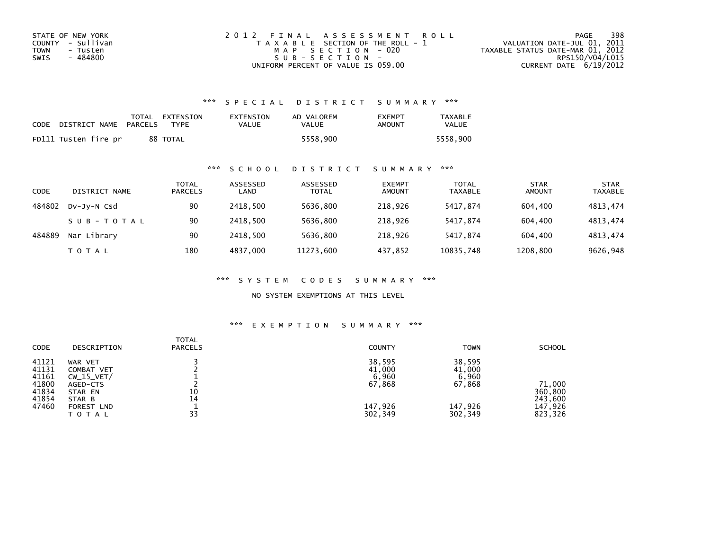| STATE OF NEW YORK | 2012 FINAL ASSESSMENT ROLL            | 398<br>PAGE                      |
|-------------------|---------------------------------------|----------------------------------|
| COUNTY - Sullivan | T A X A B L E SECTION OF THE ROLL - 1 | VALUATION DATE-JUL 01, 2011      |
| TOWN<br>- Tusten  | MAP SECTION - 020                     | TAXABLE STATUS DATE-MAR 01, 2012 |
| - 484800<br>SWIS  | $SUB - SECTION -$                     | RPS150/V04/L015                  |
|                   | UNIFORM PERCENT OF VALUE IS 059.00    | CURRENT DATE $6/19/2012$         |

### \*\*\* S P E C I A L D I S T R I C T S U M M A R Y \*\*\*

| CODE | DISTRICT NAME        | PARCELS | TOTAL EXTENSION<br><b>TYPF</b> | EXTENSION<br>VALUE | AD VALOREM<br>VALUE | <b>EXEMPT</b><br>AMOUNT | <b>TAXABLE</b><br>VALUE |
|------|----------------------|---------|--------------------------------|--------------------|---------------------|-------------------------|-------------------------|
|      | FD111 Tusten fire pr |         | 88 TOTAL                       |                    | 5558.900            |                         | 5558.900                |

### \*\*\* S C H O O L D I S T R I C T S U M M A R Y \*\*\*

| CODE   | DISTRICT NAME | TOTAL<br><b>PARCELS</b> | ASSESSED<br>LAND | ASSESSED<br><b>TOTAL</b> | <b>EXEMPT</b><br><b>AMOUNT</b> | <b>TOTAL</b><br><b>TAXABLE</b> | <b>STAR</b><br><b>AMOUNT</b> | <b>STAR</b><br><b>TAXABLE</b> |
|--------|---------------|-------------------------|------------------|--------------------------|--------------------------------|--------------------------------|------------------------------|-------------------------------|
| 484802 | DV-Jy-N Csd   | 90                      | 2418.500         | 5636,800                 | 218,926                        | 5417.874                       | 604.400                      | 4813,474                      |
|        | SUB-TOTAL     | 90                      | 2418.500         | 5636,800                 | 218,926                        | 5417.874                       | 604.400                      | 4813,474                      |
| 484889 | Nar Library   | 90                      | 2418.500         | 5636,800                 | 218,926                        | 5417.874                       | 604,400                      | 4813,474                      |
|        | T O T A L     | 180                     | 4837,000         | 11273,600                | 437,852                        | 10835,748                      | 1208,800                     | 9626,948                      |

\*\*\* S Y S T E M C O D E S S U M M A R Y \*\*\*

NO SYSTEM EXEMPTIONS AT THIS LEVEL

## \*\*\* E X E M P T I O N S U M M A R Y \*\*\*

| <b>CODE</b>                                                 | DESCRIPTION                                                                                          | <b>TOTAL</b><br><b>PARCELS</b> | <b>COUNTY</b>                                             | <b>TOWN</b>                                               | <b>SCHOOL</b>                                      |
|-------------------------------------------------------------|------------------------------------------------------------------------------------------------------|--------------------------------|-----------------------------------------------------------|-----------------------------------------------------------|----------------------------------------------------|
| 41121<br>41131<br>41161<br>41800<br>41834<br>41854<br>47460 | WAR VET<br>COMBAT VET<br>$CW_15_VET/$<br>AGED-CTS<br>STAR EN<br>STAR B<br>FOREST LND<br><b>TOTAL</b> | 10<br>14<br>33                 | 38,595<br>41,000<br>6,960<br>67,868<br>147,926<br>302,349 | 38,595<br>41,000<br>6,960<br>67,868<br>147,926<br>302,349 | 71,000<br>360,800<br>243,600<br>147,926<br>823,326 |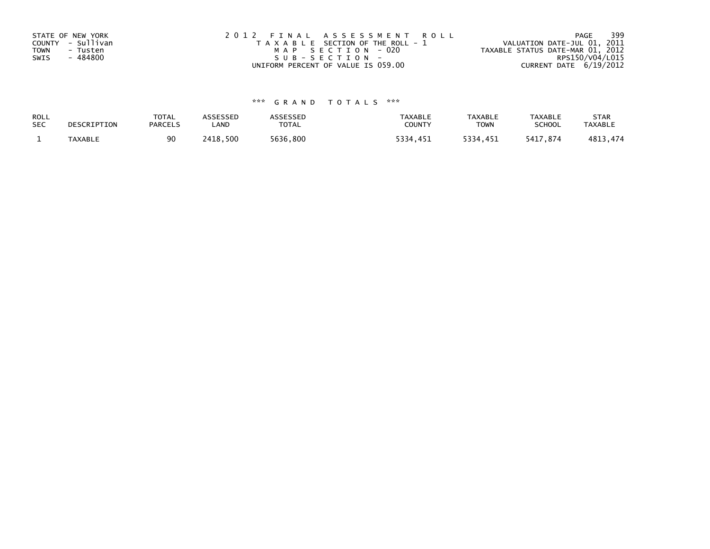| STATE OF NEW YORK<br>COUNTY - Sullivan<br><b>TOWN</b><br>- Tusten<br>- 484800<br>SWIS | 2012 FINAL ASSESSMENT ROLL<br>T A X A B L E SECTION OF THE ROLL - 1<br>MAP SECTION - 020<br>SUB-SECTION- | 399<br>PAGE<br>VALUATION DATE-JUL 01, 2011<br>TAXABLE STATUS DATE-MAR 01, 2012<br>RPS150/V04/L015 |
|---------------------------------------------------------------------------------------|----------------------------------------------------------------------------------------------------------|---------------------------------------------------------------------------------------------------|
|                                                                                       | UNIFORM PERCENT OF VALUE IS 059.00                                                                       | CURRENT DATE 6/19/2012                                                                            |

# \*\*\* G R A N D T O T A L S \*\*\*

| ROLL       | DESCRIPTION | <b>TOTAL</b>   | <b>ASSESSED</b> | ASSESSED     | <b>TAXABLE</b> | <b>TAXABLE</b> | <b>TAXABLE</b> | <b>STAR</b>    |
|------------|-------------|----------------|-----------------|--------------|----------------|----------------|----------------|----------------|
| <b>SEC</b> |             | <b>PARCELS</b> | LAND            | <b>TOTAL</b> | COUNTY         | <b>TOWN</b>    | <b>SCHOOL</b>  | <b>TAXABLE</b> |
|            | TAXABLE     | 90             | 2418,500        | 5636,800     | 5334,451       | 5334,451       | 5417.874       | 4813,474       |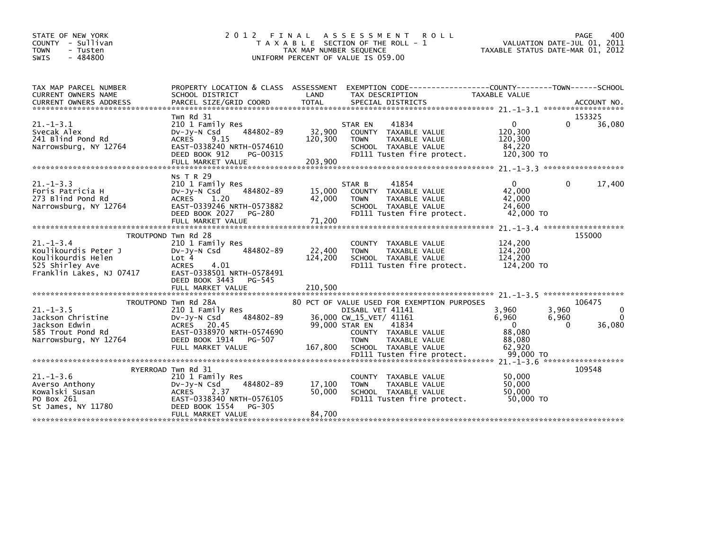| STATE OF NEW YORK<br>COUNTY - Sullivan<br><b>TOWN</b><br>- Tusten<br>$-484800$<br><b>SWIS</b>               | 2 0 1 2<br>T A X A B L E                                                                                                                                                        | FINAL<br>TAX MAP NUMBER SEQUENCE | A S S E S S M E N T<br><b>ROLL</b><br>SECTION OF THE ROLL - 1<br>UNIFORM PERCENT OF VALUE IS 059.00                                      | VALUATION DATE-JUL 01, 2011<br>TAXABLE STATUS DATE-MAR 01, 2012 | PAGE                | 400                     |
|-------------------------------------------------------------------------------------------------------------|---------------------------------------------------------------------------------------------------------------------------------------------------------------------------------|----------------------------------|------------------------------------------------------------------------------------------------------------------------------------------|-----------------------------------------------------------------|---------------------|-------------------------|
| TAX MAP PARCEL NUMBER<br>CURRENT OWNERS NAME                                                                | PROPERTY LOCATION & CLASS ASSESSMENT<br>SCHOOL DISTRICT                                                                                                                         | LAND                             | EXEMPTION CODE----------<br>TAX DESCRIPTION                                                                                              | -------COUNTY--------TOWN------SCHOOL<br>TAXABLE VALUE          |                     |                         |
|                                                                                                             |                                                                                                                                                                                 |                                  |                                                                                                                                          |                                                                 |                     |                         |
|                                                                                                             | Twn Rd 31                                                                                                                                                                       |                                  |                                                                                                                                          |                                                                 |                     | 153325                  |
| $21. -1 - 3.1$<br>Svecak Alex<br>241 Blind Pond Rd<br>Narrowsburg, NY 12764                                 | 210 1 Family Res<br>484802-89<br>DV-JY-N Csd<br><b>ACRES</b><br>9.15<br>EAST-0338240 NRTH-0574610<br>DEED BOOK 912<br>PG-00315<br>FULL MARKET VALUE                             | 32,900<br>120,300<br>203,900     | STAR EN<br>41834<br><b>COUNTY</b><br>TAXABLE VALUE<br>TAXABLE VALUE<br><b>TOWN</b><br>SCHOOL TAXABLE VALUE<br>FD111 Tusten fire protect. | 0<br>120,300<br>120,300<br>84,220<br>120,300 TO                 | $\Omega$            | 36,080                  |
|                                                                                                             |                                                                                                                                                                                 |                                  |                                                                                                                                          |                                                                 |                     |                         |
| $21. - 1 - 3.3$<br>Foris Patricia H<br>273 Blind Pond Rd<br>Narrowsburg, NY 12764                           | NS T R 29<br>210 1 Family Res<br>484802-89<br>DV-Jy-N Csd<br><b>ACRES</b><br>1.20<br>EAST-0339246 NRTH-0573882<br>DEED BOOK 2027<br>PG-280                                      | 15,000<br>42,000                 | 41854<br>STAR B<br>COUNTY TAXABLE VALUE<br><b>TOWN</b><br>TAXABLE VALUE<br>SCHOOL TAXABLE VALUE<br>FD111 Tusten fire protect.            | $\mathbf{0}$<br>42.000<br>42.000<br>24,600<br>42,000 TO         | 0                   | 17,400                  |
|                                                                                                             | FULL MARKET VALUE                                                                                                                                                               | 71,200                           |                                                                                                                                          | $21 - 1 - 3$ . 4 ********************                           |                     |                         |
|                                                                                                             | TROUTPOND Twn Rd 28                                                                                                                                                             |                                  |                                                                                                                                          |                                                                 |                     | 155000                  |
| $21. -1 - 3.4$<br>Koulikourdis Peter J<br>Koulikourdis Helen<br>525 Shirley Ave<br>Franklin Lakes, NJ 07417 | 210 1 Family Res<br>484802-89<br>DV-Jy-N Csd<br>Lot 4<br><b>ACRES</b><br>4.01<br>EAST-0338501 NRTH-0578491<br>DEED BOOK 3443<br>PG-545                                          | 22,400<br>124,200                | COUNTY TAXABLE VALUE<br><b>TOWN</b><br>TAXABLE VALUE<br>SCHOOL TAXABLE VALUE<br>FD111 Tusten fire protect.                               | 124,200<br>124,200<br>124,200<br>124,200 TO                     |                     |                         |
|                                                                                                             | FULL MARKET VALUE                                                                                                                                                               | 210,500                          |                                                                                                                                          |                                                                 |                     |                         |
|                                                                                                             | TROUTPOND Twn Rd 28A                                                                                                                                                            |                                  | 80 PCT OF VALUE USED FOR EXEMPTION PURPOSES                                                                                              |                                                                 |                     | 106475                  |
| $21. -1 - 3.5$<br>Jackson Christine<br>Jackson Edwin<br>585 Trout Pond Rd                                   | 210 1 Family Res<br>$Dv-Jv-N$ Csd<br>484802-89<br><b>ACRES</b><br>20.45<br>EAST-0338970 NRTH-0574690                                                                            | 99,000 STAR EN                   | DISABL VET 41141<br>36,000 CW_15_VET/ 41161<br>41834<br>COUNTY TAXABLE VALUE                                                             | 3,960<br>6,960<br>$\Omega$<br>88,080                            | 3,960<br>6,960<br>0 | 0<br>$\Omega$<br>36,080 |
| Narrowsburg, NY 12764                                                                                       | DEED BOOK 1914<br>PG-507<br>FULL MARKET VALUE                                                                                                                                   | 167,800                          | TAXABLE VALUE<br><b>TOWN</b><br>SCHOOL TAXABLE VALUE<br>FD111 Tusten fire protect.                                                       | 88,080<br>62.920<br>99,000 TO                                   |                     |                         |
|                                                                                                             |                                                                                                                                                                                 |                                  |                                                                                                                                          | $21. - 1 - 3.6$ *******************                             |                     |                         |
| $21. - 1 - 3.6$<br>Averso Anthony<br>Kowalski Susan<br>PO Box 261<br>St James, NY 11780                     | RYERROAD Twn Rd 31<br>210 1 Family Res<br>484802-89<br>DV-JY-N Csd<br><b>ACRES</b><br>2.37<br>EAST-0338340 NRTH-0576105<br>DEED BOOK 1554<br><b>PG-305</b><br>FULL MARKET VALUE | 17,100<br>50,000<br>84,700       | TAXABLE VALUE<br><b>COUNTY</b><br><b>TOWN</b><br>TAXABLE VALUE<br>SCHOOL TAXABLE VALUE<br>FD111 Tusten fire protect.                     | 50,000<br>50.000<br>50,000<br>50,000 TO                         |                     | 109548                  |
|                                                                                                             |                                                                                                                                                                                 |                                  |                                                                                                                                          |                                                                 |                     |                         |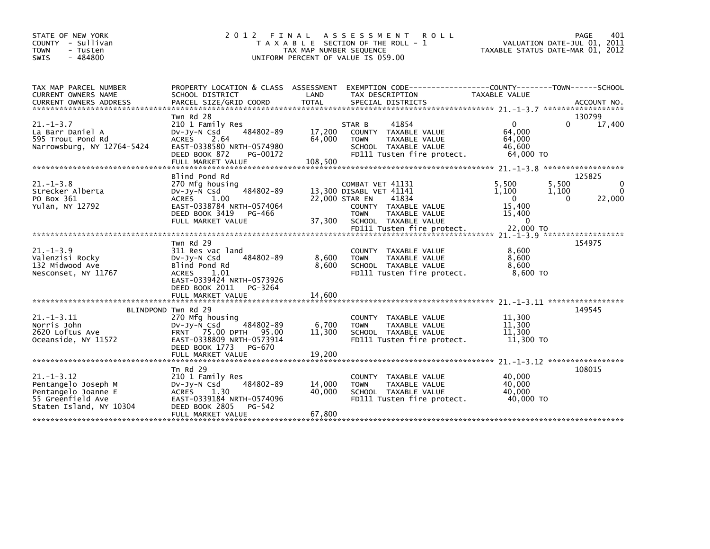| STATE OF NEW YORK<br>- Sullivan<br><b>COUNTY</b><br><b>TOWN</b><br>- Tusten<br>$-484800$<br><b>SWIS</b>        | 2 0 1 2                                                                                                                                                                             | FINAL<br>TAX MAP NUMBER SEQUENCE | A S S E S S M E N T<br><b>ROLL</b><br>T A X A B L E SECTION OF THE ROLL - 1<br>UNIFORM PERCENT OF VALUE IS 059.00                                                  | TAXABLE STATUS DATE-MAR 01, 2012                                            | PAGE<br>VALUATION DATE-JUL 01, 2011  | 401                     |
|----------------------------------------------------------------------------------------------------------------|-------------------------------------------------------------------------------------------------------------------------------------------------------------------------------------|----------------------------------|--------------------------------------------------------------------------------------------------------------------------------------------------------------------|-----------------------------------------------------------------------------|--------------------------------------|-------------------------|
| TAX MAP PARCEL NUMBER<br>CURRENT OWNERS NAME                                                                   | PROPERTY LOCATION & CLASS ASSESSMENT<br>SCHOOL DISTRICT                                                                                                                             | LAND                             | EXEMPTION CODE--<br>TAX DESCRIPTION                                                                                                                                | --------------COUNTY--------TOWN------SCHOOL<br><b>TAXABLE VALUE</b>        |                                      |                         |
|                                                                                                                | Twn Rd 28                                                                                                                                                                           |                                  |                                                                                                                                                                    |                                                                             | 130799                               |                         |
| $21. -1 - 3.7$<br>La Barr Daniel A<br>595 Trout Pond Rd<br>Narrowsburg, NY 12764-5424                          | 210 1 Family Res<br>484802-89<br>$Dv-Jy-N$ Csd<br><b>ACRES</b><br>2.64<br>EAST-0338580 NRTH-0574980<br>DEED BOOK 872<br>PG-00172<br>FULL MARKET VALUE                               | 17,200<br>64,000<br>108,500      | 41854<br>STAR B<br>COUNTY TAXABLE VALUE<br><b>TOWN</b><br>TAXABLE VALUE<br>SCHOOL TAXABLE VALUE<br>FD111 Tusten fire protect.                                      | $\mathbf{0}$<br>64,000<br>64,000<br>46,600<br>64,000 TO                     | 0                                    | 17,400                  |
| *******************************                                                                                |                                                                                                                                                                                     |                                  |                                                                                                                                                                    |                                                                             |                                      |                         |
| $21. -1 - 3.8$<br>Strecker Alberta<br>PO Box 361<br>Yulan, NY 12792                                            | Blind Pond Rd<br>270 Mfg housing<br>484802-89<br>$Dv-Jy-N$ Csd<br><b>ACRES</b><br>1.00<br>EAST-0338784 NRTH-0574064<br>DEED BOOK 3419<br>PG-466<br>FULL MARKET VALUE                | 22,000 STAR EN<br>37,300         | COMBAT VET 41131<br>13,300 DISABL VET 41141<br>41834<br>COUNTY TAXABLE VALUE<br><b>TOWN</b><br>TAXABLE VALUE<br>SCHOOL TAXABLE VALUE<br>FD111 Tusten fire protect. | 5,500<br>1,100<br>$\mathbf{0}$<br>15.400<br>15,400<br>$\Omega$<br>22,000 TO | 125825<br>5,500<br>1,100<br>$\Omega$ | $\Omega$<br>0<br>22,000 |
|                                                                                                                |                                                                                                                                                                                     |                                  |                                                                                                                                                                    |                                                                             |                                      |                         |
| $21. -1 - 3.9$<br>Valenzisi Rocky<br>132 Midwood Ave<br>Nesconset, NY 11767                                    | Twn Rd 29<br>311 Res vac land<br>484802-89<br>$Dv-Jy-N$ Csd<br>Blind Pond Rd<br><b>ACRES</b><br>1.01<br>EAST-0339424 NRTH-0573926<br>DEED BOOK 2011<br>PG-3264<br>FULL MARKET VALUE | 8,600<br>8,600<br>14,600         | COUNTY TAXABLE VALUE<br><b>TOWN</b><br>TAXABLE VALUE<br>SCHOOL TAXABLE VALUE<br>FD111 Tusten fire protect.                                                         | 8,600<br>8,600<br>8,600<br>8.600 TO                                         | 154975                               |                         |
|                                                                                                                |                                                                                                                                                                                     |                                  |                                                                                                                                                                    |                                                                             | $21. -1 - 3.11$ *******************  |                         |
| $21. - 1 - 3.11$<br>Norris John<br>2620 Loftus Ave<br>Oceanside, NY 11572                                      | BLINDPOND Twn Rd 29<br>270 Mfg housing<br>$Dv-Jv-N$ Csd<br>484802-89<br>FRNT 75.00 DPTH<br>95.00<br>EAST-0338809 NRTH-0573914<br>DEED BOOK 1773<br>PG-670                           | 6,700<br>11.300                  | COUNTY TAXABLE VALUE<br><b>TOWN</b><br>TAXABLE VALUE<br>SCHOOL TAXABLE VALUE<br>FD111 Tusten fire protect.                                                         | 11,300<br>11,300<br>11,300<br>11,300 TO                                     | 149545                               |                         |
|                                                                                                                |                                                                                                                                                                                     |                                  |                                                                                                                                                                    |                                                                             |                                      |                         |
| $21. - 1 - 3.12$<br>Pentangelo Joseph M<br>Pentangelo Joanne E<br>55 Greenfield Ave<br>Staten Island, NY 10304 | Tn Rd $29$<br>210 1 Family Res<br>484802-89<br>$Dv-Jy-N$ Csd<br>1.30<br><b>ACRES</b><br>EAST-0339184 NRTH-0574096<br>DEED BOOK 2805<br>PG-542<br>FULL MARKET VALUE                  | 14,000<br>40,000<br>67,800       | COUNTY TAXABLE VALUE<br><b>TOWN</b><br>TAXABLE VALUE<br>SCHOOL TAXABLE VALUE<br>FD111 Tusten fire protect.                                                         | 40,000<br>40.000<br>40,000<br>40.000 TO                                     | 108015                               |                         |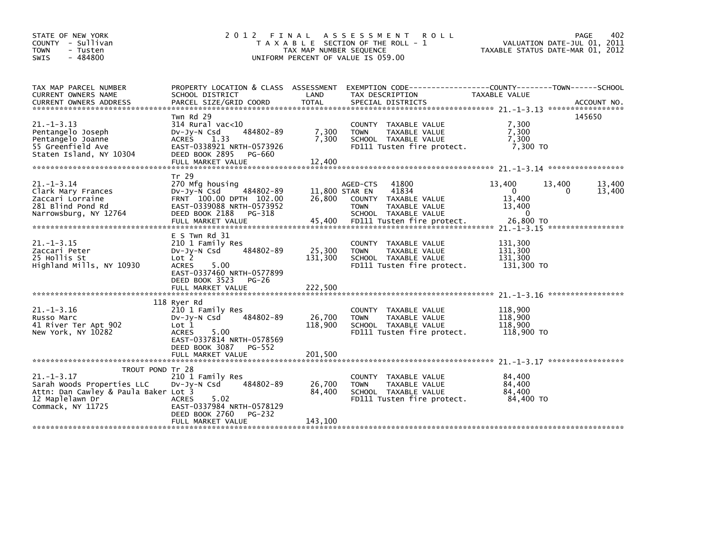| STATE OF NEW YORK<br>COUNTY - Sullivan<br>- Tusten<br><b>TOWN</b><br>$-484800$<br><b>SWIS</b>              |                                                                                                                                                                                        | TAX MAP NUMBER SEQUENCE            | 2012 FINAL ASSESSMENT<br><b>ROLL</b><br>T A X A B L E SECTION OF THE ROLL - 1<br>UNIFORM PERCENT OF VALUE IS 059.00                                | VALUATION DATE-JUL 01, 2011<br>TAXABLE STATUS DATE-MAR 01, 2012               | 402<br>PAGE           |
|------------------------------------------------------------------------------------------------------------|----------------------------------------------------------------------------------------------------------------------------------------------------------------------------------------|------------------------------------|----------------------------------------------------------------------------------------------------------------------------------------------------|-------------------------------------------------------------------------------|-----------------------|
| TAX MAP PARCEL NUMBER<br>CURRENT OWNERS NAME                                                               | PROPERTY LOCATION & CLASS ASSESSMENT<br>SCHOOL DISTRICT                                                                                                                                | LAND                               | EXEMPTION        CODE-----------------COUNTY-------TOWN------SCHOOL<br>TAX DESCRIPTION                                                             | TAXABLE VALUE                                                                 |                       |
| $21. -1 - 3.13$<br>Pentangelo Joseph<br>Pentangelo Joanne<br>55 Greenfield Ave<br>Staten Island, NY 10304  | Twn Rd 29<br>$314$ Rural vac<10<br>484802-89<br>DV-JY-N Csd<br><b>ACRES</b><br>1.33<br>EAST-0338921 NRTH-0573926<br>DEED BOOK 2895<br>PG-660<br>FULL MARKET VALUE                      | 7,300<br>7.300<br>12,400           | COUNTY TAXABLE VALUE<br>TAXABLE VALUE<br><b>TOWN</b><br>SCHOOL TAXABLE VALUE<br>FD111 Tusten fire protect.                                         | 7,300<br>7,300<br>7.300<br>7,300 TO                                           | 145650                |
| $21. -1 - 3.14$<br>Clark Mary Frances<br>Zaccari Lorraine<br>281 Blind Pond Rd<br>Narrowsburg, NY 12764    | Tr 29<br>270 Mfg housing<br>$Dv-Jv-N$ Csd<br>484802-89<br>FRNT 100.00 DPTH 102.00<br>EAST-0339088 NRTH-0573952<br>DEED BOOK 2188<br>PG-318<br>FULL MARKET VALUE                        | 11,800 STAR EN<br>26.800<br>45,400 | 41800<br>AGED-CTS<br>41834<br><b>COUNTY</b><br>TAXABLE VALUE<br><b>TOWN</b><br>TAXABLE VALUE<br>SCHOOL TAXABLE VALUE<br>FD111 Tusten fire protect. | 13,400<br>13,400<br>$\mathbf{0}$<br>13,400<br>13,400<br>$\Omega$<br>26,800 TO | 13,400<br>13,400<br>0 |
| $21. -1 - 3.15$<br>Zaccari Peter<br>25 Hollis St<br>Highland Mills, NY 10930                               | $E$ S Twn Rd 31<br>210 1 Family Res<br>484802-89<br>$Dv-Jy-N$ Csd<br>Lot 2<br><b>ACRES</b><br>5.00<br>EAST-0337460 NRTH-0577899<br>DEED BOOK 3523<br><b>PG-26</b><br>FULL MARKET VALUE | 25,300<br>131,300<br>222,500       | <b>COUNTY</b><br>TAXABLE VALUE<br>TAXABLE VALUE<br><b>TOWN</b><br>SCHOOL TAXABLE VALUE<br>FD111 Tusten fire protect.                               | 131.300<br>131,300<br>131,300<br>131,300 TO                                   |                       |
| $21. - 1 - 3.16$<br>Russo Marc<br>41 River Ter Apt 902<br>New York, NY 10282                               | 118 Ryer Rd<br>210 1 Family Res<br>484802-89<br>$Dv-Jy-N$ Csd<br>Lot 1<br><b>ACRES</b><br>5.00<br>EAST-0337814 NRTH-0578569<br>DEED BOOK 3087<br>PG-552<br>FULL MARKET VALUE           | 26,700<br>118,900<br>201,500       | TAXABLE VALUE<br><b>COUNTY</b><br>TAXABLE VALUE<br><b>TOWN</b><br>SCHOOL TAXABLE VALUE<br>FD111 Tusten fire protect.                               | 118,900<br>118,900<br>118,900<br>118.900 TO                                   |                       |
| TROUT POND Tr 28<br>$21. - 1 - 3.17$                                                                       | 210 1 Family Res                                                                                                                                                                       |                                    | <b>COUNTY</b><br>TAXABLE VALUE                                                                                                                     | 84,400                                                                        |                       |
| Sarah Woods Properties LLC<br>Attn: Dan Cawley & Paula Baker Lot 3<br>12 Maplelawn Dr<br>Commack, NY 11725 | 484802-89<br>$Dv-Jy-N$ Csd<br>5.02<br><b>ACRES</b><br>EAST-0337984 NRTH-0578129<br>DEED BOOK 2760<br>PG-232                                                                            | 26,700<br>84,400                   | TAXABLE VALUE<br><b>TOWN</b><br>SCHOOL TAXABLE VALUE<br>FD111 Tusten fire protect.                                                                 | 84,400<br>84,400<br>84,400 TO                                                 |                       |
|                                                                                                            | FULL MARKET VALUE                                                                                                                                                                      | 143,100                            |                                                                                                                                                    |                                                                               |                       |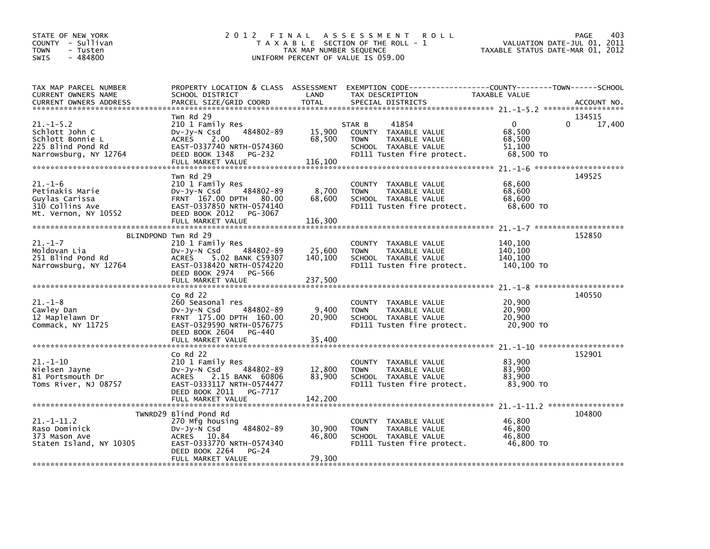| STATE OF NEW YORK<br>COUNTY - Sullivan<br><b>TOWN</b><br>- Tusten<br>$-484800$<br><b>SWIS</b>   |                                                                                                                                                                                    | TAX MAP NUMBER SEQUENCE      | 2012 FINAL ASSESSMENT<br><b>ROLL</b><br>T A X A B L E SECTION OF THE ROLL - 1<br>UNIFORM PERCENT OF VALUE IS 059.00           | TAXABLE STATUS DATE-MAR 01, 2012                    | 403<br>PAGE<br>VALUATION DATE-JUL 01, 2011 |
|-------------------------------------------------------------------------------------------------|------------------------------------------------------------------------------------------------------------------------------------------------------------------------------------|------------------------------|-------------------------------------------------------------------------------------------------------------------------------|-----------------------------------------------------|--------------------------------------------|
| TAX MAP PARCEL NUMBER<br>CURRENT OWNERS NAME<br><b>CURRENT OWNERS ADDRESS</b>                   | PROPERTY LOCATION & CLASS ASSESSMENT<br>SCHOOL DISTRICT<br>PARCEL SIZE/GRID COORD                                                                                                  | LAND<br><b>TOTAL</b>         | TAX DESCRIPTION<br>SPECIAL DISTRICTS                                                                                          | TAXABLE VALUE                                       | ACCOUNT NO.                                |
| $21.-1-5.2$<br>Schlott John C<br>Schlott Bonnie L<br>225 Blind Pond Rd<br>Narrowsburg, NY 12764 | Twn Rd 29<br>210 1 Family Res<br>484802-89<br>$Dv-Jy-N$ Csd<br>2.00<br><b>ACRES</b><br>EAST-0337740 NRTH-0574360<br>DEED BOOK 1348<br>PG-232<br>FULL MARKET VALUE                  | 15,900<br>68,500<br>116,100  | 41854<br>STAR B<br>COUNTY TAXABLE VALUE<br>TAXABLE VALUE<br><b>TOWN</b><br>SCHOOL TAXABLE VALUE<br>FD111 Tusten fire protect. | $\Omega$<br>68,500<br>68,500<br>51.100<br>68,500 TO | 134515<br>0<br>17,400                      |
| $21.-1-6$<br>Petinakis Marie<br>Guylas Carissa<br>310 Collins Ave<br>Mt. Vernon, NY 10552       | Twn Rd 29<br>210 1 Family Res<br>484802-89<br>DV-Jy-N Csd<br>FRNT 167.00 DPTH 80.00<br>EAST-0337850 NRTH-0574140<br>DEED BOOK 2012<br>PG-3067<br>FULL MARKET VALUE                 | 8,700<br>68,600<br>116,300   | COUNTY TAXABLE VALUE<br>TAXABLE VALUE<br><b>TOWN</b><br>SCHOOL TAXABLE VALUE<br>FD111 Tusten fire protect.                    | 68,600<br>68,600<br>68,600<br>68,600 TO             | 149525                                     |
| $21. - 1 - 7$<br>Moldovan Lia<br>251 Blind Pond Rd<br>Narrowsburg, NY 12764                     | BLINDPOND Twn Rd 29<br>210 1 Family Res<br>484802-89<br>DV-Jy-N Csd<br>5.02 BANK C59307<br><b>ACRES</b><br>EAST-0338420 NRTH-0574220<br>DEED BOOK 2974 PG-566<br>FULL MARKET VALUE | 25,600<br>140,100<br>237,500 | COUNTY TAXABLE VALUE<br><b>TAXABLE VALUE</b><br><b>TOWN</b><br>SCHOOL TAXABLE VALUE<br>FD111 Tusten fire protect.             | 140,100<br>140,100<br>140,100<br>140,100 TO         | 152850                                     |
| $21. - 1 - 8$<br>Cawley Dan<br>12 Maplelawn Dr<br>Commack, NY 11725                             | $Co$ Rd $22$<br>260 Seasonal res<br>484802-89<br>$Dv-Jy-N$ Csd<br>FRNT 175.00 DPTH 160.00<br>EAST-0329590 NRTH-0576775<br>DEED BOOK 2604<br>PG-440<br>FULL MARKET VALUE            | 9,400<br>20,900<br>35,400    | COUNTY TAXABLE VALUE<br><b>TOWN</b><br>TAXABLE VALUE<br>SCHOOL TAXABLE VALUE<br>FD111 Tusten fire protect.                    | 20,900<br>20,900<br>20,900<br>20,900 TO             | 140550                                     |
| $21. - 1 - 10$<br>Nielsen Jayne<br>81 Portsmouth Dr<br>Toms River, NJ 08757                     | $Co$ Rd $22$<br>210 1 Family Res<br>$Dv-Jy-N$ Csd<br>484802-89<br><b>ACRES</b><br>2.15 BANK 60806<br>EAST-0333117 NRTH-0574477<br>DEED BOOK 2011 PG-7717<br>FULL MARKET VALUE      | 12,800<br>83,900<br>142,200  | COUNTY TAXABLE VALUE<br><b>TOWN</b><br>TAXABLE VALUE<br>SCHOOL TAXABLE VALUE<br>FD111 Tusten fire protect.                    | 83,900<br>83,900<br>83,900<br>83,900 TO             | 152901                                     |
| $21. - 1 - 11.2$<br>Raso Dominick<br>373 Mason Ave<br>Staten Island, NY 10305                   | TWNRD29 Blind Pond Rd<br>270 Mfg housing<br>484802-89<br>Dv-Jy-N Csd<br>ACRES 10.84<br>EAST-0333770 NRTH-0574340<br>DEED BOOK 2264<br>$PG-24$<br>FULL MARKET VALUE                 | 30,900<br>46,800<br>79,300   | COUNTY TAXABLE VALUE<br><b>TOWN</b><br>TAXABLE VALUE<br>SCHOOL TAXABLE VALUE<br>FD111 Tusten fire protect.                    | 46,800<br>46,800<br>46,800<br>46,800 TO             | 104800                                     |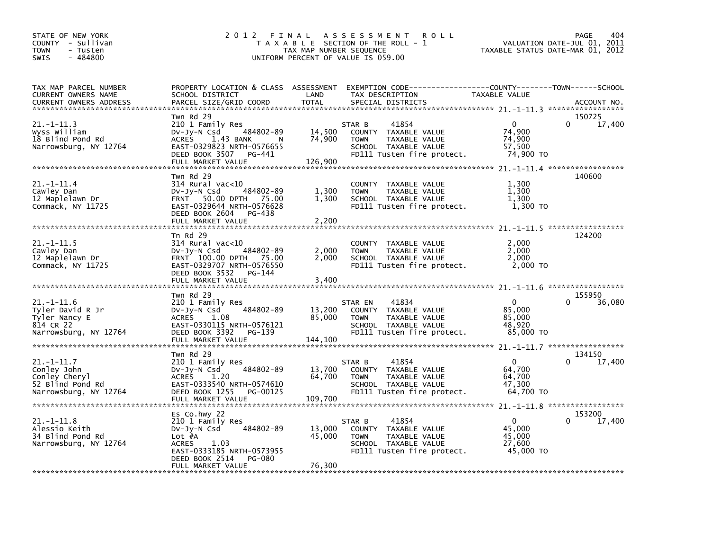| STATE OF NEW YORK<br>COUNTY - Sullivan<br><b>TOWN</b><br>- Tusten<br>$-484800$<br><b>SWIS</b> | 2012<br>FINAL<br>T A X A B L E                                                                                                                                                                           | TAX MAP NUMBER SEQUENCE               | A S S E S S M E N T<br><b>ROLL</b><br>SECTION OF THE ROLL - 1<br>UNIFORM PERCENT OF VALUE IS 059.00                                      | VALUATION DATE-JUL 01,<br>TAXABLE STATUS DATE-MAR 01, 2012 | 404<br>PAGE<br>2011   |
|-----------------------------------------------------------------------------------------------|----------------------------------------------------------------------------------------------------------------------------------------------------------------------------------------------------------|---------------------------------------|------------------------------------------------------------------------------------------------------------------------------------------|------------------------------------------------------------|-----------------------|
| TAX MAP PARCEL NUMBER<br><b>CURRENT OWNERS NAME</b><br><b>CURRENT OWNERS ADDRESS</b>          | SCHOOL DISTRICT<br>PARCEL SIZE/GRID COORD                                                                                                                                                                | LAND<br><b>TOTAL</b>                  | PROPERTY LOCATION & CLASS ASSESSMENT EXEMPTION CODE----------------COUNTY-------TOWN------SCHOOL<br>TAX DESCRIPTION<br>SPECIAL DISTRICTS | TAXABLE VALUE                                              | ACCOUNT NO.           |
| $21 - 1 - 11.3$<br>wyss william<br>18 Blind Pond Rd<br>Narrowsburg, NY 12764                  | Twn Rd 29<br>210 1 Family Res<br>484802-89<br>DV-Jy-N Csd<br><b>ACRES</b><br>1.43 BANK<br>N<br>EAST-0329823 NRTH-0576655<br>DEED BOOK 3507<br>PG-441<br>FULL MARKET VALUE                                | 14,500<br>74,900<br>126,900           | 41854<br>STAR B<br><b>COUNTY</b><br>TAXABLE VALUE<br>TAXABLE VALUE<br><b>TOWN</b><br>SCHOOL TAXABLE VALUE<br>FD111 Tusten fire protect.  | 0<br>74,900<br>74,900<br>57,500<br>74,900 TO               | 150725<br>0<br>17,400 |
| 21.-1-11.4<br>Cawley Dan<br>12 Maplelawn Dr<br>Commack, NY 11725                              | Twn Rd 29<br>$314$ Rural vac<10<br>484802-89<br>$Dv-Jy-N$ Csd<br>50.00 DPTH 75.00<br><b>FRNT</b><br>EAST-0329644 NRTH-0576628<br>DEED BOOK 2604<br>PG-438<br>FULL MARKET VALUE                           | 1,300<br>1,300<br>2,200               | <b>COUNTY</b><br>TAXABLE VALUE<br><b>TOWN</b><br>TAXABLE VALUE<br>SCHOOL TAXABLE VALUE<br>FD111 Tusten fire protect.                     | 1,300<br>1,300<br>1.300<br>1,300 TO                        | 140600                |
| 21 -1-11 5<br>Cawley Dan<br>12 Maplelawn Dr<br>Commack, NY 11725                              | Tn Rd 29<br>314 Rural vac<10<br>484802-89<br>DV-Jy-N Csd<br>FRNT 100.00 DPTH 75.00<br>EAST-0329707 NRTH-0576550<br>DEED BOOK 3532<br>PG-144<br>FULL MARKET VALUE                                         | 2,000<br>2,000<br>3,400               | <b>COUNTY</b><br>TAXABLE VALUE<br>TAXABLE VALUE<br><b>TOWN</b><br>SCHOOL TAXABLE VALUE<br>FD111 Tusten fire protect.                     | 2,000<br>2,000<br>2,000<br>2,000 TO                        | 124200                |
| 21.-1-11.6<br>Tyler David R Jr<br>Tyler Nancy E<br>814 CR 22<br>Narrowsburg, NY 12764         | Twn Rd 29<br>210 1 Family Res<br>484802-89<br>$Dv-Jy-N$ Csd<br><b>ACRES</b><br>1.08<br>EAST-0330115 NRTH-0576121<br>DEED BOOK 3392<br>PG-139                                                             | 13,200<br>85,000                      | STAR EN<br>41834<br>TAXABLE VALUE<br><b>COUNTY</b><br><b>TOWN</b><br>TAXABLE VALUE<br>SCHOOL TAXABLE VALUE<br>FD111 Tusten fire protect. | 0<br>85,000<br>85,000<br>48,920<br>85,000 TO               | 155950<br>36,080<br>0 |
| 21.-1-11.7<br>Conley John<br>Conley Cheryl<br>52 Blind Pond Rd<br>Narrowsburg, NY 12764       | FULL MARKET VALUE<br>Twn Rd 29<br>210 1 Family Res<br>484802-89<br>DV-Jy-N Csd<br><b>ACRES</b><br>1.20<br>EAST-0333540 NRTH-0574610<br>DEED BOOK 1255<br>PG-00125                                        | 144,100<br>13,700<br>64,700           | 41854<br>STAR B<br><b>COUNTY</b><br>TAXABLE VALUE<br>TAXABLE VALUE<br><b>TOWN</b><br>SCHOOL TAXABLE VALUE<br>FD111 Tusten fire protect.  | 0<br>64,700<br>64,700<br>47,300<br>64,700 TO               | 134150<br>17,400      |
| 21.–1–11.8<br>Alessio Keith<br>34 Blind Pond Rd<br>Narrowsburg, NY 12764                      | FULL MARKET VALUE<br>Es Co.hwy 22<br>210 1 Family Res<br>484802-89<br>DV-Jy-N Csd<br>Lot #A<br><b>ACRES</b><br>1.03<br>EAST-0333185 NRTH-0573955<br>DEED BOOK 2514<br><b>PG-080</b><br>FULL MARKET VALUE | 109,700<br>13,000<br>45,000<br>76,300 | 41854<br>STAR B<br>TAXABLE VALUE<br><b>COUNTY</b><br><b>TOWN</b><br>TAXABLE VALUE<br>SCHOOL TAXABLE VALUE<br>FD111 Tusten fire protect.  | 0<br>45,000<br>45,000<br>27,600<br>45,000 TO               | 153200<br>0<br>17,400 |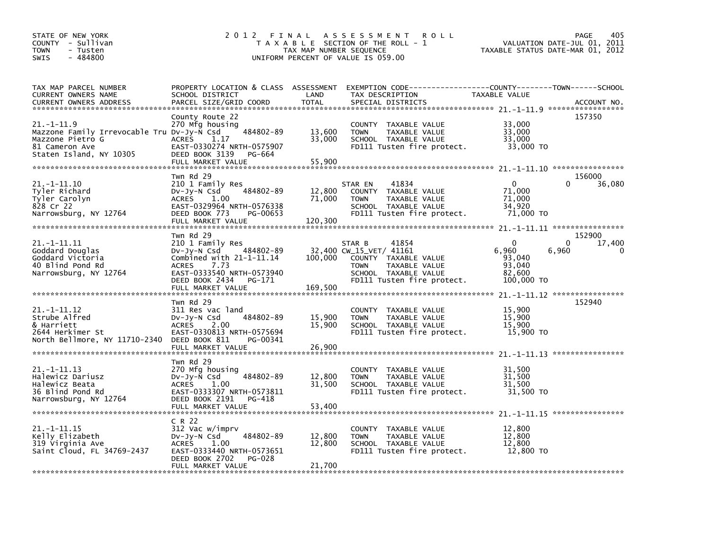| STATE OF NEW YORK<br>COUNTY - Sullivan<br><b>TOWN</b><br>- Tusten<br>$-484800$<br><b>SWIS</b>                                  | 2 0 1 2                                                                                                                                                                                         | FINAL<br>TAX MAP NUMBER SEQUENCE | A S S E S S M E N T<br><b>ROLL</b><br>T A X A B L E SECTION OF THE ROLL - 1<br>UNIFORM PERCENT OF VALUE IS 059.00                                        | VALUATION DATE-JUL 01,<br>TAXABLE STATUS DATE-MAR 01, 2012        | 405<br>PAGE<br>2011                        |
|--------------------------------------------------------------------------------------------------------------------------------|-------------------------------------------------------------------------------------------------------------------------------------------------------------------------------------------------|----------------------------------|----------------------------------------------------------------------------------------------------------------------------------------------------------|-------------------------------------------------------------------|--------------------------------------------|
| TAX MAP PARCEL NUMBER<br>CURRENT OWNERS NAME<br><b>CURRENT OWNERS ADDRESS</b>                                                  | SCHOOL DISTRICT<br>PARCEL SIZE/GRID COORD                                                                                                                                                       | LAND<br><b>TOTAL</b>             | PROPERTY LOCATION & CLASS ASSESSMENT EXEMPTION CODE---------------COUNTY-------TOWN------SCHOOL<br>TAX DESCRIPTION<br>SPECIAL DISTRICTS                  | TAXABLE VALUE                                                     | ACCOUNT NO.                                |
| $21. -1 - 11.9$<br>Mazzone Family Irrevocable Tru Dv-Jy-N Csd<br>Mazzone Pietro G<br>81 Cameron Ave<br>Staten Island, NY 10305 | County Route 22<br>270 Mfg housing<br>484802-89<br><b>ACRES</b><br>1.17<br>EAST-0330274 NRTH-0575907<br>DEED BOOK 3139<br><b>PG-664</b><br>FULL MARKET VALUE                                    | 13,600<br>33,000<br>55,900       | COUNTY TAXABLE VALUE<br><b>TOWN</b><br>TAXABLE VALUE<br>SCHOOL TAXABLE VALUE<br>FD111 Tusten fire protect.                                               | 33,000<br>33,000<br>33.000<br>33,000 TO                           | 157350                                     |
| 21.-1-11.10<br>Tyler Richard<br>Tyler Carolyn<br>828 Cr 22<br>Narrowsburg, NY 12764                                            | Twn Rd 29<br>210 1 Family Res<br>484802-89<br>$Dv-Jy-N$ Csd<br><b>ACRES</b><br>1.00<br>EAST-0329964 NRTH-0576338<br>DEED BOOK 773<br>PG-00653<br>FULL MARKET VALUE                              | 12,800<br>71,000<br>120,300      | 41834<br>STAR EN<br>COUNTY TAXABLE VALUE<br>TAXABLE VALUE<br><b>TOWN</b><br>SCHOOL TAXABLE VALUE<br>FD111 Tusten fire protect.                           | $\mathbf 0$<br>71,000<br>71,000<br>34,920<br>71,000 TO            | 156000<br>0<br>36,080                      |
| 21. -1-11.11<br>Goddard Douglas<br>Goddard Victoria<br>40 Blind Pond Rd<br>Narrowsburg, NY 12764                               | Twn Rd 29<br>210 1 Family Res<br>484802-89<br>$Dv-Jy-N$ Csd<br>Combined with $21-1-11.14$<br>7.73<br><b>ACRES</b><br>EAST-0333540 NRTH-0573940<br>DEED BOOK 2434<br>PG-171<br>FULL MARKET VALUE | 100,000<br>169,500               | 41854<br>STAR B<br>32,400 CW_15_VET/ 41161<br>COUNTY TAXABLE VALUE<br><b>TOWN</b><br>TAXABLE VALUE<br>SCHOOL TAXABLE VALUE<br>FD111 Tusten fire protect. | $\mathbf{0}$<br>6,960<br>93,040<br>93,040<br>82,600<br>100,000 TO | 152900<br>0<br>17,400<br>6,960<br>$\Omega$ |
| $21. -1 - 11.12$<br>Strube Alfred<br>& Harriett<br>2644 Herkimer St<br>North Bellmore, NY 11710-2340                           | Twn Rd 29<br>311 Res vac land<br>484802-89<br>DV-Jy-N Csd<br><b>ACRES</b><br>2.00<br>EAST-0330813 NRTH-0575694<br>DEED BOOK 811<br>PG-00341<br>FULL MARKET VALUE                                | 15,900<br>15,900<br>26,900       | COUNTY TAXABLE VALUE<br><b>TOWN</b><br>TAXABLE VALUE<br>SCHOOL TAXABLE VALUE<br>FD111 Tusten fire protect.                                               | 15,900<br>15,900<br>15,900<br>15,900 TO                           | 152940                                     |
| 21. -1-11. 13<br>Halewicz Dariusz<br>Halewicz Beata<br>36 Blind Pond Rd<br>Narrowsburg, NY 12764                               | Twn Rd 29<br>270 Mfg housing<br>484802-89<br>$Dv-Jy-N$ Csd<br>1.00<br><b>ACRES</b><br>EAST-0333307 NRTH-0573811<br>DEED BOOK 2191<br>PG-418<br>FULL MARKET VALUE                                | 12,800<br>31,500<br>53,400       | TAXABLE VALUE<br><b>COUNTY</b><br>TAXABLE VALUE<br><b>TOWN</b><br>SCHOOL TAXABLE VALUE<br>FD111 Tusten fire protect.                                     | 31,500<br>31,500<br>31,500<br>31,500 TO                           |                                            |
| 21. -1-11.15<br>Kelly Elizabeth<br>319 Virginia Ave<br>Saint Cloud, FL 34769-2437                                              | C R 22<br>312 Vac w/imprv<br>484802-89<br>$Dv-Jy-N$ Csd<br><b>ACRES</b><br>1.00<br>EAST-0333440 NRTH-0573651<br>DEED BOOK 2702<br><b>PG-028</b><br>FULL MARKET VALUE                            | 12,800<br>12,800<br>21,700       | COUNTY TAXABLE VALUE<br><b>TOWN</b><br>TAXABLE VALUE<br>SCHOOL TAXABLE VALUE<br>FD111 Tusten fire protect.                                               | 12,800<br>12,800<br>12,800<br>12,800 TO                           |                                            |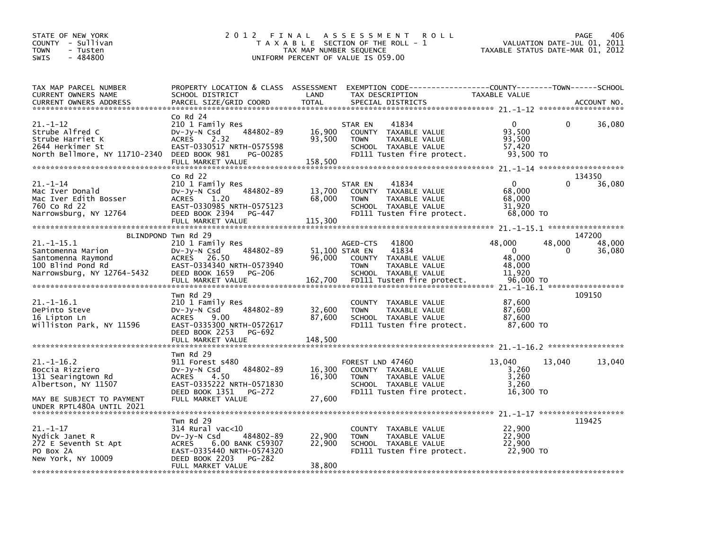| STATE OF NEW YORK<br>COUNTY - Sullivan<br>TOWN<br>- Tusten<br>$-484800$<br>SWIS                           | 2 0 1 2                                                                                                                                                             | FINAL<br>TAX MAP NUMBER SEQUENCE | A S S E S S M E N T<br><b>ROLL</b><br>T A X A B L E SECTION OF THE ROLL - 1<br>UNIFORM PERCENT OF VALUE IS 059.00                                                    |                                                               | 406<br><b>PAGE</b><br>VALUATION DATE-JUL 01,<br>2011<br>TAXABLE STATUS DATE-MAR 01, 2012 |
|-----------------------------------------------------------------------------------------------------------|---------------------------------------------------------------------------------------------------------------------------------------------------------------------|----------------------------------|----------------------------------------------------------------------------------------------------------------------------------------------------------------------|---------------------------------------------------------------|------------------------------------------------------------------------------------------|
| TAX MAP PARCEL NUMBER<br>CURRENT OWNERS NAME<br><b>CURRENT OWNERS ADDRESS</b>                             | PROPERTY LOCATION & CLASS ASSESSMENT<br>SCHOOL DISTRICT<br>PARCEL SIZE/GRID COORD                                                                                   | LAND<br><b>TOTAL</b>             | EXEMPTION CODE-----------------COUNTY-------TOWN------SCHOOL<br>TAX DESCRIPTION<br>SPECIAL DISTRICTS                                                                 | TAXABLE VALUE                                                 | ACCOUNT NO.                                                                              |
|                                                                                                           |                                                                                                                                                                     |                                  |                                                                                                                                                                      |                                                               |                                                                                          |
| 21.-1-12<br>Strube Alfred C<br>Strube Harriet K<br>2644 Herkimer St<br>North Bellmore, NY 11710-2340      | $Co$ Rd $24$<br>210 1 Family Res<br>484802-89<br>DV-Jy-N Csd<br><b>ACRES</b><br>2.32<br>EAST-0330517 NRTH-0575598<br>DEED BOOK 981<br>PG-00285<br>FULL MARKET VALUE | 16,900<br>93,500<br>158,500      | STAR EN<br>41834<br><b>COUNTY</b><br>TAXABLE VALUE<br>TAXABLE VALUE<br><b>TOWN</b><br>SCHOOL TAXABLE VALUE<br>FD111 Tusten fire protect.                             | $\Omega$<br>93,500<br>93,500<br>57,420<br>93,500 TO           | 36,080<br>0                                                                              |
|                                                                                                           |                                                                                                                                                                     |                                  |                                                                                                                                                                      |                                                               |                                                                                          |
| 21. –1–14<br>Mac Iver Donald<br>Mac Iver Edith Bosser<br>760 Co Rd 22<br>Narrowsburg, NY 12764            | $Co$ Rd $22$<br>210 1 Family Res<br>484802-89<br>DV-Jy-N Csd<br><b>ACRES</b><br>1.20<br>EAST-0330985 NRTH-0575123<br>DEED BOOK 2394<br>PG-447<br>FULL MARKET VALUE  | 13,700<br>68,000<br>115,300      | 41834<br>STAR EN<br><b>COUNTY</b><br>TAXABLE VALUE<br>TAXABLE VALUE<br><b>TOWN</b><br>SCHOOL TAXABLE VALUE<br>FD111 Tusten fire protect.                             | $\mathbf{0}$<br>68,000<br>68,000<br>31,920<br>68,000 TO       | 134350<br>36,080                                                                         |
|                                                                                                           | BLINDPOND Twn Rd 29                                                                                                                                                 |                                  |                                                                                                                                                                      |                                                               |                                                                                          |
| 21. –1–15.1<br>Santomenna Marion<br>Santomenna Raymond<br>100 Blind Pond Rd<br>Narrowsburg, NY 12764-5432 | 210 1 Family Res<br>484802-89<br>DV-Jy-N Csd<br><b>ACRES</b><br>26.50<br>EAST-0334340 NRTH-0573940<br>DEED BOOK 1659<br>PG-206<br>FULL MARKET VALUE                 | 96,000<br>162,700                | 41800<br>AGED-CTS<br>51,100 STAR EN<br>41834<br><b>COUNTY</b><br>TAXABLE VALUE<br><b>TOWN</b><br>TAXABLE VALUE<br>SCHOOL TAXABLE VALUE<br>FD111 Tusten fire protect. | 48,000<br>$\Omega$<br>48,000<br>48,000<br>11,920<br>96,000 TO | 147200<br>48,000<br>48,000<br>0<br>36,080                                                |
|                                                                                                           |                                                                                                                                                                     |                                  |                                                                                                                                                                      |                                                               |                                                                                          |
| 21.-1-16.1<br>DePinto Steve<br>16 Lipton Ln<br>Williston Park, NY 11596                                   | Twn Rd 29<br>210 1 Family Res<br>484802-89<br>DV-Jy-N Csd<br><b>ACRES</b><br>9.00<br>EAST-0335300 NRTH-0572617<br>DEED BOOK 2253<br>PG-692                          | 32,600<br>87,600                 | <b>COUNTY</b><br>TAXABLE VALUE<br><b>TOWN</b><br>TAXABLE VALUE<br>SCHOOL TAXABLE VALUE<br>FD111 Tusten fire protect.                                                 | 87,600<br>87,600<br>87,600<br>87,600 TO                       | 109150                                                                                   |
|                                                                                                           | FULL MARKET VALUE                                                                                                                                                   | 148,500                          |                                                                                                                                                                      |                                                               |                                                                                          |
|                                                                                                           | Twn Rd 29                                                                                                                                                           |                                  |                                                                                                                                                                      |                                                               |                                                                                          |
| $21. - 1 - 16.2$<br>Boccia Rizziero<br>131 Searingtown Rd<br>Albertson, NY 11507                          | 911 Forest s480<br>484802-89<br>DV-Jy-N Csd<br><b>ACRES</b><br>4.50<br>EAST-0335222 NRTH-0571830<br>DEED BOOK 1351<br><b>PG-272</b>                                 | 16,300<br>16,300                 | FOREST LND 47460<br>COUNTY TAXABLE VALUE<br><b>TOWN</b><br>TAXABLE VALUE<br>SCHOOL TAXABLE VALUE<br>FD111 Tusten fire protect.                                       | 13,040<br>3,260<br>3,260<br>3,260<br>16,300 TO                | 13,040<br>13,040                                                                         |
| MAY BE SUBJECT TO PAYMENT<br>UNDER RPTL480A UNTIL 2021                                                    | FULL MARKET VALUE                                                                                                                                                   | 27,600                           |                                                                                                                                                                      |                                                               |                                                                                          |
|                                                                                                           | Twn Rd 29                                                                                                                                                           |                                  |                                                                                                                                                                      |                                                               | 119425                                                                                   |
| $21. - 1 - 17$<br>Nydick Janet R<br>272 E Seventh St Apt<br>PO BOX 2A<br>New York, NY 10009               | $314$ Rural vac<10<br>484802-89<br>DV-Jy-N Csd<br>6.00 BANK C59307<br><b>ACRES</b><br>EAST-0335440 NRTH-0574320<br>DEED BOOK 2203<br>PG-282                         | 22,900<br>22,900                 | <b>COUNTY</b><br>TAXABLE VALUE<br><b>TOWN</b><br>TAXABLE VALUE<br>SCHOOL TAXABLE VALUE<br>FD111 Tusten fire protect.                                                 | 22,900<br>22,900<br>22,900<br>22,900 TO                       |                                                                                          |
|                                                                                                           | FULL MARKET VALUE                                                                                                                                                   | 38,800                           |                                                                                                                                                                      |                                                               |                                                                                          |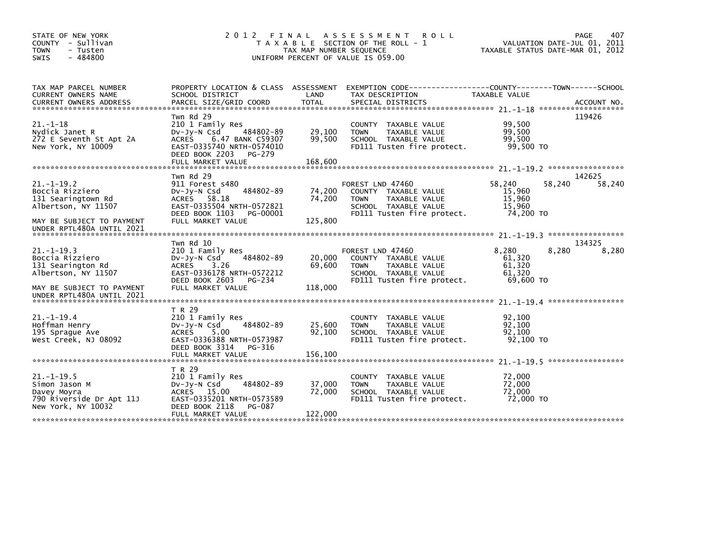| STATE OF NEW YORK<br>- Sullivan<br><b>COUNTY</b><br><b>TOWN</b><br>- Tusten<br>$-484800$<br><b>SWIS</b> | 2012 FINAL                                                                                                                                               | TAX MAP NUMBER SEQUENCE | A S S E S S M E N T<br><b>ROLL</b><br>T A X A B L E SECTION OF THE ROLL - 1<br>UNIFORM PERCENT OF VALUE IS 059.00                     |                                                   | 407<br>PAGE<br>VALUATION DATE-JUL 01, 2011<br>TAXABLE STATUS DATE-MAR 01, 2012 |
|---------------------------------------------------------------------------------------------------------|----------------------------------------------------------------------------------------------------------------------------------------------------------|-------------------------|---------------------------------------------------------------------------------------------------------------------------------------|---------------------------------------------------|--------------------------------------------------------------------------------|
| TAX MAP PARCEL NUMBER<br>CURRENT OWNERS NAME                                                            | PROPERTY LOCATION & CLASS ASSESSMENT<br>SCHOOL DISTRICT                                                                                                  | LAND                    | EXEMPTION CODE-----------------COUNTY-------TOWN------SCHOOL<br>TAX DESCRIPTION                                                       | TAXABLE VALUE                                     |                                                                                |
| $21. - 1 - 18$<br>Nydick Janet R<br>272 E Seventh St Apt 2A<br>New York, NY 10009                       | Twn Rd 29<br>210 1 Family Res<br>484802-89<br>$Dv-Jy-N$ Csd<br><b>ACRES</b><br>6.47 BANK C59307<br>EAST-0335740 NRTH-0574010<br>DEED BOOK 2203<br>PG-279 | 29,100<br>99,500        | COUNTY TAXABLE VALUE<br>TAXABLE VALUE<br><b>TOWN</b><br>SCHOOL TAXABLE VALUE<br>FD111 Tusten fire protect.                            | 99,500<br>99,500<br>99,500<br>99,500 TO           | 119426                                                                         |
|                                                                                                         |                                                                                                                                                          |                         |                                                                                                                                       |                                                   |                                                                                |
| $21. -1 - 19.2$<br>Boccia Rizziero<br>131 Searingtown Rd<br>Albertson, NY 11507                         | Twn Rd 29<br>911 Forest s480<br>484802-89<br>DV-Jy-N Csd<br>ACRES 58.18<br>EAST-0335504 NRTH-0572821<br>DEED BOOK 1103<br>PG-00001                       | 74,200<br>74,200        | FOREST LND 47460<br>COUNTY TAXABLE VALUE<br><b>TOWN</b><br>TAXABLE VALUE<br>SCHOOL TAXABLE VALUE<br>FD111 Tusten fire protect.        | 58,240<br>15,960<br>15,960<br>15.960<br>74,200 TO | 142625<br>58,240<br>58,240                                                     |
| MAY BE SUBJECT TO PAYMENT                                                                               | FULL MARKET VALUE                                                                                                                                        | 125,800                 |                                                                                                                                       |                                                   |                                                                                |
| UNDER RPTL480A UNTIL 2021                                                                               |                                                                                                                                                          |                         |                                                                                                                                       |                                                   |                                                                                |
|                                                                                                         | Twn Rd 10                                                                                                                                                |                         |                                                                                                                                       |                                                   | 134325                                                                         |
| $21. -1 - 19.3$<br>Boccia Rizziero<br>131 Searington Rd<br>Albertson, NY 11507                          | 210 1 Family Res<br>484802-89<br>DV-Jy-N Csd<br><b>ACRES</b><br>3.26<br>EAST-0336178 NRTH-0572212<br>DEED BOOK 2603<br>PG-234                            | 20,000<br>69,600        | FOREST LND 47460<br>COUNTY TAXABLE VALUE<br><b>TOWN</b><br><b>TAXABLE VALUE</b><br>SCHOOL TAXABLE VALUE<br>FD111 Tusten fire protect. | 8,280<br>61,320<br>61,320<br>61.320<br>69.600 TO  | 8,280<br>8,280                                                                 |
| MAY BE SUBJECT TO PAYMENT<br>UNDER RPTL480A UNTIL 2021                                                  | FULL MARKET VALUE                                                                                                                                        | 118,000                 |                                                                                                                                       |                                                   |                                                                                |
|                                                                                                         |                                                                                                                                                          |                         |                                                                                                                                       |                                                   |                                                                                |
| $21 - 1 - 19.4$<br>Hoffman Henry<br>195 Spraque Ave<br>West Creek, NJ 08092                             | T R 29<br>210 1 Family Res<br>484802-89<br>$Dv-Jy-N$ Csd<br>5.00<br><b>ACRES</b><br>EAST-0336388 NRTH-0573987<br>DEED BOOK 3314<br>PG-316                | 25,600<br>92,100        | COUNTY TAXABLE VALUE<br>TAXABLE VALUE<br><b>TOWN</b><br>SCHOOL TAXABLE VALUE<br>FD111 Tusten fire protect.                            | 92,100<br>92,100<br>92,100<br>92,100 TO           |                                                                                |
|                                                                                                         | FULL MARKET VALUE                                                                                                                                        | 156,100                 |                                                                                                                                       |                                                   |                                                                                |
|                                                                                                         |                                                                                                                                                          |                         |                                                                                                                                       |                                                   |                                                                                |
| $21. - 1 - 19.5$<br>Simon Jason M<br>Davey Moyra<br>790 Riverside Dr Apt 11J<br>New York, NY 10032      | T R 29<br>210 1 Family Res<br>484802-89<br>$Dv-Jy-N$ Csd<br>ACRES 15.00<br>EAST-0335201 NRTH-0573589<br>DEED BOOK 2118<br>PG-087                         | 37,000<br>72,000        | COUNTY TAXABLE VALUE<br><b>TOWN</b><br>TAXABLE VALUE<br>SCHOOL TAXABLE VALUE<br>FD111 Tusten fire protect.                            | 72,000<br>72,000<br>72,000<br>72,000 TO           |                                                                                |
|                                                                                                         | FULL MARKET VALUE                                                                                                                                        | 122,000                 |                                                                                                                                       |                                                   |                                                                                |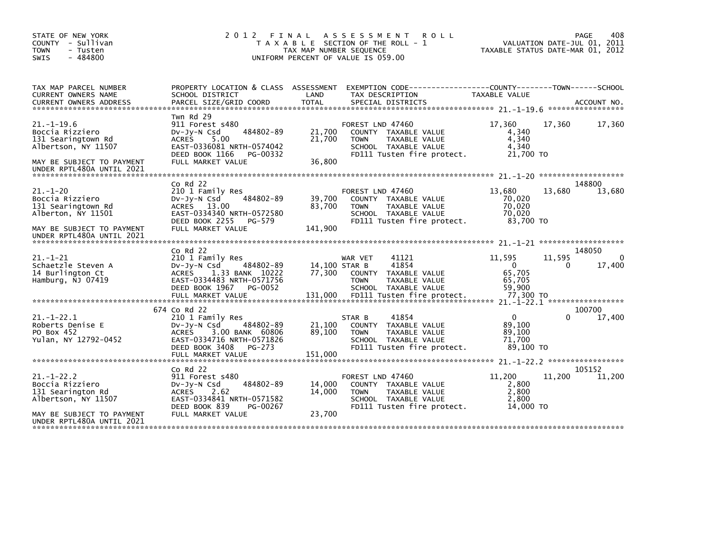| STATE OF NEW YORK<br>COUNTY - Sullivan<br>- Tusten<br><b>TOWN</b><br>$-484800$<br><b>SWIS</b>                                             |                                                                                                                                                                      | TAX MAP NUMBER SEQUENCE     | 2012 FINAL ASSESSMENT<br><b>ROLL</b><br>T A X A B L E SECTION OF THE ROLL - 1<br>UNIFORM PERCENT OF VALUE IS 059.00                   | TAXABLE STATUS DATE-MAR 01, 2012                     |             | 408<br>PAGE<br>VALUATION DATE-JUL 01, 2011 |
|-------------------------------------------------------------------------------------------------------------------------------------------|----------------------------------------------------------------------------------------------------------------------------------------------------------------------|-----------------------------|---------------------------------------------------------------------------------------------------------------------------------------|------------------------------------------------------|-------------|--------------------------------------------|
| TAX MAP PARCEL NUMBER<br>CURRENT OWNERS NAME                                                                                              | PROPERTY LOCATION & CLASS ASSESSMENT<br>SCHOOL DISTRICT                                                                                                              | LAND                        | EXEMPTION CODE-----------------COUNTY-------TOWN------SCHOOL<br>TAX DESCRIPTION                                                       | <b>TAXABLE VALUE</b>                                 |             |                                            |
|                                                                                                                                           |                                                                                                                                                                      |                             |                                                                                                                                       |                                                      |             |                                            |
| $21. -1 - 19.6$<br>Boccia Rizziero<br>131 Searingtown Rd<br>Albertson, NY 11507<br>MAY BE SUBJECT TO PAYMENT<br>UNDER RPTL480A UNTIL 2021 | Twn Rd 29<br>911 Forest s480<br>484802-89<br>$Dv-Jy-N$ Csd<br><b>ACRES</b><br>5.00<br>EAST-0336081 NRTH-0574042<br>DEED BOOK 1166<br>PG-00332<br>FULL MARKET VALUE   | 21.700<br>21,700<br>36,800  | FOREST LND 47460<br>COUNTY TAXABLE VALUE<br><b>TOWN</b><br><b>TAXABLE VALUE</b><br>SCHOOL TAXABLE VALUE<br>FD111 Tusten fire protect. | 17,360<br>4,340<br>4,340<br>4,340<br>21,700 TO       | 17,360      | 17,360                                     |
|                                                                                                                                           |                                                                                                                                                                      |                             |                                                                                                                                       |                                                      |             |                                            |
| $21 - 1 - 20$<br>Boccia Rizziero<br>131 Searingtown Rd<br>Alberton, NY 11501<br>MAY BE SUBJECT TO PAYMENT                                 | $Co$ Rd $22$<br>210 1 Family Res<br>484802-89<br>$Dv-Jy-N$ Csd<br>ACRES 13.00<br>EAST-0334340 NRTH-0572580<br>DEED BOOK 2255<br>PG-579<br>FULL MARKET VALUE          | 39,700<br>83,700<br>141,900 | FOREST LND 47460<br>COUNTY TAXABLE VALUE<br><b>TOWN</b><br><b>TAXABLE VALUE</b><br>SCHOOL TAXABLE VALUE<br>FD111 Tusten fire protect. | 13,680<br>70,020<br>70,020<br>70,020<br>83,700 TO    | 13.680      | 148800<br>13,680                           |
| UNDER RPTL480A UNTIL 2021                                                                                                                 | $Co$ Rd $22$                                                                                                                                                         |                             |                                                                                                                                       |                                                      |             | 148050                                     |
| $21. - 1 - 21$<br>Schaetzle Steven A<br>14 Burlington Ct<br>Hamburg, NJ 07419                                                             | 210 1 Family Res<br>484802-89<br>DV-JY-N Csd<br><b>ACRES</b><br>1.33 BANK 10222<br>EAST-0334483 NRTH-0571756<br>DEED BOOK 1967<br>PG-0052                            | 14,100 STAR B<br>77.300     | 41121<br>WAR VET<br>41854<br>TAXABLE VALUE<br><b>COUNTY</b><br>TAXABLE VALUE<br><b>TOWN</b><br>SCHOOL TAXABLE VALUE                   | 11,595<br>$\mathbf{0}$<br>65,705<br>65,705<br>59,900 | 11,595<br>0 | $\Omega$<br>17,400                         |
|                                                                                                                                           | 674 Co Rd 22                                                                                                                                                         |                             |                                                                                                                                       |                                                      |             | 100700                                     |
| $21 - 1 - 22.1$<br>Roberts Denise E<br>PO Box 452<br>Yulan, NY 12792-0452                                                                 | 210 1 Family Res<br>$Dv-Jy-N$ Csd<br>484802-89<br><b>ACRES</b><br>3.00 BANK 60806<br>EAST-0334716 NRTH-0571826<br>DEED BOOK 3408<br>PG-273<br>FULL MARKET VALUE      | 21,100<br>89,100<br>151,000 | 41854<br>STAR B<br>COUNTY TAXABLE VALUE<br><b>TOWN</b><br>TAXABLE VALUE<br>SCHOOL TAXABLE VALUE<br>FD111 Tusten fire protect.         | $\Omega$<br>89,100<br>89.100<br>71.700<br>89.100 TO  | 0           | 17,400                                     |
|                                                                                                                                           |                                                                                                                                                                      |                             |                                                                                                                                       |                                                      |             |                                            |
| $21 - 1 - 22.2$<br>Boccia Rizziero<br>131 Searington Rd<br>Albertson, NY 11507<br>MAY BE SUBJECT TO PAYMENT<br>UNDER RPTL480A UNTIL 2021  | $Co$ Rd $22$<br>911 Forest s480<br>484802-89<br>$Dv-Jy-N$ Csd<br><b>ACRES</b><br>2.62<br>EAST-0334841 NRTH-0571582<br>DEED BOOK 839<br>PG-00267<br>FULL MARKET VALUE | 14.000<br>14,000<br>23,700  | FOREST LND 47460<br>COUNTY TAXABLE VALUE<br><b>TOWN</b><br><b>TAXABLE VALUE</b><br>SCHOOL TAXABLE VALUE<br>FD111 Tusten fire protect. | 11,200<br>2,800<br>2,800<br>2.800<br>14,000 TO       | 11,200      | 105152<br>11,200                           |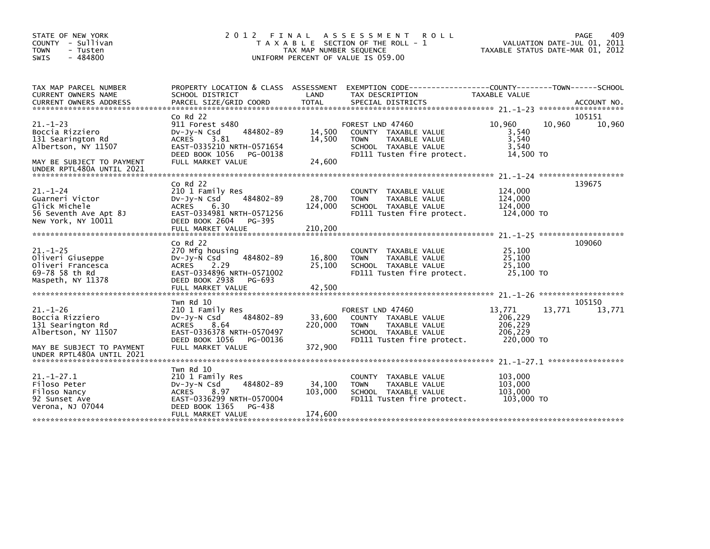| STATE OF NEW YORK                                   | 2 0 1 2                                        | FINAL                   | ASSESSMENT ROLL                                                                                                    |                   | PAGE<br>409                      |
|-----------------------------------------------------|------------------------------------------------|-------------------------|--------------------------------------------------------------------------------------------------------------------|-------------------|----------------------------------|
| COUNTY - Sullivan                                   |                                                |                         | T A X A B L E SECTION OF THE ROLL - 1                                                                              |                   | VALUATION DATE-JUL 01, 2011      |
| <b>TOWN</b><br>- Tusten<br>$-484800$<br><b>SWIS</b> |                                                | TAX MAP NUMBER SEQUENCE | UNIFORM PERCENT OF VALUE IS 059.00                                                                                 |                   | TAXABLE STATUS DATE-MAR 01, 2012 |
|                                                     |                                                |                         |                                                                                                                    |                   |                                  |
|                                                     |                                                |                         |                                                                                                                    |                   |                                  |
|                                                     |                                                |                         |                                                                                                                    |                   |                                  |
| TAX MAP PARCEL NUMBER<br>CURRENT OWNERS NAME        | SCHOOL DISTRICT                                | LAND                    | PROPERTY LOCATION & CLASS ASSESSMENT EXEMPTION CODE----------------COUNTY-------TOWN-----SCHOOL<br>TAX DESCRIPTION | TAXABLE VALUE     |                                  |
|                                                     |                                                |                         |                                                                                                                    |                   |                                  |
|                                                     |                                                |                         |                                                                                                                    |                   |                                  |
|                                                     | $Co$ Rd $22$                                   |                         |                                                                                                                    |                   | 105151                           |
| $21. - 1 - 23$                                      | 911 Forest s480                                |                         | FOREST LND 47460                                                                                                   | 10,960            | 10,960<br>10,960                 |
| Boccia Rizziero                                     | 484802-89<br>$Dv-Jy-N$ Csd                     | 14,500                  | COUNTY TAXABLE VALUE                                                                                               | 3,540             |                                  |
| 131 Searington Rd                                   | <b>ACRES</b><br>3.81                           | 14,500                  | <b>TOWN</b><br>TAXABLE VALUE                                                                                       | 3,540             |                                  |
| Albertson, NY 11507                                 | EAST-0335210 NRTH-0571654                      |                         | SCHOOL TAXABLE VALUE                                                                                               | 3,540             |                                  |
|                                                     | DEED BOOK 1056<br>PG-00138                     |                         | FD111 Tusten fire protect.                                                                                         | 14,500 TO         |                                  |
| MAY BE SUBJECT TO PAYMENT                           | FULL MARKET VALUE                              | 24,600                  |                                                                                                                    |                   |                                  |
| UNDER RPTL480A UNTIL 2021                           |                                                |                         |                                                                                                                    |                   |                                  |
|                                                     | Co Rd 22                                       |                         |                                                                                                                    |                   | 139675                           |
| $21. - 1 - 24$                                      | 210 1 Family Res                               |                         | COUNTY TAXABLE VALUE                                                                                               | 124,000           |                                  |
| Guarneri Victor                                     | 484802-89<br>$Dv-Jy-N$ Csd                     | 28,700                  | <b>TOWN</b><br>TAXABLE VALUE                                                                                       | 124,000           |                                  |
| Glick Michele                                       | <b>ACRES</b><br>6.30                           | 124,000                 | SCHOOL TAXABLE VALUE                                                                                               | 124,000           |                                  |
| 56 Seventh Ave Apt 8J                               | EAST-0334981 NRTH-0571256                      |                         | FD111 Tusten fire protect.                                                                                         | 124,000 TO        |                                  |
| New York, NY 10011                                  | DEED BOOK 2604<br>PG-395                       |                         |                                                                                                                    |                   |                                  |
|                                                     |                                                |                         |                                                                                                                    |                   |                                  |
|                                                     |                                                |                         |                                                                                                                    |                   |                                  |
|                                                     | $Co$ Rd $22$                                   |                         |                                                                                                                    |                   | 109060                           |
| $21. - 1 - 25$                                      | 270 Mfg housing                                |                         | <b>COUNTY</b><br>TAXABLE VALUE                                                                                     | 25,100            |                                  |
| Oliveri Giuseppe                                    | 484802-89<br>$Dv-Jy-N$ Csd                     | 16,800                  | TAXABLE VALUE<br><b>TOWN</b>                                                                                       | 25,100            |                                  |
| Oliveri Francesca                                   | <b>ACRES</b><br>2.29                           | 25,100                  | SCHOOL TAXABLE VALUE                                                                                               | 25.100            |                                  |
| 69-78 58 th Rd                                      | EAST-0334896 NRTH-0571002                      |                         | FD111 Tusten fire protect.                                                                                         | 25,100 TO         |                                  |
| Maspeth, NY 11378                                   | DEED BOOK 2938<br>PG-693                       |                         |                                                                                                                    |                   |                                  |
|                                                     |                                                |                         |                                                                                                                    |                   |                                  |
|                                                     |                                                |                         |                                                                                                                    |                   |                                  |
|                                                     | Twn Rd 10                                      |                         |                                                                                                                    |                   | 105150                           |
| $21. - 1 - 26$<br>Boccia Rizziero                   | 210 1 Family Res<br>484802-89<br>$Dv-Jy-N$ Csd | 33,600                  | FOREST LND 47460<br>COUNTY TAXABLE VALUE                                                                           | 13,771<br>206,229 | 13,771<br>13,771                 |
| 131 Searington Rd                                   | ACRES 8.64                                     | 220,000                 | <b>TOWN</b><br>TAXABLE VALUE                                                                                       | 206,229           |                                  |
| Albertson, NY 11507                                 | EAST-0336378 NRTH-0570497                      |                         | SCHOOL TAXABLE VALUE                                                                                               | 206,229           |                                  |
|                                                     | DEED BOOK 1056<br>PG-00136                     |                         | FD111 Tusten fire protect.                                                                                         | 220,000 TO        |                                  |
| MAY BE SUBJECT TO PAYMENT                           | FULL MARKET VALUE                              | 372,900                 |                                                                                                                    |                   |                                  |
| UNDER RPTL480A UNTIL 2021                           |                                                |                         |                                                                                                                    |                   |                                  |
|                                                     |                                                |                         |                                                                                                                    |                   |                                  |
|                                                     | Twn Rd 10                                      |                         |                                                                                                                    |                   |                                  |
| $21. - 1 - 27.1$                                    | 210 1 Family Res                               |                         | COUNTY<br>TAXABLE VALUE                                                                                            | 103,000           |                                  |
| Filoso Peter                                        | 484802-89<br>$Dv-Jy-N$ Csd                     | 34,100                  | <b>TOWN</b><br>TAXABLE VALUE                                                                                       | 103,000           |                                  |
| Filoso Nancy                                        | 8.97<br><b>ACRES</b>                           | 103,000                 | SCHOOL TAXABLE VALUE                                                                                               | 103,000           |                                  |
| 92 Sunset Ave                                       | EAST-0336299 NRTH-0570004                      |                         | FD111 Tusten fire protect.                                                                                         | 103,000 TO        |                                  |
| Verona, NJ 07044                                    | DEED BOOK 1365<br>PG-438                       |                         |                                                                                                                    |                   |                                  |
|                                                     | FULL MARKET VALUE                              | 174,600                 |                                                                                                                    |                   |                                  |
|                                                     |                                                |                         |                                                                                                                    |                   |                                  |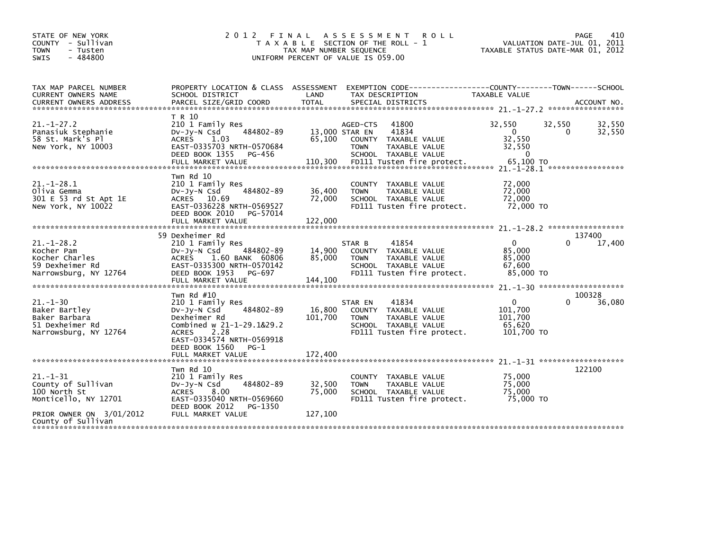| STATE OF NEW YORK<br>COUNTY - Sullivan<br><b>TOWN</b><br>- Tusten<br>$-484800$<br>SWIS                             | 2 0 1 2                                                                                                                                                                                                     | TAX MAP NUMBER SEQUENCE      | FINAL ASSESSMENT<br><b>ROLL</b><br>T A X A B L E SECTION OF THE ROLL - 1<br>UNIFORM PERCENT OF VALUE IS 059.00                 | VALUATION DATE-JUL 01,<br>TAXABLE STATUS DATE-MAR 01, 2012 | 410<br>PAGE<br>2011   |
|--------------------------------------------------------------------------------------------------------------------|-------------------------------------------------------------------------------------------------------------------------------------------------------------------------------------------------------------|------------------------------|--------------------------------------------------------------------------------------------------------------------------------|------------------------------------------------------------|-----------------------|
| TAX MAP PARCEL NUMBER<br>CURRENT OWNERS NAME                                                                       | PROPERTY LOCATION & CLASS ASSESSMENT<br>SCHOOL DISTRICT                                                                                                                                                     | LAND                         | TAX DESCRIPTION                                                                                                                | TAXABLE VALUE                                              |                       |
| $21. - 1 - 27.2$<br>Panasiuk Stephanie<br>58 St. Mark's Pl<br>New York, NY 10003<br>****************************** | T R 10<br>210 1 Family Res<br>484802-89<br>$Dv-Jy-N$ Csd<br>ACRES 1.03<br>EAST-0335703 NRTH-0570684<br>DEED BOOK 1355<br>PG-456                                                                             | 13,000 STAR EN<br>65,100     | 41800<br>AGED-CTS<br>41834<br>COUNTY TAXABLE VALUE<br><b>TOWN</b><br>TAXABLE VALUE<br>SCHOOL TAXABLE VALUE                     | 32,550<br>32,550<br>0<br>32,550<br>32,550<br>$\Omega$      | 32,550<br>32,550<br>0 |
| $21. - 1 - 28.1$<br>Oliva Gemma<br>301 E 53 rd St Apt 1E<br>New York, NY 10022                                     | Twn Rd 10<br>210 1 Family Res<br>484802-89<br>DV-Jy-N Csd<br>ACRES 10.69<br>EAST-0336228 NRTH-0569527<br>DEED BOOK 2010<br>PG-57014<br>FULL MARKET VALUE                                                    | 36,400<br>72,000<br>122,000  | TAXABLE VALUE<br><b>COUNTY</b><br>TAXABLE VALUE<br><b>TOWN</b><br>SCHOOL TAXABLE VALUE<br>FD111 Tusten fire protect.           | 72,000<br>72,000<br>72,000<br>72,000 TO                    |                       |
| $21. - 1 - 28.2$<br>Kocher Pam<br>Kocher Charles<br>59 Dexheimer Rd<br>Narrowsburg, NY 12764                       | 59 Dexheimer Rd<br>210 1 Family Res<br>484802-89<br>DV-Jy-N Csd<br><b>ACRES</b><br>1.60 BANK 60806<br>EAST-0335300 NRTH-0570142<br>DEED BOOK 1953<br>PG-697                                                 | 14,900<br>85,000             | 41854<br>STAR B<br>COUNTY TAXABLE VALUE<br>TAXABLE VALUE<br><b>TOWN</b><br>SCHOOL TAXABLE VALUE<br>FD111 Tusten fire protect.  | 0<br>85,000<br>85,000<br>67,600<br>85,000 TO               | 137400<br>17,400      |
| $21. - 1 - 30$<br>Baker Bartley<br>Baker Barbara<br>51 Dexheimer Rd<br>Narrowsburg, NY 12764                       | Twn Rd #10<br>210 1 Family Res<br>484802-89<br>DV-Jy-N Csd<br>Dexheimer Rd<br>Combined w 21-1-29.1&29.2<br>2.28<br><b>ACRES</b><br>EAST-0334574 NRTH-0569918<br>DEED BOOK 1560<br>PG-1<br>FULL MARKET VALUE | 16,800<br>101,700<br>172,400 | 41834<br>STAR EN<br>COUNTY TAXABLE VALUE<br>TAXABLE VALUE<br><b>TOWN</b><br>SCHOOL TAXABLE VALUE<br>FD111 Tusten fire protect. | $\Omega$<br>101,700<br>101,700<br>65,620<br>101,700 TO     | 100328<br>36,080<br>0 |
| **************************                                                                                         | Twn Rd 10                                                                                                                                                                                                   |                              |                                                                                                                                |                                                            | 122100                |
| $21. - 1 - 31$<br>County of Sullivan<br>100 North St<br>Monticello, NY 12701                                       | 210 1 Family Res<br>484802-89<br>DV-Jy-N Csd<br><b>ACRES</b><br>8.00<br>EAST-0335040 NRTH-0569660<br>DEED BOOK 2012<br>PG-1350                                                                              | 32,500<br>75.000             | COUNTY TAXABLE VALUE<br>TAXABLE VALUE<br><b>TOWN</b><br>SCHOOL TAXABLE VALUE<br>FD111 Tusten fire protect.                     | 75.000<br>75,000<br>75,000<br>75,000 TO                    |                       |
| PRIOR OWNER ON 3/01/2012<br>County of Sullivan                                                                     | FULL MARKET VALUE                                                                                                                                                                                           | 127,100                      |                                                                                                                                |                                                            |                       |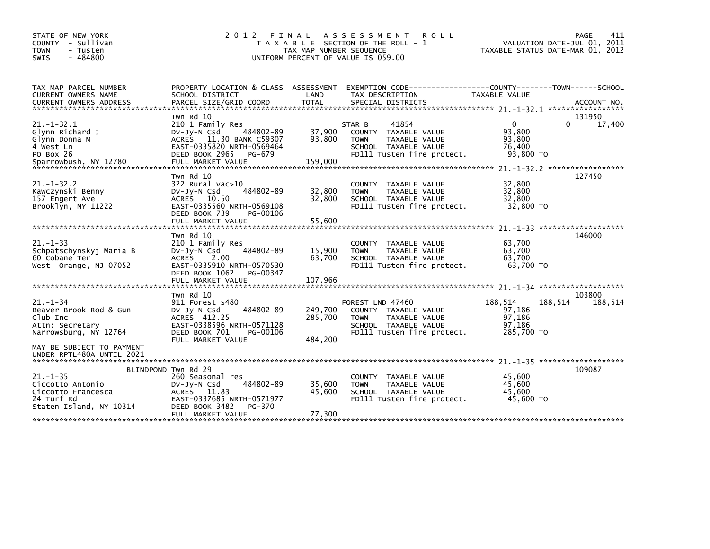| STATE OF NEW YORK<br>COUNTY - Sullivan<br><b>TOWN</b><br>- Tusten<br>$-484800$<br><b>SWIS</b>     | 2 0 1 2                                                                                                                                                            | FINAL<br>TAX MAP NUMBER SEQUENCE | A S S E S S M E N T<br><b>ROLL</b><br>T A X A B L E SECTION OF THE ROLL - 1<br>UNIFORM PERCENT OF VALUE IS 059.00                     |                                                     | 411<br>PAGE<br>VALUATION DATE-JUL 01, 2011<br>TAXABLE STATUS DATE-MAR 01, 2012 |
|---------------------------------------------------------------------------------------------------|--------------------------------------------------------------------------------------------------------------------------------------------------------------------|----------------------------------|---------------------------------------------------------------------------------------------------------------------------------------|-----------------------------------------------------|--------------------------------------------------------------------------------|
| TAX MAP PARCEL NUMBER<br>CURRENT OWNERS NAME                                                      | SCHOOL DISTRICT                                                                                                                                                    | LAND                             | PROPERTY LOCATION & CLASS ASSESSMENT EXEMPTION CODE----------------COUNTY-------TOWN------SCHOOL<br>TAX DESCRIPTION                   | TAXABLE VALUE                                       |                                                                                |
|                                                                                                   | Twn Rd 10                                                                                                                                                          |                                  |                                                                                                                                       |                                                     | 131950                                                                         |
| $21 - 1 - 32.1$<br>Glynn Richard J<br>Glynn Donna M<br>4 West Ln<br>PO Box 26                     | 210 1 Family Res<br>484802-89<br>$Dv-Jy-N$ Csd<br>ACRES 11.30 BANK C59307<br>EAST-0335820 NRTH-0569464<br>DEED BOOK 2965<br>PG-679                                 | 37,900<br>93,800                 | STAR B<br>41854<br>COUNTY TAXABLE VALUE<br><b>TOWN</b><br>TAXABLE VALUE<br>SCHOOL TAXABLE VALUE<br>FD111 Tusten fire protect.         | $\Omega$<br>93,800<br>93,800<br>76,400<br>93,800 TO | 17,400<br>0                                                                    |
| $21. - 1 - 32.2$<br>Kawczynski Benny<br>157 Engert Ave<br>Brooklyn, NY 11222                      | Twn Rd 10<br>$322$ Rural vac $>10$<br>484802-89<br>$Dv-Jv-N$ Csd<br>ACRES 10.50<br>EAST-0335560 NRTH-0569108<br>DEED BOOK 739<br>PG-00106<br>FULL MARKET VALUE     | 32,800<br>32,800<br>55,600       | TAXABLE VALUE<br>COUNTY<br>TAXABLE VALUE<br><b>TOWN</b><br>SCHOOL TAXABLE VALUE<br>FD111 Tusten fire protect.                         | 32,800<br>32,800<br>32,800<br>32,800 TO             | 127450                                                                         |
|                                                                                                   |                                                                                                                                                                    |                                  |                                                                                                                                       |                                                     |                                                                                |
| $21. - 1 - 33$<br>Schpatschynskyj Maria B<br>60 Cobane Ter<br>West Orange, NJ 07052               | Twn Rd 10<br>210 1 Family Res<br>484802-89<br>DV-Jy-N Csd<br>2.00<br><b>ACRES</b><br>EAST-0335910 NRTH-0570530<br>DEED BOOK 1062<br>PG-00347                       | 15,900<br>63,700                 | COUNTY TAXABLE VALUE<br>TAXABLE VALUE<br><b>TOWN</b><br>SCHOOL TAXABLE VALUE<br>FD111 Tusten fire protect.                            | 63,700<br>63,700<br>63,700<br>63,700 TO             | 146000                                                                         |
|                                                                                                   | FULL MARKET VALUE                                                                                                                                                  | 107,966                          |                                                                                                                                       |                                                     |                                                                                |
| $21 - 1 - 34$<br>Beaver Brook Rod & Gun<br>Club Inc<br>Attn: Secretary<br>Narrowsburg, NY 12764   | Twn Rd 10<br>911 Forest s480<br>484802-89<br>Dv-Jy-N Csd<br>ACRES 412.25<br>EAST-0338596 NRTH-0571128<br>DEED BOOK 701<br>PG-00106<br>FULL MARKET VALUE            | 249,700<br>285,700<br>484,200    | FOREST LND 47460<br>COUNTY TAXABLE VALUE<br><b>TAXABLE VALUE</b><br><b>TOWN</b><br>SCHOOL TAXABLE VALUE<br>FD111 Tusten fire protect. | 188,514<br>97,186<br>97,186<br>97,186<br>285,700 TO | 103800<br>188,514<br>188,514                                                   |
| MAY BE SUBJECT TO PAYMENT<br>UNDER RPTL480A UNTIL 2021                                            |                                                                                                                                                                    |                                  |                                                                                                                                       |                                                     |                                                                                |
| $21. - 1 - 35$<br>Ciccotto Antonio<br>Ciccotto Francesca<br>24 Turf Rd<br>Staten Island, NY 10314 | BLINDPOND Twn Rd 29<br>260 Seasonal res<br>484802-89<br>$Dv-Jy-N$ Csd<br>ACRES 11.83<br>EAST-0337685 NRTH-0571977<br>DEED BOOK 3482<br>PG-370<br>FULL MARKET VALUE | 35,600<br>45,600<br>77,300       | COUNTY<br>TAXABLE VALUE<br><b>TOWN</b><br>TAXABLE VALUE<br>SCHOOL TAXABLE VALUE<br>FD111 Tusten fire protect.                         | 45,600<br>45,600<br>45.600<br>45,600 TO             | 109087                                                                         |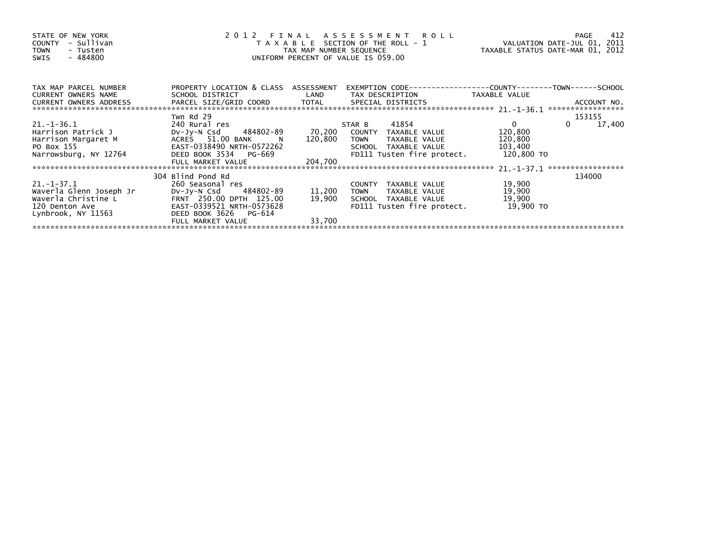| STATE OF NEW YORK<br>- Sullivan<br><b>COUNTY</b><br><b>TOWN</b><br>- Tusten<br>- 484800<br>SWIS | 2012 FINAL ASSESSMENT ROLL<br>T A X A B L E SECTION OF THE ROLL - 1<br>TAX MAP NUMBER SEQUENCE<br>UNIFORM PERCENT OF VALUE IS 059.00 |         |                              |               | 412<br>PAGE<br>VALUATION DATE-JUL 01, 2011<br>TAXABLE STATUS DATE-MAR 01, 2012 |
|-------------------------------------------------------------------------------------------------|--------------------------------------------------------------------------------------------------------------------------------------|---------|------------------------------|---------------|--------------------------------------------------------------------------------|
| TAX MAP PARCEL NUMBER                                                                           | PROPERTY LOCATION & CLASS ASSESSMENT                                                                                                 |         |                              |               |                                                                                |
| <b>CURRENT OWNERS NAME</b><br>CURRENT OWNERS ADDRESS                                            | SCHOOL DISTRICT                                                                                                                      | LAND    | TAX DESCRIPTION              | TAXABLE VALUE | ACCOUNT NO.<br>*****************                                               |
|                                                                                                 | Twn Rd 29                                                                                                                            |         |                              |               | 153155                                                                         |
| $21. - 1 - 36.1$                                                                                | 240 Rural res                                                                                                                        |         | 41854<br>STAR B              | $\mathbf{0}$  | 17,400                                                                         |
| Harrison Patrick J                                                                              | DV-JV-N Csd 484802-89                                                                                                                | 70,200  | COUNTY TAXABLE VALUE         | 120,800       |                                                                                |
| Harrison Margaret M                                                                             | ACRES 51.00 BANK<br>$\overline{N}$                                                                                                   | 120,800 | <b>TOWN</b><br>TAXABLE VALUE | 120,800       |                                                                                |
| PO Box 155                                                                                      | EAST-0338490 NRTH-0572262                                                                                                            |         | SCHOOL TAXABLE VALUE         | 103,400       |                                                                                |
| Narrowsburg, NY 12764                                                                           | DEED BOOK 3534 PG-669                                                                                                                |         | FD111 Tusten fire protect.   | 120,800 TO    |                                                                                |
|                                                                                                 | FULL MARKET VALUE                                                                                                                    | 204,700 |                              |               |                                                                                |
|                                                                                                 |                                                                                                                                      |         |                              |               | ******************                                                             |
|                                                                                                 | 304 Blind Pond Rd                                                                                                                    |         |                              |               | 134000                                                                         |
| 21.-1-37.1                                                                                      | 260 Seasonal res                                                                                                                     |         | COUNTY TAXABLE VALUE         | 19,900        |                                                                                |
| Waverla Glenn Joseph Jr                                                                         | DV-Jy-N Csd 484802-89                                                                                                                | 11,200  | TAXABLE VALUE<br>TOWN        | 19,900        |                                                                                |
| Waverla Christine L                                                                             | FRNT 250.00 DPTH 125.00                                                                                                              | 19,900  | SCHOOL TAXABLE VALUE         | 19,900        |                                                                                |
| 120 Denton Ave                                                                                  | EAST-0339521 NRTH-0573628                                                                                                            |         | FD111 Tusten fire protect.   | 19,900 TO     |                                                                                |
| Lynbrook, NY 11563                                                                              | DEED BOOK 3626<br>PG-614                                                                                                             |         |                              |               |                                                                                |
|                                                                                                 | FULL MARKET VALUE                                                                                                                    | 33,700  |                              |               |                                                                                |
|                                                                                                 |                                                                                                                                      |         |                              |               |                                                                                |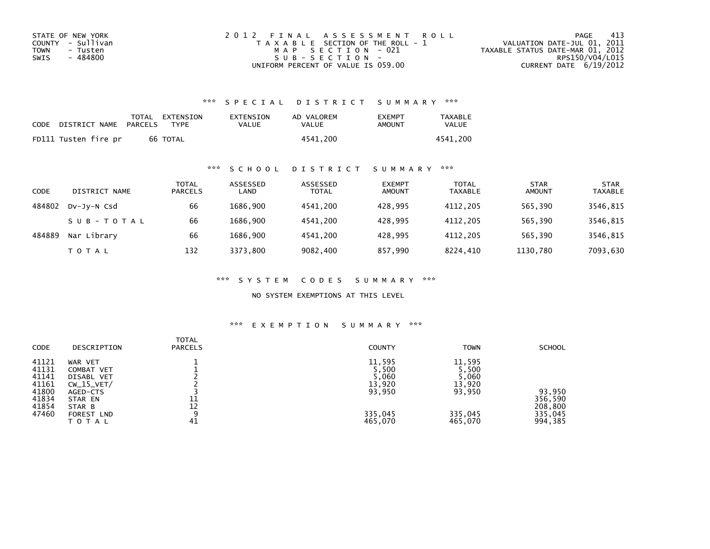| STATE OF NEW YORK | 2012 FINAL ASSESSMENT ROLL            | -413<br>PAGE                     |
|-------------------|---------------------------------------|----------------------------------|
| COUNTY - Sullivan | T A X A B L E SECTION OF THE ROLL - 1 | VALUATION DATE-JUL 01, 2011      |
| TOWN<br>- Tusten  | MAP SECTION - 021                     | TAXABLE STATUS DATE-MAR 01, 2012 |
| - 484800<br>SWIS  | SUB-SECTION-                          | RPS150/V04/L015                  |
|                   | UNIFORM PERCENT OF VALUE IS 059.00    | CURRENT DATE $6/19/2012$         |

### \*\*\* S P E C I A L D I S T R I C T S U M M A R Y \*\*\*

| CODE | DISTRICT NAME        | PARCELS | TOTAL EXTENSION<br><b>TYPF</b> | EXTENSION<br>VALUE | AD VALOREM<br>VALUE | <b>EXEMPT</b><br>AMOUNT | <b>TAXABLE</b><br>VALUE |
|------|----------------------|---------|--------------------------------|--------------------|---------------------|-------------------------|-------------------------|
|      | FD111 Tusten fire pr |         | 66 TOTAL                       |                    | 4541.200            |                         | 4541.200                |

### \*\*\* S C H O O L D I S T R I C T S U M M A R Y \*\*\*

| CODE   | DISTRICT NAME | <b>TOTAL</b><br><b>PARCELS</b> | ASSESSED<br>LAND | ASSESSED<br><b>TOTAL</b> | <b>EXEMPT</b><br><b>AMOUNT</b> | <b>TOTAL</b><br><b>TAXABLE</b> | <b>STAR</b><br><b>AMOUNT</b> | <b>STAR</b><br><b>TAXABLE</b> |
|--------|---------------|--------------------------------|------------------|--------------------------|--------------------------------|--------------------------------|------------------------------|-------------------------------|
| 484802 | DV-JV-N Csd   | 66                             | 1686.900         | 4541.200                 | 428.995                        | 4112.205                       | 565,390                      | 3546,815                      |
|        | SUB-TOTAL     | 66                             | 1686.900         | 4541.200                 | 428.995                        | 4112,205                       | 565,390                      | 3546,815                      |
| 484889 | Nar Library   | 66                             | 1686.900         | 4541.200                 | 428,995                        | 4112.205                       | 565,390                      | 3546,815                      |
|        | <b>TOTAL</b>  | 132                            | 3373.800         | 9082,400                 | 857,990                        | 8224,410                       | 1130,780                     | 7093,630                      |

\*\*\* S Y S T E M C O D E S S U M M A R Y \*\*\*

NO SYSTEM EXEMPTIONS AT THIS LEVEL

## \*\*\* E X E M P T I O N S U M M A R Y \*\*\*

| <b>CODE</b>                                        | DESCRIPTION                                                                       | TOTAL<br><b>PARCELS</b> | <b>COUNTY</b>                                | <b>TOWN</b>                                  | <b>SCHOOL</b>                 |
|----------------------------------------------------|-----------------------------------------------------------------------------------|-------------------------|----------------------------------------------|----------------------------------------------|-------------------------------|
| 41121<br>41131<br>41141<br>41161<br>41800<br>41834 | WAR VET<br>COMBAT VET<br><b>DISABL VET</b><br>$CW_15_VET/$<br>AGED-CTS<br>STAR EN | 11                      | 11,595<br>5,500<br>5,060<br>13,920<br>93,950 | 11,595<br>5,500<br>5,060<br>13,920<br>93,950 | 93,950<br>356,590             |
| 41854<br>47460                                     | STAR B<br>FOREST LND<br>TOTAL                                                     | 12<br>a<br>41           | 335,045<br>465,070                           | 335,045<br>465,070                           | 208,800<br>335,045<br>994,385 |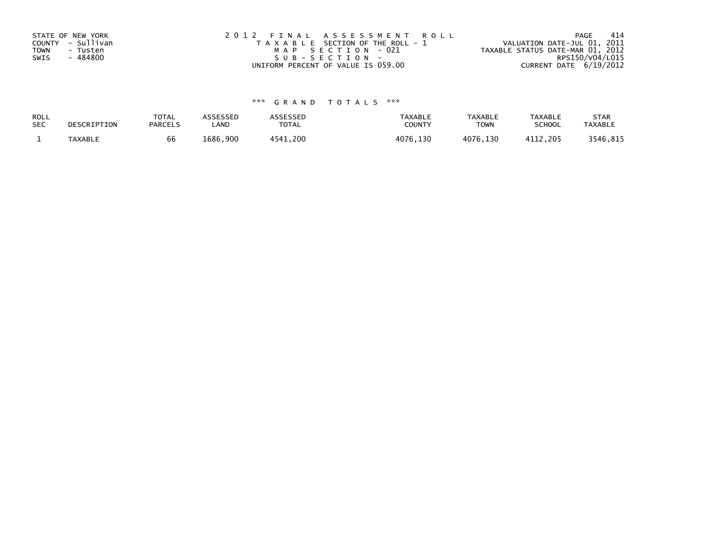| STATE OF NEW YORK<br>COUNTY - Sullivan<br><b>TOWN</b><br>- Tusten<br>- 484800<br>SWIS | 2012 FINAL ASSESSMENT ROLL<br>T A X A B L E SECTION OF THE ROLL - 1<br>MAP SECTION - 021<br>SUB-SECTION- | -414<br>PAGE<br>VALUATION DATE-JUL 01, 2011<br>TAXABLE STATUS DATE-MAR 01, 2012<br>RPS150/V04/L015 |
|---------------------------------------------------------------------------------------|----------------------------------------------------------------------------------------------------------|----------------------------------------------------------------------------------------------------|
|                                                                                       | UNIFORM PERCENT OF VALUE IS 059.00                                                                       | CURRENT DATE 6/19/2012                                                                             |

# \*\*\* G R A N D T O T A L S \*\*\*

| ROLL       | DESCRIPTION    | <b>TOTAL</b>   | <b>ASSESSED</b> | ASSESSED | <b>TAXABLE</b> | <b>TAXABLE</b> | <b>TAXABLE</b> | <b>STAR</b>    |
|------------|----------------|----------------|-----------------|----------|----------------|----------------|----------------|----------------|
| <b>SEC</b> |                | <b>PARCELS</b> | _AND            | TOTAL    | <b>COUNTY</b>  | <b>TOWN</b>    | <b>SCHOOL</b>  | <b>TAXABLE</b> |
|            | <b>TAXABLE</b> | bb             | 1686,900        | 4541.200 | 4076,130       | 4076,130       | 4112.205       | 3546,815       |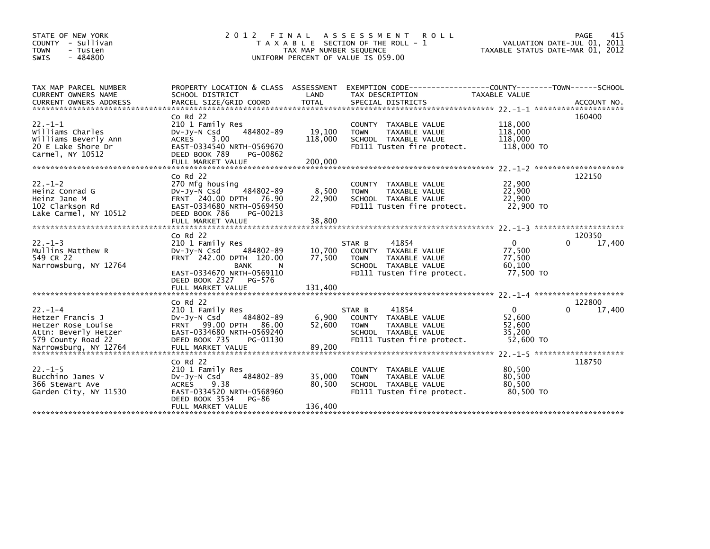| STATE OF NEW YORK<br>COUNTY - Sullivan<br><b>TOWN</b><br>- Tusten<br>$-484800$<br>SWIS                                                                              | 2 0 1 2<br>FINAL                                                                                                                                                    | TAX MAP NUMBER SEQUENCE     | ASSESSMENT ROLL<br>T A X A B L E SECTION OF THE ROLL - 1<br>UNIFORM PERCENT OF VALUE IS 059.00                                | VALUATION DATE-JUL 01, 2011<br>TAXABLE STATUS DATE-MAR 01, 2012 | 415<br>PAGE           |
|---------------------------------------------------------------------------------------------------------------------------------------------------------------------|---------------------------------------------------------------------------------------------------------------------------------------------------------------------|-----------------------------|-------------------------------------------------------------------------------------------------------------------------------|-----------------------------------------------------------------|-----------------------|
| TAX MAP PARCEL NUMBER<br>CURRENT OWNERS NAME<br>CURRENT OWNERS ADDRESS PARCEL SIZE/GRID COORD TOTAL SPECIAL DISTRICTS (2011-19) ACCOUNT NO ACCOUNT NO ANNO 1997-1-1 | SCHOOL DISTRICT                                                                                                                                                     | LAND                        | PROPERTY LOCATION & CLASS ASSESSMENT EXEMPTION CODE-----------------COUNTY-------TOWN------SCHOOL<br>TAX DESCRIPTION          | TAXABLE VALUE                                                   |                       |
| $22. -1 - 1$<br>Williams Charles<br>Williams Beverly Ann<br>20 E Lake Shore Dr<br>Carmel, NY 10512                                                                  | $Co$ Rd $22$<br>210 1 Family Res<br>484802-89<br>DV-Jy-N Csd<br>ACRES 3.00<br>EAST-0334540 NRTH-0569670<br>DEED BOOK 789<br>PG-00862                                | 19,100<br>118,000           | COUNTY TAXABLE VALUE<br>TAXABLE VALUE<br><b>TOWN</b><br>SCHOOL TAXABLE VALUE<br>FD111 Tusten fire protect.                    | 118,000<br>118,000<br>118,000<br>118,000 TO                     | 160400                |
| $22. - 1 - 2$<br>Heinz Conrad G<br>Heinz Jane M<br>102 Clarkson Rd<br>Lake Carmel, NY 10512                                                                         | $Co$ Rd $22$<br>270 Mfg housing<br>484802-89<br>DV-Jy-N Csd<br>FRNT 240.00 DPTH 76.90<br>EAST-0334680 NRTH-0569450<br>DEED BOOK 786<br>PG-00213                     | 8,500<br>22,900             | COUNTY TAXABLE VALUE<br><b>TOWN</b><br>TAXABLE VALUE<br>SCHOOL TAXABLE VALUE<br>FD111 Tusten fire protect.                    | 22,900<br>22,900<br>22,900<br>22,900 TO                         | 122150                |
|                                                                                                                                                                     | FULL MARKET VALUE                                                                                                                                                   | 38,800                      |                                                                                                                               |                                                                 |                       |
| $22. - 1 - 3$<br>Mullins Matthew R<br>549 CR 22<br>Narrowsburg, NY 12764                                                                                            | $Co$ Rd $22$<br>210 1 Family Res<br>Dv-Jy-N Csd<br>484802-89<br>FRNT 242.00 DPTH 120.00<br>BANK<br>N<br>EAST-0334670 NRTH-0569110<br>DEED BOOK 2327 PG-576          | 10,700<br>77,500            | 41854<br>STAR B<br>COUNTY TAXABLE VALUE<br><b>TOWN</b><br>TAXABLE VALUE<br>SCHOOL TAXABLE VALUE<br>FD111 Tusten fire protect. | $\Omega$<br>77,500<br>77,500<br>60,100<br>77,500 TO             | 120350<br>17,400<br>0 |
|                                                                                                                                                                     | $Co$ Rd $22$                                                                                                                                                        |                             |                                                                                                                               |                                                                 | 122800                |
| $22. - 1 - 4$<br>Hetzer Francis J<br>Hetzer Rose Louise<br>Attn: Beverly Hetzer<br>579 County Road 22                                                               | 210 1 Family Res<br>484802-89<br>DV-Jy-N Csd<br>FRNT 99.00 DPTH 86.00<br>EAST-0334680 NRTH-0569240<br>DEED BOOK 735<br>PG-01130                                     | 6,900<br>52,600             | 41854<br>STAR B<br>COUNTY TAXABLE VALUE<br>TAXABLE VALUE<br><b>TOWN</b><br>SCHOOL TAXABLE VALUE<br>FD111 Tusten fire protect. | $\mathbf{0}$<br>52,600<br>52,600<br>35,200<br>52,600 TO         | 17,400                |
|                                                                                                                                                                     |                                                                                                                                                                     |                             |                                                                                                                               |                                                                 |                       |
| $22. -1 - 5$<br>Bucchino James V<br>366 Stewart Ave<br>Garden City, NY 11530                                                                                        | $Co$ Rd $22$<br>210 1 Family Res<br>484802-89<br>$Dv-Jy-N$ Csd<br><b>ACRES</b><br>9.38<br>EAST-0334520 NRTH-0568960<br>DEED BOOK 3534<br>PG-86<br>FULL MARKET VALUE | 35,000<br>80,500<br>136,400 | <b>COUNTY</b><br>TAXABLE VALUE<br><b>TOWN</b><br>TAXABLE VALUE<br>SCHOOL TAXABLE VALUE<br>FD111 Tusten fire protect.          | 80,500<br>80,500<br>80,500<br>80,500 TO                         | 118750                |
|                                                                                                                                                                     |                                                                                                                                                                     |                             |                                                                                                                               |                                                                 |                       |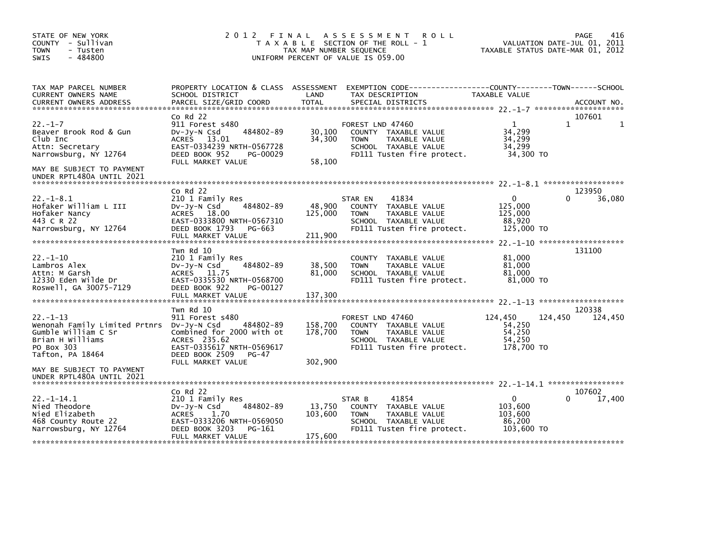| STATE OF NEW YORK<br>COUNTY - Sullivan<br><b>TOWN</b><br>- Tusten<br>$-484800$<br>SWIS                                                                               | 2012<br>FINAL ASSESSMENT<br>T A X A B L E SECTION OF THE ROLL - 1<br>TAX MAP NUMBER SEQUENCE<br>UNIFORM PERCENT OF VALUE IS 059.00                                    | 416<br>PAGE<br>VALUATION DATE-JUL 01, 2011<br>TAXABLE STATUS DATE-MAR 01, 2012 |                                                                                                                                |                                                            |                              |
|----------------------------------------------------------------------------------------------------------------------------------------------------------------------|-----------------------------------------------------------------------------------------------------------------------------------------------------------------------|--------------------------------------------------------------------------------|--------------------------------------------------------------------------------------------------------------------------------|------------------------------------------------------------|------------------------------|
| TAX MAP PARCEL NUMBER<br>CURRENT OWNERS NAME<br><b>CURRENT OWNERS ADDRESS</b>                                                                                        | PROPERTY LOCATION & CLASS ASSESSMENT<br>SCHOOL DISTRICT<br>PARCEL SIZE/GRID COORD                                                                                     | LAND<br><b>TOTAL</b>                                                           | EXEMPTION        CODE------------------COUNTY-------TOWN------SCHOOL<br>TAX DESCRIPTION<br>SPECIAL DISTRICTS                   | TAXABLE VALUE                                              | ACCOUNT NO.                  |
| $22. - 1 - 7$<br>Beaver Brook Rod & Gun<br>Club Inc<br>Attn: Secretary<br>Narrowsburg, NY 12764<br>MAY BE SUBJECT TO PAYMENT<br>UNDER RPTL480A UNTIL 2021            | $Co$ Rd $22$<br>911 Forest s480<br>484802-89<br>DV-Jy-N Csd<br>ACRES 13.01<br>EAST-0334239 NRTH-0567728<br>DEED BOOK 952<br>PG-00029<br>FULL MARKET VALUE             | 30,100<br>34,300<br>58,100                                                     | FOREST LND 47460<br>COUNTY TAXABLE VALUE<br><b>TOWN</b><br>TAXABLE VALUE<br>SCHOOL TAXABLE VALUE<br>FD111 Tusten fire protect. | 1<br>34,299<br>34,299<br>34,299<br>34,300 TO               | 107601<br>1                  |
| $22. -1 - 8.1$<br>Hofaker William L III<br>Hofaker Nancy<br>443 C R 22<br>Narrowsburg, NY 12764                                                                      | $Co$ Rd $22$<br>210 1 Family Res<br>484802-89<br>DV-Jy-N Csd<br>ACRES 18.00<br>EAST-0333800 NRTH-0567310<br>DEED BOOK 1793 PG-663<br>FULL MARKET VALUE                | 48,900<br>125,000<br>211,900                                                   | 41834<br>STAR EN<br>COUNTY TAXABLE VALUE<br>TAXABLE VALUE<br><b>TOWN</b><br>SCHOOL TAXABLE VALUE<br>FD111 Tusten fire protect. | $\Omega$<br>125,000<br>125,000<br>88,920<br>125,000 TO     | 123950<br>36,080             |
| $22. - 1 - 10$<br>Lambros Alex<br>Attn: M Garsh<br>12330 Eden Wilde Dr<br>Roswell, GA 30075-7129                                                                     | Twn Rd 10<br>210 1 Family Res<br>484802-89<br>$Dv-Jy-N$ Csd<br>ACRES 11.75<br>EAST-0335530 NRTH-0568700<br>DEED BOOK 922<br>PG-00127<br>FULL MARKET VALUE             | 38,500<br>81,000<br>137,300                                                    | COUNTY TAXABLE VALUE<br>TAXABLE VALUE<br><b>TOWN</b><br>SCHOOL TAXABLE VALUE<br>FD111 Tusten fire protect.                     | 81,000<br>81,000<br>81,000<br>81,000 TO                    | 131100                       |
| $22 - 1 - 13$<br>Wenonah Family Limited Prtnrs DV-Jy-N Csd<br>Gumble William C Sr<br>Brian H Williams<br>PO Box 303<br>Tafton, PA 18464<br>MAY BE SUBJECT TO PAYMENT | Twn Rd 10<br>911 Forest s480<br>484802-89<br>Combined for 2000 with ot<br>ACRES 235.62<br>EAST-0335617 NRTH-0569617<br>DEED BOOK 2509<br>$PG-47$<br>FULL MARKET VALUE | 158,700<br>178,700<br>302,900                                                  | FOREST LND 47460<br>COUNTY TAXABLE VALUE<br>TAXABLE VALUE<br><b>TOWN</b><br>SCHOOL TAXABLE VALUE<br>FD111 Tusten fire protect. | 124,450<br>54,250<br>54,250<br>54,250<br>178,700 TO        | 120338<br>124,450<br>124,450 |
| UNDER RPTL480A UNTIL 2021<br>$22. -1 - 14.1$<br>Nied Theodore<br>Nied Elizabeth<br>468 County Route 22<br>Narrowsburg, NY 12764                                      | $Co$ Rd $22$<br>210 1 Family Res<br>484802-89<br>DV-JY-N Csd<br>ACRES<br>1.70<br>EAST-0333206 NRTH-0569050<br>DEED BOOK 3203<br>PG-161<br>FULL MARKET VALUE           | 13,750<br>103,600<br>175,600                                                   | 41854<br>STAR B<br>COUNTY TAXABLE VALUE<br>TAXABLE VALUE<br><b>TOWN</b><br>SCHOOL TAXABLE VALUE<br>FD111 Tusten fire protect.  | $\mathbf{0}$<br>103,600<br>103,600<br>86,200<br>103,600 TO | 107602<br>17,400<br>0        |
|                                                                                                                                                                      |                                                                                                                                                                       |                                                                                |                                                                                                                                |                                                            |                              |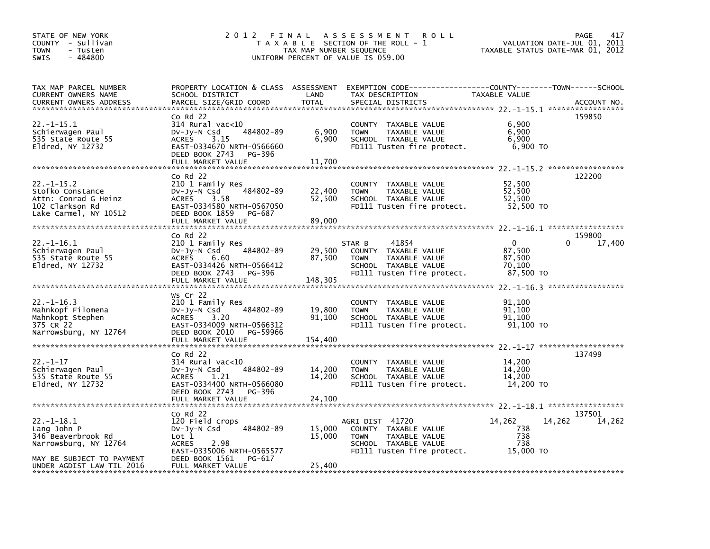| STATE OF NEW YORK<br>COUNTY - Sullivan<br>- Tusten<br><b>TOWN</b><br>$-484800$<br>SWIS                                                  | 2012 FINAL                                                                                                                                                                   | TAX MAP NUMBER SEQUENCE     | A S S E S S M E N T<br>R O L L<br>T A X A B L E SECTION OF THE ROLL - 1<br>UNIFORM PERCENT OF VALUE IS 059.00                 | TAXABLE STATUS DATE-MAR 01, 2012                        | 417<br><b>PAGE</b><br>VALUATION DATE-JUL 01, 2011 |
|-----------------------------------------------------------------------------------------------------------------------------------------|------------------------------------------------------------------------------------------------------------------------------------------------------------------------------|-----------------------------|-------------------------------------------------------------------------------------------------------------------------------|---------------------------------------------------------|---------------------------------------------------|
| TAX MAP PARCEL NUMBER<br>CURRENT OWNERS NAME<br>CURRENT OWNERS ADDRESS                                                                  | PROPERTY LOCATION & CLASS ASSESSMENT<br>SCHOOL DISTRICT<br>PARCEL SIZE/GRID COORD                                                                                            | LAND<br><b>TOTAL</b>        | EXEMPTION        CODE-----------------COUNTY-------TOWN------SCHOOL<br>TAX DESCRIPTION<br>SPECIAL DISTRICTS                   | TAXABLE VALUE                                           | ACCOUNT NO.                                       |
| 22.-1-15.1<br>Schierwagen Paul<br>535 State Route 55<br>Eldred, NY 12732                                                                | Co Rd 22<br>314 Rural vac<10<br>484802-89<br>$Dv-Jy-N$ Csd<br>3.15<br><b>ACRES</b><br>EAST-0334670 NRTH-0566660<br>DEED BOOK 2743<br>PG-396<br>FULL MARKET VALUE             | 6,900<br>6,900<br>11,700    | COUNTY TAXABLE VALUE<br>TAXABLE VALUE<br><b>TOWN</b><br>SCHOOL TAXABLE VALUE<br>FD111 Tusten fire protect.                    | 6,900<br>6,900<br>6,900<br>6,900 TO                     | 159850                                            |
|                                                                                                                                         | Co Rd 22                                                                                                                                                                     |                             |                                                                                                                               |                                                         | 122200                                            |
| $22 - 1 - 15.2$<br>Stofko Constance<br>Attn: Conrad G Heinz<br>102 Clarkson Rd<br>Lake Carmel, NY 10512                                 | 210 1 Family Res<br>484802-89<br>$Dv-Jy-N$ Csd<br><b>ACRES</b><br>3.58<br>EAST-0334580 NRTH-0567050<br>DEED BOOK 1859<br>PG-687<br>FULL MARKET VALUE                         | 22,400<br>52,500<br>89,000  | COUNTY TAXABLE VALUE<br>TAXABLE VALUE<br><b>TOWN</b><br>SCHOOL TAXABLE VALUE<br>FD111 Tusten fire protect.                    | 52,500<br>52,500<br>52,500<br>52,500 TO                 |                                                   |
|                                                                                                                                         | $CO$ Rd $22$                                                                                                                                                                 |                             |                                                                                                                               |                                                         | 159800                                            |
| 22.-1-16.1<br>Schierwagen Paul<br>535 State Route 55<br>Eldred, NY 12732                                                                | 210 1 Family Res<br>484802-89<br>$Dv-Jy-N$ Csd<br><b>ACRES</b><br>6.60<br>EAST-0334426 NRTH-0566412<br>DEED BOOK 2743<br>PG-396<br>FULL MARKET VALUE                         | 29,500<br>87,500<br>148,305 | 41854<br>STAR B<br>COUNTY TAXABLE VALUE<br>TAXABLE VALUE<br><b>TOWN</b><br>SCHOOL TAXABLE VALUE<br>FD111 Tusten fire protect. | $\mathbf{0}$<br>87,500<br>87,500<br>70.100<br>87,500 TO | 0<br>17,400                                       |
| $22. - 1 - 16.3$<br>Mahnkopf Filomena<br>Mahnkopt Stephen<br>375 CR 22<br>Narrowsburg, NY 12764                                         | Ws Cr 22<br>210 1 Family Res<br>484802-89<br>$Dv-Jy-N$ Csd<br><b>ACRES</b><br>3.20<br>EAST-0334009 NRTH-0566312<br>DEED BOOK 2010<br>PG-59966                                | 19,800<br>91.100            | COUNTY TAXABLE VALUE<br><b>TOWN</b><br>TAXABLE VALUE<br>SCHOOL TAXABLE VALUE<br>FD111 Tusten fire protect.                    | 91,100<br>91,100<br>91.100<br>91,100 TO                 |                                                   |
|                                                                                                                                         | FULL MARKET VALUE                                                                                                                                                            | 154,400                     |                                                                                                                               |                                                         |                                                   |
|                                                                                                                                         | $co$ Rd 22                                                                                                                                                                   |                             |                                                                                                                               |                                                         | 137499                                            |
| 22.-1-17<br>Schierwagen Paul<br>535 State Route 55<br>Eldred, NY 12732                                                                  | 314 Rural vac<10<br>484802-89<br>DV-Jy-N Csd<br><b>ACRES</b><br>1.21<br>EAST-0334400 NRTH-0566080<br>DEED BOOK 2743<br>PG-396                                                | 14,200<br>14,200            | COUNTY TAXABLE VALUE<br>TAXABLE VALUE<br><b>TOWN</b><br>SCHOOL TAXABLE VALUE<br>FD111 Tusten fire protect.                    | 14,200<br>14,200<br>14.200<br>14,200 TO                 |                                                   |
|                                                                                                                                         | FULL MARKET VALUE                                                                                                                                                            | 24,100                      |                                                                                                                               |                                                         |                                                   |
| $22. -1 - 18.1$<br>Lang John P<br>346 Beaverbrook Rd<br>Narrowsburg, NY 12764<br>MAY BE SUBJECT TO PAYMENT<br>UNDER AGDIST LAW TIL 2016 | $Co$ Rd $22$<br>120 Field crops<br>484802-89<br>$Dv-Jy-N$ Csd<br>Lot 1<br><b>ACRES</b><br>2.98<br>EAST-0335006 NRTH-0565577<br>DEED BOOK 1561<br>PG-617<br>FULL MARKET VALUE | 15,000<br>15,000<br>25.400  | AGRI DIST 41720<br>COUNTY TAXABLE VALUE<br><b>TOWN</b><br>TAXABLE VALUE<br>SCHOOL TAXABLE VALUE<br>FD111 Tusten fire protect. | 14,262<br>738<br>738<br>738<br>15,000 TO                | 137501<br>14,262<br>14,262                        |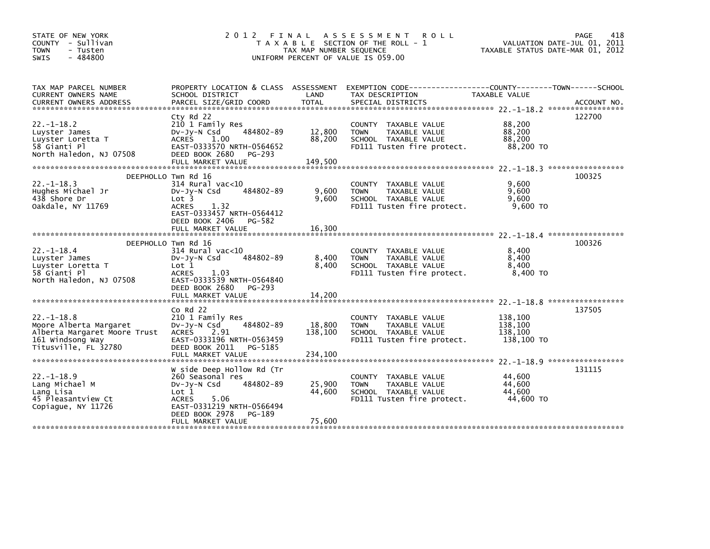| STATE OF NEW YORK            | 2 0 1 2<br>FINAL                     |                         | A S S E S S M E N T<br><b>ROLL</b>    |                                  | PAGE<br>418                 |
|------------------------------|--------------------------------------|-------------------------|---------------------------------------|----------------------------------|-----------------------------|
| COUNTY - Sullivan            |                                      |                         | T A X A B L E SECTION OF THE ROLL - 1 |                                  | VALUATION DATE-JUL 01, 2011 |
| <b>TOWN</b><br>- Tusten      |                                      | TAX MAP NUMBER SEQUENCE |                                       | TAXABLE STATUS DATE-MAR 01, 2012 |                             |
| $-484800$<br><b>SWIS</b>     |                                      |                         | UNIFORM PERCENT OF VALUE IS 059.00    |                                  |                             |
|                              |                                      |                         |                                       |                                  |                             |
|                              |                                      |                         |                                       |                                  |                             |
| TAX MAP PARCEL NUMBER        | PROPERTY LOCATION & CLASS ASSESSMENT |                         |                                       |                                  |                             |
| CURRENT OWNERS NAME          | SCHOOL DISTRICT                      | LAND                    | TAX DESCRIPTION                       | TAXABLE VALUE                    |                             |
|                              |                                      |                         |                                       |                                  |                             |
|                              |                                      |                         |                                       |                                  |                             |
|                              | Cty Rd 22                            |                         |                                       |                                  | 122700                      |
| $22. - 1 - 18.2$             | 210 1 Family Res                     |                         | <b>COUNTY</b><br>TAXABLE VALUE        | 88,200                           |                             |
| Luyster James                | 484802-89<br>$Dv-Jy-N$ Csd           | 12,800                  | TAXABLE VALUE<br><b>TOWN</b>          | 88,200                           |                             |
| Luyster Loretta T            | <b>ACRES</b><br>1.00                 | 88,200                  | SCHOOL TAXABLE VALUE                  | 88,200                           |                             |
| 58 Gianti Pl                 | EAST-0333570 NRTH-0564652            |                         | FD111 Tusten fire protect.            | 88,200 TO                        |                             |
| North Haledon, NJ 07508      | DEED BOOK 2680<br>PG-293             |                         |                                       |                                  |                             |
|                              | FULL MARKET VALUE                    | 149,500                 |                                       |                                  |                             |
|                              |                                      |                         |                                       |                                  |                             |
|                              | DEEPHOLLO Twn Rd 16                  |                         |                                       |                                  | 100325                      |
| $22. -1 - 18.3$              | 314 Rural vac<10                     |                         | COUNTY TAXABLE VALUE                  | 9,600                            |                             |
| Hughes Michael Jr            | 484802-89<br>$Dv-Jv-N$ Csd           | 9,600                   | <b>TOWN</b><br>TAXABLE VALUE          | 9,600                            |                             |
| 438 Shore Dr                 | Lot 3                                | 9,600                   | SCHOOL TAXABLE VALUE                  | 9,600                            |                             |
| Oakdale, NY 11769            | <b>ACRES</b><br>1.32                 |                         | FD111 Tusten fire protect.            | $9,600$ TO                       |                             |
|                              | EAST-0333457 NRTH-0564412            |                         |                                       |                                  |                             |
|                              | DEED BOOK 2406<br>PG-582             |                         |                                       |                                  |                             |
|                              | FULL MARKET VALUE                    | 16,300                  |                                       |                                  |                             |
|                              |                                      |                         |                                       |                                  |                             |
|                              | DEEPHOLLO Twn Rd 16                  |                         |                                       |                                  | 100326                      |
| $22. - 1 - 18.4$             | 314 Rural vac<10                     |                         | <b>COUNTY</b><br>TAXABLE VALUE        | 8,400                            |                             |
| Luyster James                | 484802-89<br>$Dv-Jv-N$ Csd           | 8,400                   | <b>TOWN</b><br>TAXABLE VALUE          | 8,400                            |                             |
| Luyster Loretta T            | Lot 1                                | 8,400                   | SCHOOL TAXABLE VALUE                  | 8,400                            |                             |
| 58 Gianti Pl                 | 1.03<br><b>ACRES</b>                 |                         | FD111 Tusten fire protect.            | 8,400 TO                         |                             |
| North Haledon, NJ 07508      | EAST-0333539 NRTH-0564840            |                         |                                       |                                  |                             |
|                              | DEED BOOK 2680<br>PG-293             |                         |                                       |                                  |                             |
|                              |                                      |                         |                                       |                                  |                             |
|                              |                                      |                         |                                       |                                  |                             |
|                              | $co$ Rd 22                           |                         |                                       |                                  | 137505                      |
| $22 - 1 - 18.8$              | 210 1 Family Res                     |                         | COUNTY TAXABLE VALUE                  | 138,100                          |                             |
| Moore Alberta Margaret       | $Dv-Jv-N$ Csd<br>484802-89           | 18,800                  | TAXABLE VALUE<br><b>TOWN</b>          | 138,100                          |                             |
| Alberta Margaret Moore Trust | <b>ACRES</b><br>2.91                 | 138,100                 | SCHOOL TAXABLE VALUE                  | 138,100                          |                             |
| 161 Windsong Way             | EAST-0333196 NRTH-0563459            |                         | FD111 Tusten fire protect.            | 138,100 TO                       |                             |
| Titusville, FL 32780         | DEED BOOK 2011<br>PG-5185            |                         |                                       |                                  |                             |
|                              | FULL MARKET VALUE                    | 234,100                 |                                       |                                  |                             |
|                              |                                      |                         |                                       | 22. -1-18.9 ******************   |                             |
|                              | W side Deep Hollow Rd (Tr            |                         |                                       |                                  | 131115                      |
| $22 - 1 - 18.9$              | 260 Seasonal res                     |                         | TAXABLE VALUE<br><b>COUNTY</b>        | 44,600                           |                             |
| Lang Michael M               | 484802-89<br>$Dv-Jy-N$ Csd           | 25,900                  | TAXABLE VALUE<br><b>TOWN</b>          | 44,600                           |                             |
|                              |                                      |                         |                                       |                                  |                             |
| Lang Lisa                    | Lot 1                                | 44,600                  | SCHOOL TAXABLE VALUE                  | 44.600                           |                             |
| 45 Pleasantview Ct           | 5.06<br><b>ACRES</b>                 |                         | FD111 Tusten fire protect.            | 44,600 TO                        |                             |
| Copiague, NY 11726           | EAST-0331219 NRTH-0566494            |                         |                                       |                                  |                             |
|                              | DEED BOOK 2978<br>PG-189             |                         |                                       |                                  |                             |
|                              | FULL MARKET VALUE                    | 75,600                  |                                       |                                  |                             |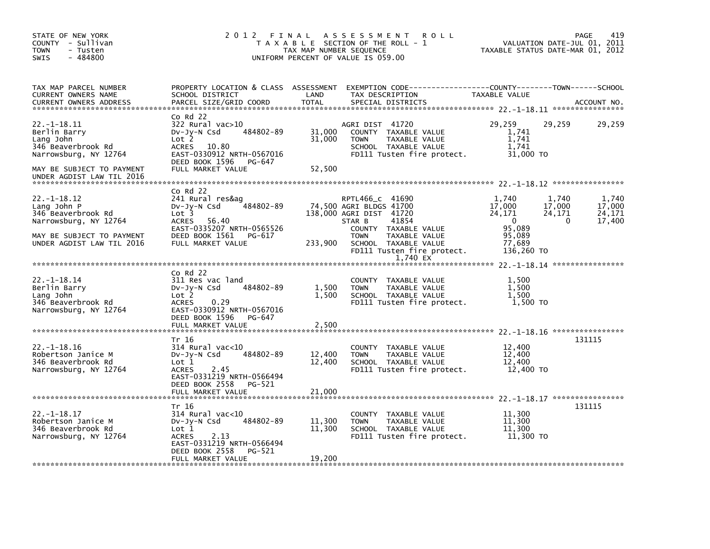| STATE OF NEW YORK<br>COUNTY - Sullivan<br><b>TOWN</b><br>- Tusten<br>$-484800$<br><b>SWIS</b>                                                      | 2012 FINAL                                                                                                                                                                         | TAX MAP NUMBER SEQUENCE    | <b>ROLL</b><br>A S S E S S M E N T<br>T A X A B L E SECTION OF THE ROLL - 1<br>UNIFORM PERCENT OF VALUE IS 059.00                                                        |                                                                                    | 419<br>PAGE<br>VALUATION DATE-JUL 01, 2011<br>TAXABLE STATUS DATE-MAR 01, 2012 |
|----------------------------------------------------------------------------------------------------------------------------------------------------|------------------------------------------------------------------------------------------------------------------------------------------------------------------------------------|----------------------------|--------------------------------------------------------------------------------------------------------------------------------------------------------------------------|------------------------------------------------------------------------------------|--------------------------------------------------------------------------------|
| TAX MAP PARCEL NUMBER<br>CURRENT OWNERS NAME<br><b>CURRENT OWNERS ADDRESS</b>                                                                      | PROPERTY LOCATION & CLASS ASSESSMENT<br>SCHOOL DISTRICT<br>PARCEL SIZE/GRID COORD                                                                                                  | LAND<br><b>TOTAL</b>       | EXEMPTION CODE-----------------COUNTY-------TOWN------SCHOOL<br>TAX DESCRIPTION<br>SPECIAL DISTRICTS                                                                     | TAXABLE VALUE                                                                      | ACCOUNT NO.                                                                    |
| 22. -1-18.11<br>Berlin Barry<br>Lang John<br>346 Beaverbrook Rd<br>Narrowsburg, NY 12764<br>MAY BE SUBJECT TO PAYMENT<br>UNDER AGDIST LAW TIL 2016 | $Co$ Rd $22$<br>322 Rural vac>10<br>484802-89<br>$Dv-Jy-N$ Csd<br>Lot 2<br><b>ACRES</b><br>10.80<br>EAST-0330912 NRTH-0567016<br>DEED BOOK 1596<br>PG-647<br>FULL MARKET VALUE     | 31,000<br>31,000<br>52,500 | AGRI DIST 41720<br>COUNTY TAXABLE VALUE<br><b>TOWN</b><br>TAXABLE VALUE<br>SCHOOL TAXABLE VALUE<br>FD111 Tusten fire protect.                                            | 29,259<br>1,741<br>1,741<br>1,741<br>31,000 TO                                     | 29,259<br>29,259                                                               |
|                                                                                                                                                    |                                                                                                                                                                                    |                            |                                                                                                                                                                          |                                                                                    |                                                                                |
| $22. -1 - 18.12$<br>Lang John P<br>346 Beaverbrook Rd<br>Narrowsburg, NY 12764<br>MAY BE SUBJECT TO PAYMENT<br>UNDER AGDIST LAW TIL 2016           | $Co$ Rd $22$<br>241 Rural res&ag<br>484802-89<br>$Dv-Jy-N$ Csd<br>Lot <sub>3</sub><br>56.40<br>ACRES<br>EAST-0335207 NRTH-0565526<br>DEED BOOK 1561<br>PG-617<br>FULL MARKET VALUE | 233,900                    | RPTL466_c 41690<br>74,500 AGRI BLDGS 41700<br>138,000 AGRI DIST 41720<br>41854<br>STAR B<br>COUNTY TAXABLE VALUE<br><b>TOWN</b><br>TAXABLE VALUE<br>SCHOOL TAXABLE VALUE | 1,740<br>17,000<br>24,171<br>$\overline{\mathbf{0}}$<br>95,089<br>95,089<br>77,689 | 1,740<br>1,740<br>17,000<br>17,000<br>24,171<br>24,171<br>17,400<br>0          |
|                                                                                                                                                    |                                                                                                                                                                                    |                            | FD111 Tusten fire protect.<br>1,740 EX                                                                                                                                   | 136,260 TO                                                                         |                                                                                |
|                                                                                                                                                    |                                                                                                                                                                                    |                            |                                                                                                                                                                          |                                                                                    |                                                                                |
| $22. - 1 - 18.14$<br>Berlin Barry<br>Lang John<br>346 Beaverbrook Rd<br>Narrowsburg, NY 12764                                                      | $CO$ Rd $22$<br>311 Res vac land<br>484802-89<br>$Dv-Jy-N$ Csd<br>Lot 2<br>0.29<br><b>ACRES</b><br>EAST-0330912 NRTH-0567016<br>DEED BOOK 1596<br>PG-647                           | 1,500<br>1,500             | COUNTY TAXABLE VALUE<br>TAXABLE VALUE<br><b>TOWN</b><br>SCHOOL TAXABLE VALUE<br>FD111 Tusten fire protect.                                                               | 1,500<br>1,500<br>1.500<br>1,500 TO                                                |                                                                                |
|                                                                                                                                                    | FULL MARKET VALUE                                                                                                                                                                  | 2,500                      |                                                                                                                                                                          |                                                                                    |                                                                                |
| $22. - 1 - 18.16$<br>Robertson Janice M<br>346 Beaverbrook Rd<br>Narrowsburg, NY 12764                                                             | Tr 16<br>$314$ Rural vac<10<br>DV-Jy-N Csd<br>484802-89<br>Lot 1<br>2.45<br><b>ACRES</b><br>EAST-0331219 NRTH-0566494                                                              | 12,400<br>12,400           | COUNTY TAXABLE VALUE<br><b>TOWN</b><br>TAXABLE VALUE<br>SCHOOL TAXABLE VALUE<br>FD111 Tusten fire protect.                                                               | 12,400<br>12,400<br>12,400<br>12,400 TO                                            | 131115                                                                         |
|                                                                                                                                                    | DEED BOOK 2558<br>PG-521<br>FULL MARKET VALUE                                                                                                                                      | 21,000                     |                                                                                                                                                                          |                                                                                    |                                                                                |
| $22. - 1 - 18.17$                                                                                                                                  | Tr 16<br>$314$ Rural vac< $10$                                                                                                                                                     |                            | TAXABLE VALUE<br>COUNTY                                                                                                                                                  | 11,300                                                                             | 131115                                                                         |
| Robertson Janice M<br>346 Beaverbrook Rd<br>Narrowsburg, NY 12764                                                                                  | 484802-89<br>$Dv-Jy-N$ Csd<br>Lot 1<br><b>ACRES</b><br>2.13<br>EAST-0331219 NRTH-0566494<br>DEED BOOK 2558<br>PG-521                                                               | 11,300<br>11,300           | <b>TOWN</b><br>TAXABLE VALUE<br>SCHOOL TAXABLE VALUE<br>FD111 Tusten fire protect.                                                                                       | 11,300<br>11,300<br>11.300 TO                                                      |                                                                                |
|                                                                                                                                                    | FULL MARKET VALUE                                                                                                                                                                  | 19,200                     |                                                                                                                                                                          |                                                                                    |                                                                                |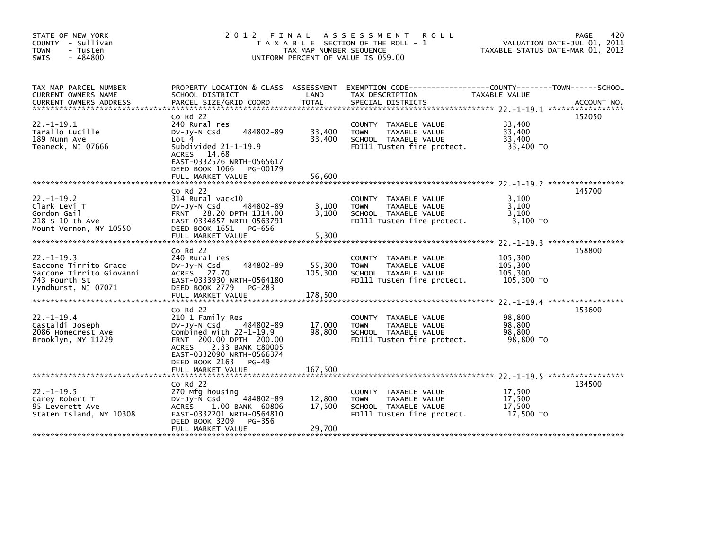| STATE OF NEW YORK<br>COUNTY - Sullivan<br><b>TOWN</b><br>- Tusten<br>$-484800$<br><b>SWIS</b>                | 2012<br>FINAL<br>T A X A B L E SECTION OF THE ROLL - 1<br>TAX MAP NUMBER SEQUENCE<br>UNIFORM PERCENT OF VALUE IS 059.00                                                                                                                 | 420<br>PAGE<br>VALUATION DATE-JUL 01, 2011<br>TAXABLE STATUS DATE-MAR 01, 2012 |                                                                                                            |                                             |             |
|--------------------------------------------------------------------------------------------------------------|-----------------------------------------------------------------------------------------------------------------------------------------------------------------------------------------------------------------------------------------|--------------------------------------------------------------------------------|------------------------------------------------------------------------------------------------------------|---------------------------------------------|-------------|
| TAX MAP PARCEL NUMBER<br>CURRENT OWNERS NAME<br><b>CURRENT OWNERS ADDRESS</b>                                | PROPERTY LOCATION & CLASS ASSESSMENT<br>SCHOOL DISTRICT<br>PARCEL SIZE/GRID COORD                                                                                                                                                       | LAND<br><b>TOTAL</b>                                                           | EXEMPTION CODE-----------------COUNTY-------TOWN------SCHOOL<br>TAX DESCRIPTION<br>SPECIAL DISTRICTS       | TAXABLE VALUE                               | ACCOUNT NO. |
| $22. -1 - 19.1$<br>Tarallo Lucille<br>189 Munn Ave<br>Teaneck, NJ 07666                                      | $Co$ Rd $22$<br>240 Rural res<br>484802-89<br>$Dv-Jy-N$ Csd<br>Lot 4<br>Subdivided $21-1-19.9$<br>ACRES 14.68<br>EAST-0332576 NRTH-0565617<br>DEED BOOK 1066<br>PG-00179<br>FULL MARKET VALUE                                           | 33,400<br>33,400<br>56,600                                                     | COUNTY TAXABLE VALUE<br>TAXABLE VALUE<br><b>TOWN</b><br>SCHOOL TAXABLE VALUE<br>FD111 Tusten fire protect. | 33,400<br>33,400<br>33.400<br>33,400 TO     | 152050      |
| $22. -1 - 19.2$<br>Clark Levi T<br>Gordon Gail<br>218 S 10 th Ave<br>Mount Vernon, NY 10550                  | $Co$ Rd $22$<br>$314$ Rural vac< $10$<br>484802-89<br>$Dv-Jy-N$ Csd<br>FRNT 28.20 DPTH 1314.00<br>EAST-0334857 NRTH-0563791<br>DEED BOOK 1651<br>PG-656<br>FULL MARKET VALUE                                                            | 3,100<br>3.100<br>5,300                                                        | COUNTY TAXABLE VALUE<br>TAXABLE VALUE<br><b>TOWN</b><br>SCHOOL TAXABLE VALUE<br>FD111 Tusten fire protect. | 3,100<br>3.100<br>3.100<br>3.100 TO         | 145700      |
| $22. -1 - 19.3$<br>Saccone Tirrito Grace<br>Saccone Tirrito Giovanni<br>743 Fourth St<br>Lyndhurst, NJ 07071 | $CO$ Rd $22$<br>240 Rural res<br>484802-89<br>$Dv-Jy-N$ Csd<br>ACRES 27.70<br>EAST-0333930 NRTH-0564180<br>DEED BOOK 2779<br>PG-283<br>FULL MARKET VALUE                                                                                | 55,300<br>105,300<br>178,500                                                   | COUNTY TAXABLE VALUE<br>TAXABLE VALUE<br><b>TOWN</b><br>SCHOOL TAXABLE VALUE<br>FD111 Tusten fire protect. | 105,300<br>105,300<br>105,300<br>105,300 TO | 158800      |
| $22. -1 - 19.4$<br>Castaldi Joseph<br>2086 Homecrest Ave<br>Brooklyn, NY 11229                               | $CO$ Rd $22$<br>210 1 Family Res<br>DV-JY-N Csd<br>484802-89<br>Combined with $22-1-19.9$<br>FRNT 200.00 DPTH 200.00<br>2.33 BANK C80005<br><b>ACRES</b><br>EAST-0332090 NRTH-0566374<br>DEED BOOK 2163<br>$PG-49$<br>FULL MARKET VALUE | 17,000<br>98,800<br>167,500                                                    | COUNTY TAXABLE VALUE<br>TAXABLE VALUE<br><b>TOWN</b><br>SCHOOL TAXABLE VALUE<br>FD111 Tusten fire protect. | 98,800<br>98.800<br>98,800<br>98,800 TO     | 153600      |
| $22 - 1 - 19.5$<br>Carey Robert T<br>95 Leverett Ave<br>Staten Island, NY 10308                              | $Co$ Rd $22$<br>270 Mfg housing<br>DV-Jy-N Csd<br>484802-89<br>ACRES<br>1.00 BANK 60806<br>EAST-0332201 NRTH-0564810<br>DEED BOOK 3209<br>PG-356<br>FULL MARKET VALUE                                                                   | 12,800<br>17,500<br>29,700                                                     | COUNTY TAXABLE VALUE<br>TAXABLE VALUE<br><b>TOWN</b><br>SCHOOL TAXABLE VALUE<br>FD111 Tusten fire protect. | 17,500<br>17,500<br>17,500<br>17,500 TO     | 134500      |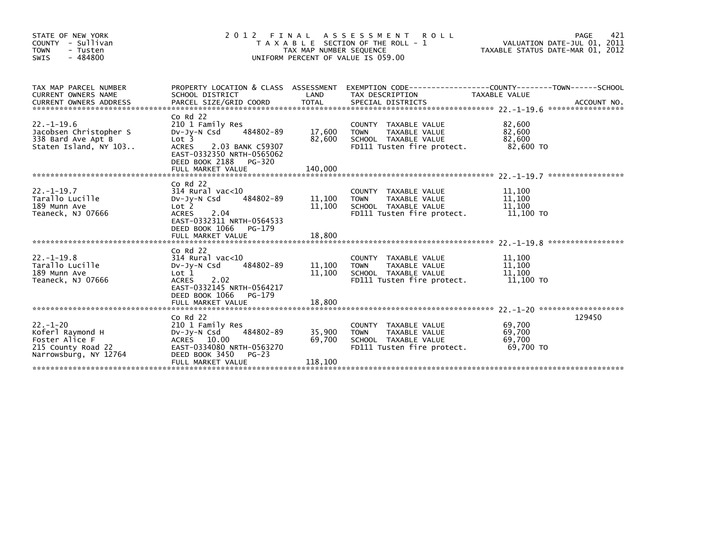| STATE OF NEW YORK<br>COUNTY - Sullivan<br><b>TOWN</b><br>- Tusten<br>$-484800$<br>SWIS              | 2 0 1 2<br>FINAL<br>T A X A B L E SECTION OF THE ROLL - 1<br>TAX MAP NUMBER SEQUENCE<br>UNIFORM PERCENT OF VALUE IS 059.00                                                               | 421<br>PAGE<br>VALUATION DATE-JUL 01, 2011<br>TAXABLE STATUS DATE-MAR 01, 2012 |                                                                                                            |                                         |        |
|-----------------------------------------------------------------------------------------------------|------------------------------------------------------------------------------------------------------------------------------------------------------------------------------------------|--------------------------------------------------------------------------------|------------------------------------------------------------------------------------------------------------|-----------------------------------------|--------|
| TAX MAP PARCEL NUMBER<br>CURRENT OWNERS NAME                                                        | PROPERTY LOCATION & CLASS ASSESSMENT<br>SCHOOL DISTRICT                                                                                                                                  | LAND                                                                           | EXEMPTION CODE-----------------COUNTY-------TOWN------SCHOOL<br>TAX DESCRIPTION                            | TAXABLE VALUE                           |        |
| $22. - 1 - 19.6$<br>Jacobsen Christopher S<br>338 Bard Ave Apt B<br>Staten Island, NY 103           | $Co$ Rd $22$<br>210 1 Family Res<br>484802-89<br>DV-JY-N Csd<br>Lot <sub>3</sub><br><b>ACRES</b><br>2.03 BANK C59307<br>EAST-0332350 NRTH-0565062<br>DEED BOOK 2188 PG-320               | 17,600<br>82,600                                                               | COUNTY TAXABLE VALUE<br><b>TOWN</b><br>TAXABLE VALUE<br>SCHOOL TAXABLE VALUE<br>FD111 Tusten fire protect. | 82,600<br>82.600<br>82,600<br>82.600 TO |        |
| $22. - 1 - 19.7$<br>Tarallo Lucille<br>189 Munn Ave<br>Teaneck, NJ 07666                            | $Co$ Rd $22$<br>$314$ Rural vac<10<br>DV-Jy-N Csd<br>484802-89<br>Lot <sub>2</sub><br>2.04<br><b>ACRES</b><br>EAST-0332311 NRTH-0564533<br>DEED BOOK 1066<br>PG-179<br>FULL MARKET VALUE | 11,100<br>11,100<br>18,800                                                     | COUNTY TAXABLE VALUE<br>TAXABLE VALUE<br><b>TOWN</b><br>SCHOOL TAXABLE VALUE<br>FD111 Tusten fire protect. | 11,100<br>11,100<br>11,100<br>11,100 TO |        |
| $22. - 1 - 19.8$<br>Tarallo Lucille<br>189 Munn Ave<br>Teaneck, NJ 07666                            | $Co$ Rd $22$<br>314 Rural vac<10<br>484802-89<br>$Dv-Jv-N$ Csd<br>Lot <sub>1</sub><br>2.02<br><b>ACRES</b><br>EAST-0332145 NRTH-0564217<br>DEED BOOK 1066<br>PG-179<br>FULL MARKET VALUE | 11,100<br>11,100<br>18,800                                                     | COUNTY TAXABLE VALUE<br>TAXABLE VALUE<br><b>TOWN</b><br>SCHOOL TAXABLE VALUE<br>FD111 Tusten fire protect. | 11,100<br>11,100<br>11,100<br>11,100 TO |        |
| $22. - 1 - 20$<br>Koferl Raymond H<br>Foster Alice F<br>215 County Road 22<br>Narrowsburg, NY 12764 | $Co$ Rd $22$<br>210 1 Family Res<br>DV-Jy-N Csd<br>484802-89<br>ACRES 10.00<br>EAST-0334080 NRTH-0563270<br>DEED BOOK 3450<br>$PG-23$<br>FULL MARKET VALUE                               | 35,900<br>69,700<br>118,100                                                    | COUNTY TAXABLE VALUE<br>TAXABLE VALUE<br><b>TOWN</b><br>SCHOOL TAXABLE VALUE<br>FD111 Tusten fire protect. | 69.700<br>69,700<br>69,700<br>69,700 TO | 129450 |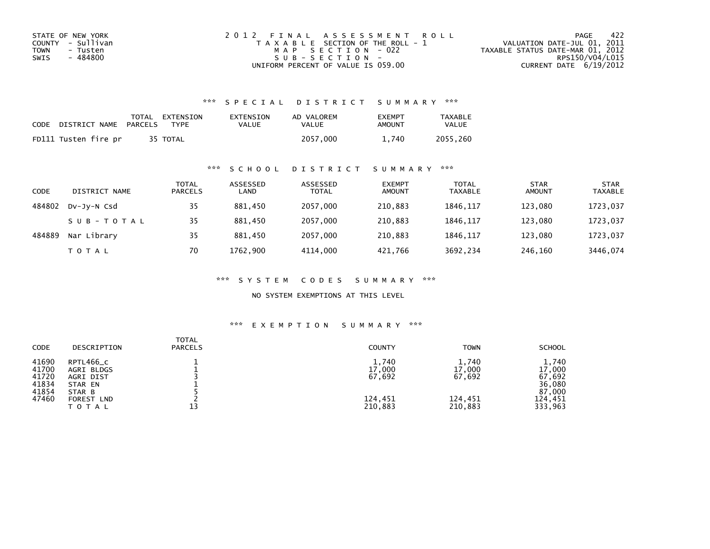| STATE OF NEW YORK       | 2012 FINAL ASSESSMENT ROLL            | -422<br>PAGE                     |
|-------------------------|---------------------------------------|----------------------------------|
| COUNTY - Sullivan       | T A X A B L E SECTION OF THE ROLL - 1 | VALUATION DATE-JUL 01, 2011      |
| <b>TOWN</b><br>- Tusten | MAP SECTION - 022                     | TAXABLE STATUS DATE-MAR 01, 2012 |
| - 484800<br>SWIS        | SUB-SECTION-                          | RPS150/V04/L015                  |
|                         | UNIFORM PERCENT OF VALUE IS 059.00    | CURRENT DATE $6/19/2012$         |

### \*\*\* S P E C I A L D I S T R I C T S U M M A R Y \*\*\*

| CODE | DISTRICT NAME        | PARCELS | TOTAL EXTENSION<br><b>TYPF</b> | EXTENSION<br>VALUE | AD VALOREM<br>VALUE | <b>FXFMPT</b><br>AMOUNT | <b>TAXABLE</b><br>VALUE |
|------|----------------------|---------|--------------------------------|--------------------|---------------------|-------------------------|-------------------------|
|      | FD111 Tusten fire pr |         | 35 TOTAL                       |                    | 2057.000            | 1.740                   | 2055.260                |

#### \*\*\* S C H O O L D I S T R I C T S U M M A R Y \*\*\*

| <b>CODE</b> | DISTRICT NAME | TOTAL<br><b>PARCELS</b> | ASSESSED<br>LAND | ASSESSED<br><b>TOTAL</b> | <b>EXEMPT</b><br><b>AMOUNT</b> | <b>TOTAL</b><br><b>TAXABLE</b> | <b>STAR</b><br><b>AMOUNT</b> | <b>STAR</b><br><b>TAXABLE</b> |
|-------------|---------------|-------------------------|------------------|--------------------------|--------------------------------|--------------------------------|------------------------------|-------------------------------|
| 484802      | DV-JV-N Csd   | 35                      | 881.450          | 2057,000                 | 210,883                        | 1846.117                       | 123.080                      | 1723,037                      |
|             | SUB-TOTAL     | 35                      | 881,450          | 2057,000                 | 210,883                        | 1846, 117                      | 123,080                      | 1723,037                      |
| 484889      | Nar Library   | 35                      | 881.450          | 2057,000                 | 210,883                        | 1846.117                       | 123.080                      | 1723,037                      |
|             | T O T A L     | 70                      | 1762.900         | 4114.000                 | 421.766                        | 3692,234                       | 246,160                      | 3446.074                      |

\*\*\* S Y S T E M C O D E S S U M M A R Y \*\*\*

NO SYSTEM EXEMPTIONS AT THIS LEVEL

## \*\*\* E X E M P T I O N S U M M A R Y \*\*\*

| <b>TOTAL</b><br><b>CODE</b><br><b>PARCELS</b><br>DESCRIPTION                                                                                           | <b>COUNTY</b>                                   | <b>TOWN</b>                                     | <b>SCHOOL</b>                                                       |
|--------------------------------------------------------------------------------------------------------------------------------------------------------|-------------------------------------------------|-------------------------------------------------|---------------------------------------------------------------------|
| 41690<br>RPTL466_C<br>41700<br>AGRI BLDGS<br>41720<br>AGRI DIST<br>41834<br>STAR EN<br>41854<br>STAR B<br>47460<br>FOREST<br><b>LND</b><br>13<br>TOTAL | 1,740<br>17,000<br>67,692<br>124,451<br>210,883 | 1,740<br>17,000<br>67,692<br>124,451<br>210,883 | 1,740<br>17,000<br>67,692<br>36,080<br>87,000<br>124,451<br>333,963 |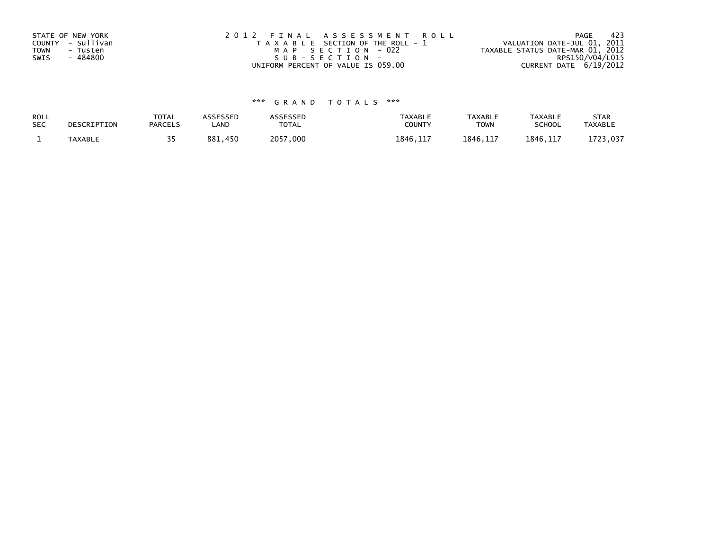| STATE OF NEW YORK       | 2012 FINAL ASSESSMENT ROLL            | - 423<br>PAGE                    |
|-------------------------|---------------------------------------|----------------------------------|
| COUNTY - Sullivan       | T A X A B L E SECTION OF THE ROLL - 1 | VALUATION DATE-JUL 01, 2011      |
| <b>TOWN</b><br>- Tusten | MAP SECTION - 022                     | TAXABLE STATUS DATE-MAR 01, 2012 |
| - 484800<br>SWIS        | SUB-SECTION-                          | RPS150/V04/L015                  |
|                         | UNIFORM PERCENT OF VALUE IS 059.00    | CURRENT DATE 6/19/2012           |

# \*\*\* G R A N D T O T A L S \*\*\*

| ROLL       | DESCRIPTION    | <b>TOTAL</b>   | ASSESSED | <b>ASSESSED</b> | <b>TAXABLE</b> | <b>TAXABLE</b> | <b>TAXABLE</b> | <b>STAR</b>    |
|------------|----------------|----------------|----------|-----------------|----------------|----------------|----------------|----------------|
| <b>SEC</b> |                | <b>PARCELS</b> | LAND     | TOTAL           | COUNTY         | TOWN           | <b>SCHOOL</b>  | <b>TAXABLE</b> |
|            | <b>TAXABLE</b> |                | 881.450  | 2057,000        | 1846, 117      | 1846.117       | 1846.117       | 1723,037       |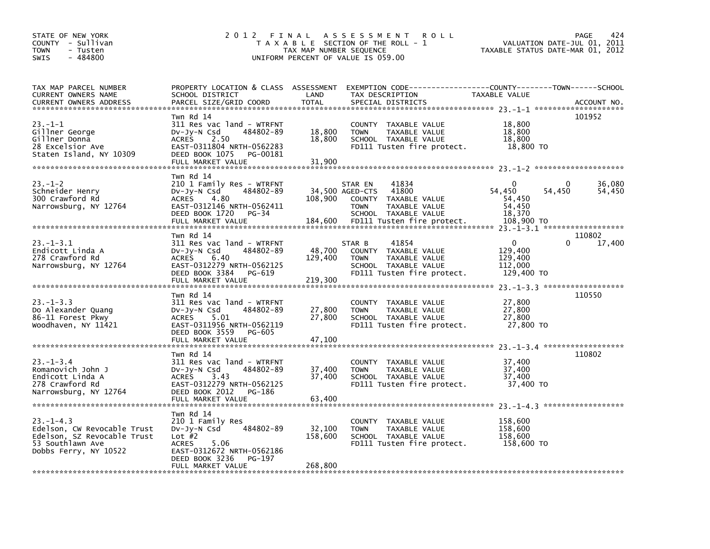| STATE OF NEW YORK<br>COUNTY - Sullivan<br><b>TOWN</b><br>- Tusten<br>- 484800<br><b>SWIS</b>                              | 2012                                                                                                                                                                       | FINAL<br>TAX MAP NUMBER SEQUENCE | A S S E S S M E N T<br><b>ROLL</b><br>T A X A B L E SECTION OF THE ROLL - 1<br>UNIFORM PERCENT OF VALUE IS 059.00                                          | TAXABLE STATUS DATE-MAR 01, 2012                               | VALUATION DATE-JUL 01, | 424<br>PAGE<br>2011 |
|---------------------------------------------------------------------------------------------------------------------------|----------------------------------------------------------------------------------------------------------------------------------------------------------------------------|----------------------------------|------------------------------------------------------------------------------------------------------------------------------------------------------------|----------------------------------------------------------------|------------------------|---------------------|
| TAX MAP PARCEL NUMBER<br>CURRENT OWNERS NAME<br><b>CURRENT OWNERS ADDRESS</b>                                             | SCHOOL DISTRICT<br>PARCEL SIZE/GRID COORD                                                                                                                                  | LAND<br><b>TOTAL</b>             | PROPERTY LOCATION & CLASS ASSESSMENT EXEMPTION CODE---------------COUNTY-------TOWN-----SCHOOL<br>TAX DESCRIPTION<br>SPECIAL DISTRICTS                     | TAXABLE VALUE                                                  |                        | ACCOUNT NO.         |
| $23 - 1 - 1$<br>Gillner George<br>Gillner Donna<br>28 Excelsior Ave<br>Staten Island, NY 10309                            | Twn Rd 14<br>311 Res vac land - WTRFNT<br>484802-89<br>DV-Jy-N Csd<br>2.50<br><b>ACRES</b><br>EAST-0311804 NRTH-0562283<br>DEED BOOK 1075<br>PG-00181<br>FULL MARKET VALUE | 18,800<br>18,800<br>31,900       | COUNTY TAXABLE VALUE<br>TAXABLE VALUE<br><b>TOWN</b><br>SCHOOL TAXABLE VALUE<br>FD111 Tusten fire protect.                                                 | 18,800<br>18,800<br>18,800<br>18,800 TO                        |                        | 101952              |
| $23 - 1 - 2$<br>Schneider Henry<br>300 Crawford Rd<br>Narrowsburg, NY 12764                                               | Twn Rd 14<br>210 1 Family Res - WTRFNT<br>484802-89<br>DV-Jy-N Csd<br>4.80<br><b>ACRES</b><br>EAST-0312146 NRTH-0562411<br>DEED BOOK 1720<br>PG-34<br>FULL MARKET VALUE    | 108,900<br>184,600               | 41834<br>STAR EN<br>41800<br>34,500 AGED-CTS<br>COUNTY TAXABLE VALUE<br><b>TOWN</b><br>TAXABLE VALUE<br>SCHOOL TAXABLE VALUE<br>FD111 Tusten fire protect. | $\Omega$<br>54,450<br>54,450<br>54,450<br>18,370<br>108,900 TO | 0<br>54,450            | 36,080<br>54,450    |
|                                                                                                                           | Twn Rd 14                                                                                                                                                                  |                                  |                                                                                                                                                            |                                                                |                        | 110802              |
| $23 - 1 - 3.1$<br>Endicott Linda A<br>278 Crawford Rd<br>Narrowsburg, NY 12764                                            | 311 Res vac land - WTRFNT<br>484802-89<br>$Dv-Jy-N$ Csd<br><b>ACRES</b><br>6.40<br>EAST-0312279 NRTH-0562125<br>DEED BOOK 3384<br>PG-619<br>FULL MARKET VALUE              | 48,700<br>129,400<br>219,300     | 41854<br>STAR B<br>COUNTY TAXABLE VALUE<br>TAXABLE VALUE<br><b>TOWN</b><br>SCHOOL TAXABLE VALUE<br>FD111 Tusten fire protect.                              | $\Omega$<br>129,400<br>129,400<br>112,000<br>129,400 TO        | 0                      | 17,400              |
|                                                                                                                           |                                                                                                                                                                            |                                  |                                                                                                                                                            |                                                                |                        |                     |
| $23 - 1 - 3.3$<br>Do Alexander Quang<br>86-11 Forest Pkwy<br>Woodhaven, NY 11421                                          | Twn Rd 14<br>311 Res vac land - WTRFNT<br>DV-Jy-N Csd<br>484802-89<br>5.01<br><b>ACRES</b><br>EAST-0311956 NRTH-0562119<br>DEED BOOK 3559<br>PG-605                        | 27,800<br>27,800                 | COUNTY TAXABLE VALUE<br><b>TOWN</b><br>TAXABLE VALUE<br>SCHOOL TAXABLE VALUE<br>FD111 Tusten fire protect.                                                 | 27,800<br>27,800<br>27,800<br>27,800 TO                        |                        | 110550              |
|                                                                                                                           | FULL MARKET VALUE                                                                                                                                                          | 47,100                           |                                                                                                                                                            |                                                                |                        |                     |
| $23 - 1 - 3.4$<br>Romanovich John J<br>Endicott Linda A<br>278 Crawford Rd<br>Narrowsburg, NY 12764                       | Twn Rd 14<br>311 Res vac land - WTRFNT<br>484802-89<br>$Dv-Jy-N$ Csd<br>3.43<br><b>ACRES</b><br>EAST-0312279 NRTH-0562125<br>DEED BOOK 2012<br>PG-186<br>FULL MARKET VALUE | 37,400<br>37,400<br>63,400       | COUNTY TAXABLE VALUE<br>TAXABLE VALUE<br><b>TOWN</b><br>SCHOOL TAXABLE VALUE<br>FD111 Tusten fire protect.                                                 | 37,400<br>37,400<br>37,400<br>37,400 TO                        |                        | 110802              |
|                                                                                                                           |                                                                                                                                                                            |                                  |                                                                                                                                                            |                                                                |                        |                     |
| $23 - 1 - 4.3$<br>Edelson, CW Revocable Trust<br>Edelson, SZ Revocable Trust<br>53 Southlawn Ave<br>Dobbs Ferry, NY 10522 | Twn Rd 14<br>210 1 Family Res<br>484802-89<br>DV-Jy-N Csd<br>Lot $#2$<br><b>ACRES</b><br>5.06<br>EAST-0312672 NRTH-0562186<br>DEED BOOK 3236<br>PG-197                     | 32,100<br>158,600                | COUNTY TAXABLE VALUE<br>TAXABLE VALUE<br>TOWN<br>SCHOOL TAXABLE VALUE<br>FD111 Tusten fire protect.                                                        | 158,600<br>158,600<br>158,600<br>158,600 TO                    |                        |                     |
|                                                                                                                           | FULL MARKET VALUE                                                                                                                                                          | 268,800                          |                                                                                                                                                            |                                                                |                        |                     |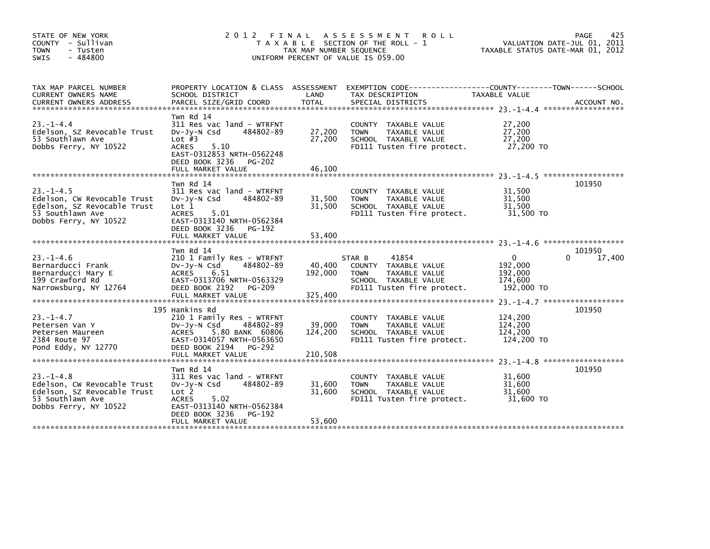| STATE OF NEW YORK<br>COUNTY - Sullivan<br><b>TOWN</b><br>- Tusten<br>$-484800$<br><b>SWIS</b>                              | 2 0 1 2                                                                                                                                                                                       | FINAL<br>TAX MAP NUMBER SEQUENCE | A S S E S S M E N T<br><b>ROLL</b><br>T A X A B L E SECTION OF THE ROLL - 1<br>UNIFORM PERCENT OF VALUE IS 059.00             | TAXABLE STATUS DATE-MAR 01, 2012                        | 425<br>PAGE<br>VALUATION DATE-JUL 01, 2011 |
|----------------------------------------------------------------------------------------------------------------------------|-----------------------------------------------------------------------------------------------------------------------------------------------------------------------------------------------|----------------------------------|-------------------------------------------------------------------------------------------------------------------------------|---------------------------------------------------------|--------------------------------------------|
| TAX MAP PARCEL NUMBER<br>CURRENT OWNERS NAME                                                                               | PROPERTY LOCATION & CLASS ASSESSMENT<br>SCHOOL DISTRICT                                                                                                                                       | LAND                             | EXEMPTION CODE------------------COUNTY--------TOWN------SCHOOL<br>TAX DESCRIPTION                                             | TAXABLE VALUE                                           |                                            |
| $23 - 1 - 4.4$<br>Edelson, SZ Revocable Trust<br>53 Southlawn Ave<br>Dobbs Ferry, NY 10522                                 | Twn Rd 14<br>311 Res vac land - WTRFNT<br>$Dv-Jy-N$ Csd<br>484802-89<br>Lot $#3$<br><b>ACRES</b><br>5.10<br>EAST-0312853 NRTH-0562248<br>DEED BOOK 3236<br><b>PG-202</b><br>FULL MARKET VALUE | 27,200<br>27,200<br>46,100       | COUNTY TAXABLE VALUE<br><b>TOWN</b><br>TAXABLE VALUE<br>SCHOOL TAXABLE VALUE<br>FD111 Tusten fire protect.                    | 27,200<br>27,200<br>27,200<br>27,200 TO                 |                                            |
|                                                                                                                            | Twn Rd 14                                                                                                                                                                                     |                                  |                                                                                                                               |                                                         | 101950                                     |
| $23 - 1 - 4.5$<br>Edelson, CW Revocable Trust<br>Edelson, SZ Revocable Trust<br>53 Southlawn Ave<br>Dobbs Ferry, NY 10522  | 311 Res vac land - WTRFNT<br>484802-89<br>$Dv-Jy-N$ Csd<br>Lot <sub>1</sub><br><b>ACRES</b><br>5.01<br>EAST-0313140 NRTH-0562384                                                              | 31,500<br>31,500                 | COUNTY TAXABLE VALUE<br>TAXABLE VALUE<br><b>TOWN</b><br>SCHOOL TAXABLE VALUE<br>FD111 Tusten fire protect.                    | 31,500<br>31.500<br>31,500<br>31,500 TO                 |                                            |
|                                                                                                                            | DEED BOOK 3236<br>PG-192<br>FULL MARKET VALUE                                                                                                                                                 | 53.400                           |                                                                                                                               |                                                         |                                            |
|                                                                                                                            |                                                                                                                                                                                               |                                  |                                                                                                                               |                                                         |                                            |
| $23 - 1 - 4.6$<br>Bernarducci Frank<br>Bernarducci Mary E<br>199 Crawford Rd<br>Narrowsburg, NY 12764                      | Twn Rd 14<br>210 1 Family Res - WTRFNT<br>484802-89<br>DV-Jy-N Csd<br><b>ACRES</b><br>6.51<br>EAST-0313706 NRTH-0563329<br>DEED BOOK 2192<br><b>PG-209</b>                                    | 40,400<br>192,000                | STAR B<br>41854<br>COUNTY TAXABLE VALUE<br><b>TOWN</b><br>TAXABLE VALUE<br>SCHOOL TAXABLE VALUE<br>FD111 Tusten fire protect. | $\Omega$<br>192,000<br>192,000<br>174,600<br>192,000 TO | 101950<br>17,400<br>0                      |
|                                                                                                                            | 195 Hankins Rd                                                                                                                                                                                |                                  |                                                                                                                               |                                                         | 101950                                     |
| $23 - 1 - 4.7$<br>Petersen Van Y<br>Petersen Maureen<br>2384 Route 97<br>Pond Eddy, NY 12770                               | 210 1 Family Res - WTRFNT<br>$Dv-Jy-N$ Csd<br>484802-89<br><b>ACRES</b><br>5.80 BANK 60806<br>EAST-0314057 NRTH-0563650<br>DEED BOOK 2194<br>PG-292<br>FULL MARKET VALUE                      | 39,000<br>124,200<br>210,508     | COUNTY TAXABLE VALUE<br>TAXABLE VALUE<br><b>TOWN</b><br>SCHOOL TAXABLE VALUE<br>FD111 Tusten fire protect.                    | 124,200<br>124,200<br>124,200<br>124,200 TO             |                                            |
|                                                                                                                            | Twn Rd 14                                                                                                                                                                                     |                                  |                                                                                                                               |                                                         | 101950                                     |
| $23. - 1 - 4.8$<br>Edelson, CW Revocable Trust<br>Edelson, SZ Revocable Trust<br>53 Southlawn Ave<br>Dobbs Ferry, NY 10522 | 311 Res vac land - WTRFNT<br>Dv-Jy-N Csd<br>484802-89<br>Lot 2<br><b>ACRES</b><br>5.02<br>EAST-0313140 NRTH-0562384                                                                           | 31.600<br>31.600                 | COUNTY TAXABLE VALUE<br><b>TOWN</b><br>TAXABLE VALUE<br>SCHOOL TAXABLE VALUE<br>FD111 Tusten fire protect.                    | 31,600<br>31,600<br>31,600<br>31,600 TO                 |                                            |
|                                                                                                                            | DEED BOOK 3236<br>PG-192<br>FULL MARKET VALUE                                                                                                                                                 | 53,600                           |                                                                                                                               |                                                         |                                            |
|                                                                                                                            |                                                                                                                                                                                               |                                  |                                                                                                                               |                                                         |                                            |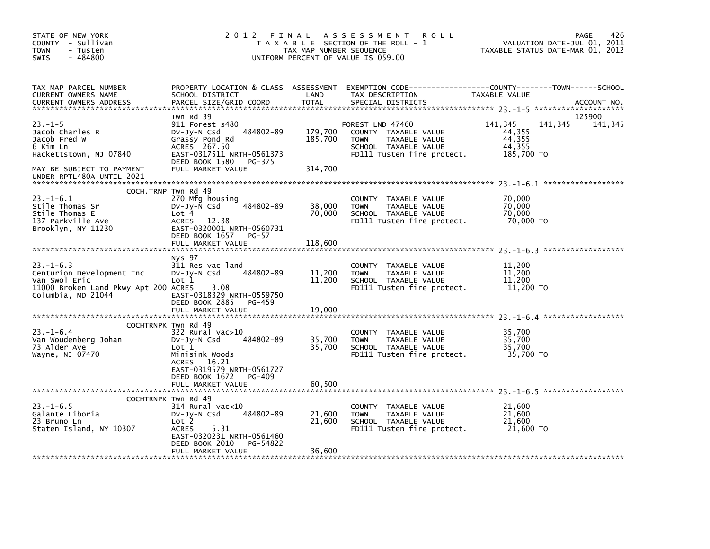| STATE OF NEW YORK<br>COUNTY - Sullivan<br>- Tusten<br><b>TOWN</b><br>$-484800$<br><b>SWIS</b>                                                   | 2012 FINAL                                                                                                                                                                                       | TAX MAP NUMBER SEQUENCE       | A S S E S S M E N T<br><b>ROLL</b><br>T A X A B L E SECTION OF THE ROLL - 1<br>UNIFORM PERCENT OF VALUE IS 059.00              | VALUATION DATE-JUL 01, 2011<br>TAXABLE STATUS DATE-MAR 01, 2012 | 426<br>PAGE       |
|-------------------------------------------------------------------------------------------------------------------------------------------------|--------------------------------------------------------------------------------------------------------------------------------------------------------------------------------------------------|-------------------------------|--------------------------------------------------------------------------------------------------------------------------------|-----------------------------------------------------------------|-------------------|
| TAX MAP PARCEL NUMBER<br>CURRENT OWNERS NAME<br><b>CURRENT OWNERS ADDRESS</b>                                                                   | PROPERTY LOCATION & CLASS ASSESSMENT<br>SCHOOL DISTRICT<br>PARCEL SIZE/GRID COORD                                                                                                                | LAND<br><b>TOTAL</b>          | EXEMPTION CODE-----------------COUNTY-------TOWN------SCHOOL<br>TAX DESCRIPTION<br>SPECIAL DISTRICTS                           | TAXABLE VALUE                                                   | ACCOUNT NO.       |
| $23. -1 - 5$<br>Jacob Charles R<br>Jacob Fred W<br>6 Kim Ln<br>Hackettstown, NJ 07840<br>MAY BE SUBJECT TO PAYMENT<br>UNDER RPTL480A UNTIL 2021 | Twn Rd 39<br>911 Forest s480<br>484802-89<br>$Dv-Jy-N$ Csd<br>Grassy Pond Rd<br>ACRES 267.50<br>EAST-0317511 NRTH-0561373<br>DEED BOOK 1580<br>PG-375<br>FULL MARKET VALUE                       | 179,700<br>185,700<br>314,700 | FOREST LND 47460<br>COUNTY TAXABLE VALUE<br><b>TOWN</b><br>TAXABLE VALUE<br>SCHOOL TAXABLE VALUE<br>FD111 Tusten fire protect. | 141,345<br>141,345<br>44,355<br>44,355<br>44,355<br>185,700 TO  | 125900<br>141,345 |
| $23. -1 - 6.1$<br>Stile Thomas Sr<br>Stile Thomas E<br>137 Parkville Ave<br>Brooklyn, NY 11230                                                  | COCH. TRNP Twn Rd 49<br>270 Mfg housing<br>484802-89<br>DV-Jy-N Csd<br>Lot 4<br>12.38<br><b>ACRES</b><br>EAST-0320001 NRTH-0560731<br>DEED BOOK 1657<br>$PG-57$                                  | 38,000<br>70,000              | <b>COUNTY</b><br>TAXABLE VALUE<br>TAXABLE VALUE<br><b>TOWN</b><br>SCHOOL TAXABLE VALUE<br>FD111 Tusten fire protect.           | 70,000<br>70,000<br>70,000<br>70,000 TO                         |                   |
|                                                                                                                                                 | FULL MARKET VALUE                                                                                                                                                                                | 118,600                       |                                                                                                                                |                                                                 |                   |
| $23. - 1 - 6.3$<br>Centurion Development Inc<br>Van Swol Eric<br>11000 Broken Land Pkwy Apt 200 ACRES<br>Columbia, MD 21044                     | Nys 97<br>311 Res vac land<br>484802-89<br>$Dv-Jy-N$ Csd<br>Lot 1<br>3.08<br>EAST-0318329 NRTH-0559750<br>DEED BOOK 2885<br>PG-459<br>FULL MARKET VALUE                                          | 11,200<br>11,200<br>19,000    | COUNTY TAXABLE VALUE<br><b>TOWN</b><br>TAXABLE VALUE<br>SCHOOL TAXABLE VALUE<br>FD111 Tusten fire protect.                     | 11,200<br>11,200<br>11,200<br>11,200 TO                         |                   |
| $23. - 1 - 6.4$<br>Van Woudenberg Johan<br>73 Alder Ave<br>Wayne, NJ 07470                                                                      | COCHTRNPK Twn Rd 49<br>322 Rural vac>10<br>$Dv-Jy-N$ Csd<br>484802-89<br>Lot 1<br>Minisink Woods<br>16.21<br>ACRES<br>EAST-0319579 NRTH-0561727<br>DEED BOOK 1672<br>PG-409<br>FULL MARKET VALUE | 35,700<br>35,700<br>60,500    | COUNTY TAXABLE VALUE<br><b>TOWN</b><br>TAXABLE VALUE<br>SCHOOL TAXABLE VALUE<br>FD111 Tusten fire protect.                     | 35,700<br>35,700<br>35,700<br>35,700 TO                         |                   |
| $23 - 1 - 6.5$<br>Galante Liboria<br>23 Bruno Ln<br>Staten Island, NY 10307                                                                     | COCHTRNPK Twn Rd 49<br>314 Rural vac<10<br>484802-89<br>$Dv-Jy-N$ Csd<br>Lot 2<br>5.31<br><b>ACRES</b><br>EAST-0320231 NRTH-0561460<br>DEED BOOK 2010<br>PG-54822<br>FULL MARKET VALUE           | 21,600<br>21,600<br>36,600    | <b>COUNTY</b><br>TAXABLE VALUE<br><b>TOWN</b><br>TAXABLE VALUE<br>SCHOOL TAXABLE VALUE<br>FD111 Tusten fire protect.           | 21,600<br>21,600<br>21,600<br>21,600 TO                         |                   |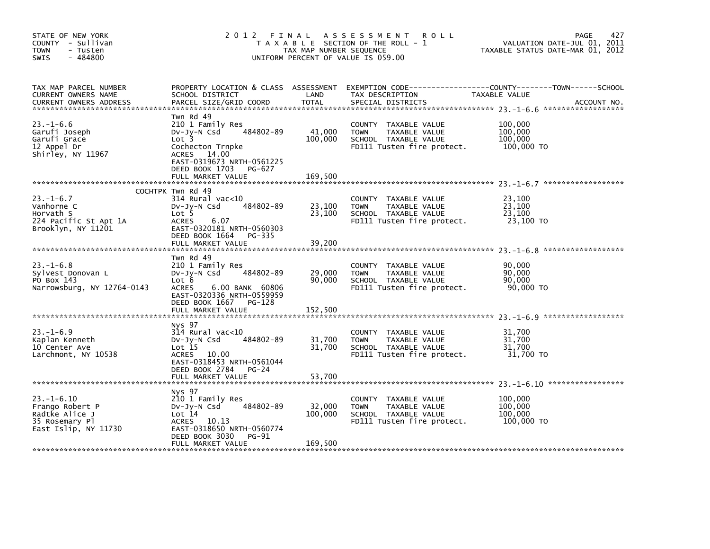| STATE OF NEW YORK<br>COUNTY - Sullivan<br><b>TOWN</b><br>- Tusten<br>$-484800$<br><b>SWIS</b>   | 2 0 1 2                                                                                                                                                                             | FINAL<br>TAX MAP NUMBER SEQUENCE | A S S E S S M E N T<br><b>ROLL</b><br>T A X A B L E SECTION OF THE ROLL - 1<br>UNIFORM PERCENT OF VALUE IS 059.00 | 427<br><b>PAGE</b><br>VALUATION DATE-JUL 01, 2011<br>TAXABLE STATUS DATE-MAR 01, 2012        |
|-------------------------------------------------------------------------------------------------|-------------------------------------------------------------------------------------------------------------------------------------------------------------------------------------|----------------------------------|-------------------------------------------------------------------------------------------------------------------|----------------------------------------------------------------------------------------------|
| TAX MAP PARCEL NUMBER<br>CURRENT OWNERS NAME<br><b>CURRENT OWNERS ADDRESS</b>                   | PROPERTY LOCATION & CLASS ASSESSMENT<br>SCHOOL DISTRICT<br>PARCEL SIZE/GRID COORD                                                                                                   | LAND<br><b>TOTAL</b>             | TAX DESCRIPTION<br>SPECIAL DISTRICTS                                                                              | EXEMPTION CODE-----------------COUNTY-------TOWN------SCHOOL<br>TAXABLE VALUE<br>ACCOUNT NO. |
| $23. - 1 - 6.6$<br>Garufi Joseph<br>Garufi Grace<br>12 Appel Dr<br>Shirley, NY 11967            | Twn Rd 49<br>210 1 Family Res<br>484802-89<br>DV-Jy-N Csd<br>Lot 3<br>Cochecton Trnpke<br>ACRES 14.00<br>EAST-0319673 NRTH-0561225<br>DEED BOOK 1703<br>PG-627<br>FULL MARKET VALUE | 41,000<br>100,000<br>169,500     | COUNTY TAXABLE VALUE<br><b>TOWN</b><br>TAXABLE VALUE<br>SCHOOL TAXABLE VALUE<br>FD111 Tusten fire protect.        | 100,000<br>100,000<br>100,000<br>100,000 TO                                                  |
| $23 - 1 - 6.7$<br>Vanhorne C<br>Horvath S<br>224 Pacific St Apt 1A<br>Brooklyn, NY 11201        | COCHTPK Twn Rd 49<br>314 Rural vac<10<br>484802-89<br>$Dv-Jy-N$ Csd<br>Lot 5<br><b>ACRES</b><br>6.07<br>EAST-0320181 NRTH-0560303<br>DEED BOOK 1664<br>PG-335<br>FULL MARKET VALUE  | 23,100<br>23,100<br>39,200       | COUNTY TAXABLE VALUE<br>TAXABLE VALUE<br><b>TOWN</b><br>SCHOOL TAXABLE VALUE<br>FD111 Tusten fire protect.        | 23,100<br>23,100<br>23,100<br>23,100 TO                                                      |
| $23 - 1 - 6.8$<br>Sylvest Donovan L<br>PO Box 143<br>Narrowsburg, NY 12764-0143                 | Twn Rd 49<br>210 1 Family Res<br>484802-89<br>DV-Jy-N Csd<br>Lot 6<br><b>ACRES</b><br>6.00 BANK 60806<br>EAST-0320336 NRTH-0559959<br>DEED BOOK 1667<br>PG-128<br>FULL MARKET VALUE | 29,000<br>90,000<br>152,500      | COUNTY<br>TAXABLE VALUE<br><b>TOWN</b><br>TAXABLE VALUE<br>SCHOOL TAXABLE VALUE<br>FD111 Tusten fire protect.     | 90,000<br>90,000<br>90,000<br>90,000 TO                                                      |
| $23. - 1 - 6.9$<br>Kaplan Kenneth<br>10 Center Ave<br>Larchmont, NY 10538                       | Nys 97<br>314 Rural vac<10<br>484802-89<br>$Dv-Jy-N$ Csd<br>Lot 15<br>ACRES 10.00<br>EAST-0318453 NRTH-0561044<br>DEED BOOK 2784<br>$PG-24$<br>FULL MARKET VALUE                    | 31,700<br>31,700<br>53,700       | COUNTY TAXABLE VALUE<br>TAXABLE VALUE<br><b>TOWN</b><br>SCHOOL TAXABLE VALUE<br>FD111 Tusten fire protect.        | 31,700<br>31,700<br>31,700<br>31,700 TO                                                      |
| $23. - 1 - 6.10$<br>Frango Robert P<br>Radtke Alice J<br>35 Rosemary Pl<br>East Islip, NY 11730 | Nys 97<br>210 1 Family Res<br>484802-89<br>DV-Jy-N Csd<br>Lot 14<br>ACRES 10.13<br>EAST-0318650 NRTH-0560774<br>DEED BOOK 3030<br><b>PG-91</b><br>FULL MARKET VALUE                 | 32,000<br>100,000<br>169,500     | COUNTY TAXABLE VALUE<br><b>TOWN</b><br>TAXABLE VALUE<br>SCHOOL TAXABLE VALUE<br>FD111 Tusten fire protect.        | 100,000<br>100,000<br>100,000<br>100,000 TO                                                  |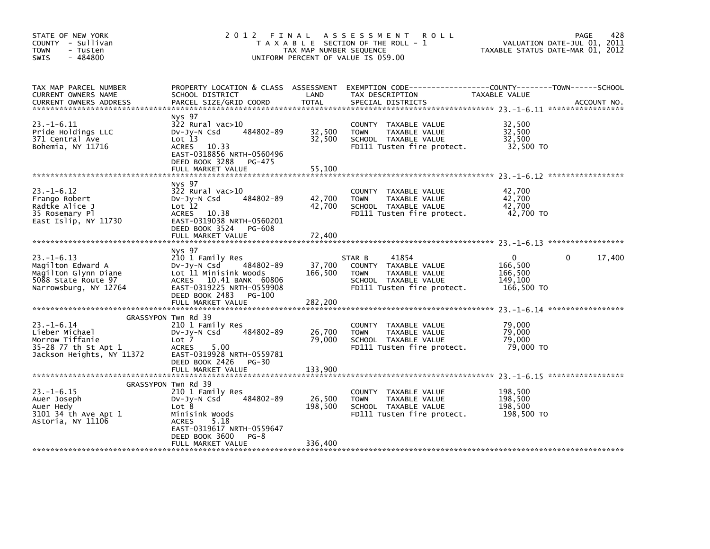| STATE OF NEW YORK<br>COUNTY - Sullivan<br><b>TOWN</b><br>- Tusten<br>$-484800$<br><b>SWIS</b>                 | 2012 FINAL                                                                                                                                                                           | TAX MAP NUMBER SEQUENCE      | A S S E S S M E N T<br><b>ROLL</b><br>T A X A B L E SECTION OF THE ROLL - 1<br>UNIFORM PERCENT OF VALUE IS 059.00             | VALUATION DATE-JUL 01, 2011<br>TAXABLE STATUS DATE-MAR 01, 2012 | 428<br>PAGE        |
|---------------------------------------------------------------------------------------------------------------|--------------------------------------------------------------------------------------------------------------------------------------------------------------------------------------|------------------------------|-------------------------------------------------------------------------------------------------------------------------------|-----------------------------------------------------------------|--------------------|
| TAX MAP PARCEL NUMBER<br>CURRENT OWNERS NAME<br><b>CURRENT OWNERS ADDRESS</b>                                 | PROPERTY LOCATION & CLASS ASSESSMENT<br>SCHOOL DISTRICT<br>PARCEL SIZE/GRID COORD                                                                                                    | LAND<br>TOTAL                | EXEMPTION CODE-----------------COUNTY-------TOWN------SCHOOL<br>TAX DESCRIPTION<br>SPECIAL DISTRICTS                          | TAXABLE VALUE                                                   | ACCOUNT NO.        |
| $23. - 1 - 6.11$<br>Pride Holdings LLC<br>371 Central Ave<br>Bohemia, NY 11716                                | Nys 97<br>322 Rural vac>10<br>484802-89<br>DV-Jy-N Csd<br>Lot 13<br>ACRES 10.33<br>EAST-0318856 NRTH-0560496<br>DEED BOOK 3288<br>PG-475<br>FULL MARKET VALUE                        | 32,500<br>32,500<br>55,100   | COUNTY TAXABLE VALUE<br>TAXABLE VALUE<br><b>TOWN</b><br>SCHOOL TAXABLE VALUE<br>FD111 Tusten fire protect.                    | 32,500<br>32,500<br>32,500<br>32,500 TO                         |                    |
| $23. - 1 - 6.12$<br>Frango Robert                                                                             | Nys 97<br>322 Rural vac>10<br>484802-89<br>DV-Jy-N Csd                                                                                                                               | 42,700                       | COUNTY TAXABLE VALUE<br><b>TOWN</b><br>TAXABLE VALUE                                                                          | 42,700<br>42,700                                                |                    |
| Radtke Alice J<br>35 Rosemary Pl<br>East Islip, NY 11730                                                      | Lot 12<br>ACRES 10.38<br>EAST-0319038 NRTH-0560201<br>DEED BOOK 3524<br>PG-608<br>FULL MARKET VALUE                                                                                  | 42,700<br>72,400             | SCHOOL TAXABLE VALUE<br>FD111 Tusten fire protect.                                                                            | 42.700<br>42,700 TO                                             |                    |
|                                                                                                               |                                                                                                                                                                                      |                              |                                                                                                                               |                                                                 |                    |
| $23. - 1 - 6.13$<br>Magilton Edward A<br>Magilton Glynn Diane<br>5088 State Route 97<br>Narrowsburg, NY 12764 | Nys 97<br>210 1 Family Res<br>DV-JV-N Csd 484802-89<br>Lot 11 Minisink Woods<br>ACRES 10.41 BANK 60806<br>EAST-0319225 NRTH-0559908<br>DEED BOOK 2483<br>PG-100<br>FULL MARKET VALUE | 37,700<br>166,500<br>282,200 | 41854<br>STAR B<br>COUNTY TAXABLE VALUE<br>TAXABLE VALUE<br><b>TOWN</b><br>SCHOOL TAXABLE VALUE<br>FD111 Tusten fire protect. | $\mathbf{0}$<br>166,500<br>166,500<br>149.100<br>166,500 TO     | 17,400<br>$\Omega$ |
|                                                                                                               |                                                                                                                                                                                      |                              |                                                                                                                               |                                                                 |                    |
| $23. - 1 - 6.14$<br>Lieber Michael<br>Morrow Tiffanie<br>35-28 77 th St Apt 1<br>Jackson Heights, NY 11372    | GRASSYPON Twn Rd 39<br>210 1 Family Res<br>484802-89<br>DV-JY-N Csd<br>Lot 7<br>ACRES<br>5.00<br>EAST-0319928 NRTH-0559781<br>DEED BOOK 2426 PG-30                                   | 26,700<br>79,000             | COUNTY TAXABLE VALUE<br><b>TOWN</b><br>TAXABLE VALUE<br>SCHOOL TAXABLE VALUE<br>FD111 Tusten fire protect.                    | 79,000<br>79,000<br>79,000<br>79.000 TO                         |                    |
|                                                                                                               | FULL MARKET VALUE                                                                                                                                                                    | 133.900                      |                                                                                                                               |                                                                 |                    |
| $23 - 1 - 6.15$<br>Auer Joseph<br>Auer Hedy<br>3101 34 th Ave Apt 1<br>Astoria, NY 11106                      | GRASSYPON Twn Rd 39<br>210 1 Family Res<br>484802-89<br>DV-Jy-N Csd<br>Lot 8<br>Minisink Woods<br><b>ACRES</b><br>5.18<br>EAST-0319617 NRTH-0559647                                  | 26,500<br>198,500            | COUNTY TAXABLE VALUE<br><b>TOWN</b><br>TAXABLE VALUE<br>SCHOOL TAXABLE VALUE<br>FD111 Tusten fire protect.                    | 198,500<br>198,500<br>198,500<br>198,500 TO                     |                    |
|                                                                                                               | DEED BOOK 3600<br>$PG-8$<br>FULL MARKET VALUE                                                                                                                                        | 336,400                      |                                                                                                                               |                                                                 |                    |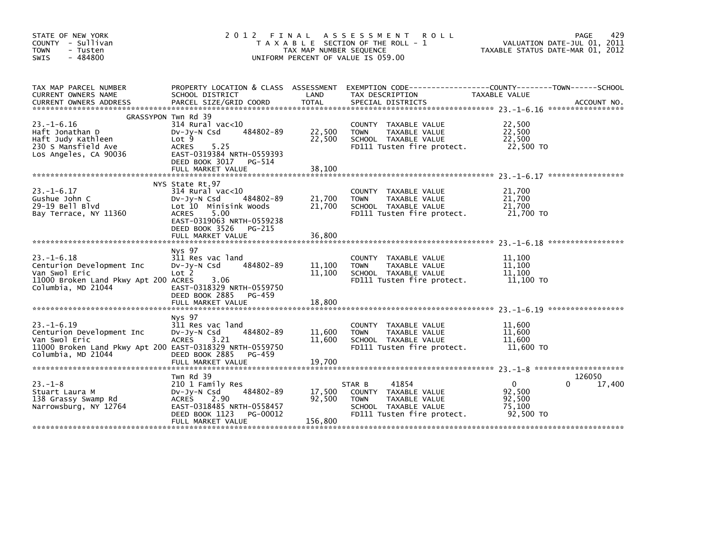| STATE OF NEW YORK<br>COUNTY - Sullivan<br>- Tusten<br><b>TOWN</b><br>$-484800$<br><b>SWIS</b>                                | 2012 FINAL                                                                                                                                                                                            | TAX MAP NUMBER SEQUENCE     | A S S E S S M E N T<br><b>ROLL</b><br>T A X A B L E SECTION OF THE ROLL - 1<br>UNIFORM PERCENT OF VALUE IS 059.00             | TAXABLE STATUS DATE-MAR 01, 2012                    | 429<br><b>PAGE</b><br>VALUATION DATE-JUL 01, 2011 |
|------------------------------------------------------------------------------------------------------------------------------|-------------------------------------------------------------------------------------------------------------------------------------------------------------------------------------------------------|-----------------------------|-------------------------------------------------------------------------------------------------------------------------------|-----------------------------------------------------|---------------------------------------------------|
| TAX MAP PARCEL NUMBER<br>CURRENT OWNERS NAME                                                                                 | PROPERTY LOCATION & CLASS ASSESSMENT<br>SCHOOL DISTRICT                                                                                                                                               | LAND                        | EXEMPTION CODE-----------------COUNTY-------TOWN------SCHOOL<br>TAX DESCRIPTION                                               | TAXABLE VALUE                                       |                                                   |
|                                                                                                                              | GRASSYPON Twn Rd 39                                                                                                                                                                                   |                             |                                                                                                                               |                                                     |                                                   |
| $23. - 1 - 6.16$<br>Haft Jonathan D<br>Haft Judy Kathleen<br>230 S Mansfield Ave<br>Los Angeles, CA 90036                    | $314$ Rural vac< $10$<br>484802-89<br>$Dv-Jy-N$ Csd<br>Lot 9<br>5.25<br><b>ACRES</b><br>EAST-0319384 NRTH-0559393<br>DEED BOOK 3017<br>PG-514<br>FULL MARKET VALUE                                    | 22,500<br>22,500            | COUNTY TAXABLE VALUE<br>TAXABLE VALUE<br>TOWN<br>SCHOOL TAXABLE VALUE<br>FD111 Tusten fire protect.                           | 22,500<br>22,500<br>22,500<br>22,500 TO             |                                                   |
|                                                                                                                              |                                                                                                                                                                                                       | 38,100                      |                                                                                                                               |                                                     |                                                   |
| $23. - 1 - 6.17$<br>Gushue John C<br>$29-19$ Bell Blyd<br>Bay Terrace, NY 11360                                              | NYS State Rt.97<br>$314$ Rural vac< $10$<br>484802-89<br>$Dv-Jy-N$ Csd<br>Lot 10 Minisink Woods<br>5.00<br><b>ACRES</b><br>EAST-0319063 NRTH-0559238<br>DEED BOOK 3526<br>PG-215<br>FULL MARKET VALUE | 21,700<br>21,700<br>36.800  | COUNTY TAXABLE VALUE<br>TAXABLE VALUE<br><b>TOWN</b><br>SCHOOL TAXABLE VALUE<br>FD111 Tusten fire protect.                    | 21,700<br>21,700<br>21,700<br>21,700 TO             |                                                   |
|                                                                                                                              | Nys 97                                                                                                                                                                                                |                             |                                                                                                                               |                                                     |                                                   |
| $23. - 1 - 6.18$<br>Centurion Development Inc<br>Van Swol Eric<br>11000 Broken Land Pkwy Apt 200 ACRES<br>Columbia, MD 21044 | 311 Res vac land<br>484802-89<br>DV-JY-N Csd<br>Lot <sub>2</sub><br>3.06<br>EAST-0318329 NRTH-0559750<br>DEED BOOK 2885<br>PG-459                                                                     | 11,100<br>11,100            | COUNTY TAXABLE VALUE<br>TAXABLE VALUE<br><b>TOWN</b><br>SCHOOL TAXABLE VALUE<br>FD111 Tusten fire protect.                    | 11,100<br>11,100<br>11,100<br>11,100 TO             |                                                   |
|                                                                                                                              | FULL MARKET VALUE                                                                                                                                                                                     | 18,800                      |                                                                                                                               |                                                     |                                                   |
| $23. -1 - 6.19$<br>Centurion Development Inc<br>Van Swol Eric<br>11000 Broken Land Pkwy Apt 200 EAST-0318329 NRTH-0559750    | Nys 97<br>311 Res vac land<br>484802-89<br>$Dv-Jy-N$ Csd<br>3.21<br><b>ACRES</b>                                                                                                                      | 11,600<br>11,600            | COUNTY TAXABLE VALUE<br><b>TOWN</b><br>TAXABLE VALUE<br>SCHOOL TAXABLE VALUE<br>FD111 Tusten fire protect.                    | 11,600<br>11,600<br>11,600<br>11,600 TO             |                                                   |
| Columbia, MD 21044                                                                                                           | DEED BOOK 2885<br>PG-459<br>FULL MARKET VALUE                                                                                                                                                         | 19,700                      |                                                                                                                               |                                                     |                                                   |
|                                                                                                                              |                                                                                                                                                                                                       |                             |                                                                                                                               |                                                     |                                                   |
| $23 - 1 - 8$<br>Stuart Laura M<br>138 Grassy Swamp Rd<br>Narrowsburg, NY 12764                                               | Twn Rd 39<br>210 1 Family Res<br>484802-89<br>DV-Jy-N Csd<br>ACRES<br>2.90<br>EAST-0318485 NRTH-0558457<br>DEED BOOK 1123<br>PG-00012<br>FULL MARKET VALUE                                            | 17,500<br>92.500<br>156,800 | STAR B<br>41854<br>COUNTY TAXABLE VALUE<br>TAXABLE VALUE<br><b>TOWN</b><br>SCHOOL TAXABLE VALUE<br>FD111 Tusten fire protect. | $\Omega$<br>92,500<br>92.500<br>75,100<br>92,500 TO | 126050<br>17,400<br>0                             |
|                                                                                                                              |                                                                                                                                                                                                       |                             |                                                                                                                               |                                                     |                                                   |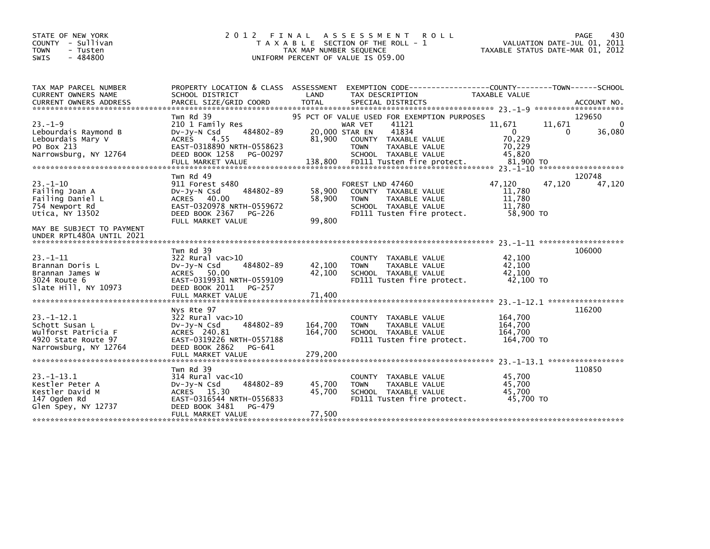| STATE OF NEW YORK<br>COUNTY - Sullivan<br><b>TOWN</b><br>- Tusten<br>$-484800$<br><b>SWIS</b>            | 2 0 1 2                                                                                                                                                    | FINAL<br>TAX MAP NUMBER SEQUENCE | A S S E S S M E N T<br><b>ROLL</b><br>T A X A B L E SECTION OF THE ROLL - 1<br>UNIFORM PERCENT OF VALUE IS 059.00              |                                                                   | PAGE<br>VALUATION DATE-JUL 01, 2011<br>TAXABLE STATUS DATE-MAR 01, 2012 | 430    |
|----------------------------------------------------------------------------------------------------------|------------------------------------------------------------------------------------------------------------------------------------------------------------|----------------------------------|--------------------------------------------------------------------------------------------------------------------------------|-------------------------------------------------------------------|-------------------------------------------------------------------------|--------|
| TAX MAP PARCEL NUMBER<br><b>CURRENT OWNERS NAME</b>                                                      | PROPERTY LOCATION & CLASS ASSESSMENT<br>SCHOOL DISTRICT                                                                                                    | LAND                             | EXEMPTION CODE-----------------COUNTY-------TOWN------SCHOOL<br>TAX DESCRIPTION                                                | TAXABLE VALUE                                                     |                                                                         |        |
|                                                                                                          | Twn Rd 39                                                                                                                                                  |                                  | 95 PCT OF VALUE USED FOR EXEMPTION PURPOSES                                                                                    |                                                                   | 129650                                                                  |        |
| $23. -1 - 9$<br>Lebourdais Raymond B<br>Lebourdais Mary V<br>PO Box 213<br>Narrowsburg, NY 12764         | 210 1 Family Res<br>484802-89<br>$Dv-Jy-N$ Csd<br><b>ACRES</b><br>4.55<br>EAST-0318890 NRTH-0558623<br>DEED BOOK 1258<br>PG-00297                          | 20,000 STAR EN<br>81,900         | 41121<br>WAR VET<br>41834<br>COUNTY TAXABLE VALUE<br><b>TOWN</b><br>TAXABLE VALUE<br>SCHOOL TAXABLE VALUE                      | 11,671<br>$\mathbf{0}$<br>70,229<br>70,229<br>45.820<br>81.900 TO | 11,671<br>0<br>*******************                                      | 36,080 |
|                                                                                                          | Twn Rd 49                                                                                                                                                  |                                  |                                                                                                                                |                                                                   | 120748                                                                  |        |
| $23 - 1 - 10$<br>Failing Joan A<br>Failing Daniel L<br>754 Newport Rd<br>Utica, NY 13502                 | 911 Forest s480<br>484802-89<br>DV-Jy-N Csd<br>ACRES 40.00<br>EAST-0320978 NRTH-0559672<br>DEED BOOK 2367<br>PG-226<br>FULL MARKET VALUE                   | 58,900<br>58,900<br>99,800       | FOREST LND 47460<br>COUNTY TAXABLE VALUE<br><b>TOWN</b><br>TAXABLE VALUE<br>SCHOOL TAXABLE VALUE<br>FD111 Tusten fire protect. | 47,120<br>11,780<br>11,780<br>11.780<br>58,900 TO                 | 47,120                                                                  | 47,120 |
| MAY BE SUBJECT TO PAYMENT<br>UNDER RPTL480A UNTIL 2021                                                   |                                                                                                                                                            |                                  |                                                                                                                                |                                                                   |                                                                         |        |
| $23 - 1 - 11$<br>Brannan Doris L<br>Brannan James W<br>3024 Route 6<br>Slate Hill, NY 10973              | Twn Rd 39<br>322 Rural vac>10<br>484802-89<br>$Dv-Jv-N$ Csd<br>ACRES 50.00<br>EAST-0319931 NRTH-0559109<br>DEED BOOK 2011<br>PG-257<br>FULL MARKET VALUE   | 42,100<br>42,100<br>71,400       | COUNTY TAXABLE VALUE<br>TAXABLE VALUE<br><b>TOWN</b><br>SCHOOL TAXABLE VALUE<br>FD111 Tusten fire protect.                     | 42,100<br>42,100<br>42,100<br>42,100 TO                           | 106000                                                                  |        |
|                                                                                                          |                                                                                                                                                            |                                  |                                                                                                                                |                                                                   | 23. -1-12. 1 ******************                                         |        |
| $23 - 1 - 12.1$<br>Schott Susan L<br>Wulforst Patricia F<br>4920 State Route 97<br>Narrowsburg, NY 12764 | Nys Rte 97<br>$322$ Rural vac $>10$<br>484802-89<br>DV-Jy-N Csd<br>ACRES 240.81<br>EAST-0319226 NRTH-0557188<br>DEED BOOK 2862<br>PG-641                   | 164,700<br>164,700               | COUNTY TAXABLE VALUE<br>TAXABLE VALUE<br><b>TOWN</b><br>SCHOOL TAXABLE VALUE<br>FD111 Tusten fire protect.                     | 164,700<br>164,700<br>164.700<br>164,700 TO                       | 116200                                                                  |        |
|                                                                                                          | FULL MARKET VALUE                                                                                                                                          | 279,200                          |                                                                                                                                |                                                                   |                                                                         |        |
|                                                                                                          |                                                                                                                                                            |                                  |                                                                                                                                |                                                                   |                                                                         |        |
| $23 - 1 - 13.1$<br>Kestler Peter A<br>Kestler David M<br>147 Ogden Rd<br>Glen Spey, NY 12737             | Twn Rd 39<br>$314$ Rural vac<10<br>484802-89<br>$Dv-Jv-N$ Csd<br>ACRES 15.30<br>EAST-0316544 NRTH-0556833<br>DEED BOOK 3481<br>PG-479<br>FULL MARKET VALUE | 45,700<br>45,700<br>77,500       | TAXABLE VALUE<br><b>COUNTY</b><br>TAXABLE VALUE<br><b>TOWN</b><br>SCHOOL TAXABLE VALUE<br>FD111 Tusten fire protect.           | 45,700<br>45.700<br>45,700<br>45,700 TO                           | 110850                                                                  |        |
|                                                                                                          |                                                                                                                                                            |                                  |                                                                                                                                |                                                                   |                                                                         |        |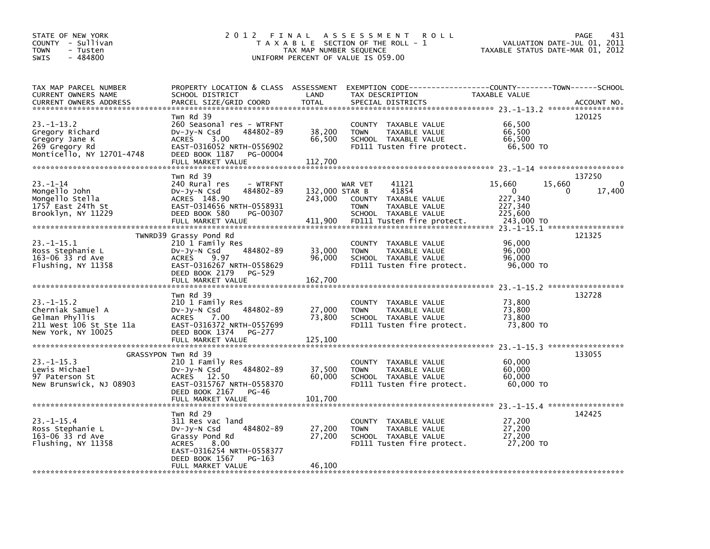| STATE OF NEW YORK<br>COUNTY - Sullivan<br>TOWN<br>- Tusten<br>$-484800$<br><b>SWIS</b>              | 2012 FINAL                                                                                                                                                                        | TAX MAP NUMBER SEQUENCE              | A S S E S S M E N T<br><b>ROLL</b><br>T A X A B L E SECTION OF THE ROLL - 1<br>UNIFORM PERCENT OF VALUE IS 059.00                          | VALUATION DATE-JUL 01,<br>TAXABLE STATUS DATE-MAR 01, 2012                  | 431<br>PAGE<br>2011               |
|-----------------------------------------------------------------------------------------------------|-----------------------------------------------------------------------------------------------------------------------------------------------------------------------------------|--------------------------------------|--------------------------------------------------------------------------------------------------------------------------------------------|-----------------------------------------------------------------------------|-----------------------------------|
| TAX MAP PARCEL NUMBER<br>CURRENT OWNERS NAME<br><b>CURRENT OWNERS ADDRESS</b>                       | PROPERTY LOCATION & CLASS ASSESSMENT<br>SCHOOL DISTRICT<br>PARCEL SIZE/GRID COORD                                                                                                 | LAND<br><b>TOTAL</b>                 | EXEMPTION CODE-----------------COUNTY-------TOWN------SCHOOL<br>TAX DESCRIPTION<br>SPECIAL DISTRICTS                                       | TAXABLE VALUE                                                               | ACCOUNT NO.                       |
| $23. -1 - 13.2$<br>Gregory Richard<br>Gregory Jane K<br>269 Gregory Rd<br>Monticello, NY 12701-4748 | Twn Rd 39<br>260 Seasonal res - WTRFNT<br>484802-89<br>DV-Jy-N Csd<br><b>ACRES</b><br>3.00<br>EAST-0316052 NRTH-0556902<br>DEED BOOK 1187<br>PG-00004<br>FULL MARKET VALUE        | 38,200<br>66,500<br>112,700          | COUNTY TAXABLE VALUE<br><b>TOWN</b><br>TAXABLE VALUE<br>SCHOOL TAXABLE VALUE<br>FD111 Tusten fire protect.                                 | 66,500<br>66,500<br>66,500<br>66,500 TO                                     | 120125                            |
| 23.–1–14<br>Mongello John<br>Mongello Stella<br>1757 East 24Th St<br>Brooklyn, NY 11229             | Twn Rd 39<br>240 Rural res<br>- WTRFNT<br>484802-89<br>DV-Jy-N Csd<br>ACRES 148.90<br>EAST-0314656 NRTH-0558931<br>DEED BOOK 580<br>PG-00307<br>FULL MARKET VALUE                 | 132,000 STAR B<br>243,000<br>411,900 | WAR VET<br>41121<br>41854<br>COUNTY<br>TAXABLE VALUE<br><b>TOWN</b><br>TAXABLE VALUE<br>SCHOOL TAXABLE VALUE<br>FD111 Tusten fire protect. | 15,660<br>15,660<br>$\Omega$<br>227,340<br>227,340<br>225,600<br>243,000 TO | 137250<br>$\Omega$<br>17,400<br>0 |
| 23.–1–15.1<br>Ross Stephanie L<br>163-06 33 rd Ave<br>Flushing, NY 11358                            | TWNRD39 Grassy Pond Rd<br>210 1 Family Res<br>484802-89<br>DV-Jy-N Csd<br><b>ACRES</b><br>9.97<br>EAST-0316267 NRTH-0558629<br>DEED BOOK 2179<br>PG-529<br>FULL MARKET VALUE      | 33,000<br>96,000<br>162,700          | COUNTY TAXABLE VALUE<br><b>TOWN</b><br>TAXABLE VALUE<br>SCHOOL TAXABLE VALUE<br>FD111 Tusten fire protect.                                 | 96,000<br>96,000<br>96,000<br>96,000 TO                                     | 121325                            |
| 23.–1–15.2<br>Cherniak Samuel A<br>Gelman Phyllis<br>211 West 106 St Ste 11a<br>New York, NY 10025  | Twn Rd 39<br>210 1 Family Res<br>484802-89<br>DV-Jy-N Csd<br><b>ACRES</b><br>7.00<br>EAST-0316372 NRTH-0557699<br>DEED BOOK 1374<br>PG-277<br>FULL MARKET VALUE                   | 27,000<br>73,800<br>125,100          | COUNTY TAXABLE VALUE<br>TAXABLE VALUE<br><b>TOWN</b><br>SCHOOL TAXABLE VALUE<br>FD111 Tusten fire protect.                                 | 73,800<br>73,800<br>73,800<br>73,800 TO                                     | 132728                            |
| 23. –1–15.3<br>Lewis Michael<br>97 Paterson St<br>New Brunswick, NJ 08903                           | GRASSYPON Twn Rd 39<br>210 1 Family Res<br>484802-89<br>$Dv-Jy-N$ Csd<br><b>ACRES</b><br>12.50<br>EAST-0315767 NRTH-0558370<br>DEED BOOK 2167<br>PG-46                            | 37,500<br>60,000                     | COUNTY TAXABLE VALUE<br><b>TOWN</b><br>TAXABLE VALUE<br>SCHOOL TAXABLE VALUE<br>FD111 Tusten fire protect.                                 | 60,000<br>60,000<br>60.000<br>60,000 TO                                     | 133055                            |
| 23. –1–15.4<br>Ross Stephanie L<br>163-06 33 rd Ave<br>Flushing, NY 11358                           | FULL MARKET VALUE<br>Twn Rd 29<br>311 Res vac land<br>484802-89<br>DV-Jy-N Csd<br>Grassy Pond Rd<br><b>ACRES</b><br>8.00<br>EAST-0316254 NRTH-0558377<br>DEED BOOK 1567<br>PG-163 | 101,700<br>27,200<br>27,200          | <b>COUNTY</b><br>TAXABLE VALUE<br><b>TOWN</b><br>TAXABLE VALUE<br>SCHOOL TAXABLE VALUE<br>FD111 Tusten fire protect.                       | 27,200<br>27,200<br>27,200<br>27,200 TO                                     | 142425                            |
|                                                                                                     | FULL MARKET VALUE                                                                                                                                                                 | 46,100                               |                                                                                                                                            |                                                                             |                                   |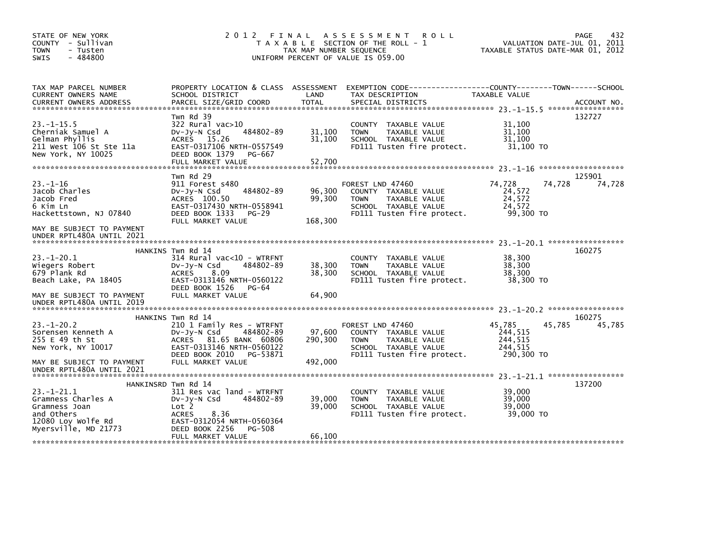| STATE OF NEW YORK<br>COUNTY - Sullivan<br><b>TOWN</b><br>- Tusten<br>$-484800$<br><b>SWIS</b>               |                                                                                                                                                                                     | TAX MAP NUMBER SEQUENCE      | 2012 FINAL ASSESSMENT<br><b>ROLL</b><br>T A X A B L E SECTION OF THE ROLL - 1<br>UNIFORM PERCENT OF VALUE IS 059.00                     | VALUATION DATE-JUL 01, 2011<br>TAXABLE STATUS DATE-MAR 01, 2012 | 432<br>PAGE      |
|-------------------------------------------------------------------------------------------------------------|-------------------------------------------------------------------------------------------------------------------------------------------------------------------------------------|------------------------------|-----------------------------------------------------------------------------------------------------------------------------------------|-----------------------------------------------------------------|------------------|
| TAX MAP PARCEL NUMBER<br>CURRENT OWNERS NAME<br><b>CURRENT OWNERS ADDRESS</b>                               | SCHOOL DISTRICT<br>PARCEL SIZE/GRID COORD                                                                                                                                           | LAND<br><b>TOTAL</b>         | PROPERTY LOCATION & CLASS ASSESSMENT EXEMPTION CODE---------------COUNTY-------TOWN------SCHOOL<br>TAX DESCRIPTION<br>SPECIAL DISTRICTS | TAXABLE VALUE                                                   | ACCOUNT NO.      |
| $23 - 1 - 15.5$<br>Cherniak Samuel A<br>Gelman Phyllis<br>211 West 106 St Ste 11a<br>New York, NY 10025     | Twn Rd 39<br>$322$ Rural vac $>10$<br>484802-89<br>$Dv-Jv-N$ Csd<br>ACRES 15.26<br>EAST-0317106 NRTH-0557549<br>DEED BOOK 1379<br>PG-667<br>FULL MARKET VALUE                       | 31,100<br>31,100<br>52,700   | COUNTY TAXABLE VALUE<br>TAXABLE VALUE<br><b>TOWN</b><br>SCHOOL TAXABLE VALUE<br>FD111 Tusten fire protect.                              | 31.100<br>31,100<br>31,100<br>31,100 TO                         | 132727           |
| $23 - 1 - 16$<br>Jacob Charles<br>Jacob Fred<br>6 Kim Ln<br>Hackettstown, NJ 07840                          | Twn Rd 29<br>911 Forest s480<br>484802-89<br>$Dv-Jv-N$ Csd<br>ACRES 100.50<br>EAST-0317430 NRTH-0558941<br>DEED BOOK 1333<br>PG-29<br>FULL MARKET VALUE                             | 96,300<br>99,300<br>168,300  | FOREST LND 47460<br>COUNTY TAXABLE VALUE<br>TAXABLE VALUE<br><b>TOWN</b><br>SCHOOL TAXABLE VALUE<br>FD111 Tusten fire protect.          | 74,728<br>74,728<br>24,572<br>24,572<br>24,572<br>99.300 TO     | 125901<br>74,728 |
| MAY BE SUBJECT TO PAYMENT<br>UNDER RPTL480A UNTIL 2021                                                      |                                                                                                                                                                                     |                              |                                                                                                                                         |                                                                 |                  |
| $23. - 1 - 20.1$<br>Wiegers Robert<br>679 Plank Rd<br>Beach Lake, PA 18405                                  | HANKINS Twn Rd 14<br>$314$ Rural vac<10 - WTRFNT<br>$Dv-Jy-N$ Csd<br>484802-89<br><b>ACRES</b><br>8.09<br>EAST-0313146 NRTH-0560122<br>DEED BOOK 1526<br>PG-64                      | 38,300<br>38,300             | COUNTY TAXABLE VALUE<br><b>TOWN</b><br>TAXABLE VALUE<br>SCHOOL TAXABLE VALUE<br>FD111 Tusten fire protect.                              | 38,300<br>38,300<br>38,300<br>38,300 TO                         | 160275           |
| MAY BE SUBJECT TO PAYMENT<br>UNDER RPTL480A UNTIL 2019                                                      | FULL MARKET VALUE                                                                                                                                                                   | 64,900                       |                                                                                                                                         |                                                                 |                  |
| $23. - 1 - 20.2$<br>Sorensen Kenneth A<br>255 E 49 th St<br>New York, NY 10017<br>MAY BE SUBJECT TO PAYMENT | HANKINS Twn Rd 14<br>210 1 Family Res - WTRFNT<br>$Dv-Jy-N$ Csd<br>484802-89<br>ACRES 81.65 BANK 60806<br>EAST-0313146 NRTH-0560122<br>DEED BOOK 2010 PG-53871<br>FULL MARKET VALUE | 97,600<br>290,300<br>492.000 | FOREST LND 47460<br>COUNTY TAXABLE VALUE<br>TAXABLE VALUE<br><b>TOWN</b><br>SCHOOL TAXABLE VALUE<br>FD111 Tusten fire protect.          | 45,785<br>45,785<br>244,515<br>244,515<br>244,515<br>290,300 TO | 160275<br>45,785 |
| UNDER RPTL480A UNTIL 2021                                                                                   | HANKINSRD Twn Rd 14                                                                                                                                                                 |                              |                                                                                                                                         |                                                                 | 137200           |
| $23 - 1 - 21.1$<br>Gramness Charles A<br>Gramness Joan<br>and Others<br>12080 Loy Wolfe Rd                  | 311 Res vac land - WTRFNT<br>484802-89<br>$Dv-Jy-N$ Csd<br>Lot 2<br>8.36<br><b>ACRES</b><br>EAST-0312054 NRTH-0560364                                                               | 39.000<br>39,000             | COUNTY TAXABLE VALUE<br><b>TOWN</b><br>TAXABLE VALUE<br>SCHOOL TAXABLE VALUE<br>FD111 Tusten fire protect.                              | 39,000<br>39,000<br>39,000<br>39,000 TO                         |                  |
| Myersville, MD 21773                                                                                        | DEED BOOK 2256<br>PG-508<br>FULL MARKET VALUE                                                                                                                                       | 66,100                       |                                                                                                                                         |                                                                 |                  |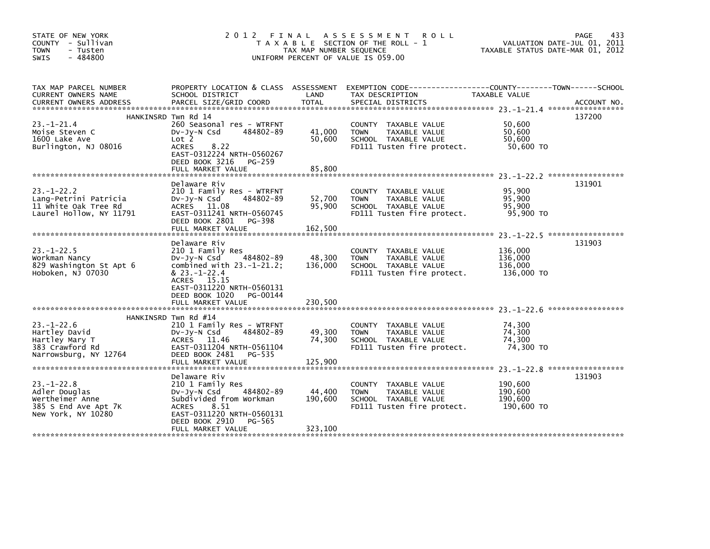| STATE OF NEW YORK<br>COUNTY - Sullivan<br><b>TOWN</b><br>- Tusten<br>$-484800$<br><b>SWIS</b>      | 2 0 1 2                                                                                                                                                                                                          | FINAL<br>TAX MAP NUMBER SEQUENCE | A S S E S S M E N T<br><b>ROLL</b><br>T A X A B L E SECTION OF THE ROLL - 1<br>UNIFORM PERCENT OF VALUE IS 059.00 | TAXABLE STATUS DATE-MAR 01, 2012            | 433<br>PAGE<br>VALUATION DATE-JUL 01, 2011 |
|----------------------------------------------------------------------------------------------------|------------------------------------------------------------------------------------------------------------------------------------------------------------------------------------------------------------------|----------------------------------|-------------------------------------------------------------------------------------------------------------------|---------------------------------------------|--------------------------------------------|
| TAX MAP PARCEL NUMBER<br>CURRENT OWNERS NAME<br><b>CURRENT OWNERS ADDRESS</b>                      | PROPERTY LOCATION & CLASS ASSESSMENT<br>SCHOOL DISTRICT<br>PARCEL SIZE/GRID COORD                                                                                                                                | LAND<br>TOTAL                    | EXEMPTION CODE-----------------COUNTY-------TOWN------SCHOOL<br>TAX DESCRIPTION<br>SPECIAL DISTRICTS              | TAXABLE VALUE                               | ACCOUNT NO.                                |
| $23. - 1 - 21.4$<br>Moise Steven C<br>1600 Lake Ave<br>Burlington, NJ 08016                        | HANKINSRD Twn Rd 14<br>260 Seasonal res - WTRFNT<br>484802-89<br>$Dv-Jy-N$ Csd<br>Lot 2<br><b>ACRES</b><br>8.22<br>EAST-0312224 NRTH-0560267<br>DEED BOOK 3216 PG-259<br>FULL MARKET VALUE                       | 41,000<br>50,600<br>85,800       | COUNTY TAXABLE VALUE<br><b>TOWN</b><br>TAXABLE VALUE<br>SCHOOL TAXABLE VALUE<br>FD111 Tusten fire protect.        | 50,600<br>50.600<br>50,600<br>50,600 TO     | 137200                                     |
| $23 - 1 - 22.2$<br>Lang-Petrini Patricia<br>11 White Oak Tree Rd<br>Laurel Hollow, NY 11791        | Delaware Riv<br>210 1 Family Res - WTRFNT<br>484802-89<br>$Dv-Jy-N$ Csd<br>ACRES 11.08<br>EAST-0311241 NRTH-0560745<br>DEED BOOK 2801 PG-398<br>FULL MARKET VALUE                                                | 52,700<br>95,900<br>162.500      | COUNTY TAXABLE VALUE<br><b>TOWN</b><br>TAXABLE VALUE<br>SCHOOL TAXABLE VALUE<br>FD111 Tusten fire protect.        | 95.900<br>95,900<br>95,900<br>95,900 TO     | 131901                                     |
| $23 - 1 - 22.5$<br>Workman Nancy<br>829 Washington St Apt 6<br>Hoboken, NJ 07030                   | Delaware Riv<br>210 1 Family Res<br>484802-89<br>DV-Jy-N Csd<br>combined with $23.-1-21.2$ ;<br>$& 23. -1 - 22.4$<br>ACRES 15.15<br>EAST-0311220 NRTH-0560131<br>DEED BOOK 1020<br>PG-00144<br>FULL MARKET VALUE | 48,300<br>136,000<br>230,500     | COUNTY TAXABLE VALUE<br>TAXABLE VALUE<br><b>TOWN</b><br>SCHOOL TAXABLE VALUE<br>FD111 Tusten fire protect.        | 136,000<br>136,000<br>136,000<br>136,000 TO | 131903                                     |
| $23. - 1 - 22.6$<br>Hartley David<br>Hartley Mary T<br>383 Crawford Rd<br>Narrowsburg, NY 12764    | HANKINSRD Twn Rd #14<br>210 1 Family Res - WTRFNT<br>484802-89<br>DV-Jy-N Csd<br>ACRES 11.46<br>EAST-0311204 NRTH-0561104<br>DEED BOOK 2481<br>PG-535<br>FULL MARKET VALUE                                       | 49,300<br>74,300<br>125,900      | COUNTY TAXABLE VALUE<br><b>TOWN</b><br>TAXABLE VALUE<br>SCHOOL TAXABLE VALUE<br>FD111 Tusten fire protect.        | 74,300<br>74,300<br>74,300<br>74,300 TO     | *****************                          |
| $23. - 1 - 22.8$<br>Adler Douglas<br>Wertheimer Anne<br>385 S End Ave Apt 7K<br>New York, NY 10280 | Delaware Riv<br>210 1 Family Res<br>484802-89<br>$Dv-Jy-N$ Csd<br>Subdivided from Workman<br>8.51<br><b>ACRES</b><br>EAST-0311220 NRTH-0560131<br>DEED BOOK 2910<br>PG-565<br>FULL MARKET VALUE                  | 44,400<br>190,600<br>323,100     | COUNTY TAXABLE VALUE<br>TAXABLE VALUE<br><b>TOWN</b><br>SCHOOL TAXABLE VALUE<br>FD111 Tusten fire protect.        | 190,600<br>190,600<br>190,600<br>190,600 TO | 131903                                     |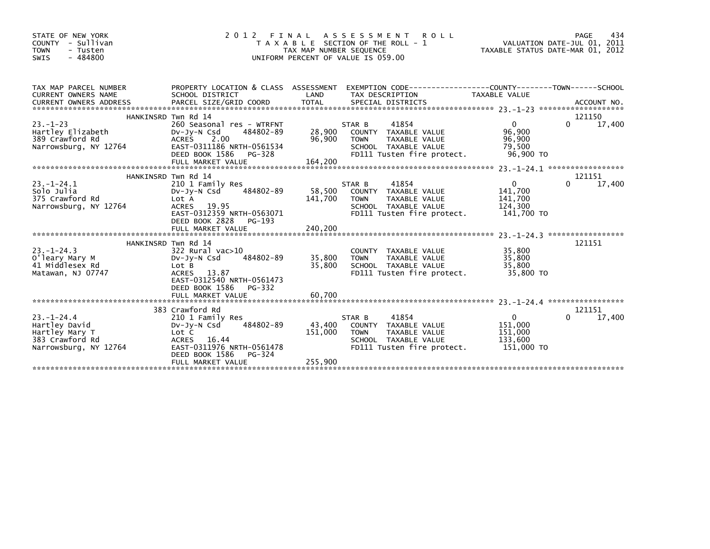| STATE OF NEW YORK<br>- Sullivan<br><b>COUNTY</b><br><b>TOWN</b><br>- Tusten<br>$-484800$<br><b>SWIS</b> | 2 0 1 2                                                                                                                                                               | FINAL<br>TAX MAP NUMBER SEQUENCE | ASSESSMENT<br><b>ROLL</b><br>T A X A B L E SECTION OF THE ROLL - 1<br>UNIFORM PERCENT OF VALUE IS 059.00                      | TAXABLE STATUS DATE-MAR 01, 2012                              | 434<br>PAGE<br>VALUATION DATE-JUL 01, 2011 |
|---------------------------------------------------------------------------------------------------------|-----------------------------------------------------------------------------------------------------------------------------------------------------------------------|----------------------------------|-------------------------------------------------------------------------------------------------------------------------------|---------------------------------------------------------------|--------------------------------------------|
| TAX MAP PARCEL NUMBER<br><b>CURRENT OWNERS NAME</b>                                                     | SCHOOL DISTRICT                                                                                                                                                       | LAND                             | PROPERTY LOCATION & CLASS ASSESSMENT EXEMPTION CODE----------------COUNTY-------TOWN------SCHOOL<br>TAX DESCRIPTION           | TAXABLE VALUE                                                 |                                            |
|                                                                                                         | HANKINSRD Twn Rd 14                                                                                                                                                   |                                  |                                                                                                                               |                                                               | 121150                                     |
| $23 - 1 - 23$<br>Hartley Elizabeth<br>389 Crawford Rd<br>Narrowsburg, NY 12764                          | 260 Seasonal res - WTRFNT<br>484802-89<br>$Dv-Jv-N$ Csd<br>ACRES 2.00<br>EAST-0311186 NRTH-0561534<br>DEED BOOK 1586 PG-328<br>FULL MARKET VALUE                      | 28,900<br>96,900<br>164,200      | 41854<br>STAR B<br>COUNTY TAXABLE VALUE<br>TAXABLE VALUE<br><b>TOWN</b><br>SCHOOL TAXABLE VALUE<br>FD111 Tusten fire protect. | $\mathbf{0}$<br>96.900<br>96,900<br>79,500<br>96,900 TO       | 0<br>17,400                                |
|                                                                                                         |                                                                                                                                                                       |                                  |                                                                                                                               |                                                               |                                            |
|                                                                                                         | HANKINSRD Twn Rd 14                                                                                                                                                   |                                  |                                                                                                                               |                                                               | 121151                                     |
| $23 - 1 - 24.1$<br>Solo Julia<br>375 Crawford Rd<br>Narrowsburg, NY 12764                               | 210 1 Family Res<br>484802-89<br>$Dv-Jy-N$ Csd<br>Lot A<br>ACRES 19.95<br>EAST-0312359 NRTH-0563071<br>DEED BOOK 2828<br>PG-193                                       | 58,500<br>141,700                | 41854<br>STAR B<br>COUNTY TAXABLE VALUE<br><b>TOWN</b><br>TAXABLE VALUE<br>SCHOOL TAXABLE VALUE<br>FD111 Tusten fire protect. | $\mathbf 0$<br>141,700<br>141,700<br>124,300<br>141,700 TO    | 0<br>17,400                                |
|                                                                                                         |                                                                                                                                                                       |                                  |                                                                                                                               |                                                               |                                            |
|                                                                                                         |                                                                                                                                                                       |                                  |                                                                                                                               |                                                               |                                            |
| $23 - 1 - 24.3$<br>O'leary Mary M<br>41 Middlesex Rd<br>Matawan, NJ 07747                               | HANKINSRD Twn Rd 14<br>$322$ Rural vac $>10$<br>484802-89<br>$Dv-Jv-N$ Csd<br>Lot B<br>13.87<br><b>ACRES</b><br>EAST-0312540 NRTH-0561473<br>DEED BOOK 1586<br>PG-332 | 35,800<br>35,800                 | COUNTY TAXABLE VALUE<br>TAXABLE VALUE<br><b>TOWN</b><br>SCHOOL TAXABLE VALUE<br>FD111 Tusten fire protect.                    | 35,800<br>35,800<br>35,800<br>35,800 TO                       | 121151                                     |
|                                                                                                         |                                                                                                                                                                       |                                  |                                                                                                                               |                                                               |                                            |
| $23 - 1 - 24.4$<br>Hartley David<br>Hartley Mary T<br>383 Crawford Rd<br>Narrowsburg, NY 12764          | 383 Crawford Rd<br>210 1 Family Res<br>484802-89<br>$Dv-Jv-N$ Csd<br>Lot C<br>ACRES 16.44<br>EAST-0311976 NRTH-0561478<br>DEED BOOK 1586<br>PG-324                    | 43,400<br>151,000                | 41854<br>STAR B<br>COUNTY TAXABLE VALUE<br><b>TOWN</b><br>TAXABLE VALUE<br>SCHOOL TAXABLE VALUE<br>FD111 Tusten fire protect. | $\overline{0}$<br>151,000<br>151,000<br>133,600<br>151,000 TO | 121151<br>0<br>17,400                      |
|                                                                                                         | FULL MARKET VALUE                                                                                                                                                     | 255,900                          |                                                                                                                               |                                                               |                                            |
|                                                                                                         |                                                                                                                                                                       |                                  |                                                                                                                               |                                                               |                                            |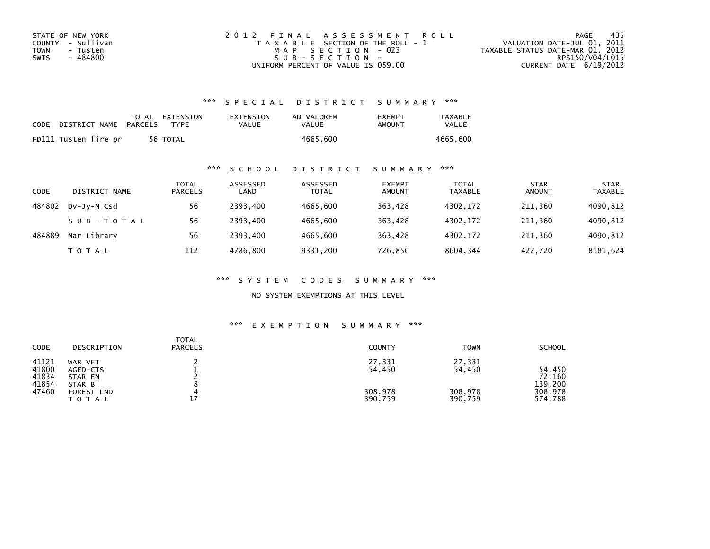| STATE OF NEW YORK | 2012 FINAL ASSESSMENT ROLL            | - 435<br>PAGE                    |
|-------------------|---------------------------------------|----------------------------------|
| COUNTY - Sullivan | T A X A B L E SECTION OF THE ROLL - 1 | VALUATION DATE-JUL 01, 2011      |
| TOWN<br>- Tusten  | MAP SECTION - 023                     | TAXABLE STATUS DATE-MAR 01, 2012 |
| - 484800<br>SWIS  | SUB-SECTION-                          | RPS150/V04/L015                  |
|                   | UNIFORM PERCENT OF VALUE IS 059.00    | CURRENT DATE $6/19/2012$         |

## \*\*\* S P E C I A L D I S T R I C T S U M M A R Y \*\*\*

| CODE | DISTRICT NAME        | PARCELS | TOTAL EXTENSION<br><b>TYPF</b> | EXTENSION<br>VALUE | AD VALOREM<br>VALUE | <b>EXEMPT</b><br>AMOUNT | <b>TAXABLE</b><br>VALUE |
|------|----------------------|---------|--------------------------------|--------------------|---------------------|-------------------------|-------------------------|
|      | FD111 Tusten fire pr |         | 56 TOTAL                       |                    | 4665.600            |                         | 4665.600                |

## \*\*\* S C H O O L D I S T R I C T S U M M A R Y \*\*\*

| CODE   | DISTRICT NAME | TOTAL<br><b>PARCELS</b> | ASSESSED<br>LAND | ASSESSED<br><b>TOTAL</b> | <b>EXEMPT</b><br><b>AMOUNT</b> | <b>TOTAL</b><br><b>TAXABLE</b> | <b>STAR</b><br><b>AMOUNT</b> | <b>STAR</b><br><b>TAXABLE</b> |
|--------|---------------|-------------------------|------------------|--------------------------|--------------------------------|--------------------------------|------------------------------|-------------------------------|
| 484802 | DV-JY-N Csd   | 56                      | 2393.400         | 4665.600                 | 363.428                        | 4302.172                       | 211.360                      | 4090,812                      |
|        | SUB-TOTAL     | 56                      | 2393.400         | 4665.600                 | 363.428                        | 4302.172                       | 211.360                      | 4090,812                      |
| 484889 | Nar Library   | 56                      | 2393.400         | 4665.600                 | 363,428                        | 4302.172                       | 211,360                      | 4090,812                      |
|        | T O T A L     | 112                     | 4786.800         | 9331,200                 | 726,856                        | 8604,344                       | 422,720                      | 8181,624                      |

\*\*\* S Y S T E M C O D E S S U M M A R Y \*\*\*

NO SYSTEM EXEMPTIONS AT THIS LEVEL

## \*\*\* E X E M P T I O N S U M M A R Y \*\*\*

| <b>CODE</b>                               | DESCRIPTION                                                            | <b>TOTAL</b><br><b>PARCELS</b> | <b>COUNTY</b>                          | <b>TOWN</b>                            | <b>SCHOOL</b>                                     |
|-------------------------------------------|------------------------------------------------------------------------|--------------------------------|----------------------------------------|----------------------------------------|---------------------------------------------------|
| 41121<br>41800<br>41834<br>41854<br>47460 | WAR VET<br>AGED-CTS<br>STAR EN<br>STAR B<br>FOREST LND<br><b>TOTAL</b> | 17                             | 27,331<br>54,450<br>308,978<br>390,759 | 27,331<br>54,450<br>308,978<br>390,759 | 54,450<br>72,160<br>139,200<br>308,978<br>574,788 |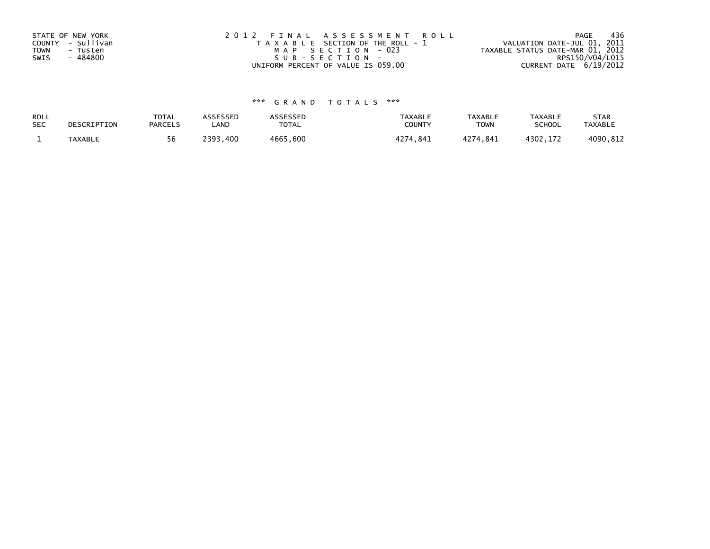| STATE OF NEW YORK       | 2012 FINAL ASSESSMENT ROLL            | - 436<br>PAGE                    |
|-------------------------|---------------------------------------|----------------------------------|
| COUNTY - Sullivan       | T A X A B L E SECTION OF THE ROLL - 1 | VALUATION DATE-JUL 01, 2011      |
| <b>TOWN</b><br>- Tusten | MAP SECTION - 023                     | TAXABLE STATUS DATE-MAR 01, 2012 |
| - 484800<br>SWIS        | SUB-SECTION-                          | RPS150/V04/L015                  |
|                         | UNIFORM PERCENT OF VALUE IS 059.00    | CURRENT DATE 6/19/2012           |

# \*\*\* G R A N D T O T A L S \*\*\*

| ROLL       | DESCRIPTION    | <b>TOTAL</b>   | ASSESSED | <b>ASSESSED</b> | <b>TAXABLE</b> | <b>TAXABLE</b> | TAXABLE       | <b>STAR</b>    |
|------------|----------------|----------------|----------|-----------------|----------------|----------------|---------------|----------------|
| <b>SEC</b> |                | <b>PARCELS</b> | LAND     | TOTAL           | COUNT          | TOWN           | <b>SCHOOL</b> | <b>TAXABLE</b> |
|            | <b>TAXABLE</b> | 56             | 2393.400 | 4665,600        | 4274,841       | 4274,841       | 4302.172      | 4090,812       |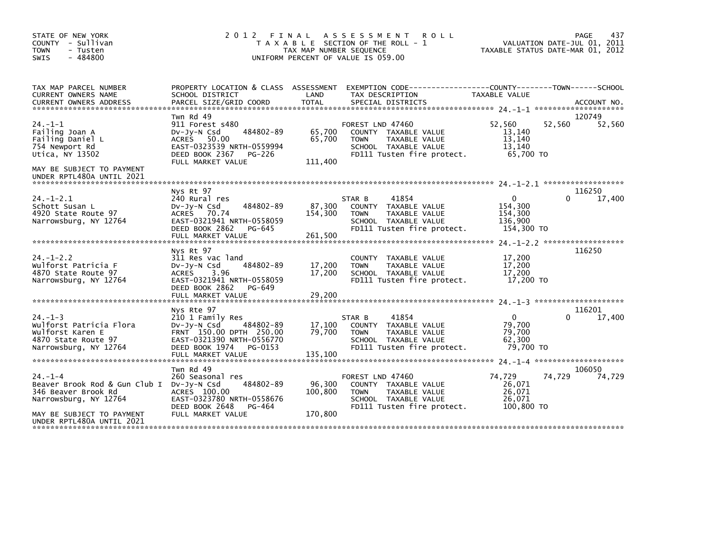| STATE OF NEW YORK<br>COUNTY - Sullivan<br><b>TOWN</b><br>- Tusten<br>$-484800$<br><b>SWIS</b>                                                                        |                                                                                                                                                                      | TAX MAP NUMBER SEQUENCE      | 2012 FINAL ASSESSMENT<br><b>ROLL</b><br>T A X A B L E SECTION OF THE ROLL - 1<br>UNIFORM PERCENT OF VALUE IS 059.00            |                                                         | 437<br>PAGE<br>VALUATION DATE-JUL 01, 2011<br>TAXABLE STATUS DATE-MAR 01, 2012 |
|----------------------------------------------------------------------------------------------------------------------------------------------------------------------|----------------------------------------------------------------------------------------------------------------------------------------------------------------------|------------------------------|--------------------------------------------------------------------------------------------------------------------------------|---------------------------------------------------------|--------------------------------------------------------------------------------|
| TAX MAP PARCEL NUMBER<br>CURRENT OWNERS NAME                                                                                                                         | SCHOOL DISTRICT                                                                                                                                                      | LAND                         | PROPERTY LOCATION & CLASS ASSESSMENT EXEMPTION CODE----------------COUNTY-------TOWN------SCHOOL<br>TAX DESCRIPTION            | <b>TAXABLE VALUE</b>                                    |                                                                                |
| $24. -1 - 1$<br>Failing Joan A<br>Failing Daniel L<br>754 Newport Rd<br>Utica, NY 13502<br>MAY BE SUBJECT TO PAYMENT<br>UNDER RPTL480A UNTIL 2021                    | Twn Rd 49<br>911 Forest s480<br>484802-89<br>DV-JV-N Csd<br>ACRES 50.00<br>EAST-0323539 NRTH-0559994<br>DEED BOOK 2367<br>PG-226<br>FULL MARKET VALUE                | 65,700<br>65,700<br>111,400  | FOREST LND 47460<br>COUNTY TAXABLE VALUE<br><b>TOWN</b><br>TAXABLE VALUE<br>SCHOOL TAXABLE VALUE<br>FD111 Tusten fire protect. | 52.560<br>13,140<br>13,140<br>13,140<br>65.700 TO       | 120749<br>52,560<br>52,560                                                     |
| $24. - 1 - 2.1$<br>Schott Susan L<br>4920 State Route 97<br>Narrowsburg, NY 12764                                                                                    | Nys Rt 97<br>240 Rural res<br>484802-89<br>DV-Jy-N Csd<br>ACRES 70.74<br>EAST-0321941 NRTH-0558059<br>DEED BOOK 2862<br>PG-645<br>FULL MARKET VALUE                  | 87,300<br>154,300<br>261,500 | 41854<br>STAR B<br>COUNTY TAXABLE VALUE<br>TAXABLE VALUE<br><b>TOWN</b><br>SCHOOL TAXABLE VALUE<br>FD111 Tusten fire protect.  | 0<br>154,300<br>154,300<br>136,900<br>154,300 TO        | 116250<br>17,400                                                               |
| $24. - 1 - 2.2$<br>Wulforst Patricia F<br>4870 State Route 97<br>Narrowsburg, NY 12764                                                                               | Nys Rt 97<br>311 Res vac land<br>484802-89<br>$Dv-Jv-N$ Csd<br><b>ACRES</b><br>3.96<br>EAST-0321941 NRTH-0558059<br>DEED BOOK 2862<br>PG-649<br>FULL MARKET VALUE    | 17,200<br>17,200<br>29,200   | COUNTY TAXABLE VALUE<br>TAXABLE VALUE<br><b>TOWN</b><br>SCHOOL TAXABLE VALUE<br>FD111 Tusten fire protect.                     | 17,200<br>17,200<br>17,200<br>17,200 TO                 | 116250                                                                         |
| $24. - 1 - 3$<br>Wulforst Patricia Flora<br>Wulforst Karen E<br>4870 State Route 97<br>Narrowsburg, NY 12764                                                         | Nys Rte 97<br>210 1 Family Res<br>484802-89<br>DV-JY-N Csd<br>FRNT 150.00 DPTH 250.00<br>EAST-0321390 NRTH-0556770<br>DEED BOOK 1974<br>PG-0153<br>FULL MARKET VALUE | 17,100<br>79,700<br>135,100  | 41854<br>STAR B<br>COUNTY TAXABLE VALUE<br>TAXABLE VALUE<br><b>TOWN</b><br>SCHOOL TAXABLE VALUE<br>FD111 Tusten fire protect.  | $\mathbf{0}$<br>79,700<br>79,700<br>62,300<br>79,700 TO | 116201<br>17,400                                                               |
| $24. - 1 - 4$<br>Beaver Brook Rod & Gun Club I DV-Jy-N Csd<br>346 Beaver Brook Rd<br>Narrowsburg, NY 12764<br>MAY BE SUBJECT TO PAYMENT<br>UNDER RPTL480A UNTIL 2021 | Twn Rd 49<br>260 Seasonal res<br>484802-89<br>ACRES 100.00<br>EAST-0323780 NRTH-0558676<br>DEED BOOK 2648<br>PG-464<br>FULL MARKET VALUE                             | 96,300<br>100,800<br>170,800 | FOREST LND 47460<br>COUNTY TAXABLE VALUE<br><b>TOWN</b><br>TAXABLE VALUE<br>SCHOOL TAXABLE VALUE<br>FD111 Tusten fire protect. | 74.729<br>26,071<br>26,071<br>26.071<br>100,800 TO      | 106050<br>74,729<br>74,729                                                     |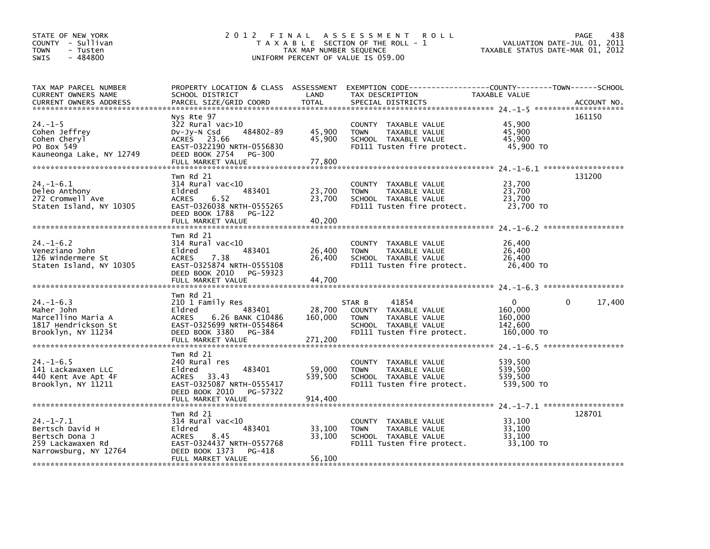| STATE OF NEW YORK<br>COUNTY - Sullivan<br><b>TOWN</b><br>- Tusten<br>$-484800$<br><b>SWIS</b>     | 2 0 1 2<br>FINAL<br>T A X A B L E SECTION OF THE ROLL - 1<br>TAX MAP NUMBER SEQUENCE<br>UNIFORM PERCENT OF VALUE IS 059.00                                    | <b>PAGE</b><br>438<br>VALUATION DATE-JUL 01, 2011<br>TAXABLE STATUS DATE-MAR 01, 2012 |                                                                                                                               |                                                         |                        |
|---------------------------------------------------------------------------------------------------|---------------------------------------------------------------------------------------------------------------------------------------------------------------|---------------------------------------------------------------------------------------|-------------------------------------------------------------------------------------------------------------------------------|---------------------------------------------------------|------------------------|
| TAX MAP PARCEL NUMBER<br>CURRENT OWNERS NAME<br><b>CURRENT OWNERS ADDRESS</b>                     | PROPERTY LOCATION & CLASS ASSESSMENT<br>SCHOOL DISTRICT<br>PARCEL SIZE/GRID COORD                                                                             | LAND<br><b>TOTAL</b>                                                                  | EXEMPTION CODE-----------------COUNTY-------TOWN------SCHOOL<br>TAX DESCRIPTION<br>SPECIAL DISTRICTS                          | <b>TAXABLE VALUE</b>                                    | ACCOUNT NO.            |
| $24. -1 - 5$<br>Cohen Jeffrey<br>Cohen Cheryl<br>PO Box 549<br>Kauneonga Lake, NY 12749           | Nys Rte 97<br>322 Rural vac>10<br>484802-89<br>$Dv$ -Jy-N Csd<br>23.66<br>ACRES<br>EAST-0322190 NRTH-0556830<br>DEED BOOK 2754<br>PG-300<br>FULL MARKET VALUE | 45,900<br>45,900<br>77,800                                                            | COUNTY TAXABLE VALUE<br><b>TOWN</b><br>TAXABLE VALUE<br>SCHOOL TAXABLE VALUE<br>FD111 Tusten fire protect.                    | 45,900<br>45.900<br>45,900<br>45,900 TO                 | 161150                 |
| $24. - 1 - 6.1$<br>Deleo Anthony<br>272 Cromwell Ave<br>Staten Island, NY 10305                   | Twn Rd 21<br>$314$ Rural vac< $10$<br>483401<br>Eldred<br>6.52<br><b>ACRES</b><br>EAST-0326038 NRTH-0555265<br>DEED BOOK 1788<br>PG-122<br>FULL MARKET VALUE  | 23,700<br>23,700<br>40,200                                                            | COUNTY TAXABLE VALUE<br>TAXABLE VALUE<br><b>TOWN</b><br>SCHOOL TAXABLE VALUE<br>FD111 Tusten fire protect.                    | 23,700<br>23,700<br>23,700<br>23,700 TO                 | 131200                 |
| $24. - 1 - 6.2$<br>Veneziano John<br>126 Windermere St<br>Staten Island, NY 10305                 | Twn Rd 21<br>$314$ Rural vac<10<br>483401<br>Eldred<br>7.38<br><b>ACRES</b><br>EAST-0325874 NRTH-0555108<br>DEED BOOK 2010<br>PG-59323<br>FULL MARKET VALUE   | 26,400<br>26,400<br>44.700                                                            | COUNTY TAXABLE VALUE<br><b>TOWN</b><br>TAXABLE VALUE<br>SCHOOL TAXABLE VALUE<br>FD111 Tusten fire protect.                    | 26,400<br>26,400<br>26,400<br>26,400 TO                 |                        |
| $24. - 1 - 6.3$<br>Maher John<br>Marcellino Maria A<br>1817 Hendrickson St<br>Brooklyn, NY 11234  | Twn Rd 21<br>210 1 Family Res<br>483401<br>Eldred<br>ACRES<br>6.26 BANK C10486<br>EAST-0325699 NRTH-0554864<br>DEED BOOK 3380<br>PG-384<br>FULL MARKET VALUE  | 28,700<br>160,000<br>271,200                                                          | 41854<br>STAR B<br>COUNTY TAXABLE VALUE<br><b>TOWN</b><br>TAXABLE VALUE<br>SCHOOL TAXABLE VALUE<br>FD111 Tusten fire protect. | $\Omega$<br>160,000<br>160,000<br>142,600<br>160,000 TO | $\mathbf{0}$<br>17,400 |
| $24. -1 - 6.5$<br>141 Lackawaxen LLC<br>440 Kent Ave Apt 4F<br>Brooklyn, NY 11211                 | Twn Rd 21<br>240 Rural res<br>483401<br>Eldred<br>33.43<br>ACRES<br>EAST-0325087 NRTH-0555417<br>DEED BOOK 2010<br>PG-57322<br>FULL MARKET VALUE              | 59,000<br>539,500<br>914,400                                                          | COUNTY TAXABLE VALUE<br><b>TOWN</b><br>TAXABLE VALUE<br>SCHOOL TAXABLE VALUE<br>FD111 Tusten fire protect.                    | 539,500<br>539,500<br>539,500<br>539,500 TO             |                        |
| $24. -1 - 7.1$<br>Bertsch David H<br>Bertsch Dona J<br>259 Lackawaxen Rd<br>Narrowsburg, NY 12764 | Twn Rd 21<br>314 Rural vac<10<br>Eldred<br>483401<br>8.45<br><b>ACRES</b><br>EAST-0324437 NRTH-0557768<br>DEED BOOK 1373<br>PG-418<br>FULL MARKET VALUE       | 33,100<br>33,100<br>56,100                                                            | COUNTY TAXABLE VALUE<br><b>TOWN</b><br>TAXABLE VALUE<br>SCHOOL TAXABLE VALUE<br>FD111 Tusten fire protect.                    | 33,100<br>33,100<br>33,100<br>33.100 TO                 | 128701                 |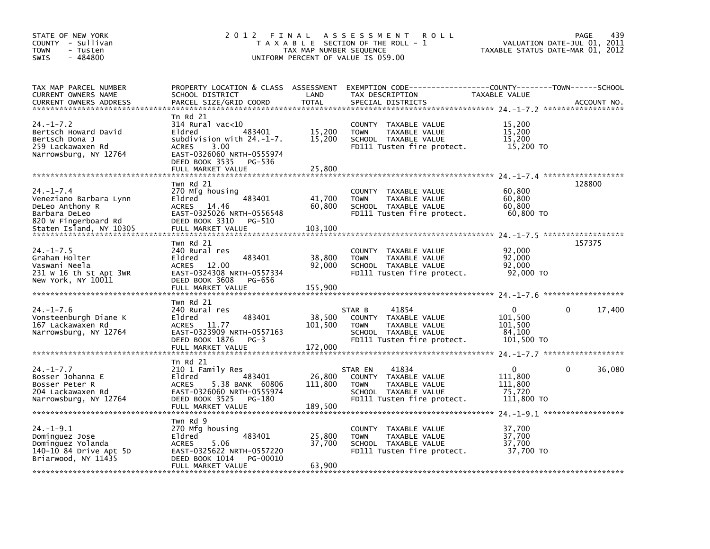| STATE OF NEW YORK<br>COUNTY - Sullivan<br>TOWN<br>- Tusten<br>$-484800$<br><b>SWIS</b>                  | 2012 FINAL                                                                                                                                                                        | TAX MAP NUMBER SEQUENCE      | A S S E S S M E N T<br><b>ROLL</b><br>T A X A B L E SECTION OF THE ROLL - 1<br>UNIFORM PERCENT OF VALUE IS 059.00                 | TAXABLE STATUS DATE-MAR 01, 2012                       | PAGE<br>439<br>VALUATION DATE-JUL 01, 2011 |
|---------------------------------------------------------------------------------------------------------|-----------------------------------------------------------------------------------------------------------------------------------------------------------------------------------|------------------------------|-----------------------------------------------------------------------------------------------------------------------------------|--------------------------------------------------------|--------------------------------------------|
| TAX MAP PARCEL NUMBER<br>CURRENT OWNERS NAME                                                            | SCHOOL DISTRICT                                                                                                                                                                   | LAND                         | PROPERTY LOCATION & CLASS ASSESSMENT EXEMPTION CODE---------------COUNTY-------TOWN------SCHOOL<br>TAX DESCRIPTION                | TAXABLE VALUE                                          |                                            |
| $24. - 1 - 7.2$<br>Bertsch Howard David<br>Bertsch Dona J<br>259 Lackawaxen Rd<br>Narrowsburg, NY 12764 | Tn Rd 21<br>$314$ Rural vac< $10$<br>Eldred<br>483401<br>subdivision with $24.-1-7$ .<br>ACRES<br>3.00<br>EAST-0326060 NRTH-0555974<br>DEED BOOK 3535 PG-536<br>FULL MARKET VALUE | 15,200<br>15,200<br>25,800   | COUNTY TAXABLE VALUE<br><b>TOWN</b><br>TAXABLE VALUE<br>SCHOOL TAXABLE VALUE<br>FD111 Tusten fire protect.                        | 15,200<br>15,200<br>15,200<br>15,200 TO                |                                            |
| $24. - 1 - 7.4$<br>Veneziano Barbara Lynn<br>DeLeo Anthony R<br>Barbara DeLeo<br>820 W Fingerboard Rd   | Twn Rd 21<br>270 Mfg housing<br>483401<br>Eldred<br>ACRES<br>14.46<br>EAST-0325026 NRTH-0556548<br>DEED BOOK 3310 PG-510                                                          | 41,700<br>60,800             | COUNTY TAXABLE VALUE<br><b>TOWN</b><br>TAXABLE VALUE<br>SCHOOL TAXABLE VALUE<br>FD111 Tusten fire protect.                        | 60,800<br>60,800<br>60,800<br>60,800 TO                | 128800                                     |
| Staten Island, NY 10305                                                                                 | FULL MARKET VALUE                                                                                                                                                                 | 103,100                      |                                                                                                                                   |                                                        |                                            |
| $24. - 1 - 7.5$<br>Graham Holter<br>Vaswani Neela<br>231 W 16 th St Apt 3WR<br>New York, NY 10011       | Twn Rd 21<br>240 Rural res<br>483401<br>Eldred<br>ACRES<br>12.00<br>EAST-0324308 NRTH-0557334<br>DEED BOOK 3608<br>PG-656                                                         | 38,800<br>92,000             | COUNTY TAXABLE VALUE<br><b>TOWN</b><br>TAXABLE VALUE<br>SCHOOL TAXABLE VALUE<br>FD111 Tusten fire protect.                        | 92,000<br>92.000<br>92,000<br>92,000 TO                | 157375                                     |
| $24. - 1 - 7.6$<br>Vonsteenburgh Diane K<br>167 Lackawaxen Rd<br>Narrowsburg, NY 12764                  | Twn Rd 21<br>240 Rural res<br>483401<br>Eldred<br><b>ACRES</b><br>11.77<br>EAST-0323909 NRTH-0557163<br>DEED BOOK 1876<br>$PG-3$                                                  | 38,500<br>101,500            | 41854<br>STAR B<br>COUNTY<br>TAXABLE VALUE<br>TAXABLE VALUE<br><b>TOWN</b><br>SCHOOL TAXABLE VALUE<br>FD111 Tusten fire protect.  | $\Omega$<br>101,500<br>101,500<br>84,100<br>101,500 TO | 0<br>17,400                                |
| $24. -1 - 7.7$<br>Bosser Johanna E<br>Bosser Peter R<br>204 Lackawaxen Rd<br>Narrowsburg, NY 12764      | $Tn$ Rd $21$<br>210 1 Family Res<br>Eldred<br>483401<br><b>ACRES</b><br>5.38 BANK 60806<br>EAST-0326060 NRTH-0555974<br>DEED BOOK 3525 PG-180<br>FULL MARKET VALUE                | 26,800<br>111,800<br>189,500 | 41834<br>STAR EN<br>COUNTY<br>TAXABLE VALUE<br>TAXABLE VALUE<br><b>TOWN</b><br>SCHOOL TAXABLE VALUE<br>FD111 Tusten fire protect. | $\Omega$<br>111.800<br>111.800<br>75,720<br>111,800 TO | 36,080<br>$\mathbf{0}$                     |
| $24. - 1 - 9.1$<br>Dominguez Jose<br>Dominguez Yolanda<br>140-10 84 Drive Apt 5D<br>Briarwood, NY 11435 | Twn Rd 9<br>270 Mfg housing<br>483401<br>Eldred<br>ACRES<br>5.06<br>EAST-0325622 NRTH-0557220<br>DEED BOOK 1014<br>PG-00010<br>FULL MARKET VALUE                                  | 25,800<br>37,700<br>63,900   | COUNTY TAXABLE VALUE<br><b>TOWN</b><br>TAXABLE VALUE<br>SCHOOL TAXABLE VALUE<br>FD111 Tusten fire protect.                        | 37,700<br>37,700<br>37,700<br>37,700 TO                |                                            |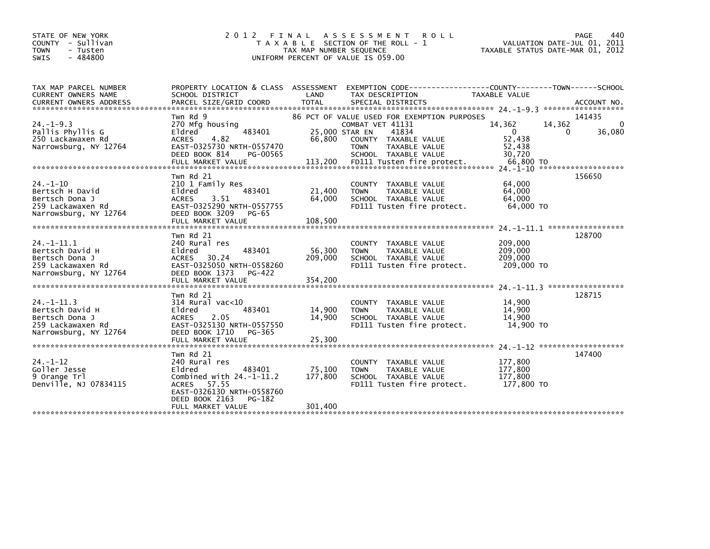| STATE OF NEW YORK<br>COUNTY - Sullivan<br><b>TOWN</b><br>- Tusten<br>$-484800$<br><b>SWIS</b>      | 2012 FINAL                                                                                                                                                                          | TAX MAP NUMBER SEOUENCE      | A S S E S S M E N T<br><b>ROLL</b><br>T A X A B L E SECTION OF THE ROLL - 1<br>UNIFORM PERCENT OF VALUE IS 059.00 | VALUATION DATE-JUL 01, 2011<br>TAXABLE STATUS DATE-MAR 01, 2012     | 440<br>PAGE            |
|----------------------------------------------------------------------------------------------------|-------------------------------------------------------------------------------------------------------------------------------------------------------------------------------------|------------------------------|-------------------------------------------------------------------------------------------------------------------|---------------------------------------------------------------------|------------------------|
| TAX MAP PARCEL NUMBER<br>CURRENT OWNERS NAME                                                       | PROPERTY LOCATION & CLASS ASSESSMENT<br>SCHOOL DISTRICT                                                                                                                             | LAND                         | EXEMPTION CODE-----------------COUNTY--------TOWN------SCHOOL<br>TAX DESCRIPTION                                  | TAXABLE VALUE                                                       |                        |
|                                                                                                    | Twn Rd 9                                                                                                                                                                            |                              | 86 PCT OF VALUE USED FOR EXEMPTION PURPOSES                                                                       |                                                                     | 141435                 |
| $24. -1 - 9.3$<br>Pallis Phyllis G<br>250 Lackawaxen Rd<br>Narrowsburg, NY 12764                   | 270 Mfg housing<br>483401<br>Eldred<br>4.82<br><b>ACRES</b><br>EAST-0325730 NRTH-0557470<br>DEED BOOK 814<br>PG-00565                                                               | 25,000 STAR EN<br>66,800     | COMBAT VET 41131<br>41834<br>COUNTY TAXABLE VALUE<br><b>TOWN</b><br>TAXABLE VALUE<br>SCHOOL TAXABLE VALUE         | 14,362<br>14,362<br>$\mathbf{0}$<br>0<br>52,438<br>52,438<br>30,720 | $\mathbf{0}$<br>36,080 |
|                                                                                                    |                                                                                                                                                                                     |                              |                                                                                                                   |                                                                     |                        |
| $24. - 1 - 10$<br>Bertsch H David<br>Bertsch Dona J<br>259 Lackawaxen Rd<br>Narrowsburg, NY 12764  | Twn Rd 21<br>210 1 Family Res<br>Eldred<br>483401<br>3.51<br>ACRES<br>EAST-0325290 NRTH-0557755<br>DEED BOOK 3209<br>PG-65                                                          | 21,400<br>64,000             | COUNTY TAXABLE VALUE<br><b>TOWN</b><br>TAXABLE VALUE<br>SCHOOL TAXABLE VALUE<br>FD111 Tusten fire protect.        | 64,000<br>64,000<br>64,000<br>64,000 TO                             | 156650                 |
|                                                                                                    | FULL MARKET VALUE                                                                                                                                                                   | 108,500                      |                                                                                                                   |                                                                     |                        |
|                                                                                                    |                                                                                                                                                                                     |                              |                                                                                                                   | 24. -1-11.1 ******************                                      |                        |
| $24 - 1 - 11.1$<br>Bertsch David H<br>Bertsch Dona J<br>259 Lackawaxen Rd<br>Narrowsburg, NY 12764 | Twn Rd 21<br>240 Rural res<br>Eldred<br>483401<br>ACRES 30.24<br>EAST-0325050 NRTH-0558260<br>DEED BOOK 1373<br>PG-422                                                              | 56,300<br>209,000            | COUNTY TAXABLE VALUE<br>TAXABLE VALUE<br><b>TOWN</b><br>SCHOOL TAXABLE VALUE<br>FD111 Tusten fire protect.        | 209,000<br>209,000<br>209,000<br>209,000 TO                         | 128700                 |
|                                                                                                    | FULL MARKET VALUE                                                                                                                                                                   | 354,200                      |                                                                                                                   | 24. -1-11.3 ******************                                      |                        |
| $24 - 1 - 11.3$<br>Bertsch David H<br>Bertsch Dona J<br>259 Lackawaxen Rd                          | Twn Rd 21<br>$314$ Rural vac< $10$<br>Eldred<br>483401<br>2.05<br><b>ACRES</b><br>EAST-0325130 NRTH-0557550<br>DEED BOOK 1710                                                       | 14,900<br>14,900             | COUNTY TAXABLE VALUE<br><b>TOWN</b><br>TAXABLE VALUE<br>SCHOOL TAXABLE VALUE<br>FD111 Tusten fire protect.        | 14,900<br>14,900<br>14,900<br>14,900 TO                             | 128715                 |
| Narrowsburg, NY 12764                                                                              | PG-365<br>FULL MARKET VALUE                                                                                                                                                         | 25,300                       |                                                                                                                   |                                                                     |                        |
|                                                                                                    |                                                                                                                                                                                     |                              |                                                                                                                   | 24 -1-12 *********************                                      |                        |
| $24. - 1 - 12$<br>Goller Jesse<br>9 Orange Trl<br>Denville, NJ 07834115                            | Twn Rd 21<br>240 Rural res<br>Eldred<br>483401<br>Combined with $24.-1-11.2$<br>57.55<br><b>ACRES</b><br>EAST-0326130 NRTH-0558760<br>DEED BOOK 2163<br>PG-182<br>FULL MARKET VALUE | 75,100<br>177,800<br>301,400 | COUNTY TAXABLE VALUE<br>TAXABLE VALUE<br><b>TOWN</b><br>SCHOOL TAXABLE VALUE<br>FD111 Tusten fire protect.        | 177,800<br>177,800<br>177,800<br>177,800 TO                         | 147400                 |
|                                                                                                    |                                                                                                                                                                                     |                              |                                                                                                                   |                                                                     |                        |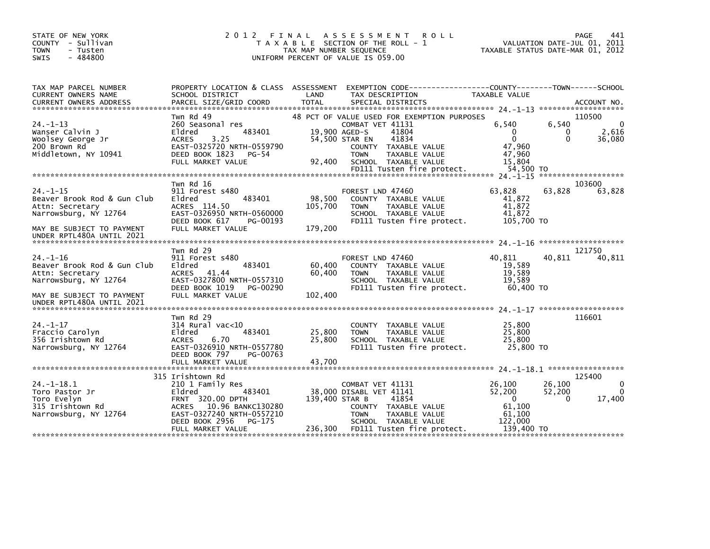| STATE OF NEW YORK<br>COUNTY - Sullivan<br><b>TOWN</b><br>- Tusten<br>$-484800$<br>SWIS        | 2 0 1 2                                                                                                                                                          | TAX MAP NUMBER SEQUENCE | FINAL ASSESSMENT<br><b>ROLL</b><br>T A X A B L E SECTION OF THE ROLL - 1<br>UNIFORM PERCENT OF VALUE IS 059.00                                                                                                                     |                                                                          | <b>PAGE</b><br>441<br>VALUATION DATE-JUL 01, 2011<br>TAXABLE STATUS DATE-MAR 01, 2012 |
|-----------------------------------------------------------------------------------------------|------------------------------------------------------------------------------------------------------------------------------------------------------------------|-------------------------|------------------------------------------------------------------------------------------------------------------------------------------------------------------------------------------------------------------------------------|--------------------------------------------------------------------------|---------------------------------------------------------------------------------------|
| TAX MAP PARCEL NUMBER<br>CURRENT OWNERS NAME                                                  | PROPERTY LOCATION & CLASS ASSESSMENT<br>SCHOOL DISTRICT                                                                                                          | LAND                    | EXEMPTION CODE------------------COUNTY--------TOWN------SCHOOL<br>TAX DESCRIPTION                                                                                                                                                  | TAXABLE VALUE                                                            |                                                                                       |
| $24. -1 - 13$<br>Wanser Calvin J<br>Woolsey George Jr<br>200 Brown Rd<br>Middletown, NY 10941 | Twn Rd 49<br>260 Seasonal res<br>Eldred<br>483401<br>3.25<br><b>ACRES</b><br>EAST-0325720 NRTH-0559790<br>DEED BOOK 1823<br>PG-54<br>FULL MARKET VALUE           | 92,400                  | 48 PCT OF VALUE USED FOR EXEMPTION PURPOSES<br>COMBAT VET 41131<br>19.900 AGED-S<br>41804<br>54,500 STAR EN<br>41834<br>COUNTY TAXABLE VALUE<br><b>TOWN</b><br>TAXABLE VALUE<br>SCHOOL TAXABLE VALUE<br>FD111 Tusten fire protect. | 6.540<br>$\Omega$<br>$\Omega$<br>47,960<br>47,960<br>15.804<br>54,500 TO | 110500<br>6.540<br>$\Omega$<br>2,616<br>0<br>36,080<br>$\Omega$                       |
|                                                                                               |                                                                                                                                                                  |                         |                                                                                                                                                                                                                                    |                                                                          | *******************                                                                   |
| $24. -1 - 15$<br>Beaver Brook Rod & Gun Club<br>Attn: Secretary<br>Narrowsburg, NY 12764      | Twn Rd 16<br>911 Forest s480<br>483401<br>Eldred<br>ACRES 114.50<br>EAST-0326950 NRTH-0560000<br>DEED BOOK 617<br>PG-00193                                       | 98,500<br>105,700       | FOREST LND 47460<br>COUNTY TAXABLE VALUE<br><b>TOWN</b><br>TAXABLE VALUE<br>SCHOOL TAXABLE VALUE<br>FD111 Tusten fire protect.                                                                                                     | 63.828<br>41,872<br>41,872<br>41,872<br>105,700 TO                       | 103600<br>63.828<br>63,828                                                            |
| MAY BE SUBJECT TO PAYMENT<br>UNDER RPTL480A UNTIL 2021                                        | FULL MARKET VALUE                                                                                                                                                | 179,200                 |                                                                                                                                                                                                                                    |                                                                          |                                                                                       |
|                                                                                               |                                                                                                                                                                  |                         |                                                                                                                                                                                                                                    |                                                                          |                                                                                       |
| $24. - 1 - 16$<br>Beaver Brook Rod & Gun Club<br>Attn: Secretary<br>Narrowsburg, NY 12764     | Twn Rd 29<br>911 Forest s480<br>483401<br>Eldred<br>ACRES 41.44<br>EAST-0327800 NRTH-0557310<br>DEED BOOK 1019<br>PG-00290                                       | 60,400<br>60,400        | FOREST LND 47460<br>COUNTY TAXABLE VALUE<br><b>TOWN</b><br>TAXABLE VALUE<br>SCHOOL TAXABLE VALUE<br>FD111 Tusten fire protect.                                                                                                     | 40,811<br>19,589<br>19,589<br>19,589<br>60,400 TO                        | 121750<br>40,811<br>40,811                                                            |
| MAY BE SUBJECT TO PAYMENT<br>UNDER RPTL480A UNTIL 2021                                        | FULL MARKET VALUE                                                                                                                                                | 102,400                 |                                                                                                                                                                                                                                    |                                                                          |                                                                                       |
|                                                                                               | Twn Rd 29                                                                                                                                                        |                         |                                                                                                                                                                                                                                    |                                                                          | 116601                                                                                |
| $24. - 1 - 17$<br>Fraccio Carolyn<br>356 Irishtown Rd<br>Narrowsburg, NY 12764                | 314 Rural vac<10<br>Eldred<br>483401<br>6.70<br><b>ACRES</b><br>EAST-0326910 NRTH-0557780<br>DEED BOOK 797<br>PG-00763                                           | 25,800<br>25,800        | COUNTY TAXABLE VALUE<br><b>TOWN</b><br>TAXABLE VALUE<br>SCHOOL TAXABLE VALUE<br>FD111 Tusten fire protect.                                                                                                                         | 25,800<br>25,800<br>25,800<br>25,800 TO                                  |                                                                                       |
|                                                                                               |                                                                                                                                                                  |                         |                                                                                                                                                                                                                                    |                                                                          |                                                                                       |
| $24 - 1 - 18.1$<br>Toro Pastor Jr<br>Toro Evelyn<br>315 Irishtown Rd<br>Narrowsburg, NY 12764 | 315 Irishtown Rd<br>210 1 Family Res<br>Eldred<br>483401<br>FRNT 320.00 DPTH<br>ACRES 10.96 BANKC130280<br>EAST-0327240 NRTH-0557210<br>DEED BOOK 2956<br>PG-175 | 139,400 STAR B          | COMBAT VET 41131<br>38,000 DISABL VET 41141<br>41854<br>COUNTY TAXABLE VALUE<br><b>TOWN</b><br>TAXABLE VALUE<br>SCHOOL TAXABLE VALUE                                                                                               | 26,100<br>52,200<br>$\Omega$<br>61.100<br>61,100<br>122,000              | 125400<br>26,100<br>0<br>52,200<br>$\Omega$<br>17,400<br>0                            |
|                                                                                               | FULL MARKET VALUE                                                                                                                                                | 236,300                 | FD111 Tusten fire protect.                                                                                                                                                                                                         | 139,400 TO                                                               |                                                                                       |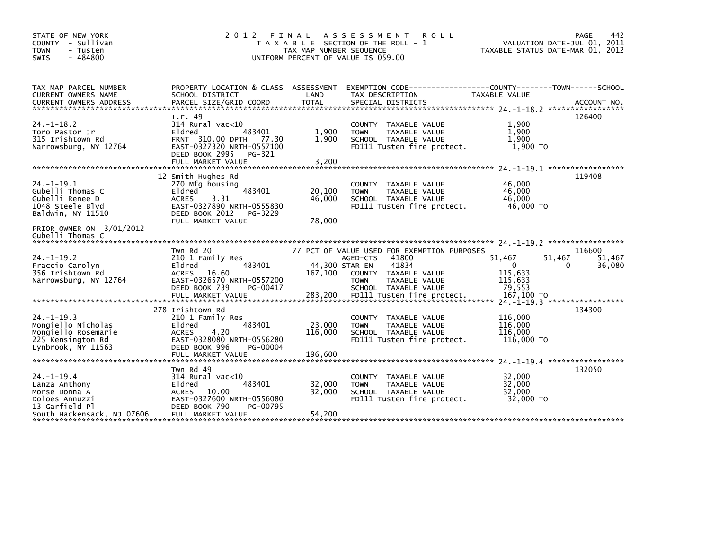| STATE OF NEW YORK<br>- Sullivan<br>COUNTY<br>- Tusten<br><b>TOWN</b><br>$-484800$<br>SWIS               | 2 0 1 2<br>FINAL                                                                                                                                          | TAX MAP NUMBER SEQUENCE              | A S S E S S M E N T<br><b>ROLL</b><br>T A X A B L E SECTION OF THE ROLL - 1<br>UNIFORM PERCENT OF VALUE IS 059.00                                                                       | VALUATION DATE-JUL 01, 2011<br>TAXABLE STATUS DATE-MAR 01, 2012          | 442<br>PAGE                |
|---------------------------------------------------------------------------------------------------------|-----------------------------------------------------------------------------------------------------------------------------------------------------------|--------------------------------------|-----------------------------------------------------------------------------------------------------------------------------------------------------------------------------------------|--------------------------------------------------------------------------|----------------------------|
| TAX MAP PARCEL NUMBER<br>CURRENT OWNERS NAME<br><b>CURRENT OWNERS ADDRESS</b>                           | PROPERTY LOCATION & CLASS ASSESSMENT<br>SCHOOL DISTRICT<br>PARCEL SIZE/GRID COORD                                                                         | LAND<br><b>TOTAL</b>                 | EXEMPTION CODE----<br>TAX DESCRIPTION<br>SPECIAL DISTRICTS                                                                                                                              | -------------COUNTY--------TOWN------SCHOOL<br><b>TAXABLE VALUE</b>      | ACCOUNT NO.                |
| $24. -1 - 18.2$<br>Toro Pastor Jr<br>315 Irishtown Rd<br>Narrowsburg, NY 12764                          | T.r. 49<br>$314$ Rural vac<10<br>Eldred<br>483401<br>FRNT 310.00 DPTH 77.30<br>EAST-0327320 NRTH-0557100<br>DEED BOOK 2995<br>PG-321<br>FULL MARKET VALUE | 1,900<br>1,900<br>3,200              | COUNTY TAXABLE VALUE<br>TAXABLE VALUE<br><b>TOWN</b><br>SCHOOL TAXABLE VALUE<br>FD111 Tusten fire protect.                                                                              | 1,900<br>1,900<br>1,900<br>1,900 TO                                      | 126400                     |
|                                                                                                         | 12 Smith Hughes Rd                                                                                                                                        |                                      |                                                                                                                                                                                         | 24. -1-19.1 ******************                                           | 119408                     |
| $24. -1 - 19.1$<br>Gubelli Thomas C<br>Gubelli Renee D<br>1048 Steele Blvd<br>Baldwin, NY 11510         | 270 Mfg housing<br>Eldred<br>483401<br><b>ACRES</b><br>3.31<br>EAST-0327890 NRTH-0555830<br>DEED BOOK 2012<br>PG-3229                                     | 20,100<br>46,000                     | COUNTY TAXABLE VALUE<br><b>TOWN</b><br>TAXABLE VALUE<br>SCHOOL TAXABLE VALUE<br>FD111 Tusten fire protect.                                                                              | 46.000<br>46,000<br>46.000<br>46,000 TO                                  |                            |
| PRIOR OWNER ON 3/01/2012<br>Gubelli Thomas C                                                            | FULL MARKET VALUE                                                                                                                                         | 78,000                               |                                                                                                                                                                                         |                                                                          |                            |
| $24. -1 - 19.2$<br>Fraccio Carolyn<br>356 Irishtown Rd<br>Narrowsburg, NY 12764                         | Twn Rd 20<br>210 1 Family Res<br>483401<br>Eldred<br>16.60<br><b>ACRES</b><br>EAST-0326570 NRTH-0557200<br>DEED BOOK 739<br>PG-00417<br>FULL MARKET VALUE | 44,300 STAR EN<br>167,100<br>283,200 | 77 PCT OF VALUE USED FOR EXEMPTION PURPOSES<br>41800<br>AGED-CTS<br>41834<br>COUNTY TAXABLE VALUE<br><b>TOWN</b><br>TAXABLE VALUE<br>SCHOOL TAXABLE VALUE<br>FD111 Tusten fire protect. | 51,467<br>51,467<br>0<br>0<br>115,633<br>115,633<br>79,553<br>167,100 TO | 116600<br>51,467<br>36,080 |
|                                                                                                         | 278 Irishtown Rd                                                                                                                                          |                                      |                                                                                                                                                                                         | 24. -1-19.3 ******************                                           | 134300                     |
| $24. -1 - 19.3$<br>Mongiello Nicholas<br>Mongiello Rosemarie<br>225 Kensington Rd<br>Lynbrook, NY 11563 | 210 1 Family Res<br>483401<br>Eldred<br>4.20<br><b>ACRES</b><br>EAST-0328080 NRTH-0556280<br>DEED BOOK 996<br>PG-00004                                    | 23,000<br>116,000                    | COUNTY TAXABLE VALUE<br><b>TOWN</b><br>TAXABLE VALUE<br>SCHOOL TAXABLE VALUE<br>FD111 Tusten fire protect.                                                                              | 116,000<br>116,000<br>116,000<br>116,000 TO                              |                            |
|                                                                                                         | FULL MARKET VALUE                                                                                                                                         | 196,600                              |                                                                                                                                                                                         |                                                                          |                            |
|                                                                                                         | Twn Rd 49                                                                                                                                                 |                                      |                                                                                                                                                                                         | $24. -1 - 19.4$ ******************                                       | 132050                     |
| $24. - 1 - 19.4$<br>Lanza Anthony<br>Morse Donna A<br>Doloes Annuzzi<br>13 Garfield Pl                  | $314$ Rural vac<10<br>Eldred<br>483401<br>10.00<br>ACRES<br>EAST-0327600 NRTH-0556080<br>DEED BOOK 790<br>PG-00795                                        | 32,000<br>32,000                     | COUNTY TAXABLE VALUE<br>TAXABLE VALUE<br><b>TOWN</b><br>SCHOOL TAXABLE VALUE<br>FD111 Tusten fire protect.                                                                              | 32,000<br>32,000<br>32,000<br>32,000 TO                                  |                            |
| South Hackensack, NJ 07606                                                                              | FULL MARKET VALUE                                                                                                                                         | 54,200                               |                                                                                                                                                                                         |                                                                          |                            |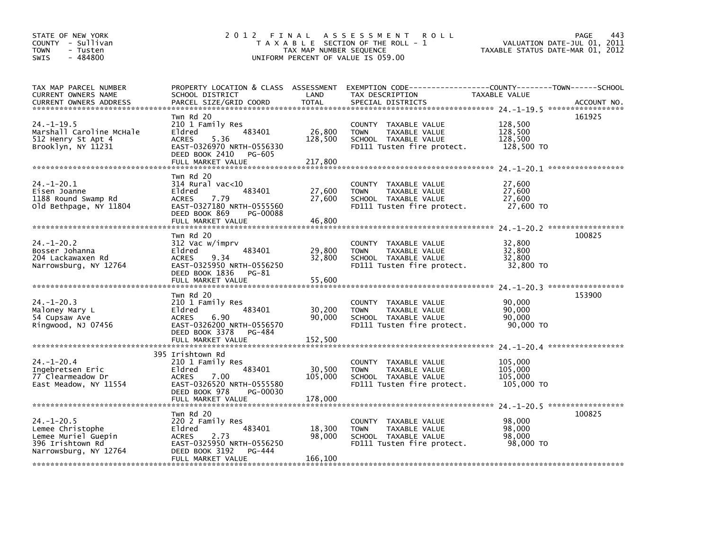| STATE OF NEW YORK<br>COUNTY - Sullivan<br>- Tusten<br><b>TOWN</b><br>$-484800$<br><b>SWIS</b>            | 2 0 1 2<br>FINAL                                                                                                                                                | TAX MAP NUMBER SEQUENCE      | A S S E S S M E N T<br><b>ROLL</b><br>T A X A B L E SECTION OF THE ROLL - 1<br>UNIFORM PERCENT OF VALUE IS 059.00    |                                             | 443<br><b>PAGE</b><br>VALUATION DATE-JUL 01, 2011<br>TAXABLE STATUS DATE-MAR 01, 2012 |
|----------------------------------------------------------------------------------------------------------|-----------------------------------------------------------------------------------------------------------------------------------------------------------------|------------------------------|----------------------------------------------------------------------------------------------------------------------|---------------------------------------------|---------------------------------------------------------------------------------------|
| TAX MAP PARCEL NUMBER<br>CURRENT OWNERS NAME<br><b>CURRENT OWNERS ADDRESS</b>                            | PROPERTY LOCATION & CLASS ASSESSMENT<br>SCHOOL DISTRICT<br>PARCEL SIZE/GRID COORD                                                                               | LAND<br><b>TOTAL</b>         | TAX DESCRIPTION<br>SPECIAL DISTRICTS                                                                                 | TAXABLE VALUE                               | ACCOUNT NO.                                                                           |
| $24. -1 - 19.5$<br>Marshall Caroline McHale<br>512 Henry St Apt 4<br>Brooklyn, NY 11231                  | Twn Rd 20<br>210 1 Family Res<br>483401<br>Eldred<br>5.36<br><b>ACRES</b><br>EAST-0326970 NRTH-0556330<br>DEED BOOK 2410<br>PG-605<br>FULL MARKET VALUE         | 26,800<br>128,500<br>217,800 | COUNTY TAXABLE VALUE<br><b>TOWN</b><br>TAXABLE VALUE<br>SCHOOL TAXABLE VALUE<br>FD111 Tusten fire protect.           | 128,500<br>128,500<br>128,500<br>128,500 TO | 161925                                                                                |
| $24. - 1 - 20.1$<br>Eisen Joanne<br>1188 Round Swamp Rd<br>Old Bethpage, NY 11804                        | Twn Rd 20<br>$314$ Rural vac<10<br>Eldred<br>483401<br>7.79<br><b>ACRES</b><br>EAST-0327180 NRTH-0555560<br>DEED BOOK 869<br>PG-00088<br>FULL MARKET VALUE      | 27,600<br>27,600<br>46,800   | <b>COUNTY</b><br>TAXABLE VALUE<br><b>TOWN</b><br>TAXABLE VALUE<br>SCHOOL TAXABLE VALUE<br>FD111 Tusten fire protect. | 27,600<br>27,600<br>27,600<br>27,600 TO     |                                                                                       |
| $24. - 1 - 20.2$<br>Bosser Johanna<br>204 Lackawaxen Rd<br>Narrowsburg, NY 12764                         | Twn Rd 20<br>312 Vac w/imprv<br>Eldred<br>483401<br>9.34<br><b>ACRES</b><br>EAST-0325950 NRTH-0556250<br>DEED BOOK 1836<br>PG-81<br>FULL MARKET VALUE           | 29,800<br>32.800<br>55.600   | COUNTY TAXABLE VALUE<br><b>TAXABLE VALUE</b><br><b>TOWN</b><br>SCHOOL TAXABLE VALUE<br>FD111 Tusten fire protect.    | 32,800<br>32,800<br>32,800<br>32,800 TO     | 100825                                                                                |
| $24. - 1 - 20.3$<br>Maloney Mary L<br>54 Cupsaw Ave<br>Ringwood, NJ 07456                                | Twn Rd 20<br>210 1 Family Res<br>Eldred<br>483401<br><b>ACRES</b><br>6.90<br>EAST-0326200 NRTH-0556570<br>DEED BOOK 3378<br>PG-484<br>FULL MARKET VALUE         | 30,200<br>90,000<br>152,500  | COUNTY TAXABLE VALUE<br><b>TOWN</b><br>TAXABLE VALUE<br>SCHOOL TAXABLE VALUE<br>FD111 Tusten fire protect.           | 90,000<br>90,000<br>90,000<br>90,000 TO     | 153900                                                                                |
| $24. - 1 - 20.4$<br>Ingebretsen Eric<br>77 Clearmeadow Dr<br>East Meadow, NY 11554                       | 395 Irishtown Rd<br>210 1 Family Res<br>Eldred<br>483401<br><b>ACRES</b><br>7.00<br>EAST-0326520 NRTH-0555580<br>DEED BOOK 978<br>PG-00030<br>FULL MARKET VALUE | 30,500<br>105,000<br>178,000 | COUNTY TAXABLE VALUE<br><b>TAXABLE VALUE</b><br><b>TOWN</b><br>SCHOOL TAXABLE VALUE<br>FD111 Tusten fire protect.    | 105,000<br>105,000<br>105,000<br>105,000 TO |                                                                                       |
| $24. - 1 - 20.5$<br>Lemee Christophe<br>Lemee Muriel Guepin<br>396 Irishtown Rd<br>Narrowsburg, NY 12764 | Twn Rd 20<br>220 2 Family Res<br>483401<br>Eldred<br><b>ACRES</b><br>2.73<br>EAST-0325950 NRTH-0556250<br>DEED BOOK 3192<br>PG-444<br>FULL MARKET VALUE         | 18,300<br>98,000<br>166,100  | COUNTY TAXABLE VALUE<br><b>TOWN</b><br>TAXABLE VALUE<br>SCHOOL TAXABLE VALUE<br>FD111 Tusten fire protect.           | 98,000<br>98,000<br>98,000<br>98,000 TO     | 100825                                                                                |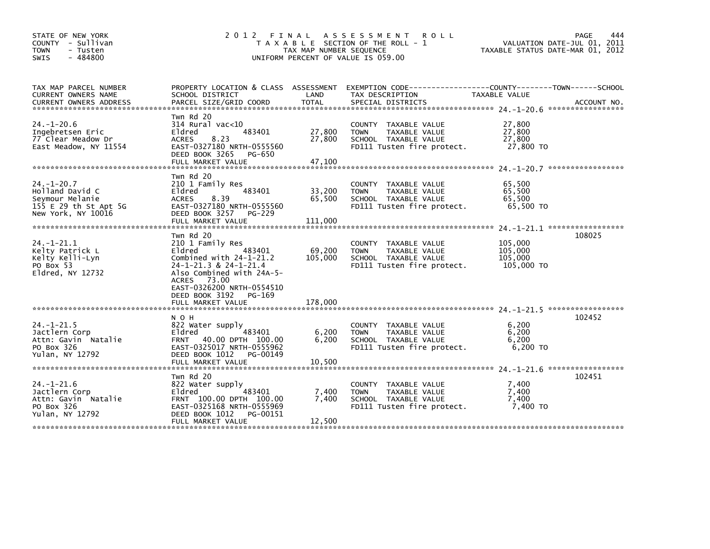| STATE OF NEW YORK<br>COUNTY - Sullivan<br><b>TOWN</b><br>- Tusten<br>$-484800$<br><b>SWIS</b>         |                                                                                                                                                                                                            | TAX MAP NUMBER SEQUENCE    | 2012 FINAL ASSESSMENT<br><b>ROLL</b><br>T A X A B L E SECTION OF THE ROLL - 1<br>UNIFORM PERCENT OF VALUE IS 059.00  | TAXABLE STATUS DATE-MAR 01, 2012            | PAGE<br>444<br>VALUATION DATE-JUL 01, 2011 |
|-------------------------------------------------------------------------------------------------------|------------------------------------------------------------------------------------------------------------------------------------------------------------------------------------------------------------|----------------------------|----------------------------------------------------------------------------------------------------------------------|---------------------------------------------|--------------------------------------------|
| TAX MAP PARCEL NUMBER<br>CURRENT OWNERS NAME                                                          | SCHOOL DISTRICT                                                                                                                                                                                            | LAND                       | PROPERTY LOCATION & CLASS ASSESSMENT EXEMPTION CODE---------------COUNTY-------TOWN------SCHOOL<br>TAX DESCRIPTION   | TAXABLE VALUE                               |                                            |
| $24. - 1 - 20.6$<br>Ingebretsen Eric<br>77 Clear Meadow Dr<br>East Meadow, NY 11554                   | Twn Rd 20<br>$314$ Rural vac<10<br>483401<br>Eldred<br><b>ACRES</b><br>8.23<br>EAST-0327180 NRTH-0555560<br>DEED BOOK 3265<br>PG-650<br>FULL MARKET VALUE                                                  | 27,800<br>27,800<br>47,100 | COUNTY TAXABLE VALUE<br>TAXABLE VALUE<br><b>TOWN</b><br>SCHOOL TAXABLE VALUE<br>FD111 Tusten fire protect.           | 27,800<br>27,800<br>27,800<br>27,800 TO     |                                            |
| $24. - 1 - 20.7$<br>Holland David C<br>Seymour Melanie<br>155 E 29 th St Apt 5G<br>New York, NY 10016 | Twn Rd 20<br>210 1 Family Res<br>Eldred<br>483401<br><b>ACRES</b><br>8.39<br>EAST-0327180 NRTH-0555560<br>DEED BOOK 3257<br>PG-229                                                                         | 33,200<br>65,500           | COUNTY TAXABLE VALUE<br><b>TAXABLE VALUE</b><br><b>TOWN</b><br>SCHOOL TAXABLE VALUE<br>FD111 Tusten fire protect.    | 65,500<br>65,500<br>65,500<br>65,500 TO     |                                            |
| $24. -1 - 21.1$<br>Kelty Patrick L<br>Kelty Kelli-Lyn<br>PO Box 53<br>Eldred, NY 12732                | Twn Rd 20<br>210 1 Family Res<br>Eldred<br>483401<br>Combined with 24-1-21.2<br>24-1-21.3 & 24-1-21.4<br>Also Combined with 24A-5-<br>ACRES 73.00<br>EAST-0326200 NRTH-0554510<br>DEED BOOK 3192<br>PG-169 | 69,200<br>105,000          | COUNTY TAXABLE VALUE<br>TAXABLE VALUE<br><b>TOWN</b><br>SCHOOL TAXABLE VALUE<br>FD111 Tusten fire protect.           | 105,000<br>105,000<br>105,000<br>105,000 TO | 108025                                     |
|                                                                                                       | FULL MARKET VALUE                                                                                                                                                                                          | 178,000                    |                                                                                                                      |                                             |                                            |
| $24. - 1 - 21.5$<br>Jactlern Corp<br>Attn: Gavin Natalie<br>PO Box 326<br>Yulan, NY 12792             | N O H<br>822 Water supply<br>483401<br>Eldred<br>FRNT 40.00 DPTH 100.00<br>EAST-0325017 NRTH-0555962<br>DEED BOOK 1012<br>PG-00149                                                                         | 6,200<br>6,200             | COUNTY TAXABLE VALUE<br><b>TOWN</b><br>TAXABLE VALUE<br>SCHOOL TAXABLE VALUE<br>FD111 Tusten fire protect.           | 6,200<br>6.200<br>6,200<br>6.200 TO         | 102452                                     |
|                                                                                                       | FULL MARKET VALUE                                                                                                                                                                                          | 10,500                     |                                                                                                                      |                                             |                                            |
| $24. - 1 - 21.6$<br>Jactlern Corp<br>Attn: Gavin Natalie<br>PO Box 326<br>Yulan, NY 12792             | Twn Rd 20<br>822 Water supply<br>483401<br>Eldred<br>FRNT 100.00 DPTH 100.00<br>EAST-0325168 NRTH-0555969<br>DEED BOOK 1012<br>PG-00151<br>FULL MARKET VALUE                                               | 7,400<br>7,400<br>12,500   | TAXABLE VALUE<br><b>COUNTY</b><br>TAXABLE VALUE<br><b>TOWN</b><br>SCHOOL TAXABLE VALUE<br>FD111 Tusten fire protect. | 7.400<br>7.400<br>7,400<br>7.400 TO         | 102451                                     |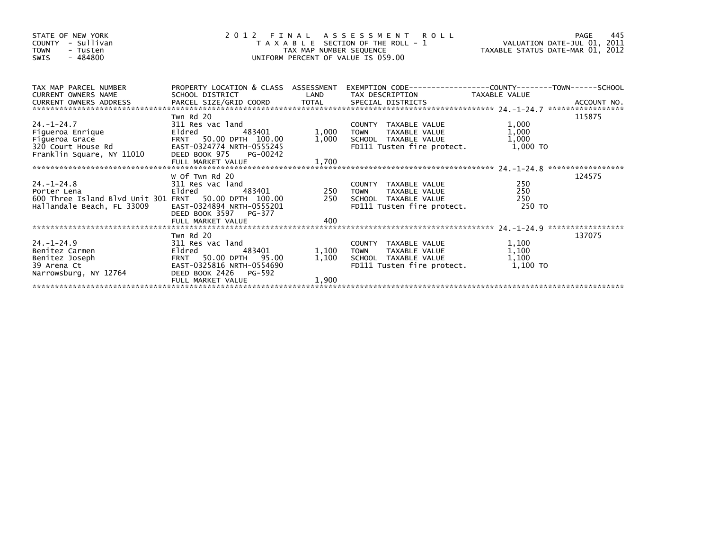| STATE OF NEW YORK<br>- Sullivan<br><b>COUNTY</b><br><b>TOWN</b><br>- Tusten<br>- 484800<br>SWIS                                                                                                                                                                                  | $\overline{z}$<br>UNIFORM PERCENT OF VALUE IS 059.00                                                                                                  | 2012 FINAL ASSESSMENT ROLL PAGE 445<br>TAXABLE SECTION OF THE ROLL - 1 VALUATION DATE-JUL 01, 2011<br>TAX MAP NUMBER SEQUENCE TAXABLE STATUS DATE-MAR 01, 2012<br>UNIFORM PERCENT OF VALUE IS 059.00 |                                                                                                                                   |                                     |        |
|----------------------------------------------------------------------------------------------------------------------------------------------------------------------------------------------------------------------------------------------------------------------------------|-------------------------------------------------------------------------------------------------------------------------------------------------------|------------------------------------------------------------------------------------------------------------------------------------------------------------------------------------------------------|-----------------------------------------------------------------------------------------------------------------------------------|-------------------------------------|--------|
| TAX MAP PARCEL NUMBER<br><b>CURRENT OWNERS NAME</b><br>CURRENT UNILLY INTEREST AND THE CONFIDENT AND THE CONFIDENT CONFIDENT CONFIDENT ON A COUNT NO.<br>CURRENT OWNERS ADDRESS PARCEL SIZE/GRID COORD TOTAL SPECIAL DISTRICTS (24.-1-24.7 ****************************          | SCHOOL DISTRICT                                                                                                                                       | <b>Example 18 The LAND</b>                                                                                                                                                                           | PROPERTY LOCATION & CLASS ASSESSMENT EXEMPTION CODE----------------COUNTY-------TOWN------SCHOOL<br>TAX DESCRIPTION TAXABLE VALUE |                                     |        |
| $A. -1-24.7$<br>$A. -1-24.7$<br>$A. -1-24.7$<br>$A. -1-24.7$<br>$A. -1-24.7$<br>$A. -1-24.7$<br>$A. -1-24.7$<br>$A. -1-24.7$<br>$A. -1-24.7$<br>$A. -1-24.7$<br>$A. -1-24.7$<br>$A. -1-24.7$<br>$A. -1-24.7$<br>$A. -1-24.7$<br>$A. -1-24.7$<br>$A. -1-24.7$<br>$A. -1-24.7$<br> | Twn Rd 20<br>311 Res vac land<br>Eldred<br>483401<br>FRNT 50.00 DPTH 100.00<br>EAST-0324774 NRTH-0555245<br>DEED BOOK 975 PG-00242                    |                                                                                                                                                                                                      | COUNTY TAXABLE VALUE<br>TAXABLE VALUE<br>1,000 TOWN<br>1,000 SCHOOL TAXABLE VALUE<br>FD111 Tusten fire protect.                   | 1,000<br>1,000<br>1,000<br>1,000 TO | 115875 |
| 24.-1-24.8<br>Porter Lena<br>Porter Lena<br>600 Three Island Blvd Unit 301 FRNT 50.00 DPTH 100.00<br>Hallandale Beach, FL 33009                                                                                                                                                  | W Of Twn Rd 20<br>311 Res vac land<br>Eldred<br>483401<br>EAST-0324894 NRTH-0555201<br>DEED BOOK 3597 PG-377<br>FULL MARKET VALUE                     | 400                                                                                                                                                                                                  | COUNTY TAXABLE VALUE<br>250 TOWN TAXABLE VALUE - 250<br>250 SCHOOL TAXABLE VALUE - 250<br>250 FD111 Tusten fire protect. 250 TO   | 250                                 | 124575 |
| 24.-1-24.9<br>Benitez Carmen<br>Benitez Joseph<br>39 Arena Ct<br>Narrowsburg, NY 12764                                                                                                                                                                                           | Twn Rd 20<br>311 Res vac land<br>Eldred<br>483401<br>FRNT 50.00 DPTH 95.00<br>EAST-0325816 NRTH-0554690<br>DEED BOOK 2426 PG-592<br>FULL MARKET VALUE | 1,100<br>1,100<br>1,900                                                                                                                                                                              | COUNTY TAXABLE VALUE<br>TAXABLE VALUE<br>TOWN<br>SCHOOL TAXABLE VALUE<br>FD111 Tusten fire protect. 1,100 TO                      | 1,100<br>1,100<br>1,100             | 137075 |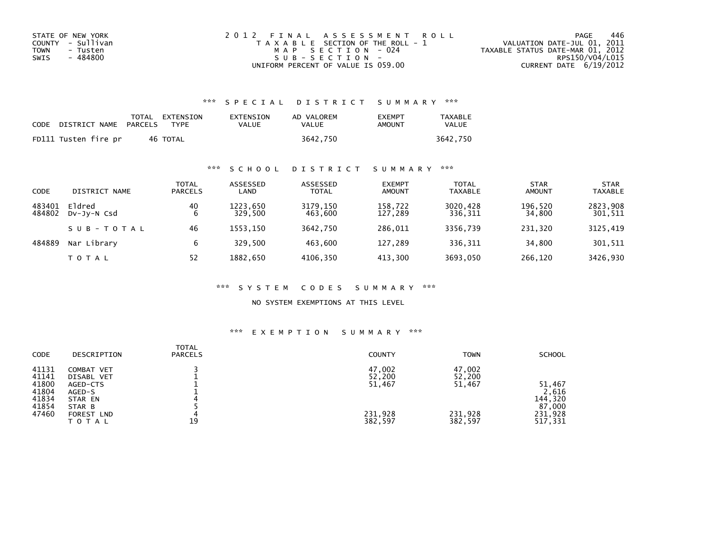| STATE OF NEW YORK | 2012 FINAL ASSESSMENT ROLL            | 446<br>PAGE                      |
|-------------------|---------------------------------------|----------------------------------|
| COUNTY - Sullivan | T A X A B L E SECTION OF THE ROLL - 1 | VALUATION DATE-JUL 01, 2011      |
| TOWN<br>- Tusten  | MAP SECTION - 024                     | TAXABLE STATUS DATE-MAR 01, 2012 |
| - 484800<br>SWIS  | SUB-SECTION-                          | RPS150/V04/L015                  |
|                   | UNIFORM PERCENT OF VALUE IS 059.00    | CURRENT DATE $6/19/2012$         |

## \*\*\* S P E C I A L D I S T R I C T S U M M A R Y \*\*\*

| CODE | DISTRICT NAME PARCELS | TOTAL EXTENSION<br><b>TYPF</b> | EXTENSION<br>VALUE | AD VALOREM<br>VALUE | <b>FXFMPT</b><br>AMOUNT | TAXABLE<br><b>VALUE</b> |
|------|-----------------------|--------------------------------|--------------------|---------------------|-------------------------|-------------------------|
|      | FD111 Tusten fire pr  | 46 TOTAL                       |                    | 3642.750            |                         | 3642.750                |

## \*\*\* S C H O O L D I S T R I C T S U M M A R Y \*\*\*

| CODE             | DISTRICT NAME         | TOTAL<br><b>PARCELS</b> | ASSESSED<br>LAND    | ASSESSED<br><b>TOTAL</b> | <b>EXEMPT</b><br>AMOUNT | <b>TOTAL</b><br><b>TAXABLE</b> | <b>STAR</b><br><b>AMOUNT</b> | <b>STAR</b><br><b>TAXABLE</b> |
|------------------|-----------------------|-------------------------|---------------------|--------------------------|-------------------------|--------------------------------|------------------------------|-------------------------------|
| 483401<br>484802 | Eldred<br>DV-JV-N Csd | 40<br>6                 | 1223.650<br>329.500 | 3179,150<br>463.600      | 158,722<br>127.289      | 3020,428<br>336,311            | 196,520<br>34,800            | 2823,908<br>301,511           |
|                  | SUB-TOTAL             | 46                      | 1553.150            | 3642.750                 | 286,011                 | 3356.739                       | 231,320                      | 3125,419                      |
| 484889           | Nar Library           | 6                       | 329.500             | 463.600                  | 127,289                 | 336,311                        | 34,800                       | 301,511                       |
|                  | T O T A L             | 52                      | 1882,650            | 4106,350                 | 413,300                 | 3693.050                       | 266,120                      | 3426,930                      |

#### \*\*\* S Y S T E M C O D E S S U M M A R Y \*\*\*

NO SYSTEM EXEMPTIONS AT THIS LEVEL

#### \*\*\* E X E M P T I O N S U M M A R Y \*\*\*

| <b>CODE</b>    | DESCRIPTION                       | <b>TOTAL</b><br><b>PARCELS</b> | <b>COUNTY</b>      | <b>TOWN</b>        | <b>SCHOOL</b>      |
|----------------|-----------------------------------|--------------------------------|--------------------|--------------------|--------------------|
| 41131<br>41141 | COMBAT VET<br>DISABL VET          |                                | 47,002<br>52,200   | 47,002<br>52,200   |                    |
| 41800<br>41804 | AGED-CTS<br>AGED-S                |                                | 51,467             | 51,467             | 51,467<br>2,616    |
| 41834<br>41854 | STAR EN<br>STAR B                 |                                |                    |                    | 144,320<br>87,000  |
| 47460          | <b>FOREST LND</b><br><b>TOTAL</b> | 19                             | 231,928<br>382,597 | 231,928<br>382,597 | 231,928<br>517,331 |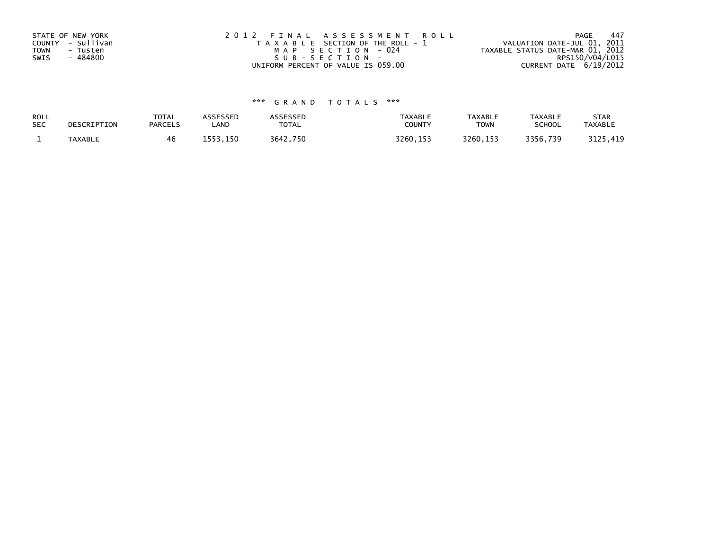| STATE OF NEW YORK<br>COUNTY - Sullivan<br>TOWN<br>- Tusten<br>- 484800<br>SWIS | 2012 FINAL ASSESSMENT ROLL<br>T A X A B L E SECTION OF THE ROLL - 1<br>MAP SECTION - 024<br>$SUB - SECTION -$ | -447<br>PAGE<br>VALUATION DATE-JUL 01, 2011<br>TAXABLE STATUS DATE-MAR 01, 2012<br>RPS150/V04/L015 |
|--------------------------------------------------------------------------------|---------------------------------------------------------------------------------------------------------------|----------------------------------------------------------------------------------------------------|
|                                                                                | UNIFORM PERCENT OF VALUE IS 059.00                                                                            | CURRENT DATE 6/19/2012                                                                             |

# \*\*\* G R A N D T O T A L S \*\*\*

| ROLL       | DESCRIPTION | <b>TOTAL</b>   | <b>ASSESSED</b> | ASSESSED | <b>TAXABLE</b> | <b>TAXABLE</b> | <b>TAXABLE</b> | <b>STAR</b>    |
|------------|-------------|----------------|-----------------|----------|----------------|----------------|----------------|----------------|
| <b>SEC</b> |             | <b>PARCELS</b> | LAND            | TOTAL    | COUNTY         | <b>TOWN</b>    | <b>SCHOOL</b>  | <b>TAXABLE</b> |
|            | TAXABLE     | 46             | 1553.150        | 3642,750 | 3260, 153      | 3260.153       | 3356,739       | 3125,419       |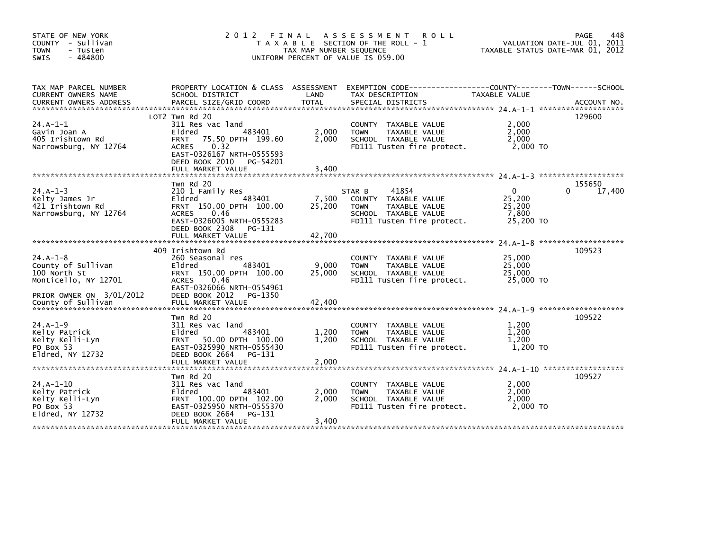| STATE OF NEW YORK<br>COUNTY - Sullivan<br><b>TOWN</b><br>- Tusten<br>$-484800$<br><b>SWIS</b>        | 2 0 1 2                                                                                                                                                                                            | FINAL<br>TAX MAP NUMBER SEQUENCE | ASSESSMENT<br><b>ROLL</b><br>T A X A B L E SECTION OF THE ROLL - 1<br>UNIFORM PERCENT OF VALUE IS 059.00                      | TAXABLE STATUS DATE-MAR 01, 2012                   | 448<br>PAGE<br>VALUATION DATE-JUL 01, 2011 |
|------------------------------------------------------------------------------------------------------|----------------------------------------------------------------------------------------------------------------------------------------------------------------------------------------------------|----------------------------------|-------------------------------------------------------------------------------------------------------------------------------|----------------------------------------------------|--------------------------------------------|
| TAX MAP PARCEL NUMBER<br>CURRENT OWNERS NAME                                                         | PROPERTY LOCATION & CLASS ASSESSMENT<br>SCHOOL DISTRICT                                                                                                                                            | LAND                             | TAX DESCRIPTION                                                                                                               | TAXABLE VALUE                                      |                                            |
| $24.A-1-1$<br>Gavin Joan A<br>405 Irishtown Rd<br>Narrowsburg, NY 12764                              | LOT2 Twn Rd 20<br>311 Res vac land<br>Eldred<br>483401<br>75.50 DPTH 199.60<br><b>FRNT</b><br>0.32<br><b>ACRES</b><br>EAST-0326167 NRTH-0555593<br>DEED BOOK 2010<br>PG-54201<br>FULL MARKET VALUE | 2,000<br>2.000<br>3,400          | COUNTY TAXABLE VALUE<br>TAXABLE VALUE<br><b>TOWN</b><br>SCHOOL TAXABLE VALUE<br>FD111 Tusten fire protect.                    | 2,000<br>2,000<br>2.000<br>2,000 TO                | 129600                                     |
| $24.A-1-3$<br>Kelty James Jr<br>421 Irishtown Rd<br>Narrowsburg, NY 12764                            | Twn Rd 20<br>210 1 Family Res<br>Eldred<br>483401<br>FRNT 150.00 DPTH 100.00<br>0.46<br><b>ACRES</b><br>EAST-0326005 NRTH-0555283<br>DEED BOOK 2308<br>PG-131<br>FULL MARKET VALUE                 | 7,500<br>25,200<br>42,700        | STAR B<br>41854<br>COUNTY TAXABLE VALUE<br><b>TOWN</b><br>TAXABLE VALUE<br>SCHOOL TAXABLE VALUE<br>FD111 Tusten fire protect. | $\Omega$<br>25,200<br>25,200<br>7,800<br>25,200 TO | 155650<br>17,400<br>0                      |
| $24.A-1-8$<br>County of Sullivan<br>100 North St<br>Monticello, NY 12701<br>PRIOR OWNER ON 3/01/2012 | 409 Irishtown Rd<br>260 Seasonal res<br>483401<br>Eldred<br>FRNT 150.00 DPTH 100.00<br>0.46<br><b>ACRES</b><br>EAST-0326066 NRTH-0554961<br>DEED BOOK 2012<br>PG-1350                              | 9,000<br>25,000                  | COUNTY TAXABLE VALUE<br><b>TOWN</b><br>TAXABLE VALUE<br>SCHOOL TAXABLE VALUE<br>FD111 Tusten fire protect.                    | 25,000<br>25,000<br>25,000<br>25,000 TO            | 109523                                     |
| $24.A-1-9$<br>Kelty Patrick<br>Kelty Kelli-Lyn<br>PO Box 53<br>Eldred, NY 12732                      | Twn Rd 20<br>311 Res vac land<br>483401<br>Eldred<br>FRNT 50.00 DPTH 100.00<br>EAST-0325990 NRTH-0555430<br>DEED BOOK 2664 PG-131<br>FULL MARKET VALUE                                             | 1,200<br>1,200<br>2,000          | COUNTY TAXABLE VALUE<br><b>TOWN</b><br>TAXABLE VALUE<br>SCHOOL TAXABLE VALUE<br>FD111 Tusten fire protect.                    | 1,200<br>1,200<br>1,200<br>1,200 TO                | 109522                                     |
| $24.A-1-10$<br>Kelty Patrick<br>Kelty Kelli-Lyn<br>PO Box 53<br>Eldred, NY 12732                     | Twn Rd 20<br>311 Res vac land<br>483401<br>Eldred<br>FRNT 100.00 DPTH 102.00<br>EAST-0325950 NRTH-0555370<br>DEED BOOK 2664 PG-131<br>FULL MARKET VALUE                                            | 2.000<br>2.000<br>3,400          | COUNTY TAXABLE VALUE<br>TAXABLE VALUE<br><b>TOWN</b><br>SCHOOL TAXABLE VALUE<br>FD111 Tusten fire protect.                    | 2,000<br>2,000<br>2.000<br>2,000 TO                | 109527                                     |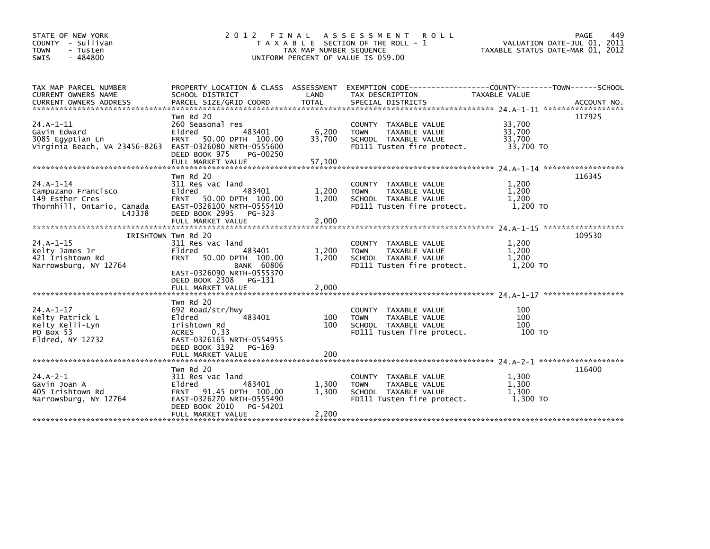| STATE OF NEW YORK<br>COUNTY - Sullivan<br><b>TOWN</b><br>- Tusten<br>- 484800<br>SWIS                      |                                                                                                                                                                            | TAX MAP NUMBER SEQUENCE   | 2012 FINAL ASSESSMENT ROLL<br>T A X A B L E SECTION OF THE ROLL - 1<br>UNIFORM PERCENT OF VALUE IS 059.00         | TAXABLE STATUS DATE-MAR 01, 2012        | PAGE<br>449<br>VALUATION DATE-JUL 01, 2011 |
|------------------------------------------------------------------------------------------------------------|----------------------------------------------------------------------------------------------------------------------------------------------------------------------------|---------------------------|-------------------------------------------------------------------------------------------------------------------|-----------------------------------------|--------------------------------------------|
| TAX MAP PARCEL NUMBER<br>CURRENT OWNERS NAME                                                               | SCHOOL DISTRICT                                                                                                                                                            | LAND                      | PROPERTY LOCATION & CLASS ASSESSMENT EXEMPTION CODE---------------COUNTY-------TOWN-----SCHOOL<br>TAX DESCRIPTION | TAXABLE VALUE                           |                                            |
| $24.A-1-11$<br>Gavin Edward<br>3085 Egyptian Ln<br>Virginia Beach, VA 23456-8263 EAST-0326080 NRTH-0555600 | Twn Rd 20<br>260 Seasonal res<br>483401<br>Eldred<br>FRNT 50.00 DPTH 100.00<br>DEED BOOK 975<br>PG-00250<br>FULL MARKET VALUE                                              | 6,200<br>33,700<br>57,100 | COUNTY TAXABLE VALUE<br>TAXABLE VALUE<br><b>TOWN</b><br>SCHOOL TAXABLE VALUE<br>FD111 Tusten fire protect.        | 33,700<br>33,700<br>33,700<br>33,700 TO | 117925                                     |
| $24.A-1-14$<br>Campuzano Francisco<br>149 Esther Cres<br>Thornhill, Ontario, Canada<br>L4J3J8              | Twn Rd 20<br>311 Res vac land<br>Eldred<br>483401<br>FRNT 50.00 DPTH 100.00<br>EAST-0326100 NRTH-0555410<br>DEED BOOK 2995<br>PG-323<br>FULL MARKET VALUE                  | 1,200<br>1,200<br>2,000   | COUNTY TAXABLE VALUE<br><b>TOWN</b><br>TAXABLE VALUE<br>SCHOOL TAXABLE VALUE<br>FD111 Tusten fire protect.        | 1,200<br>1,200<br>1,200<br>1,200 TO     | 116345                                     |
| $24.A-1-15$<br>Kelty James Jr<br>421 Irishtown Rd<br>Narrowsburg, NY 12764                                 | IRISHTOWN Twn Rd 20<br>311 Res vac land<br>Eldred<br>483401<br><b>FRNT</b><br>50.00 DPTH 100.00<br><b>BANK 60806</b><br>EAST-0326090 NRTH-0555370<br>DEED BOOK 2308 PG-131 | 1,200<br>1.200            | COUNTY TAXABLE VALUE<br>TAXABLE VALUE<br><b>TOWN</b><br>SCHOOL TAXABLE VALUE<br>FD111 Tusten fire protect.        | 1,200<br>1,200<br>1,200<br>1,200 TO     | 109530                                     |
|                                                                                                            | FULL MARKET VALUE                                                                                                                                                          | 2,000                     |                                                                                                                   |                                         |                                            |
| 24.A-1-17<br>Kelty Patrick L<br>Kelty Kelli-Lyn<br>PO Box 53<br>Eldred, NY 12732                           | Twn Rd 20<br>692 Road/str/hwy<br>483401<br>Eldred<br>Irishtown Rd<br><b>ACRES</b><br>0.33<br>EAST-0326165 NRTH-0554955<br>DEED BOOK 3192<br>PG-169                         | 100<br>100                | COUNTY TAXABLE VALUE<br>TAXABLE VALUE<br><b>TOWN</b><br>SCHOOL TAXABLE VALUE<br>FD111 Tusten fire protect.        | 100<br>100<br>100<br>100 TO             |                                            |
|                                                                                                            |                                                                                                                                                                            |                           |                                                                                                                   |                                         |                                            |
| $24.A - 2 - 1$<br>Gavin Joan A<br>405 Irishtown Rd<br>Narrowsburg, NY 12764                                | Twn Rd 20<br>311 Res vac land<br>483401<br>Eldred<br>91.45 DPTH 100.00<br><b>FRNT</b><br>EAST-0326270 NRTH-0555490<br>DEED BOOK 2010<br>PG-54201<br>FULL MARKET VALUE      | 1,300<br>1,300<br>2,200   | COUNTY TAXABLE VALUE<br>TAXABLE VALUE<br><b>TOWN</b><br>SCHOOL TAXABLE VALUE<br>FD111 Tusten fire protect.        | 1,300<br>1.300<br>1,300<br>1.300 TO     | 116400                                     |
|                                                                                                            |                                                                                                                                                                            |                           |                                                                                                                   |                                         |                                            |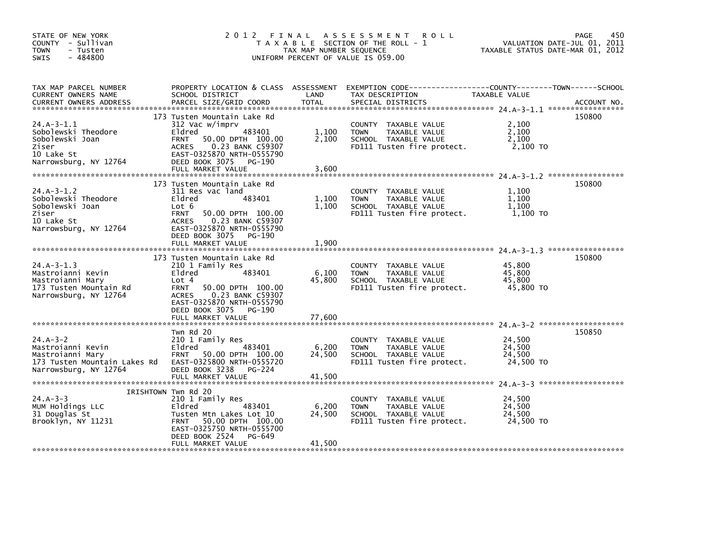| STATE OF NEW YORK<br>COUNTY - Sullivan<br><b>TOWN</b><br>- Tusten<br>$-484800$<br>SWIS                       | 2012 FINAL                                                                                                                                                                                                                  | TAX MAP NUMBER SEQUENCE   | A S S E S S M E N T<br><b>ROLL</b><br>T A X A B L E SECTION OF THE ROLL - 1<br>UNIFORM PERCENT OF VALUE IS 059.00 | TAXABLE STATUS DATE-MAR 01, 2012        | 450<br>PAGE<br>VALUATION DATE-JUL 01, 2011 |
|--------------------------------------------------------------------------------------------------------------|-----------------------------------------------------------------------------------------------------------------------------------------------------------------------------------------------------------------------------|---------------------------|-------------------------------------------------------------------------------------------------------------------|-----------------------------------------|--------------------------------------------|
| TAX MAP PARCEL NUMBER<br><b>CURRENT OWNERS NAME</b><br>CURRENT OWNERS ADDRESS                                | PROPERTY LOCATION & CLASS ASSESSMENT<br>SCHOOL DISTRICT<br>PARCEL SIZE/GRID COORD                                                                                                                                           | LAND<br>TOTAL             | TAX DESCRIPTION<br>SPECIAL DISTRICTS                                                                              | TAXABLE VALUE                           | ACCOUNT NO.                                |
| $24.A-3-1.1$<br>Sobolewski Theodore<br>Sobolewski Joan<br>Ziser<br>10 Lake St<br>Narrowsburg, NY 12764       | 173 Tusten Mountain Lake Rd<br>312 Vac w/imprv<br>Eldred<br>483401<br><b>FRNT</b><br>50.00 DPTH 100.00<br>0.23 BANK C59307<br><b>ACRES</b><br>EAST-0325870 NRTH-0555790<br>DEED BOOK 3075 PG-190<br>FULL MARKET VALUE       | 1,100<br>2.100<br>3.600   | COUNTY TAXABLE VALUE<br><b>TOWN</b><br>TAXABLE VALUE<br>SCHOOL TAXABLE VALUE<br>FD111 Tusten fire protect.        | 2,100<br>2,100<br>2.100<br>2,100 TO     | 150800                                     |
| $24.A-3-1.2$<br>Sobolewski Theodore<br>Sobolewski Joan<br>Ziser<br>10 Lake St<br>Narrowsburg, NY 12764       | 173 Tusten Mountain Lake Rd<br>311 Res vac land<br>Eldred<br>483401<br>Lot 6<br>50.00 DPTH 100.00<br><b>FRNT</b><br>ACRES 0.23 BANK C59307<br>EAST-0325870 NRTH-0555790<br>DEED BOOK 3075 PG-190<br>FULL MARKET VALUE       | 1,100<br>1,100<br>1,900   | COUNTY TAXABLE VALUE<br><b>TOWN</b><br>TAXABLE VALUE<br>SCHOOL TAXABLE VALUE<br>FD111 Tusten fire protect.        | 1,100<br>1,100<br>1.100<br>1,100 TO     | 150800                                     |
| $24.A-3-1.3$<br>Mastroianni Kevin<br>Mastroianni Mary<br>173 Tusten Mountain Rd<br>Narrowsburg, NY 12764     | 173 Tusten Mountain Lake Rd<br>210 1 Family Res<br>483401<br>Eldred<br>Lot 4<br>50.00 DPTH 100.00<br><b>FRNT</b><br>0.23 BANK C59307<br>ACRES<br>EAST-0325870 NRTH-0555790<br>DEED BOOK 3075<br>PG-190<br>FULL MARKET VALUE | 6,100<br>45,800<br>77,600 | COUNTY TAXABLE VALUE<br>TAXABLE VALUE<br><b>TOWN</b><br>SCHOOL TAXABLE VALUE<br>FD111 Tusten fire protect.        | 45,800<br>45,800<br>45.800<br>45,800 TO | 150800                                     |
| $24.A-3-2$<br>Mastroianni Kevin<br>Mastroianni Mary<br>173 Tusten Mountain Lakes Rd<br>Narrowsburg, NY 12764 | Twn Rd 20<br>210 1 Family Res<br>483401<br>Eldred<br>FRNT 50.00 DPTH 100.00<br>EAST-0325800 NRTH-0555720<br>DEED BOOK 3238<br>PG-224<br>FULL MARKET VALUE                                                                   | 6,200<br>24,500<br>41,500 | COUNTY TAXABLE VALUE<br>TAXABLE VALUE<br><b>TOWN</b><br>SCHOOL TAXABLE VALUE<br>FD111 Tusten fire protect.        | 24,500<br>24,500<br>24,500<br>24,500 TO | 150850                                     |
| $24.A - 3 - 3$<br>MUM Holdings LLC<br>31 Douglas St<br>Brooklyn, NY 11231                                    | IRISHTOWN Twn Rd 20<br>210 1 Family Res<br>Eldred<br>483401<br>Tusten Mtn Lakes Lot 10<br>50.00 DPTH 100.00<br><b>FRNT</b><br>EAST-0325750 NRTH-0555700<br>DEED BOOK 2524<br>PG-649<br>FULL MARKET VALUE                    | 6,200<br>24,500<br>41,500 | COUNTY TAXABLE VALUE<br><b>TOWN</b><br>TAXABLE VALUE<br>SCHOOL TAXABLE VALUE<br>FD111 Tusten fire protect.        | 24,500<br>24,500<br>24,500<br>24,500 TO |                                            |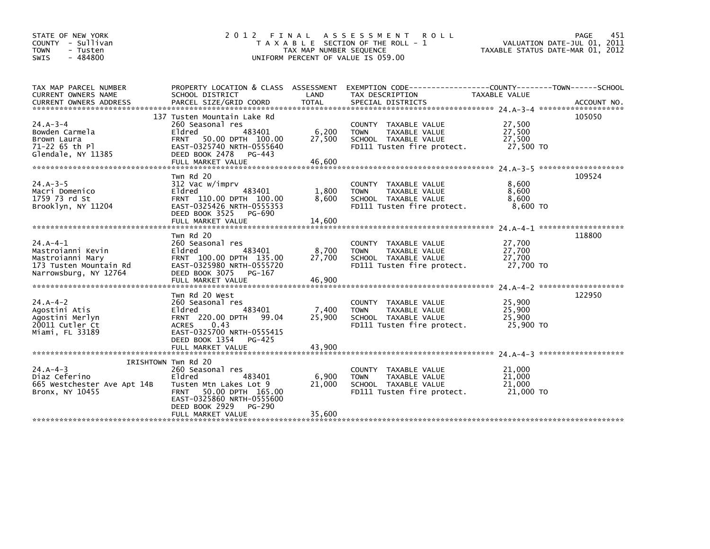| STATE OF NEW YORK<br>COUNTY - Sullivan<br><b>TOWN</b><br>- Tusten<br>$-484800$<br><b>SWIS</b> |                                                               | TAX MAP NUMBER SEQUENCE | 2012 FINAL ASSESSMENT ROLL<br>T A X A B L E SECTION OF THE ROLL - 1<br>UNIFORM PERCENT OF VALUE IS 059.00           | TAXABLE STATUS DATE-MAR 01, 2012 | PAGE<br>451<br>VALUATION DATE-JUL 01, 2011 |
|-----------------------------------------------------------------------------------------------|---------------------------------------------------------------|-------------------------|---------------------------------------------------------------------------------------------------------------------|----------------------------------|--------------------------------------------|
|                                                                                               |                                                               |                         |                                                                                                                     |                                  |                                            |
| TAX MAP PARCEL NUMBER<br>CURRENT OWNERS NAME                                                  | SCHOOL DISTRICT                                               | LAND                    | PROPERTY LOCATION & CLASS ASSESSMENT EXEMPTION CODE----------------COUNTY-------TOWN------SCHOOL<br>TAX DESCRIPTION | TAXABLE VALUE                    |                                            |
|                                                                                               |                                                               |                         |                                                                                                                     |                                  |                                            |
|                                                                                               | 137 Tusten Mountain Lake Rd                                   |                         |                                                                                                                     |                                  | 105050                                     |
| $24.A - 3 - 4$<br>Bowden Carmela                                                              | 260 Seasonal res<br>Eldred<br>483401                          | 6,200                   | COUNTY TAXABLE VALUE<br>TAXABLE VALUE<br><b>TOWN</b>                                                                | 27,500<br>27,500                 |                                            |
| Brown Laura                                                                                   | FRNT 50.00 DPTH 100.00                                        | 27,500                  | SCHOOL TAXABLE VALUE                                                                                                | 27,500                           |                                            |
| 71-22 65 th Pl                                                                                | EAST-0325740 NRTH-0555640                                     |                         | FD111 Tusten fire protect.                                                                                          | 27,500 TO                        |                                            |
| Glendale, NY 11385                                                                            | DEED BOOK 2478<br>PG-443                                      |                         |                                                                                                                     |                                  |                                            |
|                                                                                               | Twn Rd 20                                                     |                         |                                                                                                                     |                                  | 109524                                     |
| $24.A - 3 - 5$                                                                                | 312 Vac w/imprv                                               |                         | COUNTY TAXABLE VALUE                                                                                                | 8,600                            |                                            |
| Macri Domenico<br>1759 73 rd St                                                               | Eldred<br>483401<br>FRNT 110.00 DPTH 100.00                   | 1,800<br>8,600          | <b>TOWN</b><br>TAXABLE VALUE<br>SCHOOL TAXABLE VALUE                                                                | 8,600<br>8,600                   |                                            |
| Brooklyn, NY 11204                                                                            | EAST-0325426 NRTH-0555353                                     |                         | FD111 Tusten fire protect.                                                                                          | 8,600 TO                         |                                            |
|                                                                                               | DEED BOOK 3525<br>PG-690                                      |                         |                                                                                                                     |                                  |                                            |
|                                                                                               |                                                               |                         |                                                                                                                     |                                  |                                            |
|                                                                                               | Twn Rd 20                                                     |                         |                                                                                                                     |                                  | 118800                                     |
| $24.A-4-1$                                                                                    | 260 Seasonal res<br>483401                                    |                         | COUNTY TAXABLE VALUE                                                                                                | 27,700<br>27,700                 |                                            |
| Mastroianni Kevin<br>Mastroianni Mary                                                         | Eldred<br>FRNT 100.00 DPTH 135.00                             | 8,700<br>27,700         | TAXABLE VALUE<br><b>TOWN</b><br>SCHOOL TAXABLE VALUE                                                                | 27,700                           |                                            |
| 173 Tusten Mountain Rd                                                                        | EAST-0325980 NRTH-0555720                                     |                         | FD111 Tusten fire protect.                                                                                          | 27,700 TO                        |                                            |
| Narrowsburg, NY 12764                                                                         | DEED BOOK 3075 PG-167                                         |                         |                                                                                                                     |                                  |                                            |
|                                                                                               |                                                               |                         |                                                                                                                     |                                  |                                            |
|                                                                                               | Twn Rd 20 West                                                |                         |                                                                                                                     |                                  | 122950                                     |
| $24.A - 4 - 2$<br>Agostini Atis                                                               | 260 Seasonal res<br>483401<br>Eldred                          | 7,400                   | COUNTY TAXABLE VALUE<br>TAXABLE VALUE<br><b>TOWN</b>                                                                | 25,900<br>25,900                 |                                            |
| Agostini Merlyn                                                                               | FRNT 220.00 DPTH 99.04                                        | 25,900                  | SCHOOL TAXABLE VALUE                                                                                                | 25,900                           |                                            |
| 20011 Cutler Ct                                                                               | ACRES 0.43                                                    |                         | FD111 Tusten fire protect.                                                                                          | 25,900 TO                        |                                            |
| Miami, FL 33189                                                                               | EAST-0325700 NRTH-0555415<br>DEED BOOK 1354 PG-425            |                         |                                                                                                                     |                                  |                                            |
|                                                                                               | FULL MARKET VALUE                                             | 43,900                  |                                                                                                                     |                                  |                                            |
|                                                                                               |                                                               |                         |                                                                                                                     |                                  |                                            |
| $24.A - 4 - 3$                                                                                | IRISHTOWN Twn Rd 20<br>260 Seasonal res                       |                         | COUNTY TAXABLE VALUE                                                                                                | 21,000                           |                                            |
| Diaz Ceferino                                                                                 | Eldred<br>483401                                              | 6,900                   | TAXABLE VALUE<br><b>TOWN</b>                                                                                        | 21,000                           |                                            |
| 665 Westchester Ave Apt 14B                                                                   | Tusten Mtn Lakes Lot 9                                        | 21,000                  | SCHOOL TAXABLE VALUE                                                                                                | 21,000                           |                                            |
| Bronx, NY 10455                                                                               | 50.00 DPTH 165.00<br><b>FRNT</b><br>EAST-0325860 NRTH-0555600 |                         | FD111 Tusten fire protect.                                                                                          | 21,000 TO                        |                                            |
|                                                                                               | DEED BOOK 2929<br>PG-290                                      |                         |                                                                                                                     |                                  |                                            |
|                                                                                               | FULL MARKET VALUE                                             | 35,600                  |                                                                                                                     |                                  |                                            |
|                                                                                               |                                                               |                         |                                                                                                                     |                                  |                                            |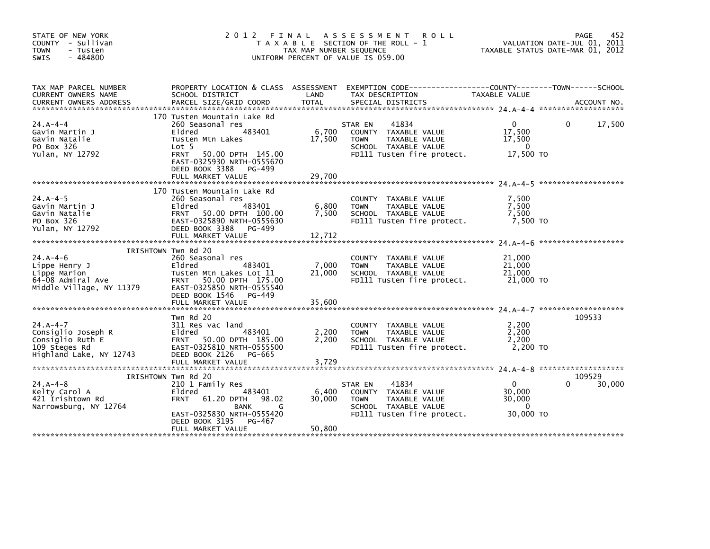|                                                                                                                                                                                                                 |                           | <b>ROLL</b>                                                                           |                                                                                                                                                                                             | 452<br>PAGE<br>VALUATION DATE-JUL 01, 2011<br>TAXABLE STATUS DATE-MAR 01, 2012                                                                                                                                                                                                    |
|-----------------------------------------------------------------------------------------------------------------------------------------------------------------------------------------------------------------|---------------------------|---------------------------------------------------------------------------------------|---------------------------------------------------------------------------------------------------------------------------------------------------------------------------------------------|-----------------------------------------------------------------------------------------------------------------------------------------------------------------------------------------------------------------------------------------------------------------------------------|
| SCHOOL DISTRICT                                                                                                                                                                                                 | LAND                      | TAX DESCRIPTION                                                                       | TAXABLE VALUE                                                                                                                                                                               |                                                                                                                                                                                                                                                                                   |
| 170 Tusten Mountain Lake Rd<br>260 Seasonal res<br>483401<br>Eldred<br>Tusten Mtn Lakes<br>Lot 5<br>50.00 DPTH 145.00<br><b>FRNT</b><br>EAST-0325930 NRTH-0555670<br>DEED BOOK 3388 PG-499<br>FULL MARKET VALUE | 6,700<br>17,500<br>29,700 | 41834<br>COUNTY TAXABLE VALUE<br>TAXABLE VALUE<br><b>TOWN</b><br>SCHOOL TAXABLE VALUE | $\Omega$<br>17,500<br>17,500<br>$\Omega$                                                                                                                                                    | 17,500<br>$\Omega$                                                                                                                                                                                                                                                                |
| 170 Tusten Mountain Lake Rd<br>260 Seasonal res<br>483401<br>Eldred<br>FRNT 50.00 DPTH 100.00<br>EAST-0325890 NRTH-0555630<br>DEED BOOK 3388<br>PG-499<br>FULL MARKET VALUE                                     | 6,800<br>7,500<br>12,712  | COUNTY TAXABLE VALUE<br>TAXABLE VALUE<br><b>TOWN</b><br>SCHOOL TAXABLE VALUE          | 7,500<br>7,500<br>7,500                                                                                                                                                                     |                                                                                                                                                                                                                                                                                   |
| IRISHTOWN Twn Rd 20<br>260 Seasonal res<br>483401<br>Eldred<br>Tusten Mtn Lakes Lot 11<br>FRNT 50.00 DPTH 175.00<br>EAST-0325850 NRTH-0555540<br>DEED BOOK 1546<br>PG-449<br>FULL MARKET VALUE                  | 7,000<br>21,000<br>35,600 | COUNTY TAXABLE VALUE<br><b>TOWN</b><br>TAXABLE VALUE<br>SCHOOL TAXABLE VALUE          | 21,000<br>21,000<br>21,000                                                                                                                                                                  |                                                                                                                                                                                                                                                                                   |
| Twn Rd 20<br>311 Res vac land<br>Eldred<br>483401<br>FRNT 50.00 DPTH 185.00<br>EAST-0325810 NRTH-0555500<br>DEED BOOK 2126<br>PG-665                                                                            | 2,200<br>2,200            | COUNTY TAXABLE VALUE<br><b>TOWN</b><br>TAXABLE VALUE<br>SCHOOL TAXABLE VALUE          | 2,200<br>2,200<br>2,200                                                                                                                                                                     | 109533                                                                                                                                                                                                                                                                            |
| IRISHTOWN TWN Rd 20<br>210 1 Family Res<br>Eldred<br>483401<br><b>FRNT</b><br>61.20 DPTH 98.02<br>BANK<br>G<br>EAST-0325830 NRTH-0555420<br>DEED BOOK 3195<br>PG-467<br>FULL MARKET VALUE                       | 6,400<br>30,000<br>50,800 | 41834<br>COUNTY TAXABLE VALUE<br><b>TOWN</b><br>TAXABLE VALUE<br>SCHOOL TAXABLE VALUE | $\overline{0}$<br>30,000<br>30,000<br>$\Omega$                                                                                                                                              | 109529<br>30,000                                                                                                                                                                                                                                                                  |
|                                                                                                                                                                                                                 | FULL MARKET VALUE         | 2012 FINAL<br>3,729                                                                   | A S S E S S M E N T<br>T A X A B L E SECTION OF THE ROLL - 1<br>TAX MAP NUMBER SEQUENCE<br>UNIFORM PERCENT OF VALUE IS 059.00<br>PROPERTY LOCATION & CLASS ASSESSMENT<br>STAR EN<br>STAR EN | EXEMPTION CODE-----------------COUNTY-------TOWN------SCHOOL<br>17,500 TO<br>FD111 Tusten fire protect.<br>FD111 Tusten fire protect.<br>7,500 TO<br>FD111 Tusten fire protect.<br>21,000 TO<br>2,200 TO<br>FD111 Tusten fire protect.<br>FD111 Tusten fire protect.<br>30,000 TO |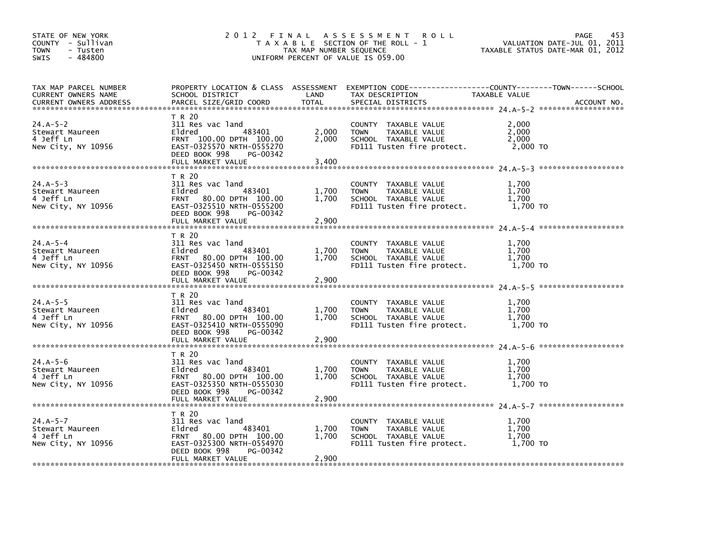| STATE OF NEW YORK<br>COUNTY - Sullivan<br><b>TOWN</b><br>- Tusten<br>$-484800$<br><b>SWIS</b> |                                                                                                                                                          | TAX MAP NUMBER SEQUENCE | 2012 FINAL ASSESSMENT<br><b>ROLL</b><br>T A X A B L E SECTION OF THE ROLL - 1<br>UNIFORM PERCENT OF VALUE IS 059.00                    |                                     | 453<br>PAGE<br>VALUATION DATE-JUL 01, 2011<br>TAXABLE STATUS DATE-MAR 01, 2012 |
|-----------------------------------------------------------------------------------------------|----------------------------------------------------------------------------------------------------------------------------------------------------------|-------------------------|----------------------------------------------------------------------------------------------------------------------------------------|-------------------------------------|--------------------------------------------------------------------------------|
| TAX MAP PARCEL NUMBER<br>CURRENT OWNERS NAME<br><b>CURRENT OWNERS ADDRESS</b>                 | SCHOOL DISTRICT<br>PARCEL SIZE/GRID COORD                                                                                                                | LAND<br><b>TOTAL</b>    | PROPERTY LOCATION & CLASS ASSESSMENT EXEMPTION CODE---------------COUNTY-------TOWN-----SCHOOL<br>TAX DESCRIPTION<br>SPECIAL DISTRICTS | TAXABLE VALUE                       | ACCOUNT NO.                                                                    |
| $24.A-5-2$<br>Stewart Maureen<br>4 Jeff Ln<br>New City, NY 10956                              | T R 20<br>311 Res vac land<br>483401<br>Eldred<br>FRNT 100.00 DPTH 100.00<br>EAST-0325570 NRTH-0555270<br>DEED BOOK 998<br>PG-00342<br>FULL MARKET VALUE | 2,000<br>2,000<br>3,400 | COUNTY TAXABLE VALUE<br>TAXABLE VALUE<br><b>TOWN</b><br>SCHOOL TAXABLE VALUE<br>FD111 Tusten fire protect.                             | 2,000<br>2.000<br>2,000<br>2,000 TO |                                                                                |
| $24.A-5-3$<br>Stewart Maureen<br>4 Jeff Ln<br>New City, NY 10956                              | T R 20<br>311 Res vac land<br>483401<br>Eldred<br>FRNT 80.00 DPTH 100.00<br>EAST-0325510 NRTH-0555200<br>DEED BOOK 998<br>PG-00342<br>FULL MARKET VALUE  | 1,700<br>1,700<br>2,900 | COUNTY TAXABLE VALUE<br><b>TOWN</b><br>TAXABLE VALUE<br>SCHOOL TAXABLE VALUE<br>FD111 Tusten fire protect.                             | 1,700<br>1,700<br>1,700<br>1.700 TO |                                                                                |
| $24.A-5-4$<br>Stewart Maureen<br>4 Jeff Ln<br>New City, NY 10956                              | T R 20<br>311 Res vac land<br>483401<br>Eldred<br>FRNT 80.00 DPTH 100.00<br>EAST-0325450 NRTH-0555150<br>DEED BOOK 998<br>PG-00342<br>FULL MARKET VALUE  | 1,700<br>1,700<br>2,900 | COUNTY TAXABLE VALUE<br><b>TOWN</b><br>TAXABLE VALUE<br>SCHOOL TAXABLE VALUE<br>FD111 Tusten fire protect.                             | 1,700<br>1,700<br>1.700<br>1,700 TO |                                                                                |
| $24.A-5-5$<br>Stewart Maureen<br>4 Jeff Ln<br>New City, NY 10956                              | T R 20<br>311 Res vac land<br>483401<br>Eldred<br>FRNT 80.00 DPTH 100.00<br>EAST-0325410 NRTH-0555090<br>DEED BOOK 998<br>PG-00342<br>FULL MARKET VALUE  | 1,700<br>1,700<br>2,900 | COUNTY TAXABLE VALUE<br><b>TOWN</b><br>TAXABLE VALUE<br>SCHOOL TAXABLE VALUE<br>FD111 Tusten fire protect.                             | 1.700<br>1,700<br>1.700<br>1,700 TO |                                                                                |
| $24.A - 5 - 6$<br>Stewart Maureen<br>4 Jeff Ln<br>New City, NY 10956                          | T R 20<br>311 Res vac land<br>483401<br>Eldred<br>FRNT 80.00 DPTH 100.00<br>EAST-0325350 NRTH-0555030<br>DEED BOOK 998<br>PG-00342<br>FULL MARKET VALUE  | 1,700<br>1,700<br>2,900 | COUNTY TAXABLE VALUE<br>TAXABLE VALUE<br><b>TOWN</b><br>SCHOOL TAXABLE VALUE<br>FD111 Tusten fire protect.                             | 1,700<br>1.700<br>1,700<br>1,700 TO |                                                                                |
| $24.A-5-7$<br>Stewart Maureen<br>4 Jeff Ln<br>New City, NY 10956                              | T R 20<br>311 Res vac land<br>Eldred<br>483401<br>FRNT 80.00 DPTH 100.00<br>EAST-0325300 NRTH-0554970<br>DEED BOOK 998<br>PG-00342<br>FULL MARKET VALUE  | 1,700<br>1,700<br>2,900 | COUNTY TAXABLE VALUE<br><b>TOWN</b><br>TAXABLE VALUE<br>SCHOOL TAXABLE VALUE<br>FD111 Tusten fire protect.                             | 1.700<br>1,700<br>1,700<br>1,700 TO |                                                                                |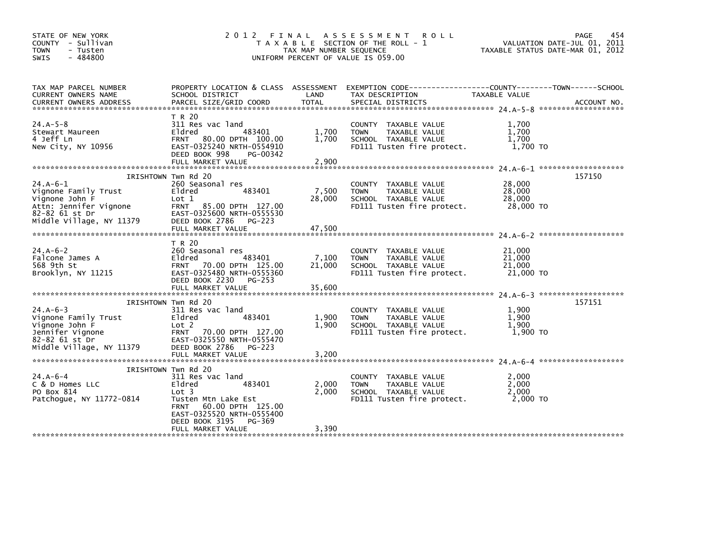| STATE OF NEW YORK<br>COUNTY - Sullivan<br><b>TOWN</b><br>- Tusten<br>$-484800$<br><b>SWIS</b>                                | 2012                                                                                                                                                                                                          | FINAL<br>TAX MAP NUMBER SEQUENCE | A S S E S S M E N T<br><b>ROLL</b><br>T A X A B L E SECTION OF THE ROLL - 1<br>UNIFORM PERCENT OF VALUE IS 059.00    |                                         | 454<br>PAGE<br>VALUATION DATE-JUL 01, 2011<br>TAXABLE STATUS DATE-MAR 01, 2012 |
|------------------------------------------------------------------------------------------------------------------------------|---------------------------------------------------------------------------------------------------------------------------------------------------------------------------------------------------------------|----------------------------------|----------------------------------------------------------------------------------------------------------------------|-----------------------------------------|--------------------------------------------------------------------------------|
| TAX MAP PARCEL NUMBER<br>CURRENT OWNERS NAME                                                                                 | PROPERTY LOCATION & CLASS ASSESSMENT<br>SCHOOL DISTRICT                                                                                                                                                       | LAND                             | EXEMPTION        CODE------------------COUNTY--------TOWN------SCHOOL<br>TAX DESCRIPTION                             | TAXABLE VALUE                           |                                                                                |
| $24.A-5-8$<br>Stewart Maureen<br>4 Jeff Ln<br>New City, NY 10956                                                             | T R 20<br>311 Res vac land<br>Eldred<br>483401<br>FRNT 80.00 DPTH 100.00<br>EAST-0325240 NRTH-0554910<br>DEED BOOK 998<br>PG-00342<br>FULL MARKET VALUE                                                       | 1,700<br>1,700<br>2,900          | COUNTY TAXABLE VALUE<br>TAXABLE VALUE<br><b>TOWN</b><br>SCHOOL TAXABLE VALUE<br>FD111 Tusten fire protect.           | 1,700<br>1,700<br>1,700<br>1,700 TO     |                                                                                |
| $24.A-6-1$<br>Vignone Family Trust<br>Vignone John F<br>Attn: Jennifer Vignone<br>82-82 61 st Dr<br>Middle Village, NY 11379 | IRISHTOWN Twn Rd 20<br>260 Seasonal res<br>483401<br>Eldred<br>Lot 1<br>FRNT 85.00 DPTH 127.00<br>EAST-0325600 NRTH-0555530<br>DEED BOOK 2786 PG-223                                                          | 7,500<br>28,000                  | COUNTY TAXABLE VALUE<br>TAXABLE VALUE<br><b>TOWN</b><br>SCHOOL TAXABLE VALUE<br>FD111 Tusten fire protect.           | 28,000<br>28,000<br>28,000<br>28,000 TO | 157150                                                                         |
|                                                                                                                              | FULL MARKET VALUE                                                                                                                                                                                             | 47,500                           |                                                                                                                      |                                         |                                                                                |
| $24.A-6-2$<br>Falcone James A<br>568 9th St<br>Brooklyn, NY 11215                                                            | T R 20<br>260 Seasonal res<br>483401<br>Eldred<br>FRNT 70.00 DPTH 125.00<br>EAST-0325480 NRTH-0555360<br>DEED BOOK 2230 PG-253                                                                                | 7,100<br>21,000                  | COUNTY TAXABLE VALUE<br><b>TOWN</b><br>TAXABLE VALUE<br>SCHOOL TAXABLE VALUE<br>FD111 Tusten fire protect.           | 21,000<br>21,000<br>21,000<br>21,000 TO |                                                                                |
|                                                                                                                              | IRISHTOWN Twn Rd 20                                                                                                                                                                                           |                                  |                                                                                                                      |                                         | 157151                                                                         |
| $24.A - 6 - 3$<br>Vignone Family Trust<br>Vignone John F<br>Jennifer Vignone<br>82-82 61 st Dr                               | 311 Res vac land<br>483401<br>Eldred<br>Lot 2<br>70.00 DPTH 127.00<br><b>FRNT</b><br>EAST-0325550 NRTH-0555470                                                                                                | 1,900<br>1,900                   | COUNTY TAXABLE VALUE<br>TAXABLE VALUE<br><b>TOWN</b><br>SCHOOL TAXABLE VALUE<br>FD111 Tusten fire protect.           | 1,900<br>1,900<br>1,900<br>1,900 TO     |                                                                                |
| Middle Village, NY 11379                                                                                                     | DEED BOOK 2786<br>$PG-223$<br>FULL MARKET VALUE                                                                                                                                                               | 3,200                            |                                                                                                                      |                                         |                                                                                |
| $24.A - 6 - 4$<br>C & D Homes LLC<br>PO Box 814<br>Patchogue, NY 11772-0814                                                  | IRISHTOWN Twn Rd 20<br>311 Res vac land<br>483401<br>Eldred<br>Lot 3<br>Tusten Mtn Lake Est<br>60.00 DPTH 125.00<br><b>FRNT</b><br>EAST-0325520 NRTH-0555400<br>DEED BOOK 3195<br>PG-369<br>FULL MARKET VALUE | 2,000<br>2,000<br>3.390          | <b>COUNTY</b><br>TAXABLE VALUE<br>TAXABLE VALUE<br><b>TOWN</b><br>SCHOOL TAXABLE VALUE<br>FD111 Tusten fire protect. | 2,000<br>2,000<br>2.000<br>2,000 TO     |                                                                                |
|                                                                                                                              |                                                                                                                                                                                                               |                                  |                                                                                                                      |                                         |                                                                                |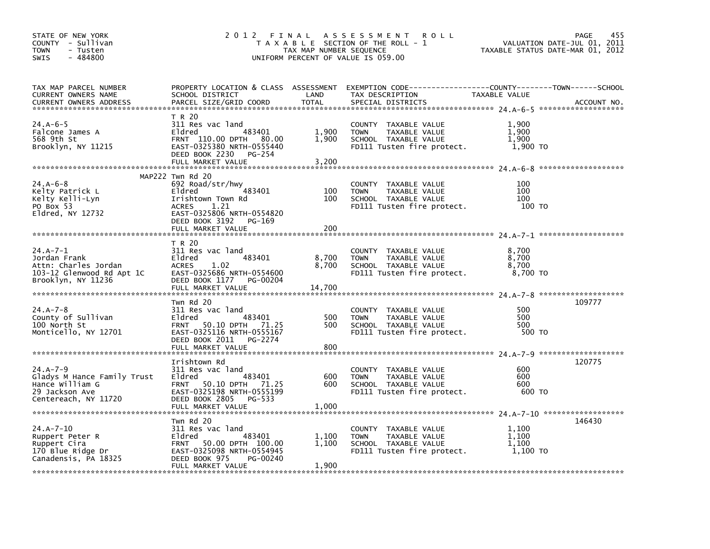| STATE OF NEW YORK<br>COUNTY - Sullivan<br>TOWN<br>- Tusten<br>$-484800$<br><b>SWIS</b>                     | 2012 FINAL                                                                                                                                                                       | TAX MAP NUMBER SEQUENCE  | A S S E S S M E N T<br><b>ROLL</b><br>T A X A B L E SECTION OF THE ROLL - 1<br>UNIFORM PERCENT OF VALUE IS 059.00                       |                                     | 455<br>PAGE<br>VALUATION DATE-JUL 01, 2011<br>TAXABLE STATUS DATE-MAR 01, 2012 |
|------------------------------------------------------------------------------------------------------------|----------------------------------------------------------------------------------------------------------------------------------------------------------------------------------|--------------------------|-----------------------------------------------------------------------------------------------------------------------------------------|-------------------------------------|--------------------------------------------------------------------------------|
| TAX MAP PARCEL NUMBER<br>CURRENT OWNERS NAME<br><b>CURRENT OWNERS ADDRESS</b>                              | SCHOOL DISTRICT<br>PARCEL SIZE/GRID COORD                                                                                                                                        | LAND<br><b>TOTAL</b>     | PROPERTY LOCATION & CLASS ASSESSMENT EXEMPTION CODE---------------COUNTY-------TOWN------SCHOOL<br>TAX DESCRIPTION<br>SPECIAL DISTRICTS | TAXABLE VALUE                       | ACCOUNT NO.                                                                    |
| 24.A-6-5<br>Falcone James A<br>568 9th St<br>Brooklyn, NY 11215                                            | T R 20<br>311 Res vac land<br>483401<br>Eldred<br>FRNT 110.00 DPTH 80.00<br>EAST-0325380 NRTH-0555440<br>DEED BOOK 2230<br>PG-254<br>FULL MARKET VALUE                           | 1,900<br>1,900<br>3,200  | COUNTY TAXABLE VALUE<br>TAXABLE VALUE<br><b>TOWN</b><br>SCHOOL TAXABLE VALUE<br>FD111 Tusten fire protect.                              | 1,900<br>1,900<br>1.900<br>1,900 TO |                                                                                |
| $24.A - 6 - 8$<br>Kelty Patrick L<br>Kelty Kelli-Lyn<br>PO Box 53<br>Eldred, NY 12732                      | MAP222 Twn Rd 20<br>692 Road/str/hwy<br>483401<br>Eldred<br>Irishtown Town Rd<br><b>ACRES</b><br>1.21<br>EAST-0325806 NRTH-0554820<br>DEED BOOK 3192 PG-169<br>FULL MARKET VALUE | 100<br>100<br>200        | COUNTY TAXABLE VALUE<br>TAXABLE VALUE<br><b>TOWN</b><br>SCHOOL TAXABLE VALUE<br>FD111 Tusten fire protect.                              | 100<br>100<br>100<br>100 TO         |                                                                                |
| $24.A - 7 - 1$<br>Jordan Frank<br>Attn: Charles Jordan<br>103-12 Glenwood Rd Apt 1C<br>Brooklyn, NY 11236  | T R 20<br>311 Res vac land<br>483401<br>Eldred<br><b>ACRES</b><br>1.02<br>EAST-0325686 NRTH-0554600<br>DEED BOOK 1177 PG-00204<br>FULL MARKET VALUE                              | 8,700<br>8,700<br>14,700 | COUNTY TAXABLE VALUE<br>TAXABLE VALUE<br><b>TOWN</b><br>SCHOOL TAXABLE VALUE<br>FD111 Tusten fire protect.                              | 8,700<br>8,700<br>8,700<br>8,700 TO |                                                                                |
| $24.A - 7 - 8$<br>County of Sullivan<br>100 North St<br>Monticello, NY 12701                               | Twn Rd 20<br>311 Res vac land<br>483401<br>Eldred<br>50.10 DPTH 71.25<br><b>FRNT</b><br>EAST-0325116 NRTH-0555167<br>DEED BOOK 2011 PG-2274<br>FULL MARKET VALUE                 | 500<br>500<br>800        | COUNTY TAXABLE VALUE<br>TAXABLE VALUE<br><b>TOWN</b><br>SCHOOL TAXABLE VALUE<br>FD111 Tusten fire protect.                              | 500<br>500<br>500<br>500 TO         | 109777                                                                         |
| $24.A - 7 - 9$<br>Gladys M Hance Family Trust<br>Hance William G<br>29 Jackson Ave<br>Centereach, NY 11720 | Irishtown Rd<br>311 Res vac land<br>483401<br>Eldred<br>50.10 DPTH 71.25<br><b>FRNT</b><br>EAST-0325198 NRTH-0555199<br>DEED BOOK 2805 PG-533<br>FULL MARKET VALUE               | 600<br>600<br>1,000      | COUNTY TAXABLE VALUE<br><b>TOWN</b><br>TAXABLE VALUE<br>SCHOOL TAXABLE VALUE<br>FD111 Tusten fire protect.                              | 600<br>600<br>600<br>600 TO         | 120775                                                                         |
| $24.A - 7 - 10$<br>Ruppert Peter R<br>Ruppert Cira<br>170 Blue Ridge Dr<br>Canadensis, PA 18325            | Twn Rd 20<br>311 Res vac land<br>483401<br>Eldred<br>50.00 DPTH 100.00<br>FRNT<br>EAST-0325098 NRTH-0554945<br>DEED BOOK 975<br>PG-00240<br>FULL MARKET VALUE                    | 1,100<br>1,100<br>1.900  | COUNTY TAXABLE VALUE<br><b>TOWN</b><br>TAXABLE VALUE<br>SCHOOL TAXABLE VALUE<br>FD111 Tusten fire protect.                              | 1,100<br>1.100<br>1,100<br>1,100 TO | 146430                                                                         |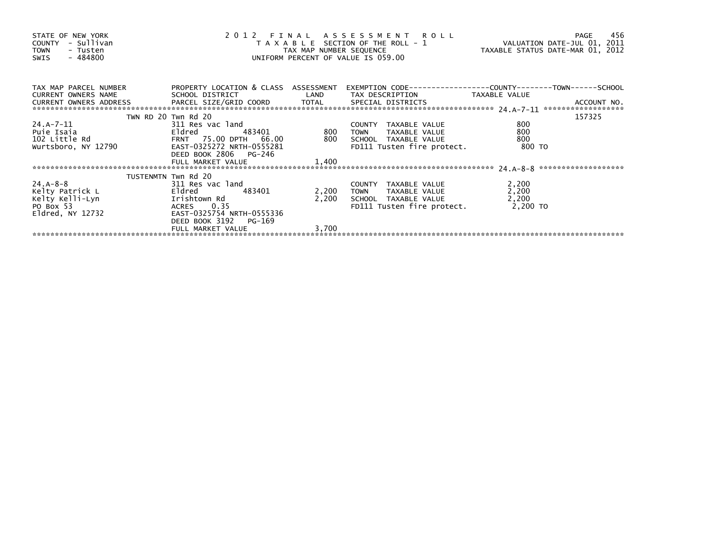| STATE OF NEW YORK<br>COUNTY - Sullivan<br>TOWN<br>- Tusten<br>- 484800<br>SWIS                                                                                                                                                 |                       | 2012 FINAL ASSESSMENT ROLL PAGE 456<br>TAXABLE SECTION OF THE ROLL - 1 VALUATION DATE-JUL 01, 2011<br>TAX MAP NUMBER SEQUENCE TAXABLE STATUS DATE-MAR 01, 2012<br>UNIFORM PERCENT OF VALUE IS 059.00 |                                                              |                |        |
|--------------------------------------------------------------------------------------------------------------------------------------------------------------------------------------------------------------------------------|-----------------------|------------------------------------------------------------------------------------------------------------------------------------------------------------------------------------------------------|--------------------------------------------------------------|----------------|--------|
| TAX MAP PARCEL NUMBER PROPERTY LOCATION & CLASS ASSESSMENT                                                                                                                                                                     |                       |                                                                                                                                                                                                      | EXEMPTION CODE-----------------COUNTY-------TOWN------SCHOOL |                |        |
|                                                                                                                                                                                                                                |                       |                                                                                                                                                                                                      |                                                              |                |        |
|                                                                                                                                                                                                                                | TWN RD 20 Twn Rd 20   |                                                                                                                                                                                                      |                                                              |                | 157325 |
|                                                                                                                                                                                                                                |                       |                                                                                                                                                                                                      |                                                              | 800            |        |
|                                                                                                                                                                                                                                |                       |                                                                                                                                                                                                      |                                                              | 800            |        |
|                                                                                                                                                                                                                                |                       |                                                                                                                                                                                                      |                                                              | 800            |        |
|                                                                                                                                                                                                                                |                       |                                                                                                                                                                                                      | FD111 Tusten fire protect. 800 TO                            |                |        |
|                                                                                                                                                                                                                                | DEED BOOK 2806 PG-246 |                                                                                                                                                                                                      |                                                              |                |        |
|                                                                                                                                                                                                                                | FULL MARKET VALUE     | 1,400                                                                                                                                                                                                |                                                              |                |        |
|                                                                                                                                                                                                                                |                       |                                                                                                                                                                                                      |                                                              |                |        |
|                                                                                                                                                                                                                                | TUSTENMTN Twn Rd 20   |                                                                                                                                                                                                      |                                                              |                |        |
| $24.A - 8 - 8$                                                                                                                                                                                                                 | 311 Res vac land      |                                                                                                                                                                                                      | COUNTY TAXABLE VALUE<br>TOWN      TAXABLE VALUE              | 2,200          |        |
|                                                                                                                                                                                                                                |                       | 2,200<br>2,200                                                                                                                                                                                       | SCHOOL TAXABLE VALUE                                         | 2,200<br>2,200 |        |
| Example and the state of the state of the state of the state of the state of the state of the state of the state of the state of the state of the state of the state of the state of the state of the state of the state of th |                       |                                                                                                                                                                                                      | FD111 Tusten fire protect. 2,200 TO                          |                |        |
|                                                                                                                                                                                                                                |                       |                                                                                                                                                                                                      |                                                              |                |        |
|                                                                                                                                                                                                                                | DEED BOOK 3192 PG-169 |                                                                                                                                                                                                      |                                                              |                |        |
|                                                                                                                                                                                                                                | FULL MARKET VALUE     | 3,700                                                                                                                                                                                                |                                                              |                |        |
|                                                                                                                                                                                                                                |                       |                                                                                                                                                                                                      |                                                              |                |        |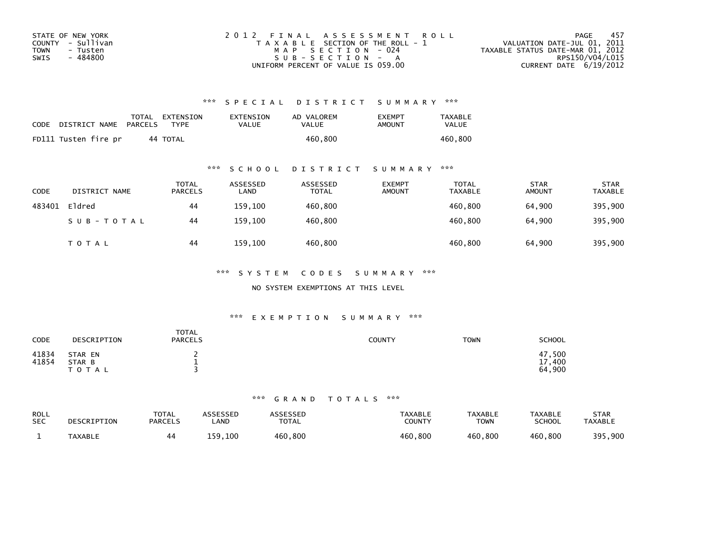| STATE OF NEW YORK | 2012 FINAL ASSESSMENT ROLL            | - 457<br>PAGE                    |
|-------------------|---------------------------------------|----------------------------------|
| COUNTY - Sullivan | T A X A B L E SECTION OF THE ROLL - 1 | VALUATION DATE-JUL 01, 2011      |
| TOWN<br>- Tusten  | MAP SECTION - 024                     | TAXABLE STATUS DATE-MAR 01, 2012 |
| - 484800<br>SWIS  | $SUB - SECTION - A$                   | RPS150/V04/L015                  |
|                   | UNIFORM PERCENT OF VALUE IS 059.00    | CURRENT DATE 6/19/2012           |

## \*\*\* S P E C I A L D I S T R I C T S U M M A R Y \*\*\*

| CODE | DISTRICT NAME        | PARCELS | TOTAL EXTENSION<br><b>TYPF</b> | EXTENSION<br>VALUE | AD VALOREM<br>VALUE | <b>FXFMPT</b><br>AMOUNT | <b>TAXABLE</b><br>VALUE |
|------|----------------------|---------|--------------------------------|--------------------|---------------------|-------------------------|-------------------------|
|      | FD111 Tusten fire pr |         | 44 TOTAL                       |                    | 460.800             |                         | 460.800                 |

### \*\*\* S C H O O L D I S T R I C T S U M M A R Y \*\*\*

| <b>CODE</b> | DISTRICT NAME | <b>TOTAL</b><br><b>PARCELS</b> | ASSESSED<br>LAND | ASSESSED<br><b>TOTAL</b> | <b>EXEMPT</b><br><b>AMOUNT</b> | <b>TOTAL</b><br><b>TAXABLE</b> | <b>STAR</b><br><b>AMOUNT</b> | <b>STAR</b><br><b>TAXABLE</b> |
|-------------|---------------|--------------------------------|------------------|--------------------------|--------------------------------|--------------------------------|------------------------------|-------------------------------|
| 483401      | Eldred        | 44                             | 159.100          | 460,800                  |                                | 460.800                        | 64.900                       | 395,900                       |
|             | SUB-TOTAL     | 44                             | 159.100          | 460,800                  |                                | 460.800                        | 64.900                       | 395,900                       |
|             | T O T A L     | 44                             | 159,100          | 460,800                  |                                | 460,800                        | 64,900                       | 395,900                       |

\*\*\* S Y S T E M C O D E S S U M M A R Y \*\*\*

NO SYSTEM EXEMPTIONS AT THIS LEVEL

### \*\*\* E X E M P T I O N S U M M A R Y \*\*\*

| CODE           | DESCRIPTION                    | <b>TOTAL</b><br><b>PARCELS</b> | COUNTY | <b>TOWN</b> | SCHOOL                                     |
|----------------|--------------------------------|--------------------------------|--------|-------------|--------------------------------------------|
| 41834<br>41854 | STAR EN<br>STAR B<br>T O T A L | <b>.</b>                       |        |             | 47,500<br>17<br>$^{\prime}$ ,400<br>64,900 |

#### \*\*\* G R A N D T O T A L S \*\*\*

| <b>ROLL</b><br><b>SEC</b> | DESCRIPTION    | <b>TOTAL</b><br><b>PARCELS</b> | <b>\SSESSED</b><br>_AND | ASSESSED<br>TOTAL | <b>TAXABLE</b><br>COUNTY | <b>TAXABLE</b><br><b>TOWN</b> | <b>TAXABLE</b><br><b>SCHOOL</b> | <b>STAR</b><br><b>TAXABLE</b> |
|---------------------------|----------------|--------------------------------|-------------------------|-------------------|--------------------------|-------------------------------|---------------------------------|-------------------------------|
|                           | <b>TAXABLE</b> |                                | ⊥59,100                 | 460,800           | 460,800                  | 460.800                       | 460,800                         | 395,900                       |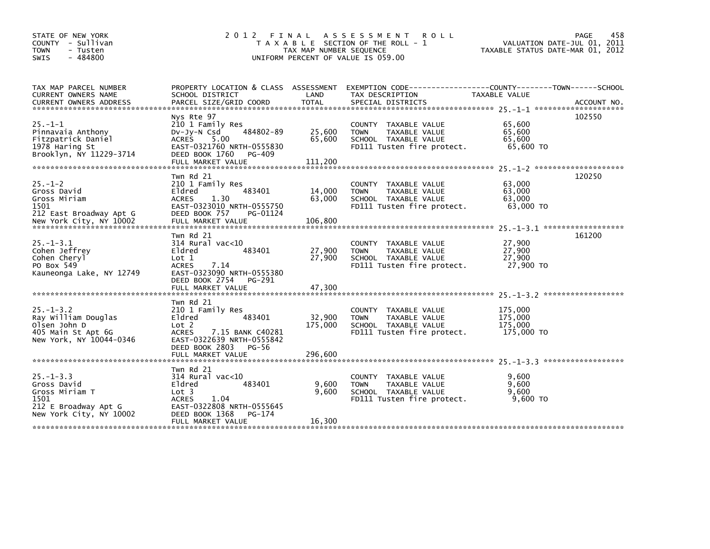| STATE OF NEW YORK<br>COUNTY - Sullivan<br>- Tusten<br>TOWN<br>$-484800$<br><b>SWIS</b>                      | 2 0 1 2                                                                                                                                                                     | FINAL<br>TAX MAP NUMBER SEQUENCE | A S S E S S M E N T R O L L<br>T A X A B L E SECTION OF THE ROLL - 1<br>UNIFORM PERCENT OF VALUE IS 059.00           | 458<br><b>PAGE</b><br>VALUATION DATE-JUL 01, 2011<br>TAXABLE STATUS DATE-MAR 01, 2012                                                                                                                                                                                                                           |
|-------------------------------------------------------------------------------------------------------------|-----------------------------------------------------------------------------------------------------------------------------------------------------------------------------|----------------------------------|----------------------------------------------------------------------------------------------------------------------|-----------------------------------------------------------------------------------------------------------------------------------------------------------------------------------------------------------------------------------------------------------------------------------------------------------------|
| TAX MAP PARCEL NUMBER<br>CURRENT OWNERS NAME                                                                | PROPERTY LOCATION & CLASS ASSESSMENT<br>SCHOOL DISTRICT                                                                                                                     | LAND                             | TAX DESCRIPTION                                                                                                      | EXEMPTION CODE-----------------COUNTY-------TOWN------SCHOOL<br>TAXABLE VALUE<br>.CURRENT OWNERS ADDRESS PARCEL SIZE/GRID COORD TOTAL SPECIAL DISTRICTS (ACCOUNT NO ACCOUNT NO ACCOUNT NO AND FARABALLY SERIES AND RESEARCH TOTAL SERIES AND RESEARCH AND RESEARCH TO A SERIES AND RESEARCH TO A SERIES AND THE |
| $25. - 1 - 1$<br>Pinnavaia Anthony<br>Fitzpatrick Daniel<br>1978 Haring St<br>Brooklyn, NY 11229-3714       | Nys Rte 97<br>210 1 Family Res<br>484802-89<br>$Dv-Jy-N$ Csd<br>5.00<br>ACRES<br>EAST-0321760 NRTH-0555830<br>DEED BOOK 1760<br>PG-409<br>FULL MARKET VALUE                 | 25,600<br>65,600<br>111,200      | COUNTY TAXABLE VALUE<br><b>TOWN</b><br>TAXABLE VALUE<br>SCHOOL TAXABLE VALUE<br>FD111 Tusten fire protect.           | 102550<br>65,600<br>65,600<br>65,600<br>65,600 TO                                                                                                                                                                                                                                                               |
| $25. - 1 - 2$<br>Gross David<br>Gross Miriam<br>1501<br>212 East Broadway Apt G                             | Twn Rd 21<br>210 1 Family Res<br>483401<br>Eldred<br>1.30<br>ACRES<br>EAST-0323010 NRTH-0555750<br>DEED BOOK 757<br>PG-01124                                                | 14,000<br>63,000                 | COUNTY TAXABLE VALUE<br><b>TOWN</b><br>TAXABLE VALUE<br>SCHOOL TAXABLE VALUE<br>FD111 Tusten fire protect.           | 120250<br>63,000<br>63,000<br>63,000<br>63,000 TO                                                                                                                                                                                                                                                               |
| $25. - 1 - 3.1$<br>Cohen Jeffrey<br>Cohen Cheryl<br>PO Box 549<br>Kauneonga Lake, NY 12749                  | Twn Rd 21<br>$314$ Rural vac< $10$<br>483401<br>Eldred<br>Lot 1<br>7.14<br><b>ACRES</b><br>EAST-0323090 NRTH-0555380<br>DEED BOOK 2754<br>PG-291<br>FULL MARKET VALUE       | 27,900<br>27,900<br>47,300       | <b>COUNTY</b><br>TAXABLE VALUE<br>TAXABLE VALUE<br><b>TOWN</b><br>SCHOOL TAXABLE VALUE<br>FD111 Tusten fire protect. | 161200<br>27,900<br>27,900<br>27,900<br>27,900 TO                                                                                                                                                                                                                                                               |
| $25. - 1 - 3.2$<br>Ray William Douglas<br>Olsen John D<br>405 Main St Apt 6G<br>New York, NY 10044-0346     | Twn Rd 21<br>210 1 Family Res<br>Eldred<br>483401<br>Lot 2<br>7.15 BANK C40281<br>ACRES<br>EAST-0322639 NRTH-0555842<br>DEED BOOK 2803<br><b>PG-56</b><br>FULL MARKET VALUE | 32,900<br>175,000<br>296,600     | COUNTY TAXABLE VALUE<br>TAXABLE VALUE<br><b>TOWN</b><br>SCHOOL TAXABLE VALUE<br>FD111 Tusten fire protect.           | 175,000<br>175,000<br>175,000<br>175,000 TO                                                                                                                                                                                                                                                                     |
| $25. - 1 - 3.3$<br>Gross David<br>Gross Miriam T<br>1501<br>212 E Broadway Apt G<br>New York City, NY 10002 | Twn Rd 21<br>314 Rural vac<10<br>483401<br>Eldred<br>Lot 3<br>1.04<br><b>ACRES</b><br>EAST-0322808 NRTH-0555645<br>DEED BOOK 1368<br>PG-174<br>FULL MARKET VALUE            | 9,600<br>9,600<br>16,300         | COUNTY TAXABLE VALUE<br>TAXABLE VALUE<br><b>TOWN</b><br>SCHOOL TAXABLE VALUE<br>FD111 Tusten fire protect.           | 9.600<br>9,600<br>9,600<br>$9.600$ TO                                                                                                                                                                                                                                                                           |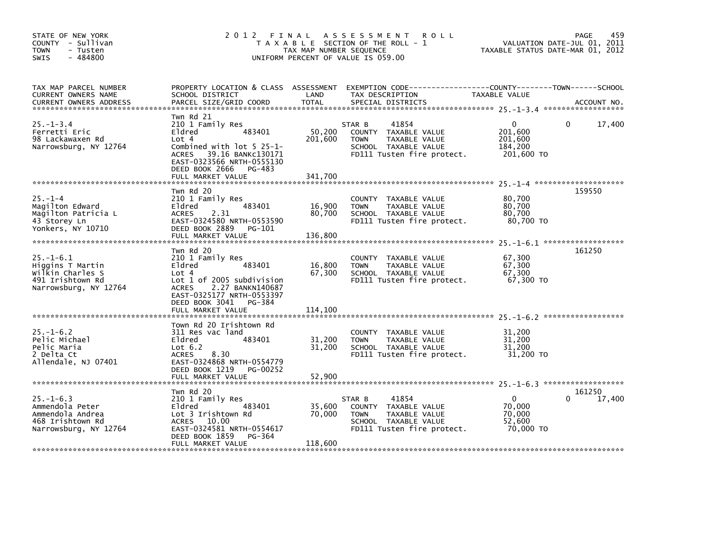| STATE OF NEW YORK<br>COUNTY - Sullivan<br><b>TOWN</b><br>- Tusten<br>$-484800$<br>SWIS               | 2012 FINAL                                                                                                                                                                                       | TAX MAP NUMBER SEQUENCE      | A S S E S S M E N T<br><b>ROLL</b><br>T A X A B L E SECTION OF THE ROLL - 1<br>UNIFORM PERCENT OF VALUE IS 059.00             | TAXABLE STATUS DATE-MAR 01, 2012                            | 459<br>PAGE<br>VALUATION DATE-JUL 01, 2011 |
|------------------------------------------------------------------------------------------------------|--------------------------------------------------------------------------------------------------------------------------------------------------------------------------------------------------|------------------------------|-------------------------------------------------------------------------------------------------------------------------------|-------------------------------------------------------------|--------------------------------------------|
| TAX MAP PARCEL NUMBER<br>CURRENT OWNERS NAME<br><b>CURRENT OWNERS ADDRESS</b>                        | PROPERTY LOCATION & CLASS ASSESSMENT<br>SCHOOL DISTRICT<br>PARCEL SIZE/GRID COORD                                                                                                                | LAND<br><b>TOTAL</b>         | TAX DESCRIPTION<br>SPECIAL DISTRICTS                                                                                          | TAXABLE VALUE                                               | ACCOUNT NO.                                |
| $25. - 1 - 3.4$<br>Ferretti Eric<br>98 Lackawaxen Rd<br>Narrowsburg, NY 12764                        | Twn Rd 21<br>210 1 Family Res<br>483401<br>Eldred<br>Lot 4<br>Combined with lot 5 25-1-<br>ACRES 39.16 BANKC130171<br>EAST-0323566 NRTH-0555130<br>DEED BOOK 2666<br>PG-483<br>FULL MARKET VALUE | 50,200<br>201,600<br>341,700 | 41854<br>STAR B<br>COUNTY TAXABLE VALUE<br><b>TOWN</b><br>TAXABLE VALUE<br>SCHOOL TAXABLE VALUE<br>FD111 Tusten fire protect. | $\mathbf{0}$<br>201,600<br>201,600<br>184,200<br>201,600 TO | 17,400<br>$\Omega$                         |
| $25. - 1 - 4$<br>Magilton Edward<br>Magilton Patricia L<br>43 Storey Ln<br>Yonkers, NY 10710         | Twn Rd 20<br>210 1 Family Res<br>483401<br>Eldred<br>2.31<br>ACRES<br>EAST-0324580 NRTH-0553590<br>DEED BOOK 2889<br>PG-101<br>FULL MARKET VALUE                                                 | 16,900<br>80,700<br>136,800  | COUNTY TAXABLE VALUE<br>TAXABLE VALUE<br><b>TOWN</b><br>SCHOOL TAXABLE VALUE<br>FD111 Tusten fire protect.                    | 80,700<br>80,700<br>80,700<br>80,700 TO                     | 159550                                     |
| $25. - 1 - 6.1$<br>Higgins T Martin<br>Wilkin Charles S<br>491 Irishtown Rd<br>Narrowsburg, NY 12764 | Twn Rd 20<br>210 1 Family Res<br>Eldred<br>483401<br>Lot 4<br>Lot 1 of 2005 subdivision<br>ACRES 2.27 BANKN140687<br>EAST-0325177 NRTH-0553397<br>DEED BOOK 3041<br>PG-384<br>FULL MARKET VALUE  | 16,800<br>67,300<br>114,100  | COUNTY TAXABLE VALUE<br>TAXABLE VALUE<br><b>TOWN</b><br>SCHOOL TAXABLE VALUE<br>FD111 Tusten fire protect.                    | 67,300<br>67,300<br>67,300<br>67,300 TO                     | 161250                                     |
| $25. - 1 - 6.2$<br>Pelic Michael<br>Pelic Maria<br>2 Delta Ct<br>Allendale, NJ 07401                 | Town Rd 20 Irishtown Rd<br>311 Res vac land<br>Eldred<br>483401<br>Lot $6.2$<br>8.30<br>ACRES<br>EAST-0324868 NRTH-0554779<br>DEED BOOK 1219<br>PG-00252                                         | 31,200<br>31,200             | COUNTY TAXABLE VALUE<br>TAXABLE VALUE<br><b>TOWN</b><br>SCHOOL TAXABLE VALUE<br>FD111 Tusten fire protect.                    | 31,200<br>31,200<br>31,200<br>31,200 TO                     |                                            |
| $25. - 1 - 6.3$<br>Ammendola Peter<br>Ammendola Andrea<br>468 Irishtown Rd<br>Narrowsburg, NY 12764  | Twn Rd 20<br>210 1 Family Res<br>Eldred<br>483401<br>Lot 3 Irishtown Rd<br>ACRES 10.00<br>EAST-0324581 NRTH-0554617<br>DEED BOOK 1859<br>PG-364<br>FULL MARKET VALUE                             | 35,600<br>70,000<br>118,600  | 41854<br>STAR B<br>COUNTY TAXABLE VALUE<br>TAXABLE VALUE<br><b>TOWN</b><br>SCHOOL TAXABLE VALUE<br>FD111 Tusten fire protect. | 0<br>70,000<br>70,000<br>52,600<br>70,000 TO                | 161250<br>17,400                           |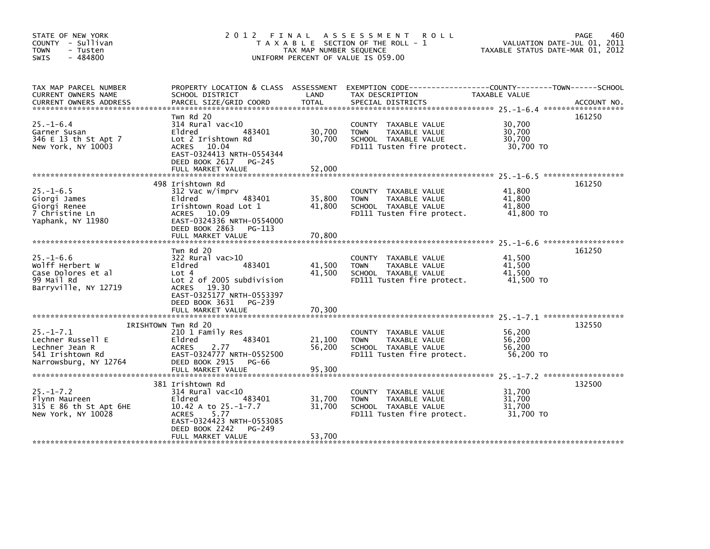| STATE OF NEW YORK<br>COUNTY - Sullivan<br><b>TOWN</b><br>- Tusten<br>$-484800$<br><b>SWIS</b>       | 2 0 1 2                                                                                                                                                                                        | FINAL<br>TAX MAP NUMBER SEQUENCE | A S S E S S M E N T<br><b>ROLL</b><br>T A X A B L E SECTION OF THE ROLL - 1<br>UNIFORM PERCENT OF VALUE IS 059.00 | TAXABLE STATUS DATE-MAR 01, 2012        | 460<br>PAGE<br>VALUATION DATE-JUL 01, 2011 |
|-----------------------------------------------------------------------------------------------------|------------------------------------------------------------------------------------------------------------------------------------------------------------------------------------------------|----------------------------------|-------------------------------------------------------------------------------------------------------------------|-----------------------------------------|--------------------------------------------|
| TAX MAP PARCEL NUMBER<br>CURRENT OWNERS NAME<br><b>CURRENT OWNERS ADDRESS</b>                       | PROPERTY LOCATION & CLASS ASSESSMENT<br>SCHOOL DISTRICT<br>PARCEL SIZE/GRID COORD                                                                                                              | LAND<br><b>TOTAL</b>             | TAX DESCRIPTION<br>SPECIAL DISTRICTS                                                                              | TAXABLE VALUE                           | ACCOUNT NO.                                |
| $25. - 1 - 6.4$<br>Garner Susan<br>346 E 13 th St Apt 7<br>New York, NY 10003                       | Twn Rd 20<br>$314$ Rural vac<10<br>483401<br>Eldred<br>Lot 2 Irishtown Rd<br>ACRES 10.04<br>EAST-0324413 NRTH-0554344<br>DEED BOOK 2617 PG-245                                                 | 30,700<br>30,700                 | COUNTY TAXABLE VALUE<br><b>TOWN</b><br>TAXABLE VALUE<br>SCHOOL TAXABLE VALUE<br>FD111 Tusten fire protect.        | 30,700<br>30,700<br>30,700<br>30,700 TO | 161250                                     |
|                                                                                                     | FULL MARKET VALUE                                                                                                                                                                              | 52.000                           |                                                                                                                   |                                         |                                            |
| $25. -1 - 6.5$<br>Giorgi James<br>Giorgi Renee<br>7 Christine Ln<br>Yaphank, NY 11980               | 498 Irishtown Rd<br>312 Vac w/imprv<br>483401<br>Eldred<br>Irishtown Road Lot 1<br>ACRES 10.09<br>EAST-0324336 NRTH-0554000<br>DEED BOOK 2863 PG-113                                           | 35,800<br>41,800                 | COUNTY TAXABLE VALUE<br><b>TOWN</b><br>TAXABLE VALUE<br>SCHOOL TAXABLE VALUE<br>FD111 Tusten fire protect.        | 41,800<br>41,800<br>41,800<br>41,800 TO | 161250                                     |
|                                                                                                     | FULL MARKET VALUE                                                                                                                                                                              | 70,800                           |                                                                                                                   |                                         |                                            |
| $25. - 1 - 6.6$<br>Wolff Herbert W<br>Case Dolores et al<br>99 Mail Rd<br>Barryville, NY 12719      | Twn Rd 20<br>322 Rural vac>10<br>Eldred<br>483401<br>Lot 4<br>Lot 2 of 2005 subdivision<br><b>ACRES</b><br>19.30<br>EAST-0325177 NRTH-0553397<br>DEED BOOK 3631<br>PG-239<br>FULL MARKET VALUE | 41,500<br>41,500<br>70,300       | COUNTY<br>TAXABLE VALUE<br><b>TOWN</b><br>TAXABLE VALUE<br>SCHOOL TAXABLE VALUE<br>FD111 Tusten fire protect.     | 41.500<br>41,500<br>41,500<br>41,500 TO | 161250                                     |
|                                                                                                     |                                                                                                                                                                                                |                                  |                                                                                                                   |                                         |                                            |
| $25. - 1 - 7.1$<br>Lechner Russell E<br>Lechner Jean R<br>541 Irishtown Rd<br>Narrowsburg, NY 12764 | IRISHTOWN Twn Rd 20<br>210 1 Family Res<br>Eldred<br>483401<br><b>ACRES</b><br>2.77<br>EAST-0324777 NRTH-0552500<br>DEED BOOK 2915<br>PG-66                                                    | 21,100<br>56,200                 | COUNTY TAXABLE VALUE<br>TAXABLE VALUE<br><b>TOWN</b><br>SCHOOL TAXABLE VALUE<br>FD111 Tusten fire protect.        | 56,200<br>56,200<br>56,200<br>56,200 TO | 132550                                     |
|                                                                                                     |                                                                                                                                                                                                |                                  |                                                                                                                   |                                         |                                            |
| $25. - 1 - 7.2$<br>Flynn Maureen<br>315 E 86 th St Apt 6HE<br>New York, NY 10028                    | 381 Irishtown Rd<br>$314$ Rural vac $<$ 10<br>483401<br>Eldred<br>10.42 A to 25.-1-7.7<br>5.77<br><b>ACRES</b><br>EAST-0324423 NRTH-0553085<br>DEED BOOK 2242<br>PG-249<br>FULL MARKET VALUE   | 31,700<br>31,700<br>53,700       | COUNTY<br>TAXABLE VALUE<br>TAXABLE VALUE<br><b>TOWN</b><br>SCHOOL TAXABLE VALUE<br>FD111 Tusten fire protect.     | 31,700<br>31,700<br>31,700<br>31,700 TO | 132500                                     |
|                                                                                                     |                                                                                                                                                                                                |                                  |                                                                                                                   |                                         |                                            |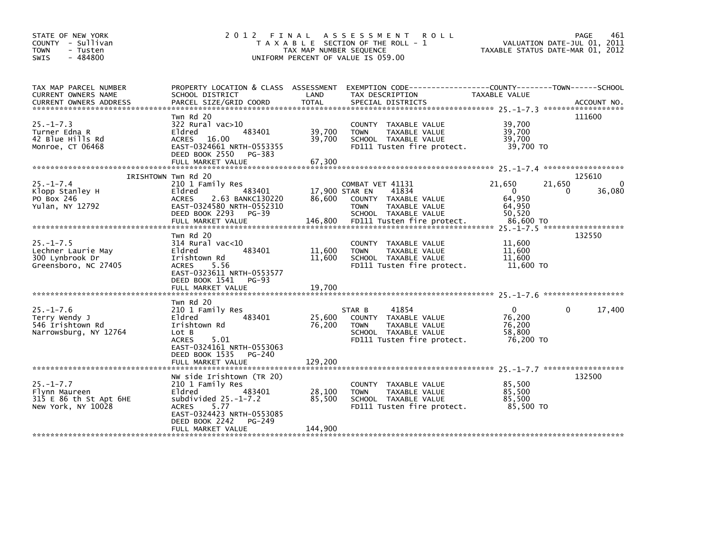| STATE OF NEW YORK<br>COUNTY - Sullivan<br><b>TOWN</b><br>- Tusten<br>$-484800$<br><b>SWIS</b> | 2 0 1 2                                                                                                                                                                      | FINAL<br>TAX MAP NUMBER SEQUENCE | A S S E S S M E N T<br><b>ROLL</b><br>T A X A B L E SECTION OF THE ROLL - 1<br>UNIFORM PERCENT OF VALUE IS 059.00                    |                                                      | 461<br>PAGE<br>VALUATION DATE-JUL 01, 2011<br>TAXABLE STATUS DATE-MAR 01, 2012 |
|-----------------------------------------------------------------------------------------------|------------------------------------------------------------------------------------------------------------------------------------------------------------------------------|----------------------------------|--------------------------------------------------------------------------------------------------------------------------------------|------------------------------------------------------|--------------------------------------------------------------------------------|
| TAX MAP PARCEL NUMBER<br>CURRENT OWNERS NAME<br><b>CURRENT OWNERS ADDRESS</b>                 | PROPERTY LOCATION & CLASS ASSESSMENT<br>SCHOOL DISTRICT<br>PARCEL SIZE/GRID COORD                                                                                            | LAND<br><b>TOTAL</b>             | EXEMPTION CODE------------------COUNTY--------TOWN------SCHOOL<br>TAX DESCRIPTION<br>SPECIAL DISTRICTS                               | TAXABLE VALUE                                        | ACCOUNT NO.                                                                    |
| $25. - 1 - 7.3$<br>Turner Edna R<br>42 Blue Hills Rd<br>Monroe, CT 06468                      | Twn Rd 20<br>$322$ Rural vac $>10$<br>483401<br>Eldred<br><b>ACRES</b><br>16.00<br>EAST-0324661 NRTH-0553355<br>DEED BOOK 2550<br>PG-383<br>FULL MARKET VALUE                | 39,700<br>39,700<br>67,300       | COUNTY TAXABLE VALUE<br>TAXABLE VALUE<br><b>TOWN</b><br>SCHOOL TAXABLE VALUE<br>FD111 Tusten fire protect.                           | 39,700<br>39,700<br>39,700<br>39,700 TO              | 111600                                                                         |
|                                                                                               | IRISHTOWN Twn Rd 20                                                                                                                                                          |                                  |                                                                                                                                      |                                                      | 125610                                                                         |
| $25. - 1 - 7.4$<br>Klopp Stanley H<br>PO Box 246<br>Yulan, NY 12792                           | 210 1 Family Res<br>Eldred<br>483401<br><b>ACRES</b><br>2.63 BANKC130220<br>EAST-0324580 NRTH-0552310<br>DEED BOOK 2293<br>$PG-39$                                           | 17,900 STAR EN<br>86,600         | COMBAT VET 41131<br>41834<br>COUNTY TAXABLE VALUE<br><b>TOWN</b><br>TAXABLE VALUE<br>SCHOOL TAXABLE VALUE                            | 21.650<br>$\mathbf{0}$<br>64,950<br>64,950<br>50.520 | 21,650<br>36,080<br>0                                                          |
|                                                                                               |                                                                                                                                                                              |                                  |                                                                                                                                      |                                                      |                                                                                |
| $25. -1 - 7.5$<br>Lechner Laurie May<br>300 Lynbrook Dr<br>Greensboro, NC 27405               | Twn Rd 20<br>314 Rural vac<10<br>483401<br>Eldred<br>Irishtown Rd<br><b>ACRES</b><br>5.56<br>EAST-0323611 NRTH-0553577<br>DEED BOOK 1541<br>$PG-93$                          | 11,600<br>11,600                 | <b>COUNTY</b><br>TAXABLE VALUE<br>TAXABLE VALUE<br><b>TOWN</b><br>SCHOOL TAXABLE VALUE<br>FD111 Tusten fire protect.                 | 11,600<br>11,600<br>11,600<br>11,600 TO              | 132550                                                                         |
|                                                                                               | Twn Rd 20                                                                                                                                                                    |                                  |                                                                                                                                      |                                                      |                                                                                |
| $25. - 1 - 7.6$<br>Terry Wendy J<br>546 Irishtown Rd<br>Narrowsburg, NY 12764                 | 210 1 Family Res<br>Eldred<br>483401<br>Irishtown Rd<br>Lot B<br><b>ACRES</b><br>5.01<br>EAST-0324161 NRTH-0553063<br>DEED BOOK 1535<br>PG-240                               | 25,600<br>76,200                 | 41854<br>STAR B<br>COUNTY TAXABLE VALUE<br><b>TOWN</b><br><b>TAXABLE VALUE</b><br>SCHOOL TAXABLE VALUE<br>FD111 Tusten fire protect. | $\Omega$<br>76,200<br>76,200<br>58,800<br>76.200 TO  | 17,400<br>0                                                                    |
|                                                                                               | FULL MARKET VALUE                                                                                                                                                            | 129,200                          |                                                                                                                                      |                                                      |                                                                                |
| $25. - 1 - 7.7$<br>Flynn Maureen<br>315 E 86 th St Apt 6HE<br>New York, NY 10028              | NW side Irishtown (TR 20)<br>210 1 Family Res<br>Eldred<br>483401<br>subdivided $25.-1-7.2$<br>5.77<br><b>ACRES</b><br>EAST-0324423 NRTH-0553085<br>DEED BOOK 2242<br>PG-249 | 28,100<br>85,500                 | COUNTY TAXABLE VALUE<br><b>TOWN</b><br>TAXABLE VALUE<br>SCHOOL TAXABLE VALUE<br>FD111 Tusten fire protect.                           | 85,500<br>85,500<br>85.500<br>85,500 TO              | 132500                                                                         |
|                                                                                               | FULL MARKET VALUE                                                                                                                                                            | 144,900                          |                                                                                                                                      |                                                      |                                                                                |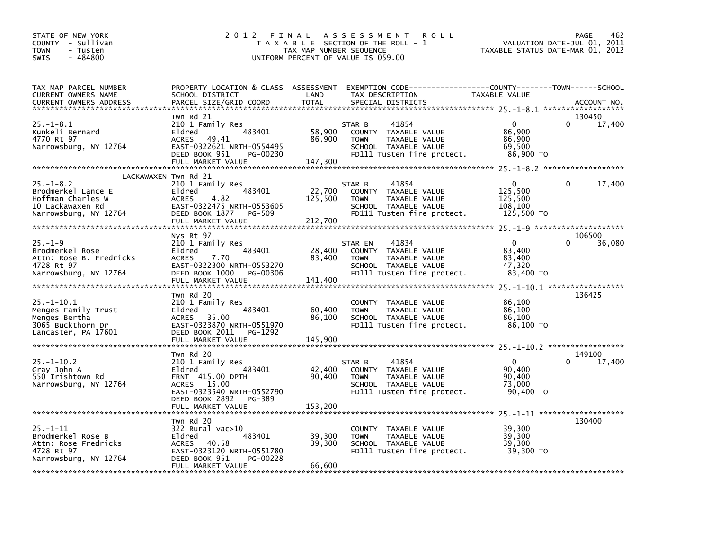| STATE OF NEW YORK<br>COUNTY - Sullivan<br><b>TOWN</b><br>- Tusten<br>SWIS<br>$-484800$                                          | 2 0 1 2                                                                                                                                                        | FINAL<br>TAX MAP NUMBER SEQUENCE | A S S E S S M E N T<br><b>ROLL</b><br>T A X A B L E SECTION OF THE ROLL - 1<br>UNIFORM PERCENT OF VALUE IS 059.00                    |                                                         | 462<br>PAGE<br>VALUATION DATE-JUL 01,<br>2011<br>TAXABLE STATUS DATE-MAR 01, 2012 |
|---------------------------------------------------------------------------------------------------------------------------------|----------------------------------------------------------------------------------------------------------------------------------------------------------------|----------------------------------|--------------------------------------------------------------------------------------------------------------------------------------|---------------------------------------------------------|-----------------------------------------------------------------------------------|
| TAX MAP PARCEL NUMBER<br>CURRENT OWNERS NAME<br><b>CURRENT OWNERS ADDRESS</b>                                                   | PROPERTY LOCATION & CLASS ASSESSMENT<br>SCHOOL DISTRICT<br>PARCEL SIZE/GRID COORD                                                                              | LAND<br><b>TOTAL</b>             | TAX DESCRIPTION<br>SPECIAL DISTRICTS                                                                                                 | TAXABLE VALUE                                           | ACCOUNT NO.                                                                       |
| 25.–1–8.1<br>Kunkeli Bernard<br>4770 Rt 97<br>Narrowsburg, NY 12764                                                             | Twn Rd 21<br>210 1 Family Res<br>483401<br>Eldred<br><b>ACRES</b><br>49.41<br>EAST-0322621 NRTH-0554495<br>DEED BOOK 951<br>PG-00230<br>FULL MARKET VALUE      | 58,900<br>86,900<br>147,300      | 41854<br>STAR B<br>COUNTY TAXABLE VALUE<br><b>TOWN</b><br>TAXABLE VALUE<br>SCHOOL TAXABLE VALUE<br>FD111 Tusten fire protect.        | $\Omega$<br>86,900<br>86.900<br>69,500<br>86,900 TO     | 130450<br>17,400<br>$\Omega$                                                      |
| LACKAWAXEN Twn Rd 21<br>$25. - 1 - 8.2$<br>Brodmerkel Lance E<br>Hoffman Charles W<br>10 Lackawaxen Rd<br>Narrowsburg, NY 12764 | 210 1 Family Res<br>483401<br>Eldred<br><b>ACRES</b><br>4.82<br>EAST-0322475 NRTH-0553605<br>DEED BOOK 1877<br>PG-509<br>FULL MARKET VALUE                     | 22,700<br>125,500<br>212,700     | 41854<br>STAR B<br>COUNTY TAXABLE VALUE<br><b>TOWN</b><br><b>TAXABLE VALUE</b><br>SCHOOL TAXABLE VALUE<br>FD111 Tusten fire protect. | $\Omega$<br>125,500<br>125.500<br>108,100<br>125,500 TO | 0<br>17,400                                                                       |
| $25. - 1 - 9$<br>Brodmerkel Rose<br>Attn: Rose B. Fredricks<br>4728 Rt 97<br>Narrowsburg, NY 12764                              | Nys Rt 97<br>210 1 Family Res<br>483401<br>Eldred<br>7.70<br><b>ACRES</b><br>EAST-0322300 NRTH-0553270<br>DEED BOOK 1000<br>PG-00306<br>FULL MARKET VALUE      | 28,400<br>83,400<br>141,400      | 41834<br>STAR EN<br>COUNTY TAXABLE VALUE<br>TAXABLE VALUE<br><b>TOWN</b><br>SCHOOL TAXABLE VALUE<br>FD111 Tusten fire protect.       | $\mathbf 0$<br>83,400<br>83,400<br>47,320<br>83,400 TO  | 106500<br>$\Omega$<br>36,080                                                      |
| $25. - 1 - 10.1$<br>Menges Family Trust<br>Menges Bertha<br>3065 Buckthorn Dr<br>Lancaster, PA 17601                            | Twn Rd 20<br>210 1 Family Res<br>483401<br>Eldred<br><b>ACRES</b><br>35.00<br>EAST-0323870 NRTH-0551970<br>DEED BOOK 2011<br>PG-1292<br>FULL MARKET VALUE      | 60,400<br>86,100<br>145,900      | <b>COUNTY</b><br>TAXABLE VALUE<br><b>TOWN</b><br>TAXABLE VALUE<br>SCHOOL TAXABLE VALUE<br>FD111 Tusten fire protect.                 | 86,100<br>86,100<br>86,100<br>86,100 TO                 | 136425                                                                            |
| $25. - 1 - 10.2$<br>Gray John A<br>550 Irishtown Rd<br>Narrowsburg, NY 12764                                                    | Twn Rd 20<br>210 1 Family Res<br>483401<br>Eldred<br><b>FRNT 415.00 DPTH</b><br>15.00<br><b>ACRES</b><br>EAST-0323540 NRTH-0552790<br>DEED BOOK 2892<br>PG-389 | 42,400<br>90,400                 | 41854<br>STAR B<br>COUNTY TAXABLE VALUE<br><b>TOWN</b><br>TAXABLE VALUE<br>SCHOOL TAXABLE VALUE<br>FD111 Tusten fire protect.        | $\Omega$<br>90.400<br>90.400<br>73.000<br>90,400 TO     | 149100<br>$\Omega$<br>17,400                                                      |
| $25. - 1 - 11$<br>Brodmerkel Rose B<br>Attn: Rose Fredricks<br>4728 Rt 97<br>Narrowsburg, NY 12764                              | Twn Rd 20<br>322 Rural vac>10<br>483401<br>Eldred<br>40.58<br><b>ACRES</b><br>EAST-0323120 NRTH-0551780<br>DEED BOOK 951<br>PG-00228<br>FULL MARKET VALUE      | 39,300<br>39,300<br>66,600       | COUNTY<br>TAXABLE VALUE<br>TAXABLE VALUE<br><b>TOWN</b><br>SCHOOL TAXABLE VALUE<br>FD111 Tusten fire protect.                        | 39,300<br>39,300<br>39,300<br>39,300 TO                 | 130400                                                                            |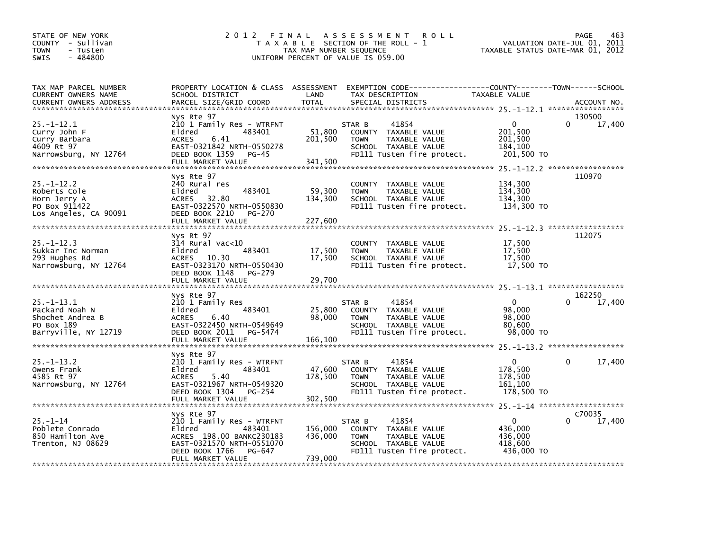| STATE OF NEW YORK<br>COUNTY - Sullivan<br><b>TOWN</b><br>- Tusten<br>$-484800$<br><b>SWIS</b> | 2 0 1 2                                                                                                                                                 | TAX MAP NUMBER SEQUENCE<br>UNIFORM PERCENT OF VALUE IS 059.00 | FINAL ASSESSMENT<br><b>ROLL</b><br>T A X A B L E SECTION OF THE ROLL - 1                                                      | TAXABLE STATUS DATE-MAR 01, 2012                            | PAGE<br>463<br>VALUATION DATE-JUL 01, 2011 |
|-----------------------------------------------------------------------------------------------|---------------------------------------------------------------------------------------------------------------------------------------------------------|---------------------------------------------------------------|-------------------------------------------------------------------------------------------------------------------------------|-------------------------------------------------------------|--------------------------------------------|
| TAX MAP PARCEL NUMBER<br>CURRENT OWNERS NAME<br>CURRENT OWNERS ADDRESS                        | PROPERTY LOCATION & CLASS ASSESSMENT<br>SCHOOL DISTRICT<br>PARCEL SIZE/GRID COORD                                                                       | LAND<br><b>TOTAL</b>                                          | EXEMPTION CODE-----------------COUNTY-------TOWN------SCHOOL<br>TAX DESCRIPTION<br>SPECIAL DISTRICTS                          | TAXABLE VALUE                                               | ACCOUNT NO.                                |
|                                                                                               | Nys Rte 97                                                                                                                                              |                                                               |                                                                                                                               |                                                             | 130500                                     |
| $25. - 1 - 12.1$<br>Curry John F<br>Curry Barbara<br>4609 Rt 97<br>Narrowsburg, NY 12764      | 210 1 Family Res - WTRFNT<br>Eldred<br>483401<br>6.41<br><b>ACRES</b><br>EAST-0321842 NRTH-0550278<br>DEED BOOK 1359<br>$PG-45$<br>FULL MARKET VALUE    | 51,800<br>201,500<br>341,500                                  | 41854<br>STAR B<br>COUNTY TAXABLE VALUE<br>TAXABLE VALUE<br><b>TOWN</b><br>SCHOOL TAXABLE VALUE<br>FD111 Tusten fire protect. | $\mathbf{0}$<br>201,500<br>201,500<br>184,100<br>201,500 TO | $\Omega$<br>17,400                         |
|                                                                                               |                                                                                                                                                         |                                                               |                                                                                                                               |                                                             |                                            |
| $25. - 1 - 12.2$<br>Roberts Cole<br>Horn Jerry A<br>PO Box 911422<br>Los Angeles, CA 90091    | Nys Rte 97<br>240 Rural res<br>Eldred<br>483401<br>32.80<br>ACRES<br>EAST-0322570 NRTH-0550830<br>DEED BOOK 2210<br>PG-270<br>FULL MARKET VALUE         | 59,300<br>134,300<br>227,600                                  | <b>COUNTY</b><br>TAXABLE VALUE<br>TAXABLE VALUE<br><b>TOWN</b><br>SCHOOL TAXABLE VALUE<br>FD111 Tusten fire protect.          | 134,300<br>134,300<br>134,300<br>134,300 TO                 | 110970<br>25. -1-12. 3 ******************  |
|                                                                                               | Nys Rt 97                                                                                                                                               |                                                               |                                                                                                                               |                                                             | 112075                                     |
| $25. - 1 - 12.3$<br>Sukkar Inc Norman<br>293 Hughes Rd<br>Narrowsburg, NY 12764               | 314 Rural vac<10<br>Eldred<br>483401<br>ACRES 10.30<br>EAST-0323170 NRTH-0550430<br>DEED BOOK 1148<br>PG-279                                            | 17,500<br>17,500                                              | COUNTY TAXABLE VALUE<br>TAXABLE VALUE<br><b>TOWN</b><br>SCHOOL TAXABLE VALUE<br>FD111 Tusten fire protect.                    | 17,500<br>17,500<br>17,500<br>17,500 TO                     |                                            |
|                                                                                               | FULL MARKET VALUE                                                                                                                                       | 29,700                                                        |                                                                                                                               |                                                             |                                            |
|                                                                                               | Nys Rte 97                                                                                                                                              |                                                               |                                                                                                                               |                                                             | 25. -1-13. 1 ******************<br>162250  |
| $25. -1 - 13.1$<br>Packard Noah N<br>Shochet Andrea B<br>PO Box 189<br>Barryville, NY 12719   | 210 1 Family Res<br>483401<br>Eldred<br>ACRES<br>6.40<br>EAST-0322450 NRTH-0549649<br>DEED BOOK 2011<br>PG-5474<br>FULL MARKET VALUE                    | 25,800<br>98,000<br>166,100                                   | 41854<br>STAR B<br>COUNTY TAXABLE VALUE<br><b>TOWN</b><br>TAXABLE VALUE<br>SCHOOL TAXABLE VALUE<br>FD111 Tusten fire protect. | $\mathbf{0}$<br>98,000<br>98,000<br>80.600<br>98,000 TO     | $\Omega$<br>17,400                         |
|                                                                                               | Nys Rte 97                                                                                                                                              |                                                               |                                                                                                                               |                                                             |                                            |
| $25. - 1 - 13.2$<br>Owens Frank<br>4585 Rt 97<br>Narrowsburg, NY 12764                        | 210 1 Family Res - WTRFNT<br>Eldred<br>483401<br>5.40<br><b>ACRES</b><br>EAST-0321967 NRTH-0549320<br>DEED BOOK 1304<br>PG-254                          | 47,600<br>178,500                                             | 41854<br>STAR B<br>COUNTY TAXABLE VALUE<br>TAXABLE VALUE<br><b>TOWN</b><br>SCHOOL TAXABLE VALUE<br>FD111 Tusten fire protect. | $\Omega$<br>178,500<br>178,500<br>161,100<br>178,500 TO     | $\Omega$<br>17,400                         |
|                                                                                               |                                                                                                                                                         |                                                               |                                                                                                                               |                                                             |                                            |
|                                                                                               | Nys Rte 97                                                                                                                                              |                                                               |                                                                                                                               |                                                             | C70035                                     |
| $25. - 1 - 14$<br>Poblete Conrado<br>850 Hamilton Ave<br>Trenton, NJ 08629                    | 210 1 Family Res - WTRFNT<br>Eldred<br>483401<br>ACRES 198.00 BANKC230183<br>EAST-0321570 NRTH-0551070<br>DEED BOOK 1766<br>PG-647<br>FULL MARKET VALUE | 156,000<br>436,000<br>739,000                                 | 41854<br>STAR B<br>COUNTY TAXABLE VALUE<br>TAXABLE VALUE<br><b>TOWN</b><br>SCHOOL TAXABLE VALUE<br>FD111 Tusten fire protect. | $\mathbf{0}$<br>436,000<br>436,000<br>418,600<br>436,000 TO | $\Omega$<br>17,400                         |
|                                                                                               |                                                                                                                                                         |                                                               |                                                                                                                               |                                                             |                                            |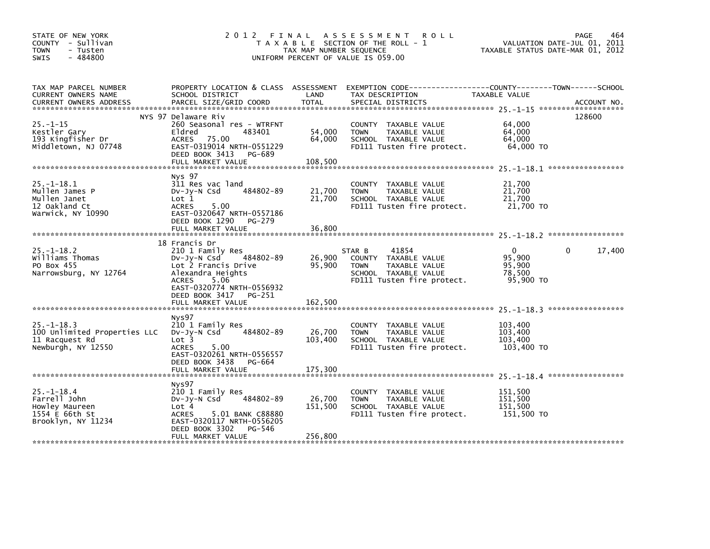| STATE OF NEW YORK<br>COUNTY - Sullivan<br><b>TOWN</b><br>- Tusten<br>$-484800$<br>SWIS     | 2012 FINAL                                                                                                                                                                              | TAX MAP NUMBER SEQUENCE      | A S S E S S M E N T<br><b>ROLL</b><br>T A X A B L E SECTION OF THE ROLL - 1<br>UNIFORM PERCENT OF VALUE IS 059.00             | VALUATION DATE-JUL 01, 2011<br>TAXABLE STATUS DATE-MAR 01, 2012 | 464<br>PAGE            |
|--------------------------------------------------------------------------------------------|-----------------------------------------------------------------------------------------------------------------------------------------------------------------------------------------|------------------------------|-------------------------------------------------------------------------------------------------------------------------------|-----------------------------------------------------------------|------------------------|
| TAX MAP PARCEL NUMBER<br>CURRENT OWNERS NAME<br><b>CURRENT OWNERS ADDRESS</b>              | PROPERTY LOCATION & CLASS ASSESSMENT<br>SCHOOL DISTRICT<br>PARCEL SIZE/GRID COORD                                                                                                       | LAND<br>TOTAL                | EXEMPTION CODE-----------------COUNTY-------TOWN------SCHOOL<br>TAX DESCRIPTION<br>SPECIAL DISTRICTS                          | TAXABLE VALUE                                                   | ACCOUNT NO.            |
| $25. - 1 - 15$<br>Kestler Gary<br>193 Kingfisher Dr<br>Middletown, NJ 07748                | NYS 97 Delaware Riv<br>260 Seasonal res - WTRFNT<br>Eldred<br>483401<br>75.00<br><b>ACRES</b><br>EAST-0319014 NRTH-0551229<br>DEED BOOK 3413<br>PG-689<br>FULL MARKET VALUE             | 54,000<br>64,000<br>108,500  | COUNTY TAXABLE VALUE<br><b>TOWN</b><br>TAXABLE VALUE<br>SCHOOL TAXABLE VALUE<br>FD111 Tusten fire protect.                    | 64,000<br>64,000<br>64.000<br>64,000 TO                         | 128600                 |
| $25. -1 - 18.1$<br>Mullen James P<br>Mullen Janet<br>12 Oakland Ct<br>Warwick, NY 10990    | Nys 97<br>311 Res vac land<br>484802-89<br>$Dv-Jy-N$ Csd<br>Lot 1<br>5.00<br><b>ACRES</b><br>EAST-0320647 NRTH-0557186<br>DEED BOOK 1290<br>PG-279<br>FULL MARKET VALUE                 | 21,700<br>21,700<br>36,800   | COUNTY TAXABLE VALUE<br>TAXABLE VALUE<br><b>TOWN</b><br>SCHOOL TAXABLE VALUE<br>FD111 Tusten fire protect.                    | 21,700<br>21,700<br>21,700<br>21,700 TO                         |                        |
| $25 - 1 - 18.2$<br>Williams Thomas<br>PO Box 455<br>Narrowsburg, NY 12764                  | 18 Francis Dr<br>210 1 Family Res<br>484802-89<br>DV-JY-N Csd<br>Lot 2 Francis Drive<br>Alexandra Heights<br>5.06<br><b>ACRES</b><br>EAST-0320774 NRTH-0556932<br>DEED BOOK 3417 PG-251 | 26,900<br>95,900             | 41854<br>STAR B<br>COUNTY TAXABLE VALUE<br>TAXABLE VALUE<br><b>TOWN</b><br>SCHOOL TAXABLE VALUE<br>FD111 Tusten fire protect. | $\Omega$<br>95.900<br>95,900<br>78,500<br>95,900 TO             | 17,400<br>$\mathbf{0}$ |
|                                                                                            | FULL MARKET VALUE                                                                                                                                                                       | 162,500                      |                                                                                                                               |                                                                 | *****************      |
| $25. - 1 - 18.3$<br>100 Unlimited Properties LLC<br>11 Racquest Rd<br>Newburgh, NY 12550   | Nys97<br>210 1 Family Res<br>484802-89<br>$Dv-Jy-N$ Csd<br>Lot <sub>3</sub><br><b>ACRES</b><br>5.00<br>EAST-0320261 NRTH-0556557<br>DEED BOOK 3438<br>PG-664                            | 26,700<br>103,400            | <b>COUNTY</b><br>TAXABLE VALUE<br>TAXABLE VALUE<br><b>TOWN</b><br>SCHOOL TAXABLE VALUE<br>FD111 Tusten fire protect.          | 103,400<br>103,400<br>103,400<br>103,400 TO                     |                        |
|                                                                                            | FULL MARKET VALUE                                                                                                                                                                       | 175,300                      |                                                                                                                               |                                                                 |                        |
| $25. - 1 - 18.4$<br>Farrell John<br>Howley Maureen<br>1554 E 66th St<br>Brooklyn, NY 11234 | Nys97<br>210 1 Family Res<br>484802-89<br>$Dv-Jy-N$ Csd<br>Lot 4<br><b>ACRES</b><br>5.01 BANK C88880<br>EAST-0320117 NRTH-0556205<br>DEED BOOK 3302<br>PG-546<br>FULL MARKET VALUE      | 26,700<br>151,500<br>256,800 | COUNTY<br>TAXABLE VALUE<br>TAXABLE VALUE<br><b>TOWN</b><br>SCHOOL TAXABLE VALUE<br>FD111 Tusten fire protect.                 | 151,500<br>151,500<br>151,500<br>151,500 TO                     |                        |
|                                                                                            |                                                                                                                                                                                         |                              |                                                                                                                               |                                                                 |                        |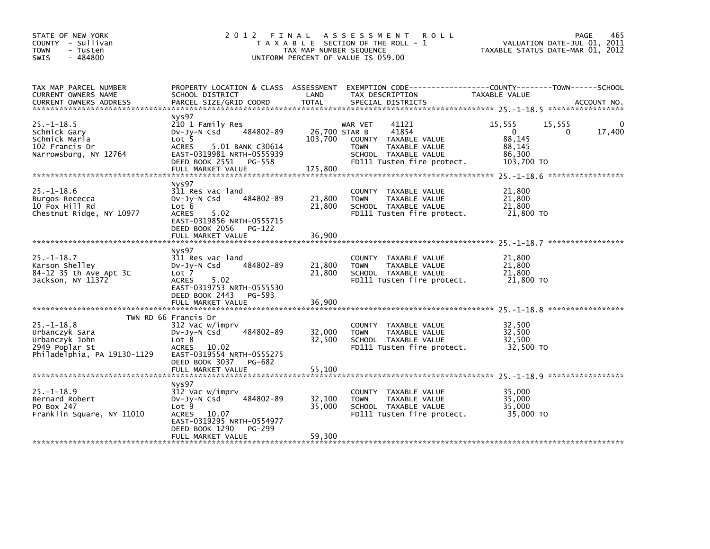| STATE OF NEW YORK<br>COUNTY - Sullivan<br><b>TOWN</b><br>- Tusten<br>$-484800$<br>SWIS               |                                                                                                                                                                          | TAX MAP NUMBER SEQUENCE  | 2012 FINAL ASSESSMENT ROLL<br>T A X A B L E SECTION OF THE ROLL - 1<br>UNIFORM PERCENT OF VALUE IS 059.00                                       | VALUATION DATE-JUL 01, 2011<br>TAXABLE STATUS DATE-MAR 01, 2012                          | PAGE<br>465 |
|------------------------------------------------------------------------------------------------------|--------------------------------------------------------------------------------------------------------------------------------------------------------------------------|--------------------------|-------------------------------------------------------------------------------------------------------------------------------------------------|------------------------------------------------------------------------------------------|-------------|
| TAX MAP PARCEL NUMBER<br>CURRENT OWNERS NAME<br><b>CURRENT OWNERS ADDRESS</b>                        | SCHOOL DISTRICT<br>PARCEL SIZE/GRID COORD                                                                                                                                | LAND<br><b>TOTAL</b>     | PROPERTY LOCATION & CLASS ASSESSMENT EXEMPTION CODE---------------COUNTY-------TOWN-----SCHOOL<br>TAX DESCRIPTION<br>SPECIAL DISTRICTS          | TAXABLE VALUE                                                                            | ACCOUNT NO. |
| $25. - 1 - 18.5$<br>Schmick Gary<br>Schmick Maria<br>102 Francis Dr<br>Narrowsburg, NY 12764         | Nys97<br>210 1 Family Res<br>484802-89<br>$Dv-Jy-N$ Csd<br>Lot 5<br>5.01 BANK C30614<br>ACRES<br>EAST-0319981 NRTH-0555939<br>DEED BOOK 2551 PG-558<br>FULL MARKET VALUE | 26,700 STAR B<br>175,800 | 41121<br>WAR VET<br>41854<br>103,700 COUNTY TAXABLE VALUE<br><b>TOWN</b><br>TAXABLE VALUE<br>SCHOOL TAXABLE VALUE<br>FD111 Tusten fire protect. | 15,555<br>15,555<br>$\mathbf{0}$<br>$\Omega$<br>88,145<br>88,145<br>86.300<br>103,700 TO | 0<br>17,400 |
| $25. - 1 - 18.6$<br>Burgos Rececca<br>10 Fox Hill Rd<br>Chestnut Ridge, NY 10977                     | Nys97<br>311 Res vac land<br>484802-89<br>$Dv-Jy-N$ Csd<br>Lot 6<br><b>ACRES</b><br>5.02<br>EAST-0319856 NRTH-0555715<br>DEED BOOK 2056 PG-122                           | 21,800<br>21,800         | COUNTY TAXABLE VALUE<br><b>TOWN</b><br>TAXABLE VALUE<br>SCHOOL TAXABLE VALUE<br>FD111 Tusten fire protect.                                      | 21,800<br>21,800<br>21,800<br>21,800 TO                                                  |             |
|                                                                                                      | FULL MARKET VALUE                                                                                                                                                        | 36,900                   |                                                                                                                                                 |                                                                                          |             |
| $25. - 1 - 18.7$<br>Karson Shelley<br>84-12 35 th Ave Apt 3C<br>Jackson, NY 11372                    | Nys97<br>311 Res vac land<br>484802-89<br>$Dv-Jy-N$ Csd<br>Lot 7<br><b>ACRES</b><br>5.02<br>EAST-0319753 NRTH-0555530<br>DEED BOOK 2443 PG-593                           | 21,800<br>21,800         | COUNTY TAXABLE VALUE<br><b>TOWN</b><br>TAXABLE VALUE<br>SCHOOL TAXABLE VALUE<br>FD111 Tusten fire protect.                                      | 21,800<br>21,800<br>21,800<br>21,800 TO                                                  |             |
|                                                                                                      |                                                                                                                                                                          |                          |                                                                                                                                                 |                                                                                          |             |
| $25. -1 - 18.8$<br>Urbanczyk Sara<br>Urbanczyk John<br>2949 Poplar St<br>Philadelphia, PA 19130-1129 | TWN RD 66 Francis Dr<br>312 Vac w/imprv<br>484802-89<br>Dv-Jy-N Csd<br>Lot 8<br>ACRES 10.02<br>EAST-0319554 NRTH-0555275<br>DEED BOOK 3037 PG-682                        | 32,000<br>32,500         | COUNTY TAXABLE VALUE<br>TAXABLE VALUE<br><b>TOWN</b><br>SCHOOL TAXABLE VALUE<br>FD111 Tusten fire protect.                                      | 32,500<br>32,500<br>32.500<br>32,500 TO                                                  |             |
|                                                                                                      | Nys97                                                                                                                                                                    |                          |                                                                                                                                                 |                                                                                          |             |
| $25. - 1 - 18.9$<br>Bernard Robert<br>PO Box 247<br>Franklin Square, NY 11010                        | 312 Vac w/imprv<br>484802-89<br>$Dv-Jy-N$ Csd<br>Lot 9<br>ACRES 10.07<br>EAST-0319295 NRTH-0554977                                                                       | 32,100<br>35,000         | COUNTY TAXABLE VALUE<br>TAXABLE VALUE<br><b>TOWN</b><br>SCHOOL TAXABLE VALUE<br>FD111 Tusten fire protect.                                      | 35,000<br>35,000<br>35,000<br>35,000 TO                                                  |             |
|                                                                                                      | PG-299<br>DEED BOOK 1290<br>FULL MARKET VALUE                                                                                                                            | 59,300                   |                                                                                                                                                 |                                                                                          |             |
|                                                                                                      |                                                                                                                                                                          |                          |                                                                                                                                                 |                                                                                          |             |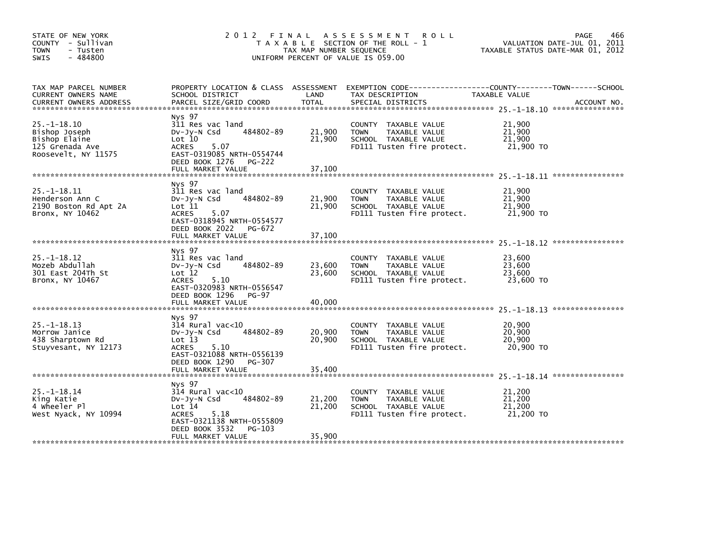| STATE OF NEW YORK<br>COUNTY - Sullivan<br><b>TOWN</b><br>- Tusten<br>$-484800$<br>SWIS        | 2012                                                                                                                                                       | FINAL<br>TAX MAP NUMBER SEQUENCE | A S S E S S M E N T<br><b>ROLL</b><br>T A X A B L E SECTION OF THE ROLL - 1<br>UNIFORM PERCENT OF VALUE IS 059.00    | <b>PAGE</b><br>VALUATION DATE-JUL 01, 2011<br>TAXABLE STATUS DATE-MAR 01, 2012 | 466         |
|-----------------------------------------------------------------------------------------------|------------------------------------------------------------------------------------------------------------------------------------------------------------|----------------------------------|----------------------------------------------------------------------------------------------------------------------|--------------------------------------------------------------------------------|-------------|
| TAX MAP PARCEL NUMBER<br>CURRENT OWNERS NAME<br><b>CURRENT OWNERS ADDRESS</b>                 | PROPERTY LOCATION & CLASS ASSESSMENT<br>SCHOOL DISTRICT<br>PARCEL SIZE/GRID COORD                                                                          | LAND<br><b>TOTAL</b>             | TAX DESCRIPTION<br>SPECIAL DISTRICTS                                                                                 | TAXABLE VALUE                                                                  | ACCOUNT NO. |
| $25. - 1 - 18.10$<br>Bishop Joseph<br>Bishop Elaine<br>125 Grenada Ave<br>Roosevelt, NY 11575 | Nys 97<br>311 Res vac land<br>484802-89<br>$Dv-Jy-N$ Csd<br>Lot 10<br><b>ACRES</b><br>5.07<br>EAST-0319085 NRTH-0554744<br>DEED BOOK 1276<br><b>PG-222</b> | 21,900<br>21,900                 | COUNTY TAXABLE VALUE<br>TAXABLE VALUE<br><b>TOWN</b><br>SCHOOL TAXABLE VALUE<br>FD111 Tusten fire protect.           | 21,900<br>21,900<br>21,900<br>21,900 TO                                        |             |
|                                                                                               | FULL MARKET VALUE                                                                                                                                          | 37,100                           |                                                                                                                      |                                                                                |             |
| $25. -1 - 18.11$<br>Henderson Ann C<br>2190 Boston Rd Apt 2A<br>Bronx, NY 10462               | Nys 97<br>311 Res vac land<br>484802-89<br>$Dv-Jv-N$ Csd<br>Lot 11<br><b>ACRES</b><br>5.07<br>EAST-0318945 NRTH-0554577<br>DEED BOOK 2022<br>PG-672        | 21,900<br>21,900                 | COUNTY TAXABLE VALUE<br>TAXABLE VALUE<br><b>TOWN</b><br>SCHOOL TAXABLE VALUE<br>FD111 Tusten fire protect.           | 21,900<br>21,900<br>21,900<br>21,900 TO                                        |             |
|                                                                                               | FULL MARKET VALUE                                                                                                                                          | 37,100                           |                                                                                                                      |                                                                                |             |
| $25. -1 - 18.12$<br>Mozeb Abdullah<br>301 East 204Th St<br>Bronx, NY 10467                    | Nys 97<br>311 Res vac land<br>484802-89<br>$Dv-Jv-N$ Csd<br>Lot 12<br>5.10<br><b>ACRES</b><br>EAST-0320983 NRTH-0556547<br>DEED BOOK 1296<br><b>PG-97</b>  | 23,600<br>23,600                 | TAXABLE VALUE<br><b>COUNTY</b><br><b>TOWN</b><br>TAXABLE VALUE<br>SCHOOL TAXABLE VALUE<br>FD111 Tusten fire protect. | 23,600<br>23,600<br>23,600<br>23,600 TO                                        |             |
|                                                                                               | FULL MARKET VALUE                                                                                                                                          | 40,000                           |                                                                                                                      |                                                                                |             |
| $25. - 1 - 18.13$<br>Morrow Janice<br>438 Sharptown Rd<br>Stuyvesant, NY 12173                | Nys 97<br>$314$ Rural vac< $10$<br>484802-89<br>$Dv-Jy-N$ Csd<br>Lot 13<br><b>ACRES</b><br>5.10<br>EAST-0321088 NRTH-0556139                               | 20,900<br>20,900                 | <b>COUNTY</b><br>TAXABLE VALUE<br><b>TOWN</b><br>TAXABLE VALUE<br>SCHOOL TAXABLE VALUE<br>FD111 Tusten fire protect. | 20,900<br>20,900<br>20,900<br>20,900 TO                                        |             |
|                                                                                               | DEED BOOK 1290<br>PG-307<br>FULL MARKET VALUE                                                                                                              | 35,400                           |                                                                                                                      |                                                                                |             |
| $25. - 1 - 18.14$<br>King Katie<br>4 wheeler Pl<br>West Nyack, NY 10994                       | Nys 97<br>$314$ Rural vac<10<br>484802-89<br>$Dv-Jy-N$ Csd<br>Lot 14<br><b>ACRES</b><br>5.18<br>EAST-0321138 NRTH-0555809<br>DEED BOOK 3532<br>PG-103      | 21,200<br>21,200                 | <b>COUNTY</b><br>TAXABLE VALUE<br>TAXABLE VALUE<br><b>TOWN</b><br>SCHOOL TAXABLE VALUE<br>FD111 Tusten fire protect. | 21,200<br>21,200<br>21,200<br>21,200 TO                                        |             |
|                                                                                               | FULL MARKET VALUE                                                                                                                                          | 35,900                           |                                                                                                                      |                                                                                |             |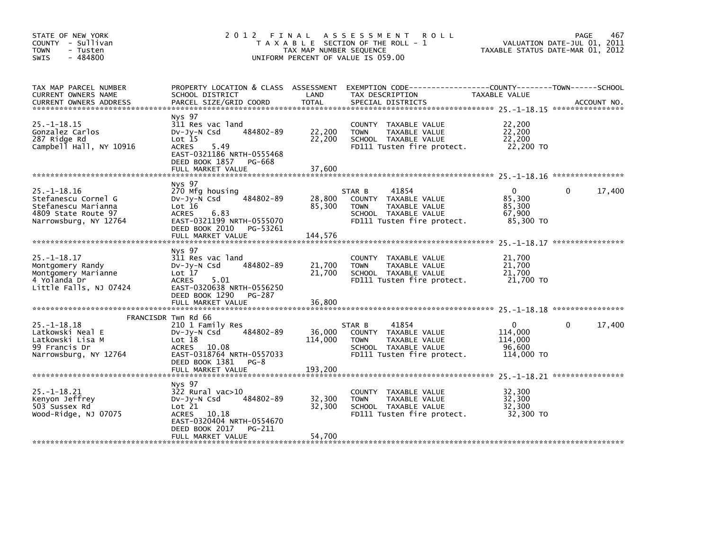| STATE OF NEW YORK<br>COUNTY - Sullivan<br><b>TOWN</b><br>- Tusten<br>$-484800$<br><b>SWIS</b>                   | 2012 FINAL                                                                                                                                                              | TAX MAP NUMBER SEQUENCE    | A S S E S S M E N T<br><b>ROLL</b><br>T A X A B L E SECTION OF THE ROLL - 1<br>UNIFORM PERCENT OF VALUE IS 059.00             |                                                        | 467<br>PAGE<br>VALUATION DATE-JUL 01, 2011<br>TAXABLE STATUS DATE-MAR 01, 2012 |
|-----------------------------------------------------------------------------------------------------------------|-------------------------------------------------------------------------------------------------------------------------------------------------------------------------|----------------------------|-------------------------------------------------------------------------------------------------------------------------------|--------------------------------------------------------|--------------------------------------------------------------------------------|
| TAX MAP PARCEL NUMBER<br>CURRENT OWNERS NAME<br>CURRENT OWNERS ADDRESS                                          | PROPERTY LOCATION & CLASS ASSESSMENT<br>SCHOOL DISTRICT<br>PARCEL SIZE/GRID COORD                                                                                       | LAND<br><b>TOTAL</b>       | EXEMPTION CODE-----------------COUNTY-------TOWN------SCHOOL<br>TAX DESCRIPTION<br>SPECIAL DISTRICTS                          | TAXABLE VALUE                                          | ACCOUNT NO.                                                                    |
| $25. -1 - 18.15$<br>Gonzalez Carlos<br>287 Ridge Rd<br>Campbell Hall, NY 10916                                  | Nys 97<br>311 Res vac land<br>484802-89<br>$Dv-Jy-N$ Csd<br>$Lot$ 15<br><b>ACRES</b><br>5.49<br>EAST-0321186 NRTH-0555468<br>DEED BOOK 1857 PG-668<br>FULL MARKET VALUE | 22,200<br>22,200<br>37,600 | COUNTY TAXABLE VALUE<br><b>TOWN</b><br>TAXABLE VALUE<br>SCHOOL TAXABLE VALUE<br>FD111 Tusten fire protect.                    | 22,200<br>22,200<br>22,200<br>22,200 TO                |                                                                                |
|                                                                                                                 |                                                                                                                                                                         |                            |                                                                                                                               |                                                        |                                                                                |
| $25. - 1 - 18.16$<br>Stefanescu Cornel G<br>Stefanescu Marianna<br>4809 State Route 97<br>Narrowsburg, NY 12764 | Nys 97<br>270 Mfg housing<br>484802-89<br>$Dv-Jv-N$ Csd<br>Lot 16<br><b>ACRES</b><br>6.83<br>EAST-0321199 NRTH-0555070                                                  | 28,800<br>85,300           | STAR B<br>41854<br>COUNTY TAXABLE VALUE<br>TAXABLE VALUE<br><b>TOWN</b><br>SCHOOL TAXABLE VALUE<br>FD111 Tusten fire protect. | $\Omega$<br>85,300<br>85,300<br>67,900<br>85,300 TO    | 17,400<br>$\Omega$                                                             |
|                                                                                                                 | DEED BOOK 2010 PG-53261<br>FULL MARKET VALUE                                                                                                                            | 144,576                    |                                                                                                                               |                                                        |                                                                                |
| $25. -1 - 18.17$<br>Montgomery Randy<br>Montgomery Marianne<br>4 Yolanda Dr<br>Little Falls, NJ 07424           | Nys 97<br>311 Res vac land<br>484802-89<br>$Dv-Jy-N$ Csd<br>Lot 17<br><b>ACRES</b><br>5.01<br>EAST-0320638 NRTH-0556250<br>DEED BOOK 1290 PG-287                        | 21,700<br>21,700           | COUNTY TAXABLE VALUE<br><b>TOWN</b><br>TAXABLE VALUE<br>SCHOOL TAXABLE VALUE<br>FD111 Tusten fire protect.                    | 21,700<br>21,700<br>21,700<br>21,700 TO                |                                                                                |
|                                                                                                                 | FULL MARKET VALUE                                                                                                                                                       | 36,800                     |                                                                                                                               |                                                        |                                                                                |
| $25. - 1 - 18.18$<br>Latkowski Neal E<br>Latkowski Lisa M<br>99 Francis Dr<br>Narrowsburg, NY 12764             | FRANCISDR Twn Rd 66<br>210 1 Family Res<br>484802-89<br>$Dv-Jy-N$ Csd<br>Lot 18<br>ACRES 10.08<br>EAST-0318764 NRTH-0557033<br>DEED BOOK 1381 PG-8                      | 36,000<br>114,000          | 41854<br>STAR B<br>COUNTY TAXABLE VALUE<br><b>TOWN</b><br>TAXABLE VALUE<br>SCHOOL TAXABLE VALUE<br>FD111 Tusten fire protect. | $\Omega$<br>114,000<br>114,000<br>96.600<br>114,000 TO | 17,400<br>$\Omega$                                                             |
|                                                                                                                 | FULL MARKET VALUE                                                                                                                                                       | 193,200                    |                                                                                                                               |                                                        |                                                                                |
| $25. -1 - 18.21$<br>Kenyon Jeffrey<br>503 Sussex Rd<br>Wood-Ridge, NJ 07075                                     | Nys 97<br>322 Rural vac>10<br>484802-89<br>$Dv-Jy-N$ Csd<br>Lot 21<br>ACRES 10.18<br>EAST-0320404 NRTH-0554670<br>DEED BOOK 2017<br>PG-211<br>FULL MARKET VALUE         | 32,300<br>32,300<br>54,700 | COUNTY TAXABLE VALUE<br>TAXABLE VALUE<br><b>TOWN</b><br>SCHOOL TAXABLE VALUE<br>FD111 Tusten fire protect.                    | 32,300<br>32,300<br>32,300<br>32,300 TO                |                                                                                |
|                                                                                                                 |                                                                                                                                                                         |                            |                                                                                                                               |                                                        |                                                                                |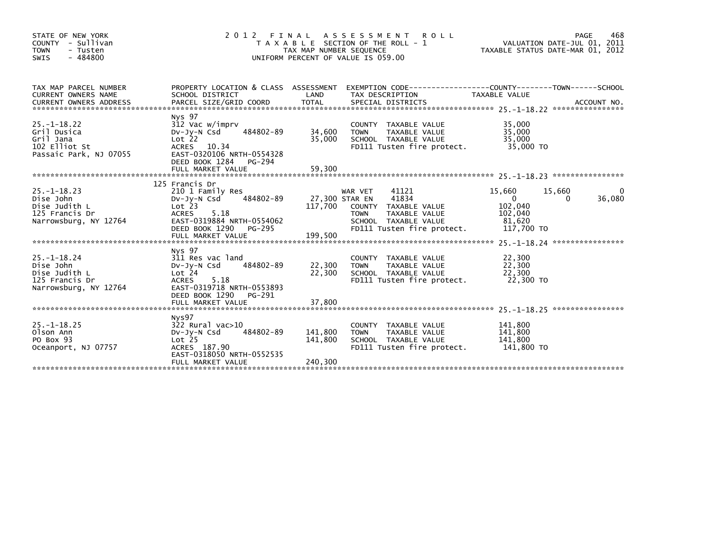| STATE OF NEW YORK<br>COUNTY - Sullivan<br><b>TOWN</b><br>- Tusten<br>$-484800$<br>SWIS     | 2 0 1 2                                                                                                                                                                             | FINAL<br>TAX MAP NUMBER SEQUENCE | <b>ROLL</b><br>A S S E S S M E N T<br>T A X A B L E SECTION OF THE ROLL - 1<br>UNIFORM PERCENT OF VALUE IS 059.00                                         |                                                                      | 468<br>PAGE<br>VALUATION DATE-JUL 01, 2011<br>TAXABLE STATUS DATE-MAR 01, 2012 |
|--------------------------------------------------------------------------------------------|-------------------------------------------------------------------------------------------------------------------------------------------------------------------------------------|----------------------------------|-----------------------------------------------------------------------------------------------------------------------------------------------------------|----------------------------------------------------------------------|--------------------------------------------------------------------------------|
| TAX MAP PARCEL NUMBER<br>CURRENT OWNERS NAME                                               | PROPERTY LOCATION & CLASS ASSESSMENT<br>SCHOOL DISTRICT                                                                                                                             | LAND                             | EXEMPTION CODE------------------COUNTY--------TOWN------SCHOOL<br>TAX DESCRIPTION                                                                         | TAXABLE VALUE                                                        |                                                                                |
| $25. - 1 - 18.22$<br>Gril Dusica<br>Gril Jana<br>102 Elliot St<br>Passaic Park, NJ 07055   | <b>NVS 97</b><br>312 Vac w/imprv<br>484802-89<br>DV-JY-N Csd<br>Lot 22<br>ACRES 10.34<br>EAST-0320106 NRTH-0554328<br>DEED BOOK 1284 PG-294<br>FULL MARKET VALUE                    | 34,600<br>35,000<br>59,300       | COUNTY TAXABLE VALUE<br><b>TOWN</b><br>TAXABLE VALUE<br>SCHOOL TAXABLE VALUE<br>FD111 Tusten fire protect.                                                | 35,000<br>35,000<br>35,000<br>35.000 TO                              |                                                                                |
| $25. -1 - 18.23$<br>Dise John<br>Dise Judith L<br>125 Francis Dr<br>Narrowsburg, NY 12764  | 125 Francis Dr<br>210 1 Family Res<br>484802-89<br>$Dv-Jv-N$ Csd<br>Lot <sub>23</sub><br>5.18<br><b>ACRES</b><br>EAST-0319884 NRTH-0554062<br>DEED BOOK 1290 PG-295                 | 117,700                          | 41121<br>WAR VET<br>41834<br>27,300 STAR EN<br>COUNTY TAXABLE VALUE<br>TAXABLE VALUE<br><b>TOWN</b><br>SCHOOL TAXABLE VALUE<br>FD111 Tusten fire protect. | 15,660<br>$\mathbf{0}$<br>102,040<br>102,040<br>81,620<br>117,700 TO | 15,660<br>36,080<br>0                                                          |
| $25. - 1 - 18.24$<br>Dise John<br>Dise Judith L<br>125 Francis Dr<br>Narrowsburg, NY 12764 | Nys 97<br>311 Res vac land<br>484802-89<br>$Dv-Jv-N$ Csd<br>Lot <sub>24</sub><br><b>ACRES</b><br>5.18<br>EAST-0319718 NRTH-0553893<br>DEED BOOK 1290<br>PG-291<br>FULL MARKET VALUE | 22,300<br>22,300<br>37,800       | COUNTY TAXABLE VALUE<br><b>TOWN</b><br>TAXABLE VALUE<br>SCHOOL TAXABLE VALUE<br>FD111 Tusten fire protect.                                                | 22,300<br>22,300<br>22,300<br>22,300 TO                              |                                                                                |
| $25. -1 - 18.25$<br>Olson Ann<br>PO Box 93<br>Oceanport, NJ 07757                          | Nys97<br>$322$ Rural vac $>10$<br>484802-89<br>$Dv-Jv-N$ Csd<br>Lot <sub>25</sub><br>ACRES 187.90<br>EAST-0318050 NRTH-0552535<br>FULL MARKET VALUE                                 | 141,800<br>141,800<br>240,300    | COUNTY TAXABLE VALUE<br>TAXABLE VALUE<br><b>TOWN</b><br>SCHOOL TAXABLE VALUE<br>FD111 Tusten fire protect.                                                | 141.800<br>141,800<br>141,800<br>141,800 TO                          |                                                                                |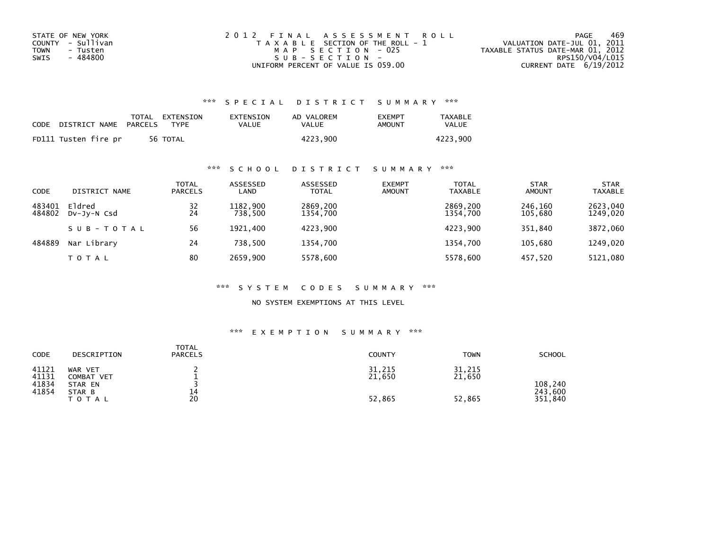| STATE OF NEW YORK | 2012 FINAL ASSESSMENT ROLL            | 469<br>PAGE                      |
|-------------------|---------------------------------------|----------------------------------|
| COUNTY - Sullivan | T A X A B L E SECTION OF THE ROLL - 1 | VALUATION DATE-JUL 01, 2011      |
| TOWN<br>- Tusten  | MAP SECTION - 025                     | TAXABLE STATUS DATE-MAR 01, 2012 |
| - 484800<br>SWIS  | SUB-SECTION-                          | RPS150/V04/L015                  |
|                   | UNIFORM PERCENT OF VALUE IS 059.00    | CURRENT DATE 6/19/2012           |

| CODE | DISTRICT NAME        | PARCELS | TOTAL EXTENSION<br><b>TYPF</b> | EXTENSION<br>VALUE | AD VALOREM<br>VALUE | <b>FXFMPT</b><br>AMOUNT | <b>TAXABLE</b><br><b>VALUE</b> |
|------|----------------------|---------|--------------------------------|--------------------|---------------------|-------------------------|--------------------------------|
|      | FD111 Tusten fire pr |         | 56 TOTAL                       |                    | 4223.900            |                         | 4223.900                       |

## \*\*\* S C H O O L D I S T R I C T S U M M A R Y \*\*\*

| <b>CODE</b>      | DISTRICT NAME         | TOTAL<br><b>PARCELS</b> | ASSESSED<br>LAND    | ASSESSED<br><b>TOTAL</b> | <b>EXEMPT</b><br><b>AMOUNT</b> | <b>TOTAL</b><br><b>TAXABLE</b> | <b>STAR</b><br><b>AMOUNT</b> | <b>STAR</b><br><b>TAXABLE</b> |
|------------------|-----------------------|-------------------------|---------------------|--------------------------|--------------------------------|--------------------------------|------------------------------|-------------------------------|
| 483401<br>484802 | Eldred<br>DV-Jy-N Csd | 32<br>24                | 1182,900<br>738,500 | 2869,200<br>1354,700     |                                | 2869,200<br>1354,700           | 246,160<br>105,680           | 2623,040<br>1249,020          |
|                  | SUB-TOTAL             | 56                      | 1921.400            | 4223,900                 |                                | 4223.900                       | 351.840                      | 3872,060                      |
| 484889           | Nar Library           | 24                      | 738.500             | 1354.700                 |                                | 1354.700                       | 105.680                      | 1249,020                      |
|                  | TOTAL                 | 80                      | 2659.900            | 5578,600                 |                                | 5578.600                       | 457,520                      | 5121,080                      |

#### \*\*\* S Y S T E M C O D E S S U M M A R Y \*\*\*

NO SYSTEM EXEMPTIONS AT THIS LEVEL

| CODE                             | DESCRIPTION                                       | <b>TOTAL</b><br><b>PARCELS</b> | <b>COUNTY</b>    | <b>TOWN</b>      | <b>SCHOOL</b>      |
|----------------------------------|---------------------------------------------------|--------------------------------|------------------|------------------|--------------------|
| 41121<br>41131<br>41834<br>41854 | WAR VET<br><b>COMBAT VET</b><br>STAR EN<br>STAR B | 14                             | 31,215<br>21,650 | 31,215<br>21,650 | 108,240<br>243,600 |
|                                  | <b>TOTAL</b>                                      | 20                             | 52,865           | 52,865           | 351,840            |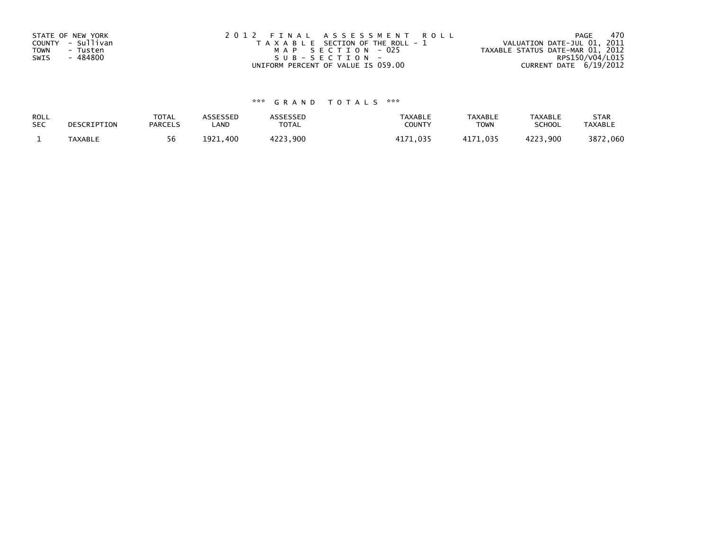| STATE OF NEW YORK<br>COUNTY - Sullivan      | 2012 FINAL ASSESSMENT ROLL<br>T A X A B L E SECTION OF THE ROLL - 1 | - 470<br>PAGE<br>VALUATION DATE-JUL 01, 2011        |
|---------------------------------------------|---------------------------------------------------------------------|-----------------------------------------------------|
| <b>TOWN</b><br>- Tusten<br>- 484800<br>SWIS | MAP SECTION - 025<br>SUB-SECTION-                                   | TAXABLE STATUS DATE-MAR 01, 2012<br>RPS150/V04/L015 |
|                                             | UNIFORM PERCENT OF VALUE IS 059.00                                  | CURRENT DATE 6/19/2012                              |

| ROLL<br><b>SEC</b> | DESCRIPTION    | <b>TOTAL</b><br><b>PARCELS</b> | ASSESSEP<br>LAND | <b>\SSESSED</b><br>TOTAL | <b>TAXABLE</b><br><b>COUNT</b> | <b>TAXABLE</b><br><b>TOWN</b> | <b>TAXABLE</b><br><b>SCHOOL</b> | <b>STAR</b><br><b>TAXABLE</b> |
|--------------------|----------------|--------------------------------|------------------|--------------------------|--------------------------------|-------------------------------|---------------------------------|-------------------------------|
|                    | <b>TAXABLE</b> | 56                             | 1921<br>400      | , 900                    | ィィー<br>n ?!                    | .035                          | <b>A つつつ</b><br>.900            | 3872<br>.060                  |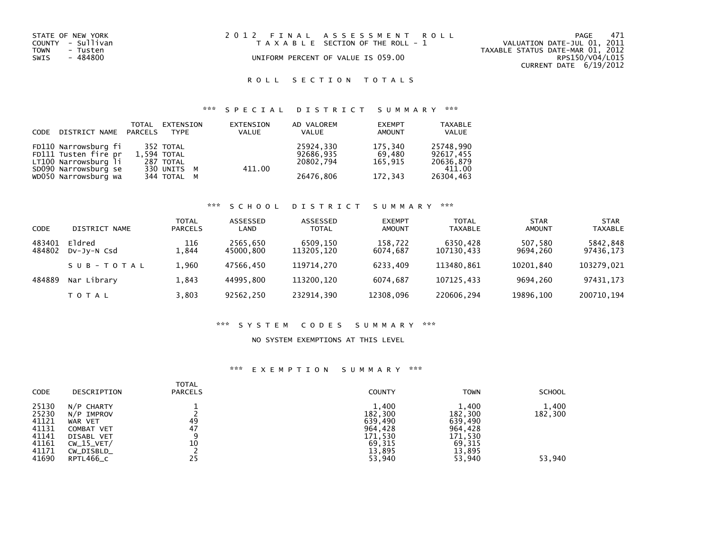| STATE OF NEW YORK<br>COUNTY - Sullivan<br>TOWN<br>- Tusten<br>SWIS<br>- 484800 | 2012 FINAL ASSESSMENT ROLL<br>T A X A B L E SECTION OF THE ROLL - 1<br>UNIFORM PERCENT OF VALUE IS 059.00 | 471<br>PAGE<br>VALUATION DATE-JUL 01, 2011<br>TAXABLE STATUS DATE-MAR 01, 2012<br>RPS150/V04/L015<br>CURRENT DATE 6/19/2012 |
|--------------------------------------------------------------------------------|-----------------------------------------------------------------------------------------------------------|-----------------------------------------------------------------------------------------------------------------------------|
|                                                                                |                                                                                                           |                                                                                                                             |
|                                                                                |                                                                                                           |                                                                                                                             |

## \*\*\* S P E C I A L D I S T R I C T S U M M A R Y \*\*\*

| CODE DISTRICT NAME PARCELS | TOTAL | EXTENSION<br>TYPE | EXTENSION<br><b>VALUE</b> | AD VALOREM<br><b>VALUE</b> | <b>EXEMPT</b><br><b>AMOUNT</b> | <b>TAXABLE</b><br>VALUE |
|----------------------------|-------|-------------------|---------------------------|----------------------------|--------------------------------|-------------------------|
| FD110 Narrowsburg fi       |       | 352 TOTAL         |                           | 25924,330                  | 175.340                        | 25748,990               |
| FD111 Tusten fire pr       |       | 1.594 TOTAL       |                           | 92686.935                  | 69.480                         | 92617.455               |
| LT100 Narrowsburg li       |       | 287 TOTAL         |                           | 20802.794                  | 165.915                        | 20636,879               |
| SD090 Narrowsburg se       |       | 330 UNITS M       | 411.00                    |                            |                                | 411.00                  |
| WD050 Narrowsburg wa       |       | 344 TOTAL M       |                           | 26476,806                  | 172,343                        | 26304,463               |

## \*\*\* S C H O O L D I S T R I C T S U M M A R Y \*\*\*

| CODE             | DISTRICT NAME                | TOTAL<br><b>PARCELS</b> | ASSESSED<br>LAND      | ASSESSED<br><b>TOTAL</b> | <b>EXEMPT</b><br><b>AMOUNT</b> | <b>TOTAL</b><br><b>TAXABLE</b> | <b>STAR</b><br><b>AMOUNT</b> | <b>STAR</b><br><b>TAXABLE</b> |
|------------------|------------------------------|-------------------------|-----------------------|--------------------------|--------------------------------|--------------------------------|------------------------------|-------------------------------|
| 483401<br>484802 | Eldred<br>$Dv$ -J $v$ -N Csd | 116<br>1.844            | 2565,650<br>45000.800 | 6509,150<br>113205.120   | 158,722<br>6074.687            | 6350,428<br>107130,433         | 507,580<br>9694.260          | 5842,848<br>97436,173         |
|                  | SUB-TOTAL                    | 1.960                   | 47566.450             | 119714.270               | 6233.409                       | 113480.861                     | 10201.840                    | 103279.021                    |
| 484889           | Nar Library                  | 1.843                   | 44995.800             | 113200.120               | 6074.687                       | 107125.433                     | 9694.260                     | 97431.173                     |
|                  | <b>TOTAL</b>                 | 3,803                   | 92562,250             | 232914.390               | 12308,096                      | 220606,294                     | 19896.100                    | 200710,194                    |

#### \*\*\* S Y S T E M C O D E S S U M M A R Y \*\*\*

### NO SYSTEM EXEMPTIONS AT THIS LEVEL

| <b>CODE</b>                                                          | DESCRIPTION                                                                                                       | <b>TOTAL</b><br><b>PARCELS</b> | <b>COUNTY</b>                                                                   | <b>TOWN</b>                                                                     | <b>SCHOOL</b>              |
|----------------------------------------------------------------------|-------------------------------------------------------------------------------------------------------------------|--------------------------------|---------------------------------------------------------------------------------|---------------------------------------------------------------------------------|----------------------------|
| 25130<br>25230<br>41121<br>41131<br>41141<br>41161<br>41171<br>41690 | N/P CHARTY<br>N/P IMPROV<br>WAR VET<br><b>COMBAT VET</b><br>DISABL VET<br>$CW_15_VET/$<br>CW_DISBLD_<br>RPTL466_C | 49<br>47<br>9<br>10<br>25      | 1,400<br>182,300<br>639,490<br>964,428<br>171,530<br>69,315<br>13.895<br>53,940 | 1,400<br>182,300<br>639,490<br>964,428<br>171,530<br>69,315<br>13,895<br>53,940 | 1,400<br>182,300<br>53,940 |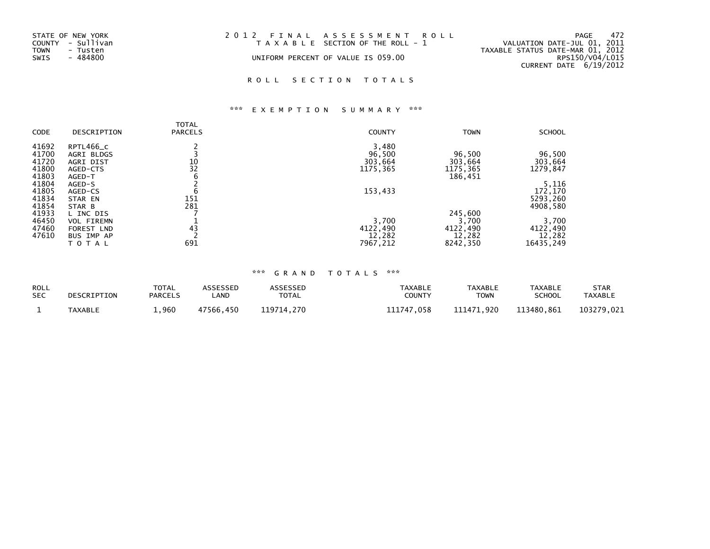| STATE OF NEW YORK<br>COUNTY - Sullivan<br>TOWN<br>- Tusten | 2012 FINAL ASSESSMENT ROLL<br>T A X A B L E SECTION OF THE ROLL - 1 | 472<br>PAGE<br>VALUATION DATE-JUL 01, 2011<br>TAXABLE STATUS DATE-MAR 01, 2012 |
|------------------------------------------------------------|---------------------------------------------------------------------|--------------------------------------------------------------------------------|
| - 484800<br>SWIS                                           | UNIFORM PERCENT OF VALUE IS 059.00                                  | RPS150/V04/L015<br>CURRENT DATE 6/19/2012                                      |

# \*\*\* E X E M P T I O N S U M M A R Y \*\*\*

|             |                   | TOTAL          |               |             |               |
|-------------|-------------------|----------------|---------------|-------------|---------------|
| <b>CODE</b> | DESCRIPTION       | <b>PARCELS</b> | <b>COUNTY</b> | <b>TOWN</b> | <b>SCHOOL</b> |
| 41692       | RPTL466_C         |                | 3,480         |             |               |
| 41700       | AGRI BLDGS        |                | 96,500        | 96,500      | 96,500        |
| 41720       | AGRI DIST         | 10             | 303,664       | 303,664     | 303,664       |
| 41800       | AGED-CTS          | 32             | 1175,365      | 1175,365    | 1279,847      |
| 41803       | AGED-T            | 6              |               | 186,451     |               |
| 41804       | AGED-S            |                |               |             | 5,116         |
| 41805       | AGED-CS           | b              | 153,433       |             | 172,170       |
| 41834       | STAR EN           | 151            |               |             | 5293,260      |
| 41854       | STAR B            | 281            |               |             | 4908,580      |
| 41933       | L INC DIS         |                |               | 245,600     |               |
| 46450       | <b>VOL FIREMN</b> |                | 3,700         | 3,700       | 3,700         |
| 47460       | FOREST LND        | 43             | 4122,490      | 4122,490    | 4122,490      |
| 47610       | BUS IMP AP        |                | 12,282        | 12,282      | 12,282        |
|             | TOTAL             | 691            | 7967,212      | 8242,350    | 16435,249     |

| ROLL       | DESCRIPTION | <b>TOTAL</b>   | ASSESSED  | <b>ASSESSED</b> | <b>TAXABLE</b> | <b>TAXABLE</b> | <b>TAXABLE</b> | <b>STAR</b>    |
|------------|-------------|----------------|-----------|-----------------|----------------|----------------|----------------|----------------|
| <b>SEC</b> |             | <b>PARCELS</b> | _AND      | <b>TOTAL</b>    | <b>COUNTY</b>  | <b>TOWN</b>    | <b>SCHOOL</b>  | <b>TAXABLE</b> |
|            | TAXABLE     | 1,960          | 47566.450 | 119714.270      | 111747,058     | 111471.920     | 113480.861     | 103279.021     |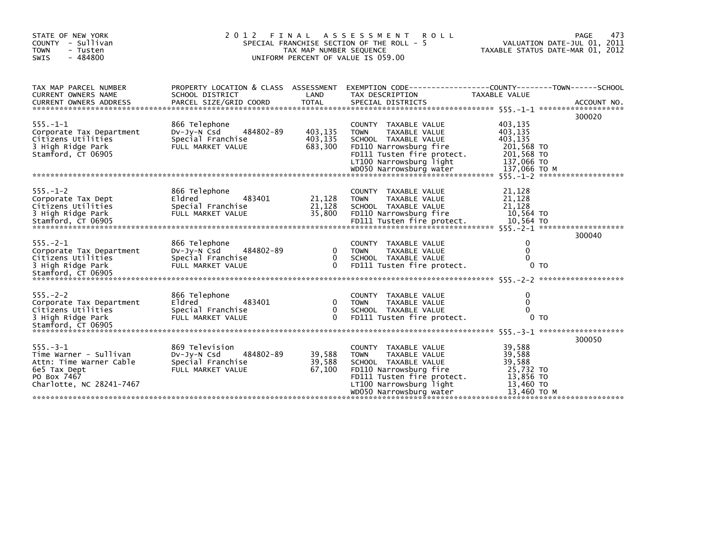| STATE OF NEW YORK<br>COUNTY - Sullivan<br><b>TOWN</b><br>- Tusten<br>SWIS<br>$-484800$                                        |                                                                                      | 473<br>PAGE<br>VALUATION DATE-JUL 01, 2011<br>TAXABLE STATUS DATE-MAR 01, 2012 |                                                                                                                                                                                            |                                                                                  |                |
|-------------------------------------------------------------------------------------------------------------------------------|--------------------------------------------------------------------------------------|--------------------------------------------------------------------------------|--------------------------------------------------------------------------------------------------------------------------------------------------------------------------------------------|----------------------------------------------------------------------------------|----------------|
| TAX MAP PARCEL NUMBER<br>CURRENT OWNERS NAME<br>CURRENT OWNERS ADDRESS                                                        | PROPERTY LOCATION & CLASS ASSESSMENT<br>SCHOOL DISTRICT<br>PARCEL SIZE/GRID COORD    | LAND<br><b>TOTAL</b>                                                           | EXEMPTION CODE-----------------COUNTY-------TOWN------SCHOOL<br>TAX DESCRIPTION<br>SPECIAL DISTRICTS                                                                                       | TAXABLE VALUE                                                                    | ACCOUNT NO.    |
| $555. -1 - 1$<br>Corporate Tax Department<br>Citizens Utilities<br>3 High Ridge Park<br>Stamford, CT 06905                    | 866 Telephone<br>484802-89<br>DV-Jy-N Csd<br>Special Franchise<br>FULL MARKET VALUE  | 403,135<br>403,135<br>683,300                                                  | COUNTY TAXABLE VALUE<br>TAXABLE VALUE<br>TOWN<br>SCHOOL TAXABLE VALUE<br>FD110 Narrowsburg fire<br>FD111 Tusten fire protect.<br>LT100 Narrowsburg light                                   | 403,135<br>403,135<br>403.135<br>201,568 TO<br>201,568 TO<br>137,066 TO          | 300020         |
| $555. - 1 - 2$<br>Corporate Tax Dept<br>Citizens Utilities<br>3 High Ridge Park                                               | 866 Telephone<br>Eldred<br>483401<br>Special Franchise<br>FULL MARKET VALUE          | 21,128<br>21,128<br>35,800                                                     | COUNTY TAXABLE VALUE<br>TAXABLE VALUE<br><b>TOWN</b><br>SCHOOL TAXABLE VALUE<br>FD110 Narrowsburg fire                                                                                     | 21,128<br>21,128<br>21,128<br>10,564 TO                                          | 300040         |
| $555. -2 - 1$<br>Corporate Tax Department<br>Citizens Utilities<br>3 High Ridge Park                                          | 866 Telephone<br>DV-Jy-N Csd<br>484802-89<br>Special Franchise<br>FULL MARKET VALUE  | $\mathbf{0}$<br>$\mathbf{0}$<br>$\Omega$                                       | COUNTY TAXABLE VALUE<br><b>TOWN</b><br>TAXABLE VALUE<br>SCHOOL TAXABLE VALUE<br>FD111 Tusten fire protect.                                                                                 | 0<br>0<br>$\Omega$                                                               | 0 <sub>T</sub> |
| $555. - 2 - 2$<br>Corporate Tax Department<br>Citizens Utilities<br>3 High Ridge Park<br>Stamford, CT 06905                   | 866 Telephone<br>483401<br>Eldred<br>Special Franchise<br>FULL MARKET VALUE          | 0<br>$\mathbf{0}$<br>$\Omega$                                                  | COUNTY TAXABLE VALUE<br><b>TOWN</b><br>TAXABLE VALUE<br>SCHOOL TAXABLE VALUE<br>FD111 Tusten fire protect.                                                                                 | 0<br>$\mathbf 0$<br>$\mathbf{0}$                                                 | 0 <sub>T</sub> |
| $555 - 3 - 1$<br>Time Warner - Sullivan<br>Attn: Time Warner Cable<br>6e5 Tax Dept<br>PO Box 7467<br>Charlotte, NC 28241-7467 | 869 Television<br>484802-89<br>Dv-Jy-N Csd<br>Special Franchise<br>FULL MARKET VALUE | 39,588<br>39,588<br>67,100                                                     | COUNTY TAXABLE VALUE<br><b>TOWN</b><br>TAXABLE VALUE<br>SCHOOL TAXABLE VALUE<br>FD110 Narrowsburg fire<br>FD111 Tusten fire protect.<br>LT100 Narrowsburg light<br>WD050 Narrowsburg water | 39,588<br>39,588<br>39,588<br>25,732 TO<br>13,856 TO<br>13,460 TO<br>13,460 TO M | 300050         |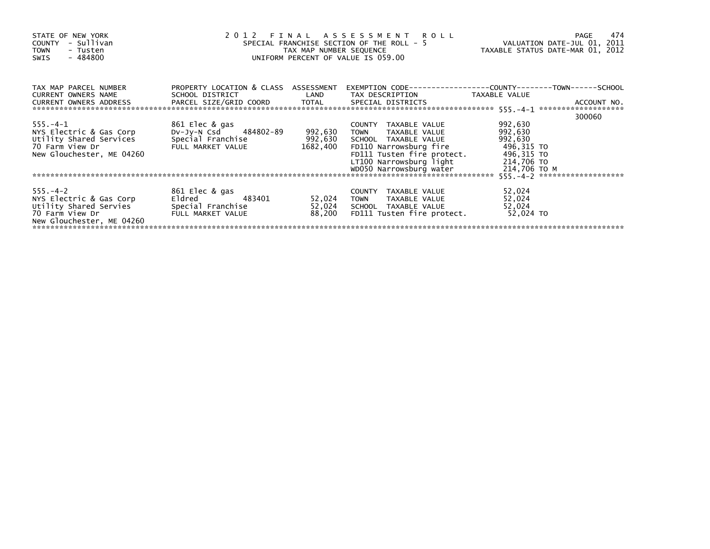| STATE OF NEW YORK<br>- Sullivan<br>COUNTY<br><b>TOWN</b><br>- Tusten<br>- 484800<br>SWIS                            | 2 0 1 2<br>FINAL ASSESSMENT ROLL<br>SPECIAL FRANCHISE SECTION OF THE ROLL - 5<br>TAX MAP NUMBER SEQUENCE<br>UNIFORM PERCENT OF VALUE IS 059.00 | VALUATION DATE-JUL 01, 2011<br>TAXABLE STATUS DATE-MAR 01, 2012 | 474<br>PAGE                                                                                                                                                                                |                                                                                         |        |
|---------------------------------------------------------------------------------------------------------------------|------------------------------------------------------------------------------------------------------------------------------------------------|-----------------------------------------------------------------|--------------------------------------------------------------------------------------------------------------------------------------------------------------------------------------------|-----------------------------------------------------------------------------------------|--------|
| TAX MAP PARCEL NUMBER<br>CURRENT OWNERS NAME<br>CURRENT OWNERS ADDRESS                                              | PROPERTY LOCATION & CLASS ASSESSMENT<br>SCHOOL DISTRICT                                                                                        | LAND                                                            | TAX DESCRIPTION                                                                                                                                                                            | TAXABLE VALUE                                                                           |        |
|                                                                                                                     |                                                                                                                                                |                                                                 |                                                                                                                                                                                            |                                                                                         |        |
| $555. -4-1$<br>NYS Electric & Gas Corp<br>Utility Shared Services<br>70 Farm View Dr<br>New Glouchester, ME 04260   | 861 Elec & gas<br>DV-Jy-N Csd 484802-89<br>Special Franchise<br>FULL MARKET VALUE                                                              | 992,630<br>992,630<br>1682,400                                  | COUNTY TAXABLE VALUE<br><b>TOWN</b><br>TAXABLE VALUE<br>SCHOOL TAXABLE VALUE<br>FD110 Narrowsburg fire<br>FD111 Tusten fire protect.<br>LT100 Narrowsburg light<br>WD050 Narrowsburg water | 992,630<br>992,630<br>992,630<br>496,315 TO<br>496,315 TO<br>214,706 TO<br>214,706 ТО М | 300060 |
|                                                                                                                     |                                                                                                                                                |                                                                 |                                                                                                                                                                                            |                                                                                         |        |
| $555. - 4 - 2$<br>NYS Electric & Gas Corp<br>Utility Shared Servies<br>70 Farm View Dr<br>New Glouchester, ME 04260 | 861 Elec & gas<br>Eldred <b>Eldred</b><br>483401<br>Special Franchise<br>FULL MARKET VALUE                                                     | 52,024<br>52,024<br>88,200                                      | COUNTY TAXABLE VALUE<br>TOWN TAXABLE VALUE<br>SCHOOL TAXABLE VALUE<br>FD111 Tusten fire protect.                                                                                           | 52,024<br>52,024<br>52,024<br>52,024 TO                                                 |        |
|                                                                                                                     |                                                                                                                                                |                                                                 |                                                                                                                                                                                            |                                                                                         |        |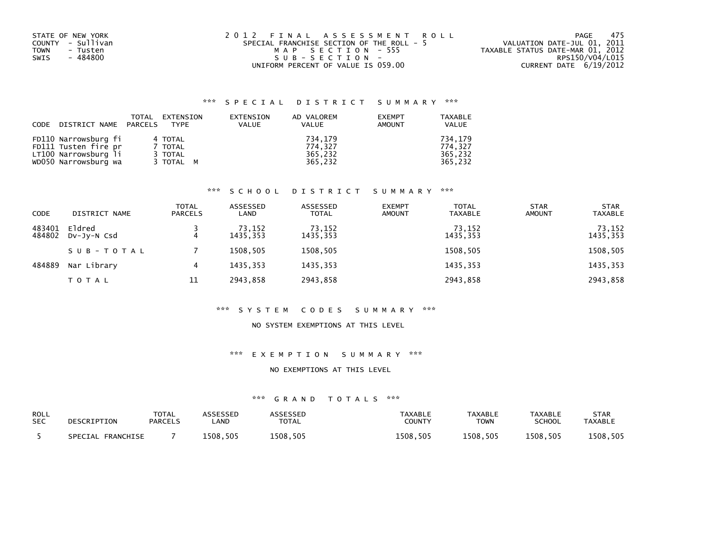| STATE OF NEW YORK | 2012 FINAL ASSESSMENT ROLL                | - 475<br>PAGE                    |
|-------------------|-------------------------------------------|----------------------------------|
| COUNTY - Sullivan | SPECIAL FRANCHISE SECTION OF THE ROLL - 5 | VALUATION DATE-JUL 01, 2011      |
| TOWN<br>- Tusten  | MAP SECTION - 555                         | TAXABLE STATUS DATE-MAR 01, 2012 |
| - 484800<br>SWIS  | SUB-SECTION-                              | RPS150/V04/L015                  |
|                   | UNIFORM PERCENT OF VALUE IS 059.00        | CURRENT DATE 6/19/2012           |

| CODE DISTRICT NAME PARCELS | TOTAL | EXTENSION<br>TYPF | EXTENSION<br><b>VALUE</b> | AD VALOREM<br><b>VALUE</b> | <b>EXEMPT</b><br><b>AMOUNT</b> | <b>TAXABLE</b><br>VALUE |
|----------------------------|-------|-------------------|---------------------------|----------------------------|--------------------------------|-------------------------|
| FD110 Narrowsburg fi       |       | 4 TOTAL           |                           | 734.179                    |                                | 734.179                 |
| FD111 Tusten fire pr       |       | 7 TOTAL           |                           | 774.327                    |                                | 774.327                 |
| LT100 Narrowsburg li       |       | 3 TOTAL           |                           | 365.232                    |                                | 365.232                 |
| WD050 Narrowsburg wa       |       | 3 TOTAL M         |                           | 365,232                    |                                | 365.232                 |

## \*\*\* S C H O O L D I S T R I C T S U M M A R Y \*\*\*

| <b>CODE</b>      | DISTRICT NAME         | TOTAL<br><b>PARCELS</b> | ASSESSED<br>LAND   | ASSESSED<br><b>TOTAL</b> | <b>EXEMPT</b><br><b>AMOUNT</b> | <b>TOTAL</b><br>TAXABLE | <b>STAR</b><br><b>AMOUNT</b> | <b>STAR</b><br><b>TAXABLE</b> |
|------------------|-----------------------|-------------------------|--------------------|--------------------------|--------------------------------|-------------------------|------------------------------|-------------------------------|
| 483401<br>484802 | Eldred<br>DV-Jy-N Csd | 4                       | 73,152<br>1435.353 | 73,152<br>1435,353       |                                | 73,152<br>1435,353      |                              | 73,152<br>1435,353            |
|                  | SUB-TOTAL             |                         | 1508.505           | 1508,505                 |                                | 1508,505                |                              | 1508,505                      |
| 484889           | Nar Library           | 4                       | 1435.353           | 1435,353                 |                                | 1435,353                |                              | 1435,353                      |
|                  | <b>TOTAL</b>          | 11                      | 2943.858           | 2943,858                 |                                | 2943,858                |                              | 2943,858                      |

#### \*\*\* S Y S T E M C O D E S S U M M A R Y \*\*\*

### NO SYSTEM EXEMPTIONS AT THIS LEVEL

## \*\*\* E X E M P T I O N S U M M A R Y \*\*\*

#### NO EXEMPTIONS AT THIS LEVEL

| ROLL       | DESCRIPTION          | TOTAL          | <b>\SSESSED</b> | <b>ASSESSED</b> | <b>TAXABLE</b> | <b>TAXABLE</b> | <b>TAXABLE</b> | <b>STAR</b>    |
|------------|----------------------|----------------|-----------------|-----------------|----------------|----------------|----------------|----------------|
| <b>SEC</b> |                      | <b>PARCELS</b> | .AND            | TOTAL           | <b>COUNTY</b>  | <b>TOWN</b>    | SCHOOL         | <b>TAXABLE</b> |
|            | FRANCHISE<br>SPECIAL |                | 1508.505        | 1508.505        | 1508.505       | 1508.505       | 1508,505       | 1508,505       |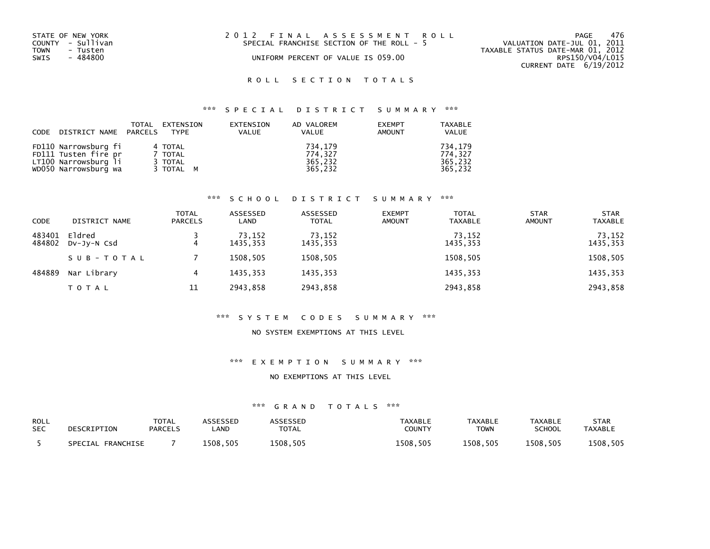| STATE OF NEW YORK<br>COUNTY - Sullivan<br><b>TOWN</b><br>- Tusten<br>SWIS<br>- 484800 | 2012 FINAL ASSESSMENT ROLL<br>SPECIAL FRANCHISE SECTION OF THE ROLL - 5<br>UNIFORM PERCENT OF VALUE IS 059.00 | 476<br>PAGF<br>VALUATION DATE-JUL 01, 2011<br>TAXABLE STATUS DATE-MAR 01, 2012<br>RPS150/V04/L015 |
|---------------------------------------------------------------------------------------|---------------------------------------------------------------------------------------------------------------|---------------------------------------------------------------------------------------------------|
|                                                                                       |                                                                                                               | CURRENT DATE $6/19/2012$                                                                          |

## \*\*\* S P E C I A L D I S T R I C T S U M M A R Y \*\*\*

| CODE DISTRICT NAME PARCELS | TOTAL | EXTENSION<br><b>TYPE</b> | EXTENSION<br><b>VALUE</b> | AD VALOREM<br>VALUE | <b>EXEMPT</b><br><b>AMOUNT</b> | TAXABLE<br><b>VALUE</b> |
|----------------------------|-------|--------------------------|---------------------------|---------------------|--------------------------------|-------------------------|
| FD110 Narrowsburg fi       |       | 4 TOTAL                  |                           | 734.179             |                                | 734.179                 |
| FD111 Tusten fire pr       |       | 7 TOTAL                  |                           | 774.327             |                                | 774.327                 |
| LT100 Narrowsburg li       |       | 3 TOTAL                  |                           | 365.232             |                                | 365.232                 |
| WD050 Narrowsburg wa       |       | 3 TOTAL M                |                           | 365,232             |                                | 365,232                 |

## \*\*\* S C H O O L D I S T R I C T S U M M A R Y \*\*\*

| <b>CODE</b>      | DISTRICT NAME         | <b>TOTAL</b><br><b>PARCELS</b> | ASSESSED<br>LAND   | ASSESSED<br><b>TOTAL</b> | <b>EXEMPT</b><br><b>AMOUNT</b> | <b>TOTAL</b><br><b>TAXABLE</b> | <b>STAR</b><br><b>AMOUNT</b> | <b>STAR</b><br><b>TAXABLE</b> |
|------------------|-----------------------|--------------------------------|--------------------|--------------------------|--------------------------------|--------------------------------|------------------------------|-------------------------------|
| 483401<br>484802 | Eldred<br>DV-JY-N Csd | 4                              | 73,152<br>1435.353 | 73,152<br>1435,353       |                                | 73,152<br>1435,353             |                              | 73,152<br>1435,353            |
|                  | SUB-TOTAL             |                                | 1508.505           | 1508,505                 |                                | 1508,505                       |                              | 1508,505                      |
| 484889           | Nar Library           | 4                              | 1435.353           | 1435,353                 |                                | 1435,353                       |                              | 1435,353                      |
|                  | <b>TOTAL</b>          | 11                             | 2943.858           | 2943,858                 |                                | 2943,858                       |                              | 2943,858                      |

#### \*\*\* S Y S T E M C O D E S S U M M A R Y \*\*\*

#### NO SYSTEM EXEMPTIONS AT THIS LEVEL

#### \*\*\* E X E M P T I O N S U M M A R Y \*\*\*

#### NO EXEMPTIONS AT THIS LEVEL

| <b>ROLL</b> | DESCRIPTION       | TOTAL          | <b>ASSESSED</b> | ASSESSED     | TAXABLE       | <b>TAXABLE</b> | <b>TAXABLE</b> | <b>STAR</b>    |
|-------------|-------------------|----------------|-----------------|--------------|---------------|----------------|----------------|----------------|
| <b>SEC</b>  |                   | <b>PARCELS</b> | .AND            | <b>TOTAL</b> | <b>COUNTY</b> | TOWN           | <b>SCHOOL</b>  | <b>TAXABLE</b> |
|             | SPECIAL FRANCHISE |                | 1508.505        | 1508.505     | 1508.505      | 1508.505       | 1508.505       | 1508.505       |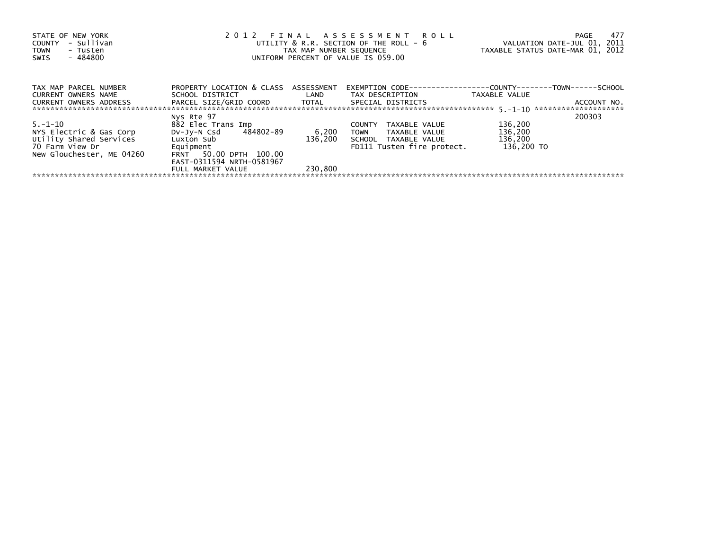| STATE OF NEW YORK<br>- Sullivan<br><b>COUNTY</b><br><b>TOWN</b><br>- Tusten<br>$-484800$<br>SWIS | 2012                                 | TAX MAP NUMBER SEQUENCE | FINAL ASSESSMENT ROLL<br>UTILITY & R.R. SECTION OF THE ROLL - 6<br>UNIFORM PERCENT OF VALUE IS 059.00 | VALUATION DATE-JUL 01, 2011<br>TAXABLE STATUS DATE-MAR 01, 2012 | 477<br>PAGE |
|--------------------------------------------------------------------------------------------------|--------------------------------------|-------------------------|-------------------------------------------------------------------------------------------------------|-----------------------------------------------------------------|-------------|
| TAX MAP PARCEL NUMBER                                                                            | PROPERTY LOCATION & CLASS ASSESSMENT |                         | EXEMPTION        CODE-----------------COUNTY--------TOWN------SCHOOL                                  |                                                                 |             |
| <b>CURRENT OWNERS NAME</b>                                                                       | SCHOOL DISTRICT                      | LAND                    | TAX DESCRIPTION                                                                                       | TAXABLE VALUE                                                   |             |
| <b>CURRENT OWNERS ADDRESS</b>                                                                    | PARCEL SIZE/GRID COORD TOTAL         |                         | SPECIAL DISTRICTS                                                                                     |                                                                 | ACCOUNT NO. |
|                                                                                                  | Nys Rte 97                           |                         |                                                                                                       |                                                                 | 200303      |
| $5. - 1 - 10$                                                                                    | 882 Elec Trans Imp                   |                         | TAXABLE VALUE<br><b>COUNTY</b>                                                                        | 136,200                                                         |             |
| NYS Electric & Gas Corp                                                                          | DV-JV-N Csd 484802-89                | 6,200                   | <b>TOWN</b><br>TAXABLE VALUE                                                                          | 136,200                                                         |             |
| Utility Shared Services                                                                          | Luxton Sub                           | 136,200                 | SCHOOL TAXABLE VALUE                                                                                  | 136,200                                                         |             |
| 70 Farm View Dr                                                                                  | Equipment                            |                         | FD111 Tusten fire protect.                                                                            | 136.200 TO                                                      |             |
| New Glouchester, ME 04260                                                                        | FRNT 50.00 DPTH 100.00               |                         |                                                                                                       |                                                                 |             |
|                                                                                                  | EAST-0311594 NRTH-0581967            |                         |                                                                                                       |                                                                 |             |
|                                                                                                  | FULL MARKET VALUE                    | 230,800                 |                                                                                                       |                                                                 |             |
|                                                                                                  |                                      |                         |                                                                                                       |                                                                 |             |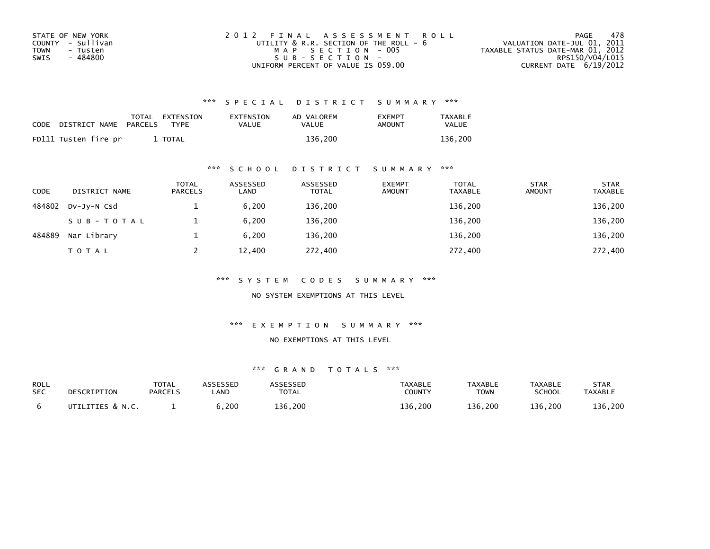| STATE OF NEW YORK | 2012 FINAL ASSESSMENT ROLL                  | 478<br>PAGE                      |
|-------------------|---------------------------------------------|----------------------------------|
| COUNTY - Sullivan | UTILITY $\&$ R.R. SECTION OF THE ROLL - $6$ | VALUATION DATE-JUL 01, 2011      |
| TOWN<br>- Tusten  | MAP SECTION - 005                           | TAXABLE STATUS DATE-MAR 01, 2012 |
| - 484800<br>SWIS  | $SUB - SECTION -$                           | RPS150/V04/L015                  |
|                   | UNIFORM PERCENT OF VALUE IS 059.00          | CURRENT DATE $6/19/2012$         |

| CODE | DISTRICT NAME        | PARCELS | TOTAL EXTENSION<br><b>TYPF</b> | EXTENSION<br><b>VALUE</b> | AD VALOREM<br>VALUE | <b>EXEMPT</b><br>AMOUNT | <b>TAXABLE</b><br><b>VALUE</b> |
|------|----------------------|---------|--------------------------------|---------------------------|---------------------|-------------------------|--------------------------------|
|      | FD111 Tusten fire pr |         | <b>TOTAL</b>                   |                           | 136.200             |                         | 136.200                        |

## \*\*\* S C H O O L D I S T R I C T S U M M A R Y \*\*\*

| <b>CODE</b> | DISTRICT NAME | <b>TOTAL</b><br><b>PARCELS</b> | ASSESSED<br>LAND | ASSESSED<br><b>TOTAL</b> | <b>EXEMPT</b><br><b>AMOUNT</b> | <b>TOTAL</b><br><b>TAXABLE</b> | <b>STAR</b><br><b>AMOUNT</b> | <b>STAR</b><br><b>TAXABLE</b> |
|-------------|---------------|--------------------------------|------------------|--------------------------|--------------------------------|--------------------------------|------------------------------|-------------------------------|
| 484802      | DV-JY-N Csd   |                                | 6.200            | 136,200                  |                                | 136,200                        |                              | 136,200                       |
|             | SUB-TOTAL     |                                | 6.200            | 136,200                  |                                | 136,200                        |                              | 136,200                       |
| 484889      | Nar Library   |                                | 6.200            | 136,200                  |                                | 136,200                        |                              | 136,200                       |
|             | <b>TOTAL</b>  |                                | 12,400           | 272,400                  |                                | 272,400                        |                              | 272,400                       |

\*\*\* S Y S T E M C O D E S S U M M A R Y \*\*\*

NO SYSTEM EXEMPTIONS AT THIS LEVEL

\*\*\* E X E M P T I O N S U M M A R Y \*\*\*

#### NO EXEMPTIONS AT THIS LEVEL

| ROLL<br><b>SEC</b> | DESCRIPTION      | <b>TOTAL</b><br><b>PARCELS</b> | <b>ISSESSEN</b><br><b>AND</b> | <b>ASSESSED</b><br>TOTAL | TAXABLE<br><b>COUNTY</b> | <b>TAXABLE</b><br><b>TOWN</b> | <b>TAXABLE</b><br>SCHOOL | STAR<br><b>TAXABLE</b> |
|--------------------|------------------|--------------------------------|-------------------------------|--------------------------|--------------------------|-------------------------------|--------------------------|------------------------|
|                    | UTILITIES & N.C. |                                | 6,200                         | 136,200                  | 136.200                  | 136.200                       | 136,200                  | 136,200                |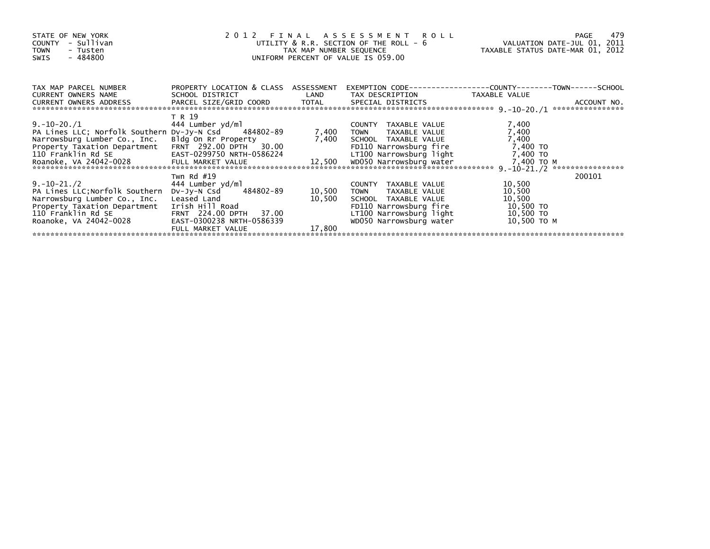| STATE OF NEW YORK<br>- Sullivan<br><b>COUNTY</b><br><b>TOWN</b><br>- Tusten<br>- 484800<br>SWIS                                                                                       | 2012 FINAL ASSESSMENT ROLL<br>UTILITY & R.R. SECTION OF THE ROLL - 6<br>TAX MAP NUMBER SEQUENCE<br>UNIFORM PERCENT OF VALUE IS 059.00                                   | TAXABLE STATUS DATE-MAR 01, 2012 | 479<br>PAGE<br>VALUATION DATE-JUL 01, 2011                                                                                                            |                                                                     |                  |
|---------------------------------------------------------------------------------------------------------------------------------------------------------------------------------------|-------------------------------------------------------------------------------------------------------------------------------------------------------------------------|----------------------------------|-------------------------------------------------------------------------------------------------------------------------------------------------------|---------------------------------------------------------------------|------------------|
| TAX MAP PARCEL NUMBER<br>CURRENT OWNERS NAME                                                                                                                                          | PROPERTY LOCATION & CLASS ASSESSMENT<br>SCHOOL DISTRICT                                                                                                                 |                                  | LAND TAX DESCRIPTION                                                                                                                                  | TAXABLE VALUE                                                       |                  |
| CURRENT OWNERS ADDRESS                                                                                                                                                                | PARCEL SIZE/GRID COORD TOTAL SPECIAL DISTRICTS                                                                                                                          |                                  |                                                                                                                                                       |                                                                     | ACCOUNT NO.      |
| $9.-10-20./1$<br>PA Lines LLC; Norfolk Southern Dv-Jy-N Csd 484802-89<br>Narrowsburg Lumber Co., Inc.<br>Property Taxation Department<br>110 Franklin Rd SE<br>Roanoke, VA 24042-0028 | T R 19<br>444 Lumber yd/ml<br>Bldg On Rr Property<br>FRNT 292.00 DPTH<br>30.00<br>EAST-0299750 NRTH-0586224                                                             | 7,400                            | COUNTY TAXABLE VALUE<br><b>TOWN</b><br>TAXABLE VALUE<br>7,400 SCHOOL TAXABLE VALUE<br>FD110 Narrowsburg fire<br>LT100 Narrowsburg light               | 7,400<br>7,400<br>7,400<br>7,400 TO<br>7,400 TO<br>7,400 TO M       | **************** |
| $9.-10-21./2$<br>PA Lines LLC; Norfolk Southern<br>Narrowsburg Lumber Co., Inc.<br>Property Taxation Department<br>110 Franklin Rd SE<br>Roanoke, VA 24042-0028                       | Twn Rd $#19$<br>444 Lumber yd/ml<br>DV-Jy-N Csd 484802-89<br>Leased Land<br>Irish Hill Road<br>FRNT 224.00 DPTH 37.00<br>EAST-0300238 NRTH-0586339<br>FULL MARKET VALUE | 10,500<br>10,500<br>17,800       | COUNTY TAXABLE VALUE<br>TAXABLE VALUE<br>TOWN<br>SCHOOL TAXABLE VALUE<br>FD110 Narrowsburg fire<br>LT100 Narrowsburg light<br>WD050 Narrowsburg water | 10,500<br>10,500<br>10,500<br>10,500 TO<br>10,500 TO<br>10,500 то м | 200101           |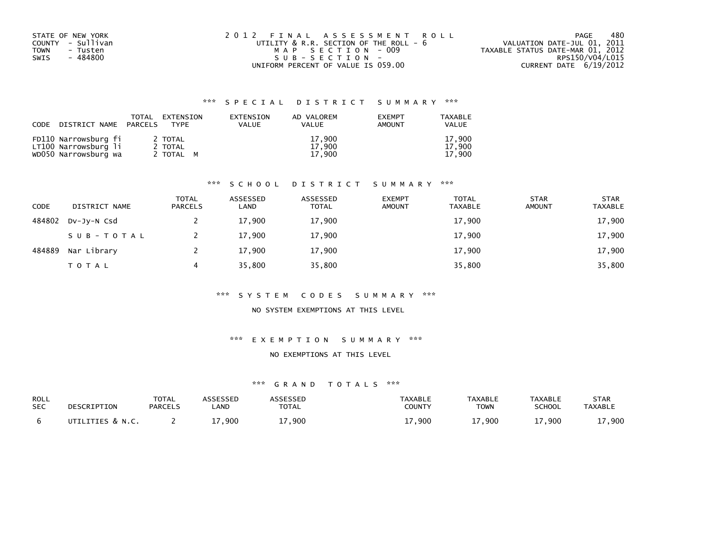| STATE OF NEW YORK | 2012 FINAL ASSESSMENT ROLL                  | 480<br>PAGE                      |
|-------------------|---------------------------------------------|----------------------------------|
| COUNTY - Sullivan | UTILITY $\&$ R.R. SECTION OF THE ROLL - $6$ | VALUATION DATE-JUL 01, 2011      |
| TOWN<br>- Tusten  | MAP SECTION - 009                           | TAXABLE STATUS DATE-MAR 01, 2012 |
| - 484800<br>SWIS  | SUB-SECTION-                                | RPS150/V04/L015                  |
|                   | UNIFORM PERCENT OF VALUE IS 059.00          | CURRENT DATE 6/19/2012           |

| CODE DISTRICT NAME PARCELS                   | TOTAL | EXTENSION<br>TYPF  | EXTENSION<br><b>VALUE</b> | AD VALOREM<br><b>VALUE</b> | <b>EXEMPT</b><br><b>AMOUNT</b> | TAXABLE<br><b>VALUE</b> |
|----------------------------------------------|-------|--------------------|---------------------------|----------------------------|--------------------------------|-------------------------|
| FD110 Narrowsburg fi<br>LT100 Narrowsburg li |       | 2 TOTAL<br>2 TOTAL |                           | 17.900<br>17.900           |                                | 17.900<br>17.900        |
| WD050 Narrowsburg wa                         |       | 2 TOTAL M          |                           | 17.900                     |                                | 17.900                  |

## \*\*\* S C H O O L D I S T R I C T S U M M A R Y \*\*\*

| CODE   | DISTRICT NAME | <b>TOTAL</b><br><b>PARCELS</b> | ASSESSED<br>LAND | ASSESSED<br><b>TOTAL</b> | <b>EXEMPT</b><br><b>AMOUNT</b> | <b>TOTAL</b><br><b>TAXABLE</b> | <b>STAR</b><br><b>AMOUNT</b> | <b>STAR</b><br><b>TAXABLE</b> |
|--------|---------------|--------------------------------|------------------|--------------------------|--------------------------------|--------------------------------|------------------------------|-------------------------------|
| 484802 | DV-JY-N Csd   |                                | 17,900           | 17,900                   |                                | 17,900                         |                              | 17,900                        |
|        | SUB-TOTAL     |                                | 17,900           | 17,900                   |                                | 17,900                         |                              | 17,900                        |
| 484889 | Nar Library   |                                | 17,900           | 17,900                   |                                | 17,900                         |                              | 17,900                        |
|        | <b>TOTAL</b>  |                                | 35,800           | 35,800                   |                                | 35,800                         |                              | 35,800                        |

#### \*\*\* S Y S T E M C O D E S S U M M A R Y \*\*\*

### NO SYSTEM EXEMPTIONS AT THIS LEVEL

#### \*\*\* E X E M P T I O N S U M M A R Y \*\*\*

#### NO EXEMPTIONS AT THIS LEVEL

| ROLL       | DESCRIPTION      | TOTAL          | ASSESSED | ASSESSED     | <b>TAXABLE</b> | <b>TAXABLE</b> | TAXABLE       | <b>STAR</b>    |
|------------|------------------|----------------|----------|--------------|----------------|----------------|---------------|----------------|
| <b>SEC</b> |                  | <b>PARCELS</b> | _AND     | <b>TOTAL</b> | <b>COUNTY</b>  | TOWN           | <b>SCHOOL</b> | <b>TAXABLE</b> |
|            | UTILITIES & N.C. |                | ⊥7,900   | 7,900        | 17,900         | 17,900         | 17,900        | 17,900         |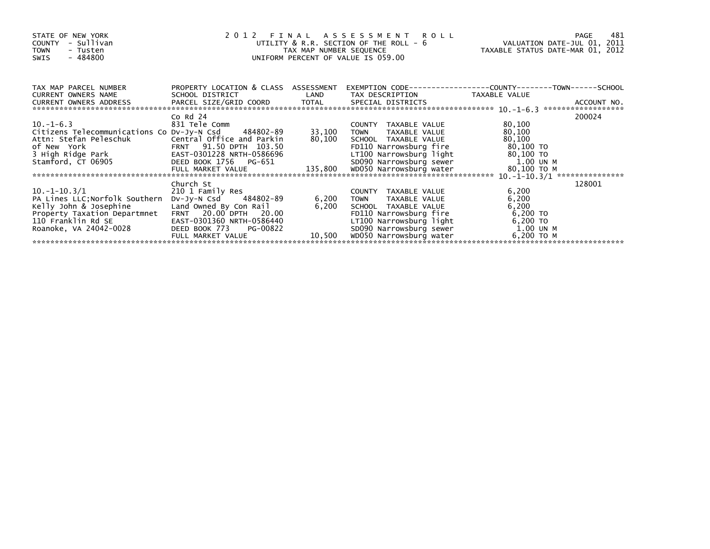| STATE OF NEW YORK<br>- Sullivan<br>COUNTY<br><b>TOWN</b><br>- Tusten<br>- 484800<br>SWIS                                                                   | 2012 FINAL ASSESSMENT ROLL<br>UTILITY & R.R. SECTION OF THE ROLL - 6<br>TAX MAP NUMBER SEQUENCE<br>UNIFORM PERCENT OF VALUE IS 059.00                     | PAGE<br>VALUATION DATE-JUL 01, 2011<br>TAXABLE STATUS DATE-MAR 01, 2012 | 481                                                                                                                                                          |                                                                              |        |
|------------------------------------------------------------------------------------------------------------------------------------------------------------|-----------------------------------------------------------------------------------------------------------------------------------------------------------|-------------------------------------------------------------------------|--------------------------------------------------------------------------------------------------------------------------------------------------------------|------------------------------------------------------------------------------|--------|
| TAX MAP PARCEL NUMBER<br>CURRENT OWNERS NAME                                                                                                               | PROPERTY LOCATION & CLASS ASSESSMENT<br>SCHOOL DISTRICT                                                                                                   | LAND                                                                    | TAX DESCRIPTION                                                                                                                                              | EXEMPTION CODE-----------------COUNTY-------TOWN-----SCHOOL<br>TAXABLE VALUE |        |
|                                                                                                                                                            |                                                                                                                                                           |                                                                         |                                                                                                                                                              |                                                                              |        |
| $10.-1-6.3$<br>Citizens Telecommunications Co Dv-Jy-N Csd 484802-89<br>3 High Ridge Park<br>Stamford, CT 06905                                             | Co $Rd$ 24<br>831 Tele Comm<br>EAST-0301228 NRTH-0586696<br>DEED BOOK 1756 PG-651                                                                         | 33,100<br>80,100                                                        | COUNTY TAXABLE VALUE<br>TAXABLE VALUE<br><b>TOWN</b><br>SCHOOL TAXABLE VALUE<br>FD110 Narrowsburg fire<br>LT100 Narrowsburg light<br>SD090 Narrowsburg sewer | 80,100<br>80,100<br>80,100<br>80,100 то<br>80,100 то<br>1.00 UN M            | 200024 |
|                                                                                                                                                            | Church St                                                                                                                                                 |                                                                         |                                                                                                                                                              |                                                                              | 128001 |
| $10.-1-10.3/1$<br>PA Lines LLC; Norfolk Southern<br>Kelly John & Josephine<br>Property Taxation Departmnet<br>110 Franklin Rd SE<br>Roanoke, VA 24042-0028 | 210 1 Family Res<br>484802-89<br>DV-JV-N Csd<br>Land Owned By Con Rail<br>FRNT 20.00 DPTH 20.00<br>EAST-0301360 NRTH-0586440<br>DEED BOOK 773<br>PG-00822 | 6,200<br>6,200                                                          | COUNTY TAXABLE VALUE<br><b>TOWN</b><br>TAXABLE VALUE<br>SCHOOL TAXABLE VALUE<br>FD110 Narrowsburg fire<br>LT100 Narrowsburg light<br>SD090 Narrowsburg sewer | 6,200<br>6,200<br>6,200<br>6,200 TO<br>6,200 TO<br>1.00 UN M                 |        |
|                                                                                                                                                            | FULL MARKET VALUE                                                                                                                                         | 10,500                                                                  | WD050 Narrowsburg water                                                                                                                                      | 6,200 ТО М                                                                   |        |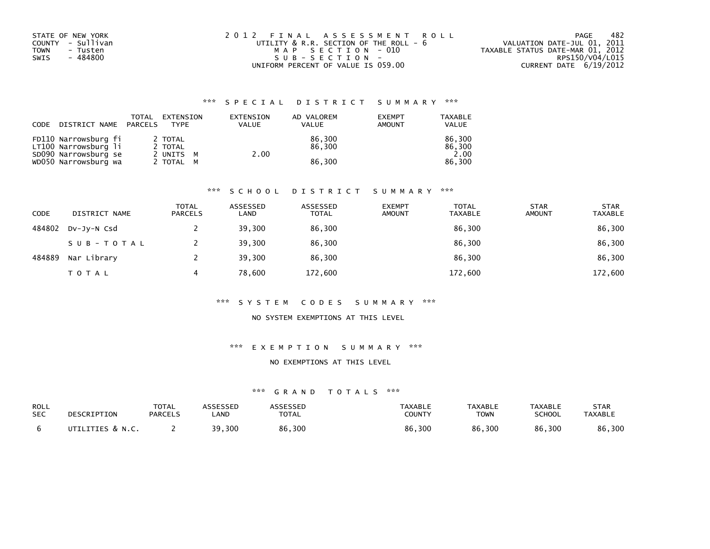| STATE OF NEW YORK | 2012 FINAL ASSESSMENT ROLL             | 482<br>PAGE                      |
|-------------------|----------------------------------------|----------------------------------|
| COUNTY - Sullivan | UTILITY & R.R. SECTION OF THE ROLL - 6 | VALUATION DATE-JUL 01, 2011      |
| TOWN<br>- Tusten  | MAP SECTION - 010                      | TAXABLE STATUS DATE-MAR 01, 2012 |
| - 484800<br>SWIS  | $SUB - SECTION -$                      | RPS150/V04/L015                  |
|                   | UNIFORM PERCENT OF VALUE IS 059.00     | CURRENT DATE 6/19/2012           |

| CODE | DISTRICT NAME PARCELS                        | TOTAL | EXTENSION<br><b>TYPF</b> | EXTENSION<br>VALUE | AD VALOREM<br><b>VALUE</b> | <b>EXEMPT</b><br><b>AMOUNT</b> | <b>TAXABLE</b><br><b>VALUE</b> |
|------|----------------------------------------------|-------|--------------------------|--------------------|----------------------------|--------------------------------|--------------------------------|
|      | FD110 Narrowsburg fi<br>LT100 Narrowsburg li |       | 2 TOTAL<br>2 TOTAL       |                    | 86,300<br>86.300           |                                | 86.300<br>86.300               |
|      | SD090 Narrowsburg se                         |       | 2 UNITS M                | 2.00               |                            |                                | 2.00                           |
|      | WD050 Narrowsburg wa                         |       | 2 TOTAL M                |                    | 86.300                     |                                | 86.300                         |

#### \*\*\* S C H O O L D I S T R I C T S U M M A R Y \*\*\*

| CODE   | DISTRICT NAME | <b>TOTAL</b><br><b>PARCELS</b> | ASSESSED<br>LAND | ASSESSED<br><b>TOTAL</b> | <b>EXEMPT</b><br><b>AMOUNT</b> | <b>TOTAL</b><br><b>TAXABLE</b> | <b>STAR</b><br><b>AMOUNT</b> | <b>STAR</b><br><b>TAXABLE</b> |
|--------|---------------|--------------------------------|------------------|--------------------------|--------------------------------|--------------------------------|------------------------------|-------------------------------|
| 484802 | DV-JV-N Csd   |                                | 39,300           | 86,300                   |                                | 86,300                         |                              | 86,300                        |
|        | SUB-TOTAL     |                                | 39,300           | 86,300                   |                                | 86,300                         |                              | 86,300                        |
| 484889 | Nar Library   |                                | 39,300           | 86.300                   |                                | 86,300                         |                              | 86,300                        |
|        | TOTAL         | 4                              | 78,600           | 172,600                  |                                | 172,600                        |                              | 172,600                       |

#### \*\*\* S Y S T E M C O D E S S U M M A R Y \*\*\*

#### NO SYSTEM EXEMPTIONS AT THIS LEVEL

#### \*\*\* E X E M P T I O N S U M M A R Y \*\*\*

#### NO EXEMPTIONS AT THIS LEVEL

| ROLL       | DESCRIPTION      | TOTAL          | <b>ASSESSED</b> | ASSESSED     | TAXABLE | <b>TAXABLE</b> | TAXABLE | <b>STAR</b>    |
|------------|------------------|----------------|-----------------|--------------|---------|----------------|---------|----------------|
| <b>SEC</b> |                  | <b>PARCELS</b> | _AND            | <b>TOTAL</b> | COUNTY  | <b>TOWN</b>    | SCHOOL  | <b>TAXABLE</b> |
|            | UTILITIES & N.C. |                | 39,300          | 86,300       | 86,300  | 86,300         | 86,300  | 86,300         |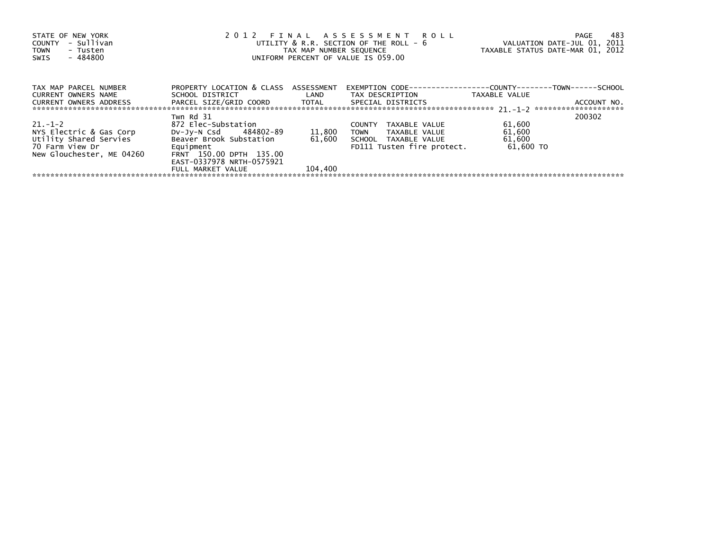| STATE OF NEW YORK<br>- Sullivan<br><b>COUNTY</b><br><b>TOWN</b><br>- Tusten<br>$-484800$<br>SWIS | 2012 FINAL ASSESSMENT ROLL<br>UTILITY & R.R. SECTION OF THE ROLL - 6<br>TAX MAP NUMBER SEQUENCE<br>UNIFORM PERCENT OF VALUE IS 059.00 | VALUATION DATE-JUL 01, 2011<br>TAXABLE STATUS DATE-MAR 01, 2012 | 483<br>PAGE                                                          |                     |             |
|--------------------------------------------------------------------------------------------------|---------------------------------------------------------------------------------------------------------------------------------------|-----------------------------------------------------------------|----------------------------------------------------------------------|---------------------|-------------|
| TAX MAP PARCEL NUMBER                                                                            | PROPERTY LOCATION & CLASS ASSESSMENT                                                                                                  |                                                                 | EXEMPTION        CODE-----------------COUNTY--------TOWN------SCHOOL |                     |             |
| <b>CURRENT OWNERS NAME</b>                                                                       | SCHOOL DISTRICT                                                                                                                       | <b>Example 12</b>                                               | TAX DESCRIPTION                                                      | TAXABLE VALUE       |             |
| CURRENT OWNERS ADDRESS                                                                           | PARCEL SIZE/GRID COORD TOTAL                                                                                                          |                                                                 | SPECIAL DISTRICTS                                                    |                     | ACCOUNT NO. |
|                                                                                                  | Twn Rd 31                                                                                                                             |                                                                 |                                                                      |                     | 200302      |
| $21 - 1 - 2$                                                                                     | 872 Elec-Substation                                                                                                                   |                                                                 | TAXABLE VALUE<br><b>COUNTY</b>                                       | 61,600              |             |
| NYS Electric & Gas Corp                                                                          | DV-Jy-N Csd 484802-89                                                                                                                 | 11,800                                                          | <b>TOWN</b><br>TAXABLE VALUE                                         | 61,600              |             |
| Utility Shared Servies<br>70 Farm View Dr                                                        | Beaver Brook Substation<br>Equipment                                                                                                  | 61,600                                                          | SCHOOL TAXABLE VALUE<br>FD111 Tusten fire protect.                   | 61,600<br>61.600 TO |             |
| New Glouchester, ME 04260                                                                        | FRNT 150.00 DPTH 135.00<br>EAST-0337978 NRTH-0575921                                                                                  |                                                                 |                                                                      |                     |             |
|                                                                                                  | FULL MARKET VALUE                                                                                                                     | 104,400                                                         |                                                                      |                     |             |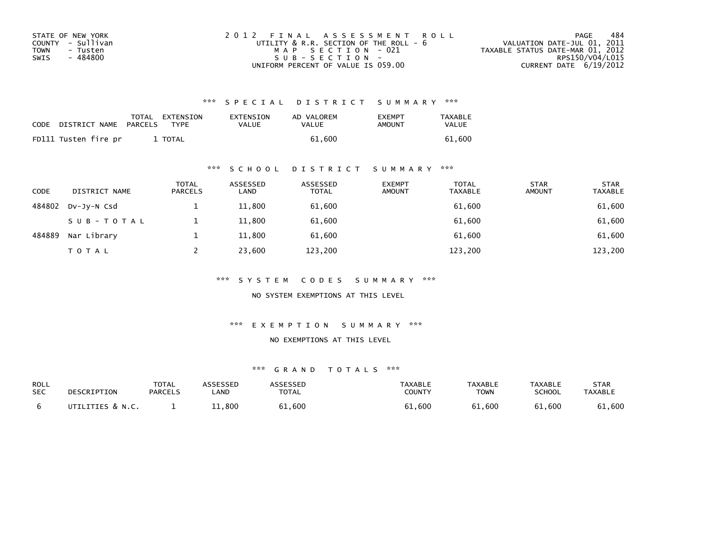| STATE OF NEW YORK | 2012 FINAL ASSESSMENT ROLL             | 484<br>PAGE                      |
|-------------------|----------------------------------------|----------------------------------|
| COUNTY - Sullivan | UTILITY & R.R. SECTION OF THE ROLL - 6 | VALUATION DATE-JUL 01, 2011      |
| TOWN<br>- Tusten  | MAP SECTION - 021                      | TAXABLE STATUS DATE-MAR 01, 2012 |
| - 484800<br>SWIS  | $SUB - SECTION -$                      | RPS150/V04/L015                  |
|                   | UNIFORM PERCENT OF VALUE IS 059.00     | CURRENT DATE 6/19/2012           |

| <b>CODE</b> | DISTRICT NAME        | PARCELS | TOTAL EXTENSION<br><b>TYPF</b> | EXTENSION<br>VALUE | AD VALOREM<br>VALUE | <b>FXFMPT</b><br>AMOUNT | <b>TAXABLE</b><br>VALUE |
|-------------|----------------------|---------|--------------------------------|--------------------|---------------------|-------------------------|-------------------------|
|             | FD111 Tusten fire pr |         | <b>TOTAL</b>                   |                    | 61.600              |                         | 61.600                  |

## \*\*\* S C H O O L D I S T R I C T S U M M A R Y \*\*\*

| <b>CODE</b> | DISTRICT NAME | <b>TOTAL</b><br><b>PARCELS</b> | ASSESSED<br>LAND | ASSESSED<br><b>TOTAL</b> | <b>EXEMPT</b><br><b>AMOUNT</b> | TOTAL<br><b>TAXABLE</b> | <b>STAR</b><br><b>AMOUNT</b> | <b>STAR</b><br><b>TAXABLE</b> |
|-------------|---------------|--------------------------------|------------------|--------------------------|--------------------------------|-------------------------|------------------------------|-------------------------------|
| 484802      | DV-JY-N Csd   |                                | 11,800           | 61,600                   |                                | 61,600                  |                              | 61,600                        |
|             | SUB-TOTAL     |                                | 11,800           | 61,600                   |                                | 61,600                  |                              | 61,600                        |
| 484889      | Nar Library   |                                | 11,800           | 61,600                   |                                | 61,600                  |                              | 61,600                        |
|             | <b>TOTAL</b>  |                                | 23,600           | 123,200                  |                                | 123,200                 |                              | 123,200                       |

\*\*\* S Y S T E M C O D E S S U M M A R Y \*\*\*

NO SYSTEM EXEMPTIONS AT THIS LEVEL

\*\*\* E X E M P T I O N S U M M A R Y \*\*\*

#### NO EXEMPTIONS AT THIS LEVEL

| ROLL       | DESCRIPTION      | <b>TOTAL</b>   | ASSESSED   | <b>ASSESSED</b> | <b>TAXABLE</b> | <b>TAXABLE</b> | <b>TAXABLE</b> | STAR           |
|------------|------------------|----------------|------------|-----------------|----------------|----------------|----------------|----------------|
| <b>SEC</b> |                  | <b>PARCELS</b> | <b>AND</b> | <b>TOTAL</b>    | <b>COUNTY</b>  | <b>TOWN</b>    | <b>SCHOOL</b>  | <b>TAXABLE</b> |
|            | UTILITIES & N.C. |                | ⊥⊥,800     | 61,600          | 61,600         | 61,600         | 61,600         | 61,600         |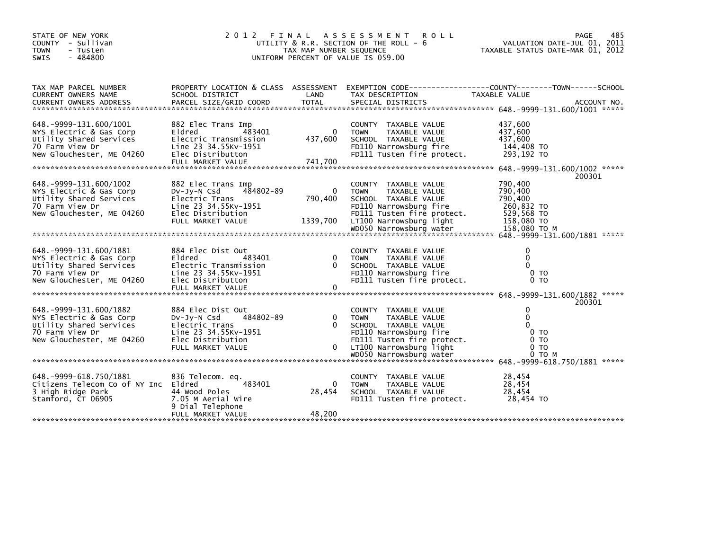| STATE OF NEW YORK<br>COUNTY - Sullivan<br><b>TOWN</b><br>- Tusten<br>$-484800$<br>SWIS                                         | 485<br>PAGE<br>VALUATION DATE-JUL 01, 2011<br>TAXABLE STATUS DATE-MAR 01, 2012                                                      |                                |                                                                                                                                                                                            |                                                                                                              |        |
|--------------------------------------------------------------------------------------------------------------------------------|-------------------------------------------------------------------------------------------------------------------------------------|--------------------------------|--------------------------------------------------------------------------------------------------------------------------------------------------------------------------------------------|--------------------------------------------------------------------------------------------------------------|--------|
| TAX MAP PARCEL NUMBER<br>CURRENT OWNERS NAME                                                                                   | PROPERTY LOCATION & CLASS ASSESSMENT<br>SCHOOL DISTRICT                                                                             | LAND                           | EXEMPTION CODE-----------------COUNTY-------TOWN------SCHOOL<br>TAX DESCRIPTION                                                                                                            | TAXABLE VALUE                                                                                                |        |
| 648. -9999-131. 600/1001<br>NYS Electric & Gas Corp<br>Utility Shared Services<br>70 Farm View Dr<br>New Glouchester, ME 04260 | 882 Elec Trans Imp<br>Eldred<br>483401<br>Electric Transmission<br>Line 23 34.55KV-1951<br>Elec Distributton<br>FULL MARKET VALUE   | $\Omega$<br>437,600<br>741,700 | COUNTY<br>TAXABLE VALUE<br><b>TOWN</b><br>TAXABLE VALUE<br>SCHOOL TAXABLE VALUE<br>FD110 Narrowsburg fire<br>FD111 Tusten fire protect.                                                    | 437,600<br>437,600<br>437,600<br>144,408 TO<br>293,192 TO                                                    |        |
| 648. -9999-131. 600/1002<br>NYS Electric & Gas Corp<br>Utility Shared Services<br>70 Farm View Dr<br>New Glouchester, ME 04260 | 882 Elec Trans Imp<br>484802-89<br>DV-Jy-N Csd<br>Electric Trans<br>Line 23 34.55Kv-1951<br>Elec Distribution<br>FULL MARKET VALUE  | 0<br>790,400<br>1339,700       | COUNTY TAXABLE VALUE<br><b>TOWN</b><br>TAXABLE VALUE<br>SCHOOL TAXABLE VALUE<br>FD110 Narrowsburg fire<br>FD111 Tusten fire protect.<br>LT100 Narrowsburg light<br>WD050 Narrowsburg water | 790,400<br>790,400<br>790,400<br>260,832 TO<br>529,568 TO<br>158,080 TO<br>158,080 TO M                      | 200301 |
| 648.-9999-131.600/1881<br>NYS Electric & Gas Corp<br>Utility Shared Services<br>70 Farm View Dr<br>New Glouchester, ME 04260   | 884 Elec Dist Out<br>Eldred<br>483401<br>Electric Transmission<br>Line 23 34.55KV-1951<br>Elec Distributton                         | 0<br>0                         | <b>COUNTY</b><br>TAXABLE VALUE<br>TAXABLE VALUE<br><b>TOWN</b><br>SCHOOL TAXABLE VALUE<br>FD110 Narrowsburg fire<br>FD111 Tusten fire protect.                                             | $\mathbf 0$<br>$\mathbf{0}$<br>$\Omega$<br>0 <sub>T</sub><br>0 <sub>T</sub>                                  |        |
| 648. -9999-131. 600/1882<br>NYS Electric & Gas Corp<br>Utility Shared Services<br>70 Farm View Dr<br>New Glouchester, ME 04260 | 884 Elec Dist Out<br>484802-89<br>$Dv-Jy-N$ Csd<br>Electric Trans<br>Line 23 34.55KV-1951<br>Elec Distribution<br>FULL MARKET VALUE | $\Omega$<br>0<br>0             | COUNTY TAXABLE VALUE<br><b>TOWN</b><br>TAXABLE VALUE<br>SCHOOL TAXABLE VALUE<br>FD110 Narrowsburg fire<br>FD111 Tusten fire protect.<br>LT100 Narrowsburg light<br>WD050 Narrowsburg water | $\mathbf{0}$<br>$\mathbf{0}$<br>$\Omega$<br>0 <sub>T</sub><br>0 <sub>T</sub><br>0 <sub>T</sub><br>$0$ TO $M$ | 200301 |
| 648.-9999-618.750/1881<br>Citizens Telecom Co of NY Inc Eldred<br>3 High Ridge Park<br>Stamford, CT 06905                      | 836 Telecom. eq.<br>483401<br>44 Wood Poles<br>7.05 M Aerial Wire<br>9 Dial Telephone<br>FULL MARKET VALUE                          | $\Omega$<br>28,454<br>48,200   | TAXABLE VALUE<br>COUNTY<br>TAXABLE VALUE<br><b>TOWN</b><br>SCHOOL TAXABLE VALUE<br>FD111 Tusten fire protect.                                                                              | 28,454<br>28,454<br>28,454<br>28,454 TO                                                                      |        |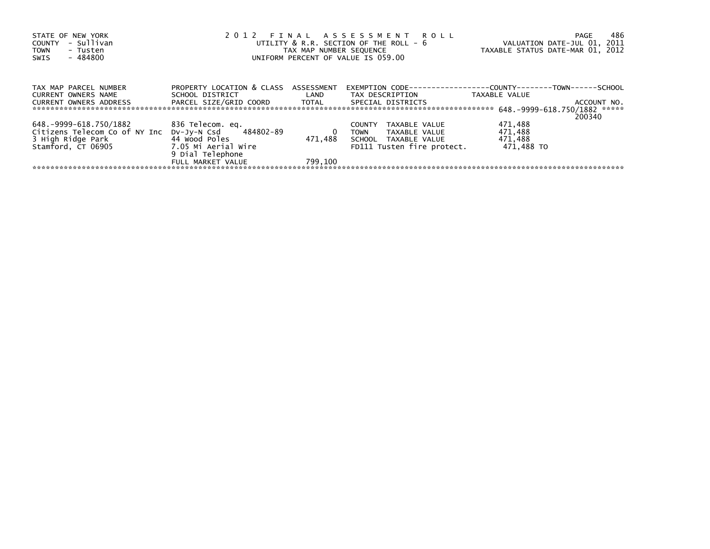| STATE OF NEW YORK             |                                      |         | 2012 FINAL ASSESSMENT ROLL                                           |                                  | 486<br>PAGE |
|-------------------------------|--------------------------------------|---------|----------------------------------------------------------------------|----------------------------------|-------------|
| - Sullivan<br><b>COUNTY</b>   |                                      |         | UTILITY & R.R. SECTION OF THE ROLL - 6                               | VALUATION DATE-JUL 01, 2011      |             |
| - Tusten<br><b>TOWN</b>       |                                      |         | TAX MAP NUMBER SEQUENCE                                              | TAXABLE STATUS DATE-MAR 01, 2012 |             |
| - 484800<br>SWIS              | UNIFORM PERCENT OF VALUE IS 059.00   |         |                                                                      |                                  |             |
|                               |                                      |         |                                                                      |                                  |             |
|                               |                                      |         |                                                                      |                                  |             |
| TAX MAP PARCEL NUMBER         | PROPERTY LOCATION & CLASS ASSESSMENT |         | EXEMPTION        CODE-----------------COUNTY--------TOWN------SCHOOL |                                  |             |
| CURRENT OWNERS NAME           | SCHOOL DISTRICT                      | LAND    | TAX DESCRIPTION                                                      | TAXABLE VALUE                    |             |
| <b>CURRENT OWNERS ADDRESS</b> | PARCEL SIZE/GRID COORD TOTAL         |         | SPECIAL DISTRICTS                                                    |                                  | ACCOUNT NO. |
|                               |                                      |         |                                                                      |                                  |             |
|                               |                                      |         |                                                                      |                                  | 200340      |
| 648.-9999-618.750/1882        | 836 Telecom. eq.                     |         | TAXABLE VALUE<br><b>COUNTY</b>                                       | 471,488                          |             |
| Citizens Telecom Co of NY Inc | DV-Jy-N Csd 484802-89                | 0       | TAXABLE VALUE<br><b>TOWN</b>                                         | 471,488                          |             |
| 3 High Ridge Park             | 44 Wood Poles                        | 471.488 | SCHOOL TAXABLE VALUE                                                 | 471,488                          |             |
| Stamford, CT 06905            | 7.05 Mi Aerial Wire                  |         | FD111 Tusten fire protect.                                           | 471,488 TO                       |             |
|                               | 9 Dial Telephone                     |         |                                                                      |                                  |             |
|                               | FULL MARKET VALUE                    | 799.100 |                                                                      |                                  |             |
|                               |                                      |         |                                                                      |                                  |             |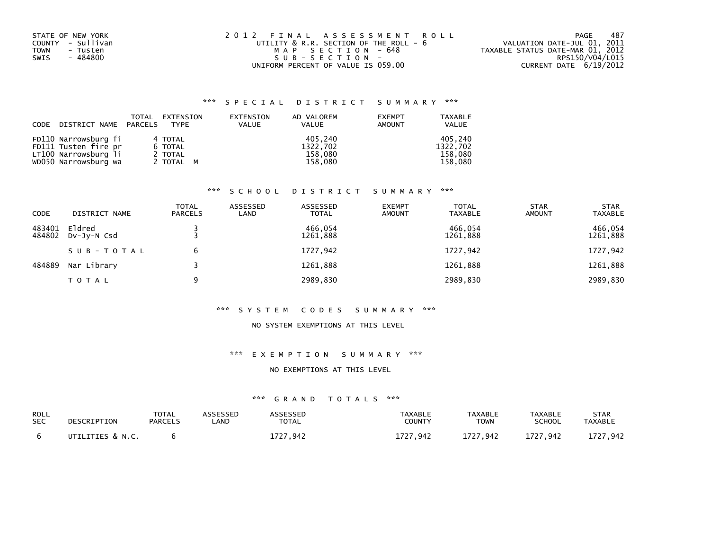| STATE OF NEW YORK | 2012 FINAL ASSESSMENT ROLL             | 487<br>PAGE                      |
|-------------------|----------------------------------------|----------------------------------|
| COUNTY - Sullivan | UTILITY & R.R. SECTION OF THE ROLL - 6 | VALUATION DATE-JUL 01, 2011      |
| TOWN<br>- Tusten  | MAP SECTION - 648                      | TAXABLE STATUS DATE-MAR 01, 2012 |
| - 484800<br>SWIS  | $SUB - SECTION -$                      | RPS150/V04/L015                  |
|                   | UNIFORM PERCENT OF VALUE IS 059.00     | CURRENT DATE 6/19/2012           |

|      |                       | TOTAL | EXTENSION | EXTENSION    | AD VALOREM   | <b>EXEMPT</b> | <b>TAXABLE</b> |
|------|-----------------------|-------|-----------|--------------|--------------|---------------|----------------|
| CODE | DISTRICT NAME PARCELS |       | TYPE      | <b>VALUE</b> | <b>VALUE</b> | AMOUNT        | <b>VALUE</b>   |
|      |                       |       |           |              |              |               |                |
|      | FD110 Narrowsburg fi  |       | 4 TOTAL   |              | 405.240      |               | 405.240        |
|      | FD111 Tusten fire pr  |       | 6 TOTAL   |              | 1322,702     |               | 1322.702       |
|      | LT100 Narrowsburg li  |       | 2 TOTAL   |              | 158,080      |               | 158.080        |
|      | WD050 Narrowsburg wa  |       | 2 TOTAL M |              | 158,080      |               | 158.080        |

## \*\*\* S C H O O L D I S T R I C T S U M M A R Y \*\*\*

| CODE             | DISTRICT NAME         | <b>TOTAL</b><br><b>PARCELS</b> | ASSESSED<br>LAND | ASSESSED<br><b>TOTAL</b> | <b>EXEMPT</b><br><b>AMOUNT</b> | <b>TOTAL</b><br><b>TAXABLE</b> | <b>STAR</b><br><b>AMOUNT</b> | <b>STAR</b><br><b>TAXABLE</b> |
|------------------|-----------------------|--------------------------------|------------------|--------------------------|--------------------------------|--------------------------------|------------------------------|-------------------------------|
| 483401<br>484802 | Eldred<br>DV-JY-N Csd |                                |                  | 466.054<br>1261,888      |                                | 466.054<br>1261,888            |                              | 466,054<br>1261,888           |
|                  | SUB-TOTAL             | 6                              |                  | 1727,942                 |                                | 1727,942                       |                              | 1727,942                      |
| 484889           | Nar Library           |                                |                  | 1261,888                 |                                | 1261,888                       |                              | 1261,888                      |
|                  | TOTAL                 | 9                              |                  | 2989,830                 |                                | 2989,830                       |                              | 2989,830                      |

#### \*\*\* S Y S T E M C O D E S S U M M A R Y \*\*\*

## NO SYSTEM EXEMPTIONS AT THIS LEVEL

## \*\*\* E X E M P T I O N S U M M A R Y \*\*\*

#### NO EXEMPTIONS AT THIS LEVEL

| ROLL       | DESCRIPTION      | TOTAL          | <b>\SSESSED</b> | <b>\SSESSED</b> | <b>TAXABLE</b> | <b>TAXABLE</b> | <b>TAXABLE</b> | <b>STAR</b>    |
|------------|------------------|----------------|-----------------|-----------------|----------------|----------------|----------------|----------------|
| <b>SEC</b> |                  | <b>PARCELS</b> | .AND            | TOTAL           | COUNTY         | <b>TOWN</b>    | SCHOOL         | <b>TAXABLE</b> |
|            | UTILITIES & N.C. |                |                 | 727.942         | 1727.942       | 1727.942       | 1727,942       | L727.942       |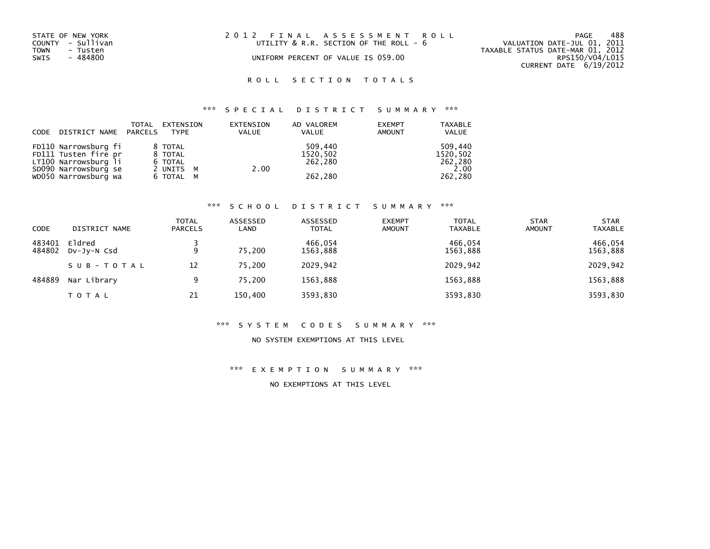| STATE OF NEW YORK<br>COUNTY - Sullivan<br>TOWN<br>- Tusten<br>SWIS<br>- 484800 | 2012 FINAL ASSESSMENT ROLL<br>UTILITY & R.R. SECTION OF THE ROLL - 6<br>UNIFORM PERCENT OF VALUE IS 059.00 | 488<br>PAGE<br>VALUATION DATE-JUL 01, 2011<br>TAXABLE STATUS DATE-MAR 01, 2012<br>RPS150/V04/L015<br>CURRENT DATE 6/19/2012 |
|--------------------------------------------------------------------------------|------------------------------------------------------------------------------------------------------------|-----------------------------------------------------------------------------------------------------------------------------|
|                                                                                |                                                                                                            |                                                                                                                             |

## \*\*\* S P E C I A L D I S T R I C T S U M M A R Y \*\*\*

| CODE | DISTRICT NAME PARCELS | TOTAL | EXTENSION<br>TYPE | EXTENSION<br><b>VALUE</b> | AD VALOREM<br><b>VALUE</b> | <b>EXEMPT</b><br><b>AMOUNT</b> | <b>TAXABLE</b><br><b>VALUE</b> |
|------|-----------------------|-------|-------------------|---------------------------|----------------------------|--------------------------------|--------------------------------|
|      | FD110 Narrowsburg fi  |       | 8 TOTAL           |                           | 509.440                    |                                | 509.440                        |
|      | FD111 Tusten fire pr  |       | 8 TOTAL           |                           | 1520,502                   |                                | 1520,502                       |
|      | LT100 Narrowsburg li  |       | 6 TOTAL           |                           | 262,280                    |                                | 262,280                        |
|      | SD090 Narrowsburg se  |       | 2 UNITS M         |                           | 2.00                       |                                | 2.00                           |
|      | WD050 Narrowsburg wa  |       | 6 TOTAL M         |                           | 262,280                    |                                | 262,280                        |

#### \*\*\* S C H O O L D I S T R I C T S U M M A R Y \*\*\*

| <b>CODE</b>      | DISTRICT NAME         | TOTAL<br><b>PARCELS</b> | ASSESSED<br>LAND | ASSESSED<br><b>TOTAL</b> | <b>EXEMPT</b><br><b>AMOUNT</b> | <b>TOTAL</b><br><b>TAXABLE</b> | <b>STAR</b><br><b>AMOUNT</b> | <b>STAR</b><br><b>TAXABLE</b> |
|------------------|-----------------------|-------------------------|------------------|--------------------------|--------------------------------|--------------------------------|------------------------------|-------------------------------|
| 483401<br>484802 | Eldred<br>DV-JY-N Csd | 9                       | 75.200           | 466,054<br>1563,888      |                                | 466,054<br>1563,888            |                              | 466,054<br>1563,888           |
|                  | SUB-TOTAL             | 12                      | 75.200           | 2029,942                 |                                | 2029.942                       |                              | 2029,942                      |
| 484889           | Nar Library           | 9                       | 75,200           | 1563,888                 |                                | 1563,888                       |                              | 1563,888                      |
|                  | <b>TOTAL</b>          | 21                      | 150,400          | 3593,830                 |                                | 3593,830                       |                              | 3593,830                      |

#### \*\*\* S Y S T E M C O D E S S U M M A R Y \*\*\*

### NO SYSTEM EXEMPTIONS AT THIS LEVEL

\*\*\* E X E M P T I O N S U M M A R Y \*\*\*

NO EXEMPTIONS AT THIS LEVEL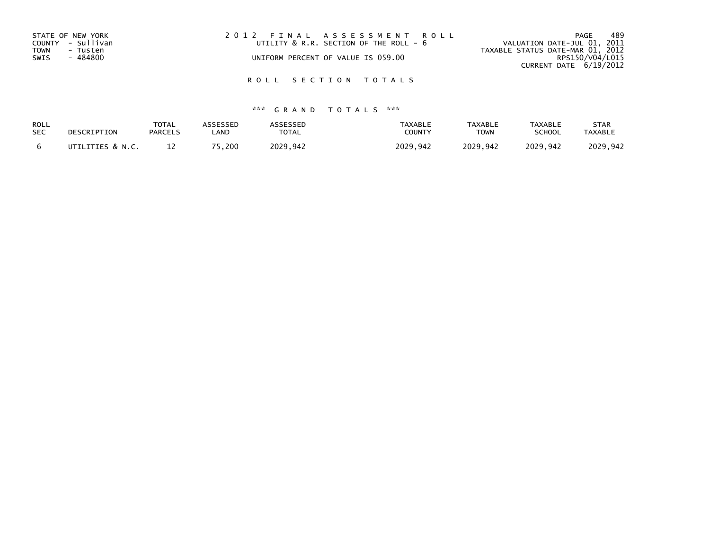| STATE OF NEW YORK       | 2012 FINAL ASSESSMENT ROLL             | 489<br>PAGE                      |
|-------------------------|----------------------------------------|----------------------------------|
| COUNTY - Sullivan       | UTILITY & R.R. SECTION OF THE ROLL - 6 | VALUATION DATE-JUL 01, 2011      |
| <b>TOWN</b><br>- Tusten |                                        | TAXABLE STATUS DATE-MAR 01, 2012 |
| SWIS<br>- 484800        | UNIFORM PERCENT OF VALUE IS 059.00     | RPS150/V04/L015                  |
|                         |                                        | CURRENT DATE 6/19/2012           |
|                         |                                        |                                  |

| ROLL       | DESCRIPTION      | <b>TOTAL</b>   | ASSESSED | <b>ASSESSED</b> | <b>TAXABLE</b> | <b>TAXABLE</b> | <b>TAXABLE</b> | <b>STAR</b>    |
|------------|------------------|----------------|----------|-----------------|----------------|----------------|----------------|----------------|
| <b>SEC</b> |                  | <b>PARCELS</b> | _AND     | <b>TOTAL</b>    | COUNTY         | <b>TOWN</b>    | <b>SCHOOL</b>  | <b>TAXABLE</b> |
|            | UTILITIES & N.C. |                | 75.200   | 2029.942        | 2029.942       | 2029.942       | 2029.942       | 2029.942       |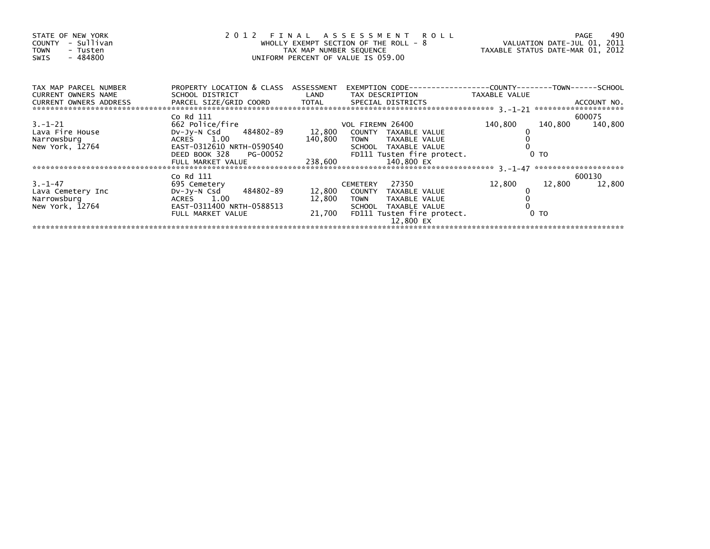| STATE OF NEW YORK<br>COUNTY - Sullivan<br><b>TOWN</b><br>- Tusten<br>- 484800<br>SWIS | 2 0 1 2                                    | TAX MAP NUMBER SEQUENCE | FINAL ASSESSMENT ROLL<br>WHOLLY EXEMPT SECTION OF THE ROLL - 8<br>UNIFORM PERCENT OF VALUE IS 059.00 | VALUATION DATE-JUL 01, 2011<br>TAXABLE STATUS DATE-MAR 01, 2012 | 490<br>PAGE        |
|---------------------------------------------------------------------------------------|--------------------------------------------|-------------------------|------------------------------------------------------------------------------------------------------|-----------------------------------------------------------------|--------------------|
| TAX MAP PARCEL NUMBER                                                                 | PROPERTY LOCATION & CLASS ASSESSMENT       |                         |                                                                                                      |                                                                 |                    |
| <b>CURRENT OWNERS NAME</b><br>CURRENT OWNERS ADDRESS PA                               | SCHOOL DISTRICT                            | LAND                    | TAX DESCRIPTION                                                                                      | TAXABLE VALUE                                                   |                    |
|                                                                                       | Co Rd 111                                  |                         |                                                                                                      |                                                                 | 600075             |
| $3. - 1 - 21$                                                                         | 662 Police/fire                            |                         | VOL FIREMN 26400                                                                                     | 140,800                                                         | 140,800<br>140,800 |
| Lava Fire House<br>Narrowsburg                                                        | DV-Jy-N Csd 484802-89 12,800<br>ACRES 1.00 |                         | COUNTY TAXABLE VALUE<br>TOWN TAXABLE VALUE                                                           |                                                                 |                    |
| New York, 12764                                                                       |                                            | 140,800                 | SCHOOL TAXABLE VALUE                                                                                 |                                                                 |                    |
|                                                                                       |                                            |                         | FD111 Tusten fire protect.                                                                           | 0 <sub>T</sub>                                                  |                    |
|                                                                                       | FULL MARKET VALUE                          | 238,600                 | 140,800 EX                                                                                           |                                                                 |                    |
|                                                                                       |                                            |                         |                                                                                                      |                                                                 |                    |
|                                                                                       | Co Rd 111                                  |                         |                                                                                                      |                                                                 | 600130             |
| $3. -1 - 47$                                                                          | 695 Cemetery                               |                         | CEMETERY 27350                                                                                       | 12,800                                                          | 12,800<br>12,800   |
| Lava Cemetery Inc                                                                     | DV-Jy-N Csd 484802-89                      |                         | 12,800 COUNTY TAXABLE VALUE                                                                          |                                                                 |                    |
| Narrowsburg                                                                           | ACRES 1.00                                 | 12,800                  | TAXABLE VALUE<br><b>TOWN</b>                                                                         |                                                                 |                    |
| New York, 12764                                                                       | EAST-0311400 NRTH-0588513                  |                         | SCHOOL TAXABLE VALUE                                                                                 |                                                                 |                    |
|                                                                                       | FULL MARKET VALUE                          |                         | 21,700 FD111 Tusten fire protect.<br>12,800 EX                                                       | 0 <sub>T</sub>                                                  |                    |
|                                                                                       |                                            |                         |                                                                                                      |                                                                 |                    |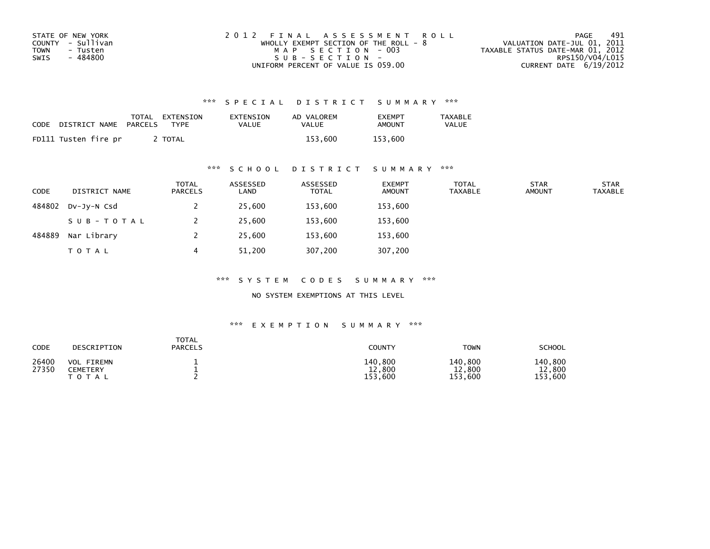| STATE OF NEW YORK | 2012 FINAL ASSESSMENT ROLL              | 491<br>PAGE                      |
|-------------------|-----------------------------------------|----------------------------------|
| COUNTY - Sullivan | WHOLLY EXEMPT SECTION OF THE ROLL - $8$ | VALUATION DATE-JUL 01, 2011      |
| TOWN<br>- Tusten  | MAP SECTION - 003                       | TAXABLE STATUS DATE-MAR 01, 2012 |
| - 484800<br>SWIS  | SUB-SECTION-                            | RPS150/V04/L015                  |
|                   | UNIFORM PERCENT OF VALUE IS 059.00      | CURRENT DATE $6/19/2012$         |

| CODE | DISTRICT NAME        | TOTAL<br>PARCELS | EXTENSION<br>TYPF | EXTENSION<br>VALUE | AD VALOREM<br>VALUE | <b>EXEMPT</b><br>AMOUNT | TAXABLE<br><b>VALUE</b> |
|------|----------------------|------------------|-------------------|--------------------|---------------------|-------------------------|-------------------------|
|      | FD111 Tusten fire pr |                  | <b>TOTAL</b>      |                    | 153.600             | 153.600                 |                         |

## \*\*\* S C H O O L D I S T R I C T S U M M A R Y \*\*\*

| <b>CODE</b> | DISTRICT NAME | <b>TOTAL</b><br>PARCELS | ASSESSED<br>LAND | ASSESSED<br><b>TOTAL</b> | <b>EXEMPT</b><br><b>AMOUNT</b> | <b>TOTAL</b><br>TAXABLE | <b>STAR</b><br><b>AMOUNT</b> | <b>STAR</b><br><b>TAXABLE</b> |
|-------------|---------------|-------------------------|------------------|--------------------------|--------------------------------|-------------------------|------------------------------|-------------------------------|
| 484802      | DV-JV-N Csd   |                         | 25,600           | 153,600                  | 153,600                        |                         |                              |                               |
|             | SUB-TOTAL     |                         | 25,600           | 153,600                  | 153,600                        |                         |                              |                               |
| 484889      | Nar Library   |                         | 25,600           | 153,600                  | 153,600                        |                         |                              |                               |
|             | <b>TOTAL</b>  |                         | 51,200           | 307,200                  | 307,200                        |                         |                              |                               |

\*\*\* S Y S T E M C O D E S S U M M A R Y \*\*\*

NO SYSTEM EXEMPTIONS AT THIS LEVEL

| CODE           | DESCRIPTION                                   | <b>TOTAL</b><br><b>PARCELS</b> | <b>COUNTY</b>                    | <b>TOWN</b>                  | <b>SCHOOL</b>                |
|----------------|-----------------------------------------------|--------------------------------|----------------------------------|------------------------------|------------------------------|
| 26400<br>27350 | <b>VOL FIREMN</b><br>CEMETERY<br><b>TOTAL</b> |                                | 140,800<br>12,800<br>.600<br>153 | 140,800<br>12,800<br>153,600 | 140,800<br>12,800<br>153,600 |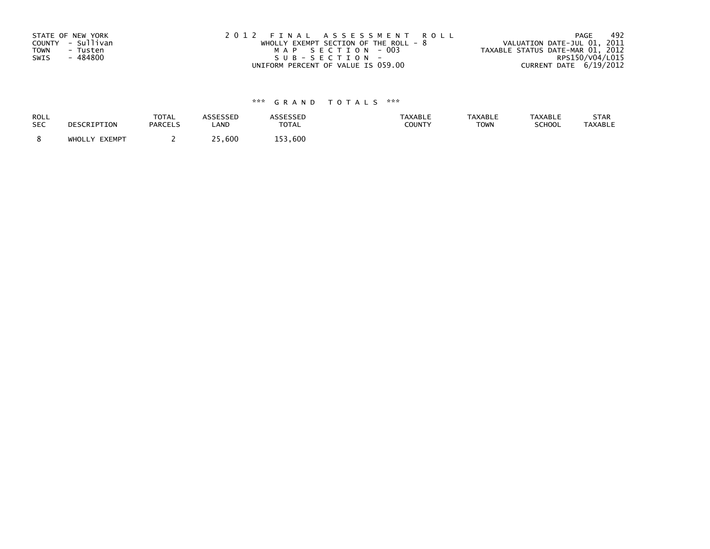| STATE OF NEW YORK       | 2012 FINAL ASSESSMENT ROLL            | -492<br>PAGE                     |
|-------------------------|---------------------------------------|----------------------------------|
| COUNTY - Sullivan       | WHOLLY EXEMPT SECTION OF THE ROLL - 8 | VALUATION DATE-JUL 01, 2011      |
| <b>TOWN</b><br>- Tusten | MAP SECTION - 003                     | TAXABLE STATUS DATE-MAR 01, 2012 |
| - 484800<br>SWIS        | SUB-SECTION-                          | RPS150/V04/L015                  |
|                         | UNIFORM PERCENT OF VALUE IS 059.00    | CURRENT DATE 6/19/2012           |

| ROLL       | DESCRIPTION   | <b>TOTAL</b>   | ASSESSED    | <b>ASSESSED</b> | <b>TAXABLE</b> | <b>TAXABLE</b> | <b>TAXABLE</b> | STAR           |
|------------|---------------|----------------|-------------|-----------------|----------------|----------------|----------------|----------------|
| <b>SEC</b> |               | <b>PARCELS</b> | LAND        | <b>TOTAL</b>    | COUNTY         | <b>TOWN</b>    | SCHOOL         | <b>TAXABLE</b> |
|            | WHOLLY EXEMPT |                | ח ר<br>,600 | 153,600         |                |                |                |                |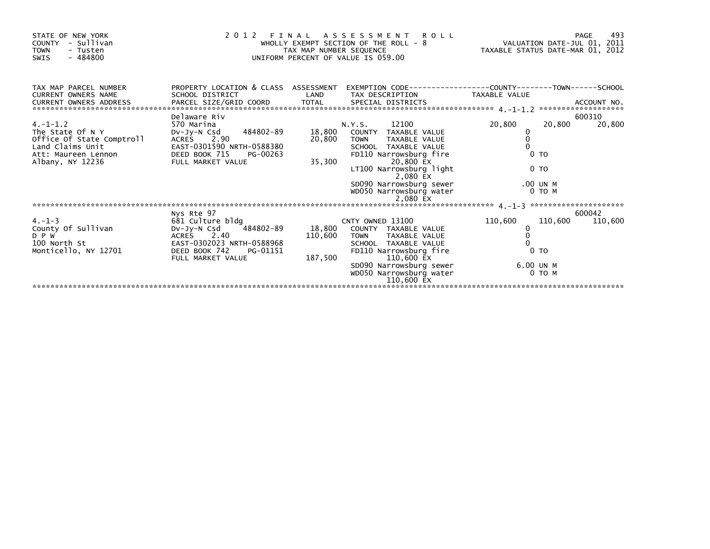| STATE OF NEW YORK<br>COUNTY - Sullivan<br><b>TOWN</b><br>- Tusten<br>- 484800<br>SWIS | an an Silveria.<br>Tagairtí | TAX MAP NUMBER SEQUENCE | 2012 FINAL ASSESSMENT ROLL<br>WHOLLY EXEMPT SECTION OF THE ROLL - 8<br>UNIFORM PERCENT OF VALUE IS 059.00                        | VALUATION DATE-JUL 01, 2011<br>TAXABLE STATUS DATE-MAR 01, 2012 | 493<br>PAGE |
|---------------------------------------------------------------------------------------|-----------------------------|-------------------------|----------------------------------------------------------------------------------------------------------------------------------|-----------------------------------------------------------------|-------------|
| TAX MAP PARCEL NUMBER<br><b>CURRENT OWNERS NAME</b>                                   | SCHOOL DISTRICT             | LAND                    | PROPERTY LOCATION & CLASS ASSESSMENT EXEMPTION CODE----------------COUNTY-------TOWN-----SCHOOL<br>TAX DESCRIPTION TAXABLE VALUE |                                                                 |             |
|                                                                                       |                             |                         |                                                                                                                                  |                                                                 |             |
|                                                                                       | Delaware Riv                |                         |                                                                                                                                  |                                                                 | 600310      |
| $4. -1 - 1.2$                                                                         | 570 Marina                  |                         | N.Y.S. 12100                                                                                                                     | 20,800<br>20,800                                                | 20,800      |
| The State Of N Y                                                                      | DV-Jy-N Csd 484802-89       |                         | 18,800 COUNTY TAXABLE VALUE                                                                                                      | $\begin{matrix} 0 \\ 0 \end{matrix}$                            |             |
| Office Of State Comptroll                                                             | ACRES 2.90                  | 20,800                  | <b>TOWN</b><br>TAXABLE VALUE                                                                                                     |                                                                 |             |
| Land Claims Unit                                                                      | EAST-0301590 NRTH-0588380   |                         | SCHOOL TAXABLE VALUE                                                                                                             |                                                                 |             |
| Att: Maureen Lennon                                                                   | DEED BOOK 715 PG-00263      |                         | FD110 Narrowsburg fire                                                                                                           | $0$ TO                                                          |             |
| Albany, NY 12236                                                                      | FULL MARKET VALUE           | 35,300                  | 20,800 EX                                                                                                                        |                                                                 |             |
|                                                                                       |                             |                         | LT100 Narrowsburg light<br>2,080 EX                                                                                              | 0 <sub>T</sub>                                                  |             |
|                                                                                       |                             |                         | SD090 Narrowsburg sewer                                                                                                          | .00 UN M                                                        |             |
|                                                                                       |                             |                         | WD050 Narrowsburg water                                                                                                          | $0$ TO M                                                        |             |
|                                                                                       |                             |                         |                                                                                                                                  |                                                                 |             |
|                                                                                       | Nys Rte 97                  |                         |                                                                                                                                  |                                                                 | 600042      |
| $4. -1 - 3$                                                                           | 681 Culture bldg            |                         | CNTY OWNED 13100                                                                                                                 | 110,600<br>110,600                                              | 110,600     |
| County Of Sullivan                                                                    | DV-Jy-N Csd 484802-89       |                         | 18,800 COUNTY TAXABLE VALUE                                                                                                      | 0                                                               |             |
| D P W                                                                                 | ACRES 2.40                  |                         | 110,600 TOWN TAXABLE VALUE                                                                                                       |                                                                 |             |
| 100 North St                                                                          | EAST-0302023 NRTH-0588968   |                         | SCHOOL TAXABLE VALUE                                                                                                             |                                                                 |             |
| Monticello, NY 12701                                                                  | DEED BOOK 742 PG-01151      |                         | FD110 Narrowsburg fire                                                                                                           | 0 <sub>T</sub>                                                  |             |
|                                                                                       | FULL MARKET VALUE           |                         | 187,500<br>110,600 EX                                                                                                            |                                                                 |             |
|                                                                                       |                             |                         | SD090 Narrowsburg sewer                                                                                                          | 6.00 UN M                                                       |             |
|                                                                                       |                             |                         | WD050 Narrowsburg water                                                                                                          | 0 TO M                                                          |             |
|                                                                                       |                             |                         | 110,600 EX                                                                                                                       |                                                                 |             |
|                                                                                       |                             |                         |                                                                                                                                  |                                                                 |             |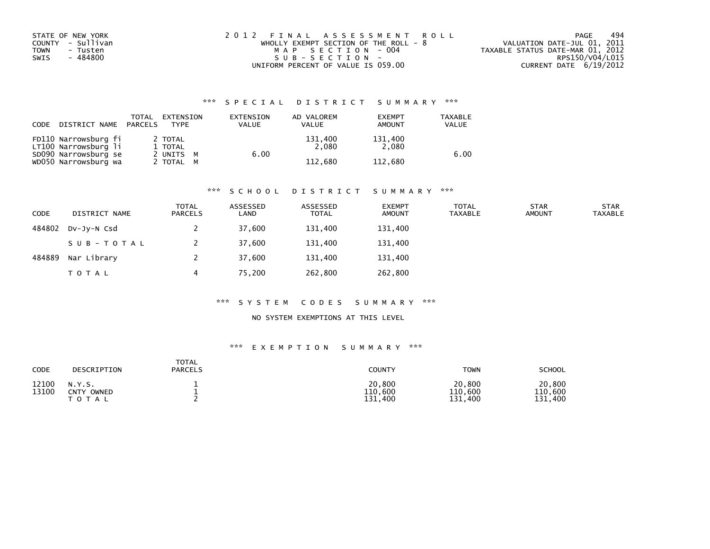| STATE OF NEW YORK       | 2012 FINAL ASSESSMENT ROLL            | 494<br>PAGE                      |
|-------------------------|---------------------------------------|----------------------------------|
| COUNTY - Sullivan       | WHOLLY EXEMPT SECTION OF THE ROLL - 8 | VALUATION DATE-JUL 01, 2011      |
| <b>TOWN</b><br>- Tusten | MAP SECTION - 004                     | TAXABLE STATUS DATE-MAR 01, 2012 |
| - 484800<br>SWIS        | SUB-SECTION-                          | RPS150/V04/L015                  |
|                         | UNIFORM PERCENT OF VALUE IS 059.00    | CURRENT DATE 6/19/2012           |

| CODE | DISTRICT NAME                                | TOTAL<br>PARCELS | EXTENSION<br><b>TYPF</b> | EXTENSION<br>VALUE | AD VALOREM<br><b>VALUE</b> | <b>EXEMPT</b><br><b>AMOUNT</b> | <b>TAXABLE</b><br><b>VALUE</b> |
|------|----------------------------------------------|------------------|--------------------------|--------------------|----------------------------|--------------------------------|--------------------------------|
|      | FD110 Narrowsburg fi<br>LT100 Narrowsburg li |                  | 2 TOTAL<br>1 TOTAL       |                    | 131,400<br>2.080           | 131,400<br>2.080               |                                |
|      | SD090 Narrowsburg se<br>WD050 Narrowsburg wa |                  | 2 UNITS M<br>2 TOTAL M   |                    | 6.00<br>112.680            | 112.680                        | 6.00                           |

#### \*\*\* S C H O O L D I S T R I C T S U M M A R Y \*\*\*

| <b>CODE</b> | DISTRICT NAME | <b>TOTAL</b><br><b>PARCELS</b> | ASSESSED<br>LAND | ASSESSED<br><b>TOTAL</b> | <b>EXEMPT</b><br><b>AMOUNT</b> | <b>TOTAL</b><br><b>TAXABLE</b> | <b>STAR</b><br><b>AMOUNT</b> | <b>STAR</b><br>TAXABLE |
|-------------|---------------|--------------------------------|------------------|--------------------------|--------------------------------|--------------------------------|------------------------------|------------------------|
| 484802      | DV-JV-N Csd   |                                | 37,600           | 131,400                  | 131,400                        |                                |                              |                        |
|             | SUB-TOTAL     |                                | 37,600           | 131,400                  | 131,400                        |                                |                              |                        |
| 484889      | Nar Library   |                                | 37,600           | 131,400                  | 131,400                        |                                |                              |                        |
|             | T O T A L     | 4                              | 75,200           | 262,800                  | 262,800                        |                                |                              |                        |

#### \*\*\* S Y S T E M C O D E S S U M M A R Y \*\*\*

## NO SYSTEM EXEMPTIONS AT THIS LEVEL

| CODE           | DESCRIPTION                             | TOTAL<br><b>PARCELS</b> | <b>COUNTY</b>                | <b>TOWN</b>                  | <b>SCHOOL</b>                |
|----------------|-----------------------------------------|-------------------------|------------------------------|------------------------------|------------------------------|
| 12100<br>13100 | N.Y.S.<br>CNTY<br>OWNED<br><b>TOTAL</b> | -<br>-                  | 20,800<br>110,600<br>131.400 | 20,800<br>110,600<br>131,400 | 20,800<br>110,600<br>131,400 |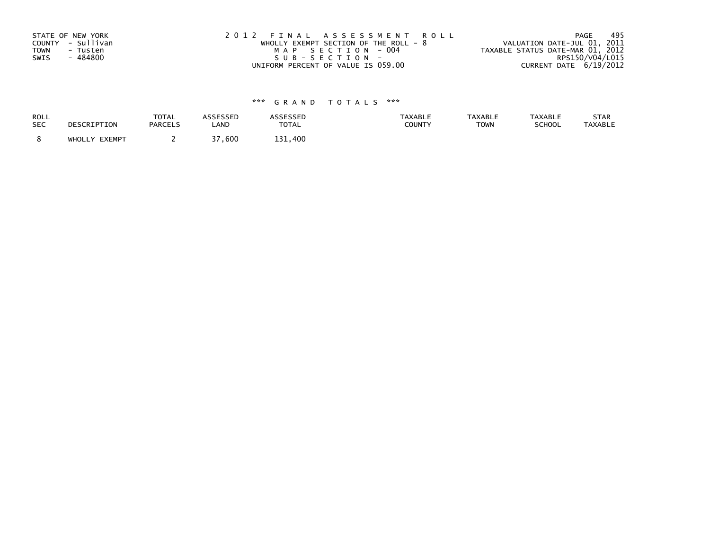| STATE OF NEW YORK       | 2012 FINAL ASSESSMENT ROLL            | 495<br>PAGE                      |
|-------------------------|---------------------------------------|----------------------------------|
| COUNTY - Sullivan       | WHOLLY EXEMPT SECTION OF THE ROLL - 8 | VALUATION DATE-JUL 01, 2011      |
| <b>TOWN</b><br>- Tusten | MAP SECTION - 004                     | TAXABLE STATUS DATE-MAR 01, 2012 |
| - 484800<br>SWIS        | SUB-SECTION-                          | RPS150/V04/L015                  |
|                         | UNIFORM PERCENT OF VALUE IS 059.00    | CURRENT DATE 6/19/2012           |

| ROLL       | DESCRIPTION   | <b>TOTAL</b>   | ASSESSED                | <b>ASSESSED</b> | <b>TAXABLE</b> | <b>TAXABLE</b> | <b>TAXABLE</b> | STAR           |
|------------|---------------|----------------|-------------------------|-----------------|----------------|----------------|----------------|----------------|
| <b>SEC</b> |               | <b>PARCELS</b> | LAND                    | <b>TOTAL</b>    | COUNTY         | <b>TOWN</b>    | SCHOOL         | <b>TAXABLE</b> |
|            | WHOLLY EXEMPT |                | $\lnot$ $\lnot$<br>.600 | 131.400         |                |                |                |                |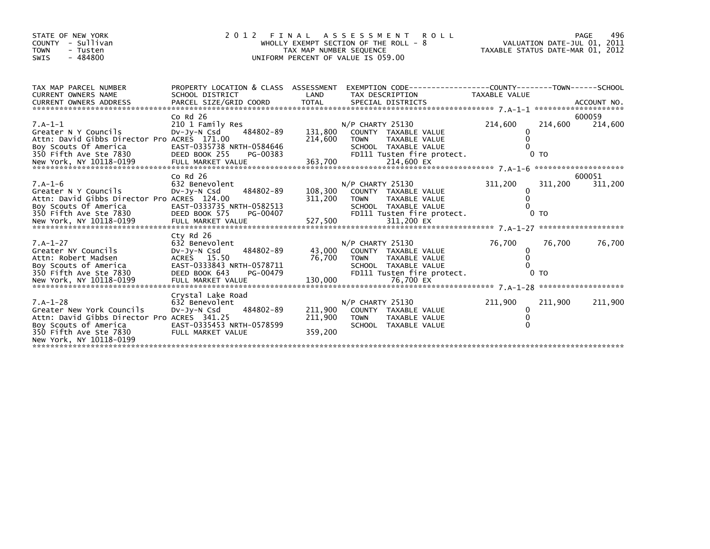| STATE OF NEW YORK<br>- Sullivan<br>COUNTY<br><b>TOWN</b><br>- Tusten<br>$-484800$<br>SWIS                                                                                                                                                   | 2 0 1 2                                                                                                                          | WHOLLY EXEMPT SECTION OF THE ROLL - 8<br>TAX MAP NUMBER SEQUENCE<br>UNIFORM PERCENT OF VALUE IS 059.00 |                                   | FINAL ASSESSMENT ROLL                                                                       | VALUATION DATE-JUL 01, 2011<br>TAXABLE STATUS DATE-MAR 01, 2012 |                           | PAGE<br>496       |
|---------------------------------------------------------------------------------------------------------------------------------------------------------------------------------------------------------------------------------------------|----------------------------------------------------------------------------------------------------------------------------------|--------------------------------------------------------------------------------------------------------|-----------------------------------|---------------------------------------------------------------------------------------------|-----------------------------------------------------------------|---------------------------|-------------------|
| TAX MAP PARCEL NUMBER<br><b>CURRENT OWNERS NAME</b><br>CONNERT OWNERS ADDRESS FORCEL SIZE/GRID COORD TOTAL SPECIAL DISTRICTS TO ACCOUNT NO.<br>EURRENT OWNERS ADDRESS PARCEL SIZE/GRID COORD TOTAL SPECIAL DISTRICTS (2001) AND ACCOUNT NO. | PROPERTY LOCATION & CLASS ASSESSMENT EXEMPTION CODE----------------COUNTY-------TOWN------SCHOOL<br>SCHOOL DISTRICT              | LAND                                                                                                   |                                   | TAX DESCRIPTION                                                                             | TAXABLE VALUE                                                   |                           |                   |
| $7.A-1-1$<br>Greater N Y Councils<br>Attn: David Gibbs Director Pro ACRES 171.00<br>Boy Scouts Of America<br>350 Fifth Ave Ste 7830                                                                                                         | $Co$ Rd $26$<br>210 1 Family Res<br>484802-89<br>Dv-Jy-N Csd<br>EAST-0335738 NRTH-0584646<br>DEED BOOK 255<br>PG-00383           | 131,800<br>214,600                                                                                     | $N/P$ CHARTY 25130<br><b>TOWN</b> | COUNTY TAXABLE VALUE<br>TAXABLE VALUE<br>SCHOOL TAXABLE VALUE<br>FD111 Tusten fire protect. | 214,600<br>$\Omega$                                             | 214,600<br>0 <sub>T</sub> | 600059<br>214,600 |
| $7.A-1-6$<br>Greater N Y Councils<br>Attn: David Gibbs Director Pro ACRES 124.00<br>Boy Scouts Of America                                                                                                                                   | $Co$ Rd $26$<br>632 Benevolent<br>484802-89<br>DV-Jy-N Csd<br>EAST-0333735 NRTH-0582513                                          | 108,300<br>311,200                                                                                     | $N/P$ CHARTY 25130<br><b>TOWN</b> | COUNTY TAXABLE VALUE<br>TAXABLE VALUE<br>SCHOOL TAXABLE VALUE                               | 311,200<br>0<br>$\Omega$                                        | 311,200                   | 600051<br>311,200 |
| $7.A-1-27$<br>Greater NY Councils<br>Attn: Robert Madsen<br>Boy Scouts of America<br>350 Fifth Ave Ste 7830                                                                                                                                 | Ctv Rd 26<br>632 Benevolent<br>484802-89<br>Dv-Jy-N Csd<br>ACRES 15.50<br>EAST-0333843 NRTH-0578711<br>DEED BOOK 643<br>PG-00479 | 43,000<br>76,700                                                                                       | $N/P$ CHARTY 25130<br><b>TOWN</b> | COUNTY TAXABLE VALUE<br>TAXABLE VALUE<br>SCHOOL TAXABLE VALUE<br>FD111 Tusten fire protect. | 76,700<br>0<br>$\Omega$                                         | 76,700<br>0 <sub>TO</sub> | 76,700            |
| $7.A-1-28$<br>Greater New York Councils<br>Attn: David Gibbs Director Pro ACRES 341.25<br>Boy Scouts of America<br>350 Fifth Ave Ste 7830<br>New York, NY 10118-0199                                                                        | Crystal Lake Road<br>632 Benevolent<br>484802-89<br>Dv-Jy-N Csd<br>EAST-0335453 NRTH-0578599<br>FULL MARKET VALUE                | 211,900<br>211,900<br>359,200                                                                          | $N/P$ CHARTY 25130<br><b>TOWN</b> | COUNTY TAXABLE VALUE<br>TAXABLE VALUE<br>SCHOOL TAXABLE VALUE                               | 211,900<br>0                                                    | 211,900                   | 211,900           |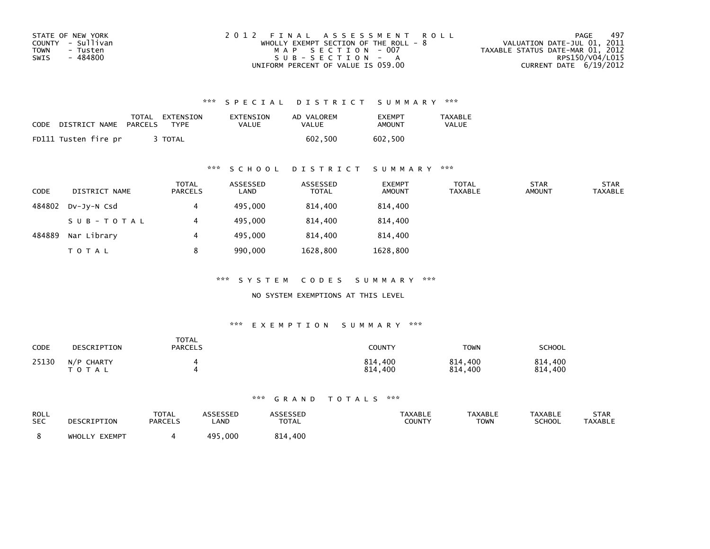| STATE OF NEW YORK       | 2012 FINAL ASSESSMENT ROLL            | 497<br>PAGE                      |
|-------------------------|---------------------------------------|----------------------------------|
| COUNTY - Sullivan       | WHOLLY EXEMPT SECTION OF THE ROLL - 8 | VALUATION DATE-JUL 01, 2011      |
| <b>TOWN</b><br>- Tusten | MAP SECTION - 007                     | TAXABLE STATUS DATE-MAR 01, 2012 |
| SWIS<br>- 484800        | SUB-SECTION - A                       | RPS150/V04/L015                  |
|                         | UNIFORM PERCENT OF VALUE IS 059.00    | CURRENT DATE 6/19/2012           |

| CODE | DISTRICT NAME        | TOTAL<br>PARCELS | EXTENSION<br>TYPF | EXTENSION<br>VALUE | AD VALOREM<br>VALUE | <b>FXFMPT</b><br>AMOUNT | TAXABLE<br><b>VALUE</b> |
|------|----------------------|------------------|-------------------|--------------------|---------------------|-------------------------|-------------------------|
|      | FD111 Tusten fire pr |                  | TOTAL             |                    | 602.500             | 602.500                 |                         |

## \*\*\* S C H O O L D I S T R I C T S U M M A R Y \*\*\*

| <b>CODE</b> | DISTRICT NAME | <b>TOTAL</b><br>PARCELS | ASSESSED<br>LAND | ASSESSED<br><b>TOTAL</b> | <b>EXEMPT</b><br><b>AMOUNT</b> | <b>TOTAL</b><br><b>TAXABLE</b> | <b>STAR</b><br><b>AMOUNT</b> | <b>STAR</b><br><b>TAXABLE</b> |
|-------------|---------------|-------------------------|------------------|--------------------------|--------------------------------|--------------------------------|------------------------------|-------------------------------|
| 484802      | DV-JV-N Csd   |                         | 495,000          | 814,400                  | 814,400                        |                                |                              |                               |
|             | SUB-TOTAL     |                         | 495,000          | 814,400                  | 814,400                        |                                |                              |                               |
| 484889      | Nar Library   | 4                       | 495,000          | 814,400                  | 814,400                        |                                |                              |                               |
|             | <b>TOTAL</b>  | 8                       | 990,000          | 1628,800                 | 1628,800                       |                                |                              |                               |

\*\*\* S Y S T E M C O D E S S U M M A R Y \*\*\*

NO SYSTEM EXEMPTIONS AT THIS LEVEL

#### \*\*\* E X E M P T I O N S U M M A R Y \*\*\*

| CODE  | DESCRIPTION                | <b>TOTAL</b><br><b>PARCELS</b> | <b>COUNTY</b>           | TOWN               | <b>SCHOOL</b>      |
|-------|----------------------------|--------------------------------|-------------------------|--------------------|--------------------|
| 25130 | N/P CHARTY<br><b>TOTAL</b> |                                | 814,400<br>814.<br>.400 | 814,400<br>814,400 | 814,400<br>814,400 |

| ROLL<br><b>SEC</b> | DESCRIPTION      | <b>TOTAL</b><br><b>PARCELS</b> | ASSESSED<br>LAND | <b>\SSESSED</b><br><b>TOTAL</b> | <b>TAXABLE</b><br>COUNTY | <b>TAXABLE</b><br><b>TOWN</b> | <b>TAXABLE</b><br><b>SCHOOL</b> | STAR<br><b>TAXABLE</b> |
|--------------------|------------------|--------------------------------|------------------|---------------------------------|--------------------------|-------------------------------|---------------------------------|------------------------|
|                    | EXEMPT<br>WHOLLY |                                | 495<br>,000      | ,400<br>814                     |                          |                               |                                 |                        |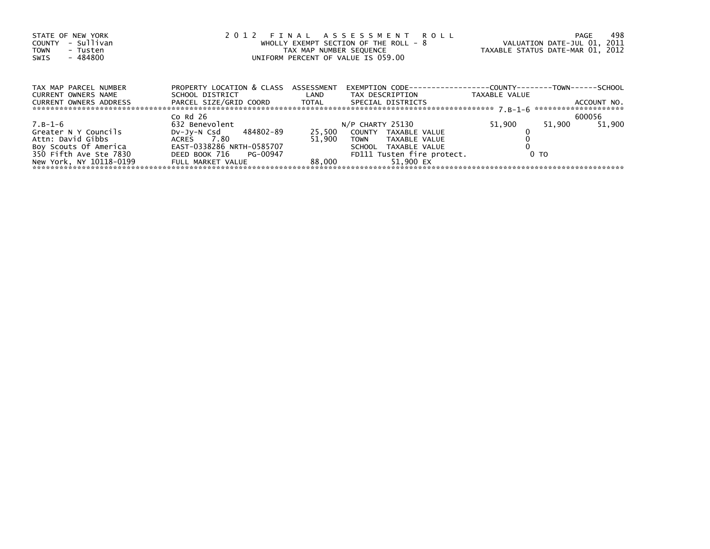| STATE OF NEW YORK<br>- Sullivan<br>COUNTY<br><b>TOWN</b><br>- Tusten<br>- 484800<br>SWIS | 2012 FINAL ASSESSMENT ROLL<br>WHOLLY EXEMPT SECTION OF THE ROLL - 8<br>TAX MAP NUMBER SEQUENCE<br>UNIFORM PERCENT OF VALUE IS 059.00 |                   | 498<br>PAGE<br>VALUATION DATE-JUL 01, 2011<br>TAXABLE STATUS DATE-MAR 01, 2012 |                |                  |
|------------------------------------------------------------------------------------------|--------------------------------------------------------------------------------------------------------------------------------------|-------------------|--------------------------------------------------------------------------------|----------------|------------------|
| TAX MAP PARCEL NUMBER                                                                    | PROPERTY LOCATION & CLASS ASSESSMENT                                                                                                 |                   | EXEMPTION        CODE-----------------COUNTY--------TOWN------SCHOOL           |                |                  |
| <b>CURRENT OWNERS NAME</b><br>CURRENT OWNERS ADDRESS                                     | SCHOOL DISTRICT                                                                                                                      | <b>Example 12</b> | TAX DESCRIPTION                                                                | TAXABLE VALUE  | ACCOUNT NO.      |
|                                                                                          |                                                                                                                                      |                   |                                                                                |                |                  |
|                                                                                          | $Co$ Rd $26$                                                                                                                         |                   |                                                                                |                | 600056           |
| $7. B - 1 - 6$                                                                           | 632 Benevolent                                                                                                                       |                   | N/P CHARTY 25130                                                               | 51,900         | 51.900<br>51,900 |
| Greater N Y Councils                                                                     | DV-Jy-N Csd 484802-89                                                                                                                |                   | 25,500 COUNTY TAXABLE VALUE                                                    |                |                  |
| Attn: David Gibbs                                                                        | ACRES 7.80                                                                                                                           | 51.900            | TOWN TAXABLE VALUE                                                             |                |                  |
| Boy Scouts Of America                                                                    | EAST-0338286 NRTH-0585707                                                                                                            |                   | SCHOOL TAXABLE VALUE                                                           |                |                  |
| 350 Fifth Ave Ste 7830                                                                   | DEED BOOK 716 PG-00947                                                                                                               |                   | FD111 Tusten fire protect.                                                     | 0 <sub>T</sub> |                  |
| New York, NY 10118-0199                                                                  | FULL MARKET VALUE                                                                                                                    | 88.000            | 51.900 EX                                                                      |                |                  |
|                                                                                          |                                                                                                                                      |                   |                                                                                |                |                  |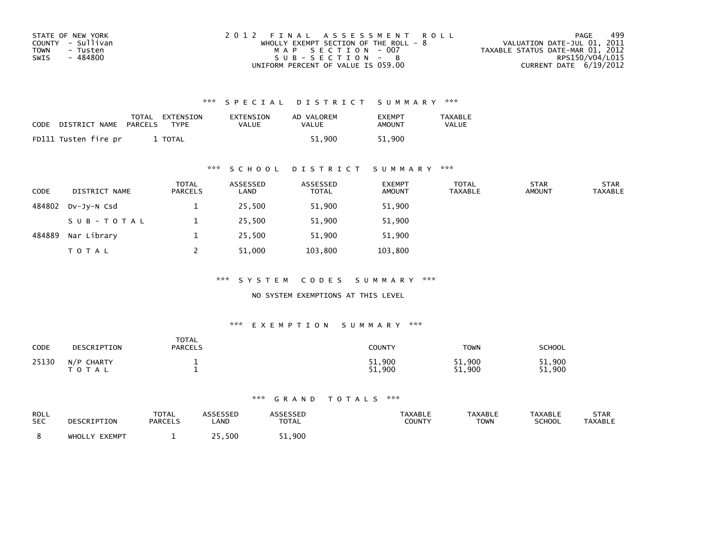| STATE OF NEW YORK | 2012 FINAL ASSESSMENT ROLL              | 499<br>PAGE                      |
|-------------------|-----------------------------------------|----------------------------------|
| COUNTY - Sullivan | WHOLLY EXEMPT SECTION OF THE ROLL - $8$ | VALUATION DATE-JUL 01, 2011      |
| TOWN<br>- Tusten  | MAP SECTION - 007                       | TAXABLE STATUS DATE-MAR 01, 2012 |
| - 484800<br>SWIS  | $SUB - SECTION - B$                     | RPS150/V04/L015                  |
|                   | UNIFORM PERCENT OF VALUE IS 059.00      | CURRENT DATE 6/19/2012           |

| CODE | DISTRICT NAME        | TOTAL<br>PARCELS | EXTENSION<br>TYPF | EXTENSION<br>VALUE | AD VALOREM<br>VALUE | <b>FXFMPT</b><br>AMOUNT | <b>TAXABLE</b><br><b>VALUE</b> |
|------|----------------------|------------------|-------------------|--------------------|---------------------|-------------------------|--------------------------------|
|      | FD111 Tusten fire pr |                  | TOTAL             |                    | 51.900              | 51.900                  |                                |

## \*\*\* S C H O O L D I S T R I C T S U M M A R Y \*\*\*

| <b>CODE</b> | DISTRICT NAME | <b>TOTAL</b><br><b>PARCELS</b> | ASSESSED<br>LAND | ASSESSED<br><b>TOTAL</b> | <b>EXEMPT</b><br><b>AMOUNT</b> | TOTAL<br><b>TAXABLE</b> | <b>STAR</b><br><b>AMOUNT</b> | <b>STAR</b><br><b>TAXABLE</b> |
|-------------|---------------|--------------------------------|------------------|--------------------------|--------------------------------|-------------------------|------------------------------|-------------------------------|
| 484802      | DV-JY-N Csd   |                                | 25,500           | 51,900                   | 51,900                         |                         |                              |                               |
|             | SUB-TOTAL     |                                | 25,500           | 51,900                   | 51,900                         |                         |                              |                               |
| 484889      | Nar Library   |                                | 25,500           | 51,900                   | 51,900                         |                         |                              |                               |
|             | <b>TOTAL</b>  |                                | 51,000           | 103,800                  | 103,800                        |                         |                              |                               |

\*\*\* S Y S T E M C O D E S S U M M A R Y \*\*\*

NO SYSTEM EXEMPTIONS AT THIS LEVEL

#### \*\*\* E X E M P T I O N S U M M A R Y \*\*\*

| <b>CODE</b> | DESCRIPTION             | <b>TOTAL</b><br><b>PARCELS</b> | COUNTY           | TOWN             | <b>SCHOOL</b>    |
|-------------|-------------------------|--------------------------------|------------------|------------------|------------------|
| 25130       | N/P CHARTY<br>T O T A L |                                | 51,900<br>900.51 | 51,900<br>51,900 | 51,900<br>51,900 |

| ROLL       | DESCRIPTION   | TOTAL          | <b>ASSESSED</b> | <b>ASSESSED</b> | <b>TAXABLE</b> | TAXABLE | <b>TAXABLE</b> | STAR           |
|------------|---------------|----------------|-----------------|-----------------|----------------|---------|----------------|----------------|
| <b>SEC</b> |               | <b>PARCELS</b> | LAND            | <b>TOTAL</b>    | COUNTY         | TOWN    | <b>SCHOOL</b>  | <b>TAXABLE</b> |
|            | WHOLLY EXEMPT |                | 25,500          | 51,900          |                |         |                |                |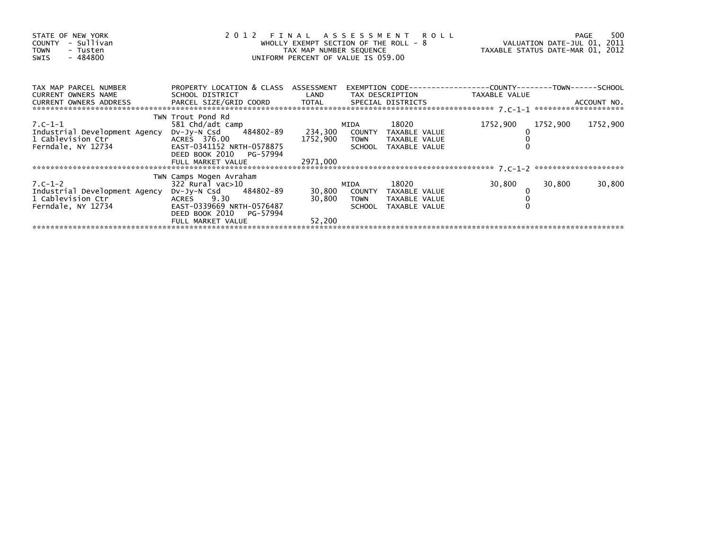| STATE OF NEW YORK<br>- Sullivan<br>COUNTY<br><b>TOWN</b><br>- Tusten<br>- 484800<br>SWIS | UNIFORM PERCENT OF VALUE IS 059.00                 |          |             |                             |          |          |          |
|------------------------------------------------------------------------------------------|----------------------------------------------------|----------|-------------|-----------------------------|----------|----------|----------|
| TAX MAP PARCEL NUMBER PROPERTY LOCATION & CLASS ASSESSMENT                               |                                                    |          |             |                             |          |          |          |
| CURRENT OWNERS NAME                                                                      |                                                    |          |             |                             |          |          |          |
|                                                                                          | TWN Trout Pond Rd                                  |          |             |                             |          |          |          |
| $7. C - 1 - 1$                                                                           | 581 Chd/adt camp                                   |          | MIDA        | 18020                       | 1752,900 | 1752,900 | 1752,900 |
| Industrial Development Agency                                                            | DV-Jy-N Csd 484802-89 234,300 COUNTY TAXABLE VALUE |          |             |                             |          |          |          |
|                                                                                          |                                                    |          |             | 1752,900 TOWN TAXABLE VALUE |          |          |          |
|                                                                                          |                                                    |          |             | SCHOOL TAXABLE VALUE        |          |          |          |
|                                                                                          | DEED BOOK 2010 PG-57994<br>FULL MARKET VALUE       | 2971,000 |             |                             |          |          |          |
|                                                                                          |                                                    |          |             |                             |          |          |          |
|                                                                                          | TWN Camps Mogen Avraham                            |          |             |                             |          |          |          |
| $7. C - 1 - 2$                                                                           | 322 Rural vac>10                                   |          | MIDA        | 18020                       | 30,800   | 30,800   | 30,800   |
| Industrial Development Agency                                                            | DV-Jy-N Csd 484802-89                              |          |             | 30,800 COUNTY TAXABLE VALUE |          |          |          |
| 1 Cablevision Ctr <sup>:</sup><br>Ferndale, NY 12734                                     | ACRES 9.30                                         | 30,800   | <b>TOWN</b> | TAXABLE VALUE               |          |          |          |
|                                                                                          | EAST-0339669 NRTH-0576487                          |          |             | SCHOOL TAXABLE VALUE        |          |          |          |
|                                                                                          | DEED BOOK 2010<br>PG-57994                         |          |             |                             |          |          |          |
|                                                                                          | FULL MARKET VALUE                                  | 52,200   |             |                             |          |          |          |
|                                                                                          |                                                    |          |             |                             |          |          |          |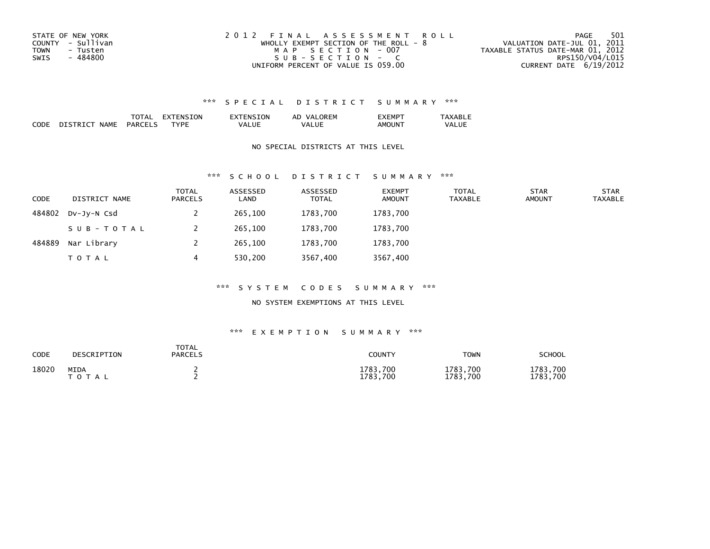| STATE OF NEW YORK       | 2012 FINAL ASSESSMENT ROLL              | -501<br>PAGE                     |
|-------------------------|-----------------------------------------|----------------------------------|
| COUNTY - Sullivan       | WHOLLY EXEMPT SECTION OF THE ROLL - $8$ | VALUATION DATE-JUL 01, 2011      |
| <b>TOWN</b><br>- Tusten | MAP SECTION - 007                       | TAXABLE STATUS DATE-MAR 01, 2012 |
| - 484800<br>SWIS        | $SUB - SECTION - C$                     | RPS150/V04/L015                  |
|                         | UNIFORM PERCENT OF VALUE IS 059.00      | CURRENT DATE 6/19/2012           |

|             |             | 'AA                            | TON.<br>- רי | NSION     | <b>ORFM</b><br>AD<br>vΔ<br>'⊢lv. | -MP        | $\Lambda$ VADI $\tau$ |
|-------------|-------------|--------------------------------|--------------|-----------|----------------------------------|------------|-----------------------|
| CODE<br>___ | NAME<br>י נ | <b>PARCEL</b><br>$\sim$ $\sim$ | <b>TVPL</b>  | UL<br>{∞∆ | VΔ                               | ΔМ<br>אווי | VAI<br>---            |

### NO SPECIAL DISTRICTS AT THIS LEVEL

#### \*\*\* S C H O O L D I S T R I C T S U M M A R Y \*\*\*

| <b>CODE</b> | DISTRICT NAME | TOTAL<br><b>PARCELS</b> | ASSESSED<br>LAND | ASSESSED<br><b>TOTAL</b> | <b>EXEMPT</b><br><b>AMOUNT</b> | TOTAL<br><b>TAXABLE</b> | <b>STAR</b><br><b>AMOUNT</b> | <b>STAR</b><br><b>TAXABLE</b> |
|-------------|---------------|-------------------------|------------------|--------------------------|--------------------------------|-------------------------|------------------------------|-------------------------------|
| 484802      | DV-JV-N Csd   |                         | 265,100          | 1783,700                 | 1783,700                       |                         |                              |                               |
|             | SUB-TOTAL     |                         | 265,100          | 1783,700                 | 1783,700                       |                         |                              |                               |
| 484889      | Nar Library   |                         | 265,100          | 1783.700                 | 1783.700                       |                         |                              |                               |
|             | <b>TOTAL</b>  | 4                       | 530,200          | 3567,400                 | 3567,400                       |                         |                              |                               |

#### \*\*\* S Y S T E M C O D E S S U M M A R Y \*\*\*

#### NO SYSTEM EXEMPTIONS AT THIS LEVEL

| CODE  | DESCRIPTION              | <b>TOTAL</b><br>PARCELS | COUNTY               | <b>TOWN</b>          | <b>SCHOOL</b>        |
|-------|--------------------------|-------------------------|----------------------|----------------------|----------------------|
| 18020 | <b>MIDA</b><br>T O T A L |                         | 1783,700<br>1783,700 | 1783,700<br>1783.700 | 1783,700<br>1783,700 |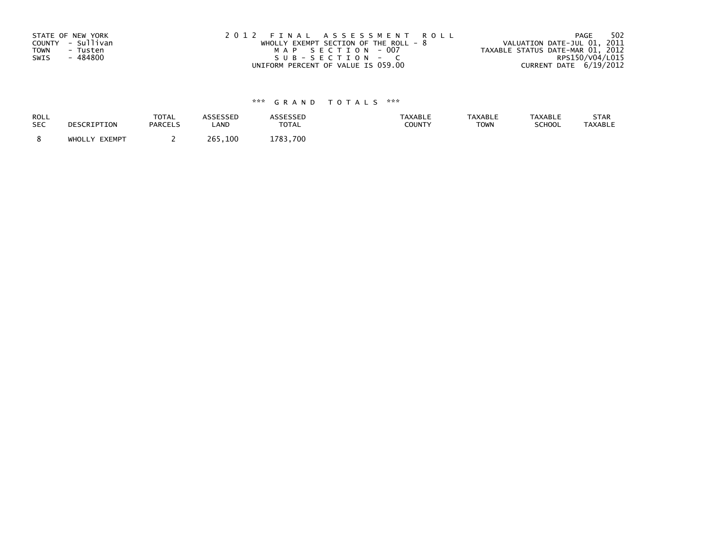| STATE OF NEW YORK       | 2012 FINAL ASSESSMENT ROLL            | 502<br>PAGE                      |
|-------------------------|---------------------------------------|----------------------------------|
| COUNTY - Sullivan       | WHOLLY EXEMPT SECTION OF THE ROLL - 8 | VALUATION DATE-JUL 01, 2011      |
| <b>TOWN</b><br>- Tusten | MAP SECTION - 007                     | TAXABLE STATUS DATE-MAR 01, 2012 |
| SWIS<br>- 484800        | SUB-SECTION - C                       | RPS150/V04/L015                  |
|                         | UNIFORM PERCENT OF VALUE IS 059.00    | CURRENT DATE 6/19/2012           |

| ROLL       | DESCRIPTION   | <b>TOTAL</b>   | ASSESSED | <b>ASSESSED</b> | <b>TAXABLE</b> | <b>TAXABLE</b> | <b>TAXABLE</b> | STAR           |
|------------|---------------|----------------|----------|-----------------|----------------|----------------|----------------|----------------|
| <b>SEC</b> |               | <b>PARCELS</b> | LAND     | <b>TOTAL</b>    | COUNTY         | <b>TOWN</b>    | SCHOOL         | <b>TAXABLE</b> |
|            | WHOLLY EXEMPT |                | 265,100  | 1783,700        |                |                |                |                |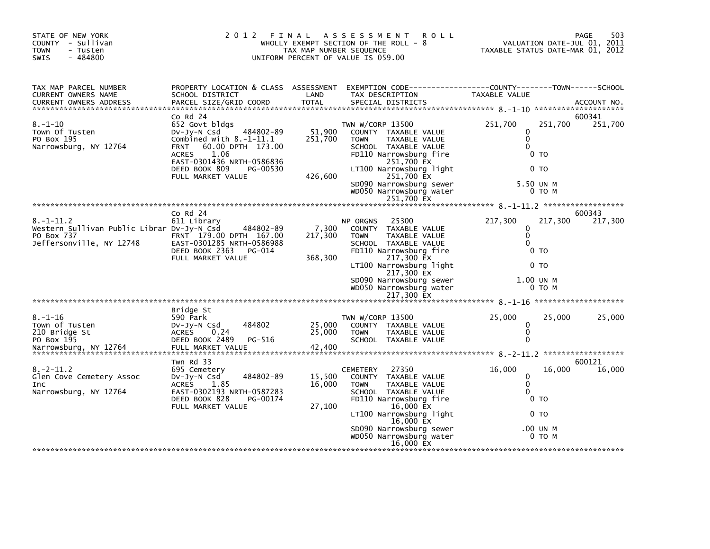| TAX MAP PARCEL NUMBER<br>PROPERTY LOCATION & CLASS ASSESSMENT<br>EXEMPTION CODE-----------------COUNTY-------TOWN------SCHOOL<br>CURRENT OWNERS NAME<br>SCHOOL DISTRICT<br>LAND<br>TAX DESCRIPTION<br>TAXABLE VALUE<br>PARCEL SIZE/GRID COORD<br><b>TOTAL</b><br>SPECIAL DISTRICTS<br><b>CURRENT OWNERS ADDRESS</b><br>$Co$ Rd $24$<br>600341<br>$8. - 1 - 10$<br>251,700<br>251,700<br>652 Govt bldgs<br>TWN W/CORP 13500<br>Town Of Tusten<br>484802-89<br>51,900<br>COUNTY TAXABLE VALUE<br>Dv-Jy-N Csd<br>0<br>$\Omega$<br>PO Box 195<br>Combined with $8.-1-11.1$<br>251,700<br><b>TAXABLE VALUE</b><br><b>TOWN</b><br>Narrowsburg, NY 12764<br>60.00 DPTH 173.00<br>SCHOOL TAXABLE VALUE<br>$\Omega$<br><b>FRNT</b><br>1.06<br>FD110 Narrowsburg fire<br><b>ACRES</b><br>0 TO<br>251,700 EX<br>EAST-0301436 NRTH-0586836<br>LT100 Narrowsburg light<br>DEED BOOK 809<br>PG-00530<br>0 TO<br>426,600<br>251,700 EX<br>FULL MARKET VALUE<br>SD090 Narrowsburg sewer<br>5.50 UN M<br>WD050 Narrowsburg water<br>0 TO M | STATE OF NEW YORK<br>COUNTY - Sullivan<br>- Tusten<br><b>TOWN</b><br>$-484800$<br><b>SWIS</b> | 2 0 1 2 | FINAL<br>TAX MAP NUMBER SEQUENCE | <b>ROLL</b><br>A S S E S S M E N T<br>WHOLLY EXEMPT SECTION OF THE ROLL - 8<br>UNIFORM PERCENT OF VALUE IS 059.00 | 503<br>PAGE<br>VALUATION DATE-JUL 01, 2011<br>TAXABLE STATUS DATE-MAR 01, 2012 |  |
|---------------------------------------------------------------------------------------------------------------------------------------------------------------------------------------------------------------------------------------------------------------------------------------------------------------------------------------------------------------------------------------------------------------------------------------------------------------------------------------------------------------------------------------------------------------------------------------------------------------------------------------------------------------------------------------------------------------------------------------------------------------------------------------------------------------------------------------------------------------------------------------------------------------------------------------------------------------------------------------------------------------------------|-----------------------------------------------------------------------------------------------|---------|----------------------------------|-------------------------------------------------------------------------------------------------------------------|--------------------------------------------------------------------------------|--|
|                                                                                                                                                                                                                                                                                                                                                                                                                                                                                                                                                                                                                                                                                                                                                                                                                                                                                                                                                                                                                           |                                                                                               |         |                                  |                                                                                                                   | ACCOUNT NO.                                                                    |  |
|                                                                                                                                                                                                                                                                                                                                                                                                                                                                                                                                                                                                                                                                                                                                                                                                                                                                                                                                                                                                                           |                                                                                               |         |                                  |                                                                                                                   | 251,700                                                                        |  |
| 251,700 EX                                                                                                                                                                                                                                                                                                                                                                                                                                                                                                                                                                                                                                                                                                                                                                                                                                                                                                                                                                                                                |                                                                                               |         |                                  |                                                                                                                   |                                                                                |  |
|                                                                                                                                                                                                                                                                                                                                                                                                                                                                                                                                                                                                                                                                                                                                                                                                                                                                                                                                                                                                                           |                                                                                               |         |                                  |                                                                                                                   |                                                                                |  |
| $Co$ Rd $24$<br>600343<br>$8. - 1 - 11.2$<br>611 Librarv<br>25300<br>217,300<br>217,300<br>NP ORGNS<br>Western Sullivan Public Librar Dv-Jy-N Csd<br>484802-89<br>7,300<br>COUNTY TAXABLE VALUE<br>O<br>0<br>PO Box 737<br>FRNT 179.00 DPTH 167.00<br>217,300<br><b>TOWN</b><br>TAXABLE VALUE<br>Jeffersonville, NY 12748<br>EAST-0301285 NRTH-0586988<br>$\Omega$<br>SCHOOL TAXABLE VALUE<br>DEED BOOK 2363<br>FD110 Narrowsburg fire<br>PG-014<br>0 <sub>T</sub><br>FULL MARKET VALUE<br>368,300<br>217,300 EX<br>LT100 Narrowsburg light<br>0 <sub>T</sub><br>217,300 EX<br>SD090 Narrowsburg sewer<br>1.00 UN M<br>WD050 Narrowsburg water<br>$0$ TO M                                                                                                                                                                                                                                                                                                                                                                |                                                                                               |         |                                  |                                                                                                                   | 217,300                                                                        |  |
|                                                                                                                                                                                                                                                                                                                                                                                                                                                                                                                                                                                                                                                                                                                                                                                                                                                                                                                                                                                                                           |                                                                                               |         |                                  |                                                                                                                   |                                                                                |  |
| Bridge St<br>$8. - 1 - 16$<br>TWN W/CORP 13500<br>25,000<br>590 Park<br>25,000<br>Town of Tusten<br>484802<br>25,000<br>COUNTY TAXABLE VALUE<br>DV-Jy-N Csd<br>0<br>$\Omega$<br>210 Bridge St<br><b>ACRES</b><br>25,000<br><b>TAXABLE VALUE</b><br>0.24<br><b>TOWN</b><br>$\Omega$<br>PO Box 195<br>DEED BOOK 2489<br>PG-516<br>SCHOOL TAXABLE VALUE                                                                                                                                                                                                                                                                                                                                                                                                                                                                                                                                                                                                                                                                      |                                                                                               |         |                                  |                                                                                                                   | 25,000                                                                         |  |
| Twn Rd 33<br>600121<br>16,000<br>16,000<br>$8. - 2 - 11.2$<br>695 Cemetery<br>27350<br><b>CEMETERY</b><br>484802-89<br>15,500<br>0<br>Glen Cove Cemetery Assoc<br>$Dv-Jy-N$ Csd<br>COUNTY TAXABLE VALUE<br>$\mathbf{0}$<br>16,000<br><b>ACRES</b><br>1.85<br><b>TOWN</b><br>TAXABLE VALUE<br><b>Inc</b><br>EAST-0302193 NRTH-0587283<br>$\Omega$<br>Narrowsburg, NY 12764<br>SCHOOL TAXABLE VALUE<br>DEED BOOK 828<br>FD110 Narrowsburg fire<br>PG-00174<br>0 TO<br>FULL MARKET VALUE<br>27,100<br>16,000 EX<br>LT100 Narrowsburg light<br>0 <sub>T</sub><br>16,000 EX<br>SD090 Narrowsburg sewer<br>.00 UN M<br>WD050 Narrowsburg water<br>0 TO M<br>16,000 EX                                                                                                                                                                                                                                                                                                                                                           |                                                                                               |         |                                  |                                                                                                                   | 16,000                                                                         |  |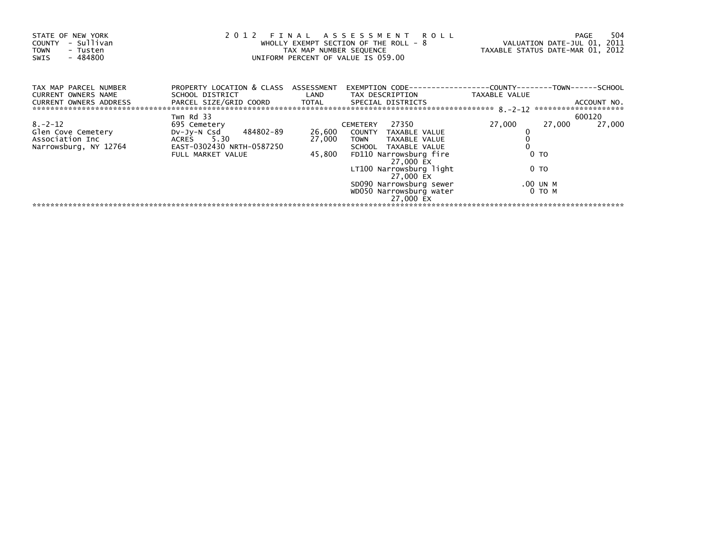| STATE OF NEW YORK<br>- Sullivan<br>COUNTY<br><b>TOWN</b><br>- Tusten<br>- 484800<br>SWIS |                                                                                                                    |                            | 2012 FINAL ASSESSMENT ROLL<br>WHOLLY EXEMPT SECTION OF THE ROLL - $8$<br>TAX MAP NUMBER SEQUENCE<br>UNIFORM PERCENT OF VALUE IS 059.00                                                         | VALUATION DATE-JUL 01, 2011<br>TAXABLE STATUS DATE-MAR 01, 2012 | 504<br>PAGE      |
|------------------------------------------------------------------------------------------|--------------------------------------------------------------------------------------------------------------------|----------------------------|------------------------------------------------------------------------------------------------------------------------------------------------------------------------------------------------|-----------------------------------------------------------------|------------------|
| TAX MAP PARCEL NUMBER<br>CURRENT OWNERS NAME<br>CURRENT OWNERS ADDRESS                   | PROPERTY LOCATION & CLASS ASSESSMENT<br>SCHOOL DISTRICT NETWORKS                                                   |                            | LAND TAX DESCRIPTION                                                                                                                                                                           | TAXABLE VALUE                                                   |                  |
| $8. - 2 - 12$<br>Glen Cove Cemetery<br>Association Inc<br>Narrowsburg, NY 12764          | Twn Rd 33<br>695 Cemetery<br>DV-Jy-N Csd 484802-89<br>ACRES 5.30<br>EAST-0302430 NRTH-0587250<br>FULL MARKET VALUE | 26,600<br>27,000<br>45,800 | CEMETERY 27350<br>COUNTY TAXABLE VALUE<br>TOWN TAXABLE VALUE<br>SCHOOL TAXABLE VALUE<br>FD110 Narrowsburg fire<br>27,000 EX<br>LT100 Narrowsburg light<br>27,000 EX<br>SD090 Narrowsburg sewer | 27,000<br>27,000<br>0 <sub>T</sub><br>0 TO<br>.00 UN M          | 600120<br>27,000 |
|                                                                                          |                                                                                                                    |                            | WD050 Narrowsburg water<br>27,000 EX                                                                                                                                                           | 0 то м                                                          |                  |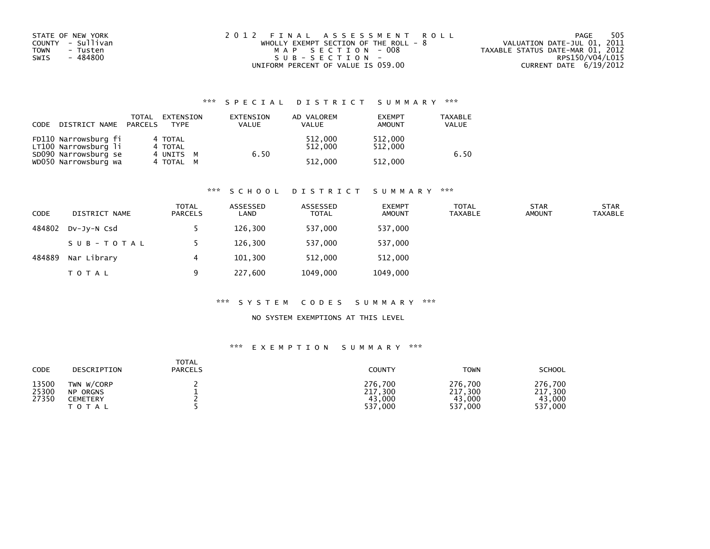| STATE OF NEW YORK       | 2012 FINAL ASSESSMENT ROLL              | -505<br>PAGE                     |
|-------------------------|-----------------------------------------|----------------------------------|
| COUNTY - Sullivan       | WHOLLY EXEMPT SECTION OF THE ROLL - $8$ | VALUATION DATE-JUL 01, 2011      |
| <b>TOWN</b><br>- Tusten | MAP SECTION - 008                       | TAXABLE STATUS DATE-MAR 01, 2012 |
| - 484800<br>SWIS        | SUB-SECTION-                            | RPS150/V04/L015                  |
|                         | UNIFORM PERCENT OF VALUE IS 059.00      | CURRENT DATE 6/19/2012           |

| CODE | DISTRICT NAME                                | TOTAL<br>PARCELS | EXTENSION<br><b>TYPF</b> | EXTENSION<br>VALUE | AD VALOREM<br><b>VALUE</b> | <b>EXEMPT</b><br><b>AMOUNT</b> | TAXABLE<br><b>VALUE</b> |
|------|----------------------------------------------|------------------|--------------------------|--------------------|----------------------------|--------------------------------|-------------------------|
|      | FD110 Narrowsburg fi<br>LT100 Narrowsburg li |                  | 4 TOTAL<br>4 TOTAL       |                    | 512,000<br>512.000<br>6.50 | 512,000<br>512,000             | 6.50                    |
|      | SD090 Narrowsburg se<br>WD050 Narrowsburg wa |                  | 4 UNITS M<br>4 TOTAL M   |                    | 512,000                    | 512,000                        |                         |

#### \*\*\* S C H O O L D I S T R I C T S U M M A R Y \*\*\*

| <b>CODE</b> | DISTRICT NAME | <b>TOTAL</b><br><b>PARCELS</b> | ASSESSED<br>LAND | ASSESSED<br><b>TOTAL</b> | <b>EXEMPT</b><br><b>AMOUNT</b> | <b>TOTAL</b><br>TAXABLE | <b>STAR</b><br><b>AMOUNT</b> | <b>STAR</b><br>TAXABLE |
|-------------|---------------|--------------------------------|------------------|--------------------------|--------------------------------|-------------------------|------------------------------|------------------------|
| 484802      | DV-JV-N Csd   |                                | 126,300          | 537,000                  | 537,000                        |                         |                              |                        |
|             | SUB-TOTAL     |                                | 126.300          | 537.000                  | 537,000                        |                         |                              |                        |
| 484889      | Nar Library   | 4                              | 101,300          | 512,000                  | 512,000                        |                         |                              |                        |
|             | T O T A L     | q                              | 227,600          | 1049,000                 | 1049,000                       |                         |                              |                        |

#### \*\*\* S Y S T E M C O D E S S U M M A R Y \*\*\*

### NO SYSTEM EXEMPTIONS AT THIS LEVEL

| CODE                    | DESCRIPTION                                               | <b>TOTAL</b><br><b>PARCELS</b> | COUNTY                                  | <b>TOWN</b>                             | <b>SCHOOL</b>                           |
|-------------------------|-----------------------------------------------------------|--------------------------------|-----------------------------------------|-----------------------------------------|-----------------------------------------|
| 13500<br>25300<br>27350 | TWN W/CORP<br><b>NP ORGNS</b><br>CEMETERY<br><b>TOTAL</b> |                                | 276.700<br>217,300<br>43,000<br>537,000 | 276,700<br>217,300<br>43,000<br>537,000 | 276,700<br>217,300<br>43,000<br>537,000 |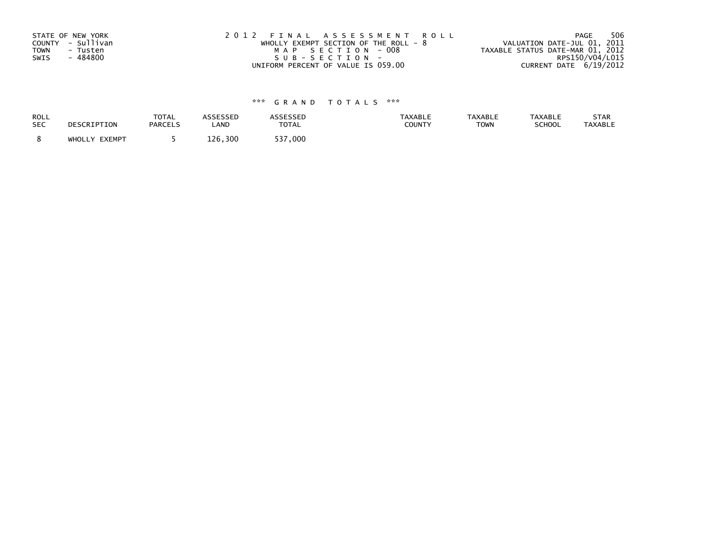| STATE OF NEW YORK       | 2012 FINAL ASSESSMENT ROLL            | 506<br>PAGE                      |
|-------------------------|---------------------------------------|----------------------------------|
| COUNTY - Sullivan       | WHOLLY EXEMPT SECTION OF THE ROLL - 8 | VALUATION DATE-JUL 01, 2011      |
| <b>TOWN</b><br>- Tusten | MAP SECTION - 008                     | TAXABLE STATUS DATE-MAR 01, 2012 |
| - 484800<br>SWIS        | SUB-SECTION-                          | RPS150/V04/L015                  |
|                         | UNIFORM PERCENT OF VALUE IS 059.00    | CURRENT DATE 6/19/2012           |

| ROLL       | DESCRIPTION   | <b>TOTAL</b>   | ASSESSED | <b>ASSESSED</b> | <b>TAXABLE</b> | <b>TAXABLE</b> | <b>TAXABLE</b> | STAR           |
|------------|---------------|----------------|----------|-----------------|----------------|----------------|----------------|----------------|
| <b>SEC</b> |               | <b>PARCELS</b> | LAND     | <b>TOTAL</b>    | COUNTY         | <b>TOWN</b>    | SCHOOL         | <b>TAXABLE</b> |
|            | WHOLLY EXEMPT |                | 126,300  | 537,000         |                |                |                |                |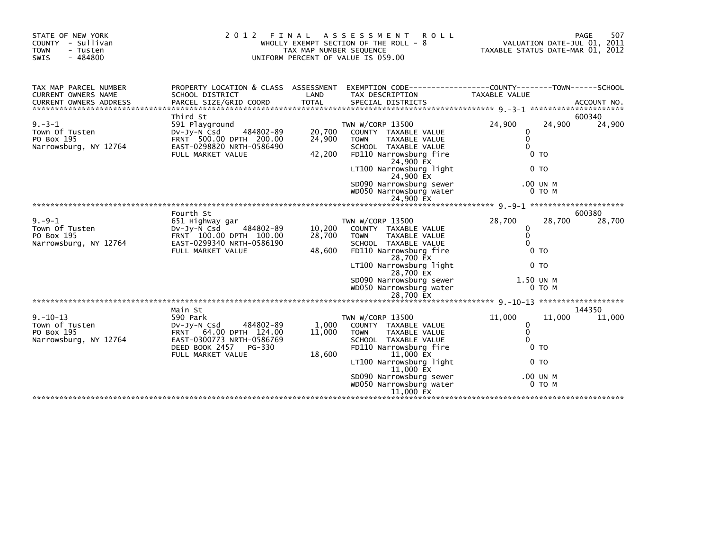| STATE OF NEW YORK<br>COUNTY - Sullivan<br><b>TOWN</b><br>- Tusten<br>SWIS<br>$-484800$ | 2 0 1 2<br>FINAL                                                                                                                             | TAX MAP NUMBER SEQUENCE    | A S S E S S M E N T<br><b>ROLL</b><br>WHOLLY EXEMPT SECTION OF THE ROLL - 8<br>UNIFORM PERCENT OF VALUE IS 059.00                                                                                                                                         | TAXABLE STATUS DATE-MAR 01, 2012                                           |                                                | 507<br>PAGE<br>VALUATION DATE-JUL 01, 2011 |
|----------------------------------------------------------------------------------------|----------------------------------------------------------------------------------------------------------------------------------------------|----------------------------|-----------------------------------------------------------------------------------------------------------------------------------------------------------------------------------------------------------------------------------------------------------|----------------------------------------------------------------------------|------------------------------------------------|--------------------------------------------|
| TAX MAP PARCEL NUMBER<br>CURRENT OWNERS NAME                                           | PROPERTY LOCATION & CLASS ASSESSMENT EXEMPTION CODE----------------COUNTY-------TOWN------SCHOOL<br>SCHOOL DISTRICT                          | LAND                       | TAX DESCRIPTION                                                                                                                                                                                                                                           | <b>TAXABLE VALUE</b>                                                       |                                                |                                            |
| $9. -3 - 1$<br>Town Of Tusten<br>PO Box 195<br>Narrowsburg, NY 12764                   | Third St<br>591 Playground<br>484802-89<br>$Dv-Jv-N$ Csd<br>FRNT 500.00 DPTH 200.00<br>EAST-0298820 NRTH-0586490<br>FULL MARKET VALUE        | 20,700<br>24,900<br>42,200 | TWN W/CORP 13500<br>COUNTY TAXABLE VALUE<br><b>TOWN</b><br>TAXABLE VALUE<br>SCHOOL TAXABLE VALUE<br>FD110 Narrowsburg fire<br>24,900 EX<br>LT100 Narrowsburg light<br>24,900 EX<br>SD090 Narrowsburg sewer<br>WD050 Narrowsburg water<br>24,900 EX        | 24,900<br>0<br>$\mathbf{0}$<br>$\Omega$<br>0 <sub>T</sub>                  | 24,900<br>0 <sub>T</sub><br>.00 UN M<br>0 TO M | 600340<br>24,900                           |
|                                                                                        |                                                                                                                                              |                            |                                                                                                                                                                                                                                                           |                                                                            |                                                |                                            |
| $9. - 9 - 1$<br>Town Of Tusten<br>PO Box 195<br>Narrowsburg, NY 12764                  | Fourth St<br>651 Highway gar<br>$Dv-Jv-N$ Csd<br>484802-89<br>FRNT 100.00 DPTH 100.00<br>EAST-0299340 NRTH-0586190<br>FULL MARKET VALUE      | 10,200<br>28,700<br>48,600 | TWN W/CORP 13500<br>COUNTY TAXABLE VALUE<br><b>TAXABLE VALUE</b><br><b>TOWN</b><br>SCHOOL TAXABLE VALUE<br>FD110 Narrowsburg fire<br>28,700 EX<br>LT100 Narrowsburg light<br>28,700 EX<br>SD090 Narrowsburg sewer<br>WD050 Narrowsburg water<br>28,700 EX | 28,700<br>0<br>$\Omega$<br>$\Omega$<br>0 <sub>T</sub><br>1.50 UN M         | 28,700<br>0 <sub>T</sub><br>$0$ TO $M$         | 600380<br>28,700                           |
|                                                                                        | Main St                                                                                                                                      |                            |                                                                                                                                                                                                                                                           |                                                                            |                                                | 144350                                     |
| $9. - 10 - 13$<br>Town of Tusten<br>PO Box 195<br>Narrowsburg, NY 12764                | 590 Park<br>DV-Jy-N Csd<br>484802-89<br>FRNT 64.00 DPTH 124.00<br>EAST-0300773 NRTH-0586769<br>DEED BOOK 2457<br>PG-330<br>FULL MARKET VALUE | 1,000<br>11,000<br>18,600  | TWN W/CORP 13500<br>COUNTY TAXABLE VALUE<br><b>TOWN</b><br>TAXABLE VALUE<br>SCHOOL TAXABLE VALUE<br>FD110 Narrowsburg fire<br>11,000 EX<br>LT100 Narrowsburg light<br>11,000 EX<br>SD090 Narrowsburg sewer<br>WD050 Narrowsburg water<br>11,000 EX        | 11,000<br>0<br>$\mathbf 0$<br>$\Omega$<br>0 <sub>T</sub><br>0 <sub>T</sub> | 11,000<br>.00 UN M<br>0 то м                   | 11,000                                     |
|                                                                                        |                                                                                                                                              |                            |                                                                                                                                                                                                                                                           |                                                                            |                                                |                                            |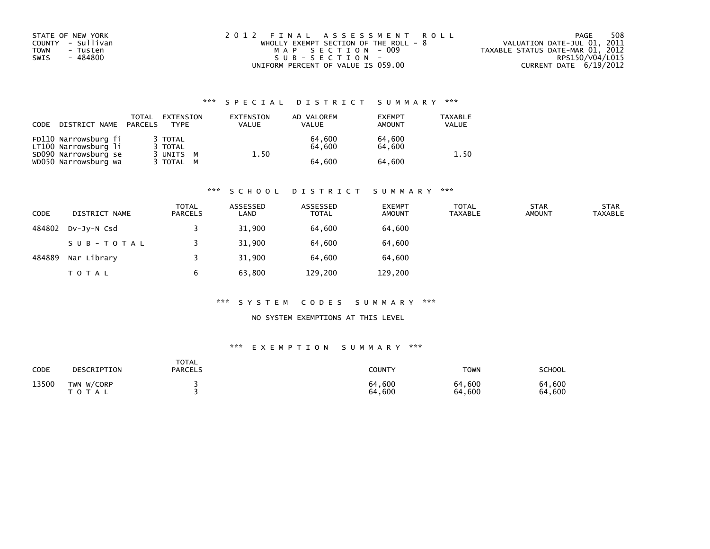| STATE OF NEW YORK       | 2012 FINAL ASSESSMENT ROLL              | 508<br>PAGE                      |
|-------------------------|-----------------------------------------|----------------------------------|
| COUNTY - Sullivan       | WHOLLY EXEMPT SECTION OF THE ROLL - $8$ | VALUATION DATE-JUL 01, 2011      |
| <b>TOWN</b><br>- Tusten | MAP SECTION - 009                       | TAXABLE STATUS DATE-MAR 01, 2012 |
| - 484800<br>SWIS        | SUB-SECTION-                            | RPS150/V04/L015                  |
|                         | UNIFORM PERCENT OF VALUE IS 059.00      | CURRENT DATE 6/19/2012           |

| CODE | DISTRICT NAME                                | TOTAL<br>PARCELS | EXTENSION<br><b>TYPF</b>      | EXTENSION<br><b>VALUE</b> | AD VALOREM<br><b>VALUE</b> | <b>EXEMPT</b><br>AMOUNT | <b>TAXABLE</b><br><b>VALUE</b> |
|------|----------------------------------------------|------------------|-------------------------------|---------------------------|----------------------------|-------------------------|--------------------------------|
|      | FD110 Narrowsburg fi<br>LT100 Narrowsburg li |                  | 3 TOTAL<br>3 TOTAL<br>3 UNITS |                           | 64.600<br>64.600<br>1.50   | 64.600<br>64.600        | 1.50                           |
|      | SD090 Narrowsburg se<br>WD050 Narrowsburg wa |                  | <b>M</b><br>3 TOTAL M         |                           | 64.600                     | 64,600                  |                                |

#### \*\*\* S C H O O L D I S T R I C T S U M M A R Y \*\*\*

| <b>CODE</b> | DISTRICT NAME | <b>TOTAL</b><br><b>PARCELS</b> | ASSESSED<br>LAND | ASSESSED<br><b>TOTAL</b> | <b>EXEMPT</b><br><b>AMOUNT</b> | <b>TOTAL</b><br>TAXABLE | <b>STAR</b><br><b>AMOUNT</b> | <b>STAR</b><br><b>TAXABLE</b> |
|-------------|---------------|--------------------------------|------------------|--------------------------|--------------------------------|-------------------------|------------------------------|-------------------------------|
| 484802      | DV-JY-N Csd   |                                | 31,900           | 64,600                   | 64,600                         |                         |                              |                               |
|             | SUB-TOTAL     |                                | 31,900           | 64.600                   | 64,600                         |                         |                              |                               |
| 484889      | Nar Library   |                                | 31,900           | 64.600                   | 64,600                         |                         |                              |                               |
|             | T O T A L     |                                | 63,800           | 129,200                  | 129,200                        |                         |                              |                               |

#### \*\*\* S Y S T E M C O D E S S U M M A R Y \*\*\*

### NO SYSTEM EXEMPTIONS AT THIS LEVEL

| CODE  | DESCRIPTION                | TOTAL<br><b>PARCELS</b> | <b>COUNTY</b>    | <b>TOWN</b>      | SCHOOL           |
|-------|----------------------------|-------------------------|------------------|------------------|------------------|
| 13500 | TWN W/CORP<br><b>TOTAL</b> |                         | 64,600<br>64,600 | 64,600<br>64,600 | 64,600<br>64,600 |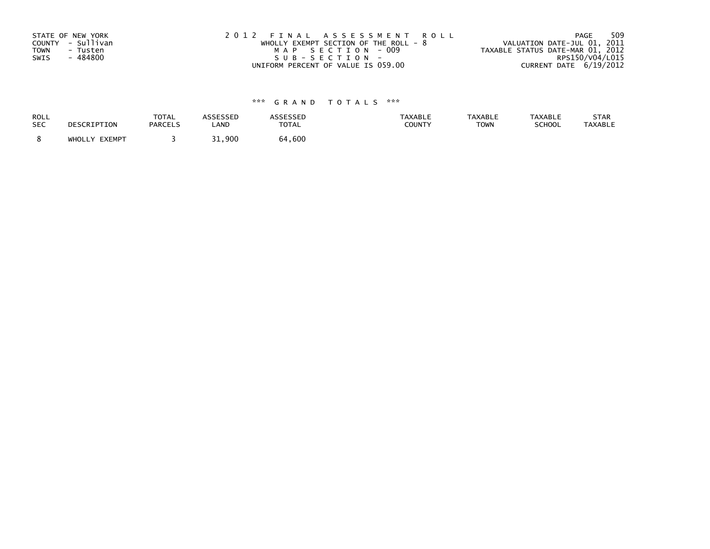| STATE OF NEW YORK       | 2012 FINAL ASSESSMENT ROLL            | 509<br>PAGE                      |
|-------------------------|---------------------------------------|----------------------------------|
| COUNTY - Sullivan       | WHOLLY EXEMPT SECTION OF THE ROLL - 8 | VALUATION DATE-JUL 01, 2011      |
| <b>TOWN</b><br>- Tusten | MAP SECTION - 009                     | TAXABLE STATUS DATE-MAR 01, 2012 |
| - 484800<br>SWIS        | SUB-SECTION-                          | RPS150/V04/L015                  |
|                         | UNIFORM PERCENT OF VALUE IS 059.00    | CURRENT DATE 6/19/2012           |

| <b>ROLL</b> | DESCRIPTION   | <b>TOTAL</b>   | <b>ASSESSED</b> | ASSESSED     | <b>TAXABLE</b> | <b>TAXABLE</b> | <b>TAXABLE</b> | STAR           |
|-------------|---------------|----------------|-----------------|--------------|----------------|----------------|----------------|----------------|
| <b>SEC</b>  |               | <b>PARCELS</b> | LAND            | <b>TOTAL</b> | <b>COUNTY</b>  | <b>TOWN</b>    | SCHOOL         | <b>TAXABLE</b> |
|             | WHOLLY EXEMPT |                | 31,900          | 64,600       |                |                |                |                |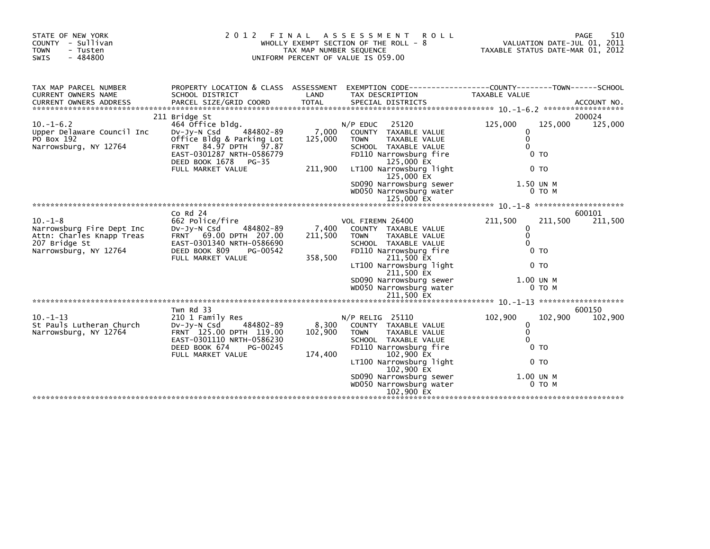| STATE OF NEW YORK<br>COUNTY - Sullivan<br><b>TOWN</b><br>- Tusten<br>$-484800$<br>SWIS                           | 2 0 1 2                                                                                                                                                                                       | FINAL<br>TAX MAP NUMBER SEQUENCE | A S S E S S M E N T<br><b>ROLL</b><br>WHOLLY EXEMPT SECTION OF THE ROLL - 8<br>UNIFORM PERCENT OF VALUE IS 059.00                                                                                                                                        | TAXABLE STATUS DATE-MAR 01, 2012                    |                                                                        | 510<br>PAGE<br>VALUATION DATE-JUL 01, 2011 |
|------------------------------------------------------------------------------------------------------------------|-----------------------------------------------------------------------------------------------------------------------------------------------------------------------------------------------|----------------------------------|----------------------------------------------------------------------------------------------------------------------------------------------------------------------------------------------------------------------------------------------------------|-----------------------------------------------------|------------------------------------------------------------------------|--------------------------------------------|
| TAX MAP PARCEL NUMBER<br><b>CURRENT OWNERS NAME</b>                                                              | SCHOOL DISTRICT                                                                                                                                                                               | LAND                             | PROPERTY LOCATION & CLASS ASSESSMENT EXEMPTION CODE----------------COUNTY-------TOWN-----SCHOOL<br>TAX DESCRIPTION                                                                                                                                       | TAXABLE VALUE                                       |                                                                        |                                            |
| $10. -1 - 6.2$<br>Upper Delaware Council Inc<br>PO Box 192<br>Narrowsburg, NY 12764                              | 211 Bridge St<br>464 Office bldg.<br>484802-89<br>DV-Jy-N Csd<br>Office Bldg & Parking Lot<br>FRNT 84.97 DPTH 97.87<br>EAST-0301287 NRTH-0586779<br>DEED BOOK 1678 PG-35<br>FULL MARKET VALUE | 7,000<br>125,000<br>211,900      | 25120<br>$N/P$ EDUC<br>COUNTY TAXABLE VALUE<br><b>TOWN</b><br>TAXABLE VALUE<br>SCHOOL TAXABLE VALUE<br>FD110 Narrowsburg fire<br>125,000 EX<br>LT100 Narrowsburg light<br>125,000 EX<br>SD090 Narrowsburg sewer<br>WD050 Narrowsburg water<br>125,000 EX | 125,000<br>$\Omega$<br>$\mathbf{0}$<br>$\Omega$     | 125,000<br>0 <sub>T</sub><br>0 <sub>T</sub><br>1.50 UN M<br>0 TO M     | 200024<br>125,000                          |
|                                                                                                                  |                                                                                                                                                                                               |                                  |                                                                                                                                                                                                                                                          |                                                     |                                                                        |                                            |
| $10. -1 - 8$<br>Narrowsburg Fire Dept Inc<br>Attn: Charles Knapp Treas<br>207 Bridge St<br>Narrowsburg, NY 12764 | $CO$ Rd $24$<br>662 Police/fire<br>DV-Jy-N Csd 484802-89<br>FRNT 69.00 DPTH 207.00<br>EAST-0301340 NRTH-0586690<br>DEED BOOK 809<br>PG-00542<br>FULL MARKET VALUE                             | 7,400<br>211,500<br>358,500      | VOL FIREMN 26400<br>COUNTY TAXABLE VALUE<br>TAXABLE VALUE<br><b>TOWN</b><br>SCHOOL TAXABLE VALUE<br>FD110 Narrowsburg fire<br>211,500 EX<br>LT100 Narrowsburg light<br>211,500 EX<br>SD090 Narrowsburg sewer<br>WD050 Narrowsburg water<br>211,500 EX    | 211,500<br>$\mathbf{0}$<br>$\mathbf{0}$<br>$\Omega$ | 211,500<br>0 <sub>T</sub><br>0 <sub>T</sub><br>1.00 UN M<br>$0$ TO $M$ | 600101<br>211,500                          |
| $10. -1 - 13$<br>St Pauls Lutheran Church<br>Narrowsburg, NY 12764                                               | Twn Rd 33<br>210 1 Family Res<br>484802-89<br>Dv-Jy-N Csd<br>FRNT 125.00 DPTH 119.00<br>EAST-0301110 NRTH-0586230<br>DEED BOOK 674<br>PG-00245<br>FULL MARKET VALUE                           | 8,300<br>102,900<br>174,400      | $N/P$ RELIG 25110<br>COUNTY TAXABLE VALUE<br><b>TOWN</b><br>TAXABLE VALUE<br>SCHOOL TAXABLE VALUE<br>FD110 Narrowsburg fire<br>102,900 EX<br>LT100 Narrowsburg light<br>102,900 EX<br>SD090 Narrowsburg sewer<br>WD050 Narrowsburg water<br>102,900 EX   | 102,900<br>0<br>$\mathbf 0$<br>$\Omega$             | 102,900<br>0 <sub>T</sub><br>0 <sub>T</sub><br>1.00 UN M<br>$0$ TO M   | 600150<br>102,900                          |
|                                                                                                                  |                                                                                                                                                                                               |                                  |                                                                                                                                                                                                                                                          |                                                     |                                                                        |                                            |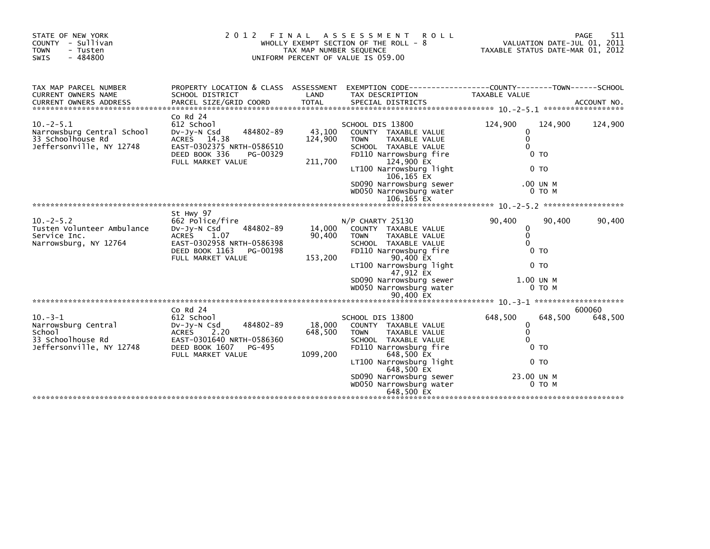| STATE OF NEW YORK<br>COUNTY - Sullivan<br><b>TOWN</b><br>- Tusten<br>$-484800$<br>SWIS                                                                                                                                                                                         | 2 0 1 2<br>FINAL                                                                                                                                                 | TAX MAP NUMBER SEQUENCE       | ASSESSMENT<br><b>ROLL</b><br>WHOLLY EXEMPT SECTION OF THE ROLL - 8<br>UNIFORM PERCENT OF VALUE IS 059.00                                                                                                                                              | TAXABLE STATUS DATE-MAR 01, 2012                                                                              | 511<br>PAGE<br>VALUATION DATE-JUL 01, 2011 |
|--------------------------------------------------------------------------------------------------------------------------------------------------------------------------------------------------------------------------------------------------------------------------------|------------------------------------------------------------------------------------------------------------------------------------------------------------------|-------------------------------|-------------------------------------------------------------------------------------------------------------------------------------------------------------------------------------------------------------------------------------------------------|---------------------------------------------------------------------------------------------------------------|--------------------------------------------|
| TAX MAP PARCEL NUMBER<br>CURRENT OWNERS NAME<br>CURRENT OWNERS ADDRESS PARCEL SIZE/GRID COORD TOTAL SPECIAL DISTRICTS AND MO. ACCOUNT NO. ACCOUNT NO. AND A SERVER AND TOTAL SPECIAL DISTRICTS AND A SERVER AND A SERVER AND TOTAL SERVER AND TOTAL THE SERVER OF THE SERVER O | PROPERTY LOCATION & CLASS ASSESSMENT<br>SCHOOL DISTRICT                                                                                                          | LAND                          | EXEMPTION CODE-----------------COUNTY-------TOWN------SCHOOL<br>TAX DESCRIPTION                                                                                                                                                                       | TAXABLE VALUE                                                                                                 |                                            |
| $10. -2 - 5.1$<br>Narrowsburg Central School<br>33 Schoolhouse Rd<br>Jeffersonville, NY 12748                                                                                                                                                                                  | $Co$ Rd $24$<br>612 School<br>484802-89<br>$Dv-Jy-N$ Csd<br>ACRES 14.38<br>EAST-0302375 NRTH-0586510<br>DEED BOOK 336<br>PG-00329<br>FULL MARKET VALUE           | 43,100<br>124,900<br>211,700  | SCHOOL DIS 13800<br>COUNTY TAXABLE VALUE<br>TAXABLE VALUE<br><b>TOWN</b><br>SCHOOL TAXABLE VALUE<br>FD110 Narrowsburg fire<br>124,900 EX<br>LT100 Narrowsburg light<br>106,165 EX<br>SD090 Narrowsburg sewer<br>WD050 Narrowsburg water<br>106,165 EX | 124,900<br>$\Omega$<br>$\mathbf{0}$<br>$\Omega$<br>0 <sub>T</sub><br>0 <sub>T</sub><br>.00 UN M<br>0 TO M     | 124,900<br>124,900                         |
|                                                                                                                                                                                                                                                                                |                                                                                                                                                                  |                               |                                                                                                                                                                                                                                                       |                                                                                                               |                                            |
| $10. -2 - 5.2$<br>Tusten Volunteer Ambulance<br>Service Inc.<br>Narrowsburg, NY 12764                                                                                                                                                                                          | St Hwy 97<br>662 Police/fire<br>DV-Jy-N Csd<br>484802-89<br><b>ACRES</b><br>1.07<br>EAST-0302958 NRTH-0586398<br>DEED BOOK 1163<br>PG-00198<br>FULL MARKET VALUE | 14,000<br>90,400<br>153,200   | N/P CHARTY 25130<br>COUNTY TAXABLE VALUE<br>TAXABLE VALUE<br><b>TOWN</b><br>SCHOOL TAXABLE VALUE<br>FD110 Narrowsburg fire<br>90,400 EX<br>LT100 Narrowsburg light<br>47,912 EX<br>SD090 Narrowsburg sewer<br>WD050 Narrowsburg water<br>90,400 EX    | 90,400<br>$\mathbf{0}$<br>$\mathbf{0}$<br>$\Omega$<br>0 <sub>T</sub><br>0 <sub>T</sub><br>1.00 UN M<br>0 TO M | 90,400<br>90,400                           |
|                                                                                                                                                                                                                                                                                |                                                                                                                                                                  |                               |                                                                                                                                                                                                                                                       |                                                                                                               |                                            |
| $10. -3 - 1$<br>Narrowsburg Central<br>School<br>33 Schoolhouse Rd<br>Jeffersonville, NY 12748                                                                                                                                                                                 | $Co$ Rd $24$<br>612 School<br>484802-89<br>$Dv-Jv-N$ Csd<br>2.20<br>ACRES<br>EAST-0301640 NRTH-0586360<br>DEED BOOK 1607<br>PG-495<br>FULL MARKET VALUE          | 18,000<br>648,500<br>1099,200 | SCHOOL DIS 13800<br>COUNTY TAXABLE VALUE<br><b>TOWN</b><br>TAXABLE VALUE<br>SCHOOL TAXABLE VALUE<br>FD110 Narrowsburg fire<br>648,500 EX<br>LT100 Narrowsburg light<br>648,500 EX<br>SD090 Narrowsburg sewer<br>WD050 Narrowsburg water<br>648.500 EX | 648,500<br>0<br>$\mathbf 0$<br>$\Omega$<br>0 <sub>T</sub><br>0 <sub>T</sub><br>23.00 UN M<br>$0$ TO M         | 600060<br>648,500<br>648,500               |
|                                                                                                                                                                                                                                                                                |                                                                                                                                                                  |                               |                                                                                                                                                                                                                                                       |                                                                                                               |                                            |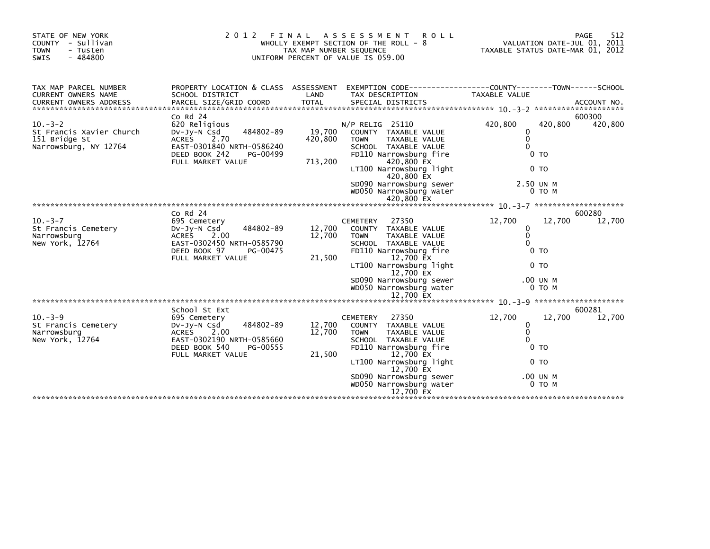| STATE OF NEW YORK<br>COUNTY - Sullivan<br><b>TOWN</b><br>- Tusten<br>$-484800$<br>SWIS | 2 0 1 2                                                                                                                                                     | FINAL<br>TAX MAP NUMBER SEQUENCE | A S S E S S M E N T<br><b>ROLL</b><br>WHOLLY EXEMPT SECTION OF THE ROLL - 8<br>UNIFORM PERCENT OF VALUE IS 059.00                                                                                                                                          | VALUATION DATE-JUL 01, 2011<br>TAXABLE STATUS DATE-MAR 01, 2012                                                       | 512<br>PAGE       |
|----------------------------------------------------------------------------------------|-------------------------------------------------------------------------------------------------------------------------------------------------------------|----------------------------------|------------------------------------------------------------------------------------------------------------------------------------------------------------------------------------------------------------------------------------------------------------|-----------------------------------------------------------------------------------------------------------------------|-------------------|
| TAX MAP PARCEL NUMBER<br>CURRENT OWNERS NAME                                           | SCHOOL DISTRICT                                                                                                                                             | LAND                             | PROPERTY LOCATION & CLASS ASSESSMENT EXEMPTION CODE----------------COUNTY-------TOWN------SCHOOL<br>TAX DESCRIPTION                                                                                                                                        | TAXABLE VALUE                                                                                                         |                   |
| $10 - 3 - 2$<br>St Francis Xavier Church<br>151 Bridge St<br>Narrowsburg, NY 12764     | $Co$ Rd $24$<br>620 Religious<br>484802-89<br>$Dv-Jv-N$ Csd<br>ACRES<br>2.70<br>EAST-0301840 NRTH-0586240<br>DEED BOOK 242<br>PG-00499<br>FULL MARKET VALUE | 19,700<br>420,800<br>713,200     | $N/P$ RELIG 25110<br>COUNTY TAXABLE VALUE<br><b>TOWN</b><br>TAXABLE VALUE<br>SCHOOL TAXABLE VALUE<br>FD110 Narrowsburg fire<br>420,800 EX<br>LT100 Narrowsburg light<br>420,800 EX<br>SD090 Narrowsburg sewer<br>WD050 Narrowsburg water<br>420,800 EX     | 420,800<br>420,800<br>$\Omega$<br>$\mathbf{0}$<br>$\Omega$<br>$0$ TO<br>0 <sub>T</sub><br>2.50 UN M<br>$0$ TO $M$     | 600300<br>420,800 |
|                                                                                        |                                                                                                                                                             |                                  |                                                                                                                                                                                                                                                            |                                                                                                                       |                   |
| $10. -3 - 7$<br>St Francis Cemetery<br>Narrowsburg<br>New York, 12764                  | Co Rd 24<br>695 Cemetery<br>484802-89<br>DV-Jy-N Csd<br>2.00<br>ACRES<br>EAST-0302450 NRTH-0585790<br>DEED BOOK 97<br>PG-00475<br>FULL MARKET VALUE         | 12,700<br>12,700<br>21,500       | <b>CEMETERY</b><br>27350<br>COUNTY TAXABLE VALUE<br><b>TOWN</b><br>TAXABLE VALUE<br>SCHOOL TAXABLE VALUE<br>FD110 Narrowsburg fire<br>12,700 EX<br>LT100 Narrowsburg light<br>12,700 EX<br>SD090 Narrowsburg sewer<br>WD050 Narrowsburg water<br>12,700 EX | 12,700<br>12,700<br>0<br>$\mathbf{0}$<br>$\Omega$<br>0 <sub>T</sub><br>0 <sub>T</sub><br>.00 UN M<br>0 TO M           | 600280<br>12,700  |
|                                                                                        |                                                                                                                                                             |                                  |                                                                                                                                                                                                                                                            |                                                                                                                       |                   |
| $10. -3 - 9$<br>St Francis Cemetery<br>Narrowsburg<br>New York, 12764                  | School St Ext<br>695 Cemetery<br>484802-89<br>DV-Jy-N Csd<br>ACRES 2.00<br>EAST-0302190 NRTH-0585660<br>DEED BOOK 540<br>PG-00555<br>FULL MARKET VALUE      | 12,700<br>12,700<br>21,500       | 27350<br><b>CEMETERY</b><br>COUNTY TAXABLE VALUE<br><b>TOWN</b><br>TAXABLE VALUE<br>SCHOOL TAXABLE VALUE<br>FD110 Narrowsburg fire<br>12,700 EX<br>LT100 Narrowsburg light<br>12,700 EX<br>SD090 Narrowsburg sewer<br>WD050 Narrowsburg water<br>12,700 EX | 12,700<br>12,700<br>$\mathbf{0}$<br>$\mathbf 0$<br>$\Omega$<br>0 <sub>T</sub><br>0 <sub>T</sub><br>.00 UN M<br>0 TO M | 600281<br>12,700  |
|                                                                                        |                                                                                                                                                             |                                  |                                                                                                                                                                                                                                                            |                                                                                                                       |                   |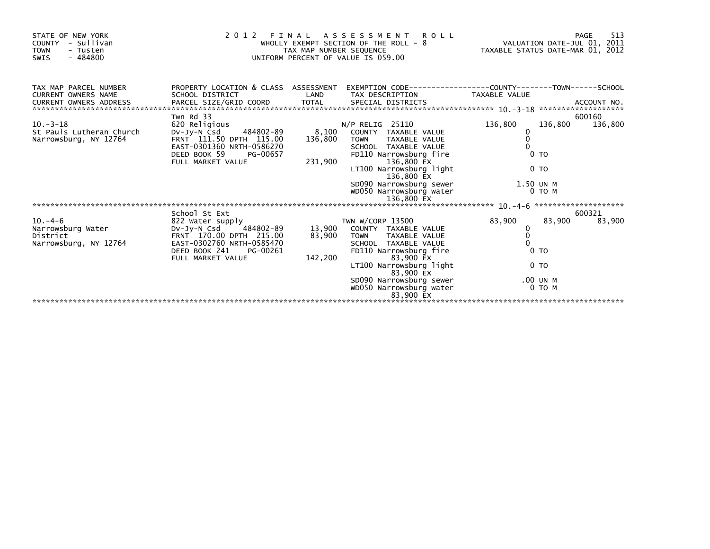| STATE OF NEW YORK<br>COUNTY - Sullivan<br><b>TOWN</b><br>- Tusten<br>$-484800$<br>SWIS |                                                                                                                                         | TAX MAP NUMBER SEQUENCE | 2012 FINAL ASSESSMENT ROLL<br>WHOLLY EXEMPT SECTION OF THE ROLL - 8<br>UNIFORM PERCENT OF VALUE IS 059.00                      | VALUATION DATE-JUL 01, 2011<br>TAXABLE STATUS DATE-MAR 01, 2012 |         | 513<br>PAGE       |
|----------------------------------------------------------------------------------------|-----------------------------------------------------------------------------------------------------------------------------------------|-------------------------|--------------------------------------------------------------------------------------------------------------------------------|-----------------------------------------------------------------|---------|-------------------|
| TAX MAP PARCEL NUMBER<br><b>CURRENT OWNERS NAME</b>                                    | PROPERTY LOCATION & CLASS ASSESSMENT EXEMPTION CODE---------------COUNTY-------TOWN------SCHOOL<br>SCHOOL DISTRICT                      | LAND                    | TAX DESCRIPTION                                                                                                                | TAXABLE VALUE                                                   |         |                   |
|                                                                                        |                                                                                                                                         |                         |                                                                                                                                |                                                                 |         |                   |
| $10. -3 - 18$<br>St Pauls Lutheran Church<br>Narrowsburg, NY 12764                     | Twn Rd 33<br>620 Religious<br>DV-Jy-N Csd 484802-89<br>FRNT 111.50 DPTH 115.00<br>EAST-0301360 NRTH-0586270<br>DEED BOOK 59<br>PG-00657 | 8,100<br>136,800        | $N/P$ RELIG 25110<br>COUNTY TAXABLE VALUE<br>TOWN TAXABLE VALUE<br>SCHOOL TAXABLE VALUE<br>FD110 Narrowsburg fire              | 136,800<br>0<br>0 <sub>T</sub>                                  | 136,800 | 600160<br>136,800 |
|                                                                                        | FULL MARKET VALUE                                                                                                                       | 231,900                 | 136,800 EX<br>LT100 Narrowsburg light<br>136,800 EX                                                                            | 0 <sub>T</sub>                                                  |         |                   |
|                                                                                        |                                                                                                                                         |                         | SD090 Narrowsburg sewer 1.50 UN M<br>WD050 Narrowsburg water                                                                   |                                                                 | 0 TO M  |                   |
|                                                                                        | School St Ext                                                                                                                           |                         |                                                                                                                                |                                                                 |         | 600321            |
| $10 - 4 - 6$<br>Narrowsburg Water<br>District<br>Narrowsburg, NY 12764                 | 822 Water supply<br>DV-Jy-N Csd 484802-89<br>FRNT 170.00 DPTH 215.00<br>EAST-0302760 NRTH-0585470<br>DEED BOOK 241<br>PG-00261          |                         | TWN W/CORP 13500<br>13,900 COUNTY TAXABLE VALUE<br>83,900 TOWN TAXABLE VALUE<br>SCHOOL TAXABLE VALUE<br>FD110 Narrowsburg fire | 83,900<br>0<br>$\mathbf{0}$<br>$\Omega$<br>0 <sub>T</sub>       | 83,900  | 83,900            |
|                                                                                        | FULL MARKET VALUE                                                                                                                       | 142,200                 | 83,900 EX<br>LT100 Narrowsburg light<br>83,900 EX<br>SD090 Narrowsburg sewer                                                   | 0 <sub>T</sub><br>.00 UN M                                      |         |                   |
|                                                                                        |                                                                                                                                         |                         | WD050 Narrowsburg water<br>83,900 EX                                                                                           |                                                                 | 0 TO M  |                   |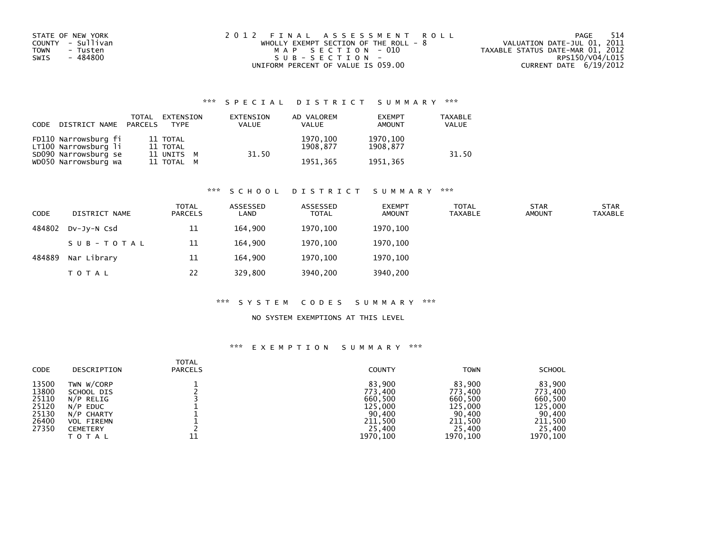| STATE OF NEW YORK       | 2012 FINAL ASSESSMENT ROLL              | - 514<br>PAGE                    |
|-------------------------|-----------------------------------------|----------------------------------|
| COUNTY - Sullivan       | WHOLLY EXEMPT SECTION OF THE ROLL - $8$ | VALUATION DATE-JUL 01, 2011      |
| <b>TOWN</b><br>- Tusten | MAP SECTION - 010                       | TAXABLE STATUS DATE-MAR 01, 2012 |
| - 484800<br>SWIS        | SUB-SECTION-                            | RPS150/V04/L015                  |
|                         | UNIFORM PERCENT OF VALUE IS 059.00      | CURRENT DATE 6/19/2012           |

| CODE | DISTRICT NAME PARCELS                        | TOTAL | EXTENSION<br><b>TYPE</b> | EXTENSION<br><b>VALUE</b> | AD VALOREM<br><b>VALUE</b> | <b>EXEMPT</b><br><b>AMOUNT</b> | <b>TAXABLE</b><br>VALUE |
|------|----------------------------------------------|-------|--------------------------|---------------------------|----------------------------|--------------------------------|-------------------------|
|      | FD110 Narrowsburg fi<br>LT100 Narrowsburg li |       | 11 TOTAL<br>11 TOTAL     | 31.50                     | 1970, 100<br>1908.877      | 1970,100<br>1908.877           | 31.50                   |
|      | SD090 Narrowsburg se<br>WD050 Narrowsburg wa |       | 11 UNITS M<br>11 TOTAL M |                           | 1951.365                   | 1951.365                       |                         |

#### \*\*\* S C H O O L D I S T R I C T S U M M A R Y \*\*\*

| <b>CODE</b> | DISTRICT NAME | <b>TOTAL</b><br><b>PARCELS</b> | ASSESSED<br>LAND | ASSESSED<br><b>TOTAL</b> | <b>EXEMPT</b><br><b>AMOUNT</b> | <b>TOTAL</b><br><b>TAXABLE</b> | <b>STAR</b><br><b>AMOUNT</b> | <b>STAR</b><br>TAXABLE |
|-------------|---------------|--------------------------------|------------------|--------------------------|--------------------------------|--------------------------------|------------------------------|------------------------|
| 484802      | DV-JY-N Csd   | 11                             | 164.900          | 1970,100                 | 1970,100                       |                                |                              |                        |
|             | SUB-TOTAL     | 11                             | 164.900          | 1970.100                 | 1970.100                       |                                |                              |                        |
| 484889      | Nar Library   | 11                             | 164.900          | 1970.100                 | 1970.100                       |                                |                              |                        |
|             | <b>TOTAL</b>  | 22                             | 329,800          | 3940,200                 | 3940,200                       |                                |                              |                        |

#### \*\*\* S Y S T E M C O D E S S U M M A R Y \*\*\*

### NO SYSTEM EXEMPTIONS AT THIS LEVEL

| <b>CODE</b> | DESCRIPTION       | <b>TOTAL</b><br><b>PARCELS</b> | <b>COUNTY</b> | <b>TOWN</b> | <b>SCHOOL</b> |
|-------------|-------------------|--------------------------------|---------------|-------------|---------------|
| 13500       | TWN W/CORP        |                                | 83.900        | 83,900      | 83.900        |
| 13800       | SCHOOL DIS        |                                | 773,400       | 773.400     | 773.400       |
| 25110       | N/P RELIG         |                                | 660,500       | 660,500     | 660,500       |
| 25120       | N/P EDUC          |                                | 125,000       | 125,000     | 125,000       |
| 25130       | N/P CHARTY        |                                | 90,400        | 90,400      | 90,400        |
| 26400       | <b>VOL FIREMN</b> |                                | 211,500       | 211,500     | 211,500       |
| 27350       | <b>CEMETERY</b>   |                                | 25,400        | 25,400      | 25,400        |
|             | <b>TOTAL</b>      | 11                             | 1970,100      | 1970, 100   | 1970, 100     |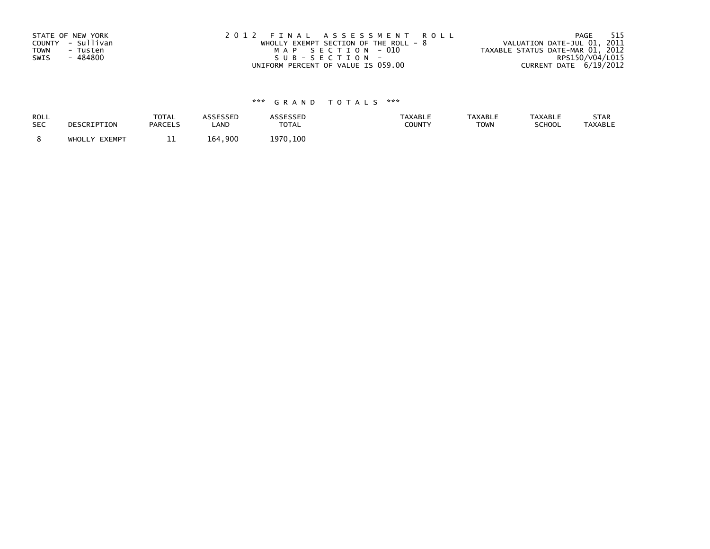| STATE OF NEW YORK       | 2012 FINAL ASSESSMENT ROLL            | 515<br>PAGE                      |
|-------------------------|---------------------------------------|----------------------------------|
| COUNTY - Sullivan       | WHOLLY EXEMPT SECTION OF THE ROLL - 8 | VALUATION DATE-JUL 01, 2011      |
| <b>TOWN</b><br>- Tusten | MAP SECTION - 010                     | TAXABLE STATUS DATE-MAR 01, 2012 |
| - 484800<br>SWIS        | SUB-SECTION-                          | RPS150/V04/L015                  |
|                         | UNIFORM PERCENT OF VALUE IS 059.00    | CURRENT DATE 6/19/2012           |

| ROLL       | DESCRIPTION   | <b>TOTAL</b>   | ASSESSED | <b>ASSESSED</b> | <b>TAXABLE</b> | <b>TAXABLE</b> | <b>TAXABLE</b> | STAR           |
|------------|---------------|----------------|----------|-----------------|----------------|----------------|----------------|----------------|
| <b>SEC</b> |               | <b>PARCELS</b> | LAND     | <b>TOTAL</b>    | COUNTY         | <b>TOWN</b>    | SCHOOL         | <b>TAXABLE</b> |
|            | WHOLLY EXEMPT | ᆠ              | 164,900  | 1970.100        |                |                |                |                |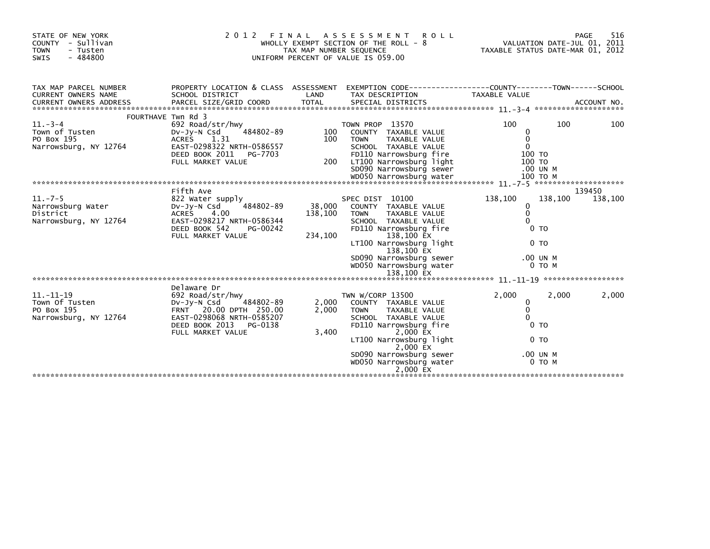| STATE OF NEW YORK<br>COUNTY - Sullivan<br><b>TOWN</b><br>- Tusten<br>$-484800$<br><b>SWIS</b> |                                                                                                                                                                 | TAX MAP NUMBER SEQUENCE      | 2012 FINAL ASSESSMENT<br><b>ROLL</b><br>WHOLLY EXEMPT SECTION OF THE ROLL - 8<br>UNIFORM PERCENT OF VALUE IS 059.00                                                                                                                                  | VALUATION DATE-JUL 01, 2011<br>TAXABLE STATUS DATE-MAR 01, 2012                                 |                   | 516<br>PAGE       |
|-----------------------------------------------------------------------------------------------|-----------------------------------------------------------------------------------------------------------------------------------------------------------------|------------------------------|------------------------------------------------------------------------------------------------------------------------------------------------------------------------------------------------------------------------------------------------------|-------------------------------------------------------------------------------------------------|-------------------|-------------------|
| TAX MAP PARCEL NUMBER<br><b>CURRENT OWNERS NAME</b><br><b>CURRENT OWNERS ADDRESS</b>          | SCHOOL DISTRICT                                                                                                                                                 | LAND                         | PROPERTY LOCATION & CLASS ASSESSMENT EXEMPTION CODE----------------COUNTY-------TOWN------SCHOOL<br>TAX DESCRIPTION                                                                                                                                  | TAXABLE VALUE                                                                                   |                   |                   |
| $11.-3-4$<br>Town of Tusten<br>PO Box 195<br>Narrowsburg, NY 12764                            | FOURTHAVE Twn Rd 3<br>692 Road/str/hwy<br>484802-89<br>DV-JY-N Csd<br>ACRES 1.31<br>EAST-0298322 NRTH-0586557<br>DEED BOOK 2011<br>PG-7703<br>FULL MARKET VALUE | 100<br>100<br>200            | TOWN PROP 13570<br>COUNTY TAXABLE VALUE<br><b>TOWN</b><br>TAXABLE VALUE<br>SCHOOL TAXABLE VALUE<br>FD110 Narrowsburg fire<br>LT100 Narrowsburg light<br>SD090 Narrowsburg sewer                                                                      | 100<br>0<br>$\Omega$<br>$\Omega$<br>100 TO<br>100 TO<br>.00 UN M                                | 100               | 100               |
|                                                                                               |                                                                                                                                                                 |                              |                                                                                                                                                                                                                                                      |                                                                                                 |                   |                   |
| $11. - 7 - 5$<br>Narrowsburg Water<br>District<br>Narrowsburg, NY 12764                       | Fifth Ave<br>822 Water supply<br>484802-89<br>Dv-Jy-N Csd<br>ACRES 4.00<br>EAST-0298217 NRTH-0586344<br>DEED BOOK 542<br>PG-00242<br>FULL MARKET VALUE          | 38,000<br>138,100<br>234,100 | SPEC DIST 10100<br>COUNTY TAXABLE VALUE<br><b>TOWN</b><br>TAXABLE VALUE<br>SCHOOL TAXABLE VALUE<br>FD110 Narrowsburg fire<br>138,100 EX<br>LT100 Narrowsburg light<br>138,100 EX<br>SD090 Narrowsburg sewer<br>WD050 Narrowsburg water<br>138,100 EX | 138,100<br>$\mathbf{0}$<br>$\Omega$<br>$\Omega$<br>0 <sub>T</sub><br>0 <sub>T</sub><br>.00 UN M | 138,100<br>0 TO M | 139450<br>138,100 |
|                                                                                               | Delaware Dr                                                                                                                                                     |                              |                                                                                                                                                                                                                                                      |                                                                                                 |                   |                   |
| $11. - 11 - 19$<br>Town Of Tusten<br>PO Box 195<br>Narrowsburg, NY 12764                      | 692 Road/str/hwy<br>$Dv-Jy-N$ Csd<br>484802-89<br>FRNT 20.00 DPTH 250.00<br>EAST-0298068 NRTH-0585207<br>DEED BOOK 2013<br>PG-0138<br>FULL MARKET VALUE         | 2,000<br>2,000<br>3,400      | TWN W/CORP 13500<br>COUNTY TAXABLE VALUE<br>TAXABLE VALUE<br><b>TOWN</b><br>SCHOOL TAXABLE VALUE<br>FD110 Narrowsburg fire<br>2,000 EX<br>LT100 Narrowsburg light<br>2,000 EX<br>SD090 Narrowsburg sewer<br>WD050 Narrowsburg water                  | 2.000<br>0<br>$\mathbf{0}$<br>$\Omega$<br>0 <sub>T</sub><br>0 <sub>T</sub><br>.00 UN M          | 2,000<br>0 TO M   | 2,000             |
|                                                                                               |                                                                                                                                                                 |                              | 2,000 EX                                                                                                                                                                                                                                             |                                                                                                 |                   |                   |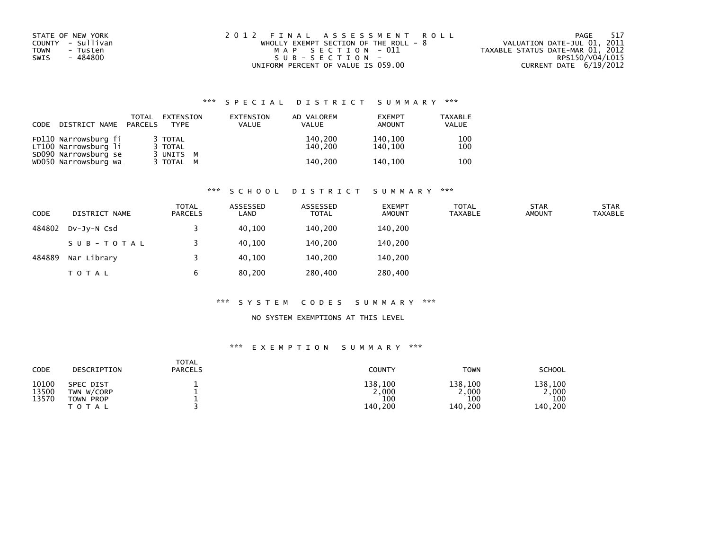| STATE OF NEW YORK | 2012 FINAL ASSESSMENT ROLL              | 517<br>PAGE                      |
|-------------------|-----------------------------------------|----------------------------------|
| COUNTY - Sullivan | WHOLLY EXEMPT SECTION OF THE ROLL - $8$ | VALUATION DATE-JUL 01, 2011      |
| TOWN<br>- Tusten  | MAP SECTION - 011                       | TAXABLE STATUS DATE-MAR 01, 2012 |
| - 484800<br>SWIS  | $SUB - SECTION -$                       | RPS150/V04/L015                  |
|                   | UNIFORM PERCENT OF VALUE IS 059.00      | CURRENT DATE 6/19/2012           |

| CODE | DISTRICT NAME                                | TOTAL<br>PARCELS | EXTENSION<br><b>TYPE</b> | EXTENSION<br>VALUE | AD VALOREM<br>VALUE | <b>EXEMPT</b><br>AMOUNT | TAXABLE<br><b>VALUE</b> |
|------|----------------------------------------------|------------------|--------------------------|--------------------|---------------------|-------------------------|-------------------------|
|      | FD110 Narrowsburg fi<br>LT100 Narrowsburg li |                  | 3 TOTAL<br>3 TOTAL       |                    | 140,200<br>140.200  | 140.100<br>140.100      | 100<br>100              |
|      | SD090 Narrowsburg se<br>WD050 Narrowsburg wa |                  | 3 UNITS M<br>3 TOTAL M   |                    | 140.200             | 140.100                 | 100                     |

#### \*\*\* S C H O O L D I S T R I C T S U M M A R Y \*\*\*

| <b>CODE</b> | DISTRICT NAME | <b>TOTAL</b><br><b>PARCELS</b> | ASSESSED<br>LAND | ASSESSED<br><b>TOTAL</b> | <b>EXEMPT</b><br><b>AMOUNT</b> | <b>TOTAL</b><br><b>TAXABLE</b> | <b>STAR</b><br><b>AMOUNT</b> | <b>STAR</b><br><b>TAXABLE</b> |
|-------------|---------------|--------------------------------|------------------|--------------------------|--------------------------------|--------------------------------|------------------------------|-------------------------------|
| 484802      | DV-JY-N Csd   |                                | 40,100           | 140,200                  | 140,200                        |                                |                              |                               |
|             | SUB-TOTAL     |                                | 40.100           | 140.200                  | 140,200                        |                                |                              |                               |
| 484889      | Nar Library   |                                | 40,100           | 140.200                  | 140,200                        |                                |                              |                               |
|             | T O T A L     | 6                              | 80,200           | 280,400                  | 280,400                        |                                |                              |                               |

#### \*\*\* S Y S T E M C O D E S S U M M A R Y \*\*\*

### NO SYSTEM EXEMPTIONS AT THIS LEVEL

| CODE                    | DESCRIPTION                                          | <b>TOTAL</b><br><b>PARCELS</b> | <b>COUNTY</b>                      | <b>TOWN</b>                       | <b>SCHOOL</b>                      |
|-------------------------|------------------------------------------------------|--------------------------------|------------------------------------|-----------------------------------|------------------------------------|
| 10100<br>13500<br>13570 | SPEC DIST<br>TWN W/CORP<br>TOWN PROP<br><b>TOTAL</b> |                                | 138,100<br>2,000<br>100<br>140,200 | 138,100<br>,000<br>100<br>140,200 | 138.100<br>2,000<br>100<br>140,200 |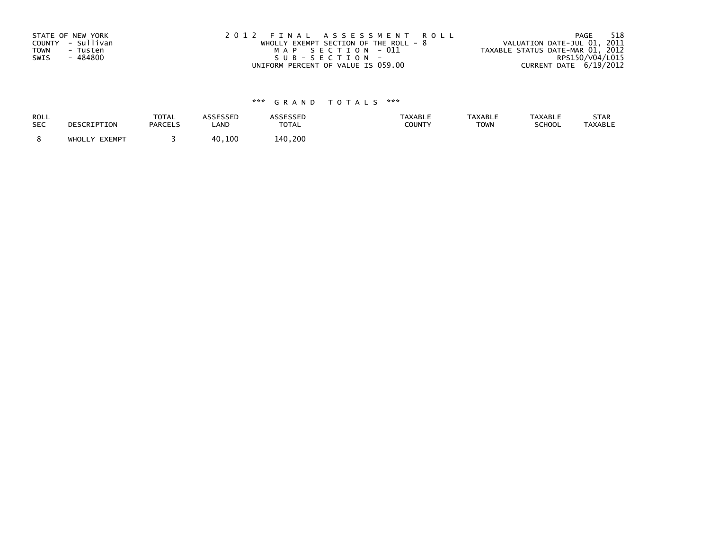| STATE OF NEW YORK       | 2012 FINAL ASSESSMENT ROLL            | -518<br>PAGE                     |
|-------------------------|---------------------------------------|----------------------------------|
| COUNTY - Sullivan       | WHOLLY EXEMPT SECTION OF THE ROLL - 8 | VALUATION DATE-JUL 01, 2011      |
| <b>TOWN</b><br>- Tusten | MAP SECTION - 011                     | TAXABLE STATUS DATE-MAR 01, 2012 |
| - 484800<br>SWIS        | SUB-SECTION-                          | RPS150/V04/L015                  |
|                         | UNIFORM PERCENT OF VALUE IS 059.00    | CURRENT DATE 6/19/2012           |

| ROLL       | DESCRIPTION   | <b>TOTAL</b>   | ASSESSED | <b>ASSESSED</b> | <b>TAXABLE</b> | <b>TAXABLE</b> | <b>TAXABLE</b> | STAR           |
|------------|---------------|----------------|----------|-----------------|----------------|----------------|----------------|----------------|
| <b>SEC</b> |               | <b>PARCELS</b> | LAND     | TOTAL           | COUNTY         | <b>TOWN</b>    | SCHOOL         | <b>TAXABLE</b> |
|            | WHOLLY EXEMPT |                | 40,100   | 140,200         |                |                |                |                |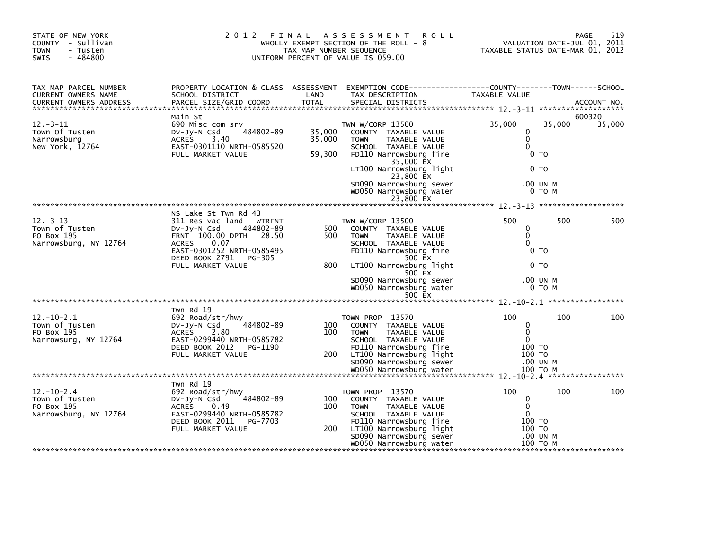| STATE OF NEW YORK<br>COUNTY - Sullivan<br><b>TOWN</b><br>- Tusten<br>$-484800$<br><b>SWIS</b> |                                                                                                                                                                                                            | TAX MAP NUMBER SEQUENCE    | 2012 FINAL ASSESSMENT ROLL<br>WHOLLY EXEMPT SECTION OF THE ROLL - $8$<br>UNIFORM PERCENT OF VALUE IS 059.00                                                                     | VALUATION DATE-JUL 01, 2011<br>TAXABLE STATUS DATE-MAR 01, 2012        | PAGE               | 519    |
|-----------------------------------------------------------------------------------------------|------------------------------------------------------------------------------------------------------------------------------------------------------------------------------------------------------------|----------------------------|---------------------------------------------------------------------------------------------------------------------------------------------------------------------------------|------------------------------------------------------------------------|--------------------|--------|
| TAX MAP PARCEL NUMBER<br>CURRENT OWNERS NAME                                                  | SCHOOL DISTRICT                                                                                                                                                                                            | LAND                       | PROPERTY LOCATION & CLASS ASSESSMENT EXEMPTION CODE----------------COUNTY-------TOWN------SCHOOL<br>TAX DESCRIPTION                                                             | TAXABLE VALUE                                                          |                    |        |
|                                                                                               | Main St                                                                                                                                                                                                    |                            |                                                                                                                                                                                 |                                                                        |                    | 600320 |
| $12 - 3 - 11$<br>Town Of Tusten<br>Narrowsburg<br>New York, 12764                             | 690 Misc com srv<br>DV-Jy-N Csd 484802-89<br>3.40<br>ACRES<br>EAST-0301110 NRTH-0585520<br>FULL MARKET VALUE                                                                                               | 35,000<br>35,000<br>59,300 | TWN W/CORP 13500<br>COUNTY TAXABLE VALUE<br>TAXABLE VALUE<br><b>TOWN</b><br>SCHOOL TAXABLE VALUE<br>FD110 Narrowsburg fire                                                      | 35,000<br>0<br>$\mathbf 0$<br>$\Omega$<br>0 <sub>T</sub>               | 35,000             | 35,000 |
|                                                                                               |                                                                                                                                                                                                            |                            | 35,000 EX<br>LT100 Narrowsburg light<br>23,800 EX                                                                                                                               | 0 TO                                                                   |                    |        |
|                                                                                               |                                                                                                                                                                                                            |                            | SD090 Narrowsburg sewer<br>WD050 Narrowsburg water                                                                                                                              |                                                                        | .00 UN M<br>0 TO M |        |
|                                                                                               |                                                                                                                                                                                                            |                            | 23,800 EX                                                                                                                                                                       |                                                                        |                    |        |
| $12 - 3 - 13$<br>Town of Tusten<br>PO Box 195<br>Narrowsburg, NY 12764                        | NS Lake St Twn Rd 43<br>311 Res vac land - WTRFNT<br>Dv-Jy-N Csd<br>484802-89<br>FRNT 100.00 DPTH 28.50<br><b>ACRES</b><br>0.07<br>EAST-0301252 NRTH-0585495<br>DEED BOOK 2791 PG-305<br>FULL MARKET VALUE | 500<br>500<br>800          | TWN W/CORP 13500<br>COUNTY TAXABLE VALUE<br>TAXABLE VALUE<br><b>TOWN</b><br>SCHOOL TAXABLE VALUE<br>FD110 Narrowsburg fire<br>500 EX<br>LT100 Narrowsburg light                 | 500<br>0<br>$\mathbf 0$<br>$\Omega$<br>0 <sub>T</sub><br>0 TO          | 500                | 500    |
|                                                                                               |                                                                                                                                                                                                            |                            | 500 EX<br>SD090 Narrowsburg sewer<br>WD050 Narrowsburg water<br>500 EX                                                                                                          |                                                                        | .00 UN M<br>0 TO M |        |
|                                                                                               |                                                                                                                                                                                                            |                            |                                                                                                                                                                                 |                                                                        |                    |        |
| $12 - 10 - 2.1$<br>Town of Tusten<br>PO Box 195<br>Narrowsurg, NY 12764                       | Twn Rd 19<br>692 Road/str/hwy<br>484802-89<br>DV-Jy-N Csd<br><b>ACRES</b><br>2.80<br>EAST-0299440 NRTH-0585782<br>DEED BOOK 2012 PG-1190<br>FULL MARKET VALUE                                              | 100<br>100<br>200          | TOWN PROP 13570<br>COUNTY TAXABLE VALUE<br>TAXABLE VALUE<br><b>TOWN</b><br>SCHOOL TAXABLE VALUE<br>FD110 Narrowsburg fire<br>LT100 Narrowsburg light                            | 100<br>$\mathbf 0$<br>$\mathbf{0}$<br>$\mathbf{0}$<br>100 TO<br>100 TO | 100                | 100    |
|                                                                                               |                                                                                                                                                                                                            |                            |                                                                                                                                                                                 |                                                                        |                    |        |
| $12 - 10 - 2.4$<br>Town of Tusten<br>PO Box 195<br>Narrowsburg, NY 12764                      | Twn Rd 19<br>692 Road/str/hwy<br>DV-Jy-N Csd 484802-89<br><b>ACRES</b><br>0.49<br>EAST-0299440 NRTH-0585782<br>DEED BOOK 2011 PG-7703<br>FULL MARKET VALUE                                                 | 100<br>100<br>200          | TOWN PROP 13570<br>COUNTY TAXABLE VALUE<br>TAXABLE VALUE<br><b>TOWN</b><br>SCHOOL TAXABLE VALUE<br>FD110 Narrowsburg fire<br>LT100 Narrowsburg light<br>SD090 Narrowsburg sewer | 100<br>$\Omega$<br>$\mathbf 0$<br>$\Omega$<br>100 TO<br>100 TO         | 100<br>.00 UN M    | 100    |
|                                                                                               |                                                                                                                                                                                                            |                            | WD050 Narrowsburg water                                                                                                                                                         |                                                                        | 100 то м           |        |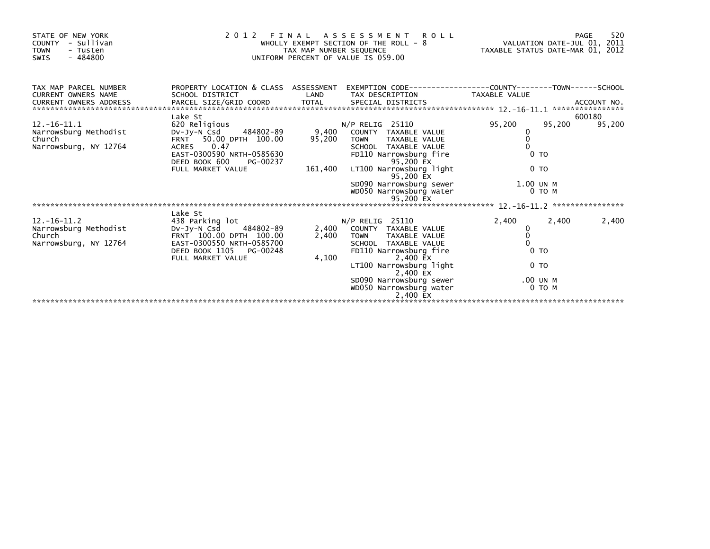| STATE OF NEW YORK<br>- Sullivan<br>COUNTY<br><b>TOWN</b><br>- Tusten<br>$-484800$<br>SWIS | 2012 FINAL ASSESSMENT ROLL<br>WHOLLY EXEMPT SECTION OF THE ROLL - 8 WALUATION DATE-JUL 01, 2011<br>TAX MAP NUMBER SEQUENCE TAXIS DATE-MAR 01, 2012<br>UNIFORM PERCENT OF VALUE IS 059.00 |                           |                                                                                                                                  |           |                | 520<br>PAGE |  |  |
|-------------------------------------------------------------------------------------------|------------------------------------------------------------------------------------------------------------------------------------------------------------------------------------------|---------------------------|----------------------------------------------------------------------------------------------------------------------------------|-----------|----------------|-------------|--|--|
| TAX MAP PARCEL NUMBER<br>CURRENT OWNERS NAME<br><b>CURRENT OWNERS ADDRESS</b>             | SCHOOL DISTRICT                                                                                                                                                                          | LAND                      | PROPERTY LOCATION & CLASS ASSESSMENT EXEMPTION CODE----------------COUNTY-------TOWN-----SCHOOL<br>TAX DESCRIPTION TAXABLE VALUE |           |                |             |  |  |
|                                                                                           |                                                                                                                                                                                          |                           |                                                                                                                                  |           |                |             |  |  |
|                                                                                           | Lake St                                                                                                                                                                                  |                           |                                                                                                                                  |           |                | 600180      |  |  |
| $12. -16 - 11.1$                                                                          | 620 Religious                                                                                                                                                                            |                           | $N/P$ RELIG 25110                                                                                                                | 95,200    | 95,200         | 95,200      |  |  |
| Narrowsburg Methodist<br>Church                                                           | DV-JV-N Csd<br>FRNT 50.00 DPTH 100.00                                                                                                                                                    | 484802-89 9,400<br>95,200 | COUNTY TAXABLE VALUE<br>TOWN TAXABLE VALUE                                                                                       | 0<br>0    |                |             |  |  |
| Narrowsburg, NY 12764                                                                     | ACRES 0.47                                                                                                                                                                               |                           | SCHOOL TAXABLE VALUE                                                                                                             |           |                |             |  |  |
|                                                                                           | EAST-0300590 NRTH-0585630                                                                                                                                                                |                           | FD110 Narrowsburg fire                                                                                                           |           | 0 <sub>T</sub> |             |  |  |
|                                                                                           | DEED BOOK 600<br>PG-00237                                                                                                                                                                |                           | 95,200 EX                                                                                                                        |           |                |             |  |  |
|                                                                                           | FULL MARKET VALUE                                                                                                                                                                        | 161,400                   | LT100 Narrowsburg light<br>95,200 EX                                                                                             |           | 0 <sub>T</sub> |             |  |  |
|                                                                                           |                                                                                                                                                                                          |                           | SD090 Narrowsburg sewer                                                                                                          | 1.00 UN M |                |             |  |  |
|                                                                                           |                                                                                                                                                                                          |                           | WD050 Narrowsburg water                                                                                                          |           | 0 TO M         |             |  |  |
|                                                                                           |                                                                                                                                                                                          |                           |                                                                                                                                  |           |                |             |  |  |
|                                                                                           | Lake St                                                                                                                                                                                  |                           |                                                                                                                                  |           |                |             |  |  |
| $12. - 16 - 11.2$                                                                         | 438 Parking lot                                                                                                                                                                          |                           | $N/P$ RELIG 25110                                                                                                                | 2,400     | 2,400          | 2,400       |  |  |
| Narrowsburg Methodist DV-Jy-N Csd                                                         | 484802-89                                                                                                                                                                                | 2,400                     | COUNTY TAXABLE VALUE                                                                                                             | 0         |                |             |  |  |
| Church                                                                                    | FRNT 100.00 DPTH 100.00                                                                                                                                                                  | 2,400                     | <b>TOWN</b><br>TAXABLE VALUE                                                                                                     | 0         |                |             |  |  |
| Narrowsburg, NY 12764                                                                     | EAST-0300550 NRTH-0585700                                                                                                                                                                |                           | SCHOOL TAXABLE VALUE                                                                                                             | $\Omega$  | 0 <sub>T</sub> |             |  |  |
|                                                                                           | DEED BOOK 1105 PG-00248<br>FULL MARKET VALUE                                                                                                                                             | 4,100                     | FD110 Narrowsburg fire<br>2,400 EX                                                                                               |           |                |             |  |  |
|                                                                                           |                                                                                                                                                                                          |                           | LT100 Narrowsburg light                                                                                                          |           | 0 <sub>T</sub> |             |  |  |
|                                                                                           |                                                                                                                                                                                          |                           | 2,400 EX                                                                                                                         |           |                |             |  |  |
|                                                                                           |                                                                                                                                                                                          |                           | SD090 Narrowsburg sewer                                                                                                          |           | .00 UN M       |             |  |  |
|                                                                                           |                                                                                                                                                                                          |                           | wD050 Narrowsburg water<br>2,400 EX                                                                                              |           | 0 TO M         |             |  |  |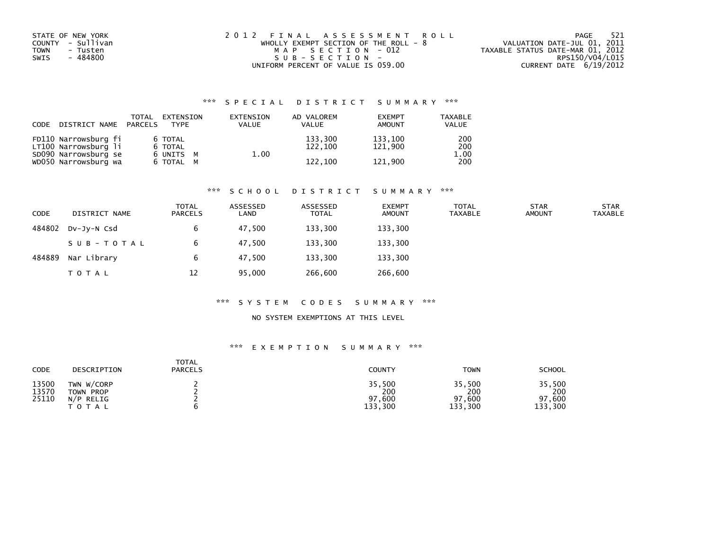| STATE OF NEW YORK       | 2012 FINAL ASSESSMENT ROLL              | - 521<br>PAGE                    |
|-------------------------|-----------------------------------------|----------------------------------|
| COUNTY - Sullivan       | WHOLLY EXEMPT SECTION OF THE ROLL - $8$ | VALUATION DATE-JUL 01, 2011      |
| <b>TOWN</b><br>- Tusten | MAP SECTION - 012                       | TAXABLE STATUS DATE-MAR 01, 2012 |
| - 484800<br>SWIS        | SUB-SECTION-                            | RPS150/V04/L015                  |
|                         | UNIFORM PERCENT OF VALUE IS 059.00      | CURRENT DATE 6/19/2012           |

| CODE | DISTRICT NAME PARCELS                                                | TOTAL                           | EXTENSION<br><b>TYPF</b> | EXTENSION<br><b>VALUE</b> | AD VALOREM<br><b>VALUE</b> | <b>EXEMPT</b><br><b>AMOUNT</b> | <b>TAXABLE</b><br><b>VALUE</b> |
|------|----------------------------------------------------------------------|---------------------------------|--------------------------|---------------------------|----------------------------|--------------------------------|--------------------------------|
|      | FD110 Narrowsburg fi<br>LT100 Narrowsburg li<br>SD090 Narrowsburg se | 6 TOTAL<br>6 TOTAL<br>6 UNITS M |                          | 1.00                      | 133,300<br>122,100         | 133.100<br>121.900             | 200<br>200<br>1.00             |
|      | WD050 Narrowsburg wa                                                 | 6 TOTAL M                       |                          |                           | 122,100                    | 121.900                        | 200                            |

#### \*\*\* S C H O O L D I S T R I C T S U M M A R Y \*\*\*

| <b>CODE</b> | DISTRICT NAME | <b>TOTAL</b><br><b>PARCELS</b> | ASSESSED<br>LAND | ASSESSED<br><b>TOTAL</b> | <b>EXEMPT</b><br><b>AMOUNT</b> | TOTAL<br>TAXABLE | <b>STAR</b><br><b>AMOUNT</b> | <b>STAR</b><br>TAXABLE |
|-------------|---------------|--------------------------------|------------------|--------------------------|--------------------------------|------------------|------------------------------|------------------------|
| 484802      | DV-JV-N Csd   | b                              | 47,500           | 133,300                  | 133,300                        |                  |                              |                        |
|             | SUB-TOTAL     |                                | 47.500           | 133.300                  | 133,300                        |                  |                              |                        |
| 484889      | Nar Library   | 6                              | 47.500           | 133.300                  | 133,300                        |                  |                              |                        |
|             | T O T A L     | 12                             | 95,000           | 266,600                  | 266,600                        |                  |                              |                        |

#### \*\*\* S Y S T E M C O D E S S U M M A R Y \*\*\*

### NO SYSTEM EXEMPTIONS AT THIS LEVEL

| CODE                    | DESCRIPTION                                     | TOTAL<br><b>PARCELS</b> | <b>COUNTY</b>                      | <b>TOWN</b>                        | <b>SCHOOL</b>                      |
|-------------------------|-------------------------------------------------|-------------------------|------------------------------------|------------------------------------|------------------------------------|
| 13500<br>13570<br>25110 | TWN W/CORP<br>TOWN PROP<br>$N/P$ RELIG<br>TOTAL |                         | 35,500<br>200<br>97,600<br>133,300 | 35,500<br>200<br>97,600<br>133,300 | 35,500<br>200<br>97,600<br>133,300 |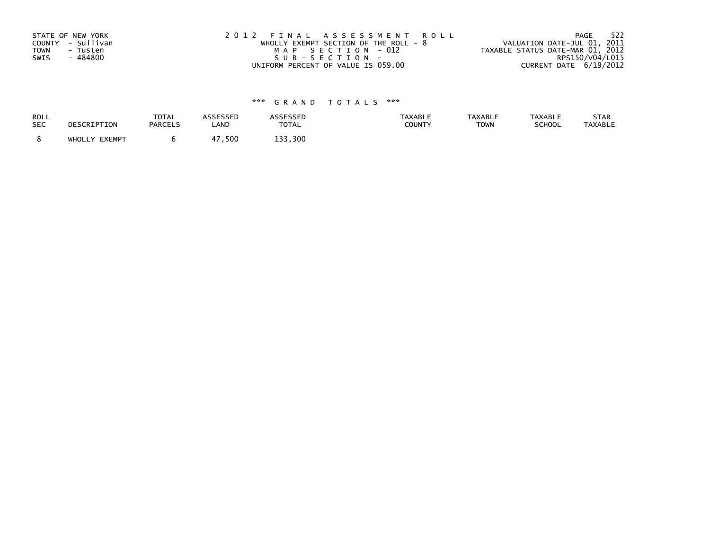| STATE OF NEW YORK       | 2012 FINAL ASSESSMENT ROLL              | 522<br>PAGE                      |
|-------------------------|-----------------------------------------|----------------------------------|
| COUNTY - Sullivan       | WHOLLY EXEMPT SECTION OF THE ROLL - $8$ | VALUATION DATE-JUL 01, 2011      |
| <b>TOWN</b><br>- Tusten | MAP SECTION - 012                       | TAXABLE STATUS DATE-MAR 01, 2012 |
| - 484800<br>SWIS        | SUB-SECTION-                            | RPS150/V04/L015                  |
|                         | UNIFORM PERCENT OF VALUE IS 059.00      | CURRENT DATE 6/19/2012           |

| <b>ROLL</b> | DESCRIPTION   | <b>TOTAL</b>   | ASSESSED   | <b>ASSESSED</b> | <b>TAXABLE</b> | <b>TAXABLE</b> | <b>TAXABLE</b> | STAR           |
|-------------|---------------|----------------|------------|-----------------|----------------|----------------|----------------|----------------|
| <b>SEC</b>  |               | <b>PARCELS</b> | LAND       | <b>TOTAL</b>    | COUNTY         | <b>TOWN</b>    | SCHOOL         | <b>TAXABLE</b> |
|             | WHOLLY EXEMPT |                | .500<br>47 | 133.300         |                |                |                |                |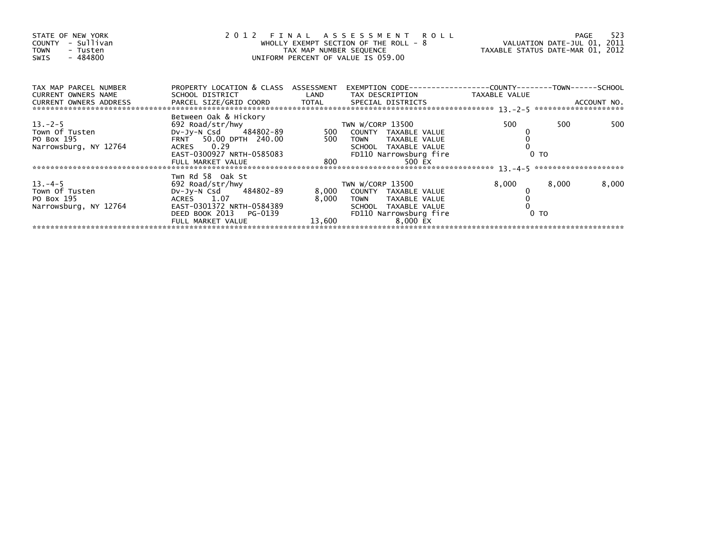| STATE OF NEW YORK<br>- Sullivan<br><b>COUNTY</b><br><b>TOWN</b><br>- Tusten<br>- 484800<br>SWIS |                                                     |       | 2012 FINAL ASSESSMENT ROLL<br>WHOLLY EXEMPT SECTION OF THE ROLL - 8<br>TAX MAP NUMBER SEQUENCE<br>UNIFORM PERCENT OF VALUE IS 059.00 | VALUATION DATE-JUL 01, 2011<br>TAXABLE STATUS DATE-MAR 01, 2012 |       | 523<br>PAGE |
|-------------------------------------------------------------------------------------------------|-----------------------------------------------------|-------|--------------------------------------------------------------------------------------------------------------------------------------|-----------------------------------------------------------------|-------|-------------|
| TAX MAP PARCEL NUMBER                                                                           | PROPERTY LOCATION & CLASS ASSESSMENT                |       | EXEMPTION CODE-----------------COUNTY-------TOWN------SCHOOL                                                                         |                                                                 |       |             |
| CURRENT OWNERS NAME                                                                             |                                                     |       |                                                                                                                                      |                                                                 |       |             |
| $13 - 2 - 5$                                                                                    | Between Oak & Hickory<br>692 Road/str/hwy           |       | TWN W/CORP 13500                                                                                                                     | 500                                                             | 500   | 500         |
| Town Of Tusten                                                                                  | DV-Jy-N Csd 484802-89 500 COUNTY TAXABLE VALUE      |       |                                                                                                                                      |                                                                 |       |             |
| PO Box 195                                                                                      |                                                     |       |                                                                                                                                      |                                                                 |       |             |
| Narrowsburg, NY 12764                                                                           | ACRES 0.29<br>EAST-0300927 NRTH-0585083 F           |       | FD110 Narrowsburg fire                                                                                                               | 0 <sub>T</sub>                                                  |       |             |
|                                                                                                 |                                                     |       | 500 EX                                                                                                                               |                                                                 |       |             |
|                                                                                                 |                                                     |       |                                                                                                                                      |                                                                 |       |             |
| $13. -4 - 5$                                                                                    | Twn Rd 58 Oak St<br>692 Road/str/hwy                |       | TWN W/CORP 13500                                                                                                                     | 8,000                                                           | 8,000 | 8,000       |
| Town Of Tusten                                                                                  | DV-Jy-N Csd 484802-89                               |       | 8,000 COUNTY TAXABLE VALUE                                                                                                           |                                                                 |       |             |
| PO Box 195                                                                                      | ACRES 1.07                                          | 8,000 | TOWN TAXABLE VALUE                                                                                                                   |                                                                 |       |             |
| Narrowsburg, NY 12764                                                                           | EAST-0301372 NRTH-0584389<br>DEED BOOK 2013 PG-0139 |       | SCHOOL TAXABLE VALUE<br>FD110 Narrowsburg fire                                                                                       | $0$ TO                                                          |       |             |
|                                                                                                 | FULL MARKET VALUE                                   |       | 13,600<br>8,000 EX                                                                                                                   |                                                                 |       |             |
|                                                                                                 |                                                     |       |                                                                                                                                      |                                                                 |       |             |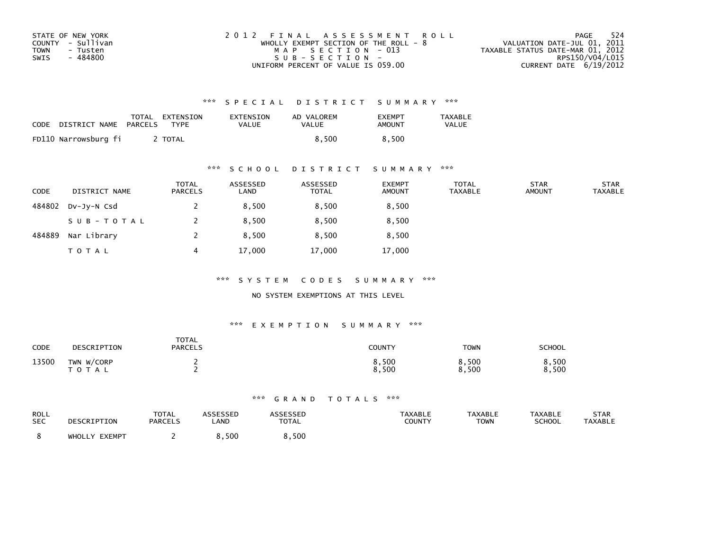| STATE OF NEW YORK | 2012 FINAL ASSESSMENT ROLL              | 524<br>PAGE                      |
|-------------------|-----------------------------------------|----------------------------------|
| COUNTY - Sullivan | WHOLLY EXEMPT SECTION OF THE ROLL - $8$ | VALUATION DATE-JUL 01, 2011      |
| TOWN<br>- Tusten  | MAP SECTION - 013                       | TAXABLE STATUS DATE-MAR 01, 2012 |
| - 484800<br>SWIS  | $SUB - SECTION -$                       | RPS150/V04/L015                  |
|                   | UNIFORM PERCENT OF VALUE IS 059.00      | CURRENT DATE $6/19/2012$         |

| CODE | DISTRICT NAME PARCELS TYPE | TOTAL EXTENSION | EXTENSION<br><b>VALUE</b> | AD VALOREM<br><b>VALUE</b> | <b>EXEMPT</b><br>AMOUNT | TAXABLE<br><b>VALUE</b> |
|------|----------------------------|-----------------|---------------------------|----------------------------|-------------------------|-------------------------|
|      | FD110 Narrowsburg fi       | TOTAL T         |                           | 8.500                      | 8.500                   |                         |

### \*\*\* S C H O O L D I S T R I C T S U M M A R Y \*\*\*

| <b>CODE</b> | DISTRICT NAME | <b>TOTAL</b><br>PARCELS | ASSESSED<br>LAND | ASSESSED<br><b>TOTAL</b> | <b>EXEMPT</b><br><b>AMOUNT</b> | <b>TOTAL</b><br><b>TAXABLE</b> | <b>STAR</b><br><b>AMOUNT</b> | <b>STAR</b><br><b>TAXABLE</b> |
|-------------|---------------|-------------------------|------------------|--------------------------|--------------------------------|--------------------------------|------------------------------|-------------------------------|
| 484802      | $Dv-Jv-N$ Csd |                         | 8.500            | 8,500                    | 8,500                          |                                |                              |                               |
|             | SUB-TOTAL     |                         | 8,500            | 8,500                    | 8,500                          |                                |                              |                               |
| 484889      | Nar Library   |                         | 8.500            | 8,500                    | 8,500                          |                                |                              |                               |
|             | <b>TOTAL</b>  | 4                       | 17,000           | 17,000                   | 17,000                         |                                |                              |                               |

\*\*\* S Y S T E M C O D E S S U M M A R Y \*\*\*

NO SYSTEM EXEMPTIONS AT THIS LEVEL

#### \*\*\* E X E M P T I O N S U M M A R Y \*\*\*

| CODE  | DESCRIPTION                | <b>TOTAL</b><br><b>PARCELS</b> | COUNTY         | <b>TOWN</b>    | SCHOOL         |
|-------|----------------------------|--------------------------------|----------------|----------------|----------------|
| 13500 | TWN W/CORP<br><b>TOTAL</b> |                                | 8,500<br>8,500 | 8,500<br>8,500 | 8,500<br>8,500 |

| ROLL       | DESCRIPTION   | <b>TOTAL</b>   | <b>ASSESSED</b> | <b>ASSESSED</b> | <b>TAXABLE</b> | <b>TAXABLE</b> | <b>TAXABLE</b> | <b>STAR</b> |
|------------|---------------|----------------|-----------------|-----------------|----------------|----------------|----------------|-------------|
| <b>SEC</b> |               | <b>PARCELS</b> | LAND            | <b>TOTAL</b>    | COUNTY         | <b>TOWN</b>    | <b>SCHOOL</b>  | TAXABLE     |
|            | WHOLLY EXEMPT |                | .500 ر          | 8,500           |                |                |                |             |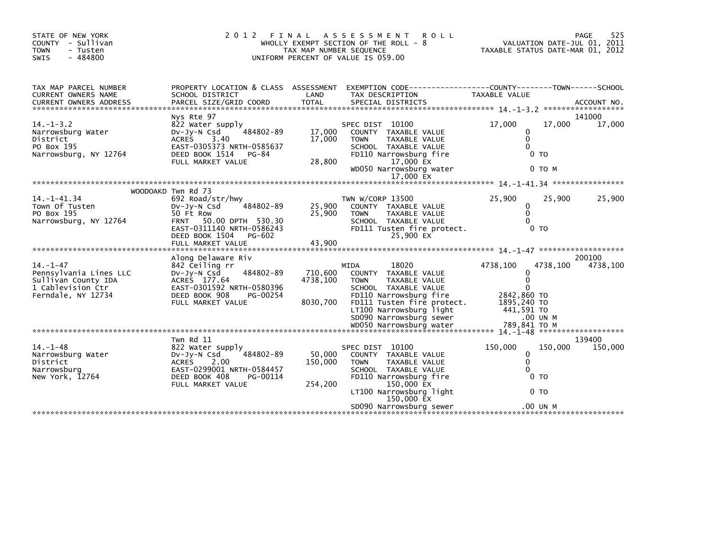|                                                                                                            |                                                                                                                                                                                           |                                 | TAX MAP NUMBER SEQUENCE<br>UNIFORM PERCENT OF VALUE IS 059.00                                                                                                                                               | TAXABLE STATUS DATE-MAR 01, 2012                                                                  |                     | VALUATION DATE-JUL 01, 2011 |
|------------------------------------------------------------------------------------------------------------|-------------------------------------------------------------------------------------------------------------------------------------------------------------------------------------------|---------------------------------|-------------------------------------------------------------------------------------------------------------------------------------------------------------------------------------------------------------|---------------------------------------------------------------------------------------------------|---------------------|-----------------------------|
| TAX MAP PARCEL NUMBER<br>CURRENT OWNERS NAME                                                               | SCHOOL DISTRICT                                                                                                                                                                           | LAND                            | PROPERTY LOCATION & CLASS ASSESSMENT EXEMPTION CODE----------------COUNTY-------TOWN------SCHOOL<br>TAX DESCRIPTION                                                                                         | TAXABLE VALUE                                                                                     |                     |                             |
| $14. - 1 - 3.2$<br>Narrowsburg Water<br>District<br>PO Box 195<br>Narrowsburg, NY 12764                    | Nys Rte 97<br>822 Water supply<br>484802-89<br>DV-Jy-N Csd<br>ACRES 3.40<br>EAST-0305373 NRTH-0585637<br>DEED BOOK 1514<br>PG-84<br>FULL MARKET VALUE                                     | 17,000<br>17,000<br>28.800      | SPEC DIST 10100<br>COUNTY TAXABLE VALUE<br><b>TOWN</b><br>TAXABLE VALUE<br>SCHOOL TAXABLE VALUE<br>FD110 Narrowsburg fire<br>17,000 EX<br>WD050 Narrowsburg water<br>17,000 EX                              | 17,000<br>0<br>$\mathbf 0$<br>$\Omega$<br>0 <sub>T</sub>                                          | 17,000<br>0 TO M    | 141000<br>17,000            |
| 14. -1-41.34<br>Town Of Tusten<br>PO Box 195<br>Narrowsburg, NY 12764                                      | WOODOAKD Twn Rd 73<br>692 Road/str/hwy<br>$Dv-Jv-N$ Csd<br>484802-89<br>50 Ft Row<br>FRNT 50.00 DPTH 530.30<br>EAST-0311140 NRTH-0586243<br>DEED BOOK 1504<br>PG-602<br>FULL MARKET VALUE | 25,900<br>25,900<br>43,900      | TWN W/CORP 13500<br>COUNTY TAXABLE VALUE<br><b>TOWN</b><br><b>TAXABLE VALUE</b><br>SCHOOL TAXABLE VALUE<br>FD111 Tusten fire protect.<br>25,900 EX                                                          | 25,900<br>0<br>$\Omega$<br>$\Omega$<br>0 <sub>T</sub>                                             | 25,900              | 25,900                      |
| $14. - 1 - 47$<br>Pennsylvania Lines LLC<br>Sullivan County IDA<br>1 Cablevision Ctr<br>Ferndale, NY 12734 | Along Delaware Riv<br>842 Ceiling rr<br>484802-89<br>$Dv-Jv-N$ Csd<br>ACRES 177.64<br>EAST-0301592 NRTH-0580396<br>DEED BOOK 908<br>PG-00254<br>FULL MARKET VALUE                         | 710.600<br>4738,100<br>8030,700 | 18020<br>MIDA<br>COUNTY TAXABLE VALUE<br><b>TOWN</b><br>TAXABLE VALUE<br>SCHOOL TAXABLE VALUE<br>FD110 Narrowsburg fire<br>FD111 Tusten fire protect.<br>LT100 Narrowsburg light<br>SD090 Narrowsburg sewer | 4738,100<br>0<br>$\mathbf{0}$<br>$\Omega$<br>2842,860 TO<br>1895,240 TO<br>441,591 TO<br>.00 UN M | 4738,100            | 200100<br>4738,100          |
| $14. - 1 - 48$<br>Narrowsburg Water<br>District<br>Narrowsburg<br>New York, 12764                          | Twn Rd 11<br>822 Water supply<br>484802-89<br>Dv-Jy-N Csd<br>ACRES<br>2.00<br>EAST-0299001 NRTH-0584457<br>DEED BOOK 408<br>PG-00114<br>FULL MARKET VALUE                                 | 50,000<br>150,000<br>254,200    | SPEC DIST 10100<br>COUNTY TAXABLE VALUE<br>TAXABLE VALUE<br><b>TOWN</b><br>SCHOOL TAXABLE VALUE<br>FD110 Narrowsburg fire<br>150,000 EX<br>LT100 Narrowsburg light<br>150,000 EX<br>SD090 Narrowsburg sewer | 150,000<br>0<br>$\mathbf{0}$<br>$\Omega$<br>0 <sub>T</sub><br>0 <sub>T</sub>                      | 150,000<br>.00 UN M | 139400<br>150,000           |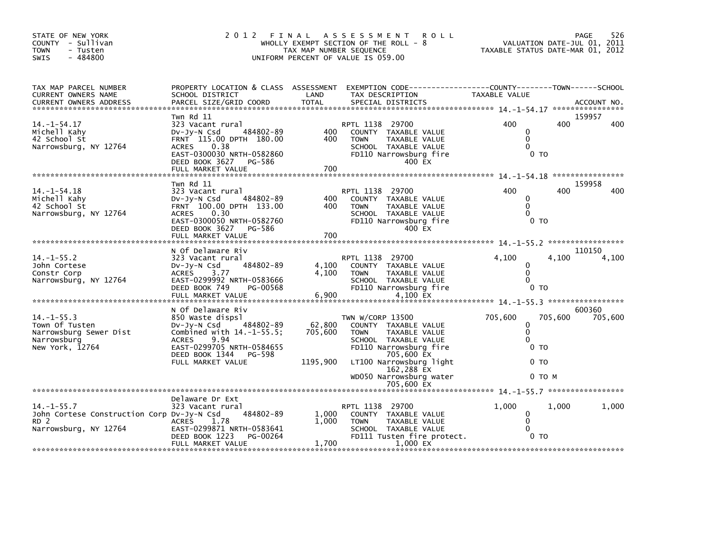| STATE OF NEW YORK<br>COUNTY - Sullivan<br>TOWN<br>- Tusten<br>$-484800$<br>SWIS                            |                                                                                                                                                                                                   | TAX MAP NUMBER SEQUENCE       | 2012 FINAL ASSESSMENT<br><b>ROLL</b><br>WHOLLY EXEMPT SECTION OF THE ROLL - 8<br>UNIFORM PERCENT OF VALUE IS 059.00                                                                                                        | VALUATION DATE-JUL 01, 2011<br>TAXABLE STATUS DATE-MAR 01, 2012                           |                   | 526<br>PAGE       |
|------------------------------------------------------------------------------------------------------------|---------------------------------------------------------------------------------------------------------------------------------------------------------------------------------------------------|-------------------------------|----------------------------------------------------------------------------------------------------------------------------------------------------------------------------------------------------------------------------|-------------------------------------------------------------------------------------------|-------------------|-------------------|
| TAX MAP PARCEL NUMBER<br>CURRENT OWNERS NAME                                                               | SCHOOL DISTRICT                                                                                                                                                                                   | LAND                          | PROPERTY LOCATION & CLASS ASSESSMENT EXEMPTION CODE---------------COUNTY-------TOWN------SCHOOL<br>TAX DESCRIPTION                                                                                                         | TAXABLE VALUE                                                                             |                   |                   |
| $14. - 1 - 54.17$<br>Michell Kahy<br>42 School St<br>Narrowsburg, NY 12764                                 | Twn Rd 11<br>323 Vacant rural<br>DV-Jy-N Csd 484802-89<br>FRNT 115.00 DPTH 180.00<br>ACRES<br>0.38<br>EAST-0300030 NRTH-0582860<br>DEED BOOK 3627 PG-586<br>FULL MARKET VALUE                     | 400<br>400<br>700             | RPTL 1138 29700<br>COUNTY TAXABLE VALUE<br><b>TOWN</b><br>TAXABLE VALUE<br>SCHOOL TAXABLE VALUE<br>FD110 Narrowsburg fire<br>400 EX                                                                                        | 400<br>$\mathbf{0}$<br>$\mathbf{0}$<br>$\Omega$<br>0 <sub>T</sub>                         | 400               | 159957<br>400     |
| $14. - 1 - 54.18$<br>Michell Kahy<br>42 School St<br>Narrowsburg, NY 12764                                 | Twn Rd 11<br>323 Vacant rural<br>484802-89<br>DV-Jy-N Csd<br>FRNT 100.00 DPTH 133.00<br>ACRES 0.30<br>EAST-0300050 NRTH-0582760<br>DEED BOOK 3627 PG-586<br>FULL MARKET VALUE                     | 400<br>400<br>700             | RPTL 1138 29700<br>COUNTY TAXABLE VALUE<br><b>TOWN</b><br>TAXABLE VALUE<br>SCHOOL TAXABLE VALUE<br>FD110 Narrowsburg fire<br>400 EX                                                                                        | 400<br>$\mathbf{0}$<br>$\mathbf{0}$<br>$\Omega$<br>0 <sub>T</sub>                         | 400               | 159958<br>400     |
| $14. -1 - 55.2$<br>John Cortese<br>Constr Corp<br>Narrowsburg, NY 12764                                    | N Of Delaware Riv<br>323 Vacant rural<br>484802-89<br>DV-JY-N Csd<br>ACRES 3.77<br>EAST-0299992 NRTH-0583666<br>DEED BOOK 749<br>PG-00568                                                         | 4,100<br>4,100                | RPTL 1138 29700<br>COUNTY TAXABLE VALUE<br><b>TOWN</b><br>TAXABLE VALUE<br>SCHOOL TAXABLE VALUE<br>FD110 Narrowsburg fire                                                                                                  | 4,100<br>0<br>$\mathbf{0}$<br>$\Omega$<br>0 <sub>T</sub>                                  | 4,100             | 110150<br>4,100   |
| $14. -1 - 55.3$<br>Town Of Tusten<br>Narrowsburg Sewer Dist<br>Narrowsburg<br>New York, 12764              | N Of Delaware Riv<br>850 Waste dispsl<br>DV-Jy-N Csd 484802-89<br>Combined with $14.-1-55.5$ ;<br><b>ACRES</b><br>9.94<br>EAST-0299705 NRTH-0584655<br>DEED BOOK 1344 PG-598<br>FULL MARKET VALUE | 62,800<br>705,600<br>1195,900 | TWN W/CORP 13500<br>COUNTY TAXABLE VALUE<br>TAXABLE VALUE<br><b>TOWN</b><br>SCHOOL TAXABLE VALUE<br>FD110 Narrowsburg fire<br>705,600 EX<br>LT100 Narrowsburg light<br>162,288 EX<br>WD050 Narrowsburg water<br>705,600 EX | 705,600<br>$\mathbf 0$<br>$\mathbf 0$<br>$\mathbf{0}$<br>0 <sub>T</sub><br>0 <sub>T</sub> | 705,600<br>0 то м | 600360<br>705,600 |
|                                                                                                            |                                                                                                                                                                                                   |                               |                                                                                                                                                                                                                            |                                                                                           |                   |                   |
| $14. - 1 - 55.7$<br>John Cortese Construction Corp Dv-Jy-N Csd<br>RD <sub>2</sub><br>Narrowsburg, NY 12764 | Delaware Dr Ext<br>323 Vacant rural<br>484802-89<br>ACRES 1.78<br>EAST-0299871 NRTH-0583641<br>PG-00264<br>DEED BOOK 1223<br>FULL MARKET VALUE                                                    | 1,000<br>1.000<br>1,700       | RPTL 1138 29700<br>COUNTY TAXABLE VALUE<br><b>TOWN</b><br>TAXABLE VALUE<br>SCHOOL TAXABLE VALUE<br>FD111 Tusten fire protect.<br>1.000 EX                                                                                  | 1,000<br>$\mathbf 0$<br>$\mathbf 0$<br>$\Omega$<br>0 <sub>T</sub>                         | 1.000             | 1,000             |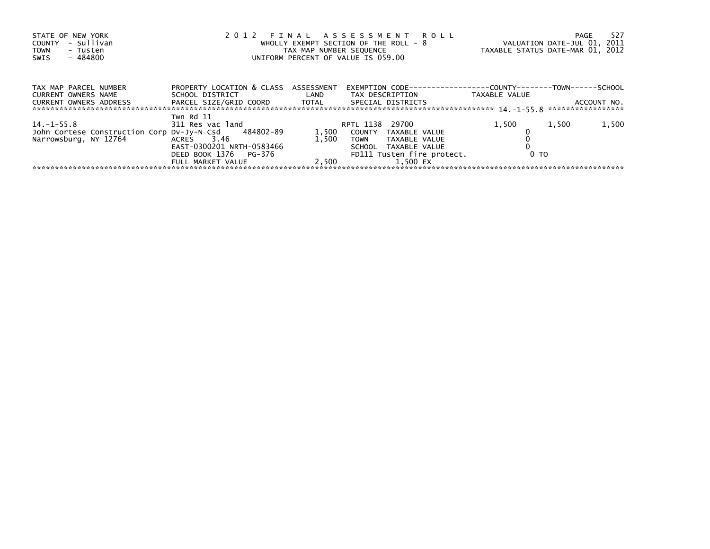| STATE OF NEW YORK<br>- Sullivan<br>COUNTY<br>TOWN<br>- Tusten<br>- 484800<br>SWIS            | 2012 FINAL ASSESSMENT ROLL<br>WHOLLY EXEMPT SECTION OF THE ROLL - 8<br>TAX MAP NUMBER SEQUENCE<br>UNIFORM PERCENT OF VALUE IS 059.00 |                         |                                                                                                                                              | -527<br>PAGE<br>VALUATION DATE-JUL 01, 2011<br>TAXABLE STATUS DATE-MAR 01, 2012 |                                  |  |
|----------------------------------------------------------------------------------------------|--------------------------------------------------------------------------------------------------------------------------------------|-------------------------|----------------------------------------------------------------------------------------------------------------------------------------------|---------------------------------------------------------------------------------|----------------------------------|--|
| TAX MAP PARCEL NUMBER<br>CURRENT OWNERS NAME<br>CURRENT OWNERS ADDRESS                       | PROPERTY LOCATION & CLASS ASSESSMENT<br>SCHOOL DISTRICT                                                                              | <b>Example 12</b>       | EXEMPTION        CODE-----------------COUNTY--------TOWN------SCHOOL<br>TAX DESCRIPTION                                                      | TAXABLE VALUE                                                                   | ACCOUNT NO.<br>***************** |  |
| 14. –1–55.8<br>John Cortese Construction Corp Dv-Jy-N Csd 484802-89<br>Narrowsburg, NY 12764 | Twn Rd 11<br>311 Res vac land<br>ACRES 3.46<br>EAST-0300201 NRTH-0583466<br>DEED BOOK 1376 PG-376<br>FULL MARKET VALUE               | 1,500<br>1.500<br>2.500 | RPTL 1138<br>29700<br>COUNTY TAXABLE VALUE<br><b>TOWN</b><br>TAXABLE VALUE<br>SCHOOL TAXABLE VALUE<br>FD111 Tusten fire protect.<br>1.500 EX | 1,500<br>0 <sub>T</sub>                                                         | 1,500<br>1,500                   |  |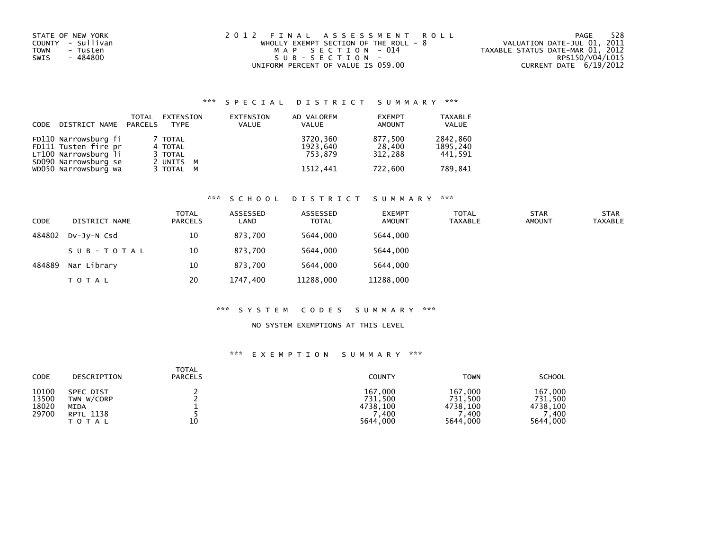| STATE OF NEW YORK       | 2012 FINAL ASSESSMENT ROLL              | 528<br>PAGE                      |
|-------------------------|-----------------------------------------|----------------------------------|
| COUNTY - Sullivan       | WHOLLY EXEMPT SECTION OF THE ROLL - $8$ | VALUATION DATE-JUL 01, 2011      |
| <b>TOWN</b><br>- Tusten | MAP SECTION - 014                       | TAXABLE STATUS DATE-MAR 01, 2012 |
| - 484800<br>SWIS        | SUB-SECTION-                            | RPS150/V04/L015                  |
|                         | UNIFORM PERCENT OF VALUE IS 059.00      | CURRENT DATE 6/19/2012           |

| CODE | DISTRICT NAME PARCELS | TOTAL | EXTENSION<br>TYPE | EXTENSION<br><b>VALUE</b> | AD VALOREM<br>VALUE | <b>EXEMPT</b><br><b>AMOUNT</b> | <b>TAXABLE</b><br><b>VALUE</b> |
|------|-----------------------|-------|-------------------|---------------------------|---------------------|--------------------------------|--------------------------------|
|      | FD110 Narrowsburg fi  |       | 7 TOTAL           |                           | 3720,360            | 877,500                        | 2842,860                       |
|      | FD111 Tusten fire pr  |       | 4 TOTAL           |                           | 1923.640            | 28,400                         | 1895.240                       |
|      | LT100 Narrowsburg li  |       | 3 TOTAL           |                           | 753.879             | 312.288                        | 441,591                        |
|      | SD090 Narrowsburg se  |       | 2 UNITS M         |                           |                     |                                |                                |
|      | WD050 Narrowsburg wa  |       | 3 TOTAL M         |                           | 1512,441            | 722,600                        | 789.841                        |

# \*\*\* S C H O O L D I S T R I C T S U M M A R Y \*\*\*

| <b>CODE</b> | DISTRICT NAME | TOTAL<br><b>PARCELS</b> | ASSESSED<br>LAND | ASSESSED<br><b>TOTAL</b> | <b>EXEMPT</b><br><b>AMOUNT</b> | <b>TOTAL</b><br>TAXABLE | <b>STAR</b><br><b>AMOUNT</b> | <b>STAR</b><br><b>TAXABLE</b> |
|-------------|---------------|-------------------------|------------------|--------------------------|--------------------------------|-------------------------|------------------------------|-------------------------------|
| 484802      | DV-JY-N Csd   | 10                      | 873.700          | 5644.000                 | 5644.000                       |                         |                              |                               |
|             | SUB-TOTAL     | 10                      | 873.700          | 5644.000                 | 5644,000                       |                         |                              |                               |
| 484889      | Nar Library   | 10                      | 873.700          | 5644.000                 | 5644.000                       |                         |                              |                               |
|             | <b>TOTAL</b>  | 20                      | 1747.400         | 11288,000                | 11288,000                      |                         |                              |                               |

# \*\*\* S Y S T E M C O D E S S U M M A R Y \*\*\*

#### NO SYSTEM EXEMPTIONS AT THIS LEVEL

| CODE                             | DESCRIPTION                                                         | <b>TOTAL</b><br><b>PARCELS</b> | <b>COUNTY</b>                                      | <b>TOWN</b>                                          | <b>SCHOOL</b>                                      |
|----------------------------------|---------------------------------------------------------------------|--------------------------------|----------------------------------------------------|------------------------------------------------------|----------------------------------------------------|
| 10100<br>13500<br>18020<br>29700 | <b>SPEC DIST</b><br>TWN W/CORP<br>MIDA<br><b>RPTL 1138</b><br>ΤΟΤΑΙ | 10                             | 167,000<br>731.500<br>4738,100<br>,400<br>5644,000 | 167,000<br>731,500<br>4738.100<br>400. '<br>5644,000 | 167,000<br>731.500<br>4738,100<br>.400<br>5644,000 |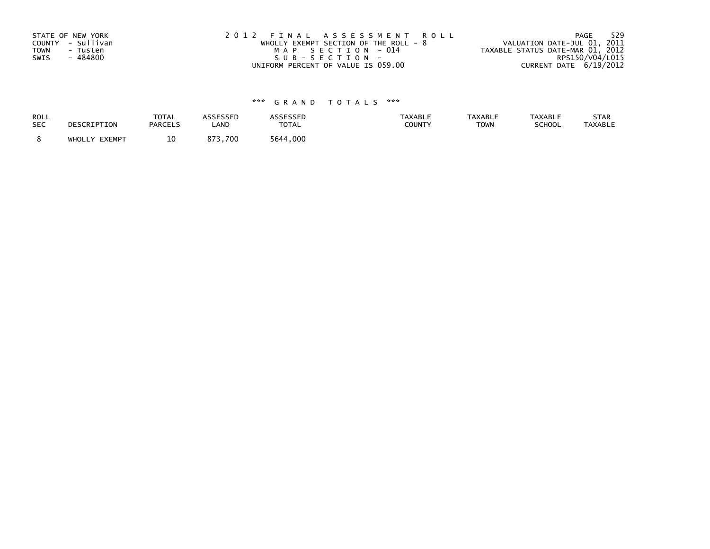| STATE OF NEW YORK       | 2012 FINAL ASSESSMENT ROLL            | 529<br>PAGE                      |
|-------------------------|---------------------------------------|----------------------------------|
| COUNTY - Sullivan       | WHOLLY EXEMPT SECTION OF THE ROLL - 8 | VALUATION DATE-JUL 01, 2011      |
| <b>TOWN</b><br>- Tusten | MAP SECTION - 014                     | TAXABLE STATUS DATE-MAR 01, 2012 |
| - 484800<br>SWIS        | SUB-SECTION-                          | RPS150/V04/L015                  |
|                         | UNIFORM PERCENT OF VALUE IS 059.00    | CURRENT DATE 6/19/2012           |

| ROLL       | DESCRIPTION   | <b>TOTAL</b>   | ASSESSED | <b>ASSESSED</b> | <b>TAXABLE</b> | <b>TAXABLE</b> | <b>TAXABLE</b> | STAR           |
|------------|---------------|----------------|----------|-----------------|----------------|----------------|----------------|----------------|
| <b>SEC</b> |               | <b>PARCELS</b> | LAND     | <b>TOTAL</b>    | COUNTY         | <b>TOWN</b>    | SCHOOL         | <b>TAXABLE</b> |
|            | WHOLLY EXEMPT | 10             | 873.700  | 5644.000        |                |                |                |                |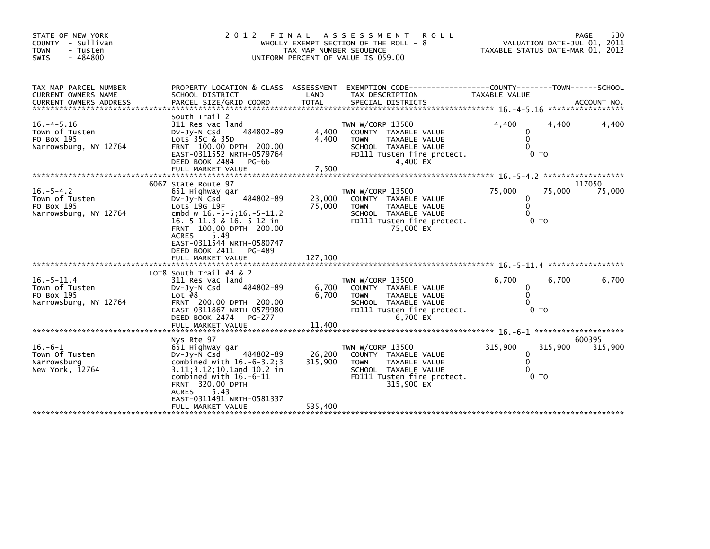| STATE OF NEW YORK<br>COUNTY - Sullivan<br><b>TOWN</b><br>- Tusten<br>$-484800$<br>SWIS | 2 0 1 2<br>FINAL<br>WHOLLY EXEMPT SECTION OF THE ROLL - 8<br>TAX MAP NUMBER SEQUENCE<br>UNIFORM PERCENT OF VALUE IS 059.00                                                                                                                                                         | 530<br>PAGE<br>VALUATION DATE-JUL 01, 2011<br>TAXABLE STATUS DATE-MAR 01, 2012 |                                                                                                                                                     |                                                               |                              |
|----------------------------------------------------------------------------------------|------------------------------------------------------------------------------------------------------------------------------------------------------------------------------------------------------------------------------------------------------------------------------------|--------------------------------------------------------------------------------|-----------------------------------------------------------------------------------------------------------------------------------------------------|---------------------------------------------------------------|------------------------------|
| TAX MAP PARCEL NUMBER<br>CURRENT OWNERS NAME                                           | PROPERTY LOCATION & CLASS ASSESSMENT<br>SCHOOL DISTRICT                                                                                                                                                                                                                            | LAND                                                                           | TAX DESCRIPTION                                                                                                                                     | TAXABLE VALUE                                                 |                              |
| $16. -4 - 5.16$<br>Town of Tusten<br>PO Box 195<br>Narrowsburg, NY 12764               | South Trail 2<br>311 Res vac land<br>484802-89<br>$Dv-Jy-N$ Csd<br>Lots 35C & 35D<br>FRNT 100.00 DPTH 200.00<br>EAST-0311552 NRTH-0579764<br>DEED BOOK 2484<br>PG-66<br>FULL MARKET VALUE                                                                                          | 4,400<br>4,400<br>7,500                                                        | TWN W/CORP 13500<br>COUNTY TAXABLE VALUE<br><b>TOWN</b><br>TAXABLE VALUE<br>SCHOOL TAXABLE VALUE<br>FD111 Tusten fire protect.<br>4,400 EX          | 4,400<br>0<br>0<br>$\Omega$<br>0 <sub>T</sub>                 | 4,400<br>4,400               |
| $16. - 5 - 4.2$<br>Town of Tusten<br>PO Box 195<br>Narrowsburg, NY 12764               | 6067 State Route 97<br>651 Highway gar<br>484802-89<br>$Dv-Jy-N$ Csd<br>Lots 19G 19F<br>cmbd w 16.-5-5;16.-5-11.2<br>$16.-5-11.3$ & $16.-5-12$ in<br>FRNT 100.00 DPTH 200.00<br>5.49<br><b>ACRES</b><br>EAST-0311544 NRTH-0580747<br>DEED BOOK 2411<br>PG-489<br>FULL MARKET VALUE | 23,000<br>75,000<br>127,100                                                    | TWN W/CORP 13500<br>COUNTY TAXABLE VALUE<br>TAXABLE VALUE<br><b>TOWN</b><br>SCHOOL TAXABLE VALUE<br>FD111 Tusten fire protect.<br>75,000 EX         | 75,000<br>0<br>0<br>$\Omega$<br>0 TO                          | 117050<br>75,000<br>75,000   |
| $16 - 5 - 11.4$<br>Town of Tusten<br>PO Box 195<br>Narrowsburg, NY 12764               | LOT8 South Trail #4 & 2<br>311 Res vac land<br>$Dv-Jv-N$ Csd<br>484802-89<br>Lot $#8$<br>FRNT 200.00 DPTH 200.00<br>EAST-0311867 NRTH-0579980<br>DEED BOOK 2474<br>PG-277                                                                                                          | 6,700<br>6,700                                                                 | TWN W/CORP 13500<br>COUNTY TAXABLE VALUE<br><b>TAXABLE VALUE</b><br><b>TOWN</b><br>SCHOOL TAXABLE VALUE<br>FD111 Tusten fire protect.<br>$6.700$ EX | 6.700<br>0<br>$\mathbf{0}$<br>$\Omega$<br>0 <sub>T</sub>      | 6,700<br>6,700               |
| $16. -6 - 1$<br>Town Of Tusten<br>Narrowsburg<br>New York, 12764                       | Nys Rte 97<br>651 Highway gar<br>$Dv-Jv-N$ Csd<br>484802-89<br>combined with $16.-6-3.2;3$<br>3.11; 3.12; 10.1 and 10.2 in<br>combined with $16.-6-11$<br><b>FRNT 320.00 DPTH</b><br>5.43<br><b>ACRES</b><br>EAST-0311491 NRTH-0581337<br>FULL MARKET VALUE                        | 26,200<br>315,900<br>535,400                                                   | TWN W/CORP 13500<br>COUNTY TAXABLE VALUE<br><b>TAXABLE VALUE</b><br><b>TOWN</b><br>SCHOOL TAXABLE VALUE<br>FD111 Tusten fire protect.<br>315,900 EX | 315,900<br>$\Omega$<br>$\Omega$<br>$\Omega$<br>0 <sub>T</sub> | 600395<br>315,900<br>315,900 |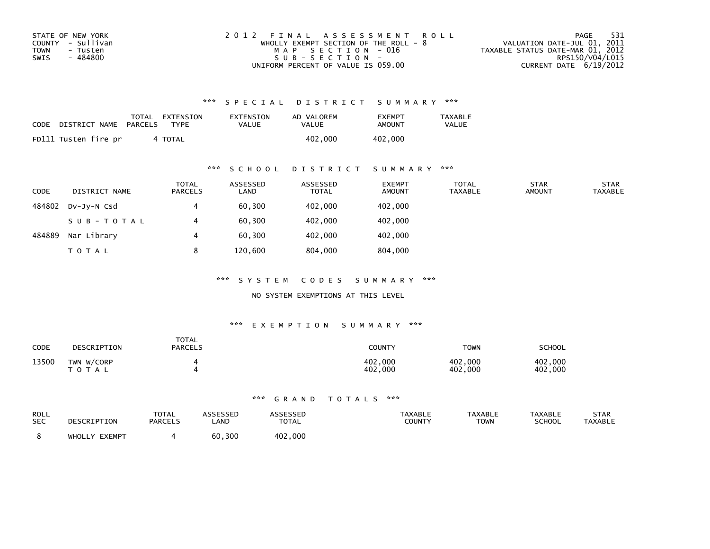| STATE OF NEW YORK | 2012 FINAL ASSESSMENT ROLL              | - 531<br>PAGE                    |
|-------------------|-----------------------------------------|----------------------------------|
| COUNTY - Sullivan | WHOLLY EXEMPT SECTION OF THE ROLL - $8$ | VALUATION DATE-JUL 01, 2011      |
| TOWN<br>- Tusten  | MAP SECTION - 016                       | TAXABLE STATUS DATE-MAR 01, 2012 |
| - 484800<br>SWIS  | SUB-SECTION-                            | RPS150/V04/L015                  |
|                   | UNIFORM PERCENT OF VALUE IS 059.00      | CURRENT DATE 6/19/2012           |

| CODE | DISTRICT NAME        | PARCELS | TOTAL EXTENSION<br><b>TYPF</b> | EXTENSION<br>VALUE | AD VALOREM<br><b>VALUE</b> | <b>EXEMPT</b><br>AMOUNT | TAXABLE<br><b>VALUE</b> |
|------|----------------------|---------|--------------------------------|--------------------|----------------------------|-------------------------|-------------------------|
|      | FD111 Tusten fire pr |         | 4 TOTAL                        |                    | 402,000                    | 402,000                 |                         |

### \*\*\* S C H O O L D I S T R I C T S U M M A R Y \*\*\*

| <b>CODE</b> | DISTRICT NAME | <b>TOTAL</b><br>PARCELS | ASSESSED<br>LAND | ASSESSED<br><b>TOTAL</b> | <b>EXEMPT</b><br><b>AMOUNT</b> | TOTAL<br><b>TAXABLE</b> | <b>STAR</b><br><b>AMOUNT</b> | <b>STAR</b><br><b>TAXABLE</b> |
|-------------|---------------|-------------------------|------------------|--------------------------|--------------------------------|-------------------------|------------------------------|-------------------------------|
| 484802      | DV-JV-N Csd   | 4                       | 60,300           | 402,000                  | 402,000                        |                         |                              |                               |
|             | SUB-TOTAL     | 4                       | 60,300           | 402,000                  | 402,000                        |                         |                              |                               |
| 484889      | Nar Library   | 4                       | 60,300           | 402,000                  | 402,000                        |                         |                              |                               |
|             | T O T A L     | 8                       | 120,600          | 804,000                  | 804,000                        |                         |                              |                               |

\*\*\* S Y S T E M C O D E S S U M M A R Y \*\*\*

NO SYSTEM EXEMPTIONS AT THIS LEVEL

#### \*\*\* E X E M P T I O N S U M M A R Y \*\*\*

| <b>CODE</b> | DESCRIPTION                | <b>TOTAL</b><br><b>PARCELS</b> | COUNTY                      | TOWN               | <b>SCHOOL</b>      |
|-------------|----------------------------|--------------------------------|-----------------------------|--------------------|--------------------|
| 13500       | TWN W/CORP<br><b>TOTAL</b> |                                | .000<br>402.<br>.000<br>402 | 402,000<br>402,000 | 402,000<br>402,000 |

| ROLL<br><b>SEC</b> | DESCRIPTION   | <b>TOTAL</b><br><b>PARCELS</b> | <b>\SSESSED</b><br>LAND | <b>\SSESSED</b><br><b>TOTAL</b> | <b>TAXABLE</b><br>COUNTY | <b>TAXABLE</b><br>TOWN | <b>TAXABLE</b><br><b>SCHOOL</b> | <b>STAR</b><br><b>TAXABLE</b> |
|--------------------|---------------|--------------------------------|-------------------------|---------------------------------|--------------------------|------------------------|---------------------------------|-------------------------------|
|                    | WHOLLY EXEMPT |                                | 60,300                  | 402,000                         |                          |                        |                                 |                               |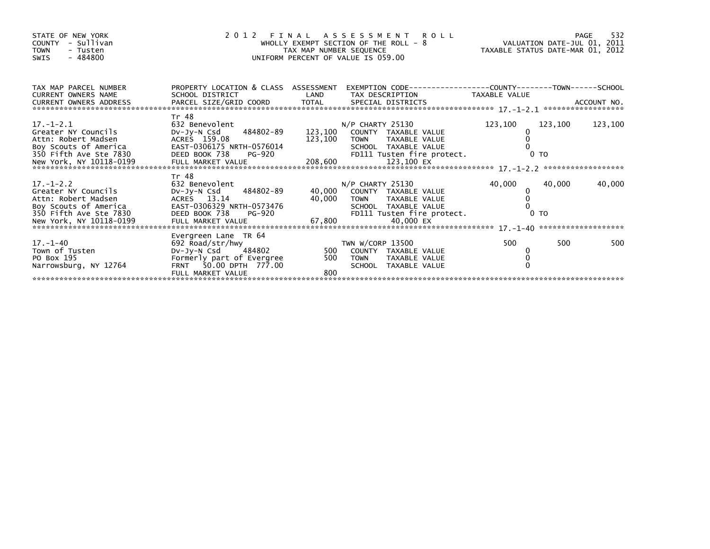| STATE OF NEW YORK<br>COUNTY - Sullivan<br><b>TOWN</b><br>- Tusten<br>$-484800$<br><b>SWIS</b>                                                                                                                                                                                                       |                                                                                                                                            |            | 2012 FINAL ASSESSMENT ROLL<br>WHOLLY EXEMPT SECTION OF THE ROLL - 8 VALUATION DATE-JUL 01, 2011<br>TAX MAP NUMBER SEQUENCE TAXIS DATE-MAR 01, 2012<br>UNIFORM PERCENT OF VALUE IS 059.00 |         |         | 532<br><b>PAGE</b> |
|-----------------------------------------------------------------------------------------------------------------------------------------------------------------------------------------------------------------------------------------------------------------------------------------------------|--------------------------------------------------------------------------------------------------------------------------------------------|------------|------------------------------------------------------------------------------------------------------------------------------------------------------------------------------------------|---------|---------|--------------------|
| TAX MAP PARCEL NUMBER<br><b>CURRENT OWNERS NAME</b>                                                                                                                                                                                                                                                 | SCHOOL DISTRICT                                                                                                                            | LAND       | PROPERTY LOCATION & CLASS ASSESSMENT EXEMPTION CODE----------------COUNTY-------TOWN------SCHOOL<br>TAX DESCRIPTION TAXABLE VALUE                                                        |         |         |                    |
| $17. - 1 - 2.1$<br>Greater NY Councils<br>Attn: Robert Madsen<br>Boy Scouts of America                                                                                                                                                                                                              | Tr 48<br>632 Benevolent<br>484802-89<br>DV-JY-N Csd<br>ACRES 159.08<br>EAST-0306175<br>EAST-0306175 NRTH-0576014                           | 123,100    | $N/P$ CHARTY 25130<br>123,100 COUNTY TAXABLE VALUE<br>TOWN TAXABLE VALUE<br>SCHOOL TAXABLE VALUE                                                                                         | 123,100 | 123,100 | 123,100            |
| $17. - 1 - 2.2$<br>Greater NY Councils<br>Attn: Robert Madsen<br>A CONSIDENT AND TRIVE OF A CONSISTENT OF THE CONSISTING OF THE CONSISTING OF A CONSISTING COLLS OF A METICA CO<br>SO FIFT AVE SEE 7830 DEED BOOK 738 PG-920 FD111 Tusten fire protect. 0 TO<br>New York, NY 10118-0199 FULL MARKET | Tr 48<br>632 Benevolent<br>Dv-Jy-N Csd 484802-89<br>ACRES 13.14                                                                            | 40,000     | $N/P$ CHARTY 25130<br>40,000 COUNTY TAXABLE VALUE<br><b>TOWN</b><br>TAXABLE VALUE                                                                                                        | 40,000  | 40,000  | 40,000             |
| $17. - 1 - 40$<br>Town of Tusten<br>PO Box 195<br>Narrowsburg, NY 12764                                                                                                                                                                                                                             | Evergreen Lane TR 64<br>692 Road/str/hwy<br>DV-Jy-N Csd 484802<br>Formerly part of Evergree<br>FRNT 50.00 DPTH 777.00<br>FULL MARKET VALUE | 500<br>800 | TWN W/CORP 13500<br>500 COUNTY TAXABLE VALUE<br>TAXABLE VALUE<br><b>TOWN</b><br>SCHOOL TAXABLE VALUE                                                                                     | 500     | 500     | 500                |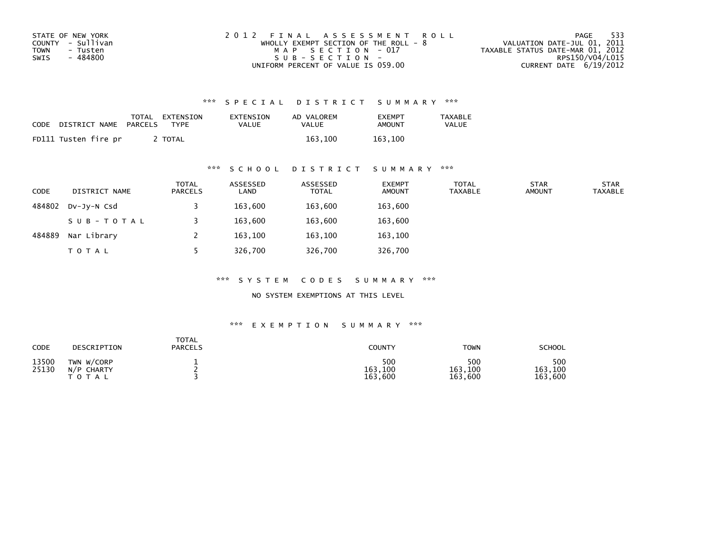| STATE OF NEW YORK | 2012 FINAL ASSESSMENT ROLL              | - 533<br>PAGE                    |
|-------------------|-----------------------------------------|----------------------------------|
| COUNTY - Sullivan | WHOLLY EXEMPT SECTION OF THE ROLL - $8$ | VALUATION DATE-JUL 01, 2011      |
| TOWN<br>- Tusten  | MAP SECTION - 017                       | TAXABLE STATUS DATE-MAR 01, 2012 |
| - 484800<br>SWIS  | $SUB - SECTION -$                       | RPS150/V04/L015                  |
|                   | UNIFORM PERCENT OF VALUE IS 059.00      | CURRENT DATE 6/19/2012           |

| CODE | DISTRICT NAME        | TOTAL<br>PARCELS | EXTENSION<br>TYPF | EXTENSION<br>VALUE | AD VALOREM<br>VALUE | <b>EXEMPT</b><br>AMOUNT | TAXABLE<br><b>VALUE</b> |
|------|----------------------|------------------|-------------------|--------------------|---------------------|-------------------------|-------------------------|
|      | FD111 Tusten fire pr |                  | <b>TOTAL</b>      |                    | 163.100             | 163.100                 |                         |

### \*\*\* S C H O O L D I S T R I C T S U M M A R Y \*\*\*

| CODE   | DISTRICT NAME | <b>TOTAL</b><br><b>PARCELS</b> | ASSESSED<br>LAND | ASSESSED<br><b>TOTAL</b> | <b>EXEMPT</b><br><b>AMOUNT</b> | <b>TOTAL</b><br><b>TAXABLE</b> | <b>STAR</b><br><b>AMOUNT</b> | <b>STAR</b><br><b>TAXABLE</b> |
|--------|---------------|--------------------------------|------------------|--------------------------|--------------------------------|--------------------------------|------------------------------|-------------------------------|
| 484802 | DV-JY-N Csd   |                                | 163,600          | 163,600                  | 163,600                        |                                |                              |                               |
|        | SUB-TOTAL     |                                | 163,600          | 163,600                  | 163,600                        |                                |                              |                               |
| 484889 | Nar Library   |                                | 163,100          | 163,100                  | 163,100                        |                                |                              |                               |
|        | <b>TOTAL</b>  |                                | 326,700          | 326,700                  | 326,700                        |                                |                              |                               |

\*\*\* S Y S T E M C O D E S S U M M A R Y \*\*\*

NO SYSTEM EXEMPTIONS AT THIS LEVEL

| CODE           | DESCRIPTION                                | TOTAL<br><b>PARCELS</b> | <b>COUNTY</b>             | <b>TOWN</b>               | <b>SCHOOL</b>             |
|----------------|--------------------------------------------|-------------------------|---------------------------|---------------------------|---------------------------|
| 13500<br>25130 | TWN W/CORP<br>$N/P$ CHARTY<br><b>TOTAL</b> |                         | 500<br>163,100<br>163,600 | 500<br>163,100<br>163,600 | 500<br>163,100<br>163,600 |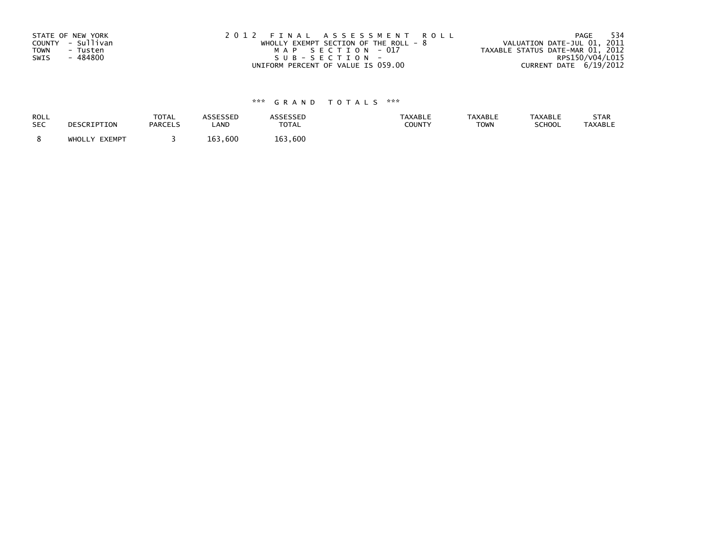| STATE OF NEW YORK       | 2012 FINAL ASSESSMENT ROLL              | - 534<br>PAGE                    |
|-------------------------|-----------------------------------------|----------------------------------|
| COUNTY - Sullivan       | WHOLLY EXEMPT SECTION OF THE ROLL - $8$ | VALUATION DATE-JUL 01, 2011      |
| <b>TOWN</b><br>- Tusten | MAP SECTION - 017                       | TAXABLE STATUS DATE-MAR 01, 2012 |
| - 484800<br>SWIS        | SUB-SECTION-                            | RPS150/V04/L015                  |
|                         | UNIFORM PERCENT OF VALUE IS 059.00      | CURRENT DATE 6/19/2012           |

| ROLL       | DESCRIPTION   | <b>TOTAL</b>   | ASSESSED | <b>ASSESSED</b> | <b>TAXABLE</b> | <b>TAXABLE</b> | <b>TAXABLE</b> | STAR           |
|------------|---------------|----------------|----------|-----------------|----------------|----------------|----------------|----------------|
| <b>SEC</b> |               | <b>PARCELS</b> | LAND     | <b>TOTAL</b>    | COUNTY         | <b>TOWN</b>    | SCHOOL         | <b>TAXABLE</b> |
|            | WHOLLY EXEMPT |                | 163,600  | 163.600         |                |                |                |                |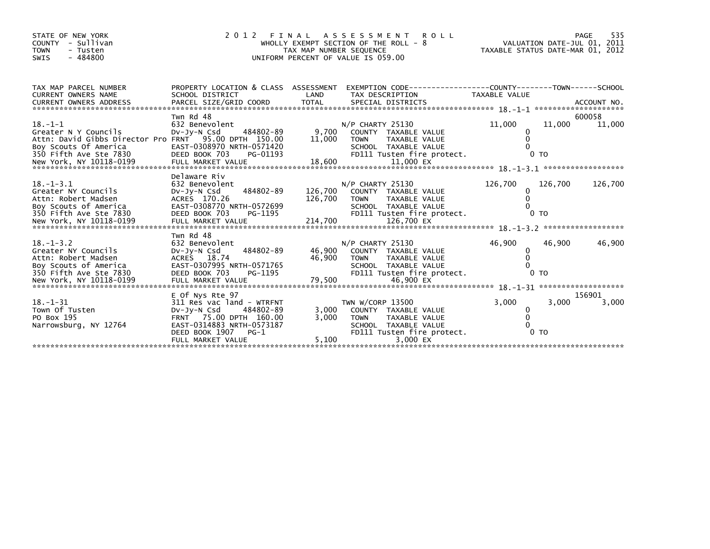| STATE OF NEW YORK<br>- Sullivan<br>COUNTY<br><b>TOWN</b><br>- Tusten<br>$-484800$<br>SWIS                                                         |                                                                                                                                                                                  | TAX MAP NUMBER SEQUENCE | 2012 FINAL ASSESSMENT<br><b>ROLL</b><br>WHOLLY EXEMPT SECTION OF THE ROLL - 8<br>UNIFORM PERCENT OF VALUE IS 059.00                        | PAGE 535<br>VALUATION DATE-JUL 01, 2011<br>TAXABLE STATUS DATE 119 01 |                           |                  |
|---------------------------------------------------------------------------------------------------------------------------------------------------|----------------------------------------------------------------------------------------------------------------------------------------------------------------------------------|-------------------------|--------------------------------------------------------------------------------------------------------------------------------------------|-----------------------------------------------------------------------|---------------------------|------------------|
| TAX MAP PARCEL NUMBER<br><b>CURRENT OWNERS NAME</b>                                                                                               | PROPERTY LOCATION & CLASS ASSESSMENT<br>SCHOOL DISTRICT                                                                                                                          | LAND                    | EXEMPTION CODE-----------------COUNTY-------TOWN------SCHOOL<br>TAX DESCRIPTION                                                            | <b>TAXABLE VALUE</b>                                                  |                           |                  |
| $18. - 1 - 1$<br>Greater N Y Councils<br>Attn: David Gibbs Director Pro FRNT 95.00 DPTH 150.00<br>Boy Scouts Of America<br>350 Fifth Ave Ste 7830 | Twn Rd 48<br>632 Benevolent<br>484802-89<br>DV-Jy-N Csd<br>EAST-0308970 NRTH-0571420<br>DEED BOOK 703<br>PG-01193                                                                | 9,700<br>11,000         | $N/P$ CHARTY 25130<br>COUNTY TAXABLE VALUE<br>TAXABLE VALUE<br><b>TOWN</b><br>SCHOOL TAXABLE VALUE<br>FD111 Tusten fire protect.           | 11,000<br>0                                                           | 11,000<br>0 <sub>T</sub>  | 600058<br>11,000 |
| $18. - 1 - 3.1$<br>Greater NY Councils<br>Attn: Robert Madsen<br>Boy Scouts of America<br>350 Fifth Ave Ste 7830                                  | Delaware Riv<br>632 Benevolent<br>484802-89<br>$Dv-Jy-N$ Csd<br>ACRES 170.26<br>EAST-0308770 NRTH-0572699<br>DEED BOOK 703<br>PG-1195                                            | 126,700                 | $N/P$ CHARTY 25130<br>126,700 COUNTY TAXABLE VALUE<br><b>TOWN</b><br>TAXABLE VALUE<br>SCHOOL TAXABLE VALUE<br>FD111 Tusten fire protect.   | 126,700<br>0                                                          | 126,700<br>0 <sub>T</sub> | 126,700          |
| $18. - 1 - 3.2$<br>Greater NY Councils<br>Attn: Robert Madsen<br>Boy Scouts of America<br>350 Fifth Ave Ste 7830                                  | Twn Rd 48<br>632 Benevolent<br>484802-89<br>DV-Jy-N Csd<br>ACRES 18.74<br>EAST-0307995 NRTH-0571765<br>DEED BOOK 703<br>PG-1195                                                  | 46,900<br>46,900        | $N/P$ CHARTY 25130<br>COUNTY TAXABLE VALUE<br><b>TOWN</b><br>TAXABLE VALUE<br>SCHOOL TAXABLE VALUE<br>FD111 Tusten fire protect.           | 46,900<br>0                                                           | 46,900<br>$0$ TO          | 46,900           |
| $18. - 1 - 31$<br>Town Of Tusten<br>PO Box 195<br>Narrowsburg, NY 12764                                                                           | E Of Nys Rte 97<br>311 Res vac land - WTRFNT<br>DV-Jy-N Csd<br>484802-89<br>FRNT 75.00 DPTH 160.00<br>EAST-0314883 NRTH-0573187<br>DEED BOOK 1907<br>$PG-1$<br>FULL MARKET VALUE | 3,000<br>3,000<br>5,100 | TWN W/CORP 13500<br>COUNTY TAXABLE VALUE<br><b>TOWN</b><br>TAXABLE VALUE<br>SCHOOL TAXABLE VALUE<br>FD111 Tusten fire protect.<br>3.000 EX | 3,000<br>0<br>$\Omega$                                                | 3,000<br>0 <sub>T</sub>   | 156901<br>3,000  |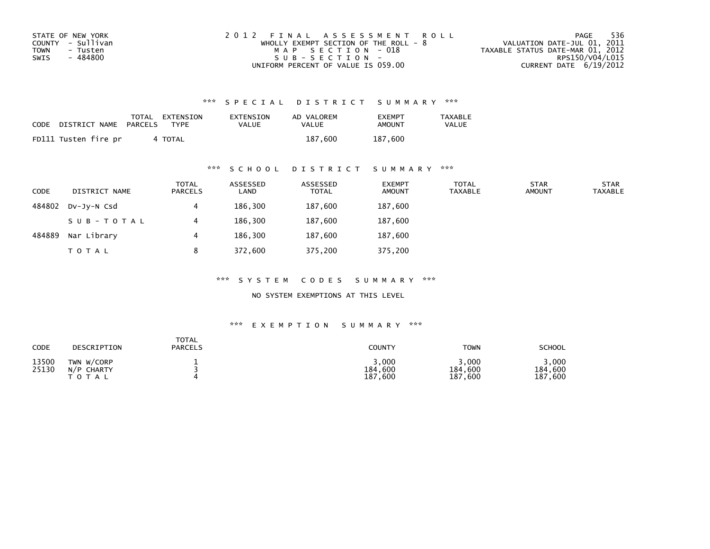| STATE OF NEW YORK | 2012 FINAL ASSESSMENT ROLL            | 536<br>PAGE                      |
|-------------------|---------------------------------------|----------------------------------|
| COUNTY - Sullivan | WHOLLY EXEMPT SECTION OF THE ROLL - 8 | VALUATION DATE-JUL 01, 2011      |
| TOWN<br>- Tusten  | MAP SECTION - 018                     | TAXABLE STATUS DATE-MAR 01, 2012 |
| - 484800<br>SWIS  | $SUB - SECTION -$                     | RPS150/V04/L015                  |
|                   | UNIFORM PERCENT OF VALUE IS 059.00    | CURRENT DATE $6/19/2012$         |

| <b>CODE</b> | DISTRICT NAME        | TOTAL<br>PARCELS | EXTENSION<br>TYPF | EXTENSION<br>VALUE | AD VALOREM<br>VALUE | <b>FXFMPT</b><br>AMOUNT | <b>TAXABLE</b><br><b>VALUE</b> |
|-------------|----------------------|------------------|-------------------|--------------------|---------------------|-------------------------|--------------------------------|
|             | FD111 Tusten fire pr |                  | 4 TOTAL           |                    | 187.600             | 187,600                 |                                |

### \*\*\* S C H O O L D I S T R I C T S U M M A R Y \*\*\*

| <b>CODE</b> | DISTRICT NAME | <b>TOTAL</b><br><b>PARCELS</b> | ASSESSED<br>LAND | ASSESSED<br><b>TOTAL</b> | <b>EXEMPT</b><br><b>AMOUNT</b> | TOTAL<br><b>TAXABLE</b> | <b>STAR</b><br><b>AMOUNT</b> | <b>STAR</b><br><b>TAXABLE</b> |
|-------------|---------------|--------------------------------|------------------|--------------------------|--------------------------------|-------------------------|------------------------------|-------------------------------|
| 484802      | DV-JY-N Csd   | 4                              | 186,300          | 187,600                  | 187,600                        |                         |                              |                               |
|             | SUB-TOTAL     | 4                              | 186,300          | 187,600                  | 187,600                        |                         |                              |                               |
| 484889      | Nar Library   | 4                              | 186,300          | 187,600                  | 187,600                        |                         |                              |                               |
|             | <b>TOTAL</b>  | 8                              | 372,600          | 375,200                  | 375,200                        |                         |                              |                               |

\*\*\* S Y S T E M C O D E S S U M M A R Y \*\*\*

NO SYSTEM EXEMPTIONS AT THIS LEVEL

| CODE           | DESCRIPTION                           | <b>TOTAL</b><br><b>PARCELS</b> | COUNTY                          | <b>TOWN</b>                                 | <b>SCHOOL</b>                  |
|----------------|---------------------------------------|--------------------------------|---------------------------------|---------------------------------------------|--------------------------------|
| 13500<br>25130 | TWN W/CORP<br>N/P CHARTY<br>T O T A L |                                | 3,000<br>184,600<br>,600<br>187 | 3,000<br>184,600<br>187.<br>$^{\circ}$ ,600 | .000<br>184,600<br>,600<br>187 |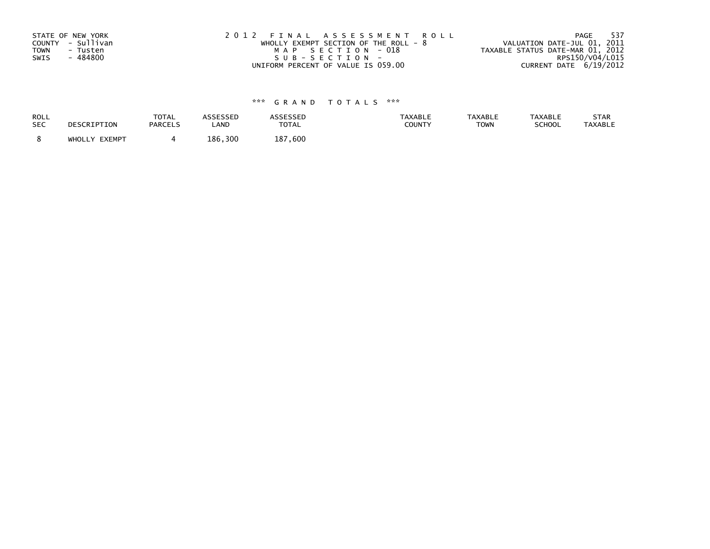| STATE OF NEW YORK       | 2012 FINAL ASSESSMENT ROLL            | 537<br>PAGE                      |
|-------------------------|---------------------------------------|----------------------------------|
| COUNTY - Sullivan       | WHOLLY EXEMPT SECTION OF THE ROLL - 8 | VALUATION DATE-JUL 01, 2011      |
| <b>TOWN</b><br>- Tusten | MAP SECTION - 018                     | TAXABLE STATUS DATE-MAR 01, 2012 |
| - 484800<br>SWIS        | SUB-SECTION-                          | RPS150/V04/L015                  |
|                         | UNIFORM PERCENT OF VALUE IS 059.00    | CURRENT DATE 6/19/2012           |

| ROLL       | DESCRIPTION   | <b>TOTAL</b>   | ASSESSED | <b>ASSESSED</b> | <b>TAXABLE</b> | <b>TAXABLE</b> | <b>TAXABLE</b> | STAR           |
|------------|---------------|----------------|----------|-----------------|----------------|----------------|----------------|----------------|
| <b>SEC</b> |               | <b>PARCELS</b> | LAND     | <b>TOTAL</b>    | COUNTY         | <b>TOWN</b>    | SCHOOL         | <b>TAXABLE</b> |
|            | WHOLLY EXEMPT |                | 186,300  | 187.600         |                |                |                |                |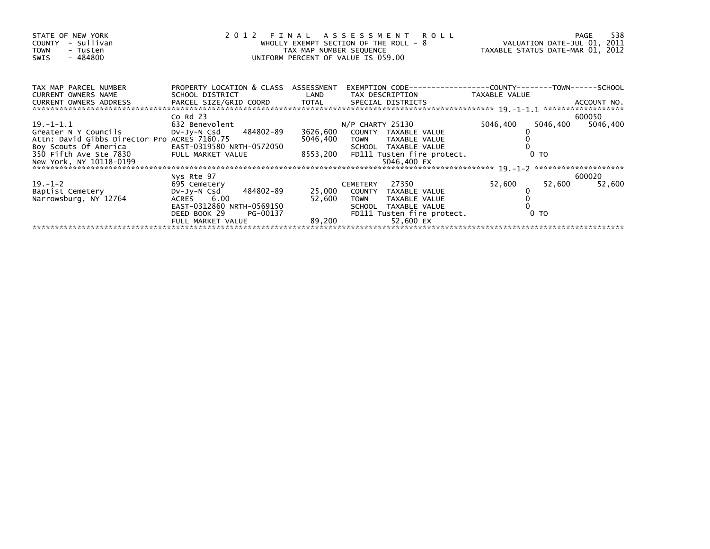| STATE OF NEW YORK<br>- Sullivan<br>COUNTY<br><b>TOWN</b><br>- Tusten<br>$-484800$<br>SWIS | 2012 FINAL ASSESSMENT ROLL<br>WHOLLY EXEMPT SECTION OF THE ROLL - 8<br>TAX MAP NUMBER SEQUENCE<br>UNIFORM PERCENT OF VALUE IS 059.00 | VALUATION DATE-JUL 01, 2011<br>TAXABLE STATUS DATE-MAR 01, 2012 | 538<br><b>PAGE</b>                                 |                      |                    |
|-------------------------------------------------------------------------------------------|--------------------------------------------------------------------------------------------------------------------------------------|-----------------------------------------------------------------|----------------------------------------------------|----------------------|--------------------|
| TAX MAP PARCEL NUMBER<br>CURRENT OWNERS NAME                                              | PROPERTY LOCATION & CLASS ASSESSMENT<br>SCHOOL DISTRICT                                                                              | LAND                                                            | TAX DESCRIPTION                                    | TAXABLE VALUE        |                    |
| CURRENT OWNERS ADDRESS                                                                    |                                                                                                                                      |                                                                 |                                                    |                      |                    |
| 19. –1–1.1                                                                                | $Co$ Rd $23$<br>632 Benevolent                                                                                                       |                                                                 | $N/P$ CHARTY 25130                                 | 5046,400<br>5046,400 | 600050<br>5046,400 |
| Greater N Y Councils<br>Attn: David Gibbs Director Pro ACRES 7160.75                      | DV-Jy-N Csd 484802-89                                                                                                                | 3626,600<br>5046,400                                            | COUNTY TAXABLE VALUE<br>TOWN TAXABLE VALUE         |                      |                    |
| Boy Scouts Of America                                                                     | EAST-0319580 NRTH-0572050                                                                                                            |                                                                 | SCHOOL TAXABLE VALUE                               |                      |                    |
| 350 Fifth Ave Ste 7830<br>New York, NY 10118-0199                                         | FULL MARKET VALUE                                                                                                                    |                                                                 | 8553,200 FD111 Tusten fire protect.<br>5046.400 EX | 0 <sub>T</sub>       |                    |
|                                                                                           |                                                                                                                                      |                                                                 |                                                    |                      |                    |
| $19. - 1 - 2$                                                                             | Nys Rte 97<br>695 Cemetery                                                                                                           |                                                                 | 27350<br><b>CEMETERY</b>                           | 52,600<br>52,600     | 600020<br>52,600   |
| Baptist Cemetery                                                                          | 484802-89<br>Dv-Jy-N Csd                                                                                                             | 25,000                                                          | COUNTY TAXABLE VALUE                               |                      |                    |
| Narrowsburg, NY 12764                                                                     | ACRES 6.00<br>EAST-0312860 NRTH-0569150                                                                                              | 52,600                                                          | TAXABLE VALUE<br>TOWN<br>SCHOOL TAXABLE VALUE      |                      |                    |
|                                                                                           | PG-00137<br>DEED BOOK 29                                                                                                             |                                                                 | FD111 Tusten fire protect.                         | 0 TO                 |                    |
|                                                                                           | FULL MARKET VALUE                                                                                                                    | 89.200                                                          | 52.600 EX                                          |                      |                    |
|                                                                                           |                                                                                                                                      |                                                                 |                                                    |                      |                    |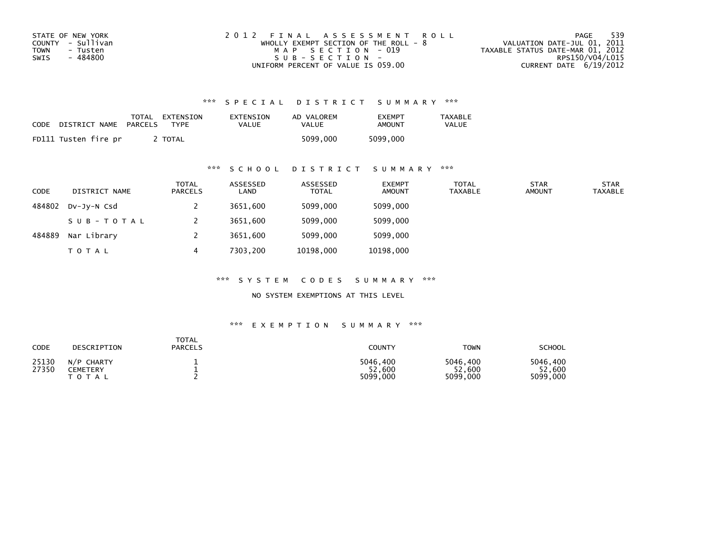| STATE OF NEW YORK | 2012 FINAL ASSESSMENT ROLL            | 539<br>PAGE                      |
|-------------------|---------------------------------------|----------------------------------|
| COUNTY - Sullivan | WHOLLY EXEMPT SECTION OF THE ROLL - 8 | VALUATION DATE-JUL 01, 2011      |
| TOWN<br>- Tusten  | MAP SECTION - 019                     | TAXABLE STATUS DATE-MAR 01, 2012 |
| SWIS<br>- 484800  | $SUB - SECTION -$                     | RPS150/V04/L015                  |
|                   | UNIFORM PERCENT OF VALUE IS 059.00    | CURRENT DATE 6/19/2012           |

| <b>CODE</b> | DISTRICT NAME        | TOTAL<br>PARCELS | EXTENSION<br>TYPF | EXTENSION<br>VALUE | AD VALOREM<br>VALUE | <b>FXFMPT</b><br>AMOUNT | TAXABLE<br><b>VALUE</b> |
|-------------|----------------------|------------------|-------------------|--------------------|---------------------|-------------------------|-------------------------|
|             | FD111 Tusten fire pr |                  | TOTAL             |                    | 5099.000            | 5099,000                |                         |

## \*\*\* S C H O O L D I S T R I C T S U M M A R Y \*\*\*

| <b>CODE</b> | DISTRICT NAME | <b>TOTAL</b><br>PARCELS | ASSESSED<br>LAND | ASSESSED<br><b>TOTAL</b> | <b>EXEMPT</b><br><b>AMOUNT</b> | <b>TOTAL</b><br><b>TAXABLE</b> | <b>STAR</b><br><b>AMOUNT</b> | <b>STAR</b><br><b>TAXABLE</b> |
|-------------|---------------|-------------------------|------------------|--------------------------|--------------------------------|--------------------------------|------------------------------|-------------------------------|
| 484802      | DV-JV-N Csd   |                         | 3651,600         | 5099,000                 | 5099,000                       |                                |                              |                               |
|             | SUB-TOTAL     |                         | 3651,600         | 5099,000                 | 5099,000                       |                                |                              |                               |
| 484889      | Nar Library   |                         | 3651,600         | 5099,000                 | 5099,000                       |                                |                              |                               |
|             | <b>TOTAL</b>  | 4                       | 7303.200         | 10198,000                | 10198,000                      |                                |                              |                               |

\*\*\* S Y S T E M C O D E S S U M M A R Y \*\*\*

NO SYSTEM EXEMPTIONS AT THIS LEVEL

| CODE           | DESCRIPTION                         | <b>TOTAL</b><br><b>PARCELS</b> | COUNTY                         | <b>TOWN</b>                    | <b>SCHOOL</b>                  |
|----------------|-------------------------------------|--------------------------------|--------------------------------|--------------------------------|--------------------------------|
| 25130<br>27350 | N/P CHARTY<br>CEMETERY<br>T O T A L |                                | 5046,400<br>52,600<br>5099,000 | 5046.400<br>52,600<br>5099,000 | 5046.400<br>52,600<br>5099,000 |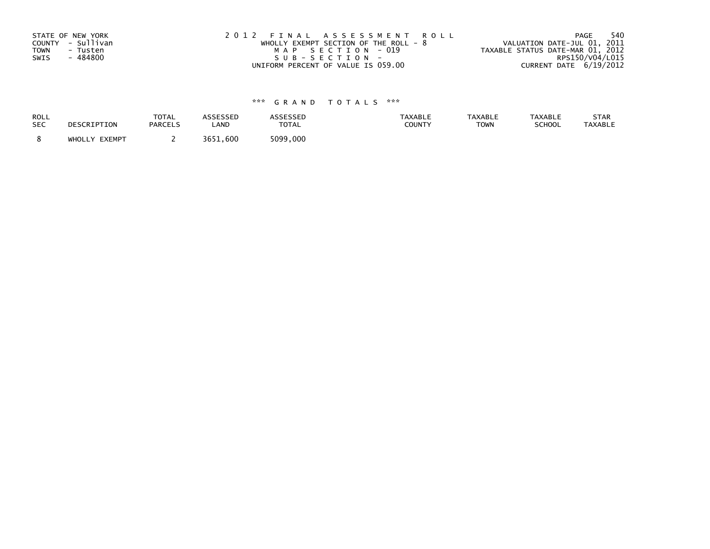| STATE OF NEW YORK       | 2012 FINAL ASSESSMENT ROLL              | -540<br>PAGE                     |
|-------------------------|-----------------------------------------|----------------------------------|
| COUNTY - Sullivan       | WHOLLY EXEMPT SECTION OF THE ROLL - $8$ | VALUATION DATE-JUL 01, 2011      |
| <b>TOWN</b><br>- Tusten | MAP SECTION - 019                       | TAXABLE STATUS DATE-MAR 01, 2012 |
| - 484800<br>SWIS        | SUB-SECTION-                            | RPS150/V04/L015                  |
|                         | UNIFORM PERCENT OF VALUE IS 059.00      | CURRENT DATE 6/19/2012           |

| ROLL<br><b>SEC</b> | DESCRIPTION   | <b>TOTAL</b><br><b>PARCELS</b> | ASSESSED<br><b>AND</b> | ASSESSED<br><b>TOTAL</b> | <b>TAXABLE</b><br><b>COUNTY</b> | <b>TAXABLE</b><br><b>TOWN</b> | <b>TAXABLE</b><br><b>SCHOOL</b> | STAR<br><b>TAXABLE</b> |
|--------------------|---------------|--------------------------------|------------------------|--------------------------|---------------------------------|-------------------------------|---------------------------------|------------------------|
|                    | WHOLLY EXEMPT |                                | 3651.600               | 5099,000                 |                                 |                               |                                 |                        |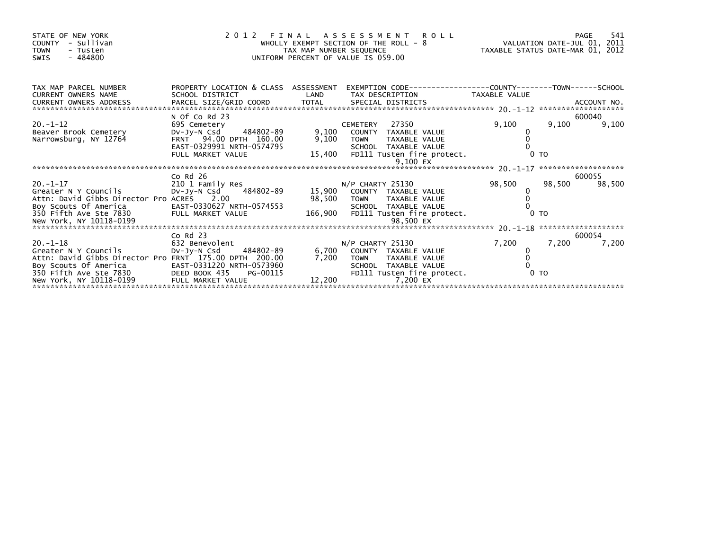| STATE OF NEW YORK<br>- Sullivan<br><b>COUNTY</b><br>TOWN<br>- Tusten<br>$-484800$<br>SWIS                                                                                                                   | 2012 FINAL                                                                                                                            | TAX MAP NUMBER SEQUENCE | ASSESSMENT<br>WHOLLY EXEMPT SECTION OF THE ROLL - 8<br>UNIFORM PERCENT OF VALUE IS 059.00                                                                 | یر ہے کہ ہم کا R O L L<br>VALUATION DATE-JUL 01, 2011<br>TAXABLE STATUS DATE-MAR 01, 2012 |        |                  |
|-------------------------------------------------------------------------------------------------------------------------------------------------------------------------------------------------------------|---------------------------------------------------------------------------------------------------------------------------------------|-------------------------|-----------------------------------------------------------------------------------------------------------------------------------------------------------|-------------------------------------------------------------------------------------------|--------|------------------|
| TAX MAP PARCEL NUMBER<br><b>CURRENT OWNERS NAME</b><br>CURRENT OWNERS ADDRESS                                                                                                                               | PROPERTY LOCATION & CLASS ASSESSMENT<br>SCHOOL DISTRICT                                                                               | LAND                    | EXEMPTION        CODE-----------------COUNTY--------TOWN------SCHOOL<br>TAX DESCRIPTION TAXABLE VALUE                                                     |                                                                                           |        |                  |
| $20. -1 - 12$<br>Beaver Brook Cemetery<br>Narrowsburg, NY 12764                                                                                                                                             | N Of Co Rd 23<br>695 Cemetery<br>484802-89<br>DV-JY-N Csd<br>FRNT 94.00 DPTH 160.00<br>EAST-0329991 NRTH-0574795<br>FULL MARKET VALUE | 9,100<br>9,100          | 27350<br><b>CEMETERY</b><br>COUNTY TAXABLE VALUE<br><b>TOWN</b><br>TAXABLE VALUE<br>SCHOOL TAXABLE VALUE<br>15,400 FD111 Tusten fire protect.<br>9,100 EX | 9,100<br>0 <sub>T</sub>                                                                   | 9,100  | 600040<br>9,100  |
| $20 - 1 - 17$<br>Greater N Y Councils<br>Attn: David Gibbs Director Pro ACRES 2.00<br>New York, NY 10118-0199                                                                                               | $Co$ Rd $26$<br>210 1 Family Res<br>Dv-Jy-N Csd 484802-89<br>EAST-0330627 NRTH-0574553                                                |                         | $N/P$ CHARTY 25130<br>15,900 COUNTY TAXABLE VALUE<br>98,500 TOWN TAXABLE VALUE<br>SCHOOL TAXABLE VALUE<br>166,900 FD111 Tusten fire protect.              | 98,500<br>$0$ TO                                                                          | 98,500 | 600055<br>98,500 |
| $20. - 1 - 18$<br>Greater N Y Councils<br>Attn: David Gibbs Director Pro FRNT 175.00 DPTH 200.00<br>Boy Scouts Of America<br>350 Fifth Ave Ste 7830 DEED BOOK 435<br>New York, NY 10118-0199 FULL MARKET VA | $Co$ Rd $23$<br>632 Benevolent<br>DV-Jy-N Csd 484802-89<br>EAST-0331220 NRTH-0573960<br>PG-00115<br>FULL MARKET VALUE                 | 6,700<br>7,200          | N/P CHARTY 25130<br>COUNTY TAXABLE VALUE<br>TOWN TAXABLE VALUE<br>SCHOOL TAXABLE VALUE<br>FD111 Tusten fire protect.<br>12,200<br>7,200 EX                | 7,200<br>0 <sub>T</sub>                                                                   | 7,200  | 600054<br>7,200  |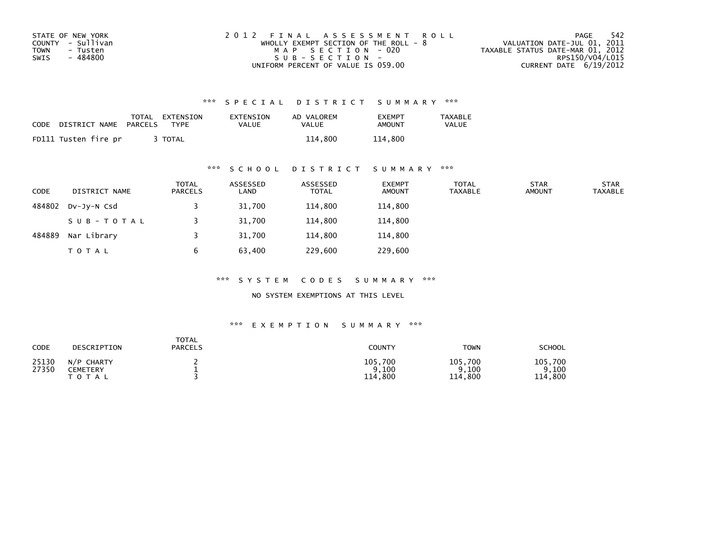| STATE OF NEW YORK | 2012 FINAL ASSESSMENT ROLL            | -542<br>PAGE                     |
|-------------------|---------------------------------------|----------------------------------|
| COUNTY - Sullivan | WHOLLY EXEMPT SECTION OF THE ROLL - 8 | VALUATION DATE-JUL 01, 2011      |
| TOWN<br>- Tusten  | MAP SECTION - 020                     | TAXABLE STATUS DATE-MAR 01, 2012 |
| - 484800<br>SWIS  | $SUB - SECTION -$                     | RPS150/V04/L015                  |
|                   | UNIFORM PERCENT OF VALUE IS 059.00    | CURRENT DATE $6/19/2012$         |

| CODE | DISTRICT NAME        | TOTAL<br>PARCELS | EXTENSION<br>TYPF | EXTENSION<br>VALUE | AD VALOREM<br>VALUE | <b>EXEMPT</b><br>AMOUNT | TAXABLE<br><b>VALUE</b> |
|------|----------------------|------------------|-------------------|--------------------|---------------------|-------------------------|-------------------------|
|      | FD111 Tusten fire pr |                  | <b>TOTAL</b>      |                    | 114,800             | 114,800                 |                         |

### \*\*\* S C H O O L D I S T R I C T S U M M A R Y \*\*\*

| <b>CODE</b> | DISTRICT NAME | <b>TOTAL</b><br><b>PARCELS</b> | ASSESSED<br>LAND | ASSESSED<br><b>TOTAL</b> | <b>EXEMPT</b><br><b>AMOUNT</b> | <b>TOTAL</b><br><b>TAXABLE</b> | <b>STAR</b><br><b>AMOUNT</b> | <b>STAR</b><br><b>TAXABLE</b> |
|-------------|---------------|--------------------------------|------------------|--------------------------|--------------------------------|--------------------------------|------------------------------|-------------------------------|
| 484802      | DV-JY-N Csd   |                                | 31,700           | 114,800                  | 114,800                        |                                |                              |                               |
|             | SUB-TOTAL     |                                | 31,700           | 114,800                  | 114,800                        |                                |                              |                               |
| 484889      | Nar Library   |                                | 31,700           | 114,800                  | 114,800                        |                                |                              |                               |
|             | <b>TOTAL</b>  | b                              | 63,400           | 229,600                  | 229,600                        |                                |                              |                               |

\*\*\* S Y S T E M C O D E S S U M M A R Y \*\*\*

NO SYSTEM EXEMPTIONS AT THIS LEVEL

| CODE           | DESCRIPTION                               | <b>TOTAL</b><br><b>PARCELS</b> | <b>COUNTY</b>                   | <b>TOWN</b>                     | <b>SCHOOL</b>                   |
|----------------|-------------------------------------------|--------------------------------|---------------------------------|---------------------------------|---------------------------------|
| 25130<br>27350 | <b>CHARTY</b><br>N/P<br>CEMETERY<br>TOTAL |                                | 105,700<br>9,100<br>,800<br>114 | 105,700<br>9,100<br>.800<br>114 | 105,700<br>.100<br>.800<br>114. |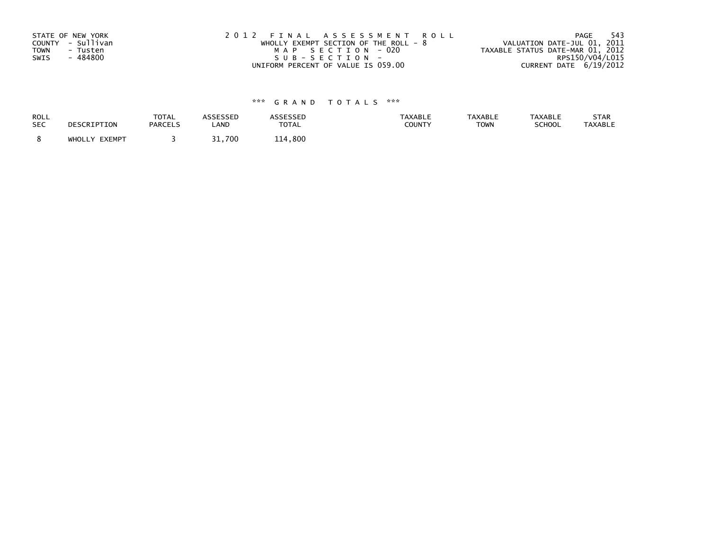| STATE OF NEW YORK       | 2012 FINAL ASSESSMENT ROLL              | - 543<br>PAGE                    |
|-------------------------|-----------------------------------------|----------------------------------|
| COUNTY - Sullivan       | WHOLLY EXEMPT SECTION OF THE ROLL - $8$ | VALUATION DATE-JUL 01, 2011      |
| <b>TOWN</b><br>- Tusten | MAP SECTION - 020                       | TAXABLE STATUS DATE-MAR 01, 2012 |
| - 484800<br>SWIS        | SUB-SECTION-                            | RPS150/V04/L015                  |
|                         | UNIFORM PERCENT OF VALUE IS 059.00      | CURRENT DATE 6/19/2012           |

| <b>ROLL</b> | DESCRIPTION   | <b>TOTAL</b>   | ASSESSED | <b>ASSESSED</b> | <b>TAXABLE</b> | <b>TAXABLE</b> | <b>TAXABLE</b> | STAR           |
|-------------|---------------|----------------|----------|-----------------|----------------|----------------|----------------|----------------|
| <b>SEC</b>  |               | <b>PARCELS</b> | LAND     | <b>TOTAL</b>    | COUNTY         | <b>TOWN</b>    | SCHOOL         | <b>TAXABLE</b> |
|             | WHOLLY EXEMPT |                | 31,700   | 114,800         |                |                |                |                |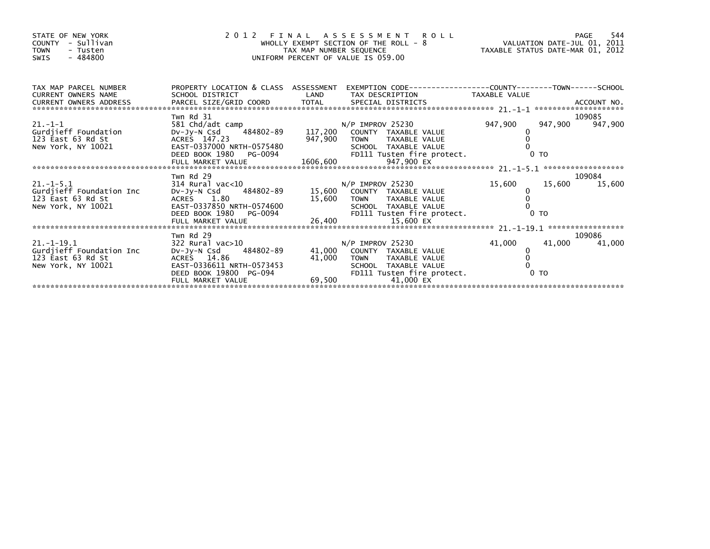| STATE OF NEW YORK<br>- Sullivan<br>COUNTY<br><b>TOWN</b><br>- Tusten<br>$-484800$<br><b>SWIS</b> | $\begin{array}{c}\n2 \ 0 \ 1\n\end{array}$                                                                                                        |                            | 2012 FINAL ASSESSMENT ROLL<br>FINAL ASSESSMENT ROLL<br>WHOLLY EXEMPT SECTION OF THE ROLL - 8<br>TAX MAP NUMBER SEQUENCE TAXABLE STATUS DATE-MAR 01, 2012<br>UNIFORM PERCENT OF VALUE IS 059.00 |             |                          |                         |
|--------------------------------------------------------------------------------------------------|---------------------------------------------------------------------------------------------------------------------------------------------------|----------------------------|------------------------------------------------------------------------------------------------------------------------------------------------------------------------------------------------|-------------|--------------------------|-------------------------|
| TAX MAP PARCEL NUMBER<br><b>CURRENT OWNERS NAME</b>                                              | SCHOOL DISTRICT                                                                                                                                   | <b>Example 18 The LAND</b> | PROPERTY LOCATION & CLASS ASSESSMENT EXEMPTION CODE----------------COUNTY-------TOWN------SCHOOL<br>TAX DESCRIPTION TAXABLE VALUE                                                              |             |                          |                         |
| $21. - 1 - 1$<br>Gurdjieff Foundation<br>123 East 63 Rd St<br>New York, NY 10021                 | Twn Rd 31<br>- 1 vive 1 st<br>DV-Jy-N Csd 484802-89 117,200<br>ACRES 147.23<br>EAST-0337000 NRTH-0575480                                          | 947,900                    | N/P IMPROV 25230<br>COUNTY TAXABLE VALUE<br><b>TOWN</b><br>TAXABLE VALUE<br>SCHOOL TAXABLE VALUE                                                                                               | 947,900     | 947,900                  | 109085<br>947,900       |
| $21.-1-5.1$<br>Gurdjieff Foundation Inc<br>123 East 63 Rd St                                     | Twn Rd 29<br>$314$ Rural vac< $10$<br>DV-Jy-N Csd 484802-89 15,600 COUNTY TAXABLE VALUE<br>ACRES 1.80                                             | 15,600                     | N/P IMPROV 25230<br>TOWN TAXABLE VALUE                                                                                                                                                         | 15,600      |                          | 109084<br>15,600 15,600 |
| $21. - 1 - 19.1$<br>Gurdjieff Foundation Inc<br>123 East 63 Rd St<br>New York, NY 10021          | Twn Rd 29<br>322 Rural vac>10<br>Dv-Jy-N Csd 484802-89<br>ACRES 14.86<br>EAST-0336611 NRTH-0573453<br>DEED BOOK 19800 PG-094<br>FULL MARKET VALUE | 41.000<br>41,000           | N/P IMPROV 25230<br>COUNTY TAXABLE VALUE<br>TAXABLE VALUE<br><b>TOWN</b><br>SCHOOL TAXABLE VALUE<br>FD111 Tusten fire protect.<br>69,500<br>41.000 EX                                          | 41,000<br>0 | 41,000<br>0 <sub>T</sub> | 109086<br>41,000        |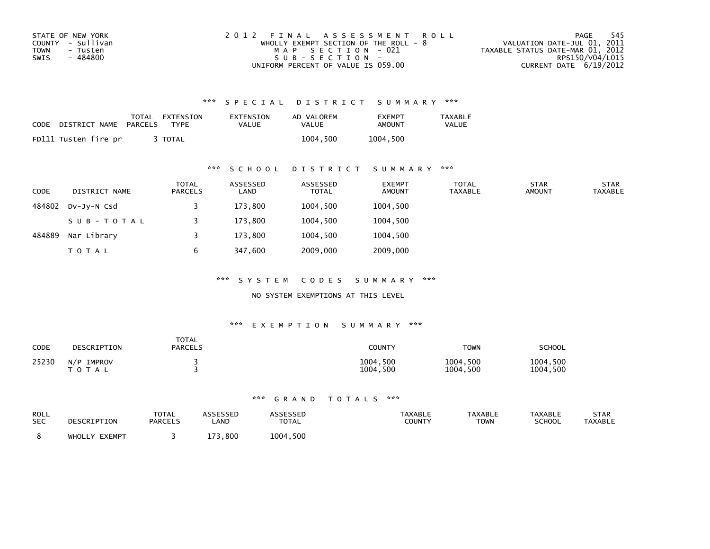| STATE OF NEW YORK | 2012 FINAL ASSESSMENT ROLL              | - 545<br>PAGE                    |
|-------------------|-----------------------------------------|----------------------------------|
| COUNTY - Sullivan | WHOLLY EXEMPT SECTION OF THE ROLL - $8$ | VALUATION DATE-JUL 01, 2011      |
| TOWN<br>- Tusten  | MAP SECTION - 021                       | TAXABLE STATUS DATE-MAR 01, 2012 |
| - 484800<br>SWIS  | SUB-SECTION-                            | RPS150/V04/L015                  |
|                   | UNIFORM PERCENT OF VALUE IS 059.00      | CURRENT DATE $6/19/2012$         |

| CODE | DISTRICT NAME        | TOTAL<br>PARCELS | EXTENSION<br><b>TYPF</b> | EXTENSION<br><b>VALUE</b> | AD VALOREM<br>VALUE | <b>FXFMPT</b><br>AMOUNT | <b>TAXABLE</b><br>VALUE |
|------|----------------------|------------------|--------------------------|---------------------------|---------------------|-------------------------|-------------------------|
|      | FD111 Tusten fire pr |                  | <b>TOTAL</b>             |                           | 1004.500            | 1004.500                |                         |

### \*\*\* S C H O O L D I S T R I C T S U M M A R Y \*\*\*

| <b>CODE</b> | DISTRICT NAME | <b>TOTAL</b><br>PARCELS | ASSESSED<br>LAND | ASSESSED<br><b>TOTAL</b> | <b>EXEMPT</b><br><b>AMOUNT</b> | <b>TOTAL</b><br>TAXABLE | <b>STAR</b><br><b>AMOUNT</b> | <b>STAR</b><br><b>TAXABLE</b> |
|-------------|---------------|-------------------------|------------------|--------------------------|--------------------------------|-------------------------|------------------------------|-------------------------------|
| 484802      | DV-JV-N Csd   |                         | 173,800          | 1004,500                 | 1004,500                       |                         |                              |                               |
|             | SUB-TOTAL     |                         | 173,800          | 1004,500                 | 1004,500                       |                         |                              |                               |
| 484889      | Nar Library   |                         | 173.800          | 1004,500                 | 1004,500                       |                         |                              |                               |
|             | T O T A L     | b                       | 347,600          | 2009,000                 | 2009,000                       |                         |                              |                               |

\*\*\* S Y S T E M C O D E S S U M M A R Y \*\*\*

NO SYSTEM EXEMPTIONS AT THIS LEVEL

#### \*\*\* E X E M P T I O N S U M M A R Y \*\*\*

| CODE  | DESCRIPTION                | <b>TOTAL</b><br><b>PARCELS</b> | COUNTY               | <b>TOWN</b>          | SCHOOL               |
|-------|----------------------------|--------------------------------|----------------------|----------------------|----------------------|
| 25230 | N/P<br>IMPROV<br>T O T A L |                                | 1004,500<br>1004,500 | 1004,500<br>1004,500 | 1004,500<br>1004,500 |

| ROLL       | DESCRIPTION   | TOTAL   | ASSESSED     | <b>ASSESSED</b> | <b>TAXABLE</b> | <b>TAXABLE</b> | <b>TAXABLE</b> | STAR           |
|------------|---------------|---------|--------------|-----------------|----------------|----------------|----------------|----------------|
| <b>SEC</b> |               | PARCELS | _AND         | <b>TOTAL</b>    | COUNTY         | <b>TOWN</b>    | <b>SCHOOL</b>  | <b>TAXABLE</b> |
|            | WHOLLY EXEMPT |         | .800<br>173. | 1004,500        |                |                |                |                |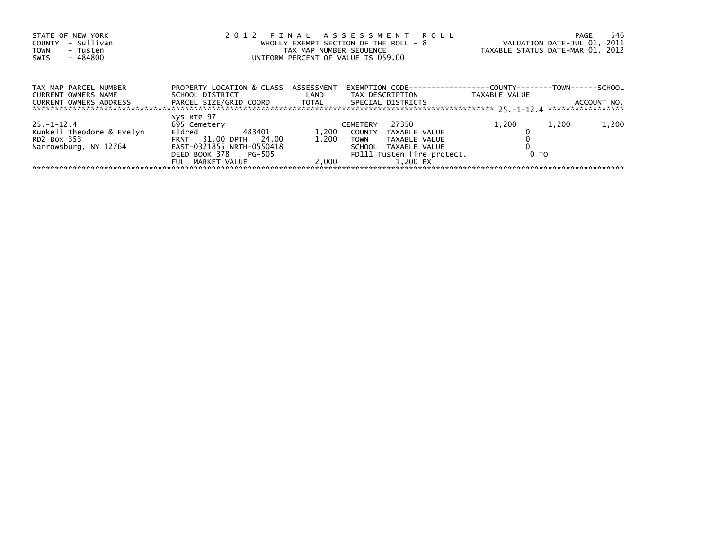| STATE OF NEW YORK<br>- Sullivan<br>COUNTY<br>TOWN<br>- Tusten<br>- 484800<br>SWIS    |                                                                                                                                                      | TAX MAP NUMBER SEQUENCE | 2012 FINAL ASSESSMENT ROLL<br>WHOLLY EXEMPT SECTION OF THE ROLL - 8<br>UNIFORM PERCENT OF VALUE IS 059.00                                          | TAXABLE STATUS DATE-MAR 01, 2012 | 546<br>PAGE<br>VALUATION DATE-JUL 01, 2011 |
|--------------------------------------------------------------------------------------|------------------------------------------------------------------------------------------------------------------------------------------------------|-------------------------|----------------------------------------------------------------------------------------------------------------------------------------------------|----------------------------------|--------------------------------------------|
| TAX MAP PARCEL NUMBER<br>CURRENT OWNERS NAME<br>CURRENT OWNERS ADDRESS               | PROPERTY LOCATION & CLASS ASSESSMENT<br>SCHOOL DISTRICT                                                                                              | <b>Example 12</b>       | EXEMPTION        CODE-----------------COUNTY--------TOWN------SCHOOL<br>TAX DESCRIPTION<br>SPECIAL DISTRICTS                                       | TAXABLE VALUE                    | ACCOUNT NO.<br>*****************           |
| $25 - 1 - 12.4$<br>Kunkeli Theodore & Evelyn<br>RD2 Box 353<br>Narrowsburg, NY 12764 | Nys Rte 97<br>695 Cemetery<br>Eldred<br>483401<br>FRNT 31.00 DPTH<br>24.00<br>EAST-0321855 NRTH-0550418<br>DEED BOOK 378 PG-505<br>FULL MARKET VALUE | 1,200<br>1.200<br>2.000 | 27350<br><b>CEMETERY</b><br>COUNTY TAXABLE VALUE<br><b>TOWN</b><br>TAXABLE VALUE<br>SCHOOL TAXABLE VALUE<br>FD111 Tusten fire protect.<br>1.200 EX | 1,200<br>0 <sub>T</sub>          | 1,200<br>1,200                             |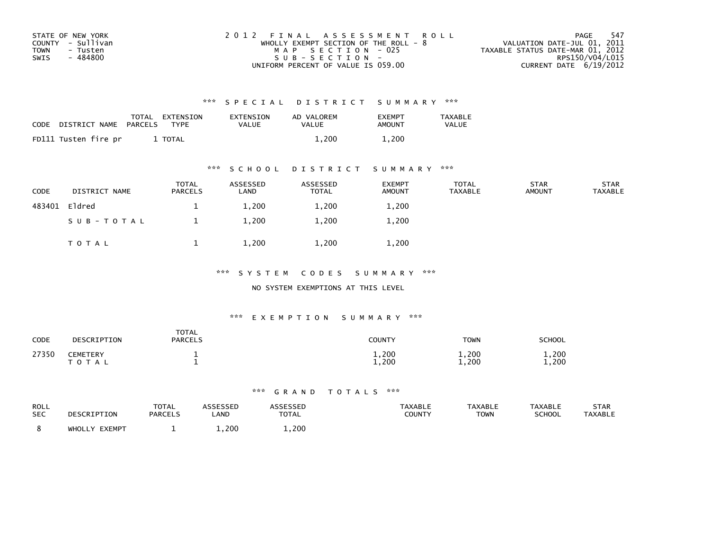| STATE OF NEW YORK | 2012 FINAL ASSESSMENT ROLL              | - 547<br>PAGE                    |
|-------------------|-----------------------------------------|----------------------------------|
| COUNTY - Sullivan | WHOLLY EXEMPT SECTION OF THE ROLL - $8$ | VALUATION DATE-JUL 01, 2011      |
| TOWN<br>- Tusten  | MAP SECTION - 025                       | TAXABLE STATUS DATE-MAR 01, 2012 |
| - 484800<br>SWIS  | $SUB - SECTION -$                       | RPS150/V04/L015                  |
|                   | UNIFORM PERCENT OF VALUE IS 059.00      | CURRENT DATE 6/19/2012           |

| <b>CODE</b> | DISTRICT NAME        | TOTAL<br>PARCELS | EXTENSION<br><b>TYPF</b> | EXTENSION<br>VALUE | AD VALOREM<br><b>VALUE</b> | <b>EXEMPT</b><br>AMOUNT | <b>TAXABLE</b><br><b>VALUE</b> |
|-------------|----------------------|------------------|--------------------------|--------------------|----------------------------|-------------------------|--------------------------------|
|             | FD111 Tusten fire pr |                  | TOTAL                    |                    | 1.200                      | 1.200                   |                                |

# \*\*\* S C H O O L D I S T R I C T S U M M A R Y \*\*\*

| CODE   | DISTRICT NAME | <b>TOTAL</b><br>PARCELS | ASSESSED<br>LAND | ASSESSED<br><b>TOTAL</b> | <b>EXEMPT</b><br><b>AMOUNT</b> | <b>TOTAL</b><br><b>TAXABLE</b> | <b>STAR</b><br><b>AMOUNT</b> | <b>STAR</b><br>TAXABLE |
|--------|---------------|-------------------------|------------------|--------------------------|--------------------------------|--------------------------------|------------------------------|------------------------|
| 483401 | Eldred        | <u>д.</u>               | 1,200            | 1,200                    | 1,200                          |                                |                              |                        |
|        | SUB-TOTAL     |                         | 1,200            | 1,200                    | 1,200                          |                                |                              |                        |
|        | T O T A L     |                         | 1,200            | 1,200                    | 1,200                          |                                |                              |                        |

### \*\*\* S Y S T E M C O D E S S U M M A R Y \*\*\*

#### NO SYSTEM EXEMPTIONS AT THIS LEVEL

### \*\*\* E X E M P T I O N S U M M A R Y \*\*\*

| <b>CODE</b> | DESCRIPTION                   | <b>TOTAL</b><br><b>PARCELS</b> | COUNTY         | TOWN           | SCHOOL         |
|-------------|-------------------------------|--------------------------------|----------------|----------------|----------------|
| 27350       | <b>CEMETERY</b><br>тот<br>A L |                                | 1,200<br>1,200 | 1,200<br>1,200 | 1,200<br>1,200 |

| ROLL<br><b>SEC</b> | DESCRIPTION      | <b>TOTAL</b><br><b>PARCELS</b> | ASSESSED<br>_AND | <b>ASSESSED</b><br>TOTAL | <b>TAXABLE</b><br>COUNTY | <b>TAXABLE</b><br><b>TOWN</b> | <b>TAXABLE</b><br><b>SCHOOL</b> | <b>STAR</b><br>TAXABLE |
|--------------------|------------------|--------------------------------|------------------|--------------------------|--------------------------|-------------------------------|---------------------------------|------------------------|
|                    | EXEMPT<br>WHOLLY |                                | 1,200            | $\overline{1,200}$       |                          |                               |                                 |                        |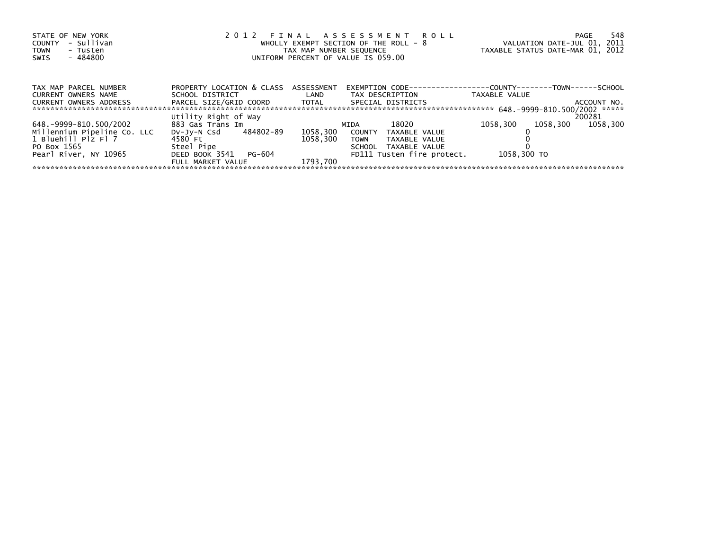| STATE OF NEW YORK             |                                      |                         | 2012 FINAL ASSESSMENT ROLL                                           |                                  | 548<br>PAGE |
|-------------------------------|--------------------------------------|-------------------------|----------------------------------------------------------------------|----------------------------------|-------------|
| - Sullivan<br>COUNTY          |                                      |                         | WHOLLY EXEMPT SECTION OF THE ROLL - $8$                              | VALUATION DATE-JUL 01, 2011      |             |
| <b>TOWN</b><br>- Tusten       |                                      | TAX MAP NUMBER SEQUENCE |                                                                      | TAXABLE STATUS DATE-MAR 01, 2012 |             |
| - 484800<br>SWIS              |                                      |                         | UNIFORM PERCENT OF VALUE IS 059.00                                   |                                  |             |
|                               |                                      |                         |                                                                      |                                  |             |
|                               |                                      |                         |                                                                      |                                  |             |
| TAX MAP PARCEL NUMBER         | PROPERTY LOCATION & CLASS ASSESSMENT |                         | EXEMPTION        CODE-----------------COUNTY--------TOWN------SCHOOL |                                  |             |
| <b>CURRENT OWNERS NAME</b>    | SCHOOL DISTRICT                      | LAND                    | TAX DESCRIPTION                                                      | TAXABLE VALUE                    |             |
| <b>CURRENT OWNERS ADDRESS</b> | PARCEL SIZE/GRID COORD TOTAL         |                         | SPECIAL DISTRICTS                                                    |                                  | ACCOUNT NO. |
|                               |                                      |                         |                                                                      |                                  |             |
|                               | Utility Right of Way                 |                         |                                                                      |                                  | 200281      |
| 648.-9999-810.500/2002        | 883 Gas Trans Im                     |                         | 18020<br>MIDA                                                        | 1058.300<br>1058.300             | 1058.300    |
| Millennium Pipeline Co. LLC   | DV-JV-N Csd 484802-89                | 1058,300                | COUNTY<br>TAXABLE VALUE                                              |                                  |             |
| 1 Bluehill Plz Fl 7           | 4580 Ft                              | 1058.300                | TAXABLE VALUE<br><b>TOWN</b>                                         |                                  |             |
| PO Box 1565                   | Steel Pipe                           |                         | SCHOOL<br>TAXABLE VALUE                                              |                                  |             |
| Pearl River, NY 10965         | DEED BOOK 3541<br>PG-604             |                         | FD111 Tusten fire protect.                                           | 1058,300 TO                      |             |
|                               | FULL MARKET VALUE                    | 1793.700                |                                                                      |                                  |             |
|                               |                                      |                         |                                                                      |                                  |             |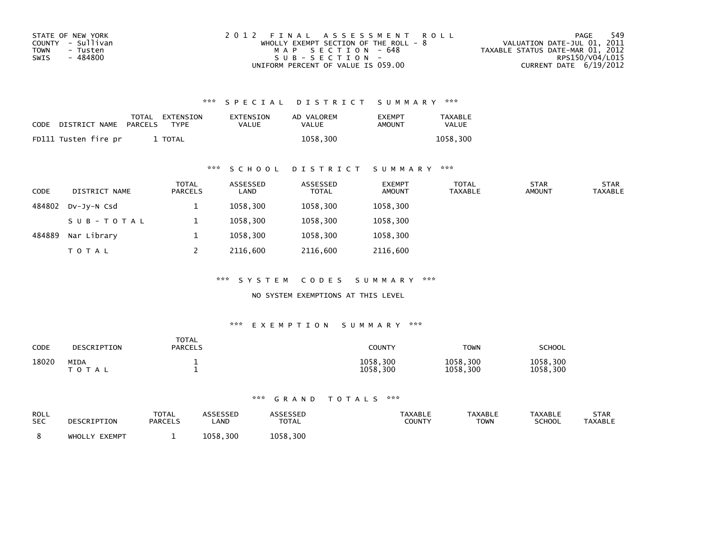| STATE OF NEW YORK | 2012 FINAL ASSESSMENT ROLL            | 549<br>PAGE                      |
|-------------------|---------------------------------------|----------------------------------|
| COUNTY - Sullivan | WHOLLY EXEMPT SECTION OF THE ROLL - 8 | VALUATION DATE-JUL 01, 2011      |
| TOWN<br>- Tusten  | MAP SECTION - 648                     | TAXABLE STATUS DATE-MAR 01, 2012 |
| - 484800<br>SWIS  | $SUB - SECTION -$                     | RPS150/V04/L015                  |
|                   | UNIFORM PERCENT OF VALUE IS 059.00    | CURRENT DATE $6/19/2012$         |

| CODE | DISTRICT NAME        | PARCELS | TOTAL EXTENSION<br><b>TYPF</b> | EXTENSION<br><b>VALUE</b> | AD VALOREM<br>VALUE | <b>EXEMPT</b><br>AMOUNT | <b>TAXABLE</b><br>VALUE |
|------|----------------------|---------|--------------------------------|---------------------------|---------------------|-------------------------|-------------------------|
|      | FD111 Tusten fire pr |         | <b>TOTAL</b>                   |                           | 1058.300            |                         | 1058.300                |

### \*\*\* S C H O O L D I S T R I C T S U M M A R Y \*\*\*

| <b>CODE</b> | DISTRICT NAME | <b>TOTAL</b><br>PARCELS | ASSESSED<br>LAND | ASSESSED<br><b>TOTAL</b> | <b>EXEMPT</b><br><b>AMOUNT</b> | <b>TOTAL</b><br><b>TAXABLE</b> | <b>STAR</b><br><b>AMOUNT</b> | <b>STAR</b><br><b>TAXABLE</b> |
|-------------|---------------|-------------------------|------------------|--------------------------|--------------------------------|--------------------------------|------------------------------|-------------------------------|
| 484802      | DV-JV-N Csd   |                         | 1058.300         | 1058,300                 | 1058,300                       |                                |                              |                               |
|             | SUB-TOTAL     |                         | 1058.300         | 1058,300                 | 1058,300                       |                                |                              |                               |
| 484889      | Nar Library   |                         | 1058,300         | 1058,300                 | 1058,300                       |                                |                              |                               |
|             | <b>TOTAL</b>  |                         | 2116.600         | 2116,600                 | 2116,600                       |                                |                              |                               |

\*\*\* S Y S T E M C O D E S S U M M A R Y \*\*\*

NO SYSTEM EXEMPTIONS AT THIS LEVEL

#### \*\*\* E X E M P T I O N S U M M A R Y \*\*\*

| CODE  | DESCRIPTION                | <b>TOTAL</b><br><b>PARCELS</b> | <b>COUNTY</b>        | <b>TOWN</b>          | SCHOOL               |
|-------|----------------------------|--------------------------------|----------------------|----------------------|----------------------|
| 18020 | <b>MIDA</b><br>тот.<br>A L |                                | 1058,300<br>1058,300 | 1058,300<br>1058,300 | 1058,300<br>1058,300 |

| ROLL       | DESCRIPTION   | <b>TOTAL</b>   | ASSESSEP    | ASSESSED     | <b>TAXABLE</b> | <b>TAXABLE</b> | <b>TAXABLE</b> | STAR           |
|------------|---------------|----------------|-------------|--------------|----------------|----------------|----------------|----------------|
| <b>SEC</b> |               | <b>PARCELS</b> | <b>_AND</b> | <b>TOTAL</b> | <b>COUNTY</b>  | <b>TOWN</b>    | <b>SCHOOL</b>  | <b>TAXABLE</b> |
|            | WHOLLY EXEMPT |                | 1058.300    | 1058,300     |                |                |                |                |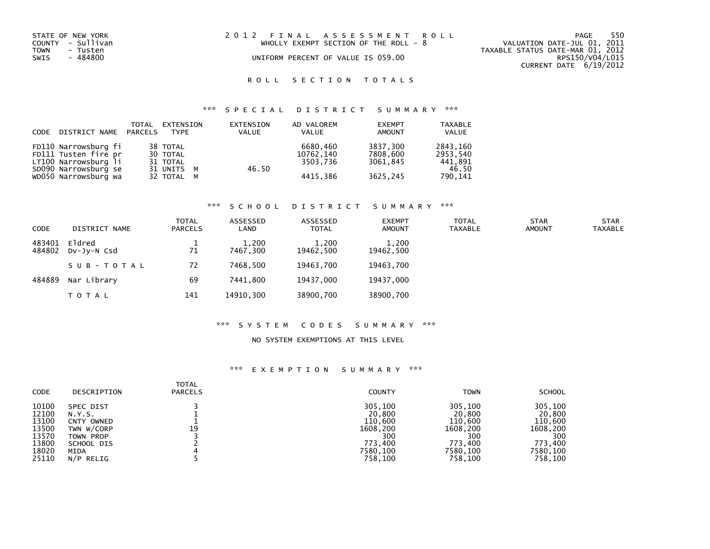| STATE OF NEW YORK<br>COUNTY - Sullivan<br>TOWN<br>- Tusten<br>SWIS<br>- 484800 | 2012 FINAL ASSESSMENT ROLL<br>WHOLLY EXEMPT SECTION OF THE ROLL - $8$<br>UNIFORM PERCENT OF VALUE IS 059.00 | 550<br>PAGE<br>VALUATION DATE-JUL 01, 2011<br>TAXABLE STATUS DATE-MAR 01, 2012<br>RPS150/V04/L015<br>CURRENT DATE 6/19/2012 |
|--------------------------------------------------------------------------------|-------------------------------------------------------------------------------------------------------------|-----------------------------------------------------------------------------------------------------------------------------|
|                                                                                |                                                                                                             |                                                                                                                             |
|                                                                                |                                                                                                             |                                                                                                                             |

# ROLL SECTION TOTALS

# \*\*\* S P E C I A L D I S T R I C T S U M M A R Y \*\*\*

| CODE | DISTRICT NAME PARCELS | TOTAL | EXTENSION<br><b>TYPF</b> | EXTENSION<br><b>VALUE</b> | AD VALOREM<br>VALUE | <b>EXEMPT</b><br><b>AMOUNT</b> | <b>TAXABLE</b><br>VALUE |
|------|-----------------------|-------|--------------------------|---------------------------|---------------------|--------------------------------|-------------------------|
|      | FD110 Narrowsburg fi  |       | 38 TOTAL                 |                           | 6680.460            | 3837.300                       | 2843,160                |
|      | FD111 Tusten fire pr  |       | 30 TOTAL                 |                           | 10762.140           | 7808,600                       | 2953.540                |
|      | LT100 Narrowsburg li  |       | 31 TOTAL                 |                           | 3503.736            | 3061.845                       | 441,891                 |
|      | SD090 Narrowsburg se  |       | 31 UNITS M               | 46.50                     |                     |                                | 46.50                   |
|      | WD050 Narrowsburg wa  |       | 32 TOTAL M               |                           | 4415,386            | 3625,245                       | 790,141                 |

#### \*\*\* S C H O O L D I S T R I C T S U M M A R Y \*\*\*

| <b>CODE</b>      | DISTRICT NAME         | <b>TOTAL</b><br>PARCELS | ASSESSED<br>LAND  | ASSESSED<br><b>TOTAL</b> | <b>EXEMPT</b><br><b>AMOUNT</b> | <b>TOTAL</b><br><b>TAXABLE</b> | <b>STAR</b><br><b>AMOUNT</b> | <b>STAR</b><br><b>TAXABLE</b> |
|------------------|-----------------------|-------------------------|-------------------|--------------------------|--------------------------------|--------------------------------|------------------------------|-------------------------------|
| 483401<br>484802 | Eldred<br>DV-JV-N Csd | 71                      | 1,200<br>7467.300 | 1,200<br>19462.500       | 1,200<br>19462,500             |                                |                              |                               |
|                  | SUB-TOTAL             | 72                      | 7468.500          | 19463.700                | 19463,700                      |                                |                              |                               |
| 484889           | Nar Library           | 69                      | 7441.800          | 19437,000                | 19437,000                      |                                |                              |                               |
|                  | <b>TOTAL</b>          | 141                     | 14910,300         | 38900,700                | 38900,700                      |                                |                              |                               |

#### \*\*\* S Y S T E M C O D E S S U M M A R Y \*\*\*

#### NO SYSTEM EXEMPTIONS AT THIS LEVEL

| CODE  | DESCRIPTION | <b>TOTAL</b><br><b>PARCELS</b> | <b>COUNTY</b> | <b>TOWN</b> | <b>SCHOOL</b> |
|-------|-------------|--------------------------------|---------------|-------------|---------------|
| 10100 | SPEC DIST   | 19                             | 305,100       | 305,100     | 305,100       |
| 12100 | N.Y.S.      |                                | 20,800        | 20,800      | 20,800        |
| 13100 | CNTY OWNED  |                                | 110,600       | 110,600     | 110,600       |
| 13500 | TWN W/CORP  |                                | 1608,200      | 1608.200    | 1608,200      |
| 13570 | TOWN PROP   |                                | 300           | 300         | 300           |
| 13800 | SCHOOL DIS  |                                | 773.400       | 773.400     | 773.400       |
| 18020 | MIDA        |                                | 7580,100      | 7580,100    | 7580,100      |
| 25110 | N/P RELIG   |                                | 758.100       | 758,100     | 758,100       |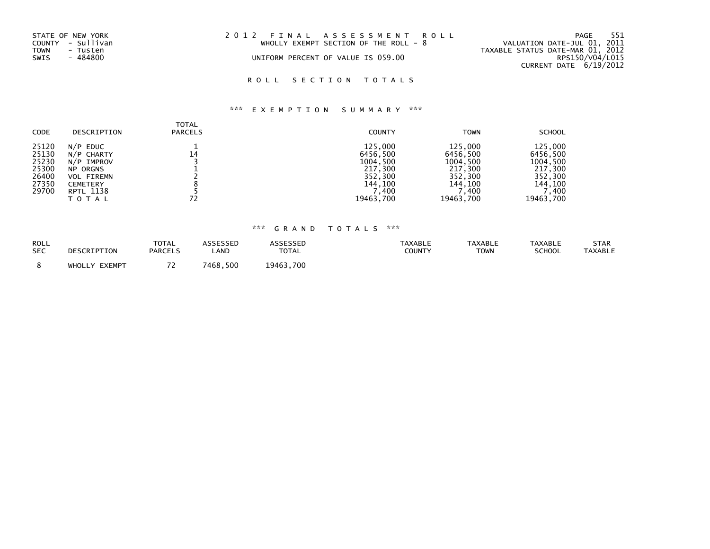| STATE OF NEW YORK<br>COUNTY - Sullivan<br>TOWN<br>- Tusten | 2012 FINAL ASSESSMENT ROLL<br>WHOLLY EXEMPT SECTION OF THE ROLL - $8$ | - 551<br>PAGE<br>VALUATION DATE-JUL 01, 2011<br>TAXABLE STATUS DATE-MAR 01, 2012 |
|------------------------------------------------------------|-----------------------------------------------------------------------|----------------------------------------------------------------------------------|
| SWIS<br>- 484800                                           | UNIFORM PERCENT OF VALUE IS 059.00                                    | RPS150/V04/L015<br>CURRENT DATE 6/19/2012                                        |

# ROLL SECTION TOTALS

# \*\*\* E X E M P T I O N S U M M A R Y \*\*\*

| <b>CODE</b>                                                 | DESCRIPTION                                                                                                             | <b>TOTAL</b><br><b>PARCELS</b> | <b>COUNTY</b>                                                                         | <b>TOWN</b>                                                                            | <b>SCHOOL</b>                                                                          |
|-------------------------------------------------------------|-------------------------------------------------------------------------------------------------------------------------|--------------------------------|---------------------------------------------------------------------------------------|----------------------------------------------------------------------------------------|----------------------------------------------------------------------------------------|
| 25120<br>25130<br>25230<br>25300<br>26400<br>27350<br>29700 | $N/P$ EDUC<br>N/P CHARTY<br>N/P IMPROV<br><b>NP ORGNS</b><br><b>VOL FIREMN</b><br><b>CEMETERY</b><br>RPTL 1138<br>TOTAL | 14                             | 125,000<br>6456,500<br>1004,500<br>217,300<br>352,300<br>144,100<br>,400<br>19463,700 | 125,000<br>6456,500<br>1004,500<br>217,300<br>352,300<br>144,100<br>7,400<br>19463,700 | 125,000<br>6456,500<br>1004,500<br>217,300<br>352,300<br>144,100<br>'.400<br>19463.700 |

| <b>ROLL</b> | DESCRIPTION      | <b>TOTAL</b>   | ASSESSED | <b>ASSESSED</b> | <b>TAXABLE</b> | <b>TAXABLE</b> | <b>TAXABLE</b> | STAR           |
|-------------|------------------|----------------|----------|-----------------|----------------|----------------|----------------|----------------|
| <b>SEC</b>  |                  | <b>PARCELS</b> | _AND     | <b>TOTAL</b>    | COUNTY         | <b>TOWN</b>    | <b>SCHOOL</b>  | <b>TAXABLE</b> |
|             | EXEMPT<br>WHOLLY | . .            | 7468,500 | 19463,700       |                |                |                |                |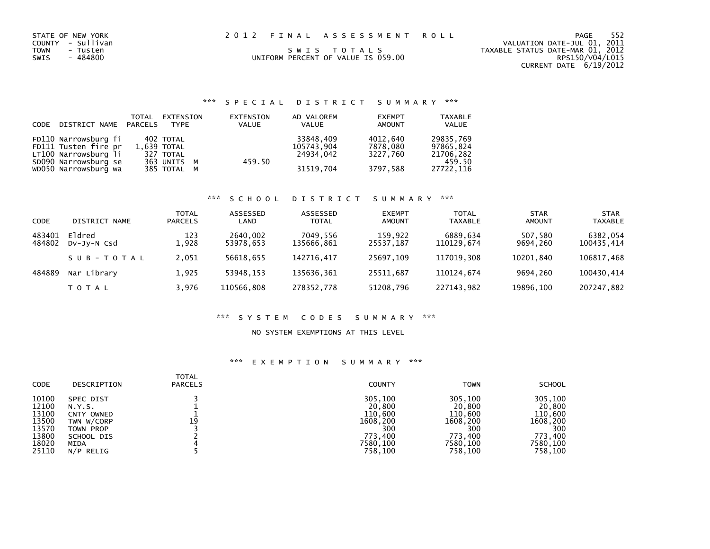| STATE OF NEW YORK<br>COUNTY - Sullivan<br>TOWN<br>- Tusten<br>- 484800<br>SWIS | 2012 FINAL ASSESSMENT ROLL<br>SWIS TOTALS<br>UNIFORM PERCENT OF VALUE IS 059.00 | PAGE<br>VALUATION DATE-JUL 01, 2011<br>TAXABLE STATUS DATE-MAR 01, 2012<br>RPS150/V04/L015<br>CURRENT DATE 6/19/2012 | 552 |
|--------------------------------------------------------------------------------|---------------------------------------------------------------------------------|----------------------------------------------------------------------------------------------------------------------|-----|
|                                                                                |                                                                                 |                                                                                                                      |     |

| CODE | DISTRICT NAME PARCELS | TOTAL | EXTENSION<br><b>TYPE</b> | EXTENSION<br>VALUE | AD VALOREM<br>VALUE | <b>EXEMPT</b><br><b>AMOUNT</b> | <b>TAXABLE</b><br>VALUE |
|------|-----------------------|-------|--------------------------|--------------------|---------------------|--------------------------------|-------------------------|
|      | FD110 Narrowsburg fi  |       | 402 TOTAL                |                    | 33848,409           | 4012,640                       | 29835,769               |
|      | FD111 Tusten fire pr  |       | 1,639 TOTAL              |                    | 105743,904          | 7878.080                       | 97865,824               |
|      | LT100 Narrowsburg li  |       | 327 TOTAL                |                    | 24934.042           | 3227.760                       | 21706,282               |
|      | SD090 Narrowsburg se  |       | 363 UNITS M              | 459.50             |                     |                                | 459.50                  |
|      | WD050 Narrowsburg wa  |       | 385 TOTAL M              |                    | 31519,704           | 3797.588                       | 27722,116               |
|      |                       |       |                          |                    |                     |                                |                         |

#### \*\*\* S C H O O L D I S T R I C T S U M M A R Y \*\*\*

| CODE             | DISTRICT NAME         | <b>TOTAL</b><br><b>PARCELS</b> | ASSESSED<br>LAND      | ASSESSED<br><b>TOTAL</b> | <b>EXEMPT</b><br><b>AMOUNT</b> | <b>TOTAL</b><br><b>TAXABLE</b> | <b>STAR</b><br><b>AMOUNT</b> | <b>STAR</b><br><b>TAXABLE</b> |
|------------------|-----------------------|--------------------------------|-----------------------|--------------------------|--------------------------------|--------------------------------|------------------------------|-------------------------------|
| 483401<br>484802 | Eldred<br>DV-JV-N Csd | 123<br>L.928                   | 2640,002<br>53978,653 | 7049.556<br>135666,861   | 159,922<br>25537,187           | 6889.634<br>110129.674         | 507,580<br>9694.260          | 6382,054<br>100435,414        |
|                  | SUB-TOTAL             | 2,051                          | 56618.655             | 142716.417               | 25697.109                      | 117019.308                     | 10201.840                    | 106817,468                    |
| 484889           | Nar Library           | 1,925                          | 53948.153             | 135636,361               | 25511.687                      | 110124.674                     | 9694.260                     | 100430.414                    |
|                  | T O T A L             | 3.976                          | 110566.808            | 278352,778               | 51208,796                      | 227143.982                     | 19896.100                    | 207247,882                    |

#### \*\*\* S Y S T E M C O D E S S U M M A R Y \*\*\*

#### NO SYSTEM EXEMPTIONS AT THIS LEVEL

| <b>CODE</b> | DESCRIPTION | <b>TOTAL</b><br><b>PARCELS</b> | <b>COUNTY</b> | <b>TOWN</b> | <b>SCHOOL</b> |
|-------------|-------------|--------------------------------|---------------|-------------|---------------|
| 10100       | SPEC DIST   | 19                             | 305,100       | 305,100     | 305,100       |
| 12100       | N.Y.S.      |                                | 20,800        | 20,800      | 20,800        |
| 13100       | CNTY OWNED  |                                | 110,600       | 110,600     | 110,600       |
| 13500       | TWN W/CORP  |                                | 1608,200      | 1608,200    | 1608,200      |
| 13570       | TOWN PROP   |                                | 300           | 300         | 300           |
| 13800       | SCHOOL DIS  |                                | 773.400       | 773.400     | 773,400       |
| 18020       | MIDA        |                                | 7580,100      | 7580,100    | 7580,100      |
| 25110       | N/P RELIG   |                                | 758,100       | 758,100     | 758,100       |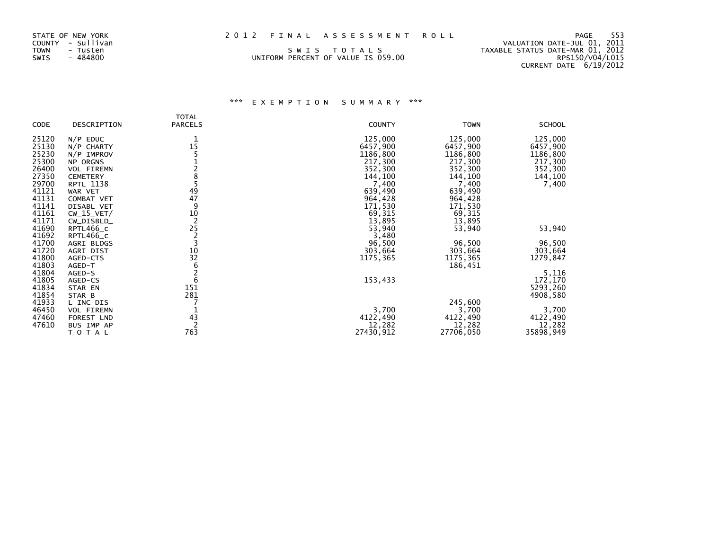| STATE OF NEW YORK | 2012 FINAL ASSESSMENT ROLL         | - 553<br>PAGE                    |
|-------------------|------------------------------------|----------------------------------|
| COUNTY - Sullivan |                                    | VALUATION DATE-JUL 01, 2011      |
| TOWN<br>- Tusten  | SWIS TOTALS                        | TAXABLE STATUS DATE-MAR 01, 2012 |
| SWIS<br>- 484800  | UNIFORM PERCENT OF VALUE IS 059.00 | RPS150/V04/L015                  |

# CURRENT DATE 6/19/2012

|       |                 | TOTAL          |               |             |               |
|-------|-----------------|----------------|---------------|-------------|---------------|
| CODE  | DESCRIPTION     | <b>PARCELS</b> | <b>COUNTY</b> | <b>TOWN</b> | <b>SCHOOL</b> |
| 25120 | $N/P$ EDUC      |                | 125,000       | 125,000     | 125,000       |
| 25130 | $N/P$ CHARTY    | 15             | 6457,900      | 6457,900    | 6457,900      |
| 25230 | $N/P$ IMPROV    |                | 1186,800      | 1186,800    | 1186,800      |
| 25300 | NP ORGNS        |                | 217,300       | 217,300     | 217,300       |
| 26400 | VOL FIREMN      |                | 352,300       | 352,300     | 352,300       |
| 27350 | <b>CEMETERY</b> |                | 144,100       | 144,100     | 144,100       |
| 29700 | RPTL 1138       |                | 7,400         | 7,400       | 7,400         |
| 41121 | WAR VET         | 49             | 639,490       | 639,490     |               |
| 41131 | COMBAT VET      | 47             | 964,428       | 964,428     |               |
| 41141 | DISABL VET      | 9              | 171,530       | 171,530     |               |
| 41161 | $CW_15_VET/$    |                | 69,315        | 69,315      |               |
| 41171 | CW_DISBLD_      | $\frac{10}{2}$ | 13,895        | 13,895      |               |
| 41690 | RPTL466_C       | 25             | 53,940        | 53,940      | 53,940        |
| 41692 | RPTL466_C       |                | 3,480         |             |               |
| 41700 | AGRI BLDGS      |                | 96,500        | 96,500      | 96,500        |
| 41720 | AGRI DIST       | 10             | 303,664       | 303,664     | 303,664       |
| 41800 | AGED-CTS        | 32             | 1175,365      | 1175,365    | 1279,847      |
| 41803 | AGED-T          | 6              |               | 186,451     |               |
| 41804 | AGED-S          |                |               |             | 5,116         |
| 41805 | AGED-CS         | 6              | 153,433       |             | 172,170       |
| 41834 | STAR EN         | 151            |               |             | 5293,260      |
| 41854 | STAR B          | 281            |               |             | 4908,580      |
| 41933 | L INC DIS       |                |               | 245,600     |               |
| 46450 | VOL FIREMN      |                | 3,700         | 3,700       | 3,700         |
| 47460 | FOREST LND      | 43             | 4122,490      | 4122,490    | 4122,490      |
| 47610 | BUS IMP AP      |                | 12,282        | 12,282      | 12,282        |
|       | TOTAL           | 763            | 27430,912     | 27706,050   | 35898,949     |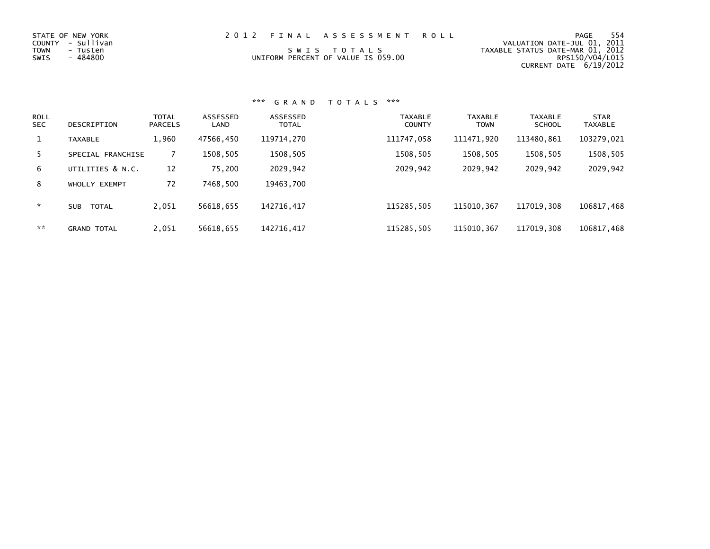| STATE OF NEW YORK<br>COUNTY - Sullivan<br>TOWN<br>- Tusten<br>SWIS<br>- 484800 | 2012 FINAL ASSESSMENT ROLL<br>SWIS TOTALS<br>UNIFORM PERCENT OF VALUE IS 059.00 | 554<br>PAGE<br>VALUATION DATE-JUL 01, 2011<br>TAXABLE STATUS DATE-MAR 01, 2012<br>RPS150/V04/L015 |
|--------------------------------------------------------------------------------|---------------------------------------------------------------------------------|---------------------------------------------------------------------------------------------------|
|                                                                                |                                                                                 | CURRENT DATE 6/19/2012                                                                            |

| <b>ROLL</b><br><b>SEC</b> | DESCRIPTION         | <b>TOTAL</b><br><b>PARCELS</b> | ASSESSED<br>LAND | ASSESSED<br><b>TOTAL</b> | <b>TAXABLE</b><br><b>COUNTY</b> | <b>TAXABLE</b><br><b>TOWN</b> | <b>TAXABLE</b><br><b>SCHOOL</b> | <b>STAR</b><br><b>TAXABLE</b> |
|---------------------------|---------------------|--------------------------------|------------------|--------------------------|---------------------------------|-------------------------------|---------------------------------|-------------------------------|
|                           | <b>TAXABLE</b>      | 1,960                          | 47566,450        | 119714,270               | 111747,058                      | 111471.920                    | 113480.861                      | 103279,021                    |
| 5.                        | SPECIAL FRANCHISE   |                                | 1508,505         | 1508,505                 | 1508,505                        | 1508,505                      | 1508,505                        | 1508,505                      |
| 6                         | UTILITIES & N.C.    | 12                             | 75,200           | 2029,942                 | 2029,942                        | 2029,942                      | 2029,942                        | 2029,942                      |
| 8                         | WHOLLY EXEMPT       | 72                             | 7468,500         | 19463,700                |                                 |                               |                                 |                               |
| $\star$                   | <b>SUB</b><br>TOTAL | 2,051                          | 56618,655        | 142716.417               | 115285.505                      | 115010.367                    | 117019.308                      | 106817,468                    |
| **                        | <b>GRAND TOTAL</b>  | 2,051                          | 56618,655        | 142716,417               | 115285,505                      | 115010, 367                   | 117019.308                      | 106817,468                    |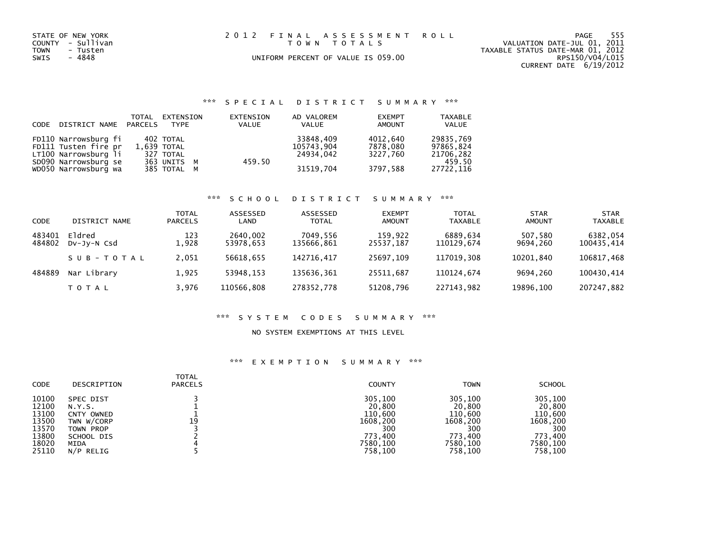| STATE OF NEW YORK<br>COUNTY - Sullivan<br><b>TOWN</b><br>- Tusten<br>- 4848<br>SWIS | 2012 FINAL ASSESSMENT ROLL<br>TOWN TOTALS<br>UNIFORM PERCENT OF VALUE IS 059.00 | PAGE 555<br>VALUATION DATE-JUL 01, 2011<br>TAXABLE STATUS DATE-MAR 01, 2012<br>RPS150/V04/L015 |
|-------------------------------------------------------------------------------------|---------------------------------------------------------------------------------|------------------------------------------------------------------------------------------------|
|                                                                                     |                                                                                 | CURRENT DATE 6/19/2012                                                                         |

| CODE DISTRICT NAME PARCELS | TOTAL | EXTENSION<br><b>TYPE</b> | EXTENSION<br><b>VALUE</b> | AD VALOREM<br>VALUE | <b>EXEMPT</b><br>AMOUNT | <b>TAXABLE</b><br><b>VALUE</b> |
|----------------------------|-------|--------------------------|---------------------------|---------------------|-------------------------|--------------------------------|
| FD110 Narrowsburg fi       |       | 402 TOTAL                |                           | 33848,409           | 4012,640                | 29835,769                      |
| FD111 Tusten fire pr       |       | $1.639$ TOTAL            |                           | 105743,904          | 7878.080                | 97865.824                      |
| LT100 Narrowsburg li       |       | 327 TOTAL                |                           | 24934.042           | 3227.760                | 21706,282                      |
| SD090 Narrowsburg se       |       | 363 UNITS M              | 459.50                    |                     |                         | 459.50                         |
| WD050 Narrowsburg wa       |       | 385 TOTAL M              |                           | 31519,704           | 3797.588                | 27722,116                      |

### \*\*\* S C H O O L D I S T R I C T S U M M A R Y \*\*\*

| <b>CODE</b>      | DISTRICT NAME         | <b>TOTAL</b><br><b>PARCELS</b> | ASSESSED<br>LAND      | ASSESSED<br><b>TOTAL</b> | <b>EXEMPT</b><br><b>AMOUNT</b> | <b>TOTAL</b><br>TAXABLE | <b>STAR</b><br><b>AMOUNT</b> | <b>STAR</b><br><b>TAXABLE</b> |
|------------------|-----------------------|--------------------------------|-----------------------|--------------------------|--------------------------------|-------------------------|------------------------------|-------------------------------|
| 483401<br>484802 | Eldred<br>DV-JV-N Csd | 123<br>L.928                   | 2640,002<br>53978,653 | 7049,556<br>135666,861   | 159,922<br>25537,187           | 6889.634<br>110129.674  | 507,580<br>9694.260          | 6382,054<br>100435,414        |
|                  | SUB-TOTAL             | 2.051                          | 56618.655             | 142716.417               | 25697.109                      | 117019.308              | 10201.840                    | 106817,468                    |
| 484889           | Nar Library           | 1.925                          | 53948.153             | 135636,361               | 25511.687                      | 110124.674              | 9694.260                     | 100430,414                    |
|                  | T O T A L             | 3,976                          | 110566,808            | 278352,778               | 51208,796                      | 227143.982              | 19896,100                    | 207247,882                    |

### \*\*\* S Y S T E M C O D E S S U M M A R Y \*\*\*

#### NO SYSTEM EXEMPTIONS AT THIS LEVEL

| <b>CODE</b> | DESCRIPTION | <b>TOTAL</b><br><b>PARCELS</b> | <b>COUNTY</b> | <b>TOWN</b> | <b>SCHOOL</b> |
|-------------|-------------|--------------------------------|---------------|-------------|---------------|
| 10100       | SPEC DIST   | 19                             | 305,100       | 305,100     | 305,100       |
| 12100       | N.Y.S.      |                                | 20,800        | 20,800      | 20,800        |
| 13100       | CNTY OWNED  |                                | 110,600       | 110,600     | 110,600       |
| 13500       | TWN W/CORP  |                                | 1608.200      | 1608.200    | 1608,200      |
| 13570       | TOWN PROP   |                                | 300           | 300         | 300           |
| 13800       | SCHOOL DIS  |                                | 773.400       | 773.400     | 773.400       |
| 18020       | MIDA        |                                | 7580,100      | 7580,100    | 7580,100      |
| 25110       | N/P RELIG   |                                | 758,100       | 758,100     | 758,100       |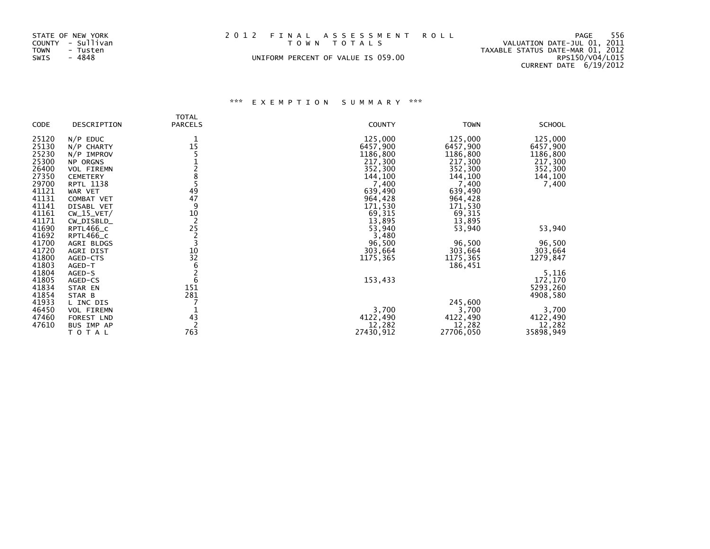| STATE OF NEW YORK<br>COUNTY - Sullivan<br>TOWN<br>- Tusten | 2012 FINAL ASSESSMENT ROLL<br>TOWN TOTALS | -556<br>PAGE<br>VALUATION DATE-JUL 01, 2011<br>TAXABLE STATUS DATE-MAR 01, 2012 |
|------------------------------------------------------------|-------------------------------------------|---------------------------------------------------------------------------------|
| SWIS<br>- 4848                                             | UNIFORM PERCENT OF VALUE IS 059.00        | RPS150/V04/L015                                                                 |
|                                                            |                                           | CURRENT DATE 6/19/2012                                                          |

|                |                    | <b>TOTAL</b>   |               |                     |               |
|----------------|--------------------|----------------|---------------|---------------------|---------------|
| CODE           | DESCRIPTION        | <b>PARCELS</b> | <b>COUNTY</b> | <b>TOWN</b>         | <b>SCHOOL</b> |
| 25120          | $N/P$ EDUC         |                | 125,000       | 125,000             | 125,000       |
| 25130          | N/P CHARTY         | 15             | 6457,900      | 6457,900            | 6457,900      |
| 25230          | N/P IMPROV         |                | 1186,800      | 1186,800            | 1186,800      |
| 25300          | NP ORGNS           |                | 217,300       | 217,300             | 217,300       |
| 26400          | VOL FIREMN         |                | 352,300       | 352,300             | 352,300       |
| 27350          | <b>CEMETERY</b>    |                | 144,100       | 144,100             | 144,100       |
| 29700          | <b>RPTL 1138</b>   |                | 7,400         | 7,400               | 7,400         |
| 41121          | WAR VET            | 49             | 639,490       | 639,490             |               |
| 41131          | COMBAT VET         | 47             | 964,428       | 964,428             |               |
| 41141          | DISABL VET         | 9              | 171,530       | 171,530             |               |
| 41161          | $CW_15_VET/$       | 10             | 69,315        | 69,315              |               |
| 41171          | CW_DISBLD_         | $\overline{2}$ | 13,895        | 13,895              |               |
| 41690          | RPTL466_C          | 25             | 53,940        | 53,940              | 53,940        |
| 41692          | RPTL466_C          | 2<br>3         | 3,480         |                     |               |
| 41700<br>41720 | AGRI BLDGS         |                | 96,500        | 96,500              | 96,500        |
| 41800          | AGRI DIST          | 10<br>32       | 303,664       | 303,664             | 303,664       |
| 41803          | AGED-CTS<br>AGED-T | 6              | 1175,365      | 1175,365<br>186,451 | 1279,847      |
| 41804          | AGED-S             |                |               |                     | 5,116         |
| 41805          | AGED-CS            | 6              | 153,433       |                     | 172,170       |
| 41834          | STAR EN            | 151            |               |                     | 5293,260      |
| 41854          | STAR B             | 281            |               |                     | 4908,580      |
| 41933          | L INC DIS          |                |               | 245,600             |               |
| 46450          | VOL FIREMN         |                | 3,700         | 3,700               | 3,700         |
| 47460          | FOREST LND         | 43             | 4122,490      | 4122,490            | 4122,490      |
| 47610          | BUS IMP AP         |                | 12,282        | 12,282              | 12,282        |
|                | TOTAL              | 763            | 27430,912     | 27706,050           | 35898,949     |